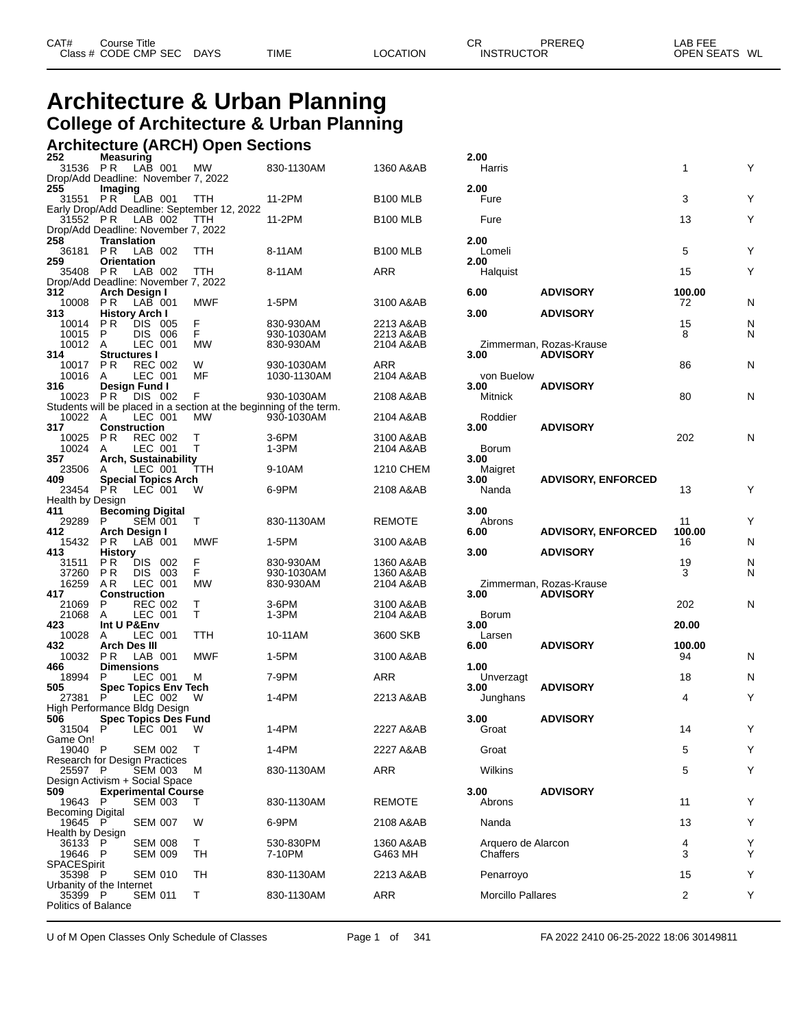| CAT# | Course Title<br>Class # CODE CMP SEC | <b>DAYS</b> | <b>TIME</b> | LOCATION | СR<br><b>INSTRUCTOR</b> | PREREQ | LAB FEE<br>OPEN SEATS WL |
|------|--------------------------------------|-------------|-------------|----------|-------------------------|--------|--------------------------|
|      |                                      |             |             |          |                         |        |                          |

# **Architecture & Urban Planning College of Architecture & Urban Planning**

## **Architecture (ARCH) Open Sections**

| 252                                             | <b>Measuring</b>             |                           |                             |                                             |                                                                                  |                        | 2.00                 |                                            |              |        |
|-------------------------------------------------|------------------------------|---------------------------|-----------------------------|---------------------------------------------|----------------------------------------------------------------------------------|------------------------|----------------------|--------------------------------------------|--------------|--------|
| 31536<br>Drop/Add Deadline: November 7, 2022    | PR.                          | LAB 001                   |                             | МW                                          | 830-1130AM                                                                       | 1360 A&AB              | Harris               |                                            | 1            | Y      |
| 255<br>31551 PR                                 | Imaging                      | LAB 001                   |                             | TTH                                         | 11-2PM                                                                           | <b>B100 MLB</b>        | 2.00<br>Fure         |                                            | 3            | Y      |
|                                                 |                              |                           |                             | Early Drop/Add Deadline: September 12, 2022 |                                                                                  |                        |                      |                                            |              |        |
| 31552 PR<br>Drop/Add Deadline: November 7, 2022 |                              | LAB 002                   |                             | TTH                                         | 11-2PM                                                                           | <b>B100 MLB</b>        | Fure                 |                                            | 13           | Υ      |
| 258                                             | <b>Translation</b>           |                           |                             |                                             |                                                                                  |                        | 2.00                 |                                            |              |        |
| 36181 PR<br>259                                 |                              | LAB 002                   |                             | TTH                                         | 8-11AM                                                                           | <b>B100 MLB</b>        | Lomeli               |                                            | 5            | Υ      |
| 35408                                           | <b>Orientation</b><br>P R    | LAB 002                   |                             | TTH                                         | 8-11AM                                                                           | ARR                    | 2.00<br>Halquist     |                                            | 15           | Υ      |
| Drop/Add Deadline: November 7, 2022             |                              |                           |                             |                                             |                                                                                  |                        |                      | <b>ADVISORY</b>                            |              |        |
| 312<br>10008                                    | Arch Design I<br>P R         | $LAB$ 001                 |                             | MWF                                         | 1-5PM                                                                            | 3100 A&AB              | 6.00                 |                                            | 100.00<br>72 | N      |
| 313                                             | <b>History Arch I</b>        |                           |                             |                                             |                                                                                  |                        | 3.00                 | <b>ADVISORY</b>                            |              |        |
| 10014<br>10015                                  | PR.<br>P                     | DIS 005<br>DIS 006        |                             | F<br>F                                      | 830-930AM<br>930-1030AM                                                          | 2213 A&AB<br>2213 A&AB |                      |                                            | 15<br>8      | N<br>N |
| 10012 A                                         |                              | LEC 001                   |                             | МW                                          | 830-930AM                                                                        | 2104 A&AB              |                      | Zimmerman, Rozas-Krause                    |              |        |
| 314                                             | <b>Structures I</b>          |                           |                             |                                             |                                                                                  |                        | 3.00                 | <b>ADVISORY</b>                            |              |        |
| 10017 PR<br>10016                               | A                            | <b>REC 002</b><br>LEC 001 |                             | W<br>MF                                     | 930-1030AM<br>1030-1130AM                                                        | ARR<br>2104 A&AB       | von Buelow           |                                            | 86           | N      |
| 316                                             | Design Fund I                |                           |                             |                                             |                                                                                  |                        | 3.00                 | <b>ADVISORY</b>                            |              |        |
| 10023 PR                                        |                              | DIS 002                   |                             | F                                           | 930-1030AM<br>Students will be placed in a section at the beginning of the term. | 2108 A&AB              | Mitnick              |                                            | 80           | N      |
| 10022 A                                         |                              | LEC 001                   |                             | MW                                          | 930-1030AM                                                                       | 2104 A&AB              | Roddier              |                                            |              |        |
| 317                                             | <b>Construction</b>          |                           |                             |                                             |                                                                                  |                        | 3.00                 | <b>ADVISORY</b>                            |              |        |
| 10025<br>10024                                  | P R<br>A                     | <b>REC 002</b><br>LEC 001 |                             | Τ<br>Т                                      | 3-6PM<br>1-3PM                                                                   | 3100 A&AB<br>2104 A&AB | Borum                |                                            | 202          | N      |
| 357                                             |                              |                           | Arch, Sustainability        |                                             |                                                                                  |                        | 3.00                 |                                            |              |        |
| 23506                                           | A                            | LEC 001                   | <b>Special Topics Arch</b>  | TTH                                         | 9-10AM                                                                           | 1210 CHEM              | Maigret              | <b>ADVISORY, ENFORCED</b>                  |              |        |
| 409<br>23454 PR                                 |                              | LEC 001                   |                             | W                                           | 6-9PM                                                                            | 2108 A&AB              | 3.00<br>Nanda        |                                            | 13           | Y      |
| Health by Design                                |                              |                           |                             |                                             |                                                                                  |                        |                      |                                            |              |        |
| 411<br>29289                                    | <b>Becoming Digital</b><br>P | <b>SEM 001</b>            |                             | Т                                           | 830-1130AM                                                                       | <b>REMOTE</b>          | 3.00<br>Abrons       |                                            | 11           | Y      |
| 412                                             | Arch Design I                |                           |                             |                                             |                                                                                  |                        | 6.00                 | <b>ADVISORY, ENFORCED</b>                  | 100.00       |        |
| 15432<br>413                                    | P R                          | LAB 001                   |                             | MWF                                         | 1-5PM                                                                            | 3100 A&AB              | 3.00                 | <b>ADVISORY</b>                            | 16           | N      |
| 31511                                           | <b>History</b><br>P R        | DIS 002                   |                             | F                                           | 830-930AM                                                                        | 1360 A&AB              |                      |                                            | 19           | N      |
| 37260                                           | P R                          | DIS 003                   |                             | F                                           | 930-1030AM                                                                       | 1360 A&AB              |                      |                                            | 3            | N      |
| 16259<br>417                                    | AR.<br><b>Construction</b>   | LEC 001                   |                             | MW                                          | 830-930AM                                                                        | 2104 A&AB              | 3.00                 | Zimmerman, Rozas-Krause<br><b>ADVISORY</b> |              |        |
| 21069                                           | P                            | <b>REC 002</b>            |                             | Τ                                           | 3-6PM                                                                            | 3100 A&AB              |                      |                                            | 202          | N      |
| 21068<br>423                                    | A<br>Int U P&Env             | LEC 001                   |                             | T                                           | 1-3PM                                                                            | 2104 A&AB              | <b>Borum</b><br>3.00 |                                            | 20.00        |        |
| 10028                                           | A                            | LEC 001                   |                             | TTH                                         | 10-11AM                                                                          | 3600 SKB               | Larsen               |                                            |              |        |
| 432                                             | <b>Arch Des III</b>          |                           |                             |                                             |                                                                                  |                        | 6.00                 | <b>ADVISORY</b>                            | 100.00       |        |
| 10032<br>466                                    | PR.<br><b>Dimensions</b>     | LAB 001                   |                             | MWF                                         | 1-5PM                                                                            | 3100 A&AB              | 1.00                 |                                            | 94           | N      |
| 18994                                           | P                            | LEC 001                   |                             | м                                           | 7-9PM                                                                            | ARR                    | Unverzagt            |                                            | 18           | N      |
| 505<br>27381                                    | P.                           | LEC 002                   | <b>Spec Topics Env Tech</b> | W                                           | 1-4PM                                                                            | 2213 A&AB              | 3.00<br>Junghans     | <b>ADVISORY</b>                            | 4            | Y      |
| High Performance Bldg Design                    |                              |                           |                             |                                             |                                                                                  |                        |                      |                                            |              |        |
| 506                                             |                              |                           | <b>Spec Topics Des Fund</b> |                                             |                                                                                  |                        | 3.00                 | <b>ADVISORY</b>                            |              |        |
| 31504<br>Game On!                               | P                            | LEC 001                   |                             | W                                           | 1-4PM                                                                            | 2227 A&AB              | Groat                |                                            | 14           | Y      |
| 19040 P                                         |                              | <b>SEM 002</b>            |                             | T                                           | 1-4PM                                                                            | 2227 A&AB              | Groat                |                                            | 5            | Υ      |
| Research for Design Practices<br>25597 P        |                              | SEM 003                   |                             | M                                           | 830-1130AM                                                                       | ARR                    | Wilkins              |                                            | 5            | Υ      |
| Design Activism + Social Space                  |                              |                           |                             |                                             |                                                                                  |                        |                      |                                            |              |        |
| 509<br>19643 P                                  |                              | <b>SEM 003</b>            | <b>Experimental Course</b>  |                                             | 830-1130AM                                                                       | <b>REMOTE</b>          | 3.00<br>Abrons       | <b>ADVISORY</b>                            | 11           | Y      |
| <b>Becoming Digital</b>                         |                              |                           |                             | Τ                                           |                                                                                  |                        |                      |                                            |              |        |
| 19645 P                                         |                              | <b>SEM 007</b>            |                             | W                                           | 6-9PM                                                                            | 2108 A&AB              | Nanda                |                                            | 13           | Y      |
| Health by Design<br>36133                       | P                            | <b>SEM 008</b>            |                             | T.                                          | 530-830PM                                                                        | 1360 A&AB              | Arquero de Alarcon   |                                            | 4            | Y      |
| 19646                                           | P                            | <b>SEM 009</b>            |                             | TН                                          | 7-10PM                                                                           | G463 MH                | Chaffers             |                                            | 3            | Y      |
| SPACESpirit                                     |                              |                           |                             |                                             |                                                                                  |                        |                      |                                            |              |        |
| 35398 P<br>Urbanity of the Internet             |                              | <b>SEM 010</b>            |                             | TH                                          | 830-1130AM                                                                       | 2213 A&AB              | Penarroyo            |                                            | 15           | Υ      |
| 35399 P                                         |                              | <b>SEM 011</b>            |                             | Т                                           | 830-1130AM                                                                       | ARR                    | Morcillo Pallares    |                                            | 2            | Υ      |
| <b>Politics of Balance</b>                      |                              |                           |                             |                                             |                                                                                  |                        |                      |                                            |              |        |

| 2.00<br>Harris                                   |                                            | 1                  | Υ      |
|--------------------------------------------------|--------------------------------------------|--------------------|--------|
| 2.00<br>Fure                                     |                                            | 3                  | Y      |
| Fure                                             |                                            | 13                 | Y      |
| 2.00<br>Lomeli<br>2.00                           |                                            | 5                  | Y      |
| Halquist<br>6.00                                 | <b>ADVISORY</b>                            | 15<br>100.00       | Y      |
| 3.00                                             | <b>ADVISORY</b>                            | 72                 | N      |
|                                                  |                                            | 15<br>8            | N<br>N |
| 3.00                                             | Zimmerman, Rozas-Krause<br><b>ADVISORY</b> | 86                 | N      |
| von Buelow<br>3.00<br>Mitnick                    | <b>ADVISORY</b>                            | 80                 | N      |
| Roddier<br>3.00                                  | <b>ADVISORY</b>                            | 202                | Ν      |
| <b>Borum</b><br>3.00<br>Maigret<br>3.00<br>Nanda | <b>ADVISORY, ENFORCED</b>                  | 13                 | Y      |
| 3.00<br>Abrons<br>6.00                           | <b>ADVISORY, ENFORCED</b>                  | 11<br>100.00<br>16 | Y<br>N |
| 3.00                                             | <b>ADVISORY</b>                            | 19                 | N      |
| 3.00                                             | Zimmerman, Rozas-Krause<br><b>ADVISORY</b> | 3                  | N      |
| <b>Borum</b>                                     |                                            | 202                | N      |
| 3.00<br>Larsen                                   |                                            | 20.00              |        |
| 6.00                                             | <b>ADVISORY</b>                            | 100.00<br>94       | N      |
| 1.00<br>Unverzagt                                |                                            | 18                 | N      |
| 3.00<br>Junghans                                 | <b>ADVISORY</b>                            | 4                  | Y      |
| 3.00<br>Groat                                    | <b>ADVISORY</b>                            | 14                 | Y      |
| Groat                                            |                                            | 5                  | Y      |
| Wilkins                                          |                                            | 5                  | Y      |
| 3.00<br>Abrons                                   | <b>ADVISORY</b>                            | 11                 | Y      |
| Nanda                                            |                                            | 13                 | Y      |
| Arquero de Alarcon<br>Chaffers                   |                                            | 4<br>3             | Y<br>Y |
| Penarroyo                                        |                                            | 15                 | Y      |
| <b>Morcillo Pallares</b>                         |                                            | 2                  | Y      |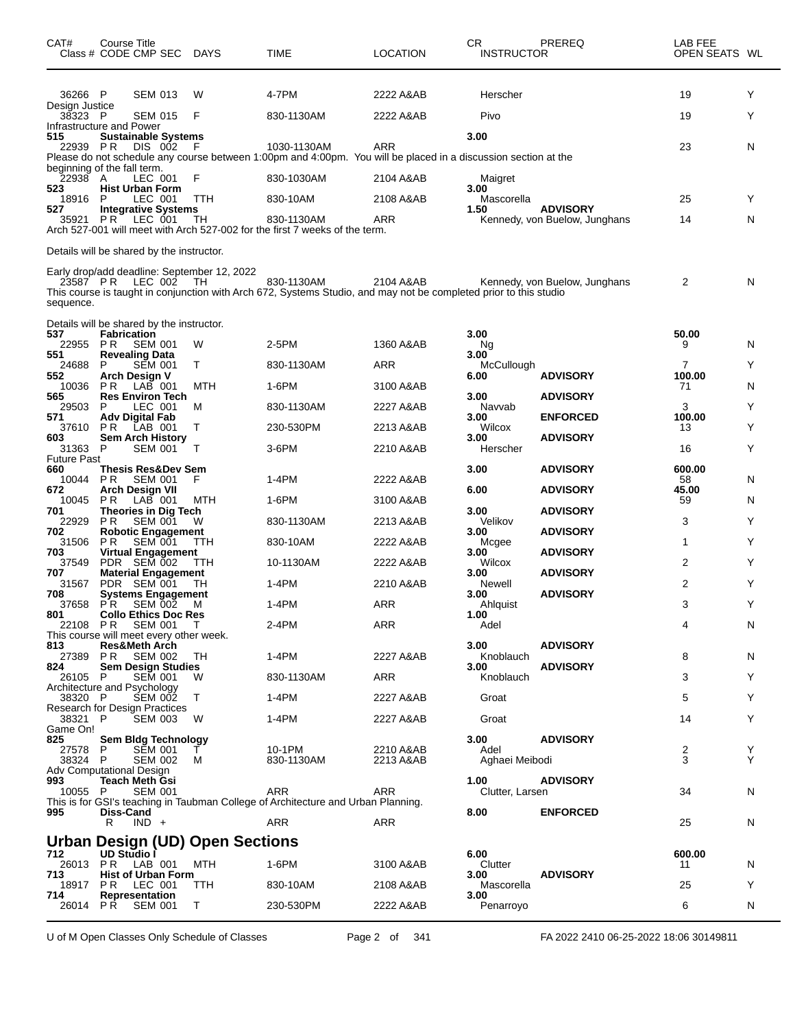| CAT#<br>Class # CODE CMP SEC DAYS                | Course Title                  |                                  |                               |                                                    | TIME                                                                                                                            | <b>LOCATION</b>        | CR<br><b>INSTRUCTOR</b> | PREREQ                                           | LAB FEE<br>OPEN SEATS WL |        |
|--------------------------------------------------|-------------------------------|----------------------------------|-------------------------------|----------------------------------------------------|---------------------------------------------------------------------------------------------------------------------------------|------------------------|-------------------------|--------------------------------------------------|--------------------------|--------|
| 36266 P                                          |                               | <b>SEM 013</b>                   |                               | W                                                  | 4-7PM                                                                                                                           | 2222 A&AB              | Herscher                |                                                  | 19                       | Y      |
| Design Justice<br>38323 P                        |                               | <b>SEM 015</b>                   |                               | F                                                  | 830-1130AM                                                                                                                      | 2222 A&AB              | Pivo                    |                                                  | 19                       | Y      |
| Infrastructure and Power<br>515                  |                               |                                  | <b>Sustainable Systems</b>    |                                                    |                                                                                                                                 |                        | 3.00                    |                                                  |                          |        |
| 22939 PR                                         |                               | DIS 002                          |                               | F                                                  | 1030-1130AM<br>Please do not schedule any course between 1:00pm and 4:00pm. You will be placed in a discussion section at the   | ARR                    |                         |                                                  | 23                       | N      |
| beginning of the fall term.<br>22938 A           |                               | LEC 001                          |                               | F                                                  | 830-1030AM                                                                                                                      | 2104 A&AB              | Maigret                 |                                                  |                          |        |
| 523<br>18916                                     | <b>Hist Urban Form</b><br>P   | LEC 001                          |                               | TTH                                                | 830-10AM                                                                                                                        | 2108 A&AB              | 3.00<br>Mascorella      |                                                  | 25                       | Y      |
| 527<br>35921                                     | <b>PR LEC 001</b>             |                                  | <b>Integrative Systems</b>    | TН                                                 | 830-1130AM                                                                                                                      | ARR                    | 1.50                    | <b>ADVISORY</b><br>Kennedy, von Buelow, Junghans | 14                       | N      |
|                                                  |                               |                                  |                               |                                                    | Arch 527-001 will meet with Arch 527-002 for the first 7 weeks of the term.                                                     |                        |                         |                                                  |                          |        |
| Details will be shared by the instructor.        |                               |                                  |                               |                                                    |                                                                                                                                 |                        |                         |                                                  |                          |        |
| 23587 PR LEC 002<br>sequence.                    |                               |                                  |                               | Early drop/add deadline: September 12, 2022<br>TH. | 830-1130AM<br>This course is taught in conjunction with Arch 672, Systems Studio, and may not be completed prior to this studio | 2104 A&AB              |                         | Kennedy, von Buelow, Junghans                    | 2                        | N      |
| Details will be shared by the instructor.<br>537 | <b>Fabrication</b>            |                                  |                               |                                                    |                                                                                                                                 |                        | 3.00                    |                                                  | 50.00                    |        |
| 22955                                            | P R                           | <b>SEM 001</b>                   |                               | W                                                  | 2-5PM                                                                                                                           | 1360 A&AB              | Ng                      |                                                  | 9                        | N      |
| 551<br>24688                                     | Revealing Data<br>P           | <b>SEM 001</b>                   |                               | Τ                                                  | 830-1130AM                                                                                                                      | ARR                    | 3.00<br>McCullough      |                                                  | 7                        | Y      |
| 552<br>10036                                     | Arch Design V<br>P R          | $LAB$ 001                        |                               | MTH                                                | 1-6PM                                                                                                                           | 3100 A&AB              | 6.00                    | <b>ADVISORY</b>                                  | 100.00<br>71             | N      |
| 565<br>29503                                     | P                             | LEC 001                          | <b>Res Environ Tech</b>       | м                                                  | 830-1130AM                                                                                                                      | 2227 A&AB              | 3.00<br>Navvab          | <b>ADVISORY</b>                                  | 3                        | Y      |
| 571<br>37610                                     | Adv Digital Fab<br>P R        | LAB 001                          |                               | т                                                  | 230-530PM                                                                                                                       | 2213 A&AB              | 3.00<br>Wilcox          | <b>ENFORCED</b>                                  | 100.00<br>13             | Y      |
| 603<br>31363                                     | P                             | <b>SEM 001</b>                   | <b>Sem Arch History</b>       | т                                                  | 3-6PM                                                                                                                           | 2210 A&AB              | 3.00<br>Herscher        | <b>ADVISORY</b>                                  | 16                       | Y      |
| <b>Future Past</b><br>660                        |                               |                                  | <b>Thesis Res&amp;Dev Sem</b> |                                                    |                                                                                                                                 |                        | 3.00                    | <b>ADVISORY</b>                                  | 600.00                   |        |
| 10044<br>672                                     | P R<br><b>Arch Design VII</b> | <b>SEM 001</b>                   |                               | F                                                  | 1-4PM                                                                                                                           | 2222 A&AB              | 6.00                    | <b>ADVISORY</b>                                  | 58<br>45.00              | N      |
| 10045<br>701                                     | P R                           | LAB 001                          | <b>Theories in Dig Tech</b>   | MTH                                                | 1-6PM                                                                                                                           | 3100 A&AB              | 3.00                    | <b>ADVISORY</b>                                  | 59                       | N      |
| 22929<br>702                                     | <b>PR</b>                     | <b>SEM 001</b>                   | <b>Robotic Engagement</b>     | W                                                  | 830-1130AM                                                                                                                      | 2213 A&AB              | Velikov<br>3.00         | <b>ADVISORY</b>                                  | 3                        | Y      |
| 31506<br>703                                     | P R                           | <b>SEM 001</b>                   | <b>Virtual Engagement</b>     | TTH                                                | 830-10AM                                                                                                                        | 2222 A&AB              | Mcgee<br>3.00           | <b>ADVISORY</b>                                  | 1                        | Y      |
| 37549                                            | PDR SEM 002                   |                                  |                               | TTH                                                | 10-1130AM                                                                                                                       | 2222 A&AB              | Wilcox                  |                                                  | $\overline{2}$           | Y      |
| 707<br>31567                                     | PDR SEM 001                   |                                  | <b>Material Engagement</b>    | ТH                                                 | 1-4PM                                                                                                                           | 2210 A&AB              | 3.00<br>Newell          | <b>ADVISORY</b>                                  | $\overline{c}$           | Y      |
| 708<br>37658                                     | P <sub>R</sub>                | <b>SEM 002</b>                   | Systems Engagement            | м                                                  | 1-4PM                                                                                                                           | ARR                    | 3.00<br>Ahlquist        | <b>ADVISORY</b>                                  | 3                        | Y      |
| 801<br>22108 PR SEM 001 T                        |                               |                                  | Collo Ethics Doc Res          |                                                    | 2-4PM                                                                                                                           | ARR                    | 1.00<br>Adel            |                                                  | 4                        | N      |
| This course will meet every other week.<br>813   | <b>Res&amp;Meth Arch</b>      |                                  |                               |                                                    |                                                                                                                                 |                        | 3.00                    | <b>ADVISORY</b>                                  |                          |        |
| 27389 PR<br>824                                  |                               | SEM 002                          | <b>Sem Design Studies</b>     | TH                                                 | 1-4PM                                                                                                                           | 2227 A&AB              | Knoblauch<br>3.00       | <b>ADVISORY</b>                                  | 8                        | N      |
| 26105 P<br>Architecture and Psychology           |                               | <b>SEM 001</b>                   |                               | w                                                  | 830-1130AM                                                                                                                      | ARR                    | Knoblauch               |                                                  | 3                        | Y      |
| 38320 P<br>Research for Design Practices         |                               | <b>SEM 002</b>                   |                               | $\top$                                             | 1-4PM                                                                                                                           | 2227 A&AB              | Groat                   |                                                  | 5                        | Y      |
| 38321 P<br>Game On!                              |                               | SEM 003                          |                               | <b>W</b>                                           | 1-4PM                                                                                                                           | 2227 A&AB              | Groat                   |                                                  | 14                       | Y      |
| 825                                              |                               |                                  | <b>Sem Bidg Technology</b>    |                                                    |                                                                                                                                 |                        | 3.00                    | <b>ADVISORY</b>                                  |                          |        |
| 27578 P<br>38324 P                               |                               | <b>SEM 001</b><br><b>SEM 002</b> |                               | М                                                  | 10-1PM<br>830-1130AM                                                                                                            | 2210 A&AB<br>2213 A&AB | Adel<br>Aghaei Meibodi  |                                                  | 2<br>3                   | Y<br>Y |
| Adv Computational Design<br>993                  | <b>Teach Meth Gsi</b>         |                                  |                               |                                                    |                                                                                                                                 |                        | 1.00                    | <b>ADVISORY</b>                                  |                          |        |
| 10055 P                                          |                               | <b>SEM 001</b>                   |                               |                                                    | <b>ARR</b><br>This is for GSI's teaching in Taubman College of Architecture and Urban Planning.                                 | ARR                    | Clutter, Larsen         |                                                  | 34                       | N      |
| 995                                              | Diss-Cand<br>R.               | $IND +$                          |                               |                                                    | ARR                                                                                                                             | ARR                    | 8.00                    | <b>ENFORCED</b>                                  | 25                       | N      |
|                                                  |                               |                                  |                               | <b>Urban Design (UD) Open Sections</b>             |                                                                                                                                 |                        |                         |                                                  |                          |        |
| 712<br>26013 PR LAB 001                          | UD Studio I                   |                                  |                               | MTH                                                | 1-6PM                                                                                                                           | 3100 A&AB              | 6.00<br>Clutter         |                                                  | 600.00<br>11             | N      |
| 713<br>18917                                     | P R                           | LEC 001                          | <b>Hist of Urban Form</b>     | TTH                                                | 830-10AM                                                                                                                        | 2108 A&AB              | 3.00<br>Mascorella      | <b>ADVISORY</b>                                  | 25                       | Y      |
| 714<br>26014 PR SEM 001                          | Representation                |                                  |                               | T.                                                 | 230-530PM                                                                                                                       | 2222 A&AB              | 3.00<br>Penarroyo       |                                                  | 6                        | N      |
|                                                  |                               |                                  |                               |                                                    |                                                                                                                                 |                        |                         |                                                  |                          |        |

U of M Open Classes Only Schedule of Classes Page 2 of 341 FA 2022 2410 06-25-2022 18:06 30149811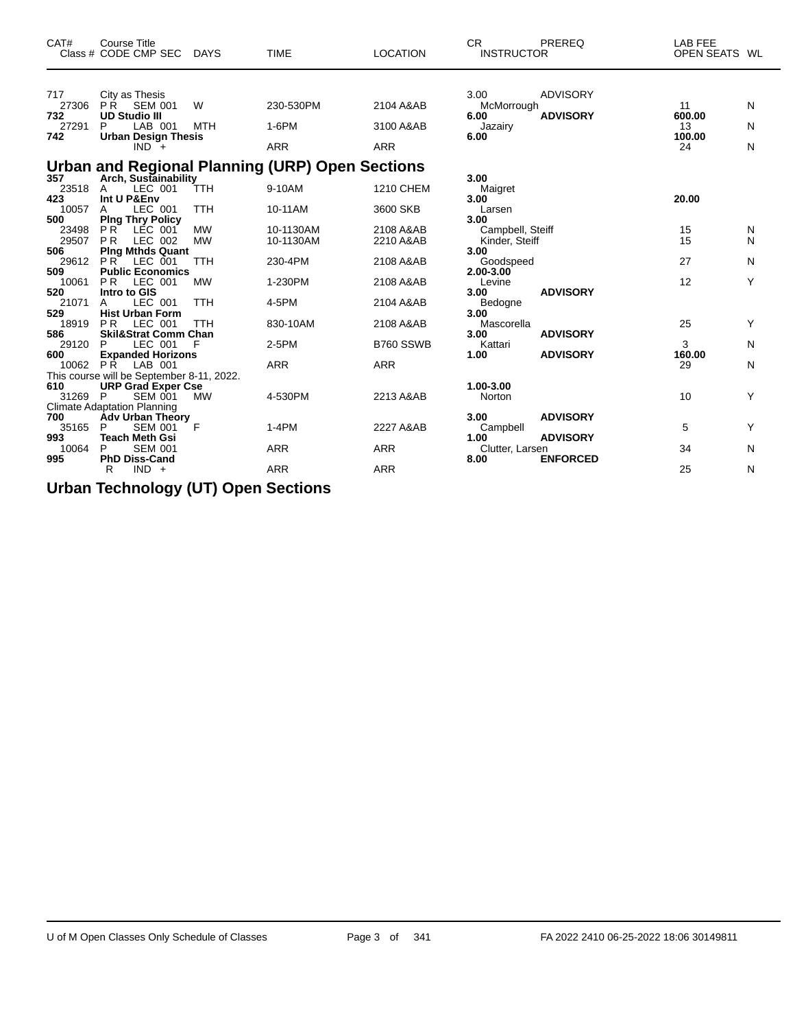| CAT#                  | <b>Course Title</b><br>Class # CODE CMP SEC                                              | <b>DAYS</b>             | <b>TIME</b>                                     | <b>LOCATION</b>              | CR.<br><b>INSTRUCTOR</b>                   | PREREQ                             | <b>LAB FEE</b><br>OPEN SEATS WL |        |
|-----------------------|------------------------------------------------------------------------------------------|-------------------------|-------------------------------------------------|------------------------------|--------------------------------------------|------------------------------------|---------------------------------|--------|
| 717<br>27306<br>732   | City as Thesis<br><b>PR</b><br><b>SEM 001</b><br><b>UD Studio III</b>                    | W                       | 230-530PM                                       | 2104 A&AB                    | 3.00<br>McMorrough<br>6.00                 | <b>ADVISORY</b><br><b>ADVISORY</b> | 11<br>600.00                    | N      |
| 27291<br>742          | P<br>LAB 001<br><b>Urban Design Thesis</b><br>$IND^{-}+$                                 | <b>MTH</b>              | 1-6PM<br><b>ARR</b>                             | 3100 A&AB<br><b>ARR</b>      | Jazairy<br>6.00                            |                                    | 13<br>100.00<br>24              | N<br>N |
| 357                   | Arch, Sustainability                                                                     |                         | Urban and Regional Planning (URP) Open Sections |                              | 3.00                                       |                                    |                                 |        |
| 23518<br>423<br>10057 | LEC 001<br>A<br>Int U P&Env<br>LEC 001<br>A                                              | TTH<br>TTH              | 9-10AM<br>10-11AM                               | <b>1210 CHEM</b><br>3600 SKB | Maigret<br>3.00<br>Larsen                  |                                    | 20.00                           |        |
| 500<br>23498<br>29507 | <b>Ping Thry Policy</b><br>PR<br>LEC 001<br><b>PR</b><br>LEC 002                         | <b>MW</b><br><b>MW</b>  | 10-1130AM<br>10-1130AM                          | 2108 A&AB<br>2210 A&AB       | 3.00<br>Campbell, Steiff<br>Kinder, Steiff |                                    | 15<br>15                        | N<br>N |
| 506<br>29612<br>509   | <b>Ping Mthds Quant</b><br>PR<br>LEC 001<br><b>Public Economics</b>                      | <b>TTH</b>              | 230-4PM                                         | 2108 A&AB                    | 3.00<br>Goodspeed<br>2.00-3.00             |                                    | 27                              | N      |
| 10061<br>520<br>21071 | <b>PR</b><br>LEC 001<br>Intro to GIS<br>LEC 001<br>A                                     | <b>MW</b><br><b>TTH</b> | 1-230PM<br>4-5PM                                | 2108 A&AB<br>2104 A&AB       | Levine<br>3.00<br>Bedogne                  | <b>ADVISORY</b>                    | 12                              | Y      |
| 529<br>18919<br>586   | <b>Hist Urban Form</b><br><b>PR</b><br>LEC 001<br><b>Skil&amp;Strat Comm Chan</b>        | TTH                     | 830-10AM                                        | 2108 A&AB                    | 3.00<br>Mascorella<br>3.00                 | <b>ADVISORY</b>                    | 25                              | Y      |
| 29120<br>600<br>10062 | LEC 001<br>P<br><b>Expanded Horizons</b><br><b>PR</b><br>LAB 001                         | F                       | 2-5PM<br><b>ARR</b>                             | B760 SSWB<br><b>ARR</b>      | Kattari<br>1.00                            | <b>ADVISORY</b>                    | 3<br>160.00<br>29               | N<br>N |
| 610<br>31269 P        | This course will be September 8-11, 2022.<br><b>URP Grad Exper Cse</b><br><b>SEM 001</b> | MW                      | 4-530PM                                         | 2213 A&AB                    | 1.00-3.00<br>Norton                        |                                    | 10                              | Y      |
| 700<br>35165          | <b>Climate Adaptation Planning</b><br><b>Adv Urban Theory</b><br>P<br><b>SEM 001</b>     | F                       | $1-4PM$                                         | 2227 A&AB                    | 3.00<br>Campbell                           | <b>ADVISORY</b>                    | 5                               | Y      |
| 993<br>10064<br>995   | <b>Teach Meth Gsi</b><br>P<br><b>SEM 001</b><br><b>PhD Diss-Cand</b>                     |                         | <b>ARR</b>                                      | <b>ARR</b>                   | 1.00<br>Clutter, Larsen<br>8.00            | <b>ADVISORY</b><br><b>ENFORCED</b> | 34                              | N      |
|                       | $IND +$<br>R                                                                             |                         | <b>ARR</b>                                      | <b>ARR</b>                   |                                            |                                    | 25                              | N      |

**Urban Technology (UT) Open Sections**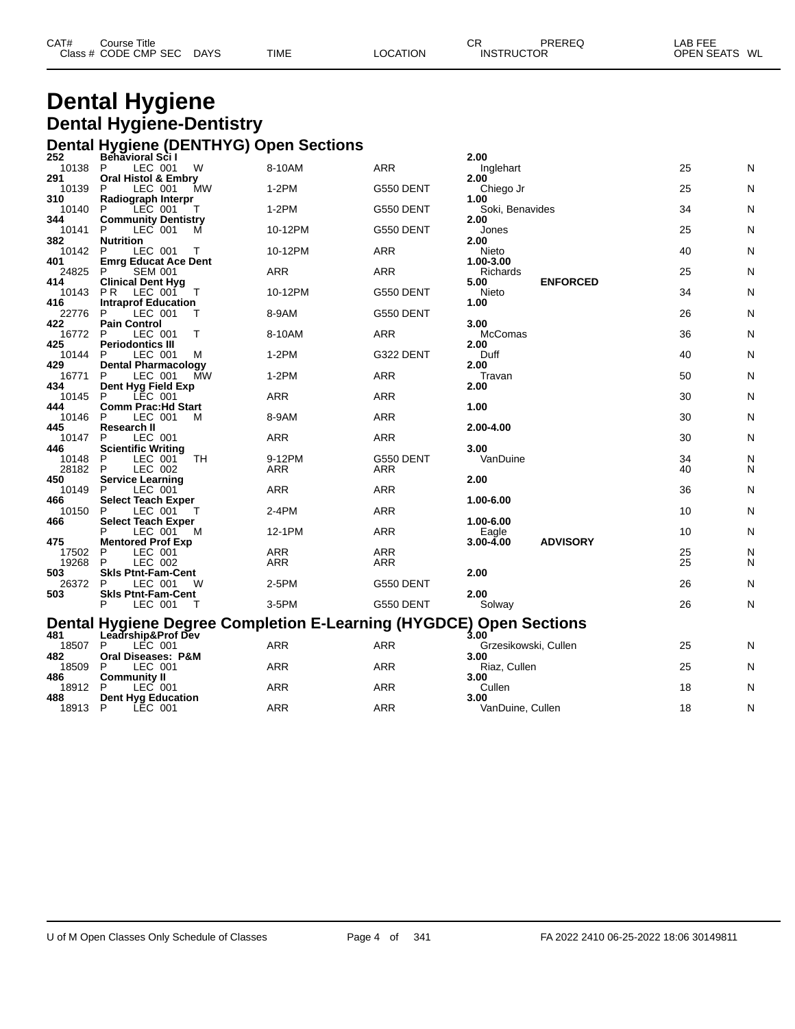| CAT# | Course Title         |             |             |          | СR                | PREREQ | LAB FEE       |  |
|------|----------------------|-------------|-------------|----------|-------------------|--------|---------------|--|
|      | Class # CODE CMP SEC | <b>DAYS</b> | <b>TIME</b> | LOCATION | <b>INSTRUCTOR</b> |        | OPEN SEATS WL |  |

## **Dental Hygiene Dental Hygiene-Dentistry Dental Hygiene (DENTHYG) Open Sections**

| 252          | Behavioral Sci I                                                   |            |            | 2.00                                |    |   |
|--------------|--------------------------------------------------------------------|------------|------------|-------------------------------------|----|---|
| 10138        | P<br>LEC 001<br>W                                                  | 8-10AM     | <b>ARR</b> | Inglehart                           | 25 | N |
| 291          | <b>Oral Histol &amp; Embry</b>                                     |            |            | 2.00                                |    |   |
| 10139        | LEC 001<br>P<br>МW                                                 | $1-2PM$    | G550 DENT  | Chiego Jr                           | 25 | N |
| 310<br>10140 | Radiograph Interpr<br>LEC 001<br>P<br>т                            | $1-2PM$    | G550 DENT  | 1.00<br>Soki, Benavides             | 34 | N |
| 344          | <b>Community Dentistry</b>                                         |            |            | 2.00                                |    |   |
| 10141        | P<br>LEC 001<br>M                                                  | 10-12PM    | G550 DENT  | Jones                               | 25 | N |
| 382          | <b>Nutrition</b>                                                   |            |            | 2.00                                |    |   |
| 10142        | LEC 001<br>P<br>Т                                                  | 10-12PM    | ARR        | Nieto                               | 40 | N |
| 401          | <b>Emrg Educat Ace Dent</b>                                        | ARR        | ARR        | 1.00-3.00                           | 25 | N |
| 24825<br>414 | P<br><b>SEM 001</b><br><b>Clinical Dent Hyg</b>                    |            |            | Richards<br><b>ENFORCED</b><br>5.00 |    |   |
| 10143        | LEC 001<br>P R<br>Τ                                                | 10-12PM    | G550 DENT  | Nieto                               | 34 | N |
| 416          | <b>Intraprof Education</b>                                         |            |            | 1.00                                |    |   |
| 22776        | P<br>LEC 001                                                       | 8-9AM      | G550 DENT  |                                     | 26 | N |
| 422          | <b>Pain Control</b>                                                |            |            | 3.00                                |    |   |
| 16772<br>425 | LEC 001<br>P<br>т<br><b>Periodontics III</b>                       | 8-10AM     | ARR        | McComas<br>2.00                     | 36 | N |
| 10144        | LEC 001<br>P<br>м                                                  | 1-2PM      | G322 DENT  | Duff                                | 40 | N |
| 429          | <b>Dental Pharmacology</b>                                         |            |            | 2.00                                |    |   |
| 16771        | P<br>LEC 001<br>MW                                                 | $1-2PM$    | <b>ARR</b> | Travan                              | 50 | N |
| 434          | Dent Hyg Field Exp                                                 |            |            | 2.00                                |    |   |
| 10145        | LEC 001<br>P                                                       | <b>ARR</b> | <b>ARR</b> |                                     | 30 | N |
| 444<br>10146 | <b>Comm Prac:Hd Start</b><br>P<br>LEC 001<br>м                     | 8-9AM      | ARR        | 1.00                                | 30 | N |
| 445          | Research II                                                        |            |            | 2.00-4.00                           |    |   |
| 10147        | P<br>LEC 001                                                       | ARR        | ARR        |                                     | 30 | N |
| 446          | <b>Scientific Writing</b>                                          |            |            | 3.00                                |    |   |
| 10148        | P<br>LEC 001<br>TН                                                 | 9-12PM     | G550 DENT  | VanDuine                            | 34 | N |
| 28182<br>450 | P<br>LEC 002                                                       | <b>ARR</b> | ARR        | 2.00                                | 40 | N |
| 10149        | <b>Service Learning</b><br>P<br>LEC 001                            | ARR        | <b>ARR</b> |                                     | 36 | N |
| 466          | <b>Select Teach Exper</b>                                          |            |            | 1.00-6.00                           |    |   |
| 10150        | P<br>LEC 001                                                       | 2-4PM      | <b>ARR</b> |                                     | 10 | N |
| 466          | <b>Select Teach Exper</b>                                          |            |            | 1.00-6.00                           |    |   |
|              | LEC 001<br>M                                                       | 12-1PM     | <b>ARR</b> | Eagle                               | 10 | N |
| 475<br>17502 | <b>Mentored Prof Exp</b><br>P<br>LEC 001                           | ARR        | ARR        | <b>ADVISORY</b><br>3.00-4.00        | 25 | N |
| 19268        | P<br>LEC 002                                                       | <b>ARR</b> | <b>ARR</b> |                                     | 25 | N |
| 503          | <b>SkIs Ptnt-Fam-Cent</b>                                          |            |            | 2.00                                |    |   |
| 26372        | P<br>LEC 001<br>W                                                  | 2-5PM      | G550 DENT  |                                     | 26 | N |
| 503          | <b>SkIs Ptnt-Fam-Cent</b>                                          |            |            | 2.00                                |    |   |
|              | P<br>LEC 001<br>- T                                                | 3-5PM      | G550 DENT  | Solway                              | 26 | N |
|              | Dental Hygiene Degree Completion E-Learning (HYGDCE) Open Sections |            |            |                                     |    |   |
| 481          | Leadrship&Prof Dev                                                 |            |            | 3.00                                |    |   |
| 18507        | P<br>LEC 001                                                       | <b>ARR</b> | <b>ARR</b> | Grzesikowski, Cullen                | 25 | N |
| 482          | <b>Oral Diseases: P&amp;M</b>                                      |            |            | 3.00                                |    |   |
| 18509<br>486 | P<br>LEC 001                                                       | <b>ARR</b> | <b>ARR</b> | Riaz, Cullen                        | 25 | N |
| 18912        | <b>Community II</b><br>P<br>LEC 001                                | ARR        | ARR        | 3.00<br>Cullen                      | 18 | N |
| 488          | Dent Hyg Education                                                 |            |            | 3.00                                |    |   |
| 18913        | P<br>LEC 001                                                       | ARR        | <b>ARR</b> | VanDuine, Cullen                    | 18 | N |
|              |                                                                    |            |            |                                     |    |   |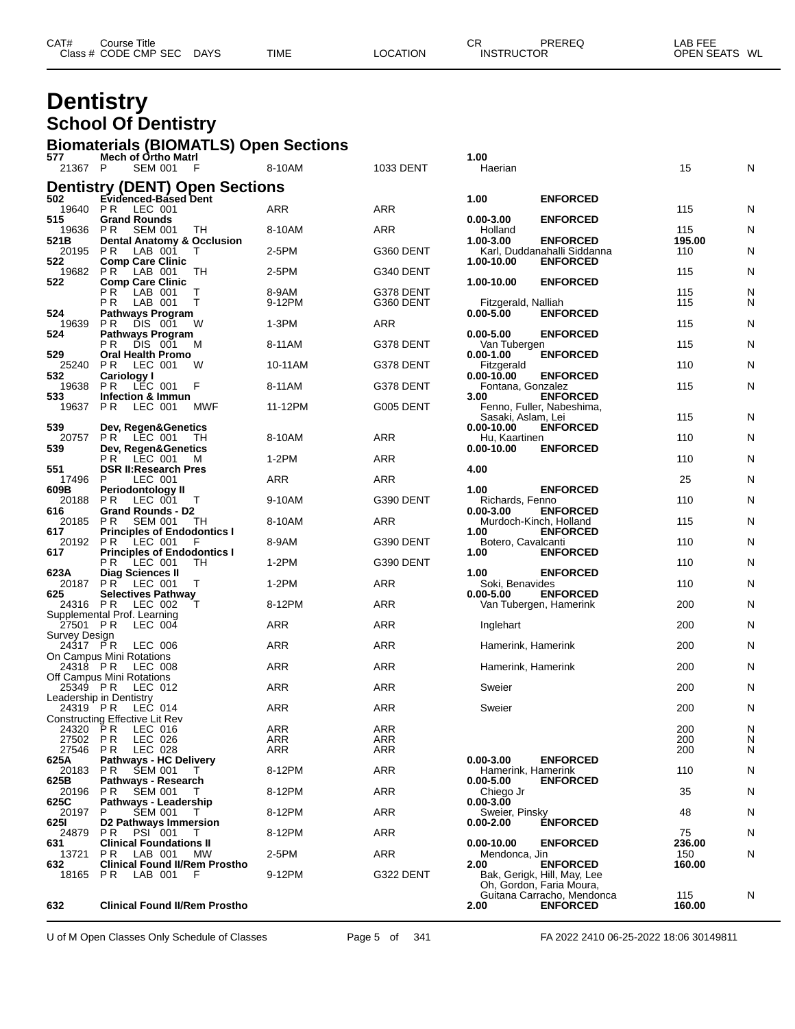| CAT# | Course Title         |             |             |          | ⌒冖<br>◡┍          | PREREQ | LAB FEE       |  |
|------|----------------------|-------------|-------------|----------|-------------------|--------|---------------|--|
|      | Class # CODE CMP SEC | <b>DAYS</b> | <b>TIME</b> | LOCATION | <b>INSTRUCTOR</b> |        | OPEN SEATS WL |  |
|      |                      |             |             |          |                   |        |               |  |

## **Dentistry School Of Dentistry**

# **Biomaterials (BIOMATLS) Open Sections 577 Mech of Ortho Matrl 1.00**

| .<br>21367 P  | <b>HUGHT OF OTHER HIGHT</b><br>SEM 001 F                                | 8-10AM          | 1033 DENT  | vv<br>Haerian                                                   | 15            | N      |
|---------------|-------------------------------------------------------------------------|-----------------|------------|-----------------------------------------------------------------|---------------|--------|
|               | <b>Dentistry (DENT) Open Sections</b>                                   |                 |            |                                                                 |               |        |
| 502           | Evidenced-Based Dent                                                    |                 |            | 1.00<br><b>ENFORCED</b>                                         |               |        |
| 19640<br>515  | <b>PR LEC 001</b><br><b>Grand Rounds</b>                                | ARR             | ARR        | $0.00 - 3.00$<br><b>ENFORCED</b>                                | 115           | N      |
| 19636         | SEM 001<br>P R<br>TH                                                    | 8-10AM          | ARR        | Holland                                                         | 115           | N      |
| 521B<br>20195 | <b>Dental Anatomy &amp; Occlusion</b><br>PR.<br>LAB 001<br>T            | 2-5PM           | G360 DENT  | $1.00 - 3.00$<br><b>ENFORCED</b><br>Karl, Duddanahalli Siddanna | 195.00<br>110 | N      |
| 522           | <b>Comp Care Clinic</b>                                                 |                 |            | 1.00-10.00<br><b>ENFORCED</b>                                   |               |        |
| 19682<br>522  | LAB 001<br>PR.<br>TH<br><b>Comp Care Clinic</b>                         | 2-5PM           | G340 DENT  | 1.00-10.00<br><b>ENFORCED</b>                                   | 115           | N      |
|               | РR<br>LAB 001<br>Τ<br>LAB 001<br>P R<br>T.                              | 8-9AM<br>9-12PM | G378 DENT  |                                                                 | 115<br>115    | N<br>N |
| 524           | <b>Pathways Program</b>                                                 |                 | G360 DENT  | Fitzgerald, Nalliah<br>$0.00 - 5.00$<br><b>ENFORCED</b>         |               |        |
| 19639<br>524  | DIS 001<br>P R<br>W<br><b>Pathways Program</b>                          | $1-3PM$         | ARR        | <b>ENFORCED</b><br>$0.00 - 5.00$                                | 115           | N      |
|               | PR.<br>DIS 001<br>м                                                     | 8-11AM          | G378 DENT  | Van Tubergen                                                    | 115           | N      |
| 529<br>25240  | Oral Health Promo<br>P R<br>LEC 001<br>W                                | 10-11AM         | G378 DENT  | <b>ENFORCED</b><br>$0.00 - 1.00$<br>Fitzgerald                  | 110           | N      |
| 532           | Cariology I<br>P R LEC 001                                              |                 |            | $0.00 - 10.00$<br><b>ENFORCED</b>                               |               |        |
| 19638<br>533  | F<br><b>Infection &amp; Immun</b>                                       | 8-11AM          | G378 DENT  | Fontana, Gonzalez<br><b>ENFORCED</b><br>3.00                    | 115           | N      |
| 19637         | PR.<br>LEC 001<br>MWF                                                   | 11-12PM         | G005 DENT  | Fenno, Fuller, Nabeshima,                                       |               |        |
| 539           | Dev, Regen&Genetics                                                     |                 |            | Sasaki, Aslam, Lei<br>$0.00 - 10.00$<br><b>ENFORCED</b>         | 115           | N      |
| 20757<br>539  | PR LEC 001<br>- TH<br>Dev, Regen&Genetics                               | 8-10AM          | ARR        | Hu, Kaartinen<br>$0.00 - 10.00$                                 | 110           | N      |
|               | <b>PR</b> LEC 001<br>- M                                                | $1-2PM$         | ARR        | <b>ENFORCED</b>                                                 | 110           | N      |
| 551<br>17496  | <b>DSR II: Research Pres</b><br>LEC 001<br>P                            | ARR             | ARR        | 4.00                                                            | 25            | N      |
| 609B          | <b>Periodontology II</b>                                                |                 |            | <b>ENFORCED</b><br>1.00                                         |               |        |
| 20188<br>616  | PR LEC 001 T<br><b>Grand Rounds - D2</b>                                | 9-10AM          | G390 DENT  | Richards, Fenno<br><b>ENFORCED</b><br>$0.00 - 3.00$             | 110           | N      |
| 20185 PR      | SEM 001<br>- TH                                                         | 8-10AM          | ARR        | Murdoch-Kinch, Holland                                          | 115           | N      |
| 617<br>20192  | <b>Principles of Endodontics I</b><br>$LEC$ 001<br>P R<br>E             | 8-9AM           | G390 DENT  | 1.00<br><b>ENFORCED</b><br>Botero, Cavalcanti                   | 110           | N      |
| 617           | <b>Principles of Endodontics I</b>                                      |                 |            | <b>ENFORCED</b><br>1.00                                         |               |        |
| 623A          | PR LEC 001<br>TH<br><b>Diag Sciences II</b>                             | 1-2PM           | G390 DENT  | 1.00<br><b>ENFORCED</b>                                         | 110           | N      |
| 625           | 20187 PR LEC 001<br>T<br><b>Selectives Pathway</b>                      | $1-2PM$         | ARR        | Soki, Benavides<br>$0.00 - 5.00$<br><b>ENFORCED</b>             | 110           | N      |
| 24316 PR      | LEC 002                                                                 | 8-12PM          | ARR        | Van Tubergen, Hamerink                                          | 200           | N      |
| 27501 PR      | Supplemental Prof. Learning<br>LEC 004                                  | ARR             | ARR        | Inglehart                                                       | 200           | N      |
| Survey Design |                                                                         |                 |            |                                                                 |               |        |
|               | 24317 PR LEC 006<br>On Campus Mini Rotations                            | <b>ARR</b>      | ARR        | Hamerink, Hamerink                                              | 200           | N      |
| 24318 PR      | LEC 008                                                                 | ARR             | <b>ARR</b> | Hamerink, Hamerink                                              | 200           | N      |
| 25349 PR      | Off Campus Mini Rotations<br>LEC 012                                    | ARR             | ARR        | Sweier                                                          | 200           | N      |
| $24319$ PR    | Leadership in Dentistry<br>LEC 014                                      | <b>ARR</b>      | ARR        |                                                                 |               |        |
|               | Constructing Effective Lit Rev                                          |                 |            | Sweier                                                          | 200           | N      |
| 24320 PR      | LEC 016<br>27502 PR LEC 026                                             | ARR<br>ARR      | ARR<br>ARR |                                                                 | 200<br>200    | N      |
| 27546         | LEC 028<br>P R                                                          | ARR             | ARR        |                                                                 | 200           | N<br>N |
| 625A<br>20183 | <b>Pathways - HC Delivery</b><br><b>SEM 001</b><br>P R                  | 8-12PM          | <b>ARR</b> | <b>ENFORCED</b><br>$0.00 - 3.00$<br>Hamerink, Hamerink          | 110           | N      |
| 625B          | Pathways - Research                                                     |                 |            | $0.00 - 5.00$<br><b>ENFORCED</b>                                |               |        |
| 20196<br>625C | <b>SEM 001</b><br>P <sub>R</sub><br>T<br>Pathways - Leadership          | 8-12PM          | ARR        | Chiego Jr<br>$0.00 - 3.00$                                      | 35            | N      |
| 20197         | P<br>SEM 001<br>$\top$                                                  | 8-12PM          | ARR        | Sweier, Pinsky                                                  | 48            | N      |
| 6251<br>24879 | D2 Pathways Immersion<br>P R<br><b>PSI 001</b><br>T                     | 8-12PM          | <b>ARR</b> | <b>ÉNFORCED</b><br>$0.00 - 2.00$                                | 75            | N      |
| 631           | <b>Clinical Foundations II</b>                                          |                 |            | $0.00 - 10.00$<br><b>ENFORCED</b>                               | 236.00        |        |
| 13721<br>632  | P <sub>R</sub><br>LAB 001<br>MW<br><b>Clinical Found II/Rem Prostho</b> | 2-5PM           | ARR        | Mendonca, Jin<br>2.00<br><b>ENFORCED</b>                        | 150<br>160.00 | N      |
| 18165         | PR.<br>LAB 001<br>F                                                     | 9-12PM          | G322 DENT  | Bak, Gerigk, Hill, May, Lee<br>Oh, Gordon, Faria Moura,         |               |        |
| 632           | <b>Clinical Found II/Rem Prostho</b>                                    |                 |            | Guitana Carracho, Mendonca<br>2.00<br><b>ENFORCED</b>           | 115<br>160.00 | N      |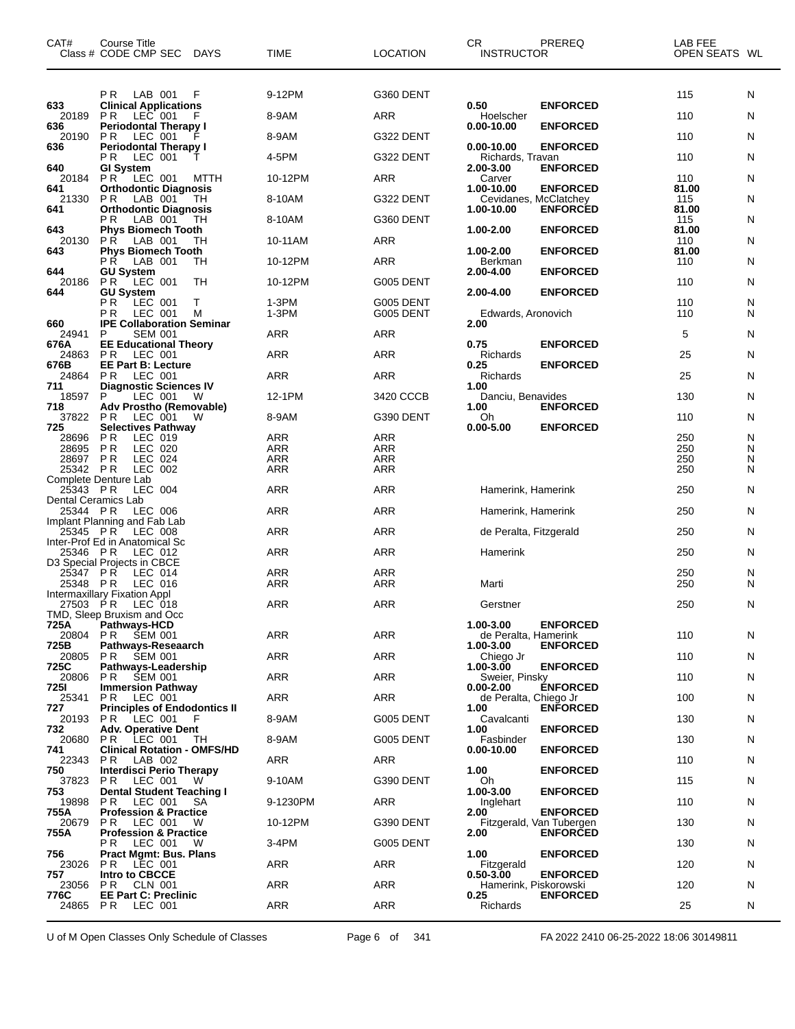| CAT#                                   | <b>Course Title</b><br>Class # CODE CMP SEC<br>DAYS           | TIME              | LOCATION          | CR<br><b>INSTRUCTOR</b>           | PREREQ                                      | LAB FEE<br>OPEN SEATS WL |        |
|----------------------------------------|---------------------------------------------------------------|-------------------|-------------------|-----------------------------------|---------------------------------------------|--------------------------|--------|
|                                        | LAB 001<br>P R<br>F                                           | 9-12PM            | G360 DENT         |                                   |                                             | 115                      | N      |
| 633<br>20189                           | <b>Clinical Applications</b><br>P R LEC 001 F                 | 8-9AM             | ARR               | 0.50<br>Hoelscher                 | <b>ENFORCED</b>                             | 110                      | N      |
| 636<br>20190                           | <b>Periodontal Therapy I</b><br>P R<br>LEC 001                | 8-9AM             | G322 DENT         | $0.00 - 10.00$                    | <b>ENFORCED</b>                             | 110                      | N      |
| 636                                    | <b>Periodontal Therapy I</b>                                  |                   |                   | $0.00 - 10.00$                    | <b>ENFORCED</b>                             |                          |        |
| 640                                    | LEC 001<br>P R<br>т<br><b>GI System</b>                       | 4-5PM             | G322 DENT         | Richards, Travan<br>2.00-3.00     | <b>ENFORCED</b>                             | 110                      | N      |
| 20184<br>641                           | LEC 001<br>P R<br><b>MTTH</b><br><b>Orthodontic Diagnosis</b> | 10-12PM           | ARR               | Carver<br>1.00-10.00              | <b>ENFORCED</b>                             | 110<br>81.00             | N      |
| 21330<br>641                           | P R<br>LAB 001<br>TН<br><b>Orthodontic Diagnosis</b>          | 8-10AM            | G322 DENT         | 1.00-10.00                        | Cevidanes, McClatchey<br><b>ENFORCED</b>    | 115<br>81.00             | N      |
|                                        | LAB 001<br>ΡR<br>TН                                           | 8-10AM            | G360 DENT         |                                   |                                             | 115                      | N      |
| 643<br>20130                           | <b>Phys Biomech Tooth</b><br>LAB 001<br>P R<br>TН             | 10-11AM           | ARR               | 1.00-2.00                         | <b>ENFORCED</b>                             | 81.00<br>110             | N      |
| 643                                    | <b>Phys Biomech Tooth</b><br>PR LAB 001<br>TН                 | 10-12PM           | ARR               | 1.00-2.00<br>Berkman              | <b>ENFORCED</b>                             | 81.00<br>110             | N      |
| 644<br>20186                           | <b>GU System</b><br><b>PR</b><br>LEC 001<br>TH                | 10-12PM           | G005 DENT         | 2.00-4.00                         | <b>ENFORCED</b>                             | 110                      | N      |
| 644                                    | <b>GU System</b><br>РR<br>LEC 001<br>Т                        | 1-3PM             | G005 DENT         | 2.00-4.00                         | <b>ENFORCED</b>                             | 110                      | N      |
|                                        | LEC 001<br>P R<br>M                                           | 1-3PM             | G005 DENT         | Edwards, Aronovich                |                                             | 110                      | N      |
| 660<br>24941                           | <b>IPE Collaboration Seminar</b><br><b>SEM 001</b><br>P       | ARR               | ARR               | 2.00                              |                                             | 5                        | N      |
| 676A<br>24863                          | <b>EE Educational Theory</b><br>PR.<br>LEC 001                | <b>ARR</b>        | <b>ARR</b>        | 0.75<br>Richards                  | <b>ENFORCED</b>                             | 25                       | N      |
| 676B<br>24864                          | <b>EE Part B: Lecture</b><br>P <sub>R</sub><br>LEC 001        | <b>ARR</b>        | <b>ARR</b>        | 0.25<br>Richards                  | <b>ENFORCED</b>                             | 25                       | N      |
| 711<br>18597                           | <b>Diagnostic Sciences IV</b><br>P<br>LEC 001<br>W            | 12-1PM            | 3420 CCCB         | 1.00<br>Danciu, Benavides         |                                             | 130                      | N      |
| 718<br>37822                           | Adv Prostho (Removable)                                       | 8-9AM             | G390 DENT         | 1.00                              | <b>ENFORCED</b>                             | 110                      | N      |
| 725                                    | P R<br>LEC 001<br>W<br><b>Selectives Pathway</b>              |                   |                   | Oh<br>$0.00 - 5.00$               | <b>ENFORCED</b>                             |                          |        |
| 28696<br>28695                         | P <sub>R</sub><br>LEC 019<br><b>PR</b><br>LEC 020             | <b>ARR</b><br>ARR | ARR<br><b>ARR</b> |                                   |                                             | 250<br>250               | N<br>Ν |
| 28697                                  | LEC 024<br>P R                                                | <b>ARR</b>        | ARR               |                                   |                                             | 250                      | N      |
| 25342                                  | P R<br>LEC 002<br>Complete Denture Lab                        | <b>ARR</b>        | ARR               |                                   |                                             | 250                      | N      |
| 25343 PR<br><b>Dental Ceramics Lab</b> | LEC 004                                                       | ARR               | <b>ARR</b>        | Hamerink, Hamerink                |                                             | 250                      | N      |
| 25344 PR                               | LEC 006<br>Implant Planning and Fab Lab                       | <b>ARR</b>        | <b>ARR</b>        | Hamerink, Hamerink                |                                             | 250                      | N      |
| 25345 PR                               | <b>LEC 008</b><br>Inter-Prof Ed in Anatomical Sc              | ARR               | <b>ARR</b>        | de Peralta, Fitzgerald            |                                             | 250                      | N      |
| 25346                                  | P R<br>LEC 012                                                | ARR               | <b>ARR</b>        | Hamerink                          |                                             | 250                      | N      |
| 25347 PR                               | D3 Special Projects in CBCE<br>LEC 014                        | <b>ARR</b>        | <b>ARR</b>        |                                   |                                             | 250                      | N      |
| 25348                                  | P R<br>LEC 016<br>Intermaxillary Fixation Appl                | ARR               | ARR               | Marti                             |                                             | 250                      | N      |
| 27503 PR                               | LEC 018<br>TMD, Sleep Bruxism and Occ                         | <b>ARR</b>        | <b>ARR</b>        | Gerstner                          |                                             | 250                      | N      |
| 725A                                   | <b>Pathways-HCD</b>                                           | ARR               | ARR               | 1.00-3.00                         | <b>ENFORCED</b>                             | 110                      |        |
| 20804<br>725B                          | PR.<br>SEM 001<br>Pathways-Reseaarch                          |                   |                   | de Peralta, Hamerink<br>1.00-3.00 | <b>ENFORCED</b>                             |                          | N      |
| 20805<br>725C                          | <b>SEM 001</b><br>PR.<br>Pathways-Leadership                  | ARR               | ARR               | Chiego Jr<br>1.00-3.00            | <b>ENFORCED</b>                             | 110                      | N      |
| 20806<br>725I                          | <b>PR SEM 001</b><br><b>Immersion Pathway</b>                 | ARR               | ARR               | Sweier, Pinsky<br>$0.00 - 2.00$   | <b>ENFORCED</b>                             | 110                      | N      |
| 25341<br>727                           | <b>PR LEC 001</b><br><b>Principles of Endodontics II</b>      | <b>ARR</b>        | <b>ARR</b>        | de Peralta, Chiego Jr<br>1.00     | <b>ENFORCED</b>                             | 100                      | N      |
| 20193                                  | LEC 001<br>PR.<br>F                                           | 8-9AM             | G005 DENT         | Cavalcanti<br>1.00                | <b>ENFORCED</b>                             | 130                      | N      |
| 732<br>20680                           | <b>Adv. Operative Dent</b><br>PR LEC 001<br>TН                | 8-9AM             | G005 DENT         | Fasbinder                         |                                             | 130                      | N      |
| 741<br>22343                           | <b>Clinical Rotation - OMFS/HD</b><br>P R<br>LAB 002          | ARR               | <b>ARR</b>        | $0.00 - 10.00$                    | <b>ENFORCED</b>                             | 110                      | N      |
| 750<br>37823                           | <b>Interdisci Perio Therapy</b><br>LEC 001<br>PR.<br>w        | 9-10AM            | G390 DENT         | 1.00<br>Oh                        | <b>ENFORCED</b>                             | 115                      | N      |
| 753<br>19898                           | <b>Dental Student Teaching I</b><br>PR.<br>LEC 001<br>SA      | 9-1230PM          | ARR               | 1.00-3.00<br>Inglehart            | <b>ENFORCED</b>                             | 110                      | N      |
| 755A<br>20679                          | <b>Profession &amp; Practice</b><br>PR.<br>LEC 001<br>W       | 10-12PM           | G390 DENT         | 2.00                              | <b>ENFORCED</b>                             | 130                      | N      |
| 755A                                   | <b>Profession &amp; Practice</b>                              |                   |                   | 2.00                              | Fitzgerald, Van Tubergen<br><b>ENFORCED</b> |                          |        |
| 756                                    | LEC 001<br>P R<br>W<br><b>Pract Mgmt: Bus. Plans</b>          | 3-4PM             | G005 DENT         | 1.00                              | <b>ENFORCED</b>                             | 130                      | N      |
| 23026<br>757                           | PR.<br>LEC 001<br>Intro to CBCCE                              | ARR               | ARR               | Fitzgerald<br>$0.50 - 3.00$       | <b>ENFORCED</b>                             | 120                      | N      |
| 23056<br>776C                          | <b>PR CLN 001</b><br><b>EE Part C: Preclinic</b>              | ARR               | ARR               | 0.25                              | Hamerink, Piskorowski<br><b>ENFORCED</b>    | 120                      | N      |
| 24865                                  | <b>PR</b><br>LEC 001                                          | ARR               | ARR               | Richards                          |                                             | 25                       | N      |

U of M Open Classes Only Schedule of Classes Page 6 of 341 FA 2022 2410 06-25-2022 18:06 30149811

 $\overline{\phantom{0}}$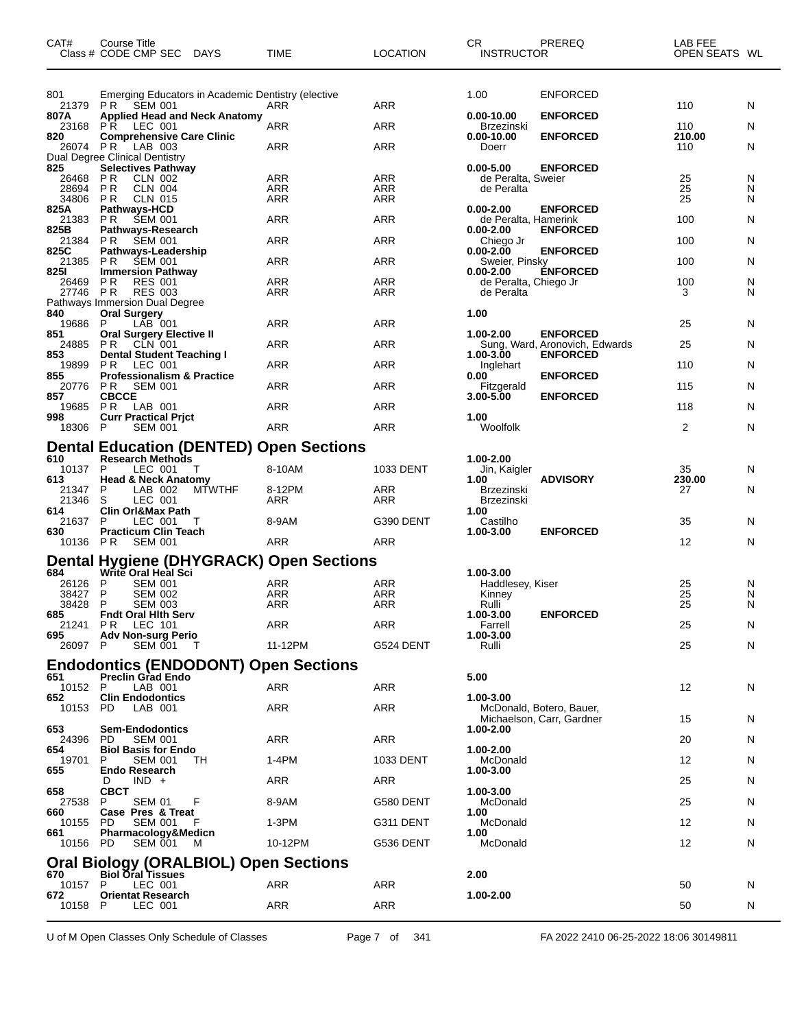| CAT#            | Course Title<br>Class # CODE CMP SEC                                     | <b>DAYS</b>   | TIME                                           | <b>LOCATION</b>   | CR<br><b>INSTRUCTOR</b>                | PREREQ                                            | LAB FEE<br>OPEN SEATS WL |        |
|-----------------|--------------------------------------------------------------------------|---------------|------------------------------------------------|-------------------|----------------------------------------|---------------------------------------------------|--------------------------|--------|
| 801             | Emerging Educators in Academic Dentistry (elective                       |               |                                                |                   | 1.00                                   | <b>ENFORCED</b>                                   |                          |        |
| 21379           | <b>PR SEM 001</b>                                                        |               | ARR                                            | ARR               |                                        |                                                   | 110                      | N      |
| 807A<br>23168   | <b>Applied Head and Neck Anatomy</b><br>P R<br>LEC 001                   |               | ARR                                            | ARR               | $0.00 - 10.00$<br>Brzezinski           | <b>ENFORCED</b>                                   | 110                      | N      |
| 820             | <b>Comprehensive Care Clinic</b>                                         |               |                                                |                   | 0.00-10.00                             | <b>ENFORCED</b>                                   | 210.00                   |        |
| 26074 PR        | LAB 003<br>Dual Degree Clinical Dentistry                                |               | ARR                                            | <b>ARR</b>        | Doerr                                  |                                                   | 110                      | N      |
| 825             | <b>Selectives Pathway</b>                                                |               |                                                |                   | $0.00 - 5.00$                          | <b>ENFORCED</b>                                   |                          |        |
| 26468<br>28694  | P R<br>CLN 002<br><b>PR</b><br>CLN 004                                   |               | ARR<br><b>ARR</b>                              | ARR<br><b>ARR</b> | de Peralta, Sweier<br>de Peralta       |                                                   | 25<br>25                 | N<br>N |
| 34806 PR        | CLN 015                                                                  |               | ARR                                            | ARR               |                                        |                                                   | 25                       | N      |
| 825A<br>21383   | Pathways-HCD<br><b>PR</b><br><b>SEM 001</b>                              |               | ARR                                            | <b>ARR</b>        | $0.00 - 2.00$<br>de Peralta, Hamerink  | <b>ENFORCED</b>                                   | 100                      | N      |
| 825B            | <b>Pathways-Research</b>                                                 |               |                                                |                   | $0.00 - 2.00$                          | <b>ENFORCED</b>                                   |                          |        |
| 21384<br>825C   | P R<br><b>SEM 001</b><br>Pathways-Leadership                             |               | ARR                                            | <b>ARR</b>        | Chiego Jr<br>$0.00 - 2.00$             | <b>ENFORCED</b>                                   | 100                      | N      |
| 21385           | P R<br><b>SEM 001</b>                                                    |               | ARR                                            | <b>ARR</b>        | Sweier, Pinsky                         |                                                   | 100                      | N      |
| 8251<br>26469   | <b>Immersion Pathway</b><br><b>PR</b><br><b>RES 001</b>                  |               | <b>ARR</b>                                     | ARR               | $0.00 - 2.00$<br>de Peralta, Chiego Jr | <b>ENFORCED</b>                                   | 100                      | N      |
| 27746 PR        | <b>RES 003</b>                                                           |               | ARR                                            | ARR               | de Peralta                             |                                                   | 3                        | N      |
| 840             | Pathways Immersion Dual Degree<br><b>Oral Surgery</b>                    |               |                                                |                   | 1.00                                   |                                                   |                          |        |
| 19686           | P<br>LAB 001                                                             |               | ARR                                            | <b>ARR</b>        |                                        |                                                   | 25                       | N      |
| 851<br>24885    | <b>Oral Surgery Elective II</b><br>P R<br>CLN 001                        |               | ARR                                            | <b>ARR</b>        | 1.00-2.00                              | <b>ENFORCED</b><br>Sung, Ward, Aronovich, Edwards | 25                       | N      |
| 853             | Dental Student Teaching I                                                |               |                                                |                   | 1.00-3.00                              | <b>ENFORCED</b>                                   |                          |        |
| 19899<br>855    | P R<br>LEC 001<br><b>Professionalism &amp; Practice</b>                  |               | ARR                                            | <b>ARR</b>        | Inglehart<br>0.00                      | <b>ENFORCED</b>                                   | 110                      | N      |
| 20776           | P R<br>SEM 001                                                           |               | ARR                                            | <b>ARR</b>        | Fitzgerald                             |                                                   | 115                      | N      |
| 857<br>19685    | <b>CBCCE</b><br><b>PR</b><br>LAB 001                                     |               | ARR                                            | ARR               | 3.00-5.00                              | <b>ENFORCED</b>                                   | 118                      | N      |
| 998             | <b>Curr Practical Prict</b>                                              |               |                                                |                   | 1.00                                   |                                                   |                          |        |
| 18306           | P<br><b>SEM 001</b>                                                      |               | ARR                                            | <b>ARR</b>        | Woolfolk                               |                                                   | 2                        | N      |
|                 |                                                                          |               | <b>Dental Education (DENTED) Open Sections</b> |                   |                                        |                                                   |                          |        |
| 610<br>10137    | <b>Research Methods</b><br>P<br>LEC 001                                  | Т             | 8-10AM                                         | 1033 DENT         | 1.00-2.00<br>Jin, Kaigler              |                                                   | 35                       | N      |
| 613             | <b>Head &amp; Neck Anatomy</b>                                           |               |                                                |                   | 1.00                                   | <b>ADVISORY</b>                                   | 230.00                   |        |
| 21347<br>21346  | LAB 002<br>P<br>S<br>LEC 001                                             | <b>MTWTHF</b> | 8-12PM<br>ARR                                  | ARR<br><b>ARR</b> | Brzezinski<br><b>Brzezinski</b>        |                                                   | 27                       | N      |
| 614             | <b>Clin Orl&amp;Max Path</b>                                             |               |                                                |                   | 1.00                                   |                                                   |                          |        |
| 21637<br>630    | P<br>LEC 001<br><b>Practicum Clin Teach</b>                              | Т             | 8-9AM                                          | G390 DENT         | Castilho<br>1.00-3.00                  | <b>ENFORCED</b>                                   | 35                       | N      |
| 10136           | P R<br>SEM 001                                                           |               | ARR                                            | <b>ARR</b>        |                                        |                                                   | 12                       | N      |
|                 |                                                                          |               | Dental Hygiene (DHYGRACK) Open Sections        |                   |                                        |                                                   |                          |        |
| 684             | Write Oral Heal Sci                                                      |               |                                                |                   | 1.00-3.00                              |                                                   |                          |        |
| 26126<br>38427  | P<br><b>SEM 001</b><br>P<br><b>SEM 002</b>                               |               | ARR<br><b>ARR</b>                              | ARR<br><b>ARR</b> | Haddlesey, Kiser<br>Kinney             |                                                   | 25<br>25                 | N<br>N |
| 38428           | P<br><b>SEM 003</b>                                                      |               | ARR                                            | ARR               | Rulli                                  |                                                   | 25                       | N      |
| 685             | <b>Fndt Oral Hith Serv</b><br>21241 PR LEC 101                           |               | <b>ARR</b>                                     | <b>ARR</b>        | 1.00-3.00                              | <b>ENFORCED</b>                                   | 25                       | N      |
| 695             | <b>Adv Non-surg Perio</b>                                                |               |                                                |                   | Farrell<br>1.00-3.00                   |                                                   |                          |        |
| 26097           | P<br><b>SEM 001</b>                                                      | т             | 11-12PM                                        | G524 DENT         | Rulli                                  |                                                   | 25                       | N      |
|                 | <b>Endodontics (ENDODONT) Open Sections</b>                              |               |                                                |                   |                                        |                                                   |                          |        |
| 651<br>10152 P  | <b>Preclin Grad Endo</b><br>LAB 001                                      |               | ARR                                            | ARR               | 5.00                                   |                                                   | 12                       | N      |
| 652             | <b>Clin Endodontics</b>                                                  |               |                                                |                   | 1.00-3.00                              |                                                   |                          |        |
| 10153           | PD.<br>LAB 001                                                           |               | ARR                                            | ARR               |                                        | McDonald, Botero, Bauer,                          |                          |        |
| 653             | <b>Sem-Endodontics</b>                                                   |               |                                                |                   | 1.00-2.00                              | Michaelson, Carr, Gardner                         | 15                       | N      |
| 24396           | PD<br><b>SEM 001</b>                                                     |               | ARR                                            | ARR               |                                        |                                                   | 20                       | N      |
| 654<br>19701    | <b>Biol Basis for Endo</b><br><b>SEM 001</b><br>P.                       | ТH            | 1-4PM                                          | 1033 DENT         | 1.00-2.00<br>McDonald                  |                                                   | 12                       | N      |
| 655             | <b>Endo Research</b>                                                     |               |                                                |                   | 1.00-3.00                              |                                                   |                          |        |
| 658             | $IND +$<br>D<br><b>CBCT</b>                                              |               | ARR                                            | ARR               | 1.00-3.00                              |                                                   | 25                       | N      |
| 27538           | P<br>SEM 01                                                              | F             | 8-9AM                                          | G580 DENT         | McDonald                               |                                                   | 25                       | N      |
| 660<br>10155    | Case Pres & Treat<br>PD<br>SEM 001                                       |               | 1-3PM                                          | G311 DENT         | 1.00<br>McDonald                       |                                                   | 12                       | N      |
| 661<br>10156 PD | Pharmacology&Medicn<br><b>SEM 001</b>                                    | м             | 10-12PM                                        | G536 DENT         | 1.00<br>McDonald                       |                                                   | 12                       | N      |
|                 |                                                                          |               |                                                |                   |                                        |                                                   |                          |        |
| 670             | <b>Oral Biology (ORALBIOL) Open Sections</b><br><b>Biol Oral Tissues</b> |               |                                                |                   | 2.00                                   |                                                   |                          |        |
| 10157           | P<br>LEC 001                                                             |               | <b>ARR</b>                                     | ARR               |                                        |                                                   | 50                       | N      |
| 672<br>10158 P  | <b>Orientat Research</b><br>LEC 001                                      |               | ARR                                            | ARR               | 1.00-2.00                              |                                                   | 50                       | N      |
|                 |                                                                          |               |                                                |                   |                                        |                                                   |                          |        |

U of M Open Classes Only Schedule of Classes Page 7 of 341 FA 2022 2410 06-25-2022 18:06 30149811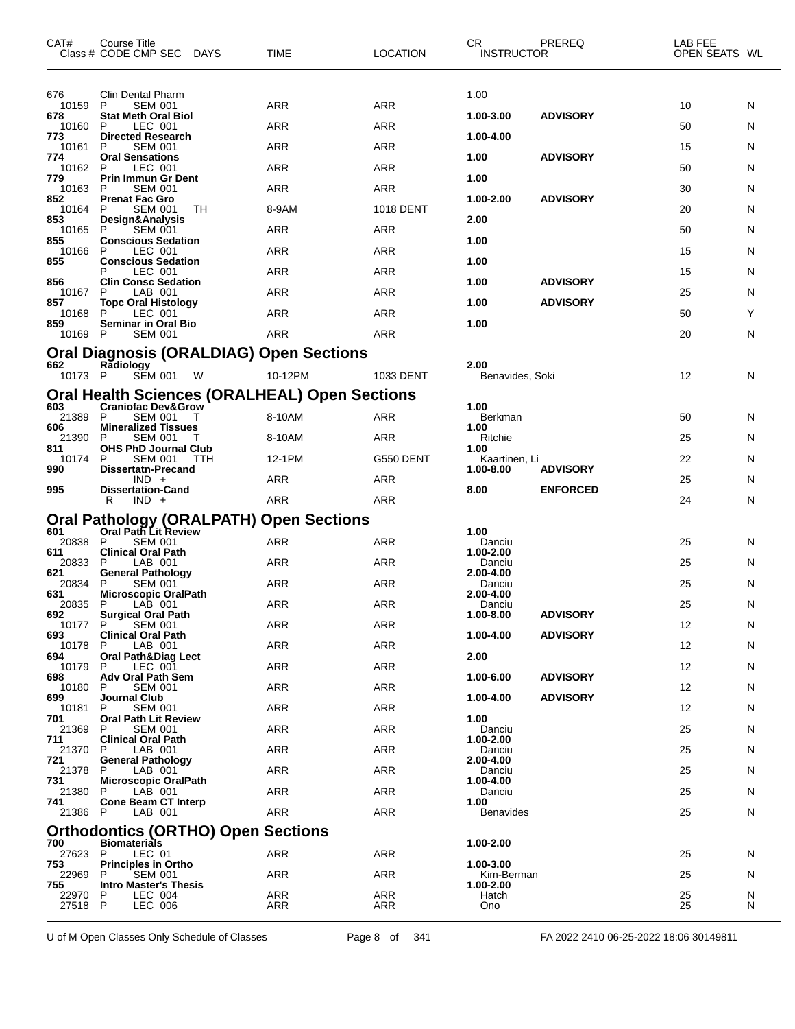| CAT#         | Course Title<br>Class # CODE CMP SEC DAYS          |     | <b>TIME</b>                                          | <b>LOCATION</b>  | CR.<br><b>INSTRUCTOR</b>   | PREREQ          | LAB FEE<br>OPEN SEATS WL |   |
|--------------|----------------------------------------------------|-----|------------------------------------------------------|------------------|----------------------------|-----------------|--------------------------|---|
| 676          | Clin Dental Pharm                                  |     |                                                      |                  | 1.00                       |                 |                          |   |
| 10159<br>678 | P<br><b>SEM 001</b><br><b>Stat Meth Oral Biol</b>  |     | ARR                                                  | <b>ARR</b>       | 1.00-3.00                  | <b>ADVISORY</b> | 10                       | N |
| 10160<br>773 | P<br>LEC 001<br><b>Directed Research</b>           |     | ARR                                                  | <b>ARR</b>       | 1.00-4.00                  |                 | 50                       | N |
| 10161<br>774 | <b>SEM 001</b><br>P<br><b>Oral Sensations</b>      |     | ARR                                                  | <b>ARR</b>       | 1.00                       | <b>ADVISORY</b> | 15                       | N |
| 10162<br>779 | P<br>LEC 001                                       |     | ARR                                                  | ARR              | 1.00                       |                 | 50                       | N |
| 10163        | Prin Immun Gr Dent<br>P<br><b>SEM 001</b>          |     | ARR                                                  | <b>ARR</b>       |                            |                 | 30                       | N |
| 852<br>10164 | <b>Prenat Fac Gro</b><br><b>SEM 001</b><br>P       | TН  | 8-9AM                                                | <b>1018 DENT</b> | 1.00-2.00                  | <b>ADVISORY</b> | 20                       | N |
| 853<br>10165 | Design&Analysis<br>P<br><b>SEM 001</b>             |     | ARR                                                  | ARR              | 2.00                       |                 | 50                       | N |
| 855<br>10166 | <b>Conscious Sedation</b><br>P<br>LEC 001          |     | ARR                                                  | <b>ARR</b>       | 1.00                       |                 | 15                       | N |
| 855          | <b>Conscious Sedation</b><br>LEC 001<br>Р          |     | ARR                                                  | <b>ARR</b>       | 1.00                       |                 | 15                       | N |
| 856<br>10167 | <b>Clin Consc Sedation</b><br>P<br>LAB 001         |     | ARR                                                  | ARR              | 1.00                       | <b>ADVISORY</b> | 25                       | N |
| 857<br>10168 | <b>Topc Oral Histology</b><br>P<br>LEC 001         |     | ARR                                                  | ARR              | 1.00                       | <b>ADVISORY</b> | 50                       | Y |
| 859<br>10169 | <b>Seminar in Oral Bio</b><br><b>SEM 001</b><br>P  |     | <b>ARR</b>                                           | <b>ARR</b>       | 1.00                       |                 | 20                       | N |
|              |                                                    |     | <b>Oral Diagnosis (ORALDIAG) Open Sections</b>       |                  |                            |                 |                          |   |
| 662          | Radiology                                          |     |                                                      |                  | 2.00                       |                 |                          |   |
| 10173 P      | <b>SEM 001</b>                                     | W   | 10-12PM                                              | 1033 DENT        | Benavides, Soki            |                 | 12                       | N |
| 603          | <b>Craniofac Dev&amp;Grow</b>                      |     | <b>Oral Health Sciences (ORALHEAL) Open Sections</b> |                  | 1.00                       |                 |                          |   |
| 21389<br>606 | P<br><b>SEM 001</b><br><b>Mineralized Tissues</b>  | Τ   | 8-10AM                                               | ARR              | Berkman<br>1.00            |                 | 50                       | N |
| 21390<br>811 | P<br><b>SEM 001</b><br><b>OHS PhD Journal Club</b> |     | 8-10AM                                               | ARR              | Ritchie<br>1.00            |                 | 25                       | N |
| 10174<br>990 | <b>SEM 001</b><br>P<br><b>Dissertatn-Precand</b>   | ттн | 12-1PM                                               | G550 DENT        | Kaartinen, Li<br>1.00-8.00 | <b>ADVISORY</b> | 22                       | N |
| 995          | $IND +$<br><b>Dissertation-Cand</b>                |     | ARR                                                  | <b>ARR</b>       | 8.00                       | <b>ENFORCED</b> | 25                       | N |
|              | R<br>$IND +$                                       |     | ARR                                                  | <b>ARR</b>       |                            |                 | 24                       | N |
| 601          | Oral Path Lit Review                               |     | Oral Pathology (ORALPATH) Open Sections              |                  | 1.00                       |                 |                          |   |
| 20838        | P<br><b>SEM 001</b>                                |     | ARR                                                  | <b>ARR</b>       | Danciu                     |                 | 25                       | N |
| 611<br>20833 | <b>Clinical Oral Path</b><br>P<br>LAB 001          |     | ARR                                                  | <b>ARR</b>       | 1.00-2.00<br>Danciu        |                 | 25                       | N |
| 621<br>20834 | <b>General Pathology</b><br><b>SEM 001</b><br>P    |     | ARR                                                  | <b>ARR</b>       | 2.00-4.00<br>Danciu        |                 | 25                       | N |
| 631<br>20835 | <b>Microscopic OralPath</b><br>P<br>LAB 001        |     | ARR                                                  | <b>ARR</b>       | 2.00-4.00<br>Danciu        |                 | 25                       | N |
| 692<br>10177 | Surgical Oral Path<br>P.<br><b>SEM 001</b>         |     | <b>ARR</b>                                           | ARR              | 1.00-8.00                  | <b>ADVISORY</b> | 12                       | N |
| 693<br>10178 | <b>Clinical Oral Path</b><br>LAB 001<br>P          |     | ARR                                                  | ARR              | 1.00-4.00                  | <b>ADVISORY</b> | 12                       | N |
| 694<br>10179 | <b>Oral Path&amp;Diag Lect</b><br>P<br>LEC 001     |     | ARR                                                  | ARR              | 2.00                       |                 | 12                       | N |
| 698<br>10180 | <b>Adv Oral Path Sem</b><br>P<br><b>SEM 001</b>    |     | ARR                                                  | ARR              | 1.00-6.00                  | <b>ADVISORY</b> | 12                       | N |
| 699          | Journal Club                                       |     |                                                      |                  | 1.00-4.00                  | <b>ADVISORY</b> |                          |   |
| 10181<br>701 | <b>SEM 001</b><br>P<br><b>Oral Path Lit Review</b> |     | ARR                                                  | ARR              | 1.00                       |                 | 12                       | N |
| 21369<br>711 | P<br><b>SEM 001</b><br><b>Clinical Oral Path</b>   |     | ARR                                                  | ARR              | Danciu<br>1.00-2.00        |                 | 25                       | N |
| 21370<br>721 | LAB 001<br>P<br><b>General Pathology</b>           |     | ARR                                                  | ARR              | Danciu<br>2.00-4.00        |                 | 25                       | N |
| 21378<br>731 | LAB 001<br>P<br><b>Microscopic OralPath</b>        |     | <b>ARR</b>                                           | ARR              | Danciu<br>1.00-4.00        |                 | 25                       | N |
| 21380<br>741 | LAB 001<br>P<br><b>Cone Beam CT Interp</b>         |     | ARR                                                  | ARR              | Danciu<br>1.00             |                 | 25                       | N |
| 21386 P      | LAB 001                                            |     | ARR                                                  | ARR              | <b>Benavides</b>           |                 | 25                       | N |
|              | <b>Orthodontics (ORTHO) Open Sections</b>          |     |                                                      |                  |                            |                 |                          |   |
| 700<br>27623 | <b>Biomaterials</b><br>P<br>LEC 01                 |     | ARR                                                  | ARR              | 1.00-2.00                  |                 | 25                       | N |
| 753<br>22969 | <b>Principles in Ortho</b><br>P<br><b>SEM 001</b>  |     | ARR                                                  | ARR              | 1.00-3.00<br>Kim-Berman    |                 | 25                       | N |
| 755<br>22970 | <b>Intro Master's Thesis</b><br>LEC 004<br>P       |     | ARR                                                  | ARR              | 1.00-2.00<br>Hatch         |                 | 25                       | N |
| 27518 P      | <b>LEC 006</b>                                     |     | ARR                                                  | ARR              | Ono                        |                 | 25                       | N |

U of M Open Classes Only Schedule of Classes Page 8 of 341 FA 2022 2410 06-25-2022 18:06 30149811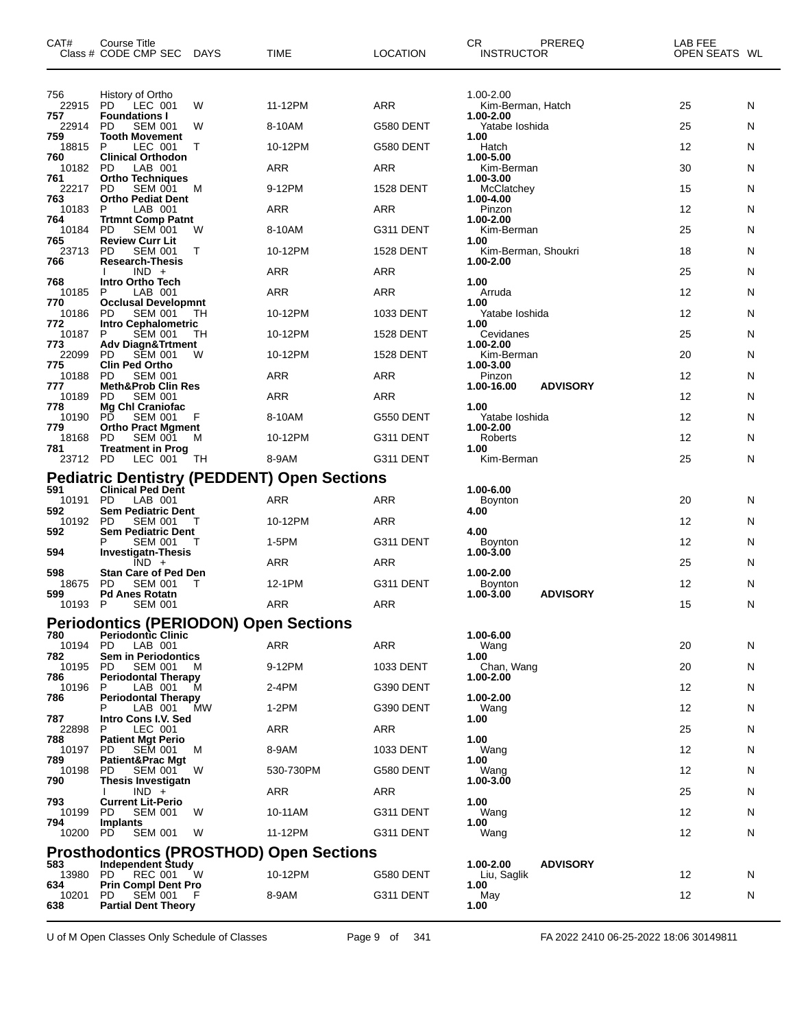| CAT#         | Course Title<br>Class # CODE CMP SEC                         | DAYS | TIME                                               | <b>LOCATION</b>  | CR.<br><b>INSTRUCTOR</b>       | PREREQ          | LAB FEE<br>OPEN SEATS WL |   |
|--------------|--------------------------------------------------------------|------|----------------------------------------------------|------------------|--------------------------------|-----------------|--------------------------|---|
| 756          | History of Ortho                                             |      |                                                    |                  | 1.00-2.00                      |                 |                          |   |
| 22915<br>757 | PD.<br>LEC 001<br><b>Foundations I</b>                       | W    | 11-12PM                                            | <b>ARR</b>       | Kim-Berman, Hatch<br>1.00-2.00 |                 | 25                       | N |
| 22914<br>759 | PD<br><b>SEM 001</b><br><b>Tooth Movement</b>                | W    | 8-10AM                                             | G580 DENT        | Yatabe Ioshida<br>1.00         |                 | 25                       | N |
| 18815<br>760 | P<br>LEC 001<br><b>Clinical Orthodon</b>                     | Т    | 10-12PM                                            | G580 DENT        | Hatch<br>1.00-5.00             |                 | 12                       | N |
| 10182        | <b>PD</b><br>LAB 001                                         |      | ARR                                                | <b>ARR</b>       | Kim-Berman                     |                 | 30                       | N |
| 761<br>22217 | <b>Ortho Techniques</b><br><b>PD</b><br><b>SEM 001</b>       | M    | 9-12PM                                             | <b>1528 DENT</b> | 1.00-3.00<br>McClatchey        |                 | 15                       | N |
| 763<br>10183 | <b>Ortho Pediat Dent</b><br>P<br>LAB 001                     |      | <b>ARR</b>                                         | <b>ARR</b>       | 1.00-4.00<br>Pinzon            |                 | 12                       | N |
| 764<br>10184 | <b>Trtmnt Comp Patnt</b><br>PD<br><b>SEM 001</b>             | W    | 8-10AM                                             | G311 DENT        | 1.00-2.00<br>Kim-Berman        |                 | 25                       | N |
| 765<br>23713 | <b>Review Curr Lit</b><br><b>PD</b><br><b>SEM 001</b>        | Т    | 10-12PM                                            | <b>1528 DENT</b> | 1.00<br>Kim-Berman, Shoukri    |                 | 18                       | N |
| 766          | <b>Research-Thesis</b><br>$IND +$                            |      | ARR                                                | <b>ARR</b>       | 1.00-2.00                      |                 | 25                       | N |
| 768<br>10185 | <b>Intro Ortho Tech</b><br>P<br>LAB 001                      |      | <b>ARR</b>                                         | <b>ARR</b>       | 1.00<br>Arruda                 |                 | 12                       | N |
| 770<br>10186 | <b>Occlusal Developmnt</b><br><b>SEM 001</b><br>PD           | тн   | 10-12PM                                            | 1033 DENT        | 1.00<br>Yatabe Ioshida         |                 | 12                       | N |
| 772          | <b>Intro Cephalometric</b>                                   |      |                                                    |                  | 1.00                           |                 |                          |   |
| 10187<br>773 | P<br><b>SEM 001</b><br><b>Adv Diagn&amp;Trtment</b>          | TН   | 10-12PM                                            | <b>1528 DENT</b> | Cevidanes<br>1.00-2.00         |                 | 25                       | N |
| 22099<br>775 | PD<br><b>SEM 001</b><br><b>Clin Ped Ortho</b>                | W    | 10-12PM                                            | <b>1528 DENT</b> | Kim-Berman<br>1.00-3.00        |                 | 20                       | N |
| 10188<br>777 | <b>PD</b><br><b>SEM 001</b><br><b>Meth&amp;Prob Clin Res</b> |      | ARR                                                | <b>ARR</b>       | Pinzon<br>1.00-16.00           | <b>ADVISORY</b> | 12                       | N |
| 10189<br>778 | PD<br><b>SEM 001</b><br>Mg Chl Craniofac                     |      | ARR                                                | <b>ARR</b>       | 1.00                           |                 | 12                       | N |
| 10190<br>779 | РĎ<br><b>SEM 001</b><br><b>Ortho Pract Mgment</b>            | F    | 8-10AM                                             | G550 DENT        | Yatabe loshida<br>1.00-2.00    |                 | 12                       | N |
| 18168<br>781 | <b>PD</b><br><b>SEM 001</b><br><b>Treatment in Prog</b>      | м    | 10-12PM                                            | G311 DENT        | Roberts<br>1.00                |                 | 12                       | N |
| 23712 PD     | LEC 001                                                      | TН   | 8-9AM                                              | G311 DENT        | Kim-Berman                     |                 | 25                       | N |
| 591          | <b>Clinical Ped Dent</b>                                     |      | <b>Pediatric Dentistry (PEDDENT) Open Sections</b> |                  | 1.00-6.00                      |                 |                          |   |
| 10191        | <b>PD</b><br>LAB 001                                         |      | ARR                                                | <b>ARR</b>       | <b>Boynton</b>                 |                 | 20                       | N |
| 592<br>10192 | <b>Sem Pediatric Dent</b><br>PD<br><b>SEM 001</b>            |      | 10-12PM                                            | <b>ARR</b>       | 4.00                           |                 | 12                       | N |
| 592          | <b>Sem Pediatric Dent</b><br>Р<br>SEM 001                    |      | 1-5PM                                              | G311 DENT        | 4.00<br><b>Boynton</b>         |                 | 12                       | N |
| 594          | <b>Investigatn-Thesis</b><br>$IND +$                         |      | <b>ARR</b>                                         | <b>ARR</b>       | $1.00 - 3.00$                  |                 | 25                       | N |
| 598<br>18675 | <b>Stan Care of Ped Den</b><br>PD<br><b>SEM 001</b>          | т    | 12-1PM                                             | G311 DENT        | 1.00-2.00<br><b>Boynton</b>    |                 | 12                       | N |
| 599<br>10193 | <b>Pd Anes Rotatn</b><br>P<br><b>SEM 001</b>                 |      | <b>ARR</b>                                         | <b>ARR</b>       | 1.00-3.00                      | <b>ADVISORY</b> | 15                       | N |
|              | <b>Periodontics (PERIODON) Open Sections</b>                 |      |                                                    |                  |                                |                 |                          |   |
| 780<br>10194 | <b>Periodontic Clinic</b><br>PD<br>LAB 001                   |      | <b>ARR</b>                                         | ARR              | 1.00-6.00<br>Wang              |                 | 20                       | N |
| 782<br>10195 | <b>Sem in Periodontics</b><br>PD<br>SEM 001                  | M    | 9-12PM                                             | 1033 DENT        | 1.00<br>Chan, Wang             |                 | 20                       | N |
| 786<br>10196 | <b>Periodontal Therapy</b><br>LAB 001<br>P                   | м    | 2-4PM                                              | G390 DENT        | 1.00-2.00                      |                 | 12                       | N |
| 786          | <b>Periodontal Therapy</b><br>LAB 001                        | MW   | $1-2PM$                                            | G390 DENT        | 1.00-2.00<br>Wang              |                 | 12                       | N |
| 787<br>22898 | Intro Cons I.V. Sed<br>LEC 001<br>P                          |      | ARR                                                | <b>ARR</b>       | 1.00                           |                 | 25                       | N |
| 788          | <b>Patient Mgt Perio</b>                                     |      |                                                    |                  | 1.00                           |                 |                          |   |
| 10197<br>789 | <b>SEM 001</b><br>PD<br>Patient&Prac Mgt                     | м    | 8-9AM                                              | 1033 DENT        | Wang<br>1.00                   |                 | 12                       | N |
| 10198<br>790 | <b>SEM 001</b><br>PD<br>Thesis Investigatn                   | W    | 530-730PM                                          | G580 DENT        | Wang<br>1.00-3.00              |                 | 12                       | N |
| 793          | $IND +$<br><b>Current Lit-Perio</b>                          |      | ARR                                                | <b>ARR</b>       | 1.00                           |                 | 25                       | N |
| 10199<br>794 | <b>SEM 001</b><br>PD<br>Implants                             | W    | 10-11AM                                            | G311 DENT        | Wang<br>1.00                   |                 | 12                       | N |
| 10200        | PD<br><b>SEM 001</b>                                         | W    | 11-12PM                                            | G311 DENT        | Wang                           |                 | 12                       | N |
| 583          | <b>Independent Study</b>                                     |      | <b>Prosthodontics (PROSTHOD) Open Sections</b>     |                  | 1.00-2.00                      | <b>ADVISORY</b> |                          |   |
| 13980<br>634 | <b>REC 001</b><br>PD<br><b>Prin Compl Dent Pro</b>           | W    | 10-12PM                                            | G580 DENT        | Liu, Saglik<br>1.00            |                 | 12                       | N |
| 10201<br>638 | PD<br><b>SEM 001</b><br><b>Partial Dent Theory</b>           | F    | 8-9AM                                              | G311 DENT        | May<br>1.00                    |                 | 12                       | N |

U of M Open Classes Only Schedule of Classes Page 9 of 341 FA 2022 2410 06-25-2022 18:06 30149811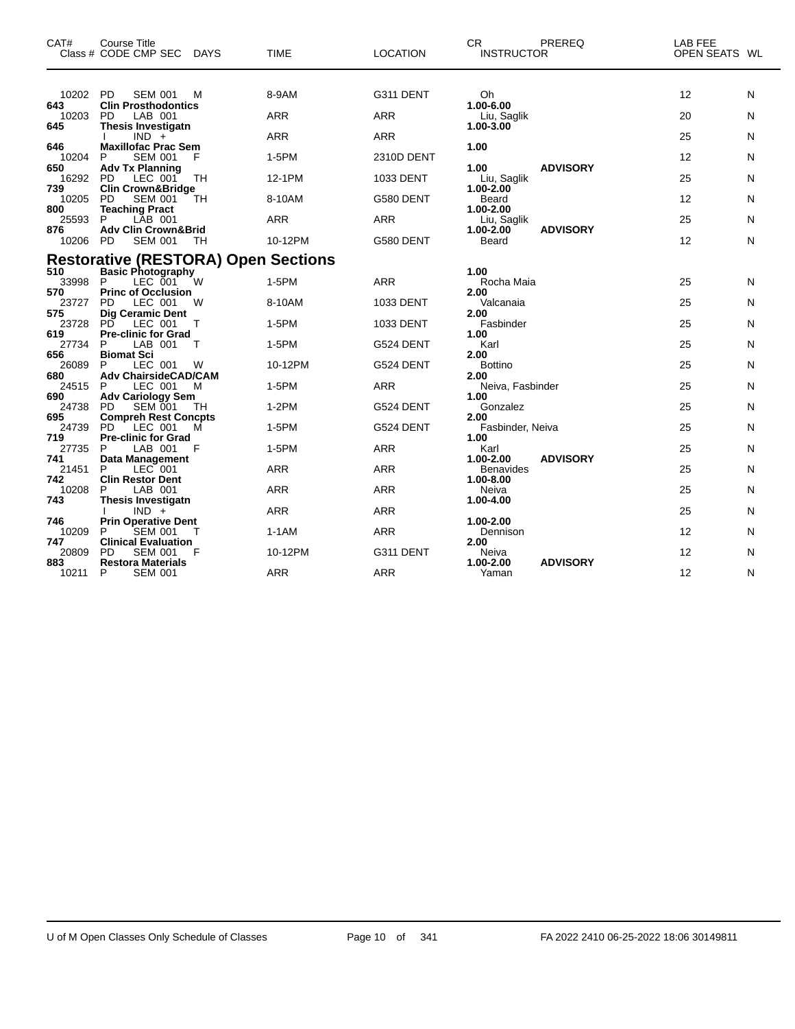| CAT#         | <b>Course Title</b><br>Class # CODE CMP SEC<br>DAYS                 | <b>TIME</b> | <b>LOCATION</b> | <b>CR</b><br><b>PREREQ</b><br><b>INSTRUCTOR</b> | <b>LAB FEE</b><br>OPEN SEATS WL |
|--------------|---------------------------------------------------------------------|-------------|-----------------|-------------------------------------------------|---------------------------------|
| 10202<br>643 | <b>PD</b><br><b>SEM 001</b><br>M<br><b>Clin Prosthodontics</b>      | 8-9AM       | G311 DENT       | Oh<br>1.00-6.00                                 | 12<br>N                         |
| 10203        | <b>PD</b><br>LAB 001                                                | <b>ARR</b>  | <b>ARR</b>      | Liu, Saglik                                     | 20<br>N                         |
| 645          | <b>Thesis Investigatn</b><br>$IND +$                                | <b>ARR</b>  | <b>ARR</b>      | 1.00-3.00                                       | 25<br>N                         |
| 646<br>10204 | <b>Maxillofac Prac Sem</b><br><b>SEM 001</b><br>F<br>P              | 1-5PM       | 2310D DENT      | 1.00                                            | 12<br>N                         |
| 650<br>16292 | <b>Adv Tx Planning</b><br>LEC 001<br>TН<br>PD.                      | 12-1PM      | 1033 DENT       | <b>ADVISORY</b><br>1.00<br>Liu, Saglik          | 25<br>N                         |
| 739<br>10205 | <b>Clin Crown&amp;Bridge</b><br><b>PD</b><br><b>SEM 001</b><br>TН   | 8-10AM      | G580 DENT       | 1.00-2.00<br>Beard                              | 12<br>N                         |
| 800<br>25593 | <b>Teaching Pract</b><br>P<br>LAB 001                               | <b>ARR</b>  | <b>ARR</b>      | 1.00-2.00<br>Liu, Saglik                        | 25<br>N                         |
| 876<br>10206 | <b>Adv Clin Crown&amp;Brid</b><br><b>SEM 001</b><br><b>PD</b><br>ТH | 10-12PM     | G580 DENT       | <b>ADVISORY</b><br>1.00-2.00<br>Beard           | 12<br>N                         |
|              | <b>Restorative (RESTORA) Open Sections</b>                          |             |                 |                                                 |                                 |
| 510<br>33998 | <b>Basic Photography</b><br>LEC 001<br>P<br>W                       | 1-5PM       | <b>ARR</b>      | 1.00<br>Rocha Maia                              | 25<br>N                         |
| 570<br>23727 | <b>Princ of Occlusion</b><br>LEC 001<br><b>PD</b><br>W              | 8-10AM      | 1033 DENT       | 2.00<br>Valcanaia                               | 25<br>N                         |
| 575<br>23728 | <b>Dig Ceramic Dent</b><br>PD<br>LEC 001<br>Т                       | 1-5PM       | 1033 DENT       | 2.00<br>Fasbinder                               | 25<br>N                         |
| 619<br>27734 | <b>Pre-clinic for Grad</b><br>LAB 001<br>P<br>т                     | 1-5PM       | G524 DENT       | 1.00<br>Karl                                    | 25<br>N                         |
| 656<br>26089 | <b>Biomat Sci</b><br>P<br>LEC 001<br>W                              | 10-12PM     | G524 DENT       | 2.00<br><b>Bottino</b>                          | 25<br>N                         |
| 680<br>24515 | <b>Adv ChairsideCAD/CAM</b><br>LEC 001<br>M<br>P                    | 1-5PM       | <b>ARR</b>      | 2.00<br>Neiva, Fasbinder                        | 25<br>N                         |
| 690          | <b>Adv Cariology Sem</b>                                            |             |                 | 1.00                                            |                                 |
| 24738<br>695 | <b>PD</b><br><b>SEM 001</b><br>TН<br><b>Compreh Rest Concpts</b>    | $1-2PM$     | G524 DENT       | Gonzalez<br>2.00                                | 25<br>N                         |
| 24739<br>719 | <b>PD</b><br>LEC 001<br>М<br><b>Pre-clinic for Grad</b>             | 1-5PM       | G524 DENT       | Fasbinder, Neiva<br>1.00                        | 25<br>N                         |
| 27735<br>741 | P<br>LAB 001<br>F<br><b>Data Management</b>                         | 1-5PM       | <b>ARR</b>      | Karl<br><b>ADVISORY</b><br>1.00-2.00            | 25<br>N                         |
| 21451<br>742 | P<br>LEC 001<br><b>Clin Restor Dent</b>                             | <b>ARR</b>  | <b>ARR</b>      | <b>Benavides</b><br>1.00-8.00                   | 25<br>N                         |
| 10208<br>743 | LAB 001<br>P<br><b>Thesis Investigatn</b>                           | <b>ARR</b>  | <b>ARR</b>      | Neiva<br>1.00-4.00                              | 25<br>N                         |
|              | $IND +$                                                             | <b>ARR</b>  | <b>ARR</b>      |                                                 | 25<br>N                         |
| 746<br>10209 | <b>Prin Operative Dent</b><br>P<br><b>SEM 001</b>                   | $1-1AM$     | <b>ARR</b>      | 1.00-2.00<br>Dennison                           | 12<br>N                         |
| 747<br>20809 | <b>Clinical Evaluation</b><br><b>PD</b><br><b>SEM 001</b><br>F      | 10-12PM     | G311 DENT       | 2.00<br>Neiva                                   | 12<br>N                         |
| 883<br>10211 | <b>Restora Materials</b><br>P<br><b>SEM 001</b>                     | <b>ARR</b>  | <b>ARR</b>      | <b>ADVISORY</b><br>1.00-2.00<br>Yaman           | 12<br>N                         |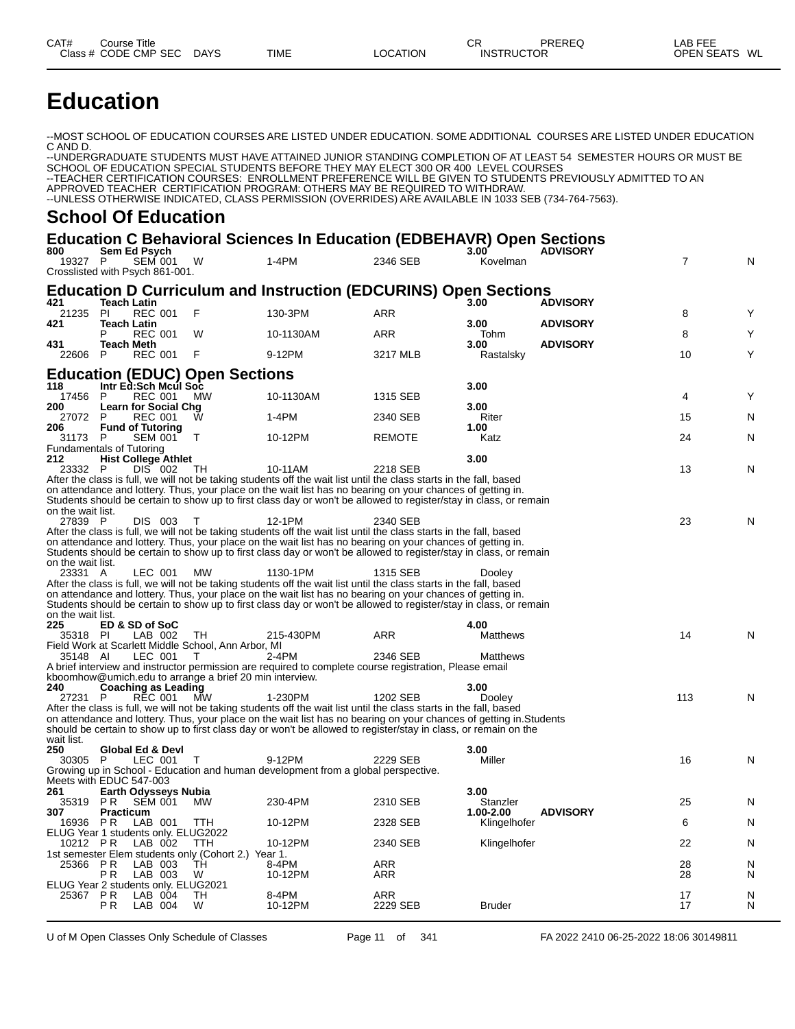# **Education**

--MOST SCHOOL OF EDUCATION COURSES ARE LISTED UNDER EDUCATION. SOME ADDITIONAL COURSES ARE LISTED UNDER EDUCATION C AND D.

--UNDERGRADUATE STUDENTS MUST HAVE ATTAINED JUNIOR STANDING COMPLETION OF AT LEAST 54 SEMESTER HOURS OR MUST BE SCHOOL OF EDUCATION SPECIAL STUDENTS BEFORE THEY MAY ELECT 300 OR 400 LEVEL COURSES --TEACHER CERTIFICATION COURSES: ENROLLMENT PREFERENCE WILL BE GIVEN TO STUDENTS PREVIOUSLY ADMITTED TO AN APPROVED TEACHER CERTIFICATION PROGRAM: OTHERS MAY BE REQUIRED TO WITHDRAW. --UNLESS OTHERWISE INDICATED, CLASS PERMISSION (OVERRIDES) ARE AVAILABLE IN 1033 SEB (734-764-7563).

#### **School Of Education**

## **Education C Behavioral Sciences In Education (EDBEHAVR) Open Sections**

| 800                                             | Sem Ed Psych             |                                               |                                                            |                                                                                                                                                                                                                                       |               | $3.00^{\circ}$          | <b>ADVISORY</b> |     |   |
|-------------------------------------------------|--------------------------|-----------------------------------------------|------------------------------------------------------------|---------------------------------------------------------------------------------------------------------------------------------------------------------------------------------------------------------------------------------------|---------------|-------------------------|-----------------|-----|---|
| 19327 P<br>Crosslisted with Psych 861-001.      |                          | <b>SEM 001</b>                                | W                                                          | $1-4PM$                                                                                                                                                                                                                               | 2346 SEB      | Kovelman                |                 | 7   | N |
|                                                 |                          |                                               |                                                            | <b>Education D Curriculum and Instruction (EDCURINS) Open Sections</b>                                                                                                                                                                |               |                         |                 |     |   |
| 421<br>21235                                    | <b>Teach Latin</b><br>PI | <b>REC 001</b>                                | F                                                          | 130-3PM                                                                                                                                                                                                                               | ARR           | 3.00<br>3.00            | <b>ADVISORY</b> | 8   | Y |
| 421                                             | <b>Teach Latin</b><br>P  | <b>REC 001</b>                                | W                                                          | 10-1130AM                                                                                                                                                                                                                             | <b>ARR</b>    | Tohm                    | <b>ADVISORY</b> | 8   | Υ |
| 431<br>22606                                    | <b>Teach Meth</b><br>P   | <b>REC 001</b>                                | F                                                          | 9-12PM                                                                                                                                                                                                                                | 3217 MLB      | 3.00<br>Rastalsky       | <b>ADVISORY</b> | 10  | Υ |
|                                                 |                          | Intr Ed:Sch Mcul Soc                          | <b>Education (EDUC) Open Sections</b>                      |                                                                                                                                                                                                                                       |               | 3.00                    |                 |     |   |
| 118<br>17456                                    | P                        | <b>REC 001</b>                                | MW                                                         | 10-1130AM                                                                                                                                                                                                                             | 1315 SEB      | 3.00                    |                 | 4   | Υ |
| 200<br>27072                                    | P                        | <b>Learn for Social Chg</b><br><b>REC 001</b> | w                                                          | $1-4PM$                                                                                                                                                                                                                               | 2340 SEB      | Riter                   |                 | 15  | N |
| 206<br>31173                                    | - P                      | <b>Fund of Tutoring</b><br><b>SEM 001</b>     | Т                                                          | 10-12PM                                                                                                                                                                                                                               | <b>REMOTE</b> | 1.00<br>Katz            |                 | 24  | N |
| <b>Fundamentals of Tutoring</b><br>212          |                          | <b>Hist College Athlet</b>                    |                                                            |                                                                                                                                                                                                                                       |               | 3.00                    |                 |     |   |
| 23332                                           | P                        | DIS 002                                       | TH                                                         | 10-11AM<br>After the class is full, we will not be taking students off the wait list until the class starts in the fall, based                                                                                                        | 2218 SEB      |                         |                 | 13  | N |
|                                                 |                          |                                               |                                                            | on attendance and lottery. Thus, your place on the wait list has no bearing on your chances of getting in.<br>Students should be certain to show up to first class day or won't be allowed to register/stay in class, or remain       |               |                         |                 |     |   |
| on the wait list.<br>27839 P                    |                          | DIS 003                                       | T                                                          | 12-1PM                                                                                                                                                                                                                                | 2340 SEB      |                         |                 | 23  | N |
|                                                 |                          |                                               |                                                            | After the class is full, we will not be taking students off the wait list until the class starts in the fall, based<br>on attendance and lottery. Thus, your place on the wait list has no bearing on your chances of getting in.     |               |                         |                 |     |   |
| on the wait list.                               |                          |                                               |                                                            | Students should be certain to show up to first class day or won't be allowed to register/stay in class, or remain                                                                                                                     |               |                         |                 |     |   |
| 23331 A                                         |                          | LEC 001                                       | <b>MW</b>                                                  | 1130-1PM<br>After the class is full, we will not be taking students off the wait list until the class starts in the fall, based                                                                                                       | 1315 SEB      | Dooley                  |                 |     |   |
|                                                 |                          |                                               |                                                            | on attendance and lottery. Thus, your place on the wait list has no bearing on your chances of getting in.<br>Students should be certain to show up to first class day or won't be allowed to register/stay in class, or remain       |               |                         |                 |     |   |
| on the wait list.                               |                          |                                               |                                                            |                                                                                                                                                                                                                                       |               |                         |                 |     |   |
| 225<br>35318 PI                                 |                          | ED & SD of SoC<br>LAB 002                     | TH.                                                        | 215-430PM                                                                                                                                                                                                                             | ARR           | 4.00<br><b>Matthews</b> |                 | 14  | N |
|                                                 |                          |                                               | Field Work at Scarlett Middle School, Ann Arbor, MI        |                                                                                                                                                                                                                                       |               |                         |                 |     |   |
| 35148 AI                                        |                          | LEC 001                                       | $\top$                                                     | 2-4PM                                                                                                                                                                                                                                 | 2346 SEB      | <b>Matthews</b>         |                 |     |   |
|                                                 |                          |                                               | kboomhow@umich.edu to arrange a brief 20 min interview.    | A brief interview and instructor permission are required to complete course registration, Please email                                                                                                                                |               |                         |                 |     |   |
| 240                                             |                          | <b>Coaching as Leading</b>                    |                                                            |                                                                                                                                                                                                                                       |               | 3.00                    |                 |     |   |
| 27231 P                                         |                          | <b>REC 001</b>                                | MW                                                         | 1-230PM                                                                                                                                                                                                                               | 1202 SEB      | Dooley                  |                 | 113 | N |
|                                                 |                          |                                               |                                                            | After the class is full, we will not be taking students off the wait list until the class starts in the fall, based                                                                                                                   |               |                         |                 |     |   |
|                                                 |                          |                                               |                                                            | on attendance and lottery. Thus, your place on the wait list has no bearing on your chances of getting in Students<br>should be certain to show up to first class day or won't be allowed to register/stay in class, or remain on the |               |                         |                 |     |   |
| wait list.                                      |                          |                                               |                                                            |                                                                                                                                                                                                                                       |               |                         |                 |     |   |
| 250                                             |                          | Global Ed & Devl                              |                                                            |                                                                                                                                                                                                                                       |               | 3.00                    |                 |     |   |
| 30305 P                                         |                          | LEC 001                                       | $\mathsf T$                                                | 9-12PM                                                                                                                                                                                                                                | 2229 SEB      | Miller                  |                 | 16  | N |
|                                                 |                          |                                               |                                                            | Growing up in School - Education and human development from a global perspective.                                                                                                                                                     |               |                         |                 |     |   |
| Meets with EDUC 547-003<br>261                  |                          | Earth Odysseys Nubia                          |                                                            |                                                                                                                                                                                                                                       |               | 3.00                    |                 |     |   |
| 35319                                           | P R                      | SEM 001                                       | МW                                                         | 230-4PM                                                                                                                                                                                                                               | 2310 SEB      | Stanzler                |                 | 25  | N |
| 307                                             | Practicum                |                                               |                                                            |                                                                                                                                                                                                                                       |               | 1.00-2.00               | <b>ADVISORY</b> |     |   |
| 16936 PR<br>ELUG Year 1 students only. ELUG2022 |                          | LAB 001                                       | <b>TTH</b>                                                 | 10-12PM                                                                                                                                                                                                                               | 2328 SEB      | Klingelhofer            |                 | 6   | N |
| 10212 PR                                        |                          | LAB 002                                       | TTH<br>1st semester Elem students only (Cohort 2.) Year 1. | 10-12PM                                                                                                                                                                                                                               | 2340 SEB      | Klingelhofer            |                 | 22  | N |
| 25366                                           | PR                       | LAB 003                                       | TH                                                         | 8-4PM                                                                                                                                                                                                                                 | ARR           |                         |                 | 28  | N |
| ELUG Year 2 students only. ELUG2021             | P <sub>R</sub>           | LAB 003                                       | w                                                          | 10-12PM                                                                                                                                                                                                                               | ARR           |                         |                 | 28  | N |
| 25367 PR                                        |                          | LAB 004                                       | TН                                                         | 8-4PM                                                                                                                                                                                                                                 | ARR           |                         |                 | 17  | N |
|                                                 | P R                      | LAB 004                                       | W                                                          | 10-12PM                                                                                                                                                                                                                               | 2229 SEB      | <b>Bruder</b>           |                 | 17  | N |
|                                                 |                          |                                               |                                                            |                                                                                                                                                                                                                                       |               |                         |                 |     |   |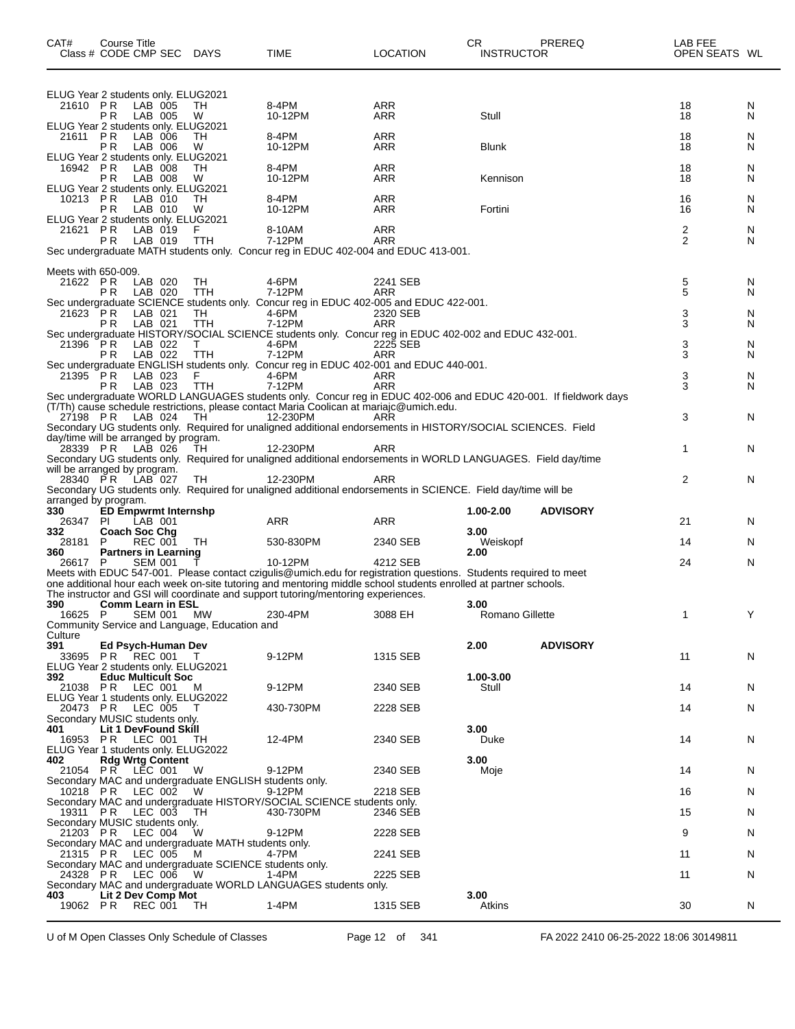| CAT#                            | Course Title<br>Class # CODE CMP SEC                                               |                    | DAYS                                                          | TIME                                                                                                                                                                                                                                                                                                                                  | LOCATION                 | CR<br><b>INSTRUCTOR</b> | PREREQ          | LAB FEE<br>OPEN SEATS WL |        |
|---------------------------------|------------------------------------------------------------------------------------|--------------------|---------------------------------------------------------------|---------------------------------------------------------------------------------------------------------------------------------------------------------------------------------------------------------------------------------------------------------------------------------------------------------------------------------------|--------------------------|-------------------------|-----------------|--------------------------|--------|
| 21610 PR                        | ELUG Year 2 students only. ELUG2021<br>P R                                         | LAB 005<br>LAB 005 | TН<br>W                                                       | 8-4PM<br>10-12PM                                                                                                                                                                                                                                                                                                                      | ARR<br>ARR               | Stull                   |                 | 18<br>18                 | N<br>N |
| 21611                           | ELUG Year 2 students only. ELUG2021<br>P R<br>РR                                   | LAB 006<br>LAB 006 | TН<br>W                                                       | 8-4PM<br>10-12PM                                                                                                                                                                                                                                                                                                                      | <b>ARR</b><br>ARR        | <b>Blunk</b>            |                 | 18<br>18                 | N<br>N |
| 16942 PR                        | ELUG Year 2 students only. ELUG2021<br>РR                                          | LAB 008<br>LAB 008 | TН<br>W                                                       | 8-4PM<br>10-12PM                                                                                                                                                                                                                                                                                                                      | ARR<br>ARR               | Kennison                |                 | 18<br>18                 | N<br>N |
| 10213 PR                        | ELUG Year 2 students only. ELUG2021<br>РR<br>ELUG Year 2 students only. ELUG2021   | LAB 010<br>LAB 010 | TН<br>W                                                       | 8-4PM<br>10-12PM                                                                                                                                                                                                                                                                                                                      | <b>ARR</b><br>ARR        | Fortini                 |                 | 16<br>16                 | N<br>N |
| 21621 PR                        | P R                                                                                | LAB 019<br>LAB 019 | TTH                                                           | 8-10AM<br>7-12PM<br>Sec undergraduate MATH students only. Concur reg in EDUC 402-004 and EDUC 413-001.                                                                                                                                                                                                                                | <b>ARR</b><br><b>ARR</b> |                         |                 | 2<br>2                   | N<br>N |
|                                 |                                                                                    |                    |                                                               |                                                                                                                                                                                                                                                                                                                                       |                          |                         |                 |                          |        |
| Meets with 650-009.<br>21622 PR | РR                                                                                 | LAB 020<br>LAB 020 | ТH<br>TTH                                                     | 4-6PM<br>7-12PM<br>Sec undergraduate SCIENCE students only. Concur reg in EDUC 402-005 and EDUC 422-001.                                                                                                                                                                                                                              | 2241 SEB<br>ARR          |                         |                 | 5<br>5                   | N<br>N |
| 21623 PR                        | P R                                                                                | LAB 021<br>LAB 021 | TH<br>TTH                                                     | 4-6PM<br>7-12PM<br>Sec undergraduate HISTORY/SOCIAL SCIENCE students only. Concur reg in EDUC 402-002 and EDUC 432-001.                                                                                                                                                                                                               | 2320 SEB<br>ARR          |                         |                 | 3<br>3                   | N<br>N |
| 21396 PR                        | P R                                                                                | LAB 022<br>LAB 022 | T.<br><b>TTH</b>                                              | 4-6PM<br>7-12PM<br>Sec undergraduate ENGLISH students only. Concur reg in EDUC 402-001 and EDUC 440-001.                                                                                                                                                                                                                              | 2225 SEB<br>ARR          |                         |                 | 3<br>3                   | N<br>N |
| 21395 PR                        | P R                                                                                | LAB 023<br>LAB 023 | F<br>TTH                                                      | 4-6PM<br>7-12PM<br>Sec undergraduate WORLD LANGUAGES students only. Concur reg in EDUC 402-006 and EDUC 420-001. If fieldwork days                                                                                                                                                                                                    | ARR<br>ARR               |                         |                 | 3<br>3                   | N<br>N |
| 27198 PR                        |                                                                                    | LAB 024            | TH                                                            | (T/Th) cause schedule restrictions, please contact Maria Coolican at mariajc@umich.edu.<br>12-230PM<br>Secondary UG students only. Required for unaligned additional endorsements in HISTORY/SOCIAL SCIENCES. Field                                                                                                                   | ARR                      |                         |                 | 3                        | N      |
| 28339 PR                        | day/time will be arranged by program.                                              | LAB 026            | TН                                                            | 12-230PM<br>Secondary UG students only. Required for unaligned additional endorsements in WORLD LANGUAGES. Field day/time                                                                                                                                                                                                             | ARR                      |                         |                 | 1                        | N      |
| 28340 PR                        | will be arranged by program.<br>arranged by program.                               | LAB 027            | TH                                                            | 12-230PM<br>Secondary UG students only. Required for unaligned additional endorsements in SCIENCE. Field day/time will be                                                                                                                                                                                                             | ARR                      |                         |                 | 2                        | N      |
| 330<br>26347                    | <b>ED Empwrmt Internshp</b><br>-PI                                                 | LAB 001            |                                                               | ARR                                                                                                                                                                                                                                                                                                                                   | ARR                      | 1.00-2.00               | <b>ADVISORY</b> | 21                       | N      |
| 332<br>28181                    | Coach Soc Chg<br>P                                                                 | <b>REC 001</b>     | TH.                                                           | 530-830PM                                                                                                                                                                                                                                                                                                                             | 2340 SEB                 | 3.00<br>Weiskopf        |                 | 14                       | N      |
| 360                             | <b>Partners in Learning</b>                                                        |                    |                                                               |                                                                                                                                                                                                                                                                                                                                       |                          | 2.00                    |                 |                          |        |
| 26617 P<br>390                  | <b>Comm Learn in ESL</b>                                                           | <b>SEM 001</b>     |                                                               | 10-12PM<br>Meets with EDUC 547-001. Please contact czigulis@umich.edu for registration questions. Students required to meet<br>one additional hour each week on-site tutoring and mentoring middle school students enrolled at partner schools.<br>The instructor and GSI will coordinate and support tutoring/mentoring experiences. | 4212 SEB                 | 3.00                    |                 | 24                       | N      |
| 16625                           | P                                                                                  | SEM 001 MW         | Community Service and Language, Education and                 | 230-4PM                                                                                                                                                                                                                                                                                                                               | 3088 EH                  | Romano Gillette         |                 | 1                        | Y      |
| Culture<br>391                  | Ed Psych-Human Dev<br>33695 PR REC 001 T                                           |                    |                                                               | 9-12PM                                                                                                                                                                                                                                                                                                                                | 1315 SEB                 | 2.00                    | <b>ADVISORY</b> | 11                       | N      |
| 392.                            | ELUG Year 2 students only. ELUG2021<br><b>Educ Multicult Soc</b>                   |                    |                                                               |                                                                                                                                                                                                                                                                                                                                       |                          | 1.00-3.00               |                 |                          |        |
|                                 | 21038 PR LEC 001 M<br>ELUG Year 1 students only. ELUG2022                          |                    |                                                               | 9-12PM                                                                                                                                                                                                                                                                                                                                | 2340 SEB                 | Stull                   |                 | 14                       | N      |
| 20473 PR<br>401                 | Secondary MUSIC students only.<br><b>Lit 1 DevFound Skill</b>                      | LEC 005            | $\top$                                                        | 430-730PM                                                                                                                                                                                                                                                                                                                             | 2228 SEB                 | 3.00                    |                 | 14                       | N      |
| 402                             | 16953 PR LEC 001<br>ELUG Year 1 students only. ELUG2022<br><b>Rdg Wrtg Content</b> |                    | - тн                                                          | 12-4PM                                                                                                                                                                                                                                                                                                                                | 2340 SEB                 | Duke<br>3.00            |                 | 14                       | N      |
|                                 | 21054 PR LEC 001                                                                   |                    | - W<br>Secondary MAC and undergraduate ENGLISH students only. | 9-12PM                                                                                                                                                                                                                                                                                                                                | 2340 SEB                 | Moje                    |                 | 14                       | N      |
|                                 | 10218 PR LEC 002 W                                                                 |                    |                                                               | 9-12PM<br>Secondary MAC and undergraduate HISTORY/SOCIAL SCIENCE students only.                                                                                                                                                                                                                                                       | 2218 SEB                 |                         |                 | 16                       | N      |
|                                 | 19311 PR LEC 003<br>Secondary MUSIC students only.                                 |                    | TH                                                            | 430-730PM                                                                                                                                                                                                                                                                                                                             | 2346 SEB                 |                         |                 | 15                       | N      |
| 21203 PR                        |                                                                                    | LEC 004            | W<br>Secondary MAC and undergraduate MATH students only.      | 9-12PM                                                                                                                                                                                                                                                                                                                                | 2228 SEB                 |                         |                 | 9                        | N      |
|                                 | 21315 PR LEC 005 M                                                                 |                    | Secondary MAC and undergraduate SCIENCE students only.        | 4-7PM                                                                                                                                                                                                                                                                                                                                 | 2241 SEB                 |                         |                 | 11                       | N      |
|                                 | 24328 PR LEC 006                                                                   |                    | W                                                             | 1-4PM<br>Secondary MAC and undergraduate WORLD LANGUAGES students only.                                                                                                                                                                                                                                                               | 2225 SEB                 |                         |                 | 11                       | N      |
| 403.                            | Lit 2 Dev Comp Mot<br>19062 PR REC 001 TH                                          |                    |                                                               | 1-4PM                                                                                                                                                                                                                                                                                                                                 | 1315 SEB                 | 3.00<br>Atkins          |                 | 30                       | N.     |

U of M Open Classes Only Schedule of Classes Page 12 of 341 FA 2022 2410 06-25-2022 18:06 30149811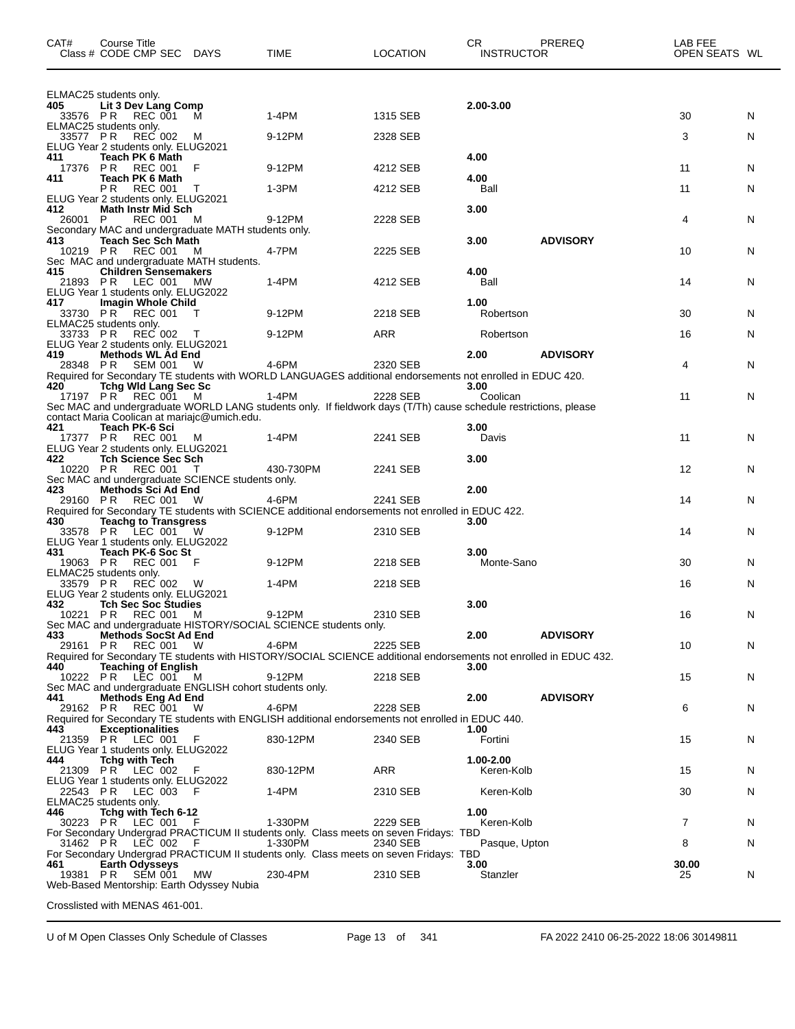| CAT#            | Course Title<br>Class # CODE CMP SEC DAYS                                        |           | <b>TIME</b>                                                                                                        | <b>LOCATION</b> | CR.<br><b>INSTRUCTOR</b> | PREREQ          | LAB FEE<br>OPEN SEATS WL |   |
|-----------------|----------------------------------------------------------------------------------|-----------|--------------------------------------------------------------------------------------------------------------------|-----------------|--------------------------|-----------------|--------------------------|---|
|                 | ELMAC25 students only.                                                           |           |                                                                                                                    |                 |                          |                 |                          |   |
| 405             | Lit 3 Dev Lang Comp<br>33576 PR REC 001                                          | M         | 1-4PM                                                                                                              | 1315 SEB        | 2.00-3.00                |                 | 30                       | N |
| 33577 PR        | ELMAC25 students only.<br><b>REC 002</b>                                         | M         | 9-12PM                                                                                                             | 2328 SEB        |                          |                 | 3                        | N |
|                 | ELUG Year 2 students only. ELUG2021                                              |           |                                                                                                                    |                 |                          |                 |                          |   |
| 411<br>17376 PR | Teach PK 6 Math<br><b>REC 001</b>                                                | F         | 9-12PM                                                                                                             | 4212 SEB        | 4.00                     |                 | 11                       | N |
| 411             | Teach PK 6 Math<br>P <sub>R</sub><br><b>REC 001</b>                              |           | 1-3PM                                                                                                              | 4212 SEB        | 4.00<br>Ball             |                 | 11                       | N |
|                 | ELUG Year 2 students only. ELUG2021                                              |           |                                                                                                                    |                 |                          |                 |                          |   |
| 412<br>26001 P  | <b>Math Instr Mid Sch</b><br><b>REC 001</b>                                      | M         | 9-12PM                                                                                                             | 2228 SEB        | 3.00                     |                 | 4                        | N |
| 413             | Secondary MAC and undergraduate MATH students only.<br><b>Teach Sec Sch Math</b> |           |                                                                                                                    |                 | 3.00                     | <b>ADVISORY</b> |                          |   |
| 10219 PR        | REC 001                                                                          | M         | 4-7PM                                                                                                              | 2225 SEB        |                          |                 | 10                       | N |
| 415             | Sec MAC and undergraduate MATH students.<br><b>Children Sensemakers</b>          |           |                                                                                                                    |                 | 4.00                     |                 |                          |   |
|                 | 21893 PR LEC 001<br>ELUG Year 1 students only. ELUG2022                          | <b>MW</b> | $1-4PM$                                                                                                            | 4212 SEB        | Ball                     |                 | 14                       | N |
| 417             | Imagin Whole Child                                                               |           |                                                                                                                    |                 | 1.00                     |                 |                          |   |
|                 | 33730 PR REC 001<br>ELMAC25 students only.                                       | т         | 9-12PM                                                                                                             | 2218 SEB        | Robertson                |                 | 30                       | N |
| 33733 PR        | REC 002<br>ELUG Year 2 students only. ELUG2021                                   | $\top$    | 9-12PM                                                                                                             | ARR             | Robertson                |                 | 16                       | N |
| 419.            | Methods WL Ad End                                                                |           |                                                                                                                    |                 | 2.00                     | <b>ADVISORY</b> |                          |   |
|                 | 28348 PR SEM 001                                                                 | - W       | 4-6PM<br>Required for Secondary TE students with WORLD LANGUAGES additional endorsements not enrolled in EDUC 420. | 2320 SEB        |                          |                 | 4                        | N |
| 420             | <b>Tchg Wid Lang Sec Sc</b><br>17197 PR REC 001 M                                |           | 1-4PM                                                                                                              | 2228 SEB        | 3.00<br>Coolican         |                 | 11                       | N |
|                 |                                                                                  |           | Sec MAC and undergraduate WORLD LANG students only. If fieldwork days (T/Th) cause schedule restrictions, please   |                 |                          |                 |                          |   |
| 421             | contact Maria Coolican at mariajc@umich.edu.<br>Teach PK-6 Sci                   |           |                                                                                                                    |                 | 3.00                     |                 |                          |   |
|                 | 17377 PR REC 001                                                                 | M         | 1-4PM                                                                                                              | 2241 SEB        | Davis                    |                 | 11                       | N |
| 422             | ELUG Year 2 students only. ELUG2021<br><b>Tch Science Sec Sch</b>                |           |                                                                                                                    |                 | 3.00                     |                 |                          |   |
|                 | 10220 PR REC 001<br>Sec MAC and undergraduate SCIENCE students only.             | $\top$    | 430-730PM                                                                                                          | 2241 SEB        |                          |                 | $12 \overline{ }$        | N |
| 423             | Methods Sci Ad End                                                               |           |                                                                                                                    |                 | 2.00                     |                 | 14                       |   |
| 29160 PR        | REC 001                                                                          | W         | 4-6PM<br>Required for Secondary TE students with SCIENCE additional endorsements not enrolled in EDUC 422.         | 2241 SEB        |                          |                 |                          | N |
| 430             | <b>Teachg to Transgress</b><br>33578 PR LEC 001 W                                |           | 9-12PM                                                                                                             | 2310 SEB        | 3.00                     |                 | 14                       | N |
|                 | ELUG Year 1 students only. ELUG2022                                              |           |                                                                                                                    |                 | 3.00                     |                 |                          |   |
| 431<br>19063 PR | Teach PK-6 Soc St<br>REC 001                                                     | F         | 9-12PM                                                                                                             | 2218 SEB        | Monte-Sano               |                 | 30                       | N |
| 33579 PR        | ELMAC25 students only.<br>REC 002                                                | - W       | 1-4PM                                                                                                              | 2218 SEB        |                          |                 | 16                       | N |
|                 | ELUG Year 2 students only. ELUG2021                                              |           |                                                                                                                    |                 |                          |                 |                          |   |
| 432             | <b>Tch Sec Soc Studies</b><br>10221 PR REC 001 M                                 |           | 9-12PM                                                                                                             | 2310 SEB        | 3.00                     |                 | 16                       | N |
| 433             | Methods SocSt Ad End                                                             |           | Sec MAC and undergraduate HISTORY/SOCIAL SCIENCE students only.                                                    |                 | 2.00                     | <b>ADVISORY</b> |                          |   |
|                 | 29161 PR REC 001 W                                                               |           | 4-6PM                                                                                                              | 2225 SEB        |                          |                 | 10                       | N |
| 440             | <b>Teaching of English</b>                                                       |           | Required for Secondary TE students with HISTORY/SOCIAL SCIENCE additional endorsements not enrolled in EDUC 432.   |                 | 3.00                     |                 |                          |   |
|                 | 10222 PR LEC 001<br>Sec MAC and undergraduate ENGLISH cohort students only.      | M         | 9-12PM                                                                                                             | 2218 SEB        |                          |                 | 15                       | N |
| 441             | <b>Methods Eng Ad End</b>                                                        |           |                                                                                                                    |                 | 2.00                     | <b>ADVISORY</b> |                          |   |
|                 | 29162 PR REC 001                                                                 | <b>W</b>  | 4-6PM<br>Required for Secondary TE students with ENGLISH additional endorsements not enrolled in EDUC 440.         | 2228 SEB        |                          |                 | 6                        | N |
| 443             | <b>Exceptionalities</b><br>21359 PR LEC 001                                      | F         | 830-12PM                                                                                                           | 2340 SEB        | 1.00<br>Fortini          |                 | 15                       | N |
|                 | ELUG Year 1 students only. ELUG2022                                              |           |                                                                                                                    |                 |                          |                 |                          |   |
| 444             | <b>Tchg with Tech</b><br>21309 PR LEC 002                                        | - F       | 830-12PM                                                                                                           | ARR             | 1.00-2.00<br>Keren-Kolb  |                 | 15                       | N |
|                 | ELUG Year 1 students only. ELUG2022                                              |           |                                                                                                                    |                 |                          |                 |                          |   |
|                 | 22543 PR LEC 003<br>ELMAC25 students only.                                       | - F       | 1-4PM                                                                                                              | 2310 SEB        | Keren-Kolb               |                 | 30                       | N |
| 446             | Tchg with Tech 6-12<br>30223 PR LEC 001 F                                        |           | 1-330PM                                                                                                            | 2229 SEB        | 1.00<br>Keren-Kolb       |                 | 7                        | N |
|                 |                                                                                  |           | For Secondary Undergrad PRACTICUM II students only. Class meets on seven Fridays: TBD                              |                 |                          |                 |                          |   |
|                 | 31462 PR LEC 002                                                                 | - F       | 1-330PM<br>For Secondary Undergrad PRACTICUM II students only. Class meets on seven Fridays: TBD                   | 2340 SEB        | Pasque, Upton            |                 | 8                        | N |
| 461<br>19381 PR | <b>Earth Odysseys</b><br>SEM 001                                                 | MW        | 230-4PM                                                                                                            | 2310 SEB        | 3.00<br>Stanzler         |                 | 30.00<br>25              | N |
|                 | Web-Based Mentorship: Earth Odyssey Nubia                                        |           |                                                                                                                    |                 |                          |                 |                          |   |

Crosslisted with MENAS 461-001.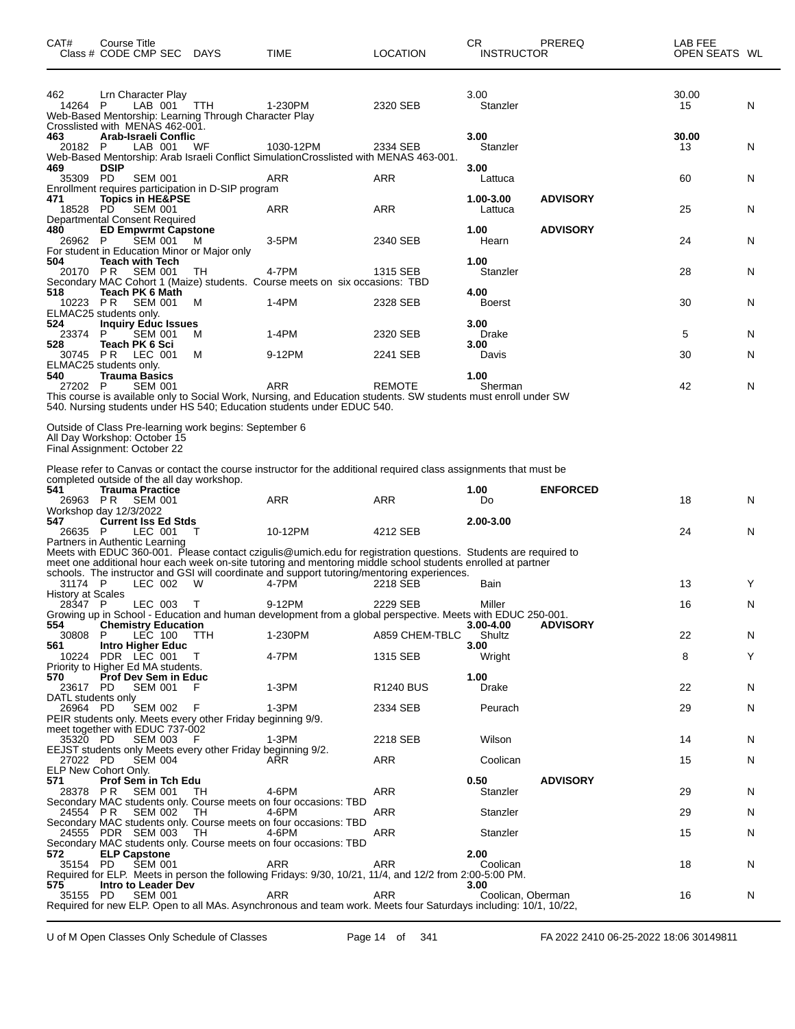| CAT#                                           | Course Title<br>Class # CODE CMP SEC DAYS                                                                                                                            |               | TIME                                                                                                                                                                                                                                                                                                                           | <b>LOCATION</b>      | CR<br><b>INSTRUCTOR</b>   | PREREQ          | LAB FEE<br>OPEN SEATS WL |        |
|------------------------------------------------|----------------------------------------------------------------------------------------------------------------------------------------------------------------------|---------------|--------------------------------------------------------------------------------------------------------------------------------------------------------------------------------------------------------------------------------------------------------------------------------------------------------------------------------|----------------------|---------------------------|-----------------|--------------------------|--------|
| 462<br>14264 P                                 | Lrn Character Play<br>LAB 001<br>Web-Based Mentorship: Learning Through Character Play                                                                               | TTH           | 1-230PM                                                                                                                                                                                                                                                                                                                        | 2320 SEB             | 3.00<br>Stanzler          |                 | 30.00<br>15              | N      |
| 463<br>20182 P                                 | Crosslisted with MENAS 462-001.<br>Arab-Israeli Conflic<br>LAB 001                                                                                                   | WF            | 1030-12PM<br>Web-Based Mentorship: Arab Israeli Conflict SimulationCrosslisted with MENAS 463-001.                                                                                                                                                                                                                             | 2334 SEB             | 3.00<br>Stanzler          |                 | 30.00<br>13              | N      |
| 469<br>35309 PD                                | <b>DSIP</b><br><b>SEM 001</b><br>Enrollment requires participation in D-SIP program                                                                                  |               | ARR                                                                                                                                                                                                                                                                                                                            | ARR                  | 3.00<br>Lattuca           |                 | 60                       | N      |
| 471<br>18528 PD                                | <b>Topics in HE&amp;PSE</b><br><b>SEM 001</b><br>Departmental Consent Required                                                                                       |               | ARR                                                                                                                                                                                                                                                                                                                            | ARR                  | 1.00-3.00<br>Lattuca      | <b>ADVISORY</b> | 25                       | N      |
| 480<br>26962 P                                 | <b>ED Empwrmt Capstone</b><br>SEM 001<br>For student in Education Minor or Major only                                                                                | - M           | 3-5PM                                                                                                                                                                                                                                                                                                                          | 2340 SEB             | 1.00<br>Hearn             | <b>ADVISORY</b> | 24                       | N      |
| 504                                            | <b>Teach with Tech</b><br>20170 PR SEM 001                                                                                                                           | TН            | 4-7PM<br>Secondary MAC Cohort 1 (Maize) students. Course meets on six occasions: TBD                                                                                                                                                                                                                                           | 1315 SEB             | 1.00<br>Stanzler          |                 | 28                       | N      |
| 518                                            | Teach PK 6 Math<br>10223 PR SEM 001<br>ELMAC25 students only.                                                                                                        | м             | $1-4PM$                                                                                                                                                                                                                                                                                                                        | 2328 SEB             | 4.00<br><b>Boerst</b>     |                 | 30                       | N      |
| 524<br>23374<br>528                            | <b>Inquiry Educ Issues</b><br>P.<br><b>SEM 001</b>                                                                                                                   | M             | 1-4PM                                                                                                                                                                                                                                                                                                                          | 2320 SEB             | 3.00<br>Drake             |                 | 5                        | N      |
|                                                | Teach PK 6 Sci<br>30745 PR LEC 001<br>ELMAC25 students only.                                                                                                         | м             | 9-12PM                                                                                                                                                                                                                                                                                                                         | 2241 SEB             | 3.00<br>Davis             |                 | 30                       | N      |
| 540<br>27202 P                                 | <b>Trauma Basics</b><br><b>SEM 001</b>                                                                                                                               |               | ARR<br>This course is available only to Social Work, Nursing, and Education students. SW students must enroll under SW<br>540. Nursing students under HS 540; Education students under EDUC 540.                                                                                                                               | <b>REMOTE</b>        | 1.00<br>Sherman           |                 | 42                       | N      |
|                                                | Outside of Class Pre-learning work begins: September 6<br>All Day Workshop: October 15<br>Final Assignment: October 22<br>completed outside of the all day workshop. |               | Please refer to Canvas or contact the course instructor for the additional required class assignments that must be                                                                                                                                                                                                             |                      |                           |                 |                          |        |
| 541                                            | <b>Trauma Practice</b><br>26963 PR SEM 001<br>Workshop day 12/3/2022                                                                                                 |               | <b>ARR</b>                                                                                                                                                                                                                                                                                                                     | <b>ARR</b>           | 1.00<br>Do                | <b>ENFORCED</b> | 18                       | N      |
| 547<br>26635 P                                 | <b>Current Iss Ed Stds</b><br>LEC 001<br>Partners in Authentic Learning                                                                                              | Т             | 10-12PM                                                                                                                                                                                                                                                                                                                        | 4212 SEB             | 2.00-3.00                 |                 | 24                       | N      |
|                                                |                                                                                                                                                                      |               | Meets with EDUC 360-001. Please contact czigulis@umich.edu for registration questions. Students are required to<br>meet one additional hour each week on-site tutoring and mentoring middle school students enrolled at partner<br>schools. The instructor and GSI will coordinate and support tutoring/mentoring experiences. |                      |                           |                 |                          |        |
| 31174 P<br><b>History at Scales</b><br>28347 P | LEC 002<br>LEC 003                                                                                                                                                   | - W<br>$\top$ | 4-7PM<br>9-12PM                                                                                                                                                                                                                                                                                                                | 2218 SEB<br>2229 SEB | Bain<br>Miller            |                 | 13<br>16                 | Y<br>N |
| 554<br>30808                                   | <b>Chemistry Education</b><br>P.<br>LEC 100                                                                                                                          | ттн           | Growing up in School - Education and human development from a global perspective. Meets with EDUC 250-001.<br>1-230PM                                                                                                                                                                                                          | A859 CHEM-TBLC       | 3.00-4.00<br>Shultz       | <b>ADVISORY</b> | 22                       | N      |
| 561                                            | <b>Intro Higher Educ</b><br>10224 PDR LEC 001<br>Priority to Higher Ed MA students.                                                                                  | $\top$        | 4-7PM                                                                                                                                                                                                                                                                                                                          | 1315 SEB             | 3.00<br>Wright            |                 | 8                        | Y      |
| 570<br>23617 PD<br>DATL students only          | <b>Prof Dev Sem in Educ</b><br><b>SEM 001</b>                                                                                                                        | F             | $1-3PM$                                                                                                                                                                                                                                                                                                                        | <b>R1240 BUS</b>     | 1.00<br>Drake             |                 | 22                       | N      |
| 26964 PD                                       | SEM 002<br>PEIR students only. Meets every other Friday beginning 9/9.                                                                                               | - F           | $1-3PM$                                                                                                                                                                                                                                                                                                                        | 2334 SEB             | Peurach                   |                 | 29                       | N      |
| 35320 PD                                       | meet together with EDUC 737-002<br>SEM 003 F<br>EEJST students only Meets every other Friday beginning 9/2.                                                          |               | 1-3PM                                                                                                                                                                                                                                                                                                                          | 2218 SEB             | Wilson                    |                 | 14                       | N      |
| 27022 PD<br>571                                | <b>SEM 004</b><br>ELP New Cohort Only.<br><b>Prof Sem in Tch Edu</b>                                                                                                 |               | ARR                                                                                                                                                                                                                                                                                                                            | ARR                  | Coolican<br>0.50          | <b>ADVISORY</b> | 15                       | N      |
| 28378 PR<br>24554 PR                           | SEM 001 TH<br>SEM 002 TH                                                                                                                                             |               | 4-6PM<br>Secondary MAC students only. Course meets on four occasions: TBD<br>4-6PM                                                                                                                                                                                                                                             | ARR<br>ARR           | Stanzler<br>Stanzler      |                 | 29<br>29                 | N<br>N |
|                                                | 24555 PDR SEM 003 TH                                                                                                                                                 |               | Secondary MAC students only. Course meets on four occasions: TBD<br>4-6PM                                                                                                                                                                                                                                                      | ARR                  | Stanzler                  |                 | 15                       | N      |
| 572<br>35154 PD                                | <b>ELP Capstone</b><br>ŠEM 001                                                                                                                                       |               | Secondary MAC students only. Course meets on four occasions: TBD<br><b>ARR</b><br>Required for ELP. Meets in person the following Fridays: 9/30, 10/21, 11/4, and 12/2 from 2:00-5:00 PM.                                                                                                                                      | <b>ARR</b>           | 2.00<br>Coolican          |                 | 18                       | N      |
| 575<br>35155 PD                                | Intro to Leader Dev<br>SEM 001                                                                                                                                       |               | ARR<br>Required for new ELP. Open to all MAs. Asynchronous and team work. Meets four Saturdays including: 10/1, 10/22,                                                                                                                                                                                                         | <b>ARR</b>           | 3.00<br>Coolican, Oberman |                 | 16                       | N      |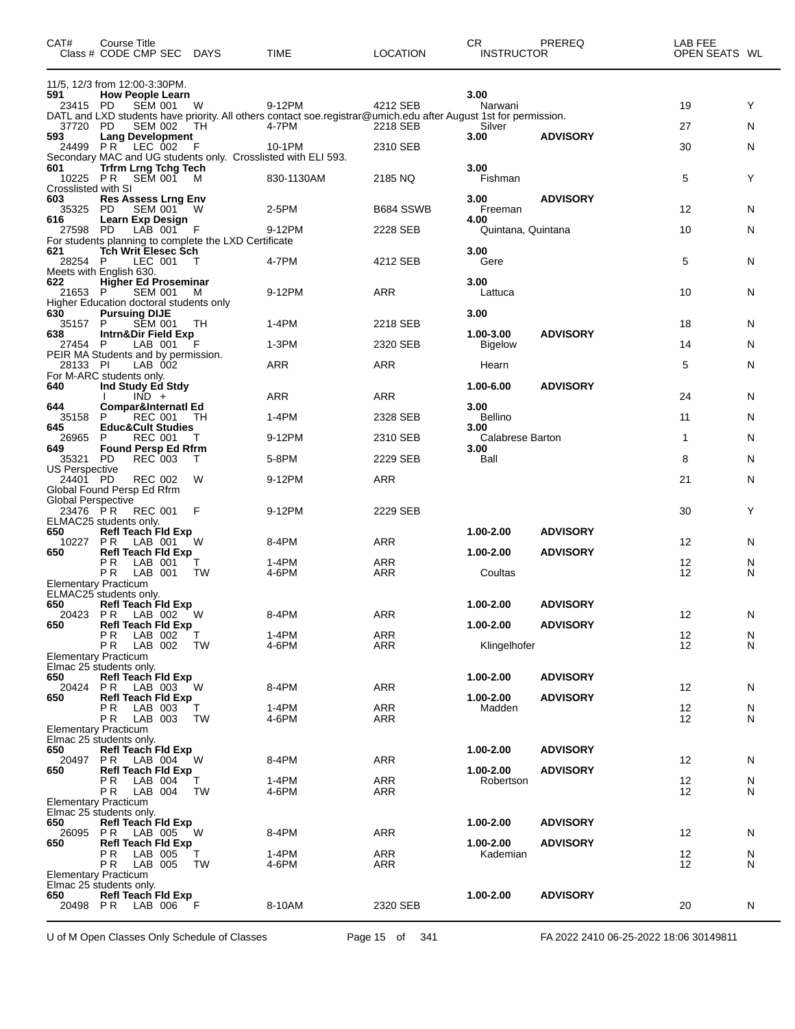| CAT#                              | Course Title<br>Class # CODE CMP SEC DAYS                                           |                | <b>TIME</b>                                                                                                               | <b>LOCATION</b>          | CR.<br><b>INSTRUCTOR</b>    | PREREQ          | LAB FEE<br>OPEN SEATS WL |        |
|-----------------------------------|-------------------------------------------------------------------------------------|----------------|---------------------------------------------------------------------------------------------------------------------------|--------------------------|-----------------------------|-----------------|--------------------------|--------|
| 591                               | 11/5, 12/3 from 12:00-3:30PM.<br><b>How People Learn</b>                            |                |                                                                                                                           |                          | 3.00                        |                 |                          |        |
| 23415 PD                          | <b>SEM 001</b>                                                                      | W              | 9-12PM                                                                                                                    | 4212 SEB                 | Narwani                     |                 | 19                       | Y      |
| 37720 PD                          | <b>SEM 002</b>                                                                      | TH             | DATL and LXD students have priority. All others contact soe.registrar@umich.edu after August 1st for permission.<br>4-7PM | 2218 SEB                 | Silver                      |                 | 27                       | N      |
| 593                               | <b>Lang Development</b><br>24499 PR LEC 002                                         | - F            | 10-1PM                                                                                                                    | 2310 SEB                 | 3.00                        | <b>ADVISORY</b> | 30                       | N      |
|                                   |                                                                                     |                | Secondary MAC and UG students only. Crosslisted with ELI 593.                                                             |                          |                             |                 |                          |        |
| 601<br>10225 PR                   | <b>Trfrm Lrng Tchg Tech</b><br>SEM 001                                              | M              | 830-1130AM                                                                                                                | 2185 NQ                  | 3.00<br>Fishman             |                 | 5                        | Y      |
| Crosslisted with SI<br>603        | <b>Res Assess Lrng Env</b>                                                          |                |                                                                                                                           |                          | 3.00                        | <b>ADVISORY</b> |                          |        |
| 35325<br>616                      | <b>SEM 001</b><br>PD.<br>Learn Exp Design                                           | - W            | 2-5PM                                                                                                                     | B684 SSWB                | Freeman<br>4.00             |                 | 12                       | N      |
| 27598 PD                          | LAB 001                                                                             | - F            | 9-12PM                                                                                                                    | 2228 SEB                 | Quintana, Quintana          |                 | 10                       | N      |
| 621                               | For students planning to complete the LXD Certificate<br><b>Tch Writ Elesec Sch</b> |                |                                                                                                                           |                          | 3.00                        |                 |                          |        |
| 28254 P                           | LEC 001<br>Meets with English 630.                                                  | - Т            | 4-7PM                                                                                                                     | 4212 SEB                 | Gere                        |                 | 5                        | N      |
| 622                               | <b>Higher Ed Proseminar</b>                                                         |                | 9-12PM                                                                                                                    |                          | 3.00                        |                 |                          |        |
| 21653 P                           | <b>SEM 001</b><br>Higher Education doctoral students only                           | M              |                                                                                                                           | ARR                      | Lattuca                     |                 | 10                       | N      |
| 630<br>35157                      | <b>Pursuing DIJE</b><br>SEM 001<br>P                                                | - TH           | 1-4PM                                                                                                                     | 2218 SEB                 | 3.00                        |                 | 18                       | N      |
| 638<br>27454 P                    | Intrn&Dir Field Exp<br>LAB 001                                                      |                | 1-3PM                                                                                                                     | 2320 SEB                 | 1.00-3.00<br><b>Bigelow</b> | <b>ADVISORY</b> | 14                       | N      |
|                                   | PEIR MA Students and by permission.                                                 |                |                                                                                                                           |                          |                             |                 |                          |        |
| 28133 PI                          | LAB 002<br>For M-ARC students only.                                                 |                | ARR                                                                                                                       | <b>ARR</b>               | Hearn                       |                 | 5                        | N      |
| 640                               | Ind Study Ed Stdy<br>$IND +$                                                        |                | ARR                                                                                                                       | <b>ARR</b>               | 1.00-6.00                   | <b>ADVISORY</b> | 24                       | N      |
| 644<br>35158                      | <b>Compar&amp;Internati Ed</b><br>P<br>REC 001                                      | TH             | 1-4PM                                                                                                                     | 2328 SEB                 | 3.00<br><b>Bellino</b>      |                 | 11                       | N      |
| 645                               | <b>Educ&amp;Cult Studies</b>                                                        |                |                                                                                                                           |                          | 3.00                        |                 |                          |        |
| 26965<br>649                      | <b>REC 001</b><br>P<br><b>Found Persp Ed Rfrm</b>                                   | T              | 9-12PM                                                                                                                    | 2310 SEB                 | Calabrese Barton<br>3.00    |                 | 1                        | N      |
| 35321 PD<br><b>US Perspective</b> | <b>REC 003</b>                                                                      | T              | 5-8PM                                                                                                                     | 2229 SEB                 | Ball                        |                 | 8                        | N      |
| 24401 PD                          | <b>REC 002</b>                                                                      | W              | 9-12PM                                                                                                                    | ARR                      |                             |                 | 21                       | N      |
| <b>Global Perspective</b>         | Global Found Persp Ed Rfrm                                                          |                |                                                                                                                           |                          |                             |                 |                          |        |
| 23476 PR                          | REC 001<br>ELMAC25 students only.                                                   | F              | 9-12PM                                                                                                                    | 2229 SEB                 |                             |                 | 30                       | Y      |
| 650<br>10227                      | <b>Refl Teach Fld Exp</b><br>PR.<br>LAB 001                                         | W              | 8-4PM                                                                                                                     | ARR                      | 1.00-2.00                   | <b>ADVISORY</b> | 12                       | N      |
| 650                               | <b>Refl Teach Fld Exp</b>                                                           |                |                                                                                                                           |                          | 1.00-2.00                   | <b>ADVISORY</b> |                          |        |
|                                   | P R<br>LAB 001<br>P R<br>LAB 001                                                    | TW             | 1-4PM<br>4-6PM                                                                                                            | <b>ARR</b><br>ARR        | Coultas                     |                 | 12<br>12                 | N<br>N |
|                                   | <b>Elementary Practicum</b><br>ELMAC25 students only.                               |                |                                                                                                                           |                          |                             |                 |                          |        |
| 650<br>20423                      | <b>Refl Teach Fld Exp</b><br>PR LAB 002 W                                           |                | 8-4PM                                                                                                                     | ARR                      | 1.00-2.00                   | <b>ADVISORY</b> | 12                       | N      |
| 650                               | Refl Teach Fld Exp                                                                  |                |                                                                                                                           |                          | 1.00-2.00                   | <b>ADVISORY</b> |                          |        |
|                                   | P R<br>LAB 002<br>PR.<br>LAB 002                                                    | T.<br>TW       | 1-4PM<br>4-6PM                                                                                                            | <b>ARR</b><br>ARR        | Klingelhofer                |                 | 12<br>12                 | N<br>N |
|                                   | <b>Elementary Practicum</b><br>Elmac 25 students only.                              |                |                                                                                                                           |                          |                             |                 |                          |        |
| 650<br>20424                      | Refl Teach Fld Exp                                                                  | W              | 8-4PM                                                                                                                     | ARR                      | 1.00-2.00                   | <b>ADVISORY</b> | 12                       |        |
| 650                               | PR LAB 003<br><b>Refl Teach Fld Exp</b>                                             |                |                                                                                                                           |                          | 1.00-2.00                   | <b>ADVISORY</b> |                          | N      |
|                                   | P R<br>LAB 003<br>PR.<br>LAB 003                                                    | т<br><b>TW</b> | 1-4PM<br>4-6PM                                                                                                            | <b>ARR</b><br>ARR        | Madden                      |                 | 12<br>12                 | N<br>N |
|                                   | <b>Elementary Practicum</b><br>Elmac 25 students only.                              |                |                                                                                                                           |                          |                             |                 |                          |        |
| 650                               | Refl Teach Fld Exp                                                                  |                |                                                                                                                           |                          | 1.00-2.00                   | <b>ADVISORY</b> |                          |        |
| 650                               | 20497 PR LAB 004<br><b>Refl Teach Fld Exp</b>                                       | W              | 8-4PM                                                                                                                     | <b>ARR</b>               | $1.00 - 2.00$               | <b>ADVISORY</b> | 12                       | N      |
|                                   | LAB 004<br>PR.<br><b>PR</b> LAB 004                                                 | Т<br>TW        | 1-4PM<br>4-6PM                                                                                                            | <b>ARR</b><br>ARR        | Robertson                   |                 | 12<br>12                 | N<br>N |
|                                   | <b>Elementary Practicum</b><br>Elmac 25 students only.                              |                |                                                                                                                           |                          |                             |                 |                          |        |
| 650                               | <b>Refl Teach Fld Exp</b>                                                           |                |                                                                                                                           |                          | $1.00 - 2.00$               | <b>ADVISORY</b> |                          |        |
| 26095<br>650                      | <b>PR</b> LAB 005<br><b>Refl Teach Fld Exp</b>                                      | W              | 8-4PM                                                                                                                     | ARR                      | $1.00 - 2.00$               | <b>ADVISORY</b> | 12                       | N      |
|                                   | PR.<br>LAB 005<br>P <sub>R</sub><br>LAB 005                                         | т<br>TW        | 1-4PM<br>4-6PM                                                                                                            | <b>ARR</b><br><b>ARR</b> | Kademian                    |                 | 12<br>12                 | N<br>N |
|                                   | <b>Elementary Practicum</b>                                                         |                |                                                                                                                           |                          |                             |                 |                          |        |
| 650                               | Elmac 25 students only.<br><b>Refl Teach Fld Exp</b>                                |                |                                                                                                                           |                          | 1.00-2.00                   | <b>ADVISORY</b> |                          |        |
|                                   | 20498 PR LAB 006 F                                                                  |                | 8-10AM                                                                                                                    | 2320 SEB                 |                             |                 | 20                       | N      |

U of M Open Classes Only Schedule of Classes Page 15 of 341 FA 2022 2410 06-25-2022 18:06 30149811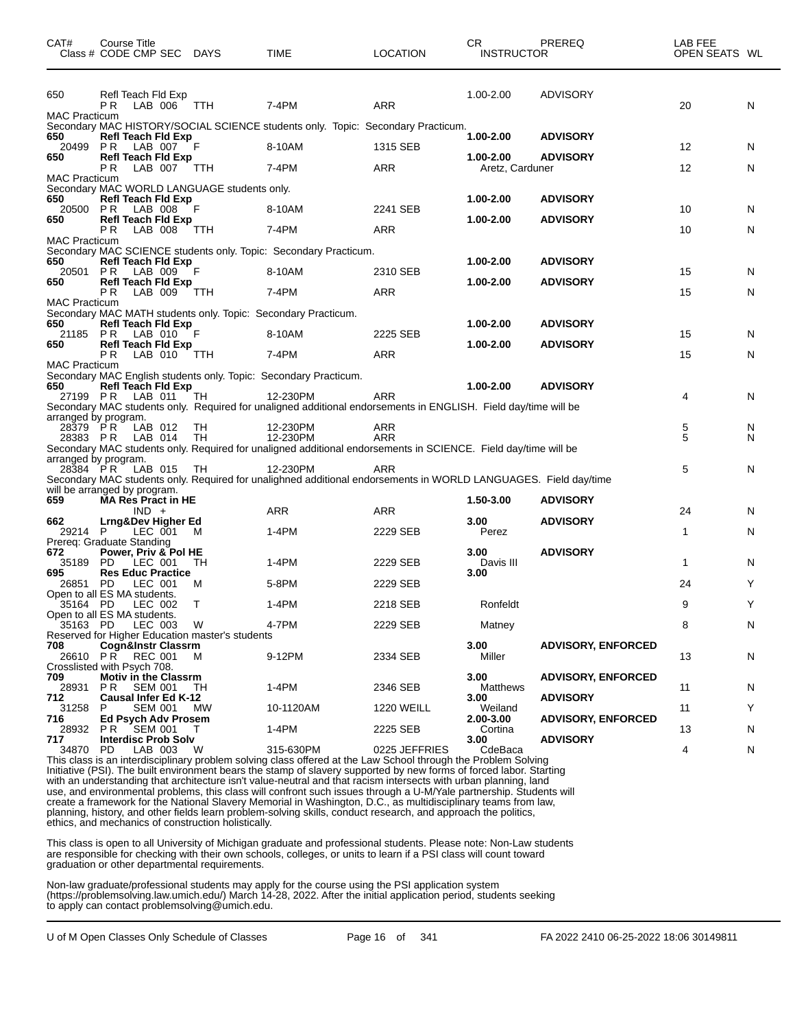| CAT#                        | Course Title<br>Class # CODE CMP SEC DAYS                                        |            | TIME                                                                                                                        | <b>LOCATION</b>   | CR.<br><b>INSTRUCTOR</b>         | PREREQ                    | LAB FEE<br>OPEN SEATS WL |   |
|-----------------------------|----------------------------------------------------------------------------------|------------|-----------------------------------------------------------------------------------------------------------------------------|-------------------|----------------------------------|---------------------------|--------------------------|---|
| 650<br><b>MAC Practicum</b> | Refl Teach Fld Exp<br>PR.<br>LAB 006 TTH                                         |            | 7-4PM                                                                                                                       | <b>ARR</b>        | 1.00-2.00                        | <b>ADVISORY</b>           | 20                       | N |
| 650                         | Refl Teach Fld Exp                                                               |            | Secondary MAC HISTORY/SOCIAL SCIENCE students only. Topic: Secondary Practicum.                                             |                   | 1.00-2.00                        | <b>ADVISORY</b>           |                          |   |
| 20499 PR                    | LAB 007                                                                          | - F        | 8-10AM                                                                                                                      | 1315 SEB          |                                  |                           | $12 \overline{ }$        | N |
| 650                         | <b>Refl Teach Fld Exp</b><br>LAB 007 TTH<br>P R                                  |            | 7-4PM                                                                                                                       | <b>ARR</b>        | $1.00 - 2.00$<br>Aretz, Carduner | <b>ADVISORY</b>           | $12 \overline{ }$        | N |
| <b>MAC Practicum</b>        | Secondary MAC WORLD LANGUAGE students only.                                      |            |                                                                                                                             |                   |                                  |                           |                          |   |
| 650<br>20500 PR             | Refl Teach Fld Exp<br>LAB 008                                                    | -F         | 8-10AM                                                                                                                      | 2241 SEB          | 1.00-2.00                        | <b>ADVISORY</b>           | 10                       | N |
| 650                         | <b>Refl Teach Fld Exp</b><br>LAB 008<br>P R                                      | TTH        | 7-4PM                                                                                                                       | ARR               | $1.00 - 2.00$                    | <b>ADVISORY</b>           | 10                       | N |
| <b>MAC Practicum</b>        |                                                                                  |            | Secondary MAC SCIENCE students only. Topic: Secondary Practicum.                                                            |                   |                                  |                           |                          |   |
| 650                         | <b>Refl Teach Fld Exp</b><br>20501 PR LAB 009                                    | -F         | 8-10AM                                                                                                                      | 2310 SEB          | 1.00-2.00                        | <b>ADVISORY</b>           | 15                       | N |
| 650                         | <b>Refl Teach Fld Exp</b><br>P R<br>LAB 009                                      | TTH        | 7-4PM                                                                                                                       | <b>ARR</b>        | $1.00 - 2.00$                    | <b>ADVISORY</b>           | 15                       | N |
| <b>MAC Practicum</b>        |                                                                                  |            |                                                                                                                             |                   |                                  |                           |                          |   |
| 650                         | Refl Teach Fld Exp                                                               |            | Secondary MAC MATH students only. Topic: Secondary Practicum.                                                               |                   | 1.00-2.00                        | <b>ADVISORY</b>           |                          |   |
| 21185 PR<br>650             | LAB 010<br><b>Refl Teach Fld Exp</b>                                             | - F        | 8-10AM                                                                                                                      | 2225 SEB          | $1.00 - 2.00$                    | <b>ADVISORY</b>           | 15                       | N |
| <b>MAC Practicum</b>        | PR.<br>LAB 010                                                                   | $\top$ TTH | 7-4PM                                                                                                                       | <b>ARR</b>        |                                  |                           | 15                       | N |
| 650                         | <b>Refl Teach Fld Exp</b>                                                        |            | Secondary MAC English students only. Topic: Secondary Practicum.                                                            |                   | $1.00 - 2.00$                    | <b>ADVISORY</b>           |                          |   |
| 27199 PR                    | LAB 011                                                                          | TH         | 12-230PM<br>Secondary MAC students only. Required for unaligned additional endorsements in ENGLISH. Field day/time will be  | ARR               |                                  |                           | 4                        | N |
| $28379$ PR                  | arranged by program.<br>LAB 012                                                  | TH         | 12-230PM                                                                                                                    | ARR               |                                  |                           | 5                        | N |
|                             | 28383 PR LAB 014                                                                 | TH         | 12-230PM<br>Secondary MAC students only. Required for unaligned additional endorsements in SCIENCE. Field day/time will be  | <b>ARR</b>        |                                  |                           | 5                        | N |
| 28384 PR                    | arranged by program.<br>LAB 015                                                  | TH         | 12-230PM                                                                                                                    | <b>ARR</b>        |                                  |                           | 5                        | N |
|                             | will be arranged by program.                                                     |            | Secondary MAC students only. Required for unalighned additional endorsements in WORLD LANGUAGES. Field day/time             |                   |                                  |                           |                          |   |
| 659                         | MA Res Pract in HE<br>$IND +$                                                    |            | ARR                                                                                                                         | ARR               | 1.50-3.00                        | <b>ADVISORY</b>           | 24                       | N |
| 662                         | Lrng&Dev Higher Ed                                                               |            |                                                                                                                             |                   | 3.00                             | <b>ADVISORY</b>           |                          |   |
| 29214 P                     | LEC 001<br>Prereq: Graduate Standing                                             | M          | 1-4PM                                                                                                                       | 2229 SEB          | Perez                            |                           | $\mathbf{1}$             | N |
| 672<br>35189 PD             | Power, Priv & Pol HE<br>LEC 001                                                  | TH         | 1-4PM                                                                                                                       | 2229 SEB          | 3.00<br>Davis III                | <b>ADVISORY</b>           | $\mathbf{1}$             | N |
| 695<br>26851 PD             | <b>Res Educ Practice</b><br>LEC 001                                              | M          | 5-8PM                                                                                                                       | 2229 SEB          | 3.00                             |                           | 24                       | Y |
| 35164 PD                    | Open to all ES MA students.<br>LEC 002                                           | T          | 1-4PM                                                                                                                       | 2218 SEB          | Ronfeldt                         |                           | 9                        | Υ |
|                             | Open to all ES MA students.<br>35163 PD LEC 003                                  | W          | 4-7PM                                                                                                                       | 2229 SEB          | Matney                           |                           | 8                        | N |
| 708                         | Reserved for Higher Education master's students<br><b>Cogn&amp;Instr Classrm</b> |            |                                                                                                                             |                   | 3.00                             | <b>ADVISORY, ENFORCED</b> |                          |   |
|                             | 26610 PR REC 001<br>Crosslisted with Psych 708.                                  | M          | 9-12PM                                                                                                                      | 2334 SEB          | Miller                           |                           | 13                       | N |
| 709<br>28931                | <b>Motiv in the Classrm</b><br>PR.<br><b>SEM 001</b>                             | TН         | 1-4PM                                                                                                                       | 2346 SEB          | 3.00<br>Matthews                 | <b>ADVISORY, ENFORCED</b> | 11                       | N |
| 712                         | <b>Causal Infer Ed K-12</b>                                                      |            |                                                                                                                             |                   | 3.00                             | <b>ADVISORY</b>           |                          |   |
| 31258<br>716                | P<br>SEM 001<br>Ed Psych Adv Prosem                                              | МW         | 10-1120AM                                                                                                                   | <b>1220 WEILL</b> | Weiland<br>2.00-3.00             | <b>ADVISORY, ENFORCED</b> | 11                       | Υ |
| 717                         | 28932 PR SEM 001<br><b>Interdisc Prob Solv</b>                                   | T          | 1-4PM                                                                                                                       | 2225 SEB          | Cortina<br>3.00                  | <b>ADVISORY</b>           | 13                       | N |
| 34870                       | PD.<br>LAB 003                                                                   | W          | 315-630PM<br>This class is an interdisciplinary problem solving class offered at the Law School through the Problem Solving | 0225 JEFFRIES     | CdeBaca                          |                           | 4                        | N |

Initiative (PSI). The built environment bears the stamp of slavery supported by new forms of forced labor. Starting with an understanding that architecture isn't value-neutral and that racism intersects with urban planning, land use, and environmental problems, this class will confront such issues through a U-M/Yale partnership. Students will create a framework for the National Slavery Memorial in Washington, D.C., as multidisciplinary teams from law, planning, history, and other fields learn problem-solving skills, conduct research, and approach the politics, ethics, and mechanics of construction holistically.

This class is open to all University of Michigan graduate and professional students. Please note: Non-Law students are responsible for checking with their own schools, colleges, or units to learn if a PSI class will count toward graduation or other departmental requirements.

Non-law graduate/professional students may apply for the course using the PSI application system (https://problemsolving.law.umich.edu/) March 14-28, 2022. After the initial application period, students seeking to apply can contact problemsolving@umich.edu.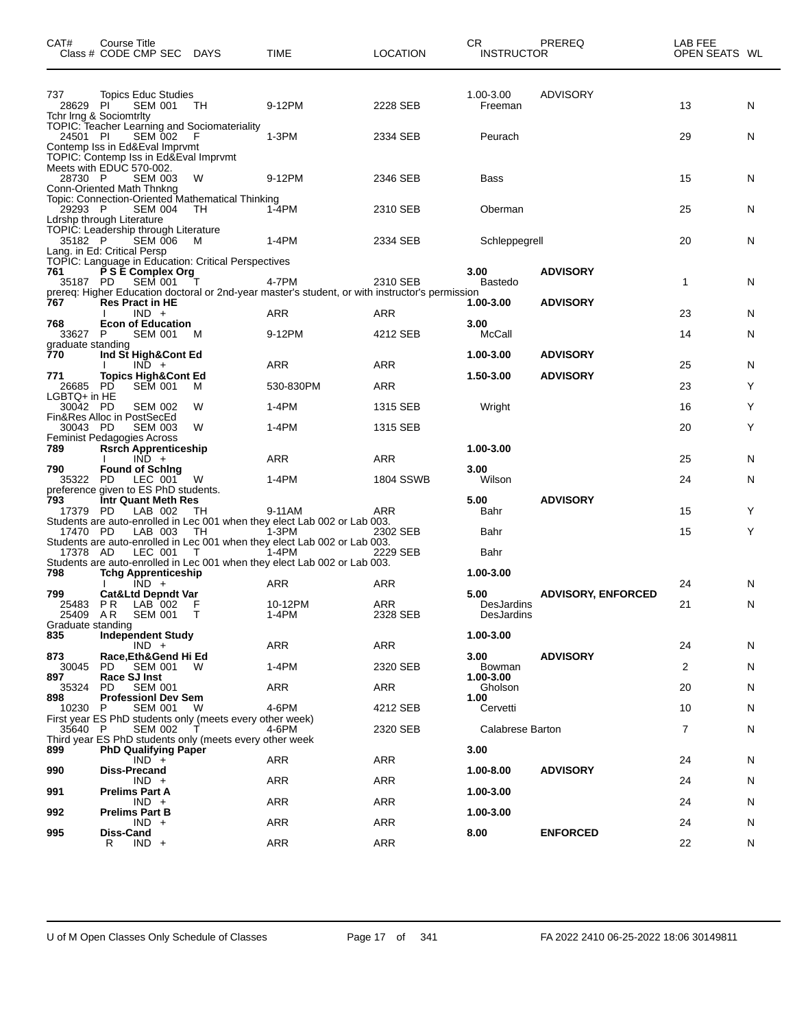| CAT#                                 | Course Title<br>Class # CODE CMP SEC DAYS                                                                                   |              | TIME                                                                                            | <b>LOCATION</b>        | CR<br><b>INSTRUCTOR</b>          | <b>PREREQ</b>                      | LAB FEE<br>OPEN SEATS WL |        |
|--------------------------------------|-----------------------------------------------------------------------------------------------------------------------------|--------------|-------------------------------------------------------------------------------------------------|------------------------|----------------------------------|------------------------------------|--------------------------|--------|
| 737<br>28629 PI                      | <b>Topics Educ Studies</b><br>SEM 001 TH                                                                                    |              | 9-12PM                                                                                          | 2228 SEB               | 1.00-3.00<br>Freeman             | <b>ADVISORY</b>                    | 13                       | N      |
| 24501 PI                             | Tchr Irng & Sociomtrity<br><b>TOPIC: Teacher Learning and Sociomateriality</b><br>SEM 002<br>Contemp Iss in Ed&Eval Imprvmt | - F          | $1-3PM$                                                                                         | 2334 SEB               | Peurach                          |                                    | 29                       | N      |
| 28730 P                              | TOPIC: Contemp Iss in Ed&Eval Imprymt<br>Meets with EDUC 570-002.<br><b>SEM 003</b><br>Conn-Oriented Math Thnkng            | W            | 9-12PM                                                                                          | 2346 SEB               | Bass                             |                                    | 15                       | N      |
| 29293 P                              | Topic: Connection-Oriented Mathematical Thinking<br><b>SEM 004</b><br>Ldrshp through Literature                             | - TH         | 1-4PM                                                                                           | 2310 SEB               | Oberman                          |                                    | 25                       | N      |
| 35182 P                              | TOPIC: Leadership through Literature<br>SEM 006<br>Lang. in Ed: Critical Persp                                              | M            | 1-4PM                                                                                           | 2334 SEB               | Schleppegrell                    |                                    | 20                       | N      |
| 761<br>35187 PD                      | TOPIC: Language in Education: Critical Perspectives<br>P S E Complex Org<br><b>SEM 001</b>                                  | $\top$       | 4-7PM                                                                                           | 2310 SEB               | 3.00<br>Bastedo                  | <b>ADVISORY</b>                    | 1                        | N      |
| 767                                  | <b>Res Pract in HE</b>                                                                                                      |              | prereq: Higher Education doctoral or 2nd-year master's student, or with instructor's permission |                        | 1.00-3.00                        | <b>ADVISORY</b>                    |                          |        |
| 768                                  | $IND +$<br><b>Econ of Education</b>                                                                                         |              | ARR                                                                                             | <b>ARR</b>             | 3.00                             |                                    | 23<br>14                 | N      |
| 33627 P<br>graduate standing         | SEM 001                                                                                                                     | M            | 9-12PM                                                                                          | 4212 SEB               | <b>McCall</b>                    |                                    |                          | N      |
| 770<br>771                           | Ind St High&Cont Ed<br>$IND +$<br><b>Topics High&amp;Cont Ed</b>                                                            |              | <b>ARR</b>                                                                                      | ARR                    | 1.00-3.00<br>1.50-3.00           | <b>ADVISORY</b><br><b>ADVISORY</b> | 25                       | N      |
| 26685 PD<br>LGBTQ+ in HE<br>30042 PD | <b>SEM 001</b><br><b>SEM 002</b>                                                                                            | M<br>W       | 530-830PM<br>1-4PM                                                                              | <b>ARR</b><br>1315 SEB | Wright                           |                                    | 23<br>16                 | Y<br>Y |
| 30043 PD                             | Fin&Res Alloc in PostSecEd<br><b>SEM 003</b>                                                                                | W            | $1-4PM$                                                                                         | 1315 SEB               |                                  |                                    | 20                       | Y      |
| 789                                  | Feminist Pedagogies Across<br><b>Rsrch Apprenticeship</b><br>$IND +$                                                        |              | <b>ARR</b>                                                                                      | ARR                    | 1.00-3.00                        |                                    | 25                       | N      |
| 790<br>35322 PD                      | <b>Found of Sching</b><br>LEC 001<br>preference given to ES PhD students.                                                   | W            | 1-4PM                                                                                           | 1804 SSWB              | 3.00<br>Wilson                   |                                    | 24                       | N      |
| 793<br>17379 PD                      | Intr Quant Meth Res<br>LAB 002                                                                                              | TH.          | 9-11AM<br>Students are auto-enrolled in Lec 001 when they elect Lab 002 or Lab 003.             | ARR                    | 5.00<br>Bahr                     | <b>ADVISORY</b>                    | 15                       | Y      |
| 17470 PD<br>17378 AD                 | LAB 003<br>LEC 001                                                                                                          | TH<br>$\top$ | 1-3PM<br>Students are auto-enrolled in Lec 001 when they elect Lab 002 or Lab 003.<br>1-4PM     | 2302 SEB<br>2229 SEB   | Bahr<br>Bahr                     |                                    | 15                       | Y      |
| 798                                  | <b>Tchg Apprenticeship</b><br>$IND +$                                                                                       |              | Students are auto-enrolled in Lec 001 when they elect Lab 002 or Lab 003.<br>ARR                | ARR                    | 1.00-3.00                        |                                    |                          |        |
| 799<br>25483 PR<br>25409 AR          | <b>Cat&amp;Ltd Depndt Var</b><br>LAB 002<br>SEM 001 T                                                                       | F            | 10-12PM<br>$1-4PM$                                                                              | ARR<br>2328 SEB        | 5.00<br>DesJardins<br>DesJardins | <b>ADVISORY, ENFORCED</b>          | 24<br>21                 | N<br>N |
| Graduate standing<br>835             | <b>Independent Study</b><br>$IND +$                                                                                         |              | ARR                                                                                             | ARR                    | 1.00-3.00                        |                                    | 24                       | N      |
| 873<br>30045<br>897                  | Race, Eth& Gend Hi Ed<br>PD.<br>SEM 001 W<br>Race SJ Inst                                                                   |              | 1-4PM                                                                                           | 2320 SEB               | 3.00<br>Bowman<br>1.00-3.00      | <b>ADVISORY</b>                    | 2                        | N      |
| 35324<br>898                         | <b>SEM 001</b><br>PD.<br><b>ProfessionI Dev Sem</b>                                                                         |              | ARR                                                                                             | ARR                    | Gholson<br>1.00                  |                                    | 20                       | N      |
| 10230 P                              | <b>SEM 001</b><br>First year ES PhD students only (meets every other week)                                                  | W            | 4-6PM                                                                                           | 4212 SEB               | Cervetti                         |                                    | 10                       | N      |
| 35640 P                              | <b>SEM 002</b><br>Third year ES PhD students only (meets every other week                                                   | T            | 4-6PM                                                                                           | 2320 SEB               | Calabrese Barton                 |                                    | 7                        | N      |
| 899<br>990                           | <b>PhD Qualifying Paper</b><br>$IND +$<br><b>Diss-Precand</b>                                                               |              | ARR                                                                                             | ARR                    | 3.00<br>1.00-8.00                | <b>ADVISORY</b>                    | 24                       | N      |
|                                      | $IND +$                                                                                                                     |              | ARR                                                                                             | ARR                    |                                  |                                    | 24                       | N      |
| 991                                  | <b>Prelims Part A</b><br>$IND +$                                                                                            |              | ARR                                                                                             | ARR                    | 1.00-3.00                        |                                    | 24                       | N      |
| 992                                  | <b>Prelims Part B</b><br>$IND +$                                                                                            |              | ARR                                                                                             | ARR                    | 1.00-3.00                        |                                    | 24                       | N      |
| 995                                  | Diss-Cand<br>R<br>$IND +$                                                                                                   |              | <b>ARR</b>                                                                                      | ARR                    | 8.00                             | <b>ENFORCED</b>                    | 22                       | N      |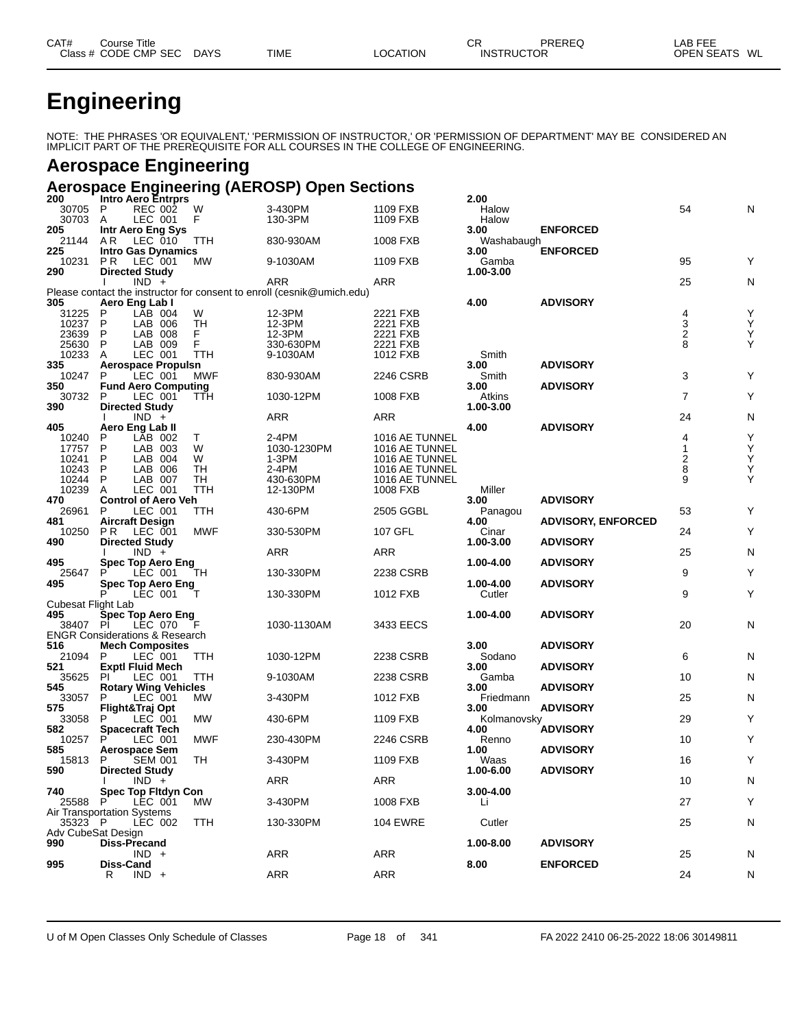| CAT# | Title<br>ڪourse      |             |             |          | СR                | PREREQ | _AB FEE           |    |
|------|----------------------|-------------|-------------|----------|-------------------|--------|-------------------|----|
|      | Class # CODE CMP SEC | <b>DAYS</b> | <b>TIME</b> | ∟OCATION | <b>INSTRUCTOR</b> |        | <b>OPEN SEATS</b> | WL |

# **Engineering**

NOTE: THE PHRASES 'OR EQUIVALENT,' 'PERMISSION OF INSTRUCTOR,' OR 'PERMISSION OF DEPARTMENT' MAY BE CONSIDERED AN IMPLICIT PART OF THE PREREQUISITE FOR ALL COURSES IN THE COLLEGE OF ENGINEERING.

## **Aerospace Engineering**

## **Aerospace Engineering (AEROSP) Open Sections**

| 200                | <b>Intro Aero Entrprs</b>                 |            |                                                                        |                            | 2.00                |                           |                         |   |
|--------------------|-------------------------------------------|------------|------------------------------------------------------------------------|----------------------------|---------------------|---------------------------|-------------------------|---|
| 30705 P            | <b>REC 002</b>                            | W          | 3-430PM                                                                | 1109 FXB                   | Halow               |                           | 54                      | N |
| 30703              | LEC 001<br>A                              | F          | 130-3PM                                                                | 1109 FXB                   | Halow               |                           |                         |   |
| 205                | Intr Aero Eng Sys                         |            |                                                                        |                            | 3.00                | <b>ENFORCED</b>           |                         |   |
| 21144              | AR.<br>LEC 010                            | TTH        | 830-930AM                                                              | 1008 FXB                   | Washabaugh          |                           |                         |   |
| 225                | <b>Intro Gas Dynamics</b>                 |            |                                                                        |                            | 3.00                | <b>ENFORCED</b>           |                         |   |
| 10231              | P R<br>LEC 001                            | MW.        | 9-1030AM                                                               | 1109 FXB                   | Gamba               |                           | 95                      | Υ |
| 290                | <b>Directed Study</b>                     |            |                                                                        |                            | 1.00-3.00           |                           |                         |   |
|                    | $IND +$                                   |            | ARR                                                                    | ARR                        |                     |                           | 25                      | N |
| 305                | Aero Eng Lab I                            |            | Please contact the instructor for consent to enroll (cesnik@umich.edu) |                            | 4.00                | <b>ADVISORY</b>           |                         |   |
| 31225              | P<br>LAB 004                              | W          | 12-3PM                                                                 | 2221 FXB                   |                     |                           | 4                       | Υ |
| 10237              | P<br>LAB 006                              | <b>TH</b>  | 12-3PM                                                                 | 2221 FXB                   |                     |                           | 3                       | Υ |
| 23639              | P<br>LAB 008                              | F.         | 12-3PM                                                                 | 2221 FXB                   |                     |                           | $\overline{\mathbf{c}}$ | Υ |
| 25630              | LAB 009<br>P                              | F          | 330-630PM                                                              | 2221 FXB                   |                     |                           | 8                       | Υ |
| 10233              | LEC 001<br>A                              | TTH        | 9-1030AM                                                               | 1012 FXB                   | Smith               |                           |                         |   |
| 335                | <b>Aerospace Propulsn</b>                 |            |                                                                        |                            | 3.00                | <b>ADVISORY</b>           |                         |   |
| 10247              | LEC 001<br>P                              | MWF        | 830-930AM                                                              | 2246 CSRB                  | Smith               |                           | 3                       | Υ |
| 350                | <b>Fund Aero Computing</b>                |            |                                                                        |                            | 3.00                | <b>ADVISORY</b>           |                         |   |
| 30732              | LEC 001<br>P                              | TTH        | 1030-12PM                                                              | 1008 FXB                   | Atkins              |                           | $\overline{7}$          | Υ |
| 390                | <b>Directed Study</b>                     |            |                                                                        |                            | 1.00-3.00           |                           |                         |   |
|                    | $IND +$                                   |            | ARR                                                                    | ARR                        |                     |                           | 24                      | N |
| 405                | Aero Eng Lab II                           |            |                                                                        |                            | 4.00                | <b>ADVISORY</b>           |                         |   |
| 10240              | P<br>LAB 002                              | Т          | 2-4PM                                                                  | 1016 AE TUNNEL             |                     |                           | 4                       | Υ |
| 17757              | P<br>LAB 003                              | W          | 1030-1230PM                                                            | 1016 AE TUNNEL             |                     |                           | $\mathbf{1}$            | Υ |
| 10241              | P<br>LAB 004                              | W          | 1-3PM                                                                  | 1016 AE TUNNEL             |                     |                           | $\overline{\mathbf{c}}$ | Υ |
| 10243              | P<br>LAB 006                              | TН         | 2-4PM                                                                  | 1016 AE TUNNEL             |                     |                           | 8<br>9                  | Υ |
| 10244<br>10239     | P<br>LAB 007<br>LEC 001<br>A              | TН<br>TTH  | 430-630PM<br>12-130PM                                                  | 1016 AE TUNNEL<br>1008 FXB | Miller              |                           |                         | Υ |
| 470                | <b>Control of Aero Veh</b>                |            |                                                                        |                            | 3.00                | <b>ADVISORY</b>           |                         |   |
| 26961              | P<br>LEC 001                              | TTH.       | 430-6PM                                                                | 2505 GGBL                  | Panagou             |                           | 53                      | Υ |
| 481                | <b>Aircraft Design</b>                    |            |                                                                        |                            | 4.00                | <b>ADVISORY, ENFORCED</b> |                         |   |
| 10250              | PR.<br>LEC 001                            | MWF        | 330-530PM                                                              | 107 GFL                    | Cinar               |                           | 24                      | Υ |
| 490                | <b>Directed Study</b>                     |            |                                                                        |                            | 1.00-3.00           | <b>ADVISORY</b>           |                         |   |
|                    | $IND +$                                   |            | ARR                                                                    | <b>ARR</b>                 |                     |                           | 25                      | N |
| 495                | <b>Spec Top Aero Eng</b>                  |            |                                                                        |                            | 1.00-4.00           | <b>ADVISORY</b>           |                         |   |
| 25647              | LEC 001                                   | TН         | 130-330PM                                                              | 2238 CSRB                  |                     |                           | 9                       | Υ |
| 495                | <b>Spec Top Aero Eng</b>                  |            |                                                                        |                            | 1.00-4.00           | <b>ADVISORY</b>           |                         |   |
|                    | LEC 001                                   |            | 130-330PM                                                              | 1012 FXB                   | Cutler              |                           | 9                       | Υ |
| Cubesat Flight Lab |                                           |            |                                                                        |                            |                     |                           |                         |   |
| 495                |                                           |            |                                                                        |                            |                     |                           |                         |   |
| 38407 PI           | <b>Spec Top Aero Eng</b>                  |            |                                                                        |                            | 1.00-4.00           | <b>ADVISORY</b>           |                         |   |
|                    | LEC 070                                   | F          | 1030-1130AM                                                            | 3433 EECS                  |                     |                           | 20                      | N |
|                    | <b>ENGR Considerations &amp; Research</b> |            |                                                                        |                            |                     |                           |                         |   |
| 516                | <b>Mech Composites</b>                    |            |                                                                        |                            | 3.00                | <b>ADVISORY</b>           |                         |   |
| 21094              | LEC 001<br>P                              | TTH        | 1030-12PM                                                              | 2238 CSRB                  | Sodano              |                           | 6                       | N |
| 521                | <b>Exptl Fluid Mech</b>                   |            |                                                                        |                            | 3.00                | <b>ADVISORY</b>           |                         |   |
| 35625              | PI<br>LEC 001                             | TTH        | 9-1030AM                                                               | 2238 CSRB                  | Gamba               |                           | 10                      | N |
| 545                | <b>Rotary Wing Vehicles</b>               |            |                                                                        |                            | 3.00                | <b>ADVISORY</b>           |                         |   |
| 33057              | LEC 001<br>P                              | MW         | 3-430PM                                                                | 1012 FXB                   | Friedmann           |                           | 25                      | N |
| 575                | Flight&Traj Opt<br>P                      |            |                                                                        |                            | 3.00                | <b>ADVISORY</b>           |                         |   |
| 33058<br>582       | LEC 001<br><b>Spacecraft Tech</b>         | МW         | 430-6PM                                                                | 1109 FXB                   | Kolmanovsky<br>4.00 |                           | 29                      | Υ |
| 10257              | P<br>LEC 001                              | <b>MWF</b> | 230-430PM                                                              | 2246 CSRB                  | Renno               | <b>ADVISORY</b>           | 10                      | Υ |
| 585                | <b>Aerospace Sem</b>                      |            |                                                                        |                            | 1.00                | <b>ADVISORY</b>           |                         |   |
| 15813              | <b>SEM 001</b><br>P                       | TН         | 3-430PM                                                                | 1109 FXB                   | Waas                |                           | 16                      | Υ |
| 590                | <b>Directed Study</b>                     |            |                                                                        |                            | 1.00-6.00           | <b>ADVISORY</b>           |                         |   |
|                    | $IND +$                                   |            | ARR                                                                    | ARR                        |                     |                           | 10                      | N |
| 740                | Spec Top Fitdyn Con                       |            |                                                                        |                            | 3.00-4.00           |                           |                         |   |
| 25588              | LEC 001<br>-P                             | <b>MW</b>  | 3-430PM                                                                | 1008 FXB                   | Li                  |                           | 27                      | Υ |
|                    | Air Transportation Systems                |            |                                                                        |                            |                     |                           |                         |   |
| 35323 P            | LEC 002                                   | TTH        | 130-330PM                                                              | <b>104 EWRE</b>            | Cutler              |                           | 25                      | N |
| Adv CubeSat Design |                                           |            |                                                                        |                            |                     |                           |                         |   |
| 990                | Diss-Precand                              |            |                                                                        |                            | 1.00-8.00           | <b>ADVISORY</b>           |                         |   |
|                    | $IND +$                                   |            | <b>ARR</b>                                                             | ARR                        |                     |                           | 25                      | N |
| 995                | Diss-Cand<br>R<br>$IND +$                 |            | <b>ARR</b>                                                             | ARR                        | 8.00                | <b>ENFORCED</b>           | 24                      | N |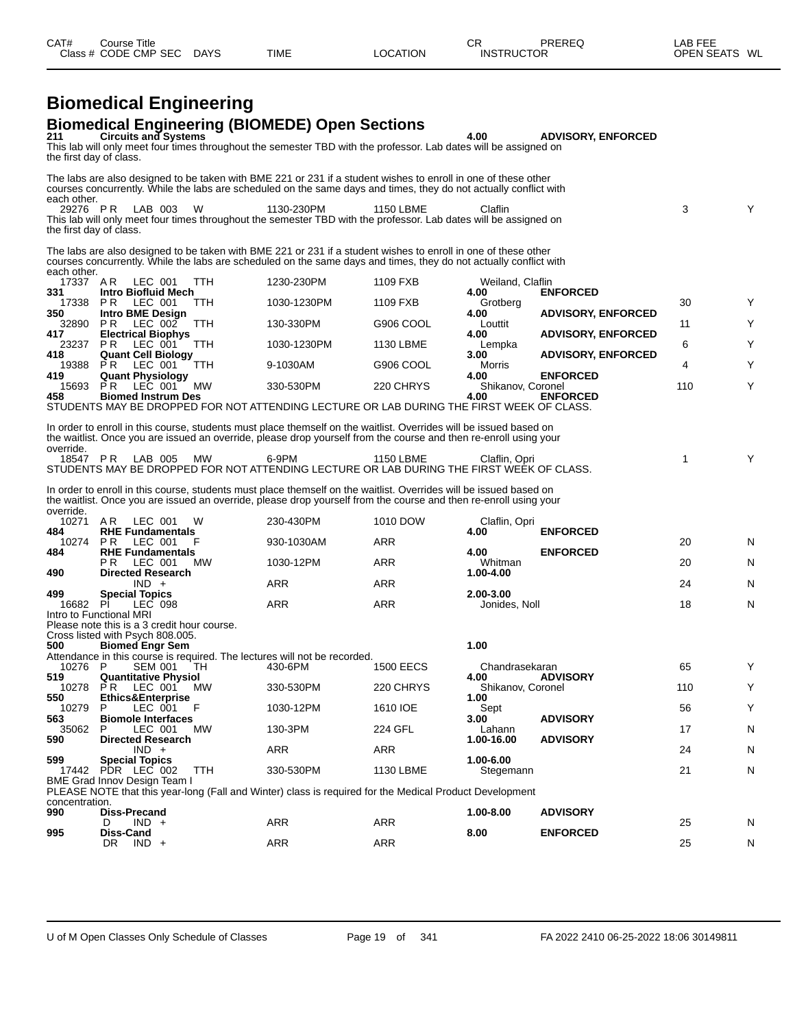| 211                                                                                                | <b>Biomedical Engineering (BIOMEDE) Open Sections</b><br><b>Circuits and Systems</b><br>This lab will only meet four times throughout the semester TBD with the professor. Lab dates will be assigned on<br>the first day of class.                                                                                                                  |             |                  | 4.00                       | <b>ADVISORY, ENFORCED</b>          |     |    |
|----------------------------------------------------------------------------------------------------|------------------------------------------------------------------------------------------------------------------------------------------------------------------------------------------------------------------------------------------------------------------------------------------------------------------------------------------------------|-------------|------------------|----------------------------|------------------------------------|-----|----|
|                                                                                                    | The labs are also designed to be taken with BME 221 or 231 if a student wishes to enroll in one of these other<br>courses concurrently. While the labs are scheduled on the same days and times, they do not actually conflict with                                                                                                                  |             |                  |                            |                                    |     |    |
| each other.<br>29276 PR                                                                            | LAB 003<br>W<br>This lab will only meet four times throughout the semester TBD with the professor. Lab dates will be assigned on<br>the first day of class.                                                                                                                                                                                          | 1130-230PM  | <b>1150 LBME</b> | Claflin                    |                                    | 3   | Y  |
|                                                                                                    | The labs are also designed to be taken with BME 221 or 231 if a student wishes to enroll in one of these other<br>courses concurrently. While the labs are scheduled on the same days and times, they do not actually conflict with                                                                                                                  |             |                  |                            |                                    |     |    |
| each other.<br>17337 AR                                                                            | LEC 001<br><b>TTH</b>                                                                                                                                                                                                                                                                                                                                | 1230-230PM  | 1109 FXB         | Weiland, Claflin           |                                    |     |    |
| 331<br>17338                                                                                       | <b>Intro Biofluid Mech</b><br>LEC 001<br>P R<br>TTH                                                                                                                                                                                                                                                                                                  | 1030-1230PM | 1109 FXB         | 4.00<br>Grotberg           | <b>ENFORCED</b>                    | 30  | Υ  |
| 350<br>32890                                                                                       | <b>Intro BME Design</b><br>PR LEC 002<br>TTH                                                                                                                                                                                                                                                                                                         | 130-330PM   | G906 COOL        | 4.00<br>Louttit            | <b>ADVISORY, ENFORCED</b>          | 11  | Y  |
| 417<br>23237 PR                                                                                    | <b>Electrical Biophys</b><br>LEC 001<br><b>TTH</b>                                                                                                                                                                                                                                                                                                   | 1030-1230PM | 1130 LBME        | 4.00<br>Lempka             | <b>ADVISORY, ENFORCED</b>          | 6   | Υ  |
| 418<br>19388                                                                                       | <b>Quant Cell Biology</b><br>LEC 001<br>PR.<br>TTH                                                                                                                                                                                                                                                                                                   | 9-1030AM    | G906 COOL        | 3.00<br>Morris             | <b>ADVISORY, ENFORCED</b>          | 4   | Y  |
| 419                                                                                                | <b>Quant Physiology</b>                                                                                                                                                                                                                                                                                                                              |             |                  | 4.00                       | <b>ENFORCED</b>                    |     |    |
| 15693<br>458                                                                                       | MW<br>PR.<br>LEC 001<br><b>Biomed Instrum Des</b><br>STUDENTS MAY BE DROPPED FOR NOT ATTENDING LECTURE OR LAB DURING THE FIRST WEEK OF CLASS.                                                                                                                                                                                                        | 330-530PM   | 220 CHRYS        | Shikanov. Coronel<br>4.00  | <b>ENFORCED</b>                    | 110 | Y  |
| 18547 PR<br>override.                                                                              | LAB 005<br>MW<br>STUDENTS MAY BE DROPPED FOR NOT ATTENDING LECTURE OR LAB DURING THE FIRST WEEK OF CLASS.<br>In order to enroll in this course, students must place themself on the waitlist. Overrides will be issued based on<br>the waitlist. Once you are issued an override, please drop yourself from the course and then re-enroll using your | 6-9PM       | <b>1150 LBME</b> | Claflin, Opri              |                                    | 1   | Y  |
|                                                                                                    | AR.<br>LEC 001<br>W                                                                                                                                                                                                                                                                                                                                  | 230-430PM   | 1010 DOW         | Claflin, Opri              |                                    |     |    |
| 10271                                                                                              |                                                                                                                                                                                                                                                                                                                                                      |             |                  |                            |                                    |     |    |
| 10274                                                                                              | <b>RHE Fundamentals</b><br><b>PR LEC 001</b><br>F                                                                                                                                                                                                                                                                                                    | 930-1030AM  | ARR              | 4.00                       | <b>ENFORCED</b>                    | 20  | N  |
|                                                                                                    | <b>RHE Fundamentals</b><br>P R<br>LEC 001<br>MW                                                                                                                                                                                                                                                                                                      | 1030-12PM   | <b>ARR</b>       | 4.00<br>Whitman            | <b>ENFORCED</b>                    | 20  | N. |
|                                                                                                    | <b>Directed Research</b><br>$IND +$                                                                                                                                                                                                                                                                                                                  | <b>ARR</b>  | <b>ARR</b>       | 1.00-4.00                  |                                    | 24  | N  |
| 16682                                                                                              | <b>Special Topics</b><br>PI<br>LEC 098                                                                                                                                                                                                                                                                                                               | ARR         | ARR              | 2.00-3.00<br>Jonides, Noll |                                    | 18  | N  |
|                                                                                                    | Intro to Functional MRI<br>Please note this is a 3 credit hour course.<br>Cross listed with Psych 808.005.                                                                                                                                                                                                                                           |             |                  | 1.00                       |                                    |     |    |
| 10276                                                                                              | <b>Biomed Engr Sem</b><br>Attendance in this course is required. The lectures will not be recorded.<br><b>SEM 001</b><br>TH<br>P                                                                                                                                                                                                                     | 430-6PM     | <b>1500 EECS</b> | Chandrasekaran             |                                    | 65  | Y  |
|                                                                                                    | <b>Quantitative Physiol</b>                                                                                                                                                                                                                                                                                                                          |             |                  | 4.00                       | <b>ADVISORY</b>                    |     | Y  |
| 10278                                                                                              | PR.<br>LEC 001<br><b>MW</b><br>Ethics&Enterprise                                                                                                                                                                                                                                                                                                     | 330-530PM   | 220 CHRYS        | Shikanov, Coronel<br>1.00  |                                    | 110 |    |
| 10279                                                                                              | LEC 001<br>F<br>P<br><b>Biomole Interfaces</b>                                                                                                                                                                                                                                                                                                       | 1030-12PM   | 1610 IOE         | Sept<br>3.00               | <b>ADVISORY</b>                    | 56  | Y  |
| 35062                                                                                              | LEC 001<br><b>MW</b><br><b>Directed Research</b>                                                                                                                                                                                                                                                                                                     | 130-3PM     | 224 GFL          | Lahann<br>1.00-16.00       | <b>ADVISORY</b>                    | 17  | N  |
|                                                                                                    | $IND +$<br><b>Special Topics</b>                                                                                                                                                                                                                                                                                                                     | ARR         | ARR              | 1.00-6.00                  |                                    | 24  | N. |
|                                                                                                    | 17442 PDR LEC 002<br>TTH<br>BME Grad Innov Design Team I                                                                                                                                                                                                                                                                                             | 330-530PM   | 1130 LBME        | Stegemann                  |                                    | 21  | N  |
|                                                                                                    | PLEASE NOTE that this year-long (Fall and Winter) class is required for the Medical Product Development                                                                                                                                                                                                                                              |             |                  |                            |                                    |     |    |
| 484<br>484<br>490<br>499<br>500<br>519<br>550<br>563<br>590<br>599<br>concentration.<br>990<br>995 | <b>Diss-Precand</b><br>$IND +$<br>D<br>Diss-Cand                                                                                                                                                                                                                                                                                                     | ARR         | ARR              | 1.00-8.00<br>8.00          | <b>ADVISORY</b><br><b>ENFORCED</b> | 25  | N  |

CAT# Course Title Case CR PREREQ LAB FEE

Class # CODE CMP SEC DAYS TIME LOCATION INSTRUCTOR OPEN SEATS WL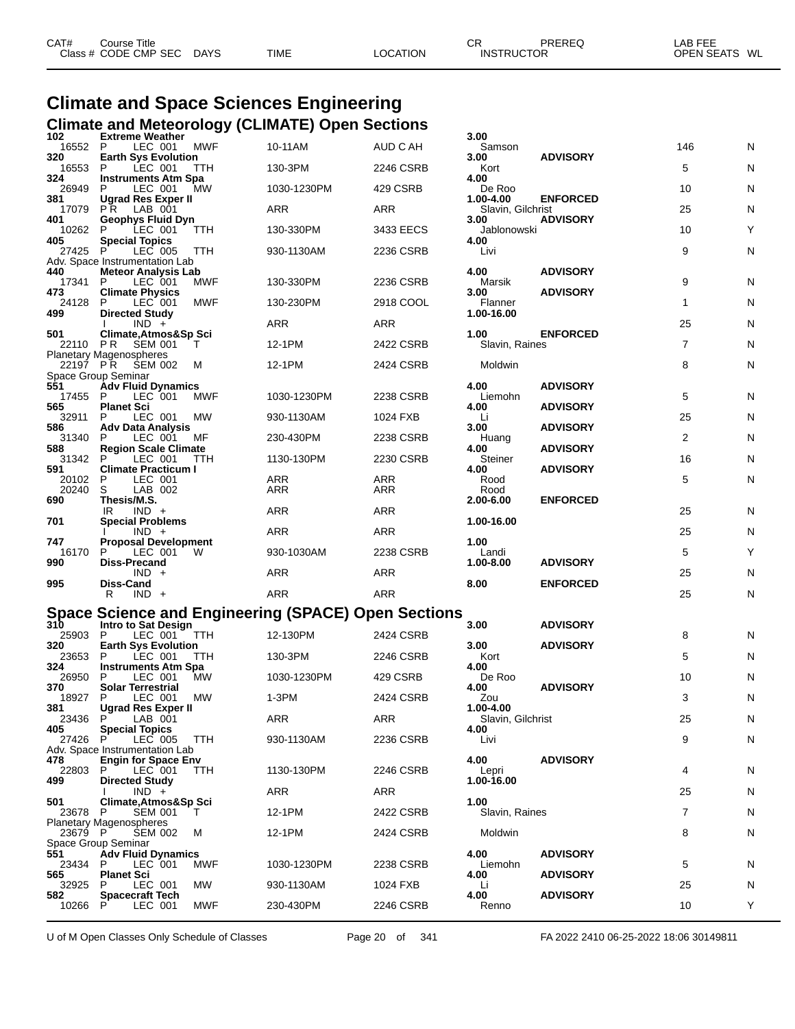| CAT# | Course Title         |             |             |                 | СR                | PREREQ | ∟AB FEE       |  |
|------|----------------------|-------------|-------------|-----------------|-------------------|--------|---------------|--|
|      | Class # CODE CMP SEC | <b>DAYS</b> | <b>TIME</b> | <b>LOCATION</b> | <b>INSTRUCTOR</b> |        | OPEN SEATS WL |  |

# **Climate and Space Sciences Engineering Climate and Meteorology (CLIMATE) Open Sections 102 Extreme Weather 3.00**

| 102                          | <b>Extreme Weather</b>                                                  |            |                                                     |            | 3.00                           |                 |                |   |
|------------------------------|-------------------------------------------------------------------------|------------|-----------------------------------------------------|------------|--------------------------------|-----------------|----------------|---|
| 16552 P<br>320               | LEC 001<br><b>Earth Sys Evolution</b>                                   | <b>MWF</b> | 10-11AM                                             | AUD C AH   | Samson<br>3.00                 | <b>ADVISORY</b> | 146            | N |
| 16553                        | LEC 001<br>P                                                            | <b>TTH</b> | 130-3PM                                             | 2246 CSRB  | Kort                           |                 | 5              | N |
| 324<br>26949                 | <b>Instruments Atm Spa</b><br>LEC 001<br>P                              | МW         | 1030-1230PM                                         | 429 CSRB   | 4.00<br>De Roo                 |                 | 10             | N |
| 381<br>17079                 | <b>Ugrad Res Exper II</b><br>PR.<br>LAB 001                             |            | ARR                                                 | ARR        | 1.00-4.00<br>Slavin, Gilchrist | <b>ENFORCED</b> | 25             | N |
| 401<br>10262 P               | <b>Geophys Fluid Dyn</b><br>LEC 001                                     | TTH        | 130-330PM                                           | 3433 EECS  | 3.00<br>Jablonowski            | <b>ADVISORY</b> | 10             | Υ |
| 405<br>27425 P               | <b>Special Topics</b><br>LEC 005                                        | TTH        | 930-1130AM                                          | 2236 CSRB  | 4.00<br>Livi                   |                 | 9              | N |
| 440                          | Adv. Space Instrumentation Lab<br><b>Meteor Analysis Lab</b>            |            |                                                     |            | 4.00                           | <b>ADVISORY</b> |                |   |
| 17341<br>473                 | P.<br>LEC 001<br><b>Climate Physics</b>                                 | MWF        | 130-330PM                                           | 2236 CSRB  | Marsik<br>3.00                 | <b>ADVISORY</b> | 9              | N |
| 24128<br>499                 | P<br>LEC 001                                                            | <b>MWF</b> | 130-230PM                                           | 2918 COOL  | Flanner<br>1.00-16.00          |                 | $\mathbf{1}$   | N |
|                              | <b>Directed Study</b><br>$IND +$                                        |            | ARR                                                 | ARR        |                                |                 | 25             | N |
| 501<br>22110 PR              | Climate, Atmos&Sp Sci<br><b>SEM 001</b>                                 | T          | 12-1PM                                              | 2422 CSRB  | 1.00<br>Slavin, Raines         | <b>ENFORCED</b> | $\overline{7}$ | N |
| 22197 PR                     | Planetary Magenospheres<br>SEM 002                                      | м          | 12-1PM                                              | 2424 CSRB  | Moldwin                        |                 | 8              | N |
| 551                          | Space Group Seminar<br><b>Adv Fluid Dynamics</b>                        |            |                                                     |            | 4.00                           | <b>ADVISORY</b> |                |   |
| 17455 P<br>565               | LEC 001<br><b>Planet Sci</b>                                            | <b>MWF</b> | 1030-1230PM                                         | 2238 CSRB  | Liemohn<br>4.00                | <b>ADVISORY</b> | 5              | N |
| 32911<br>586                 | P<br>LEC 001<br><b>Adv Data Analysis</b>                                | МW         | 930-1130AM                                          | 1024 FXB   | Li<br>3.00                     | <b>ADVISORY</b> | 25             | N |
| 31340                        | LEC 001<br>P                                                            | MF         | 230-430PM                                           | 2238 CSRB  | Huang                          |                 | 2              | N |
| 588<br>31342                 | <b>Region Scale Climate</b><br>LEC 001<br>P                             | TTH        | 1130-130PM                                          | 2230 CSRB  | 4.00<br>Steiner                | <b>ADVISORY</b> | 16             | N |
| 591<br>20102                 | <b>Climate Practicum I</b><br>P<br>LEC 001                              |            | ARR                                                 | ARR        | 4.00<br>Rood                   | <b>ADVISORY</b> | 5              | N |
| 20240<br>690                 | S<br>LAB 002<br>Thesis/M.S.                                             |            | ARR                                                 | ARR        | Rood<br>2.00-6.00              | <b>ENFORCED</b> |                |   |
|                              | $IND +$<br>IR.                                                          |            | ARR                                                 | ARR        |                                |                 | 25             | N |
| 701                          | <b>Special Problems</b><br>$IND +$                                      |            | ARR                                                 | <b>ARR</b> | 1.00-16.00                     |                 | 25             | N |
| 747<br>16170                 | <b>Proposal Development</b><br>LEC 001<br>P                             | <b>W</b>   | 930-1030AM                                          | 2238 CSRB  | 1.00<br>Landi                  |                 | 5              | Υ |
| 990                          | Diss-Precand<br>$IND +$                                                 |            | <b>ARR</b>                                          | ARR        | 1.00-8.00                      | <b>ADVISORY</b> | 25             | N |
| 995                          | Diss-Cand<br>R<br>$IND +$                                               |            | ARR                                                 | <b>ARR</b> | 8.00                           | <b>ENFORCED</b> | 25             | N |
|                              |                                                                         |            | Space Science and Engineering (SPACE) Open Sections |            |                                |                 |                |   |
| 310                          | Intro to Sat Design                                                     |            |                                                     |            | 3.00                           | <b>ADVISORY</b> |                |   |
| 25903 P<br>320               | LEC 001<br><b>Earth Sys Evolution</b>                                   | TTH        | 12-130PM                                            | 2424 CSRB  | 3.00                           | <b>ADVISORY</b> | 8              | N |
| 23653<br>324                 | P<br>LEC 001<br><b>Instruments Atm Spa</b>                              | TTH        | 130-3PM                                             | 2246 CSRB  | Kort<br>4.00                   |                 | 5              | N |
| 26950<br>370                 | LEC 001<br>P<br><b>Solar Terrestrial</b>                                | MW.        | 1030-1230PM                                         | 429 CSRB   | De Roo<br>4.00                 | <b>ADVISORY</b> | 10             | N |
| 18927 P                      | LEC 001                                                                 | МW         | $1-3PM$                                             | 2424 CSRB  | Zou                            |                 | 3              | N |
| 381<br>$23436$ $P^{\bullet}$ | <b>Ugrad Res Exper II</b><br>LAB 001                                    |            | ARR                                                 | ARR        | 1.00-4.00<br>Slavin, Gilchrist |                 | 25             | N |
| 405<br>27426 P               | <b>Special Topics</b><br>LEC 005                                        | <b>TTH</b> | 930-1130AM                                          | 2236 CSRB  | 4.00<br>Livi                   |                 | 9              | N |
| 478                          | Adv. Space Instrumentation Lab<br><b>Engin for Space Env</b>            |            |                                                     |            | 4.00                           | <b>ADVISORY</b> |                |   |
| 22803<br>499                 | P.<br>LEC 001<br><b>Directed Study</b>                                  | <b>TTH</b> | 1130-130PM                                          | 2246 CSRB  | Lepri<br>1.00-16.00            |                 | 4              | N |
| 501                          | $IND +$<br>Climate, Atmos&Sp Sci                                        |            | ARR                                                 | ARR        | 1.00                           |                 | 25             | N |
| 23678 P                      | <b>SEM 001</b>                                                          | T.         | 12-1PM                                              | 2422 CSRB  | Slavin, Raines                 |                 | 7              | N |
| 23679 P                      | <b>Planetary Magenospheres</b><br><b>SEM 002</b><br>Space Group Seminar | м          | 12-1PM                                              | 2424 CSRB  | <b>Moldwin</b>                 |                 | 8              | N |
| 551                          | <b>Adv Fluid Dynamics</b>                                               |            |                                                     |            | 4.00                           | <b>ADVISORY</b> |                |   |
| 23434<br>565                 | P<br>LEC 001<br><b>Planet Sci</b>                                       | MWF        | 1030-1230PM                                         | 2238 CSRB  | Liemohn<br>4.00                | <b>ADVISORY</b> | 5              | N |
| 32925<br>582                 | LEC 001<br>P<br><b>Spacecraft Tech</b>                                  | МW         | 930-1130AM                                          | 1024 FXB   | Li<br>4.00                     | <b>ADVISORY</b> | 25             | N |
| 10266                        | P<br>LEC 001                                                            | MWF        | 230-430PM                                           | 2246 CSRB  | Renno                          |                 | 10             | Y |
|                              |                                                                         |            |                                                     |            |                                |                 |                |   |

U of M Open Classes Only Schedule of Classes Page 20 of 341 FA 2022 2410 06-25-2022 18:06 30149811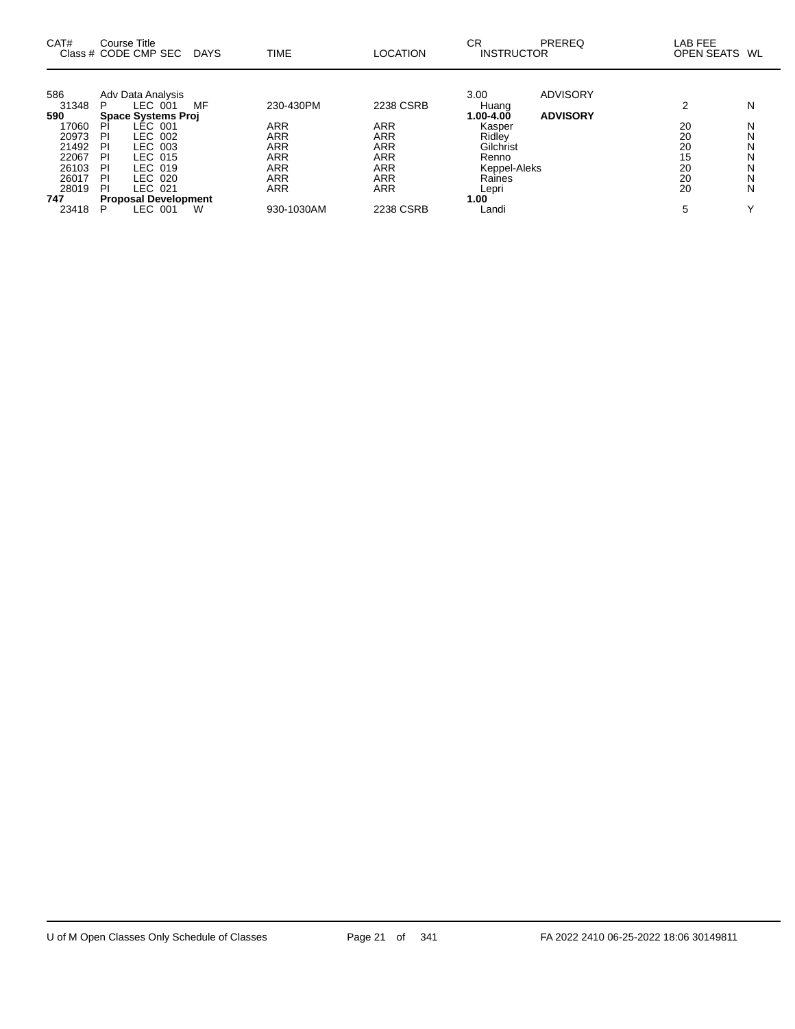| CAT#                                                                                               | Course Title<br>Class # CODE CMP SEC                                                                                                                                                                                                        | <b>DAYS</b> | <b>TIME</b>                                                                                          | <b>LOCATION</b>                                                                                                   | <b>CR</b><br><b>INSTRUCTOR</b>                                                                                               | PREREQ                             | LAB FEE<br>OPEN SEATS WL                         |                                      |
|----------------------------------------------------------------------------------------------------|---------------------------------------------------------------------------------------------------------------------------------------------------------------------------------------------------------------------------------------------|-------------|------------------------------------------------------------------------------------------------------|-------------------------------------------------------------------------------------------------------------------|------------------------------------------------------------------------------------------------------------------------------|------------------------------------|--------------------------------------------------|--------------------------------------|
| 586<br>31348<br>590<br>17060<br>20973<br>21492<br>22067<br>26103<br>26017<br>28019<br>747<br>23418 | Adv Data Analysis<br>LEC 001<br>P<br><b>Space Systems Proj</b><br><b>LEC 001</b><br>PI<br>LEC 002<br>ΡI<br>LEC 003<br>PI<br>LEC 015<br>PI<br>LEC 019<br>PI<br>LEC 020<br>PI<br>LEC 021<br>ΡI<br><b>Proposal Development</b><br>LEC 001<br>P | MF<br>W     | 230-430PM<br>ARR<br><b>ARR</b><br><b>ARR</b><br>ARR<br><b>ARR</b><br>ARR<br><b>ARR</b><br>930-1030AM | 2238 CSRB<br><b>ARR</b><br><b>ARR</b><br><b>ARR</b><br><b>ARR</b><br><b>ARR</b><br><b>ARR</b><br>ARR<br>2238 CSRB | 3.00<br>Huang<br>$1.00 - 4.00$<br>Kasper<br>Ridley<br>Gilchrist<br>Renno<br>Keppel-Aleks<br>Raines<br>Lepri<br>1.00<br>Landi | <b>ADVISORY</b><br><b>ADVISORY</b> | າ<br>20<br>20<br>20<br>15<br>20<br>20<br>20<br>5 | N<br>N<br>N<br>Ν<br>N<br>N<br>N<br>N |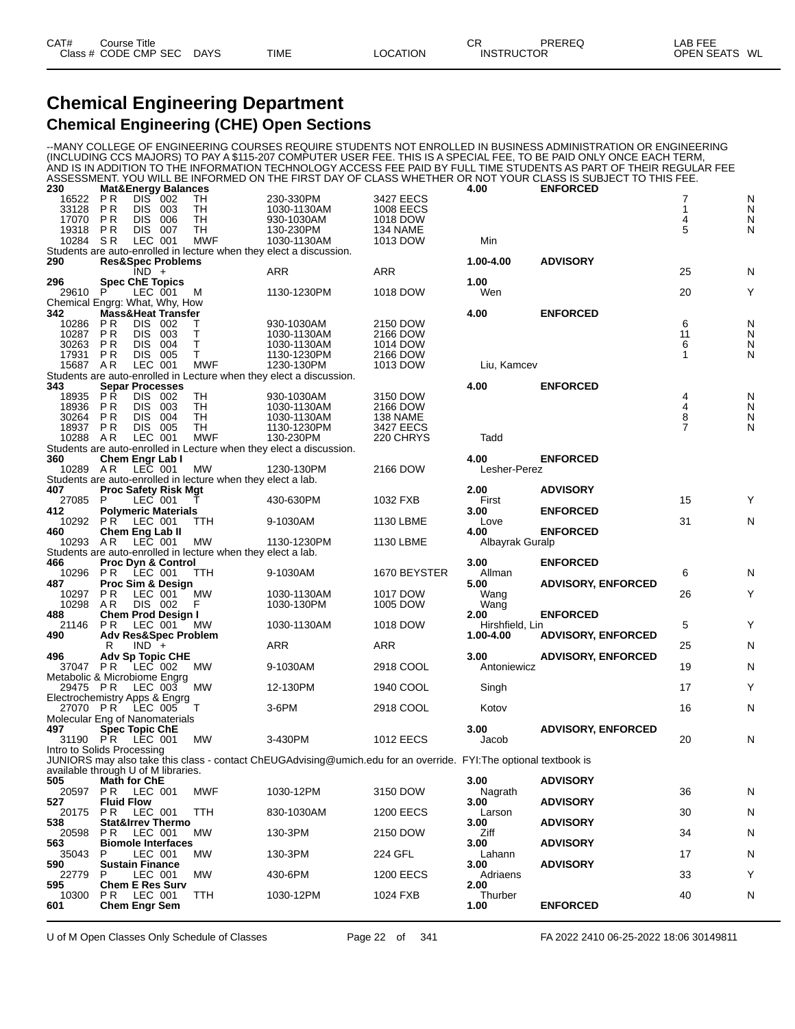### **Chemical Engineering Department Chemical Engineering (CHE) Open Sections**

--MANY COLLEGE OF ENGINEERING COURSES REQUIRE STUDENTS NOT ENROLLED IN BUSINESS ADMINISTRATION OR ENGINEERING (INCLUDING CCS MAJORS) TO PAY A \$115-207 COMPUTER USER FEE. THIS IS A SPECIAL FEE, TO BE PAID ONLY ONCE EACH TERM, AND IS IN ADDITION TO THE INFORMATION TECHNOLOGY ACCESS FEE PAID BY FULL TIME STUDENTS AS PART OF THEIR REGULAR FEE ASSESSMENT. YOU WILL BE INFORMED ON THE FIRST DAY OF CLASS WHETHER OR NOT YOUR CLASS IS SUBJECT TO THIS FEE.

| 230                        |                                     | <b>Mat&amp;Energy Balances</b>                     |                                                              |                                                                                                                  |                      | 4.00            | <b>ENFORCED</b>           |         |        |
|----------------------------|-------------------------------------|----------------------------------------------------|--------------------------------------------------------------|------------------------------------------------------------------------------------------------------------------|----------------------|-----------------|---------------------------|---------|--------|
| 16522                      | P R                                 | DIS 002                                            | TН                                                           | 230-330PM                                                                                                        | 3427 EECS            |                 |                           | 7       | N      |
| 33128                      | P <sub>R</sub><br>P <sub>R</sub>    | DIS 003<br>DIS.<br>006                             | TH<br>TН                                                     | 1030-1130AM                                                                                                      | 1008 EECS            |                 |                           | 1<br>4  | N      |
| 17070<br>19318             | P R                                 | <b>DIS 007</b>                                     | TH                                                           | 930-1030AM<br>130-230PM                                                                                          | 1018 DOW<br>134 NAME |                 |                           | 5       | N<br>N |
| 10284                      | SR.                                 | LEC 001                                            | <b>MWF</b>                                                   | 1030-1130AM                                                                                                      | 1013 DOW             | Min             |                           |         |        |
|                            |                                     |                                                    |                                                              | Students are auto-enrolled in lecture when they elect a discussion.                                              |                      |                 |                           |         |        |
| 290                        |                                     | <b>Res&amp;Spec Problems</b>                       |                                                              |                                                                                                                  |                      | 1.00-4.00       | <b>ADVISORY</b>           |         |        |
|                            |                                     | $IND +$                                            |                                                              | ARR                                                                                                              | ARR                  |                 |                           | 25      | N      |
| 296                        |                                     | <b>Spec ChE Topics</b>                             |                                                              |                                                                                                                  |                      | 1.00            |                           |         |        |
| 29610 P                    |                                     | LEC 001                                            | M                                                            | 1130-1230PM                                                                                                      | 1018 DOW             | Wen             |                           | 20      | Y      |
|                            |                                     | Chemical Engrg: What, Why, How                     |                                                              |                                                                                                                  |                      |                 |                           |         |        |
| 342                        |                                     | <b>Mass&amp;Heat Transfer</b>                      |                                                              |                                                                                                                  |                      | 4.00            | <b>ENFORCED</b>           |         |        |
| 10286<br>10287             | <b>PR</b><br><b>PR</b>              | DIS 002<br>DIS 003                                 | т<br>т                                                       | 930-1030AM<br>1030-1130AM                                                                                        | 2150 DOW<br>2166 DOW |                 |                           | 6<br>11 | N<br>N |
| 30263                      | P <sub>R</sub>                      | DIS.<br>004                                        | т                                                            | 1030-1130AM                                                                                                      | 1014 DOW             |                 |                           | 6       | N      |
| 17931                      | P R                                 | DIS 005                                            | т                                                            | 1130-1230PM                                                                                                      | 2166 DOW             |                 |                           | 1       | N      |
| 15687 AR                   |                                     | LEC 001                                            | <b>MWF</b>                                                   | 1230-130PM                                                                                                       | 1013 DOW             | Liu, Kamcev     |                           |         |        |
|                            |                                     |                                                    |                                                              | Students are auto-enrolled in Lecture when they elect a discussion.                                              |                      |                 |                           |         |        |
| 343                        |                                     | <b>Separ Processes</b>                             |                                                              |                                                                                                                  |                      | 4.00            | <b>ENFORCED</b>           |         |        |
| 18935                      | <b>PR</b>                           | DIS 002                                            | TH                                                           | 930-1030AM                                                                                                       | 3150 DOW             |                 |                           | 4       | N      |
| 18936                      | P R                                 | DIS 003                                            | TН                                                           | 1030-1130AM                                                                                                      | 2166 DOW             |                 |                           | 4       | N      |
| 30264                      | <b>PR</b>                           | DIS 004                                            | TH                                                           | 1030-1130AM                                                                                                      | 138 NAME             |                 |                           | 8       | N      |
| 18937                      | P R                                 | DIS 005                                            | TH                                                           | 1130-1230PM                                                                                                      | 3427 EECS            |                 |                           | 7       | N      |
| 10288 AR                   |                                     | LEC 001                                            | <b>MWF</b>                                                   | 130-230PM<br>Students are auto-enrolled in Lecture when they elect a discussion.                                 | 220 CHRYS            | Tadd            |                           |         |        |
| 360                        |                                     | Chem Engr Lab I                                    |                                                              |                                                                                                                  |                      | 4.00            | <b>ENFORCED</b>           |         |        |
| 10289 AR                   |                                     | LEC 001                                            | MW                                                           | 1230-130PM                                                                                                       | 2166 DOW             | Lesher-Perez    |                           |         |        |
|                            |                                     |                                                    | Students are auto-enrolled in lecture when they elect a lab. |                                                                                                                  |                      |                 |                           |         |        |
| 407                        |                                     | <b>Proc Safety Risk Mgt</b>                        |                                                              |                                                                                                                  |                      | 2.00            | <b>ADVISORY</b>           |         |        |
| 27085                      | P                                   | LEC 001                                            |                                                              | 430-630PM                                                                                                        | 1032 FXB             | First           |                           | 15      | Y      |
| 412                        |                                     | <b>Polymeric Materials</b>                         |                                                              |                                                                                                                  |                      | 3.00            | <b>ENFORCED</b>           |         |        |
| 10292                      | PR.                                 | LEC 001                                            | TTH                                                          | 9-1030AM                                                                                                         | 1130 LBME            | Love            |                           | 31      | N      |
| 460                        |                                     | Chem Eng Lab II                                    |                                                              |                                                                                                                  |                      | 4.00            | <b>ENFORCED</b>           |         |        |
| 10293                      | AR                                  | LEC 001                                            | MW                                                           | 1130-1230PM                                                                                                      | 1130 LBME            | Albayrak Guralp |                           |         |        |
| 466                        |                                     |                                                    | Students are auto-enrolled in lecture when they elect a lab. |                                                                                                                  |                      | 3.00            |                           |         |        |
| 10296                      |                                     | <b>Proc Dyn &amp; Control</b><br><b>PR LEC 001</b> | <b>TTH</b>                                                   | 9-1030AM                                                                                                         | 1670 BEYSTER         | Allman          | <b>ENFORCED</b>           | 6       | N      |
| 487                        |                                     | Proc Sim & Design                                  |                                                              |                                                                                                                  |                      | 5.00            | <b>ADVISORY, ENFORCED</b> |         |        |
| 10297                      | <b>PR</b>                           | LEC 001                                            | МW                                                           | 1030-1130AM                                                                                                      | 1017 DOW             | Wang            |                           | 26      | Y      |
| 10298                      | AR.                                 | DIS 002                                            | F                                                            | 1030-130PM                                                                                                       | 1005 DOW             | Wang            |                           |         |        |
| 488                        |                                     | Chem Prod Design I                                 |                                                              |                                                                                                                  |                      | 2.00            | <b>ENFORCED</b>           |         |        |
| 21146                      | <b>PR</b>                           | LEC 001                                            | МW                                                           | 1030-1130AM                                                                                                      | 1018 DOW             | Hirshfield, Lin |                           |         |        |
| 490                        |                                     |                                                    |                                                              |                                                                                                                  |                      |                 |                           | 5       | Y      |
|                            |                                     | <b>Adv Res&amp;Spec Problem</b>                    |                                                              |                                                                                                                  |                      | 1.00-4.00       | <b>ADVISORY, ENFORCED</b> |         |        |
|                            | R                                   | $IND +$                                            |                                                              | ARR                                                                                                              | <b>ARR</b>           |                 |                           | 25      | N      |
| 496                        |                                     | <b>Adv Sp Topic CHE</b>                            |                                                              |                                                                                                                  |                      | 3.00            | <b>ADVISORY, ENFORCED</b> |         |        |
| 37047 PR                   |                                     | LEC 002                                            | МW                                                           | 9-1030AM                                                                                                         | 2918 COOL            | Antoniewicz     |                           | 19      | N      |
|                            |                                     | Metabolic & Microbiome Engrg                       |                                                              |                                                                                                                  |                      |                 |                           |         |        |
| 29475 PR                   |                                     | LEC 003                                            | МW                                                           | 12-130PM                                                                                                         | 1940 COOL            | Singh           |                           | 17      | Y      |
| 27070 PR                   |                                     | Electrochemistry Apps & Engrg<br>LEC 005           | T                                                            | 3-6PM                                                                                                            | 2918 COOL            | Kotov           |                           | 16      | N      |
|                            |                                     | Molecular Eng of Nanomaterials                     |                                                              |                                                                                                                  |                      |                 |                           |         |        |
| 497                        |                                     | <b>Spec Topic ChE</b>                              |                                                              |                                                                                                                  |                      | 3.00            | <b>ADVISORY, ENFORCED</b> |         |        |
| 31190 PR                   |                                     | LEC 001                                            | <b>MW</b>                                                    | 3-430PM                                                                                                          | <b>1012 EECS</b>     | Jacob           |                           | 20      | N      |
| Intro to Solids Processing |                                     |                                                    |                                                              |                                                                                                                  |                      |                 |                           |         |        |
|                            |                                     |                                                    |                                                              | JUNIORS may also take this class - contact ChEUGAdvising@umich.edu for an override. FYI:The optional textbook is |                      |                 |                           |         |        |
|                            |                                     | available through U of M libraries.                |                                                              |                                                                                                                  |                      |                 |                           |         |        |
| 505                        | <b>Math for ChE</b>                 |                                                    |                                                              |                                                                                                                  |                      | 3.00            | <b>ADVISORY</b>           |         |        |
| 20597                      | PR.                                 | LEC 001                                            | MWF                                                          | 1030-12PM                                                                                                        | 3150 DOW             | Nagrath         |                           | 36      | N      |
| 527<br>20175               | <b>Fluid Flow</b><br>P <sub>R</sub> |                                                    | TTH                                                          | 830-1030AM                                                                                                       | <b>1200 EECS</b>     | 3.00<br>Larson  | <b>ADVISORY</b>           | 30      | N      |
| 538                        |                                     | LEC 001<br><b>Stat&amp;Irrev Thermo</b>            |                                                              |                                                                                                                  |                      | 3.00            | <b>ADVISORY</b>           |         |        |
| 20598                      | P R                                 | LEC 001                                            | MW                                                           | 130-3PM                                                                                                          | 2150 DOW             | Ziff            |                           | 34      | N      |
| 563                        |                                     | <b>Biomole Interfaces</b>                          |                                                              |                                                                                                                  |                      | 3.00            | <b>ADVISORY</b>           |         |        |
| 35043                      | P                                   | LEC 001                                            | МW                                                           | 130-3PM                                                                                                          | 224 GFL              | Lahann          |                           | 17      | N      |
| 590                        |                                     | <b>Sustain Finance</b>                             |                                                              |                                                                                                                  |                      | 3.00            | <b>ADVISORY</b>           |         |        |
| 22779                      | P                                   | LEC 001                                            | МW                                                           | 430-6PM                                                                                                          | <b>1200 EECS</b>     | Adriaens        |                           | 33      | Y      |
| 595                        |                                     | <b>Chem E Res Surv</b>                             |                                                              |                                                                                                                  |                      | 2.00            |                           |         |        |
| 10300<br>601               | PR.                                 | LEC 001<br><b>Chem Engr Sem</b>                    | TTH                                                          | 1030-12PM                                                                                                        | 1024 FXB             | Thurber<br>1.00 | <b>ENFORCED</b>           | 40      | N      |

U of M Open Classes Only Schedule of Classes Page 22 of 341 FA 2022 2410 06-25-2022 18:06 30149811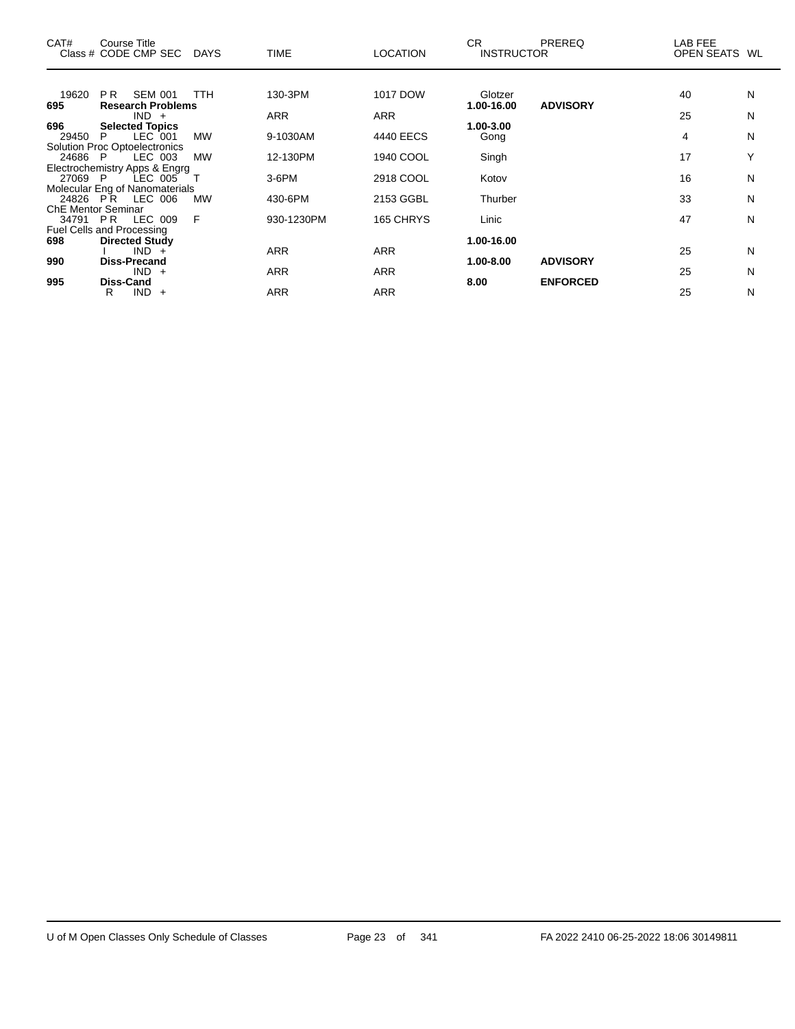| CAT#                      | Course Title<br>Class # CODE CMP SEC DAYS |            | <b>TIME</b> | <b>LOCATION</b> | CR.<br><b>INSTRUCTOR</b> | <b>PREREQ</b>   | LAB FEE<br>OPEN SEATS WL |              |
|---------------------------|-------------------------------------------|------------|-------------|-----------------|--------------------------|-----------------|--------------------------|--------------|
|                           |                                           |            |             |                 |                          |                 |                          |              |
| 19620                     | <b>SEM 001</b><br>PR.                     | <b>TTH</b> | 130-3PM     | 1017 DOW        | Glotzer                  |                 | 40                       | N            |
| 695                       | <b>Research Problems</b><br>$IND +$       |            | <b>ARR</b>  | <b>ARR</b>      | 1.00-16.00               | <b>ADVISORY</b> | 25                       | N            |
| 696                       | <b>Selected Topics</b>                    |            |             |                 | 1.00-3.00                |                 |                          |              |
| 29450                     | LEC 001<br>P                              | <b>MW</b>  | 9-1030AM    | 4440 EECS       | Gong                     |                 | 4                        | N            |
|                           | <b>Solution Proc Optoelectronics</b>      |            |             |                 |                          |                 |                          | $\checkmark$ |
| 24686 P                   | LEC 003<br>Electrochemistry Apps & Engrg  | <b>MW</b>  | 12-130PM    | 1940 COOL       | Singh                    |                 | 17                       |              |
| 27069 P                   | LEC 005                                   |            | $3-6$ PM    | 2918 COOL       | Kotov                    |                 | 16                       | N            |
|                           | Molecular Eng of Nanomaterials            |            |             |                 |                          |                 |                          |              |
|                           | 24826 PR LEC 006                          | <b>MW</b>  | 430-6PM     | 2153 GGBL       | Thurber                  |                 | 33                       | N            |
| <b>ChE Mentor Seminar</b> |                                           |            |             |                 |                          |                 |                          |              |
| 34791 PR                  | LEC 009                                   | E          | 930-1230PM  | 165 CHRYS       | Linic                    |                 | 47                       | N            |
|                           | Fuel Cells and Processing                 |            |             |                 |                          |                 |                          |              |
| 698                       | <b>Directed Study</b>                     |            |             |                 | 1.00-16.00               |                 |                          |              |
|                           | $IND +$                                   |            | <b>ARR</b>  | <b>ARR</b>      |                          |                 | 25                       | N            |
| 990                       | Diss-Precand<br>$IND +$                   |            | <b>ARR</b>  | <b>ARR</b>      | 1.00-8.00                | <b>ADVISORY</b> | 25                       | N            |
| 995                       | Diss-Cand                                 |            |             |                 | 8.00                     | <b>ENFORCED</b> |                          |              |
|                           | $IND +$<br>R                              |            | ARR         | <b>ARR</b>      |                          |                 | 25                       | N            |

 $\overline{\phantom{0}}$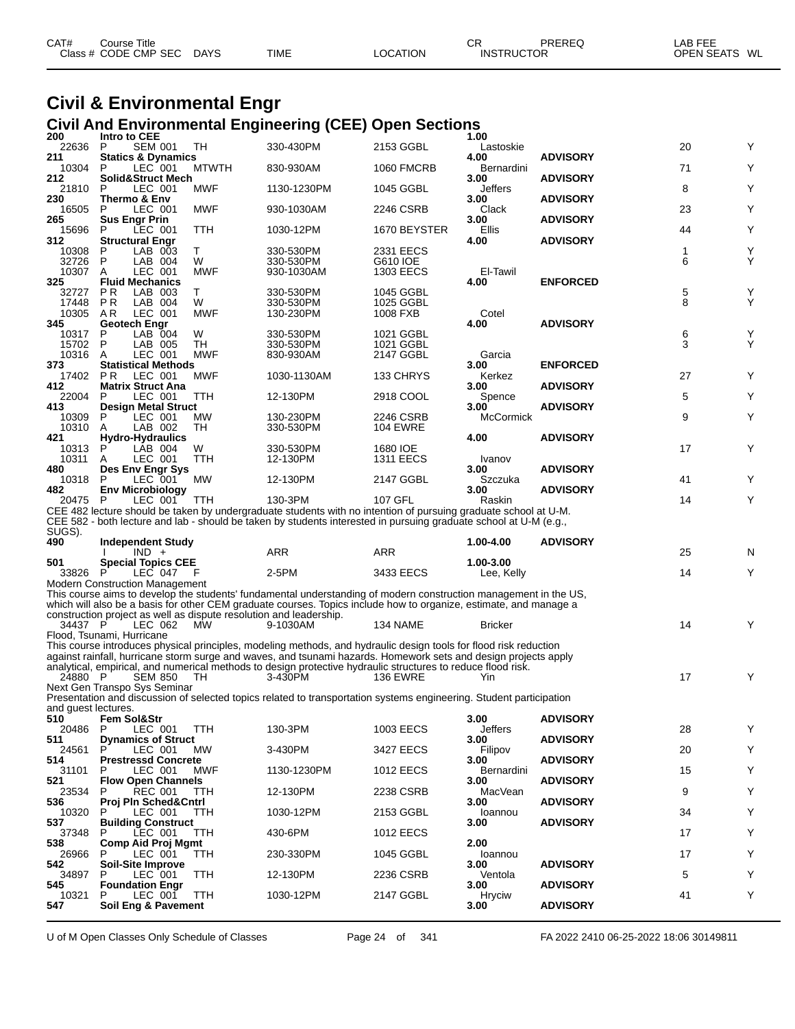| CAT# | Course Title         |             |             |          | СR                | PREREQ | AB FEE            |    |
|------|----------------------|-------------|-------------|----------|-------------------|--------|-------------------|----|
|      | Class # CODE CMP SEC | <b>DAYS</b> | <b>TIME</b> | LOCATION | <b>INSTRUCTOR</b> |        | <b>OPEN SEATS</b> | WL |

## **Civil & Environmental Engr Civil And Environmental Engineering (CEE) Open Sections**

| 200                 | Intro to CEE                                                       |                 |                                                                                                                                                                                                                                 |                                                                                                                 | 1.00                  |                 |        |        |
|---------------------|--------------------------------------------------------------------|-----------------|---------------------------------------------------------------------------------------------------------------------------------------------------------------------------------------------------------------------------------|-----------------------------------------------------------------------------------------------------------------|-----------------------|-----------------|--------|--------|
| 22636               | <b>SEM 001</b><br>P                                                | TH              | 330-430PM                                                                                                                                                                                                                       | 2153 GGBL                                                                                                       | Lastoskie             |                 | 20     | Y      |
| 211<br>10304        | <b>Statics &amp; Dynamics</b><br>LEC 001<br>P                      | <b>MTWTH</b>    | 830-930AM                                                                                                                                                                                                                       | <b>1060 FMCRB</b>                                                                                               | 4.00<br>Bernardini    | <b>ADVISORY</b> | 71     | Y      |
| 212                 | Solid&Struct Mech                                                  |                 |                                                                                                                                                                                                                                 |                                                                                                                 | 3.00                  | <b>ADVISORY</b> |        |        |
| 21810<br>230        | P<br>LEC 001<br>Thermo & Env                                       | MWF             | 1130-1230PM                                                                                                                                                                                                                     | 1045 GGBL                                                                                                       | Jeffers<br>3.00       | <b>ADVISORY</b> | 8      | Y      |
| 16505               | LEC 001<br>P                                                       | <b>MWF</b>      | 930-1030AM                                                                                                                                                                                                                      | 2246 CSRB                                                                                                       | Clack                 |                 | 23     | Υ      |
| 265                 | <b>Sus Engr Prin</b>                                               |                 |                                                                                                                                                                                                                                 |                                                                                                                 | 3.00                  | <b>ADVISORY</b> |        |        |
| 15696<br>312        | LEC 001<br>P<br><b>Structural Engr</b>                             | TTH             | 1030-12PM                                                                                                                                                                                                                       | 1670 BEYSTER                                                                                                    | Ellis<br>4.00         | <b>ADVISORY</b> | 44     | Y      |
| 10308               | P<br>LAB 003                                                       | Τ               | 330-530PM                                                                                                                                                                                                                       | 2331 EECS                                                                                                       |                       |                 | 1      | Υ      |
| 32726<br>10307      | P<br>LAB 004<br>A<br>LEC 001                                       | W<br><b>MWF</b> | 330-530PM<br>930-1030AM                                                                                                                                                                                                         | G610 IOE<br>1303 EECS                                                                                           | El-Tawil              |                 | 6      | Y      |
| 325                 | <b>Fluid Mechanics</b>                                             |                 |                                                                                                                                                                                                                                 |                                                                                                                 | 4.00                  | <b>ENFORCED</b> |        |        |
| 32727               | LAB 003<br>P R                                                     | Τ               | 330-530PM                                                                                                                                                                                                                       | 1045 GGBL                                                                                                       |                       |                 | 5      | Y<br>Y |
| 17448<br>10305      | <b>PR</b><br>LAB 004<br>LEC 001<br>AR                              | W<br><b>MWF</b> | 330-530PM<br>130-230PM                                                                                                                                                                                                          | 1025 GGBL<br>1008 FXB                                                                                           | Cotel                 |                 | 8      |        |
| 345                 | Geotech Engr                                                       |                 |                                                                                                                                                                                                                                 |                                                                                                                 | 4.00                  | <b>ADVISORY</b> |        |        |
| 10317<br>15702      | P<br>LAB 004<br>P                                                  | W<br>TH         | 330-530PM                                                                                                                                                                                                                       | 1021 GGBL<br>1021 GGBL                                                                                          |                       |                 | 6<br>3 | Y<br>Y |
| 10316               | LAB 005<br>LEC 001<br>A                                            | <b>MWF</b>      | 330-530PM<br>830-930AM                                                                                                                                                                                                          | 2147 GGBL                                                                                                       | Garcia                |                 |        |        |
| 373                 | <b>Statistical Methods</b>                                         |                 |                                                                                                                                                                                                                                 |                                                                                                                 | 3.00                  | <b>ENFORCED</b> |        |        |
| 17402<br>412        | <b>PR</b><br>LEC 001<br><b>Matrix Struct Ana</b>                   | <b>MWF</b>      | 1030-1130AM                                                                                                                                                                                                                     | 133 CHRYS                                                                                                       | Kerkez<br>3.00        | <b>ADVISORY</b> | 27     | Y      |
| 22004               | LEC 001<br>P                                                       | TTH             | 12-130PM                                                                                                                                                                                                                        | 2918 COOL                                                                                                       | Spence                |                 | 5      | Y      |
| 413                 | <b>Design Metal Struct</b>                                         |                 |                                                                                                                                                                                                                                 |                                                                                                                 | 3.00                  | <b>ADVISORY</b> |        |        |
| 10309<br>10310      | LEC 001<br>P<br>LAB 002<br>A                                       | МW<br>TH        | 130-230PM<br>330-530PM                                                                                                                                                                                                          | 2246 CSRB<br><b>104 EWRE</b>                                                                                    | McCormick             |                 | 9      | Y      |
| 421                 | Hydro-Hydraulics                                                   |                 |                                                                                                                                                                                                                                 |                                                                                                                 | 4.00                  | <b>ADVISORY</b> |        |        |
| 10313               | LAB 004<br>P                                                       | W               | 330-530PM                                                                                                                                                                                                                       | 1680 IOE                                                                                                        |                       |                 | 17     | Y      |
| 10311<br>480        | LEC 001<br>A<br>Des Env Engr Sys                                   | TTH             | 12-130PM                                                                                                                                                                                                                        | <b>1311 EECS</b>                                                                                                | Ivanov<br>3.00        | <b>ADVISORY</b> |        |        |
| 10318               | LEC 001<br>P                                                       | МW              | 12-130PM                                                                                                                                                                                                                        | 2147 GGBL                                                                                                       | Szczuka               |                 | 41     | Y      |
| 482<br>20475 P      | <b>Env Microbiology</b><br>LEC 001                                 | <b>TTH</b>      | 130-3PM                                                                                                                                                                                                                         | 107 GFL                                                                                                         | 3.00<br>Raskin        | <b>ADVISORY</b> | 14     | Y      |
|                     |                                                                    |                 |                                                                                                                                                                                                                                 | CEE 482 lecture should be taken by undergraduate students with no intention of pursuing graduate school at U-M. |                       |                 |        |        |
|                     |                                                                    |                 |                                                                                                                                                                                                                                 |                                                                                                                 |                       |                 |        |        |
|                     |                                                                    |                 | CEE 582 - both lecture and lab - should be taken by students interested in pursuing graduate school at U-M (e.g.,                                                                                                               |                                                                                                                 |                       |                 |        |        |
| SUGS).              |                                                                    |                 |                                                                                                                                                                                                                                 |                                                                                                                 |                       |                 |        |        |
| 490                 | Independent Study<br>$IND +$                                       |                 | ARR                                                                                                                                                                                                                             | <b>ARR</b>                                                                                                      | 1.00-4.00             | <b>ADVISORY</b> | 25     | N      |
| 501                 | <b>Special Topics CEE</b>                                          |                 |                                                                                                                                                                                                                                 |                                                                                                                 | 1.00-3.00             |                 |        |        |
| 33826               | LEC 047                                                            | -F              | 2-5PM                                                                                                                                                                                                                           | 3433 EECS                                                                                                       | Lee, Kelly            |                 | 14     | Y      |
|                     | <b>Modern Construction Management</b>                              |                 | This course aims to develop the students' fundamental understanding of modern construction management in the US,                                                                                                                |                                                                                                                 |                       |                 |        |        |
|                     |                                                                    |                 | which will also be a basis for other CEM graduate courses. Topics include how to organize, estimate, and manage a                                                                                                               |                                                                                                                 |                       |                 |        |        |
| 34437 P             | construction project as well as dispute resolution and leadership. | MW              |                                                                                                                                                                                                                                 |                                                                                                                 |                       |                 | 14     |        |
|                     | LEC 062<br>Flood, Tsunami, Hurricane                               |                 | 9-1030AM                                                                                                                                                                                                                        | 134 NAME                                                                                                        | <b>Bricker</b>        |                 |        | Y      |
|                     |                                                                    |                 | This course introduces physical principles, modeling methods, and hydraulic design tools for flood risk reduction                                                                                                               |                                                                                                                 |                       |                 |        |        |
|                     |                                                                    |                 | against rainfall, hurricane storm surge and waves, and tsunami hazards. Homework sets and design projects apply<br>analytical, empirical, and numerical methods to design protective hydraulic structures to reduce flood risk. |                                                                                                                 |                       |                 |        |        |
| 24880 P             | <b>SEM 850</b>                                                     | TH.             | 3-430PM                                                                                                                                                                                                                         | <b>136 EWRE</b>                                                                                                 | Yin                   |                 | 17     | Y      |
|                     | Next Gen Transpo Sys Seminar                                       |                 |                                                                                                                                                                                                                                 |                                                                                                                 |                       |                 |        |        |
| and guest lectures. |                                                                    |                 | Presentation and discussion of selected topics related to transportation systems engineering. Student participation                                                                                                             |                                                                                                                 |                       |                 |        |        |
| 510                 | Fem Sol&Str                                                        |                 |                                                                                                                                                                                                                                 |                                                                                                                 | 3.00                  | <b>ADVISORY</b> |        |        |
| 20486<br>511        | LEC 001<br>P.<br><b>Dynamics of Struct</b>                         | TTH             | 130-3PM                                                                                                                                                                                                                         | 1003 EECS                                                                                                       | Jeffers<br>3.00       |                 | 28     | Υ      |
| 24561               | P<br>LEC 001                                                       | МW              | 3-430PM                                                                                                                                                                                                                         | 3427 EECS                                                                                                       | Filipov               | <b>ADVISORY</b> | 20     | Y      |
| 514                 | <b>Prestressd Concrete</b>                                         |                 |                                                                                                                                                                                                                                 |                                                                                                                 | 3.00                  | <b>ADVISORY</b> |        |        |
| 31101<br>521        | P<br>LEC 001<br><b>Flow Open Channels</b>                          | MWF             | 1130-1230PM                                                                                                                                                                                                                     | 1012 EECS                                                                                                       | Bernardini<br>3.00    | <b>ADVISORY</b> | 15     | Y      |
| 23534               | REC 001<br>P                                                       | <b>TTH</b>      | 12-130PM                                                                                                                                                                                                                        | 2238 CSRB                                                                                                       | MacVean               |                 | 9      | Y      |
| 536                 | Proj Pln Sched&Cntrl                                               |                 |                                                                                                                                                                                                                                 |                                                                                                                 | 3.00                  | <b>ADVISORY</b> |        |        |
| 10320<br>537        | LEC 001<br>P<br><b>Building Construct</b>                          | TTH             | 1030-12PM                                                                                                                                                                                                                       | 2153 GGBL                                                                                                       | Ioannou<br>3.00       | <b>ADVISORY</b> | 34     | Y      |
| 37348               | P<br>LEC 001                                                       | <b>TTH</b>      | 430-6PM                                                                                                                                                                                                                         | 1012 EECS                                                                                                       |                       |                 | 17     | Y      |
| 538<br>26966        | <b>Comp Aid Proj Mgmt</b><br>P<br>LEC 001                          | <b>TTH</b>      | 230-330PM                                                                                                                                                                                                                       | 1045 GGBL                                                                                                       | 2.00<br>Ioannou       |                 | 17     | Y      |
| 542                 | Soil-Site Improve                                                  |                 |                                                                                                                                                                                                                                 |                                                                                                                 | 3.00                  | <b>ADVISORY</b> |        |        |
| 34897               | LEC 001<br>P                                                       | TTH             | 12-130PM                                                                                                                                                                                                                        | 2236 CSRB                                                                                                       | Ventola               |                 | 5      | Y      |
| 545<br>10321        | <b>Foundation Engr</b><br>P<br>LEC 001                             | <b>TTH</b>      | 1030-12PM                                                                                                                                                                                                                       | 2147 GGBL                                                                                                       | 3.00<br><b>Hryciw</b> | <b>ADVISORY</b> | 41     | Y      |
| 547                 | Soil Eng & Pavement                                                |                 |                                                                                                                                                                                                                                 |                                                                                                                 | 3.00                  | <b>ADVISORY</b> |        |        |

U of M Open Classes Only Schedule of Classes Page 24 of 341 FA 2022 2410 06-25-2022 18:06 30149811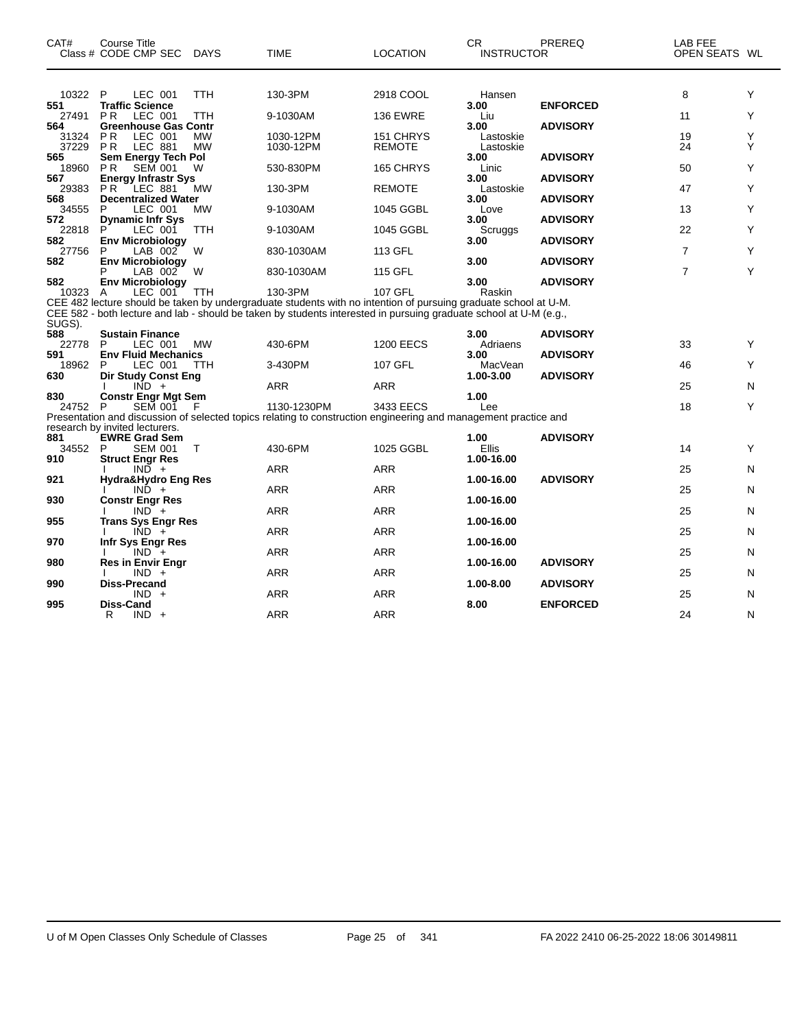| CAT#                  | Course Title<br>Class # CODE CMP SEC                                        | DAYS                   | <b>TIME</b>                                                                                                                                                                                                                          | <b>LOCATION</b>            | CR.<br>INSTRUCTOR              | PREREQ          | LAB FEE<br>OPEN SEATS WL |        |
|-----------------------|-----------------------------------------------------------------------------|------------------------|--------------------------------------------------------------------------------------------------------------------------------------------------------------------------------------------------------------------------------------|----------------------------|--------------------------------|-----------------|--------------------------|--------|
| 10322 P<br>551        | LEC 001<br><b>Traffic Science</b>                                           | <b>TTH</b>             | 130-3PM                                                                                                                                                                                                                              | 2918 COOL                  | Hansen<br>3.00                 | <b>ENFORCED</b> | 8                        | Y      |
| 27491                 | <b>PR</b><br>LEC 001                                                        | TTH                    | 9-1030AM                                                                                                                                                                                                                             | <b>136 EWRE</b>            | Liu                            |                 | 11                       | Y      |
| 564<br>31324<br>37229 | <b>Greenhouse Gas Contr</b><br><b>PR</b><br>LEC 001<br><b>LEC 881</b><br>PR | <b>MW</b><br><b>MW</b> | 1030-12PM<br>1030-12PM                                                                                                                                                                                                               | 151 CHRYS<br><b>REMOTE</b> | 3.00<br>Lastoskie<br>Lastoskie | <b>ADVISORY</b> | 19<br>24                 | Y<br>Υ |
| 565<br>18960          | Sem Energy Tech Pol<br><b>SEM 001</b><br><b>PR</b>                          | W                      | 530-830PM                                                                                                                                                                                                                            | 165 CHRYS                  | 3.00<br>Linic                  | <b>ADVISORY</b> | 50                       | Y      |
| 567<br>29383          | <b>Energy Infrastr Sys</b><br>P <sub>R</sub><br>LEC 881                     | <b>MW</b>              | 130-3PM                                                                                                                                                                                                                              | <b>REMOTE</b>              | 3.00<br>Lastoskie              | <b>ADVISORY</b> | 47                       | Y      |
| 568<br>34555          | <b>Decentralized Water</b><br>LEC 001<br>P                                  | <b>MW</b>              | 9-1030AM                                                                                                                                                                                                                             | 1045 GGBL                  | 3.00<br>Love                   | <b>ADVISORY</b> | 13                       | Y      |
| 572<br>22818          | <b>Dynamic Infr Sys</b><br>LEC 001<br>P                                     | TTH                    | 9-1030AM                                                                                                                                                                                                                             | 1045 GGBL                  | 3.00<br>Scruggs                | <b>ADVISORY</b> | 22                       | Y      |
| 582<br>27756          | <b>Env Microbiology</b><br>P<br>LAB 002                                     | W                      | 830-1030AM                                                                                                                                                                                                                           | 113 GFL                    | 3.00                           | <b>ADVISORY</b> | $\overline{7}$           | Y      |
| 582                   | <b>Env Microbiology</b><br>LAB 002                                          | - W                    | 830-1030AM                                                                                                                                                                                                                           | 115 GFL                    | 3.00                           | <b>ADVISORY</b> | $\overline{7}$           | Y      |
| 582<br>10323          | <b>Env Microbiology</b><br>LEC 001<br>A                                     | <b>TTH</b>             | 130-3PM                                                                                                                                                                                                                              | 107 GFL                    | 3.00<br>Raskin                 | <b>ADVISORY</b> |                          |        |
|                       |                                                                             |                        | CEE 482 lecture should be taken by undergraduate students with no intention of pursuing graduate school at U-M.<br>CEE 582 - both lecture and lab - should be taken by students interested in pursuing graduate school at U-M (e.g., |                            |                                |                 |                          |        |
| SUGS).<br>588         | <b>Sustain Finance</b>                                                      |                        |                                                                                                                                                                                                                                      |                            | 3.00                           | <b>ADVISORY</b> |                          |        |
| 22778<br>591          | LEC 001<br>P<br><b>Env Fluid Mechanics</b>                                  | MW                     | 430-6PM                                                                                                                                                                                                                              | <b>1200 EECS</b>           | Adriaens<br>3.00               | <b>ADVISORY</b> | 33                       | Y      |
| 18962<br>630          | LEC 001<br>P<br><b>Dir Study Const Eng</b>                                  | <b>TTH</b>             | 3-430PM                                                                                                                                                                                                                              | 107 GFL                    | MacVean<br>1.00-3.00           | <b>ADVISORY</b> | 46                       | Y      |
| 830                   | $IND +$<br><b>Constr Engr Mgt Sem</b>                                       |                        | ARR                                                                                                                                                                                                                                  | <b>ARR</b>                 | 1.00                           |                 | 25                       | N      |
| 24752 P               | <b>SEM 001</b>                                                              | - F                    | 1130-1230PM<br>Presentation and discussion of selected topics relating to construction engineering and management practice and                                                                                                       | 3433 EECS                  | Lee                            |                 | 18                       | Y      |
| 881                   | research by invited lecturers.<br><b>EWRE Grad Sem</b>                      |                        |                                                                                                                                                                                                                                      |                            | 1.00                           | <b>ADVISORY</b> |                          |        |
| 34552<br>910          | <b>SEM 001</b><br>P<br><b>Struct Engr Res</b>                               | $\top$                 | 430-6PM                                                                                                                                                                                                                              | 1025 GGBL                  | Ellis<br>1.00-16.00            |                 | 14                       | Y      |
| 921                   | $IND +$<br>Hydra&Hydro Eng Res                                              |                        | <b>ARR</b>                                                                                                                                                                                                                           | <b>ARR</b>                 | 1.00-16.00                     | <b>ADVISORY</b> | 25                       | N      |
| 930                   | $IND +$<br><b>Constr Engr Res</b>                                           |                        | <b>ARR</b>                                                                                                                                                                                                                           | ARR                        |                                |                 | 25                       | N      |
|                       | $IND^-$ +                                                                   |                        | ARR                                                                                                                                                                                                                                  | ARR                        | 1.00-16.00                     |                 | 25                       | N      |
| 955                   | <b>Trans Sys Engr Res</b><br>$IND +$                                        |                        | <b>ARR</b>                                                                                                                                                                                                                           | <b>ARR</b>                 | 1.00-16.00                     |                 | 25                       | N      |
| 970                   | <b>Infr Sys Engr Res</b><br>$IND +$                                         |                        | ARR                                                                                                                                                                                                                                  | ARR                        | 1.00-16.00                     |                 | 25                       | N      |
| 980                   | <b>Res in Envir Engr</b><br>$IND +$                                         |                        | <b>ARR</b>                                                                                                                                                                                                                           | ARR                        | 1.00-16.00                     | <b>ADVISORY</b> | 25                       | N      |
| 990                   | Diss-Precand<br>$IND +$                                                     |                        | ARR                                                                                                                                                                                                                                  | <b>ARR</b>                 | 1.00-8.00                      | <b>ADVISORY</b> | 25                       | N      |
| 995                   | Diss-Cand<br>R<br>$IND +$                                                   |                        | <b>ARR</b>                                                                                                                                                                                                                           | <b>ARR</b>                 | 8.00                           | <b>ENFORCED</b> | 24                       | N      |

 $\overline{\phantom{0}}$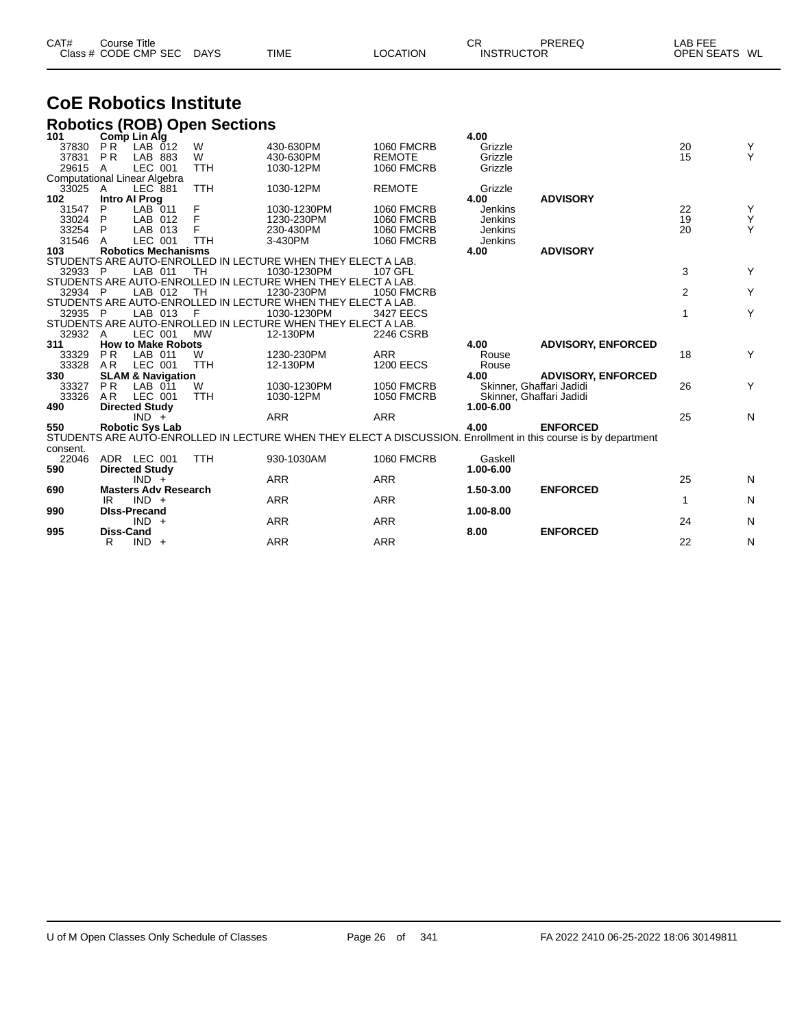| CAT# | Course Title         |             |             |          | СR                | PREREQ | LAB FEE       |  |
|------|----------------------|-------------|-------------|----------|-------------------|--------|---------------|--|
|      | Class # CODE CMP SEC | <b>DAYS</b> | <b>TIME</b> | LOCATION | <b>INSTRUCTOR</b> |        | OPEN SEATS WL |  |

## **CoE Robotics Institute Robotics (ROB) Open Sections**

| 101          |                  | Comp Lin Alg                         |            |                                                              |                   | 4.00                     |                                                                                                                |                |           |
|--------------|------------------|--------------------------------------|------------|--------------------------------------------------------------|-------------------|--------------------------|----------------------------------------------------------------------------------------------------------------|----------------|-----------|
| 37830        | <b>PR</b>        | $LAB$ $012$                          | W          | 430-630PM                                                    | <b>1060 FMCRB</b> | Grizzle                  |                                                                                                                | 20             | Y         |
| 37831        | <b>PR</b>        | LAB 883                              | W          | 430-630PM                                                    | <b>REMOTE</b>     | Grizzle                  |                                                                                                                | 15             | Y         |
| 29615 A      |                  | LEC 001                              | <b>TTH</b> | 1030-12PM                                                    | <b>1060 FMCRB</b> | Grizzle                  |                                                                                                                |                |           |
|              |                  | <b>Computational Linear Algebra</b>  |            |                                                              |                   |                          |                                                                                                                |                |           |
| 33025        | A                | <b>LEC 881</b>                       | <b>TTH</b> | 1030-12PM                                                    | <b>REMOTE</b>     | Grizzle                  |                                                                                                                |                |           |
| 102          |                  | <b>Intro Al Prog</b>                 |            |                                                              |                   | 4.00                     | <b>ADVISORY</b>                                                                                                |                |           |
| 31547        | P                | LAB 011                              | F          | 1030-1230PM                                                  | <b>1060 FMCRB</b> | Jenkins                  |                                                                                                                | 22             | Y         |
| 33024        | P                | LAB 012                              |            | 1230-230PM                                                   | <b>1060 FMCRB</b> | Jenkins                  |                                                                                                                | 19             | Y         |
| 33254        | P.               | LAB 013                              |            | 230-430PM                                                    | <b>1060 FMCRB</b> | Jenkins                  |                                                                                                                | 20             | Y         |
| 31546        | A                | LEC 001                              | <b>TTH</b> | 3-430PM                                                      | <b>1060 FMCRB</b> | Jenkins                  |                                                                                                                |                |           |
| 103          |                  | <b>Robotics Mechanisms</b>           |            |                                                              |                   | 4.00                     | <b>ADVISORY</b>                                                                                                |                |           |
|              |                  |                                      |            | STUDENTS ARE AUTO-ENROLLED IN LECTURE WHEN THEY ELECT A LAB. |                   |                          |                                                                                                                |                |           |
| 32933 P      |                  | LAB 011                              | <b>TH</b>  | 1030-1230PM                                                  | 107 GFL           |                          |                                                                                                                | 3              | Y         |
|              |                  |                                      |            | STUDENTS ARE AUTO-ENROLLED IN LECTURE WHEN THEY ELECT A LAB. |                   |                          |                                                                                                                |                |           |
| 32934 P      |                  | LAB 012                              | TH         | 1230-230PM                                                   | <b>1050 FMCRB</b> |                          |                                                                                                                | $\overline{2}$ | Y         |
|              |                  |                                      |            | STUDENTS ARE AUTO-ENROLLED IN LECTURE WHEN THEY ELECT A LAB. |                   |                          |                                                                                                                |                |           |
| 32935 P      |                  | LAB 013                              | F          | 1030-1230PM                                                  | 3427 EECS         |                          |                                                                                                                | 1              | Y         |
|              |                  |                                      |            | STUDENTS ARE AUTO-ENROLLED IN LECTURE WHEN THEY ELECT A LAB. |                   |                          |                                                                                                                |                |           |
| 32932        | A                | LEC 001                              | <b>MW</b>  | 12-130PM                                                     | 2246 CSRB         |                          |                                                                                                                |                |           |
| 311          |                  | <b>How to Make Robots</b>            |            |                                                              |                   | 4.00                     | <b>ADVISORY, ENFORCED</b>                                                                                      |                |           |
| 33329        | <b>PR</b>        | LAB 011                              | W          | 1230-230PM                                                   | <b>ARR</b>        | Rouse                    |                                                                                                                | 18             | Y         |
| 33328        | AR               | LEC 001                              | <b>TTH</b> | 12-130PM                                                     | <b>1200 EECS</b>  | Rouse                    |                                                                                                                |                |           |
| 330          |                  | <b>SLAM &amp; Navigation</b>         |            |                                                              |                   | 4.00                     | <b>ADVISORY, ENFORCED</b>                                                                                      |                |           |
| 33327        | P <sub>R</sub>   | LAB 011                              | W          | 1030-1230PM                                                  | <b>1050 FMCRB</b> | Skinner, Ghaffari Jadidi |                                                                                                                | 26             | Y         |
| 33326        | A <sub>R</sub>   | LEC 001                              | <b>TTH</b> | 1030-12PM                                                    | <b>1050 FMCRB</b> | Skinner, Ghaffari Jadidi |                                                                                                                |                |           |
| 490          |                  | <b>Directed Study</b>                |            |                                                              |                   | 1.00-6.00                |                                                                                                                |                |           |
|              |                  | $IND +$                              |            | <b>ARR</b>                                                   | <b>ARR</b>        |                          |                                                                                                                | 25             | N         |
| 550          |                  | <b>Robotic Sys Lab</b>               |            |                                                              |                   | 4.00                     | <b>ENFORCED</b>                                                                                                |                |           |
| consent.     |                  |                                      |            |                                                              |                   |                          | STUDENTS ARE AUTO-ENROLLED IN LECTURE WHEN THEY ELECT A DISCUSSION. Enrollment in this course is by department |                |           |
| 22046<br>590 |                  | ADR LEC 001<br><b>Directed Study</b> | <b>TTH</b> | 930-1030AM                                                   | <b>1060 FMCRB</b> | Gaskell<br>1.00-6.00     |                                                                                                                |                |           |
|              |                  | $IND +$                              |            | <b>ARR</b>                                                   | <b>ARR</b>        |                          |                                                                                                                | 25             | N         |
| 690          |                  | <b>Masters Adv Research</b>          |            |                                                              |                   | 1.50-3.00                | <b>ENFORCED</b>                                                                                                |                |           |
|              | IR.              | $IND +$                              |            | <b>ARR</b>                                                   | <b>ARR</b>        |                          |                                                                                                                | $\mathbf{1}$   | ${\sf N}$ |
| 990          |                  | <b>DIss-Precand</b>                  |            |                                                              |                   | 1.00-8.00                |                                                                                                                |                |           |
|              |                  | $IND +$                              |            | <b>ARR</b>                                                   | <b>ARR</b>        |                          |                                                                                                                | 24             | N         |
| 995          | <b>Diss-Cand</b> |                                      |            |                                                              |                   | 8.00                     | <b>ENFORCED</b>                                                                                                |                |           |
|              | R                | $IND +$                              |            | <b>ARR</b>                                                   | <b>ARR</b>        |                          |                                                                                                                | 22             | N         |
|              |                  |                                      |            |                                                              |                   |                          |                                                                                                                |                |           |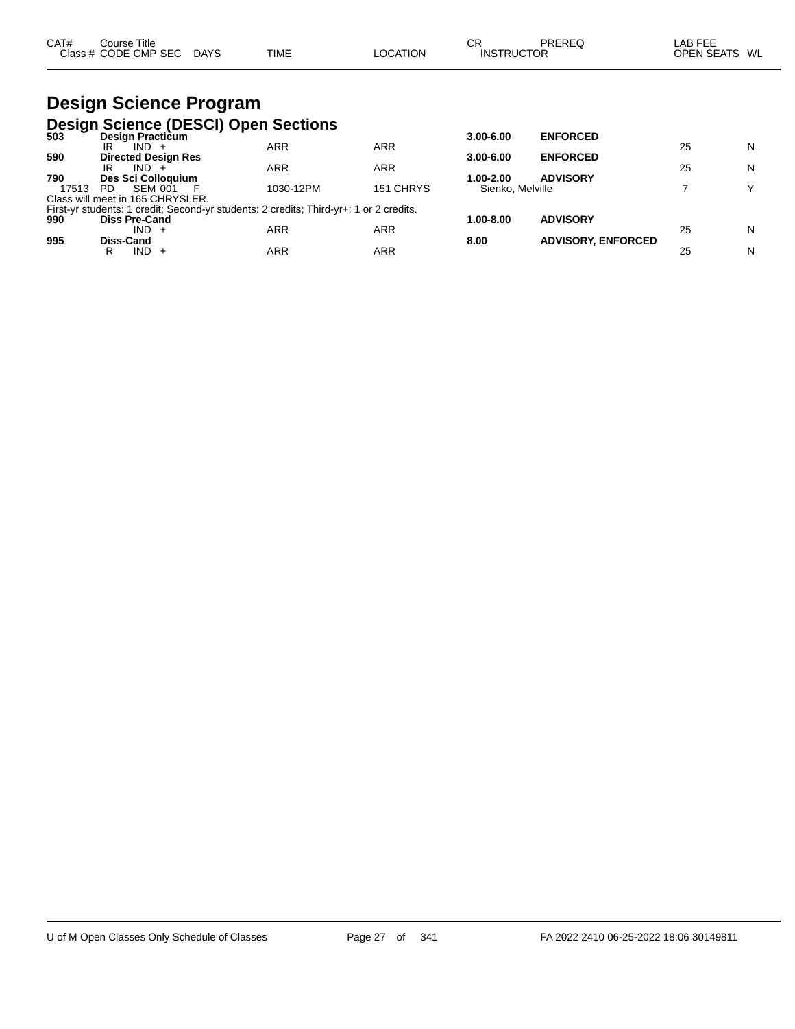| CAT# | $\mathop{\mathsf{course}}$ Title |             |             |          | СR                | PREREG | LAB FEE           |    |
|------|----------------------------------|-------------|-------------|----------|-------------------|--------|-------------------|----|
|      | Class # CODE CMP SEC             | <b>DAYS</b> | <b>TIME</b> | LOCATION | <b>INSTRUCTOR</b> |        | <b>OPEN SEATS</b> | WL |

## **Design Science Program Design Science (DESCI) Open Sections**

| -- -<br>503 | Design Practicum                                                                       |            |            | $3.00 - 6.00$    | <b>ENFORCED</b>           |    |   |
|-------------|----------------------------------------------------------------------------------------|------------|------------|------------------|---------------------------|----|---|
|             | $IND +$<br>IR                                                                          | ARR        | ARR        |                  |                           | 25 | N |
| 590         | <b>Directed Design Res</b>                                                             |            |            | $3.00 - 6.00$    | <b>ENFORCED</b>           |    |   |
|             | $IND +$<br>IR                                                                          | <b>ARR</b> | ARR        |                  |                           | 25 | N |
| 790         | Des Sci Colloguium                                                                     |            |            | 1.00-2.00        | <b>ADVISORY</b>           |    |   |
| 17513       | SEM 001<br>PD.                                                                         | 1030-12PM  | 151 CHRYS  | Sienko, Melville |                           |    |   |
|             | Class will meet in 165 CHRYSLER.                                                       |            |            |                  |                           |    |   |
|             | First-yr students: 1 credit; Second-yr students: 2 credits; Third-yr+: 1 or 2 credits. |            |            |                  |                           |    |   |
| 990         | <b>Diss Pre-Cand</b>                                                                   |            |            | 1.00-8.00        | <b>ADVISORY</b>           |    |   |
|             | $IND +$                                                                                | ARR        | ARR        |                  |                           | 25 | N |
| 995         | Diss-Cand                                                                              |            |            | 8.00             | <b>ADVISORY, ENFORCED</b> |    |   |
|             | $IND +$                                                                                | ARR        | <b>ARR</b> |                  |                           | 25 | N |
|             |                                                                                        |            |            |                  |                           |    |   |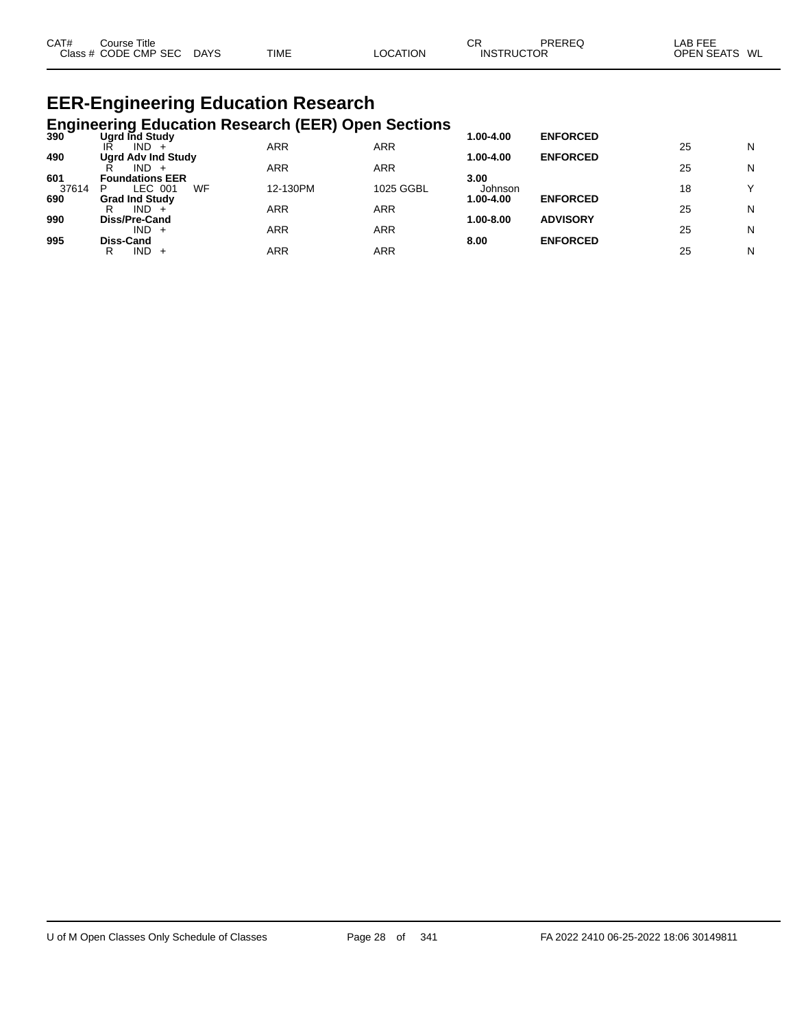| CAT#<br>Class $#$ | Title<br>Jourse,<br><b>CODE CMP SEC</b> | <b>DAYS</b><br>$\sim$ | <b>TIME</b> | <b>OCATION</b> | СF<br>RUCT .<br>INS | PREREC<br>"OR<br>$\sim$ $\sim$ $\sim$ $\sim$ $\sim$ $\sim$ $\sim$ | ---<br>_AE<br>---<br><b>OPEN SEATS</b><br>WL |
|-------------------|-----------------------------------------|-----------------------|-------------|----------------|---------------------|-------------------------------------------------------------------|----------------------------------------------|
|-------------------|-----------------------------------------|-----------------------|-------------|----------------|---------------------|-------------------------------------------------------------------|----------------------------------------------|

#### **EER-Engineering Education Research Engineering Education Research (EER) Open Sections**

|       | 21 Ugrd Ind Study<br>Ugrd Ind Study |            |            | 1.00-4.00     | <b>ENFORCED</b> |    |        |
|-------|-------------------------------------|------------|------------|---------------|-----------------|----|--------|
|       | IND.<br>IR                          | ARR        | ARR        |               |                 | 25 | N      |
| 490   | <b>Ugrd Adv Ind Study</b>           |            |            | 1.00-4.00     | <b>ENFORCED</b> |    |        |
| 601   | IND.<br><b>Foundations EER</b>      | <b>ARR</b> | ARR        | 3.00          |                 | 25 | N      |
| 37614 | WF<br>LEC 001<br>P                  | 12-130PM   | 1025 GGBL  | Johnson       |                 | 18 | $\vee$ |
| 690   | <b>Grad Ind Study</b>               |            |            | 1.00-4.00     | <b>ENFORCED</b> |    |        |
| 990   | $IND +$<br>R<br>Diss/Pre-Cand       | ARR        | <b>ARR</b> | $1.00 - 8.00$ | <b>ADVISORY</b> | 25 | N      |
|       | $IND +$                             | ARR        | ARR        |               |                 | 25 | N      |
| 995   | Diss-Cand                           |            |            | 8.00          | <b>ENFORCED</b> |    |        |
|       | IND.<br>R                           | ARR        | ARR        |               |                 | 25 | N      |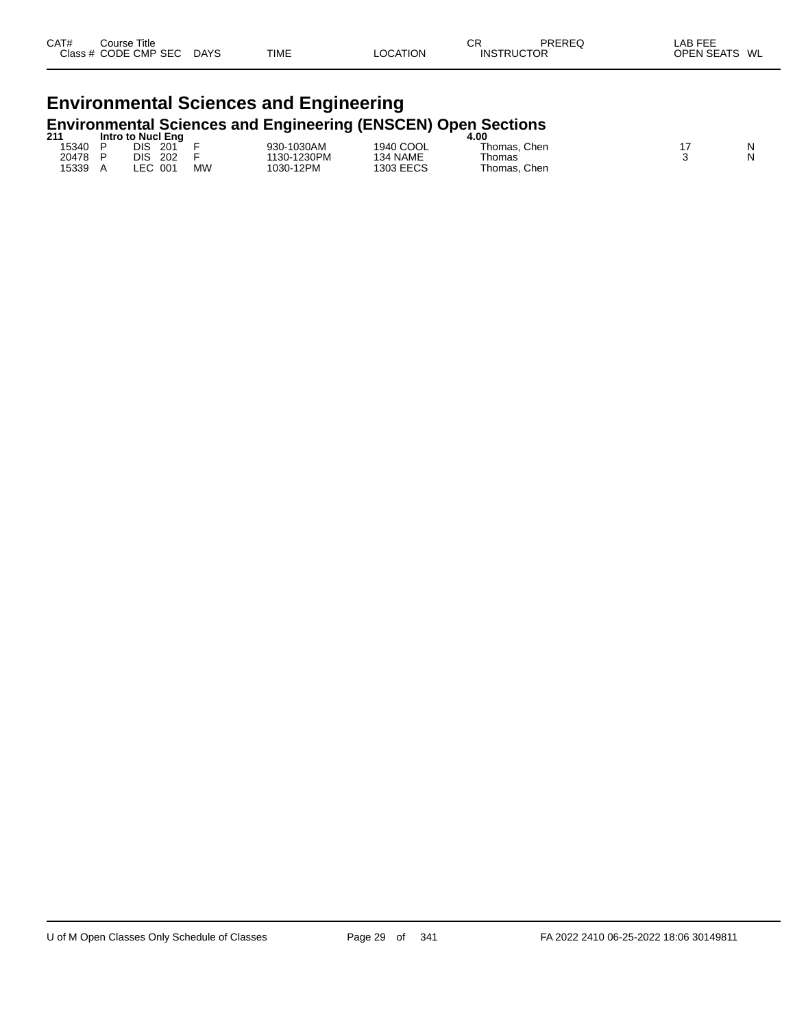# **Environmental Sciences and Engineering Environmental Sciences and Engineering (ENSCEN) Open Sections 211 Intro to Nucl Eng 4.00**

| 211   | Intro to Nucl Eng |           |             | 4.00      |                 |  |   |  |
|-------|-------------------|-----------|-------------|-----------|-----------------|--|---|--|
| 15340 | DIS<br>201        |           | 930-1030AM  | 1940 COOL | Thomas, Chen    |  | N |  |
| 20478 | DIS<br>202        |           | 1130-1230PM | 134 NAME  | Thomas          |  | N |  |
| 15339 | FC.<br>001        | <b>MW</b> | '030-12PM   | 1303 EECS | Thomas.<br>Chen |  |   |  |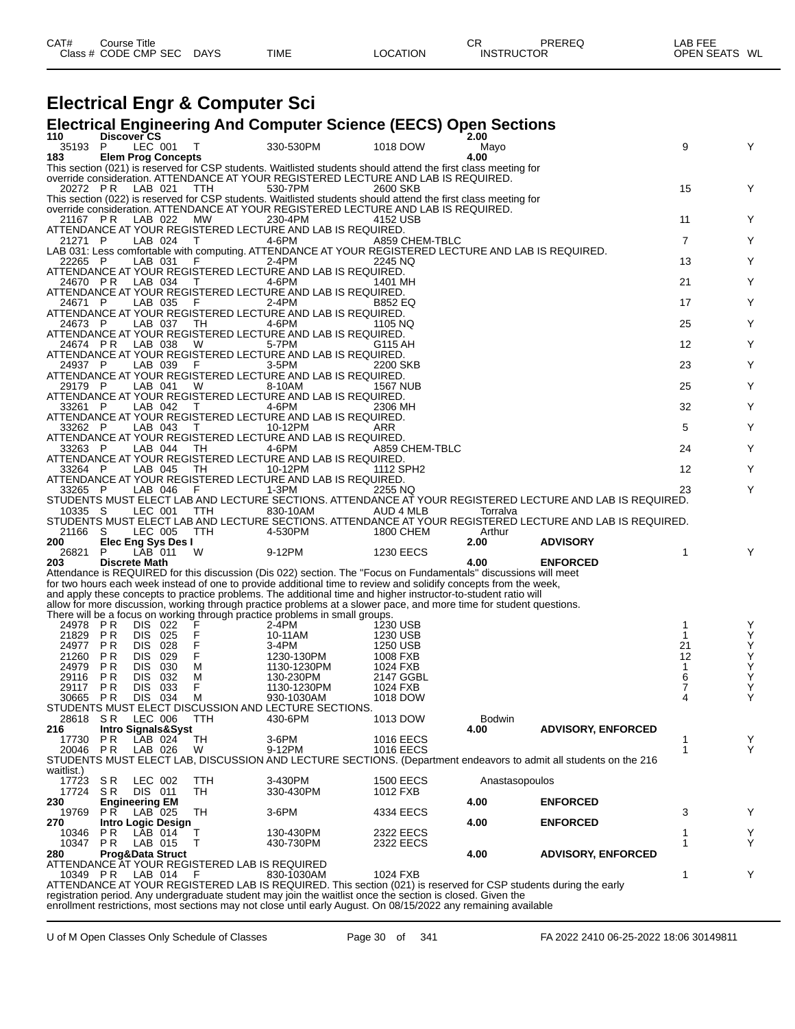| CAT#<br>Title<br>Course∴<br><b>CMP</b><br><b>SEC</b><br>$\bigcap$ acc $\bigcup$<br>CODE:<br>__ | DAYS<br>$\sim$ | <b>TIME</b> | TION.<br>∩∩ | СF<br>IN! | --<br>ЮR<br>___ | ---<br>LAB<br>OPF<br>WL |
|------------------------------------------------------------------------------------------------|----------------|-------------|-------------|-----------|-----------------|-------------------------|
|                                                                                                |                |             |             |           |                 |                         |

## **Electrical Engr & Computer Sci**

### **Electrical Engineering And Computer Science (EECS) Open Sections**

| 110            | Discover CS                   |     |                                               |                                                                                                                     |                        | 2.00           |                                                                                                                  |                |        |
|----------------|-------------------------------|-----|-----------------------------------------------|---------------------------------------------------------------------------------------------------------------------|------------------------|----------------|------------------------------------------------------------------------------------------------------------------|----------------|--------|
| 35193          | P<br>LEC 001                  |     | т                                             | 330-530PM                                                                                                           | 1018 DOW               | Mayo           |                                                                                                                  | 9              | Y      |
| 183            | <b>Elem Prog Concepts</b>     |     |                                               |                                                                                                                     |                        | 4.00           |                                                                                                                  |                |        |
|                |                               |     |                                               | This section (021) is reserved for CSP students. Waitlisted students should attend the first class meeting for      |                        |                |                                                                                                                  |                |        |
|                |                               |     |                                               | override consideration. ATTENDANCE AT YOUR REGISTERED LECTURE AND LAB IS REQUIRED.                                  |                        |                |                                                                                                                  |                |        |
| 20272 PR       | LAB 021                       |     | TTH                                           | 530-7PM                                                                                                             | 2600 SKB               |                |                                                                                                                  | 15             | Y      |
|                |                               |     |                                               | This section (022) is reserved for CSP students. Waitlisted students should attend the first class meeting for      |                        |                |                                                                                                                  |                |        |
|                |                               |     |                                               | override consideration. ATTENDANCE AT YOUR REGISTERED LECTURE AND LAB IS REQUIRED.                                  |                        |                |                                                                                                                  |                |        |
| 21167 PR       | LAB 022                       |     | <b>MW</b>                                     | 230-4PM                                                                                                             | 4152 USB               |                |                                                                                                                  | 11             | Y      |
|                |                               |     |                                               | ATTENDANCE AT YOUR REGISTERED LECTURE AND LAB IS REQUIRED.                                                          |                        |                |                                                                                                                  |                |        |
| 21271 P        | LAB 024                       |     | T                                             | 4-6PM                                                                                                               | A859 CHEM-TBLC         |                |                                                                                                                  | $\overline{7}$ | Y      |
|                |                               |     |                                               | LAB 031: Less comfortable with computing. ATTENDANCE AT YOUR REGISTERED LECTURE AND LAB IS REQUIRED.                |                        |                |                                                                                                                  |                |        |
| 22265 P        | LAB 031                       |     | F.                                            | 2-4PM                                                                                                               | 2245 NQ                |                |                                                                                                                  | 13             | Y      |
|                |                               |     |                                               | ATTENDANCE AT YOUR REGISTERED LECTURE AND LAB IS REQUIRED.                                                          |                        |                |                                                                                                                  |                |        |
| 24670 PR       | LAB 034                       |     | Т                                             | 4-6PM                                                                                                               | 1401 MH                |                |                                                                                                                  | 21             | Y      |
|                |                               |     |                                               | ATTENDANCE AT YOUR REGISTERED LECTURE AND LAB IS REQUIRED.                                                          |                        |                |                                                                                                                  |                |        |
| 24671 P        | LAB 035                       |     | - F                                           | 2-4PM                                                                                                               | B852 EQ                |                |                                                                                                                  | 17             | Y      |
|                |                               |     |                                               | ATTENDANCE AT YOUR REGISTERED LECTURE AND LAB IS REQUIRED.                                                          |                        |                |                                                                                                                  |                |        |
| 24673 P        | LAB 037                       |     | TH.                                           | 4-6PM                                                                                                               | 1105 NQ                |                |                                                                                                                  | 25             | Y      |
|                |                               |     |                                               | ATTENDANCE AT YOUR REGISTERED LECTURE AND LAB IS REQUIRED.                                                          |                        |                |                                                                                                                  |                |        |
| 24674 PR       | LAB 038                       |     | W                                             | 5-7PM                                                                                                               | G115 AH                |                |                                                                                                                  | 12             | Y      |
|                |                               |     |                                               | ATTENDANCE AT YOUR REGISTERED LECTURE AND LAB IS REQUIRED.                                                          |                        |                |                                                                                                                  |                |        |
| 24937 P        | LAB 039                       |     | - F                                           | 3-5PM                                                                                                               | 2200 SKB               |                |                                                                                                                  | 23             | Y      |
|                |                               |     |                                               | ATTENDANCE AT YOUR REGISTERED LECTURE AND LAB IS REQUIRED.                                                          |                        |                |                                                                                                                  |                |        |
| 29179 P        | LAB 041                       |     | W                                             | 8-10AM                                                                                                              | 1567 NUB               |                |                                                                                                                  | 25             | Y      |
|                |                               |     |                                               | ATTENDANCE AT YOUR REGISTERED LECTURE AND LAB IS REQUIRED.                                                          |                        |                |                                                                                                                  |                |        |
| 33261 P        | LAB 042                       |     | $\top$                                        | 4-6PM                                                                                                               | 2306 MH                |                |                                                                                                                  | 32             | Y      |
|                |                               |     |                                               | ATTENDANCE AT YOUR REGISTERED LECTURE AND LAB IS REQUIRED.                                                          |                        |                |                                                                                                                  |                |        |
| 33262 P        | LAB 043                       |     | $\top$                                        | 10-12PM                                                                                                             | ARR                    |                |                                                                                                                  | 5              | Y      |
|                |                               |     |                                               | ATTENDANCE AT YOUR REGISTERED LECTURE AND LAB IS REQUIRED.                                                          |                        |                |                                                                                                                  |                |        |
| 33263 P        | LAB 044                       |     | TH                                            | 4-6PM                                                                                                               | A859 CHEM-TBLC         |                |                                                                                                                  | 24             | Y      |
|                |                               |     |                                               | ATTENDANCE AT YOUR REGISTERED LECTURE AND LAB IS REQUIRED.                                                          |                        |                |                                                                                                                  |                |        |
| 33264 P        | LAB 045                       |     | ТH                                            | 10-12PM                                                                                                             | 1112 SPH2              |                |                                                                                                                  | 12             | Y      |
|                |                               |     |                                               | ATTENDANCE AT YOUR REGISTERED LECTURE AND LAB IS REQUIRED.                                                          |                        |                |                                                                                                                  |                |        |
| 33265 P        | LAB 046                       |     | - F                                           | $1-3PM$                                                                                                             | 2255 NQ                |                |                                                                                                                  | 23             | Υ      |
|                |                               |     |                                               |                                                                                                                     |                        |                | STUDENTS MUST ELECT LAB AND LECTURE SECTIONS. ATTENDANCE AT YOUR REGISTERED LECTURE AND LAB IS REQUIRED.         |                |        |
| 10335 S        | LEC 001                       |     | TTH                                           | 830-10AM                                                                                                            | AUD 4 MLB              | Torralva       |                                                                                                                  |                |        |
|                |                               |     |                                               |                                                                                                                     |                        |                |                                                                                                                  |                |        |
|                |                               |     |                                               |                                                                                                                     |                        |                | STUDENTS MUST ELECT LAB AND LECTURE SECTIONS. ATTENDANCE AT YOUR REGISTERED LECTURE AND LAB IS REQUIRED.         |                |        |
| 21166          | LEC 005<br>-S                 |     | <b>TTH</b>                                    | 4-530PM                                                                                                             | 1800 CHEM              | Arthur         |                                                                                                                  |                |        |
| 200            | Elec Eng Sys Des I            |     |                                               |                                                                                                                     |                        | 2.00           | <b>ADVISORY</b>                                                                                                  |                |        |
| 26821          | $LAB$ 011<br>P                |     | W                                             | 9-12PM                                                                                                              | <b>1230 EECS</b>       |                |                                                                                                                  | 1              | Y      |
| 203            | <b>Discrete Math</b>          |     |                                               |                                                                                                                     |                        | 4.00           | <b>ENFORCED</b>                                                                                                  |                |        |
|                |                               |     |                                               | Attendance is REQUIRED for this discussion (Dis 022) section. The "Focus on Fundamentals" discussions will meet     |                        |                |                                                                                                                  |                |        |
|                |                               |     |                                               | for two hours each week instead of one to provide additional time to review and solidify concepts from the week,    |                        |                |                                                                                                                  |                |        |
|                |                               |     |                                               | and apply these concepts to practice problems. The additional time and higher instructor-to-student ratio will      |                        |                |                                                                                                                  |                |        |
|                |                               |     |                                               | allow for more discussion, working through practice problems at a slower pace, and more time for student questions. |                        |                |                                                                                                                  |                |        |
|                |                               |     |                                               | There will be a focus on working through practice problems in small groups.                                         |                        |                |                                                                                                                  |                |        |
| 24978 PR       | DIS 022                       |     | F                                             | 2-4PM                                                                                                               | 1230 USB               |                |                                                                                                                  | 1              | Y      |
| 21829          | DIS 025<br>P <sub>R</sub>     |     | F                                             | 10-11AM                                                                                                             | 1230 USB               |                |                                                                                                                  | 1              | Υ      |
| 24977          | P R<br><b>DIS 028</b>         |     | F                                             | 3-4PM                                                                                                               | 1250 USB               |                |                                                                                                                  | 21             | Υ      |
| 21260          | P <sub>R</sub><br>DIS.        | 029 | F                                             | 1230-130PM                                                                                                          | 1008 FXB               |                |                                                                                                                  | 12             | Υ      |
| 24979          | P R<br><b>DIS</b>             | 030 | М                                             | 1130-1230PM                                                                                                         | 1024 FXB               |                |                                                                                                                  | 1              | Υ      |
| 29116          | P R<br>DIS.                   | 032 | M                                             | 130-230PM                                                                                                           | 2147 GGBL              |                |                                                                                                                  | 6              | Υ      |
| 29117          | P R<br>DIS.                   | 033 | F                                             | 1130-1230PM                                                                                                         | 1024 FXB               |                |                                                                                                                  | 7              | Υ      |
| 30665          | P R<br>DIS 034                |     | M                                             | 930-1030AM                                                                                                          | 1018 DOW               |                |                                                                                                                  | 4              | Υ      |
|                |                               |     |                                               | STUDENTS MUST ELECT DISCUSSION AND LECTURE SECTIONS.                                                                |                        |                |                                                                                                                  |                |        |
| 28618          | SR.<br>LEC 006                |     | ттн                                           | 430-6PM                                                                                                             | 1013 DOW               | Bodwin         |                                                                                                                  |                |        |
| 216            | <b>Intro Signals&amp;Syst</b> |     |                                               |                                                                                                                     |                        | 4.00           | <b>ADVISORY, ENFORCED</b>                                                                                        |                |        |
| 17730          | LAB 024<br>P R                |     | TН                                            | 3-6PM                                                                                                               | <b>1016 EECS</b>       |                |                                                                                                                  | 1              | Υ      |
| 20046          | P R<br>LAB 026                |     | W                                             | 9-12PM                                                                                                              | <b>1016 EECS</b>       |                |                                                                                                                  | 1              | Y      |
|                |                               |     |                                               |                                                                                                                     |                        |                | STUDENTS MUST ELECT LAB, DISCUSSION AND LECTURE SECTIONS. (Department endeavors to admit all students on the 216 |                |        |
| waitlist.)     |                               |     |                                               |                                                                                                                     |                        |                |                                                                                                                  |                |        |
| 17723          | S R<br>LEC 002                |     | TTH                                           | 3-430PM                                                                                                             | <b>1500 EECS</b>       | Anastasopoulos |                                                                                                                  |                |        |
| 17724          | S R<br>DIS 011                |     | TH                                            | 330-430PM                                                                                                           | 1012 FXB               |                |                                                                                                                  |                |        |
| 230            | <b>Engineering EM</b>         |     |                                               |                                                                                                                     |                        | 4.00           | <b>ENFORCED</b>                                                                                                  |                |        |
| 19769<br>270   | P R<br>LAB 025                |     | TH                                            | 3-6PM                                                                                                               | 4334 EECS              |                |                                                                                                                  | 3              | Υ      |
|                | Intro Logic Design<br>LAB 014 |     |                                               | 130-430PM                                                                                                           |                        | 4.00           | <b>ENFORCED</b>                                                                                                  | 1              |        |
| 10346<br>10347 | P R<br>LAB 015                |     | Т<br>T                                        | 430-730PM                                                                                                           | 2322 EECS<br>2322 EECS |                |                                                                                                                  | 1              | Υ<br>Υ |
| 280            | P R                           |     |                                               |                                                                                                                     |                        |                |                                                                                                                  |                |        |
|                | Prog&Data Struct              |     | ATTENDANCE AT YOUR REGISTERED LAB IS REQUIRED |                                                                                                                     |                        | 4.00           | <b>ADVISORY, ENFORCED</b>                                                                                        |                |        |
| 10349 PR       | LAB 014                       |     | F                                             | 830-1030AM                                                                                                          | 1024 FXB               |                |                                                                                                                  | 1              | Υ      |
|                |                               |     |                                               | ATTENDANCE AT YOUR REGISTERED LAB IS REQUIRED. This section (021) is reserved for CSP students during the early     |                        |                |                                                                                                                  |                |        |
|                |                               |     |                                               | registration period. Any undergraduate student may join the waitlist once the section is closed. Given the          |                        |                |                                                                                                                  |                |        |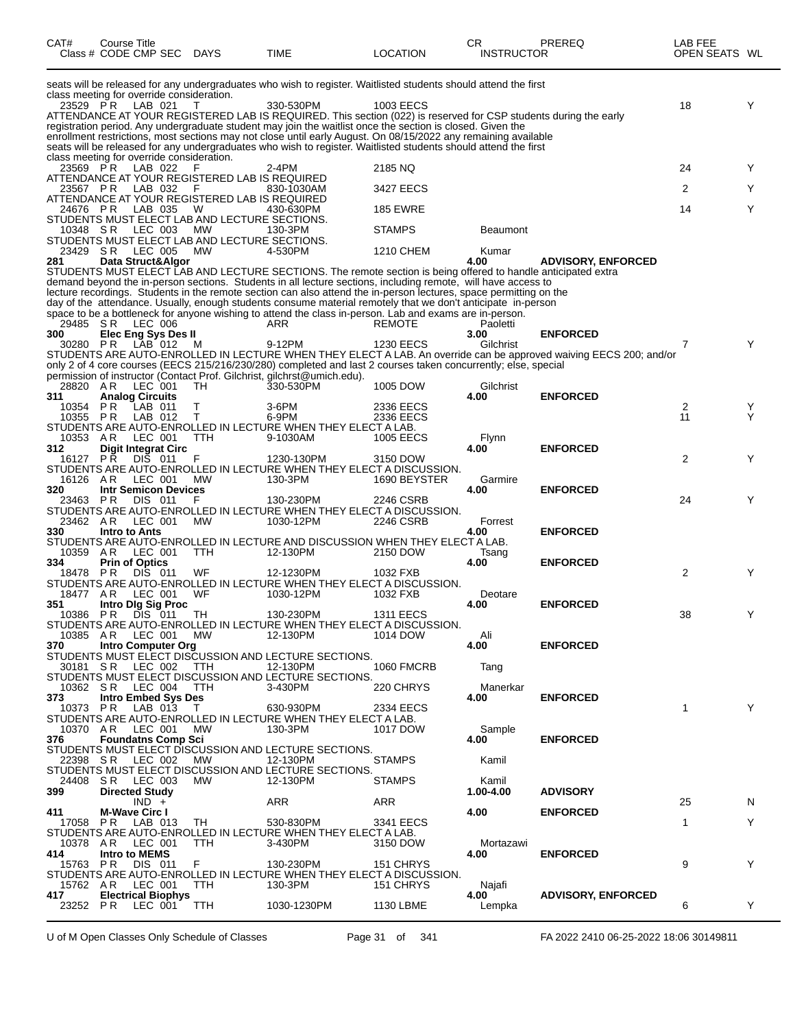| CAT#             | Course Title<br>Class # CODE CMP SEC                     | DAYS       | <b>TIME</b>                                                                                                                                                                                                                       | LOCATION          | CR<br><b>INSTRUCTOR</b> | PREREQ                                                                                                            | LAB FEE<br>OPEN SEATS WL |   |
|------------------|----------------------------------------------------------|------------|-----------------------------------------------------------------------------------------------------------------------------------------------------------------------------------------------------------------------------------|-------------------|-------------------------|-------------------------------------------------------------------------------------------------------------------|--------------------------|---|
|                  |                                                          |            | seats will be released for any undergraduates who wish to register. Waitlisted students should attend the first                                                                                                                   |                   |                         |                                                                                                                   |                          |   |
| 23529 PR         | class meeting for override consideration.<br>LAB 021     |            | 330-530PM                                                                                                                                                                                                                         | 1003 EECS         |                         |                                                                                                                   | 18                       | Y |
|                  |                                                          |            | ATTENDANCE AT YOUR REGISTERED LAB IS REQUIRED. This section (022) is reserved for CSP students during the early                                                                                                                   |                   |                         |                                                                                                                   |                          |   |
|                  |                                                          |            | registration period. Any undergraduate student may join the waitlist once the section is closed. Given the                                                                                                                        |                   |                         |                                                                                                                   |                          |   |
|                  |                                                          |            | enrollment restrictions, most sections may not close until early August. On 08/15/2022 any remaining available<br>seats will be released for any undergraduates who wish to register. Waitlisted students should attend the first |                   |                         |                                                                                                                   |                          |   |
|                  | class meeting for override consideration.                |            |                                                                                                                                                                                                                                   |                   |                         |                                                                                                                   |                          |   |
| 23569 PR         | LAB 022                                                  |            | 2-4PM                                                                                                                                                                                                                             | 2185 NO           |                         |                                                                                                                   | 24                       | Y |
| 23567 PR         | ATTENDANCE AT YOUR REGISTERED LAB IS REQUIRED<br>LAB 032 | F          | 830-1030AM                                                                                                                                                                                                                        | 3427 EECS         |                         |                                                                                                                   | 2                        | Y |
|                  | ATTENDANCE AT YOUR REGISTERED LAB IS REQUIRED            |            |                                                                                                                                                                                                                                   |                   |                         |                                                                                                                   |                          |   |
| 24676 PR         | LAB 035                                                  | W          | 430-630PM                                                                                                                                                                                                                         | <b>185 EWRE</b>   |                         |                                                                                                                   | 14                       | Y |
| 10348 SR         | STUDENTS MUST ELECT LAB AND LECTURE SECTIONS.<br>LEC 003 | МW         | 130-3PM                                                                                                                                                                                                                           | <b>STAMPS</b>     | <b>Beaumont</b>         |                                                                                                                   |                          |   |
|                  | STUDENTS MUST ELECT LAB AND LECTURE SECTIONS.            |            |                                                                                                                                                                                                                                   |                   |                         |                                                                                                                   |                          |   |
| 23429 SR         | LEC 005                                                  | MW         | 4-530PM                                                                                                                                                                                                                           | 1210 CHEM         | Kumar                   |                                                                                                                   |                          |   |
| 281              | Data Struct&Algor                                        |            | STUDENTS MUST ELECT LAB AND LECTURE SECTIONS. The remote section is being offered to handle anticipated extra                                                                                                                     |                   | 4.00                    | <b>ADVISORY, ENFORCED</b>                                                                                         |                          |   |
|                  |                                                          |            | demand beyond the in-person sections. Students in all lecture sections, including remote, will have access to                                                                                                                     |                   |                         |                                                                                                                   |                          |   |
|                  |                                                          |            | lecture recordings. Students in the remote section can also attend the in-person lectures, space permitting on the                                                                                                                |                   |                         |                                                                                                                   |                          |   |
|                  |                                                          |            | day of the attendance. Usually, enough students consume material remotely that we don't anticipate in-person<br>space to be a bottleneck for anyone wishing to attend the class in-person. Lab and exams are in-person.           |                   |                         |                                                                                                                   |                          |   |
| 29485 SR         | <b>LEC 006</b>                                           |            | ARR                                                                                                                                                                                                                               | REMOTE            | Paoletti                |                                                                                                                   |                          |   |
| 300              | Elec Eng Sys Des II                                      |            |                                                                                                                                                                                                                                   |                   | 3.00                    | <b>ENFORCED</b>                                                                                                   |                          |   |
| 30280 PR         | LAB 012                                                  | M          | 9-12PM                                                                                                                                                                                                                            | <b>1230 EECS</b>  | Gilchrist               | STUDENTS ARE AUTO-ENROLLED IN LECTURE WHEN THEY ELECT A LAB. An override can be approved waiving EECS 200; and/or | 7                        | Y |
|                  |                                                          |            | only 2 of 4 core courses (EECS 215/216/230/280) completed and last 2 courses taken concurrently; else, special                                                                                                                    |                   |                         |                                                                                                                   |                          |   |
|                  |                                                          |            | permission of instructor (Contact Prof. Gilchrist, gilchrst@umich.edu).                                                                                                                                                           |                   |                         |                                                                                                                   |                          |   |
| 28820 AR         | LEC 001                                                  | TH         | 330-530PM                                                                                                                                                                                                                         | 1005 DOW          | Gilchrist<br>4.00       | <b>ENFORCED</b>                                                                                                   |                          |   |
| 311<br>10354     | <b>Analog Circuits</b><br>P R<br>LAB 011                 | Т          | 3-6PM                                                                                                                                                                                                                             | 2336 EECS         |                         |                                                                                                                   | 2                        | Y |
| 10355 PR         | LAB 012                                                  | Τ          | 6-9PM                                                                                                                                                                                                                             | 2336 EECS         |                         |                                                                                                                   | 11                       | Y |
|                  |                                                          |            | STUDENTS ARE AUTO-ENROLLED IN LECTURE WHEN THEY ELECT A LAB.                                                                                                                                                                      |                   |                         |                                                                                                                   |                          |   |
| 10353 A R<br>312 | LEC 001<br><b>Digit Integrat Circ</b>                    | <b>TTH</b> | 9-1030AM                                                                                                                                                                                                                          | <b>1005 EECS</b>  | Flynn<br>4.00           | <b>ENFORCED</b>                                                                                                   |                          |   |
| 16127 PR         | <b>DIS 011</b>                                           | F          | 1230-130PM                                                                                                                                                                                                                        | 3150 DOW          |                         |                                                                                                                   | 2                        | Υ |
| 16126 AR         | LEC 001                                                  | MW         | STUDENTS ARE AUTO-ENROLLED IN LECTURE WHEN THEY ELECT A DISCUSSION.<br>130-3PM                                                                                                                                                    |                   |                         |                                                                                                                   |                          |   |
| 320              | <b>Intr Semicon Devices</b>                              |            |                                                                                                                                                                                                                                   | 1690 BEYSTER      | Garmire<br>4.00         | <b>ENFORCED</b>                                                                                                   |                          |   |
| 23463 PR         | DIS 011                                                  | F          | 130-230PM                                                                                                                                                                                                                         | 2246 CSRB         |                         |                                                                                                                   | 24                       | Y |
| 23462 AR         | LEC 001                                                  | <b>MW</b>  | STUDENTS ARE AUTO-ENROLLED IN LECTURE WHEN THEY ELECT A DISCUSSION.<br>1030-12PM                                                                                                                                                  | 2246 CSRB         | Forrest                 |                                                                                                                   |                          |   |
| 330              | <b>Intro to Ants</b>                                     |            |                                                                                                                                                                                                                                   |                   | 4.00                    | <b>ENFORCED</b>                                                                                                   |                          |   |
|                  |                                                          |            | STUDENTS ARE AUTO-ENROLLED IN LECTURE AND DISCUSSION WHEN THEY ELECT A LAB.                                                                                                                                                       |                   |                         |                                                                                                                   |                          |   |
| 10359 AR<br>334  | LEC 001<br><b>Prin of Optics</b>                         | TTH        | 12-130PM                                                                                                                                                                                                                          | 2150 DOW          | Tsang<br>4.00           | <b>ENFORCED</b>                                                                                                   |                          |   |
| 18478            | DIS 011<br>PR.                                           | WF         | 12-1230PM                                                                                                                                                                                                                         | 1032 FXB          |                         |                                                                                                                   | 2                        | Υ |
|                  |                                                          |            | STUDENTS ARE AUTO-ENROLLED IN LECTURE WHEN THEY ELECT A DISCUSSION.                                                                                                                                                               |                   |                         |                                                                                                                   |                          |   |
| 18477<br>351     | A R<br>LEC 001<br>Intro Dig Sig Proc                     | WF         | 1030-12PM                                                                                                                                                                                                                         | 1032 FXB          | Deotare<br>4.00         | <b>ENFORCED</b>                                                                                                   |                          |   |
| 10386 PR         | DIS 011                                                  | TН         | 130-230PM                                                                                                                                                                                                                         | <b>1311 EECS</b>  |                         |                                                                                                                   | 38                       | Y |
|                  |                                                          |            | STUDENTS ARE AUTO-ENROLLED IN LECTURE WHEN THEY ELECT A DISCUSSION.                                                                                                                                                               |                   |                         |                                                                                                                   |                          |   |
| 370              | 10385 AR LEC 001 MW<br><b>Intro Computer Org</b>         |            | 12-130PM                                                                                                                                                                                                                          | 1014 DOW          | Ali<br>4.00             | <b>ENFORCED</b>                                                                                                   |                          |   |
|                  |                                                          |            | STUDENTS MUST ELECT DISCUSSION AND LECTURE SECTIONS.                                                                                                                                                                              |                   |                         |                                                                                                                   |                          |   |
|                  | 30181 SR LEC 002 TTH                                     |            | 12-130PM                                                                                                                                                                                                                          | <b>1060 FMCRB</b> | Tang                    |                                                                                                                   |                          |   |
| 10362 SR         | LEC 004 TTH                                              |            | STUDENTS MUST ELECT DISCUSSION AND LECTURE SECTIONS.<br>3-430PM                                                                                                                                                                   | 220 CHRYS         | Manerkar                |                                                                                                                   |                          |   |
| 373              | <b>Intro Embed Sys Des</b>                               |            |                                                                                                                                                                                                                                   |                   | 4.00                    | <b>ENFORCED</b>                                                                                                   |                          |   |
| 10373 PR         | LAB 013                                                  | $\top$     | 630-930PM                                                                                                                                                                                                                         | 2334 EECS         |                         |                                                                                                                   | $\mathbf{1}$             | Y |
| 10370 AR         | LEC 001 MW                                               |            | STUDENTS ARE AUTO-ENROLLED IN LECTURE WHEN THEY ELECT A LAB.<br>130-3PM                                                                                                                                                           | 1017 DOW          | Sample                  |                                                                                                                   |                          |   |
| 376              | <b>Foundatns Comp Sci</b>                                |            |                                                                                                                                                                                                                                   |                   | 4.00                    | <b>ENFORCED</b>                                                                                                   |                          |   |
|                  |                                                          |            | STUDENTS MUST ELECT DISCUSSION AND LECTURE SECTIONS.                                                                                                                                                                              |                   |                         |                                                                                                                   |                          |   |
|                  | 22398 SR LEC 002                                         | MW         | 12-130PM<br>STUDENTS MUST ELECT DISCUSSION AND LECTURE SECTIONS.                                                                                                                                                                  | <b>STAMPS</b>     | Kamil                   |                                                                                                                   |                          |   |
|                  | 24408 SR LEC 003                                         | МW         | 12-130PM                                                                                                                                                                                                                          | <b>STAMPS</b>     | Kamil                   |                                                                                                                   |                          |   |
| 399              | <b>Directed Study</b>                                    |            |                                                                                                                                                                                                                                   |                   | 1.00-4.00               | <b>ADVISORY</b>                                                                                                   |                          |   |
| 411              | $IND +$<br><b>M-Wave Circ I</b>                          |            | ARR                                                                                                                                                                                                                               | ARR               | 4.00                    | <b>ENFORCED</b>                                                                                                   | 25                       | N |
|                  | 17058 PR LAB 013                                         | TH.        | 530-830PM                                                                                                                                                                                                                         | 3341 EECS         |                         |                                                                                                                   | $\mathbf{1}$             | Y |
|                  |                                                          |            | STUDENTS ARE AUTO-ENROLLED IN LECTURE WHEN THEY ELECT A LAB.                                                                                                                                                                      |                   |                         |                                                                                                                   |                          |   |
| 10378 AR<br>414  | LEC 001<br>Intro to MEMS                                 | <b>TTH</b> | 3-430PM                                                                                                                                                                                                                           | 3150 DOW          | Mortazawi<br>4.00       | <b>ENFORCED</b>                                                                                                   |                          |   |
| 15763 PR         | DIS 011                                                  | F          | 130-230PM                                                                                                                                                                                                                         | 151 CHRYS         |                         |                                                                                                                   | 9                        | Y |
|                  |                                                          |            | STUDENTS ARE AUTO-ENROLLED IN LECTURE WHEN THEY ELECT A DISCUSSION.                                                                                                                                                               |                   |                         |                                                                                                                   |                          |   |
| 15762 AR<br>417  | LEC 001<br><b>Electrical Biophys</b>                     | <b>TTH</b> | 130-3PM                                                                                                                                                                                                                           | 151 CHRYS         | Najafi<br>4.00          | <b>ADVISORY, ENFORCED</b>                                                                                         |                          |   |
| 23252 PR         | LEC 001 TTH                                              |            | 1030-1230PM                                                                                                                                                                                                                       | 1130 LBME         | Lempka                  |                                                                                                                   | 6                        | Y |
|                  |                                                          |            |                                                                                                                                                                                                                                   |                   |                         |                                                                                                                   |                          |   |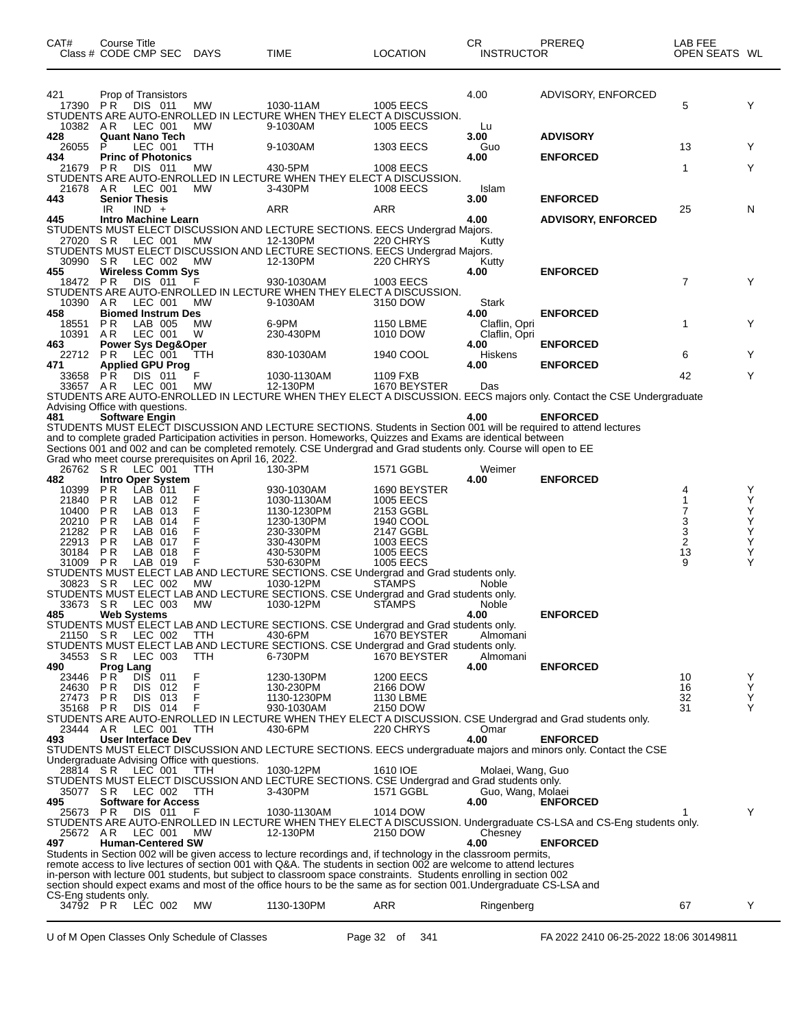| CAT#                             | Course Title<br>Class # CODE CMP SEC                                               | <b>DAYS</b>                                                  | <b>TIME</b>                                                                                                                                                                                                                                                                                                                                           | LOCATION                                         | CR<br><b>INSTRUCTOR</b>                | PREREQ                                                                                                                       | LAB FEE<br>OPEN SEATS WL |             |
|----------------------------------|------------------------------------------------------------------------------------|--------------------------------------------------------------|-------------------------------------------------------------------------------------------------------------------------------------------------------------------------------------------------------------------------------------------------------------------------------------------------------------------------------------------------------|--------------------------------------------------|----------------------------------------|------------------------------------------------------------------------------------------------------------------------------|--------------------------|-------------|
| 421<br>17390<br>10382 AR         | Prop of Transistors<br>P R<br>DIS 011<br>LEC 001                                   | МW<br>MW                                                     | 1030-11AM<br>STUDENTS ARE AUTO-ENROLLED IN LECTURE WHEN THEY ELECT A DISCUSSION.<br>9-1030AM                                                                                                                                                                                                                                                          | <b>1005 EECS</b><br><b>1005 EECS</b>             | 4.00<br>Lu                             | ADVISORY, ENFORCED                                                                                                           | 5                        | Y           |
| 428<br>26055                     | <b>Quant Nano Tech</b><br>P<br>LEC 001                                             | <b>TTH</b>                                                   | 9-1030AM                                                                                                                                                                                                                                                                                                                                              | <b>1303 EECS</b>                                 | 3.00<br>Guo                            | <b>ADVISORY</b>                                                                                                              | 13                       | Y           |
| 434<br>21679                     | <b>Princ of Photonics</b><br>PR<br>DIS 011                                         | МW                                                           | 430-5PM                                                                                                                                                                                                                                                                                                                                               | 1008 EECS                                        | 4.00                                   | <b>ENFORCED</b>                                                                                                              | 1                        | Y           |
| 21678 AR                         | LEC 001                                                                            | MW                                                           | STUDENTS ARE AUTO-ENROLLED IN LECTURE WHEN THEY ELECT A DISCUSSION.<br>3-430PM                                                                                                                                                                                                                                                                        | <b>1008 EECS</b>                                 | Islam                                  |                                                                                                                              |                          |             |
| 443                              | <b>Senior Thesis</b><br>IR<br>$IND +$                                              |                                                              | ARR                                                                                                                                                                                                                                                                                                                                                   | ARR                                              | 3.00                                   | <b>ENFORCED</b>                                                                                                              | 25                       | N           |
| 445<br>27020 SR                  | <b>Intro Machine Learn</b><br>LEC 001                                              | MW                                                           | STUDENTS MUST ELECT DISCUSSION AND LECTURE SECTIONS. EECS Undergrad Majors.<br>12-130PM<br>STUDENTS MUST ELECT DISCUSSION AND LECTURE SECTIONS. EECS Undergrad Majors.                                                                                                                                                                                | 220 CHRYS                                        | 4.00<br>Kutty                          | <b>ADVISORY, ENFORCED</b>                                                                                                    |                          |             |
| 30990 SR<br>455                  | LEC 002<br><b>Wireless Comm Sys</b>                                                | МW                                                           | 12-130PM                                                                                                                                                                                                                                                                                                                                              | 220 CHRYS                                        | Kutty<br>4.00                          | <b>ENFORCED</b>                                                                                                              |                          |             |
| 18472 PR<br>10390 AR             | <b>DIS 011</b><br>LEC 001                                                          | F<br>MW                                                      | 930-1030AM<br>STUDENTS ARE AUTO-ENROLLED IN LECTURE WHEN THEY ELECT A DISCUSSION.<br>9-1030AM                                                                                                                                                                                                                                                         | 1003 EECS<br>3150 DOW                            | Stark                                  |                                                                                                                              | $\overline{7}$           | Υ           |
| 458<br>18551<br>10391            | <b>Biomed Instrum Des</b><br>P R<br>LAB 005<br>LEC 001<br>AR.                      | <b>MW</b><br>W                                               | 6-9PM<br>230-430PM                                                                                                                                                                                                                                                                                                                                    | <b>1150 LBME</b><br>1010 DOW                     | 4.00<br>Claflin, Opri<br>Claflin, Opri | <b>ENFORCED</b>                                                                                                              | 1                        | Y           |
| 463<br>22712                     | <b>Power Sys Deg&amp;Oper</b><br>P R<br>LEC 001                                    | TTH                                                          | 830-1030AM                                                                                                                                                                                                                                                                                                                                            | 1940 COOL                                        | 4.00<br>Hiskens                        | <b>ENFORCED</b>                                                                                                              | 6                        | Y           |
| 471<br>33658<br>33657 AR         | <b>Applied GPU Prog</b><br>P R<br>DIS 011<br>LEC 001                               | F<br>МW                                                      | 1030-1130AM<br>12-130PM                                                                                                                                                                                                                                                                                                                               | 1109 FXB<br>1670 BEYSTER                         | 4.00<br>Das                            | <b>ENFORCED</b>                                                                                                              | 42                       | Y           |
|                                  | Advising Office with questions.                                                    |                                                              |                                                                                                                                                                                                                                                                                                                                                       |                                                  |                                        | STUDENTS ARE AUTO-ENROLLED IN LECTURE WHEN THEY ELECT A DISCUSSION. EECS majors only. Contact the CSE Undergraduate          |                          |             |
| 481                              | <b>Software Engin</b>                                                              |                                                              | STUDENTS MUST ELECT DISCUSSION AND LECTURE SECTIONS. Students in Section 001 will be required to attend lectures<br>and to complete graded Participation activities in person. Homeworks, Quizzes and Exams are identical between<br>Sections 001 and 002 and can be completed remotely. CSE Undergrad and Grad students only. Course will open to EE |                                                  | 4.00                                   | <b>ENFORCED</b>                                                                                                              |                          |             |
| 26762 SR                         | LEC 001                                                                            | Grad who meet course prerequisites on April 16, 2022.<br>ттн | 130-3PM                                                                                                                                                                                                                                                                                                                                               | 1571 GGBL                                        | Weimer                                 |                                                                                                                              |                          |             |
| 482<br>10399<br>21840            | <b>Intro Oper System</b><br>LAB 011<br>P <sub>R</sub><br>P R<br>LAB 012<br>LAB 013 | F<br>F                                                       | 930-1030AM<br>1030-1130AM                                                                                                                                                                                                                                                                                                                             | 1690 BEYSTER<br><b>1005 EECS</b>                 | 4.00                                   | <b>ENFORCED</b>                                                                                                              | 4<br>7                   | Y<br>Υ<br>Υ |
| 10400<br>20210<br>21282<br>22913 | P R<br>P R<br>LAB 014<br>P <sub>R</sub><br>LAB 016<br>P R<br>LAB 017               | F<br>F<br>F<br>F                                             | 1130-1230PM<br>1230-130PM<br>230-330PM<br>330-430PM                                                                                                                                                                                                                                                                                                   | 2153 GGBL<br>1940 COOL<br>2147 GGBL<br>1003 EECS |                                        |                                                                                                                              | 3<br>3<br>$\overline{2}$ | Υ<br>Υ<br>Υ |
| 30184<br>31009 PR                | <b>PR</b><br>LAB 018<br>LAB 019                                                    | F<br>F                                                       | 430-530PM<br>530-630PM<br>STUDENTS MUST ELECT LAB AND LECTURE SECTIONS. CSE Undergrad and Grad students only.                                                                                                                                                                                                                                         | <b>1005 EECS</b><br>1005 EECS                    |                                        |                                                                                                                              | 13<br>9                  | Υ<br>Υ      |
| 30823<br>33673                   | -S R<br>LEC 002<br>LEC 003<br>S R                                                  | МW<br>МW                                                     | 1030-12PM<br>STUDENTS MUST ELECT LAB AND LECTURE SECTIONS. CSE Undergrad and Grad students only.<br>1030-12PM                                                                                                                                                                                                                                         | <b>STAMPS</b><br>STAMPS                          | Noble<br><b>Noble</b>                  |                                                                                                                              |                          |             |
| 485<br>21150 SR                  | <b>Web Systems</b><br>LEC 002                                                      | ттн                                                          | STUDENTS MUST ELECT LAB AND LECTURE SECTIONS. CSE Undergrad and Grad students only.<br>430-6PM                                                                                                                                                                                                                                                        | 1670 BEYSTER                                     | 4.00<br>Almomani                       | <b>ENFORCED</b>                                                                                                              |                          |             |
| 34553 SR<br>490                  | LEC 003                                                                            | TTH                                                          | STUDENTS MUST ELECT LAB AND LECTURE SECTIONS. CSE Undergrad and Grad students only.<br>6-730PM                                                                                                                                                                                                                                                        | 1670 BEYSTER                                     | Almomani<br>4.00                       | <b>ENFORCED</b>                                                                                                              |                          |             |
| 23446<br>24630                   | <b>Prog Lang</b><br>P R DIS<br>P R<br>011<br><b>DIS</b><br>P R<br>012              | F<br>F                                                       | 1230-130PM<br>130-230PM                                                                                                                                                                                                                                                                                                                               | <b>1200 EECS</b><br>2166 DOW                     |                                        |                                                                                                                              | 10<br>16                 | Y<br>Y      |
| 27473 PR<br>35168 PR             | DIS 013<br>DIS 014                                                                 | F<br>F                                                       | 1130-1230PM<br>930-1030AM                                                                                                                                                                                                                                                                                                                             | 1130 LBME<br>2150 DOW                            |                                        |                                                                                                                              | 32<br>31                 | Y<br>Υ      |
| 23444 AR<br>493                  | LEC 001<br><b>User Interface Dev</b>                                               | <b>TTH</b>                                                   | 430-6PM                                                                                                                                                                                                                                                                                                                                               | 220 CHRYS                                        | Omar<br>4.00                           | STUDENTS ARE AUTO-ENROLLED IN LECTURE WHEN THEY ELECT A DISCUSSION. CSE Undergrad and Grad students only.<br><b>ENFORCED</b> |                          |             |
| 28814 SR                         | LEC 001                                                                            | Undergraduate Advising Office with questions.<br>ттн         | 1030-12PM                                                                                                                                                                                                                                                                                                                                             | 1610 IOE                                         | Molaei, Wang, Guo                      | STUDENTS MUST ELECT DISCUSSION AND LECTURE SECTIONS. EECS undergraduate majors and minors only. Contact the CSE              |                          |             |
| 35077 SR<br>495                  | LEC 002<br><b>Software for Access</b>                                              | TTH                                                          | STUDENTS MUST ELECT DISCUSSION AND LECTURE SECTIONS. CSE Undergrad and Grad students only.<br>3-430PM                                                                                                                                                                                                                                                 | 1571 GGBL                                        | Guo, Wang, Molaei<br>4.00              | <b>ENFORCED</b>                                                                                                              |                          |             |
| 25673 PR<br>25672 AR             | DIS 011                                                                            | F<br>МW                                                      | 1030-1130AM<br>12-130PM                                                                                                                                                                                                                                                                                                                               | 1014 DOW<br>2150 DOW                             |                                        | STUDENTS ARE AUTO-ENROLLED IN LECTURE WHEN THEY ELECT A DISCUSSION. Undergraduate CS-LSA and CS-Eng students only.           |                          | Y           |
| 497                              | LEC 001<br><b>Human-Centered SW</b>                                                |                                                              | Students in Section 002 will be given access to lecture recordings and, if technology in the classroom permits,                                                                                                                                                                                                                                       |                                                  | Chesney<br>4.00                        | <b>ENFORCED</b>                                                                                                              |                          |             |
|                                  |                                                                                    |                                                              | remote access to live lectures of section 001 with Q&A. The students in section 002 are welcome to attend lectures<br>in-person with lecture 001 students, but subject to classroom space constraints. Students enrolling in section 002                                                                                                              |                                                  |                                        |                                                                                                                              |                          |             |
|                                  | CS-Eng students only.                                                              |                                                              | section should expect exams and most of the office hours to be the same as for section 001. Undergraduate CS-LSA and                                                                                                                                                                                                                                  |                                                  |                                        |                                                                                                                              |                          |             |
| 34792 PR                         | LÉC 002                                                                            | МW                                                           | 1130-130PM                                                                                                                                                                                                                                                                                                                                            | ARR                                              | Ringenberg                             |                                                                                                                              | 67                       | Y           |

U of M Open Classes Only Schedule of Classes Page 32 of 341 FA 2022 2410 06-25-2022 18:06 30149811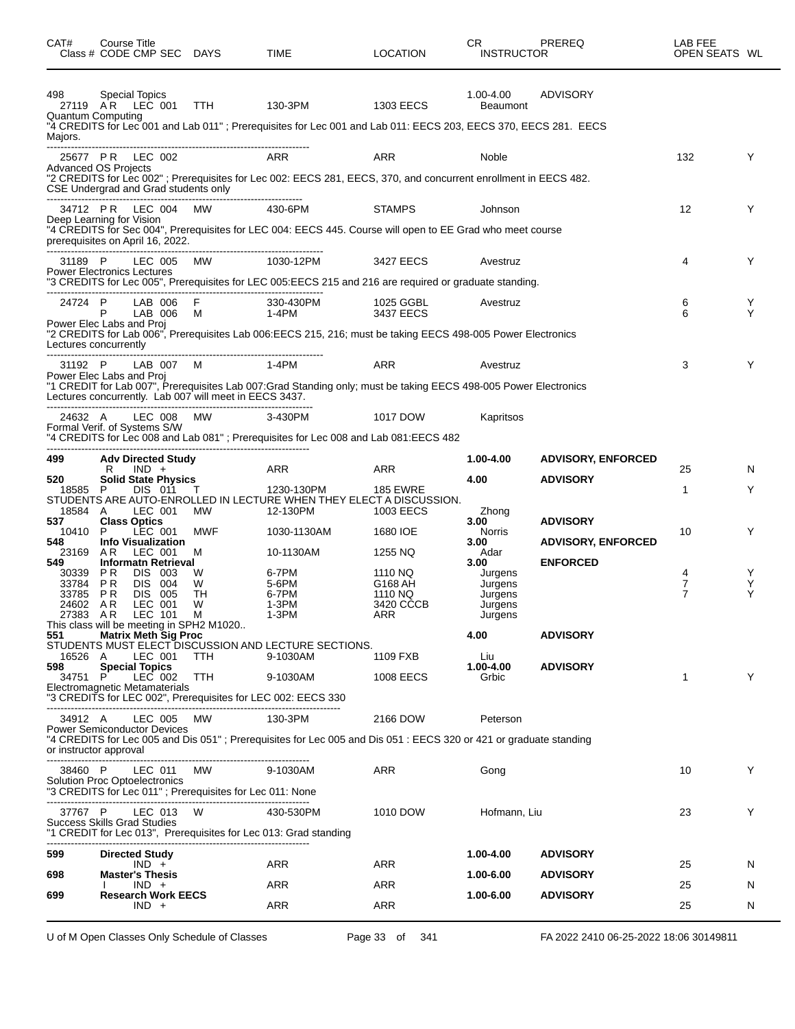| CAT#<br>Class # CODE CMP SEC DAYS                            | Course Title           |                    |                             |                                                          | TIME                                                                                                                      | <b>LOCATION</b>        | CR.<br><b>INSTRUCTOR</b>     | PREREQ                    | LAB FEE<br>OPEN SEATS WL |        |
|--------------------------------------------------------------|------------------------|--------------------|-----------------------------|----------------------------------------------------------|---------------------------------------------------------------------------------------------------------------------------|------------------------|------------------------------|---------------------------|--------------------------|--------|
| 498<br>27119 AR<br><b>Quantum Computing</b>                  | Special Topics         | LEC 001            |                             | TTH                                                      | 130-3PM<br>"4 CREDITS for Lec 001 and Lab 011"; Prerequisites for Lec 001 and Lab 011: EECS 203, EECS 370, EECS 281. EECS | 1303 EECS              | 1.00-4.00<br><b>Beaumont</b> | ADVISORY                  |                          |        |
| Majors.                                                      |                        |                    |                             |                                                          |                                                                                                                           |                        |                              |                           |                          |        |
| 25677 PR LEC 002<br><b>Advanced OS Projects</b>              |                        |                    |                             |                                                          | ARR<br>"2 CREDITS for Lec 002"; Prerequisites for Lec 002: EECS 281, EECS, 370, and concurrent enrollment in EECS 482.    | <b>ARR</b>             | Noble                        |                           | 132                      | Y      |
| CSE Undergrad and Grad students only                         |                        |                    | 34712 PR LEC 004 MW         |                                                          | 430-6PM                                                                                                                   | <b>STAMPS</b>          | Johnson                      |                           | 12                       | Y      |
| Deep Learning for Vision<br>prerequisites on April 16, 2022. |                        |                    |                             |                                                          | "4 CREDITS for Sec 004", Prerequisites for LEC 004: EECS 445. Course will open to EE Grad who meet course                 |                        |                              |                           |                          |        |
| 31189 P<br><b>Power Electronics Lectures</b>                 |                        | LEC 005            |                             | MW                                                       | 1030-12PM                                                                                                                 | 3427 EECS              | Avestruz                     |                           | 4                        | Y      |
|                                                              |                        |                    |                             |                                                          | "3 CREDITS for Lec 005", Prerequisites for LEC 005:EECS 215 and 216 are required or graduate standing.                    |                        |                              |                           |                          |        |
| 24724 P<br>Power Elec Labs and Proj                          |                        |                    | LAB 006<br>LAB 006          | F<br>M                                                   | 330-430PM<br>1-4PM                                                                                                        | 1025 GGBL<br>3437 EECS | Avestruz                     |                           | 6<br>6                   | Y<br>Υ |
| Lectures concurrently                                        |                        |                    |                             |                                                          | "2 CREDITS for Lab 006", Prerequisites Lab 006:EECS 215, 216; must be taking EECS 498-005 Power Electronics               |                        |                              |                           |                          |        |
| 31192 P<br>Power Elec Labs and Proj                          |                        |                    | LAB 007                     | M                                                        | 1-4PM                                                                                                                     | ARR                    | Avestruz                     |                           | 3                        | Y      |
|                                                              |                        |                    |                             | Lectures concurrently. Lab 007 will meet in EECS 3437.   | "1 CREDIT for Lab 007", Prerequisites Lab 007: Grad Standing only; must be taking EECS 498-005 Power Electronics          |                        |                              |                           |                          |        |
| 24632 A<br>Formal Verif. of Systems S/W                      |                        |                    | LEC 008                     | MW                                                       | 3-430PM<br>"4 CREDITS for Lec 008 and Lab 081"; Prerequisites for Lec 008 and Lab 081:EECS 482                            | 1017 DOW               | Kapritsos                    |                           |                          |        |
|                                                              |                        |                    |                             |                                                          |                                                                                                                           |                        |                              |                           |                          |        |
| 499                                                          | R                      | $IND +$            | <b>Adv Directed Study</b>   |                                                          | ARR                                                                                                                       | ARR                    | 1.00-4.00                    | <b>ADVISORY, ENFORCED</b> | 25                       | N      |
| 520<br>18585 P                                               |                        | DIS 011            | <b>Solid State Physics</b>  | T.                                                       | 1230-130PM                                                                                                                | <b>185 EWRE</b>        | 4.00                         | <b>ADVISORY</b>           | 1                        | Y      |
| 18584 A<br>537                                               | <b>Class Optics</b>    | LEC 001            |                             | MW.                                                      | STUDENTS ARE AUTO-ENROLLED IN LECTURE WHEN THEY ELECT A DISCUSSION.<br>12-130PM                                           | 1003 EECS              | Zhong<br>3.00                | <b>ADVISORY</b>           |                          |        |
| 10410<br>548                                                 | P                      | LEC 001            |                             | MWF                                                      | 1030-1130AM                                                                                                               | 1680 IOE               | Norris                       | <b>ADVISORY, ENFORCED</b> | 10                       | Y      |
| 23169                                                        | A R                    | LEC 001            | <b>Info Visualization</b>   | M                                                        | 10-1130AM                                                                                                                 | 1255 NQ                | 3.00<br>Adar                 |                           |                          |        |
| 549<br>30339                                                 | P R                    | DIS 003            | <b>Informatn Retrieval</b>  | W                                                        | 6-7PM                                                                                                                     | 1110 NQ                | 3.00<br>Jurgens              | <b>ENFORCED</b>           | 4                        | Y      |
| 33784 PR                                                     |                        | DIS 004            |                             | W                                                        | 5-6PM                                                                                                                     | G168 AH                | Jurgens                      |                           | 7                        | Y      |
| 33785 PR<br>24602 AR                                         |                        | DIS 005<br>LEC 001 |                             | TH<br>W                                                  | 6-7PM<br>1-3PM                                                                                                            | 1110 NO<br>3420 CCCB   | Jurgens<br>Jurgens           |                           | $\overline{7}$           | Υ      |
| 27383 AR LEC 101                                             |                        |                    |                             | м                                                        | 1-3PM                                                                                                                     | ARR                    | Jurgens                      |                           |                          |        |
| 551                                                          |                        |                    | <b>Matrix Meth Sig Proc</b> | This class will be meeting in SPH2 M1020                 |                                                                                                                           |                        | 4.00                         | <b>ADVISORY</b>           |                          |        |
| 16526 A                                                      |                        |                    | LEC 001 TTH                 |                                                          | STUDENTS MUST ELECT DISCUSSION AND LECTURE SECTIONS.<br>9-1030AM                                                          | 1109 FXB               | Liu                          |                           |                          |        |
| 598                                                          | <b>Special Topics</b>  |                    |                             |                                                          |                                                                                                                           |                        | 1.00-4.00                    | <b>ADVISORY</b>           |                          |        |
| 34751 P<br>Electromagnetic Metamaterials                     |                        |                    | LEC 002 TTH                 |                                                          | 9-1030AM<br>"3 CREDITS for LEC 002", Prerequisites for LEC 002: EECS 330                                                  | 1008 EECS              | Grbic                        |                           | 1                        | Y      |
| 34912 A                                                      |                        |                    | LEC 005                     | MW                                                       | 130-3PM                                                                                                                   | 2166 DOW               | Peterson                     |                           |                          |        |
| <b>Power Semiconductor Devices</b><br>or instructor approval |                        |                    |                             |                                                          | "4 CREDITS for Lec 005 and Dis 051"; Prerequisites for Lec 005 and Dis 051: EECS 320 or 421 or graduate standing          |                        |                              |                           |                          |        |
| 38460 P                                                      |                        | LEC 011            |                             | <br>MW.                                                  | 9-1030AM                                                                                                                  | ARR                    | Gong                         |                           | 10                       | Y      |
| <b>Solution Proc Optoelectronics</b>                         |                        |                    |                             | "3 CREDITS for Lec 011"; Prerequisites for Lec 011: None |                                                                                                                           |                        |                              |                           |                          |        |
| 37767 P<br><b>Success Skills Grad Studies</b>                |                        |                    | LEC 013 W                   |                                                          | 430-530PM                                                                                                                 | 1010 DOW               | Hofmann, Liu                 |                           | 23                       | Y      |
|                                                              |                        |                    |                             | --------------------------------------                   | "1 CREDIT for Lec 013", Prerequisites for Lec 013: Grad standing                                                          |                        |                              |                           |                          |        |
| 599                                                          | <b>Directed Study</b>  | $IND +$            |                             |                                                          | ARR                                                                                                                       | ARR                    | 1.00-4.00                    | <b>ADVISORY</b>           | 25                       | N      |
| 698                                                          | <b>Master's Thesis</b> | $IND +$            |                             |                                                          | ARR                                                                                                                       | ARR                    | 1.00-6.00                    | <b>ADVISORY</b>           | 25                       | N      |
| 699                                                          |                        |                    | <b>Research Work EECS</b>   |                                                          |                                                                                                                           |                        | 1.00-6.00                    | <b>ADVISORY</b>           |                          |        |
|                                                              |                        | $IND +$            |                             |                                                          | ARR                                                                                                                       | ARR                    |                              |                           | 25                       | N      |

U of M Open Classes Only Schedule of Classes Page 33 of 341 FA 2022 2410 06-25-2022 18:06 30149811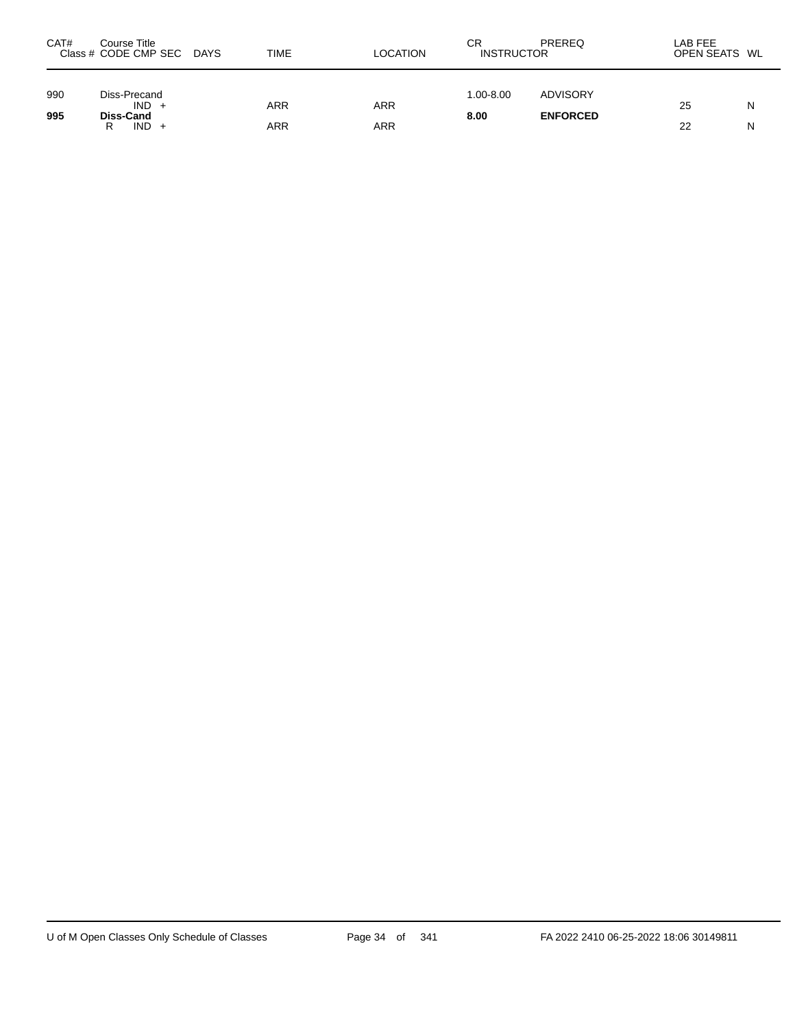| CAT#       | Course Title<br>Class # CODE CMP SEC DAYS            | TIME       | <b>LOCATION</b> | СR<br><b>INSTRUCTOR</b> | PREREQ                             | LAB FEE<br>OPEN SEATS WL |        |
|------------|------------------------------------------------------|------------|-----------------|-------------------------|------------------------------------|--------------------------|--------|
| 990<br>995 | Diss-Precand<br>$IND +$<br>Diss-Cand<br>$IND +$<br>R | ARR<br>ARR | ARR<br>ARR      | 1.00-8.00<br>8.00       | <b>ADVISORY</b><br><b>ENFORCED</b> | 25<br>22                 | N<br>N |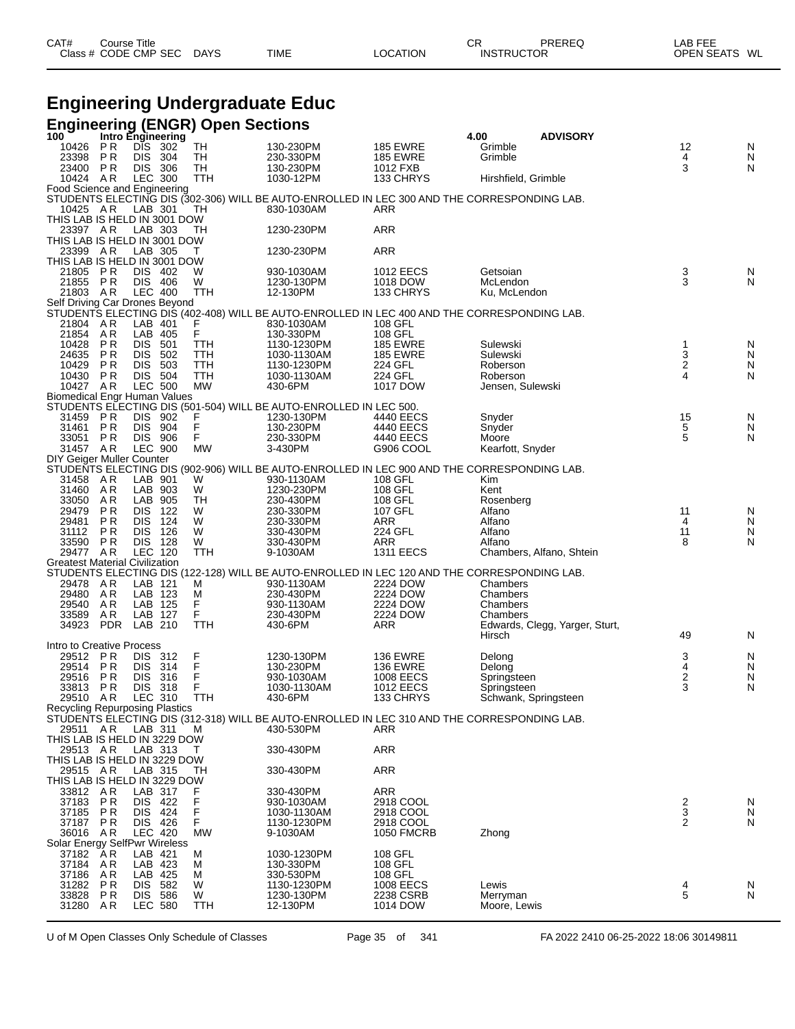| CAT# | ourse Titleٽ         |             |             |          | СR                | PREREQ | ∟AB FEE       |
|------|----------------------|-------------|-------------|----------|-------------------|--------|---------------|
|      | Class # CODE CMP SEC | <b>DAYS</b> | <b>TIME</b> | LOCATION | <b>INSTRUCTOR</b> |        | OPEN SEATS WL |

# **Engineering Undergraduate Educ**

|                                            |                        |                           |            | Engineering (ENGR) Open Sections<br>100 Intro Engineering |                                                                                                           |                                      |                            |                                |                  |                |
|--------------------------------------------|------------------------|---------------------------|------------|-----------------------------------------------------------|-----------------------------------------------------------------------------------------------------------|--------------------------------------|----------------------------|--------------------------------|------------------|----------------|
| 10426                                      | PR                     | DIS 302                   |            | TH                                                        | 130-230PM                                                                                                 | <b>185 EWRE</b>                      | 4.00<br>Grimble            | <b>ADVISORY</b>                | 12               | N              |
| 23398                                      | P R                    | <b>DIS</b>                | 304        | TН                                                        | 230-330PM                                                                                                 | <b>185 EWRE</b>                      | Grimble                    |                                | 4                | N              |
| 23400                                      | P R                    | <b>DIS</b>                | 306        | TН                                                        | 130-230PM                                                                                                 | 1012 FXB                             |                            |                                | 3                | N              |
| 10424 AR                                   |                        | <b>LEC 300</b>            |            | TTH                                                       | 1030-12PM                                                                                                 | 133 CHRYS                            | Hirshfield, Grimble        |                                |                  |                |
| Food Science and Engineering               |                        |                           |            |                                                           | STUDENTS ELECTING DIS (302-306) WILL BE AUTO-ENROLLED IN LEC 300 AND THE CORRESPONDING LAB.               |                                      |                            |                                |                  |                |
| 10425 AR                                   |                        | LAB 301                   |            | TН                                                        | 830-1030AM                                                                                                | ARR                                  |                            |                                |                  |                |
| THIS LAB IS HELD IN 3001 DOW               |                        |                           |            |                                                           |                                                                                                           |                                      |                            |                                |                  |                |
| 23397 AR                                   |                        | LAB 303                   |            | TН                                                        | 1230-230PM                                                                                                | ARR                                  |                            |                                |                  |                |
| THIS LAB IS HELD IN 3001 DOW<br>23399 AR   |                        | LAB 305                   |            | т                                                         | 1230-230PM                                                                                                | ARR                                  |                            |                                |                  |                |
| THIS LAB IS HELD IN 3001 DOW               |                        |                           |            |                                                           |                                                                                                           |                                      |                            |                                |                  |                |
| 21805                                      | P R                    | DIS.                      | 402        | W                                                         | 930-1030AM                                                                                                | <b>1012 EECS</b>                     | Getsoian                   |                                | 3                | N              |
| 21855                                      | P R                    | DIS 406                   |            | W                                                         | 1230-130PM                                                                                                | 1018 DOW                             | McLendon                   |                                | 3                | ${\sf N}$      |
| 21803 AR<br>Self Driving Car Drones Beyond |                        | <b>LEC 400</b>            |            | <b>TTH</b>                                                | 12-130PM                                                                                                  | 133 CHRYS                            | Ku. McLendon               |                                |                  |                |
|                                            |                        |                           |            |                                                           | STUDENTS ELECTING DIS (402-408) WILL BE AUTO-ENROLLED IN LEC 400 AND THE CORRESPONDING LAB.               |                                      |                            |                                |                  |                |
| 21804 AR                                   |                        | LAB 401                   |            |                                                           | 830-1030AM                                                                                                | 108 GFL                              |                            |                                |                  |                |
| 21854                                      | AR                     | LAB 405                   |            | F<br>F                                                    | 130-330PM                                                                                                 | 108 GFL                              |                            |                                |                  |                |
| 10428                                      | P <sub>R</sub>         | DIS.                      | 501        | TTH                                                       | 1130-1230PM                                                                                               | <b>185 EWRE</b>                      | Sulewski                   |                                | 1                | N              |
| 24635<br>10429                             | <b>PR</b><br><b>PR</b> | DIS.<br>DIS.              | 502<br>503 | TTH<br>TTH                                                | 1030-1130AM<br>1130-1230PM                                                                                | <b>185 EWRE</b><br>224 GFL           | Sulewski<br>Roberson       |                                | 3<br>$\mathbf 2$ | ${\sf N}$<br>N |
| 10430                                      | P R                    | DIS 504                   |            | TTH                                                       | 1030-1130AM                                                                                               | <b>224 GFL</b>                       | Roberson                   |                                | 4                | N              |
| 10427 AR                                   |                        | <b>LEC 500</b>            |            | <b>MW</b>                                                 | 430-6PM                                                                                                   | 1017 DOW                             | Jensen, Sulewski           |                                |                  |                |
| <b>Biomedical Engr Human Values</b>        |                        |                           |            |                                                           |                                                                                                           |                                      |                            |                                |                  |                |
| 31459 PR                                   |                        | DIS 902                   |            |                                                           | STUDENTS ELECTING DIS (501-504) WILL BE AUTO-ENROLLED IN LEC 500.<br>1230-130PM                           | 4440 EECS                            | Snyder                     |                                | 15               | N              |
| 31461 PR                                   |                        | <b>DIS</b>                | 904        | F<br>F                                                    | 130-230PM                                                                                                 | 4440 EECS                            | Snyder                     |                                | 5                | N              |
| 33051                                      | P R                    | <b>DIS 906</b>            |            | F                                                         | 230-330PM                                                                                                 | 4440 EECS                            | Moore                      |                                | 5                | N              |
| 31457 AR                                   |                        | <b>LEC 900</b>            |            | <b>MW</b>                                                 | 3-430PM                                                                                                   | G906 COOL                            | Kearfott, Snyder           |                                |                  |                |
| DIY Geiger Muller Counter                  |                        |                           |            |                                                           | STUDENTS ELECTING DIS (902-906) WILL BE AUTO-ENROLLED IN LEC 900 AND THE CORRESPONDING LAB.               |                                      |                            |                                |                  |                |
| 31458 AR                                   |                        | LAB 901                   |            | W                                                         | 930-1130AM                                                                                                | 108 GFL                              | Kim                        |                                |                  |                |
| 31460                                      | AR                     | LAB 903                   |            | W                                                         | 1230-230PM                                                                                                | 108 GFL                              | Kent                       |                                |                  |                |
| 33050                                      | A R                    | LAB 905                   |            | TH                                                        | 230-430PM                                                                                                 | 108 GFL                              | Rosenberg                  |                                |                  |                |
| 29479                                      | <b>PR</b><br><b>PR</b> | DIS.<br><b>DIS</b>        | 122        | W<br>W                                                    | 230-330PM                                                                                                 | 107 GFL                              | Alfano<br>Alfano           |                                | 11<br>4          | N<br>N         |
| 29481<br>31112                             | <b>PR</b>              | DIS.                      | 124<br>126 | W                                                         | 230-330PM<br>330-430PM                                                                                    | ARR<br>224 GFL                       | Alfano                     |                                | 11               | N              |
| 33590                                      | PR                     | <b>DIS</b>                | 128        | W                                                         | 330-430PM                                                                                                 | <b>ARR</b>                           | Alfano                     |                                | 8                | N              |
| 29477 AR                                   |                        | <b>LEC 120</b>            |            | TTH                                                       | 9-1030AM                                                                                                  | <b>1311 EECS</b>                     |                            | Chambers, Alfano, Shtein       |                  |                |
| <b>Greatest Material Civilization</b>      |                        |                           |            |                                                           |                                                                                                           |                                      |                            |                                |                  |                |
| 29478 AR                                   |                        | LAB 121                   |            | M                                                         | STUDENTS ELECTING DIS (122-128) WILL BE AUTO-ENROLLED IN LEC 120 AND THE CORRESPONDING LAB.<br>930-1130AM | 2224 DOW                             | Chambers                   |                                |                  |                |
| 29480                                      | AR                     | LAB 123                   |            | M                                                         | 230-430PM                                                                                                 | 2224 DOW                             | Chambers                   |                                |                  |                |
| 29540                                      | A R                    | LAB 125                   |            | F<br>F                                                    | 930-1130AM                                                                                                | 2224 DOW                             | Chambers                   |                                |                  |                |
| 33589                                      | AR.                    | LAB 127                   |            |                                                           | 230-430PM                                                                                                 | 2224 DOW                             | Chambers                   |                                |                  |                |
| 34923                                      | <b>PDR</b>             | LAB 210                   |            | TTH                                                       | 430-6PM                                                                                                   | ARR                                  | Hirsch                     | Edwards, Clegg, Yarger, Sturt, | 49               | N              |
| Intro to Creative Process                  |                        |                           |            |                                                           |                                                                                                           |                                      |                            |                                |                  |                |
| 29512                                      | P R                    | DIS 312                   |            | F                                                         | 1230-130PM                                                                                                | <b>136 EWRE</b>                      | Delong                     |                                | 3                | N              |
| 29514                                      | <b>PR</b>              | DIS.                      | 314        | .<br>F                                                    | 130-230PM                                                                                                 | <b>136 EWRE</b>                      | Delong                     |                                | 4                | N              |
| 29516<br>33813                             | PR<br>PR               | <b>DIS</b><br>DIS .       | 316<br>318 | F                                                         | 930-1030AM<br>1030-1130AM                                                                                 | <b>1008 EECS</b><br><b>1012 EECS</b> | Springsteen<br>Springsteen |                                | 2<br>3           | N<br>N         |
| 29510 AR                                   |                        | LEC 310                   |            | <b>TTH</b>                                                | 430-6PM                                                                                                   | 133 CHRYS                            | Schwank, Springsteen       |                                |                  |                |
| Recycling Repurposing Plastics             |                        |                           |            |                                                           |                                                                                                           |                                      |                            |                                |                  |                |
|                                            |                        |                           |            |                                                           | STUDENTS ELECTING DIS (312-318) WILL BE AUTO-ENROLLED IN LEC 310 AND THE CORRESPONDING LAB.               |                                      |                            |                                |                  |                |
| 29511 AR<br>THIS LAB IS HELD IN 3229 DOW   |                        | LAB 311                   |            | М                                                         | 430-530PM                                                                                                 | ARR                                  |                            |                                |                  |                |
| 29513 AR                                   |                        | LAB 313                   |            | т                                                         | 330-430PM                                                                                                 | <b>ARR</b>                           |                            |                                |                  |                |
| THIS LAB IS HELD IN 3229 DOW               |                        |                           |            |                                                           |                                                                                                           |                                      |                            |                                |                  |                |
| 29515 AR                                   |                        | LAB 315                   |            | TН                                                        | 330-430PM                                                                                                 | <b>ARR</b>                           |                            |                                |                  |                |
| THIS LAB IS HELD IN 3229 DOW               |                        |                           |            |                                                           |                                                                                                           |                                      |                            |                                |                  |                |
| 33812<br>37183                             | AR<br>P R              | LAB 317<br>DIS 422        |            | F                                                         | 330-430PM<br>930-1030AM                                                                                   | <b>ARR</b><br>2918 COOL              |                            |                                |                  | N              |
| 37185                                      | <b>PR</b>              | DIS 424                   |            | F                                                         | 1030-1130AM                                                                                               | 2918 COOL                            |                            |                                | $\frac{2}{3}$    | N              |
| 37187 PR                                   |                        | DIS 426                   |            | F                                                         | 1130-1230PM                                                                                               | 2918 COOL                            |                            |                                |                  | N              |
| 36016 AR                                   |                        | <b>LEC 420</b>            |            | <b>MW</b>                                                 | 9-1030AM                                                                                                  | <b>1050 FMCRB</b>                    | Zhong                      |                                |                  |                |
| Solar Energy SelfPwr Wireless              |                        |                           |            |                                                           | 1030-1230PM                                                                                               | 108 GFL                              |                            |                                |                  |                |
| 37182<br>37184                             | AR<br>AR               | LAB 421<br>LAB 423        |            | М<br>М                                                    | 130-330PM                                                                                                 | 108 GFL                              |                            |                                |                  |                |
| 37186                                      | AR                     | LAB 425                   |            | M                                                         | 330-530PM                                                                                                 | 108 GFL                              |                            |                                |                  |                |
| 31282                                      | PR                     | <b>DIS</b>                | 582        | W                                                         | 1130-1230PM                                                                                               | <b>1008 EECS</b>                     | Lewis                      |                                | 4                | N              |
| 33828                                      | P R                    | DIS 586<br><b>LEC 580</b> |            | W                                                         | 1230-130PM                                                                                                | 2238 CSRB<br>1014 DOW                | Merryman                   |                                | 5                | $\mathsf{N}$   |
| 31280                                      | A R                    |                           |            | TTH                                                       | 12-130PM                                                                                                  |                                      | Moore, Lewis               |                                |                  |                |

U of M Open Classes Only Schedule of Classes Page 35 of 341 FA 2022 2410 06-25-2022 18:06 30149811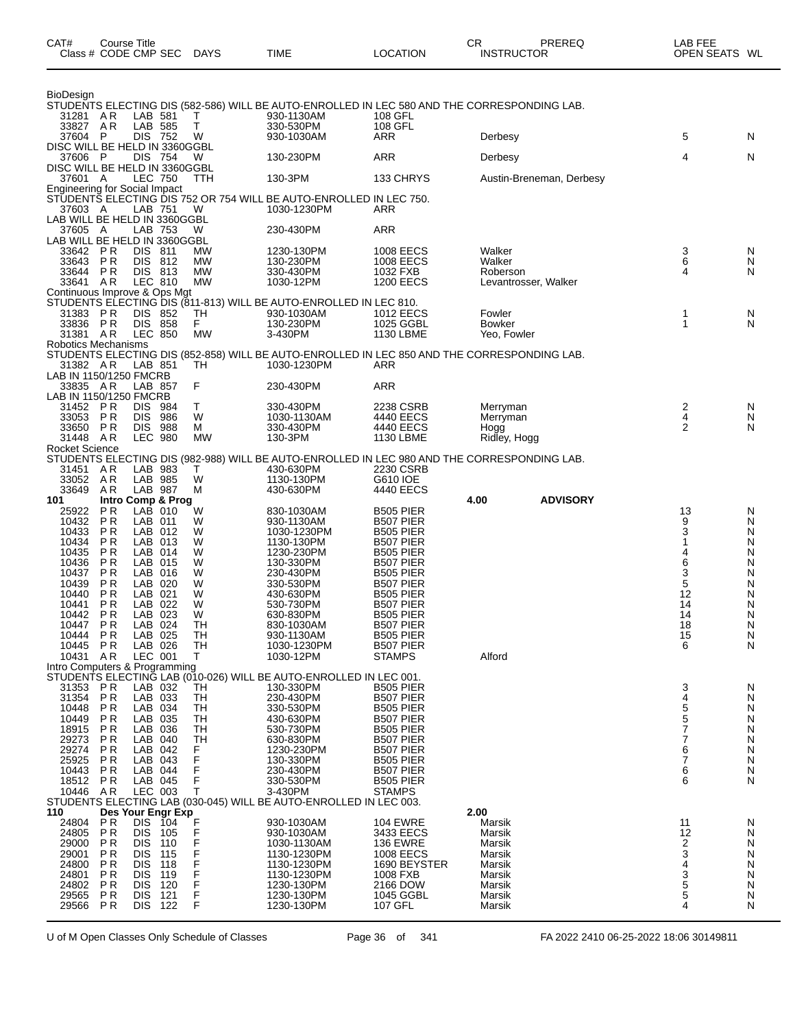| CAT#                  | Course Title<br>Class # CODE CMP SEC              |                              | <b>DAYS</b> | TIME                                                                                                               | <b>LOCATION</b>                      | CR<br><b>INSTRUCTOR</b> | PREREQ                   | LAB FEE<br>OPEN SEATS WL |        |
|-----------------------|---------------------------------------------------|------------------------------|-------------|--------------------------------------------------------------------------------------------------------------------|--------------------------------------|-------------------------|--------------------------|--------------------------|--------|
| <b>BioDesign</b>      |                                                   |                              |             |                                                                                                                    |                                      |                         |                          |                          |        |
| 31281 AR              |                                                   | LAB 581                      | т           | STUDENTS ELECTING DIS (582-586) WILL BE AUTO-ENROLLED IN LEC 580 AND THE CORRESPONDING LAB.<br>930-1130AM          | 108 GFL                              |                         |                          |                          |        |
| 33827 AR<br>37604 P   |                                                   | LAB 585<br>DIS 752           | $\top$<br>W | 330-530PM<br>930-1030AM                                                                                            | 108 GFL<br>ARR                       | Derbesy                 |                          | 5                        | N      |
|                       | DISC WILL BE HELD IN 3360GGBL                     |                              |             |                                                                                                                    |                                      |                         |                          |                          |        |
| 37606                 | - P<br>DISC WILL BE HELD IN 3360GGBL              | DIS 754                      | W           | 130-230PM                                                                                                          | <b>ARR</b>                           | Derbesy                 |                          | 4                        | N      |
| 37601 A               |                                                   | <b>LEC 750</b>               | TTH         | 130-3PM                                                                                                            | 133 CHRYS                            |                         | Austin-Breneman, Derbesy |                          |        |
| 37603 A               | LAB WILL BE HELD IN 3360GGBL                      | LAB 751                      | W           | Engineering for Social Impact<br>STUDENTS ELECTING DIS 752 OR 754 WILL BE AUTO-ENROLLED IN LEC 750.<br>1030-1230PM | ARR                                  |                         |                          |                          |        |
| 37605                 | - A<br>LAB WILL BE HELD IN 3360GGBL               | LAB 753                      | W           | 230-430PM                                                                                                          | <b>ARR</b>                           |                         |                          |                          |        |
| 33642<br>33643        | P R<br><b>PR</b>                                  | DIS.<br>-811<br>DIS 812      | МW<br>MW    | 1230-130PM<br>130-230PM                                                                                            | 1008 EECS<br>1008 EECS               | Walker<br>Walker        |                          | $\frac{3}{6}$            | N<br>N |
| 33644                 | P R                                               | DIS 813                      | MW          | 330-430PM                                                                                                          | 1032 FXB                             | Roberson                |                          | 4                        | N      |
| 33641 AR              | Continuous Improve & Ops Mgt                      | LEC 810                      | <b>MW</b>   | 1030-12PM                                                                                                          | <b>1200 EECS</b>                     |                         | Levantrosser, Walker     |                          |        |
|                       |                                                   |                              |             | STUDENTS ELECTING DIS (811-813) WILL BE AUTO-ENROLLED IN LEC 810.                                                  |                                      |                         |                          |                          |        |
| 31383 PR<br>33836 PR  | <b>DIS</b>                                        | 852<br><b>DIS</b><br>858     | TН<br>F.    | 930-1030AM<br>130-230PM                                                                                            | <b>1012 EECS</b><br>1025 GGBL        | Fowler<br><b>Bowker</b> |                          | 1<br>1                   | N<br>N |
| 31381 AR              | Robotics Mechanisms                               | <b>LEC 850</b>               | МW          | 3-430PM                                                                                                            | 1130 LBME                            | Yeo, Fowler             |                          |                          |        |
|                       |                                                   |                              |             | STUDENTS ELECTING DIS (852-858) WILL BE AUTO-ENROLLED IN LEC 850 AND THE CORRESPONDING LAB.                        |                                      |                         |                          |                          |        |
| 31382 AR              | LAB IN 1150/1250 FMCRB                            | LAB 851                      | TH          | 1030-1230PM                                                                                                        | ARR                                  |                         |                          |                          |        |
| 33835 AR              | LAB IN 1150/1250 FMCRB                            | LAB 857                      | F           | 230-430PM                                                                                                          | <b>ARR</b>                           |                         |                          |                          |        |
| 31452                 | PR<br>DIS.                                        | 984                          | т           | 330-430PM                                                                                                          | 2238 CSRB                            | Merryman                |                          | $\frac{2}{4}$            | N      |
| 33053<br>33650        | <b>DIS</b><br><b>PR</b><br>P R                    | 986<br>DIS.<br>988           | W<br>М      | 1030-1130AM<br>330-430PM                                                                                           | 4440 EECS<br>4440 EECS               | Merryman<br>Hogg        |                          | $\overline{2}$           | N<br>N |
| 31448                 | AR                                                | <b>LEC 980</b>               | <b>MW</b>   | 130-3PM                                                                                                            | 1130 LBME                            | Ridley, Hogg            |                          |                          |        |
| <b>Rocket Science</b> |                                                   |                              |             | STUDENTS ELECTING DIS (982-988) WILL BE AUTO-ENROLLED IN LEC 980 AND THE CORRESPONDING LAB.                        |                                      |                         |                          |                          |        |
| 31451<br>33052        | AR<br>AR                                          | LAB 983<br>LAB 985           | Τ<br>W      | 430-630PM<br>1130-130PM                                                                                            | 2230 CSRB<br>G610 IOE                |                         |                          |                          |        |
| 33649                 | A R                                               | LAB 987                      | м           | 430-630PM                                                                                                          | 4440 EECS                            |                         |                          |                          |        |
| 101<br>25922          | P R                                               | Intro Comp & Prog<br>LAB 010 | W           | 830-1030AM                                                                                                         | <b>B505 PIER</b>                     | 4.00                    | <b>ADVISORY</b>          | 13                       | N      |
| 10432                 | P R                                               | LAB 011                      | W           | 930-1130AM                                                                                                         | B507 PIER                            |                         |                          | 9                        | N      |
| 10433<br>10434        | <b>PR</b><br>P R                                  | LAB 012<br>LAB 013           | W<br>W      | 1030-1230PM<br>1130-130PM                                                                                          | <b>B505 PIER</b><br>B507 PIER        |                         |                          | 3                        | N<br>N |
| 10435<br>10436        | P R<br><b>PR</b>                                  | LAB 014<br>LAB 015           | W<br>W      | 1230-230PM<br>130-330PM                                                                                            | <b>B505 PIER</b><br>B507 PIER        |                         |                          | 4                        | N<br>N |
| 10437                 | P R                                               | LAB 016                      | W           | 230-430PM                                                                                                          | <b>B505 PIER</b>                     |                         |                          | 6<br>3                   | N      |
| 10439<br>10440        | P R<br>P <sub>R</sub>                             | LAB 020<br>LAB 021           | W<br>W      | 330-530PM<br>430-630PM                                                                                             | B507 PIER<br><b>B505 PIER</b>        |                         |                          | 5<br>12                  | N<br>N |
| 10441                 | P R                                               | LAB 022                      | W           | 530-730PM                                                                                                          | B507 PIER                            |                         |                          | 14                       | N      |
| 10442 PR<br>10447 PR  |                                                   | LAB 023<br>LAB 024           | W<br>TH     | 630-830PM<br>830-1030AM                                                                                            | B505 PIER<br>B507 PIER               |                         |                          | 14<br>18                 | N<br>N |
| 10444                 | PR                                                | LAB 025                      | TН          | 930-1130AM                                                                                                         | <b>B505 PIER</b>                     |                         |                          | 15                       | N      |
| 10445<br>10431        | PR<br>AR                                          | LAB 026<br>LEC 001           | TН<br>T     | 1030-1230PM<br>1030-12PM                                                                                           | <b>B507 PIER</b><br><b>STAMPS</b>    | Alford                  |                          | 6                        | N      |
|                       | Intro Computers & Programming                     |                              |             | STUDENTS ELECTING LAB (010-026) WILL BE AUTO-ENROLLED IN LEC 001.                                                  |                                      |                         |                          |                          |        |
| 31353 PR              |                                                   | LAB 032                      | TН          | 130-330PM                                                                                                          | <b>B505 PIER</b>                     |                         |                          | 3                        | N      |
| 31354<br>10448        | PR<br>P R                                         | LAB 033<br>LAB 034           | TH<br>TН    | 230-430PM<br>330-530PM                                                                                             | B507 PIER<br><b>B505 PIER</b>        |                         |                          | 4<br>5                   | N<br>N |
| 10449                 | P <sub>R</sub>                                    | LAB 035                      | TH          | 430-630PM                                                                                                          | B507 PIER                            |                         |                          | 5                        | N      |
| 18915<br>29273        | P R<br>P R                                        | LAB 036<br>LAB 040           | TН<br>TН    | 530-730PM<br>630-830PM                                                                                             | <b>B505 PIER</b><br>B507 PIER        |                         |                          | 7<br>7                   | N<br>N |
| 29274                 | P <sub>R</sub>                                    | LAB 042                      | F           | 1230-230PM                                                                                                         | B507 PIER                            |                         |                          | 6                        | N      |
| 25925<br>10443        | P R<br>P R                                        | LAB 043<br>LAB 044           | F<br>F      | 130-330PM<br>230-430PM                                                                                             | <b>B505 PIER</b><br><b>B507 PIER</b> |                         |                          | 7<br>6                   | N<br>N |
| 18512<br>10446        | P R<br>AR                                         | LAB 045<br>LEC 003           | т           | 330-530PM<br>3-430PM                                                                                               | <b>B505 PIER</b><br><b>STAMPS</b>    |                         |                          | 6                        | N      |
|                       |                                                   |                              |             | STUDENTS ELECTING LAB (030-045) WILL BE AUTO-ENROLLED IN LEC 003.                                                  |                                      |                         |                          |                          |        |
| 110<br>24804          | Des Your Engr Exp<br>PR                           | T04<br><b>DIS</b>            | F           | 930-1030AM                                                                                                         | <b>104 EWRE</b>                      | 2.00<br>Marsik          |                          | 11                       | N      |
| 24805                 | P R                                               | DIS.<br>105                  | F           | 930-1030AM                                                                                                         | 3433 EECS                            | Marsik                  |                          | 12                       | N      |
| 29000<br>29001        | <b>DIS</b><br>P R<br><b>DIS</b><br>P R            | 110<br>115                   | F           | 1030-1130AM<br>1130-1230PM                                                                                         | <b>136 EWRE</b><br><b>1008 EECS</b>  | Marsik<br>Marsik        |                          | 2<br>3                   | N<br>N |
| 24800                 | P R<br><b>DIS</b>                                 | 118                          |             | 1130-1230PM                                                                                                        | 1690 BEYSTER                         | Marsik                  |                          | 4                        | N      |
| 24801<br>24802        | P <sub>R</sub><br><b>DIS</b><br><b>DIS</b><br>P R | 119<br>120                   | F           | 1130-1230PM<br>1230-130PM                                                                                          | 1008 FXB<br>2166 DOW                 | Marsik<br>Marsik        |                          | 3                        | N<br>N |
| 29565<br>29566        | P R<br>DIS.<br>PR                                 | 121<br>DIS 122               | F<br>F      | 1230-130PM<br>1230-130PM                                                                                           | 1045 GGBL<br>107 GFL                 | Marsik                  |                          | $\frac{5}{5}$<br>4       | N<br>N |
|                       |                                                   |                              |             |                                                                                                                    |                                      | Marsik                  |                          |                          |        |

U of M Open Classes Only Schedule of Classes Page 36 of 341 FA 2022 2410 06-25-2022 18:06 30149811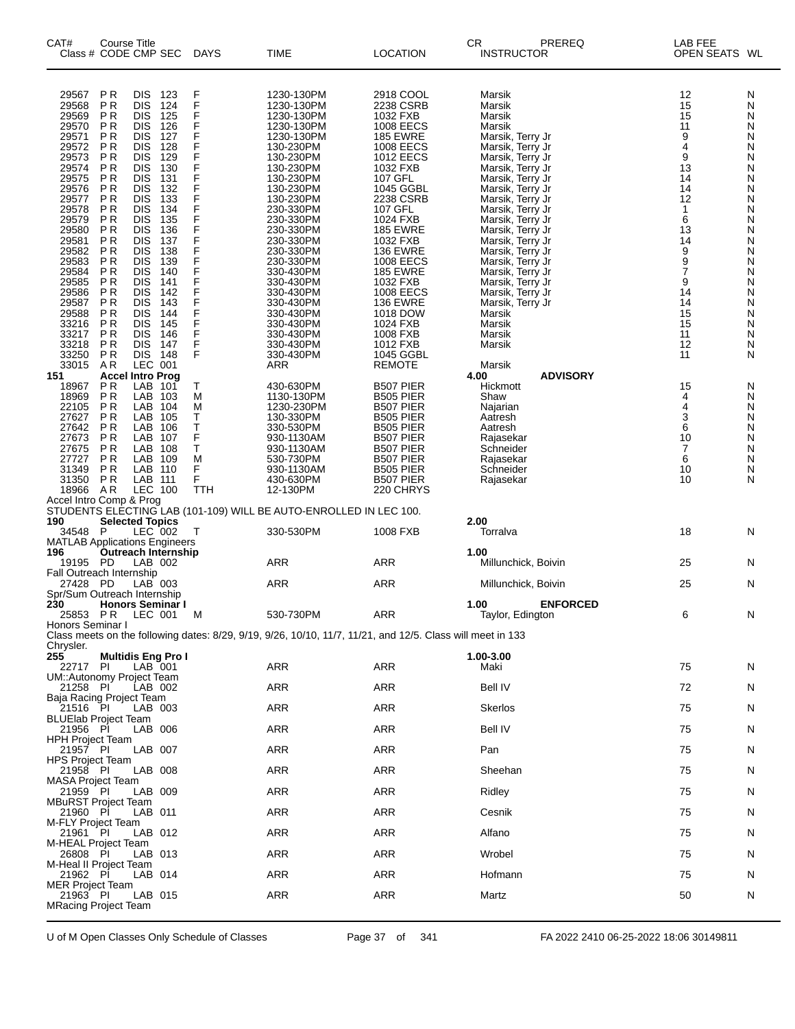| 29567<br><b>PR</b><br><b>DIS</b><br>123<br>F<br>1230-130PM<br>2918 COOL<br>Marsik<br>12<br>N<br>F<br>29568<br>ΡR<br><b>DIS</b><br>124<br>15<br>1230-130PM<br>2238 CSRB<br>Marsik<br>N<br>F<br>29569<br>P <sub>R</sub><br><b>DIS</b><br>125<br>1230-130PM<br>1032 FXB<br>15<br>Marsik<br>N<br>F<br>29570<br>P <sub>R</sub><br><b>DIS</b><br>126<br>1230-130PM<br>1008 EECS<br>Marsik<br>11<br>N<br>F<br>9<br>29571<br>ΡR<br><b>DIS</b><br>127<br>1230-130PM<br><b>185 EWRE</b><br>Marsik, Terry Jr<br>N<br>F<br>4<br>29572<br>ΡR<br><b>DIS</b><br>128<br>1008 EECS<br>130-230PM<br>Marsik, Terry Jr<br>N<br>F<br>29573<br>9<br>ΡR<br><b>DIS</b><br>129<br>130-230PM<br><b>1012 EECS</b><br>Marsik, Terry Jr<br>N<br>F<br>29574<br>P R<br><b>DIS</b><br>130<br>130-230PM<br>1032 FXB<br>Marsik, Terry Jr<br>13<br>N<br>F<br>29575<br>ΡR<br><b>DIS</b><br>131<br>107 GFL<br>130-230PM<br>Marsik, Terry Jr<br>14<br>N<br>F<br>29576<br>ΡR<br>132<br><b>DIS</b><br>130-230PM<br>1045 GGBL<br>14<br>N<br>Marsik, Terry Jr<br>F<br>29577<br>ΡR<br><b>DIS</b><br>133<br>130-230PM<br>2238 CSRB<br>Marsik, Terry Jr<br>12<br>N<br>F<br>29578<br>ΡR<br><b>DIS</b><br>134<br>107 GFL<br>230-330PM<br>1<br>N<br>Marsik, Terry Jr<br>F<br>29579<br>P <sub>R</sub><br>135<br>6<br><b>DIS</b><br>230-330PM<br>1024 FXB<br>Marsik, Terry Jr<br>N<br>F<br>29580<br>P R<br><b>DIS</b><br>136<br>230-330PM<br><b>185 EWRE</b><br>Marsik, Terry Jr<br>13<br>N<br>F<br>29581<br>P <sub>R</sub><br><b>DIS</b><br>137<br>14<br>230-330PM<br>1032 FXB<br>Marsik, Terry Jr<br>N<br>F<br>9<br>29582<br>P <sub>R</sub><br>138<br><b>DIS</b><br>230-330PM<br><b>136 EWRE</b><br>N<br>Marsik, Terry Jr<br>$\frac{9}{7}$<br>29583<br>F<br>P <sub>R</sub><br><b>DIS</b><br>139<br>230-330PM<br><b>1008 EECS</b><br>Marsik, Terry Jr<br>N<br>F<br>29584<br>P <sub>R</sub><br><b>DIS</b><br>140<br>330-430PM<br><b>185 EWRE</b><br>Marsik, Terry Jr<br>N<br>F<br>29585<br>9<br>P <sub>R</sub><br>141<br><b>DIS</b><br>330-430PM<br>1032 FXB<br>N<br>Marsik, Terry Jr<br>29586<br>F<br>P R<br><b>DIS</b><br>142<br>330-430PM<br>1008 EECS<br>Marsik, Terry Jr<br>14<br>N<br>F<br>29587<br>ΡR<br><b>DIS</b><br>143<br>330-430PM<br><b>136 EWRE</b><br>Marsik, Terry Jr<br>14<br>N<br>F<br>29588<br>P <sub>R</sub><br>15<br><b>DIS</b><br>144<br>330-430PM<br>1018 DOW<br>N<br>Marsik<br>F<br>33216<br>ΡR<br>DIS.<br>145<br>330-430PM<br>1024 FXB<br>Marsik<br>15<br>N<br>F<br>33217<br>P <sub>R</sub><br><b>DIS</b><br>146<br>330-430PM<br>1008 FXB<br>Marsik<br>11<br>N<br>F<br>33218<br>P <sub>R</sub><br><b>DIS</b><br>147<br>12<br>330-430PM<br>1012 FXB<br>Marsik<br>N<br>F<br>P <sub>R</sub><br>33250<br>DIS.<br>148<br>330-430PM<br>1045 GGBL<br>11<br>N<br>LEC 001<br>33015<br>ARR<br><b>REMOTE</b><br>A R<br>Marsik<br><b>ADVISORY</b><br>151<br><b>Accel Intro Prog</b><br>4.00<br>B507 PIER<br>15<br>18967<br>P R<br>LAB<br>101<br>т<br>430-630PM<br>Hickmott<br>N<br>18969<br><b>PR</b><br>LAB<br>1130-130PM<br><b>B505 PIER</b><br>4<br>103<br>M<br>Shaw<br>N<br>4<br>22105<br>P <sub>R</sub><br>LAB<br>104<br>M<br>1230-230PM<br>B507 PIER<br>Najarian<br>N<br>3<br>т<br>27627<br>P R<br>LAB<br>105<br>130-330PM<br><b>B505 PIER</b><br>N<br>Aatresh<br>6<br>27642<br><b>PR</b><br>LAB<br>Т<br>330-530PM<br><b>B505 PIER</b><br>106<br>N<br>Aatresh<br>F<br>27673<br><b>PR</b><br>10<br>LAB<br>107<br>930-1130AM<br>B507 PIER<br>Rajasekar<br>N<br>T<br>P <sub>R</sub><br>7<br>27675<br>LAB<br>108<br>930-1130AM<br>B507 PIER<br>Schneider<br>N<br>27727<br>P <sub>R</sub><br>LAB<br>B507 PIER<br>109<br>М<br>530-730PM<br>6<br>N<br>Rajasekar<br>F<br>P <sub>R</sub><br>31349<br>LAB 110<br>930-1130AM<br><b>B505 PIER</b><br>Schneider<br>10<br>N<br>F<br>31350<br>P <sub>R</sub><br>LAB 111<br>430-630PM<br>B507 PIER<br>Rajasekar<br>10<br>N<br>LEC 100<br>18966<br>AR<br>TTH<br>12-130PM<br>220 CHRYS<br>Accel Intro Comp & Prog<br>STUDENTS ELECTING LAB (101-109) WILL BE AUTO-ENROLLED IN LEC 100.<br>2.00<br><b>Selected Topics</b><br>LEC 002<br>18<br>P<br>330-530PM<br>1008 FXB<br>Torralva<br>34548<br>Т<br>N<br><b>MATLAB Applications Engineers</b><br>1.00<br><b>Outreach Internship</b><br><b>ARR</b><br><b>ARR</b><br>25<br>PD<br>LAB 002<br>19195<br>Millunchick, Boivin<br>N<br><b>Fall Outreach Internship</b><br>27428<br>LAB 003<br><b>ARR</b><br><b>ARR</b><br>PD<br>Millunchick, Boivin<br>25<br>N<br>Spr/Sum Outreach Internship<br><b>ENFORCED</b><br><b>Honors Seminar I</b><br>1.00<br><b>ARR</b><br>25853<br><b>PR LEC 001</b><br>530-730PM<br>Taylor, Edington<br>6<br>M<br>N<br>Honors Seminar I<br>Class meets on the following dates: 8/29, 9/19, 9/26, 10/10, 11/7, 11/21, and 12/5. Class will meet in 133<br>Chrysler.<br>1.00-3.00<br><b>Multidis Eng Pro I</b><br>ARR<br>75<br>22717 PI<br>LAB 001<br>ARR<br>Maki<br>N<br>UM::Autonomy Project Team<br>ARR<br>ARR<br><b>Bell IV</b><br>72<br>21258 PI<br>LAB 002<br>N<br>Baja Racing Project Team<br><b>ARR</b><br>ARR<br><b>Skerlos</b><br>21516 PI<br>75<br>LAB 003<br>N<br><b>BLUElab Project Team</b><br>ARR<br>ARR<br><b>Bell IV</b><br>21956 PI<br>LAB 006<br>75<br>N<br>HPH Project Team<br>ARR<br>21957 PI<br>LAB 007<br>ARR<br>Pan<br>75<br>N<br><b>HPS Project Team</b><br><b>ARR</b><br>ARR<br>Sheehan<br>21958 PI<br>LAB 008<br>75<br>N<br><b>MASA Project Team</b><br>ARR<br>ARR<br>21959 PI<br>LAB 009<br>Ridley<br>75<br>N<br><b>MBuRST Project Team</b><br>ARR<br>ARR<br>21960 PI<br>LAB 011<br>Cesnik<br>75<br>N<br>M-FLY Project Team<br><b>ARR</b><br>ARR<br>21961 PI<br>LAB 012<br>Alfano<br>75<br>N<br>M-HEAL Project Team<br>ARR<br>ARR<br>26808 PI<br>LAB 013<br>Wrobel<br>75<br>N<br>M-Heal II Project Team<br>ARR<br>21962 PI<br>ARR<br>Hofmann<br>75<br>LAB 014<br>N<br><b>MER Project Team</b><br><b>ARR</b><br>ARR<br>Martz<br>21963 PI<br>LAB 015<br>50<br>N<br><b>MRacing Project Team</b> | CAT# | Course Title<br>Class # CODE CMP SEC |  | <b>DAYS</b> | TIME | <b>LOCATION</b> | СR<br><b>INSTRUCTOR</b> | PREREQ | LAB FEE<br>OPEN SEATS WL |  |
|--------------------------------------------------------------------------------------------------------------------------------------------------------------------------------------------------------------------------------------------------------------------------------------------------------------------------------------------------------------------------------------------------------------------------------------------------------------------------------------------------------------------------------------------------------------------------------------------------------------------------------------------------------------------------------------------------------------------------------------------------------------------------------------------------------------------------------------------------------------------------------------------------------------------------------------------------------------------------------------------------------------------------------------------------------------------------------------------------------------------------------------------------------------------------------------------------------------------------------------------------------------------------------------------------------------------------------------------------------------------------------------------------------------------------------------------------------------------------------------------------------------------------------------------------------------------------------------------------------------------------------------------------------------------------------------------------------------------------------------------------------------------------------------------------------------------------------------------------------------------------------------------------------------------------------------------------------------------------------------------------------------------------------------------------------------------------------------------------------------------------------------------------------------------------------------------------------------------------------------------------------------------------------------------------------------------------------------------------------------------------------------------------------------------------------------------------------------------------------------------------------------------------------------------------------------------------------------------------------------------------------------------------------------------------------------------------------------------------------------------------------------------------------------------------------------------------------------------------------------------------------------------------------------------------------------------------------------------------------------------------------------------------------------------------------------------------------------------------------------------------------------------------------------------------------------------------------------------------------------------------------------------------------------------------------------------------------------------------------------------------------------------------------------------------------------------------------------------------------------------------------------------------------------------------------------------------------------------------------------------------------------------------------------------------------------------------------------------------------------------------------------------------------------------------------------------------------------------------------------------------------------------------------------------------------------------------------------------------------------------------------------------------------------------------------------------------------------------------------------------------------------------------------------------------------------------------------------------------------------------------------------------------------------------------------------------------------------------------------------------------------------------------------------------------------------------------------------------------------------------------------------------------------------------------------------------------------------------------------------------------------------------------------------------------------------------------------------------------------------------------------------------------------------------------------------------------------------------------------------------------------------------------------------------------------------------------------------------------------------------------------------------------------------------------------------------------------------------------------------------------------------------------------------------------------------------------------------------------------------------------------------------------------------------------------------------------------------------------------------------------------------------------------------------------------------------------------------------------------------------------------------------------------------------------------------------------------------------------------------------------------------------------------------------------------------------------------------------------------------------------------------------------------------------------------------------------------------------------------------------------------------------|------|--------------------------------------|--|-------------|------|-----------------|-------------------------|--------|--------------------------|--|
|                                                                                                                                                                                                                                                                                                                                                                                                                                                                                                                                                                                                                                                                                                                                                                                                                                                                                                                                                                                                                                                                                                                                                                                                                                                                                                                                                                                                                                                                                                                                                                                                                                                                                                                                                                                                                                                                                                                                                                                                                                                                                                                                                                                                                                                                                                                                                                                                                                                                                                                                                                                                                                                                                                                                                                                                                                                                                                                                                                                                                                                                                                                                                                                                                                                                                                                                                                                                                                                                                                                                                                                                                                                                                                                                                                                                                                                                                                                                                                                                                                                                                                                                                                                                                                                                                                                                                                                                                                                                                                                                                                                                                                                                                                                                                                                                                                                                                                                                                                                                                                                                                                                                                                                                                                                                                                                                                                                                                                                                                                                                                                                                                                                                                                                                                                                                                                                                                            |      |                                      |  |             |      |                 |                         |        |                          |  |
|                                                                                                                                                                                                                                                                                                                                                                                                                                                                                                                                                                                                                                                                                                                                                                                                                                                                                                                                                                                                                                                                                                                                                                                                                                                                                                                                                                                                                                                                                                                                                                                                                                                                                                                                                                                                                                                                                                                                                                                                                                                                                                                                                                                                                                                                                                                                                                                                                                                                                                                                                                                                                                                                                                                                                                                                                                                                                                                                                                                                                                                                                                                                                                                                                                                                                                                                                                                                                                                                                                                                                                                                                                                                                                                                                                                                                                                                                                                                                                                                                                                                                                                                                                                                                                                                                                                                                                                                                                                                                                                                                                                                                                                                                                                                                                                                                                                                                                                                                                                                                                                                                                                                                                                                                                                                                                                                                                                                                                                                                                                                                                                                                                                                                                                                                                                                                                                                                            |      |                                      |  |             |      |                 |                         |        |                          |  |
|                                                                                                                                                                                                                                                                                                                                                                                                                                                                                                                                                                                                                                                                                                                                                                                                                                                                                                                                                                                                                                                                                                                                                                                                                                                                                                                                                                                                                                                                                                                                                                                                                                                                                                                                                                                                                                                                                                                                                                                                                                                                                                                                                                                                                                                                                                                                                                                                                                                                                                                                                                                                                                                                                                                                                                                                                                                                                                                                                                                                                                                                                                                                                                                                                                                                                                                                                                                                                                                                                                                                                                                                                                                                                                                                                                                                                                                                                                                                                                                                                                                                                                                                                                                                                                                                                                                                                                                                                                                                                                                                                                                                                                                                                                                                                                                                                                                                                                                                                                                                                                                                                                                                                                                                                                                                                                                                                                                                                                                                                                                                                                                                                                                                                                                                                                                                                                                                                            |      |                                      |  |             |      |                 |                         |        |                          |  |
|                                                                                                                                                                                                                                                                                                                                                                                                                                                                                                                                                                                                                                                                                                                                                                                                                                                                                                                                                                                                                                                                                                                                                                                                                                                                                                                                                                                                                                                                                                                                                                                                                                                                                                                                                                                                                                                                                                                                                                                                                                                                                                                                                                                                                                                                                                                                                                                                                                                                                                                                                                                                                                                                                                                                                                                                                                                                                                                                                                                                                                                                                                                                                                                                                                                                                                                                                                                                                                                                                                                                                                                                                                                                                                                                                                                                                                                                                                                                                                                                                                                                                                                                                                                                                                                                                                                                                                                                                                                                                                                                                                                                                                                                                                                                                                                                                                                                                                                                                                                                                                                                                                                                                                                                                                                                                                                                                                                                                                                                                                                                                                                                                                                                                                                                                                                                                                                                                            |      |                                      |  |             |      |                 |                         |        |                          |  |
|                                                                                                                                                                                                                                                                                                                                                                                                                                                                                                                                                                                                                                                                                                                                                                                                                                                                                                                                                                                                                                                                                                                                                                                                                                                                                                                                                                                                                                                                                                                                                                                                                                                                                                                                                                                                                                                                                                                                                                                                                                                                                                                                                                                                                                                                                                                                                                                                                                                                                                                                                                                                                                                                                                                                                                                                                                                                                                                                                                                                                                                                                                                                                                                                                                                                                                                                                                                                                                                                                                                                                                                                                                                                                                                                                                                                                                                                                                                                                                                                                                                                                                                                                                                                                                                                                                                                                                                                                                                                                                                                                                                                                                                                                                                                                                                                                                                                                                                                                                                                                                                                                                                                                                                                                                                                                                                                                                                                                                                                                                                                                                                                                                                                                                                                                                                                                                                                                            |      |                                      |  |             |      |                 |                         |        |                          |  |
|                                                                                                                                                                                                                                                                                                                                                                                                                                                                                                                                                                                                                                                                                                                                                                                                                                                                                                                                                                                                                                                                                                                                                                                                                                                                                                                                                                                                                                                                                                                                                                                                                                                                                                                                                                                                                                                                                                                                                                                                                                                                                                                                                                                                                                                                                                                                                                                                                                                                                                                                                                                                                                                                                                                                                                                                                                                                                                                                                                                                                                                                                                                                                                                                                                                                                                                                                                                                                                                                                                                                                                                                                                                                                                                                                                                                                                                                                                                                                                                                                                                                                                                                                                                                                                                                                                                                                                                                                                                                                                                                                                                                                                                                                                                                                                                                                                                                                                                                                                                                                                                                                                                                                                                                                                                                                                                                                                                                                                                                                                                                                                                                                                                                                                                                                                                                                                                                                            |      |                                      |  |             |      |                 |                         |        |                          |  |
|                                                                                                                                                                                                                                                                                                                                                                                                                                                                                                                                                                                                                                                                                                                                                                                                                                                                                                                                                                                                                                                                                                                                                                                                                                                                                                                                                                                                                                                                                                                                                                                                                                                                                                                                                                                                                                                                                                                                                                                                                                                                                                                                                                                                                                                                                                                                                                                                                                                                                                                                                                                                                                                                                                                                                                                                                                                                                                                                                                                                                                                                                                                                                                                                                                                                                                                                                                                                                                                                                                                                                                                                                                                                                                                                                                                                                                                                                                                                                                                                                                                                                                                                                                                                                                                                                                                                                                                                                                                                                                                                                                                                                                                                                                                                                                                                                                                                                                                                                                                                                                                                                                                                                                                                                                                                                                                                                                                                                                                                                                                                                                                                                                                                                                                                                                                                                                                                                            |      |                                      |  |             |      |                 |                         |        |                          |  |
|                                                                                                                                                                                                                                                                                                                                                                                                                                                                                                                                                                                                                                                                                                                                                                                                                                                                                                                                                                                                                                                                                                                                                                                                                                                                                                                                                                                                                                                                                                                                                                                                                                                                                                                                                                                                                                                                                                                                                                                                                                                                                                                                                                                                                                                                                                                                                                                                                                                                                                                                                                                                                                                                                                                                                                                                                                                                                                                                                                                                                                                                                                                                                                                                                                                                                                                                                                                                                                                                                                                                                                                                                                                                                                                                                                                                                                                                                                                                                                                                                                                                                                                                                                                                                                                                                                                                                                                                                                                                                                                                                                                                                                                                                                                                                                                                                                                                                                                                                                                                                                                                                                                                                                                                                                                                                                                                                                                                                                                                                                                                                                                                                                                                                                                                                                                                                                                                                            |      |                                      |  |             |      |                 |                         |        |                          |  |
|                                                                                                                                                                                                                                                                                                                                                                                                                                                                                                                                                                                                                                                                                                                                                                                                                                                                                                                                                                                                                                                                                                                                                                                                                                                                                                                                                                                                                                                                                                                                                                                                                                                                                                                                                                                                                                                                                                                                                                                                                                                                                                                                                                                                                                                                                                                                                                                                                                                                                                                                                                                                                                                                                                                                                                                                                                                                                                                                                                                                                                                                                                                                                                                                                                                                                                                                                                                                                                                                                                                                                                                                                                                                                                                                                                                                                                                                                                                                                                                                                                                                                                                                                                                                                                                                                                                                                                                                                                                                                                                                                                                                                                                                                                                                                                                                                                                                                                                                                                                                                                                                                                                                                                                                                                                                                                                                                                                                                                                                                                                                                                                                                                                                                                                                                                                                                                                                                            |      |                                      |  |             |      |                 |                         |        |                          |  |
|                                                                                                                                                                                                                                                                                                                                                                                                                                                                                                                                                                                                                                                                                                                                                                                                                                                                                                                                                                                                                                                                                                                                                                                                                                                                                                                                                                                                                                                                                                                                                                                                                                                                                                                                                                                                                                                                                                                                                                                                                                                                                                                                                                                                                                                                                                                                                                                                                                                                                                                                                                                                                                                                                                                                                                                                                                                                                                                                                                                                                                                                                                                                                                                                                                                                                                                                                                                                                                                                                                                                                                                                                                                                                                                                                                                                                                                                                                                                                                                                                                                                                                                                                                                                                                                                                                                                                                                                                                                                                                                                                                                                                                                                                                                                                                                                                                                                                                                                                                                                                                                                                                                                                                                                                                                                                                                                                                                                                                                                                                                                                                                                                                                                                                                                                                                                                                                                                            |      |                                      |  |             |      |                 |                         |        |                          |  |
|                                                                                                                                                                                                                                                                                                                                                                                                                                                                                                                                                                                                                                                                                                                                                                                                                                                                                                                                                                                                                                                                                                                                                                                                                                                                                                                                                                                                                                                                                                                                                                                                                                                                                                                                                                                                                                                                                                                                                                                                                                                                                                                                                                                                                                                                                                                                                                                                                                                                                                                                                                                                                                                                                                                                                                                                                                                                                                                                                                                                                                                                                                                                                                                                                                                                                                                                                                                                                                                                                                                                                                                                                                                                                                                                                                                                                                                                                                                                                                                                                                                                                                                                                                                                                                                                                                                                                                                                                                                                                                                                                                                                                                                                                                                                                                                                                                                                                                                                                                                                                                                                                                                                                                                                                                                                                                                                                                                                                                                                                                                                                                                                                                                                                                                                                                                                                                                                                            |      |                                      |  |             |      |                 |                         |        |                          |  |
|                                                                                                                                                                                                                                                                                                                                                                                                                                                                                                                                                                                                                                                                                                                                                                                                                                                                                                                                                                                                                                                                                                                                                                                                                                                                                                                                                                                                                                                                                                                                                                                                                                                                                                                                                                                                                                                                                                                                                                                                                                                                                                                                                                                                                                                                                                                                                                                                                                                                                                                                                                                                                                                                                                                                                                                                                                                                                                                                                                                                                                                                                                                                                                                                                                                                                                                                                                                                                                                                                                                                                                                                                                                                                                                                                                                                                                                                                                                                                                                                                                                                                                                                                                                                                                                                                                                                                                                                                                                                                                                                                                                                                                                                                                                                                                                                                                                                                                                                                                                                                                                                                                                                                                                                                                                                                                                                                                                                                                                                                                                                                                                                                                                                                                                                                                                                                                                                                            |      |                                      |  |             |      |                 |                         |        |                          |  |
|                                                                                                                                                                                                                                                                                                                                                                                                                                                                                                                                                                                                                                                                                                                                                                                                                                                                                                                                                                                                                                                                                                                                                                                                                                                                                                                                                                                                                                                                                                                                                                                                                                                                                                                                                                                                                                                                                                                                                                                                                                                                                                                                                                                                                                                                                                                                                                                                                                                                                                                                                                                                                                                                                                                                                                                                                                                                                                                                                                                                                                                                                                                                                                                                                                                                                                                                                                                                                                                                                                                                                                                                                                                                                                                                                                                                                                                                                                                                                                                                                                                                                                                                                                                                                                                                                                                                                                                                                                                                                                                                                                                                                                                                                                                                                                                                                                                                                                                                                                                                                                                                                                                                                                                                                                                                                                                                                                                                                                                                                                                                                                                                                                                                                                                                                                                                                                                                                            |      |                                      |  |             |      |                 |                         |        |                          |  |
|                                                                                                                                                                                                                                                                                                                                                                                                                                                                                                                                                                                                                                                                                                                                                                                                                                                                                                                                                                                                                                                                                                                                                                                                                                                                                                                                                                                                                                                                                                                                                                                                                                                                                                                                                                                                                                                                                                                                                                                                                                                                                                                                                                                                                                                                                                                                                                                                                                                                                                                                                                                                                                                                                                                                                                                                                                                                                                                                                                                                                                                                                                                                                                                                                                                                                                                                                                                                                                                                                                                                                                                                                                                                                                                                                                                                                                                                                                                                                                                                                                                                                                                                                                                                                                                                                                                                                                                                                                                                                                                                                                                                                                                                                                                                                                                                                                                                                                                                                                                                                                                                                                                                                                                                                                                                                                                                                                                                                                                                                                                                                                                                                                                                                                                                                                                                                                                                                            |      |                                      |  |             |      |                 |                         |        |                          |  |
|                                                                                                                                                                                                                                                                                                                                                                                                                                                                                                                                                                                                                                                                                                                                                                                                                                                                                                                                                                                                                                                                                                                                                                                                                                                                                                                                                                                                                                                                                                                                                                                                                                                                                                                                                                                                                                                                                                                                                                                                                                                                                                                                                                                                                                                                                                                                                                                                                                                                                                                                                                                                                                                                                                                                                                                                                                                                                                                                                                                                                                                                                                                                                                                                                                                                                                                                                                                                                                                                                                                                                                                                                                                                                                                                                                                                                                                                                                                                                                                                                                                                                                                                                                                                                                                                                                                                                                                                                                                                                                                                                                                                                                                                                                                                                                                                                                                                                                                                                                                                                                                                                                                                                                                                                                                                                                                                                                                                                                                                                                                                                                                                                                                                                                                                                                                                                                                                                            |      |                                      |  |             |      |                 |                         |        |                          |  |
|                                                                                                                                                                                                                                                                                                                                                                                                                                                                                                                                                                                                                                                                                                                                                                                                                                                                                                                                                                                                                                                                                                                                                                                                                                                                                                                                                                                                                                                                                                                                                                                                                                                                                                                                                                                                                                                                                                                                                                                                                                                                                                                                                                                                                                                                                                                                                                                                                                                                                                                                                                                                                                                                                                                                                                                                                                                                                                                                                                                                                                                                                                                                                                                                                                                                                                                                                                                                                                                                                                                                                                                                                                                                                                                                                                                                                                                                                                                                                                                                                                                                                                                                                                                                                                                                                                                                                                                                                                                                                                                                                                                                                                                                                                                                                                                                                                                                                                                                                                                                                                                                                                                                                                                                                                                                                                                                                                                                                                                                                                                                                                                                                                                                                                                                                                                                                                                                                            |      |                                      |  |             |      |                 |                         |        |                          |  |
|                                                                                                                                                                                                                                                                                                                                                                                                                                                                                                                                                                                                                                                                                                                                                                                                                                                                                                                                                                                                                                                                                                                                                                                                                                                                                                                                                                                                                                                                                                                                                                                                                                                                                                                                                                                                                                                                                                                                                                                                                                                                                                                                                                                                                                                                                                                                                                                                                                                                                                                                                                                                                                                                                                                                                                                                                                                                                                                                                                                                                                                                                                                                                                                                                                                                                                                                                                                                                                                                                                                                                                                                                                                                                                                                                                                                                                                                                                                                                                                                                                                                                                                                                                                                                                                                                                                                                                                                                                                                                                                                                                                                                                                                                                                                                                                                                                                                                                                                                                                                                                                                                                                                                                                                                                                                                                                                                                                                                                                                                                                                                                                                                                                                                                                                                                                                                                                                                            |      |                                      |  |             |      |                 |                         |        |                          |  |
|                                                                                                                                                                                                                                                                                                                                                                                                                                                                                                                                                                                                                                                                                                                                                                                                                                                                                                                                                                                                                                                                                                                                                                                                                                                                                                                                                                                                                                                                                                                                                                                                                                                                                                                                                                                                                                                                                                                                                                                                                                                                                                                                                                                                                                                                                                                                                                                                                                                                                                                                                                                                                                                                                                                                                                                                                                                                                                                                                                                                                                                                                                                                                                                                                                                                                                                                                                                                                                                                                                                                                                                                                                                                                                                                                                                                                                                                                                                                                                                                                                                                                                                                                                                                                                                                                                                                                                                                                                                                                                                                                                                                                                                                                                                                                                                                                                                                                                                                                                                                                                                                                                                                                                                                                                                                                                                                                                                                                                                                                                                                                                                                                                                                                                                                                                                                                                                                                            |      |                                      |  |             |      |                 |                         |        |                          |  |
|                                                                                                                                                                                                                                                                                                                                                                                                                                                                                                                                                                                                                                                                                                                                                                                                                                                                                                                                                                                                                                                                                                                                                                                                                                                                                                                                                                                                                                                                                                                                                                                                                                                                                                                                                                                                                                                                                                                                                                                                                                                                                                                                                                                                                                                                                                                                                                                                                                                                                                                                                                                                                                                                                                                                                                                                                                                                                                                                                                                                                                                                                                                                                                                                                                                                                                                                                                                                                                                                                                                                                                                                                                                                                                                                                                                                                                                                                                                                                                                                                                                                                                                                                                                                                                                                                                                                                                                                                                                                                                                                                                                                                                                                                                                                                                                                                                                                                                                                                                                                                                                                                                                                                                                                                                                                                                                                                                                                                                                                                                                                                                                                                                                                                                                                                                                                                                                                                            |      |                                      |  |             |      |                 |                         |        |                          |  |
|                                                                                                                                                                                                                                                                                                                                                                                                                                                                                                                                                                                                                                                                                                                                                                                                                                                                                                                                                                                                                                                                                                                                                                                                                                                                                                                                                                                                                                                                                                                                                                                                                                                                                                                                                                                                                                                                                                                                                                                                                                                                                                                                                                                                                                                                                                                                                                                                                                                                                                                                                                                                                                                                                                                                                                                                                                                                                                                                                                                                                                                                                                                                                                                                                                                                                                                                                                                                                                                                                                                                                                                                                                                                                                                                                                                                                                                                                                                                                                                                                                                                                                                                                                                                                                                                                                                                                                                                                                                                                                                                                                                                                                                                                                                                                                                                                                                                                                                                                                                                                                                                                                                                                                                                                                                                                                                                                                                                                                                                                                                                                                                                                                                                                                                                                                                                                                                                                            |      |                                      |  |             |      |                 |                         |        |                          |  |
|                                                                                                                                                                                                                                                                                                                                                                                                                                                                                                                                                                                                                                                                                                                                                                                                                                                                                                                                                                                                                                                                                                                                                                                                                                                                                                                                                                                                                                                                                                                                                                                                                                                                                                                                                                                                                                                                                                                                                                                                                                                                                                                                                                                                                                                                                                                                                                                                                                                                                                                                                                                                                                                                                                                                                                                                                                                                                                                                                                                                                                                                                                                                                                                                                                                                                                                                                                                                                                                                                                                                                                                                                                                                                                                                                                                                                                                                                                                                                                                                                                                                                                                                                                                                                                                                                                                                                                                                                                                                                                                                                                                                                                                                                                                                                                                                                                                                                                                                                                                                                                                                                                                                                                                                                                                                                                                                                                                                                                                                                                                                                                                                                                                                                                                                                                                                                                                                                            |      |                                      |  |             |      |                 |                         |        |                          |  |
|                                                                                                                                                                                                                                                                                                                                                                                                                                                                                                                                                                                                                                                                                                                                                                                                                                                                                                                                                                                                                                                                                                                                                                                                                                                                                                                                                                                                                                                                                                                                                                                                                                                                                                                                                                                                                                                                                                                                                                                                                                                                                                                                                                                                                                                                                                                                                                                                                                                                                                                                                                                                                                                                                                                                                                                                                                                                                                                                                                                                                                                                                                                                                                                                                                                                                                                                                                                                                                                                                                                                                                                                                                                                                                                                                                                                                                                                                                                                                                                                                                                                                                                                                                                                                                                                                                                                                                                                                                                                                                                                                                                                                                                                                                                                                                                                                                                                                                                                                                                                                                                                                                                                                                                                                                                                                                                                                                                                                                                                                                                                                                                                                                                                                                                                                                                                                                                                                            |      |                                      |  |             |      |                 |                         |        |                          |  |
|                                                                                                                                                                                                                                                                                                                                                                                                                                                                                                                                                                                                                                                                                                                                                                                                                                                                                                                                                                                                                                                                                                                                                                                                                                                                                                                                                                                                                                                                                                                                                                                                                                                                                                                                                                                                                                                                                                                                                                                                                                                                                                                                                                                                                                                                                                                                                                                                                                                                                                                                                                                                                                                                                                                                                                                                                                                                                                                                                                                                                                                                                                                                                                                                                                                                                                                                                                                                                                                                                                                                                                                                                                                                                                                                                                                                                                                                                                                                                                                                                                                                                                                                                                                                                                                                                                                                                                                                                                                                                                                                                                                                                                                                                                                                                                                                                                                                                                                                                                                                                                                                                                                                                                                                                                                                                                                                                                                                                                                                                                                                                                                                                                                                                                                                                                                                                                                                                            |      |                                      |  |             |      |                 |                         |        |                          |  |
|                                                                                                                                                                                                                                                                                                                                                                                                                                                                                                                                                                                                                                                                                                                                                                                                                                                                                                                                                                                                                                                                                                                                                                                                                                                                                                                                                                                                                                                                                                                                                                                                                                                                                                                                                                                                                                                                                                                                                                                                                                                                                                                                                                                                                                                                                                                                                                                                                                                                                                                                                                                                                                                                                                                                                                                                                                                                                                                                                                                                                                                                                                                                                                                                                                                                                                                                                                                                                                                                                                                                                                                                                                                                                                                                                                                                                                                                                                                                                                                                                                                                                                                                                                                                                                                                                                                                                                                                                                                                                                                                                                                                                                                                                                                                                                                                                                                                                                                                                                                                                                                                                                                                                                                                                                                                                                                                                                                                                                                                                                                                                                                                                                                                                                                                                                                                                                                                                            |      |                                      |  |             |      |                 |                         |        |                          |  |
|                                                                                                                                                                                                                                                                                                                                                                                                                                                                                                                                                                                                                                                                                                                                                                                                                                                                                                                                                                                                                                                                                                                                                                                                                                                                                                                                                                                                                                                                                                                                                                                                                                                                                                                                                                                                                                                                                                                                                                                                                                                                                                                                                                                                                                                                                                                                                                                                                                                                                                                                                                                                                                                                                                                                                                                                                                                                                                                                                                                                                                                                                                                                                                                                                                                                                                                                                                                                                                                                                                                                                                                                                                                                                                                                                                                                                                                                                                                                                                                                                                                                                                                                                                                                                                                                                                                                                                                                                                                                                                                                                                                                                                                                                                                                                                                                                                                                                                                                                                                                                                                                                                                                                                                                                                                                                                                                                                                                                                                                                                                                                                                                                                                                                                                                                                                                                                                                                            |      |                                      |  |             |      |                 |                         |        |                          |  |
|                                                                                                                                                                                                                                                                                                                                                                                                                                                                                                                                                                                                                                                                                                                                                                                                                                                                                                                                                                                                                                                                                                                                                                                                                                                                                                                                                                                                                                                                                                                                                                                                                                                                                                                                                                                                                                                                                                                                                                                                                                                                                                                                                                                                                                                                                                                                                                                                                                                                                                                                                                                                                                                                                                                                                                                                                                                                                                                                                                                                                                                                                                                                                                                                                                                                                                                                                                                                                                                                                                                                                                                                                                                                                                                                                                                                                                                                                                                                                                                                                                                                                                                                                                                                                                                                                                                                                                                                                                                                                                                                                                                                                                                                                                                                                                                                                                                                                                                                                                                                                                                                                                                                                                                                                                                                                                                                                                                                                                                                                                                                                                                                                                                                                                                                                                                                                                                                                            |      |                                      |  |             |      |                 |                         |        |                          |  |
|                                                                                                                                                                                                                                                                                                                                                                                                                                                                                                                                                                                                                                                                                                                                                                                                                                                                                                                                                                                                                                                                                                                                                                                                                                                                                                                                                                                                                                                                                                                                                                                                                                                                                                                                                                                                                                                                                                                                                                                                                                                                                                                                                                                                                                                                                                                                                                                                                                                                                                                                                                                                                                                                                                                                                                                                                                                                                                                                                                                                                                                                                                                                                                                                                                                                                                                                                                                                                                                                                                                                                                                                                                                                                                                                                                                                                                                                                                                                                                                                                                                                                                                                                                                                                                                                                                                                                                                                                                                                                                                                                                                                                                                                                                                                                                                                                                                                                                                                                                                                                                                                                                                                                                                                                                                                                                                                                                                                                                                                                                                                                                                                                                                                                                                                                                                                                                                                                            |      |                                      |  |             |      |                 |                         |        |                          |  |
|                                                                                                                                                                                                                                                                                                                                                                                                                                                                                                                                                                                                                                                                                                                                                                                                                                                                                                                                                                                                                                                                                                                                                                                                                                                                                                                                                                                                                                                                                                                                                                                                                                                                                                                                                                                                                                                                                                                                                                                                                                                                                                                                                                                                                                                                                                                                                                                                                                                                                                                                                                                                                                                                                                                                                                                                                                                                                                                                                                                                                                                                                                                                                                                                                                                                                                                                                                                                                                                                                                                                                                                                                                                                                                                                                                                                                                                                                                                                                                                                                                                                                                                                                                                                                                                                                                                                                                                                                                                                                                                                                                                                                                                                                                                                                                                                                                                                                                                                                                                                                                                                                                                                                                                                                                                                                                                                                                                                                                                                                                                                                                                                                                                                                                                                                                                                                                                                                            | 190  |                                      |  |             |      |                 |                         |        |                          |  |
|                                                                                                                                                                                                                                                                                                                                                                                                                                                                                                                                                                                                                                                                                                                                                                                                                                                                                                                                                                                                                                                                                                                                                                                                                                                                                                                                                                                                                                                                                                                                                                                                                                                                                                                                                                                                                                                                                                                                                                                                                                                                                                                                                                                                                                                                                                                                                                                                                                                                                                                                                                                                                                                                                                                                                                                                                                                                                                                                                                                                                                                                                                                                                                                                                                                                                                                                                                                                                                                                                                                                                                                                                                                                                                                                                                                                                                                                                                                                                                                                                                                                                                                                                                                                                                                                                                                                                                                                                                                                                                                                                                                                                                                                                                                                                                                                                                                                                                                                                                                                                                                                                                                                                                                                                                                                                                                                                                                                                                                                                                                                                                                                                                                                                                                                                                                                                                                                                            |      |                                      |  |             |      |                 |                         |        |                          |  |
|                                                                                                                                                                                                                                                                                                                                                                                                                                                                                                                                                                                                                                                                                                                                                                                                                                                                                                                                                                                                                                                                                                                                                                                                                                                                                                                                                                                                                                                                                                                                                                                                                                                                                                                                                                                                                                                                                                                                                                                                                                                                                                                                                                                                                                                                                                                                                                                                                                                                                                                                                                                                                                                                                                                                                                                                                                                                                                                                                                                                                                                                                                                                                                                                                                                                                                                                                                                                                                                                                                                                                                                                                                                                                                                                                                                                                                                                                                                                                                                                                                                                                                                                                                                                                                                                                                                                                                                                                                                                                                                                                                                                                                                                                                                                                                                                                                                                                                                                                                                                                                                                                                                                                                                                                                                                                                                                                                                                                                                                                                                                                                                                                                                                                                                                                                                                                                                                                            | 196  |                                      |  |             |      |                 |                         |        |                          |  |
|                                                                                                                                                                                                                                                                                                                                                                                                                                                                                                                                                                                                                                                                                                                                                                                                                                                                                                                                                                                                                                                                                                                                                                                                                                                                                                                                                                                                                                                                                                                                                                                                                                                                                                                                                                                                                                                                                                                                                                                                                                                                                                                                                                                                                                                                                                                                                                                                                                                                                                                                                                                                                                                                                                                                                                                                                                                                                                                                                                                                                                                                                                                                                                                                                                                                                                                                                                                                                                                                                                                                                                                                                                                                                                                                                                                                                                                                                                                                                                                                                                                                                                                                                                                                                                                                                                                                                                                                                                                                                                                                                                                                                                                                                                                                                                                                                                                                                                                                                                                                                                                                                                                                                                                                                                                                                                                                                                                                                                                                                                                                                                                                                                                                                                                                                                                                                                                                                            |      |                                      |  |             |      |                 |                         |        |                          |  |
|                                                                                                                                                                                                                                                                                                                                                                                                                                                                                                                                                                                                                                                                                                                                                                                                                                                                                                                                                                                                                                                                                                                                                                                                                                                                                                                                                                                                                                                                                                                                                                                                                                                                                                                                                                                                                                                                                                                                                                                                                                                                                                                                                                                                                                                                                                                                                                                                                                                                                                                                                                                                                                                                                                                                                                                                                                                                                                                                                                                                                                                                                                                                                                                                                                                                                                                                                                                                                                                                                                                                                                                                                                                                                                                                                                                                                                                                                                                                                                                                                                                                                                                                                                                                                                                                                                                                                                                                                                                                                                                                                                                                                                                                                                                                                                                                                                                                                                                                                                                                                                                                                                                                                                                                                                                                                                                                                                                                                                                                                                                                                                                                                                                                                                                                                                                                                                                                                            |      |                                      |  |             |      |                 |                         |        |                          |  |
|                                                                                                                                                                                                                                                                                                                                                                                                                                                                                                                                                                                                                                                                                                                                                                                                                                                                                                                                                                                                                                                                                                                                                                                                                                                                                                                                                                                                                                                                                                                                                                                                                                                                                                                                                                                                                                                                                                                                                                                                                                                                                                                                                                                                                                                                                                                                                                                                                                                                                                                                                                                                                                                                                                                                                                                                                                                                                                                                                                                                                                                                                                                                                                                                                                                                                                                                                                                                                                                                                                                                                                                                                                                                                                                                                                                                                                                                                                                                                                                                                                                                                                                                                                                                                                                                                                                                                                                                                                                                                                                                                                                                                                                                                                                                                                                                                                                                                                                                                                                                                                                                                                                                                                                                                                                                                                                                                                                                                                                                                                                                                                                                                                                                                                                                                                                                                                                                                            |      |                                      |  |             |      |                 |                         |        |                          |  |
|                                                                                                                                                                                                                                                                                                                                                                                                                                                                                                                                                                                                                                                                                                                                                                                                                                                                                                                                                                                                                                                                                                                                                                                                                                                                                                                                                                                                                                                                                                                                                                                                                                                                                                                                                                                                                                                                                                                                                                                                                                                                                                                                                                                                                                                                                                                                                                                                                                                                                                                                                                                                                                                                                                                                                                                                                                                                                                                                                                                                                                                                                                                                                                                                                                                                                                                                                                                                                                                                                                                                                                                                                                                                                                                                                                                                                                                                                                                                                                                                                                                                                                                                                                                                                                                                                                                                                                                                                                                                                                                                                                                                                                                                                                                                                                                                                                                                                                                                                                                                                                                                                                                                                                                                                                                                                                                                                                                                                                                                                                                                                                                                                                                                                                                                                                                                                                                                                            | 230  |                                      |  |             |      |                 |                         |        |                          |  |
|                                                                                                                                                                                                                                                                                                                                                                                                                                                                                                                                                                                                                                                                                                                                                                                                                                                                                                                                                                                                                                                                                                                                                                                                                                                                                                                                                                                                                                                                                                                                                                                                                                                                                                                                                                                                                                                                                                                                                                                                                                                                                                                                                                                                                                                                                                                                                                                                                                                                                                                                                                                                                                                                                                                                                                                                                                                                                                                                                                                                                                                                                                                                                                                                                                                                                                                                                                                                                                                                                                                                                                                                                                                                                                                                                                                                                                                                                                                                                                                                                                                                                                                                                                                                                                                                                                                                                                                                                                                                                                                                                                                                                                                                                                                                                                                                                                                                                                                                                                                                                                                                                                                                                                                                                                                                                                                                                                                                                                                                                                                                                                                                                                                                                                                                                                                                                                                                                            |      |                                      |  |             |      |                 |                         |        |                          |  |
|                                                                                                                                                                                                                                                                                                                                                                                                                                                                                                                                                                                                                                                                                                                                                                                                                                                                                                                                                                                                                                                                                                                                                                                                                                                                                                                                                                                                                                                                                                                                                                                                                                                                                                                                                                                                                                                                                                                                                                                                                                                                                                                                                                                                                                                                                                                                                                                                                                                                                                                                                                                                                                                                                                                                                                                                                                                                                                                                                                                                                                                                                                                                                                                                                                                                                                                                                                                                                                                                                                                                                                                                                                                                                                                                                                                                                                                                                                                                                                                                                                                                                                                                                                                                                                                                                                                                                                                                                                                                                                                                                                                                                                                                                                                                                                                                                                                                                                                                                                                                                                                                                                                                                                                                                                                                                                                                                                                                                                                                                                                                                                                                                                                                                                                                                                                                                                                                                            |      |                                      |  |             |      |                 |                         |        |                          |  |
|                                                                                                                                                                                                                                                                                                                                                                                                                                                                                                                                                                                                                                                                                                                                                                                                                                                                                                                                                                                                                                                                                                                                                                                                                                                                                                                                                                                                                                                                                                                                                                                                                                                                                                                                                                                                                                                                                                                                                                                                                                                                                                                                                                                                                                                                                                                                                                                                                                                                                                                                                                                                                                                                                                                                                                                                                                                                                                                                                                                                                                                                                                                                                                                                                                                                                                                                                                                                                                                                                                                                                                                                                                                                                                                                                                                                                                                                                                                                                                                                                                                                                                                                                                                                                                                                                                                                                                                                                                                                                                                                                                                                                                                                                                                                                                                                                                                                                                                                                                                                                                                                                                                                                                                                                                                                                                                                                                                                                                                                                                                                                                                                                                                                                                                                                                                                                                                                                            | 255  |                                      |  |             |      |                 |                         |        |                          |  |
|                                                                                                                                                                                                                                                                                                                                                                                                                                                                                                                                                                                                                                                                                                                                                                                                                                                                                                                                                                                                                                                                                                                                                                                                                                                                                                                                                                                                                                                                                                                                                                                                                                                                                                                                                                                                                                                                                                                                                                                                                                                                                                                                                                                                                                                                                                                                                                                                                                                                                                                                                                                                                                                                                                                                                                                                                                                                                                                                                                                                                                                                                                                                                                                                                                                                                                                                                                                                                                                                                                                                                                                                                                                                                                                                                                                                                                                                                                                                                                                                                                                                                                                                                                                                                                                                                                                                                                                                                                                                                                                                                                                                                                                                                                                                                                                                                                                                                                                                                                                                                                                                                                                                                                                                                                                                                                                                                                                                                                                                                                                                                                                                                                                                                                                                                                                                                                                                                            |      |                                      |  |             |      |                 |                         |        |                          |  |
|                                                                                                                                                                                                                                                                                                                                                                                                                                                                                                                                                                                                                                                                                                                                                                                                                                                                                                                                                                                                                                                                                                                                                                                                                                                                                                                                                                                                                                                                                                                                                                                                                                                                                                                                                                                                                                                                                                                                                                                                                                                                                                                                                                                                                                                                                                                                                                                                                                                                                                                                                                                                                                                                                                                                                                                                                                                                                                                                                                                                                                                                                                                                                                                                                                                                                                                                                                                                                                                                                                                                                                                                                                                                                                                                                                                                                                                                                                                                                                                                                                                                                                                                                                                                                                                                                                                                                                                                                                                                                                                                                                                                                                                                                                                                                                                                                                                                                                                                                                                                                                                                                                                                                                                                                                                                                                                                                                                                                                                                                                                                                                                                                                                                                                                                                                                                                                                                                            |      |                                      |  |             |      |                 |                         |        |                          |  |
|                                                                                                                                                                                                                                                                                                                                                                                                                                                                                                                                                                                                                                                                                                                                                                                                                                                                                                                                                                                                                                                                                                                                                                                                                                                                                                                                                                                                                                                                                                                                                                                                                                                                                                                                                                                                                                                                                                                                                                                                                                                                                                                                                                                                                                                                                                                                                                                                                                                                                                                                                                                                                                                                                                                                                                                                                                                                                                                                                                                                                                                                                                                                                                                                                                                                                                                                                                                                                                                                                                                                                                                                                                                                                                                                                                                                                                                                                                                                                                                                                                                                                                                                                                                                                                                                                                                                                                                                                                                                                                                                                                                                                                                                                                                                                                                                                                                                                                                                                                                                                                                                                                                                                                                                                                                                                                                                                                                                                                                                                                                                                                                                                                                                                                                                                                                                                                                                                            |      |                                      |  |             |      |                 |                         |        |                          |  |
|                                                                                                                                                                                                                                                                                                                                                                                                                                                                                                                                                                                                                                                                                                                                                                                                                                                                                                                                                                                                                                                                                                                                                                                                                                                                                                                                                                                                                                                                                                                                                                                                                                                                                                                                                                                                                                                                                                                                                                                                                                                                                                                                                                                                                                                                                                                                                                                                                                                                                                                                                                                                                                                                                                                                                                                                                                                                                                                                                                                                                                                                                                                                                                                                                                                                                                                                                                                                                                                                                                                                                                                                                                                                                                                                                                                                                                                                                                                                                                                                                                                                                                                                                                                                                                                                                                                                                                                                                                                                                                                                                                                                                                                                                                                                                                                                                                                                                                                                                                                                                                                                                                                                                                                                                                                                                                                                                                                                                                                                                                                                                                                                                                                                                                                                                                                                                                                                                            |      |                                      |  |             |      |                 |                         |        |                          |  |
|                                                                                                                                                                                                                                                                                                                                                                                                                                                                                                                                                                                                                                                                                                                                                                                                                                                                                                                                                                                                                                                                                                                                                                                                                                                                                                                                                                                                                                                                                                                                                                                                                                                                                                                                                                                                                                                                                                                                                                                                                                                                                                                                                                                                                                                                                                                                                                                                                                                                                                                                                                                                                                                                                                                                                                                                                                                                                                                                                                                                                                                                                                                                                                                                                                                                                                                                                                                                                                                                                                                                                                                                                                                                                                                                                                                                                                                                                                                                                                                                                                                                                                                                                                                                                                                                                                                                                                                                                                                                                                                                                                                                                                                                                                                                                                                                                                                                                                                                                                                                                                                                                                                                                                                                                                                                                                                                                                                                                                                                                                                                                                                                                                                                                                                                                                                                                                                                                            |      |                                      |  |             |      |                 |                         |        |                          |  |
|                                                                                                                                                                                                                                                                                                                                                                                                                                                                                                                                                                                                                                                                                                                                                                                                                                                                                                                                                                                                                                                                                                                                                                                                                                                                                                                                                                                                                                                                                                                                                                                                                                                                                                                                                                                                                                                                                                                                                                                                                                                                                                                                                                                                                                                                                                                                                                                                                                                                                                                                                                                                                                                                                                                                                                                                                                                                                                                                                                                                                                                                                                                                                                                                                                                                                                                                                                                                                                                                                                                                                                                                                                                                                                                                                                                                                                                                                                                                                                                                                                                                                                                                                                                                                                                                                                                                                                                                                                                                                                                                                                                                                                                                                                                                                                                                                                                                                                                                                                                                                                                                                                                                                                                                                                                                                                                                                                                                                                                                                                                                                                                                                                                                                                                                                                                                                                                                                            |      |                                      |  |             |      |                 |                         |        |                          |  |
|                                                                                                                                                                                                                                                                                                                                                                                                                                                                                                                                                                                                                                                                                                                                                                                                                                                                                                                                                                                                                                                                                                                                                                                                                                                                                                                                                                                                                                                                                                                                                                                                                                                                                                                                                                                                                                                                                                                                                                                                                                                                                                                                                                                                                                                                                                                                                                                                                                                                                                                                                                                                                                                                                                                                                                                                                                                                                                                                                                                                                                                                                                                                                                                                                                                                                                                                                                                                                                                                                                                                                                                                                                                                                                                                                                                                                                                                                                                                                                                                                                                                                                                                                                                                                                                                                                                                                                                                                                                                                                                                                                                                                                                                                                                                                                                                                                                                                                                                                                                                                                                                                                                                                                                                                                                                                                                                                                                                                                                                                                                                                                                                                                                                                                                                                                                                                                                                                            |      |                                      |  |             |      |                 |                         |        |                          |  |
|                                                                                                                                                                                                                                                                                                                                                                                                                                                                                                                                                                                                                                                                                                                                                                                                                                                                                                                                                                                                                                                                                                                                                                                                                                                                                                                                                                                                                                                                                                                                                                                                                                                                                                                                                                                                                                                                                                                                                                                                                                                                                                                                                                                                                                                                                                                                                                                                                                                                                                                                                                                                                                                                                                                                                                                                                                                                                                                                                                                                                                                                                                                                                                                                                                                                                                                                                                                                                                                                                                                                                                                                                                                                                                                                                                                                                                                                                                                                                                                                                                                                                                                                                                                                                                                                                                                                                                                                                                                                                                                                                                                                                                                                                                                                                                                                                                                                                                                                                                                                                                                                                                                                                                                                                                                                                                                                                                                                                                                                                                                                                                                                                                                                                                                                                                                                                                                                                            |      |                                      |  |             |      |                 |                         |        |                          |  |
|                                                                                                                                                                                                                                                                                                                                                                                                                                                                                                                                                                                                                                                                                                                                                                                                                                                                                                                                                                                                                                                                                                                                                                                                                                                                                                                                                                                                                                                                                                                                                                                                                                                                                                                                                                                                                                                                                                                                                                                                                                                                                                                                                                                                                                                                                                                                                                                                                                                                                                                                                                                                                                                                                                                                                                                                                                                                                                                                                                                                                                                                                                                                                                                                                                                                                                                                                                                                                                                                                                                                                                                                                                                                                                                                                                                                                                                                                                                                                                                                                                                                                                                                                                                                                                                                                                                                                                                                                                                                                                                                                                                                                                                                                                                                                                                                                                                                                                                                                                                                                                                                                                                                                                                                                                                                                                                                                                                                                                                                                                                                                                                                                                                                                                                                                                                                                                                                                            |      |                                      |  |             |      |                 |                         |        |                          |  |
|                                                                                                                                                                                                                                                                                                                                                                                                                                                                                                                                                                                                                                                                                                                                                                                                                                                                                                                                                                                                                                                                                                                                                                                                                                                                                                                                                                                                                                                                                                                                                                                                                                                                                                                                                                                                                                                                                                                                                                                                                                                                                                                                                                                                                                                                                                                                                                                                                                                                                                                                                                                                                                                                                                                                                                                                                                                                                                                                                                                                                                                                                                                                                                                                                                                                                                                                                                                                                                                                                                                                                                                                                                                                                                                                                                                                                                                                                                                                                                                                                                                                                                                                                                                                                                                                                                                                                                                                                                                                                                                                                                                                                                                                                                                                                                                                                                                                                                                                                                                                                                                                                                                                                                                                                                                                                                                                                                                                                                                                                                                                                                                                                                                                                                                                                                                                                                                                                            |      |                                      |  |             |      |                 |                         |        |                          |  |
|                                                                                                                                                                                                                                                                                                                                                                                                                                                                                                                                                                                                                                                                                                                                                                                                                                                                                                                                                                                                                                                                                                                                                                                                                                                                                                                                                                                                                                                                                                                                                                                                                                                                                                                                                                                                                                                                                                                                                                                                                                                                                                                                                                                                                                                                                                                                                                                                                                                                                                                                                                                                                                                                                                                                                                                                                                                                                                                                                                                                                                                                                                                                                                                                                                                                                                                                                                                                                                                                                                                                                                                                                                                                                                                                                                                                                                                                                                                                                                                                                                                                                                                                                                                                                                                                                                                                                                                                                                                                                                                                                                                                                                                                                                                                                                                                                                                                                                                                                                                                                                                                                                                                                                                                                                                                                                                                                                                                                                                                                                                                                                                                                                                                                                                                                                                                                                                                                            |      |                                      |  |             |      |                 |                         |        |                          |  |
|                                                                                                                                                                                                                                                                                                                                                                                                                                                                                                                                                                                                                                                                                                                                                                                                                                                                                                                                                                                                                                                                                                                                                                                                                                                                                                                                                                                                                                                                                                                                                                                                                                                                                                                                                                                                                                                                                                                                                                                                                                                                                                                                                                                                                                                                                                                                                                                                                                                                                                                                                                                                                                                                                                                                                                                                                                                                                                                                                                                                                                                                                                                                                                                                                                                                                                                                                                                                                                                                                                                                                                                                                                                                                                                                                                                                                                                                                                                                                                                                                                                                                                                                                                                                                                                                                                                                                                                                                                                                                                                                                                                                                                                                                                                                                                                                                                                                                                                                                                                                                                                                                                                                                                                                                                                                                                                                                                                                                                                                                                                                                                                                                                                                                                                                                                                                                                                                                            |      |                                      |  |             |      |                 |                         |        |                          |  |
|                                                                                                                                                                                                                                                                                                                                                                                                                                                                                                                                                                                                                                                                                                                                                                                                                                                                                                                                                                                                                                                                                                                                                                                                                                                                                                                                                                                                                                                                                                                                                                                                                                                                                                                                                                                                                                                                                                                                                                                                                                                                                                                                                                                                                                                                                                                                                                                                                                                                                                                                                                                                                                                                                                                                                                                                                                                                                                                                                                                                                                                                                                                                                                                                                                                                                                                                                                                                                                                                                                                                                                                                                                                                                                                                                                                                                                                                                                                                                                                                                                                                                                                                                                                                                                                                                                                                                                                                                                                                                                                                                                                                                                                                                                                                                                                                                                                                                                                                                                                                                                                                                                                                                                                                                                                                                                                                                                                                                                                                                                                                                                                                                                                                                                                                                                                                                                                                                            |      |                                      |  |             |      |                 |                         |        |                          |  |
|                                                                                                                                                                                                                                                                                                                                                                                                                                                                                                                                                                                                                                                                                                                                                                                                                                                                                                                                                                                                                                                                                                                                                                                                                                                                                                                                                                                                                                                                                                                                                                                                                                                                                                                                                                                                                                                                                                                                                                                                                                                                                                                                                                                                                                                                                                                                                                                                                                                                                                                                                                                                                                                                                                                                                                                                                                                                                                                                                                                                                                                                                                                                                                                                                                                                                                                                                                                                                                                                                                                                                                                                                                                                                                                                                                                                                                                                                                                                                                                                                                                                                                                                                                                                                                                                                                                                                                                                                                                                                                                                                                                                                                                                                                                                                                                                                                                                                                                                                                                                                                                                                                                                                                                                                                                                                                                                                                                                                                                                                                                                                                                                                                                                                                                                                                                                                                                                                            |      |                                      |  |             |      |                 |                         |        |                          |  |
|                                                                                                                                                                                                                                                                                                                                                                                                                                                                                                                                                                                                                                                                                                                                                                                                                                                                                                                                                                                                                                                                                                                                                                                                                                                                                                                                                                                                                                                                                                                                                                                                                                                                                                                                                                                                                                                                                                                                                                                                                                                                                                                                                                                                                                                                                                                                                                                                                                                                                                                                                                                                                                                                                                                                                                                                                                                                                                                                                                                                                                                                                                                                                                                                                                                                                                                                                                                                                                                                                                                                                                                                                                                                                                                                                                                                                                                                                                                                                                                                                                                                                                                                                                                                                                                                                                                                                                                                                                                                                                                                                                                                                                                                                                                                                                                                                                                                                                                                                                                                                                                                                                                                                                                                                                                                                                                                                                                                                                                                                                                                                                                                                                                                                                                                                                                                                                                                                            |      |                                      |  |             |      |                 |                         |        |                          |  |
|                                                                                                                                                                                                                                                                                                                                                                                                                                                                                                                                                                                                                                                                                                                                                                                                                                                                                                                                                                                                                                                                                                                                                                                                                                                                                                                                                                                                                                                                                                                                                                                                                                                                                                                                                                                                                                                                                                                                                                                                                                                                                                                                                                                                                                                                                                                                                                                                                                                                                                                                                                                                                                                                                                                                                                                                                                                                                                                                                                                                                                                                                                                                                                                                                                                                                                                                                                                                                                                                                                                                                                                                                                                                                                                                                                                                                                                                                                                                                                                                                                                                                                                                                                                                                                                                                                                                                                                                                                                                                                                                                                                                                                                                                                                                                                                                                                                                                                                                                                                                                                                                                                                                                                                                                                                                                                                                                                                                                                                                                                                                                                                                                                                                                                                                                                                                                                                                                            |      |                                      |  |             |      |                 |                         |        |                          |  |
|                                                                                                                                                                                                                                                                                                                                                                                                                                                                                                                                                                                                                                                                                                                                                                                                                                                                                                                                                                                                                                                                                                                                                                                                                                                                                                                                                                                                                                                                                                                                                                                                                                                                                                                                                                                                                                                                                                                                                                                                                                                                                                                                                                                                                                                                                                                                                                                                                                                                                                                                                                                                                                                                                                                                                                                                                                                                                                                                                                                                                                                                                                                                                                                                                                                                                                                                                                                                                                                                                                                                                                                                                                                                                                                                                                                                                                                                                                                                                                                                                                                                                                                                                                                                                                                                                                                                                                                                                                                                                                                                                                                                                                                                                                                                                                                                                                                                                                                                                                                                                                                                                                                                                                                                                                                                                                                                                                                                                                                                                                                                                                                                                                                                                                                                                                                                                                                                                            |      |                                      |  |             |      |                 |                         |        |                          |  |

U of M Open Classes Only Schedule of Classes Page 37 of 341 FA 2022 2410 06-25-2022 18:06 30149811

 $\overline{\phantom{0}}$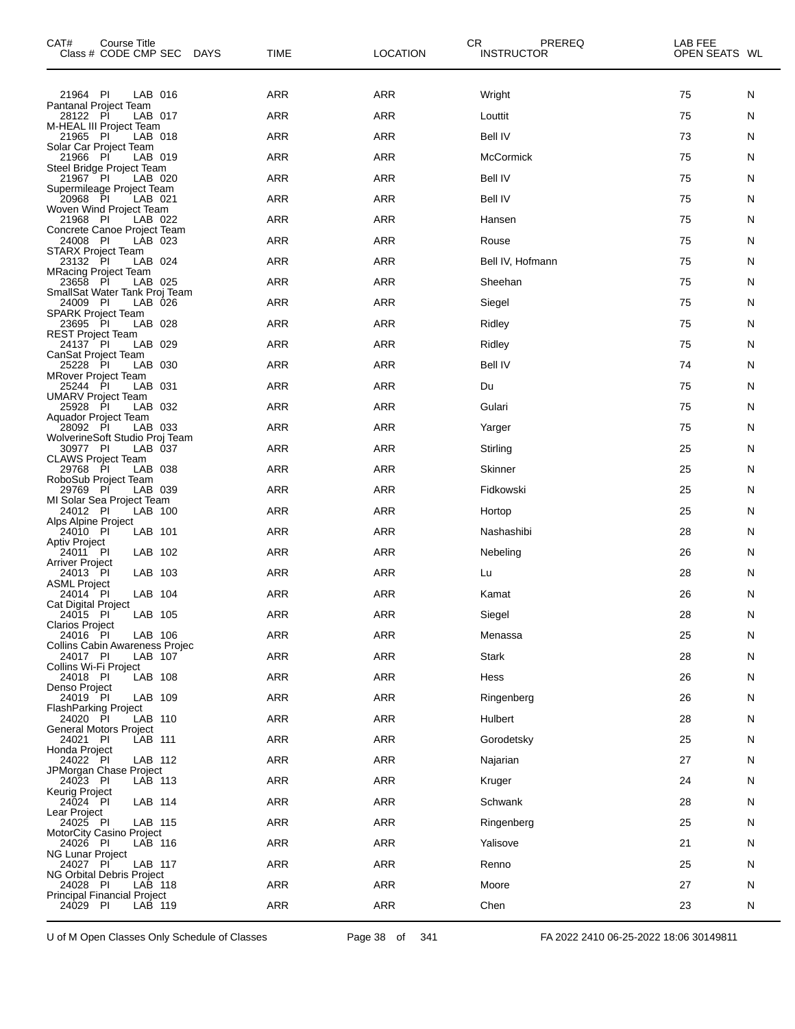| CAT#<br>Course Title<br>Class # CODE CMP SEC DAYS         | <b>TIME</b> | <b>LOCATION</b> | CR<br>PREREQ<br><b>INSTRUCTOR</b> | LAB FEE<br>OPEN SEATS WL |   |
|-----------------------------------------------------------|-------------|-----------------|-----------------------------------|--------------------------|---|
| 21964 PI<br>LAB 016                                       | ARR         | <b>ARR</b>      | Wright                            | 75                       | N |
| Pantanal Project Team<br>28122 PI<br>LAB 017              | ARR         | <b>ARR</b>      | Louttit                           | 75                       | N |
| M-HEAL III Project Team<br>21965 PI<br>LAB 018            | ARR         | <b>ARR</b>      | <b>Bell IV</b>                    | 73                       | N |
| Solar Car Project Team<br>21966 PI<br>LAB 019             | ARR         | <b>ARR</b>      | McCormick                         | 75                       | N |
| Steel Bridge Project Team<br>21967 PI<br>LAB 020          | ARR         | <b>ARR</b>      | <b>Bell IV</b>                    | 75                       | N |
| Supermileage Project Team<br>20968 PI<br>LAB 021          | <b>ARR</b>  | <b>ARR</b>      | <b>Bell IV</b>                    | 75                       | N |
| Woven Wind Project Team<br>21968 PI<br>LAB 022            | ARR         | <b>ARR</b>      | Hansen                            | 75                       | N |
| Concrete Canoe Project Team<br>24008 PI<br>LAB 023        | ARR         | <b>ARR</b>      | Rouse                             | 75                       | N |
| <b>STARX Project Team</b><br>LAB 024<br>23132 PI          | <b>ARR</b>  | <b>ARR</b>      | Bell IV, Hofmann                  | 75                       | N |
| <b>MRacing Project Team</b><br>23658 PI<br>LAB 025        | ARR         | <b>ARR</b>      | Sheehan                           | 75                       | N |
| SmallSat Water Tank Proj Team<br>24009 PI<br>LAB 026      | ARR         | <b>ARR</b>      | Siegel                            | 75                       | N |
| <b>SPARK Project Team</b><br>23695 PI<br>LAB 028          | <b>ARR</b>  | <b>ARR</b>      | Ridley                            | 75                       | N |
| <b>REST Project Team</b><br>24137 PI<br>LAB 029           | ARR         | <b>ARR</b>      | Ridley                            | 75                       | N |
| <b>CanSat Project Team</b><br>25228 PI<br>LAB 030         | ARR         | <b>ARR</b>      | <b>Bell IV</b>                    | 74                       | N |
| <b>MRover Project Team</b><br>25244 PI<br>LAB 031         | ARR         | <b>ARR</b>      | Du                                | 75                       | N |
| <b>UMARV Project Team</b><br>25928 PI<br>LAB 032          | ARR         | <b>ARR</b>      | Gulari                            | 75                       | N |
| Aquador Project Team<br>28092 PI<br>LAB 033               | ARR         | <b>ARR</b>      | Yarger                            | 75                       | N |
| WolverineSoft Studio Proj Team<br>30977 PI<br>LAB 037     | <b>ARR</b>  | <b>ARR</b>      | Stirling                          | 25                       | N |
| <b>CLAWS Project Team</b><br>29768 PI<br>LAB 038          | ARR         | <b>ARR</b>      | Skinner                           | 25                       | N |
| RoboSub Project Team<br>29769 PI<br>LAB 039               | ARR         | <b>ARR</b>      | Fidkowski                         | 25                       | N |
| MI Solar Sea Project Team                                 |             |                 |                                   |                          |   |
| 24012 PI<br>LAB 100<br>Alps Alpine Project                | ARR         | <b>ARR</b>      | Hortop                            | 25                       | N |
| 24010 PI<br>LAB 101<br><b>Aptiv Project</b>               | ARR         | <b>ARR</b>      | Nashashibi                        | 28                       | N |
| LAB 102<br>24011 PI<br><b>Arriver Project</b>             | ARR         | <b>ARR</b>      | Nebeling                          | 26                       | N |
| LAB 103<br>24013 PI<br><b>ASML Project</b>                | ARR         | <b>ARR</b>      | Lu                                | 28                       | N |
| LAB 104<br>24014 PI<br>Cat Digital Project                | ARR         | <b>ARR</b>      | Kamat                             | 26                       | N |
| LAB 105<br>24015 PI<br>Clarios Project                    | ARR         | ARR             | Siegel                            | 28                       | N |
| 24016 PI<br>LAB 106<br>Collins Cabin Awareness Projec     | <b>ARR</b>  | <b>ARR</b>      | Menassa                           | 25                       | N |
| 24017 PI<br>LAB 107<br>Collins Wi-Fi Project              | <b>ARR</b>  | ARR             | <b>Stark</b>                      | 28                       | N |
| LAB 108<br>24018 PI<br>Denso Project                      | <b>ARR</b>  | <b>ARR</b>      | Hess                              | 26                       | N |
| LAB 109<br>24019 PI<br><b>FlashParking Project</b>        | <b>ARR</b>  | <b>ARR</b>      | Ringenberg                        | 26                       | N |
| 24020 PI<br>LAB 110<br><b>General Motors Project</b>      | ARR         | ARR             | Hulbert                           | 28                       | N |
| LAB 111<br>24021 PI<br>Honda Project                      | <b>ARR</b>  | <b>ARR</b>      | Gorodetsky                        | 25                       | N |
| 24022 PI<br>LAB 112<br>JPMorgan Chase Project             | <b>ARR</b>  | ARR             | Najarian                          | 27                       | N |
| 24023 PI<br>LAB 113<br>Keurig Project                     | ARR         | ARR             | Kruger                            | 24                       | N |
| LAB 114<br>24024 PI<br>Lear Project                       | <b>ARR</b>  | <b>ARR</b>      | Schwank                           | 28                       | N |
| 24025 PI<br>LAB 115<br>MotorCity Casino Project           | <b>ARR</b>  | <b>ARR</b>      | Ringenberg                        | 25                       | N |
| 24026 PI<br>LAB 116<br>NG Lunar Project                   | ARR         | ARR             | Yalisove                          | 21                       | N |
| 24027 PI<br>LAB 117                                       | <b>ARR</b>  | <b>ARR</b>      | Renno                             | 25                       | N |
| <b>NG Orbital Debris Project</b><br>LAB 118<br>24028 PI   | <b>ARR</b>  | <b>ARR</b>      | Moore                             | 27                       | N |
| <b>Principal Financial Project</b><br>24029 PI<br>LAB 119 | <b>ARR</b>  | ARR             | Chen                              | 23                       | N |

U of M Open Classes Only Schedule of Classes Page 38 of 341 FA 2022 2410 06-25-2022 18:06 30149811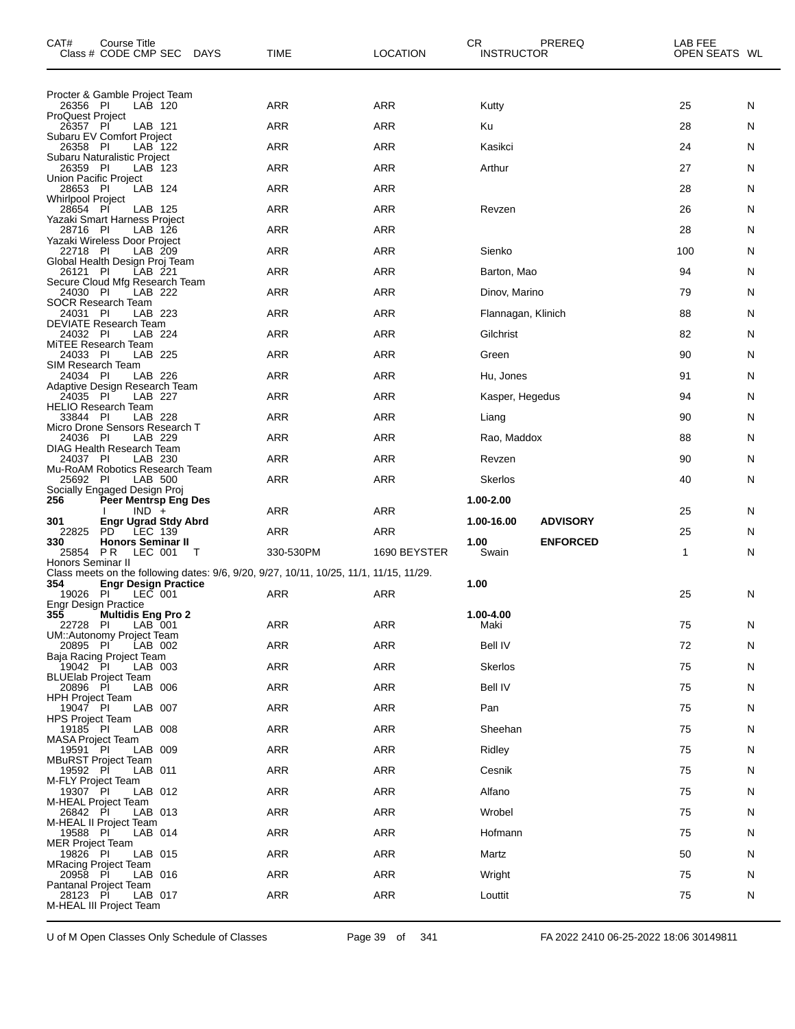| CAT#                                 | Course Title<br>Class # CODE CMP SEC                               | DAYS | TIME                                                                                   | <b>LOCATION</b> | CR.<br><b>INSTRUCTOR</b> | PREREQ          | LAB FEE<br>OPEN SEATS WL |    |
|--------------------------------------|--------------------------------------------------------------------|------|----------------------------------------------------------------------------------------|-----------------|--------------------------|-----------------|--------------------------|----|
|                                      | Procter & Gamble Project Team                                      |      |                                                                                        |                 |                          |                 |                          |    |
| 26356 PI<br><b>ProQuest Project</b>  | LAB 120                                                            |      | ARR                                                                                    | <b>ARR</b>      | Kutty                    |                 | 25                       | N  |
| 26357 PI                             | LAB 121<br>Subaru EV Comfort Project                               |      | <b>ARR</b>                                                                             | <b>ARR</b>      | Ku                       |                 | 28                       | N. |
| 26358 PI                             | LAB 122<br>Subaru Naturalistic Project                             |      | <b>ARR</b>                                                                             | <b>ARR</b>      | Kasikci                  |                 | 24                       | N  |
| 26359 PI                             | LAB 123<br>Union Pacific Project                                   |      | ARR                                                                                    | <b>ARR</b>      | Arthur                   |                 | 27                       | N  |
| 28653 PI<br><b>Whirlpool Project</b> | LAB 124                                                            |      | <b>ARR</b>                                                                             | <b>ARR</b>      |                          |                 | 28                       | N. |
| 28654 PI                             | LAB 125<br>Yazaki Smart Harness Project                            |      | <b>ARR</b>                                                                             | <b>ARR</b>      | Revzen                   |                 | 26                       | N  |
| 28716 PI                             | LAB 126                                                            |      | ARR                                                                                    | <b>ARR</b>      |                          |                 | 28                       | N  |
| 22718 PI                             | Yazaki Wireless Door Project<br>LAB 209                            |      | <b>ARR</b>                                                                             | <b>ARR</b>      | Sienko                   |                 | 100                      | N. |
| 26121 PI                             | Global Health Design Proj Team<br>LAB 221                          |      | <b>ARR</b>                                                                             | <b>ARR</b>      | Barton, Mao              |                 | 94                       | N  |
| 24030 PI                             | Secure Cloud Mfg Research Team<br>LAB 222                          |      | ARR                                                                                    | <b>ARR</b>      | Dinov, Marino            |                 | 79                       | N  |
| 24031 PI                             | SOCR Research Team<br>LAB 223                                      |      | <b>ARR</b>                                                                             | <b>ARR</b>      | Flannagan, Klinich       |                 | 88                       | N. |
| 24032 PI                             | DEVIATE Research Team<br>LAB 224                                   |      | <b>ARR</b>                                                                             | <b>ARR</b>      | Gilchrist                |                 | 82                       | N  |
| 24033 PI                             | MITEE Research Team<br>LAB 225                                     |      | ARR                                                                                    | <b>ARR</b>      | Green                    |                 | 90                       | N  |
| SIM Research Team<br>24034 PI        | LAB 226                                                            |      | <b>ARR</b>                                                                             | <b>ARR</b>      | Hu, Jones                |                 | 91                       | N. |
|                                      | Adaptive Design Research Team<br>LAB 227                           |      | ARR                                                                                    | <b>ARR</b>      | Kasper, Hegedus          |                 | 94                       | N  |
| 24035 PI                             | <b>HELIO Research Team</b>                                         |      |                                                                                        |                 |                          |                 |                          |    |
| 33844 PI                             | LAB 228<br>Micro Drone Sensors Research T                          |      | ARR                                                                                    | <b>ARR</b>      | Liang                    |                 | 90                       | N  |
| 24036 PI                             | LAB 229<br>DIAG Health Research Team                               |      | <b>ARR</b>                                                                             | <b>ARR</b>      | Rao, Maddox              |                 | 88                       | N. |
| 24037 PI                             | LAB 230<br>Mu-RoAM Robotics Research Team                          |      | ARR                                                                                    | <b>ARR</b>      | Revzen                   |                 | 90                       | N  |
| 25692 PI                             | LAB 500<br>Socially Engaged Design Proj                            |      | ARR                                                                                    | <b>ARR</b>      | <b>Skerlos</b>           |                 | 40                       | N  |
| 256                                  | <b>Peer Mentrsp Eng Des</b><br>$IND +$                             |      | ARR                                                                                    | ARR             | 1.00-2.00                |                 | 25                       | N  |
| 301<br>22825                         | <b>Engr Ugrad Stdy Abrd</b><br>PD.<br>LEC 139                      |      | <b>ARR</b>                                                                             | <b>ARR</b>      | 1.00-16.00               | <b>ADVISORY</b> | 25                       | N. |
| 330<br>25854 PR                      | <b>Honors Seminar II</b><br>LEC 001                                | T    |                                                                                        | 1690 BEYSTER    | 1.00<br>Swain            | <b>ENFORCED</b> | 1                        | N  |
| Honors Seminar II                    |                                                                    |      | 330-530PM                                                                              |                 |                          |                 |                          |    |
| 354                                  | <b>Engr Design Practice</b>                                        |      | Class meets on the following dates: 9/6, 9/20, 9/27, 10/11, 10/25, 11/1, 11/15, 11/29. |                 | 1.00                     |                 |                          |    |
| 19026 PI                             | LEC 001<br><b>Engr Design Practice</b>                             |      | ARR                                                                                    | <b>ARR</b>      |                          |                 | 25                       | N. |
| 355<br>22728 PI                      | <b>Multidis Eng Pro 2</b><br>LAB 001                               |      | <b>ARR</b>                                                                             | <b>ARR</b>      | 1.00-4.00<br>Maki        |                 | 75                       | N  |
| 20895 PI                             | UM::Autonomy Project Team<br>LAB 002                               |      | <b>ARR</b>                                                                             | <b>ARR</b>      | <b>Bell IV</b>           |                 | 72                       | N  |
| 19042 PI                             | Baja Racing Project Team<br>LAB 003                                |      | ARR                                                                                    | <b>ARR</b>      | <b>Skerlos</b>           |                 | 75                       | N  |
| 20896 PI                             | <b>BLUElab Project Team</b><br>LAB 006                             |      | <b>ARR</b>                                                                             | <b>ARR</b>      | <b>Bell IV</b>           |                 | 75                       | N  |
| <b>HPH Project Team</b><br>19047 PI  | LAB 007                                                            |      | <b>ARR</b>                                                                             | <b>ARR</b>      | Pan                      |                 | 75                       | N  |
| <b>HPS Project Team</b>              |                                                                    |      |                                                                                        |                 |                          |                 |                          |    |
| 19185 PI<br><b>MASA Project Team</b> | LAB 008                                                            |      | ARR                                                                                    | <b>ARR</b>      | Sheehan                  |                 | 75                       | N  |
| 19591 PI                             | LAB 009<br><b>MBuRST Project Team</b>                              |      | <b>ARR</b>                                                                             | <b>ARR</b>      | Ridley                   |                 | 75                       | N  |
| 19592 PI<br>M-FLY Project Team       | LAB 011                                                            |      | <b>ARR</b>                                                                             | <b>ARR</b>      | Cesnik                   |                 | 75                       | N  |
| 19307 PI                             | LAB 012<br>M-HEAL Project Team                                     |      | ARR                                                                                    | <b>ARR</b>      | Alfano                   |                 | 75                       | N  |
| 26842 PI                             | LAB 013<br>M-HEAL II Project Team                                  |      | <b>ARR</b>                                                                             | <b>ARR</b>      | Wrobel                   |                 | 75                       | N  |
| 19588 PI<br><b>MER Project Team</b>  | LAB 014                                                            |      | <b>ARR</b>                                                                             | <b>ARR</b>      | Hofmann                  |                 | 75                       | N  |
| 19826 PI                             | LAB 015<br><b>MRacing Project Team</b>                             |      | ARR                                                                                    | <b>ARR</b>      | Martz                    |                 | 50                       | N  |
| 20958 PI                             | LAB 016                                                            |      | <b>ARR</b>                                                                             | <b>ARR</b>      | Wright                   |                 | 75                       | N. |
| 28123 PI                             | <b>Pantanal Project Team</b><br>LAB 017<br>M-HEAL III Project Team |      | <b>ARR</b>                                                                             | <b>ARR</b>      | Louttit                  |                 | 75                       | N  |

U of M Open Classes Only Schedule of Classes Page 39 of 341 FA 2022 2410 06-25-2022 18:06 30149811

 $\overline{\phantom{0}}$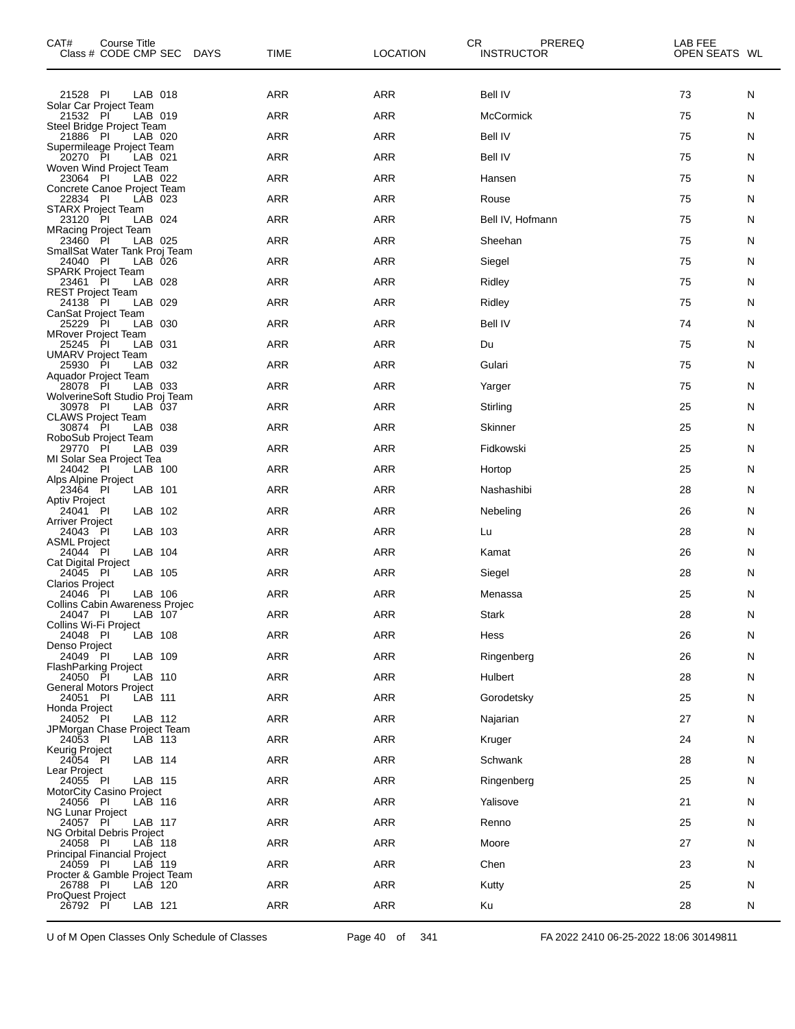| CAT#<br>Course Title<br>Class # CODE CMP SEC DAYS              | TIME       | <b>LOCATION</b> | CR.<br>PREREQ<br><b>INSTRUCTOR</b> | LAB FEE<br>OPEN SEATS WL |        |
|----------------------------------------------------------------|------------|-----------------|------------------------------------|--------------------------|--------|
| 21528 PI<br>LAB 018                                            | ARR        | <b>ARR</b>      | <b>Bell IV</b>                     | 73                       | N      |
| Solar Car Project Team<br>21532 PI<br>LAB 019                  | ARR        | <b>ARR</b>      | McCormick                          | 75                       | N      |
| Steel Bridge Project Team<br>21886 PI<br>LAB 020               | <b>ARR</b> | <b>ARR</b>      | <b>Bell IV</b>                     | 75                       | N      |
| Supermileage Project Team<br>20270 PI<br>LAB 021               | ARR        | <b>ARR</b>      | <b>Bell IV</b>                     | 75                       | N      |
| Woven Wind Project Team<br>23064 PI<br>LAB 022                 | ARR        | <b>ARR</b>      | Hansen                             | 75                       | N      |
| Concrete Canoe Project Team<br>22834 PI<br>LAB 023             | <b>ARR</b> | <b>ARR</b>      | Rouse                              | 75                       | N      |
| <b>STARX Project Team</b><br>23120 PI<br>LAB 024               | ARR        | <b>ARR</b>      | Bell IV, Hofmann                   | 75                       | N      |
| <b>MRacing Project Team</b><br>23460 PI<br>LAB 025             | ARR        | <b>ARR</b>      | Sheehan                            | 75                       | N      |
| SmallSat Water Tank Proj Team<br>24040 PI<br>LAB 026           | <b>ARR</b> | ARR             | Siegel                             | 75                       | N      |
| <b>SPARK Project Team</b><br>LAB 028<br>23461 PI               | ARR        | <b>ARR</b>      | Ridley                             | 75                       | N      |
| <b>REST Project Team</b><br>24138 PI<br>LAB 029                | ARR        | <b>ARR</b>      | Ridley                             | 75                       | N      |
| CanSat Project Team<br>25229 PI<br>LAB 030                     | <b>ARR</b> | <b>ARR</b>      | <b>Bell IV</b>                     | 74                       | N      |
| <b>MRover Project Team</b><br>25245 PI<br>LAB 031              | ARR        | <b>ARR</b>      | Du                                 | 75                       | N      |
| <b>UMARV Project Team</b><br>25930 PI<br>LAB 032               | ARR        | <b>ARR</b>      | Gulari                             | 75                       | N      |
| Aquador Project Team<br>LAB 033<br>28078 PI                    | <b>ARR</b> | ARR             | Yarger                             | 75                       | N      |
| WolverineSoft Studio Proj Team<br>30978 PI<br>LAB 037          | ARR        | <b>ARR</b>      | Stirling                           | 25                       | N      |
| <b>CLAWS Project Team</b><br>30874 PI<br>LAB 038               | ARR        | <b>ARR</b>      | Skinner                            | 25                       | N      |
| RoboSub Project Team<br>29770 PI<br>LAB 039                    | <b>ARR</b> | ARR             | Fidkowski                          | 25                       | N      |
| MI Solar Sea Project Tea<br>LAB 100<br>24042 PI                | ARR        | <b>ARR</b>      | Hortop                             | 25                       | N      |
| Alps Alpine Project<br>23464 PI<br>LAB 101                     | ARR        | <b>ARR</b>      | Nashashibi                         | 28                       | N      |
| <b>Aptiv Project</b><br>LAB 102<br>24041 PI                    | ARR        | ARR             | Nebeling                           | 26                       | N      |
| Arriver Project<br>LAB 103<br>24043 PI                         | ARR        | <b>ARR</b>      | Lu                                 | 28                       | N      |
| <b>ASML Project</b><br>LAB 104<br>24044 PI                     | ARR        | <b>ARR</b>      | Kamat                              | 26                       | N      |
| <b>Cat Digital Project</b><br>LAB 105<br>24045 PI              | ARR        | <b>ARR</b>      | Siegel                             | 28                       | N      |
| <b>Clarios Project</b><br>24046 PI<br>LAB 106                  | <b>ARR</b> | ARR             | Menassa                            | 25                       | N      |
| <b>Collins Cabin Awareness Projec</b><br>LAB 107<br>24047 PI   | $\sf{ARR}$ | $\sf{ARR}$      | Stark                              | 28                       | N      |
| Collins Wi-Fi Project<br>LAB 108<br>24048 PI                   | ARR        | ARR             | Hess                               | 26                       | N      |
| Denso Project<br>LAB 109                                       | ARR        | ARR             |                                    | 26                       |        |
| 24049 PI<br><b>FlashParking Project</b><br>24050 PI<br>LAB 110 | ARR        | ARR             | Ringenberg<br>Hulbert              | 28                       | N<br>N |
| <b>General Motors Project</b>                                  | ARR        | ARR             |                                    | 25                       |        |
| 24051 PI<br>LAB 111<br>Honda Project                           |            |                 | Gorodetsky                         |                          | N      |
| 24052 PI<br>LAB 112<br>JPMorgan Chase Project Team             | ARR        | ARR             | Najarian                           | 27                       | N      |
| 24053 PI<br>LAB 113<br>Keurig Project                          | <b>ARR</b> | ARR             | Kruger                             | 24                       | N      |
| LAB 114<br>24054 PI<br>Lear Project                            | ARR        | ARR             | Schwank                            | 28                       | N      |
| 24055 PI<br>LAB 115<br>MotorCity Casino Project                | ARR        | ARR             | Ringenberg                         | 25                       | N      |
| 24056 PI<br>LAB 116<br><b>NG Lunar Project</b>                 | <b>ARR</b> | ARR             | Yalisove                           | 21                       | N      |
| 24057 PI<br>LAB 117<br>NG Orbital Debris Project               | ARR        | ARR             | Renno                              | 25                       | N      |
| 24058 PI<br>LAB 118<br><b>Principal Financial Project</b>      | ARR        | ARR             | Moore                              | 27                       | N      |
| 24059 PI<br>LAB 119<br>Procter & Gamble Project Team           | <b>ARR</b> | ARR             | Chen                               | 23                       | N      |
| 26788 PI<br>LAB 120<br><b>ProQuest Project</b>                 | ARR        | ARR             | Kutty                              | 25                       | N      |
| 26792 PI<br>LAB 121                                            | ARR        | ARR             | Ku                                 | 28                       | N.     |

U of M Open Classes Only Schedule of Classes Page 40 of 341 FA 2022 2410 06-25-2022 18:06 30149811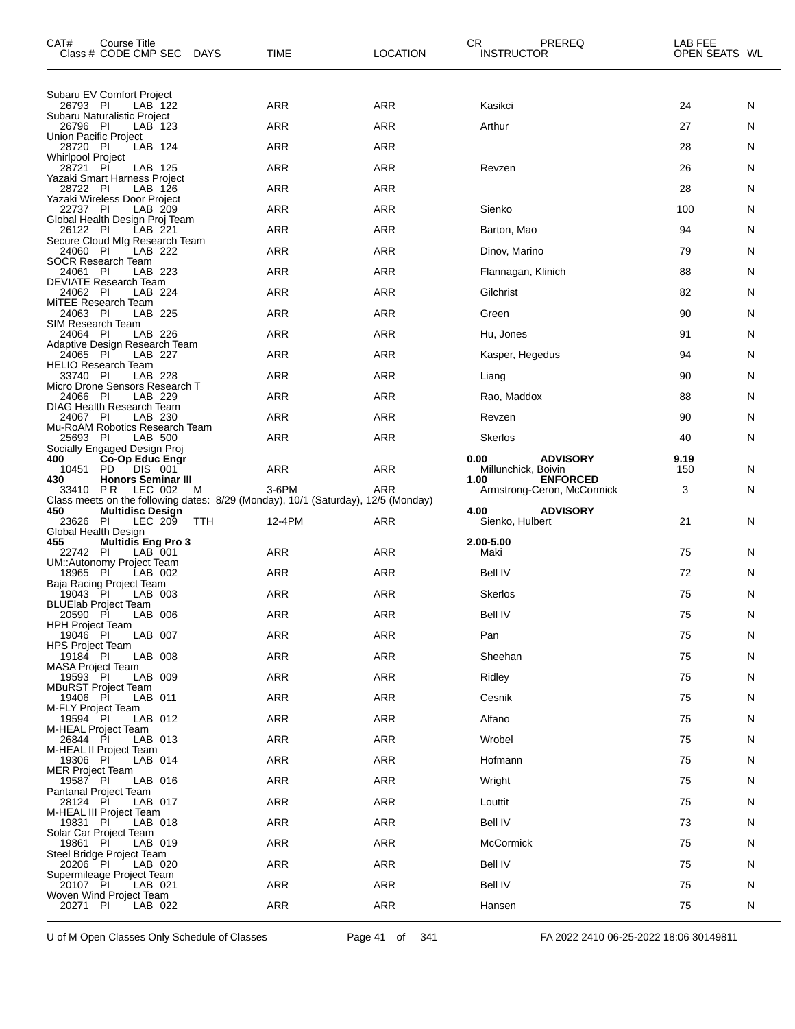| CAT#                                 | Course Title<br>Class # CODE CMP SEC DAYS              |     | <b>TIME</b>                                                                                | <b>LOCATION</b> | CR<br>PREREQ<br><b>INSTRUCTOR</b>              | LAB FEE<br>OPEN SEATS WL |   |
|--------------------------------------|--------------------------------------------------------|-----|--------------------------------------------------------------------------------------------|-----------------|------------------------------------------------|--------------------------|---|
| 26793 PI                             | Subaru EV Comfort Project<br>LAB 122                   |     | <b>ARR</b>                                                                                 | <b>ARR</b>      | Kasikci                                        | 24                       | N |
|                                      | Subaru Naturalistic Project<br>LAB 123                 |     | <b>ARR</b>                                                                                 | <b>ARR</b>      | Arthur                                         | 27                       | N |
| 26796 PI<br>Union Pacific Project    |                                                        |     |                                                                                            |                 |                                                |                          |   |
| 28720 PI<br><b>Whirlpool Project</b> | LAB 124                                                |     | <b>ARR</b>                                                                                 | <b>ARR</b>      |                                                | 28                       | N |
| 28721 PI                             | LAB 125<br>Yazaki Smart Harness Project                |     | <b>ARR</b>                                                                                 | <b>ARR</b>      | Revzen                                         | 26                       | N |
| 28722 PI                             | LAB 126<br>Yazaki Wireless Door Project                |     | <b>ARR</b>                                                                                 | <b>ARR</b>      |                                                | 28                       | N |
| 22737 PI                             | LAB 209<br>Global Health Design Proj Team              |     | <b>ARR</b>                                                                                 | <b>ARR</b>      | Sienko                                         | 100                      | N |
| 26122 PI                             | LAB 221<br>Secure Cloud Mfg Research Team              |     | <b>ARR</b>                                                                                 | <b>ARR</b>      | Barton, Mao                                    | 94                       | N |
| 24060 PI                             | LAB 222<br>SOCR Research Team                          |     | <b>ARR</b>                                                                                 | <b>ARR</b>      | Dinov, Marino                                  | 79                       | N |
| 24061 PI                             | LAB 223<br><b>DEVIATE Research Team</b>                |     | <b>ARR</b>                                                                                 | <b>ARR</b>      | Flannagan, Klinich                             | 88                       | N |
| 24062 PI                             | LAB 224<br>MiTEE Research Team                         |     | <b>ARR</b>                                                                                 | <b>ARR</b>      | Gilchrist                                      | 82                       | N |
| 24063 PI                             | LAB 225                                                |     | <b>ARR</b>                                                                                 | <b>ARR</b>      | Green                                          | 90                       | N |
| SIM Research Team<br>24064 PI        | LAB 226                                                |     | <b>ARR</b>                                                                                 | <b>ARR</b>      | Hu, Jones                                      | 91                       | N |
| 24065 PI                             | Adaptive Design Research Team<br>LAB 227               |     | ARR                                                                                        | <b>ARR</b>      | Kasper, Hegedus                                | 94                       | N |
| 33740 PI                             | <b>HELIO Research Team</b><br>LAB 228                  |     | <b>ARR</b>                                                                                 | <b>ARR</b>      | Liang                                          | 90                       | N |
| 24066 PI                             | Micro Drone Sensors Research T<br>LAB 229              |     | <b>ARR</b>                                                                                 | <b>ARR</b>      | Rao, Maddox                                    | 88                       | N |
| 24067 PI                             | <b>DIAG Health Research Team</b><br>LAB 230            |     | ARR                                                                                        | <b>ARR</b>      | Revzen                                         | 90                       | N |
| 25693 PI                             | Mu-RoAM Robotics Research Team<br>LAB 500              |     | <b>ARR</b>                                                                                 | <b>ARR</b>      | <b>Skerlos</b>                                 | 40                       | N |
| 400                                  | Socially Engaged Design Proj<br><b>Co-Op Educ Engr</b> |     |                                                                                            |                 | 0.00<br><b>ADVISORY</b>                        | 9.19                     |   |
| 10451 PD<br>430                      | DIS 001<br><b>Honors Seminar III</b>                   |     | <b>ARR</b>                                                                                 | <b>ARR</b>      | Millunchick, Boivin<br><b>ENFORCED</b><br>1.00 | 150                      | N |
| 33410 PR                             | LEC 002                                                | м   | 3-6PM<br>Class meets on the following dates: 8/29 (Monday), 10/1 (Saturday), 12/5 (Monday) | <b>ARR</b>      | Armstrong-Ceron, McCormick                     | 3                        | N |
| 450<br>23626 PI                      | <b>Multidisc Design</b><br>LEC 209                     | TTH | 12-4PM                                                                                     | ARR             | 4.00<br><b>ADVISORY</b><br>Sienko, Hulbert     | 21                       | N |
| Global Health Design<br>455          | <b>Multidis Eng Pro 3</b>                              |     |                                                                                            |                 | 2.00-5.00                                      |                          |   |
| 22742 PI                             | LAB 001                                                |     | ARR                                                                                        | <b>ARR</b>      | Maki                                           | 75                       | N |
| 18965 PI                             | UM::Autonomy Project Team<br>LAB 002                   |     | <b>ARR</b>                                                                                 | <b>ARR</b>      | Bell IV                                        | 72                       | N |
| 19043 PI                             | Baja Racing Project Team<br>LAB 003                    |     | ARR                                                                                        | <b>ARR</b>      | Skerlos                                        | 75                       | N |
| 20590 PI                             | <b>BLUElab Project Team</b><br>LAB 006                 |     | ARR                                                                                        | ARR             | Bell IV                                        | 75                       | N |
| <b>HPH Project Team</b><br>19046 PI  | LAB 007                                                |     | <b>ARR</b>                                                                                 | <b>ARR</b>      | Pan                                            | 75                       | N |
| <b>HPS Project Team</b><br>19184 PI  | LAB 008                                                |     | ARR                                                                                        | ARR             | Sheehan                                        | 75                       | N |
| <b>MASA Project Team</b><br>19593 PI | LAB 009                                                |     | ARR                                                                                        | <b>ARR</b>      | Ridley                                         | 75                       | N |
| 19406 PI                             | <b>MBuRST Project Team</b><br>LAB 011                  |     | ARR                                                                                        | <b>ARR</b>      | Cesnik                                         | 75                       | N |
| M-FLY Project Team<br>19594 PI       | LAB 012                                                |     | ARR                                                                                        | ARR             | Alfano                                         | 75                       | N |
| M-HEAL Project Team<br>26844 PI      | LAB 013                                                |     | <b>ARR</b>                                                                                 | ARR             | Wrobel                                         | 75                       | N |
| 19306 PI                             | M-HEAL II Project Team<br>LAB 014                      |     | ARR                                                                                        | <b>ARR</b>      | Hofmann                                        | 75                       | N |
| <b>MER Project Team</b><br>19587 PI  | LAB 016                                                |     | ARR                                                                                        | ARR             | Wright                                         | 75                       | N |
| 28124 PI                             | Pantanal Project Team<br>LAB 017                       |     | ARR                                                                                        | ARR             | Louttit                                        | 75                       | N |
| 19831 PI                             | M-HEAL III Project Team<br>LAB 018                     |     | ARR                                                                                        | <b>ARR</b>      | <b>Bell IV</b>                                 | 73                       | N |
|                                      | Solar Car Project Team                                 |     |                                                                                            |                 |                                                |                          |   |
| 19861 PI                             | LAB 019<br>Steel Bridge Project Team                   |     | ARR                                                                                        | ARR             | <b>McCormick</b>                               | 75                       | N |
| 20206 PI                             | LAB 020<br>Supermileage Project Team                   |     | ARR                                                                                        | ARR             | <b>Bell IV</b>                                 | 75                       | N |
| 20107 PI                             | LAB 021<br>Woven Wind Project Team                     |     | ARR                                                                                        | <b>ARR</b>      | <b>Bell IV</b>                                 | 75                       | N |
| 20271 PI                             | LAB 022                                                |     | ARR                                                                                        | ARR             | Hansen                                         | 75                       | N |

U of M Open Classes Only Schedule of Classes Page 41 of 341 FA 2022 2410 06-25-2022 18:06 30149811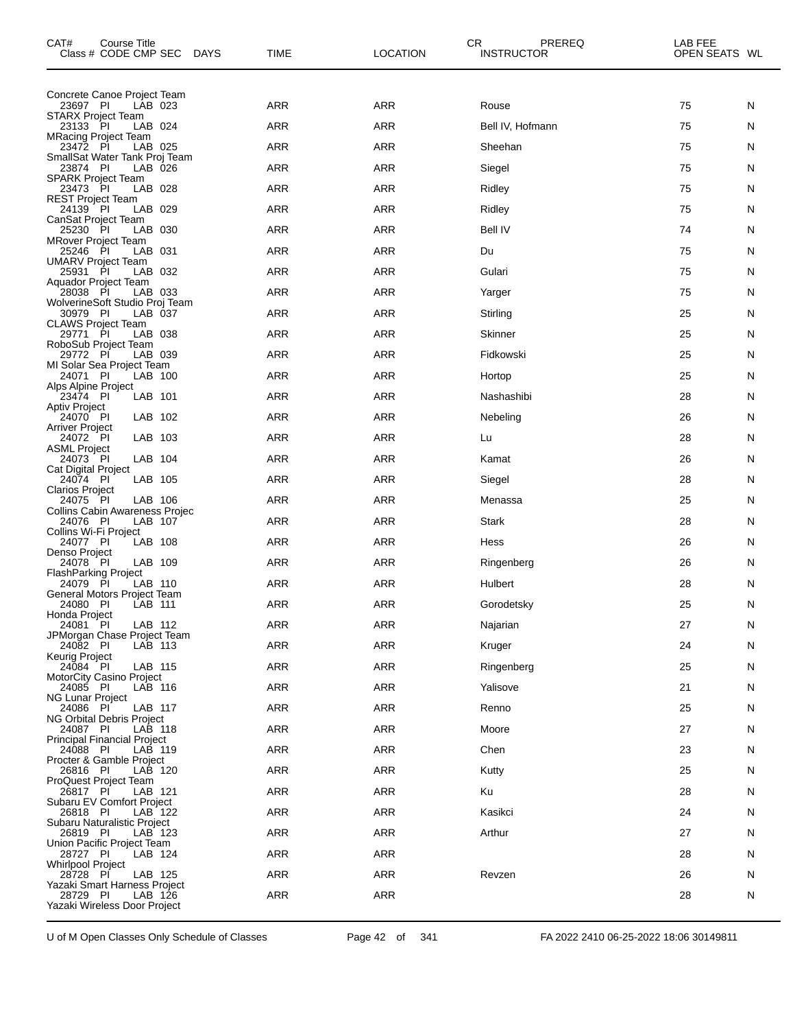| CAT#<br>Course Title<br>Class # CODE CMP SEC<br>DAYS       | TIME       | <b>LOCATION</b> | CR<br>PREREQ<br><b>INSTRUCTOR</b> | LAB FEE<br>OPEN SEATS WL |
|------------------------------------------------------------|------------|-----------------|-----------------------------------|--------------------------|
| Concrete Canoe Project Team                                |            |                 |                                   |                          |
| 23697 PI<br>LAB 023<br><b>STARX Project Team</b>           | <b>ARR</b> | <b>ARR</b>      | Rouse                             | 75<br>N                  |
| 23133 PI<br>LAB 024<br><b>MRacing Project Team</b>         | <b>ARR</b> | <b>ARR</b>      | Bell IV, Hofmann                  | 75<br>N                  |
| LAB 025<br>23472 PI                                        | <b>ARR</b> | <b>ARR</b>      | Sheehan                           | 75<br>N                  |
| SmallSat Water Tank Proj Team<br>23874 PI<br>LAB 026       | <b>ARR</b> | <b>ARR</b>      | Siegel                            | 75<br>N                  |
| <b>SPARK Project Team</b><br>LAB 028<br>23473 PI           | <b>ARR</b> | <b>ARR</b>      | Ridley                            | 75<br>N                  |
| <b>REST Project Team</b><br>LAB 029<br>24139 PI            | <b>ARR</b> | <b>ARR</b>      | Ridley                            | 75<br>N                  |
| CanSat Project Team<br>25230 PI<br>LAB 030                 | <b>ARR</b> | <b>ARR</b>      | <b>Bell IV</b>                    | 74<br>N                  |
| <b>MRover Project Team</b><br>25246 PI<br>LAB 031          | <b>ARR</b> | <b>ARR</b>      | Du                                | 75<br>N                  |
| UMARV Project Team<br>LAB 032<br>25931 PI                  | <b>ARR</b> | <b>ARR</b>      | Gulari                            | 75<br>N                  |
| Aquador Project Team<br>28038 PI<br>LAB 033                | <b>ARR</b> | <b>ARR</b>      | Yarger                            | 75<br>N                  |
| WolverineSoft Studio Proj Team<br>LAB 037<br>30979 PI      | <b>ARR</b> | <b>ARR</b>      | Stirling                          | 25<br>N                  |
| <b>CLAWS Project Team</b><br>LAB 038<br>29771<br><b>PI</b> | <b>ARR</b> | <b>ARR</b>      | Skinner                           | 25<br>N                  |
| RoboSub Project Team<br>29772 PI<br>LAB 039                | <b>ARR</b> | <b>ARR</b>      | Fidkowski                         | 25<br>N                  |
| MI Solar Sea Project Team<br>LAB 100<br>24071 PI           | <b>ARR</b> | <b>ARR</b>      | Hortop                            | 25<br>N                  |
| Alps Alpine Project<br>LAB 101<br>23474 PI                 | <b>ARR</b> | <b>ARR</b>      | Nashashibi                        | 28<br>N                  |
| <b>Aptiv Project</b><br>LAB 102<br>24070 PI                | <b>ARR</b> | <b>ARR</b>      | Nebeling                          | 26<br>N                  |
| Arriver Project<br>LAB 103<br>24072 PI                     | <b>ARR</b> | <b>ARR</b>      | Lu                                | 28<br>N                  |
| <b>ASML Project</b><br>LAB 104<br>24073 PI                 | <b>ARR</b> | <b>ARR</b>      | Kamat                             | 26<br>N                  |
| Cat Digital Project<br>LAB 105<br>24074 PI                 | <b>ARR</b> | <b>ARR</b>      | Siegel                            | 28<br>N                  |
| <b>Clarios Project</b><br>24075 PI<br>LAB 106              | <b>ARR</b> | <b>ARR</b>      | Menassa                           | 25<br>N                  |
| Collins Cabin Awareness Projec<br>24076 PI<br>LAB 107      | <b>ARR</b> | <b>ARR</b>      | Stark                             | 28<br>N                  |
| Collins Wi-Fi Project<br>LAB 108<br>24077 PI               | <b>ARR</b> | <b>ARR</b>      | Hess                              | 26<br>N                  |
| Denso Project<br>24078 PI<br>LAB 109                       | <b>ARR</b> | <b>ARR</b>      | Ringenberg                        | 26<br>N                  |
| <b>FlashParking Project</b><br>24079<br>- PI<br>LAB 110    | <b>ARR</b> | <b>ARR</b>      | Hulbert                           | 28<br>N                  |
| General Motors Project Team<br>LAB 111<br>24080 PI         | <b>ARR</b> | <b>ARR</b>      | Gorodetsky                        | 25<br>N                  |
| Honda Project<br>24081 PI<br>LAB 112                       | ARR        | <b>ARR</b>      | Najarian                          | 27<br>N                  |
| JPMorgan Chase Project Team<br>24082 PI<br>LAB 113         | <b>ARR</b> | ARR             | Kruger                            | 24<br>N                  |
| Keurig Project<br>24084 PI<br>LAB 115                      | ARR        | <b>ARR</b>      | Ringenberg                        | 25<br>N                  |
| MotorCity Casino Project<br>24085 PI<br>LAB 116            | <b>ARR</b> | <b>ARR</b>      | Yalisove                          | 21<br>N                  |
| NG Lunar Project<br>LAB 117<br>24086 PI                    | <b>ARR</b> | <b>ARR</b>      | Renno                             | 25<br>N                  |
| NG Orbital Debris Project<br>24087 PI<br>LAB 118           | ARR        | <b>ARR</b>      | Moore                             | 27<br>N                  |
| <b>Principal Financial Project</b><br>24088 PI<br>LAB 119  | <b>ARR</b> | <b>ARR</b>      | Chen                              | 23<br>N                  |
| Procter & Gamble Project<br>LAB 120<br>26816 PI            | <b>ARR</b> | <b>ARR</b>      | Kutty                             | 25<br>N                  |
| <b>ProQuest Project Team</b><br>26817 PI<br>LAB 121        | ARR        | <b>ARR</b>      | Ku                                | 28<br>N                  |
| Subaru EV Comfort Project<br>26818 PI<br>LAB 122           | <b>ARR</b> | <b>ARR</b>      | Kasikci                           | 24<br>N                  |
| Subaru Naturalistic Project<br>LAB 123<br>26819 PI         | <b>ARR</b> | <b>ARR</b>      | Arthur                            | 27<br>N                  |
| Union Pacific Project Team<br>28727 PI<br>LAB 124          | ARR        | <b>ARR</b>      |                                   | 28<br>N                  |
| <b>Whirlpool Project</b><br>28728 PI<br>LAB 125            | <b>ARR</b> | <b>ARR</b>      | Revzen                            | 26<br>N                  |
| Yazaki Smart Harness Project<br>28729 PI<br>LAB 126        | <b>ARR</b> | ARR             |                                   | 28<br>N                  |
| Yazaki Wireless Door Project                               |            |                 |                                   |                          |

U of M Open Classes Only Schedule of Classes Page 42 of 341 FA 2022 2410 06-25-2022 18:06 30149811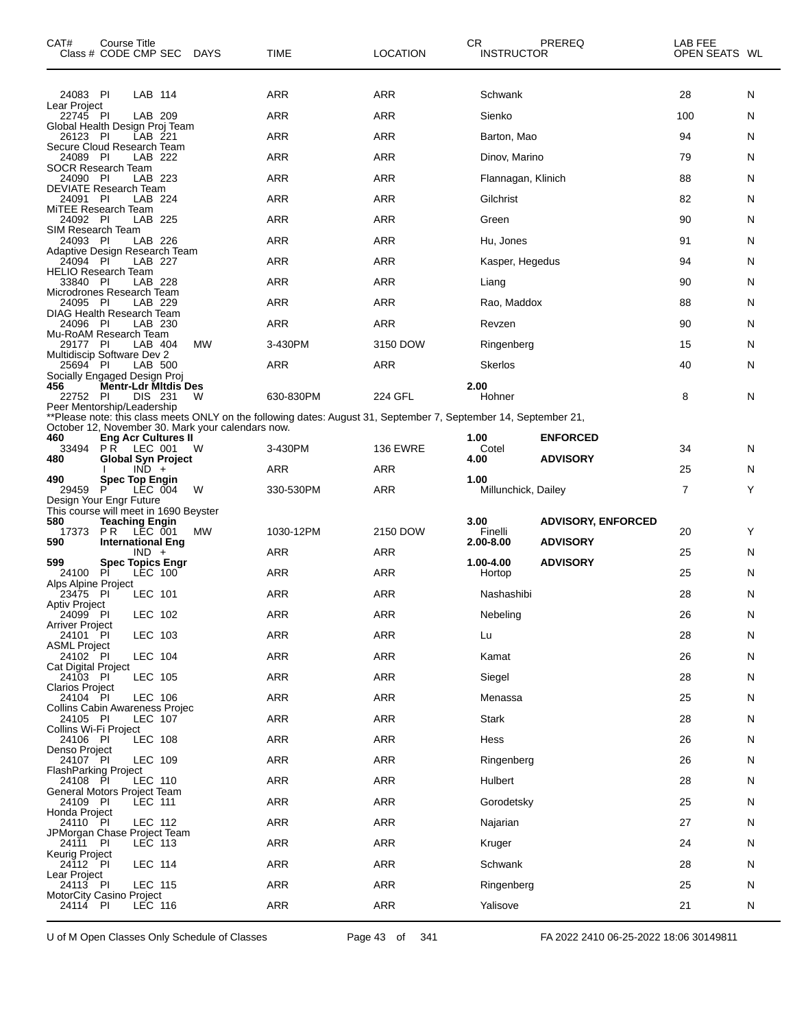| CAT#                                         | <b>Course Title</b> | Class # CODE CMP SEC DAYS                      |                                                   | TIME                                                                                                             | <b>LOCATION</b> | CR.<br><b>INSTRUCTOR</b> | PREREQ                    | LAB FEE<br>OPEN SEATS WL |   |
|----------------------------------------------|---------------------|------------------------------------------------|---------------------------------------------------|------------------------------------------------------------------------------------------------------------------|-----------------|--------------------------|---------------------------|--------------------------|---|
| 24083 PI<br>Lear Project                     |                     | LAB 114                                        |                                                   | ARR                                                                                                              | ARR             | Schwank                  |                           | 28                       | N |
| 22745 PI                                     |                     | LAB 209                                        |                                                   | ARR                                                                                                              | <b>ARR</b>      | Sienko                   |                           | 100                      | N |
| Global Health Design Proj Team<br>26123 PI   |                     | LAB 221                                        |                                                   | ARR                                                                                                              | ARR             | Barton, Mao              |                           | 94                       | N |
| Secure Cloud Research Team<br>24089 PI       |                     | LAB 222                                        |                                                   | ARR                                                                                                              | ARR             | Dinov, Marino            |                           | 79                       | N |
| <b>SOCR Research Team</b><br>24090 PI        |                     | LAB 223                                        |                                                   | ARR                                                                                                              | <b>ARR</b>      | Flannagan, Klinich       |                           | 88                       | N |
| <b>DEVIATE Research Team</b><br>24091 PI     |                     | LAB 224                                        |                                                   | <b>ARR</b>                                                                                                       | ARR             | Gilchrist                |                           | 82                       | N |
| MiTEE Research Team<br>24092 PI              |                     | LAB 225                                        |                                                   | ARR                                                                                                              | ARR             | Green                    |                           | 90                       | N |
| SIM Research Team<br>24093 PI                |                     | LAB 226                                        |                                                   | ARR                                                                                                              | <b>ARR</b>      | Hu, Jones                |                           | 91                       | N |
| Adaptive Design Research Team<br>24094 PI    |                     | LAB 227                                        |                                                   | <b>ARR</b>                                                                                                       | ARR             | Kasper, Hegedus          |                           | 94                       | N |
| <b>HELIO Research Team</b><br>33840 PI       |                     | LAB 228                                        |                                                   | ARR                                                                                                              | ARR             | Liang                    |                           | 90                       | N |
| Microdrones Research Team<br>24095 PI        |                     | LAB 229                                        |                                                   | ARR                                                                                                              | <b>ARR</b>      | Rao, Maddox              |                           | 88                       | N |
| DIAG Health Research Team<br>24096 PI        |                     | LAB 230                                        |                                                   | <b>ARR</b>                                                                                                       | ARR             | Revzen                   |                           | 90                       | N |
| Mu-RoAM Research Team<br>29177 PI            |                     | LAB 404                                        | МW                                                | 3-430PM                                                                                                          | 3150 DOW        | Ringenberg               |                           | 15                       | N |
| Multidiscip Software Dev 2<br>25694 PI       |                     | LAB 500                                        |                                                   | ARR                                                                                                              | <b>ARR</b>      | <b>Skerlos</b>           |                           | 40                       | N |
| Socially Engaged Design Proj<br>456          |                     | Mentr-Ldr Mitdis Des                           |                                                   |                                                                                                                  |                 | 2.00                     |                           |                          |   |
| 22752 PI                                     |                     | DIS 231                                        | W                                                 | 630-830PM                                                                                                        | 224 GFL         | Hohner                   |                           | 8                        | N |
| Peer Mentorship/Leadership                   |                     |                                                |                                                   | **Please note: this class meets ONLY on the following dates: August 31, September 7, September 14, September 21, |                 |                          |                           |                          |   |
| 460                                          |                     | <b>Eng Acr Cultures II</b>                     | October 12, November 30. Mark your calendars now. |                                                                                                                  |                 | 1.00                     | <b>ENFORCED</b>           |                          |   |
| 33494<br>480                                 |                     | <b>PR LEC 001</b><br><b>Global Syn Project</b> | w                                                 | 3-430PM                                                                                                          | <b>136 EWRE</b> | Cotel<br>4.00            | <b>ADVISORY</b>           | 34                       | N |
| 490                                          |                     | $IND +$<br><b>Spec Top Engin</b>               |                                                   | ARR                                                                                                              | ARR             | 1.00                     |                           | 25                       | N |
| 29459<br>Design Your Engr Future             | P                   | LEC 004                                        | W                                                 | 330-530PM                                                                                                        | <b>ARR</b>      | Millunchick, Dailey      |                           | $\overline{7}$           | Y |
| This course will meet in 1690 Beyster<br>580 |                     | <b>Teaching Engin</b>                          |                                                   |                                                                                                                  |                 | 3.00                     | <b>ADVISORY, ENFORCED</b> |                          |   |
| 17373<br>590                                 | PR LEC 001          | <b>International Eng</b>                       | МW                                                | 1030-12PM                                                                                                        | 2150 DOW        | Finelli<br>2.00-8.00     | <b>ADVISORY</b>           | 20                       | Y |
| 599                                          |                     | $IND +$<br><b>Spec Topics Engr</b>             |                                                   | ARR                                                                                                              | ARR             | 1.00-4.00                | <b>ADVISORY</b>           | 25                       | N |
| 24100<br>Alps Alpine Project                 | Pİ                  | LEC 100                                        |                                                   | ARR                                                                                                              | ARR             | Hortop                   |                           | 25                       | N |
| 23475 PI<br>Aptiv Project                    |                     | LEC 101                                        |                                                   | ARR                                                                                                              | ARR             | Nashashibi               |                           | 28                       | N |
| 24099 PI                                     |                     | LEC 102                                        |                                                   | $\sf{ARR}$                                                                                                       | $\sf{ARR}$      | Nebeling                 |                           | 26                       | N |
| <b>Arriver Project</b><br>24101 PI           |                     | LEC 103                                        |                                                   | <b>ARR</b>                                                                                                       | ARR             | Lu                       |                           | 28                       | N |
| <b>ASML Project</b><br>24102 PI              |                     | <b>LEC 104</b>                                 |                                                   | ARR                                                                                                              | ARR             | Kamat                    |                           | 26                       | N |
| Cat Digital Project<br>24103 PI              |                     | LEC 105                                        |                                                   | <b>ARR</b>                                                                                                       | ARR             | Siegel                   |                           | 28                       | N |
| <b>Clarios Project</b><br>24104 PI           |                     | LEC 106                                        |                                                   | ARR                                                                                                              | ARR             | Menassa                  |                           | 25                       | N |
| Collins Cabin Awareness Projec<br>24105 PI   |                     | LEC 107                                        |                                                   | ARR                                                                                                              | ARR             | <b>Stark</b>             |                           | 28                       | N |
| Collins Wi-Fi Project<br>24106 PI            |                     | LEC 108                                        |                                                   | <b>ARR</b>                                                                                                       | ARR             | Hess                     |                           | 26                       | N |
| Denso Project<br>24107 PI                    |                     | LEC 109                                        |                                                   | ARR                                                                                                              | ARR             | Ringenberg               |                           | 26                       | N |
| <b>FlashParking Project</b><br>24108 PI      |                     | LEC 110                                        |                                                   | ARR                                                                                                              | ARR             | Hulbert                  |                           | 28                       | N |
| General Motors Project Team<br>24109 PI      |                     | LEC 111                                        |                                                   | <b>ARR</b>                                                                                                       | ARR             | Gorodetsky               |                           | 25                       | N |
| Honda Project<br>24110 PI                    |                     | LEC 112                                        |                                                   | ARR                                                                                                              | ARR             | Najarian                 |                           | 27                       | N |
| JPMorgan Chase Project Team<br>24111         | - PI                | LEC 113                                        |                                                   | ARR                                                                                                              | ARR             | Kruger                   |                           | 24                       | N |
| Keurig Project<br>24112 PI                   |                     | LEC 114                                        |                                                   | ARR                                                                                                              | ARR             | Schwank                  |                           | 28                       | N |
| Lear Project                                 |                     |                                                |                                                   |                                                                                                                  |                 |                          |                           |                          |   |
| 24113<br><b>MotorCity Casino Project</b>     | - PI                | <b>LEC 115</b>                                 |                                                   | ARR                                                                                                              | ARR             | Ringenberg               |                           | 25                       | N |
| 24114 PI                                     |                     | <b>LEC 116</b>                                 |                                                   | ARR                                                                                                              | ARR             | Yalisove                 |                           | 21                       | N |

U of M Open Classes Only Schedule of Classes Page 43 of 341 FA 2022 2410 06-25-2022 18:06 30149811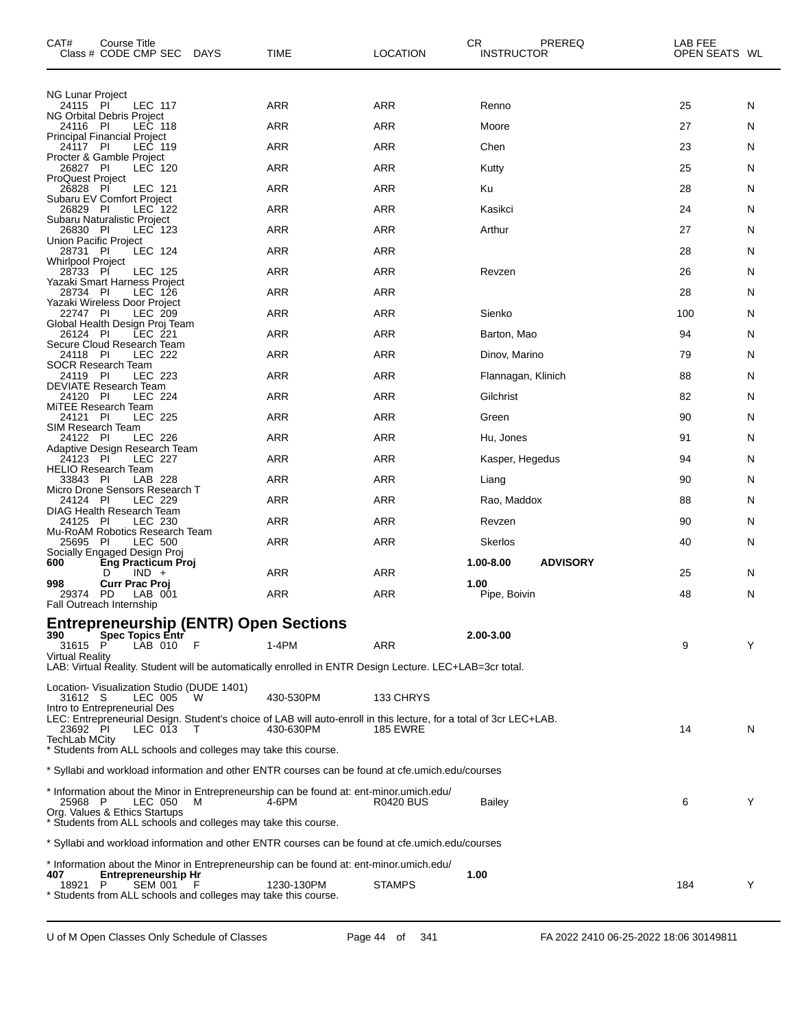| CAT#                              | Course Title<br>Class # CODE CMP SEC DAYS                                                                                          | <b>TIME</b> | <b>LOCATION</b>  | CR.<br><b>INSTRUCTOR</b> | PREREQ          | LAB FEE<br>OPEN SEATS WL |   |
|-----------------------------------|------------------------------------------------------------------------------------------------------------------------------------|-------------|------------------|--------------------------|-----------------|--------------------------|---|
| <b>NG Lunar Project</b>           |                                                                                                                                    |             |                  |                          |                 |                          |   |
| 24115 PI                          | <b>LEC 117</b><br>NG Orbital Debris Project                                                                                        | ARR         | <b>ARR</b>       | Renno                    |                 | 25                       | N |
| 24116 PI                          | LEC 118<br>Principal Financial Project                                                                                             | ARR         | <b>ARR</b>       | Moore                    |                 | 27                       | N |
| 24117 PI                          | LEC 119<br>Procter & Gamble Project                                                                                                | ARR         | <b>ARR</b>       | Chen                     |                 | 23                       | N |
| 26827 PI<br>ProQuest Project      | LEC 120                                                                                                                            | ARR         | <b>ARR</b>       | Kutty                    |                 | 25                       | N |
| 26828 PI                          | LEC 121                                                                                                                            | ARR         | <b>ARR</b>       | Ku                       |                 | 28                       | N |
| 26829 PI                          | Subaru EV Comfort Project<br>LEC 122                                                                                               | ARR         | ARR              | Kasikci                  |                 | 24                       | N |
| 26830 PI                          | Subaru Naturalistic Project<br>LEC 123                                                                                             | ARR         | ARR              | Arthur                   |                 | 27                       | N |
| Union Pacific Project<br>28731 PI | <b>LEC 124</b>                                                                                                                     | <b>ARR</b>  | <b>ARR</b>       |                          |                 | 28                       | N |
| Whirlpool Project<br>28733 PI     | LEC 125                                                                                                                            | ARR         | ARR              | Revzen                   |                 | 26                       | N |
| 28734 PI                          | Yazaki Smart Harness Project<br>LEC 126                                                                                            | ARR         | <b>ARR</b>       |                          |                 | 28                       | N |
| 22747 PI                          | Yazaki Wireless Door Project<br>LEC 209                                                                                            | <b>ARR</b>  | ARR              | Sienko                   |                 | 100                      | N |
| 26124 PI                          | Global Health Design Proj Team<br>$LEC$ 221                                                                                        | ARR         | ARR              | Barton, Mao              |                 | 94                       | N |
| 24118 PI                          | Secure Cloud Research Team<br>LEC 222                                                                                              | ARR         | <b>ARR</b>       | Dinov, Marino            |                 | 79                       | N |
| 24119 PI                          | <b>SOCR Research Team</b><br>LEC 223                                                                                               | <b>ARR</b>  | ARR              | Flannagan, Klinich       |                 | 88                       | N |
| 24120 PI                          | DEVIATE Research Team<br><b>LEC 224</b>                                                                                            | ARR         | ARR              | Gilchrist                |                 | 82                       | N |
| 24121 PI                          | MiTEE Research Team<br><b>LEC 225</b>                                                                                              | ARR         | <b>ARR</b>       | Green                    |                 | 90                       | N |
| SIM Research Team                 |                                                                                                                                    |             |                  |                          |                 |                          |   |
| 24122 PI                          | <b>LEC 226</b><br>Adaptive Design Research Team                                                                                    | <b>ARR</b>  | ARR              | Hu, Jones                |                 | 91                       | N |
| 24123 PI                          | <b>LEC 227</b><br><b>HELIO Research Team</b>                                                                                       | ARR         | ARR              | Kasper, Hegedus          |                 | 94                       | N |
| 33843 PI                          | LAB 228<br>Micro Drone Sensors Research T                                                                                          | ARR         | <b>ARR</b>       | Liang                    |                 | 90                       | N |
| 24124 PI                          | <b>LEC 229</b><br>DIAG Health Research Team                                                                                        | <b>ARR</b>  | ARR              | Rao, Maddox              |                 | 88                       | N |
| 24125 PI                          | LEC 230<br>Mu-RoAM Robotics Research Team                                                                                          | ARR         | ARR              | Revzen                   |                 | 90                       | N |
| 25695 PI                          | <b>LEC 500</b><br>Socially Engaged Design Proj                                                                                     | <b>ARR</b>  | ARR              | <b>Skerlos</b>           |                 | 40                       | N |
| 600                               | Eng Practicum Proj<br>$IND +$<br>D                                                                                                 | ARR         | ARR              | 1.00-8.00                | <b>ADVISORY</b> | 25                       | N |
| 998<br>29374                      | <b>Curr Prac Proj</b><br>PD<br>LAB 001                                                                                             | <b>ARR</b>  | ARR              | 1.00<br>Pipe, Boivin     |                 | 48                       | N |
|                                   | Fall Outreach Internship                                                                                                           |             |                  |                          |                 |                          |   |
| 390                               | <b>Entrepreneurship (ENTR) Open Sections</b><br><b>Spec Topics Entr</b>                                                            |             |                  | 2.00-3.00                |                 |                          |   |
| 31615<br><b>Virtual Reality</b>   | F<br>LAB 010                                                                                                                       | $1-4PM$     | <b>ARR</b>       |                          |                 | 9                        | Y |
|                                   | LAB: Virtual Reality. Student will be automatically enrolled in ENTR Design Lecture. LEC+LAB=3cr total.                            |             |                  |                          |                 |                          |   |
|                                   | Location- Visualization Studio (DUDE 1401)<br>w                                                                                    | 430-530PM   | 133 CHRYS        |                          |                 |                          |   |
| 31612 S                           | LEC 005<br>Intro to Entrepreneurial Des                                                                                            |             |                  |                          |                 |                          |   |
| 23692 PI                          | LEC: Entrepreneurial Design. Student's choice of LAB will auto-enroll in this lecture, for a total of 3cr LEC+LAB.<br>LEC 013<br>T | 430-630PM   | <b>185 EWRE</b>  |                          |                 | 14                       | N |
| TechLab MCity                     | * Students from ALL schools and colleges may take this course.                                                                     |             |                  |                          |                 |                          |   |
|                                   | * Syllabi and workload information and other ENTR courses can be found at cfe.umich.edu/courses                                    |             |                  |                          |                 |                          |   |
| 25968 P                           | * Information about the Minor in Entrepreneurship can be found at: ent-minor.umich.edu/<br>LEC 050<br>м                            | 4-6PM       | <b>R0420 BUS</b> | Bailey                   |                 | 6                        | Y |
|                                   | Org. Values & Ethics Startups<br>* Students from ALL schools and colleges may take this course.                                    |             |                  |                          |                 |                          |   |
|                                   | * Syllabi and workload information and other ENTR courses can be found at cfe.umich.edu/courses                                    |             |                  |                          |                 |                          |   |
|                                   | * Information about the Minor in Entrepreneurship can be found at: ent-minor.umich.edu/                                            |             |                  |                          |                 |                          |   |
| 407<br>18921                      | <b>Entrepreneurship Hr</b><br>P<br><b>SEM 001</b><br>* Students from ALL schools and colleges may take this course.                | 1230-130PM  | <b>STAMPS</b>    | 1.00                     |                 | 184                      | Y |
|                                   |                                                                                                                                    |             |                  |                          |                 |                          |   |

 $\overline{\phantom{0}}$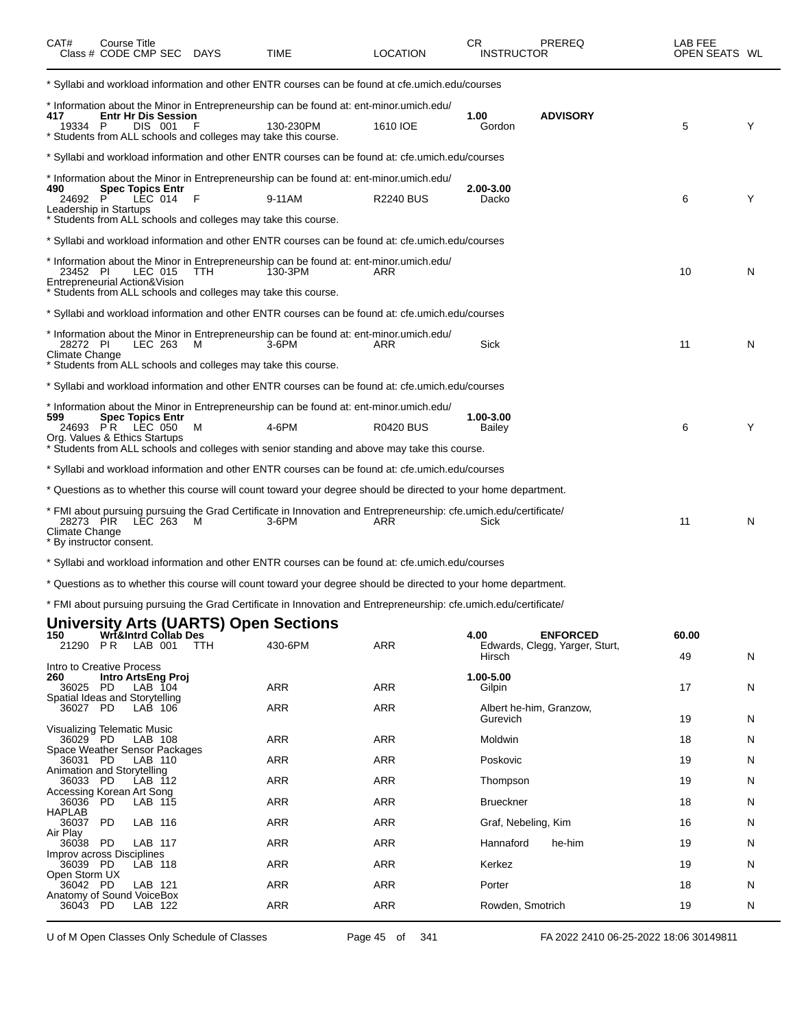| CAT#                        | Course Title<br>Class # CODE CMP SEC DAYS |                                       |            | <b>TIME</b>                                                                                                                                                            | <b>LOCATION</b>  | CR<br><b>INSTRUCTOR</b>    | <b>PREREQ</b>                                     | LAB FEE<br>OPEN SEATS WL |   |
|-----------------------------|-------------------------------------------|---------------------------------------|------------|------------------------------------------------------------------------------------------------------------------------------------------------------------------------|------------------|----------------------------|---------------------------------------------------|--------------------------|---|
|                             |                                           |                                       |            | * Syllabi and workload information and other ENTR courses can be found at cfe.umich.edu/courses                                                                        |                  |                            |                                                   |                          |   |
| 417<br>19334 P              |                                           | <b>Entr Hr Dis Session</b><br>DIS 001 |            | * Information about the Minor in Entrepreneurship can be found at: ent-minor.umich.edu/<br>130-230PM<br>* Students from ALL schools and colleges may take this course. | 1610 IOE         | 1.00<br>Gordon             | <b>ADVISORY</b>                                   | 5                        | Y |
|                             |                                           |                                       |            | Syllabi and workload information and other ENTR courses can be found at: cfe.umich.edu/courses * *                                                                     |                  |                            |                                                   |                          |   |
|                             |                                           |                                       |            | * Information about the Minor in Entrepreneurship can be found at: ent-minor.umich.edu/                                                                                |                  |                            |                                                   |                          |   |
| 490<br>24692 P              |                                           | <b>Spec Topics Entr</b><br>LEC 014    | F          | 9-11AM                                                                                                                                                                 | <b>R2240 BUS</b> | 2.00-3.00<br>Dacko         |                                                   | 6                        | Y |
|                             | Leadership in Startups                    |                                       |            | * Students from ALL schools and colleges may take this course.                                                                                                         |                  |                            |                                                   |                          |   |
|                             |                                           |                                       |            | Syllabi and workload information and other ENTR courses can be found at: cfe.umich.edu/courses ***                                                                     |                  |                            |                                                   |                          |   |
| 23452 PI                    | Entrepreneurial Action&Vision             | LEC 015                               | <b>TTH</b> | * Information about the Minor in Entrepreneurship can be found at: ent-minor.umich.edu/<br>130-3PM                                                                     | ARR              |                            |                                                   | 10                       | N |
|                             |                                           |                                       |            | * Students from ALL schools and colleges may take this course.<br>Syllabi and workload information and other ENTR courses can be found at: cfe.umich.edu/courses * *   |                  |                            |                                                   |                          |   |
|                             |                                           |                                       |            |                                                                                                                                                                        |                  |                            |                                                   |                          |   |
| 28272 PI<br>Climate Change  |                                           | LEC 263                               | м          | * Information about the Minor in Entrepreneurship can be found at: ent-minor.umich.edu/<br>3-6PM<br>* Students from ALL schools and colleges may take this course.     | ARR              | Sick                       |                                                   | 11                       | N |
|                             |                                           |                                       |            | Syllabi and workload information and other ENTR courses can be found at: cfe.umich.edu/courses ***                                                                     |                  |                            |                                                   |                          |   |
|                             |                                           |                                       |            | * Information about the Minor in Entrepreneurship can be found at: ent-minor.umich.edu/                                                                                |                  |                            |                                                   |                          |   |
| 599                         | 24693 PR LEC 050                          | <b>Spec Topics Entr</b>               | м          | 4-6PM                                                                                                                                                                  | <b>R0420 BUS</b> | 1.00-3.00<br><b>Bailey</b> |                                                   | 6                        | Y |
|                             | Org. Values & Ethics Startups             |                                       |            | * Students from ALL schools and colleges with senior standing and above may take this course.                                                                          |                  |                            |                                                   |                          |   |
|                             |                                           |                                       |            | Syllabi and workload information and other ENTR courses can be found at: cfe.umich.edu/courses * *                                                                     |                  |                            |                                                   |                          |   |
|                             |                                           |                                       |            | * Questions as to whether this course will count toward your degree should be directed to your home department.                                                        |                  |                            |                                                   |                          |   |
| 28273 PIR<br>Climate Change | * By instructor consent.                  | LEC 263                               | м          | * FMI about pursuing pursuing the Grad Certificate in Innovation and Entrepreneurship: cfe.umich.edu/certificate/<br>3-6PM                                             | ARR              | Sick                       |                                                   | 11                       | N |
|                             |                                           |                                       |            | Syllabi and workload information and other ENTR courses can be found at: cfe.umich.edu/courses * *                                                                     |                  |                            |                                                   |                          |   |
|                             |                                           |                                       |            | * Questions as to whether this course will count toward your degree should be directed to your home department.                                                        |                  |                            |                                                   |                          |   |
|                             |                                           |                                       |            | * FMI about pursuing pursuing the Grad Certificate in Innovation and Entrepreneurship: cfe.umich.edu/certificate/                                                      |                  |                            |                                                   |                          |   |
|                             |                                           |                                       |            | <b>University Arts (UARTS) Open Sections</b>                                                                                                                           |                  |                            |                                                   |                          |   |
| 150                         | 21290 PR LAB 001 TTH                      | <b>Wrt&amp;Intrd Collab Des</b>       |            | 430-6PM                                                                                                                                                                | <b>ARR</b>       | 4.00<br>Hirsch             | <b>ENFORCED</b><br>Edwards, Clegg, Yarger, Sturt, | 60.00<br>49              | N |
| 260                         | Intro to Creative Process                 | Intro ArtsEng Proj                    |            |                                                                                                                                                                        |                  | 1.00-5.00                  |                                                   |                          |   |
| 36025 PD                    |                                           | LAB 104                               |            | <b>ARR</b>                                                                                                                                                             | <b>ARR</b>       | Gilpin                     |                                                   | 17                       | N |
| 36027 PD                    | Spatial Ideas and Storytelling            | LAB 106                               |            | ARR                                                                                                                                                                    | <b>ARR</b>       | Gurevich                   | Albert he-him, Granzow,                           | 19                       | N |
| 36029 PD                    | Visualizing Telematic Music               | LAB 108                               |            | ARR                                                                                                                                                                    | <b>ARR</b>       | Moldwin                    |                                                   | 18                       | N |
| 36031 PD                    | Space Weather Sensor Packages             | LAB 110                               |            | ARR                                                                                                                                                                    | ARR              | Poskovic                   |                                                   | 19                       | N |
| 36033 PD                    | Animation and Storytelling                | LAB 112                               |            | <b>ARR</b>                                                                                                                                                             | <b>ARR</b>       | Thompson                   |                                                   | 19                       | N |
| 36036 PD                    | Accessing Korean Art Song                 | LAB 115                               |            | ARR                                                                                                                                                                    | <b>ARR</b>       | <b>Brueckner</b>           |                                                   | 18                       | N |
| HAPLAB<br>36037             | PD.                                       | LAB 116                               |            | ARR                                                                                                                                                                    | ARR              | Graf, Nebeling, Kim        |                                                   | 16                       | N |
| Air Play<br>36038 PD        |                                           | LAB 117                               |            | <b>ARR</b>                                                                                                                                                             | <b>ARR</b>       | Hannaford                  | he-him                                            | 19                       | N |
| 36039 PD                    | Improv across Disciplines                 | LAB 118                               |            | ARR                                                                                                                                                                    | <b>ARR</b>       | Kerkez                     |                                                   | 19                       | N |
| Open Storm UX<br>36042 PD   |                                           | LAB 121                               |            | ARR                                                                                                                                                                    | ARR              | Porter                     |                                                   | 18                       | N |
| 36043 PD                    | Anatomy of Sound VoiceBox                 | LAB 122                               |            | <b>ARR</b>                                                                                                                                                             | ARR              | Rowden, Smotrich           |                                                   | 19                       | N |

U of M Open Classes Only Schedule of Classes Page 45 of 341 FA 2022 2410 06-25-2022 18:06 30149811

ARR ARR Rowden, Smotrich 19 N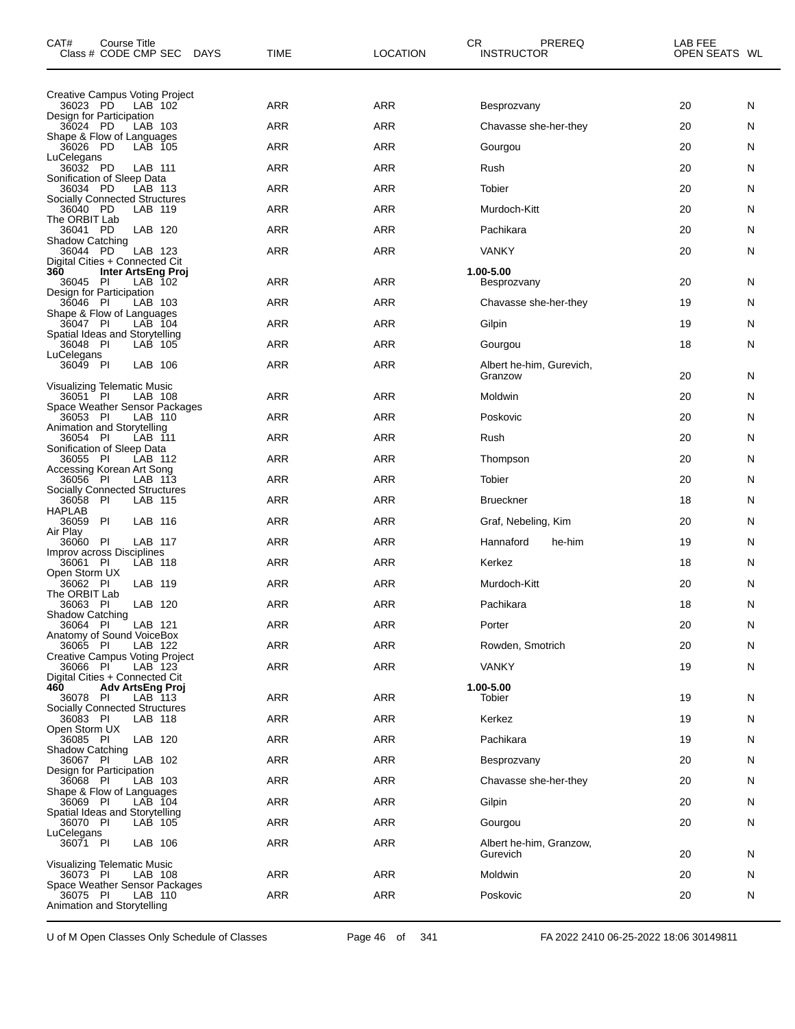| CAT#<br>Course Title<br>Class # CODE CMP SEC<br><b>DAYS</b>                        | TIME       | <b>LOCATION</b> | CR<br>PREREQ<br><b>INSTRUCTOR</b>   | LAB FEE<br>OPEN SEATS WL |
|------------------------------------------------------------------------------------|------------|-----------------|-------------------------------------|--------------------------|
| Creative Campus Voting Project                                                     |            |                 |                                     |                          |
| 36023 PD<br>LAB 102<br>Design for Participation                                    | <b>ARR</b> | <b>ARR</b>      | Besprozvany                         | 20<br>N                  |
| 36024 PD<br>LAB 103<br>Shape & Flow of Languages                                   | <b>ARR</b> | ARR             | Chavasse she-her-they               | 20<br>N                  |
| 36026 PD<br>LAB 105<br>LuCelegans                                                  | <b>ARR</b> | <b>ARR</b>      | Gourgou                             | 20<br>N                  |
| 36032 PD<br>LAB 111<br>Sonification of Sleep Data                                  | <b>ARR</b> | <b>ARR</b>      | Rush                                | 20<br>N                  |
| 36034 PD<br>LAB 113                                                                | <b>ARR</b> | ARR             | Tobier                              | 20<br>N                  |
| <b>Socially Connected Structures</b><br>PD<br>36040<br>LAB 119                     | <b>ARR</b> | <b>ARR</b>      | Murdoch-Kitt                        | 20<br>N                  |
| The ORBIT Lab<br>36041 PD<br>LAB 120                                               | <b>ARR</b> | <b>ARR</b>      | Pachikara                           | 20<br>N                  |
| Shadow Catching<br>36044 PD<br>LAB 123                                             | <b>ARR</b> | ARR             | <b>VANKY</b>                        | 20<br>N                  |
| Digital Cities + Connected Cit<br>360<br>Inter ArtsEng Proj<br>36045 PI<br>LAB 102 | <b>ARR</b> | ARR             | 1.00-5.00<br>Besprozvany            | 20<br>N                  |
| Design for Participation<br>LAB 103<br>36046<br>PI                                 | <b>ARR</b> | <b>ARR</b>      | Chavasse she-her-they               | 19<br>N                  |
| Shape & Flow of Languages<br>36047 PI<br>LAB 104                                   | <b>ARR</b> | ARR             | Gilpin                              | 19<br>N                  |
| Spatial Ideas and Storytelling<br>36048 PI<br>LAB 105                              | <b>ARR</b> | ARR             | Gourgou                             | 18<br>N                  |
| LuCelegans<br>36049 PI<br>LAB 106                                                  | ARR        | <b>ARR</b>      | Albert he-him, Gurevich,<br>Granzow | 20<br>N                  |
| Visualizing Telematic Music<br>36051 PI<br>LAB 108                                 | <b>ARR</b> | <b>ARR</b>      | Moldwin                             | 20<br>N                  |
| Space Weather Sensor Packages<br>36053 PI<br>LAB 110                               | <b>ARR</b> | <b>ARR</b>      | Poskovic                            | 20<br>N                  |
| Animation and Storytelling<br>36054 PI<br>LAB 111                                  | <b>ARR</b> | ARR             | Rush                                | 20<br>N                  |
| Sonification of Sleep Data<br>- PI<br>36055<br>LAB 112                             | <b>ARR</b> | <b>ARR</b>      | Thompson                            | 20<br>N                  |
| Accessing Korean Art Song<br>36056 PI<br>LAB 113                                   | <b>ARR</b> | <b>ARR</b>      | Tobier                              | 20<br>N                  |
| <b>Socially Connected Structures</b><br>36058<br>- PI<br>LAB 115                   | <b>ARR</b> | ARR             | <b>Brueckner</b>                    | 18<br>N                  |
| HAPLAB<br>PI<br>36059<br>LAB 116                                                   | <b>ARR</b> | <b>ARR</b>      | Graf, Nebeling, Kim                 | 20<br>N                  |
| Air Play<br>36060<br>PI<br>LAB 117                                                 | <b>ARR</b> | ARR             | Hannaford<br>he-him                 | 19<br>N                  |
| Improv across Disciplines<br>LAB 118                                               |            |                 |                                     |                          |
| 36061 PI<br>Open Storm UX                                                          | <b>ARR</b> | ARR             | Kerkez                              | 18<br>N                  |
| LAB 119<br>PI<br>36062<br>The ORBIT Lab                                            | ARR        | <b>ARR</b>      | Murdoch-Kitt                        | 20<br>N                  |
| 36063 PI<br>LAB 120<br>Shadow Catching                                             | <b>ARR</b> | ARR             | Pachikara                           | 18<br>N                  |
| 36064 PI<br>LAB 121<br>Anatomy of Sound VoiceBox                                   | ARR        | ARR             | Porter                              | 20<br>N                  |
| 36065 PI<br>LAB 122<br>Creative Campus Voting Project                              | <b>ARR</b> | ARR             | Rowden, Smotrich                    | 20<br>N                  |
| 36066 PI<br>LAB 123<br>Digital Cities + Connected Cit                              | <b>ARR</b> | ARR             | <b>VANKY</b>                        | 19<br>N                  |
| 460<br><b>Adv ArtsEng Proj</b><br>36078 PI<br>LAB 113                              | <b>ARR</b> | ARR             | 1.00-5.00<br>Tobier                 | 19<br>N                  |
| <b>Socially Connected Structures</b><br>36083 PI<br>LAB 118                        | <b>ARR</b> | ARR             | Kerkez                              | 19<br>N                  |
| Open Storm UX<br>LAB 120<br>36085 PI                                               | <b>ARR</b> | ARR             | Pachikara                           | 19<br>N                  |
| Shadow Catching<br>36067 PI                                                        | <b>ARR</b> | ARR             | Besprozvany                         | 20<br>N                  |
| LAB 102<br>Design for Participation                                                |            |                 |                                     |                          |
| 36068 PI<br>LAB 103<br>Shape & Flow of Languages                                   | <b>ARR</b> | ARR             | Chavasse she-her-they               | 20<br>N                  |
| LAB 104<br>36069 PI<br>Spatial Ideas and Storytelling                              | <b>ARR</b> | ARR             | Gilpin                              | 20<br>N                  |
| 36070 PI<br>LAB 105<br>LuCelegans                                                  | <b>ARR</b> | ARR             | Gourgou                             | 20<br>N                  |
| 36071 PI<br>LAB 106<br>Visualizing Telematic Music                                 | <b>ARR</b> | ARR             | Albert he-him, Granzow,<br>Gurevich | 20<br>N                  |
| LAB 108<br>36073 PI                                                                | ARR        | ARR             | Moldwin                             | 20<br>N                  |
| Space Weather Sensor Packages<br>LAB 110<br>36075 PI<br>Animation and Storytelling | <b>ARR</b> | ARR             | Poskovic                            | 20<br>N                  |

U of M Open Classes Only Schedule of Classes Page 46 of 341 FA 2022 2410 06-25-2022 18:06 30149811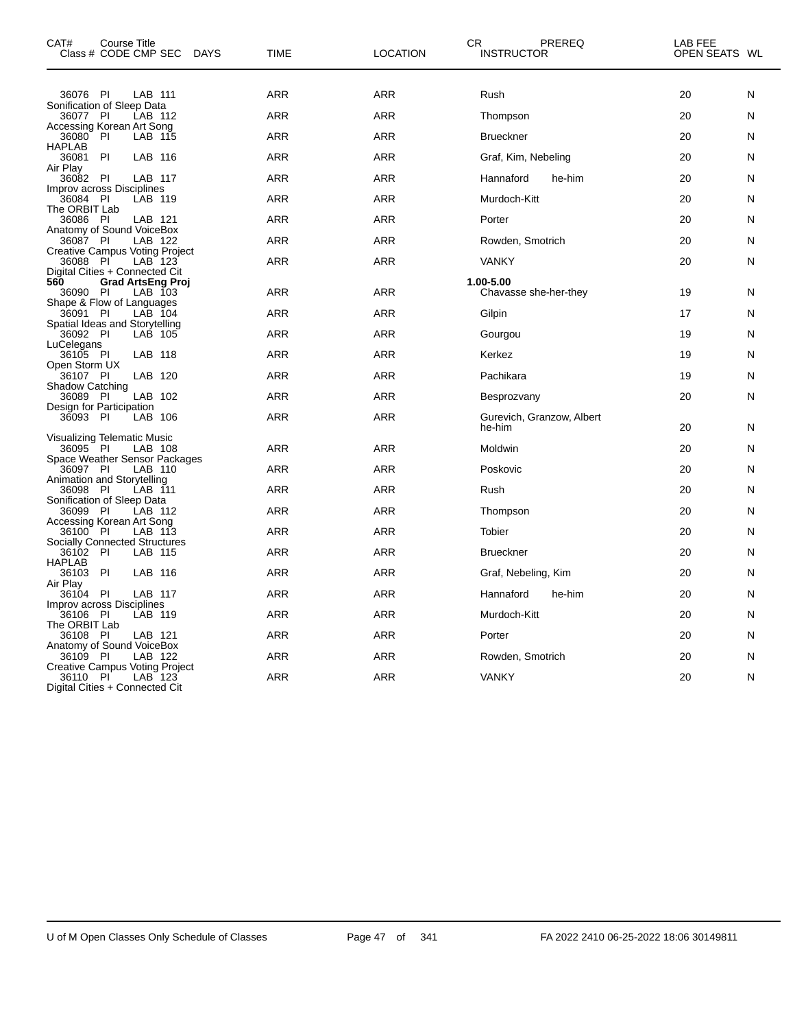| CAT#<br>Course Title<br>Class # CODE CMP SEC<br><b>DAYS</b>                                | <b>TIME</b> | <b>LOCATION</b> | СR<br>PREREQ<br><b>INSTRUCTOR</b>   | LAB FEE<br>OPEN SEATS WL |
|--------------------------------------------------------------------------------------------|-------------|-----------------|-------------------------------------|--------------------------|
| 36076 PI<br>LAB 111                                                                        | <b>ARR</b>  | <b>ARR</b>      | Rush                                | 20<br>N                  |
| Sonification of Sleep Data                                                                 |             |                 |                                     |                          |
| 36077 PI<br>LAB 112<br>Accessing Korean Art Song                                           | <b>ARR</b>  | <b>ARR</b>      | Thompson                            | 20<br>N                  |
| PI<br>36080<br>LAB 115<br><b>HAPLAB</b>                                                    | <b>ARR</b>  | <b>ARR</b>      | <b>Brueckner</b>                    | 20<br>N                  |
| PI<br>LAB 116<br>36081<br>Air Play                                                         | <b>ARR</b>  | <b>ARR</b>      | Graf, Kim, Nebeling                 | 20<br>N                  |
| 36082<br>-PI<br>LAB 117                                                                    | <b>ARR</b>  | <b>ARR</b>      | Hannaford<br>he-him                 | 20<br>N                  |
| Improv across Disciplines<br>36084 PI<br>LAB 119                                           | <b>ARR</b>  | <b>ARR</b>      | Murdoch-Kitt                        | 20<br>N                  |
| The ORBIT Lab<br>36086 PI<br>LAB 121                                                       | ARR         | <b>ARR</b>      | Porter                              | 20<br>N                  |
| Anatomy of Sound VoiceBox                                                                  |             |                 |                                     |                          |
| 36087 PI<br>LAB 122<br><b>Creative Campus Voting Project</b>                               | <b>ARR</b>  | <b>ARR</b>      | Rowden, Smotrich                    | 20<br>Ν                  |
| 36088 PI<br>LAB 123<br>Digital Cities + Connected Cit                                      | ARR         | <b>ARR</b>      | <b>VANKY</b>                        | 20<br>N                  |
| 560<br><b>Grad ArtsEng Proj</b><br>36090 PI<br>LAB 103                                     | ARR         | <b>ARR</b>      | 1.00-5.00<br>Chavasse she-her-they  | 19<br>N                  |
| Shape & Flow of Languages<br>$LAB$ 104<br>36091 PI                                         | <b>ARR</b>  | <b>ARR</b>      | Gilpin                              | 17<br>N                  |
| Spatial Ideas and Storytelling<br>36092 PI<br>LAB 105                                      | <b>ARR</b>  | <b>ARR</b>      | Gourgou                             | 19<br>Ν                  |
| LuCelegans<br>LAB 118<br>36105 PI                                                          | <b>ARR</b>  | <b>ARR</b>      | Kerkez                              | 19<br>N                  |
| Open Storm UX<br>36107 PI<br>LAB 120                                                       | <b>ARR</b>  | <b>ARR</b>      | Pachikara                           | 19<br>N                  |
| <b>Shadow Catching</b>                                                                     |             |                 |                                     |                          |
| LAB 102<br>36089 PI<br>Design for Participation                                            | <b>ARR</b>  | <b>ARR</b>      | Besprozvany                         | 20<br>N                  |
| 36093 PI<br>LAB 106                                                                        | <b>ARR</b>  | <b>ARR</b>      | Gurevich, Granzow, Albert<br>he-him | 20<br>N                  |
| Visualizing Telematic Music<br>36095 PI<br>LAB 108                                         | ARR         | <b>ARR</b>      | Moldwin                             | 20<br>N                  |
| Space Weather Sensor Packages<br>36097 PI<br>LAB 110                                       | <b>ARR</b>  | <b>ARR</b>      | Poskovic                            | 20<br>N                  |
| Animation and Storytelling                                                                 | <b>ARR</b>  | <b>ARR</b>      |                                     |                          |
| 36098<br>- PI<br>LAB 111<br>Sonification of Sleep Data                                     |             |                 | Rush                                | 20<br>N                  |
| 36099 PI<br>LAB 112<br>Accessing Korean Art Song                                           | <b>ARR</b>  | <b>ARR</b>      | Thompson                            | 20<br>N                  |
| LAB 113<br>36100 PI<br><b>Socially Connected Structures</b>                                | ARR         | <b>ARR</b>      | Tobier                              | 20<br>N                  |
| 36102 PI<br>LAB 115                                                                        | ARR         | <b>ARR</b>      | <b>Brueckner</b>                    | 20<br>N                  |
| <b>HAPLAB</b><br>- PI<br>36103<br>LAB 116                                                  | <b>ARR</b>  | <b>ARR</b>      | Graf, Nebeling, Kim                 | 20<br>N                  |
| Air Play<br>PI<br>LAB 117<br>36104                                                         | <b>ARR</b>  | <b>ARR</b>      | Hannaford<br>he-him                 | 20<br>N                  |
| Improv across Disciplines                                                                  |             |                 |                                     |                          |
| 36106 PI<br>LAB 119<br>The ORBIT Lab                                                       | <b>ARR</b>  | <b>ARR</b>      | Murdoch-Kitt                        | 20<br>N                  |
| 36108 PI<br>LAB 121<br>Anatomy of Sound VoiceBox                                           | <b>ARR</b>  | <b>ARR</b>      | Porter                              | 20<br>N                  |
| P<br>LAB 122<br>36109                                                                      | <b>ARR</b>  | <b>ARR</b>      | Rowden, Smotrich                    | 20<br>N                  |
| Creative Campus Voting Project<br>PI<br>LAB 123<br>36110<br>Digital Cities + Connected Cit | <b>ARR</b>  | <b>ARR</b>      | <b>VANKY</b>                        | 20<br>N                  |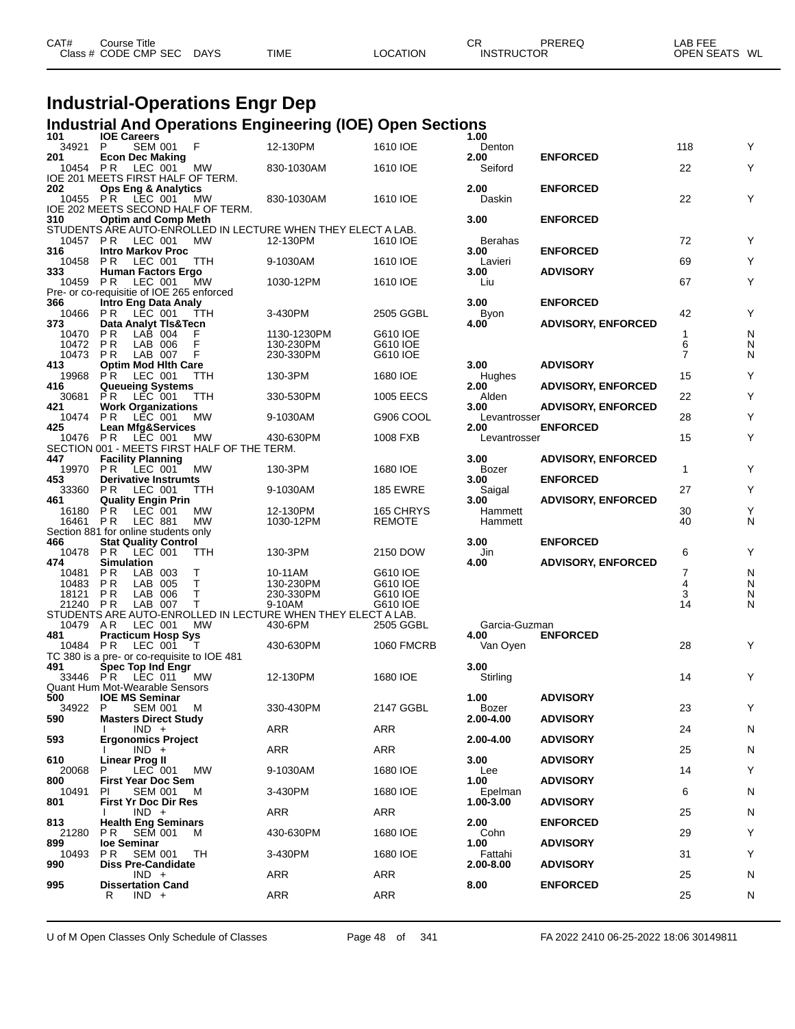| CAT# | Course Title         |             |             |          | СR                | PREREQ | LAB FEF                 |
|------|----------------------|-------------|-------------|----------|-------------------|--------|-------------------------|
|      | Class # CODE CMP SEC | <b>DAYS</b> | <b>TIME</b> | LOCATION | <b>INSTRUCTOR</b> |        | <b>OPEN SEATS</b><br>WL |
|      |                      |             |             |          |                   |        |                         |

# **Industrial-Operations Engr Dep**

### **Industrial And Operations Engineering (IOE) Open Sections**

| 101             | <b>IOE Careers</b>                                               |                                                                          |                      | 1.00                     |                           |                |        |
|-----------------|------------------------------------------------------------------|--------------------------------------------------------------------------|----------------------|--------------------------|---------------------------|----------------|--------|
| 34921           | P<br><b>SEM 001</b><br>F                                         | 12-130PM                                                                 | 1610 IOE             | Denton                   |                           | 118            | Y      |
| 201<br>10454 PR | <b>Econ Dec Making</b><br>LEC 001<br>MW                          | 830-1030AM                                                               | 1610 IOE             | 2.00<br>Seiford          | <b>ENFORCED</b>           | 22             | Υ      |
|                 | IOE 201 MEETS FIRST HALF OF TERM.                                |                                                                          |                      |                          |                           |                |        |
| 202             | <b>Ops Eng &amp; Analytics</b>                                   |                                                                          |                      | 2.00                     | <b>ENFORCED</b>           |                |        |
| 10455           | <b>PR</b><br>LEC 001<br>МW                                       | 830-1030AM                                                               | 1610 IOE             | Daskin                   |                           | 22             | Y      |
|                 | IOE 202 MEETS SECOND HALF OF TERM.                               |                                                                          |                      |                          |                           |                |        |
| 310             | <b>Optim and Comp Meth</b>                                       |                                                                          |                      | 3.00                     | <b>ENFORCED</b>           |                |        |
| 10457 PR        | LEC 001<br>МW                                                    | STUDENTS ARE AUTO-ENROLLED IN LECTURE WHEN THEY ELECT A LAB.<br>12-130PM | 1610 IOE             | Berahas                  |                           | 72             | Υ      |
| 316             | <b>Intro Markov Proc</b>                                         |                                                                          |                      | 3.00                     | <b>ENFORCED</b>           |                |        |
| 10458           | PR.<br>LEC 001<br>TTH                                            | 9-1030AM                                                                 | 1610 IOE             | Lavieri                  |                           | 69             | Υ      |
| 333             | <b>Human Factors Ergo</b>                                        |                                                                          |                      | 3.00                     | <b>ADVISORY</b>           |                |        |
| 10459           | LEC 001<br>P R<br>MW                                             | 1030-12PM                                                                | 1610 IOE             | Liu                      |                           | 67             | Υ      |
|                 | Pre- or co-requisitie of IOE 265 enforced                        |                                                                          |                      |                          |                           |                |        |
| 366             | <b>Intro Eng Data Analy</b>                                      |                                                                          |                      | 3.00                     | <b>ENFORCED</b>           |                |        |
| 10466<br>373    | LEC 001<br>P R<br>TTH<br>Data Analyt TIs&Tecn                    | 3-430PM                                                                  | 2505 GGBL            | Byon<br>4.00             | <b>ADVISORY, ENFORCED</b> | 42             | Υ      |
| 10470           | P R<br>LAB 004<br>F                                              | 1130-1230PM                                                              | G610 IOE             |                          |                           | 1              | N      |
| 10472           | P <sub>R</sub><br>F<br>LAB 006                                   | 130-230PM                                                                | G610 IOE             |                          |                           | 6              | N      |
| 10473           | F<br>P R<br>LAB 007                                              | 230-330PM                                                                | G610 IOE             |                          |                           | $\overline{7}$ | N      |
| 413             | <b>Optim Mod Hith Care</b>                                       |                                                                          |                      | 3.00                     | <b>ADVISORY</b>           |                |        |
| 19968           | P R<br>LEC 001<br><b>TTH</b>                                     | 130-3PM                                                                  | 1680 IOE             | Hughes                   |                           | 15             | Υ      |
| 416<br>30681    | <b>Queueing Systems</b><br>LEC 001<br>P R<br>ттн                 | 330-530PM                                                                | <b>1005 EECS</b>     | 2.00<br>Alden            | <b>ADVISORY, ENFORCED</b> | 22             | Υ      |
| 421             | <b>Work Organizations</b>                                        |                                                                          |                      | 3.00                     | <b>ADVISORY, ENFORCED</b> |                |        |
| 10474           | P R<br>MW<br>LEC 001                                             | 9-1030AM                                                                 | G906 COOL            | Levantrosser             |                           | 28             | Υ      |
| 425             | <b>Lean Mfg&amp;Services</b>                                     |                                                                          |                      | 2.00                     | <b>ENFORCED</b>           |                |        |
| 10476           | LEC 001<br>P R<br>МW                                             | 430-630PM                                                                | 1008 FXB             | Levantrosser             |                           | 15             | Υ      |
|                 | SECTION 001 - MEETS FIRST HALF OF THE TERM.                      |                                                                          |                      |                          |                           |                |        |
| 447             | <b>Facility Planning</b>                                         |                                                                          |                      | 3.00                     | <b>ADVISORY, ENFORCED</b> |                |        |
| 19970<br>453    | <b>PR</b><br>LEC 001<br>МW<br><b>Derivative Instrumts</b>        | 130-3PM                                                                  | 1680 IOE             | Bozer<br>3.00            | <b>ENFORCED</b>           | $\mathbf{1}$   | Υ      |
| 33360           | P R<br>LEC 001<br>TTH                                            | 9-1030AM                                                                 | <b>185 EWRE</b>      | Saigal                   |                           | 27             | Υ      |
| 461             | <b>Quality Engin Prin</b>                                        |                                                                          |                      | 3.00                     | <b>ADVISORY, ENFORCED</b> |                |        |
| 16180           | P R<br>MW<br>LEC 001                                             | 12-130PM                                                                 | 165 CHRYS            | Hammett                  |                           | 30             | Υ      |
| 16461           | <b>MW</b><br>P R<br><b>LEC 881</b>                               | 1030-12PM                                                                | <b>REMOTE</b>        | Hammett                  |                           | 40             | N      |
|                 | Section 881 for online students only                             |                                                                          |                      |                          |                           |                |        |
| 466<br>10478    | <b>Stat Quality Control</b>                                      |                                                                          |                      | 3.00                     | <b>ENFORCED</b>           |                |        |
|                 |                                                                  |                                                                          |                      |                          |                           |                |        |
|                 | P R<br>LEC 001<br>ттн                                            | 130-3PM                                                                  | 2150 DOW             | Jin                      |                           | 6              | Υ      |
| 474             | <b>Simulation</b>                                                |                                                                          |                      | 4.00                     | <b>ADVISORY, ENFORCED</b> | 7              |        |
| 10481<br>10483  | LAB 003<br>Т<br>P R<br>P R<br>LAB 005<br>Т                       | 10-11AM<br>130-230PM                                                     | G610 IOE<br>G610 IOE |                          |                           | 4              | N<br>N |
| 18121           | Т<br>P R<br>LAB 006                                              | 230-330PM                                                                | G610 IOE             |                          |                           | 3              | N      |
| 21240           | LAB 007<br>P R<br>Т                                              | 9-10AM                                                                   | G610 IOE             |                          |                           | 14             | N      |
|                 |                                                                  | STUDENTS ARE AUTO-ENROLLED IN LECTURE WHEN THEY ELECT A LAB.             |                      |                          |                           |                |        |
| 10479           | A R<br>LEC 001<br>MW                                             | 430-6PM                                                                  | 2505 GGBL            | Garcia-Guzman            |                           |                |        |
| 481             | <b>Practicum Hosp Sys</b><br>Т                                   |                                                                          |                      | 4.00                     | <b>ENFORCED</b>           |                |        |
| 10484           | P R<br>LEC 001                                                   | 430-630PM                                                                | <b>1060 FMCRB</b>    | Van Oyen                 |                           | 28             | Y      |
| 491             | TC 380 is a pre- or co-requisite to IOE 481<br>Spec Top Ind Engr |                                                                          |                      | 3.00                     |                           |                |        |
| 33446 PR        | LEC 011<br><b>MW</b>                                             | 12-130PM                                                                 | 1680 IOE             | Stirling                 |                           | 14             | Y      |
|                 | Quant Hum Mot-Wearable Sensors                                   |                                                                          |                      |                          |                           |                |        |
| 500             | <b>IOE MS Seminar</b>                                            |                                                                          |                      | 1.00                     | <b>ADVISORY</b>           |                |        |
| 34922 P         | <b>SEM 001</b><br>M                                              | 330-430PM                                                                | 2147 GGBL            | Bozer                    |                           | 23             | Υ      |
| 590             | <b>Masters Direct Study</b><br>$IND +$                           | ARR                                                                      | ARR                  | 2.00-4.00                | <b>ADVISORY</b>           | 24             | N      |
| 593             | <b>Ergonomics Project</b>                                        |                                                                          |                      | 2.00-4.00                | <b>ADVISORY</b>           |                |        |
|                 | $IND +$                                                          | ARR                                                                      | ARR                  |                          |                           | 25             | N      |
| 610             | <b>Linear Prog II</b>                                            |                                                                          |                      | 3.00                     | <b>ADVISORY</b>           |                |        |
| 20068           | LEC 001<br>P<br>МW                                               | 9-1030AM                                                                 | 1680 IOE             | Lee                      |                           | 14             | Υ      |
| 800<br>10491    | <b>First Year Doc Sem</b><br><b>SEM 001</b><br>М<br>PI.          |                                                                          |                      | 1.00                     | <b>ADVISORY</b>           |                |        |
| 801             | <b>First Yr Doc Dir Res</b>                                      | 3-430PM                                                                  | 1680 IOE             | Epelman<br>$1.00 - 3.00$ | <b>ADVISORY</b>           | 6              | N      |
|                 | $IND +$                                                          | ARR                                                                      | ARR                  |                          |                           | 25             | N      |
| 813             | <b>Health Eng Seminars</b>                                       |                                                                          |                      | 2.00                     | <b>ENFORCED</b>           |                |        |
| 21280           | P R<br><b>SEM 001</b><br>M                                       | 430-630PM                                                                | 1680 IOE             | Cohn                     |                           | 29             | Υ      |
| 899             | loe Seminar                                                      |                                                                          |                      | 1.00                     | <b>ADVISORY</b>           |                |        |
| 10493<br>990    | P R<br><b>SEM 001</b><br>TН<br><b>Diss Pre-Candidate</b>         | 3-430PM                                                                  | 1680 IOE             | Fattahi<br>2.00-8.00     | <b>ADVISORY</b>           | 31             | Υ      |
|                 | $IND +$                                                          | <b>ARR</b>                                                               | ARR                  |                          |                           | 25             | N      |
| 995             | <b>Dissertation Cand</b><br>$IND +$<br>R                         | <b>ARR</b>                                                               | ARR                  | 8.00                     | <b>ENFORCED</b>           | 25             | N      |

U of M Open Classes Only Schedule of Classes Page 48 of 341 FA 2022 2410 06-25-2022 18:06 30149811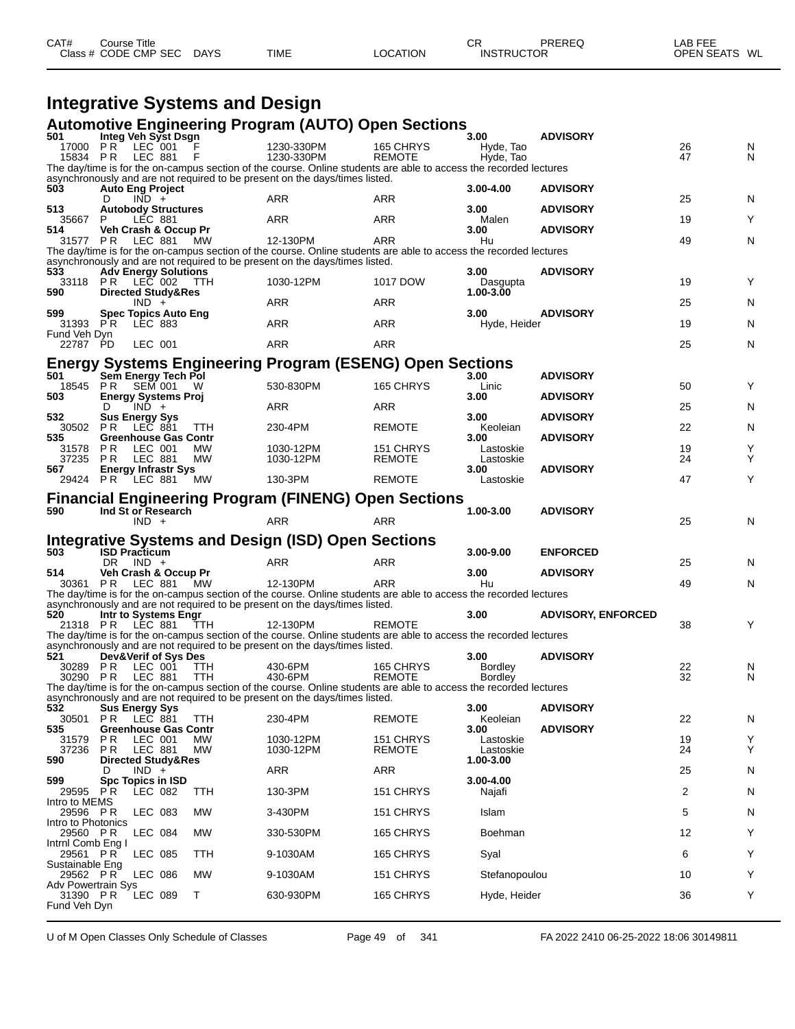| CAT# | Course Title         |        |             |          | СR                | PREREO | LAB FEE       |  |
|------|----------------------|--------|-------------|----------|-------------------|--------|---------------|--|
|      | Class # CODE CMP SEC | C DAYS | <b>TIME</b> | LOCATION | <b>INSTRUCTOR</b> |        | OPEN SEATS WL |  |

#### **Integrative Systems and Design**

#### **Automotive Engineering Program (AUTO) Open Sections**

| 501                            |     | Integ Veh Syst Dsgn                             |            | Adiomotive Engineering Program (AOTO) Open Sections                                                               |                            | 3.00                             | <b>ADVISORY</b>           |          |        |
|--------------------------------|-----|-------------------------------------------------|------------|-------------------------------------------------------------------------------------------------------------------|----------------------------|----------------------------------|---------------------------|----------|--------|
|                                |     | 17000 PR LEC 001                                |            | 1230-330PM                                                                                                        | 165 CHRYS                  | Hyde, Tao                        |                           | 26       | N      |
|                                |     | 15834 PR LEC 881                                | F          | 1230-330PM                                                                                                        | <b>REMOTE</b>              | Hyde, Tao                        |                           | 47       | N      |
|                                |     |                                                 |            | The day/time is for the on-campus section of the course. Online students are able to access the recorded lectures |                            |                                  |                           |          |        |
| 503                            |     | <b>Auto Eng Project</b>                         |            | asynchronously and are not required to be present on the days/times listed.                                       |                            | $3.00 - 4.00$                    | <b>ADVISORY</b>           |          |        |
|                                | D   | $IND +$                                         |            | ARR                                                                                                               | ARR                        |                                  |                           | 25       | N      |
| 513                            |     | <b>Autobody Structures</b>                      |            |                                                                                                                   |                            | 3.00                             | <b>ADVISORY</b>           |          |        |
| 35667<br>514.                  | P   | <b>LEC 881</b>                                  |            | ARR                                                                                                               | ARR                        | Malen                            | <b>ADVISORY</b>           | 19       | Υ      |
|                                |     | Veh Crash & Occup Pr<br>31577 PR LEC 881        | MW.        | 12-130PM                                                                                                          | ARR                        | 3.00<br>Hu                       |                           | 49       | N      |
|                                |     |                                                 |            | The day/time is for the on-campus section of the course. Online students are able to access the recorded lectures |                            |                                  |                           |          |        |
|                                |     |                                                 |            | asynchronously and are not required to be present on the days/times listed.                                       |                            |                                  |                           |          |        |
| 533                            |     | <b>Adv Energy Solutions</b><br>33118 PR LEC 002 | TTH        | 1030-12PM                                                                                                         | 1017 DOW                   | 3.00 <sub>1</sub><br>Dasgupta    | <b>ADVISORY</b>           | 19       | Υ      |
| 590                            |     | <b>Directed Study&amp;Res</b>                   |            |                                                                                                                   |                            | 1.00-3.00                        |                           |          |        |
|                                |     | $IND +$                                         |            | ARR                                                                                                               | ARR                        |                                  |                           | 25       | N      |
| 599<br>31393 PR                |     | <b>Spec Topics Auto Eng</b><br>LEC 883          |            | ARR                                                                                                               | ARR                        | 3.00                             | <b>ADVISORY</b>           | 19       | N      |
| Fund Veh Dyn                   |     |                                                 |            |                                                                                                                   |                            | Hyde, Heider                     |                           |          |        |
| 22787 PD                       |     | LEC 001                                         |            | ARR                                                                                                               | <b>ARR</b>                 |                                  |                           | 25       | N      |
|                                |     |                                                 |            | <b>Energy Systems Engineering Program (ESENG) Open Sections</b>                                                   |                            |                                  |                           |          |        |
| 501                            |     | Sem Energy Tech Pol                             |            |                                                                                                                   |                            | 3.00                             | <b>ADVISORY</b>           |          |        |
| 18545                          | PR  | SEM 001                                         | W          | 530-830PM                                                                                                         | 165 CHRYS                  | Linic                            |                           | 50       | Y      |
| 503                            |     | <b>Energy Systems Proj</b>                      |            |                                                                                                                   |                            | 3.00                             | <b>ADVISORY</b>           |          |        |
| 532                            | D   | $IND +$<br><b>Sus Energy Sys</b>                |            | <b>ARR</b>                                                                                                        | <b>ARR</b>                 | 3.00                             | <b>ADVISORY</b>           | 25       | N      |
| 30502 PR                       |     | LEC 881                                         | ттн        | 230-4PM                                                                                                           | <b>REMOTE</b>              | Keoleian                         |                           | 22       | N      |
| 535                            |     | <b>Greenhouse Gas Contr</b>                     |            |                                                                                                                   |                            | 3.00                             | <b>ADVISORY</b>           |          |        |
| 31578                          | PR. | LEC 001                                         | MW.        | 1030-12PM                                                                                                         | 151 CHRYS                  | Lastoskie                        |                           | 19       | Υ      |
| 37235<br>567                   | PR  | LEC 881                                         | МW         | 1030-12PM                                                                                                         | <b>REMOTE</b>              | Lastoskie<br>3.00                | <b>ADVISORY</b>           | 24       | Y      |
| 29424 PR                       |     | <b>Energy Infrastr Sys</b><br>LEC 881           | MW         | 130-3PM                                                                                                           | <b>REMOTE</b>              | Lastoskie                        |                           | 47       | Y      |
|                                |     |                                                 |            |                                                                                                                   |                            |                                  |                           |          |        |
|                                |     |                                                 |            | <b>Financial Engineering Program (FINENG) Open Sections</b>                                                       |                            |                                  |                           |          |        |
| 590.                           |     | Ind St or Research<br>$IND +$                   |            | ARR                                                                                                               | ARR                        | 1.00-3.00                        | <b>ADVISORY</b>           |          |        |
|                                |     |                                                 |            |                                                                                                                   |                            |                                  |                           |          |        |
|                                |     |                                                 |            |                                                                                                                   |                            |                                  |                           | 25       | N      |
|                                |     |                                                 |            | <b>Integrative Systems and Design (ISD) Open Sections</b>                                                         |                            |                                  |                           |          |        |
| 503                            |     | <b>ISD Practicum</b>                            |            |                                                                                                                   |                            | $3.00 - 9.00$                    | <b>ENFORCED</b>           |          |        |
|                                |     | DR $\ln D +$                                    |            | ARR                                                                                                               | ARR                        |                                  |                           | 25       | N      |
| 514                            |     | Veh Crash & Occup Pr<br>30361 PR LEC 881 MW     |            | 12-130PM                                                                                                          | ARR                        | 3.00<br>Hu                       | <b>ADVISORY</b>           | 49       | N      |
|                                |     |                                                 |            | The day/time is for the on-campus section of the course. Online students are able to access the recorded lectures |                            |                                  |                           |          |        |
|                                |     |                                                 |            | asynchronously and are not required to be present on the days/times listed.                                       |                            |                                  |                           |          |        |
| 520                            |     | Intr to Systems Engr<br>21318 PR LEC 881        | TTH        | 12-130PM                                                                                                          | <b>REMOTE</b>              | 3.00                             | <b>ADVISORY, ENFORCED</b> | 38       | Y      |
|                                |     |                                                 |            | The day/time is for the on-campus section of the course. Online students are able to access the recorded lectures |                            |                                  |                           |          |        |
|                                |     |                                                 |            | asynchronously and are not required to be present on the days/times listed.                                       |                            |                                  |                           |          |        |
| 521                            |     | Dev&Verif of Sys Des                            |            |                                                                                                                   |                            | 3.00                             | <b>ADVISORY</b>           |          |        |
| 30289 PR<br>30290 PR           |     | LEC 001<br>LEC 881                              | TTH<br>TTH | 430-6PM<br>430-6PM                                                                                                | 165 CHRYS<br><b>REMOTE</b> | <b>Bordley</b><br><b>Bordley</b> |                           | 22<br>32 | N<br>N |
|                                |     |                                                 |            | The day/time is for the on-campus section of the course. Online students are able to access the recorded lectures |                            |                                  |                           |          |        |
|                                |     |                                                 |            | asynchronously and are not required to be present on the days/times listed.                                       |                            |                                  |                           |          |        |
| 532                            |     | Sus Energy Sys<br>30501 PR LEC 881              |            | 230-4PM                                                                                                           |                            | 3.00<br>Keoleian                 | <b>ADVISORY</b>           |          |        |
| 535                            |     | <b>Greenhouse Gas Contr</b>                     | <b>TTH</b> |                                                                                                                   | <b>REMOTE</b>              | 3.00                             | <b>ADVISORY</b>           | 22       | N      |
| 31579                          | P R | LEC 001                                         | МW         | 1030-12PM                                                                                                         | 151 CHRYS                  | Lastoskie                        |                           | 19       | Υ      |
| 37236                          | P R | <b>LEC 881</b>                                  | МW         | 1030-12PM                                                                                                         | REMOTE                     | Lastoskie                        |                           | 24       | Y      |
| 590                            | D   | <b>Directed Study&amp;Res</b><br>$IND +$        |            | ARR                                                                                                               | ARR                        | 1.00-3.00                        |                           | 25       | N      |
| 599                            |     | <b>Spc Topics in ISD</b>                        |            |                                                                                                                   |                            | 3.00-4.00                        |                           |          |        |
| 29595 PR                       |     | LEC 082                                         | TTH        | 130-3PM                                                                                                           | 151 CHRYS                  | Najafi                           |                           | 2        | N      |
| Intro to MEMS                  |     |                                                 |            |                                                                                                                   |                            |                                  |                           |          |        |
| 29596 PR<br>Intro to Photonics |     | LEC 083                                         | MW         | 3-430PM                                                                                                           | 151 CHRYS                  | Islam                            |                           | 5        | N      |
| 29560 PR                       |     | LEC 084                                         | MW         | 330-530PM                                                                                                         | 165 CHRYS                  | Boehman                          |                           | 12       | Υ      |
| Intrnl Comb Eng I              |     |                                                 |            |                                                                                                                   |                            |                                  |                           |          |        |
| 29561 PR<br>Sustainable Eng    |     | LEC 085                                         | TTH        | 9-1030AM                                                                                                          | 165 CHRYS                  | Syal                             |                           | 6        | Υ      |
| 29562 PR                       |     | <b>LEC 086</b>                                  | MW         | 9-1030AM                                                                                                          | 151 CHRYS                  | Stefanopoulou                    |                           | 10       | Υ      |
| <b>Adv Powertrain Sys</b>      |     |                                                 |            |                                                                                                                   |                            |                                  |                           |          |        |
| 31390 PR<br>Fund Veh Dyn       |     | LEC 089                                         | т          | 630-930PM                                                                                                         | 165 CHRYS                  | Hyde, Heider                     |                           | 36       | Υ      |

U of M Open Classes Only Schedule of Classes Page 49 of 341 FA 2022 2410 06-25-2022 18:06 30149811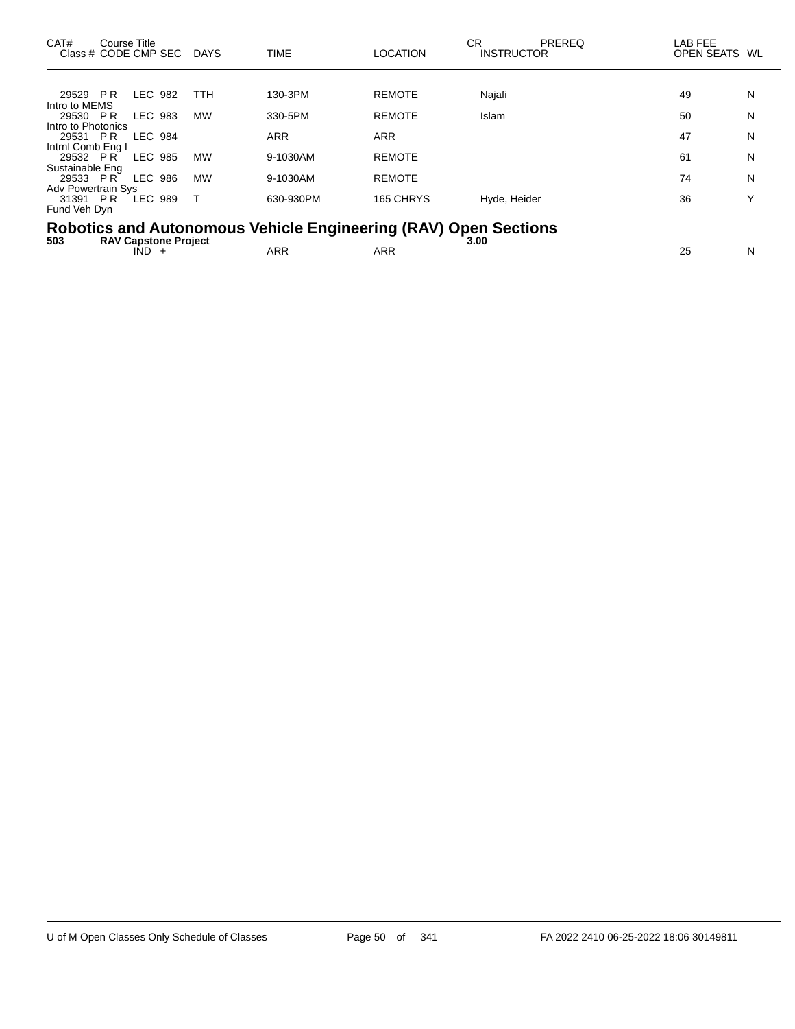| CAT#                      | Course Title<br>Class # CODE CMP SEC |                | DAYS       | <b>TIME</b>                                                     | <b>LOCATION</b> | СR<br><b>INSTRUCTOR</b> | PREREQ | LAB FEE<br>OPEN SEATS WL |   |
|---------------------------|--------------------------------------|----------------|------------|-----------------------------------------------------------------|-----------------|-------------------------|--------|--------------------------|---|
|                           |                                      |                |            |                                                                 |                 |                         |        |                          |   |
| 29529 PR                  |                                      | LEC 982        | <b>TTH</b> | 130-3PM                                                         | <b>REMOTE</b>   | Najafi                  |        | 49                       | N |
| Intro to MEMS             |                                      |                |            |                                                                 |                 |                         |        |                          |   |
| 29530 PR                  |                                      | LEC 983        | <b>MW</b>  | 330-5PM                                                         | <b>REMOTE</b>   | <b>Islam</b>            |        | 50                       | N |
| Intro to Photonics        |                                      |                |            |                                                                 |                 |                         |        |                          |   |
| 29531 PR                  |                                      | <b>LEC 984</b> |            | ARR                                                             | <b>ARR</b>      |                         |        | 47                       | N |
| Intrnl Comb Eng I         |                                      |                |            |                                                                 |                 |                         |        |                          |   |
| 29532 PR                  |                                      | LEC 985        | <b>MW</b>  | 9-1030AM                                                        | <b>REMOTE</b>   |                         |        | 61                       | N |
| Sustainable Eng           |                                      |                |            |                                                                 |                 |                         |        |                          |   |
| 29533 PR                  |                                      | LEC 986        | <b>MW</b>  | 9-1030AM                                                        | <b>REMOTE</b>   |                         |        | 74                       | N |
| <b>Adv Powertrain Sys</b> |                                      |                |            |                                                                 |                 |                         |        |                          |   |
| 31391 PR                  |                                      | LEC 989        |            | 630-930PM                                                       | 165 CHRYS       | Hyde, Heider            |        | 36                       |   |
| Fund Veh Dyn              |                                      |                |            |                                                                 |                 |                         |        |                          |   |
|                           |                                      |                |            |                                                                 |                 |                         |        |                          |   |
|                           |                                      |                |            | Robotics and Autonomous Vehicle Engineering (RAV) Open Sections |                 |                         |        |                          |   |

| 503 | $RAV \cap$<br><b>Project</b><br>Capstone ' |     |                  | 3.00 |             |
|-----|--------------------------------------------|-----|------------------|------|-------------|
|     | IND                                        | ARR | <b>DC</b><br>ARN |      | $\sim$<br>w |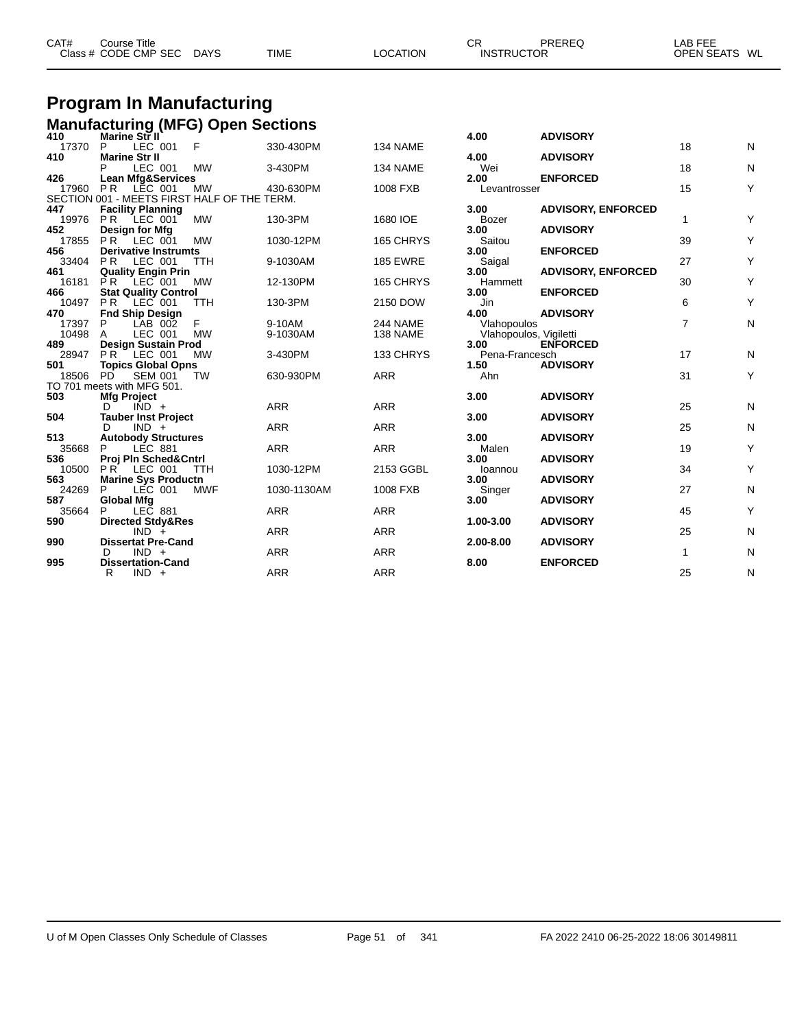| CAT# | Course Title<br>Class # CODE CMP SEC | <b>DAYS</b> | <b>TIME</b> | <b>LOCATION</b> | ∼⊏<br>◡┍<br><b>INSTRUCTOR</b> | PREREQ | LAB FEE<br>OPEN SEATS WL |  |
|------|--------------------------------------|-------------|-------------|-----------------|-------------------------------|--------|--------------------------|--|
|      |                                      |             |             |                 |                               |        |                          |  |

# **Program In Manufacturing**

|              | <b>Manufacturing (MFG) Open Sections</b><br><sup>410</sup> Marine Str II |              |             |                 |                        |                           |                |           |
|--------------|--------------------------------------------------------------------------|--------------|-------------|-----------------|------------------------|---------------------------|----------------|-----------|
|              |                                                                          |              |             |                 | 4.00                   | <b>ADVISORY</b>           |                |           |
| 17370<br>410 | LEC 001<br>P<br><b>Marine Str II</b>                                     | $\mathsf{F}$ | 330-430PM   | 134 NAME        | 4.00                   | <b>ADVISORY</b>           | 18             | N         |
|              | LEC 001                                                                  | <b>MW</b>    | 3-430PM     | 134 NAME        | Wei                    |                           | 18             | N         |
| 426          | <b>Lean Mfg&amp;Services</b>                                             |              |             |                 | 2.00                   | <b>ENFORCED</b>           |                |           |
| 17960        | P <sub>R</sub><br>LEC 001                                                | <b>MW</b>    | 430-630PM   | 1008 FXB        | Levantrosser           |                           | 15             | Υ         |
|              | SECTION 001 - MEETS FIRST HALF OF THE TERM.                              |              |             |                 |                        |                           |                |           |
| 447          | <b>Facility Planning</b><br>19976 PR LEC 001                             | <b>MW</b>    | 130-3PM     | 1680 IOE        | 3.00<br><b>Bozer</b>   | <b>ADVISORY, ENFORCED</b> | 1              | Υ         |
| 452          | Design for Mfg                                                           |              |             |                 | 3.00                   | <b>ADVISORY</b>           |                |           |
| 17855        | <b>PR</b> LEC 001                                                        | <b>MW</b>    | 1030-12PM   | 165 CHRYS       | Saitou                 |                           | 39             | Υ         |
| 456          | <b>Derivative Instrumts</b>                                              |              |             |                 | 3.00                   | <b>ENFORCED</b>           |                |           |
| 33404        | LEC 001<br>P <sub>R</sub>                                                | <b>TTH</b>   | 9-1030AM    | <b>185 EWRE</b> | Saigal                 |                           | 27             | Υ         |
| 461          | <b>Quality Engin Prin</b>                                                |              |             |                 | 3.00                   | <b>ADVISORY, ENFORCED</b> |                |           |
| 16181<br>466 | PR LEC 001<br><b>Stat Quality Control</b>                                | <b>MW</b>    | 12-130PM    | 165 CHRYS       | Hammett<br>3.00        | <b>ENFORCED</b>           | 30             | Υ         |
| 10497        | <b>PR</b><br>LEC 001                                                     | <b>TTH</b>   | 130-3PM     | 2150 DOW        | Jin                    |                           | 6              | Υ         |
| 470          | <b>Fnd Ship Design</b>                                                   |              |             |                 | 4.00                   | <b>ADVISORY</b>           |                |           |
| 17397        | P<br>LAB 002                                                             | F            | 9-10AM      | 244 NAME        | Vlahopoulos            |                           | $\overline{7}$ | ${\sf N}$ |
| 10498        | A<br>LEC 001                                                             | <b>MW</b>    | 9-1030AM    | 138 NAME        | Vlahopoulos, Vigiletti |                           |                |           |
| 489          | Design Sustain Prod                                                      |              |             |                 | 3.00                   | <b>ENFORCED</b>           |                |           |
| 28947        | <b>PR</b> LEC 001                                                        | <b>MW</b>    | 3-430PM     | 133 CHRYS       | Pena-Francesch         |                           | 17             | N         |
| 501<br>18506 | <b>Topics Global Opns</b><br><b>SEM 001</b><br><b>PD</b>                 | <b>TW</b>    | 630-930PM   | <b>ARR</b>      | 1.50<br>Ahn            | <b>ADVISORY</b>           | 31             | Y         |
|              | TO 701 meets with MFG 501.                                               |              |             |                 |                        |                           |                |           |
| 503          | <b>Mfg Project</b>                                                       |              |             |                 | 3.00                   | <b>ADVISORY</b>           |                |           |
|              | $IND +$<br>$\mathsf{D}$                                                  |              | <b>ARR</b>  | <b>ARR</b>      |                        |                           | 25             | N         |
| 504          | <b>Tauber Inst Project</b>                                               |              |             |                 | 3.00                   | <b>ADVISORY</b>           |                |           |
|              | $IND +$<br>D.                                                            |              | <b>ARR</b>  | <b>ARR</b>      |                        |                           | 25             | N         |
| 513          | <b>Autobody Structures</b>                                               |              |             |                 | 3.00                   | <b>ADVISORY</b>           | 19             | Υ         |
| 35668<br>536 | <b>LÉC 881</b><br>P<br>Proj Pln Sched&Cntrl                              |              | <b>ARR</b>  | <b>ARR</b>      | Malen<br>3.00          | <b>ADVISORY</b>           |                |           |
| 10500        | PR LEC 001                                                               | <b>TTH</b>   | 1030-12PM   | 2153 GGBL       | Ioannou                |                           | 34             | Υ         |
| 563          | <b>Marine Sys Productn</b>                                               |              |             |                 | 3.00                   | <b>ADVISORY</b>           |                |           |
| 24269        | P<br>LEC 001                                                             | <b>MWF</b>   | 1030-1130AM | 1008 FXB        | Singer                 |                           | 27             | N         |
| 587          | <b>Global Mfg</b>                                                        |              |             |                 | 3.00                   | <b>ADVISORY</b>           |                |           |
| 35664        | LEC 881<br>P                                                             |              | <b>ARR</b>  | <b>ARR</b>      |                        |                           | 45             | Y         |
| 590          | <b>Directed Stdy&amp;Res</b><br>$IND +$                                  |              | <b>ARR</b>  | <b>ARR</b>      | 1.00-3.00              | <b>ADVISORY</b>           | 25             | N         |
| 990          | <b>Dissertat Pre-Cand</b>                                                |              |             |                 | 2.00-8.00              | <b>ADVISORY</b>           |                |           |
|              | $IND +$<br>D                                                             |              | <b>ARR</b>  | <b>ARR</b>      |                        |                           | $\mathbf{1}$   | N         |
| 995          | <b>Dissertation-Cand</b>                                                 |              |             |                 | 8.00                   | <b>ENFORCED</b>           |                |           |
|              | $IND +$<br>R                                                             |              | <b>ARR</b>  | <b>ARR</b>      |                        |                           | 25             | N         |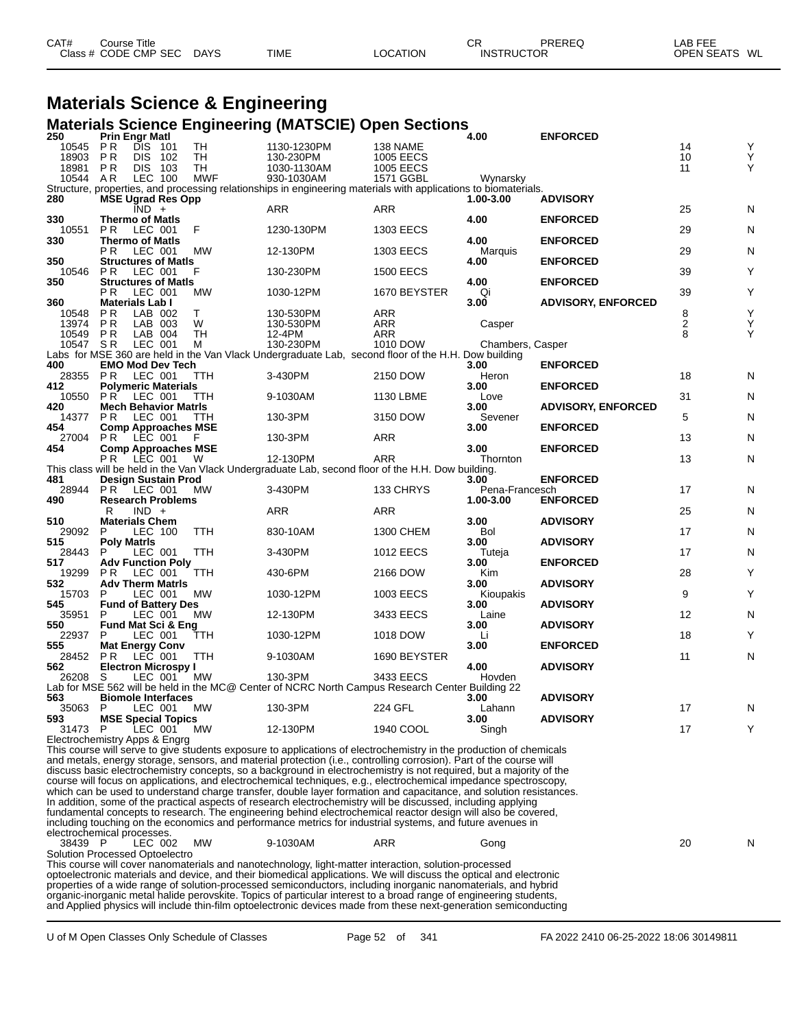| Class # CODE CMP SEC<br><b>DAYS</b><br><b>TIME</b><br><b>LOCATION</b><br><b>INSTRUCTOR</b> | CAT# | Course Title |  | СR | PREREQ | _AB FEE       |
|--------------------------------------------------------------------------------------------|------|--------------|--|----|--------|---------------|
|                                                                                            |      |              |  |    |        | OPEN SEATS WL |

### **Materials Science & Engineering**

#### **Materials Science Engineering (MATSCIE) Open Sections**

| 250                           |                         | <b>Prin Engr Matl</b>                          |            |                                                                                                                     |                  | 4.00             | <b>ENFORCED</b>           |    |   |
|-------------------------------|-------------------------|------------------------------------------------|------------|---------------------------------------------------------------------------------------------------------------------|------------------|------------------|---------------------------|----|---|
| 10545                         | P R                     | DIS 101                                        | TH         | 1130-1230PM                                                                                                         | 138 NAME         |                  |                           | 14 | Y |
| 18903                         | <b>PR</b>               | DIS 102                                        | TH         | 130-230PM                                                                                                           | <b>1005 EECS</b> |                  |                           | 10 | Y |
| 18981                         | P R                     | DIS 103                                        | TН         | 1030-1130AM                                                                                                         | <b>1005 EECS</b> |                  |                           | 11 | Y |
| 10544                         | AR                      | LEC 100                                        | <b>MWF</b> | 930-1030AM                                                                                                          | 1571 GGBL        | Wynarsky         |                           |    |   |
|                               |                         |                                                |            | Structure, properties, and processing relationships in engineering materials with applications to biomaterials.     |                  |                  |                           |    |   |
| 280                           |                         | <b>MSE Ugrad Res Opp</b><br>$\overline{IND}$ + |            | <b>ARR</b>                                                                                                          | <b>ARR</b>       | 1.00-3.00        | <b>ADVISORY</b>           | 25 | N |
| 330                           |                         | <b>Thermo of Matls</b>                         |            |                                                                                                                     |                  | 4.00             | <b>ENFORCED</b>           |    |   |
| 10551                         | P <sub>R</sub>          | LEC 001                                        | F          | 1230-130PM                                                                                                          | 1303 EECS        |                  |                           | 29 | N |
| 330                           |                         | <b>Thermo of Matis</b>                         |            |                                                                                                                     |                  | 4.00             | <b>ENFORCED</b>           |    |   |
|                               | P <sub>R</sub>          | LEC 001                                        | <b>MW</b>  | 12-130PM                                                                                                            | 1303 EECS        | Marquis          |                           | 29 | N |
| 350                           |                         | <b>Structures of Matls</b>                     |            |                                                                                                                     |                  | 4.00             | <b>ENFORCED</b>           |    |   |
| 10546                         | <b>PR</b>               | LEC 001                                        | F          | 130-230PM                                                                                                           | <b>1500 EECS</b> |                  |                           | 39 | Y |
| 350                           |                         | <b>Structures of Matls</b>                     |            |                                                                                                                     |                  | 4.00             | <b>ENFORCED</b>           |    |   |
| 360                           | P R                     | LEC 001<br>Materials Lab I                     | MW         | 1030-12PM                                                                                                           | 1670 BEYSTER     | Qi<br>3.00       | <b>ADVISORY, ENFORCED</b> | 39 | Y |
| 10548                         | <b>PR</b>               | LAB 002                                        | т          | 130-530PM                                                                                                           | <b>ARR</b>       |                  |                           | 8  | Y |
| 13974                         | <b>PR</b>               | LAB 003                                        | W          | 130-530PM                                                                                                           | <b>ARR</b>       | Casper           |                           | 2  | Y |
| 10549                         | <b>PR</b>               | LAB 004                                        | TH         | 12-4PM                                                                                                              | <b>ARR</b>       |                  |                           | 8  | Y |
| 10547                         | SR                      | LEC 001                                        | м          | 130-230PM                                                                                                           | 1010 DOW         | Chambers, Casper |                           |    |   |
|                               |                         |                                                |            | Labs for MSE 360 are held in the Van Vlack Undergraduate Lab, second floor of the H.H. Dow building                 |                  |                  |                           |    |   |
| 400                           |                         | <b>EMO Mod Dev Tech</b>                        |            |                                                                                                                     |                  | 3.00             | <b>ENFORCED</b>           |    |   |
| 28355                         | <b>PR</b>               | LEC 001                                        | TTH        | 3-430PM                                                                                                             | 2150 DOW         | Heron            |                           | 18 | N |
| 412                           | PR                      | <b>Polymeric Materials</b><br>LEC 001          | TTH        | 9-1030AM                                                                                                            | 1130 LBME        | 3.00             | <b>ENFORCED</b>           | 31 |   |
| 10550<br>420                  |                         | <b>Mech Behavior Matris</b>                    |            |                                                                                                                     |                  | Love<br>3.00     | <b>ADVISORY, ENFORCED</b> |    | N |
| 14377                         | <b>PR</b>               | LEC 001                                        | <b>TTH</b> | 130-3PM                                                                                                             | 3150 DOW         | Sevener          |                           | 5  | N |
| 454                           |                         | <b>Comp Approaches MSE</b>                     |            |                                                                                                                     |                  | 3.00             | <b>ENFORCED</b>           |    |   |
| 27004                         | <b>PR</b>               | LEC 001                                        | F          | 130-3PM                                                                                                             | <b>ARR</b>       |                  |                           | 13 | N |
| 454                           |                         | <b>Comp Approaches MSE</b>                     |            |                                                                                                                     |                  | 3.00             | <b>ENFORCED</b>           |    |   |
|                               | P R                     | LEC 001                                        | W          | 12-130PM                                                                                                            | <b>ARR</b>       | Thornton         |                           | 13 | N |
| 481                           |                         |                                                |            | This class will be held in the Van Vlack Undergraduate Lab, second floor of the H.H. Dow building.                  |                  | 3.00             | <b>ENFORCED</b>           |    |   |
| 28944                         | <b>PR</b>               | Design Sustain Prod<br>$\overline{ }$ LEC 001  | MW         | 3-430PM                                                                                                             | 133 CHRYS        | Pena-Francesch   |                           | 17 | N |
| 490                           |                         | <b>Research Problems</b>                       |            |                                                                                                                     |                  | 1.00-3.00        | <b>ENFORCED</b>           |    |   |
|                               | R                       | $IND +$                                        |            | <b>ARR</b>                                                                                                          | <b>ARR</b>       |                  |                           | 25 | N |
| 510                           |                         | <b>Materials Chem</b>                          |            |                                                                                                                     |                  | 3.00             | <b>ADVISORY</b>           |    |   |
| 29092                         | P                       | <b>LEC 100</b>                                 | <b>TTH</b> | 830-10AM                                                                                                            | 1300 CHEM        | Bol              |                           | 17 | N |
| 515<br>28443                  | <b>Poly Matris</b><br>P | LEC 001                                        | TTH        | 3-430PM                                                                                                             | <b>1012 EECS</b> | 3.00             | <b>ADVISORY</b>           | 17 |   |
| 517                           |                         | <b>Adv Function Poly</b>                       |            |                                                                                                                     |                  | Tuteja<br>3.00   | <b>ENFORCED</b>           |    | N |
| 19299                         | <b>PR</b>               | LEC 001                                        | TTH        | 430-6PM                                                                                                             | 2166 DOW         | Kim              |                           | 28 | Y |
| 532                           |                         | <b>Adv Therm Matris</b>                        |            |                                                                                                                     |                  | 3.00             | <b>ADVISORY</b>           |    |   |
| 15703                         | P                       | LEC 001                                        | <b>MW</b>  | 1030-12PM                                                                                                           | 1003 EECS        | Kioupakis        |                           | 9  | Y |
| 545                           |                         | <b>Fund of Battery Des</b>                     |            |                                                                                                                     |                  | 3.00             | <b>ADVISORY</b>           |    |   |
| 35951                         | P                       | LEC 001                                        | MW         | 12-130PM                                                                                                            | 3433 EECS        | Laine            |                           | 12 | N |
| 550<br>22937                  | P                       | Fund Mat Sci & Eng<br>LEC 001                  | TTH        | 1030-12PM                                                                                                           | 1018 DOW         | 3.00<br>Li       | <b>ADVISORY</b>           | 18 | Y |
| 555                           |                         | <b>Mat Energy Conv</b>                         |            |                                                                                                                     |                  | 3.00             | <b>ENFORCED</b>           |    |   |
| 28452                         | <b>PR</b>               | LEC 001                                        | TTH        | 9-1030AM                                                                                                            | 1690 BEYSTER     |                  |                           | 11 | N |
| 562                           |                         | <b>Electron Microspy I</b>                     |            |                                                                                                                     |                  | 4.00             | <b>ADVISORY</b>           |    |   |
| 26208 S                       |                         | LEC 001                                        | MW         | 130-3PM                                                                                                             | 3433 EECS        | Hovden           |                           |    |   |
|                               |                         |                                                |            | Lab for MSE 562 will be held in the MC@ Center of NCRC North Campus Research Center Building 22                     |                  |                  |                           |    |   |
| 563<br>35063 P                |                         | <b>Biomole Interfaces</b><br>LEC 001           | <b>MW</b>  | 130-3PM                                                                                                             | 224 GFL          | 3.00<br>Lahann   | <b>ADVISORY</b>           | 17 | N |
| 593                           |                         | <b>MSE Special Topics</b>                      |            |                                                                                                                     |                  | 3.00             | <b>ADVISORY</b>           |    |   |
| 31473 P                       |                         | LEC 001                                        | <b>MW</b>  | 12-130PM                                                                                                            | 1940 COOL        | Singh            |                           | 17 | Y |
| Electrochemistry Apps & Engrg |                         |                                                |            |                                                                                                                     |                  |                  |                           |    |   |
|                               |                         |                                                |            | This course will serve to give students exposure to applications of electrochemistry in the production of chemicals |                  |                  |                           |    |   |

and metals, energy storage, sensors, and material protection (i.e., controlling corrosion). Part of the course will discuss basic electrochemistry concepts, so a background in electrochemistry is not required, but a majority of the course will focus on applications, and electrochemical techniques, e.g., electrochemical impedance spectroscopy, which can be used to understand charge transfer, double layer formation and capacitance, and solution resistances. In addition, some of the practical aspects of research electrochemistry will be discussed, including applying fundamental concepts to research. The engineering behind electrochemical reactor design will also be covered, including touching on the economics and performance metrics for industrial systems, and future avenues in electrochemical processes.

 P LEC 002 MW 9-1030AM ARR Gong 20 N Solution Processed Optoelectro

This course will cover nanomaterials and nanotechnology, light-matter interaction, solution-processed optoelectronic materials and device, and their biomedical applications. We will discuss the optical and electronic properties of a wide range of solution-processed semiconductors, including inorganic nanomaterials, and hybrid organic-inorganic metal halide perovskite. Topics of particular interest to a broad range of engineering students, and Applied physics will include thin-film optoelectronic devices made from these next-generation semiconducting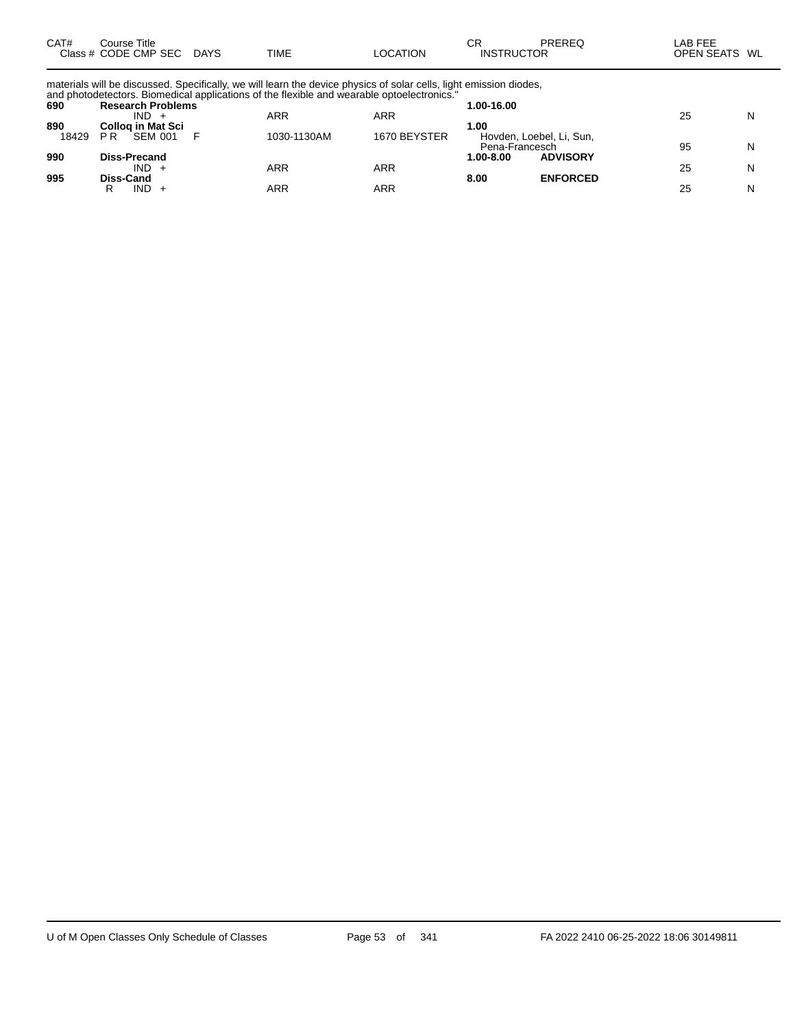| CAT# | Course Title         |             |             |          | СR                | PREREQ | LAB FEE       |  |
|------|----------------------|-------------|-------------|----------|-------------------|--------|---------------|--|
|      | Class # CODE CMP SEC | <b>DAYS</b> | <b>TIME</b> | LOCATION | <b>INSTRUCTOR</b> |        | OPEN SEATS WL |  |

materials will be discussed. Specifically, we will learn the device physics of solar cells, light emission diodes, and photodetectors. Biomedical applications of the flexible and wearable optoelectronics."

| 690   | <b>Research Problems</b>         |             |              | 1.00-16.00                                 |    |   |
|-------|----------------------------------|-------------|--------------|--------------------------------------------|----|---|
|       | IND.                             | ARR         | ARR          |                                            | 25 | N |
| 890   | Collog in Mat Sci                |             |              | 1.00                                       |    |   |
| 18429 | <b>SEM 001</b><br>P <sub>R</sub> | 1030-1130AM | 1670 BEYSTER | Hovden, Loebel, Li, Sun,<br>Pena-Francesch | 95 | N |
| 990   | <b>Diss-Precand</b>              |             |              | <b>ADVISORY</b><br>1.00-8.00               |    |   |
|       | $IND +$                          | ARR         | <b>ARR</b>   |                                            | 25 | N |
| 995   | Diss-Cand                        |             |              | <b>ENFORCED</b><br>8.00                    |    |   |
|       | IND.<br>R                        | ARR         | ARR          |                                            | 25 | N |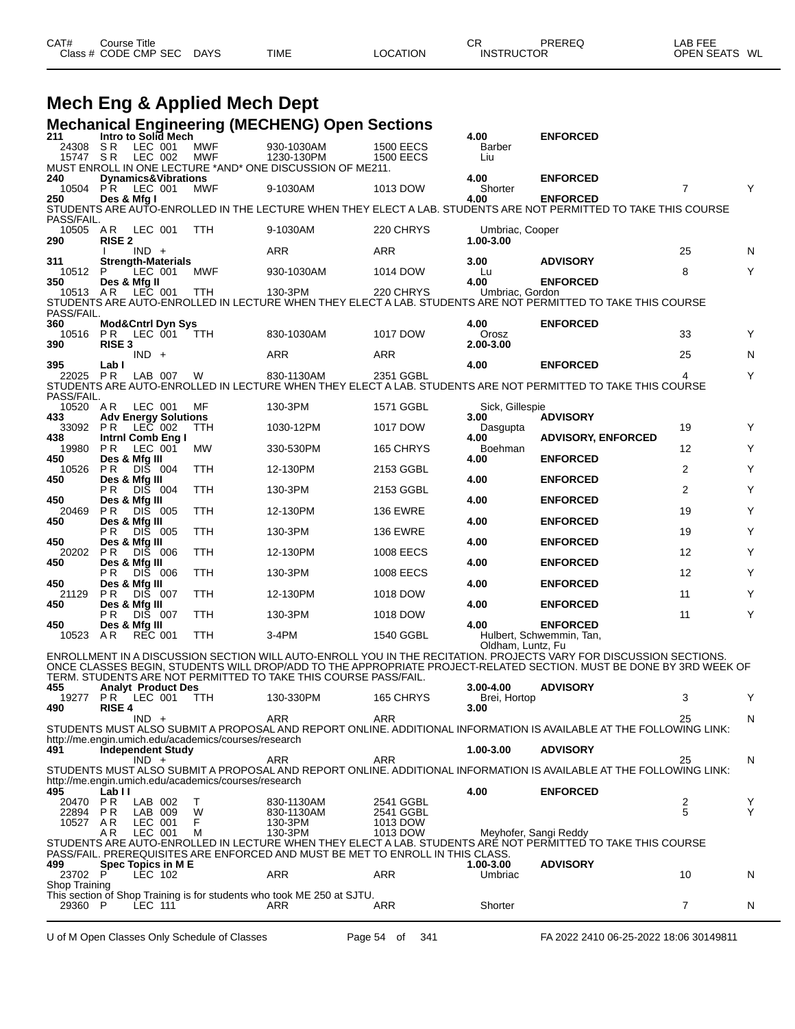| CAT# | ourse Titleٽ         |             |             |          | ⌒冖<br>◡┍          | PREREQ | LAB FEE    |      |
|------|----------------------|-------------|-------------|----------|-------------------|--------|------------|------|
|      | Class # CODE CMP SEC | <b>DAYS</b> | <b>TIME</b> | LOCATION | <b>INSTRUCTOR</b> |        | OPEN SEATS | : WL |

# **Mech Eng & Applied Mech Dept**

| 211                         |                            |                    | Intro to Solid Mech            |                                                      | <b>Mechanical Engineering (MECHENG) Open Sections</b>                          |                                      | 4.00                         | <b>ENFORCED</b>                                                                                                                    |                |        |
|-----------------------------|----------------------------|--------------------|--------------------------------|------------------------------------------------------|--------------------------------------------------------------------------------|--------------------------------------|------------------------------|------------------------------------------------------------------------------------------------------------------------------------|----------------|--------|
| 24308<br>15747 SR           | S R                        | LEC 001<br>LEC 002 |                                | <b>MWF</b><br><b>MWF</b>                             | 930-1030AM<br>1230-130PM                                                       | <b>1500 EECS</b><br><b>1500 EECS</b> | Barber<br>Liu                |                                                                                                                                    |                |        |
| 240                         |                            |                    | <b>Dynamics&amp;Vibrations</b> |                                                      | MUST ENROLL IN ONE LECTURE *AND* ONE DISCUSSION OF ME211.                      |                                      | 4.00                         | <b>ENFORCED</b>                                                                                                                    |                |        |
| 10504                       | PR.                        | LEC 001            |                                | MWF                                                  | 9-1030AM                                                                       | 1013 DOW                             | Shorter                      |                                                                                                                                    | $\overline{7}$ | Υ      |
| 250<br>PASS/FAIL.           | Des & Mfg I                |                    |                                |                                                      |                                                                                |                                      | 4.00                         | <b>ENFORCED</b><br>STUDENTS ARE AUTO-ENROLLED IN THE LECTURE WHEN THEY ELECT A LAB. STUDENTS ARE NOT PERMITTED TO TAKE THIS COURSE |                |        |
| 10505 AR<br>290             | <b>RISE 2</b>              | LEC 001            |                                | <b>TTH</b>                                           | 9-1030AM                                                                       | 220 CHRYS                            | Umbriac, Cooper<br>1.00-3.00 |                                                                                                                                    |                |        |
|                             |                            | $IND +$            |                                |                                                      | ARR                                                                            | ARR                                  |                              |                                                                                                                                    | 25             | N      |
| 311<br>10512 P              |                            | LEC 001            | <b>Strength-Materials</b>      | <b>MWF</b>                                           | 930-1030AM                                                                     | 1014 DOW                             | 3.00<br>Lu                   | <b>ADVISORY</b>                                                                                                                    | 8              | Y      |
| 350<br>10513 AR LEC 001     | Des & Mfg II               |                    |                                | <b>TTH</b>                                           | 130-3PM                                                                        | 220 CHRYS                            | 4.00<br>Umbriac, Gordon      | <b>ENFORCED</b>                                                                                                                    |                |        |
| PASS/FAIL.                  |                            |                    |                                |                                                      |                                                                                |                                      |                              | STUDENTS ARE AUTO-ENROLLED IN LECTURE WHEN THEY ELECT A LAB. STUDENTS ARE NOT PERMITTED TO TAKE THIS COURSE                        |                |        |
| 360<br>10516 PR LEC 001     |                            |                    | <b>Mod&amp;Cntrl Dyn Sys</b>   | TTH                                                  | 830-1030AM                                                                     | 1017 DOW                             | 4.00<br>Orosz                | <b>ENFORCED</b>                                                                                                                    | 33             | Y      |
| 390                         | <b>RISE 3</b>              | $IND +$            |                                |                                                      | ARR                                                                            | ARR                                  | 2.00-3.00                    |                                                                                                                                    | 25             | N      |
| 395<br>22025                | Lab I<br><b>PR</b>         | LAB 007            |                                | W                                                    | 830-1130AM                                                                     | 2351 GGBL                            | 4.00                         | <b>ENFORCED</b>                                                                                                                    | 4              | Y      |
| PASS/FAIL.                  |                            |                    |                                |                                                      |                                                                                |                                      |                              | STUDENTS ARE AUTO-ENROLLED IN LECTURE WHEN THEY ELECT A LAB. STUDENTS ARE NOT PERMITTED TO TAKE THIS COURSE                        |                |        |
| 10520 AR<br>433             |                            | LEC 001            | <b>Adv Energy Solutions</b>    | MF                                                   | 130-3PM                                                                        | 1571 GGBL                            | Sick, Gillespie<br>3.00      | <b>ADVISORY</b>                                                                                                                    |                |        |
| 33092<br>438                | P R                        | LEC 002            | Intrnl Comb Eng I              | TTH                                                  | 1030-12PM                                                                      | 1017 DOW                             | Dasgupta<br>4.00             | <b>ADVISORY, ENFORCED</b>                                                                                                          | 19             | Y      |
| 19980<br>450                | P R<br>Des & Mfg III       | LEC 001            |                                | МW                                                   | 330-530PM                                                                      | 165 CHRYS                            | Boehman<br>4.00              | <b>ENFORCED</b>                                                                                                                    | 12             | Y      |
| 10526<br>450                | <b>PR</b><br>Des & Mfg III | DIS 004            |                                | <b>TTH</b>                                           | 12-130PM                                                                       | 2153 GGBL                            | 4.00                         | <b>ENFORCED</b>                                                                                                                    | 2              | Y      |
|                             | P R                        | DIS 004            |                                | TTH                                                  | 130-3PM                                                                        | 2153 GGBL                            |                              |                                                                                                                                    | $\overline{2}$ | Υ      |
| 450<br>20469                | Des & Mfg III<br>P R       | DIS 005            |                                | <b>TTH</b>                                           | 12-130PM                                                                       | <b>136 EWRE</b>                      | 4.00                         | <b>ENFORCED</b>                                                                                                                    | 19             | Y      |
| 450                         | Des & Mfg III<br>P R       | DIS 005            |                                | <b>TTH</b>                                           | 130-3PM                                                                        | <b>136 EWRE</b>                      | 4.00                         | <b>ENFORCED</b>                                                                                                                    | 19             | Y      |
| 450<br>20202                | Des & Mfg III<br>P R       | DIS 006            |                                | TTH                                                  | 12-130PM                                                                       | 1008 EECS                            | 4.00                         | <b>ENFORCED</b>                                                                                                                    | 12             | Υ      |
| 450                         | Des & Mfg III<br>P R       | DIS 006            |                                | TTH                                                  | 130-3PM                                                                        | <b>1008 EECS</b>                     | 4.00                         | <b>ENFORCED</b>                                                                                                                    | 12             | Y      |
| 450<br>21129                | Des & Mfg III<br><b>PR</b> | <b>DIS 007</b>     |                                | <b>TTH</b>                                           | 12-130PM                                                                       | 1018 DOW                             | 4.00                         | <b>ENFORCED</b>                                                                                                                    | 11             | Y      |
| 450                         | Des & Mfg III<br>P R       | DIS 007            |                                | TTH                                                  | 130-3PM                                                                        | 1018 DOW                             | 4.00                         | <b>ENFORCED</b>                                                                                                                    | 11             | Y      |
| 450<br>10523                | Des & Mfg III<br>AR.       | <b>REC 001</b>     |                                | TTH                                                  | 3-4PM                                                                          | 1540 GGBL                            | 4.00                         | <b>ENFORCED</b><br>Hulbert, Schwemmin, Tan,                                                                                        |                |        |
|                             |                            |                    |                                |                                                      |                                                                                |                                      | Oldham, Luntz, Fu            | ENROLLMENT IN A DISCUSSION SECTION WILL AUTO-ENROLL YOU IN THE RECITATION. PROJECTS VARY FOR DISCUSSION SECTIONS.                  |                |        |
|                             |                            |                    |                                |                                                      | TERM. STUDENTS ARE NOT PERMITTED TO TAKE THIS COURSE PASS/FAIL.                |                                      |                              | ONCE CLASSES BEGIN, STUDENTS WILL DROP/ADD TO THE APPROPRIATE PROJECT-RELATED SECTION. MUST BE DONE BY 3RD WEEK OF                 |                |        |
| 455<br>19277 PR LEC 001 TTH |                            |                    | <b>Analyt Product Des</b>      |                                                      | 130-330PM                                                                      | 165 CHRYS                            | $3.00 - 4.00$                | <b>ADVISORY</b>                                                                                                                    |                |        |
| 490                         | <b>RISE 4</b>              |                    |                                |                                                      |                                                                                |                                      | Brei, Hortop<br>3.00         |                                                                                                                                    | 3              |        |
|                             |                            | $IND +$            |                                |                                                      | ARR                                                                            | ARR                                  |                              | STUDENTS MUST ALSO SUBMIT A PROPOSAL AND REPORT ONLINE. ADDITIONAL INFORMATION IS AVAILABLE AT THE FOLLOWING LINK:                 | 25             | N      |
| 491                         |                            |                    | <b>Independent Study</b>       | http://me.engin.umich.edu/academics/courses/research |                                                                                |                                      | 1.00-3.00                    | <b>ADVISORY</b>                                                                                                                    |                |        |
|                             |                            | $IND +$            |                                |                                                      | ARR                                                                            | ARR                                  |                              | STUDENTS MUST ALSO SUBMIT A PROPOSAL AND REPORT ONLINE. ADDITIONAL INFORMATION IS AVAILABLE AT THE FOLLOWING LINK:                 | 25             | N      |
| 495                         | Lab I I                    |                    |                                | http://me.engin.umich.edu/academics/courses/research |                                                                                |                                      | 4.00                         | <b>ENFORCED</b>                                                                                                                    |                |        |
| 20470<br>22894              | <b>PR</b><br>P R           | LAB 002<br>LAB 009 |                                | W                                                    | 830-1130AM<br>830-1130AM                                                       | 2541 GGBL<br>2541 GGBL               |                              |                                                                                                                                    | 2<br>5         | Υ<br>Υ |
| 10527                       | AR<br>A R                  | LEC 001<br>LEC 001 |                                | F<br>м                                               | 130-3PM<br>130-3PM                                                             | 1013 DOW<br>1013 DOW                 | Meyhofer, Sangi Reddy        |                                                                                                                                    |                |        |
|                             |                            |                    |                                |                                                      | PASS/FAIL. PREREQUISITES ARE ENFORCED AND MUST BE MET TO ENROLL IN THIS CLASS. |                                      |                              | STUDENTS ARE AUTO-ENROLLED IN LECTURE WHEN THEY ELECT A LAB. STUDENTS ARE NOT PERMITTED TO TAKE THIS COURSE                        |                |        |
| 499                         |                            |                    | Spec Topics in M E             |                                                      |                                                                                |                                      | 1.00-3.00                    | <b>ADVISORY</b>                                                                                                                    |                |        |
| 23702 P<br>Shop Training    |                            | LEC 102            |                                |                                                      | ARR                                                                            | ARR                                  | Umbriac                      |                                                                                                                                    | 10             | N      |
| 29360 P                     |                            | LEC 111            |                                |                                                      | This section of Shop Training is for students who took ME 250 at SJTU.<br>ARR  | ARR                                  | Shorter                      |                                                                                                                                    | 7              | N      |
|                             |                            |                    |                                |                                                      |                                                                                |                                      |                              |                                                                                                                                    |                |        |

U of M Open Classes Only Schedule of Classes Page 54 of 341 FA 2022 2410 06-25-2022 18:06 30149811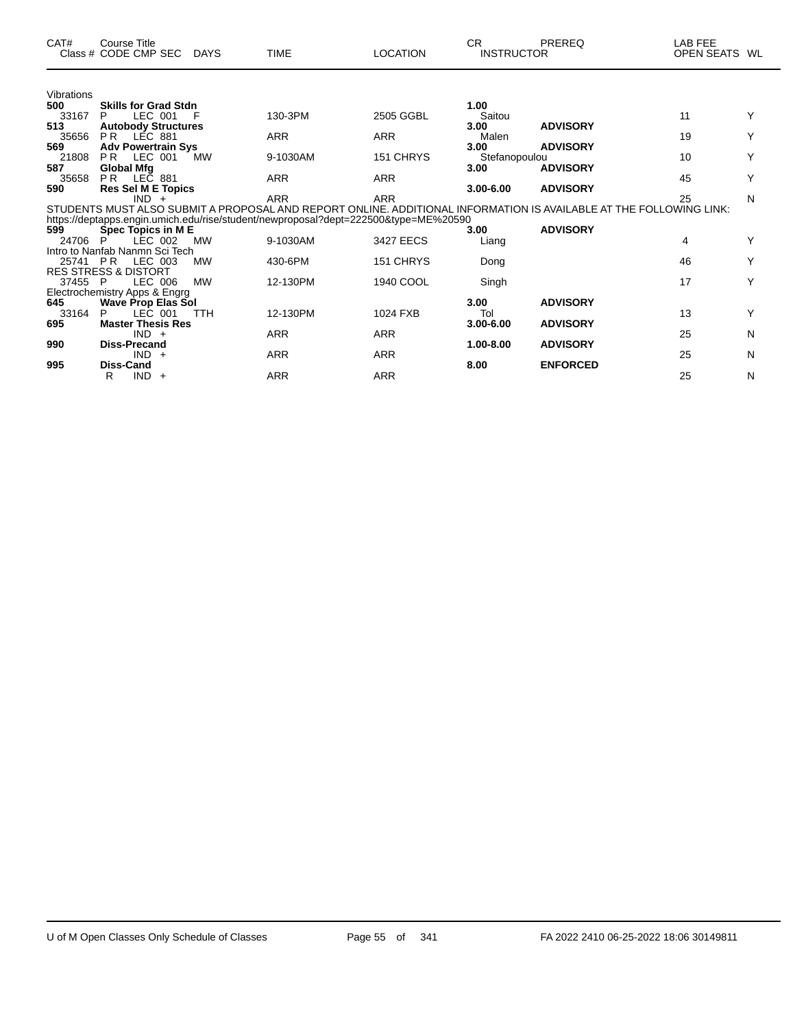| CAT#       | <b>Course Title</b><br>Class # CODE CMP SEC | <b>DAYS</b> | <b>TIME</b>                                                                                                        | <b>LOCATION</b> | CR.<br><b>INSTRUCTOR</b> | PREREQ          | LAB FEE<br>OPEN SEATS WL |   |
|------------|---------------------------------------------|-------------|--------------------------------------------------------------------------------------------------------------------|-----------------|--------------------------|-----------------|--------------------------|---|
| Vibrations |                                             |             |                                                                                                                    |                 |                          |                 |                          |   |
| 500        | <b>Skills for Grad Stdn</b>                 |             |                                                                                                                    |                 | 1.00                     |                 |                          |   |
| 33167      | LEC 001<br>P                                | F           | 130-3PM                                                                                                            | 2505 GGBL       | Saitou                   |                 | 11                       | Y |
| 513        | <b>Autobody Structures</b>                  |             |                                                                                                                    |                 | 3.00                     | <b>ADVISORY</b> |                          |   |
| 35656      | <b>PR</b><br><b>LÉC 881</b>                 |             | <b>ARR</b>                                                                                                         | <b>ARR</b>      | Malen                    |                 | 19                       | Υ |
| 569        | <b>Adv Powertrain Sys</b>                   |             |                                                                                                                    |                 | 3.00                     | <b>ADVISORY</b> |                          |   |
| 21808      | <b>PR</b><br>LEC 001                        | <b>MW</b>   | 9-1030AM                                                                                                           | 151 CHRYS       | Stefanopoulou            |                 | 10                       | Υ |
| 587        | <b>Global Mfg</b><br>P <sub>R</sub>         |             |                                                                                                                    |                 | 3.00                     | <b>ADVISORY</b> | 45                       | Y |
| 35658      | LEC 881                                     |             | <b>ARR</b>                                                                                                         | <b>ARR</b>      |                          |                 |                          |   |
| 590        | <b>Res Sel M E Topics</b><br>$IND +$        |             | <b>ARR</b>                                                                                                         | <b>ARR</b>      | $3.00 - 6.00$            | <b>ADVISORY</b> | 25                       | N |
|            |                                             |             | STUDENTS MUST ALSO SUBMIT A PROPOSAL AND REPORT ONLINE. ADDITIONAL INFORMATION IS AVAILABLE AT THE FOLLOWING LINK: |                 |                          |                 |                          |   |
|            |                                             |             | https://deptapps.engin.umich.edu/rise/student/newproposal?dept=222500&type=ME%20590                                |                 |                          |                 |                          |   |
| 599        | Spec Topics in ME                           |             |                                                                                                                    |                 | 3.00                     | <b>ADVISORY</b> |                          |   |
| 24706      | LEC 002                                     | <b>MW</b>   | 9-1030AM                                                                                                           | 3427 EECS       | Liang                    |                 | 4                        | Y |
|            | Intro to Nanfab Nanmn Sci Tech              |             |                                                                                                                    |                 |                          |                 |                          |   |
| 25741 PR   | LEC 003                                     | <b>MW</b>   | 430-6PM                                                                                                            | 151 CHRYS       | Dong                     |                 | 46                       | Y |
|            | <b>RES STRESS &amp; DISTORT</b>             |             |                                                                                                                    |                 |                          |                 |                          |   |
| 37455      | LEC 006<br>- P                              | <b>MW</b>   | 12-130PM                                                                                                           | 1940 COOL       | Singh                    |                 | 17                       | Y |
|            | Electrochemistry Apps & Engrg               |             |                                                                                                                    |                 |                          |                 |                          |   |
| 645        | <b>Wave Prop Elas Sol</b>                   |             |                                                                                                                    |                 | 3.00                     | <b>ADVISORY</b> |                          |   |
| 33164      | LEC 001<br>P                                | <b>TTH</b>  | 12-130PM                                                                                                           | 1024 FXB        | Tol                      |                 | 13                       | Y |
| 695        | <b>Master Thesis Res</b>                    |             |                                                                                                                    |                 | $3.00 - 6.00$            | <b>ADVISORY</b> |                          |   |
|            | $IND +$                                     |             | <b>ARR</b>                                                                                                         | <b>ARR</b>      |                          |                 | 25                       | N |
| 990        | <b>Diss-Precand</b>                         |             |                                                                                                                    |                 | 1.00-8.00                | <b>ADVISORY</b> |                          |   |
|            | $IND +$                                     |             | ARR                                                                                                                | <b>ARR</b>      |                          |                 | 25                       | N |
| 995        | <b>Diss-Cand</b>                            |             |                                                                                                                    |                 | 8.00                     | <b>ENFORCED</b> |                          |   |
|            | $IND +$<br>R                                |             | <b>ARR</b>                                                                                                         | <b>ARR</b>      |                          |                 | 25                       | N |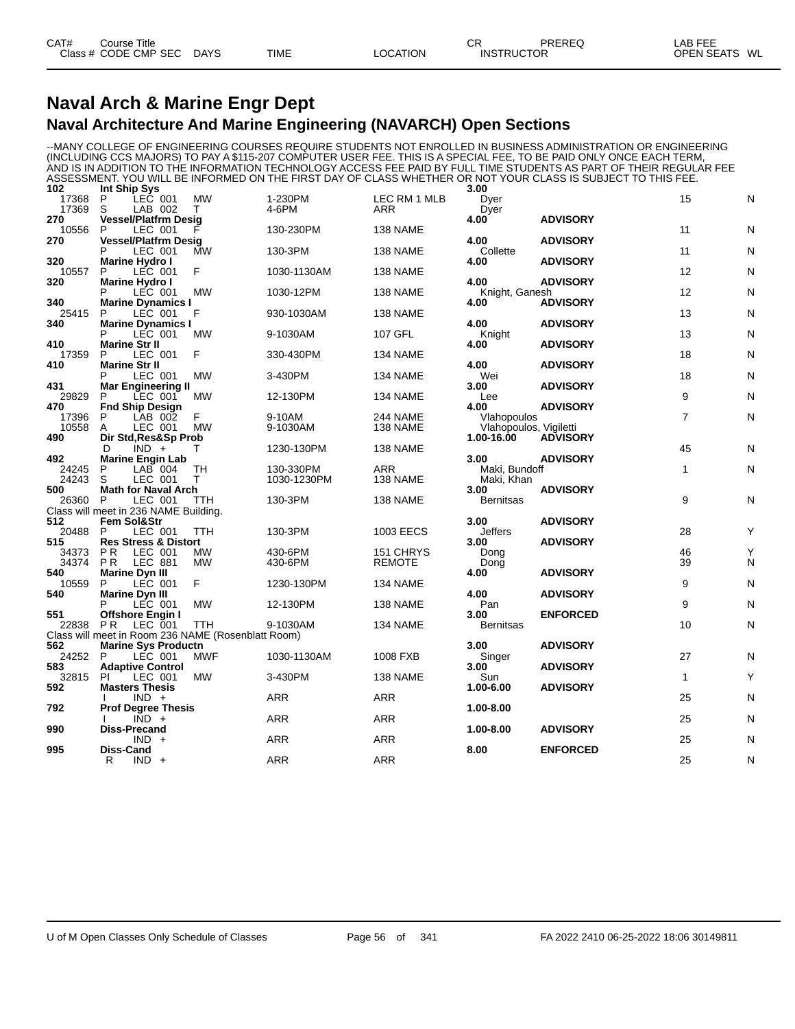#### **Naval Arch & Marine Engr Dept Naval Architecture And Marine Engineering (NAVARCH) Open Sections**

--MANY COLLEGE OF ENGINEERING COURSES REQUIRE STUDENTS NOT ENROLLED IN BUSINESS ADMINISTRATION OR ENGINEERING (INCLUDING CCS MAJORS) TO PAY A \$115-207 COMPUTER USER FEE. THIS IS A SPECIAL FEE, TO BE PAID ONLY ONCE EACH TERM, AND IS IN ADDITION TO THE INFORMATION TECHNOLOGY ACCESS FEE PAID BY FULL TIME STUDENTS AS PART OF THEIR REGULAR FEE ASSESSMENT. YOU WILL BE INFORMED ON THE FIRST DAY OF CLASS WHETHER OR NOT YOUR CLASS IS SUBJECT TO THIS FEE.

| 102          | Int Ship Sys                                       |            |             |               | 3.00                   |                 |                |              |
|--------------|----------------------------------------------------|------------|-------------|---------------|------------------------|-----------------|----------------|--------------|
| 17368        | P<br>LEC 001                                       | <b>MW</b>  | 1-230PM     | LEC RM 1 MLB  | Dyer                   |                 | 15             | N            |
| 17369        | S<br>LAB 002                                       | т          | 4-6PM       | <b>ARR</b>    | Dyer                   |                 |                |              |
| 270          | Vessel/Platfrm Desig                               |            |             |               | 4.00                   | <b>ADVISORY</b> |                |              |
| 10556        | P<br>LEC 001                                       |            | 130-230PM   | 138 NAME      |                        |                 | 11             | N            |
| 270          | <b>Vessel/Platfrm Desig</b>                        |            |             |               | 4.00                   | <b>ADVISORY</b> |                |              |
|              | P<br>LEC 001                                       | <b>MW</b>  | 130-3PM     | 138 NAME      | Collette               |                 | 11             | N            |
| 320          | <b>Marine Hydro I</b>                              |            |             |               | 4.00                   | <b>ADVISORY</b> |                |              |
| 10557        | LEC 001<br>P                                       | F          | 1030-1130AM | 138 NAME      |                        |                 | 12             | N            |
| 320          | Marine Hydro I                                     |            |             |               | 4.00                   | <b>ADVISORY</b> |                |              |
|              | LEC 001                                            | MW         | 1030-12PM   | 138 NAME      | Knight, Ganesh         |                 | 12             | N            |
| 340          | <b>Marine Dynamics I</b>                           |            |             |               | 4.00                   | <b>ADVISORY</b> |                |              |
| 25415        | LEC 001<br>P                                       | F          | 930-1030AM  | 138 NAME      |                        |                 | 13             | N            |
| 340          | <b>Marine Dynamics I</b><br>P<br>LEC 001           | MW         | 9-1030AM    | 107 GFL       | 4.00<br>Knight         | <b>ADVISORY</b> | 13             | N            |
| 410          | <b>Marine Str II</b>                               |            |             |               | 4.00                   | <b>ADVISORY</b> |                |              |
| 17359        | P<br>LEC 001                                       | F          | 330-430PM   | 134 NAME      |                        |                 | 18             | N            |
| 410          | <b>Marine Str II</b>                               |            |             |               | 4.00                   | <b>ADVISORY</b> |                |              |
|              | P<br>LEC 001                                       | <b>MW</b>  | 3-430PM     | 134 NAME      | Wei                    |                 | 18             | N            |
| 431          | <b>Mar Engineering II</b>                          |            |             |               | 3.00                   | <b>ADVISORY</b> |                |              |
| 29829        | LEC 001<br>P                                       | <b>MW</b>  | 12-130PM    | 134 NAME      | Lee                    |                 | 9              | N            |
| 470          | <b>Fnd Ship Design</b>                             |            |             |               | 4.00                   | <b>ADVISORY</b> |                |              |
| 17396        | P<br>LAB 002                                       | F          | 9-10AM      | 244 NAME      | Vlahopoulos            |                 | $\overline{7}$ | ${\sf N}$    |
| 10558        | LEC 001<br>A                                       | MW         | 9-1030AM    | 138 NAME      | Vlahopoulos, Vigiletti |                 |                |              |
| 490          | Dir Std, Res&Sp Prob                               |            |             |               | 1.00-16.00             | <b>ADVISORY</b> |                |              |
|              | D<br>$IND +$                                       | т          | 1230-130PM  | 138 NAME      |                        |                 | 45             | N            |
| 492          | <b>Marine Engin Lab</b>                            |            |             |               | 3.00                   | <b>ADVISORY</b> |                |              |
| 24245        | $LAB$ 004<br>P                                     | <b>TH</b>  | 130-330PM   | <b>ARR</b>    | Maki, Bundoff          |                 | $\mathbf{1}$   | $\mathsf{N}$ |
| 24243        | S<br>LEC 001                                       | Τ          | 1030-1230PM | 138 NAME      | Maki, Khan             |                 |                |              |
| 500          | <b>Math for Naval Arch</b>                         |            |             |               | 3.00                   | <b>ADVISORY</b> |                |              |
| 26360        | LEC 001<br>P                                       | ттн        | 130-3PM     | 138 NAME      | <b>Bernitsas</b>       |                 | 9              | N            |
|              | Class will meet in 236 NAME Building.              |            |             |               |                        |                 |                |              |
| 512          | Fem Sol&Str                                        |            |             |               | 3.00                   | <b>ADVISORY</b> |                |              |
| 20488        | LEC 001<br>P                                       | TTH        | 130-3PM     | 1003 EECS     | Jeffers                |                 | 28             | Υ            |
| 515          | <b>Res Stress &amp; Distort</b>                    |            |             |               | 3.00                   | <b>ADVISORY</b> |                |              |
| 34373        | LEC 001<br>P R                                     | МW         | 430-6PM     | 151 CHRYS     | Dong                   |                 | 46             | Υ            |
| 34374        | PR.<br>LEC 881                                     | <b>MW</b>  | 430-6PM     | <b>REMOTE</b> | Dong                   |                 | 39             | N            |
| 540          | Marine Dyn III                                     |            |             |               | 4.00                   | <b>ADVISORY</b> |                |              |
| 10559        | LEC 001<br>P                                       | F          | 1230-130PM  | 134 NAME      |                        |                 | 9              | N            |
| 540          | <b>Marine Dyn III</b>                              |            |             |               | 4.00                   | <b>ADVISORY</b> |                |              |
|              | P<br>LEC 001                                       | <b>MW</b>  | 12-130PM    | 138 NAME      | Pan                    |                 | 9              | N            |
| 551          | <b>Offshore Engin I</b>                            |            |             |               | 3.00                   | <b>ENFORCED</b> |                |              |
| 22838        | LEC 001<br><b>PR</b>                               | <b>TTH</b> | 9-1030AM    | 134 NAME      | <b>Bernitsas</b>       |                 | 10             | N            |
|              | Class will meet in Room 236 NAME (Rosenblatt Room) |            |             |               |                        |                 |                |              |
| 562          | <b>Marine Sys Productn</b>                         |            |             |               | 3.00                   | <b>ADVISORY</b> |                |              |
| 24252        | LEC 001<br>P                                       | <b>MWF</b> | 1030-1130AM | 1008 FXB      | Singer                 |                 | 27             | N            |
| 583<br>32815 | <b>Adaptive Control</b><br><b>PI</b><br>LEC 001    | <b>MW</b>  | 3-430PM     | 138 NAME      | 3.00<br>Sun            | <b>ADVISORY</b> | $\mathbf{1}$   | Y            |
| 592          |                                                    |            |             |               | 1.00-6.00              | <b>ADVISORY</b> |                |              |
|              | <b>Masters Thesis</b><br>$IND +$                   |            | <b>ARR</b>  | <b>ARR</b>    |                        |                 | 25             | $\mathsf{N}$ |
| 792          | <b>Prof Degree Thesis</b>                          |            |             |               | 1.00-8.00              |                 |                |              |
|              | $\overline{IND}$ +                                 |            | <b>ARR</b>  | <b>ARR</b>    |                        |                 | 25             | $\mathsf{N}$ |
| 990          | Diss-Precand                                       |            |             |               | 1.00-8.00              | <b>ADVISORY</b> |                |              |
|              | $IND +$                                            |            | <b>ARR</b>  | <b>ARR</b>    |                        |                 | 25             | N            |
| 995          | Diss-Cand                                          |            |             |               | 8.00                   | <b>ENFORCED</b> |                |              |
|              | $IND +$<br>R                                       |            | <b>ARR</b>  | ARR           |                        |                 | 25             | $\mathsf{N}$ |
|              |                                                    |            |             |               |                        |                 |                |              |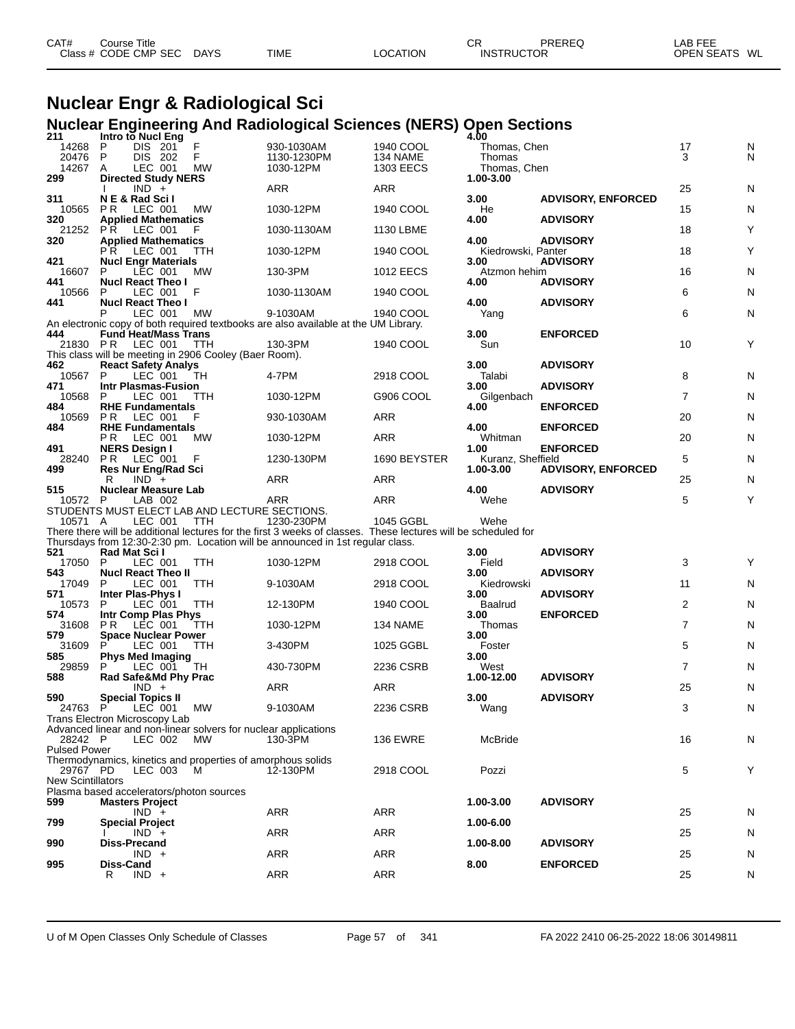| CAT#<br>Course Title |             |             |          | СF | PREREQ            | LAB FEE       |
|----------------------|-------------|-------------|----------|----|-------------------|---------------|
| Class # CODE CMP SEC | <b>DAYS</b> | <b>TIME</b> | LOCATION |    | <b>INSTRUCTOR</b> | OPEN SEATS WL |

# **Nuclear Engr & Radiological Sci Nuclear Engineering And Radiological Sciences (NERS) Open Sections 211 Intro to Nucl Eng 4.00**

| 211<br>14268<br>20476<br>14267  | Intro tō Nucl Eng<br>P<br>DIS 201<br>P<br>DIS 202<br>LEC 001<br>A             | F<br>F<br><b>MW</b> | 930-1030AM<br>1130-1230PM<br>1030-12PM                                                                         | 1940 COOL<br>134 NAME<br>1303 EECS | 4.00<br>Thomas, Chen<br>Thomas<br>Thomas, Chen |                           | 17<br>3        | N<br>N |
|---------------------------------|-------------------------------------------------------------------------------|---------------------|----------------------------------------------------------------------------------------------------------------|------------------------------------|------------------------------------------------|---------------------------|----------------|--------|
| 299                             | <b>Directed Study NERS</b><br>$IND +$                                         |                     | ARR                                                                                                            | ARR                                | 1.00-3.00                                      |                           | 25             | N      |
| 311<br>10565                    | NE & Rad Scil<br>P R<br>LEC 001                                               | МW                  | 1030-12PM                                                                                                      | 1940 COOL                          | 3.00<br>He                                     | <b>ADVISORY, ENFORCED</b> | 15             | N      |
| 320<br>21252                    | <b>Applied Mathematics</b><br><b>PR</b><br>LEC 001                            | F                   | 1030-1130AM                                                                                                    | 1130 LBME                          | 4.00                                           | <b>ADVISORY</b>           | 18             | Y      |
| 320                             | <b>Applied Mathematics</b><br>LEC 001<br>P R                                  | <b>TTH</b>          | 1030-12PM                                                                                                      | 1940 COOL                          | 4.00<br>Kiedrowski, Panter                     | <b>ADVISORY</b>           | 18             | Y      |
| 421<br>16607                    | <b>Nucl Engr Materials</b><br>P<br>LEC 001                                    | MW                  | 130-3PM                                                                                                        | <b>1012 EECS</b>                   | 3.00<br>Atzmon hehim                           | <b>ADVISORY</b>           | 16             | N      |
| 441<br>10566                    | <b>Nucl React Theo I</b><br>LEC 001<br>P                                      | F                   | 1030-1130AM                                                                                                    | 1940 COOL                          | 4.00                                           | <b>ADVISORY</b>           | 6              | N      |
| 441                             | <b>Nucl React Theo I</b><br>LEC 001                                           | <b>MW</b>           | 9-1030AM                                                                                                       | 1940 COOL                          | 4.00<br>Yang                                   | <b>ADVISORY</b>           | 6              | N      |
| 444                             | <b>Fund Heat/Mass Trans</b>                                                   |                     | An electronic copy of both required textbooks are also available at the UM Library.                            |                                    | 3.00                                           | <b>ENFORCED</b>           |                |        |
| 21830 PR                        | LEC 001<br>This class will be meeting in 2906 Cooley (Baer Room).             | ттн                 | 130-3PM                                                                                                        | 1940 COOL                          | Sun                                            |                           | 10             | Y      |
| 462<br>10567                    | <b>React Safety Analys</b><br>P.<br>LEC 001                                   | TH                  | 4-7PM                                                                                                          | 2918 COOL                          | 3.00<br>Talabi                                 | <b>ADVISORY</b>           | 8              | N      |
| 471<br>10568                    | <b>Intr Plasmas-Fusion</b><br>P<br>LEC 001                                    | TTH                 | 1030-12PM                                                                                                      | G906 COOL                          | 3.00<br>Gilgenbach                             | <b>ADVISORY</b>           | $\overline{7}$ | N      |
| 484<br>10569                    | <b>RHE Fundamentals</b><br><b>PR</b><br>LEC 001                               | F                   | 930-1030AM                                                                                                     | ARR                                | 4.00                                           | <b>ENFORCED</b>           | 20             | N      |
| 484                             | <b>RHE Fundamentals</b><br>P R<br>LEC 001                                     | MW                  | 1030-12PM                                                                                                      | ARR                                | 4.00<br>Whitman                                | <b>ENFORCED</b>           | 20             | N      |
| 491<br>28240                    | <b>NERS Design I</b><br>P R<br>LEC 001                                        | F                   | 1230-130PM                                                                                                     | 1690 BEYSTER                       | 1.00<br>Kuranz, Sheffield                      | <b>ENFORCED</b>           | 5              | N      |
| 499                             | <b>Res Nur Eng/Rad Sci</b><br>$IND +$<br>R                                    |                     | ARR                                                                                                            | ARR                                | 1.00-3.00                                      | <b>ADVISORY, ENFORCED</b> | 25             | N      |
| 515<br>10572                    | <b>Nuclear Measure Lab</b><br>LAB 002<br>P                                    |                     | <b>ARR</b>                                                                                                     | ARR                                | 4.00<br>Wehe                                   | <b>ADVISORY</b>           | 5              | Y      |
|                                 |                                                                               |                     |                                                                                                                |                                    |                                                |                           |                |        |
| 10571 A                         | STUDENTS MUST ELECT LAB AND LECTURE SECTIONS.<br>LEC 001                      | TTH                 | 1230-230PM                                                                                                     | 1045 GGBL                          | Wehe                                           |                           |                |        |
|                                 |                                                                               |                     | There there will be additional lectures for the first 3 weeks of classes. These lectures will be scheduled for |                                    |                                                |                           |                |        |
| 521                             | Rad Mat Scil<br>LEC 001<br>P                                                  | <b>TTH</b>          | Thursdays from 12:30-2:30 pm. Location will be announced in 1st regular class.<br>1030-12PM                    | 2918 COOL                          | 3.00<br>Field                                  | <b>ADVISORY</b>           | 3              | Y      |
| 17050<br>543<br>17049           | <b>Nucl React Theo II</b><br>P<br>LEC 001                                     | TTH                 | 9-1030AM                                                                                                       | 2918 COOL                          | 3.00<br>Kiedrowski                             | <b>ADVISORY</b>           | 11             | N      |
| 571<br>10573                    | Inter Plas-Phys I<br>LEC 001<br>P                                             | TTH                 | 12-130PM                                                                                                       | 1940 COOL                          | 3.00<br>Baalrud                                | <b>ADVISORY</b>           | 2              | N      |
| 574                             | Intr Comp Plas Phys<br>P <sub>R</sub><br>LEC 001                              | TTH                 | 1030-12PM                                                                                                      | 134 NAME                           | 3.00<br>Thomas                                 | <b>ENFORCED</b>           | $\overline{7}$ | N      |
| 31608<br>579<br>31609           | <b>Space Nuclear Power</b><br>P<br>LEC 001                                    | TTH                 | 3-430PM                                                                                                        | 1025 GGBL                          | 3.00<br>Foster                                 |                           | 5              | N      |
| 585<br>29859                    | <b>Phys Med Imaging</b><br>LEC 001                                            | TH                  | 430-730PM                                                                                                      | 2236 CSRB                          | 3.00<br>West                                   |                           | $\overline{7}$ | N      |
| 588                             | Rad Safe&Md Phy Prac<br>$IND +$                                               |                     | ARR                                                                                                            | ARR                                | 1.00-12.00                                     | <b>ADVISORY</b>           | 25             | N      |
| 590<br>24763                    | Special Topics II<br>P<br>LEC 001                                             | МW                  | 9-1030AM                                                                                                       | 2236 CSRB                          | 3.00<br>Wang                                   | <b>ADVISORY</b>           | 3              | N      |
|                                 | Trans Electron Microscopy Lab                                                 |                     |                                                                                                                |                                    |                                                |                           |                |        |
| 28242 P                         | Advanced linear and non-linear solvers for nuclear applications<br>LEC 002    | MW                  | 130-3PM                                                                                                        | <b>136 EWRE</b>                    | McBride                                        |                           | 16             | N      |
| <b>Pulsed Power</b><br>29767 PD | Thermodynamics, kinetics and properties of amorphous solids<br>LEC 003        | M                   | 12-130PM                                                                                                       | 2918 COOL                          | Pozzi                                          |                           | 5              | Y      |
| <b>New Scintillators</b>        |                                                                               |                     |                                                                                                                |                                    |                                                |                           |                |        |
| 599                             | Plasma based accelerators/photon sources<br><b>Masters Project</b><br>$IND +$ |                     | ARR                                                                                                            | <b>ARR</b>                         | 1.00-3.00                                      | <b>ADVISORY</b>           | 25             | N      |
| 799                             | <b>Special Project</b><br>$IND +$                                             |                     | ARR                                                                                                            | ARR                                | 1.00-6.00                                      |                           | 25             | N      |
| 990                             | <b>Diss-Precand</b><br>$IND +$                                                |                     |                                                                                                                |                                    | 1.00-8.00                                      | <b>ADVISORY</b>           |                |        |
| 995                             | Diss-Cand<br>$IND +$<br>R                                                     |                     | <b>ARR</b><br><b>ARR</b>                                                                                       | ARR<br>ARR                         | 8.00                                           | <b>ENFORCED</b>           | 25<br>25       | N<br>N |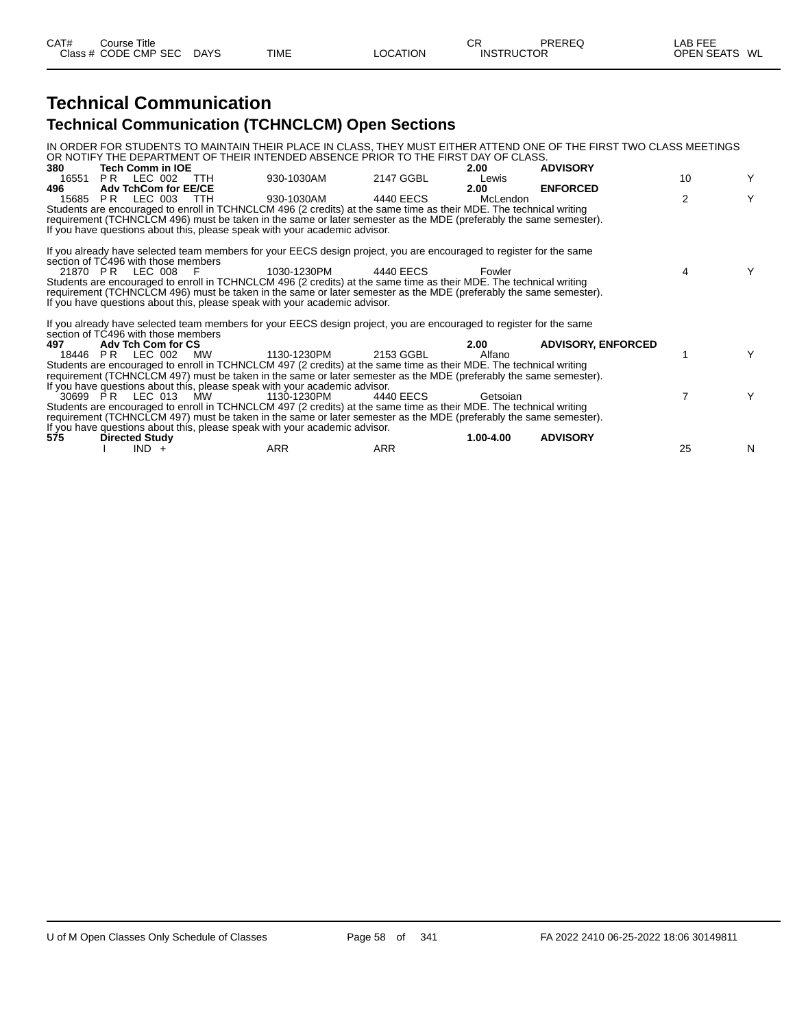## **Technical Communication Technical Communication (TCHNCLCM) Open Sections**

|       |                                     |                                                                            |                                                                                                                                                                                                                                         |           | IN ORDER FOR STUDENTS TO MAINTAIN THEIR PLACE IN CLASS, THEY MUST EITHER ATTEND ONE OF THE FIRST TWO CLASS MEETINGS |    |   |
|-------|-------------------------------------|----------------------------------------------------------------------------|-----------------------------------------------------------------------------------------------------------------------------------------------------------------------------------------------------------------------------------------|-----------|---------------------------------------------------------------------------------------------------------------------|----|---|
|       |                                     |                                                                            | OR NOTIFY THE DEPARTMENT OF THEIR INTENDED ABSENCE PRIOR TO THE FIRST DAY OF CLASS.                                                                                                                                                     |           |                                                                                                                     |    |   |
| 380   | Tech Comm in IOE                    |                                                                            |                                                                                                                                                                                                                                         | 2.00      | <b>ADVISORY</b>                                                                                                     |    |   |
| 16551 | PR LEC 002 TTH                      | 930-1030AM                                                                 | 2147 GGBL                                                                                                                                                                                                                               | Lewis     |                                                                                                                     | 10 | Y |
| 496   | <b>Adv TchCom for EE/CE</b>         |                                                                            |                                                                                                                                                                                                                                         | 2.00      | <b>ENFORCED</b>                                                                                                     | 2  | Y |
| 15685 | PR LEC 003 TTH                      | 930-1030AM                                                                 | 4440 EECS                                                                                                                                                                                                                               | McLendon  |                                                                                                                     |    |   |
|       |                                     |                                                                            | Students are encouraged to enroll in TCHNCLCM 496 (2 credits) at the same time as their MDE. The technical writing<br>requirement (TCHNCLCM 496) must be taken in the same or later semester as the MDE (preferably the same semester). |           |                                                                                                                     |    |   |
|       |                                     | If you have questions about this, please speak with your academic advisor. |                                                                                                                                                                                                                                         |           |                                                                                                                     |    |   |
|       |                                     |                                                                            |                                                                                                                                                                                                                                         |           |                                                                                                                     |    |   |
|       |                                     |                                                                            | If you already have selected team members for your EECS design project, you are encouraged to register for the same                                                                                                                     |           |                                                                                                                     |    |   |
|       | section of TC496 with those members |                                                                            |                                                                                                                                                                                                                                         |           |                                                                                                                     |    |   |
|       | 21870 PR LEC 008 F                  | 1030-1230PM                                                                | 4440 EECS                                                                                                                                                                                                                               | Fowler    |                                                                                                                     | 4  | Υ |
|       |                                     |                                                                            | Students are encouraged to enroll in TCHNCLCM 496 (2 credits) at the same time as their MDE. The technical writing                                                                                                                      |           |                                                                                                                     |    |   |
|       |                                     |                                                                            | requirement (TCHNCLCM 496) must be taken in the same or later semester as the MDE (preferably the same semester).                                                                                                                       |           |                                                                                                                     |    |   |
|       |                                     | If you have questions about this, please speak with your academic advisor. |                                                                                                                                                                                                                                         |           |                                                                                                                     |    |   |
|       |                                     |                                                                            |                                                                                                                                                                                                                                         |           |                                                                                                                     |    |   |
|       | section of TC496 with those members |                                                                            | If you already have selected team members for your EECS design project, you are encouraged to register for the same                                                                                                                     |           |                                                                                                                     |    |   |
| 497   | Adv Tch Com for CS                  |                                                                            |                                                                                                                                                                                                                                         | 2.00      | <b>ADVISORY, ENFORCED</b>                                                                                           |    |   |
|       | 18446 PR LEC 002 MW                 | 1130-1230PM                                                                | 2153 GGBL                                                                                                                                                                                                                               | Alfano    |                                                                                                                     |    | Y |
|       |                                     |                                                                            | Students are encouraged to enroll in TCHNCLCM 497 (2 credits) at the same time as their MDE. The technical writing                                                                                                                      |           |                                                                                                                     |    |   |
|       |                                     |                                                                            | requirement (TCHNCLCM 497) must be taken in the same or later semester as the MDE (preferably the same semester).                                                                                                                       |           |                                                                                                                     |    |   |
|       |                                     | If you have questions about this, please speak with your academic advisor. |                                                                                                                                                                                                                                         |           |                                                                                                                     |    |   |
|       | 30699 PR LEC 013 MW                 | 1130-1230PM                                                                | 4440 EECS                                                                                                                                                                                                                               | Getsoian  |                                                                                                                     |    | Y |
|       |                                     |                                                                            | Students are encouraged to enroll in TCHNCLCM 497 (2 credits) at the same time as their MDE. The technical writing                                                                                                                      |           |                                                                                                                     |    |   |
|       |                                     |                                                                            | requirement (TCHNCLCM 497) must be taken in the same or later semester as the MDE (preferably the same semester).                                                                                                                       |           |                                                                                                                     |    |   |
|       |                                     | If you have questions about this, please speak with your academic advisor. |                                                                                                                                                                                                                                         |           |                                                                                                                     |    |   |
|       | <b>Directed Study</b>               |                                                                            |                                                                                                                                                                                                                                         |           |                                                                                                                     |    |   |
| 575   | $IND +$                             | ARR                                                                        | <b>ARR</b>                                                                                                                                                                                                                              | 1.00-4.00 | <b>ADVISORY</b>                                                                                                     | 25 | N |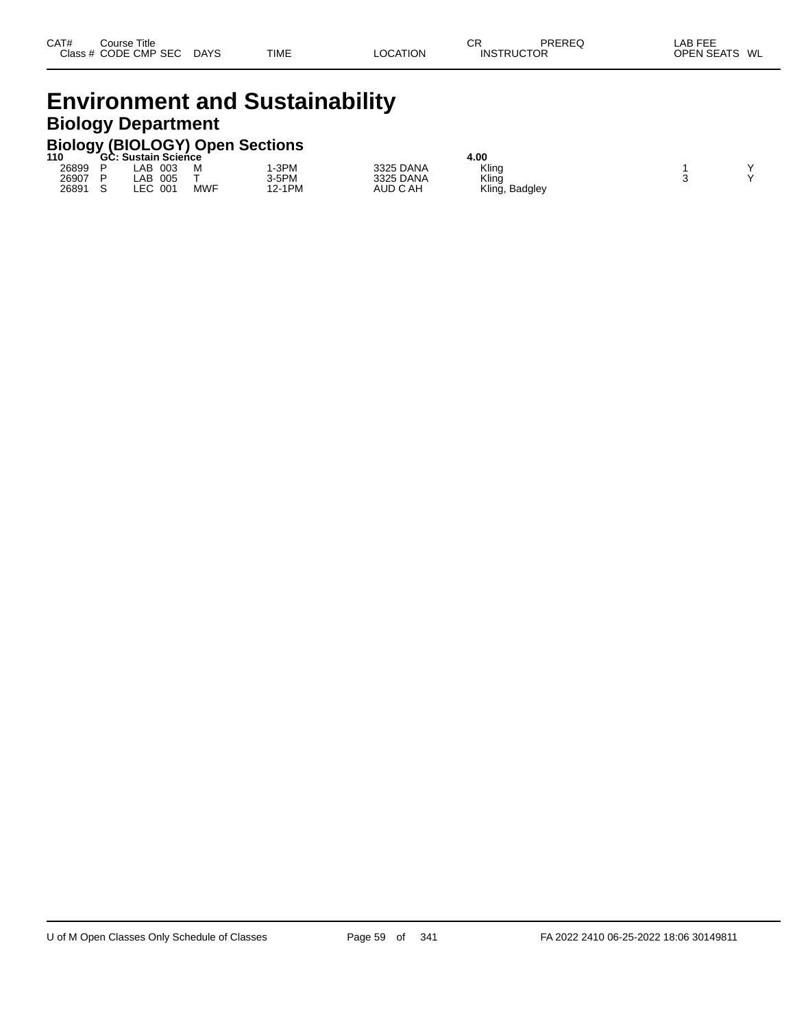# **Environment and Sustainability Biology Department**

# **Biology (BIOLOGY) Open Sections 110 GC: Sustain Science 4.00**

| 11 U  | GC: | Sustain Science |            |       |           | 4.UU              |  |
|-------|-----|-----------------|------------|-------|-----------|-------------------|--|
| 26899 |     | 003<br>_AB      | м          | -3PM  | 3325 DANA | Kling             |  |
| 26907 | D   | 005<br>_AB      |            | 3-5PM | 3325 DANA | Klinğ             |  |
| 26891 |     | LEC<br>001      | <b>MWF</b> | 1PM   | AUD C AH  | Kling,<br>Badgley |  |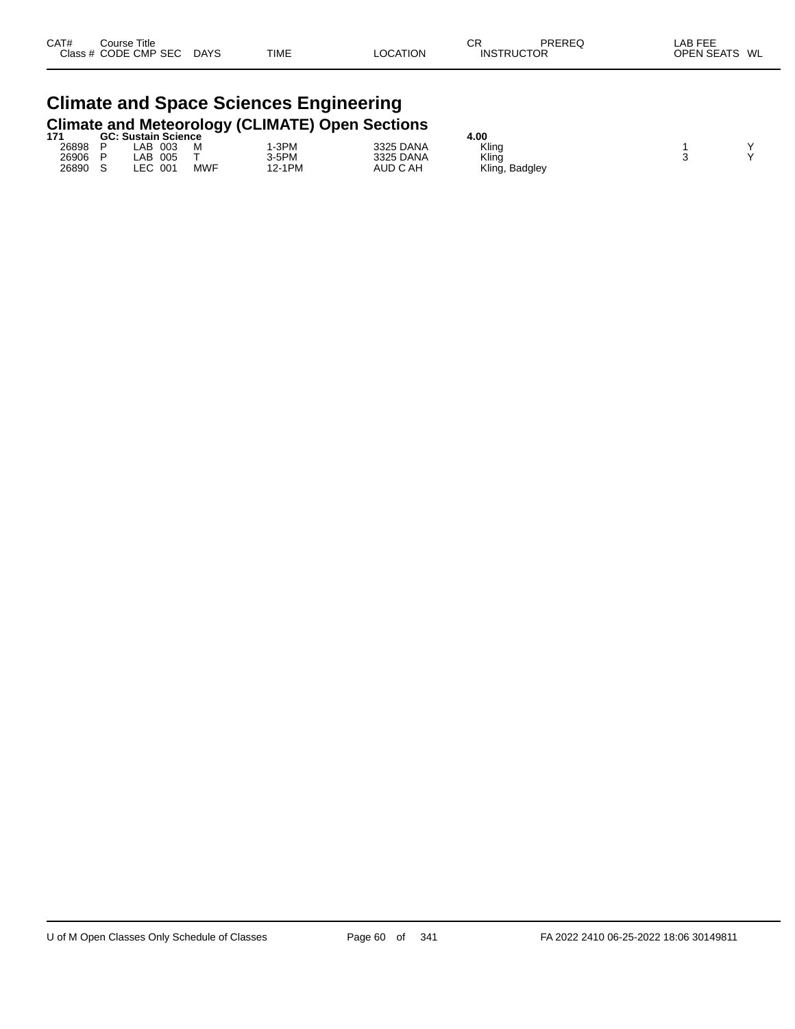# **Climate and Space Sciences Engineering Climate and Meteorology (CLIMATE) Open Sections 171 GC: Sustain Science 4.00**

| 171   | . JU | c: Sustain Science . |            |        |           | 4.UU                |  |
|-------|------|----------------------|------------|--------|-----------|---------------------|--|
| 26898 |      | 003<br>.AB           | м          | -3PM   | 3325 DANA | Kling               |  |
| 26906 |      | _AB<br>005           |            | 3-5PM  | 3325 DANA | Kling               |  |
| 26890 |      | ∟EC<br>001           | <b>MWF</b> | 12-1PM | AUD C AH  | Kling,<br>, Badgley |  |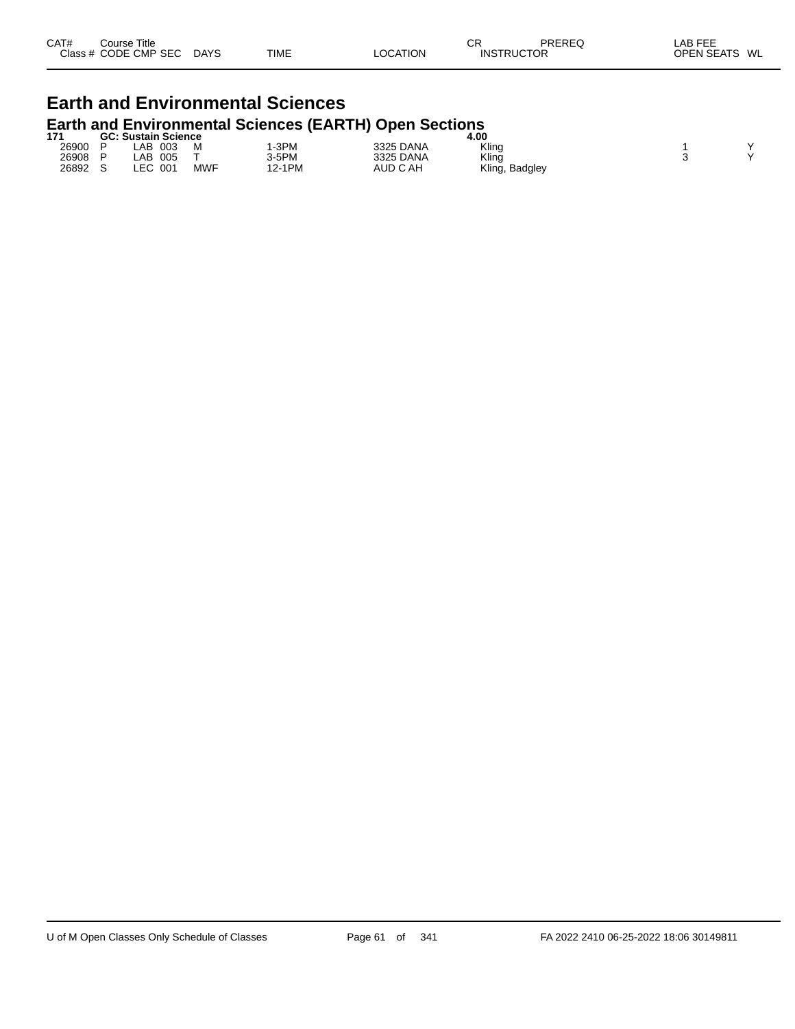| CAT# | Course Title         |             |             |          | СR                | PREREQ | _AB FEE       |
|------|----------------------|-------------|-------------|----------|-------------------|--------|---------------|
|      | Class # CODE CMP SEC | <b>DAYS</b> | <b>TIME</b> | LOCATION | <b>INSTRUCTOR</b> |        | OPEN SEATS WL |
|      |                      |             |             |          |                   |        |               |

### **Earth and Environmental Sciences Earth and Environmental Sciences (EARTH) Open Sections**

| 171   | <b>GC: Sustain Science</b> |     |        |           | 4.00              |  |
|-------|----------------------------|-----|--------|-----------|-------------------|--|
| 26900 | .AB<br>003                 | M   | -3PM   | 3325 DANA | Kling             |  |
| 26908 | .AB<br>005                 |     | 3-5PM  | 3325 DANA | Kling             |  |
| 26892 | LEC<br>001                 | MWF | 12-1PM | AUD C AH  | Kling,<br>Badgley |  |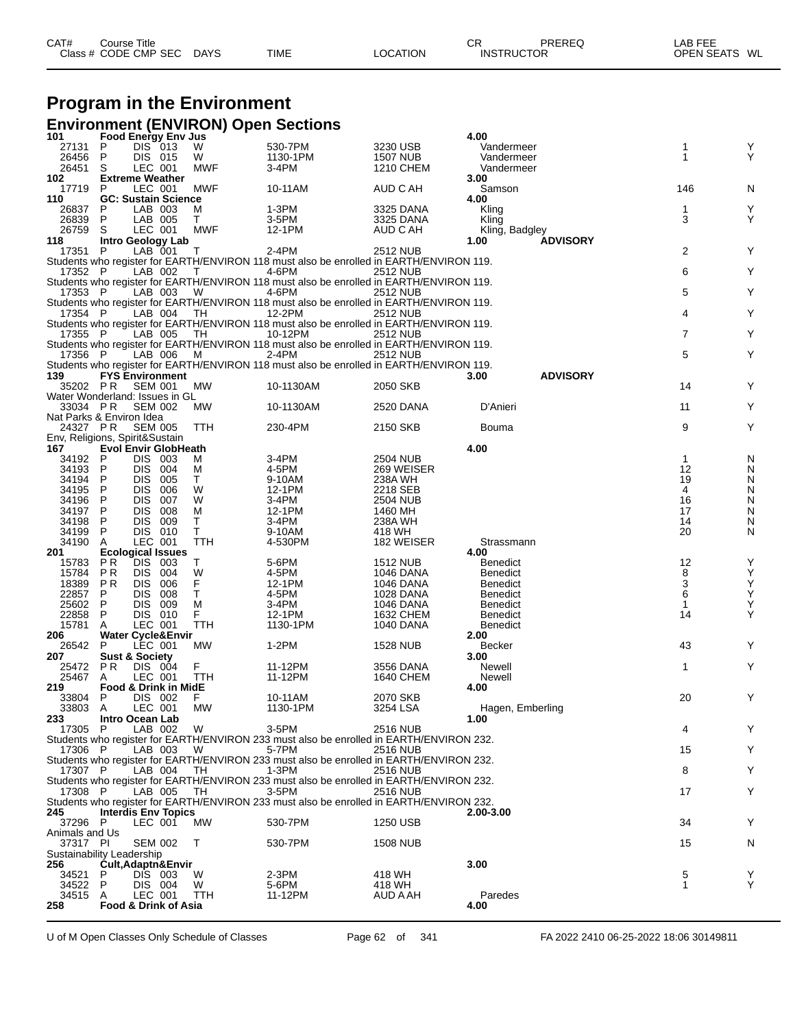| CAT# | Course Title              |             |          | <b>CR</b>         | PREREQ | _AB FEE       |
|------|---------------------------|-------------|----------|-------------------|--------|---------------|
|      | Class # CODE CMP SEC DAYS | <b>TIME</b> | LOCATION | <b>INSTRUCTOR</b> |        | OPEN SEATS WL |

# **Program in the Environment**

|                                            |                                |                          |                                 |            | <b>Environment (ENVIRON) Open Sections</b>                                                        |                             |                                    |                   |        |
|--------------------------------------------|--------------------------------|--------------------------|---------------------------------|------------|---------------------------------------------------------------------------------------------------|-----------------------------|------------------------------------|-------------------|--------|
| 101                                        |                                |                          | <b>Food Energy Env Jus</b>      |            |                                                                                                   |                             | 4.00                               |                   |        |
| 27131<br>26456                             | P<br>P                         | DIS 013<br>DIS 015       |                                 | w<br>W     | 530-7PM<br>1130-1PM                                                                               | 3230 USB<br><b>1507 NUB</b> | Vandermeer<br>Vandermeer           | 1<br>1            | Υ<br>Y |
| 26451                                      | S                              | LEC 001                  |                                 | <b>MWF</b> | 3-4PM                                                                                             | 1210 CHEM                   | Vandermeer                         |                   |        |
| 102                                        | <b>Extreme Weather</b>         |                          |                                 |            |                                                                                                   |                             | 3.00                               |                   |        |
| 17719                                      | P                              | LEC 001                  |                                 | <b>MWF</b> | 10-11AM                                                                                           | AUD C AH                    | Samson                             | 146               | N      |
| 110                                        |                                |                          | <b>GC: Sustain Science</b>      |            |                                                                                                   |                             | 4.00                               |                   |        |
| 26837<br>26839                             | $\mathsf{P}$<br>P              | LAB 003<br>LAB 005       |                                 | M<br>T.    | 1-3PM<br>3-5PM                                                                                    | 3325 DANA<br>3325 DANA      | Kling<br>Kling                     | 1<br>3            | Υ<br>Y |
| 26759                                      | S                              | LEC 001                  |                                 | <b>MWF</b> | 12-1PM                                                                                            | AUD C AH                    | Kling, Badgley                     |                   |        |
| 118                                        | <b>Intro Geology Lab</b>       |                          |                                 |            |                                                                                                   |                             | <b>ADVISORY</b><br>1.00            |                   |        |
| 17351                                      | P                              | LAB 001                  |                                 | T          | 2-4PM                                                                                             | 2512 NUB                    |                                    | $\overline{2}$    | Y      |
| 17352 P                                    |                                | LAB 002                  |                                 | $\top$     | Students who register for EARTH/ENVIRON 118 must also be enrolled in EARTH/ENVIRON 119.<br>4-6PM  | 2512 NUB                    |                                    | 6                 | Υ      |
|                                            |                                |                          |                                 |            | Students who register for EARTH/ENVIRON 118 must also be enrolled in EARTH/ENVIRON 119.           |                             |                                    |                   |        |
| 17353 P                                    |                                | LAB 003                  |                                 | - W        | 4-6PM                                                                                             | 2512 NUB                    |                                    | 5                 | Υ      |
|                                            |                                |                          |                                 |            | Students who register for EARTH/ENVIRON 118 must also be enrolled in EARTH/ENVIRON 119.           |                             |                                    |                   |        |
| 17354 P                                    |                                | LAB 004                  |                                 | TH         | 12-2PM<br>Students who register for EARTH/ENVIRON 118 must also be enrolled in EARTH/ENVIRON 119. | 2512 NUB                    |                                    | 4                 | Y      |
| 17355 P                                    |                                | LAB 005                  |                                 | TH         | 10-12PM                                                                                           | 2512 NUB                    |                                    | 7                 | Υ      |
|                                            |                                |                          |                                 |            | Students who register for EARTH/ENVIRON 118 must also be enrolled in EARTH/ENVIRON 119.           |                             |                                    |                   |        |
| 17356 P                                    |                                | LAB 006                  |                                 | M          | 2-4PM                                                                                             | 2512 NUB                    |                                    | 5                 | Y      |
|                                            |                                |                          |                                 |            | Students who register for EARTH/ENVIRON 118 must also be enrolled in EARTH/ENVIRON 119.           |                             |                                    |                   |        |
| 139<br>35202 PR                            | <b>FYS Environment</b>         | <b>SEM 001</b>           |                                 | МW         | 10-1130AM                                                                                         | 2050 SKB                    | 3.00<br><b>ADVISORY</b>            | 14                | Y      |
| Water Wonderland: Issues in GL             |                                |                          |                                 |            |                                                                                                   |                             |                                    |                   |        |
| 33034 PR                                   |                                | <b>SEM 002</b>           |                                 | <b>MW</b>  | 10-1130AM                                                                                         | 2520 DANA                   | D'Anieri                           | 11                | Υ      |
| Nat Parks & Environ Idea                   |                                |                          |                                 |            |                                                                                                   |                             |                                    |                   |        |
| 24327 PR<br>Env, Religions, Spirit&Sustain |                                | <b>SEM 005</b>           |                                 | TTH        | 230-4PM                                                                                           | 2150 SKB                    | Bouma                              | 9                 | Υ      |
| 167                                        |                                |                          | <b>Evol Envir GlobHeath</b>     |            |                                                                                                   |                             | 4.00                               |                   |        |
| 34192                                      | P                              | DIS 003                  |                                 | м          | 3-4PM                                                                                             | 2504 NUB                    |                                    | $\mathbf{1}$      | N      |
| 34193                                      | P                              | DIS 004                  |                                 | м          | 4-5PM                                                                                             | 269 WEISER                  |                                    | 12                | N      |
| 34194<br>34195                             | P<br>P                         | <b>DIS</b><br><b>DIS</b> | 005<br>006                      | Т<br>W     | 9-10AM<br>12-1PM                                                                                  | 238A WH<br>2218 SEB         |                                    | 19<br>4           | N<br>N |
| 34196                                      | P                              | <b>DIS</b>               | 007                             | W          | 3-4PM                                                                                             | 2504 NUB                    |                                    | 16                | N      |
| 34197                                      | P                              | <b>DIS</b>               | 008                             | м          | 12-1PM                                                                                            | 1460 MH                     |                                    | 17                | N      |
| 34198                                      | P                              | <b>DIS</b>               | 009                             | Т          | 3-4PM                                                                                             | 238A WH                     |                                    | 14                | N      |
| 34199                                      | P                              | DIS 010                  |                                 | T.         | 9-10AM                                                                                            | 418 WH                      |                                    | 20                | N      |
| 34190<br>201                               | A<br><b>Ecological Issues</b>  | LEC 001                  |                                 | TTH        | 4-530PM                                                                                           | 182 WEISER                  | Strassmann<br>4.00                 |                   |        |
| 15783                                      | P R                            | <b>DIS</b>               | 003                             | т          | 5-6PM                                                                                             | <b>1512 NUB</b>             | Benedict                           | 12                | Υ      |
| 15784                                      | P R                            | <b>DIS</b>               | 004                             | W          | 4-5PM                                                                                             | 1046 DANA                   | <b>Benedict</b>                    | 8                 | Υ      |
| 18389                                      | P R                            | <b>DIS</b>               | 006                             | F          | 12-1PM                                                                                            | 1046 DANA                   | <b>Benedict</b>                    | 3                 | Υ      |
| 22857<br>25602                             | P<br>P                         | <b>DIS</b><br><b>DIS</b> | 008<br>009                      | т<br>M     | 4-5PM<br>3-4PM                                                                                    | 1028 DANA<br>1046 DANA      | <b>Benedict</b><br><b>Benedict</b> | 6<br>$\mathbf{1}$ | Υ<br>Υ |
| 22858                                      | P                              | DIS 010                  |                                 | F          | 12-1PM                                                                                            | 1632 CHEM                   | Benedict                           | 14                | Y      |
| 15781                                      | A                              | LEC 001                  |                                 | TTH        | 1130-1PM                                                                                          | <b>1040 DANA</b>            | <b>Benedict</b>                    |                   |        |
| 206                                        |                                |                          | <b>Water Cycle&amp;Envir</b>    |            |                                                                                                   |                             | 2.00                               |                   |        |
| 26542<br>207                               | P<br><b>Sust &amp; Society</b> | LEC 001                  |                                 | MW         | $1-2PM$                                                                                           | <b>1528 NUB</b>             | <b>Becker</b><br>3.00              | 43                | Y      |
| 25472                                      | P <sub>R</sub>                 | DIS 004                  |                                 | F          | 11-12PM                                                                                           | 3556 DANA                   | Newell                             | 1                 | Y      |
| 25467                                      | A                              | LEC 001                  |                                 | <b>TTH</b> | 11-12PM                                                                                           | 1640 CHEM                   | Newell                             |                   |        |
| 219                                        |                                |                          | <b>Food &amp; Drink in MidE</b> |            |                                                                                                   |                             | 4.00                               |                   |        |
| 33804                                      | P                              | DIS 002                  |                                 | F          | 10-11AM                                                                                           | 2070 SKB                    |                                    | 20                | Y      |
| 33803 A<br>233                             | <b>Intro Ocean Lab</b>         | LEC 001                  |                                 | МW         | 1130-1PM                                                                                          | 3254 LSA                    | Hagen, Emberling<br>1.00           |                   |        |
| 17305 P                                    |                                | LAB 002                  |                                 | W          | 3-5PM                                                                                             | <b>2516 NUB</b>             |                                    | 4                 | Y      |
|                                            |                                |                          |                                 |            | Students who register for EARTH/ENVIRON 233 must also be enrolled in EARTH/ENVIRON 232.           |                             |                                    |                   |        |
| 17306 P                                    |                                | LAB 003                  |                                 | W          | 5-7PM                                                                                             | <b>2516 NUB</b>             |                                    | 15                | Υ      |
| 17307 P                                    |                                | LAB 004                  |                                 | TH.        | Students who register for EARTH/ENVIRON 233 must also be enrolled in EARTH/ENVIRON 232.<br>1-3PM  | 2516 NUB                    |                                    | 8                 | Υ      |
|                                            |                                |                          |                                 |            | Students who register for EARTH/ENVIRON 233 must also be enrolled in EARTH/ENVIRON 232.           |                             |                                    |                   |        |
| 17308 P                                    |                                | LAB 005                  |                                 | TH         | $3-5$ PM                                                                                          | <b>2516 NUB</b>             |                                    | 17                | Υ      |
|                                            |                                |                          |                                 |            | Students who register for EARTH/ENVIRON 233 must also be enrolled in EARTH/ENVIRON 232.           |                             |                                    |                   |        |
| 245<br>37296 P                             | <b>Interdis Env Topics</b>     | LEC 001                  |                                 | <b>MW</b>  | 530-7PM                                                                                           | 1250 USB                    | 2.00-3.00                          | 34                | Y      |
| Animals and Us                             |                                |                          |                                 |            |                                                                                                   |                             |                                    |                   |        |
| 37317 PI                                   |                                | <b>SEM 002</b>           |                                 | T          | 530-7PM                                                                                           | 1508 NUB                    |                                    | 15                | N      |
| Sustainability Leadership                  |                                |                          |                                 |            |                                                                                                   |                             |                                    |                   |        |
| 256                                        | P                              | DIS 003                  | Cult, Adaptn&Envir              | W          | $2-3PM$                                                                                           | 418 WH                      | 3.00                               | 5                 | Y      |
| 34521<br>34522                             | P                              | DIS 004                  |                                 | W          | 5-6PM                                                                                             | 418 WH                      |                                    | 1                 | Y      |
| 34515 A                                    |                                | LEC 001                  |                                 | TTH        | 11-12PM                                                                                           | AUD A AH                    | Paredes                            |                   |        |
| 258                                        |                                |                          | <b>Food &amp; Drink of Asia</b> |            |                                                                                                   |                             | 4.00                               |                   |        |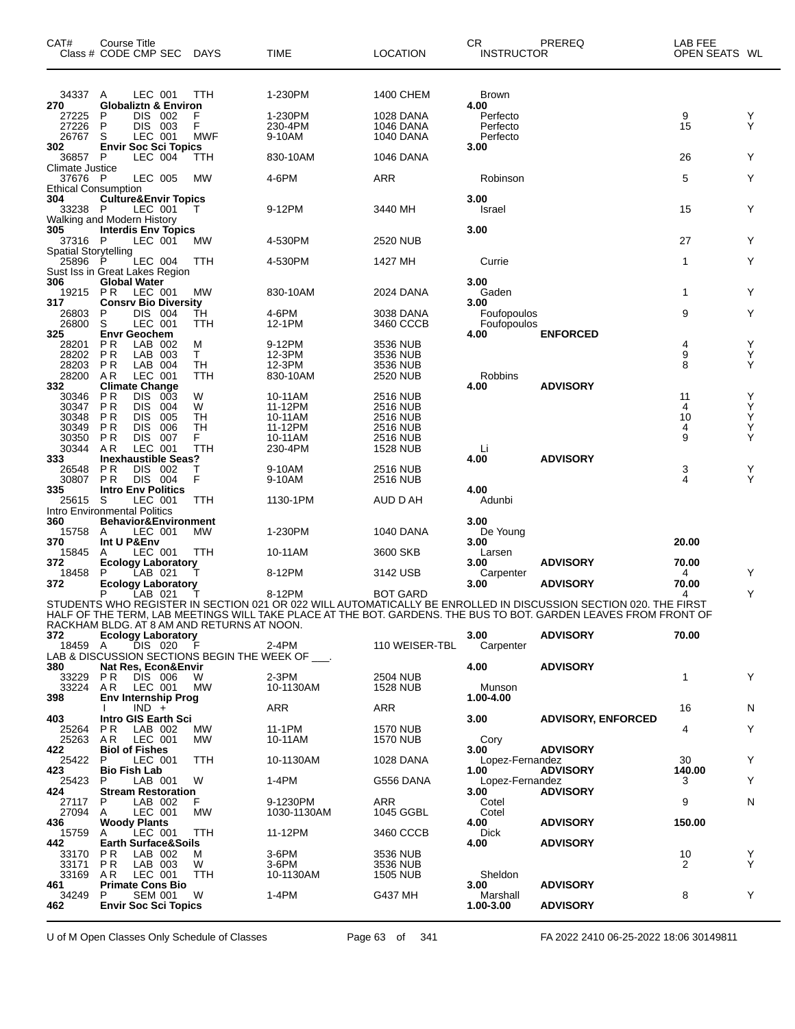| CAT#                                   | Course Title<br>Class # CODE CMP SEC DAYS                                          |            | <b>TIME</b>        | LOCATION                    | CR<br><b>INSTRUCTOR</b> | PREREQ                                                                                                          | LAB FEE<br>OPEN SEATS WL |        |
|----------------------------------------|------------------------------------------------------------------------------------|------------|--------------------|-----------------------------|-------------------------|-----------------------------------------------------------------------------------------------------------------|--------------------------|--------|
| 34337 A                                | LEC 001                                                                            | TTH        | 1-230PM            | 1400 CHEM                   | Brown                   |                                                                                                                 |                          |        |
| 270                                    | <b>Globaliztn &amp; Environ</b>                                                    |            |                    |                             | 4.00                    |                                                                                                                 |                          |        |
| 27225<br>27226                         | P<br><b>DIS</b><br>002<br>P<br>DIS 003                                             | F<br>F     | 1-230PM<br>230-4PM | 1028 DANA<br>1046 DANA      | Perfecto<br>Perfecto    |                                                                                                                 | 9<br>15                  | Y<br>Y |
| 26767                                  | S<br>LEC 001                                                                       | MWF        | 9-10AM             | <b>1040 DANA</b>            | Perfecto                |                                                                                                                 |                          |        |
| 302                                    | <b>Envir Soc Sci Topics</b>                                                        |            |                    |                             | 3.00                    |                                                                                                                 |                          |        |
| 36857 P<br>Climate Justice             | LEC 004                                                                            | TTH        | 830-10AM           | 1046 DANA                   |                         |                                                                                                                 | 26                       | Y      |
| 37676 P                                | LEC 005                                                                            | <b>MW</b>  | 4-6PM              | ARR                         | Robinson                |                                                                                                                 | 5                        | Y      |
| <b>Ethical Consumption</b>             |                                                                                    |            |                    |                             |                         |                                                                                                                 |                          |        |
| 304<br>33238 P                         | <b>Culture&amp;Envir Topics</b><br>LEC 001                                         |            | 9-12PM             | 3440 MH                     | 3.00<br>Israel          |                                                                                                                 | 15                       | Y      |
|                                        | Walking and Modern History                                                         |            |                    |                             |                         |                                                                                                                 |                          |        |
| 305                                    | <b>Interdis Env Topics</b>                                                         |            |                    |                             | 3.00                    |                                                                                                                 |                          |        |
| 37316 P<br><b>Spatial Storytelling</b> | LEC 001                                                                            | <b>MW</b>  | 4-530PM            | 2520 NUB                    |                         |                                                                                                                 | 27                       | Y      |
| 25896 P                                | LEC 004                                                                            | TTH        | 4-530PM            | 1427 MH                     | Currie                  |                                                                                                                 | $\mathbf{1}$             | Y      |
|                                        | Sust Iss in Great Lakes Region                                                     |            |                    |                             |                         |                                                                                                                 |                          |        |
| 306<br>19215                           | <b>Global Water</b><br>PR<br>LEC 001                                               | МW         | 830-10AM           | 2024 DANA                   | 3.00<br>Gaden           |                                                                                                                 | $\mathbf{1}$             | Y      |
| 317                                    | <b>Consrv Bio Diversity</b>                                                        |            |                    |                             | 3.00                    |                                                                                                                 |                          |        |
| 26803<br>26800                         | DIS 004<br>P<br>S<br>LEC 001                                                       | TH<br>TTH  | 4-6PM<br>12-1PM    | 3038 DANA<br>3460 CCCB      | Foufopoulos             |                                                                                                                 | 9                        | Y      |
| 325                                    | <b>Envr Geochem</b>                                                                |            |                    |                             | Foufopoulos<br>4.00     | <b>ENFORCED</b>                                                                                                 |                          |        |
| 28201                                  | P R<br>LAB 002                                                                     | М          | 9-12PM             | 3536 NUB                    |                         |                                                                                                                 | 4                        | Y      |
| 28202<br>28203                         | P <sub>R</sub><br>LAB 003<br>P R<br>LAB 004                                        | T.<br>TН   | 12-3PM<br>12-3PM   | 3536 NUB<br>3536 NUB        |                         |                                                                                                                 | $\boldsymbol{9}$<br>8    | Y<br>Y |
| 28200                                  | AR<br>LEC 001                                                                      | TTH        | 830-10AM           | 2520 NUB                    | Robbins                 |                                                                                                                 |                          |        |
| 332                                    | <b>Climate Change</b>                                                              |            |                    |                             | 4.00                    | <b>ADVISORY</b>                                                                                                 |                          |        |
| 30346<br>30347                         | P <sub>R</sub><br><b>DIS</b><br>003<br>P <sub>R</sub><br><b>DIS</b><br>004         | W<br>W     | 10-11AM<br>11-12PM | 2516 NUB<br>2516 NUB        |                         |                                                                                                                 | 11<br>4                  | Y<br>Υ |
| 30348                                  | <b>DIS</b><br>005<br>P R                                                           | TН         | 10-11AM            | <b>2516 NUB</b>             |                         |                                                                                                                 | 10                       | Y      |
| 30349                                  | P R<br><b>DIS</b><br>006                                                           | TН         | 11-12PM            | 2516 NUB                    |                         |                                                                                                                 | 4                        | Y      |
| 30350<br>30344                         | <b>PR</b><br><b>DIS</b><br>007<br>LEC 001<br>A R                                   | F.<br>TTH  | 10-11AM<br>230-4PM | 2516 NUB<br><b>1528 NUB</b> | Li                      |                                                                                                                 | 9                        | Υ      |
| 333                                    | <b>Inexhaustible Seas?</b>                                                         |            |                    |                             | 4.00                    | <b>ADVISORY</b>                                                                                                 |                          |        |
| 26548                                  | P R<br><b>DIS</b><br>- 002                                                         |            | 9-10AM             | 2516 NUB                    |                         |                                                                                                                 | 3<br>4                   | Y      |
| 30807<br>335                           | DIS 004<br>P <sub>R</sub><br><b>Intro Env Politics</b>                             | F          | 9-10AM             | 2516 NUB                    | 4.00                    |                                                                                                                 |                          | Y      |
| 25615                                  | S<br>LEC 001                                                                       | TTH        | 1130-1PM           | AUD D AH                    | Adunbi                  |                                                                                                                 |                          |        |
| 360                                    | Intro Environmental Politics<br>Behavior&Environment                               |            |                    |                             | 3.00                    |                                                                                                                 |                          |        |
| 15758                                  | LEC 001<br>A                                                                       | МW         | 1-230PM            | 1040 DANA                   | De Young                |                                                                                                                 |                          |        |
| 370                                    | Int U P&Env                                                                        |            |                    |                             | 3.00                    |                                                                                                                 | 20.00                    |        |
| 15845<br>372                           | LEC 001<br>A<br><b>Ecology Laboratory</b>                                          | TTH        | 10-11AM            | 3600 SKB                    | Larsen<br>3.00          | <b>ADVISORY</b>                                                                                                 | 70.00                    |        |
| 18458                                  | P<br>LAB 021                                                                       |            | 8-12PM             | 3142 USB                    | Carpenter               |                                                                                                                 | 4                        | Y      |
| 372                                    | <b>Ecology Laboratory</b><br>Р<br>LAB 021                                          |            | 8-12PM             | BOT GARD                    | 3.00                    | <b>ADVISORY</b>                                                                                                 | 70.00<br>4               | Y      |
|                                        |                                                                                    |            |                    |                             |                         | STUDENTS WHO REGISTER IN SECTION 021 OR 022 WILL AUTOMATICALLY BE ENROLLED IN DISCUSSION SECTION 020. THE FIRST |                          |        |
|                                        |                                                                                    |            |                    |                             |                         | HALF OF THE TERM, LAB MEETINGS WILL TAKE PLACE AT THE BOT. GARDENS. THE BUS TO BOT. GARDEN LEAVES FROM FRONT OF |                          |        |
| 372                                    | RACKHAM BLDG. AT 8 AM AND RETURNS AT NOON.<br><b>Ecology Laboratory</b>            |            |                    |                             | 3.00                    | <b>ADVISORY</b>                                                                                                 | 70.00                    |        |
| 18459 A                                | DIS 020                                                                            | - F        | 2-4PM              | 110 WEISER-TBL              | Carpenter               |                                                                                                                 |                          |        |
| 380                                    | LAB & DISCUSSION SECTIONS BEGIN THE WEEK OF ___.<br><b>Nat Res, Econ&amp;Envir</b> |            |                    |                             | 4.00                    | <b>ADVISORY</b>                                                                                                 |                          |        |
| 33229                                  | <b>PR DIS 006</b>                                                                  | W          | $2-3PM$            | 2504 NUB                    |                         |                                                                                                                 | 1                        | Y      |
|                                        | 33224 AR LEC 001                                                                   | <b>MW</b>  | 10-1130AM          | 1528 NUB                    | Munson                  |                                                                                                                 |                          |        |
| 398                                    | Env Internship Prog<br>$IND +$                                                     |            | ARR                | ARR                         | 1.00-4.00               |                                                                                                                 | 16                       | N      |
| 403                                    | Intro GIS Earth Sci                                                                |            |                    |                             | 3.00                    | <b>ADVISORY, ENFORCED</b>                                                                                       |                          |        |
| 25264                                  | P R<br>LAB 002                                                                     | MW.        | 11-1PM             | <b>1570 NUB</b>             |                         |                                                                                                                 | 4                        | Y      |
| 25263<br>422                           | AR<br>LEC 001<br><b>Biol of Fishes</b>                                             | МW         | 10-11AM            | 1570 NUB                    | Cory<br>3.00            | <b>ADVISORY</b>                                                                                                 |                          |        |
| 25422                                  | P<br>LEC 001                                                                       | <b>TTH</b> | 10-1130AM          | 1028 DANA                   | Lopez-Fernandez         |                                                                                                                 | 30                       | Y      |
| 423<br>25423                           | <b>Bio Fish Lab</b><br>LAB 001<br>P.                                               | W          | 1-4PM              | G556 DANA                   | 1.00<br>Lopez-Fernandez | <b>ADVISORY</b>                                                                                                 | 140.00<br>3              | Y      |
| 424                                    | <b>Stream Restoration</b>                                                          |            |                    |                             | 3.00                    | <b>ADVISORY</b>                                                                                                 |                          |        |
| 27117                                  | LAB 002<br>P                                                                       | F.         | 9-1230PM           | ARR                         | Cotel                   |                                                                                                                 | 9                        | N      |
| 27094<br>436                           | LEC 001<br>A<br><b>Woody Plants</b>                                                | МW         | 1030-1130AM        | 1045 GGBL                   | Cotel<br>4.00           | <b>ADVISORY</b>                                                                                                 | 150.00                   |        |
| 15759                                  | LEC 001<br>A                                                                       | TTH        | 11-12PM            | 3460 CCCB                   | Dick                    |                                                                                                                 |                          |        |
| 442                                    | <b>Earth Surface&amp;Soils</b>                                                     |            |                    |                             | 4.00                    | <b>ADVISORY</b>                                                                                                 |                          |        |
| 33170<br>33171                         | P R<br>LAB 002<br>P <sub>R</sub><br>LAB 003                                        | м<br>W     | 3-6PM<br>3-6PM     | 3536 NUB<br>3536 NUB        |                         |                                                                                                                 | 10<br>2                  | Y<br>Y |
| 33169                                  | AR<br>LEC 001                                                                      | TTH        | 10-1130AM          | <b>1505 NUB</b>             | Sheldon                 |                                                                                                                 |                          |        |
| 461<br>34249                           | <b>Primate Cons Bio</b><br>P<br>SEM 001                                            | W          | 1-4PM              | G437 MH                     | 3.00<br>Marshall        | <b>ADVISORY</b>                                                                                                 | 8                        | Y      |
| 462                                    | <b>Envir Soc Sci Topics</b>                                                        |            |                    |                             | 1.00-3.00               | <b>ADVISORY</b>                                                                                                 |                          |        |
|                                        |                                                                                    |            |                    |                             |                         |                                                                                                                 |                          |        |

U of M Open Classes Only Schedule of Classes Page 63 of 341 FA 2022 2410 06-25-2022 18:06 30149811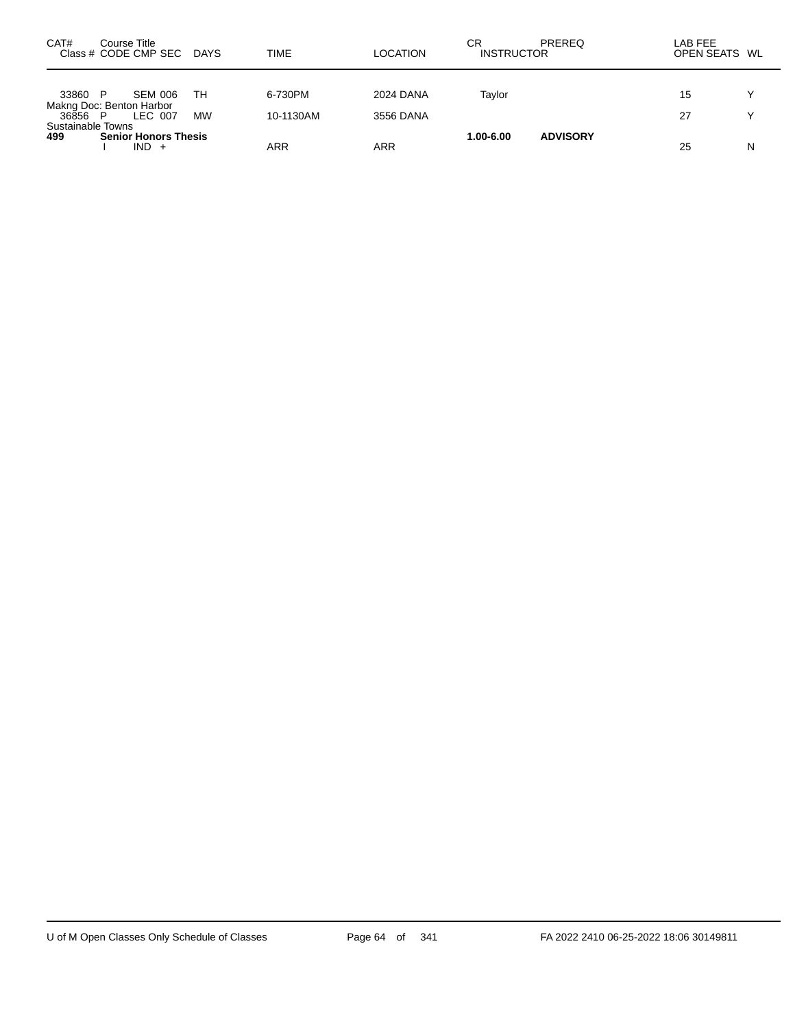| CAT#                                | Course Title<br>Class # CODE CMP SEC DAYS |           | TIME      | <b>LOCATION</b> | СR<br><b>INSTRUCTOR</b> | <b>PREREQ</b>   | LAB FEE<br>OPEN SEATS WL |              |
|-------------------------------------|-------------------------------------------|-----------|-----------|-----------------|-------------------------|-----------------|--------------------------|--------------|
|                                     |                                           |           |           |                 |                         |                 |                          | $\checkmark$ |
| 33860 P<br>Makng Doc: Benton Harbor | SEM 006                                   | TН        | 6-730PM   | 2024 DANA       | Tavlor                  |                 | 15                       |              |
| 36856 P<br>Sustainable Towns        | LEC 007                                   | <b>MW</b> | 10-1130AM | 3556 DANA       |                         |                 | 27                       | $\checkmark$ |
| 499                                 | <b>Senior Honors Thesis</b><br>$IND +$    |           | ARR       | ARR             | 1.00-6.00               | <b>ADVISORY</b> | 25                       | N            |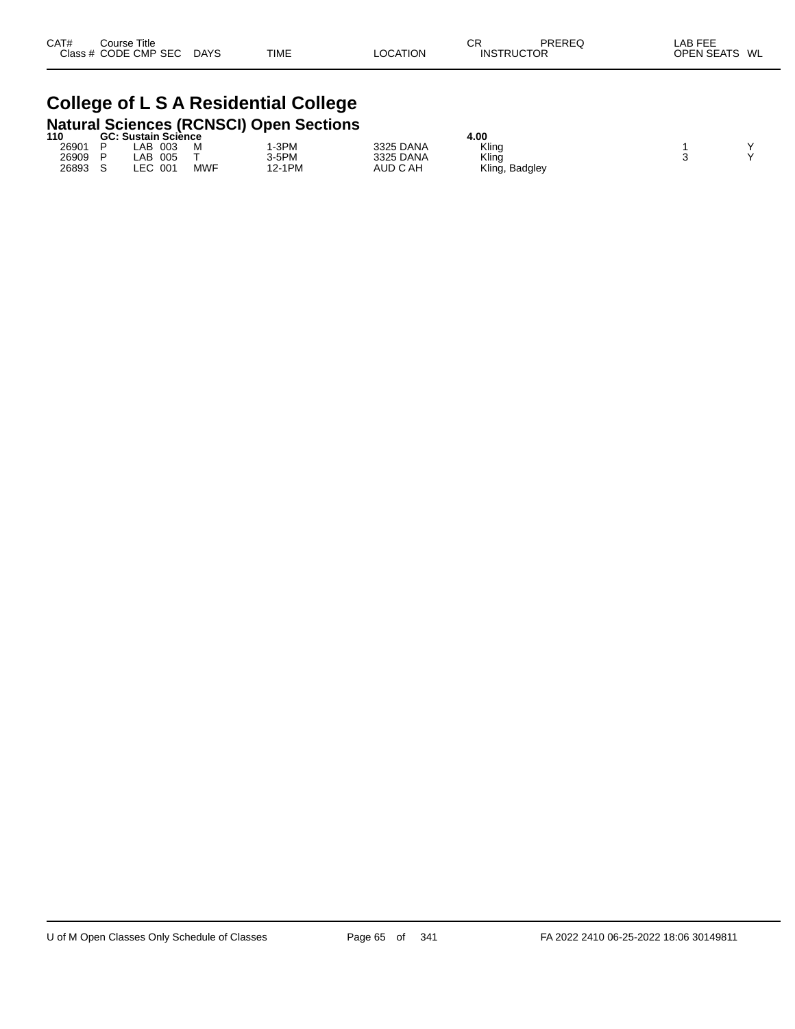| CAT# | Course Title         |             |             |                 | СF | PREREQ            | LAB FEE       |
|------|----------------------|-------------|-------------|-----------------|----|-------------------|---------------|
|      | Class # CODE CMP SEC | <b>DAYS</b> | <b>TIME</b> | <b>LOCATION</b> |    | <b>INSTRUCTOR</b> | OPEN SEATS WL |
|      |                      |             |             |                 |    |                   |               |

# **College of L S A Residential College**

|       |                            |            | <b>Natural Sciences (RCNSCI) Open Sections</b> |           |                |  |  |
|-------|----------------------------|------------|------------------------------------------------|-----------|----------------|--|--|
| 110   | <b>GC: Sustain Sciènce</b> |            |                                                |           | 4.00           |  |  |
| 26901 | .AB<br>003                 | M          | I-3PM                                          | 3325 DANA | Kling          |  |  |
| 26909 | _AB<br>005                 |            | $3-5PM$                                        | 3325 DANA | Kling          |  |  |
| 26893 | .EC<br>-001                | <b>MWF</b> | 12-1PM                                         | AUD C AH  | Kling, Badgley |  |  |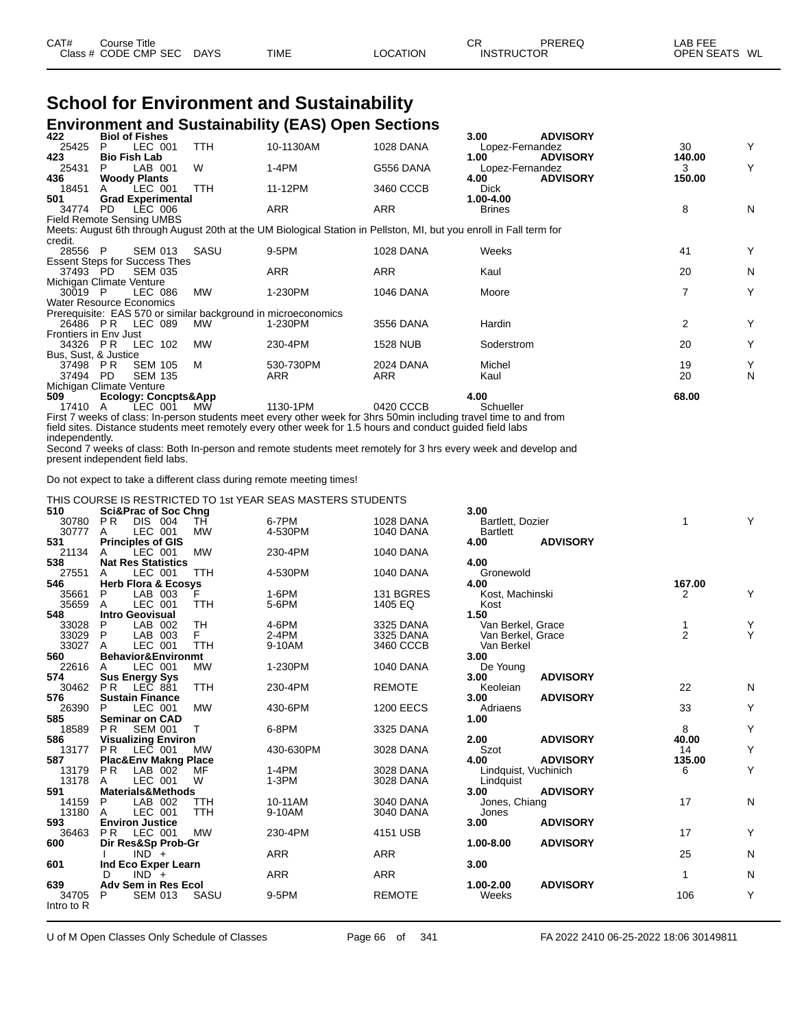| CAT# | ourse Titleٽ         |             |             |                 | СR                | PREREQ | _AB FEE       |  |
|------|----------------------|-------------|-------------|-----------------|-------------------|--------|---------------|--|
|      | Class # CODE CMP SEC | <b>DAYS</b> | <b>TIME</b> | <b>LOCATION</b> | <b>INSTRUCTOR</b> |        | OPEN SEATS WL |  |

#### **School for Environment and Sustainability Environment and Sustainability (EAS) Open Sections**

| 422                              |                     | <b>Biol of Fishes</b>                |            |                                                                                                                     |                  | 3.00            | <b>ADVISORY</b> |                |   |
|----------------------------------|---------------------|--------------------------------------|------------|---------------------------------------------------------------------------------------------------------------------|------------------|-----------------|-----------------|----------------|---|
| 25425                            | P.                  | LEC 001                              | <b>TTH</b> | 10-1130AM                                                                                                           | 1028 DANA        | Lopez-Fernandez |                 | 30             | Y |
| 423                              | <b>Bio Fish Lab</b> |                                      |            |                                                                                                                     |                  | 1.00            | <b>ADVISORY</b> | 140.00         |   |
| 25431                            | P.                  | LAB 001                              | W          | 1-4PM                                                                                                               | G556 DANA        | Lopez-Fernandez |                 | 3              | Y |
| 436                              |                     | <b>Woody Plants</b>                  |            |                                                                                                                     |                  | 4.00            | <b>ADVISORY</b> | 150.00         |   |
| 18451                            |                     | LEC 001                              | <b>TTH</b> | 11-12PM                                                                                                             | 3460 CCCB        | <b>Dick</b>     |                 |                |   |
| 501                              |                     | <b>Grad Experimental</b>             |            |                                                                                                                     |                  | 1.00-4.00       |                 |                |   |
| 34774                            | PD.                 | LEC 006                              |            | ARR                                                                                                                 | ARR              | <b>Brines</b>   |                 | 8              | N |
| <b>Field Remote Sensing UMBS</b> |                     |                                      |            |                                                                                                                     |                  |                 |                 |                |   |
|                                  |                     |                                      |            | Meets: August 6th through August 20th at the UM Biological Station in Pellston, MI, but you enroll in Fall term for |                  |                 |                 |                |   |
| credit.                          |                     |                                      |            |                                                                                                                     |                  |                 |                 |                |   |
| 28556 P                          |                     | <b>SEM 013</b>                       | SASU       | 9-5PM                                                                                                               | <b>1028 DANA</b> | Weeks           |                 | 41             | Y |
|                                  |                     | <b>Essent Steps for Success Thes</b> |            |                                                                                                                     |                  |                 |                 |                |   |
| 37493 PD                         |                     | <b>SEM 035</b>                       |            | <b>ARR</b>                                                                                                          | <b>ARR</b>       | Kaul            |                 | 20             | N |
| Michigan Climate Venture         |                     |                                      |            |                                                                                                                     |                  |                 |                 |                |   |
| 30019 P                          |                     | LEC 086                              | МW         | 1-230PM                                                                                                             | <b>1046 DANA</b> | Moore           |                 | 7              | Y |
| <b>Water Resource Economics</b>  |                     |                                      |            |                                                                                                                     |                  |                 |                 |                |   |
|                                  |                     |                                      |            | Prerequisite: EAS 570 or similar background in microeconomics                                                       |                  |                 |                 |                |   |
|                                  |                     | 26486 PR LEC 089                     | MW.        | 1-230PM                                                                                                             | 3556 DANA        | Hardin          |                 | $\overline{2}$ | Y |
| <b>Frontiers in Env Just</b>     |                     |                                      |            |                                                                                                                     |                  |                 |                 |                |   |
|                                  |                     | 34326 PR LEC 102                     | <b>MW</b>  | 230-4PM                                                                                                             | 1528 NUB         | Soderstrom      |                 | 20             | Y |
| Bus, Sust, & Justice             |                     |                                      |            |                                                                                                                     |                  |                 |                 |                |   |
| 37498 PR                         |                     | <b>SEM 105</b>                       | M          | 530-730PM                                                                                                           | 2024 DANA        | Michel          |                 | 19             | Y |
| 37494 PD                         |                     | <b>SEM 135</b>                       |            | <b>ARR</b>                                                                                                          | <b>ARR</b>       | Kaul            |                 | 20             | N |
| Michigan Climate Venture         |                     |                                      |            |                                                                                                                     |                  |                 |                 |                |   |
| 509                              |                     | <b>Ecology: Concpts&amp;App</b>      |            |                                                                                                                     |                  | 4.00            |                 | 68.00          |   |
| 17410                            | A                   | LEC 001                              | МW         | 1130-1PM                                                                                                            | 0420 CCCB        | Schueller       |                 |                |   |
|                                  |                     |                                      |            | First 7 weeks of class: In-person students meet every other week for 3hrs 50min including travel time to and from   |                  |                 |                 |                |   |

field sites. Distance students meet remotely every other week for 1.5 hours and conduct guided field labs independently.

Second 7 weeks of class: Both In-person and remote students meet remotely for 3 hrs every week and develop and present independent field labs.

Do not expect to take a different class during remote meeting times!

#### THIS COURSE IS RESTRICTED TO 1st YEAR SEAS MASTERS STUDENTS

| 510        | <b>Sci&amp;Prac of Soc Chng</b>            |            |                  | 3.00                         |                |   |
|------------|--------------------------------------------|------------|------------------|------------------------------|----------------|---|
| 30780      | DIS 004<br>PR.<br>TH                       | 6-7PM      | <b>1028 DANA</b> | Bartlett, Dozier             | 1              | Y |
| 30777      | LEC 001<br><b>MW</b><br>A                  | 4-530PM    | <b>1040 DANA</b> | <b>Bartlett</b>              |                |   |
| 531        | <b>Principles of GIS</b>                   |            |                  | <b>ADVISORY</b><br>4.00      |                |   |
| 21134      | <b>MW</b><br>LEC 001<br>A                  | 230-4PM    | <b>1040 DANA</b> |                              |                |   |
| 538        | <b>Nat Res Statistics</b>                  |            |                  | 4.00                         |                |   |
| 27551      | LEC 001<br><b>TTH</b><br>A                 | 4-530PM    | <b>1040 DANA</b> | Gronewold                    |                |   |
| 546        | <b>Herb Flora &amp; Ecosys</b>             |            |                  | 4.00                         | 167.00         |   |
| 35661      | P<br>LAB 003                               | 1-6PM      | 131 BGRES        | Kost, Machinski              | $\overline{2}$ | Y |
| 35659      | LEC 001<br><b>TTH</b><br>A                 | 5-6PM      | 1405 EQ          | Kost                         |                |   |
| 548        | <b>Intro Geovisual</b>                     |            |                  | 1.50                         |                |   |
| 33028      | <b>TH</b><br>P<br>LAB 002                  | 4-6PM      | 3325 DANA        | Van Berkel, Grace            |                | Υ |
| 33029      | F.<br>P<br>LAB 003                         | $2-4PM$    | 3325 DANA        | Van Berkel, Grace            | $\overline{2}$ | Y |
| 33027      | LEC 001<br><b>TTH</b><br>A                 | 9-10AM     | 3460 CCCB        | Van Berkel                   |                |   |
| 560        | Behavior&Environmt                         |            |                  | 3.00                         |                |   |
| 22616      | LEC 001<br><b>MW</b><br>A                  | 1-230PM    | <b>1040 DANA</b> | De Young                     |                |   |
| 574        | <b>Sus Energy Sys</b>                      |            |                  | <b>ADVISORY</b><br>3.00      |                |   |
| 30462      | <b>PR</b><br><b>TTH</b><br>LEC 881         | 230-4PM    | <b>REMOTE</b>    | Keoleian                     | 22             | N |
| 576        | <b>Sustain Finance</b>                     |            |                  | 3.00<br><b>ADVISORY</b>      |                |   |
| 26390      | LEC 001<br><b>MW</b><br>P                  | 430-6PM    | <b>1200 EECS</b> | Adriaens                     | 33             | Y |
| 585        | <b>Seminar on CAD</b>                      |            |                  | 1.00                         |                |   |
| 18589      | P <sub>R</sub><br><b>SEM 001</b><br>$\top$ | 6-8PM      | 3325 DANA        |                              | 8              | Y |
| 586        | <b>Visualizing Environ</b>                 |            |                  | 2.00<br><b>ADVISORY</b>      | 40.00          |   |
| 13177      | P <sub>R</sub><br>LEC 001<br>MW            | 430-630PM  | 3028 DANA        | Szot                         | 14             | Y |
| 587        | <b>Plac&amp;Env Makng Place</b>            |            |                  | 4.00<br><b>ADVISORY</b>      | 135.00         |   |
| 13179      | PR<br>LAB 002<br>MF                        | $1-4PM$    | 3028 DANA        | Lindquist, Vuchinich         | 6              | Y |
| 13178      | LEC 001<br>W<br>A                          | $1-3PM$    | 3028 DANA        | Lindquist                    |                |   |
| 591        | <b>Materials&amp;Methods</b>               |            |                  | <b>ADVISORY</b><br>3.00      | 17             | N |
| 14159      | LAB 002<br>P<br>TTH                        | 10-11AM    | 3040 DANA        | Jones, Chiang                |                |   |
| 13180      | LEC 001<br><b>TTH</b><br>A                 | 9-10AM     | 3040 DANA        | Jones                        |                |   |
| 593        | <b>Environ Justice</b><br><b>MW</b>        |            |                  | 3.00<br><b>ADVISORY</b>      | 17             | Y |
| 36463      | <b>PR</b><br>LEC 001                       | 230-4PM    | 4151 USB         |                              |                |   |
| 600        | Dir Res&Sp Prob-Gr<br>$IND +$              | <b>ARR</b> | <b>ARR</b>       | 1.00-8.00<br><b>ADVISORY</b> | 25             | N |
| 601        |                                            |            |                  | 3.00                         |                |   |
|            | Ind Eco Exper Learn                        |            |                  |                              |                |   |
| 639        | D<br>$IND +$<br>Adv Sem in Res Ecol        | <b>ARR</b> | <b>ARR</b>       | 1.00-2.00<br><b>ADVISORY</b> | 1              | N |
| 34705      | P<br><b>SEM 013</b><br>SASU                | 9-5PM      | <b>REMOTE</b>    | Weeks                        | 106            | Y |
| Intro to R |                                            |            |                  |                              |                |   |
|            |                                            |            |                  |                              |                |   |

U of M Open Classes Only Schedule of Classes **Page 66 of 341** FA 2022 2410 06-25-2022 18:06 30149811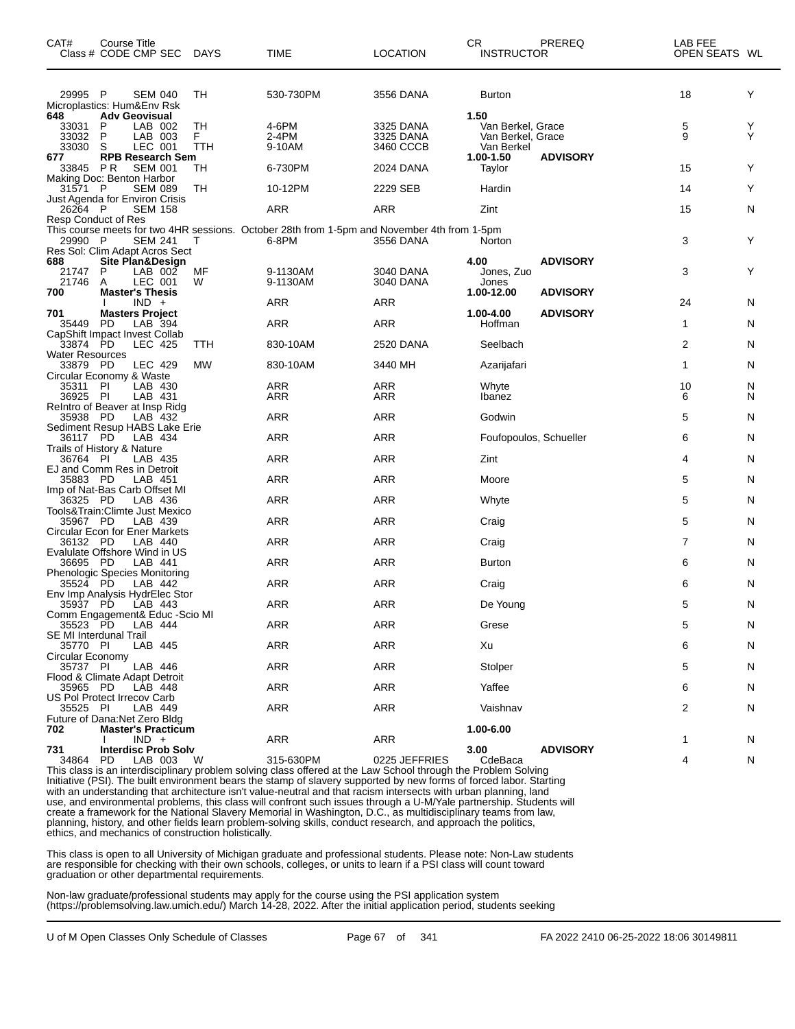| CAT#                               | Course Title<br>Class # CODE CMP SEC DAYS          |           | TIME                                                                                        | <b>LOCATION</b>   | CR.<br><b>INSTRUCTOR</b> | PREREQ                 | LAB FEE<br>OPEN SEATS WL |        |
|------------------------------------|----------------------------------------------------|-----------|---------------------------------------------------------------------------------------------|-------------------|--------------------------|------------------------|--------------------------|--------|
| 29995 P                            | <b>SEM 040</b>                                     | TН        | 530-730PM                                                                                   | 3556 DANA         | <b>Burton</b>            |                        | 18                       | Y      |
| 648                                | Microplastics: Hum&Env Rsk<br><b>Adv Geovisual</b> |           |                                                                                             |                   | 1.50                     |                        |                          |        |
| 33031                              | LAB 002<br>P                                       | <b>TH</b> | 4-6PM                                                                                       | 3325 DANA         | Van Berkel, Grace        |                        | 5                        | Y      |
| 33032                              | P<br>LAB 003                                       | F.        | 2-4PM                                                                                       | 3325 DANA         | Van Berkel, Grace        |                        | 9                        | Y      |
| 33030<br>677                       | S<br>LEC 001<br><b>RPB Research Sem</b>            | TTH       | 9-10AM                                                                                      | 3460 CCCB         | Van Berkel<br>1.00-1.50  | <b>ADVISORY</b>        |                          |        |
| 33845 PR                           | <b>SEM 001</b>                                     | TН        | 6-730PM                                                                                     | 2024 DANA         | Taylor                   |                        | 15                       | Y      |
| 31571 P                            | Making Doc: Benton Harbor<br><b>SEM 089</b>        | TH        | 10-12PM                                                                                     | 2229 SEB          | Hardin                   |                        | 14                       | Y      |
|                                    | Just Agenda for Environ Crisis                     |           |                                                                                             |                   |                          |                        |                          |        |
| 26264 P                            | <b>SEM 158</b><br>Resp Conduct of Res              |           | ARR                                                                                         | <b>ARR</b>        | Zint                     |                        | 15                       | N      |
|                                    |                                                    |           | This course meets for two 4HR sessions. October 28th from 1-5pm and November 4th from 1-5pm |                   |                          |                        |                          |        |
| 29990 P                            | <b>SEM 241</b><br>Res Sol: Clim Adapt Acros Sect   | Т         | 6-8PM                                                                                       | 3556 DANA         | Norton                   |                        | 3                        | Y      |
| 688                                | Site Plan&Design                                   |           |                                                                                             |                   | 4.00                     | <b>ADVISORY</b>        |                          |        |
| 21747                              | P<br>LAB 002                                       | MF        | 9-1130AM                                                                                    | 3040 DANA         | Jones, Zuo               |                        | 3                        | Y      |
| 21746<br>700                       | LEC 001<br>A<br><b>Master's Thesis</b>             | W         | 9-1130AM                                                                                    | 3040 DANA         | Jones<br>1.00-12.00      | <b>ADVISORY</b>        |                          |        |
|                                    | $IND +$                                            |           | ARR                                                                                         | <b>ARR</b>        |                          |                        | 24                       | N      |
| 701<br>35449                       | <b>Masters Project</b><br>PD<br>LAB 394            |           | ARR                                                                                         | ARR               | 1.00-4.00<br>Hoffman     | <b>ADVISORY</b>        | 1                        | N      |
|                                    | CapShift Impact Invest Collab                      |           |                                                                                             |                   |                          |                        |                          |        |
| 33874 PD                           | <b>LEC 425</b>                                     | TTH       | 830-10AM                                                                                    | 2520 DANA         | Seelbach                 |                        | 2                        | N      |
| <b>Water Resources</b><br>33879 PD | LEC 429                                            | <b>MW</b> | 830-10AM                                                                                    | 3440 MH           | Azarijafari              |                        | $\mathbf{1}$             | N      |
|                                    | Circular Economy & Waste                           |           |                                                                                             |                   |                          |                        |                          |        |
| 35311 PI<br>36925 PI               | LAB 430<br>LAB 431                                 |           | <b>ARR</b><br>ARR                                                                           | <b>ARR</b><br>ARR | Whyte<br>Ibanez          |                        | 10<br>6                  | N<br>N |
|                                    | ReIntro of Beaver at Insp Ridg                     |           |                                                                                             |                   |                          |                        |                          |        |
| 35938 PD                           | LAB 432                                            |           | ARR                                                                                         | <b>ARR</b>        | Godwin                   |                        | 5                        | N      |
| 36117 PD                           | Sediment Resup HABS Lake Erie<br>LAB 434           |           | <b>ARR</b>                                                                                  | <b>ARR</b>        |                          | Foufopoulos, Schueller | 6                        | N      |
|                                    | Trails of History & Nature                         |           |                                                                                             |                   |                          |                        |                          |        |
| 36764 PI                           | LAB 435<br>EJ and Comm Res in Detroit              |           | ARR                                                                                         | <b>ARR</b>        | Zint                     |                        | 4                        | N      |
| 35883 PD                           | LAB 451                                            |           | ARR                                                                                         | <b>ARR</b>        | Moore                    |                        | 5                        | N      |
| 36325 PD                           | Imp of Nat-Bas Carb Offset MI<br>LAB 436           |           | <b>ARR</b>                                                                                  | <b>ARR</b>        | Whyte                    |                        | 5                        | N      |
|                                    | Tools&Train: Climte Just Mexico                    |           |                                                                                             |                   |                          |                        |                          |        |
| 35967 PD                           | LAB 439                                            |           | ARR                                                                                         | <b>ARR</b>        | Craig                    |                        | 5                        | N      |
| 36132 PD                           | Circular Econ for Ener Markets<br>LAB 440          |           | ARR                                                                                         | <b>ARR</b>        | Craig                    |                        | $\overline{7}$           | N      |
|                                    | Evalulate Offshore Wind in US                      |           |                                                                                             |                   |                          |                        |                          |        |
| 36695 PD                           | LAB 441<br><b>Phenologic Species Monitoring</b>    |           | <b>ARR</b>                                                                                  | <b>ARR</b>        | <b>Burton</b>            |                        | 6                        | N      |
| 35524 PD                           | LAB 442                                            |           | ARR                                                                                         | <b>ARR</b>        | Craig                    |                        | 6                        | N      |
| 35937 PD                           | Env Imp Analysis HydrElec Stor<br>LAB 443          |           | <b>ARR</b>                                                                                  | <b>ARR</b>        | De Young                 |                        | 5                        | N      |
|                                    | Comm Engagement& Educ -Scio MI                     |           |                                                                                             |                   |                          |                        |                          |        |
| 35523 PD                           | LAB 444                                            |           | <b>ARR</b>                                                                                  | ARR               | Grese                    |                        | 5                        | N      |
| 35770 PI                           | SE MI Interdunal Trail<br>LAB 445                  |           | ARR                                                                                         | ARR               | Xu                       |                        | 6                        | N      |
| Circular Economy                   |                                                    |           |                                                                                             |                   |                          |                        |                          |        |
| 35737 PI                           | LAB 446<br>Flood & Climate Adapt Detroit           |           | ARR                                                                                         | ARR               | Stolper                  |                        | 5                        | N      |
| 35965 PD                           | LAB 448                                            |           | ARR                                                                                         | ARR               | Yaffee                   |                        | 6                        | N      |
| 35525 PI                           | US Pol Protect Irrecov Carb<br>LAB 449             |           | ARR                                                                                         |                   | Vaishnav                 |                        | 2                        |        |
|                                    | Future of Dana: Net Zero Bldg                      |           |                                                                                             | ARR               |                          |                        |                          | N      |
| 702                                | <b>Master's Practicum</b>                          |           |                                                                                             |                   | 1.00-6.00                |                        |                          |        |
| 731                                | $IND +$<br><b>Interdisc Prob Solv</b>              |           | ARR                                                                                         | ARR               | 3.00                     | <b>ADVISORY</b>        | 1                        | N      |
| 34864                              | PD<br>LAB 003                                      | W         | 315-630PM                                                                                   | 0225 JEFFRIES     | CdeBaca                  |                        | 4                        | N      |

This class is an interdisciplinary problem solving class offered at the Law School through the Problem Solving Initiative (PSI). The built environment bears the stamp of slavery supported by new forms of forced labor. Starting with an understanding that architecture isn't value-neutral and that racism intersects with urban planning, land use, and environmental problems, this class will confront such issues through a U-M/Yale partnership. Students will create a framework for the National Slavery Memorial in Washington, D.C., as multidisciplinary teams from law, planning, history, and other fields learn problem-solving skills, conduct research, and approach the politics, ethics, and mechanics of construction holistically.

This class is open to all University of Michigan graduate and professional students. Please note: Non-Law students are responsible for checking with their own schools, colleges, or units to learn if a PSI class will count toward graduation or other departmental requirements.

Non-law graduate/professional students may apply for the course using the PSI application system (https://problemsolving.law.umich.edu/) March 14-28, 2022. After the initial application period, students seeking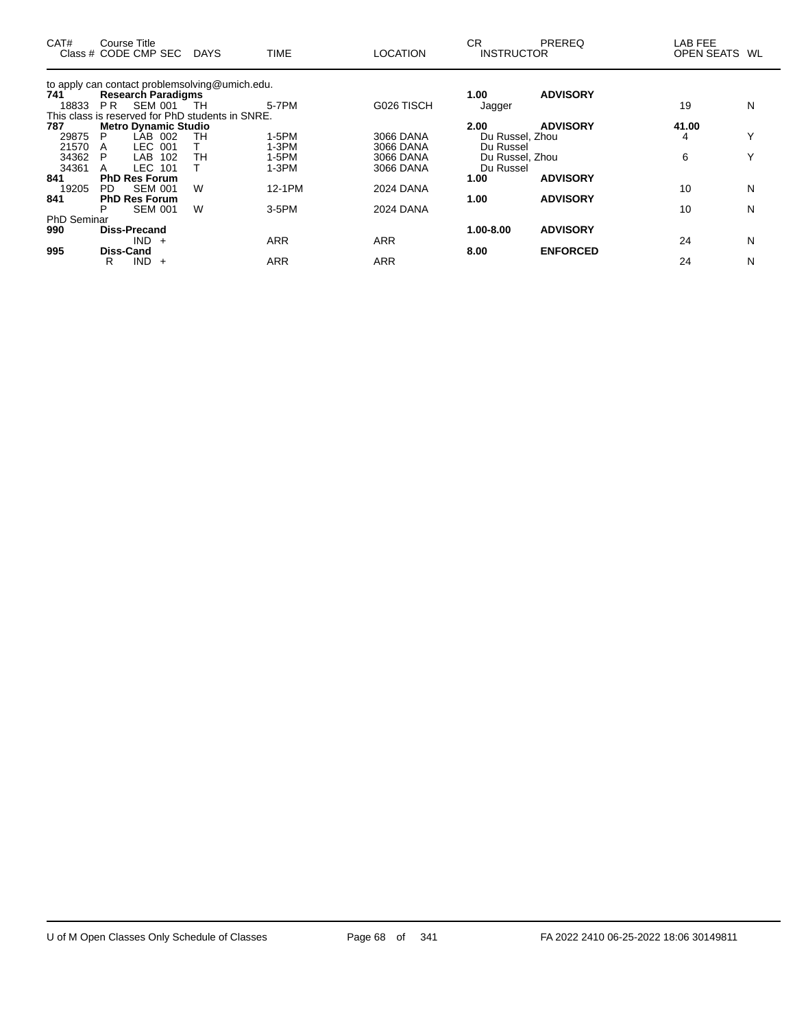| CAT#               |     | Course Title<br>Class # CODE CMP SEC             | <b>DAYS</b> | <b>TIME</b> | <b>LOCATION</b>  | CR.<br><b>INSTRUCTOR</b> | PREREQ          | LAB FEE<br>OPEN SEATS | WL           |
|--------------------|-----|--------------------------------------------------|-------------|-------------|------------------|--------------------------|-----------------|-----------------------|--------------|
|                    |     | to apply can contact problemsolving@umich.edu.   |             |             |                  |                          |                 |                       |              |
| 741                |     | <b>Research Paradigms</b>                        |             |             |                  | 1.00                     | <b>ADVISORY</b> |                       |              |
| 18833              | PR. | <b>SEM 001</b>                                   | TH          | 5-7PM       | G026 TISCH       | Jagger                   |                 | 19                    | N            |
|                    |     | This class is reserved for PhD students in SNRE. |             |             |                  |                          |                 |                       |              |
| 787                |     | <b>Metro Dynamic Studio</b>                      |             |             |                  | 2.00                     | <b>ADVISORY</b> | 41.00                 |              |
| 29875              | P   | LAB<br>002                                       | TН          | $1-5PM$     | 3066 DANA        | Du Russel, Zhou          |                 | 4                     | $\checkmark$ |
| 21570              | A   | <b>LEC</b><br>001                                |             | $1-3PM$     | 3066 DANA        | Du Russel                |                 |                       |              |
| 34362              | P   | 102<br>LAB                                       | TН          | 1-5PM       | 3066 DANA        | Du Russel, Zhou          |                 | 6                     |              |
| 34361              |     | <b>LEC 101</b>                                   |             | $1-3PM$     | 3066 DANA        | Du Russel                |                 |                       |              |
| 841                |     | <b>PhD Res Forum</b>                             |             |             |                  | 1.00                     | <b>ADVISORY</b> |                       |              |
| 19205              | PD. | <b>SEM 001</b>                                   | W           | 12-1PM      | <b>2024 DANA</b> |                          |                 | 10                    | N            |
| 841                |     | <b>PhD Res Forum</b>                             |             |             |                  | 1.00                     | <b>ADVISORY</b> |                       |              |
|                    | P   | <b>SEM 001</b>                                   | W           | $3-5$ PM    | 2024 DANA        |                          |                 | 10                    | N            |
| <b>PhD Seminar</b> |     |                                                  |             |             |                  |                          |                 |                       |              |
| 990                |     | <b>Diss-Precand</b>                              |             |             |                  | 1.00-8.00                | <b>ADVISORY</b> |                       |              |
|                    |     | <b>IND</b><br>$+$                                |             | ARR         | <b>ARR</b>       |                          |                 | 24                    | N            |
| 995                |     | <b>Diss-Cand</b>                                 |             |             |                  | 8.00                     | <b>ENFORCED</b> |                       |              |
|                    | R   | IND.<br>$\ddot{}$                                |             | ARR         | <b>ARR</b>       |                          |                 | 24                    | N            |

 $\overline{\phantom{0}}$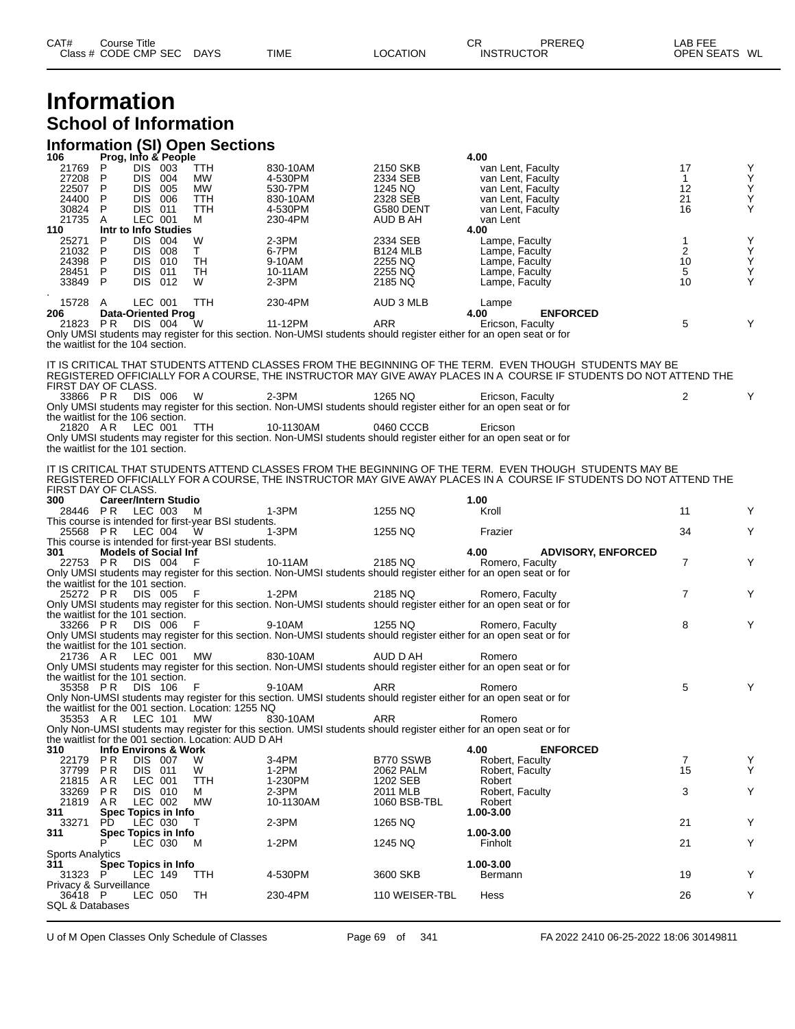# **Information School of Information**

#### **Information (SI) Open Sections**

| 106                                   |              |                | Prog, Info & People             |                                                      |                    |                       | 4.00                                                                                                                         |                         |        |
|---------------------------------------|--------------|----------------|---------------------------------|------------------------------------------------------|--------------------|-----------------------|------------------------------------------------------------------------------------------------------------------------------|-------------------------|--------|
| 21769<br>27208                        | P<br>P.      | DIS 003        | DIS 004                         | <b>TTH</b>                                           | 830-10AM           | 2150 SKB              | van Lent, Faculty                                                                                                            | 17                      | Υ<br>Υ |
| 22507                                 | P.           |                | DIS 005                         | МW<br>MW.                                            | 4-530PM<br>530-7PM | 2334 SEB<br>1245 NQ   | van Lent, Faculty<br>van Lent, Faculty                                                                                       | $\mathbf{1}$<br>12      | Υ      |
| 24400                                 | P.           |                | DIS 006                         | TTH                                                  | 830-10AM           | 2328 SEB              | van Lent, Faculty                                                                                                            | 21                      | Υ      |
| 30824                                 | P            | DIS 011        |                                 | TTH                                                  | 4-530PM            | G580 DENT             | van Lent, Faculty                                                                                                            | 16                      | Y      |
| 21735                                 | A            | LEC 001        |                                 | м                                                    | 230-4PM            | AUD B AH              | van Lent                                                                                                                     |                         |        |
| 110                                   |              |                | Intr to Info Studies            |                                                      |                    |                       | 4.00                                                                                                                         |                         |        |
| 25271                                 | P            |                | DIS 004                         | W                                                    | $2-3PM$            | 2334 SEB              | Lampe, Faculty                                                                                                               | 1                       | Υ      |
| 21032                                 | P            |                | DIS 008                         | T.                                                   | 6-7PM              | <b>B124 MLB</b>       | Lampe, Faculty                                                                                                               | $\overline{\mathbf{c}}$ | Υ      |
| 24398                                 | P.           |                | DIS 010                         | TH                                                   | 9-10AM             | 2255 NQ               | Lampe, Faculty                                                                                                               | 10                      | Ÿ      |
| 28451                                 | $\mathsf{P}$ | DIS 011        |                                 | TH                                                   | 10-11AM            | 2255 NQ               | Lampe, Faculty                                                                                                               | 5                       | Υ      |
| 33849 P                               |              |                | DIS 012                         | W                                                    | $2-3PM$            | 2185 NQ               | Lampe, Faculty                                                                                                               | 10                      | Y      |
| 15728 A                               |              | LEC 001        |                                 | TTH                                                  | 230-4PM            | AUD 3 MLB             |                                                                                                                              |                         |        |
| 206                                   |              |                | <b>Data-Oriented Prog</b>       |                                                      |                    |                       | Lampe<br><b>ENFORCED</b><br>4.00                                                                                             |                         |        |
| 21823 PR DIS 004                      |              |                |                                 | W                                                    | 11-12PM            | ARR                   | Ericson, Faculty                                                                                                             | 5                       | Y      |
|                                       |              |                |                                 |                                                      |                    |                       | Only UMSI students may register for this section. Non-UMSI students should register either for an open seat or for           |                         |        |
| the waitlist for the 104 section.     |              |                |                                 |                                                      |                    |                       |                                                                                                                              |                         |        |
|                                       |              |                |                                 |                                                      |                    |                       |                                                                                                                              |                         |        |
|                                       |              |                |                                 |                                                      |                    |                       | IT IS CRITICAL THAT STUDENTS ATTEND CLASSES FROM THE BEGINNING OF THE TERM. EVEN THOUGH STUDENTS MAY BE                      |                         |        |
|                                       |              |                |                                 |                                                      |                    |                       | REGISTERED OFFICIALLY FOR A COURSE, THE INSTRUCTOR MAY GIVE AWAY PLACES IN A COURSE IF STUDENTS DO NOT ATTEND THE            |                         |        |
| FIRST DAY OF CLASS.                   |              |                |                                 |                                                      |                    |                       |                                                                                                                              |                         |        |
| 33866 PR DIS 006                      |              |                |                                 | - W                                                  | $2-3PM$            | 1265 NQ               | Ericson, Faculty                                                                                                             | 2                       | Y      |
| the waitlist for the 106 section.     |              |                |                                 |                                                      |                    |                       | Only UMSI students may register for this section. Non-UMSI students should register either for an open seat or for           |                         |        |
| 21820 AR                              |              | LEC 001        |                                 | TTH                                                  | 10-1130AM          | 0460 CCCB             | Ericson                                                                                                                      |                         |        |
|                                       |              |                |                                 |                                                      |                    |                       | Only UMSI students may register for this section. Non-UMSI students should register either for an open seat or for           |                         |        |
| the waitlist for the 101 section.     |              |                |                                 |                                                      |                    |                       |                                                                                                                              |                         |        |
|                                       |              |                |                                 |                                                      |                    |                       |                                                                                                                              |                         |        |
|                                       |              |                |                                 |                                                      |                    |                       | IT IS CRITICAL THAT STUDENTS ATTEND CLASSES FROM THE BEGINNING OF THE TERM. EVEN THOUGH STUDENTS MAY BE                      |                         |        |
|                                       |              |                |                                 |                                                      |                    |                       | REGISTERED OFFICIALLY FOR A COURSE, THE INSTRUCTOR MAY GIVE AWAY PLACES IN A COURSE IF STUDENTS DO NOT ATTEND THE            |                         |        |
| FIRST DAY OF CLASS.                   |              |                |                                 |                                                      |                    |                       |                                                                                                                              |                         |        |
| 300                                   |              |                | <b>Career/Intern Studio</b>     |                                                      |                    |                       | 1.00                                                                                                                         |                         |        |
| 28446 PR LEC 003 M                    |              |                |                                 |                                                      | 1-3PM              | 1255 NQ               | Kroll                                                                                                                        | 11                      | Y      |
|                                       |              |                |                                 | This course is intended for first-year BSI students. |                    |                       |                                                                                                                              |                         |        |
| 25568 PR                              |              | LEC 004        |                                 | - W                                                  | 1-3PM              | 1255 NQ               | Frazier                                                                                                                      | 34                      | Y      |
| 301                                   |              |                | <b>Models of Social Inf</b>     | This course is intended for first-year BSI students. |                    |                       | 4.00<br><b>ADVISORY, ENFORCED</b>                                                                                            |                         |        |
| 22753 PR                              |              |                | DIS 004 F                       |                                                      | 10-11AM            | 2185 NQ               | Romero, Faculty                                                                                                              | $\overline{7}$          | Y      |
|                                       |              |                |                                 |                                                      |                    |                       | Only UMSI students may register for this section. Non-UMSI students should register either for an open seat or for           |                         |        |
| the waitlist for the 101 section.     |              |                |                                 |                                                      |                    |                       |                                                                                                                              |                         |        |
| 25272 PR                              |              | DIS 005        |                                 | - F                                                  | 1-2PM              | 2185 NQ               | Romero, Faculty                                                                                                              | $\overline{7}$          | Y      |
|                                       |              |                |                                 |                                                      |                    |                       | Only UMSI students may register for this section. Non-UMSI students should register either for an open seat or for           |                         |        |
| the waitlist for the 101 section.     |              |                |                                 |                                                      |                    |                       |                                                                                                                              |                         |        |
| 33266 PR                              |              | DIS 006        |                                 | - F                                                  | 9-10AM             | 1255 NQ               | Romero, Faculty                                                                                                              | 8                       | Y      |
|                                       |              |                |                                 |                                                      |                    |                       | Only UMSI students may register for this section. Non-UMSI students should register either for an open seat or for           |                         |        |
| the waitlist for the 101 section.     |              |                |                                 |                                                      |                    |                       |                                                                                                                              |                         |        |
| 21736 AR                              |              | LEC 001        |                                 | MW                                                   | 830-10AM           | AUD D AH              | Romero<br>Only UMSI students may register for this section. Non-UMSI students should register either for an open seat or for |                         |        |
| the waitlist for the 101 section.     |              |                |                                 |                                                      |                    |                       |                                                                                                                              |                         |        |
| 35358 PR                              |              | DIS 106        |                                 | - F                                                  | 9-10AM             | ARR                   | Romero                                                                                                                       | 5                       |        |
|                                       |              |                |                                 |                                                      |                    |                       | Only Non-UMSI students may register for this section. UMSI students should register either for an open seat or for           |                         |        |
|                                       |              |                |                                 | the waitlist for the 001 section. Location: 1255 NQ  |                    |                       |                                                                                                                              |                         |        |
| 35353 AR                              |              | LEC 101        |                                 | МW                                                   | 830-10AM           | ARR                   | Romero                                                                                                                       |                         |        |
|                                       |              |                |                                 |                                                      |                    |                       | Only Non-UMSI students may register for this section. UMSI students should register either for an open seat or for           |                         |        |
|                                       |              |                |                                 | the waitlist for the 001 section. Location: AUD D AH |                    |                       |                                                                                                                              |                         |        |
| 310                                   |              |                | <b>Info Environs &amp; Work</b> |                                                      |                    |                       | 4.00<br><b>ENFORCED</b>                                                                                                      |                         |        |
| 22179                                 | P R          | <b>DIS 007</b> |                                 | W                                                    | 3-4PM              | B770 SSWB             | Robert, Faculty                                                                                                              | $\overline{7}$<br>15    | Υ<br>Υ |
| 37799                                 | P R          | DIS 011        |                                 | W                                                    | $1-2PM$            | 2062 PALM<br>1202 SEB | Robert, Faculty<br>Robert                                                                                                    |                         |        |
| 21815<br>33269                        | A R<br>P R   | LEC 001        | DIS 010                         | TTH<br>м                                             | 1-230PM<br>2-3PM   | 2011 MLB              | Robert, Faculty                                                                                                              | 3                       | Υ      |
| 21819                                 | A R          | LEC 002        |                                 | <b>MW</b>                                            | 10-1130AM          | 1060 BSB-TBL          | Robert                                                                                                                       |                         |        |
| 311                                   |              |                | Spec Topics in Info             |                                                      |                    |                       | 1.00-3.00                                                                                                                    |                         |        |
| 33271                                 | PD.          | LEC 030        |                                 | T.                                                   | 2-3PM              | 1265 NQ               |                                                                                                                              | 21                      | Y      |
| 311                                   |              |                | Spec Topics in Info             |                                                      |                    |                       | 1.00-3.00                                                                                                                    |                         |        |
|                                       | P            |                | LEC 030                         | M                                                    | 1-2PM              | 1245 NQ               | Finholt                                                                                                                      | 21                      | Y      |
| <b>Sports Analytics</b>               |              |                |                                 |                                                      |                    |                       |                                                                                                                              |                         |        |
| 311                                   |              |                | Spec Topics in Info             |                                                      |                    |                       | 1.00-3.00                                                                                                                    |                         |        |
| 31323 P                               |              | LEC 149        |                                 | TTH                                                  | 4-530PM            | 3600 SKB              | Bermann                                                                                                                      | 19                      | Y      |
| Privacy & Surveillance                |              |                |                                 | TH                                                   |                    | 110 WEISER-TBL        |                                                                                                                              | 26                      | Y      |
| 36418 P<br><b>SQL &amp; Databases</b> |              | LEC 050        |                                 |                                                      | 230-4PM            |                       | Hess                                                                                                                         |                         |        |
|                                       |              |                |                                 |                                                      |                    |                       |                                                                                                                              |                         |        |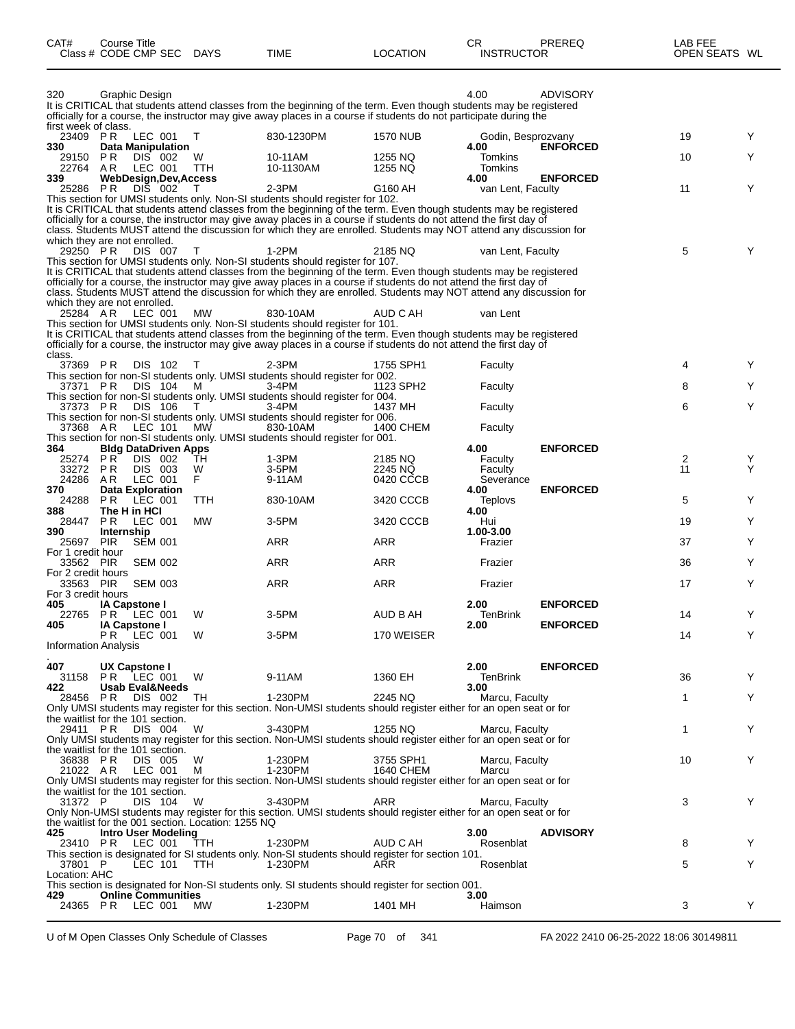| CAT#                            | <b>Course Title</b><br>Class # CODE CMP SEC                     | DAYS       | TIME                                                                                                                                                                                                                                                                                                                                                            | <b>LOCATION</b>        | CR<br><b>INSTRUCTOR</b>         | PREREQ          | LAB FEE<br>OPEN SEATS WL |   |
|---------------------------------|-----------------------------------------------------------------|------------|-----------------------------------------------------------------------------------------------------------------------------------------------------------------------------------------------------------------------------------------------------------------------------------------------------------------------------------------------------------------|------------------------|---------------------------------|-----------------|--------------------------|---|
| 320<br>first week of class.     | Graphic Design                                                  |            | It is CRITICAL that students attend classes from the beginning of the term. Even though students may be registered<br>officially for a course, the instructor may give away places in a course if students do not participate during the                                                                                                                        |                        | 4.00                            | <b>ADVISORY</b> |                          |   |
| 23409 PR<br>330                 | LEC 001                                                         | Τ          | 830-1230PM                                                                                                                                                                                                                                                                                                                                                      | 1570 NUB               | Godin, Besprozvany<br>4.00      | <b>ENFORCED</b> | 19                       | Y |
| 29150<br>22764                  | Data Manipulation<br>P R<br>DIS 002<br>A R<br>LEC 001           | W<br>TTH   | 10-11AM<br>10-1130AM                                                                                                                                                                                                                                                                                                                                            | 1255 NQ<br>1255 NQ     | Tomkins<br>Tomkins              |                 | 10                       | Y |
| 339                             | WebDesign, Dev, Access<br>P R                                   |            | $2-3PM$                                                                                                                                                                                                                                                                                                                                                         | G160 AH                | 4.00                            | <b>ENFORCED</b> | 11                       | Y |
| 25286                           | DIS 002                                                         |            | This section for UMSI students only. Non-SI students should register for 102.                                                                                                                                                                                                                                                                                   |                        | van Lent, Faculty               |                 |                          |   |
|                                 | which they are not enrolled.                                    |            | It is CRITICAL that students attend classes from the beginning of the term. Even though students may be registered<br>officially for a course, the instructor may give away places in a course if students do not attend the first day of<br>class. Students MUST attend the discussion for which they are enrolled. Students may NOT attend any discussion for |                        |                                 |                 |                          |   |
| 29250 PR                        | DIS 007                                                         | T          | 1-2PM<br>This section for UMSI students only. Non-SI students should register for 107.                                                                                                                                                                                                                                                                          | 2185 NQ                | van Lent, Faculty               |                 | 5                        | Y |
|                                 |                                                                 |            | It is CRITICAL that students attend classes from the beginning of the term. Even though students may be registered                                                                                                                                                                                                                                              |                        |                                 |                 |                          |   |
|                                 | which they are not enrolled.                                    |            | officially for a course, the instructor may give away places in a course if students do not attend the first day of<br>class. Students MUST attend the discussion for which they are enrolled. Students may NOT attend any discussion for                                                                                                                       |                        |                                 |                 |                          |   |
| 25284 AR                        | LEC 001                                                         | <b>MW</b>  | 830-10AM<br>This section for UMSI students only. Non-SI students should register for 101.                                                                                                                                                                                                                                                                       | AUD C AH               | van Lent                        |                 |                          |   |
| class.                          |                                                                 |            | It is CRITICAL that students attend classes from the beginning of the term. Even though students may be registered<br>officially for a course, the instructor may give away places in a course if students do not attend the first day of                                                                                                                       |                        |                                 |                 |                          |   |
| 37369 PR                        | DIS 102                                                         | T          | 2-3PM<br>This section for non-SI students only. UMSI students should register for 002.                                                                                                                                                                                                                                                                          | 1755 SPH1              | Faculty                         |                 | 4                        | Y |
| 37371 PR                        | DIS 104                                                         | M          | 3-4PM<br>This section for non-SI students only. UMSI students should register for 004.                                                                                                                                                                                                                                                                          | 1123 SPH2              | Faculty                         |                 | 8                        | Y |
| 37373 PR                        | DIS 106                                                         |            | 3-4PM<br>This section for non-SI students only. UMSI students should register for 006.                                                                                                                                                                                                                                                                          | 1437 MH                | Faculty                         |                 | 6                        | Y |
| 37368 AR                        | LEC 101                                                         | <b>MW</b>  | 830-10AM<br>This section for non-SI students only. UMSI students should register for 001.                                                                                                                                                                                                                                                                       | 1400 CHEM              | Faculty                         |                 |                          |   |
| 364<br>25274 PR                 | <b>Bldg DataDriven Apps</b><br>DIS 002                          | TН         | 1-3PM                                                                                                                                                                                                                                                                                                                                                           | 2185 NQ                | 4.00<br>Faculty                 | <b>ENFORCED</b> | 2                        | Y |
| 33272<br>24286                  | P <sub>R</sub><br>DIS 003<br>LEC 001<br>AR.                     | W<br>F     | 3-5PM<br>9-11AM                                                                                                                                                                                                                                                                                                                                                 | 2245 NQ<br>0420 CCCB   | Faculty<br>Severance            |                 | 11                       | Y |
| 370                             | <b>Data Exploration</b>                                         |            |                                                                                                                                                                                                                                                                                                                                                                 |                        | 4.00                            | <b>ENFORCED</b> |                          | Y |
| 24288<br>388                    | PR.<br>LEC 001<br>The H in HCI                                  | <b>TTH</b> | 830-10AM                                                                                                                                                                                                                                                                                                                                                        | 3420 CCCB              | Teplovs<br>4.00                 |                 | 5                        |   |
| 28447<br>390                    | LEC 001<br>PR.<br>Internship                                    | MW         | 3-5PM                                                                                                                                                                                                                                                                                                                                                           | 3420 CCCB              | Hui<br>1.00-3.00                |                 | 19                       | Y |
| 25697<br>For 1 credit hour      | PIR<br><b>SEM 001</b>                                           |            | <b>ARR</b>                                                                                                                                                                                                                                                                                                                                                      | ARR                    | Frazier                         |                 | 37                       | Y |
| 33562 PIR<br>For 2 credit hours | <b>SEM 002</b>                                                  |            | ARR                                                                                                                                                                                                                                                                                                                                                             | ARR                    | Frazier                         |                 | 36                       | Y |
| 33563 PIR<br>For 3 credit hours | <b>SEM 003</b>                                                  |            | ARR                                                                                                                                                                                                                                                                                                                                                             | <b>ARR</b>             | Frazier                         |                 | 17                       | Y |
| 405                             | <b>IA Capstone I</b><br>22765 PR LEC 001                        | W          | 3-5PM                                                                                                                                                                                                                                                                                                                                                           | AUD B AH               | 2.00<br>TenBrink                | <b>ENFORCED</b> | 14                       | Υ |
| 405                             | <b>IA Capstone I</b><br>PR LEC 001                              | W          | 3-5PM                                                                                                                                                                                                                                                                                                                                                           | 170 WEISER             | 2.00                            | <b>ENFORCED</b> | 14                       | Y |
| <b>Information Analysis</b>     |                                                                 |            |                                                                                                                                                                                                                                                                                                                                                                 |                        |                                 |                 |                          |   |
| 407<br>422                      | UX Capstone I<br>31158 PR LEC 001<br><b>Usab Eval&amp;Needs</b> | W          | 9-11AM                                                                                                                                                                                                                                                                                                                                                          | 1360 EH                | 2.00<br><b>TenBrink</b><br>3.00 | <b>ENFORCED</b> | 36                       | Y |
|                                 | 28456 PR DIS 002                                                | TH.        | 1-230PM<br>Only UMSI students may register for this section. Non-UMSI students should register either for an open seat or for                                                                                                                                                                                                                                   | 2245 NQ                | Marcu, Faculty                  |                 | 1                        | Υ |
| 29411 PR                        | the waitlist for the 101 section.<br>DIS 004                    | W          | 3-430PM                                                                                                                                                                                                                                                                                                                                                         | 1255 NQ                | Marcu, Faculty                  |                 | 1                        | Υ |
|                                 | the waitlist for the 101 section.                               |            | Only UMSI students may register for this section. Non-UMSI students should register either for an open seat or for                                                                                                                                                                                                                                              |                        |                                 |                 |                          |   |
| 36838 PR<br>21022 AR            | DIS 005<br>LEC 001                                              | W<br>м     | 1-230PM<br>1-230PM                                                                                                                                                                                                                                                                                                                                              | 3755 SPH1<br>1640 CHEM | Marcu, Faculty<br>Marcu         |                 | 10                       | Υ |
|                                 |                                                                 |            | Only UMSI students may register for this section. Non-UMSI students should register either for an open seat or for                                                                                                                                                                                                                                              |                        |                                 |                 |                          |   |
| 31372 P                         | the waitlist for the 101 section.<br>DIS 104                    | W          | 3-430PM                                                                                                                                                                                                                                                                                                                                                         | ARR                    | Marcu, Faculty                  |                 | 3                        | Y |
|                                 | the waitlist for the 001 section. Location: 1255 NQ             |            | Only Non-UMSI students may register for this section. UMSI students should register either for an open seat or for                                                                                                                                                                                                                                              |                        |                                 |                 |                          |   |
| 425                             | <b>Intro User Modeling</b><br>23410 PR LEC 001                  | TTH        | 1-230PM                                                                                                                                                                                                                                                                                                                                                         | AUD C AH               | 3.00<br>Rosenblat               | <b>ADVISORY</b> | 8                        | Y |
| 37801 P                         | LEC 101                                                         | <b>TTH</b> | This section is designated for SI students only. Non-SI students should register for section 101.<br>1-230PM                                                                                                                                                                                                                                                    | ARR                    | Rosenblat                       |                 | 5                        | Y |
| Location: AHC                   |                                                                 |            | This section is designated for Non-SI students only. SI students should register for section 001.                                                                                                                                                                                                                                                               |                        |                                 |                 |                          |   |
| 429                             | <b>Online Communities</b><br>24365 PR LEC 001                   | MW.        | 1-230PM                                                                                                                                                                                                                                                                                                                                                         | 1401 MH                | 3.00<br>Haimson                 |                 | 3                        | Y |
|                                 |                                                                 |            |                                                                                                                                                                                                                                                                                                                                                                 |                        |                                 |                 |                          |   |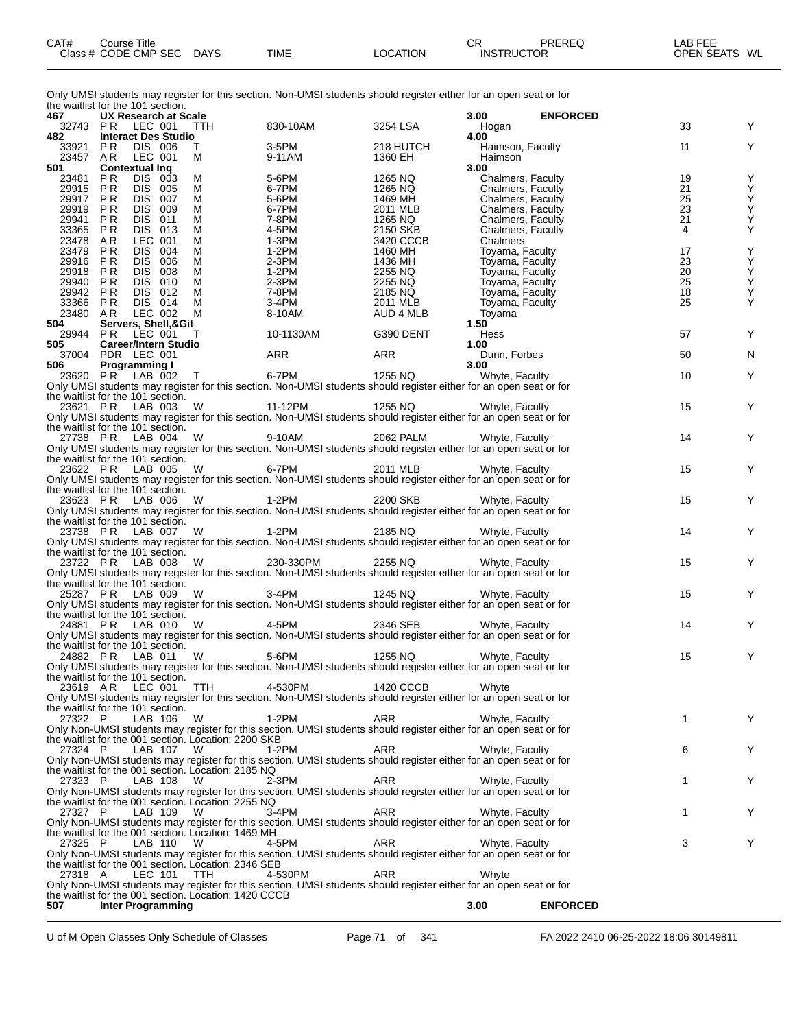| CAT# | ourse Titleٽ         |             |             |          | СR                | PREREQ | LAB FEE                 |
|------|----------------------|-------------|-------------|----------|-------------------|--------|-------------------------|
|      | Class # CODE CMP SEC | <b>DAYS</b> | <b>TIME</b> | LOCATION | <b>INSTRUCTOR</b> |        | <b>OPEN SEATS</b><br>WL |

Only UMSI students may register for this section. Non-UMSI students should register either for an open seat or for the waitlist for the 101 section.

| 467                  | uit wailiist iui uit Tui stuudii.<br>UX Research at Scale       |        |                                                                                                                                                                             |                         | 3.00 | <b>ENFORCED</b>                    |          |                                                    |
|----------------------|-----------------------------------------------------------------|--------|-----------------------------------------------------------------------------------------------------------------------------------------------------------------------------|-------------------------|------|------------------------------------|----------|----------------------------------------------------|
|                      | 32743 PR LEC 001 TTH                                            |        | 830-10AM                                                                                                                                                                    | 3254 LSA                |      | Hogan                              | 33       | Y                                                  |
| 482                  | <b>Interact Des Studio</b>                                      |        |                                                                                                                                                                             |                         | 4.00 |                                    |          |                                                    |
| 33921 PR             | DIS 006                                                         | Τ      | 3-5PM                                                                                                                                                                       | 218 HUTCH               |      | Haimson, Faculty                   | 11       | Y                                                  |
| 23457 AR<br>501      | LEC 001<br><b>Contextual Ing</b>                                | м      | 9-11AM                                                                                                                                                                      | 1360 EH                 | 3.00 | Haimson                            |          |                                                    |
| 23481 PR             | DIS 003                                                         | м      | 5-6PM                                                                                                                                                                       | 1265 NQ                 |      | Chalmers, Faculty                  | 19       | Υ                                                  |
| 29915 PR             | DIS 005                                                         | м      | 6-7PM                                                                                                                                                                       | 1265 NQ                 |      | Chalmers, Faculty                  | 21       |                                                    |
| 29917                | PR<br>DIS 007                                                   | м      | 5-6PM                                                                                                                                                                       | 1469 MH                 |      | Chalmers, Faculty                  | 25       | Y<br>Y<br>Y                                        |
| 29919 PR             | DIS 009                                                         | м      | 6-7PM                                                                                                                                                                       | 2011 MLB                |      | Chalmers, Faculty                  | 23       |                                                    |
| 29941                | DIS 011<br>P R                                                  | м      | 7-8PM                                                                                                                                                                       | 1265 NQ                 |      | Chalmers, Faculty                  | 21       | $\mathop{\mathsf{Y}}\limits_{\mathop{\mathsf{Y}}}$ |
| 33365 PR             | DIS 013                                                         | м      | 4-5PM                                                                                                                                                                       | 2150 SKB                |      | Chalmers, Faculty                  | 4        |                                                    |
| 23478 AR             | LEC 001                                                         | м      | $1-3PM$                                                                                                                                                                     | 3420 CCCB               |      | Chalmers                           |          |                                                    |
| 23479 PR<br>29916 PR | DIS.<br>004<br>DIS 006                                          | м<br>М | 1-2PM<br>$2-3PM$                                                                                                                                                            | 1460 MH<br>1436 MH      |      | Toyama, Faculty<br>Toyama, Faculty | 17<br>23 | $\begin{array}{c}\nY\\ Y\n\end{array}$             |
| 29918 PR             | DIS 008                                                         | м      | $1-2PM$                                                                                                                                                                     | 2255 NQ                 |      | Toyama, Faculty                    | 20       |                                                    |
| 29940 PR             | DIS 010                                                         | м      | $2-3PM$                                                                                                                                                                     | 2255 NQ                 |      | Toyama, Faculty                    | 25       |                                                    |
| 29942 PR             | DIS 012                                                         | м      | 7-8PM                                                                                                                                                                       | 2185 NQ                 |      | Toyama, Faculty                    | 18       | $\overline{Y}$                                     |
| 33366 PR             | DIS 014                                                         | м      | 3-4PM                                                                                                                                                                       | 2011 MLB                |      | Toyama, Faculty                    | 25       | Υ                                                  |
| 23480 AR             | LEC 002                                                         | М      | 8-10AM                                                                                                                                                                      | AUD 4 MLB               |      | Toyama                             |          |                                                    |
| 504                  | Servers, Shell,&Git                                             |        |                                                                                                                                                                             |                         | 1.50 |                                    |          |                                                    |
|                      | 29944 PR LEC 001                                                | T      | 10-1130AM                                                                                                                                                                   | G390 DENT               |      | Hess                               | 57       | Υ                                                  |
| 505                  | <b>Career/Intern Studio</b><br>37004 PDR LEC 001                |        | ARR                                                                                                                                                                         | ARR                     | 1.00 | Dunn, Forbes                       | 50       | N                                                  |
| 506                  | Programming I                                                   |        |                                                                                                                                                                             |                         | 3.00 |                                    |          |                                                    |
|                      | 23620 PR LAB 002 T                                              |        | 6-7PM                                                                                                                                                                       | $1255\,\mathrm{NQ}$     |      | Whyte, Faculty                     | 10       | Υ                                                  |
|                      |                                                                 |        | Only UMSI students may register for this section. Non-UMSI students should register either for an open seat or for                                                          |                         |      |                                    |          |                                                    |
|                      | the waitlist for the 101 section.                               |        |                                                                                                                                                                             |                         |      |                                    |          |                                                    |
|                      |                                                                 |        | 23621 P.R. LAB 003 W 11-12PM 1255 NQ Whyte, Faculty<br>Only UMSI students may register for this section. Non-UMSI students should register either for an open seat or for   |                         |      |                                    | 15       | Y                                                  |
|                      |                                                                 |        |                                                                                                                                                                             |                         |      |                                    |          |                                                    |
|                      | the waitlist for the 101 section.                               |        |                                                                                                                                                                             |                         |      |                                    |          |                                                    |
|                      |                                                                 |        | 27738 P.R. LAB 004 W<br>Only UMSI students may register for this section. Non-UMSI students should register either for an open seat or for                                  |                         |      |                                    | 14       | Y                                                  |
|                      | the waitlist for the 101 section.                               |        |                                                                                                                                                                             |                         |      |                                    |          |                                                    |
|                      |                                                                 |        |                                                                                                                                                                             |                         |      |                                    | 15       | Y                                                  |
|                      |                                                                 |        | 23622 P.R. LAB 005 W 6-7PM 2011 MLB<br>Only UMSI students may register for this section. Non-UMSI students should register either for an open seat or for                   |                         |      |                                    |          |                                                    |
|                      | the waitlist for the 101 section.                               |        |                                                                                                                                                                             |                         |      |                                    |          |                                                    |
|                      |                                                                 |        | 23623 PR LAB 006 W 1-2PM                                                                                                                                                    | 2200 SKB Whyte, Faculty |      |                                    | 15       | Y                                                  |
|                      |                                                                 |        | Only UMSI students may register for this section. Non-UMSI students should register either for an open seat or for                                                          |                         |      |                                    |          |                                                    |
|                      | the waitlist for the 101 section.                               |        |                                                                                                                                                                             |                         |      |                                    |          |                                                    |
|                      |                                                                 |        | 23738 P.R. LAB 007 W<br>Only UMSI students may register for this section. Non-UMSI students should register either for an open seat or for                                  |                         |      |                                    | 14       | Y                                                  |
|                      | the waitlist for the 101 section.                               |        |                                                                                                                                                                             |                         |      |                                    |          |                                                    |
|                      |                                                                 |        | 23722 P.R. LAB 008 W 230-330PM 2255 NQ Whyte, Faculty<br>Only UMSI students may register for this section. Non-UMSI students should register either for an open seat or for |                         |      |                                    | 15       | Y                                                  |
|                      |                                                                 |        |                                                                                                                                                                             |                         |      |                                    |          |                                                    |
|                      | the waitlist for the 101 section.                               |        |                                                                                                                                                                             |                         |      |                                    |          |                                                    |
|                      |                                                                 |        | 25287 PR LAB 009 W 3-4PM 1245 NQ                                                                                                                                            |                         |      | Whyte, Faculty                     | 15       | Y                                                  |
|                      |                                                                 |        | Only UMSI students may register for this section. Non-UMSI students should register either for an open seat or for                                                          |                         |      |                                    |          |                                                    |
|                      | the waitlist for the 101 section.<br>24881 PR LAB 010 W         |        | 4-5PM                                                                                                                                                                       | 2346 SEB                |      | Whyte, Faculty                     | 14       | Y                                                  |
|                      |                                                                 |        | Only UMSI students may register for this section. Non-UMSI students should register either for an open seat or for                                                          |                         |      |                                    |          |                                                    |
|                      | the waitlist for the 101 section.                               |        |                                                                                                                                                                             |                         |      |                                    |          |                                                    |
|                      | 24882 PR LAB 011 W 5-6PM                                        |        |                                                                                                                                                                             | 1255 NQ                 |      | Whyte, Faculty                     | 15       | Y                                                  |
|                      |                                                                 |        | Only UMSI students may register for this section. Non-UMSI students should register either for an open seat or for                                                          |                         |      |                                    |          |                                                    |
|                      | the waitlist for the 101 section.                               |        |                                                                                                                                                                             |                         |      |                                    |          |                                                    |
|                      | 23619 AR LEC 001 TTH                                            |        | 4-530PM                                                                                                                                                                     | 1420 CCCB               |      | Whyte                              |          |                                                    |
|                      | the waitlist for the 101 section.                               |        | Only UMSI students may register for this section. Non-UMSI students should register either for an open seat or for                                                          |                         |      |                                    |          |                                                    |
| 27322 P              | LAB 106                                                         | W      | 1-2PM                                                                                                                                                                       | ARR                     |      | Whyte, Faculty                     | 1        | Y                                                  |
|                      |                                                                 |        | Only Non-UMSI students may register for this section. UMSI students should register either for an open seat or for                                                          |                         |      |                                    |          |                                                    |
|                      | the waitlist for the 001 section. Location: 2200 SKB            |        |                                                                                                                                                                             |                         |      |                                    |          |                                                    |
| 27324 P              | LAB 107                                                         | W      | $1-2PM$                                                                                                                                                                     | ARR                     |      | Whyte, Faculty                     | 6        | Y                                                  |
|                      |                                                                 |        | Only Non-UMSI students may register for this section. UMSI students should register either for an open seat or for                                                          |                         |      |                                    |          |                                                    |
|                      | the waitlist for the 001 section. Location: 2185 NQ             |        |                                                                                                                                                                             |                         |      |                                    |          |                                                    |
| 27323 P              | LAB 108                                                         | W      | 2-3PM<br>Only Non-UMSI students may register for this section. UMSI students should register either for an open seat or for                                                 | ARR                     |      | Whyte, Faculty                     | 1        | Y                                                  |
|                      | the waitlist for the 001 section. Location: 2255 NQ             |        |                                                                                                                                                                             |                         |      |                                    |          |                                                    |
| 27327 P              | LAB 109                                                         | W      | $3-4PM$                                                                                                                                                                     | ARR                     |      | Whyte, Faculty                     | 1        | Y                                                  |
|                      |                                                                 |        | Only Non-UMSI students may register for this section. UMSI students should register either for an open seat or for                                                          |                         |      |                                    |          |                                                    |
|                      | the waitlist for the 001 section. Location: 1469 MH             |        |                                                                                                                                                                             |                         |      |                                    |          |                                                    |
| 27325 P              | LAB 110                                                         | W      | 4-5PM                                                                                                                                                                       | ARR                     |      | Whyte, Faculty                     | 3        | Y                                                  |
|                      |                                                                 |        | Only Non-UMSI students may register for this section. UMSI students should register either for an open seat or for                                                          |                         |      |                                    |          |                                                    |
| 27318 A              | the waitlist for the 001 section. Location: 2346 SEB<br>LEC 101 | TTH    | 4-530PM                                                                                                                                                                     | ARR                     |      | Whyte                              |          |                                                    |
|                      |                                                                 |        | Only Non-UMSI students may register for this section. UMSI students should register either for an open seat or for                                                          |                         |      |                                    |          |                                                    |
|                      | the waitlist for the 001 section. Location: 1420 CCCB           |        |                                                                                                                                                                             |                         |      |                                    |          |                                                    |
| 507                  | <b>Inter Programming</b>                                        |        |                                                                                                                                                                             |                         | 3.00 | <b>ENFORCED</b>                    |          |                                                    |
|                      |                                                                 |        |                                                                                                                                                                             |                         |      |                                    |          |                                                    |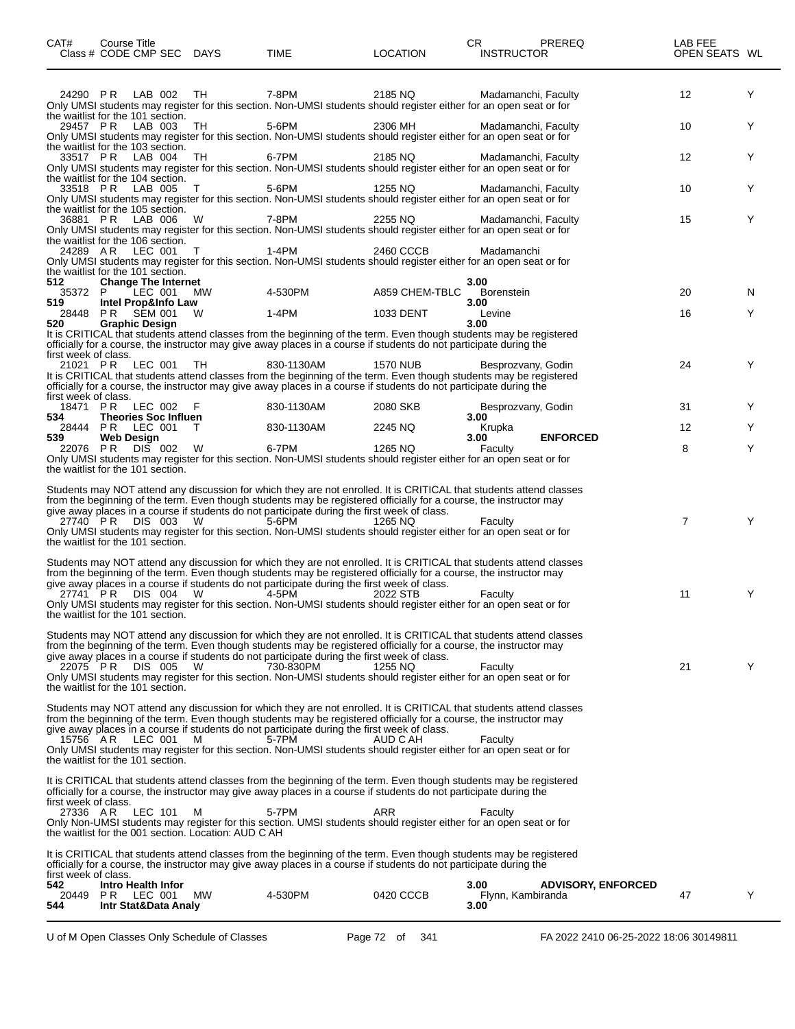| CAT#                                         | Course Title<br>Class # CODE CMP SEC DAYS                              |           | TIME                                                                                                                                                                                                                           | <b>LOCATION</b> | CR<br>PREREQ<br><b>INSTRUCTOR</b>                                                                                                         | LAB FEE<br>OPEN SEATS WL |    |
|----------------------------------------------|------------------------------------------------------------------------|-----------|--------------------------------------------------------------------------------------------------------------------------------------------------------------------------------------------------------------------------------|-----------------|-------------------------------------------------------------------------------------------------------------------------------------------|--------------------------|----|
| 24290 PR                                     | LAB 002<br>the waitlist for the 101 section.                           | TH.       | 7-8PM                                                                                                                                                                                                                          | 2185 NQ         | Madamanchi, Faculty<br>Only UMSI students may register for this section. Non-UMSI students should register either for an open seat or for | 12                       | Y  |
|                                              | 29457 PR LAB 003<br>the waitlist for the 103 section.                  | TH.       | 5-6PM                                                                                                                                                                                                                          | 2306 MH         | Madamanchi, Faculty<br>Only UMSI students may register for this section. Non-UMSI students should register either for an open seat or for | 10                       | Y  |
|                                              | 33517 PR LAB 004<br>the waitlist for the 104 section.                  | TH.       | 6-7PM                                                                                                                                                                                                                          | 2185 NQ         | Madamanchi, Faculty<br>Only UMSI students may register for this section. Non-UMSI students should register either for an open seat or for | 12                       | Y  |
|                                              | 33518 PR LAB 005<br>the waitlist for the 105 section.                  | T         | 5-6PM                                                                                                                                                                                                                          | 1255 NQ         | Madamanchi, Faculty<br>Only UMSI students may register for this section. Non-UMSI students should register either for an open seat or for | 10                       | Y  |
|                                              | 36881 PR LAB 006<br>the waitlist for the 106 section.                  | W.        | 7-8PM                                                                                                                                                                                                                          | 2255 NQ         | Madamanchi, Faculty<br>Only UMSI students may register for this section. Non-UMSI students should register either for an open seat or for | 15                       | Y  |
|                                              | 24289 AR LEC 001<br>the waitlist for the 101 section.                  | T         | 1-4PM<br>Only UMSI students may register for this section. Non-UMSI students should register either for an open seat or for                                                                                                    | 2460 CCCB       | Madamanchi                                                                                                                                |                          |    |
| 512<br>35372 P                               | <b>Change The Internet</b><br>LEC 001                                  | MW.       | 4-530PM                                                                                                                                                                                                                        | A859 CHEM-TBLC  | 3.00<br>Borenstein                                                                                                                        | 20                       | N. |
| 519                                          | Intel Prop&Info Law<br>28448 PR SEM 001                                | W         | 1-4PM                                                                                                                                                                                                                          | 1033 DENT       | 3.00<br>Levine                                                                                                                            | 16                       | Y  |
| 520                                          | <b>Graphic Design</b>                                                  |           | officially for a course, the instructor may give away places in a course if students do not participate during the                                                                                                             |                 | 3.00<br>It is CRITICAL that students attend classes from the beginning of the term. Even though students may be registered                |                          |    |
| first week of class.<br>first week of class. | 21021 PR LEC 001                                                       | -TH.      | 830-1130AM<br>officially for a course, the instructor may give away places in a course if students do not participate during the                                                                                               | <b>1570 NUB</b> | Besprozvany, Godin<br>It is CRITICAL that students attend classes from the beginning of the term. Even though students may be registered  | 24                       | Y  |
| 534                                          | 18471 PR LEC 002 F<br><b>Theories Soc Influen</b>                      |           | 830-1130AM                                                                                                                                                                                                                     | 2080 SKB        | Besprozvany, Godin<br>3.00                                                                                                                | 31                       | Y  |
| 539                                          | 28444 PR LEC 001<br><b>Web Design</b>                                  | $\top$    | 830-1130AM                                                                                                                                                                                                                     | 2245 NQ         | Krupka<br>3.00<br><b>ENFORCED</b>                                                                                                         | 12                       | Y  |
| 22076 PR                                     | DIS 002<br>the waitlist for the 101 section.                           | W         | 6-7PM                                                                                                                                                                                                                          | 1265 NQ         | Faculty<br>Only UMSI students may register for this section. Non-UMSI students should register either for an open seat or for             | 8                        | Y  |
|                                              |                                                                        |           | from the beginning of the term. Even though students may be registered officially for a course, the instructor may                                                                                                             |                 | Students may NOT attend any discussion for which they are not enrolled. It is CRITICAL that students attend classes                       |                          |    |
| 27740 PR                                     | DIS 003<br>the waitlist for the 101 section.                           | - W       | give away places in a course if students do not participate during the first week of class.<br>$5-6$ PM                                                                                                                        | 1265 NQ         | Faculty<br>Only UMSI students may register for this section. Non-UMSI students should register either for an open seat or for             | 7                        | Y  |
|                                              |                                                                        |           | from the beginning of the term. Even though students may be registered officially for a course, the instructor may                                                                                                             |                 | Students may NOT attend any discussion for which they are not enrolled. It is CRITICAL that students attend classes                       |                          |    |
|                                              | 27741 PR DIS 004 W<br>the waitlist for the 101 section.                |           | give away places in a course if students do not participate during the first week of class.<br>4-5PM                                                                                                                           | 2022 STB        | Faculty<br>Only UMSI students may register for this section. Non-UMSI students should register either for an open seat or for             | 11                       | Y  |
|                                              |                                                                        |           | from the beginning of the term. Even though students may be registered officially for a course, the instructor may                                                                                                             |                 | Students may NOT attend any discussion for which they are not enrolled. It is CRITICAL that students attend classes                       |                          |    |
| 22075 PR                                     | <b>DIS 005</b><br>the waitlist for the 101 section.                    | W         | give away places in a course if students do not participate during the first week of class.<br>730-830PM<br>Only UMSI students may register for this section. Non-UMSI students should register either for an open seat or for | 1255 NQ         | Faculty                                                                                                                                   | 21                       | Y  |
|                                              |                                                                        |           | from the beginning of the term. Even though students may be registered officially for a course, the instructor may<br>give away places in a course if students do not participate during the first week of class.              |                 | Students may NOT attend any discussion for which they are not enrolled. It is CRITICAL that students attend classes                       |                          |    |
| 15756 AR                                     | LEC 001<br>the waitlist for the 101 section.                           | M         | 5-7PM<br>Only UMSI students may register for this section. Non-UMSI students should register either for an open seat or for                                                                                                    | AUD C AH        | Faculty                                                                                                                                   |                          |    |
|                                              |                                                                        |           | officially for a course, the instructor may give away places in a course if students do not participate during the                                                                                                             |                 | It is CRITICAL that students attend classes from the beginning of the term. Even though students may be registered                        |                          |    |
| first week of class.<br>27336 AR             | LEC 101<br>the waitlist for the 001 section. Location: AUD C AH        | м         | 5-7PM<br>Only Non-UMSI students may register for this section. UMSI students should register either for an open seat or for                                                                                                    | ARR             | Faculty                                                                                                                                   |                          |    |
|                                              |                                                                        |           | officially for a course, the instructor may give away places in a course if students do not participate during the                                                                                                             |                 | It is CRITICAL that students attend classes from the beginning of the term. Even though students may be registered                        |                          |    |
| first week of class.<br>542<br>20449<br>544  | <b>Intro Health Infor</b><br><b>PR LEC 001</b><br>Intr Stat&Data Analy | <b>MW</b> | 4-530PM                                                                                                                                                                                                                        | 0420 CCCB       | 3.00<br><b>ADVISORY, ENFORCED</b><br>Flynn, Kambiranda<br>3.00                                                                            | 47                       | Y  |

 $\overline{\phantom{0}}$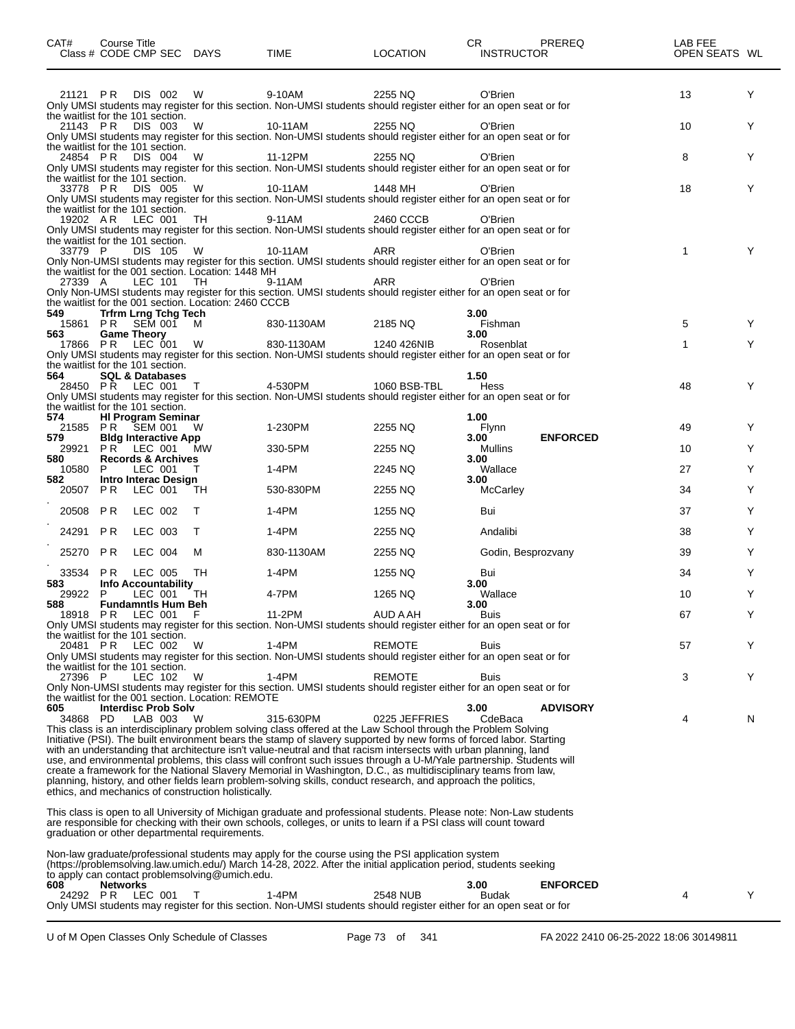| CAT#            | Course Title                           | Class # CODE CMP SEC DAYS                                                             |                                                            | TIME                                                                                                                                                                                                                                                                                                                                                                                                                                                                        | <b>LOCATION</b>      | CR.<br><b>INSTRUCTOR</b> | PREREQ          | LAB FEE<br>OPEN SEATS WL |   |
|-----------------|----------------------------------------|---------------------------------------------------------------------------------------|------------------------------------------------------------|-----------------------------------------------------------------------------------------------------------------------------------------------------------------------------------------------------------------------------------------------------------------------------------------------------------------------------------------------------------------------------------------------------------------------------------------------------------------------------|----------------------|--------------------------|-----------------|--------------------------|---|
| 21121 PR        |                                        | DIS 002<br>the waitlist for the 101 section.                                          | W                                                          | 9-10AM<br>Only UMSI students may register for this section. Non-UMSI students should register either for an open seat or for                                                                                                                                                                                                                                                                                                                                                | 2255 NQ              | O'Brien                  |                 | 13                       | Y |
| 21143 PR        |                                        | DIS 003<br>the waitlist for the 101 section.                                          | W                                                          | 10-11AM<br>Only UMSI students may register for this section. Non-UMSI students should register either for an open seat or for                                                                                                                                                                                                                                                                                                                                               | 2255 NQ              | O'Brien                  |                 | 10                       | Y |
| 24854 PR        |                                        | DIS 004<br>the waitlist for the 101 section.                                          | W                                                          | 11-12PM<br>Only UMSI students may register for this section. Non-UMSI students should register either for an open seat or for                                                                                                                                                                                                                                                                                                                                               | 2255 NQ              | O'Brien                  |                 | 8                        | Y |
|                 | 33778 PR DIS 005<br>19202 AR LEC 001   | the waitlist for the 101 section.                                                     | W<br>TH                                                    | 10-11AM<br>Only UMSI students may register for this section. Non-UMSI students should register either for an open seat or for<br>9-11AM                                                                                                                                                                                                                                                                                                                                     | 1448 MH<br>2460 CCCB | O'Brien<br>O'Brien       |                 | 18                       | Y |
| 33779 P         |                                        | the waitlist for the 101 section.<br>DIS 105                                          | W                                                          | Only UMSI students may register for this section. Non-UMSI students should register either for an open seat or for<br>10-11AM                                                                                                                                                                                                                                                                                                                                               | ARR                  | O'Brien                  |                 | 1                        | Y |
| 27339 A         |                                        | LEC 101                                                                               | the waitlist for the 001 section. Location: 1448 MH<br>TH  | Only Non-UMSI students may register for this section. UMSI students should register either for an open seat or for<br>9-11AM<br>Only Non-UMSI students may register for this section. UMSI students should register either for an open seat or for                                                                                                                                                                                                                          | <b>ARR</b>           | O'Brien                  |                 |                          |   |
| 549             |                                        | <b>Trfrm Lrng Tchg Tech</b><br>15861 PR SEM 001                                       | the waitlist for the 001 section. Location: 2460 CCCB<br>M | 830-1130AM                                                                                                                                                                                                                                                                                                                                                                                                                                                                  | 2185 NQ              | 3.00<br>Fishman          |                 | 5                        | Y |
| 563             | <b>Game Theory</b><br>17866 PR LEC 001 |                                                                                       | W                                                          | 830-1130AM<br>Only UMSI students may register for this section. Non-UMSI students should register either for an open seat or for                                                                                                                                                                                                                                                                                                                                            | 1240 426NIB          | 3.00<br>Rosenblat        |                 | 1                        | Y |
| 564             |                                        | the waitlist for the 101 section.<br><b>SQL &amp; Databases</b><br>28450 PR LEC 001 T |                                                            | 4-530PM<br>Only UMSI students may register for this section. Non-UMSI students should register either for an open seat or for                                                                                                                                                                                                                                                                                                                                               | 1060 BSB-TBL         | 1.50<br>Hess             |                 | 48                       | Y |
| 574             |                                        | the waitlist for the 101 section.<br><b>HI Program Seminar</b>                        |                                                            |                                                                                                                                                                                                                                                                                                                                                                                                                                                                             |                      | 1.00                     |                 |                          |   |
| 579             |                                        | 21585 PR SEM 001<br><b>Bldg Interactive App</b>                                       | W                                                          | 1-230PM                                                                                                                                                                                                                                                                                                                                                                                                                                                                     | 2255 NQ              | Flynn<br>3.00            | <b>ENFORCED</b> | 49                       | Y |
| 29921<br>580    |                                        | PR LEC 001<br><b>Records &amp; Archives</b>                                           | MW.                                                        | 330-5PM                                                                                                                                                                                                                                                                                                                                                                                                                                                                     | 2255 NQ              | Mullins<br>3.00          |                 | 10                       | Y |
| 10580<br>582    | P.                                     | LEC 001<br>Intro Interac Design                                                       | т                                                          | 1-4PM                                                                                                                                                                                                                                                                                                                                                                                                                                                                       | 2245 NQ              | Wallace<br>3.00          |                 | 27                       | Y |
| 20507           | PR.                                    | LEC 001                                                                               | TH                                                         | 530-830PM                                                                                                                                                                                                                                                                                                                                                                                                                                                                   | 2255 NQ              | <b>McCarley</b>          |                 | 34                       | Y |
| 20508 PR        |                                        | LEC 002                                                                               | $\top$                                                     | 1-4PM                                                                                                                                                                                                                                                                                                                                                                                                                                                                       | 1255 NQ              | Bui                      |                 | 37                       | Y |
| 24291 PR        |                                        | LEC 003                                                                               | т                                                          | 1-4PM                                                                                                                                                                                                                                                                                                                                                                                                                                                                       | 2255 NQ              | Andalibi                 |                 | 38                       | Y |
| 25270 PR        |                                        | LEC 004                                                                               | м                                                          | 830-1130AM                                                                                                                                                                                                                                                                                                                                                                                                                                                                  | 2255 NQ              | Godin, Besprozvany       |                 | 39                       | Y |
| 33534           | PR.                                    | LEC 005                                                                               | TН                                                         | 1-4PM                                                                                                                                                                                                                                                                                                                                                                                                                                                                       | 1255 NQ              | Bui                      |                 | 34                       | Y |
| 583<br>29922    | P.                                     | <b>Info Accountability</b><br>LEC 001                                                 | TH                                                         | 4-7PM                                                                                                                                                                                                                                                                                                                                                                                                                                                                       | 1265 NQ              | 3.00<br>Wallace          |                 | 10                       | Y |
| 588             |                                        | <b>Fundamntls Hum Beh</b><br>18918 PR LEC 001 F                                       |                                                            | 11-2PM                                                                                                                                                                                                                                                                                                                                                                                                                                                                      | AUD A AH             | 3.00<br>Buis             |                 | 67                       | Y |
|                 |                                        | the waitlist for the 101 section.                                                     |                                                            | Only UMSI students may register for this section. Non-UMSI students should register either for an open seat or for                                                                                                                                                                                                                                                                                                                                                          |                      |                          |                 |                          |   |
| 20481 PR        |                                        | LEC 002<br>the waitlist for the 101 section.                                          | W                                                          | $1-4PM$<br>Only UMSI students may register for this section. Non-UMSI students should register either for an open seat or for                                                                                                                                                                                                                                                                                                                                               | <b>REMOTE</b>        | <b>Buis</b>              |                 | 57                       | Y |
| 27396 P         |                                        | LEC 102                                                                               | W<br>the waitlist for the 001 section. Location: REMOTE    | $1-4PM$<br>Only Non-UMSI students may register for this section. UMSI students should register either for an open seat or for                                                                                                                                                                                                                                                                                                                                               | <b>REMOTE</b>        | <b>Buis</b>              |                 | 3                        | Y |
| 605<br>34868 PD |                                        | <b>Interdisc Prob Solv</b><br>LAB 003                                                 | W                                                          | 315-630PM<br>This class is an interdisciplinary problem solving class offered at the Law School through the Problem Solving<br>Initiative (PSI). The built environment bears the stamp of slavery supported by new forms of forced labor. Starting                                                                                                                                                                                                                          | 0225 JEFFRIES        | 3.00<br>CdeBaca          | <b>ADVISORY</b> | 4                        | N |
|                 |                                        |                                                                                       | ethics, and mechanics of construction holistically.        | with an understanding that architecture isn't value-neutral and that racism intersects with urban planning, land<br>use, and environmental problems, this class will confront such issues through a U-M/Yale partnership. Students will<br>create a framework for the National Slavery Memorial in Washington, D.C., as multidisciplinary teams from law,<br>planning, history, and other fields learn problem-solving skills, conduct research, and approach the politics, |                      |                          |                 |                          |   |
|                 |                                        |                                                                                       | graduation or other departmental requirements.             | This class is open to all University of Michigan graduate and professional students. Please note: Non-Law students<br>are responsible for checking with their own schools, colleges, or units to learn if a PSI class will count toward                                                                                                                                                                                                                                     |                      |                          |                 |                          |   |
|                 |                                        |                                                                                       | to apply can contact problemsolving@umich.edu.             | Non-law graduate/professional students may apply for the course using the PSI application system<br>(https://problemsolving.law.umich.edu/) March 14-28, 2022. After the initial application period, students seeking                                                                                                                                                                                                                                                       |                      |                          |                 |                          |   |
| 608             | <b>Networks</b>                        | 24292 PR LEC 001                                                                      | $\top$                                                     | $1-4PM$<br>Only UMSI students may register for this section. Non-UMSI students should register either for an open seat or for                                                                                                                                                                                                                                                                                                                                               | 2548 NUB             | 3.00<br><b>Budak</b>     | <b>ENFORCED</b> | 4                        | Y |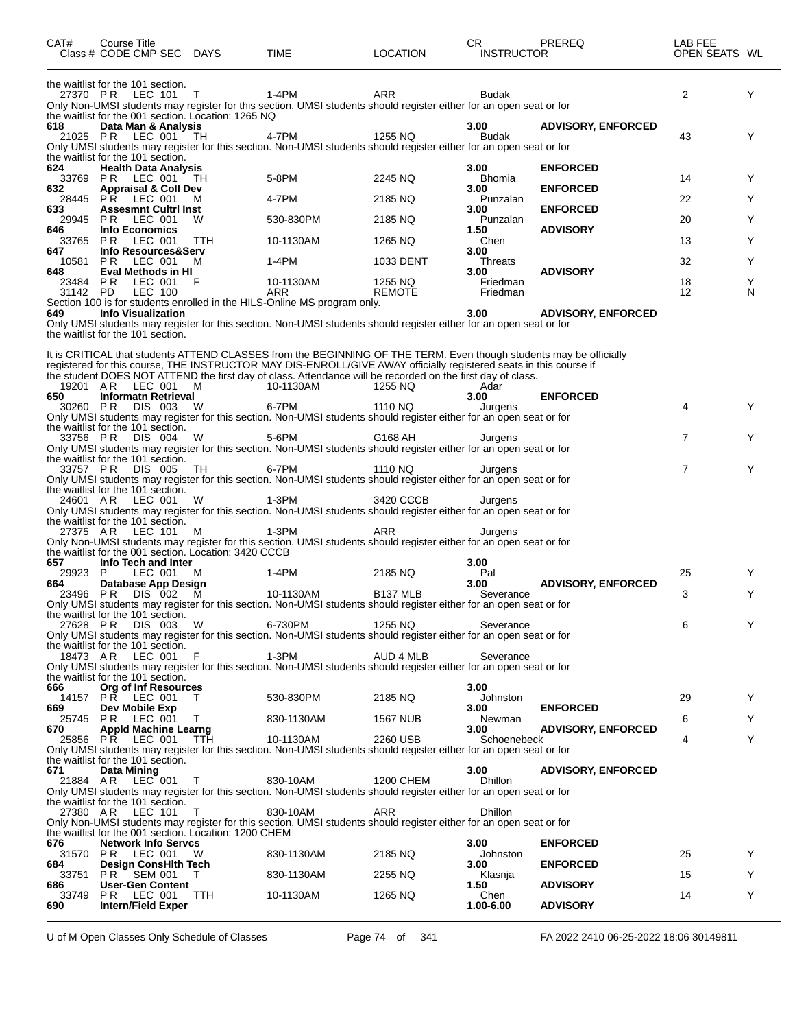| CAT#                 | Course Title<br>Class # CODE CMP SEC DAYS                                           |            | TIME                                                                                                                                                                                                                            | <b>LOCATION</b>          | CR<br><b>INSTRUCTOR</b> | <b>PREREQ</b>             | LAB FEE<br>OPEN SEATS WL |        |
|----------------------|-------------------------------------------------------------------------------------|------------|---------------------------------------------------------------------------------------------------------------------------------------------------------------------------------------------------------------------------------|--------------------------|-------------------------|---------------------------|--------------------------|--------|
|                      | the waitlist for the 101 section.                                                   |            |                                                                                                                                                                                                                                 |                          |                         |                           |                          |        |
|                      | 27370 PR LEC 101                                                                    | $\top$     | 1-4PM<br>Only Non-UMSI students may register for this section. UMSI students should register either for an open seat or for                                                                                                     | ARR                      | <b>Budak</b>            |                           | 2                        | Y      |
| 618                  | the waitlist for the 001 section. Location: 1265 NQ                                 |            |                                                                                                                                                                                                                                 |                          | 3.00                    |                           |                          |        |
| 21025 PR             | Data Man & Analysis<br><b>LEC 001</b>                                               | - TH       | 4-7PM                                                                                                                                                                                                                           | 1255 NQ                  | <b>Budak</b>            | <b>ADVISORY, ENFORCED</b> | 43                       | Y      |
|                      | the waitlist for the 101 section.                                                   |            | Only UMSI students may register for this section. Non-UMSI students should register either for an open seat or for                                                                                                              |                          |                         |                           |                          |        |
| 624                  | <b>Health Data Analysis</b>                                                         |            |                                                                                                                                                                                                                                 |                          | 3.00                    | <b>ENFORCED</b>           |                          |        |
| 33769 PR<br>632      | LEC 001<br><b>Appraisal &amp; Coll Dev</b>                                          | TН         | 5-8PM                                                                                                                                                                                                                           | 2245 NQ                  | <b>Bhomia</b><br>3.00   | <b>ENFORCED</b>           | 14                       | Y      |
| 28445<br>633         | PR.<br>LEC 001<br><b>Assesmnt Cultri Inst</b>                                       | М          | 4-7PM                                                                                                                                                                                                                           | 2185 NQ                  | Punzalan<br>3.00        | <b>ENFORCED</b>           | 22                       | Y      |
| 29945                | <b>PR LEC 001</b>                                                                   | W          | 530-830PM                                                                                                                                                                                                                       | 2185 NQ                  | Punzalan                |                           | 20                       | Y      |
| 646                  | <b>Info Economics</b><br>33765 PR LEC 001                                           | <b>TTH</b> | 10-1130AM                                                                                                                                                                                                                       | 1265 NQ                  | 1.50<br>Chen            | <b>ADVISORY</b>           | 13                       | Y      |
| 647                  | Info Resources&Serv<br>LEC 001                                                      |            | 1-4PM                                                                                                                                                                                                                           |                          | 3.00                    |                           |                          | Y      |
| 10581<br>648         | PR.<br>Eval Methods in HI                                                           | м          |                                                                                                                                                                                                                                 | 1033 DENT                | Threats<br>3.00         | <b>ADVISORY</b>           | 32                       |        |
| 23484 PR<br>31142 PD | LEC 001<br>LEC 100                                                                  | F          | 10-1130AM<br>ARR                                                                                                                                                                                                                | 1255 NQ<br><b>REMOTE</b> | Friedman<br>Friedman    |                           | 18<br>12                 | Y<br>N |
|                      |                                                                                     |            | Section 100 is for students enrolled in the HILS-Online MS program only.                                                                                                                                                        |                          |                         |                           |                          |        |
| 649                  | <b>Info Visualization</b>                                                           |            | Only UMSI students may register for this section. Non-UMSI students should register either for an open seat or for                                                                                                              |                          | 3.00                    | <b>ADVISORY, ENFORCED</b> |                          |        |
|                      | the waitlist for the 101 section.                                                   |            |                                                                                                                                                                                                                                 |                          |                         |                           |                          |        |
|                      |                                                                                     |            | It is CRITICAL that students ATTEND CLASSES from the BEGINNING OF THE TERM. Even though students may be officially                                                                                                              |                          |                         |                           |                          |        |
|                      |                                                                                     |            | registered for this course, THE INSTRUCTOR MAY DIS-ENROLL/GIVE AWAY officially registered seats in this course if<br>the student DOES NOT ATTEND the first day of class. Attendance will be recorded on the first day of class. |                          |                         |                           |                          |        |
| 19201 AR             | LEC 001                                                                             | M          | 10-1130AM                                                                                                                                                                                                                       | 1255 NQ                  | Adar                    |                           |                          |        |
| 650<br>30260 PR      | <b>Informatn Retrieval</b><br>DIS 003                                               | W          | 6-7PM                                                                                                                                                                                                                           | 1110 NQ                  | 3.00<br>Jurgens         | <b>ENFORCED</b>           | 4                        | Y      |
|                      | the waitlist for the 101 section.                                                   |            | Only UMSI students may register for this section. Non-UMSI students should register either for an open seat or for                                                                                                              |                          |                         |                           |                          |        |
| 33756 PR             | DIS 004                                                                             | W          | 5-6PM                                                                                                                                                                                                                           | G168 AH                  | Jurgens                 |                           | 7                        | Y      |
|                      | the waitlist for the 101 section.                                                   |            | Only UMSI students may register for this section. Non-UMSI students should register either for an open seat or for                                                                                                              |                          |                         |                           |                          |        |
| 33757 PR             | DIS 005                                                                             | TH         | 6-7PM                                                                                                                                                                                                                           | 1110 NQ                  | Jurgens                 |                           | 7                        | Y      |
|                      | the waitlist for the 101 section.                                                   |            | Only UMSI students may register for this section. Non-UMSI students should register either for an open seat or for                                                                                                              |                          |                         |                           |                          |        |
| 24601 AR             | LEC 001                                                                             | W          | 1-3PM<br>Only UMSI students may register for this section. Non-UMSI students should register either for an open seat or for                                                                                                     | 3420 CCCB                | Jurgens                 |                           |                          |        |
|                      | the waitlist for the 101 section.                                                   |            |                                                                                                                                                                                                                                 |                          |                         |                           |                          |        |
| 27375 AR             | LEC 101                                                                             | м          | $1-3PM$<br>Only Non-UMSI students may register for this section. UMSI students should register either for an open seat or for                                                                                                   | ARR                      | Jurgens                 |                           |                          |        |
|                      | the waitlist for the 001 section. Location: 3420 CCCB<br>Info Tech and Inter        |            |                                                                                                                                                                                                                                 |                          | 3.00                    |                           |                          |        |
| 657<br>29923 P       | LEC 001                                                                             | м          | 1-4PM                                                                                                                                                                                                                           | 2185 NQ                  | Pal                     |                           | 25                       | Y      |
| 664<br>23496 PR      | Database App Design<br>DIS 002                                                      | M          | 10-1130AM                                                                                                                                                                                                                       | B <sub>137</sub> MLB     | 3.00<br>Severance       | <b>ADVISORY, ENFORCED</b> | 3                        | Y      |
|                      |                                                                                     |            | Only UMSI students may register for this section. Non-UMSI students should register either for an open seat or for                                                                                                              |                          |                         |                           |                          |        |
|                      | the waitlist for the 101 section.<br>27628 PR DIS 003 W                             |            | 6-730PM                                                                                                                                                                                                                         | 1255 NQ                  | Severance               |                           | 6                        | Y      |
|                      |                                                                                     |            | Only UMSI students may register for this section. Non-UMSI students should register either for an open seat or for                                                                                                              |                          |                         |                           |                          |        |
|                      | the waitlist for the 101 section.<br>18473 AR LEC 001                               | F          | $1-3PM$                                                                                                                                                                                                                         | AUD 4 MLB                | Severance               |                           |                          |        |
|                      | the waitlist for the 101 section.                                                   |            | Only UMSI students may register for this section. Non-UMSI students should register either for an open seat or for                                                                                                              |                          |                         |                           |                          |        |
| 666                  | <b>Org of Inf Resources</b>                                                         |            |                                                                                                                                                                                                                                 |                          | 3.00                    |                           |                          |        |
| 669                  | 14157 PR LEC 001<br>Dev Mobile Exp                                                  | T.         | 530-830PM                                                                                                                                                                                                                       | 2185 NQ                  | Johnston<br>3.00        | <b>ENFORCED</b>           | 29                       | Y      |
| 25745<br>670         | <b>PR LEC 001</b><br><b>Appld Machine Learng</b>                                    | $\top$     | 830-1130AM                                                                                                                                                                                                                      | <b>1567 NUB</b>          | Newman<br>3.00          | <b>ADVISORY, ENFORCED</b> | 6                        | Y      |
|                      | 25856 PR LEC 001                                                                    | <b>TTH</b> | 10-1130AM                                                                                                                                                                                                                       | 2260 USB                 | Schoenebeck             |                           | 4                        | Y      |
|                      | the waitlist for the 101 section.                                                   |            | Only UMSI students may register for this section. Non-UMSI students should register either for an open seat or for                                                                                                              |                          |                         |                           |                          |        |
| 671                  | Data Mining                                                                         |            |                                                                                                                                                                                                                                 |                          | 3.00                    | <b>ADVISORY, ENFORCED</b> |                          |        |
|                      | 21884 AR LEC 001                                                                    | T          | 830-10AM<br>Only UMSI students may register for this section. Non-UMSI students should register either for an open seat or for                                                                                                  | <b>1200 CHEM</b>         | <b>Dhillon</b>          |                           |                          |        |
| 27380 AR             | the waitlist for the 101 section.<br><b>LEC 101</b>                                 | - T        | 830-10AM                                                                                                                                                                                                                        | ARR                      | <b>Dhillon</b>          |                           |                          |        |
|                      |                                                                                     |            | Only Non-UMSI students may register for this section. UMSI students should register either for an open seat or for                                                                                                              |                          |                         |                           |                          |        |
| 676                  | the waitlist for the 001 section. Location: 1200 CHEM<br><b>Network Info Servcs</b> |            |                                                                                                                                                                                                                                 |                          | 3.00                    | <b>ENFORCED</b>           |                          |        |
|                      | 31570 PR LEC 001 W                                                                  |            | 830-1130AM                                                                                                                                                                                                                      | 2185 NQ                  | Johnston                |                           | 25                       | Y      |
| 684<br>33751         | <b>Design ConsHith Tech</b><br><b>PR SEM 001</b>                                    | т          | 830-1130AM                                                                                                                                                                                                                      | 2255 NQ                  | 3.00<br>Klasnja         | <b>ENFORCED</b>           | 15                       | Y      |
| 686<br>33749         | <b>User-Gen Content</b><br><b>PR LEC 001</b>                                        | <b>TTH</b> | 10-1130AM                                                                                                                                                                                                                       | 1265 NQ                  | 1.50<br>Chen            | <b>ADVISORY</b>           | 14                       | Y      |
| 690                  | <b>Intern/Field Exper</b>                                                           |            |                                                                                                                                                                                                                                 |                          | 1.00-6.00               | <b>ADVISORY</b>           |                          |        |
|                      |                                                                                     |            |                                                                                                                                                                                                                                 |                          |                         |                           |                          |        |

U of M Open Classes Only Schedule of Classes Page 74 of 341 FA 2022 2410 06-25-2022 18:06 30149811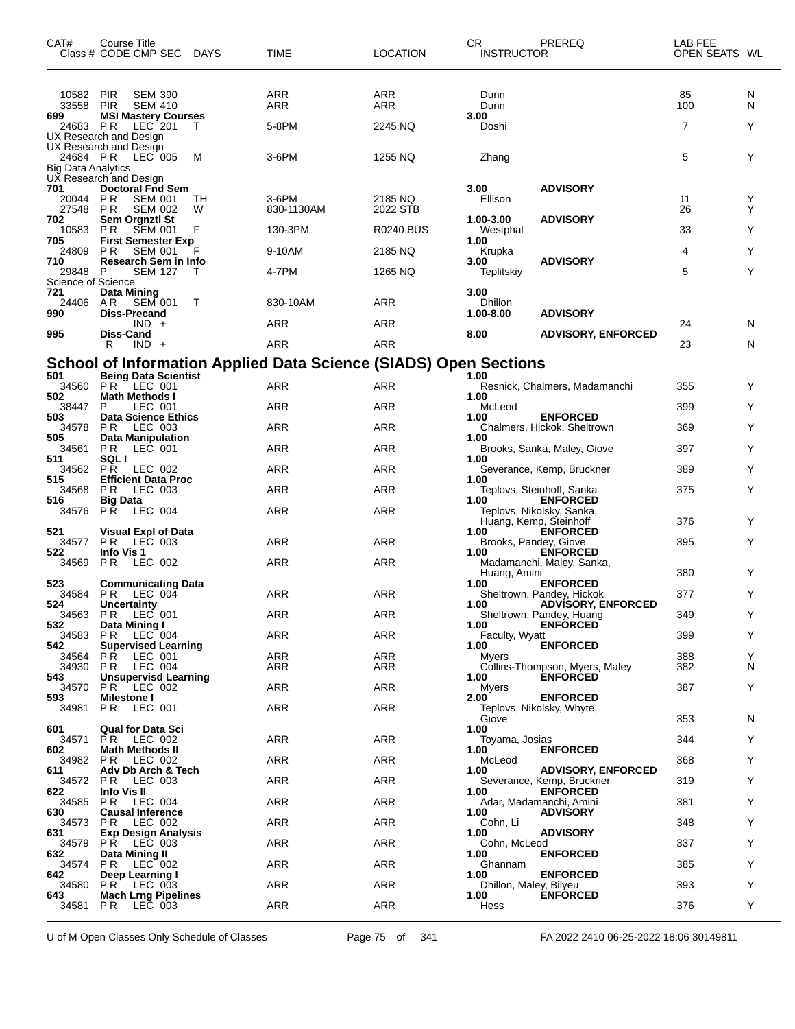| 10582<br><b>PIR</b><br><b>SEM 390</b><br>ARR<br>ARR<br>Dunn<br>85<br>N<br><b>PIR</b><br><b>SEM 410</b><br>ARR<br><b>ARR</b><br>100<br>N<br>33558<br>Dunn<br>699<br><b>MSI Mastery Courses</b><br>3.00<br>7<br>5-8PM<br>24683 PR<br>LEC 201<br>2245 NQ<br>Doshi<br>Y<br>т<br>UX Research and Design<br>UX Research and Design<br>5<br>Y<br>24684 PR LEC 005<br>3-6PM<br>1255 NQ<br>м<br>Zhang<br><b>Big Data Analytics</b><br>UX Research and Design<br>701<br><b>Doctoral Fnd Sem</b><br>3.00<br><b>ADVISORY</b><br>Ellison<br>P R<br><b>SEM 001</b><br>$3-6$ PM<br>2185 NQ<br>20044<br>TН<br>11<br>Y<br>Y<br>27548<br>830-1130AM<br>2022 STB<br><b>PR</b><br><b>SEM 002</b><br>W<br>26<br>702<br>Sem Orgnztl St<br>1.00-3.00<br><b>ADVISORY</b><br>10583<br>P <sub>R</sub><br><b>SEM 001</b><br>33<br>F<br>130-3PM<br><b>R0240 BUS</b><br>Y<br>Westphal<br><b>First Semester Exp</b><br>705<br>1.00<br>Y<br>24809<br>P R<br><b>SEM 001</b><br>9-10AM<br>2185 NQ<br>4<br>F<br>Krupka<br>710<br>Research Sem in Info<br><b>ADVISORY</b><br>3.00<br>Y<br>5<br>29848<br><b>SEM 127</b><br>4-7PM<br>1265 NQ<br>Teplitskiy<br>P<br>Science of Science<br>721<br><b>Data Mining</b><br>3.00<br><b>ARR</b><br>Dhillon<br>24406<br>A R<br><b>SEM 001</b><br>830-10AM<br>т<br>990<br><b>Diss-Precand</b><br>1.00-8.00<br><b>ADVISORY</b><br>ARR<br><b>ARR</b><br>$IND +$<br>24<br>N<br>995<br><b>Diss-Cand</b><br>8.00<br><b>ADVISORY, ENFORCED</b><br>ARR<br><b>ARR</b><br>R<br>$IND +$<br>23<br>N<br><b>School of Information Applied Data Science (SIADS) Open Sections</b><br>501<br><b>Being Data Scientist</b><br>1.00<br>34560<br>PR.<br>$\overline{C}$ LEC 001<br>ARR<br><b>ARR</b><br>Resnick, Chalmers, Madamanchi<br>355<br>Y<br>502<br><b>Math Methods I</b><br>1.00<br>ARR<br><b>ARR</b><br>P<br>LEC 001<br>399<br>Y<br>38447<br>McLeod<br>503<br><b>Data Science Ethics</b><br><b>ENFORCED</b><br>1.00<br>ARR<br><b>ARR</b><br>Y<br>34578<br><b>PR</b><br>LEC 003<br>369<br>Chalmers, Hickok, Sheltrown<br>505<br><b>Data Manipulation</b><br>1.00<br>PR<br><b>ARR</b><br>34561<br>LEC 001<br>ARR<br>397<br>Y<br>Brooks, Sanka, Maley, Giove<br><b>SQL I</b><br>511<br>1.00<br><b>ARR</b><br>34562<br>P R<br>LEC 002<br>ARR<br>389<br>Y<br>Severance, Kemp, Bruckner<br>515<br><b>Efficient Data Proc</b><br>1.00<br>LEC 003<br><b>ARR</b><br>Y<br>34568<br>ARR<br>375<br>P R<br>Teplovs, Steinhoff, Sanka<br>516<br><b>ENFORCED</b><br><b>Big Data</b><br>1.00<br>P Ř<br>LEC 004<br>ARR<br><b>ARR</b><br>34576<br>Teplovs, Nikolsky, Sanka,<br>Y<br>Huang, Kemp, Steinhoff<br>376<br>521<br><b>Visual Expl of Data</b><br>1.00<br><b>ENFORCED</b><br><b>ARR</b><br>Y<br>34577<br><b>PR LEC 003</b><br>ARR<br>Brooks, Pandey, Giove<br>395<br>522<br>Info Vis 1<br><b>ENFORCED</b><br>1.00<br>ARR<br><b>ARR</b><br>P R<br>LEC 002<br>Madamanchi, Maley, Sanka,<br>34569<br>380<br>Y<br>Huang, Amini<br>523<br><b>Communicating Data</b><br><b>ENFORCED</b><br>1.00<br>ARR<br><b>ARR</b><br>34584<br>PR.<br>LEC 004<br>Sheltrown, Pandey, Hickok<br>377<br>Y<br>524<br><b>Uncertainty</b><br>1.00<br><b>ADVISORY, ENFORCED</b><br>34563 PR LEC 001<br>ARR<br>ARR<br>349<br>Sheltrown, Pandey, Huang<br>532<br>Data Mining I<br><b>ENFORCED</b><br>1.00<br>34583<br>$LEC$ 004<br>ARR<br>ARR<br>399<br>P R<br>Faculty, Wyatt<br>Y<br>542<br><b>ENFORCED</b><br><b>Supervised Learning</b><br>1.00<br>ARR<br>ARR<br>P R<br>LEC 001<br>388<br>Y<br>34564<br>Myers<br><b>PR LEC 004</b><br>Collins-Thompson, Myers, Maley<br>382<br>N<br>34930<br>ARR<br>ARR<br>543<br><b>Unsupervisd Learning</b><br>1.00<br><b>ENFORCED</b><br>ARR<br>ARR<br>Y<br>34570<br><b>PR LEC 002</b><br>Myers<br>387<br>593<br>Milestone I<br>2.00<br><b>ENFORCED</b><br>LEC 001<br>ARR<br>ARR<br>P <sub>R</sub><br>34981<br>Teplovs, Nikolsky, Whyte,<br>353<br>Giove<br>N<br>1.00<br>601<br><b>Qual for Data Sci</b><br>ARR<br>ARR<br>344<br>Y<br>34571<br>Toyama, Josias<br>PR LEC 002<br><b>ENFORCED</b><br>602<br><b>Math Methods II</b><br>1.00<br>ARR<br>ARR<br>368<br>Y<br>34982<br>PR.<br>LEC 002<br>McLeod<br>611<br>Adv Db Arch & Tech<br><b>ADVISORY, ENFORCED</b><br>1.00<br>ARR<br>34572<br><b>PR LEC 003</b><br>ARR<br>319<br>Y.<br>Severance, Kemp, Bruckner<br>Info Vis II<br>622<br>1.00<br><b>ENFORCED</b><br>ARR<br>ARR<br>381<br>Y<br>34585<br>PR.<br>LEC 004<br>Adar, Madamanchi, Amini<br>630<br><b>Causal Inference</b><br><b>ADVISORY</b><br>1.00<br>ARR<br>ARR<br>Y<br>34573<br>PR.<br>LEC 002<br>Cohn, Li<br>348<br><b>ADVISORY</b><br>631<br><b>Exp Design Analysis</b><br>1.00<br>ARR<br>ARR<br>34579<br>PR.<br>LEC 003<br>Cohn, McLeod<br>337<br>Y.<br><b>ENFORCED</b><br>632<br>Data Mining II<br>1.00<br>ARR<br>ARR<br>385<br>Y<br>P R<br>LEC 002<br>Ghannam<br>34574<br><b>ENFORCED</b><br>642<br>Deep Learning I<br>1.00<br>34580<br>ARR<br>ARR<br>393<br>Y<br><b>PR LEC 003</b><br>Dhillon, Maley, Bilyeu<br>643<br><b>Mach Lrng Pipelines</b><br>1.00<br><b>ENFORCED</b><br><b>ARR</b><br>ARR<br>Y<br>P R<br>LEC 003<br>Hess<br>376<br>34581 | CAT# | Course Title<br>Class # CODE CMP SEC | <b>DAYS</b> | TIME | <b>LOCATION</b> | СR<br><b>INSTRUCTOR</b> | PREREQ | LAB FEE<br>OPEN SEATS WL |  |
|-----------------------------------------------------------------------------------------------------------------------------------------------------------------------------------------------------------------------------------------------------------------------------------------------------------------------------------------------------------------------------------------------------------------------------------------------------------------------------------------------------------------------------------------------------------------------------------------------------------------------------------------------------------------------------------------------------------------------------------------------------------------------------------------------------------------------------------------------------------------------------------------------------------------------------------------------------------------------------------------------------------------------------------------------------------------------------------------------------------------------------------------------------------------------------------------------------------------------------------------------------------------------------------------------------------------------------------------------------------------------------------------------------------------------------------------------------------------------------------------------------------------------------------------------------------------------------------------------------------------------------------------------------------------------------------------------------------------------------------------------------------------------------------------------------------------------------------------------------------------------------------------------------------------------------------------------------------------------------------------------------------------------------------------------------------------------------------------------------------------------------------------------------------------------------------------------------------------------------------------------------------------------------------------------------------------------------------------------------------------------------------------------------------------------------------------------------------------------------------------------------------------------------------------------------------------------------------------------------------------------------------------------------------------------------------------------------------------------------------------------------------------------------------------------------------------------------------------------------------------------------------------------------------------------------------------------------------------------------------------------------------------------------------------------------------------------------------------------------------------------------------------------------------------------------------------------------------------------------------------------------------------------------------------------------------------------------------------------------------------------------------------------------------------------------------------------------------------------------------------------------------------------------------------------------------------------------------------------------------------------------------------------------------------------------------------------------------------------------------------------------------------------------------------------------------------------------------------------------------------------------------------------------------------------------------------------------------------------------------------------------------------------------------------------------------------------------------------------------------------------------------------------------------------------------------------------------------------------------------------------------------------------------------------------------------------------------------------------------------------------------------------------------------------------------------------------------------------------------------------------------------------------------------------------------------------------------------------------------------------------------------------------------------------------------------------------------------------------------------------------------------------------------------------------------------------------------------------------------------------------------------------------------------------------------------------------------------------------------------------------------------------------------------------------------------|------|--------------------------------------|-------------|------|-----------------|-------------------------|--------|--------------------------|--|
|                                                                                                                                                                                                                                                                                                                                                                                                                                                                                                                                                                                                                                                                                                                                                                                                                                                                                                                                                                                                                                                                                                                                                                                                                                                                                                                                                                                                                                                                                                                                                                                                                                                                                                                                                                                                                                                                                                                                                                                                                                                                                                                                                                                                                                                                                                                                                                                                                                                                                                                                                                                                                                                                                                                                                                                                                                                                                                                                                                                                                                                                                                                                                                                                                                                                                                                                                                                                                                                                                                                                                                                                                                                                                                                                                                                                                                                                                                                                                                                                                                                                                                                                                                                                                                                                                                                                                                                                                                                                                                                                                                                                                                                                                                                                                                                                                                                                                                                                                                                                                                                           |      |                                      |             |      |                 |                         |        |                          |  |
|                                                                                                                                                                                                                                                                                                                                                                                                                                                                                                                                                                                                                                                                                                                                                                                                                                                                                                                                                                                                                                                                                                                                                                                                                                                                                                                                                                                                                                                                                                                                                                                                                                                                                                                                                                                                                                                                                                                                                                                                                                                                                                                                                                                                                                                                                                                                                                                                                                                                                                                                                                                                                                                                                                                                                                                                                                                                                                                                                                                                                                                                                                                                                                                                                                                                                                                                                                                                                                                                                                                                                                                                                                                                                                                                                                                                                                                                                                                                                                                                                                                                                                                                                                                                                                                                                                                                                                                                                                                                                                                                                                                                                                                                                                                                                                                                                                                                                                                                                                                                                                                           |      |                                      |             |      |                 |                         |        |                          |  |
|                                                                                                                                                                                                                                                                                                                                                                                                                                                                                                                                                                                                                                                                                                                                                                                                                                                                                                                                                                                                                                                                                                                                                                                                                                                                                                                                                                                                                                                                                                                                                                                                                                                                                                                                                                                                                                                                                                                                                                                                                                                                                                                                                                                                                                                                                                                                                                                                                                                                                                                                                                                                                                                                                                                                                                                                                                                                                                                                                                                                                                                                                                                                                                                                                                                                                                                                                                                                                                                                                                                                                                                                                                                                                                                                                                                                                                                                                                                                                                                                                                                                                                                                                                                                                                                                                                                                                                                                                                                                                                                                                                                                                                                                                                                                                                                                                                                                                                                                                                                                                                                           |      |                                      |             |      |                 |                         |        |                          |  |
|                                                                                                                                                                                                                                                                                                                                                                                                                                                                                                                                                                                                                                                                                                                                                                                                                                                                                                                                                                                                                                                                                                                                                                                                                                                                                                                                                                                                                                                                                                                                                                                                                                                                                                                                                                                                                                                                                                                                                                                                                                                                                                                                                                                                                                                                                                                                                                                                                                                                                                                                                                                                                                                                                                                                                                                                                                                                                                                                                                                                                                                                                                                                                                                                                                                                                                                                                                                                                                                                                                                                                                                                                                                                                                                                                                                                                                                                                                                                                                                                                                                                                                                                                                                                                                                                                                                                                                                                                                                                                                                                                                                                                                                                                                                                                                                                                                                                                                                                                                                                                                                           |      |                                      |             |      |                 |                         |        |                          |  |
|                                                                                                                                                                                                                                                                                                                                                                                                                                                                                                                                                                                                                                                                                                                                                                                                                                                                                                                                                                                                                                                                                                                                                                                                                                                                                                                                                                                                                                                                                                                                                                                                                                                                                                                                                                                                                                                                                                                                                                                                                                                                                                                                                                                                                                                                                                                                                                                                                                                                                                                                                                                                                                                                                                                                                                                                                                                                                                                                                                                                                                                                                                                                                                                                                                                                                                                                                                                                                                                                                                                                                                                                                                                                                                                                                                                                                                                                                                                                                                                                                                                                                                                                                                                                                                                                                                                                                                                                                                                                                                                                                                                                                                                                                                                                                                                                                                                                                                                                                                                                                                                           |      |                                      |             |      |                 |                         |        |                          |  |
|                                                                                                                                                                                                                                                                                                                                                                                                                                                                                                                                                                                                                                                                                                                                                                                                                                                                                                                                                                                                                                                                                                                                                                                                                                                                                                                                                                                                                                                                                                                                                                                                                                                                                                                                                                                                                                                                                                                                                                                                                                                                                                                                                                                                                                                                                                                                                                                                                                                                                                                                                                                                                                                                                                                                                                                                                                                                                                                                                                                                                                                                                                                                                                                                                                                                                                                                                                                                                                                                                                                                                                                                                                                                                                                                                                                                                                                                                                                                                                                                                                                                                                                                                                                                                                                                                                                                                                                                                                                                                                                                                                                                                                                                                                                                                                                                                                                                                                                                                                                                                                                           |      |                                      |             |      |                 |                         |        |                          |  |
|                                                                                                                                                                                                                                                                                                                                                                                                                                                                                                                                                                                                                                                                                                                                                                                                                                                                                                                                                                                                                                                                                                                                                                                                                                                                                                                                                                                                                                                                                                                                                                                                                                                                                                                                                                                                                                                                                                                                                                                                                                                                                                                                                                                                                                                                                                                                                                                                                                                                                                                                                                                                                                                                                                                                                                                                                                                                                                                                                                                                                                                                                                                                                                                                                                                                                                                                                                                                                                                                                                                                                                                                                                                                                                                                                                                                                                                                                                                                                                                                                                                                                                                                                                                                                                                                                                                                                                                                                                                                                                                                                                                                                                                                                                                                                                                                                                                                                                                                                                                                                                                           |      |                                      |             |      |                 |                         |        |                          |  |
|                                                                                                                                                                                                                                                                                                                                                                                                                                                                                                                                                                                                                                                                                                                                                                                                                                                                                                                                                                                                                                                                                                                                                                                                                                                                                                                                                                                                                                                                                                                                                                                                                                                                                                                                                                                                                                                                                                                                                                                                                                                                                                                                                                                                                                                                                                                                                                                                                                                                                                                                                                                                                                                                                                                                                                                                                                                                                                                                                                                                                                                                                                                                                                                                                                                                                                                                                                                                                                                                                                                                                                                                                                                                                                                                                                                                                                                                                                                                                                                                                                                                                                                                                                                                                                                                                                                                                                                                                                                                                                                                                                                                                                                                                                                                                                                                                                                                                                                                                                                                                                                           |      |                                      |             |      |                 |                         |        |                          |  |
|                                                                                                                                                                                                                                                                                                                                                                                                                                                                                                                                                                                                                                                                                                                                                                                                                                                                                                                                                                                                                                                                                                                                                                                                                                                                                                                                                                                                                                                                                                                                                                                                                                                                                                                                                                                                                                                                                                                                                                                                                                                                                                                                                                                                                                                                                                                                                                                                                                                                                                                                                                                                                                                                                                                                                                                                                                                                                                                                                                                                                                                                                                                                                                                                                                                                                                                                                                                                                                                                                                                                                                                                                                                                                                                                                                                                                                                                                                                                                                                                                                                                                                                                                                                                                                                                                                                                                                                                                                                                                                                                                                                                                                                                                                                                                                                                                                                                                                                                                                                                                                                           |      |                                      |             |      |                 |                         |        |                          |  |
|                                                                                                                                                                                                                                                                                                                                                                                                                                                                                                                                                                                                                                                                                                                                                                                                                                                                                                                                                                                                                                                                                                                                                                                                                                                                                                                                                                                                                                                                                                                                                                                                                                                                                                                                                                                                                                                                                                                                                                                                                                                                                                                                                                                                                                                                                                                                                                                                                                                                                                                                                                                                                                                                                                                                                                                                                                                                                                                                                                                                                                                                                                                                                                                                                                                                                                                                                                                                                                                                                                                                                                                                                                                                                                                                                                                                                                                                                                                                                                                                                                                                                                                                                                                                                                                                                                                                                                                                                                                                                                                                                                                                                                                                                                                                                                                                                                                                                                                                                                                                                                                           |      |                                      |             |      |                 |                         |        |                          |  |
|                                                                                                                                                                                                                                                                                                                                                                                                                                                                                                                                                                                                                                                                                                                                                                                                                                                                                                                                                                                                                                                                                                                                                                                                                                                                                                                                                                                                                                                                                                                                                                                                                                                                                                                                                                                                                                                                                                                                                                                                                                                                                                                                                                                                                                                                                                                                                                                                                                                                                                                                                                                                                                                                                                                                                                                                                                                                                                                                                                                                                                                                                                                                                                                                                                                                                                                                                                                                                                                                                                                                                                                                                                                                                                                                                                                                                                                                                                                                                                                                                                                                                                                                                                                                                                                                                                                                                                                                                                                                                                                                                                                                                                                                                                                                                                                                                                                                                                                                                                                                                                                           |      |                                      |             |      |                 |                         |        |                          |  |
|                                                                                                                                                                                                                                                                                                                                                                                                                                                                                                                                                                                                                                                                                                                                                                                                                                                                                                                                                                                                                                                                                                                                                                                                                                                                                                                                                                                                                                                                                                                                                                                                                                                                                                                                                                                                                                                                                                                                                                                                                                                                                                                                                                                                                                                                                                                                                                                                                                                                                                                                                                                                                                                                                                                                                                                                                                                                                                                                                                                                                                                                                                                                                                                                                                                                                                                                                                                                                                                                                                                                                                                                                                                                                                                                                                                                                                                                                                                                                                                                                                                                                                                                                                                                                                                                                                                                                                                                                                                                                                                                                                                                                                                                                                                                                                                                                                                                                                                                                                                                                                                           |      |                                      |             |      |                 |                         |        |                          |  |
|                                                                                                                                                                                                                                                                                                                                                                                                                                                                                                                                                                                                                                                                                                                                                                                                                                                                                                                                                                                                                                                                                                                                                                                                                                                                                                                                                                                                                                                                                                                                                                                                                                                                                                                                                                                                                                                                                                                                                                                                                                                                                                                                                                                                                                                                                                                                                                                                                                                                                                                                                                                                                                                                                                                                                                                                                                                                                                                                                                                                                                                                                                                                                                                                                                                                                                                                                                                                                                                                                                                                                                                                                                                                                                                                                                                                                                                                                                                                                                                                                                                                                                                                                                                                                                                                                                                                                                                                                                                                                                                                                                                                                                                                                                                                                                                                                                                                                                                                                                                                                                                           |      |                                      |             |      |                 |                         |        |                          |  |
|                                                                                                                                                                                                                                                                                                                                                                                                                                                                                                                                                                                                                                                                                                                                                                                                                                                                                                                                                                                                                                                                                                                                                                                                                                                                                                                                                                                                                                                                                                                                                                                                                                                                                                                                                                                                                                                                                                                                                                                                                                                                                                                                                                                                                                                                                                                                                                                                                                                                                                                                                                                                                                                                                                                                                                                                                                                                                                                                                                                                                                                                                                                                                                                                                                                                                                                                                                                                                                                                                                                                                                                                                                                                                                                                                                                                                                                                                                                                                                                                                                                                                                                                                                                                                                                                                                                                                                                                                                                                                                                                                                                                                                                                                                                                                                                                                                                                                                                                                                                                                                                           |      |                                      |             |      |                 |                         |        |                          |  |
|                                                                                                                                                                                                                                                                                                                                                                                                                                                                                                                                                                                                                                                                                                                                                                                                                                                                                                                                                                                                                                                                                                                                                                                                                                                                                                                                                                                                                                                                                                                                                                                                                                                                                                                                                                                                                                                                                                                                                                                                                                                                                                                                                                                                                                                                                                                                                                                                                                                                                                                                                                                                                                                                                                                                                                                                                                                                                                                                                                                                                                                                                                                                                                                                                                                                                                                                                                                                                                                                                                                                                                                                                                                                                                                                                                                                                                                                                                                                                                                                                                                                                                                                                                                                                                                                                                                                                                                                                                                                                                                                                                                                                                                                                                                                                                                                                                                                                                                                                                                                                                                           |      |                                      |             |      |                 |                         |        |                          |  |
|                                                                                                                                                                                                                                                                                                                                                                                                                                                                                                                                                                                                                                                                                                                                                                                                                                                                                                                                                                                                                                                                                                                                                                                                                                                                                                                                                                                                                                                                                                                                                                                                                                                                                                                                                                                                                                                                                                                                                                                                                                                                                                                                                                                                                                                                                                                                                                                                                                                                                                                                                                                                                                                                                                                                                                                                                                                                                                                                                                                                                                                                                                                                                                                                                                                                                                                                                                                                                                                                                                                                                                                                                                                                                                                                                                                                                                                                                                                                                                                                                                                                                                                                                                                                                                                                                                                                                                                                                                                                                                                                                                                                                                                                                                                                                                                                                                                                                                                                                                                                                                                           |      |                                      |             |      |                 |                         |        |                          |  |
|                                                                                                                                                                                                                                                                                                                                                                                                                                                                                                                                                                                                                                                                                                                                                                                                                                                                                                                                                                                                                                                                                                                                                                                                                                                                                                                                                                                                                                                                                                                                                                                                                                                                                                                                                                                                                                                                                                                                                                                                                                                                                                                                                                                                                                                                                                                                                                                                                                                                                                                                                                                                                                                                                                                                                                                                                                                                                                                                                                                                                                                                                                                                                                                                                                                                                                                                                                                                                                                                                                                                                                                                                                                                                                                                                                                                                                                                                                                                                                                                                                                                                                                                                                                                                                                                                                                                                                                                                                                                                                                                                                                                                                                                                                                                                                                                                                                                                                                                                                                                                                                           |      |                                      |             |      |                 |                         |        |                          |  |
|                                                                                                                                                                                                                                                                                                                                                                                                                                                                                                                                                                                                                                                                                                                                                                                                                                                                                                                                                                                                                                                                                                                                                                                                                                                                                                                                                                                                                                                                                                                                                                                                                                                                                                                                                                                                                                                                                                                                                                                                                                                                                                                                                                                                                                                                                                                                                                                                                                                                                                                                                                                                                                                                                                                                                                                                                                                                                                                                                                                                                                                                                                                                                                                                                                                                                                                                                                                                                                                                                                                                                                                                                                                                                                                                                                                                                                                                                                                                                                                                                                                                                                                                                                                                                                                                                                                                                                                                                                                                                                                                                                                                                                                                                                                                                                                                                                                                                                                                                                                                                                                           |      |                                      |             |      |                 |                         |        |                          |  |
|                                                                                                                                                                                                                                                                                                                                                                                                                                                                                                                                                                                                                                                                                                                                                                                                                                                                                                                                                                                                                                                                                                                                                                                                                                                                                                                                                                                                                                                                                                                                                                                                                                                                                                                                                                                                                                                                                                                                                                                                                                                                                                                                                                                                                                                                                                                                                                                                                                                                                                                                                                                                                                                                                                                                                                                                                                                                                                                                                                                                                                                                                                                                                                                                                                                                                                                                                                                                                                                                                                                                                                                                                                                                                                                                                                                                                                                                                                                                                                                                                                                                                                                                                                                                                                                                                                                                                                                                                                                                                                                                                                                                                                                                                                                                                                                                                                                                                                                                                                                                                                                           |      |                                      |             |      |                 |                         |        |                          |  |
|                                                                                                                                                                                                                                                                                                                                                                                                                                                                                                                                                                                                                                                                                                                                                                                                                                                                                                                                                                                                                                                                                                                                                                                                                                                                                                                                                                                                                                                                                                                                                                                                                                                                                                                                                                                                                                                                                                                                                                                                                                                                                                                                                                                                                                                                                                                                                                                                                                                                                                                                                                                                                                                                                                                                                                                                                                                                                                                                                                                                                                                                                                                                                                                                                                                                                                                                                                                                                                                                                                                                                                                                                                                                                                                                                                                                                                                                                                                                                                                                                                                                                                                                                                                                                                                                                                                                                                                                                                                                                                                                                                                                                                                                                                                                                                                                                                                                                                                                                                                                                                                           |      |                                      |             |      |                 |                         |        |                          |  |
|                                                                                                                                                                                                                                                                                                                                                                                                                                                                                                                                                                                                                                                                                                                                                                                                                                                                                                                                                                                                                                                                                                                                                                                                                                                                                                                                                                                                                                                                                                                                                                                                                                                                                                                                                                                                                                                                                                                                                                                                                                                                                                                                                                                                                                                                                                                                                                                                                                                                                                                                                                                                                                                                                                                                                                                                                                                                                                                                                                                                                                                                                                                                                                                                                                                                                                                                                                                                                                                                                                                                                                                                                                                                                                                                                                                                                                                                                                                                                                                                                                                                                                                                                                                                                                                                                                                                                                                                                                                                                                                                                                                                                                                                                                                                                                                                                                                                                                                                                                                                                                                           |      |                                      |             |      |                 |                         |        |                          |  |
|                                                                                                                                                                                                                                                                                                                                                                                                                                                                                                                                                                                                                                                                                                                                                                                                                                                                                                                                                                                                                                                                                                                                                                                                                                                                                                                                                                                                                                                                                                                                                                                                                                                                                                                                                                                                                                                                                                                                                                                                                                                                                                                                                                                                                                                                                                                                                                                                                                                                                                                                                                                                                                                                                                                                                                                                                                                                                                                                                                                                                                                                                                                                                                                                                                                                                                                                                                                                                                                                                                                                                                                                                                                                                                                                                                                                                                                                                                                                                                                                                                                                                                                                                                                                                                                                                                                                                                                                                                                                                                                                                                                                                                                                                                                                                                                                                                                                                                                                                                                                                                                           |      |                                      |             |      |                 |                         |        |                          |  |
|                                                                                                                                                                                                                                                                                                                                                                                                                                                                                                                                                                                                                                                                                                                                                                                                                                                                                                                                                                                                                                                                                                                                                                                                                                                                                                                                                                                                                                                                                                                                                                                                                                                                                                                                                                                                                                                                                                                                                                                                                                                                                                                                                                                                                                                                                                                                                                                                                                                                                                                                                                                                                                                                                                                                                                                                                                                                                                                                                                                                                                                                                                                                                                                                                                                                                                                                                                                                                                                                                                                                                                                                                                                                                                                                                                                                                                                                                                                                                                                                                                                                                                                                                                                                                                                                                                                                                                                                                                                                                                                                                                                                                                                                                                                                                                                                                                                                                                                                                                                                                                                           |      |                                      |             |      |                 |                         |        |                          |  |
|                                                                                                                                                                                                                                                                                                                                                                                                                                                                                                                                                                                                                                                                                                                                                                                                                                                                                                                                                                                                                                                                                                                                                                                                                                                                                                                                                                                                                                                                                                                                                                                                                                                                                                                                                                                                                                                                                                                                                                                                                                                                                                                                                                                                                                                                                                                                                                                                                                                                                                                                                                                                                                                                                                                                                                                                                                                                                                                                                                                                                                                                                                                                                                                                                                                                                                                                                                                                                                                                                                                                                                                                                                                                                                                                                                                                                                                                                                                                                                                                                                                                                                                                                                                                                                                                                                                                                                                                                                                                                                                                                                                                                                                                                                                                                                                                                                                                                                                                                                                                                                                           |      |                                      |             |      |                 |                         |        |                          |  |
|                                                                                                                                                                                                                                                                                                                                                                                                                                                                                                                                                                                                                                                                                                                                                                                                                                                                                                                                                                                                                                                                                                                                                                                                                                                                                                                                                                                                                                                                                                                                                                                                                                                                                                                                                                                                                                                                                                                                                                                                                                                                                                                                                                                                                                                                                                                                                                                                                                                                                                                                                                                                                                                                                                                                                                                                                                                                                                                                                                                                                                                                                                                                                                                                                                                                                                                                                                                                                                                                                                                                                                                                                                                                                                                                                                                                                                                                                                                                                                                                                                                                                                                                                                                                                                                                                                                                                                                                                                                                                                                                                                                                                                                                                                                                                                                                                                                                                                                                                                                                                                                           |      |                                      |             |      |                 |                         |        |                          |  |
|                                                                                                                                                                                                                                                                                                                                                                                                                                                                                                                                                                                                                                                                                                                                                                                                                                                                                                                                                                                                                                                                                                                                                                                                                                                                                                                                                                                                                                                                                                                                                                                                                                                                                                                                                                                                                                                                                                                                                                                                                                                                                                                                                                                                                                                                                                                                                                                                                                                                                                                                                                                                                                                                                                                                                                                                                                                                                                                                                                                                                                                                                                                                                                                                                                                                                                                                                                                                                                                                                                                                                                                                                                                                                                                                                                                                                                                                                                                                                                                                                                                                                                                                                                                                                                                                                                                                                                                                                                                                                                                                                                                                                                                                                                                                                                                                                                                                                                                                                                                                                                                           |      |                                      |             |      |                 |                         |        |                          |  |
|                                                                                                                                                                                                                                                                                                                                                                                                                                                                                                                                                                                                                                                                                                                                                                                                                                                                                                                                                                                                                                                                                                                                                                                                                                                                                                                                                                                                                                                                                                                                                                                                                                                                                                                                                                                                                                                                                                                                                                                                                                                                                                                                                                                                                                                                                                                                                                                                                                                                                                                                                                                                                                                                                                                                                                                                                                                                                                                                                                                                                                                                                                                                                                                                                                                                                                                                                                                                                                                                                                                                                                                                                                                                                                                                                                                                                                                                                                                                                                                                                                                                                                                                                                                                                                                                                                                                                                                                                                                                                                                                                                                                                                                                                                                                                                                                                                                                                                                                                                                                                                                           |      |                                      |             |      |                 |                         |        |                          |  |
|                                                                                                                                                                                                                                                                                                                                                                                                                                                                                                                                                                                                                                                                                                                                                                                                                                                                                                                                                                                                                                                                                                                                                                                                                                                                                                                                                                                                                                                                                                                                                                                                                                                                                                                                                                                                                                                                                                                                                                                                                                                                                                                                                                                                                                                                                                                                                                                                                                                                                                                                                                                                                                                                                                                                                                                                                                                                                                                                                                                                                                                                                                                                                                                                                                                                                                                                                                                                                                                                                                                                                                                                                                                                                                                                                                                                                                                                                                                                                                                                                                                                                                                                                                                                                                                                                                                                                                                                                                                                                                                                                                                                                                                                                                                                                                                                                                                                                                                                                                                                                                                           |      |                                      |             |      |                 |                         |        |                          |  |
|                                                                                                                                                                                                                                                                                                                                                                                                                                                                                                                                                                                                                                                                                                                                                                                                                                                                                                                                                                                                                                                                                                                                                                                                                                                                                                                                                                                                                                                                                                                                                                                                                                                                                                                                                                                                                                                                                                                                                                                                                                                                                                                                                                                                                                                                                                                                                                                                                                                                                                                                                                                                                                                                                                                                                                                                                                                                                                                                                                                                                                                                                                                                                                                                                                                                                                                                                                                                                                                                                                                                                                                                                                                                                                                                                                                                                                                                                                                                                                                                                                                                                                                                                                                                                                                                                                                                                                                                                                                                                                                                                                                                                                                                                                                                                                                                                                                                                                                                                                                                                                                           |      |                                      |             |      |                 |                         |        |                          |  |
|                                                                                                                                                                                                                                                                                                                                                                                                                                                                                                                                                                                                                                                                                                                                                                                                                                                                                                                                                                                                                                                                                                                                                                                                                                                                                                                                                                                                                                                                                                                                                                                                                                                                                                                                                                                                                                                                                                                                                                                                                                                                                                                                                                                                                                                                                                                                                                                                                                                                                                                                                                                                                                                                                                                                                                                                                                                                                                                                                                                                                                                                                                                                                                                                                                                                                                                                                                                                                                                                                                                                                                                                                                                                                                                                                                                                                                                                                                                                                                                                                                                                                                                                                                                                                                                                                                                                                                                                                                                                                                                                                                                                                                                                                                                                                                                                                                                                                                                                                                                                                                                           |      |                                      |             |      |                 |                         |        |                          |  |
|                                                                                                                                                                                                                                                                                                                                                                                                                                                                                                                                                                                                                                                                                                                                                                                                                                                                                                                                                                                                                                                                                                                                                                                                                                                                                                                                                                                                                                                                                                                                                                                                                                                                                                                                                                                                                                                                                                                                                                                                                                                                                                                                                                                                                                                                                                                                                                                                                                                                                                                                                                                                                                                                                                                                                                                                                                                                                                                                                                                                                                                                                                                                                                                                                                                                                                                                                                                                                                                                                                                                                                                                                                                                                                                                                                                                                                                                                                                                                                                                                                                                                                                                                                                                                                                                                                                                                                                                                                                                                                                                                                                                                                                                                                                                                                                                                                                                                                                                                                                                                                                           |      |                                      |             |      |                 |                         |        |                          |  |
|                                                                                                                                                                                                                                                                                                                                                                                                                                                                                                                                                                                                                                                                                                                                                                                                                                                                                                                                                                                                                                                                                                                                                                                                                                                                                                                                                                                                                                                                                                                                                                                                                                                                                                                                                                                                                                                                                                                                                                                                                                                                                                                                                                                                                                                                                                                                                                                                                                                                                                                                                                                                                                                                                                                                                                                                                                                                                                                                                                                                                                                                                                                                                                                                                                                                                                                                                                                                                                                                                                                                                                                                                                                                                                                                                                                                                                                                                                                                                                                                                                                                                                                                                                                                                                                                                                                                                                                                                                                                                                                                                                                                                                                                                                                                                                                                                                                                                                                                                                                                                                                           |      |                                      |             |      |                 |                         |        |                          |  |
|                                                                                                                                                                                                                                                                                                                                                                                                                                                                                                                                                                                                                                                                                                                                                                                                                                                                                                                                                                                                                                                                                                                                                                                                                                                                                                                                                                                                                                                                                                                                                                                                                                                                                                                                                                                                                                                                                                                                                                                                                                                                                                                                                                                                                                                                                                                                                                                                                                                                                                                                                                                                                                                                                                                                                                                                                                                                                                                                                                                                                                                                                                                                                                                                                                                                                                                                                                                                                                                                                                                                                                                                                                                                                                                                                                                                                                                                                                                                                                                                                                                                                                                                                                                                                                                                                                                                                                                                                                                                                                                                                                                                                                                                                                                                                                                                                                                                                                                                                                                                                                                           |      |                                      |             |      |                 |                         |        |                          |  |
|                                                                                                                                                                                                                                                                                                                                                                                                                                                                                                                                                                                                                                                                                                                                                                                                                                                                                                                                                                                                                                                                                                                                                                                                                                                                                                                                                                                                                                                                                                                                                                                                                                                                                                                                                                                                                                                                                                                                                                                                                                                                                                                                                                                                                                                                                                                                                                                                                                                                                                                                                                                                                                                                                                                                                                                                                                                                                                                                                                                                                                                                                                                                                                                                                                                                                                                                                                                                                                                                                                                                                                                                                                                                                                                                                                                                                                                                                                                                                                                                                                                                                                                                                                                                                                                                                                                                                                                                                                                                                                                                                                                                                                                                                                                                                                                                                                                                                                                                                                                                                                                           |      |                                      |             |      |                 |                         |        |                          |  |
|                                                                                                                                                                                                                                                                                                                                                                                                                                                                                                                                                                                                                                                                                                                                                                                                                                                                                                                                                                                                                                                                                                                                                                                                                                                                                                                                                                                                                                                                                                                                                                                                                                                                                                                                                                                                                                                                                                                                                                                                                                                                                                                                                                                                                                                                                                                                                                                                                                                                                                                                                                                                                                                                                                                                                                                                                                                                                                                                                                                                                                                                                                                                                                                                                                                                                                                                                                                                                                                                                                                                                                                                                                                                                                                                                                                                                                                                                                                                                                                                                                                                                                                                                                                                                                                                                                                                                                                                                                                                                                                                                                                                                                                                                                                                                                                                                                                                                                                                                                                                                                                           |      |                                      |             |      |                 |                         |        |                          |  |
|                                                                                                                                                                                                                                                                                                                                                                                                                                                                                                                                                                                                                                                                                                                                                                                                                                                                                                                                                                                                                                                                                                                                                                                                                                                                                                                                                                                                                                                                                                                                                                                                                                                                                                                                                                                                                                                                                                                                                                                                                                                                                                                                                                                                                                                                                                                                                                                                                                                                                                                                                                                                                                                                                                                                                                                                                                                                                                                                                                                                                                                                                                                                                                                                                                                                                                                                                                                                                                                                                                                                                                                                                                                                                                                                                                                                                                                                                                                                                                                                                                                                                                                                                                                                                                                                                                                                                                                                                                                                                                                                                                                                                                                                                                                                                                                                                                                                                                                                                                                                                                                           |      |                                      |             |      |                 |                         |        |                          |  |
|                                                                                                                                                                                                                                                                                                                                                                                                                                                                                                                                                                                                                                                                                                                                                                                                                                                                                                                                                                                                                                                                                                                                                                                                                                                                                                                                                                                                                                                                                                                                                                                                                                                                                                                                                                                                                                                                                                                                                                                                                                                                                                                                                                                                                                                                                                                                                                                                                                                                                                                                                                                                                                                                                                                                                                                                                                                                                                                                                                                                                                                                                                                                                                                                                                                                                                                                                                                                                                                                                                                                                                                                                                                                                                                                                                                                                                                                                                                                                                                                                                                                                                                                                                                                                                                                                                                                                                                                                                                                                                                                                                                                                                                                                                                                                                                                                                                                                                                                                                                                                                                           |      |                                      |             |      |                 |                         |        |                          |  |

U of M Open Classes Only Schedule of Classes Page 75 of 341 FA 2022 2410 06-25-2022 18:06 30149811

 $\overline{\phantom{0}}$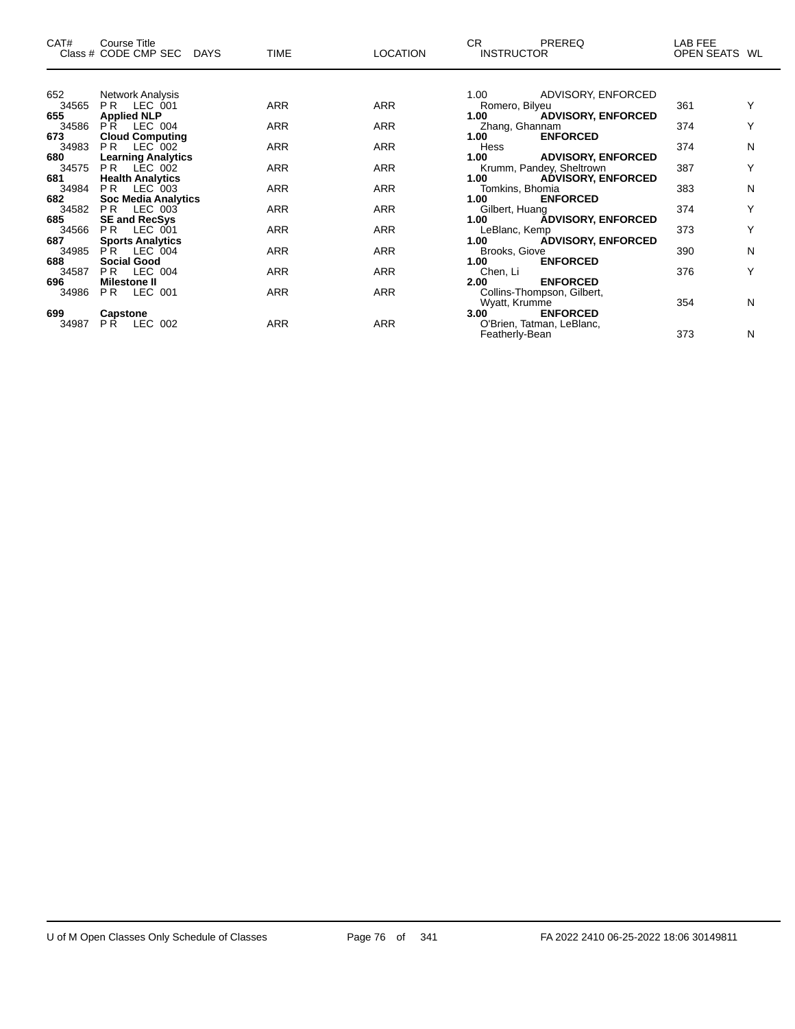| CAT#  | Course Title<br>Class # CODE CMP SEC DAYS | <b>TIME</b> | <b>LOCATION</b> | CR.<br>PREREQ<br><b>INSTRUCTOR</b>             | LAB FEE<br>OPEN SEATS WL |   |
|-------|-------------------------------------------|-------------|-----------------|------------------------------------------------|--------------------------|---|
|       |                                           |             |                 |                                                |                          |   |
| 652   | Network Analysis                          |             |                 | 1.00 ADVISORY, ENFORCED                        |                          |   |
| 34565 | PR LEC 001                                | <b>ARR</b>  | <b>ARR</b>      | Romero, Bilyeu                                 | 361                      |   |
| 655   | <b>Applied NLP</b>                        |             |                 | <b>ADVISORY, ENFORCED</b><br>1.00              |                          |   |
| 34586 | PR LEC 004                                | ARR         | <b>ARR</b>      | Zhang, Ghannam                                 | 374                      | Υ |
| 673   | <b>Cloud Computing</b>                    |             |                 | <b>ENFORCED</b><br>1.00                        |                          |   |
| 34983 | PR LEC 002                                | <b>ARR</b>  | <b>ARR</b>      | Hess                                           | 374                      | N |
| 680   | <b>Learning Analytics</b>                 |             |                 | 1.00 ADVISORY, ENFORCED                        |                          |   |
| 34575 | PR LEC 002                                | <b>ARR</b>  | <b>ARR</b>      | Krumm, Pandey, Sheltrown                       | 387                      | Y |
| 681   | <b>Health Analytics</b>                   |             |                 | 1.00 <sub>1</sub><br><b>ADVISORY, ENFORCED</b> |                          |   |
| 34984 | PR LEC 003                                | ARR         | <b>ARR</b>      | Tomkins, Bhomia                                | 383                      | N |
| 682   | <b>Soc Media Analytics</b>                |             |                 | 1.00<br><b>ENFORCED</b>                        |                          |   |
| 34582 | <b>PR LEC 003</b>                         | <b>ARR</b>  | <b>ARR</b>      | Gilbert, Huang                                 | 374                      | Y |
| 685   | <b>SE and RecSys</b>                      |             |                 | <b>ADVISORY, ENFORCED</b><br>1.00              |                          |   |
| 34566 | <b>PR LEC 001</b>                         | <b>ARR</b>  | <b>ARR</b>      | LeBlanc, Kemp                                  | 373                      | Υ |
| 687   | <b>Sports Analytics</b>                   |             |                 | 1.00 ADVISORY, ENFORCED                        |                          |   |
| 34985 | PR LEC 004                                | <b>ARR</b>  | <b>ARR</b>      | Brooks, Giove                                  | 390                      | N |
| 688   | <b>Social Good</b>                        |             |                 | 1.00<br><b>ENFORCED</b>                        |                          |   |
| 34587 | <b>PR LEC 004</b>                         | ARR         | <b>ARR</b>      | Chen, Li                                       | 376                      | Υ |
| 696   | <b>Milestone II</b>                       |             |                 | <b>ENFORCED</b><br>2.00                        |                          |   |
| 34986 | <b>PR LEC 001</b>                         | <b>ARR</b>  | <b>ARR</b>      | Collins-Thompson, Gilbert,                     |                          |   |
|       |                                           |             |                 | Wyatt, Krumme                                  | 354                      | N |
| 699   | Capstone                                  |             |                 | 3.00<br><b>ENFORCED</b>                        |                          |   |
| 34987 | <b>PR LEC 002</b>                         | <b>ARR</b>  | <b>ARR</b>      | O'Brien, Tatman, LeBlanc,                      |                          |   |
|       |                                           |             |                 | Featherly-Bean                                 | 373                      | N |

—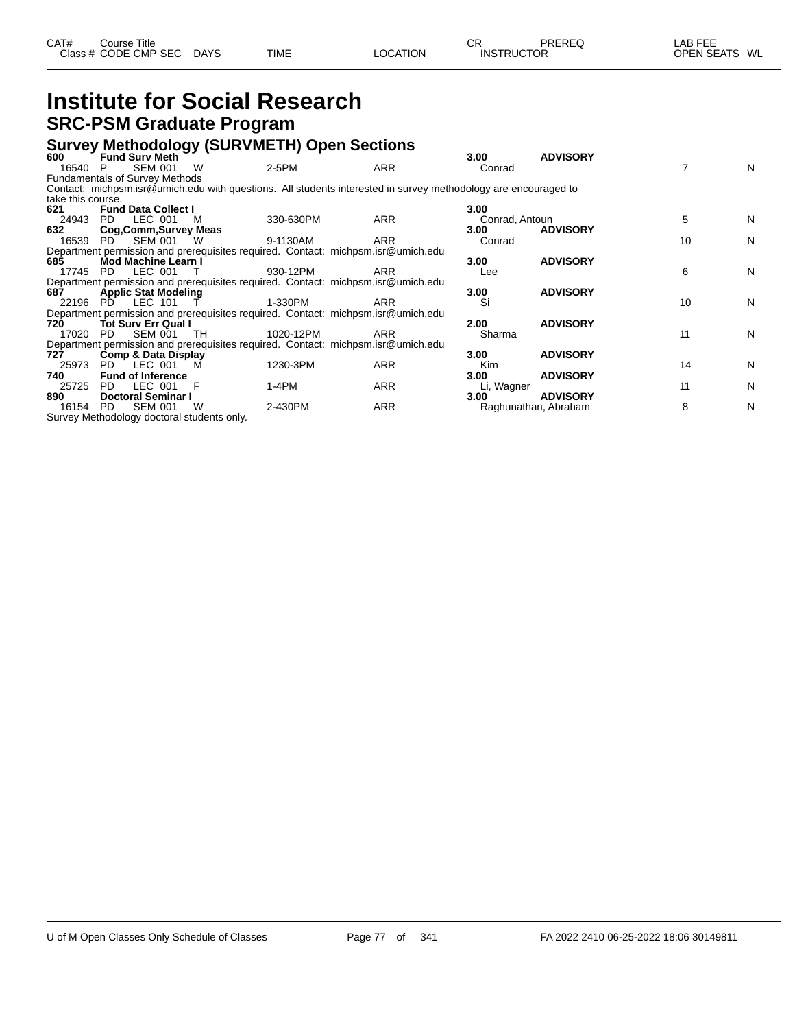| CAT# | .:ourse Title        |             |             |                 | СF                | PREREQ | AB FEE        |  |
|------|----------------------|-------------|-------------|-----------------|-------------------|--------|---------------|--|
|      | Class # CODE CMP SEC | <b>DAYS</b> | <b>TIME</b> | <b>LOCATION</b> | <b>INSTRUCTOR</b> |        | OPEN SEATS WL |  |
|      |                      |             |             |                 |                   |        |               |  |

## **Institute for Social Research SRC-PSM Graduate Program**

#### **Survey Methodology (SURVMETH) Open Sections**

| 600               | <b>Fund Sury Meth</b>                      |          |           |                                                                                                                | 3.00           | <b>ADVISORY</b>      |    |   |
|-------------------|--------------------------------------------|----------|-----------|----------------------------------------------------------------------------------------------------------------|----------------|----------------------|----|---|
| 16540             | <b>SEM 001</b><br>P                        | W        | 2-5PM     | ARR                                                                                                            | Conrad         |                      |    | N |
|                   | <b>Fundamentals of Survey Methods</b>      |          |           |                                                                                                                |                |                      |    |   |
|                   |                                            |          |           | Contact: michpsm.isr@umich.edu with questions. All students interested in survey methodology are encouraged to |                |                      |    |   |
| take this course. |                                            |          |           |                                                                                                                |                |                      |    |   |
| 621               | <b>Fund Data Collect I</b>                 |          |           |                                                                                                                | 3.00           |                      |    |   |
| 24943             | LEC 001<br>PD.                             | M        | 330-630PM | ARR                                                                                                            | Conrad, Antoun |                      | 5  | N |
| 632               | Cog, Comm, Survey Meas                     |          |           |                                                                                                                | 3.00           | <b>ADVISORY</b>      |    |   |
| 16539             | SEM 001<br>PD.                             | <b>W</b> | 9-1130AM  | ARR                                                                                                            | Conrad         |                      | 10 | N |
|                   |                                            |          |           | Department permission and prerequisites required. Contact: michpsm.isr@umich.edu                               |                |                      |    |   |
| 685               | Mod Machine Learn I                        |          |           |                                                                                                                | 3.00           | <b>ADVISORY</b>      |    |   |
| 17745             | LEC 001<br>PD.                             |          | 930-12PM  | ARR                                                                                                            | Lee            |                      | 6  | N |
|                   |                                            |          |           | Department permission and prerequisites required. Contact: michpsm.isr@umich.edu                               |                |                      |    |   |
| 687               | <b>Applic Stat Modeling</b>                |          |           |                                                                                                                | 3.00           | <b>ADVISORY</b>      |    |   |
| 22196             | LEC 101<br>- PD                            |          | 1-330PM   | ARR                                                                                                            | Si             |                      | 10 | N |
|                   |                                            |          |           | Department permission and prerequisites required. Contact: michpsm.isr@umich.edu                               |                |                      |    |   |
| 720               | <b>Tot Surv Err Qual I</b>                 |          |           |                                                                                                                | 2.00           | <b>ADVISORY</b>      |    |   |
| 17020             | <b>SEM 001</b><br>PD.                      | TH       | 1020-12PM | ARR                                                                                                            | Sharma         |                      | 11 | N |
|                   |                                            |          |           | Department permission and prerequisites required. Contact: michpsm.isr@umich.edu                               |                |                      |    |   |
| 727.              | <b>Comp &amp; Data Display</b>             |          |           |                                                                                                                | 3.00           | <b>ADVISORY</b>      |    |   |
| 25973             | LEC 001<br>PD.                             | M        | 1230-3PM  | <b>ARR</b>                                                                                                     | <b>Kim</b>     |                      | 14 | N |
| 740               | <b>Fund of Inference</b>                   |          |           |                                                                                                                | 3.00           | <b>ADVISORY</b>      |    |   |
| 25725             | LEC 001<br>PD.                             |          | $1-4PM$   | ARR                                                                                                            | Li, Wagner     |                      | 11 | N |
| 890               | <b>Doctoral Seminar I</b>                  |          |           |                                                                                                                | 3.00           | <b>ADVISORY</b>      |    |   |
| 16154             | <b>SEM 001</b><br>PD.                      | W        | 2-430PM   | ARR                                                                                                            |                | Raghunathan, Abraham | 8  | N |
|                   | Survey Methodology doctoral students only. |          |           |                                                                                                                |                |                      |    |   |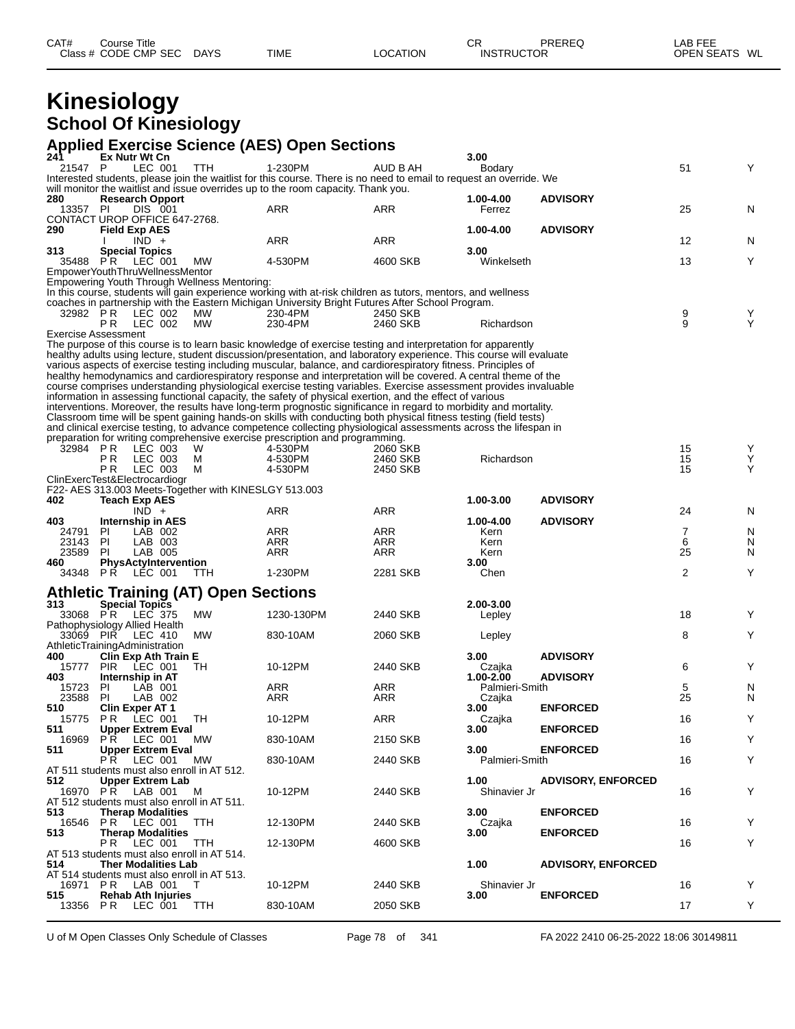| CAT# | Title<br>Course      |             |             |          | ⌒冖<br>◡           | PREREQ | _AB FEE<br>---    |    |
|------|----------------------|-------------|-------------|----------|-------------------|--------|-------------------|----|
|      | Class # CODE CMP SEC | <b>DAYS</b> | <b>TIME</b> | LOCATION | <b>INSTRUCTOR</b> |        | <b>OPEN SEATS</b> | WL |

## **Kinesiology School Of Kinesiology**

### **Applied Exercise Science (AES) Open Sections**

|            | Ex Nutr Wt Cn                                         |                                                                                                                                                                                                                                                                     |                                                                                            |                                                                                                                                                                                       | 3.00                                                                                                                                                                                                                                 |                                                                                                                                                                                                                                                                                                                                                                                                                                                                                                                                                                                                                                            |                                                                                                                                                                                                                                                                                                                                                                                                                                                                                                                                                                                                                                                                                                                                                                                                                                                                                                        |                                                    |
|------------|-------------------------------------------------------|---------------------------------------------------------------------------------------------------------------------------------------------------------------------------------------------------------------------------------------------------------------------|--------------------------------------------------------------------------------------------|---------------------------------------------------------------------------------------------------------------------------------------------------------------------------------------|--------------------------------------------------------------------------------------------------------------------------------------------------------------------------------------------------------------------------------------|--------------------------------------------------------------------------------------------------------------------------------------------------------------------------------------------------------------------------------------------------------------------------------------------------------------------------------------------------------------------------------------------------------------------------------------------------------------------------------------------------------------------------------------------------------------------------------------------------------------------------------------------|--------------------------------------------------------------------------------------------------------------------------------------------------------------------------------------------------------------------------------------------------------------------------------------------------------------------------------------------------------------------------------------------------------------------------------------------------------------------------------------------------------------------------------------------------------------------------------------------------------------------------------------------------------------------------------------------------------------------------------------------------------------------------------------------------------------------------------------------------------------------------------------------------------|----------------------------------------------------|
| 21547 P    | LEC 001                                               | TTH                                                                                                                                                                                                                                                                 | 1-230PM                                                                                    | AUD B AH                                                                                                                                                                              | Bodary                                                                                                                                                                                                                               |                                                                                                                                                                                                                                                                                                                                                                                                                                                                                                                                                                                                                                            | 51                                                                                                                                                                                                                                                                                                                                                                                                                                                                                                                                                                                                                                                                                                                                                                                                                                                                                                     | Υ                                                  |
|            |                                                       |                                                                                                                                                                                                                                                                     |                                                                                            |                                                                                                                                                                                       |                                                                                                                                                                                                                                      |                                                                                                                                                                                                                                                                                                                                                                                                                                                                                                                                                                                                                                            |                                                                                                                                                                                                                                                                                                                                                                                                                                                                                                                                                                                                                                                                                                                                                                                                                                                                                                        |                                                    |
|            |                                                       |                                                                                                                                                                                                                                                                     |                                                                                            |                                                                                                                                                                                       |                                                                                                                                                                                                                                      |                                                                                                                                                                                                                                                                                                                                                                                                                                                                                                                                                                                                                                            |                                                                                                                                                                                                                                                                                                                                                                                                                                                                                                                                                                                                                                                                                                                                                                                                                                                                                                        |                                                    |
|            |                                                       |                                                                                                                                                                                                                                                                     |                                                                                            |                                                                                                                                                                                       |                                                                                                                                                                                                                                      |                                                                                                                                                                                                                                                                                                                                                                                                                                                                                                                                                                                                                                            |                                                                                                                                                                                                                                                                                                                                                                                                                                                                                                                                                                                                                                                                                                                                                                                                                                                                                                        | N                                                  |
|            |                                                       |                                                                                                                                                                                                                                                                     |                                                                                            |                                                                                                                                                                                       |                                                                                                                                                                                                                                      |                                                                                                                                                                                                                                                                                                                                                                                                                                                                                                                                                                                                                                            |                                                                                                                                                                                                                                                                                                                                                                                                                                                                                                                                                                                                                                                                                                                                                                                                                                                                                                        |                                                    |
|            |                                                       |                                                                                                                                                                                                                                                                     |                                                                                            |                                                                                                                                                                                       |                                                                                                                                                                                                                                      |                                                                                                                                                                                                                                                                                                                                                                                                                                                                                                                                                                                                                                            |                                                                                                                                                                                                                                                                                                                                                                                                                                                                                                                                                                                                                                                                                                                                                                                                                                                                                                        |                                                    |
|            |                                                       |                                                                                                                                                                                                                                                                     | ARR                                                                                        | <b>ARR</b>                                                                                                                                                                            |                                                                                                                                                                                                                                      |                                                                                                                                                                                                                                                                                                                                                                                                                                                                                                                                                                                                                                            | 12                                                                                                                                                                                                                                                                                                                                                                                                                                                                                                                                                                                                                                                                                                                                                                                                                                                                                                     | N                                                  |
|            |                                                       |                                                                                                                                                                                                                                                                     |                                                                                            |                                                                                                                                                                                       | 3.00                                                                                                                                                                                                                                 |                                                                                                                                                                                                                                                                                                                                                                                                                                                                                                                                                                                                                                            |                                                                                                                                                                                                                                                                                                                                                                                                                                                                                                                                                                                                                                                                                                                                                                                                                                                                                                        |                                                    |
|            |                                                       | MW.                                                                                                                                                                                                                                                                 |                                                                                            | 4600 SKB                                                                                                                                                                              | Winkelseth                                                                                                                                                                                                                           |                                                                                                                                                                                                                                                                                                                                                                                                                                                                                                                                                                                                                                            | 13                                                                                                                                                                                                                                                                                                                                                                                                                                                                                                                                                                                                                                                                                                                                                                                                                                                                                                     | Υ                                                  |
|            |                                                       |                                                                                                                                                                                                                                                                     |                                                                                            |                                                                                                                                                                                       |                                                                                                                                                                                                                                      |                                                                                                                                                                                                                                                                                                                                                                                                                                                                                                                                                                                                                                            |                                                                                                                                                                                                                                                                                                                                                                                                                                                                                                                                                                                                                                                                                                                                                                                                                                                                                                        |                                                    |
|            |                                                       |                                                                                                                                                                                                                                                                     |                                                                                            |                                                                                                                                                                                       |                                                                                                                                                                                                                                      |                                                                                                                                                                                                                                                                                                                                                                                                                                                                                                                                                                                                                                            |                                                                                                                                                                                                                                                                                                                                                                                                                                                                                                                                                                                                                                                                                                                                                                                                                                                                                                        |                                                    |
|            |                                                       |                                                                                                                                                                                                                                                                     |                                                                                            |                                                                                                                                                                                       |                                                                                                                                                                                                                                      |                                                                                                                                                                                                                                                                                                                                                                                                                                                                                                                                                                                                                                            |                                                                                                                                                                                                                                                                                                                                                                                                                                                                                                                                                                                                                                                                                                                                                                                                                                                                                                        |                                                    |
|            |                                                       |                                                                                                                                                                                                                                                                     |                                                                                            |                                                                                                                                                                                       |                                                                                                                                                                                                                                      |                                                                                                                                                                                                                                                                                                                                                                                                                                                                                                                                                                                                                                            |                                                                                                                                                                                                                                                                                                                                                                                                                                                                                                                                                                                                                                                                                                                                                                                                                                                                                                        |                                                    |
|            |                                                       |                                                                                                                                                                                                                                                                     |                                                                                            |                                                                                                                                                                                       |                                                                                                                                                                                                                                      |                                                                                                                                                                                                                                                                                                                                                                                                                                                                                                                                                                                                                                            |                                                                                                                                                                                                                                                                                                                                                                                                                                                                                                                                                                                                                                                                                                                                                                                                                                                                                                        | $\mathop{\mathsf{Y}}\limits_{\mathop{\mathsf{Y}}}$ |
|            |                                                       |                                                                                                                                                                                                                                                                     |                                                                                            |                                                                                                                                                                                       |                                                                                                                                                                                                                                      |                                                                                                                                                                                                                                                                                                                                                                                                                                                                                                                                                                                                                                            |                                                                                                                                                                                                                                                                                                                                                                                                                                                                                                                                                                                                                                                                                                                                                                                                                                                                                                        |                                                    |
|            |                                                       |                                                                                                                                                                                                                                                                     |                                                                                            |                                                                                                                                                                                       |                                                                                                                                                                                                                                      |                                                                                                                                                                                                                                                                                                                                                                                                                                                                                                                                                                                                                                            |                                                                                                                                                                                                                                                                                                                                                                                                                                                                                                                                                                                                                                                                                                                                                                                                                                                                                                        |                                                    |
|            |                                                       |                                                                                                                                                                                                                                                                     |                                                                                            |                                                                                                                                                                                       |                                                                                                                                                                                                                                      |                                                                                                                                                                                                                                                                                                                                                                                                                                                                                                                                                                                                                                            |                                                                                                                                                                                                                                                                                                                                                                                                                                                                                                                                                                                                                                                                                                                                                                                                                                                                                                        |                                                    |
|            |                                                       |                                                                                                                                                                                                                                                                     |                                                                                            |                                                                                                                                                                                       |                                                                                                                                                                                                                                      |                                                                                                                                                                                                                                                                                                                                                                                                                                                                                                                                                                                                                                            |                                                                                                                                                                                                                                                                                                                                                                                                                                                                                                                                                                                                                                                                                                                                                                                                                                                                                                        |                                                    |
|            |                                                       |                                                                                                                                                                                                                                                                     |                                                                                            |                                                                                                                                                                                       |                                                                                                                                                                                                                                      |                                                                                                                                                                                                                                                                                                                                                                                                                                                                                                                                                                                                                                            |                                                                                                                                                                                                                                                                                                                                                                                                                                                                                                                                                                                                                                                                                                                                                                                                                                                                                                        |                                                    |
|            |                                                       |                                                                                                                                                                                                                                                                     |                                                                                            |                                                                                                                                                                                       |                                                                                                                                                                                                                                      |                                                                                                                                                                                                                                                                                                                                                                                                                                                                                                                                                                                                                                            |                                                                                                                                                                                                                                                                                                                                                                                                                                                                                                                                                                                                                                                                                                                                                                                                                                                                                                        |                                                    |
|            |                                                       |                                                                                                                                                                                                                                                                     |                                                                                            |                                                                                                                                                                                       |                                                                                                                                                                                                                                      |                                                                                                                                                                                                                                                                                                                                                                                                                                                                                                                                                                                                                                            |                                                                                                                                                                                                                                                                                                                                                                                                                                                                                                                                                                                                                                                                                                                                                                                                                                                                                                        |                                                    |
|            |                                                       |                                                                                                                                                                                                                                                                     |                                                                                            |                                                                                                                                                                                       |                                                                                                                                                                                                                                      |                                                                                                                                                                                                                                                                                                                                                                                                                                                                                                                                                                                                                                            |                                                                                                                                                                                                                                                                                                                                                                                                                                                                                                                                                                                                                                                                                                                                                                                                                                                                                                        |                                                    |
|            |                                                       |                                                                                                                                                                                                                                                                     |                                                                                            |                                                                                                                                                                                       |                                                                                                                                                                                                                                      |                                                                                                                                                                                                                                                                                                                                                                                                                                                                                                                                                                                                                                            |                                                                                                                                                                                                                                                                                                                                                                                                                                                                                                                                                                                                                                                                                                                                                                                                                                                                                                        |                                                    |
|            |                                                       |                                                                                                                                                                                                                                                                     |                                                                                            |                                                                                                                                                                                       |                                                                                                                                                                                                                                      |                                                                                                                                                                                                                                                                                                                                                                                                                                                                                                                                                                                                                                            |                                                                                                                                                                                                                                                                                                                                                                                                                                                                                                                                                                                                                                                                                                                                                                                                                                                                                                        |                                                    |
|            |                                                       |                                                                                                                                                                                                                                                                     |                                                                                            |                                                                                                                                                                                       |                                                                                                                                                                                                                                      |                                                                                                                                                                                                                                                                                                                                                                                                                                                                                                                                                                                                                                            |                                                                                                                                                                                                                                                                                                                                                                                                                                                                                                                                                                                                                                                                                                                                                                                                                                                                                                        |                                                    |
|            |                                                       |                                                                                                                                                                                                                                                                     |                                                                                            |                                                                                                                                                                                       |                                                                                                                                                                                                                                      |                                                                                                                                                                                                                                                                                                                                                                                                                                                                                                                                                                                                                                            |                                                                                                                                                                                                                                                                                                                                                                                                                                                                                                                                                                                                                                                                                                                                                                                                                                                                                                        | Y<br>Υ                                             |
|            |                                                       |                                                                                                                                                                                                                                                                     |                                                                                            |                                                                                                                                                                                       |                                                                                                                                                                                                                                      |                                                                                                                                                                                                                                                                                                                                                                                                                                                                                                                                                                                                                                            |                                                                                                                                                                                                                                                                                                                                                                                                                                                                                                                                                                                                                                                                                                                                                                                                                                                                                                        | Y                                                  |
|            |                                                       |                                                                                                                                                                                                                                                                     |                                                                                            |                                                                                                                                                                                       |                                                                                                                                                                                                                                      |                                                                                                                                                                                                                                                                                                                                                                                                                                                                                                                                                                                                                                            |                                                                                                                                                                                                                                                                                                                                                                                                                                                                                                                                                                                                                                                                                                                                                                                                                                                                                                        |                                                    |
|            |                                                       |                                                                                                                                                                                                                                                                     |                                                                                            |                                                                                                                                                                                       |                                                                                                                                                                                                                                      |                                                                                                                                                                                                                                                                                                                                                                                                                                                                                                                                                                                                                                            |                                                                                                                                                                                                                                                                                                                                                                                                                                                                                                                                                                                                                                                                                                                                                                                                                                                                                                        |                                                    |
|            |                                                       |                                                                                                                                                                                                                                                                     |                                                                                            |                                                                                                                                                                                       |                                                                                                                                                                                                                                      |                                                                                                                                                                                                                                                                                                                                                                                                                                                                                                                                                                                                                                            |                                                                                                                                                                                                                                                                                                                                                                                                                                                                                                                                                                                                                                                                                                                                                                                                                                                                                                        |                                                    |
|            |                                                       |                                                                                                                                                                                                                                                                     | ARR                                                                                        | ARR                                                                                                                                                                                   |                                                                                                                                                                                                                                      |                                                                                                                                                                                                                                                                                                                                                                                                                                                                                                                                                                                                                                            | 24                                                                                                                                                                                                                                                                                                                                                                                                                                                                                                                                                                                                                                                                                                                                                                                                                                                                                                     | N                                                  |
|            |                                                       |                                                                                                                                                                                                                                                                     |                                                                                            |                                                                                                                                                                                       |                                                                                                                                                                                                                                      |                                                                                                                                                                                                                                                                                                                                                                                                                                                                                                                                                                                                                                            |                                                                                                                                                                                                                                                                                                                                                                                                                                                                                                                                                                                                                                                                                                                                                                                                                                                                                                        |                                                    |
|            | Internship in AES                                     |                                                                                                                                                                                                                                                                     |                                                                                            |                                                                                                                                                                                       | 1.00-4.00                                                                                                                                                                                                                            | <b>ADVISORY</b>                                                                                                                                                                                                                                                                                                                                                                                                                                                                                                                                                                                                                            |                                                                                                                                                                                                                                                                                                                                                                                                                                                                                                                                                                                                                                                                                                                                                                                                                                                                                                        |                                                    |
| -PI        | LAB 002                                               |                                                                                                                                                                                                                                                                     | ARR                                                                                        | ARR                                                                                                                                                                                   | Kern                                                                                                                                                                                                                                 |                                                                                                                                                                                                                                                                                                                                                                                                                                                                                                                                                                                                                                            | $\overline{7}$                                                                                                                                                                                                                                                                                                                                                                                                                                                                                                                                                                                                                                                                                                                                                                                                                                                                                         | N                                                  |
| PI         | LAB 003                                               |                                                                                                                                                                                                                                                                     | ARR                                                                                        | <b>ARR</b>                                                                                                                                                                            | Kern                                                                                                                                                                                                                                 |                                                                                                                                                                                                                                                                                                                                                                                                                                                                                                                                                                                                                                            | 6                                                                                                                                                                                                                                                                                                                                                                                                                                                                                                                                                                                                                                                                                                                                                                                                                                                                                                      | N                                                  |
| -PI        | LAB 005                                               |                                                                                                                                                                                                                                                                     | ARR                                                                                        | ARR                                                                                                                                                                                   | Kern                                                                                                                                                                                                                                 |                                                                                                                                                                                                                                                                                                                                                                                                                                                                                                                                                                                                                                            | 25                                                                                                                                                                                                                                                                                                                                                                                                                                                                                                                                                                                                                                                                                                                                                                                                                                                                                                     | N                                                  |
|            | PhysActyIntervention                                  |                                                                                                                                                                                                                                                                     |                                                                                            |                                                                                                                                                                                       | 3.00                                                                                                                                                                                                                                 |                                                                                                                                                                                                                                                                                                                                                                                                                                                                                                                                                                                                                                            |                                                                                                                                                                                                                                                                                                                                                                                                                                                                                                                                                                                                                                                                                                                                                                                                                                                                                                        |                                                    |
|            | 34348 PR LEC 001                                      | TTH                                                                                                                                                                                                                                                                 | 1-230PM                                                                                    | 2281 SKB                                                                                                                                                                              | Chen                                                                                                                                                                                                                                 |                                                                                                                                                                                                                                                                                                                                                                                                                                                                                                                                                                                                                                            | 2                                                                                                                                                                                                                                                                                                                                                                                                                                                                                                                                                                                                                                                                                                                                                                                                                                                                                                      | Υ                                                  |
|            |                                                       |                                                                                                                                                                                                                                                                     |                                                                                            |                                                                                                                                                                                       |                                                                                                                                                                                                                                      |                                                                                                                                                                                                                                                                                                                                                                                                                                                                                                                                                                                                                                            |                                                                                                                                                                                                                                                                                                                                                                                                                                                                                                                                                                                                                                                                                                                                                                                                                                                                                                        |                                                    |
|            |                                                       | <b>Athletic Training (AT) Open Sections</b>                                                                                                                                                                                                                         |                                                                                            |                                                                                                                                                                                       |                                                                                                                                                                                                                                      |                                                                                                                                                                                                                                                                                                                                                                                                                                                                                                                                                                                                                                            |                                                                                                                                                                                                                                                                                                                                                                                                                                                                                                                                                                                                                                                                                                                                                                                                                                                                                                        |                                                    |
|            | <b>Special Topics</b>                                 |                                                                                                                                                                                                                                                                     |                                                                                            |                                                                                                                                                                                       | 2.00-3.00                                                                                                                                                                                                                            |                                                                                                                                                                                                                                                                                                                                                                                                                                                                                                                                                                                                                                            |                                                                                                                                                                                                                                                                                                                                                                                                                                                                                                                                                                                                                                                                                                                                                                                                                                                                                                        |                                                    |
|            | 33068 PR LEC 375                                      | <b>MW</b>                                                                                                                                                                                                                                                           | 1230-130PM                                                                                 | 2440 SKB                                                                                                                                                                              | Lepley                                                                                                                                                                                                                               |                                                                                                                                                                                                                                                                                                                                                                                                                                                                                                                                                                                                                                            | 18                                                                                                                                                                                                                                                                                                                                                                                                                                                                                                                                                                                                                                                                                                                                                                                                                                                                                                     | Υ                                                  |
|            | Pathophysiology Allied Health<br>33069 PIR LEC 410    | MW                                                                                                                                                                                                                                                                  | 830-10AM                                                                                   | 2060 SKB                                                                                                                                                                              |                                                                                                                                                                                                                                      |                                                                                                                                                                                                                                                                                                                                                                                                                                                                                                                                                                                                                                            | 8                                                                                                                                                                                                                                                                                                                                                                                                                                                                                                                                                                                                                                                                                                                                                                                                                                                                                                      | Υ                                                  |
|            | AthleticTrainingAdministration                        |                                                                                                                                                                                                                                                                     |                                                                                            |                                                                                                                                                                                       | Lepley                                                                                                                                                                                                                               |                                                                                                                                                                                                                                                                                                                                                                                                                                                                                                                                                                                                                                            |                                                                                                                                                                                                                                                                                                                                                                                                                                                                                                                                                                                                                                                                                                                                                                                                                                                                                                        |                                                    |
|            | Clin Exp Ath Train E                                  |                                                                                                                                                                                                                                                                     |                                                                                            |                                                                                                                                                                                       | 3.00                                                                                                                                                                                                                                 | <b>ADVISORY</b>                                                                                                                                                                                                                                                                                                                                                                                                                                                                                                                                                                                                                            |                                                                                                                                                                                                                                                                                                                                                                                                                                                                                                                                                                                                                                                                                                                                                                                                                                                                                                        |                                                    |
| <b>PIR</b> | LEC 001                                               | ТH                                                                                                                                                                                                                                                                  | 10-12PM                                                                                    | 2440 SKB                                                                                                                                                                              | Czajka                                                                                                                                                                                                                               |                                                                                                                                                                                                                                                                                                                                                                                                                                                                                                                                                                                                                                            | 6                                                                                                                                                                                                                                                                                                                                                                                                                                                                                                                                                                                                                                                                                                                                                                                                                                                                                                      | Υ                                                  |
|            | Internship in AT                                      |                                                                                                                                                                                                                                                                     |                                                                                            |                                                                                                                                                                                       | 1.00-2.00                                                                                                                                                                                                                            | <b>ADVISORY</b>                                                                                                                                                                                                                                                                                                                                                                                                                                                                                                                                                                                                                            |                                                                                                                                                                                                                                                                                                                                                                                                                                                                                                                                                                                                                                                                                                                                                                                                                                                                                                        |                                                    |
| PI.        | LAB 001                                               |                                                                                                                                                                                                                                                                     | ARR                                                                                        | ARR                                                                                                                                                                                   | Palmieri-Smith                                                                                                                                                                                                                       |                                                                                                                                                                                                                                                                                                                                                                                                                                                                                                                                                                                                                                            | 5                                                                                                                                                                                                                                                                                                                                                                                                                                                                                                                                                                                                                                                                                                                                                                                                                                                                                                      | N                                                  |
| PI         | LAB 002                                               |                                                                                                                                                                                                                                                                     | ARR                                                                                        | ARR                                                                                                                                                                                   | Czajka                                                                                                                                                                                                                               |                                                                                                                                                                                                                                                                                                                                                                                                                                                                                                                                                                                                                                            | 25                                                                                                                                                                                                                                                                                                                                                                                                                                                                                                                                                                                                                                                                                                                                                                                                                                                                                                     | N                                                  |
|            | <b>Clin Exper AT 1</b>                                |                                                                                                                                                                                                                                                                     |                                                                                            |                                                                                                                                                                                       | 3.00                                                                                                                                                                                                                                 | <b>ENFORCED</b>                                                                                                                                                                                                                                                                                                                                                                                                                                                                                                                                                                                                                            |                                                                                                                                                                                                                                                                                                                                                                                                                                                                                                                                                                                                                                                                                                                                                                                                                                                                                                        |                                                    |
| P R        | LEC 001                                               | TH                                                                                                                                                                                                                                                                  | 10-12PM                                                                                    | ARR                                                                                                                                                                                   | Czajka                                                                                                                                                                                                                               |                                                                                                                                                                                                                                                                                                                                                                                                                                                                                                                                                                                                                                            | 16                                                                                                                                                                                                                                                                                                                                                                                                                                                                                                                                                                                                                                                                                                                                                                                                                                                                                                     | Y                                                  |
|            | <b>Upper Extrem Eval</b>                              |                                                                                                                                                                                                                                                                     |                                                                                            |                                                                                                                                                                                       | 3.00                                                                                                                                                                                                                                 | <b>ENFORCED</b>                                                                                                                                                                                                                                                                                                                                                                                                                                                                                                                                                                                                                            |                                                                                                                                                                                                                                                                                                                                                                                                                                                                                                                                                                                                                                                                                                                                                                                                                                                                                                        |                                                    |
|            | 16969 PR LEC 001 MW                                   |                                                                                                                                                                                                                                                                     | 830-10AM                                                                                   | 2150 SKB                                                                                                                                                                              |                                                                                                                                                                                                                                      |                                                                                                                                                                                                                                                                                                                                                                                                                                                                                                                                                                                                                                            | 16                                                                                                                                                                                                                                                                                                                                                                                                                                                                                                                                                                                                                                                                                                                                                                                                                                                                                                     | Y                                                  |
|            | <b>Upper Extrem Eval</b>                              |                                                                                                                                                                                                                                                                     |                                                                                            |                                                                                                                                                                                       | 3.00                                                                                                                                                                                                                                 | <b>ENFORCED</b>                                                                                                                                                                                                                                                                                                                                                                                                                                                                                                                                                                                                                            |                                                                                                                                                                                                                                                                                                                                                                                                                                                                                                                                                                                                                                                                                                                                                                                                                                                                                                        |                                                    |
| PR.        | LEC 001                                               | MW                                                                                                                                                                                                                                                                  | 830-10AM                                                                                   | 2440 SKB                                                                                                                                                                              | Palmieri-Smith                                                                                                                                                                                                                       |                                                                                                                                                                                                                                                                                                                                                                                                                                                                                                                                                                                                                                            | 16                                                                                                                                                                                                                                                                                                                                                                                                                                                                                                                                                                                                                                                                                                                                                                                                                                                                                                     | Υ                                                  |
|            | <b>Upper Extrem Lab</b>                               | AT 511 students must also enroll in AT 512.                                                                                                                                                                                                                         |                                                                                            |                                                                                                                                                                                       | 1.00                                                                                                                                                                                                                                 |                                                                                                                                                                                                                                                                                                                                                                                                                                                                                                                                                                                                                                            |                                                                                                                                                                                                                                                                                                                                                                                                                                                                                                                                                                                                                                                                                                                                                                                                                                                                                                        |                                                    |
|            | 16970 PR LAB 001                                      | M                                                                                                                                                                                                                                                                   | 10-12PM                                                                                    | 2440 SKB                                                                                                                                                                              | Shinavier Jr                                                                                                                                                                                                                         | <b>ADVISORY, ENFORCED</b>                                                                                                                                                                                                                                                                                                                                                                                                                                                                                                                                                                                                                  | 16                                                                                                                                                                                                                                                                                                                                                                                                                                                                                                                                                                                                                                                                                                                                                                                                                                                                                                     | Υ                                                  |
|            |                                                       | AT 512 students must also enroll in AT 511.                                                                                                                                                                                                                         |                                                                                            |                                                                                                                                                                                       |                                                                                                                                                                                                                                      |                                                                                                                                                                                                                                                                                                                                                                                                                                                                                                                                                                                                                                            |                                                                                                                                                                                                                                                                                                                                                                                                                                                                                                                                                                                                                                                                                                                                                                                                                                                                                                        |                                                    |
|            | <b>Therap Modalities</b>                              |                                                                                                                                                                                                                                                                     |                                                                                            |                                                                                                                                                                                       | 3.00                                                                                                                                                                                                                                 | <b>ENFORCED</b>                                                                                                                                                                                                                                                                                                                                                                                                                                                                                                                                                                                                                            |                                                                                                                                                                                                                                                                                                                                                                                                                                                                                                                                                                                                                                                                                                                                                                                                                                                                                                        |                                                    |
|            | PR LEC 001                                            | TTH.                                                                                                                                                                                                                                                                | 12-130PM                                                                                   | 2440 SKB                                                                                                                                                                              | Czajka                                                                                                                                                                                                                               |                                                                                                                                                                                                                                                                                                                                                                                                                                                                                                                                                                                                                                            | 16                                                                                                                                                                                                                                                                                                                                                                                                                                                                                                                                                                                                                                                                                                                                                                                                                                                                                                     | Υ                                                  |
|            | <b>Therap Modalities</b>                              |                                                                                                                                                                                                                                                                     |                                                                                            |                                                                                                                                                                                       | 3.00                                                                                                                                                                                                                                 | <b>ENFORCED</b>                                                                                                                                                                                                                                                                                                                                                                                                                                                                                                                                                                                                                            |                                                                                                                                                                                                                                                                                                                                                                                                                                                                                                                                                                                                                                                                                                                                                                                                                                                                                                        |                                                    |
| PR.        | LEC 001                                               | TTH                                                                                                                                                                                                                                                                 | 12-130PM                                                                                   | 4600 SKB                                                                                                                                                                              |                                                                                                                                                                                                                                      |                                                                                                                                                                                                                                                                                                                                                                                                                                                                                                                                                                                                                                            | 16                                                                                                                                                                                                                                                                                                                                                                                                                                                                                                                                                                                                                                                                                                                                                                                                                                                                                                     | Y                                                  |
|            |                                                       | AT 513 students must also enroll in AT 514.                                                                                                                                                                                                                         |                                                                                            |                                                                                                                                                                                       |                                                                                                                                                                                                                                      |                                                                                                                                                                                                                                                                                                                                                                                                                                                                                                                                                                                                                                            |                                                                                                                                                                                                                                                                                                                                                                                                                                                                                                                                                                                                                                                                                                                                                                                                                                                                                                        |                                                    |
|            | <b>Ther Modalities Lab</b>                            |                                                                                                                                                                                                                                                                     |                                                                                            |                                                                                                                                                                                       | 1.00                                                                                                                                                                                                                                 | <b>ADVISORY, ENFORCED</b>                                                                                                                                                                                                                                                                                                                                                                                                                                                                                                                                                                                                                  |                                                                                                                                                                                                                                                                                                                                                                                                                                                                                                                                                                                                                                                                                                                                                                                                                                                                                                        |                                                    |
|            |                                                       | AT 514 students must also enroll in AT 513.<br>т                                                                                                                                                                                                                    |                                                                                            |                                                                                                                                                                                       |                                                                                                                                                                                                                                      |                                                                                                                                                                                                                                                                                                                                                                                                                                                                                                                                                                                                                                            |                                                                                                                                                                                                                                                                                                                                                                                                                                                                                                                                                                                                                                                                                                                                                                                                                                                                                                        |                                                    |
| 16971 PR   | LAB 001<br><b>Rehab Ath Injuries</b>                  |                                                                                                                                                                                                                                                                     | 10-12PM                                                                                    | 2440 SKB                                                                                                                                                                              | Shinavier Jr<br>3.00                                                                                                                                                                                                                 | <b>ENFORCED</b>                                                                                                                                                                                                                                                                                                                                                                                                                                                                                                                                                                                                                            | 16                                                                                                                                                                                                                                                                                                                                                                                                                                                                                                                                                                                                                                                                                                                                                                                                                                                                                                     | Υ                                                  |
|            | 13357 PI<br>32982 PR<br>PR.<br>32984 PR<br>P R<br>P R | <b>Research Opport</b><br>DIS 001<br><b>Field Exp AES</b><br>$IND +$<br><b>Special Topics</b><br>35488 PR LEC 001<br>LEC 002<br>LEC 002<br>Exercise Assessment<br>LEC 003<br>LEC 003<br>LEC 003<br>ClinExercTest&Electrocardiogr<br><b>Teach Exp AES</b><br>$IND +$ | CONTACT UROP OFFICE 647-2768.<br>EmpowerYouthThruWellnessMentor<br>MW<br>MW<br>W<br>м<br>м | ARR<br>4-530PM<br><b>Empowering Youth Through Wellness Mentoring:</b><br>230-4PM<br>230-4PM<br>4-530PM<br>4-530PM<br>4-530PM<br>F22- AES 313.003 Meets-Together with KINESLGY 513.003 | will monitor the waitlist and issue overrides up to the room capacity. Thank you.<br>ARR<br>2450 SKB<br>2460 SKB<br>preparation for writing comprehensive exercise prescription and programming.<br>2060 SKB<br>2460 SKB<br>2450 SKB | 1.00-4.00<br>Ferrez<br>1.00-4.00<br>In this course, students will gain experience working with at-risk children as tutors, mentors, and wellness<br>coaches in partnership with the Eastern Michigan University Bright Futures After School Program.<br>Richardson<br>The purpose of this course is to learn basic knowledge of exercise testing and interpretation for apparently<br>various aspects of exercise testing including muscular, balance, and cardiorespiratory fitness. Principles of<br>information in assessing functional capacity, the safety of physical exertion, and the effect of various<br>Richardson<br>1.00-3.00 | Interested students, please join the waitlist for this course. There is no need to email to request an override. We<br><b>ADVISORY</b><br><b>ADVISORY</b><br>healthy adults using lecture, student discussion/presentation, and laboratory experience. This course will evaluate<br>healthy hemodynamics and cardiorespiratory response and interpretation will be covered. A central theme of the<br>course comprises understanding physiological exercise testing variables. Exercise assessment provides invaluable<br>interventions. Moreover, the results have long-term prognostic significance in regard to morbidity and mortality.<br>Classroom time will be spent gaining hands-on skills with conducting both physical fitness testing (field tests)<br>and clinical exercise testing, to advance competence collecting physiological assessments across the lifespan in<br><b>ADVISORY</b> | 25<br>9<br>9<br>15<br>15<br>15                     |

U of M Open Classes Only Schedule of Classes Page 78 of 341 FA 2022 2410 06-25-2022 18:06 30149811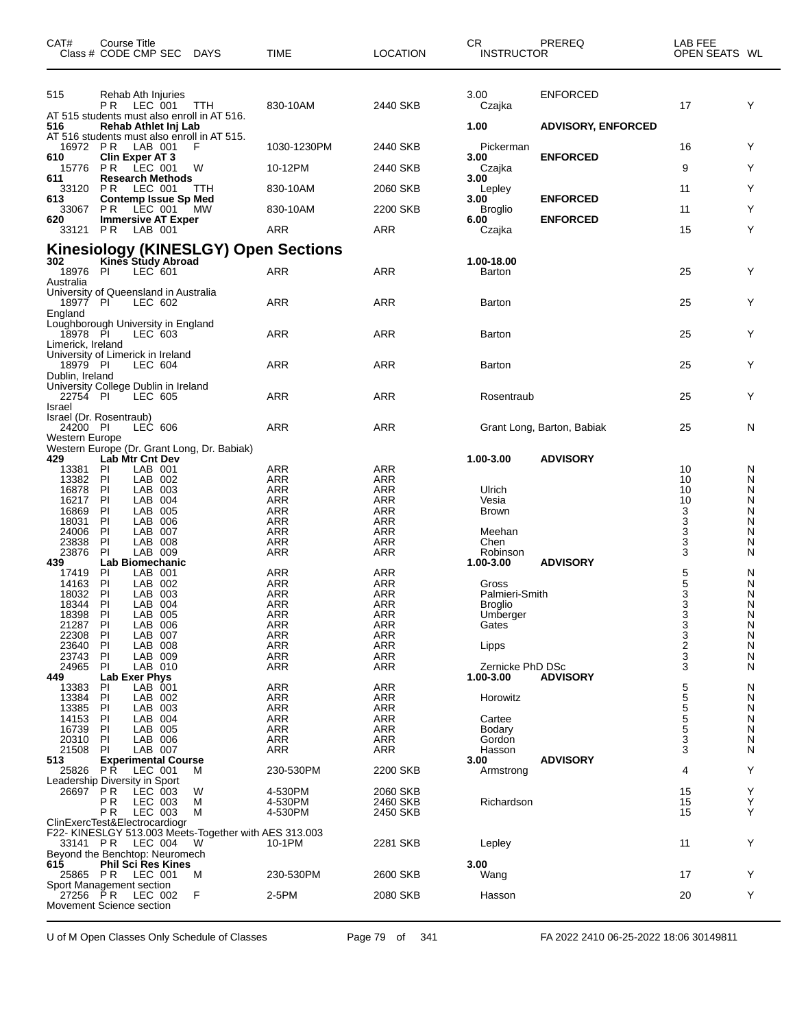| CAT#                                                                | Course Title                  | Class # CODE CMP SEC DAYS            |                                                            | <b>TIME</b>                          | <b>LOCATION</b>          | CR.<br><b>INSTRUCTOR</b> | PREREQ                     | LAB FEE<br>OPEN SEATS WL |        |
|---------------------------------------------------------------------|-------------------------------|--------------------------------------|------------------------------------------------------------|--------------------------------------|--------------------------|--------------------------|----------------------------|--------------------------|--------|
| 515                                                                 | PR.                           | Rehab Ath Injuries<br>LEC 001        | TTH<br>AT 515 students must also enroll in AT 516.         | 830-10AM                             | 2440 SKB                 | 3.00<br>Czajka           | <b>ENFORCED</b>            | 17                       | Y      |
| 516                                                                 |                               | Rehab Athlet Inj Lab                 | AT 516 students must also enroll in AT 515.                |                                      |                          | 1.00                     | <b>ADVISORY, ENFORCED</b>  |                          |        |
| 16972 PR                                                            |                               | LAB 001                              | F                                                          | 1030-1230PM                          | 2440 SKB                 | Pickerman                |                            | 16                       | Y      |
| 610<br>15776                                                        | <b>Clin Exper AT 3</b><br>P R | LEC 001                              | W                                                          | 10-12PM                              | 2440 SKB                 | 3.00<br>Czajka           | <b>ENFORCED</b>            | 9                        | Y      |
| 611<br>33120                                                        | <b>PR LEC 001</b>             | <b>Research Methods</b>              | TTH                                                        | 830-10AM                             | 2060 SKB                 | 3.00<br>Lepley           |                            | 11                       | Y      |
| 613                                                                 |                               | <b>Contemp Issue Sp Med</b>          |                                                            |                                      |                          | 3.00                     | <b>ENFORCED</b>            |                          |        |
| 33067<br>620                                                        | PR.                           | LEC 001<br><b>Immersive AT Exper</b> | МW                                                         | 830-10AM                             | 2200 SKB                 | Broglio<br>6.00          | <b>ENFORCED</b>            | 11                       | Y      |
| 33121 PR                                                            |                               | LAB 001                              |                                                            | ARR                                  | ARR                      | Czajka                   |                            | 15                       | Y      |
| 302                                                                 |                               | Kines Study Abroad                   |                                                            | Kinesiology (KINESLGY) Open Sections |                          |                          |                            |                          |        |
| 18976 PI<br>Australia                                               |                               | $LEC$ 601                            |                                                            | ARR                                  | ARR                      | 1.00-18.00<br>Barton     |                            | 25                       | Y      |
| University of Queensland in Australia<br>18977 PI<br>England        |                               | LEC 602                              |                                                            | ARR                                  | <b>ARR</b>               | Barton                   |                            | 25                       | Y      |
| Loughborough University in England<br>18978 PI<br>Limerick, Ireland |                               | LEC 603                              |                                                            | ARR                                  | ARR                      | Barton                   |                            | 25                       | Y      |
| University of Limerick in Ireland<br>18979 PI                       |                               | LEC 604                              |                                                            | ARR                                  | <b>ARR</b>               | Barton                   |                            | 25                       | Y      |
| Dublin, Ireland<br>University College Dublin in Ireland<br>22754 PI |                               | LEC 605                              |                                                            | ARR                                  | ARR                      | Rosentraub               |                            | 25                       | Y      |
| Israel<br>Israel (Dr. Rosentraub)<br>24200 PI                       |                               | LEC 606                              |                                                            | ARR                                  | <b>ARR</b>               |                          | Grant Long, Barton, Babiak | 25                       | N      |
| Western Europe                                                      |                               |                                      | Western Europe (Dr. Grant Long, Dr. Babiak)                |                                      |                          |                          |                            |                          |        |
| 429<br>13381                                                        | Lab Mtr Cnt Dev<br>PI         | LAB 001                              |                                                            | ARR                                  | ARR                      | 1.00-3.00                | <b>ADVISORY</b>            | 10                       | N      |
| 13382                                                               | P                             | LAB 002                              |                                                            | ARR                                  | ARR                      |                          |                            | 10                       | N      |
| 16878<br>16217                                                      | PI<br>PI                      | LAB 003<br>LAB 004                   |                                                            | <b>ARR</b><br>ARR                    | <b>ARR</b><br>ARR        | Ulrich<br>Vesia          |                            | 10<br>10                 | N<br>N |
| 16869                                                               | PI                            | LAB 005                              |                                                            | <b>ARR</b>                           | <b>ARR</b>               | <b>Brown</b>             |                            | 3                        | Ν      |
| 18031<br>24006                                                      | PI<br>PI                      | LAB 006<br>LAB 007                   |                                                            | <b>ARR</b><br>ARR                    | <b>ARR</b><br><b>ARR</b> | Meehan                   |                            | 3                        | N<br>N |
| 23838                                                               | P                             | LAB 008                              |                                                            | <b>ARR</b>                           | ARR                      | Chen                     |                            | $\frac{3}{3}$            | N      |
| 23876                                                               | PI                            | LAB 009                              |                                                            | ARR                                  | ARR                      | Robinson                 |                            | 3                        | N      |
| 439<br>17419                                                        | PI                            | Lab Biomechanic<br>LAB 001           |                                                            | ARR                                  | <b>ARR</b>               | 1.00-3.00                | <b>ADVISORY</b>            | 5                        | N      |
| 14163                                                               | PI                            | LAB 002                              |                                                            | <b>ARR</b>                           | ARR                      | Gross                    |                            | 5                        | N      |
| 18032                                                               | PI                            | LAB 003                              |                                                            | <b>ARR</b>                           | <b>ARR</b>               | Palmieri-Smith           |                            | $\frac{3}{3}$            | N      |
| 18344<br>18398                                                      | P<br>P                        | LAB 004<br>LAB 005                   |                                                            | <b>ARR</b><br><b>ARR</b>             | <b>ARR</b><br><b>ARR</b> | Broglio<br>Umberger      |                            |                          | N<br>N |
| 21287                                                               | PI                            | LAB 006                              |                                                            | <b>ARR</b>                           | <b>ARR</b>               | Gates                    |                            |                          | N      |
| 22308                                                               | P                             | LAB 007                              |                                                            | <b>ARR</b>                           | <b>ARR</b>               |                          |                            | $\frac{3}{3}$            | N      |
| 23640<br>23743                                                      | PI<br>PI                      | LAB 008<br>LAB 009                   |                                                            | <b>ARR</b><br><b>ARR</b>             | ARR<br><b>ARR</b>        | Lipps                    |                            | 2<br>3                   | N<br>N |
| 24965                                                               | PI                            | LAB 010                              |                                                            | ARR                                  | <b>ARR</b>               | Zernicke PhD DSc         |                            | 3                        | N      |
| 449                                                                 | <b>Lab Exer Phys</b>          |                                      |                                                            |                                      |                          | 1.00-3.00                | <b>ADVISORY</b>            |                          |        |
| 13383<br>13384                                                      | PI<br>P                       | LAB 001<br>LAB 002                   |                                                            | <b>ARR</b><br>ARR                    | <b>ARR</b><br>ARR        | Horowitz                 |                            | 5<br>5<br>5              | N<br>N |
| 13385                                                               | PI                            | LAB 003                              |                                                            | <b>ARR</b>                           | <b>ARR</b>               |                          |                            |                          | N      |
| 14153                                                               | PI                            | LAB 004                              |                                                            | <b>ARR</b>                           | <b>ARR</b>               | Cartee                   |                            | $\frac{5}{5}$            | N      |
| 16739<br>20310                                                      | P                             | LAB 005<br>LAB 006                   |                                                            | ARR<br><b>ARR</b>                    | <b>ARR</b><br><b>ARR</b> | Bodary                   |                            | 3                        | Ν<br>N |
| 21508                                                               | PI<br>PI                      | LAB 007                              |                                                            | ARR                                  | ARR                      | Gordon<br>Hasson         |                            | 3                        | N      |
| 513                                                                 |                               | <b>Experimental Course</b>           |                                                            |                                      |                          | 3.00                     | <b>ADVISORY</b>            |                          |        |
| 25826                                                               | P R                           | LEC 001                              | м                                                          | 230-530PM                            | 2200 SKB                 | Armstrong                |                            | 4                        | Y      |
| Leadership Diversity in Sport<br>26697                              | PR                            | LEC 003                              | W                                                          | 4-530PM                              | 2060 SKB                 |                          |                            | 15                       | Y      |
|                                                                     | PR                            | LEC 003                              | М                                                          | 4-530PM                              | 2460 SKB                 | Richardson               |                            | 15                       | Υ      |
| ClinExercTest&Electrocardiogr                                       | PR.                           | LEC 003                              | М                                                          | 4-530PM                              | 2450 SKB                 |                          |                            | 15                       | Y      |
|                                                                     | 33141 PR LEC 004              |                                      | F22- KINESLGY 513.003 Meets-Together with AES 313.003<br>W | 10-1PM                               | 2281 SKB                 | Lepley                   |                            | 11                       | Y      |
| Beyond the Benchtop: Neuromech<br>615                               |                               | <b>Phil Sci Res Kines</b>            |                                                            |                                      |                          | 3.00                     |                            |                          |        |
| Sport Management section                                            | 25865 PR LEC 001              |                                      | м                                                          | 230-530PM                            | 2600 SKB                 | Wang                     |                            | 17                       | Y      |
| 27256 PR                                                            |                               | LEC 002                              | F                                                          | 2-5PM                                | 2080 SKB                 | Hasson                   |                            | 20                       | Y      |
| Movement Science section                                            |                               |                                      |                                                            |                                      |                          |                          |                            |                          |        |

U of M Open Classes Only Schedule of Classes Page 79 of 341 FA 2022 2410 06-25-2022 18:06 30149811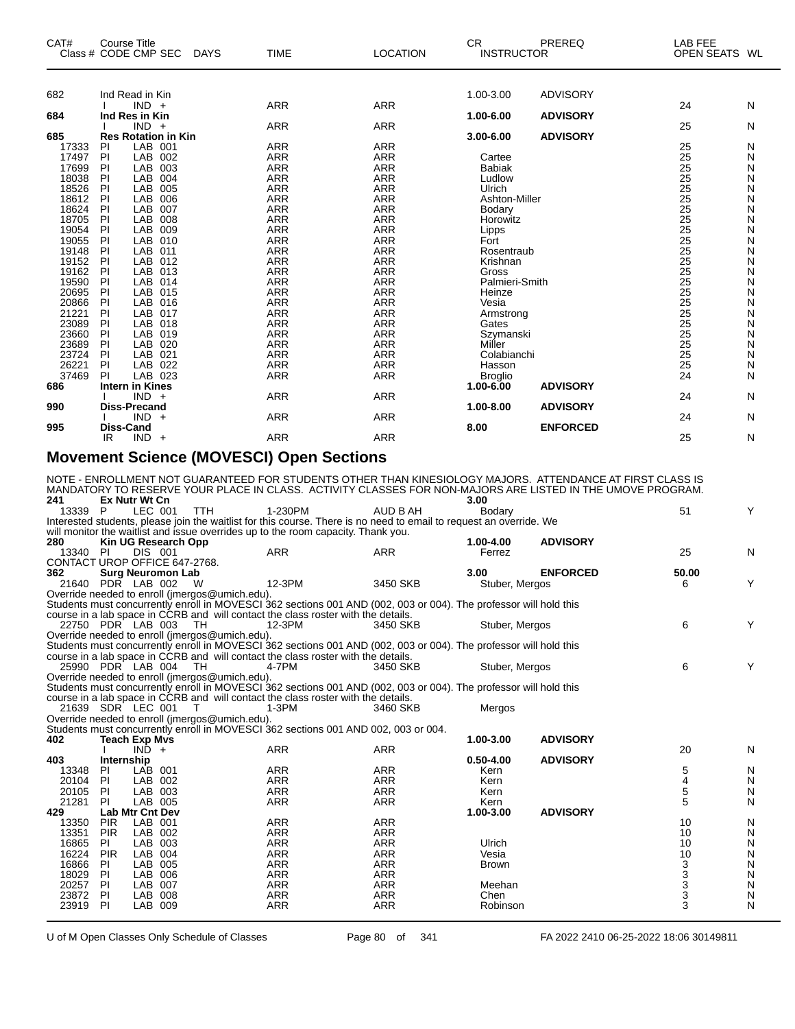| CAT#<br>Class # CODE CMP SEC |          | <b>Course Title</b>        |     | <b>DAYS</b> | <b>TIME</b>              | <b>LOCATION</b>          | <b>CR</b><br><b>INSTRUCTOR</b>  | PREREQ          | <b>LAB FEE</b><br>OPEN SEATS WL |        |
|------------------------------|----------|----------------------------|-----|-------------|--------------------------|--------------------------|---------------------------------|-----------------|---------------------------------|--------|
|                              |          |                            |     |             |                          |                          |                                 |                 |                                 |        |
| 682                          |          | Ind Read in Kin            |     |             |                          |                          | 1.00-3.00                       | <b>ADVISORY</b> |                                 |        |
| 684                          |          | $IND +$<br>Ind Res in Kin  |     |             | <b>ARR</b>               | <b>ARR</b>               | 1.00-6.00                       | <b>ADVISORY</b> | 24                              | N      |
|                              |          | $IND +$                    |     |             | <b>ARR</b>               | <b>ARR</b>               |                                 |                 | 25                              | N      |
| 685                          |          | <b>Res Rotation in Kin</b> |     |             |                          |                          | 3.00-6.00                       | <b>ADVISORY</b> |                                 |        |
| 17333                        | PI       | LAB 001                    |     |             | <b>ARR</b>               | <b>ARR</b>               |                                 |                 | 25                              | N      |
| 17497                        | PI       | LAB 002                    |     |             | <b>ARR</b>               | <b>ARR</b>               | Cartee                          |                 | 25                              | N      |
| 17699                        | PI       | LAB 003                    |     |             | <b>ARR</b>               | <b>ARR</b>               | <b>Babiak</b>                   |                 | 25                              | N      |
| 18038                        | PI       | LAB                        | 004 |             | <b>ARR</b>               | <b>ARR</b>               | Ludlow                          |                 | 25                              | N      |
| 18526                        | PI       | LAB                        | 005 |             | <b>ARR</b>               | <b>ARR</b>               | Ulrich                          |                 | 25                              | N      |
| 18612                        | PI       | <b>LAB</b>                 | 006 |             | <b>ARR</b>               | <b>ARR</b>               | Ashton-Miller                   |                 |                                 | Ν      |
| 18624                        | PI       | LAB 007                    |     |             | <b>ARR</b>               | <b>ARR</b>               | Bodary                          |                 |                                 | Ν      |
| 18705                        | PI       | LAB 008                    |     |             | <b>ARR</b>               | <b>ARR</b>               | Horowitz                        |                 | 25<br>25<br>25                  | N      |
| 19054                        | PI       | LAB 009                    |     |             | <b>ARR</b>               | <b>ARR</b>               | Lipps                           |                 | $\frac{25}{25}$                 | N      |
| 19055                        | PI       | LAB 010                    |     |             | <b>ARR</b>               | <b>ARR</b>               | Fort                            |                 |                                 | N      |
| 19148                        | PI       | LAB 011                    |     |             | <b>ARR</b>               | <b>ARR</b>               | Rosentraub                      |                 | 25                              | Ν      |
| 19152                        | PI       | LAB 012                    |     |             | <b>ARR</b>               | <b>ARR</b>               | Krishnan                        |                 | $\overline{25}$                 | Ν      |
| 19162                        | PI       | LAB 013                    |     |             | <b>ARR</b>               | <b>ARR</b>               | Gross                           |                 | 25                              | N      |
| 19590                        | PI       | LAB 014                    |     |             | <b>ARR</b>               | <b>ARR</b>               | Palmieri-Smith                  |                 | 25                              | N      |
| 20695                        | PI       | LAB 015                    |     |             | <b>ARR</b>               | <b>ARR</b>               | Heinze                          |                 | $\frac{25}{25}$                 | N      |
| 20866                        | PI       | LAB 016                    |     |             | <b>ARR</b>               | <b>ARR</b>               | Vesia                           |                 |                                 | N      |
| 21221                        | PI       | LAB 017                    |     |             | <b>ARR</b>               | <b>ARR</b>               | Armstrong                       |                 | $\frac{25}{25}$                 | Ν      |
| 23089                        | PI       | LAB 018                    |     |             | <b>ARR</b>               | <b>ARR</b>               | Gates                           |                 |                                 | Ν      |
| 23660                        | PI       | LAB 019                    |     |             | <b>ARR</b>               | <b>ARR</b>               | Szymanski                       |                 | 25                              | Ν      |
| 23689<br>23724               | PI       | LAB 020                    |     |             | <b>ARR</b>               | <b>ARR</b>               | Miller                          |                 | $\frac{25}{25}$                 | N      |
| 26221                        | PI<br>PI | LAB 021                    |     |             | <b>ARR</b><br><b>ARR</b> | <b>ARR</b>               | Colabianchi                     |                 | 25                              | N      |
| 37469                        | PI       | LAB 022<br>LAB 023         |     |             | <b>ARR</b>               | <b>ARR</b><br><b>ARR</b> | Hasson                          |                 | 24                              | N<br>N |
| 686                          |          | <b>Intern in Kines</b>     |     |             |                          |                          | <b>Broglio</b><br>$1.00 - 6.00$ | <b>ADVISORY</b> |                                 |        |
|                              |          | $IND +$                    |     |             | <b>ARR</b>               | <b>ARR</b>               |                                 |                 | 24                              | N      |
| 990                          |          | <b>Diss-Precand</b>        |     |             |                          |                          | 1.00-8.00                       | <b>ADVISORY</b> |                                 |        |
|                              |          | $IND +$                    |     |             | <b>ARR</b>               | <b>ARR</b>               |                                 |                 | 24                              | N      |
| 995                          |          | <b>Diss-Cand</b>           |     |             |                          |                          | 8.00                            | <b>ENFORCED</b> |                                 |        |
|                              | IR.      | $IND +$                    |     |             | <b>ARR</b>               | <b>ARR</b>               |                                 |                 | 25                              | N      |
|                              |          | $\sim$ $\sim$ $\sim$       |     |             |                          |                          |                                 |                 |                                 |        |

#### **Movement Science (MOVESCI) Open Sections**

| Ex Nutr Wt Cn<br>LEC 001<br>1-230PM<br>AUD B AH<br>51<br>Y<br>13339 P<br><b>TTH</b><br>Bodary<br>Interested students, please join the waitlist for this course. There is no need to email to request an override. We<br>will monitor the waitlist and issue overrides up to the room capacity. Thank you.<br>280<br>1.00-4.00<br><b>ADVISORY</b><br>Kin UG Research Opp<br><b>DIS 001</b><br><b>ARR</b><br><b>ARR</b><br>25<br>N<br>13340 PI<br>Ferrez<br>CONTACT UROP OFFICE 647-2768.<br>362<br>3.00<br><b>ENFORCED</b><br><b>Surg Neuromon Lab</b><br>50.00<br>Y<br>21640 PDR LAB 002<br>12-3PM<br>3450 SKB<br>Stuber, Mergos<br>W<br>6<br>Override needed to enroll (jmergos@umich.edu).<br>Students must concurrently enroll in MOVESCI 362 sections 001 AND (002, 003 or 004). The professor will hold this<br>course in a lab space in CCRB and will contact the class roster with the details.<br>6<br>Y<br>22750 PDR LAB 003<br>TH<br>12-3PM<br>3450 SKB<br>Stuber, Mergos<br>Override needed to enroll (jmergos@umich.edu).<br>Students must concurrently enroll in MOVESCI 362 sections 001 AND (002, 003 or 004). The professor will hold this<br>course in a lab space in CCRB and will contact the class roster with the details.<br>6<br>Y<br>25990 PDR LAB 004<br>4-7PM<br>- TH<br>3450 SKB<br>Stuber, Mergos<br>Override needed to enroll (imergos@umich.edu).<br>Students must concurrently enroll in MOVESCI 362 sections 001 AND (002, 003 or 004). The professor will hold this<br>course in a lab space in CCRB and will contact the class roster with the details.<br>21639 SDR LEC 001<br>$1-3PM$<br>3460 SKB<br>Mergos<br>T<br>Override needed to enroll (jmergos@umich.edu).<br>Students must concurrently enroll in MOVESCI 362 sections 001 AND 002, 003 or 004.<br>402<br><b>ADVISORY</b><br>1.00-3.00<br><b>Teach Exp Mvs</b><br>$IND +$<br><b>ARR</b><br><b>ARR</b><br>20<br>N<br>$0.50 - 4.00$<br><b>ADVISORY</b><br>403<br>Internship<br>LAB 001<br><b>ARR</b><br><b>ARR</b><br>5<br>N<br>13348<br>Kern<br>-PI<br>$\overline{4}$<br><b>ARR</b><br>N<br>20104<br><b>PI</b><br><b>LAB</b><br>002<br><b>ARR</b><br>Kern<br>5<br>20105<br><b>PI</b><br>LAB 003<br><b>ARR</b><br><b>ARR</b><br>N<br>Kern<br>21281<br><b>ARR</b><br>5<br><b>PI</b><br>LAB 005<br><b>ARR</b><br>N<br>Kern<br>429<br><b>Lab Mtr Cnt Dev</b><br>1.00-3.00<br><b>ADVISORY</b><br><b>ARR</b><br><b>PIR</b><br>LAB 001<br><b>ARR</b><br>N<br>13350<br>10<br>$\mathsf{N}$<br><b>PIR</b><br>LAB 002<br><b>ARR</b><br><b>ARR</b><br>10<br>13351<br>16865<br>LAB<br>003<br><b>ARR</b><br><b>ARR</b><br>Ulrich<br>10<br>N<br>PI.<br>16224<br><b>PIR</b><br>LAB 004<br><b>ARR</b><br><b>ARR</b><br>10<br>N<br>Vesia<br>3<br>N<br>16866<br><b>LAB</b><br>005<br>ARR<br>ARR<br>PI<br><b>Brown</b> |     |  |  | NOTE - ENROLLMENT NOT GUARANTEED FOR STUDENTS OTHER THAN KINESIOLOGY MAJORS. ATTENDANCE AT FIRST CLASS IS<br>MANDATORY TO RESERVE YOUR PLACE IN CLASS. ACTIVITY CLASSES FOR NON-MAJORS ARE LISTED IN THE UMOVE PROGRAM. |      |                |           |
|------------------------------------------------------------------------------------------------------------------------------------------------------------------------------------------------------------------------------------------------------------------------------------------------------------------------------------------------------------------------------------------------------------------------------------------------------------------------------------------------------------------------------------------------------------------------------------------------------------------------------------------------------------------------------------------------------------------------------------------------------------------------------------------------------------------------------------------------------------------------------------------------------------------------------------------------------------------------------------------------------------------------------------------------------------------------------------------------------------------------------------------------------------------------------------------------------------------------------------------------------------------------------------------------------------------------------------------------------------------------------------------------------------------------------------------------------------------------------------------------------------------------------------------------------------------------------------------------------------------------------------------------------------------------------------------------------------------------------------------------------------------------------------------------------------------------------------------------------------------------------------------------------------------------------------------------------------------------------------------------------------------------------------------------------------------------------------------------------------------------------------------------------------------------------------------------------------------------------------------------------------------------------------------------------------------------------------------------------------------------------------------------------------------------------------------------------------------------------------------------------------------------------------------------------------------------------------------------------------------------------------------------------------------------------------------------------------------------------------------------------------------------------------------------|-----|--|--|-------------------------------------------------------------------------------------------------------------------------------------------------------------------------------------------------------------------------|------|----------------|-----------|
|                                                                                                                                                                                                                                                                                                                                                                                                                                                                                                                                                                                                                                                                                                                                                                                                                                                                                                                                                                                                                                                                                                                                                                                                                                                                                                                                                                                                                                                                                                                                                                                                                                                                                                                                                                                                                                                                                                                                                                                                                                                                                                                                                                                                                                                                                                                                                                                                                                                                                                                                                                                                                                                                                                                                                                                                | 241 |  |  |                                                                                                                                                                                                                         | 3.00 |                |           |
|                                                                                                                                                                                                                                                                                                                                                                                                                                                                                                                                                                                                                                                                                                                                                                                                                                                                                                                                                                                                                                                                                                                                                                                                                                                                                                                                                                                                                                                                                                                                                                                                                                                                                                                                                                                                                                                                                                                                                                                                                                                                                                                                                                                                                                                                                                                                                                                                                                                                                                                                                                                                                                                                                                                                                                                                |     |  |  |                                                                                                                                                                                                                         |      |                |           |
|                                                                                                                                                                                                                                                                                                                                                                                                                                                                                                                                                                                                                                                                                                                                                                                                                                                                                                                                                                                                                                                                                                                                                                                                                                                                                                                                                                                                                                                                                                                                                                                                                                                                                                                                                                                                                                                                                                                                                                                                                                                                                                                                                                                                                                                                                                                                                                                                                                                                                                                                                                                                                                                                                                                                                                                                |     |  |  |                                                                                                                                                                                                                         |      |                |           |
|                                                                                                                                                                                                                                                                                                                                                                                                                                                                                                                                                                                                                                                                                                                                                                                                                                                                                                                                                                                                                                                                                                                                                                                                                                                                                                                                                                                                                                                                                                                                                                                                                                                                                                                                                                                                                                                                                                                                                                                                                                                                                                                                                                                                                                                                                                                                                                                                                                                                                                                                                                                                                                                                                                                                                                                                |     |  |  |                                                                                                                                                                                                                         |      |                |           |
|                                                                                                                                                                                                                                                                                                                                                                                                                                                                                                                                                                                                                                                                                                                                                                                                                                                                                                                                                                                                                                                                                                                                                                                                                                                                                                                                                                                                                                                                                                                                                                                                                                                                                                                                                                                                                                                                                                                                                                                                                                                                                                                                                                                                                                                                                                                                                                                                                                                                                                                                                                                                                                                                                                                                                                                                |     |  |  |                                                                                                                                                                                                                         |      |                |           |
|                                                                                                                                                                                                                                                                                                                                                                                                                                                                                                                                                                                                                                                                                                                                                                                                                                                                                                                                                                                                                                                                                                                                                                                                                                                                                                                                                                                                                                                                                                                                                                                                                                                                                                                                                                                                                                                                                                                                                                                                                                                                                                                                                                                                                                                                                                                                                                                                                                                                                                                                                                                                                                                                                                                                                                                                |     |  |  |                                                                                                                                                                                                                         |      |                |           |
|                                                                                                                                                                                                                                                                                                                                                                                                                                                                                                                                                                                                                                                                                                                                                                                                                                                                                                                                                                                                                                                                                                                                                                                                                                                                                                                                                                                                                                                                                                                                                                                                                                                                                                                                                                                                                                                                                                                                                                                                                                                                                                                                                                                                                                                                                                                                                                                                                                                                                                                                                                                                                                                                                                                                                                                                |     |  |  |                                                                                                                                                                                                                         |      |                |           |
|                                                                                                                                                                                                                                                                                                                                                                                                                                                                                                                                                                                                                                                                                                                                                                                                                                                                                                                                                                                                                                                                                                                                                                                                                                                                                                                                                                                                                                                                                                                                                                                                                                                                                                                                                                                                                                                                                                                                                                                                                                                                                                                                                                                                                                                                                                                                                                                                                                                                                                                                                                                                                                                                                                                                                                                                |     |  |  |                                                                                                                                                                                                                         |      |                |           |
|                                                                                                                                                                                                                                                                                                                                                                                                                                                                                                                                                                                                                                                                                                                                                                                                                                                                                                                                                                                                                                                                                                                                                                                                                                                                                                                                                                                                                                                                                                                                                                                                                                                                                                                                                                                                                                                                                                                                                                                                                                                                                                                                                                                                                                                                                                                                                                                                                                                                                                                                                                                                                                                                                                                                                                                                |     |  |  |                                                                                                                                                                                                                         |      |                |           |
|                                                                                                                                                                                                                                                                                                                                                                                                                                                                                                                                                                                                                                                                                                                                                                                                                                                                                                                                                                                                                                                                                                                                                                                                                                                                                                                                                                                                                                                                                                                                                                                                                                                                                                                                                                                                                                                                                                                                                                                                                                                                                                                                                                                                                                                                                                                                                                                                                                                                                                                                                                                                                                                                                                                                                                                                |     |  |  |                                                                                                                                                                                                                         |      |                |           |
|                                                                                                                                                                                                                                                                                                                                                                                                                                                                                                                                                                                                                                                                                                                                                                                                                                                                                                                                                                                                                                                                                                                                                                                                                                                                                                                                                                                                                                                                                                                                                                                                                                                                                                                                                                                                                                                                                                                                                                                                                                                                                                                                                                                                                                                                                                                                                                                                                                                                                                                                                                                                                                                                                                                                                                                                |     |  |  |                                                                                                                                                                                                                         |      |                |           |
|                                                                                                                                                                                                                                                                                                                                                                                                                                                                                                                                                                                                                                                                                                                                                                                                                                                                                                                                                                                                                                                                                                                                                                                                                                                                                                                                                                                                                                                                                                                                                                                                                                                                                                                                                                                                                                                                                                                                                                                                                                                                                                                                                                                                                                                                                                                                                                                                                                                                                                                                                                                                                                                                                                                                                                                                |     |  |  |                                                                                                                                                                                                                         |      |                |           |
|                                                                                                                                                                                                                                                                                                                                                                                                                                                                                                                                                                                                                                                                                                                                                                                                                                                                                                                                                                                                                                                                                                                                                                                                                                                                                                                                                                                                                                                                                                                                                                                                                                                                                                                                                                                                                                                                                                                                                                                                                                                                                                                                                                                                                                                                                                                                                                                                                                                                                                                                                                                                                                                                                                                                                                                                |     |  |  |                                                                                                                                                                                                                         |      |                |           |
|                                                                                                                                                                                                                                                                                                                                                                                                                                                                                                                                                                                                                                                                                                                                                                                                                                                                                                                                                                                                                                                                                                                                                                                                                                                                                                                                                                                                                                                                                                                                                                                                                                                                                                                                                                                                                                                                                                                                                                                                                                                                                                                                                                                                                                                                                                                                                                                                                                                                                                                                                                                                                                                                                                                                                                                                |     |  |  |                                                                                                                                                                                                                         |      |                |           |
|                                                                                                                                                                                                                                                                                                                                                                                                                                                                                                                                                                                                                                                                                                                                                                                                                                                                                                                                                                                                                                                                                                                                                                                                                                                                                                                                                                                                                                                                                                                                                                                                                                                                                                                                                                                                                                                                                                                                                                                                                                                                                                                                                                                                                                                                                                                                                                                                                                                                                                                                                                                                                                                                                                                                                                                                |     |  |  |                                                                                                                                                                                                                         |      |                |           |
|                                                                                                                                                                                                                                                                                                                                                                                                                                                                                                                                                                                                                                                                                                                                                                                                                                                                                                                                                                                                                                                                                                                                                                                                                                                                                                                                                                                                                                                                                                                                                                                                                                                                                                                                                                                                                                                                                                                                                                                                                                                                                                                                                                                                                                                                                                                                                                                                                                                                                                                                                                                                                                                                                                                                                                                                |     |  |  |                                                                                                                                                                                                                         |      |                |           |
|                                                                                                                                                                                                                                                                                                                                                                                                                                                                                                                                                                                                                                                                                                                                                                                                                                                                                                                                                                                                                                                                                                                                                                                                                                                                                                                                                                                                                                                                                                                                                                                                                                                                                                                                                                                                                                                                                                                                                                                                                                                                                                                                                                                                                                                                                                                                                                                                                                                                                                                                                                                                                                                                                                                                                                                                |     |  |  |                                                                                                                                                                                                                         |      |                |           |
|                                                                                                                                                                                                                                                                                                                                                                                                                                                                                                                                                                                                                                                                                                                                                                                                                                                                                                                                                                                                                                                                                                                                                                                                                                                                                                                                                                                                                                                                                                                                                                                                                                                                                                                                                                                                                                                                                                                                                                                                                                                                                                                                                                                                                                                                                                                                                                                                                                                                                                                                                                                                                                                                                                                                                                                                |     |  |  |                                                                                                                                                                                                                         |      |                |           |
|                                                                                                                                                                                                                                                                                                                                                                                                                                                                                                                                                                                                                                                                                                                                                                                                                                                                                                                                                                                                                                                                                                                                                                                                                                                                                                                                                                                                                                                                                                                                                                                                                                                                                                                                                                                                                                                                                                                                                                                                                                                                                                                                                                                                                                                                                                                                                                                                                                                                                                                                                                                                                                                                                                                                                                                                |     |  |  |                                                                                                                                                                                                                         |      |                |           |
|                                                                                                                                                                                                                                                                                                                                                                                                                                                                                                                                                                                                                                                                                                                                                                                                                                                                                                                                                                                                                                                                                                                                                                                                                                                                                                                                                                                                                                                                                                                                                                                                                                                                                                                                                                                                                                                                                                                                                                                                                                                                                                                                                                                                                                                                                                                                                                                                                                                                                                                                                                                                                                                                                                                                                                                                |     |  |  |                                                                                                                                                                                                                         |      |                |           |
|                                                                                                                                                                                                                                                                                                                                                                                                                                                                                                                                                                                                                                                                                                                                                                                                                                                                                                                                                                                                                                                                                                                                                                                                                                                                                                                                                                                                                                                                                                                                                                                                                                                                                                                                                                                                                                                                                                                                                                                                                                                                                                                                                                                                                                                                                                                                                                                                                                                                                                                                                                                                                                                                                                                                                                                                |     |  |  |                                                                                                                                                                                                                         |      |                |           |
|                                                                                                                                                                                                                                                                                                                                                                                                                                                                                                                                                                                                                                                                                                                                                                                                                                                                                                                                                                                                                                                                                                                                                                                                                                                                                                                                                                                                                                                                                                                                                                                                                                                                                                                                                                                                                                                                                                                                                                                                                                                                                                                                                                                                                                                                                                                                                                                                                                                                                                                                                                                                                                                                                                                                                                                                |     |  |  |                                                                                                                                                                                                                         |      |                |           |
|                                                                                                                                                                                                                                                                                                                                                                                                                                                                                                                                                                                                                                                                                                                                                                                                                                                                                                                                                                                                                                                                                                                                                                                                                                                                                                                                                                                                                                                                                                                                                                                                                                                                                                                                                                                                                                                                                                                                                                                                                                                                                                                                                                                                                                                                                                                                                                                                                                                                                                                                                                                                                                                                                                                                                                                                |     |  |  |                                                                                                                                                                                                                         |      |                |           |
|                                                                                                                                                                                                                                                                                                                                                                                                                                                                                                                                                                                                                                                                                                                                                                                                                                                                                                                                                                                                                                                                                                                                                                                                                                                                                                                                                                                                                                                                                                                                                                                                                                                                                                                                                                                                                                                                                                                                                                                                                                                                                                                                                                                                                                                                                                                                                                                                                                                                                                                                                                                                                                                                                                                                                                                                |     |  |  |                                                                                                                                                                                                                         |      |                |           |
|                                                                                                                                                                                                                                                                                                                                                                                                                                                                                                                                                                                                                                                                                                                                                                                                                                                                                                                                                                                                                                                                                                                                                                                                                                                                                                                                                                                                                                                                                                                                                                                                                                                                                                                                                                                                                                                                                                                                                                                                                                                                                                                                                                                                                                                                                                                                                                                                                                                                                                                                                                                                                                                                                                                                                                                                |     |  |  |                                                                                                                                                                                                                         |      |                |           |
|                                                                                                                                                                                                                                                                                                                                                                                                                                                                                                                                                                                                                                                                                                                                                                                                                                                                                                                                                                                                                                                                                                                                                                                                                                                                                                                                                                                                                                                                                                                                                                                                                                                                                                                                                                                                                                                                                                                                                                                                                                                                                                                                                                                                                                                                                                                                                                                                                                                                                                                                                                                                                                                                                                                                                                                                |     |  |  |                                                                                                                                                                                                                         |      |                |           |
|                                                                                                                                                                                                                                                                                                                                                                                                                                                                                                                                                                                                                                                                                                                                                                                                                                                                                                                                                                                                                                                                                                                                                                                                                                                                                                                                                                                                                                                                                                                                                                                                                                                                                                                                                                                                                                                                                                                                                                                                                                                                                                                                                                                                                                                                                                                                                                                                                                                                                                                                                                                                                                                                                                                                                                                                |     |  |  |                                                                                                                                                                                                                         |      |                |           |
|                                                                                                                                                                                                                                                                                                                                                                                                                                                                                                                                                                                                                                                                                                                                                                                                                                                                                                                                                                                                                                                                                                                                                                                                                                                                                                                                                                                                                                                                                                                                                                                                                                                                                                                                                                                                                                                                                                                                                                                                                                                                                                                                                                                                                                                                                                                                                                                                                                                                                                                                                                                                                                                                                                                                                                                                |     |  |  |                                                                                                                                                                                                                         |      |                |           |
|                                                                                                                                                                                                                                                                                                                                                                                                                                                                                                                                                                                                                                                                                                                                                                                                                                                                                                                                                                                                                                                                                                                                                                                                                                                                                                                                                                                                                                                                                                                                                                                                                                                                                                                                                                                                                                                                                                                                                                                                                                                                                                                                                                                                                                                                                                                                                                                                                                                                                                                                                                                                                                                                                                                                                                                                |     |  |  |                                                                                                                                                                                                                         |      |                |           |
|                                                                                                                                                                                                                                                                                                                                                                                                                                                                                                                                                                                                                                                                                                                                                                                                                                                                                                                                                                                                                                                                                                                                                                                                                                                                                                                                                                                                                                                                                                                                                                                                                                                                                                                                                                                                                                                                                                                                                                                                                                                                                                                                                                                                                                                                                                                                                                                                                                                                                                                                                                                                                                                                                                                                                                                                |     |  |  |                                                                                                                                                                                                                         |      |                |           |
|                                                                                                                                                                                                                                                                                                                                                                                                                                                                                                                                                                                                                                                                                                                                                                                                                                                                                                                                                                                                                                                                                                                                                                                                                                                                                                                                                                                                                                                                                                                                                                                                                                                                                                                                                                                                                                                                                                                                                                                                                                                                                                                                                                                                                                                                                                                                                                                                                                                                                                                                                                                                                                                                                                                                                                                                |     |  |  |                                                                                                                                                                                                                         |      |                |           |
|                                                                                                                                                                                                                                                                                                                                                                                                                                                                                                                                                                                                                                                                                                                                                                                                                                                                                                                                                                                                                                                                                                                                                                                                                                                                                                                                                                                                                                                                                                                                                                                                                                                                                                                                                                                                                                                                                                                                                                                                                                                                                                                                                                                                                                                                                                                                                                                                                                                                                                                                                                                                                                                                                                                                                                                                |     |  |  |                                                                                                                                                                                                                         |      |                |           |
|                                                                                                                                                                                                                                                                                                                                                                                                                                                                                                                                                                                                                                                                                                                                                                                                                                                                                                                                                                                                                                                                                                                                                                                                                                                                                                                                                                                                                                                                                                                                                                                                                                                                                                                                                                                                                                                                                                                                                                                                                                                                                                                                                                                                                                                                                                                                                                                                                                                                                                                                                                                                                                                                                                                                                                                                |     |  |  |                                                                                                                                                                                                                         |      |                |           |
|                                                                                                                                                                                                                                                                                                                                                                                                                                                                                                                                                                                                                                                                                                                                                                                                                                                                                                                                                                                                                                                                                                                                                                                                                                                                                                                                                                                                                                                                                                                                                                                                                                                                                                                                                                                                                                                                                                                                                                                                                                                                                                                                                                                                                                                                                                                                                                                                                                                                                                                                                                                                                                                                                                                                                                                                |     |  |  |                                                                                                                                                                                                                         |      |                |           |
|                                                                                                                                                                                                                                                                                                                                                                                                                                                                                                                                                                                                                                                                                                                                                                                                                                                                                                                                                                                                                                                                                                                                                                                                                                                                                                                                                                                                                                                                                                                                                                                                                                                                                                                                                                                                                                                                                                                                                                                                                                                                                                                                                                                                                                                                                                                                                                                                                                                                                                                                                                                                                                                                                                                                                                                                |     |  |  |                                                                                                                                                                                                                         |      |                |           |
|                                                                                                                                                                                                                                                                                                                                                                                                                                                                                                                                                                                                                                                                                                                                                                                                                                                                                                                                                                                                                                                                                                                                                                                                                                                                                                                                                                                                                                                                                                                                                                                                                                                                                                                                                                                                                                                                                                                                                                                                                                                                                                                                                                                                                                                                                                                                                                                                                                                                                                                                                                                                                                                                                                                                                                                                |     |  |  |                                                                                                                                                                                                                         |      |                |           |
| 18029<br>LAB<br><b>ARR</b><br>PI<br>006<br><b>ARR</b>                                                                                                                                                                                                                                                                                                                                                                                                                                                                                                                                                                                                                                                                                                                                                                                                                                                                                                                                                                                                                                                                                                                                                                                                                                                                                                                                                                                                                                                                                                                                                                                                                                                                                                                                                                                                                                                                                                                                                                                                                                                                                                                                                                                                                                                                                                                                                                                                                                                                                                                                                                                                                                                                                                                                          |     |  |  |                                                                                                                                                                                                                         |      | $\overline{3}$ | ${\sf N}$ |
| 3<br>N<br>20257<br>PI<br>LAB 007<br><b>ARR</b><br><b>ARR</b><br>Meehan                                                                                                                                                                                                                                                                                                                                                                                                                                                                                                                                                                                                                                                                                                                                                                                                                                                                                                                                                                                                                                                                                                                                                                                                                                                                                                                                                                                                                                                                                                                                                                                                                                                                                                                                                                                                                                                                                                                                                                                                                                                                                                                                                                                                                                                                                                                                                                                                                                                                                                                                                                                                                                                                                                                         |     |  |  |                                                                                                                                                                                                                         |      |                |           |
| 3<br>23872<br>LAB 008<br>N<br>PI<br>ARR<br><b>ARR</b><br>Chen                                                                                                                                                                                                                                                                                                                                                                                                                                                                                                                                                                                                                                                                                                                                                                                                                                                                                                                                                                                                                                                                                                                                                                                                                                                                                                                                                                                                                                                                                                                                                                                                                                                                                                                                                                                                                                                                                                                                                                                                                                                                                                                                                                                                                                                                                                                                                                                                                                                                                                                                                                                                                                                                                                                                  |     |  |  |                                                                                                                                                                                                                         |      |                |           |
| 3<br>N<br>23919 PI<br>LAB 009<br><b>ARR</b><br><b>ARR</b><br>Robinson                                                                                                                                                                                                                                                                                                                                                                                                                                                                                                                                                                                                                                                                                                                                                                                                                                                                                                                                                                                                                                                                                                                                                                                                                                                                                                                                                                                                                                                                                                                                                                                                                                                                                                                                                                                                                                                                                                                                                                                                                                                                                                                                                                                                                                                                                                                                                                                                                                                                                                                                                                                                                                                                                                                          |     |  |  |                                                                                                                                                                                                                         |      |                |           |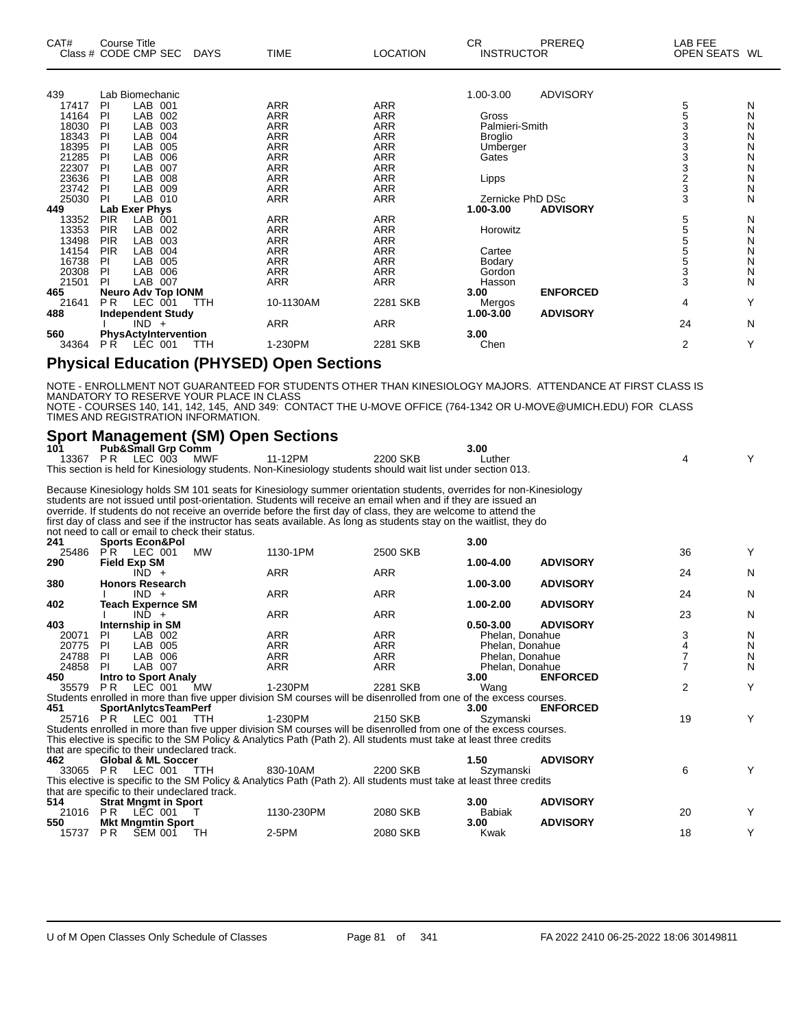| CAT#  | Course Title<br>Class # CODE CMP SEC | <b>DAYS</b> | <b>TIME</b> | <b>LOCATION</b> | CR.<br><b>INSTRUCTOR</b> | <b>PREREQ</b>   | LAB FEE<br>OPEN SEATS WL |   |
|-------|--------------------------------------|-------------|-------------|-----------------|--------------------------|-----------------|--------------------------|---|
| 439   | Lab Biomechanic                      |             |             |                 | 1.00-3.00                | <b>ADVISORY</b> |                          |   |
| 17417 | LAB 001<br>PI                        |             | <b>ARR</b>  | <b>ARR</b>      |                          |                 | 5                        | N |
| 14164 | PI<br>LAB<br>002                     |             | ARR         | <b>ARR</b>      | Gross                    |                 | 5                        | Ν |
| 18030 | LAB<br>PI<br>003                     |             | <b>ARR</b>  | <b>ARR</b>      | Palmieri-Smith           |                 | 3                        | N |
| 18343 | LAB<br><b>PI</b><br>004              |             | <b>ARR</b>  | <b>ARR</b>      | <b>Broglio</b>           |                 |                          | Ν |
| 18395 | LAB<br>PI<br>005                     |             | <b>ARR</b>  | <b>ARR</b>      | Umberger                 |                 | 3                        | N |
| 21285 | PI<br>LAB<br>006                     |             | <b>ARR</b>  | <b>ARR</b>      | Gates                    |                 | 3<br>3                   | N |
| 22307 | LAB<br>PI<br>007                     |             | <b>ARR</b>  | <b>ARR</b>      |                          |                 |                          | N |
| 23636 | LAB<br>PI<br>008                     |             | <b>ARR</b>  | <b>ARR</b>      | Lipps                    |                 | $\frac{2}{3}$            | N |
| 23742 | LAB<br>PI<br>009                     |             | <b>ARR</b>  | <b>ARR</b>      |                          |                 |                          | N |
| 25030 | LAB 010<br><b>PI</b>                 |             | <b>ARR</b>  | <b>ARR</b>      | Zernicke PhD DSc         |                 | 3                        | N |
| 449   | Lab Exer Phys                        |             |             |                 | 1.00-3.00                | <b>ADVISORY</b> |                          |   |
| 13352 | <b>PIR</b><br>LAB<br>001             |             | <b>ARR</b>  | <b>ARR</b>      |                          |                 | 5                        | N |
| 13353 | <b>PIR</b><br>LAB<br>002             |             | <b>ARR</b>  | <b>ARR</b>      | Horowitz                 |                 | 5                        | N |
| 13498 | <b>PIR</b><br>LAB<br>003             |             | <b>ARR</b>  | <b>ARR</b>      |                          |                 | 5                        | N |
| 14154 | <b>PIR</b><br><b>LAB</b><br>004      |             | <b>ARR</b>  | <b>ARR</b>      | Cartee                   |                 | 5                        | N |
| 16738 | LAB<br>PI<br>005                     |             | <b>ARR</b>  | <b>ARR</b>      | Bodary                   |                 | $\frac{5}{3}$            | N |
| 20308 | LAB<br>006<br>PI                     |             | <b>ARR</b>  | <b>ARR</b>      | Gordon                   |                 |                          | N |
| 21501 | LAB 007<br>PI                        |             | <b>ARR</b>  | <b>ARR</b>      | Hasson                   |                 | 3                        | N |
| 465   | <b>Neuro Adv Top IONM</b>            |             |             |                 | 3.00                     | <b>ENFORCED</b> |                          |   |
| 21641 | P <sub>R</sub><br>LEC 001            | <b>TTH</b>  | 10-1130AM   | 2281 SKB        | Mergos                   |                 | 4                        | Y |
| 488   | <b>Independent Study</b>             |             |             |                 | 1.00-3.00                | <b>ADVISORY</b> |                          |   |
|       | $IND +$                              |             | <b>ARR</b>  | <b>ARR</b>      |                          |                 | 24                       | N |
| 560   | PhysActyIntervention                 |             |             |                 | 3.00                     |                 |                          |   |
| 34364 | LEC 001<br>P R                       | TTH         | 1-230PM     | 2281 SKB        | Chen                     |                 | $\overline{2}$           | Y |

#### **Physical Education (PHYSED) Open Sections**

NOTE - ENROLLMENT NOT GUARANTEED FOR STUDENTS OTHER THAN KINESIOLOGY MAJORS. ATTENDANCE AT FIRST CLASS IS MANDATORY TO RESERVE YOUR PLACE IN CLASS NOTE - COURSES 140, 141, 142, 145, AND 349: CONTACT THE U-MOVE OFFICE (764-1342 OR U-MOVE@UMICH.EDU) FOR CLASS TIMES AND REGISTRATION INFORMATION.

#### **Sport Management (SM) Open Sections**

| 101   |                     | <b>Pub&amp;Small Grp Comm</b>                |                                                  |                                                                                                                     |            | 3.00            |                 |                |   |
|-------|---------------------|----------------------------------------------|--------------------------------------------------|---------------------------------------------------------------------------------------------------------------------|------------|-----------------|-----------------|----------------|---|
| 13367 |                     | <b>PR LEC 003</b>                            | MWF                                              | 11-12PM                                                                                                             | 2200 SKB   | Luther          |                 | 4              | Y |
|       |                     |                                              |                                                  | This section is held for Kinesiology students. Non-Kinesiology students should wait list under section 013.         |            |                 |                 |                |   |
|       |                     |                                              |                                                  | Because Kinesiology holds SM 101 seats for Kinesiology summer orientation students, overrides for non-Kinesiology   |            |                 |                 |                |   |
|       |                     |                                              |                                                  | students are not issued until post-orientation. Students will receive an email when and if they are issued an       |            |                 |                 |                |   |
|       |                     |                                              |                                                  | override. If students do not receive an override before the first day of class, they are welcome to attend the      |            |                 |                 |                |   |
|       |                     |                                              |                                                  | first day of class and see if the instructor has seats available. As long as students stay on the waitlist, they do |            |                 |                 |                |   |
|       |                     |                                              | not need to call or email to check their status. |                                                                                                                     |            |                 |                 |                |   |
| 241   |                     | <b>Sports Econ&amp;Pol</b>                   |                                                  |                                                                                                                     |            | 3.00            |                 |                |   |
|       |                     | 25486 PR LEC 001                             | <b>MW</b>                                        | 1130-1PM                                                                                                            | 2500 SKB   |                 |                 | 36             | Y |
| 290   | <b>Field Exp SM</b> |                                              |                                                  |                                                                                                                     |            | 1.00-4.00       | <b>ADVISORY</b> |                |   |
|       |                     | $IND +$                                      |                                                  | <b>ARR</b>                                                                                                          | <b>ARR</b> |                 |                 | 24             | N |
| 380   |                     | <b>Honors Research</b>                       |                                                  |                                                                                                                     |            | 1.00-3.00       | <b>ADVISORY</b> |                |   |
|       |                     | $IND +$                                      |                                                  | <b>ARR</b>                                                                                                          | <b>ARR</b> |                 |                 | 24             | N |
| 402   |                     | <b>Teach Expernce SM</b>                     |                                                  |                                                                                                                     |            | 1.00-2.00       | <b>ADVISORY</b> |                |   |
|       |                     | $IND +$                                      |                                                  | <b>ARR</b>                                                                                                          | <b>ARR</b> |                 |                 | 23             | N |
| 403   |                     | Internship in SM                             |                                                  |                                                                                                                     |            | $0.50 - 3.00$   | <b>ADVISORY</b> |                |   |
| 20071 | PI                  | LAB 002                                      |                                                  | <b>ARR</b>                                                                                                          | <b>ARR</b> | Phelan, Donahue |                 | 3              | N |
| 20775 | <b>PI</b>           | LAB 005                                      |                                                  | <b>ARR</b>                                                                                                          | <b>ARR</b> | Phelan, Donahue |                 | 4              | N |
| 24788 | <b>PI</b>           | LAB 006                                      |                                                  | <b>ARR</b>                                                                                                          | <b>ARR</b> | Phelan, Donahue |                 |                | N |
| 24858 | <b>PI</b>           | LAB 007                                      |                                                  | <b>ARR</b>                                                                                                          | <b>ARR</b> | Phelan, Donahue |                 | $\overline{7}$ | N |
| 450   |                     | <b>Intro to Sport Analy</b>                  |                                                  |                                                                                                                     |            | 3.00            | <b>ENFORCED</b> |                |   |
| 35579 | PR                  | LEC 001                                      | MW                                               | 1-230PM                                                                                                             | 2281 SKB   | Wang            |                 | $\overline{2}$ | Y |
|       |                     |                                              |                                                  | Students enrolled in more than five upper division SM courses will be disenrolled from one of the excess courses.   |            |                 |                 |                |   |
| 451   |                     | <b>SportAnlytcsTeamPerf</b>                  |                                                  |                                                                                                                     |            | 3.00            | <b>ENFORCED</b> |                |   |
|       |                     | 25716 PR LEC 001                             | TTH                                              | 1-230PM                                                                                                             | 2150 SKB   | Szymanski       |                 | 19             | Y |
|       |                     |                                              |                                                  | Students enrolled in more than five upper division SM courses will be disenrolled from one of the excess courses.   |            |                 |                 |                |   |
|       |                     |                                              |                                                  | This elective is specific to the SM Policy & Analytics Path (Path 2). All students must take at least three credits |            |                 |                 |                |   |
|       |                     | that are specific to their undeclared track. |                                                  |                                                                                                                     |            |                 |                 |                |   |
| 462   |                     | <b>Global &amp; ML Soccer</b>                |                                                  |                                                                                                                     |            | 1.50            | <b>ADVISORY</b> |                |   |
|       |                     | 33065 PR LEC 001                             | <b>TTH</b>                                       | 830-10AM                                                                                                            | 2200 SKB   | Szymanski       |                 | 6              | Y |
|       |                     |                                              |                                                  | This elective is specific to the SM Policy & Analytics Path (Path 2). All students must take at least three credits |            |                 |                 |                |   |
|       |                     | that are specific to their undeclared track. |                                                  |                                                                                                                     |            |                 |                 |                |   |
| 514   |                     | <b>Strat Mngmt in Sport</b>                  |                                                  |                                                                                                                     |            | 3.00            | <b>ADVISORY</b> |                |   |
|       |                     | 21016 PR LEC 001                             | $\top$                                           | 1130-230PM                                                                                                          | 2080 SKB   | <b>Babiak</b>   |                 | 20             | Y |
| 550   |                     | <b>Mkt Mngmtin Sport</b>                     |                                                  |                                                                                                                     |            | 3.00            | <b>ADVISORY</b> |                |   |
| 15737 | P <sub>R</sub>      | <b>SEM 001</b>                               | TН                                               | 2-5PM                                                                                                               | 2080 SKB   | Kwak            |                 | 18             | Y |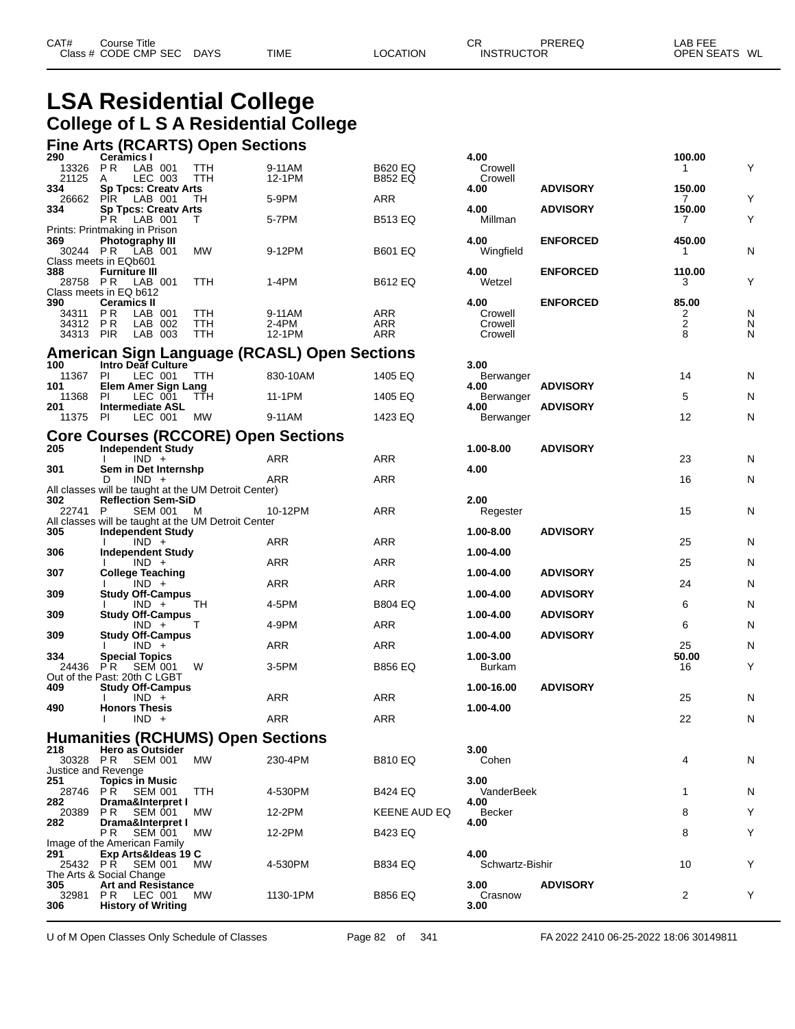## **LSA Residential College College of L S A Residential College**

# **Fine Arts (RCARTS) Open Sections 290 Ceramics I 4.00 100.00**

| LJV<br>13326 PR            | <b>UGIQIIIIUS I</b><br>LAB 001                                                    | TTH               | 9-11AM                                       | <b>B620 EQ</b> | טעד.<br>Crowell         |                 | <b>IVV.VV</b><br>$\mathbf{1}$ | Υ      |
|----------------------------|-----------------------------------------------------------------------------------|-------------------|----------------------------------------------|----------------|-------------------------|-----------------|-------------------------------|--------|
| 21125<br>334               | LEC 003<br>A<br><b>Sp Tpcs: Creaty Arts</b>                                       | TTH               | 12-1PM                                       | <b>B852 EQ</b> | Crowell<br>4.00         | <b>ADVISORY</b> | 150.00                        |        |
| 26662                      | PIR LAB 001                                                                       | TH                | 5-9PM                                        | <b>ARR</b>     |                         |                 | 7                             | Υ      |
| 334                        | <b>Sp Tpcs: Creatv Arts</b><br><b>PR</b> LAB 001                                  | Т                 | 5-7PM                                        | <b>B513 EQ</b> | 4.00<br>Millman         | <b>ADVISORY</b> | 150.00<br>7                   | Υ      |
| 369                        | Prints: Printmaking in Prison<br><b>Photography III</b>                           |                   |                                              |                | 4.00                    | <b>ENFORCED</b> | 450.00                        |        |
|                            | 30244 PR LAB 001                                                                  | <b>MW</b>         | 9-12PM                                       | <b>B601 EQ</b> | Wingfield               |                 | 1                             | N      |
| 388                        | Class meets in EQb601<br><b>Furniture III</b>                                     |                   |                                              |                | 4.00                    | <b>ENFORCED</b> | 110.00                        |        |
|                            | 28758 PR LAB 001<br>Class meets in EQ b612                                        | TTH               | 1-4PM                                        | <b>B612 EQ</b> | Wetzel                  |                 | 3                             | Υ      |
| 390                        | <b>Ceramics II</b>                                                                |                   |                                              |                | 4.00                    | <b>ENFORCED</b> | 85.00                         |        |
| 34311<br>34312 PR          | <b>PR</b><br>LAB 001<br>LAB 002                                                   | <b>TTH</b><br>TTH | 9-11AM<br>2-4PM                              | ARR<br>ARR     | Crowell<br>Crowell      |                 | 2<br>$\overline{c}$           | N<br>N |
| 34313 PIR                  | LAB 003                                                                           | <b>TTH</b>        | 12-1PM                                       | ARR            | Crowell                 |                 | 8                             | N      |
|                            |                                                                                   |                   | American Sign Language (RCASL) Open Sections |                |                         |                 |                               |        |
| 100<br>11367               | Intro Deaf Culture<br>PI<br>LEC 001                                               | <b>TTH</b>        | 830-10AM                                     | 1405 EQ        | 3.00<br>Berwanger       |                 | 14                            | N      |
| 101<br>11368               | <b>Elem Amer Sign Lang</b><br>LEC 001<br>PI.                                      | TŤH               | 11-1PM                                       | 1405 EQ        | 4.00<br>Berwanger       | <b>ADVISORY</b> | 5                             | N      |
| 201                        | <b>Intermediate ASL</b>                                                           |                   |                                              |                | 4.00                    | <b>ADVISORY</b> |                               |        |
| 11375 PI                   | LEC 001                                                                           | MW                | 9-11AM                                       | 1423 EQ        | Berwanger               |                 | 12                            | N      |
| 205                        | <b>Core Courses (RCCORE) Open Sections</b><br>Independent Study                   |                   |                                              |                | 1.00-8.00               | <b>ADVISORY</b> |                               |        |
|                            | $IND +$                                                                           |                   | ARR                                          | ARR            |                         |                 | 23                            | N      |
| 301                        | Sem in Det Internshp<br>D<br>$IND +$                                              |                   | ARR                                          | <b>ARR</b>     | 4.00                    |                 | 16                            | N      |
| 302                        | All classes will be taught at the UM Detroit Center)<br><b>Reflection Sem-SiD</b> |                   |                                              |                | 2.00                    |                 |                               |        |
| 22741 P                    | SEM 001                                                                           | M                 | 10-12PM                                      | <b>ARR</b>     | Regester                |                 | 15                            | N      |
| 305                        | All classes will be taught at the UM Detroit Center<br><b>Independent Study</b>   |                   |                                              |                | 1.00-8.00               | <b>ADVISORY</b> |                               |        |
| 306                        | $IND +$<br><b>Independent Study</b>                                               |                   | ARR                                          | <b>ARR</b>     | 1.00-4.00               |                 | 25                            | N      |
|                            | $IND +$                                                                           |                   | ARR                                          | ARR            |                         |                 | 25                            | N      |
| 307                        | <b>College Teaching</b><br>$IND +$                                                |                   | <b>ARR</b>                                   | <b>ARR</b>     | 1.00-4.00               | <b>ADVISORY</b> | 24                            | N      |
| 309                        | <b>Study Off-Campus</b><br>$IND +$                                                | TH                | 4-5PM                                        | <b>B804 EQ</b> | 1.00-4.00               | <b>ADVISORY</b> | 6                             | N      |
| 309                        | <b>Study Off-Campus</b><br>$IND +$                                                | Т                 | 4-9PM                                        | ARR            | 1.00-4.00               | <b>ADVISORY</b> | 6                             | N      |
| 309                        | <b>Study Off-Campus</b>                                                           |                   |                                              |                | 1.00-4.00               | <b>ADVISORY</b> |                               |        |
| 334                        | $IND +$<br><b>Special Topics</b>                                                  |                   | ARR                                          | ARR            | 1.00-3.00               |                 | 25<br>50.00                   | N      |
| 24436                      | P R<br>SEM 001<br>Out of the Past: 20th C LGBT                                    | W                 | 3-5PM                                        | <b>B856 EQ</b> | Burkam                  |                 | 16                            | Υ      |
| 409                        | <b>Study Off-Campus</b>                                                           |                   |                                              |                | 1.00-16.00              | <b>ADVISORY</b> |                               |        |
| 490                        | $IND +$<br><b>Honors Thesis</b>                                                   |                   | ARR                                          | ARR            | 1.00-4.00               |                 | 25                            | N      |
|                            | $IND +$                                                                           |                   | ARR                                          | ARR            |                         |                 | 22                            | N      |
|                            | <b>Humanities (RCHUMS) Open Sections</b>                                          |                   |                                              |                |                         |                 |                               |        |
| 218                        | Hero as Outsider<br>30328 PR SEM 001                                              | <b>MW</b>         | 230-4PM                                      | <b>B810 EQ</b> | 3.00<br>Cohen           |                 | 4                             | N      |
| Justice and Revenge<br>251 | <b>Topics in Music</b>                                                            |                   |                                              |                | 3.00                    |                 |                               |        |
|                            | 28746 PR SEM 001                                                                  | <b>TTH</b>        | 4-530PM                                      | <b>B424 EQ</b> | VanderBeek              |                 | 1                             | N      |
| 282<br>20389               | Drama&Interpret I<br>PR SEM 001                                                   | MW.               | 12-2PM                                       | KEENE AUD EQ   | 4.00<br>Becker          |                 | 8                             | Υ      |
| 282                        | Drama&Interpret I<br>РR<br><b>SEM 001</b>                                         | МW                | 12-2PM                                       | B423 EQ        | 4.00                    |                 | 8                             | Υ      |
|                            | Image of the American Family                                                      |                   |                                              |                |                         |                 |                               |        |
| 291<br>25432 PR            | Exp Arts&Ideas 19 C<br>SEM 001                                                    | <b>MW</b>         | 4-530PM                                      | B834 EQ        | 4.00<br>Schwartz-Bishir |                 | 10                            | Y      |
| 305                        | The Arts & Social Change<br><b>Art and Resistance</b>                             |                   |                                              |                | 3.00                    | <b>ADVISORY</b> |                               |        |
| 32981                      | <b>PR LEC 001</b>                                                                 | МW                | 1130-1PM                                     | B856 EQ        | Crasnow                 |                 | $\overline{c}$                | Y      |
| 306                        | <b>History of Writing</b>                                                         |                   |                                              |                | 3.00                    |                 |                               |        |

U of M Open Classes Only Schedule of Classes **Page 82 of 341** FA 2022 2410 06-25-2022 18:06 30149811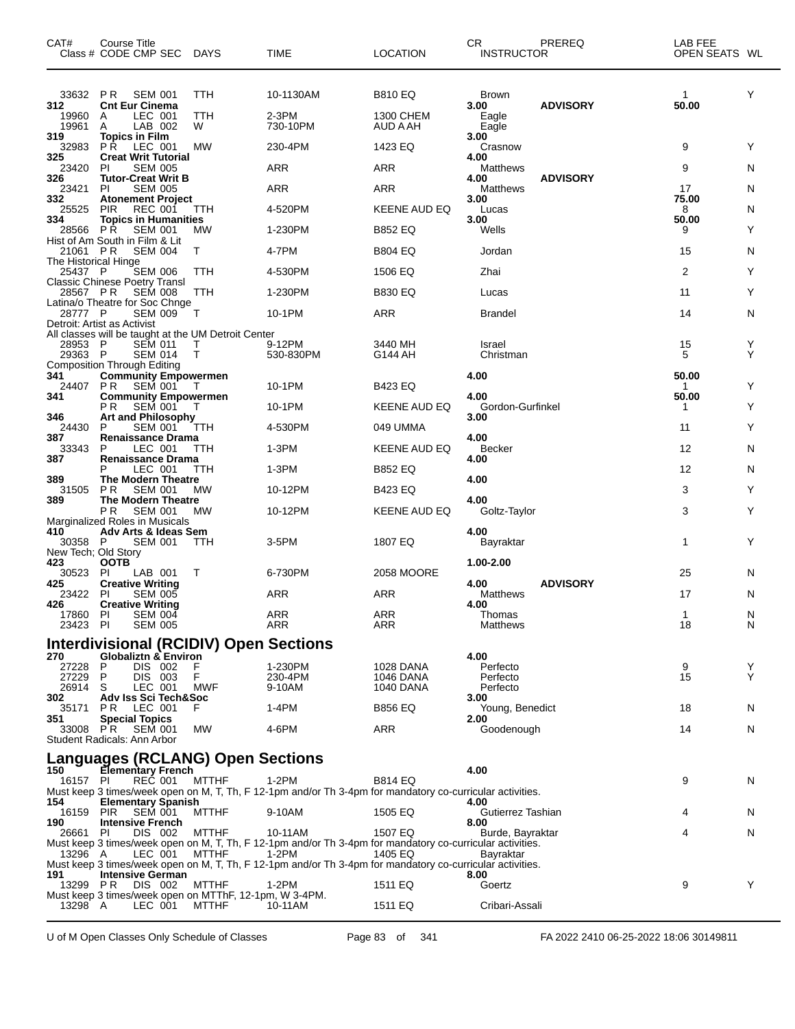| CAT#                                  | Course Title<br>Class # CODE CMP SEC DAYS                                          |                   | <b>TIME</b>                                                                                                        | <b>LOCATION</b>               | CR.<br><b>INSTRUCTOR</b>      | PREREQ          | LAB FEE<br>OPEN SEATS WL |        |
|---------------------------------------|------------------------------------------------------------------------------------|-------------------|--------------------------------------------------------------------------------------------------------------------|-------------------------------|-------------------------------|-----------------|--------------------------|--------|
| 312<br>19960                          | 33632 PR SEM 001<br><b>Cnt Eur Cinema</b><br>LEC 001<br>A                          | TTH<br>TTH        | 10-1130AM<br>2-3PM                                                                                                 | <b>B810 EQ</b><br>1300 CHEM   | <b>Brown</b><br>3.00<br>Eagle | <b>ADVISORY</b> | 1<br>50.00               | Y      |
| 19961<br>319                          | LAB 002<br>A<br><b>Topics in Film</b>                                              | W                 | 730-10PM                                                                                                           | <b>AUD A AH</b>               | Eagle<br>3.00                 |                 |                          |        |
| 32983<br>325                          | P R<br>LEC 001<br><b>Creat Writ Tutorial</b>                                       | <b>MW</b>         | 230-4PM                                                                                                            | 1423 EQ                       | Crasnow<br>4.00               |                 | 9                        | Y      |
| 23420<br>326                          | PI<br><b>SEM 005</b><br><b>Tutor-Creat Writ B</b>                                  |                   | <b>ARR</b>                                                                                                         | <b>ARR</b>                    | <b>Matthews</b><br>4.00       | <b>ADVISORY</b> | 9                        | N      |
| 23421<br>332                          | <b>SEM 005</b><br>PI<br><b>Atonement Project</b>                                   |                   | ARR                                                                                                                | <b>ARR</b>                    | Matthews<br>3.00              |                 | 17<br>75.00              | N      |
| 25525<br>334                          | <b>PIR</b><br><b>REC 001</b><br><b>Topics in Humanities</b>                        | TTH               | 4-520PM                                                                                                            | KEENE AUD EQ                  | Lucas                         |                 | 8<br>50.00               | N      |
| 28566 PR                              | <b>SEM 001</b>                                                                     | MW                | 1-230PM                                                                                                            | <b>B852 EQ</b>                | 3.00<br>Wells                 |                 | 9                        | Y      |
| 21061 PR                              | Hist of Am South in Film & Lit<br><b>SEM 004</b>                                   | T                 | 4-7PM                                                                                                              | <b>B804 EQ</b>                | Jordan                        |                 | 15                       | N      |
| The Historical Hinge<br>25437 P       | <b>SEM 006</b>                                                                     | ттн               | 4-530PM                                                                                                            | 1506 EQ                       | Zhai                          |                 | $\overline{2}$           | Y      |
| 28567 PR                              | <b>Classic Chinese Poetry Transl</b><br><b>SEM 008</b>                             | TTH               | 1-230PM                                                                                                            | <b>B830 EQ</b>                | Lucas                         |                 | 11                       | Y      |
| 28777 P                               | Latina/o Theatre for Soc Chnge<br><b>SEM 009</b>                                   | $\top$            | 10-1PM                                                                                                             | <b>ARR</b>                    | <b>Brandel</b>                |                 | 14                       | N      |
|                                       | Detroit: Artist as Activist<br>All classes will be taught at the UM Detroit Center |                   |                                                                                                                    |                               |                               |                 |                          |        |
| 28953 P<br>29363 P                    | <b>SEM 011</b><br><b>SEM 014</b>                                                   | т<br>$\mathsf{T}$ | 9-12PM<br>530-830PM                                                                                                | 3440 MH<br>G144 AH            | Israel<br>Christman           |                 | 15<br>5                  | Y<br>Y |
|                                       | <b>Composition Through Editing</b>                                                 |                   |                                                                                                                    |                               |                               |                 |                          |        |
| 341<br>24407                          | <b>Community Empowermen</b><br>PR.<br>SEM 001                                      | $\top$            | 10-1PM                                                                                                             | <b>B423 EQ</b>                | 4.00                          |                 | 50.00<br>1               | Y      |
| 341                                   | <b>Community Empowermen</b><br><b>SEM 001</b><br>РR                                | Т                 | 10-1PM                                                                                                             | KEENE AUD EQ                  | 4.00<br>Gordon-Gurfinkel      |                 | 50.00<br>1               | Y      |
| 346<br>24430                          | Art and Philosophy<br><b>SEM 001</b><br>P                                          | ттн               | 4-530PM                                                                                                            | 049 UMMA                      | 3.00                          |                 | 11                       | Y      |
| 387<br>33343                          | <b>Renaissance Drama</b><br>LEC 001<br>P                                           | TTH               | 1-3PM                                                                                                              | <b>KEENE AUD EQ</b>           | 4.00<br><b>Becker</b>         |                 | 12                       | N      |
| 387                                   | <b>Renaissance Drama</b><br>LEC 001<br>Р                                           | TTH.              | 1-3PM                                                                                                              | <b>B852 EQ</b>                | 4.00                          |                 | 12                       | N      |
| 389<br>31505                          | <b>The Modern Theatre</b><br>P R<br><b>SEM 001</b>                                 | MW                | 10-12PM                                                                                                            | <b>B423 EQ</b>                | 4.00                          |                 | 3                        | Y      |
| 389                                   | <b>The Modern Theatre</b><br>P <sub>R</sub><br><b>SEM 001</b>                      |                   | 10-12PM                                                                                                            | <b>KEENE AUD EQ</b>           | 4.00<br>Goltz-Taylor          |                 |                          | Y      |
|                                       | Marginalized Roles in Musicals                                                     | MW                |                                                                                                                    |                               |                               |                 | 3                        |        |
| 410<br>30358 P<br>New Tech; Old Story | Adv Arts & Ideas Sem<br><b>SEM 001</b>                                             | <b>TTH</b>        | 3-5PM                                                                                                              | 1807 EQ                       | 4.00<br>Bayraktar             |                 | 1                        | Y      |
| 423<br>30523                          | <b>OOTB</b><br>PI<br>LAB 001                                                       | Τ                 | 6-730PM                                                                                                            | 2058 MOORE                    | 1.00-2.00                     |                 | 25                       | N      |
| 425<br>23422 PI                       | <b>Creative Writing</b><br><b>SEM 005</b>                                          |                   | ARR                                                                                                                | <b>ARR</b>                    | 4.00<br>Matthews              | <b>ADVISORY</b> | 17                       | N      |
| 426<br>17860 PI                       | <b>Creative Writing</b><br>SEM 004                                                 |                   | ARR                                                                                                                | ARR                           | 4.00<br>Thomas                |                 | $\mathbf{1}$             | N      |
| 23423 PI                              | <b>SEM 005</b>                                                                     |                   | ARR                                                                                                                | ARR                           | Matthews                      |                 | 18                       | N      |
| 270                                   | <b>Interdivisional (RCIDIV) Open Sections</b><br><b>Globaliztn &amp; Environ</b>   |                   |                                                                                                                    |                               | 4.00                          |                 |                          |        |
| 27228 P<br>27229                      | DIS 002<br>P<br>DIS 003                                                            | F<br>F            | 1-230PM<br>230-4PM                                                                                                 | 1028 DANA<br><b>1046 DANA</b> | Perfecto                      |                 | 9<br>15                  | Y<br>Y |
| 26914 S                               | LEC 001                                                                            | MWF               | 9-10AM                                                                                                             | 1040 DANA                     | Perfecto<br>Perfecto          |                 |                          |        |
| 302<br>35171 PR                       | Adv Iss Sci Tech&Soc<br>LEC 001                                                    | F                 | 1-4PM                                                                                                              | <b>B856 EQ</b>                | 3.00<br>Young, Benedict       |                 | 18                       | N      |
| 351                                   | <b>Special Topics</b><br>33008 PR SEM 001                                          | МW                | 4-6PM                                                                                                              | <b>ARR</b>                    | 2.00<br>Goodenough            |                 | 14                       | N      |
|                                       | Student Radicals: Ann Arbor                                                        |                   |                                                                                                                    |                               |                               |                 |                          |        |
| 150                                   | Languages (RCLANG) Open Sections<br><b>Elementary French</b>                       |                   |                                                                                                                    |                               | 4.00                          |                 |                          |        |
| 16157 PI<br>154                       | REC 001<br><b>Elementary Spanish</b>                                               | <b>MTTHF</b>      | 1-2PM<br>Must keep 3 times/week open on M, T, Th, F 12-1pm and/or Th 3-4pm for mandatory co-curricular activities. | <b>B814 EQ</b>                | 4.00                          |                 | 9                        | N      |
| 16159 PIR                             | <b>SEM 001</b>                                                                     | <b>MTTHF</b>      | 9-10AM                                                                                                             | 1505 EQ                       | Gutierrez Tashian             |                 | 4                        | N.     |
| 190<br>26661 PI                       | <b>Intensive French</b><br>DIS 002                                                 | MTTHF             | 10-11AM                                                                                                            | 1507 EQ                       | 8.00<br>Burde, Bayraktar      |                 | 4                        | N      |
| 13296 A                               | LEC 001                                                                            | <b>MTTHF</b>      | Must keep 3 times/week open on M, T, Th, F 12-1pm and/or Th 3-4pm for mandatory co-curricular activities.<br>1-2PM | 1405 EQ                       | Bayraktar                     |                 |                          |        |
| 191                                   | <b>Intensive German</b>                                                            |                   | Must keep 3 times/week open on M, T, Th, F 12-1pm and/or Th 3-4pm for mandatory co-curricular activities.          |                               | 8.00                          |                 |                          |        |
| 13299 PR                              | DIS 002<br>Must keep 3 times/week open on MTThF, 12-1pm, W 3-4PM.                  | <b>MTTHF</b>      | 1-2PM                                                                                                              | 1511 EQ                       | Goertz                        |                 | 9                        | Y      |
| 13298 A                               | LEC 001                                                                            | MTTHF             | 10-11AM                                                                                                            | 1511 EQ                       | Cribari-Assali                |                 |                          |        |

U of M Open Classes Only Schedule of Classes Page 83 of 341 FA 2022 2410 06-25-2022 18:06 30149811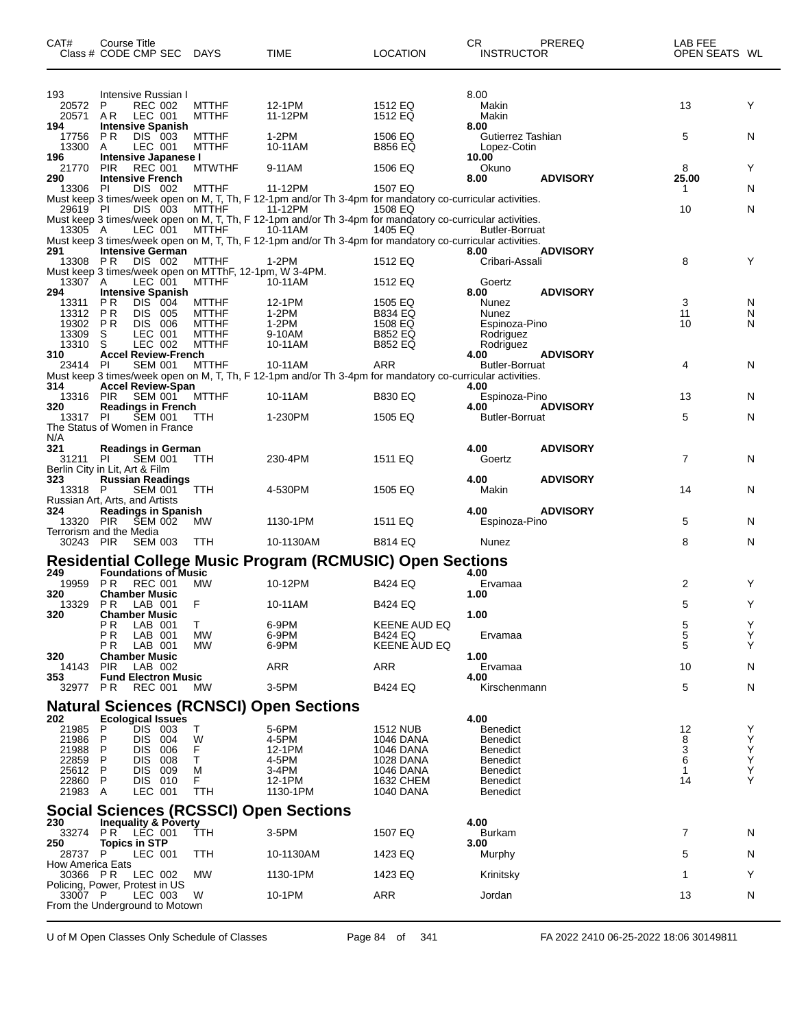| CAT#                               | Course Title<br>Class # CODE CMP SEC DAYS                   |                           |                                                                        | <b>TIME</b>                                                                                                                                                          | <b>LOCATION</b>           | CR<br><b>INSTRUCTOR</b>            | PREREQ          | LAB FEE<br>OPEN SEATS WL |        |
|------------------------------------|-------------------------------------------------------------|---------------------------|------------------------------------------------------------------------|----------------------------------------------------------------------------------------------------------------------------------------------------------------------|---------------------------|------------------------------------|-----------------|--------------------------|--------|
| 193<br>20572                       | Intensive Russian I<br>P                                    | <b>REC 002</b>            | <b>MTTHF</b>                                                           | 12-1PM                                                                                                                                                               | 1512 EQ                   | 8.00<br>Makin                      |                 | 13                       | Y      |
| 20571 AR<br>194<br>17756           | LEC 001<br><b>Intensive Spanish</b><br>P <sub>R</sub>       | DIS 003                   | <b>MTTHF</b><br><b>MTTHF</b>                                           | 11-12PM<br>1-2PM                                                                                                                                                     | 1512 EQ<br>1506 EQ        | Makin<br>8.00<br>Gutierrez Tashian |                 | 5                        | N      |
| 13300<br>196<br>21770              | A<br>Intensive Japanese I<br><b>PIR</b>                     | LEC 001<br><b>REC 001</b> | <b>MTTHF</b><br><b>MTWTHF</b>                                          | 10-11AM<br>9-11AM                                                                                                                                                    | <b>B856 EQ</b><br>1506 EQ | Lopez-Cotin<br>10.00<br>Okuno      |                 | 8                        | Y      |
| 290<br>13306 PI                    | <b>Intensive French</b>                                     | DIS 002                   | <b>MTTHF</b>                                                           | 11-12PM                                                                                                                                                              | 1507 EQ                   | 8.00                               | <b>ADVISORY</b> | 25.00<br>1               | N      |
|                                    |                                                             |                           |                                                                        | Must keep 3 times/week open on M, T, Th, F 12-1pm and/or Th 3-4pm for mandatory co-curricular activities.<br>29619 PI DIS 003 MTTHF 11-12PM 1508 EQ                  |                           |                                    |                 | 10                       | N      |
|                                    |                                                             |                           |                                                                        | Must keep 3 times/week open on M, T, Th, F 12-1pm and/or Th 3-4pm for mandatory co-curricular activities.<br>13305 A. LEC 001 MTTHE 10-11AM 70 1405 EQ Butler-Borrua |                           | <b>Butler-Borruat</b>              |                 |                          |        |
| 291                                | <b>Intensive German</b>                                     |                           |                                                                        | Must keep 3 times/week open on M, T, Th, F 12-1pm and/or Th 3-4pm for mandatory co-curricular activities.                                                            |                           | 8.00                               | <b>ADVISORY</b> |                          |        |
| 13308 PR                           |                                                             | DIS 002                   | <b>MTTHF</b><br>Must keep 3 times/week open on MTThF, 12-1pm, W 3-4PM. | 1-2PM                                                                                                                                                                | 1512 EQ                   | Cribari-Assali                     |                 | 8                        | Y      |
| 13307 A                            |                                                             | LEC 001                   | <b>MTTHF</b>                                                           | 10-11AM                                                                                                                                                              | 1512 EQ                   | Goertz                             |                 |                          |        |
| 294<br>13311                       | <b>Intensive Spanish</b><br><b>PR</b>                       | DIS 004                   | <b>MTTHF</b>                                                           | 12-1PM                                                                                                                                                               | 1505 EQ                   | 8.00<br>Nunez                      | <b>ADVISORY</b> | 3                        | N      |
| 13312 PR                           |                                                             | DIS 005                   | <b>MTTHF</b>                                                           | $1-2PM$                                                                                                                                                              | <b>B834 EQ</b>            | Nunez                              |                 | 11                       | N      |
| 19302 PR<br>13309                  | S                                                           | DIS 006<br>LEC 001        | <b>MTTHF</b><br><b>MTTHF</b>                                           | 1-2PM<br>9-10AM                                                                                                                                                      | 1508 EQ<br><b>B852 EQ</b> | Espinoza-Pino<br>Rodriguez         |                 | 10                       | N      |
| 13310 S                            |                                                             | LEC 002                   | <b>MTTHF</b>                                                           | 10-11AM                                                                                                                                                              | <b>B852 EQ</b>            | Rodriguez                          |                 |                          |        |
| 310                                | <b>Accel Review-French</b>                                  |                           |                                                                        |                                                                                                                                                                      |                           | 4.00                               | <b>ADVISORY</b> |                          |        |
| 23414 PI                           |                                                             | <b>SEM 001</b>            | <b>MTTHF</b>                                                           | 10-11AM<br>Must keep 3 times/week open on M, T, Th, F 12-1pm and/or Th 3-4pm for mandatory co-curricular activities.                                                 | ARR                       | <b>Butler-Borruat</b>              |                 | 4                        | N      |
| 314                                | <b>Accel Review-Span</b>                                    |                           |                                                                        |                                                                                                                                                                      |                           | 4.00                               |                 |                          |        |
| 13316 PIR                          |                                                             | SEM 001                   | <b>MTTHF</b>                                                           | 10-11AM                                                                                                                                                              | <b>B830 EQ</b>            | Espinoza-Pino                      |                 | 13                       | N      |
| 320<br>13317 PI                    | <b>Readings in French</b><br>The Status of Women in France  | <b>SEM 001</b>            | TTH                                                                    | 1-230PM                                                                                                                                                              | 1505 EQ                   | 4.00<br><b>Butler-Borruat</b>      | <b>ADVISORY</b> | 5                        | N      |
| N/A                                |                                                             |                           |                                                                        |                                                                                                                                                                      |                           |                                    |                 |                          |        |
| 321<br>31211 PI                    | <b>Readings in German</b><br>Berlin City in Lit, Art & Film | <b>SEM 001</b>            | TTH                                                                    | 230-4PM                                                                                                                                                              | 1511 EQ                   | 4.00<br>Goertz                     | <b>ADVISORY</b> | $\overline{7}$           | N      |
| 323<br>13318 P                     | <b>Russian Readings</b><br>Russian Art, Arts, and Artists   | <b>SEM 001</b>            | <b>TTH</b>                                                             | 4-530PM                                                                                                                                                              | 1505 EQ                   | 4.00<br>Makin                      | <b>ADVISORY</b> | 14                       | N      |
| 324                                | <b>Readings in Spanish</b>                                  |                           |                                                                        |                                                                                                                                                                      |                           | 4.00                               | <b>ADVISORY</b> |                          |        |
| 13320 PIR<br>30243 PIR             | <b>ŠEM 002</b><br>Terrorism and the Media                   | <b>SEM 003</b>            | МW<br>TTH                                                              | 1130-1PM<br>10-1130AM                                                                                                                                                | 1511 EQ<br><b>B814 EQ</b> | Espinoza-Pino<br>Nunez             |                 | 5<br>8                   | N<br>N |
|                                    |                                                             |                           |                                                                        |                                                                                                                                                                      |                           |                                    |                 |                          |        |
|                                    | <b>Foundations of Music</b>                                 |                           |                                                                        | <b>Residential College Music Program (RCMUSIC) Open Sections</b>                                                                                                     |                           |                                    |                 |                          |        |
| 249<br>19959 PR                    | <b>REC 001</b>                                              |                           | MW                                                                     | 10-12PM                                                                                                                                                              | <b>B424 EQ</b>            | 4.00<br>Ervamaa                    |                 | 2                        | Y      |
| 320<br>13329 PR                    | <b>Chamber Music</b><br>LAB 001                             |                           | F                                                                      | 10-11AM                                                                                                                                                              | <b>B424 EQ</b>            | 1.00                               |                 | 5                        | Y      |
| 320                                | <b>Chamber Music</b><br>ΡR<br>LAB 001                       |                           | T.                                                                     | 6-9PM                                                                                                                                                                | <b>KEENE AUD EQ</b>       | 1.00                               |                 | 5                        | Υ      |
|                                    | ΡR<br>LAB 001                                               |                           | МW                                                                     | 6-9PM                                                                                                                                                                | B424 EQ                   | Ervamaa                            |                 | 5                        | Y      |
|                                    | ΡR<br>LAB 001                                               |                           | MW                                                                     | 6-9PM                                                                                                                                                                | KEENE AUD EQ              |                                    |                 | 5                        | Y      |
| 320<br>14143                       | <b>Chamber Music</b><br><b>PIR</b>                          | LAB 002                   |                                                                        | ARR                                                                                                                                                                  | ARR                       | 1.00<br>Ervamaa                    |                 | 10                       | N      |
| 353<br>32977                       | <b>Fund Electron Music</b><br>P R                           | REC 001                   | МW                                                                     | 3-5PM                                                                                                                                                                | B424 EQ                   | 4.00<br>Kirschenmann               |                 | 5                        | N      |
|                                    |                                                             |                           |                                                                        |                                                                                                                                                                      |                           |                                    |                 |                          |        |
| 202                                | <b>Ecological Issues</b>                                    |                           |                                                                        | <b>Natural Sciences (RCNSCI) Open Sections</b>                                                                                                                       |                           | 4.00                               |                 |                          |        |
| 21985                              | P                                                           | DIS 003                   | Т                                                                      | 5-6PM                                                                                                                                                                | <b>1512 NUB</b>           | Benedict                           |                 | 12                       | Y      |
| 21986                              | P                                                           | DIS 004                   | W                                                                      | 4-5PM                                                                                                                                                                | 1046 DANA                 | <b>Benedict</b>                    |                 | 8                        | Y      |
| 21988<br>22859                     | DIS.<br>P<br><b>DIS</b><br>P                                | 006<br>008                | F<br>т                                                                 | 12-1PM<br>4-5PM                                                                                                                                                      | 1046 DANA<br>1028 DANA    | <b>Benedict</b><br><b>Benedict</b> |                 | 3<br>6                   | Υ<br>Y |
| 25612                              | P<br>DIS.                                                   | 009                       | M                                                                      | 3-4PM                                                                                                                                                                | 1046 DANA                 | <b>Benedict</b>                    |                 | -1                       | Y      |
| 22860 P<br>21983 A                 |                                                             | DIS 010<br>LEC 001        | F<br>TTH                                                               | 12-1PM<br>1130-1PM                                                                                                                                                   | 1632 CHEM<br>1040 DANA    | <b>Benedict</b><br>Benedict        |                 | 14                       | Υ      |
|                                    |                                                             |                           |                                                                        |                                                                                                                                                                      |                           |                                    |                 |                          |        |
| 230                                | <b>Inequality &amp; Poverty</b>                             |                           |                                                                        | <b>Social Sciences (RCSSCI) Open Sections</b>                                                                                                                        |                           | 4.00                               |                 |                          |        |
| 33274                              | LEC 001<br>PR.                                              |                           | TTH                                                                    | 3-5PM                                                                                                                                                                | 1507 EQ                   | Burkam                             |                 | 7                        | N      |
| 250<br>28737 P<br>How America Eats | <b>Topics in STP</b><br>LEC 001                             |                           | TTH                                                                    | 10-1130AM                                                                                                                                                            | 1423 EQ                   | 3.00<br>Murphy                     |                 | 5                        | N      |
| 30366 PR                           |                                                             | LEC 002                   | МW                                                                     | 1130-1PM                                                                                                                                                             | 1423 EQ                   | Krinitsky                          |                 | 1                        | Y      |
| 33007 P                            | Policing, Power, Protest in US                              | LEC 003                   | W                                                                      | 10-1PM                                                                                                                                                               | ARR                       | Jordan                             |                 | 13                       | N      |
|                                    | From the Underground to Motown                              |                           |                                                                        |                                                                                                                                                                      |                           |                                    |                 |                          |        |

U of M Open Classes Only Schedule of Classes Page 84 of 341 FA 2022 2410 06-25-2022 18:06 30149811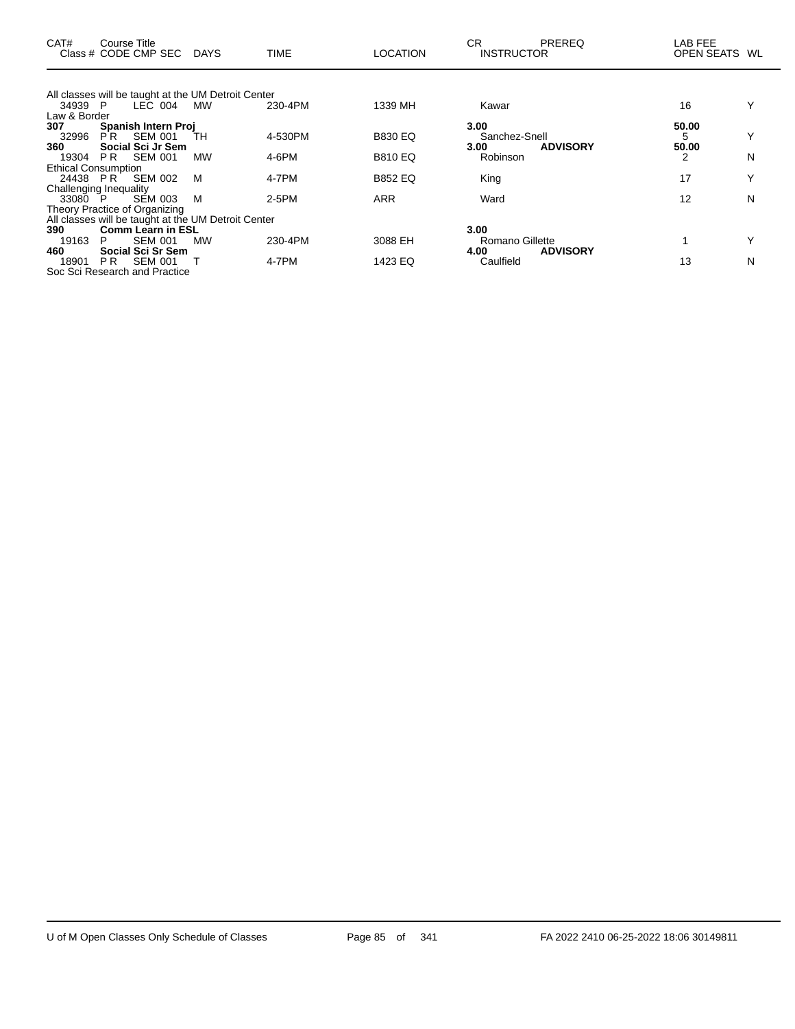| CAT#                       | Course Title<br>Class # CODE CMP SEC DAYS           |    | <b>TIME</b> | <b>LOCATION</b> | <b>CR</b><br><b>INSTRUCTOR</b> | <b>PREREQ</b>   | LAB FEE<br>OPEN SEATS WL |   |
|----------------------------|-----------------------------------------------------|----|-------------|-----------------|--------------------------------|-----------------|--------------------------|---|
|                            | All classes will be taught at the UM Detroit Center |    |             |                 |                                |                 |                          |   |
| 34939 P                    | LEC 004                                             | МW | 230-4PM     | 1339 MH         | Kawar                          |                 | 16                       |   |
| Law & Border               |                                                     |    |             |                 |                                |                 |                          |   |
| 307                        | Spanish Intern Proj                                 |    |             |                 | 3.00                           |                 | 50.00                    |   |
| 32996                      | <b>SEM 001</b><br>PR.                               | TН | 4-530PM     | <b>B830 EQ</b>  | Sanchez-Snell                  |                 | 5                        |   |
| 360                        | Social Sci Jr Sem                                   |    |             |                 | 3.00                           | <b>ADVISORY</b> | 50.00                    |   |
| 19304                      | <b>SEM 001</b><br>PR.                               | MW | 4-6PM       | <b>B810 EQ</b>  | Robinson                       |                 | 2                        | N |
| <b>Ethical Consumption</b> | 24438 PR SEM 002                                    | M  | 4-7PM       | <b>B852 EQ</b>  | King                           |                 | 17                       |   |
|                            | Challenging Inequality                              |    |             |                 |                                |                 |                          |   |
| 33080 P                    | SEM 003                                             | M  | $2-5PM$     | ARR             | Ward                           |                 | 12                       | N |
|                            | Theory Practice of Organizing                       |    |             |                 |                                |                 |                          |   |
|                            | All classes will be taught at the UM Detroit Center |    |             |                 |                                |                 |                          |   |
| 390                        | <b>Comm Learn in ESL</b>                            |    |             |                 | 3.00                           |                 |                          |   |
| 19163                      | <b>SEM 001</b><br>P.                                | MW | 230-4PM     | 3088 EH         | Romano Gillette                |                 |                          |   |
| 460                        | Social Sci Sr Sem<br><b>SEM 001</b>                 |    | 4-7PM       | 1423 EQ         | 4.00                           | <b>ADVISORY</b> | 13                       |   |
| 18901                      | PR.<br>Soc Sci Research and Practice                |    |             |                 | Caulfield                      |                 |                          | N |
|                            |                                                     |    |             |                 |                                |                 |                          |   |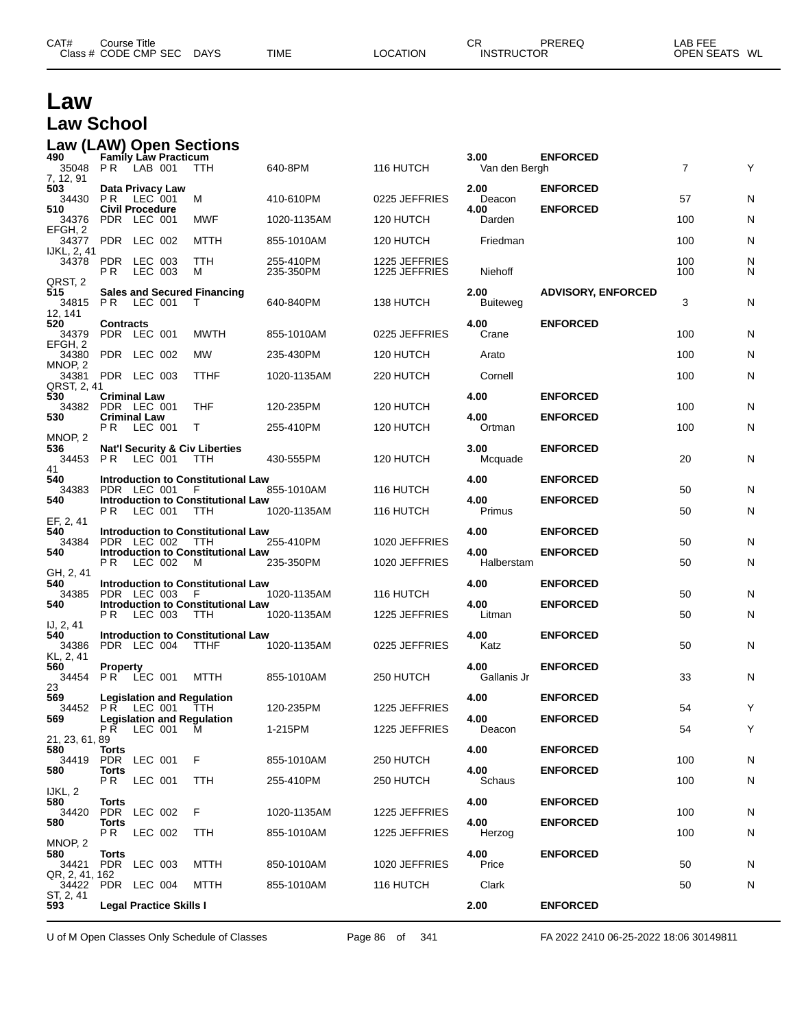| Law                                            |                                       |         |                             |                                                         |                        |                                |                         |                           |                |        |
|------------------------------------------------|---------------------------------------|---------|-----------------------------|---------------------------------------------------------|------------------------|--------------------------------|-------------------------|---------------------------|----------------|--------|
| <b>Law School</b>                              |                                       |         |                             |                                                         |                        |                                |                         |                           |                |        |
| <b>Law (LAW) Open Sections</b><br>490<br>35048 | PR.                                   | LAB 001 | <b>Family Law Practicum</b> | <b>TTH</b>                                              | 640-8PM                | 116 HUTCH                      | 3.00<br>Van den Bergh   | <b>ENFORCED</b>           | $\overline{7}$ | Υ      |
| 7, 12, 91<br>503<br>34430                      | Data Privacy Law<br>P R               | LEC 001 |                             | м                                                       | 410-610PM              | 0225 JEFFRIES                  | 2.00<br>Deacon          | <b>ENFORCED</b>           | 57             | N      |
| 510<br>34376                                   | <b>Civil Procedure</b><br>PDR LEC 001 |         |                             | MWF                                                     | 1020-1135AM            | 120 HUTCH                      | 4.00<br>Darden          | <b>ENFORCED</b>           | 100            | N      |
| EFGH, 2<br>34377                               | PDR LEC 002                           |         |                             | MTTH                                                    | 855-1010AM             | 120 HUTCH                      | Friedman                |                           | 100            | N      |
| IJKL, 2, 41<br>34378                           | PDR LEC 003<br>P R                    | LEC 003 |                             | TTH<br>м                                                | 255-410PM<br>235-350PM | 1225 JEFFRIES<br>1225 JEFFRIES | Niehoff                 |                           | 100<br>100     | N<br>N |
| QRST, 2<br>515<br>34815                        | PR.                                   | LEC 001 |                             | <b>Sales and Secured Financing</b><br>T                 | 640-840PM              | 138 HUTCH                      | 2.00<br><b>Buiteweg</b> | <b>ADVISORY, ENFORCED</b> | 3              | N      |
| 12, 141<br>520<br>34379<br>EFGH. 2             | <b>Contracts</b><br>PDR LEC 001       |         |                             | <b>MWTH</b>                                             | 855-1010AM             | 0225 JEFFRIES                  | 4.00<br>Crane           | <b>ENFORCED</b>           | 100            | N      |
| 34380<br>MNOP, 2                               | PDR LEC 002                           |         |                             | MW                                                      | 235-430PM              | 120 HUTCH                      | Arato                   |                           | 100            | N      |
| 34381<br>QRST, 2, 41                           | PDR LEC 003                           |         |                             | <b>TTHF</b>                                             | 1020-1135AM            | 220 HUTCH                      | Cornell                 |                           | 100            | N      |
| 530<br>34382 PDR LEC 001                       | <b>Criminal Law</b>                   |         |                             | THF                                                     | 120-235PM              | 120 HUTCH                      | 4.00                    | <b>ENFORCED</b>           | 100            | N      |
| 530                                            | <b>Criminal Law</b><br>P R            | LEC 001 |                             | T                                                       | 255-410PM              | 120 HUTCH                      | 4.00<br>Ortman          | <b>ENFORCED</b>           | 100            | N      |
| MNOP, 2<br>536<br>34453                        | PR.                                   | LEC 001 |                             | <b>Nat'l Security &amp; Civ Liberties</b><br><b>TTH</b> | 430-555PM              | 120 HUTCH                      | 3.00<br>Mcquade         | <b>ENFORCED</b>           | 20             | N      |
| 41<br>540                                      |                                       |         |                             | Introduction to Constitutional Law                      |                        |                                | 4.00                    | <b>ENFORCED</b>           |                |        |
| 34383<br>540                                   | PDR LEC 001                           |         |                             | F<br><b>Introduction to Constitutional Law</b>          | 855-1010AM             | 116 HUTCH                      | 4.00                    | <b>ENFORCED</b>           | 50             | N      |
| EF, 2, 41                                      | P <sub>R</sub>                        | LEC 001 |                             | TTH                                                     | 1020-1135AM            | 116 HUTCH                      | Primus                  |                           | 50             | N      |
| 540<br>34384                                   | PDR LEC 002                           |         |                             | Introduction to Constitutional Law<br>TTH               | 255-410PM              | 1020 JEFFRIES                  | 4.00                    | <b>ENFORCED</b>           | 50             | N      |
| 540                                            | PR.                                   | LEC 002 |                             | Introduction to Constitutional Law<br>M                 | 235-350PM              | 1020 JEFFRIES                  | 4.00<br>Halberstam      | <b>ENFORCED</b>           | 50             | N      |
| GH, 2, 41<br>540                               |                                       |         |                             | Introduction to Constitutional Law                      |                        |                                | 4.00                    | <b>ENFORCED</b>           |                |        |
| 34385<br>540                                   | PDR LEC 003                           |         |                             | - F<br>Introduction to Constitutional Law               | 1020-1135AM            | 116 HUTCH                      | 4.00                    | <b>ENFORCED</b>           | 50             | N      |
| IJ, 2, 41                                      | P R                                   | LEC 003 |                             | <b>TTH</b>                                              | 1020-1135AM            | 1225 JEFFRIES                  | Litman                  |                           | 50             | N      |
| 540<br>34386<br>KL, 2, 41                      | PDR LEC 004 TTHF                      |         |                             | Introduction to Constitutional Law                      | 1020-1135AM            | 0225 JEFFRIES                  | 4.00<br>Katz            | <b>ENFORCED</b>           | 50             | N      |
| 560<br>34454<br>23                             | <b>Property</b><br>PR LEC 001         |         |                             | <b>MTTH</b>                                             | 855-1010AM             | 250 HUTCH                      | 4.00<br>Gallanis Jr     | <b>ENFORCED</b>           | 33             | N      |
| 569<br>34452                                   | PR.                                   | LEC 001 |                             | <b>Legislation and Regulation</b><br>TTH                | 120-235PM              | 1225 JEFFRIES                  | 4.00                    | <b>ENFORCED</b>           | 54             | Υ      |
| 569                                            | <b>PR LEC 001</b>                     |         |                             | <b>Legislation and Regulation</b><br>M                  | 1-215PM                | 1225 JEFFRIES                  | 4.00<br>Deacon          | <b>ENFORCED</b>           | 54             | Υ      |
| 21, 23, 61, 89<br>580                          | <b>Torts</b>                          |         |                             |                                                         |                        |                                | 4.00                    | <b>ENFORCED</b>           |                |        |
| 34419<br>580                                   | PDR LEC 001<br>Torts                  |         |                             | F                                                       | 855-1010AM             | 250 HUTCH                      | 4.00                    | <b>ENFORCED</b>           | 100            | N      |
| IJKL, 2                                        | P R                                   | LEC 001 |                             | TTH                                                     | 255-410PM              | 250 HUTCH                      | Schaus                  |                           | 100            | N      |
| 580<br>34420                                   | Torts<br>PDR LEC 002                  |         |                             | F                                                       | 1020-1135AM            | 1225 JEFFRIES                  | 4.00                    | <b>ENFORCED</b>           | 100            | N      |
| 580                                            | Torts<br>PR.                          | LEC 002 |                             | TTH                                                     | 855-1010AM             | 1225 JEFFRIES                  | 4.00<br>Herzog          | <b>ENFORCED</b>           | 100            | N      |
| MNOP, 2<br>580<br>34421                        | Torts<br>PDR LEC 003                  |         |                             | MTTH                                                    | 850-1010AM             | 1020 JEFFRIES                  | 4.00<br>Price           | <b>ENFORCED</b>           | 50             | N      |
| QR, 2, 41, 162<br>34422                        | PDR LEC 004                           |         |                             | MTTH                                                    | 855-1010AM             | 116 HUTCH                      | Clark                   |                           | 50             | N      |
| ST, 2, 41<br>593                               |                                       |         | Legal Practice Skills I     |                                                         |                        |                                | 2.00                    | <b>ENFORCED</b>           |                |        |

CAT# Course Title Case CR PREREQ LAB FEE

Class # CODE CMP SEC DAYS TIME LOCATION INSTRUCTOR OPEN SEATS WL

U of M Open Classes Only Schedule of Classes Page 86 of 341 FA 2022 2410 06-25-2022 18:06 30149811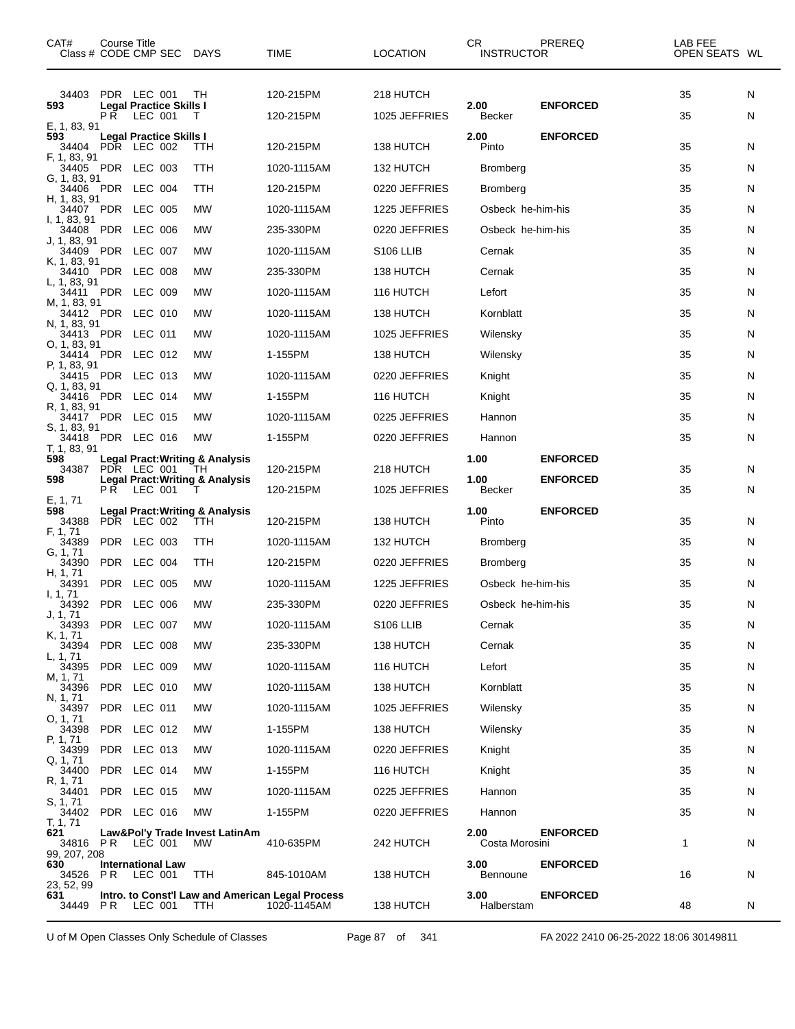| CAT#                                |     | Course Title<br>Class # CODE CMP SEC DAYS         |                                                                                                | TIME                                                            | <b>LOCATION</b>            | CR.<br><b>INSTRUCTOR</b>      | PREREQ                             | LAB FEE<br>OPEN SEATS WL |        |
|-------------------------------------|-----|---------------------------------------------------|------------------------------------------------------------------------------------------------|-----------------------------------------------------------------|----------------------------|-------------------------------|------------------------------------|--------------------------|--------|
| 34403<br>593<br>E, 1, 83, 91        | P R | PDR LEC 001<br>Legal Practice Skills I<br>LEC 001 | TH<br>Т                                                                                        | 120-215PM<br>120-215PM                                          | 218 HUTCH<br>1025 JEFFRIES | 2.00<br><b>Becker</b>         | <b>ENFORCED</b>                    | 35<br>35                 | N<br>N |
| 593<br>34404                        |     | Legal Practice Skills I<br>PDR LEC 002            | TTH                                                                                            | 120-215PM                                                       | 138 HUTCH                  | 2.00<br>Pinto                 | <b>ENFORCED</b>                    | 35                       | N      |
| F, 1, 83, 91                        |     | 34405 PDR LEC 003                                 | TTH                                                                                            | 1020-1115AM                                                     | 132 HUTCH                  | <b>Bromberg</b>               |                                    | 35                       | N      |
| G, 1, 83, 91                        |     | 34406 PDR LEC 004                                 | TTH                                                                                            | 120-215PM                                                       | 0220 JEFFRIES              | <b>Bromberg</b>               |                                    | 35                       | N      |
| H, 1, 83, 91                        |     | 34407 PDR LEC 005                                 | MW                                                                                             | 1020-1115AM                                                     | 1225 JEFFRIES              | Osbeck he-him-his             |                                    | 35                       | N      |
| I, 1, 83, 91                        |     | 34408 PDR LEC 006                                 | МW                                                                                             | 235-330PM                                                       | 0220 JEFFRIES              | Osbeck he-him-his             |                                    | 35                       | N      |
| J, 1, 83, 91                        |     | 34409 PDR LEC 007                                 | MW                                                                                             | 1020-1115AM                                                     | S <sub>106</sub> LLIB      | Cernak                        |                                    | 35                       | N      |
| K, 1, 83, 91                        |     | 34410 PDR LEC 008                                 | MW                                                                                             | 235-330PM                                                       | 138 HUTCH                  | Cernak                        |                                    | 35                       | N      |
| L, 1, 83, 91                        |     | 34411 PDR LEC 009                                 | МW                                                                                             | 1020-1115AM                                                     | 116 HUTCH                  | Lefort                        |                                    | 35                       | N      |
| M, 1, 83, 91                        |     | 34412 PDR LEC 010                                 | MW                                                                                             | 1020-1115AM                                                     | 138 HUTCH                  | Kornblatt                     |                                    | 35                       | N      |
| N, 1, 83, 91                        |     | 34413 PDR LEC 011                                 | MW                                                                                             | 1020-1115AM                                                     | 1025 JEFFRIES              | Wilensky                      |                                    | 35                       | N      |
| O, 1, 83, 91                        |     | 34414 PDR LEC 012                                 | МW                                                                                             | 1-155PM                                                         | 138 HUTCH                  | Wilensky                      |                                    | 35                       | N      |
| P, 1, 83, 91                        |     | 34415 PDR LEC 013                                 | MW                                                                                             | 1020-1115AM                                                     | 0220 JEFFRIES              | Knight                        |                                    | 35                       | N      |
| Q, 1, 83, 91                        |     | 34416 PDR LEC 014                                 | MW                                                                                             | 1-155PM                                                         | 116 HUTCH                  | Knight                        |                                    | 35                       | N      |
| R, 1, 83, 91                        |     | 34417 PDR LEC 015                                 | MW                                                                                             | 1020-1115AM                                                     | 0225 JEFFRIES              | Hannon                        |                                    | 35                       | N      |
| S, 1, 83, 91                        |     | 34418 PDR LEC 016                                 | MW                                                                                             | 1-155PM                                                         | 0220 JEFFRIES              | Hannon                        |                                    | 35                       | N      |
| T, 1, 83, 91<br>598<br>34387<br>598 | P R | PDR LEC 001<br>LEC 001                            | <b>Legal Pract: Writing &amp; Analysis</b><br>TH<br><b>Legal Pract: Writing &amp; Analysis</b> | 120-215PM<br>120-215PM                                          | 218 HUTCH<br>1025 JEFFRIES | 1.00<br>1.00<br><b>Becker</b> | <b>ENFORCED</b><br><b>ENFORCED</b> | 35<br>35                 | N<br>N |
| E, 1, 71<br>598                     |     |                                                   | <b>Legal Pract: Writing &amp; Analysis</b>                                                     |                                                                 |                            | 1.00                          | <b>ENFORCED</b>                    |                          |        |
| 34388<br>F, 1, 71                   |     | PDR LEC 002                                       | <b>TTH</b>                                                                                     | 120-215PM                                                       | 138 HUTCH                  | Pinto                         |                                    | 35                       | N      |
| 34389<br>G, 1, 71                   |     | PDR LEC 003                                       | TTH                                                                                            | 1020-1115AM                                                     | 132 HUTCH                  | <b>Bromberg</b>               |                                    | 35                       | N      |
| 34390<br>H, 1, 71                   |     | PDR LEC 004                                       | <b>TTH</b>                                                                                     | 120-215PM                                                       | 0220 JEFFRIES              | <b>Bromberg</b>               |                                    | 35                       | N      |
| 34391<br>1, 1, 71                   |     | PDR LEC 005                                       | MW                                                                                             | 1020-1115AM                                                     | 1225 JEFFRIES              | Osbeck he-him-his             |                                    | 35                       | N      |
| 34392<br>J, 1, 71                   |     | PDR LEC 006                                       | МW                                                                                             | 235-330PM                                                       | 0220 JEFFRIES              | Osbeck he-him-his             |                                    | 35                       | N      |
| K, 1, 71                            |     | 34393 PDR LEC 007                                 | <b>MW</b>                                                                                      | 1020-1115AM                                                     | S106 LLIB                  | Cernak                        |                                    | 35                       | N      |
| 34394<br>L, 1, 71                   |     | PDR LEC 008                                       | МW                                                                                             | 235-330PM                                                       | 138 HUTCH                  | Cernak                        |                                    | 35                       | N      |
| 34395<br>M, 1, 71                   |     | PDR LEC 009                                       | МW                                                                                             | 1020-1115AM                                                     | 116 HUTCH                  | Lefort                        |                                    | 35                       | N      |
| 34396<br>N, 1, 71                   |     | PDR LEC 010                                       | МW                                                                                             | 1020-1115AM                                                     | 138 HUTCH                  | Kornblatt                     |                                    | 35                       | N      |
| 34397<br>O, 1, 71                   |     | PDR LEC 011                                       | МW                                                                                             | 1020-1115AM                                                     | 1025 JEFFRIES              | Wilensky                      |                                    | 35                       | N      |
| 34398<br>P, 1, 71                   |     | PDR LEC 012                                       | МW                                                                                             | 1-155PM                                                         | 138 HUTCH                  | Wilensky                      |                                    | 35                       | N      |
| 34399<br>Q, 1, 71                   |     | PDR LEC 013                                       | МW                                                                                             | 1020-1115AM                                                     | 0220 JEFFRIES              | Knight                        |                                    | 35                       | N      |
| 34400<br>R, 1, 71                   |     | PDR LEC 014                                       | МW                                                                                             | 1-155PM                                                         | 116 HUTCH                  | Knight                        |                                    | 35                       | N      |
| 34401<br>S, 1, 71                   |     | PDR LEC 015                                       | МW                                                                                             | 1020-1115AM                                                     | 0225 JEFFRIES              | Hannon                        |                                    | 35                       | N      |
| 34402<br>T, 1, 71                   |     | PDR LEC 016                                       | МW                                                                                             | 1-155PM                                                         | 0220 JEFFRIES              | Hannon                        |                                    | 35                       | N      |
| 621<br>34816 PR<br>99, 207, 208     |     | LEC 001                                           | Law&Pol'y Trade Invest LatinAm<br>MW                                                           | 410-635PM                                                       | 242 HUTCH                  | 2.00<br>Costa Morosini        | <b>ENFORCED</b>                    | 1                        | N      |
| 630<br>34526<br>23, 52, 99          | PR. | <b>International Law</b><br>LEC 001               | TTH                                                                                            | 845-1010AM                                                      | 138 HUTCH                  | 3.00<br><b>Bennoune</b>       | <b>ENFORCED</b>                    | 16                       | N      |
| 631<br>34449                        | PR. | LEC 001                                           | TTH                                                                                            | Intro. to Const'l Law and American Legal Process<br>1020-1145AM | 138 HUTCH                  | 3.00<br>Halberstam            | <b>ENFORCED</b>                    | 48                       | N      |

U of M Open Classes Only Schedule of Classes Page 87 of 341 FA 2022 2410 06-25-2022 18:06 30149811

 $\overline{\phantom{0}}$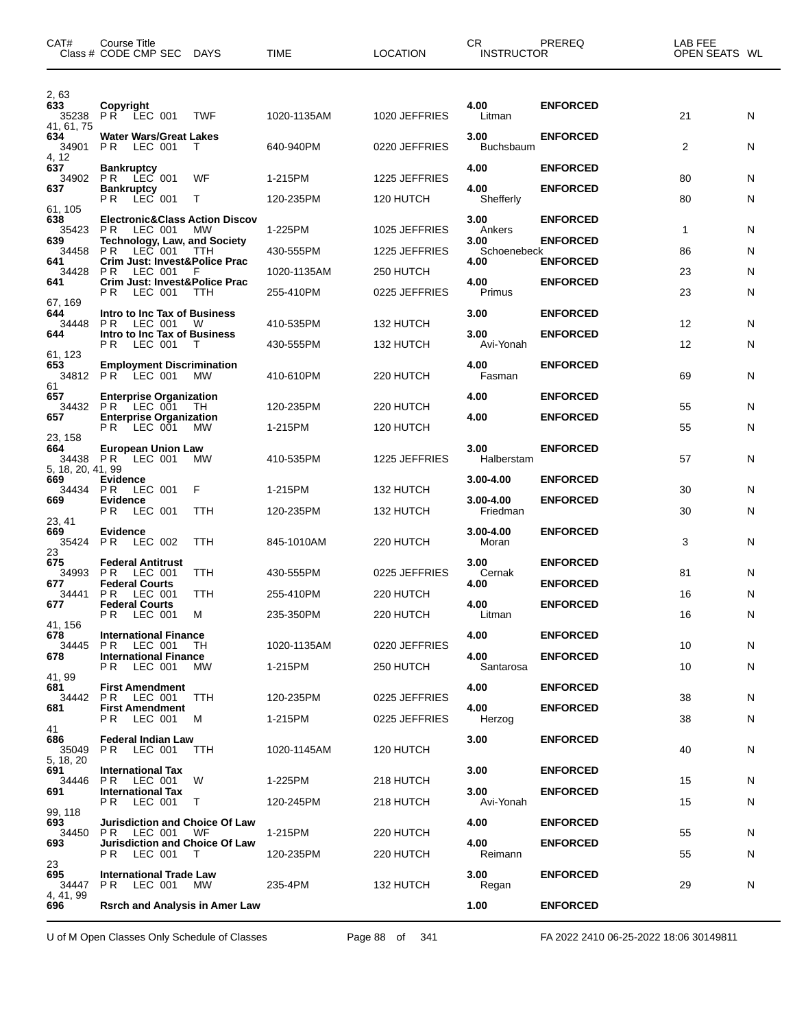| CAT#                                 | <b>Course Title</b><br>Class # CODE CMP SEC DAYS                                                   |            | <b>TIME</b>              | <b>LOCATION</b>            | CR.<br><b>INSTRUCTOR</b>  | PREREQ                             | LAB FEE<br>OPEN SEATS WL |        |
|--------------------------------------|----------------------------------------------------------------------------------------------------|------------|--------------------------|----------------------------|---------------------------|------------------------------------|--------------------------|--------|
| 2,63<br>633<br>35238<br>41.61.75     | Copyright<br>PR LEC 001                                                                            | TWF        | 1020-1135AM              | 1020 JEFFRIES              | 4.00<br>Litman            | <b>ENFORCED</b>                    | 21                       | N      |
| 634<br>34901<br>4, 12                | <b>Water Wars/Great Lakes</b><br>PR.<br>LEC 001                                                    | T          | 640-940PM                | 0220 JEFFRIES              | 3.00<br><b>Buchsbaum</b>  | <b>ENFORCED</b>                    | 2                        | N      |
| 637<br>34902<br>637                  | <b>Bankruptcy</b><br>PR.<br>LEC 001<br><b>Bankruptcy</b>                                           | WF         | 1-215PM                  | 1225 JEFFRIES              | 4.00<br>4.00              | <b>ENFORCED</b><br><b>ENFORCED</b> | 80                       | N      |
| 61, 105                              | PR.<br>LEC 001                                                                                     | T.         | 120-235PM                | 120 HUTCH                  | Shefferly                 |                                    | 80                       | N      |
| 638<br>35423<br>639                  | <b>Electronic&amp;Class Action Discov</b><br>P R<br>LEC 001<br><b>Technology, Law, and Society</b> | <b>MW</b>  | 1-225PM                  | 1025 JEFFRIES              | 3.00<br>Ankers<br>3.00    | <b>ENFORCED</b><br><b>ENFORCED</b> | $\mathbf{1}$             | N      |
| 34458<br>641                         | P R<br>LEC 001<br><b>Crim Just: Invest&amp;Police Prac</b>                                         | TTH        | 430-555PM                | 1225 JEFFRIES              | Schoenebeck<br>4.00       | <b>ENFORCED</b>                    | 86                       | N      |
| 34428<br>641                         | P <sub>R</sub><br>LEC 001<br>Crim Just: Invest&Police Prac<br>P R<br>LEC 001                       | - F<br>TTH | 1020-1135AM<br>255-410PM | 250 HUTCH<br>0225 JEFFRIES | 4.00<br>Primus            | <b>ENFORCED</b>                    | 23<br>23                 | N<br>N |
| 67, 169<br>644<br>34448              | Intro to Inc Tax of Business<br>PR.<br>LEC 001                                                     | W          | 410-535PM                | 132 HUTCH                  | 3.00                      | <b>ENFORCED</b>                    | 12                       | N      |
| 644<br>61, 123                       | Intro to Inc Tax of Business<br>PR.<br>LEC 001                                                     | T          | 430-555PM                | 132 HUTCH                  | 3.00<br>Avi-Yonah         | <b>ENFORCED</b>                    | 12                       | N      |
| 653<br>34812<br>61                   | <b>Employment Discrimination</b><br>PR LEC 001                                                     | MW         | 410-610PM                | 220 HUTCH                  | 4.00<br>Fasman            | <b>ENFORCED</b>                    | 69                       | N      |
| 657<br>34432<br>657                  | <b>Enterprise Organization</b><br>PR LEC 001<br><b>Enterprise Organization</b>                     | - TH       | 120-235PM                | 220 HUTCH                  | 4.00<br>4.00              | <b>ENFORCED</b><br><b>ENFORCED</b> | 55                       | N      |
| 23, 158                              | PR LEC 001                                                                                         | МW         | 1-215PM                  | 120 HUTCH                  |                           |                                    | 55                       | N      |
| 664<br>34438 PR<br>5, 18, 20, 41, 99 | <b>European Union Law</b><br>LEC 001                                                               | MW         | 410-535PM                | 1225 JEFFRIES              | 3.00<br>Halberstam        | <b>ENFORCED</b>                    | 57                       | N      |
| 669<br>34434<br>669                  | Evidence<br>PR.<br>LEC 001<br>Evidence                                                             | F          | 1-215PM                  | 132 HUTCH                  | 3.00-4.00<br>3.00-4.00    | <b>ENFORCED</b><br><b>ENFORCED</b> | 30                       | N      |
| 23, 41<br>669                        | LEC 001<br>P R                                                                                     | TTH        | 120-235PM                | 132 HUTCH                  | Friedman<br>$3.00 - 4.00$ | <b>ENFORCED</b>                    | 30                       | N      |
| 35424<br>23                          | <b>Evidence</b><br>PR.<br>LEC 002                                                                  | TTH        | 845-1010AM               | 220 HUTCH                  | Moran                     |                                    | 3                        | N      |
| 675<br>34993<br>677                  | <b>Federal Antitrust</b><br>P <sub>R</sub><br>LEC 001<br><b>Federal Courts</b>                     | TTH        | 430-555PM                | 0225 JEFFRIES              | 3.00<br>Cernak<br>4.00    | <b>ENFORCED</b><br><b>ENFORCED</b> | 81                       | N      |
| 34441<br>677                         | P R<br>LEC 001<br><b>Federal Courts</b><br><b>PR LEC 001</b>                                       | TTH<br>M   | 255-410PM<br>235-350PM   | 220 HUTCH<br>220 HUTCH     | 4.00<br>Litman            | <b>ENFORCED</b>                    | 16<br>16                 | N<br>N |
| 41.156<br>678                        | <b>International Finance</b>                                                                       |            |                          |                            | 4.00                      | <b>ENFORCED</b>                    |                          |        |
| 34445<br>678                         | P <sub>R</sub><br>LEC 001<br><b>International Finance</b><br>P R<br>LEC 001                        | TH.<br>МW  | 1020-1135AM<br>1-215PM   | 0220 JEFFRIES<br>250 HUTCH | 4.00<br>Santarosa         | <b>ENFORCED</b>                    | 10<br>10                 | N<br>N |
| 41, 99<br>681<br>34442               | <b>First Amendment</b><br><b>PR LEC 001</b>                                                        | TTH        | 120-235PM                | 0225 JEFFRIES              | 4.00                      | <b>ENFORCED</b>                    | 38                       | N      |
| 681<br>41                            | <b>First Amendment</b><br>P R<br>LEC 001                                                           | м          | 1-215PM                  | 0225 JEFFRIES              | 4.00<br>Herzog            | <b>ENFORCED</b>                    | 38                       | N      |
| 686<br>35049<br>5, 18, 20            | <b>Federal Indian Law</b><br>PR.<br>LEC 001                                                        | TTH        | 1020-1145AM              | 120 HUTCH                  | 3.00                      | <b>ENFORCED</b>                    | 40                       | N      |
| 691<br>34446                         | <b>International Tax</b><br>PR.<br>LEC 001                                                         | W          | 1-225PM                  | 218 HUTCH                  | 3.00                      | <b>ENFORCED</b>                    | 15                       | N      |
| 691<br>99, 118                       | <b>International Tax</b><br>P R<br>LEC 001                                                         | $\top$     | 120-245PM                | 218 HUTCH                  | 3.00<br>Avi-Yonah         | <b>ENFORCED</b>                    | 15                       | N      |
| 693<br>34450<br>693                  | <b>Jurisdiction and Choice Of Law</b><br>LEC 001<br>P R<br><b>Jurisdiction and Choice Of Law</b>   | WF         | 1-215PM                  | 220 HUTCH                  | 4.00<br>4.00              | <b>ENFORCED</b><br><b>ENFORCED</b> | 55                       | N      |
| 23                                   | LEC 001<br>P R                                                                                     | T          | 120-235PM                | 220 HUTCH                  | Reimann                   |                                    | 55                       | N      |
| 695<br>34447<br>4, 41, 99            | <b>International Trade Law</b><br>P R<br>LEC 001                                                   | МW         | 235-4PM                  | 132 HUTCH                  | 3.00<br>Regan             | <b>ENFORCED</b>                    | 29                       | N      |
| 696                                  | <b>Rsrch and Analysis in Amer Law</b>                                                              |            |                          |                            | 1.00                      | <b>ENFORCED</b>                    |                          |        |

U of M Open Classes Only Schedule of Classes Page 88 of 341 FA 2022 2410 06-25-2022 18:06 30149811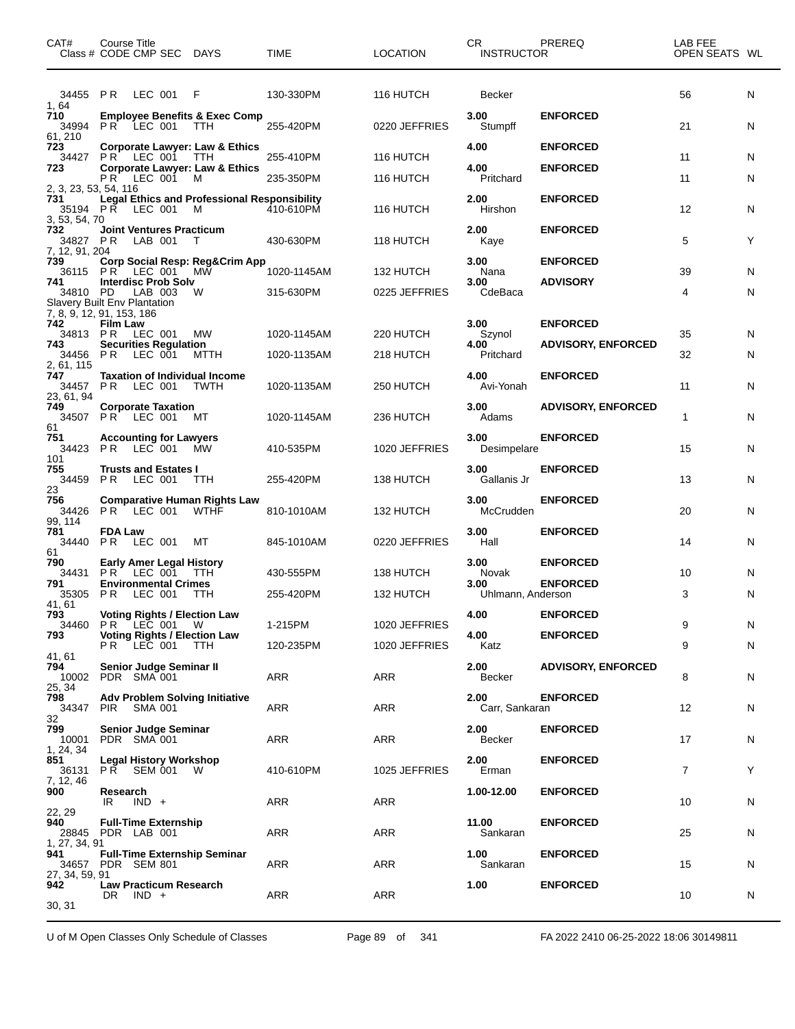| CAT#<br>Class # CODE CMP SEC DAYS                      | Course Title                     |         |                                             |                                                                                    | TIME        | <b>LOCATION</b> | CR.<br><b>INSTRUCTOR</b>  | PREREQ                             | LAB FEE<br>OPEN SEATS WL |    |
|--------------------------------------------------------|----------------------------------|---------|---------------------------------------------|------------------------------------------------------------------------------------|-------------|-----------------|---------------------------|------------------------------------|--------------------------|----|
| 34455 PR LEC 001<br>1,64                               |                                  |         |                                             | F                                                                                  | 130-330PM   | 116 HUTCH       | Becker                    |                                    | 56                       | N  |
| 710<br>34994<br>61, 210                                | <b>PR LEC 001</b>                |         |                                             | <b>Employee Benefits &amp; Exec Comp</b><br><b>TTH</b>                             | 255-420PM   | 0220 JEFFRIES   | 3.00<br>Stumpff           | <b>ENFORCED</b>                    | 21                       | N  |
| 723<br>34427<br>723                                    | <b>PR LEC 001</b>                |         |                                             | Corporate Lawyer: Law & Ethics<br>TTH<br><b>Corporate Lawyer: Law &amp; Ethics</b> | 255-410PM   | 116 HUTCH       | 4.00<br>4.00              | <b>ENFORCED</b><br><b>ENFORCED</b> | 11                       | N  |
| 2, 3, 23, 53, 54, 116                                  | P R                              |         | LEC 001                                     | M                                                                                  | 235-350PM   | 116 HUTCH       | Pritchard                 |                                    | 11                       | N. |
| 731<br>35194 PR LEC 001<br>3, 53, 54, 70               |                                  |         |                                             | <b>Legal Ethics and Professional Responsibility</b><br>M                           | 410-610PM   | 116 HUTCH       | 2.00<br>Hirshon           | <b>ENFORCED</b>                    | 12                       | N  |
| 732<br>34827 PR<br>7, 12, 91, 204                      |                                  |         | LAB 001                                     | <b>Joint Ventures Practicum</b><br>T                                               | 430-630PM   | 118 HUTCH       | 2.00<br>Kaye              | <b>ENFORCED</b>                    | 5                        | Y  |
| 739<br>36115                                           |                                  |         | PR LEC 001                                  | Corp Social Resp: Reg&Crim App<br>MŴ                                               | 1020-1145AM | 132 HUTCH       | 3.00<br>Nana              | <b>ENFORCED</b>                    | 39                       | N. |
| 741<br>34810 PD<br><b>Slavery Built Env Plantation</b> |                                  |         | <b>Interdisc Prob Solv</b><br>LAB 003       | W                                                                                  | 315-630PM   | 0225 JEFFRIES   | 3.00<br>CdeBaca           | <b>ADVISORY</b>                    | 4                        | N  |
| 7, 8, 9, 12, 91, 153, 186<br>742                       | <b>Film Law</b>                  |         |                                             |                                                                                    |             |                 | 3.00                      | <b>ENFORCED</b>                    |                          |    |
| 34813 PR<br>743                                        |                                  |         | LEC 001<br><b>Securities Regulation</b>     | MW                                                                                 | 1020-1145AM | 220 HUTCH       | Szynol<br>4.00            | <b>ADVISORY, ENFORCED</b>          | 35                       | N. |
| 34456<br>2, 61, 115                                    | P <sub>R</sub>                   |         | LEC 001                                     | MTTH                                                                               | 1020-1135AM | 218 HUTCH       | Pritchard                 |                                    | 32                       | N  |
| 747<br>34457<br>23, 61, 94                             | PR.                              |         | LEC 001                                     | <b>Taxation of Individual Income</b><br>TWTH                                       | 1020-1135AM | 250 HUTCH       | 4.00<br>Avi-Yonah         | <b>ENFORCED</b>                    | 11                       | N  |
| 749<br>34507<br>61                                     | PR LEC 001                       |         | <b>Corporate Taxation</b>                   | МT                                                                                 | 1020-1145AM | 236 HUTCH       | 3.00<br>Adams             | <b>ADVISORY, ENFORCED</b>          | 1                        | N  |
| 751<br>34423<br>101                                    | PR.                              |         | <b>Accounting for Lawyers</b><br>LEC 001    | <b>MW</b>                                                                          | 410-535PM   | 1020 JEFFRIES   | 3.00<br>Desimpelare       | <b>ENFORCED</b>                    | 15                       | N  |
| 755<br>34459<br>23                                     | P R                              |         | <b>Trusts and Estates I</b><br>LEC 001      | TTH                                                                                | 255-420PM   | 138 HUTCH       | 3.00<br>Gallanis Jr       | <b>ENFORCED</b>                    | 13                       | N  |
| 756<br>34426<br>99, 114                                | PR LEC 001                       |         |                                             | <b>Comparative Human Rights Law</b><br><b>WTHF</b>                                 | 810-1010AM  | 132 HUTCH       | 3.00<br>McCrudden         | <b>ENFORCED</b>                    | 20                       | N  |
| 781<br>34440<br>61                                     | <b>FDA Law</b><br>P <sub>R</sub> |         | LEC 001                                     | МT                                                                                 | 845-1010AM  | 0220 JEFFRIES   | 3.00<br>Hall              | <b>ENFORCED</b>                    | 14                       | N. |
| 790<br>34431                                           | <b>PR LEC 001</b>                |         | Early Amer Legal History                    | TTH.                                                                               | 430-555PM   | 138 HUTCH       | 3.00<br>Novak             | <b>ENFORCED</b>                    | 10                       | N  |
| 791<br>35305                                           | P <sub>R</sub>                   |         | <b>Environmental Crimes</b><br>LEC 001      | <b>TTH</b>                                                                         | 255-420PM   | 132 HUTCH       | 3.00<br>Uhlmann, Anderson | <b>ENFORCED</b>                    | 3                        | N  |
| 41, 61<br>793                                          |                                  |         |                                             | <b>Voting Rights / Election Law</b>                                                |             |                 | 4.00                      | <b>ENFORCED</b>                    |                          |    |
| 34460<br>793                                           |                                  |         | PR LEC 001 W                                | <b>Voting Rights / Election Law</b>                                                | 1-215PM     | 1020 JEFFRIES   | 4.00                      | <b>ENFORCED</b>                    | 9                        | N  |
| 41, 61                                                 | <b>PR LEC 001</b>                |         |                                             | <b>TTH</b>                                                                         | 120-235PM   | 1020 JEFFRIES   | Katz                      |                                    | 9                        | N  |
| 794<br>10002<br>25, 34                                 | PDR SMA 001                      |         | Senior Judge Seminar II                     |                                                                                    | ARR         | ARR             | 2.00<br>Becker            | <b>ADVISORY, ENFORCED</b>          | 8                        | N  |
| 798<br>34347<br>32                                     | PIR.                             |         | SMA 001                                     | <b>Adv Problem Solving Initiative</b>                                              | ARR         | ARR             | 2.00<br>Carr, Sankaran    | <b>ENFORCED</b>                    | 12                       | N  |
| 799<br>10001<br>1, 24, 34                              | PDR SMA 001                      |         | <b>Senior Judge Seminar</b>                 |                                                                                    | ARR         | ARR             | 2.00<br>Becker            | <b>ENFORCED</b>                    | 17                       | N  |
| 851<br>36131<br>7, 12, 46                              |                                  |         | <b>Legal History Workshop</b><br>PR SEM 001 | <b>W</b>                                                                           | 410-610PM   | 1025 JEFFRIES   | 2.00<br>Erman             | <b>ENFORCED</b>                    | 7                        | Y  |
| 900<br>22, 29                                          | Research<br>IR                   | $IND +$ |                                             |                                                                                    | ARR         | ARR             | 1.00-12.00                | <b>ENFORCED</b>                    | 10                       | N  |
| 940<br>28845 PDR LAB 001<br>1, 27, 34, 91              |                                  |         | <b>Full-Time Externship</b>                 |                                                                                    | ARR         | ARR             | 11.00<br>Sankaran         | <b>ENFORCED</b>                    | 25                       | N  |
| 941<br>34657<br>27, 34, 59, 91                         | PDR SEM 801                      |         |                                             | <b>Full-Time Externship Seminar</b>                                                | ARR         | ARR             | 1.00<br>Sankaran          | <b>ENFORCED</b>                    | 15                       | N  |
| 942<br>30, 31                                          | $DR$ $IND +$                     |         | <b>Law Practicum Research</b>               |                                                                                    | ARR         | ARR             | 1.00                      | <b>ENFORCED</b>                    | 10                       | N  |

U of M Open Classes Only Schedule of Classes Page 89 of 341 FA 2022 2410 06-25-2022 18:06 30149811

 $\overline{\phantom{0}}$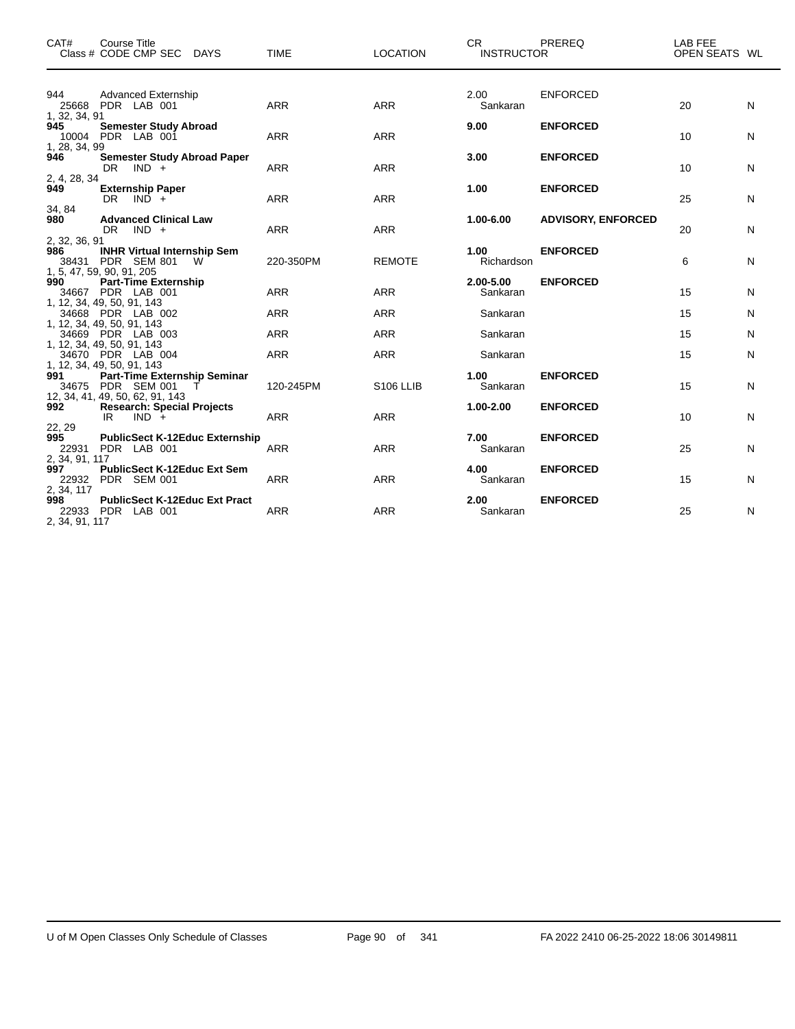| CAT#                                | <b>Course Title</b><br>Class # CODE CMP SEC DAYS                                            | <b>TIME</b> | <b>LOCATION</b> | CR .<br><b>INSTRUCTOR</b> | <b>PREREQ</b>             | LAB FEE<br>OPEN SEATS WL |   |
|-------------------------------------|---------------------------------------------------------------------------------------------|-------------|-----------------|---------------------------|---------------------------|--------------------------|---|
| 944<br>1, 32, 34, 91                | <b>Advanced Externship</b><br>25668 PDR LAB 001                                             | <b>ARR</b>  | <b>ARR</b>      | 2.00<br>Sankaran          | <b>ENFORCED</b>           | 20                       | N |
| 945<br>1, 28, 34, 99                | <b>Semester Study Abroad</b><br>10004 PDR LAB 001                                           | <b>ARR</b>  | <b>ARR</b>      | 9.00                      | <b>ENFORCED</b>           | 10                       | N |
| 946<br>2, 4, 28, 34                 | <b>Semester Study Abroad Paper</b><br>DR $IND +$                                            | <b>ARR</b>  | <b>ARR</b>      | 3.00                      | <b>ENFORCED</b>           | 10                       | N |
| 949                                 | <b>Externship Paper</b><br>$DR$ $IND +$                                                     | <b>ARR</b>  | <b>ARR</b>      | 1.00                      | <b>ENFORCED</b>           | 25                       | N |
| 34, 84<br>980                       | <b>Advanced Clinical Law</b><br>$DR$ $IND +$                                                | <b>ARR</b>  | <b>ARR</b>      | 1.00-6.00                 | <b>ADVISORY, ENFORCED</b> | 20                       | N |
| 2, 32, 36, 91<br>986                | <b>INHR Virtual Internship Sem</b><br>38431 PDR SEM 801<br><b>W</b>                         | 220-350PM   | <b>REMOTE</b>   | 1.00<br>Richardson        | <b>ENFORCED</b>           | 6                        | N |
| 990                                 | 1, 5, 47, 59, 90, 91, 205<br><b>Part-Time Externship</b><br>34667 PDR LAB 001               | <b>ARR</b>  | ARR             | 2.00-5.00<br>Sankaran     | <b>ENFORCED</b>           | 15                       | N |
|                                     | 1, 12, 34, 49, 50, 91, 143<br>34668 PDR LAB 002                                             | <b>ARR</b>  | <b>ARR</b>      | Sankaran                  |                           | 15                       | N |
|                                     | 1, 12, 34, 49, 50, 91, 143<br>34669 PDR LAB 003                                             | <b>ARR</b>  | <b>ARR</b>      | Sankaran                  |                           | 15                       | N |
|                                     | 1, 12, 34, 49, 50, 91, 143<br>34670 PDR LAB 004                                             | <b>ARR</b>  | <b>ARR</b>      | Sankaran                  |                           | 15                       | N |
| 991                                 | 1, 12, 34, 49, 50, 91, 143<br><b>Part-Time Externship Seminar</b><br>34675 PDR SEM 001<br>T | 120-245PM   | S106 LLIB       | 1.00<br>Sankaran          | <b>ENFORCED</b>           | 15                       | N |
| 992<br>22, 29                       | 12, 34, 41, 49, 50, 62, 91, 143<br><b>Research: Special Projects</b><br>$IND +$<br>IR       | <b>ARR</b>  | <b>ARR</b>      | $1.00 - 2.00$             | <b>ENFORCED</b>           | 10                       | N |
| 995                                 | <b>PublicSect K-12Educ Externship</b><br>22931 PDR LAB 001                                  | <b>ARR</b>  | <b>ARR</b>      | 7.00<br>Sankaran          | <b>ENFORCED</b>           | 25                       | N |
| 2, 34, 91, 117<br>997               | <b>PublicSect K-12Educ Ext Sem</b><br>22932 PDR SEM 001                                     | <b>ARR</b>  | <b>ARR</b>      | 4.00<br>Sankaran          | <b>ENFORCED</b>           | 15                       | N |
| 2, 34, 117<br>998<br>2, 34, 91, 117 | <b>PublicSect K-12Educ Ext Pract</b><br>22933 PDR LAB 001                                   | <b>ARR</b>  | <b>ARR</b>      | 2.00<br>Sankaran          | <b>ENFORCED</b>           | 25                       | N |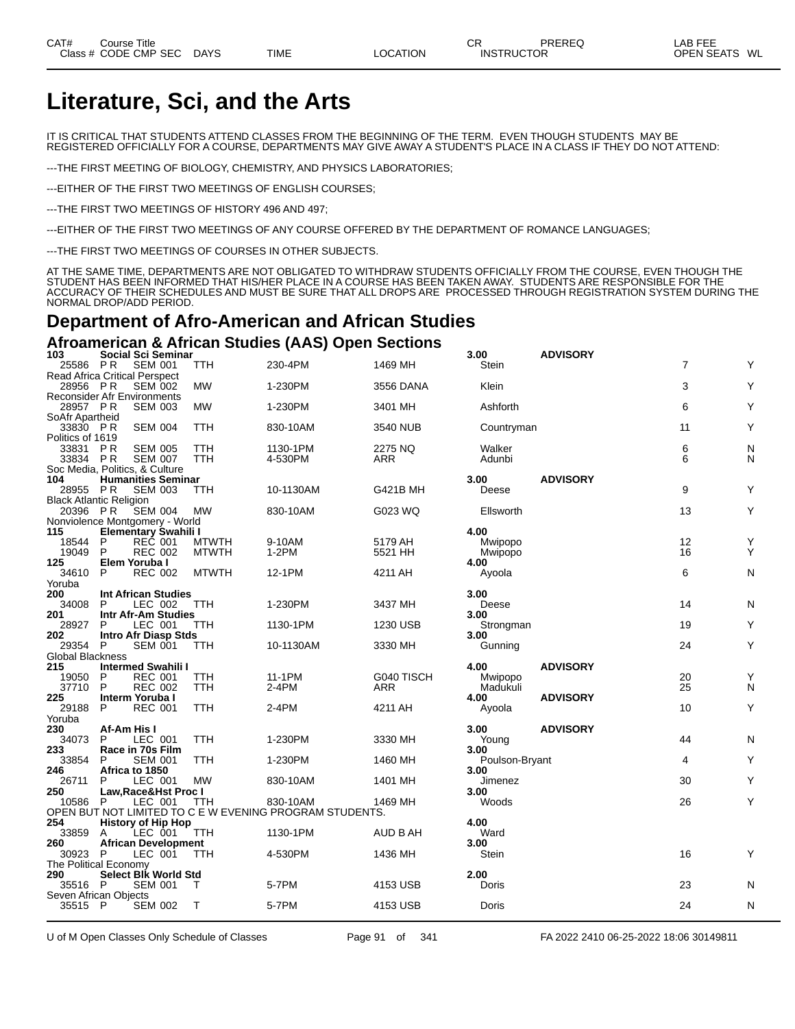# **Literature, Sci, and the Arts**

IT IS CRITICAL THAT STUDENTS ATTEND CLASSES FROM THE BEGINNING OF THE TERM. EVEN THOUGH STUDENTS MAY BE REGISTERED OFFICIALLY FOR A COURSE, DEPARTMENTS MAY GIVE AWAY A STUDENT'S PLACE IN A CLASS IF THEY DO NOT ATTEND:

---THE FIRST MEETING OF BIOLOGY, CHEMISTRY, AND PHYSICS LABORATORIES;

---EITHER OF THE FIRST TWO MEETINGS OF ENGLISH COURSES;

---THE FIRST TWO MEETINGS OF HISTORY 496 AND 497;

---EITHER OF THE FIRST TWO MEETINGS OF ANY COURSE OFFERED BY THE DEPARTMENT OF ROMANCE LANGUAGES;

---THE FIRST TWO MEETINGS OF COURSES IN OTHER SUBJECTS.

AT THE SAME TIME, DEPARTMENTS ARE NOT OBLIGATED TO WITHDRAW STUDENTS OFFICIALLY FROM THE COURSE, EVEN THOUGH THE STUDENT HAS BEEN INFORMED THAT HIS/HER PLACE IN A COURSE HAS BEEN TAKEN AWAY. STUDENTS ARE RESPONSIBLE FOR THE ACCURACY OF THEIR SCHEDULES AND MUST BE SURE THAT ALL DROPS ARE PROCESSED THROUGH REGISTRATION SYSTEM DURING THE NORMAL DROP/ADD PERIOD.

## **Department of Afro-American and African Studies**

#### **Afroamerican & African Studies (AAS) Open Sections**

| 103                     | <b>Social Sci Seminar</b>                              |                   |                                                         |                       | 3.00                | <b>ADVISORY</b> |                |           |
|-------------------------|--------------------------------------------------------|-------------------|---------------------------------------------------------|-----------------------|---------------------|-----------------|----------------|-----------|
| 25586 PR                | <b>SEM 001</b>                                         | TTH               | 230-4PM                                                 | 1469 MH               | Stein               |                 | $\overline{7}$ | Y         |
|                         | Read Africa Critical Perspect                          |                   |                                                         |                       |                     |                 |                |           |
| 28956 PR                | <b>SEM 002</b><br>Reconsider Afr Environments          | <b>MW</b>         | 1-230PM                                                 | 3556 DANA             | Klein               |                 | 3              | Y         |
| 28957 PR                | <b>SEM 003</b>                                         | <b>MW</b>         | 1-230PM                                                 | 3401 MH               | Ashforth            |                 | 6              | Y         |
| SoAfr Apartheid         |                                                        |                   |                                                         |                       |                     |                 |                |           |
| 33830 PR                | <b>SEM 004</b>                                         | TTH               | 830-10AM                                                | 3540 NUB              | Countryman          |                 | 11             | Y         |
| Politics of 1619        |                                                        |                   |                                                         |                       |                     |                 |                |           |
| 33831 PR<br>33834 PR    | <b>SEM 005</b><br><b>SEM 007</b>                       | TTH<br><b>TTH</b> | 1130-1PM<br>4-530PM                                     | 2275 NQ<br><b>ARR</b> | Walker<br>Adunbi    |                 | 6<br>6         | N<br>N    |
|                         | Soc Media, Politics, & Culture                         |                   |                                                         |                       |                     |                 |                |           |
| 104                     | <b>Humanities Seminar</b>                              |                   |                                                         |                       | 3.00                | <b>ADVISORY</b> |                |           |
| 28955 PR                | <b>SEM 003</b>                                         | TTH               | 10-1130AM                                               | G421B MH              | Deese               |                 | 9              | Y         |
|                         | <b>Black Atlantic Religion</b>                         |                   |                                                         |                       |                     |                 |                |           |
| 20396 PR                | <b>SEM 004</b>                                         | <b>MW</b>         | 830-10AM                                                | G023 WQ               | Ellsworth           |                 | 13             | Y         |
| 115                     | Nonviolence Montgomery - World<br>Elementary Swahili I |                   |                                                         |                       | 4.00                |                 |                |           |
| 18544                   | REC 001<br>P                                           | <b>MTWTH</b>      | 9-10AM                                                  | 5179 AH               | Mwipopo             |                 | 12             | Y         |
| 19049                   | <b>REC 002</b><br>P                                    | <b>MTWTH</b>      | $1-2PM$                                                 | 5521 HH               | Mwipopo             |                 | 16             | Y         |
| 125                     | Elem Yoruba I                                          |                   |                                                         |                       | 4.00                |                 |                |           |
| 34610                   | P<br><b>REC 002</b>                                    | <b>MTWTH</b>      | 12-1PM                                                  | 4211 AH               | Ayoola              |                 | 6              | N         |
| Yoruba                  |                                                        |                   |                                                         |                       |                     |                 |                |           |
| 200                     | <b>Int African Studies</b>                             |                   |                                                         |                       | 3.00                |                 | 14             | ${\sf N}$ |
| 34008<br>201            | P<br>LEC 002<br>Intr Afr-Am Studies                    | TTH               | 1-230PM                                                 | 3437 MH               | Deese<br>3.00       |                 |                |           |
| 28927                   | P<br>LEC 001                                           | TTH               | 1130-1PM                                                | 1230 USB              | Strongman           |                 | 19             | Υ         |
| 202                     | <b>Intro Afr Diasp Stds</b>                            |                   |                                                         |                       | 3.00                |                 |                |           |
| 29354                   | P<br><b>SEM 001</b>                                    | <b>TTH</b>        | 10-1130AM                                               | 3330 MH               | Gunning             |                 | 24             | Y         |
| <b>Global Blackness</b> |                                                        |                   |                                                         |                       |                     |                 |                |           |
| 215                     | <b>Intermed Swahili I</b><br>P                         |                   | 11-1PM                                                  | G040 TISCH            | 4.00                | <b>ADVISORY</b> | 20             | Y         |
| 19050<br>37710          | <b>REC 001</b><br>P<br><b>REC 002</b>                  | TTH<br><b>TTH</b> | 2-4PM                                                   | ARR                   | Mwipopo<br>Madukuli |                 | 25             | ${\sf N}$ |
| 225                     | Interm Yoruba I                                        |                   |                                                         |                       | 4.00                | <b>ADVISORY</b> |                |           |
| 29188                   | P<br><b>REC 001</b>                                    | TTH               | $2-4PM$                                                 | 4211 AH               | Ayoola              |                 | 10             | Y         |
| Yoruba                  |                                                        |                   |                                                         |                       |                     |                 |                |           |
| 230                     | Af-Am His I                                            |                   |                                                         |                       | 3.00                | <b>ADVISORY</b> |                |           |
| 34073<br>233            | LEC 001<br>P<br>Race in 70s Film                       | TTH               | 1-230PM                                                 | 3330 MH               | Young<br>3.00       |                 | 44             | N         |
| 33854                   | P<br><b>SEM 001</b>                                    | TTH               | 1-230PM                                                 | 1460 MH               | Poulson-Bryant      |                 | 4              | Υ         |
| 246                     | Africa to 1850                                         |                   |                                                         |                       | 3.00                |                 |                |           |
| 26711                   | LEC 001                                                | <b>MW</b>         | 830-10AM                                                | 1401 MH               | Jimenez             |                 | 30             | Υ         |
| 250                     | Law, Race& Hst Proc I                                  |                   |                                                         |                       | 3.00                |                 |                |           |
| 10586                   | LEC 001<br>P                                           | <b>TTH</b>        | 830-10AM                                                | 1469 MH               | Woods               |                 | 26             | Y         |
| 254                     |                                                        |                   | OPEN BUT NOT LIMITED TO C E W EVENING PROGRAM STUDENTS. |                       | 4.00                |                 |                |           |
| 33859                   | <b>History of Hip Hop</b><br>LEC 001<br>A              | <b>TTH</b>        | 1130-1PM                                                | AUD B AH              | Ward                |                 |                |           |
| 260                     | <b>African Development</b>                             |                   |                                                         |                       | 3.00                |                 |                |           |
| 30923                   | P.<br>LEC 001                                          | ттн               | 4-530PM                                                 | 1436 MH               | Stein               |                 | 16             | Y         |
|                         | The Political Economy                                  |                   |                                                         |                       |                     |                 |                |           |
| 290                     | <b>Select Blk World Std</b>                            |                   |                                                         |                       | 2.00                |                 |                |           |
| 35516 P                 | <b>SEM 001</b>                                         | $\mathsf{T}$      | 5-7PM                                                   | 4153 USB              | Doris               |                 | 23             | ${\sf N}$ |
| 35515 P                 | Seven African Objects<br><b>SEM 002</b>                | $\top$            | 5-7PM                                                   | 4153 USB              | Doris               |                 | 24             | N         |
|                         |                                                        |                   |                                                         |                       |                     |                 |                |           |
|                         |                                                        |                   |                                                         |                       |                     |                 |                |           |

U of M Open Classes Only Schedule of Classes Page 91 of 341 FA 2022 2410 06-25-2022 18:06 30149811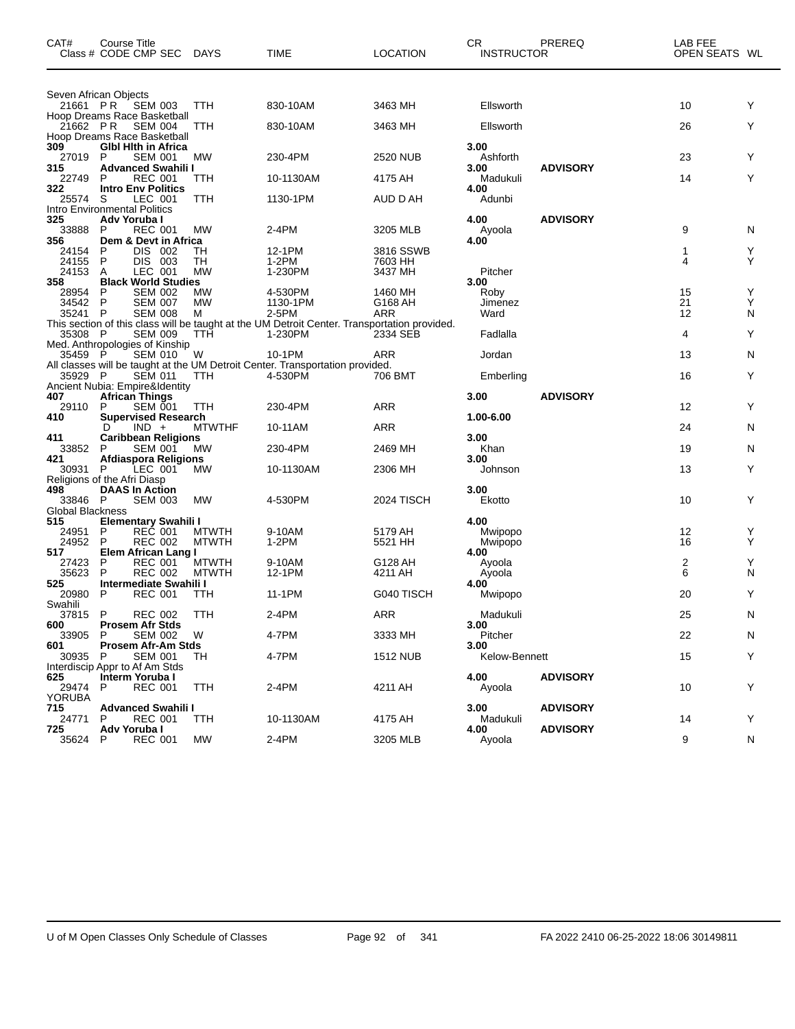| CAT#             | Course Title<br>Class # CODE CMP SEC                  | <b>DAYS</b>                  | TIME                                                                                                    | LOCATION           | <b>CR</b><br><b>INSTRUCTOR</b> | PREREQ          | LAB FEE<br>OPEN SEATS WL |        |
|------------------|-------------------------------------------------------|------------------------------|---------------------------------------------------------------------------------------------------------|--------------------|--------------------------------|-----------------|--------------------------|--------|
|                  | Seven African Objects                                 |                              |                                                                                                         |                    |                                |                 |                          |        |
| 21661 PR         | <b>SEM 003</b><br>Hoop Dreams Race Basketball         | TTH                          | 830-10AM                                                                                                | 3463 MH            | Ellsworth                      |                 | 10                       | Y      |
| 21662 PR         | <b>SEM 004</b><br>Hoop Dreams Race Basketball         | TTH                          | 830-10AM                                                                                                | 3463 MH            | Ellsworth                      |                 | 26                       | Y      |
| 309              | <b>GIbl Hith in Africa</b>                            |                              |                                                                                                         |                    | 3.00                           |                 |                          |        |
| 27019<br>315     | P<br><b>SEM 001</b><br><b>Advanced Swahili I</b>      | МW                           | 230-4PM                                                                                                 | 2520 NUB           | Ashforth<br>3.00               | <b>ADVISORY</b> | 23                       | Y      |
| 22749            | <b>REC 001</b><br>P                                   | ттн                          | 10-1130AM                                                                                               | 4175 AH            | Madukuli                       |                 | 14                       | Y      |
| 322<br>25574     | <b>Intro Env Politics</b><br>LEC 001<br>S             | TTH                          | 1130-1PM                                                                                                | AUD D AH           | 4.00<br>Adunbi                 |                 |                          |        |
|                  | Intro Environmental Politics                          |                              |                                                                                                         |                    |                                |                 |                          |        |
| 325<br>33888     | Adv Yoruba I<br><b>REC 001</b><br>P                   | МW                           | 2-4PM                                                                                                   | 3205 MLB           | 4.00<br>Ayoola                 | <b>ADVISORY</b> | 9                        | N      |
| 356              | Dem & Devt in Africa                                  |                              |                                                                                                         |                    | 4.00                           |                 |                          |        |
| 24154            | P<br>DIS 002                                          | TН                           | 12-1PM                                                                                                  | 3816 SSWB          |                                |                 | 1                        | Y      |
| 24155<br>24153   | DIS 003<br>P<br>Α<br>LEC 001                          | TН<br><b>MW</b>              | $1-2PM$<br>1-230PM                                                                                      | 7603 HH<br>3437 MH | Pitcher                        |                 | 4                        | Y      |
| 358              | <b>Black World Studies</b>                            |                              |                                                                                                         |                    | 3.00                           |                 |                          |        |
| 28954            | P<br><b>SEM 002</b>                                   | MW                           | 4-530PM                                                                                                 | 1460 MH            | Roby                           |                 | 15                       | Υ      |
| 34542            | P<br><b>SEM 007</b>                                   | <b>MW</b>                    | 1130-1PM                                                                                                | G168 AH            | Jimenez                        |                 | 21                       | Y      |
| 35241            | $\mathsf{P}$<br><b>SEM 008</b>                        | м                            | 2-5PM                                                                                                   | ARR                | Ward                           |                 | 12                       | N      |
| 35308            | - P<br><b>SEM 009</b>                                 | TTH                          | This section of this class will be taught at the UM Detroit Center. Transportation provided.<br>1-230PM | 2334 SEB           | Fadlalla                       |                 | 4                        | Y      |
| 35459            | Med. Anthropologies of Kinship<br>P<br><b>SEM 010</b> | W                            | 10-1PM                                                                                                  | <b>ARR</b>         | Jordan                         |                 | 13                       | N      |
|                  |                                                       |                              | All classes will be taught at the UM Detroit Center. Transportation provided.                           |                    |                                |                 |                          |        |
| 35929 P          | <b>SEM 011</b><br>Ancient Nubia: Empire&Identity      | ттн                          | 4-530PM                                                                                                 | 706 BMT            | Emberling                      |                 | 16                       | Y      |
| 407              | <b>African Things</b>                                 |                              |                                                                                                         |                    | 3.00                           | <b>ADVISORY</b> |                          |        |
| 29110            | P<br><b>SEM 001</b>                                   | TTH                          | 230-4PM                                                                                                 | ARR                |                                |                 | 12                       | Y      |
| 410              | <b>Supervised Research</b><br>$IND +$<br>D            | <b>MTWTHF</b>                | 10-11AM                                                                                                 | ARR                | 1.00-6.00                      |                 | 24                       | N      |
| 411              | <b>Caribbean Religions</b>                            |                              |                                                                                                         |                    | 3.00                           |                 |                          |        |
| 33852            | <b>SEM 001</b><br>P                                   | МW                           | 230-4PM                                                                                                 | 2469 MH            | Khan                           |                 | 19                       | N      |
| 421              | <b>Afdiaspora Religions</b>                           |                              |                                                                                                         |                    | 3.00                           |                 |                          |        |
| 30931            | P<br>LEC 001<br>Religions of the Afri Diasp           | MW                           | 10-1130AM                                                                                               | 2306 MH            | Johnson                        |                 | 13                       | Y      |
| 498              | <b>DAAS In Action</b>                                 |                              |                                                                                                         |                    | 3.00                           |                 |                          |        |
| 33846            | P<br><b>SEM 003</b>                                   | <b>MW</b>                    | 4-530PM                                                                                                 | 2024 TISCH         | Ekotto                         |                 | 10                       | Y      |
| Global Blackness |                                                       |                              |                                                                                                         |                    |                                |                 |                          |        |
| 515              | Elementary Swahili I<br>P<br><b>REC 001</b>           |                              |                                                                                                         | 5179 AH            | 4.00                           |                 | 12                       |        |
| 24951<br>24952   | P<br><b>REC 002</b>                                   | <b>MTWTH</b><br><b>MTWTH</b> | 9-10AM<br>$1-2PM$                                                                                       | 5521 HH            | Mwipopo<br>Mwipopo             |                 | 16                       | Y<br>Y |
| 517              | Elem African Lang I                                   |                              |                                                                                                         |                    | 4.00                           |                 |                          |        |
| 27423            | P<br><b>REC 001</b>                                   | <b>MTWTH</b>                 | 9-10AM                                                                                                  | G128 AH            | Ayoola                         |                 | 2                        | Y      |
| 35623            | P<br><b>REC 002</b>                                   | <b>MTWTH</b>                 | 12-1PM                                                                                                  | 4211 AH            | Ayoola                         |                 | 6                        | N      |
| 525<br>20980     | Intermediate Swahili I<br>P<br><b>REC 001</b>         | TTH                          | 11-1PM                                                                                                  | G040 TISCH         | 4.00<br>Mwipopo                |                 | 20                       | Y      |
| Swahili          |                                                       |                              |                                                                                                         |                    |                                |                 |                          |        |
| 37815            | P<br><b>REC 002</b>                                   | TTH                          | 2-4PM                                                                                                   | ARR                | Madukuli                       |                 | 25                       | N      |
| 600<br>33905     | <b>Prosem Afr Stds</b><br>SEM 002<br>P                | W                            | 4-7PM                                                                                                   | 3333 MH            | 3.00<br>Pitcher                |                 | 22                       | N      |
| 601              | <b>Prosem Afr-Am Stds</b>                             |                              |                                                                                                         |                    | 3.00                           |                 |                          |        |
| 30935            | <b>SEM 001</b><br>P                                   | TH                           | 4-7PM                                                                                                   | <b>1512 NUB</b>    | Kelow-Bennett                  |                 | 15                       | Y      |
|                  | Interdiscip Appr to Af Am Stds                        |                              |                                                                                                         |                    |                                |                 |                          |        |
| 625<br>29474     | Interm Yoruba I<br>P<br><b>REC 001</b>                | TTH                          | 2-4PM                                                                                                   | 4211 AH            | 4.00<br>Ayoola                 | <b>ADVISORY</b> | 10                       | Y      |
| <b>YORUBA</b>    |                                                       |                              |                                                                                                         |                    |                                |                 |                          |        |
| 715              | <b>Advanced Swahili I</b>                             |                              |                                                                                                         |                    | 3.00                           | <b>ADVISORY</b> |                          |        |
| 24771            | <b>REC 001</b><br>P.                                  | TTH                          | 10-1130AM                                                                                               | 4175 AH            | Madukuli                       |                 | 14                       | Y      |
| 725<br>35624     | Adv Yoruba I<br>P<br><b>REC 001</b>                   | <b>MW</b>                    | 2-4PM                                                                                                   | 3205 MLB           | 4.00<br>Ayoola                 | <b>ADVISORY</b> | 9                        | N      |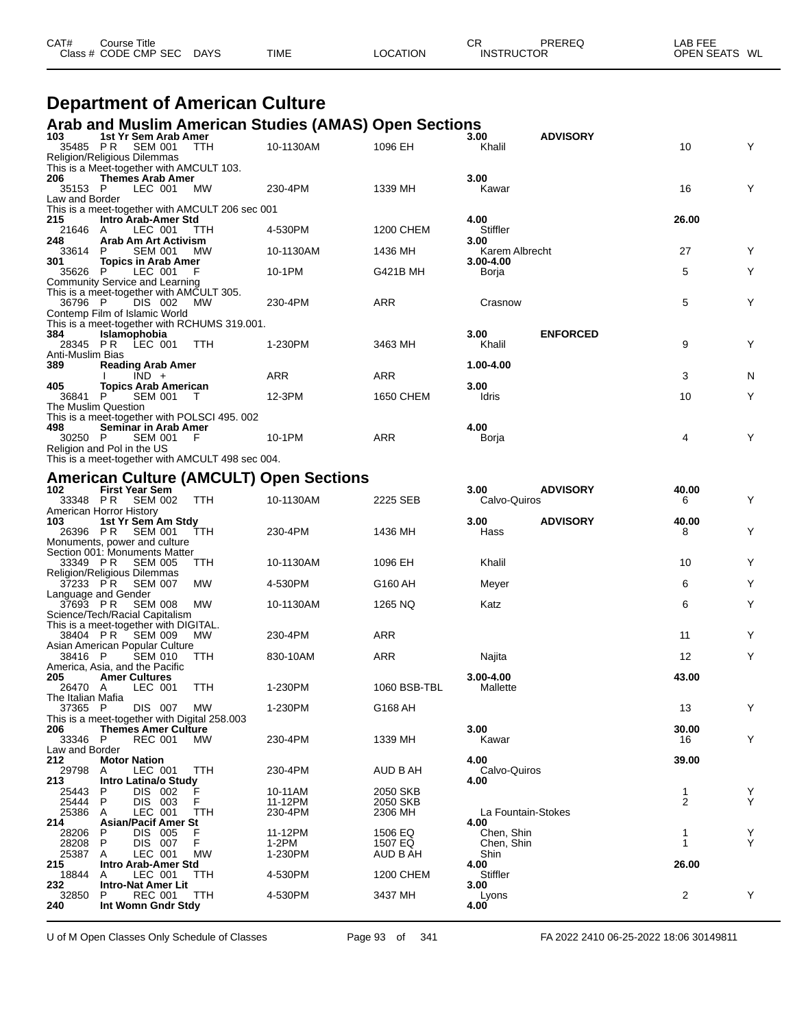| CAT#<br>Title<br>Course∴ |                       |             |          | СR | <b>DDEDE</b> C    | AR FEE<br>---           |
|--------------------------|-----------------------|-------------|----------|----|-------------------|-------------------------|
| Class # CODE CMP SEC     | <b>DAYS</b><br>$\sim$ | <b>TIME</b> | LOCATION |    | <b>INSTRUCTOR</b> | <b>OPEN SEATS</b><br>WL |

## **Department of American Culture**

# **Arab and Muslim American Studies (AMAS) Open Sections 103 1st Yr Sem Arab Amer 3.00 ADVISORY**

| 103<br>35485 PR              | 1st Yr Sem Arab Amer<br><b>SEM 001</b>                                 | TTH        | 10-1130AM                                      | 1096 EH      | 3.00<br>Khalil              | <b>ADVISORY</b> | 10             | Y      |
|------------------------------|------------------------------------------------------------------------|------------|------------------------------------------------|--------------|-----------------------------|-----------------|----------------|--------|
|                              | <b>Religion/Religious Dilemmas</b>                                     |            |                                                |              |                             |                 |                |        |
| 206                          | This is a Meet-together with AMCULT 103.<br><b>Themes Arab Amer</b>    |            |                                                |              | 3.00                        |                 |                |        |
| 35153 P                      | LEC 001                                                                | MW         | 230-4PM                                        | 1339 MH      | Kawar                       |                 | 16             | Y      |
| Law and Border               |                                                                        |            |                                                |              |                             |                 |                |        |
| 215                          | This is a meet-together with AMCULT 206 sec 001<br>Intro Arab-Amer Std |            |                                                |              | 4.00                        |                 | 26.00          |        |
| 21646 A                      | LEC 001                                                                | <b>TTH</b> | 4-530PM                                        | 1200 CHEM    | Stiffler                    |                 |                |        |
| 248                          | Arab Am Art Activism                                                   |            |                                                |              | 3.00                        |                 |                |        |
| 33614<br>301                 | <b>SEM 001</b><br>P<br><b>Topics in Arab Amer</b>                      | <b>MW</b>  | 10-1130AM                                      | 1436 MH      | Karem Albrecht<br>3.00-4.00 |                 | 27             | Y      |
| 35626 P                      | LEC 001                                                                | F          | 10-1PM                                         | G421B MH     | Borja                       |                 | 5              | Υ      |
|                              | Community Service and Learning                                         |            |                                                |              |                             |                 |                |        |
| 36796 P                      | This is a meet-together with AMCULT 305.<br>DIS 002                    | <b>MW</b>  | 230-4PM                                        | ARR          | Crasnow                     |                 | 5              | Υ      |
|                              | Contemp Film of Islamic World                                          |            |                                                |              |                             |                 |                |        |
|                              | This is a meet-together with RCHUMS 319.001.                           |            |                                                |              |                             |                 |                |        |
| 384                          | Islamophobia<br>28345 PR LEC 001                                       | TTH        | 1-230PM                                        | 3463 MH      | 3.00<br>Khalil              | <b>ENFORCED</b> | 9              | Y      |
| Anti-Muslim Bias             |                                                                        |            |                                                |              |                             |                 |                |        |
| 389                          | <b>Reading Arab Amer</b>                                               |            |                                                |              | 1.00-4.00                   |                 |                |        |
| 405                          | $IND +$<br><b>Topics Arab American</b>                                 |            | ARR                                            | ARR          | 3.00                        |                 | 3              | N      |
| 36841 P                      | <b>SEM 001</b><br>$\top$                                               |            | 12-3PM                                         | 1650 CHEM    | Idris                       |                 | 10             | Υ      |
|                              | The Muslim Question                                                    |            |                                                |              |                             |                 |                |        |
| 498                          | This is a meet-together with POLSCI 495.002<br>Seminar in Arab Amer    |            |                                                |              | 4.00                        |                 |                |        |
| 30250 P                      | <b>SEM 001</b>                                                         | - F        | 10-1PM                                         | ARR          | Borja                       |                 | 4              | Y      |
|                              | Religion and Pol in the US                                             |            |                                                |              |                             |                 |                |        |
|                              | This is a meet-together with AMCULT 498 sec 004.                       |            |                                                |              |                             |                 |                |        |
|                              |                                                                        |            | <b>American Culture (AMCULT) Open Sections</b> |              |                             |                 |                |        |
| 102                          | <b>First Year Sem</b>                                                  |            |                                                |              | 3.00                        | <b>ADVISORY</b> | 40.00          |        |
| 33348 PR                     | <b>SEM 002</b><br>American Horror History                              | <b>TTH</b> | 10-1130AM                                      | 2225 SEB     | Calvo-Quiros                |                 | 6              | Y      |
| 103                          | 1st Yr Sem Am Stdy                                                     |            |                                                |              | 3.00                        | <b>ADVISORY</b> | 40.00          |        |
| 26396 PR                     | SEM 001                                                                | ттн        | 230-4PM                                        | 1436 MH      | Hass                        |                 | 8              | Y      |
|                              | Monuments, power and culture<br>Section 001: Monuments Matter          |            |                                                |              |                             |                 |                |        |
| 33349 PR                     | <b>SEM 005</b>                                                         | <b>TTH</b> | 10-1130AM                                      | 1096 EH      | Khalil                      |                 | 10             | Y      |
|                              | Religion/Religious Dilemmas<br><b>SEM 007</b>                          | МW         | 4-530PM                                        | G160 AH      |                             |                 | 6              | Υ      |
| 37233 PR                     | Language and Gender                                                    |            |                                                |              | Meyer                       |                 |                |        |
| 37693 PR                     | <b>SEM 008</b>                                                         | MW         | 10-1130AM                                      | 1265 NQ      | Katz                        |                 | 6              | Y      |
|                              | Science/Tech/Racial Capitalism                                         |            |                                                |              |                             |                 |                |        |
| 38404 PR                     | This is a meet-together with DIGITAL.<br>SEM 009                       | MW.        | 230-4PM                                        | ARR          |                             |                 | 11             | Y      |
|                              | Asian American Popular Culture                                         |            |                                                |              |                             |                 |                |        |
| 38416 P                      | <b>SEM 010</b><br>America, Asia, and the Pacific                       | ттн        | 830-10AM                                       | ARR          | Najita                      |                 | 12             | Y      |
| 205                          | <b>Amer Cultures</b>                                                   |            |                                                |              | $3.00 - 4.00$               |                 | 43.00          |        |
| 26470 A                      | LEC 001                                                                | TTH        | 1-230PM                                        | 1060 BSB-TBL | Mallette                    |                 |                |        |
| The Italian Mafia<br>37365 P | DIS 007                                                                | МW         | 1-230PM                                        | G168 AH      |                             |                 | 13             | Υ      |
|                              | This is a meet-together with Digital 258.003                           |            |                                                |              |                             |                 |                |        |
| 206                          | <b>Themes Amer Culture</b>                                             |            |                                                |              | 3.00                        |                 | 30.00          |        |
| 33346 P<br>Law and Border    | <b>REC 001</b>                                                         | MW         | 230-4PM                                        | 1339 MH      | Kawar                       |                 | 16             | Υ      |
| 212                          | <b>Motor Nation</b>                                                    |            |                                                |              | 4.00                        |                 | 39.00          |        |
| 29798                        | LEC 001<br>A                                                           | TTH        | 230-4PM                                        | AUD B AH     | Calvo-Quiros                |                 |                |        |
| 213<br>25443                 | Intro Latina/o Study<br>P<br>DIS 002                                   |            | 10-11AM                                        | 2050 SKB     | 4.00                        |                 | 1              |        |
| 25444                        | DIS 003<br>P                                                           | F          | 11-12PM                                        | 2050 SKB     |                             |                 | 2              | Y<br>Y |
| 25386                        | LEC 001<br>A                                                           | TTH        | 230-4PM                                        | 2306 MH      | La Fountain-Stokes          |                 |                |        |
| 214<br>28206                 | <b>Asian/Pacif Amer St</b><br>P<br>DIS 005                             | F          | 11-12PM                                        | 1506 EQ      | 4.00<br>Chen, Shin          |                 | 1              | Υ      |
| 28208                        | DIS 007<br>P                                                           | F          | 1-2PM                                          | 1507 EQ      | Chen, Shin                  |                 | $\mathbf{1}$   | Y      |
| 25387                        | LEC 001<br>A                                                           | MW         | 1-230PM                                        | AUD B AH     | Shin                        |                 |                |        |
| 215<br>18844                 | <b>Intro Arab-Amer Std</b><br>LEC 001<br>A                             | ттн        | 4-530PM                                        | 1200 CHEM    | 4.00<br>Stiffler            |                 | 26.00          |        |
| 232                          | Intro-Nat Amer Lit                                                     |            |                                                |              | 3.00                        |                 |                |        |
| 32850                        | <b>REC 001</b><br>P                                                    | TTH        | 4-530PM                                        | 3437 MH      | Lyons                       |                 | $\overline{c}$ | Υ      |
| 240                          | Int Womn Gndr Stdy                                                     |            |                                                |              | 4.00                        |                 |                |        |

U of M Open Classes Only Schedule of Classes Page 93 of 341 FA 2022 2410 06-25-2022 18:06 30149811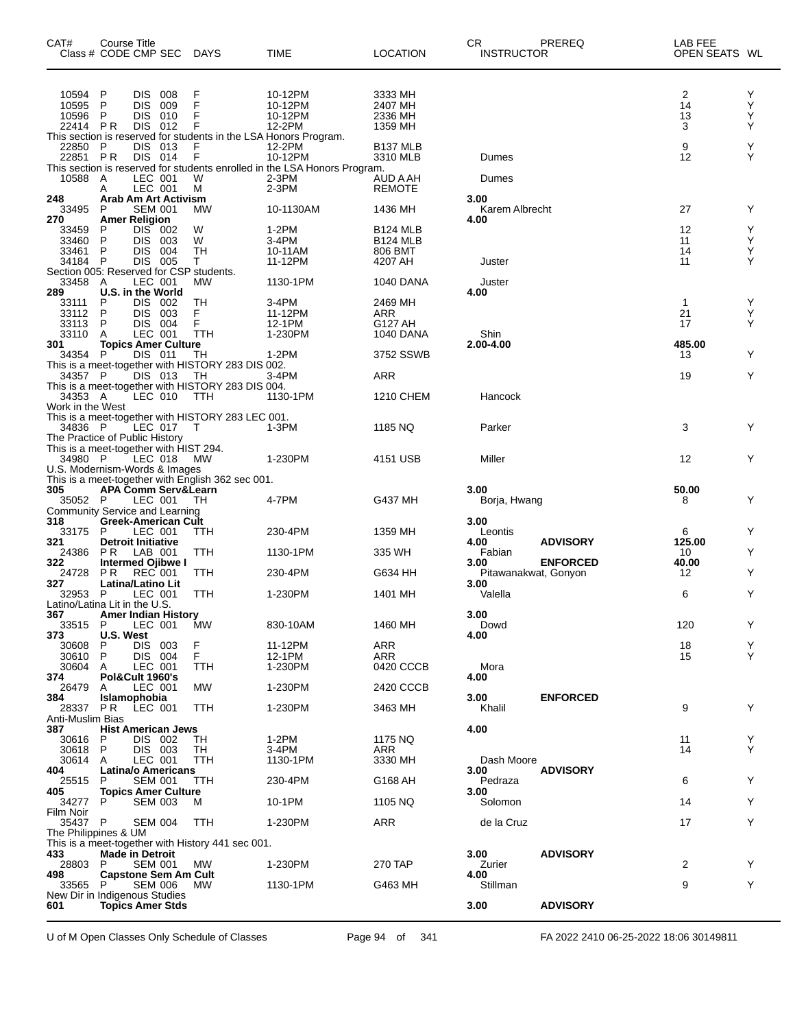| CAT#                         | Course Title<br>Class # CODE CMP SEC DAYS                                                                            |                                                                            | <b>TIME</b>                                                                          | <b>LOCATION</b>                               | СR<br><b>INSTRUCTOR</b>                 | PREREQ          | LAB FEE<br>OPEN SEATS WL |             |
|------------------------------|----------------------------------------------------------------------------------------------------------------------|----------------------------------------------------------------------------|--------------------------------------------------------------------------------------|-----------------------------------------------|-----------------------------------------|-----------------|--------------------------|-------------|
| 10594<br>10595<br>10596      | P<br><b>DIS</b><br>008<br><b>DIS</b><br>P<br>009<br>P<br>DIS.<br>010                                                 | F<br>F<br>F                                                                | 10-12PM<br>10-12PM<br>10-12PM                                                        | 3333 MH<br>2407 MH<br>2336 MH                 |                                         |                 | 2<br>14<br>13            | Y<br>Υ<br>Υ |
| 22414 PR<br>22850 P          | 012<br>DIS.<br>DIS 013                                                                                               | F<br>This section is reserved for students in the LSA Honors Program.<br>F | 12-2PM<br>12-2PM                                                                     | 1359 MH<br>B <sub>137</sub> MLB               |                                         |                 | 3<br>9                   | Υ<br>Y      |
| 22851 PR                     | DIS 014                                                                                                              | F                                                                          | 10-12PM<br>This section is reserved for students enrolled in the LSA Honors Program. | 3310 MLB                                      | Dumes                                   |                 | 12                       | Y           |
| 10588 A<br>248               | LEC 001<br>LEC 001<br>A<br><b>Arab Am Art Activism</b>                                                               | W<br>М                                                                     | 2-3PM<br>$2-3PM$                                                                     | AUD A AH<br><b>REMOTE</b>                     | Dumes<br>3.00                           |                 |                          |             |
| 33495<br>270                 | <b>SEM 001</b><br>P<br><b>Amer Religion</b>                                                                          | МW                                                                         | 10-1130AM                                                                            | 1436 MH                                       | Karem Albrecht<br>4.00                  |                 | 27                       | Y           |
| 33459<br>33460<br>33461 P    | DIS 002<br>P<br>P<br>DIS.<br>003<br>DIS.<br>004                                                                      | W<br>W<br>TН                                                               | 1-2PM<br>$3-4PM$<br>10-11AM                                                          | <b>B124 MLB</b><br><b>B124 MLB</b><br>806 BMT |                                         |                 | 12<br>11<br>14           | Y<br>Υ<br>Υ |
| 34184 P                      | DIS 005<br>Section 005: Reserved for CSP students.                                                                   | Т                                                                          | 11-12PM                                                                              | 4207 AH                                       | Juster                                  |                 | 11                       | Y           |
| 33458<br>289                 | LEC 001<br>A<br>U.S. in the World                                                                                    | MW                                                                         | 1130-1PM                                                                             | <b>1040 DANA</b>                              | Juster<br>4.00                          |                 |                          |             |
| 33111<br>33112<br>33113      | P<br>DIS 002<br>P<br><b>DIS</b><br>003<br>DIS 004<br>P                                                               | TH<br>F<br>F                                                               | 3-4PM<br>11-12PM<br>12-1PM                                                           | 2469 MH<br><b>ARR</b><br>G127 AH              |                                         |                 | 1<br>21<br>17            | Y<br>Υ<br>Υ |
| 33110<br>301<br>34354 P      | LEC 001<br>A<br><b>Topics Amer Culture</b>                                                                           | TTH                                                                        | 1-230PM                                                                              | <b>1040 DANA</b>                              | Shin<br>2.00-4.00                       |                 | 485.00                   | Y           |
| 34357 P                      | DIS 011<br>DIS 013                                                                                                   | TН<br>This is a meet-together with HISTORY 283 DIS 002.<br>TH              | 1-2PM<br>3-4PM                                                                       | 3752 SSWB<br><b>ARR</b>                       |                                         |                 | 13<br>19                 | Y           |
| 34353 A<br>Work in the West  | LEC 010                                                                                                              | This is a meet-together with HISTORY 283 DIS 004.<br>TTH                   | 1130-1PM                                                                             | 1210 CHEM                                     | Hancock                                 |                 |                          |             |
| 34836 P                      | LEC 017                                                                                                              | This is a meet-together with HISTORY 283 LEC 001.<br>$\top$                | $1-3PM$                                                                              | 1185 NQ                                       | Parker                                  |                 | 3                        | Y           |
| 34980 P                      | The Practice of Public History<br>This is a meet-together with HIST 294.<br>LEC 018<br>U.S. Modernism-Words & Images | МW                                                                         | 1-230PM                                                                              | 4151 USB                                      | Miller                                  |                 | 12                       | Y           |
| 305                          | <b>APA Comm Serv&amp;Learn</b>                                                                                       | This is a meet-together with English 362 sec 001.                          |                                                                                      |                                               | 3.00                                    |                 | 50.00                    |             |
| 35052 P                      | LEC 001<br>Community Service and Learning                                                                            | TH                                                                         | 4-7PM                                                                                | G437 MH                                       | Borja, Hwang                            |                 | 8                        | Υ           |
| 318<br>33175<br>321          | Greek-American Cult<br>P<br>LEC 001<br><b>Detroit Initiative</b>                                                     | TTH                                                                        | 230-4PM                                                                              | 1359 MH                                       | 3.00<br>Leontis<br>4.00                 | <b>ADVISORY</b> | 6<br>125.00              | Y           |
| 24386<br>322                 | PR.<br>LAB 001<br><b>Intermed Ojibwe I</b><br>REC 001                                                                | TTH                                                                        | 1130-1PM                                                                             | 335 WH<br>G634 HH                             | Fabian<br>3.00                          | <b>ENFORCED</b> | 10<br>40.00              | Y<br>Y      |
| 24728<br>327<br>32953        | P R<br><b>Latina/Latino Lit</b><br><b>P</b><br>LEC 001                                                               | TTH<br>TTH                                                                 | 230-4PM<br>1-230PM                                                                   | 1401 MH                                       | Pitawanakwat, Gonyon<br>3.00<br>Valella |                 | 12<br>6                  | Υ           |
| 367<br>33515 P               | Latino/Latina Lit in the U.S.<br><b>Amer Indian History</b><br>LEC 001                                               | <b>MW</b>                                                                  | 830-10AM                                                                             | 1460 MH                                       | 3.00<br>Dowd                            |                 | 120                      | Y           |
| 373<br>30608                 | U.S. West<br>P<br>DIS 003                                                                                            | F                                                                          | 11-12PM                                                                              | <b>ARR</b>                                    | 4.00                                    |                 | 18                       | Y           |
| 30610<br>30604<br>374        | P<br>DIS 004<br>LEC 001<br>Α<br>Pol&Cult 1960's                                                                      | F<br>TTH                                                                   | 12-1PM<br>1-230PM                                                                    | <b>ARR</b><br>0420 CCCB                       | Mora<br>4.00                            |                 | 15                       | Y           |
| 26479<br>384                 | LEC 001<br>A<br>Islamophobia                                                                                         | <b>MW</b>                                                                  | 1-230PM                                                                              | 2420 CCCB                                     | 3.00                                    | <b>ENFORCED</b> |                          |             |
| 28337 PR<br>Anti-Muslim Bias | LEC 001                                                                                                              | <b>TTH</b>                                                                 | 1-230PM                                                                              | 3463 MH                                       | Khalil<br>4.00                          |                 | 9                        | Y           |
| 387<br>30616<br>30618        | <b>Hist American Jews</b><br>P<br>DIS 002<br>P<br>DIS 003                                                            | TH<br>TH                                                                   | 1-2PM<br>3-4PM                                                                       | 1175 NQ<br>ARR                                |                                         |                 | 11<br>14                 | Y<br>Y      |
| 30614 A<br>404               | LEC 001<br><b>Latina/o Americans</b>                                                                                 | TTH                                                                        | 1130-1PM                                                                             | 3330 MH                                       | Dash Moore<br>3.00                      | <b>ADVISORY</b> |                          |             |
| 25515<br>405<br>34277        | <b>SEM 001</b><br>P<br><b>Topics Amer Culture</b><br><b>SEM 003</b><br>P                                             | TTH<br>м                                                                   | 230-4PM<br>10-1PM                                                                    | G168 AH<br>1105 NQ                            | Pedraza<br>3.00<br>Solomon              |                 | 6<br>14                  | Y<br>Y      |
| Film Noir<br>35437 P         | <b>SEM 004</b>                                                                                                       | TTH                                                                        | 1-230PM                                                                              | <b>ARR</b>                                    | de la Cruz                              |                 | 17                       | Y           |
| 433                          | The Philippines & UM<br>Made in Detroit                                                                              | This is a meet-together with History 441 sec 001.                          |                                                                                      |                                               | 3.00                                    | <b>ADVISORY</b> |                          |             |
| 28803<br>498                 | <b>SEM 001</b><br>-P<br><b>Capstone Sem Am Cult</b>                                                                  | МW                                                                         | 1-230PM                                                                              | 270 TAP                                       | Zurier<br>4.00                          |                 | 2                        | Y           |
| 33565                        | <b>SEM 006</b><br>P.<br>New Dir in Indigenous Studies                                                                | МW                                                                         | 1130-1PM                                                                             | G463 MH                                       | Stillman                                |                 | 9                        | Y           |
| 601                          | <b>Topics Amer Stds</b>                                                                                              |                                                                            |                                                                                      |                                               | 3.00                                    | <b>ADVISORY</b> |                          |             |

U of M Open Classes Only Schedule of Classes Page 94 of 341 FA 2022 2410 06-25-2022 18:06 30149811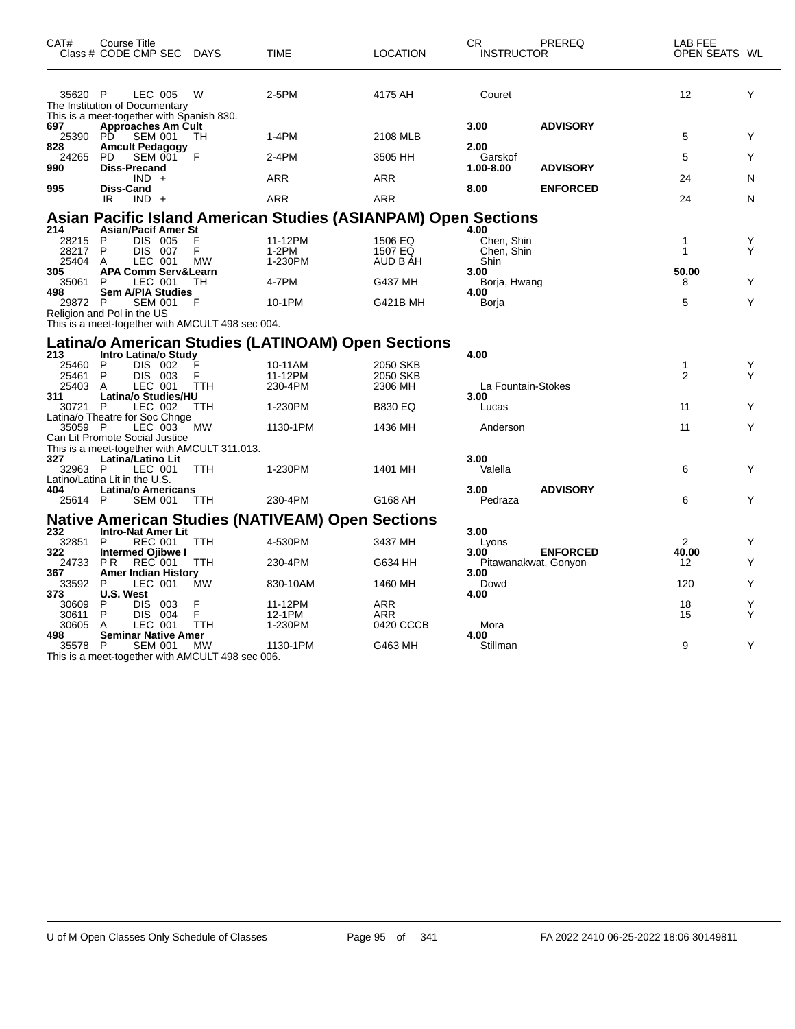| CAT#                             | Course Title<br>Class # CODE CMP SEC DAYS                                              |                     | <b>TIME</b>                                                           | <b>LOCATION</b>                | CR.<br><b>INSTRUCTOR</b>                 | PREREQ                                  | LAB FEE<br>OPEN SEATS WL |        |
|----------------------------------|----------------------------------------------------------------------------------------|---------------------|-----------------------------------------------------------------------|--------------------------------|------------------------------------------|-----------------------------------------|--------------------------|--------|
| 35620 P                          | LEC 005<br>The Institution of Documentary<br>This is a meet-together with Spanish 830. | W                   | 2-5PM                                                                 | 4175 AH                        | Couret                                   |                                         | 12                       | Y      |
| 697<br>25390 PD                  | <b>Approaches Am Cult</b><br><b>SEM 001</b>                                            | TH                  | $1-4PM$                                                               | 2108 MLB                       | 3.00                                     | <b>ADVISORY</b>                         | 5                        | Y      |
| 828<br>24265<br>990              | <b>Amcult Pedagogy</b><br><b>SEM 001</b><br><b>PD</b><br>Diss-Precand                  | F                   | $2-4PM$                                                               | 3505 HH                        | 2.00<br>Garskof<br>1.00-8.00             | <b>ADVISORY</b>                         | 5                        | Y      |
|                                  | $IND +$                                                                                |                     | <b>ARR</b>                                                            | <b>ARR</b>                     |                                          |                                         | 24                       | N      |
| 995                              | <b>Diss-Cand</b><br>IR<br>$IND +$                                                      |                     | <b>ARR</b>                                                            | ARR                            | 8.00                                     | <b>ENFORCED</b>                         | 24                       | N      |
|                                  |                                                                                        |                     | <b>Asian Pacific Island American Studies (ASIANPAM) Open Sections</b> |                                |                                          |                                         |                          |        |
| 214<br>28215<br>28217<br>25404 A | <b>Asian/Pacif Amer St</b><br>DIS 005<br>P<br>P<br>DIS 007<br>LEC 001                  | F<br>F<br><b>MW</b> | 11-12PM<br>$1-2PM$<br>1-230PM                                         | 1506 EQ<br>1507 EQ<br>AUD B AH | 4.00<br>Chen, Shin<br>Chen, Shin<br>Shin |                                         | 1<br>$\mathbf{1}$        | Y<br>Υ |
| 305<br>35061<br>498              | <b>APA Comm Serv&amp;Learn</b><br>P<br>LEC 001<br><b>Sem A/PIA Studies</b>             | TН                  | 4-7PM                                                                 | G437 MH                        | 3.00<br>Borja, Hwang                     |                                         | 50.00<br>8               | Y      |
| 29872 P                          | <b>SEM 001</b><br>Religion and Pol in the US                                           | F                   | 10-1PM                                                                | G421B MH                       | 4.00<br>Borja                            |                                         | 5                        | Y      |
|                                  | This is a meet-together with AMCULT 498 sec 004.                                       |                     |                                                                       |                                |                                          |                                         |                          |        |
| 213                              | Intro Latina/o Study                                                                   |                     | Latina/o American Studies (LATINOAM) Open Sections                    |                                | 4.00                                     |                                         |                          |        |
| 25460 P                          | DIS 002                                                                                |                     | 10-11AM                                                               | 2050 SKB                       |                                          |                                         | $\mathbf{1}$             | Y      |
| 25461 P<br>25403 A               | DIS 003<br>LEC 001                                                                     | F<br><b>TTH</b>     | 11-12PM<br>230-4PM                                                    | 2050 SKB<br>2306 MH            | La Fountain-Stokes                       |                                         | 2                        | Y      |
| 311<br>30721 P                   | Latina/o Studies/HU<br>LEC 002                                                         | <b>TTH</b>          | 1-230PM                                                               | <b>B830 EQ</b>                 | 3.00<br>Lucas                            |                                         | 11                       | Y      |
| 35059 P                          | Latina/o Theatre for Soc Chnge<br>LEC 003                                              | <b>MW</b>           | 1130-1PM                                                              | 1436 MH                        | Anderson                                 |                                         | 11                       | Y      |
|                                  | Can Lit Promote Social Justice<br>This is a meet-together with AMCULT 311.013.         |                     |                                                                       |                                |                                          |                                         |                          |        |
| 327<br>32963 P                   | Latina/Latino Lit<br>LEC 001                                                           | <b>TTH</b>          | 1-230PM                                                               | 1401 MH                        | 3.00<br>Valella                          |                                         | 6                        | Y      |
| 404<br>25614 P                   | Latino/Latina Lit in the U.S.<br><b>Latina/o Americans</b><br><b>SEM 001</b>           | TTH                 | 230-4PM                                                               | G168 AH                        | 3.00<br>Pedraza                          | <b>ADVISORY</b>                         | 6                        | Y      |
|                                  |                                                                                        |                     | <b>Native American Studies (NATIVEAM) Open Sections</b>               |                                |                                          |                                         |                          |        |
| 232<br>32851                     | <b>Intro-Nat Amer Lit</b><br><b>REC 001</b><br>P                                       | <b>TTH</b>          | 4-530PM                                                               | 3437 MH                        | 3.00<br>Lyons                            |                                         | $\overline{2}$           | Y      |
| 322<br>24733                     | Intermed Ojibwe I<br><b>REC 001</b><br><b>PR</b>                                       | TTH                 | 230-4PM                                                               | G634 HH                        | 3.00                                     | <b>ENFORCED</b><br>Pitawanakwat, Gonyon | 40.00<br>12              | Y      |
| 367<br>33592                     | <b>Amer Indian History</b><br>LEC 001<br>P                                             | <b>MW</b>           | 830-10AM                                                              | 1460 MH                        | 3.00<br>Dowd                             |                                         | 120                      | Y      |
| 373<br>30609                     | U.S. West<br>P<br><b>DIS</b><br>003                                                    | F                   | 11-12PM                                                               | <b>ARR</b>                     | 4.00                                     |                                         | 18                       | Y      |
| 30611<br>30605                   | P<br>004<br>DIS.<br>LEC 001<br>A                                                       | F<br>TTH            | 12-1PM<br>1-230PM                                                     | ARR<br>0420 CCCB               | Mora                                     |                                         | 15                       | Y      |
| 498                              | <b>Seminar Native Amer</b>                                                             |                     |                                                                       |                                | 4.00                                     |                                         |                          |        |
| 35578 P                          | <b>SEM 001</b><br>This is a meet-together with AMCULT 498 sec 006.                     | MW                  | 1130-1PM                                                              | G463 MH                        | Stillman                                 |                                         | 9                        | Y      |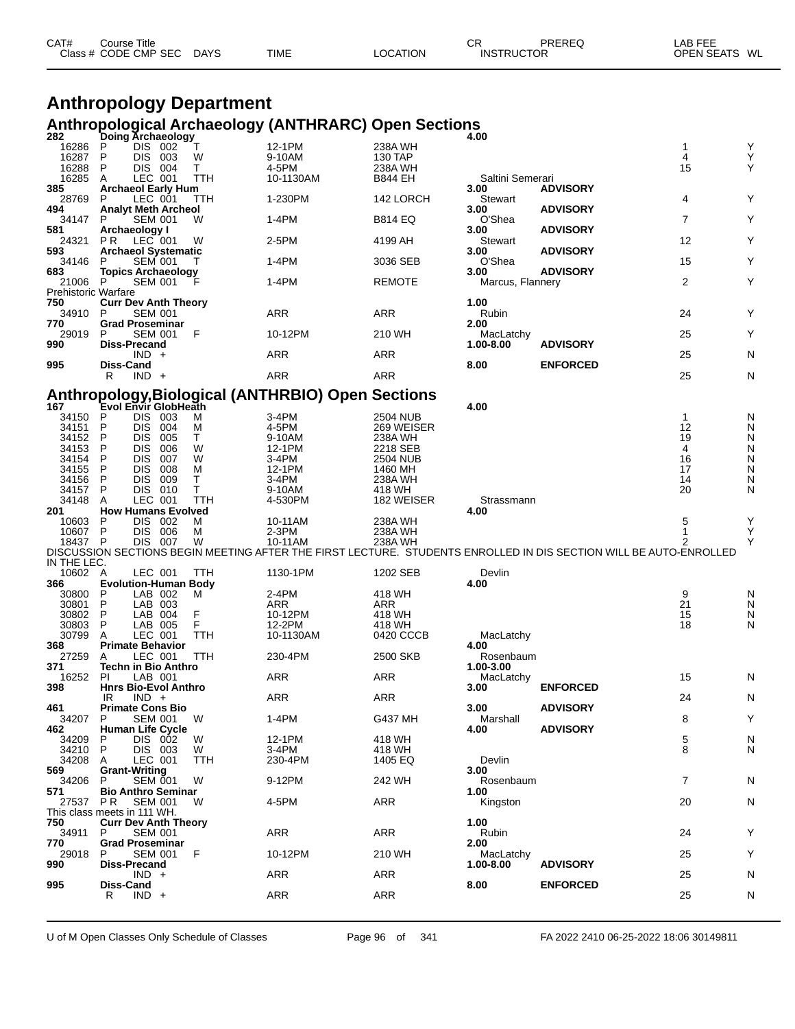| CAT# | Course Title              |             |          | СR                | PREREQ | LAB FEE       |
|------|---------------------------|-------------|----------|-------------------|--------|---------------|
|      | Class # CODE CMP SEC DAYS | <b>TIME</b> | LOCATION | <b>INSTRUCTOR</b> |        | OPEN SEATS WL |

### **Anthropology Department Anthropological Archaeology (ANTHRARC) Open Sections**

| 282                        | Doing Archaeology                                          |          |                                                   |                           | 4.00                   |                                                                                                                   |                    |        |
|----------------------------|------------------------------------------------------------|----------|---------------------------------------------------|---------------------------|------------------------|-------------------------------------------------------------------------------------------------------------------|--------------------|--------|
| 16286                      | DIS 002<br>P                                               | Т        | 12-1PM                                            | 238A WH                   |                        |                                                                                                                   | 1                  | Υ      |
| 16287                      | P<br>DIS 003                                               | W        | 9-10AM                                            | 130 TAP                   |                        |                                                                                                                   | 4                  | Υ<br>Υ |
| 16288<br>16285             | P<br>DIS 004<br>LEC 001<br>A                               | Т<br>TTH | 4-5PM<br>10-1130AM                                | 238A WH<br><b>B844 EH</b> | Saltini Semerari       |                                                                                                                   | 15                 |        |
| 385                        | <b>Archaeol Early Hum</b>                                  |          |                                                   |                           | 3.00                   | <b>ADVISORY</b>                                                                                                   |                    |        |
| 28769                      | LEC 001<br>P                                               | TTH      | 1-230PM                                           | 142 LORCH                 | Stewart                |                                                                                                                   | 4                  | Υ      |
| 494                        | <b>Analyt Meth Archeol</b>                                 |          |                                                   |                           | 3.00                   | <b>ADVISORY</b>                                                                                                   |                    |        |
| 34147                      | <b>SEM 001</b><br>P                                        | W        | 1-4PM                                             | <b>B814 EQ</b>            | O'Shea                 |                                                                                                                   | 7                  | Y      |
| 581                        | Archaeology I                                              |          |                                                   |                           | 3.00                   | <b>ADVISORY</b>                                                                                                   |                    |        |
| 24321                      | LEC 001<br>PR.                                             | W        | 2-5PM                                             | 4199 AH                   | Stewart                |                                                                                                                   | 12                 | Υ      |
| 593                        | <b>Archaeol Systematic</b><br>P                            |          | 1-4PM                                             |                           | 3.00<br>O'Shea         | <b>ADVISORY</b>                                                                                                   | 15                 | Υ      |
| 34146<br>683               | <b>SEM 001</b><br><b>Topics Archaeology</b>                | Τ        |                                                   | 3036 SEB                  | 3.00                   | <b>ADVISORY</b>                                                                                                   |                    |        |
| 21006 P                    | <b>SEM 001</b>                                             | F        | 1-4PM                                             | <b>REMOTE</b>             | Marcus, Flannery       |                                                                                                                   | 2                  | Y      |
| <b>Prehistoric Warfare</b> |                                                            |          |                                                   |                           |                        |                                                                                                                   |                    |        |
| 750                        | <b>Curr Dev Anth Theory</b>                                |          |                                                   |                           | 1.00                   |                                                                                                                   |                    |        |
| 34910                      | <b>SEM 001</b><br>P                                        |          | ARR                                               | ARR                       | Rubin                  |                                                                                                                   | 24                 | Y      |
| 770                        | <b>Grad Proseminar</b>                                     |          |                                                   |                           | 2.00                   |                                                                                                                   |                    |        |
| 29019                      | <b>SEM 001</b><br>P<br><b>Diss-Precand</b>                 | F        | 10-12PM                                           | 210 WH                    | MacLatchy              |                                                                                                                   | 25                 | Υ      |
| 990                        | $IND +$                                                    |          | <b>ARR</b>                                        | ARR                       | 1.00-8.00              | <b>ADVISORY</b>                                                                                                   | 25                 | N      |
| 995                        | Diss-Cand                                                  |          |                                                   |                           | 8.00                   | <b>ENFORCED</b>                                                                                                   |                    |        |
|                            | $IND +$<br>R                                               |          | <b>ARR</b>                                        | ARR                       |                        |                                                                                                                   | 25                 | N      |
|                            |                                                            |          |                                                   |                           |                        |                                                                                                                   |                    |        |
|                            |                                                            |          | Anthropology, Biological (ANTHRBIO) Open Sections |                           |                        |                                                                                                                   |                    |        |
| 167                        | Evol Envir GlobHeath                                       |          |                                                   |                           | 4.00                   |                                                                                                                   |                    |        |
| 34150<br>34151             | <b>DIS</b><br>P<br>003<br>P<br>DIS.<br>004                 | M<br>м   | 3-4PM<br>4-5PM                                    | 2504 NUB<br>269 WEISER    |                        |                                                                                                                   | $\mathbf{1}$<br>12 | N<br>N |
| 34152                      | P<br><b>DIS</b><br>005                                     | т        | 9-10AM                                            | 238A WH                   |                        |                                                                                                                   | 19                 | N      |
| 34153                      | P<br><b>DIS</b><br>006                                     | W        | 12-1PM                                            | 2218 SEB                  |                        |                                                                                                                   | 4                  | N      |
| 34154                      | P<br><b>DIS</b><br>007                                     | W        | 3-4PM                                             | 2504 NUB                  |                        |                                                                                                                   | 16                 | N      |
| 34155                      | P<br>DIS.<br>008                                           | M        | 12-1PM                                            | 1460 MH                   |                        |                                                                                                                   | 17                 | N      |
| 34156                      | P<br><b>DIS</b><br>009                                     | т        | 3-4PM                                             | 238A WH                   |                        |                                                                                                                   | 14                 | N      |
| 34157                      | P<br>DIS 010                                               | т        | 9-10AM                                            | 418 WH                    |                        |                                                                                                                   | 20                 | N      |
| 34148<br>201               | LEC 001<br>A<br><b>How Humans Evolved</b>                  | TTH      | 4-530PM                                           | 182 WEISER                | Strassmann<br>4.00     |                                                                                                                   |                    |        |
| 10603                      | DIS.<br>002<br>P                                           | м        | 10-11AM                                           | 238A WH                   |                        |                                                                                                                   | 5                  | Υ      |
| 10607 P                    | DIS.<br>006                                                | м        | $2-3PM$                                           | 238A WH                   |                        |                                                                                                                   | 1                  | Υ      |
| 18437 P                    | DIS 007                                                    | W        | 10-11AM                                           | 238A WH                   |                        |                                                                                                                   | 2                  | Y      |
|                            |                                                            |          |                                                   |                           |                        | DISCUSSION SECTIONS BEGIN MEETING AFTER THE FIRST LECTURE. STUDENTS ENROLLED IN DIS SECTION WILL BE AUTO-ENROLLED |                    |        |
| IN THE LEC.                |                                                            |          |                                                   |                           |                        |                                                                                                                   |                    |        |
| 10602 A                    | LEC 001                                                    | TTH      | 1130-1PM                                          | 1202 SEB                  | Devlin                 |                                                                                                                   |                    |        |
| 366<br>30800               | <b>Evolution-Human Body</b><br>P<br>LAB 002                | м        | 2-4PM                                             | 418 WH                    | 4.00                   |                                                                                                                   | 9                  | N      |
| 30801                      | P<br>LAB 003                                               |          | ARR                                               | ARR                       |                        |                                                                                                                   | 21                 | N      |
| 30802                      | P<br>LAB 004                                               | F        | 10-12PM                                           | 418 WH                    |                        |                                                                                                                   | 15                 | N      |
| 30803                      | P<br>LAB 005                                               | F        | 12-2PM                                            | 418 WH                    |                        |                                                                                                                   | 18                 | N      |
| 30799                      | LEC 001<br>A                                               | TTH      | 10-1130AM                                         | 0420 CCCB                 | MacLatchy              |                                                                                                                   |                    |        |
| 368                        | <b>Primate Behavior</b>                                    |          |                                                   |                           | 4.00                   |                                                                                                                   |                    |        |
| 27259<br>371               | LEC 001<br>A<br>Techn in Bio Anthro                        | TTH      | 230-4PM                                           | 2500 SKB                  | Rosenbaum<br>1.00-3.00 |                                                                                                                   |                    |        |
| 16252                      | PI<br>LAB 001                                              |          | ARR                                               | ARR                       | MacLatchy              |                                                                                                                   | 15                 | N      |
| 398                        | <b>Hnrs Bio-Evol Anthro</b>                                |          |                                                   |                           | 3.00                   | <b>ENFORCED</b>                                                                                                   |                    |        |
|                            | $IND +$<br>IR                                              |          | ARR                                               | ARR                       |                        |                                                                                                                   | 24                 | N      |
| 461                        | <b>Primate Cons Bio</b>                                    |          |                                                   |                           | 3.00                   | <b>ADVISORY</b>                                                                                                   |                    |        |
| 34207 P                    | <b>SEM 001</b>                                             | W        | 1-4PM                                             | G437 MH                   | Marshall               |                                                                                                                   | 8                  | Υ      |
| 462                        | <b>Human Life Cycle</b><br>P                               | W        | 12-1PM                                            | 418 WH                    | 4.00                   | <b>ADVISORY</b>                                                                                                   |                    |        |
| 34209<br>34210             | DIS 002<br>P.<br>DIS 003                                   | W        | 3-4PM                                             | 418 WH                    |                        |                                                                                                                   | 5<br>8             | N<br>N |
| 34208                      | LEC 001<br>A                                               | TTH      | 230-4PM                                           | 1405 EQ                   | Devlin                 |                                                                                                                   |                    |        |
| 569                        | <b>Grant-Writing</b>                                       |          |                                                   |                           | 3.00                   |                                                                                                                   |                    |        |
| 34206                      | <b>SEM 001</b><br>P                                        | W        | 9-12PM                                            | 242 WH                    | Rosenbaum              |                                                                                                                   | 7                  | N      |
| 571                        | <b>Bio Anthro Seminar</b>                                  |          |                                                   |                           | 1.00                   |                                                                                                                   |                    |        |
| 27537                      | P R<br><b>SEM 001</b>                                      | W        | 4-5PM                                             | ARR                       | Kingston               |                                                                                                                   | 20                 | N      |
| 750                        | This class meets in 111 WH.<br><b>Curr Dev Anth Theory</b> |          |                                                   |                           | 1.00                   |                                                                                                                   |                    |        |
| 34911                      | <b>SEM 001</b><br>P.                                       |          | ARR                                               | <b>ARR</b>                | Rubin                  |                                                                                                                   | 24                 | Y      |
| 770                        | <b>Grad Proseminar</b>                                     |          |                                                   |                           | 2.00                   |                                                                                                                   |                    |        |
| 29018                      | <b>SEM 001</b><br>P                                        | F        | 10-12PM                                           | 210 WH                    | MacLatchy              |                                                                                                                   | 25                 | Υ      |
| 990                        | <b>Diss-Precand</b>                                        |          |                                                   |                           | 1.00-8.00              | <b>ADVISORY</b>                                                                                                   |                    |        |
|                            | $IND +$                                                    |          | ARR                                               | <b>ARR</b>                |                        |                                                                                                                   | 25                 | N      |
| 995                        | Diss-Cand<br>R<br>$IND +$                                  |          | ARR                                               | <b>ARR</b>                | 8.00                   | <b>ENFORCED</b>                                                                                                   | 25                 | N      |
|                            |                                                            |          |                                                   |                           |                        |                                                                                                                   |                    |        |
|                            |                                                            |          |                                                   |                           |                        |                                                                                                                   |                    |        |

U of M Open Classes Only Schedule of Classes Page 96 of 341 FA 2022 2410 06-25-2022 18:06 30149811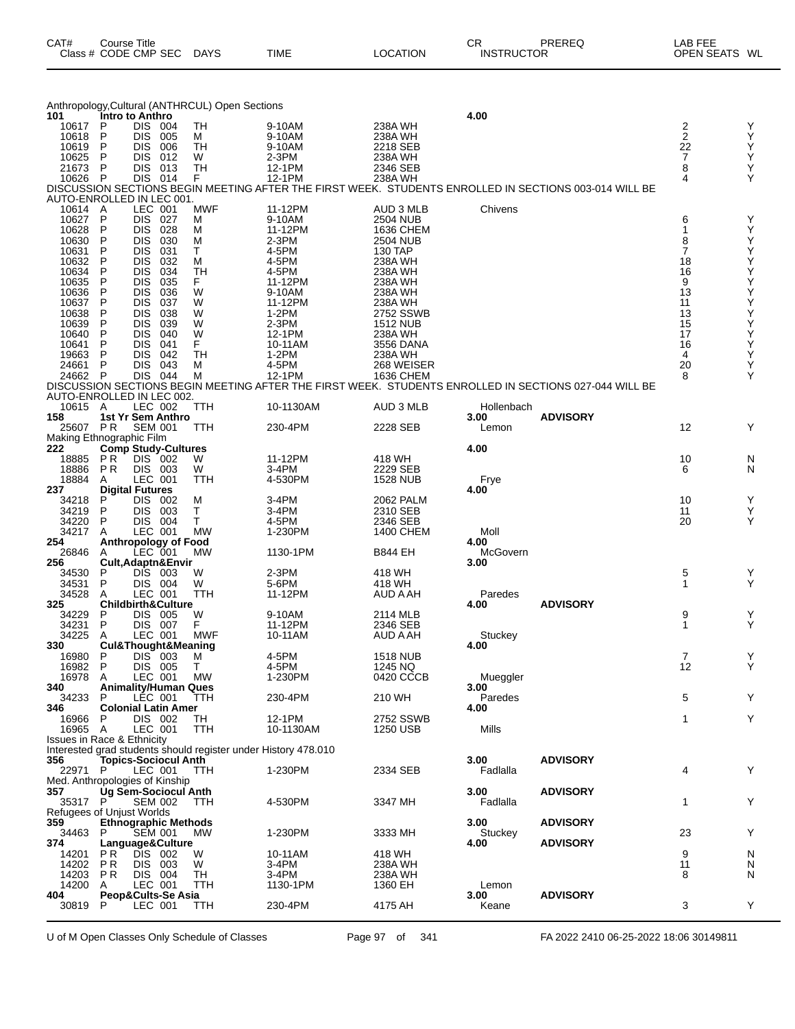| CAT#<br>Course Title                |             |          | СR                | PREREQ | LAB FEE          |
|-------------------------------------|-------------|----------|-------------------|--------|------------------|
| Class # CODE CMP SEC<br><b>DAYS</b> | <b>TIME</b> | ∟OCATION | <b>INSTRUCTOR</b> |        | WL<br>OPEN SEATS |

|     |                                       |                                    |                          |                                    | Anthropology, Cultural (ANTHRCUL) Open Sections                |                   |                              |                  |                                                                                                       |          |        |
|-----|---------------------------------------|------------------------------------|--------------------------|------------------------------------|----------------------------------------------------------------|-------------------|------------------------------|------------------|-------------------------------------------------------------------------------------------------------|----------|--------|
| 101 | 10617                                 | Intro to Anthro<br>P               | DIS 004                  |                                    | TН                                                             | 9-10AM            | 238A WH                      | 4.00             |                                                                                                       | 2        | Y      |
|     | 10618                                 | P                                  | <b>DIS</b>               | 005                                | м                                                              | 9-10AM            | 238A WH                      |                  |                                                                                                       | 2        | Y      |
|     | 10619                                 | P                                  | DIS                      | 006                                | TН                                                             | 9-10AM            | 2218 SEB                     |                  |                                                                                                       | 22       | Y      |
|     | 10625                                 | P                                  | <b>DIS</b>               | 012                                | W                                                              | 2-3PM             | 238A WH                      |                  |                                                                                                       | 7        | Y      |
|     | 21673<br>10626                        | P<br>P                             | <b>DIS</b><br>DIS 014    | 013                                | TН<br>F.                                                       | 12-1PM<br>12-1PM  | 2346 SEB<br>238A WH          |                  |                                                                                                       | 8<br>4   | Υ<br>Y |
|     |                                       |                                    |                          |                                    |                                                                |                   |                              |                  | DISCUSSION SECTIONS BEGIN MEETING AFTER THE FIRST WEEK. STUDENTS ENROLLED IN SECTIONS 003-014 WILL BE |          |        |
|     | AUTO-ENROLLED IN LEC 001.             |                                    |                          |                                    |                                                                |                   |                              |                  |                                                                                                       |          |        |
|     | 10614                                 | A                                  | LEC 001                  |                                    | <b>MWF</b>                                                     | 11-12PM           | AUD 3 MLB                    | Chivens          |                                                                                                       |          |        |
|     | 10627                                 | P                                  | DIS.                     | 027                                | м                                                              | 9-10AM            | 2504 NUB                     |                  |                                                                                                       | 6        | Y      |
|     | 10628<br>10630                        | Ρ<br>P                             | <b>DIS</b><br>DIS        | 028<br>030                         | м<br>м                                                         | 11-12PM<br>2-3PM  | 1636 CHEM<br><b>2504 NUB</b> |                  |                                                                                                       | 1<br>8   | Y<br>Y |
|     | 10631                                 | Ρ                                  | <b>DIS</b>               | 031                                | т                                                              | 4-5PM             | 130 TAP                      |                  |                                                                                                       | 7        | Υ      |
|     | 10632                                 | P                                  | DIS                      | 032                                | М                                                              | 4-5PM             | 238A WH                      |                  |                                                                                                       | 18       | Υ      |
|     | 10634                                 | P                                  | DIS                      | 034                                | TН                                                             | 4-5PM             | 238A WH                      |                  |                                                                                                       | 16       | Υ      |
|     | 10635<br>10636                        | P<br>P                             | <b>DIS</b><br><b>DIS</b> | 035<br>036                         | F.<br>W                                                        | 11-12PM<br>9-10AM | 238A WH<br>238A WH           |                  |                                                                                                       | 9<br>13  | Υ<br>Υ |
|     | 10637                                 | P                                  | DIS                      | 037                                | W                                                              | 11-12PM           | 238A WH                      |                  |                                                                                                       | 11       | Υ      |
|     | 10638                                 | Ρ                                  | <b>DIS</b>               | 038                                | W                                                              | $1-2PM$           | 2752 SSWB                    |                  |                                                                                                       | 13       | Υ      |
|     | 10639                                 | P                                  | DIS                      | 039                                | W                                                              | 2-3PM             | 1512 NUB                     |                  |                                                                                                       | 15       | Υ      |
|     | 10640<br>10641                        | P<br>Ρ                             | DIS<br><b>DIS</b>        | 040<br>041                         | W<br>F                                                         | 12-1PM<br>10-11AM | 238A WH<br>3556 DANA         |                  |                                                                                                       | 17<br>16 | Υ<br>Υ |
|     | 19663                                 | P                                  | <b>DIS</b>               | 042                                | TН                                                             | 1-2PM             | 238A WH                      |                  |                                                                                                       | 4        | Υ      |
|     | 24661                                 | P                                  | <b>DIS</b>               | 043                                | М                                                              | 4-5PM             | 268 WEISER                   |                  |                                                                                                       | 20       | Y      |
|     | 24662 P                               |                                    | DIS 044                  |                                    | М                                                              | 12-1PM            | 1636 CHEM                    |                  |                                                                                                       | 8        | Y      |
|     | AUTO-ENROLLED IN LEC 002.             |                                    |                          |                                    |                                                                |                   |                              |                  | DISCUSSION SECTIONS BEGIN MEETING AFTER THE FIRST WEEK. STUDENTS ENROLLED IN SECTIONS 027-044 WILL BE |          |        |
|     | 10615 A                               |                                    | LEC 002                  |                                    | TTH                                                            | 10-1130AM         | AUD 3 MLB                    | Hollenbach       |                                                                                                       |          |        |
| 158 |                                       | 1st Yr Sem Anthro                  |                          |                                    |                                                                |                   |                              | 3.00             | <b>ADVISORY</b>                                                                                       |          |        |
|     | 25607                                 | P R                                | <b>SEM 001</b>           |                                    | ттн                                                            | 230-4PM           | 2228 SEB                     | Lemon            |                                                                                                       | 12       | Y      |
| 222 | Making Ethnographic Film              |                                    |                          |                                    |                                                                |                   |                              | 4.00             |                                                                                                       |          |        |
|     | 18885                                 | <b>Comp Study-Cultures</b><br>P R  | DIS 002                  |                                    | W                                                              | 11-12PM           | 418 WH                       |                  |                                                                                                       | 10       | N      |
|     | 18886                                 | <b>PR</b>                          | DIS 003                  |                                    | W                                                              | $3-4PM$           | 2229 SEB                     |                  |                                                                                                       | 6        | N      |
|     | 18884                                 | A                                  | LEC 001                  |                                    | TTH                                                            | 4-530PM           | 1528 NUB                     | Frye             |                                                                                                       |          |        |
| 237 | 34218                                 | <b>Digital Futures</b><br>P        | <b>DIS</b>               | 002                                | M                                                              | 3-4PM             | 2062 PALM                    | 4.00             |                                                                                                       | 10       | Y      |
|     | 34219                                 | P                                  | <b>DIS</b>               | 003                                | Т                                                              | 3-4PM             | 2310 SEB                     |                  |                                                                                                       | 11       | Y      |
|     | 34220                                 | P                                  | DIS 004                  |                                    | т                                                              | 4-5PM             | 2346 SEB                     |                  |                                                                                                       | 20       | Y      |
|     | 34217                                 | A                                  | LEC 001                  |                                    | <b>MW</b>                                                      | 1-230PM           | 1400 CHEM                    | Moll             |                                                                                                       |          |        |
| 254 | 26846                                 | A                                  | LEC 001                  | <b>Anthropology of Food</b>        | MW                                                             | 1130-1PM          | <b>B844 EH</b>               | 4.00<br>McGovern |                                                                                                       |          |        |
| 256 |                                       | Cult, Adaptn&Envir                 |                          |                                    |                                                                |                   |                              | 3.00             |                                                                                                       |          |        |
|     | 34530                                 | Ρ                                  | <b>DIS</b>               | 003                                | W                                                              | 2-3PM             | 418 WH                       |                  |                                                                                                       | 5        | Y      |
|     | 34531                                 | P                                  | DIS 004                  |                                    | W                                                              | 5-6PM             | 418 WH                       |                  |                                                                                                       | 1        | Y      |
| 325 | 34528                                 | Α<br><b>Childbirth&amp;Culture</b> | LEC 001                  |                                    | TTH                                                            | 11-12PM           | AUD A AH                     | Paredes<br>4.00  | <b>ADVISORY</b>                                                                                       |          |        |
|     | 34229                                 | P                                  | <b>DIS 005</b>           |                                    | W                                                              | 9-10AM            | 2114 MLB                     |                  |                                                                                                       | 9        | Y      |
|     | 34231                                 | P                                  | <b>DIS 007</b>           |                                    | F                                                              | 11-12PM           | 2346 SEB                     |                  |                                                                                                       | 1        | Y      |
|     | 34225                                 | A                                  | LEC 001                  |                                    | <b>MWF</b>                                                     | 10-11AM           | AUD A AH                     | Stuckey          |                                                                                                       |          |        |
| 330 | 16980                                 | P                                  | DIS 003                  | <b>Cul&amp;Thought&amp;Meaning</b> | M                                                              | 4-5PM             | <b>1518 NUB</b>              | 4.00             |                                                                                                       | 7        | Y      |
|     | 16982                                 | P                                  | DIS 005                  |                                    | Τ                                                              | 4-5PM             | 1245 NQ                      |                  |                                                                                                       | 12       | Y      |
|     | 16978                                 | A                                  | LEC 001                  |                                    | MW                                                             | 1-230PM           | 0420 CCCB                    | Mueggler         |                                                                                                       |          |        |
| 340 | 34233                                 | <b>Animality/Human Ques</b>        |                          |                                    |                                                                | 230-4PM           | 210 WH                       | 3.00             |                                                                                                       |          | Υ      |
| 346 |                                       | P.<br><b>Colonial Latin Amer</b>   | LEC 001                  |                                    | TTH                                                            |                   |                              | Paredes<br>4.00  |                                                                                                       | 5        |        |
|     | 16966                                 | P                                  | DIS 002                  |                                    | TH                                                             | 12-1PM            | 2752 SSWB                    |                  |                                                                                                       | 1        | Υ      |
|     | 16965 A                               |                                    | LEC 001                  |                                    | TTH                                                            | 10-1130AM         | 1250 USB                     | Mills            |                                                                                                       |          |        |
|     | <b>Issues in Race &amp; Ethnicity</b> |                                    |                          |                                    | Interested grad students should register under History 478.010 |                   |                              |                  |                                                                                                       |          |        |
| 356 |                                       |                                    |                          | <b>Topics-Sociocul Anth</b>        |                                                                |                   |                              | 3.00             | <b>ADVISORY</b>                                                                                       |          |        |
|     | 22971                                 | P.                                 | LEC 001                  |                                    | TTH                                                            | 1-230PM           | 2334 SEB                     | Fadlalla         |                                                                                                       | 4        | Y      |
|     | Med. Anthropologies of Kinship        |                                    |                          |                                    |                                                                |                   |                              |                  |                                                                                                       |          |        |
| 357 | 35317                                 | Ug Sem-Sociocul Anth<br>P.         | <b>SEM 002</b>           |                                    | TTH                                                            | 4-530PM           | 3347 MH                      | 3.00<br>Fadlalla | <b>ADVISORY</b>                                                                                       | 1        | Υ      |
|     | Refugees of Unjust Worlds             |                                    |                          |                                    |                                                                |                   |                              |                  |                                                                                                       |          |        |
| 359 |                                       |                                    |                          | <b>Ethnographic Methods</b>        |                                                                |                   |                              | 3.00             | <b>ADVISORY</b>                                                                                       |          |        |
|     | 34463                                 | P.                                 | <b>SEM 001</b>           |                                    | МW                                                             | 1-230PM           | 3333 MH                      | Stuckey          |                                                                                                       | 23       | Y      |
| 374 |                                       | Language&Culture<br>P R            | DIS 002                  |                                    | W                                                              | 10-11AM           | 418 WH                       | 4.00             | <b>ADVISORY</b>                                                                                       | 9        | N      |
|     | 14201<br>14202                        | P R                                | DIS 003                  |                                    | W                                                              | 3-4PM             | 238A WH                      |                  |                                                                                                       | 11       | N      |
|     | 14203                                 | P R                                | DIS 004                  |                                    | TH                                                             | 3-4PM             | 238A WH                      |                  |                                                                                                       | 8        | N      |
|     | 14200                                 | A                                  | LEC 001                  |                                    | TTH                                                            | 1130-1PM          | 1360 EH                      | Lemon            |                                                                                                       |          |        |
| 404 | 30819                                 | Peop&Cults-Se Asia<br>P            | LEC 001                  |                                    | TTH                                                            | 230-4PM           | 4175 AH                      | 3.00<br>Keane    | <b>ADVISORY</b>                                                                                       | 3        | Υ      |
|     |                                       |                                    |                          |                                    |                                                                |                   |                              |                  |                                                                                                       |          |        |

U of M Open Classes Only Schedule of Classes Page 97 of 341 FA 2022 2410 06-25-2022 18:06 30149811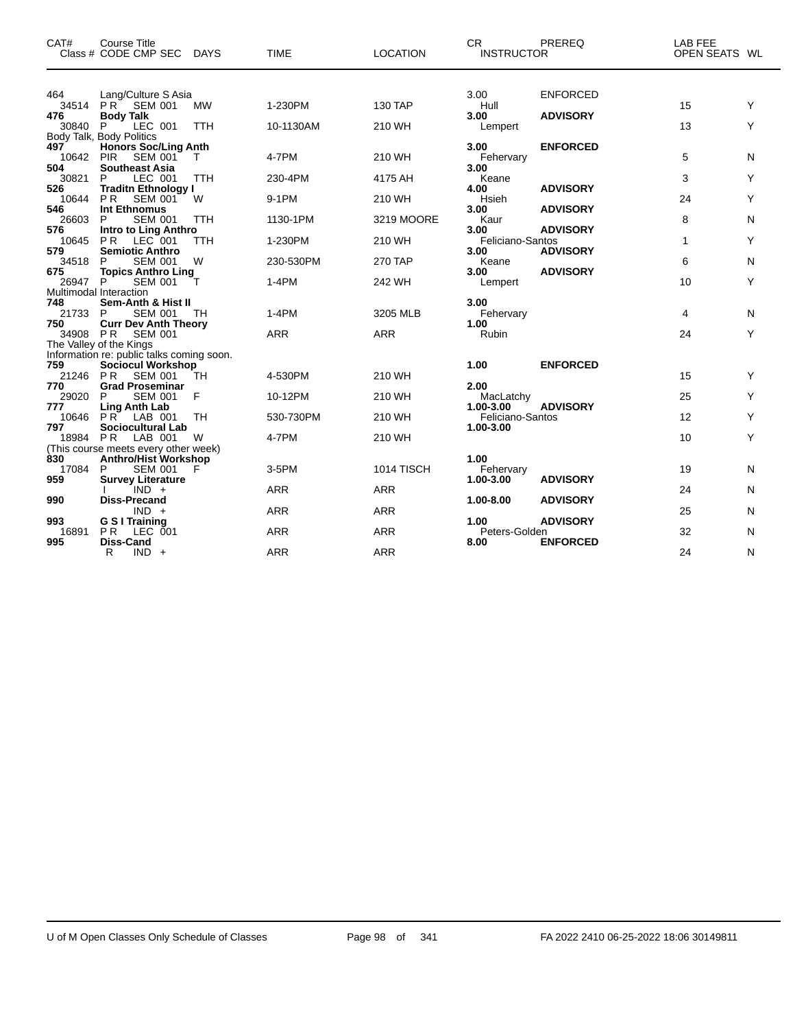| CAT#                  | Course Title<br>Class # CODE CMP SEC DAYS                                                 |                   | <b>TIME</b>         | <b>LOCATION</b>      | <b>CR</b><br><b>INSTRUCTOR</b>   | PREREQ                             | LAB FEE<br>OPEN SEATS WL |        |
|-----------------------|-------------------------------------------------------------------------------------------|-------------------|---------------------|----------------------|----------------------------------|------------------------------------|--------------------------|--------|
| 464<br>476            | Lang/Culture S Asia<br>34514 PR SEM 001<br><b>Body Talk</b>                               | <b>MW</b>         | 1-230PM             | <b>130 TAP</b>       | 3.00<br>Hull<br>3.00             | <b>ENFORCED</b><br><b>ADVISORY</b> | 15                       | Υ      |
| 30840                 | LEC 001<br>P<br>Body Talk, Body Politics                                                  | TTH               | 10-1130AM           | 210 WH               | Lempert                          |                                    | 13                       | Y      |
| 497<br>10642<br>504   | <b>Honors Soc/Ling Anth</b><br><b>PIR</b><br>SEM 001<br><b>Southeast Asia</b>             | $\mathsf{T}$      | 4-7PM               | 210 WH               | 3.00<br>Fehervary<br>3.00        | <b>ENFORCED</b>                    | 5                        | N      |
| 30821<br>526          | LEC 001<br>P<br><b>Traditn Ethnology I</b>                                                | <b>TTH</b>        | 230-4PM             | 4175 AH              | Keane<br>4.00                    | <b>ADVISORY</b>                    | 3                        | Y      |
| 10644<br>546          | P <sub>R</sub><br><b>SEM 001</b><br><b>Int Ethnomus</b>                                   | W                 | 9-1PM               | 210 WH               | Hsieh<br>3.00                    | <b>ADVISORY</b>                    | 24                       | Y      |
| 26603<br>576<br>10645 | P<br><b>SEM 001</b><br>Intro to Ling Anthro<br><b>PR</b><br>LEC 001                       | <b>TTH</b><br>TTH | 1130-1PM<br>1-230PM | 3219 MOORE<br>210 WH | Kaur<br>3.00<br>Feliciano-Santos | <b>ADVISORY</b>                    | 8<br>1                   | N<br>Υ |
| 579<br>34518          | <b>Semiotic Anthro</b><br><b>SEM 001</b><br>P                                             | W                 | 230-530PM           | <b>270 TAP</b>       | 3.00<br>Keane                    | <b>ADVISORY</b>                    | 6                        | N      |
| 675<br>26947 P        | <b>Topics Anthro Ling</b><br><b>SEM 001</b><br>Multimodal Interaction                     |                   | $1-4PM$             | 242 WH               | 3.00<br>Lempert                  | <b>ADVISORY</b>                    | 10                       | Y      |
| 748<br>21733 P<br>750 | Sem-Anth & Hist II<br>SEM 001 TH<br><b>Curr Dev Anth Theory</b>                           |                   | $1-4PM$             | 3205 MLB             | 3.00<br>Fehervary<br>1.00        |                                    | 4                        | Ν      |
| 34908 PR              | <b>SEM 001</b><br>The Valley of the Kings                                                 |                   | <b>ARR</b>          | <b>ARR</b>           | Rubin                            |                                    | 24                       | Υ      |
| 759                   | Information re: public talks coming soon.<br><b>Sociocul Workshop</b><br>21246 PR SEM 001 | TH                | 4-530PM             | 210 WH               | 1.00                             | <b>ENFORCED</b>                    | 15                       | Υ      |
| 770<br>29020          | <b>Grad Proseminar</b><br>P<br><b>SEM 001</b>                                             | F                 | 10-12PM             | 210 WH               | 2.00<br>MacLatchy                |                                    | 25                       | Y      |
| 777<br>10646          | Ling Anth Lab<br>PR LAB 001                                                               | <b>TH</b>         | 530-730PM           | 210 WH               | 1.00-3.00<br>Feliciano-Santos    | <b>ADVISORY</b>                    | 12                       | Y      |
| 797<br>18984 PR       | <b>Sociocultural Lab</b><br>LAB 001<br>(This course meets every other week)               | W                 | 4-7PM               | 210 WH               | 1.00-3.00                        |                                    | 10                       | Y      |
| 830<br>17084          | Anthro/Hist Workshop<br><b>SEM 001</b><br>P                                               | F                 | 3-5PM               | 1014 TISCH           | 1.00<br>Fehervary                |                                    | 19                       | N      |
| 959<br>990            | <b>Survey Literature</b><br>$IND +$<br><b>Diss-Precand</b>                                |                   | <b>ARR</b>          | <b>ARR</b>           | 1.00-3.00<br>1.00-8.00           | <b>ADVISORY</b><br><b>ADVISORY</b> | 24                       | N      |
| 993                   | $IND +$<br>G S I Training                                                                 |                   | <b>ARR</b>          | <b>ARR</b>           | 1.00                             | <b>ADVISORY</b>                    | 25                       | N      |
| 16891<br>995          | <b>PR</b><br>LEC 001<br><b>Diss-Cand</b>                                                  |                   | <b>ARR</b>          | <b>ARR</b>           | Peters-Golden<br>8.00            | <b>ENFORCED</b>                    | 32                       | N      |
|                       | $IND +$<br>R                                                                              |                   | <b>ARR</b>          | <b>ARR</b>           |                                  |                                    | 24                       | N      |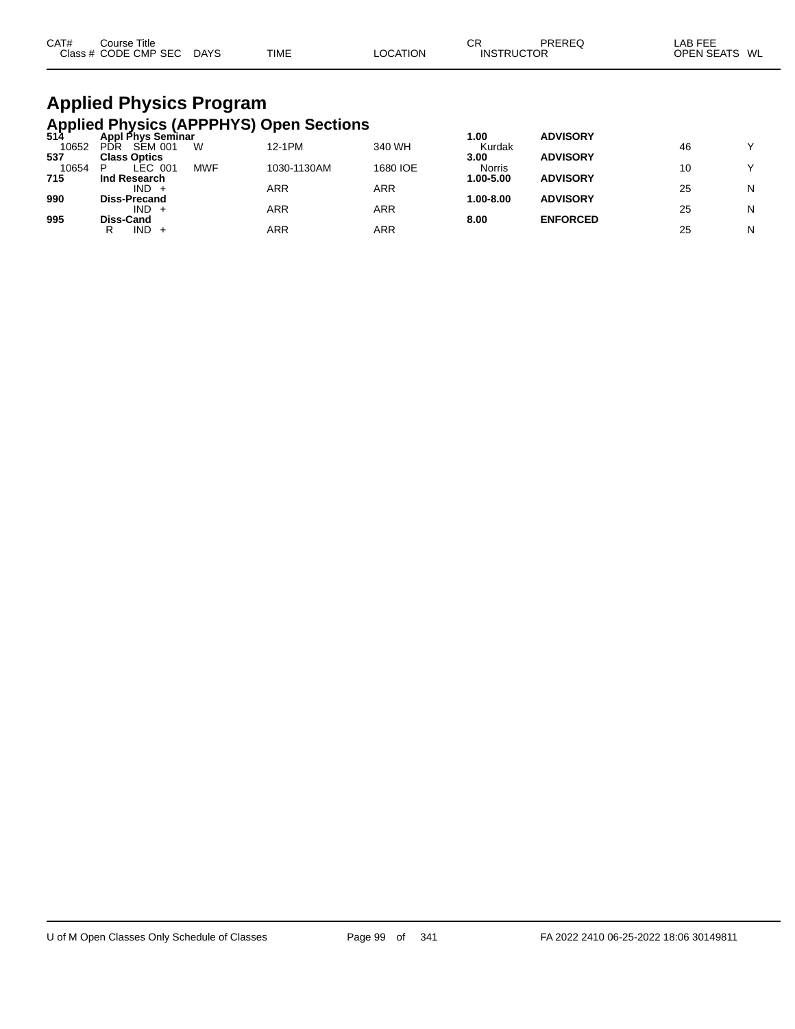| CAT# | Course Title              |             | СR       |                   | PREREQ | _AB FEE           |    |
|------|---------------------------|-------------|----------|-------------------|--------|-------------------|----|
|      | Class # CODE CMP SEC DAYS | <b>TIME</b> | ∟OCATION | <b>INSTRUCTOR</b> |        | <b>OPEN SEATS</b> | WL |

# **Applied Physics Program**

|       |                       |            | Applied Physics (APPPHYS) Open Sections<br>514 Appl Phys Seminar |          |               |                 |    |              |
|-------|-----------------------|------------|------------------------------------------------------------------|----------|---------------|-----------------|----|--------------|
|       |                       |            |                                                                  |          | 1.00          | <b>ADVISORY</b> |    |              |
| 10652 | SEM 001<br><b>PDR</b> | W          | 12-1PM                                                           | 340 WH   | Kurdak        |                 | 46 | $\checkmark$ |
| 537   | <b>Class Optics</b>   |            |                                                                  |          | 3.00          | <b>ADVISORY</b> |    |              |
| 10654 | LEC 001<br>D          | <b>MWF</b> | 1030-1130AM                                                      | 1680 IOE | <b>Norris</b> |                 | 10 | $\checkmark$ |
| 715   | Ind Research          |            |                                                                  |          | 1.00-5.00     | <b>ADVISORY</b> |    |              |
|       | IND.                  |            | ARR                                                              | ARR      |               |                 | 25 | N            |
| 990   | <b>Diss-Precand</b>   |            |                                                                  |          | $1.00 - 8.00$ | <b>ADVISORY</b> |    |              |
|       | $IND +$               |            | ARR                                                              | ARR      |               |                 | 25 | N            |
| 995   | Diss-Cand             |            |                                                                  |          | 8.00          | <b>ENFORCED</b> |    |              |
|       | IND.<br>R             |            | ARR                                                              | ARR      |               |                 | 25 | N            |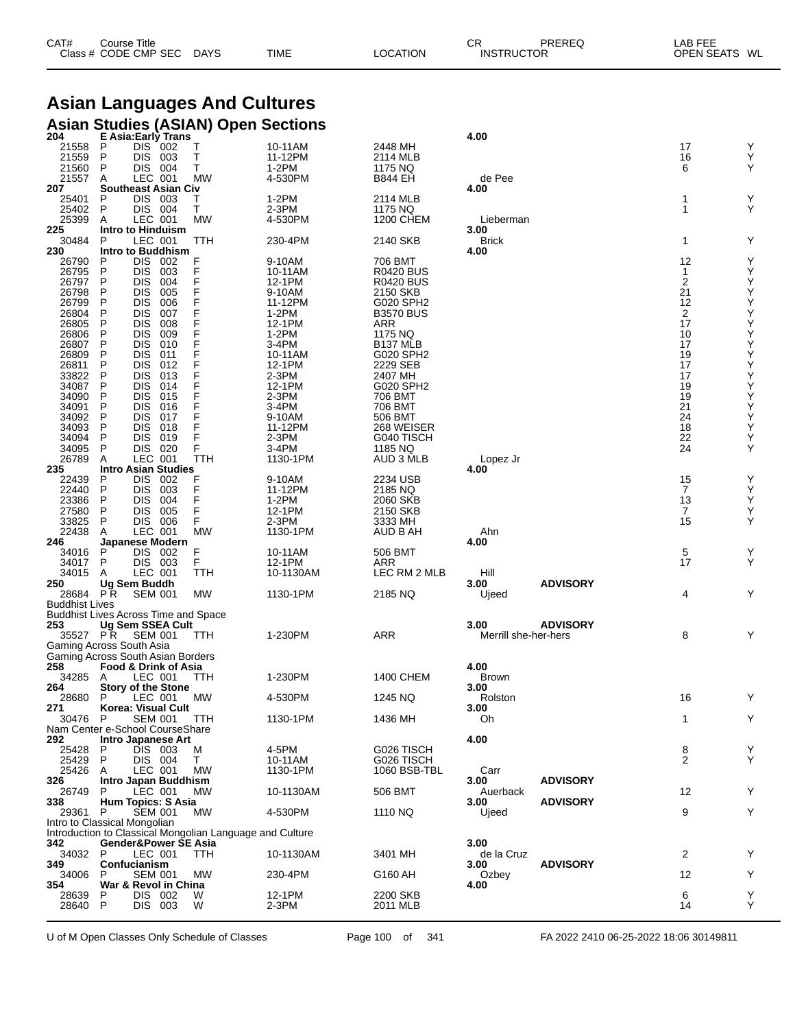| CAT# | Course Title         |             |             |          | $\sim$<br>◡       | PREREQ | LAB FEE       |  |
|------|----------------------|-------------|-------------|----------|-------------------|--------|---------------|--|
|      | Class # CODE CMP SEC | <b>DAYS</b> | <b>TIME</b> | LOCATION | <b>INSTRUCTOR</b> |        | OPEN SEATS WL |  |

# **Asian Languages And Cultures**

## **Asian Studies (ASIAN) Open Sections 204 E Asia:Early Trans 4.00**

| 204                                                      |                   |                | E ASIA.Edity TidilS        |           |           | 2448 MH          | 4.UU                 |                 | 17             | Y      |
|----------------------------------------------------------|-------------------|----------------|----------------------------|-----------|-----------|------------------|----------------------|-----------------|----------------|--------|
| 21558                                                    | P                 | DIS 002        |                            | Т         | 10-11AM   |                  |                      |                 |                |        |
| 21559                                                    | P                 | DIS 003        |                            | Т         | 11-12PM   | 2114 MLB         |                      |                 | 16             | Υ<br>Υ |
| 21560                                                    | P                 | DIS 004        |                            | т         | $1-2PM$   | 1175 NQ          |                      |                 | 6              |        |
| 21557                                                    | A                 | LEC 001        |                            | MW        | 4-530PM   | B844 EH          | de Pee               |                 |                |        |
| 207                                                      |                   |                | <b>Southeast Asian Civ</b> |           |           |                  | 4.00                 |                 |                |        |
| 25401                                                    | P                 | DIS 003        |                            | Τ         | 1-2PM     | 2114 MLB         |                      |                 | 1              | Υ      |
| 25402                                                    | P                 | DIS 004        |                            | Τ         | $2-3PM$   | 1175 NQ          |                      |                 | 1              | Y      |
| 25399                                                    | A                 | LEC 001        |                            | <b>MW</b> | 4-530PM   | 1200 CHEM        | Lieberman            |                 |                |        |
| 225                                                      | Intro to Hinduism |                |                            |           |           |                  | 3.00                 |                 |                |        |
| 30484                                                    | P                 | LEC 001        |                            | TTH       | 230-4PM   | 2140 SKB         | <b>Brick</b>         |                 | 1              | Y      |
| 230                                                      |                   |                | <b>Intro to Buddhism</b>   |           |           |                  | 4.00                 |                 |                |        |
| 26790                                                    | P                 | DIS 002        |                            | F         | 9-10AM    | 706 BMT          |                      |                 | 12             | Υ      |
| 26795                                                    | P                 | DIS 003        |                            | F         | 10-11AM   | <b>R0420 BUS</b> |                      |                 | 1              | Υ      |
| 26797                                                    | P                 | <b>DIS</b>     | 004                        |           | 12-1PM    | <b>R0420 BUS</b> |                      |                 | 2              | Υ      |
| 26798                                                    | P                 | <b>DIS</b>     | 005                        | F         | 9-10AM    | 2150 SKB         |                      |                 | 21             | Υ      |
| 26799                                                    | P                 | <b>DIS</b>     | 006                        |           | 11-12PM   | G020 SPH2        |                      |                 | 12             | Υ      |
|                                                          |                   |                |                            |           |           |                  |                      |                 |                |        |
| 26804                                                    | P                 | <b>DIS</b>     | 007                        |           | $1-2PM$   | <b>B3570 BUS</b> |                      |                 | 2              | Υ      |
| 26805                                                    | P                 | <b>DIS</b>     | 008                        | F         | 12-1PM    | ARR              |                      |                 | 17             | Υ      |
| 26806                                                    | P                 | <b>DIS</b>     | 009                        |           | 1-2PM     | 1175 NQ          |                      |                 | 10             | Υ      |
| 26807                                                    | P                 | <b>DIS</b>     | 010                        |           | 3-4PM     | B137 MLB         |                      |                 | 17             | Υ      |
| 26809                                                    | P                 | <b>DIS</b>     | 011                        | F         | 10-11AM   | G020 SPH2        |                      |                 | 19             | Υ      |
| 26811                                                    | P                 | <b>DIS</b>     | 012                        |           | 12-1PM    | 2229 SEB         |                      |                 | 17             | Υ      |
| 33822                                                    | P                 | <b>DIS</b>     | 013                        |           | $2-3PM$   | 2407 MH          |                      |                 | 17             | Υ      |
| 34087                                                    | P                 | <b>DIS</b>     | 014                        | F         | 12-1PM    | G020 SPH2        |                      |                 | 19             | Υ      |
| 34090                                                    | P                 | <b>DIS</b>     | 015                        |           | 2-3PM     | 706 BMT          |                      |                 | 19             | Υ      |
| 34091                                                    | P                 | <b>DIS</b>     | 016                        |           | 3-4PM     | 706 BMT          |                      |                 | 21             | Υ      |
| 34092                                                    | P                 | <b>DIS</b>     | 017                        | F         | 9-10AM    | 506 BMT          |                      |                 | 24             | Υ      |
| 34093                                                    | P                 | <b>DIS</b>     | 018                        |           | 11-12PM   | 268 WEISER       |                      |                 | 18             | Υ      |
| 34094                                                    | P                 | <b>DIS</b>     | 019                        | F         | $2-3PM$   | G040 TISCH       |                      |                 | 22             | Υ      |
|                                                          |                   |                |                            |           |           |                  |                      |                 |                |        |
| 34095                                                    | P                 | DIS 020        |                            | F         | 3-4PM     | 1185 NQ          |                      |                 | 24             | Υ      |
| 26789                                                    | Α                 | LEC 001        |                            | TTH       | 1130-1PM  | AUD 3 MLB        | Lopez Jr             |                 |                |        |
| 235                                                      |                   |                | <b>Intro Asian Studies</b> |           |           |                  | 4.00                 |                 |                |        |
| 22439                                                    | P                 | DIS.           | 002                        | F         | 9-10AM    | 2234 USB         |                      |                 | 15             | Y      |
| 22440                                                    | P                 | DIS 003        |                            | F         | 11-12PM   | 2185 NQ          |                      |                 | $\overline{7}$ | Υ      |
| 23386                                                    | P                 | <b>DIS</b>     | 004                        | F         | $1-2PM$   | 2060 SKB         |                      |                 | 13             | Υ      |
| 27580                                                    | P                 | <b>DIS</b>     | 005                        | F         | 12-1PM    | 2150 SKB         |                      |                 | $\overline{7}$ | Υ      |
| 33825                                                    | P                 | DIS 006        |                            | F         | $2-3PM$   | 3333 MH          |                      |                 | 15             | Y      |
| 22438                                                    | A                 | LEC 001        |                            | <b>MW</b> | 1130-1PM  | AUD B AH         | Ahn                  |                 |                |        |
| 246                                                      |                   |                | Japanese Modern            |           |           |                  | 4.00                 |                 |                |        |
| 34016                                                    | P                 | DIS 002        |                            | F         | 10-11AM   | 506 BMT          |                      |                 | 5              | Y      |
| 34017                                                    | P                 | DIS 003        |                            | F.        | 12-1PM    | ARR              |                      |                 | 17             | Y      |
| 34015                                                    | A                 | LEC 001        |                            | TTH       | 10-1130AM | LEC RM 2 MLB     | Hill                 |                 |                |        |
| 250                                                      | Ug Sem Buddh      |                |                            |           |           |                  | 3.00                 | <b>ADVISORY</b> |                |        |
| 28684 PR                                                 |                   |                |                            |           |           |                  |                      |                 |                | Y      |
|                                                          |                   | <b>SEM 001</b> |                            | <b>MW</b> | 1130-1PM  | 2185 NQ          | Ujeed                |                 | 4              |        |
| <b>Buddhist Lives</b>                                    |                   |                |                            |           |           |                  |                      |                 |                |        |
| <b>Buddhist Lives Across Time and Space</b>              |                   |                |                            |           |           |                  |                      |                 |                |        |
| 253                                                      |                   |                | Ug Sem SSEA Cult           |           |           |                  | 3.00                 | <b>ADVISORY</b> |                |        |
| 35527 PR                                                 |                   | <b>SEM 001</b> |                            | TTH       | 1-230PM   | ARR              | Merrill she-her-hers |                 | 8              | Y      |
| Gaming Across South Asia                                 |                   |                |                            |           |           |                  |                      |                 |                |        |
| Gaming Across South Asian Borders                        |                   |                |                            |           |           |                  |                      |                 |                |        |
| 258                                                      |                   |                | Food & Drink of Asia       |           |           |                  | 4.00                 |                 |                |        |
| 34285                                                    | A                 | LEC 001        |                            | TTH       | 1-230PM   | 1400 CHEM        | <b>Brown</b>         |                 |                |        |
| 264                                                      |                   |                | <b>Story of the Stone</b>  |           |           |                  | 3.00                 |                 |                |        |
| 28680                                                    | P                 | LEC 001        |                            | МW        | 4-530PM   | 1245 NQ          | Rolston              |                 | 16             | Y      |
| 271                                                      |                   |                | Korea: Visual Cult         |           |           |                  | 3.00                 |                 |                |        |
| 30476                                                    | P                 |                | SEM 001 TTH                |           | 1130-1PM  | 1436 MH          | Oh.                  |                 | $\mathbf{1}$   | Y      |
| Nam Center e-School CourseShare                          |                   |                |                            |           |           |                  |                      |                 |                |        |
| 292                                                      |                   |                | <b>Intro Japanese Art</b>  |           |           |                  | 4.00                 |                 |                |        |
| 25428                                                    | P                 | DIS 003        |                            | м         | 4-5PM     | G026 TISCH       |                      |                 | 8              |        |
|                                                          |                   |                |                            |           |           |                  |                      |                 | 2              | Y<br>Y |
| 25429                                                    | P                 | DIS 004        |                            | Τ         | 10-11AM   | G026 TISCH       |                      |                 |                |        |
| 25426                                                    | A                 | LEC 001        |                            | MW        | 1130-1PM  | 1060 BSB-TBL     | Carr                 |                 |                |        |
| 326                                                      |                   |                | Intro Japan Buddhism       |           |           |                  | 3.00                 | <b>ADVISORY</b> |                |        |
| 26749                                                    | P                 | LEC 001        |                            | MW        | 10-1130AM | 506 BMT          | Auerback             |                 | 12             | Y      |
| 338                                                      |                   |                | <b>Hum Topics: S Asia</b>  |           |           |                  | 3.00                 | <b>ADVISORY</b> |                |        |
| 29361                                                    |                   | <b>SEM 001</b> |                            | МW        | 4-530PM   | 1110 NQ          | Ujeed                |                 | 9              | Υ      |
|                                                          | P                 |                |                            |           |           |                  |                      |                 |                |        |
| Intro to Classical Mongolian                             |                   |                |                            |           |           |                  |                      |                 |                |        |
| Introduction to Classical Mongolian Language and Culture |                   |                |                            |           |           |                  |                      |                 |                |        |
| 342                                                      |                   |                | Gender&Power SE Asia       |           |           |                  | 3.00                 |                 |                |        |
| 34032                                                    | P                 | LEC 001        |                            | TTH       | 10-1130AM | 3401 MH          | de la Cruz           |                 | $\overline{2}$ | Y      |
| 349                                                      | Confucianism      |                |                            |           |           |                  | 3.00                 | <b>ADVISORY</b> |                |        |
| 34006                                                    | P                 | <b>SEM 001</b> |                            | MW        |           |                  |                      |                 | 12             |        |
|                                                          |                   |                |                            |           | 230-4PM   | G160 AH          | Ozbey                |                 |                | Υ      |
| 354                                                      | P                 |                | War & Revol in China       |           |           |                  | 4.00                 |                 |                |        |
| 28639                                                    |                   | DIS 002        |                            | W         | 12-1PM    | 2200 SKB         |                      |                 | 6              | Y      |
| 28640                                                    | P                 | DIS 003        |                            | W         | $2-3PM$   | 2011 MLB         |                      |                 | 14             | Y      |

U of M Open Classes Only Schedule of Classes Page 100 of 341 FA 2022 2410 06-25-2022 18:06 30149811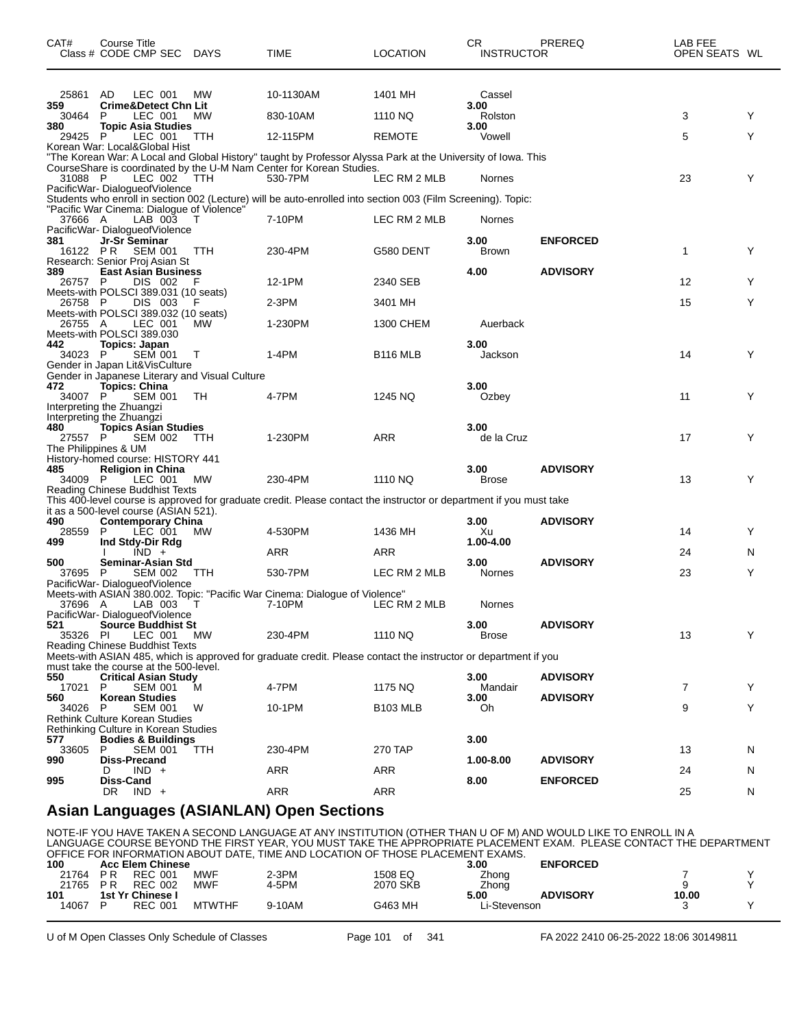| CAT#           | Course Title<br>Class # CODE CMP SEC DAYS                              |            | TIME                                                                                                                                                                                            | <b>LOCATION</b> | CR.<br>INSTRUCTOR  | PREREQ          | LAB FEE<br>OPEN SEATS WL |   |
|----------------|------------------------------------------------------------------------|------------|-------------------------------------------------------------------------------------------------------------------------------------------------------------------------------------------------|-----------------|--------------------|-----------------|--------------------------|---|
|                |                                                                        |            |                                                                                                                                                                                                 |                 |                    |                 |                          |   |
| 25861<br>359   | AD<br>LEC 001<br><b>Crime&amp;Detect Chn Lit</b>                       | МW         | 10-1130AM                                                                                                                                                                                       | 1401 MH         | Cassel<br>3.00     |                 |                          |   |
| 30464          | P<br>LEC 001                                                           | MW         | 830-10AM                                                                                                                                                                                        | 1110 NQ         | Rolston            |                 | 3                        | Y |
| 380<br>29425   | <b>Topic Asia Studies</b><br>P<br>LEC 001                              | TTH        | 12-115PM                                                                                                                                                                                        | <b>REMOTE</b>   | 3.00<br>Vowell     |                 | 5                        | Y |
|                | Korean War: Local&Global Hist                                          |            |                                                                                                                                                                                                 |                 |                    |                 |                          |   |
| 31088 P        | LEC 002                                                                | <b>TTH</b> | "The Korean War: A Local and Global History" taught by Professor Alyssa Park at the University of Iowa. This<br>CourseShare is coordinated by the U-M Nam Center for Korean Studies.<br>530-7PM | LEC RM 2 MLB    | Nornes             |                 | 23                       | Y |
|                | PacificWar-DialogueofViolence                                          |            | Students who enroll in section 002 (Lecture) will be auto-enrolled into section 003 (Film Screening). Topic:                                                                                    |                 |                    |                 |                          |   |
| 37666 A        | "Pacific War Cinema: Dialogue of Violence"<br>LAB 003                  | T          | 7-10PM                                                                                                                                                                                          | LEC RM 2 MLB    | Nornes             |                 |                          |   |
| 381            | PacificWar-DialogueofViolence<br>Jr-Sr Seminar                         |            |                                                                                                                                                                                                 |                 | 3.00               | <b>ENFORCED</b> |                          |   |
| 16122 PR       | SEM 001                                                                | TTH        | 230-4PM                                                                                                                                                                                         | G580 DENT       | <b>Brown</b>       |                 | 1                        | Y |
| 389            | Research: Senior Proj Asian St<br><b>East Asian Business</b>           |            |                                                                                                                                                                                                 |                 | 4.00               | <b>ADVISORY</b> |                          |   |
| 26757          | DIS 002<br>P<br>Meets-with POLSCI 389.031 (10 seats)                   | F          | 12-1PM                                                                                                                                                                                          | 2340 SEB        |                    |                 | 12 <sup>2</sup>          | Y |
| 26758 P        | DIS 003                                                                | F          | $2-3PM$                                                                                                                                                                                         | 3401 MH         |                    |                 | 15                       | Y |
| 26755 A        | Meets-with POLSCI 389.032 (10 seats)<br>LEC 001                        | MW         | 1-230PM                                                                                                                                                                                         | 1300 CHEM       | Auerback           |                 |                          |   |
|                | Meets-with POLSCI 389.030                                              |            |                                                                                                                                                                                                 |                 |                    |                 |                          |   |
| 442<br>34023   | Topics: Japan<br>P<br>SEM 001                                          | $\top$     | 1-4PM                                                                                                                                                                                           | <b>B116 MLB</b> | 3.00<br>Jackson    |                 | 14                       | Y |
|                | Gender in Japan Lit&VisCulture                                         |            |                                                                                                                                                                                                 |                 |                    |                 |                          |   |
| 472            | Gender in Japanese Literary and Visual Culture<br><b>Topics: China</b> |            |                                                                                                                                                                                                 |                 | 3.00               |                 |                          |   |
| 34007 P        | <b>SEM 001</b><br>Interpreting the Zhuangzi                            | TH         | 4-7PM                                                                                                                                                                                           | 1245 NQ         | Ozbey              |                 | 11                       | Y |
|                | Interpreting the Zhuangzi                                              |            |                                                                                                                                                                                                 |                 |                    |                 |                          |   |
| 480<br>27557 P | <b>Topics Asian Studies</b><br>SEM 002                                 | <b>TTH</b> | 1-230PM                                                                                                                                                                                         | ARR             | 3.00<br>de la Cruz |                 | 17                       | Y |
|                | The Philippines & UM                                                   |            |                                                                                                                                                                                                 |                 |                    |                 |                          |   |
| 485            | History-homed course: HISTORY 441<br><b>Religion in China</b>          |            |                                                                                                                                                                                                 |                 | 3.00               | <b>ADVISORY</b> |                          |   |
| 34009 P        | LEC 001 MW<br>Reading Chinese Buddhist Texts                           |            | 230-4PM                                                                                                                                                                                         | 1110 NQ         | <b>Brose</b>       |                 | 13                       | Y |
|                |                                                                        |            | This 400-level course is approved for graduate credit. Please contact the instructor or department if you must take                                                                             |                 |                    |                 |                          |   |
| 490            | it as a 500-level course (ASIAN 521).<br><b>Contemporary China</b>     |            |                                                                                                                                                                                                 |                 | 3.00               | <b>ADVISORY</b> |                          |   |
| 28559          | LEC 001<br>P                                                           | <b>MW</b>  | 4-530PM                                                                                                                                                                                         | 1436 MH         | Xu<br>1.00-4.00    |                 | 14                       | Y |
| 499            | Ind Stdy-Dir Rdg<br>$IND +$                                            |            | ARR                                                                                                                                                                                             | ARR             |                    |                 | 24                       | N |
| 500<br>37695   | Seminar-Asian Std<br>P<br>SEM 002                                      | TTH        | 530-7PM                                                                                                                                                                                         | LEC RM 2 MLB    | 3.00<br>Nornes     | <b>ADVISORY</b> | 23                       | Y |
|                | PacificWar-DialogueofViolence                                          |            |                                                                                                                                                                                                 |                 |                    |                 |                          |   |
| 37696 A        | LAB 003                                                                | Т          | Meets-with ASIAN 380.002. Topic: "Pacific War Cinema: Dialogue of Violence"<br>7-10PM                                                                                                           | LEC RM 2 MLB    | Nornes             |                 |                          |   |
| 521            | PacificWar-DialogueofViolence                                          |            |                                                                                                                                                                                                 |                 | 3.00               | <b>ADVISORY</b> |                          |   |
| 35326 PI       | <b>Source Buddhist St</b><br>LEC 001                                   | МW         | 230-4PM                                                                                                                                                                                         | 1110 NQ         | Brose              |                 | 13                       | Y |
|                | Reading Chinese Buddhist Texts                                         |            | Meets-with ASIAN 485, which is approved for graduate credit. Please contact the instructor or department if you                                                                                 |                 |                    |                 |                          |   |
|                | must take the course at the 500-level.                                 |            |                                                                                                                                                                                                 |                 |                    |                 |                          |   |
| 550<br>17021   | <b>Critical Asian Study</b><br>P<br><b>SEM 001</b>                     | M          | 4-7PM                                                                                                                                                                                           | 1175 NQ         | 3.00<br>Mandair    | <b>ADVISORY</b> | 7                        | Y |
| 560            | <b>Korean Studies</b>                                                  |            |                                                                                                                                                                                                 |                 | 3.00               | <b>ADVISORY</b> |                          |   |
| 34026          | P<br><b>SEM 001</b><br>Rethink Culture Korean Studies                  | w          | 10-1PM                                                                                                                                                                                          | <b>B103 MLB</b> | Oh                 |                 | 9                        | Y |
| 577            | Rethinking Culture in Korean Studies<br><b>Bodies &amp; Buildings</b>  |            |                                                                                                                                                                                                 |                 | 3.00               |                 |                          |   |
| 33605          | P.<br>SEM 001                                                          | TTH        | 230-4PM                                                                                                                                                                                         | 270 TAP         |                    |                 | 13                       | N |
| 990            | Diss-Precand<br>$IND +$<br>D                                           |            | ARR                                                                                                                                                                                             | ARR             | 1.00-8.00          | <b>ADVISORY</b> | 24                       | N |
| 995            | Diss-Cand                                                              |            |                                                                                                                                                                                                 |                 | 8.00               | <b>ENFORCED</b> |                          |   |
|                | IND +<br>DR.                                                           |            | ARR                                                                                                                                                                                             | ARR             |                    |                 | 25                       | N |
|                |                                                                        |            | <b>Asian Languages (ASIANLAN) Open Sections</b>                                                                                                                                                 |                 |                    |                 |                          |   |

NOTE-IF YOU HAVE TAKEN A SECOND LANGUAGE AT ANY INSTITUTION (OTHER THAN U OF M) AND WOULD LIKE TO ENROLL IN A

LANGUAGE COURSE BEYOND THE FIRST YEAR, YOU MUST TAKE THE APPROPRIATE PLACEMENT EXAM. PLEASE CONTACT THE DEPARTMENT OFFICE FOR INFORMATION ABOUT DATE, TIME AND LOCATION OF THOSE PLACEMENT EXAMS.

| 100   | <b>Acc Elem Chinese</b> |               |        |          | 3.00         | <b>ENFORCED</b> |       |  |
|-------|-------------------------|---------------|--------|----------|--------------|-----------------|-------|--|
| 21764 | <b>REC</b><br>РR<br>001 | MWF           | 2-3PM  | 1508 EQ  | Zhong        |                 |       |  |
| 21765 | <b>REC 002</b><br>P R   | MWF           | 4-5PM  | 2070 SKB | Zhong        |                 |       |  |
| 101   | 1st Yr Chinese          |               |        |          | 5.00         | <b>ADVISORY</b> | 10.00 |  |
| 14067 | REC<br>001              | <b>MTWTHF</b> | 9-10AM | G463 MH  | Li-Stevenson |                 |       |  |
|       |                         |               |        |          |              |                 |       |  |

U of M Open Classes Only Schedule of Classes **Page 101** of 341 FA 2022 2410 06-25-2022 18:06 30149811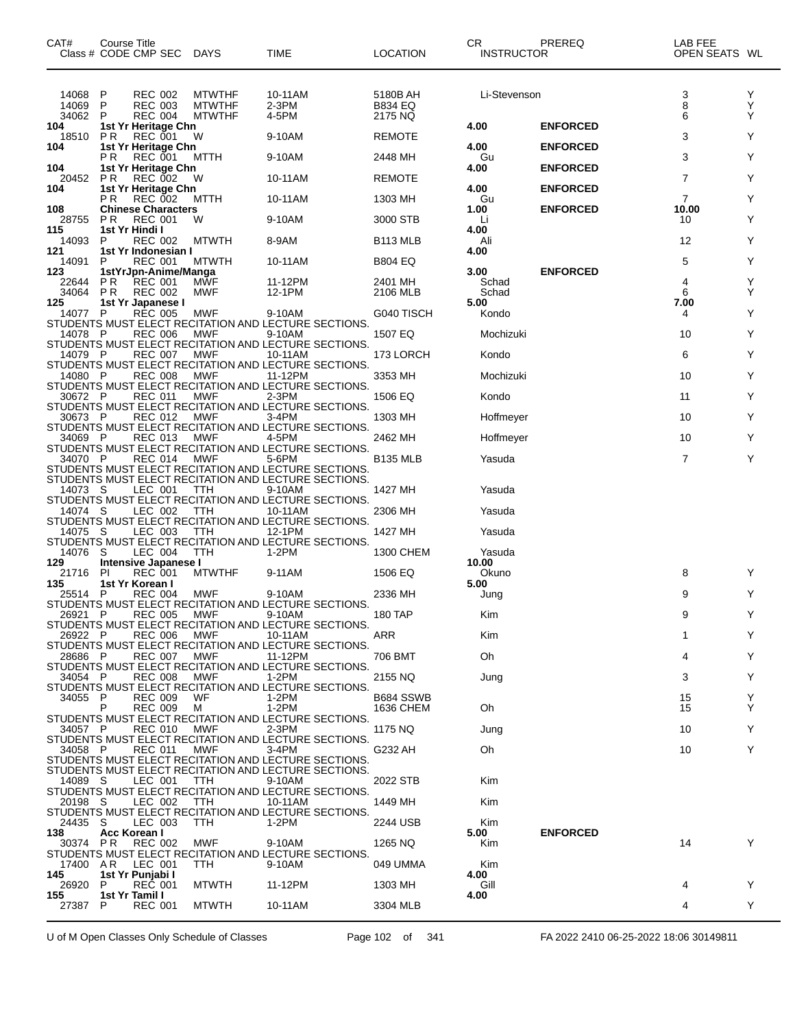| CAT#                         | Course Title<br>Class # CODE CMP SEC                    |                                                    | DAYS                                            | TIME                                                                                                                    | LOCATION                              | CR.<br><b>INSTRUCTOR</b>       | PREREQ          | LAB FEE<br>OPEN SEATS WL |             |
|------------------------------|---------------------------------------------------------|----------------------------------------------------|-------------------------------------------------|-------------------------------------------------------------------------------------------------------------------------|---------------------------------------|--------------------------------|-----------------|--------------------------|-------------|
| 14068<br>14069<br>34062      | P<br>P<br>P                                             | <b>REC 002</b><br><b>REC 003</b><br><b>REC 004</b> | <b>MTWTHF</b><br><b>MTWTHF</b><br><b>MTWTHF</b> | 10-11AM<br>2-3PM<br>4-5PM                                                                                               | 5180B AH<br><b>B834 EQ</b><br>2175 NQ | Li-Stevenson                   |                 | 3<br>8<br>6              | Y<br>Y<br>Y |
| 104<br>18510                 | 1st Yr Heritage Chn<br>P R                              | <b>REC 001</b>                                     | W                                               | 9-10AM                                                                                                                  | <b>REMOTE</b>                         | 4.00                           | <b>ENFORCED</b> | 3                        | Y           |
| 104                          | 1st Yr Heritage Chn<br>ΡR                               | <b>REC 001</b>                                     | MTTH                                            | 9-10AM                                                                                                                  | 2448 MH                               | 4.00<br>Gu                     | <b>ENFORCED</b> | 3                        | Y           |
| 104<br>20452                 | 1st Yr Heritage Chn<br>P R                              | <b>REC 002</b>                                     | W                                               | 10-11AM                                                                                                                 | <b>REMOTE</b>                         | 4.00                           | <b>ENFORCED</b> | 7                        | Y           |
| 104                          | 1st Yr Heritage Chn<br>P R                              | <b>REC 002</b>                                     | MTTH                                            | 10-11AM                                                                                                                 | 1303 MH                               | 4.00<br>Gu                     | <b>ENFORCED</b> | $\overline{7}$           | Y           |
| 108<br>28755                 | <b>Chinese Characters</b><br>P R                        | <b>REC 001</b>                                     | W                                               | 9-10AM                                                                                                                  | 3000 STB                              | 1.00<br>Li                     | <b>ENFORCED</b> | 10.00<br>10              | Y           |
| 115<br>14093                 | 1st Yr Hindi I<br>P                                     | REC 002                                            | <b>MTWTH</b>                                    | 8-9AM                                                                                                                   | B113 MLB                              | 4.00<br>Ali                    |                 | 12                       | Y           |
| 121<br>14091                 | 1st Yr Indonesian I<br>P                                | <b>REC 001</b>                                     | <b>MTWTH</b>                                    | 10-11AM                                                                                                                 | <b>B804 EQ</b>                        | 4.00                           |                 | 5                        | Y           |
| 123<br>22644<br>34064<br>125 | 1stYrJpn-Anime/Manga<br>P R<br>P R<br>1st Yr Japanese I | REC 001<br><b>REC 002</b>                          | <b>MWF</b><br><b>MWF</b>                        | 11-12PM<br>12-1PM                                                                                                       | 2401 MH<br>2106 MLB                   | 3.00<br>Schad<br>Schad<br>5.00 | <b>ENFORCED</b> | 4<br>6<br>7.00           | Y<br>Y      |
| 14077 P                      |                                                         | <b>REC 005</b>                                     | MWF                                             | 9-10AM<br>STUDENTS MUST ELECT RECITATION AND LECTURE SECTIONS.                                                          | G040 TISCH                            | Kondo                          |                 | 4                        | Y           |
| 14078                        | - P                                                     | <b>REC 006</b>                                     | <b>MWF</b>                                      | 9-10AM<br>STUDENTS MUST ELECT RECITATION AND LECTURE SECTIONS.                                                          | 1507 EQ                               | Mochizuki                      |                 | 10                       | Y           |
| 14079 P                      |                                                         | <b>REC 007</b>                                     | MWF                                             | 10-11AM<br>STUDENTS MUST ELECT RECITATION AND LECTURE SECTIONS.                                                         | 173 LORCH                             | Kondo                          |                 | 6                        | Y           |
| 14080 P                      |                                                         | <b>REC 008</b>                                     | MWF                                             | 11-12PM<br>STUDENTS MUST ELECT RECITATION AND LECTURE SECTIONS.                                                         | 3353 MH                               | Mochizuki                      |                 | 10                       | Y           |
| 30672 P                      |                                                         | REC 011                                            | MWF                                             | 2-3PM<br>STUDENTS MUST ELECT RECITATION AND LECTURE SECTIONS.                                                           | 1506 EQ                               | Kondo                          |                 | 11                       | Y           |
| 30673 P                      |                                                         | <b>REC 012</b>                                     | MWF                                             | 3-4PM<br>STUDENTS MUST ELECT RECITATION AND LECTURE SECTIONS.                                                           | 1303 MH                               | Hoffmeyer                      |                 | 10                       | Y           |
| 34069 P                      |                                                         | REC 013                                            | MWF                                             | 4-5PM<br>STUDENTS MUST ELECT RECITATION AND LECTURE SECTIONS.                                                           | 2462 MH                               | Hoffmeyer                      |                 | 10                       | Y           |
| 34070                        |                                                         | <b>REC 014</b>                                     | <b>MWF</b>                                      | 5-6PM<br>STUDENTS MUST ELECT RECITATION AND LECTURE SECTIONS.                                                           | <b>B135 MLB</b>                       | Yasuda                         |                 | 7                        | Y           |
| 14073 S                      |                                                         | LEC 001                                            | TTH                                             | STUDENTS MUST ELECT RECITATION AND LECTURE SECTIONS.<br>9-10AM                                                          | 1427 MH                               | Yasuda                         |                 |                          |             |
| 14074 S                      |                                                         | LEC 002                                            | TTH                                             | STUDENTS MUST ELECT RECITATION AND LECTURE SECTIONS.<br>10-11AM                                                         | 2306 MH                               | Yasuda                         |                 |                          |             |
| 14075 S                      |                                                         | LEC 003                                            | TTH                                             | STUDENTS MUST ELECT RECITATION AND LECTURE SECTIONS.<br>12-1PM                                                          | 1427 MH                               | Yasuda                         |                 |                          |             |
| 14076                        | - S                                                     | LEC 004                                            | TTH                                             | STUDENTS MUST ELECT RECITATION AND LECTURE SECTIONS.<br>1-2PM                                                           | 1300 CHEM                             | Yasuda                         |                 |                          |             |
| 129<br>21716 PI              | Intensive Japanese I                                    | <b>REC 001</b>                                     | <b>MTWTHF</b>                                   | 9-11AM                                                                                                                  | 1506 EQ                               | 10.00<br>Okuno                 |                 | 8                        | Y           |
| 135<br>25514 P               | 1st Yr Korean I                                         | <b>REC 004</b>                                     | MWF                                             | 9-10AM                                                                                                                  | 2336 MH                               | 5.00<br>Jung                   |                 | 9                        | Y           |
| 26921 P                      |                                                         | <b>REC 005</b>                                     | MWF                                             | STUDENTS MUST ELECT RECITATION AND LECTURE SECTIONS.<br>9-10AM                                                          | <b>180 TAP</b>                        | Kim                            |                 | 9                        |             |
| 26922 P                      |                                                         | <b>REC 006</b>                                     | MWF                                             | STUDENTS MUST ELECT RECITATION AND LECTURE SECTIONS.<br>10-11AM                                                         | ARR                                   | Kim                            |                 |                          | Y           |
| 28686 P                      |                                                         | <b>REC 007</b>                                     | MWF                                             | STUDENTS MUST ELECT RECITATION AND LECTURE SECTIONS.<br>11-12PM<br>STUDENTS MUST ELECT RECITATION AND LECTURE SECTIONS. | 706 BMT                               | Oh                             |                 | Δ                        | Y           |
| 34054 P                      |                                                         | <b>REC 008</b>                                     | MWF                                             | 1-2PM<br>STUDENTS MUST ELECT RECITATION AND LECTURE SECTIONS.                                                           | 2155 NQ                               | Jung                           |                 | 3                        | Y           |
| 34055 P                      | Р                                                       | <b>REC 009</b><br><b>REC 009</b>                   | WF<br>м                                         | $1-2PM$<br>1-2PM                                                                                                        | B684 SSWB<br>1636 CHEM                | 0h                             |                 | 15<br>15                 | Y<br>Y      |
| 34057 P                      |                                                         | <b>REC 010</b>                                     | MWF                                             | STUDENTS MUST ELECT RECITATION AND LECTURE SECTIONS.<br>$2-3PM$                                                         | 1175 NQ                               | Jung                           |                 | 10                       | Y           |
| 34058 P                      |                                                         | <b>REC 011</b>                                     | <b>MWF</b>                                      | STUDENTS MUST ELECT RECITATION AND LECTURE SECTIONS.<br>3-4PM                                                           | G232 AH                               | Oh                             |                 | 10                       | Y           |
|                              |                                                         |                                                    |                                                 | STUDENTS MUST ELECT RECITATION AND LECTURE SECTIONS.<br>STUDENTS MUST ELECT RECITATION AND LECTURE SECTIONS.            |                                       |                                |                 |                          |             |
| 14089 S                      |                                                         | LEC 001                                            | TTH                                             | 9-10AM<br>STUDENTS MUST ELECT RECITATION AND LECTURE SECTIONS.                                                          | 2022 STB                              | Kim                            |                 |                          |             |
| 20198 S                      |                                                         | LEC 002                                            | TTH                                             | 10-11AM<br>STUDENTS MUST ELECT RECITATION AND LECTURE SECTIONS.                                                         | 1449 MH                               | Kim                            |                 |                          |             |
| 24435 S<br>138               | Acc Korean I                                            | LEC 003                                            | TTH                                             | 1-2PM                                                                                                                   | 2244 USB                              | Kim<br>5.00                    | <b>ENFORCED</b> |                          |             |
| 30374 PR                     |                                                         | <b>REC 002</b>                                     | MWF                                             | 9-10AM<br>STUDENTS MUST ELECT RECITATION AND LECTURE SECTIONS.                                                          | 1265 NQ                               | Kim                            |                 | 14                       | Y           |
| 17400 AR<br>145              | 1st Yr Punjabi I                                        | LEC 001                                            | <b>TTH</b>                                      | 9-10AM                                                                                                                  | 049 UMMA                              | Kim<br>4.00                    |                 |                          |             |
| 26920<br>155                 | P<br>1st Yr Tamil I                                     | <b>REC 001</b>                                     | <b>MTWTH</b>                                    | 11-12PM                                                                                                                 | 1303 MH                               | Gill<br>4.00                   |                 | 4                        | Y           |
| 27387                        | P                                                       | <b>REC 001</b>                                     | <b>MTWTH</b>                                    | 10-11AM                                                                                                                 | 3304 MLB                              |                                |                 | 4                        | Y           |

U of M Open Classes Only Schedule of Classes Page 102 of 341 FA 2022 2410 06-25-2022 18:06 30149811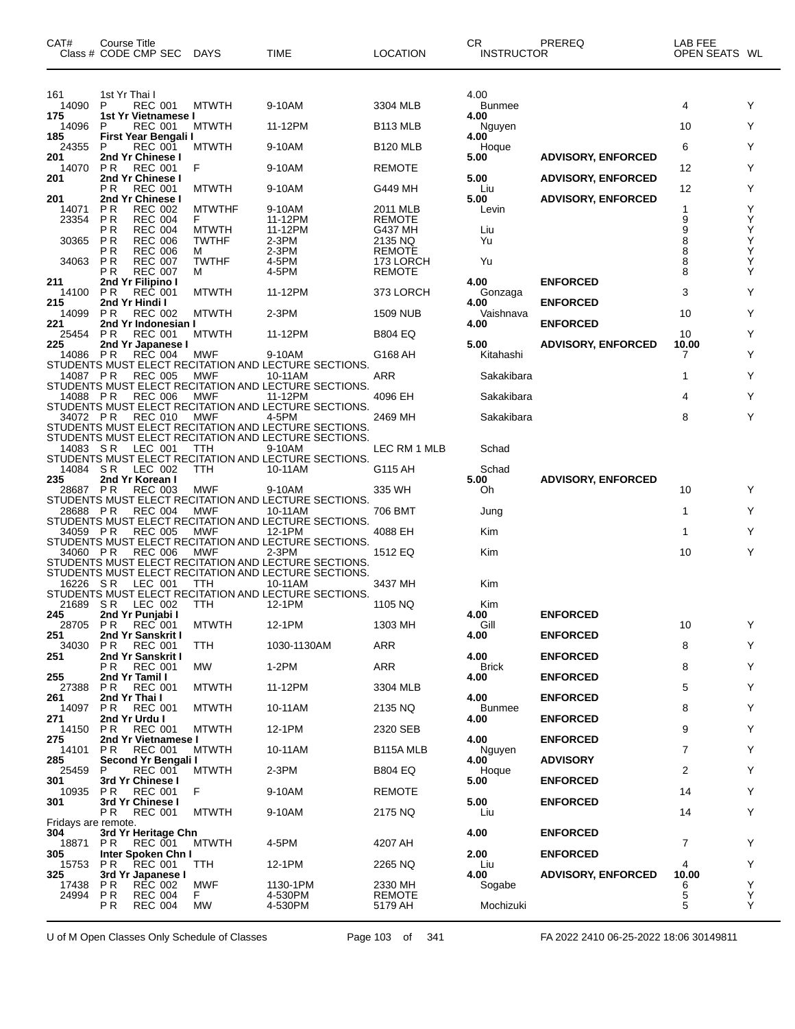| CAT#                       | <b>Course Title</b><br>Class # CODE CMP SEC                 | <b>DAYS</b>                  | TIME                                                            | LOCATION                 | СR<br>INSTRUCTOR              | PREREQ                    | LAB FEE<br>OPEN SEATS WL |        |
|----------------------------|-------------------------------------------------------------|------------------------------|-----------------------------------------------------------------|--------------------------|-------------------------------|---------------------------|--------------------------|--------|
| 161<br>14090<br>175        | 1st Yr Thai I<br>P<br><b>REC 001</b><br>1st Yr Vietnamese I | <b>MTWTH</b>                 | 9-10AM                                                          | 3304 MLB                 | 4.00<br><b>Bunmee</b><br>4.00 |                           | 4                        | Υ      |
| 14096                      | P<br><b>REC 001</b>                                         | <b>MTWTH</b>                 | 11-12PM                                                         | B <sub>113</sub> MLB     | Nguyen                        |                           | 10                       | Y      |
| 185<br>24355               | First Year Bengali I<br><b>REC 001</b><br>P                 | <b>MTWTH</b>                 | 9-10AM                                                          | <b>B120 MLB</b>          | 4.00<br>Hoque                 |                           | 6                        | Y      |
| 201<br>14070               | 2nd Yr Chinese I<br><b>REC 001</b><br>P R                   | F                            | 9-10AM                                                          | <b>REMOTE</b>            | 5.00                          | <b>ADVISORY, ENFORCED</b> | 12                       | Y      |
| 201                        | 2nd Yr Chinese I                                            |                              |                                                                 |                          | 5.00                          | <b>ADVISORY, ENFORCED</b> |                          |        |
| 201                        | <b>REC 001</b><br>P R<br>2nd Yr Chinese I                   | <b>MTWTH</b>                 | 9-10AM                                                          | G449 MH                  | Liu<br>5.00                   | <b>ADVISORY, ENFORCED</b> | 12                       | Y      |
| 14071<br>23354             | ΡR<br><b>REC 002</b><br>ΡR<br><b>REC 004</b>                | <b>MTWTHF</b><br>F           | 9-10AM<br>11-12PM                                               | 2011 MLB<br>REMOTE       | Levin                         |                           | 1<br>9                   | Y<br>Υ |
| 30365                      | ΡR<br><b>REC 004</b><br>P R<br><b>REC 006</b>               | <b>MTWTH</b><br><b>TWTHF</b> | 11-12PM<br>2-3PM                                                | G437 MH<br>2135 NQ       | Liu<br>Yu                     |                           | 9<br>8                   | Υ<br>Υ |
|                            | РR<br><b>REC 006</b>                                        | м                            | 2-3PM                                                           | <b>REMOTE</b>            |                               |                           | 8                        | Υ      |
| 34063                      | P R<br><b>REC 007</b><br>ΡR<br><b>REC 007</b>               | <b>TWTHF</b><br>м            | 4-5PM<br>4-5PM                                                  | 173 LORCH<br>REMOTE      | Yu                            |                           | 8<br>8                   | Υ<br>Y |
| 211<br>14100               | 2nd Yr Filipino I<br>P R<br><b>REC 001</b>                  | <b>MTWTH</b>                 | 11-12PM                                                         | 373 LORCH                | 4.00                          | <b>ENFORCED</b>           | 3                        | Y      |
| 215                        | 2nd Yr Hindi I                                              |                              |                                                                 |                          | Gonzaga<br>4.00               | <b>ENFORCED</b>           |                          |        |
| 14099<br>221               | P R<br><b>REC 002</b><br>2nd Yr Indonesian I                | <b>MTWTH</b>                 | $2-3PM$                                                         | <b>1509 NUB</b>          | Vaishnava<br>4.00             | <b>ENFORCED</b>           | 10                       | Υ      |
| 25454<br>225               | <b>REC 001</b><br>P R<br>2nd Yr Japanese I                  | <b>MTWTH</b>                 | 11-12PM                                                         | B804 EQ                  | 5.00                          | <b>ADVISORY, ENFORCED</b> | 10<br>10.00              | Υ      |
| 14086                      | <b>REC 004</b><br>P R                                       | MWF                          | 9-10AM                                                          | G168 AH                  | Kitahashi                     |                           | 7                        | Y      |
| 14087 PR                   | <b>REC 005</b>                                              | MWF                          | STUDENTS MUST ELECT RECITATION AND LECTURE SECTIONS.<br>10-11AM | ARR                      | Sakakibara                    |                           | 1                        | Υ      |
| 14088 PR                   | <b>REC 006</b>                                              | MWF                          | STUDENTS MUST ELECT RECITATION AND LECTURE SECTIONS.<br>11-12PM | 4096 EH                  | Sakakibara                    |                           | 4                        | Y      |
|                            |                                                             |                              | STUDENTS MUST ELECT RECITATION AND LECTURE SECTIONS.            |                          |                               |                           |                          |        |
| 34072 PR                   | <b>REC 010</b>                                              | MWF                          | 4-5PM<br>STUDENTS MUST ELECT RECITATION AND LECTURE SECTIONS.   | 2469 MH                  | Sakakibara                    |                           | 8                        | Y      |
| 14083                      | LEC 001<br>-S R                                             | ттн                          | STUDENTS MUST ELECT RECITATION AND LECTURE SECTIONS.<br>9-10AM  | LEC RM 1 MLB             | Schad                         |                           |                          |        |
|                            |                                                             |                              | STUDENTS MUST ELECT RECITATION AND LECTURE SECTIONS.            |                          |                               |                           |                          |        |
| 14084<br>235               | S R<br>LEC 002<br>2nd Yr Korean I                           | ттн                          | 10-11AM                                                         | G115 AH                  | Schad<br>5.00                 | <b>ADVISORY, ENFORCED</b> |                          |        |
| 28687 PR                   | <b>REC 003</b>                                              | <b>MWF</b>                   | 9-10AM<br>STUDENTS MUST ELECT RECITATION AND LECTURE SECTIONS.  | 335 WH                   | 0h                            |                           | 10                       | Y      |
| 28688                      | <b>REC 004</b><br>P R                                       | MWF                          | 10-11AM                                                         | 706 BMT                  | Jung                          |                           | 1                        | Y      |
| 34059                      | P R<br><b>REC 005</b>                                       | MWF                          | STUDENTS MUST ELECT RECITATION AND LECTURE SECTIONS.<br>12-1PM  | 4088 EH                  | Kim                           |                           | 1                        | Y      |
| 34060 PR                   | <b>REC 006</b>                                              | MWF                          | STUDENTS MUST ELECT RECITATION AND LECTURE SECTIONS.<br>2-3PM   | 1512 EQ                  | Kim                           |                           | 10                       | Y      |
|                            |                                                             |                              | STUDENTS MUST ELECT RECITATION AND LECTURE SECTIONS.            |                          |                               |                           |                          |        |
| 16226                      | SR.<br>LEC 001                                              | TTH                          | STUDENTS MUST ELECT RECITATION AND LECTURE SECTIONS.<br>10-11AM | 3437 MH                  | Kim                           |                           |                          |        |
| 21689                      | S R<br>LEC 002                                              | ттн                          | STUDENTS MUST ELECT RECITATION AND LECTURE SECTIONS.<br>12-1PM  | 1105 NQ                  | Kim                           |                           |                          |        |
| 245                        | 2nd Yr Punjabi I<br>REC 001                                 |                              |                                                                 |                          | 4.00<br>Gill                  | <b>ENFORCED</b>           |                          |        |
| 28705 PR<br>251            | 2nd Yr Sanskrit I                                           | <b>MTWTH</b>                 | 12-1PM                                                          | 1303 MH                  | 4.00                          | <b>ENFORCED</b>           | 10                       | Y      |
| 34030<br>251               | <b>PR</b><br><b>REC 001</b><br>2nd Yr Sanskrit I            | <b>TTH</b>                   | 1030-1130AM                                                     | ARR                      | 4.00                          | <b>ENFORCED</b>           | 8                        | Y      |
| 255                        | P R<br><b>REC 001</b><br>2nd Yr Tamil I                     | <b>MW</b>                    | 1-2PM                                                           | ARR                      | <b>Brick</b>                  |                           | 8                        | Υ      |
| 27388                      | P R<br><b>REC 001</b>                                       | <b>MTWTH</b>                 | 11-12PM                                                         | 3304 MLB                 | 4.00                          | <b>ENFORCED</b>           | 5                        | Υ      |
| 261<br>14097               | 2nd Yr Thai I<br><b>REC 001</b><br>P R                      | <b>MTWTH</b>                 | 10-11AM                                                         | 2135 NQ                  | 4.00<br><b>Bunmee</b>         | <b>ENFORCED</b>           | 8                        | Υ      |
| 271                        | 2nd Yr Urdu I<br><b>REC 001</b><br>P R                      |                              | 12-1PM                                                          | 2320 SEB                 | 4.00                          | <b>ENFORCED</b>           | 9                        | Υ      |
| 14150<br>275               | 2nd Yr Vietnamese I                                         | <b>MTWTH</b>                 |                                                                 |                          | 4.00                          | <b>ENFORCED</b>           |                          |        |
| 14101<br>285               | P R<br><b>REC 001</b><br>Second Yr Bengali I                | <b>MTWTH</b>                 | 10-11AM                                                         | B115A MLB                | Nguyen<br>4.00                | <b>ADVISORY</b>           | 7                        | Υ      |
| 25459                      | REC 001<br>P                                                | <b>MTWTH</b>                 | 2-3PM                                                           | B804 EQ                  | Hoque                         |                           | 2                        | Υ      |
| 301<br>10935               | 3rd Yr Chinese I<br>PR.<br><b>REC 001</b>                   | F                            | 9-10AM                                                          | <b>REMOTE</b>            | 5.00                          | <b>ENFORCED</b>           | 14                       | Υ      |
| 301                        | 3rd Yr Chinese I<br>P R<br><b>REC 001</b>                   | <b>MTWTH</b>                 | 9-10AM                                                          | 2175 NQ                  | 5.00<br>Liu                   | <b>ENFORCED</b>           | 14                       | Υ      |
| Fridays are remote.<br>304 |                                                             |                              |                                                                 |                          |                               | <b>ENFORCED</b>           |                          |        |
| 18871                      | 3rd Yr Heritage Chn<br>P R<br>REC 001                       | <b>MTWTH</b>                 | 4-5PM                                                           | 4207 AH                  | 4.00                          |                           | $\overline{7}$           | Υ      |
| 305<br>15753               | Inter Spoken Chn I<br>P R<br>REC 001                        | TTH                          | 12-1PM                                                          | 2265 NQ                  | 2.00<br>Liu                   | <b>ENFORCED</b>           | 4                        | Υ      |
| 325                        | 3rd Yr Japanese I<br><b>REC 002</b>                         |                              |                                                                 |                          | 4.00                          | <b>ADVISORY, ENFORCED</b> | 10.00                    | Υ      |
| 17438<br>24994             | P R<br><b>REC 004</b><br>P R                                | MWF<br>F.                    | 1130-1PM<br>4-530PM                                             | 2330 MH<br><b>REMOTE</b> | Sogabe                        |                           | 6<br>5                   | Υ      |
|                            | <b>REC 004</b><br>P R                                       | <b>MW</b>                    | 4-530PM                                                         | 5179 AH                  | Mochizuki                     |                           | 5                        | Y      |

U of M Open Classes Only Schedule of Classes Page 103 of 341 FA 2022 2410 06-25-2022 18:06 30149811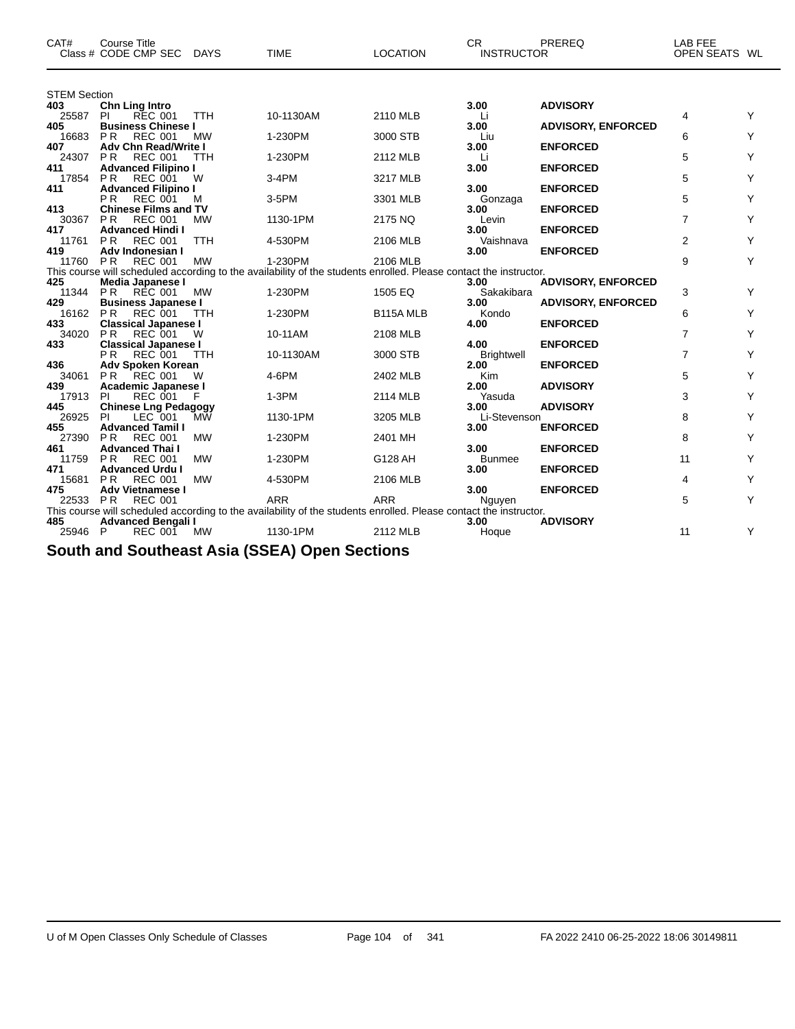| CAT#                | <b>Course Title</b><br>Class # CODE CMP SEC DAYS   |            | <b>TIME</b>                                                                                                       | <b>LOCATION</b> | <b>CR</b><br><b>INSTRUCTOR</b> | PREREQ                    | LAB FEE<br>OPEN SEATS WL |   |
|---------------------|----------------------------------------------------|------------|-------------------------------------------------------------------------------------------------------------------|-----------------|--------------------------------|---------------------------|--------------------------|---|
| <b>STEM Section</b> |                                                    |            |                                                                                                                   |                 |                                |                           |                          |   |
| 403                 | Chn Ling Intro                                     |            |                                                                                                                   |                 | 3.00                           | <b>ADVISORY</b>           |                          |   |
| 25587               | PI<br><b>REC 001</b>                               | <b>TTH</b> | 10-1130AM                                                                                                         | 2110 MLB        | Li                             |                           | 4                        | Y |
| 405<br>16683        | <b>Business Chinese I</b><br>P R<br><b>REC 001</b> |            | 1-230PM                                                                                                           | 3000 STB        | 3.00                           | <b>ADVISORY, ENFORCED</b> | 6                        | Y |
| 407                 | <b>Adv Chn Read/Write I</b>                        | <b>MW</b>  |                                                                                                                   |                 | Liu<br>3.00                    | <b>ENFORCED</b>           |                          |   |
| 24307               | <b>REC 001</b><br>P R                              | <b>TTH</b> | 1-230PM                                                                                                           | 2112 MLB        | Li                             |                           | 5                        | Y |
| 411                 | <b>Advanced Filipino I</b>                         |            |                                                                                                                   |                 | 3.00                           | <b>ENFORCED</b>           |                          |   |
| 17854               | P <sub>R</sub><br><b>REC 001</b>                   | W          | 3-4PM                                                                                                             | 3217 MLB        |                                |                           | 5                        | Y |
| 411                 | <b>Advanced Filipino I</b>                         |            |                                                                                                                   |                 | 3.00                           | <b>ENFORCED</b>           |                          |   |
|                     | P <sub>R</sub><br><b>REC 001</b>                   | M          | 3-5PM                                                                                                             | 3301 MLB        | Gonzaga                        |                           | 5                        | Y |
| 413                 | <b>Chinese Films and TV</b>                        |            |                                                                                                                   |                 | 3.00                           | <b>ENFORCED</b>           |                          |   |
| 30367               | <b>PR</b><br><b>REC 001</b>                        | <b>MW</b>  | 1130-1PM                                                                                                          | 2175 NQ         | Levin                          |                           | 7                        | Y |
| 417                 | <b>Advanced Hindi I</b>                            |            |                                                                                                                   |                 | 3.00                           | <b>ENFORCED</b>           |                          |   |
| 11761               | <b>PR</b><br><b>REC 001</b>                        | <b>TTH</b> | 4-530PM                                                                                                           | 2106 MLB        | Vaishnava                      |                           | 2                        | Y |
| 419<br>11760 PR     | Adv Indonesian I<br>REC 001                        | <b>MW</b>  | 1-230PM                                                                                                           | 2106 MLB        | 3.00                           | <b>ENFORCED</b>           | 9                        | Y |
|                     |                                                    |            | This course will scheduled according to the availability of the students enrolled. Please contact the instructor. |                 |                                |                           |                          |   |
| 425                 | Media Japanese I                                   |            |                                                                                                                   |                 | 3.00                           | <b>ADVISORY, ENFORCED</b> |                          |   |
| 11344               | <b>PR</b><br><b>RÉC 001</b>                        | MW         | 1-230PM                                                                                                           | 1505 EQ         | Sakakibara                     |                           | 3                        | Y |
| 429                 | <b>Business Japanese I</b>                         |            |                                                                                                                   |                 | 3.00                           | <b>ADVISORY, ENFORCED</b> |                          |   |
| 16162               | <b>PR</b><br><b>REC 001</b>                        | <b>TTH</b> | 1-230PM                                                                                                           | B115A MLB       | Kondo                          |                           | 6                        | Y |
| 433                 | <b>Classical Japanese I</b>                        |            |                                                                                                                   |                 | 4.00                           | <b>ENFORCED</b>           |                          |   |
| 34020               | <b>PR</b><br><b>REC 001</b>                        | W          | 10-11AM                                                                                                           | 2108 MLB        |                                |                           | 7                        | Y |
| 433                 | <b>Classical Japanese I</b>                        |            |                                                                                                                   |                 | 4.00                           | <b>ENFORCED</b>           |                          |   |
|                     | РR<br><b>REC 001</b>                               | <b>TTH</b> | 10-1130AM                                                                                                         | 3000 STB        | <b>Brightwell</b>              |                           | $\overline{7}$           | Y |
| 436                 | Adv Spoken Korean                                  |            |                                                                                                                   |                 | 2.00                           | <b>ENFORCED</b>           |                          |   |
| 34061               | <b>REC 001</b><br><b>PR</b>                        | W          | 4-6PM                                                                                                             | 2402 MLB        | Kim                            |                           | 5                        | Y |
| 439<br>17913        | Academic Japanese I<br>PI<br><b>REC 001</b>        | F          | $1-3PM$                                                                                                           | 2114 MLB        | 2.00<br>Yasuda                 | <b>ADVISORY</b>           | 3                        | Y |
| 445                 | <b>Chinese Lng Pedagogy</b>                        |            |                                                                                                                   |                 | 3.00                           | <b>ADVISORY</b>           |                          |   |
| 26925               | PI<br>LEC 001                                      | МŴ         | 1130-1PM                                                                                                          | 3205 MLB        | Li-Stevenson                   |                           | 8                        | Y |
| 455                 | <b>Advanced Tamil I</b>                            |            |                                                                                                                   |                 | 3.00                           | <b>ENFORCED</b>           |                          |   |
| 27390               | <b>PR</b><br><b>REC 001</b>                        | <b>MW</b>  | 1-230PM                                                                                                           | 2401 MH         |                                |                           | 8                        | Y |
| 461                 | <b>Advanced Thai I</b>                             |            |                                                                                                                   |                 | 3.00                           | <b>ENFORCED</b>           |                          |   |
| 11759               | <b>PR</b><br><b>REC 001</b>                        | <b>MW</b>  | 1-230PM                                                                                                           | G128 AH         | <b>Bunmee</b>                  |                           | 11                       | Y |
| 471                 | <b>Advanced Urdu I</b>                             |            |                                                                                                                   |                 | 3.00                           | <b>ENFORCED</b>           |                          |   |
| 15681               | P R<br><b>REC 001</b>                              | <b>MW</b>  | 4-530PM                                                                                                           | 2106 MLB        |                                |                           | 4                        | Y |
| 475                 | <b>Adv Vietnamese I</b>                            |            |                                                                                                                   |                 | 3.00                           | <b>ENFORCED</b>           |                          |   |
| 22533 PR            | <b>REC 001</b>                                     |            | <b>ARR</b>                                                                                                        | <b>ARR</b>      | Nguyen                         |                           | 5                        | Y |
| 485                 |                                                    |            | This course will scheduled according to the availability of the students enrolled. Please contact the instructor. |                 | 3.00                           | <b>ADVISORY</b>           |                          |   |
| 25946               | <b>Advanced Bengali I</b><br>P<br><b>REC 001</b>   | <b>MW</b>  | 1130-1PM                                                                                                          | 2112 MLB        | Hoque                          |                           | 11                       | Y |
|                     |                                                    |            |                                                                                                                   |                 |                                |                           |                          |   |

**South and Southeast Asia (SSEA) Open Sections**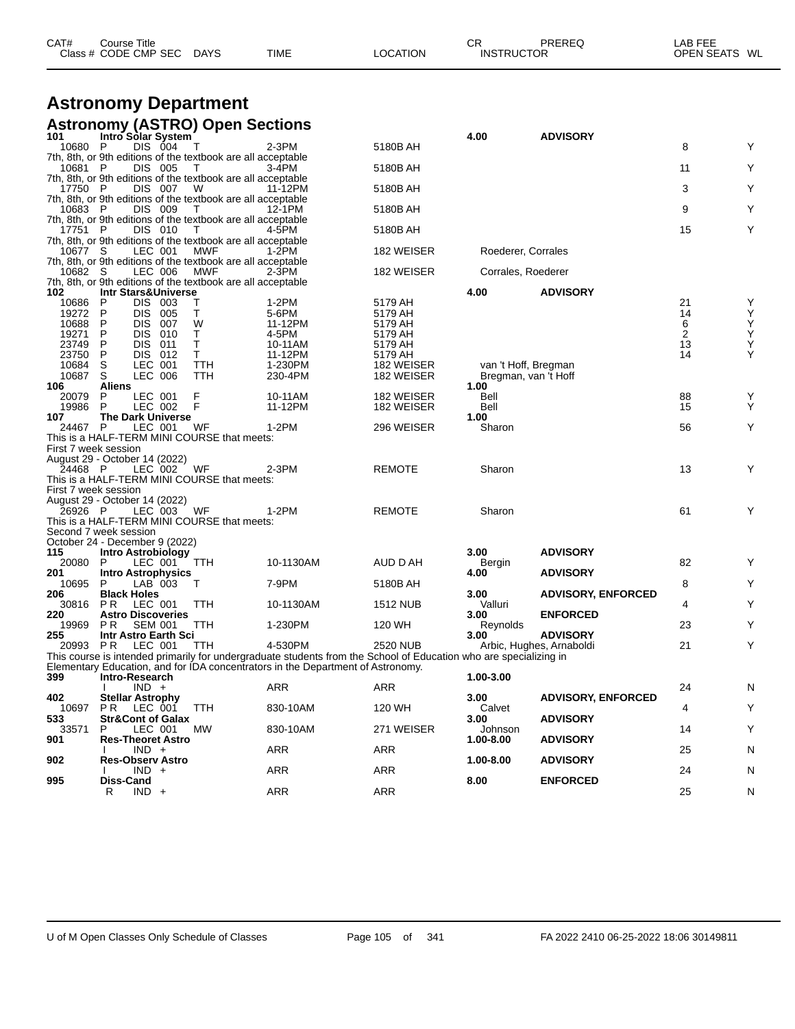|                      | <b>Astronomy Department</b>                                             |              |                                                                                                                   |                 |                              |                           |                |   |
|----------------------|-------------------------------------------------------------------------|--------------|-------------------------------------------------------------------------------------------------------------------|-----------------|------------------------------|---------------------------|----------------|---|
|                      | <b>Astronomy (ASTRO) Open Sections</b>                                  |              |                                                                                                                   |                 |                              |                           |                |   |
| 101<br>10680 P       | Intro Solar System<br>DIS 004                                           | Т            | 2-3PM                                                                                                             | 5180B AH        | 4.00                         | <b>ADVISORY</b>           | 8              | Y |
| 10681 P              | 7th, 8th, or 9th editions of the textbook are all acceptable<br>DIS 005 |              | 3-4PM                                                                                                             | 5180B AH        |                              |                           | 11             | Y |
|                      | 7th, 8th, or 9th editions of the textbook are all acceptable            | $\mathbf{I}$ |                                                                                                                   |                 |                              |                           |                |   |
| 17750 P              | DIS 007<br>7th, 8th, or 9th editions of the textbook are all acceptable | W            | 11-12PM                                                                                                           | 5180B AH        |                              |                           | 3              | Υ |
| 10683 P              | DIS 009                                                                 | T            | 12-1PM                                                                                                            | 5180B AH        |                              |                           | 9              | Y |
| 17751 P              | 7th, 8th, or 9th editions of the textbook are all acceptable<br>DIS 010 | $\mathbf{I}$ | 4-5PM                                                                                                             | 5180B AH        |                              |                           | 15             | Υ |
|                      | 7th, 8th, or 9th editions of the textbook are all acceptable            |              |                                                                                                                   |                 |                              |                           |                |   |
| 10677 S              | LEC 001<br>7th, 8th, or 9th editions of the textbook are all acceptable | <b>MWF</b>   | 1-2PM                                                                                                             | 182 WEISER      | Roederer, Corrales           |                           |                |   |
| 10682 S              | LEC 006<br>7th, 8th, or 9th editions of the textbook are all acceptable | MWF          | 2-3PM                                                                                                             | 182 WEISER      | Corrales, Roederer           |                           |                |   |
| 102                  | Intr Stars&Universe                                                     |              |                                                                                                                   |                 | 4.00                         | <b>ADVISORY</b>           |                |   |
| 10686                | DIS 003<br>P                                                            | Т            | 1-2PM                                                                                                             | 5179 AH         |                              |                           | 21             | Y |
| 19272                | P<br>DIS 005                                                            | Т            | 5-6PM                                                                                                             | 5179 AH         |                              |                           | 14             | Υ |
| 10688                | P<br><b>DIS</b><br>007                                                  | W            | 11-12PM                                                                                                           | 5179 AH         |                              |                           | 6              | Υ |
| 19271                | P<br>DIS.<br>010                                                        | Т            | 4-5PM                                                                                                             | 5179 AH         |                              |                           | $\overline{c}$ | Υ |
| 23749                | P<br>DIS.<br>011                                                        | т            | 10-11AM                                                                                                           | 5179 AH         |                              |                           | 13             | Υ |
| 23750                | P<br>DIS 012<br>LEC 001                                                 | Τ            | 11-12PM                                                                                                           | 5179 AH         |                              |                           | 14             | Υ |
| 10684                | S<br>S                                                                  | <b>TTH</b>   | 1-230PM<br>230-4PM                                                                                                | 182 WEISER      | van 't Hoff, Bregman         |                           |                |   |
| 10687<br>106         | LEC 006<br><b>Aliens</b>                                                | TTH          |                                                                                                                   | 182 WEISER      | Bregman, van 't Hoff<br>1.00 |                           |                |   |
| 20079                | P<br>LEC 001                                                            | F            | 10-11AM                                                                                                           | 182 WEISER      | Bell                         |                           | 88             | Y |
| 19986                | P<br>LEC 002                                                            | F            | 11-12PM                                                                                                           | 182 WEISER      | Bell                         |                           | 15             | Y |
| 107                  | <b>The Dark Universe</b>                                                |              |                                                                                                                   |                 | 1.00                         |                           |                |   |
| 24467 P              | LEC 001                                                                 | WF           | 1-2PM                                                                                                             | 296 WEISER      | Sharon                       |                           | 56             | Y |
|                      | This is a HALF-TERM MINI COURSE that meets:                             |              |                                                                                                                   |                 |                              |                           |                |   |
| First 7 week session |                                                                         |              |                                                                                                                   |                 |                              |                           |                |   |
|                      | August 29 - October 14 (2022)                                           |              |                                                                                                                   |                 |                              |                           |                |   |
| 24468 P              | LEC 002                                                                 | WF           | 2-3PM                                                                                                             | <b>REMOTE</b>   | Sharon                       |                           | 13             | Υ |
|                      | This is a HALF-TERM MINI COURSE that meets:                             |              |                                                                                                                   |                 |                              |                           |                |   |
| First 7 week session |                                                                         |              |                                                                                                                   |                 |                              |                           |                |   |
|                      | August 29 - October 14 (2022)                                           |              |                                                                                                                   |                 |                              |                           |                |   |
| 26926 P              | LEC 003                                                                 | WF           | $1-2PM$                                                                                                           | <b>REMOTE</b>   | Sharon                       |                           | 61             | Υ |
|                      | This is a HALF-TERM MINI COURSE that meets:                             |              |                                                                                                                   |                 |                              |                           |                |   |
|                      | Second 7 week session                                                   |              |                                                                                                                   |                 |                              |                           |                |   |
|                      | October 24 - December 9 (2022)                                          |              |                                                                                                                   |                 |                              |                           |                |   |
| 115                  | <b>Intro Astrobiology</b>                                               |              |                                                                                                                   |                 | 3.00                         | <b>ADVISORY</b>           |                |   |
| 20080                | LEC 001<br>P                                                            | TTH          | 10-1130AM                                                                                                         | AUD D AH        | Bergin                       |                           | 82             | Y |
| 201                  | <b>Intro Astrophysics</b>                                               |              |                                                                                                                   |                 | 4.00                         | <b>ADVISORY</b>           |                |   |
| 10695                | LAB 003<br>P                                                            | Τ            | 7-9PM                                                                                                             | 5180B AH        |                              |                           | 8              | Y |
| 206                  | <b>Black Holes</b>                                                      |              |                                                                                                                   |                 | 3.00                         | <b>ADVISORY, ENFORCED</b> |                |   |
| 30816                | P R<br>LEC 001                                                          | TTH          | 10-1130AM                                                                                                         | <b>1512 NUB</b> | Valluri                      |                           | 4              | Υ |
| 220                  | <b>Astro Discoveries</b>                                                |              |                                                                                                                   |                 | 3.00                         | <b>ENFORCED</b>           |                |   |
| 19969                | <b>SEM 001</b><br>P R                                                   | TTH          | 1-230PM                                                                                                           | 120 WH          | Reynolds                     |                           | 23             | Y |
| 255                  | Intr Astro Earth Sci                                                    |              |                                                                                                                   |                 | 3.00                         | <b>ADVISORY</b>           |                |   |
| 20993 PR             | LEC 001                                                                 | <b>TTH</b>   | 4-530PM                                                                                                           | 2520 NUB        |                              | Arbic, Hughes, Arnaboldi  | 21             | Υ |
|                      |                                                                         |              | This course is intended primarily for undergraduate students from the School of Education who are specializing in |                 |                              |                           |                |   |
|                      |                                                                         |              | Elementary Education, and for IDA concentrators in the Department of Astronomy.                                   |                 |                              |                           |                |   |
| 399                  | Intro-Research                                                          |              |                                                                                                                   |                 | $1.00 - 3.00$                |                           |                |   |
|                      | $IND +$                                                                 |              | <b>ARR</b>                                                                                                        | ARR             |                              |                           | 24             | N |
| 402                  | <b>Stellar Astrophy</b>                                                 |              |                                                                                                                   |                 | 3.00                         | <b>ADVISORY, ENFORCED</b> |                |   |
| 10697                | LEC 001<br>PR.                                                          | <b>TTH</b>   | 830-10AM                                                                                                          | 120 WH          | Calvet                       |                           | 4              | Υ |
| 533                  | <b>Str&amp;Cont of Galax</b>                                            |              |                                                                                                                   |                 | 3.00                         | <b>ADVISORY</b>           |                |   |
| 33571                | LEC 001<br>P                                                            | МW           | 830-10AM                                                                                                          | 271 WEISER      | Johnson                      |                           | 14             | Υ |
| 901                  | <b>Res-Theoret Astro</b>                                                |              |                                                                                                                   |                 | 1.00-8.00                    | <b>ADVISORY</b>           |                |   |
|                      | $IND +$                                                                 |              | ARR                                                                                                               | ARR             |                              |                           | 25             | N |
| 902                  | <b>Res-Observ Astro</b>                                                 |              |                                                                                                                   |                 | 1.00-8.00                    | <b>ADVISORY</b>           |                |   |
|                      | $IND +$                                                                 |              | ARR                                                                                                               | ARR             |                              |                           | 24             | N |
| 995                  | Diss-Cand                                                               |              |                                                                                                                   |                 | 8.00                         | <b>ENFORCED</b>           |                |   |

CAT# Course Title Case CR PREREQ LAB FEE

Class # CODE CMP SEC DAYS TIME LOCATION INSTRUCTOR OPEN SEATS WL

R IND + ARR ARR ARR 25 N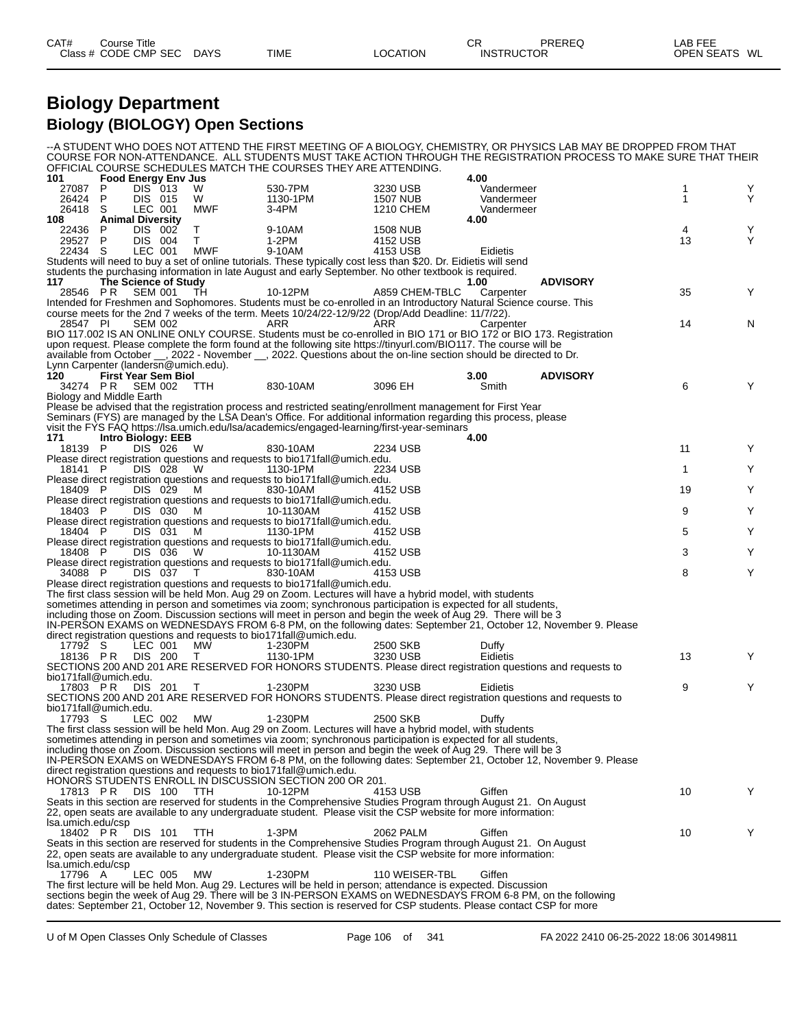## **Biology Department Biology (BIOLOGY) Open Sections**

--A STUDENT WHO DOES NOT ATTEND THE FIRST MEETING OF A BIOLOGY, CHEMISTRY, OR PHYSICS LAB MAY BE DROPPED FROM THAT COURSE FOR NON-ATTENDANCE. ALL STUDENTS MUST TAKE ACTION THROUGH THE REGISTRATION PROCESS TO MAKE SURE THAT THEIR OFFICIAL COURSE SCHEDULES MATCH THE COURSES THEY ARE ATTENDING.

| 101                                  | <b>Food Energy Env Jus</b> |            | OFFICIAL COURSE SUMEDULES MATUM THE COURSES THET ARE ATTENDING.                                                                                                                                                                   |                      | 4.00       |                 |              |        |
|--------------------------------------|----------------------------|------------|-----------------------------------------------------------------------------------------------------------------------------------------------------------------------------------------------------------------------------------|----------------------|------------|-----------------|--------------|--------|
| 27087<br>P                           | <b>DIS</b> 013             | W          | 530-7PM                                                                                                                                                                                                                           | 3230 USB             | Vandermeer |                 | 1            | Y      |
| 26424<br>P                           | DIS 015                    | W          | 1130-1PM                                                                                                                                                                                                                          | 1507 NUB             | Vandermeer |                 | 1            | Y      |
| 26418 S                              | LEC 001                    | MWF        | 3-4PM                                                                                                                                                                                                                             | 1210 CHEM            | Vandermeer |                 |              |        |
| 108                                  | <b>Animal Diversity</b>    |            |                                                                                                                                                                                                                                   |                      | 4.00       |                 |              |        |
| 22436<br>P                           | DIS 002                    | Τ          | 9-10AM                                                                                                                                                                                                                            | <b>1508 NUB</b>      |            |                 | 4            | Y<br>Y |
| 29527<br>P<br>22434 S                | DIS 004<br>LEC 001         | T.<br>MWF  | 1-2PM                                                                                                                                                                                                                             | 4152 USB<br>4153 USB |            |                 | 13           |        |
|                                      |                            |            | 9-10AM<br>Students will need to buy a set of online tutorials. These typically cost less than \$20. Dr. Eidietis will send                                                                                                        |                      | Eidietis   |                 |              |        |
|                                      |                            |            | students the purchasing information in late August and early September. No other textbook is required.                                                                                                                            |                      |            |                 |              |        |
| 117                                  | The Science of Study       |            |                                                                                                                                                                                                                                   |                      | 1.00       | <b>ADVISORY</b> |              |        |
| 28546 PR                             | SEM 001                    | TН         | 10-12PM                                                                                                                                                                                                                           | A859 CHEM-TBLC       | Carpenter  |                 | 35           | Y      |
|                                      |                            |            | Intended for Freshmen and Sophomores. Students must be co-enrolled in an Introductory Natural Science course. This                                                                                                                |                      |            |                 |              |        |
|                                      |                            |            | course meets for the 2nd 7 weeks of the term. Meets 10/24/22-12/9/22 (Drop/Add Deadline: 11/7/22).                                                                                                                                |                      |            |                 |              |        |
| 28547 PI                             | <b>SEM 002</b>             |            | ARR                                                                                                                                                                                                                               | ARR                  | Carpenter  |                 | 14           | N      |
|                                      |                            |            | BIO 117.002 IS AN ONLINE ONLY COURSE. Students must be co-enrolled in BIO 171 or BIO 172 or BIO 173. Registration                                                                                                                 |                      |            |                 |              |        |
|                                      |                            |            | upon request. Please complete the form found at the following site https://tinyurl.com/BIO117. The course will be                                                                                                                 |                      |            |                 |              |        |
| Lynn Carpenter (landersn@umich.edu). |                            |            | available from October __, 2022 - November __, 2022. Questions about the on-line section should be directed to Dr.                                                                                                                |                      |            |                 |              |        |
| 120                                  | <b>First Year Sem Biol</b> |            |                                                                                                                                                                                                                                   |                      | 3.00       | <b>ADVISORY</b> |              |        |
| 34274 PR SEM 002                     |                            | <b>TTH</b> | 830-10AM                                                                                                                                                                                                                          | 3096 EH              | Smith      |                 | 6            | Y      |
| Biology and Middle Earth             |                            |            |                                                                                                                                                                                                                                   |                      |            |                 |              |        |
|                                      |                            |            | Please be advised that the registration process and restricted seating/enrollment management for First Year                                                                                                                       |                      |            |                 |              |        |
|                                      |                            |            | Seminars (FYS) are managed by the LSA Dean's Office. For additional information regarding this process, please                                                                                                                    |                      |            |                 |              |        |
|                                      |                            |            | visit the FYS FAQ https://lsa.umich.edu/lsa/academics/engaged-learning/first-year-seminars                                                                                                                                        |                      |            |                 |              |        |
| 171                                  | Intro Biology: EEB         |            |                                                                                                                                                                                                                                   |                      | 4.00       |                 |              |        |
| 18139 P                              | DIS 026                    | W          | 830-10AM<br>Please direct registration questions and requests to bio171fall@umich.edu.                                                                                                                                            | 2234 USB             |            |                 | 11           | Y      |
| 18141 P                              | DIS 028                    | <b>W</b>   | 1130-1PM                                                                                                                                                                                                                          | 2234 USB             |            |                 | $\mathbf{1}$ | Y      |
|                                      |                            |            | Please direct registration questions and requests to bio171fall@umich.edu.                                                                                                                                                        |                      |            |                 |              |        |
| 18409 P                              | DIS 029                    | M          | 830-10AM                                                                                                                                                                                                                          | 4152 USB             |            |                 | 19           | Y      |
|                                      |                            |            | Please direct registration questions and requests to bio171fall@umich.edu.                                                                                                                                                        |                      |            |                 |              |        |
| 18403 P                              | DIS 030                    | M          | 10-1130AM                                                                                                                                                                                                                         | 4152 USB             |            |                 | 9            | Y      |
|                                      |                            |            | Please direct registration questions and requests to bio171fall@umich.edu.                                                                                                                                                        |                      |            |                 |              |        |
| 18404 P                              | DIS 031                    | M          | 1130-1PM                                                                                                                                                                                                                          | 4152 USB             |            |                 | 5            | Y      |
| 18408 P                              | DIS 036                    | W          | Please direct registration questions and requests to bio171fall@umich.edu.<br>10-1130AM                                                                                                                                           | 4152 USB             |            |                 | 3            | Y      |
|                                      |                            |            | Please direct registration questions and requests to bio171fall@umich.edu.                                                                                                                                                        |                      |            |                 |              |        |
| 34088 P                              | DIS 037                    | $\top$     | 830-10AM                                                                                                                                                                                                                          | 4153 USB             |            |                 | 8            | Υ      |
|                                      |                            |            | Please direct registration questions and requests to bio171fall@umich.edu.                                                                                                                                                        |                      |            |                 |              |        |
|                                      |                            |            | The first class session will be held Mon. Aug 29 on Zoom. Lectures will have a hybrid model, with students                                                                                                                        |                      |            |                 |              |        |
|                                      |                            |            | sometimes attending in person and sometimes via zoom; synchronous participation is expected for all students,                                                                                                                     |                      |            |                 |              |        |
|                                      |                            |            | including those on Zoom. Discussion sections will meet in person and begin the week of Aug 29. There will be 3                                                                                                                    |                      |            |                 |              |        |
|                                      |                            |            | IN-PERSON EXAMS on WEDNESDAYS FROM 6-8 PM, on the following dates: September 21, October 12, November 9. Please<br>direct registration questions and requests to bio171fall@umich.edu.                                            |                      |            |                 |              |        |
| 17792 S                              | LEC 001                    | МW         | 1-230PM                                                                                                                                                                                                                           | 2500 SKB             | Duffy      |                 |              |        |
| 18136 PR                             | DIS 200                    | $\top$     | 1130-1PM                                                                                                                                                                                                                          | 3230 USB             | Eidietis   |                 | 13           | Y      |
|                                      |                            |            | SECTIONS 200 AND 201 ARE RESERVED FOR HONORS STUDENTS. Please direct registration questions and requests to                                                                                                                       |                      |            |                 |              |        |
| bio171fall@umich.edu.                |                            |            |                                                                                                                                                                                                                                   |                      |            |                 |              |        |
| 17803 PR                             | DIS 201                    | $\top$     | 1-230PM                                                                                                                                                                                                                           | 3230 USB             | Eidietis   |                 | 9            | Y      |
| bio171fall@umich.edu.                |                            |            | SECTIONS 200 AND 201 ARE RESERVED FOR HONORS STUDENTS. Please direct registration questions and requests to                                                                                                                       |                      |            |                 |              |        |
| 17793 S                              | LEC 002                    | MW         | 1-230PM                                                                                                                                                                                                                           | 2500 SKB             | Duffy      |                 |              |        |
|                                      |                            |            | The first class session will be held Mon. Aug 29 on Zoom. Lectures will have a hybrid model, with students                                                                                                                        |                      |            |                 |              |        |
|                                      |                            |            | sometimes attending in person and sometimes via zoom; synchronous participation is expected for all students,                                                                                                                     |                      |            |                 |              |        |
|                                      |                            |            | including those on Zoom. Discussion sections will meet in person and begin the week of Aug 29. There will be 3                                                                                                                    |                      |            |                 |              |        |
|                                      |                            |            | IN-PERSON EXAMS on WEDNESDAYS FROM 6-8 PM, on the following dates: September 21, October 12, November 9. Please                                                                                                                   |                      |            |                 |              |        |
|                                      |                            |            | direct registration questions and requests to bio171fall@umich.edu.                                                                                                                                                               |                      |            |                 |              |        |
|                                      |                            |            | HONORS STUDENTS ENROLL IN DISCUSSION SECTION 200 OR 201.                                                                                                                                                                          |                      |            |                 |              |        |
| 17813 PR                             | DIS 100                    | TTH        | 10-12PM<br>Seats in this section are reserved for students in the Comprehensive Studies Program through August 21. On August                                                                                                      | 4153 USB             | Giffen     |                 | 10           | Y      |
|                                      |                            |            | 22, open seats are available to any undergraduate student. Please visit the CSP website for more information:                                                                                                                     |                      |            |                 |              |        |
| Isa.umich.edu/csp                    |                            |            |                                                                                                                                                                                                                                   |                      |            |                 |              |        |
| 18402 PR                             | DIS 101                    | <b>TTH</b> | 1-3PM                                                                                                                                                                                                                             | 2062 PALM            | Giffen     |                 | 10           | Y      |
|                                      |                            |            | Seats in this section are reserved for students in the Comprehensive Studies Program through August 21. On August                                                                                                                 |                      |            |                 |              |        |
|                                      |                            |            | 22, open seats are available to any undergraduate student. Please visit the CSP website for more information:                                                                                                                     |                      |            |                 |              |        |
| Isa.umich.edu/csp                    |                            |            |                                                                                                                                                                                                                                   |                      |            |                 |              |        |
| 17796 A                              | LEC 005                    | MW         | 1-230PM                                                                                                                                                                                                                           | 110 WEISER-TBL       | Giffen     |                 |              |        |
|                                      |                            |            | The first lecture will be held Mon. Aug 29. Lectures will be held in person; attendance is expected. Discussion<br>sections begin the week of Aug 29. There will be 3 IN-PERSON EXAMS on WEDNESDAYS FROM 6-8 PM, on the following |                      |            |                 |              |        |
|                                      |                            |            | dates: September 21, October 12, November 9. This section is reserved for CSP students. Please contact CSP for more                                                                                                               |                      |            |                 |              |        |
|                                      |                            |            |                                                                                                                                                                                                                                   |                      |            |                 |              |        |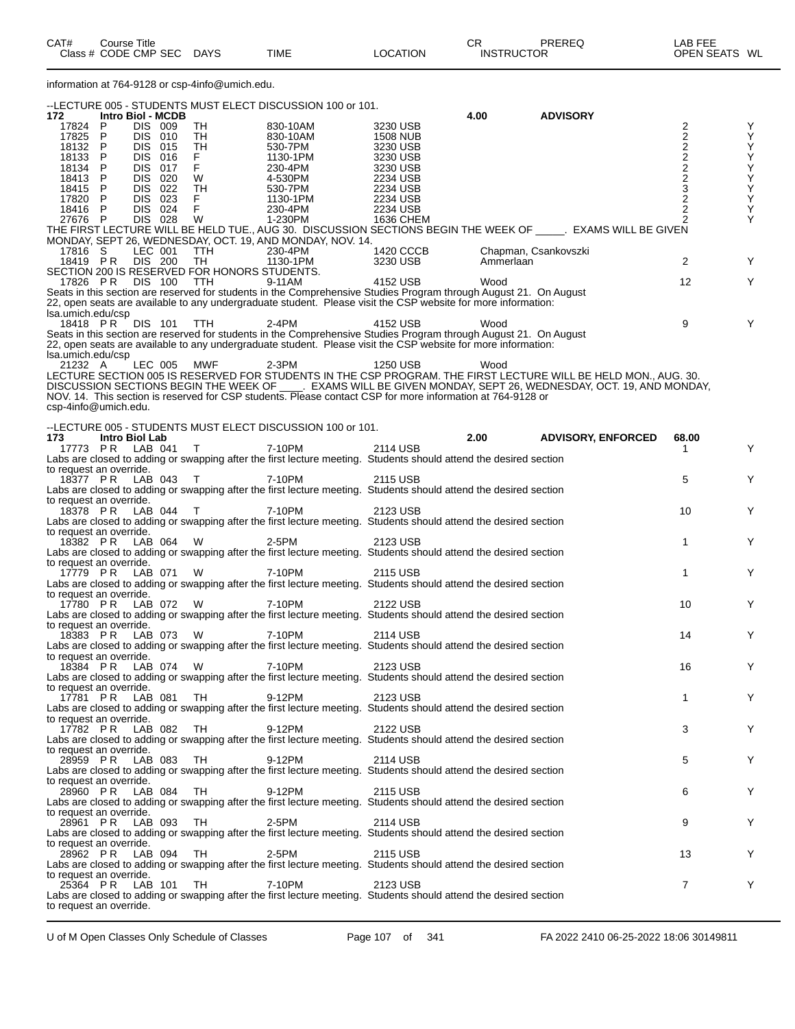| Class # CODE CMP SEC DAYS                                                                                                                                                                                                          |           | TIME                | LOCATION             | <b>INSTRUCTOR</b> |                           | OPEN SEATS WL   |                   |
|------------------------------------------------------------------------------------------------------------------------------------------------------------------------------------------------------------------------------------|-----------|---------------------|----------------------|-------------------|---------------------------|-----------------|-------------------|
| information at 764-9128 or csp-4info@umich.edu.                                                                                                                                                                                    |           |                     |                      |                   |                           |                 |                   |
| --LECTURE 005 - STUDENTS MUST ELECT DISCUSSION 100 or 101.                                                                                                                                                                         |           |                     |                      |                   |                           |                 |                   |
| 172<br>Intro Biol - MCDB                                                                                                                                                                                                           |           |                     |                      | 4.00              | <b>ADVISORY</b>           |                 |                   |
| DIS 009<br>17824 P                                                                                                                                                                                                                 | TH        | 830-10AM            | 3230 USB             |                   |                           |                 |                   |
| 17825 P<br>DIS 010<br>DIS 015                                                                                                                                                                                                      | TH        | 830-10AM            | <b>1508 NUB</b>      |                   |                           | 2222322         | <b>スススススススススス</b> |
| 18132 P<br>18133 P<br>DIS 016                                                                                                                                                                                                      | TH        | 530-7PM<br>1130-1PM | 3230 USB<br>3230 USB |                   |                           |                 |                   |
| 18134 P<br>DIS 017                                                                                                                                                                                                                 | F<br>F    | 230-4PM             | 3230 USB             |                   |                           |                 |                   |
| 18413 P<br>DIS 020                                                                                                                                                                                                                 | W         | 4-530PM             | 2234 USB             |                   |                           |                 |                   |
| 18415 P<br>DIS 022                                                                                                                                                                                                                 | <b>TH</b> | 530-7PM             | 2234 USB             |                   |                           |                 |                   |
| DIS 023<br>17820 P                                                                                                                                                                                                                 | F.        | 1130-1PM            | 2234 USB             |                   |                           |                 |                   |
| DIS 024<br>18416 P                                                                                                                                                                                                                 | F         | 230-4PM             | 2234 USB             |                   |                           |                 |                   |
| 27676 P<br>DIS 028<br>THE FIRST LECTURE WILL BE HELD TUE., AUG 30. DISCUSSION SECTIONS BEGIN THE WEEK OF _____. EXAMS WILL BE GIVEN                                                                                                | W         | 1-230PM             | 1636 CHEM            |                   |                           | $\overline{2}$  |                   |
| MONDAY, SEPT 26, WEDNESDAY, OCT. 19, AND MONDAY, NOV. 14.                                                                                                                                                                          |           |                     |                      |                   |                           |                 |                   |
| LEC 001<br>17816 S                                                                                                                                                                                                                 | TTH       | 230-4PM             | 1420 CCCB            |                   | Chapman, Csankovszki      |                 |                   |
| 18419 PR<br>DIS 200                                                                                                                                                                                                                | TH        | 1130-1PM            | 3230 USB             | Ammerlaan         |                           | $\overline{2}$  | Y                 |
| SECTION 200 IS RESERVED FOR HONORS STUDENTS.                                                                                                                                                                                       |           |                     |                      |                   |                           |                 |                   |
| 17826 PR DIS 100 TTH                                                                                                                                                                                                               |           | 9-11AM              | 4152 USB             | Wood              |                           | 12 <sup>°</sup> | Y                 |
| Seats in this section are reserved for students in the Comprehensive Studies Program through August 21. On August<br>22, open seats are available to any undergraduate student. Please visit the CSP website for more information: |           |                     |                      |                   |                           |                 |                   |
| Isa.umich.edu/csp                                                                                                                                                                                                                  |           |                     |                      |                   |                           |                 |                   |
| 18418 PR DIS 101                                                                                                                                                                                                                   | TTH       | 2-4PM               | 4152 USB             | Wood              |                           | 9               | Y                 |
| Seats in this section are reserved for students in the Comprehensive Studies Program through August 21. On August                                                                                                                  |           |                     |                      |                   |                           |                 |                   |
| 22, open seats are available to any undergraduate student. Please visit the CSP website for more information:                                                                                                                      |           |                     |                      |                   |                           |                 |                   |
| Isa.umich.edu/csp                                                                                                                                                                                                                  |           |                     |                      |                   |                           |                 |                   |
| LEC 005<br>21232 A<br>LECTURE SECTION 005 IS RESERVED FOR STUDENTS IN THE CSP PROGRAM. THE FIRST LECTURE WILL BE HELD MON., AUG. 30.                                                                                               | MWF       | $2-3PM$             | 1250 USB             | Wood              |                           |                 |                   |
|                                                                                                                                                                                                                                    |           |                     |                      |                   |                           |                 |                   |
| DISCUSSION SECTIONS BEGIN THE WEEK OF CONSUMING WILL BE GIVEN MONDAY, SEPT 26, WEDNESDAY, OCT. 19, AND MONDAY,<br>NOV. 14. This section is reserved for CSP students. Please contact CSP for more information at 764-9128 or       |           |                     |                      |                   |                           |                 |                   |
| csp-4info@umich.edu.                                                                                                                                                                                                               |           |                     |                      |                   |                           |                 |                   |
|                                                                                                                                                                                                                                    |           |                     |                      |                   |                           |                 |                   |
| --LECTURE 005 - STUDENTS MUST ELECT DISCUSSION 100 or 101.<br>173<br><b>Intro Biol Lab</b>                                                                                                                                         |           |                     |                      | 2.00              | <b>ADVISORY, ENFORCED</b> | 68.00           |                   |
| 17773 PR LAB 041                                                                                                                                                                                                                   | $\top$    | 7-10PM              | 2114 USB             |                   |                           |                 | Y                 |
| Labs are closed to adding or swapping after the first lecture meeting. Students should attend the desired section                                                                                                                  |           |                     |                      |                   |                           |                 |                   |
| to request an override.                                                                                                                                                                                                            |           |                     |                      |                   |                           |                 |                   |
| 18377 PR LAB 043                                                                                                                                                                                                                   | $\top$    | 7-10PM              | 2115 USB             |                   |                           | 5               | Y                 |
| Labs are closed to adding or swapping after the first lecture meeting. Students should attend the desired section                                                                                                                  |           |                     |                      |                   |                           |                 |                   |
| to request an override.<br>18378 PR LAB 044                                                                                                                                                                                        | $\top$    | 7-10PM              | 2123 USB             |                   |                           | 10              | Y                 |
| Labs are closed to adding or swapping after the first lecture meeting. Students should attend the desired section                                                                                                                  |           |                     |                      |                   |                           |                 |                   |
| to request an override.                                                                                                                                                                                                            |           |                     |                      |                   |                           |                 |                   |
| 18382 PR LAB 064                                                                                                                                                                                                                   | - W       | 2-5PM               | 2123 USB             |                   |                           | $\mathbf{1}$    | Y                 |
| Labs are closed to adding or swapping after the first lecture meeting. Students should attend the desired section                                                                                                                  |           |                     |                      |                   |                           |                 |                   |
| to request an override.<br>17779 PR LAB 071                                                                                                                                                                                        | - W       | 7-10PM              | 2115 USB             |                   |                           | $\mathbf{1}$    | Y                 |
| Labs are closed to adding or swapping after the first lecture meeting. Students should attend the desired section                                                                                                                  |           |                     |                      |                   |                           |                 |                   |
| to request an override.                                                                                                                                                                                                            |           |                     |                      |                   |                           |                 |                   |
| 17780 PR<br>LAB 072 W                                                                                                                                                                                                              |           | 7-10PM              | 2122 USB             |                   |                           | 10              | Y                 |
| Labs are closed to adding or swapping after the first lecture meeting. Students should attend the desired section                                                                                                                  |           |                     |                      |                   |                           |                 |                   |
| to request an override.<br>18383 PR LAB 073 W 7-10PM                                                                                                                                                                               |           |                     |                      |                   |                           |                 |                   |
| Labs are closed to adding or swapping after the first lecture meeting. Students should attend the desired section                                                                                                                  |           |                     | 2114 USB             |                   |                           | 14              | Y                 |
| to request an override.                                                                                                                                                                                                            |           |                     |                      |                   |                           |                 |                   |
| 18384 PR LAB 074 W                                                                                                                                                                                                                 |           | 7-10PM              | 2123 USB             |                   |                           | 16              | Y                 |
| Labs are closed to adding or swapping after the first lecture meeting. Students should attend the desired section                                                                                                                  |           |                     |                      |                   |                           |                 |                   |
| to request an override.                                                                                                                                                                                                            |           |                     |                      |                   |                           |                 |                   |
| 17781 PR<br>LAB 081 TH                                                                                                                                                                                                             |           | 9-12PM              | 2123 USB             |                   |                           | 1               | Y                 |
| Labs are closed to adding or swapping after the first lecture meeting. Students should attend the desired section<br>to request an override.                                                                                       |           |                     |                      |                   |                           |                 |                   |
| 17782 PR<br>LAB 082 TH                                                                                                                                                                                                             |           | 9-12PM              | 2122 USB             |                   |                           | 3               | Y                 |
| Labs are closed to adding or swapping after the first lecture meeting. Students should attend the desired section                                                                                                                  |           |                     |                      |                   |                           |                 |                   |
| to request an override.                                                                                                                                                                                                            |           |                     |                      |                   |                           |                 |                   |
| 28959 PR<br>LAB 083 TH                                                                                                                                                                                                             |           | 9-12PM              | 2114 USB             |                   |                           | 5               | Y                 |
| Labs are closed to adding or swapping after the first lecture meeting. Students should attend the desired section                                                                                                                  |           |                     |                      |                   |                           |                 |                   |
| to request an override.<br>28960 PR<br>LAB 084                                                                                                                                                                                     | TH        | 9-12PM              | 2115 USB             |                   |                           | 6               | Y                 |
| Labs are closed to adding or swapping after the first lecture meeting. Students should attend the desired section                                                                                                                  |           |                     |                      |                   |                           |                 |                   |
| to request an override.                                                                                                                                                                                                            |           |                     |                      |                   |                           |                 |                   |
| 28961 PR LAB 093                                                                                                                                                                                                                   | TH.       | 2-5PM               | 2114 USB             |                   |                           | 9               | Y                 |
| Labs are closed to adding or swapping after the first lecture meeting. Students should attend the desired section                                                                                                                  |           |                     |                      |                   |                           |                 |                   |
| to request an override.                                                                                                                                                                                                            |           |                     |                      |                   |                           |                 |                   |
| 28962 PR LAB 094<br>Labs are closed to adding or swapping after the first lecture meeting. Students should attend the desired section                                                                                              | TH        | 2-5PM               | 2115 USB             |                   |                           | 13              | Υ                 |
| to request an override.                                                                                                                                                                                                            |           |                     |                      |                   |                           |                 |                   |
| 25364 PR<br>LAB 101                                                                                                                                                                                                                | TH        | 7-10PM              | 2123 USB             |                   |                           | 7               | Υ                 |
| Labs are closed to adding or swapping after the first lecture meeting. Students should attend the desired section                                                                                                                  |           |                     |                      |                   |                           |                 |                   |
| to request an override.                                                                                                                                                                                                            |           |                     |                      |                   |                           |                 |                   |

CAT# Course Title Case CR PREREQ LAB FEE

U of M Open Classes Only Schedule of Classes Page 107 of 341 FA 2022 2410 06-25-2022 18:06 30149811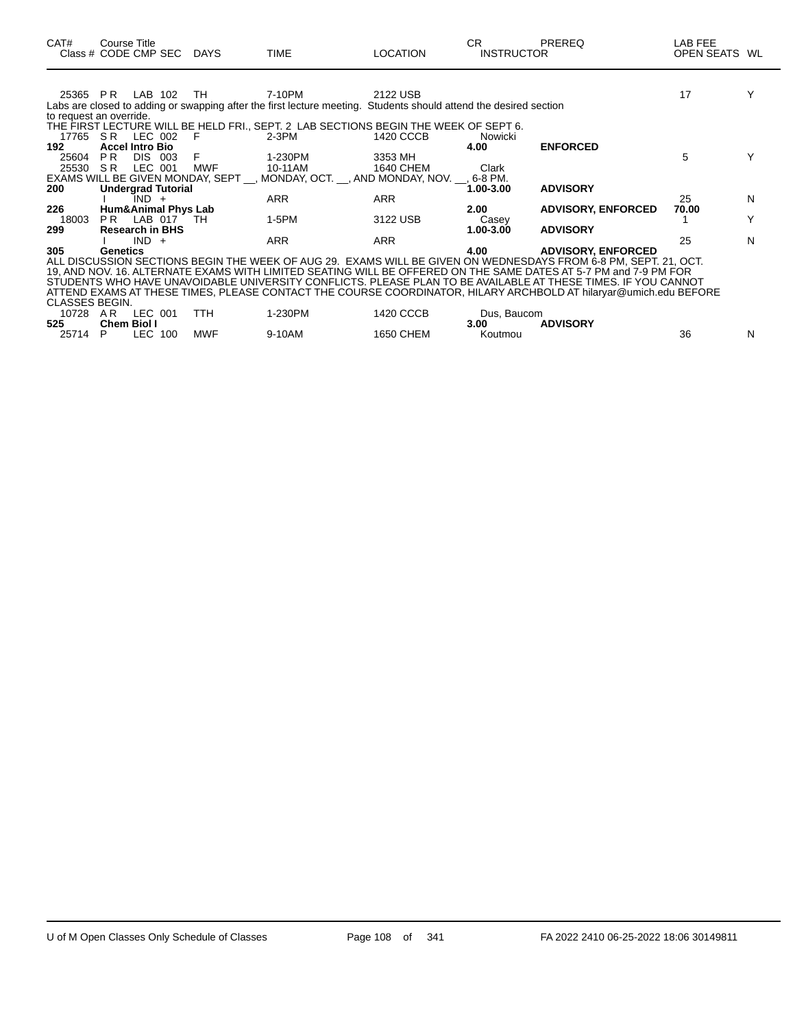| CAT#                    | Course Title                         |         | Class # CODE CMP SEC DAYS | <b>TIME</b>                                                                                                       | <b>LOCATION</b>  | CR<br><b>INSTRUCTOR</b> | PREREQ                    | LAB FEE<br>OPEN SEATS WL |   |
|-------------------------|--------------------------------------|---------|---------------------------|-------------------------------------------------------------------------------------------------------------------|------------------|-------------------------|---------------------------|--------------------------|---|
|                         |                                      |         |                           |                                                                                                                   |                  |                         |                           |                          |   |
| 25365 PR                |                                      | LAB 102 | TH                        | 7-10PM                                                                                                            | 2122 USB         |                         |                           | 17                       |   |
|                         |                                      |         |                           | Labs are closed to adding or swapping after the first lecture meeting. Students should attend the desired section |                  |                         |                           |                          |   |
| to request an override. |                                      |         |                           |                                                                                                                   |                  |                         |                           |                          |   |
|                         |                                      |         |                           | THE FIRST LECTURE WILL BE HELD FRI., SEPT. 2 LAB SECTIONS BEGIN THE WEEK OF SEPT 6.                               |                  |                         |                           |                          |   |
| 17765 SR LEC 002        |                                      |         | - F                       | 2-3PM                                                                                                             | 1420 CCCB        | Nowicki                 |                           |                          |   |
| 192                     | <b>Accel Intro Bio</b>               |         |                           |                                                                                                                   |                  | 4.00                    | <b>ENFORCED</b>           |                          |   |
| 25604                   | PR.                                  | DIS 003 | F                         | 1-230PM                                                                                                           | 3353 MH          |                         |                           | 5                        |   |
| 25530 SR                |                                      | LEC 001 | <b>MWF</b>                | 10-11AM                                                                                                           | 1640 CHEM        | Clark                   |                           |                          |   |
|                         |                                      |         |                           | EXAMS WILL BE GIVEN MONDAY, SEPT __, MONDAY, OCT. __, AND MONDAY, NOV. __, 6-8 PM.                                |                  |                         |                           |                          |   |
| 200                     | <b>Undergrad Tutorial</b>            |         |                           |                                                                                                                   |                  | 1.00-3.00               | <b>ADVISORY</b>           | 25                       |   |
| 226                     |                                      | IND +   |                           | ARR                                                                                                               | ARR              | 2.00 <sub>1</sub>       |                           | 70.00                    | N |
| 18003                   | Hum&Animal Phys Lab<br>PR LAB 017 TH |         |                           |                                                                                                                   | 3122 USB         |                         | <b>ADVISORY, ENFORCED</b> |                          |   |
| 299                     | <b>Research in BHS</b>               |         |                           | 1-5PM                                                                                                             |                  | Casey<br>1.00-3.00      | <b>ADVISORY</b>           |                          |   |
|                         |                                      | $IND +$ |                           | <b>ARR</b>                                                                                                        | <b>ARR</b>       |                         |                           | 25                       | N |
| 305                     | Genetics                             |         |                           |                                                                                                                   |                  | 4.00                    | <b>ADVISORY, ENFORCED</b> |                          |   |
|                         |                                      |         |                           | ALL DISCUSSION SECTIONS BEGIN THE WEEK OF AUG 29. EXAMS WILL BE GIVEN ON WEDNESDAYS FROM 6-8 PM, SEPT. 21, OCT.   |                  |                         |                           |                          |   |
|                         |                                      |         |                           | 19, AND NOV. 16. ALTERNATE EXAMS WITH LIMITED SEATING WILL BE OFFERED ON THE SAME DATES AT 5-7 PM and 7-9 PM FOR  |                  |                         |                           |                          |   |
|                         |                                      |         |                           | STUDENTS WHO HAVE UNAVOIDABLE UNIVERSITY CONFLICTS. PLEASE PLAN TO BE AVAILABLE AT THESE TIMES. IF YOU CANNOT     |                  |                         |                           |                          |   |
|                         |                                      |         |                           | ATTEND EXAMS AT THESE TIMES, PLEASE CONTACT THE COURSE COORDINATOR, HILARY ARCHBOLD AT hilaryar@umich.edu BEFORE  |                  |                         |                           |                          |   |
| CLASSES BEGIN.          |                                      |         |                           |                                                                                                                   |                  |                         |                           |                          |   |
| 10728 AR LEC 001        |                                      |         | <b>TTH</b>                | 1-230PM                                                                                                           | 1420 CCCB        | Dus, Baucom             |                           |                          |   |
| 525                     | <b>Chem Biol I</b>                   |         |                           |                                                                                                                   |                  | 3.00                    | <b>ADVISORY</b>           |                          |   |
| 25714                   | P.                                   | LEC 100 | <b>MWF</b>                | 9-10AM                                                                                                            | <b>1650 CHEM</b> | Koutmou                 |                           | 36                       | N |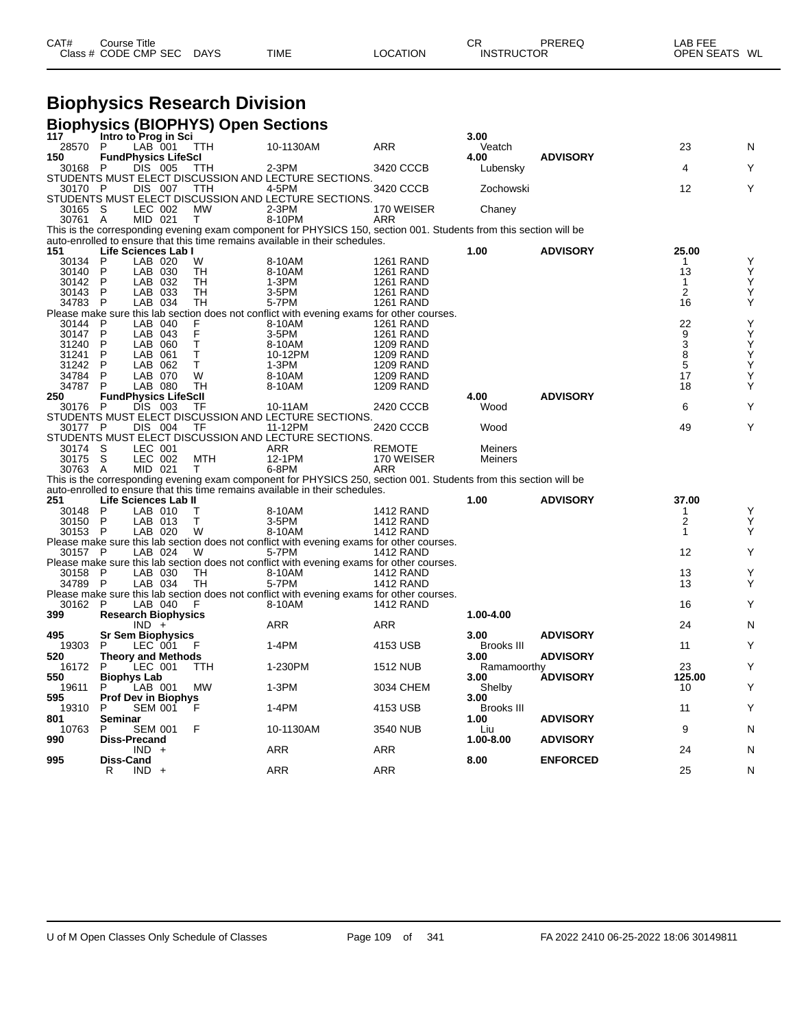| CAT# | Course Title              |             |          | СR                | PREREQ | LAB FEE       |
|------|---------------------------|-------------|----------|-------------------|--------|---------------|
|      | Class # CODE CMP SEC DAYS | <b>TIME</b> | LOCATION | <b>INSTRUCTOR</b> |        | OPEN SEATS WL |

## **Biophysics Research Division**

|              |                             |                    |                          | <b>Biophysics (BIOPHYS) Open Sections</b> |                                                                                                                   |                                      |                   |                 |                         |        |
|--------------|-----------------------------|--------------------|--------------------------|-------------------------------------------|-------------------------------------------------------------------------------------------------------------------|--------------------------------------|-------------------|-----------------|-------------------------|--------|
| 117          | Intro to Prog in Sci        |                    |                          |                                           |                                                                                                                   |                                      | 3.00              |                 |                         |        |
| 28570        | P                           | LAB 001            |                          | <b>TTH</b>                                | 10-1130AM                                                                                                         | <b>ARR</b>                           | Veatch            |                 | 23                      | N      |
| 150          | <b>FundPhysics LifeScl</b>  |                    |                          |                                           |                                                                                                                   |                                      | 4.00              | <b>ADVISORY</b> | $\overline{\mathbf{4}}$ |        |
| 30168 P      |                             | DIS 005            |                          | TTH                                       | 2-3PM<br>STUDENTS MUST ELECT DISCUSSION AND LECTURE SECTIONS                                                      | 3420 CCCB                            | Lubensky          |                 |                         | Y      |
| 30170 P      |                             | DIS 007            |                          | TTH                                       | 4-5PM                                                                                                             | 3420 CCCB                            | Zochowski         |                 | 12                      | Y      |
|              |                             |                    |                          |                                           | STUDENTS MUST ELECT DISCUSSION AND LECTURE SECTIONS.                                                              |                                      |                   |                 |                         |        |
| 30165 S      |                             | LEC 002            |                          | <b>MW</b>                                 | $2-3PM$                                                                                                           | 170 WEISER                           | Chaney            |                 |                         |        |
| 30761 A      |                             | MID 021            |                          | Τ                                         | 8-10PM                                                                                                            | ARR                                  |                   |                 |                         |        |
|              |                             |                    |                          |                                           | This is the corresponding evening exam component for PHYSICS 150, section 001. Students from this section will be |                                      |                   |                 |                         |        |
|              |                             |                    |                          |                                           | auto-enrolled to ensure that this time remains available in their schedules.                                      |                                      |                   |                 |                         |        |
| 151          | Life Sciences Lab I         |                    |                          |                                           |                                                                                                                   |                                      | 1.00              | <b>ADVISORY</b> | 25.00                   |        |
| 30134        | P                           | LAB 020            |                          | W                                         | 8-10AM                                                                                                            | <b>1261 RAND</b>                     |                   |                 | 1                       | Υ      |
| 30140        | P                           | LAB 030            |                          | TН                                        | 8-10AM                                                                                                            | <b>1261 RAND</b>                     |                   |                 | 13                      | Υ      |
| 30142        | P                           | LAB 032            |                          | <b>TH</b>                                 | 1-3PM                                                                                                             | <b>1261 RAND</b>                     |                   |                 | $\mathbf{1}$            | Υ      |
| 30143        | P                           | LAB 033            |                          | TН                                        | 3-5PM                                                                                                             | <b>1261 RAND</b>                     |                   |                 | 2                       | Υ      |
| 34783        | $\mathsf{P}$                | LAB 034            |                          | TН                                        | 5-7PM                                                                                                             | <b>1261 RAND</b>                     |                   |                 | 16                      | Υ      |
|              |                             |                    |                          |                                           | Please make sure this lab section does not conflict with evening exams for other courses.                         |                                      |                   |                 |                         |        |
| 30144 P      |                             | LAB 040            |                          |                                           | 8-10AM                                                                                                            | <b>1261 RAND</b>                     |                   |                 | 22                      | Υ      |
| 30147        | P                           | LAB 043            |                          | F<br>F                                    | 3-5PM                                                                                                             | <b>1261 RAND</b>                     |                   |                 | $\overline{9}$          | Ý      |
| 31240        | P                           | LAB 060            |                          | Τ                                         | 8-10AM                                                                                                            | <b>1209 RAND</b>                     |                   |                 | 3                       | Υ      |
| 31241        | P                           | LAB 061            |                          | T.                                        | 10-12PM                                                                                                           | <b>1209 RAND</b>                     |                   |                 | 8                       | Y<br>Y |
| 31242        | P                           | LAB 062            |                          | T                                         | 1-3PM                                                                                                             | <b>1209 RAND</b>                     |                   |                 | 5                       |        |
| 34784        | P                           | LAB 070            |                          | W                                         | 8-10AM                                                                                                            | <b>1209 RAND</b>                     |                   |                 | 17                      | Υ      |
| 34787        | P                           | LAB 080            |                          | TН                                        | 8-10AM                                                                                                            | <b>1209 RAND</b>                     |                   |                 | 18                      | Υ      |
| 250          | <b>FundPhysics LifeScll</b> |                    |                          |                                           |                                                                                                                   |                                      | 4.00              | <b>ADVISORY</b> |                         |        |
| 30176        | - P                         | DIS 003            |                          | TF                                        | 10-11AM                                                                                                           | 2420 CCCB                            | Wood              |                 | 6                       | Υ      |
|              |                             |                    |                          |                                           | STUDENTS MUST ELECT DISCUSSION AND LECTURE SECTIONS.                                                              |                                      |                   |                 |                         |        |
| 30177 P      |                             | DIS 004            |                          | TF                                        | 11-12PM                                                                                                           | 2420 CCCB                            | Wood              |                 | 49                      | Υ      |
|              |                             |                    |                          |                                           | STUDENTS MUST ELECT DISCUSSION AND LECTURE SECTIONS.                                                              |                                      |                   |                 |                         |        |
| 30174 S      |                             | LEC 001            |                          |                                           | ARR                                                                                                               | <b>REMOTE</b>                        | Meiners           |                 |                         |        |
| 30175 S      |                             | LEC 002            |                          | MTH                                       | 12-1PM                                                                                                            | 170 WEISER                           | Meiners           |                 |                         |        |
| 30763 A      |                             | MID 021            |                          | T                                         | 6-8PM                                                                                                             | <b>ARR</b>                           |                   |                 |                         |        |
|              |                             |                    |                          |                                           | This is the corresponding evening exam component for PHYSICS 250, section 001. Students from this section will be |                                      |                   |                 |                         |        |
|              |                             |                    |                          |                                           | auto-enrolled to ensure that this time remains available in their schedules.                                      |                                      |                   | <b>ADVISORY</b> | 37.00                   |        |
| 251<br>30148 | Life Sciences Lab II<br>P   |                    |                          |                                           |                                                                                                                   |                                      | 1.00              |                 |                         |        |
| 30150        | $\mathsf{P}$                | LAB 010<br>LAB 013 |                          | Т<br>T                                    | 8-10AM<br>3-5PM                                                                                                   | <b>1412 RAND</b><br><b>1412 RAND</b> |                   |                 | 1<br>$\overline{2}$     | Y<br>Υ |
| 30153 P      |                             | LAB 020            |                          | W                                         | 8-10AM                                                                                                            | <b>1412 RAND</b>                     |                   |                 | 1                       | Υ      |
|              |                             |                    |                          |                                           | Please make sure this lab section does not conflict with evening exams for other courses.                         |                                      |                   |                 |                         |        |
| 30157 P      |                             | LAB 024            |                          | W                                         | 5-7PM                                                                                                             | 1412 RAND                            |                   |                 | 12                      | Υ      |
|              |                             |                    |                          |                                           | Please make sure this lab section does not conflict with evening exams for other courses.                         |                                      |                   |                 |                         |        |
| 30158 P      |                             | LAB 030            |                          | TH                                        | 8-10AM                                                                                                            | <b>1412 RAND</b>                     |                   |                 | 13                      | Y      |
| 34789 P      |                             | LAB 034            |                          | TH                                        | 5-7PM                                                                                                             | <b>1412 RAND</b>                     |                   |                 | 13                      | Υ      |
|              |                             |                    |                          |                                           | Please make sure this lab section does not conflict with evening exams for other courses.                         |                                      |                   |                 |                         |        |
| 30162        | - P                         | LAB 040            |                          | F                                         | 8-10AM                                                                                                            | <b>1412 RAND</b>                     |                   |                 | 16                      | Y      |
| 399          | <b>Research Biophysics</b>  |                    |                          |                                           |                                                                                                                   |                                      | 1.00-4.00         |                 |                         |        |
|              |                             | $IND +$            |                          |                                           | ARR                                                                                                               | ARR                                  |                   |                 | 24                      | N      |
| 495          |                             |                    | <b>Sr Sem Biophysics</b> |                                           |                                                                                                                   |                                      | 3.00              | <b>ADVISORY</b> |                         |        |
| 19303        | P                           | LEC 001            |                          | F                                         | $1-4PM$                                                                                                           | 4153 USB                             | Brooks III        |                 | 11                      | Υ      |
| 520          | <b>Theory and Methods</b>   |                    |                          |                                           |                                                                                                                   |                                      | 3.00              | <b>ADVISORY</b> |                         |        |
| 16172        | P                           | LEC 001            |                          | <b>TTH</b>                                | 1-230PM                                                                                                           | <b>1512 NUB</b>                      | Ramamoorthy       |                 | 23                      | Υ      |
| 550          | <b>Biophys Lab</b>          |                    |                          |                                           |                                                                                                                   |                                      | 3.00              | <b>ÁDVISORY</b> | 125.00                  |        |
| 19611        | P                           | LAB 001            |                          | <b>MW</b>                                 | $1-3PM$                                                                                                           | 3034 CHEM                            | Shelby            |                 | 10                      | Y      |
| 595          | <b>Prof Dev in Biophys</b>  |                    |                          |                                           |                                                                                                                   |                                      | 3.00              |                 |                         |        |
| 19310        | P                           | <b>SEM 001</b>     |                          | F                                         | 1-4PM                                                                                                             | 4153 USB                             | <b>Brooks III</b> |                 | 11                      | Y      |
| 801          | Seminar                     |                    |                          |                                           |                                                                                                                   |                                      | 1.00              | <b>ADVISORY</b> |                         |        |
| 10763        | P                           | <b>SEM 001</b>     |                          | F                                         | 10-1130AM                                                                                                         | 3540 NUB                             | Liu               |                 | 9                       | N      |
| 990          | <b>Diss-Precand</b>         |                    |                          |                                           |                                                                                                                   |                                      | 1.00-8.00         | <b>ADVISORY</b> |                         |        |
|              |                             | IND.               |                          |                                           | ARR                                                                                                               | <b>ARR</b>                           |                   |                 | 24                      | N      |
| 995          | Diss-Cand                   |                    |                          |                                           |                                                                                                                   |                                      | 8.00              | <b>ENFORCED</b> |                         |        |
|              | R                           | $IND +$            |                          |                                           | ARR                                                                                                               | <b>ARR</b>                           |                   |                 | 25                      | N      |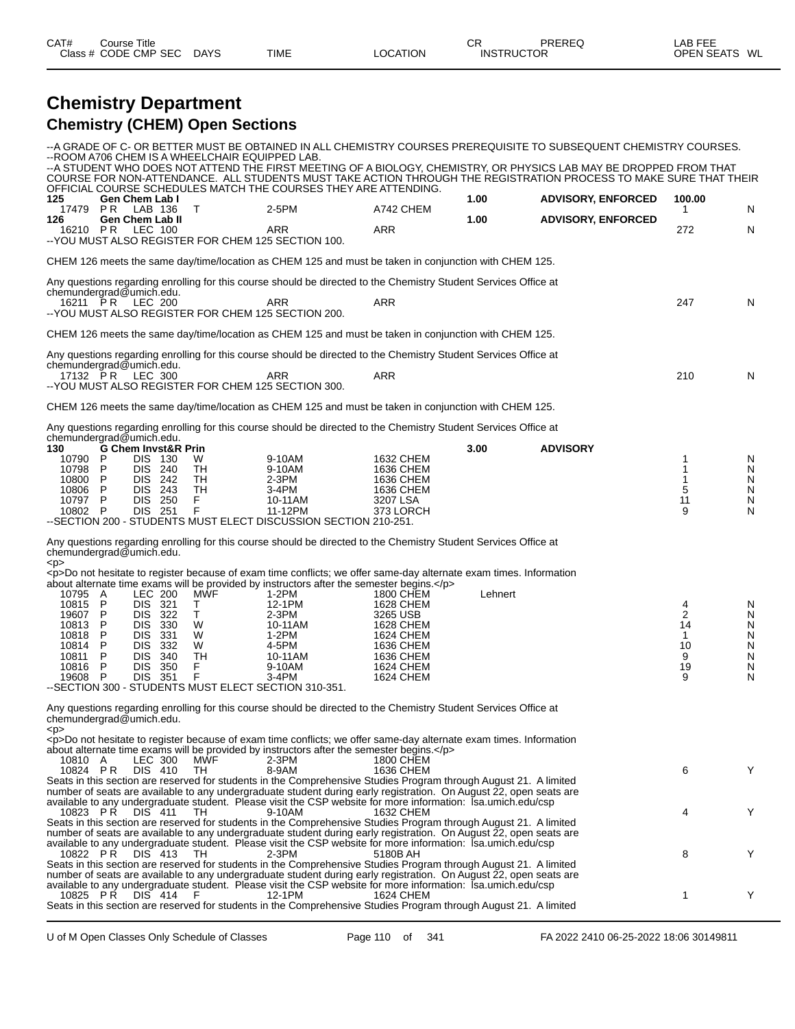| CAT# | Title<br>Course      |             |             |          | ⌒冖<br>◡           | PREREQ | LAB FEF<br>---    |    |
|------|----------------------|-------------|-------------|----------|-------------------|--------|-------------------|----|
|      | Class # CODE CMP SEC | <b>DAYS</b> | <b>TIME</b> | LOCATION | <b>INSTRUCTOR</b> |        | <b>OPEN SEATS</b> | WL |

### **Chemistry Department Chemistry (CHEM) Open Sections**

|                                                                                               |                            |                                                                                                                       |                                 |                                                            | --ROOM A706 CHEM IS A WHEELCHAIR EQUIPPED LAB.                                                                                                                                                                                                                                                                                                                     |                                                                                                                         |         | --A GRADE OF C- OR BETTER MUST BE OBTAINED IN ALL CHEMISTRY COURSES PREREQUISITE TO SUBSEQUENT CHEMISTRY COURSES.<br>--A STUDENT WHO DOES NOT ATTEND THE FIRST MEETING OF A BIOLOGY, CHEMISTRY, OR PHYSICS LAB MAY BE DROPPED FROM THAT<br>COURSE FOR NON-ATTENDANCE. ALL STUDENTS MUST TAKE ACTION THROUGH THE REGISTRATION PROCESS TO MAKE SURE THAT THEIR |                                         |                                              |
|-----------------------------------------------------------------------------------------------|----------------------------|-----------------------------------------------------------------------------------------------------------------------|---------------------------------|------------------------------------------------------------|--------------------------------------------------------------------------------------------------------------------------------------------------------------------------------------------------------------------------------------------------------------------------------------------------------------------------------------------------------------------|-------------------------------------------------------------------------------------------------------------------------|---------|--------------------------------------------------------------------------------------------------------------------------------------------------------------------------------------------------------------------------------------------------------------------------------------------------------------------------------------------------------------|-----------------------------------------|----------------------------------------------|
| 125<br>17479 PR                                                                               |                            | Gen Chem Lab I<br>LAB 136                                                                                             |                                 | T                                                          | OFFICIAL COURSE SCHEDULES MATCH THE COURSES THEY ARE ATTENDING.<br>2-5PM                                                                                                                                                                                                                                                                                           | A742 CHEM                                                                                                               | 1.00    | <b>ADVISORY, ENFORCED</b>                                                                                                                                                                                                                                                                                                                                    | 100.00<br>1                             | N                                            |
| 126<br>16210 PR                                                                               |                            | <b>Gen Chem Lab II</b><br>LEC 100                                                                                     |                                 |                                                            | <b>ARR</b><br>-- YOU MUST ALSO REGISTER FOR CHEM 125 SECTION 100.                                                                                                                                                                                                                                                                                                  | ARR                                                                                                                     | 1.00    | <b>ADVISORY, ENFORCED</b>                                                                                                                                                                                                                                                                                                                                    | 272                                     | N                                            |
|                                                                                               |                            |                                                                                                                       |                                 |                                                            | CHEM 126 meets the same day/time/location as CHEM 125 and must be taken in conjunction with CHEM 125.                                                                                                                                                                                                                                                              |                                                                                                                         |         |                                                                                                                                                                                                                                                                                                                                                              |                                         |                                              |
| chemundergrad@umich.edu.                                                                      |                            |                                                                                                                       |                                 |                                                            | Any questions regarding enrolling for this course should be directed to the Chemistry Student Services Office at                                                                                                                                                                                                                                                   |                                                                                                                         |         |                                                                                                                                                                                                                                                                                                                                                              |                                         |                                              |
| 16211 PR                                                                                      |                            | LEC 200                                                                                                               |                                 |                                                            | ARR<br>--YOU MUST ALSO REGISTER FOR CHEM 125 SECTION 200.                                                                                                                                                                                                                                                                                                          | <b>ARR</b>                                                                                                              |         |                                                                                                                                                                                                                                                                                                                                                              | 247                                     | N                                            |
|                                                                                               |                            |                                                                                                                       |                                 |                                                            | CHEM 126 meets the same day/time/location as CHEM 125 and must be taken in conjunction with CHEM 125.                                                                                                                                                                                                                                                              |                                                                                                                         |         |                                                                                                                                                                                                                                                                                                                                                              |                                         |                                              |
| chemundergrad@umich.edu.<br>17132 PR LEC 300                                                  |                            |                                                                                                                       |                                 |                                                            | Any questions regarding enrolling for this course should be directed to the Chemistry Student Services Office at<br>ARR                                                                                                                                                                                                                                            | ARR                                                                                                                     |         |                                                                                                                                                                                                                                                                                                                                                              | 210                                     | N                                            |
|                                                                                               |                            |                                                                                                                       |                                 |                                                            | -- YOU MUST ALSO REGISTER FOR CHEM 125 SECTION 300.                                                                                                                                                                                                                                                                                                                |                                                                                                                         |         |                                                                                                                                                                                                                                                                                                                                                              |                                         |                                              |
|                                                                                               |                            |                                                                                                                       |                                 |                                                            | CHEM 126 meets the same day/time/location as CHEM 125 and must be taken in conjunction with CHEM 125.<br>Any questions regarding enrolling for this course should be directed to the Chemistry Student Services Office at                                                                                                                                          |                                                                                                                         |         |                                                                                                                                                                                                                                                                                                                                                              |                                         |                                              |
| chemundergrad@umich.edu.<br>130                                                               |                            |                                                                                                                       | <b>G Chem Invst&amp;R Prin</b>  |                                                            |                                                                                                                                                                                                                                                                                                                                                                    |                                                                                                                         | 3.00    | <b>ADVISORY</b>                                                                                                                                                                                                                                                                                                                                              |                                         |                                              |
| 10790<br>10798<br>10800<br>10806<br>10797 P<br>10802 P                                        | P<br>P<br>P<br>P           | <b>DIS 130</b><br>DIS<br><b>DIS</b><br>DIS 243<br><b>DIS 250</b><br>DIS 251                                           | 240<br>-242                     | W<br>TH<br>TH<br>TН<br>F<br>F                              | 9-10AM<br>9-10AM<br>$2-3PM$<br>$3-4PM$<br>10-11AM<br>11-12PM<br>-- SECTION 200 - STUDENTS MUST ELECT DISCUSSION SECTION 210-251.                                                                                                                                                                                                                                   | 1632 CHEM<br>1636 CHEM<br>1636 CHEM<br>1636 CHEM<br>3207 LSA<br>373 LORCH                                               |         |                                                                                                                                                                                                                                                                                                                                                              | 1<br>1<br>$\mathbf 1$<br>5<br>11<br>9   | N<br>N<br>N<br>${\sf N}$<br>N<br>N           |
| chemundergrad@umich.edu.                                                                      |                            |                                                                                                                       |                                 |                                                            | Any questions regarding enrolling for this course should be directed to the Chemistry Student Services Office at                                                                                                                                                                                                                                                   |                                                                                                                         |         |                                                                                                                                                                                                                                                                                                                                                              |                                         |                                              |
| $<$ p><br>10795 A<br>10815<br>19607 P<br>10813<br>10818<br>10814<br>10811<br>10816<br>19608 P | P<br>P<br>P<br>P<br>P<br>P | <b>LEC 200</b><br>DIS 321<br>DIS 322<br><b>DIS</b><br><b>DIS</b><br><b>DIS</b><br><b>DIS</b><br><b>DIS</b><br>DIS 351 | 330<br>331<br>332<br>340<br>350 | <b>MWF</b><br>Τ<br>Τ<br>W<br>W<br>W<br><b>TH</b><br>F<br>F | <p>Do not hesitate to register because of exam time conflicts; we offer same-day alternate exam times. Information<br/>about alternate time exams will be provided by instructors after the semester begins.</p><br>1-2PM<br>12-1PM<br>$2-3PM$<br>10-11AM<br>1-2PM<br>4-5PM<br>10-11AM<br>9-10AM<br>3-4PM<br>-- SECTION 300 - STUDENTS MUST ELECT SECTION 310-351. | 1800 CHEM<br>1628 CHEM<br>3265 USB<br>1628 CHEM<br>1624 CHEM<br>1636 CHEM<br>1636 CHEM<br>1624 CHEM<br><b>1624 CHEM</b> | Lehnert |                                                                                                                                                                                                                                                                                                                                                              | 4<br>2<br>14<br>1<br>10<br>9<br>19<br>9 | N<br>N<br>N<br>N<br>${\sf N}$<br>N<br>N<br>N |
| chemundergrad@umich.edu.                                                                      |                            |                                                                                                                       |                                 |                                                            | Any questions regarding enrolling for this course should be directed to the Chemistry Student Services Office at                                                                                                                                                                                                                                                   |                                                                                                                         |         |                                                                                                                                                                                                                                                                                                                                                              |                                         |                                              |
| <p></p>                                                                                       |                            |                                                                                                                       |                                 |                                                            | <p>Do not hesitate to register because of exam time conflicts; we offer same-day alternate exam times. Information<br/>about alternate time exams will be provided by instructors after the semester begins.</p>                                                                                                                                                   |                                                                                                                         |         |                                                                                                                                                                                                                                                                                                                                                              |                                         |                                              |
| 10810 A<br>10824 PR                                                                           |                            | LEC 300<br>DIS 410                                                                                                    |                                 | MŴF<br>TH                                                  | $2-3PM$<br>8-9AM<br>Seats in this section are reserved for students in the Comprehensive Studies Program through August 21. A limited                                                                                                                                                                                                                              | 1800 CHEM<br>1636 CHEM                                                                                                  |         |                                                                                                                                                                                                                                                                                                                                                              | 6                                       | Y                                            |
| 10823 PR DIS 411                                                                              |                            |                                                                                                                       |                                 | TH.                                                        | number of seats are available to any undergraduate student during early registration. On August 22, open seats are<br>available to any undergraduate student. Please visit the CSP website for more information: Isa.umich.edu/csp<br>9-10AM<br>Seats in this section are reserved for students in the Comprehensive Studies Program through August 21. A limited  | 1632 CHEM                                                                                                               |         |                                                                                                                                                                                                                                                                                                                                                              | 4                                       | Y                                            |
| 10822 PR                                                                                      |                            | DIS 413                                                                                                               |                                 | TH.                                                        | number of seats are available to any undergraduate student during early registration. On August 22, open seats are<br>available to any undergraduate student. Please visit the CSP website for more information: Isa.umich.edu/csp<br>$2-3PM$<br>Seats in this section are reserved for students in the Comprehensive Studies Program through August 21. A limited | 5180B AH                                                                                                                |         |                                                                                                                                                                                                                                                                                                                                                              | 8                                       | Y                                            |
| 10825 PR                                                                                      |                            |                                                                                                                       | DIS 414 F                       |                                                            | number of seats are available to any undergraduate student during early registration. On August 22, open seats are<br>available to any undergraduate student. Please visit the CSP website for more information: Isa.umich.edu/csp<br>12-1PM<br>Seats in this section are reserved for students in the Comprehensive Studies Program through August 21. A limited  | 1624 CHEM                                                                                                               |         |                                                                                                                                                                                                                                                                                                                                                              | 1                                       | Y                                            |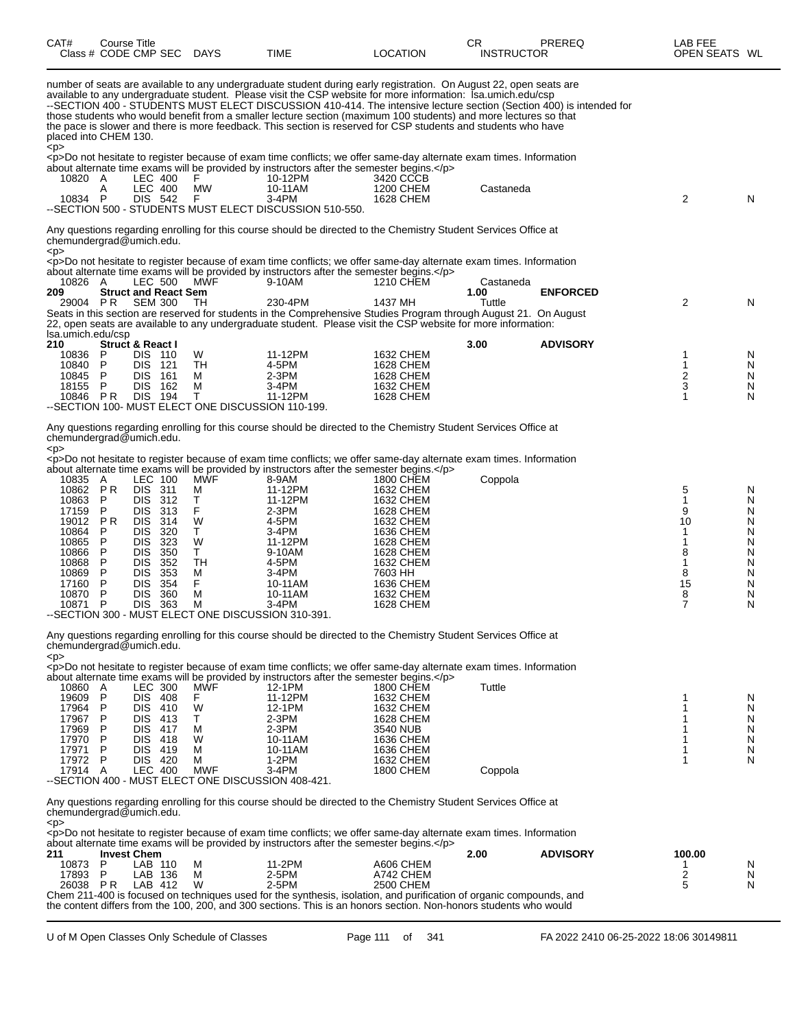| CAT#<br>Class # CODE CMP SEC DAYS                                                                                                      | Course Title                                                                           |                                                                                                                                                              |                                                                    |                                                                                                                                   | TIME                                                                                                                                                                                                                                                                                                                                                                                                                                                                                                                                                                                            | LOCATION                                                                                                                                                            | CR<br><b>INSTRUCTOR</b>     | PREREQ          | LAB FEE<br>OPEN SEATS WL                              |                                                                                          |
|----------------------------------------------------------------------------------------------------------------------------------------|----------------------------------------------------------------------------------------|--------------------------------------------------------------------------------------------------------------------------------------------------------------|--------------------------------------------------------------------|-----------------------------------------------------------------------------------------------------------------------------------|-------------------------------------------------------------------------------------------------------------------------------------------------------------------------------------------------------------------------------------------------------------------------------------------------------------------------------------------------------------------------------------------------------------------------------------------------------------------------------------------------------------------------------------------------------------------------------------------------|---------------------------------------------------------------------------------------------------------------------------------------------------------------------|-----------------------------|-----------------|-------------------------------------------------------|------------------------------------------------------------------------------------------|
| placed into CHEM 130.                                                                                                                  |                                                                                        |                                                                                                                                                              |                                                                    |                                                                                                                                   | number of seats are available to any undergraduate student during early registration. On August 22, open seats are<br>available to any undergraduate student. Please visit the CSP website for more information: Isa.umich.edu/csp<br>--SECTION 400 - STUDENTS MUST ELECT DISCUSSION 410-414. The intensive lecture section (Section 400) is intended for<br>those students who would benefit from a smaller lecture section (maximum 100 students) and more lectures so that<br>the pace is slower and there is more feedback. This section is reserved for CSP students and students who have |                                                                                                                                                                     |                             |                 |                                                       |                                                                                          |
| < p ><br>10820 A<br>10834                                                                                                              | Α<br>$\mathsf{P}$                                                                      | LEC 400<br><b>LEC 400</b><br>DIS 542                                                                                                                         |                                                                    | F.<br>MW<br>$\mathsf F$                                                                                                           | <p>Do not hesitate to register because of exam time conflicts; we offer same-day alternate exam times. Information<br/>about alternate time exams will be provided by instructors after the semester begins.</p><br>10-12PM<br>10-11AM<br>3-4PM<br>--SECTION 500 - STUDENTS MUST ELECT DISCUSSION 510-550.                                                                                                                                                                                                                                                                                      | 3420 CCCB<br><b>1200 CHEM</b><br>1628 CHEM                                                                                                                          | Castaneda                   |                 | 2                                                     | N                                                                                        |
| chemundergrad@umich.edu.                                                                                                               |                                                                                        |                                                                                                                                                              |                                                                    |                                                                                                                                   | Any questions regarding enrolling for this course should be directed to the Chemistry Student Services Office at                                                                                                                                                                                                                                                                                                                                                                                                                                                                                |                                                                                                                                                                     |                             |                 |                                                       |                                                                                          |
| < p ><br>10826 A<br>209<br>29004 PR                                                                                                    |                                                                                        | <b>LEC 500</b><br><b>SEM 300</b>                                                                                                                             | <b>Struct and React Sem</b>                                        | <b>MWF</b><br>TH                                                                                                                  | <p>Do not hesitate to register because of exam time conflicts; we offer same-day alternate exam times. Information<br/>about alternate time exams will be provided by instructors after the semester begins.</p><br>9-10AM<br>230-4PM<br>Seats in this section are reserved for students in the Comprehensive Studies Program through August 21. On August<br>22, open seats are available to any undergraduate student. Please visit the CSP website for more information:                                                                                                                     | 1210 CHEM<br>1437 MH                                                                                                                                                | Castaneda<br>1.00<br>Tuttle | <b>ENFORCED</b> | 2                                                     | N                                                                                        |
| lsa.umich.edu/csp<br>210<br>10836 P<br>10840 P<br>10845 P<br>18155 P<br>10846 PR                                                       | <b>Struct &amp; React I</b>                                                            | <b>DIS 110</b><br>DIS 121<br>DIS.<br><b>DIS</b><br>DIS 194                                                                                                   | 161<br>162                                                         | W<br>TH<br>м<br>м<br>$\top$<br>--SECTION 100- MUST ELECT ONE DISCUSSION 110-199.                                                  | 11-12PM<br>4-5PM<br>$2-3PM$<br>3-4PM<br>11-12PM                                                                                                                                                                                                                                                                                                                                                                                                                                                                                                                                                 | 1632 CHEM<br><b>1628 CHEM</b><br>1628 CHEM<br>1632 CHEM<br>1628 CHEM                                                                                                | 3.00                        | <b>ADVISORY</b> | 1<br>1<br>2<br>3<br>1                                 | N<br>N<br>N<br>N<br>N                                                                    |
| chemundergrad@umich.edu.                                                                                                               |                                                                                        |                                                                                                                                                              |                                                                    |                                                                                                                                   | Any questions regarding enrolling for this course should be directed to the Chemistry Student Services Office at                                                                                                                                                                                                                                                                                                                                                                                                                                                                                |                                                                                                                                                                     |                             |                 |                                                       |                                                                                          |
| < p ><br>10835 A<br>10862 PR<br>10863<br>17159<br>19012 PR<br>10864<br>10865<br>10866<br>10868<br>10869<br>17160<br>10870 P<br>10871 P | P<br>$\mathsf{P}$<br>P<br>$\mathsf{P}$<br>$\mathsf{P}$<br>P<br>P<br>P                  | LEC 100<br>DIS 311<br>DIS.<br><b>DIS</b><br><b>DIS</b><br><b>DIS</b><br><b>DIS</b><br>DIS<br><b>DIS</b><br><b>DIS</b><br><b>DIS</b><br><b>DIS</b><br>DIS 363 | 312<br>313<br>314<br>320<br>323<br>350<br>352<br>353<br>354<br>360 | MŴF<br>М<br>T.<br>F<br>W<br>T.<br>W<br>T<br><b>TH</b><br>M<br>F.<br>M<br>M<br>-- SECTION 300 - MUST ELECT ONE DISCUSSION 310-391. | <p>Do not hesitate to register because of exam time conflicts; we offer same-day alternate exam times. Information<br/>about alternate time exams will be provided by instructors after the semester begins.</p><br>8-9AM<br>11-12PM<br>11-12PM<br>$2-3PM$<br>4-5PM<br>3-4PM<br>11-12PM<br>9-10AM<br>4-5PM<br>3-4PM<br>10-11AM<br>10-11AM<br>3-4PM                                                                                                                                                                                                                                              | 1800 CHEM<br>1632 CHEM<br>1632 CHEM<br>1628 CHEM<br>1632 CHEM<br>1636 CHEM<br>1628 CHEM<br>1628 CHEM<br>1632 CHEM<br>7603 HH<br>1636 CHEM<br>1632 CHEM<br>1628 CHEM | Coppola                     |                 | 5<br>1<br>9<br>10<br>1<br>8<br>1<br>8<br>15<br>8<br>7 | N<br>N<br>N<br>N<br>N<br>${\sf N}$<br>${\sf N}$<br>${\sf N}$<br>${\sf N}$<br>N<br>N<br>N |
| chemundergrad@umich.edu.<br>< p >                                                                                                      |                                                                                        |                                                                                                                                                              |                                                                    |                                                                                                                                   | Any questions regarding enrolling for this course should be directed to the Chemistry Student Services Office at                                                                                                                                                                                                                                                                                                                                                                                                                                                                                |                                                                                                                                                                     |                             |                 |                                                       |                                                                                          |
| 10860 A<br>19609<br>17964<br>17967<br>17969<br>17970<br>17971<br>17972<br>17914 A                                                      | $\mathsf{P}$<br>$\mathsf{P}$<br>P<br>P<br>$\mathsf{P}$<br>$\mathsf{P}$<br>$\mathsf{P}$ | LEC 300<br>DIS 408<br><b>DIS</b><br><b>DIS</b><br><b>DIS</b><br><b>DIS</b><br><b>DIS</b><br>DIS 420<br>LEC 400                                               | 410<br>413<br>417<br>418<br>419                                    | MŴF<br>F<br>W<br>т<br>M<br>W<br>М<br>M<br><b>MWF</b><br>--SECTION 400 - MUST ELECT ONE DISCUSSION 408-421.                        | <p>Do not hesitate to register because of exam time conflicts; we offer same-day alternate exam times. Information<br/>about alternate time exams will be provided by instructors after the semester begins.</p><br>12-1PM<br>11-12PM<br>12-1PM<br>2-3PM<br>$2-3PM$<br>10-11AM<br>10-11AM<br>$1-2PM$<br>3-4PM                                                                                                                                                                                                                                                                                   | 1800 CHEM<br>1632 CHEM<br>1632 CHEM<br>1628 CHEM<br>3540 NUB<br>1636 CHEM<br>1636 CHEM<br>1632 CHEM<br>1800 CHEM                                                    | Tuttle<br>Coppola           |                 | 1<br>1                                                | N<br>N<br>N<br>${\sf N}$<br>$\frac{N}{N}$<br>N                                           |
| chemundergrad@umich.edu.                                                                                                               |                                                                                        |                                                                                                                                                              |                                                                    |                                                                                                                                   | Any questions regarding enrolling for this course should be directed to the Chemistry Student Services Office at                                                                                                                                                                                                                                                                                                                                                                                                                                                                                |                                                                                                                                                                     |                             |                 |                                                       |                                                                                          |
| < p ><br>211<br>10873                                                                                                                  | <b>Invest Chem</b><br>P<br>P                                                           | LAB 110                                                                                                                                                      |                                                                    | M<br>М                                                                                                                            | <p>Do not hesitate to register because of exam time conflicts; we offer same-day alternate exam times. Information<br/>about alternate time exams will be provided by instructors after the semester begins.</p><br>11-2PM<br>2-5PM                                                                                                                                                                                                                                                                                                                                                             | A606 CHEM<br>A742 CHEM                                                                                                                                              | 2.00                        | <b>ADVISORY</b> | 100.00<br>1                                           | N                                                                                        |
| 17893<br>26038 PR                                                                                                                      |                                                                                        | LAB 136<br>LAB 412                                                                                                                                           |                                                                    | W                                                                                                                                 | 2-5PM<br>Chem 211-400 is focused on techniques used for the synthesis, isolation, and purification of organic compounds, and<br>the content differs from the 100, 200, and 300 sections. This is an honors section. Non-honors students who would                                                                                                                                                                                                                                                                                                                                               | 2500 CHEM                                                                                                                                                           |                             |                 | 2<br>5                                                | N<br>$\mathsf{N}$                                                                        |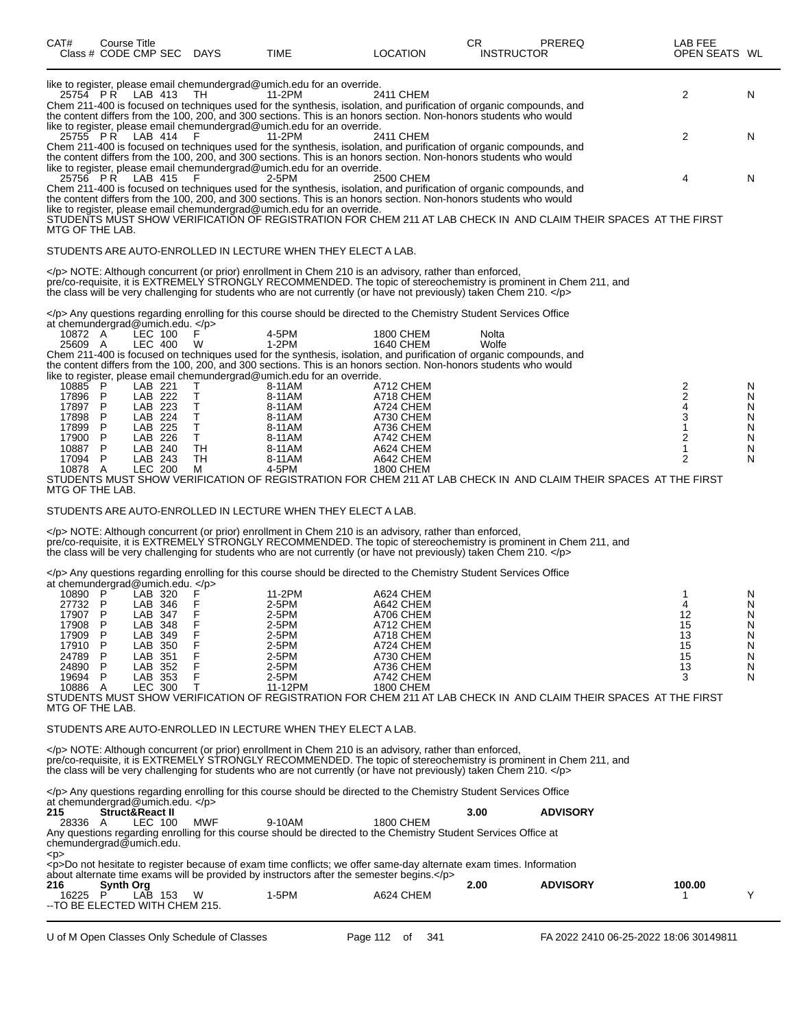| like to register, please email chemundergrad@umich.edu for an override.<br>2<br>25754 PR<br>LAB 413<br>11-2PM<br>2411 CHEM<br>TH.<br>Chem 211-400 is focused on techniques used for the synthesis, isolation, and purification of organic compounds, and<br>the content differs from the 100, 200, and 300 sections. This is an honors section. Non-honors students who would<br>like to register, please email chemundergrad@umich.edu for an override.<br>25755 PR LAB 414<br>2<br>- F<br>11-2PM<br>2411 CHEM<br>Chem 211-400 is focused on techniques used for the synthesis, isolation, and purification of organic compounds, and<br>the content differs from the 100, 200, and 300 sections. This is an honors section. Non-honors students who would<br>like to register, please email chemundergrad@umich.edu for an override.<br>25756 PR LAB 415<br>-F<br>$2-5PM$<br>2500 CHEM<br>4<br>Chem 211-400 is focused on techniques used for the synthesis, isolation, and purification of organic compounds, and<br>the content differs from the 100, 200, and 300 sections. This is an honors section. Non-honors students who would<br>like to register, please email chemundergrad@umich.edu for an override.<br>STUDENTS MUST SHOW VERIFICATION OF REGISTRATION FOR CHEM 211 AT LAB CHECK IN AND CLAIM THEIR SPACES AT THE FIRST<br>MTG OF THE LAB.<br>STUDENTS ARE AUTO-ENROLLED IN LECTURE WHEN THEY ELECT A LAB.<br>NOTE: Although concurrent (or prior) enrollment in Chem 210 is an advisory, rather than enforced,<br>pre/co-requisite, it is EXTREMELY STRONGLY RECOMMENDED. The topic of stereochemistry is prominent in Chem 211, and<br>the class will be very challenging for students who are not currently (or have not previously) taken Chem 210.<br>Any questions regarding enrolling for this course should be directed to the Chemistry Student Services Office<br>at chemundergrad@umich.edu. $<$ /p><br>LEC 100<br>F<br>4-5PM<br>10872 A<br>1800 CHEM<br>Nolta<br>1-2PM<br>25609 A<br>LEC 400<br>1640 CHEM<br>Wolfe<br>W<br>Chem 211-400 is focused on techniques used for the synthesis, isolation, and purification of organic compounds, and<br>the content differs from the 100, 200, and 300 sections. This is an honors section. Non-honors students who would<br>like to register, please email chemundergrad@umich.edu for an override.<br>$\frac{2}{2}$<br>10885 P<br>LAB 221<br>8-11AM<br>A712 CHEM<br>Τ<br>N<br>LAB 222<br>Τ<br>17896 P<br>8-11AM<br>A718 CHEM<br>N<br>17897 P<br>LAB 223<br>Т<br>A724 CHEM<br>8-11AM<br>N<br>$\mathsf T$<br>17898 P<br>LAB 224<br>8-11AM<br>A730 CHEM<br>3<br>N<br>T<br>P<br>LAB 225<br>17899<br>8-11AM<br>A736 CHEM<br>1<br>N<br>LAB 226<br>Τ<br>2<br>17900<br>P<br>8-11AM<br>A742 CHEM<br>N<br>P<br>TH<br>10887<br>LAB 240<br>8-11AM<br>A624 CHEM<br>1<br>N<br>17094 P<br>LAB 243<br>TH<br>2<br>N<br>8-11AM<br>A642 CHEM<br><b>LEC 200</b><br>4-5PM<br><b>1800 CHEM</b><br>10878 A<br>м<br>STUDENTS MUST SHOW VERIFICATION OF REGISTRATION FOR CHEM 211 AT LAB CHECK IN  AND CLAIM THEIR SPACES  AT THE FIRST<br>MTG OF THE LAB.<br>STUDENTS ARE AUTO-ENROLLED IN LECTURE WHEN THEY ELECT A LAB.<br>NOTE: Although concurrent (or prior) enrollment in Chem 210 is an advisory, rather than enforced,<br>pre/co-requisite, it is EXTREMELY STRONGLY RECOMMENDED. The topic of stereochemistry is prominent in Chem 211, and<br>the class will be very challenging for students who are not currently (or have not previously) taken Chem 210.<br>Any questions regarding enrolling for this course should be directed to the Chemistry Student Services Office<br>at chemundergrad@umich.edu.<br>LAB 320<br>F<br>10890 P<br>11-2PM<br>A624 CHEM<br>N<br>1<br>F<br>27732 P<br>LAB 346<br>2-5PM<br>A642 CHEM<br>N<br>4<br>F<br>17907 P<br>LAB 347<br>$2-5PM$<br>A706 CHEM<br>12<br>N<br>F<br>17908<br>P<br>LAB 348<br>2-5PM<br>A712 CHEM<br>15<br>N<br>F<br>17909<br>P<br>LAB 349<br>2-5PM<br>A718 CHEM<br>13<br>N<br>P<br>LAB 350<br>F<br>2-5PM<br>A724 CHEM<br>15<br>17910<br>N<br>F<br>LAB 351<br>2-5PM<br>A730 CHEM<br>15<br>24789<br>P<br>N<br>F<br>24890<br>P<br>LAB 352<br>2-5PM<br>A736 CHEM<br>13<br>N<br>F<br>19694<br>2-5PM<br>A742 CHEM<br>P<br>LAB 353<br>3<br>N<br>т<br>10886 A<br><b>LEC 300</b><br>11-12PM<br>1800 CHEM<br>STUDENTS MUST SHOW VERIFICATION OF REGISTRATION FOR CHEM 211 AT LAB CHECK IN  AND CLAIM THEIR SPACES  AT THE FIRST<br>MTG OF THE LAB.<br>STUDENTS ARE AUTO-ENROLLED IN LECTURE WHEN THEY ELECT A LAB.<br>NOTE: Although concurrent (or prior) enrollment in Chem 210 is an advisory, rather than enforced,<br>pre/co-requisite, it is EXTREMELY STRONGLY RECOMMENDED. The topic of stereochemistry is prominent in Chem 211, and<br>the class will be very challenging for students who are not currently (or have not previously) taken Chem 210.<br>Any questions regarding enrolling for this course should be directed to the Chemistry Student Services Office<br>at chemundergrad@umich.edu. $<$ /p><br>215<br>Struct&React II<br>3.00<br><b>ADVISORY</b><br>LEC 100<br>MWF<br>9-10AM<br>1800 CHEM<br>28336 A<br>Any questions regarding enrolling for this course should be directed to the Chemistry Student Services Office at<br>chemundergrad@umich.edu.<br><p><br/><p>Do not hesitate to register because of exam time conflicts; we offer same-day alternate exam times. Information</p></p> | CAT# | Course Title | Class # CODE CMP SEC DAYS | <b>TIME</b> | <b>LOCATION</b> | CR.<br><b>INSTRUCTOR</b> | PREREQ | LAB FEE<br>OPEN SEATS WL |    |
|------------------------------------------------------------------------------------------------------------------------------------------------------------------------------------------------------------------------------------------------------------------------------------------------------------------------------------------------------------------------------------------------------------------------------------------------------------------------------------------------------------------------------------------------------------------------------------------------------------------------------------------------------------------------------------------------------------------------------------------------------------------------------------------------------------------------------------------------------------------------------------------------------------------------------------------------------------------------------------------------------------------------------------------------------------------------------------------------------------------------------------------------------------------------------------------------------------------------------------------------------------------------------------------------------------------------------------------------------------------------------------------------------------------------------------------------------------------------------------------------------------------------------------------------------------------------------------------------------------------------------------------------------------------------------------------------------------------------------------------------------------------------------------------------------------------------------------------------------------------------------------------------------------------------------------------------------------------------------------------------------------------------------------------------------------------------------------------------------------------------------------------------------------------------------------------------------------------------------------------------------------------------------------------------------------------------------------------------------------------------------------------------------------------------------------------------------------------------------------------------------------------------------------------------------------------------------------------------------------------------------------------------------------------------------------------------------------------------------------------------------------------------------------------------------------------------------------------------------------------------------------------------------------------------------------------------------------------------------------------------------------------------------------------------------------------------------------------------------------------------------------------------------------------------------------------------------------------------------------------------------------------------------------------------------------------------------------------------------------------------------------------------------------------------------------------------------------------------------------------------------------------------------------------------------------------------------------------------------------------------------------------------------------------------------------------------------------------------------------------------------------------------------------------------------------------------------------------------------------------------------------------------------------------------------------------------------------------------------------------------------------------------------------------------------------------------------------------------------------------------------------------------------------------------------------------------------------------------------------------------------------------------------------------------------------------------------------------------------------------------------------------------------------------------------------------------------------------------------------------------------------------------------------------------------------------------------------------------------------------------------------------------------------------------------------------------------------------------------------------------------------------------------------------------------------------------------------------------------------------------------------------------------------------------------------------------------------------------------------------------------------------------------------------------------------------------------------------------------------------------------------------------------------------------------------------------------------------------------------------------------------------------------------------------------------------------------------------------------------------------------------------------------------------------------|------|--------------|---------------------------|-------------|-----------------|--------------------------|--------|--------------------------|----|
|                                                                                                                                                                                                                                                                                                                                                                                                                                                                                                                                                                                                                                                                                                                                                                                                                                                                                                                                                                                                                                                                                                                                                                                                                                                                                                                                                                                                                                                                                                                                                                                                                                                                                                                                                                                                                                                                                                                                                                                                                                                                                                                                                                                                                                                                                                                                                                                                                                                                                                                                                                                                                                                                                                                                                                                                                                                                                                                                                                                                                                                                                                                                                                                                                                                                                                                                                                                                                                                                                                                                                                                                                                                                                                                                                                                                                                                                                                                                                                                                                                                                                                                                                                                                                                                                                                                                                                                                                                                                                                                                                                                                                                                                                                                                                                                                                                                                                                                                                                                                                                                                                                                                                                                                                                                                                                                                                                                                                              |      |              |                           |             |                 |                          |        |                          | N  |
|                                                                                                                                                                                                                                                                                                                                                                                                                                                                                                                                                                                                                                                                                                                                                                                                                                                                                                                                                                                                                                                                                                                                                                                                                                                                                                                                                                                                                                                                                                                                                                                                                                                                                                                                                                                                                                                                                                                                                                                                                                                                                                                                                                                                                                                                                                                                                                                                                                                                                                                                                                                                                                                                                                                                                                                                                                                                                                                                                                                                                                                                                                                                                                                                                                                                                                                                                                                                                                                                                                                                                                                                                                                                                                                                                                                                                                                                                                                                                                                                                                                                                                                                                                                                                                                                                                                                                                                                                                                                                                                                                                                                                                                                                                                                                                                                                                                                                                                                                                                                                                                                                                                                                                                                                                                                                                                                                                                                                              |      |              |                           |             |                 |                          |        |                          | N. |
|                                                                                                                                                                                                                                                                                                                                                                                                                                                                                                                                                                                                                                                                                                                                                                                                                                                                                                                                                                                                                                                                                                                                                                                                                                                                                                                                                                                                                                                                                                                                                                                                                                                                                                                                                                                                                                                                                                                                                                                                                                                                                                                                                                                                                                                                                                                                                                                                                                                                                                                                                                                                                                                                                                                                                                                                                                                                                                                                                                                                                                                                                                                                                                                                                                                                                                                                                                                                                                                                                                                                                                                                                                                                                                                                                                                                                                                                                                                                                                                                                                                                                                                                                                                                                                                                                                                                                                                                                                                                                                                                                                                                                                                                                                                                                                                                                                                                                                                                                                                                                                                                                                                                                                                                                                                                                                                                                                                                                              |      |              |                           |             |                 |                          |        |                          | N  |
|                                                                                                                                                                                                                                                                                                                                                                                                                                                                                                                                                                                                                                                                                                                                                                                                                                                                                                                                                                                                                                                                                                                                                                                                                                                                                                                                                                                                                                                                                                                                                                                                                                                                                                                                                                                                                                                                                                                                                                                                                                                                                                                                                                                                                                                                                                                                                                                                                                                                                                                                                                                                                                                                                                                                                                                                                                                                                                                                                                                                                                                                                                                                                                                                                                                                                                                                                                                                                                                                                                                                                                                                                                                                                                                                                                                                                                                                                                                                                                                                                                                                                                                                                                                                                                                                                                                                                                                                                                                                                                                                                                                                                                                                                                                                                                                                                                                                                                                                                                                                                                                                                                                                                                                                                                                                                                                                                                                                                              |      |              |                           |             |                 |                          |        |                          |    |
|                                                                                                                                                                                                                                                                                                                                                                                                                                                                                                                                                                                                                                                                                                                                                                                                                                                                                                                                                                                                                                                                                                                                                                                                                                                                                                                                                                                                                                                                                                                                                                                                                                                                                                                                                                                                                                                                                                                                                                                                                                                                                                                                                                                                                                                                                                                                                                                                                                                                                                                                                                                                                                                                                                                                                                                                                                                                                                                                                                                                                                                                                                                                                                                                                                                                                                                                                                                                                                                                                                                                                                                                                                                                                                                                                                                                                                                                                                                                                                                                                                                                                                                                                                                                                                                                                                                                                                                                                                                                                                                                                                                                                                                                                                                                                                                                                                                                                                                                                                                                                                                                                                                                                                                                                                                                                                                                                                                                                              |      |              |                           |             |                 |                          |        |                          |    |
|                                                                                                                                                                                                                                                                                                                                                                                                                                                                                                                                                                                                                                                                                                                                                                                                                                                                                                                                                                                                                                                                                                                                                                                                                                                                                                                                                                                                                                                                                                                                                                                                                                                                                                                                                                                                                                                                                                                                                                                                                                                                                                                                                                                                                                                                                                                                                                                                                                                                                                                                                                                                                                                                                                                                                                                                                                                                                                                                                                                                                                                                                                                                                                                                                                                                                                                                                                                                                                                                                                                                                                                                                                                                                                                                                                                                                                                                                                                                                                                                                                                                                                                                                                                                                                                                                                                                                                                                                                                                                                                                                                                                                                                                                                                                                                                                                                                                                                                                                                                                                                                                                                                                                                                                                                                                                                                                                                                                                              |      |              |                           |             |                 |                          |        |                          |    |
|                                                                                                                                                                                                                                                                                                                                                                                                                                                                                                                                                                                                                                                                                                                                                                                                                                                                                                                                                                                                                                                                                                                                                                                                                                                                                                                                                                                                                                                                                                                                                                                                                                                                                                                                                                                                                                                                                                                                                                                                                                                                                                                                                                                                                                                                                                                                                                                                                                                                                                                                                                                                                                                                                                                                                                                                                                                                                                                                                                                                                                                                                                                                                                                                                                                                                                                                                                                                                                                                                                                                                                                                                                                                                                                                                                                                                                                                                                                                                                                                                                                                                                                                                                                                                                                                                                                                                                                                                                                                                                                                                                                                                                                                                                                                                                                                                                                                                                                                                                                                                                                                                                                                                                                                                                                                                                                                                                                                                              |      |              |                           |             |                 |                          |        |                          |    |
|                                                                                                                                                                                                                                                                                                                                                                                                                                                                                                                                                                                                                                                                                                                                                                                                                                                                                                                                                                                                                                                                                                                                                                                                                                                                                                                                                                                                                                                                                                                                                                                                                                                                                                                                                                                                                                                                                                                                                                                                                                                                                                                                                                                                                                                                                                                                                                                                                                                                                                                                                                                                                                                                                                                                                                                                                                                                                                                                                                                                                                                                                                                                                                                                                                                                                                                                                                                                                                                                                                                                                                                                                                                                                                                                                                                                                                                                                                                                                                                                                                                                                                                                                                                                                                                                                                                                                                                                                                                                                                                                                                                                                                                                                                                                                                                                                                                                                                                                                                                                                                                                                                                                                                                                                                                                                                                                                                                                                              |      |              |                           |             |                 |                          |        |                          |    |
|                                                                                                                                                                                                                                                                                                                                                                                                                                                                                                                                                                                                                                                                                                                                                                                                                                                                                                                                                                                                                                                                                                                                                                                                                                                                                                                                                                                                                                                                                                                                                                                                                                                                                                                                                                                                                                                                                                                                                                                                                                                                                                                                                                                                                                                                                                                                                                                                                                                                                                                                                                                                                                                                                                                                                                                                                                                                                                                                                                                                                                                                                                                                                                                                                                                                                                                                                                                                                                                                                                                                                                                                                                                                                                                                                                                                                                                                                                                                                                                                                                                                                                                                                                                                                                                                                                                                                                                                                                                                                                                                                                                                                                                                                                                                                                                                                                                                                                                                                                                                                                                                                                                                                                                                                                                                                                                                                                                                                              |      |              |                           |             |                 |                          |        |                          |    |
|                                                                                                                                                                                                                                                                                                                                                                                                                                                                                                                                                                                                                                                                                                                                                                                                                                                                                                                                                                                                                                                                                                                                                                                                                                                                                                                                                                                                                                                                                                                                                                                                                                                                                                                                                                                                                                                                                                                                                                                                                                                                                                                                                                                                                                                                                                                                                                                                                                                                                                                                                                                                                                                                                                                                                                                                                                                                                                                                                                                                                                                                                                                                                                                                                                                                                                                                                                                                                                                                                                                                                                                                                                                                                                                                                                                                                                                                                                                                                                                                                                                                                                                                                                                                                                                                                                                                                                                                                                                                                                                                                                                                                                                                                                                                                                                                                                                                                                                                                                                                                                                                                                                                                                                                                                                                                                                                                                                                                              |      |              |                           |             |                 |                          |        |                          |    |
|                                                                                                                                                                                                                                                                                                                                                                                                                                                                                                                                                                                                                                                                                                                                                                                                                                                                                                                                                                                                                                                                                                                                                                                                                                                                                                                                                                                                                                                                                                                                                                                                                                                                                                                                                                                                                                                                                                                                                                                                                                                                                                                                                                                                                                                                                                                                                                                                                                                                                                                                                                                                                                                                                                                                                                                                                                                                                                                                                                                                                                                                                                                                                                                                                                                                                                                                                                                                                                                                                                                                                                                                                                                                                                                                                                                                                                                                                                                                                                                                                                                                                                                                                                                                                                                                                                                                                                                                                                                                                                                                                                                                                                                                                                                                                                                                                                                                                                                                                                                                                                                                                                                                                                                                                                                                                                                                                                                                                              |      |              |                           |             |                 |                          |        |                          |    |
|                                                                                                                                                                                                                                                                                                                                                                                                                                                                                                                                                                                                                                                                                                                                                                                                                                                                                                                                                                                                                                                                                                                                                                                                                                                                                                                                                                                                                                                                                                                                                                                                                                                                                                                                                                                                                                                                                                                                                                                                                                                                                                                                                                                                                                                                                                                                                                                                                                                                                                                                                                                                                                                                                                                                                                                                                                                                                                                                                                                                                                                                                                                                                                                                                                                                                                                                                                                                                                                                                                                                                                                                                                                                                                                                                                                                                                                                                                                                                                                                                                                                                                                                                                                                                                                                                                                                                                                                                                                                                                                                                                                                                                                                                                                                                                                                                                                                                                                                                                                                                                                                                                                                                                                                                                                                                                                                                                                                                              |      |              |                           |             |                 |                          |        |                          |    |
|                                                                                                                                                                                                                                                                                                                                                                                                                                                                                                                                                                                                                                                                                                                                                                                                                                                                                                                                                                                                                                                                                                                                                                                                                                                                                                                                                                                                                                                                                                                                                                                                                                                                                                                                                                                                                                                                                                                                                                                                                                                                                                                                                                                                                                                                                                                                                                                                                                                                                                                                                                                                                                                                                                                                                                                                                                                                                                                                                                                                                                                                                                                                                                                                                                                                                                                                                                                                                                                                                                                                                                                                                                                                                                                                                                                                                                                                                                                                                                                                                                                                                                                                                                                                                                                                                                                                                                                                                                                                                                                                                                                                                                                                                                                                                                                                                                                                                                                                                                                                                                                                                                                                                                                                                                                                                                                                                                                                                              |      |              |                           |             |                 |                          |        |                          |    |
|                                                                                                                                                                                                                                                                                                                                                                                                                                                                                                                                                                                                                                                                                                                                                                                                                                                                                                                                                                                                                                                                                                                                                                                                                                                                                                                                                                                                                                                                                                                                                                                                                                                                                                                                                                                                                                                                                                                                                                                                                                                                                                                                                                                                                                                                                                                                                                                                                                                                                                                                                                                                                                                                                                                                                                                                                                                                                                                                                                                                                                                                                                                                                                                                                                                                                                                                                                                                                                                                                                                                                                                                                                                                                                                                                                                                                                                                                                                                                                                                                                                                                                                                                                                                                                                                                                                                                                                                                                                                                                                                                                                                                                                                                                                                                                                                                                                                                                                                                                                                                                                                                                                                                                                                                                                                                                                                                                                                                              |      |              |                           |             |                 |                          |        |                          |    |
|                                                                                                                                                                                                                                                                                                                                                                                                                                                                                                                                                                                                                                                                                                                                                                                                                                                                                                                                                                                                                                                                                                                                                                                                                                                                                                                                                                                                                                                                                                                                                                                                                                                                                                                                                                                                                                                                                                                                                                                                                                                                                                                                                                                                                                                                                                                                                                                                                                                                                                                                                                                                                                                                                                                                                                                                                                                                                                                                                                                                                                                                                                                                                                                                                                                                                                                                                                                                                                                                                                                                                                                                                                                                                                                                                                                                                                                                                                                                                                                                                                                                                                                                                                                                                                                                                                                                                                                                                                                                                                                                                                                                                                                                                                                                                                                                                                                                                                                                                                                                                                                                                                                                                                                                                                                                                                                                                                                                                              |      |              |                           |             |                 |                          |        |                          |    |
| about alternate time exams will be provided by instructors after the semester begins.                                                                                                                                                                                                                                                                                                                                                                                                                                                                                                                                                                                                                                                                                                                                                                                                                                                                                                                                                                                                                                                                                                                                                                                                                                                                                                                                                                                                                                                                                                                                                                                                                                                                                                                                                                                                                                                                                                                                                                                                                                                                                                                                                                                                                                                                                                                                                                                                                                                                                                                                                                                                                                                                                                                                                                                                                                                                                                                                                                                                                                                                                                                                                                                                                                                                                                                                                                                                                                                                                                                                                                                                                                                                                                                                                                                                                                                                                                                                                                                                                                                                                                                                                                                                                                                                                                                                                                                                                                                                                                                                                                                                                                                                                                                                                                                                                                                                                                                                                                                                                                                                                                                                                                                                                                                                                                                                        |      |              |                           |             |                 |                          |        |                          |    |
| 2.00<br><b>ADVISORY</b><br>100.00<br>216<br><b>Synth Org</b><br>$\mathsf{P}$<br>LAB 153<br>1-5PM<br>A624 CHEM<br>W<br>16225<br>--TO BE ELECTED WITH CHEM 215.                                                                                                                                                                                                                                                                                                                                                                                                                                                                                                                                                                                                                                                                                                                                                                                                                                                                                                                                                                                                                                                                                                                                                                                                                                                                                                                                                                                                                                                                                                                                                                                                                                                                                                                                                                                                                                                                                                                                                                                                                                                                                                                                                                                                                                                                                                                                                                                                                                                                                                                                                                                                                                                                                                                                                                                                                                                                                                                                                                                                                                                                                                                                                                                                                                                                                                                                                                                                                                                                                                                                                                                                                                                                                                                                                                                                                                                                                                                                                                                                                                                                                                                                                                                                                                                                                                                                                                                                                                                                                                                                                                                                                                                                                                                                                                                                                                                                                                                                                                                                                                                                                                                                                                                                                                                                |      |              |                           |             |                 |                          |        |                          | Y  |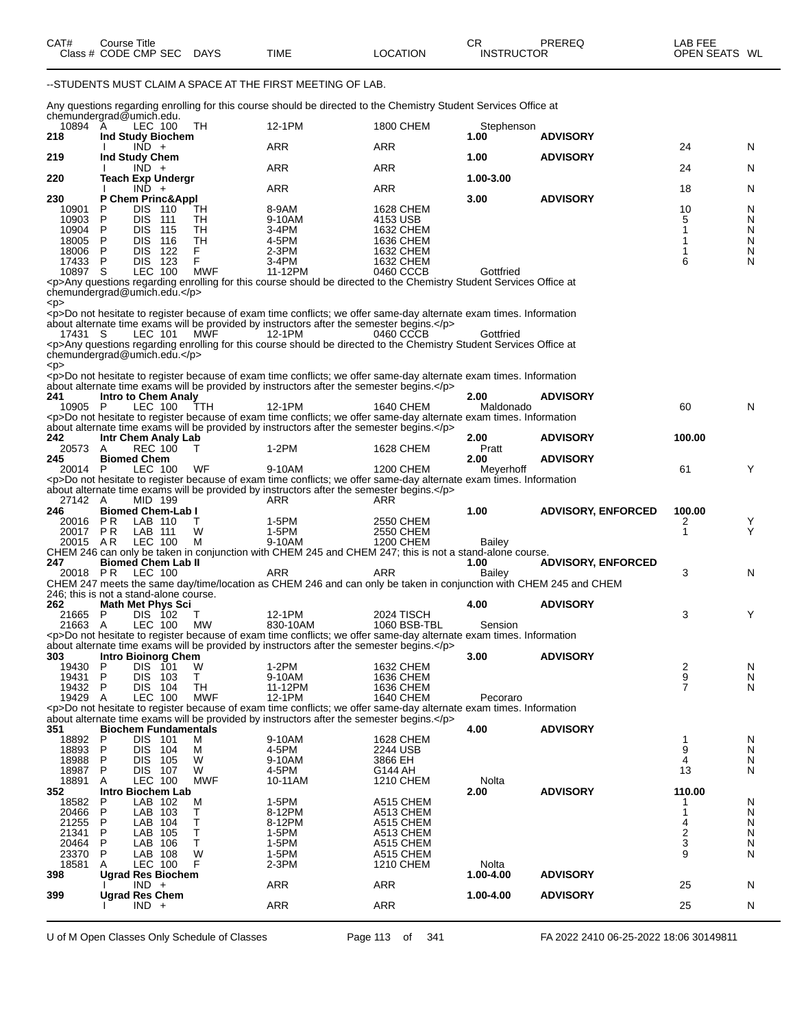|                                               |               | Class # CODE CMP SEC                  |            | DAYS            | <b>TIME</b>                                                                                                                                                                                                      | <b>LOCATION</b>        | <b>INSTRUCTOR</b>  | PREREQ                    | OPEN SEATS WL                |        |
|-----------------------------------------------|---------------|---------------------------------------|------------|-----------------|------------------------------------------------------------------------------------------------------------------------------------------------------------------------------------------------------------------|------------------------|--------------------|---------------------------|------------------------------|--------|
|                                               |               |                                       |            |                 | --STUDENTS MUST CLAIM A SPACE AT THE FIRST MEETING OF LAB.                                                                                                                                                       |                        |                    |                           |                              |        |
|                                               |               |                                       |            |                 | Any questions regarding enrolling for this course should be directed to the Chemistry Student Services Office at                                                                                                 |                        |                    |                           |                              |        |
| chemundergrad@umich.edu.<br>10894 A<br>218    |               | LEC 100<br>Ind Study Biochem          |            | TH.             | 12-1PM                                                                                                                                                                                                           | <b>1800 CHEM</b>       | Stephenson<br>1.00 | <b>ADVISORY</b>           |                              |        |
| 219                                           |               | $IND +$<br>Ind Study Chem             |            |                 | <b>ARR</b>                                                                                                                                                                                                       | ARR                    | 1.00               | <b>ADVISORY</b>           | 24                           | N      |
|                                               |               | $IND +$                               |            |                 | ARR                                                                                                                                                                                                              | <b>ARR</b>             |                    |                           | 24                           | N      |
| 220                                           |               | <b>Teach Exp Undergr</b><br>$IND +$   |            |                 | ARR                                                                                                                                                                                                              | <b>ARR</b>             | 1.00-3.00          |                           | 18                           | N      |
| 230<br>10901                                  | P             | P Chem Princ&Appl<br><b>DIS 110</b>   |            | TH              | 8-9AM                                                                                                                                                                                                            | 1628 CHEM              | 3.00               | <b>ADVISORY</b>           | 10                           | N      |
| 10903                                         | P             | DIS.<br>- 111                         |            | TН              | 9-10AM                                                                                                                                                                                                           | 4153 USB               |                    |                           | 5                            | N      |
| 10904<br>18005                                | P<br>P        | DIS.<br>DIS.                          | 115<br>116 | TН<br>TH        | 3-4PM<br>4-5PM                                                                                                                                                                                                   | 1632 CHEM<br>1636 CHEM |                    |                           | 1<br>1                       | N<br>N |
| 18006<br>17433                                | P<br>P        | DIS.<br>DIS 123                       | - 122      | F.<br>F         | $2-3PM$<br>3-4PM                                                                                                                                                                                                 | 1632 CHEM<br>1632 CHEM |                    |                           | 1<br>6                       | N<br>N |
| 10897 S                                       |               | LEC 100                               |            | <b>MWF</b>      | 11-12PM                                                                                                                                                                                                          | 0460 CCCB              | Gottfried          |                           |                              |        |
| chemundergrad@umich.edu.                      |               |                                       |            |                 | <p>Any questions regarding enrolling for this course should be directed to the Chemistry Student Services Office at</p>                                                                                          |                        |                    |                           |                              |        |
| <p></p>                                       |               |                                       |            |                 | <p>Do not hesitate to register because of exam time conflicts; we offer same-day alternate exam times. Information</p>                                                                                           |                        |                    |                           |                              |        |
| 17431 S                                       |               | LEC 101                               |            | MWF             | about alternate time exams will be provided by instructors after the semester begins.<br>12-1PM                                                                                                                  | 0460 CCCB              | Gottfried          |                           |                              |        |
| chemundergrad@umich.edu.                      |               |                                       |            |                 | <p>Any questions regarding enrolling for this course should be directed to the Chemistry Student Services Office at</p>                                                                                          |                        |                    |                           |                              |        |
| < p >                                         |               |                                       |            |                 |                                                                                                                                                                                                                  |                        |                    |                           |                              |        |
|                                               |               |                                       |            |                 | <p>Do not hesitate to register because of exam time conflicts; we offer same-day alternate exam times. Information<br/>about alternate time exams will be provided by instructors after the semester begins.</p> |                        |                    |                           |                              |        |
| 241<br>10905 P                                |               | <b>Intro to Chem Analy</b><br>LEC 100 |            | TTH             | 12-1PM                                                                                                                                                                                                           | 1640 CHEM              | 2.00<br>Maldonado  | <b>ADVISORY</b>           | 60                           | N      |
|                                               |               |                                       |            |                 | <p>Do not hesitate to register because of exam time conflicts; we offer same-day alternate exam times. Information<br/>about alternate time exams will be provided by instructors after the semester begins.</p> |                        |                    |                           |                              |        |
| 242                                           |               | Intr Chem Analy Lab                   |            |                 |                                                                                                                                                                                                                  |                        | 2.00               | <b>ADVISORY</b>           | 100.00                       |        |
| 20573 A<br>245                                |               | <b>REC 100</b><br><b>Biomed Chem</b>  |            | т               | 1-2PM                                                                                                                                                                                                            | 1628 CHEM              | Pratt<br>2.00      | <b>ADVISORY</b>           |                              |        |
| 20014 P                                       |               | LEC 100                               |            | WF              | 9-10AM<br><p>Do not hesitate to register because of exam time conflicts; we offer same-day alternate exam times. Information</p>                                                                                 | 1200 CHEM              | Meyerhoff          |                           | 61                           | Y      |
|                                               |               |                                       |            |                 | about alternate time exams will be provided by instructors after the semester begins.                                                                                                                            |                        |                    |                           |                              |        |
| 27142 A<br>246                                |               | MID 199<br><b>Biomed Chem-Lab I</b>   |            |                 | ARR                                                                                                                                                                                                              | ARR                    | 1.00               | <b>ADVISORY, ENFORCED</b> | 100.00                       |        |
| 20016<br>20017 PR                             | PR.           | LAB 110<br>LAB 111                    |            | т<br>W          | 1-5PM<br>1-5PM                                                                                                                                                                                                   | 2550 CHEM<br>2550 CHEM |                    |                           | 2<br>1                       | Y<br>Υ |
| 20015 AR                                      |               | LEC 100                               |            | м               | 9-10AM<br>CHEM 246 can only be taken in conjunction with CHEM 245 and CHEM 247; this is not a stand-alone course.                                                                                                | 1200 CHEM              | Bailey             |                           |                              |        |
| 247                                           |               | <b>Biomed Chem Lab II</b>             |            |                 |                                                                                                                                                                                                                  |                        | 1.00               | <b>ADVISORY, ENFORCED</b> |                              |        |
| 20018 PR                                      |               | LEC 100                               |            |                 | ARR<br>CHEM 247 meets the same day/time/location as CHEM 246 and can only be taken in conjunction with CHEM 245 and CHEM                                                                                         | ARR                    | Bailey             |                           | 3                            | N      |
| 246; this is not a stand-alone course.<br>262 |               | <b>Math Met Phys Sci</b>              |            |                 |                                                                                                                                                                                                                  |                        | 4.00               | <b>ADVISORY</b>           |                              |        |
| 21665 P                                       |               | DIS 102                               |            | $\top$          | 12-1PM                                                                                                                                                                                                           | 2024 TISCH             |                    |                           | 3                            | Y      |
| 21663 A                                       |               | LEC 100                               |            | <b>MW</b>       | 830-10AM<br><p>Do not hesitate to register because of exam time conflicts; we offer same-day alternate exam times. Information</p>                                                                               | 1060 BSB-TBL           | Sension            |                           |                              |        |
| 303                                           |               | <b>Intro Bioinorg Chem</b>            |            |                 | about alternate time exams will be provided by instructors after the semester begins.                                                                                                                            |                        | 3.00               | <b>ADVISORY</b>           |                              |        |
| 19430<br>19431                                | P<br><b>P</b> | DIS 101<br><b>DIS 103</b>             |            | W<br>Τ          | 1-2PM<br>9-10AM                                                                                                                                                                                                  | 1632 CHEM<br>1636 CHEM |                    |                           | $\frac{2}{9}$                | N      |
| 19432                                         | -P            | DIS 104                               |            | TН              | 11-12PM                                                                                                                                                                                                          | 1636 CHEM              |                    |                           | $\overline{7}$               | N<br>N |
| 19429                                         | A             | LEC 100                               |            | <b>MWF</b>      | 12-1PM<br><p>Do not hesitate to register because of exam time conflicts; we offer same-day alternate exam times. Information</p>                                                                                 | 1640 CHEM              | Pecoraro           |                           |                              |        |
| 351                                           |               | <b>Biochem Fundamentals</b>           |            |                 | about alternate time exams will be provided by instructors after the semester begins.                                                                                                                            |                        | 4.00               | <b>ADVISORY</b>           |                              |        |
| 18892                                         | P             | <b>DIS 101</b>                        |            | м               | 9-10AM                                                                                                                                                                                                           | 1628 CHEM              |                    |                           | 1                            | N      |
| 18893<br>18988                                | P<br>P        | DIS.<br>DIS.                          | 104<br>105 | м<br>W          | 4-5PM<br>9-10AM                                                                                                                                                                                                  | 2244 USB<br>3866 EH    |                    |                           | 9<br>4                       | N<br>N |
| 18987<br>18891                                | P<br>A        | DIS 107<br>LEC 100                    |            | W<br><b>MWF</b> | 4-5PM<br>10-11AM                                                                                                                                                                                                 | G144 AH<br>1210 CHEM   | Nolta              |                           | 13                           | N      |
| 352                                           |               | Intro Biochem Lab                     |            |                 |                                                                                                                                                                                                                  |                        | 2.00               | <b>ADVISORY</b>           | 110.00                       |        |
| 18582<br>20466                                | P<br>P        | LAB 102<br>LAB 103                    |            | M<br>Т          | 1-5PM<br>8-12PM                                                                                                                                                                                                  | A515 CHEM<br>A513 CHEM |                    |                           | 1<br>1                       | N<br>N |
| 21255<br>21341                                | P<br>P        | LAB 104<br>LAB 105                    |            | Т<br>Τ          | 8-12PM<br>1-5PM                                                                                                                                                                                                  | A515 CHEM<br>A513 CHEM |                    |                           | 4<br>$\overline{\mathbf{c}}$ | N<br>N |
| 20464                                         | P<br>P        | LAB 106                               |            | т<br>W          | 1-5PM                                                                                                                                                                                                            | A515 CHEM              |                    |                           | 3<br>9                       | N      |
| 23370<br>18581                                | A             | LAB 108<br>LEC 100                    |            | F               | 1-5PM<br>$2-3PM$                                                                                                                                                                                                 | A515 CHEM<br>1210 CHEM | <b>Nolta</b>       |                           |                              | N      |
| 398                                           |               | <b>Ugrad Res Biochem</b><br>$IND +$   |            |                 | ARR                                                                                                                                                                                                              | ARR                    | 1.00-4.00          | <b>ADVISORY</b>           | 25                           | N      |
| 399                                           |               | <b>Ugrad Res Chem</b><br>$IND +$      |            |                 | ARR                                                                                                                                                                                                              | ARR                    | 1.00-4.00          | <b>ADVISORY</b>           | 25                           | N      |
|                                               |               |                                       |            |                 |                                                                                                                                                                                                                  |                        |                    |                           |                              |        |

U of M Open Classes Only Schedule of Classes Page 113 of 341 FA 2022 2410 06-25-2022 18:06 30149811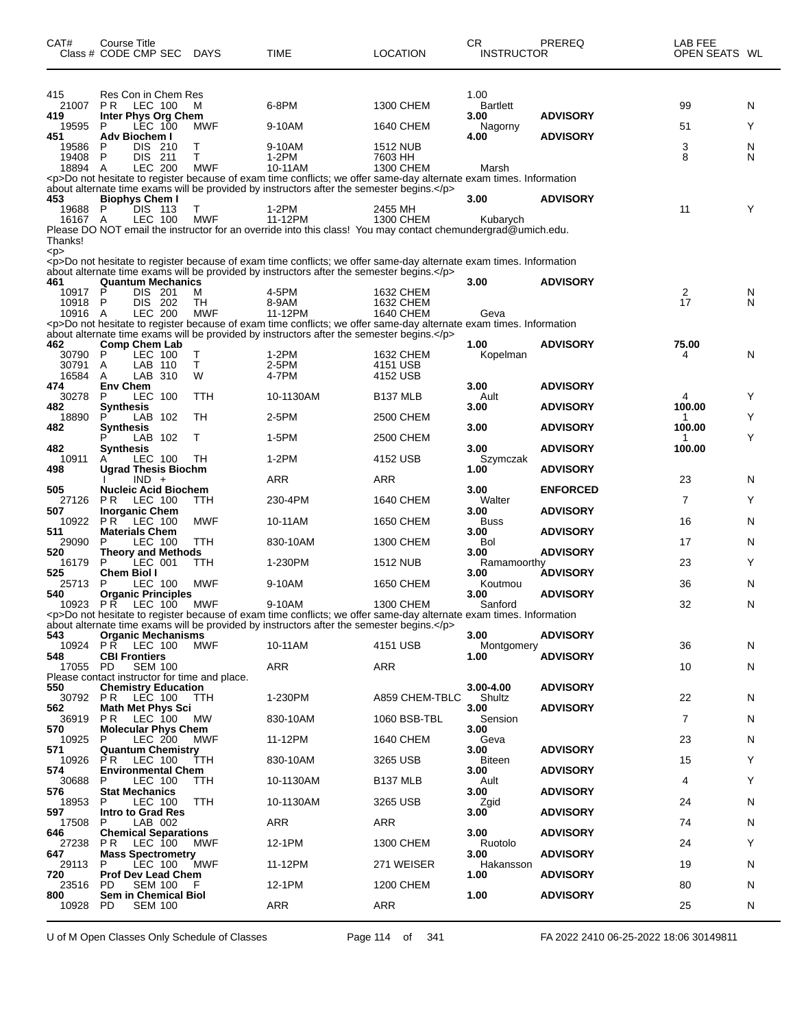| CAT#               | Course Title<br>Class # CODE CMP SEC             | <b>DAYS</b>      | TIME                                                                                                                                                                                                             | <b>LOCATION</b>               | CR.<br><b>INSTRUCTOR</b> | PREREQ          | LAB FEE<br>OPEN SEATS WL |   |
|--------------------|--------------------------------------------------|------------------|------------------------------------------------------------------------------------------------------------------------------------------------------------------------------------------------------------------|-------------------------------|--------------------------|-----------------|--------------------------|---|
| 415                | Res Con in Chem Res                              |                  |                                                                                                                                                                                                                  |                               | 1.00                     |                 |                          |   |
| 21007<br>419       | P <sub>R</sub><br>LEC 100<br>Inter Phys Org Chem | м                | 6-8PM                                                                                                                                                                                                            | 1300 CHEM                     | <b>Bartlett</b><br>3.00  | <b>ADVISORY</b> | 99                       | N |
| 19595              | LEC 100<br>P                                     | MWF              | 9-10AM                                                                                                                                                                                                           | 1640 CHEM                     | Nagorny                  |                 | 51                       | Y |
| 451<br>19586       | Adv Biochem I<br>DIS 210<br>P                    | Т                | 9-10AM                                                                                                                                                                                                           | <b>1512 NUB</b>               | 4.00                     | <b>ADVISORY</b> | 3                        | N |
| 19408              | P<br><b>DIS</b><br>- 211                         | т                | $1-2PM$                                                                                                                                                                                                          | 7603 HH                       |                          |                 | 8                        | N |
| 18894 A            | <b>LEC 200</b>                                   | <b>MWF</b>       | 10-11AM<br><p>Do not hesitate to register because of exam time conflicts; we offer same-day alternate exam times. Information</p>                                                                                | 1300 CHEM                     | Marsh                    |                 |                          |   |
| 453                | <b>Biophys Chem I</b>                            |                  | about alternate time exams will be provided by instructors after the semester begins.                                                                                                                            |                               | 3.00                     | <b>ADVISORY</b> |                          |   |
| 19688              | P<br>DIS 113                                     | Т                | 1-2PM                                                                                                                                                                                                            | 2455 MH                       |                          |                 | 11                       | Υ |
| 16167 A            | LEC 100                                          | <b>MWF</b>       | 11-12PM<br>Please DO NOT email the instructor for an override into this class! You may contact chemundergrad@umich.edu.                                                                                          | 1300 CHEM                     | Kubarych                 |                 |                          |   |
| Thanks!            |                                                  |                  |                                                                                                                                                                                                                  |                               |                          |                 |                          |   |
| < p >              |                                                  |                  | <p>Do not hesitate to register because of exam time conflicts; we offer same-day alternate exam times. Information</p>                                                                                           |                               |                          |                 |                          |   |
| 461                | <b>Quantum Mechanics</b>                         |                  | about alternate time exams will be provided by instructors after the semester begins.                                                                                                                            |                               | 3.00                     | <b>ADVISORY</b> |                          |   |
| 10917 P            | DIS 201                                          | М                | 4-5PM                                                                                                                                                                                                            | 1632 CHEM                     |                          |                 | 2                        | N |
| 10918 P<br>10916 A | DIS 202<br><b>LEC 200</b>                        | TH<br><b>MWF</b> | 8-9AM<br>11-12PM                                                                                                                                                                                                 | 1632 CHEM<br><b>1640 CHEM</b> | Geva                     |                 | 17                       | N |
|                    |                                                  |                  | <p>Do not hesitate to register because of exam time conflicts; we offer same-day alternate exam times. Information<br/>about alternate time exams will be provided by instructors after the semester begins.</p> |                               |                          |                 |                          |   |
| 462                | <b>Comp Chem Lab</b>                             |                  |                                                                                                                                                                                                                  |                               | 1.00                     | <b>ADVISORY</b> | 75.00                    |   |
| 30790<br>30791     | P<br>LEC 100<br>LAB 110<br>A                     | Т<br>Τ           | 1-2PM<br>2-5PM                                                                                                                                                                                                   | 1632 CHEM<br>4151 USB         | Kopelman                 |                 | 4                        | N |
| 16584              | LAB 310<br>A                                     | W                | 4-7PM                                                                                                                                                                                                            | 4152 USB                      |                          |                 |                          |   |
| 474<br>30278       | <b>Env Chem</b><br>LEC 100<br>P                  | TTH              | 10-1130AM                                                                                                                                                                                                        | B <sub>137</sub> MLB          | 3.00<br>Ault             | <b>ADVISORY</b> | 4                        | Y |
| 482                | Synthesis<br>P                                   |                  |                                                                                                                                                                                                                  |                               | 3.00                     | <b>ADVISORY</b> | 100.00                   | Y |
| 18890<br>482       | LAB 102<br><b>Synthesis</b>                      | TН               | 2-5PM                                                                                                                                                                                                            | 2500 CHEM                     | 3.00                     | <b>ADVISORY</b> | 1<br>100.00              |   |
| 482                | LAB 102<br>Synthesis                             | Τ                | 1-5PM                                                                                                                                                                                                            | 2500 CHEM                     | 3.00                     | <b>ADVISORY</b> | 1<br>100.00              | Y |
| 10911              | LEC 100                                          | TН               | $1-2PM$                                                                                                                                                                                                          | 4152 USB                      | Szymczak                 |                 |                          |   |
| 498                | <b>Ugrad Thesis Biochm</b><br>$IND +$            |                  | ARR                                                                                                                                                                                                              | <b>ARR</b>                    | 1.00                     | <b>ADVISORY</b> | 23                       | N |
| 505                | <b>Nucleic Acid Biochem</b><br>P <sub>R</sub>    |                  | 230-4PM                                                                                                                                                                                                          |                               | 3.00<br>Walter           | <b>ENFORCED</b> | 7                        | Y |
| 27126<br>507       | LEC 100<br><b>Inorganic Chem</b>                 | TTH              |                                                                                                                                                                                                                  | 1640 CHEM                     | 3.00                     | <b>ADVISORY</b> |                          |   |
| 10922<br>511       | P R<br>LEC 100<br><b>Materials Chem</b>          | <b>MWF</b>       | 10-11AM                                                                                                                                                                                                          | 1650 CHEM                     | <b>Buss</b><br>3.00      | <b>ADVISORY</b> | 16                       | N |
| 29090              | LEC 100<br>P                                     | TTH              | 830-10AM                                                                                                                                                                                                         | 1300 CHEM                     | Bol                      |                 | 17                       | N |
| 520<br>16179       | <b>Theory and Methods</b><br>LEC 001<br>P        | TTH              | 1-230PM                                                                                                                                                                                                          | <b>1512 NUB</b>               | 3.00<br>Ramamoorthy      | <b>ADVISORY</b> | 23                       | Y |
| 525<br>25713       | Chem Biol I<br>P                                 | <b>MWF</b>       | 9-10AM                                                                                                                                                                                                           | 1650 CHEM                     | 3.00                     | <b>ADVISORY</b> | 36                       | N |
| 540                | LEC 100<br><b>Organic Principles</b>             |                  |                                                                                                                                                                                                                  |                               | Koutmou<br>3.00          | <b>ADVISORY</b> |                          |   |
| 10923              | <b>PR LEC 100</b>                                | MWF              | 9-10AM<br><p>Do not hesitate to register because of exam time conflicts; we offer same-day alternate exam times. Information</p>                                                                                 | 1300 CHEM                     | Sanford                  |                 | 32                       | N |
|                    |                                                  |                  | about alternate time exams will be provided by instructors after the semester begins.                                                                                                                            |                               |                          |                 |                          |   |
| 543<br>10924       | <b>Organic Mechanisms</b><br><b>PR LEC 100</b>   | MWF              | 10-11AM                                                                                                                                                                                                          | 4151 USB                      | 3.00<br>Montgomery       | <b>ADVISORY</b> | 36                       | N |
| 548<br>17055 PD    | <b>CBI Frontiers</b><br><b>SEM 100</b>           |                  | ARR                                                                                                                                                                                                              | ARR                           | 1.00                     | <b>ADVISORY</b> | 10                       | N |
|                    | Please contact instructor for time and place.    |                  |                                                                                                                                                                                                                  |                               |                          |                 |                          |   |
| 550                | <b>Chemistry Education</b><br>30792 PR LEC 100   | <b>TTH</b>       | 1-230PM                                                                                                                                                                                                          | A859 CHEM-TBLC                | 3.00-4.00<br>Shultz      | <b>ADVISORY</b> | 22                       | N |
| 562                | <b>Math Met Phys Sci</b>                         |                  |                                                                                                                                                                                                                  |                               | 3.00                     | <b>ADVISORY</b> |                          |   |
| 36919<br>570       | LEC 100<br>PR.<br><b>Molecular Phys Chem</b>     | МW               | 830-10AM                                                                                                                                                                                                         | 1060 BSB-TBL                  | Sension<br>3.00          |                 | 7                        | N |
| 10925<br>571       | LEC 200<br>P<br><b>Quantum Chemistry</b>         | MWF              | 11-12PM                                                                                                                                                                                                          | 1640 CHEM                     | Geva<br>3.00             | <b>ADVISORY</b> | 23                       | N |
| 10926              | LEC 100<br>P R                                   | TTH              | 830-10AM                                                                                                                                                                                                         | 3265 USB                      | Biteen                   |                 | 15                       | Y |
| 574<br>30688       | <b>Environmental Chem</b><br>LEC 100<br>P        | TTH              | 10-1130AM                                                                                                                                                                                                        | B <sub>137</sub> MLB          | 3.00<br>Ault             | <b>ADVISORY</b> | 4                        | Y |
| 576                | <b>Stat Mechanics</b>                            |                  |                                                                                                                                                                                                                  |                               | 3.00                     | <b>ADVISORY</b> |                          |   |
| 18953<br>597       | P<br>LEC 100<br><b>Intro to Grad Res</b>         | TTH              | 10-1130AM                                                                                                                                                                                                        | 3265 USB                      | Zgid<br>3.00             | <b>ADVISORY</b> | 24                       | N |
| 17508<br>646       | LAB 002<br>P<br><b>Chemical Separations</b>      |                  | ARR                                                                                                                                                                                                              | ARR                           | 3.00                     | <b>ADVISORY</b> | 74                       | N |
| 27238              | LEC 100<br>P R                                   | MWF              | 12-1PM                                                                                                                                                                                                           | 1300 CHEM                     | Ruotolo                  |                 | 24                       | Y |
| 647<br>29113       | <b>Mass Spectrometry</b><br>P<br>LEC 100         | MWF              | 11-12PM                                                                                                                                                                                                          | 271 WEISER                    | 3.00<br>Hakansson        | <b>ADVISORY</b> | 19                       | N |
| 720                | <b>Prof Dev Lead Chem</b>                        |                  |                                                                                                                                                                                                                  |                               | 1.00                     | <b>ADVISORY</b> |                          |   |
| 23516<br>800       | SEM 100 F<br>PD.<br><b>Sem in Chemical Biol</b>  |                  | 12-1PM                                                                                                                                                                                                           | 1200 CHEM                     | 1.00                     | <b>ADVISORY</b> | 80                       | N |
| 10928              | PD.<br><b>SEM 100</b>                            |                  | <b>ARR</b>                                                                                                                                                                                                       | ARR                           |                          |                 | 25                       | N |

U of M Open Classes Only Schedule of Classes Page 114 of 341 FA 2022 2410 06-25-2022 18:06 30149811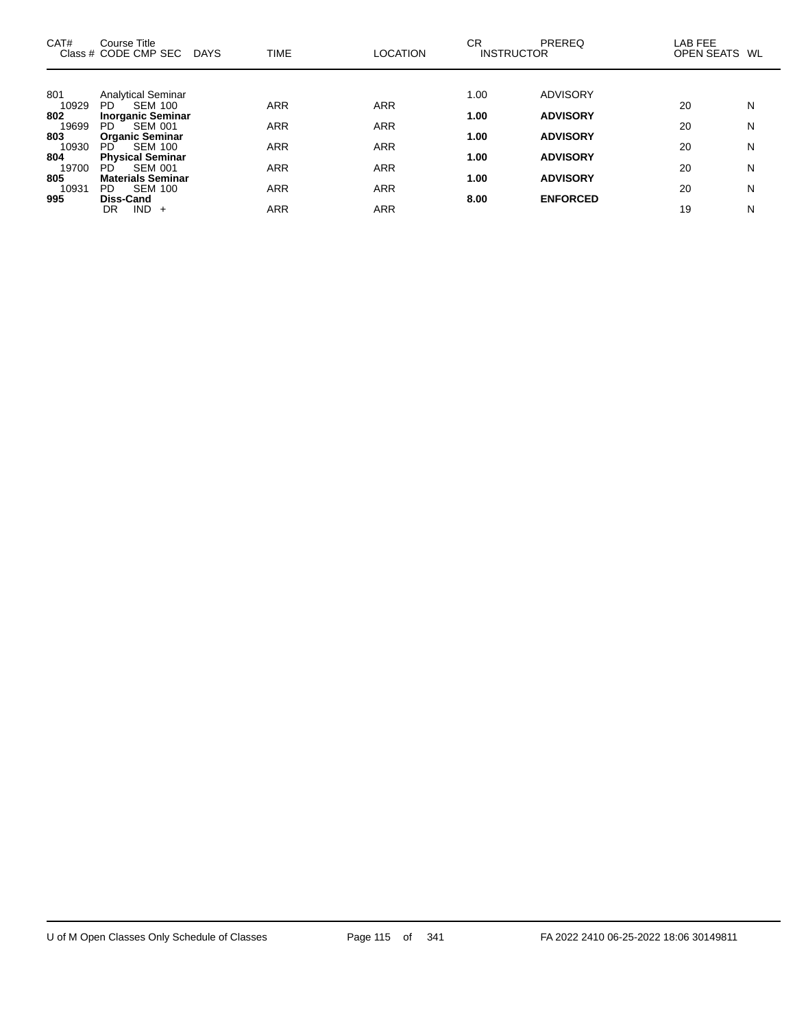| CAT#         | Course Title<br>Class # CODE CMP SEC DAYS         | <b>TIME</b> | <b>LOCATION</b> | CR.<br><b>INSTRUCTOR</b> | PREREQ          | LAB FEE<br>OPEN SEATS WL |   |
|--------------|---------------------------------------------------|-------------|-----------------|--------------------------|-----------------|--------------------------|---|
| 801          | <b>Analytical Seminar</b>                         |             |                 | 1.00                     | <b>ADVISORY</b> |                          |   |
| 10929<br>802 | <b>SEM 100</b><br>PD<br><b>Inorganic Seminar</b>  | <b>ARR</b>  | <b>ARR</b>      | 1.00                     | <b>ADVISORY</b> | 20                       | N |
| 19699<br>803 | <b>SEM 001</b><br>PD<br><b>Organic Seminar</b>    | <b>ARR</b>  | <b>ARR</b>      | 1.00                     | <b>ADVISORY</b> | 20                       | N |
| 10930        | <b>SEM 100</b><br>PD.                             | ARR         | <b>ARR</b>      |                          |                 | 20                       | N |
| 804<br>19700 | <b>Physical Seminar</b><br><b>SEM 001</b><br>PD.  | ARR         | <b>ARR</b>      | 1.00                     | <b>ADVISORY</b> | 20                       | N |
| 805<br>10931 | <b>Materials Seminar</b><br><b>SEM 100</b><br>PD. | <b>ARR</b>  | <b>ARR</b>      | 1.00                     | <b>ADVISORY</b> | 20                       | N |
| 995          | Diss-Cand                                         |             |                 | 8.00                     | <b>ENFORCED</b> |                          |   |
|              | $IND +$<br>DR                                     | ARR         | <b>ARR</b>      |                          |                 | 19                       | N |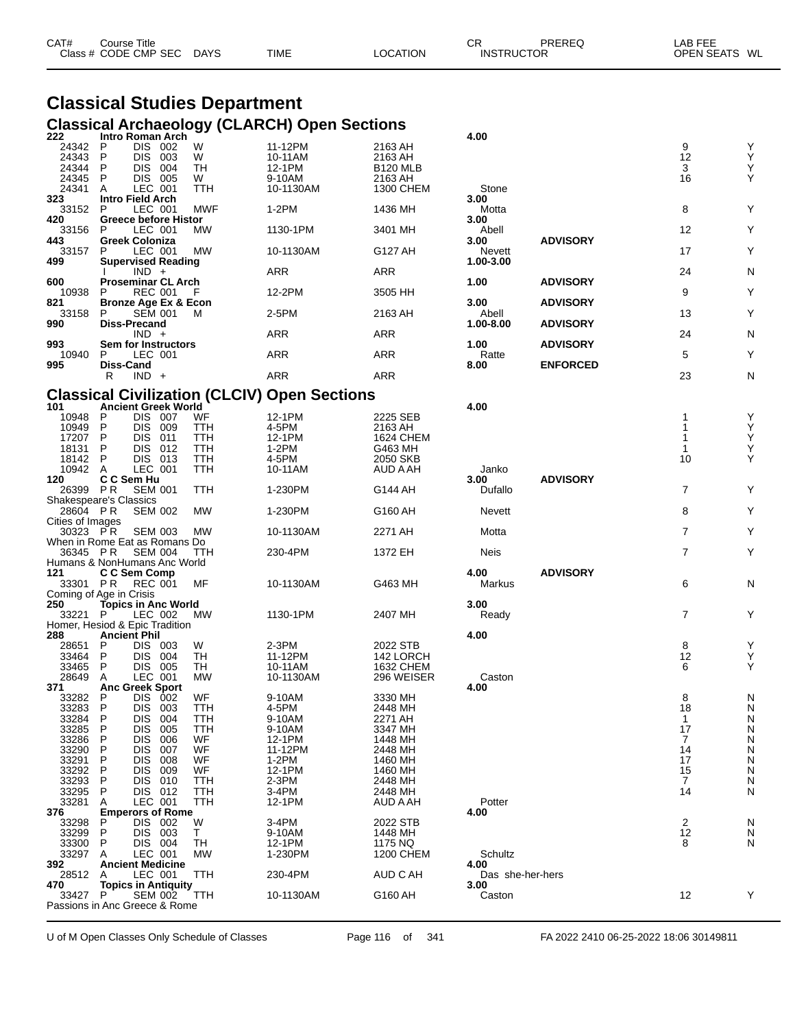| CAT# | Course Title<br>Class # CODE CMP SEC | <b>DAYS</b> | <b>TIME</b> | LOCATION | СF<br><b>INSTRUCTOR</b> | <b>PREREQ</b> | _AB FEE<br>OPEN SEATS WL |  |
|------|--------------------------------------|-------------|-------------|----------|-------------------------|---------------|--------------------------|--|
|      |                                      |             |             |          |                         |               |                          |  |

### **Classical Studies Department Classical Archaeology (CLARCH) Open Sections**

| 222                                       |           | Intro Roman Arch                                |                 |                                                     |                             | 4.00             |                 |                |        |
|-------------------------------------------|-----------|-------------------------------------------------|-----------------|-----------------------------------------------------|-----------------------------|------------------|-----------------|----------------|--------|
| 24342                                     | P         | DIS 002                                         | W               | 11-12PM                                             | 2163 AH                     |                  |                 | 9              | Υ      |
| 24343<br>24344                            | P<br>P    | DIS 003<br><b>DIS 004</b>                       | W<br>TН         | 10-11AM<br>12-1PM                                   | 2163 AH<br><b>B120 MLB</b>  |                  |                 | 12<br>3        | Υ<br>Υ |
| 24345                                     | P         | DIS 005                                         | W               | 9-10AM                                              | 2163 AH                     |                  |                 | 16             | Y      |
| 24341                                     | A         | LEC 001                                         | TTH             | 10-1130AM                                           | 1300 CHEM                   | Stone            |                 |                |        |
| 323                                       |           | <b>Intro Field Arch</b>                         |                 |                                                     |                             | 3.00             |                 |                |        |
| 33152                                     | P         | LEC 001                                         | <b>MWF</b>      | $1-2PM$                                             | 1436 MH                     | Motta            |                 | 8              | Y      |
| 420<br>33156                              | P         | <b>Greece before Histor</b><br>LEC 001          | MW              | 1130-1PM                                            | 3401 MH                     | 3.00<br>Abell    |                 | 12             | Υ      |
| 443                                       |           | Greek Coloniza                                  |                 |                                                     |                             | 3.00             | <b>ADVISORY</b> |                |        |
| 33157                                     | P         | LEC 001                                         | МW              | 10-1130AM                                           | G127 AH                     | Nevett           |                 | 17             | Υ      |
| 499                                       |           | <b>Supervised Reading</b>                       |                 |                                                     |                             | 1.00-3.00        |                 |                |        |
| 600                                       |           | $IND +$<br><b>Proseminar CL Arch</b>            |                 | <b>ARR</b>                                          | <b>ARR</b>                  | 1.00             | <b>ADVISORY</b> | 24             | N      |
| 10938                                     | P         | REC 001                                         | F               | 12-2PM                                              | 3505 HH                     |                  |                 | 9              | Υ      |
| 821                                       |           | Bronze Age Ex & Econ                            |                 |                                                     |                             | 3.00             | <b>ADVISORY</b> |                |        |
| 33158                                     | P         | SEM 001                                         | м               | 2-5PM                                               | 2163 AH                     | Abell            |                 | 13             | Υ      |
| 990                                       |           | Diss-Precand<br>$IND +$                         |                 | <b>ARR</b>                                          | <b>ARR</b>                  | 1.00-8.00        | <b>ADVISORY</b> | 24             | N      |
| 993                                       |           | Sem for Instructors                             |                 |                                                     |                             | 1.00             | <b>ADVISORY</b> |                |        |
| 10940                                     | P         | LEC 001                                         |                 | ARR                                                 | ARR                         | Ratte            |                 | 5              | Υ      |
| 995                                       | Diss-Cand |                                                 |                 |                                                     |                             | 8.00             | <b>ENFORCED</b> |                |        |
|                                           | R         | $IND +$                                         |                 | ARR                                                 | ARR                         |                  |                 | 23             | N      |
|                                           |           |                                                 |                 | <b>Classical Civilization (CLCIV) Open Sections</b> |                             |                  |                 |                |        |
| 101                                       |           | <b>Ancient Greek World</b>                      |                 |                                                     |                             | 4.00             |                 |                |        |
| 10948                                     | P         | DIS 007                                         | WF              | 12-1PM                                              | 2225 SEB                    |                  |                 | 1              | Y      |
| 10949                                     | P         | DIS 009                                         | TTH             | 4-5PM                                               | 2163 AH                     |                  |                 | 1              | Υ      |
| 17207                                     | P<br>P    | DIS 011                                         | TTH             | 12-1PM                                              | <b>1624 CHEM</b>            |                  |                 | 1              | Υ<br>Υ |
| 18131<br>18142                            | P         | DIS 012<br>DIS 013                              | TTH<br>TTH      | 1-2PM<br>4-5PM                                      | G463 MH<br>2050 SKB         |                  |                 | 1<br>10        | Y      |
| 10942                                     | A         | LEC 001                                         | TTH             | 10-11AM                                             | AUD A AH                    | Janko            |                 |                |        |
| 120                                       |           | C C Sem Hu                                      |                 |                                                     |                             | 3.00             | <b>ADVISORY</b> |                |        |
| 26399 PR                                  |           | <b>SEM 001</b>                                  | TTH             | 1-230PM                                             | G144 AH                     | Dufallo          |                 | $\overline{7}$ | Y      |
| <b>Shakespeare's Classics</b><br>28604 PR |           | <b>SEM 002</b>                                  | МW              | 1-230PM                                             | G160 AH                     | Nevett           |                 | 8              | Υ      |
| Cities of Images                          |           |                                                 |                 |                                                     |                             |                  |                 |                |        |
| 30323 PR                                  |           | <b>SEM 003</b>                                  | МW              | 10-1130AM                                           | 2271 AH                     | Motta            |                 | $\overline{7}$ | Υ      |
|                                           |           | When in Rome Eat as Romans Do                   |                 |                                                     |                             |                  |                 |                |        |
| 36345 PR                                  |           | <b>SEM 004</b>                                  | TTH             | 230-4PM                                             | 1372 EH                     | Neis             |                 | $\overline{7}$ | Υ      |
| 121                                       |           | Humans & NonHumans Anc World<br>C C Sem Comp    |                 |                                                     |                             | 4.00             | <b>ADVISORY</b> |                |        |
| 33301 PR                                  |           | <b>REC 001</b>                                  | MF              | 10-1130AM                                           | G463 MH                     | Markus           |                 | 6              | N      |
| Coming of Age in Crisis                   |           |                                                 |                 |                                                     |                             |                  |                 |                |        |
| 250                                       |           | <b>Topics in Anc World</b>                      |                 |                                                     |                             | 3.00             |                 |                |        |
| 33221 P                                   |           | LEC 002<br>Homer, Hesiod & Epic Tradition       | <b>MW</b>       | 1130-1PM                                            | 2407 MH                     | Ready            |                 | $\overline{7}$ | Υ      |
| 288                                       |           | <b>Ancient Phil</b>                             |                 |                                                     |                             | 4.00             |                 |                |        |
| 28651                                     | P         | DIS 003                                         | W               | 2-3PM                                               | 2022 STB                    |                  |                 | 8              | Υ      |
| 33464                                     | P         | DIS 004                                         | TH              | 11-12PM                                             | 142 LORCH                   |                  |                 | 12             | Υ      |
| 33465<br>28649                            | P<br>A    | DIS 005<br>LEC 001                              | TH<br><b>MW</b> | 10-11AM                                             | 1632 CHEM<br>296 WEISER     | Caston           |                 | 6              | Y      |
| 371                                       |           | <b>Anc Greek Sport</b>                          |                 | 10-1130AM                                           |                             | 4.00             |                 |                |        |
| 33282                                     | P         | DIS 002                                         | <b>WF</b>       | 9-10AM                                              | 3330 MH                     |                  |                 | 8              | N      |
| 33283                                     | P         | DIS 003                                         | TTH             | 4-5PM                                               | 2448 MH                     |                  |                 | 18             | N      |
| 33284                                     | P         | <b>DIS</b><br>004                               | ттн             | 9-10AM                                              | 2271 AH                     |                  |                 | $\mathbf{1}$   | N      |
| 33285<br>33286                            | P<br>P    | DIS.<br>005<br><b>DIS</b><br>006                | TTH<br>WF       | 9-10AM<br>12-1PM                                    | 3347 MH<br>1448 MH          |                  |                 | 17<br>7        | N<br>N |
| 33290                                     | P         | <b>DIS</b><br>007                               | WF              | 11-12PM                                             | 2448 MH                     |                  |                 | 14             | N      |
| 33291                                     | P         | DIS.<br>008                                     | WF              | $1-2PM$                                             | 1460 MH                     |                  |                 | 17             | N      |
| 33292                                     | P         | <b>DIS</b><br>009                               | WF              | 12-1PM                                              | 1460 MH                     |                  |                 | 15             | N      |
| 33293<br>33295                            | P         | <b>DIS</b><br>010<br>DIS 012                    | TTH             | 2-3PM<br>3-4PM                                      | 2448 MH<br>2448 MH          |                  |                 | 7<br>14        | N<br>N |
| 33281                                     | P<br>A    | LEC 001                                         | TTH<br>TTH      | 12-1PM                                              | AUD A AH                    | Potter           |                 |                |        |
| 376                                       |           | <b>Emperors of Rome</b>                         |                 |                                                     |                             | 4.00             |                 |                |        |
| 33298                                     | P         | DIS 002                                         | W               | 3-4PM                                               | 2022 STB                    |                  |                 | 2              | N      |
| 33299                                     | P         | DIS.<br>003                                     | Τ               | 9-10AM                                              | 1448 MH                     |                  |                 | 12             | N      |
| 33300<br>33297                            | P<br>A    | DIS 004<br>LEC 001                              | TН<br>MW        | 12-1PM<br>1-230PM                                   | 1175 NQ<br><b>1200 CHEM</b> | Schultz          |                 | 8              | N      |
| 392                                       |           | <b>Ancient Medicine</b>                         |                 |                                                     |                             | 4.00             |                 |                |        |
| 28512                                     | A         | LEC 001                                         | TTH             | 230-4PM                                             | AUD C AH                    | Das she-her-hers |                 |                |        |
| 470                                       |           | <b>Topics in Antiquity</b>                      |                 |                                                     |                             | 3.00             |                 |                |        |
| 33427                                     | P         | <b>SEM 002</b><br>Passions in Anc Greece & Rome | TTH             | 10-1130AM                                           | G160 AH                     | Caston           |                 | 12             | Y      |
|                                           |           |                                                 |                 |                                                     |                             |                  |                 |                |        |

U of M Open Classes Only Schedule of Classes Page 116 of 341 FA 2022 2410 06-25-2022 18:06 30149811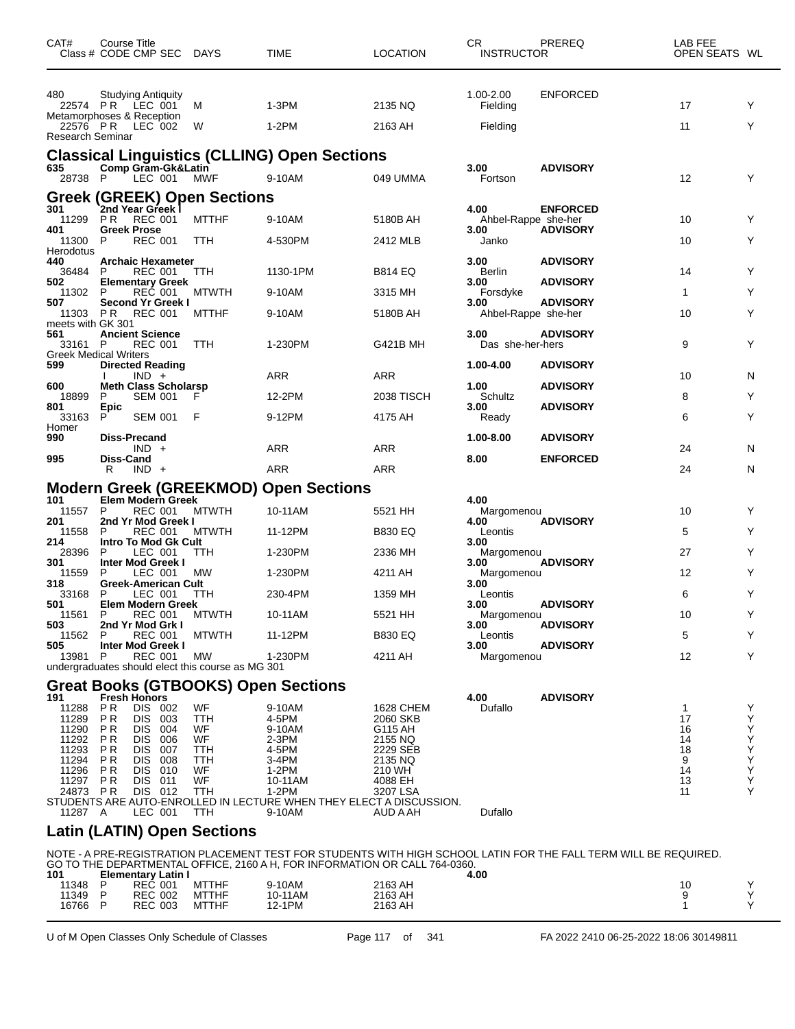| CAT#                          | Course Title<br>Class # CODE CMP SEC DAYS                    |            |              | TIME                                                | <b>LOCATION</b>                                                            | CR.<br><b>INSTRUCTOR</b> | PREREQ                                                                                                           | LAB FEE<br>OPEN SEATS WL |        |
|-------------------------------|--------------------------------------------------------------|------------|--------------|-----------------------------------------------------|----------------------------------------------------------------------------|--------------------------|------------------------------------------------------------------------------------------------------------------|--------------------------|--------|
| 480                           | <b>Studying Antiquity</b>                                    |            |              |                                                     |                                                                            | 1.00-2.00                | <b>ENFORCED</b>                                                                                                  |                          |        |
|                               | 22574 PR LEC 001<br>Metamorphoses & Reception                |            | м            | $1-3PM$                                             | 2135 NQ                                                                    | Fielding                 |                                                                                                                  | 17                       | Y      |
| Research Seminar              | 22576 PR LEC 002                                             |            | W            | $1-2PM$                                             | 2163 AH                                                                    | Fielding                 |                                                                                                                  | 11                       | Y      |
|                               |                                                              |            |              | <b>Classical Linguistics (CLLING) Open Sections</b> |                                                                            |                          |                                                                                                                  |                          |        |
| 635<br>28738 P                | Comp Gram-Gk&Latin<br>LEC 001                                |            | <b>MWF</b>   | 9-10AM                                              | 049 UMMA                                                                   | 3.00<br>Fortson          | <b>ADVISORY</b>                                                                                                  | 12                       | Y      |
|                               | Greek (GREEK) Open Sections<br><sup>301</sup> 2nd Year Greek |            |              |                                                     |                                                                            |                          |                                                                                                                  |                          |        |
| 11299                         | REC 001<br>P <sub>R</sub>                                    |            | <b>MTTHF</b> | 9-10AM                                              | 5180B AH                                                                   | 4.00                     | <b>ENFORCED</b><br>Ahbel-Rappe she-her                                                                           | 10                       | Y      |
| 401<br>11300                  | <b>Greek Prose</b><br><b>REC 001</b><br>P                    |            | TTH          | 4-530PM                                             | 2412 MLB                                                                   | 3.00<br>Janko            | <b>ADVISORY</b>                                                                                                  | 10                       | Y      |
| Herodotus                     |                                                              |            |              |                                                     |                                                                            |                          |                                                                                                                  |                          |        |
| 440<br>36484                  | <b>Archaic Hexameter</b><br>P<br>REC 001                     |            | TTH          | 1130-1PM                                            | B814 EQ                                                                    | 3.00<br>Berlin           | <b>ADVISORY</b>                                                                                                  | 14                       | Y      |
| 502<br>11302                  | <b>Elementary Greek</b><br><b>REC 001</b><br>P               |            | <b>MTWTH</b> | 9-10AM                                              | 3315 MH                                                                    | 3.00<br>Forsdyke         | <b>ADVISORY</b>                                                                                                  | 1                        | Y      |
| 507                           | <b>Second Yr Greek I</b>                                     |            |              |                                                     | 5180B AH                                                                   | 3.00                     | <b>ADVISORY</b>                                                                                                  | 10                       | Y      |
| 11303 PR<br>meets with GK 301 | REC 001                                                      |            | <b>MTTHF</b> | 9-10AM                                              |                                                                            |                          | Ahbel-Rappe she-her                                                                                              |                          |        |
| 561<br>33161 P                | <b>Ancient Science</b><br><b>REC 001</b>                     |            | TTH          | 1-230PM                                             | G421B MH                                                                   | 3.00<br>Das she-her-hers | <b>ADVISORY</b>                                                                                                  | 9                        | Y      |
| 599                           | <b>Greek Medical Writers</b><br><b>Directed Reading</b>      |            |              |                                                     |                                                                            | 1.00-4.00                | <b>ADVISORY</b>                                                                                                  |                          |        |
|                               | $IND +$                                                      |            |              | ARR                                                 | <b>ARR</b>                                                                 |                          |                                                                                                                  | 10                       | N      |
| 600<br>18899                  | <b>Meth Class Scholarsp</b><br>P<br>SEM 001                  |            |              | 12-2PM                                              | <b>2038 TISCH</b>                                                          | 1.00<br>Schultz          | <b>ADVISORY</b>                                                                                                  | 8                        | Y      |
| 801<br>33163                  | Epic<br>P<br><b>SEM 001</b>                                  |            | F            | 9-12PM                                              | 4175 AH                                                                    | 3.00                     | <b>ADVISORY</b>                                                                                                  | 6                        | Y      |
| Homer                         |                                                              |            |              |                                                     |                                                                            | Ready                    |                                                                                                                  |                          |        |
| 990                           | Diss-Precand<br>$IND +$                                      |            |              | ARR                                                 | ARR                                                                        | 1.00-8.00                | <b>ADVISORY</b>                                                                                                  | 24                       | N      |
| 995                           | Diss-Cand<br>R<br>$IND +$                                    |            |              | ARR                                                 | ARR                                                                        | 8.00                     | <b>ENFORCED</b>                                                                                                  | 24                       | N      |
|                               |                                                              |            |              | <b>Modern Greek (GREEKMOD) Open Sections</b>        |                                                                            |                          |                                                                                                                  |                          |        |
| 101                           | <b>Elem Modern Greek</b>                                     |            |              |                                                     |                                                                            | 4.00                     |                                                                                                                  |                          |        |
| 11557<br>201                  | P<br><b>REC 001</b><br>2nd Yr Mod Greek I                    |            | <b>MTWTH</b> | 10-11AM                                             | 5521 HH                                                                    | Margomenou<br>4.00       | <b>ADVISORY</b>                                                                                                  | 10                       | Y      |
| 11558<br>214                  | P<br><b>REC 001</b>                                          |            | <b>MTWTH</b> | 11-12PM                                             | <b>B830 EQ</b>                                                             | Leontis                  |                                                                                                                  | 5                        | Y      |
| 28396                         | <b>Intro To Mod Gk Cult</b><br>LEC 001<br>P                  |            | TTH          | 1-230PM                                             | 2336 MH                                                                    | 3.00<br>Margomenou       |                                                                                                                  | 27                       | Υ      |
| 301<br>11559                  | Inter Mod Greek I<br>P.<br>LEC 001                           |            | <b>MW</b>    | 1-230PM                                             | 4211 AH                                                                    | 3.00<br>Margomenou       | <b>ADVISORY</b>                                                                                                  | 12                       | Y      |
| 318<br>33168                  | Greek-American Cult<br>P<br>LEC 001                          |            | ттн          | 230-4PM                                             | 1359 MH                                                                    | 3.00<br>Leontis          |                                                                                                                  | 6                        | Y      |
| 501                           | <b>Elem Modern Greek</b>                                     |            |              |                                                     |                                                                            | 3.00                     | <b>ADVISORY</b>                                                                                                  |                          |        |
| 11561<br>503                  | REC 001<br>P<br>2nd Yr Mod Grk I                             |            | <b>MTWTH</b> | 10-11AM                                             | 5521 HH                                                                    | Margomenou<br>3.00       | <b>ADVISORY</b>                                                                                                  | 10                       | Y      |
| 11562<br>505                  | REC 001<br>P.<br><b>Inter Mod Greek I</b>                    |            | <b>MTWTH</b> | 11-12PM                                             | <b>B830 EQ</b>                                                             | Leontis<br>3.00          | <b>ADVISORY</b>                                                                                                  | 5                        | Y      |
| 13981                         | P<br><b>REC 001</b>                                          |            | МW           | 1-230PM                                             | 4211 AH                                                                    | Margomenou               |                                                                                                                  | 12                       | Y      |
|                               | undergraduates should elect this course as MG 301            |            |              |                                                     |                                                                            |                          |                                                                                                                  |                          |        |
| 191                           | <b>Fresh Honors</b>                                          |            |              | <b>Great Books (GTBOOKS) Open Sections</b>          |                                                                            | 4.00                     | <b>ADVISORY</b>                                                                                                  |                          |        |
| 11288                         | PR<br>DIS 002                                                |            | WF           | 9-10AM                                              | 1628 CHEM                                                                  | Dufallo                  |                                                                                                                  | 1                        | Y      |
| 11289<br>11290                | P R<br>DIS<br>P R<br>DIS.                                    | 003<br>004 | TTH<br>WF    | 4-5PM<br>9-10AM                                     | 2060 SKB<br>G115 AH                                                        |                          |                                                                                                                  | 17<br>16                 | Υ<br>Υ |
| 11292 PR                      | <b>DIS</b>                                                   | 006        | WF           | 2-3PM                                               | 2155 NQ                                                                    |                          |                                                                                                                  | 14                       | Υ      |
| 11293<br>11294                | P R<br><b>DIS</b><br>P R<br><b>DIS</b>                       | 007<br>008 | TTH<br>TTH   | 4-5PM<br>3-4PM                                      | 2229 SEB<br>2135 NQ                                                        |                          |                                                                                                                  | 18<br>9                  | Υ<br>Υ |
| 11296                         | PR<br><b>DIS</b>                                             | 010        | WF           | 1-2PM                                               | 210 WH                                                                     |                          |                                                                                                                  | 14                       | Υ      |
| 11297 PR<br>24873 PR          | <b>DIS</b><br>DIS 012                                        | 011        | WF<br>TTH    | 10-11AM<br>$1-2PM$                                  | 4088 EH<br>3207 LSA                                                        |                          |                                                                                                                  | 13<br>11                 | Υ<br>Υ |
|                               |                                                              |            |              |                                                     | STUDENTS ARE AUTO-ENROLLED IN LECTURE WHEN THEY ELECT A DISCUSSION.        |                          |                                                                                                                  |                          |        |
| 11287 A                       | LEC 001                                                      |            | <b>TTH</b>   | 9-10AM                                              | AUD A AH                                                                   | Dufallo                  |                                                                                                                  |                          |        |
|                               | <b>Latin (LATIN) Open Sections</b>                           |            |              |                                                     |                                                                            |                          |                                                                                                                  |                          |        |
|                               |                                                              |            |              |                                                     | GO TO THE DEPARTMENTAL OFFICE, 2160 A H, FOR INFORMATION OR CALL 764-0360. |                          | NOTE - A PRE-REGISTRATION PLACEMENT TEST FOR STUDENTS WITH HIGH SCHOOL LATIN FOR THE FALL TERM WILL BE REQUIRED. |                          |        |
| 101<br>11348                  | <b>Elementary Latin I</b><br>P<br><b>REC 001</b>             |            | <b>MTTHF</b> | 9-10AM                                              | 2163 AH                                                                    | 4.00                     |                                                                                                                  | 10                       | Y      |
| 11349                         | P<br><b>REC 002</b>                                          |            | <b>MTTHF</b> | 10-11AM                                             | 2163 AH                                                                    |                          |                                                                                                                  | 9                        | Y      |
| 16766 P                       | <b>REC 003</b>                                               |            | <b>MTTHF</b> | 12-1PM                                              | 2163 AH                                                                    |                          |                                                                                                                  | 1                        | Y      |

U of M Open Classes Only Schedule of Classes Page 117 of 341 FA 2022 2410 06-25-2022 18:06 30149811

 $\overline{\phantom{0}}$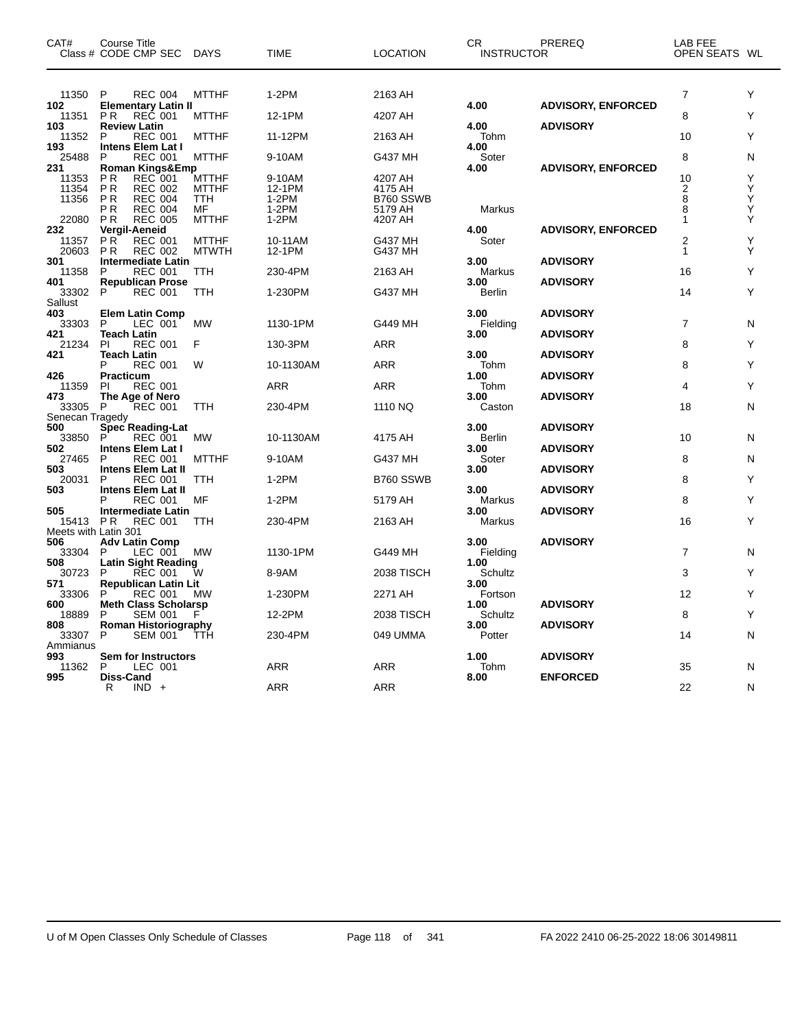| CAT#                 | Course Title<br>Class # CODE CMP SEC              | <b>DAYS</b>  | TIME      | LOCATION          | <b>CR</b><br><b>INSTRUCTOR</b> | PREREQ                    | LAB FEE<br>OPEN SEATS WL |   |
|----------------------|---------------------------------------------------|--------------|-----------|-------------------|--------------------------------|---------------------------|--------------------------|---|
|                      |                                                   |              |           |                   |                                |                           |                          |   |
| 11350<br>102         | P<br><b>REC 004</b><br><b>Elementary Latin II</b> | <b>MTTHF</b> | $1-2PM$   | 2163 AH           | 4.00                           | <b>ADVISORY, ENFORCED</b> | $\overline{7}$           | Y |
| 11351<br>103         | REC 001<br><b>PR</b><br><b>Review Latin</b>       | <b>MTTHF</b> | 12-1PM    | 4207 AH           | 4.00                           | <b>ADVISORY</b>           | 8                        | Υ |
| 11352                | <b>REC 001</b><br>P                               | <b>MTTHF</b> | 11-12PM   | 2163 AH           | Tohm                           |                           | 10                       | Y |
| 193<br>25488         | <b>Intens Elem Lat I</b><br>P<br><b>REC 001</b>   | <b>MTTHF</b> | 9-10AM    | G437 MH           | 4.00<br>Soter                  |                           | 8                        | N |
| 231<br>11353         | Roman Kings&Emp<br>P R<br>REC 001                 | <b>MTTHF</b> | 9-10AM    | 4207 AH           | 4.00                           | <b>ADVISORY, ENFORCED</b> | 10                       | Υ |
| 11354                | P R<br><b>REC 002</b>                             | <b>MTTHF</b> | 12-1PM    | 4175 AH           |                                |                           | 2                        | Υ |
| 11356                | P <sub>R</sub><br><b>REC 004</b>                  | TTH          | $1-2PM$   | B760 SSWB         |                                |                           | 8                        | Υ |
|                      | РR<br><b>REC 004</b>                              | МF           | $1-2PM$   | 5179 AH           | Markus                         |                           | 8                        | Υ |
| 22080                | P <sub>R</sub><br><b>REC 005</b>                  | <b>MTTHF</b> | $1-2PM$   | 4207 AH           |                                |                           | 1                        | Υ |
| 232                  | Vergil-Aeneid                                     |              |           |                   | 4.00                           | <b>ADVISORY, ENFORCED</b> |                          |   |
| 11357                | PR <sup>1</sup><br><b>REC 001</b>                 | <b>MTTHF</b> | 10-11AM   | G437 MH           | Soter                          |                           | $\overline{2}$           | Y |
| 20603                | P <sub>R</sub><br><b>REC 002</b>                  | <b>MTWTH</b> | 12-1PM    | G437 MH           |                                |                           | 1                        | Υ |
| 301                  | <b>Intermediate Latin</b>                         |              |           |                   | 3.00                           | <b>ADVISORY</b>           |                          |   |
| 11358                | P<br><b>REC 001</b>                               | TTH          | 230-4PM   | 2163 AH           | Markus                         |                           | 16                       | Υ |
| 401                  | <b>Republican Prose</b>                           |              |           |                   | 3.00                           | <b>ADVISORY</b>           |                          |   |
| 33302                | P<br><b>REC 001</b>                               | ттн          | 1-230PM   | G437 MH           | Berlin                         |                           | 14                       | Υ |
| Sallust              |                                                   |              |           |                   |                                |                           |                          |   |
| 403                  |                                                   |              |           |                   | 3.00                           |                           |                          |   |
|                      | <b>Elem Latin Comp</b>                            |              |           |                   |                                | <b>ADVISORY</b>           |                          |   |
| 33303                | P<br>LEC 001                                      | <b>MW</b>    | 1130-1PM  | G449 MH           | Fielding                       |                           | 7                        | N |
| 421                  | Teach Latin                                       |              |           |                   | 3.00                           | <b>ADVISORY</b>           |                          |   |
| 21234                | <b>REC 001</b><br>PI                              | F            | 130-3PM   | ARR               |                                |                           | 8                        | Y |
| 421                  | <b>Teach Latin</b>                                |              |           |                   | 3.00                           | <b>ADVISORY</b>           |                          |   |
|                      | P<br><b>REC 001</b>                               | W            | 10-1130AM | ARR               | Tohm                           |                           | 8                        | Y |
| 426                  | <b>Practicum</b>                                  |              |           |                   | 1.00                           | <b>ADVISORY</b>           |                          |   |
| 11359                | ΡI<br><b>REC 001</b>                              |              | ARR       | ARR               | Tohm                           |                           | 4                        | Υ |
| 473                  | The Age of Nero                                   |              |           |                   | 3.00                           | <b>ADVISORY</b>           |                          |   |
| 33305                | P<br><b>REC 001</b>                               | TTH          | 230-4PM   | 1110 NQ           | Caston                         |                           | 18                       | N |
| Senecan Tragedy      |                                                   |              |           |                   |                                |                           |                          |   |
| 500                  | Spec Reading-Lat                                  |              |           |                   | 3.00                           | <b>ADVISORY</b>           |                          |   |
| 33850                | P<br><b>REC 001</b>                               | МW           | 10-1130AM | 4175 AH           | Berlin                         |                           | 10                       | N |
| 502                  | <b>Intens Elem Lat I</b>                          |              |           |                   | 3.00                           | <b>ADVISORY</b>           |                          |   |
| 27465                | <b>REC 001</b><br>P                               | <b>MTTHF</b> | 9-10AM    | G437 MH           | Soter                          |                           | 8                        | N |
| 503                  | <b>Intens Elem Lat II</b>                         |              |           |                   | 3.00                           | <b>ADVISORY</b>           |                          |   |
| 20031                | P<br>REC 001                                      | TTH          | $1-2PM$   | B760 SSWB         |                                |                           | 8                        | Υ |
| 503                  | <b>Intens Elem Lat II</b>                         |              |           |                   | 3.00                           | <b>ADVISORY</b>           |                          |   |
|                      | P<br><b>REC 001</b>                               | MF           | $1-2PM$   | 5179 AH           | Markus                         |                           | 8                        | Y |
|                      |                                                   |              |           |                   |                                |                           |                          |   |
| 505                  | <b>Intermediate Latin</b>                         |              |           |                   | 3.00                           | <b>ADVISORY</b>           |                          | Y |
| 15413                | <b>REC 001</b><br>P R                             | TTH          | 230-4PM   | 2163 AH           | Markus                         |                           | 16                       |   |
| Meets with Latin 301 |                                                   |              |           |                   |                                |                           |                          |   |
| 506                  | <b>Adv Latin Comp</b>                             |              |           |                   | 3.00                           | <b>ADVISORY</b>           |                          |   |
| 33304                | LEC 001<br>P                                      | МW           | 1130-1PM  | G449 MH           | Fielding                       |                           | $\overline{7}$           | N |
| 508                  | <b>Latin Sight Reading</b>                        |              |           |                   | 1.00                           |                           |                          |   |
| 30723                | <b>REC 001</b><br>P                               | W            | 8-9AM     | <b>2038 TISCH</b> | Schultz                        |                           | 3                        | Y |
| 571                  | <b>Republican Latin Lit</b>                       |              |           |                   | 3.00                           |                           |                          |   |
| 33306                | P<br><b>REC 001</b>                               | MW           | 1-230PM   | 2271 AH           | Fortson                        |                           | 12                       | Υ |
| 600                  | <b>Meth Class Scholarsp</b>                       |              |           |                   | 1.00                           | <b>ADVISORY</b>           |                          |   |
| 18889                | <b>SEM 001</b><br>P                               | F            | 12-2PM    | 2038 TISCH        | Schultz                        |                           | 8                        | Υ |
| 808                  | Roman Historiography                              |              |           |                   | 3.00                           | <b>ADVISORY</b>           |                          |   |
| 33307                | P<br><b>SEM 001</b>                               | ттн          | 230-4PM   | 049 UMMA          | Potter                         |                           | 14                       | N |
| Ammianus             |                                                   |              |           |                   |                                |                           |                          |   |
| 993                  | Sem for Instructors                               |              |           |                   | 1.00                           | <b>ADVISORY</b>           |                          |   |
| 11362                | P<br>LEC 001                                      |              | ARR       | ARR               | Tohm                           |                           | 35                       | N |
| 995                  | <b>Diss-Cand</b>                                  |              |           |                   |                                | <b>ENFORCED</b>           |                          |   |
|                      |                                                   |              |           |                   | 8.00                           |                           |                          |   |
|                      | R<br>$IND +$                                      |              | ARR       | <b>ARR</b>        |                                |                           | 22                       | N |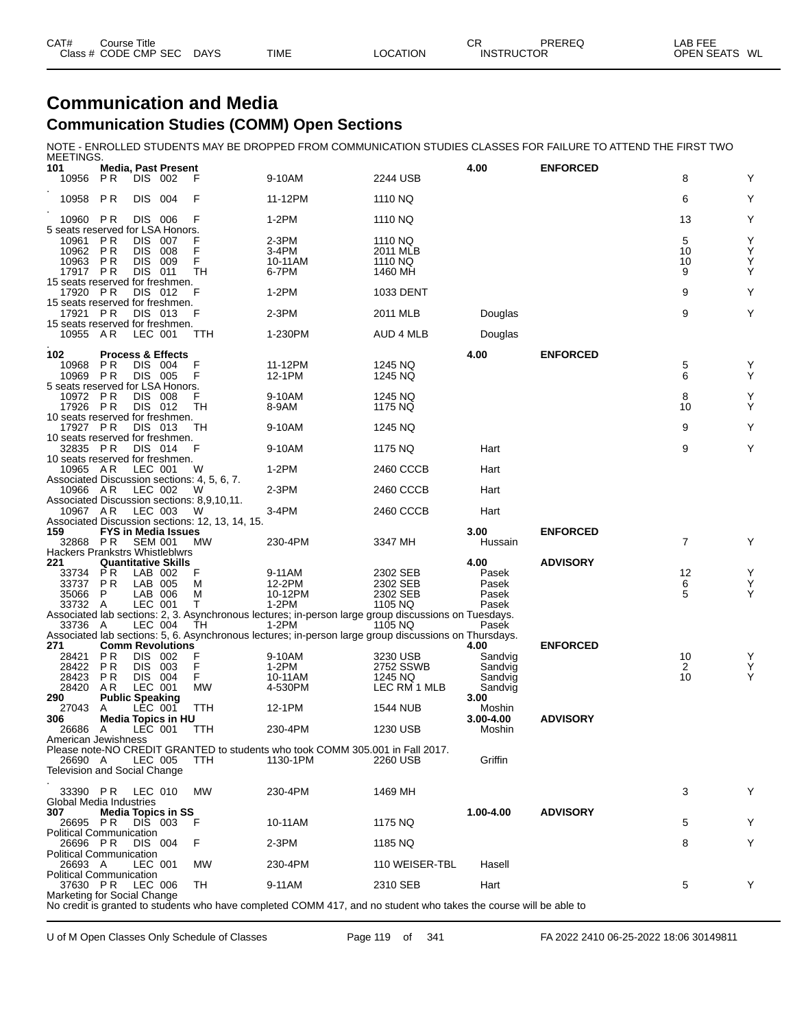| CAT# | Course Title         |             |      |          | СR                | PREREQ | AB FEE            |    |
|------|----------------------|-------------|------|----------|-------------------|--------|-------------------|----|
|      | Class # CODE CMP SEC | <b>DAYS</b> | TIME | _OCATION | <b>INSTRUCTOR</b> |        | <b>OPEN SEATS</b> | WL |

### **Communication and Media Communication Studies (COMM) Open Sections**

NOTE - ENROLLED STUDENTS MAY BE DROPPED FROM COMMUNICATION STUDIES CLASSES FOR FAILURE TO ATTEND THE FIRST TWO

| MEETINGS.                                                                   |                        |                          |                                         |                                                   |                                                                                                                   |                                |                     |                 |                |                                                         |
|-----------------------------------------------------------------------------|------------------------|--------------------------|-----------------------------------------|---------------------------------------------------|-------------------------------------------------------------------------------------------------------------------|--------------------------------|---------------------|-----------------|----------------|---------------------------------------------------------|
| 101<br>10956                                                                | P R                    | DIS 002                  | <b>Media, Past Present</b>              |                                                   | 9-10AM                                                                                                            | 2244 USB                       | 4.00                | <b>ENFORCED</b> | 8              | Y                                                       |
| 10958                                                                       | P <sub>R</sub>         | DIS.                     | 004                                     | F                                                 | 11-12PM                                                                                                           | 1110 NQ                        |                     |                 | 6              | Υ                                                       |
| 10960<br>5 seats reserved for LSA Honors.                                   | PR                     |                          | DIS 006                                 | F                                                 | 1-2PM                                                                                                             | 1110 NQ                        |                     |                 | 13             | Υ                                                       |
| 10961                                                                       | P R                    | <b>DIS</b><br><b>DIS</b> | - 007                                   |                                                   | 2-3PM                                                                                                             | 1110 NQ                        |                     |                 | 5              | Υ                                                       |
| 10962<br>10963                                                              | P R<br>P R<br>P R      | DIS.<br>DIS.             | 008<br>- 009<br>011                     | F<br>F<br>TН                                      | 3-4PM<br>10-11AM<br>6-7PM                                                                                         | 2011 MLB<br>1110 NQ<br>1460 MH |                     |                 | 10<br>10<br>9  | $\mathop{\mathsf{Y}}\limits_{\mathop{\mathsf{Y}}}$<br>Υ |
| 17917<br>15 seats reserved for freshmen.<br>17920 PR                        |                        |                          | DIS 012                                 | F                                                 | $1-2PM$                                                                                                           | 1033 DENT                      |                     |                 | 9              | Υ                                                       |
| 15 seats reserved for freshmen.<br>17921 PR                                 |                        |                          | DIS 013                                 | F                                                 | 2-3PM                                                                                                             | 2011 MLB                       | Douglas             |                 | 9              | Y                                                       |
| 15 seats reserved for freshmen.<br>10955                                    | AR                     | LEC 001                  |                                         | ттн                                               | 1-230PM                                                                                                           | AUD 4 MLB                      | Douglas             |                 |                |                                                         |
|                                                                             |                        |                          |                                         |                                                   |                                                                                                                   |                                |                     |                 |                |                                                         |
| 102                                                                         | P R                    |                          | <b>Process &amp; Effects</b><br>DIS 004 | F                                                 |                                                                                                                   |                                | 4.00                | <b>ENFORCED</b> |                |                                                         |
| 10968<br>10969                                                              | P R                    |                          | DIS 005                                 |                                                   | 11-12PM<br>12-1PM                                                                                                 | 1245 NQ<br>1245 NQ             |                     |                 | 5<br>6         | Υ<br>Υ                                                  |
| 5 seats reserved for LSA Honors.<br>10972                                   | PR                     |                          | DIS 008                                 |                                                   | 9-10AM                                                                                                            | 1245 NQ                        |                     |                 | 8              | Υ                                                       |
| 17926 PR                                                                    |                        |                          | DIS 012                                 | TН                                                | 8-9AM                                                                                                             | 1175 NQ                        |                     |                 | 10             | Υ                                                       |
| 10 seats reserved for freshmen.<br>17927 PR                                 |                        | DIS 013                  |                                         | ТH                                                | 9-10AM                                                                                                            | 1245 NQ                        |                     |                 | 9              | Y                                                       |
| 10 seats reserved for freshmen.<br>32835 PR                                 |                        |                          | DIS 014                                 | F                                                 | 9-10AM                                                                                                            | 1175 NQ                        | Hart                |                 | 9              | Y                                                       |
| 10 seats reserved for freshmen.<br>10965 AR                                 |                        | LEC 001                  |                                         | W                                                 | 1-2PM                                                                                                             | 2460 CCCB                      | Hart                |                 |                |                                                         |
| 10966 AR                                                                    |                        | LEC 002                  |                                         | Associated Discussion sections: 4, 5, 6, 7.<br>w  | 2-3PM                                                                                                             | 2460 CCCB                      | Hart                |                 |                |                                                         |
| 10967 A R                                                                   |                        | LEC 003                  |                                         | Associated Discussion sections: 8,9,10,11.<br>- W | 3-4PM                                                                                                             | 2460 CCCB                      | Hart                |                 |                |                                                         |
| 159                                                                         |                        |                          | FYS in Media Issues                     | Associated Discussion sections: 12, 13, 14, 15.   |                                                                                                                   |                                | 3.00                | <b>ENFORCED</b> |                |                                                         |
| 32868<br><b>Hackers Prankstrs Whistleblwrs</b>                              | P <sub>R</sub>         | <b>SEM 001</b>           |                                         | MW                                                | 230-4PM                                                                                                           | 3347 MH                        | Hussain             |                 | $\overline{7}$ | Υ                                                       |
| 221                                                                         |                        |                          | <b>Quantitative Skills</b>              |                                                   |                                                                                                                   |                                | 4.00                | <b>ADVISORY</b> |                |                                                         |
| 33734<br>33737                                                              | P R<br>P <sub>R</sub>  | LAB 005                  | LAB 002                                 | F<br>M                                            | 9-11AM<br>12-2PM                                                                                                  | 2302 SEB<br>2302 SEB           | Pasek<br>Pasek      |                 | 12<br>6        | $\mathop{\mathsf{Y}}\limits_{\mathop{\mathsf{Y}}}$      |
| 35066                                                                       | P                      |                          | LAB 006                                 | M                                                 | 10-12PM                                                                                                           | 2302 SEB                       | Pasek               |                 | 5              | Y                                                       |
| 33732                                                                       | Α                      | LEC 001                  |                                         | т                                                 | $1-2PM$                                                                                                           | 1105 NQ                        | Pasek               |                 |                |                                                         |
| 33736 A                                                                     |                        | <b>LEC 004</b>           |                                         | TН                                                | Associated lab sections: 2, 3. Asynchronous lectures; in-person large group discussions on Tuesdays.<br>$1-2PM$   | 1105 NQ                        | Pasek               |                 |                |                                                         |
| 271                                                                         |                        |                          | <b>Comm Revolutions</b>                 |                                                   | Associated lab sections: 5, 6. Asynchronous lectures; in-person large group discussions on Thursdays.             |                                | 4.00                | <b>ENFORCED</b> |                |                                                         |
| 28421                                                                       | P R                    | DIS 002                  |                                         | F                                                 | 9-10AM                                                                                                            | 3230 USB                       | Sandvig             |                 | 10             | Y                                                       |
| 28422                                                                       | P R                    | <b>DIS 003</b>           |                                         | F<br>F                                            | 1-2PM                                                                                                             | 2752 SSWB                      | Sandvig             |                 | 2<br>10        | Ý<br>Υ                                                  |
| 28423<br>28420                                                              | P R<br>AR.             | DIS 004<br>LEC 001       |                                         | МW                                                | 10-11AM<br>4-530PM                                                                                                | 1245 NQ<br>LEC RM 1 MLB        | Sandvig<br>Sandvig  |                 |                |                                                         |
| 290                                                                         | <b>Public Speaking</b> |                          |                                         |                                                   |                                                                                                                   |                                | 3.00                |                 |                |                                                         |
| 27043<br>306                                                                | A                      | <b>LEC 001</b>           | Media Topics in HU                      | TTH                                               | 12-1PM                                                                                                            | 1544 NUB                       | Moshin<br>3.00-4.00 | <b>ADVISORY</b> |                |                                                         |
| 26686                                                                       | A                      | LEC 001                  |                                         | TTH                                               | 230-4PM                                                                                                           | 1230 USB                       | Moshin              |                 |                |                                                         |
| American Jewishness                                                         |                        |                          |                                         |                                                   |                                                                                                                   |                                |                     |                 |                |                                                         |
| 26690 A                                                                     |                        |                          | LEC 005                                 | TTH                                               | Please note-NO CREDIT GRANTED to students who took COMM 305.001 in Fall 2017.<br>1130-1PM                         | 2260 USB                       | Griffin             |                 |                |                                                         |
| Television and Social Change                                                |                        |                          |                                         |                                                   |                                                                                                                   |                                |                     |                 |                |                                                         |
|                                                                             |                        |                          |                                         |                                                   |                                                                                                                   |                                |                     |                 |                |                                                         |
| 33390 PR LEC 010<br>Global Media Industries                                 |                        |                          |                                         | <b>MW</b>                                         | 230-4PM                                                                                                           | 1469 MH                        |                     |                 | 3              | Y                                                       |
| 307                                                                         |                        |                          | <b>Media Topics in SS</b>               |                                                   |                                                                                                                   |                                | 1.00-4.00           | <b>ADVISORY</b> |                |                                                         |
| 26695<br><b>Political Communication</b>                                     | P R                    |                          | DIS 003                                 | F                                                 | 10-11AM                                                                                                           | 1175 NQ                        |                     |                 | 5              | Y                                                       |
| 26696 PR                                                                    |                        |                          | <b>DIS 004</b>                          | F                                                 | 2-3PM                                                                                                             | 1185 NQ                        |                     |                 | 8              | Υ                                                       |
| <b>Political Communication</b><br>26693 A<br><b>Political Communication</b> |                        | LEC 001                  |                                         | МW                                                | 230-4PM                                                                                                           | 110 WEISER-TBL                 | Hasell              |                 |                |                                                         |
| 37630 PR<br>Marketing for Social Change                                     |                        | LEC 006                  |                                         | TH                                                | 9-11AM                                                                                                            | 2310 SEB                       | Hart                |                 | 5              | Y                                                       |
|                                                                             |                        |                          |                                         |                                                   | No credit is granted to students who have completed COMM 417, and no student who takes the course will be able to |                                |                     |                 |                |                                                         |

U of M Open Classes Only Schedule of Classes Page 119 of 341 FA 2022 2410 06-25-2022 18:06 30149811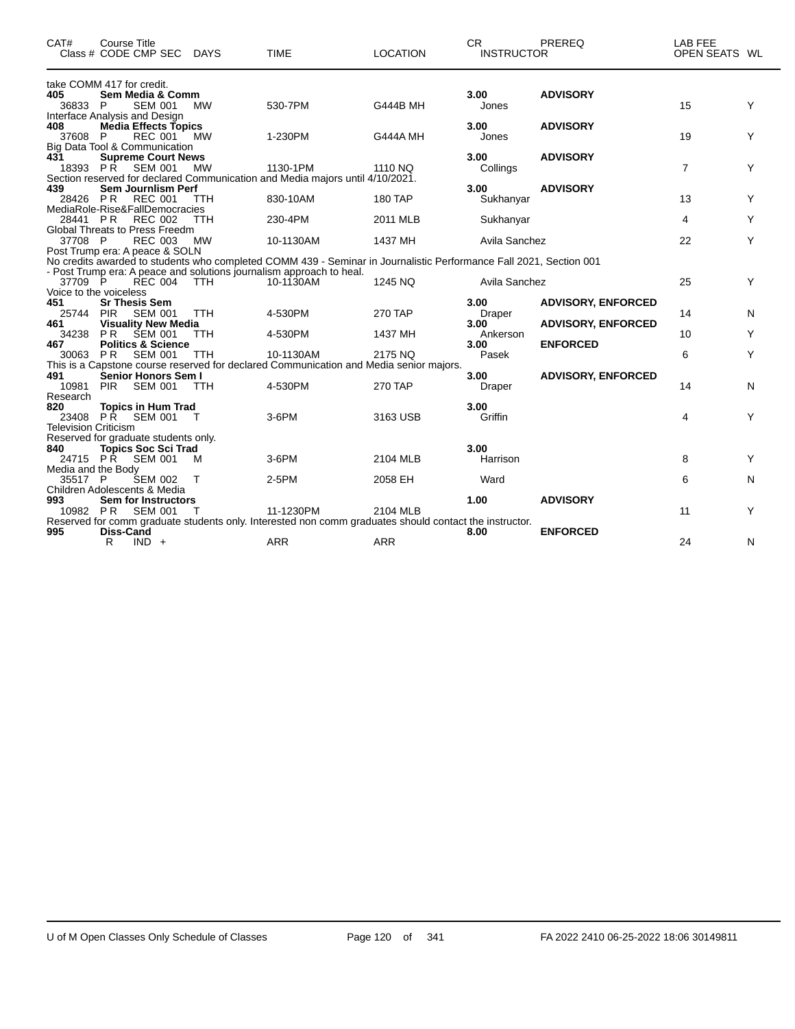| CAT#                               | Course Title<br>Class # CODE CMP SEC DAYS                           |            | <b>TIME</b>                                                                                                          | <b>LOCATION</b> | CR.<br><b>INSTRUCTOR</b> | <b>PREREQ</b>             | LAB FEE<br>OPEN SEATS WL |   |
|------------------------------------|---------------------------------------------------------------------|------------|----------------------------------------------------------------------------------------------------------------------|-----------------|--------------------------|---------------------------|--------------------------|---|
|                                    | take COMM 417 for credit.                                           |            |                                                                                                                      |                 |                          |                           |                          |   |
| 405<br>36833 P                     | Sem Media & Comm<br><b>SEM 001</b><br>Interface Analysis and Design | <b>MW</b>  | 530-7PM                                                                                                              | <b>G444B MH</b> | 3.00<br>Jones            | <b>ADVISORY</b>           | 15                       | Y |
| 408<br>37608                       | <b>Media Effects Topics</b><br>P<br><b>REC 001</b>                  | <b>MW</b>  | 1-230PM                                                                                                              | G444A MH        | 3.00<br>Jones            | <b>ADVISORY</b>           | 19                       | Y |
| 431                                | Big Data Tool & Communication<br><b>Supreme Court News</b>          |            |                                                                                                                      |                 | 3.00                     | <b>ADVISORY</b>           |                          |   |
|                                    | 18393 PR<br><b>SEM 001</b>                                          | <b>MW</b>  | 1130-1PM<br>Section reserved for declared Communication and Media majors until 4/10/2021.                            | 1110 NQ         | Collings                 |                           | $\overline{7}$           | Y |
| 439<br>28426 PR                    | <b>Sem Journlism Perf</b><br><b>REC 001</b>                         | <b>TTH</b> | 830-10AM                                                                                                             | <b>180 TAP</b>  | 3.00<br>Sukhanyar        | <b>ADVISORY</b>           | 13                       | Υ |
| 28441 PR                           | MediaRole-Rise&FallDemocracies<br><b>REC 002</b>                    | <b>TTH</b> | 230-4PM                                                                                                              | 2011 MLB        | Sukhanyar                |                           | 4                        | Υ |
| 37708 P                            | Global Threats to Press Freedm<br><b>REC 003</b>                    | <b>MW</b>  | 10-1130AM                                                                                                            | 1437 MH         | Avila Sanchez            |                           | 22                       | Y |
|                                    | Post Trump era: A peace & SOLN                                      |            | No credits awarded to students who completed COMM 439 - Seminar in Journalistic Performance Fall 2021, Section 001   |                 |                          |                           |                          |   |
| 37709 P                            | <b>REC 004</b>                                                      | <b>TTH</b> | - Post Trump era: A peace and solutions journalism approach to heal.<br>10-1130AM                                    | 1245 NQ         | Avila Sanchez            |                           | 25                       | Y |
| 451                                | Voice to the voiceless<br><b>Sr Thesis Sem</b>                      |            |                                                                                                                      |                 | 3.00                     | <b>ADVISORY, ENFORCED</b> |                          |   |
| 25744<br>461                       | <b>PIR</b><br>SEM 001<br><b>Visuality New Media</b>                 | <b>TTH</b> | 4-530PM                                                                                                              | <b>270 TAP</b>  | Draper<br>3.00           | <b>ADVISORY, ENFORCED</b> | 14                       | N |
| 34238<br>467                       | <b>PR</b><br><b>SEM 001</b><br><b>Politics &amp; Science</b>        | <b>TTH</b> | 4-530PM                                                                                                              | 1437 MH         | Ankerson<br>3.00         | <b>ENFORCED</b>           | 10                       | Y |
| 30063 PR                           | SEM 001                                                             | <b>TTH</b> | 10-1130AM<br>This is a Capstone course reserved for declared Communication and Media senior majors.                  | 2175 NQ         | Pasek                    |                           | 6                        | Y |
| 491<br>10981<br>Research           | Senior Honors Sem I<br><b>PIR</b><br><b>SEM 001</b>                 | <b>TTH</b> | 4-530PM                                                                                                              | 270 TAP         | 3.00<br>Draper           | <b>ADVISORY, ENFORCED</b> | 14                       | N |
| 820<br><b>Television Criticism</b> | <b>Topics in Hum Trad</b><br>23408 PR<br><b>SEM 001</b>             | $\top$     | 3-6PM                                                                                                                | 3163 USB        | 3.00<br>Griffin          |                           | 4                        | Y |
| 840                                | Reserved for graduate students only.<br><b>Topics Soc Sci Trad</b>  |            |                                                                                                                      |                 | 3.00                     |                           |                          |   |
| 24715 PR<br>Media and the Body     | <b>SEM 001</b>                                                      | M          | 3-6PM                                                                                                                | 2104 MLB        | Harrison                 |                           | 8                        | Y |
| 35517 P                            | <b>SEM 002</b><br>Children Adolescents & Media                      | $\top$     | 2-5PM                                                                                                                | 2058 EH         | Ward                     |                           | 6                        | N |
| 993<br>10982 PR                    | <b>Sem for Instructors</b><br>SEM 001                               |            | 11-1230PM                                                                                                            | 2104 MLB        | 1.00                     | <b>ADVISORY</b>           | 11                       | Υ |
| 995                                | Diss-Cand<br>R.<br>$IND +$                                          |            | Reserved for comm graduate students only. Interested non comm graduates should contact the instructor.<br><b>ARR</b> | <b>ARR</b>      | 8.00                     | <b>ENFORCED</b>           | 24                       | N |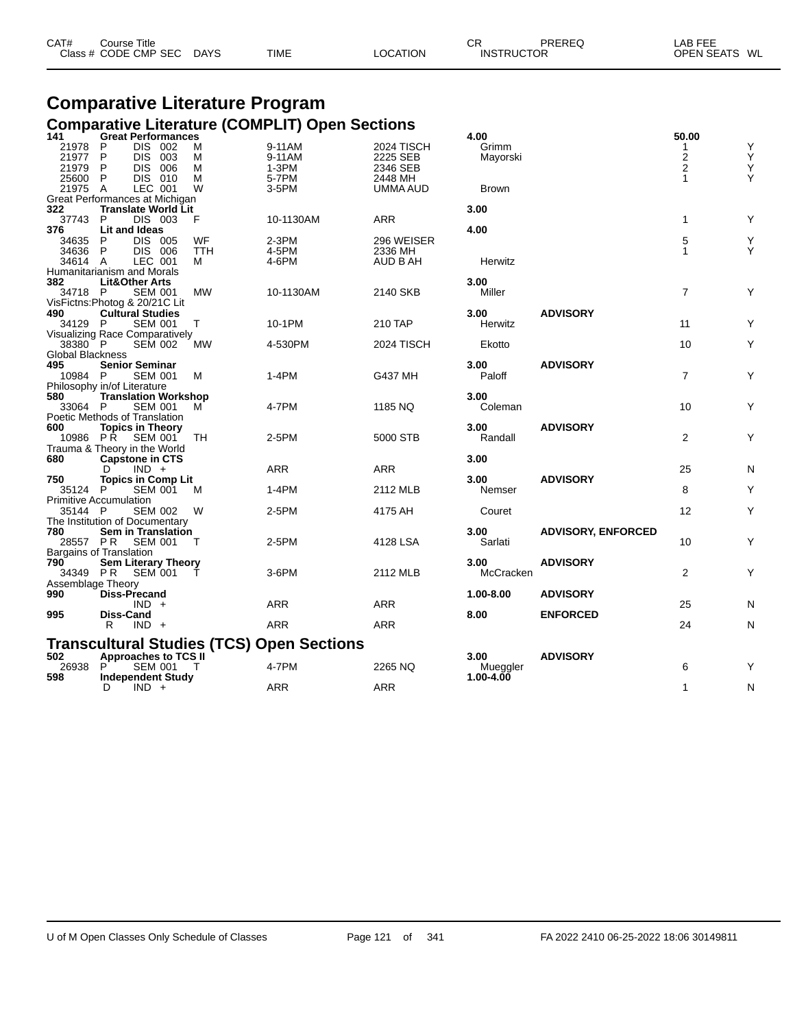| CAT# | Course Title              |             |          | СR                | PREREQ | _AB FEE       |  |
|------|---------------------------|-------------|----------|-------------------|--------|---------------|--|
|      | Class # CODE CMP SEC DAYS | <b>TIME</b> | LOCATION | <b>INSTRUCTOR</b> |        | OPEN SEATS WL |  |

# **Comparative Literature Program**

|                   |                                |            | <b>Comparative Literature (COMPLIT) Open Sections</b> |            |               |                           |                         |   |
|-------------------|--------------------------------|------------|-------------------------------------------------------|------------|---------------|---------------------------|-------------------------|---|
| 141               | <b>Great Performances</b>      |            |                                                       |            | 4.00          |                           | 50.00                   |   |
| 21978             | DIS 002<br>P                   | м          | 9-11AM                                                | 2024 TISCH | Grimm         |                           | 1                       | Υ |
| 21977             | P<br><b>DIS</b><br>003         | м          | 9-11AM                                                | 2225 SEB   | Mayorski      |                           | $\overline{\mathbf{c}}$ | Ý |
| 21979             | <b>DIS</b><br>006<br>P         | м          | $1-3PM$                                               | 2346 SEB   |               |                           | $\overline{2}$          | Y |
| 25600 P           | DIS 010                        | м          | 5-7PM                                                 | 2448 MH    |               |                           | $\mathbf{1}$            | Y |
| 21975 A           | LEC 001                        | W          | 3-5PM                                                 | UMMA AUD   | <b>Brown</b>  |                           |                         |   |
|                   | Great Performances at Michigan |            |                                                       |            |               |                           |                         |   |
| 322               | <b>Translate World Lit</b>     |            |                                                       |            | 3.00          |                           |                         |   |
| 37743             | DIS 003<br>P                   | F          | 10-1130AM                                             | ARR        |               |                           | $\mathbf{1}$            | Υ |
| 376               | Lit and Ideas                  |            |                                                       |            | 4.00          |                           |                         |   |
| 34635             | DIS 005<br>P                   | WF         | $2-3PM$                                               | 296 WEISER |               |                           | 5                       | Υ |
| 34636             | P<br>DIS 006                   | <b>TTH</b> | 4-5PM                                                 | 2336 MH    |               |                           | 1                       | Y |
| 34614 A           | LEC 001                        | м          | 4-6PM                                                 | AUD B AH   | Herwitz       |                           |                         |   |
|                   |                                |            |                                                       |            |               |                           |                         |   |
|                   | Humanitarianism and Morals     |            |                                                       |            |               |                           |                         |   |
| 382               | <b>Lit&amp;Other Arts</b>      |            |                                                       |            | 3.00          |                           |                         |   |
| 34718 P           | <b>SEM 001</b>                 | <b>MW</b>  | 10-1130AM                                             | 2140 SKB   | Miller        |                           | $\overline{7}$          | Υ |
|                   | VisFictns: Photog & 20/21C Lit |            |                                                       |            |               |                           |                         |   |
| 490               | <b>Cultural Studies</b>        |            |                                                       |            | 3.00          | <b>ADVISORY</b>           |                         |   |
| 34129 P           | <b>SEM 001</b>                 | Τ          | 10-1PM                                                | 210 TAP    | Herwitz       |                           | 11                      | Υ |
|                   | Visualizing Race Comparatively |            |                                                       |            |               |                           |                         |   |
| 38380 P           | <b>SEM 002</b>                 | MW         | 4-530PM                                               | 2024 TISCH | Ekotto        |                           | 10                      | Υ |
| Global Blackness  |                                |            |                                                       |            |               |                           |                         |   |
| 495               | <b>Senior Seminar</b>          |            |                                                       |            | 3.00          | <b>ADVISORY</b>           |                         |   |
| 10984 P           | <b>SEM 001</b>                 | м          | 1-4PM                                                 | G437 MH    | Paloff        |                           | $\overline{7}$          | Y |
|                   | Philosophy in/of Literature    |            |                                                       |            |               |                           |                         |   |
| 580               | <b>Translation Workshop</b>    |            |                                                       |            | 3.00          |                           |                         |   |
| 33064 P           | <b>SEM 001</b>                 | м          | 4-7PM                                                 | 1185 NQ    | Coleman       |                           | 10                      | Y |
|                   | Poetic Methods of Translation  |            |                                                       |            |               |                           |                         |   |
| 600               | <b>Topics in Theory</b>        |            |                                                       |            | 3.00          | <b>ADVISORY</b>           |                         |   |
| 10986 PR          | <b>SEM 001</b>                 | TН         | 2-5PM                                                 | 5000 STB   | Randall       |                           | $\overline{2}$          | Y |
|                   | Trauma & Theory in the World   |            |                                                       |            |               |                           |                         |   |
| 680               | <b>Capstone in CTS</b>         |            |                                                       |            | 3.00          |                           |                         |   |
|                   | D<br>$IND +$                   |            | ARR                                                   | ARR        |               |                           | 25                      | N |
| 750               | <b>Topics in Comp Lit</b>      |            |                                                       |            | 3.00          | <b>ADVISORY</b>           |                         |   |
|                   | <b>SEM 001</b>                 |            | 1-4PM                                                 | 2112 MLB   |               |                           | 8                       | Y |
| 35124 P           |                                | м          |                                                       |            | Nemser        |                           |                         |   |
|                   | <b>Primitive Accumulation</b>  |            |                                                       |            |               |                           |                         |   |
| 35144 P           | <b>SEM 002</b>                 | W          | 2-5PM                                                 | 4175 AH    | Couret        |                           | 12                      | Y |
|                   | The Institution of Documentary |            |                                                       |            |               |                           |                         |   |
| 780               | <b>Sem in Translation</b>      |            |                                                       |            | 3.00          | <b>ADVISORY, ENFORCED</b> |                         |   |
| 28557 PR          | <b>SEM 001</b>                 | т          | 2-5PM                                                 | 4128 LSA   | Sarlati       |                           | 10                      | Y |
|                   | <b>Bargains of Translation</b> |            |                                                       |            |               |                           |                         |   |
| 790               | <b>Sem Literary Theory</b>     |            |                                                       |            | 3.00          | <b>ADVISORY</b>           |                         |   |
| 34349 PR          | SEM 001                        |            | 3-6PM                                                 | 2112 MLB   | McCracken     |                           | 2                       | Y |
| Assemblage Theory |                                |            |                                                       |            |               |                           |                         |   |
| 990               | <b>Diss-Precand</b>            |            |                                                       |            | 1.00-8.00     | <b>ADVISORY</b>           |                         |   |
|                   | $IND +$                        |            | ARR                                                   | <b>ARR</b> |               |                           | 25                      | N |
| 995               | <b>Diss-Cand</b>               |            |                                                       |            | 8.00          | <b>ENFORCED</b>           |                         |   |
|                   | $IND +$<br>R                   |            | <b>ARR</b>                                            | ARR        |               |                           | 24                      | N |
|                   |                                |            |                                                       |            |               |                           |                         |   |
|                   |                                |            | <b>Transcultural Studies (TCS) Open Sections</b>      |            |               |                           |                         |   |
| 502               | Approaches to TCS II           |            |                                                       |            | 3.00          | <b>ADVISORY</b>           |                         |   |
| 26938             | P<br><b>SEM 001</b>            | т          | 4-7PM                                                 | 2265 NQ    | Mueggler      |                           | 6                       | Y |
| 598               | <b>Independent Study</b>       |            |                                                       |            | $1.00 - 4.00$ |                           |                         |   |
|                   | D<br>$IND +$                   |            | <b>ARR</b>                                            | <b>ARR</b> |               |                           | 1                       | N |
|                   |                                |            |                                                       |            |               |                           |                         |   |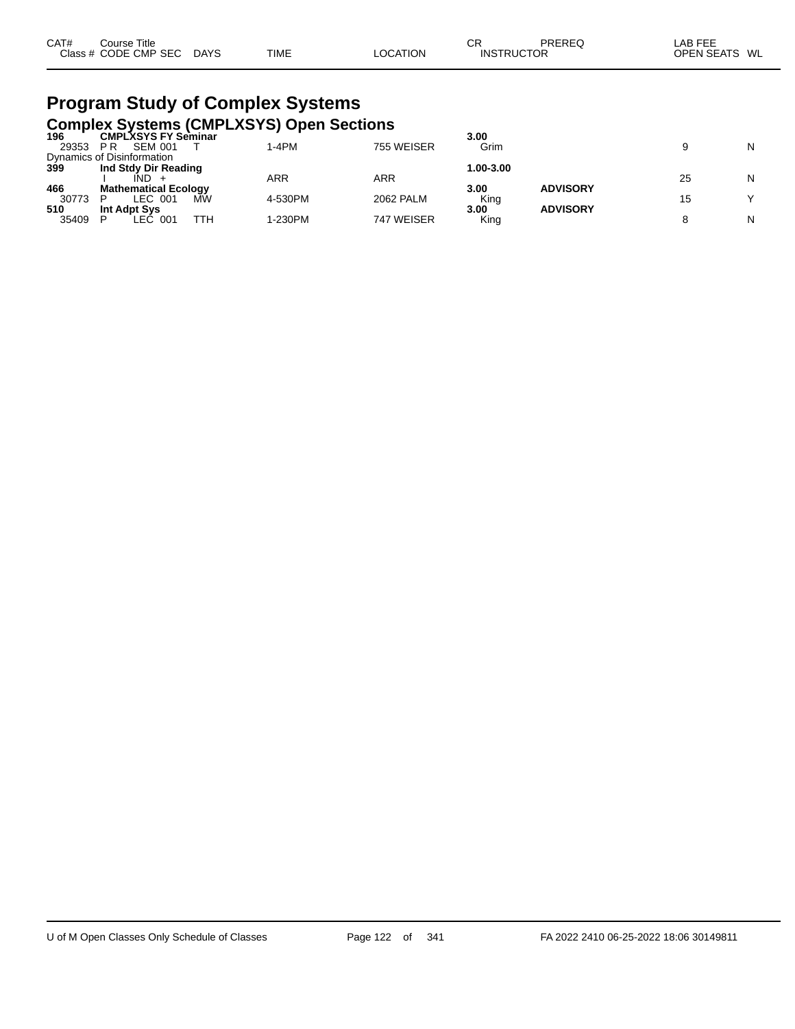| CAT# | Course Title         |             |             |          | СF | PREREQ            | LAB FEE       |
|------|----------------------|-------------|-------------|----------|----|-------------------|---------------|
|      | Class # CODE CMP SEC | <b>DAYS</b> | <b>TIME</b> | LOCATION |    | <b>INSTRUCTOR</b> | OPEN SEATS WL |

### **Program Study of Complex Systems Complex Systems (CMPLXSYS) Open Sections**

|       |                             |     | <b>OUTINIUA UTORINIU TURIT EAU LUI UNUI UUURUU</b> |            |           |                 |    |              |
|-------|-----------------------------|-----|----------------------------------------------------|------------|-----------|-----------------|----|--------------|
| 196   | <b>CMPLXSYS FY Seminar</b>  |     |                                                    |            | 3.00      |                 |    |              |
| 29353 | <b>SEM 001</b><br>P R       |     | 1-4PM                                              | 755 WEISER | Grim      |                 |    | N            |
|       | Dynamics of Disinformation  |     |                                                    |            |           |                 |    |              |
| 399   | Ind Stdy Dir Reading        |     |                                                    |            | 1.00-3.00 |                 |    |              |
|       | IND                         |     | ARR                                                | ARR        |           |                 | 25 | N            |
| 466   | <b>Mathematical Ecology</b> |     |                                                    |            | 3.00      | <b>ADVISORY</b> |    |              |
| 30773 | LEC 001                     | МŴ  | 4-530PM                                            | 2062 PALM  | King      |                 | 15 | $\checkmark$ |
| 510   | Int Adpt Sys                |     |                                                    |            | 3.00      | <b>ADVISORY</b> |    |              |
| 35409 | EC 001.                     | ттн | 1-230PM                                            | 747 WEISER | King      |                 |    | Ν            |
|       |                             |     |                                                    |            |           |                 |    |              |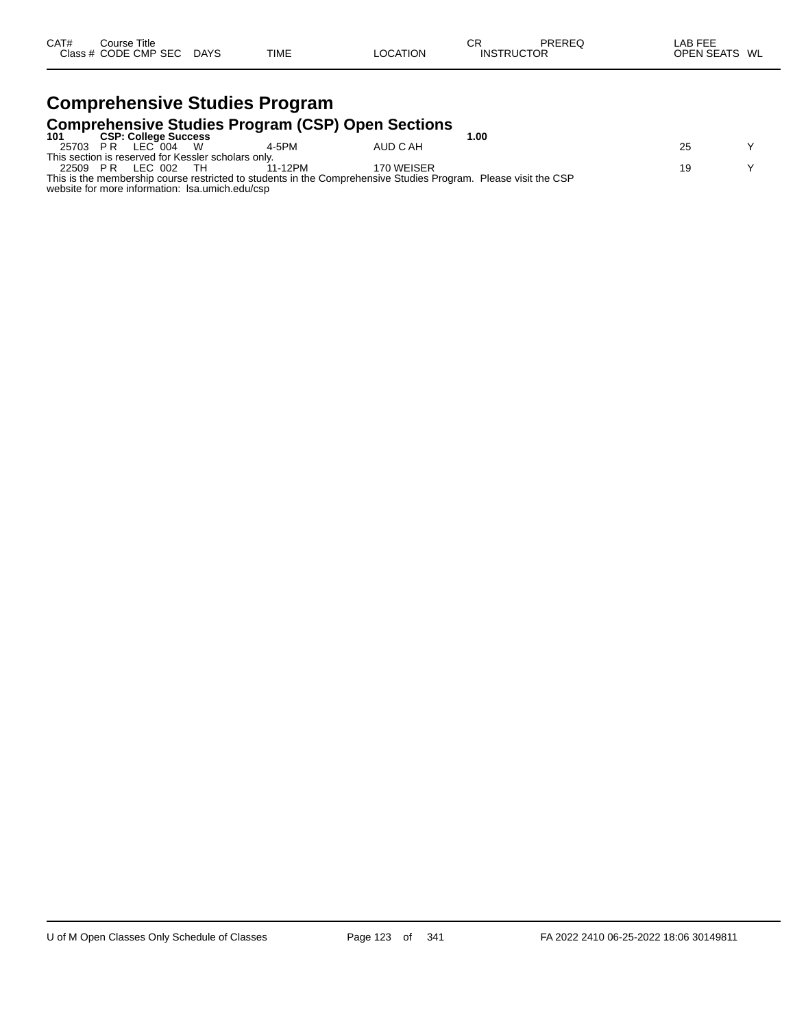| CAT#<br>Class # | Course Title<br><b>CODE CMP SEC</b> | <b>DAYS</b> | <b>TIME</b> | <b>LOCATION</b> | СR<br><b>INSTRUCTOR</b> | PREREQ | ---<br>LAB<br>---<br>SEATS<br>OPEN<br>WL |
|-----------------|-------------------------------------|-------------|-------------|-----------------|-------------------------|--------|------------------------------------------|
|                 |                                     |             |             |                 |                         |        |                                          |

#### **Comprehensive Studies Program Comprehensive Studies Program (CSP) Open Sections 101 CSP: College Success 1.00** 25703 P R LEC 004 W 4-5PM AUD C AH 25 Y This section is reserved for Kessler scholars only. 22509 P.R LEC 002 TH 11-12PM 170 WEISER Y

This is the membership course restricted to students in the Comprehensive Studies Program. Please visit the CSP website for more information: lsa.umich.edu/csp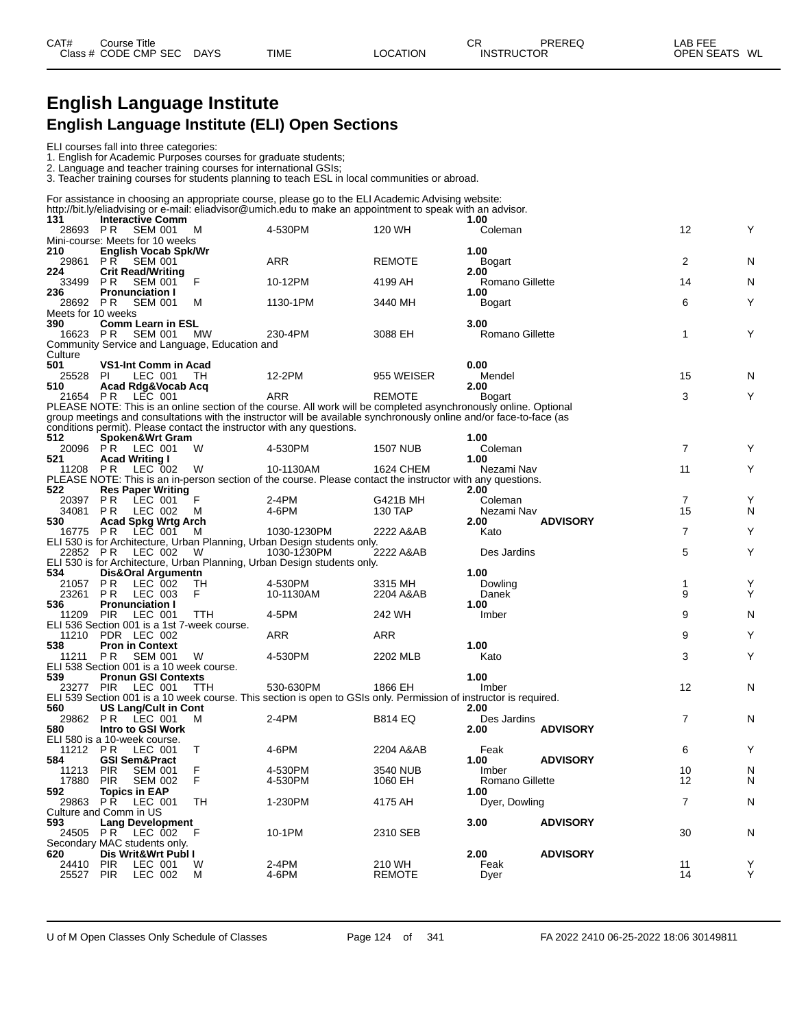### **English Language Institute English Language Institute (ELI) Open Sections**

#### ELI courses fall into three categories:

1. English for Academic Purposes courses for graduate students;

2. Language and teacher training courses for international GSIs;

3. Teacher training courses for students planning to teach ESL in local communities or abroad.

|                                          |             |                                            |                                               | For assistance in choosing an appropriate course, please go to the ELI Academic Advising website:                                                                                            |                         |                         |                 |                |        |
|------------------------------------------|-------------|--------------------------------------------|-----------------------------------------------|----------------------------------------------------------------------------------------------------------------------------------------------------------------------------------------------|-------------------------|-------------------------|-----------------|----------------|--------|
| 131                                      |             | <b>Interactive Comm</b>                    |                                               | http://bit.ly/eliadvising or e-mail: eliadvisor@umich.edu to make an appointment to speak with an advisor.                                                                                   |                         | 1.00                    |                 |                |        |
| 28693 PR                                 |             | <b>SEM 001</b>                             | M                                             | 4-530PM                                                                                                                                                                                      | 120 WH                  | Coleman                 |                 | 12             | Υ      |
| Mini-course: Meets for 10 weeks          |             |                                            |                                               |                                                                                                                                                                                              |                         |                         |                 |                |        |
| 210                                      |             | English Vocab Spk/Wr                       |                                               |                                                                                                                                                                                              |                         | 1.00                    |                 |                |        |
| 29861                                    | P R         | <b>SEM 001</b>                             |                                               | <b>ARR</b>                                                                                                                                                                                   | <b>REMOTE</b>           | Bogart                  |                 | 2              | N      |
| 224<br>33499                             | P R         | <b>Crit Read/Writing</b><br><b>SEM 001</b> | F                                             | 10-12PM                                                                                                                                                                                      | 4199 AH                 | 2.00<br>Romano Gillette |                 | 14             | N      |
| 236                                      |             | <b>Pronunciation I</b>                     |                                               |                                                                                                                                                                                              |                         | 1.00                    |                 |                |        |
| 28692 PR                                 |             | <b>SEM 001</b>                             | м                                             | 1130-1PM                                                                                                                                                                                     | 3440 MH                 | Bogart                  |                 | 6              | Υ      |
| Meets for 10 weeks                       |             |                                            |                                               |                                                                                                                                                                                              |                         |                         |                 |                |        |
| 390                                      |             | <b>Comm Learn in ESL</b>                   |                                               |                                                                                                                                                                                              |                         | 3.00                    |                 |                |        |
| 16623 PR                                 |             | SEM 001                                    | <b>MW</b>                                     | 230-4PM                                                                                                                                                                                      | 3088 EH                 | Romano Gillette         |                 | 1              | Υ      |
| Culture                                  |             |                                            | Community Service and Language, Education and |                                                                                                                                                                                              |                         |                         |                 |                |        |
| 501                                      |             | VS1-Int Comm in Acad                       |                                               |                                                                                                                                                                                              |                         | 0.00                    |                 |                |        |
| 25528                                    | <b>PI</b>   | LEC 001                                    | -TH                                           | 12-2PM                                                                                                                                                                                       | 955 WEISER              | Mendel                  |                 | 15             | N      |
| 510                                      |             | Acad Rdg&Vocab Acq                         |                                               |                                                                                                                                                                                              |                         | 2.00                    |                 |                |        |
| 21654 PR LEC 001                         |             |                                            |                                               | <b>ARR</b>                                                                                                                                                                                   | <b>REMOTE</b>           | <b>Bogart</b>           |                 | 3              | Y      |
|                                          |             |                                            |                                               | PLEASE NOTE: This is an online section of the course. All work will be completed asynchronously online. Optional                                                                             |                         |                         |                 |                |        |
|                                          |             |                                            |                                               | group meetings and consultations with the instructor will be available synchronously online and/or face-to-face (as<br>conditions permit). Please contact the instructor with any questions. |                         |                         |                 |                |        |
| 512                                      |             | Spoken&Wrt Gram                            |                                               |                                                                                                                                                                                              |                         | 1.00                    |                 |                |        |
| 20096                                    | PR          | LEC 001                                    | W                                             | 4-530PM                                                                                                                                                                                      | <b>1507 NUB</b>         | Coleman                 |                 | 7              | Y      |
| 521                                      |             | <b>Acad Writing I</b>                      |                                               |                                                                                                                                                                                              |                         | 1.00                    |                 |                |        |
| 11208                                    | P R         | LEC 002                                    | W                                             | 10-1130AM                                                                                                                                                                                    | 1624 CHEM               | Nezami Nav              |                 | 11             | Y      |
|                                          |             |                                            |                                               | PLEASE NOTE: This is an in-person section of the course. Please contact the instructor with any questions.                                                                                   |                         |                         |                 |                |        |
| 522                                      |             | <b>Res Paper Writing</b>                   |                                               |                                                                                                                                                                                              |                         | 2.00                    |                 |                |        |
| 20397                                    | P R         | LEC 001                                    | F                                             | 2-4PM                                                                                                                                                                                        | G421B MH                | Coleman                 |                 | $\overline{7}$ | Υ      |
| 34081<br>530                             | P R         | LEC 002<br><b>Acad Spkg Wrtg Arch</b>      | м                                             | 4-6PM                                                                                                                                                                                        | 130 TAP                 | Nezami Nav<br>2.00      | <b>ADVISORY</b> | 15             | N      |
| 16775 PR                                 |             | LEC 001                                    | м                                             | 1030-1230PM                                                                                                                                                                                  | 2222 A&AB               | Kato                    |                 | 7              | Y      |
|                                          |             |                                            |                                               | ELI 530 is for Architecture, Urban Planning, Urban Design students only.                                                                                                                     |                         |                         |                 |                |        |
| 22852 PR                                 |             | LEC 002                                    | W                                             | 1030-1230PM                                                                                                                                                                                  | 2222 A&AB               | Des Jardins             |                 | 5              | Υ      |
|                                          |             |                                            |                                               | ELI 530 is for Architecture, Urban Planning, Urban Design students only.                                                                                                                     |                         |                         |                 |                |        |
| 534                                      |             | Dis&Oral Argumentn                         |                                               |                                                                                                                                                                                              |                         | 1.00                    |                 |                |        |
| 21057                                    | P R         | LEC 002                                    | TH                                            | 4-530PM                                                                                                                                                                                      | 3315 MH                 | Dowling                 |                 | 1              | Υ      |
| 23261                                    | P R         | LEC 003                                    | F.                                            | 10-1130AM                                                                                                                                                                                    | 2204 A&AB               | Danek                   |                 | 9              | Υ      |
| 536<br>11209                             | <b>PIR</b>  | <b>Pronunciation I</b><br>LEC 001          | ттн                                           | 4-5PM                                                                                                                                                                                        | 242 WH                  | 1.00<br>Imber           |                 | 9              | N      |
|                                          |             |                                            | ELI 536 Section 001 is a 1st 7-week course.   |                                                                                                                                                                                              |                         |                         |                 |                |        |
| 11210                                    | PDR LEC 002 |                                            |                                               | <b>ARR</b>                                                                                                                                                                                   | ARR                     |                         |                 | 9              | Y      |
| 538                                      |             | <b>Pron in Context</b>                     |                                               |                                                                                                                                                                                              |                         | 1.00                    |                 |                |        |
| 11211                                    | P R         | <b>SEM 001</b>                             | W                                             | 4-530PM                                                                                                                                                                                      | 2202 MLB                | Kato                    |                 | 3              | Y      |
| ELI 538 Section 001 is a 10 week course. |             |                                            |                                               |                                                                                                                                                                                              |                         |                         |                 |                |        |
| 539                                      |             | <b>Pronun GSI Contexts</b>                 |                                               |                                                                                                                                                                                              |                         | 1.00                    |                 |                |        |
| 23277 PIR                                |             | LEC 001                                    | TTH                                           | 530-630PM<br>ELI 539 Section 001 is a 10 week course. This section is open to GSIs only. Permission of instructor is required.                                                               | 1866 EH                 | Imber                   |                 | 12             | N      |
| 560                                      |             | US Lang/Cult in Cont                       |                                               |                                                                                                                                                                                              |                         | 2.00                    |                 |                |        |
| 29862 PR LEC 001                         |             |                                            | м                                             | $2-4PM$                                                                                                                                                                                      | <b>B814 EQ</b>          | Des Jardins             |                 | $\overline{7}$ | N      |
| 580                                      |             | Intro to GSI Work                          |                                               |                                                                                                                                                                                              |                         | 2.00                    | <b>ADVISORY</b> |                |        |
| ELI 580 is a 10-week course.             |             |                                            |                                               |                                                                                                                                                                                              |                         |                         |                 |                |        |
| 11212                                    | P R         | LEC 001                                    | т                                             | 4-6PM                                                                                                                                                                                        | 2204 A&AB               | Feak                    |                 | 6              | Y      |
| 584                                      |             | <b>GSI Sem&amp;Pract</b>                   |                                               |                                                                                                                                                                                              |                         | 1.00                    | <b>ADVISORY</b> |                |        |
| 11213                                    | <b>PIR</b>  | <b>SEM 001</b>                             | F                                             | 4-530PM                                                                                                                                                                                      | 3540 NUB                | Imber                   |                 | 10             | N      |
| 17880 PIR SEM 002<br>592                 |             |                                            |                                               | 4-530PM                                                                                                                                                                                      | 1060 EH                 | Romano Gillette<br>1.00 |                 | 12             | N      |
| 29863 PR LEC 001                         |             | Topics in EAP                              | TH                                            | 1-230PM                                                                                                                                                                                      | 4175 AH                 | Dyer, Dowling           |                 | $\overline{7}$ | N      |
| Culture and Comm in US                   |             |                                            |                                               |                                                                                                                                                                                              |                         |                         |                 |                |        |
| 593                                      |             | <b>Lang Development</b>                    |                                               |                                                                                                                                                                                              |                         | 3.00                    | <b>ADVISORY</b> |                |        |
| 24505 PR LEC 002                         |             |                                            | F                                             | 10-1PM                                                                                                                                                                                       | 2310 SEB                |                         |                 | 30             | N      |
| Secondary MAC students only.             |             |                                            |                                               |                                                                                                                                                                                              |                         |                         |                 |                |        |
| 620                                      |             | Dis Writ&Wrt Publ I                        |                                               |                                                                                                                                                                                              |                         | 2.00                    | <b>ADVISORY</b> |                |        |
| 24410<br>25527 PIR                       | <b>PIR</b>  | LEC 001                                    | W<br>М                                        | 2-4PM<br>4-6PM                                                                                                                                                                               | 210 WH<br><b>REMOTE</b> | Feak                    |                 | 11<br>14       | Υ<br>Y |
|                                          |             | LEC 002                                    |                                               |                                                                                                                                                                                              |                         | Dyer                    |                 |                |        |
|                                          |             |                                            |                                               |                                                                                                                                                                                              |                         |                         |                 |                |        |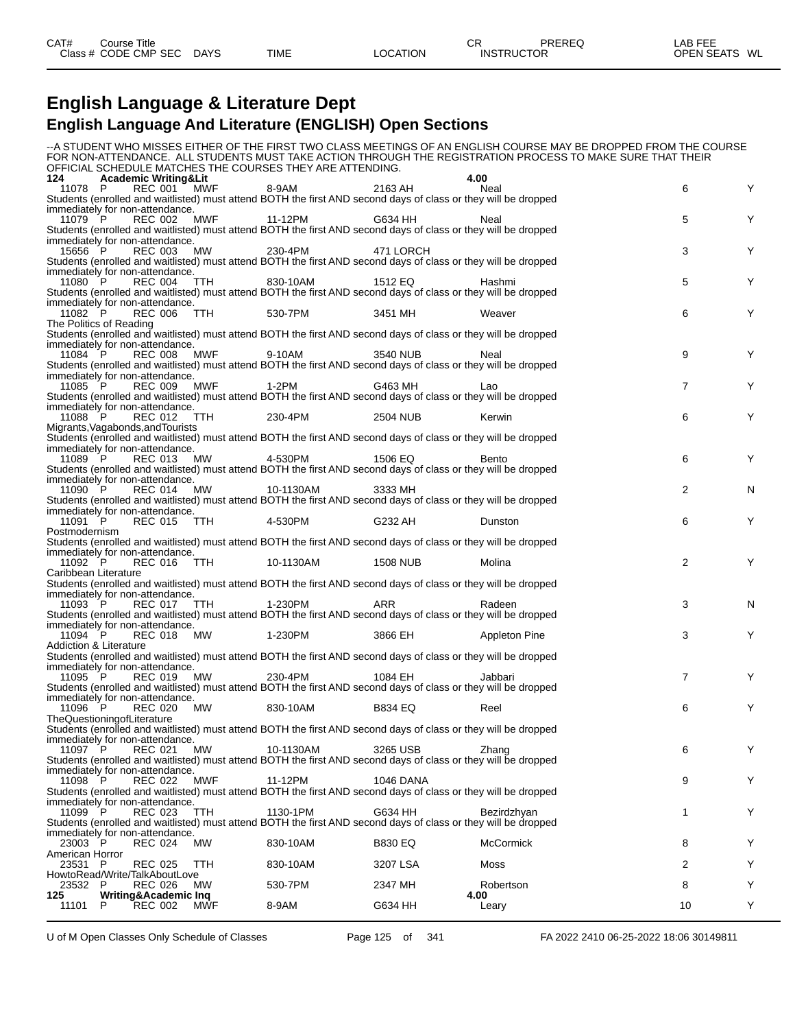### **English Language & Literature Dept**

### **English Language And Literature (ENGLISH) Open Sections**

|                            |                                                   |                   |                     |                                                                                                                           |                  | --A STUDENT WHO MISSES EITHER OF THE FIRST TWO CLASS MEETINGS OF AN ENGLISH COURSE MAY BE DROPPED FROM THE COURSE<br>FOR NON-ATTENDANCE. ALL STUDENTS MUST TAKE ACTION THROUGH THE REGISTRATION PROCESS TO MAKE SURE THAT THEIR |                |   |
|----------------------------|---------------------------------------------------|-------------------|---------------------|---------------------------------------------------------------------------------------------------------------------------|------------------|---------------------------------------------------------------------------------------------------------------------------------------------------------------------------------------------------------------------------------|----------------|---|
|                            |                                                   |                   |                     | OFFICIAL SCHEDULE MATCHES THE COURSES THEY ARE ATTENDING.                                                                 |                  |                                                                                                                                                                                                                                 |                |   |
| 124                        | <b>Academic Writing&amp;Lit</b>                   |                   |                     |                                                                                                                           |                  | 4.00                                                                                                                                                                                                                            |                |   |
| 11078 P                    |                                                   | REC 001 MWF       |                     | 8-9AM                                                                                                                     | 2163 AH          | Neal                                                                                                                                                                                                                            | 6              |   |
|                            | immediately for non-attendance.                   |                   |                     | Students (enrolled and waitlisted) must attend BOTH the first AND second days of class or they will be dropped            |                  |                                                                                                                                                                                                                                 |                |   |
| 11079 P                    |                                                   |                   | REC 002 MWF 11-12PM |                                                                                                                           | G634 HH          | Neal                                                                                                                                                                                                                            | 5              | Y |
|                            |                                                   |                   |                     | Students (enrolled and waitlisted) must attend BOTH the first AND second days of class or they will be dropped            |                  |                                                                                                                                                                                                                                 |                |   |
|                            | immediately for non-attendance.                   |                   |                     |                                                                                                                           |                  |                                                                                                                                                                                                                                 |                |   |
| 15656 P                    | REC 003 MW                                        |                   |                     | 230-4PM                                                                                                                   | 471 LORCH        |                                                                                                                                                                                                                                 | 3              | Y |
|                            | immediately for non-attendance.                   |                   |                     | Students (enrolled and waitlisted) must attend BOTH the first AND second days of class or they will be dropped            |                  |                                                                                                                                                                                                                                 |                |   |
| 11080 P                    |                                                   |                   |                     | REC 004 TTH 830-10AM                                                                                                      | 1512 EQ          | Hashmi                                                                                                                                                                                                                          | 5              | Y |
|                            |                                                   |                   |                     | Students (enrolled and waitlisted) must attend BOTH the first AND second days of class or they will be dropped            |                  |                                                                                                                                                                                                                                 |                |   |
|                            | immediately for non-attendance.                   |                   |                     |                                                                                                                           |                  |                                                                                                                                                                                                                                 |                |   |
| 11082 P                    |                                                   | REC 006 TTH       |                     | 530-7PM                                                                                                                   | 3451 MH          | Weaver                                                                                                                                                                                                                          | 6              | Y |
|                            | The Politics of Reading                           |                   |                     | Students (enrolled and waitlisted) must attend BOTH the first AND second days of class or they will be dropped            |                  |                                                                                                                                                                                                                                 |                |   |
|                            | immediately for non-attendance.                   |                   |                     |                                                                                                                           |                  |                                                                                                                                                                                                                                 |                |   |
| 11084 P                    | REC 008                                           | MWF               |                     | 9-10AM                                                                                                                    | 3540 NUB         | Neal                                                                                                                                                                                                                            | 9              | Y |
|                            |                                                   |                   |                     | Students (enrolled and waitlisted) must attend BOTH the first AND second days of class or they will be dropped            |                  |                                                                                                                                                                                                                                 |                |   |
|                            | immediately for non-attendance.                   |                   |                     |                                                                                                                           |                  |                                                                                                                                                                                                                                 |                |   |
| 11085 P                    | <b>REC 009</b>                                    | <b>MWF</b>        |                     | $1-2PM$<br>Students (enrolled and waitlisted) must attend BOTH the first AND second days of class or they will be dropped | G463 MH          | Lao                                                                                                                                                                                                                             | $\overline{7}$ | Y |
|                            | immediately for non-attendance.                   |                   |                     |                                                                                                                           |                  |                                                                                                                                                                                                                                 |                |   |
| 11088 P                    | <b>REC 012</b>                                    | TTH               |                     | 230-4PM                                                                                                                   | 2504 NUB         | Kerwin                                                                                                                                                                                                                          | 6              | Y |
|                            | Migrants, Vagabonds, and Tourists                 |                   |                     |                                                                                                                           |                  |                                                                                                                                                                                                                                 |                |   |
|                            |                                                   |                   |                     | Students (enrolled and waitlisted) must attend BOTH the first AND second days of class or they will be dropped            |                  |                                                                                                                                                                                                                                 |                |   |
| 11089 P                    | immediately for non-attendance.                   | REC 013 MW        |                     | 4-530PM                                                                                                                   | 1506 EQ          | Bento                                                                                                                                                                                                                           | 6              |   |
|                            |                                                   |                   |                     | Students (enrolled and waitlisted) must attend BOTH the first AND second days of class or they will be dropped            |                  |                                                                                                                                                                                                                                 |                |   |
|                            | immediately for non-attendance.                   |                   |                     |                                                                                                                           |                  |                                                                                                                                                                                                                                 |                |   |
| 11090 P                    |                                                   |                   | REC 014 MW          | 10-1130AM                                                                                                                 | 3333 MH          |                                                                                                                                                                                                                                 | 2              | N |
|                            |                                                   |                   |                     | Students (enrolled and waitlisted) must attend BOTH the first AND second days of class or they will be dropped            |                  |                                                                                                                                                                                                                                 |                |   |
| 11091 P                    | immediately for non-attendance.<br><b>REC 015</b> | TTH               |                     | 4-530PM                                                                                                                   | G232 AH          | Dunston                                                                                                                                                                                                                         | 6              |   |
| Postmodernism              |                                                   |                   |                     |                                                                                                                           |                  |                                                                                                                                                                                                                                 |                |   |
|                            |                                                   |                   |                     | Students (enrolled and waitlisted) must attend BOTH the first AND second days of class or they will be dropped            |                  |                                                                                                                                                                                                                                 |                |   |
|                            | immediately for non-attendance.                   |                   |                     |                                                                                                                           |                  |                                                                                                                                                                                                                                 |                |   |
| 11092 P                    |                                                   |                   | REC 016 TTH         | 10-1130AM                                                                                                                 | 1508 NUB         | Molina                                                                                                                                                                                                                          | $\overline{2}$ | Y |
| Caribbean Literature       |                                                   |                   |                     | Students (enrolled and waitlisted) must attend BOTH the first AND second days of class or they will be dropped            |                  |                                                                                                                                                                                                                                 |                |   |
|                            | immediately for non-attendance.                   |                   |                     |                                                                                                                           |                  |                                                                                                                                                                                                                                 |                |   |
| 11093 P                    | <b>REC 017</b>                                    | TTH               |                     | 1-230PM                                                                                                                   | ARR              | Radeen                                                                                                                                                                                                                          | 3              | N |
|                            |                                                   |                   |                     | Students (enrolled and waitlisted) must attend BOTH the first AND second days of class or they will be dropped            |                  |                                                                                                                                                                                                                                 |                |   |
|                            | immediately for non-attendance.                   |                   |                     |                                                                                                                           |                  |                                                                                                                                                                                                                                 |                |   |
| 11094 P                    |                                                   | <b>REC 018 MW</b> |                     | 1-230PM                                                                                                                   | 3866 EH          | <b>Appleton Pine</b>                                                                                                                                                                                                            | 3              | Y |
|                            | Addiction & Literature                            |                   |                     | Students (enrolled and waitlisted) must attend BOTH the first AND second days of class or they will be dropped            |                  |                                                                                                                                                                                                                                 |                |   |
|                            | immediately for non-attendance.                   |                   |                     |                                                                                                                           |                  |                                                                                                                                                                                                                                 |                |   |
| 11095 P                    | <b>REC 019</b>                                    | MW                |                     | 230-4PM                                                                                                                   | 1084 EH          | Jabbari                                                                                                                                                                                                                         | $\overline{7}$ |   |
|                            |                                                   |                   |                     | Students (enrolled and waitlisted) must attend BOTH the first AND second days of class or they will be dropped            |                  |                                                                                                                                                                                                                                 |                |   |
|                            | immediately for non-attendance.                   |                   |                     |                                                                                                                           |                  |                                                                                                                                                                                                                                 |                |   |
| 11096 P                    | REC 020<br>TheQuestioningofLiterature             | MW                |                     | 830-10AM                                                                                                                  | <b>B834 EQ</b>   | Reel                                                                                                                                                                                                                            | 6              |   |
|                            |                                                   |                   |                     | Students (enrolled and waitlisted) must attend BOTH the first AND second days of class or they will be dropped            |                  |                                                                                                                                                                                                                                 |                |   |
|                            | immediately for non-attendance.                   |                   |                     |                                                                                                                           |                  |                                                                                                                                                                                                                                 |                |   |
| 11097 P                    | <b>REC 021</b>                                    | MW                |                     | 10-1130AM                                                                                                                 | 3265 USB         | Zhang                                                                                                                                                                                                                           | 6              | Y |
|                            |                                                   |                   |                     | Students (enrolled and waitlisted) must attend BOTH the first AND second days of class or they will be dropped            |                  |                                                                                                                                                                                                                                 |                |   |
|                            | immediately for non-attendance.<br><b>REC 022</b> |                   |                     | 11-12PM                                                                                                                   | <b>1046 DANA</b> |                                                                                                                                                                                                                                 |                | Y |
| 11098 P                    |                                                   | MWF               |                     | Students (enrolled and waitlisted) must attend BOTH the first AND second days of class or they will be dropped            |                  |                                                                                                                                                                                                                                 | 9              |   |
|                            | immediately for non-attendance.                   |                   |                     |                                                                                                                           |                  |                                                                                                                                                                                                                                 |                |   |
| 11099 P                    | <b>REC 023</b>                                    | <b>TTH</b>        |                     | 1130-1PM                                                                                                                  | G634 HH          | Bezirdzhyan                                                                                                                                                                                                                     | 1              | Y |
|                            |                                                   |                   |                     | Students (enrolled and waitlisted) must attend BOTH the first AND second days of class or they will be dropped            |                  |                                                                                                                                                                                                                                 |                |   |
|                            | immediately for non-attendance.                   |                   |                     |                                                                                                                           |                  |                                                                                                                                                                                                                                 |                |   |
| 23003 P<br>American Horror | <b>REC 024</b>                                    | МW                |                     | 830-10AM                                                                                                                  | <b>B830 EQ</b>   | <b>McCormick</b>                                                                                                                                                                                                                | 8              | Y |
| 23531 P                    | <b>REC 025</b>                                    | TTH               |                     | 830-10AM                                                                                                                  | 3207 LSA         | Moss                                                                                                                                                                                                                            | 2              | Y |
|                            | HowtoRead/Write/TalkAboutLove                     |                   |                     |                                                                                                                           |                  |                                                                                                                                                                                                                                 |                |   |
| 23532 P                    | <b>REC 026</b>                                    | <b>MW</b>         |                     | 530-7PM                                                                                                                   | 2347 MH          | Robertson                                                                                                                                                                                                                       | 8              | Y |
| 125                        | Writing&Academic Inq                              |                   |                     |                                                                                                                           |                  | 4.00                                                                                                                                                                                                                            |                |   |
| 11101                      | <b>REC 002</b><br>P                               | MWF               |                     | 8-9AM                                                                                                                     | G634 HH          | Leary                                                                                                                                                                                                                           | 10             | Υ |

U of M Open Classes Only Schedule of Classes **Page 125** of 341 FA 2022 2410 06-25-2022 18:06 30149811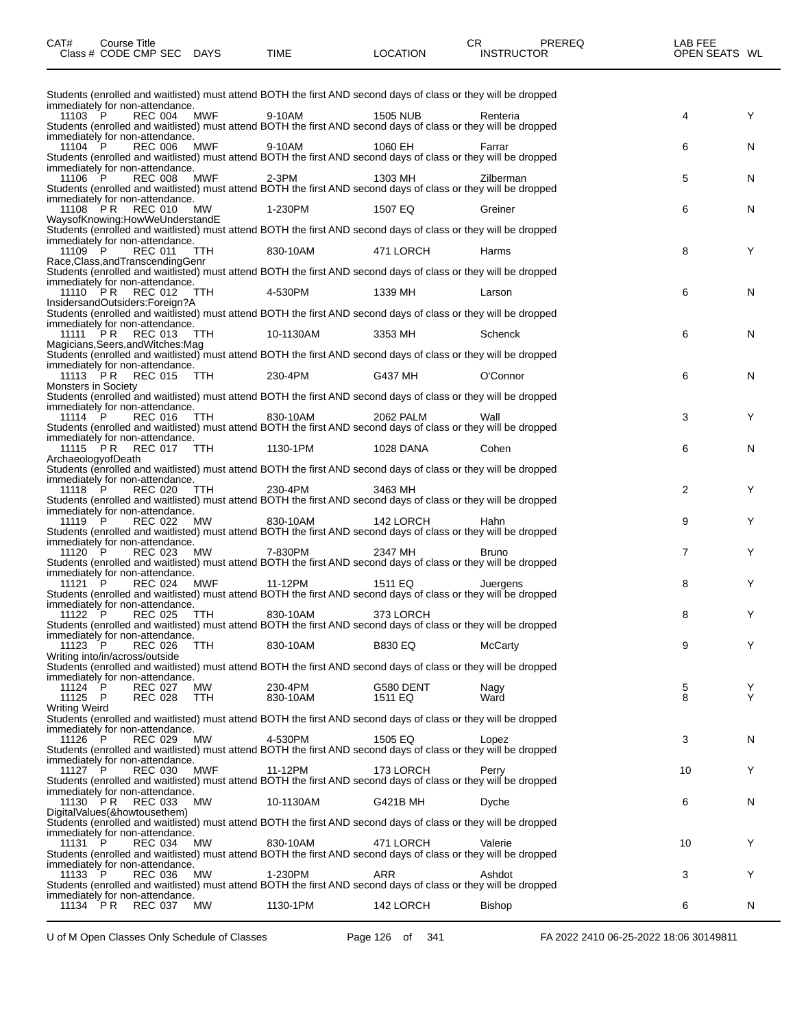| Class # CODE CMP SEC DAYS                                                                                                                                                       |           | TIME                | LOCATION             | INSTRUCTOR     | OPEN SEATS WL                         |        |
|---------------------------------------------------------------------------------------------------------------------------------------------------------------------------------|-----------|---------------------|----------------------|----------------|---------------------------------------|--------|
|                                                                                                                                                                                 |           |                     |                      |                |                                       |        |
| Students (enrolled and waitlisted) must attend BOTH the first AND second days of class or they will be dropped<br>immediately for non-attendance.                               |           |                     |                      |                |                                       |        |
| 11103 P<br><b>REC 004</b><br>Students (enrolled and waitlisted) must attend BOTH the first AND second days of class or they will be dropped<br>immediately for non-attendance.  | MWF       | 9-10AM              | <b>1505 NUB</b>      | Renteria       | 4                                     | Y      |
| <b>REC 006</b><br>11104 P<br>Students (enrolled and waitlisted) must attend BOTH the first AND second days of class or they will be dropped                                     | MWF       | 9-10AM              | 1060 EH              | Farrar         | 6                                     | N      |
| immediately for non-attendance.<br><b>REC 008</b><br>11106 P                                                                                                                    | MWF       | $2-3PM$             | 1303 MH              | Zilberman      | 5                                     | N      |
| Students (enrolled and waitlisted) must attend BOTH the first AND second days of class or they will be dropped<br>immediately for non-attendance.<br><b>REC 010</b><br>11108 PR | MW        | 1-230PM             | 1507 EQ              | Greiner        | 6                                     | N      |
| WaysofKnowing:HowWeUnderstandE<br>Students (enrolled and waitlisted) must attend BOTH the first AND second days of class or they will be dropped                                |           |                     |                      |                |                                       |        |
| immediately for non-attendance.<br>11109 P<br><b>REC 011</b><br>Race, Class, and Transcending Genr                                                                              | TTH       | 830-10AM            | 471 LORCH            | Harms          | 8                                     | Y      |
| Students (enrolled and waitlisted) must attend BOTH the first AND second days of class or they will be dropped<br>immediately for non-attendance.                               |           |                     |                      |                |                                       |        |
| REC 012 TTH<br>11110 PR<br>InsidersandOutsiders:Foreign?A                                                                                                                       |           | 4-530PM             | 1339 MH              | Larson         | 6                                     | N      |
| Students (enrolled and waitlisted) must attend BOTH the first AND second days of class or they will be dropped<br>immediately for non-attendance.                               |           |                     |                      |                |                                       |        |
| <b>REC 013</b><br>11111 PR<br>Magicians, Seers, and Witches: Mag                                                                                                                | TTH       | 10-1130AM           | 3353 MH              | Schenck        | 6                                     | N      |
| Students (enrolled and waitlisted) must attend BOTH the first AND second days of class or they will be dropped<br>immediately for non-attendance.                               |           |                     |                      |                |                                       |        |
| 11113 PR REC 015 TTH<br><b>Monsters in Society</b>                                                                                                                              |           | 230-4PM             | G437 MH              | O'Connor       | 6                                     | N      |
| Students (enrolled and waitlisted) must attend BOTH the first AND second days of class or they will be dropped<br>immediately for non-attendance.                               |           |                     |                      |                |                                       |        |
| 11114 P<br>REC 016 TTH<br>Students (enrolled and waitlisted) must attend BOTH the first AND second days of class or they will be dropped                                        |           | 830-10AM            | 2062 PALM            | Wall           | 3                                     | Y      |
| immediately for non-attendance.<br>11115 PR REC 017 TTH<br>ArchaeologyofDeath                                                                                                   |           | 1130-1PM            | 1028 DANA            | Cohen          | 6                                     | N      |
| Students (enrolled and waitlisted) must attend BOTH the first AND second days of class or they will be dropped<br>immediately for non-attendance.                               |           |                     |                      |                |                                       |        |
| 11118 P<br><b>REC 020</b><br>Students (enrolled and waitlisted) must attend BOTH the first AND second days of class or they will be dropped                                     | TTH       | 230-4PM             | 3463 MH              |                | $\overline{2}$                        | Y      |
| immediately for non-attendance.<br>11119 P<br><b>REC 022</b><br>Students (enrolled and waitlisted) must attend BOTH the first AND second days of class or they will be dropped  | MW        | 830-10AM            | 142 LORCH            | Hahn           | 9                                     | Y      |
| immediately for non-attendance.<br>11120 P<br><b>REC 023</b>                                                                                                                    | MW        | 7-830PM             | 2347 MH              | <b>Bruno</b>   | 7                                     | Y      |
| Students (enrolled and waitlisted) must attend BOTH the first AND second days of class or they will be dropped<br>immediately for non-attendance.                               |           |                     |                      |                |                                       |        |
| 11121 $\mathsf{P}$<br><b>REC 024</b><br>Students (enrolled and waitlisted) must attend BOTH the first AND second days of class or they will be dropped                          | MWF       | 11-12PM             | 1511 EQ              | Juergens       | 8                                     | Y      |
| immediately for non-attendance.<br>11122 P<br><b>REC 025</b>                                                                                                                    | TTH       | 830-10AM            | 373 LORCH            |                | 8                                     | Y      |
| Students (enrolled and waitlisted) must attend BOTH the first AND second days of class or they will be dropped<br>immediately for non-attendance.                               |           |                     |                      |                |                                       |        |
| 11123 P<br>REC 026<br>Writing into/in/across/outside                                                                                                                            | TTH       | 830-10AM            | <b>B830 EQ</b>       | <b>McCarty</b> | 9                                     | Y      |
| Students (enrolled and waitlisted) must attend BOTH the first AND second days of class or they will be dropped<br>immediately for non-attendance.                               |           |                     |                      |                |                                       |        |
| 11124 P<br><b>REC 027</b><br>11125 P<br><b>REC 028</b>                                                                                                                          | МW<br>TTH | 230-4PM<br>830-10AM | G580 DENT<br>1511 EQ | Nagy<br>Ward   | $\begin{array}{c} 5 \\ 8 \end{array}$ | Y<br>Y |
| <b>Writing Weird</b><br>Students (enrolled and waitlisted) must attend BOTH the first AND second days of class or they will be dropped                                          |           |                     |                      |                |                                       |        |
| immediately for non-attendance.<br>11126 P<br><b>REC 029</b>                                                                                                                    | МW        | 4-530PM             | 1505 EQ              | Lopez          | 3                                     | N      |
| Students (enrolled and waitlisted) must attend BOTH the first AND second days of class or they will be dropped<br>immediately for non-attendance.<br>11127 P                    | MWF       | 11-12PM             |                      |                | 10                                    | Y      |
| <b>REC 030</b><br>Students (enrolled and waitlisted) must attend BOTH the first AND second days of class or they will be dropped<br>immediately for non-attendance.             |           |                     | 173 LORCH            | Perry          |                                       |        |
| 11130 PR<br>REC 033<br>DigitalValues(&howtousethem)                                                                                                                             | MW        | 10-1130AM           | G421B MH             | Dyche          | 6                                     | N      |
| Students (enrolled and waitlisted) must attend BOTH the first AND second days of class or they will be dropped<br>immediately for non-attendance.                               |           |                     |                      |                |                                       |        |
| 11131 P<br>REC 034<br>Students (enrolled and waitlisted) must attend BOTH the first AND second days of class or they will be dropped                                            | MW        | 830-10AM            | 471 LORCH            | Valerie        | 10                                    | Y      |
| immediately for non-attendance.<br>11133 P<br>REC 036<br>Students (enrolled and waitlisted) must attend BOTH the first AND second days of class or they will be dropped         | <b>MW</b> | 1-230PM             | ARR                  | Ashdot         | 3                                     | Y      |
| immediately for non-attendance.<br>11134 PR REC 037                                                                                                                             | MW.       | 1130-1PM            | 142 LORCH            | <b>Bishop</b>  | 6                                     | N      |
|                                                                                                                                                                                 |           |                     |                      |                |                                       |        |

CAT# Course Title Case CR PREREQ LAB FEE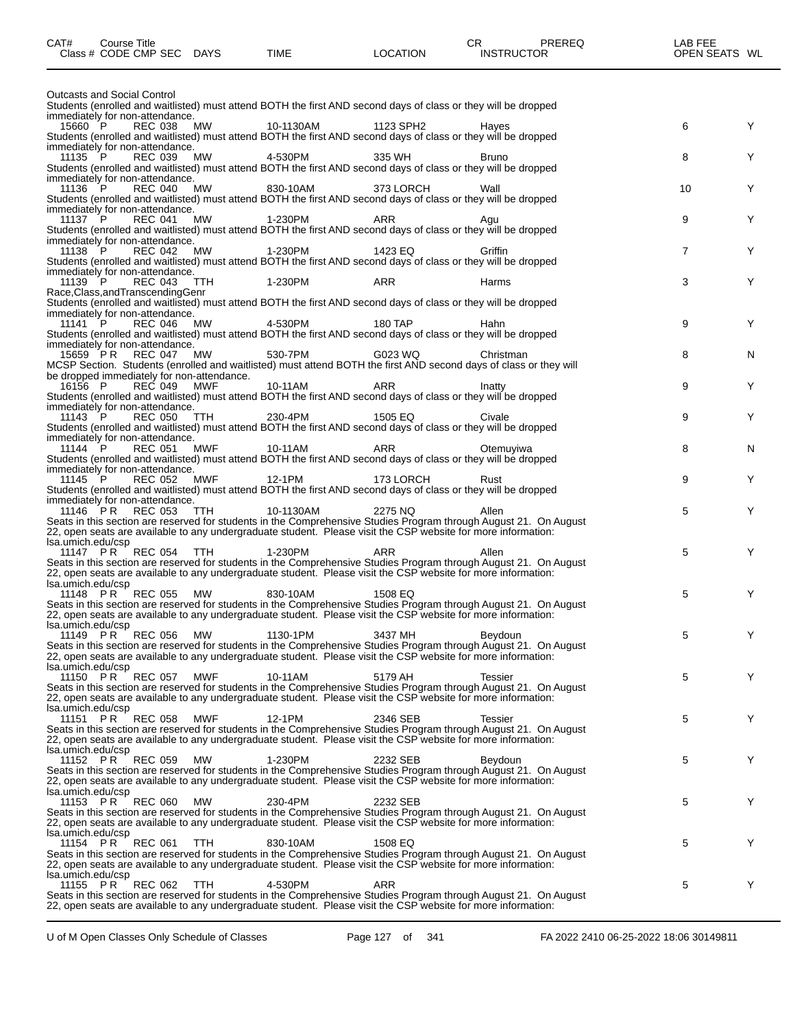| CAT#              | <b>Course Title</b><br>Class # CODE CMP SEC DAYS      |            | TIME                                                                                                                                                                                                                           | <b>LOCATION</b> | CR.<br><b>INSTRUCTOR</b> | <b>PREREQ</b> | LAB FEE<br>OPEN SEATS WL |   |
|-------------------|-------------------------------------------------------|------------|--------------------------------------------------------------------------------------------------------------------------------------------------------------------------------------------------------------------------------|-----------------|--------------------------|---------------|--------------------------|---|
|                   | <b>Outcasts and Social Control</b>                    |            |                                                                                                                                                                                                                                |                 |                          |               |                          |   |
|                   | immediately for non-attendance.                       |            | Students (enrolled and waitlisted) must attend BOTH the first AND second days of class or they will be dropped                                                                                                                 |                 |                          |               |                          |   |
| 15660 P           | <b>REC 038</b><br>immediately for non-attendance.     | MW         | 10-1130AM<br>Students (enrolled and waitlisted) must attend BOTH the first AND second days of class or they will be dropped                                                                                                    | 1123 SPH2       | Hayes                    |               | 6                        | Y |
| 11135 P           | <b>REC 039</b>                                        | MW         | 4-530PM<br>Students (enrolled and waitlisted) must attend BOTH the first AND second days of class or they will be dropped                                                                                                      | 335 WH          | <b>Bruno</b>             |               | 8                        | Y |
| 11136 P           | immediately for non-attendance.<br>REC 040            | MW         | 830-10AM<br>Students (enrolled and waitlisted) must attend BOTH the first AND second days of class or they will be dropped                                                                                                     | 373 LORCH       | Wall                     |               | 10                       | Y |
| 11137 P           | immediately for non-attendance.<br><b>REC 041</b>     | MW         | 1-230PM<br>Students (enrolled and waitlisted) must attend BOTH the first AND second days of class or they will be dropped                                                                                                      | ARR             | Agu                      |               | 9                        | Y |
| 11138 P           | immediately for non-attendance.<br><b>REC 042 MW</b>  |            | 1-230PM<br>Students (enrolled and waitlisted) must attend BOTH the first AND second days of class or they will be dropped                                                                                                      | 1423 EQ         | Griffin                  |               | 7                        | Y |
| 11139 P           | immediately for non-attendance.<br><b>REC 043</b>     | TTH        | 1-230PM                                                                                                                                                                                                                        | ARR             | Harms                    |               | 3                        | Y |
|                   | Race, Class, and Transcending Genr                    |            | Students (enrolled and waitlisted) must attend BOTH the first AND second days of class or they will be dropped                                                                                                                 |                 |                          |               |                          |   |
| 11141 P           | immediately for non-attendance.<br>REC 046 MW         |            | 4-530PM                                                                                                                                                                                                                        | 180 TAP         | Hahn                     |               | 9                        | Y |
|                   | immediately for non-attendance.                       |            | Students (enrolled and waitlisted) must attend BOTH the first AND second days of class or they will be dropped                                                                                                                 |                 |                          |               |                          |   |
|                   | 15659 PR REC 047 MW                                   |            | 530-7PM<br>MCSP Section. Students (enrolled and waitlisted) must attend BOTH the first AND second days of class or they will                                                                                                   | G023 WQ         | Christman                |               | 8                        | N |
| 16156 P           | be dropped immediately for non-attendance.<br>REC 049 | MWF        | 10-11AM                                                                                                                                                                                                                        | ARR             | Inatty                   |               | 9                        | Y |
|                   | immediately for non-attendance.                       |            | Students (enrolled and waitlisted) must attend BOTH the first AND second days of class or they will be dropped                                                                                                                 |                 |                          |               |                          |   |
| 11143 P           | REC 050 TTH                                           |            | 230-4PM<br>Students (enrolled and waitlisted) must attend BOTH the first AND second days of class or they will be dropped                                                                                                      | 1505 EQ         | Civale                   |               | 9                        | Y |
| 11144 P           | immediately for non-attendance.<br><b>REC 051</b>     | MWF        | 10-11AM<br>Students (enrolled and waitlisted) must attend BOTH the first AND second days of class or they will be dropped                                                                                                      | ARR             | Otemuyiwa                |               | 8                        | N |
| 11145 P           | immediately for non-attendance.<br>REC 052            | MWF        | 12-1PM                                                                                                                                                                                                                         | 173 LORCH       | Rust                     |               | 9                        | Y |
|                   | immediately for non-attendance.                       |            | Students (enrolled and waitlisted) must attend BOTH the first AND second days of class or they will be dropped                                                                                                                 |                 |                          |               |                          |   |
|                   | 11146 PR REC 053                                      | TTH        | 10-1130AM<br>Seats in this section are reserved for students in the Comprehensive Studies Program through August 21. On August                                                                                                 | 2275 NQ         | Allen                    |               | 5                        | Y |
| Isa.umich.edu/csp |                                                       |            | 22, open seats are available to any undergraduate student. Please visit the CSP website for more information:                                                                                                                  |                 |                          |               |                          |   |
|                   | 11147 PR REC 054                                      | TTH T      | 1-230PM                                                                                                                                                                                                                        | ARR             | Allen                    |               | 5                        | Y |
| Isa.umich.edu/csp |                                                       |            | Seats in this section are reserved for students in the Comprehensive Studies Program through August 21. On August 22, open seats are available to any undergraduate student. Please visit the CSP website for more information |                 |                          |               |                          |   |
|                   | 11148 PR REC 055                                      | MW         | 830-10AM<br>Seats in this section are reserved for students in the Comprehensive Studies Program through August 21. On August                                                                                                  | 1508 EQ         |                          |               | 5                        | Y |
| Isa.umich.edu/csp |                                                       |            | 22, open seats are available to any undergraduate student. Please visit the CSP website for more information:                                                                                                                  |                 |                          |               |                          |   |
| 11149 PR          | <b>REC 056</b>                                        | MW         | 1130-1PM<br>Seats in this section are reserved for students in the Comprehensive Studies Program through August 21. On August                                                                                                  | 3437 MH         | Beydoun                  |               | 5                        | Y |
| Isa.umich.edu/csp |                                                       |            | 22, open seats are available to any undergraduate student. Please visit the CSP website for more information:                                                                                                                  |                 |                          |               |                          |   |
|                   | 11150 PR REC 057                                      | <b>MWF</b> | 10-11AM<br>Seats in this section are reserved for students in the Comprehensive Studies Program through August 21. On August                                                                                                   | 5179 AH         | Tessier                  |               | 5                        | Y |
| Isa.umich.edu/csp |                                                       |            | 22, open seats are available to any undergraduate student. Please visit the CSP website for more information:                                                                                                                  |                 |                          |               |                          |   |
| 11151 PR          | <b>REC 058</b>                                        | MWF        | 12-1PM<br>Seats in this section are reserved for students in the Comprehensive Studies Program through August 21. On August                                                                                                    | 2346 SEB        | Tessier                  |               | 5                        | Y |
| Isa.umich.edu/csp |                                                       |            | 22, open seats are available to any undergraduate student. Please visit the CSP website for more information:                                                                                                                  |                 |                          |               |                          |   |
| 11152 PR          | <b>REC 059</b>                                        | MW.        | 1-230PM<br>Seats in this section are reserved for students in the Comprehensive Studies Program through August 21. On August                                                                                                   | 2232 SEB        | Beydoun                  |               | 5                        | Y |
| Isa.umich.edu/csp |                                                       |            | 22, open seats are available to any undergraduate student. Please visit the CSP website for more information:                                                                                                                  |                 |                          |               |                          |   |
|                   | 11153 PR REC 060                                      | MW         | 230-4PM<br>Seats in this section are reserved for students in the Comprehensive Studies Program through August 21. On August                                                                                                   | 2232 SEB        |                          |               | 5                        | Y |
| Isa.umich.edu/csp |                                                       |            | 22, open seats are available to any undergraduate student. Please visit the CSP website for more information:                                                                                                                  |                 |                          |               |                          |   |
| 11154 PR          | <b>REC 061</b>                                        | <b>TTH</b> | 830-10AM<br>Seats in this section are reserved for students in the Comprehensive Studies Program through August 21. On August                                                                                                  | 1508 EQ         |                          |               | 5                        | Y |
| Isa.umich.edu/csp |                                                       |            | 22, open seats are available to any undergraduate student. Please visit the CSP website for more information:                                                                                                                  |                 |                          |               |                          |   |
| 11155 PR          | <b>REC 062</b>                                        | <b>TTH</b> | 4-530PM<br>Seats in this section are reserved for students in the Comprehensive Studies Program through August 21. On August                                                                                                   | ARR             |                          |               | 5                        | Y |
|                   |                                                       |            | 22, open seats are available to any undergraduate student. Please visit the CSP website for more information:                                                                                                                  |                 |                          |               |                          |   |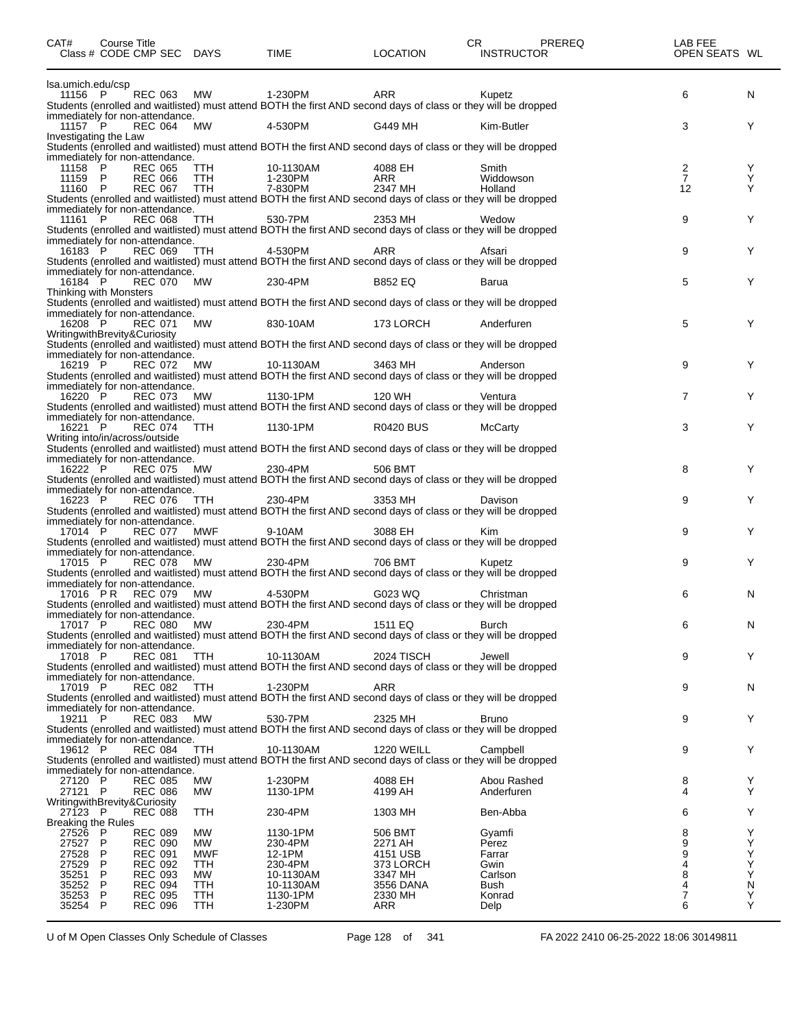| CAT#                               | <b>Course Title</b> | Class # CODE CMP SEC DAYS                            |                          | <b>TIME</b>            | <b>LOCATION</b>       | CR<br>PREREQ<br><b>INSTRUCTOR</b>                                                                                         | LAB FEE<br>OPEN SEATS WL |           |
|------------------------------------|---------------------|------------------------------------------------------|--------------------------|------------------------|-----------------------|---------------------------------------------------------------------------------------------------------------------------|--------------------------|-----------|
| Isa.umich.edu/csp                  |                     |                                                      |                          |                        |                       |                                                                                                                           |                          |           |
| 11156 P                            |                     | <b>REC 063</b>                                       | <b>MW</b>                | 1-230PM                | ARR                   | Kupetz<br>Students (enrolled and waitlisted) must attend BOTH the first AND second days of class or they will be dropped  | 6                        | N         |
| 11157 P                            |                     | immediately for non-attendance.<br>REC 064           | МW                       | 4-530PM                | G449 MH               | Kim-Butler                                                                                                                | 3                        | Y         |
| Investigating the Law              |                     |                                                      |                          |                        |                       | Students (enrolled and waitlisted) must attend BOTH the first AND second days of class or they will be dropped            |                          |           |
|                                    |                     | immediately for non-attendance.                      |                          |                        |                       |                                                                                                                           |                          |           |
| 11158<br>11159 P                   | ÎР                  | <b>REC 065</b><br><b>REC 066</b>                     | <b>TTH</b><br>TTH        | 10-1130AM<br>1-230PM   | 4088 EH<br>ARR        | Smith<br>Widdowson                                                                                                        | $\frac{2}{7}$            | Y<br>Ý    |
| 11160 P                            |                     | <b>REC 067</b>                                       | TTH                      | 7-830PM                | 2347 MH               | Holland                                                                                                                   | 12                       | Y         |
|                                    |                     | immediately for non-attendance.                      |                          |                        |                       | Students (enrolled and waitlisted) must attend BOTH the first AND second days of class or they will be dropped            |                          |           |
| 11161 P                            |                     | REC 068                                              | TTH                      | 530-7PM                | 2353 MH               | Wedow<br>Students (enrolled and waitlisted) must attend BOTH the first AND second days of class or they will be dropped   | 9                        | Y         |
| 16183 P                            |                     | immediately for non-attendance.<br>REC 069           | TTH                      | 4-530PM                | ARR                   | Afsari                                                                                                                    | 9                        | Y         |
|                                    |                     |                                                      |                          |                        |                       | Students (enrolled and waitlisted) must attend BOTH the first AND second days of class or they will be dropped            |                          |           |
| 16184 P                            |                     | immediately for non-attendance.<br><b>REC 070 MW</b> |                          | 230-4PM                | <b>B852 EQ</b>        | Barua                                                                                                                     | 5                        | Y         |
| Thinking with Monsters             |                     |                                                      |                          |                        |                       | Students (enrolled and waitlisted) must attend BOTH the first AND second days of class or they will be dropped            |                          |           |
|                                    |                     | immediately for non-attendance.                      |                          |                        |                       |                                                                                                                           |                          |           |
| 16208 P                            |                     | <b>REC 071</b><br>WritingwithBrevity&Curiosity       | MW                       | 830-10AM               | 173 LORCH             | Anderfuren                                                                                                                | 5                        | Y         |
|                                    |                     | immediately for non-attendance.                      |                          |                        |                       | Students (enrolled and waitlisted) must attend BOTH the first AND second days of class or they will be dropped            |                          |           |
| 16219 P                            |                     | <b>REC 072 MW</b>                                    |                          | 10-1130AM              | 3463 MH               | Anderson                                                                                                                  | 9                        | Y         |
|                                    |                     | immediately for non-attendance.                      |                          |                        |                       | Students (enrolled and waitlisted) must attend BOTH the first AND second days of class or they will be dropped            |                          |           |
| 16220 P                            |                     | <b>REC 073</b>                                       | MW                       | 1130-1PM               | 120 WH                | Ventura<br>Students (enrolled and waitlisted) must attend BOTH the first AND second days of class or they will be dropped | $\overline{7}$           | Y.        |
|                                    |                     | immediately for non-attendance.                      |                          |                        |                       |                                                                                                                           |                          |           |
| 16221 P                            |                     | <b>REC 074</b><br>Writing into/in/across/outside     | TTH                      | 1130-1PM               | <b>R0420 BUS</b>      | <b>McCarty</b>                                                                                                            | 3                        | Y         |
|                                    |                     |                                                      |                          |                        |                       | Students (enrolled and waitlisted) must attend BOTH the first AND second days of class or they will be dropped            |                          |           |
| 16222 P                            |                     | immediately for non-attendance.<br><b>REC 075</b>    | MW                       | 230-4PM                | 506 BMT               |                                                                                                                           | 8                        | Y         |
|                                    |                     | immediately for non-attendance.                      |                          |                        |                       | Students (enrolled and waitlisted) must attend BOTH the first AND second days of class or they will be dropped            |                          |           |
| 16223 P                            |                     | <b>REC 076</b>                                       | TTH                      | 230-4PM                | 3353 MH               | Davison<br>Students (enrolled and waitlisted) must attend BOTH the first AND second days of class or they will be dropped | 9                        | Y         |
|                                    |                     | immediately for non-attendance.                      |                          |                        |                       |                                                                                                                           |                          |           |
| 17014 P                            |                     | <b>REC 077</b>                                       | <b>MWF</b>               | 9-10AM                 | 3088 EH               | Kim<br>Students (enrolled and waitlisted) must attend BOTH the first AND second days of class or they will be dropped     | 9                        | Y         |
| 17015 P                            |                     | immediately for non-attendance.                      |                          |                        |                       |                                                                                                                           |                          |           |
|                                    |                     | <b>REC 078</b>                                       | MW                       | 230-4PM                | 706 BMT               | Kupetz<br>Students (enrolled and waitlisted) must attend BOTH the first AND second days of class or they will be dropped  | 9                        | Y         |
| 17016 PR                           |                     | immediately for non-attendance.<br><b>REC 079</b>    | MW                       | 4-530PM                | G023 WQ               | Christman                                                                                                                 | 6                        | N         |
|                                    |                     |                                                      |                          |                        |                       | Students (enrolled and waitlisted) must attend BOTH the first AND second days of class or they will be dropped            |                          |           |
| 17017 P                            |                     | immediately for non-attendance.<br><b>REC 080</b>    | <b>MW</b>                | 230-4PM                | 1511 EQ               | Burch                                                                                                                     | 6                        | ${\sf N}$ |
|                                    |                     | immediately for non-attendance.                      |                          |                        |                       | Students (enrolled and waitlisted) must attend BOTH the first AND second days of class or they will be dropped            |                          |           |
| 17018 P                            |                     | <b>REC 081</b>                                       | TTH                      | 10-1130AM              | <b>2024 TISCH</b>     | Jewell<br>Students (enrolled and waitlisted) must attend BOTH the first AND second days of class or they will be dropped  | 9                        | Y         |
|                                    |                     | immediately for non-attendance.                      |                          |                        |                       |                                                                                                                           |                          |           |
| 17019 P                            |                     | <b>REC 082</b>                                       | TTH                      | 1-230PM                | <b>ARR</b>            | Students (enrolled and waitlisted) must attend BOTH the first AND second days of class or they will be dropped            | 9                        | N         |
| 19211 P                            |                     | immediately for non-attendance.                      |                          |                        |                       |                                                                                                                           |                          |           |
|                                    |                     | <b>REC 083</b>                                       | MW                       | 530-7PM                | 2325 MH               | Bruno<br>Students (enrolled and waitlisted) must attend BOTH the first AND second days of class or they will be dropped   | 9                        | Y         |
| 19612 P                            |                     | immediately for non-attendance.<br><b>REC 084</b>    | TTH                      | 10-1130AM              | <b>1220 WEILL</b>     | Campbell                                                                                                                  | 9                        | Y         |
|                                    |                     |                                                      |                          |                        |                       | Students (enrolled and waitlisted) must attend BOTH the first AND second days of class or they will be dropped            |                          |           |
| 27120 P                            |                     | immediately for non-attendance.<br><b>REC 085</b>    | MW                       | 1-230PM                | 4088 EH               | Abou Rashed                                                                                                               | 8                        | Y         |
| 27121 P                            |                     | <b>REC 086</b><br>WritingwithBrevity&Curiosity       | <b>MW</b>                | 1130-1PM               | 4199 AH               | Anderfuren                                                                                                                | 4                        | Y         |
| 27123 P                            |                     | <b>REC 088</b>                                       | <b>TTH</b>               | 230-4PM                | 1303 MH               | Ben-Abba                                                                                                                  | 6                        | Y         |
| <b>Breaking the Rules</b><br>27526 | P                   | <b>REC 089</b>                                       | <b>MW</b>                | 1130-1PM               | 506 BMT               | Gyamfi                                                                                                                    | 8                        | Y         |
| 27527<br>27528                     | P<br>P              | <b>REC 090</b><br><b>REC 091</b>                     | <b>MW</b><br>MWF         | 230-4PM<br>12-1PM      | 2271 AH<br>4151 USB   | Perez<br>Farrar                                                                                                           | 9<br>9                   | Y<br>Υ    |
| 27529                              | P                   | <b>REC 092</b>                                       | TTH                      | 230-4PM                | 373 LORCH             | Gwin                                                                                                                      | 4                        | Υ         |
| 35251<br>35252                     | P<br>P              | <b>REC 093</b><br><b>REC 094</b>                     | MW<br>TTH                | 10-1130AM<br>10-1130AM | 3347 MH<br>3556 DANA  | Carlson<br>Bush                                                                                                           | 8<br>4                   | Υ<br>N    |
| 35253<br>35254                     | P<br>P              | <b>REC 095</b><br><b>REC 096</b>                     | <b>TTH</b><br><b>TTH</b> | 1130-1PM<br>1-230PM    | 2330 MH<br><b>ARR</b> | Konrad<br>Delp                                                                                                            | $\overline{7}$<br>6      | Ÿ<br>Υ    |
|                                    |                     |                                                      |                          |                        |                       |                                                                                                                           |                          |           |

U of M Open Classes Only Schedule of Classes Page 128 of 341 FA 2022 2410 06-25-2022 18:06 30149811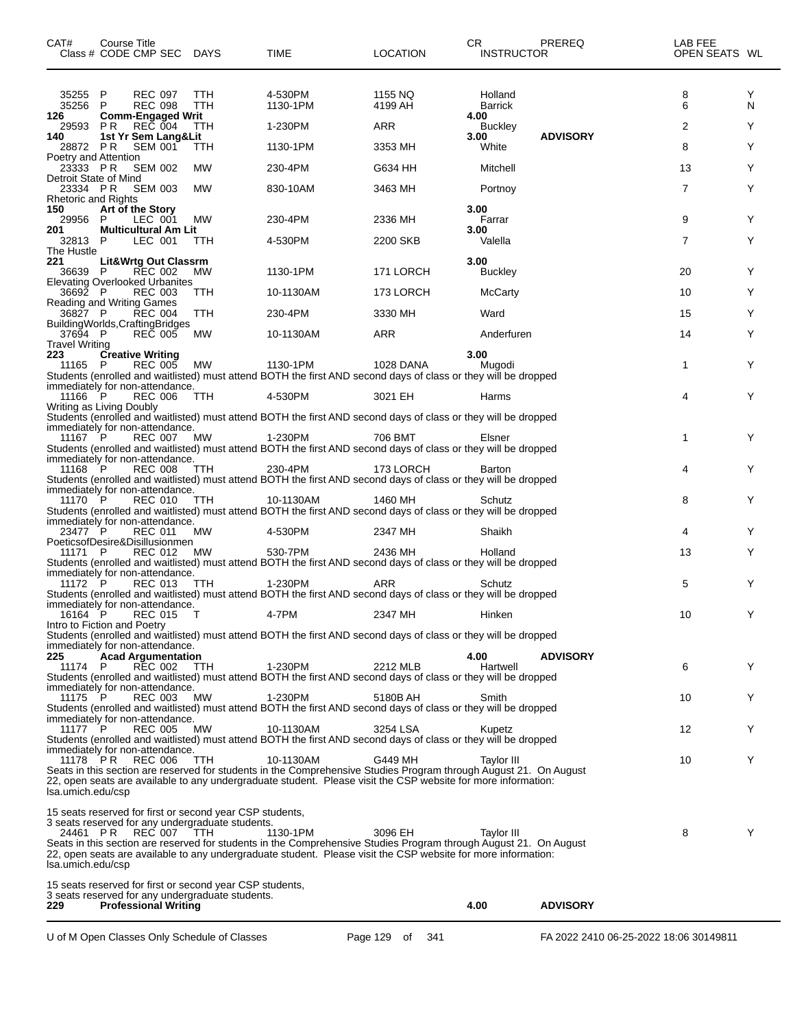| CAT#                         | Course Title<br>Class # CODE CMP SEC DAYS               |                                                                                                              | TIME                                                                                                                                                                                                                                            | <b>LOCATION</b>    | CR.<br><b>INSTRUCTOR</b>  | PREREQ          | LAB FEE<br>OPEN SEATS WL |        |
|------------------------------|---------------------------------------------------------|--------------------------------------------------------------------------------------------------------------|-------------------------------------------------------------------------------------------------------------------------------------------------------------------------------------------------------------------------------------------------|--------------------|---------------------------|-----------------|--------------------------|--------|
| 35255 P<br>35256 P           | <b>REC 097</b><br><b>REC 098</b>                        | TTH<br><b>TTH</b>                                                                                            | 4-530PM<br>1130-1PM                                                                                                                                                                                                                             | 1155 NQ<br>4199 AH | Holland<br><b>Barrick</b> |                 | 8<br>6                   | Y<br>N |
| 126                          | <b>Comm-Engaged Writ</b><br>29593 PR REC 004            | <b>TTH</b>                                                                                                   | 1-230PM                                                                                                                                                                                                                                         | ARR                | 4.00<br><b>Buckley</b>    |                 | 2                        | Y      |
| 140<br>28872 PR              | 1st Yr Sem Lang&Lit<br><b>SEM 001</b>                   | TTH                                                                                                          | 1130-1PM                                                                                                                                                                                                                                        | 3353 MH            | 3.00<br>White             | <b>ADVISORY</b> | 8                        | Y      |
| Poetry and Attention         |                                                         |                                                                                                              |                                                                                                                                                                                                                                                 | G634 HH            | Mitchell                  |                 |                          | Y      |
| Detroit State of Mind        | 23333 PR SEM 002                                        | МW                                                                                                           | 230-4PM                                                                                                                                                                                                                                         |                    |                           |                 | 13                       |        |
| <b>Rhetoric and Rights</b>   | 23334 PR SEM 003                                        | МW                                                                                                           | 830-10AM                                                                                                                                                                                                                                        | 3463 MH            | Portnoy                   |                 | $\overline{7}$           | Y      |
| 150<br>29956 P               | Art of the Story<br>LEC 001                             | МW                                                                                                           | 230-4PM                                                                                                                                                                                                                                         | 2336 MH            | 3.00<br>Farrar            |                 | 9                        | Y      |
| 201<br>32813 P               | <b>Multicultural Am Lit</b><br>LEC 001                  | TTH                                                                                                          | 4-530PM                                                                                                                                                                                                                                         | 2200 SKB           | 3.00<br>Valella           |                 | 7                        | Y      |
| The Hustle<br>221<br>36639 P | <b>Lit&amp;Wrtg Out Classrm</b><br><b>REC 002</b>       | МW                                                                                                           | 1130-1PM                                                                                                                                                                                                                                        | 171 LORCH          | 3.00<br><b>Buckley</b>    |                 | 20                       | Y      |
| 36692 P                      | <b>Elevating Overlooked Urbanites</b><br><b>REC 003</b> | <b>TTH</b>                                                                                                   | 10-1130AM                                                                                                                                                                                                                                       | 173 LORCH          | <b>McCarty</b>            |                 | 10                       | Y      |
| 36827 P                      | Reading and Writing Games<br><b>REC 004</b>             | <b>TTH</b>                                                                                                   | 230-4PM                                                                                                                                                                                                                                         | 3330 MH            | Ward                      |                 | 15                       | Y      |
| 37694 P                      | BuildingWorlds, Crafting Bridges<br><b>REC 005</b>      | МW                                                                                                           | 10-1130AM                                                                                                                                                                                                                                       | ARR                | Anderfuren                |                 | 14                       | Y      |
| <b>Travel Writing</b><br>223 | <b>Creative Writing</b>                                 |                                                                                                              |                                                                                                                                                                                                                                                 |                    | 3.00                      |                 |                          |        |
| 11165 P                      | REC 005                                                 | MW                                                                                                           | 1130-1PM<br>Students (enrolled and waitlisted) must attend BOTH the first AND second days of class or they will be dropped                                                                                                                      | 1028 DANA          | Mugodi                    |                 | 1                        | Y      |
|                              | immediately for non-attendance.<br>11166 P REC 006      | TTH                                                                                                          | 4-530PM                                                                                                                                                                                                                                         | 3021 EH            | Harms                     |                 | 4                        | Y      |
|                              |                                                         |                                                                                                              | Writing as Living Doubly<br>Students (enrolled and waitlisted) must attend BOTH the first AND second days of class or they will be dropped                                                                                                      |                    |                           |                 |                          |        |
| 11167 P                      | immediately for non-attendance.<br><b>REC 007 MW</b>    |                                                                                                              | 1-230PM                                                                                                                                                                                                                                         | 706 BMT            | Elsner                    |                 | 1                        | Y      |
|                              |                                                         |                                                                                                              | Students (enrolled and waitlisted) must attend BOTH the first AND second days of class or they will be dropped                                                                                                                                  |                    |                           |                 |                          |        |
| 11168 P                      | immediately for non-attendance.<br>REC 008 TTH          |                                                                                                              | 230-4PM                                                                                                                                                                                                                                         | 173 LORCH          | Barton                    |                 | 4                        | Y      |
| 11170 P                      | immediately for non-attendance.<br>REC 010 TTH          |                                                                                                              | Students (enrolled and waitlisted) must attend BOTH the first AND second days of class or they will be dropped<br>10-1130AM                                                                                                                     | 1460 MH            | Schutz                    |                 | 8                        | Y      |
|                              | immediately for non-attendance.                         |                                                                                                              | Students (enrolled and waitlisted) must attend BOTH the first AND second days of class or they will be dropped                                                                                                                                  |                    |                           |                 |                          |        |
| 23477 P                      | <b>REC 011</b><br>PoeticsofDesire&Disillusionmen        | МW                                                                                                           | 4-530PM                                                                                                                                                                                                                                         | 2347 MH            | Shaikh                    |                 | 4                        | Y      |
| 11171 P                      | REC 012                                                 | MW                                                                                                           | 530-7PM<br>Students (enrolled and waitlisted) must attend BOTH the first AND second days of class or they will be dropped                                                                                                                       | 2436 MH            | Holland                   |                 | 13                       | Y      |
|                              | immediately for non-attendance.<br>11172 P REC 013      | TTH                                                                                                          | 1-230PM                                                                                                                                                                                                                                         | ARR                | Schutz                    |                 | 5                        | Y      |
|                              | immediately for non-attendance.                         |                                                                                                              | Students (enrolled and waitlisted) must attend BOTH the first AND second days of class or they will be dropped                                                                                                                                  |                    |                           |                 |                          |        |
| 16164 P                      | REC 015 T<br>Intro to Fiction and Poetry                |                                                                                                              | 4-7PM                                                                                                                                                                                                                                           | 2347 MH            | <b>Hinken</b>             |                 | 10                       | Y      |
|                              | immediately for non-attendance.                         |                                                                                                              | Students (enrolled and waitlisted) must attend BOTH the first AND second days of class or they will be dropped                                                                                                                                  |                    |                           |                 |                          |        |
| 225                          | <b>Acad Argumentation</b>                               |                                                                                                              |                                                                                                                                                                                                                                                 |                    | 4.00                      | <b>ADVISORY</b> |                          |        |
| 11174 P                      | <b>REC 002</b>                                          | TTH                                                                                                          | 1-230PM<br>Students (enrolled and waitlisted) must attend BOTH the first AND second days of class or they will be dropped                                                                                                                       | 2212 MLB           | Hartwell                  |                 | 6                        | Y      |
| 11175 P                      | immediately for non-attendance.<br>REC 003              | MW                                                                                                           | 1-230PM<br>Students (enrolled and waitlisted) must attend BOTH the first AND second days of class or they will be dropped                                                                                                                       | 5180B AH           | Smith                     |                 | 10                       | Y      |
|                              | immediately for non-attendance.                         |                                                                                                              |                                                                                                                                                                                                                                                 |                    |                           |                 |                          |        |
| 11177 P                      | REC 005<br>immediately for non-attendance.              | МW                                                                                                           | 10-1130AM<br>Students (enrolled and waitlisted) must attend BOTH the first AND second days of class or they will be dropped                                                                                                                     | 3254 LSA           | Kupetz                    |                 | 12                       | Y      |
| Isa.umich.edu/csp            | 11178 PR REC 006                                        | TTH                                                                                                          | 10-1130AM<br>Seats in this section are reserved for students in the Comprehensive Studies Program through August 21. On August<br>22, open seats are available to any undergraduate student. Please visit the CSP website for more information: | G449 MH            | Taylor III                |                 | 10                       | Y      |
|                              |                                                         | 15 seats reserved for first or second year CSP students,<br>3 seats reserved for any undergraduate students. |                                                                                                                                                                                                                                                 |                    |                           |                 |                          |        |
| Isa.umich.edu/csp            | 24461 PR REC 007                                        | <b>TTH</b>                                                                                                   | 1130-1PM<br>Seats in this section are reserved for students in the Comprehensive Studies Program through August 21. On August<br>22, open seats are available to any undergraduate student. Please visit the CSP website for more information:  | 3096 EH            | Taylor III                |                 | 8                        | Y      |
|                              |                                                         | 15 seats reserved for first or second year CSP students,                                                     |                                                                                                                                                                                                                                                 |                    |                           |                 |                          |        |
| 229                          | <b>Professional Writing</b>                             | 3 seats reserved for any undergraduate students.                                                             |                                                                                                                                                                                                                                                 |                    | 4.00                      | <b>ADVISORY</b> |                          |        |
|                              |                                                         |                                                                                                              |                                                                                                                                                                                                                                                 |                    |                           |                 |                          |        |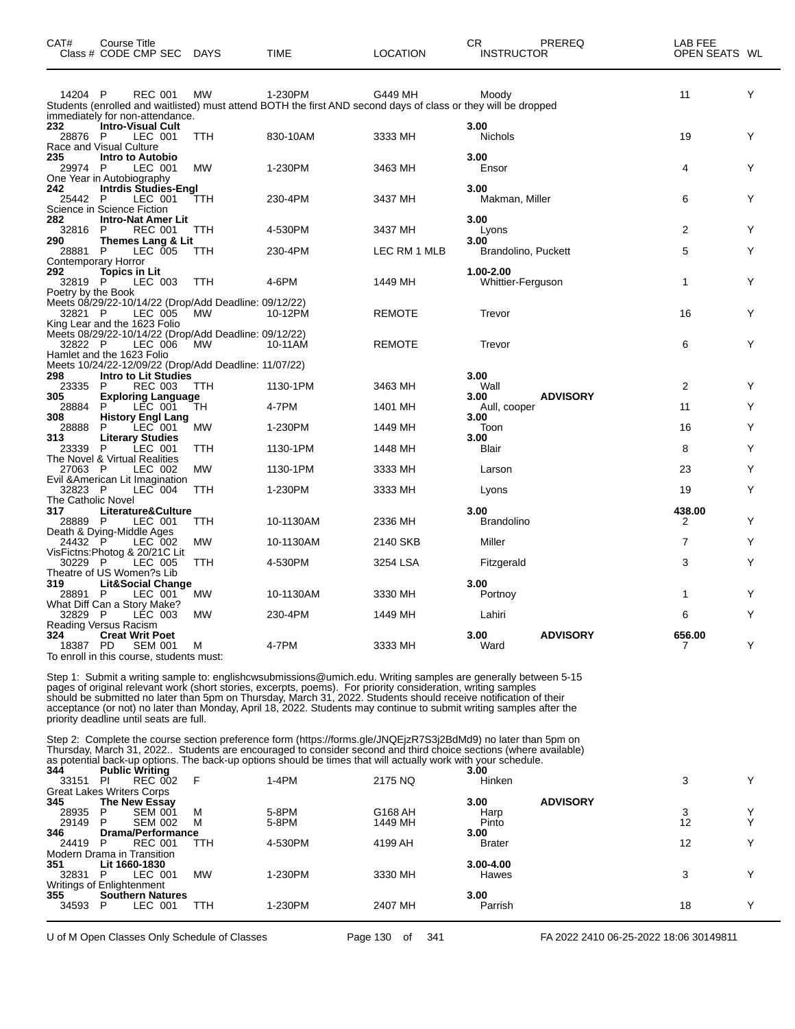| CAT#               | Course Title<br>Class # CODE CMP SEC                        | <b>DAYS</b> | <b>TIME</b>                                                                                                    | <b>LOCATION</b> | CR.<br><b>INSTRUCTOR</b> | PREREQ          | LAB FEE<br>OPEN SEATS WL |   |
|--------------------|-------------------------------------------------------------|-------------|----------------------------------------------------------------------------------------------------------------|-----------------|--------------------------|-----------------|--------------------------|---|
| 14204 P            | <b>REC 001</b>                                              | <b>MW</b>   | 1-230PM                                                                                                        | G449 MH         | Moody                    |                 | 11                       | Υ |
|                    |                                                             |             | Students (enrolled and waitlisted) must attend BOTH the first AND second days of class or they will be dropped |                 |                          |                 |                          |   |
| 232                | immediately for non-attendance.<br><b>Intro-Visual Cult</b> |             |                                                                                                                |                 | 3.00                     |                 |                          |   |
| 28876 P            | LEC 001                                                     | TTH         | 830-10AM                                                                                                       | 3333 MH         | Nichols                  |                 | 19                       | Y |
|                    | Race and Visual Culture                                     |             |                                                                                                                |                 |                          |                 |                          |   |
| 235                | Intro to Autobio                                            |             |                                                                                                                |                 | 3.00                     |                 |                          |   |
| 29974 P            | LEC 001                                                     | <b>MW</b>   | 1-230PM                                                                                                        | 3463 MH         | Ensor                    |                 | 4                        | Y |
|                    | One Year in Autobiography                                   |             |                                                                                                                |                 |                          |                 |                          |   |
| 242                | <b>Intrdis Studies-Engl</b>                                 |             |                                                                                                                |                 | 3.00                     |                 |                          |   |
| 25442 P            | LEC 001                                                     | TTH         | 230-4PM                                                                                                        | 3437 MH         | Makman, Miller           |                 | 6                        | Y |
|                    | Science in Science Fiction                                  |             |                                                                                                                |                 |                          |                 |                          |   |
| 282                | <b>Intro-Nat Amer Lit</b>                                   |             |                                                                                                                |                 | 3.00                     |                 |                          |   |
| 32816 P            | <b>REC 001</b>                                              | TTH         | 4-530PM                                                                                                        | 3437 MH         | Lyons                    |                 | $\overline{2}$           | Y |
| 290                | Themes Lang & Lit                                           |             |                                                                                                                |                 | 3.00                     |                 |                          |   |
| 28881 P            | LEC 005                                                     | TTH         | 230-4PM                                                                                                        | LEC RM 1 MLB    | Brandolino, Puckett      |                 | 5                        | Y |
| 292                | Contemporary Horror                                         |             |                                                                                                                |                 | 1.00-2.00                |                 |                          |   |
| 32819 P            | <b>Topics in Lit</b>                                        |             | 4-6PM                                                                                                          |                 |                          |                 | $\mathbf{1}$             | Y |
|                    | LEC 003                                                     | TTH         |                                                                                                                | 1449 MH         | <b>Whittier-Ferguson</b> |                 |                          |   |
| Poetry by the Book | Meets 08/29/22-10/14/22 (Drop/Add Deadline: 09/12/22)       |             |                                                                                                                |                 |                          |                 |                          |   |
| 32821 P            | LEC 005                                                     | МW          | 10-12PM                                                                                                        | REMOTE          | Trevor                   |                 | 16                       | Y |
|                    | King Lear and the 1623 Folio                                |             |                                                                                                                |                 |                          |                 |                          |   |
|                    | Meets 08/29/22-10/14/22 (Drop/Add Deadline: 09/12/22)       |             |                                                                                                                |                 |                          |                 |                          |   |
| 32822 P            | LEC 006                                                     | MW          | 10-11AM                                                                                                        | <b>REMOTE</b>   | Trevor                   |                 | 6                        | Y |
|                    | Hamlet and the 1623 Folio                                   |             |                                                                                                                |                 |                          |                 |                          |   |
|                    | Meets 10/24/22-12/09/22 (Drop/Add Deadline: 11/07/22)       |             |                                                                                                                |                 |                          |                 |                          |   |
| 298                | <b>Intro to Lit Studies</b>                                 |             |                                                                                                                |                 | 3.00                     |                 |                          |   |
| 23335              | <b>REC 003</b><br>P                                         | <b>TTH</b>  | 1130-1PM                                                                                                       | 3463 MH         | Wall                     |                 | $\overline{2}$           | Υ |
| 305                | <b>Exploring Language</b>                                   |             |                                                                                                                |                 | 3.00                     | <b>ADVISORY</b> |                          |   |
| 28884              | LEC 001<br>P                                                | TH          | 4-7PM                                                                                                          | 1401 MH         | Aull, cooper             |                 | 11                       | Υ |
| 308                | <b>History Engl Lang</b>                                    |             |                                                                                                                |                 | 3.00                     |                 |                          |   |
| 28888              | LEC <sup>001</sup><br>P                                     | <b>MW</b>   | 1-230PM                                                                                                        | 1449 MH         | Toon                     |                 | 16                       | Υ |
| 313                | <b>Literary Studies</b>                                     |             |                                                                                                                |                 | 3.00                     |                 |                          |   |
| 23339 P            | LEC 001                                                     | TTH         | 1130-1PM                                                                                                       | 1448 MH         | Blair                    |                 | 8                        | Υ |
|                    | The Novel & Virtual Realities                               |             |                                                                                                                |                 |                          |                 |                          |   |
| 27063 P            | LEC 002                                                     | <b>MW</b>   | 1130-1PM                                                                                                       | 3333 MH         | Larson                   |                 | 23                       | Υ |
|                    | Evil & American Lit Imagination                             |             |                                                                                                                |                 |                          |                 |                          |   |
| 32823 P            | <b>LEC 004</b>                                              | TTH         | 1-230PM                                                                                                        | 3333 MH         | Lyons                    |                 | 19                       | Y |
| The Catholic Novel |                                                             |             |                                                                                                                |                 | 3.00                     |                 | 438.00                   |   |
| 317<br>28889 P     | Literature&Culture<br>LEC 001                               | TTH         | 10-1130AM                                                                                                      | 2336 MH         | <b>Brandolino</b>        |                 | 2                        | Y |
|                    | Death & Dying-Middle Ages                                   |             |                                                                                                                |                 |                          |                 |                          |   |
| 24432 P            | LEC 002                                                     | MW          | 10-1130AM                                                                                                      | 2140 SKB        | Miller                   |                 | 7                        | Y |
|                    | VisFictns: Photog & 20/21C Lit                              |             |                                                                                                                |                 |                          |                 |                          |   |
| 30229 P            | LEC 005                                                     | TTH         | 4-530PM                                                                                                        | 3254 LSA        | Fitzgerald               |                 | 3                        | Υ |
|                    | Theatre of US Women?s Lib                                   |             |                                                                                                                |                 |                          |                 |                          |   |
| 319                | <b>Lit&amp;Social Change</b>                                |             |                                                                                                                |                 | 3.00                     |                 |                          |   |
| 28891 P            | LEC 001                                                     | MW          | 10-1130AM                                                                                                      | 3330 MH         | Portnoy                  |                 | 1                        | Y |
|                    | What Diff Can a Story Make?                                 |             |                                                                                                                |                 |                          |                 |                          |   |
| 32829 P            | LEC 003                                                     | <b>MW</b>   | 230-4PM                                                                                                        | 1449 MH         | Lahiri                   |                 | 6                        | Y |
|                    | Reading Versus Racism                                       |             |                                                                                                                |                 |                          |                 |                          |   |
| 324                | <b>Creat Writ Poet</b>                                      |             |                                                                                                                |                 | 3.00                     | <b>ADVISORY</b> | 656.00                   |   |
| 18387 PD           | <b>SEM 001</b>                                              | М           | 4-7PM                                                                                                          | 3333 MH         | Ward                     |                 | 7                        | Y |
|                    | To enroll in this course, students must:                    |             |                                                                                                                |                 |                          |                 |                          |   |

Step 1: Submit a writing sample to: englishcwsubmissions@umich.edu. Writing samples are generally between 5-15 pages of original relevant work (short stories, excerpts, poems). For priority consideration, writing samples<br>should be submitted no later than 5pm on Thursday, March 31, 2022. Students should receive notification of thei priority deadline until seats are full.

Step 2: Complete the course section preference form (https://forms.gle/JNQEjzR7S3j2BdMd9) no later than 5pm on Thursday, March 31, 2022.. Students are encouraged to consider second and third choice sections (where available) as potential back-up options. The back-up options should be times that will actually work with your schedule.

| 344   | <b>Public Writing</b>             |           |         |         | 3.00          |                 |    |  |
|-------|-----------------------------------|-----------|---------|---------|---------------|-----------------|----|--|
| 33151 | <b>REC 002</b><br>PI              | E         | $1-4PM$ | 2175 NQ | Hinken        |                 | 3  |  |
|       | <b>Great Lakes Writers Corps</b>  |           |         |         |               |                 |    |  |
| 345   | The New Essay                     |           |         |         | 3.00          | <b>ADVISORY</b> |    |  |
| 28935 | <b>SEM 001</b><br>P               | м         | 5-8PM   | G168 AH | Harp          |                 | 3  |  |
| 29149 | <b>SEM 002</b><br>P               | м         | 5-8PM   | 1449 MH | Pinto         |                 | 12 |  |
| 346   | <b>Drama/Performance</b>          |           |         |         | 3.00          |                 |    |  |
| 24419 | <b>REC 001</b><br>P               | TTH       | 4-530PM | 4199 AH | <b>Brater</b> |                 | 12 |  |
|       | <b>Modern Drama in Transition</b> |           |         |         |               |                 |    |  |
| 351   | Lit 1660-1830                     |           |         |         | $3.00 - 4.00$ |                 |    |  |
| 32831 | LEC 001<br>P                      | <b>MW</b> | 1-230PM | 3330 MH | Hawes         |                 | 3  |  |
|       | Writings of Enlightenment         |           |         |         |               |                 |    |  |
| 355   | <b>Southern Natures</b>           |           |         |         | 3.00          |                 |    |  |
| 34593 | LEC 001<br>P                      | TTH       | 1-230PM | 2407 MH | Parrish       |                 | 18 |  |
|       |                                   |           |         |         |               |                 |    |  |

U of M Open Classes Only Schedule of Classes **Page 130** of 341 FA 2022 2410 06-25-2022 18:06 30149811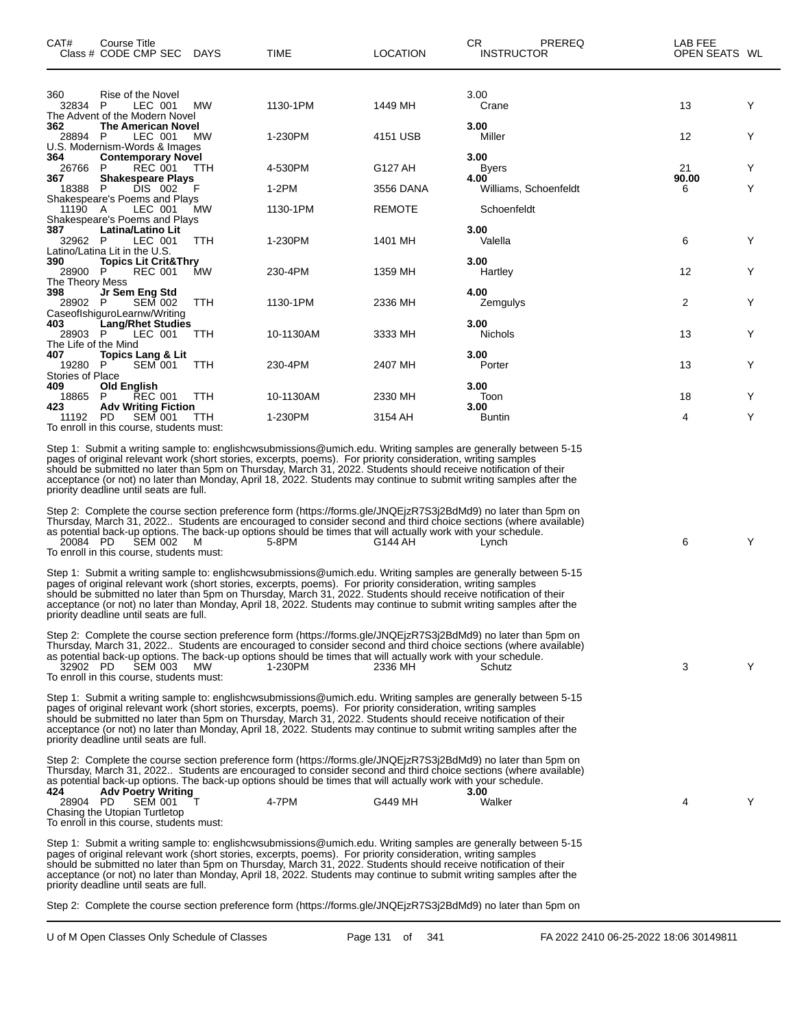| CAT#                                    | Course Title<br>Class # CODE CMP SEC                                                                              | DAYS       | TIME                                                                                                                                                                                                                                                                                                                                                                                                                                                                                                                                                                                                                                                                                                                                                                                                                                       | LOCATION      | CR.                    | PREREQ<br><b>INSTRUCTOR</b> | LAB FEE<br>OPEN SEATS WL |   |
|-----------------------------------------|-------------------------------------------------------------------------------------------------------------------|------------|--------------------------------------------------------------------------------------------------------------------------------------------------------------------------------------------------------------------------------------------------------------------------------------------------------------------------------------------------------------------------------------------------------------------------------------------------------------------------------------------------------------------------------------------------------------------------------------------------------------------------------------------------------------------------------------------------------------------------------------------------------------------------------------------------------------------------------------------|---------------|------------------------|-----------------------------|--------------------------|---|
| 360<br>32834                            | Rise of the Novel<br>P<br>LEC 001<br>The Advent of the Modern Novel                                               | МW         | 1130-1PM                                                                                                                                                                                                                                                                                                                                                                                                                                                                                                                                                                                                                                                                                                                                                                                                                                   | 1449 MH       | 3.00<br>Crane          |                             | 13                       | Y |
| 362<br>28894 P                          | <b>The American Novel</b><br>LEC 001<br>U.S. Modernism-Words & Images                                             | <b>MW</b>  | 1-230PM                                                                                                                                                                                                                                                                                                                                                                                                                                                                                                                                                                                                                                                                                                                                                                                                                                    | 4151 USB      | 3.00<br>Miller         |                             | 12                       | Y |
| 364<br>26766<br>367                     | <b>Contemporary Novel</b><br><b>REC 001</b><br>P<br><b>Shakespeare Plays</b>                                      | <b>TTH</b> | 4-530PM                                                                                                                                                                                                                                                                                                                                                                                                                                                                                                                                                                                                                                                                                                                                                                                                                                    | G127 AH       | 3.00<br>Byers<br>4.00  |                             | 21<br>90.00              | Y |
| 18388                                   | DIS 002<br>P                                                                                                      |            | $1-2PM$                                                                                                                                                                                                                                                                                                                                                                                                                                                                                                                                                                                                                                                                                                                                                                                                                                    | 3556 DANA     |                        | Williams, Schoenfeldt       | 6                        | Y |
| 11190 A                                 | Shakespeare's Poems and Plays<br>LEC 001<br>Shakespeare's Poems and Plays                                         | МW         | 1130-1PM                                                                                                                                                                                                                                                                                                                                                                                                                                                                                                                                                                                                                                                                                                                                                                                                                                   | <b>REMOTE</b> |                        | Schoenfeldt                 |                          |   |
| 387<br>32962 P                          | Latina/Latino Lit<br>LEC 001                                                                                      | TTH        | 1-230PM                                                                                                                                                                                                                                                                                                                                                                                                                                                                                                                                                                                                                                                                                                                                                                                                                                    | 1401 MH       | 3.00<br>Valella        |                             | 6                        | Y |
| 390<br>28900 P                          | Latino/Latina Lit in the U.S.<br><b>Topics Lit Crit&amp;Thry</b><br><b>REC 001</b>                                | МW         | 230-4PM                                                                                                                                                                                                                                                                                                                                                                                                                                                                                                                                                                                                                                                                                                                                                                                                                                    | 1359 MH       | 3.00<br>Hartley        |                             | 12                       | Y |
| The Theory Mess<br>398<br>28902 P       | Jr Sem Eng Std<br><b>SEM 002</b><br>CaseofIshiguroLearnw/Writing                                                  | TTH        | 1130-1PM                                                                                                                                                                                                                                                                                                                                                                                                                                                                                                                                                                                                                                                                                                                                                                                                                                   | 2336 MH       | 4.00                   | Zemgulys                    | 2                        | Υ |
| 403<br>28903 P                          | <b>Lang/Rhet Studies</b><br>LEC 001                                                                               | TTH        | 10-1130AM                                                                                                                                                                                                                                                                                                                                                                                                                                                                                                                                                                                                                                                                                                                                                                                                                                  | 3333 MH       | 3.00<br><b>Nichols</b> |                             | 13                       | Y |
| The Life of the Mind<br>407<br>19280    | <b>Topics Lang &amp; Lit</b><br>P<br>SEM 001                                                                      | <b>TTH</b> | 230-4PM                                                                                                                                                                                                                                                                                                                                                                                                                                                                                                                                                                                                                                                                                                                                                                                                                                    | 2407 MH       | 3.00<br>Porter         |                             | 13                       | Y |
| <b>Stories of Place</b><br>409<br>18865 | Old English<br>P<br>REC 001                                                                                       | TTH        | 10-1130AM                                                                                                                                                                                                                                                                                                                                                                                                                                                                                                                                                                                                                                                                                                                                                                                                                                  | 2330 MH       | 3.00<br>Toon           |                             | 18                       | Y |
| 423<br>11192                            | <b>Adv Writing Fiction</b><br><b>SEM 001</b><br><b>PD</b><br>To enroll in this course, students must:             | TTH        | 1-230PM                                                                                                                                                                                                                                                                                                                                                                                                                                                                                                                                                                                                                                                                                                                                                                                                                                    | 3154 AH       | 3.00<br>Buntin         |                             | 4                        | Y |
| 20084 PD                                | priority deadline until seats are full.<br><b>SEM 002</b><br>To enroll in this course, students must:             | M          | Step 1: Submit a writing sample to: englishcwsubmissions@umich.edu. Writing samples are generally between 5-15<br>pages of original relevant work (short stories, excerpts, poems). For priority consideration, writing samples<br>should be submitted no later than 5pm on Thursday, March 31, 2022. Students should receive notification of their<br>acceptance (or not) no later than Monday, April 18, 2022. Students may continue to submit writing samples after the<br>Step 2: Complete the course section preference form (https://forms.gle/JNQEjzR7S3j2BdMd9) no later than 5pm on<br>Thursday, March 31, 2022. Students are encouraged to consider second and third choice sections (where available)<br>as potential back-up options. The back-up options should be times that will actually work with your schedule.<br>5-8PM | G144 AH       | Lynch                  |                             | 6                        | Y |
|                                         | priority deadline until seats are full.                                                                           |            | Step 1: Submit a writing sample to: englishcwsubmissions@umich.edu. Writing samples are generally between 5-15<br>pages of original relevant work (short stories, excerpts, poems). For priority consideration, writing samples<br>should be submitted no later than 5pm on Thursday, March 31, 2022. Students should receive notification of their<br>acceptance (or not) no later than Monday, April 18, 2022. Students may continue to submit writing samples after the                                                                                                                                                                                                                                                                                                                                                                 |               |                        |                             |                          |   |
| 32902 PD                                | <b>SEM 003</b><br>To enroll in this course, students must:                                                        | <b>MW</b>  | Step 2: Complete the course section preference form (https://forms.gle/JNQEjzR7S3j2BdMd9) no later than 5pm on<br>Thursday, March 31, 2022. Students are encouraged to consider second and third choice sections (where available)<br>as potential back-up options. The back-up options should be times that will actually work with your schedule.<br>1-230PM                                                                                                                                                                                                                                                                                                                                                                                                                                                                             | 2336 MH       | Schutz                 |                             | 3                        | Y |
|                                         | priority deadline until seats are full.                                                                           |            | Step 1: Submit a writing sample to: englishcwsubmissions@umich.edu. Writing samples are generally between 5-15<br>pages of original relevant work (short stories, excerpts, poems). For priority consideration, writing samples<br>should be submitted no later than 5pm on Thursday, March 31, 2022. Students should receive notification of their<br>acceptance (or not) no later than Monday, April 18, 2022. Students may continue to submit writing samples after the                                                                                                                                                                                                                                                                                                                                                                 |               |                        |                             |                          |   |
| 424<br>28904 PD                         | <b>Adv Poetry Writing</b><br>SEM 001<br>Chasing the Utopian Turtletop<br>To enroll in this course, students must: | т          | Step 2: Complete the course section preference form (https://forms.gle/JNQEjzR7S3j2BdMd9) no later than 5pm on<br>Thursday, March 31, 2022. Students are encouraged to consider second and third choice sections (where available)<br>as potential back-up options. The back-up options should be times that will actually work with your schedule.<br>4-7PM                                                                                                                                                                                                                                                                                                                                                                                                                                                                               | G449 MH       | 3.00<br>Walker         |                             | 4                        | Y |
|                                         | priority deadline until seats are full.                                                                           |            | Step 1: Submit a writing sample to: englishcwsubmissions@umich.edu. Writing samples are generally between 5-15<br>pages of original relevant work (short stories, excerpts, poems). For priority consideration, writing samples<br>should be submitted no later than 5pm on Thursday, March 31, 2022. Students should receive notification of their<br>acceptance (or not) no later than Monday, April 18, 2022. Students may continue to submit writing samples after the                                                                                                                                                                                                                                                                                                                                                                 |               |                        |                             |                          |   |
|                                         |                                                                                                                   |            | Step 2: Complete the course section preference form (https://forms.gle/JNQEjzR7S3j2BdMd9) no later than 5pm on                                                                                                                                                                                                                                                                                                                                                                                                                                                                                                                                                                                                                                                                                                                             |               |                        |                             |                          |   |

 $\overline{\phantom{0}}$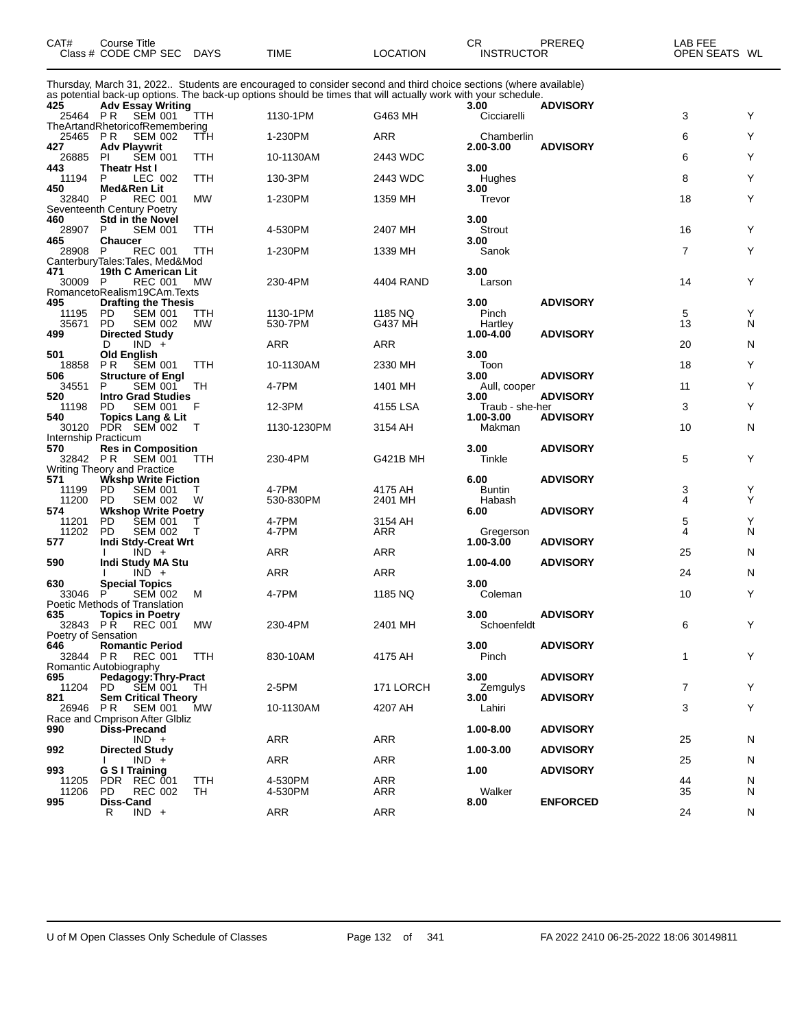| CAT#                  | Course Title<br>Class # CODE CMP SEC                                                               | <b>DAYS</b>      | TIME                                                                                                                                                                                                                             | <b>LOCATION</b>    | CR<br><b>INSTRUCTOR</b>         | PREREQ                             | LAB FEE<br>OPEN SEATS WL |        |
|-----------------------|----------------------------------------------------------------------------------------------------|------------------|----------------------------------------------------------------------------------------------------------------------------------------------------------------------------------------------------------------------------------|--------------------|---------------------------------|------------------------------------|--------------------------|--------|
|                       |                                                                                                    |                  | Thursday, March 31, 2022 Students are encouraged to consider second and third choice sections (where available)<br>as potential back-up options. The back-up options should be times that will actually work with your schedule. |                    |                                 |                                    |                          |        |
| 425<br>25464 PR       | <b>Adv Essay Writing</b><br><b>SEM 001</b>                                                         | TTH              | 1130-1PM                                                                                                                                                                                                                         | G463 MH            | 3.00<br>Cicciarelli             | <b>ADVISORY</b>                    | 3                        | Y      |
| 25465                 | TheArtandRhetoricofRemembering<br>P R<br><b>SEM 002</b>                                            | TTH              | 1-230PM                                                                                                                                                                                                                          | ARR                | Chamberlin                      |                                    | 6                        | Υ      |
| 427<br>26885<br>443   | <b>Adv Playwrit</b><br><b>SEM 001</b><br><b>PI</b><br><b>Theatr Hst I</b>                          | TTH              | 10-1130AM                                                                                                                                                                                                                        | 2443 WDC           | 2.00-3.00<br>3.00               | <b>ADVISORY</b>                    | 6                        | Y      |
| 11194<br>450          | LEC 002<br>P<br>Med&Ren Lit                                                                        | TTH              | 130-3PM                                                                                                                                                                                                                          | 2443 WDC           | Hughes<br>3.00                  |                                    | 8                        | Υ      |
| 32840                 | P<br><b>REC 001</b><br>Seventeenth Century Poetry                                                  | <b>MW</b>        | 1-230PM                                                                                                                                                                                                                          | 1359 MH            | Trevor                          |                                    | 18                       | Y      |
| 460<br>28907<br>465   | <b>Std in the Novel</b><br>P<br><b>SEM 001</b><br><b>Chaucer</b>                                   | TTH              | 4-530PM                                                                                                                                                                                                                          | 2407 MH            | 3.00<br>Strout<br>3.00          |                                    | 16                       | Υ      |
| 28908                 | P<br><b>REC 001</b><br>CanterburyTales:Tales, Med&Mod                                              | TTH              | 1-230PM                                                                                                                                                                                                                          | 1339 MH            | Sanok                           |                                    | $\overline{7}$           | Y      |
| 471<br>30009          | 19th C American Lit<br>- P<br><b>REC 001</b><br>RomancetoRealism19CAm.Texts                        | MW               | 230-4PM                                                                                                                                                                                                                          | 4404 RAND          | 3.00<br>Larson                  |                                    | 14                       | Y      |
| 495<br>11195<br>35671 | <b>Drafting the Thesis</b><br><b>SEM 001</b><br>PD<br>PD.<br><b>SEM 002</b>                        | TTH<br><b>MW</b> | 1130-1PM<br>530-7PM                                                                                                                                                                                                              | 1185 NQ<br>G437 MH | 3.00<br>Pinch<br>Hartley        | <b>ADVISORY</b>                    | 5<br>13                  | Y<br>N |
| 499                   | <b>Directed Study</b><br>$IND +$<br>D                                                              |                  | ARR                                                                                                                                                                                                                              | ARR                | 1.00-4.00                       | <b>ADVISORY</b>                    | 20                       | N      |
| 501<br>18858          | Old English<br>P R<br><b>SEM 001</b>                                                               | TTH              | 10-1130AM                                                                                                                                                                                                                        | 2330 MH            | 3.00<br>Toon                    |                                    | 18                       | Υ      |
| 506<br>34551          | <b>Structure of Engl</b><br><b>SEM 001</b><br>P                                                    | TH               | 4-7PM                                                                                                                                                                                                                            | 1401 MH            | 3.00<br>Aull, cooper            | <b>ADVISORY</b>                    | 11                       | Υ      |
| 520<br>11198          | <b>Intro Grad Studies</b><br>PD<br><b>SEM 001</b>                                                  | F                | 12-3PM                                                                                                                                                                                                                           | 4155 LSA           | 3.00<br>Traub - she-her         | <b>ADVISORY</b>                    | 3                        | Y      |
| 540<br>30120          | <b>Topics Lang &amp; Lit</b><br>PDR SEM 002                                                        | Τ                | 1130-1230PM                                                                                                                                                                                                                      | 3154 AH            | 1.00-3.00<br>Makman             | <b>ADVISORY</b>                    | 10                       | N      |
| 570<br>32842 PR       | Internship Practicum<br><b>Res in Composition</b><br><b>SEM 001</b><br>Writing Theory and Practice | TTH              | 230-4PM                                                                                                                                                                                                                          | G421B MH           | 3.00<br>Tinkle                  | <b>ADVISORY</b>                    | 5                        | Υ      |
| 571<br>11199<br>11200 | <b>Wkshp Write Fiction</b><br><b>SEM 001</b><br><b>PD</b><br>PD<br><b>SEM 002</b>                  | т<br>W           | 4-7PM<br>530-830PM                                                                                                                                                                                                               | 4175 AH<br>2401 MH | 6.00<br><b>Buntin</b><br>Habash | <b>ADVISORY</b>                    | 3<br>4                   | Υ<br>Y |
| 574<br>11201<br>11202 | <b>Wkshop Write Poetry</b><br>PD<br><b>SEM 001</b><br><b>PD</b><br><b>SEM 002</b>                  | Τ<br>т           | 4-7PM<br>4-7PM                                                                                                                                                                                                                   | 3154 AH<br>ARR     | 6.00<br>Gregerson               | <b>ADVISORY</b>                    | 5<br>4                   | Υ<br>N |
| 577                   | <b>Indi Stdy-Creat Wrt</b><br>$IND +$                                                              |                  | ARR                                                                                                                                                                                                                              | ARR                | 1.00-3.00                       | <b>ADVISORY</b>                    | 25                       | N      |
| 590                   | <b>Indi Study MA Stu</b><br>$IND +$                                                                |                  | ARR                                                                                                                                                                                                                              | <b>ARR</b>         | 1.00-4.00                       | <b>ADVISORY</b>                    | 24                       | N      |
| 630<br>33046          | <b>Special Topics</b><br>Р<br><b>SEM 002</b>                                                       | м                | 4-7PM                                                                                                                                                                                                                            | 1185 NQ            | 3.00<br>Coleman                 |                                    | 10                       | Y      |
| 635                   | Poetic Methods of Translation<br><b>Topics in Poetry</b><br>32843 PR REC 001                       | MW               | 230-4PM                                                                                                                                                                                                                          | 2401 MH            | 3.00<br>Schoenfeldt             | <b>ADVISORY</b>                    | 6                        | Y      |
| 646<br>32844 PR       | Poetry of Sensation<br><b>Romantic Period</b><br>REC 001<br>Romantic Autobiography                 | TTH              | 830-10AM                                                                                                                                                                                                                         | 4175 AH            | 3.00<br>Pinch                   | <b>ADVISORY</b>                    | 1                        | Y      |
| 695<br>11204<br>821   | Pedagogy: Thry-Pract<br>SEM 001 TH<br>PD.<br><b>Sem Critical Theory</b>                            |                  | 2-5PM                                                                                                                                                                                                                            | 171 LORCH          | 3.00<br>Zemgulys<br>3.00        | <b>ADVISORY</b><br><b>ADVISORY</b> | $\overline{7}$           | Υ      |
| 26946                 | PR.<br>SEM 001<br>Race and Cmprison After Gibliz                                                   | <b>MW</b>        | 10-1130AM                                                                                                                                                                                                                        | 4207 AH            | Lahiri                          |                                    | 3                        | Y      |
| 990                   | <b>Diss-Precand</b><br>$IND +$                                                                     |                  | <b>ARR</b>                                                                                                                                                                                                                       | ARR                | 1.00-8.00                       | <b>ADVISORY</b>                    | 25                       | N      |
| 992                   | <b>Directed Study</b><br>$IND +$                                                                   |                  | <b>ARR</b>                                                                                                                                                                                                                       | ARR                | 1.00-3.00                       | <b>ADVISORY</b>                    | 25                       | N      |
| 993<br>11205<br>11206 | G S I Training<br>PDR REC 001<br>PD.<br><b>REC 002</b>                                             | TTH<br>TH        | 4-530PM<br>4-530PM                                                                                                                                                                                                               | ARR<br>ARR         | 1.00<br>Walker                  | <b>ADVISORY</b>                    | 44<br>35                 | N<br>N |
| 995                   | Diss-Cand<br>$IND +$<br>R                                                                          |                  | ARR                                                                                                                                                                                                                              | ARR                | 8.00                            | <b>ENFORCED</b>                    | 24                       | N      |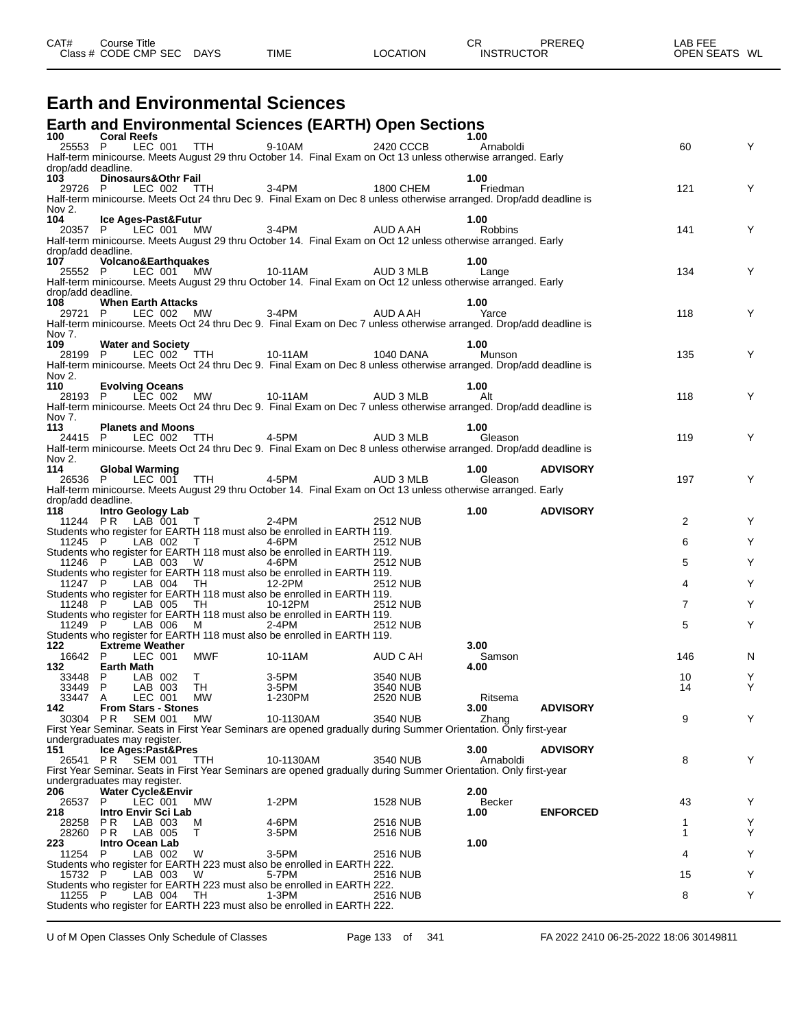| CAT# | Course Title<br>Class # CODE CMP SEC | <b>DAYS</b> | <b>TIME</b> | LOCATION | СR<br><b>INSTRUCTOR</b> | PREREQ | ∟AB FEE<br>OPEN SEATS WL |  |
|------|--------------------------------------|-------------|-------------|----------|-------------------------|--------|--------------------------|--|
|      |                                      |             |             |          |                         |        |                          |  |

### **Earth and Environmental Sciences**

### **Earth and Environmental Sciences (EARTH) Open Sections 100 Coral Reefs 1.00**

| 100 —                     | <b>Coral Reefs</b>                      |                    | LEC 001 TTH        |                                                                                                                                                                    |                             | 1.00       |                 |                |        |
|---------------------------|-----------------------------------------|--------------------|--------------------|--------------------------------------------------------------------------------------------------------------------------------------------------------------------|-----------------------------|------------|-----------------|----------------|--------|
| 25553 P                   |                                         |                    |                    | 9-10AM<br>Half-term minicourse. Meets August 29 thru October 14. Final Exam on Oct 13 unless otherwise arranged. Early                                             | 2420 CCCB                   | Arnaboldi  |                 | 60             | Y      |
| drop/add deadline.        |                                         |                    |                    |                                                                                                                                                                    |                             |            |                 |                |        |
| 103                       | Dinosaurs&Othr Fail                     |                    |                    |                                                                                                                                                                    |                             | 1.00       |                 |                |        |
|                           |                                         |                    |                    | 29726 P LEC 002 TTH 3-4PM 1800 CHEM Friedman<br>Half-term minicourse. Meets Oct 24 thru Dec 9. Final Exam on Dec 8 unless otherwise arranged. Drop/add deadline is |                             |            |                 | 121            | Y      |
| Nov 2.                    |                                         |                    |                    |                                                                                                                                                                    |                             |            |                 |                |        |
| 104                       | Ice Ages-Past&Futur                     |                    |                    |                                                                                                                                                                    |                             | 1.00       |                 |                |        |
|                           | 20357 P LEC 001 MW                      |                    |                    | 3-4PM AUD A AH                                                                                                                                                     |                             | Robbins    |                 | 141            | Y      |
|                           |                                         |                    |                    | Half-term minicourse. Meets August 29 thru October 14. Final Exam on Oct 12 unless otherwise arranged. Early                                                       |                             |            |                 |                |        |
| drop/add deadline.<br>107 | <b>Volcano&amp;Earthquakes</b>          |                    |                    |                                                                                                                                                                    |                             | 1.00       |                 |                |        |
| 25552 P                   |                                         | LEC 001 MW         |                    | 10-11AM AUD 3 MLB Lange                                                                                                                                            |                             |            |                 | 134            | Y      |
|                           |                                         |                    |                    | Half-term minicourse. Meets August 29 thru October 14. Final Exam on Oct 12 unless otherwise arranged. Early                                                       |                             |            |                 |                |        |
| drop/add deadline.        |                                         |                    |                    |                                                                                                                                                                    |                             |            |                 |                |        |
| 108                       | <b>When Earth Attacks</b>               |                    |                    |                                                                                                                                                                    |                             | 1.00       |                 | 118            | Y      |
|                           |                                         |                    |                    | 29721 P LEC 002 MW 3-4PM AUD A AH Yarce<br>Half-term minicourse. Meets Oct 24 thru Dec 9. Final Exam on Dec 7 unless otherwise arranged. Drop/add deadline is      |                             |            |                 |                |        |
| Nov 7.                    |                                         |                    |                    |                                                                                                                                                                    |                             |            |                 |                |        |
| 109                       | <b>Water and Society</b>                |                    |                    |                                                                                                                                                                    |                             | 1.00       |                 |                |        |
| 28199 P                   |                                         |                    |                    | LEC 002 TTH 10-11AM 1040 DANA<br>Half-term minicourse. Meets Oct 24 thru Dec 9. Final Exam on Dec 8 unless otherwise arranged. Drop/add deadline is                |                             | Munson     |                 | 135            | Y      |
| Nov 2.                    |                                         |                    |                    |                                                                                                                                                                    |                             |            |                 |                |        |
| 110                       | <b>Evolving Oceans</b>                  |                    |                    |                                                                                                                                                                    |                             | 1.00       |                 |                |        |
|                           | 28193 P LEC 002 MW                      |                    |                    | 10-11AM AUD 3 MLB                                                                                                                                                  |                             | <b>Alt</b> |                 | 118            | Y      |
| Nov 7.                    |                                         |                    |                    | Half-term minicourse. Meets Oct 24 thru Dec 9. Final Exam on Dec 7 unless otherwise arranged. Drop/add deadline is                                                 |                             |            |                 |                |        |
| 113                       | <b>Planets and Moons</b>                |                    |                    |                                                                                                                                                                    |                             | 1.00       |                 |                |        |
|                           |                                         |                    |                    | 24415 P LEC 002 TTH 4-5PM AUD 3 MLB<br>Half-term minicourse. Meets Oct 24 thru Dec 9. Final Exam on Dec 8 unless otherwise arranged. Drop/add deadline is          |                             |            |                 | 119            | Y      |
|                           |                                         |                    |                    |                                                                                                                                                                    |                             |            |                 |                |        |
| Nov 2.<br>114             | <b>Global Warming</b>                   |                    |                    |                                                                                                                                                                    |                             | 1.00       | <b>ADVISORY</b> |                |        |
| 26536 P                   |                                         |                    |                    | LEC 001 TTH 4-5PM AUD 3 MLB                                                                                                                                        |                             | Gleason    |                 | 197            | Y      |
|                           |                                         |                    |                    | Half-term minicourse. Meets August 29 thru October 14. Final Exam on Oct 13 unless otherwise arranged. Early                                                       |                             |            |                 |                |        |
| drop/add deadline.        |                                         |                    |                    |                                                                                                                                                                    |                             |            |                 |                |        |
| 118                       | Intro Geology Lab<br>11244 PR LAB 001 T |                    |                    | 2-4PM                                                                                                                                                              | 2512 NUB                    | 1.00       | <b>ADVISORY</b> | $\overline{2}$ | Υ      |
|                           |                                         |                    |                    | Students who register for EARTH 118 must also be enrolled in EARTH 119.                                                                                            |                             |            |                 |                |        |
| 11245 P                   |                                         |                    | LAB 002 T 4-6PM    |                                                                                                                                                                    | 2512 NUB                    |            |                 | 6              | Υ      |
|                           |                                         |                    |                    | Students who register for EARTH 118 must also be enrolled in EARTH 119.                                                                                            |                             |            |                 |                |        |
| 11246 P                   |                                         | LAB 003 W          | $4-6PM$            | Students who register for EARTH 118 must also be enrolled in EARTH 119.                                                                                            | 2512 NUB                    |            |                 | 5              | Υ      |
| 11247 P                   |                                         |                    | LAB 004 TH 12-2PM  |                                                                                                                                                                    | <b>2512 NUB</b>             |            |                 | 4              | Υ      |
|                           |                                         |                    |                    | Students who register for EARTH 118 must also be enrolled in EARTH 119.                                                                                            |                             |            |                 |                |        |
| 11248 P                   |                                         |                    | LAB 005 TH 10-12PM |                                                                                                                                                                    | 2512 NUB                    |            |                 | $\overline{7}$ | Υ      |
| 11249 P                   |                                         | LAB 006            | M<br>$2-4PM$       | Students who register for EARTH 118 must also be enrolled in EARTH 119.                                                                                            | 2512 NUB                    |            |                 | 5              | Y      |
|                           |                                         |                    |                    | Students who register for EARTH 118 must also be enrolled in EARTH 119.                                                                                            |                             |            |                 |                |        |
| 122                       | <b>Extreme Weather</b>                  |                    |                    |                                                                                                                                                                    |                             | 3.00       |                 |                |        |
| 16642 P                   |                                         | LEC 001            | MWF                | 10-11AM                                                                                                                                                            | AUD C AH                    | Samson     |                 | 146            | N      |
| 132<br>33448 P            | <b>Earth Math</b>                       | LAB 002 T          |                    | $3-5PM$                                                                                                                                                            | 3540 NUB                    | 4.00       |                 | 10             | Y      |
| 33449 P                   |                                         | LAB 003            | TH                 |                                                                                                                                                                    | 3540 NUB                    |            |                 | 14             | Y      |
| 33447 A                   | LEC 001                                 |                    | MW                 | 1-230PM                                                                                                                                                            | 2520 NUB                    | Ritsema    |                 |                |        |
| 142 —                     | <b>From Stars - Stones</b>              |                    |                    |                                                                                                                                                                    |                             | 3.00       | <b>ADVISORY</b> |                |        |
|                           |                                         |                    |                    | 30304 PR SEM 001 MW 10-1130AM 3540 NUB Zhang<br>First Year Seminar. Seats in First Year Seminars are opened gradually during Summer Orientation. Only first-year   |                             |            |                 | 9              |        |
|                           | undergraduates may register.            |                    |                    |                                                                                                                                                                    |                             |            |                 |                |        |
| 151                       | Ice Ages:Past&Pres                      |                    |                    |                                                                                                                                                                    |                             | 3.00       | <b>ADVISORY</b> |                |        |
| 26541 PR                  | SEM 001                                 |                    | TTH                | 10-1130AM                                                                                                                                                          | 3540 NUB                    | Arnaboldi  |                 | 8              | Y      |
|                           | undergraduates may register.            |                    |                    | First Year Seminar. Seats in First Year Seminars are opened gradually during Summer Orientation. Only first-year                                                   |                             |            |                 |                |        |
| 206                       | <b>Water Cycle&amp;Envir</b>            |                    |                    |                                                                                                                                                                    |                             | 2.00       |                 |                |        |
| 26537                     | P                                       | LEC 001            | МW                 | 1-2PM                                                                                                                                                              | <b>1528 NUB</b>             | Becker     |                 | 43             | Y      |
| 218                       | Intro Envir Sci Lab                     |                    |                    |                                                                                                                                                                    |                             | 1.00       | <b>ENFORCED</b> |                |        |
| 28258<br>28260            | P R<br>P R                              | LAB 003<br>LAB 005 | м<br>Т             | 4-6PM<br>3-5PM                                                                                                                                                     | 2516 NUB<br><b>2516 NUB</b> |            |                 | 1<br>1         | Y<br>Υ |
| 223                       | Intro Ocean Lab                         |                    |                    |                                                                                                                                                                    |                             | 1.00       |                 |                |        |
| 11254                     | P                                       | LAB 002            | W                  | 3-5PM                                                                                                                                                              | 2516 NUB                    |            |                 | 4              | Y      |
|                           |                                         |                    |                    | Students who register for EARTH 223 must also be enrolled in EARTH 222.                                                                                            |                             |            |                 |                |        |
| 15732 P                   |                                         | LAB 003            | W                  | 5-7PM<br>Students who register for EARTH 223 must also be enrolled in EARTH 222.                                                                                   | <b>2516 NUB</b>             |            |                 | 15             | Υ      |
| 11255 P                   |                                         | LAB 004            | TH.                | 1-3PM                                                                                                                                                              | 2516 NUB                    |            |                 | 8              | Y      |
|                           |                                         |                    |                    | Students who register for EARTH 223 must also be enrolled in EARTH 222.                                                                                            |                             |            |                 |                |        |
|                           |                                         |                    |                    |                                                                                                                                                                    |                             |            |                 |                |        |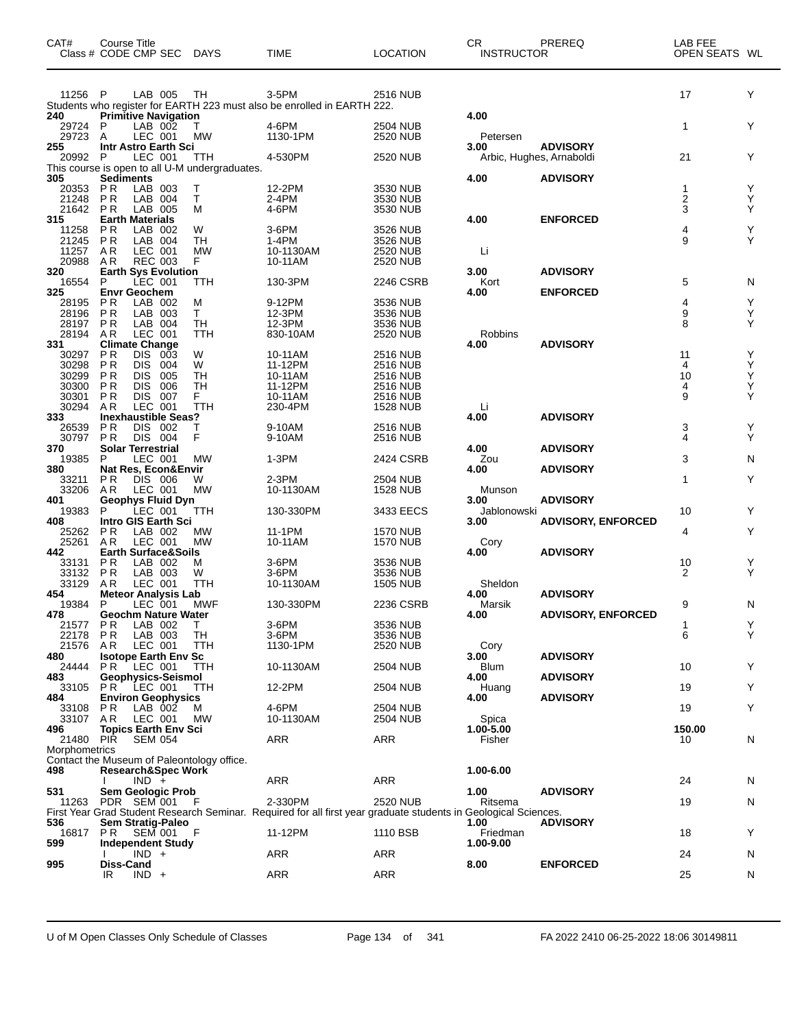| CAT#                   | Course Title<br>Class # CODE CMP SEC                             | <b>DAYS</b>      | <b>TIME</b>                                                                                                     | <b>LOCATION</b>                    | CR<br><b>INSTRUCTOR</b> | PREREQ                    | LAB FEE<br>OPEN SEATS WL |        |
|------------------------|------------------------------------------------------------------|------------------|-----------------------------------------------------------------------------------------------------------------|------------------------------------|-------------------------|---------------------------|--------------------------|--------|
| 11256 P                | LAB 005                                                          | TH               | 3-5PM                                                                                                           | <b>2516 NUB</b>                    |                         |                           | 17                       | Y      |
| 240                    | <b>Primitive Navigation</b>                                      |                  | Students who register for EARTH 223 must also be enrolled in EARTH 222.                                         |                                    | 4.00                    |                           |                          |        |
| 29724                  | P<br>LAB 002                                                     |                  | 4-6PM                                                                                                           | 2504 NUB                           |                         |                           | 1                        | Y      |
| 29723                  | LEC 001<br>A                                                     | <b>MW</b>        | 1130-1PM                                                                                                        | 2520 NUB                           | Petersen                |                           |                          |        |
| 255                    | Intr Astro Earth Sci                                             |                  |                                                                                                                 |                                    | 3.00                    | <b>ADVISORY</b>           |                          |        |
| 20992                  | P<br>LEC 001<br>This course is open to all U-M undergraduates.   | TTH              | 4-530PM                                                                                                         | 2520 NUB                           |                         | Arbic, Hughes, Arnaboldi  | 21                       | Y      |
| 305                    | <b>Sediments</b>                                                 |                  |                                                                                                                 |                                    | 4.00                    | <b>ADVISORY</b>           |                          |        |
| 20353                  | <b>PR</b><br>LAB 003                                             | т                | 12-2PM                                                                                                          | 3530 NUB                           |                         |                           | 1                        | Υ      |
| 21248<br>21642         | <b>PR</b><br>LAB 004<br><b>PR</b><br>LAB 005                     | Τ<br>м           | 2-4PM<br>4-6PM                                                                                                  | 3530 NUB<br>3530 NUB               |                         |                           | $\frac{2}{3}$            | Υ<br>Υ |
| 315                    | <b>Earth Materials</b>                                           |                  |                                                                                                                 |                                    | 4.00                    | <b>ENFORCED</b>           |                          |        |
| 11258                  | LAB 002<br>P R                                                   | W                | 3-6PM                                                                                                           | 3526 NUB                           |                         |                           | 4                        | Υ      |
| 21245<br>11257         | <b>PR</b><br>LAB 004<br>AR<br>LEC 001                            | TН<br>MW         | 1-4PM<br>10-1130AM                                                                                              | 3526 NUB<br>2520 NUB               | Li                      |                           | 9                        | Υ      |
| 20988                  | <b>REC 003</b><br>AR.                                            | F                | 10-11AM                                                                                                         | 2520 NUB                           |                         |                           |                          |        |
| 320                    | <b>Earth Sys Evolution</b>                                       |                  |                                                                                                                 |                                    | 3.00                    | <b>ADVISORY</b>           |                          |        |
| 16554<br>325           | P<br>LEC 001<br><b>Envr Geochem</b>                              | TTH              | 130-3PM                                                                                                         | 2246 CSRB                          | Kort<br>4.00            | <b>ENFORCED</b>           | 5                        | N      |
| 28195                  | P R<br>LAB 002                                                   | м                | 9-12PM                                                                                                          | 3536 NUB                           |                         |                           | 4                        | Υ      |
| 28196                  | P R<br>LAB 003                                                   | Τ                | 12-3PM                                                                                                          | 3536 NUB                           |                         |                           | 9                        | Υ      |
| 28197<br>28194         | PR<br>LAB 004<br>LEC 001<br>AR                                   | <b>TH</b><br>TTH | 12-3PM<br>830-10AM                                                                                              | 3536 NUB<br><b>2520 NUB</b>        | Robbins                 |                           | 8                        | Y      |
| 331                    | <b>Climate Change</b>                                            |                  |                                                                                                                 |                                    | 4.00                    | <b>ADVISORY</b>           |                          |        |
| 30297                  | P <sub>R</sub><br>DIS<br>003                                     | W                | 10-11AM                                                                                                         | 2516 NUB                           |                         |                           | 11                       | Υ      |
| 30298<br>30299         | <b>PR</b><br><b>DIS</b><br>004<br><b>PR</b><br><b>DIS</b><br>005 | W<br>TН          | 11-12PM<br>10-11AM                                                                                              | <b>2516 NUB</b><br>2516 NUB        |                         |                           | 4<br>10                  | Υ<br>Υ |
| 30300                  | <b>PR</b><br>DIS<br>006                                          | TН               | 11-12PM                                                                                                         | <b>2516 NUB</b>                    |                         |                           | 4                        | Υ      |
| 30301                  | P R<br>DIS.<br>007                                               | F                | 10-11AM                                                                                                         | <b>2516 NUB</b>                    |                         |                           | 9                        | Υ      |
| 30294<br>333           | AR<br>LEC 001<br><b>Inexhaustible Seas?</b>                      | TTH              | 230-4PM                                                                                                         | <b>1528 NUB</b>                    | Li.<br>4.00             | <b>ADVISORY</b>           |                          |        |
| 26539                  | P R<br>DIS.<br>002                                               | т                | 9-10AM                                                                                                          | <b>2516 NUB</b>                    |                         |                           | 3                        | Υ      |
| 30797                  | <b>PR</b><br>DIS 004                                             | F                | 9-10AM                                                                                                          | <b>2516 NUB</b>                    |                         |                           | 4                        | Y      |
| 370<br>19385           | <b>Solar Terrestrial</b><br>P<br>LEC 001                         | <b>MW</b>        | 1-3PM                                                                                                           | 2424 CSRB                          | 4.00<br>Zou             | <b>ADVISORY</b>           | 3                        | N      |
| 380                    | Nat Res, Econ&Envir                                              |                  |                                                                                                                 |                                    | 4.00                    | <b>ADVISORY</b>           |                          |        |
| 33211                  | DIS 006<br>P R                                                   | W                | 2-3PM                                                                                                           | 2504 NUB                           |                         |                           | 1                        | Y      |
| 33206<br>401           | LEC 001<br>AR.<br>Geophys Fluid Dyn                              | <b>MW</b>        | 10-1130AM                                                                                                       | <b>1528 NUB</b>                    | Munson<br>3.00          | <b>ADVISORY</b>           |                          |        |
| 19383                  | LEC 001<br>P                                                     | TTH              | 130-330PM                                                                                                       | 3433 EECS                          | Jablonowski             |                           | 10                       | Y      |
| 408                    | <b>Intro GIS Earth Sci</b>                                       |                  |                                                                                                                 |                                    | 3.00                    | <b>ADVISORY, ENFORCED</b> |                          |        |
| 25262<br>25261         | <b>PR</b><br>LAB 002<br>LEC 001<br>AR.                           | MW<br><b>MW</b>  | 11-1PM<br>10-11AM                                                                                               | <b>1570 NUB</b><br><b>1570 NUB</b> | Cory                    |                           | 4                        | Υ      |
| 442                    | <b>Earth Surface&amp;Soils</b>                                   |                  |                                                                                                                 |                                    | 4.00                    | <b>ADVISORY</b>           |                          |        |
| 33131                  | P R<br>LAB 002                                                   | M                | 3-6PM                                                                                                           | 3536 NUB                           |                         |                           | 10                       | Υ      |
| 33132<br>33129         | <b>PR</b><br>LAB 003<br>LEC 001<br>A R                           | W<br><b>TTH</b>  | 3-6PM<br>10-1130AM                                                                                              | 3536 NUB<br><b>1505 NUB</b>        | Sheldon                 |                           | 2                        | Y      |
| 454                    | <b>Meteor Analysis Lab</b>                                       |                  |                                                                                                                 |                                    | 4.00                    | <b>ADVISORY</b>           |                          |        |
| 19384                  | P<br>LEC 001                                                     | MWF              | 130-330PM                                                                                                       | 2236 CSRB                          | Marsik                  |                           | 9                        | N      |
| 478<br>21577 PR        | Geochm Nature Water<br>LAB 002                                   | T.               | 3-6PM                                                                                                           | 3536 NUB                           | 4.00                    | <b>ADVISORY, ENFORCED</b> | 1                        | Υ      |
| 22178                  | P R<br>LAB 003                                                   | TH               | 3-6PM                                                                                                           | 3536 NUB                           |                         |                           | 6                        | Y      |
| 21576                  | LEC 001<br>AR                                                    | TTH              | 1130-1PM                                                                                                        | 2520 NUB                           | Cory                    |                           |                          |        |
| 480<br>24444           | <b>Isotope Earth Env Sc</b><br>LEC 001<br>P R                    | <b>TTH</b>       | 10-1130AM                                                                                                       | 2504 NUB                           | 3.00<br><b>Blum</b>     | <b>ADVISORY</b>           | 10                       | Υ      |
| 483                    | Geophysics-Seismol                                               |                  |                                                                                                                 |                                    | 4.00                    | <b>ADVISORY</b>           |                          |        |
| 33105                  | <b>PR LEC 001</b>                                                | TTH              | 12-2PM                                                                                                          | 2504 NUB                           | Huang                   |                           | 19                       | Υ      |
| 484<br>33108           | <b>Environ Geophysics</b><br>LAB 002<br>PR.                      | м                | 4-6PM                                                                                                           | <b>2504 NUB</b>                    | 4.00                    | <b>ADVISORY</b>           | 19                       | Y      |
| 33107 AR               | LEC 001                                                          | <b>MW</b>        | 10-1130AM                                                                                                       | 2504 NUB                           | Spica                   |                           |                          |        |
| 496                    | Topics Earth Env Sci                                             |                  |                                                                                                                 |                                    | 1.00-5.00               |                           | 150.00                   |        |
| 21480<br>Morphometrics | PIR<br>SEM 054                                                   |                  | ARR                                                                                                             | <b>ARR</b>                         | Fisher                  |                           | 10                       | N      |
|                        | Contact the Museum of Paleontology office.                       |                  |                                                                                                                 |                                    |                         |                           |                          |        |
| 498                    | <b>Research&amp;Spec Work</b>                                    |                  |                                                                                                                 |                                    | 1.00-6.00               |                           |                          |        |
| 531                    | $IND +$<br><b>Sem Geologic Prob</b>                              |                  | ARR                                                                                                             | <b>ARR</b>                         | 1.00                    | <b>ADVISORY</b>           | 24                       | N      |
| 11263                  | PDR SEM 001                                                      |                  | 2-330PM                                                                                                         | <b>2520 NUB</b>                    | Ritsema                 |                           | 19                       | N      |
|                        |                                                                  |                  | First Year Grad Student Research Seminar. Required for all first year graduate students in Geological Sciences. |                                    |                         |                           |                          |        |
| 536<br>16817           | Sem Stratig-Paleo<br>PR SEM 001                                  | - F              | 11-12PM                                                                                                         | 1110 BSB                           | 1.00<br>Friedman        | <b>ADVISORY</b>           | 18                       | Y      |
| 599                    | <b>Independent Study</b>                                         |                  |                                                                                                                 |                                    | 1.00-9.00               |                           |                          |        |
|                        | $IND +$                                                          |                  | ARR                                                                                                             | ARR                                |                         |                           | 24                       | N      |
| 995                    | Diss-Cand<br>IR<br>$IND +$                                       |                  | ARR                                                                                                             | ARR                                | 8.00                    | <b>ENFORCED</b>           | 25                       | N      |
|                        |                                                                  |                  |                                                                                                                 |                                    |                         |                           |                          |        |

U of M Open Classes Only Schedule of Classes Page 134 of 341 FA 2022 2410 06-25-2022 18:06 30149811

 $\overline{\phantom{0}}$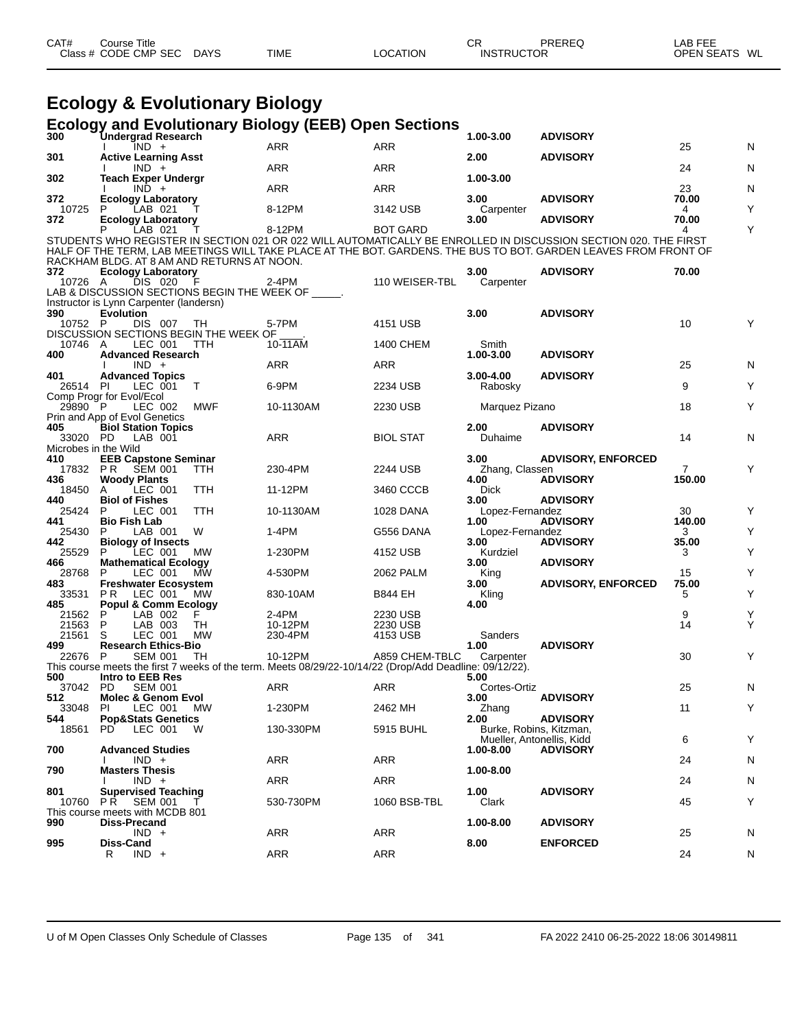| Class # CODE CMP SEC<br><b>DAYS</b><br><b>TIME</b><br>LOCATION<br><b>INSTRUCTOR</b> | CAT# | ourse Titleٽ |  |  |  | СF | PREREQ | LAB FEE<br><b>OPEN SEATS</b> | WL |
|-------------------------------------------------------------------------------------|------|--------------|--|--|--|----|--------|------------------------------|----|
|-------------------------------------------------------------------------------------|------|--------------|--|--|--|----|--------|------------------------------|----|

### **Ecology & Evolutionary Biology**

#### **Ecology and Evolutionary Biology (EEB) Open Sections**

| נפטיט<br>300         | <b>Undergrad Research</b>                                   |            | and Eveldtrenary Diology (EED) Open                                                                     | ๛๛๛              | 1.00-3.00                 | <b>ADVISORY</b>                                                                                                                                                                                                                    |                |   |
|----------------------|-------------------------------------------------------------|------------|---------------------------------------------------------------------------------------------------------|------------------|---------------------------|------------------------------------------------------------------------------------------------------------------------------------------------------------------------------------------------------------------------------------|----------------|---|
|                      | $\overline{IND}$ +                                          |            | ARR                                                                                                     | ARR              |                           |                                                                                                                                                                                                                                    | 25             | N |
| 301<br>302           | <b>Active Learning Asst</b><br>$IND +$                      |            | <b>ARR</b>                                                                                              | <b>ARR</b>       | 2.00<br>1.00-3.00         | <b>ADVISORY</b>                                                                                                                                                                                                                    | 24             | N |
|                      | <b>Teach Exper Undergr</b><br>$IND +$                       |            | ARR                                                                                                     | <b>ARR</b>       |                           |                                                                                                                                                                                                                                    | 23             | N |
| 372<br>10725         | <b>Ecology Laboratory</b>                                   |            | 8-12PM                                                                                                  | 3142 USB         | 3.00                      | <b>ADVISORY</b>                                                                                                                                                                                                                    | 70.00          | Υ |
| 372                  | LAB 021<br><b>Ecology Laboratory</b>                        |            |                                                                                                         |                  | Carpenter<br>3.00         | <b>ADVISORY</b>                                                                                                                                                                                                                    | 4<br>70.00     |   |
|                      | LAB 021                                                     |            | 8-12PM                                                                                                  | <b>BOT GARD</b>  |                           |                                                                                                                                                                                                                                    | 4              | Y |
|                      |                                                             |            |                                                                                                         |                  |                           | STUDENTS WHO REGISTER IN SECTION 021 OR 022 WILL AUTOMATICALLY BE ENROLLED IN DISCUSSION SECTION 020. THE FIRST<br>HALF OF THE TERM, LAB MEETINGS WILL TAKE PLACE AT THE BOT. GARDENS. THE BUS TO BOT. GARDEN LEAVES FROM FRONT OF |                |   |
|                      | RACKHAM BLDG. AT 8 AM AND RETURNS AT NOON.                  |            |                                                                                                         |                  |                           |                                                                                                                                                                                                                                    |                |   |
| 372<br>10726 A       | <b>Ecology Laboratory</b><br>DIS 020                        | - F        | 2-4PM                                                                                                   | 110 WEISER-TBL   | 3.00<br>Carpenter         | <b>ADVISORY</b>                                                                                                                                                                                                                    | 70.00          |   |
|                      | LAB & DISCUSSION SECTIONS BEGIN THE WEEK OF _____.          |            |                                                                                                         |                  |                           |                                                                                                                                                                                                                                    |                |   |
| 390                  | Instructor is Lynn Carpenter (landersn)<br><b>Evolution</b> |            |                                                                                                         |                  | 3.00                      | <b>ADVISORY</b>                                                                                                                                                                                                                    |                |   |
| 10752 P              | DIS 007                                                     | - TH       | 5-7PM                                                                                                   | 4151 USB         |                           |                                                                                                                                                                                                                                    | 10             | Y |
|                      | DISCUSSION SECTIONS BEGIN THE WEEK OF                       |            |                                                                                                         |                  |                           |                                                                                                                                                                                                                                    |                |   |
| 10746 A<br>400       | LEC 001<br><b>Advanced Research</b>                         | TTH        | 10-11AM                                                                                                 | 1400 CHEM        | Smith<br>1.00-3.00        | <b>ADVISORY</b>                                                                                                                                                                                                                    |                |   |
|                      | $IND +$                                                     |            | <b>ARR</b>                                                                                              | ARR              |                           |                                                                                                                                                                                                                                    | 25             | N |
| 401<br>26514 PI      | <b>Advanced Topics</b>                                      | $\top$     | 6-9PM                                                                                                   | 2234 USB         | 3.00-4.00<br>Rabosky      | <b>ADVISORY</b>                                                                                                                                                                                                                    | 9              | Υ |
|                      | LEC 001<br>Comp Progr for Evol/Ecol                         |            |                                                                                                         |                  |                           |                                                                                                                                                                                                                                    |                |   |
| 29890 P              | LEC 002                                                     | MWF        | 10-1130AM                                                                                               | 2230 USB         | Marquez Pizano            |                                                                                                                                                                                                                                    | 18             | Υ |
| 405                  | Prin and App of Evol Genetics<br><b>Biol Station Topics</b> |            |                                                                                                         |                  | 2.00                      | <b>ADVISORY</b>                                                                                                                                                                                                                    |                |   |
| 33020 PD             | LAB 001                                                     |            | ARR                                                                                                     | <b>BIOL STAT</b> | Duhaime                   |                                                                                                                                                                                                                                    | 14             | N |
| Microbes in the Wild |                                                             |            |                                                                                                         |                  |                           |                                                                                                                                                                                                                                    |                |   |
| 410                  | <b>EEB Capstone Seminar</b><br>17832 PR SEM 001             | TTH        | 230-4PM                                                                                                 | 2244 USB         | 3.00<br>Zhang, Classen    | <b>ADVISORY, ENFORCED</b>                                                                                                                                                                                                          | $\overline{7}$ | Y |
| 436                  | <b>Woody Plants</b>                                         |            |                                                                                                         |                  | 4.00                      | <b>ADVISORY</b>                                                                                                                                                                                                                    | 150.00         |   |
| 18450<br>440         | LEC 001<br>A<br><b>Biol of Fishes</b>                       | <b>TTH</b> | 11-12PM                                                                                                 | 3460 CCCB        | Dick<br>3.00              | <b>ADVISORY</b>                                                                                                                                                                                                                    |                |   |
| 25424                | LEC 001<br>P                                                | TTH        | 10-1130AM                                                                                               | 1028 DANA        | Lopez-Fernandez           |                                                                                                                                                                                                                                    | 30             | Y |
| 441                  | <b>Bio Fish Lab</b>                                         |            |                                                                                                         |                  | 1.00                      | <b>ADVISORY</b>                                                                                                                                                                                                                    | 140.00         |   |
| 25430<br>442         | LAB 001<br>P<br><b>Biology of Insects</b>                   | W          | 1-4PM                                                                                                   | G556 DANA        | Lopez-Fernandez<br>3.00   | <b>ADVISORY</b>                                                                                                                                                                                                                    | 3<br>35.00     | Υ |
| 25529                | LEC 001<br>P.                                               | МW         | 1-230PM                                                                                                 | 4152 USB         | Kurdziel                  |                                                                                                                                                                                                                                    | 3              | Υ |
| 466<br>28768         | <b>Mathematical Ecology</b><br>LEC 001<br>P                 | <b>MW</b>  | 4-530PM                                                                                                 | 2062 PALM        | 3.00<br>King              | <b>ADVISORY</b>                                                                                                                                                                                                                    | 15             | Υ |
| 483                  | <b>Freshwater Ecosystem</b>                                 |            |                                                                                                         |                  | 3.00                      | <b>ADVISORY, ENFORCED</b>                                                                                                                                                                                                          | 75.00          |   |
| 33531                | PR LEC 001 MW                                               |            | 830-10AM                                                                                                | <b>B844 EH</b>   | Kling                     |                                                                                                                                                                                                                                    | 5              | Υ |
| 485<br>21562         | <b>Popul &amp; Comm Ecology</b><br>LAB 002<br>P.            | F.         | 2-4PM                                                                                                   | 2230 USB         | 4.00                      |                                                                                                                                                                                                                                    | 9              | Υ |
| 21563                | LAB 003<br>P                                                | TH         | 10-12PM                                                                                                 | 2230 USB         |                           |                                                                                                                                                                                                                                    | 14             | Υ |
| 21561<br>499         | LEC 001<br>S<br><b>Research Ethics-Bio</b>                  | МW         | 230-4PM                                                                                                 | 4153 USB         | Sanders<br>1.00           | <b>ADVISORY</b>                                                                                                                                                                                                                    |                |   |
| 22676 P              | <b>SEM 001</b>                                              | TH         | 10-12PM                                                                                                 | A859 CHEM-TBLC   | Carpenter                 |                                                                                                                                                                                                                                    | 30             | Y |
|                      |                                                             |            | This course meets the first 7 weeks of the term. Meets 08/29/22-10/14/22 (Drop/Add Deadline: 09/12/22). |                  |                           |                                                                                                                                                                                                                                    |                |   |
| 500<br>37042 PD      | Intro to EEB Res<br><b>SEM 001</b>                          |            | ARR                                                                                                     | <b>ARR</b>       | 5.00<br>Cortes-Ortiz      |                                                                                                                                                                                                                                    | 25             | N |
| 512                  | <b>Molec &amp; Genom Evol</b>                               |            |                                                                                                         |                  | 3.00                      | <b>ADVISORY</b>                                                                                                                                                                                                                    |                |   |
| 33048<br>544         | PI LEC 001<br><b>Pop&amp;Stats Genetics</b>                 | MW M       | 1-230PM                                                                                                 | 2462 MH          | Zhang<br>2.00             | <b>ADVISORY</b>                                                                                                                                                                                                                    | 11             | Y |
| 18561                | PD<br>LEC 001                                               | W          | 130-330PM                                                                                               | 5915 BUHL        | Burke, Robins, Kitzman,   |                                                                                                                                                                                                                                    |                |   |
|                      |                                                             |            |                                                                                                         |                  | Mueller, Antonellis, Kidd |                                                                                                                                                                                                                                    | 6              | Y |
| 700                  | <b>Advanced Studies</b><br>$IND +$                          |            | ARR                                                                                                     | ARR              | 1.00-8.00                 | <b>ADVISORY</b>                                                                                                                                                                                                                    | 24             | N |
| 790                  | <b>Masters Thesis</b>                                       |            |                                                                                                         |                  | 1.00-8.00                 |                                                                                                                                                                                                                                    |                |   |
| 801                  | $IND +$<br><b>Supervised Teaching</b>                       |            | ARR                                                                                                     | ARR              | 1.00                      | <b>ADVISORY</b>                                                                                                                                                                                                                    | 24             | N |
| 10760                | PR.<br><b>SEM 001</b>                                       |            | 530-730PM                                                                                               | 1060 BSB-TBL     | Clark                     |                                                                                                                                                                                                                                    | 45             | Y |
|                      | This course meets with MCDB 801                             |            |                                                                                                         |                  |                           |                                                                                                                                                                                                                                    |                |   |
| 990                  | Diss-Precand<br>$IND +$                                     |            | ARR                                                                                                     | ARR              | 1.00-8.00                 | <b>ADVISORY</b>                                                                                                                                                                                                                    | 25             | N |
| 995                  | Diss-Cand                                                   |            |                                                                                                         |                  | 8.00                      | <b>ENFORCED</b>                                                                                                                                                                                                                    |                |   |
|                      | $IND +$<br>R.                                               |            | <b>ARR</b>                                                                                              | <b>ARR</b>       |                           |                                                                                                                                                                                                                                    | 24             | N |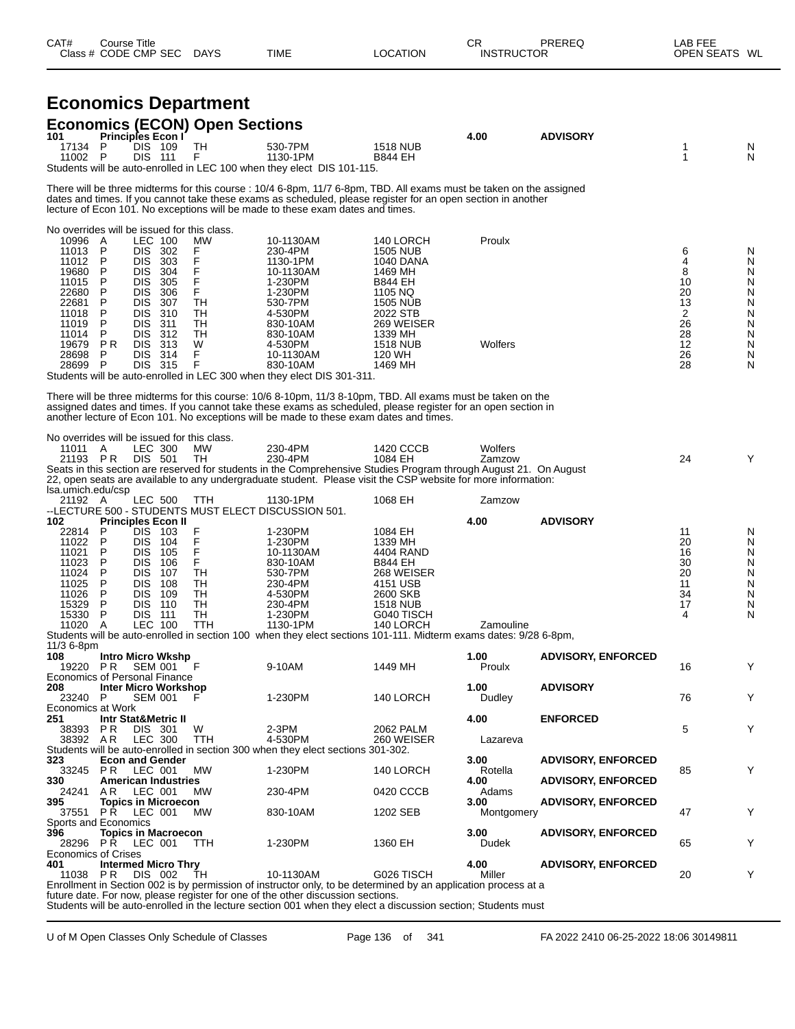| CAT# | ourse Titleٽ         |             |             |          | ⌒冖<br>◡┍          | PREREQ | LAB FEE    |    |
|------|----------------------|-------------|-------------|----------|-------------------|--------|------------|----|
|      | Class # CODE CMP SEC | <b>DAYS</b> | <b>TIME</b> | LOCATION | <b>INSTRUCTOR</b> |        | OPEN SEATS | WL |

|                                                                                                                                                                      |                                                       |                                                                                                                                                         |                                                                     | <b>Economics Department</b>                                                                                         |                                                                                                                                                                                                                                                                                                                        |                                                                                                                                                                            |                             |                           |                                                                  |                                                          |
|----------------------------------------------------------------------------------------------------------------------------------------------------------------------|-------------------------------------------------------|---------------------------------------------------------------------------------------------------------------------------------------------------------|---------------------------------------------------------------------|---------------------------------------------------------------------------------------------------------------------|------------------------------------------------------------------------------------------------------------------------------------------------------------------------------------------------------------------------------------------------------------------------------------------------------------------------|----------------------------------------------------------------------------------------------------------------------------------------------------------------------------|-----------------------------|---------------------------|------------------------------------------------------------------|----------------------------------------------------------|
| 101                                                                                                                                                                  | Principles Econ I                                     |                                                                                                                                                         |                                                                     | <b>Economics (ECON) Open Sections</b>                                                                               |                                                                                                                                                                                                                                                                                                                        |                                                                                                                                                                            | 4.00                        | <b>ADVISORY</b>           |                                                                  |                                                          |
| 17134<br>11002 P                                                                                                                                                     | P                                                     | <b>DIS 109</b><br><b>DIS 111</b>                                                                                                                        |                                                                     | <b>TH</b><br>F                                                                                                      | 530-7PM<br>1130-1PM<br>Students will be auto-enrolled in LEC 100 when they elect DIS 101-115.                                                                                                                                                                                                                          | <b>1518 NUB</b><br><b>B844 EH</b>                                                                                                                                          |                             |                           | 1<br>1                                                           | N<br>N                                                   |
|                                                                                                                                                                      |                                                       |                                                                                                                                                         |                                                                     |                                                                                                                     | There will be three midterms for this course : 10/4 6-8pm, 11/7 6-8pm, TBD. All exams must be taken on the assigned<br>dates and times. If you cannot take these exams as scheduled, please register for an open section in another<br>lecture of Econ 101. No exceptions will be made to these exam dates and times.  |                                                                                                                                                                            |                             |                           |                                                                  |                                                          |
| No overrides will be issued for this class.<br>10996 A<br>11013<br>11012<br>19680<br>11015<br>22680<br>22681<br>11018<br>11019<br>11014<br>19679<br>28698<br>28699 P | P<br>P<br>P<br>P<br>P<br>P<br>P<br>P<br>P<br>P R<br>P | LEC 100<br><b>DIS</b><br>DIS.<br>DIS.<br><b>DIS</b><br><b>DIS</b><br>DIS.<br><b>DIS</b><br><b>DIS</b><br>DIS 312<br><b>DIS</b><br><b>DIS</b><br>DIS 315 | 302<br>303<br>304<br>305<br>306<br>-307<br>310<br>311<br>313<br>314 | <b>MW</b><br>F<br>$_{\mathsf{F}}^{\mathsf{F}}$<br>F<br>$\overline{F}$<br><b>TH</b><br>TН<br>TН<br>TН<br>W<br>F<br>F | 10-1130AM<br>230-4PM<br>1130-1PM<br>10-1130AM<br>1-230PM<br>1-230PM<br>530-7PM<br>4-530PM<br>830-10AM<br>830-10AM<br>4-530PM<br>10-1130AM<br>830-10AM<br>Students will be auto-enrolled in LEC 300 when they elect DIS 301-311.                                                                                        | 140 LORCH<br><b>1505 NUB</b><br>1040 DANA<br>1469 MH<br><b>B844 EH</b><br>1105 NQ<br>1505 NUB<br>2022 STB<br>269 WEISER<br>1339 MH<br><b>1518 NUB</b><br>120 WH<br>1469 MH | Proulx<br>Wolfers           |                           | 6<br>4<br>8<br>10<br>20<br>13<br>2<br>26<br>28<br>12<br>26<br>28 | N<br>N<br>N<br>N<br>N<br>N<br>N<br>N<br>N<br>N<br>N<br>N |
|                                                                                                                                                                      |                                                       |                                                                                                                                                         |                                                                     |                                                                                                                     | There will be three midterms for this course: 10/6 8-10pm, 11/3 8-10pm, TBD. All exams must be taken on the<br>assigned dates and times. If you cannot take these exams as scheduled, please register for an open section in<br>another lecture of Econ 101. No exceptions will be made to these exam dates and times. |                                                                                                                                                                            |                             |                           |                                                                  |                                                          |
| No overrides will be issued for this class.<br>11011 A<br>21193 PR<br>Isa.umich.edu/csp                                                                              |                                                       | LEC 300<br>DIS 501                                                                                                                                      |                                                                     | <b>MW</b><br>TH                                                                                                     | 230-4PM<br>230-4PM<br>Seats in this section are reserved for students in the Comprehensive Studies Program through August 21. On August<br>22, open seats are available to any undergraduate student. Please visit the CSP website for more information:                                                               | 1420 CCCB<br>1084 EH                                                                                                                                                       | Wolfers<br>Zamzow           |                           | 24                                                               | Y                                                        |
| 21192 A<br>102                                                                                                                                                       | <b>Principles Econ II</b>                             | <b>LEC 500</b>                                                                                                                                          |                                                                     | TTH                                                                                                                 | 1130-1PM<br>--LECTURE 500 - STUDENTS MUST ELECT DISCUSSION 501.                                                                                                                                                                                                                                                        | 1068 EH                                                                                                                                                                    | Zamzow<br>4.00              | <b>ADVISORY</b>           |                                                                  |                                                          |
| 22814<br>11022<br>11021<br>11023<br>11024<br>11025<br>11026<br>15329<br>15330<br>11020                                                                               | P<br>P<br>P<br>P<br>P<br>P<br>P<br>P<br>P<br>A        | DIS.<br>DIS.<br>DIS.<br><b>DIS</b><br><b>DIS</b><br><b>DIS</b><br><b>DIS</b><br>DIS.<br><b>DIS 111</b><br><b>LEC 100</b>                                | - 103<br>104<br>105<br>106<br>107<br>108<br>109<br>110              | F<br>$\overline{F}$<br>F<br>F<br>TН<br>TН<br>TН<br>TН<br>TН<br><b>TTH</b>                                           | 1-230PM<br>1-230PM<br>10-1130AM<br>830-10AM<br>530-7PM<br>230-4PM<br>4-530PM<br>230-4PM<br>1-230PM<br>1130-1PM<br>Students will be auto-enrolled in section 100 when they elect sections 101-111. Midterm exams dates: 9/28 6-8pm,                                                                                     | 1084 EH<br>1339 MH<br>4404 RAND<br><b>B844 EH</b><br>268 WEISER<br>4151 USB<br>2600 SKB<br><b>1518 NUB</b><br>G040 TISCH<br>140 LORCH                                      | Zamouline                   |                           | 11<br>20<br>16<br>30<br>20<br>11<br>34<br>17<br>4                | N<br>N<br>N<br>N<br>N<br>N<br>N<br>N<br>N                |
| $11/36 - 8pm$<br>108<br>19220 PR SEM 001                                                                                                                             |                                                       |                                                                                                                                                         | <b>Intro Micro Wkshp</b>                                            | – F                                                                                                                 | 9-10AM                                                                                                                                                                                                                                                                                                                 | 1449 MH                                                                                                                                                                    | 1.00<br>Proulx              | <b>ADVISORY, ENFORCED</b> | 16                                                               | Y                                                        |
| Economics of Personal Finance<br>208<br>23240 P                                                                                                                      |                                                       | <b>SEM 001</b>                                                                                                                                          | <b>Inter Micro Workshop</b>                                         |                                                                                                                     | 1-230PM                                                                                                                                                                                                                                                                                                                | 140 LORCH                                                                                                                                                                  | 1.00<br>Dudley              | <b>ADVISORY</b>           | 76                                                               | Y                                                        |
| Economics at Work<br>251<br>38393 PR                                                                                                                                 | <b>Intr Stat&amp;Metric II</b>                        | DIS 301                                                                                                                                                 |                                                                     | W                                                                                                                   | 2-3PM                                                                                                                                                                                                                                                                                                                  | 2062 PALM                                                                                                                                                                  | 4.00                        | <b>ENFORCED</b>           | 5                                                                | Y                                                        |
| 38392 AR<br>323<br>33245 PR                                                                                                                                          | <b>Econ and Gender</b>                                | LEC 300<br>LEC 001                                                                                                                                      |                                                                     | <b>TTH</b><br>МW                                                                                                    | 4-530PM<br>Students will be auto-enrolled in section 300 when they elect sections 301-302.<br>1-230PM                                                                                                                                                                                                                  | 260 WEISER<br>140 LORCH                                                                                                                                                    | Lazareva<br>3.00<br>Rotella | <b>ADVISORY, ENFORCED</b> | 85                                                               | Y                                                        |
| 330<br>24241 AR                                                                                                                                                      |                                                       | LEC 001                                                                                                                                                 | <b>American Industries</b>                                          | <b>MW</b>                                                                                                           | 230-4PM                                                                                                                                                                                                                                                                                                                | 0420 CCCB                                                                                                                                                                  | 4.00<br>Adams               | <b>ADVISORY, ENFORCED</b> |                                                                  |                                                          |
| 395<br>37551<br>Sports and Economics                                                                                                                                 | <b>PR LEC 001</b>                                     |                                                                                                                                                         | <b>Topics in Microecon</b>                                          | <b>MW</b>                                                                                                           | 830-10AM                                                                                                                                                                                                                                                                                                               | 1202 SEB                                                                                                                                                                   | 3.00<br>Montgomery          | <b>ADVISORY, ENFORCED</b> | 47                                                               | Y                                                        |
| 396<br>28296<br><b>Economics of Crises</b>                                                                                                                           | <b>PR LEC 001</b>                                     |                                                                                                                                                         | <b>Topics in Macroecon</b>                                          | TTH                                                                                                                 | 1-230PM                                                                                                                                                                                                                                                                                                                | 1360 EH                                                                                                                                                                    | 3.00<br>Dudek               | <b>ADVISORY, ENFORCED</b> | 65                                                               | Y                                                        |
| 401<br>11038                                                                                                                                                         | P R                                                   | DIS 002                                                                                                                                                 | <b>Intermed Micro Thry</b>                                          | ТH                                                                                                                  | 10-1130AM<br>Enrollment in Section 002 is by permission of instructor only, to be determined by an application process at a                                                                                                                                                                                            | G026 TISCH                                                                                                                                                                 | 4.00<br>Miller              | <b>ADVISORY, ENFORCED</b> | 20                                                               | Y                                                        |

future date. For now, please register for one of the other discussion sections. Students will be auto-enrolled in the lecture section 001 when they elect a discussion section; Students must

U of M Open Classes Only Schedule of Classes Page 136 of 341 FA 2022 2410 06-25-2022 18:06 30149811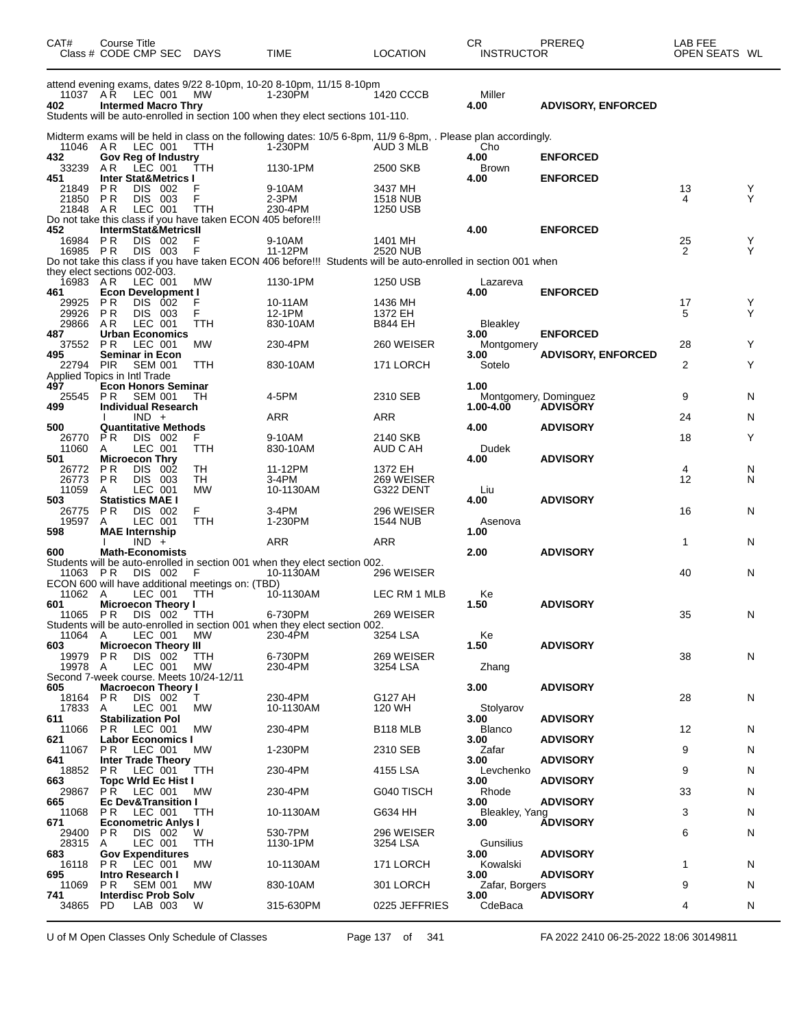| CAT#                 | <b>Course Title</b><br>Class # CODE CMP SEC                          | DAYS            | TIME                                                                                                                      | <b>LOCATION</b>             | CR.<br><b>INSTRUCTOR</b> | PREREQ                                   | LAB FEE<br>OPEN SEATS WL |   |
|----------------------|----------------------------------------------------------------------|-----------------|---------------------------------------------------------------------------------------------------------------------------|-----------------------------|--------------------------|------------------------------------------|--------------------------|---|
|                      | 11037 AR LEC 001                                                     | МW              | attend evening exams, dates 9/22 8-10pm, 10-20 8-10pm, 11/15 8-10pm<br>1-230PM                                            | 1420 CCCB                   | Miller                   |                                          |                          |   |
| 402                  | <b>Intermed Macro Thry</b>                                           |                 | Students will be auto-enrolled in section 100 when they elect sections 101-110.                                           |                             | 4.00                     | <b>ADVISORY, ENFORCED</b>                |                          |   |
|                      |                                                                      |                 | Midterm exams will be held in class on the following dates: 10/5 6-8pm, 11/9 6-8pm, . Please plan accordingly.            |                             |                          |                                          |                          |   |
| 11046 AR<br>432      | LEC 001<br>Gov Reg of Industry                                       | <b>TTH</b>      | 1-230PM                                                                                                                   | AUD 3 MLB                   | Cho<br>4.00              | <b>ENFORCED</b>                          |                          |   |
| 33239<br>451         | AR<br>LEC 001<br><b>Inter Stat&amp;Metrics I</b>                     | TTH             | 1130-1PM                                                                                                                  | 2500 SKB                    | <b>Brown</b><br>4.00     | <b>ENFORCED</b>                          |                          |   |
| 21849                | <b>PR</b><br>DIS 002                                                 | F               | 9-10AM                                                                                                                    | 3437 MH                     |                          |                                          | 13                       | Y |
| 21850 PR<br>21848 AR | DIS 003<br>LEC 001                                                   | F<br><b>TTH</b> | $2-3PM$<br>230-4PM                                                                                                        | <b>1518 NUB</b><br>1250 USB |                          |                                          | 4                        | Y |
|                      | Do not take this class if you have taken ECON 405 before!!!          |                 |                                                                                                                           |                             |                          |                                          |                          |   |
| 452<br>16984 PR      | IntermStat&MetricsII<br>DIS 002                                      | F               | 9-10AM                                                                                                                    | 1401 MH                     | 4.00                     | <b>ENFORCED</b>                          | 25                       | Y |
| 16985 PR             | DIS 003                                                              | F               | 11-12PM<br>Do not take this class if you have taken ECON 406 before!!! Students will be auto-enrolled in section 001 when | 2520 NUB                    |                          |                                          | 2                        | Y |
|                      | they elect sections 002-003.                                         |                 |                                                                                                                           |                             |                          |                                          |                          |   |
| 16983 AR<br>461      | LEC 001<br><b>Econ Development I</b>                                 | <b>MW</b>       | 1130-1PM                                                                                                                  | 1250 USB                    | Lazareva<br>4.00         | <b>ENFORCED</b>                          |                          |   |
| 29925 PR             | DIS 002                                                              | F               | 10-11AM                                                                                                                   | 1436 MH                     |                          |                                          | 17                       | Y |
| 29926<br>29866       | P <sub>R</sub><br>DIS 003<br>AR<br>LEC 001                           | F<br>TTH        | 12-1PM<br>830-10AM                                                                                                        | 1372 EH<br>B844 EH          | <b>Bleakley</b>          |                                          | 5                        | Y |
| 487<br>37552         | <b>Urban Economics</b><br><b>PR</b><br>LEC 001                       | МW              | 230-4PM                                                                                                                   | 260 WEISER                  | 3.00<br>Montgomery       | <b>ENFORCED</b>                          | 28                       | Y |
| 495                  | <b>Seminar in Econ</b>                                               |                 |                                                                                                                           |                             | 3.00                     | <b>ADVISORY, ENFORCED</b>                |                          |   |
| 22794 PIR            | <b>SEM 001</b><br>Applied Topics in Intl Trade                       | <b>TTH</b>      | 830-10AM                                                                                                                  | 171 LORCH                   | Sotelo                   |                                          | $\overline{2}$           | Y |
| 497                  | <b>Econ Honors Seminar</b>                                           |                 |                                                                                                                           |                             | 1.00                     |                                          |                          |   |
| 25545 PR<br>499      | <b>SEM 001</b><br><b>Individual Research</b>                         | TН              | 4-5PM                                                                                                                     | 2310 SEB                    | 1.00-4.00                | Montgomery, Dominguez<br><b>ADVISORY</b> | 9                        | N |
| 500                  | $IND +$<br><b>Quantitative Methods</b>                               |                 | ARR                                                                                                                       | ARR                         | 4.00                     | <b>ADVISORY</b>                          | 24                       | N |
| 26770                | P R<br>DIS 002                                                       | F               | 9-10AM                                                                                                                    | 2140 SKB                    |                          |                                          | 18                       | Y |
| 11060<br>501         | LEC 001<br>A<br><b>Microecon Thry</b>                                | TTH             | 830-10AM                                                                                                                  | AUD C AH                    | Dudek<br>4.00            | <b>ADVISORY</b>                          |                          |   |
| 26772                | <b>PR</b><br>DIS.<br>002                                             | TН              | 11-12PM                                                                                                                   | 1372 EH                     |                          |                                          | 4                        | N |
| 26773<br>11059       | <b>PR</b><br>DIS 003<br>LEC 001<br>A                                 | TH<br><b>MW</b> | 3-4PM<br>10-1130AM                                                                                                        | 269 WEISER<br>G322 DENT     | Liu                      |                                          | 12                       | N |
| 503                  | <b>Statistics MAE I</b>                                              |                 |                                                                                                                           |                             | 4.00                     | <b>ADVISORY</b>                          |                          |   |
| 26775<br>19597       | DIS 002<br>P <sub>R</sub><br>LEC 001<br>A                            | F<br>TTH        | $3-4PM$<br>1-230PM                                                                                                        | 296 WEISER<br>1544 NUB      | Asenova                  |                                          | 16                       | N |
| 598                  | <b>MAE</b> Internship<br>$IND +$                                     |                 | ARR                                                                                                                       | ARR                         | 1.00                     |                                          | 1                        | N |
| 600                  | <b>Math-Economists</b>                                               |                 |                                                                                                                           |                             | 2.00                     | <b>ADVISORY</b>                          |                          |   |
| 11063 PR             | DIS 002                                                              | F               | Students will be auto-enrolled in section 001 when they elect section 002.<br>10-1130AM                                   | 296 WEISER                  |                          |                                          | 40                       | N |
|                      | ECON 600 will have additional meetings on: (TBD)                     |                 |                                                                                                                           |                             |                          |                                          |                          |   |
| 11062 A<br>601       | LEC 001<br><b>Microecon Theory I</b>                                 | TTH             | 10-1130AM                                                                                                                 | LEC RM 1 MLB                | Ke<br>1.50               | <b>ADVISORY</b>                          |                          |   |
| 11065 PR             | DIS 002                                                              | TTH             | 6-730PM                                                                                                                   | 269 WEISER                  |                          |                                          | 35                       | N |
| 11064                | LEC 001<br>A                                                         | МW              | Students will be auto-enrolled in section 001 when they elect section 002.<br>230-4PM                                     | 3254 LSA                    | Ke                       |                                          |                          |   |
| 603<br>19979         | <b>Microecon Theory III</b><br><b>PR</b><br>DIS 002                  | TTH             | 6-730PM                                                                                                                   | 269 WEISER                  | 1.50                     | <b>ADVISORY</b>                          | 38                       | N |
| 19978                | LEC 001<br>A                                                         | <b>MW</b>       | 230-4PM                                                                                                                   | 3254 LSA                    | Zhang                    |                                          |                          |   |
| 605                  | Second 7-week course. Meets 10/24-12/11<br><b>Macroecon Theory I</b> |                 |                                                                                                                           |                             | 3.00                     | <b>ADVISORY</b>                          |                          |   |
| 18164                | DIS 002<br>P R                                                       | Τ               | 230-4PM                                                                                                                   | G127 AH                     |                          |                                          | 28                       | N |
| 17833<br>611         | LEC 001<br>A<br><b>Stabilization Pol</b>                             | МW              | 10-1130AM                                                                                                                 | 120 WH                      | Stolyarov<br>3.00        | <b>ADVISORY</b>                          |                          |   |
| 11066<br>621         | LEC 001<br>P R<br><b>Labor Economics I</b>                           | MW              | 230-4PM                                                                                                                   | <b>B118 MLB</b>             | <b>Blanco</b><br>3.00    | <b>ADVISORY</b>                          | 12                       | N |
| 11067                | LEC 001<br>P R                                                       | МW              | 1-230PM                                                                                                                   | 2310 SEB                    | Zafar                    |                                          | 9                        | N |
| 641<br>18852         | <b>Inter Trade Theory</b><br>P R<br>LEC 001                          | TTH             | 230-4PM                                                                                                                   | 4155 LSA                    | 3.00<br>Levchenko        | <b>ADVISORY</b>                          | 9                        | N |
| 663                  | <b>Topc Wrid Ec Hist I</b>                                           |                 |                                                                                                                           |                             | 3.00                     | <b>ADVISORY</b>                          |                          |   |
| 29867<br>665         | <b>PR LEC 001</b><br><b>Ec Dev&amp;Transition I</b>                  | MW              | 230-4PM                                                                                                                   | G040 TISCH                  | Rhode<br>3.00            | <b>ADVISORY</b>                          | 33                       | N |
| 11068                | LEC 001<br>PR.                                                       | TTH             | 10-1130AM                                                                                                                 | G634 HH                     | Bleakley, Yang           |                                          | 3                        | N |
| 671<br>29400         | <b>Econometric Anlys I</b><br>P R<br>DIS 002                         | W               | 530-7PM                                                                                                                   | 296 WEISER                  | 3.00                     | <b>ADVISORY</b>                          | 6                        | N |
| 28315<br>683         | LEC 001<br>A<br><b>Gov Expenditures</b>                              | TTH             | 1130-1PM                                                                                                                  | 3254 LSA                    | Gunsilius<br>3.00        | <b>ADVISORY</b>                          |                          |   |
| 16118                | LEC 001<br>PR.                                                       | <b>MW</b>       | 10-1130AM                                                                                                                 | 171 LORCH                   | Kowalski                 |                                          | 1                        | N |
| 695<br>11069         | <b>Intro Research I</b><br>SEM 001<br>P R                            | МW              | 830-10AM                                                                                                                  | 301 LORCH                   | 3.00<br>Zafar, Borgers   | <b>ADVISORY</b>                          | 9                        | N |
| 741                  | <b>Interdisc Prob Solv</b>                                           |                 |                                                                                                                           |                             | 3.00                     | <b>ADVISORY</b>                          |                          |   |
| 34865                | LAB 003<br>PD.                                                       | W               | 315-630PM                                                                                                                 | 0225 JEFFRIES               | CdeBaca                  |                                          | 4                        | N |

U of M Open Classes Only Schedule of Classes Page 137 of 341 FA 2022 2410 06-25-2022 18:06 30149811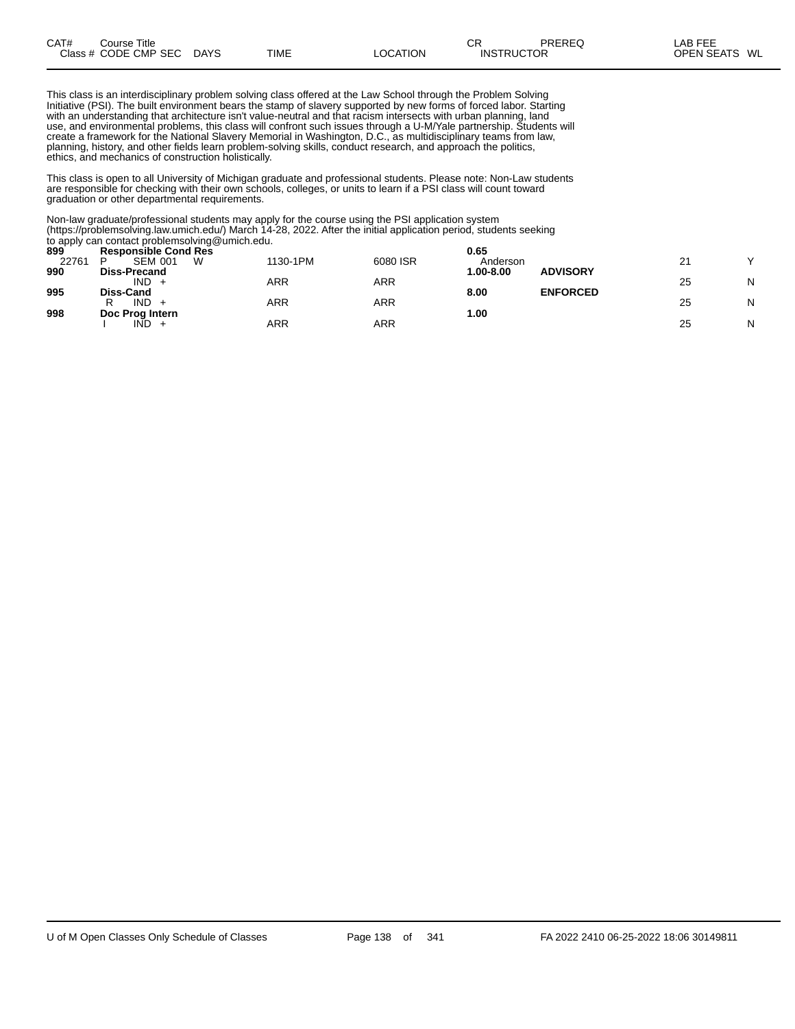| CAT# | Title<br>Course      |             |      |          | $\sim$ r<br>◡⊓ | PREREQ            | AB FEE                  |
|------|----------------------|-------------|------|----------|----------------|-------------------|-------------------------|
|      | Class # CODE CMP SEC | <b>DAYS</b> | TIME | LOCATION |                | <b>INSTRUCTOR</b> | WL<br><b>OPEN SEATS</b> |

This class is an interdisciplinary problem solving class offered at the Law School through the Problem Solving Initiative (PSI). The built environment bears the stamp of slavery supported by new forms of forced labor. Starting with an understanding that architecture isn't value-neutral and that racism intersects with urban planning, land use, and environmental problems, this class will confront such issues through a U-M/Yale partnership. Students will create a framework for the National Slavery Memorial in Washington, D.C., as multidisciplinary teams from law, planning, history, and other fields learn problem-solving skills, conduct research, and approach the politics, ethics, and mechanics of construction holistically.

This class is open to all University of Michigan graduate and professional students. Please note: Non-Law students are responsible for checking with their own schools, colleges, or units to learn if a PSI class will count toward graduation or other departmental requirements.

Non-law graduate/professional students may apply for the course using the PSI application system (https://problemsolving.law.umich.edu/) March 14-28, 2022. After the initial application period, students seeking to apply can contact problemsolving@umich.edu.

|       | $\frac{1}{2}$ apply ball believe propressions of $\frac{1}{2}$ continues in part. |          |          |           |                 |          |   |
|-------|-----------------------------------------------------------------------------------|----------|----------|-----------|-----------------|----------|---|
| 899   | <b>Responsible Cond Res</b>                                                       |          |          | 0.65      |                 |          |   |
| 22761 | <b>SEM 001</b><br>W                                                               | 1130-1PM | 6080 ISR | Anderson  |                 | <u>_</u> |   |
| 990   | Diss-Precand                                                                      |          |          | 1.00-8.00 | <b>ADVISORY</b> |          |   |
|       | $IND +$                                                                           | ARR      | ARR      |           |                 | 25       | N |
| 995   | Diss-Cand                                                                         |          |          | 8.00      | <b>ENFORCED</b> |          |   |
|       | $IND +$                                                                           | ARR      | ARR      |           |                 | 25       | N |
| 998   | Doc Prog Intern                                                                   |          |          | 1.00      |                 |          |   |
|       | $IND +$                                                                           | ARR      | ARR      |           |                 | 25       | N |
|       |                                                                                   |          |          |           |                 |          |   |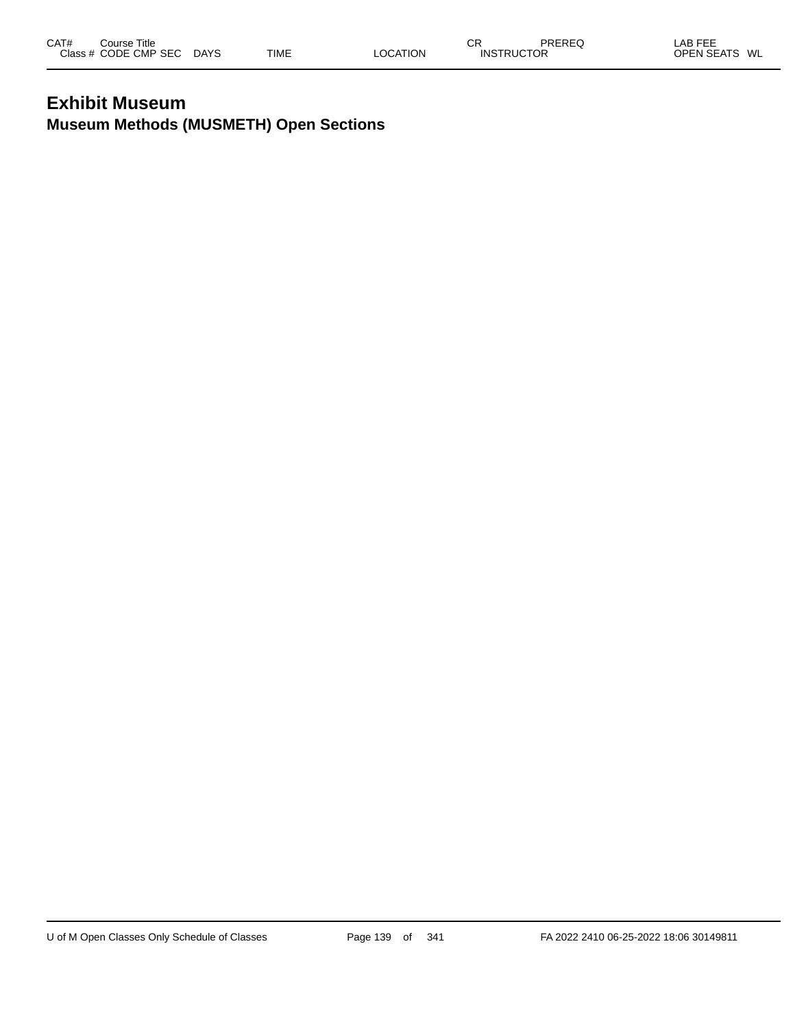### **Exhibit Museum Museum Methods (MUSMETH) Open Sections**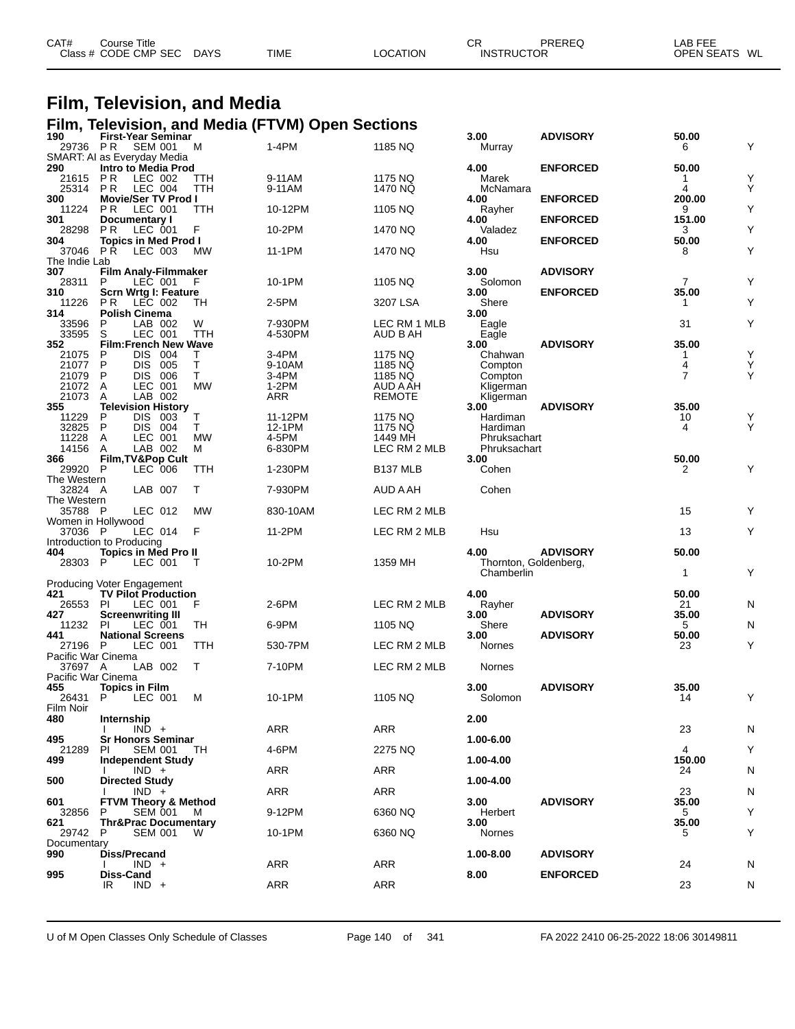| CAT# | Course Title<br>Class # CODE CMP SEC | DAYS | <b>TIME</b> | LOCATION | СF<br><b>INSTRUCTOR</b> | PREREQ | $\mathsf{LAB}$ FEE<br>OPEN SEATS WL |
|------|--------------------------------------|------|-------------|----------|-------------------------|--------|-------------------------------------|
|      |                                      |      |             |          |                         |        |                                     |

### **Film, Television, and Media Film, Television, and Media (FTVM) Open Sections**

| 190<br>29736                  | <b>First-Year Seminar</b><br><b>SEM 001</b><br>P R       | м         | 1-4PM              | 1185 NQ            | 3.00<br>Murray        | <b>ADVISORY</b> | 50.00<br>6     | Υ         |
|-------------------------------|----------------------------------------------------------|-----------|--------------------|--------------------|-----------------------|-----------------|----------------|-----------|
| 290                           | SMART: AI as Everyday Media                              |           |                    |                    | 4.00                  | <b>ENFORCED</b> | 50.00          |           |
| 21615                         | Intro to Media Prod<br>LEC 002<br>P R                    | ттн       | 9-11AM             | 1175 NQ            | Marek                 |                 | 1              | Υ         |
| 25314                         | LEC 004<br>PR.                                           | TTH       | 9-11AM             | 1470 NQ            | McNamara              |                 | 4              | Υ         |
| 300<br>11224                  | <b>Movie/Ser TV Prod I</b><br>LEC 001<br>PR.             | TTH       | 10-12PM            | 1105 NQ            | 4.00<br>Rayher        | <b>ENFORCED</b> | 200.00<br>9    | Υ         |
| 301                           | Documentary I                                            |           |                    |                    | 4.00                  | <b>ENFORCED</b> | 151.00         |           |
| 28298<br>304                  | PR<br>LEC 001<br><b>Topics in Med Prod I</b>             | F         | 10-2PM             | 1470 NQ            | Valadez<br>4.00       | <b>ENFORCED</b> | 3<br>50.00     | Υ         |
| 37046                         | PR.<br>LEC 003                                           | <b>MW</b> | 11-1PM             | 1470 NQ            | Hsu                   |                 | 8              | Υ         |
| The Indie Lab                 |                                                          |           |                    |                    |                       |                 |                |           |
| 307<br>28311                  | <b>Film Analy-Filmmaker</b><br>P<br>LEC 001              | F         | 10-1PM             | 1105 NQ            | 3.00<br>Solomon       | <b>ADVISORY</b> | $\overline{7}$ | Y         |
| 310                           | Scrn Wrtg I: Feature                                     |           |                    |                    | 3.00                  | <b>ENFORCED</b> | 35.00          |           |
| 11226                         | PR.<br>LEC 002                                           | TH        | 2-5PM              | 3207 LSA           | Shere                 |                 | 1              | Υ         |
| 314<br>33596                  | Polish Cinema<br>P<br>LAB 002                            | W         |                    | LEC RM 1 MLB       | 3.00                  |                 | 31             | Υ         |
| 33595                         | LEC 001<br>S                                             | TTH       | 7-930PM<br>4-530PM | AUD B AH           | Eagle<br>Eagle        |                 |                |           |
| 352                           | <b>Film:French New Wave</b>                              |           |                    |                    | 3.00                  | <b>ADVISORY</b> | 35.00          |           |
| 21075                         | <b>DIS</b><br>004<br>P<br>P                              | т<br>Τ    | 3-4PM              | 1175 NQ            | Chahwan               |                 | 1              | Υ<br>Υ    |
| 21077<br>21079                | DIS.<br>005<br>P<br>DIS.<br>006                          | T.        | 9-10AM<br>3-4PM    | 1185 NQ<br>1185 NQ | Compton<br>Compton    |                 | 4<br>7         | Υ         |
| 21072                         | LEC 001<br>A                                             | <b>MW</b> | $1-2PM$            | AUD A AH           | Kligerman             |                 |                |           |
| 21073                         | LAB 002<br>A                                             |           | ARR                | <b>REMOTE</b>      | Kligerman             |                 |                |           |
| 355                           | <b>Television History</b><br>P<br><b>DIS</b>             | т         |                    |                    | 3.00                  | <b>ADVISORY</b> | 35.00          |           |
| 11229<br>32825                | 003<br>004<br>P<br>DIS.                                  | Τ         | 11-12PM<br>12-1PM  | 1175 NQ<br>1175 NQ | Hardiman<br>Hardiman  |                 | 10<br>4        | Y<br>Υ    |
| 11228                         | LEC 001<br>A                                             | <b>MW</b> | 4-5PM              | 1449 MH            | Phruksachart          |                 |                |           |
| 14156                         | LAB 002<br>A                                             | м         | 6-830PM            | LEC RM 2 MLB       | Phruksachart          |                 |                |           |
| 366                           | Film, TV&Pop Cult                                        |           |                    |                    | 3.00                  |                 | 50.00          |           |
| 29920 P<br>The Western        | LEC 006                                                  | TTH       | 1-230PM            | B137 MLB           | Cohen                 |                 | 2              | Υ         |
| 32824 A                       | LAB 007                                                  | т         | 7-930PM            | AUD A AH           | Cohen                 |                 |                |           |
| The Western                   |                                                          |           |                    |                    |                       |                 |                |           |
| 35788 P<br>Women in Hollywood | LEC 012                                                  | <b>MW</b> | 830-10AM           | LEC RM 2 MLB       |                       |                 | 15             | Υ         |
| 37036 P                       | LEC 014                                                  | F         | 11-2PM             | LEC RM 2 MLB       | Hsu                   |                 | 13             | Y         |
| 404                           | Introduction to Producing<br><b>Topics in Med Pro II</b> |           |                    |                    | 4.00                  | <b>ADVISORY</b> | 50.00          |           |
| 28303 P                       | LEC 001                                                  | т         | 10-2PM             | 1359 MH            | Thornton, Goldenberg, |                 |                |           |
|                               |                                                          |           |                    |                    | Chamberlin            |                 | 1              | Υ         |
| 421                           | Producing Voter Engagement<br><b>TV Pilot Production</b> |           |                    |                    | 4.00                  |                 | 50.00          |           |
| 26553                         | LEC 001<br><b>PI</b>                                     | F         | 2-6PM              | LEC RM 2 MLB       | Rayher                |                 | 21             | N         |
| 427                           | <b>Screenwriting III</b>                                 |           |                    |                    | 3.00                  | <b>ADVISORY</b> | 35.00          |           |
| 11232                         | PI<br>LEC 001                                            | TH        | 6-9PM              | 1105 NQ            | Shere                 |                 | 5              | N         |
| 441<br>27196                  | <b>National Screens</b><br>LEC 001<br>-P                 | TTH       | 530-7PM            | LEC RM 2 MLB       | 3.00<br>Nornes        | <b>ADVISORY</b> | 50.00<br>23    | Υ         |
| Pacific War Cinema            |                                                          |           |                    |                    |                       |                 |                |           |
| 37697 A                       | LAB 002                                                  | т         | 7-10PM             | LEC RM 2 MLB       | Nornes                |                 |                |           |
| Pacific War Cinema<br>455     | <b>Topics in Film</b>                                    |           |                    |                    | 3.00                  | <b>ADVISORY</b> | 35.00          |           |
| 26431                         | P<br>LEC 001                                             | м         | 10-1PM             | 1105 NQ            | Solomon               |                 | 14             | Υ         |
| Film Noir                     |                                                          |           |                    |                    |                       |                 |                |           |
| 480                           | Internship                                               |           |                    |                    | 2.00                  |                 |                |           |
| 495                           | $IND +$<br><b>Sr Honors Seminar</b>                      |           | ARR                | ARR                | 1.00-6.00             |                 | 23             | N         |
| 21289                         | ΡI<br><b>SEM 001</b>                                     | TH        | 4-6PM              | 2275 NQ            |                       |                 | 4              | Υ         |
| 499                           | Independent Study                                        |           |                    |                    | 1.00-4.00             |                 | 150.00         |           |
| 500                           | $IND +$<br><b>Directed Study</b>                         |           | ARR                | ARR                | 1.00-4.00             |                 | 24             | N         |
|                               | $IND +$                                                  |           | ARR                | ARR                |                       |                 | 23             | ${\sf N}$ |
| 601                           | <b>FTVM Theory &amp; Method</b>                          |           |                    |                    | 3.00                  | <b>ADVISORY</b> | 35.00          |           |
| 32856                         | <b>SEM 001</b><br>P                                      | M         | 9-12PM             | 6360 NQ            | Herbert               |                 | 5              | Υ         |
| 621<br>29742                  | <b>Thr&amp;Prac Documentary</b><br><b>SEM 001</b><br>P   | W         | 10-1PM             | 6360 NQ            | 3.00<br>Nornes        |                 | 35.00<br>5     | Υ         |
| Documentary                   |                                                          |           |                    |                    |                       |                 |                |           |
| 990                           | Diss/Precand                                             |           |                    |                    | 1.00-8.00             | <b>ADVISORY</b> |                |           |
| 995                           | $IND +$<br>Diss-Cand                                     |           | ARR                | <b>ARR</b>         | 8.00                  | <b>ENFORCED</b> | 24             | N         |
|                               | $IND +$<br>IR                                            |           | ARR                | ARR                |                       |                 | 23             | N         |
|                               |                                                          |           |                    |                    |                       |                 |                |           |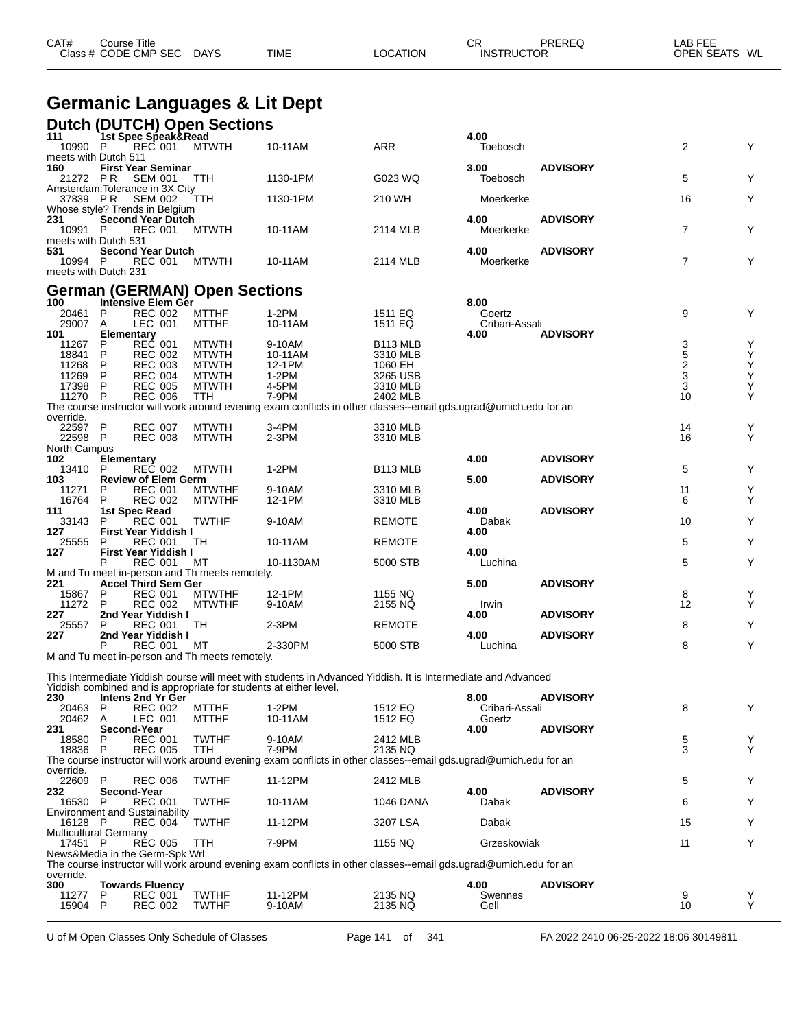|                     | <b>Germanic Languages &amp; Lit Dept</b>                                                             |                              |                                                                                                                  |                                  |                          |                     |                |        |
|---------------------|------------------------------------------------------------------------------------------------------|------------------------------|------------------------------------------------------------------------------------------------------------------|----------------------------------|--------------------------|---------------------|----------------|--------|
|                     | <b>Dutch (DUTCH) Open Sections</b>                                                                   |                              |                                                                                                                  |                                  |                          |                     |                |        |
| 111<br>10990 P      | <b>1st Spec Speak&amp;Read</b><br><b>REC 001</b>                                                     | <b>MTWTH</b>                 | 10-11AM                                                                                                          | <b>ARR</b>                       | 4.00<br>Toebosch         |                     | 2              | Y      |
| 160<br>21272 PR     | meets with Dutch 511<br><b>First Year Seminar</b><br><b>SEM 001</b>                                  | TTH                          | 1130-1PM                                                                                                         | G023 WQ                          | 3.00<br>Toebosch         | <b>ADVISORY</b>     | 5              | Y      |
| 37839 PR            | Amsterdam: Tolerance in 3X City<br><b>SEM 002</b>                                                    | TTH                          | 1130-1PM                                                                                                         | 210 WH                           | Moerkerke                |                     | 16             | Y      |
| 231<br>10991 P      | Whose style? Trends in Belgium<br><b>Second Year Dutch</b><br><b>REC 001</b><br>meets with Dutch 531 | <b>MTWTH</b>                 | 10-11AM                                                                                                          | 2114 MLB                         | 4.00<br>Moerkerke        | <b>ADVISORY</b>     | $\overline{7}$ | Y      |
| 531<br>10994 P      | <b>Second Year Dutch</b><br>REC 001<br>meets with Dutch 231                                          | <b>MTWTH</b>                 | 10-11AM                                                                                                          | 2114 MLB                         | 4.00<br>Moerkerke        | <b>ADVISORY</b>     | $\overline{7}$ | Y      |
|                     | <b>German (GERMAN) Open Sections</b>                                                                 |                              |                                                                                                                  |                                  |                          |                     |                |        |
| 100                 | Intensive Elem Gér                                                                                   |                              |                                                                                                                  |                                  | 8.00                     |                     |                |        |
| 20461<br>29007      | <b>REC 002</b><br>P<br>LEC 001<br>A                                                                  | <b>MTTHF</b><br><b>MTTHF</b> | 1-2PM<br>10-11AM                                                                                                 | 1511 EQ<br>1511 EQ               | Goertz<br>Cribari-Assali |                     | 9              | Y      |
| 101                 | <b>Elementary</b>                                                                                    |                              |                                                                                                                  |                                  | 4.00                     | <b>ADVISORY</b>     |                |        |
| 11267<br>18841      | <b>REC 001</b><br>P<br>P<br><b>REC 002</b>                                                           | <b>MTWTH</b><br><b>MTWTH</b> | 9-10AM<br>10-11AM                                                                                                | B <sub>113</sub> MLB<br>3310 MLB |                          |                     | 35233          | Y<br>Υ |
| 11268               | P<br><b>REC 003</b>                                                                                  | <b>MTWTH</b>                 | 12-1PM                                                                                                           | 1060 EH                          |                          |                     |                | Υ      |
| 11269               | <b>REC 004</b><br>P                                                                                  | <b>MTWTH</b>                 | $1-2PM$                                                                                                          | 3265 USB                         |                          |                     |                | Υ      |
| 17398<br>11270 P    | P<br><b>REC 005</b><br><b>REC 006</b>                                                                | <b>MTWTH</b><br>TTH          | 4-5PM<br>7-9PM                                                                                                   | 3310 MLB<br>2402 MLB             |                          |                     | 10             | Υ<br>Υ |
|                     |                                                                                                      |                              | The course instructor will work around evening exam conflicts in other classes--email gds.ugrad@umich.edu for an |                                  |                          |                     |                |        |
| override.           |                                                                                                      |                              |                                                                                                                  |                                  |                          |                     |                |        |
| 22597 P<br>22598 P  | <b>REC 007</b><br><b>REC 008</b>                                                                     | <b>MTWTH</b><br><b>MTWTH</b> | 3-4PM<br>2-3PM                                                                                                   | 3310 MLB<br>3310 MLB             |                          |                     | 14<br>16       | Y<br>Υ |
| North Campus<br>102 | Elementary                                                                                           |                              |                                                                                                                  |                                  | 4.00                     | <b>ADVISORY</b>     |                |        |
| 13410               | <b>REC 002</b><br>P                                                                                  | <b>MTWTH</b>                 | $1-2PM$                                                                                                          | B <sub>113</sub> MLB             |                          |                     | 5              | Y      |
| 103                 | <b>Review of Elem Germ</b>                                                                           |                              |                                                                                                                  |                                  | 5.00                     | <b>ADVISORY</b>     |                |        |
| 11271               | <b>REC 001</b><br>P                                                                                  | <b>MTWTHF</b>                | 9-10AM                                                                                                           | 3310 MLB                         |                          |                     | 11             | Υ      |
| 16764<br>111        | <b>REC 002</b><br>P<br>1st Spec Read                                                                 | <b>MTWTHF</b>                | 12-1PM                                                                                                           | 3310 MLB                         | 4.00                     | <b>ADVISORY</b>     | 6              | Y      |
| 33143               | <b>REC 001</b><br>P                                                                                  | <b>TWTHF</b>                 | 9-10AM                                                                                                           | <b>REMOTE</b>                    | Dabak                    |                     | 10             | Y      |
| 127                 | <b>First Year Yiddish I</b>                                                                          |                              |                                                                                                                  |                                  | 4.00                     |                     |                |        |
| 25555               | <b>REC 001</b><br>P                                                                                  | TH                           | 10-11AM                                                                                                          | <b>REMOTE</b>                    |                          |                     | 5              | Y      |
| 127                 | <b>First Year Yiddish I</b><br><b>REC 001</b><br>P                                                   | МT                           | 10-1130AM                                                                                                        | 5000 STB                         | 4.00<br>Luchina          |                     | 5              | Υ      |
|                     | M and Tu meet in-person and Th meets remotely.                                                       |                              |                                                                                                                  |                                  |                          |                     |                |        |
| 221                 | <b>Accel Third Sem Ger</b>                                                                           |                              |                                                                                                                  |                                  | 5.00                     | <b>ADVISORY</b>     |                |        |
| 15867               | <b>REC 001</b><br>P                                                                                  | <b>MTWTHF</b>                | 12-1PM                                                                                                           | 1155 NQ                          |                          |                     | 8<br>12        | Y      |
| 11272<br>227        | <b>REC 002</b><br>P<br>2nd Year Yiddish I                                                            | <b>MTWTHF</b>                | 9-10AM                                                                                                           | 2155 NQ                          | Irwin<br>4.00            | <b>ADVISORY</b>     |                | Y      |
| 25557               | <b>REC 001</b><br>P                                                                                  | TH                           | $2-3PM$                                                                                                          | <b>REMOTE</b>                    |                          |                     | 8              | Υ      |
| 227                 | 2nd Year Yiddish I                                                                                   |                              |                                                                                                                  |                                  | 4.00                     | <b>ADVISORY</b>     |                |        |
|                     | Р<br>REC 001                                                                                         | МT                           | 2-330PM                                                                                                          | 5000 STB                         | Luchina                  |                     | 8              | Υ      |
|                     | M and Tu meet in-person and Th meets remotely.                                                       |                              |                                                                                                                  |                                  |                          |                     |                |        |
|                     | Yiddish combined and is appropriate for students at either level.                                    |                              | This Intermediate Yiddish course will meet with students in Advanced Yiddish. It is Intermediate and Advanced    |                                  |                          |                     |                |        |
| 230                 | Intens 2nd Yr Ger                                                                                    |                              |                                                                                                                  |                                  | 8.00                     | <b>ADVISORY</b>     |                |        |
| 20463               | <b>REC 002</b><br>P                                                                                  | <b>MTTHF</b>                 | 1-2PM                                                                                                            | 1512 EQ                          | Cribari-Assali           |                     | 8              | Υ      |
| 20462<br>231        | LEC 001<br>A<br>Second-Year                                                                          | <b>MTTHF</b>                 | 10-11AM                                                                                                          | 1512 EQ                          | Goertz<br>4.00           | <b>ADVISORY</b>     |                |        |
| 18580               | <b>REC 001</b><br>P                                                                                  | <b>TWTHF</b>                 | 9-10AM                                                                                                           | 2412 MLB                         |                          |                     | 5              | Y      |
| 18836               | <b>REC 005</b><br>P                                                                                  | TTH                          | 7-9PM                                                                                                            | 2135 NQ                          |                          |                     | 3              | Y      |
|                     |                                                                                                      |                              | The course instructor will work around evening exam conflicts in other classes--email gds.ugrad@umich.edu for an |                                  |                          |                     |                |        |
| override.<br>22609  | P<br><b>REC 006</b>                                                                                  | <b>TWTHF</b>                 | 11-12PM                                                                                                          | 2412 MLB                         |                          |                     | 5              | Y      |
| 232                 | Second-Year                                                                                          |                              |                                                                                                                  |                                  | 4.00                     | <b>ADVISORY</b>     |                |        |
| 16530 P             | <b>REC 001</b>                                                                                       | <b>TWTHF</b>                 | 10-11AM                                                                                                          | 1046 DANA                        | Dabak                    |                     | 6              | Y      |
|                     | <b>Environment and Sustainability</b>                                                                |                              |                                                                                                                  |                                  |                          |                     |                |        |
| 16128 P             | <b>REC 004</b><br>Multicultural Germany                                                              | <b>TWTHF</b>                 | 11-12PM                                                                                                          | 3207 LSA                         | Dabak                    |                     | 15             | Y      |
| 17451               | - P<br><b>REC 005</b>                                                                                | TTH                          | 7-9PM                                                                                                            | 1155 NQ                          | Grzeskowiak              |                     | 11             | Y      |
|                     | News&Media in the Germ-Spk Wrl                                                                       |                              |                                                                                                                  |                                  |                          |                     |                |        |
|                     |                                                                                                      |                              | The course instructor will work around evening exam conflicts in other classes--email gds.ugrad@umich.edu for an |                                  |                          |                     |                |        |
| override.<br>$\sim$ | m.                                                                                                   |                              |                                                                                                                  |                                  | ה י                      | $\mathbf{A}$ DUCODY |                |        |

CAT# Course Title Case CR PREREQ LAB FEE

Class # CODE CMP SEC DAYS TIME LOCATION INSTRUCTOR OPEN SEATS WL

 **Towards Fluency 4.00 ADVISORY** P REC 001 TWTHF 11-12PM 2135 NQ Swennes 9 Y P REC 002 TWTHF 9-10AM 2135 NQ Gell 10 Y

U of M Open Classes Only Schedule of Classes Page 141 of 341 FA 2022 2410 06-25-2022 18:06 30149811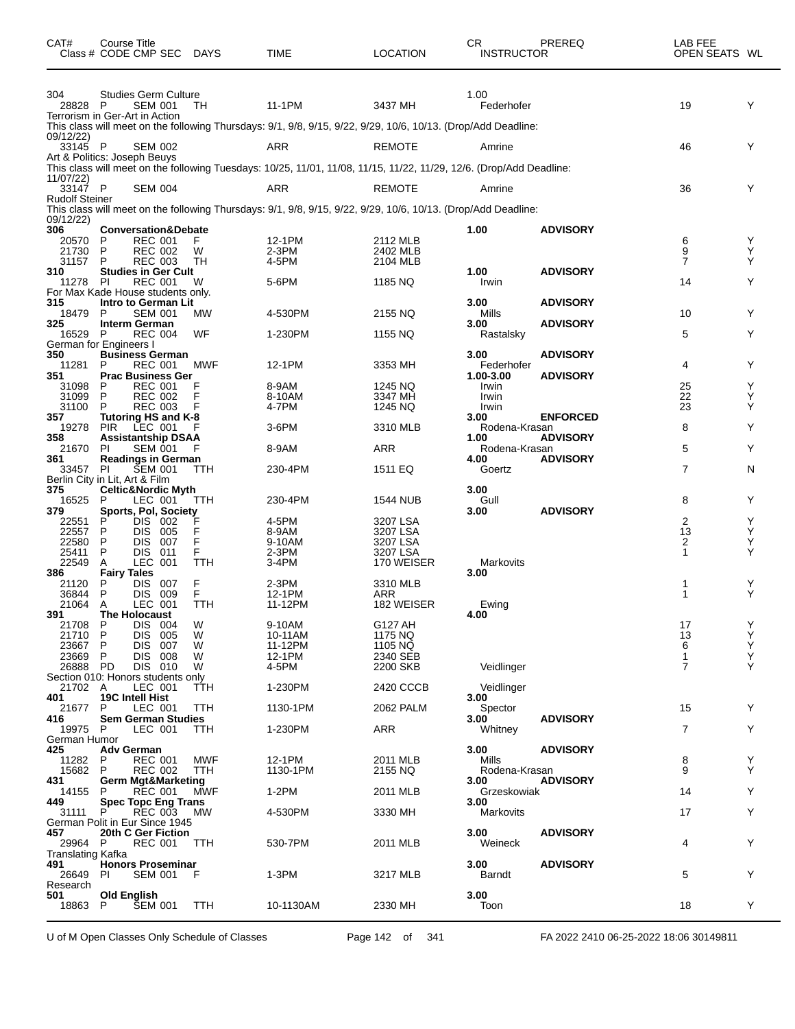| 304<br><b>Studies Germ Culture</b><br>1.00<br>11-1PM<br>3437 MH<br>Federhofer<br>19<br>Y<br><b>SEM 001</b><br>TH<br>28828<br>- P<br>Terrorism in Ger-Art in Action<br>This class will meet on the following Thursdays: 9/1, 9/8, 9/15, 9/22, 9/29, 10/6, 10/13. (Drop/Add Deadline:<br>09/12/22)<br>33145 P<br>ARR<br><b>REMOTE</b><br>Y<br><b>SEM 002</b><br>46<br>Amrine<br>Art & Politics: Joseph Beuys<br>This class will meet on the following Tuesdays: 10/25, 11/01, 11/08, 11/15, 11/22, 11/29, 12/6. (Drop/Add Deadline:<br>11/07/22)<br>33147 P<br>ARR<br><b>REMOTE</b><br>Y<br><b>SEM 004</b><br>36<br>Amrine<br><b>Rudolf Steiner</b><br>This class will meet on the following Thursdays: 9/1, 9/8, 9/15, 9/22, 9/29, 10/6, 10/13. (Drop/Add Deadline:<br>09/12/22)<br>306<br><b>Conversation&amp;Debate</b><br>1.00<br><b>ADVISORY</b><br>20570<br>P<br><b>REC 001</b><br>F<br>12-1PM<br>2112 MLB<br>6<br>Y<br>9<br>21730<br>P<br><b>REC 002</b><br>2-3PM<br>2402 MLB<br>Y<br>W<br>TН<br>7<br>Y<br>31157<br>P<br><b>REC 003</b><br>4-5PM<br>2104 MLB<br><b>Studies in Ger Cult</b><br>1.00<br><b>ADVISORY</b><br>Y<br>5-6PM<br>14<br>PI<br><b>REC 001</b><br>W<br>1185 NQ<br>Irwin<br>11278<br>For Max Kade House students only.<br>Intro to German Lit<br>3.00<br><b>ADVISORY</b><br>Mills<br>10<br>Y<br>18479<br>P<br><b>SEM 001</b><br>4-530PM<br>2155 NQ<br>МW<br>325<br><b>ADVISORY</b><br><b>Interm German</b><br>3.00<br>5<br>Y<br>16529<br>P<br><b>REC 004</b><br>WF<br>1-230PM<br>1155 NQ<br>Rastalsky<br>German for Engineers I<br>3.00<br>350<br><b>ADVISORY</b><br><b>Business German</b><br>11281<br>P<br><b>REC 001</b><br>MWF<br>12-1PM<br>3353 MH<br>Federhofer<br>4<br>Y<br><b>Prac Business Ger</b><br>1.00-3.00<br><b>ADVISORY</b><br>1245 NQ<br>25<br>Y<br><b>REC 001</b><br>F<br>8-9AM<br>31098<br>P<br>Irwin<br>22<br>Y<br>31099<br>P<br><b>REC 002</b><br>F<br>8-10AM<br>3347 MH<br>Irwin<br>31100<br>F<br>4-7PM<br>23<br>Y<br>P<br><b>REC 003</b><br>1245 NQ<br>Irwin<br>Tutoring HS and K-8<br>3.00<br><b>ENFORCED</b><br>LEC 001<br>8<br>Y<br>19278<br><b>PIR</b><br>$3-6$ PM<br>3310 MLB<br>Rodena-Krasan<br><b>ADVISORY</b><br>358<br><b>Assistantship DSAA</b><br>1.00<br><b>ARR</b><br>5<br>Y<br>21670<br>8-9AM<br>PI<br><b>SEM 001</b><br>Rodena-Krasan<br><b>Readings in German</b><br>4.00<br><b>ADVISORY</b><br><b>SEM 001</b><br>7<br>N<br>230-4PM<br>1511 EQ<br>Goertz<br>33457<br><b>PI</b><br>TTH<br>Berlin City in Lit, Art & Film<br><b>Celtic&amp;Nordic Myth</b><br>3.00<br>Gull<br>8<br>Y<br>P<br>LEC 001<br>TTH<br>230-4PM<br>1544 NUB<br>16525<br><b>ADVISORY</b><br>379<br>Sports, Pol, Society<br>3.00<br>F<br>2<br>Υ<br>P<br>DIS.<br>002<br>4-5PM<br>3207 LSA<br>22551<br>F<br>Υ<br>22557<br>P<br><b>DIS</b><br>005<br>8-9AM<br>3207 LSA<br>13<br>F<br>Υ<br>P<br>2<br>22580<br>DIS.<br>007<br>9-10AM<br>3207 LSA<br>Υ<br>P<br>F<br>3207 LSA<br>25411<br>DIS.<br>011<br>2-3PM<br>1<br><b>LEC</b><br>22549<br>Α<br>001<br>TTH<br>3-4PM<br>170 WEISER<br>Markovits<br><b>Fairy Tales</b><br>3.00<br><b>DIS</b><br>F<br>P<br>007<br>$2-3PM$<br>3310 MLB<br>21120<br>1<br>Y<br>F<br>P<br>DIS 009<br><b>ARR</b><br>Υ<br>36844<br>12-1PM<br>1<br>182 WEISER<br>21064<br>LEC 001<br>TTH<br>A<br>11-12PM<br>Ewing<br>391<br><b>The Holocaust</b><br>4.00<br>21708<br>P<br>DIS 004<br>W<br>9-10AM<br>G127 AH<br>17<br>Υ<br>Υ<br>P<br>DIS.<br>13<br>21710<br>005<br>W<br>10-11AM<br>1175 NQ<br>Υ<br>1105 NQ<br>6<br>23667<br>P<br>DIS.<br>007<br>W<br>11-12PM<br>Υ<br>23669<br>P<br><b>DIS</b><br>008<br>W<br>12-1PM<br>2340 SEB<br>$\mathbf{1}$<br>$\overline{7}$<br>Υ<br>W<br>26888 PD<br>DIS 010<br>4-5PM<br>2200 SKB<br>Veidlinger<br>Section 010: Honors students only<br>LEC 001<br>2420 CCCB<br>21702 A<br>TTH<br>1-230PM<br>Veidlinger<br><b>19C Intell Hist</b><br>3.00<br>401<br>LEC 001<br>21677<br>P<br>TTH<br>1130-1PM<br>2062 PALM<br>Spector<br>15<br>Y<br><b>Sem German Studies</b><br><b>ADVISORY</b><br>3.00<br>7<br><b>ARR</b><br>Y<br>19975 P<br>LEC 001<br>TTH<br>1-230PM<br>Whitney<br>German Humor<br><b>Adv German</b><br>3.00<br><b>ADVISORY</b><br>2011 MLB<br>8<br><b>REC 001</b><br>MWF<br>12-1PM<br>Y<br>11282<br>P<br>Mills<br><b>REC 002</b><br>9<br>Υ<br>15682<br>P<br>TTH<br>1130-1PM<br>2155 NQ<br>Rodena-Krasan<br><b>Germ Mgt&amp;Marketing</b><br><b>ADVISORY</b><br>3.00<br>MWF<br>$1-2PM$<br>Y<br>14155<br><b>REC 001</b><br>2011 MLB<br>Grzeskowiak<br>14<br>P<br><b>Spec Topc Eng Trans</b><br>3.00<br>449<br><b>REC 003</b><br><b>MW</b><br>4-530PM<br>17<br>Y<br>31111<br>3330 MH<br>Markovits<br>P<br>German Polit in Eur Since 1945<br>457<br>20th C Ger Fiction<br>3.00<br><b>ADVISORY</b><br>530-7PM<br>2011 MLB<br>Weineck<br>4<br>Y<br>29964 P<br>REC 001<br>TTH<br>Translating Kafka<br><b>Honors Proseminar</b><br>3.00<br><b>ADVISORY</b><br>F<br>1-3PM<br>5<br>Y<br>SEM 001<br>3217 MLB<br><b>Barndt</b><br>26649<br>PI.<br>Research<br>3.00<br>501<br><b>Old English</b><br><b>SEM 001</b><br>10-1130AM<br>2330 MH<br>Toon<br>18<br>Y<br>18863<br>P<br><b>TTH</b> | CAT# | Course Title<br>Class # CODE CMP SEC DAYS | <b>TIME</b> | <b>LOCATION</b> | <b>CR</b><br><b>INSTRUCTOR</b> | PREREQ | LAB FEE<br>OPEN SEATS WL |  |
|---------------------------------------------------------------------------------------------------------------------------------------------------------------------------------------------------------------------------------------------------------------------------------------------------------------------------------------------------------------------------------------------------------------------------------------------------------------------------------------------------------------------------------------------------------------------------------------------------------------------------------------------------------------------------------------------------------------------------------------------------------------------------------------------------------------------------------------------------------------------------------------------------------------------------------------------------------------------------------------------------------------------------------------------------------------------------------------------------------------------------------------------------------------------------------------------------------------------------------------------------------------------------------------------------------------------------------------------------------------------------------------------------------------------------------------------------------------------------------------------------------------------------------------------------------------------------------------------------------------------------------------------------------------------------------------------------------------------------------------------------------------------------------------------------------------------------------------------------------------------------------------------------------------------------------------------------------------------------------------------------------------------------------------------------------------------------------------------------------------------------------------------------------------------------------------------------------------------------------------------------------------------------------------------------------------------------------------------------------------------------------------------------------------------------------------------------------------------------------------------------------------------------------------------------------------------------------------------------------------------------------------------------------------------------------------------------------------------------------------------------------------------------------------------------------------------------------------------------------------------------------------------------------------------------------------------------------------------------------------------------------------------------------------------------------------------------------------------------------------------------------------------------------------------------------------------------------------------------------------------------------------------------------------------------------------------------------------------------------------------------------------------------------------------------------------------------------------------------------------------------------------------------------------------------------------------------------------------------------------------------------------------------------------------------------------------------------------------------------------------------------------------------------------------------------------------------------------------------------------------------------------------------------------------------------------------------------------------------------------------------------------------------------------------------------------------------------------------------------------------------------------------------------------------------------------------------------------------------------------------------------------------------------------------------------------------------------------------------------------------------------------------------------------------------------------------------------------------------------------------------------------------------------------------------------------------------------------------------------------------------------------------------------------------------------------------------------------------------------------------------------------------------------------------------------------------------------------------------------------------------------------------------------------------------------------------------------------------------------------------------------------------------------------------------------------------------|------|-------------------------------------------|-------------|-----------------|--------------------------------|--------|--------------------------|--|
|                                                                                                                                                                                                                                                                                                                                                                                                                                                                                                                                                                                                                                                                                                                                                                                                                                                                                                                                                                                                                                                                                                                                                                                                                                                                                                                                                                                                                                                                                                                                                                                                                                                                                                                                                                                                                                                                                                                                                                                                                                                                                                                                                                                                                                                                                                                                                                                                                                                                                                                                                                                                                                                                                                                                                                                                                                                                                                                                                                                                                                                                                                                                                                                                                                                                                                                                                                                                                                                                                                                                                                                                                                                                                                                                                                                                                                                                                                                                                                                                                                                                                                                                                                                                                                                                                                                                                                                                                                                                                                                                                                                                                                                                                                                                                                                                                                                                                                                                                                                                                                                                           |      |                                           |             |                 |                                |        |                          |  |
|                                                                                                                                                                                                                                                                                                                                                                                                                                                                                                                                                                                                                                                                                                                                                                                                                                                                                                                                                                                                                                                                                                                                                                                                                                                                                                                                                                                                                                                                                                                                                                                                                                                                                                                                                                                                                                                                                                                                                                                                                                                                                                                                                                                                                                                                                                                                                                                                                                                                                                                                                                                                                                                                                                                                                                                                                                                                                                                                                                                                                                                                                                                                                                                                                                                                                                                                                                                                                                                                                                                                                                                                                                                                                                                                                                                                                                                                                                                                                                                                                                                                                                                                                                                                                                                                                                                                                                                                                                                                                                                                                                                                                                                                                                                                                                                                                                                                                                                                                                                                                                                                           |      |                                           |             |                 |                                |        |                          |  |
|                                                                                                                                                                                                                                                                                                                                                                                                                                                                                                                                                                                                                                                                                                                                                                                                                                                                                                                                                                                                                                                                                                                                                                                                                                                                                                                                                                                                                                                                                                                                                                                                                                                                                                                                                                                                                                                                                                                                                                                                                                                                                                                                                                                                                                                                                                                                                                                                                                                                                                                                                                                                                                                                                                                                                                                                                                                                                                                                                                                                                                                                                                                                                                                                                                                                                                                                                                                                                                                                                                                                                                                                                                                                                                                                                                                                                                                                                                                                                                                                                                                                                                                                                                                                                                                                                                                                                                                                                                                                                                                                                                                                                                                                                                                                                                                                                                                                                                                                                                                                                                                                           |      |                                           |             |                 |                                |        |                          |  |
|                                                                                                                                                                                                                                                                                                                                                                                                                                                                                                                                                                                                                                                                                                                                                                                                                                                                                                                                                                                                                                                                                                                                                                                                                                                                                                                                                                                                                                                                                                                                                                                                                                                                                                                                                                                                                                                                                                                                                                                                                                                                                                                                                                                                                                                                                                                                                                                                                                                                                                                                                                                                                                                                                                                                                                                                                                                                                                                                                                                                                                                                                                                                                                                                                                                                                                                                                                                                                                                                                                                                                                                                                                                                                                                                                                                                                                                                                                                                                                                                                                                                                                                                                                                                                                                                                                                                                                                                                                                                                                                                                                                                                                                                                                                                                                                                                                                                                                                                                                                                                                                                           |      |                                           |             |                 |                                |        |                          |  |
|                                                                                                                                                                                                                                                                                                                                                                                                                                                                                                                                                                                                                                                                                                                                                                                                                                                                                                                                                                                                                                                                                                                                                                                                                                                                                                                                                                                                                                                                                                                                                                                                                                                                                                                                                                                                                                                                                                                                                                                                                                                                                                                                                                                                                                                                                                                                                                                                                                                                                                                                                                                                                                                                                                                                                                                                                                                                                                                                                                                                                                                                                                                                                                                                                                                                                                                                                                                                                                                                                                                                                                                                                                                                                                                                                                                                                                                                                                                                                                                                                                                                                                                                                                                                                                                                                                                                                                                                                                                                                                                                                                                                                                                                                                                                                                                                                                                                                                                                                                                                                                                                           |      |                                           |             |                 |                                |        |                          |  |
|                                                                                                                                                                                                                                                                                                                                                                                                                                                                                                                                                                                                                                                                                                                                                                                                                                                                                                                                                                                                                                                                                                                                                                                                                                                                                                                                                                                                                                                                                                                                                                                                                                                                                                                                                                                                                                                                                                                                                                                                                                                                                                                                                                                                                                                                                                                                                                                                                                                                                                                                                                                                                                                                                                                                                                                                                                                                                                                                                                                                                                                                                                                                                                                                                                                                                                                                                                                                                                                                                                                                                                                                                                                                                                                                                                                                                                                                                                                                                                                                                                                                                                                                                                                                                                                                                                                                                                                                                                                                                                                                                                                                                                                                                                                                                                                                                                                                                                                                                                                                                                                                           |      |                                           |             |                 |                                |        |                          |  |
|                                                                                                                                                                                                                                                                                                                                                                                                                                                                                                                                                                                                                                                                                                                                                                                                                                                                                                                                                                                                                                                                                                                                                                                                                                                                                                                                                                                                                                                                                                                                                                                                                                                                                                                                                                                                                                                                                                                                                                                                                                                                                                                                                                                                                                                                                                                                                                                                                                                                                                                                                                                                                                                                                                                                                                                                                                                                                                                                                                                                                                                                                                                                                                                                                                                                                                                                                                                                                                                                                                                                                                                                                                                                                                                                                                                                                                                                                                                                                                                                                                                                                                                                                                                                                                                                                                                                                                                                                                                                                                                                                                                                                                                                                                                                                                                                                                                                                                                                                                                                                                                                           |      |                                           |             |                 |                                |        |                          |  |
|                                                                                                                                                                                                                                                                                                                                                                                                                                                                                                                                                                                                                                                                                                                                                                                                                                                                                                                                                                                                                                                                                                                                                                                                                                                                                                                                                                                                                                                                                                                                                                                                                                                                                                                                                                                                                                                                                                                                                                                                                                                                                                                                                                                                                                                                                                                                                                                                                                                                                                                                                                                                                                                                                                                                                                                                                                                                                                                                                                                                                                                                                                                                                                                                                                                                                                                                                                                                                                                                                                                                                                                                                                                                                                                                                                                                                                                                                                                                                                                                                                                                                                                                                                                                                                                                                                                                                                                                                                                                                                                                                                                                                                                                                                                                                                                                                                                                                                                                                                                                                                                                           |      |                                           |             |                 |                                |        |                          |  |
|                                                                                                                                                                                                                                                                                                                                                                                                                                                                                                                                                                                                                                                                                                                                                                                                                                                                                                                                                                                                                                                                                                                                                                                                                                                                                                                                                                                                                                                                                                                                                                                                                                                                                                                                                                                                                                                                                                                                                                                                                                                                                                                                                                                                                                                                                                                                                                                                                                                                                                                                                                                                                                                                                                                                                                                                                                                                                                                                                                                                                                                                                                                                                                                                                                                                                                                                                                                                                                                                                                                                                                                                                                                                                                                                                                                                                                                                                                                                                                                                                                                                                                                                                                                                                                                                                                                                                                                                                                                                                                                                                                                                                                                                                                                                                                                                                                                                                                                                                                                                                                                                           |      |                                           |             |                 |                                |        |                          |  |
|                                                                                                                                                                                                                                                                                                                                                                                                                                                                                                                                                                                                                                                                                                                                                                                                                                                                                                                                                                                                                                                                                                                                                                                                                                                                                                                                                                                                                                                                                                                                                                                                                                                                                                                                                                                                                                                                                                                                                                                                                                                                                                                                                                                                                                                                                                                                                                                                                                                                                                                                                                                                                                                                                                                                                                                                                                                                                                                                                                                                                                                                                                                                                                                                                                                                                                                                                                                                                                                                                                                                                                                                                                                                                                                                                                                                                                                                                                                                                                                                                                                                                                                                                                                                                                                                                                                                                                                                                                                                                                                                                                                                                                                                                                                                                                                                                                                                                                                                                                                                                                                                           | 310  |                                           |             |                 |                                |        |                          |  |
|                                                                                                                                                                                                                                                                                                                                                                                                                                                                                                                                                                                                                                                                                                                                                                                                                                                                                                                                                                                                                                                                                                                                                                                                                                                                                                                                                                                                                                                                                                                                                                                                                                                                                                                                                                                                                                                                                                                                                                                                                                                                                                                                                                                                                                                                                                                                                                                                                                                                                                                                                                                                                                                                                                                                                                                                                                                                                                                                                                                                                                                                                                                                                                                                                                                                                                                                                                                                                                                                                                                                                                                                                                                                                                                                                                                                                                                                                                                                                                                                                                                                                                                                                                                                                                                                                                                                                                                                                                                                                                                                                                                                                                                                                                                                                                                                                                                                                                                                                                                                                                                                           |      |                                           |             |                 |                                |        |                          |  |
|                                                                                                                                                                                                                                                                                                                                                                                                                                                                                                                                                                                                                                                                                                                                                                                                                                                                                                                                                                                                                                                                                                                                                                                                                                                                                                                                                                                                                                                                                                                                                                                                                                                                                                                                                                                                                                                                                                                                                                                                                                                                                                                                                                                                                                                                                                                                                                                                                                                                                                                                                                                                                                                                                                                                                                                                                                                                                                                                                                                                                                                                                                                                                                                                                                                                                                                                                                                                                                                                                                                                                                                                                                                                                                                                                                                                                                                                                                                                                                                                                                                                                                                                                                                                                                                                                                                                                                                                                                                                                                                                                                                                                                                                                                                                                                                                                                                                                                                                                                                                                                                                           | 315  |                                           |             |                 |                                |        |                          |  |
|                                                                                                                                                                                                                                                                                                                                                                                                                                                                                                                                                                                                                                                                                                                                                                                                                                                                                                                                                                                                                                                                                                                                                                                                                                                                                                                                                                                                                                                                                                                                                                                                                                                                                                                                                                                                                                                                                                                                                                                                                                                                                                                                                                                                                                                                                                                                                                                                                                                                                                                                                                                                                                                                                                                                                                                                                                                                                                                                                                                                                                                                                                                                                                                                                                                                                                                                                                                                                                                                                                                                                                                                                                                                                                                                                                                                                                                                                                                                                                                                                                                                                                                                                                                                                                                                                                                                                                                                                                                                                                                                                                                                                                                                                                                                                                                                                                                                                                                                                                                                                                                                           |      |                                           |             |                 |                                |        |                          |  |
|                                                                                                                                                                                                                                                                                                                                                                                                                                                                                                                                                                                                                                                                                                                                                                                                                                                                                                                                                                                                                                                                                                                                                                                                                                                                                                                                                                                                                                                                                                                                                                                                                                                                                                                                                                                                                                                                                                                                                                                                                                                                                                                                                                                                                                                                                                                                                                                                                                                                                                                                                                                                                                                                                                                                                                                                                                                                                                                                                                                                                                                                                                                                                                                                                                                                                                                                                                                                                                                                                                                                                                                                                                                                                                                                                                                                                                                                                                                                                                                                                                                                                                                                                                                                                                                                                                                                                                                                                                                                                                                                                                                                                                                                                                                                                                                                                                                                                                                                                                                                                                                                           |      |                                           |             |                 |                                |        |                          |  |
|                                                                                                                                                                                                                                                                                                                                                                                                                                                                                                                                                                                                                                                                                                                                                                                                                                                                                                                                                                                                                                                                                                                                                                                                                                                                                                                                                                                                                                                                                                                                                                                                                                                                                                                                                                                                                                                                                                                                                                                                                                                                                                                                                                                                                                                                                                                                                                                                                                                                                                                                                                                                                                                                                                                                                                                                                                                                                                                                                                                                                                                                                                                                                                                                                                                                                                                                                                                                                                                                                                                                                                                                                                                                                                                                                                                                                                                                                                                                                                                                                                                                                                                                                                                                                                                                                                                                                                                                                                                                                                                                                                                                                                                                                                                                                                                                                                                                                                                                                                                                                                                                           |      |                                           |             |                 |                                |        |                          |  |
|                                                                                                                                                                                                                                                                                                                                                                                                                                                                                                                                                                                                                                                                                                                                                                                                                                                                                                                                                                                                                                                                                                                                                                                                                                                                                                                                                                                                                                                                                                                                                                                                                                                                                                                                                                                                                                                                                                                                                                                                                                                                                                                                                                                                                                                                                                                                                                                                                                                                                                                                                                                                                                                                                                                                                                                                                                                                                                                                                                                                                                                                                                                                                                                                                                                                                                                                                                                                                                                                                                                                                                                                                                                                                                                                                                                                                                                                                                                                                                                                                                                                                                                                                                                                                                                                                                                                                                                                                                                                                                                                                                                                                                                                                                                                                                                                                                                                                                                                                                                                                                                                           |      |                                           |             |                 |                                |        |                          |  |
|                                                                                                                                                                                                                                                                                                                                                                                                                                                                                                                                                                                                                                                                                                                                                                                                                                                                                                                                                                                                                                                                                                                                                                                                                                                                                                                                                                                                                                                                                                                                                                                                                                                                                                                                                                                                                                                                                                                                                                                                                                                                                                                                                                                                                                                                                                                                                                                                                                                                                                                                                                                                                                                                                                                                                                                                                                                                                                                                                                                                                                                                                                                                                                                                                                                                                                                                                                                                                                                                                                                                                                                                                                                                                                                                                                                                                                                                                                                                                                                                                                                                                                                                                                                                                                                                                                                                                                                                                                                                                                                                                                                                                                                                                                                                                                                                                                                                                                                                                                                                                                                                           | 351  |                                           |             |                 |                                |        |                          |  |
|                                                                                                                                                                                                                                                                                                                                                                                                                                                                                                                                                                                                                                                                                                                                                                                                                                                                                                                                                                                                                                                                                                                                                                                                                                                                                                                                                                                                                                                                                                                                                                                                                                                                                                                                                                                                                                                                                                                                                                                                                                                                                                                                                                                                                                                                                                                                                                                                                                                                                                                                                                                                                                                                                                                                                                                                                                                                                                                                                                                                                                                                                                                                                                                                                                                                                                                                                                                                                                                                                                                                                                                                                                                                                                                                                                                                                                                                                                                                                                                                                                                                                                                                                                                                                                                                                                                                                                                                                                                                                                                                                                                                                                                                                                                                                                                                                                                                                                                                                                                                                                                                           |      |                                           |             |                 |                                |        |                          |  |
|                                                                                                                                                                                                                                                                                                                                                                                                                                                                                                                                                                                                                                                                                                                                                                                                                                                                                                                                                                                                                                                                                                                                                                                                                                                                                                                                                                                                                                                                                                                                                                                                                                                                                                                                                                                                                                                                                                                                                                                                                                                                                                                                                                                                                                                                                                                                                                                                                                                                                                                                                                                                                                                                                                                                                                                                                                                                                                                                                                                                                                                                                                                                                                                                                                                                                                                                                                                                                                                                                                                                                                                                                                                                                                                                                                                                                                                                                                                                                                                                                                                                                                                                                                                                                                                                                                                                                                                                                                                                                                                                                                                                                                                                                                                                                                                                                                                                                                                                                                                                                                                                           |      |                                           |             |                 |                                |        |                          |  |
|                                                                                                                                                                                                                                                                                                                                                                                                                                                                                                                                                                                                                                                                                                                                                                                                                                                                                                                                                                                                                                                                                                                                                                                                                                                                                                                                                                                                                                                                                                                                                                                                                                                                                                                                                                                                                                                                                                                                                                                                                                                                                                                                                                                                                                                                                                                                                                                                                                                                                                                                                                                                                                                                                                                                                                                                                                                                                                                                                                                                                                                                                                                                                                                                                                                                                                                                                                                                                                                                                                                                                                                                                                                                                                                                                                                                                                                                                                                                                                                                                                                                                                                                                                                                                                                                                                                                                                                                                                                                                                                                                                                                                                                                                                                                                                                                                                                                                                                                                                                                                                                                           | 357  |                                           |             |                 |                                |        |                          |  |
|                                                                                                                                                                                                                                                                                                                                                                                                                                                                                                                                                                                                                                                                                                                                                                                                                                                                                                                                                                                                                                                                                                                                                                                                                                                                                                                                                                                                                                                                                                                                                                                                                                                                                                                                                                                                                                                                                                                                                                                                                                                                                                                                                                                                                                                                                                                                                                                                                                                                                                                                                                                                                                                                                                                                                                                                                                                                                                                                                                                                                                                                                                                                                                                                                                                                                                                                                                                                                                                                                                                                                                                                                                                                                                                                                                                                                                                                                                                                                                                                                                                                                                                                                                                                                                                                                                                                                                                                                                                                                                                                                                                                                                                                                                                                                                                                                                                                                                                                                                                                                                                                           |      |                                           |             |                 |                                |        |                          |  |
|                                                                                                                                                                                                                                                                                                                                                                                                                                                                                                                                                                                                                                                                                                                                                                                                                                                                                                                                                                                                                                                                                                                                                                                                                                                                                                                                                                                                                                                                                                                                                                                                                                                                                                                                                                                                                                                                                                                                                                                                                                                                                                                                                                                                                                                                                                                                                                                                                                                                                                                                                                                                                                                                                                                                                                                                                                                                                                                                                                                                                                                                                                                                                                                                                                                                                                                                                                                                                                                                                                                                                                                                                                                                                                                                                                                                                                                                                                                                                                                                                                                                                                                                                                                                                                                                                                                                                                                                                                                                                                                                                                                                                                                                                                                                                                                                                                                                                                                                                                                                                                                                           |      |                                           |             |                 |                                |        |                          |  |
|                                                                                                                                                                                                                                                                                                                                                                                                                                                                                                                                                                                                                                                                                                                                                                                                                                                                                                                                                                                                                                                                                                                                                                                                                                                                                                                                                                                                                                                                                                                                                                                                                                                                                                                                                                                                                                                                                                                                                                                                                                                                                                                                                                                                                                                                                                                                                                                                                                                                                                                                                                                                                                                                                                                                                                                                                                                                                                                                                                                                                                                                                                                                                                                                                                                                                                                                                                                                                                                                                                                                                                                                                                                                                                                                                                                                                                                                                                                                                                                                                                                                                                                                                                                                                                                                                                                                                                                                                                                                                                                                                                                                                                                                                                                                                                                                                                                                                                                                                                                                                                                                           | 361  |                                           |             |                 |                                |        |                          |  |
|                                                                                                                                                                                                                                                                                                                                                                                                                                                                                                                                                                                                                                                                                                                                                                                                                                                                                                                                                                                                                                                                                                                                                                                                                                                                                                                                                                                                                                                                                                                                                                                                                                                                                                                                                                                                                                                                                                                                                                                                                                                                                                                                                                                                                                                                                                                                                                                                                                                                                                                                                                                                                                                                                                                                                                                                                                                                                                                                                                                                                                                                                                                                                                                                                                                                                                                                                                                                                                                                                                                                                                                                                                                                                                                                                                                                                                                                                                                                                                                                                                                                                                                                                                                                                                                                                                                                                                                                                                                                                                                                                                                                                                                                                                                                                                                                                                                                                                                                                                                                                                                                           |      |                                           |             |                 |                                |        |                          |  |
|                                                                                                                                                                                                                                                                                                                                                                                                                                                                                                                                                                                                                                                                                                                                                                                                                                                                                                                                                                                                                                                                                                                                                                                                                                                                                                                                                                                                                                                                                                                                                                                                                                                                                                                                                                                                                                                                                                                                                                                                                                                                                                                                                                                                                                                                                                                                                                                                                                                                                                                                                                                                                                                                                                                                                                                                                                                                                                                                                                                                                                                                                                                                                                                                                                                                                                                                                                                                                                                                                                                                                                                                                                                                                                                                                                                                                                                                                                                                                                                                                                                                                                                                                                                                                                                                                                                                                                                                                                                                                                                                                                                                                                                                                                                                                                                                                                                                                                                                                                                                                                                                           | 375  |                                           |             |                 |                                |        |                          |  |
|                                                                                                                                                                                                                                                                                                                                                                                                                                                                                                                                                                                                                                                                                                                                                                                                                                                                                                                                                                                                                                                                                                                                                                                                                                                                                                                                                                                                                                                                                                                                                                                                                                                                                                                                                                                                                                                                                                                                                                                                                                                                                                                                                                                                                                                                                                                                                                                                                                                                                                                                                                                                                                                                                                                                                                                                                                                                                                                                                                                                                                                                                                                                                                                                                                                                                                                                                                                                                                                                                                                                                                                                                                                                                                                                                                                                                                                                                                                                                                                                                                                                                                                                                                                                                                                                                                                                                                                                                                                                                                                                                                                                                                                                                                                                                                                                                                                                                                                                                                                                                                                                           |      |                                           |             |                 |                                |        |                          |  |
|                                                                                                                                                                                                                                                                                                                                                                                                                                                                                                                                                                                                                                                                                                                                                                                                                                                                                                                                                                                                                                                                                                                                                                                                                                                                                                                                                                                                                                                                                                                                                                                                                                                                                                                                                                                                                                                                                                                                                                                                                                                                                                                                                                                                                                                                                                                                                                                                                                                                                                                                                                                                                                                                                                                                                                                                                                                                                                                                                                                                                                                                                                                                                                                                                                                                                                                                                                                                                                                                                                                                                                                                                                                                                                                                                                                                                                                                                                                                                                                                                                                                                                                                                                                                                                                                                                                                                                                                                                                                                                                                                                                                                                                                                                                                                                                                                                                                                                                                                                                                                                                                           |      |                                           |             |                 |                                |        |                          |  |
|                                                                                                                                                                                                                                                                                                                                                                                                                                                                                                                                                                                                                                                                                                                                                                                                                                                                                                                                                                                                                                                                                                                                                                                                                                                                                                                                                                                                                                                                                                                                                                                                                                                                                                                                                                                                                                                                                                                                                                                                                                                                                                                                                                                                                                                                                                                                                                                                                                                                                                                                                                                                                                                                                                                                                                                                                                                                                                                                                                                                                                                                                                                                                                                                                                                                                                                                                                                                                                                                                                                                                                                                                                                                                                                                                                                                                                                                                                                                                                                                                                                                                                                                                                                                                                                                                                                                                                                                                                                                                                                                                                                                                                                                                                                                                                                                                                                                                                                                                                                                                                                                           |      |                                           |             |                 |                                |        |                          |  |
|                                                                                                                                                                                                                                                                                                                                                                                                                                                                                                                                                                                                                                                                                                                                                                                                                                                                                                                                                                                                                                                                                                                                                                                                                                                                                                                                                                                                                                                                                                                                                                                                                                                                                                                                                                                                                                                                                                                                                                                                                                                                                                                                                                                                                                                                                                                                                                                                                                                                                                                                                                                                                                                                                                                                                                                                                                                                                                                                                                                                                                                                                                                                                                                                                                                                                                                                                                                                                                                                                                                                                                                                                                                                                                                                                                                                                                                                                                                                                                                                                                                                                                                                                                                                                                                                                                                                                                                                                                                                                                                                                                                                                                                                                                                                                                                                                                                                                                                                                                                                                                                                           |      |                                           |             |                 |                                |        |                          |  |
|                                                                                                                                                                                                                                                                                                                                                                                                                                                                                                                                                                                                                                                                                                                                                                                                                                                                                                                                                                                                                                                                                                                                                                                                                                                                                                                                                                                                                                                                                                                                                                                                                                                                                                                                                                                                                                                                                                                                                                                                                                                                                                                                                                                                                                                                                                                                                                                                                                                                                                                                                                                                                                                                                                                                                                                                                                                                                                                                                                                                                                                                                                                                                                                                                                                                                                                                                                                                                                                                                                                                                                                                                                                                                                                                                                                                                                                                                                                                                                                                                                                                                                                                                                                                                                                                                                                                                                                                                                                                                                                                                                                                                                                                                                                                                                                                                                                                                                                                                                                                                                                                           |      |                                           |             |                 |                                |        |                          |  |
|                                                                                                                                                                                                                                                                                                                                                                                                                                                                                                                                                                                                                                                                                                                                                                                                                                                                                                                                                                                                                                                                                                                                                                                                                                                                                                                                                                                                                                                                                                                                                                                                                                                                                                                                                                                                                                                                                                                                                                                                                                                                                                                                                                                                                                                                                                                                                                                                                                                                                                                                                                                                                                                                                                                                                                                                                                                                                                                                                                                                                                                                                                                                                                                                                                                                                                                                                                                                                                                                                                                                                                                                                                                                                                                                                                                                                                                                                                                                                                                                                                                                                                                                                                                                                                                                                                                                                                                                                                                                                                                                                                                                                                                                                                                                                                                                                                                                                                                                                                                                                                                                           | 386  |                                           |             |                 |                                |        |                          |  |
|                                                                                                                                                                                                                                                                                                                                                                                                                                                                                                                                                                                                                                                                                                                                                                                                                                                                                                                                                                                                                                                                                                                                                                                                                                                                                                                                                                                                                                                                                                                                                                                                                                                                                                                                                                                                                                                                                                                                                                                                                                                                                                                                                                                                                                                                                                                                                                                                                                                                                                                                                                                                                                                                                                                                                                                                                                                                                                                                                                                                                                                                                                                                                                                                                                                                                                                                                                                                                                                                                                                                                                                                                                                                                                                                                                                                                                                                                                                                                                                                                                                                                                                                                                                                                                                                                                                                                                                                                                                                                                                                                                                                                                                                                                                                                                                                                                                                                                                                                                                                                                                                           |      |                                           |             |                 |                                |        |                          |  |
|                                                                                                                                                                                                                                                                                                                                                                                                                                                                                                                                                                                                                                                                                                                                                                                                                                                                                                                                                                                                                                                                                                                                                                                                                                                                                                                                                                                                                                                                                                                                                                                                                                                                                                                                                                                                                                                                                                                                                                                                                                                                                                                                                                                                                                                                                                                                                                                                                                                                                                                                                                                                                                                                                                                                                                                                                                                                                                                                                                                                                                                                                                                                                                                                                                                                                                                                                                                                                                                                                                                                                                                                                                                                                                                                                                                                                                                                                                                                                                                                                                                                                                                                                                                                                                                                                                                                                                                                                                                                                                                                                                                                                                                                                                                                                                                                                                                                                                                                                                                                                                                                           |      |                                           |             |                 |                                |        |                          |  |
|                                                                                                                                                                                                                                                                                                                                                                                                                                                                                                                                                                                                                                                                                                                                                                                                                                                                                                                                                                                                                                                                                                                                                                                                                                                                                                                                                                                                                                                                                                                                                                                                                                                                                                                                                                                                                                                                                                                                                                                                                                                                                                                                                                                                                                                                                                                                                                                                                                                                                                                                                                                                                                                                                                                                                                                                                                                                                                                                                                                                                                                                                                                                                                                                                                                                                                                                                                                                                                                                                                                                                                                                                                                                                                                                                                                                                                                                                                                                                                                                                                                                                                                                                                                                                                                                                                                                                                                                                                                                                                                                                                                                                                                                                                                                                                                                                                                                                                                                                                                                                                                                           |      |                                           |             |                 |                                |        |                          |  |
|                                                                                                                                                                                                                                                                                                                                                                                                                                                                                                                                                                                                                                                                                                                                                                                                                                                                                                                                                                                                                                                                                                                                                                                                                                                                                                                                                                                                                                                                                                                                                                                                                                                                                                                                                                                                                                                                                                                                                                                                                                                                                                                                                                                                                                                                                                                                                                                                                                                                                                                                                                                                                                                                                                                                                                                                                                                                                                                                                                                                                                                                                                                                                                                                                                                                                                                                                                                                                                                                                                                                                                                                                                                                                                                                                                                                                                                                                                                                                                                                                                                                                                                                                                                                                                                                                                                                                                                                                                                                                                                                                                                                                                                                                                                                                                                                                                                                                                                                                                                                                                                                           |      |                                           |             |                 |                                |        |                          |  |
|                                                                                                                                                                                                                                                                                                                                                                                                                                                                                                                                                                                                                                                                                                                                                                                                                                                                                                                                                                                                                                                                                                                                                                                                                                                                                                                                                                                                                                                                                                                                                                                                                                                                                                                                                                                                                                                                                                                                                                                                                                                                                                                                                                                                                                                                                                                                                                                                                                                                                                                                                                                                                                                                                                                                                                                                                                                                                                                                                                                                                                                                                                                                                                                                                                                                                                                                                                                                                                                                                                                                                                                                                                                                                                                                                                                                                                                                                                                                                                                                                                                                                                                                                                                                                                                                                                                                                                                                                                                                                                                                                                                                                                                                                                                                                                                                                                                                                                                                                                                                                                                                           |      |                                           |             |                 |                                |        |                          |  |
|                                                                                                                                                                                                                                                                                                                                                                                                                                                                                                                                                                                                                                                                                                                                                                                                                                                                                                                                                                                                                                                                                                                                                                                                                                                                                                                                                                                                                                                                                                                                                                                                                                                                                                                                                                                                                                                                                                                                                                                                                                                                                                                                                                                                                                                                                                                                                                                                                                                                                                                                                                                                                                                                                                                                                                                                                                                                                                                                                                                                                                                                                                                                                                                                                                                                                                                                                                                                                                                                                                                                                                                                                                                                                                                                                                                                                                                                                                                                                                                                                                                                                                                                                                                                                                                                                                                                                                                                                                                                                                                                                                                                                                                                                                                                                                                                                                                                                                                                                                                                                                                                           |      |                                           |             |                 |                                |        |                          |  |
|                                                                                                                                                                                                                                                                                                                                                                                                                                                                                                                                                                                                                                                                                                                                                                                                                                                                                                                                                                                                                                                                                                                                                                                                                                                                                                                                                                                                                                                                                                                                                                                                                                                                                                                                                                                                                                                                                                                                                                                                                                                                                                                                                                                                                                                                                                                                                                                                                                                                                                                                                                                                                                                                                                                                                                                                                                                                                                                                                                                                                                                                                                                                                                                                                                                                                                                                                                                                                                                                                                                                                                                                                                                                                                                                                                                                                                                                                                                                                                                                                                                                                                                                                                                                                                                                                                                                                                                                                                                                                                                                                                                                                                                                                                                                                                                                                                                                                                                                                                                                                                                                           |      |                                           |             |                 |                                |        |                          |  |
|                                                                                                                                                                                                                                                                                                                                                                                                                                                                                                                                                                                                                                                                                                                                                                                                                                                                                                                                                                                                                                                                                                                                                                                                                                                                                                                                                                                                                                                                                                                                                                                                                                                                                                                                                                                                                                                                                                                                                                                                                                                                                                                                                                                                                                                                                                                                                                                                                                                                                                                                                                                                                                                                                                                                                                                                                                                                                                                                                                                                                                                                                                                                                                                                                                                                                                                                                                                                                                                                                                                                                                                                                                                                                                                                                                                                                                                                                                                                                                                                                                                                                                                                                                                                                                                                                                                                                                                                                                                                                                                                                                                                                                                                                                                                                                                                                                                                                                                                                                                                                                                                           |      |                                           |             |                 |                                |        |                          |  |
|                                                                                                                                                                                                                                                                                                                                                                                                                                                                                                                                                                                                                                                                                                                                                                                                                                                                                                                                                                                                                                                                                                                                                                                                                                                                                                                                                                                                                                                                                                                                                                                                                                                                                                                                                                                                                                                                                                                                                                                                                                                                                                                                                                                                                                                                                                                                                                                                                                                                                                                                                                                                                                                                                                                                                                                                                                                                                                                                                                                                                                                                                                                                                                                                                                                                                                                                                                                                                                                                                                                                                                                                                                                                                                                                                                                                                                                                                                                                                                                                                                                                                                                                                                                                                                                                                                                                                                                                                                                                                                                                                                                                                                                                                                                                                                                                                                                                                                                                                                                                                                                                           |      |                                           |             |                 |                                |        |                          |  |
|                                                                                                                                                                                                                                                                                                                                                                                                                                                                                                                                                                                                                                                                                                                                                                                                                                                                                                                                                                                                                                                                                                                                                                                                                                                                                                                                                                                                                                                                                                                                                                                                                                                                                                                                                                                                                                                                                                                                                                                                                                                                                                                                                                                                                                                                                                                                                                                                                                                                                                                                                                                                                                                                                                                                                                                                                                                                                                                                                                                                                                                                                                                                                                                                                                                                                                                                                                                                                                                                                                                                                                                                                                                                                                                                                                                                                                                                                                                                                                                                                                                                                                                                                                                                                                                                                                                                                                                                                                                                                                                                                                                                                                                                                                                                                                                                                                                                                                                                                                                                                                                                           | 416  |                                           |             |                 |                                |        |                          |  |
|                                                                                                                                                                                                                                                                                                                                                                                                                                                                                                                                                                                                                                                                                                                                                                                                                                                                                                                                                                                                                                                                                                                                                                                                                                                                                                                                                                                                                                                                                                                                                                                                                                                                                                                                                                                                                                                                                                                                                                                                                                                                                                                                                                                                                                                                                                                                                                                                                                                                                                                                                                                                                                                                                                                                                                                                                                                                                                                                                                                                                                                                                                                                                                                                                                                                                                                                                                                                                                                                                                                                                                                                                                                                                                                                                                                                                                                                                                                                                                                                                                                                                                                                                                                                                                                                                                                                                                                                                                                                                                                                                                                                                                                                                                                                                                                                                                                                                                                                                                                                                                                                           |      |                                           |             |                 |                                |        |                          |  |
|                                                                                                                                                                                                                                                                                                                                                                                                                                                                                                                                                                                                                                                                                                                                                                                                                                                                                                                                                                                                                                                                                                                                                                                                                                                                                                                                                                                                                                                                                                                                                                                                                                                                                                                                                                                                                                                                                                                                                                                                                                                                                                                                                                                                                                                                                                                                                                                                                                                                                                                                                                                                                                                                                                                                                                                                                                                                                                                                                                                                                                                                                                                                                                                                                                                                                                                                                                                                                                                                                                                                                                                                                                                                                                                                                                                                                                                                                                                                                                                                                                                                                                                                                                                                                                                                                                                                                                                                                                                                                                                                                                                                                                                                                                                                                                                                                                                                                                                                                                                                                                                                           | 425  |                                           |             |                 |                                |        |                          |  |
|                                                                                                                                                                                                                                                                                                                                                                                                                                                                                                                                                                                                                                                                                                                                                                                                                                                                                                                                                                                                                                                                                                                                                                                                                                                                                                                                                                                                                                                                                                                                                                                                                                                                                                                                                                                                                                                                                                                                                                                                                                                                                                                                                                                                                                                                                                                                                                                                                                                                                                                                                                                                                                                                                                                                                                                                                                                                                                                                                                                                                                                                                                                                                                                                                                                                                                                                                                                                                                                                                                                                                                                                                                                                                                                                                                                                                                                                                                                                                                                                                                                                                                                                                                                                                                                                                                                                                                                                                                                                                                                                                                                                                                                                                                                                                                                                                                                                                                                                                                                                                                                                           |      |                                           |             |                 |                                |        |                          |  |
|                                                                                                                                                                                                                                                                                                                                                                                                                                                                                                                                                                                                                                                                                                                                                                                                                                                                                                                                                                                                                                                                                                                                                                                                                                                                                                                                                                                                                                                                                                                                                                                                                                                                                                                                                                                                                                                                                                                                                                                                                                                                                                                                                                                                                                                                                                                                                                                                                                                                                                                                                                                                                                                                                                                                                                                                                                                                                                                                                                                                                                                                                                                                                                                                                                                                                                                                                                                                                                                                                                                                                                                                                                                                                                                                                                                                                                                                                                                                                                                                                                                                                                                                                                                                                                                                                                                                                                                                                                                                                                                                                                                                                                                                                                                                                                                                                                                                                                                                                                                                                                                                           | 431  |                                           |             |                 |                                |        |                          |  |
|                                                                                                                                                                                                                                                                                                                                                                                                                                                                                                                                                                                                                                                                                                                                                                                                                                                                                                                                                                                                                                                                                                                                                                                                                                                                                                                                                                                                                                                                                                                                                                                                                                                                                                                                                                                                                                                                                                                                                                                                                                                                                                                                                                                                                                                                                                                                                                                                                                                                                                                                                                                                                                                                                                                                                                                                                                                                                                                                                                                                                                                                                                                                                                                                                                                                                                                                                                                                                                                                                                                                                                                                                                                                                                                                                                                                                                                                                                                                                                                                                                                                                                                                                                                                                                                                                                                                                                                                                                                                                                                                                                                                                                                                                                                                                                                                                                                                                                                                                                                                                                                                           |      |                                           |             |                 |                                |        |                          |  |
|                                                                                                                                                                                                                                                                                                                                                                                                                                                                                                                                                                                                                                                                                                                                                                                                                                                                                                                                                                                                                                                                                                                                                                                                                                                                                                                                                                                                                                                                                                                                                                                                                                                                                                                                                                                                                                                                                                                                                                                                                                                                                                                                                                                                                                                                                                                                                                                                                                                                                                                                                                                                                                                                                                                                                                                                                                                                                                                                                                                                                                                                                                                                                                                                                                                                                                                                                                                                                                                                                                                                                                                                                                                                                                                                                                                                                                                                                                                                                                                                                                                                                                                                                                                                                                                                                                                                                                                                                                                                                                                                                                                                                                                                                                                                                                                                                                                                                                                                                                                                                                                                           |      |                                           |             |                 |                                |        |                          |  |
|                                                                                                                                                                                                                                                                                                                                                                                                                                                                                                                                                                                                                                                                                                                                                                                                                                                                                                                                                                                                                                                                                                                                                                                                                                                                                                                                                                                                                                                                                                                                                                                                                                                                                                                                                                                                                                                                                                                                                                                                                                                                                                                                                                                                                                                                                                                                                                                                                                                                                                                                                                                                                                                                                                                                                                                                                                                                                                                                                                                                                                                                                                                                                                                                                                                                                                                                                                                                                                                                                                                                                                                                                                                                                                                                                                                                                                                                                                                                                                                                                                                                                                                                                                                                                                                                                                                                                                                                                                                                                                                                                                                                                                                                                                                                                                                                                                                                                                                                                                                                                                                                           |      |                                           |             |                 |                                |        |                          |  |
|                                                                                                                                                                                                                                                                                                                                                                                                                                                                                                                                                                                                                                                                                                                                                                                                                                                                                                                                                                                                                                                                                                                                                                                                                                                                                                                                                                                                                                                                                                                                                                                                                                                                                                                                                                                                                                                                                                                                                                                                                                                                                                                                                                                                                                                                                                                                                                                                                                                                                                                                                                                                                                                                                                                                                                                                                                                                                                                                                                                                                                                                                                                                                                                                                                                                                                                                                                                                                                                                                                                                                                                                                                                                                                                                                                                                                                                                                                                                                                                                                                                                                                                                                                                                                                                                                                                                                                                                                                                                                                                                                                                                                                                                                                                                                                                                                                                                                                                                                                                                                                                                           |      |                                           |             |                 |                                |        |                          |  |
|                                                                                                                                                                                                                                                                                                                                                                                                                                                                                                                                                                                                                                                                                                                                                                                                                                                                                                                                                                                                                                                                                                                                                                                                                                                                                                                                                                                                                                                                                                                                                                                                                                                                                                                                                                                                                                                                                                                                                                                                                                                                                                                                                                                                                                                                                                                                                                                                                                                                                                                                                                                                                                                                                                                                                                                                                                                                                                                                                                                                                                                                                                                                                                                                                                                                                                                                                                                                                                                                                                                                                                                                                                                                                                                                                                                                                                                                                                                                                                                                                                                                                                                                                                                                                                                                                                                                                                                                                                                                                                                                                                                                                                                                                                                                                                                                                                                                                                                                                                                                                                                                           |      |                                           |             |                 |                                |        |                          |  |
|                                                                                                                                                                                                                                                                                                                                                                                                                                                                                                                                                                                                                                                                                                                                                                                                                                                                                                                                                                                                                                                                                                                                                                                                                                                                                                                                                                                                                                                                                                                                                                                                                                                                                                                                                                                                                                                                                                                                                                                                                                                                                                                                                                                                                                                                                                                                                                                                                                                                                                                                                                                                                                                                                                                                                                                                                                                                                                                                                                                                                                                                                                                                                                                                                                                                                                                                                                                                                                                                                                                                                                                                                                                                                                                                                                                                                                                                                                                                                                                                                                                                                                                                                                                                                                                                                                                                                                                                                                                                                                                                                                                                                                                                                                                                                                                                                                                                                                                                                                                                                                                                           | 491  |                                           |             |                 |                                |        |                          |  |
|                                                                                                                                                                                                                                                                                                                                                                                                                                                                                                                                                                                                                                                                                                                                                                                                                                                                                                                                                                                                                                                                                                                                                                                                                                                                                                                                                                                                                                                                                                                                                                                                                                                                                                                                                                                                                                                                                                                                                                                                                                                                                                                                                                                                                                                                                                                                                                                                                                                                                                                                                                                                                                                                                                                                                                                                                                                                                                                                                                                                                                                                                                                                                                                                                                                                                                                                                                                                                                                                                                                                                                                                                                                                                                                                                                                                                                                                                                                                                                                                                                                                                                                                                                                                                                                                                                                                                                                                                                                                                                                                                                                                                                                                                                                                                                                                                                                                                                                                                                                                                                                                           |      |                                           |             |                 |                                |        |                          |  |
|                                                                                                                                                                                                                                                                                                                                                                                                                                                                                                                                                                                                                                                                                                                                                                                                                                                                                                                                                                                                                                                                                                                                                                                                                                                                                                                                                                                                                                                                                                                                                                                                                                                                                                                                                                                                                                                                                                                                                                                                                                                                                                                                                                                                                                                                                                                                                                                                                                                                                                                                                                                                                                                                                                                                                                                                                                                                                                                                                                                                                                                                                                                                                                                                                                                                                                                                                                                                                                                                                                                                                                                                                                                                                                                                                                                                                                                                                                                                                                                                                                                                                                                                                                                                                                                                                                                                                                                                                                                                                                                                                                                                                                                                                                                                                                                                                                                                                                                                                                                                                                                                           |      |                                           |             |                 |                                |        |                          |  |
|                                                                                                                                                                                                                                                                                                                                                                                                                                                                                                                                                                                                                                                                                                                                                                                                                                                                                                                                                                                                                                                                                                                                                                                                                                                                                                                                                                                                                                                                                                                                                                                                                                                                                                                                                                                                                                                                                                                                                                                                                                                                                                                                                                                                                                                                                                                                                                                                                                                                                                                                                                                                                                                                                                                                                                                                                                                                                                                                                                                                                                                                                                                                                                                                                                                                                                                                                                                                                                                                                                                                                                                                                                                                                                                                                                                                                                                                                                                                                                                                                                                                                                                                                                                                                                                                                                                                                                                                                                                                                                                                                                                                                                                                                                                                                                                                                                                                                                                                                                                                                                                                           |      |                                           |             |                 |                                |        |                          |  |

U of M Open Classes Only Schedule of Classes Page 142 of 341 FA 2022 2410 06-25-2022 18:06 30149811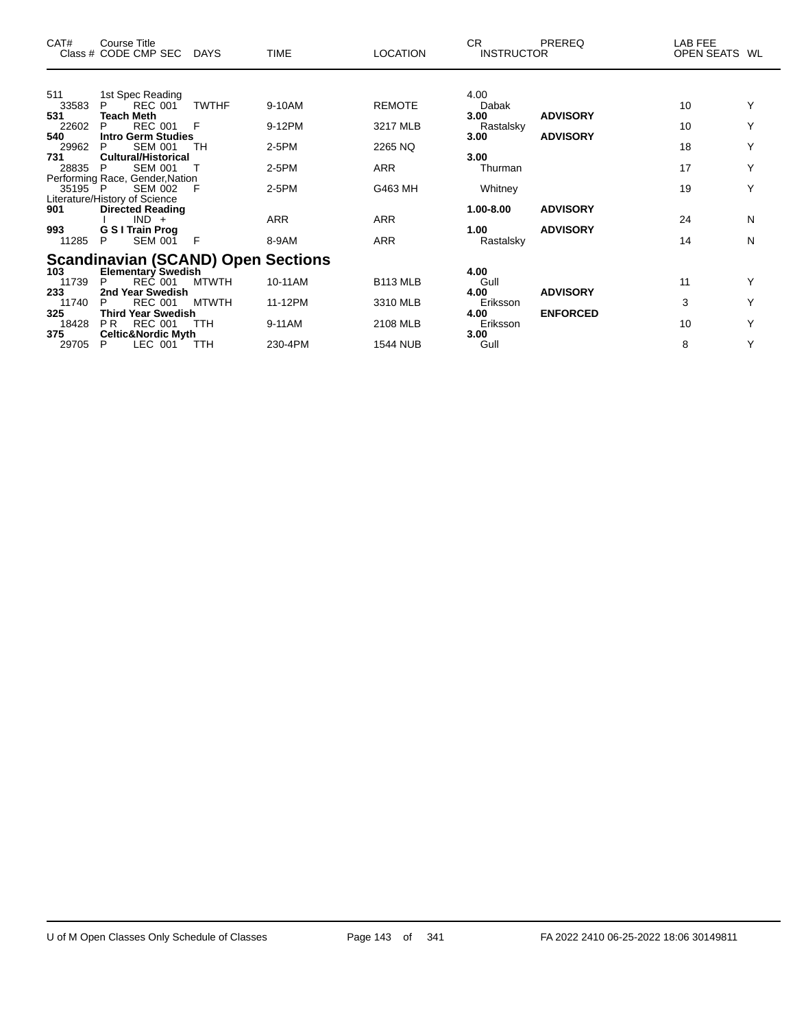| CAT#         | <b>Course Title</b><br>Class # CODE CMP SEC            | <b>DAYS</b>  | <b>TIME</b> | <b>LOCATION</b> | CR.<br><b>INSTRUCTOR</b> | <b>PREREQ</b>   | LAB FEE<br>OPEN SEATS WL |   |
|--------------|--------------------------------------------------------|--------------|-------------|-----------------|--------------------------|-----------------|--------------------------|---|
|              |                                                        |              |             |                 |                          |                 |                          |   |
| 511          | 1st Spec Reading                                       |              |             |                 | 4.00                     |                 |                          |   |
| 33583        | <b>REC 001</b><br>P.                                   | <b>TWTHF</b> | 9-10AM      | <b>REMOTE</b>   | Dabak                    |                 | 10                       |   |
| 531<br>22602 | Teach Meth<br><b>REC 001</b><br>P                      | F            | 9-12PM      | 3217 MLB        | 3.00<br>Rastalsky        | <b>ADVISORY</b> | 10                       |   |
| 540          | <b>Intro Germ Studies</b>                              |              |             |                 | 3.00                     | <b>ADVISORY</b> |                          |   |
| 29962        | <b>SEM 001</b><br>P                                    | TН           | $2-5PM$     | 2265 NQ         |                          |                 | 18                       | Υ |
| 731          | <b>Cultural/Historical</b>                             |              |             |                 | 3.00                     |                 |                          |   |
| 28835        | <b>SEM 001</b><br>P                                    |              | $2-5PM$     | <b>ARR</b>      | Thurman                  |                 | 17                       | Y |
| 35195 P      | Performing Race, Gender, Nation<br><b>SEM 002</b>      | F            | 2-5PM       | G463 MH         | Whitney                  |                 | 19                       | Υ |
|              | Literature/History of Science                          |              |             |                 |                          |                 |                          |   |
| 901          | <b>Directed Reading</b>                                |              |             |                 | 1.00-8.00                | <b>ADVISORY</b> |                          |   |
|              | $IND +$                                                |              | <b>ARR</b>  | <b>ARR</b>      |                          |                 | 24                       | N |
| 993          | <b>G S I Train Prog</b>                                |              |             |                 | 1.00                     | <b>ADVISORY</b> |                          |   |
| 11285        | SEM 001<br>P                                           | F            | 8-9AM       | <b>ARR</b>      | Rastalsky                |                 | 14                       | N |
|              | <b>Scandinavian (SCAND) Open Sections</b>              |              |             |                 |                          |                 |                          |   |
| 103          | <b>Elementary Swedish</b>                              |              |             |                 | 4.00                     |                 |                          |   |
| 11739        | P<br><b>REC 001</b>                                    | <b>MTWTH</b> | 10-11AM     | <b>B113 MLB</b> | Gull                     |                 | 11                       |   |
| 233          | 2nd Year Swedish                                       |              |             |                 | 4.00                     | <b>ADVISORY</b> |                          |   |
| 11740        | <b>REC 001</b><br>P                                    | <b>MTWTH</b> | 11-12PM     | 3310 MLB        | Eriksson                 |                 | 3                        | Y |
| 325<br>18428 | Third Year Swedish<br><b>REC 001</b><br>P <sub>R</sub> | TTH          | 9-11AM      | 2108 MLB        | 4.00<br>Eriksson         | <b>ENFORCED</b> | 10                       | Υ |
| 375          | <b>Celtic&amp;Nordic Myth</b>                          |              |             |                 | 3.00                     |                 |                          |   |
| 29705        | LEC 001<br>P                                           | TTH          | 230-4PM     | <b>1544 NUB</b> | Gull                     |                 | 8                        | Y |

 $\overline{\phantom{0}}$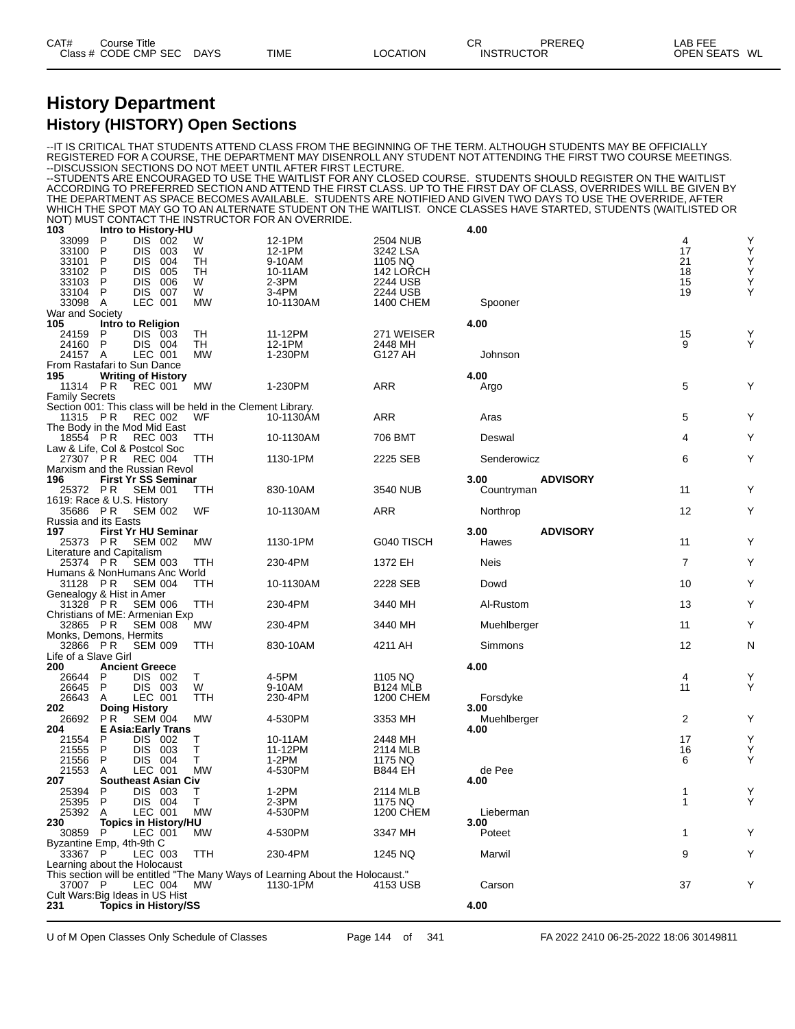### **History Department History (HISTORY) Open Sections**

|                                                               |                                              |                   |                                                                    | --DISCUSSION SECTIONS DO NOT MEET UNTIL AFTER FIRST LECTURE.                               |                                              | IT IS CRITICAL THAT STUDENTS ATTEND CLASS FROM THE BEGINNING OF THE TERM. ALTHOUGH STUDENTS MAY BE OFFICIALLY-<br>REGISTERED FOR A COURSE, THE DEPARTMENT MAY DISENROLL ANY STUDENT NOT ATTENDING THE FIRST TWO COURSE MEETINGS.<br>--STUDENTS ARE ENCOURAGED TO USE THE WAITLIST FOR ANY CLOSED COURSE.  STUDENTS SHOULD REGISTER ON THE WAITLIST         |                     |                  |
|---------------------------------------------------------------|----------------------------------------------|-------------------|--------------------------------------------------------------------|--------------------------------------------------------------------------------------------|----------------------------------------------|------------------------------------------------------------------------------------------------------------------------------------------------------------------------------------------------------------------------------------------------------------------------------------------------------------------------------------------------------------|---------------------|------------------|
|                                                               |                                              |                   |                                                                    |                                                                                            |                                              | ACCORDING TO PREFERRED SECTION AND ATTEND THE FIRST CLASS. UP TO THE FIRST DAY OF CLASS, OVERRIDES WILL BE GIVEN BY<br>THE DEPARTMENT AS SPACE BECOMES AVAILABLE. STUDENTS ARE NOTIFIED AND GIVEN TWO DAYS TO USE THE OVERRIDE, AFTER<br>WHICH THE SPOT MAY GO TO AN ALTERNATE STUDENT ON THE WAITLIST. ONCE CLASSES HAVE STARTED, STUDENTS (WAITLISTED OR |                     |                  |
| 103                                                           | Intro to History-HU                          |                   |                                                                    | NOT) MUST CONTACT THE INSTRUCTOR FOR AN OVERRIDE.                                          |                                              | 4.00                                                                                                                                                                                                                                                                                                                                                       |                     |                  |
| P<br>33099<br>33100<br>P<br>33101<br>P<br>P<br>33102          | DIS 002<br>DIS.<br><b>DIS</b><br><b>DIS</b>  | 003<br>004<br>005 | W<br>W<br>TН<br>TН                                                 | 12-1PM<br>12-1PM<br>9-10AM<br>10-11AM                                                      | 2504 NUB<br>3242 LSA<br>1105 NQ<br>142 LORCH |                                                                                                                                                                                                                                                                                                                                                            | 4<br>17<br>21<br>18 | Υ<br>Y<br>Y<br>Y |
| 33103<br>P<br>33104<br>P<br>33098 A<br>War and Society        | <b>DIS</b><br>DIS 007<br>LEC 001             | 006               | W<br>W<br>MW                                                       | $2-3PM$<br>3-4PM<br>10-1130AM                                                              | 2244 USB<br>2244 USB<br>1400 CHEM            | Spooner                                                                                                                                                                                                                                                                                                                                                    | 15<br>19            | Υ<br>Υ           |
| 105                                                           | Intro to Religion                            |                   |                                                                    |                                                                                            |                                              | 4.00                                                                                                                                                                                                                                                                                                                                                       |                     |                  |
| 24159<br>P                                                    | DIS 003                                      |                   | TH                                                                 | 11-12PM                                                                                    | 271 WEISER                                   |                                                                                                                                                                                                                                                                                                                                                            | 15                  | Υ                |
| 24160 P<br>24157 A                                            | DIS 004<br>LEC 001                           |                   | TH<br>MW                                                           | 12-1PM<br>1-230PM                                                                          | 2448 MH<br>G127 AH                           | Johnson                                                                                                                                                                                                                                                                                                                                                    | 9                   | Υ                |
| From Rastafari to Sun Dance                                   |                                              |                   |                                                                    |                                                                                            |                                              |                                                                                                                                                                                                                                                                                                                                                            |                     |                  |
| 195                                                           | <b>Writing of History</b>                    |                   |                                                                    |                                                                                            |                                              | 4.00                                                                                                                                                                                                                                                                                                                                                       |                     |                  |
| 11314 PR                                                      | <b>REC 001</b>                               |                   | МW                                                                 | 1-230PM                                                                                    | <b>ARR</b>                                   | Argo                                                                                                                                                                                                                                                                                                                                                       | 5                   | Υ                |
| <b>Family Secrets</b>                                         |                                              |                   |                                                                    |                                                                                            |                                              |                                                                                                                                                                                                                                                                                                                                                            |                     |                  |
| 11315 PR<br>The Body in the Mod Mid East                      | REC 002                                      |                   | Section 001: This class will be held in the Clement Library.<br>WF | 10-1130AM                                                                                  | <b>ARR</b>                                   | Aras                                                                                                                                                                                                                                                                                                                                                       | 5                   | Υ                |
| 18554 PR                                                      | <b>REC 003</b>                               |                   | TTH                                                                | 10-1130AM                                                                                  | 706 BMT                                      | Deswal                                                                                                                                                                                                                                                                                                                                                     | 4                   | Υ                |
| Law & Life, Col & Postcol Soc<br>27307 PR                     | <b>REC 004</b>                               |                   | TTH                                                                | 1130-1PM                                                                                   | 2225 SEB                                     | Senderowicz                                                                                                                                                                                                                                                                                                                                                | 6                   | Υ                |
| Marxism and the Russian Revol                                 |                                              |                   |                                                                    |                                                                                            |                                              |                                                                                                                                                                                                                                                                                                                                                            |                     |                  |
| 196<br>25372 PR                                               | <b>First Yr SS Seminar</b><br><b>SEM 001</b> |                   | TTH                                                                | 830-10AM                                                                                   | 3540 NUB                                     | 3.00<br><b>ADVISORY</b><br>Countryman                                                                                                                                                                                                                                                                                                                      | 11                  | Y                |
| 1619: Race & U.S. History<br>35686 PR<br>Russia and its Easts | <b>SEM 002</b>                               |                   | WF                                                                 | 10-1130AM                                                                                  | <b>ARR</b>                                   | Northrop                                                                                                                                                                                                                                                                                                                                                   | 12                  | Υ                |
| 197<br>25373 PR                                               | <b>First Yr HU Seminar</b><br><b>SEM 002</b> |                   | <b>MW</b>                                                          | 1130-1PM                                                                                   | G040 TISCH                                   | 3.00<br><b>ADVISORY</b><br>Hawes                                                                                                                                                                                                                                                                                                                           | 11                  | Υ                |
| Literature and Capitalism<br>25374 PR                         | <b>SEM 003</b>                               |                   | TTH                                                                | 230-4PM                                                                                    | 1372 EH                                      | <b>Neis</b>                                                                                                                                                                                                                                                                                                                                                | $\overline{7}$      | Υ                |
| Humans & NonHumans Anc World                                  |                                              |                   |                                                                    |                                                                                            |                                              |                                                                                                                                                                                                                                                                                                                                                            |                     |                  |
| 31128 PR<br>Genealogy & Hist in Amer                          | <b>SEM 004</b>                               |                   | <b>TTH</b>                                                         | 10-1130AM                                                                                  | 2228 SEB                                     | Dowd                                                                                                                                                                                                                                                                                                                                                       | 10                  | Y                |
| 31328 PR<br>Christians of ME: Armenian Exp                    | <b>SEM 006</b>                               |                   | TTH                                                                | 230-4PM                                                                                    | 3440 MH                                      | Al-Rustom                                                                                                                                                                                                                                                                                                                                                  | 13                  | Υ                |
| 32865 PR<br>Monks, Demons, Hermits                            | <b>SEM 008</b>                               |                   | МW                                                                 | 230-4PM                                                                                    | 3440 MH                                      | Muehlberger                                                                                                                                                                                                                                                                                                                                                | 11                  | Υ                |
| 32866 PR                                                      | <b>SEM 009</b>                               |                   | TTH                                                                | 830-10AM                                                                                   | 4211 AH                                      | Simmons                                                                                                                                                                                                                                                                                                                                                    | 12                  | N                |
| Life of a Slave Girl<br>200                                   | <b>Ancient Greece</b>                        |                   |                                                                    |                                                                                            |                                              | 4.00                                                                                                                                                                                                                                                                                                                                                       |                     |                  |
| 26644<br>P                                                    | DIS 002                                      |                   | Т                                                                  | 4-5PM                                                                                      | 1105 NQ                                      |                                                                                                                                                                                                                                                                                                                                                            | 4                   | Υ                |
| P<br>26645                                                    | DIS 003                                      |                   | W                                                                  | 9-10AM                                                                                     | <b>B124 MLB</b>                              |                                                                                                                                                                                                                                                                                                                                                            | 11                  | Υ                |
| 26643<br>A                                                    | LEC 001                                      |                   | TTH                                                                | 230-4PM                                                                                    | 1200 CHEM                                    | Forsdyke                                                                                                                                                                                                                                                                                                                                                   |                     |                  |
| 202                                                           | <b>Doing History</b>                         |                   |                                                                    |                                                                                            |                                              | 3.00                                                                                                                                                                                                                                                                                                                                                       |                     |                  |
| 26692<br>204                                                  | <b>PR</b> SEM 004                            |                   | МW                                                                 | 4-530PM                                                                                    | 3353 MH                                      | Muehlberger<br>4.00                                                                                                                                                                                                                                                                                                                                        | 2                   | Y                |
| 21554<br>P                                                    | E Asia:Early Trans<br>DIS 002                |                   | Т                                                                  | 10-11AM                                                                                    | 2448 MH                                      |                                                                                                                                                                                                                                                                                                                                                            | 17                  | Υ                |
| 21555<br>P                                                    | DIS 003                                      |                   | т                                                                  | 11-12PM                                                                                    | 2114 MLB                                     |                                                                                                                                                                                                                                                                                                                                                            | 16                  | Υ                |
| 21556<br>P                                                    | DIS 004                                      |                   | Т                                                                  | 1-2PM                                                                                      | 1175 NQ                                      |                                                                                                                                                                                                                                                                                                                                                            | 6                   | Υ                |
| 21553<br>A                                                    | LEC 001                                      |                   | <b>MW</b>                                                          | 4-530PM                                                                                    | <b>B844 EH</b>                               | de Pee                                                                                                                                                                                                                                                                                                                                                     |                     |                  |
| 207                                                           | <b>Southeast Asian Civ</b>                   |                   |                                                                    |                                                                                            |                                              | 4.00                                                                                                                                                                                                                                                                                                                                                       |                     |                  |
| 25394<br>P<br>25395<br>P                                      | DIS.<br>DIS 004                              | - 003             | т<br>т                                                             | $1-2PM$<br>2-3PM                                                                           | 2114 MLB<br>1175 NQ                          |                                                                                                                                                                                                                                                                                                                                                            | 1<br>1              | Υ<br>Y           |
| 25392<br>A                                                    | LEC 001                                      |                   | <b>MW</b>                                                          | 4-530PM                                                                                    | <b>1200 CHEM</b>                             | Lieberman                                                                                                                                                                                                                                                                                                                                                  |                     |                  |
| 230                                                           | <b>Topics in History/HU</b>                  |                   |                                                                    |                                                                                            |                                              | 3.00                                                                                                                                                                                                                                                                                                                                                       |                     |                  |
| 30859 P                                                       | LEC 001                                      |                   | <b>MW</b>                                                          | 4-530PM                                                                                    | 3347 MH                                      | Poteet                                                                                                                                                                                                                                                                                                                                                     | 1                   | Υ                |
| Byzantine Emp, 4th-9th C                                      |                                              |                   |                                                                    |                                                                                            |                                              |                                                                                                                                                                                                                                                                                                                                                            |                     |                  |
| 33367 P                                                       | LEC 003                                      |                   | TTH                                                                | 230-4PM                                                                                    | 1245 NQ                                      | Marwil                                                                                                                                                                                                                                                                                                                                                     | 9                   | Υ                |
| Learning about the Holocaust<br>37007 P                       | LEC 004                                      |                   | <b>MW</b>                                                          | This section will be entitled "The Many Ways of Learning About the Holocaust."<br>1130-1PM | 4153 USB                                     | Carson                                                                                                                                                                                                                                                                                                                                                     | 37                  | Y                |
| Cult Wars: Big Ideas in US Hist                               |                                              |                   |                                                                    |                                                                                            |                                              |                                                                                                                                                                                                                                                                                                                                                            |                     |                  |
| 231                                                           | <b>Topics in History/SS</b>                  |                   |                                                                    |                                                                                            |                                              | 4.00                                                                                                                                                                                                                                                                                                                                                       |                     |                  |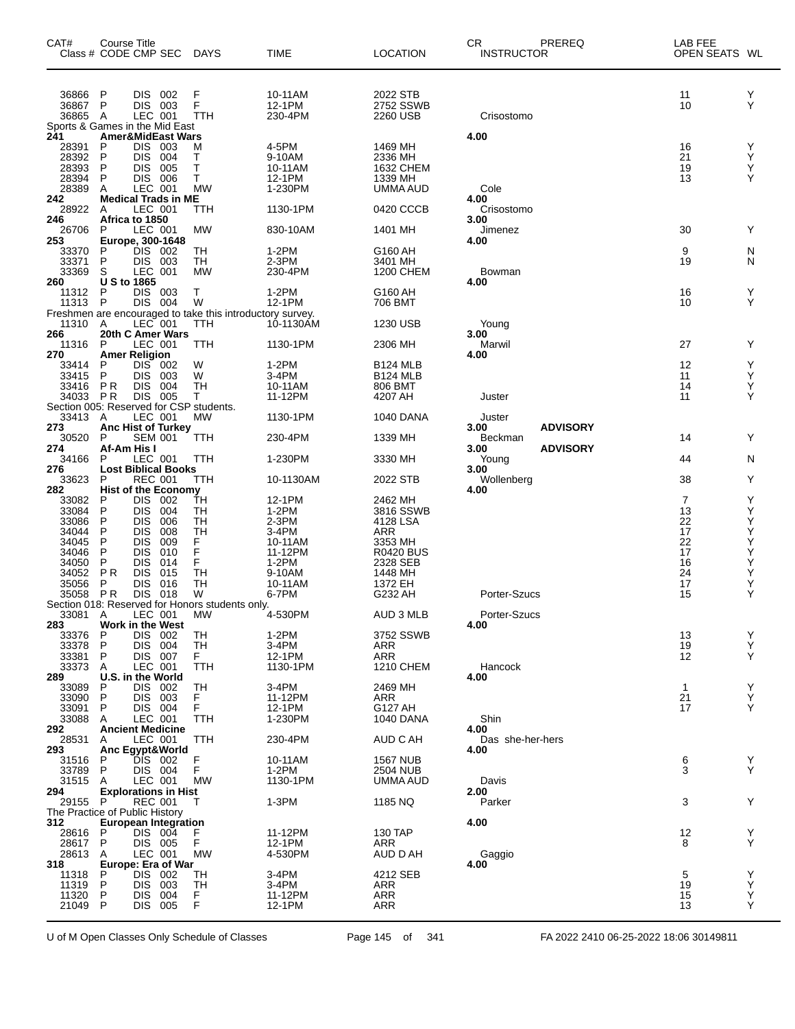| CAT#                      | Course Title<br>Class # CODE CMP SEC                                                       | <b>DAYS</b>            | <b>TIME</b>                  | <b>LOCATION</b>                   | CR<br>PREREQ<br><b>INSTRUCTOR</b>            | <b>LAB FEE</b><br>OPEN SEATS WL |             |
|---------------------------|--------------------------------------------------------------------------------------------|------------------------|------------------------------|-----------------------------------|----------------------------------------------|---------------------------------|-------------|
| 36866<br>36867<br>36865 A | DIS 002<br>P<br>P<br>DIS.<br>003<br>LEC 001                                                | F<br>F<br>TTH          | 10-11AM<br>12-1PM<br>230-4PM | 2022 STB<br>2752 SSWB<br>2260 USB | Crisostomo                                   | 11<br>10                        | Υ<br>Y      |
| 241                       | Sports & Games in the Mid East<br><b>Amer&amp;MidEast Wars</b>                             |                        |                              |                                   | 4.00                                         |                                 |             |
| 28391<br>28392<br>28393   | Ρ<br>DIS.<br>003<br>P<br><b>DIS</b><br>004<br>Ρ<br><b>DIS</b><br>005                       | M<br>т<br>Τ            | 4-5PM<br>9-10AM<br>10-11AM   | 1469 MH<br>2336 MH<br>1632 CHEM   |                                              | 16<br>21<br>19                  | Υ<br>Y<br>Υ |
| 28394<br>28389            | P<br><b>DIS</b><br>006<br>LEC 001<br>Α                                                     | т<br><b>MW</b>         | 12-1PM<br>1-230PM            | 1339 MH<br>UMMA AUD               | Cole                                         | 13                              | Υ           |
| 242<br>28922              | <b>Medical Trads in ME</b><br>LEC 001<br>Α                                                 | TTH                    | 1130-1PM                     | 0420 CCCB                         | 4.00<br>Crisostomo                           |                                 |             |
| 246<br>26706              | Africa to 1850<br>LEC 001<br>P                                                             | MW                     | 830-10AM                     | 1401 MH                           | 3.00<br>Jimenez                              | 30                              | Y           |
| 253<br>33370              | Europe, 300-1648<br>DIS 002<br>P                                                           | TН                     | $1-2PM$                      | G160 AH                           | 4.00                                         | 9                               | N           |
| 33371<br>33369            | P<br>DIS.<br>003<br>S<br>LEC 001                                                           | TH<br><b>MW</b>        | 2-3PM<br>230-4PM             | 3401 MH<br>1200 CHEM              | Bowman                                       | 19                              | N           |
| 260<br>11312<br>11313     | U S to 1865<br>DIS 003<br>P<br>$\mathsf{P}$<br>DIS 004                                     | т<br>W                 | $1-2PM$<br>12-1PM            | G160 AH<br>706 BMT                | 4.00                                         | 16<br>10                        | Y<br>Y      |
|                           | Freshmen are encouraged to take this introductory survey.<br>11310 A LEC 001 TTH 10-1130AN |                        | 10-1130AM                    | 1230 USB                          | Young                                        |                                 |             |
| 266<br>11316              | 20th C Amer Wars<br>P<br>LEC 001                                                           | TTH                    | 1130-1PM                     | 2306 MH                           | 3.00<br>Marwil                               | 27                              | Y           |
| 270<br>33414              | <b>Amer Religion</b><br>P<br>DIS.<br>-002                                                  | W                      | $1-2PM$                      | <b>B124 MLB</b>                   | 4.00                                         | 12                              | Υ           |
| 33415<br>33416            | P<br><b>DIS</b><br>003<br>P R<br><b>DIS</b><br>004                                         | W<br>TН                | 3-4PM<br>10-11AM             | <b>B124 MLB</b><br>806 BMT        |                                              | 11<br>14                        | Y<br>Υ      |
| 34033 PR                  | <b>DIS</b><br>005<br>Section 005: Reserved for CSP students.                               | Τ                      | 11-12PM                      | 4207 AH                           | Juster                                       | 11                              | Υ           |
| 33413<br>273<br>30520     | LEC 001<br>Α<br><b>Anc Hist of Turkey</b><br><b>SEM 001</b><br>P                           | <b>MW</b><br>TTH       | 1130-1PM<br>230-4PM          | 1040 DANA<br>1339 MH              | Juster<br><b>ADVISORY</b><br>3.00<br>Beckman | 14                              | Y           |
| 274<br>34166              | Af-Am His I<br>LEC 001<br>P                                                                | TTH                    | 1-230PM                      | 3330 MH                           | <b>ADVISORY</b><br>3.00<br>Young             | 44                              | N           |
| 276<br>33623              | <b>Lost Biblical Books</b><br><b>REC 001</b><br>P                                          | TTH                    | 10-1130AM                    | 2022 STB                          | 3.00<br>Wollenberg                           | 38                              | Y           |
| 282<br>33082              | <b>Hist of the Economy</b><br>DIS.<br>002<br>P                                             | TН                     | 12-1PM                       | 2462 MH                           | 4.00                                         | $\overline{7}$                  | Y           |
| 33084<br>33086<br>34044   | <b>DIS</b><br>Ρ<br>004<br>Ρ<br><b>DIS</b><br>006<br>P<br>DIS<br>008                        | TН<br>TН<br>TН         | $1-2PM$<br>2-3PM<br>3-4PM    | 3816 SSWB<br>4128 LSA<br>ARR      |                                              | 13<br>22<br>17                  | Υ<br>Υ<br>Υ |
| 34045<br>34046            | P<br><b>DIS</b><br>009<br>P<br>DIS<br>010                                                  | F<br>F                 | 10-11AM<br>11-12PM           | 3353 MH<br><b>R0420 BUS</b>       |                                              | 22<br>17                        | Υ<br>Υ      |
| 34050<br>34052            | P<br>DIS<br>014<br><b>PR</b><br><b>DIS</b><br>015                                          | F<br>TН                | $1-2PM$<br>9-10AM            | 2328 SEB<br>1448 MH               |                                              | 16<br>24                        | Υ<br>Υ      |
| 35056<br>35058            | P<br><b>DIS</b><br>016<br><b>DIS</b><br><b>PR</b><br>018                                   | TН<br>W                | 10-11AM<br>6-7PM             | 1372 EH<br>G232 AH                | Porter-Szucs                                 | 17<br>15                        | Υ<br>Y      |
| 33081                     | Section 018: Reserved for Honors students only.<br>LEC 001<br>A                            | MW                     | 4-530PM                      | AUD 3 MLB                         | Porter-Szucs                                 |                                 |             |
| 283<br>33376              | Work in the West<br>DIS 002<br>Ρ                                                           | TH                     | $1-2PM$                      | 3752 SSWB                         | 4.00                                         | 13                              | Y           |
| 33378<br>33381<br>33373   | DIS 004<br>Ρ<br>P<br>DIS.<br>007<br>LEC 001                                                | TH<br>F.<br><b>TTH</b> | 3-4PM<br>12-1PM<br>1130-1PM  | ARR<br><b>ARR</b>                 |                                              | 19<br>12                        | Υ<br>Y      |
| 289<br>33089              | A<br>U.S. in the World<br>DIS.<br>P<br>002                                                 | TН                     | 3-4PM                        | 1210 CHEM<br>2469 MH              | Hancock<br>4.00                              | $\mathbf{1}$                    | Υ           |
| 33090<br>33091            | <b>DIS</b><br>P<br>003<br>DIS 004<br>P                                                     | F<br>F.                | 11-12PM<br>12-1PM            | ARR<br>G127 AH                    |                                              | 21<br>17                        | Υ<br>Y      |
| 33088<br>292              | LEC 001<br>A<br><b>Ancient Medicine</b>                                                    | TTH                    | 1-230PM                      | 1040 DANA                         | Shin<br>4.00                                 |                                 |             |
| 28531<br>293              | LEC 001<br>A<br>Anc Egypt&World                                                            | TTH                    | 230-4PM                      | AUD C AH                          | Das she-her-hers<br>4.00                     |                                 |             |
| 31516<br>33789            | DIS 002<br>P<br>DIS 004<br>P                                                               | F<br>F                 | 10-11AM<br>1-2PM             | <b>1567 NUB</b><br>2504 NUB       |                                              | 6<br>3                          | Y<br>Y      |
| 31515<br>294<br>29155     | LEC 001<br>A<br><b>Explorations in Hist</b>                                                | МW                     | 1130-1PM                     | UMMA AUD                          | Davis<br>2.00                                |                                 |             |
| 312                       | P<br>REC 001<br>The Practice of Public History<br><b>European Integration</b>              | т                      | $1-3PM$                      | 1185 NQ                           | Parker<br>4.00                               | 3                               | Υ           |
| 28616<br>28617            | P<br>DIS 004<br>P<br>DIS 005                                                               | F.<br>F                | 11-12PM<br>12-1PM            | 130 TAP<br><b>ARR</b>             |                                              | 12<br>8                         | Υ<br>Y      |
| 28613<br>318              | LEC 001<br>A<br>Europe: Era of War                                                         | МW                     | 4-530PM                      | AUD D AH                          | Gaggio<br>4.00                               |                                 |             |
| 11318<br>11319            | DIS.<br>P<br>002<br>P<br><b>DIS</b><br>003                                                 | TН<br>TН               | 3-4PM<br>3-4PM               | 4212 SEB<br>ARR                   |                                              | 5<br>19                         | Υ<br>Υ      |
| 11320<br>21049            | P<br>DIS.<br>004<br>P<br>DIS 005                                                           | F.<br>F                | 11-12PM<br>12-1PM            | <b>ARR</b><br><b>ARR</b>          |                                              | 15<br>13                        | Υ<br>Y      |
|                           |                                                                                            |                        |                              |                                   |                                              |                                 |             |

U of M Open Classes Only Schedule of Classes Page 145 of 341 FA 2022 2410 06-25-2022 18:06 30149811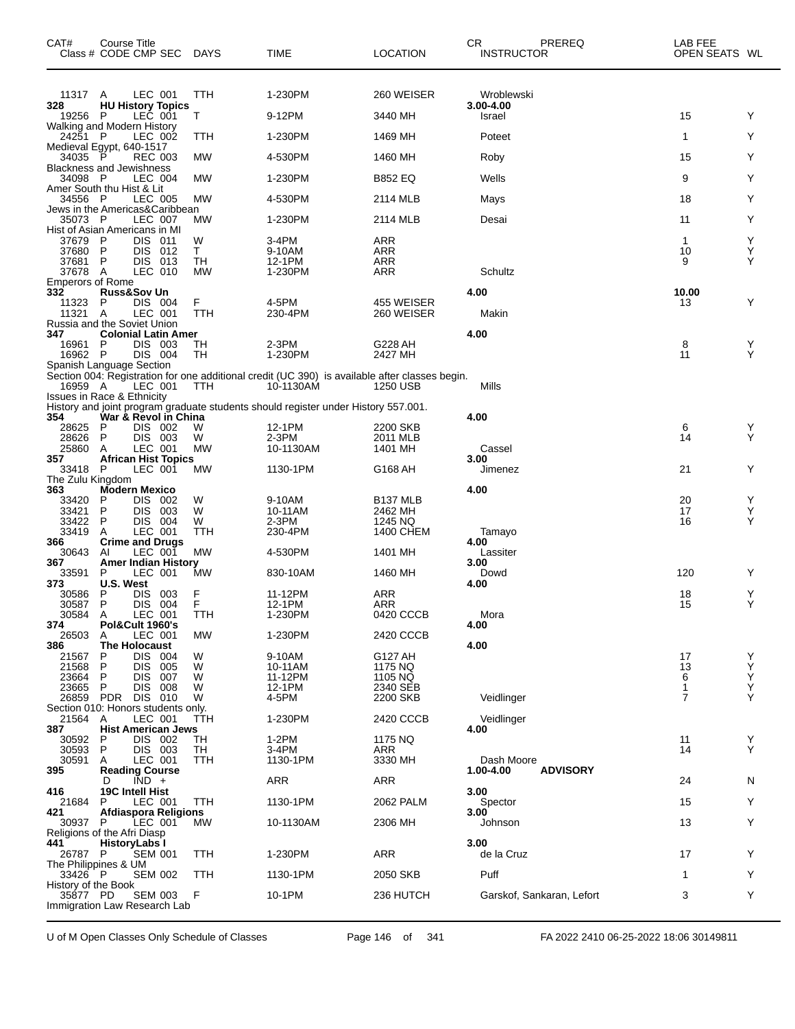| CAT#                           | Course Title<br>Class # CODE CMP SEC DAYS                 |                 | <b>TIME</b>                                                                                                 | <b>LOCATION</b>                 | CR<br><b>INSTRUCTOR</b> | PREREQ                    | LAB FEE<br>OPEN SEATS WL |        |
|--------------------------------|-----------------------------------------------------------|-----------------|-------------------------------------------------------------------------------------------------------------|---------------------------------|-------------------------|---------------------------|--------------------------|--------|
| 11317 A                        | LEC 001                                                   | <b>TTH</b>      | 1-230PM                                                                                                     | 260 WEISER                      | Wroblewski              |                           |                          |        |
| 328<br>19256                   | <b>HU History Topics</b><br>LEČ 001<br>- P                | T               | 9-12PM                                                                                                      | 3440 MH                         | 3.00-4.00<br>Israel     |                           | 15                       | Y      |
| 24251 P                        | Walking and Modern History<br>LEC 002                     | TTH             | 1-230PM                                                                                                     | 1469 MH                         | Poteet                  |                           | 1                        | Y      |
| 34035 P                        | Medieval Egypt, 640-1517<br><b>REC 003</b>                | МW              | 4-530PM                                                                                                     | 1460 MH                         | Roby                    |                           | 15                       | Y      |
| 34098 P                        | <b>Blackness and Jewishness</b><br>LEC 004                | МW              | 1-230PM                                                                                                     | <b>B852 EQ</b>                  | Wells                   |                           | 9                        | Y      |
| 34556 P                        | Amer South thu Hist & Lit<br>LEC 005                      | МW              | 4-530PM                                                                                                     | 2114 MLB                        | Mays                    |                           | 18                       | Y      |
| 35073 P                        | Jews in the Americas&Caribbean<br>LEC 007                 | МW              | 1-230PM                                                                                                     | 2114 MLB                        | Desai                   |                           | 11                       | Υ      |
| 37679                          | Hist of Asian Americans in MI<br>$\mathsf{P}$<br>DIS 011  | W               | 3-4PM                                                                                                       | <b>ARR</b>                      |                         |                           | $\mathbf{1}$             | Υ      |
| 37680 P                        | DIS 012                                                   | T.              | 9-10AM                                                                                                      | <b>ARR</b>                      |                         |                           | 10                       | Y      |
| 37681<br>37678 A               | DIS 013<br>P<br>LEC 010                                   | TН<br><b>MW</b> | 12-1PM<br>1-230PM                                                                                           | ARR<br>ARR                      | Schultz                 |                           | 9                        | Y      |
| <b>Emperors of Rome</b><br>332 | Russ&Sov Un                                               |                 |                                                                                                             |                                 | 4.00                    |                           | 10.00                    |        |
| 11323<br>11321 A               | DIS 004<br>P<br>LEC 001                                   | F<br>TTH        | 4-5PM<br>230-4PM                                                                                            | 455 WEISER<br>260 WEISER        | Makin                   |                           | 13                       | Y      |
| 347                            | Russia and the Soviet Union<br><b>Colonial Latin Amer</b> |                 |                                                                                                             |                                 | 4.00                    |                           |                          |        |
| 16961 P<br>16962 P             | DIS 003<br>DIS 004                                        | TH<br>TH        | $2-3PM$<br>1-230PM                                                                                          | G228 AH<br>2427 MH              |                         |                           | 8<br>11                  | Y<br>Y |
| 16959 A                        | Spanish Language Section<br>LEC 001                       | TTH             | Section 004: Registration for one additional credit (UC 390) is available after classes begin.<br>10-1130AM | 1250 USB                        | Mills                   |                           |                          |        |
|                                | Issues in Race & Ethnicity                                |                 | History and joint program graduate students should register under History 557.001.                          |                                 |                         |                           |                          |        |
| 354<br>28625                   | War & Revol in China<br>DIS 002<br>P                      | W               | 12-1PM                                                                                                      | 2200 SKB                        | 4.00                    |                           | 6                        | Y      |
| 28626<br>25860                 | DIS 003<br>P<br>LEC 001<br>Α                              | W<br><b>MW</b>  | $2-3PM$<br>10-1130AM                                                                                        | 2011 MLB<br>1401 MH             | Cassel                  |                           | 14                       | Y      |
| 357<br>33418 P                 | <b>African Hist Topics</b><br>LEC 001                     | МW              | 1130-1PM                                                                                                    | G168 AH                         | 3.00<br>Jimenez         |                           | 21                       | Y      |
| The Zulu Kingdom<br>363        | <b>Modern Mexico</b>                                      |                 |                                                                                                             |                                 | 4.00                    |                           |                          |        |
| 33420<br>33421                 | DIS 002<br>P<br>DIS 003<br>P                              | W<br>W          | 9-10AM<br>10-11AM                                                                                           | B <sub>137</sub> MLB<br>2462 MH |                         |                           | 20<br>17                 | Y<br>Υ |
| 33422<br>33419                 | P<br>DIS 004<br>LEC 001<br>Α                              | W<br>TTH        | $2-3PM$<br>230-4PM                                                                                          | 1245 NQ<br>1400 CHEM            | Tamayo                  |                           | 16                       | Υ      |
| 366                            | <b>Crime and Drugs</b><br>LEC 001                         | <b>MW</b>       |                                                                                                             |                                 | 4.00                    |                           |                          |        |
| 30643<br>367                   | AI<br><b>Amer Indian History</b>                          |                 | 4-530PM                                                                                                     | 1401 MH                         | Lassiter<br>3.00        |                           |                          |        |
| 33591<br>373                   | LEC 001<br>P<br>U.S. West                                 | МW              | 830-10AM                                                                                                    | 1460 MH                         | Dowd<br>4.00            |                           | 120                      | Y      |
| 30586<br>30587                 | DIS 003<br>P<br>P<br>DIS 004                              | F<br>F          | 11-12PM<br>12-1PM                                                                                           | <b>ARR</b><br>ARR               |                         |                           | 18<br>15                 | Y<br>Y |
| 30584 A<br>374                 | LEC 001<br>Pol&Cult 1960's                                | <b>TTH</b>      | 1-230PM                                                                                                     | 0420 CCCB                       | Mora<br>4.00            |                           |                          |        |
| 26503<br>386                   | LEC 001<br>A<br><b>The Holocaust</b>                      | МW              | 1-230PM                                                                                                     | 2420 CCCB                       | 4.00                    |                           |                          |        |
| 21567<br>21568                 | DIS.<br>P<br>-004<br>P<br><b>DIS</b><br>005               | W<br>W          | 9-10AM<br>10-11AM                                                                                           | G127 AH<br>1175 NQ              |                         |                           | 17<br>13                 | Y<br>Y |
| 23664<br>23665                 | P<br><b>DIS</b><br>007<br>P<br><b>DIS</b><br>008          | W<br>W          | 11-12PM<br>12-1PM                                                                                           | 1105 NQ<br>2340 SEB             |                         |                           | 6<br>$\mathbf{1}$        | Υ<br>Υ |
| 26859                          | PDR DIS 010<br>Section 010: Honors students only.         | W               | 4-5PM                                                                                                       | 2200 SKB                        | Veidlinger              |                           | 7                        | Y      |
| 21564 A<br>387                 | LEC 001                                                   | ттн             | 1-230PM                                                                                                     | 2420 CCCB                       | Veidlinger<br>4.00      |                           |                          |        |
| 30592                          | <b>Hist American Jews</b><br>DIS 002<br>P                 | TН              | $1-2PM$                                                                                                     | 1175 NQ                         |                         |                           | 11                       | Y      |
| 30593<br>30591                 | P<br>DIS 003<br>LEC 001<br>A                              | TН<br>TTH       | 3-4PM<br>1130-1PM                                                                                           | ARR<br>3330 MH                  | Dash Moore              |                           | 14                       | Y      |
| 395                            | <b>Reading Course</b><br>$IND +$<br>D                     |                 | <b>ARR</b>                                                                                                  | <b>ARR</b>                      | 1.00-4.00               | <b>ADVISORY</b>           | 24                       | N      |
| 416<br>21684                   | 19C Intell Hist<br>LEC 001<br>P                           | TTH             | 1130-1PM                                                                                                    | 2062 PALM                       | 3.00<br>Spector         |                           | 15                       | Y      |
| 421<br>30937                   | Afdiaspora Religions<br>P<br>LEC 001                      | МW              | 10-1130AM                                                                                                   | 2306 MH                         | 3.00<br>Johnson         |                           | 13                       | Y      |
| 441                            | Religions of the Afri Diasp<br><b>HistoryLabs I</b>       |                 |                                                                                                             |                                 | 3.00                    |                           |                          |        |
| 26787 P                        | <b>SEM 001</b><br>The Philippines & UM                    | TTH             | 1-230PM                                                                                                     | <b>ARR</b>                      | de la Cruz              |                           | 17                       | Y      |
| 33426 P<br>History of the Book | <b>SEM 002</b>                                            | TTH             | 1130-1PM                                                                                                    | 2050 SKB                        | Puff                    |                           | 1                        | Y      |
| 35877 PD                       | <b>SEM 003</b><br>Immigration Law Research Lab            | F               | 10-1PM                                                                                                      | 236 HUTCH                       |                         | Garskof, Sankaran, Lefort | 3                        | Y      |

U of M Open Classes Only Schedule of Classes Page 146 of 341 FA 2022 2410 06-25-2022 18:06 30149811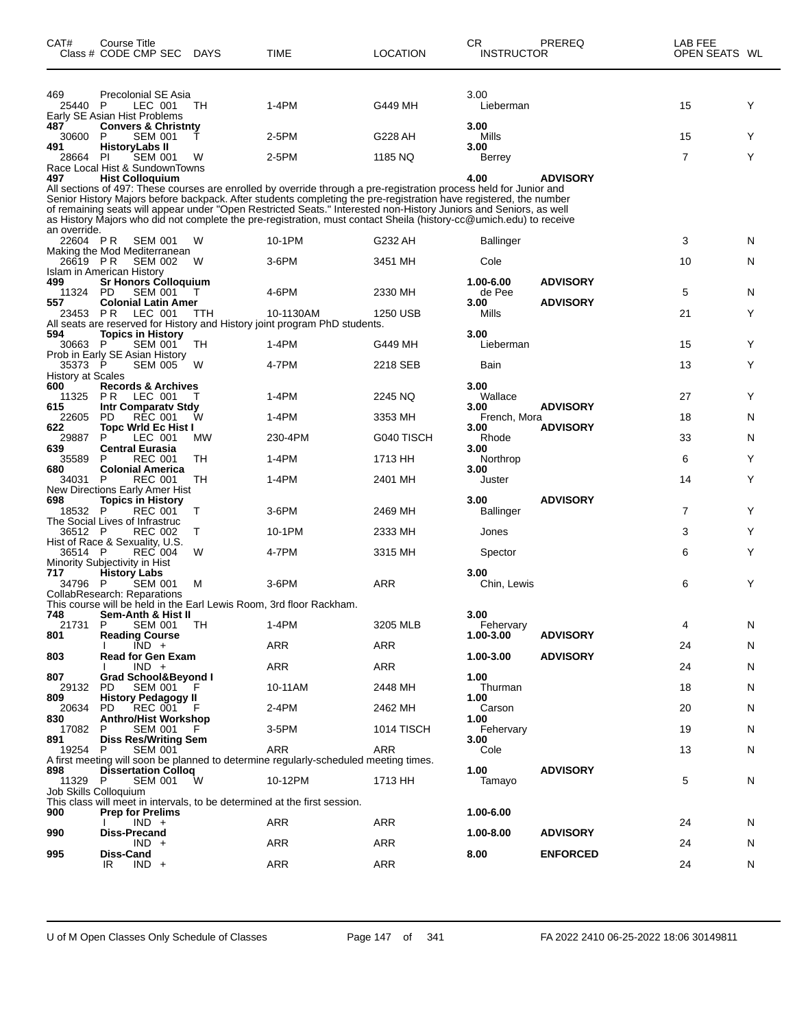| CAT#                | Course Title<br>Class # CODE CMP SEC DAYS                                         |         | TIME                                                                                                                                                                                                                                                                                                                                                                                                                                                                               | LOCATION            | СR<br><b>INSTRUCTOR</b> | PREREQ          | LAB FEE<br>OPEN SEATS WL |        |
|---------------------|-----------------------------------------------------------------------------------|---------|------------------------------------------------------------------------------------------------------------------------------------------------------------------------------------------------------------------------------------------------------------------------------------------------------------------------------------------------------------------------------------------------------------------------------------------------------------------------------------|---------------------|-------------------------|-----------------|--------------------------|--------|
| 469<br>25440 P      | <b>Precolonial SE Asia</b><br>LEC 001<br>Early SE Asian Hist Problems             | TH      | $1-4PM$                                                                                                                                                                                                                                                                                                                                                                                                                                                                            | G449 MH             | 3.00<br>Lieberman       |                 | 15                       | Y      |
| 487<br>30600        | <b>Convers &amp; Christnty</b><br>P<br><b>SEM 001</b>                             |         | 2-5PM                                                                                                                                                                                                                                                                                                                                                                                                                                                                              | G228 AH             | 3.00<br>Mills           |                 | 15                       | Y      |
| 491<br>28664        | <b>HistoryLabs II</b><br><b>SEM 001</b><br>-PI<br>Race Local Hist & SundownTowns  | w       | 2-5PM                                                                                                                                                                                                                                                                                                                                                                                                                                                                              | 1185 NQ             | 3.00<br>Berrey          |                 | $\overline{7}$           | Y      |
| 497<br>an override. | <b>Hist Colloquium</b>                                                            |         | All sections of 497: These courses are enrolled by override through a pre-registration process held for Junior and<br>Senior History Majors before backpack. After students completing the pre-registration have registered, the number<br>of remaining seats will appear under "Open Restricted Seats." Interested non-History Juniors and Seniors, as well<br>as History Majors who did not complete the pre-registration, must contact Sheila (history-cc@umich.edu) to receive |                     | 4.00                    | <b>ADVISORY</b> |                          |        |
| 22604 PR            | <b>SEM 001</b><br>Making the Mod Mediterranean                                    | W       | 10-1PM                                                                                                                                                                                                                                                                                                                                                                                                                                                                             | G232 AH             | Ballinger               |                 | 3                        | N      |
| 26619 PR            | <b>SEM 002</b><br>Islam in American History                                       | W       | 3-6PM                                                                                                                                                                                                                                                                                                                                                                                                                                                                              | 3451 MH             | Cole                    |                 | 10                       | N      |
| 499<br>11324        | <b>Sr Honors Colloquium</b><br><b>SEM 001</b><br>PD.                              |         | 4-6PM                                                                                                                                                                                                                                                                                                                                                                                                                                                                              | 2330 MH             | 1.00-6.00<br>de Pee     | <b>ADVISORY</b> | 5                        | N      |
| 557<br>23453 PR     | <b>Colonial Latin Amer</b><br>LEC 001                                             | TTH     | 10-1130AM                                                                                                                                                                                                                                                                                                                                                                                                                                                                          | 1250 USB            | 3.00<br>Mills           | <b>ADVISORY</b> | 21                       | Y      |
| 594                 | Topics in History                                                                 |         | All seats are reserved for History and History joint program PhD students.                                                                                                                                                                                                                                                                                                                                                                                                         |                     | 3.00                    |                 |                          |        |
| 30663<br>35373 P    | $\sf P$<br><b>SEM 001</b><br>Prob in Early SE Asian History<br><b>SEM 005</b>     | TН<br>W | $1-4PM$<br>4-7PM                                                                                                                                                                                                                                                                                                                                                                                                                                                                   | G449 MH<br>2218 SEB | Lieberman<br>Bain       |                 | 15<br>13                 | Y<br>Y |
| History at Scales   |                                                                                   |         |                                                                                                                                                                                                                                                                                                                                                                                                                                                                                    |                     |                         |                 |                          |        |
| 600<br>11325<br>615 | <b>Records &amp; Archives</b><br>PR.<br>LEC 001<br>Intr Comparatv Stdy            | т       | 1-4PM                                                                                                                                                                                                                                                                                                                                                                                                                                                                              | 2245 NQ             | 3.00<br>Wallace<br>3.00 | <b>ADVISORY</b> | 27                       | Y      |
| 22605               | PD<br><b>REC 001</b>                                                              | W       | 1-4PM                                                                                                                                                                                                                                                                                                                                                                                                                                                                              | 3353 MH             | French, Mora<br>3.00    | <b>ADVISORY</b> | 18                       | N      |
| 622<br>29887<br>639 | <b>Topc Wrld Ec Hist I</b><br>LEC 001<br>P<br><b>Central Eurasia</b>              | MW      | 230-4PM                                                                                                                                                                                                                                                                                                                                                                                                                                                                            | G040 TISCH          | Rhode<br>3.00           |                 | 33                       | N      |
| 35589               | P<br><b>REC 001</b>                                                               | TН      | $1-4PM$                                                                                                                                                                                                                                                                                                                                                                                                                                                                            | 1713 HH             | Northrop                |                 | 6                        | Y      |
| 680<br>34031        | <b>Colonial America</b><br><b>REC 001</b><br>P<br>New Directions Early Amer Hist  | TН      | $1-4PM$                                                                                                                                                                                                                                                                                                                                                                                                                                                                            | 2401 MH             | 3.00<br>Juster          |                 | 14                       | Y      |
| 698<br>18532 P      | <b>Topics in History</b><br>REC 001                                               | т       | $3-6$ PM                                                                                                                                                                                                                                                                                                                                                                                                                                                                           | 2469 MH             | 3.00<br>Ballinger       | <b>ADVISORY</b> | 7                        | Y      |
| 36512 P             | The Social Lives of Infrastruc<br><b>REC 002</b>                                  | T       | 10-1PM                                                                                                                                                                                                                                                                                                                                                                                                                                                                             | 2333 MH             | Jones                   |                 | 3                        | Y      |
| 36514 P             | Hist of Race & Sexuality, U.S.<br><b>REC 004</b><br>Minority Subjectivity in Hist | W       | 4-7PM                                                                                                                                                                                                                                                                                                                                                                                                                                                                              | 3315 MH             | Spector                 |                 | 6                        | Y      |
| 717<br>34796 P      | <b>History Labs</b><br><b>SEM 001</b>                                             | M       | 3-6PM                                                                                                                                                                                                                                                                                                                                                                                                                                                                              | ARR                 | 3.00<br>Chin, Lewis     |                 | 6                        | Y      |
|                     | CollabResearch: Reparations                                                       |         | This course will be held in the Earl Lewis Room, 3rd floor Rackham.                                                                                                                                                                                                                                                                                                                                                                                                                |                     |                         |                 |                          |        |
| 748<br>21731 P      | Sem-Anth & Hist II<br>SEM 001 TH                                                  |         | $1-4PM$                                                                                                                                                                                                                                                                                                                                                                                                                                                                            | 3205 MLB            | 3.00<br>Fehervary       |                 | 4                        | N      |
| 801                 | <b>Reading Course</b><br>$IND +$                                                  |         | ARR                                                                                                                                                                                                                                                                                                                                                                                                                                                                                | ARR                 | 1.00-3.00               | <b>ADVISORY</b> | 24                       | N      |
| 803                 | <b>Read for Gen Exam</b><br>$IND +$                                               |         | ARR                                                                                                                                                                                                                                                                                                                                                                                                                                                                                | ARR                 | 1.00-3.00               | <b>ADVISORY</b> | 24                       | N      |
| 807<br>29132        | Grad School&Beyond I<br><b>SEM 001</b><br>PD.                                     |         | 10-11AM                                                                                                                                                                                                                                                                                                                                                                                                                                                                            | 2448 MH             | 1.00<br>Thurman         |                 | 18                       | N      |
| 809<br>20634        | <b>History Pedagogy II</b><br>PD.<br>REC 001                                      |         | 2-4PM                                                                                                                                                                                                                                                                                                                                                                                                                                                                              | 2462 MH             | 1.00<br>Carson          |                 | 20                       | N      |
| 830<br>17082        | <b>Anthro/Hist Workshop</b><br>P.<br>SEM 001                                      | - F     | 3-5PM                                                                                                                                                                                                                                                                                                                                                                                                                                                                              | 1014 TISCH          | 1.00<br>Fehervary       |                 | 19                       | N      |
| 891<br>19254 P      | <b>Diss Res/Writing Sem</b><br><b>SEM 001</b>                                     |         | ARR                                                                                                                                                                                                                                                                                                                                                                                                                                                                                | ARR                 | 3.00<br>Cole            |                 | 13                       | N      |
| 898<br>11329 P      | <b>Dissertation Collog</b><br><b>SEM 001</b>                                      | W       | A first meeting will soon be planned to determine regularly-scheduled meeting times.<br>10-12PM                                                                                                                                                                                                                                                                                                                                                                                    | 1713 HH             | 1.00<br>Tamayo          | <b>ADVISORY</b> | 5                        | N      |
|                     | Job Skills Colloquium                                                             |         | This class will meet in intervals, to be determined at the first session.                                                                                                                                                                                                                                                                                                                                                                                                          |                     |                         |                 |                          |        |
| 900                 | <b>Prep for Prelims</b><br>$IND +$                                                |         | ARR                                                                                                                                                                                                                                                                                                                                                                                                                                                                                | ARR                 | 1.00-6.00               |                 | 24                       | N      |
| 990                 | <b>Diss-Precand</b><br>$IND +$                                                    |         | ARR                                                                                                                                                                                                                                                                                                                                                                                                                                                                                | ARR                 | 1.00-8.00               | <b>ADVISORY</b> | 24                       | N      |
| 995                 | Diss-Cand<br>$IND +$<br>IR                                                        |         | ARR                                                                                                                                                                                                                                                                                                                                                                                                                                                                                | ARR                 | 8.00                    | <b>ENFORCED</b> | 24                       | N      |
|                     |                                                                                   |         |                                                                                                                                                                                                                                                                                                                                                                                                                                                                                    |                     |                         |                 |                          |        |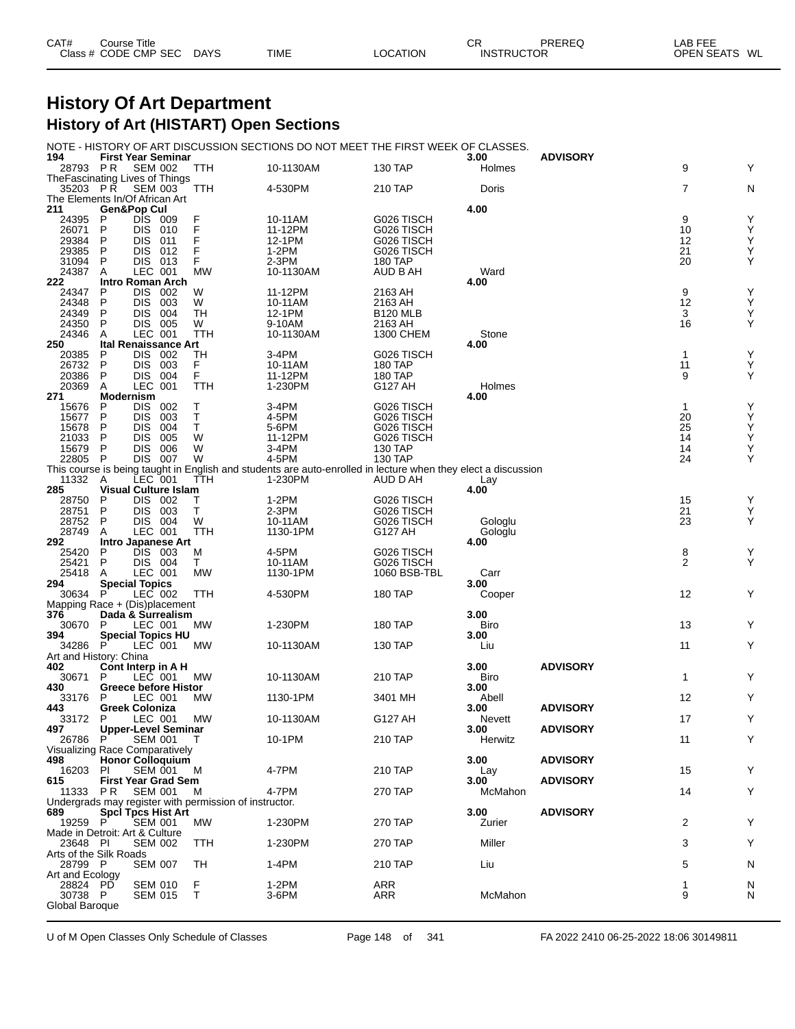| CAT# | Course Title         |             |             |          | СR                | PREREQ | LAB FEE          |
|------|----------------------|-------------|-------------|----------|-------------------|--------|------------------|
|      | Class # CODE CMP SEC | <b>DAYS</b> | <b>TIME</b> | LOCATION | <b>INSTRUCTOR</b> |        | WL<br>OPEN SEATS |

#### **History Of Art Department History of Art (HISTART) Open Sections**

NOTE - HISTORY OF ART DISCUSSION SECTIONS DO NOT MEET THE FIRST WEEK OF CLASSES.

| 194                            | <b>THOTORT OF ART DIOOOOO</b><br><b>First Year Seminar</b> |                          |            |                                                        |                                                                                                               | <b>ULUTIONU DUNUT IWEET THE FINDT</b> | ULAUULU.<br>3.00 | <b>ADVISORY</b> |              |        |
|--------------------------------|------------------------------------------------------------|--------------------------|------------|--------------------------------------------------------|---------------------------------------------------------------------------------------------------------------|---------------------------------------|------------------|-----------------|--------------|--------|
| 28793 PR                       |                                                            | <b>SEM 002</b>           |            | <b>TTH</b>                                             | 10-1130AM                                                                                                     | 130 TAP                               | Holmes           |                 | 9            | Y      |
| TheFascinating Lives of Things |                                                            |                          |            |                                                        |                                                                                                               |                                       |                  |                 |              |        |
| 35203 PR                       |                                                            | <b>SEM 003</b>           |            | TTH                                                    | 4-530PM                                                                                                       | 210 TAP                               | Doris            |                 | 7            | N      |
| The Elements In/Of African Art |                                                            |                          |            |                                                        |                                                                                                               |                                       |                  |                 |              |        |
| 211                            | <b>Gen&amp;Pop Cul</b><br>P                                | DIS 009                  |            |                                                        |                                                                                                               | G026 TISCH                            | 4.00             |                 | 9            | Υ      |
| 24395<br>26071                 | P                                                          | <b>DIS 010</b>           |            | F                                                      | 10-11AM<br>11-12PM                                                                                            | G026 TISCH                            |                  |                 | 10           | Y      |
| 29384                          | P                                                          | DIS 011                  |            | F                                                      | 12-1PM                                                                                                        | G026 TISCH                            |                  |                 | 12           | Υ      |
| 29385                          | P                                                          | <b>DIS</b>               | 012        | F                                                      | $1-2PM$                                                                                                       | G026 TISCH                            |                  |                 | 21           | Υ      |
| 31094                          | P                                                          | DIS 013                  |            | F                                                      | 2-3PM                                                                                                         | 180 TAP                               |                  |                 | 20           | Υ      |
| 24387                          | A                                                          | LEC 001                  |            | <b>MW</b>                                              | 10-1130AM                                                                                                     | AUD B AH                              | Ward             |                 |              |        |
| 222                            | <b>Intro Roman Arch</b>                                    |                          |            |                                                        |                                                                                                               |                                       | 4.00             |                 |              |        |
| 24347                          | P                                                          | DIS 002                  |            | W                                                      | 11-12PM                                                                                                       | 2163 AH                               |                  |                 | 9            | Υ      |
| 24348                          | P                                                          | DIS 003                  |            | W                                                      | 10-11AM                                                                                                       | 2163 AH                               |                  |                 | 12           | Υ      |
| 24349                          | P<br>P                                                     | <b>DIS</b>               | 004        | TН                                                     | 12-1PM                                                                                                        | B120 MLB<br>2163 AH                   |                  |                 | 3<br>16      | Υ<br>Υ |
| 24350<br>24346                 | A                                                          | DIS 005<br>LEC 001       |            | W<br>TTH                                               | 9-10AM<br>10-1130AM                                                                                           | 1300 CHEM                             | Stone            |                 |              |        |
| 250                            | <b>Ital Renaissance Art</b>                                |                          |            |                                                        |                                                                                                               |                                       | 4.00             |                 |              |        |
| 20385                          | P                                                          | DIS 002                  |            | TН                                                     | 3-4PM                                                                                                         | G026 TISCH                            |                  |                 | $\mathbf{1}$ | Υ      |
| 26732                          | P                                                          | DIS 003                  |            | F                                                      | 10-11AM                                                                                                       | 180 TAP                               |                  |                 | 11           | Υ      |
| 20386                          | P                                                          | DIS 004                  |            | F                                                      | 11-12PM                                                                                                       | 180 TAP                               |                  |                 | 9            | Y      |
| 20369                          | A                                                          | LEC 001                  |            | TTH                                                    | 1-230PM                                                                                                       | G127 AH                               | Holmes           |                 |              |        |
| 271                            | <b>Modernism</b>                                           |                          |            |                                                        |                                                                                                               |                                       | 4.00             |                 |              |        |
| 15676                          | P                                                          | DIS 002                  |            | Τ                                                      | 3-4PM                                                                                                         | G026 TISCH                            |                  |                 | $\mathbf{1}$ | Υ      |
| 15677                          | P                                                          | <b>DIS</b>               | 003        | Т                                                      | 4-5PM                                                                                                         | G026 TISCH                            |                  |                 | 20           | Υ      |
| 15678                          | P<br>P                                                     | <b>DIS</b>               | 004<br>005 | Т<br>W                                                 | 5-6PM                                                                                                         | G026 TISCH                            |                  |                 | 25<br>14     | Υ<br>Υ |
| 21033<br>15679                 | P                                                          | <b>DIS</b><br><b>DIS</b> | 006        | W                                                      | 11-12PM<br>3-4PM                                                                                              | G026 TISCH<br>130 TAP                 |                  |                 | 14           | Υ      |
| 22805                          | - P                                                        | DIS 007                  |            | W                                                      | 4-5PM                                                                                                         | 130 TAP                               |                  |                 | 24           | Υ      |
|                                |                                                            |                          |            |                                                        | This course is being taught in English and students are auto-enrolled in lecture when they elect a discussion |                                       |                  |                 |              |        |
| 11332                          | A                                                          | LEC 001                  |            | ттн                                                    | 1-230PM                                                                                                       | AUD D AH                              | Lay              |                 |              |        |
| 285                            | <b>Visual Culture Islam</b>                                |                          |            |                                                        |                                                                                                               |                                       | 4.00             |                 |              |        |
| 28750                          | P                                                          | DIS 002                  |            | т                                                      | $1-2PM$                                                                                                       | G026 TISCH                            |                  |                 | 15           | Y      |
| 28751                          | P                                                          | DIS 003                  |            | т                                                      | $2-3PM$                                                                                                       | G026 TISCH                            |                  |                 | 21           | Υ      |
| 28752                          | P                                                          | DIS 004                  |            | W                                                      | 10-11AM                                                                                                       | G026 TISCH                            | Gologlu          |                 | 23           | Υ      |
| 28749                          | A                                                          | LEC 001                  |            | TTH                                                    | 1130-1PM                                                                                                      | G127 AH                               | Gologlu          |                 |              |        |
|                                |                                                            |                          |            |                                                        |                                                                                                               |                                       |                  |                 |              |        |
| 292                            | Intro Japanese Art                                         |                          |            |                                                        |                                                                                                               |                                       | 4.00             |                 |              |        |
| 25420                          | P                                                          | DIS 003                  |            | м                                                      | 4-5PM                                                                                                         | G026 TISCH                            |                  |                 | 8            | Υ      |
| 25421                          | P                                                          | DIS 004                  |            | Τ                                                      | 10-11AM                                                                                                       | G026 TISCH                            |                  |                 | 2            | Y      |
| 25418                          | A                                                          | LEC 001                  |            | <b>MW</b>                                              | 1130-1PM                                                                                                      | 1060 BSB-TBL                          | Carr             |                 |              |        |
| 294<br>30634                   | <b>Special Topics</b><br>P                                 |                          |            | TTH                                                    | 4-530PM                                                                                                       | 180 TAP                               | 3.00             |                 | 12           | Y      |
| Mapping Race + (Dis)placement  |                                                            | LEC 002                  |            |                                                        |                                                                                                               |                                       | Cooper           |                 |              |        |
| 376                            | Dada & Surrealism                                          |                          |            |                                                        |                                                                                                               |                                       | 3.00             |                 |              |        |
| 30670                          | P                                                          | LEC 001                  |            | MW                                                     | 1-230PM                                                                                                       | 180 TAP                               | Biro             |                 | 13           | Y      |
| 394                            | <b>Special Topics HU</b>                                   |                          |            |                                                        |                                                                                                               |                                       | 3.00             |                 |              |        |
| 34286                          | - P                                                        | LEC 001                  |            | МW                                                     | 10-1130AM                                                                                                     | 130 TAP                               | Liu              |                 | 11           | Y      |
| Art and History: China         |                                                            |                          |            |                                                        |                                                                                                               |                                       |                  |                 |              |        |
| 402                            | Cont Interp in A H                                         |                          |            |                                                        |                                                                                                               |                                       | 3.00             | <b>ADVISORY</b> |              |        |
| 30671                          | P                                                          | LEC 001                  |            | МW                                                     | 10-1130AM                                                                                                     | 210 TAP                               | Biro             |                 | $\mathbf{1}$ | Υ      |
| 430                            | <b>Greece before Histor</b>                                |                          |            |                                                        |                                                                                                               |                                       | 3.00             |                 |              |        |
| 33176                          | P                                                          | LEC 001                  |            | МW                                                     | 1130-1PM                                                                                                      | 3401 MH                               | Abell            | <b>ADVISORY</b> | 12           | Y      |
| 443<br>33172                   | <b>Greek Coloniza</b><br>P                                 | LEC 001                  |            | МW                                                     | 10-1130AM                                                                                                     | G127 AH                               | 3.00<br>Nevett   |                 | 17           | Y      |
| 497                            | Upper-Level Seminar                                        |                          |            |                                                        |                                                                                                               |                                       | 3.00             | <b>ADVISORY</b> |              |        |
| 26786 P                        |                                                            |                          | SEM 001 T  |                                                        | 10-1PM                                                                                                        | 210 TAP                               | Herwitz          |                 | 11           | Y      |
| Visualizing Race Comparatively |                                                            |                          |            |                                                        |                                                                                                               |                                       |                  |                 |              |        |
| 498                            | <b>Honor Colloquium</b>                                    |                          |            |                                                        |                                                                                                               |                                       | 3.00             | <b>ADVISORY</b> |              |        |
| 16203                          | PI                                                         | SEM 001                  |            | M                                                      | 4-7PM                                                                                                         | 210 TAP                               | Lay              |                 | 15           | Υ      |
| 615                            | <b>First Year Grad Sem</b>                                 |                          |            |                                                        |                                                                                                               |                                       | 3.00             | <b>ADVISORY</b> |              |        |
| 11333                          | PR                                                         | <b>SEM 001</b>           |            | м                                                      | 4-7PM                                                                                                         | 270 TAP                               | McMahon          |                 | 14           | Y      |
|                                |                                                            |                          |            | Undergrads may register with permission of instructor. |                                                                                                               |                                       |                  |                 |              |        |
| 689<br>19259 P                 | <b>SpcI Tpcs Hist Art</b>                                  | <b>SEM 001</b>           |            | МW                                                     | 1-230PM                                                                                                       |                                       | 3.00             | <b>ADVISORY</b> | 2            | Υ      |
| Made in Detroit: Art & Culture |                                                            |                          |            |                                                        |                                                                                                               | 270 TAP                               | Zurier           |                 |              |        |
| 23648 PI                       |                                                            | <b>SEM 002</b>           |            | TTH                                                    | 1-230PM                                                                                                       | 270 TAP                               | Miller           |                 | 3            | Υ      |
| Arts of the Silk Roads         |                                                            |                          |            |                                                        |                                                                                                               |                                       |                  |                 |              |        |
| 28799 P                        |                                                            | <b>SEM 007</b>           |            | TН                                                     | 1-4PM                                                                                                         | 210 TAP                               | Liu              |                 | 5            | N      |
| Art and Ecology                |                                                            |                          |            |                                                        |                                                                                                               |                                       |                  |                 |              |        |
| 28824 PD                       |                                                            | <b>SEM 010</b>           |            | F                                                      | 1-2PM                                                                                                         | ARR                                   |                  |                 | 1            | N      |
| 30738 P<br>Global Baroque      |                                                            | <b>SEM 015</b>           |            | Т                                                      | $3-6$ PM                                                                                                      | ARR                                   | McMahon          |                 | 9            | N      |

U of M Open Classes Only Schedule of Classes Page 148 of 341 FA 2022 2410 06-25-2022 18:06 30149811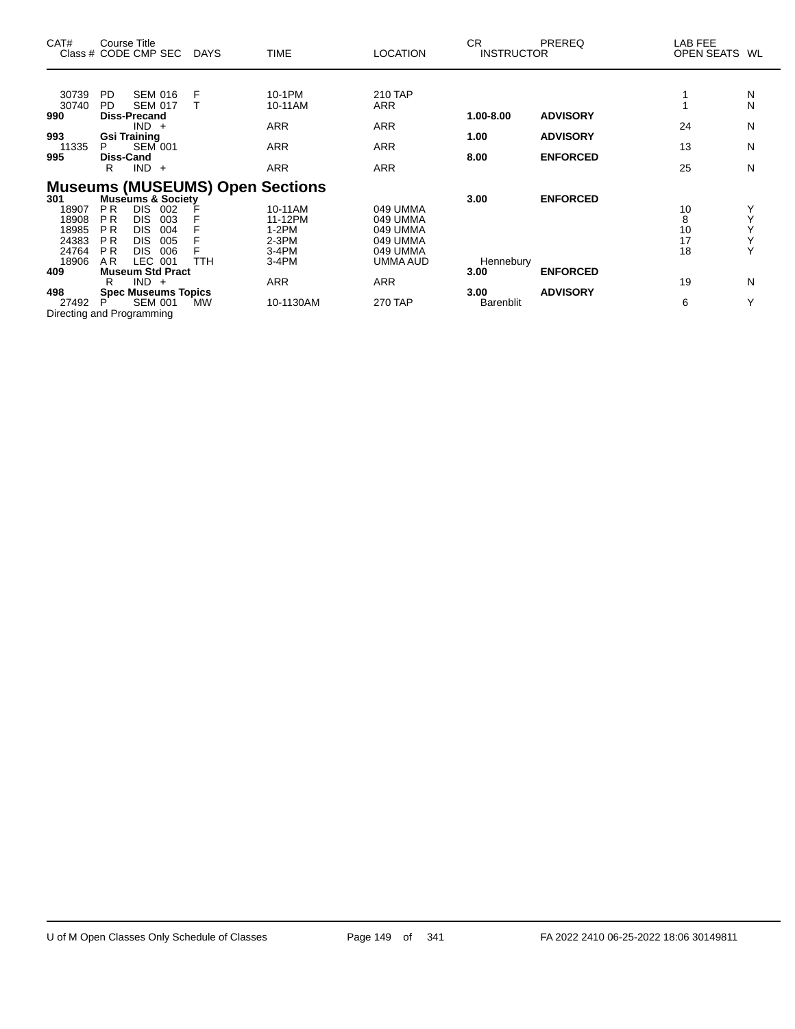| CAT#                                                                             | Course Title<br>Class # CODE CMP SEC                                                                                                                                                                                                                                                                                                                                             | <b>DAYS</b>      | <b>TIME</b>                                                                        | <b>LOCATION</b>                                                                                      | <b>CR</b><br><b>INSTRUCTOR</b>                        | PREREQ                                                | LAB FEE<br>OPEN SEATS                | WL                              |
|----------------------------------------------------------------------------------|----------------------------------------------------------------------------------------------------------------------------------------------------------------------------------------------------------------------------------------------------------------------------------------------------------------------------------------------------------------------------------|------------------|------------------------------------------------------------------------------------|------------------------------------------------------------------------------------------------------|-------------------------------------------------------|-------------------------------------------------------|--------------------------------------|---------------------------------|
| 30739<br>30740<br>990<br>993<br>11335<br>995                                     | <b>SEM 016</b><br>PD.<br>PD.<br><b>SEM 017</b><br><b>Diss-Precand</b><br>$IND +$<br><b>Gsi Training</b><br><b>SEM 001</b><br>P<br><b>Diss-Cand</b><br>$IND +$<br>R                                                                                                                                                                                                               | F                | 10-1PM<br>10-11AM<br><b>ARR</b><br><b>ARR</b><br><b>ARR</b>                        | 210 TAP<br><b>ARR</b><br><b>ARR</b><br><b>ARR</b><br><b>ARR</b>                                      | 1.00-8.00<br>1.00<br>8.00                             | <b>ADVISORY</b><br><b>ADVISORY</b><br><b>ENFORCED</b> | 24<br>13<br>25                       | N<br>N<br>N<br>N<br>N           |
| 301<br>18907<br>18908<br>18985<br>24383<br>24764<br>18906<br>409<br>498<br>27492 | <b>Museums (MUSEUMS) Open Sections</b><br>Museums & Society<br><b>PR</b><br><b>DIS</b><br>002<br>P <sub>R</sub><br><b>DIS</b><br>003<br><b>DIS</b><br>P <sub>R</sub><br>004<br>P <sub>R</sub><br><b>DIS</b><br>005<br><b>PR</b><br><b>DIS</b><br>006<br><b>LEC</b><br>AR.<br>001<br><b>Museum Std Pract</b><br>$IND +$<br>R<br><b>Spec Museums Topics</b><br><b>SEM 001</b><br>P | <b>TTH</b><br>MW | 10-11AM<br>11-12PM<br>$1-2PM$<br>$2-3PM$<br>$3-4PM$<br>$3-4PM$<br>ARR<br>10-1130AM | 049 UMMA<br>049 UMMA<br>049 UMMA<br>049 UMMA<br>049 UMMA<br>UMMA AUD<br><b>ARR</b><br><b>270 TAP</b> | 3.00<br>Hennebury<br>3.00<br>3.00<br><b>Barenblit</b> | <b>ENFORCED</b><br><b>ENFORCED</b><br><b>ADVISORY</b> | 10<br>8<br>10<br>17<br>18<br>19<br>6 | Y<br>Υ<br>Υ<br>Ý<br>Y<br>N<br>Y |
|                                                                                  | Directing and Programming                                                                                                                                                                                                                                                                                                                                                        |                  |                                                                                    |                                                                                                      |                                                       |                                                       |                                      |                                 |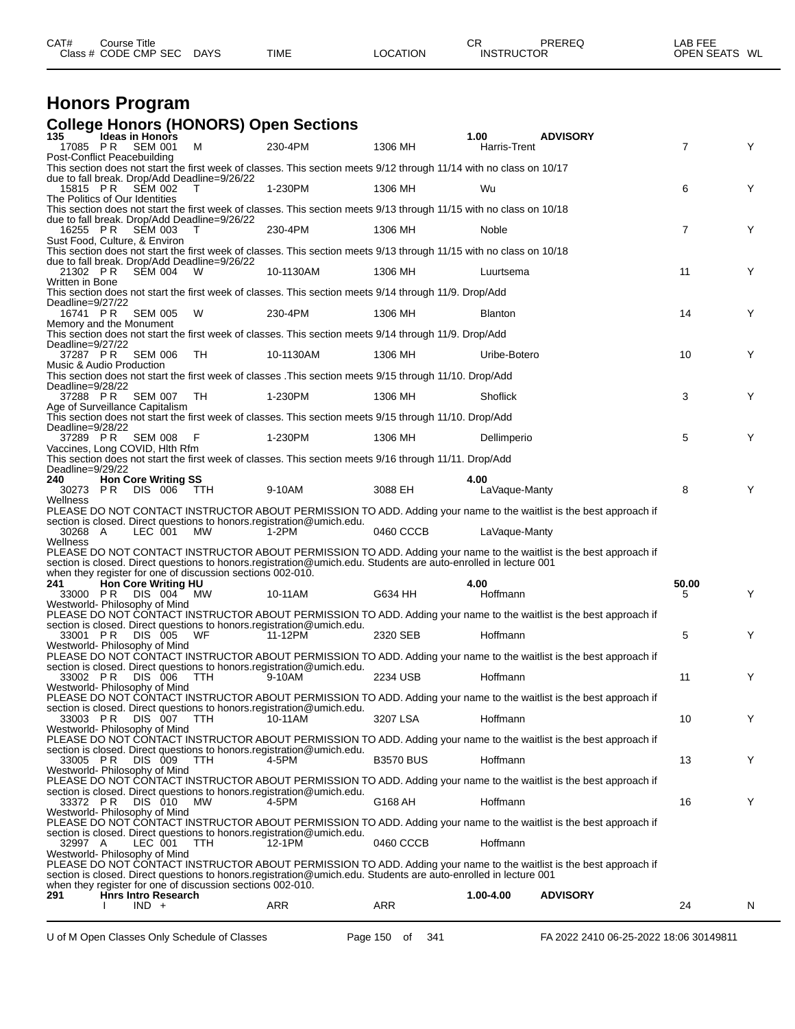| CAT#<br>Class <sub>1</sub> | Title<br>⊃ourse '<br>CODE CMP<br>$\sim$<br>5Е∖<br>$ -$ | <b>DAYS</b><br>$\sim$ | <b>TIME</b> | <b>NOIT'</b><br>റല<br>" ב | СR<br>INS <sup>-</sup> | ŌБ | --<br>$\sim$ $\sim$<br><b>ODEN</b> | <b>WI</b><br>. . |
|----------------------------|--------------------------------------------------------|-----------------------|-------------|---------------------------|------------------------|----|------------------------------------|------------------|
|                            |                                                        |                       |             |                           |                        |    |                                    |                  |

### **Honors Program**

#### **College Honors (HONORS) Open Sections**

| 135                                     |          | <b>Ideas in Honors</b>                            |                                                            |                                                                                                                     |                  | 1.00                | <b>ADVISORY</b>                                                                                                    |                |   |
|-----------------------------------------|----------|---------------------------------------------------|------------------------------------------------------------|---------------------------------------------------------------------------------------------------------------------|------------------|---------------------|--------------------------------------------------------------------------------------------------------------------|----------------|---|
| 17085 PR<br>Post-Conflict Peacebuilding |          | <b>SEM 001</b>                                    | M                                                          | 230-4PM                                                                                                             | 1306 MH          | <b>Harris-Trent</b> |                                                                                                                    | $\overline{7}$ | Υ |
|                                         |          |                                                   |                                                            | This section does not start the first week of classes. This section meets 9/12 through 11/14 with no class on 10/17 |                  |                     |                                                                                                                    |                |   |
| 15815 PR                                |          | SEM 002                                           | due to fall break. Drop/Add Deadline=9/26/22<br>$\top$     | 1-230PM                                                                                                             | 1306 MH          | Wu                  |                                                                                                                    | 6              | Y |
|                                         |          | The Politics of Our Identities                    |                                                            |                                                                                                                     |                  |                     |                                                                                                                    |                |   |
|                                         |          |                                                   |                                                            | This section does not start the first week of classes. This section meets 9/13 through 11/15 with no class on 10/18 |                  |                     |                                                                                                                    |                |   |
| 16255 PR                                |          | SEM 003                                           | due to fall break. Drop/Add Deadline=9/26/22<br>т          | 230-4PM                                                                                                             | 1306 MH          | Noble               |                                                                                                                    | $\overline{7}$ | Y |
|                                         |          | Sust Food, Culture, & Environ                     |                                                            |                                                                                                                     |                  |                     |                                                                                                                    |                |   |
|                                         |          |                                                   | due to fall break. Drop/Add Deadline=9/26/22               | This section does not start the first week of classes. This section meets 9/13 through 11/15 with no class on 10/18 |                  |                     |                                                                                                                    |                |   |
| 21302 PR                                |          | SÉM 004                                           | W                                                          | 10-1130AM                                                                                                           | 1306 MH          | Luurtsema           |                                                                                                                    | 11             | Y |
| Written in Bone                         |          |                                                   |                                                            | This section does not start the first week of classes. This section meets 9/14 through 11/9. Drop/Add               |                  |                     |                                                                                                                    |                |   |
| Deadline=9/27/22                        |          |                                                   |                                                            |                                                                                                                     |                  |                     |                                                                                                                    |                |   |
|                                         |          | 16741 PR SEM 005                                  | W                                                          | 230-4PM                                                                                                             | 1306 MH          | <b>Blanton</b>      |                                                                                                                    | 14             | Y |
| Memory and the Monument                 |          |                                                   |                                                            | This section does not start the first week of classes. This section meets 9/14 through 11/9. Drop/Add               |                  |                     |                                                                                                                    |                |   |
| Deadline=9/27/22                        |          |                                                   |                                                            |                                                                                                                     |                  |                     |                                                                                                                    |                |   |
| Music & Audio Production                |          | 37287 PR SEM 006                                  | TH                                                         | 10-1130AM                                                                                                           | 1306 MH          | Uribe-Botero        |                                                                                                                    | 10             | Y |
|                                         |          |                                                   |                                                            | This section does not start the first week of classes . This section meets 9/15 through 11/10. Drop/Add             |                  |                     |                                                                                                                    |                |   |
| Deadline=9/28/22                        | 37288 PR | SEM 007 TH                                        |                                                            | 1-230PM                                                                                                             | 1306 MH          | Shoflick            |                                                                                                                    | 3              | Y |
|                                         |          | Age of Surveillance Capitalism                    |                                                            |                                                                                                                     |                  |                     |                                                                                                                    |                |   |
| Deadline=9/28/22                        |          |                                                   |                                                            | This section does not start the first week of classes. This section meets 9/15 through 11/10. Drop/Add              |                  |                     |                                                                                                                    |                |   |
|                                         | 37289 PR | <b>SEM 008</b>                                    | F                                                          | 1-230PM                                                                                                             | 1306 MH          | Dellimperio         |                                                                                                                    | 5              | Y |
|                                         |          | Vaccines, Long COVID, Hlth Rfm                    |                                                            |                                                                                                                     |                  |                     |                                                                                                                    |                |   |
| Deadline=9/29/22                        |          |                                                   |                                                            | This section does not start the first week of classes. This section meets 9/16 through 11/11. Drop/Add              |                  |                     |                                                                                                                    |                |   |
| 240                                     |          | <b>Hon Core Writing SS</b>                        |                                                            |                                                                                                                     |                  | 4.00                |                                                                                                                    |                |   |
| 30273 PR<br>Wellness                    |          | DIS 006                                           | TTH                                                        | 9-10AM                                                                                                              | 3088 EH          | LaVaque-Manty       |                                                                                                                    | 8              | Y |
|                                         |          |                                                   |                                                            |                                                                                                                     |                  |                     | PLEASE DO NOT CONTACT INSTRUCTOR ABOUT PERMISSION TO ADD. Adding your name to the waitlist is the best approach if |                |   |
|                                         |          |                                                   |                                                            | section is closed. Direct questions to honors.registration@umich.edu.                                               |                  |                     |                                                                                                                    |                |   |
|                                         |          |                                                   |                                                            |                                                                                                                     |                  |                     |                                                                                                                    |                |   |
| 30268 A<br>Wellness                     |          | LEC 001                                           | МW                                                         | 1-2PM                                                                                                               | 0460 CCCB        | LaVaque-Manty       |                                                                                                                    |                |   |
|                                         |          |                                                   |                                                            |                                                                                                                     |                  |                     | PLEASE DO NOT CONTACT INSTRUCTOR ABOUT PERMISSION TO ADD. Adding your name to the waitlist is the best approach if |                |   |
|                                         |          |                                                   | when they register for one of discussion sections 002-010. | section is closed. Direct questions to honors.registration@umich.edu. Students are auto-enrolled in lecture 001     |                  |                     |                                                                                                                    |                |   |
| 241                                     |          | Hon Core Writing HU                               |                                                            |                                                                                                                     |                  | 4.00                |                                                                                                                    | 50.00          |   |
| 33000 PR                                |          | DIS 004                                           | MW                                                         | 10-11AM                                                                                                             | G634 HH          | Hoffmann            |                                                                                                                    | 5              | Y |
|                                         |          | Westworld- Philosophy of Mind                     |                                                            |                                                                                                                     |                  |                     | PLEASE DO NOT CONTACT INSTRUCTOR ABOUT PERMISSION TO ADD. Adding your name to the waitlist is the best approach if |                |   |
|                                         |          |                                                   |                                                            | section is closed. Direct questions to honors.registration@umich.edu.                                               |                  |                     |                                                                                                                    |                |   |
|                                         |          | 33001 PR DIS 005<br>Westworld- Philosophy of Mind | WF                                                         | 11-12PM                                                                                                             | 2320 SEB         | Hoffmann            |                                                                                                                    | 5              | Y |
|                                         |          |                                                   |                                                            |                                                                                                                     |                  |                     | PLEASE DO NOT CONTACT INSTRUCTOR ABOUT PERMISSION TO ADD. Adding your name to the waitlist is the best approach if |                |   |
| 33002 PR                                |          | DIS 006                                           | TTH                                                        | section is closed. Direct questions to honors.registration@umich.edu.<br>9-10AM                                     | 2234 USB         | Hoffmann            |                                                                                                                    | 11             | Y |
|                                         |          | Westworld- Philosophy of Mind                     |                                                            |                                                                                                                     |                  |                     |                                                                                                                    |                |   |
|                                         |          |                                                   |                                                            | section is closed. Direct questions to honors.registration@umich.edu.                                               |                  |                     | PLEASE DO NOT CONTACT INSTRUCTOR ABOUT PERMISSION TO ADD. Adding your name to the waitlist is the best approach if |                |   |
| 33003 PR                                |          | DIS 007                                           | TTH                                                        | 10-11AM                                                                                                             | 3207 LSA         | Hoffmann            |                                                                                                                    | 10             | Υ |
|                                         |          | Westworld- Philosophy of Mind                     |                                                            |                                                                                                                     |                  |                     |                                                                                                                    |                |   |
|                                         |          |                                                   |                                                            | section is closed. Direct questions to honors.registration@umich.edu.                                               |                  |                     | PLEASE DO NOT CONTACT INSTRUCTOR ABOUT PERMISSION TO ADD. Adding your name to the waitlist is the best approach if |                |   |
| 33005 PR                                |          | DIS 009                                           | TTH.                                                       | 4-5PM                                                                                                               | <b>B3570 BUS</b> | Hoffmann            |                                                                                                                    | 13             | Υ |
|                                         |          | Westworld- Philosophy of Mind                     |                                                            |                                                                                                                     |                  |                     |                                                                                                                    |                |   |
|                                         |          |                                                   |                                                            | section is closed. Direct questions to honors.registration@umich.edu.                                               |                  |                     | PLEASE DO NOT CONTACT INSTRUCTOR ABOUT PERMISSION TO ADD. Adding your name to the waitlist is the best approach if |                |   |
| 33372 PR                                |          | DIS 010                                           | МW                                                         | 4-5PM                                                                                                               | G168 AH          | Hoffmann            |                                                                                                                    | 16             | Y |
|                                         |          | Westworld- Philosophy of Mind                     |                                                            |                                                                                                                     |                  |                     | PLEASE DO NOT CONTACT INSTRUCTOR ABOUT PERMISSION TO ADD. Adding your name to the waitlist is the best approach if |                |   |
|                                         |          |                                                   |                                                            | section is closed. Direct questions to honors.registration@umich.edu.                                               |                  |                     |                                                                                                                    |                |   |
| 32997 A                                 |          | LEC 001<br>Westworld- Philosophy of Mind          | <b>TTH</b>                                                 | 12-1PM                                                                                                              | 0460 CCCB        | Hoffmann            |                                                                                                                    |                |   |
|                                         |          |                                                   |                                                            |                                                                                                                     |                  |                     | PLEASE DO NOT CONTACT INSTRUCTOR ABOUT PERMISSION TO ADD. Adding your name to the waitlist is the best approach if |                |   |
|                                         |          |                                                   | when they register for one of discussion sections 002-010. | section is closed. Direct questions to honors.registration@umich.edu. Students are auto-enrolled in lecture 001     |                  |                     |                                                                                                                    |                |   |
| 291                                     |          | <b>Hnrs Intro Research</b>                        |                                                            |                                                                                                                     |                  | 1.00-4.00           | <b>ADVISORY</b>                                                                                                    |                |   |
|                                         |          | $IND +$                                           |                                                            | ARR                                                                                                                 | ARR              |                     |                                                                                                                    | 24             | N |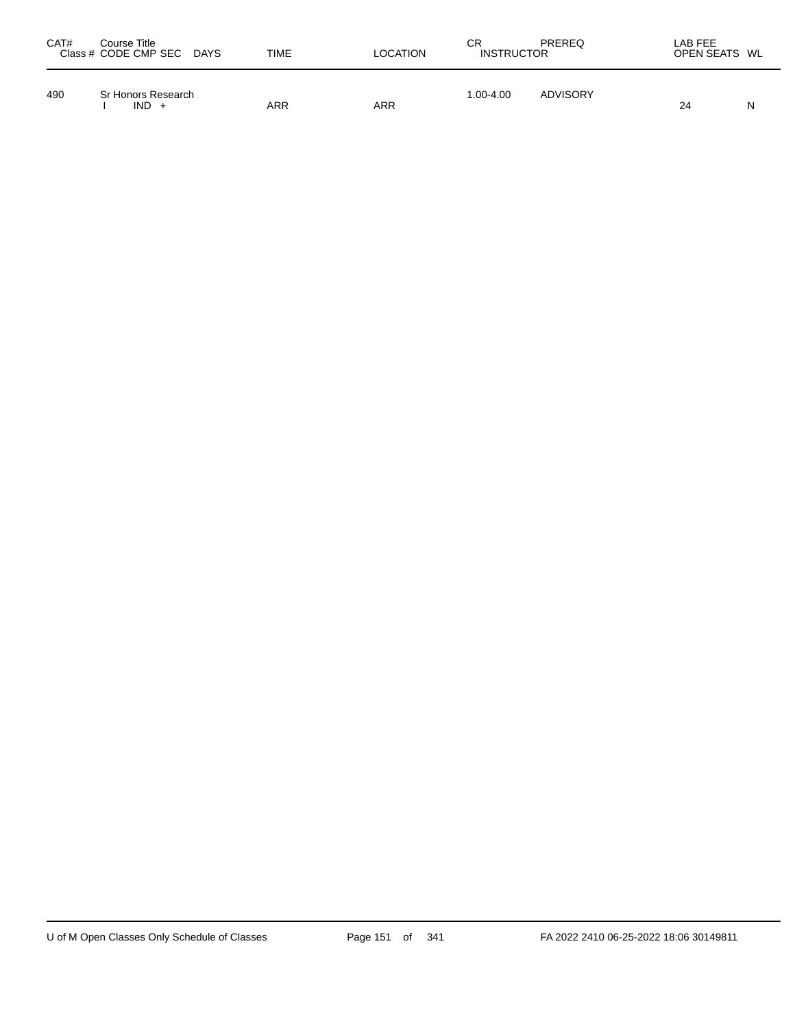| CAT# | Course Title<br>Class # CODE CMP SEC DAYS | TIME | LOCATION | СR<br><b>INSTRUCTOR</b> | PREREQ   | LAB FEE<br>OPEN SEATS WL |   |
|------|-------------------------------------------|------|----------|-------------------------|----------|--------------------------|---|
| 490  | Sr Honors Research<br>$IND +$             | ARR  | ARR      | 1.00-4.00               | ADVISORY | 24                       | N |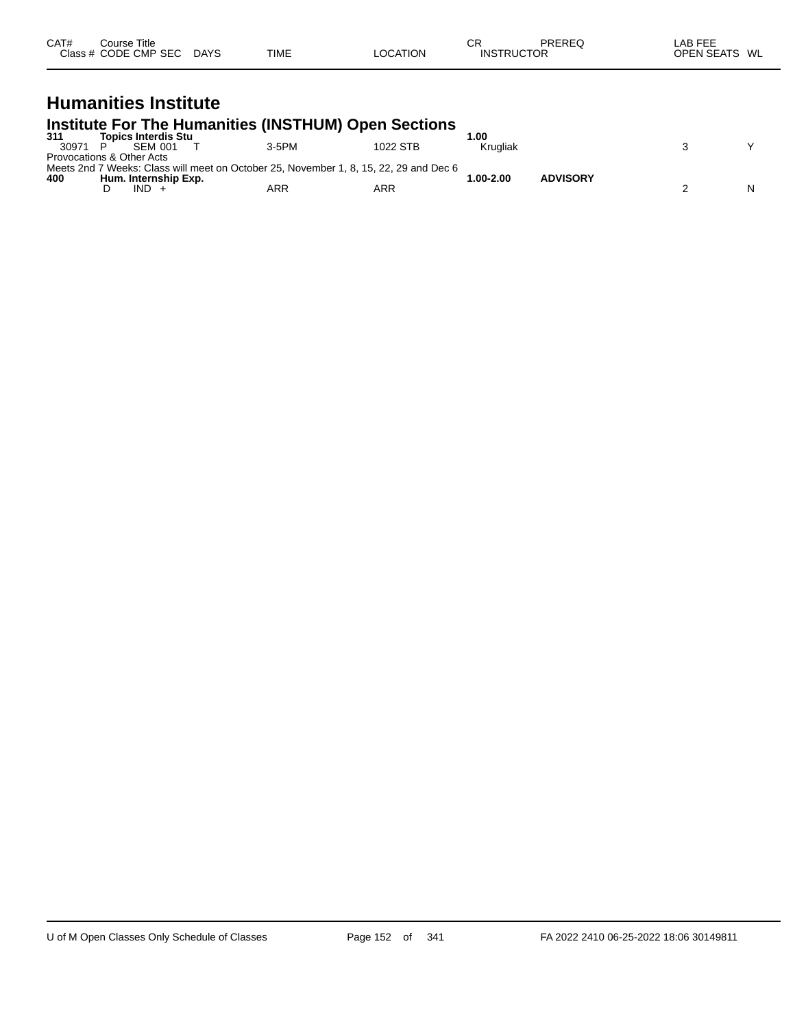| CAT#<br>Class | Course Title<br><b>CODE CMP SEC</b> | <b>DAYS</b> | <b>TIME</b><br>$\cdots$ | LOCATION | СF<br>TRUC.<br>INS | PREREC<br>ЮR | ---<br>_AE<br><b>OPEN SEATS</b><br>JΓ | WL |
|---------------|-------------------------------------|-------------|-------------------------|----------|--------------------|--------------|---------------------------------------|----|
|               |                                     |             |                         |          |                    |              |                                       |    |

### **Humanities Institute**

#### **Institute For The Humanities (INSTHUM) Open Sections**

| 311   | <b>Topics Interdis Stu</b> |                                                                                       |          | .00          |                 |  |  |
|-------|----------------------------|---------------------------------------------------------------------------------------|----------|--------------|-----------------|--|--|
| 30971 | <b>SEM 001</b>             | 3-5PM                                                                                 | 1022 STB | Krugliak     |                 |  |  |
|       | Provocations & Other Acts  |                                                                                       |          |              |                 |  |  |
|       |                            | Meets 2nd 7 Weeks: Class will meet on October 25. November 1, 8, 15, 22, 29 and Dec 6 |          |              |                 |  |  |
| 400   | Hum. Internship Exp.       |                                                                                       |          | $.00 - 2.00$ | <b>ADVISORY</b> |  |  |
|       | IND.                       | ARR                                                                                   | ARR      |              |                 |  |  |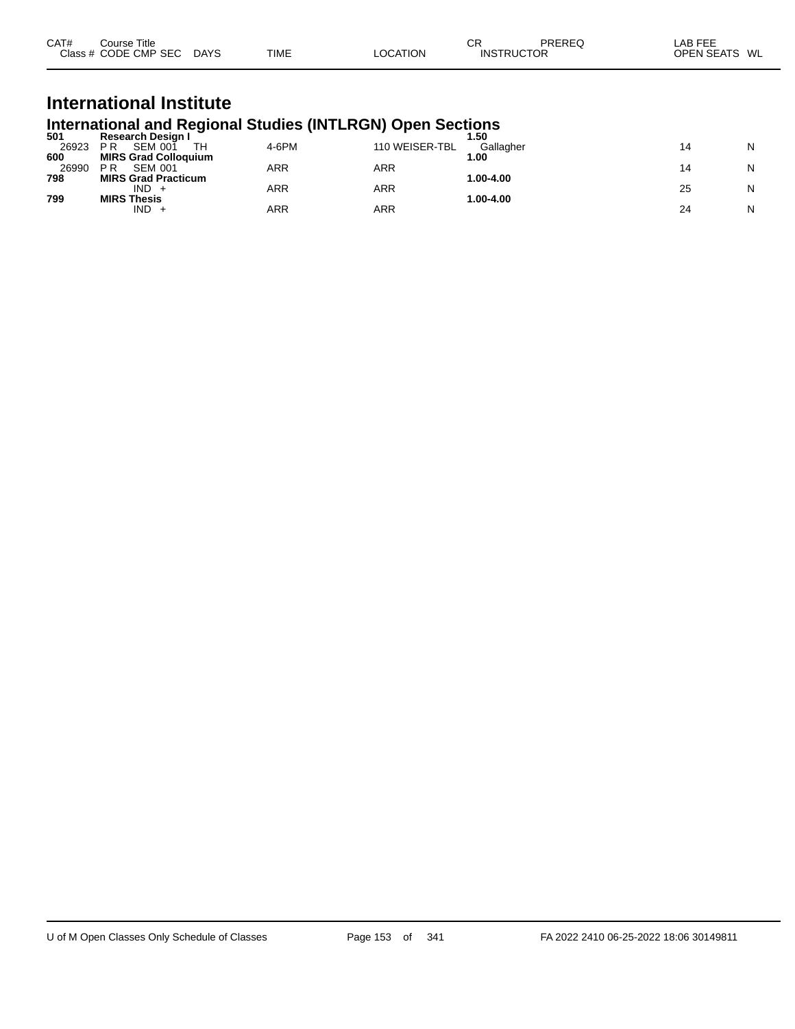| CAT#<br>Title<br>Course |             |             |                 | СF | PREREC            | LAB FEF                 |
|-------------------------|-------------|-------------|-----------------|----|-------------------|-------------------------|
| Class # CODE CMP SEC    | <b>DAYS</b> | <b>TIME</b> | <b>LOCATION</b> |    | <b>INSTRUCTOR</b> | <b>OPEN SEATS</b><br>WL |

## **International Institute International and Regional Studies (INTLRGN) Open Sections 501 Research Design I 1.50**

| 501   | Research Design I           |       |                | . .50     |    |   |
|-------|-----------------------------|-------|----------------|-----------|----|---|
| 26923 | SEM 001<br>ΡR<br>TН         | 4-6PM | 110 WEISER-TBL | Gallagher |    | N |
| 600   | <b>MIRS Grad Colloquium</b> |       |                | 00.،      |    |   |
| 26990 | <b>SEM 001</b><br>P R       | ARR   | ARR            |           |    | N |
| 798   | <b>MIRS Grad Practicum</b>  |       |                | 1.00-4.00 |    |   |
|       | $IND +$                     | ARR   | ARR            |           | 25 | N |
| 799   | <b>MIRS Thesis</b>          |       |                | 1.00-4.00 |    |   |
|       | IND.                        | ARR   | ARR            |           | 24 | N |
|       |                             |       |                |           |    |   |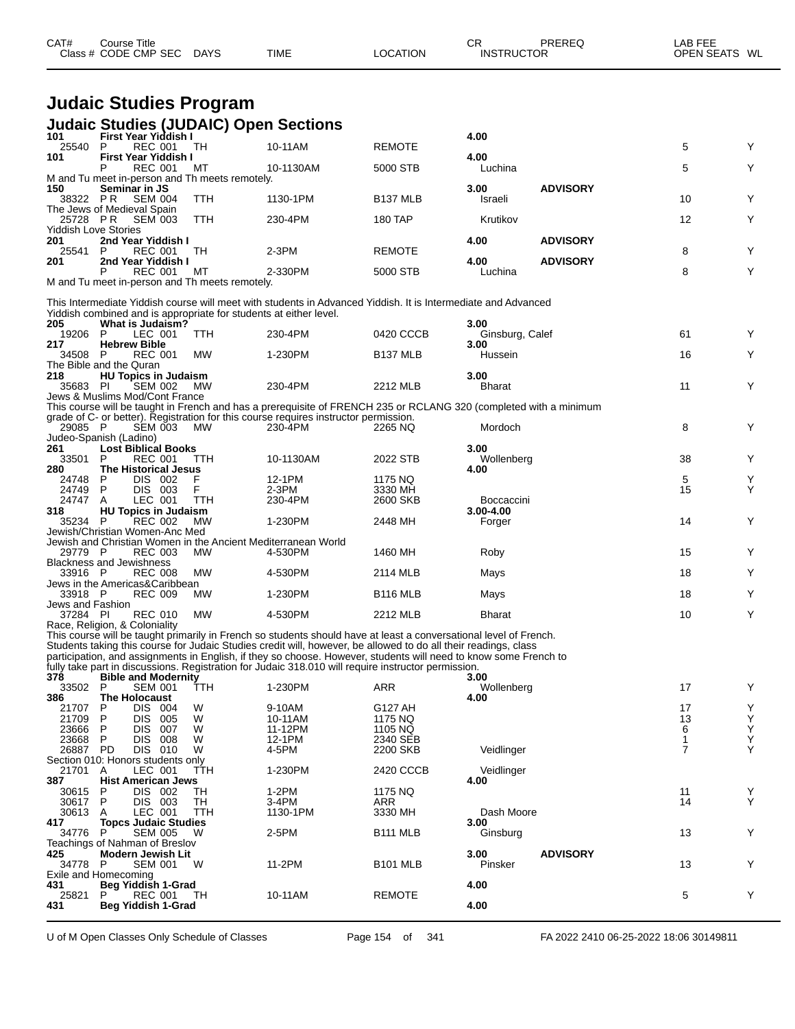| CAT#                        | Course Title<br>Class # CODE CMP SEC DAYS                                                    |            | <b>TIME</b>                                                                                                                                                                                                                         | <b>LOCATION</b>      | CR<br><b>INSTRUCTOR</b>     | <b>PREREQ</b>   | LAB FEE<br>OPEN SEATS WL |        |
|-----------------------------|----------------------------------------------------------------------------------------------|------------|-------------------------------------------------------------------------------------------------------------------------------------------------------------------------------------------------------------------------------------|----------------------|-----------------------------|-----------------|--------------------------|--------|
|                             | <b>Judaic Studies Program</b>                                                                |            |                                                                                                                                                                                                                                     |                      |                             |                 |                          |        |
|                             | <b>Judaic Studies (JUDAIC) Open Sections</b>                                                 |            |                                                                                                                                                                                                                                     |                      |                             |                 |                          |        |
| 101                         | First Year Yiddish I                                                                         |            |                                                                                                                                                                                                                                     |                      | 4.00                        |                 |                          |        |
| 25540<br>101                | <b>REC 001</b><br>P<br><b>First Year Yiddish I</b>                                           | TH.        | 10-11AM                                                                                                                                                                                                                             | <b>REMOTE</b>        | 4.00                        |                 | 5                        | Y      |
|                             | <b>REC 001</b><br>M and Tu meet in-person and Th meets remotely.                             | МT         | 10-1130AM                                                                                                                                                                                                                           | 5000 STB             | Luchina                     |                 | 5                        | Y      |
| 150<br>38322 PR             | Seminar in JS<br><b>SEM 004</b><br>The Jews of Medieval Spain                                | <b>TTH</b> | 1130-1PM                                                                                                                                                                                                                            | <b>B137 MLB</b>      | 3.00<br>Israeli             | <b>ADVISORY</b> | 10                       | Y      |
|                             | 25728 PR SEM 003                                                                             | <b>TTH</b> | 230-4PM                                                                                                                                                                                                                             | 180 TAP              | Krutikov                    |                 | 12                       | Y      |
| 201                         | <b>Yiddish Love Stories</b><br>2nd Year Yiddish I                                            |            |                                                                                                                                                                                                                                     |                      | 4.00                        | <b>ADVISORY</b> |                          |        |
| 25541<br>201                | P<br>REC 001<br>2nd Year Yiddish I                                                           | TH         | $2-3PM$                                                                                                                                                                                                                             | <b>REMOTE</b>        | 4.00                        | <b>ADVISORY</b> | 8                        | Y      |
|                             | <b>REC 001</b><br>M and Tu meet in-person and Th meets remotely.                             | МT         | 2-330PM                                                                                                                                                                                                                             | 5000 STB             | Luchina                     |                 | 8                        | Y      |
|                             |                                                                                              |            | This Intermediate Yiddish course will meet with students in Advanced Yiddish. It is Intermediate and Advanced                                                                                                                       |                      |                             |                 |                          |        |
| 205                         | Yiddish combined and is appropriate for students at either level.<br><b>What is Judaism?</b> |            |                                                                                                                                                                                                                                     |                      | 3.00                        |                 |                          |        |
| 19206<br>217                | LEC 001<br>-P<br><b>Hebrew Bible</b>                                                         | <b>TTH</b> | 230-4PM                                                                                                                                                                                                                             | 0420 CCCB            | Ginsburg, Calef<br>3.00     |                 | 61                       | Y      |
| 34508 P                     | <b>REC 001</b><br>The Bible and the Quran                                                    | MW         | 1-230PM                                                                                                                                                                                                                             | B <sub>137</sub> MLB | Hussein                     |                 | 16                       | Y      |
| 218                         | <b>HU Topics in Judaism</b>                                                                  |            |                                                                                                                                                                                                                                     |                      | 3.00                        |                 |                          |        |
| 35683 PI                    | <b>SEM 002</b><br>Jews & Muslims Mod/Cont France                                             | MW         | 230-4PM                                                                                                                                                                                                                             | 2212 MLB             | <b>Bharat</b>               |                 | 11                       | Y      |
|                             |                                                                                              |            | This course will be taught in French and has a prerequisite of FRENCH 235 or RCLANG 320 (completed with a minimum<br>grade of C- or better). Registration for this course requires instructor permission.                           |                      |                             |                 |                          |        |
| 29085 P                     | <b>SEM 003</b><br>Judeo-Spanish (Ladino)                                                     | MW         | 230-4PM                                                                                                                                                                                                                             | 2265 NQ              | Mordoch                     |                 | 8                        | Y      |
| 261                         | <b>Lost Biblical Books</b><br><b>REC 001</b><br>P                                            | TTH        |                                                                                                                                                                                                                                     | 2022 STB             | 3.00                        |                 | 38                       | Y      |
| 33501<br>280                | The Historical Jesus                                                                         |            | 10-1130AM                                                                                                                                                                                                                           |                      | Wollenberg<br>4.00          |                 |                          |        |
| 24748<br>24749              | P<br>DIS 002<br>DIS 003<br>P                                                                 | F<br>F     | 12-1PM<br>2-3PM                                                                                                                                                                                                                     | 1175 NQ<br>3330 MH   |                             |                 | 5<br>15                  | Y<br>Υ |
| 24747<br>318                | LEC 001<br>A<br><b>HU Topics in Judaism</b>                                                  | <b>TTH</b> | 230-4PM                                                                                                                                                                                                                             | 2600 SKB             | Boccaccini<br>$3.00 - 4.00$ |                 |                          |        |
| 35234                       | <b>REC 002</b><br>- P<br>Jewish/Christian Women-Anc Med                                      | <b>MW</b>  | 1-230PM                                                                                                                                                                                                                             | 2448 MH              | Forger                      |                 | 14                       | Y      |
|                             | Jewish and Christian Women in the Ancient Mediterranean World                                |            |                                                                                                                                                                                                                                     |                      |                             |                 |                          |        |
| 29779 P                     | <b>REC 003</b><br><b>Blackness and Jewishness</b>                                            | MW         | 4-530PM                                                                                                                                                                                                                             | 1460 MH              | Roby                        |                 | 15                       | Y      |
| 33916 P                     | <b>REC 008</b><br>Jews in the Americas&Caribbean                                             | МW         | 4-530PM                                                                                                                                                                                                                             | 2114 MLB             | Mays                        |                 | 18                       | Y      |
| 33918 P<br>Jews and Fashion | <b>REC 009</b>                                                                               | МW         | 1-230PM                                                                                                                                                                                                                             | <b>B116 MLB</b>      | Mays                        |                 | 18                       | Y      |
| 37284 PI                    | <b>REC 010 MW</b>                                                                            |            | 4-530PM                                                                                                                                                                                                                             | 2212 MLB             | <b>Bharat</b>               |                 | 10                       |        |
|                             | Race, Religion, & Coloniality                                                                |            | This course will be taught primarily in French so students should have at least a conversational level of French.                                                                                                                   |                      |                             |                 |                          |        |
|                             |                                                                                              |            | Students taking this course for Judaic Studies credit will, however, be allowed to do all their readings, class<br>participation, and assignments in English, if they so choose. However, students will need to know some French to |                      |                             |                 |                          |        |
| 378                         | <b>Bible and Modernity</b>                                                                   |            | fully take part in discussions. Registration for Judaic 318.010 will require instructor permission.                                                                                                                                 |                      | 3.00                        |                 |                          |        |
| 33502<br>386                | P<br>SEM 001<br><b>The Holocaust</b>                                                         | TTH        | 1-230PM                                                                                                                                                                                                                             | ARR                  | Wollenberg<br>4.00          |                 | 17                       | Y      |
| 21707                       | DIS 004<br>P                                                                                 | W          | 9-10AM                                                                                                                                                                                                                              | G127 AH              |                             |                 | 17                       | Y      |
| 21709<br>23666              | P<br>DIS 005<br>P<br>DIS.<br>007                                                             | W<br>W     | 10-11AM<br>11-12PM                                                                                                                                                                                                                  | 1175 NQ<br>1105 NQ   |                             |                 | 13<br>6                  | Y<br>Υ |
| 23668                       | P<br>DIS 008                                                                                 | W          | 12-1PM                                                                                                                                                                                                                              | 2340 SEB             |                             |                 | 1<br>$\overline{7}$      | Υ<br>Υ |
| 26887 PD                    | DIS 010<br>Section 010: Honors students only                                                 | W          | 4-5PM                                                                                                                                                                                                                               | 2200 SKB             | Veidlinger                  |                 |                          |        |
| 21701<br>387                | LEC 001<br>A<br><b>Hist American Jews</b>                                                    | <b>TTH</b> | 1-230PM                                                                                                                                                                                                                             | 2420 CCCB            | Veidlinger<br>4.00          |                 |                          |        |
| 30615<br>30617              | P<br>DIS 002<br>DIS 003<br>P                                                                 | TН<br>TН   | 1-2PM<br>3-4PM                                                                                                                                                                                                                      | 1175 NQ<br>ARR       |                             |                 | 11<br>14                 | Y<br>Y |
| 30613                       | LEC 001<br>A                                                                                 | TTH        | 1130-1PM                                                                                                                                                                                                                            | 3330 MH              | Dash Moore                  |                 |                          |        |
| 417<br>34776                | <b>Topcs Judaic Studies</b><br><b>SEM 005</b><br>P                                           | W          | 2-5PM                                                                                                                                                                                                                               | <b>B111 MLB</b>      | 3.00<br>Ginsburg            |                 | 13                       | Y      |
| 425<br>34778                | Teachings of Nahman of Breslov<br>Modern Jewish Lit<br><b>SEM 001</b><br>P                   | W          | 11-2PM                                                                                                                                                                                                                              | <b>B101 MLB</b>      | 3.00<br>Pinsker             | <b>ADVISORY</b> | 13                       | Y      |
|                             | Exile and Homecoming                                                                         |            |                                                                                                                                                                                                                                     |                      |                             |                 |                          |        |
| 431<br>25821                | Beg Yiddish 1-Grad<br>REC 001<br>P                                                           | TH         | 10-11AM                                                                                                                                                                                                                             | <b>REMOTE</b>        | 4.00                        |                 | 5                        | Y      |
| 431                         | Beg Yiddish 1-Grad                                                                           |            |                                                                                                                                                                                                                                     |                      | 4.00                        |                 |                          |        |

U of M Open Classes Only Schedule of Classes Page 154 of 341 FA 2022 2410 06-25-2022 18:06 30149811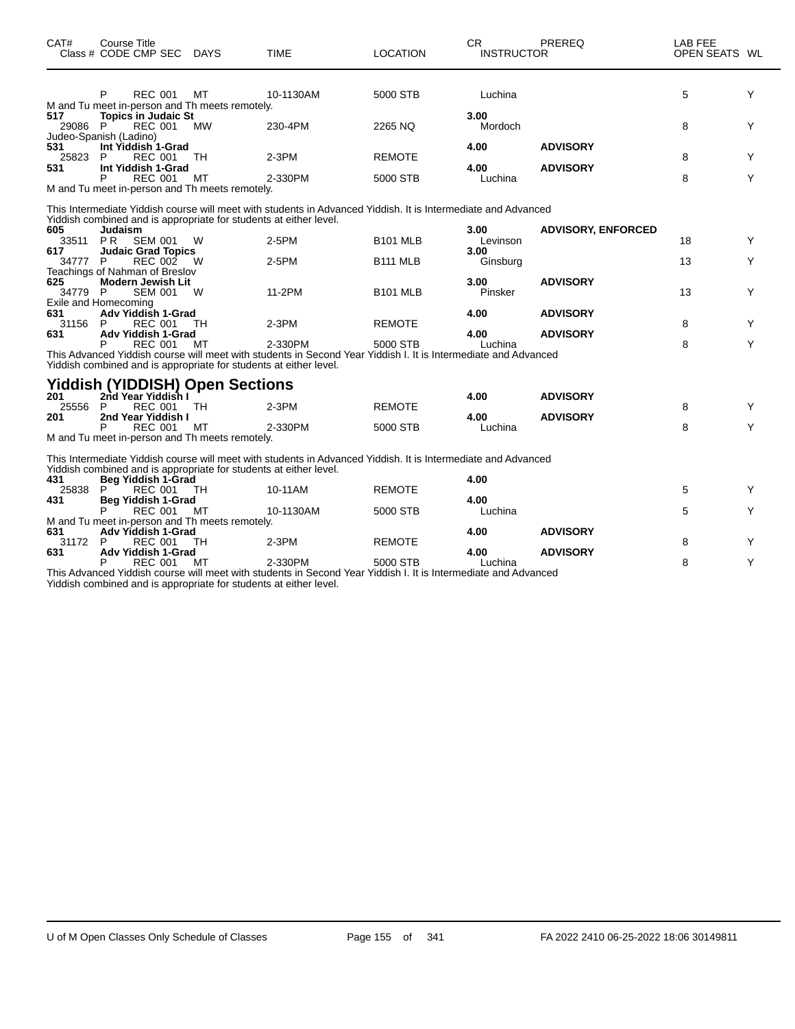| CAT#           | Course Title<br>Class # CODE CMP SEC DAYS                                                            |           | <b>TIME</b>                                                                                                    | <b>LOCATION</b>           | CR.<br><b>INSTRUCTOR</b> | PREREQ                    | LAB FEE<br>OPEN SEATS WL |        |
|----------------|------------------------------------------------------------------------------------------------------|-----------|----------------------------------------------------------------------------------------------------------------|---------------------------|--------------------------|---------------------------|--------------------------|--------|
|                | P<br><b>REC 001</b><br>M and Tu meet in-person and Th meets remotely.                                | MT        | 10-1130AM                                                                                                      | 5000 STB                  | Luchina                  |                           | 5                        | Y      |
| 517<br>29086 P | <b>Topics in Judaic St</b><br><b>REC 001</b><br>Judeo-Spanish (Ladino)                               | <b>MW</b> | 230-4PM                                                                                                        | 2265 NQ                   | 3.00<br>Mordoch          |                           | 8                        | Y      |
| 531<br>25823   | Int Yiddish 1-Grad<br>P<br><b>REC 001</b>                                                            | TH.       | $2-3PM$                                                                                                        | <b>REMOTE</b>             | 4.00                     | <b>ADVISORY</b>           | 8                        | Y      |
| 531            | Int Yiddish 1-Grad<br>P<br><b>REC 001</b><br>M and Tu meet in-person and Th meets remotely.          | MT        | 2-330PM                                                                                                        | 5000 STB                  | 4.00<br>Luchina          | <b>ADVISORY</b>           | 8                        | Y      |
|                |                                                                                                      |           | This Intermediate Yiddish course will meet with students in Advanced Yiddish. It is Intermediate and Advanced  |                           |                          |                           |                          |        |
| 605<br>33511   | Yiddish combined and is appropriate for students at either level.<br>Judaism<br>PR<br><b>SEM 001</b> | W         | $2-5PM$                                                                                                        | <b>B101 MLB</b>           | 3.00<br>Levinson         | <b>ADVISORY, ENFORCED</b> | 18                       | Y      |
| 617<br>34777 P | <b>Judaic Grad Topics</b><br><b>REC 002</b>                                                          | W         | 2-5PM                                                                                                          | <b>B111 MLB</b>           | 3.00<br>Ginsburg         |                           | 13                       | Y      |
| 625<br>34779 P | Teachings of Nahman of Breslov<br><b>Modern Jewish Lit</b><br><b>SEM 001</b>                         | W         | 11-2PM                                                                                                         | <b>B101 MLB</b>           | 3.00<br>Pinsker          | <b>ADVISORY</b>           | 13                       | Y      |
| 631<br>31156   | Exile and Homecoming<br><b>Adv Yiddish 1-Grad</b><br>P<br>REC 001                                    | TH        | $2-3PM$                                                                                                        | <b>REMOTE</b>             | 4.00                     | <b>ADVISORY</b>           | 8                        | Y      |
| 631            | Adv Yiddish 1-Grad<br><b>REC 001</b>                                                                 | мт        | 2-330PM                                                                                                        | 5000 STB                  | 4.00<br>Luchina          | <b>ADVISORY</b>           | 8                        | Y      |
|                | Yiddish combined and is appropriate for students at either level.                                    |           | This Advanced Yiddish course will meet with students in Second Year Yiddish I. It is Intermediate and Advanced |                           |                          |                           |                          |        |
| 201            | <b>Yiddish (YIDDISH) Open Sections</b><br>2nd Year Yiddish I                                         |           |                                                                                                                |                           | 4.00                     | <b>ADVISORY</b>           |                          |        |
| 25556 P<br>201 | <b>REC 001</b><br>2nd Year Yiddish I<br><b>REC 001</b>                                               | TH<br>МT  | $2-3PM$<br>2-330PM                                                                                             | <b>REMOTE</b><br>5000 STB | 4.00<br>Luchina          | <b>ADVISORY</b>           | 8<br>8                   | Y<br>Y |
|                | M and Tu meet in-person and Th meets remotely.                                                       |           | This Intermediate Yiddish course will meet with students in Advanced Yiddish. It is Intermediate and Advanced  |                           |                          |                           |                          |        |
| 431            | Yiddish combined and is appropriate for students at either level.<br>Beg Yiddish 1-Grad              |           |                                                                                                                |                           | 4.00                     |                           |                          |        |
| 25838<br>431   | <b>REC 001</b><br>P<br><b>Beg Yiddish 1-Grad</b><br><b>REC 001</b><br>P                              | TH<br>МT  | 10-11AM<br>10-1130AM                                                                                           | <b>REMOTE</b><br>5000 STB | 4.00<br>Luchina          |                           | 5<br>5                   | Y<br>Y |
| 631            | M and Tu meet in-person and Th meets remotely.<br><b>Adv Yiddish 1-Grad</b>                          |           |                                                                                                                |                           | 4.00                     | <b>ADVISORY</b>           |                          |        |
| 31172<br>631   | P<br><b>REC 001</b><br>Adv Yiddish 1-Grad<br><b>REC 001</b><br>P                                     | TН<br>MT  | $2-3PM$<br>2-330PM                                                                                             | <b>REMOTE</b><br>5000 STB | 4.00<br>Luchina          | <b>ADVISORY</b>           | 8<br>8                   | Y<br>Y |

This Advanced Yiddish course will meet with students in Second Year Yiddish I. It is Intermediate and Advanced Yiddish combined and is appropriate for students at either level.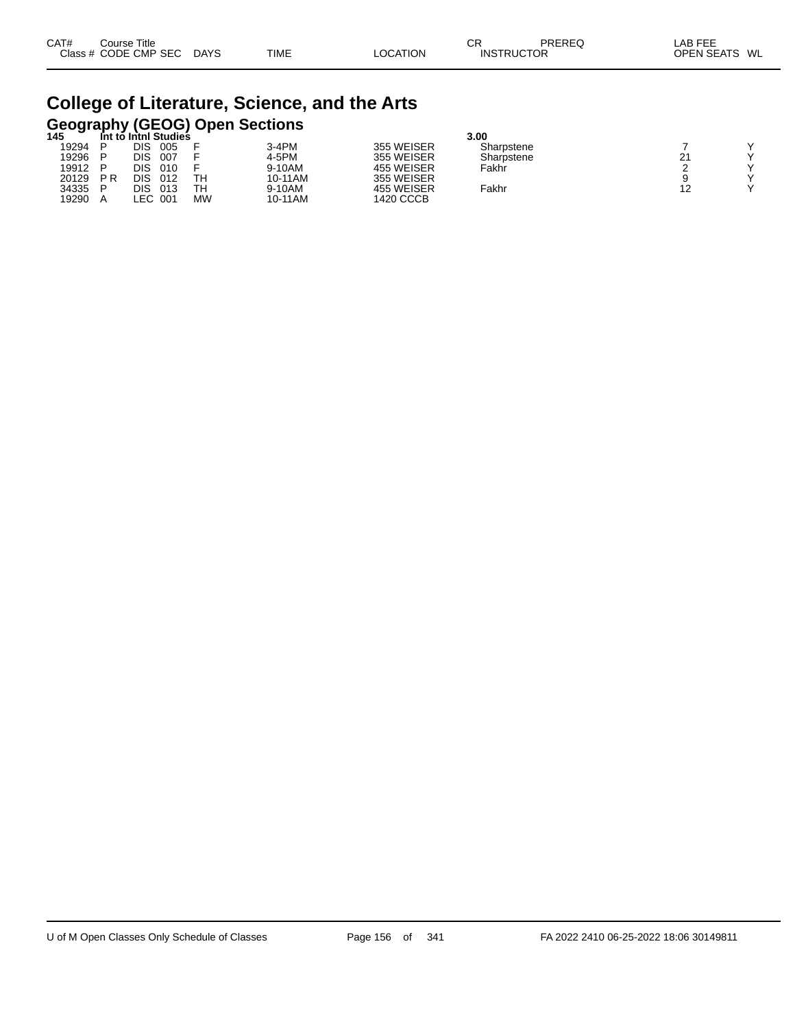| CAT# | ourse Titleٽ         |             |             |          | Ωn<br>◡ド          | PREREQ | _AB FEE       |  |
|------|----------------------|-------------|-------------|----------|-------------------|--------|---------------|--|
|      | Class # CODE CMP SEC | <b>DAYS</b> | <b>TIME</b> | LOCATION | <b>INSTRUCTOR</b> |        | OPEN SEATS WL |  |

# **College of Literature, Science, and the Arts Geography (GEOG) Open Sections 145 Int to Intnl Studies 3.00**

| 147   |                | IIII IV IIIIIII JIUUITS |      |    |         |            | J.UU       |           |              |
|-------|----------------|-------------------------|------|----|---------|------------|------------|-----------|--------------|
| 19294 |                | DIS                     | 005  |    | 3-4PM   | 355 WEISER | Sharpstene |           | $\checkmark$ |
| 19296 |                | DIS                     | 007  |    | 4-5PM   | 355 WEISER | Sharpstene | 21        | $\checkmark$ |
| 19912 |                | DIS                     | 010  |    | 9-10AM  | 455 WEISER | Fakhr      |           | $\checkmark$ |
| 20129 | P <sub>R</sub> | DIS                     | 012  | TН | 10-11AM | 355 WEISER |            |           | $\checkmark$ |
| 34335 |                | DIS                     | 013  | TН | 9-10AM  | 455 WEISER | Fakhr      | 12<br>' 4 | $\sqrt{}$    |
| 19290 |                | .EC                     | -001 | МW | 10-11AM | 1420 CCCB  |            |           |              |
|       |                |                         |      |    |         |            |            |           |              |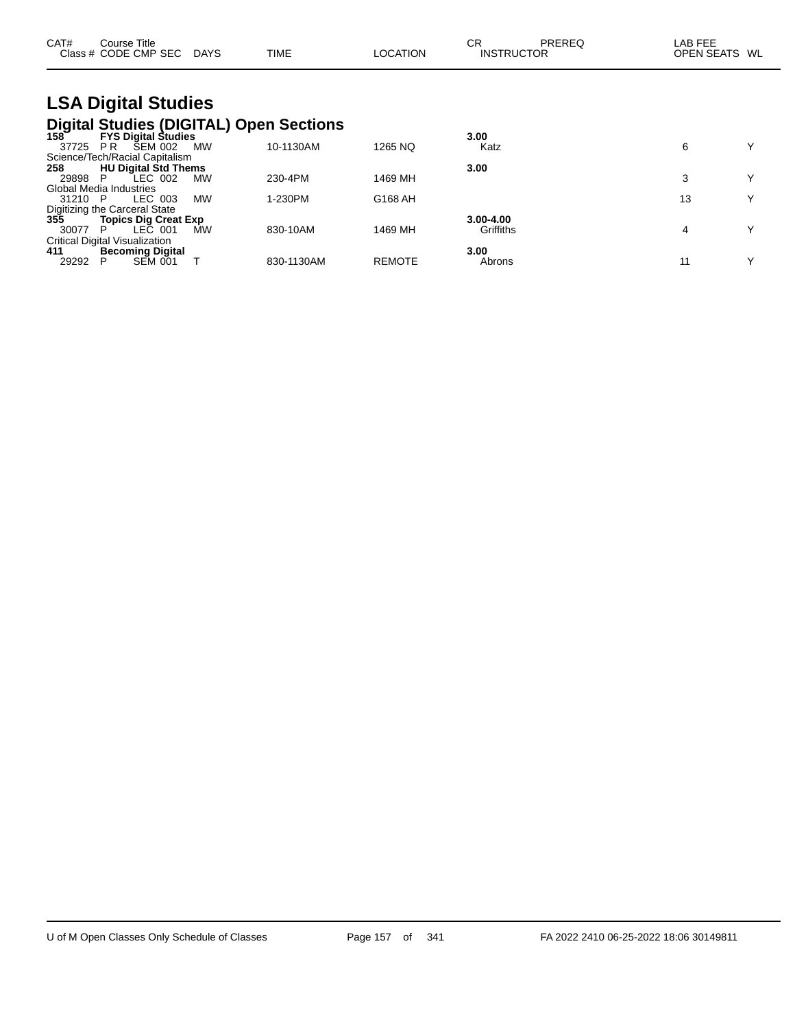| CAT# | $\mathop{\mathsf{course}}$ Title |             |             |          | СR                | PREREG | LAB FEE           |    |
|------|----------------------------------|-------------|-------------|----------|-------------------|--------|-------------------|----|
|      | Class # CODE CMP SEC             | <b>DAYS</b> | <b>TIME</b> | LOCATION | <b>INSTRUCTOR</b> |        | <b>OPEN SEATS</b> | WL |

# **LSA Digital Studies Digital Studies (DIGITAL) Open Sections 158 FYS Digital Studies 3.00**

| 1587<br><b>FYS Digital Studies</b>                |            |               | 3.00      |    |  |
|---------------------------------------------------|------------|---------------|-----------|----|--|
| <b>SEM 002</b><br><b>PR</b><br><b>MW</b><br>37725 | 10-1130AM  | 1265 NQ       | Katz      |    |  |
| Science/Tech/Racial Capitalism                    |            |               |           |    |  |
| <b>HU Digital Std Thems</b><br>258                |            |               | 3.00      |    |  |
| LEC 002<br>29898<br>MW                            | 230-4PM    | 1469 MH       |           |    |  |
| Global Media Industries                           |            |               |           |    |  |
| <b>MW</b><br>LEC 003<br>31210<br>P                | 1-230PM    | G168 AH       |           | 13 |  |
| Digitizing the Carceral State                     |            |               |           |    |  |
| 355<br><b>Topics Dig Creat Exp</b>                |            |               | 3.00-4.00 |    |  |
| LEC 001<br>MW<br>30077<br>P                       | 830-10AM   | 1469 MH       | Griffiths |    |  |
| <b>Critical Digital Visualization</b>             |            |               |           |    |  |
| 411<br><b>Becoming Digital</b>                    |            |               | 3.00      |    |  |
| <b>SEM 001</b><br>29292                           | 830-1130AM | <b>REMOTE</b> | Abrons    | 11 |  |
|                                                   |            |               |           |    |  |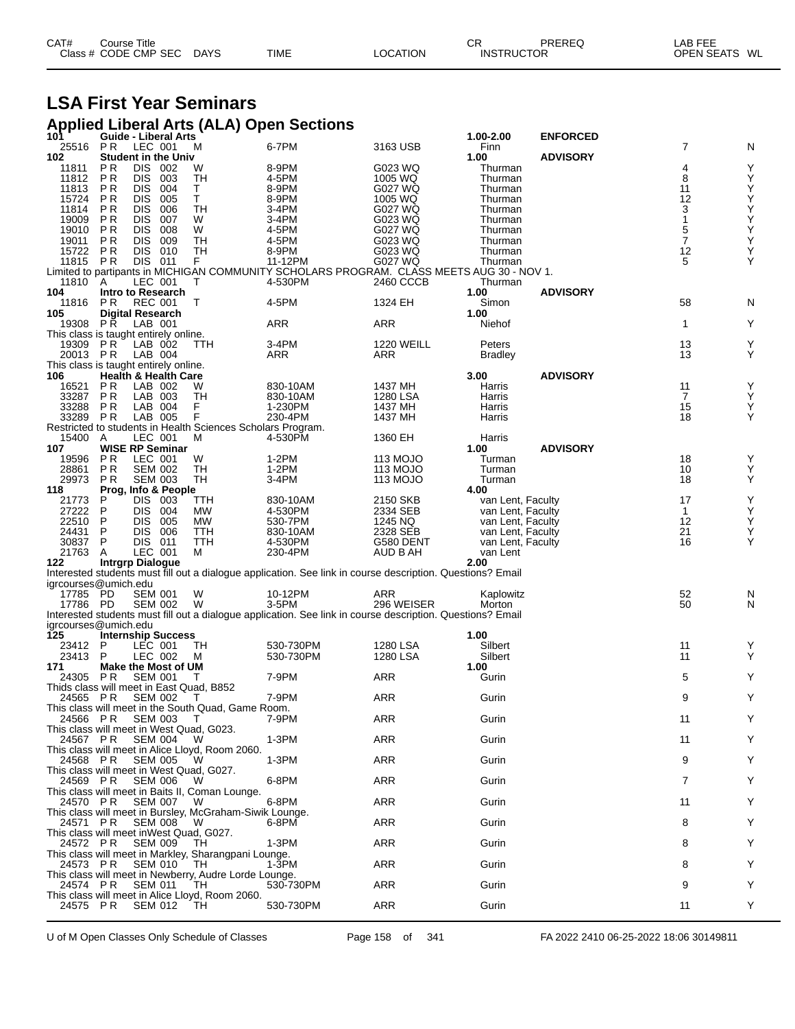| CAT# | Course Title         |             |             |          | СF                | PREREQ | LAB FEE       |
|------|----------------------|-------------|-------------|----------|-------------------|--------|---------------|
|      | Class # CODE CMP SEC | <b>DAYS</b> | <b>TIME</b> | LOCATION | <b>INSTRUCTOR</b> |        | OPEN SEATS WL |

## **LSA First Year Seminars**

#### **Applied Liberal Arts (ALA) Open Sections**

| 101                                                  | Guide - Liberal Arts                              |                          |            |                                                             |                                                                                                            |                      | 1.00-2.00                              | <b>ENFORCED</b> |                    |                                                    |
|------------------------------------------------------|---------------------------------------------------|--------------------------|------------|-------------------------------------------------------------|------------------------------------------------------------------------------------------------------------|----------------------|----------------------------------------|-----------------|--------------------|----------------------------------------------------|
| 25516<br>102                                         | P R<br><b>Student in the Univ</b>                 | LEC 001                  |            | М                                                           | 6-7PM                                                                                                      | 3163 USB             | Finn<br>1.00                           | <b>ADVISORY</b> | 7                  | N                                                  |
| 11811                                                | P <sub>R</sub>                                    | DIS 002                  |            | W                                                           | 8-9PM                                                                                                      | G023 WQ              | Thurman                                |                 | 4                  | Υ                                                  |
| 11812                                                | P <sub>R</sub>                                    | <b>DIS</b>               | 003        | <b>TH</b>                                                   | 4-5PM                                                                                                      | 1005 WQ              | Thurman                                |                 | 8                  | Υ                                                  |
| 11813                                                | P <sub>R</sub>                                    | <b>DIS</b>               | 004        | $\frac{\mathsf{T}}{\mathsf{T}}$                             | 8-9PM                                                                                                      | G027 WQ              | Thurman                                |                 | 11                 | Υ                                                  |
| 15724<br>11814                                       | P <sub>R</sub><br>P <sub>R</sub>                  | <b>DIS</b><br><b>DIS</b> | 005<br>006 | <b>TH</b>                                                   | 8-9PM<br>3-4PM                                                                                             | 1005 WQ<br>G027 WQ   | Thurman                                |                 | 12<br>3            | Ý<br>$\sf Y$                                       |
| 19009                                                | P <sub>R</sub>                                    | DIS.                     | 007        | W                                                           | 3-4PM                                                                                                      | G023 WQ              | Thurman<br>Thurman                     |                 | $\mathbf{1}$       |                                                    |
| 19010                                                | <b>PR</b>                                         | <b>DIS</b>               | 008        | W                                                           | 4-5PM                                                                                                      | G027 WQ              | Thurman                                |                 |                    | Y<br>Y<br>Y                                        |
| 19011                                                | P <sub>R</sub>                                    | <b>DIS</b>               | 009        | TН                                                          | 4-5PM                                                                                                      | G023 WQ              | Thurman                                |                 | $\frac{5}{7}$      |                                                    |
| 15722                                                | <b>PR</b>                                         | DIS 010                  |            | TH                                                          | 8-9PM                                                                                                      | G023 WQ              | Thurman                                |                 | 12                 | $\mathop{\mathsf{Y}}\limits_{\mathop{\mathsf{Y}}}$ |
| 11815                                                | PR                                                | DIS 011                  |            | F.                                                          | 11-12PM<br>Limited to partipants in MICHIGAN COMMUNITY SCHOLARS PROGRAM. CLASS MEETS AUG 30 - NOV 1.       | G027 WQ              | Thurman                                |                 | 5                  |                                                    |
| 11810                                                | A                                                 | LEC 001                  |            | т                                                           | 4-530PM                                                                                                    | 2460 CCCB            | Thurman                                |                 |                    |                                                    |
| 104                                                  | Intro to Research                                 |                          |            |                                                             |                                                                                                            |                      | 1.00                                   | <b>ADVISORY</b> |                    |                                                    |
| 11816                                                | P R                                               | REC 001                  |            | Т                                                           | 4-5PM                                                                                                      | 1324 EH              | Simon                                  |                 | 58                 | N                                                  |
| 105                                                  | <b>Digital Research</b>                           |                          |            |                                                             |                                                                                                            |                      | 1.00                                   |                 |                    | Y                                                  |
| 19308 PR<br>This class is taught entirely online.    |                                                   | LAB 001                  |            |                                                             | ARR                                                                                                        | ARR                  | Niehof                                 |                 | $\mathbf{1}$       |                                                    |
| 19309 PR                                             |                                                   | LAB 002                  |            | <b>TTH</b>                                                  | 3-4PM                                                                                                      | <b>1220 WEILL</b>    | Peters                                 |                 | 13                 | Υ                                                  |
| 20013 PR                                             |                                                   | LAB 004                  |            |                                                             | ARR                                                                                                        | ARR                  | <b>Bradley</b>                         |                 | 13                 | Y                                                  |
| This class is taught entirely online.                |                                                   |                          |            |                                                             |                                                                                                            |                      |                                        |                 |                    |                                                    |
| 106<br>16521                                         | <b>Health &amp; Health Care</b><br>P <sub>R</sub> | LAB 002                  |            | W                                                           | 830-10AM                                                                                                   | 1437 MH              | 3.00<br>Harris                         | <b>ADVISORY</b> | 11                 | Υ                                                  |
| 33287                                                | PR                                                | LAB 003                  |            | TН                                                          | 830-10AM                                                                                                   | 1280 LSA             | Harris                                 |                 | $\overline{7}$     | Υ                                                  |
| 33288                                                | P R                                               | LAB 004                  |            | F                                                           | 1-230PM                                                                                                    | 1437 MH              | Harris                                 |                 | 15                 | Υ                                                  |
| 33289                                                | P R                                               | LAB 005                  |            | F                                                           | 230-4PM                                                                                                    | 1437 MH              | Harris                                 |                 | 18                 | Y                                                  |
|                                                      |                                                   |                          |            | Restricted to students in Health Sciences Scholars Program. |                                                                                                            |                      |                                        |                 |                    |                                                    |
| 15400<br>107                                         | A<br>WISE RP Seminar                              | LEC 001                  |            | М                                                           | 4-530PM                                                                                                    | 1360 EH              | Harris<br>1.00                         | <b>ADVISORY</b> |                    |                                                    |
| 19596                                                | <b>PR</b>                                         | LEC 001                  |            | W                                                           | 1-2PM                                                                                                      | 113 MOJO             | Turman                                 |                 | 18                 | Υ                                                  |
| 28861                                                | P <sub>R</sub>                                    | <b>SEM 002</b>           |            | <b>TH</b>                                                   | 1-2PM                                                                                                      | 113 MOJO             | Turman                                 |                 | 10                 | Υ                                                  |
| 29973                                                | P <sub>R</sub>                                    | <b>SEM 003</b>           |            | TH                                                          | 3-4PM                                                                                                      | 113 MOJO             | Turman                                 |                 | 18                 | Y                                                  |
| 118                                                  | Prog, Info & People                               |                          |            |                                                             |                                                                                                            |                      | 4.00                                   |                 |                    |                                                    |
| 21773<br>27222                                       | P<br>P                                            | DIS 003<br><b>DIS</b>    | 004        | TTH<br><b>MW</b>                                            | 830-10AM<br>4-530PM                                                                                        | 2150 SKB<br>2334 SEB | van Lent, Faculty<br>van Lent, Faculty |                 | 17<br>$\mathbf{1}$ | Υ<br>Υ                                             |
| 22510                                                | P                                                 | <b>DIS</b>               | 005        | MW                                                          | 530-7PM                                                                                                    | 1245 NQ              | van Lent, Faculty                      |                 | 12                 | Υ                                                  |
| 24431                                                | P                                                 | DIS 006                  |            | TTH                                                         | 830-10AM                                                                                                   | 2328 SEB             | van Lent, Faculty                      |                 | 21                 | Υ                                                  |
| 30837                                                | P                                                 | DIS 011                  |            | TTH                                                         | 4-530PM                                                                                                    | G580 DENT            | van Lent, Faculty                      |                 | 16                 | Y                                                  |
| 21763                                                | A                                                 | LEC 001                  |            | м                                                           | 230-4PM                                                                                                    | AUD B AH             | van Lent                               |                 |                    |                                                    |
| 122                                                  | <b>Intrgrp Dialogue</b>                           |                          |            |                                                             | Interested students must fill out a dialogue application. See link in course description. Questions? Email |                      | 2.00                                   |                 |                    |                                                    |
| igrcourses@umich.edu                                 |                                                   |                          |            |                                                             |                                                                                                            |                      |                                        |                 |                    |                                                    |
| 17785 PD                                             |                                                   | <b>SEM 001</b>           |            | W                                                           | 10-12PM                                                                                                    | ARR                  | Kaplowitz                              |                 | 52                 | N                                                  |
| 17786 PD                                             |                                                   | <b>SEM 002</b>           |            | W                                                           | 3-5PM                                                                                                      | 296 WEISER           | Morton                                 |                 | 50                 | N                                                  |
| igrcourses@umich.edu                                 |                                                   |                          |            |                                                             | Interested students must fill out a dialogue application. See link in course description. Questions? Email |                      |                                        |                 |                    |                                                    |
| $\overline{125}$                                     | <b>Internship Success</b>                         |                          |            |                                                             |                                                                                                            |                      | 1.00                                   |                 |                    |                                                    |
| 23412                                                | P                                                 | LEC 001                  |            | TН                                                          | 530-730PM                                                                                                  | 1280 LSA             | Silbert                                |                 | 11                 | Y                                                  |
| 23413                                                | P                                                 | LEC 002                  |            | м                                                           | 530-730PM                                                                                                  | 1280 LSA             | Silbert                                |                 | 11                 | Y                                                  |
| 171                                                  | Make the Most of UM                               |                          |            |                                                             | 7-9PM                                                                                                      |                      | 1.00                                   |                 | 5                  | Υ                                                  |
| 24305<br>Thids class will meet in East Quad, B852    | P R                                               | SEM 001                  |            | T                                                           |                                                                                                            | ARR                  | Gurin                                  |                 |                    |                                                    |
| 24565 PR                                             |                                                   | <b>SEM 002</b>           |            | T                                                           | 7-9PM                                                                                                      | ARR                  | Gurin                                  |                 | 9                  | Y                                                  |
|                                                      |                                                   |                          |            | This class will meet in the South Quad, Game Room.          |                                                                                                            |                      |                                        |                 |                    |                                                    |
| 24566 PR                                             |                                                   | <b>SEM 003</b>           |            |                                                             | 7-9PM                                                                                                      | ARR                  | Gurin                                  |                 | 11                 |                                                    |
| This class will meet in West Quad, G023.<br>24567 PR |                                                   | <b>SEM 004</b>           |            | W                                                           | 1-3PM                                                                                                      | <b>ARR</b>           | Gurin                                  |                 | 11                 | Y                                                  |
|                                                      |                                                   |                          |            | This class will meet in Alice Lloyd, Room 2060.             |                                                                                                            |                      |                                        |                 |                    |                                                    |
| 24568 PR                                             |                                                   | <b>SEM 005</b>           |            | w                                                           | $1-3PM$                                                                                                    | ARR                  | Gurin                                  |                 | 9                  | Y                                                  |
| This class will meet in West Quad, G027.             |                                                   |                          |            |                                                             |                                                                                                            |                      |                                        |                 |                    |                                                    |
| 24569 PR                                             |                                                   | <b>SEM 006</b>           |            | W                                                           | 6-8PM                                                                                                      | ARR                  | Gurin                                  |                 | 7                  | Y                                                  |
|                                                      |                                                   |                          |            | This class will meet in Baits II, Coman Lounge.<br>w        | 6-8PM                                                                                                      | ARR                  | Gurin                                  |                 | 11                 | Y                                                  |
| 24570 PR                                             |                                                   | SEM 007                  |            | This class will meet in Bursley, McGraham-Siwik Lounge.     |                                                                                                            |                      |                                        |                 |                    |                                                    |
| 24571 PR                                             |                                                   | <b>SEM 008</b>           |            | w                                                           | 6-8PM                                                                                                      | ARR                  | Gurin                                  |                 | 8                  | Y                                                  |
| This class will meet inWest Quad, G027.              |                                                   |                          |            |                                                             |                                                                                                            |                      |                                        |                 |                    |                                                    |
| 24572 PR                                             |                                                   | <b>SEM 009</b>           |            | TH                                                          | 1-3PM                                                                                                      | ARR                  | Gurin                                  |                 | 8                  | Y                                                  |
| 24573 PR                                             |                                                   | SEM 010                  |            | This class will meet in Markley, Sharangpani Lounge.<br>TH. | 1-3PM                                                                                                      | ARR                  | Gurin                                  |                 | 8                  | Y                                                  |
|                                                      |                                                   |                          |            | This class will meet in Newberry, Audre Lorde Lounge.       |                                                                                                            |                      |                                        |                 |                    |                                                    |
| 24574 PR                                             |                                                   | <b>SEM 011</b>           |            | TH.                                                         | 530-730PM                                                                                                  | ARR                  | Gurin                                  |                 | 9                  | Y                                                  |
|                                                      |                                                   |                          |            | This class will meet in Alice Lloyd, Room 2060.             |                                                                                                            |                      |                                        |                 |                    |                                                    |
| 24575 PR                                             |                                                   | <b>SEM 012</b>           |            | TH                                                          | 530-730PM                                                                                                  | ARR                  | Gurin                                  |                 | 11                 | Y                                                  |
|                                                      |                                                   |                          |            |                                                             |                                                                                                            |                      |                                        |                 |                    |                                                    |

U of M Open Classes Only Schedule of Classes Page 158 of 341 FA 2022 2410 06-25-2022 18:06 30149811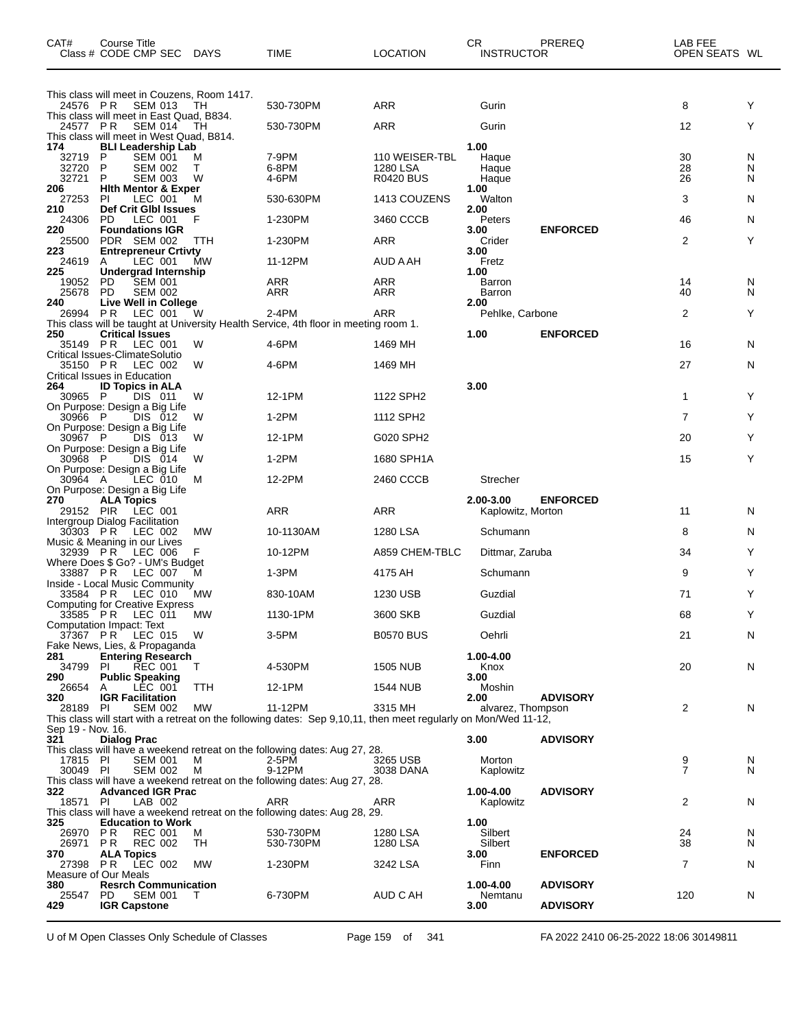| CAT#                           | Course Title<br>Class # CODE CMP SEC DAYS                                                                                                  |             | TIME                                                                                                            | <b>LOCATION</b>                                | <b>CR</b><br><b>INSTRUCTOR</b>  | PREREQ          | LAB FEE<br>OPEN SEATS WL |             |
|--------------------------------|--------------------------------------------------------------------------------------------------------------------------------------------|-------------|-----------------------------------------------------------------------------------------------------------------|------------------------------------------------|---------------------------------|-----------------|--------------------------|-------------|
| 24576 PR                       | This class will meet in Couzens, Room 1417.<br><b>SEM 013</b>                                                                              | ТH          | 530-730PM                                                                                                       | <b>ARR</b>                                     | Gurin                           |                 | 8                        | Y           |
| 24577 PR                       | This class will meet in East Quad, B834.<br>SEM 014                                                                                        | TH          | 530-730PM                                                                                                       | <b>ARR</b>                                     | Gurin                           |                 | 12                       | Y           |
| 174<br>32719<br>32720<br>32721 | This class will meet in West Quad, B814.<br><b>BLI Leadership Lab</b><br><b>SEM 001</b><br>P<br>P<br><b>SEM 002</b><br>P<br><b>SEM 003</b> | M<br>т<br>w | 7-9PM<br>6-8PM<br>4-6PM                                                                                         | 110 WEISER-TBL<br>1280 LSA<br><b>R0420 BUS</b> | 1.00<br>Haque<br>Haque<br>Haque |                 | 30<br>28<br>26           | N<br>N<br>N |
| 206<br>27253                   | <b>Hith Mentor &amp; Exper</b><br><b>PI</b><br>LEC 001                                                                                     | м           | 530-630PM                                                                                                       | 1413 COUZENS                                   | 1.00<br>Walton                  |                 | 3                        | N           |
| 210<br>24306                   | Def Crit Glbl Issues<br>PD<br>LEC 001                                                                                                      | F           | 1-230PM                                                                                                         | 3460 CCCB                                      | 2.00<br>Peters                  |                 | 46                       | N           |
| 220<br>25500                   | <b>Foundations IGR</b><br>PDR SEM 002                                                                                                      | ттн         | 1-230PM                                                                                                         | <b>ARR</b>                                     | 3.00<br>Crider                  | <b>ENFORCED</b> | 2                        | Y           |
| 223<br>24619                   | <b>Entrepreneur Crtivty</b><br>LEC 001<br>A                                                                                                | MW          | 11-12PM                                                                                                         | AUD A AH                                       | 3.00<br>Fretz                   |                 |                          |             |
| 225<br>19052<br>25678          | Undergrad Internship<br><b>SEM 001</b><br>PD<br>PD.<br><b>SEM 002</b>                                                                      |             | ARR<br>ARR                                                                                                      | <b>ARR</b><br>ARR                              | 1.00<br>Barron<br>Barron        |                 | 14<br>40                 | N<br>N      |
| 240<br>26994 PR                | Live Well in College<br>LEC 001                                                                                                            | W           | 2-4PM                                                                                                           | ARR                                            | 2.00<br>Pehlke, Carbone         |                 | 2                        | Y           |
| 250                            | <b>Critical Issues</b>                                                                                                                     |             | This class will be taught at University Health Service, 4th floor in meeting room 1.                            |                                                | 1.00                            | <b>ENFORCED</b> |                          |             |
|                                | 35149 PR LEC 001<br>Critical Issues-ClimateSolutio                                                                                         | W           | 4-6PM                                                                                                           | 1469 MH                                        |                                 |                 | 16                       | N           |
| 35150 PR                       | LEC 002<br>Critical Issues in Education                                                                                                    | W           | 4-6PM                                                                                                           | 1469 MH                                        |                                 |                 | 27                       | N           |
| 264<br>30965 P                 | <b>ID Topics in ALA</b><br>DIS 011                                                                                                         | W           | 12-1PM                                                                                                          | 1122 SPH2                                      | 3.00                            |                 | 1                        | Y           |
| 30966 P                        | On Purpose: Design a Big Life<br>DIS 012<br>On Purpose: Design a Big Life                                                                  | W           | $1-2PM$                                                                                                         | 1112 SPH2                                      |                                 |                 | $\overline{7}$           | Y           |
| 30967 P                        | DIS 013<br>On Purpose: Design a Big Life                                                                                                   | W           | 12-1PM                                                                                                          | G020 SPH2                                      |                                 |                 | 20                       | Y           |
| 30968 P                        | DIS 014<br>On Purpose: Design a Big Life                                                                                                   | W           | $1-2PM$                                                                                                         | 1680 SPH1A                                     |                                 |                 | 15                       | Y           |
| 30964 A                        | LEC 010<br>On Purpose: Design a Big Life                                                                                                   | M           | 12-2PM                                                                                                          | 2460 CCCB                                      | Strecher                        |                 |                          |             |
| 270<br>29152 PIR               | <b>ALA Topics</b><br>LEC 001<br>Intergroup Dialog Facilitation                                                                             |             | ARR                                                                                                             | <b>ARR</b>                                     | 2.00-3.00<br>Kaplowitz, Morton  | <b>ENFORCED</b> | 11                       | N           |
| 30303 PR                       | LEC 002<br>Music & Meaning in our Lives                                                                                                    | <b>MW</b>   | 10-1130AM                                                                                                       | 1280 LSA                                       | Schumann                        |                 | 8                        | N           |
| 32939 PR                       | LEC 006<br>Where Does \$ Go? - UM's Budget                                                                                                 | F           | 10-12PM                                                                                                         | A859 CHEM-TBLC                                 | Dittmar, Zaruba                 |                 | 34                       | Y           |
|                                | 33887 PR LEC 007<br>Inside - Local Music Community                                                                                         | м           | 1-3PM                                                                                                           | 4175 AH                                        | Schumann                        |                 | 9                        | Y           |
|                                | 33584 PR LEC 010<br><b>Computing for Creative Express</b>                                                                                  | <b>MW</b>   | 830-10AM                                                                                                        | 1230 USB                                       | Guzdial                         |                 | 71                       | Y           |
|                                | 33585 PR LEC 011<br>Computation Impact: Text                                                                                               | <b>MW</b>   | 1130-1PM                                                                                                        | 3600 SKB                                       | Guzdial                         |                 | 68                       | Y           |
|                                | 37367 PR LEC 015 W<br>Fake News, Lies, & Propaganda                                                                                        |             | 3-5PM                                                                                                           | <b>B0570 BUS</b>                               | Oehrli                          |                 | 21                       | N           |
| 281<br>34799 PI                | <b>Entering Research</b><br><b>REC 001</b>                                                                                                 | T           | 4-530PM                                                                                                         | 1505 NUB                                       | 1.00-4.00<br>Knox               |                 | 20                       | N           |
| 290<br>26654 A                 | <b>Public Speaking</b><br>LEC 001                                                                                                          | TTH         | 12-1PM                                                                                                          | 1544 NUB                                       | 3.00<br>Moshin                  |                 |                          |             |
| 320<br>28189 PI                | <b>IGR Facilitation</b><br><b>SEM 002</b>                                                                                                  | MW          | 11-12PM                                                                                                         | 3315 MH                                        | 2.00<br>alvarez, Thompson       | <b>ADVISORY</b> | 2                        | N           |
| Sep 19 - Nov. 16.              |                                                                                                                                            |             | This class will start with a retreat on the following dates: Sep 9,10,11, then meet regularly on Mon/Wed 11-12, |                                                |                                 |                 |                          |             |
| 321                            | <b>Dialog Prac</b>                                                                                                                         |             | This class will have a weekend retreat on the following dates: Aug 27, 28.                                      |                                                | 3.00                            | <b>ADVISORY</b> |                          |             |
| 17815 PI<br>30049 PI           | <b>SEM 001</b><br><b>SEM 002</b>                                                                                                           | м<br>M      | 2-5PM<br>9-12PM                                                                                                 | 3265 USB<br>3038 DANA                          | Morton<br>Kaplowitz             |                 | 9<br>$\overline{7}$      | N<br>N      |
| 322                            | <b>Advanced IGR Prac</b>                                                                                                                   |             | This class will have a weekend retreat on the following dates: Aug 27, 28.                                      |                                                | 1.00-4.00                       | <b>ADVISORY</b> |                          |             |
| 18571 PI                       | LAB 002                                                                                                                                    |             | <b>ARR</b><br>This class will have a weekend retreat on the following dates: Aug 28, 29.                        | ARR                                            | Kaplowitz                       |                 | 2                        | N           |
| 325<br>26970 PR                | <b>Education to Work</b><br><b>REC 001</b>                                                                                                 | M           | 530-730PM                                                                                                       | 1280 LSA                                       | 1.00<br>Silbert                 |                 | 24                       | N           |
| 26971 PR<br>370                | <b>REC 002</b><br><b>ALA Topics</b>                                                                                                        | TH          | 530-730PM                                                                                                       | 1280 LSA                                       | Silbert<br>3.00                 | <b>ENFORCED</b> | 38                       | N           |
|                                | 27398 PR LEC 002<br>Measure of Our Meals                                                                                                   | МW          | 1-230PM                                                                                                         | 3242 LSA                                       | Finn                            |                 | 7                        | N           |
| 380<br>25547                   | <b>Resrch Communication</b><br>PD.<br><b>SEM 001</b>                                                                                       | $\top$      | 6-730PM                                                                                                         | AUD C AH                                       | 1.00-4.00<br>Nemtanu            | <b>ADVISORY</b> | 120                      | N           |
| 429                            | <b>IGR Capstone</b>                                                                                                                        |             |                                                                                                                 |                                                | 3.00                            | <b>ADVISORY</b> |                          |             |

U of M Open Classes Only Schedule of Classes Page 159 of 341 FA 2022 2410 06-25-2022 18:06 30149811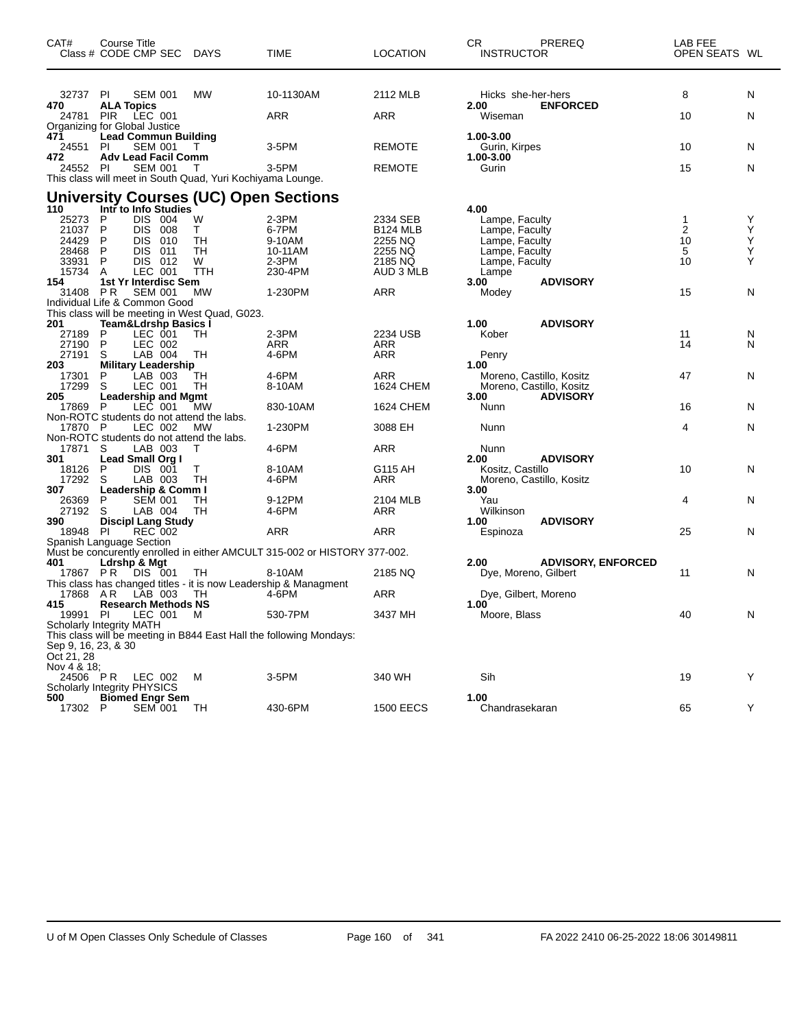| CAT#                               | Course Title      | Class # CODE CMP SEC DAYS                    |                                                            | <b>TIME</b>                                                               | <b>LOCATION</b>         | CR.<br><b>INSTRUCTOR</b>   | PREREQ                                      | LAB FEE<br>OPEN SEATS WL |   |
|------------------------------------|-------------------|----------------------------------------------|------------------------------------------------------------|---------------------------------------------------------------------------|-------------------------|----------------------------|---------------------------------------------|--------------------------|---|
| 32737 PI                           |                   | <b>SEM 001</b>                               | MW                                                         | 10-1130AM                                                                 | 2112 MLB                | Hicks she-her-hers         |                                             | 8                        | N |
| 470<br>24781 PIR                   | <b>ALA Topics</b> | LEC 001                                      |                                                            | <b>ARR</b>                                                                | ARR                     | 2.00<br>Wiseman            | <b>ENFORCED</b>                             | 10                       | N |
| Organizing for Global Justice      |                   |                                              |                                                            |                                                                           |                         |                            |                                             |                          |   |
| 471<br>24551 PI                    |                   | <b>Lead Commun Building</b><br>SEM 001       | T.                                                         | 3-5PM                                                                     | <b>REMOTE</b>           | 1.00-3.00<br>Gurin, Kirpes |                                             | 10                       | N |
| 472<br>24552 PI                    |                   | <b>Adv Lead Facil Comm</b><br><b>SEM 001</b> | Т                                                          | 3-5PM                                                                     | <b>REMOTE</b>           | 1.00-3.00<br>Gurin         |                                             | 15                       | N |
|                                    |                   |                                              | This class will meet in South Quad, Yuri Kochiyama Lounge. |                                                                           |                         |                            |                                             |                          |   |
| 110                                |                   | Intr to Info Studies                         |                                                            | <b>University Courses (UC) Open Sections</b>                              |                         | 4.00                       |                                             |                          |   |
| 25273                              | - P               | DIS 004                                      | W                                                          | 2-3PM                                                                     | 2334 SEB                | Lampe, Faculty             |                                             | $\mathbf{1}$             | Y |
| 21037                              | $\mathsf{P}$      | <b>DIS 008</b>                               | T.                                                         | 6-7PM                                                                     | <b>B124 MLB</b>         | Lampe, Faculty             |                                             | 2                        | Y |
| 24429 P                            |                   | <b>DIS</b><br>010                            | TH                                                         | 9-10AM                                                                    | 2255 NQ                 | Lampe, Faculty             |                                             | 10                       | Y |
| 28468 P                            |                   | 011<br><b>DIS</b>                            | TН                                                         | 10-11AM                                                                   | 2255 NQ                 | Lampe, Faculty             |                                             | 5                        | Y |
| 33931                              | $\mathsf{P}$      | DIS 012                                      | W                                                          | $2-3PM$                                                                   | 2185 NQ                 | Lampe, Faculty             |                                             | 10                       | Y |
| 15734 A                            |                   | LEC 001                                      | TTH                                                        | 230-4PM                                                                   | AUD 3 MLB               | Lampe                      |                                             |                          |   |
| 154                                |                   | 1st Yr Interdisc Sem                         |                                                            |                                                                           |                         | 3.00                       | <b>ADVISORY</b>                             |                          |   |
| 31408 PR                           |                   | <b>SEM 001</b>                               | МW                                                         | 1-230PM                                                                   | <b>ARR</b>              | Modey                      |                                             | 15                       | N |
| Individual Life & Common Good      |                   |                                              |                                                            |                                                                           |                         |                            |                                             |                          |   |
|                                    |                   |                                              | This class will be meeting in West Quad, G023.             |                                                                           |                         |                            |                                             |                          |   |
| 201                                |                   | <b>Team&amp;Ldrshp Basics I</b>              |                                                            |                                                                           |                         | 1.00                       | <b>ADVISORY</b>                             |                          |   |
| 27189 P                            |                   | LEC 001                                      | TН                                                         | 2-3PM                                                                     | 2234 USB                | Kober                      |                                             | 11                       | N |
| 27190 P                            |                   | LEC 002                                      |                                                            | ARR                                                                       | ARR                     |                            |                                             | 14                       | N |
| 27191                              | S                 | LAB 004                                      | TH                                                         | 4-6PM                                                                     | <b>ARR</b>              | Penry                      |                                             |                          |   |
| 203                                |                   | <b>Military Leadership</b>                   |                                                            | 4-6PM                                                                     |                         | 1.00                       |                                             |                          |   |
| 17301<br>17299                     | P<br>S            | LAB 003                                      | TH<br>TН                                                   | 8-10AM                                                                    | ARR<br><b>1624 CHEM</b> |                            | Moreno, Castillo, Kositz                    | 47                       | N |
| 205                                |                   | LEC 001<br><b>Leadership and Mgmt</b>        |                                                            |                                                                           |                         | 3.00                       | Moreno, Castillo, Kositz<br><b>ADVISORY</b> |                          |   |
| 17869                              | $\mathsf{P}$      | LEC 001                                      | МW                                                         | 830-10AM                                                                  | 1624 CHEM               | Nunn                       |                                             | 16                       | N |
|                                    |                   |                                              | Non-ROTC students do not attend the labs.                  |                                                                           |                         |                            |                                             |                          |   |
| 17870 P                            |                   | LEC 002                                      | <b>MW</b>                                                  | 1-230PM                                                                   | 3088 EH                 | Nunn                       |                                             | 4                        | N |
|                                    |                   |                                              | Non-ROTC students do not attend the labs.                  |                                                                           |                         |                            |                                             |                          |   |
| 17871                              | S                 | LAB 003                                      | Τ                                                          | 4-6PM                                                                     | <b>ARR</b>              | Nunn                       |                                             |                          |   |
| 301                                |                   | Lead Small Org I                             |                                                            |                                                                           |                         | 2.00                       | <b>ADVISORY</b>                             |                          |   |
| 18126                              | -P                | DIS 001                                      | т                                                          | 8-10AM                                                                    | G115 AH                 | Kositz, Castillo           |                                             | 10                       | N |
| 17292                              | S                 | LAB 003                                      | TH                                                         | 4-6PM                                                                     | ARR                     |                            | Moreno, Castillo, Kositz                    |                          |   |
| 307                                |                   | Leadership & Comm I                          |                                                            |                                                                           |                         | 3.00                       |                                             |                          |   |
| 26369                              | P                 | <b>SEM 001</b>                               | TН                                                         | 9-12PM                                                                    | 2104 MLB                | Yau                        |                                             | 4                        | N |
| 27192                              | S                 | LAB 004                                      | TH                                                         | 4-6PM                                                                     | ARR                     | Wilkinson                  |                                             |                          |   |
| 390                                |                   | <b>Discipl Lang Study</b>                    |                                                            |                                                                           |                         | 1.00                       | <b>ADVISORY</b>                             |                          |   |
| 18948 PI                           |                   | <b>REC 002</b>                               |                                                            | ARR                                                                       | ARR                     | Espinoza                   |                                             | 25                       | N |
| Spanish Language Section           |                   |                                              |                                                            |                                                                           |                         |                            |                                             |                          |   |
|                                    |                   |                                              |                                                            | Must be concurently enrolled in either AMCULT 315-002 or HISTORY 377-002. |                         |                            |                                             |                          |   |
| 401                                | Ldrshp & Mgt      |                                              |                                                            |                                                                           |                         | 2.00                       | <b>ADVISORY, ENFORCED</b>                   |                          |   |
| 17867 PR                           |                   | DIS 001                                      | TH                                                         | 8-10AM                                                                    | 2185 NQ                 | Dye, Moreno, Gilbert       |                                             | 11                       | N |
|                                    |                   |                                              |                                                            | This class has changed titles - it is now Leadership & Managment          |                         |                            |                                             |                          |   |
| 17868                              | AR                | LAB 003                                      | TH                                                         | 4-6PM                                                                     | ARR                     | Dye, Gilbert, Moreno       |                                             |                          |   |
| 415                                |                   | <b>Research Methods NS</b>                   |                                                            |                                                                           |                         | 1.00                       |                                             |                          |   |
| 19991 PI                           |                   | LEC 001 M                                    |                                                            | 530-7PM                                                                   | 3437 MH                 | Moore, Blass               |                                             | 40                       | N |
| <b>Scholarly Integrity MATH</b>    |                   |                                              |                                                            |                                                                           |                         |                            |                                             |                          |   |
|                                    |                   |                                              |                                                            | This class will be meeting in B844 East Hall the following Mondays:       |                         |                            |                                             |                          |   |
| Sep 9, 16, 23, & 30                |                   |                                              |                                                            |                                                                           |                         |                            |                                             |                          |   |
| Oct 21, 28                         |                   |                                              |                                                            |                                                                           |                         |                            |                                             |                          |   |
| Nov 4 & 18;                        |                   |                                              |                                                            |                                                                           |                         |                            |                                             |                          |   |
| 24506 PR                           |                   | LEC 002                                      | м                                                          | 3-5PM                                                                     | 340 WH                  | Sih                        |                                             | 19                       | Y |
| <b>Scholarly Integrity PHYSICS</b> |                   |                                              |                                                            |                                                                           |                         |                            |                                             |                          |   |
| 500                                |                   | <b>Biomed Engr Sem</b>                       |                                                            |                                                                           |                         | 1.00                       |                                             |                          |   |
| 17302 P                            |                   | <b>SEM 001</b>                               | TH                                                         | 430-6PM                                                                   | <b>1500 EECS</b>        | Chandrasekaran             |                                             | 65                       | Y |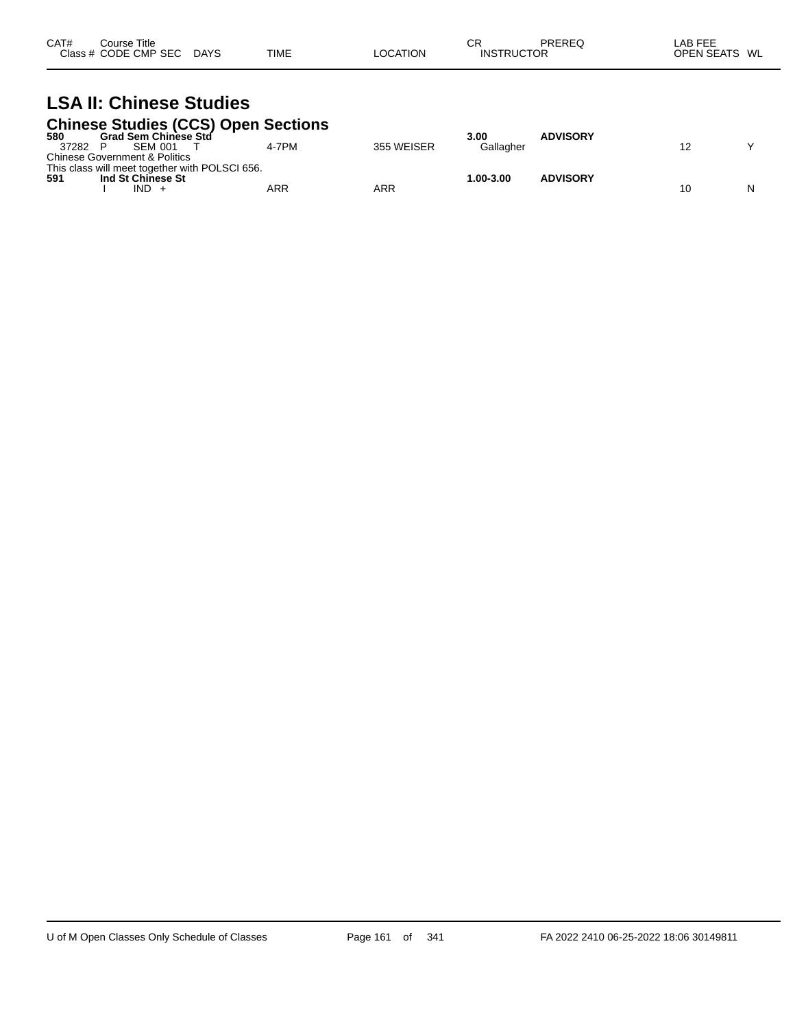| CAT# | Course Title         |             |             |          | СF                | PREREQ | LAB FEE                 |
|------|----------------------|-------------|-------------|----------|-------------------|--------|-------------------------|
|      | Class # CODE CMP SEC | <b>DAYS</b> | <b>TIME</b> | LOCATION | <b>INSTRUCTOR</b> |        | <b>OPEN SEATS</b><br>WL |

### **LSA II: Chinese Studies Chinese Studies (CCS) Open Sections**

| 580   | <b>Grad Sem Chinese Std</b>                    |       |            | 3.00          | <b>ADVISORY</b> |    |  |
|-------|------------------------------------------------|-------|------------|---------------|-----------------|----|--|
| 37282 | <b>SEM 001</b>                                 | 4-7PM | 355 WEISER | Gallagher     |                 |    |  |
|       | <b>Chinese Government &amp; Politics</b>       |       |            |               |                 |    |  |
|       | This class will meet together with POLSCI 656. |       |            |               |                 |    |  |
| 591   | Ind St Chinese St                              |       |            | $1.00 - 3.00$ | <b>ADVISORY</b> |    |  |
|       | IND                                            | ARR   | ARR        |               |                 | 10 |  |
|       |                                                |       |            |               |                 |    |  |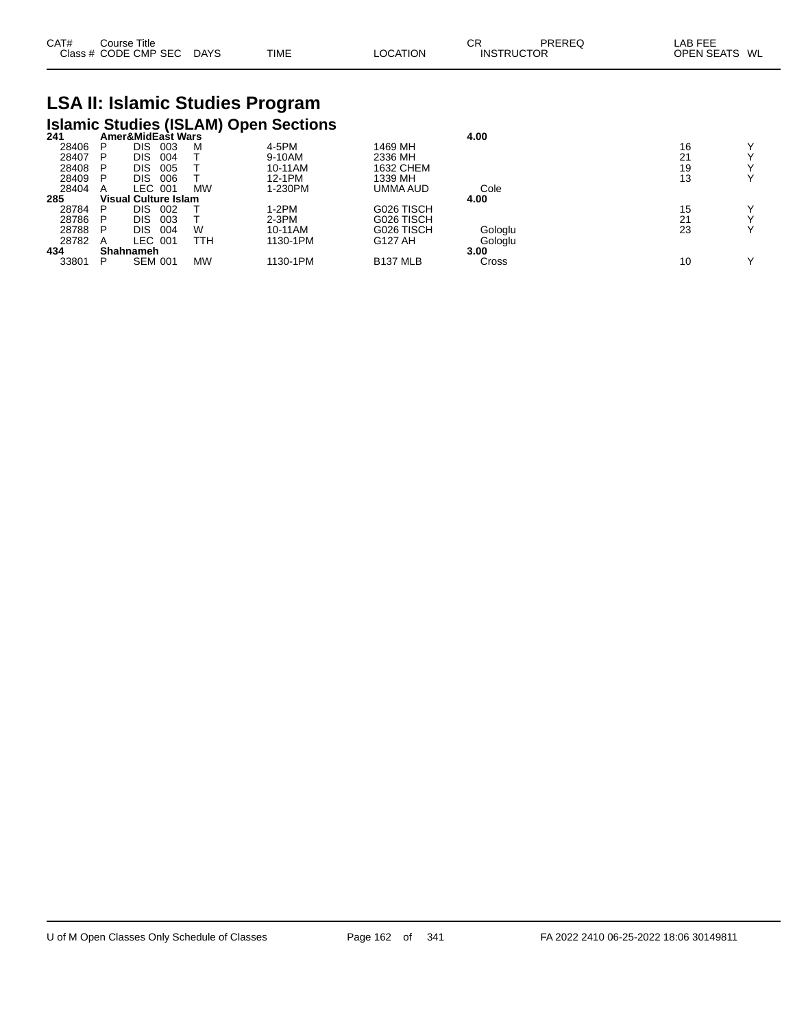| CAT# | Course Title         |             |             |          | СF                | PREREQ | LAB FEE                 |
|------|----------------------|-------------|-------------|----------|-------------------|--------|-------------------------|
|      | Class # CODE CMP SEC | <b>DAYS</b> | <b>TIME</b> | LOCATION | <b>INSTRUCTOR</b> |        | <b>OPEN SEATS</b><br>WL |

# **LSA II: Islamic Studies Program Islamic Studies (ISLAM) Open Sections 241 Amer&MidEast Wars 4.00**

| 241   |   | Amer&MidEast Wars    |           |          |                 | 4.00    |    |              |
|-------|---|----------------------|-----------|----------|-----------------|---------|----|--------------|
| 28406 | P | DIS<br>003           | M         | 4-5PM    | 1469 MH         |         | 16 | v            |
| 28407 | P | DIS<br>004           |           | 9-10AM   | 2336 MH         |         | 21 | $\checkmark$ |
| 28408 | P | DIS.<br>005          |           | 10-11AM  | 1632 CHEM       |         | 19 | $\checkmark$ |
| 28409 |   | DIS<br>006           |           | 12-1PM   | 1339 MH         |         | 13 | ٧            |
| 28404 | A | _EC_<br>001          | <b>MW</b> | 1-230PM  | UMMA AUD        | Cole    |    |              |
| 285   |   | Visual Culture Islam |           |          |                 | 4.00    |    |              |
| 28784 | P | DIS<br>002           |           | 1-2PM    | G026 TISCH      |         | 15 | $\checkmark$ |
| 28786 | P | DIS<br>003           |           | $2-3PM$  | G026 TISCH      |         | 21 | $\checkmark$ |
| 28788 | P | DIS<br>004           | W         | 10-11AM  | G026 TISCH      | Gologlu | 23 | $\checkmark$ |
| 28782 | A | LEC 001              | TTH       | 1130-1PM | G127 AH         | Gologlu |    |              |
| 434   |   | <b>Shahnameh</b>     |           |          |                 | 3.00    |    |              |
| 33801 | P | <b>SEM 001</b>       | <b>MW</b> | 1130-1PM | <b>B137 MLB</b> | Cross   | 10 | $\checkmark$ |
|       |   |                      |           |          |                 |         |    |              |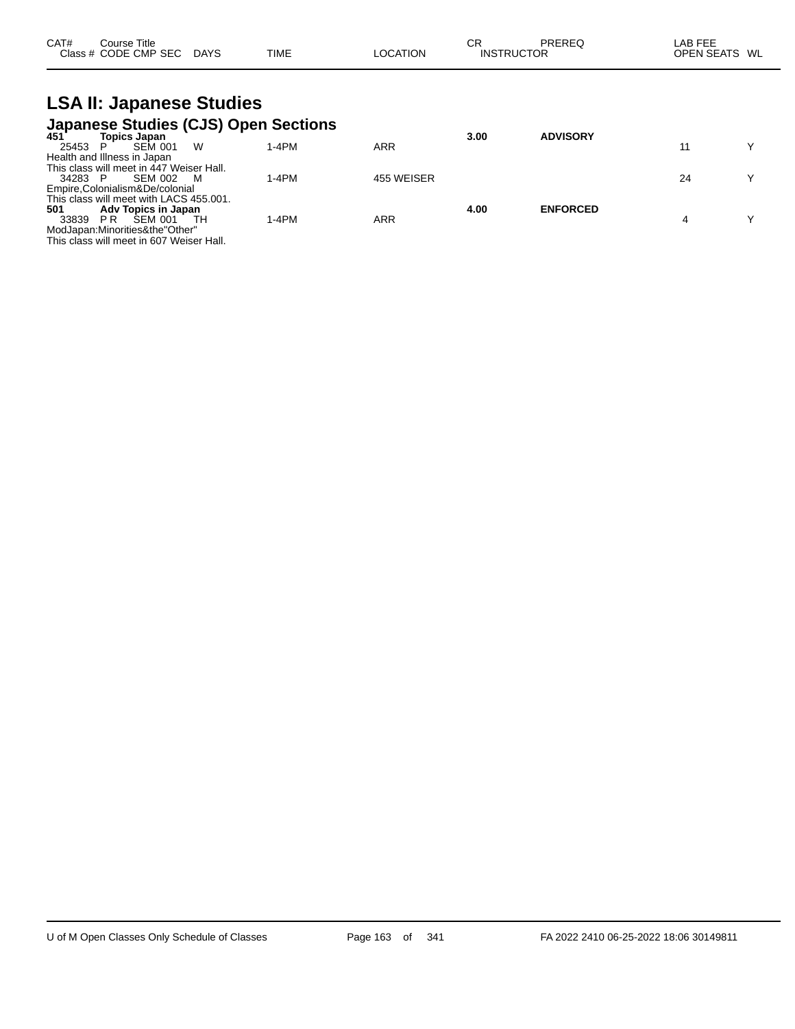| CAT# | Course Title         |      |      | ∼г<br>- UN |                   | PREREQ | _AB FEE           |    |
|------|----------------------|------|------|------------|-------------------|--------|-------------------|----|
|      | Class # CODE CMP SEC | DAYS | TIME | LOCATION   | <b>INSTRUCTOR</b> |        | <b>OPEN SEATS</b> | WL |

### **LSA II: Japanese Studies Japanese Studies (CJS) Open Sections**

|     | 3.00              | <b>ADVISORY</b> |    |
|-----|-------------------|-----------------|----|
|     |                   |                 | v  |
|     |                   |                 |    |
|     |                   |                 |    |
|     |                   |                 |    |
|     |                   |                 |    |
|     | 4.00              | <b>ENFORCED</b> |    |
| ARR |                   |                 |    |
|     |                   |                 |    |
|     |                   |                 |    |
|     | ARR<br>455 WEISER |                 | 24 |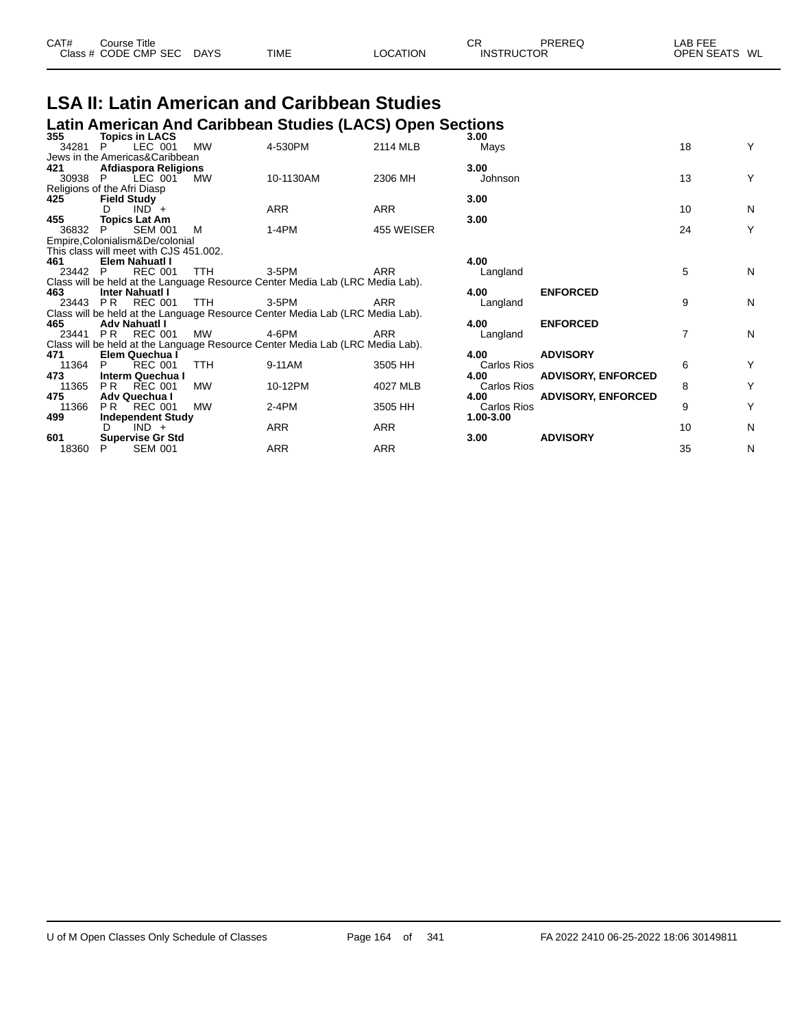| CAT# | Course Title         |             |             |          | ⌒冖<br>◡┍          | PREREQ | LAB FEE       |  |
|------|----------------------|-------------|-------------|----------|-------------------|--------|---------------|--|
|      | Class # CODE CMP SEC | <b>DAYS</b> | <b>TIME</b> | LOCATION | <b>INSTRUCTOR</b> |        | OPEN SEATS WL |  |

# **LSA II: Latin American and Caribbean Studies**

|                |                                                                 |            | Latin American And Caribbean Studies (LACS) Open Sections                     |            |                            |                           |                |   |
|----------------|-----------------------------------------------------------------|------------|-------------------------------------------------------------------------------|------------|----------------------------|---------------------------|----------------|---|
| 355<br>34281   | <b>Topics in LACS</b><br>LEC 001<br>P.                          | <b>MW</b>  | 4-530PM                                                                       | 2114 MLB   | 3.00<br>Mays               |                           | 18             | Υ |
|                | Jews in the Americas&Caribbean                                  |            |                                                                               |            |                            |                           |                |   |
| 421            | Afdiaspora Religions                                            |            |                                                                               |            | 3.00                       |                           |                |   |
| 30938          | LEC 001<br>P.                                                   | MW         | 10-1130AM                                                                     | 2306 MH    | Johnson                    |                           | 13             | Υ |
|                | Religions of the Afri Diasp                                     |            |                                                                               |            |                            |                           |                |   |
| 425            | <b>Field Study</b>                                              |            |                                                                               |            | 3.00                       |                           |                |   |
|                | $IND +$<br>D.                                                   |            | <b>ARR</b>                                                                    | <b>ARR</b> |                            |                           | 10             | N |
| 455            | <b>Topics Lat Am</b>                                            |            |                                                                               |            | 3.00                       |                           |                |   |
| 36832          | <b>SEM 001</b><br>P.                                            | м          | $1-4PM$                                                                       | 455 WEISER |                            |                           | 24             | Υ |
|                | Empire, Colonialism & De/colonial                               |            |                                                                               |            |                            |                           |                |   |
|                | This class will meet with CJS 451.002.<br><b>Elem Nahuatl I</b> |            |                                                                               |            | 4.00                       |                           |                |   |
| 461<br>23442 P | <b>REC 001</b>                                                  | <b>TTH</b> | 3-5PM                                                                         | ARR        | Langland                   |                           | 5              | N |
|                |                                                                 |            | Class will be held at the Language Resource Center Media Lab (LRC Media Lab). |            |                            |                           |                |   |
| 463            | <b>Inter Nahuati I</b>                                          |            |                                                                               |            | 4.00                       | <b>ENFORCED</b>           |                |   |
| 23443          | REC 001<br>PR                                                   | <b>TTH</b> | 3-5PM                                                                         | <b>ARR</b> | Langland                   |                           | 9              | Ν |
|                |                                                                 |            | Class will be held at the Language Resource Center Media Lab (LRC Media Lab). |            |                            |                           |                |   |
| 465            | Adv Nahuatl I                                                   |            |                                                                               |            | 4.00                       | <b>ENFORCED</b>           |                |   |
| 23441          | <b>REC 001</b><br>PR                                            | MW         | 4-6PM                                                                         | <b>ARR</b> | Langland                   |                           | $\overline{7}$ | N |
|                |                                                                 |            | Class will be held at the Language Resource Center Media Lab (LRC Media Lab). |            |                            |                           |                |   |
| 471            | Elem Quechua I                                                  |            |                                                                               |            | 4.00                       | <b>ADVISORY</b>           |                |   |
| 11364          | <b>REC 001</b><br>P                                             | <b>TTH</b> | 9-11AM                                                                        | 3505 HH    | Carlos Rios                |                           | 6              | Υ |
| 473            | Interm Quechua I                                                |            |                                                                               |            | 4.00                       | <b>ADVISORY, ENFORCED</b> |                |   |
| 11365<br>475   | PR.<br>REC 001                                                  | MW         | 10-12PM                                                                       | 4027 MLB   | <b>Carlos Rios</b><br>4.00 |                           | 8              | Υ |
| 11366          | Adv Quechua I<br><b>REC 001</b><br>PR.                          | <b>MW</b>  | $2-4PM$                                                                       | 3505 HH    | Carlos Rios                | <b>ADVISORY, ENFORCED</b> | 9              | Υ |
| 499            | <b>Independent Study</b>                                        |            |                                                                               |            | 1.00-3.00                  |                           |                |   |
|                | $IND +$<br>D                                                    |            | ARR                                                                           | ARR        |                            |                           | 10             | N |
| 601            | <b>Supervise Gr Std</b>                                         |            |                                                                               |            | 3.00                       | <b>ADVISORY</b>           |                |   |
| 18360          | <b>SEM 001</b>                                                  |            | ARR                                                                           | ARR        |                            |                           | 35             | Ν |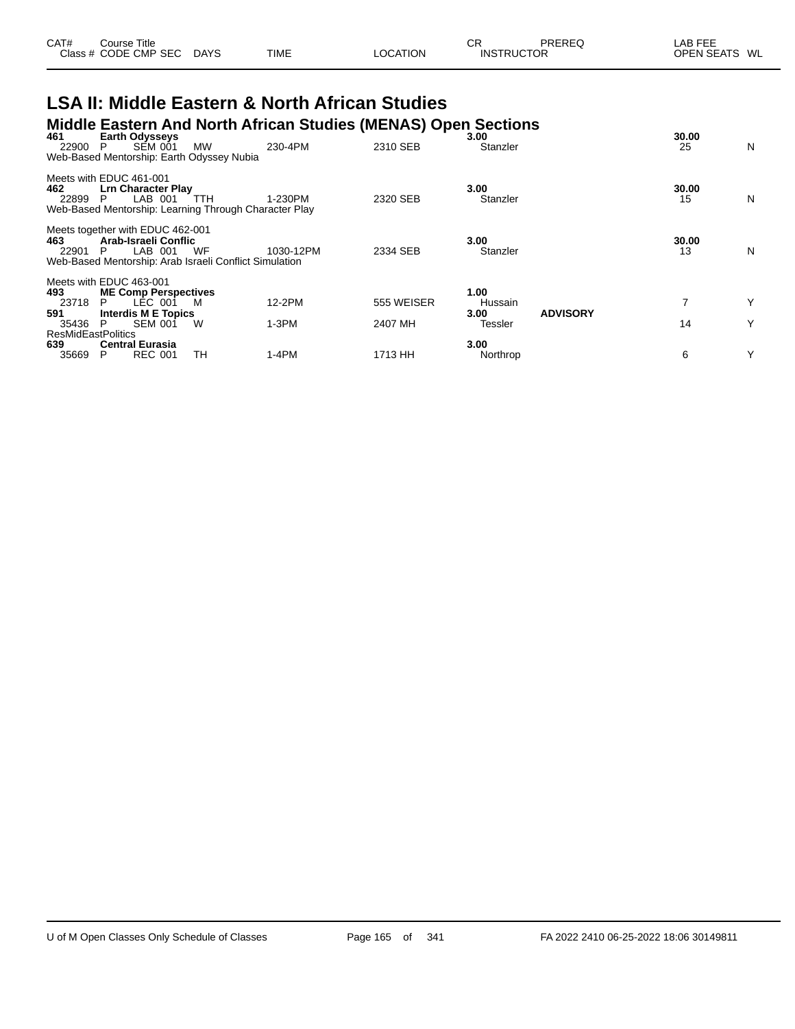| CAT# | Course Title<br>Class # CODE CMP SEC | <b>DAYS</b> | <b>TIME</b> | LOCATION | СF<br><b>INSTRUCTOR</b> | PREREQ | LAB FEE<br><b>OPEN SEATS</b> | WL |
|------|--------------------------------------|-------------|-------------|----------|-------------------------|--------|------------------------------|----|
|      |                                      |             |             |          |                         |        |                              |    |

#### **LSA II: Middle Eastern & North African Studies Middle Eastern And North African Studies (MENAS) Open Sections**

| 461<br>22900                              | <b>Earth Odysseys</b><br><b>SEM 001</b><br>P<br>Web-Based Mentorship: Earth Odyssey Nubia                                           | <b>MW</b> | 230-4PM   | $\cdots$<br>2310 SEB | 3.00<br>Stanzler |                 | 30.00<br>25 | N |
|-------------------------------------------|-------------------------------------------------------------------------------------------------------------------------------------|-----------|-----------|----------------------|------------------|-----------------|-------------|---|
| 462<br>22899                              | Meets with EDUC 461-001<br><b>Lrn Character Play</b><br>LAB 001<br>P.<br>Web-Based Mentorship: Learning Through Character Play      | ттн       | 1-230PM   | 2320 SEB             | 3.00<br>Stanzler |                 | 30.00<br>15 | N |
| 463.<br>22901                             | Meets together with EDUC 462-001<br>Arab-Israeli Conflic<br>LAB 001<br>P.<br>Web-Based Mentorship: Arab Israeli Conflict Simulation | WF        | 1030-12PM | 2334 SEB             | 3.00<br>Stanzler |                 | 30.00<br>13 | N |
|                                           | Meets with EDUC 463-001                                                                                                             |           |           |                      |                  |                 |             |   |
| 493<br>23718                              | <b>ME Comp Perspectives</b><br>LÉC 001<br>P                                                                                         | M         | 12-2PM    | 555 WEISER           | 1.00<br>Hussain  |                 |             |   |
| 591<br>35436<br><b>ResMidEastPolitics</b> | Interdis M E Topics<br><b>SEM 001</b><br>P                                                                                          | w         | $1-3PM$   | 2407 MH              | 3.00<br>Tessler  | <b>ADVISORY</b> | 14          | Y |
| 639<br>35669                              | <b>Central Eurasia</b><br><b>REC 001</b><br>P                                                                                       | TН        | 1-4PM     | 1713 HH              | 3.00<br>Northrop |                 | 6           | Υ |
|                                           |                                                                                                                                     |           |           |                      |                  |                 |             |   |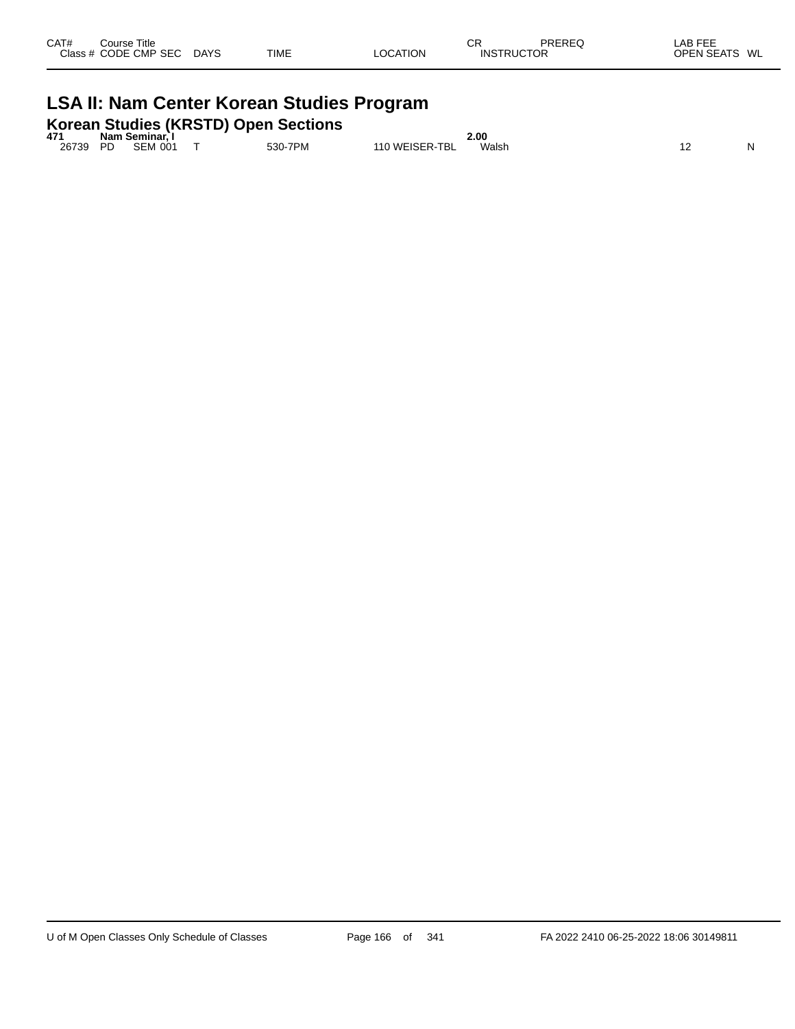| CAT#<br>Class $#$ | ourse Titleٽ<br>CODE CMP SEC | <b>DAYS</b> | <b>TIME</b> | LOCATION | СR<br><b>INSTRUCTOR</b> | PREREQ | LAB FEE<br><b>OPEN SEATS</b><br>WL |
|-------------------|------------------------------|-------------|-------------|----------|-------------------------|--------|------------------------------------|
|                   |                              |             |             |          |                         |        |                                    |

## **LSA II: Nam Center Korean Studies Program**

**Korean Studies (KRSTD) Open Sections 471 Nam Seminar, I 2.00**

| 47    |    | іманн әенінімі. |         |                | ⊥.uu   |  |    |
|-------|----|-----------------|---------|----------------|--------|--|----|
| 26739 | DD | <b>SEM 001</b>  | 530-7PM | 110 WEISER-TBL | Walsh. |  | NL |
|       |    |                 |         |                |        |  |    |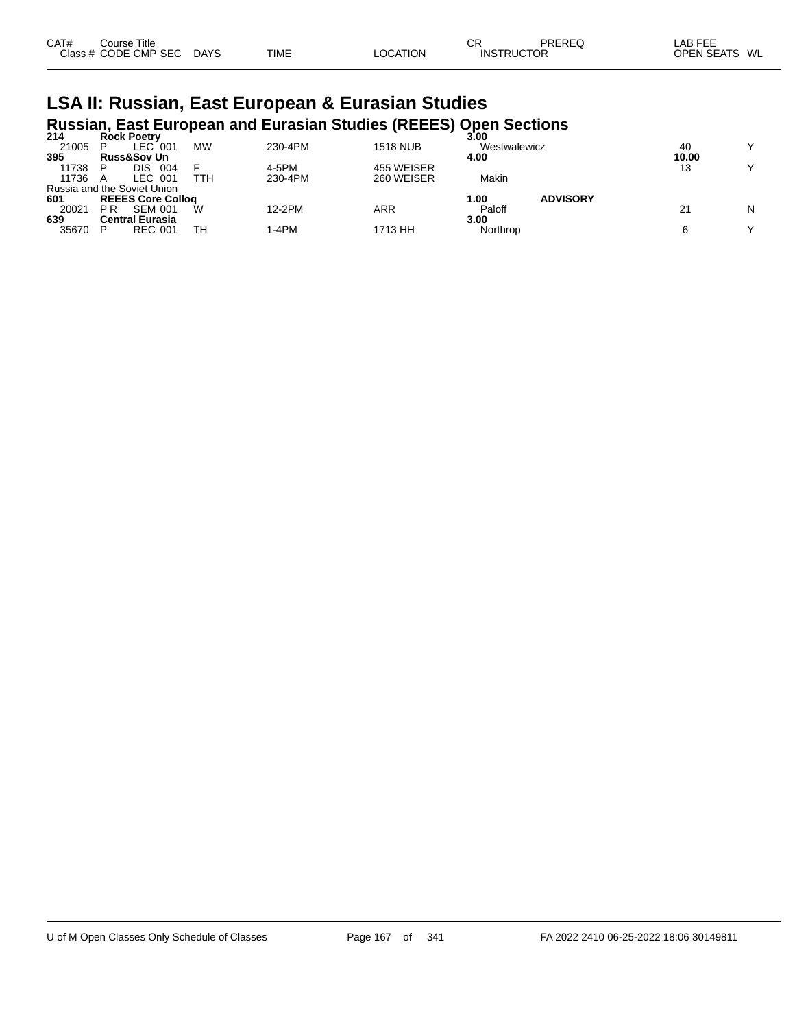| CAT# | Course Title         |             |             |          | СF                | <b>PREREQ</b> | LAB FEE       |
|------|----------------------|-------------|-------------|----------|-------------------|---------------|---------------|
|      | Class # CODE CMP SEC | <b>DAYS</b> | <b>TIME</b> | LOCATION | <b>INSTRUCTOR</b> |               | OPEN SEATS WL |

# **LSA II: Russian, East European & Eurasian Studies Russian, East European and Eurasian Studies (REEES) Open Sections 214 Rock Poetry 3.00**

| 214   | <b>Rock Poetry</b>          |           |         |                 | 3.00         |                 |       |              |
|-------|-----------------------------|-----------|---------|-----------------|--------------|-----------------|-------|--------------|
| 21005 | $LEC$ 001                   | <b>MW</b> | 230-4PM | <b>1518 NUB</b> | Westwalewicz |                 | 40    | $\checkmark$ |
| 395   | <b>Russ&amp;Sov Un</b>      |           |         |                 | 4.00         |                 | 10.00 |              |
| 11738 | DIS<br>004                  |           | 4-5PM   | 455 WEISER      |              |                 | 13    | $\checkmark$ |
| 11736 | LEC 001                     | ттн       | 230-4PM | 260 WEISER      | Makin        |                 |       |              |
|       | Russia and the Soviet Union |           |         |                 |              |                 |       |              |
| 601   | <b>REEES Core Collog</b>    |           |         |                 | 00. ا        | <b>ADVISORY</b> |       |              |
| 20021 | P R<br><b>SEM 001</b>       | W         | 12-2PM  | ARR             | Paloff       |                 | 21    | N            |
| 639   | <b>Central Eurasia</b>      |           |         |                 | 3.00         |                 |       |              |
| 35670 | <b>REC 001</b>              | TН        | 1-4PM   | 1713 HH         | Northrop     |                 |       | v            |
|       |                             |           |         |                 |              |                 |       |              |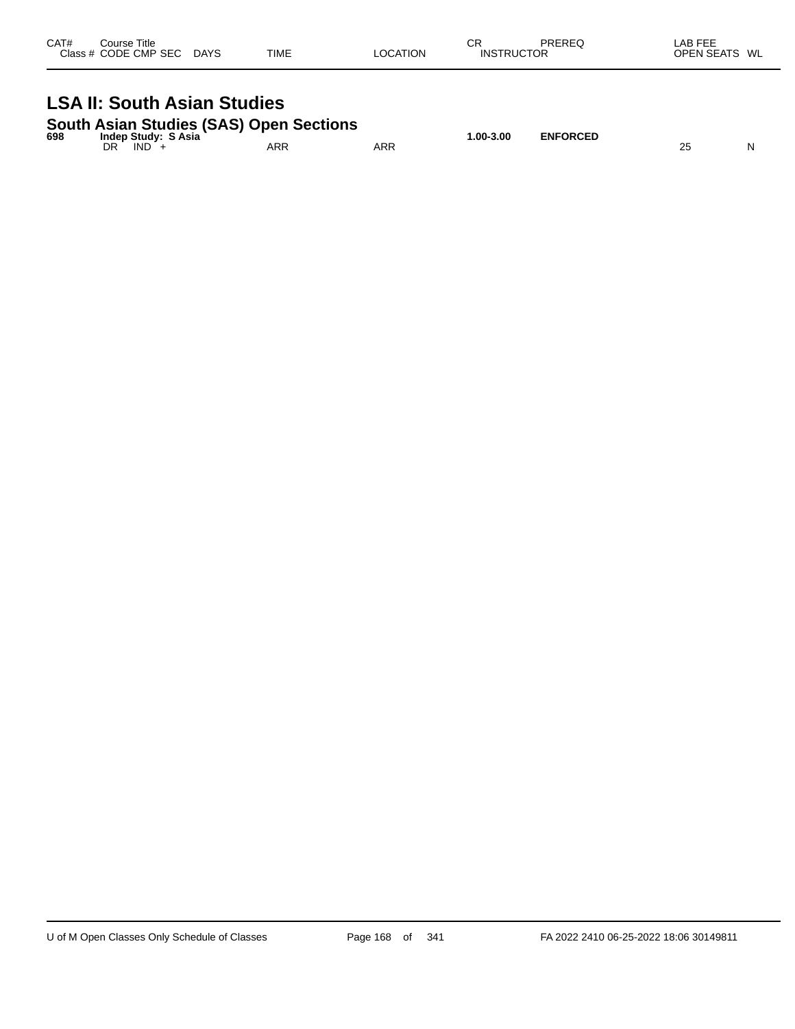| CAT# | Course Title<br>Class # CODE CMP SEC | <b>DAYS</b> | TIME | LOCATION | СR<br><b>INSTRUCTOR</b> | PREREQ | LAB FEE<br><b>OPEN SEATS</b><br>WL |
|------|--------------------------------------|-------------|------|----------|-------------------------|--------|------------------------------------|
|      |                                      |             |      |          |                         |        |                                    |

### **LSA II: South Asian Studies**

|  |  | <b>South Asian Studies (SAS) Open Sections</b> |
|--|--|------------------------------------------------|
|  |  |                                                |

| 698 | Study:<br>S Asia<br>Indep |            |     | $.00 - 3.00$<br>. | <b>ENFORCED</b><br><b>KCED</b> |              |   |
|-----|---------------------------|------------|-----|-------------------|--------------------------------|--------------|---|
|     | DR<br>IND                 | <b>ARR</b> | ARR |                   |                                | つよ<br>$\sim$ | N |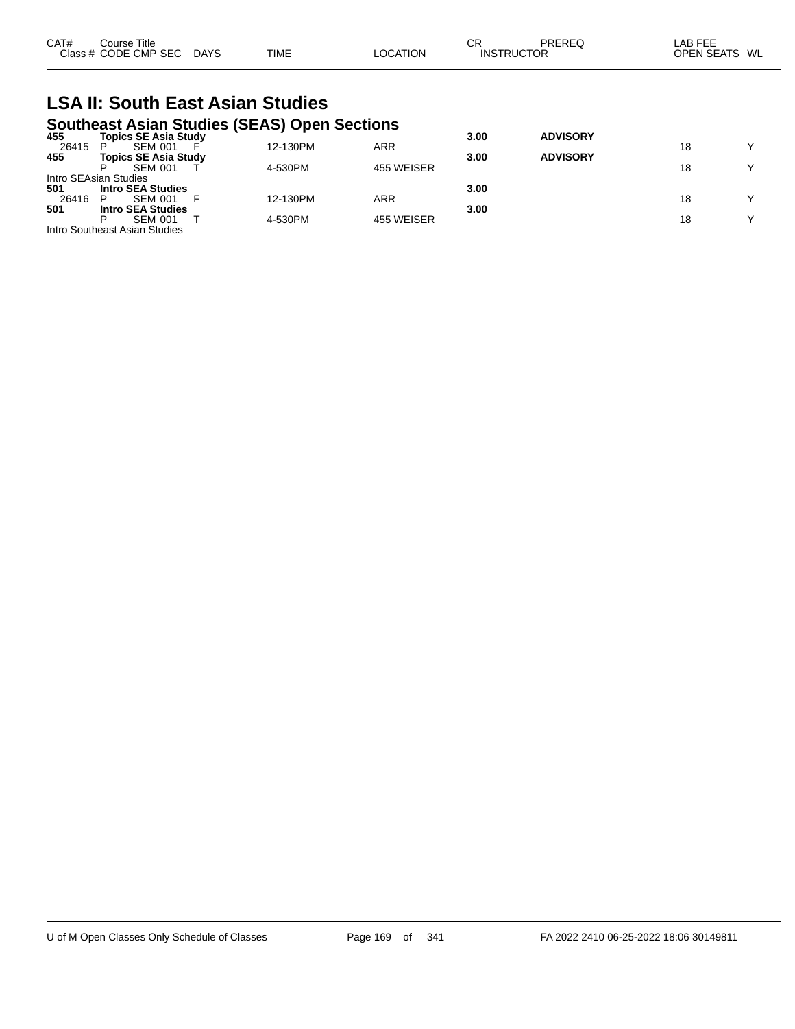| CAT#  | Course Title<br>Class # CODE CMP SEC                                        | <b>DAYS</b> | TIME     | LOCATION   | СR<br><b>INSTRUCTOR</b> | PREREQ          | LAB FEE<br>OPEN SEATS WL |             |
|-------|-----------------------------------------------------------------------------|-------------|----------|------------|-------------------------|-----------------|--------------------------|-------------|
|       | <b>LSA II: South East Asian Studies</b>                                     |             |          |            |                         |                 |                          |             |
| 455   | <b>Southeast Asian Studies (SEAS) Open Sections</b><br>Topics SE Asia Study |             |          |            | 3.00                    | <b>ADVISORY</b> |                          |             |
| 26415 | <b>SEM 001</b>                                                              |             | 12-130PM | <b>ARR</b> |                         |                 | 18                       |             |
| 455   | Topics SE Asia Study<br><b>SEM 001</b>                                      |             | 4-530PM  | 455 WEISER | 3.00                    | <b>ADVISORY</b> | 18                       | $\check{ }$ |

26416 P SEM 001 F 12-130PM ARR 18 Y

P SEM 001 T 4-530PM 455 WEISER 18 Y

**501 Intro SEA Studies 3.00**

**501 Intro SEA Studies 3.00**

|  |  | of M Open Classes Only Schedule of Classes |  |
|--|--|--------------------------------------------|--|
|  |  |                                            |  |

Intro SEAsian Studies

Intro Southeast Asian Studies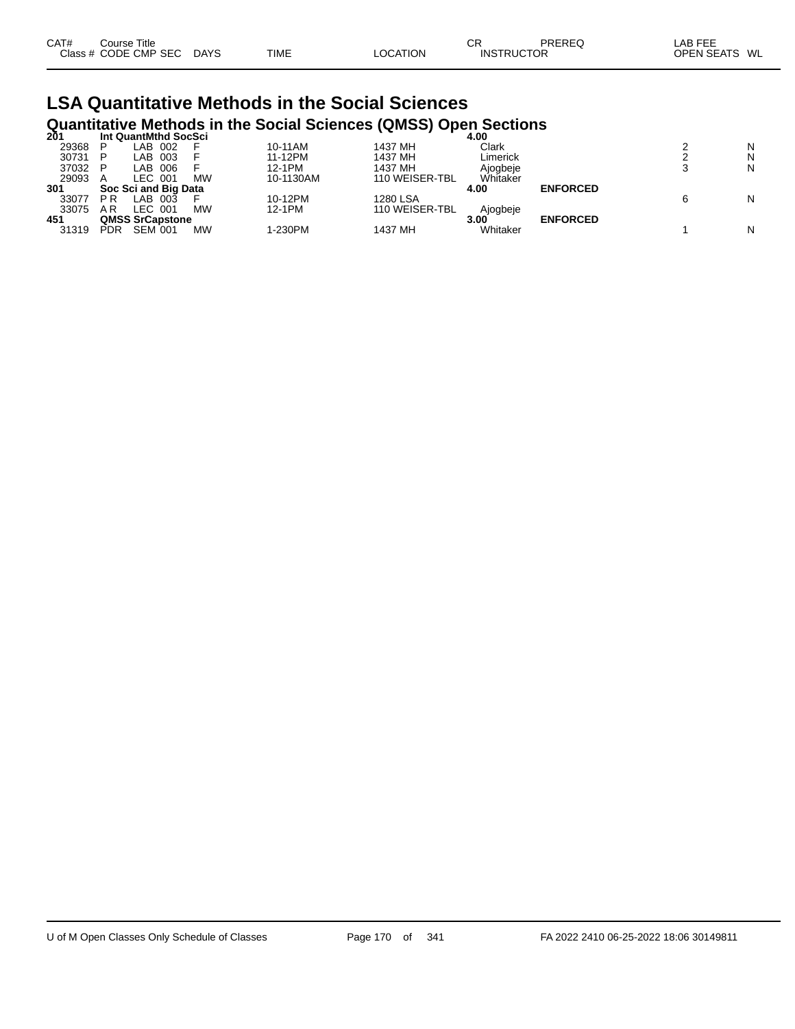| CAT# | Course Title         |        |             |          | СR                | PREREO | LAB FEE       |  |
|------|----------------------|--------|-------------|----------|-------------------|--------|---------------|--|
|      | Class # CODE CMP SEC | C DAYS | <b>TIME</b> | LOCATION | <b>INSTRUCTOR</b> |        | OPEN SEATS WL |  |

#### **LSA Quantitative Methods in the Social Sciences Quantitative Methods in the Social Sciences (QMSS) Open Sections**

| 201   |           | Int QuantMthd SocSci   |           |           |                | 4.00     |                 |   |
|-------|-----------|------------------------|-----------|-----------|----------------|----------|-----------------|---|
| 29368 |           | LAB 002                |           | 10-11AM   | 1437 MH        | Clark    |                 | N |
| 30731 |           | LAB 003                |           | 11-12PM   | 1437 MH        | Limerick |                 | N |
| 37032 |           | LAB 006                |           | 12-1PM    | 1437 MH        | Aioabeie |                 | N |
| 29093 |           | LEC 001                | <b>MW</b> | 10-1130AM | 110 WEISER-TBL | Whitaker |                 |   |
| 301   |           | Soc Sci and Big Data   |           |           |                | 4.00     | <b>ENFORCED</b> |   |
| 33077 | <b>PR</b> | _AB.<br>-003           |           | 10-12PM   | 1280 LSA       |          |                 | N |
| 33075 | A R       | LEC 001                | <b>MW</b> | 12-1PM    | 110 WEISER-TBL | Ajogbeje |                 |   |
| 451   |           | <b>QMSS SrCapstone</b> |           |           |                | 3.00     | <b>ENFORCED</b> |   |
| 31319 | PDR       | <b>SEM 001</b>         | MW        | 1-230PM   | 1437 MH        | Whitaker |                 | N |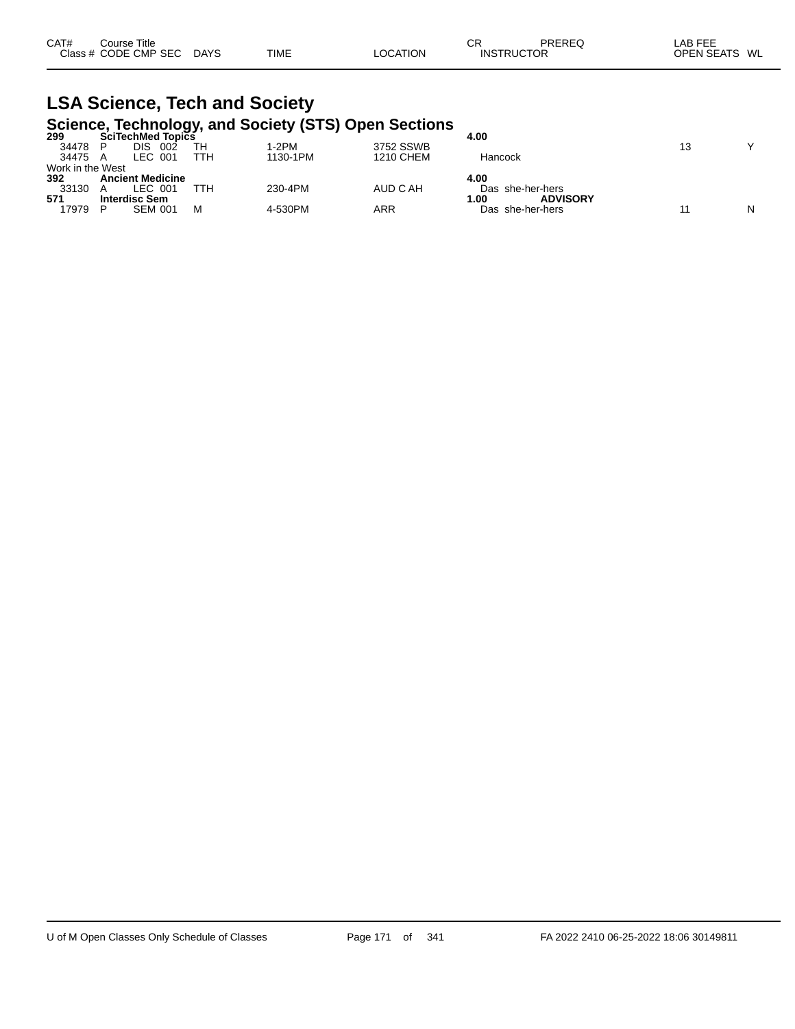| Class # CODE CMP SEC<br>OPEN SEATS WL<br><b>DAYS</b><br><b>TIME</b><br>LOCATION<br><b>INSTRUCTOR</b> | CAT# | Course Title |  | СR | PREREQ | ∟AB FEE |  |
|------------------------------------------------------------------------------------------------------|------|--------------|--|----|--------|---------|--|
|                                                                                                      |      |              |  |    |        |         |  |

# **LSA Science, Tech and Society**

|                  |                          |     | Science, Technology, and Society (STS) Open Sections |           |                         |    |              |
|------------------|--------------------------|-----|------------------------------------------------------|-----------|-------------------------|----|--------------|
| 299              | <b>SciTechMed Topics</b> |     |                                                      |           | 4.00                    |    |              |
| 34478            | 002<br>DIS               | TН  | $1-2PM$                                              | 3752 SSWB |                         | 13 | $\checkmark$ |
| 34475 A          | LEC 001                  | TTH | 1130-1PM                                             | 1210 CHEM | Hancock                 |    |              |
| Work in the West |                          |     |                                                      |           |                         |    |              |
| 392              | <b>Ancient Medicine</b>  |     |                                                      |           | 4.00                    |    |              |
| 33130            | LEC 001                  | TTH | 230-4PM                                              | AUD C AH  | Das she-her-hers        |    |              |
| 571              | <b>Interdisc Sem</b>     |     |                                                      |           | <b>ADVISORY</b><br>1.00 |    |              |
| 17979            | <b>SEM 001</b>           | м   | 4-530PM                                              | ARR       | Das she-her-hers        |    | N            |
|                  |                          |     |                                                      |           |                         |    |              |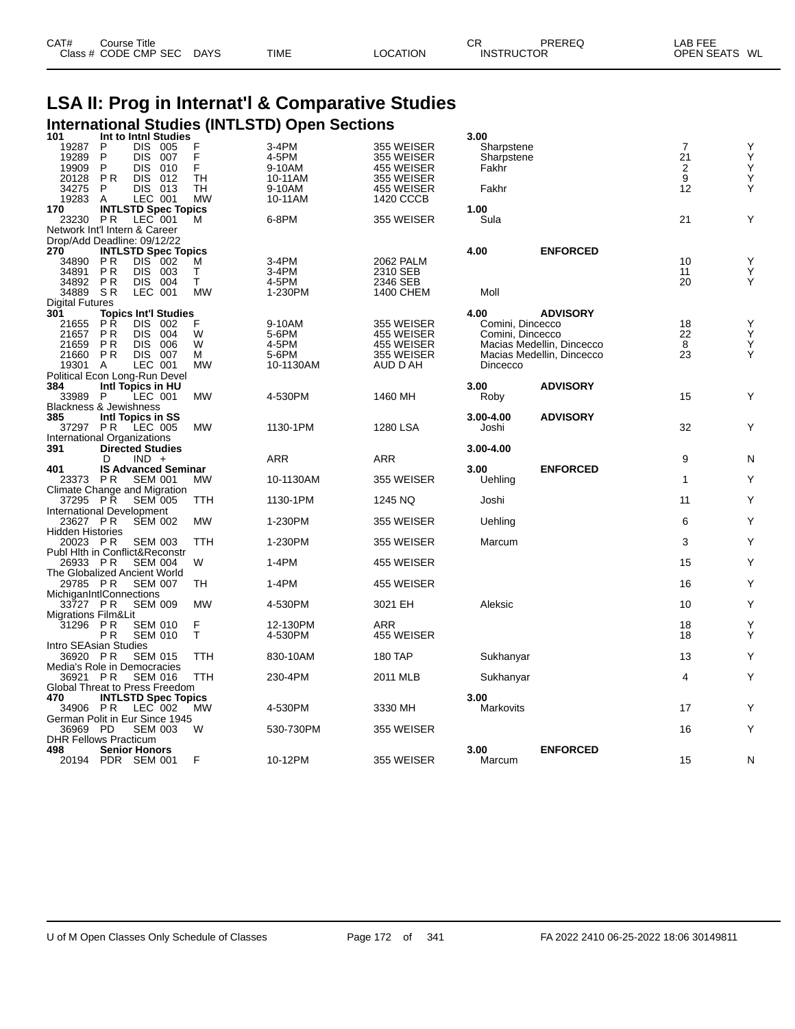| CAT# | Course Title         |             |             |          | СF | PREREQ            | AB FEE        |
|------|----------------------|-------------|-------------|----------|----|-------------------|---------------|
|      | Class # CODE CMP SEC | <b>DAYS</b> | <b>TIME</b> | LOCATION |    | <b>INSTRUCTOR</b> | OPEN SEATS WL |

# **LSA II: Prog in Internat'l & Comparative Studies International Studies (INTLSTD) Open Sections 101 Int to Intnl Studies 3.00**

| 101                                      | Int to Inthl Studies                       |                             |                |                   |                              | 3.00             |                           |                |        |
|------------------------------------------|--------------------------------------------|-----------------------------|----------------|-------------------|------------------------------|------------------|---------------------------|----------------|--------|
| 19287                                    | P<br><b>DIS</b>                            | 005                         | F              | 3-4PM             | 355 WEISER                   | Sharpstene       |                           | $\overline{7}$ | Υ      |
| 19289                                    | P<br><b>DIS</b>                            | 007                         | F              | 4-5PM             | 355 WEISER                   | Sharpstene       |                           | 21             | Υ      |
| 19909                                    | P<br><b>DIS</b>                            | 010                         | F<br><b>TH</b> | 9-10AM            | 455 WEISER                   | Fakhr            |                           | $\sqrt{2}$     | Υ      |
| 20128<br>34275                           | <b>PR</b><br><b>DIS</b><br>P<br><b>DIS</b> | 012<br>013                  | TH             | 10-11AM<br>9-10AM | 355 WEISER<br>455 WEISER     | Fakhr            |                           | 9<br>12        | Υ<br>Y |
| 19283                                    | A                                          | LEC 001                     | MW             | 10-11AM           | 1420 CCCB                    |                  |                           |                |        |
| 170                                      |                                            | <b>INTLSTD Spec Topics</b>  |                |                   |                              | 1.00             |                           |                |        |
| 23230                                    | <b>PR</b>                                  | LEC 001                     | м              | 6-8PM             | 355 WEISER                   | Sula             |                           | 21             | Υ      |
| Network Int'l Intern & Career            |                                            |                             |                |                   |                              |                  |                           |                |        |
| Drop/Add Deadline: 09/12/22              |                                            |                             |                |                   |                              |                  |                           |                |        |
| 270                                      |                                            | <b>INTLSTD Spec Topics</b>  |                |                   |                              | 4.00             | <b>ENFORCED</b>           |                |        |
| 34890                                    | <b>PR</b>                                  | DIS 002                     | м              | 3-4PM             | 2062 PALM                    |                  |                           | 10             | Υ      |
| 34891                                    | <b>PR</b><br><b>DIS</b>                    | 003                         | т<br>T         | 3-4PM             | 2310 SEB                     |                  |                           | 11             | Υ<br>Y |
| 34892<br>34889                           | P <sub>R</sub><br>SR                       | DIS 004<br>LEC 001          | <b>MW</b>      | 4-5PM<br>1-230PM  | 2346 SEB<br><b>1400 CHEM</b> | Moll             |                           | 20             |        |
| <b>Digital Futures</b>                   |                                            |                             |                |                   |                              |                  |                           |                |        |
| 301                                      |                                            | <b>Topics Int'l Studies</b> |                |                   |                              | 4.00             | <b>ADVISORY</b>           |                |        |
| 21655                                    | РŔ<br><b>DIS</b>                           | 002                         | F              | 9-10AM            | 355 WEISER                   | Comini, Dincecco |                           | 18             | Υ      |
| 21657                                    | <b>PR</b><br><b>DIS</b>                    | 004                         | W              | 5-6PM             | 455 WEISER                   | Comini, Dincecco |                           | 22             | Ý      |
| 21659                                    | <b>PR</b><br><b>DIS</b>                    | 006                         | W              | 4-5PM             | 455 WEISER                   |                  | Macias Medellin, Dincecco | 8              | Υ      |
| 21660                                    | <b>PR</b>                                  | <b>DIS 007</b>              | М              | 5-6PM             | 355 WEISER                   |                  | Macias Medellin, Dincecco | 23             | Υ      |
| 19301                                    | A                                          | LEC 001                     | МW             | 10-1130AM         | AUD D AH                     | Dincecco         |                           |                |        |
| Political Econ Long-Run Devel<br>384     |                                            |                             |                |                   |                              | 3.00             | <b>ADVISORY</b>           |                |        |
| 33989                                    | Intl Topics in HU<br>P                     | LEC 001                     | <b>MW</b>      | 4-530PM           | 1460 MH                      | Roby             |                           | 15             | Υ      |
| <b>Blackness &amp; Jewishness</b>        |                                            |                             |                |                   |                              |                  |                           |                |        |
| 385                                      | Intl Topics in SS                          |                             |                |                   |                              | 3.00-4.00        | <b>ADVISORY</b>           |                |        |
| 37297                                    | P R                                        | LEC 005                     | <b>MW</b>      | 1130-1PM          | 1280 LSA                     | Joshi            |                           | 32             | Y      |
| International Organizations              |                                            |                             |                |                   |                              |                  |                           |                |        |
| 391                                      | <b>Directed Studies</b>                    |                             |                |                   |                              | 3.00-4.00        |                           |                |        |
|                                          | D                                          | $IND +$                     |                | <b>ARR</b>        | ARR                          |                  |                           | 9              | N      |
|                                          |                                            |                             |                |                   |                              |                  |                           |                |        |
| 401                                      |                                            | <b>IS Advanced Seminar</b>  |                |                   |                              | 3.00             | <b>ENFORCED</b>           |                |        |
| 23373 PR                                 |                                            | <b>SEM 001</b>              | MW             | 10-1130AM         | 355 WEISER                   | Uehling          |                           | $\mathbf{1}$   | Υ      |
| Climate Change and Migration<br>37295 PR |                                            | <b>SEM 005</b>              | TTH            | 1130-1PM          | 1245 NQ                      | Joshi            |                           | 11             | Υ      |
| International Development                |                                            |                             |                |                   |                              |                  |                           |                |        |
| 23627 PR                                 |                                            | <b>SEM 002</b>              | МW             | 1-230PM           | 355 WEISER                   | Uehling          |                           | 6              | Υ      |
| <b>Hidden Histories</b>                  |                                            |                             |                |                   |                              |                  |                           |                |        |
| 20023 PR                                 |                                            | <b>SEM 003</b>              | <b>TTH</b>     | 1-230PM           | 355 WEISER                   | Marcum           |                           | 3              | Υ      |
| Publ Hith in Conflict&Reconstr           |                                            |                             |                |                   |                              |                  |                           |                |        |
| 26933 PR                                 |                                            | <b>SEM 004</b>              | W              | 1-4PM             | 455 WEISER                   |                  |                           | 15             | Υ      |
| The Globalized Ancient World<br>29785 PR |                                            | <b>SEM 007</b>              | TН             | 1-4PM             | 455 WEISER                   |                  |                           | 16             | Υ      |
| MichiganIntlConnections                  |                                            |                             |                |                   |                              |                  |                           |                |        |
| 33727 PR                                 |                                            | <b>SEM 009</b>              | <b>MW</b>      | 4-530PM           | 3021 EH                      | Aleksic          |                           | 10             | Υ      |
| Migrations Film&Lit                      |                                            |                             |                |                   |                              |                  |                           |                |        |
| 31296 PR                                 |                                            | <b>SEM 010</b>              | F              | 12-130PM          | ARR                          |                  |                           | 18             | Υ      |
|                                          | P <sub>R</sub>                             | <b>SEM 010</b>              | T.             | 4-530PM           | 455 WEISER                   |                  |                           | 18             | Υ      |
| Intro SEAsian Studies                    |                                            |                             |                |                   |                              |                  |                           |                |        |
| 36920 PR<br>Media's Role in Democracies  |                                            | <b>SEM 015</b>              | TTH            | 830-10AM          | 180 TAP                      | Sukhanyar        |                           | 13             | Υ      |
| 36921 PR                                 |                                            | <b>SEM 016</b>              | TTH            | 230-4PM           | 2011 MLB                     | Sukhanyar        |                           | 4              | Υ      |
| Global Threat to Press Freedom           |                                            |                             |                |                   |                              |                  |                           |                |        |
| 470                                      |                                            | <b>INTLSTD Spec Topics</b>  |                |                   |                              | 3.00             |                           |                |        |
| 34906 PR                                 |                                            | LEC 002                     | MW             | 4-530PM           | 3330 MH                      | Markovits        |                           | 17             | Υ      |
| German Polit in Eur Since 1945           |                                            |                             |                |                   |                              |                  |                           |                |        |
| 36969 PD<br><b>DHR Fellows Practicum</b> |                                            | <b>SEM 003</b>              | W              | 530-730PM         | 355 WEISER                   |                  |                           | 16             | Υ      |
| 498                                      | <b>Senior Honors</b>                       |                             | F              | 10-12PM           | 355 WEISER                   | 3.00             | <b>ENFORCED</b>           | 15             |        |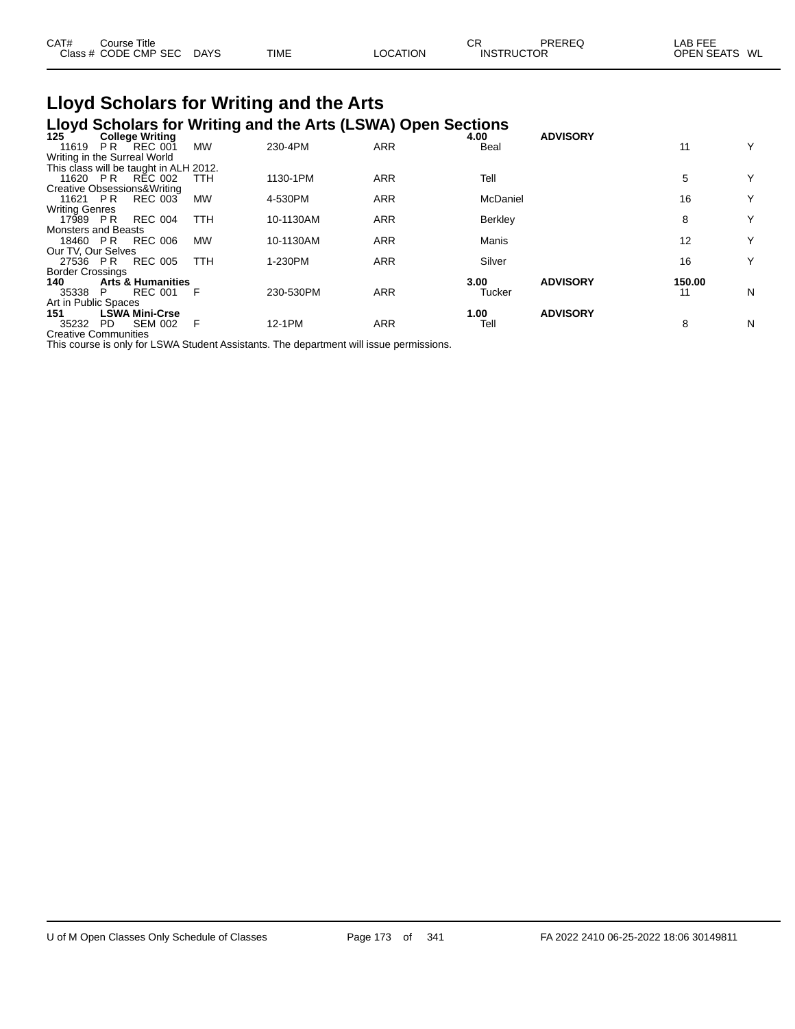| CAT# | Course Title         |      |             |          | СR                | PREREQ | _AB FEE       |  |
|------|----------------------|------|-------------|----------|-------------------|--------|---------------|--|
|      | Class # CODE CMP SEC | DAYS | <b>TIME</b> | LOCATION | <b>INSTRUCTOR</b> |        | OPEN SEATS WL |  |

#### **Lloyd Scholars for Writing and the Arts Lloyd Scholars for Writing and the Arts (LSWA) Open Sections**

| 125                         | <b>College Writing</b>                 |            | $\sim$ , we consider the company when the factor $\sim$ (so that $\sim$ point oppositions |            | 4.00     | <b>ADVISORY</b> |        |   |
|-----------------------------|----------------------------------------|------------|-------------------------------------------------------------------------------------------|------------|----------|-----------------|--------|---|
| 11619                       | $REC$ 001<br>PR.                       | <b>MW</b>  | 230-4PM                                                                                   | <b>ARR</b> | Beal     |                 | 11     | Y |
|                             | Writing in the Surreal World           |            |                                                                                           |            |          |                 |        |   |
|                             | This class will be taught in ALH 2012. |            |                                                                                           |            |          |                 |        |   |
| 11620                       | RÉC 002<br>PR                          | TTH        | 1130-1PM                                                                                  | <b>ARR</b> | Tell     |                 | 5      | Y |
|                             | Creative Obsessions& Writing           |            |                                                                                           |            |          |                 |        |   |
| 11621 PR                    | <b>REC 003</b>                         | <b>MW</b>  | 4-530PM                                                                                   | <b>ARR</b> | McDaniel |                 | 16     | Υ |
| <b>Writing Genres</b>       |                                        |            |                                                                                           |            |          |                 |        |   |
| 17989 PR                    | <b>REC 004</b>                         | TTH        | 10-1130AM                                                                                 | <b>ARR</b> | Berkley  |                 | 8      | Y |
| <b>Monsters and Beasts</b>  |                                        |            |                                                                                           |            |          |                 |        |   |
| 18460 PR                    | REC 006                                | <b>MW</b>  | 10-1130AM                                                                                 | <b>ARR</b> | Manis    |                 | 12     | Y |
| Our TV, Our Selves          |                                        |            |                                                                                           |            |          |                 |        |   |
| 27536 PR                    | <b>REC 005</b>                         | <b>TTH</b> | 1-230PM                                                                                   | <b>ARR</b> | Silver   |                 | 16     | Y |
| <b>Border Crossings</b>     |                                        |            |                                                                                           |            |          |                 |        |   |
| 140                         | <b>Arts &amp; Humanities</b>           |            |                                                                                           |            | 3.00     | <b>ADVISORY</b> | 150.00 |   |
| 35338                       | <b>REC 001</b><br>P.                   | - F        | 230-530PM                                                                                 | <b>ARR</b> | Tucker   |                 | 11     | N |
| Art in Public Spaces        |                                        |            |                                                                                           |            |          |                 |        |   |
| 151                         | <b>LSWA Mini-Crse</b>                  |            |                                                                                           |            | 1.00     | <b>ADVISORY</b> |        |   |
| 35232                       | <b>SEM 002</b><br>PD.                  | E          | 12-1PM                                                                                    | <b>ARR</b> | Tell     |                 | 8      | N |
| <b>Creative Communities</b> |                                        |            |                                                                                           |            |          |                 |        |   |

This course is only for LSWA Student Assistants. The department will issue permissions.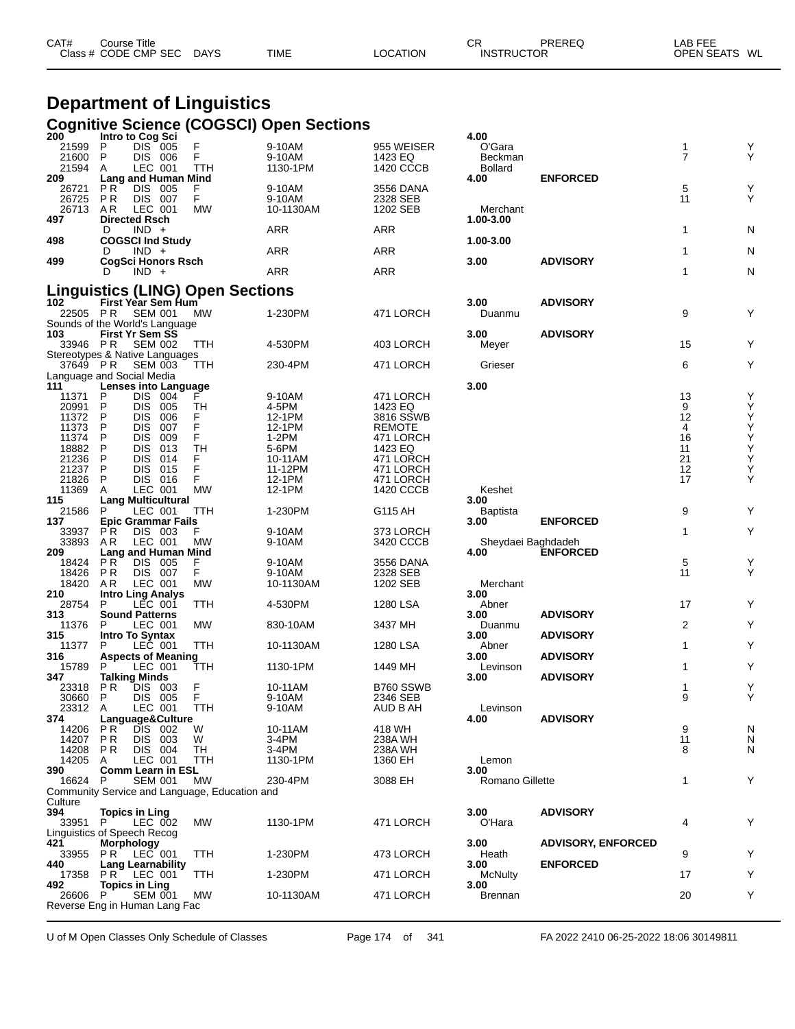| CAT# | Course Title         |             |             |          | СF                | PREREQ | LAB FEE       |
|------|----------------------|-------------|-------------|----------|-------------------|--------|---------------|
|      | Class # CODE CMP SEC | <b>DAYS</b> | <b>TIME</b> | LOCATION | <b>INSTRUCTOR</b> |        | OPEN SEATS WL |

# **Department of Linguistics**

|                                       |                      |                                                  |                                               | Cognitive Science (COGSCI) Open Sections |                      |                         |                           |                |               |
|---------------------------------------|----------------------|--------------------------------------------------|-----------------------------------------------|------------------------------------------|----------------------|-------------------------|---------------------------|----------------|---------------|
| 200<br>21599                          | P                    | Intro to Cog Sci<br>DIS 005                      | F                                             | 9-10AM                                   | 955 WEISER           | 4.00<br>O'Gara          |                           | 1              | Υ             |
| 21600                                 | P                    | DIS 006                                          | F                                             | 9-10AM                                   | 1423 EQ              | Beckman                 |                           | $\overline{7}$ | Y             |
| 21594                                 | A                    | LEC 001                                          | TTH                                           | 1130-1PM                                 | 1420 CCCB            | <b>Bollard</b>          |                           |                |               |
| 209                                   | P R                  | Lang and Human Mind<br><b>DIS</b><br>005         | F                                             | 9-10AM                                   | 3556 DANA            | 4.00                    | <b>ENFORCED</b>           | 5              | Υ             |
| 26721<br>26725                        | P R                  | DIS 007                                          | F                                             | 9-10AM                                   | 2328 SEB             |                         |                           | 11             | Υ             |
| 26713                                 | AR.                  | LEC 001                                          | MW                                            | 10-1130AM                                | 1202 SEB             | Merchant                |                           |                |               |
| 497                                   |                      | <b>Directed Rsch</b>                             |                                               |                                          |                      | 1.00-3.00               |                           |                |               |
| 498                                   | D                    | $IND +$<br><b>COGSCI Ind Study</b>               |                                               | ARR                                      | ARR                  | 1.00-3.00               |                           | 1              | N             |
|                                       | D                    | $IND +$                                          |                                               | ARR                                      | ARR                  |                         |                           | 1              | N             |
| 499                                   |                      | <b>CogSci Honors Rsch</b>                        |                                               |                                          |                      | 3.00                    | <b>ADVISORY</b>           |                |               |
|                                       | D                    | $IND +$                                          |                                               | ARR                                      | <b>ARR</b>           |                         |                           | 1              | N             |
|                                       |                      |                                                  | <b>Linguistics (LING) Open Sections</b>       |                                          |                      |                         |                           |                |               |
| 102                                   |                      | First Year Sem Hum                               |                                               |                                          |                      | 3.00                    | <b>ADVISORY</b>           |                |               |
| 22505 PR                              |                      | <b>SEM 001</b><br>Sounds of the World's Language | МW                                            | 1-230PM                                  | 471 LORCH            | Duanmu                  |                           | 9              | Υ             |
| 103                                   |                      | <b>First Yr Sem SS</b>                           |                                               |                                          |                      | 3.00                    | <b>ADVISORY</b>           |                |               |
| 33946                                 | P R                  | <b>SEM 002</b>                                   | TTH                                           | 4-530PM                                  | 403 LORCH            | Meyer                   |                           | 15             | Y             |
|                                       |                      | Stereotypes & Native Languages                   |                                               |                                          |                      |                         |                           |                |               |
| 37649 PR<br>Language and Social Media |                      | <b>SEM 003</b>                                   | TTH                                           | 230-4PM                                  | 471 LORCH            | Grieser                 |                           | 6              | Υ             |
| 111                                   |                      | Lenses into Language                             |                                               |                                          |                      | 3.00                    |                           |                |               |
| 11371                                 | P                    | DIS 004                                          |                                               | 9-10AM                                   | 471 LORCH            |                         |                           | 13             | Υ             |
| 20991                                 | P                    | DIS.<br>005                                      | TН                                            | 4-5PM                                    | 1423 EQ              |                         |                           | 9              | Υ             |
| 11372                                 | P                    | 006<br><b>DIS</b>                                | F<br>F                                        | 12-1PM                                   | 3816 SSWB            |                         |                           | 12             | $\frac{Y}{Y}$ |
| 11373<br>11374                        | P<br>P               | DIS.<br>007<br>009                               | F                                             | 12-1PM                                   | <b>REMOTE</b>        |                         |                           | 4<br>16        |               |
| 18882                                 | P                    | DIS.<br>013<br><b>DIS</b>                        | TН                                            | 1-2PM<br>5-6PM                           | 471 LORCH<br>1423 EQ |                         |                           | 11             | Y<br>Y<br>Y   |
| 21236                                 | P                    | DIS.<br>014                                      | F.                                            | 10-11AM                                  | 471 LORCH            |                         |                           | 21             |               |
| 21237                                 | P                    | DIS.<br>015                                      | F                                             | 11-12PM                                  | 471 LORCH            |                         |                           | 12             | Υ             |
| 21826                                 | P                    | DIS 016                                          | F                                             | 12-1PM                                   | 471 LORCH            |                         |                           | 17             | Υ             |
| 11369<br>115                          | A                    | LEC 001<br><b>Lang Multicultural</b>             | <b>MW</b>                                     | 12-1PM                                   | 1420 CCCB            | Keshet<br>3.00          |                           |                |               |
| 21586                                 | P                    | LEC 001                                          | TTH                                           | 1-230PM                                  | G115 AH              | <b>Baptista</b>         |                           | 9              | Υ             |
| 137                                   |                      | <b>Epic Grammar Fails</b>                        |                                               |                                          |                      | 3.00                    | <b>ENFORCED</b>           |                |               |
| 33937                                 | P R                  | DIS 003                                          |                                               | 9-10AM                                   | 373 LORCH            |                         |                           | 1              | Υ             |
| 33893<br>209                          | AR.                  | LEC 001                                          | МW                                            | 9-10AM                                   | 3420 CCCB            | Sheydaei Baghdadeh      | <b>ENFORCED</b>           |                |               |
| 18424                                 | P R                  | Lang and Human Mind<br>DIS 005                   | F                                             | 9-10AM                                   | 3556 DANA            | 4.00                    |                           | 5              | Υ             |
| 18426                                 | P R                  | DIS 007                                          | F.                                            | 9-10AM                                   | 2328 SEB             |                         |                           | 11             | Y             |
| 18420                                 | AR.                  | LEC 001                                          | МW                                            | 10-1130AM                                | 1202 SEB             | Merchant                |                           |                |               |
| 210                                   |                      | <b>Intro Ling Analys</b>                         |                                               |                                          |                      | 3.00                    |                           |                |               |
| 28754<br>313                          | P                    | LEC 001<br><b>Sound Patterns</b>                 | TTH                                           | 4-530PM                                  | 1280 LSA             | Abner<br>3.00           | <b>ADVISORY</b>           | 17             | Υ             |
| 11376                                 | P                    | LEC 001                                          | МW                                            | 830-10AM                                 | 3437 MH              | Duanmu                  |                           | 2              | Υ             |
| 315                                   |                      | Intro To Syntax                                  |                                               |                                          |                      | 3.00                    | <b>ADVISORY</b>           |                |               |
| 11377                                 | P                    | LEC 001                                          | TTH                                           | 10-1130AM                                | 1280 LSA             | Abner                   |                           | 1              | Υ             |
| 316<br>15789                          | P                    | <b>Aspects of Meaning</b><br>LEC 001             | TTH                                           | 1130-1PM                                 | 1449 MH              | 3.00<br>Levinson        | <b>ADVISORY</b>           | 1              | Υ             |
| 347                                   | <b>Talking Minds</b> |                                                  |                                               |                                          |                      | 3.00                    | <b>ADVISORY</b>           |                |               |
| 23318                                 | P R                  | DIS 003                                          | F                                             | 10-11AM                                  | B760 SSWB            |                         |                           | 1              | Υ             |
| 30660                                 | P                    | DIS 005                                          | F                                             | 9-10AM                                   | 2346 SEB             |                         |                           | 9              | Υ             |
| 23312 A                               |                      | LEC 001                                          | <b>TTH</b>                                    | 9-10AM                                   | AUD B AH             | Levinson                |                           |                |               |
| 374<br>14206                          | P <sub>R</sub>       | Language&Culture<br>DIS 002                      | W                                             | 10-11AM                                  | 418 WH               | 4.00                    | <b>ADVISORY</b>           | 9              | N             |
| 14207                                 | P R                  | DIS 003                                          | W                                             | 3-4PM                                    | 238A WH              |                         |                           | 11             | N             |
| 14208                                 | P R                  | DIS 004                                          | TН                                            | 3-4PM                                    | 238A WH              |                         |                           | 8              | N             |
| 14205                                 | A                    | LEC 001                                          | TTH                                           | 1130-1PM                                 | 1360 EH              | Lemon                   |                           |                |               |
| 390                                   | P                    | <b>Comm Learn in ESL</b><br><b>SEM 001</b>       | МW                                            |                                          |                      | 3.00<br>Romano Gillette |                           | 1              | Υ             |
| 16624                                 |                      |                                                  | Community Service and Language, Education and | 230-4PM                                  | 3088 EH              |                         |                           |                |               |
| Culture                               |                      |                                                  |                                               |                                          |                      |                         |                           |                |               |
| 394                                   |                      | <b>Topics in Ling</b>                            |                                               |                                          |                      | 3.00                    | <b>ADVISORY</b>           |                |               |
| 33951                                 | P                    | LEC 002                                          | МW                                            | 1130-1PM                                 | 471 LORCH            | O'Hara                  |                           | 4              | Υ             |
| Linguistics of Speech Recog<br>421    | <b>Morphology</b>    |                                                  |                                               |                                          |                      | 3.00                    | <b>ADVISORY, ENFORCED</b> |                |               |
| 33955                                 | <b>PR</b>            | LEC 001                                          | TTH                                           | 1-230PM                                  | 473 LORCH            | Heath                   |                           | 9              | Υ             |
| 440                                   |                      | <b>Lang Learnability</b>                         |                                               |                                          |                      | 3.00                    | <b>ENFORCED</b>           |                |               |
| 17358                                 |                      | <b>PR LEC 001</b>                                | TTH                                           | 1-230PM                                  | 471 LORCH            | <b>McNulty</b>          |                           | 17             | Υ             |
| 492<br>26606                          | P                    | <b>Topics in Ling</b><br><b>SEM 001</b>          | МW                                            | 10-1130AM                                | 471 LORCH            | 3.00<br><b>Brennan</b>  |                           | 20             | Υ             |
|                                       |                      | Reverse Eng in Human Lang Fac                    |                                               |                                          |                      |                         |                           |                |               |
|                                       |                      |                                                  |                                               |                                          |                      |                         |                           |                |               |

U of M Open Classes Only Schedule of Classes Page 174 of 341 FA 2022 2410 06-25-2022 18:06 30149811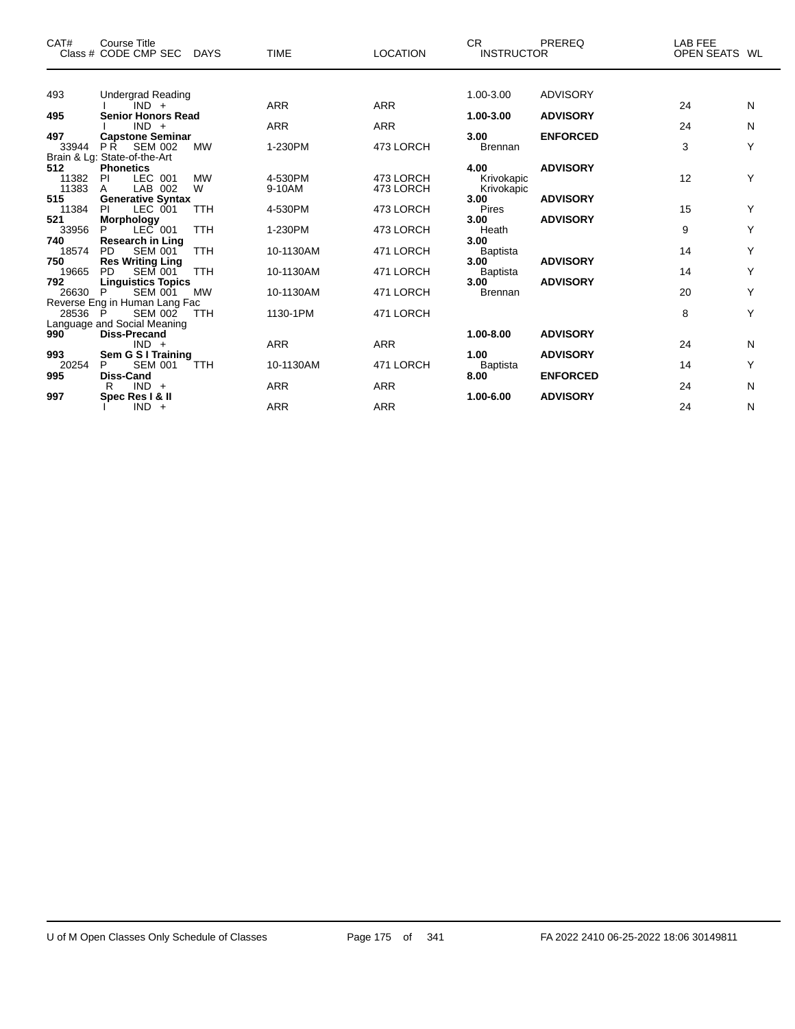| CAT#                  | Course Title<br>Class # CODE CMP SEC DAYS                                                       | <b>TIME</b>       | <b>LOCATION</b>        | CR.<br><b>INSTRUCTOR</b>           | PREREQ                             | LAB FEE<br>OPEN SEATS WL |        |
|-----------------------|-------------------------------------------------------------------------------------------------|-------------------|------------------------|------------------------------------|------------------------------------|--------------------------|--------|
| 493                   | <b>Undergrad Reading</b>                                                                        |                   |                        | 1.00-3.00                          | <b>ADVISORY</b>                    |                          |        |
|                       | $IND +$                                                                                         | <b>ARR</b>        | <b>ARR</b>             |                                    |                                    | 24                       | N      |
| 495                   | <b>Senior Honors Read</b>                                                                       | <b>ARR</b>        | <b>ARR</b>             | 1.00-3.00                          | <b>ADVISORY</b>                    |                          |        |
| 497<br>33944          | $IND +$<br><b>Capstone Seminar</b><br>PŔ.<br>SEM 002<br><b>MW</b>                               | 1-230PM           | 473 LORCH              | 3.00<br><b>Brennan</b>             | <b>ENFORCED</b>                    | 24<br>3                  | N<br>Υ |
| 512<br>11382          | Brain & Lg: State-of-the-Art<br><b>Phonetics</b><br>LEC 001<br><b>MW</b><br><b>PI</b>           | 4-530PM           | 473 LORCH              | 4.00<br>Krivokapic                 | <b>ADVISORY</b>                    | 12                       | Y      |
| 11383<br>515<br>11384 | LAB 002<br>W<br>A<br><b>Generative Syntax</b><br>LEC 001<br><b>TTH</b><br><b>PI</b>             | 9-10AM<br>4-530PM | 473 LORCH<br>473 LORCH | Krivokapic<br>3.00<br><b>Pires</b> | <b>ADVISORY</b>                    | 15                       | Y      |
| 521<br>33956          | <b>Morphology</b><br>$LEC$ 001<br><b>TTH</b><br>P                                               | 1-230PM           | 473 LORCH              | 3.00<br>Heath                      | <b>ADVISORY</b>                    | 9                        | Y      |
| 740<br>18574<br>750   | <b>Research in Ling</b><br><b>PD</b><br><b>SEM 001</b><br><b>TTH</b><br><b>Res Writing Ling</b> | 10-1130AM         | 471 LORCH              | 3.00<br><b>Baptista</b><br>3.00    | <b>ADVISORY</b>                    | 14                       | Υ      |
| 19665<br>792          | <b>SEM 001</b><br><b>PD</b><br><b>TTH</b><br><b>Linguistics Topics</b>                          | 10-1130AM         | 471 LORCH              | <b>Baptista</b><br>3.00            | <b>ADVISORY</b>                    | 14                       | Υ      |
| 26630                 | <b>SEM 001</b><br><b>MW</b><br>P<br>Reverse Eng in Human Lang Fac                               | 10-1130AM         | 471 LORCH              | Brennan                            |                                    | 20                       | Υ      |
| 28536                 | - P<br><b>SEM 002</b><br><b>TTH</b><br>Language and Social Meaning                              | 1130-1PM          | 471 LORCH              |                                    |                                    | 8                        | Y      |
| 990                   | <b>Diss-Precand</b><br>$IND +$                                                                  | <b>ARR</b>        | <b>ARR</b>             | 1.00-8.00                          | <b>ADVISORY</b>                    | 24                       | N      |
| 993<br>20254<br>995   | Sem G S I Training<br>P<br><b>SEM 001</b><br><b>TTH</b><br>Diss-Cand                            | 10-1130AM         | 471 LORCH              | 1.00<br><b>Baptista</b><br>8.00    | <b>ADVISORY</b><br><b>ENFORCED</b> | 14                       | Y      |
| 997                   | $IND +$<br>R<br>Spec Res I & II                                                                 | <b>ARR</b>        | <b>ARR</b>             | 1.00-6.00                          | <b>ADVISORY</b>                    | 24                       | N      |
|                       | $IND +$                                                                                         | ARR               | <b>ARR</b>             |                                    |                                    | 24                       | N      |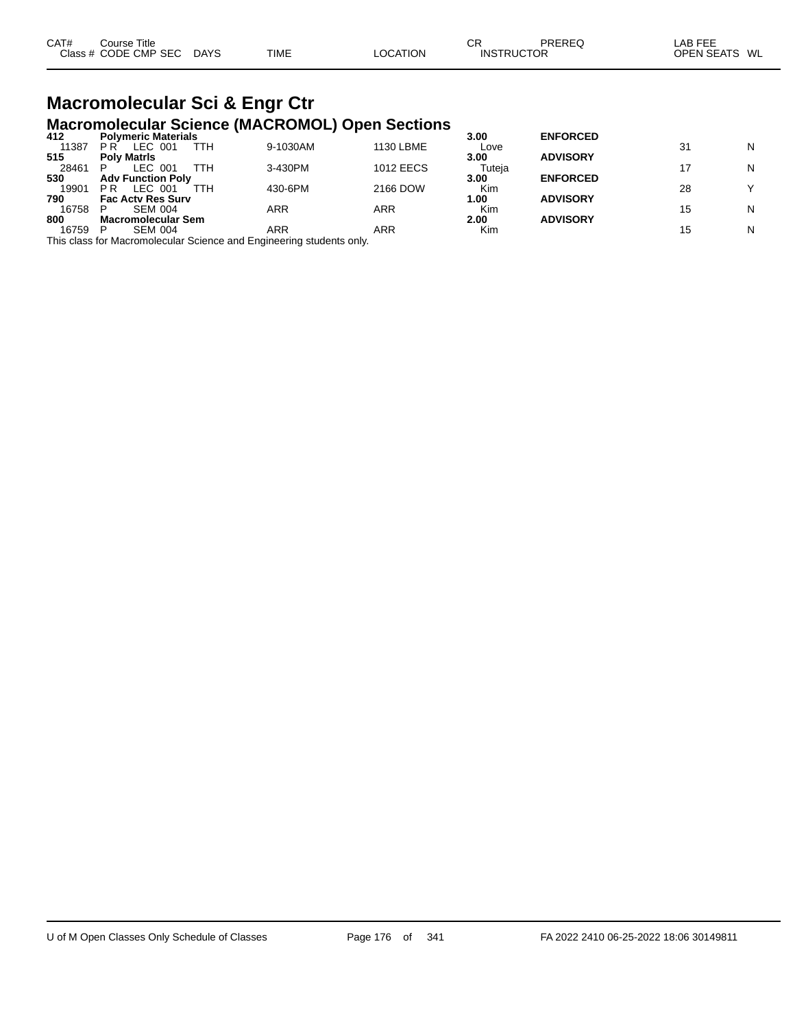| CAT# | Course Title              |             |          | СF                | PREREQ | LAB FEE       |
|------|---------------------------|-------------|----------|-------------------|--------|---------------|
|      | Class # CODE CMP SEC DAYS | <b>TIME</b> | LOCATION | <b>INSTRUCTOR</b> |        | OPEN SEATS WL |
|      |                           |             |          |                   |        |               |

#### **Macromolecular Sci & Engr Ctr Macromolecular Science (MACROMOL) Open Sections**

| N |
|---|
|   |
|   |
| N |
|   |
|   |
|   |
| N |
|   |
| N |
|   |

This class for Macromolecular Science and Engineering students only.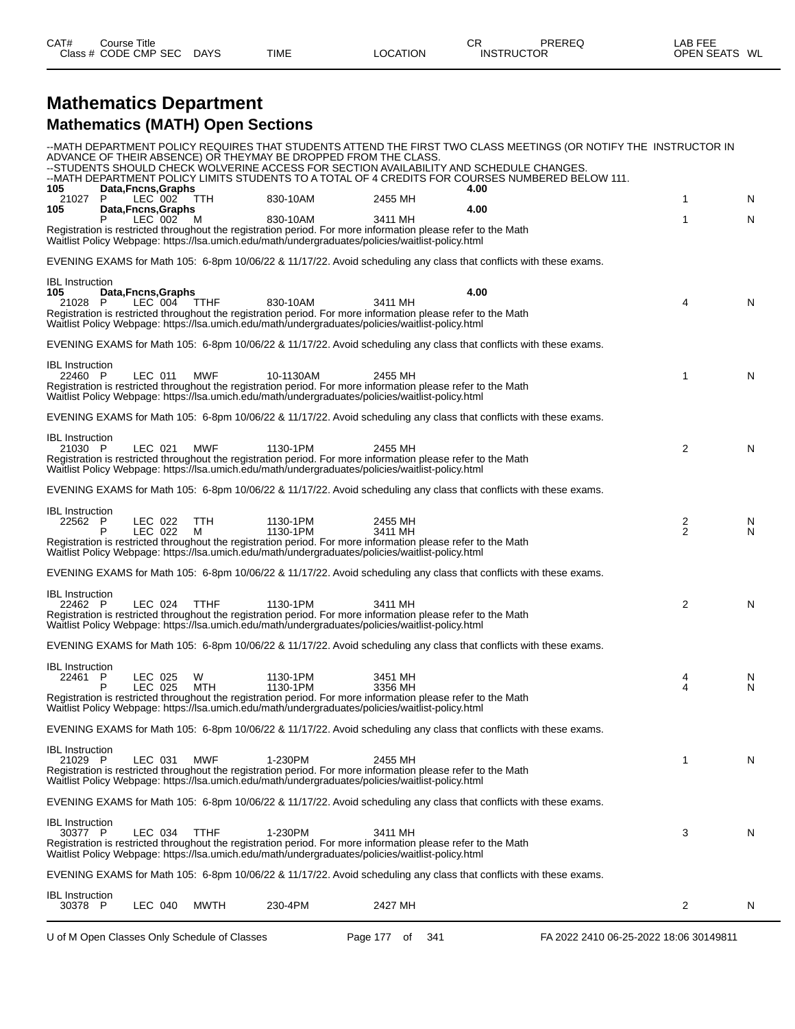| CAT#<br>Course i     | Title       |             |          | СF | PREREQ            | LAB FEE       |
|----------------------|-------------|-------------|----------|----|-------------------|---------------|
| Class # CODE CMP SEC | <b>DAYS</b> | <b>TIME</b> | LOCATION |    | <b>INSTRUCTOR</b> | OPEN SEATS WL |

### **Mathematics Department Mathematics (MATH) Open Sections**

|                                          |                                |             | ADVANCE OF THEIR ABSENCE) OR THEYMAY BE DROPPED FROM THE CLASS.                                                                                                                                                                          |                    | --MATH DEPARTMENT POLICY REQUIRES THAT STUDENTS ATTEND THE FIRST TWO CLASS MEETINGS (OR NOTIFY THE INSTRUCTOR IN<br>--STUDENTS SHOULD CHECK WOLVERINE ACCESS FOR SECTION AVAILABILITY AND SCHEDULE CHANGES.<br>--MATH DEPARTMENT POLICY LIMITS STUDENTS TO A TOTAL OF 4 CREDITS FOR COURSES NUMBERED BELOW 111. |                |        |
|------------------------------------------|--------------------------------|-------------|------------------------------------------------------------------------------------------------------------------------------------------------------------------------------------------------------------------------------------------|--------------------|-----------------------------------------------------------------------------------------------------------------------------------------------------------------------------------------------------------------------------------------------------------------------------------------------------------------|----------------|--------|
| 105<br>P<br>21027                        | Data, Fncns, Graphs<br>LEC 002 | <b>TTH</b>  | 830-10AM                                                                                                                                                                                                                                 | 2455 MH            | 4.00                                                                                                                                                                                                                                                                                                            | 1              | N      |
| 105                                      | Data, Fncns, Graphs<br>LEC 002 | м           | 830-10AM<br>Registration is restricted throughout the registration period. For more information please refer to the Math<br>Waitlist Policy Webpage: https://lsa.umich.edu/math/undergraduates/policies/waitlist-policy.html             | 3411 MH            | 4.00                                                                                                                                                                                                                                                                                                            | 1              | N      |
|                                          |                                |             |                                                                                                                                                                                                                                          |                    | EVENING EXAMS for Math 105: 6-8pm 10/06/22 & 11/17/22. Avoid scheduling any class that conflicts with these exams.                                                                                                                                                                                              |                |        |
| <b>IBL</b> Instruction<br>105<br>21028 P | Data, Fncns, Graphs<br>LEC 004 | <b>TTHF</b> | 830-10AM<br>Registration is restricted throughout the registration period. For more information please refer to the Math<br>Waitlist Policy Webpage: https://lsa.umich.edu/math/undergraduates/policies/waitlist-policy.html             | 3411 MH            | 4.00                                                                                                                                                                                                                                                                                                            | 4              | N      |
|                                          |                                |             |                                                                                                                                                                                                                                          |                    | EVENING EXAMS for Math 105: 6-8pm 10/06/22 & 11/17/22. Avoid scheduling any class that conflicts with these exams.                                                                                                                                                                                              |                |        |
| <b>IBL</b> Instruction<br>22460 P        | LEC 011                        | <b>MWF</b>  | 10-1130AM<br>Registration is restricted throughout the registration period. For more information please refer to the Math<br>Waitlist Policy Webpage: https://lsa.umich.edu/math/undergraduates/policies/waitlist-policy.html            | 2455 MH            |                                                                                                                                                                                                                                                                                                                 | 1              | N      |
|                                          |                                |             |                                                                                                                                                                                                                                          |                    | EVENING EXAMS for Math 105: 6-8pm 10/06/22 & 11/17/22. Avoid scheduling any class that conflicts with these exams.                                                                                                                                                                                              |                |        |
| <b>IBL</b> Instruction<br>21030 P        | LEC 021                        | <b>MWF</b>  | 1130-1PM<br>Registration is restricted throughout the registration period. For more information please refer to the Math<br>Waitlist Policy Webpage: https://lsa.umich.edu/math/undergraduates/policies/waitlist-policy.html             | 2455 MH            |                                                                                                                                                                                                                                                                                                                 | $\overline{2}$ | N      |
|                                          |                                |             |                                                                                                                                                                                                                                          |                    | EVENING EXAMS for Math 105: 6-8pm 10/06/22 & 11/17/22. Avoid scheduling any class that conflicts with these exams.                                                                                                                                                                                              |                |        |
| <b>IBL</b> Instruction<br>22562 P        | LEC 022<br>LEC 022             | TTH<br>м    | 1130-1PM<br>1130-1PM<br>Registration is restricted throughout the registration period. For more information please refer to the Math<br>Waitlist Policy Webpage: https://lsa.umich.edu/math/undergraduates/policies/waitlist-policy.html | 2455 MH<br>3411 MH |                                                                                                                                                                                                                                                                                                                 | $\frac{2}{2}$  | N<br>N |
|                                          |                                |             |                                                                                                                                                                                                                                          |                    | EVENING EXAMS for Math 105: 6-8pm 10/06/22 & 11/17/22. Avoid scheduling any class that conflicts with these exams.                                                                                                                                                                                              |                |        |
| <b>IBL</b> Instruction<br>22462 P        | LEC 024                        | <b>TTHF</b> | 1130-1PM<br>Registration is restricted throughout the registration period. For more information please refer to the Math<br>Waitlist Policy Webpage: https://lsa.umich.edu/math/undergraduates/policies/waitlist-policy.html             | 3411 MH            |                                                                                                                                                                                                                                                                                                                 | 2              | N      |
|                                          |                                |             |                                                                                                                                                                                                                                          |                    | EVENING EXAMS for Math 105: 6-8pm 10/06/22 & 11/17/22. Avoid scheduling any class that conflicts with these exams.                                                                                                                                                                                              |                |        |
| <b>IBL</b> Instruction<br>22461 P<br>P   | LEC 025<br>LEC 025             | W<br>MTH    | 1130-1PM<br>1130-1PM<br>Registration is restricted throughout the registration period. For more information please refer to the Math<br>Waitlist Policy Webpage: https://lsa.umich.edu/math/undergraduates/policies/waitlist-policy.html | 3451 MH<br>3356 MH |                                                                                                                                                                                                                                                                                                                 | 4<br>4         | N<br>N |
|                                          |                                |             |                                                                                                                                                                                                                                          |                    | EVENING EXAMS for Math 105: 6-8pm 10/06/22 & 11/17/22. Avoid scheduling any class that conflicts with these exams.                                                                                                                                                                                              |                |        |
| <b>IBL</b> Instruction<br>21029 P        | LEC 031                        | <b>MWF</b>  | 1-230PM<br>Registration is restricted throughout the registration period. For more information please refer to the Math<br>Waitlist Policy Webpage: https://lsa.umich.edu/math/undergraduates/policies/waitlist-policy.html              | 2455 MH            |                                                                                                                                                                                                                                                                                                                 | 1              | N      |
|                                          |                                |             |                                                                                                                                                                                                                                          |                    | EVENING EXAMS for Math 105: 6-8pm 10/06/22 & 11/17/22. Avoid scheduling any class that conflicts with these exams.                                                                                                                                                                                              |                |        |
| <b>IBL</b> Instruction<br>30377 P        | LEC 034                        | <b>TTHF</b> | 1-230PM<br>Registration is restricted throughout the registration period. For more information please refer to the Math<br>Waitlist Policy Webpage: https://lsa.umich.edu/math/undergraduates/policies/waitlist-policy.html              | 3411 MH            |                                                                                                                                                                                                                                                                                                                 | 3              | N      |
|                                          |                                |             |                                                                                                                                                                                                                                          |                    | EVENING EXAMS for Math 105: 6-8pm 10/06/22 & 11/17/22. Avoid scheduling any class that conflicts with these exams.                                                                                                                                                                                              |                |        |
| <b>IBL</b> Instruction<br>30378 P        | LEC 040                        | MWTH        | 230-4PM                                                                                                                                                                                                                                  | 2427 MH            |                                                                                                                                                                                                                                                                                                                 | 2              | N      |
|                                          |                                |             |                                                                                                                                                                                                                                          |                    |                                                                                                                                                                                                                                                                                                                 |                |        |

U of M Open Classes Only Schedule of Classes Page 177 of 341 FA 2022 2410 06-25-2022 18:06 30149811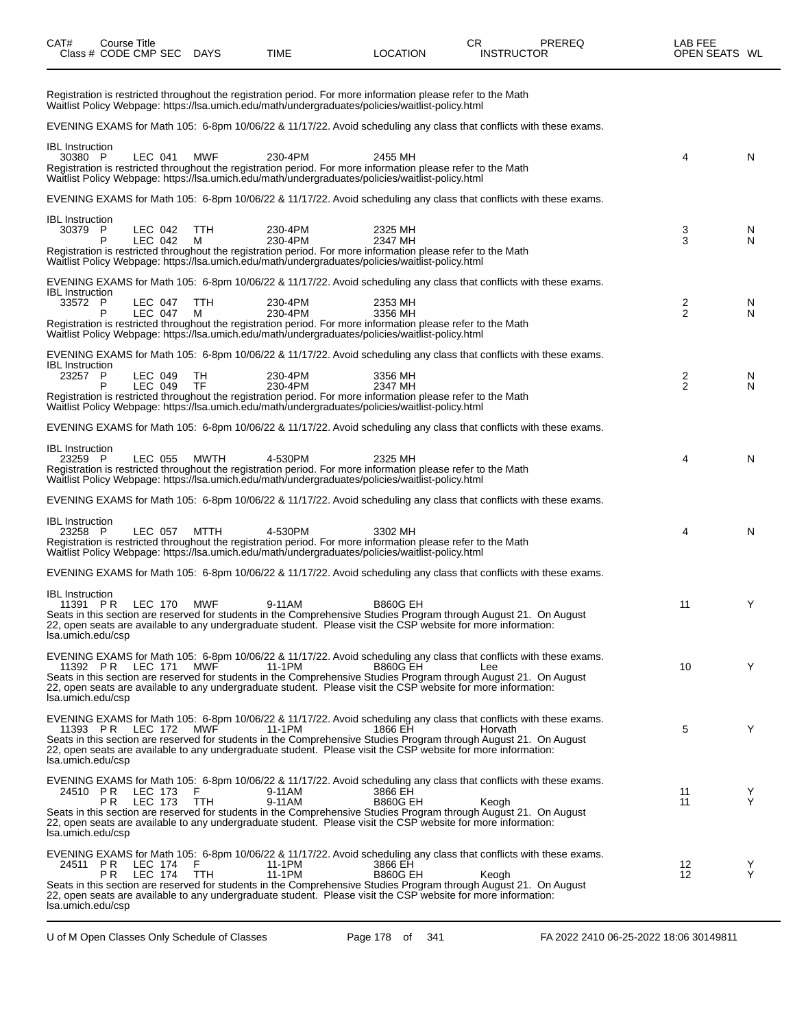| CAT#                                                    | Course Title<br>Class # CODE CMP SEC DAYS |                    |                 | TIME                                                                                                                                                                                                                                                                                                                                                                         | <b>LOCATION</b>            | CR.<br><b>INSTRUCTOR</b> | <b>PREREQ</b> | LAB FEE<br>OPEN SEATS WL |        |
|---------------------------------------------------------|-------------------------------------------|--------------------|-----------------|------------------------------------------------------------------------------------------------------------------------------------------------------------------------------------------------------------------------------------------------------------------------------------------------------------------------------------------------------------------------------|----------------------------|--------------------------|---------------|--------------------------|--------|
|                                                         |                                           |                    |                 | Registration is restricted throughout the registration period. For more information please refer to the Math<br>Waitlist Policy Webpage: https://lsa.umich.edu/math/undergraduates/policies/waitlist-policy.html                                                                                                                                                             |                            |                          |               |                          |        |
|                                                         |                                           |                    |                 | EVENING EXAMS for Math 105: 6-8pm 10/06/22 & 11/17/22. Avoid scheduling any class that conflicts with these exams.                                                                                                                                                                                                                                                           |                            |                          |               |                          |        |
| <b>IBL</b> Instruction<br>30380 P                       |                                           | LEC 041            | <b>MWF</b>      | 230-4PM<br>Registration is restricted throughout the registration period. For more information please refer to the Math<br>Waitlist Policy Webpage: https://lsa.umich.edu/math/undergraduates/policies/waitlist-policy.html                                                                                                                                                  | 2455 MH                    |                          |               | 4                        | N      |
|                                                         |                                           |                    |                 | EVENING EXAMS for Math 105: 6-8pm 10/06/22 & 11/17/22. Avoid scheduling any class that conflicts with these exams.                                                                                                                                                                                                                                                           |                            |                          |               |                          |        |
| <b>IBL</b> Instruction<br>30379 P                       | P                                         | LEC 042<br>LEC 042 | TTH<br>м        | 230-4PM<br>230-4PM<br>Registration is restricted throughout the registration period. For more information please refer to the Math<br>Waitlist Policy Webpage: https://lsa.umich.edu/math/undergraduates/policies/waitlist-policy.html                                                                                                                                       | 2325 MH<br>2347 MH         |                          |               | 3<br>3                   | N<br>N |
| <b>IBL</b> Instruction<br>33572 P                       | P                                         | LEC 047<br>LEC 047 | <b>TTH</b><br>М | EVENING EXAMS for Math 105: 6-8pm 10/06/22 & 11/17/22. Avoid scheduling any class that conflicts with these exams.<br>230-4PM<br>230-4PM<br>Registration is restricted throughout the registration period. For more information please refer to the Math<br>Waitlist Policy Webpage: https://lsa.umich.edu/math/undergraduates/policies/waitlist-policy.html                 | 2353 MH<br>3356 MH         |                          |               | 2<br>$\overline{2}$      | N<br>N |
| <b>IBL</b> Instruction<br>23257 P                       | P                                         | LEC 049<br>LEC 049 | TН<br><b>TF</b> | EVENING EXAMS for Math 105: 6-8pm 10/06/22 & 11/17/22. Avoid scheduling any class that conflicts with these exams.<br>230-4PM<br>230-4PM<br>Registration is restricted throughout the registration period. For more information please refer to the Math<br>Waitlist Policy Webpage: https://lsa.umich.edu/math/undergraduates/policies/waitlist-policy.html                 | 3356 MH<br>2347 MH         |                          |               | 2<br>2                   | N<br>N |
|                                                         |                                           |                    |                 | EVENING EXAMS for Math 105: 6-8pm 10/06/22 & 11/17/22. Avoid scheduling any class that conflicts with these exams.                                                                                                                                                                                                                                                           |                            |                          |               |                          |        |
| <b>IBL</b> Instruction<br>23259 P                       |                                           | LEC 055            | MWTH            | 4-530PM<br>Registration is restricted throughout the registration period. For more information please refer to the Math<br>Waitlist Policy Webpage: https://lsa.umich.edu/math/undergraduates/policies/waitlist-policy.html                                                                                                                                                  | 2325 MH                    |                          |               | 4                        | N      |
|                                                         |                                           |                    |                 | EVENING EXAMS for Math 105: 6-8pm 10/06/22 & 11/17/22. Avoid scheduling any class that conflicts with these exams.                                                                                                                                                                                                                                                           |                            |                          |               |                          |        |
| <b>IBL</b> Instruction<br>23258 P                       |                                           | LEC 057            | MTTH            | 4-530PM<br>Registration is restricted throughout the registration period. For more information please refer to the Math<br>Waitlist Policy Webpage: https://lsa.umich.edu/math/undergraduates/policies/waitlist-policy.html                                                                                                                                                  | 3302 MH                    |                          |               | 4                        | N      |
|                                                         |                                           |                    |                 | EVENING EXAMS for Math 105: 6-8pm 10/06/22 & 11/17/22. Avoid scheduling any class that conflicts with these exams.                                                                                                                                                                                                                                                           |                            |                          |               |                          |        |
| <b>IBL</b> Instruction<br>11391 PR<br>lsa.umich.edu/csp |                                           |                    | LEC 170 MWF     | 9-11AM<br>Seats in this section are reserved for students in the Comprehensive Studies Program through August 21. On August<br>22, open seats are available to any undergraduate student. Please visit the CSP website for more information:                                                                                                                                 | <b>B860G EH</b>            |                          |               | 11                       | Y      |
| 11392 PR<br>lsa.umich.edu/csp                           |                                           | LEC 171            | MWF             | EVENING EXAMS for Math 105: 6-8pm 10/06/22 & 11/17/22. Avoid scheduling any class that conflicts with these exams.<br>11-1PM<br>Seats in this section are reserved for students in the Comprehensive Studies Program through August 21. On August<br>22, open seats are available to any undergraduate student. Please visit the CSP website for more information:           | <b>B860G EH</b>            | Lee                      |               | 10                       | Y      |
| 11393 PR<br>lsa.umich.edu/csp                           |                                           | LEC 172            | MWF             | EVENING EXAMS for Math 105: 6-8pm 10/06/22 & 11/17/22. Avoid scheduling any class that conflicts with these exams.<br>11-1PM<br>Seats in this section are reserved for students in the Comprehensive Studies Program through August 21. On August<br>22, open seats are available to any undergraduate student. Please visit the CSP website for more information:           | 1866 EH                    | Horvath                  |               | 5                        | Y      |
| 24510 PR<br>lsa.umich.edu/csp                           | P R                                       | LEC 173<br>LEC 173 | F<br>TTH        | EVENING EXAMS for Math 105: 6-8pm 10/06/22 & 11/17/22. Avoid scheduling any class that conflicts with these exams.<br>9-11AM<br>9-11AM<br>Seats in this section are reserved for students in the Comprehensive Studies Program through August 21. On August<br>22, open seats are available to any undergraduate student. Please visit the CSP website for more information: | 3866 EH<br><b>B860G EH</b> | Keogh                    |               | 11<br>11                 | Y<br>Y |
| lsa.umich.edu/csp                                       | 24511 PR LEC 174<br>ΡR                    | LEC 174            | E<br>TTH        | EVENING EXAMS for Math 105: 6-8pm 10/06/22 & 11/17/22. Avoid scheduling any class that conflicts with these exams.<br>11-1PM<br>11-1PM<br>Seats in this section are reserved for students in the Comprehensive Studies Program through August 21. On August<br>22, open seats are available to any undergraduate student. Please visit the CSP website for more information: | 3866 EH<br><b>B860G EH</b> | Keogh                    |               | 12<br>12                 | Y<br>Y |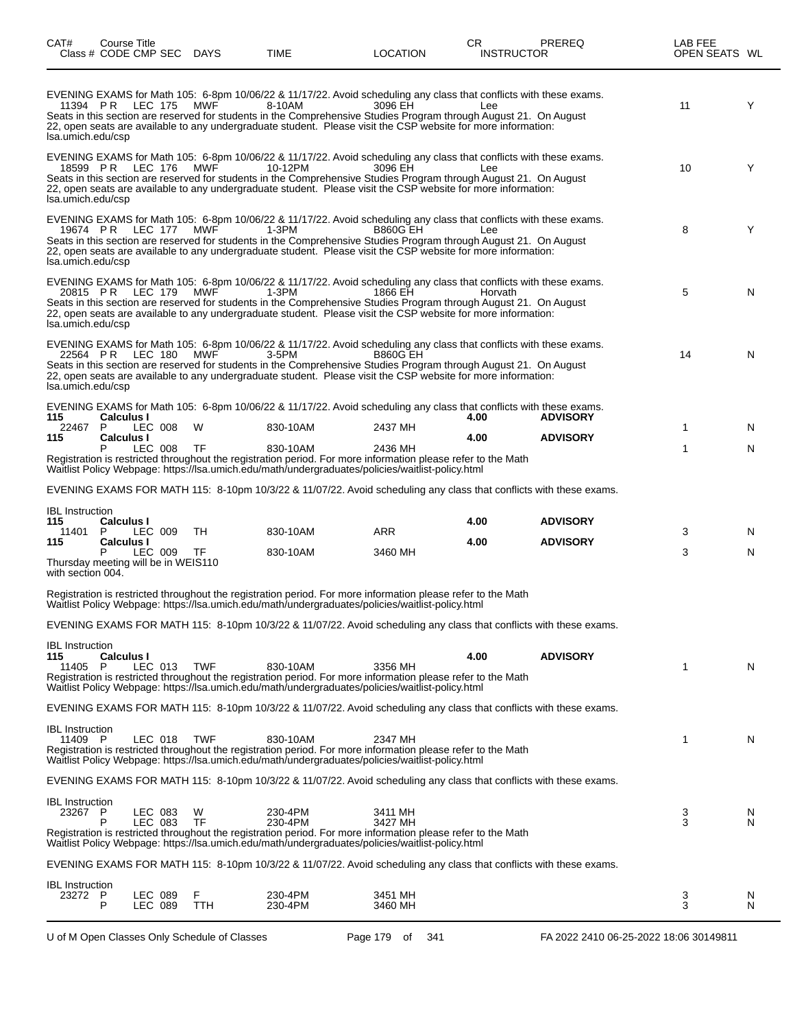| CAT#                              | Course Title<br>Class # CODE CMP SEC DAYS |                    |            | TIME               | LOCATION                                                                                                                                                                                                                                                                                                                                                                    | CR.  | <b>INSTRUCTOR</b> | <b>PREREQ</b>   | LAB FEE<br>OPEN SEATS WL |        |
|-----------------------------------|-------------------------------------------|--------------------|------------|--------------------|-----------------------------------------------------------------------------------------------------------------------------------------------------------------------------------------------------------------------------------------------------------------------------------------------------------------------------------------------------------------------------|------|-------------------|-----------------|--------------------------|--------|
| Isa.umich.edu/csp                 | 11394 PR LEC 175                          |                    | <b>MWF</b> | 8-10AM             | EVENING EXAMS for Math 105: 6-8pm 10/06/22 & 11/17/22. Avoid scheduling any class that conflicts with these exams.<br>3096 EH<br>Seats in this section are reserved for students in the Comprehensive Studies Program through August 21. On August<br>22, open seats are available to any undergraduate student. Please visit the CSP website for more information:         |      | Lee               |                 | 11                       | Y      |
| Isa.umich.edu/csp                 | 18599 PR LEC 176 MWF                      |                    |            | 10-12PM            | EVENING EXAMS for Math 105: 6-8pm 10/06/22 & 11/17/22. Avoid scheduling any class that conflicts with these exams.<br>3096 EH<br>Seats in this section are reserved for students in the Comprehensive Studies Program through August 21. On August<br>22, open seats are available to any undergraduate student. Please visit the CSP website for more information:         |      | Lee               |                 | 10                       | Y      |
| Isa.umich.edu/csp                 | 19674 PR LEC 177 MWF                      |                    |            | 1-3PM              | EVENING EXAMS for Math 105: 6-8pm 10/06/22 & 11/17/22. Avoid scheduling any class that conflicts with these exams.<br><b>B860G EH</b><br>Seats in this section are reserved for students in the Comprehensive Studies Program through August 21. On August<br>22, open seats are available to any undergraduate student. Please visit the CSP website for more information: |      | Lee               |                 | 8                        | Y      |
| Isa.umich.edu/csp                 | 20815 PR LEC 179 MWF                      |                    |            | 1-3PM              | EVENING EXAMS for Math 105: 6-8pm 10/06/22 & 11/17/22. Avoid scheduling any class that conflicts with these exams.<br>1866 EH<br>Seats in this section are reserved for students in the Comprehensive Studies Program through August 21. On August<br>22, open seats are available to any undergraduate student. Please visit the CSP website for more information:         |      | Horvath           |                 | 5                        | N      |
| Isa.umich.edu/csp                 | 22564 PR LEC 180 MWF                      |                    |            | 3-5PM              | EVENING EXAMS for Math 105: 6-8pm 10/06/22 & 11/17/22. Avoid scheduling any class that conflicts with these exams.<br><b>B860G EH</b><br>Seats in this section are reserved for students in the Comprehensive Studies Program through August 21. On August<br>22, open seats are available to any undergraduate student. Please visit the CSP website for more information: |      |                   |                 | 14                       | N      |
| 115                               | <b>Calculus I</b>                         |                    |            |                    | EVENING EXAMS for Math 105: 6-8pm 10/06/22 & 11/17/22. Avoid scheduling any class that conflicts with these exams.                                                                                                                                                                                                                                                          | 4.00 |                   | <b>ADVISORY</b> |                          |        |
| 22467<br>115                      | P.<br><b>Calculus I</b>                   | LEC 008            | W          | 830-10AM           | 2437 MH                                                                                                                                                                                                                                                                                                                                                                     | 4.00 |                   | <b>ADVISORY</b> | 1                        | N.     |
|                                   |                                           | LEC 008            | <b>TF</b>  | 830-10AM           | 2436 MH<br>Registration is restricted throughout the registration period. For more information please refer to the Math<br>Waitlist Policy Webpage: https://lsa.umich.edu/math/undergraduates/policies/waitlist-policy.html                                                                                                                                                 |      |                   |                 | 1                        | N      |
|                                   |                                           |                    |            |                    | EVENING EXAMS FOR MATH 115: 8-10pm 10/3/22 & 11/07/22. Avoid scheduling any class that conflicts with these exams.                                                                                                                                                                                                                                                          |      |                   |                 |                          |        |
| <b>IBL</b> Instruction            |                                           |                    |            |                    |                                                                                                                                                                                                                                                                                                                                                                             |      |                   |                 |                          |        |
| 115<br>11401 P                    | <b>Calculus I</b>                         | LEC 009            | TH         | 830-10AM           | ARR                                                                                                                                                                                                                                                                                                                                                                         | 4.00 |                   | <b>ADVISORY</b> | 3                        | N.     |
| 115                               | <b>Calculus I</b>                         | LEC 009            | TF         | 830-10AM           | 3460 MH                                                                                                                                                                                                                                                                                                                                                                     | 4.00 |                   | <b>ADVISORY</b> | 3                        | N      |
| with section 004.                 | Thursday meeting will be in WEIS110       |                    |            |                    |                                                                                                                                                                                                                                                                                                                                                                             |      |                   |                 |                          |        |
|                                   |                                           |                    |            |                    | Registration is restricted throughout the registration period. For more information please refer to the Math<br>Waitlist Policy Webpage: https://lsa.umich.edu/math/undergraduates/policies/waitlist-policy.html                                                                                                                                                            |      |                   |                 |                          |        |
|                                   |                                           |                    |            |                    | EVENING EXAMS FOR MATH 115: 8-10pm 10/3/22 & 11/07/22. Avoid scheduling any class that conflicts with these exams.                                                                                                                                                                                                                                                          |      |                   |                 |                          |        |
| <b>IBL</b> Instruction<br>115     | <b>Calculus I</b>                         |                    |            |                    |                                                                                                                                                                                                                                                                                                                                                                             | 4.00 |                   | <b>ADVISORY</b> |                          |        |
| 11405                             | P                                         | LEC 013            | <b>TWF</b> | 830-10AM           | 3356 MH<br>Registration is restricted throughout the registration period. For more information please refer to the Math<br>Waitlist Policy Webpage: https://lsa.umich.edu/math/undergraduates/policies/waitlist-policy.html                                                                                                                                                 |      |                   |                 | 1                        | N      |
|                                   |                                           |                    |            |                    | EVENING EXAMS FOR MATH 115: 8-10pm 10/3/22 & 11/07/22. Avoid scheduling any class that conflicts with these exams.                                                                                                                                                                                                                                                          |      |                   |                 |                          |        |
| <b>IBL</b> Instruction            |                                           |                    |            |                    |                                                                                                                                                                                                                                                                                                                                                                             |      |                   |                 |                          |        |
| 11409 P                           |                                           | LEC 018            | <b>TWF</b> | 830-10AM           | 2347 MH<br>Registration is restricted throughout the registration period. For more information please refer to the Math<br>Waitlist Policy Webpage: https://lsa.umich.edu/math/undergraduates/policies/waitlist-policy.html                                                                                                                                                 |      |                   |                 | 1                        | N      |
|                                   |                                           |                    |            |                    | EVENING EXAMS FOR MATH 115: 8-10pm 10/3/22 & 11/07/22. Avoid scheduling any class that conflicts with these exams.                                                                                                                                                                                                                                                          |      |                   |                 |                          |        |
| <b>IBL</b> Instruction<br>23267 P |                                           | LEC 083            | W          | 230-4PM            | 3411 MH                                                                                                                                                                                                                                                                                                                                                                     |      |                   |                 | 3                        | N      |
|                                   | P                                         | LEC 083            | <b>TF</b>  | 230-4PM            | 3427 MH<br>Registration is restricted throughout the registration period. For more information please refer to the Math<br>Waitlist Policy Webpage: https://lsa.umich.edu/math/undergraduates/policies/waitlist-policy.html                                                                                                                                                 |      |                   |                 | 3                        | N      |
|                                   |                                           |                    |            |                    | EVENING EXAMS FOR MATH 115: 8-10pm 10/3/22 & 11/07/22. Avoid scheduling any class that conflicts with these exams.                                                                                                                                                                                                                                                          |      |                   |                 |                          |        |
| <b>IBL</b> Instruction            |                                           |                    |            |                    |                                                                                                                                                                                                                                                                                                                                                                             |      |                   |                 |                          |        |
| 23272                             | P<br>P                                    | LEC 089<br>LEC 089 | F<br>TTH   | 230-4PM<br>230-4PM | 3451 MH<br>3460 MH                                                                                                                                                                                                                                                                                                                                                          |      |                   |                 | 3<br>3                   | N<br>N |
|                                   |                                           |                    |            |                    |                                                                                                                                                                                                                                                                                                                                                                             |      |                   |                 |                          |        |

U of M Open Classes Only Schedule of Classes Page 179 of 341 FA 2022 2410 06-25-2022 18:06 30149811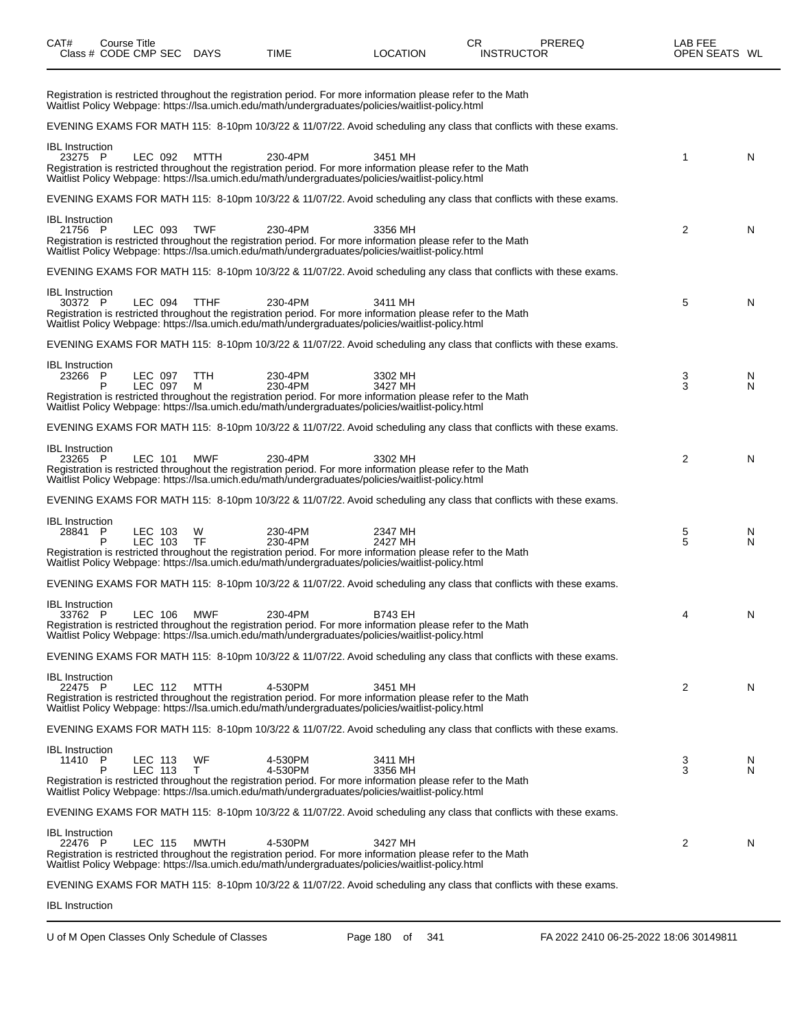| CAT#                              | Course Title<br>Class # CODE CMP SEC DAYS |                    |             | <b>TIME</b>                                                                                                                                                                                                                            | <b>LOCATION</b>    | CR<br><b>INSTRUCTOR</b> | PREREQ | LAB FEE<br>OPEN SEATS WL |        |
|-----------------------------------|-------------------------------------------|--------------------|-------------|----------------------------------------------------------------------------------------------------------------------------------------------------------------------------------------------------------------------------------------|--------------------|-------------------------|--------|--------------------------|--------|
|                                   |                                           |                    |             | Registration is restricted throughout the registration period. For more information please refer to the Math<br>Waitlist Policy Webpage: https://lsa.umich.edu/math/undergraduates/policies/waitlist-policy.html                       |                    |                         |        |                          |        |
|                                   |                                           |                    |             | EVENING EXAMS FOR MATH 115: 8-10pm 10/3/22 & 11/07/22. Avoid scheduling any class that conflicts with these exams.                                                                                                                     |                    |                         |        |                          |        |
| <b>IBL</b> Instruction<br>23275 P |                                           | LEC 092            | MTTH        | 230-4PM<br>Registration is restricted throughout the registration period. For more information please refer to the Math<br>Waitlist Policy Webpage: https://lsa.umich.edu/math/undergraduates/policies/waitlist-policy.html            | 3451 MH            |                         |        | 1                        | N      |
|                                   |                                           |                    |             | EVENING EXAMS FOR MATH 115: 8-10pm 10/3/22 & 11/07/22. Avoid scheduling any class that conflicts with these exams.                                                                                                                     |                    |                         |        |                          |        |
| <b>IBL</b> Instruction<br>21756 P |                                           | LEC 093            | <b>TWF</b>  | 230-4PM<br>Registration is restricted throughout the registration period. For more information please refer to the Math<br>Waitlist Policy Webpage: https://lsa.umich.edu/math/undergraduates/policies/waitlist-policy.html            | 3356 MH            |                         |        | 2                        | N      |
|                                   |                                           |                    |             | EVENING EXAMS FOR MATH 115: 8-10pm 10/3/22 & 11/07/22. Avoid scheduling any class that conflicts with these exams.                                                                                                                     |                    |                         |        |                          |        |
| <b>IBL</b> Instruction<br>30372 P |                                           | LEC 094            | <b>TTHF</b> | 230-4PM<br>Registration is restricted throughout the registration period. For more information please refer to the Math<br>Waitlist Policy Webpage: https://lsa.umich.edu/math/undergraduates/policies/waitlist-policy.html            | 3411 MH            |                         |        | 5                        | N      |
|                                   |                                           |                    |             | EVENING EXAMS FOR MATH 115: 8-10pm 10/3/22 & 11/07/22. Avoid scheduling any class that conflicts with these exams.                                                                                                                     |                    |                         |        |                          |        |
| <b>IBL</b> Instruction<br>23266 P | P                                         | LEC 097<br>LEC 097 | TTH<br>м    | 230-4PM<br>230-4PM<br>Registration is restricted throughout the registration period. For more information please refer to the Math                                                                                                     | 3302 MH<br>3427 MH |                         |        | 3<br>3                   | N<br>N |
|                                   |                                           |                    |             | Waitlist Policy Webpage: https://lsa.umich.edu/math/undergraduates/policies/waitlist-policy.html                                                                                                                                       |                    |                         |        |                          |        |
|                                   |                                           |                    |             | EVENING EXAMS FOR MATH 115: 8-10pm 10/3/22 & 11/07/22. Avoid scheduling any class that conflicts with these exams.                                                                                                                     |                    |                         |        |                          |        |
| <b>IBL</b> Instruction<br>23265 P |                                           | LEC 101            | <b>MWF</b>  | 230-4PM<br>Registration is restricted throughout the registration period. For more information please refer to the Math<br>Waitlist Policy Webpage: https://lsa.umich.edu/math/undergraduates/policies/waitlist-policy.html            | 3302 MH            |                         |        | 2                        | N      |
|                                   |                                           |                    |             | EVENING EXAMS FOR MATH 115: 8-10pm 10/3/22 & 11/07/22. Avoid scheduling any class that conflicts with these exams.                                                                                                                     |                    |                         |        |                          |        |
| <b>IBL</b> Instruction<br>28841   | P<br>P                                    | LEC 103<br>LEC 103 | W.<br>TF    | 230-4PM<br>230-4PM<br>Registration is restricted throughout the registration period. For more information please refer to the Math<br>Waitlist Policy Webpage: https://lsa.umich.edu/math/undergraduates/policies/waitlist-policy.html | 2347 MH<br>2427 MH |                         |        | 5<br>5                   | N<br>N |
|                                   |                                           |                    |             | EVENING EXAMS FOR MATH 115: 8-10pm 10/3/22 & 11/07/22. Avoid scheduling any class that conflicts with these exams.                                                                                                                     |                    |                         |        |                          |        |
| <b>IBL</b> Instruction<br>33762 P |                                           | LEC 106            | MWF         | 230-4PM<br>Registration is restricted throughout the registration period. For more information please refer to the Math<br>Waitlist Policy Webpage: https://lsa.umich.edu/math/undergraduates/policies/waitlist-policy.html            | <b>B743 EH</b>     |                         |        | 4                        | N      |
|                                   |                                           |                    |             | EVENING EXAMS FOR MATH 115: 8-10pm 10/3/22 & 11/07/22. Avoid scheduling any class that conflicts with these exams.                                                                                                                     |                    |                         |        |                          |        |
| <b>IBL</b> Instruction<br>22475 P |                                           | LEC 112            | MTTH        | 4-530PM<br>Registration is restricted throughout the registration period. For more information please refer to the Math<br>Waitlist Policy Webpage: https://lsa.umich.edu/math/undergraduates/policies/waitlist-policy.html            | 3451 MH            |                         |        | 2                        | N      |
|                                   |                                           |                    |             | EVENING EXAMS FOR MATH 115: 8-10pm 10/3/22 & 11/07/22. Avoid scheduling any class that conflicts with these exams.                                                                                                                     |                    |                         |        |                          |        |
| <b>IBL</b> Instruction<br>11410 P |                                           | LEC 113<br>LEC 113 | WF<br>T.    | 4-530PM<br>4-530PM<br>Registration is restricted throughout the registration period. For more information please refer to the Math<br>Waitlist Policy Webpage: https://lsa.umich.edu/math/undergraduates/policies/waitlist-policy.html | 3411 MH<br>3356 MH |                         |        | 3<br>3                   | N<br>N |
|                                   |                                           |                    |             | EVENING EXAMS FOR MATH 115: 8-10pm 10/3/22 & 11/07/22. Avoid scheduling any class that conflicts with these exams.                                                                                                                     |                    |                         |        |                          |        |
| <b>IBL</b> Instruction<br>22476 P |                                           | LEC 115            | MWTH        | 4-530PM<br>Registration is restricted throughout the registration period. For more information please refer to the Math<br>Waitlist Policy Webpage: https://lsa.umich.edu/math/undergraduates/policies/waitlist-policy.html            | 3427 MH            |                         |        | 2                        | N      |
|                                   |                                           |                    |             | EVENING EXAMS FOR MATH 115: 8-10pm 10/3/22 & 11/07/22. Avoid scheduling any class that conflicts with these exams.                                                                                                                     |                    |                         |        |                          |        |
| <b>IBL</b> Instruction            |                                           |                    |             |                                                                                                                                                                                                                                        |                    |                         |        |                          |        |

U of M Open Classes Only Schedule of Classes Page 180 of 341 FA 2022 2410 06-25-2022 18:06 30149811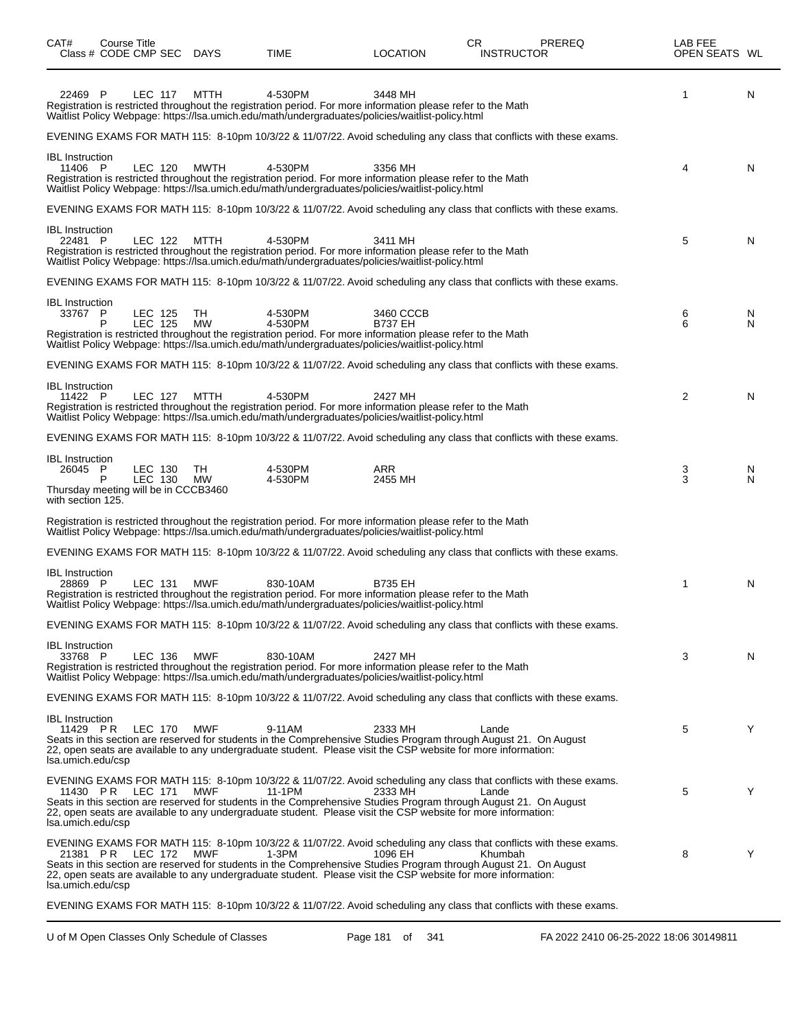| CAT#<br>Class # CODE CMP SEC                                                                   | Course Title              | <b>DAYS</b>     | TIME               | <b>LOCATION</b>                                                                                                                                                                                                                                 | CR. | <b>INSTRUCTOR</b> | PREREQ                                                                                                             | LAB FEE<br>OPEN SEATS WL |        |
|------------------------------------------------------------------------------------------------|---------------------------|-----------------|--------------------|-------------------------------------------------------------------------------------------------------------------------------------------------------------------------------------------------------------------------------------------------|-----|-------------------|--------------------------------------------------------------------------------------------------------------------|--------------------------|--------|
| 22469 P                                                                                        | <b>LEC 117</b>            | MTTH            | 4-530PM            | 3448 MH<br>Registration is restricted throughout the registration period. For more information please refer to the Math<br>Waitlist Policy Webpage: https://lsa.umich.edu/math/undergraduates/policies/waitlist-policy.html                     |     |                   |                                                                                                                    | 1                        | N      |
|                                                                                                |                           |                 |                    |                                                                                                                                                                                                                                                 |     |                   | EVENING EXAMS FOR MATH 115: 8-10pm 10/3/22 & 11/07/22. Avoid scheduling any class that conflicts with these exams. |                          |        |
| <b>IBL</b> Instruction<br>11406 P                                                              | LEC 120                   | <b>MWTH</b>     | 4-530PM            | 3356 MH<br>Registration is restricted throughout the registration period. For more information please refer to the Math<br>Waitlist Policy Webpage: https://lsa.umich.edu/math/undergraduates/policies/waitlist-policy.html                     |     |                   |                                                                                                                    | 4                        | N      |
|                                                                                                |                           |                 |                    |                                                                                                                                                                                                                                                 |     |                   | EVENING EXAMS FOR MATH 115: 8-10pm 10/3/22 & 11/07/22. Avoid scheduling any class that conflicts with these exams. |                          |        |
| <b>IBL</b> Instruction<br>22481 P                                                              | LEC 122                   | MTTH            | 4-530PM            | 3411 MH<br>Registration is restricted throughout the registration period. For more information please refer to the Math<br>Waitlist Policy Webpage: https://lsa.umich.edu/math/undergraduates/policies/waitlist-policy.html                     |     |                   |                                                                                                                    | 5                        | N      |
|                                                                                                |                           |                 |                    |                                                                                                                                                                                                                                                 |     |                   | EVENING EXAMS FOR MATH 115: 8-10pm 10/3/22 & 11/07/22. Avoid scheduling any class that conflicts with these exams. |                          |        |
| <b>IBL</b> Instruction<br>33767 P                                                              | LEC 125<br><b>LEC 125</b> | TH<br><b>MW</b> | 4-530PM<br>4-530PM | 3460 CCCB<br><b>B737 EH</b><br>Registration is restricted throughout the registration period. For more information please refer to the Math<br>Waitlist Policy Webpage: https://lsa.umich.edu/math/undergraduates/policies/waitlist-policy.html |     |                   |                                                                                                                    | 6<br>6                   | N<br>N |
|                                                                                                |                           |                 |                    |                                                                                                                                                                                                                                                 |     |                   | EVENING EXAMS FOR MATH 115: 8-10pm 10/3/22 & 11/07/22. Avoid scheduling any class that conflicts with these exams. |                          |        |
| <b>IBL</b> Instruction<br>11422 P                                                              | LEC 127                   | MTTH            | 4-530PM            | 2427 MH<br>Registration is restricted throughout the registration period. For more information please refer to the Math<br>Waitlist Policy Webpage: https://lsa.umich.edu/math/undergraduates/policies/waitlist-policy.html                     |     |                   |                                                                                                                    | $\overline{2}$           | N      |
|                                                                                                |                           |                 |                    |                                                                                                                                                                                                                                                 |     |                   | EVENING EXAMS FOR MATH 115: 8-10pm 10/3/22 & 11/07/22. Avoid scheduling any class that conflicts with these exams. |                          |        |
| <b>IBL</b> Instruction<br>26045 P<br>Thursday meeting will be in CCCB3460<br>with section 125. | LEC 130<br>LEC 130        | TH<br>MW        | 4-530PM<br>4-530PM | <b>ARR</b><br>2455 MH                                                                                                                                                                                                                           |     |                   |                                                                                                                    | 3<br>3                   | N<br>N |
|                                                                                                |                           |                 |                    | Registration is restricted throughout the registration period. For more information please refer to the Math<br>Waitlist Policy Webpage: https://lsa.umich.edu/math/undergraduates/policies/waitlist-policy.html                                |     |                   |                                                                                                                    |                          |        |
|                                                                                                |                           |                 |                    |                                                                                                                                                                                                                                                 |     |                   | EVENING EXAMS FOR MATH 115: 8-10pm 10/3/22 & 11/07/22. Avoid scheduling any class that conflicts with these exams. |                          |        |
| <b>IBL</b> Instruction<br>28869 P                                                              | LEC 131                   | <b>MWF</b>      | 830-10AM           | <b>B735 EH</b><br>Registration is restricted throughout the registration period. For more information please refer to the Math<br>Waitlist Policy Webpage: https://lsa.umich.edu/math/undergraduates/policies/waitlist-policy.html              |     |                   |                                                                                                                    | 1                        | N      |
|                                                                                                |                           |                 |                    |                                                                                                                                                                                                                                                 |     |                   | EVENING EXAMS FOR MATH 115: 8-10pm 10/3/22 & 11/07/22. Avoid scheduling any class that conflicts with these exams. |                          |        |
| <b>IBL</b> Instruction<br>33768 P                                                              | LEC 136                   | MWF             | 830-10AM           | 2427 MH<br>Registration is restricted throughout the registration period. For more information please refer to the Math<br>Waitlist Policy Webpage: https://lsa.umich.edu/math/undergraduates/policies/waitlist-policy.html                     |     |                   |                                                                                                                    | 3                        | N      |
|                                                                                                |                           |                 |                    |                                                                                                                                                                                                                                                 |     |                   | EVENING EXAMS FOR MATH 115: 8-10pm 10/3/22 & 11/07/22. Avoid scheduling any class that conflicts with these exams. |                          |        |
| <b>IBL</b> Instruction<br>11429 PR<br>Isa.umich.edu/csp                                        | <b>LEC 170</b>            | MWF             | 9-11AM             | 2333 MH<br>Seats in this section are reserved for students in the Comprehensive Studies Program through August 21. On August<br>22, open seats are available to any undergraduate student. Please visit the CSP website for more information:   |     | Lande             |                                                                                                                    | 5                        | Y      |
| 11430 PR<br>Isa.umich.edu/csp                                                                  | LEC 171                   | <b>MWF</b>      | 11-1PM             | 2333 MH<br>Seats in this section are reserved for students in the Comprehensive Studies Program through August 21. On August<br>22, open seats are available to any undergraduate student. Please visit the CSP website for more information:   |     | Lande             | EVENING EXAMS FOR MATH 115: 8-10pm 10/3/22 & 11/07/22. Avoid scheduling any class that conflicts with these exams. | 5                        | Y      |
| 21381 PR<br>Isa.umich.edu/csp                                                                  | LEC 172                   | MWF             | $1-3PM$            | 1096 EH<br>Seats in this section are reserved for students in the Comprehensive Studies Program through August 21. On August<br>22, open seats are available to any undergraduate student. Please visit the CSP website for more information:   |     | Khumbah           | EVENING EXAMS FOR MATH 115: 8-10pm 10/3/22 & 11/07/22. Avoid scheduling any class that conflicts with these exams. | 8                        | Y      |
|                                                                                                |                           |                 |                    |                                                                                                                                                                                                                                                 |     |                   | EVENING EXAMS FOR MATH 115: 8-10pm 10/3/22 & 11/07/22. Avoid scheduling any class that conflicts with these exams. |                          |        |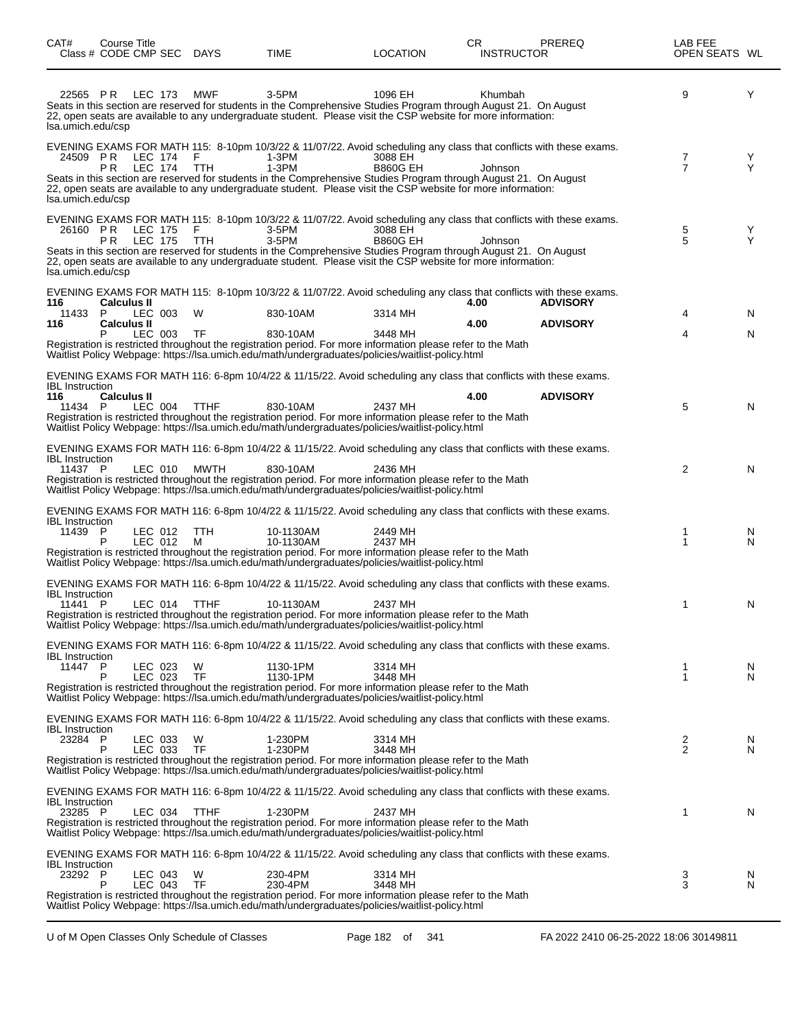| CAT#                                     | Course Title<br>Class # CODE CMP SEC DAYS |                    |                | TIME                                                                                                                                                                                                                                                                                                                                                                         | LOCATION                   | CR.<br><b>INSTRUCTOR</b> | PREREQ                             | LAB FEE<br>OPEN SEATS WL |         |
|------------------------------------------|-------------------------------------------|--------------------|----------------|------------------------------------------------------------------------------------------------------------------------------------------------------------------------------------------------------------------------------------------------------------------------------------------------------------------------------------------------------------------------------|----------------------------|--------------------------|------------------------------------|--------------------------|---------|
| 22565 PR<br>lsa.umich.edu/csp            |                                           | LEC 173            | <b>MWF</b>     | 3-5PM<br>Seats in this section are reserved for students in the Comprehensive Studies Program through August 21. On August<br>22, open seats are available to any undergraduate student. Please visit the CSP website for more information:                                                                                                                                  | 1096 EH                    | Khumbah                  |                                    | 9                        | Y       |
| 24509 PR<br>Isa.umich.edu/csp            | PR.                                       | LEC 174<br>LEC 174 | F<br>TTH       | EVENING EXAMS FOR MATH 115: 8-10pm 10/3/22 & 11/07/22. Avoid scheduling any class that conflicts with these exams.<br>1-3PM<br>$1-3PM$<br>Seats in this section are reserved for students in the Comprehensive Studies Program through August 21. On August<br>22, open seats are available to any undergraduate student. Please visit the CSP website for more information: | 3088 EH<br><b>B860G EH</b> | Johnson                  |                                    | 7<br>7                   | Y<br>Υ  |
| lsa.umich.edu/csp                        | 26160 PR LEC 175<br>P <sub>R</sub>        | <b>LEC 175</b>     | F.<br>TTH      | EVENING EXAMS FOR MATH 115: 8-10pm 10/3/22 & 11/07/22. Avoid scheduling any class that conflicts with these exams.<br>3-5PM<br>3-5PM<br>Seats in this section are reserved for students in the Comprehensive Studies Program through August 21. On August<br>22, open seats are available to any undergraduate student. Please visit the CSP website for more information:   | 3088 EH<br><b>B860G EH</b> | Johnson                  |                                    | 5<br>5                   | Y<br>Υ  |
| 116<br>11433 P<br>116                    | <b>Calculus II</b><br><b>Calculus II</b>  | LEC 003<br>LEC 003 | W<br>- TF      | EVENING EXAMS FOR MATH 115: 8-10pm 10/3/22 & 11/07/22. Avoid scheduling any class that conflicts with these exams.<br>830-10AM<br>830-10AM<br>Registration is restricted throughout the registration period. For more information please refer to the Math<br>Waitlist Policy Webpage: https://lsa.umich.edu/math/undergraduates/policies/waitlist-policy.html               | 3314 MH<br>3448 MH         | 4.00<br>4.00             | <b>ADVISORY</b><br><b>ADVISORY</b> | 4<br>4                   | N.<br>N |
| <b>IBL</b> Instruction<br>116<br>11434 P | <b>Calculus II</b>                        | LEC 004            | <b>TTHF</b>    | EVENING EXAMS FOR MATH 116: 6-8pm 10/4/22 & 11/15/22. Avoid scheduling any class that conflicts with these exams.<br>830-10AM<br>Registration is restricted throughout the registration period. For more information please refer to the Math<br>Waitlist Policy Webpage: https://lsa.umich.edu/math/undergraduates/policies/waitlist-policy.html                            | 2437 MH                    | 4.00                     | <b>ADVISORY</b>                    | 5                        | N       |
| <b>IBL</b> Instruction<br>11437 P        |                                           | LEC 010            | MWTH           | EVENING EXAMS FOR MATH 116: 6-8pm 10/4/22 & 11/15/22. Avoid scheduling any class that conflicts with these exams.<br>830-10AM<br>Registration is restricted throughout the registration period. For more information please refer to the Math<br>Waitlist Policy Webpage: https://lsa.umich.edu/math/undergraduates/policies/waitlist-policy.html                            | 2436 MH                    |                          |                                    | 2                        | N       |
| <b>IBL</b> Instruction<br>11439 P        |                                           | LEC 012<br>LEC 012 | TTH<br>M       | EVENING EXAMS FOR MATH 116: 6-8pm 10/4/22 & 11/15/22. Avoid scheduling any class that conflicts with these exams.<br>10-1130AM<br>10-1130AM<br>Registration is restricted throughout the registration period. For more information please refer to the Math<br>Waitlist Policy Webpage: https://lsa.umich.edu/math/undergraduates/policies/waitlist-policy.html              | 2449 MH<br>2437 MH         |                          |                                    | 1<br>1                   | N<br>N  |
| <b>IBL</b> Instruction<br>11441 P        |                                           | LEC 014            | TTHF           | EVENING EXAMS FOR MATH 116: 6-8pm 10/4/22 & 11/15/22. Avoid scheduling any class that conflicts with these exams.<br>10-1130AM<br>Registration is restricted throughout the registration period. For more information please refer to the Math<br>Waitlist Policy Webpage: https://lsa.umich.edu/math/undergraduates/policies/waitlist-policy.html                           | 2437 MH                    |                          |                                    | 1                        | N       |
| <b>IBL</b> Instruction<br>11447          | P.                                        | LEC 023<br>LEC 023 | W<br><b>TF</b> | EVENING EXAMS FOR MATH 116: 6-8pm 10/4/22 & 11/15/22. Avoid scheduling any class that conflicts with these exams.<br>1130-1PM<br>1130-1PM<br>Registration is restricted throughout the registration period. For more information please refer to the Math<br>Waitlist Policy Webpage: https://lsa.umich.edu/math/undergraduates/policies/waitlist-policy.html                | 3314 MH<br>3448 MH         |                          |                                    | 1<br>1                   | N<br>N  |
| <b>IBL</b> Instruction<br>23284 P        | P                                         | LEC 033<br>LEC 033 | W<br>TF        | EVENING EXAMS FOR MATH 116: 6-8pm 10/4/22 & 11/15/22. Avoid scheduling any class that conflicts with these exams.<br>1-230PM<br>1-230PM<br>Registration is restricted throughout the registration period. For more information please refer to the Math<br>Waitlist Policy Webpage: https://lsa.umich.edu/math/undergraduates/policies/waitlist-policy.html                  | 3314 MH<br>3448 MH         |                          |                                    | 2<br>$\overline{2}$      | N<br>N  |
| <b>IBL</b> Instruction<br>23285 P        |                                           | LEC 034            | <b>TTHF</b>    | EVENING EXAMS FOR MATH 116: 6-8pm 10/4/22 & 11/15/22. Avoid scheduling any class that conflicts with these exams.<br>1-230PM<br>Registration is restricted throughout the registration period. For more information please refer to the Math<br>Waitlist Policy Webpage: https://lsa.umich.edu/math/undergraduates/policies/waitlist-policy.html                             | 2437 MH                    |                          |                                    | 1                        | N       |
| <b>IBL</b> Instruction<br>23292 P        | P                                         | LEC 043<br>LEC 043 | W<br><b>TF</b> | EVENING EXAMS FOR MATH 116: 6-8pm 10/4/22 & 11/15/22. Avoid scheduling any class that conflicts with these exams.<br>230-4PM<br>230-4PM<br>Registration is restricted throughout the registration period. For more information please refer to the Math<br>Waitlist Policy Webpage: https://lsa.umich.edu/math/undergraduates/policies/waitlist-policy.html                  | 3314 MH<br>3448 MH         |                          |                                    | 3<br>3                   | N<br>N  |

 $\overline{\phantom{0}}$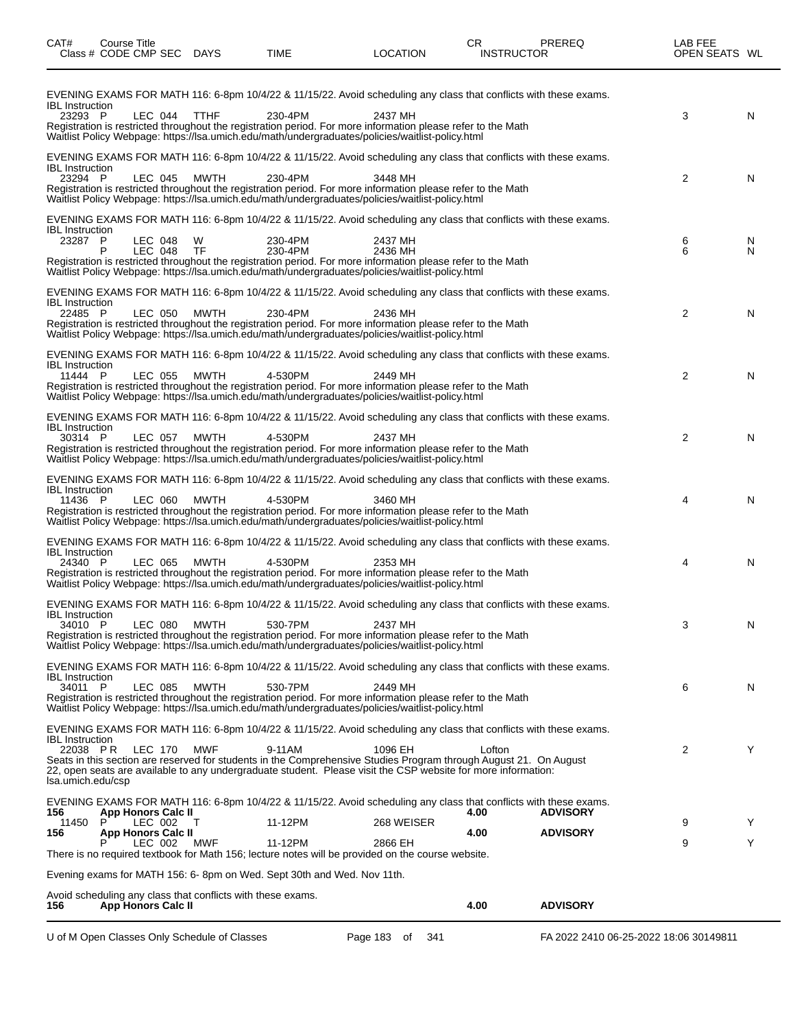| CAT#                                                    | Course Title<br>Class # CODE CMP SEC DAYS                                                |                | TIME                                                                                                                                                                                                                                                                                                                                                              | <b>LOCATION</b>       | CR<br><b>INSTRUCTOR</b> | <b>PREREQ</b>                          | LAB FEE<br>OPEN SEATS WL |        |
|---------------------------------------------------------|------------------------------------------------------------------------------------------|----------------|-------------------------------------------------------------------------------------------------------------------------------------------------------------------------------------------------------------------------------------------------------------------------------------------------------------------------------------------------------------------|-----------------------|-------------------------|----------------------------------------|--------------------------|--------|
| <b>IBL</b> Instruction<br>23293 P                       | LEC 044                                                                                  | <b>TTHF</b>    | EVENING EXAMS FOR MATH 116: 6-8pm 10/4/22 & 11/15/22. Avoid scheduling any class that conflicts with these exams.<br>230-4PM<br>Registration is restricted throughout the registration period. For more information please refer to the Math<br>Waitlist Policy Webpage: https://lsa.umich.edu/math/undergraduates/policies/waitlist-policy.html                  | 2437 MH               |                         |                                        | 3                        | N      |
| <b>IBL</b> Instruction<br>23294 P                       | LEC 045                                                                                  | MWTH           | EVENING EXAMS FOR MATH 116: 6-8pm 10/4/22 & 11/15/22. Avoid scheduling any class that conflicts with these exams.<br>230-4PM<br>Registration is restricted throughout the registration period. For more information please refer to the Math<br>Waitlist Policy Webpage: https://lsa.umich.edu/math/undergraduates/policies/waitlist-policy.html                  | 3448 MH               |                         |                                        | $\overline{2}$           | N      |
| <b>IBL</b> Instruction<br>23287 P                       | LEC 048<br>LEC 048<br>P                                                                  | W<br><b>TF</b> | EVENING EXAMS FOR MATH 116: 6-8pm 10/4/22 & 11/15/22. Avoid scheduling any class that conflicts with these exams.<br>230-4PM<br>230-4PM<br>Registration is restricted throughout the registration period. For more information please refer to the Math<br>Waitlist Policy Webpage: https://lsa.umich.edu/math/undergraduates/policies/waitlist-policy.html       | 2437 MH<br>2436 MH    |                         |                                        | 6<br>6                   | N<br>N |
| <b>IBL</b> Instruction<br>22485 P                       | LEC 050                                                                                  | <b>MWTH</b>    | EVENING EXAMS FOR MATH 116: 6-8pm 10/4/22 & 11/15/22. Avoid scheduling any class that conflicts with these exams.<br>230-4PM<br>Registration is restricted throughout the registration period. For more information please refer to the Math<br>Waitlist Policy Webpage: https://lsa.umich.edu/math/undergraduates/policies/waitlist-policy.html                  | 2436 MH               |                         |                                        | 2                        | N      |
| <b>IBL</b> Instruction<br>11444 P                       | LEC 055                                                                                  | <b>MWTH</b>    | EVENING EXAMS FOR MATH 116: 6-8pm 10/4/22 & 11/15/22. Avoid scheduling any class that conflicts with these exams.<br>4-530PM<br>Registration is restricted throughout the registration period. For more information please refer to the Math<br>Waitlist Policy Webpage: https://lsa.umich.edu/math/undergraduates/policies/waitlist-policy.html                  | 2449 MH               |                         |                                        | $\overline{2}$           | N      |
| <b>IBL</b> Instruction<br>30314 P                       | LEC 057                                                                                  | <b>MWTH</b>    | EVENING EXAMS FOR MATH 116: 6-8pm 10/4/22 & 11/15/22. Avoid scheduling any class that conflicts with these exams.<br>4-530PM<br>Registration is restricted throughout the registration period. For more information please refer to the Math<br>Waitlist Policy Webpage: https://lsa.umich.edu/math/undergraduates/policies/waitlist-policy.html                  | 2437 MH               |                         |                                        | 2                        | N      |
| <b>IBL</b> Instruction<br>11436 P                       | <b>LEC 060</b>                                                                           | <b>MWTH</b>    | EVENING EXAMS FOR MATH 116: 6-8pm 10/4/22 & 11/15/22. Avoid scheduling any class that conflicts with these exams.<br>4-530PM<br>Registration is restricted throughout the registration period. For more information please refer to the Math<br>Waitlist Policy Webpage: https://lsa.umich.edu/math/undergraduates/policies/waitlist-policy.html                  | 3460 MH               |                         |                                        | 4                        | N      |
| <b>IBL</b> Instruction<br>24340 P                       | LEC 065                                                                                  | <b>MWTH</b>    | EVENING EXAMS FOR MATH 116: 6-8pm 10/4/22 & 11/15/22. Avoid scheduling any class that conflicts with these exams.<br>4-530PM<br>Registration is restricted throughout the registration period. For more information please refer to the Math<br>Waitlist Policy Webpage: https://lsa.umich.edu/math/undergraduates/policies/waitlist-policy.html                  | 2353 MH               |                         |                                        | 4                        | N      |
| <b>IBL</b> Instruction<br>34010 P                       | LEC 080                                                                                  | <b>MWTH</b>    | EVENING EXAMS FOR MATH 116: 6-8pm 10/4/22 & 11/15/22. Avoid scheduling any class that conflicts with these exams.<br>530-7PM<br>Registration is restricted throughout the registration period. For more information please refer to the Math<br>Waitlist Policy Webpage: https://lsa.umich.edu/math/undergraduates/policies/waitlist-policy.html                  | 2437 MH               |                         |                                        | 3                        | N      |
| <b>IBL</b> Instruction<br>34011 P                       | LEC 085                                                                                  | <b>MWTH</b>    | EVENING EXAMS FOR MATH 116: 6-8pm 10/4/22 & 11/15/22. Avoid scheduling any class that conflicts with these exams.<br>530-7PM<br>Registration is restricted throughout the registration period. For more information please refer to the Math<br>Waitlist Policy Webpage: https://lsa.umich.edu/math/undergraduates/policies/waitlist-policy.html                  | 2449 MH               |                         |                                        | 6                        | N      |
| <b>IBL</b> Instruction<br>22038 PR<br>Isa.umich.edu/csp | LEC 170                                                                                  | <b>MWF</b>     | EVENING EXAMS FOR MATH 116: 6-8pm 10/4/22 & 11/15/22. Avoid scheduling any class that conflicts with these exams.<br>9-11AM<br>Seats in this section are reserved for students in the Comprehensive Studies Program through August 21. On August<br>22, open seats are available to any undergraduate student. Please visit the CSP website for more information: | 1096 EH               | Lofton                  |                                        | 2                        | Y      |
| 156<br>11450 P<br>156                                   | App Honors Calc II<br>LEC 002<br><b>App Honors Calc II</b><br>LEC 002                    | $\top$<br>MWF  | EVENING EXAMS FOR MATH 116: 6-8pm 10/4/22 & 11/15/22. Avoid scheduling any class that conflicts with these exams.<br>11-12PM<br>11-12PM<br>There is no required textbook for Math 156; lecture notes will be provided on the course website.<br>Evening exams for MATH 156: 6-8pm on Wed. Sept 30th and Wed. Nov 11th.                                            | 268 WEISER<br>2866 EH | 4.00<br>4.00            | <b>ADVISORY</b><br><b>ADVISORY</b>     | 9<br>9                   | Y<br>Y |
| 156                                                     | Avoid scheduling any class that conflicts with these exams.<br><b>App Honors Calc II</b> |                |                                                                                                                                                                                                                                                                                                                                                                   |                       | 4.00                    | <b>ADVISORY</b>                        |                          |        |
|                                                         | U of M Open Classes Only Schedule of Classes                                             |                |                                                                                                                                                                                                                                                                                                                                                                   | Page 183 of 341       |                         | FA 2022 2410 06-25-2022 18:06 30149811 |                          |        |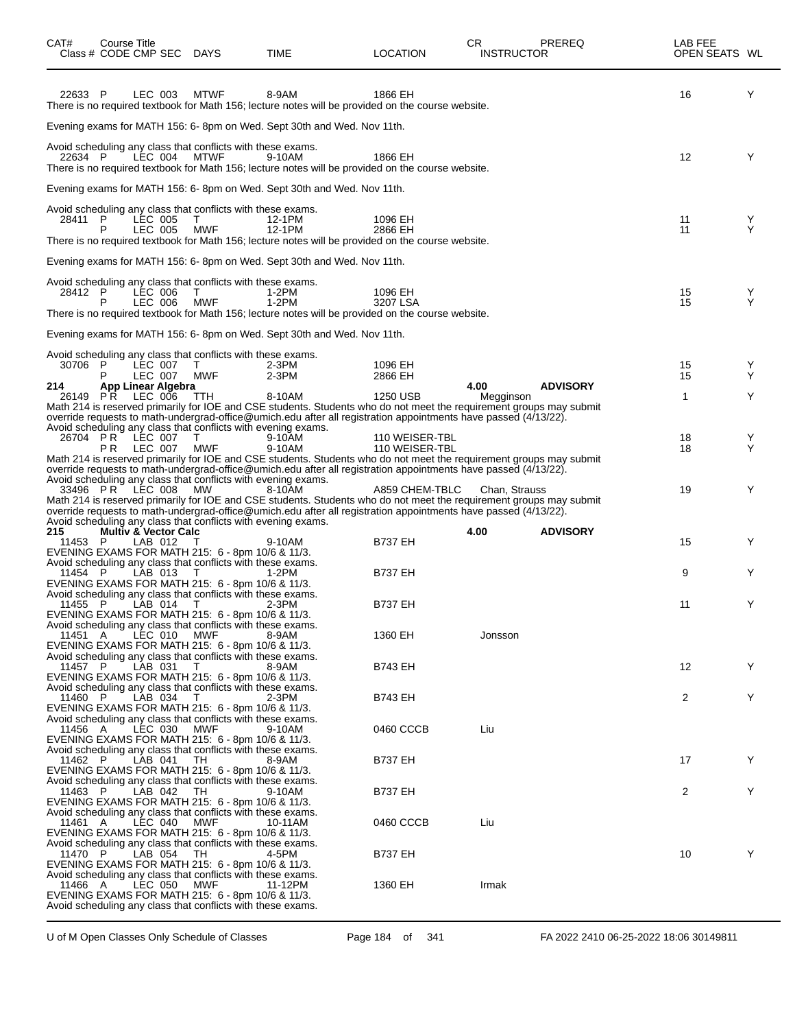| CAT#           | Course Title<br>Class # CODE CMP SEC DAYS                                                                                  |             | TIME                                                                                                                                                                                                                                   | LOCATION                         | CR<br><b>INSTRUCTOR</b> | <b>PREREQ</b>   | LAB FEE<br>OPEN SEATS WL |        |
|----------------|----------------------------------------------------------------------------------------------------------------------------|-------------|----------------------------------------------------------------------------------------------------------------------------------------------------------------------------------------------------------------------------------------|----------------------------------|-------------------------|-----------------|--------------------------|--------|
| 22633 P        | LEC 003                                                                                                                    | <b>MTWF</b> | 8-9AM<br>There is no required textbook for Math 156; lecture notes will be provided on the course website.                                                                                                                             | 1866 EH                          |                         |                 | 16                       | Y      |
|                |                                                                                                                            |             | Evening exams for MATH 156: 6- 8pm on Wed. Sept 30th and Wed. Nov 11th.                                                                                                                                                                |                                  |                         |                 |                          |        |
| 22634 P        | Avoid scheduling any class that conflicts with these exams.<br>LEC 004                                                     | MTWF        | 9-10AM<br>There is no required textbook for Math 156; lecture notes will be provided on the course website.                                                                                                                            | 1866 EH                          |                         |                 | 12                       | Y      |
|                |                                                                                                                            |             | Evening exams for MATH 156: 6- 8pm on Wed. Sept 30th and Wed. Nov 11th.                                                                                                                                                                |                                  |                         |                 |                          |        |
| 28411 P        | Avoid scheduling any class that conflicts with these exams.<br>LEC 005<br>LEC 005                                          | Τ<br>MWF    | 12-1PM<br>12-1PM                                                                                                                                                                                                                       | 1096 EH<br>2866 EH               |                         |                 | 11<br>11                 | Y<br>Y |
|                |                                                                                                                            |             | There is no required textbook for Math 156; lecture notes will be provided on the course website.                                                                                                                                      |                                  |                         |                 |                          |        |
|                |                                                                                                                            |             | Evening exams for MATH 156: 6- 8pm on Wed. Sept 30th and Wed. Nov 11th.                                                                                                                                                                |                                  |                         |                 |                          |        |
| 28412 P        | Avoid scheduling any class that conflicts with these exams.<br>LEC 006<br>P<br>LEC 006                                     | T.<br>MWF   | 1-2PM<br>1-2PM<br>There is no required textbook for Math 156; lecture notes will be provided on the course website.                                                                                                                    | 1096 EH<br>3207 LSA              |                         |                 | 15<br>15                 | Y<br>Y |
|                |                                                                                                                            |             | Evening exams for MATH 156: 6- 8pm on Wed. Sept 30th and Wed. Nov 11th.                                                                                                                                                                |                                  |                         |                 |                          |        |
|                | Avoid scheduling any class that conflicts with these exams.                                                                |             |                                                                                                                                                                                                                                        |                                  |                         |                 |                          |        |
| 30706 P        | LEC 007<br>P<br>LEC 007                                                                                                    | T<br>MWF    | $2-3PM$<br>$2-3PM$                                                                                                                                                                                                                     | 1096 EH<br>2866 EH               |                         |                 | 15<br>15                 | Y<br>Y |
| 214<br>26149   | App Linear Algebra<br>LEC 006<br>PR.                                                                                       | TTH         | 8-10AM                                                                                                                                                                                                                                 | 1250 USB                         | 4.00<br>Megginson       | <b>ADVISORY</b> | 1                        | Y      |
|                | Avoid scheduling any class that conflicts with evening exams.                                                              |             | Math 214 is reserved primarily for IOE and CSE students. Students who do not meet the requirement groups may submit<br>override requests to math-undergrad-office@umich.edu after all registration appointments have passed (4/13/22). |                                  |                         |                 |                          |        |
|                | 26704 PR LEC 007<br>LEC 007<br>PR.                                                                                         | т<br>MWF    | 9-10AM<br>9-10AM                                                                                                                                                                                                                       | 110 WEISER-TBL<br>110 WEISER-TBL |                         |                 | 18<br>18                 | Y<br>Y |
|                |                                                                                                                            |             | Math 214 is reserved primarily for IOE and CSE students. Students who do not meet the requirement groups may submit<br>override requests to math-undergrad-office@umich.edu after all registration appointments have passed (4/13/22). |                                  |                         |                 |                          |        |
|                | Avoid scheduling any class that conflicts with evening exams.<br>33496 PR LEC 008                                          | MW          | 8-10AM<br>Math 214 is reserved primarily for IOE and CSE students. Students who do not meet the requirement groups may submit                                                                                                          | A859 CHEM-TBLC                   | Chan, Strauss           |                 | 19                       | Y      |
|                | Avoid scheduling any class that conflicts with evening exams.                                                              |             | override requests to math-undergrad-office@umich.edu after all registration appointments have passed (4/13/22).                                                                                                                        |                                  |                         |                 |                          |        |
| 215<br>11453 P | <b>Multiv &amp; Vector Calc</b><br>LAB 012                                                                                 | T           | 9-10AM                                                                                                                                                                                                                                 | <b>B737 EH</b>                   | 4.00                    | <b>ADVISORY</b> | 15                       | Y      |
|                | EVENING EXAMS FOR MATH 215: 6 - 8pm 10/6 & 11/3.<br>Avoid scheduling any class that conflicts with these exams.            |             |                                                                                                                                                                                                                                        |                                  |                         |                 |                          |        |
| 11454 P        | LAB 013<br>EVENING EXAMS FOR MATH 215: 6 - 8pm 10/6 & 11/3.                                                                | T           | 1-2PM                                                                                                                                                                                                                                  | <b>B737 EH</b>                   |                         |                 | 9                        | Y      |
| 11455 P        | Avoid scheduling any class that conflicts with these exams.<br>LAB 014 T                                                   |             | $2-3PM$                                                                                                                                                                                                                                | <b>B737 EH</b>                   |                         |                 | 11                       | Υ      |
| 11451 A        | EVENING EXAMS FOR MATH 215: 6 - 8pm 10/6 & 11/3.<br>Avoid scheduling any class that conflicts with these exams.<br>LEC 010 | MWF         | 8-9AM                                                                                                                                                                                                                                  | 1360 EH                          | Jonsson                 |                 |                          |        |
|                | EVENING EXAMS FOR MATH 215: 6 - 8pm 10/6 & 11/3.<br>Avoid scheduling any class that conflicts with these exams.            |             |                                                                                                                                                                                                                                        |                                  |                         |                 |                          |        |
| 11457 P        | LAB 031<br>EVENING EXAMS FOR MATH 215: 6 - 8pm 10/6 & 11/3.                                                                | T           | 8-9AM                                                                                                                                                                                                                                  | <b>B743 EH</b>                   |                         |                 | $12 \overline{ }$        | Y      |
| 11460 P        | Avoid scheduling any class that conflicts with these exams.<br>LAB 034                                                     | T           | 2-3PM                                                                                                                                                                                                                                  | <b>B743 EH</b>                   |                         |                 | 2                        | Y      |
|                | EVENING EXAMS FOR MATH 215: 6 - 8pm 10/6 & 11/3.<br>Avoid scheduling any class that conflicts with these exams.            |             |                                                                                                                                                                                                                                        |                                  |                         |                 |                          |        |
| 11456 A        | LEC 030<br>EVENING EXAMS FOR MATH 215: 6 - 8pm 10/6 & 11/3.                                                                | MWF         | 9-10AM                                                                                                                                                                                                                                 | 0460 CCCB                        | Liu                     |                 |                          |        |
| 11462 P        | Avoid scheduling any class that conflicts with these exams.<br>LAB 041<br>EVENING EXAMS FOR MATH 215: 6 - 8pm 10/6 & 11/3. | TH          | 8-9AM                                                                                                                                                                                                                                  | <b>B737 EH</b>                   |                         |                 | 17                       | Y      |
| 11463 P        | Avoid scheduling any class that conflicts with these exams.<br>LAB 042<br>EVENING EXAMS FOR MATH 215: 6 - 8pm 10/6 & 11/3. | TH          | 9-10AM                                                                                                                                                                                                                                 | <b>B737 EH</b>                   |                         |                 | $\overline{2}$           | Y      |
| 11461 A        | Avoid scheduling any class that conflicts with these exams.<br>LEC 040<br>EVENING EXAMS FOR MATH 215: 6 - 8pm 10/6 & 11/3. | MWF         | 10-11AM                                                                                                                                                                                                                                | 0460 CCCB                        | Liu                     |                 |                          |        |
| 11470 P        | Avoid scheduling any class that conflicts with these exams.<br>LAB 054<br>EVENING EXAMS FOR MATH 215: 6 - 8pm 10/6 & 11/3. | TH          | 4-5PM                                                                                                                                                                                                                                  | <b>B737 EH</b>                   |                         |                 | 10                       | Y      |
| 11466 A        | Avoid scheduling any class that conflicts with these exams.<br>LEC 050<br>EVENING EXAMS FOR MATH 215: 6 - 8pm 10/6 & 11/3. | MWF         | 11-12PM                                                                                                                                                                                                                                | 1360 EH                          | Irmak                   |                 |                          |        |
|                | Avoid scheduling any class that conflicts with these exams.                                                                |             |                                                                                                                                                                                                                                        |                                  |                         |                 |                          |        |

U of M Open Classes Only Schedule of Classes Page 184 of 341 FA 2022 2410 06-25-2022 18:06 30149811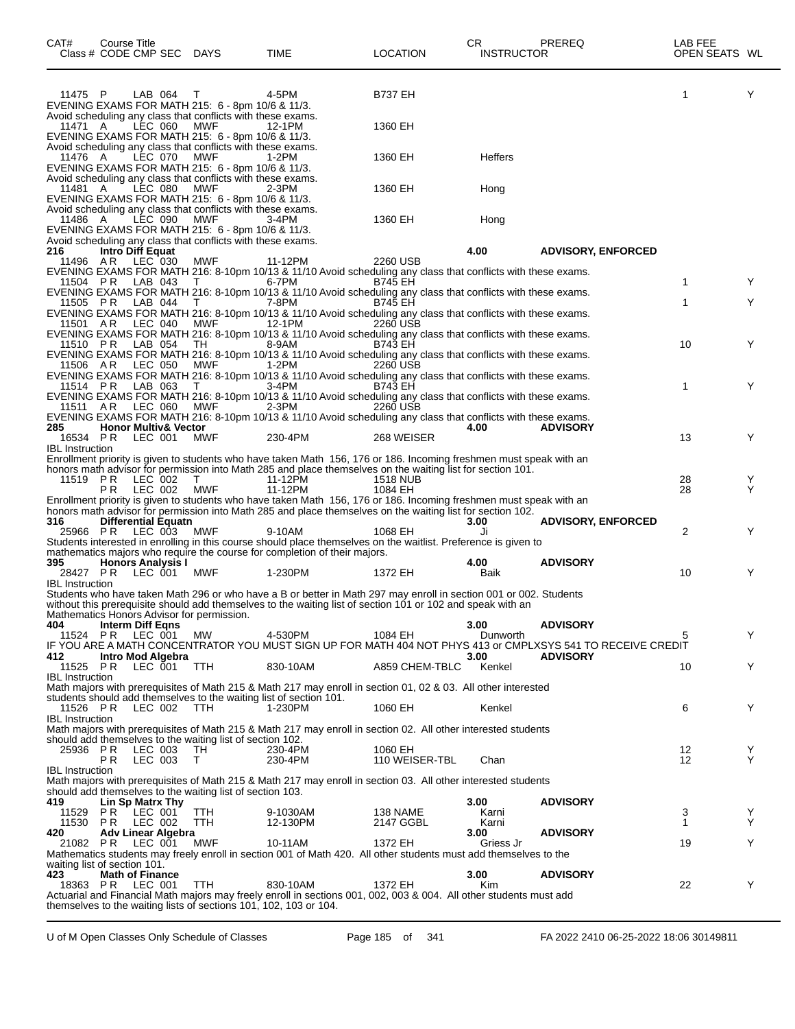| CAT#                               | Course Title<br>Class # CODE CMP SEC DAYS      |                    |         |                                                                                                                                                                                       | TIME                                                                                                                                                                                         | <b>LOCATION</b>       | CR<br><b>INSTRUCTOR</b> | PREREQ                                                                                                                         | LAB FEE<br>OPEN SEATS WL |        |
|------------------------------------|------------------------------------------------|--------------------|---------|---------------------------------------------------------------------------------------------------------------------------------------------------------------------------------------|----------------------------------------------------------------------------------------------------------------------------------------------------------------------------------------------|-----------------------|-------------------------|--------------------------------------------------------------------------------------------------------------------------------|--------------------------|--------|
| 11475 P                            |                                                | LAB 064            |         | т<br>EVENING EXAMS FOR MATH 215: 6 - 8pm 10/6 & 11/3.                                                                                                                                 | 4-5PM                                                                                                                                                                                        | <b>B737 EH</b>        |                         |                                                                                                                                | 1                        | Y      |
| 11471 A                            |                                                | LEC 060            |         | Avoid scheduling any class that conflicts with these exams.<br><b>MWF</b><br>EVENING EXAMS FOR MATH 215: 6 - 8pm 10/6 & 11/3.                                                         | 12-1PM                                                                                                                                                                                       | 1360 EH               |                         |                                                                                                                                |                          |        |
| 11476 A                            |                                                | LEC 070            |         | Avoid scheduling any class that conflicts with these exams.<br>MWF<br>EVENING EXAMS FOR MATH 215: 6 - 8pm 10/6 & 11/3.<br>Avoid scheduling any class that conflicts with these exams. | 1-2PM                                                                                                                                                                                        | 1360 EH               | <b>Heffers</b>          |                                                                                                                                |                          |        |
| 11481 A                            |                                                | LEC 080            |         | <b>MWF</b><br>EVENING EXAMS FOR MATH 215: 6 - 8pm 10/6 & 11/3.<br>Avoid scheduling any class that conflicts with these exams.                                                         | 2-3PM                                                                                                                                                                                        | 1360 EH               | Hong                    |                                                                                                                                |                          |        |
| 11486 A                            |                                                | LEC 090            |         | <b>MWF</b><br>EVENING EXAMS FOR MATH 215: 6 - 8pm 10/6 & 11/3.<br>Avoid scheduling any class that conflicts with these exams.                                                         | 3-4PM                                                                                                                                                                                        | 1360 EH               | Hong                    |                                                                                                                                |                          |        |
| 216<br>11496                       | <b>Intro Diff Equat</b><br>AR                  | LEC 030            |         | MWF                                                                                                                                                                                   | 11-12PM                                                                                                                                                                                      | 2260 USB              | 4.00                    | <b>ADVISORY, ENFORCED</b>                                                                                                      |                          |        |
|                                    | 11504 PR LAB 043                               |                    |         | T                                                                                                                                                                                     | EVENING EXAMS FOR MATH 216: 8-10pm 10/13 & 11/10 Avoid scheduling any class that conflicts with these exams.<br>6-7PM                                                                        | <b>B745 EH</b>        |                         |                                                                                                                                | $\mathbf 1$              | Y      |
| 11505 PR                           |                                                | LAB 044            |         | T                                                                                                                                                                                     | EVENING EXAMS FOR MATH 216: 8-10pm 10/13 & 11/10 Avoid scheduling any class that conflicts with these exams.<br>7-8PM                                                                        | <b>B745 EH</b>        |                         |                                                                                                                                | 1                        | Y      |
| 11501 AR                           |                                                | LEC 040            |         | MWF                                                                                                                                                                                   | EVENING EXAMS FOR MATH 216: 8-10pm 10/13 & 11/10 Avoid scheduling any class that conflicts with these exams.<br>12-1PM                                                                       | 2260 USB              |                         |                                                                                                                                |                          |        |
| 11510 PR                           |                                                | LAB 054            |         | TH                                                                                                                                                                                    | EVENING EXAMS FOR MATH 216: 8-10pm 10/13 & 11/10 Avoid scheduling any class that conflicts with these exams.<br>8-9AM                                                                        | <b>B743 EH</b>        |                         |                                                                                                                                | 10                       | Y      |
| 11506 AR                           |                                                | LEC 050            |         | MWF                                                                                                                                                                                   | EVENING EXAMS FOR MATH 216: 8-10pm 10/13 & 11/10 Avoid scheduling any class that conflicts with these exams.<br>1-2PM                                                                        | 2260 USB              |                         |                                                                                                                                |                          |        |
|                                    |                                                |                    |         |                                                                                                                                                                                       | EVENING EXAMS FOR MATH 216: 8-10pm 10/13 & 11/10 Avoid scheduling any class that conflicts with these exams.                                                                                 |                       |                         |                                                                                                                                |                          |        |
| 11514 PR                           |                                                | LAB 063            |         |                                                                                                                                                                                       | 3-4PM<br>EVENING EXAMS FOR MATH 216: 8-10pm 10/13 & 11/10 Avoid scheduling any class that conflicts with these exams.                                                                        | <b>B743 EH</b>        |                         |                                                                                                                                | 1                        | Y      |
| 11511 AR                           |                                                | LEC 060            |         | MWF                                                                                                                                                                                   | 2-3PM<br>EVENING EXAMS FOR MATH 216: 8-10pm 10/13 & 11/10 Avoid scheduling any class that conflicts with these exams.                                                                        | 2260 USB              |                         |                                                                                                                                |                          |        |
| 285<br>16534 PR                    | <b>Honor Multiv&amp; Vector</b>                | LEC 001            |         | MWF                                                                                                                                                                                   | 230-4PM                                                                                                                                                                                      | 268 WEISER            | 4.00                    | <b>ADVISORY</b>                                                                                                                | 13                       | Y      |
| <b>IBL</b> Instruction             |                                                |                    |         |                                                                                                                                                                                       | Enrollment priority is given to students who have taken Math 156, 176 or 186. Incoming freshmen must speak with an                                                                           |                       |                         |                                                                                                                                |                          |        |
| 11519 PR                           |                                                | LEC 002            |         | T                                                                                                                                                                                     | honors math advisor for permission into Math 285 and place themselves on the waiting list for section 101.<br>11-12PM                                                                        | 1518 NUB              |                         |                                                                                                                                | 28                       | Y      |
|                                    | P R                                            | LEC 002            |         | <b>MWF</b>                                                                                                                                                                            | 11-12PM<br>Enrollment priority is given to students who have taken Math 156, 176 or 186. Incoming freshmen must speak with an                                                                | 1084 EH               |                         |                                                                                                                                | 28                       | Y      |
|                                    |                                                |                    |         |                                                                                                                                                                                       | honors math advisor for permission into Math 285 and place themselves on the waiting list for section 102.                                                                                   |                       |                         |                                                                                                                                |                          |        |
| 316                                | <b>Differential Equatn</b><br>25966 PR LEC 003 |                    |         | MWF                                                                                                                                                                                   | 9-10AM                                                                                                                                                                                       | 1068 EH               | 3.00<br>Ji              | <b>ADVISORY, ENFORCED</b>                                                                                                      | $\overline{2}$           | Y      |
|                                    |                                                |                    |         |                                                                                                                                                                                       | Students interested in enrolling in this course should place themselves on the waitlist. Preference is given to<br>mathematics majors who require the course for completion of their majors. |                       |                         |                                                                                                                                |                          |        |
| 395<br>28427 PR                    | <b>Honors Analysis I</b>                       | LEC 001            |         | MWF                                                                                                                                                                                   | 1-230PM                                                                                                                                                                                      | 1372 EH               | 4.00<br>Baik            | <b>ADVISORY</b>                                                                                                                | 10                       | Y      |
| <b>IBL</b> Instruction             |                                                |                    |         |                                                                                                                                                                                       | Students who have taken Math 296 or who have a B or better in Math 297 may enroll in section 001 or 002. Students                                                                            |                       |                         |                                                                                                                                |                          |        |
| 404                                | <b>Interm Diff Eqns</b>                        |                    |         | Mathematics Honors Advisor for permission.                                                                                                                                            | without this prerequisite should add themselves to the waiting list of section 101 or 102 and speak with an                                                                                  |                       | 3.00                    | <b>ADVISORY</b>                                                                                                                |                          |        |
| 11524 PR<br>412                    | Intro Mod Algebra                              | LEC 001            |         | MW                                                                                                                                                                                    | 4-530PM                                                                                                                                                                                      | 1084 EH               | Dunworth<br>3.00        | IF YOU ARE A MATH CONCENTRATOR YOU MUST SIGN UP FOR MATH 404 NOT PHYS 413 or CMPLXSYS 541 TO RECEIVE CREDIT<br><b>ADVISORY</b> | 5                        | Y      |
| 11525 PR<br><b>IBL</b> Instruction |                                                | LEC 001            |         | TTH                                                                                                                                                                                   | 830-10AM                                                                                                                                                                                     | A859 CHEM-TBLC        | Kenkel                  |                                                                                                                                | 10                       | Y      |
|                                    |                                                |                    |         |                                                                                                                                                                                       | Math majors with prerequisites of Math 215 & Math 217 may enroll in section 01, 02 & 03. All other interested                                                                                |                       |                         |                                                                                                                                |                          |        |
| 11526 PR                           |                                                |                    | LEC 002 | <b>TTH</b>                                                                                                                                                                            | students should add themselves to the waiting list of section 101.<br>1-230PM                                                                                                                | 1060 EH               | Kenkel                  |                                                                                                                                | 6                        | Y      |
| <b>IBL</b> Instruction             |                                                |                    |         |                                                                                                                                                                                       | Math majors with prerequisites of Math 215 & Math 217 may enroll in section 02. All other interested students                                                                                |                       |                         |                                                                                                                                |                          |        |
| 25936 PR                           |                                                | LEC 003            |         | should add themselves to the waiting list of section 102.<br>TH                                                                                                                       | 230-4PM                                                                                                                                                                                      | 1060 EH               |                         |                                                                                                                                | 12                       | Y      |
| <b>IBL</b> Instruction             | PR.                                            | LEC 003            |         | Τ                                                                                                                                                                                     | 230-4PM                                                                                                                                                                                      | 110 WEISER-TBL        | Chan                    |                                                                                                                                | $12 \overline{ }$        | Y      |
|                                    |                                                |                    |         |                                                                                                                                                                                       | Math majors with prerequisites of Math 215 & Math 217 may enroll in section 03. All other interested students                                                                                |                       |                         |                                                                                                                                |                          |        |
| 419                                | Lin Sp Matrx Thy                               |                    |         | should add themselves to the waiting list of section 103.                                                                                                                             |                                                                                                                                                                                              |                       | 3.00                    | <b>ADVISORY</b>                                                                                                                |                          |        |
| 11529<br>11530                     | PR.<br>PR                                      | LEC 001<br>LEC 002 |         | <b>TTH</b><br><b>TTH</b>                                                                                                                                                              | 9-1030AM<br>12-130PM                                                                                                                                                                         | 138 NAME<br>2147 GGBL | Karni<br>Karni          |                                                                                                                                | 3<br>$\mathbf{1}$        | Y<br>Y |
| 420                                | Adv Linear Algebra<br>21082 PR LEC 001         |                    |         | MWF                                                                                                                                                                                   | 10-11AM                                                                                                                                                                                      | 1372 EH               | 3.00<br>Griess Jr       | <b>ADVISORY</b>                                                                                                                | 19                       | Y      |
| waiting list of section 101.       |                                                |                    |         |                                                                                                                                                                                       | Mathematics students may freely enroll in section 001 of Math 420. All other students must add themselves to the                                                                             |                       |                         |                                                                                                                                |                          |        |
| 423                                | <b>Math of Finance</b><br>18363 PR LEC 001     |                    |         |                                                                                                                                                                                       | 830-10AM                                                                                                                                                                                     | 1372 EH               | 3.00<br>Kim             | <b>ADVISORY</b>                                                                                                                | 22                       | Υ      |
|                                    |                                                |                    |         | <b>TTH</b>                                                                                                                                                                            | Actuarial and Financial Math majors may freely enroll in sections 001, 002, 003 & 004. All other students must add<br>themselves to the waiting lists of sections 101, 102, 103 or 104.      |                       |                         |                                                                                                                                |                          |        |

U of M Open Classes Only Schedule of Classes Page 185 of 341 FA 2022 2410 06-25-2022 18:06 30149811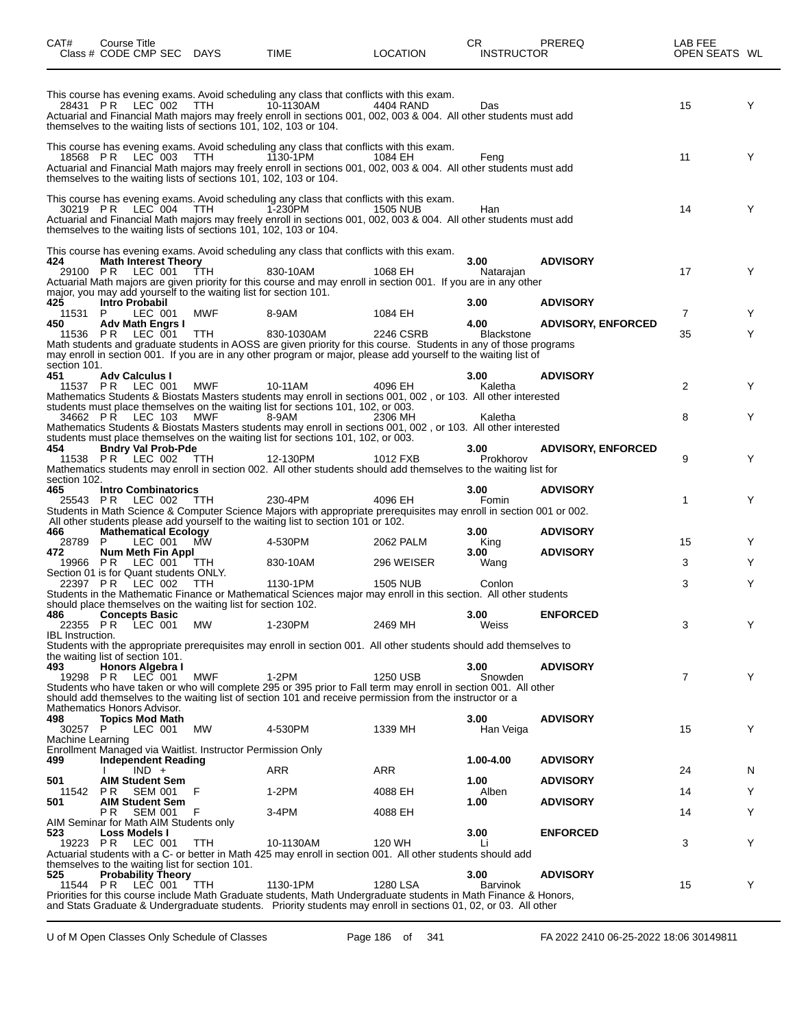| CAT#                    | Course Title<br>Class # CODE CMP SEC DAYS                                                                  |            | TIME                                                                                                                                                                                                                                               | LOCATION        | CR<br><b>INSTRUCTOR</b> | PREREQ                    | LAB FEE<br>OPEN SEATS WL |   |
|-------------------------|------------------------------------------------------------------------------------------------------------|------------|----------------------------------------------------------------------------------------------------------------------------------------------------------------------------------------------------------------------------------------------------|-----------------|-------------------------|---------------------------|--------------------------|---|
| 28431 PR                | LEC 002<br>themselves to the waiting lists of sections 101, 102, 103 or 104.                               | TTH.       | This course has evening exams. Avoid scheduling any class that conflicts with this exam.<br>10-1130AM<br>Actuarial and Financial Math majors may freely enroll in sections 001, 002, 003 & 004. All other students must add                        | 4404 RAND       | Das                     |                           | 15                       | Y |
|                         | 18568 PR LEC 003<br>themselves to the waiting lists of sections 101, 102, 103 or 104.                      | TTH        | This course has evening exams. Avoid scheduling any class that conflicts with this exam.<br>1130-1PM<br>Actuarial and Financial Math majors may freely enroll in sections 001, 002, 003 & 004. All other students must add                         | 1084 EH         | Feng                    |                           | 11                       | Y |
| 30219 PR                | $LEC$ 004<br>themselves to the waiting lists of sections 101, 102, 103 or 104.                             | TTH.       | This course has evening exams. Avoid scheduling any class that conflicts with this exam.<br>1-230PM<br>Actuarial and Financial Math majors may freely enroll in sections 001, 002, 003 & 004. All other students must add                          | 1505 NUB        | Han                     |                           | 14                       | Y |
| 424<br>29100 PR         | <b>Math Interest Theory</b><br>LEC 001<br>major, you may add yourself to the waiting list for section 101. | ŤTH        | This course has evening exams. Avoid scheduling any class that conflicts with this exam.<br>830-10AM<br>Actuarial Math majors are given priority for this course and may enroll in section 001. If you are in any other                            | 1068 EH         | 3.00<br>Natarajan       | <b>ADVISORY</b>           | 17                       | Y |
| 425<br>11531 P          | Intro Probabil<br>LEC 001                                                                                  | MWF        | 8-9AM                                                                                                                                                                                                                                              | 1084 EH         | 3.00                    | <b>ADVISORY</b>           | $\overline{7}$           | Y |
| 450                     | <b>Adv Math Engrs I</b>                                                                                    |            |                                                                                                                                                                                                                                                    |                 | 4.00                    | <b>ADVISORY, ENFORCED</b> |                          |   |
| section 101.            | 11536 PR LEC 001                                                                                           | TTH        | 830-1030AM<br>Math students and graduate students in AOSS are given priority for this course. Students in any of those programs<br>may enroll in section 001. If you are in any other program or major, please add yourself to the waiting list of | 2246 CSRB       | <b>Blackstone</b>       |                           | 35                       | Y |
| 451                     | <b>Adv Calculus I</b><br>11537 PR LEC 001                                                                  | <b>MWF</b> | 10-11AM<br>Mathematics Students & Biostats Masters students may enroll in sections 001, 002, or 103. All other interested                                                                                                                          | 4096 EH         | 3.00<br>Kaletha         | <b>ADVISORY</b>           | 2                        | Y |
| 34662 PR                | LEC 103                                                                                                    | MWF        | students must place themselves on the waiting list for sections 101, 102, or 003.<br>8-9AM<br>Mathematics Students & Biostats Masters students may enroll in sections 001, 002, or 103. All other interested                                       | 2306 MH         | Kaletha                 |                           | 8                        | Y |
| 454<br>11538 PR         | <b>Bndry Val Prob-Pde</b><br>$\overline{C}$ LEC 002                                                        | TTH        | students must place themselves on the waiting list for sections 101, 102, or 003.<br>12-130PM<br>Mathematics students may enroll in section 002. All other students should add themselves to the waiting list for                                  | 1012 FXB        | 3.00<br>Prokhorov       | <b>ADVISORY, ENFORCED</b> | 9                        | Y |
| section 102.<br>465     | <b>Intro Combinatorics</b><br>25543 PR LEC 002 TTH                                                         |            | 230-4PM<br>Students in Math Science & Computer Science Majors with appropriate prerequisites may enroll in section 001 or 002.<br>All other students please add yourself to the waiting list to section 101 or 102.                                | 4096 EH         | 3.00<br>Fomin           | <b>ADVISORY</b>           | 1                        | Y |
| 466<br>28789            | <b>Mathematical Ecology</b><br>P<br>LEC 001                                                                | <b>MW</b>  | 4-530PM                                                                                                                                                                                                                                            | 2062 PALM       | 3.00<br>King            | <b>ADVISORY</b>           | 15                       | Y |
| 472                     | <b>Num Meth Fin Appl</b><br>19966 PR LEC 001 TTH                                                           |            | 830-10AM                                                                                                                                                                                                                                           | 296 WEISER      | 3.00<br>Wang            | <b>ADVISORY</b>           | 3                        | Y |
|                         | Section 01 is for Quant students ONLY.<br>22397 PR LEC 002                                                 | TTH        | 1130-1PM                                                                                                                                                                                                                                           | <b>1505 NUB</b> | Conlon                  |                           | 3                        | Y |
|                         | should place themselves on the waiting list for section 102.                                               |            | Students in the Mathematic Finance or Mathematical Sciences major may enroll in this section. All other students                                                                                                                                   |                 |                         |                           |                          |   |
| 486 — 1<br>22355 PR     | <b>Concepts Basic</b><br>LEC 001                                                                           | <b>MW</b>  | 1-230PM                                                                                                                                                                                                                                            | 2469 MH         | 3.00<br>Weiss           | <b>ENFORCED</b>           | 3                        | Y |
| <b>IBL</b> Instruction. |                                                                                                            |            | Students with the appropriate prerequisites may enroll in section 001. All other students should add themselves to                                                                                                                                 |                 |                         |                           |                          |   |
| 493                     | the waiting list of section 101.<br>Honors Algebra I                                                       |            |                                                                                                                                                                                                                                                    |                 | 3.00                    | <b>ADVISORY</b>           |                          |   |
|                         | 19298 PR LEC 001<br>Mathematics Honors Advisor.                                                            | MWF        | 1-2PM<br>Students who have taken or who will complete 295 or 395 prior to Fall term may enroll in section 001. All other<br>should add themselves to the waiting list of section 101 and receive permission from the instructor or a               | 1250 USB        | Snowden                 |                           | 7                        | Y |
| 498<br>30257 P          | <b>Topics Mod Math</b><br>LEC 001                                                                          | MW         | 4-530PM                                                                                                                                                                                                                                            | 1339 MH         | 3.00<br>Han Veiga       | <b>ADVISORY</b>           | 15                       | Y |
| Machine Learning        | Enrollment Managed via Waitlist. Instructor Permission Only                                                |            |                                                                                                                                                                                                                                                    |                 |                         |                           |                          |   |
| 499                     | <b>Independent Reading</b><br>$IND +$                                                                      |            | ARR                                                                                                                                                                                                                                                | ARR             | 1.00-4.00               | <b>ADVISORY</b>           | 24                       | N |
| 501                     | <b>AIM Student Sem</b>                                                                                     |            |                                                                                                                                                                                                                                                    |                 | 1.00                    | <b>ADVISORY</b>           |                          |   |
| 11542<br>501            | <b>SEM 001</b><br>PR.<br><b>AIM Student Sem</b>                                                            | F          | $1-2PM$                                                                                                                                                                                                                                            | 4088 EH         | Alben<br>1.00           | <b>ADVISORY</b>           | 14                       | Y |
|                         | SEM 001<br>PR.<br>AIM Seminar for Math AIM Students only                                                   | F          | 3-4PM                                                                                                                                                                                                                                              | 4088 EH         |                         |                           | 14                       | Y |
| 523                     | Loss Models I<br>19223 PR LEC 001                                                                          | <b>TTH</b> | 10-1130AM                                                                                                                                                                                                                                          | 120 WH          | 3.00<br>Li              | <b>ENFORCED</b>           | 3                        | Y |
|                         | themselves to the waiting list for section 101.                                                            |            | Actuarial students with a C- or better in Math 425 may enroll in section 001. All other students should add                                                                                                                                        |                 |                         |                           |                          |   |
| 525<br>11544 PR         | <b>Probability Theory</b><br>LEČ 001                                                                       | TTH        | 1130-1PM                                                                                                                                                                                                                                           | 1280 LSA        | 3.00<br>Barvinok        | <b>ADVISORY</b>           | 15                       | Y |
|                         |                                                                                                            |            | Priorities for this course include Math Graduate students, Math Undergraduate students in Math Finance & Honors,<br>and Stats Graduate & Undergraduate students. Priority students may enroll in sections 01, 02, or 03. All other                 |                 |                         |                           |                          |   |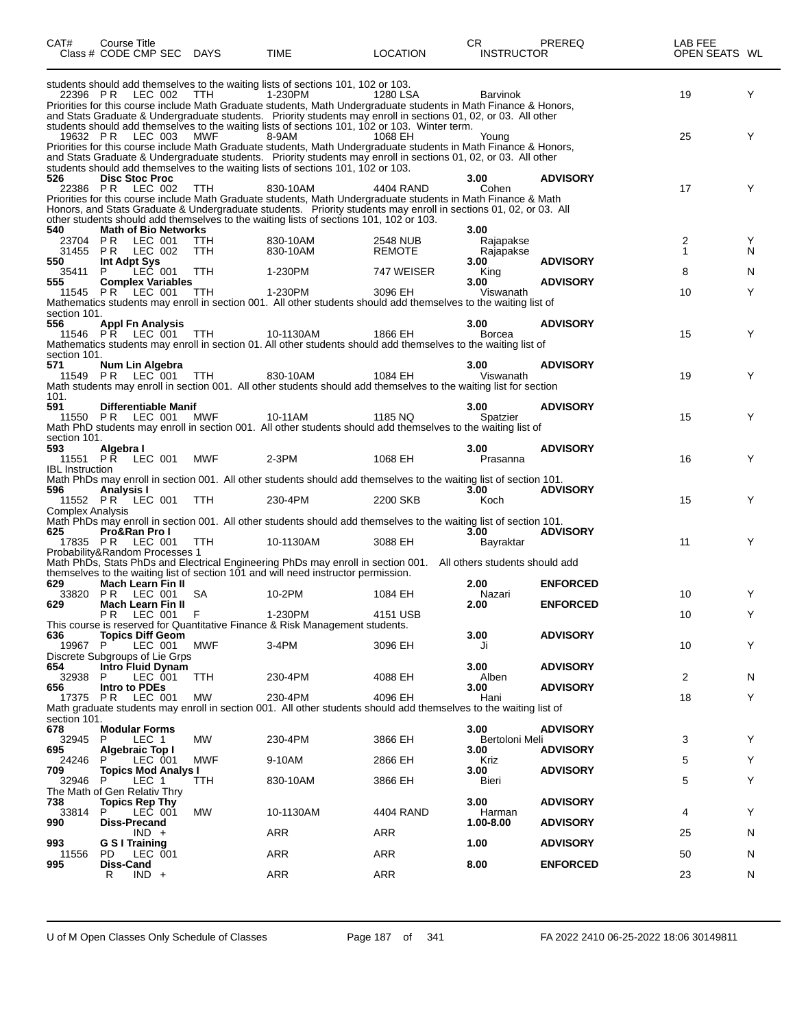| CAT#                                                   | Course Title<br>Class # CODE CMP SEC DAYS                                            |                   | TIME                                                                                                                                                                                                                                                                                                                                         | <b>LOCATION</b>                  | CR.<br><b>INSTRUCTOR</b>       | <b>PREREQ</b>                      | LAB FEE<br>OPEN SEATS WL |        |
|--------------------------------------------------------|--------------------------------------------------------------------------------------|-------------------|----------------------------------------------------------------------------------------------------------------------------------------------------------------------------------------------------------------------------------------------------------------------------------------------------------------------------------------------|----------------------------------|--------------------------------|------------------------------------|--------------------------|--------|
| 22396 PR                                               | LEC 002                                                                              | TTH               | students should add themselves to the waiting lists of sections 101, 102 or 103.<br>1-230PM<br>Priorities for this course include Math Graduate students, Math Undergraduate students in Math Finance & Honors,<br>and Stats Graduate & Undergraduate students. Priority students may enroll in sections 01, 02, or 03. All other            | 1280 LSA                         | <b>Barvinok</b>                |                                    | 19                       | Y      |
| 19632 PR                                               | LEC 003                                                                              | MWF               | students should add themselves to the waiting lists of sections 101, 102 or 103. Winter term.<br>8-9AM<br>Priorities for this course include Math Graduate students, Math Undergraduate students in Math Finance & Honors,<br>and Stats Graduate & Undergraduate students. Priority students may enroll in sections 01, 02, or 03. All other | 1068 EH                          | Young                          |                                    | 25                       | Y      |
| 526                                                    | <b>Disc Stoc Proc</b><br>22386 PR LEC 002                                            | TTH               | students should add themselves to the waiting lists of sections 101, 102 or 103.<br>830-10AM<br>Priorities for this course include Math Graduate students, Math Undergraduate students in Math Finance & Math<br>Honors, and Stats Graduate & Undergraduate students. Priority students may enroll in sections 01, 02, or 03. All            | 4404 RAND                        | 3.00<br>Cohen                  | <b>ADVISORY</b>                    | 17                       | Y      |
| 540<br>23704<br>31455                                  | <b>Math of Bio Networks</b><br><b>PR LEC 001</b><br><b>PR LEC 002</b>                | TTH<br><b>TTH</b> | other students should add themselves to the waiting lists of sections 101, 102 or 103.<br>830-10AM<br>830-10AM                                                                                                                                                                                                                               | <b>2548 NUB</b><br><b>REMOTE</b> | 3.00<br>Rajapakse<br>Rajapakse |                                    | 2<br>$\mathbf{1}$        | Y<br>N |
| 550<br>35411<br>555                                    | Int Adpt Sys<br>LEC 001<br>P.<br><b>Complex Variables</b>                            | <b>TTH</b>        | 1-230PM                                                                                                                                                                                                                                                                                                                                      | 747 WEISER                       | 3.00<br>King<br>3.00           | <b>ADVISORY</b><br><b>ADVISORY</b> | 8                        | N      |
| section 101.<br>556                                    | 11545 PR LEC 001<br><b>Appl Fn Analysis</b>                                          | <b>TTH</b>        | 1-230PM<br>Mathematics students may enroll in section 001. All other students should add themselves to the waiting list of                                                                                                                                                                                                                   | 3096 EH                          | Viswanath<br>3.00              | <b>ADVISORY</b>                    | 10                       | Y      |
| 11546<br>section 101.                                  | PR LEC 001                                                                           | TTH               | 10-1130AM<br>Mathematics students may enroll in section 01. All other students should add themselves to the waiting list of                                                                                                                                                                                                                  | 1866 EH                          | <b>Borcea</b>                  |                                    | 15                       | Y      |
| 571<br>101.                                            | Num Lin Algebra<br>11549 PR LEC 001                                                  | TTH               | 830-10AM<br>Math students may enroll in section 001. All other students should add themselves to the waiting list for section                                                                                                                                                                                                                | 1084 EH                          | 3.00<br>Viswanath              | <b>ADVISORY</b>                    | 19                       | Y      |
| 591                                                    | Differentiable Manif<br>11550 PR LEC 001                                             | <b>MWF</b>        | 10-11AM<br>Math PhD students may enroll in section 001. All other students should add themselves to the waiting list of                                                                                                                                                                                                                      | 1185 NQ                          | 3.00<br>Spatzier               | <b>ADVISORY</b>                    | 15                       | Y      |
| section 101.<br>593<br>11551<br><b>IBL</b> Instruction | Algebra I<br><b>PR LEC 001</b>                                                       | MWF               | $2-3PM$                                                                                                                                                                                                                                                                                                                                      | 1068 EH                          | 3.00<br>Prasanna               | <b>ADVISORY</b>                    | 16                       | Y      |
| 596                                                    | Analysis I<br>11552 PR LEC 001                                                       | <b>TTH</b>        | Math PhDs may enroll in section 001. All other students should add themselves to the waiting list of section 101.<br>230-4PM                                                                                                                                                                                                                 | 2200 SKB                         | 3.00<br>Koch                   | <b>ADVISORY</b>                    | 15                       | Y      |
| Complex Analysis<br>625                                | Pro&Ran Pro I<br>17835 PR LEC 001                                                    | <b>TTH</b>        | Math PhDs may enroll in section 001. All other students should add themselves to the waiting list of section 101.<br>10-1130AM                                                                                                                                                                                                               | 3088 EH                          | 3.00<br>Bayraktar              | <b>ADVISORY</b>                    | 11                       | Y      |
|                                                        | Probability&Random Processes 1                                                       |                   | Math PhDs, Stats PhDs and Electrical Engineering PhDs may enroll in section 001. All others students should add<br>themselves to the waiting list of section 101 and will need instructor permission.                                                                                                                                        |                                  |                                |                                    |                          |        |
| 629<br>33820<br>629                                    | Mach Learn Fin II<br><b>PR LEC 001</b><br><b>Mach Learn Fin II</b><br>PR LEC 001 F   | SA                | 10-2PM<br>1-230PM                                                                                                                                                                                                                                                                                                                            | 1084 EH<br>4151 USB              | 2.00<br>Nazari<br>2.00         | <b>ENFORCED</b><br><b>ENFORCED</b> | 10<br>10                 | Y      |
| 636<br>19967 P                                         | <b>Topics Diff Geom</b><br>LEC 001                                                   | MWF               | This course is reserved for Quantitative Finance & Risk Management students.<br>$3-4PM$                                                                                                                                                                                                                                                      | 3096 EH                          | 3.00<br>Ji                     | <b>ADVISORY</b>                    | 10                       | Y      |
| 654<br>32938<br>656                                    | Discrete Subgroups of Lie Grps<br>Intro Fluid Dynam<br>LEC 001<br>P<br>Intro to PDEs | <b>TTH</b>        | 230-4PM                                                                                                                                                                                                                                                                                                                                      | 4088 EH                          | 3.00<br>Alben<br>3.00          | <b>ADVISORY</b><br><b>ADVISORY</b> | 2                        | N      |
| 17375 PR<br>section 101.                               | <b>LEC 001</b>                                                                       | МW                | 230-4PM<br>Math graduate students may enroll in section 001. All other students should add themselves to the waiting list of                                                                                                                                                                                                                 | 4096 EH                          | Hani                           |                                    | 18                       | Y      |
| 678<br>32945<br>695                                    | <b>Modular Forms</b><br>P.<br>LEC 1<br>Algebraic Top I<br>P<br>LEC 001               | MW<br>MWF         | 230-4PM                                                                                                                                                                                                                                                                                                                                      | 3866 EH                          | 3.00<br>Bertoloni Meli<br>3.00 | <b>ADVISORY</b><br><b>ADVISORY</b> | 3                        | Y      |
| 24246<br>709<br>32946                                  | <b>Topics Mod Analys I</b><br>- P<br>LEC 1<br>The Math of Gen Relativ Thry           | TTH               | 9-10AM<br>830-10AM                                                                                                                                                                                                                                                                                                                           | 2866 EH<br>3866 EH               | Kriz<br>3.00<br>Bieri          | <b>ADVISORY</b>                    | 5<br>5                   | Y<br>Y |
| 738<br>33814<br>990                                    | <b>Topics Rep Thy</b><br>P<br>LEC 001<br><b>Diss-Precand</b>                         | <b>MW</b>         | 10-1130AM                                                                                                                                                                                                                                                                                                                                    | 4404 RAND                        | 3.00<br>Harman<br>1.00-8.00    | <b>ADVISORY</b><br><b>ADVISORY</b> | 4                        | Y      |
| 993<br>11556<br>995                                    | $IND +$<br>G S I Training<br>PD.<br>LEC 001<br>Diss-Cand                             |                   | ARR<br>ARR                                                                                                                                                                                                                                                                                                                                   | ARR<br>ARR                       | 1.00<br>8.00                   | <b>ADVISORY</b><br><b>ENFORCED</b> | 25<br>50                 | N<br>N |
|                                                        | R<br>$IND +$                                                                         |                   | ARR                                                                                                                                                                                                                                                                                                                                          | ARR                              |                                |                                    | 23                       | N      |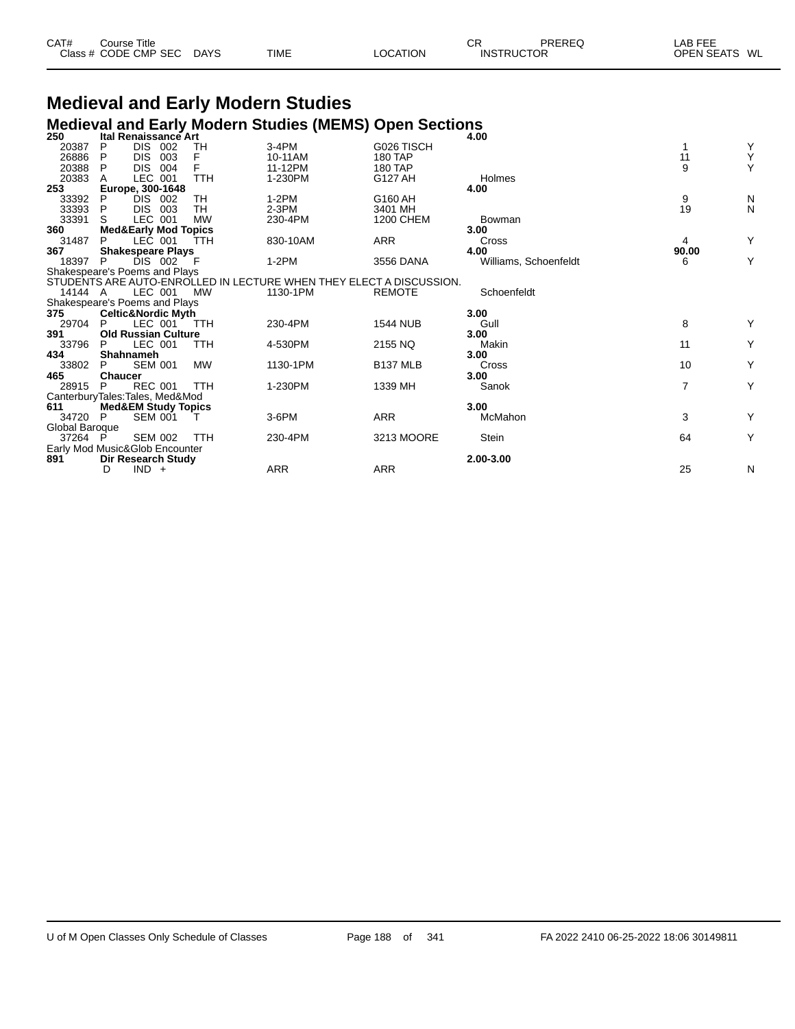| CAT# | Course Title         |             |      |          | СR                | PREREQ | LAB FEE                 |
|------|----------------------|-------------|------|----------|-------------------|--------|-------------------------|
|      | Class # CODE CMP SEC | <b>DAYS</b> | TIME | LOCATION | <b>INSTRUCTOR</b> |        | <b>OPEN SEATS</b><br>WL |

### **Medieval and Early Modern Studies Medieval and Early Modern Studies (MEMS) Open Sections 250 Ital Renaissance Art 4.00**

| 250                            |                  | ltal Renaissance Art            |            |                                                                     |                  | 4.00                  |       |   |  |  |
|--------------------------------|------------------|---------------------------------|------------|---------------------------------------------------------------------|------------------|-----------------------|-------|---|--|--|
| 20387                          | P                | DIS.<br>- 002                   | TН         | 3-4PM                                                               | G026 TISCH       |                       |       | Y |  |  |
| 26886                          | P                | <b>DIS</b><br>003               |            | 10-11AM                                                             | <b>180 TAP</b>   |                       | 11    | Υ |  |  |
| 20388                          | P                | DIS.<br>004                     | F          | 11-12PM                                                             | 180 TAP          |                       | 9     | Υ |  |  |
| 20383                          |                  | LEC 001                         | <b>TTH</b> | 1-230PM                                                             | G127 AH          | Holmes                |       |   |  |  |
| 253                            |                  | Europe, 300-1648                |            |                                                                     |                  | 4.00                  |       |   |  |  |
| 33392                          | P                | DIS 002                         | TH         | $1-2PM$                                                             | G160 AH          |                       | 9     | N |  |  |
| 33393                          | P                | DIS.<br>003                     | TH         | $2-3PM$                                                             | 3401 MH          |                       | 19    | N |  |  |
| 33391                          | S.               | LEC 001                         | <b>MW</b>  | 230-4PM                                                             | <b>1200 CHEM</b> | Bowman                |       |   |  |  |
| 360                            |                  | <b>Med&amp;Early Mod Topics</b> |            |                                                                     |                  | 3.00                  |       |   |  |  |
| 31487                          | P                | LEC 001                         | TTH        | 830-10AM                                                            | ARR              | Cross                 | 4     | Y |  |  |
| 367                            |                  | <b>Shakespeare Plays</b>        |            |                                                                     |                  | 4.00                  | 90.00 |   |  |  |
| 18397                          | P                | DIS 002                         | ΞF         | $1-2PM$                                                             | 3556 DANA        | Williams, Schoenfeldt | 6     | Υ |  |  |
| Shakespeare's Poems and Plays  |                  |                                 |            |                                                                     |                  |                       |       |   |  |  |
|                                |                  |                                 |            | STUDENTS ARE AUTO-ENROLLED IN LECTURE WHEN THEY ELECT A DISCUSSION. |                  |                       |       |   |  |  |
| 14144 A                        |                  | LEC 001                         | МW         | 1130-1PM                                                            | <b>REMOTE</b>    | Schoenfeldt           |       |   |  |  |
| Shakespeare's Poems and Plays  |                  |                                 |            |                                                                     |                  |                       |       |   |  |  |
| 375                            |                  | <b>Celtic&amp;Nordic Myth</b>   |            |                                                                     |                  | 3.00                  |       |   |  |  |
| 29704                          | P                | LEC 001                         | TTH        | 230-4PM                                                             | <b>1544 NUB</b>  | Gull                  | 8     | Y |  |  |
| 391                            |                  | <b>Old Russian Culture</b>      |            |                                                                     |                  | 3.00                  |       |   |  |  |
| 33796                          | P                | LEC 001                         | <b>TTH</b> | 4-530PM                                                             | 2155 NQ          | Makin                 | 11    | Υ |  |  |
| 434                            | <b>Shahnameh</b> |                                 |            |                                                                     |                  | 3.00                  |       |   |  |  |
| 33802                          | P                | <b>SEM 001</b>                  | <b>MW</b>  | 1130-1PM                                                            | <b>B137 MLB</b>  | Cross                 | 10    | Υ |  |  |
| 465                            | <b>Chaucer</b>   |                                 |            |                                                                     |                  | 3.00                  |       |   |  |  |
| 28915                          | P                | <b>REC 001</b>                  | <b>TTH</b> | 1-230PM                                                             | 1339 MH          | Sanok                 | 7     | Υ |  |  |
| CanterburyTales:Tales, Med&Mod |                  |                                 |            |                                                                     |                  |                       |       |   |  |  |
| 611                            |                  | <b>Med&amp;EM Study Topics</b>  |            |                                                                     |                  | 3.00                  |       |   |  |  |
| 34720                          | -P               | <b>SEM 001</b>                  |            | 3-6PM                                                               | <b>ARR</b>       | McMahon               | 3     | Υ |  |  |
| Global Baroque                 |                  |                                 |            |                                                                     |                  |                       |       |   |  |  |
| 37264 P                        |                  | <b>SEM 002</b>                  | <b>TTH</b> | 230-4PM                                                             | 3213 MOORE       | Stein                 | 64    | Υ |  |  |
| Early Mod Music&Glob Encounter |                  |                                 |            |                                                                     |                  |                       |       |   |  |  |
| 891                            |                  | Dir Research Study              |            |                                                                     |                  | 2.00-3.00             |       |   |  |  |
|                                | D                | $IND +$                         |            | ARR                                                                 | <b>ARR</b>       |                       | 25    | N |  |  |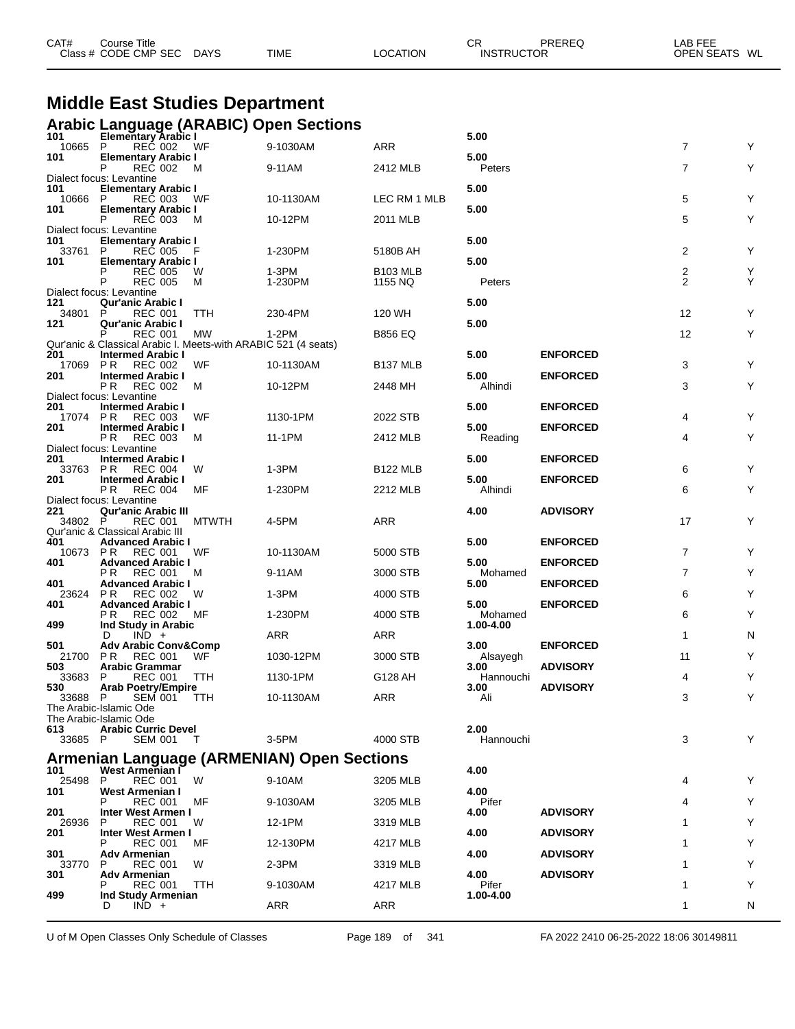|                 | Class # CODE CMP SEC                                                             | DAYS         | TIME                                              | LOCATION             | <b>INSTRUCTOR</b>    |                 | OPEN SEATS WL  |   |
|-----------------|----------------------------------------------------------------------------------|--------------|---------------------------------------------------|----------------------|----------------------|-----------------|----------------|---|
|                 |                                                                                  |              |                                                   |                      |                      |                 |                |   |
|                 | <b>Middle East Studies Department</b>                                            |              |                                                   |                      |                      |                 |                |   |
|                 |                                                                                  |              | <b>Arabic Language (ARABIC) Open Sections</b>     |                      |                      |                 |                |   |
| 101<br>10665 P  | <b>Elementary Arabic I</b><br>REC 002                                            | WF           | 9-1030AM                                          | <b>ARR</b>           | 5.00                 |                 | $\overline{7}$ | Y |
| 101             | <b>Elementary Arabic I</b><br><b>REC 002</b>                                     | м            | 9-11AM                                            |                      | 5.00<br>Peters       |                 | 7              | Υ |
|                 | Dialect focus: Levantine                                                         |              |                                                   | 2412 MLB             |                      |                 |                |   |
| 101<br>10666    | <b>Elementary Arabic I</b><br>REC 003<br>P                                       | WF           | 10-1130AM                                         | LEC RM 1 MLB         | 5.00                 |                 | 5              | Υ |
| 101             | <b>Elementary Arabic I</b><br>P<br><b>REC 003</b>                                | м            | 10-12PM                                           | 2011 MLB             | 5.00                 |                 | 5              | Υ |
| 101             | Dialect focus: Levantine<br><b>Elementary Arabic I</b>                           |              |                                                   |                      | 5.00                 |                 |                |   |
| 33761           | P<br><b>REC 005</b>                                                              |              | 1-230PM                                           | 5180B AH             |                      |                 | $\overline{2}$ | Υ |
| 101             | <b>Elementary Arabic I</b><br><b>REČ 005</b><br>P                                | W            | 1-3PM                                             | <b>B103 MLB</b>      | 5.00                 |                 | $\frac{2}{2}$  | Υ |
|                 | <b>REC 005</b><br>P<br>Dialect focus: Levantine                                  | м            | 1-230PM                                           | 1155 NQ              | Peters               |                 |                | Υ |
| 121<br>34801    | <b>Qur'anic Arabic I</b><br>P<br><b>REC 001</b>                                  | TTH          | 230-4PM                                           | 120 WH               | 5.00                 |                 | 12             | Υ |
| 121             | <b>Qur'anic Arabic I</b><br>P                                                    |              | 1-2PM                                             |                      | 5.00                 |                 | 12             | Υ |
|                 | <b>REC 001</b><br>Qur'anic & Classical Arabic I. Meets-with ARABIC 521 (4 seats) | MW           |                                                   | <b>B856 EQ</b>       |                      |                 |                |   |
| 201<br>17069    | <b>Intermed Arabic I</b><br><b>PR</b><br>REC 002                                 | WF           | 10-1130AM                                         | B <sub>137</sub> MLB | 5.00                 | <b>ENFORCED</b> | 3              | Υ |
| 201             | <b>Intermed Arabic I</b><br>P R<br><b>REC 002</b>                                | м            | 10-12PM                                           | 2448 MH              | 5.00<br>Alhindi      | <b>ENFORCED</b> | 3              | Υ |
| 201             | Dialect focus: Levantine<br><b>Intermed Arabic I</b>                             |              |                                                   |                      | 5.00                 | <b>ENFORCED</b> |                |   |
| 17074           | P R<br><b>REC 003</b>                                                            | WF           | 1130-1PM                                          | 2022 STB             |                      |                 | 4              | Υ |
| 201             | <b>Intermed Arabic I</b><br>PR.<br><b>REC 003</b>                                | М            | 11-1PM                                            | 2412 MLB             | 5.00<br>Reading      | <b>ENFORCED</b> | 4              | Υ |
| 201             | Dialect focus: Levantine<br><b>Intermed Arabic I</b>                             |              |                                                   |                      | 5.00                 | <b>ENFORCED</b> |                |   |
| 33763 PR<br>201 | REC 004<br><b>Intermed Arabic I</b>                                              | W            | $1-3PM$                                           | <b>B122 MLB</b>      | 5.00                 | <b>ENFORCED</b> | 6              | Y |
|                 | P <sub>R</sub><br><b>REC 004</b><br>Dialect focus: Levantine                     | МF           | 1-230PM                                           | 2212 MLB             | Alhindi              |                 | 6              | Υ |
| 221             | <b>Qur'anic Arabic III</b>                                                       |              |                                                   |                      | 4.00                 | <b>ADVISORY</b> |                |   |
| 34802 P         | <b>REC 001</b><br>Qur'anic & Classical Arabic III                                | <b>MTWTH</b> | 4-5PM                                             | <b>ARR</b>           |                      |                 | 17             | Y |
| 401<br>10673 PR | <b>Advanced Arabic I</b><br><b>REC 001</b>                                       | WF           | 10-1130AM                                         | 5000 STB             | 5.00                 | <b>ENFORCED</b> | $\overline{7}$ | Υ |
| 401             | <b>Advanced Arabic I</b><br>P R<br><b>REC 001</b>                                | м            | 9-11AM                                            | 3000 STB             | 5.00<br>Mohamed      | <b>ENFORCED</b> | $\overline{7}$ | Υ |
| 401<br>23624 PR | <b>Advanced Arabic I</b>                                                         | W            | 1-3PM                                             | 4000 STB             | 5.00                 | <b>ENFORCED</b> | 6              | Υ |
| 401             | <b>REC 002</b><br><b>Advanced Arabic I</b>                                       |              |                                                   |                      | 5.00                 | <b>ENFORCED</b> |                |   |
| 499             | <b>REC 002</b><br>P R<br>Ind Study in Arabic                                     | MF           | 1-230PM                                           | 4000 STB             | Mohamed<br>1.00-4.00 |                 | 6              | Υ |
| 501             | D<br>$IND +$<br><b>Adv Arabic Conv&amp;Comp</b>                                  |              | <b>ARR</b>                                        | ARR                  | 3.00                 | <b>ENFORCED</b> | 1              | N |
| 21700 PR<br>503 | REC 001<br><b>Arabic Grammar</b>                                                 | WF           | 1030-12PM                                         | 3000 STB             | Alsayegh<br>3.00     | <b>ADVISORY</b> | 11             | Υ |
| 33683           | <b>REC 001</b><br>P                                                              | <b>TTH</b>   | 1130-1PM                                          | G128 AH              | Hannouchi            | <b>ADVISORY</b> | 4              | Υ |
| 530<br>33688 P  | <b>Arab Poetry/Empire</b><br><b>SEM 001</b>                                      | TTH          | 10-1130AM                                         | ARR                  | 3.00<br>Ali          |                 | 3              | Υ |
|                 | The Arabic-Islamic Ode<br>The Arabic-Islamic Ode                                 |              |                                                   |                      |                      |                 |                |   |
| 613<br>33685 P  | <b>Arabic Curric Devel</b><br><b>SEM 001</b>                                     | T            | 3-5PM                                             | 4000 STB             | 2.00<br>Hannouchi    |                 | 3              | Y |
|                 |                                                                                  |              | <b>Armenian Language (ARMENIAN) Open Sections</b> |                      |                      |                 |                |   |
| 101             | <b>West Armenian F</b>                                                           |              |                                                   |                      | 4.00                 |                 |                |   |
| 25498<br>101    | $\mathsf{P}$<br><b>REC 001</b><br>West Armenian I                                | W            | 9-10AM                                            | 3205 MLB             | 4.00                 |                 | 4              | Y |
| 201             | <b>REC 001</b><br>Inter West Armen I                                             | МF           | 9-1030AM                                          | 3205 MLB             | Pifer<br>4.00        | <b>ADVISORY</b> | 4              | Y |
| 26936<br>201    | REC 001<br>P<br>Inter West Armen I                                               | W            | 12-1PM                                            | 3319 MLB             | 4.00                 | <b>ADVISORY</b> | 1              | Υ |
| 301             | <b>REC 001</b>                                                                   | МF           | 12-130PM                                          | 4217 MLB             | 4.00                 | <b>ADVISORY</b> |                | Υ |
| 33770           | Adv Armenian<br><b>REC 001</b><br>P                                              | W            | $2-3PM$                                           | 3319 MLB             |                      |                 |                | Υ |
| 301             | Adv Armenian<br>REC 001                                                          | TTH          | 9-1030AM                                          | 4217 MLB             | 4.00<br>Pifer        | <b>ADVISORY</b> | 1              | Υ |
| 499             | Ind Study Armenian<br>$IND +$<br>D                                               |              | ARR                                               | ARR                  | 1.00-4.00            |                 | 1              | N |
|                 |                                                                                  |              |                                                   |                      |                      |                 |                |   |

CAT# Course Title Case CR PREREQ LAB FEE

U of M Open Classes Only Schedule of Classes Page 189 of 341 FA 2022 2410 06-25-2022 18:06 30149811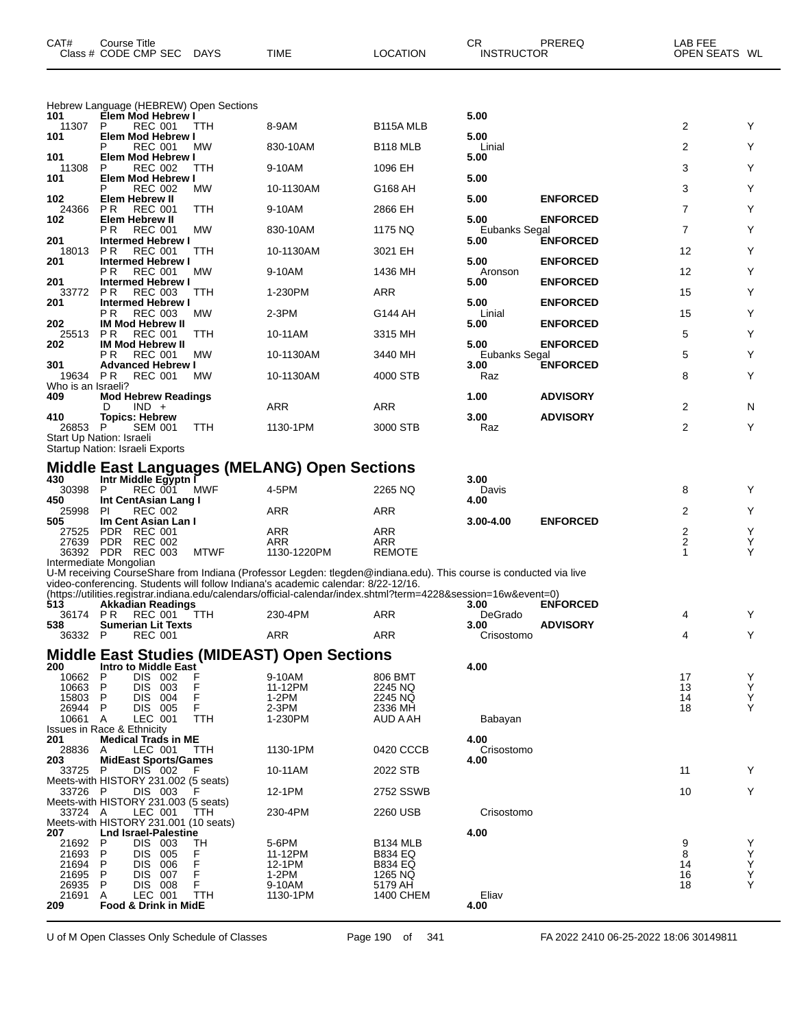| CAT#                      | Course Title<br>Class # CODE CMP SEC                                | <b>DAYS</b> | TIME                                                                                                                                                                                                 | LOCATION             | <b>CR</b><br><b>INSTRUCTOR</b> | PREREQ          | LAB FEE<br>OPEN SEATS WL |        |
|---------------------------|---------------------------------------------------------------------|-------------|------------------------------------------------------------------------------------------------------------------------------------------------------------------------------------------------------|----------------------|--------------------------------|-----------------|--------------------------|--------|
|                           | Hebrew Language (HEBREW) Open Sections                              |             |                                                                                                                                                                                                      |                      |                                |                 |                          |        |
| 101<br>11307              | Elem Mod Hebrew I<br>P<br><b>REC 001</b>                            | TTH         | 8-9AM                                                                                                                                                                                                | B115A MLB            | 5.00                           |                 | 2                        | Υ      |
| 101                       | Elem Mod Hebrew I<br><b>REC 001</b><br>Р                            | МW          | 830-10AM                                                                                                                                                                                             | B <sub>118</sub> MLB | 5.00<br>Linial                 |                 | 2                        | Υ      |
| 101                       | Elem Mod Hebrew I                                                   |             |                                                                                                                                                                                                      |                      | 5.00                           |                 |                          |        |
| 11308<br>101              | <b>REC 002</b><br>P<br>Elem Mod Hebrew I                            | ттн         | 9-10AM                                                                                                                                                                                               | 1096 EH              | 5.00                           |                 | 3                        | Y      |
|                           | P<br><b>REC 002</b>                                                 | МW          | 10-1130AM                                                                                                                                                                                            | G168 AH              |                                |                 | 3                        | Υ      |
| 102<br>24366              | Elem Hebrew II<br><b>REC 001</b><br>P R                             | TTH         | 9-10AM                                                                                                                                                                                               | 2866 EH              | 5.00                           | <b>ENFORCED</b> | 7                        | Υ      |
| 102                       | <b>Elem Hebrew II</b><br>P R<br><b>REC 001</b>                      | MW          | 830-10AM                                                                                                                                                                                             | 1175 NQ              | 5.00<br>Eubanks Segal          | <b>ENFORCED</b> | $\overline{7}$           | Y      |
| 201                       | <b>Intermed Hebrew I</b>                                            |             |                                                                                                                                                                                                      |                      | 5.00                           | <b>ENFORCED</b> |                          |        |
| 18013<br>201              | P R<br><b>REC 001</b><br><b>Intermed Hebrew I</b>                   | TTH         | 10-1130AM                                                                                                                                                                                            | 3021 EH              | 5.00                           | <b>ENFORCED</b> | 12                       | Y      |
|                           | P R<br><b>REC 001</b>                                               | МW          | 9-10AM                                                                                                                                                                                               | 1436 MH              | Aronson                        |                 | 12                       | Υ      |
| 201<br>33772              | <b>Intermed Hebrew I</b><br>P R<br><b>REC 003</b>                   | ттн         | 1-230PM                                                                                                                                                                                              | ARR                  | 5.00                           | <b>ENFORCED</b> | 15                       | Y      |
| 201                       | <b>Intermed Hebrew I</b><br>P R<br><b>REC 003</b>                   | МW          | $2-3PM$                                                                                                                                                                                              | G144 AH              | 5.00<br>Linial                 | <b>ENFORCED</b> | 15                       | Υ      |
| 202                       | <b>IM Mod Hebrew II</b>                                             |             |                                                                                                                                                                                                      |                      | 5.00                           | <b>ENFORCED</b> |                          |        |
| 25513<br>202              | <b>REC 001</b><br>P R<br><b>IM Mod Hebrew II</b>                    | TTH         | 10-11AM                                                                                                                                                                                              | 3315 MH              | 5.00                           | <b>ENFORCED</b> | 5                        | Υ      |
| 301                       | P R<br>REC 001<br><b>Advanced Hebrew I</b>                          | МW          | 10-1130AM                                                                                                                                                                                            | 3440 MH              | Eubanks Segal                  | <b>ENFORCED</b> | 5                        | Y      |
| 19634 PR                  | <b>REC 001</b>                                                      | МW          | 10-1130AM                                                                                                                                                                                            | 4000 STB             | 3.00<br>Raz                    |                 | 8                        | Υ      |
| Who is an Israeli?<br>409 | <b>Mod Hebrew Readings</b>                                          |             |                                                                                                                                                                                                      |                      | 1.00                           | <b>ADVISORY</b> |                          |        |
|                           | $IND +$<br>D                                                        |             | ARR                                                                                                                                                                                                  | <b>ARR</b>           |                                |                 | 2                        | N      |
| 410<br>26853 P            | <b>Topics: Hebrew</b><br><b>SEM 001</b>                             | TTH         | 1130-1PM                                                                                                                                                                                             | 3000 STB             | 3.00<br>Raz                    | <b>ADVISORY</b> | 2                        | Υ      |
|                           | Start Up Nation: Israeli                                            |             |                                                                                                                                                                                                      |                      |                                |                 |                          |        |
|                           | Startup Nation: Israeli Exports                                     |             |                                                                                                                                                                                                      |                      |                                |                 |                          |        |
| 430                       | Intr Middle Egyptn I                                                |             | <b>Middle East Languages (MELANG) Open Sections</b>                                                                                                                                                  |                      | 3.00                           |                 |                          |        |
| 30398                     | REC 001<br>P                                                        | <b>MWF</b>  | 4-5PM                                                                                                                                                                                                | 2265 NQ              | Davis                          |                 | 8                        | Y      |
| 450<br>25998              | Int CentAsian Lang I<br><b>PI</b><br><b>REC 002</b>                 |             | ARR                                                                                                                                                                                                  | ARR                  | 4.00                           |                 | 2                        | Υ      |
| 505                       | Im Cent Asian Lan I                                                 |             |                                                                                                                                                                                                      |                      | $3.00 - 4.00$                  | <b>ENFORCED</b> |                          |        |
| 27525<br>27639            | PDR REC 001<br>PDR.<br>REC 002                                      |             | ARR<br>ARR                                                                                                                                                                                           | ARR<br>ARR           |                                |                 | 2<br>2                   | Y<br>Υ |
|                           | 36392 PDR REC 003<br>Intermediate Mongolian                         | <b>MTWF</b> | 1130-1220PM                                                                                                                                                                                          | <b>REMOTE</b>        |                                |                 | 1                        | Y      |
|                           |                                                                     |             | U-M receiving CourseShare from Indiana (Professor Legden: tlegden@indiana.edu). This course is conducted via live                                                                                    |                      |                                |                 |                          |        |
|                           |                                                                     |             | video-conferencing. Students will follow Indiana's academic calendar: 8/22-12/16.<br>(https://utilities.registrar.indiana.edu/calendars/official-calendar/index.shtml?term=4228&session=16w&event=0) |                      |                                |                 |                          |        |
| 513<br>36174 PR           | <b>Akkadian Readings</b><br><b>REC 001</b>                          | TTH         | 230-4PM                                                                                                                                                                                              | <b>ARR</b>           | 3.00<br>DeGrado                | <b>ENFORCED</b> | 4                        | Y      |
| 538                       | <b>Sumerian Lit Texts</b>                                           |             |                                                                                                                                                                                                      |                      | 3.00                           | <b>ADVISORY</b> |                          |        |
| 36332 P                   | <b>REC 001</b>                                                      |             | ARR                                                                                                                                                                                                  | <b>ARR</b>           | Crisostomo                     |                 | 4                        | Υ      |
|                           | <b>Intro to Middle East</b>                                         |             | <b>Middle East Studies (MIDEAST) Open Sections</b>                                                                                                                                                   |                      |                                |                 |                          |        |
| 200<br>10662              | P<br>DIS 002                                                        | F           | 9-10AM                                                                                                                                                                                               | 806 BMT              | 4.00                           |                 | 17                       | Y      |
| 10663<br>15803            | DIS 003<br>P<br>DIS 004<br>P                                        | F<br>F      | 11-12PM<br>1-2PM                                                                                                                                                                                     | 2245 NQ<br>2245 NQ   |                                |                 | 13<br>14                 | Υ<br>Υ |
| 26944                     | DIS 005<br>- P                                                      | F           | $2-3PM$                                                                                                                                                                                              | 2336 MH              |                                |                 | 18                       | Υ      |
| 10661 A                   | LEC 001                                                             | TTH         | 1-230PM                                                                                                                                                                                              | AUD A AH             | Babayan                        |                 |                          |        |
| 201                       | <b>Issues in Race &amp; Ethnicity</b><br><b>Medical Trads in ME</b> |             |                                                                                                                                                                                                      |                      | 4.00                           |                 |                          |        |
| 28836<br>203              | LEC 001<br>A<br><b>MidEast Sports/Games</b>                         | <b>TTH</b>  | 1130-1PM                                                                                                                                                                                             | 0420 CCCB            | Crisostomo<br>4.00             |                 |                          |        |
| 33725 P                   | DIS 002                                                             |             | 10-11AM                                                                                                                                                                                              | 2022 STB             |                                |                 | 11                       | Y      |
| 33726 P                   | Meets-with HISTORY 231.002 (5 seats)<br>DIS 003                     | `F          | 12-1PM                                                                                                                                                                                               | 2752 SSWB            |                                |                 | 10                       | Y      |
|                           | Meets-with HISTORY 231.003 (5 seats)                                |             |                                                                                                                                                                                                      |                      |                                |                 |                          |        |
| 33724 A                   | LEC 001<br>Meets-with HISTORY 231.001 (10 seats)                    | TTH         | 230-4PM                                                                                                                                                                                              | 2260 USB             | Crisostomo                     |                 |                          |        |
| 207                       | <b>Lnd Israel-Palestine</b><br>DIS 003<br>P                         |             | 5-6PM                                                                                                                                                                                                | <b>B134 MLB</b>      | 4.00                           |                 | 9                        | Y      |
| 21692<br>21693            | DIS 005<br>P                                                        | TН<br>F     | 11-12PM                                                                                                                                                                                              | B834 EQ              |                                |                 | 8                        | Υ      |
| 21694                     | DIS 006<br>P                                                        | F           | 12-1PM                                                                                                                                                                                               | <b>B834 EQ</b>       |                                |                 | 14                       | Υ      |
| 21695<br>26935            | P<br>DIS.<br>007<br>DIS 008<br>P                                    | F<br>F      | $1-2PM$<br>9-10AM                                                                                                                                                                                    | 1265 NQ<br>5179 AH   |                                |                 | 16<br>18                 | Υ<br>Υ |
| 21691                     | LEC 001<br>A                                                        | <b>TTH</b>  | 1130-1PM                                                                                                                                                                                             | 1400 CHEM            | Eliav                          |                 |                          |        |
| 209                       | Food & Drink in MidE                                                |             |                                                                                                                                                                                                      |                      | 4.00                           |                 |                          |        |

U of M Open Classes Only Schedule of Classes Page 190 of 341 FA 2022 2410 06-25-2022 18:06 30149811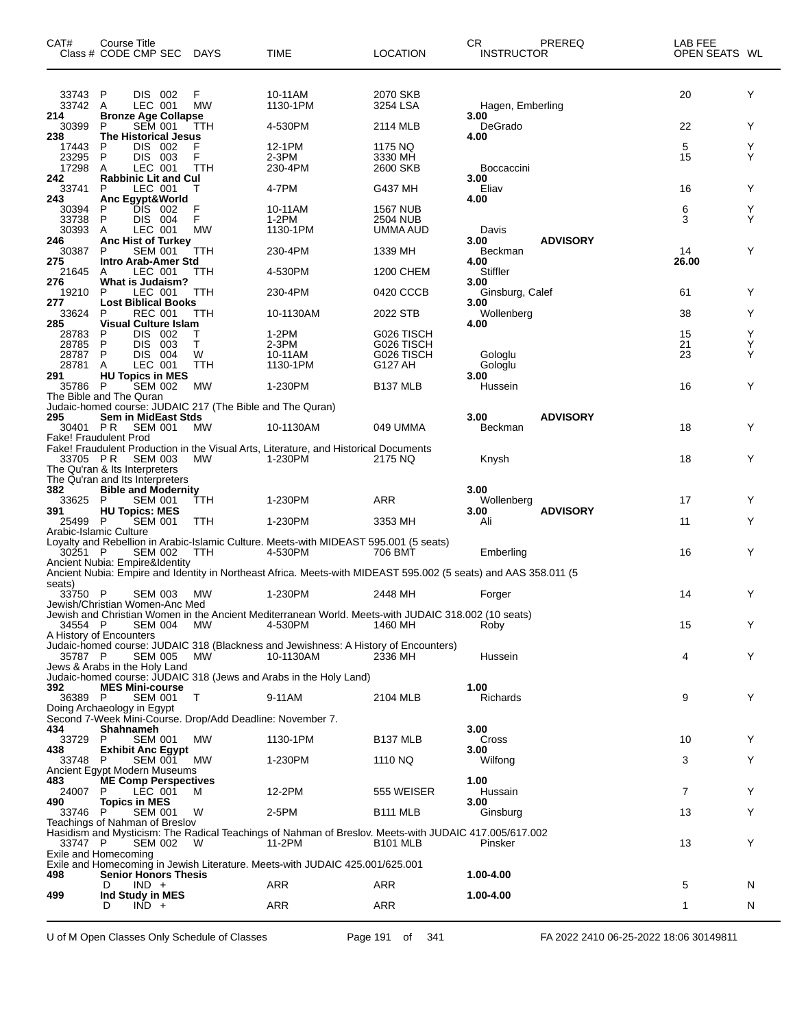| CAT#                                    | Course Title<br>Class # CODE CMP SEC DAYS                                                         |                    | <b>TIME</b>                                                                                                     | <b>LOCATION</b>                                   | CR.<br><b>INSTRUCTOR</b>   | <b>PREREQ</b>   | LAB FEE<br>OPEN SEATS WL |             |
|-----------------------------------------|---------------------------------------------------------------------------------------------------|--------------------|-----------------------------------------------------------------------------------------------------------------|---------------------------------------------------|----------------------------|-----------------|--------------------------|-------------|
| 33743 P<br>33742 A<br>214               | DIS 002<br>LEC 001<br><b>Bronze Age Collapse</b>                                                  | F<br><b>MW</b>     | 10-11AM<br>1130-1PM                                                                                             | 2070 SKB<br>3254 LSA                              | Hagen, Emberling<br>3.00   |                 | 20                       | Y           |
| 30399<br>238                            | <b>SEM 001</b><br>P<br><b>The Historical Jesus</b>                                                | ттн                | 4-530PM                                                                                                         | 2114 MLB                                          | DeGrado<br>4.00            |                 | 22                       | Υ           |
| 17443<br>23295<br>17298                 | P<br>DIS.<br>- 002<br>P<br>DIS 003<br>A<br>LEC 001                                                | F<br>F<br>TTH      | 12-1PM<br>2-3PM<br>230-4PM                                                                                      | 1175 NQ<br>3330 MH<br>2600 SKB                    | <b>Boccaccini</b>          |                 | 5<br>15                  | Y<br>Y      |
| 242<br>33741                            | <b>Rabbinic Lit and Cul</b><br>LEC 001<br>P                                                       | т                  | 4-7PM                                                                                                           | G437 MH                                           | 3.00<br>Eliav              |                 | 16                       | Υ           |
| 243<br>30394<br>33738<br>30393          | Anc Egypt&World<br>DIS 002<br>P<br>P<br>DIS 004<br>A<br>LEC 001                                   | F<br>F<br>MW       | 10-11AM<br>$1-2PM$<br>1130-1PM                                                                                  | <b>1567 NUB</b><br>2504 NUB<br>UMMA AUD           | 4.00<br>Davis              |                 | 6<br>3                   | Y<br>Y      |
| 246<br>30387                            | <b>Anc Hist of Turkey</b><br><b>SEM 001</b><br>P                                                  | TTH                | 230-4PM                                                                                                         | 1339 MH                                           | 3.00<br>Beckman            | <b>ADVISORY</b> | 14                       | Y           |
| 275<br>21645                            | Intro Arab-Amer Std<br>LEC 001<br>A                                                               | ттн                | 4-530PM                                                                                                         | 1200 CHEM                                         | 4.00<br>Stiffler           |                 | 26.00                    |             |
| 276<br>19210                            | <b>What is Judaism?</b><br>P<br>LEC 001                                                           | TTH                | 230-4PM                                                                                                         | 0420 CCCB                                         | 3.00<br>Ginsburg, Calef    |                 | 61                       | Y           |
| 277<br>33624                            | <b>Lost Biblical Books</b><br><b>REC 001</b><br>P                                                 | TTH                | 10-1130AM                                                                                                       | 2022 STB                                          | 3.00<br>Wollenberg         |                 | 38                       | Υ           |
| 285<br>28783<br>28785<br>28787<br>28781 | <b>Visual Culture Islam</b><br>DIS 002<br>P<br>DIS.<br>P<br>- 003<br>P<br>DIS 004<br>LEC 001<br>Α | т<br>т<br>W<br>TTH | 1-2PM<br>2-3PM<br>10-11AM<br>1130-1PM                                                                           | G026 TISCH<br>G026 TISCH<br>G026 TISCH<br>G127 AH | 4.00<br>Gologlu<br>Gologlu |                 | 15<br>21<br>23           | Y<br>Y<br>Y |
| 291<br>35786 P                          | <b>HU Topics in MES</b><br><b>SEM 002</b>                                                         | МW                 | 1-230PM                                                                                                         | <b>B137 MLB</b>                                   | 3.00<br>Hussein            |                 | 16                       | Υ           |
|                                         | The Bible and The Quran<br>Judaic-homed course: JUDAIC 217 (The Bible and The Quran)              |                    |                                                                                                                 |                                                   |                            |                 |                          |             |
| 295<br>30401 PR                         | <b>Sem in MidEast Stds</b><br><b>SEM 001</b>                                                      | <b>MW</b>          | 10-1130AM                                                                                                       | 049 UMMA                                          | 3.00<br>Beckman            | <b>ADVISORY</b> | 18                       | Y           |
| 33705 PR                                | <b>Fake! Fraudulent Prod</b><br>SEM 003<br>The Qu'ran & Its Interpreters                          | МW                 | Fake! Fraudulent Production in the Visual Arts, Literature, and Historical Documents<br>1-230PM                 | 2175 NQ                                           | Knysh                      |                 | 18                       | Y           |
| 382                                     | The Qu'ran and Its Interpreters<br><b>Bible and Modernity</b>                                     |                    |                                                                                                                 |                                                   | 3.00                       |                 |                          |             |
| 33625 P<br>391                          | <b>SEM 001</b><br><b>HU Topics: MES</b>                                                           | ттн                | 1-230PM                                                                                                         | ARR                                               | Wollenberg<br>3.00         | <b>ADVISORY</b> | 17                       | Υ           |
| 25499 P                                 | <b>SEM 001</b><br>Arabic-Islamic Culture                                                          | TTH                | 1-230PM                                                                                                         | 3353 MH                                           | Ali                        |                 | 11                       | Y           |
| 30251 P                                 | SEM 002<br>Ancient Nubia: Empire&Identity                                                         | <b>TTH</b>         | Loyalty and Rebellion in Arabic-Islamic Culture. Meets-with MIDEAST 595.001 (5 seats)<br>4-530PM                | 706 BMT                                           | Emberling                  |                 | 16                       | Y           |
| seats)                                  |                                                                                                   |                    | Ancient Nubia: Empire and Identity in Northeast Africa. Meets-with MIDEAST 595.002 (5 seats) and AAS 358.011 (5 |                                                   |                            |                 |                          |             |
| 33750 P                                 | <b>SEM 003</b><br>Jewish/Christian Women-Anc Med                                                  | МW                 | 1-230PM<br>Jewish and Christian Women in the Ancient Mediterranean World. Meets-with JUDAIC 318.002 (10 seats)  | 2448 MH                                           | Forger                     |                 | 14                       | Y           |
| 34554 P                                 | SEM 004<br>A History of Encounters                                                                | МW                 | 4-530PM<br>Judaic-homed course: JUDAIC 318 (Blackness and Jewishness: A History of Encounters)                  | 1460 MH                                           | Roby                       |                 | 15                       | Y           |
| 35787 P                                 | SEM 005 MW<br>Jews & Arabs in the Holy Land                                                       |                    | 10-1130AM<br>Judaic-homed course: JUDAIC 318 (Jews and Arabs in the Holy Land)                                  | 2336 MH                                           | Hussein                    |                 | 4                        | Y           |
| 392<br>36389 P                          | <b>MES Mini-course</b><br><b>SEM 001</b><br>Doing Archaeology in Egypt                            | $\top$             | 9-11AM                                                                                                          | 2104 MLB                                          | 1.00<br>Richards           |                 | 9                        | Y           |
| 434                                     | Second 7-Week Mini-Course. Drop/Add Deadline: November 7.<br>Shahnameh                            |                    |                                                                                                                 |                                                   | 3.00                       |                 |                          |             |
| 33729 P<br>438                          | SEM 001<br><b>Exhibit Anc Egypt</b>                                                               | МW                 | 1130-1PM                                                                                                        | B <sub>137</sub> MLB                              | Cross<br>3.00              |                 | 10                       | Y           |
| 33748 P                                 | SEM 001<br>Ancient Egypt Modern Museums                                                           | <b>MW</b>          | 1-230PM                                                                                                         | 1110 NQ                                           | Wilfong                    |                 | 3                        | Y           |
| 483<br>24007<br>490                     | <b>ME Comp Perspectives</b><br>P<br>LEC 001<br><b>Topics in MES</b>                               | M                  | 12-2PM                                                                                                          | 555 WEISER                                        | 1.00<br>Hussain<br>3.00    |                 | $\overline{7}$           | Y           |
| 33746 P                                 | <b>SEM 001</b><br>Teachings of Nahman of Breslov                                                  | W                  | 2-5PM                                                                                                           | B <sub>111</sub> MLB                              | Ginsburg                   |                 | 13                       | Y           |
| 33747 P                                 | SEM 002<br>Exile and Homecoming                                                                   | W                  | Hasidism and Mysticism: The Radical Teachings of Nahman of Breslov. Meets-with JUDAIC 417.005/617.002<br>11-2PM | B <sub>101</sub> MLB                              | Pinsker                    |                 | 13                       | Y           |
| 498                                     | <b>Senior Honors Thesis</b>                                                                       |                    | Exile and Homecoming in Jewish Literature. Meets-with JUDAIC 425.001/625.001                                    |                                                   | 1.00-4.00                  |                 |                          |             |
| 499                                     | $IND +$<br>D<br>Ind Study in MES                                                                  |                    | ARR                                                                                                             | ARR                                               | 1.00-4.00                  |                 | 5                        | N           |
|                                         | $IND +$<br>D                                                                                      |                    | <b>ARR</b>                                                                                                      | ARR                                               |                            |                 | $\mathbf{1}$             | N           |

U of M Open Classes Only Schedule of Classes Page 191 of 341 FA 2022 2410 06-25-2022 18:06 30149811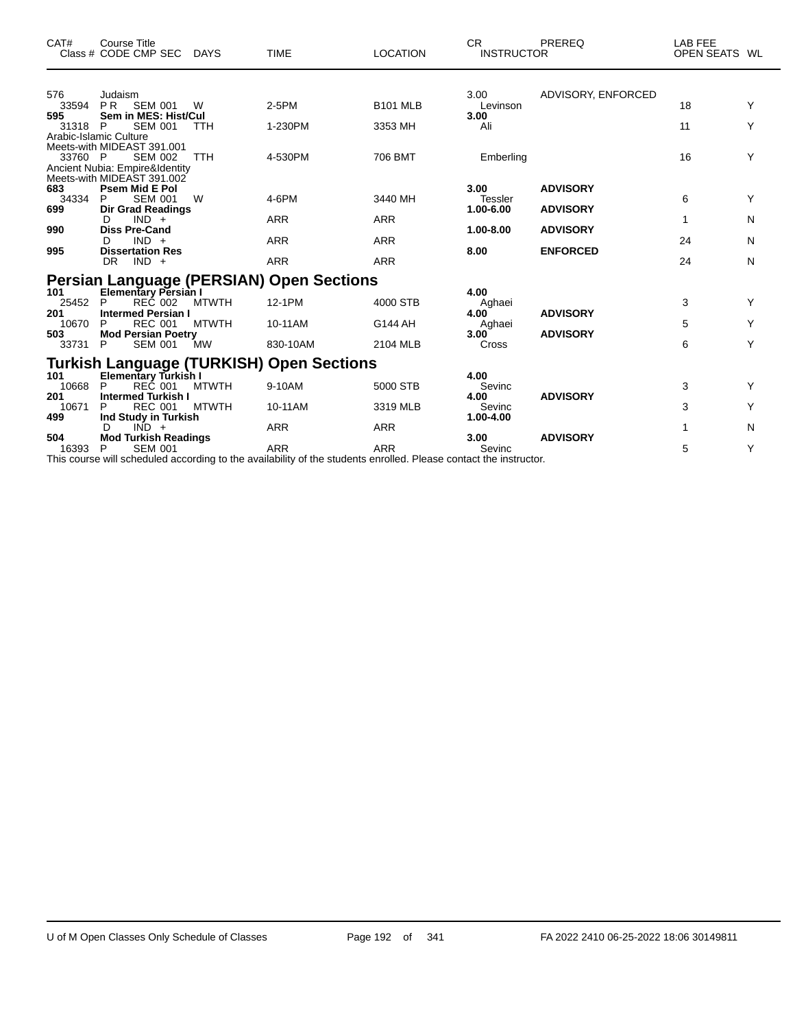| CAT#                         | Course Title<br>Class # CODE CMP SEC                                                                                                   | <b>DAYS</b>                  | <b>TIME</b>                                                          | <b>LOCATION</b>                        | CR.<br><b>INSTRUCTOR</b>              | PREREQ                             | LAB FEE<br>OPEN SEATS WL |             |
|------------------------------|----------------------------------------------------------------------------------------------------------------------------------------|------------------------------|----------------------------------------------------------------------|----------------------------------------|---------------------------------------|------------------------------------|--------------------------|-------------|
| 576<br>33594<br>595          | Judaism<br>P R<br><b>SEM 001</b><br>Sem in MES: Hist/Cul                                                                               | W                            | 2-5PM                                                                | <b>B101 MLB</b>                        | 3.00<br>Levinson<br>3.00              | ADVISORY, ENFORCED                 | 18                       | Y           |
| 31318<br>33760 P             | <b>SEM 001</b><br><b>P</b><br>Arabic-Islamic Culture<br>Meets-with MIDEAST 391.001<br><b>SEM 002</b><br>Ancient Nubia: Empire&Identity | <b>TTH</b><br><b>TTH</b>     | 1-230PM<br>4-530PM                                                   | 3353 MH<br>706 BMT                     | Ali<br>Emberling                      |                                    | 11<br>16                 | Y<br>Y      |
| 683<br>34334<br>699          | Meets-with MIDEAST 391.002<br><b>Psem Mid E Pol</b><br>P<br><b>SEM 001</b><br><b>Dir Grad Readings</b>                                 | W                            | 4-6PM                                                                | 3440 MH                                | 3.00<br>Tessler<br>1.00-6.00          | <b>ADVISORY</b><br><b>ADVISORY</b> | 6                        | Y           |
| 990<br>995                   | $IND +$<br>D<br><b>Diss Pre-Cand</b><br>$IND +$<br>D<br><b>Dissertation Res</b><br>DR.<br>$IND +$                                      |                              | <b>ARR</b><br><b>ARR</b><br><b>ARR</b>                               | <b>ARR</b><br><b>ARR</b><br><b>ARR</b> | 1.00-8.00<br>8.00                     | <b>ADVISORY</b><br><b>ENFORCED</b> | 1<br>24<br>24            | N<br>N<br>N |
| 101<br>25452<br>201          | Elementary Persian I<br>P<br>REČ 002<br><b>Intermed Persian I</b>                                                                      | <b>MTWTH</b>                 | <b>Persian Language (PERSIAN) Open Sections</b><br>12-1PM            | 4000 STB                               | 4.00<br>Aghaei<br>4.00                | <b>ADVISORY</b>                    | 3                        | Y           |
| 10670<br>503<br>33731        | <b>REC 001</b><br>P<br><b>Mod Persian Poetry</b><br>P<br><b>SEM 001</b>                                                                | <b>MTWTH</b><br><b>MW</b>    | 10-11AM<br>830-10AM                                                  | G144 AH<br>2104 MLB                    | Aghaei<br>3.00<br>Cross               | <b>ADVISORY</b>                    | 5<br>6                   | Y<br>Y      |
| 101<br>10668<br>201          | <b>Elementary Turkish I</b><br>P<br>REČ 001<br><b>Intermed Turkish I</b><br>P                                                          | <b>MTWTH</b><br><b>MTWTH</b> | <b>Turkish Language (TURKISH) Open Sections</b><br>9-10AM<br>10-11AM | 5000 STB                               | 4.00<br>Sevinc<br>4.00                | <b>ADVISORY</b>                    | 3                        | Y<br>Y      |
| 10671<br>499<br>504<br>16393 | <b>REC 001</b><br>Ind Study in Turkish<br>$IND +$<br>D<br><b>Mod Turkish Readings</b><br><b>SEM 001</b><br>P                           |                              | <b>ARR</b><br><b>ARR</b>                                             | 3319 MLB<br><b>ARR</b><br><b>ARR</b>   | Sevinc<br>1.00-4.00<br>3.00<br>Sevinc | <b>ADVISORY</b>                    | 3<br>1<br>5              | N<br>Y      |

This course will scheduled according to the availability of the students enrolled. Please contact the instructor.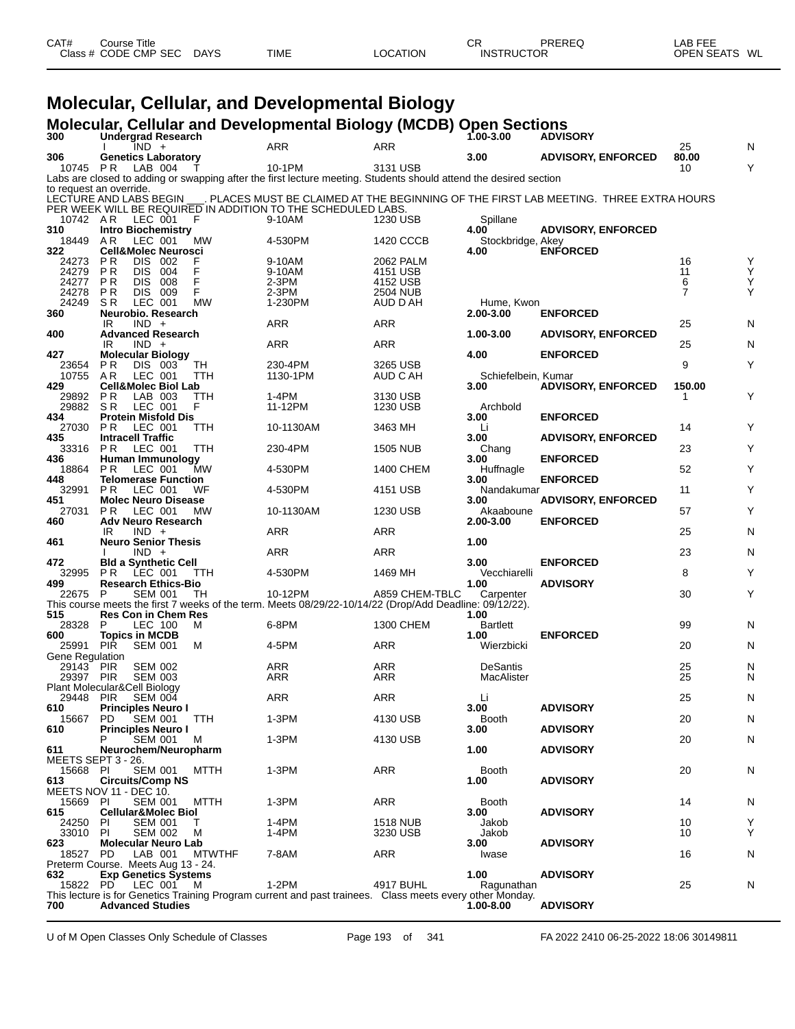| CAT# | Course Title         |             |             |                 | СF                | PREREQ | LAB FEE                 |
|------|----------------------|-------------|-------------|-----------------|-------------------|--------|-------------------------|
|      | Class # CODE CMP SEC | <b>DAYS</b> | <b>TIME</b> | <b>LOCATION</b> | <b>INSTRUCTOR</b> |        | WL<br><b>OPEN SEATS</b> |
|      |                      |             |             |                 |                   |        |                         |

## **Molecular, Cellular, and Developmental Biology**

|                                           |                                 |                                                  |               | Molecular, Cellular and Developmental Biology (MCDB) Open Sections                                                          |                      |                           |                                                                                       |             |        |
|-------------------------------------------|---------------------------------|--------------------------------------------------|---------------|-----------------------------------------------------------------------------------------------------------------------------|----------------------|---------------------------|---------------------------------------------------------------------------------------|-------------|--------|
| 300                                       |                                 | <b>Undergrad Research</b><br>$IND +$             |               | <b>ARR</b>                                                                                                                  | ARR                  | $1,00-3.00$               | <b>ADVISORY</b>                                                                       | 25          | N      |
| 306                                       |                                 | <b>Genetics Laboratory</b>                       |               |                                                                                                                             |                      | 3.00                      | <b>ADVISORY, ENFORCED</b>                                                             | 80.00       |        |
| 10745 PR                                  |                                 | LAB 004                                          |               | 10-1PM<br>Labs are closed to adding or swapping after the first lecture meeting. Students should attend the desired section | 3131 USB             |                           |                                                                                       | 10          | Y      |
| to request an override.                   |                                 |                                                  |               |                                                                                                                             |                      |                           |                                                                                       |             |        |
| LECTURE AND LABS BEGIN                    |                                 |                                                  |               | PER WEEK WILL BE REQUIRED IN ADDITION TO THE SCHEDULED LABS.                                                                |                      |                           | . PLACES MUST BE CLAIMED AT THE BEGINNING OF THE FIRST LAB MEETING. THREE EXTRA HOURS |             |        |
| 10742 AR                                  |                                 | LEC 001<br>F                                     |               | 9-10AM                                                                                                                      | 1230 USB             | Spillane                  |                                                                                       |             |        |
| 310                                       |                                 | <b>Intro Biochemistry</b>                        |               |                                                                                                                             |                      | 4.00                      | <b>ADVISORY, ENFORCED</b>                                                             |             |        |
| 18449<br>322                              | AR.                             | LEC 001<br><b>Cell&amp;Molec Neurosci</b>        | МW            | 4-530PM                                                                                                                     | 1420 CCCB            | Stockbridge, Akey<br>4.00 | <b>ENFORCED</b>                                                                       |             |        |
| 24273                                     | P R                             | DIS 002                                          |               | 9-10AM                                                                                                                      | 2062 PALM            |                           |                                                                                       | 16          | Y      |
| 24279<br>24277                            | P <sub>R</sub>                  | <b>DIS</b><br>004                                | F<br>F        | 9-10AM                                                                                                                      | 4151 USB             |                           |                                                                                       | 11<br>6     | Ý<br>Υ |
| 24278                                     | P R<br>P R                      | DIS.<br>008<br>DIS 009                           | F             | 2-3PM<br>2-3PM                                                                                                              | 4152 USB<br>2504 NUB |                           |                                                                                       | 7           | Y      |
| 24249                                     | S R                             | LEC 001                                          | <b>MW</b>     | 1-230PM                                                                                                                     | AUD D AH             | Hume, Kwon                |                                                                                       |             |        |
| 360                                       | IR                              | Neurobio. Research<br>$IND +$                    |               | ARR                                                                                                                         | ARR                  | 2.00-3.00                 | <b>ENFORCED</b>                                                                       | 25          | N      |
| 400                                       |                                 | <b>Advanced Research</b>                         |               |                                                                                                                             |                      | 1.00-3.00                 | <b>ADVISORY, ENFORCED</b>                                                             |             |        |
| 427                                       | IR                              | $IND +$                                          |               | ARR                                                                                                                         | ARR                  | 4.00                      | <b>ENFORCED</b>                                                                       | 25          | N      |
| 23654                                     | P R                             | <b>Molecular Biology</b><br>DIS 003              | TН            | 230-4PM                                                                                                                     | 3265 USB             |                           |                                                                                       | 9           | Υ      |
| 10755                                     | AR                              | LEC 001                                          | TTH           | 1130-1PM                                                                                                                    | AUD C AH             | Schiefelbein, Kumar       |                                                                                       |             |        |
| 429<br>29892                              | P R                             | <b>Cell&amp;Molec Biol Lab</b><br>LAB 003        | TTH           | 1-4PM                                                                                                                       | 3130 USB             | 3.00                      | <b>ADVISORY, ENFORCED</b>                                                             | 150.00<br>1 | Υ      |
| 29882                                     | SR.                             | LEC 001                                          | F             | 11-12PM                                                                                                                     | 1230 USB             | Archbold                  |                                                                                       |             |        |
| 434                                       |                                 | <b>Protein Misfold Dis</b>                       |               |                                                                                                                             |                      | 3.00                      | <b>ENFORCED</b>                                                                       |             | Y      |
| 27030<br>435                              | P R<br><b>Intracell Traffic</b> | LEC 001                                          | TTH           | 10-1130AM                                                                                                                   | 3463 MH              | Li<br>3.00                | <b>ADVISORY, ENFORCED</b>                                                             | 14          |        |
| 33316                                     | P R                             | LEC 001                                          | TTH           | 230-4PM                                                                                                                     | <b>1505 NUB</b>      | Chang                     |                                                                                       | 23          | Y      |
| 436<br>18864                              | P R                             | Human Immunology<br>LEC 001                      | МW            | 4-530PM                                                                                                                     | 1400 CHEM            | 3.00<br>Huffnagle         | <b>ENFORCED</b>                                                                       | 52          | Y      |
| 448                                       |                                 | <b>Telomerase Function</b>                       |               |                                                                                                                             |                      | 3.00                      | <b>ENFORCED</b>                                                                       |             |        |
| 32991                                     | PR.                             | LEC 001                                          | WF            | 4-530PM                                                                                                                     | 4151 USB             | Nandakumar                |                                                                                       | 11          | Υ      |
| 451<br>27031                              | P R                             | <b>Molec Neuro Disease</b><br>LEC 001            | <b>MW</b>     | 10-1130AM                                                                                                                   | 1230 USB             | 3.00<br>Akaaboune         | <b>ADVISORY, ENFORCED</b>                                                             | 57          | Y      |
| 460                                       |                                 | <b>Adv Neuro Research</b>                        |               |                                                                                                                             |                      | 2.00-3.00                 | <b>ENFORCED</b>                                                                       |             |        |
| 461                                       | IR                              | $IND +$<br><b>Neuro Senior Thesis</b>            |               | ARR                                                                                                                         | ARR                  | 1.00                      |                                                                                       | 25          | N      |
|                                           |                                 | $IND +$                                          |               | ARR                                                                                                                         | <b>ARR</b>           |                           |                                                                                       | 23          | N      |
| 472<br>32995                              | P R                             | <b>Bld a Synthetic Cell</b><br>LEC 001           | ттн           | 4-530PM                                                                                                                     | 1469 MH              | 3.00<br>Vecchiarelli      | <b>ENFORCED</b>                                                                       | 8           | Y      |
| 499                                       |                                 | <b>Research Ethics-Bio</b>                       |               |                                                                                                                             |                      | 1.00                      | <b>ADVISORY</b>                                                                       |             |        |
| 22675                                     | P                               | <b>SEM 001</b>                                   | TН            | 10-12PM                                                                                                                     | A859 CHEM-TBLC       | Carpenter                 |                                                                                       | 30          | Y      |
| 515                                       |                                 | <b>Res Con in Chem Res</b>                       |               | This course meets the first 7 weeks of the term. Meets 08/29/22-10/14/22 (Drop/Add Deadline: 09/12/22).                     |                      | 1.00                      |                                                                                       |             |        |
| 28328                                     | P                               | LEC 100                                          | M             | 6-8PM                                                                                                                       | 1300 CHEM            | <b>Bartlett</b>           |                                                                                       | 99          | N      |
| 600<br>25991                              | <b>PIR</b>                      | <b>Topics in MCDB</b><br><b>SEM 001</b>          | M             | 4-5PM                                                                                                                       | ARR                  | 1.00<br>Wierzbicki        | <b>ENFORCED</b>                                                                       | 20          | N      |
| Gene Regulation                           |                                 |                                                  |               |                                                                                                                             |                      |                           |                                                                                       |             |        |
| 29143 PIR                                 |                                 | <b>SEM 002</b>                                   |               | ARR                                                                                                                         | ARR                  | <b>DeSantis</b>           |                                                                                       | 25<br>25    | N      |
| 29397 PIR<br>Plant Molecular&Cell Biology |                                 | <b>SEM 003</b>                                   |               | ARR                                                                                                                         | ARR                  | MacAlister                |                                                                                       |             | N      |
| 29448 PIR                                 |                                 | <b>SEM 004</b>                                   |               | ARR                                                                                                                         | <b>ARR</b>           | Li                        |                                                                                       | 25          | N      |
| 610<br>15667                              | PD.                             | <b>Principles Neuro I</b><br><b>SEM 001</b>      | TTH           | 1-3PM                                                                                                                       | 4130 USB             | 3.00<br><b>Booth</b>      | <b>ADVISORY</b>                                                                       | 20          | N      |
| 610                                       |                                 | <b>Principles Neuro I</b>                        |               |                                                                                                                             |                      | 3.00                      | <b>ADVISORY</b>                                                                       |             |        |
|                                           |                                 | SEM 001                                          | M             | 1-3PM                                                                                                                       | 4130 USB             |                           |                                                                                       | 20          | N      |
| 611<br>MEETS SEPT 3 - 26.                 |                                 | Neurochem/Neuropharm                             |               |                                                                                                                             |                      | 1.00                      | <b>ADVISORY</b>                                                                       |             |        |
| 15668 PI                                  |                                 | <b>SEM 001</b>                                   | MTTH          | 1-3PM                                                                                                                       | ARR                  | <b>Booth</b>              |                                                                                       | 20          | N      |
| 613<br>MEETS NOV 11 - DEC 10.             |                                 | <b>Circuits/Comp NS</b>                          |               |                                                                                                                             |                      | 1.00                      | <b>ADVISORY</b>                                                                       |             |        |
| 15669 PI                                  |                                 | <b>SEM 001</b>                                   | <b>MTTH</b>   | 1-3PM                                                                                                                       | ARR                  | <b>Booth</b>              |                                                                                       | 14          | N      |
| 615                                       | PI                              | <b>Cellular&amp;Molec Biol</b><br><b>SEM 001</b> | т             | 1-4PM                                                                                                                       | <b>1518 NUB</b>      | 3.00                      | <b>ADVISORY</b>                                                                       |             |        |
| 24250<br>33010                            | PI                              | <b>SEM 002</b>                                   | м             | 1-4PM                                                                                                                       | 3230 USB             | Jakob<br>Jakob            |                                                                                       | 10<br>10    | Υ<br>Υ |
| 623                                       |                                 | <b>Molecular Neuro Lab</b>                       |               |                                                                                                                             |                      | 3.00                      | <b>ADVISORY</b>                                                                       |             |        |
| 18527                                     | PD.                             | LAB 001<br>Preterm Course. Meets Aug 13 - 24.    | <b>MTWTHF</b> | 7-8AM                                                                                                                       | ARR                  | Iwase                     |                                                                                       | 16          | N      |
| 632                                       |                                 | <b>Exp Genetics Systems</b>                      |               |                                                                                                                             |                      | 1.00                      | <b>ADVISORY</b>                                                                       |             |        |
| 15822                                     | PD.                             | LEC 001<br>M                                     |               | $1-2PM$<br>This lecture is for Genetics Training Program current and past trainees. Class meets every other Monday.         | 4917 BUHL            | Ragunathan                |                                                                                       | 25          | N      |
| 700                                       |                                 | <b>Advanced Studies</b>                          |               |                                                                                                                             |                      | $1.00 - 8.00$             | <b>ADVISORY</b>                                                                       |             |        |

U of M Open Classes Only Schedule of Classes Page 193 of 341 FA 2022 2410 06-25-2022 18:06 30149811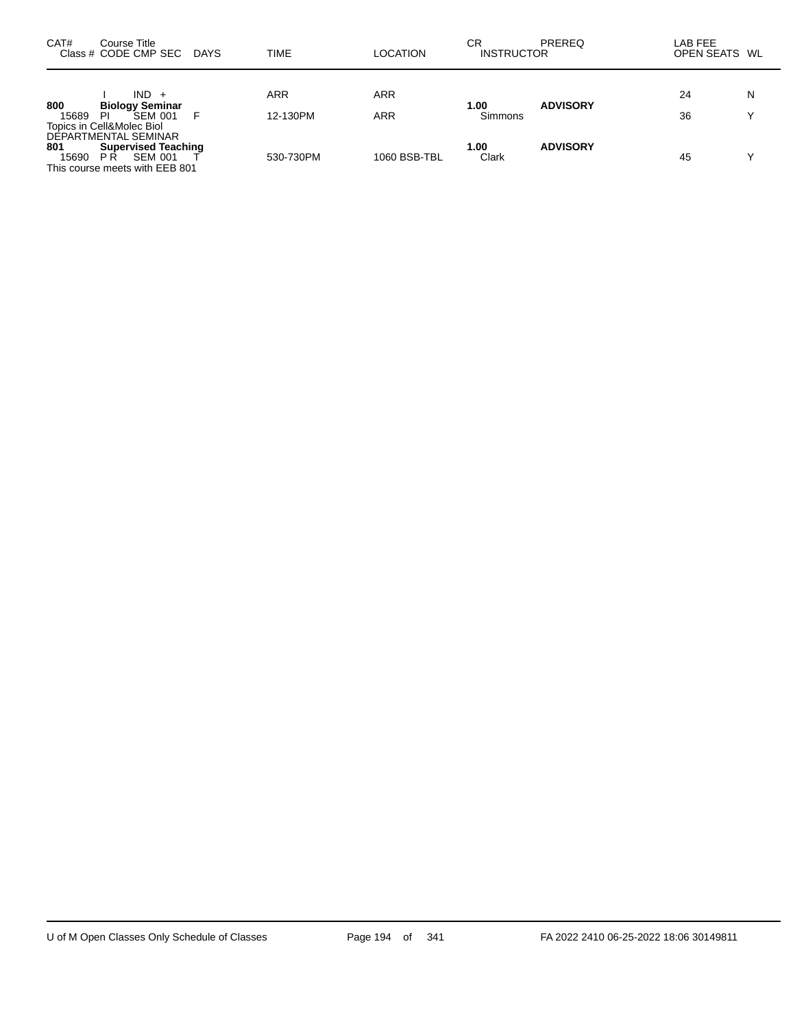| CAT#<br>Course Title<br>Class # CODE CMP SEC DAYS                                                                      | TIME                   | <b>LOCATION</b>   | CR<br><b>INSTRUCTOR</b> | <b>PREREQ</b>   | LAB FEE<br>OPEN SEATS WL |                   |
|------------------------------------------------------------------------------------------------------------------------|------------------------|-------------------|-------------------------|-----------------|--------------------------|-------------------|
| $IND +$<br>800<br><b>Biology Seminar</b><br><b>SEM 001</b><br>15689<br>ΡI<br>Topics in Cell&Molec Biol                 | <b>ARR</b><br>12-130PM | <b>ARR</b><br>ARR | 1.00<br>Simmons         | <b>ADVISORY</b> | 24<br>36                 | N<br>$\checkmark$ |
| DEPARTMENTAL SEMINAR<br>801<br><b>Supervised Teaching</b><br>SEM 001<br>P R<br>15690<br>This course meets with EEB 801 | 530-730PM              | 1060 BSB-TBL      | 1.00<br>Clark           | <b>ADVISORY</b> | 45                       | v                 |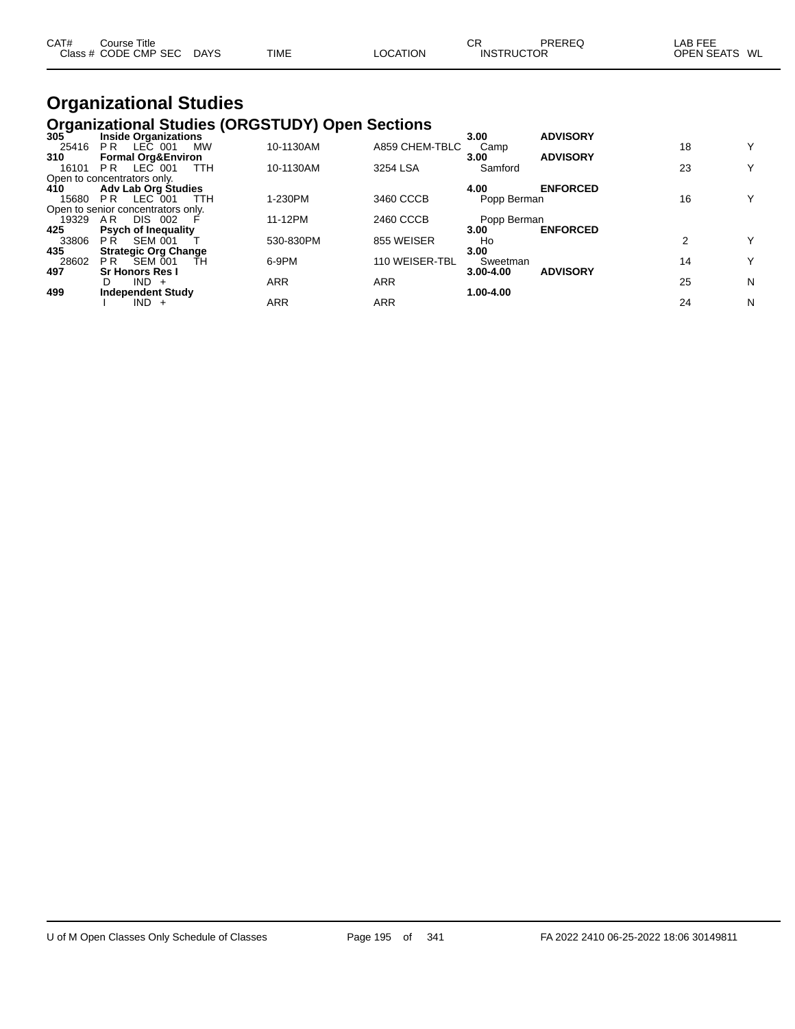| CAT# | Course Title<br>Class # CODE CMP SEC | <b>DAYS</b> | TIME | <b>LOCATION</b> | СR<br><b>INSTRUCTOR</b> | PREREQ | _AB FEE<br><b>OPEN SEATS</b><br>WL |  |
|------|--------------------------------------|-------------|------|-----------------|-------------------------|--------|------------------------------------|--|
|      |                                      |             |      |                 |                         |        |                                    |  |

#### **Organizational Studies Organizational Studies (ORGSTUDY) Open Sections**

| $305^{\circ}$ | <b>Inside Organizations</b>        |            |            |                | 3.00        | <b>ADVISORY</b> |    |   |
|---------------|------------------------------------|------------|------------|----------------|-------------|-----------------|----|---|
| 25416         | P <sub>R</sub><br>LEC 001          | <b>MW</b>  | 10-1130AM  | A859 CHEM-TBLC | Camp        |                 | 18 | Y |
| 310           | <b>Formal Org&amp;Environ</b>      |            |            |                | 3.00        | <b>ADVISORY</b> |    |   |
| 16101         | LEC 001<br>PR.                     | <b>TTH</b> | 10-1130AM  | 3254 LSA       | Samford     |                 | 23 | Y |
|               | Open to concentrators only.        |            |            |                |             |                 |    |   |
| 410           | <b>Adv Lab Org Studies</b>         |            |            |                | 4.00        | <b>ENFORCED</b> |    |   |
| 15680         | LEC 001<br>PR.                     | TTH        | 1-230PM    | 3460 CCCB      | Popp Berman |                 | 16 | Υ |
|               | Open to senior concentrators only. |            |            |                |             |                 |    |   |
| 19329         | AR.<br><b>DIS 002</b>              |            | 11-12PM    | 2460 CCCB      | Popp Berman |                 |    |   |
| 425           | <b>Psych of Inequality</b>         |            |            |                | 3.00        | <b>ENFORCED</b> |    |   |
| 33806         | <b>SEM 001</b><br>P R              |            | 530-830PM  | 855 WEISER     | Ho          |                 |    | Y |
| 435           | <b>Strategic Org Change</b>        |            |            |                | 3.00        |                 |    |   |
| 28602         | SEM 001<br>P <sub>R</sub>          | TН         | 6-9PM      | 110 WEISER-TBL | Sweetman    |                 | 14 | Y |
| 497           | <b>Sr Honors Res I</b>             |            |            |                | 3.00-4.00   | <b>ADVISORY</b> |    |   |
|               | $IND +$<br>D                       |            | <b>ARR</b> | <b>ARR</b>     |             |                 | 25 | N |
| 499           | <b>Independent Study</b>           |            |            |                | 1.00-4.00   |                 |    |   |
|               | $IND +$                            |            | ARR        | ARR            |             |                 | 24 | N |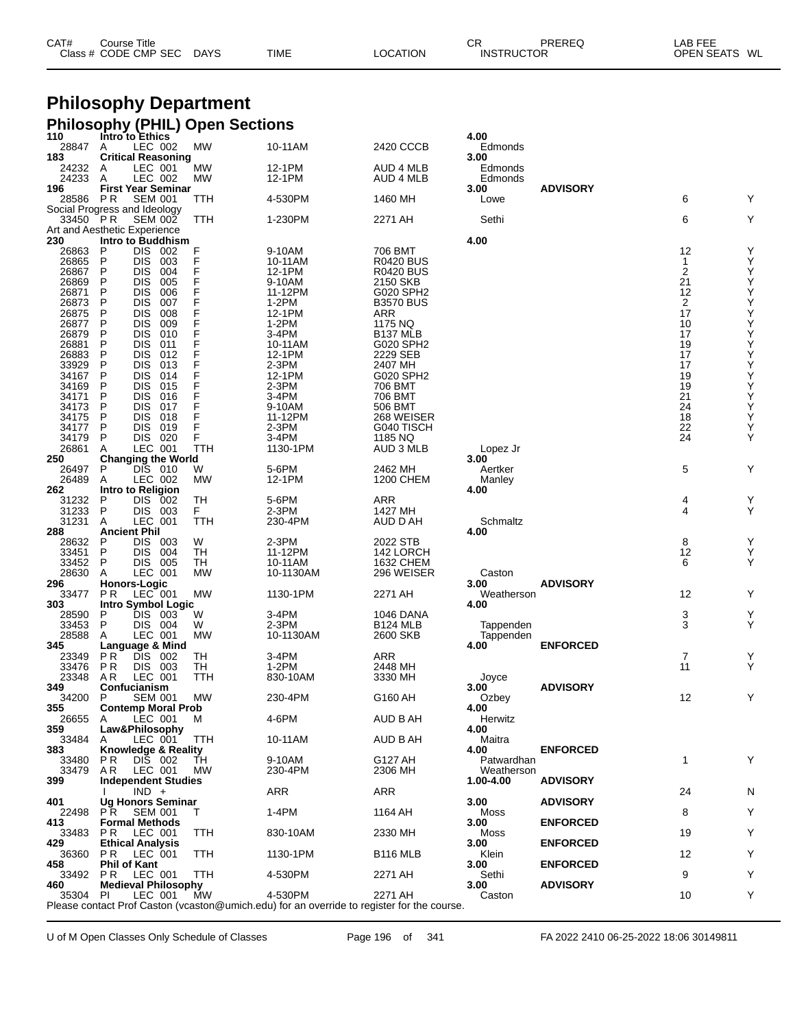| CAT# | Course Title         |             |             |          | СR                | PREREQ | LAB FEE       |  |
|------|----------------------|-------------|-------------|----------|-------------------|--------|---------------|--|
|      | Class # CODE CMP SEC | <b>DAYS</b> | <b>TIME</b> | LOCATION | <b>INSTRUCTOR</b> |        | OPEN SEATS WL |  |

# **Philosophy Department**

|                              |                                        |                          |            | <b>Philosophy (PHIL) Open Sections</b> |                                                                                            |                      |                    |                 |                |                                                    |
|------------------------------|----------------------------------------|--------------------------|------------|----------------------------------------|--------------------------------------------------------------------------------------------|----------------------|--------------------|-----------------|----------------|----------------------------------------------------|
| 110                          | Intro to Ethics                        |                          |            |                                        |                                                                                            |                      | 4.00               |                 |                |                                                    |
| 28847                        | A<br><b>Critical Reasoning</b>         | LEC 002                  |            | <b>MW</b>                              | 10-11AM                                                                                    | 2420 CCCB            | Edmonds<br>3.00    |                 |                |                                                    |
| 183<br>24232                 | A                                      | LEC 001                  |            | MW                                     | 12-1PM                                                                                     | <b>AUD 4 MLB</b>     | Edmonds            |                 |                |                                                    |
| 24233                        | A                                      | LEC 002                  |            | <b>MW</b>                              | 12-1PM                                                                                     | AUD 4 MLB            | Edmonds            |                 |                |                                                    |
| 196                          | <b>First Year Seminar</b>              |                          |            |                                        |                                                                                            |                      | 3.00               | <b>ADVISORY</b> |                |                                                    |
| 28586                        | P R                                    | <b>SEM 001</b>           |            | TTH                                    | 4-530PM                                                                                    | 1460 MH              | Lowe               |                 | 6              | Y                                                  |
| Social Progress and Ideology |                                        |                          |            |                                        |                                                                                            |                      |                    |                 |                |                                                    |
| 33450 PR                     |                                        | <b>SEM 002</b>           |            | TTH                                    | 1-230PM                                                                                    | 2271 AH              | Sethi              |                 | 6              | Υ                                                  |
| Art and Aesthetic Experience |                                        |                          |            |                                        |                                                                                            |                      |                    |                 |                |                                                    |
| 230                          | Intro to Buddhism<br>P                 | DIS 002                  |            | F                                      | 9-10AM                                                                                     | 706 BMT              | 4.00               |                 | 12             |                                                    |
| 26863<br>26865               | P                                      | DIS.                     | 003        | F                                      | 10-11AM                                                                                    | <b>R0420 BUS</b>     |                    |                 | $\mathbf{1}$   | Y<br>Y                                             |
| 26867                        | P                                      | <b>DIS</b>               | 004        | F                                      | 12-1PM                                                                                     | <b>R0420 BUS</b>     |                    |                 | $\overline{2}$ | Υ                                                  |
| 26869                        | P                                      | <b>DIS</b>               | 005        | F                                      | 9-10AM                                                                                     | 2150 SKB             |                    |                 | 21             |                                                    |
| 26871                        | P                                      | <b>DIS</b>               | 006        | F                                      | 11-12PM                                                                                    | G020 SPH2            |                    |                 | 12             |                                                    |
| 26873                        | P                                      | <b>DIS</b>               | 007        | F                                      | $1-2PM$                                                                                    | <b>B3570 BUS</b>     |                    |                 | $\overline{2}$ |                                                    |
| 26875                        | P                                      | <b>DIS</b>               | 008        | F                                      | 12-1PM                                                                                     | ARR                  |                    |                 | 17             |                                                    |
| 26877                        | P                                      | <b>DIS</b>               | 009        | F                                      | $1-2PM$                                                                                    | 1175 NQ              |                    |                 | 10             | <b>スススス人人人人人人人人人人人人人</b>                           |
| 26879                        | P                                      | <b>DIS</b>               | 010        |                                        | 3-4PM                                                                                      | B <sub>137</sub> MLB |                    |                 | 17             |                                                    |
| 26881                        | P                                      | <b>DIS</b>               | 011        | F                                      | 10-11AM                                                                                    | G020 SPH2            |                    |                 | 19<br>17       |                                                    |
| 26883<br>33929               | P<br>P                                 | <b>DIS</b><br><b>DIS</b> | 012<br>013 | F                                      | 12-1PM<br>2-3PM                                                                            | 2229 SEB<br>2407 MH  |                    |                 | 17             |                                                    |
| 34167                        | P                                      | <b>DIS</b>               | 014        | F                                      | 12-1PM                                                                                     | G020 SPH2            |                    |                 | 19             |                                                    |
| 34169                        | P                                      | <b>DIS</b>               | 015        | F                                      | 2-3PM                                                                                      | 706 BMT              |                    |                 | 19             |                                                    |
| 34171                        | P                                      | <b>DIS</b>               | 016        | F                                      | 3-4PM                                                                                      | 706 BMT              |                    |                 | 21             |                                                    |
| 34173                        | P                                      | <b>DIS</b>               | 017        | F                                      | 9-10AM                                                                                     | 506 BMT              |                    |                 | 24             |                                                    |
| 34175                        | P                                      | <b>DIS</b>               | 018        | F                                      | 11-12PM                                                                                    | 268 WEISER           |                    |                 | 18             |                                                    |
| 34177                        | P                                      | <b>DIS</b>               | 019        | F                                      | 2-3PM                                                                                      | G040 TISCH           |                    |                 | 22             |                                                    |
| 34179                        | P                                      | DIS 020                  |            | F                                      | 3-4PM                                                                                      | 1185 NQ              |                    |                 | 24             | Y                                                  |
| 26861                        | Α                                      | LEC 001                  |            | TTH                                    | 1130-1PM                                                                                   | AUD 3 MLB            | Lopez Jr           |                 |                |                                                    |
| 250                          | <b>Changing the World</b>              |                          |            |                                        |                                                                                            |                      | 3.00               |                 |                |                                                    |
| 26497                        | P                                      | DIS 010                  |            | W                                      | 5-6PM                                                                                      | 2462 MH              | Aertker            |                 | 5              | Υ                                                  |
| 26489<br>262                 | Α<br>Intro to Religion                 | LEC 002                  |            | MW                                     | 12-1PM                                                                                     | 1200 CHEM            | Manley<br>4.00     |                 |                |                                                    |
| 31232                        | P                                      | DIS 002                  |            | TН                                     | 5-6PM                                                                                      | <b>ARR</b>           |                    |                 | 4              |                                                    |
| 31233                        | P                                      | DIS 003                  |            | F.                                     | 2-3PM                                                                                      | 1427 MH              |                    |                 | $\overline{4}$ | $_{\rm Y}^{\rm Y}$                                 |
| 31231                        | Α                                      | LEC 001                  |            | TTH                                    | 230-4PM                                                                                    | AUD D AH             | Schmaltz           |                 |                |                                                    |
| 288                          | <b>Ancient Phil</b>                    |                          |            |                                        |                                                                                            |                      | 4.00               |                 |                |                                                    |
| 28632                        | P                                      | DIS 003                  |            | W                                      | 2-3PM                                                                                      | 2022 STB             |                    |                 | 8              | $\mathop{\mathsf{Y}}\limits_{\mathop{\mathsf{Y}}}$ |
| 33451                        | $\mathsf{P}$                           | DIS 004                  |            | TН                                     | 11-12PM                                                                                    | 142 LORCH            |                    |                 | 12             |                                                    |
| 33452                        | P                                      | DIS 005                  |            | TН                                     | 10-11AM                                                                                    | 1632 CHEM            |                    |                 | 6              | Y                                                  |
| 28630                        | Α                                      | LEC 001                  |            | <b>MW</b>                              | 10-1130AM                                                                                  | 296 WEISER           | Caston             |                 |                |                                                    |
| 296                          | <b>Honors-Logic</b>                    |                          |            |                                        |                                                                                            |                      | 3.00               | <b>ADVISORY</b> |                |                                                    |
| 33477<br>303                 | P R<br>Intro Symbol Logic              | LEC 001                  |            | MW                                     | 1130-1PM                                                                                   | 2271 AH              | Weatherson<br>4.00 |                 | 12             | Υ                                                  |
| 28590                        | P                                      | DIS 003                  |            | W                                      | 3-4PM                                                                                      | 1046 DANA            |                    |                 | 3              | Υ                                                  |
| 33453                        | P                                      | <b>DIS 004</b>           |            | W                                      | 2-3PM                                                                                      | <b>B124 MLB</b>      | Tappenden          |                 | 3              | Y                                                  |
| 28588                        | A                                      | LEC 001                  |            | MW                                     | 10-1130AM                                                                                  | 2600 SKB             | Tappenden          |                 |                |                                                    |
| 345                          | Language & Mind                        |                          |            |                                        |                                                                                            |                      | 4.00               | <b>ENFORCED</b> |                |                                                    |
| 23349                        | P R                                    | DIS 002                  |            | TН                                     | $3-4PM$                                                                                    | ARR                  |                    |                 | 7              | Y                                                  |
| 33476                        | <b>PR</b>                              | DIS 003                  |            | TН                                     | 1-2PM                                                                                      | 2448 MH              |                    |                 | 11             | Y                                                  |
| 23348                        | AR.                                    | LEC 001                  |            | TTH                                    | 830-10AM                                                                                   | 3330 MH              | Joyce              |                 |                |                                                    |
| 349                          | Confucianism                           |                          |            |                                        |                                                                                            |                      | 3.00               | <b>ADVISORY</b> |                |                                                    |
| 34200<br>355                 | $\dot{P}$<br><b>Contemp Moral Prob</b> | <b>SEM 001</b>           |            | <b>MW</b>                              | 230-4PM                                                                                    | G160 AH              | Ozbey<br>4.00      |                 | 12             | Y                                                  |
| 26655                        | A                                      | LEC 001                  |            | M                                      | 4-6PM                                                                                      | AUD B AH             | Herwitz            |                 |                |                                                    |
| 359                          | Law&Philosophy                         |                          |            |                                        |                                                                                            |                      | 4.00               |                 |                |                                                    |
| 33484                        | A                                      | LEC 001                  |            | TTH                                    | 10-11AM                                                                                    | AUD B AH             | Maitra             |                 |                |                                                    |
| 383                          | Knowledge & Reality                    |                          |            |                                        |                                                                                            |                      | 4.00               | <b>ENFORCED</b> |                |                                                    |
| 33480                        | P R                                    | DIS 002                  |            | TН                                     | 9-10AM                                                                                     | G127 AH              | Patwardhan         |                 | $\mathbf{1}$   | Y                                                  |
| 33479                        | A R                                    | LEC 001                  |            | MW                                     | 230-4PM                                                                                    | 2306 MH              | Weatherson         |                 |                |                                                    |
| 399                          | <b>Independent Studies</b>             |                          |            |                                        |                                                                                            |                      | 1.00-4.00          | <b>ADVISORY</b> |                |                                                    |
|                              |                                        | $IND +$                  |            |                                        | ARR                                                                                        | ARR                  |                    |                 | 24             | N                                                  |
| 401<br>22498                 | Ug Honors Seminar<br>PR                | SEM 001                  |            | T                                      | 1-4PM                                                                                      | 1164 AH              | 3.00<br>Moss       | <b>ADVISORY</b> | 8              | Υ                                                  |
| 413                          | <b>Formal Methods</b>                  |                          |            |                                        |                                                                                            |                      | 3.00               | <b>ENFORCED</b> |                |                                                    |
| 33483                        | PR.                                    | LEC 001                  |            | TTH                                    | 830-10AM                                                                                   | 2330 MH              | Moss               |                 | 19             | Υ                                                  |
| 429.                         | <b>Ethical Analysis</b>                |                          |            |                                        |                                                                                            |                      | 3.00               | <b>ENFORCED</b> |                |                                                    |
| 36360                        | P R                                    | LEC 001                  |            | TTH                                    | 1130-1PM                                                                                   | <b>B116 MLB</b>      | Klein              |                 | 12             | Y                                                  |
| 458                          | <b>Phil of Kant</b>                    |                          |            |                                        |                                                                                            |                      | 3.00               | <b>ENFORCED</b> |                |                                                    |
| 33492                        | P R                                    | LEC 001                  |            | TTH                                    | 4-530PM                                                                                    | 2271 AH              | Sethi              |                 | 9              | Υ                                                  |
| 460                          | <b>Medieval Philosophy</b>             |                          |            |                                        |                                                                                            |                      | 3.00               | <b>ADVISORY</b> |                |                                                    |
| 35304 PI                     |                                        | LEC 001                  |            | MW                                     | 4-530PM                                                                                    | 2271 AH              | Caston             |                 | 10             | Υ                                                  |
|                              |                                        |                          |            |                                        | Please contact Prof Caston (vcaston@umich.edu) for an override to register for the course. |                      |                    |                 |                |                                                    |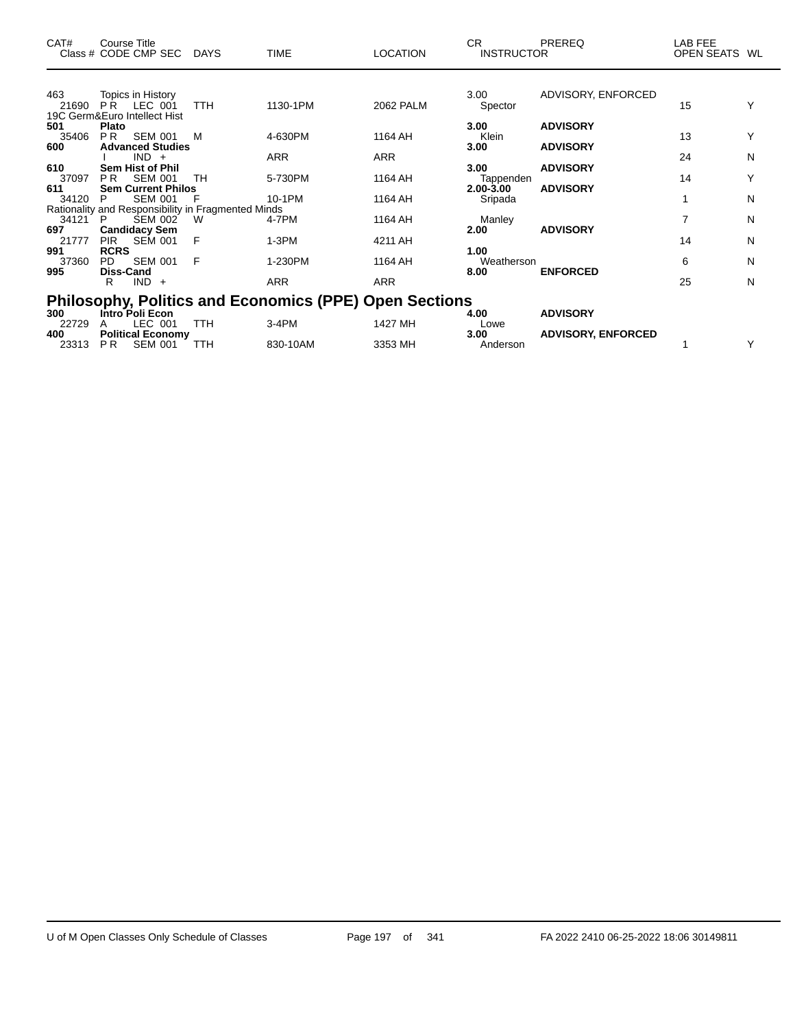| CAT#                | <b>Course Title</b><br>Class # CODE CMP SEC                                              | <b>DAYS</b> | <b>TIME</b>                                                   | <b>LOCATION</b> | CR.<br><b>INSTRUCTOR</b>           | <b>PREREQ</b>                      | LAB FEE<br>OPEN SEATS WL |        |
|---------------------|------------------------------------------------------------------------------------------|-------------|---------------------------------------------------------------|-----------------|------------------------------------|------------------------------------|--------------------------|--------|
|                     |                                                                                          |             |                                                               |                 |                                    |                                    |                          |        |
| 463<br>21690        | Topics in History<br>PR.<br>LEC 001<br>19C Germ&Euro Intellect Hist                      | <b>TTH</b>  | 1130-1PM                                                      | 2062 PALM       | 3.00<br>Spector                    | ADVISORY, ENFORCED                 | 15                       |        |
| 501<br>35406        | Plato<br>P <sub>R</sub><br><b>SEM 001</b>                                                | м           | 4-630PM                                                       | 1164 AH         | 3.00<br>Klein                      | <b>ADVISORY</b>                    | 13                       |        |
| 600                 | <b>Advanced Studies</b><br>$IND +$                                                       |             | <b>ARR</b>                                                    | <b>ARR</b>      | 3.00                               | <b>ADVISORY</b>                    | 24                       | N      |
| 610<br>37097<br>611 | <b>Sem Hist of Phil</b><br>P <sub>R</sub><br><b>SEM 001</b><br><b>Sem Current Philos</b> | TH          | 5-730PM                                                       | 1164 AH         | 3.00<br>Tappenden<br>$2.00 - 3.00$ | <b>ADVISORY</b><br><b>ADVISORY</b> | 14                       |        |
| 34120               | <b>SEM 001</b><br>P<br>Rationality and Responsibility in Fragmented Minds                |             | 10-1PM                                                        | 1164 AH         | Sripada                            |                                    | 1                        | N      |
| 34121<br>697        | <b>SEM 002</b><br>- P<br><b>Candidacy Sem</b>                                            | W           | 4-7PM                                                         | 1164 AH         | Manley<br>2.00                     | <b>ADVISORY</b>                    | 7                        | N      |
| 21777<br>991        | <b>PIR</b><br><b>SEM 001</b><br><b>RCRS</b>                                              | F           | 1-3PM                                                         | 4211 AH         | 1.00                               |                                    | 14                       | N      |
| 37360<br>995        | <b>SEM 001</b><br>PD.<br><b>Diss-Cand</b><br>$IND +$<br>R                                | F           | 1-230PM<br><b>ARR</b>                                         | 1164 AH<br>ARR  | Weatherson<br>8.00                 | <b>ENFORCED</b>                    | 6<br>25                  | N<br>N |
|                     |                                                                                          |             | <b>Philosophy, Politics and Economics (PPE) Open Sections</b> |                 |                                    |                                    |                          |        |
| 300<br>22729        | Intro <sup>Foli</sup> Econ<br>LEC 001                                                    | <b>TTH</b>  | $3-4PM$                                                       | 1427 MH         | 4.00<br>Lowe                       | <b>ADVISORY</b>                    |                          |        |
| 400<br>23313        | <b>Political Economy</b><br><b>SEM 001</b><br>P <sub>R</sub>                             | TTH         | 830-10AM                                                      | 3353 MH         | 3.00<br>Anderson                   | <b>ADVISORY, ENFORCED</b>          |                          |        |

 $\overline{\phantom{0}}$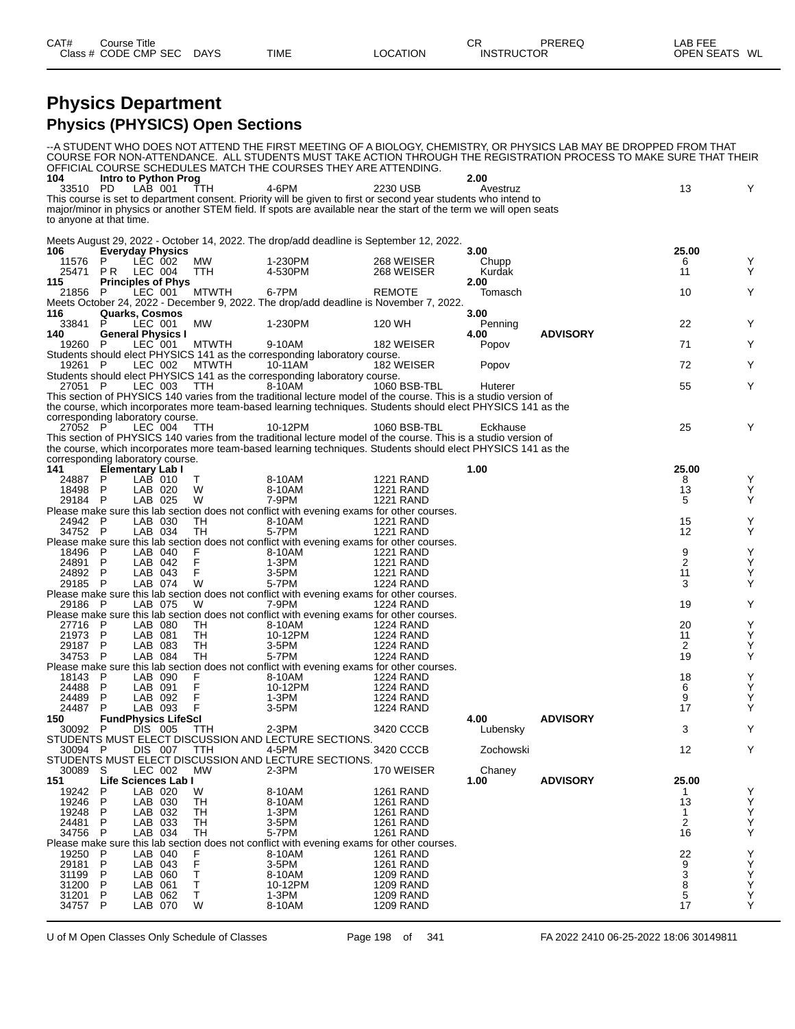#### **Physics Department Physics (PHYSICS) Open Sections**

|                         |              |                                                             |                  | OFFICIAL COURSE SCHEDULES MATCH THE COURSES THEY ARE ATTENDING.                                                    |                                      |                  | --A STUDENT WHO DOES NOT ATTEND THE FIRST MEETING OF A BIOLOGY, CHEMISTRY, OR PHYSICS LAB MAY BE DROPPED FROM THAT<br>COURSE FOR NON-ATTENDANCE. ALL STUDENTS MUST TAKE ACTION THROUGH THE REGISTRATION PROCESS TO MAKE SURE THAT THEIR |                         |        |
|-------------------------|--------------|-------------------------------------------------------------|------------------|--------------------------------------------------------------------------------------------------------------------|--------------------------------------|------------------|-----------------------------------------------------------------------------------------------------------------------------------------------------------------------------------------------------------------------------------------|-------------------------|--------|
| 104<br>33510 PD         |              | Intro to Python Prog<br>LAB 001                             | TTH              | 4-6PM                                                                                                              | 2230 USB                             | 2.00<br>Avestruz |                                                                                                                                                                                                                                         | 13                      | Y      |
|                         |              |                                                             |                  | This course is set to department consent. Priority will be given to first or second year students who intend to    |                                      |                  |                                                                                                                                                                                                                                         |                         |        |
| to anyone at that time. |              |                                                             |                  | major/minor in physics or another STEM field. If spots are available near the start of the term we will open seats |                                      |                  |                                                                                                                                                                                                                                         |                         |        |
|                         |              |                                                             |                  |                                                                                                                    |                                      |                  |                                                                                                                                                                                                                                         |                         |        |
|                         |              |                                                             |                  | Meets August 29, 2022 - October 14, 2022. The drop/add deadline is September 12, 2022.                             |                                      |                  |                                                                                                                                                                                                                                         |                         |        |
| 106<br>11576            | P            | <b>Everyday Physics</b><br>LEC 002                          | МW               | 1-230PM                                                                                                            | 268 WEISER                           | 3.00<br>Chupp    |                                                                                                                                                                                                                                         | 25.00<br>6              | Y      |
| 25471                   | P R          | LEC 004                                                     | TTH              | 4-530PM                                                                                                            | 268 WEISER                           | Kurdak           |                                                                                                                                                                                                                                         | 11                      | Y      |
| 115                     |              | <b>Principles of Phys</b>                                   |                  |                                                                                                                    |                                      | 2.00             |                                                                                                                                                                                                                                         |                         | Y      |
| 21856                   |              | LEC 001                                                     | <b>MTWTH</b>     | 6-7PM<br>Meets October 24, 2022 - December 9, 2022. The drop/add deadline is November 7, 2022.                     | <b>REMOTE</b>                        | Tomasch          |                                                                                                                                                                                                                                         | 10                      |        |
| 116                     |              | <b>Quarks, Cosmos</b>                                       |                  |                                                                                                                    |                                      | 3.00             |                                                                                                                                                                                                                                         |                         |        |
| 33841                   | P            | LEC 001                                                     | МW               | 1-230PM                                                                                                            | 120 WH                               | Penning          |                                                                                                                                                                                                                                         | 22                      | Y      |
| 140<br>19260 P          |              | <b>General Physics I</b><br>LEC 001                         | <b>MTWTH</b>     | 9-10AM                                                                                                             | 182 WEISER                           | 4.00<br>Popov    | <b>ADVISORY</b>                                                                                                                                                                                                                         | 71                      | Y      |
|                         |              |                                                             |                  | Students should elect PHYSICS 141 as the corresponding laboratory course.                                          |                                      |                  |                                                                                                                                                                                                                                         |                         |        |
| 19261 P                 |              | LEC 002                                                     | <b>MTWTH</b>     | 10-11AM<br>Students should elect PHYSICS 141 as the corresponding laboratory course.                               | 182 WEISER                           | Popov            |                                                                                                                                                                                                                                         | 72                      | Y      |
| 27051 P                 |              | LEC 003                                                     | TTH              | 8-10AM                                                                                                             | 1060 BSB-TBL                         | Huterer          |                                                                                                                                                                                                                                         | 55                      | Y      |
|                         |              |                                                             |                  | This section of PHYSICS 140 varies from the traditional lecture model of the course. This is a studio version of   |                                      |                  |                                                                                                                                                                                                                                         |                         |        |
|                         |              |                                                             |                  | the course, which incorporates more team-based learning techniques. Students should elect PHYSICS 141 as the       |                                      |                  |                                                                                                                                                                                                                                         |                         |        |
| 27052 P                 |              | corresponding laboratory course.<br>LEC 004                 | TTH              | 10-12PM                                                                                                            | 1060 BSB-TBL                         | Eckhause         |                                                                                                                                                                                                                                         | 25                      | Y      |
|                         |              |                                                             |                  | This section of PHYSICS 140 varies from the traditional lecture model of the course. This is a studio version of   |                                      |                  |                                                                                                                                                                                                                                         |                         |        |
|                         |              |                                                             |                  | the course, which incorporates more team-based learning techniques. Students should elect PHYSICS 141 as the       |                                      |                  |                                                                                                                                                                                                                                         |                         |        |
| 141                     |              | corresponding laboratory course.<br><b>Elementary Lab I</b> |                  |                                                                                                                    |                                      | 1.00             |                                                                                                                                                                                                                                         | 25.00                   |        |
| 24887                   | P            | LAB 010                                                     | Τ                | 8-10AM                                                                                                             | <b>1221 RAND</b>                     |                  |                                                                                                                                                                                                                                         | 8                       | Υ      |
| 18498                   | -P           | LAB 020                                                     | W                | 8-10AM                                                                                                             | <b>1221 RAND</b>                     |                  |                                                                                                                                                                                                                                         | 13                      | Y      |
| 29184 P                 |              | LAB 025                                                     | W                | 7-9PM<br>Please make sure this lab section does not conflict with evening exams for other courses.                 | <b>1221 RAND</b>                     |                  |                                                                                                                                                                                                                                         | 5                       | Y      |
| 24942 P                 |              | LAB 030                                                     | TН               | 8-10AM                                                                                                             | <b>1221 RAND</b>                     |                  |                                                                                                                                                                                                                                         | 15                      | Υ      |
| 34752 P                 |              | LAB 034                                                     | TН               | 5-7PM                                                                                                              | <b>1221 RAND</b>                     |                  |                                                                                                                                                                                                                                         | 12                      | Y      |
| 18496                   | - P          | LAB 040                                                     | F                | Please make sure this lab section does not conflict with evening exams for other courses.<br>8-10AM                | 1221 RAND                            |                  |                                                                                                                                                                                                                                         | 9                       | Y      |
| 24891                   | P            | LAB 042                                                     | F                | 1-3PM                                                                                                              | <b>1221 RAND</b>                     |                  |                                                                                                                                                                                                                                         | $\overline{\mathbf{c}}$ | Υ      |
| 24892 P                 |              | LAB 043                                                     | F                | 3-5PM                                                                                                              | <b>1221 RAND</b>                     |                  |                                                                                                                                                                                                                                         | 11                      | Υ      |
| 29185                   | - P          | LAB 074                                                     | W                | 5-7PM<br>Please make sure this lab section does not conflict with evening exams for other courses.                 | <b>1224 RAND</b>                     |                  |                                                                                                                                                                                                                                         | 3                       | Y      |
| 29186 P                 |              | LAB 075                                                     | W                | 7-9PM                                                                                                              | <b>1224 RAND</b>                     |                  |                                                                                                                                                                                                                                         | 19                      | Y      |
|                         |              |                                                             |                  | Please make sure this lab section does not conflict with evening exams for other courses.                          |                                      |                  |                                                                                                                                                                                                                                         |                         |        |
| 27716 P<br>21973        | P            | LAB 080<br>LAB 081                                          | TH<br>TH         | 8-10AM<br>10-12PM                                                                                                  | 1224 RAND<br>1224 RAND               |                  |                                                                                                                                                                                                                                         | 20<br>11                | Υ<br>Y |
| 29187                   | P            | LAB 083                                                     | TН               | $3-5PM$                                                                                                            | 1224 RAND                            |                  |                                                                                                                                                                                                                                         | 2                       | Υ      |
| 34753 P                 |              | LAB 084                                                     | TН               | 5-7PM                                                                                                              | <b>1224 RAND</b>                     |                  |                                                                                                                                                                                                                                         | 19                      | Y      |
| 18143                   | -P           | LAB 090                                                     | F                | Please make sure this lab section does not conflict with evening exams for other courses.<br>8-10AM                | 1224 RAND                            |                  |                                                                                                                                                                                                                                         | 18                      | Υ      |
| 24488                   | P            | LAB 091                                                     | F                | 10-12PM                                                                                                            | <b>1224 RAND</b>                     |                  |                                                                                                                                                                                                                                         | 6                       | Υ      |
| 24489                   | P            | LAB 092                                                     | F                | 1-3PM                                                                                                              | 1224 RAND                            |                  |                                                                                                                                                                                                                                         | 9                       | Υ      |
| 24487                   | P            | LAB 093<br><b>FundPhysics LifeScl</b>                       | F                | 3-5PM                                                                                                              | <b>1224 RAND</b>                     | 4.00             | <b>ADVISORY</b>                                                                                                                                                                                                                         | 17                      | Y      |
| 150<br>30092 P          |              | DIS 005                                                     | TTH              | $2-3PM$                                                                                                            | 3420 CCCB                            | Lubensky         |                                                                                                                                                                                                                                         | 3                       | Y      |
|                         |              |                                                             |                  | STUDENTS MUST ELECT DISCUSSION AND LECTURE SECTIONS.                                                               |                                      |                  |                                                                                                                                                                                                                                         |                         |        |
| 30094 P                 |              | DIS 007                                                     | TTH              | 4-5PM<br>STUDENTS MUST ELECT DISCUSSION AND LECTURE SECTIONS.                                                      | 3420 CCCB                            | Zochowski        |                                                                                                                                                                                                                                         | 12                      | Y      |
| 30089 S                 |              | LEC 002                                                     | МW               | $2-3PM$                                                                                                            | 170 WEISER                           | Chaney           |                                                                                                                                                                                                                                         |                         |        |
| 151                     |              | Life Sciences Lab I                                         |                  |                                                                                                                    |                                      | 1.00             | <b>ADVISORY</b>                                                                                                                                                                                                                         | 25.00                   |        |
| 19242                   | P            | LAB 020<br>LAB 030                                          | W                | 8-10AM                                                                                                             | <b>1261 RAND</b>                     |                  |                                                                                                                                                                                                                                         | 1                       | Υ<br>Υ |
| 19246<br>19248          | P<br>P       | LAB 032                                                     | TН<br>TH         | 8-10AM<br>$1-3PM$                                                                                                  | <b>1261 RAND</b><br><b>1261 RAND</b> |                  |                                                                                                                                                                                                                                         | 13<br>1                 | Υ      |
| 24481                   | P            | LAB 033                                                     | TН               | 3-5PM                                                                                                              | <b>1261 RAND</b>                     |                  |                                                                                                                                                                                                                                         | 2                       | Υ      |
| 34756                   | $\mathsf{P}$ | LAB 034                                                     | TH               | 5-7PM                                                                                                              | <b>1261 RAND</b>                     |                  |                                                                                                                                                                                                                                         | 16                      | Υ      |
| 19250                   | P            | LAB 040                                                     | F                | Please make sure this lab section does not conflict with evening exams for other courses.<br>8-10AM                | <b>1261 RAND</b>                     |                  |                                                                                                                                                                                                                                         | 22                      | Υ      |
| 29181                   | P            | LAB 043                                                     | F                | 3-5PM                                                                                                              | <b>1261 RAND</b>                     |                  |                                                                                                                                                                                                                                         | 9                       | Ý      |
| 31199                   | P            | LAB 060                                                     | Τ                | 8-10AM                                                                                                             | <b>1209 RAND</b>                     |                  |                                                                                                                                                                                                                                         | 3                       | Υ      |
| 31200<br>31201          | P<br>P       | LAB 061<br>LAB 062                                          | Τ<br>$\mathsf T$ | 10-12PM<br>1-3PM                                                                                                   | <b>1209 RAND</b><br><b>1209 RAND</b> |                  |                                                                                                                                                                                                                                         | 8<br>5                  | Υ<br>Υ |
| 34757 P                 |              | LAB 070                                                     | W                | 8-10AM                                                                                                             | <b>1209 RAND</b>                     |                  |                                                                                                                                                                                                                                         | 17                      | Υ      |

U of M Open Classes Only Schedule of Classes **Page 198** of 341 FA 2022 2410 06-25-2022 18:06 30149811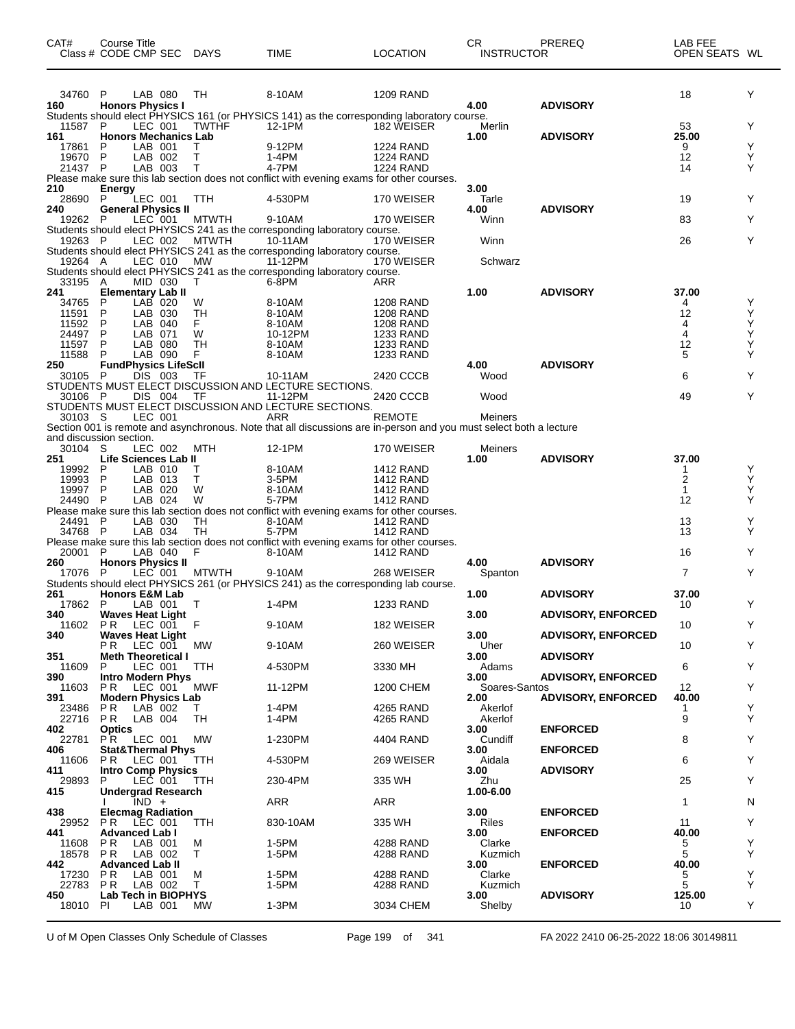| CAT#           | Course Title<br>Class # CODE CMP SEC                   | DAYS         | TIME                                                                                                                      | <b>LOCATION</b>                      | СR<br><b>INSTRUCTOR</b> | PREREQ                    | LAB FEE<br>OPEN SEATS WL |        |
|----------------|--------------------------------------------------------|--------------|---------------------------------------------------------------------------------------------------------------------------|--------------------------------------|-------------------------|---------------------------|--------------------------|--------|
| 34760 P        | LAB 080                                                | TН           | 8-10AM                                                                                                                    | <b>1209 RAND</b>                     |                         |                           | 18                       | Y      |
| 160            | <b>Honors Physics I</b>                                |              | Students should elect PHYSICS 161 (or PHYSICS 141) as the corresponding laboratory course.                                |                                      | 4.00                    | <b>ADVISORY</b>           |                          |        |
| 11587          | P<br>LEC 001                                           | <b>TWTHF</b> | 12-1PM                                                                                                                    | 182 WEISER                           | Merlin                  |                           | 53                       | Y      |
| 161            | <b>Honors Mechanics Lab</b>                            |              |                                                                                                                           |                                      | 1.00                    | <b>ADVISORY</b>           | 25.00                    |        |
| 17861<br>19670 | LAB 001<br>P<br>P<br>LAB 002                           | т            | 9-12PM<br>1-4PM                                                                                                           | <b>1224 RAND</b><br><b>1224 RAND</b> |                         |                           | 9<br>12                  | Υ<br>Υ |
| 21437 P        | LAB 003                                                | T            | 4-7PM                                                                                                                     | <b>1224 RAND</b>                     |                         |                           | 14                       | Y      |
| 210            |                                                        |              | Please make sure this lab section does not conflict with evening exams for other courses.                                 |                                      | 3.00                    |                           |                          |        |
| 28690          | <b>Energy</b><br>LEC 001<br>P                          | TTH          | 4-530PM                                                                                                                   | 170 WEISER                           | Tarle                   |                           | 19                       | Y      |
| 240            | <b>General Physics II</b>                              |              |                                                                                                                           |                                      | 4.00                    | <b>ADVISORY</b>           |                          |        |
| 19262          | LEC 001<br>P                                           | <b>MTWTH</b> | 9-10AM<br>Students should elect PHYSICS 241 as the corresponding laboratory course.                                       | 170 WEISER                           | Winn                    |                           | 83                       | Y      |
| 19263 P        | LEC 002                                                | <b>MTWTH</b> | 10-11AM                                                                                                                   | 170 WEISER                           | Winn                    |                           | 26                       | Y      |
|                |                                                        |              | Students should elect PHYSICS 241 as the corresponding laboratory course.                                                 |                                      |                         |                           |                          |        |
| 19264 A        | LEC 010                                                | <b>MW</b>    | 11-12PM<br>Students should elect PHYSICS 241 as the corresponding laboratory course.                                      | 170 WEISER                           | Schwarz                 |                           |                          |        |
| 33195 A        | MID 030                                                | T            | 6-8PM                                                                                                                     | ARR                                  |                         |                           |                          |        |
| 241            | <b>Elementary Lab II</b>                               |              |                                                                                                                           |                                      | 1.00                    | <b>ADVISORY</b>           | 37.00                    |        |
| 34765<br>11591 | LAB 020<br>P<br>P<br>LAB 030                           | W<br>TН      | 8-10AM<br>8-10AM                                                                                                          | <b>1208 RAND</b><br>1208 RAND        |                         |                           | 4<br>12                  | Y<br>Υ |
| 11592          | LAB 040<br>P                                           | F.           | 8-10AM                                                                                                                    | <b>1208 RAND</b>                     |                         |                           | 4                        | Υ      |
| 24497          | P<br>LAB 071                                           | W            | 10-12PM                                                                                                                   | 1233 RAND                            |                         |                           | 4                        | Υ      |
| 11597<br>11588 | P<br>LAB 080<br>P<br>LAB 090                           | TН<br>F      | 8-10AM<br>8-10AM                                                                                                          | <b>1233 RAND</b><br>1233 RAND        |                         |                           | 12<br>5                  | Y<br>Y |
| 250            | <b>FundPhysics LifeScll</b>                            |              |                                                                                                                           |                                      | 4.00                    | <b>ADVISORY</b>           |                          |        |
| 30105 P        | DIS 003                                                | TF           | 10-11AM<br>STUDENTS MUST ELECT DISCUSSION AND LECTURE SECTIONS.                                                           | 2420 CCCB                            | Wood                    |                           | 6                        | Y      |
| 30106 P        | DIS 004                                                | TF           | 11-12PM                                                                                                                   | 2420 CCCB                            | Wood                    |                           | 49                       | Y      |
|                |                                                        |              | STUDENTS MUST ELECT DISCUSSION AND LECTURE SECTIONS.                                                                      |                                      |                         |                           |                          |        |
| 30103 S        | LEC 001                                                |              | ARR<br>Section 001 is remote and asynchronous. Note that all discussions are in-person and you must select both a lecture | <b>REMOTE</b>                        | Meiners                 |                           |                          |        |
|                | and discussion section.                                |              |                                                                                                                           |                                      |                         |                           |                          |        |
| 30104 S        | LEC 002                                                | <b>MTH</b>   | 12-1PM                                                                                                                    | 170 WEISER                           | Meiners                 |                           |                          |        |
| 251<br>19992   | Life Sciences Lab II<br>LAB 010<br>P                   | т            | 8-10AM                                                                                                                    | 1412 RAND                            | 1.00                    | <b>ADVISORY</b>           | 37.00<br>1               | Y      |
| 19993          | P<br>LAB 013                                           | т            | 3-5PM                                                                                                                     | <b>1412 RAND</b>                     |                         |                           | 2                        | Y      |
| 19997          | P<br>LAB 020                                           | W            | 8-10AM                                                                                                                    | <b>1412 RAND</b>                     |                         |                           | $\mathbf{1}$             | Υ      |
| 24490 P        | LAB 024                                                | W            | 5-7PM<br>Please make sure this lab section does not conflict with evening exams for other courses.                        | <b>1412 RAND</b>                     |                         |                           | 12                       | Υ      |
| 24491 P        | LAB 030                                                | TH           | 8-10AM                                                                                                                    | <b>1412 RAND</b>                     |                         |                           | 13                       | Υ      |
| 34768 P        | LAB 034                                                | TH           | 5-7PM                                                                                                                     | <b>1412 RAND</b>                     |                         |                           | 13                       | Υ      |
| 20001 P        | LAB 040                                                | F            | Please make sure this lab section does not conflict with evening exams for other courses.<br>8-10AM                       | <b>1412 RAND</b>                     |                         |                           | 16                       | Y      |
| 260            | <b>Honors Physics II</b>                               |              |                                                                                                                           |                                      | 4.00                    | <b>ADVISORY</b>           |                          |        |
| 17076 P        | LEC 001                                                | <b>MTWTH</b> | 9-10AM                                                                                                                    | 268 WEISER                           | Spanton                 |                           | 7                        | Y      |
| 261            | <b>Honors E&amp;M Lab</b>                              |              | Students should elect PHYSICS 261 (or PHYSICS 241) as the corresponding lab course.                                       |                                      | 1.00                    | <b>ADVISORY</b>           | 37.00                    |        |
| 17862 P        | LAB 001                                                | $\top$       | 1-4PM                                                                                                                     | <b>1233 RAND</b>                     |                         |                           | 10                       | Y      |
| 340            | <b>Waves Heat Light</b>                                |              |                                                                                                                           |                                      | 3.00                    | <b>ADVISORY, ENFORCED</b> |                          |        |
| 11602<br>340   | PR LEC 001 F<br><b>Waves Heat Light</b>                |              | 9-10AM                                                                                                                    | 182 WEISER                           | 3.00                    | <b>ADVISORY, ENFORCED</b> | 10                       | Y      |
|                | P R<br>LEC 001                                         | МW           | 9-10AM                                                                                                                    | 260 WEISER                           | Uher                    |                           | 10                       | Y      |
| 351<br>11609   | <b>Meth Theoretical I</b><br>P<br>LEC 001              | TTH          | 4-530PM                                                                                                                   | 3330 MH                              | 3.00<br>Adams           | <b>ADVISORY</b>           | 6                        | Y      |
| 390            | <b>Intro Modern Phys</b>                               |              |                                                                                                                           |                                      | 3.00                    | <b>ADVISORY, ENFORCED</b> |                          |        |
| 11603          | <b>PR LEC 001</b>                                      | MWF          | 11-12PM                                                                                                                   | 1200 CHEM                            | Soares-Santos           |                           | 12                       | Y      |
| 391<br>23486   | <b>Modern Physics Lab</b><br>P <sub>R</sub><br>LAB 002 | T.           | 1-4PM                                                                                                                     | 4265 RAND                            | 2.00<br>Akerlof         | <b>ADVISORY, ENFORCED</b> | 40.00<br>1               | Y      |
| 22716          | PR —<br>LAB 004                                        | TH           | 1-4PM                                                                                                                     | 4265 RAND                            | Akerlof                 |                           | 9                        | Y      |
| 402            | <b>Optics</b>                                          |              |                                                                                                                           |                                      | 3.00                    | <b>ENFORCED</b>           |                          |        |
| 22781<br>406   | PR LEC 001<br><b>Stat&amp;Thermal Phys</b>             | МW           | 1-230PM                                                                                                                   | 4404 RAND                            | Cundiff<br>3.00         | <b>ENFORCED</b>           | 8                        | Y      |
| 11606          | PR.<br>LEC 001                                         | TTH          | 4-530PM                                                                                                                   | 269 WEISER                           | Aidala                  |                           | 6                        | Y      |
| 411            | <b>Intro Comp Physics</b>                              |              |                                                                                                                           |                                      | 3.00                    | <b>ADVISORY</b>           |                          |        |
| 29893<br>415   | LEC 001<br>P.<br><b>Undergrad Research</b>             | TTH          | 230-4PM                                                                                                                   | 335 WH                               | Zhu<br>1.00-6.00        |                           | 25                       | Y      |
|                | $IND +$                                                |              | ARR                                                                                                                       | ARR                                  |                         |                           | 1                        | N      |
| 438            | <b>Elecmag Radiation</b>                               |              |                                                                                                                           |                                      | 3.00                    | <b>ENFORCED</b>           |                          |        |
| 29952<br>441   | P <sub>R</sub><br>LEC 001<br><b>Advanced Lab I</b>     | TTH          | 830-10AM                                                                                                                  | 335 WH                               | Riles<br>3.00           | <b>ENFORCED</b>           | 11<br>40.00              | Y      |
| 11608          | P R<br>LAB 001                                         | м            | 1-5PM                                                                                                                     | 4288 RAND                            | Clarke                  |                           | 5                        | Y      |
| 18578          | P R<br>LAB 002                                         | Т            | 1-5PM                                                                                                                     | 4288 RAND                            | Kuzmich                 |                           | 5                        | Y      |
| 442<br>17230   | <b>Advanced Lab II</b><br>P R<br>LAB 001               | м            | 1-5PM                                                                                                                     | 4288 RAND                            | 3.00<br>Clarke          | <b>ENFORCED</b>           | 40.00<br>5               | Υ      |
| 22783          | P R<br>LAB 002                                         | T.           | 1-5PM                                                                                                                     | 4288 RAND                            | Kuzmich                 |                           | 5                        | Y      |
| 450            | Lab Tech in BIOPHYS                                    |              |                                                                                                                           |                                      | 3.00                    | <b>ADVISORY</b>           | 125.00                   |        |
| 18010          | PI.<br>LAB 001                                         | MW.          | $1-3PM$                                                                                                                   | 3034 CHEM                            | Shelby                  |                           | 10                       | Y      |

U of M Open Classes Only Schedule of Classes Page 199 of 341 FA 2022 2410 06-25-2022 18:06 30149811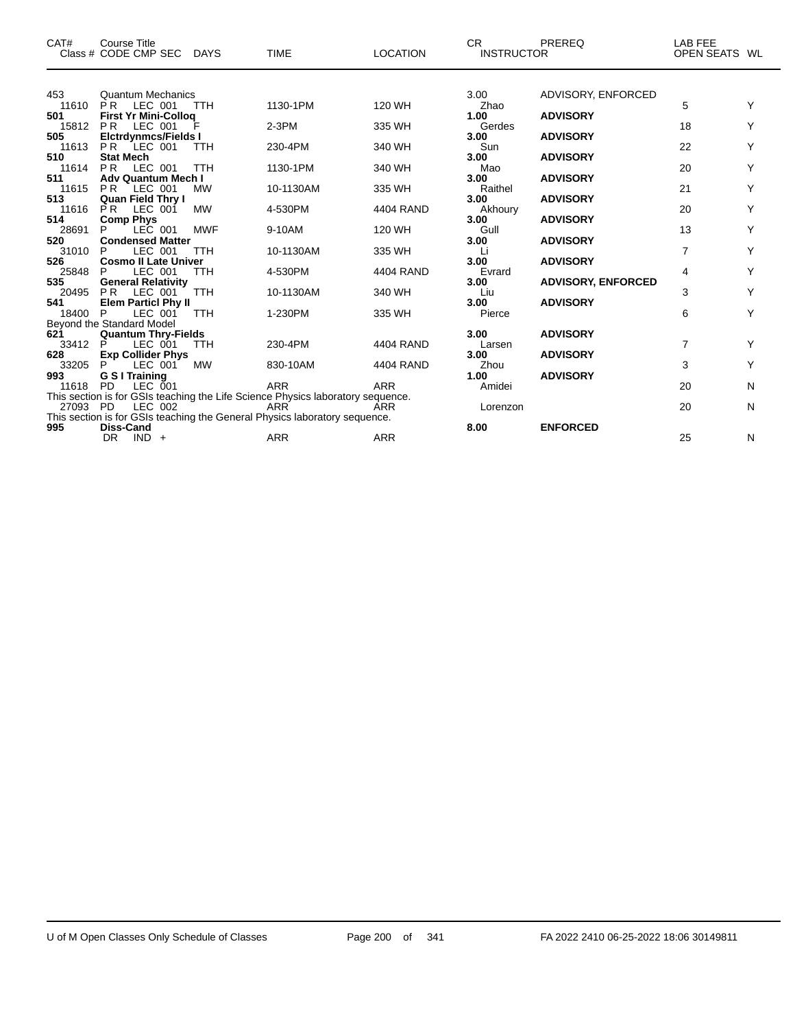| CAT#         | <b>Course Title</b><br>Class # CODE CMP SEC             | <b>DAYS</b> | <b>TIME</b>                                                                              | <b>LOCATION</b> | CR.<br><b>INSTRUCTOR</b> | <b>PREREQ</b>             | LAB FEE<br>OPEN SEATS WL |   |
|--------------|---------------------------------------------------------|-------------|------------------------------------------------------------------------------------------|-----------------|--------------------------|---------------------------|--------------------------|---|
|              |                                                         |             |                                                                                          |                 |                          |                           |                          |   |
| 453<br>11610 | <b>Quantum Mechanics</b><br><b>PR</b><br>LEC 001        | <b>TTH</b>  | 1130-1PM                                                                                 | 120 WH          | 3.00<br>Zhao             | ADVISORY, ENFORCED        | 5                        |   |
| 501          | <b>First Yr Mini-Collog</b>                             |             |                                                                                          |                 | 1.00                     | <b>ADVISORY</b>           |                          |   |
| 15812<br>505 | LEC 001<br><b>PR</b><br><b>Elctrdynmcs/Fields I</b>     |             | $2-3PM$                                                                                  | 335 WH          | Gerdes<br>3.00           | <b>ADVISORY</b>           | 18                       |   |
| 11613        | LEC 001<br>P <sub>R</sub>                               | <b>TTH</b>  | 230-4PM                                                                                  | 340 WH          | Sun                      |                           | 22                       | Y |
| 510          | <b>Stat Mech</b>                                        |             |                                                                                          |                 | 3.00                     | <b>ADVISORY</b>           |                          |   |
| 11614<br>511 | PR<br>LEC 001<br><b>Adv Quantum Mech I</b>              | <b>TTH</b>  | 1130-1PM                                                                                 | 340 WH          | Mao<br>3.00              | <b>ADVISORY</b>           | 20                       | Υ |
| 11615        | <b>PR</b><br>LEC 001                                    | <b>MW</b>   | 10-1130AM                                                                                | 335 WH          | Raithel                  |                           | 21                       | Y |
| 513          | <b>Quan Field Thry I</b>                                |             |                                                                                          |                 | 3.00                     | <b>ADVISORY</b>           |                          |   |
| 11616<br>514 | <b>PR</b><br>LEC 001<br><b>Comp Phys</b>                | <b>MW</b>   | 4-530PM                                                                                  | 4404 RAND       | Akhoury<br>3.00          | <b>ADVISORY</b>           | 20                       | Y |
| 28691        | LEC 001                                                 | <b>MWF</b>  | 9-10AM                                                                                   | 120 WH          | Gull                     |                           | 13                       | Y |
| 520          | <b>Condensed Matter</b>                                 |             |                                                                                          |                 | 3.00                     | <b>ADVISORY</b>           |                          |   |
| 31010<br>526 | LEC 001<br>P<br><b>Cosmo II Late Univer</b>             | <b>TTH</b>  | 10-1130AM                                                                                | 335 WH          | Li<br>3.00               | <b>ADVISORY</b>           | $\overline{7}$           | Y |
| 25848        | LEC 001<br>P                                            | <b>TTH</b>  | 4-530PM                                                                                  | 4404 RAND       | Evrard                   |                           | 4                        | Υ |
| 535          | <b>General Relativity</b>                               |             |                                                                                          |                 | 3.00                     | <b>ADVISORY, ENFORCED</b> |                          | Υ |
| 20495<br>541 | <b>PR</b><br>LEC 001<br><b>Elem Particl Phy II</b>      | <b>TTH</b>  | 10-1130AM                                                                                | 340 WH          | Liu<br>3.00              | <b>ADVISORY</b>           | 3                        |   |
| 18400        | P<br>LEC 001                                            | <b>TTH</b>  | 1-230PM                                                                                  | 335 WH          | Pierce                   |                           | 6                        | Υ |
| 621          | Beyond the Standard Model<br><b>Quantum Thry-Fields</b> |             |                                                                                          |                 | 3.00                     | <b>ADVISORY</b>           |                          |   |
| 33412        | P<br>LEC 001                                            | <b>TTH</b>  | 230-4PM                                                                                  | 4404 RAND       | Larsen                   |                           | $\overline{7}$           | Υ |
| 628          | <b>Exp Collider Phys</b>                                |             |                                                                                          |                 | 3.00                     | <b>ADVISORY</b>           |                          |   |
| 33205<br>993 | P<br>LEC 001<br>G S I Training                          | <b>MW</b>   | 830-10AM                                                                                 | 4404 RAND       | Zhou<br>1.00             | <b>ADVISORY</b>           | 3                        | Y |
| 11618        | <b>PD</b><br>LEC 001                                    |             | <b>ARR</b>                                                                               | <b>ARR</b>      | Amidei                   |                           | 20                       | N |
|              |                                                         |             | This section is for GSIs teaching the Life Science Physics laboratory sequence.          |                 |                          |                           |                          |   |
| 27093 PD     | LEC 002                                                 |             | <b>ARR</b><br>This section is for GSIs teaching the General Physics laboratory sequence. | <b>ARR</b>      | Lorenzon                 |                           | 20                       | N |
| 995          | Diss-Cand                                               |             |                                                                                          |                 | 8.00                     | <b>ENFORCED</b>           |                          |   |
|              | DR<br>$IND +$                                           |             | <b>ARR</b>                                                                               | <b>ARR</b>      |                          |                           | 25                       | N |

 $\overline{\phantom{0}}$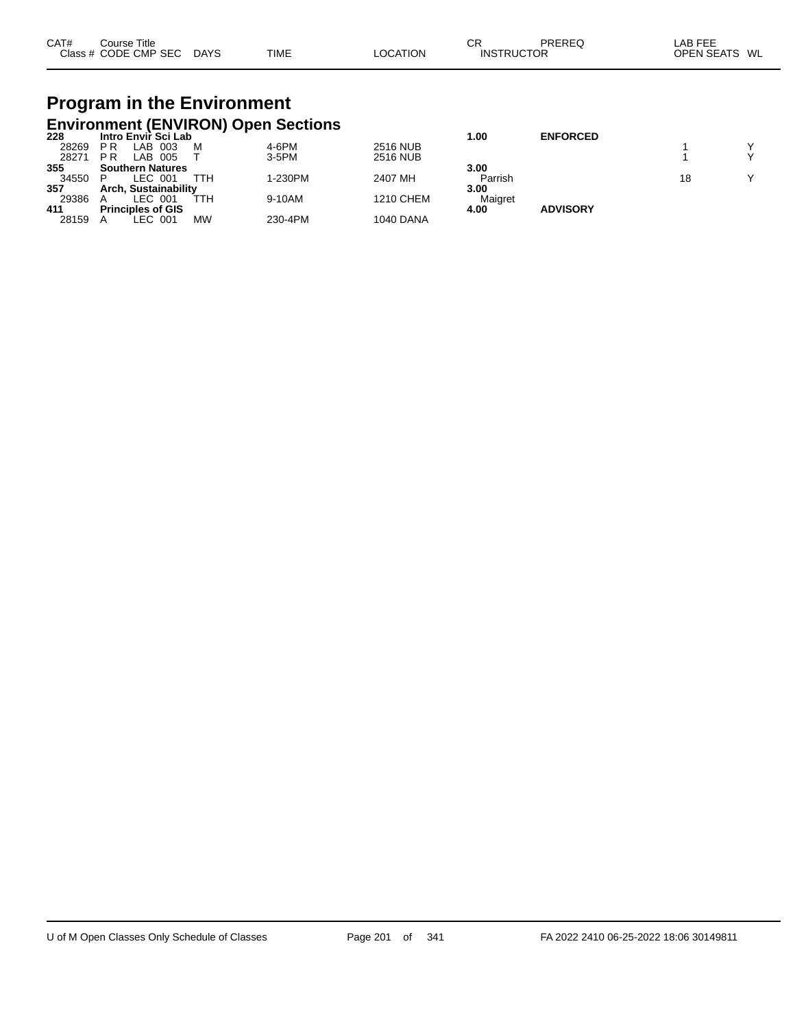| CAT# | $\mathop{\mathsf{course}}$ Title |             |             |          | СR                | PREREG | LAB FEE           |    |
|------|----------------------------------|-------------|-------------|----------|-------------------|--------|-------------------|----|
|      | Class # CODE CMP SEC             | <b>DAYS</b> | <b>TIME</b> | LOCATION | <b>INSTRUCTOR</b> |        | <b>OPEN SEATS</b> | WL |

# **Program in the Environment**

|       |                          |                         |     | <b>Environment (ENVIRON) Open Sections</b> |                  |         |                 |    |              |
|-------|--------------------------|-------------------------|-----|--------------------------------------------|------------------|---------|-----------------|----|--------------|
| 228   |                          | Intro Envir Sci Lab     |     |                                            |                  | 1.00    | <b>ENFORCED</b> |    |              |
| 28269 | РR                       | LAB 003                 | M   | 4-6PM                                      | <b>2516 NUB</b>  |         |                 |    |              |
| 28271 | <b>PR</b>                | LAB 005                 |     | $3-5$ PM                                   | <b>2516 NUB</b>  |         |                 |    | $\checkmark$ |
| 355   |                          | <b>Southern Natures</b> |     |                                            |                  | 3.00    |                 |    |              |
| 34550 |                          | LEC 001                 | TTH | 1-230PM                                    | 2407 MH          | Parrish |                 | 18 | $\checkmark$ |
| 357   |                          | Arch. Sustainability    |     |                                            |                  | 3.00    |                 |    |              |
| 29386 |                          | LEC 001                 | ттн | 9-10AM                                     | <b>1210 CHEM</b> | Maigret |                 |    |              |
| 411   | <b>Principles of GIS</b> |                         |     |                                            |                  | 4.00    | <b>ADVISORY</b> |    |              |
| 28159 |                          | LEC 001                 | MW  | 230-4PM                                    | <b>1040 DANA</b> |         |                 |    |              |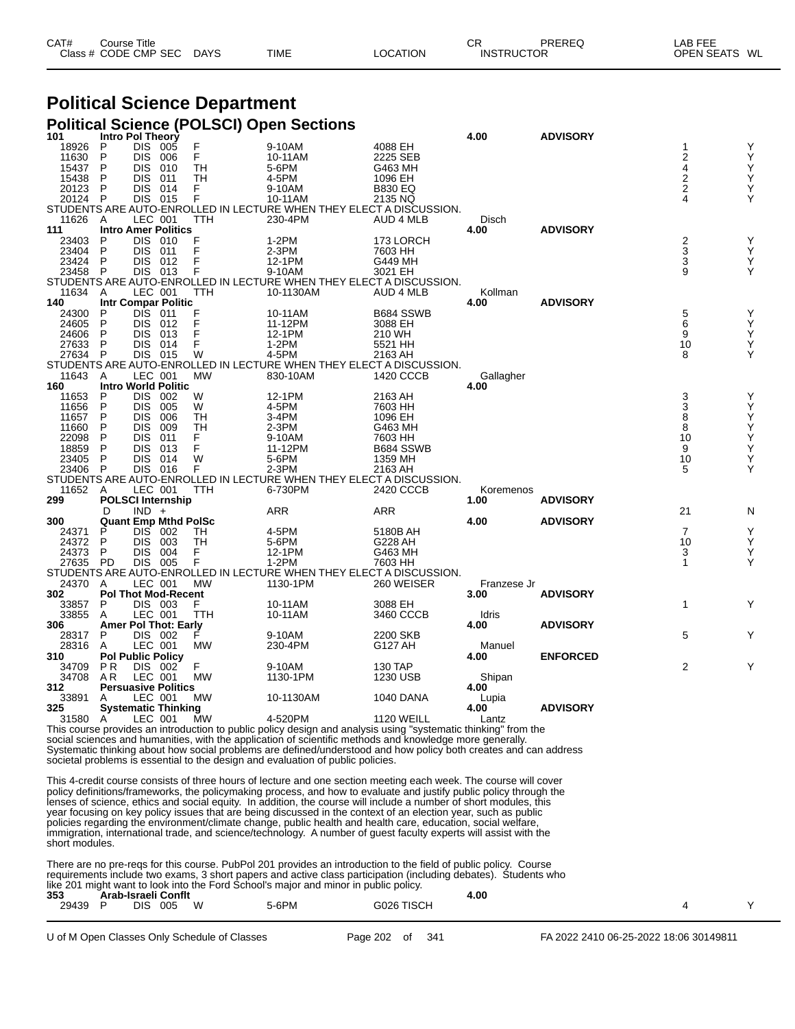| CAT# | Course Title              |             |          | СR                | PREREQ | LAB FEE       |  |
|------|---------------------------|-------------|----------|-------------------|--------|---------------|--|
|      | Class # CODE CMP SEC DAYS | <b>TIME</b> | LOCATION | <b>INSTRUCTOR</b> |        | OPEN SEATS WL |  |

#### **Political Science Department**

#### **Political Science (POLSCI) Open Sections**

| 101     | Intro Pol Theory         |            |                             |           |                                                                     |                   | 4.00        | <b>ADVISORY</b> |                  |   |
|---------|--------------------------|------------|-----------------------------|-----------|---------------------------------------------------------------------|-------------------|-------------|-----------------|------------------|---|
| 18926   | P                        | DIS 005    |                             | F         | 9-10AM                                                              | 4088 EH           |             |                 | 1                | Υ |
| 11630   | P                        | <b>DIS</b> | 006                         | F         | 10-11AM                                                             | 2225 SEB          |             |                 | 2                | Υ |
| 15437   | P                        | DIS        | 010                         | TН        | 5-6PM                                                               | G463 MH           |             |                 | 4                | Υ |
| 15438   | P                        | <b>DIS</b> | 011                         | TН        | 4-5PM                                                               | 1096 EH           |             |                 |                  | Υ |
| 20123   | P                        | <b>DIS</b> | 014                         | F.        | 9-10AM                                                              | <b>B830 EQ</b>    |             |                 | $\frac{2}{2}$    | Υ |
| 20124   | P                        | DIS        | 015                         | F         | 10-11AM                                                             | 2135 NQ           |             |                 | 4                | Υ |
|         |                          |            |                             |           | STUDENTS ARE AUTO-ENROLLED IN LECTURE WHEN THEY ELECT A DISCUSSION. |                   |             |                 |                  |   |
|         |                          |            |                             |           | 230-4PM                                                             |                   |             |                 |                  |   |
| 11626   | A                        | LEC 001    |                             | TTH       |                                                                     | AUD 4 MLB         | Disch       |                 |                  |   |
| 111     |                          |            | <b>Intro Amer Politics</b>  |           |                                                                     |                   | 4.00        | <b>ADVISORY</b> |                  |   |
| 23403   | P                        | <b>DIS</b> | - 010                       | F         | 1-2PM                                                               | 173 LORCH         |             |                 | $\boldsymbol{2}$ | Υ |
| 23404   | P                        | <b>DIS</b> | 011                         |           | 2-3PM                                                               | 7603 HH           |             |                 | 3                | Y |
| 23424   | P                        | <b>DIS</b> | 012                         |           | 12-1PM                                                              | G449 MH           |             |                 | 3                | Υ |
| 23458   | P                        | <b>DIS</b> | 013                         |           | 9-10AM                                                              | 3021 EH           |             |                 | 9                | Υ |
|         |                          |            |                             |           | STUDENTS ARE AUTO-ENROLLED IN LECTURE WHEN THEY ELECT A DISCUSSION. |                   |             |                 |                  |   |
| 11634   | A                        | LEC 001    |                             | TTH       | 10-1130AM                                                           | <b>AUD 4 MLB</b>  | Kollman     |                 |                  |   |
| 140     |                          |            | <b>Intr Compar Politic</b>  |           |                                                                     |                   | 4.00        | <b>ADVISORY</b> |                  |   |
| 24300   | P                        | DIS.       | 011                         |           | 10-11AM                                                             | B684 SSWB         |             |                 | 5                | Υ |
| 24605   | P                        | <b>DIS</b> | 012                         |           | 11-12PM                                                             | 3088 EH           |             |                 | 6                | Υ |
| 24606   | P                        | <b>DIS</b> | 013                         | F         | 12-1PM                                                              | 210 WH            |             |                 | 9                | Υ |
| 27633   | P                        | <b>DIS</b> | 014                         | F         | $1-2PM$                                                             | 5521 HH           |             |                 | 10               | Υ |
| 27634 P |                          | DIS 015    |                             | W         | 4-5PM                                                               | 2163 AH           |             |                 | 8                | Y |
|         |                          |            |                             |           |                                                                     |                   |             |                 |                  |   |
|         |                          |            |                             |           | STUDENTS ARE AUTO-ENROLLED IN LECTURE WHEN THEY ELECT A DISCUSSION. |                   |             |                 |                  |   |
| 11643   | A                        | LEC 001    |                             | <b>MW</b> | 830-10AM                                                            | 1420 CCCB         | Gallagher   |                 |                  |   |
| 160     |                          |            | <b>Intro World Politic</b>  |           |                                                                     |                   | 4.00        |                 |                  |   |
| 11653   | P                        | <b>DIS</b> | 002                         | W         | 12-1PM                                                              | 2163 AH           |             |                 | 3                | Υ |
| 11656   | P                        | <b>DIS</b> | 005                         | W         | 4-5PM                                                               | 7603 HH           |             |                 | 3                | Υ |
| 11657   | P                        | <b>DIS</b> | 006                         | TH        | 3-4PM                                                               | 1096 EH           |             |                 | 8                | Y |
| 11660   | P                        | <b>DIS</b> | 009                         | TН        | $2-3PM$                                                             | G463 MH           |             |                 | 8                | Υ |
| 22098   | P                        | <b>DIS</b> | 011                         | F.        | 9-10AM                                                              | 7603 HH           |             |                 | 10               | Y |
| 18859   | P                        | DIS        | 013                         | F         | 11-12PM                                                             | B684 SSWB         |             |                 | 9                | Υ |
| 23405   | P                        | <b>DIS</b> | 014                         | W         | 5-6PM                                                               | 1359 MH           |             |                 | 10               | Υ |
| 23406   | $\mathsf{P}$             | <b>DIS</b> | 016                         | F         | 2-3PM                                                               | 2163 AH           |             |                 | 5                | Υ |
|         |                          |            |                             |           | STUDENTS ARE AUTO-ENROLLED IN LECTURE WHEN THEY ELECT A DISCUSSION. |                   |             |                 |                  |   |
| 11652   | A                        | LEC 001    |                             | TTH       | 6-730PM                                                             | 2420 CCCB         | Koremenos   |                 |                  |   |
| 299     |                          |            | <b>POLSCI Internship</b>    |           |                                                                     |                   | 1.00        | <b>ADVISORY</b> |                  |   |
|         | D                        | $IND +$    |                             |           | ARR                                                                 | ARR               |             |                 | 21               | N |
| 300     |                          |            |                             |           |                                                                     |                   | 4.00        | <b>ADVISORY</b> |                  |   |
|         |                          |            | <b>Quant Emp Mthd PolSc</b> |           |                                                                     |                   |             |                 |                  |   |
| 24371   | P                        | <b>DIS</b> | - 002                       | TH        | 4-5PM                                                               | 5180B AH          |             |                 | $\overline{7}$   | Υ |
| 24372   | P                        | <b>DIS</b> | 003                         | <b>TH</b> | 5-6PM                                                               | G228 AH           |             |                 | 10               | Υ |
| 24373   | P                        | <b>DIS</b> | 004                         | F         | 12-1PM                                                              | G463 MH           |             |                 | 3                | Y |
| 27635   | <b>PD</b>                | DIS        | 005                         | F         | $1-2PM$                                                             | 7603 HH           |             |                 | 1                | Υ |
|         |                          |            |                             |           | STUDENTS ARE AUTO-ENROLLED IN LECTURE WHEN THEY ELECT A DISCUSSION. |                   |             |                 |                  |   |
| 24370   | A                        | LEC 001    |                             | <b>MW</b> | 1130-1PM                                                            | 260 WEISER        | Franzese Jr |                 |                  |   |
| 302     |                          |            | <b>Pol Thot Mod-Recent</b>  |           |                                                                     |                   | 3.00        | <b>ADVISORY</b> |                  |   |
| 33857   | P                        | DIS 003    |                             | F.        | 10-11AM                                                             | 3088 EH           |             |                 | $\mathbf{1}$     | Υ |
| 33855   | A                        | LEC 001    |                             | TTH       | 10-11AM                                                             | 3460 CCCB         | Idris       |                 |                  |   |
| 306     |                          |            | Amer Pol Thot: Early        |           |                                                                     |                   | 4.00        | <b>ADVISORY</b> |                  |   |
| 28317   | P                        | DIS 002    |                             | F         | 9-10AM                                                              | 2200 SKB          |             |                 | 5                | Υ |
| 28316   | A                        | LEC 001    |                             | MW        | 230-4PM                                                             | G127 AH           | Manuel      |                 |                  |   |
| 310     | <b>Pol Public Policy</b> |            |                             |           |                                                                     |                   | 4.00        | <b>ENFORCED</b> |                  |   |
| 34709   | <b>PR</b>                | DIS 002    |                             | F         | 9-10AM                                                              | 130 TAP           |             |                 | $\overline{2}$   | Y |
| 34708   | A <sub>R</sub>           | LEC 001    |                             | MW        |                                                                     |                   |             |                 |                  |   |
|         |                          |            |                             |           | 1130-1PM                                                            | 1230 USB          | Shipan      |                 |                  |   |
| 312     |                          |            | <b>Persuasive Politics</b>  |           |                                                                     |                   | 4.00        |                 |                  |   |
| 33891   | A                        | LEC 001    |                             | MW        | 10-1130AM                                                           | 1040 DANA         | Lupia       |                 |                  |   |
| 325     |                          |            | <b>Systematic Thinking</b>  |           |                                                                     |                   | 4.00        | <b>ADVISORY</b> |                  |   |
| 31580 A |                          | LEC 001    |                             | MW        | 4-520PM                                                             | <b>1120 WEILL</b> | Lantz       |                 |                  |   |

This course provides an introduction to public policy design and analysis using "systematic thinking" from the social sciences and humanities, with the application of scientific methods and knowledge more generally. Systematic thinking about how social problems are defined/understood and how policy both creates and can address societal problems is essential to the design and evaluation of public policies.

This 4-credit course consists of three hours of lecture and one section meeting each week. The course will cover policy definitions/frameworks, the policymaking process, and how to evaluate and justify public policy through the lenses of science, ethics and social equity. In addition, the course will include a number of short modules, this year focusing on key policy issues that are being discussed in the context of an election year, such as public policies regarding the environment/climate change, public health and health care, education, social welfare, immigration, international trade, and science/technology. A number of guest faculty experts will assist with the short modules.

There are no pre-reqs for this course. PubPol 201 provides an introduction to the field of public policy. Course requirements include two exams, 3 short papers and active class participation (including debates). Students who like 201 might want to look into the Ford School's major and minor in public policy.

| 353   |     | Conflt |              |      |                               | 4.00 |  |  |
|-------|-----|--------|--------------|------|-------------------------------|------|--|--|
| 20120 | DIS | 005    | $\mathsf{M}$ | -6PM | <b>TISCH</b><br>G026.<br>____ |      |  |  |
|       |     |        |              |      |                               |      |  |  |

U of M Open Classes Only Schedule of Classes Page 202 of 341 FA 2022 2410 06-25-2022 18:06 30149811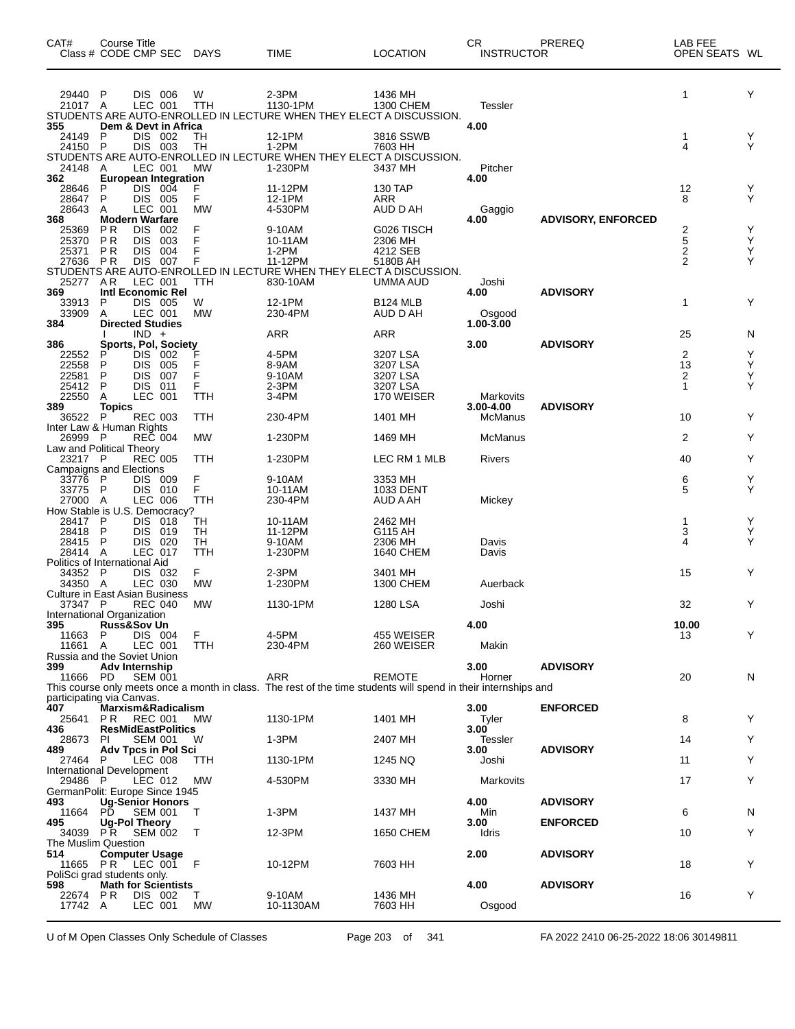| CAT#                                      | Course Title<br>Class # CODE CMP SEC |                          |            | <b>DAYS</b>     | <b>TIME</b>                                                                                                                   | <b>LOCATION</b>          | CR.<br><b>INSTRUCTOR</b> | PREREQ                    | LAB FEE<br>OPEN SEATS WL |        |
|-------------------------------------------|--------------------------------------|--------------------------|------------|-----------------|-------------------------------------------------------------------------------------------------------------------------------|--------------------------|--------------------------|---------------------------|--------------------------|--------|
| 29440 P<br>21017 A                        |                                      | DIS 006<br>LEC 001       |            | W<br><b>TTH</b> | $2-3PM$<br>1130-1PM<br>STUDENTS ARE AUTO-ENROLLED IN LECTURE WHEN THEY ELECT A DISCUSSION.                                    | 1436 MH<br>1300 CHEM     | <b>Tessler</b>           |                           | 1                        | Y      |
| 355<br>24149                              | Dem & Devt in Africa<br>P            | DIS                      | 002        | TН              | 12-1PM                                                                                                                        | 3816 SSWB                | 4.00                     |                           | 1                        | Y      |
| 24150 P                                   |                                      | DIS 003                  |            | <b>TH</b>       | $1-2PM$<br>STUDENTS ARE AUTO-ENROLLED IN LECTURE WHEN THEY ELECT A DISCUSSION.                                                | 7603 HH                  |                          |                           | 4                        | Υ      |
| 24148 A<br>362                            | <b>European Integration</b>          | LEC 001                  |            | <b>MW</b>       | 1-230PM                                                                                                                       | 3437 MH                  | Pitcher<br>4.00          |                           |                          |        |
| 28646<br>28647                            | P<br>P                               | DIS 004<br>DIS 005       |            | F<br>F          | 11-12PM<br>12-1PM                                                                                                             | 130 TAP<br>ARR           |                          |                           | 12<br>8                  | Y<br>Υ |
| 28643<br>368                              | A<br><b>Modern Warfare</b>           | LEC 001                  |            | <b>MW</b>       | 4-530PM                                                                                                                       | AUD D AH                 | Gaggio<br>4.00           | <b>ADVISORY, ENFORCED</b> |                          |        |
| 25369                                     | P R                                  | <b>DIS</b>               | 002        | F               | 9-10AM                                                                                                                        | G026 TISCH               |                          |                           | $\frac{2}{5}$            | Y      |
| 25370<br>25371                            | <b>PR</b><br>P R                     | <b>DIS</b><br><b>DIS</b> | 003<br>004 | F<br>F          | 10-11AM<br>$1-2PM$                                                                                                            | 2306 MH<br>4212 SEB      |                          |                           | 2                        | Υ<br>Υ |
| 27636                                     | P R                                  | <b>DIS</b>               | 007        | F               | 11-12PM<br>STUDENTS ARE AUTO-ENROLLED IN LECTURE WHEN THEY ELECT A DISCUSSION.                                                | 5180B AH                 |                          |                           | $\overline{2}$           | Υ      |
| 25277<br>369                              | AR<br>Intl Economic Rel              | LEC 001                  |            | TTH             | 830-10AM                                                                                                                      | UMMA AUD                 | Joshi<br>4.00            | <b>ADVISORY</b>           |                          |        |
| 33913                                     | P                                    | DIS 005                  |            | W               | 12-1PM                                                                                                                        | B124 MLB                 |                          |                           | 1                        | Y      |
| 33909<br>384                              | A<br><b>Directed Studies</b>         | LEC 001                  |            | <b>MW</b>       | 230-4PM                                                                                                                       | AUD D AH                 | Osgood<br>1.00-3.00      |                           |                          |        |
| 386                                       | Sports, Pol, Society                 | $IND +$                  |            |                 | ARR                                                                                                                           | ARR                      | 3.00                     | <b>ADVISORY</b>           | 25                       | N      |
| 22552<br>22558                            | P<br>P                               | DIS<br><b>DIS</b>        | 002<br>005 | F               | 4-5PM<br>8-9AM                                                                                                                | 3207 LSA<br>3207 LSA     |                          |                           | 2<br>13                  | Y<br>Υ |
| 22581                                     | P                                    | <b>DIS</b>               | 007        | F               | 9-10AM                                                                                                                        | 3207 LSA                 |                          |                           | 2                        | Υ<br>Υ |
| 25412<br>22550                            | P<br>Α                               | <b>DIS</b><br>LEC 001    | 011        | F<br>TTH        | $2-3PM$<br>3-4PM                                                                                                              | 3207 LSA<br>170 WEISER   | Markovits                |                           | $\mathbf{1}$             |        |
| 389<br>36522 P                            | <b>Topics</b>                        | <b>REC 003</b>           |            | TTH             | 230-4PM                                                                                                                       | 1401 MH                  | 3.00-4.00<br>McManus     | <b>ADVISORY</b>           | 10                       | Y      |
| Inter Law & Human Rights<br>26999         | - P                                  | <b>REC 004</b>           |            | <b>MW</b>       | 1-230PM                                                                                                                       | 1469 MH                  | McManus                  |                           | 2                        | Y      |
| Law and Political Theory<br>23217 P       |                                      | <b>REC 005</b>           |            | TTH             | 1-230PM                                                                                                                       | LEC RM 1 MLB             | Rivers                   |                           | 40                       | Y      |
| <b>Campaigns and Elections</b><br>33776   | P                                    | DIS 009                  |            | F               | 9-10AM                                                                                                                        | 3353 MH                  |                          |                           | 6                        | Y      |
| 33775<br>27000                            | $\mathsf{P}$<br>A                    | DIS 010<br>LEC 006       |            | F<br><b>TTH</b> | 10-11AM<br>230-4PM                                                                                                            | 1033 DENT<br>AUD A AH    | Mickey                   |                           | 5                        | Υ      |
| How Stable is U.S. Democracy?             |                                      |                          |            |                 |                                                                                                                               |                          |                          |                           |                          |        |
| 28417<br>28418                            | - P<br>P                             | <b>DIS</b><br><b>DIS</b> | 018<br>019 | TН<br><b>TH</b> | 10-11AM<br>11-12PM                                                                                                            | 2462 MH<br>G115 AH       |                          |                           | 1<br>3                   | Y<br>Υ |
| 28415<br>28414 A                          | P                                    | <b>DIS</b><br>LEC 017    | 020        | TН<br>TTH       | 9-10AM<br>1-230PM                                                                                                             | 2306 MH<br>1640 CHEM     | Davis<br>Davis           |                           | 4                        | Υ      |
| Politics of International Aid<br>34352 P  |                                      | <b>DIS</b>               | 032        | F.              | $2-3PM$                                                                                                                       | 3401 MH                  |                          |                           | 15                       | Y      |
| 34350 A                                   |                                      | LEC 030                  |            | <b>MW</b>       | 1-230PM                                                                                                                       | 1300 CHEM                | Auerback                 |                           |                          |        |
| Culture in East Asian Business<br>37347 P |                                      | <b>REC 040</b>           |            | MW              | 1130-1PM                                                                                                                      | 1280 LSA                 | Joshi                    |                           | 32                       | Y      |
| International Organization<br>395         | <b>Russ&amp;Sov Un</b>               |                          |            |                 |                                                                                                                               |                          | 4.00                     |                           | 10.00                    |        |
| 11663<br>11661                            | P<br>A                               | DIS 004<br>LEC 001       |            | F<br>TTH        | 4-5PM<br>230-4PM                                                                                                              | 455 WEISER<br>260 WEISER | Makin                    |                           | 13                       | Y      |
| Russia and the Soviet Union<br>399        | Adv Internship                       |                          |            |                 |                                                                                                                               |                          | 3.00                     | <b>ADVISORY</b>           |                          |        |
| 11666 PD                                  |                                      | <b>SEM 001</b>           |            |                 | <b>ARR</b><br>This course only meets once a month in class. The rest of the time students will spend in their internships and | <b>REMOTE</b>            | Horner                   |                           | 20                       | N      |
| participating via Canvas.                 |                                      |                          |            |                 |                                                                                                                               |                          |                          |                           |                          |        |
| 407<br>25641                              | Marxism&Radicalism<br>PR.            | <b>REC 001</b>           |            | MW              | 1130-1PM                                                                                                                      | 1401 MH                  | 3.00<br>Tyler            | <b>ENFORCED</b>           | 8                        | Y      |
| 436<br>28673                              | <b>ResMidEastPolitics</b><br>-PI     | <b>SEM 001</b>           |            | W               | 1-3PM                                                                                                                         | 2407 MH                  | 3.00<br>Tessler          |                           | 14                       | Y      |
| 489<br>27464 P                            | <b>Adv Tpcs in Pol Sci</b>           | LEC 008                  |            | TTH             | 1130-1PM                                                                                                                      | 1245 NQ                  | 3.00<br>Joshi            | <b>ADVISORY</b>           | 11                       | Y      |
| International Development<br>29486 P      |                                      | LEC 012                  |            | МW              | 4-530PM                                                                                                                       | 3330 MH                  | Markovits                |                           | 17                       | Y      |
| GermanPolit: Europe Since 1945<br>493     | <b>Ug-Senior Honors</b>              |                          |            |                 |                                                                                                                               |                          | 4.00                     | <b>ADVISORY</b>           |                          |        |
| 11664                                     | PD.                                  | <b>SEM 001</b>           |            | $\top$          | 1-3PM                                                                                                                         | 1437 MH                  | Min                      |                           | 6                        | N      |
| 495<br>34039 PR                           | Ug-Pol Theory                        | <b>SEM 002</b>           |            | $\top$          | 12-3PM                                                                                                                        | 1650 CHEM                | 3.00<br>Idris            | <b>ENFORCED</b>           | 10                       | Y      |
| The Muslim Question<br>514                | <b>Computer Usage</b>                |                          |            |                 |                                                                                                                               |                          | 2.00                     | <b>ADVISORY</b>           |                          |        |
| 11665 PR<br>PoliSci grad students only.   |                                      | LEC 001                  |            | - F             | 10-12PM                                                                                                                       | 7603 HH                  |                          |                           | 18                       | Y      |
| 598<br>22674 PR                           | <b>Math for Scientists</b>           | DIS 002                  |            | T.              | 9-10AM                                                                                                                        | 1436 MH                  | 4.00                     | <b>ADVISORY</b>           | 16                       | Y      |
| 17742 A                                   |                                      | LEC 001                  |            | <b>MW</b>       | 10-1130AM                                                                                                                     | 7603 HH                  | Osgood                   |                           |                          |        |

U of M Open Classes Only Schedule of Classes Page 203 of 341 FA 2022 2410 06-25-2022 18:06 30149811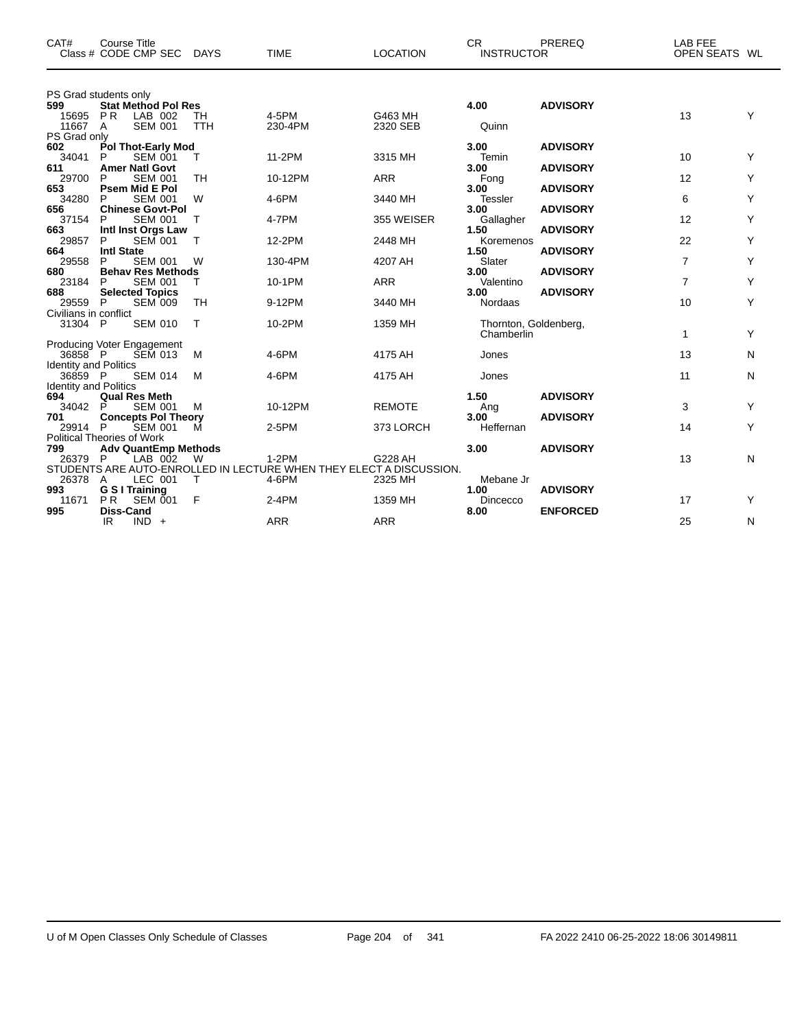| CAT#                         | Course Title<br>Class # CODE CMP SEC                | DAYS             | <b>TIME</b>      | <b>LOCATION</b>                                                     | CR.<br><b>INSTRUCTOR</b>            | PREREQ          | LAB FEE<br>OPEN SEATS WL |   |
|------------------------------|-----------------------------------------------------|------------------|------------------|---------------------------------------------------------------------|-------------------------------------|-----------------|--------------------------|---|
| 599                          | PS Grad students only<br><b>Stat Method Pol Res</b> |                  |                  |                                                                     | 4.00                                | <b>ADVISORY</b> |                          |   |
| 15695<br>11667 A             | PR<br>LAB 002<br><b>SEM 001</b>                     | TH<br><b>TTH</b> | 4-5PM<br>230-4PM | G463 MH<br>2320 SEB                                                 | Quinn                               |                 | 13                       | Y |
| PS Grad only<br>602          | Pol Thot-Early Mod                                  |                  |                  |                                                                     | 3.00                                | <b>ADVISORY</b> |                          |   |
| 34041                        | P<br><b>SEM 001</b>                                 | T.               | 11-2PM           | 3315 MH                                                             | Temin                               |                 | 10                       | Y |
| 611                          | <b>Amer Natl Govt</b>                               |                  |                  |                                                                     | 3.00                                | <b>ADVISORY</b> |                          |   |
| 29700                        | P<br><b>SEM 001</b>                                 | <b>TH</b>        | 10-12PM          | <b>ARR</b>                                                          | Fong                                |                 | 12                       | Y |
| 653                          | <b>Psem Mid E Pol</b>                               |                  |                  |                                                                     | 3.00                                | <b>ADVISORY</b> |                          |   |
| 34280<br>656                 | <b>SEM 001</b><br>P<br><b>Chinese Govt-Pol</b>      | W                | 4-6PM            | 3440 MH                                                             | <b>Tessler</b><br>3.00              | <b>ADVISORY</b> | 6                        | Y |
| 37154                        | <b>SEM 001</b><br>P                                 | Т                | 4-7PM            | 355 WEISER                                                          | Gallagher                           |                 | 12                       | Υ |
| 663                          | Intl Inst Orgs Law                                  |                  |                  |                                                                     | 1.50                                | <b>ADVISORY</b> |                          |   |
| 29857                        | <b>SEM 001</b><br>P                                 | т                | 12-2PM           | 2448 MH                                                             | Koremenos                           |                 | 22                       | Y |
| 664                          | <b>Intl State</b>                                   |                  |                  |                                                                     | 1.50                                | <b>ADVISORY</b> |                          |   |
| 29558<br>680                 | P<br><b>SEM 001</b><br><b>Behav Res Methods</b>     | W                | 130-4PM          | 4207 AH                                                             | Slater<br>3.00                      | <b>ADVISORY</b> | $\overline{7}$           | Y |
| 23184                        | P<br><b>SEM 001</b>                                 | т                | 10-1PM           | <b>ARR</b>                                                          | Valentino                           |                 | $\overline{7}$           | Y |
| 688                          | <b>Selected Topics</b>                              |                  |                  |                                                                     | 3.00                                | <b>ADVISORY</b> |                          |   |
| 29559                        | P<br><b>SEM 009</b>                                 | <b>TH</b>        | 9-12PM           | 3440 MH                                                             | <b>Nordaas</b>                      |                 | 10                       | Υ |
| Civilians in conflict        |                                                     |                  |                  |                                                                     |                                     |                 |                          |   |
| 31304 P                      | <b>SEM 010</b>                                      | Т                | 10-2PM           | 1359 MH                                                             | Thornton, Goldenberg,<br>Chamberlin |                 | 1                        | Y |
| 36858 P                      | Producing Voter Engagement                          | M                | 4-6PM            | 4175 AH                                                             |                                     |                 | 13                       | N |
| <b>Identity and Politics</b> | <b>SEM 013</b>                                      |                  |                  |                                                                     | Jones                               |                 |                          |   |
| 36859 P                      | <b>SEM 014</b>                                      | M                | 4-6PM            | 4175 AH                                                             | Jones                               |                 | 11                       | N |
| <b>Identity and Politics</b> |                                                     |                  |                  |                                                                     |                                     |                 |                          |   |
| 694                          | <b>Qual Res Meth</b>                                |                  |                  |                                                                     | 1.50                                | <b>ADVISORY</b> |                          |   |
| 34042                        | P<br><b>SEM 001</b>                                 | м                | 10-12PM          | <b>REMOTE</b>                                                       | Ang                                 |                 | 3                        | Y |
| 701                          | <b>Concepts Pol Theory</b>                          |                  | 2-5PM            |                                                                     | 3.00<br>Heffernan                   | <b>ADVISORY</b> |                          | Y |
| 29914 P                      | <b>SEM 001</b><br><b>Political Theories of Work</b> | M                |                  | 373 LORCH                                                           |                                     |                 | 14                       |   |
| 799                          | <b>Adv QuantEmp Methods</b>                         |                  |                  |                                                                     | 3.00                                | <b>ADVISORY</b> |                          |   |
| 26379 P                      | LAB 002                                             | W                | $1-2PM$          | G228 AH                                                             |                                     |                 | 13                       | N |
|                              |                                                     |                  |                  | STUDENTS ARE AUTO-ENROLLED IN LECTURE WHEN THEY ELECT A DISCUSSION. |                                     |                 |                          |   |
| 26378 A                      | LEC 001                                             | $\top$           | 4-6PM            | 2325 MH                                                             | Mebane Jr                           |                 |                          |   |
| 993                          | G S I Training                                      |                  |                  |                                                                     | 1.00                                | <b>ADVISORY</b> |                          |   |
| 11671<br>995                 | <b>PR</b><br><b>SEM 001</b><br><b>Diss-Cand</b>     | F                | $2-4PM$          | 1359 MH                                                             | Dincecco<br>8.00                    | <b>ENFORCED</b> | 17                       | Y |
|                              | IR.<br>$IND +$                                      |                  | <b>ARR</b>       | <b>ARR</b>                                                          |                                     |                 | 25                       | N |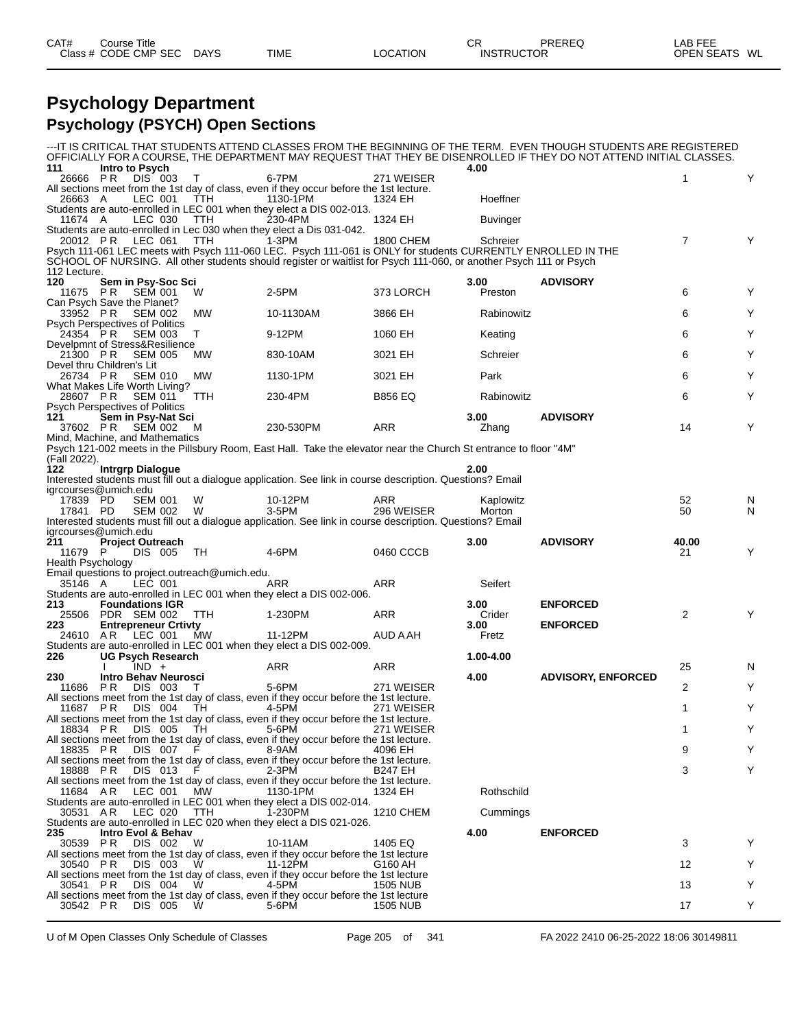| CAT#<br>Title<br>Course |             |             |          | ⌒冖<br>◡◚ | PREREQ            | _AB FEE                 |
|-------------------------|-------------|-------------|----------|----------|-------------------|-------------------------|
| Class # CODE CMP SEC    | <b>DAYS</b> | <b>TIME</b> | LOCATION |          | <b>INSTRUCTOR</b> | <b>OPEN SEATS</b><br>WL |

#### **Psychology Department Psychology (PSYCH) Open Sections**

|                                                                        |                         |                                      |                                                |                                                                                                                                                                                                                                    |                      |                     | ---IT IS CRITICAL THAT STUDENTS ATTEND CLASSES FROM THE BEGINNING OF THE TERM.  EVEN THOUGH STUDENTS ARE REGISTERED<br>OFFICIALLY FOR A COURSE, THE DEPARTMENT MAY REQUEST THAT THEY BE DISENROLLED IF THEY DO NOT ATTEND INITIAL CLASSES. |                |        |
|------------------------------------------------------------------------|-------------------------|--------------------------------------|------------------------------------------------|------------------------------------------------------------------------------------------------------------------------------------------------------------------------------------------------------------------------------------|----------------------|---------------------|--------------------------------------------------------------------------------------------------------------------------------------------------------------------------------------------------------------------------------------------|----------------|--------|
| 111<br>26666 PR                                                        | Intro to Psych          | DIS 003                              | $\top$                                         | 6-7PM                                                                                                                                                                                                                              | 271 WEISER           | 4.00                |                                                                                                                                                                                                                                            | $\mathbf{1}$   | Y      |
|                                                                        |                         |                                      |                                                | All sections meet from the 1st day of class, even if they occur before the 1st lecture.                                                                                                                                            |                      |                     |                                                                                                                                                                                                                                            |                |        |
| 26663 A                                                                |                         | LEC 001                              | TTH                                            | 1130-1PM                                                                                                                                                                                                                           | 1324 EH              | Hoeffner            |                                                                                                                                                                                                                                            |                |        |
| 11674 A                                                                |                         | LEC 030                              | TTH                                            | Students are auto-enrolled in LEC 001 when they elect a DIS 002-013.<br>230-4PM                                                                                                                                                    | 1324 EH              | Buvinger            |                                                                                                                                                                                                                                            |                |        |
|                                                                        | 20012 PR LEC 061        |                                      | TTH                                            | Students are auto-enrolled in Lec 030 when they elect a Dis 031-042.<br>1-3PM                                                                                                                                                      | 1800 CHEM            | Schreier            |                                                                                                                                                                                                                                            | $\overline{7}$ | Y      |
| 112 Lecture.                                                           |                         |                                      |                                                | Psych 111-061 LEC meets with Psych 111-060 LEC. Psych 111-061 is ONLY for students CURRENTLY ENROLLED IN THE<br>SCHOOL OF NURSING. All other students should register or waitlist for Psych 111-060, or another Psych 111 or Psych |                      |                     |                                                                                                                                                                                                                                            |                |        |
| 120                                                                    |                         | Sem in Psy-Soc Sci                   |                                                |                                                                                                                                                                                                                                    |                      | 3.00 <sub>1</sub>   | <b>ADVISORY</b>                                                                                                                                                                                                                            |                |        |
| 11675 PR                                                               |                         | <b>SEM 001</b>                       | W                                              | 2-5PM                                                                                                                                                                                                                              | 373 LORCH            | Preston             |                                                                                                                                                                                                                                            | 6              | Y      |
| Can Psych Save the Planet?<br>33952 PR                                 |                         | <b>SEM 002</b>                       | MW                                             | 10-1130AM                                                                                                                                                                                                                          | 3866 EH              | Rabinowitz          |                                                                                                                                                                                                                                            | 6              | Υ      |
| Psych Perspectives of Politics<br>24354 PR                             |                         | SEM 003                              | T                                              | 9-12PM                                                                                                                                                                                                                             | 1060 EH              | Keating             |                                                                                                                                                                                                                                            | 6              | Y      |
| Develpmnt of Stress&Resilience<br>21300 PR                             |                         | <b>SEM 005</b>                       | <b>MW</b>                                      | 830-10AM                                                                                                                                                                                                                           | 3021 EH              | Schreier            |                                                                                                                                                                                                                                            | 6              | Y      |
| Devel thru Children's Lit<br>26734 PR<br>What Makes Life Worth Living? |                         | <b>SEM 010</b>                       | МW                                             | 1130-1PM                                                                                                                                                                                                                           | 3021 EH              | Park                |                                                                                                                                                                                                                                            | 6              | Y      |
| 28607 PR<br><b>Psych Perspectives of Politics</b>                      |                         | SEM 011                              | TTH                                            | 230-4PM                                                                                                                                                                                                                            | <b>B856 EQ</b>       | Rabinowitz          |                                                                                                                                                                                                                                            | 6              | Y      |
| 121                                                                    |                         | Sem in Psy-Nat Sci                   |                                                |                                                                                                                                                                                                                                    |                      | 3.00                | <b>ADVISORY</b>                                                                                                                                                                                                                            |                |        |
| Mind, Machine, and Mathematics                                         | 37602 PR SEM 002        |                                      | M                                              | 230-530PM                                                                                                                                                                                                                          | ARR                  | Zhang               |                                                                                                                                                                                                                                            | 14             | Y      |
| (Fall 2022).                                                           |                         |                                      |                                                | Psych 121-002 meets in the Pillsbury Room, East Hall. Take the elevator near the Church St entrance to floor "4M"                                                                                                                  |                      |                     |                                                                                                                                                                                                                                            |                |        |
| 122                                                                    | <b>Intrgrp Dialogue</b> |                                      |                                                |                                                                                                                                                                                                                                    |                      | 2.00                |                                                                                                                                                                                                                                            |                |        |
| igrcourses@umich.edu                                                   |                         |                                      |                                                | Interested students must fill out a dialogue application. See link in course description. Questions? Email                                                                                                                         |                      |                     |                                                                                                                                                                                                                                            |                |        |
| 17839 PD<br>17841 PD                                                   |                         | <b>SEM 001</b><br>SEM 002            | W<br>W                                         | 10-12PM<br>3-5PM                                                                                                                                                                                                                   | ARR<br>296 WEISER    | Kaplowitz<br>Morton |                                                                                                                                                                                                                                            | 52<br>50       | N<br>N |
|                                                                        |                         |                                      |                                                | Interested students must fill out a dialogue application. See link in course description. Questions? Email                                                                                                                         |                      |                     |                                                                                                                                                                                                                                            |                |        |
|                                                                        |                         |                                      |                                                |                                                                                                                                                                                                                                    |                      |                     |                                                                                                                                                                                                                                            |                |        |
| igrcourses@umich.edu                                                   |                         |                                      |                                                |                                                                                                                                                                                                                                    |                      |                     |                                                                                                                                                                                                                                            |                |        |
| <b>211</b>                                                             |                         | <b>Project Outreach</b>              |                                                |                                                                                                                                                                                                                                    |                      | 3.00                | <b>ADVISORY</b>                                                                                                                                                                                                                            | 40.00          |        |
| 11679 P                                                                |                         | DIS 005                              | - TH                                           | 4-6PM                                                                                                                                                                                                                              | 0460 CCCB            |                     |                                                                                                                                                                                                                                            | 21             | Y      |
| <b>Health Psychology</b>                                               |                         |                                      |                                                |                                                                                                                                                                                                                                    |                      |                     |                                                                                                                                                                                                                                            |                |        |
| 35146 A                                                                |                         | LEC 001                              | Email questions to project.outreach@umich.edu. | ARR                                                                                                                                                                                                                                | ARR                  | Seifert             |                                                                                                                                                                                                                                            |                |        |
|                                                                        |                         |                                      |                                                | Students are auto-enrolled in LEC 001 when they elect a DIS 002-006.                                                                                                                                                               |                      |                     |                                                                                                                                                                                                                                            |                |        |
| 213                                                                    |                         | <b>Foundations IGR</b>               |                                                |                                                                                                                                                                                                                                    |                      | 3.00                | <b>ENFORCED</b>                                                                                                                                                                                                                            |                |        |
|                                                                        | 25506 PDR SEM 002       |                                      | TTH                                            | 1-230PM                                                                                                                                                                                                                            | ARR                  | Crider              |                                                                                                                                                                                                                                            | 2              | Y      |
| 223                                                                    |                         | <b>Entrepreneur Crtivty</b>          |                                                |                                                                                                                                                                                                                                    |                      | 3.00                | <b>ENFORCED</b>                                                                                                                                                                                                                            |                |        |
| 24610 AR                                                               |                         | LEC 001                              | МW                                             | 11-12PM<br>Students are auto-enrolled in LEC 001 when they elect a DIS 002-009.                                                                                                                                                    | AUD A AH             | Fretz               |                                                                                                                                                                                                                                            |                |        |
| 226                                                                    |                         | UG Psych Research                    |                                                |                                                                                                                                                                                                                                    |                      | 1.00-4.00           |                                                                                                                                                                                                                                            |                |        |
|                                                                        |                         | $IND +$                              |                                                | ARR                                                                                                                                                                                                                                | ARR                  |                     |                                                                                                                                                                                                                                            | 25             | N      |
| 230                                                                    |                         | Intro Behav Neurosci                 |                                                |                                                                                                                                                                                                                                    |                      | 4.00                | <b>ADVISORY, ENFORCED</b>                                                                                                                                                                                                                  |                |        |
| 11686 PR                                                               |                         | DIS 003                              | T                                              | 5-6PM<br>All sections meet from the 1st day of class, even if they occur before the 1st lecture.                                                                                                                                   | 271 WEISER           |                     |                                                                                                                                                                                                                                            | 2              | Υ      |
| 11687 PR                                                               |                         | DIS 004                              | TH.                                            | 4-5PM<br>All sections meet from the 1st day of class, even if they occur before the 1st lecture.                                                                                                                                   | 271 WEISER           |                     |                                                                                                                                                                                                                                            | 1              | Y      |
| 18834 PR                                                               |                         | DIS 005                              | TH                                             | 5-6PM                                                                                                                                                                                                                              | 271 WEISER           |                     |                                                                                                                                                                                                                                            | 1              |        |
| 18835 PR                                                               |                         | DIS 007                              |                                                | All sections meet from the 1st day of class, even if they occur before the 1st lecture.<br>8-9AM                                                                                                                                   | 4096 EH              |                     |                                                                                                                                                                                                                                            | 9              | Y      |
| 18888 PR                                                               |                         | DIS 013                              |                                                | All sections meet from the 1st day of class, even if they occur before the 1st lecture.<br>$2-3PM$                                                                                                                                 | <b>B247 EH</b>       |                     |                                                                                                                                                                                                                                            | 3              | Y      |
| 11684 AR                                                               |                         | LEC 001                              | MW                                             | All sections meet from the 1st day of class, even if they occur before the 1st lecture.<br>1130-1PM<br>Students are auto-enrolled in LEC 001 when they elect a DIS 002-014.                                                        | 1324 EH              | Rothschild          |                                                                                                                                                                                                                                            |                |        |
| 30531 AR                                                               |                         | LEC 020                              | TTH                                            | 1-230PM                                                                                                                                                                                                                            | 1210 CHEM            | Cummings            |                                                                                                                                                                                                                                            |                |        |
|                                                                        |                         |                                      |                                                | Students are auto-enrolled in LEC 020 when they elect a DIS 021-026.                                                                                                                                                               |                      |                     |                                                                                                                                                                                                                                            |                |        |
| 235<br>30539 PR                                                        |                         | Intro Evol & Behav<br><b>DIS 002</b> | W                                              | 10-11AM                                                                                                                                                                                                                            | 1405 EQ              | 4.00                | <b>ENFORCED</b>                                                                                                                                                                                                                            | 3              |        |
|                                                                        |                         |                                      |                                                | All sections meet from the 1st day of class, even if they occur before the 1st lecture                                                                                                                                             |                      |                     |                                                                                                                                                                                                                                            |                |        |
| 30540 PR                                                               |                         | DIS 003                              | W                                              | 11-12PM                                                                                                                                                                                                                            | G160 AH              |                     |                                                                                                                                                                                                                                            | 12             | Y      |
|                                                                        |                         | DIS 004                              | W                                              | All sections meet from the 1st day of class, even if they occur before the 1st lecture<br>4-5PM                                                                                                                                    |                      |                     |                                                                                                                                                                                                                                            |                | Y      |
| 30541 PR<br>30542 PR                                                   |                         | DIS 005                              | W                                              | All sections meet from the 1st day of class, even if they occur before the 1st lecture<br>5-6PM                                                                                                                                    | 1505 NUB<br>1505 NUB |                     |                                                                                                                                                                                                                                            | 13<br>17       | Y      |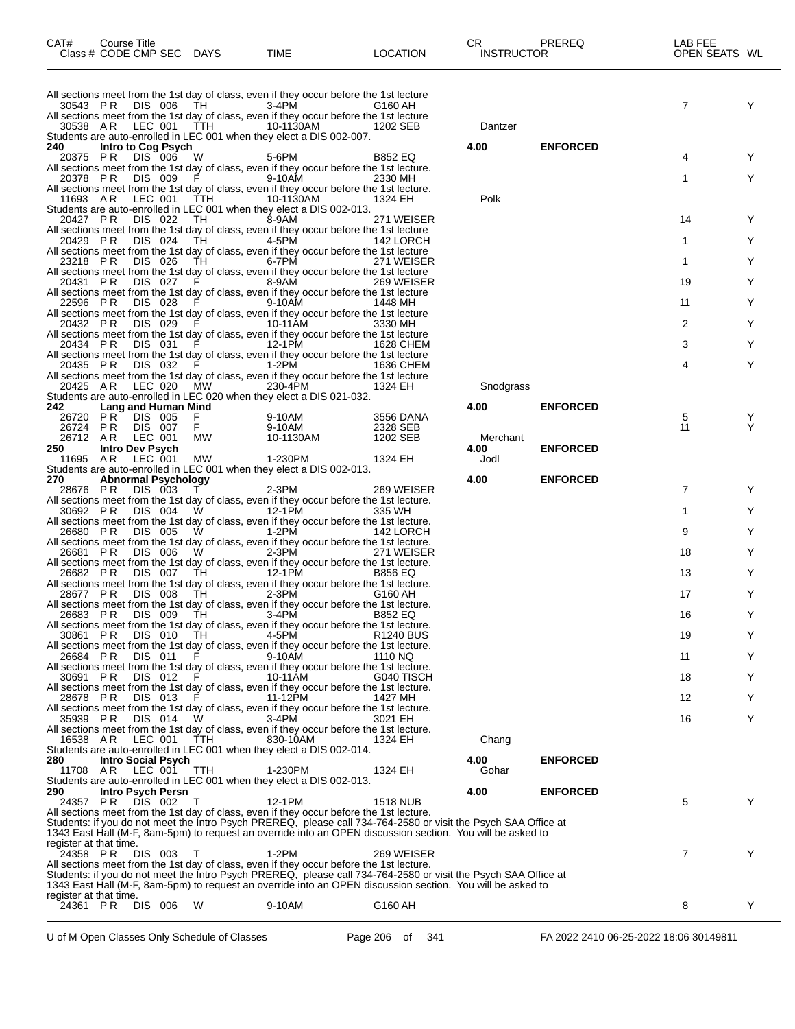| All sections meet from the 1st day of class, even if they occur before the 1st lecture<br>3-4PM<br>30543 PR DIS 006 TH<br>G160 AH                                                                                            |              |                 | 7              | Y      |
|------------------------------------------------------------------------------------------------------------------------------------------------------------------------------------------------------------------------------|--------------|-----------------|----------------|--------|
| All sections meet from the 1st day of class, even if they occur before the 1st lecture<br>30538 AR LEC 001 TTH<br>10-1130AM<br>1202 SEB                                                                                      | Dantzer      |                 |                |        |
| Students are auto-enrolled in LEC 001 when they elect a DIS 002-007.                                                                                                                                                         |              |                 |                |        |
| Intro to Cog Psych<br>240<br>DIS 006<br>20375 PR<br>5-6PM<br><b>B852 EQ</b><br>- W                                                                                                                                           | 4.00         | <b>ENFORCED</b> | 4              | Y      |
| All sections meet from the 1st day of class, even if they occur before the 1st lecture.<br>DIS 009<br>9-10AM<br>20378 PR<br>2330 MH                                                                                          |              |                 | 1              | Y      |
| All sections meet from the 1st day of class, even if they occur before the 1st lecture.<br>10-1130AM<br>11693 A R<br>LEC 001 TTH<br>1324 EH                                                                                  | Polk         |                 |                |        |
| Students are auto-enrolled in LEC 001 when they elect a DIS 002-013.<br>DIS 022<br>TH <sub></sub><br>8-9AM<br>20427 PR<br>271 WEISER                                                                                         |              |                 | 14             | Y      |
| All sections meet from the 1st day of class, even if they occur before the 1st lecture                                                                                                                                       |              |                 | 1              | Y      |
| 20429 PR<br>DIS 024<br>4-5PM<br>TH.<br>142 LORCH<br>All sections meet from the 1st day of class, even if they occur before the 1st lecture                                                                                   |              |                 |                |        |
| 23218 PR<br>6-7PM<br>DIS 026<br>TH.<br>271 WEISER<br>All sections meet from the 1st day of class, even if they occur before the 1st lecture                                                                                  |              |                 | 1              | Y      |
| DIS 027<br>20431 PR<br>8-9AM<br>269 WEISER<br>-F<br>All sections meet from the 1st day of class, even if they occur before the 1st lecture                                                                                   |              |                 | 19             | Y      |
| DIS 028<br>9-10AM<br>22596 PR<br>1448 MH<br>All sections meet from the 1st day of class, even if they occur before the 1st lecture                                                                                           |              |                 | 11             | Y      |
| 20432 PR<br>DIS 029<br>10-11AM<br><b>F</b> Provident<br>3330 MH                                                                                                                                                              |              |                 | 2              | Y      |
| All sections meet from the 1st day of class, even if they occur before the 1st lecture<br>DIS 031<br>12-1PM<br>20434 PR<br>-F<br>1628 CHEM                                                                                   |              |                 | 3              | Y      |
| All sections meet from the 1st day of class, even if they occur before the 1st lecture<br>20435 PR<br>DIS 032<br>1-2PM<br>1636 CHEM                                                                                          |              |                 | 4              | Y      |
| All sections meet from the 1st day of class, even if they occur before the 1st lecture<br>LEC 020<br><b>MW</b><br>230-4PM<br>20425 AR<br>1324 EH                                                                             | Snodgrass    |                 |                |        |
| Students are auto-enrolled in LEC 020 when they elect a DIS 021-032.<br>Lang and Human Mind<br>242.                                                                                                                          | 4.00         | <b>ENFORCED</b> |                |        |
| 26720 PR<br>DIS 005<br>9-10AM<br>3556 DANA<br>F.<br>DIS 007<br>F.<br>26724 PR<br>9-10AM<br>2328 SEB                                                                                                                          |              |                 | 5<br>11        | Y<br>Y |
| 26712 AR<br>LEC 001<br>МW<br>10-1130AM<br>1202 SEB                                                                                                                                                                           | Merchant     |                 |                |        |
| 250<br><b>Intro Dev Psych</b><br>AR<br>LEC 001<br>MW<br>1-230PM<br>1324 EH<br>11695                                                                                                                                          | 4.00<br>Jodl | <b>ENFORCED</b> |                |        |
| Students are auto-enrolled in LEC 001 when they elect a DIS 002-013.<br>270<br>Abnormal Psychology                                                                                                                           | 4.00         | <b>ENFORCED</b> |                |        |
| DIS 003<br>$2-3PM$<br>28676 PR<br>269 WEISER<br>All sections meet from the 1st day of class, even if they occur before the 1st lecture.                                                                                      |              |                 | 7              | Y      |
| 30692 PR<br>DIS 004 W<br>12-1PM<br>335 WH<br>All sections meet from the 1st day of class, even if they occur before the 1st lecture.                                                                                         |              |                 | 1              | Y      |
| DIS 005<br>1-2PM<br>26680 PR<br>W.<br>142 LORCH                                                                                                                                                                              |              |                 | 9              | Y      |
| All sections meet from the 1st day of class, even if they occur before the 1st lecture.<br>26681 PR<br>DIS 006<br>$2-3PM$<br><b>W</b><br>271 WEISER                                                                          |              |                 | 18             | Y      |
| All sections meet from the 1st day of class, even if they occur before the 1st lecture.<br>26682 PR<br>12-1PM<br>DIS 007 TH<br><b>B856 EQ</b>                                                                                |              |                 | 13             | Y      |
| All sections meet from the 1st day of class, even if they occur before the 1st lecture.<br>DIS 008<br>$2-3PM$<br>28677 PR<br>TH<br>G160 AH                                                                                   |              |                 | 17             | Y      |
| All sections meet from the 1st day of class, even if they occur before the 1st lecture.<br>DIS 009<br>3-4PM<br>26683 PR<br>TH.<br><b>B852 EQ</b>                                                                             |              |                 | 16             | Y      |
| All sections meet from the 1st day of class, even if they occur before the 1st lecture.                                                                                                                                      |              |                 |                |        |
| 30861 PR<br>DIS 010<br>4-5PM<br>TH<br>R <sub>1240</sub> BUS<br>All sections meet from the 1st day of class, even if they occur before the 1st lecture.                                                                       |              |                 | 19             | Y      |
| <b>DIS 011</b><br>9-10AM<br>26684 PR<br>1110 NQ<br>- F<br>All sections meet from the 1st day of class, even if they occur before the 1st lecture.                                                                            |              |                 | 11             | Y      |
| DIS 012<br>- F<br>10-11AM<br>30691 PR<br>G040 TISCH<br>All sections meet from the 1st day of class, even if they occur before the 1st lecture.                                                                               |              |                 | 18             | Y      |
| 28678 PR<br>DIS 013<br>11-12PM<br>1427 MH<br>All sections meet from the 1st day of class, even if they occur before the 1st lecture.                                                                                         |              |                 | 12             | Y      |
| DIS 014<br>$3-4PM$<br>35939 PR<br>3021 EH<br>W.                                                                                                                                                                              |              |                 | 16             | Y      |
| All sections meet from the 1st day of class, even if they occur before the 1st lecture.<br>16538 AR<br>LEC 001<br>TTH<br>830-10AM<br>1324 EH                                                                                 | Chang        |                 |                |        |
| Students are auto-enrolled in LEC 001 when they elect a DIS 002-014.<br><b>Intro Social Psych</b><br>280                                                                                                                     | 4.00         | <b>ENFORCED</b> |                |        |
| 11708 AR<br>LEC 001<br>1-230PM<br>1324 EH<br><b>TTH</b><br>Students are auto-enrolled in LEC 001 when they elect a DIS 002-013.                                                                                              | Gohar        |                 |                |        |
| 290<br>Intro Psych Persn<br>DIS 002<br>24357 PR<br>12-1PM<br><b>1518 NUB</b><br>$\top$                                                                                                                                       | 4.00         | <b>ENFORCED</b> | 5              | Y      |
| All sections meet from the 1st day of class, even if they occur before the 1st lecture.                                                                                                                                      |              |                 |                |        |
| Students: if you do not meet the Intro Psych PREREQ, please call 734-764-2580 or visit the Psych SAA Office at<br>1343 East Hall (M-F, 8am-5pm) to request an override into an OPEN discussion section. You will be asked to |              |                 |                |        |
| register at that time.<br>24358 PR DIS 003<br>1-2PM<br>269 WEISER<br>T                                                                                                                                                       |              |                 | $\overline{7}$ | Y      |
| All sections meet from the 1st day of class, even if they occur before the 1st lecture.<br>Students: if you do not meet the Intro Psych PREREQ, please call 734-764-2580 or visit the Psych SAA Office at                    |              |                 |                |        |
| 1343 East Hall (M-F, 8am-5pm) to request an override into an OPEN discussion section. You will be asked to<br>register at that time.                                                                                         |              |                 |                |        |
| 24361 PR<br>DIS 006<br>9-10AM<br>G160 AH<br>- W                                                                                                                                                                              |              |                 | 8              | Y      |
|                                                                                                                                                                                                                              |              |                 |                |        |

CAT# Course Title Case CR PREREQ LAB FEE Class # CODE CMP SEC DAYS TIME LOCATION INSTRUCTOR OPEN SEATS WL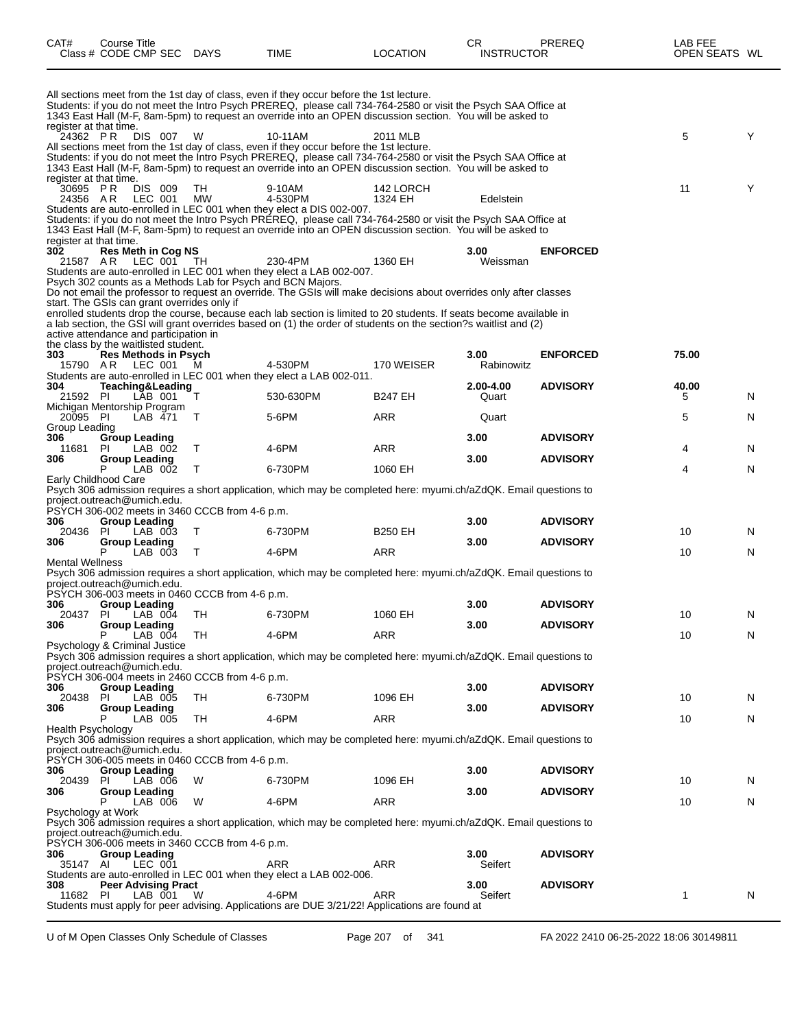| CAT#                                           | <b>Course Title</b><br>Class # CODE CMP SEC DAYS                                  |                 | TIME                                                                                               | <b>LOCATION</b>                                                                                                                                                                                                                           | CR<br><b>INSTRUCTOR</b> | PREREQ                             | LAB FEE<br>OPEN SEATS WL |   |
|------------------------------------------------|-----------------------------------------------------------------------------------|-----------------|----------------------------------------------------------------------------------------------------|-------------------------------------------------------------------------------------------------------------------------------------------------------------------------------------------------------------------------------------------|-------------------------|------------------------------------|--------------------------|---|
|                                                |                                                                                   |                 | All sections meet from the 1st day of class, even if they occur before the 1st lecture.            | Students: if you do not meet the Intro Psych PREREQ, please call 734-764-2580 or visit the Psych SAA Office at<br>1343 East Hall (M-F, 8am-5pm) to request an override into an OPEN discussion section. You will be asked to              |                         |                                    |                          |   |
| register at that time.<br>24362 PR             | DIS 007                                                                           | W               | 10-11AM<br>All sections meet from the 1st day of class, even if they occur before the 1st lecture. | 2011 MLB                                                                                                                                                                                                                                  |                         |                                    | 5                        | Y |
|                                                |                                                                                   |                 |                                                                                                    | Students: if you do not meet the Intro Psych PREREQ, please call 734-764-2580 or visit the Psych SAA Office at<br>1343 East Hall (M-F, 8am-5pm) to request an override into an OPEN discussion section. You will be asked to              |                         |                                    |                          |   |
| register at that time.<br>30695 PR<br>24356 AR | DIS 009<br>LEC 001                                                                | TH<br><b>MW</b> | 9-10AM<br>4-530PM                                                                                  | 142 LORCH<br>1324 EH                                                                                                                                                                                                                      | Edelstein               |                                    | 11                       | Y |
|                                                |                                                                                   |                 | Students are auto-enrolled in LEC 001 when they elect a DIS 002-007.                               | Students: if you do not meet the Intro Psych PREREQ, please call 734-764-2580 or visit the Psych SAA Office at<br>1343 East Hall (M-F, 8am-5pm) to request an override into an OPEN discussion section. You will be asked to              |                         |                                    |                          |   |
| register at that time.<br>302                  | <b>Res Meth in Cog NS</b>                                                         |                 |                                                                                                    |                                                                                                                                                                                                                                           | 3.00                    | <b>ENFORCED</b>                    |                          |   |
| 21587 A.R                                      | LEC 001 TH<br>Psych 302 counts as a Methods Lab for Psych and BCN Majors.         |                 | 230-4PM<br>Students are auto-enrolled in LEC 001 when they elect a LAB 002-007.                    | 1360 EH                                                                                                                                                                                                                                   | Weissman                |                                    |                          |   |
|                                                | start. The GSIs can grant overrides only if                                       |                 |                                                                                                    | Do not email the professor to request an override. The GSIs will make decisions about overrides only after classes<br>enrolled students drop the course, because each lab section is limited to 20 students. If seats become available in |                         |                                    |                          |   |
|                                                | active attendance and participation in<br>the class by the waitlisted student.    |                 |                                                                                                    | a lab section, the GSI will grant overrides based on (1) the order of students on the section?s waitlist and (2)                                                                                                                          |                         |                                    |                          |   |
| 303                                            | <b>Res Methods in Psych</b><br>15790 AR LEC 001 M                                 |                 | 4-530PM                                                                                            | 170 WEISER                                                                                                                                                                                                                                | 3.00<br>Rabinowitz      | <b>ENFORCED</b>                    | 75.00                    |   |
| 304<br>21592 PI                                | Teaching&Leading<br>LAB 001                                                       | Т               | Students are auto-enrolled in LEC 001 when they elect a LAB 002-011.<br>530-630PM                  | <b>B247 EH</b>                                                                                                                                                                                                                            | 2.00-4.00<br>Quart      | <b>ADVISORY</b>                    | 40.00<br>5               | N |
| 20095 PI<br>Group Leading                      | Michigan Mentorship Program<br>LAB 471                                            | T               | 5-6PM                                                                                              | ARR                                                                                                                                                                                                                                       | Quart                   |                                    | 5                        | N |
| 306<br>11681                                   | <b>Group Leading</b><br><b>PI</b><br>LAB 002                                      | T               | 4-6PM                                                                                              | ARR                                                                                                                                                                                                                                       | 3.00                    | <b>ADVISORY</b>                    | 4                        | N |
| 306                                            | Group Leading<br>LAB 002<br>P                                                     | $\top$          | 6-730PM                                                                                            | 1060 EH                                                                                                                                                                                                                                   | 3.00                    | <b>ADVISORY</b>                    | 4                        | N |
|                                                | Early Childhood Care                                                              |                 |                                                                                                    | Psych 306 admission requires a short application, which may be completed here: myumi.ch/aZdQK. Email questions to                                                                                                                         |                         |                                    |                          |   |
|                                                | project.outreach@umich.edu.<br>PSYCH 306-002 meets in 3460 CCCB from 4-6 p.m.     |                 |                                                                                                    |                                                                                                                                                                                                                                           |                         |                                    |                          |   |
| 306<br>20436<br>306                            | <b>Group Leading</b><br><b>PI</b><br>LAB 003<br><b>Group Leading</b>              | T               | 6-730PM                                                                                            | <b>B250 EH</b>                                                                                                                                                                                                                            | 3.00<br>3.00            | <b>ADVISORY</b><br><b>ADVISORY</b> | 10                       | N |
| <b>Mental Wellness</b>                         | P<br>LAB 003                                                                      | $\top$          | 4-6PM                                                                                              | ARR                                                                                                                                                                                                                                       |                         |                                    | 10                       | N |
|                                                | project.outreach@umich.edu.                                                       |                 |                                                                                                    | Psych 306 admission requires a short application, which may be completed here: myumi.ch/aZdQK. Email questions to                                                                                                                         |                         |                                    |                          |   |
| 306                                            | PSYCH 306-003 meets in 0460 CCCB from 4-6 p.m.<br><b>Group Leading</b>            |                 |                                                                                                    |                                                                                                                                                                                                                                           | 3.00                    | <b>ADVISORY</b>                    |                          |   |
| 20437 PI<br>306                                | LAB 004<br>Group Leading                                                          | TH              | 6-730PM                                                                                            | 1060 EH                                                                                                                                                                                                                                   | 3.00                    | <b>ADVISORY</b>                    | 10                       | N |
|                                                | P<br>$LAB$ $004$<br>Psychology & Criminal Justice                                 | TН              | 4-6PM                                                                                              | ARR                                                                                                                                                                                                                                       |                         |                                    | 10                       | N |
|                                                | project.outreach@umich.edu.<br>PSYCH 306-004 meets in 2460 CCCB from 4-6 p.m.     |                 |                                                                                                    | Psych 306 admission requires a short application, which may be completed here: myumi.ch/aZdQK. Email questions to                                                                                                                         |                         |                                    |                          |   |
| 306<br>20438                                   | Group Leading<br><b>PI</b><br>LAB 005                                             | TH              | 6-730PM                                                                                            | 1096 EH                                                                                                                                                                                                                                   | 3.00                    | <b>ADVISORY</b>                    | 10                       | N |
| 306                                            | <b>Group Leading</b><br>LAB 005<br>Р                                              | TH              | 4-6PM                                                                                              | ARR                                                                                                                                                                                                                                       | 3.00                    | <b>ADVISORY</b>                    | 10                       | N |
| <b>Health Psychology</b>                       | project.outreach@umich.edu.                                                       |                 |                                                                                                    | Psych 306 admission requires a short application, which may be completed here: myumi.ch/aZdQK. Email questions to                                                                                                                         |                         |                                    |                          |   |
| 306                                            | PSYCH 306-005 meets in 0460 CCCB from 4-6 p.m.<br><b>Group Leading</b>            |                 |                                                                                                    |                                                                                                                                                                                                                                           | 3.00                    | <b>ADVISORY</b>                    |                          |   |
| 20439<br>306                                   | LAB 006<br><b>PI</b><br><b>Group Leading</b>                                      | W               | 6-730PM                                                                                            | 1096 EH                                                                                                                                                                                                                                   | 3.00                    | <b>ADVISORY</b>                    | 10                       | N |
|                                                | LAB 006<br>Р<br>Psychology at Work                                                | W               | 4-6PM                                                                                              | ARR                                                                                                                                                                                                                                       |                         |                                    | 10                       | N |
|                                                | project.outreach@umich.edu.                                                       |                 |                                                                                                    | Psych 306 admission requires a short application, which may be completed here: myumi.ch/aZdQK. Email questions to                                                                                                                         |                         |                                    |                          |   |
| 306<br>35147 AI                                | PSYCH 306-006 meets in 3460 CCCB from 4-6 p.m.<br><b>Group Leading</b><br>LEC 001 |                 | ARR                                                                                                | ARR                                                                                                                                                                                                                                       | 3.00<br>Seifert         | <b>ADVISORY</b>                    |                          |   |
| 308                                            | <b>Peer Advising Pract</b>                                                        |                 | Students are auto-enrolled in LEC 001 when they elect a LAB 002-006.                               |                                                                                                                                                                                                                                           | 3.00                    | <b>ADVISORY</b>                    |                          |   |
| 11682                                          | PI<br>LAB 001                                                                     | W               | 4-6PM                                                                                              | <b>ARR</b><br>Students must apply for peer advising. Applications are DUE 3/21/22! Applications are found at                                                                                                                              | Seifert                 |                                    | 1                        | N |
|                                                |                                                                                   |                 |                                                                                                    |                                                                                                                                                                                                                                           |                         |                                    |                          |   |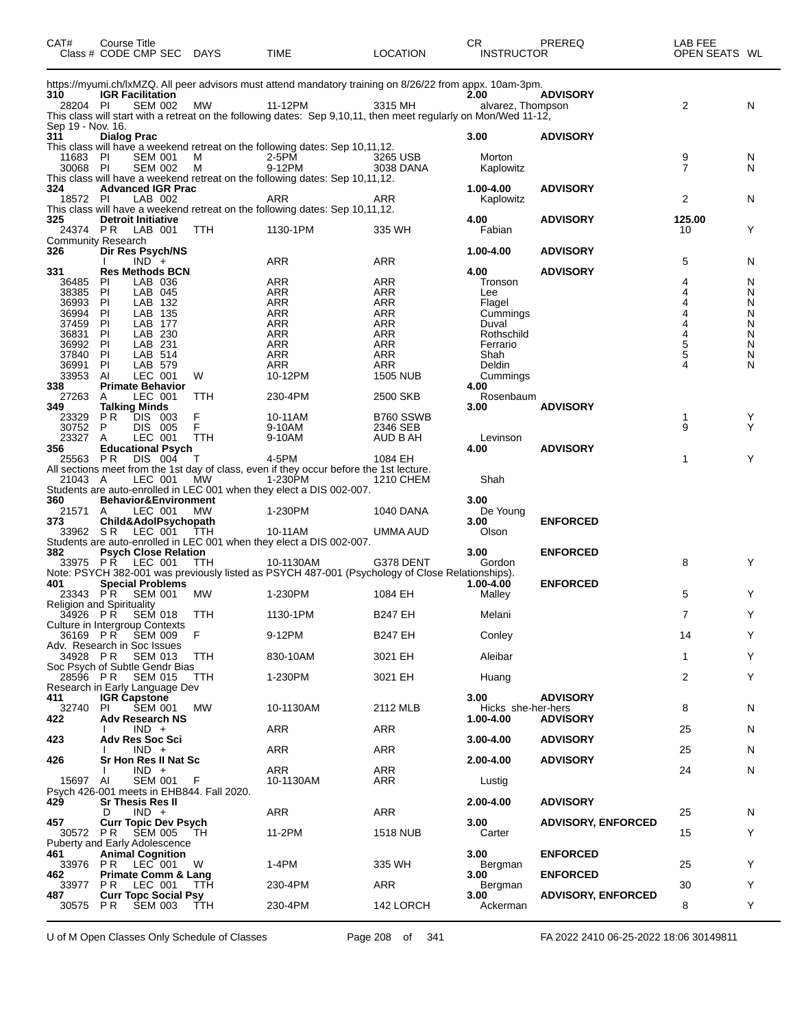| CAT#                     | Course Title<br>Class # CODE CMP SEC DAYS              |            | <b>TIME</b>                                                                                                     | <b>LOCATION</b>               | CR<br><b>INSTRUCTOR</b> | PREREQ                    | LAB FEE<br>OPEN SEATS WL |        |
|--------------------------|--------------------------------------------------------|------------|-----------------------------------------------------------------------------------------------------------------|-------------------------------|-------------------------|---------------------------|--------------------------|--------|
| 310                      | <b>IGR Facilitation</b>                                |            | https://myumi.ch/lxMZQ. All peer advisors must attend mandatory training on 8/26/22 from appx. 10am-3pm.        |                               | 2.00                    | <b>ADVISORY</b>           |                          |        |
| 28204 PI                 | <b>SEM 002</b>                                         | МW         | 11-12PM                                                                                                         | 3315 MH                       | alvarez, Thompson       |                           | 2                        | N      |
|                          |                                                        |            | This class will start with a retreat on the following dates: Sep 9,10,11, then meet regularly on Mon/Wed 11-12, |                               |                         |                           |                          |        |
| Sep 19 - Nov. 16.<br>311 |                                                        |            |                                                                                                                 |                               |                         |                           |                          |        |
|                          | <b>Dialog Prac</b>                                     |            | This class will have a weekend retreat on the following dates: Sep 10,11,12.                                    |                               | 3.00                    | <b>ADVISORY</b>           |                          |        |
| 11683 PI                 | <b>SEM 001</b>                                         | м          | 2-5PM                                                                                                           | 3265 USB                      | Morton                  |                           | 9                        | N      |
| 30068 PI                 | <b>SEM 002</b>                                         | м          | 9-12PM                                                                                                          | 3038 DANA                     | Kaplowitz               |                           | $\overline{7}$           | N      |
|                          | <b>Advanced IGR Prac</b>                               |            | This class will have a weekend retreat on the following dates: Sep 10,11,12.                                    |                               |                         |                           |                          |        |
| 324<br>18572 PI          | LAB 002                                                |            | <b>ARR</b>                                                                                                      | ARR                           | 1.00-4.00<br>Kaplowitz  | <b>ADVISORY</b>           | 2                        | N      |
|                          |                                                        |            | This class will have a weekend retreat on the following dates: Sep 10,11,12.                                    |                               |                         |                           |                          |        |
| 325                      | <b>Detroit Initiative</b>                              |            |                                                                                                                 |                               | 4.00                    | <b>ADVISORY</b>           | 125.00                   |        |
|                          | 24374 PR LAB 001                                       | <b>TTH</b> | 1130-1PM                                                                                                        | 335 WH                        | Fabian                  |                           | 10                       | Y      |
| 326                      | <b>Community Research</b><br>Dir Res Psych/NS          |            |                                                                                                                 |                               | 1.00-4.00               | <b>ADVISORY</b>           |                          |        |
|                          | $IND +$                                                |            | ARR                                                                                                             | ARR                           |                         |                           | 5                        | N      |
| 331                      | <b>Res Methods BCN</b>                                 |            |                                                                                                                 |                               | 4.00                    | <b>ADVISORY</b>           |                          |        |
| 36485                    | LAB 036<br>PI                                          |            | ARR                                                                                                             | <b>ARR</b>                    | Tronson                 |                           | 4                        | N      |
| 38385                    | P<br>LAB 045                                           |            | <b>ARR</b>                                                                                                      | ARR                           | Lee                     |                           | 4                        | N      |
| 36993<br>36994           | P<br>LAB 132<br>LAB 135<br>PI                          |            | <b>ARR</b><br>ARR                                                                                               | <b>ARR</b><br>ARR             | Flagel<br>Cummings      |                           |                          | N<br>N |
| 37459                    | PI<br>LAB 177                                          |            | <b>ARR</b>                                                                                                      | ARR                           | Duval                   |                           |                          | N      |
| 36831                    | P<br>LAB 230                                           |            | <b>ARR</b>                                                                                                      | <b>ARR</b>                    | Rothschild              |                           |                          | N      |
| 36992                    | LAB 231<br>PI                                          |            | <b>ARR</b>                                                                                                      | ARR                           | Ferrario                |                           | 5                        | N      |
| 37840                    | PI<br>LAB 514                                          |            | <b>ARR</b>                                                                                                      | <b>ARR</b>                    | Shah                    |                           | 5                        | N      |
| 36991<br>33953           | PI<br>LAB 579<br>LEC 001<br>Al                         | W          | <b>ARR</b><br>10-12PM                                                                                           | <b>ARR</b><br><b>1505 NUB</b> | Deldin                  |                           |                          | N      |
| 338                      | <b>Primate Behavior</b>                                |            |                                                                                                                 |                               | Cummings<br>4.00        |                           |                          |        |
| 27263                    | LEC 001<br>A                                           | <b>TTH</b> | 230-4PM                                                                                                         | 2500 SKB                      | Rosenbaum               |                           |                          |        |
| 349                      | <b>Talking Minds</b>                                   |            |                                                                                                                 |                               | 3.00                    | <b>ADVISORY</b>           |                          |        |
| 23329                    | DIS 003<br>PR.                                         | F<br>F     | 10-11AM                                                                                                         | B760 SSWB                     |                         |                           | 1<br>9                   | Y<br>Y |
| 30752<br>23327           | P<br>DIS 005<br>LEC 001<br>A                           | TTH        | 9-10AM<br>9-10AM                                                                                                | 2346 SEB<br>AUD B AH          | Levinson                |                           |                          |        |
| 356                      | <b>Educational Psych</b>                               |            |                                                                                                                 |                               | 4.00                    | <b>ADVISORY</b>           |                          |        |
| 25563 PR                 | DIS 004                                                | $\top$     | 4-5PM                                                                                                           | 1084 EH                       |                         |                           | $\mathbf{1}$             | Y      |
|                          |                                                        |            | All sections meet from the 1st day of class, even if they occur before the 1st lecture.                         |                               |                         |                           |                          |        |
| 21043 A                  | LEC 001 MW                                             |            | 1-230PM<br>Students are auto-enrolled in LEC 001 when they elect a DIS 002-007.                                 | 1210 CHEM                     | Shah                    |                           |                          |        |
| 360                      | Behavior&Environment                                   |            |                                                                                                                 |                               | 3.00                    |                           |                          |        |
| 21571 A                  | LEC 001                                                | МW         | 1-230PM                                                                                                         | 1040 DANA                     | De Young                |                           |                          |        |
| 373                      | Child&AdolPsychopath                                   |            |                                                                                                                 |                               | 3.00                    | <b>ENFORCED</b>           |                          |        |
|                          | 33962 SR LEC 001 TTH                                   |            | 10-11AM                                                                                                         | UMMA AUD                      | Olson                   |                           |                          |        |
| 382                      | <b>Psych Close Relation</b>                            |            | Students are auto-enrolled in LEC 001 when they elect a DIS 002-007.                                            |                               | 3.00                    | <b>ENFORCED</b>           |                          |        |
|                          | 33975 PR LEC 001                                       | TTH        | 10-1130AM                                                                                                       | G378 DENT                     | Gordon                  |                           | 8                        | Y      |
|                          |                                                        |            | Note: PSYCH 382-001 was previously listed as PSYCH 487-001 (Psychology of Close Relationships).                 |                               |                         |                           |                          |        |
| 401                      | <b>Special Problems</b>                                |            |                                                                                                                 |                               | 1.00-4.00               | <b>ENFORCED</b>           |                          |        |
| 23343 PR                 | <b>SEM 001</b><br>Religion and Spirituality            | МW         | 1-230PM                                                                                                         | 1084 EH                       | Malley                  |                           | 5                        | Y      |
| 34926 PR                 | <b>SEM 018</b>                                         | TTH        | 1130-1PM                                                                                                        | <b>B247 EH</b>                | Melani                  |                           | $\overline{7}$           | Y      |
|                          | Culture in Intergroup Contexts                         |            |                                                                                                                 |                               |                         |                           |                          |        |
|                          | 36169 PR SEM 009                                       | F          | 9-12PM                                                                                                          | <b>B247 EH</b>                | Conley                  |                           | 14                       | Y      |
|                          | Adv. Research in Soc Issues                            |            |                                                                                                                 |                               |                         |                           |                          |        |
| 34928 PR                 | <b>SEM 013</b><br>Soc Psych of Subtle Gendr Bias       | TTH        | 830-10AM                                                                                                        | 3021 EH                       | Aleibar                 |                           | $\mathbf{1}$             | Y      |
| 28596 PR                 | <b>SEM 015</b>                                         | TTH.       | 1-230PM                                                                                                         | 3021 EH                       | Huang                   |                           | 2                        | Y      |
|                          | Research in Early Language Dev                         |            |                                                                                                                 |                               |                         |                           |                          |        |
| 411                      | <b>IGR Capstone</b>                                    |            |                                                                                                                 |                               | 3.00                    | <b>ADVISORY</b>           |                          |        |
| 32740                    | <b>SEM 001</b><br>PI.                                  | МW         | 10-1130AM                                                                                                       | 2112 MLB                      | Hicks she-her-hers      |                           | 8                        | N      |
| 422                      | <b>Adv Research NS</b><br>$IND +$                      |            | ARR                                                                                                             | ARR                           | 1.00-4.00               | <b>ADVISORY</b>           | 25                       | N      |
| 423                      | <b>Adv Res Soc Sci</b>                                 |            |                                                                                                                 |                               | $3.00 - 4.00$           | <b>ADVISORY</b>           |                          |        |
|                          | $IND +$                                                |            | ARR                                                                                                             | ARR                           |                         |                           | 25                       | N      |
| 426                      | Sr Hon Res II Nat Sc                                   |            |                                                                                                                 |                               | 2.00-4.00               | <b>ADVISORY</b>           |                          |        |
| 15697 AI                 | $IND +$<br>SEM 001                                     | - F        | ARR<br>10-1130AM                                                                                                | ARR<br>ARR                    | Lustig                  |                           | 24                       | N      |
|                          | Psych 426-001 meets in EHB844. Fall 2020.              |            |                                                                                                                 |                               |                         |                           |                          |        |
| 429                      | <b>Sr Thesis Res II</b>                                |            |                                                                                                                 |                               | 2.00-4.00               | <b>ADVISORY</b>           |                          |        |
|                          | $IND +$<br>D                                           |            | ARR                                                                                                             | ARR                           |                         |                           | 25                       | N      |
| 457                      | <b>Curr Topic Dev Psych</b>                            |            |                                                                                                                 |                               | 3.00                    | <b>ADVISORY, ENFORCED</b> |                          | Y      |
| 30572 PR                 | <b>SEM 005</b><br><b>Puberty and Early Adolescence</b> | TH.        | 11-2PM                                                                                                          | 1518 NUB                      | Carter                  |                           | 15                       |        |
| 461                      | <b>Animal Cognition</b>                                |            |                                                                                                                 |                               | 3.00                    | <b>ENFORCED</b>           |                          |        |
| 33976 PR                 | $LEC$ 001                                              | W          | 1-4PM                                                                                                           | 335 WH                        | Bergman                 |                           | 25                       | Y      |
| 462                      | <b>Primate Comm &amp; Lang</b>                         |            |                                                                                                                 |                               | 3.00                    | <b>ENFORCED</b>           |                          |        |
| 33977<br>487             | P R<br>LEC 001<br><b>Curr Topc Social Psy</b>          | TTH        | 230-4PM                                                                                                         | ARR                           | Bergman<br>3.00         | <b>ADVISORY, ENFORCED</b> | 30                       | Y      |
| 30575                    | PR.<br><b>SEM 003</b>                                  | TTH        | 230-4PM                                                                                                         | 142 LORCH                     | Ackerman                |                           | 8                        | Y      |
|                          |                                                        |            |                                                                                                                 |                               |                         |                           |                          |        |

U of M Open Classes Only Schedule of Classes Page 208 of 341 FA 2022 2410 06-25-2022 18:06 30149811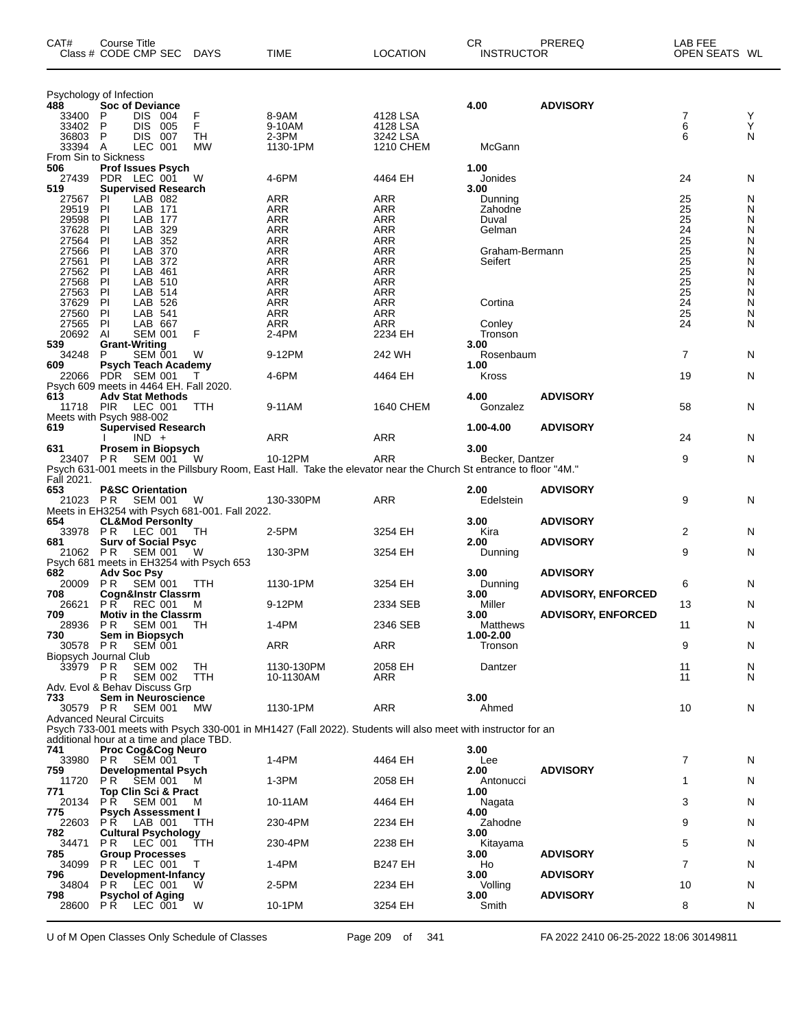| CAT#                                            | Course Title<br>Class # CODE CMP SEC |                    | <b>DAYS</b>                                    | TIME                                                                                                               | <b>LOCATION</b>   | CR<br><b>INSTRUCTOR</b> | PREREQ                    | LAB FEE<br>OPEN SEATS WL |        |
|-------------------------------------------------|--------------------------------------|--------------------|------------------------------------------------|--------------------------------------------------------------------------------------------------------------------|-------------------|-------------------------|---------------------------|--------------------------|--------|
|                                                 | Psychology of Infection              |                    |                                                |                                                                                                                    |                   |                         |                           |                          |        |
| 488<br>33400                                    | <b>Soc of Deviance</b><br>DIS.<br>P  | 004                | F                                              | 8-9AM                                                                                                              | 4128 LSA          | 4.00                    | <b>ADVISORY</b>           | 7                        | Y      |
| 33402                                           | P<br><b>DIS</b>                      | 005                | F                                              | 9-10AM                                                                                                             | 4128 LSA          |                         |                           | 6                        | Υ      |
| 36803 P                                         | <b>DIS</b>                           | - 007              | TН                                             | 2-3PM                                                                                                              | 3242 LSA          |                         |                           | 6                        | N      |
| 33394 A                                         |                                      | LEC 001            | <b>MW</b>                                      | 1130-1PM                                                                                                           | 1210 CHEM         | McGann                  |                           |                          |        |
| From Sin to Sickness<br>506                     | <b>Prof Issues Psych</b>             |                    |                                                |                                                                                                                    |                   | 1.00                    |                           |                          |        |
| 27439                                           | PDR LEC 001                          |                    | W                                              | 4-6PM                                                                                                              | 4464 EH           | Jonides                 |                           | 24                       | N      |
| 519                                             | <b>Supervised Research</b>           |                    |                                                |                                                                                                                    |                   | 3.00                    |                           |                          |        |
| 27567<br>29519                                  | ΡI<br>PI                             | LAB 082<br>LAB 171 |                                                | <b>ARR</b><br>ARR                                                                                                  | <b>ARR</b><br>ARR | Dunning<br>Zahodne      |                           | 25<br>25                 | N<br>N |
| 29598                                           | PI                                   | LAB 177            |                                                | <b>ARR</b>                                                                                                         | <b>ARR</b>        | Duval                   |                           | 25                       | N      |
| 37628                                           | PI                                   | LAB 329            |                                                | <b>ARR</b>                                                                                                         | <b>ARR</b>        | Gelman                  |                           | 24                       | N      |
| 27564<br>27566                                  | PI<br>PI                             | LAB 352<br>LAB 370 |                                                | <b>ARR</b><br>ARR                                                                                                  | ARR<br><b>ARR</b> | Graham-Bermann          |                           | 25<br>25                 | Ν<br>N |
| 27561                                           | PI                                   | LAB 372            |                                                | <b>ARR</b>                                                                                                         | <b>ARR</b>        | Seifert                 |                           | 25                       | Ν      |
| 27562                                           | PI                                   | LAB 461            |                                                | <b>ARR</b>                                                                                                         | ARR               |                         |                           | $\overline{25}$          | Ν      |
| 27568                                           | PI                                   | LAB 510            |                                                | ARR                                                                                                                | <b>ARR</b>        |                         |                           | 25                       | N      |
| 27563<br>37629                                  | PI<br>PI                             | LAB 514<br>LAB 526 |                                                | <b>ARR</b><br><b>ARR</b>                                                                                           | <b>ARR</b><br>ARR | Cortina                 |                           | 25<br>$\overline{24}$    | N<br>N |
| 27560                                           | PI                                   | LAB 541            |                                                | ARR                                                                                                                | <b>ARR</b>        |                         |                           | 25                       | N      |
| 27565                                           | P                                    | LAB 667            |                                                | <b>ARR</b>                                                                                                         | ARR               | Conley                  |                           | 24                       | N      |
| 20692<br>539                                    | Al<br><b>Grant-Writing</b>           | <b>SEM 001</b>     | F                                              | 2-4PM                                                                                                              | 2234 EH           | Tronson<br>3.00         |                           |                          |        |
| 34248                                           | P                                    | <b>SEM 001</b>     | W                                              | 9-12PM                                                                                                             | 242 WH            | Rosenbaum               |                           | 7                        | N      |
| 609                                             | <b>Psych Teach Academy</b>           |                    |                                                |                                                                                                                    |                   | 1.00                    |                           |                          |        |
|                                                 | 22066 PDR SEM 001                    |                    | Т.                                             | 4-6PM                                                                                                              | 4464 EH           | Kross                   |                           | 19                       | N      |
| Psych 609 meets in 4464 EH. Fall 2020.<br>613   | <b>Adv Stat Methods</b>              |                    |                                                |                                                                                                                    |                   | 4.00                    | <b>ADVISORY</b>           |                          |        |
| 11718 PIR                                       |                                      | <b>LEC 001</b>     | <b>TTH</b>                                     | 9-11AM                                                                                                             | 1640 CHEM         | Gonzalez                |                           | 58                       | N      |
|                                                 | Meets with Psych 988-002             |                    |                                                |                                                                                                                    |                   |                         |                           |                          |        |
| 619                                             | <b>Supervised Research</b>           | $IND +$            |                                                | ARR                                                                                                                | ARR               | 1.00-4.00               | <b>ADVISORY</b>           | 24                       | N      |
| 631                                             | Prosem in Biopsych                   |                    |                                                |                                                                                                                    |                   | 3.00                    |                           |                          |        |
| 23407 PR                                        |                                      | <b>SEM 001</b>     | - W                                            | 10-12PM                                                                                                            | <b>ARR</b>        | Becker, Dantzer         |                           | 9                        | N      |
|                                                 |                                      |                    |                                                | Psych 631-001 meets in the Pillsbury Room, East Hall. Take the elevator near the Church St entrance to floor "4M." |                   |                         |                           |                          |        |
| Fall 2021.<br>653                               | <b>P&amp;SC Orientation</b>          |                    |                                                |                                                                                                                    |                   | 2.00                    | <b>ADVISORY</b>           |                          |        |
|                                                 | 21023 PR SEM 001                     |                    | W                                              | 130-330PM                                                                                                          | ARR               | Edelstein               |                           | 9                        | N      |
|                                                 |                                      |                    | Meets in EH3254 with Psych 681-001. Fall 2022. |                                                                                                                    |                   |                         |                           |                          |        |
| 654<br>33978                                    | <b>CL&amp;Mod Personity</b><br>PR    | LEC 001            | TН                                             | 2-5PM                                                                                                              | 3254 EH           | 3.00<br>Kira            | <b>ADVISORY</b>           | 2                        | N      |
| 681                                             | <b>Surv of Social Psyc</b>           |                    |                                                |                                                                                                                    |                   | 2.00                    | <b>ADVISORY</b>           |                          |        |
| 21062 PR                                        |                                      | <b>SEM 001</b>     | W                                              | 130-3PM                                                                                                            | 3254 EH           | Dunning                 |                           | 9                        | N      |
| 682                                             | Adv Soc Psy                          |                    | Psych 681 meets in EH3254 with Psych 653       |                                                                                                                    |                   | 3.00                    | <b>ADVISORY</b>           |                          |        |
| 20009                                           | P R                                  | <b>SEM 001</b>     | TTH.                                           | 1130-1PM                                                                                                           | 3254 EH           | Dunning                 |                           | 6                        | N      |
| 708                                             | Cogn&Instr Classrm                   |                    |                                                |                                                                                                                    |                   | 3.00                    | <b>ADVISORY, ENFORCED</b> |                          |        |
| 26621<br>709                                    | P R<br><b>Motiv in the Classrm</b>   | <b>REC 001</b>     | M                                              | 9-12PM                                                                                                             | 2334 SEB          | Miller<br>3.00          | <b>ADVISORY, ENFORCED</b> | 13                       | N      |
| 28936 PR                                        |                                      | <b>SEM 001</b>     | TH                                             | $1-4PM$                                                                                                            | 2346 SEB          | Matthews                |                           | 11                       | N      |
| 730                                             | Sem in Biopsych                      |                    |                                                |                                                                                                                    |                   | 1.00-2.00               |                           |                          |        |
| 30578                                           | P R<br>Biopsych Journal Club         | <b>SEM 001</b>     |                                                | <b>ARR</b>                                                                                                         | <b>ARR</b>        | Tronson                 |                           | 9                        | N      |
| 33979 PR                                        |                                      | <b>SEM 002</b>     | TН                                             | 1130-130PM                                                                                                         | 2058 EH           | Dantzer                 |                           | 11                       | N      |
|                                                 | РR                                   | <b>SEM 002</b>     | TTH                                            | 10-1130AM                                                                                                          | ARR               |                         |                           | 11                       | N      |
| Adv. Evol & Behav Discuss Grp                   | Sem in Neuroscience                  |                    |                                                |                                                                                                                    |                   |                         |                           |                          |        |
| 733<br>30579 PR                                 |                                      | <b>SEM 001</b>     | MW                                             | 1130-1PM                                                                                                           | <b>ARR</b>        | 3.00<br>Ahmed           |                           | 10                       | N      |
|                                                 | <b>Advanced Neural Circuits</b>      |                    |                                                |                                                                                                                    |                   |                         |                           |                          |        |
|                                                 |                                      |                    |                                                | Psych 733-001 meets with Psych 330-001 in MH1427 (Fall 2022). Students will also meet with instructor for an       |                   |                         |                           |                          |        |
| additional hour at a time and place TBD.<br>741 | <b>Proc Cog&amp;Cog Neuro</b>        |                    |                                                |                                                                                                                    |                   | 3.00                    |                           |                          |        |
|                                                 | 33980 PR SEM 001                     |                    | $\top$                                         | 1-4PM                                                                                                              | 4464 EH           | Lee                     |                           | 7                        | N      |
| 759                                             | <b>Developmental Psych</b>           |                    |                                                |                                                                                                                    |                   | 2.00                    | <b>ADVISORY</b>           |                          |        |
| 11720<br>771                                    | P R<br>Top Clin Sci & Pract          | <b>SEM 001</b>     | M                                              | 1-3PM                                                                                                              | 2058 EH           | Antonucci<br>1.00       |                           | 1                        | N      |
| 20134                                           | P R                                  | <b>SEM 001</b>     | м                                              | 10-11AM                                                                                                            | 4464 EH           | Nagata                  |                           | 3                        | N      |
| 775                                             | <b>Psych Assessment I</b>            |                    |                                                |                                                                                                                    |                   | 4.00                    |                           |                          |        |
| 22603                                           | <b>PR</b> LAB 001                    |                    | <b>TTH</b>                                     | 230-4PM                                                                                                            | 2234 EH           | Zahodne                 |                           | 9                        | N      |
| 782<br>34471                                    | <b>Cultural Psychology</b><br>PR.    | $LEC$ 001          | TTH                                            | 230-4PM                                                                                                            | 2238 EH           | 3.00<br>Kitayama        |                           | 5                        | N      |
| 785                                             | <b>Group Processes</b>               |                    |                                                |                                                                                                                    |                   | 3.00                    | <b>ADVISORY</b>           |                          |        |
| 34099                                           | P R                                  | LEC 001            | T                                              | 1-4PM                                                                                                              | <b>B247 EH</b>    | Ho                      |                           | 7                        | N      |
| 796<br>34804                                    | Development-Infancy<br>PR.           | LEC 001            | W                                              | 2-5PM                                                                                                              | 2234 EH           | 3.00<br>Volling         | <b>ADVISORY</b>           | 10                       | N      |
| 798                                             | <b>Psychol of Aging</b>              |                    |                                                |                                                                                                                    |                   | 3.00                    | <b>ADVISORY</b>           |                          |        |
| 28600                                           | <b>PR LEC 001</b>                    |                    | W                                              | 10-1PM                                                                                                             | 3254 EH           | Smith                   |                           | 8                        | N      |
|                                                 |                                      |                    |                                                |                                                                                                                    |                   |                         |                           |                          |        |

U of M Open Classes Only Schedule of Classes Page 209 of 341 FA 2022 2410 06-25-2022 18:06 30149811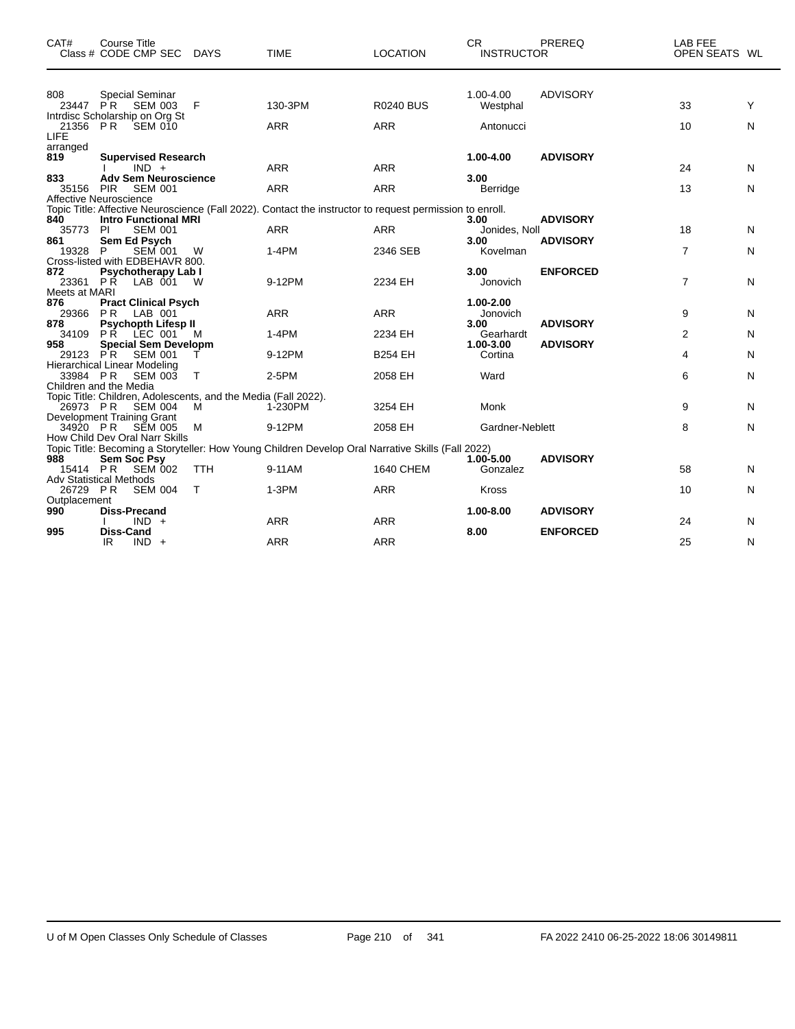| CAT#                          | Course Title<br>Class # CODE CMP SEC DAYS                                                                  |                 | <b>TIME</b>                                                                                              | <b>LOCATION</b>                | <b>CR</b><br><b>INSTRUCTOR</b>    | PREREQ                             | LAB FEE<br>OPEN SEATS WL |        |
|-------------------------------|------------------------------------------------------------------------------------------------------------|-----------------|----------------------------------------------------------------------------------------------------------|--------------------------------|-----------------------------------|------------------------------------|--------------------------|--------|
| 808<br>23447 PR               | <b>Special Seminar</b><br><b>SEM 003</b>                                                                   | F               | 130-3PM                                                                                                  | <b>R0240 BUS</b>               | 1.00-4.00<br>Westphal             | <b>ADVISORY</b>                    | 33                       | Y      |
| 21356 PR<br>LIFE              | Intrdisc Scholarship on Org St<br><b>SEM 010</b>                                                           |                 | <b>ARR</b>                                                                                               | <b>ARR</b>                     | Antonucci                         |                                    | 10                       | Ν      |
| arranged<br>819               | <b>Supervised Research</b><br>$IND +$                                                                      |                 | <b>ARR</b>                                                                                               | <b>ARR</b>                     | 1.00-4.00                         | <b>ADVISORY</b>                    | 24                       | N      |
| 833<br>35156                  | <b>Adv Sem Neuroscience</b><br><b>PIR</b><br><b>SEM 001</b>                                                |                 | <b>ARR</b>                                                                                               | <b>ARR</b>                     | 3.00<br>Berridge                  |                                    | 13                       | N      |
| 840                           | Affective Neuroscience<br><b>Intro Functional MRI</b>                                                      |                 | Topic Title: Affective Neuroscience (Fall 2022). Contact the instructor to request permission to enroll. |                                | 3.00                              | <b>ADVISORY</b>                    |                          |        |
| 35773<br>861<br>19328         | <b>SEM 001</b><br><b>PI</b><br>Sem Ed Psych<br><b>SEM 001</b><br>P                                         | W               | <b>ARR</b><br>$1-4PM$                                                                                    | <b>ARR</b><br>2346 SEB         | Jonides, Noll<br>3.00<br>Kovelman | <b>ADVISORY</b>                    | 18<br>$\overline{7}$     | N<br>N |
| 872<br>23361 PR               | Cross-listed with EDBEHAVR 800.<br><b>Psychotherapy Lab I</b><br>LAB 001                                   | W               | 9-12PM                                                                                                   | 2234 EH                        | 3.00<br>Jonovich                  | <b>ENFORCED</b>                    | $\overline{7}$           | Ν      |
| Meets at MARI<br>876<br>29366 | <b>Pract Clinical Psych</b><br>PR<br>LAB 001                                                               |                 | <b>ARR</b>                                                                                               | <b>ARR</b>                     | 1.00-2.00<br>Jonovich             |                                    | 9                        | N      |
| 878<br>34109<br>958           | <b>Psychopth Lifesp II</b><br><b>PŔ</b><br>LEC 001<br><b>Special Sem Developm</b>                          | м               | $1-4PM$                                                                                                  | 2234 EH                        | 3.00<br>Gearhardt<br>1.00-3.00    | <b>ADVISORY</b><br><b>ADVISORY</b> | 2                        | N      |
| 29123 PR<br>33984 PR          | <b>SEM 001</b><br><b>Hierarchical Linear Modeling</b><br><b>SEM 003</b>                                    | Т               | 9-12PM<br>2-5PM                                                                                          | <b>B254 EH</b><br>2058 EH      | Cortina<br>Ward                   |                                    | 4<br>6                   | N<br>Ν |
| 26973 PR                      | Children and the Media<br>Topic Title: Children, Adolescents, and the Media (Fall 2022).<br><b>SEM 004</b> | M               | 1-230PM                                                                                                  | 3254 EH                        | Monk                              |                                    | 9                        | Ν      |
| 34920 PR                      | Development Training Grant<br>SEM 005                                                                      | м               | 9-12PM                                                                                                   | 2058 EH                        | Gardner-Neblett                   |                                    | 8                        | N      |
| 988                           | How Child Dev Oral Narr Skills<br>Sem Soc Psy                                                              |                 | Topic Title: Becoming a Storyteller: How Young Children Develop Oral Narrative Skills (Fall 2022)        |                                | $1.00 - 5.00$                     | <b>ADVISORY</b>                    |                          |        |
| 15414 PR<br>26729 PR          | <b>SEM 002</b><br><b>Adv Statistical Methods</b><br><b>SEM 004</b>                                         | <b>TTH</b><br>Т | 9-11AM<br>$1-3PM$                                                                                        | <b>1640 CHEM</b><br><b>ARR</b> | Gonzalez<br><b>Kross</b>          |                                    | 58<br>10                 | N<br>N |
| Outplacement<br>990           | <b>Diss-Precand</b><br>$IND +$                                                                             |                 | <b>ARR</b>                                                                                               | <b>ARR</b>                     | 1.00-8.00                         | <b>ADVISORY</b>                    | 24                       | N      |
| 995                           | Diss-Cand<br>IR<br>$IND +$                                                                                 |                 | <b>ARR</b>                                                                                               | <b>ARR</b>                     | 8.00                              | <b>ENFORCED</b>                    | 25                       | N      |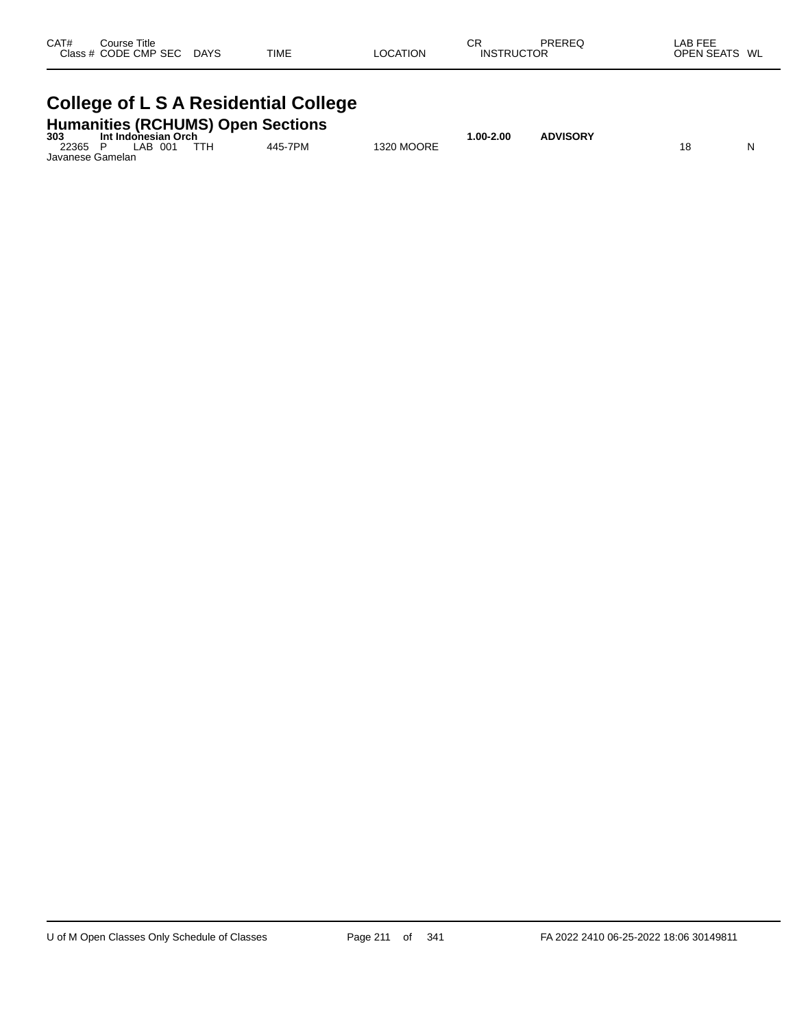| CAT#<br>Course Title<br>Class # CODE CMP SEC | <b>DAYS</b> | <b>TIME</b> | LOCATION | СR | PREREQ<br><b>INSTRUCTOR</b> | LAB FEE<br><b>OPEN SEATS</b><br>WL |
|----------------------------------------------|-------------|-------------|----------|----|-----------------------------|------------------------------------|
|                                              |             |             |          |    |                             |                                    |

#### **College of L S A Residential College**

| 303              | Int Indonesian Orch | <b>Humanities (RCHUMS) Open Sections</b> | $.00 - 2.00$ | <b>ADVISORY</b> |  |    |  |
|------------------|---------------------|------------------------------------------|--------------|-----------------|--|----|--|
| 22365            | IAB 001             | 445-7PM                                  | 1320 MOORE   |                 |  | 18 |  |
| Javanese Gamelan |                     |                                          |              |                 |  |    |  |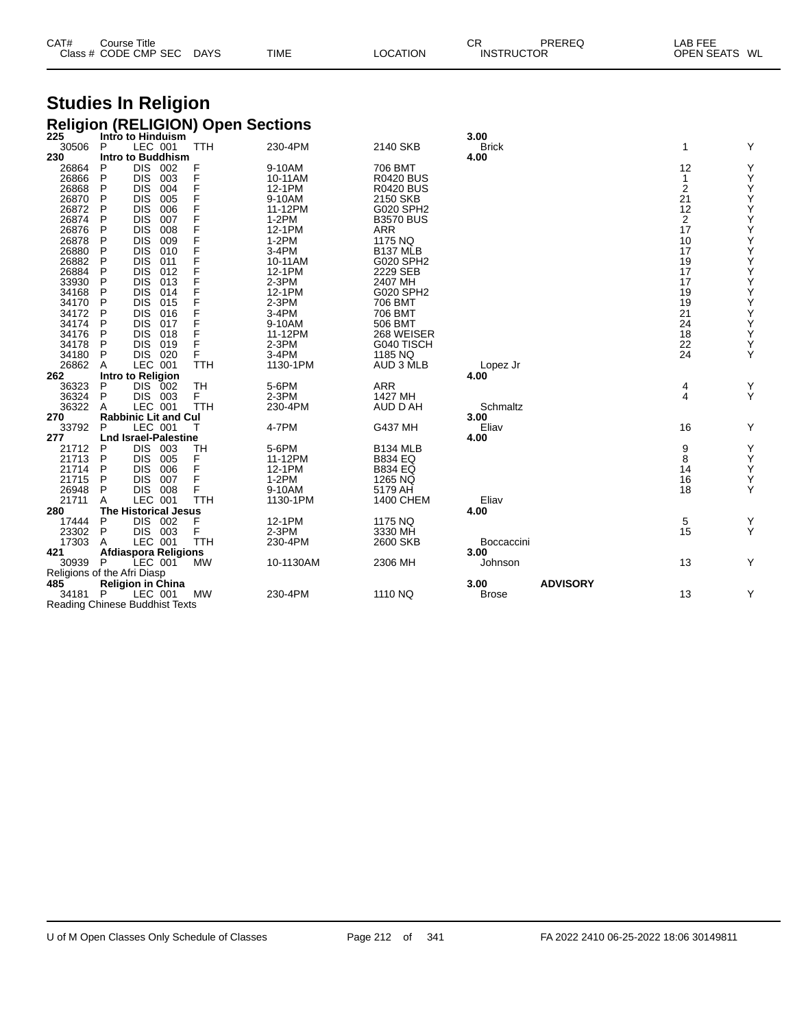| CAT# | Course Title         |             |             |                 | СR                | PREREQ | ∟AB FEE       |  |
|------|----------------------|-------------|-------------|-----------------|-------------------|--------|---------------|--|
|      | Class # CODE CMP SEC | <b>DAYS</b> | <b>TIME</b> | <b>LOCATION</b> | <b>INSTRUCTOR</b> |        | OPEN SEATS WL |  |

## **Studies In Religion**

|                                       |   |                   |                             |            | <b>Religion (RELIGION) Open Sections</b> |                      |              |                 |        |                    |
|---------------------------------------|---|-------------------|-----------------------------|------------|------------------------------------------|----------------------|--------------|-----------------|--------|--------------------|
| 225                                   |   |                   | Intro to Hinduism           |            |                                          |                      | 3.00         |                 |        |                    |
| 30506                                 | P | LEC 001           |                             | <b>TTH</b> | 230-4PM                                  | 2140 SKB             | <b>Brick</b> |                 | 1      | Y                  |
| 230                                   |   |                   | <b>Intro to Buddhism</b>    |            |                                          |                      | 4.00         |                 |        |                    |
| 26864                                 | P | DIS 002           |                             | F          | 9-10AM                                   | 706 BMT              |              |                 | 12     | Υ                  |
| 26866                                 | P | <b>DIS</b>        | 003                         | F          | 10-11AM                                  | <b>R0420 BUS</b>     |              |                 | 1      | Υ                  |
| 26868                                 | P | <b>DIS</b>        | 004                         | F          | 12-1PM                                   | <b>R0420 BUS</b>     |              |                 | 2      | Υ                  |
| 26870                                 | P | <b>DIS</b>        | 005                         | F          | 9-10AM                                   | 2150 SKB             |              |                 | 21     | Υ                  |
| 26872                                 | P | <b>DIS</b>        | 006                         | F          | 11-12PM                                  | G020 SPH2            |              |                 | 12     | Υ                  |
| 26874                                 | P | <b>DIS</b>        | 007                         |            | $1-2PM$                                  | <b>B3570 BUS</b>     |              |                 | 2      |                    |
| 26876                                 | P | <b>DIS</b>        | 008                         | F          | 12-1PM                                   | <b>ARR</b>           |              |                 | 17     | $_{\rm Y}^{\rm Y}$ |
| 26878                                 | P | <b>DIS</b>        | 009                         |            | $1-2PM$                                  | 1175 NQ              |              |                 | 10     | Υ                  |
| 26880                                 | P | <b>DIS</b>        | 010                         |            | 3-4PM                                    | B137 MLB             |              |                 | 17     | Υ                  |
| 26882                                 | P | <b>DIS</b>        | 011                         | F          | 10-11AM                                  | G020 SPH2            |              |                 | 19     | Y                  |
| 26884                                 | P | <b>DIS</b>        | 012                         |            | 12-1PM                                   | 2229 SEB             |              |                 | 17     | Υ                  |
| 33930                                 | P | <b>DIS</b>        | 013                         |            | 2-3PM                                    | 2407 MH              |              |                 | 17     | Υ                  |
| 34168                                 | P | <b>DIS</b>        | 014                         |            | 12-1PM                                   | G020 SPH2            |              |                 | 19     | Υ                  |
| 34170                                 | P | <b>DIS</b>        | 015                         |            | 2-3PM                                    | 706 BMT              |              |                 | 19     | Υ                  |
| 34172                                 | P | <b>DIS</b>        | 016                         |            | $3-4PM$                                  | 706 BMT              |              |                 | 21     | Υ                  |
| 34174                                 | P | <b>DIS</b>        | 017                         |            | 9-10AM                                   | 506 BMT              |              |                 | 24     | Υ                  |
| 34176                                 | P | <b>DIS</b>        | 018                         | F          | 11-12PM                                  | 268 WEISER           |              |                 | 18     | Υ                  |
| 34178                                 | P | <b>DIS</b>        | 019                         | F          | $2-3PM$                                  | G040 TISCH           |              |                 | 22     | Y                  |
|                                       | P | DIS 020           |                             | F          | 3-4PM                                    |                      |              |                 | 24     | Y                  |
| 34180<br>26862                        |   | LEC 001           |                             | <b>TTH</b> | 1130-1PM                                 | 1185 NQ<br>AUD 3 MLB |              |                 |        |                    |
|                                       | A |                   |                             |            |                                          |                      | Lopez Jr     |                 |        |                    |
| 262                                   |   | Intro to Religion |                             |            |                                          |                      | 4.00         |                 |        |                    |
| 36323                                 | P | <b>DIS</b>        | 002                         | <b>TH</b>  | 5-6PM                                    | <b>ARR</b>           |              |                 | 4<br>4 | Υ<br>Υ             |
| 36324                                 | P | DIS 003           |                             | F.         | $2-3PM$                                  | 1427 MH              |              |                 |        |                    |
| 36322                                 | A | LEC 001           |                             | <b>TTH</b> | 230-4PM                                  | AUD D AH             | Schmaltz     |                 |        |                    |
| 270                                   |   |                   | <b>Rabbinic Lit and Cul</b> |            |                                          |                      | 3.00         |                 |        |                    |
| 33792                                 | P | LEC 001           |                             | т          | 4-7PM                                    | G437 MH              | Eliav        |                 | 16     | Υ                  |
| 277                                   |   |                   | <b>Lnd Israel-Palestine</b> |            |                                          |                      | 4.00         |                 |        |                    |
| 21712                                 | P | DIS 003           |                             | TН         | 5-6PM                                    | <b>B134 MLB</b>      |              |                 | 9      | Y                  |
| 21713                                 | P | <b>DIS</b>        | 005                         | F          | 11-12PM                                  | <b>B834 EQ</b>       |              |                 | 8      | Υ                  |
| 21714                                 | P | <b>DIS</b>        | 006                         | F          | 12-1PM                                   | <b>B834 EQ</b>       |              |                 | 14     | Υ                  |
| 21715                                 | P | <b>DIS</b>        | 007                         | F          | $1-2PM$                                  | 1265 NQ              |              |                 | 16     | Υ                  |
| 26948                                 | P | <b>DIS 008</b>    |                             | F          | 9-10AM                                   | 5179 AH              |              |                 | 18     | Y                  |
| 21711                                 | A | LEC 001           |                             | <b>TTH</b> | 1130-1PM                                 | 1400 CHEM            | Eliav        |                 |        |                    |
| 280                                   |   |                   | <b>The Historical Jesus</b> |            |                                          |                      | 4.00         |                 |        |                    |
| 17444                                 | P | DIS 002           |                             | F          | 12-1PM                                   | 1175 NQ              |              |                 | 5      | Y                  |
| 23302                                 | P | DIS 003           |                             | F          | $2-3PM$                                  | 3330 MH              |              |                 | 15     | Y                  |
| 17303                                 | A | LEC 001           |                             | <b>TTH</b> | 230-4PM                                  | 2600 SKB             | Boccaccini   |                 |        |                    |
| 421                                   |   |                   | <b>Afdiaspora Religions</b> |            |                                          |                      | 3.00         |                 |        |                    |
| 30939 P                               |   | LEC 001           |                             | <b>MW</b>  | 10-1130AM                                | 2306 MH              | Johnson      |                 | 13     | Y                  |
| Religions of the Afri Diasp           |   |                   |                             |            |                                          |                      |              |                 |        |                    |
| 485                                   |   |                   | <b>Religion in China</b>    |            |                                          |                      | 3.00         | <b>ADVISORY</b> |        |                    |
| 34181 P                               |   | LEC 001           |                             | МW         | 230-4PM                                  | 1110 NQ              | <b>Brose</b> |                 | 13     | Υ                  |
| <b>Reading Chinese Buddhist Texts</b> |   |                   |                             |            |                                          |                      |              |                 |        |                    |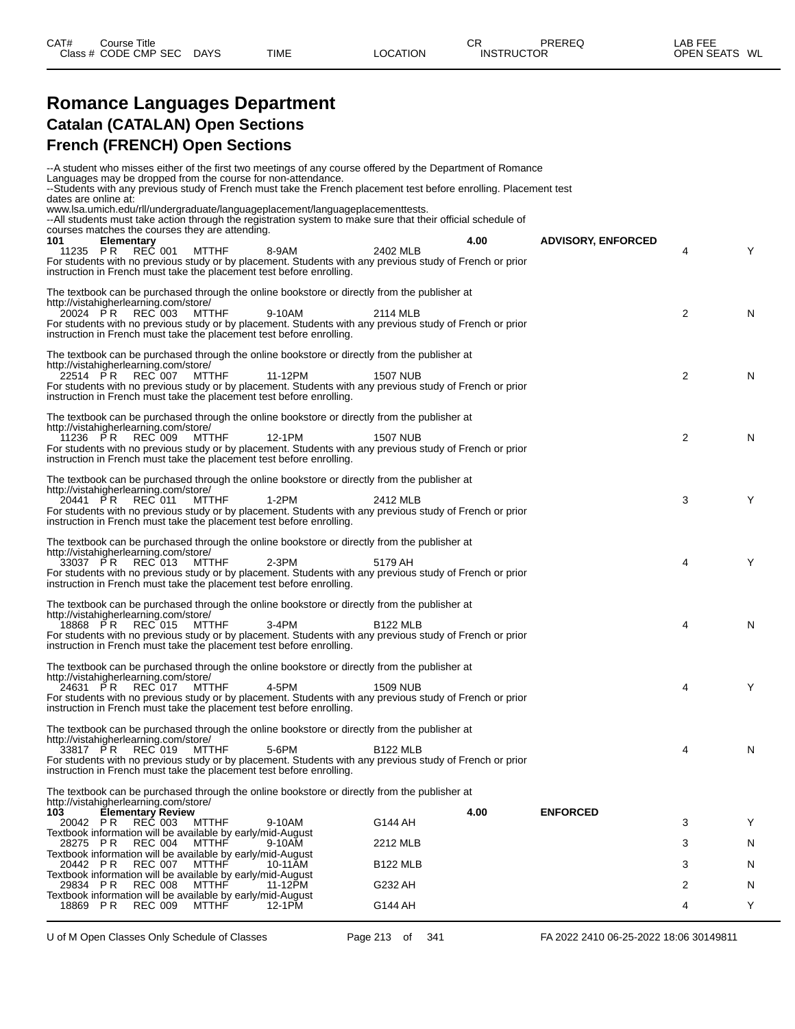#### **Romance Languages Department Catalan (CATALAN) Open Sections French (FRENCH) Open Sections**

|                                                                        |                          |              | --A student who misses either of the first two meetings of any course offered by the Department of Romance<br>Languages may be dropped from the course for non-attendance.       |                 |      |                           |   |   |
|------------------------------------------------------------------------|--------------------------|--------------|----------------------------------------------------------------------------------------------------------------------------------------------------------------------------------|-----------------|------|---------------------------|---|---|
|                                                                        |                          |              | --Students with any previous study of French must take the French placement test before enrolling. Placement test                                                                |                 |      |                           |   |   |
| dates are online at:                                                   |                          |              | www.lsa.umich.edu/rll/undergraduate/languageplacement/languageplacementtests.                                                                                                    |                 |      |                           |   |   |
|                                                                        |                          |              | --All students must take action through the registration system to make sure that their official schedule of                                                                     |                 |      |                           |   |   |
| courses matches the courses they are attending.                        |                          |              |                                                                                                                                                                                  |                 |      |                           |   |   |
| 101                                                                    | <b>Elementary</b>        |              |                                                                                                                                                                                  |                 | 4.00 | <b>ADVISORY, ENFORCED</b> |   |   |
| 11235 PR                                                               | REC 001                  | <b>MTTHF</b> | 8-9AM                                                                                                                                                                            | 2402 MLB        |      |                           | 4 | Y |
|                                                                        |                          |              | For students with no previous study or by placement. Students with any previous study of French or prior                                                                         |                 |      |                           |   |   |
|                                                                        |                          |              | instruction in French must take the placement test before enrolling.                                                                                                             |                 |      |                           |   |   |
|                                                                        |                          |              |                                                                                                                                                                                  |                 |      |                           |   |   |
| http://vistahigherlearning.com/store/                                  |                          |              | The textbook can be purchased through the online bookstore or directly from the publisher at                                                                                     |                 |      |                           |   |   |
| 20024 PR                                                               | REC 003                  | MTTHF        | 9-10AM                                                                                                                                                                           | 2114 MLB        |      |                           | 2 | N |
|                                                                        |                          |              | For students with no previous study or by placement. Students with any previous study of French or prior                                                                         |                 |      |                           |   |   |
|                                                                        |                          |              | instruction in French must take the placement test before enrolling.                                                                                                             |                 |      |                           |   |   |
|                                                                        |                          |              |                                                                                                                                                                                  |                 |      |                           |   |   |
|                                                                        |                          |              | The textbook can be purchased through the online bookstore or directly from the publisher at                                                                                     |                 |      |                           |   |   |
| http://vistahigherlearning.com/store/                                  |                          |              |                                                                                                                                                                                  |                 |      |                           |   |   |
| 22514 PR                                                               | REC 007                  | MTTHF        | 11-12PM                                                                                                                                                                          | <b>1507 NUB</b> |      |                           | 2 | N |
|                                                                        |                          |              | For students with no previous study or by placement. Students with any previous study of French or prior<br>instruction in French must take the placement test before enrolling. |                 |      |                           |   |   |
|                                                                        |                          |              |                                                                                                                                                                                  |                 |      |                           |   |   |
|                                                                        |                          |              | The textbook can be purchased through the online bookstore or directly from the publisher at                                                                                     |                 |      |                           |   |   |
| http://vistahigherlearning.com/store/                                  |                          |              |                                                                                                                                                                                  |                 |      |                           |   |   |
| 11236 PR                                                               | <b>REC</b> 009           | MTTHF        | 12-1PM                                                                                                                                                                           | <b>1507 NUB</b> |      |                           | 2 | N |
|                                                                        |                          |              | For students with no previous study or by placement. Students with any previous study of French or prior                                                                         |                 |      |                           |   |   |
|                                                                        |                          |              | instruction in French must take the placement test before enrolling.                                                                                                             |                 |      |                           |   |   |
|                                                                        |                          |              | The textbook can be purchased through the online bookstore or directly from the publisher at                                                                                     |                 |      |                           |   |   |
| http://vistahigherlearning.com/store/                                  |                          |              |                                                                                                                                                                                  |                 |      |                           |   |   |
| 20441 PR                                                               | REC 011                  | MTTHF        | $1-2PM$                                                                                                                                                                          | 2412 MLB        |      |                           | 3 | Y |
|                                                                        |                          |              | For students with no previous study or by placement. Students with any previous study of French or prior                                                                         |                 |      |                           |   |   |
|                                                                        |                          |              | instruction in French must take the placement test before enrolling.                                                                                                             |                 |      |                           |   |   |
|                                                                        |                          |              |                                                                                                                                                                                  |                 |      |                           |   |   |
|                                                                        |                          |              | The textbook can be purchased through the online bookstore or directly from the publisher at                                                                                     |                 |      |                           |   |   |
| http://vistahigherlearning.com/store/                                  |                          |              |                                                                                                                                                                                  |                 |      |                           |   |   |
| 33037 PR                                                               | REC 013                  | MTTHF        | $2-3PM$<br>For students with no previous study or by placement. Students with any previous study of French or prior                                                              | 5179 AH         |      |                           | 4 | Y |
|                                                                        |                          |              | instruction in French must take the placement test before enrolling.                                                                                                             |                 |      |                           |   |   |
|                                                                        |                          |              |                                                                                                                                                                                  |                 |      |                           |   |   |
|                                                                        |                          |              | The textbook can be purchased through the online bookstore or directly from the publisher at                                                                                     |                 |      |                           |   |   |
| http://vistahigherlearning.com/store/                                  |                          |              |                                                                                                                                                                                  |                 |      |                           |   |   |
| 18868 PR                                                               | REC 015                  | MTTHF        | $3-4PM$                                                                                                                                                                          | <b>B122 MLB</b> |      |                           | 4 | N |
|                                                                        |                          |              | For students with no previous study or by placement. Students with any previous study of French or prior                                                                         |                 |      |                           |   |   |
|                                                                        |                          |              | instruction in French must take the placement test before enrolling.                                                                                                             |                 |      |                           |   |   |
|                                                                        |                          |              | The textbook can be purchased through the online bookstore or directly from the publisher at                                                                                     |                 |      |                           |   |   |
| http://vistahigherlearning.com/store/                                  |                          |              |                                                                                                                                                                                  |                 |      |                           |   |   |
| 24631 PR                                                               | REC 017                  | MTTHF        | 4-5PM                                                                                                                                                                            | 1509 NUB        |      |                           | 4 | Y |
|                                                                        |                          |              | For students with no previous study or by placement. Students with any previous study of French or prior                                                                         |                 |      |                           |   |   |
|                                                                        |                          |              | instruction in French must take the placement test before enrolling.                                                                                                             |                 |      |                           |   |   |
|                                                                        |                          |              |                                                                                                                                                                                  |                 |      |                           |   |   |
|                                                                        |                          |              | The textbook can be purchased through the online bookstore or directly from the publisher at                                                                                     |                 |      |                           |   |   |
| http://vistahigherlearning.com/store/                                  | 33817 PR REC 019 MTTHF   |              | 5-6PM                                                                                                                                                                            | <b>B122 MLB</b> |      |                           | 4 | N |
|                                                                        |                          |              | For students with no previous study or by placement. Students with any previous study of French or prior                                                                         |                 |      |                           |   |   |
|                                                                        |                          |              | instruction in French must take the placement test before enrolling.                                                                                                             |                 |      |                           |   |   |
|                                                                        |                          |              |                                                                                                                                                                                  |                 |      |                           |   |   |
|                                                                        |                          |              | The textbook can be purchased through the online bookstore or directly from the publisher at                                                                                     |                 |      |                           |   |   |
| http://vistahigherlearning.com/store/                                  |                          |              |                                                                                                                                                                                  |                 |      |                           |   |   |
| 103                                                                    | <b>Elementary Review</b> |              |                                                                                                                                                                                  |                 | 4.00 | <b>ENFORCED</b>           |   |   |
| 20042 PR<br>Textbook information will be available by early/mid-August | <b>REC 003</b>           | <b>MTTHF</b> | 9-10AM                                                                                                                                                                           | G144 AH         |      |                           | 3 | Y |
| 28275 PR                                                               | <b>REC 004</b>           | <b>MTTHF</b> | 9-10AM                                                                                                                                                                           | 2212 MLB        |      |                           | 3 | N |
| Textbook information will be available by early/mid-August             |                          |              |                                                                                                                                                                                  |                 |      |                           |   |   |
| 20442 PR                                                               | <b>REC 007</b>           | <b>MTTHF</b> | 10-11AM                                                                                                                                                                          | <b>B122 MLB</b> |      |                           | 3 | N |
| Textbook information will be available by early/mid-August             |                          |              |                                                                                                                                                                                  |                 |      |                           |   |   |
| 29834 PR                                                               | <b>REC 008</b>           | <b>MTTHF</b> | 11-12PM                                                                                                                                                                          | G232 AH         |      |                           | 2 | N |
| Textbook information will be available by early/mid-August             |                          |              |                                                                                                                                                                                  |                 |      |                           |   |   |
| 18869 PR                                                               | <b>REC 009</b>           | <b>MTTHF</b> | 12-1PM                                                                                                                                                                           | G144 AH         |      |                           | 4 | Y |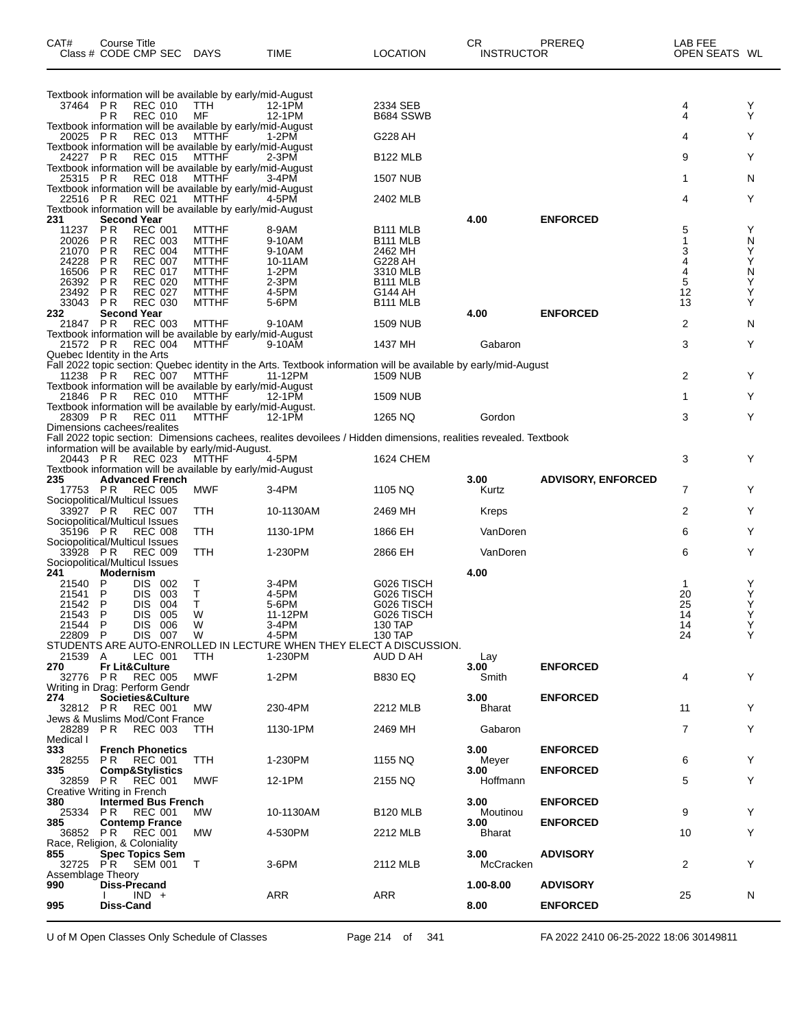| CAT#                     | Course Title<br>Class # CODE CMP SEC DAYS                                                      |                              | <b>TIME</b>                                                                                                                 | <b>LOCATION</b>            | CR.<br><b>INSTRUCTOR</b> | PREREQ                    | LAB FEE<br>OPEN SEATS WL |        |
|--------------------------|------------------------------------------------------------------------------------------------|------------------------------|-----------------------------------------------------------------------------------------------------------------------------|----------------------------|--------------------------|---------------------------|--------------------------|--------|
|                          | Textbook information will be available by early/mid-August                                     |                              |                                                                                                                             |                            |                          |                           |                          |        |
| 37464 PR                 | <b>REC 010</b>                                                                                 | TTH.                         | 12-1PM                                                                                                                      | 2334 SEB                   |                          |                           | 4                        | Y      |
|                          | P <sub>R</sub><br><b>REC 010</b><br>Textbook information will be available by early/mid-August | MF                           | 12-1PM                                                                                                                      | B684 SSWB                  |                          |                           | 4                        | Y      |
| 20025 PR                 | <b>REC 013</b><br>Textbook information will be available by early/mid-August                   | <b>MTTHF</b>                 | 1-2PM                                                                                                                       | G228 AH                    |                          |                           | 4                        | Y      |
| 24227 PR                 | <b>REC 015</b>                                                                                 | <b>MTTHF</b>                 | $2-3PM$                                                                                                                     | <b>B122 MLB</b>            |                          |                           | 9                        | Y      |
| 25315 PR                 | Textbook information will be available by early/mid-August<br><b>REC 018</b>                   | MTTHF                        | 3-4PM                                                                                                                       | <b>1507 NUB</b>            |                          |                           | 1                        | N      |
| 22516 PR                 | Textbook information will be available by early/mid-August<br><b>REC 021</b>                   | MTTHF                        | 4-5PM                                                                                                                       |                            |                          |                           | 4                        | Y      |
|                          | Textbook information will be available by early/mid-August                                     |                              |                                                                                                                             | 2402 MLB                   |                          |                           |                          |        |
| 231<br>11237             | <b>Second Year</b><br><b>REC 001</b><br><b>PR</b>                                              | <b>MTTHF</b>                 | 8-9AM                                                                                                                       | B <sub>111</sub> MLB       | 4.00                     | <b>ENFORCED</b>           | 5                        | Υ      |
| 20026                    | <b>PR</b><br><b>REC 003</b>                                                                    | <b>MTTHF</b>                 | 9-10AM                                                                                                                      | B <sub>111</sub> MLB       |                          |                           | 1                        | N      |
| 21070<br>24228           | <b>PR</b><br><b>REC 004</b><br><b>PR</b><br><b>REC 007</b>                                     | <b>MTTHF</b><br><b>MTTHF</b> | 9-10AM<br>10-11AM                                                                                                           | 2462 MH<br>G228 AH         |                          |                           | 3<br>4                   | Υ<br>Υ |
| 16506                    | <b>PR</b><br><b>REC 017</b>                                                                    | <b>MTTHF</b>                 | $1-2PM$                                                                                                                     | 3310 MLB                   |                          |                           | 4                        | N      |
| 26392<br>23492           | <b>REC 020</b><br><b>PR</b><br><b>PR</b><br><b>REC 027</b>                                     | <b>MTTHF</b><br><b>MTTHF</b> | $2-3PM$<br>4-5PM                                                                                                            | <b>B111 MLB</b><br>G144 AH |                          |                           | 5<br>12                  | Y<br>Υ |
| 33043                    | <b>REC 030</b><br>P R                                                                          | <b>MTTHF</b>                 | 5-6PM                                                                                                                       | B <sub>111</sub> MLB       |                          |                           | 13                       | Y      |
| 232<br>21847 PR          | <b>Second Year</b><br><b>REC 003</b>                                                           | <b>MTTHF</b>                 | 9-10AM                                                                                                                      | 1509 NUB                   | 4.00                     | <b>ENFORCED</b>           | 2                        | N      |
| 21572 PR                 | Textbook information will be available by early/mid-August<br><b>REC 004</b>                   | <b>MTTHF</b>                 | 9-10AM                                                                                                                      | 1437 MH                    | Gabaron                  |                           | 3                        | Y      |
|                          | Quebec Identity in the Arts                                                                    |                              |                                                                                                                             |                            |                          |                           |                          |        |
| 11238 PR                 | <b>REC 007</b>                                                                                 | MTTHF                        | Fall 2022 topic section: Quebec identity in the Arts. Textbook information will be available by early/mid-August<br>11-12PM | <b>1509 NUB</b>            |                          |                           | 2                        | Y      |
|                          | Textbook information will be available by early/mid-August<br>21846 PR REC 010 MTTHF 12-1PM    |                              |                                                                                                                             |                            |                          |                           |                          |        |
|                          | Textbook information will be available by early/mid-August.                                    |                              |                                                                                                                             | <b>1509 NUB</b>            |                          |                           | 1                        | Y      |
| 28309 PR                 | <b>REC 011</b><br>Dimensions cachees/realites                                                  | MTTHF                        | 12-1PM                                                                                                                      | 1265 NQ                    | Gordon                   |                           | 3                        | Y      |
|                          |                                                                                                |                              | Fall 2022 topic section: Dimensions cachees, realites devoilees / Hidden dimensions, realities revealed. Textbook           |                            |                          |                           |                          |        |
| 20443 PR                 | information will be available by early/mid-August.<br>REC 023                                  | MTTHF                        | 4-5PM                                                                                                                       | 1624 CHEM                  |                          |                           | 3                        | Y      |
|                          | Textbook information will be available by early/mid-August                                     |                              |                                                                                                                             |                            |                          |                           |                          |        |
| 235<br>17753 PR          | <b>Advanced French</b><br><b>REC 005</b>                                                       | MWF                          | 3-4PM                                                                                                                       | 1105 NQ                    | 3.00<br>Kurtz            | <b>ADVISORY, ENFORCED</b> | 7                        | Y      |
| 33927 PR                 | Sociopolitical/Multicul Issues<br><b>REC 007</b>                                               | TTH                          | 10-1130AM                                                                                                                   | 2469 MH                    | Kreps                    |                           | 2                        | Y      |
|                          | Sociopolitical/Multicul Issues                                                                 |                              |                                                                                                                             |                            |                          |                           |                          |        |
| 35196 PR                 | <b>REC 008</b><br>Sociopolitical/Multicul Issues                                               | <b>TTH</b>                   | 1130-1PM                                                                                                                    | 1866 EH                    | VanDoren                 |                           | 6                        | Y      |
| 33928 PR                 | <b>REC 009</b><br>Sociopolitical/Multicul Issues                                               | TTH                          | 1-230PM                                                                                                                     | 2866 EH                    | VanDoren                 |                           | 6                        | Y      |
| 241                      | Modernism                                                                                      |                              |                                                                                                                             |                            | 4.00                     |                           |                          |        |
| 21540<br>21541           | P<br>DIS 002<br>P<br><b>DIS</b><br>003                                                         | т<br>T                       | 3-4PM<br>4-5PM                                                                                                              | G026 TISCH<br>G026 TISCH   |                          |                           | 1<br>20                  | Y<br>Υ |
| 21542                    | $\mathsf{P}$<br>004<br>DIS.                                                                    | Τ                            | 5-6PM                                                                                                                       | G026 TISCH                 |                          |                           | 25                       | Υ      |
| 21543 P                  | DIS 005                                                                                        | W                            | 11-12PM                                                                                                                     | G026 TISCH<br>130 TAP      |                          |                           | 14                       | Y<br>Y |
| 21544 P<br>22809 P       | DIS 006<br>DIS 007                                                                             | W<br>W                       | 3-4PM<br>4-5PM                                                                                                              | 130 TAP                    |                          |                           | 14<br>24                 | Y      |
| 21539 A                  | LEC 001                                                                                        | TTH                          | STUDENTS ARE AUTO-ENROLLED IN LECTURE WHEN THEY ELECT A DISCUSSION.<br>1-230PM                                              | AUD D AH                   |                          |                           |                          |        |
| 270                      | <b>Fr Lit&amp;Culture</b>                                                                      |                              |                                                                                                                             |                            | Lay<br>3.00              | <b>ENFORCED</b>           |                          |        |
|                          | 32776 PR REC 005<br>Writing in Drag: Perform Gendr                                             | MWF                          | $1-2PM$                                                                                                                     | <b>B830 EQ</b>             | Smith                    |                           | 4                        | Y      |
| 274                      | Societies&Culture                                                                              |                              |                                                                                                                             |                            | 3.00                     | <b>ENFORCED</b>           |                          |        |
| 32812 PR                 | REC 001<br>Jews & Muslims Mod/Cont France                                                      | <b>MW</b>                    | 230-4PM                                                                                                                     | 2212 MLB                   | Bharat                   |                           | 11                       | Y      |
| 28289 PR                 | <b>REC 003</b>                                                                                 | TTH                          | 1130-1PM                                                                                                                    | 2469 MH                    | Gabaron                  |                           | 7                        | Y      |
| Medical I<br>333         | <b>French Phonetics</b>                                                                        |                              |                                                                                                                             |                            | 3.00                     | <b>ENFORCED</b>           |                          |        |
| 28255                    | REC 001<br>PR.                                                                                 | TTH                          | 1-230PM                                                                                                                     | 1155 NQ                    | Meyer                    |                           | 6                        | Y      |
| 335<br>32859             | <b>Comp&amp;Stylistics</b><br><b>PR</b> REC 001                                                | MWF                          | 12-1PM                                                                                                                      | 2155 NQ                    | 3.00<br>Hoffmann         | <b>ENFORCED</b>           | 5                        | Y      |
| 380                      | Creative Writing in French<br><b>Intermed Bus French</b>                                       |                              |                                                                                                                             |                            | 3.00                     | <b>ENFORCED</b>           |                          |        |
| 25334                    | PR.<br><b>REC 001</b>                                                                          | MW.                          | 10-1130AM                                                                                                                   | <b>B120 MLB</b>            | Moutinou                 |                           | 9                        | Y      |
| 385<br>36852             | <b>Contemp France</b><br><b>PR REC 001</b>                                                     | МW                           | 4-530PM                                                                                                                     | 2212 MLB                   | 3.00<br><b>Bharat</b>    | <b>ENFORCED</b>           | 10                       | Y      |
|                          | Race, Religion, & Coloniality                                                                  |                              |                                                                                                                             |                            |                          |                           |                          |        |
| 855                      | <b>Spec Topics Sem</b><br>32725 PR SEM 001                                                     | T                            | 3-6PM                                                                                                                       | 2112 MLB                   | 3.00<br>McCracken        | <b>ADVISORY</b>           | 2                        | Y      |
| Assemblage Theory<br>990 | <b>Diss-Precand</b>                                                                            |                              |                                                                                                                             |                            | 1.00-8.00                | <b>ADVISORY</b>           |                          |        |
|                          | $IND +$                                                                                        |                              | ARR                                                                                                                         | ARR                        |                          |                           | 25                       | N      |
| 995                      | Diss-Cand                                                                                      |                              |                                                                                                                             |                            | 8.00                     | <b>ENFORCED</b>           |                          |        |

U of M Open Classes Only Schedule of Classes Page 214 of 341 FA 2022 2410 06-25-2022 18:06 30149811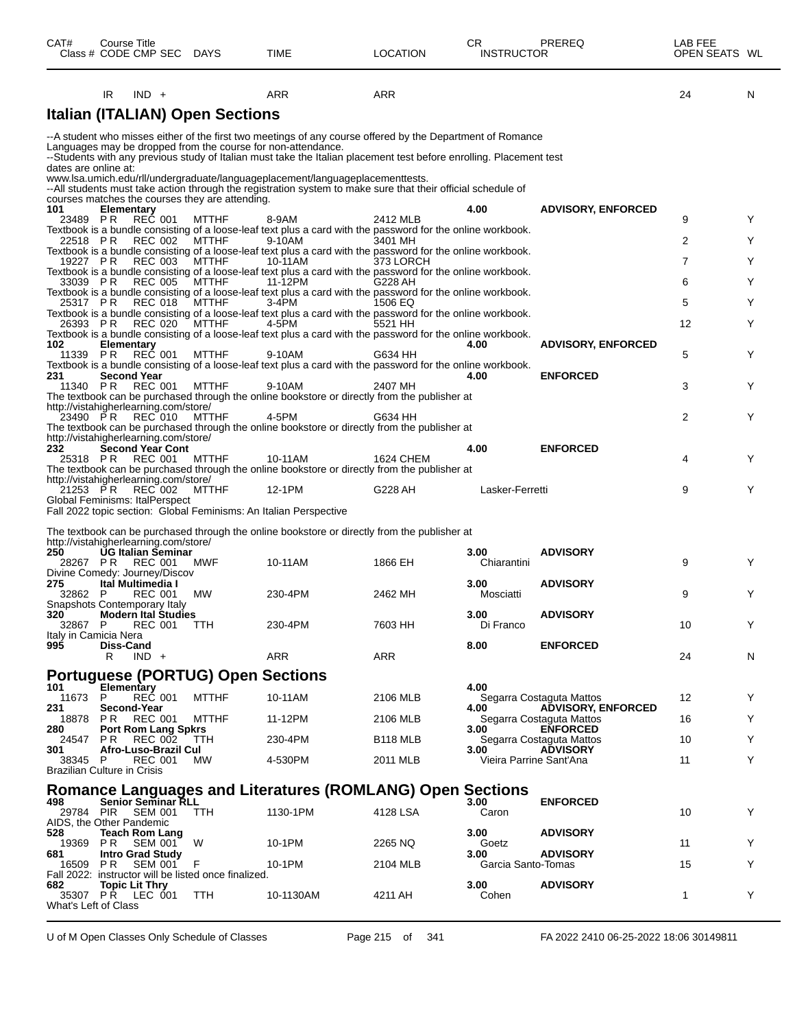| CAT#<br>Class # CODE CMP SEC DAYS                 |                       | Course Title                                |                            |                                                      | TIME                                                                                                                                                                                                                                                                                                                                                                               | <b>LOCATION</b>      | CR<br><b>INSTRUCTOR</b>         | PREREQ                                                | LAB FEE<br>OPEN SEATS WL |   |
|---------------------------------------------------|-----------------------|---------------------------------------------|----------------------------|------------------------------------------------------|------------------------------------------------------------------------------------------------------------------------------------------------------------------------------------------------------------------------------------------------------------------------------------------------------------------------------------------------------------------------------------|----------------------|---------------------------------|-------------------------------------------------------|--------------------------|---|
|                                                   | IR                    | $IND +$                                     |                            |                                                      | <b>ARR</b>                                                                                                                                                                                                                                                                                                                                                                         | <b>ARR</b>           |                                 |                                                       | 24                       | N |
|                                                   |                       |                                             |                            | <b>Italian (ITALIAN) Open Sections</b>               |                                                                                                                                                                                                                                                                                                                                                                                    |                      |                                 |                                                       |                          |   |
| dates are online at:                              |                       |                                             |                            |                                                      | --A student who misses either of the first two meetings of any course offered by the Department of Romance<br>Languages may be dropped from the course for non-attendance.<br>--Students with any previous study of Italian must take the Italian placement test before enrolling. Placement test<br>www.lsa.umich.edu/rll/undergraduate/languageplacement/languageplacementtests. |                      |                                 |                                                       |                          |   |
|                                                   |                       |                                             |                            | courses matches the courses they are attending.      | --All students must take action through the registration system to make sure that their official schedule of                                                                                                                                                                                                                                                                       |                      |                                 |                                                       |                          |   |
| 101<br>23489 PR                                   |                       | <b>Elementary</b><br><b>REC 001</b>         |                            | <b>MTTHF</b>                                         | 8-9AM                                                                                                                                                                                                                                                                                                                                                                              | 2412 MLB             | 4.00                            | <b>ADVISORY, ENFORCED</b>                             | 9                        | Y |
| 22518 PR                                          |                       | REC 002                                     |                            | MTTHF                                                | Textbook is a bundle consisting of a loose-leaf text plus a card with the password for the online workbook.<br>9-10AM                                                                                                                                                                                                                                                              | 3401 MH              |                                 |                                                       | 2                        | Y |
| 19227 PR                                          |                       | <b>REC 003</b>                              |                            | <b>MTTHF</b>                                         | Textbook is a bundle consisting of a loose-leaf text plus a card with the password for the online workbook.<br>10-11AM                                                                                                                                                                                                                                                             | 373 LORCH            |                                 |                                                       | 7                        | Y |
| 33039 PR                                          |                       | <b>REC 005</b>                              |                            | MTTHF                                                | Textbook is a bundle consisting of a loose-leaf text plus a card with the password for the online workbook.<br>11-12PM                                                                                                                                                                                                                                                             | G228 AH              |                                 |                                                       | 6                        | Y |
| 25317 PR                                          |                       | REC 018                                     |                            | MTTHF                                                | Textbook is a bundle consisting of a loose-leaf text plus a card with the password for the online workbook.<br>$3-4$ PM                                                                                                                                                                                                                                                            | 1506 EQ              |                                 |                                                       | 5                        | Y |
|                                                   |                       |                                             |                            |                                                      | Textbook is a bundle consisting of a loose-leaf text plus a card with the password for the online workbook.                                                                                                                                                                                                                                                                        |                      |                                 |                                                       | 12                       | Y |
| 26393 PR                                          |                       | REC 020                                     |                            | <b>MTTHF</b>                                         | 4-5PM<br>Textbook is a bundle consisting of a loose-leaf text plus a card with the password for the online workbook.                                                                                                                                                                                                                                                               | 5521 HH              |                                 |                                                       |                          |   |
| 102<br>11339 PR                                   |                       | <b>Elementary</b><br>REČ 001                |                            | <b>MTTHF</b>                                         | 9-10AM                                                                                                                                                                                                                                                                                                                                                                             | G634 HH              | 4.00                            | <b>ADVISORY, ENFORCED</b>                             | 5                        | Y |
| 231                                               |                       | <b>Second Year</b>                          |                            |                                                      | Textbook is a bundle consisting of a loose-leaf text plus a card with the password for the online workbook.                                                                                                                                                                                                                                                                        |                      | 4.00                            | <b>ENFORCED</b>                                       |                          |   |
| 11340 PR                                          |                       | <b>REC 001</b>                              |                            | MTTHF                                                | 9-10AM<br>The textbook can be purchased through the online bookstore or directly from the publisher at                                                                                                                                                                                                                                                                             | 2407 MH              |                                 |                                                       | 3                        | Y |
| http://vistahigherlearning.com/store/<br>23490 PR |                       | REC 010                                     |                            | MTTHF                                                | 4-5PM                                                                                                                                                                                                                                                                                                                                                                              | G634 HH              |                                 |                                                       | 2                        | Y |
| http://vistahigherlearning.com/store/             |                       |                                             |                            |                                                      | The textbook can be purchased through the online bookstore or directly from the publisher at                                                                                                                                                                                                                                                                                       |                      |                                 |                                                       |                          |   |
| 232<br>25318 PR                                   |                       | REC 001                                     | <b>Second Year Cont</b>    | MTTHF                                                | 10-11AM<br>The textbook can be purchased through the online bookstore or directly from the publisher at                                                                                                                                                                                                                                                                            | 1624 CHEM            | 4.00                            | <b>ENFORCED</b>                                       | 4                        | Y |
| http://vistahigherlearning.com/store/<br>21253 PR |                       | REC 002                                     |                            | <b>MTTHF</b>                                         | 12-1PM                                                                                                                                                                                                                                                                                                                                                                             | G228 AH              | Lasker-Ferretti                 |                                                       | 9                        | Y |
| Global Feminisms: ItalPerspect                    |                       |                                             |                            |                                                      | Fall 2022 topic section: Global Feminisms: An Italian Perspective                                                                                                                                                                                                                                                                                                                  |                      |                                 |                                                       |                          |   |
|                                                   |                       |                                             |                            |                                                      |                                                                                                                                                                                                                                                                                                                                                                                    |                      |                                 |                                                       |                          |   |
| http://vistahigherlearning.com/store/             |                       |                                             |                            |                                                      | The textbook can be purchased through the online bookstore or directly from the publisher at                                                                                                                                                                                                                                                                                       |                      |                                 |                                                       |                          |   |
| 250<br>28267 PR<br>Divine Comedy: Journey/Discov  |                       | <b>REC 001</b>                              | <b>UG Italian Seminar</b>  | MWF                                                  | 10-11AM                                                                                                                                                                                                                                                                                                                                                                            | 1866 EH              | 3.00<br>Chiarantini             | <b>ADVISORY</b>                                       | 9                        | Y |
| 275<br>32862 P                                    |                       | Ital Multimedia I<br><b>REC 001</b>         |                            | МW                                                   | 230-4PM                                                                                                                                                                                                                                                                                                                                                                            | 2462 MH              | 3.00<br>Mosciatti               | <b>ADVISORY</b>                                       | 9                        | Y |
| Snapshots Contemporary Italy<br>320               |                       |                                             | Modern Ital Studies        |                                                      |                                                                                                                                                                                                                                                                                                                                                                                    |                      | 3.00                            | <b>ADVISORY</b>                                       |                          |   |
| 32867 P<br>Italy in Camicia Nera                  |                       |                                             | REC 001 TTH                |                                                      | 230-4PM                                                                                                                                                                                                                                                                                                                                                                            | 7603 HH              | Di Franco                       |                                                       | 10                       | Y |
| 995                                               | <b>Diss-Cand</b><br>R | $IND +$                                     |                            |                                                      | ARR                                                                                                                                                                                                                                                                                                                                                                                | <b>ARR</b>           | 8.00                            | <b>ENFORCED</b>                                       | 24                       | N |
|                                                   |                       |                                             |                            | <b>Portuguese (PORTUG) Open Sections</b>             |                                                                                                                                                                                                                                                                                                                                                                                    |                      |                                 |                                                       |                          |   |
| 101<br>11673 P<br>231                             |                       | <b>Elementary</b><br>REC 001<br>Second-Year |                            | <b>MTTHF</b>                                         | 10-11AM                                                                                                                                                                                                                                                                                                                                                                            | 2106 MLB             | 4.00<br>4.00                    | Segarra Costaguta Mattos<br><b>ADVISORY, ENFORCED</b> | 12                       | Y |
| 18878 PR                                          |                       | <b>REC 001</b>                              |                            | <b>MTTHF</b>                                         | 11-12PM                                                                                                                                                                                                                                                                                                                                                                            | 2106 MLB             |                                 | Segarra Costaguta Mattos                              | 16                       | Y |
| 280<br>24547 PR                                   |                       | REC 002                                     | <b>Port Rom Lang Spkrs</b> | TTH                                                  | 230-4PM                                                                                                                                                                                                                                                                                                                                                                            | B <sub>118</sub> MLB | 3.00                            | <b>ENFORCED</b><br>Segarra Costaguta Mattos           | 10                       | Y |
| 301<br>38345 P                                    |                       | REC 001                                     | Afro-Luso-Brazil Cul       | MW.                                                  | 4-530PM                                                                                                                                                                                                                                                                                                                                                                            | 2011 MLB             | 3.00<br>Vieira Parrine Sant'Ana | <b>ADVISORY</b>                                       | 11                       | Y |
| <b>Brazilian Culture in Crisis</b>                |                       |                                             |                            |                                                      |                                                                                                                                                                                                                                                                                                                                                                                    |                      |                                 |                                                       |                          |   |
| 498                                               |                       |                                             | <b>Senior Seminar RLL</b>  |                                                      | Romance Languages and Literatures (ROMLANG) Open Sections                                                                                                                                                                                                                                                                                                                          |                      | 3.00                            | <b>ENFORCED</b>                                       |                          |   |
| 29784 PIR<br>AIDS, the Other Pandemic             |                       | <b>SEM 001</b>                              |                            | <b>TTH</b>                                           | 1130-1PM                                                                                                                                                                                                                                                                                                                                                                           | 4128 LSA             | Caron                           |                                                       | 10                       | Y |
| 528<br>19369                                      | P R                   | <b>Teach Rom Lang</b><br>SEM 001            |                            | W                                                    | 10-1PM                                                                                                                                                                                                                                                                                                                                                                             | 2265 NQ              | 3.00<br>Goetz                   | <b>ADVISORY</b>                                       | 11                       | Y |
| 681<br>16509 PR SEM 001                           |                       | <b>Intro Grad Study</b>                     |                            | F                                                    | 10-1PM                                                                                                                                                                                                                                                                                                                                                                             | 2104 MLB             | 3.00<br>Garcia Santo-Tomas      | <b>ADVISORY</b>                                       | 15                       | Y |
|                                                   |                       |                                             |                            | Fall 2022: instructor will be listed once finalized. |                                                                                                                                                                                                                                                                                                                                                                                    |                      |                                 |                                                       |                          |   |
| 682<br>35307 PR LEC 001<br>What's Left of Class   |                       | <b>Topic Lit Thry</b>                       |                            | <b>TTH</b>                                           | 10-1130AM                                                                                                                                                                                                                                                                                                                                                                          | 4211 AH              | 3.00<br>Cohen                   | <b>ADVISORY</b>                                       | 1                        | Y |

U of M Open Classes Only Schedule of Classes Page 215 of 341 FA 2022 2410 06-25-2022 18:06 30149811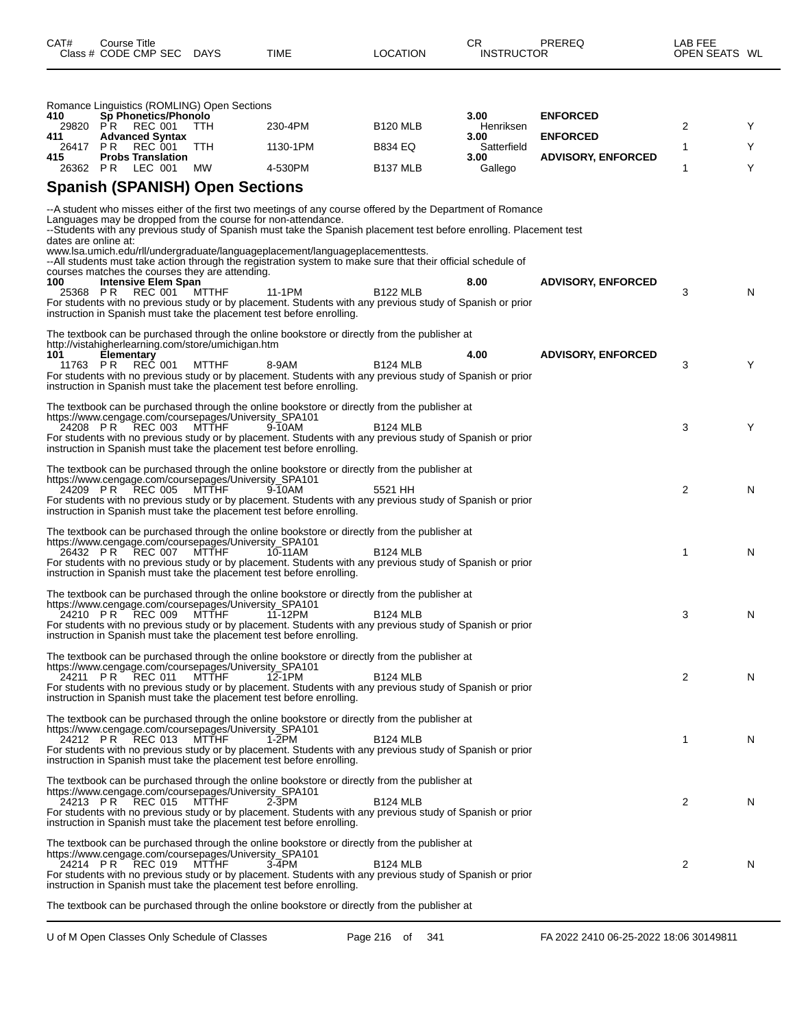| 410                  | Romance Linguistics (ROMLING) Open Sections<br><b>Sp Phonetics/Phonolo</b>               |       |                                                                                                                                                                                                                                                                                                                     |                      | 3.00                | <b>ENFORCED</b>           |   |    |
|----------------------|------------------------------------------------------------------------------------------|-------|---------------------------------------------------------------------------------------------------------------------------------------------------------------------------------------------------------------------------------------------------------------------------------------------------------------------|----------------------|---------------------|---------------------------|---|----|
| 411                  | 29820 PR REC 001<br><b>Advanced Syntax</b>                                               | TTH.  | 230-4PM                                                                                                                                                                                                                                                                                                             | <b>B120 MLB</b>      | Henriksen<br>3.00   | <b>ENFORCED</b>           | 2 | Y  |
| 26417 PR<br>415      | REC 001<br><b>Probs Translation</b>                                                      | TTH.  | 1130-1PM                                                                                                                                                                                                                                                                                                            | <b>B834 EQ</b>       | Satterfield<br>3.00 | <b>ADVISORY, ENFORCED</b> | 1 | Υ  |
| 26362 PR             | LEC 001                                                                                  | МW    | 4-530PM                                                                                                                                                                                                                                                                                                             | B <sub>137</sub> MLB | Gallego             |                           | 1 | Y  |
|                      | <b>Spanish (SPANISH) Open Sections</b>                                                   |       |                                                                                                                                                                                                                                                                                                                     |                      |                     |                           |   |    |
| dates are online at: | Languages may be dropped from the course for non-attendance.                             |       | -- A student who misses either of the first two meetings of any course offered by the Department of Romance<br>--Students with any previous study of Spanish must take the Spanish placement test before enrolling. Placement test<br>www.lsa.umich.edu/rll/undergraduate/languageplacement/languageplacementtests. |                      |                     |                           |   |    |
| 100<br>25368 PR      | courses matches the courses they are attending.<br><b>Intensive Elem Span</b><br>REC 001 | MTTHF | --All students must take action through the registration system to make sure that their official schedule of<br>11-1PM<br>For students with no previous study or by placement. Students with any previous study of Spanish or prior<br>instruction in Spanish must take the placement test before enrolling.        | <b>B122 MLB</b>      | 8.00                | <b>ADVISORY, ENFORCED</b> | 3 | N  |
|                      |                                                                                          |       |                                                                                                                                                                                                                                                                                                                     |                      |                     |                           |   |    |
|                      | http://vistahigherlearning.com/store/umichigan.htm                                       |       | The textbook can be purchased through the online bookstore or directly from the publisher at                                                                                                                                                                                                                        |                      |                     |                           |   |    |
| 101<br>11763 PR      | <b>Elementary</b><br>REC 001                                                             | MTTHF | 8-9AM                                                                                                                                                                                                                                                                                                               | <b>B124 MLB</b>      | 4.00                | <b>ADVISORY, ENFORCED</b> | 3 | Y  |
|                      |                                                                                          |       | For students with no previous study or by placement. Students with any previous study of Spanish or prior<br>instruction in Spanish must take the placement test before enrolling.                                                                                                                                  |                      |                     |                           |   |    |
|                      | https://www.cengage.com/coursepages/University_SPA101<br>24208 PR REC 003                | MTTHF | The textbook can be purchased through the online bookstore or directly from the publisher at<br>9-10AM<br>For students with no previous study or by placement. Students with any previous study of Spanish or prior<br>instruction in Spanish must take the placement test before enrolling.                        | <b>B124 MLB</b>      |                     |                           | 3 | Y  |
|                      | https://www.cengage.com/coursepages/University_SPA101<br>24209 PR REC 005                | MTTHF | The textbook can be purchased through the online bookstore or directly from the publisher at<br>9-10AM<br>For students with no previous study or by placement. Students with any previous study of Spanish or prior<br>instruction in Spanish must take the placement test before enrolling.                        | 5521 HH              |                     |                           | 2 | N  |
|                      | https://www.cengage.com/coursepages/University_SPA101<br>26432 PR REC 007                | MTTHF | The textbook can be purchased through the online bookstore or directly from the publisher at<br>10-11AM<br>For students with no previous study or by placement. Students with any previous study of Spanish or prior<br>instruction in Spanish must take the placement test before enrolling.                       | <b>B124 MLB</b>      |                     |                           | 1 | N  |
|                      | https://www.cengage.com/coursepages/University_SPA101<br>24210 PR REC 009                | MTTHF | The textbook can be purchased through the online bookstore or directly from the publisher at<br>11-12PM<br>For students with no previous study or by placement. Students with any previous study of Spanish or prior<br>instruction in Spanish must take the placement test before enrolling.                       | <b>B124 MLB</b>      |                     |                           | 3 | N  |
|                      | https://www.cengage.com/coursepages/University_SPA101<br>24211 PR REC 011 MTTHF          |       | The textbook can be purchased through the online bookstore or directly from the publisher at<br>12-1PM<br>For students with no previous study or by placement. Students with any previous study of Spanish or prior<br>instruction in Spanish must take the placement test before enrolling.                        | B124 MLB             |                     |                           | 2 | N  |
|                      | https://www.cengage.com/coursepages/University_SPA101<br>24212 PR REC 013                | MTTHF | The textbook can be purchased through the online bookstore or directly from the publisher at<br>1-2PM<br>For students with no previous study or by placement. Students with any previous study of Spanish or prior<br>instruction in Spanish must take the placement test before enrolling.                         | <b>B124 MLB</b>      |                     |                           | 1 | N. |
|                      | https://www.cengage.com/coursepages/University SPA101<br>24213 PR REC 015                | MTTHF | The textbook can be purchased through the online bookstore or directly from the publisher at<br>$2-3PM$<br>For students with no previous study or by placement. Students with any previous study of Spanish or prior<br>instruction in Spanish must take the placement test before enrolling.                       | <b>B124 MLB</b>      |                     |                           | 2 | N. |
|                      | https://www.cengage.com/coursepages/University_SPA101<br>24214 PR REC 019                | MTTHF | The textbook can be purchased through the online bookstore or directly from the publisher at<br>3-4PM<br>For students with no previous study or by placement. Students with any previous study of Spanish or prior<br>instruction in Spanish must take the placement test before enrolling.                         | <b>B124 MLB</b>      |                     |                           | 2 | N. |
|                      |                                                                                          |       | The textbook can be purchased through the online bookstore or directly from the publisher at                                                                                                                                                                                                                        |                      |                     |                           |   |    |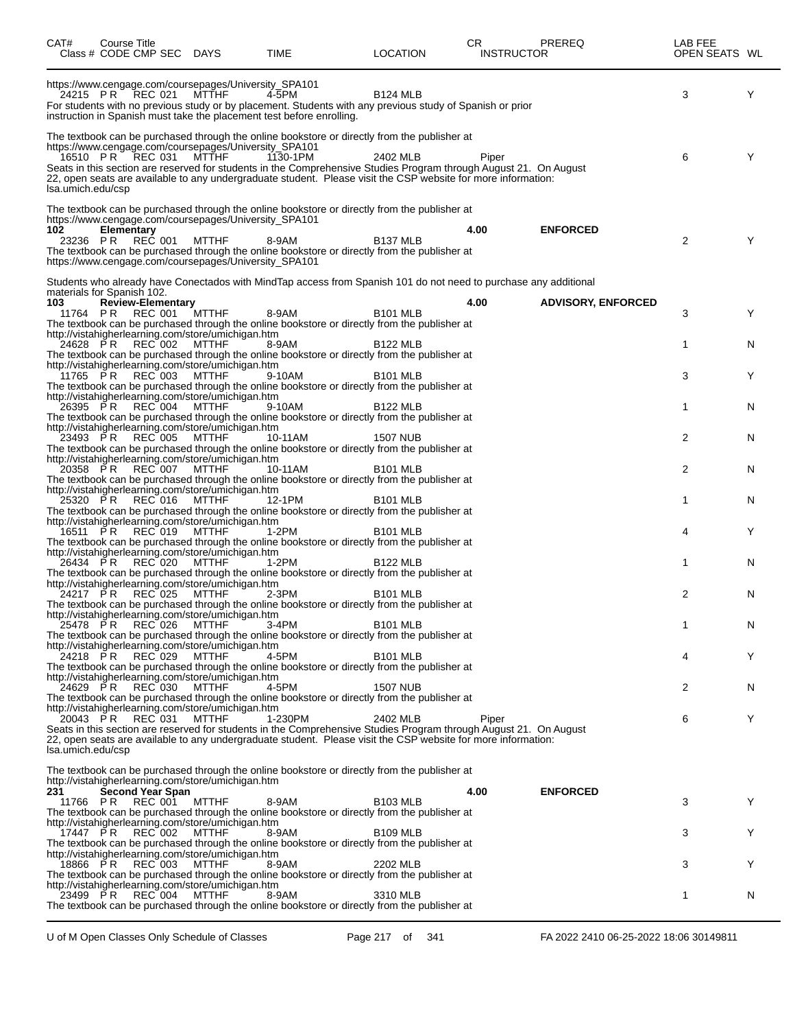| CAT#                       | Course Title     | Class # CODE CMP SEC DAYS           |                                                                                                                         | TIME                                                                                                                                                                                                                                                                                                                                           |                 | LOCATION | CR   | <b>INSTRUCTOR</b> | <b>PREREQ</b>             | LAB FEE<br>OPEN SEATS WL |   |
|----------------------------|------------------|-------------------------------------|-------------------------------------------------------------------------------------------------------------------------|------------------------------------------------------------------------------------------------------------------------------------------------------------------------------------------------------------------------------------------------------------------------------------------------------------------------------------------------|-----------------|----------|------|-------------------|---------------------------|--------------------------|---|
|                            | 24215 PR REC 021 |                                     | https://www.cengage.com/coursepages/University_SPA101<br><b>MTTHF</b>                                                   | 4-5PM<br>For students with no previous study or by placement. Students with any previous study of Spanish or prior<br>instruction in Spanish must take the placement test before enrolling.                                                                                                                                                    | <b>B124 MLB</b> |          |      |                   |                           | 3                        | Y |
| Isa.umich.edu/csp          | 16510 PR REC 031 |                                     | https://www.cengage.com/coursepages/University_SPA101<br><b>MTTHF</b>                                                   | The textbook can be purchased through the online bookstore or directly from the publisher at<br>1130-1PM<br>Seats in this section are reserved for students in the Comprehensive Studies Program through August 21. On August<br>22, open seats are available to any undergraduate student. Please visit the CSP website for more information: | 2402 MLB        |          |      | Piper             |                           | 6                        | Y |
| 102<br>23236 PR            | Elementary       | REČ 001                             | https://www.cengage.com/coursepages/University_SPA101<br>MTTHF<br>https://www.cengage.com/coursepages/University_SPA101 | The textbook can be purchased through the online bookstore or directly from the publisher at<br>8-9AM<br>The textbook can be purchased through the online bookstore or directly from the publisher at                                                                                                                                          | <b>B137 MLB</b> |          | 4.00 |                   | <b>ENFORCED</b>           | 2                        | Y |
| materials for Spanish 102. |                  |                                     |                                                                                                                         | Students who already have Conectados with MindTap access from Spanish 101 do not need to purchase any additional                                                                                                                                                                                                                               |                 |          |      |                   |                           |                          |   |
| 103                        | 11764 PR         | <b>Review-Elementary</b><br>REC 001 | <b>MTTHF</b><br>http://vistahigherlearning.com/store/umichigan.htm                                                      | 8-9AM<br>The textbook can be purchased through the online bookstore or directly from the publisher at                                                                                                                                                                                                                                          | <b>B101 MLB</b> |          | 4.00 |                   | <b>ADVISORY, ENFORCED</b> | 3                        | Y |
| 24628 PR                   |                  | REC 002                             | <b>MTTHF</b><br>http://vistahigherlearning.com/store/umichigan.htm                                                      | 8-9AM<br>The textbook can be purchased through the online bookstore or directly from the publisher at                                                                                                                                                                                                                                          | <b>B122 MLB</b> |          |      |                   |                           | 1                        | N |
| 11765 PR                   |                  | REC 003                             | <b>MTTHF</b><br>http://vistahigherlearning.com/store/umichigan.htm                                                      | 9-10AM<br>The textbook can be purchased through the online bookstore or directly from the publisher at                                                                                                                                                                                                                                         | <b>B101 MLB</b> |          |      |                   |                           | 3                        | Y |
| 26395 PR                   |                  | <b>REC</b> 004                      | <b>MTTHF</b><br>http://vistahigherlearning.com/store/umichigan.htm                                                      | 9-10AM<br>The textbook can be purchased through the online bookstore or directly from the publisher at                                                                                                                                                                                                                                         | <b>B122 MLB</b> |          |      |                   |                           | 1                        | N |
| 23493 PR                   |                  | REC 005                             | <b>MTTHF</b><br>http://vistahigherlearning.com/store/umichigan.htm                                                      | 10-11AM<br>The textbook can be purchased through the online bookstore or directly from the publisher at                                                                                                                                                                                                                                        | <b>1507 NUB</b> |          |      |                   |                           | 2                        | N |
| 20358 PR                   |                  | REC 007                             | <b>MTTHF</b><br>http://vistahigherlearning.com/store/umichigan.htm                                                      | 10-11AM<br>The textbook can be purchased through the online bookstore or directly from the publisher at                                                                                                                                                                                                                                        | <b>B101 MLB</b> |          |      |                   |                           | 2                        | N |
| 25320 PR                   |                  | REC 016                             | <b>MTTHF</b><br>http://vistahigherlearning.com/store/umichigan.htm                                                      | 12-1PM<br>The textbook can be purchased through the online bookstore or directly from the publisher at                                                                                                                                                                                                                                         | <b>B101 MLB</b> |          |      |                   |                           | 1                        | N |
| 16511 PR                   |                  | REC 019                             | <b>MTTHF</b><br>http://vistahigherlearning.com/store/umichigan.htm                                                      | 1-2PM<br>The textbook can be purchased through the online bookstore or directly from the publisher at                                                                                                                                                                                                                                          | <b>B101 MLB</b> |          |      |                   |                           | 4                        | Y |
| 26434 PR                   |                  | REC 020                             | <b>MTTHF</b><br>http://vistahigherlearning.com/store/umichigan.htm                                                      | 1-2PM<br>The textbook can be purchased through the online bookstore or directly from the publisher at                                                                                                                                                                                                                                          | <b>B122 MLB</b> |          |      |                   |                           | 1                        | N |
| 24217 PR                   |                  | REC 025                             | <b>MTTHF</b><br>http://vistahigherlearning.com/store/umichigan.htm                                                      | $2-3PM$<br>The textbook can be purchased through the online bookstore or directly from the publisher at                                                                                                                                                                                                                                        | <b>B101 MLB</b> |          |      |                   |                           | 2                        | N |
| 25478 PR                   |                  | REC 026                             | MTTHF<br>http://vistahigherlearning.com/store/umichigan.htm                                                             | 3-4PM<br>The textbook can be purchased through the online bookstore or directly from the publisher at                                                                                                                                                                                                                                          | <b>B101 MLB</b> |          |      |                   |                           | 1                        | N |
| 24218 PR                   |                  | REC 029                             | MTTHF<br>http://vistahigherlearning.com/store/umichigan.htm                                                             | 4-5PM<br>The textbook can be purchased through the online bookstore or directly from the publisher at                                                                                                                                                                                                                                          | <b>B101 MLB</b> |          |      |                   |                           | 4                        | Y |
| 24629 PR                   |                  | REC 030                             | MTTHF<br>http://vistahigherlearning.com/store/umichigan.htm                                                             | 4-5PM<br>The textbook can be purchased through the online bookstore or directly from the publisher at                                                                                                                                                                                                                                          | <b>1507 NUB</b> |          |      |                   |                           | 2                        | N |
| lsa.umich.edu/csp          | 20043 PR REC 031 |                                     | MTTHF                                                                                                                   | 1-230PM<br>Seats in this section are reserved for students in the Comprehensive Studies Program through August 21. On August<br>22, open seats are available to any undergraduate student. Please visit the CSP website for more information:                                                                                                  | 2402 MLB        |          |      | Piper             |                           | 6                        | Y |
|                            |                  |                                     | http://vistahigherlearning.com/store/umichigan.htm                                                                      | The textbook can be purchased through the online bookstore or directly from the publisher at                                                                                                                                                                                                                                                   |                 |          |      |                   |                           |                          |   |
| 231                        | 11766 PR REC 001 | Second Year Span                    | <b>MTTHF</b>                                                                                                            | 8-9AM<br>The textbook can be purchased through the online bookstore or directly from the publisher at                                                                                                                                                                                                                                          | <b>B103 MLB</b> |          | 4.00 |                   | <b>ENFORCED</b>           | 3                        | Y |
|                            | 17447 PR REC 002 |                                     | http://vistahigherlearning.com/store/umichigan.htm<br>MTTHF                                                             | 8-9AM<br>The textbook can be purchased through the online bookstore or directly from the publisher at                                                                                                                                                                                                                                          | <b>B109 MLB</b> |          |      |                   |                           | 3                        | Y |
|                            | 18866 PR REC 003 |                                     | http://vistahigherlearning.com/store/umichigan.htm<br>MTTHF                                                             | 8-9AM<br>The textbook can be purchased through the online bookstore or directly from the publisher at                                                                                                                                                                                                                                          | 2202 MLB        |          |      |                   |                           | 3                        | Y |
|                            | 23499 PR REC 004 |                                     | http://vistahigherlearning.com/store/umichigan.htm<br>MTTHF                                                             | 8-9AM<br>The textbook can be purchased through the online bookstore or directly from the publisher at                                                                                                                                                                                                                                          | 3310 MLB        |          |      |                   |                           | 1                        | N |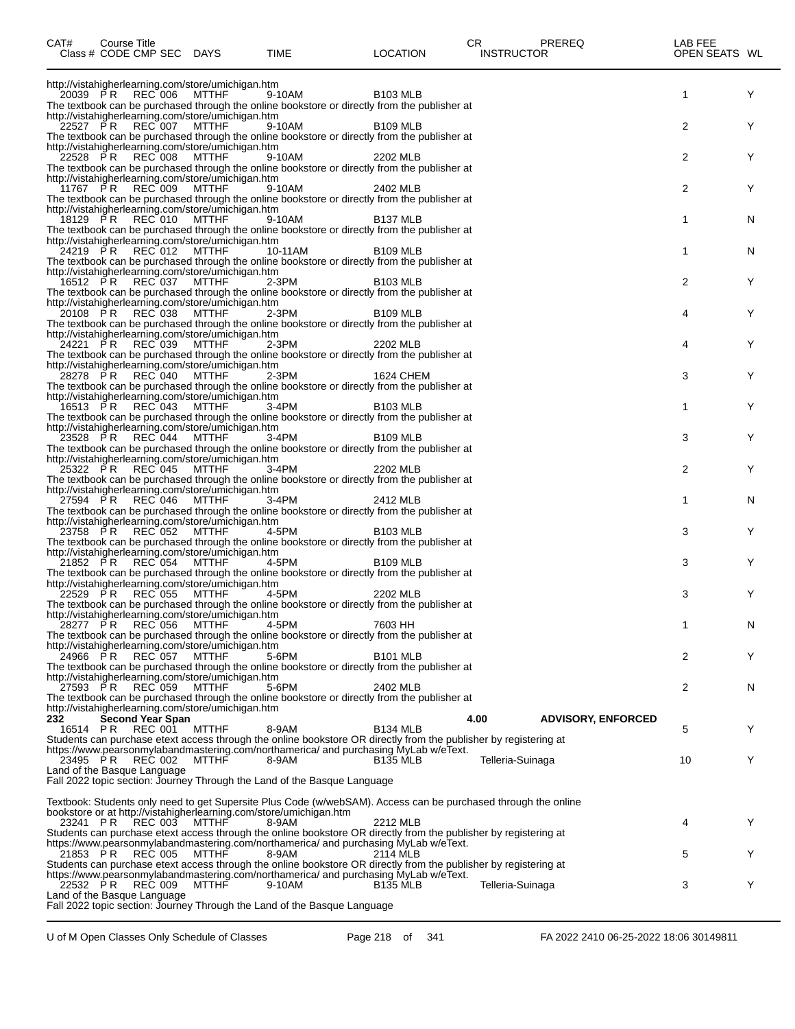| CAT#                                    | Course Title | Class # CODE CMP SEC DAYS   |                                                    | TIME                                                                                                                          | <b>LOCATION</b>      | CR<br><b>INSTRUCTOR</b> | PREREQ                    | LAB FEE<br>OPEN SEATS WL |   |
|-----------------------------------------|--------------|-----------------------------|----------------------------------------------------|-------------------------------------------------------------------------------------------------------------------------------|----------------------|-------------------------|---------------------------|--------------------------|---|
|                                         |              |                             | http://vistahigherlearning.com/store/umichigan.htm |                                                                                                                               |                      |                         |                           |                          |   |
|                                         |              | 20039 PR REC 006 MTTHF      |                                                    | 9-10AM<br>The textbook can be purchased through the online bookstore or directly from the publisher at                        | <b>B103 MLB</b>      |                         |                           | 1                        | Y |
|                                         |              |                             | http://vistahigherlearning.com/store/umichigan.htm |                                                                                                                               |                      |                         |                           |                          |   |
|                                         |              | 22527 PR REC 007 MTTHF      |                                                    | 9-10AM<br>The textbook can be purchased through the online bookstore or directly from the publisher at                        | <b>B109 MLB</b>      |                         |                           | 2                        | Y |
|                                         |              |                             | http://vistahigherlearning.com/store/umichigan.htm |                                                                                                                               |                      |                         |                           |                          |   |
|                                         |              | 22528 PR REC 008 MTTHF      |                                                    | 9-10AM<br>The textbook can be purchased through the online bookstore or directly from the publisher at                        | 2202 MLB             |                         |                           | 2                        | Y |
|                                         |              |                             | http://vistahigherlearning.com/store/umichigan.htm |                                                                                                                               |                      |                         |                           |                          |   |
|                                         |              | 11767 PR REC 009 MTTHF      |                                                    | 9-10AM<br>The textbook can be purchased through the online bookstore or directly from the publisher at                        | 2402 MLB             |                         |                           | 2                        | Y |
|                                         |              |                             | http://vistahigherlearning.com/store/umichigan.htm |                                                                                                                               |                      |                         |                           |                          |   |
|                                         |              | 18129 PR REC 010 MTTHF      |                                                    | 9-10AM<br>The textbook can be purchased through the online bookstore or directly from the publisher at                        | B <sub>137</sub> MLB |                         |                           | 1                        | N |
|                                         |              |                             | http://vistahigherlearning.com/store/umichigan.htm |                                                                                                                               |                      |                         |                           |                          |   |
|                                         |              | 24219 PR REC 012 MTTHF      |                                                    | 10-11AM<br>The textbook can be purchased through the online bookstore or directly from the publisher at                       | <b>B109 MLB</b>      |                         |                           | 1                        | N |
|                                         |              |                             | http://vistahigherlearning.com/store/umichigan.htm |                                                                                                                               |                      |                         |                           |                          |   |
|                                         |              | 16512 PR REC 037 MTTHF      |                                                    | 2-3PM<br>The textbook can be purchased through the online bookstore or directly from the publisher at                         | <b>B103 MLB</b>      |                         |                           | 2                        | Y |
|                                         |              |                             | http://vistahigherlearning.com/store/umichigan.htm |                                                                                                                               |                      |                         |                           |                          |   |
|                                         |              | 20108 PR REC 038 MTTHF      |                                                    | 2-3PM<br>The textbook can be purchased through the online bookstore or directly from the publisher at                         | <b>B109 MLB</b>      |                         |                           | 4                        | Y |
|                                         |              |                             | http://vistahigherlearning.com/store/umichigan.htm |                                                                                                                               |                      |                         |                           |                          |   |
|                                         |              | 24221 PR REC 039 MTTHF      |                                                    | $2-3PM$<br>The textbook can be purchased through the online bookstore or directly from the publisher at                       | 2202 MLB             |                         |                           | 4                        | Y |
|                                         |              |                             | http://vistahigherlearning.com/store/umichigan.htm |                                                                                                                               |                      |                         |                           |                          |   |
|                                         |              | 28278 PR REC 040 MTTHF      |                                                    | 2-3PM<br>The textbook can be purchased through the online bookstore or directly from the publisher at                         | 1624 CHEM            |                         |                           | 3                        | Y |
|                                         |              |                             | http://vistahigherlearning.com/store/umichigan.htm |                                                                                                                               |                      |                         |                           |                          |   |
|                                         |              | 16513 PR REC 043 MTTHF      |                                                    | 3-4PM<br>The textbook can be purchased through the online bookstore or directly from the publisher at                         | B <sub>103</sub> MLB |                         |                           | 1                        | Y |
|                                         |              |                             | http://vistahigherlearning.com/store/umichigan.htm |                                                                                                                               |                      |                         |                           |                          |   |
|                                         |              | 23528 PR REC 044 MTTHF      |                                                    | 3-4PM<br>The textbook can be purchased through the online bookstore or directly from the publisher at                         | <b>B109 MLB</b>      |                         |                           | 3                        | Y |
|                                         |              |                             | http://vistahigherlearning.com/store/umichigan.htm |                                                                                                                               |                      |                         |                           |                          |   |
|                                         |              | 25322 PR REC 045 MTTHF      |                                                    | $3-4PM$<br>The textbook can be purchased through the online bookstore or directly from the publisher at                       | 2202 MLB             |                         |                           | 2                        | Y |
|                                         |              |                             | http://vistahigherlearning.com/store/umichigan.htm |                                                                                                                               |                      |                         |                           |                          |   |
|                                         |              | 27594 PR REC 046 MTTHF      |                                                    | 3-4PM<br>The textbook can be purchased through the online bookstore or directly from the publisher at                         | 2412 MLB             |                         |                           | 1                        | N |
|                                         |              |                             | http://vistahigherlearning.com/store/umichigan.htm |                                                                                                                               |                      |                         |                           |                          |   |
|                                         |              | 23758 PR REC 052 MTTHF      |                                                    | 4-5PM<br>The textbook can be purchased through the online bookstore or directly from the publisher at                         | B <sub>103</sub> MLB |                         |                           | 3                        | Y |
|                                         |              |                             | http://vistahigherlearning.com/store/umichigan.htm |                                                                                                                               |                      |                         |                           |                          |   |
|                                         |              | 21852 PR REC 054 MTTHF      |                                                    | 4-5PM<br>The textbook can be purchased through the online bookstore or directly from the publisher at                         | B <sub>109</sub> MLB |                         |                           | 3                        | Y |
|                                         |              |                             | http://vistahigherlearning.com/store/umichigan.htm |                                                                                                                               |                      |                         |                           |                          |   |
|                                         |              | 22529 PR REC 055 MTTHF      |                                                    | 4-5PM<br>The textbook can be purchased through the online bookstore or directly from the publisher at                         | 2202 MLB             |                         |                           | 3                        | Y |
|                                         |              |                             | http://vistahigherlearning.com/store/umichigan.htm |                                                                                                                               |                      |                         |                           |                          |   |
|                                         |              | 28277 PR REC 056 MTTHF      |                                                    | 4-5PM<br>The textbook can be purchased through the online bookstore or directly from the publisher at                         | 7603 HH              |                         |                           | 1                        | N |
|                                         |              |                             | http://vistahigherlearning.com/store/umichigan.htm |                                                                                                                               |                      |                         |                           |                          |   |
|                                         |              | 24966 PR REC 057            | MTTHF                                              | 5-6PM<br>The textbook can be purchased through the online bookstore or directly from the publisher at                         | <b>B101 MLB</b>      |                         |                           | 2                        | Y |
|                                         |              |                             | http://vistahigherlearning.com/store/umichigan.htm |                                                                                                                               |                      |                         |                           |                          |   |
|                                         |              | 27593 PR REC 059 MTTHF      |                                                    | 5-6PM<br>The textbook can be purchased through the online bookstore or directly from the publisher at                         | 2402 MLB             |                         |                           | 2                        | N |
|                                         |              |                             | http://vistahigherlearning.com/store/umichigan.htm |                                                                                                                               |                      |                         |                           |                          |   |
| 232<br>16514 PR                         |              | Second Year Span<br>REC 001 | <b>MTTHF</b>                                       | 8-9AM                                                                                                                         | <b>B134 MLB</b>      | 4.00                    | <b>ADVISORY, ENFORCED</b> | 5                        | Y |
|                                         |              |                             |                                                    | Students can purchase etext access through the online bookstore OR directly from the publisher by registering at              |                      |                         |                           |                          |   |
| 23495 PR                                |              | REC 002                     | <b>MTTHF</b>                                       | https://www.pearsonmylabandmastering.com/northamerica/ and purchasing MyLab w/eText.<br>8-9AM                                 | <b>B135 MLB</b>      | Telleria-Suinaga        |                           | 10                       | Y |
| Land of the Basque Language             |              |                             |                                                    |                                                                                                                               |                      |                         |                           |                          |   |
|                                         |              |                             |                                                    | Fall 2022 topic section: Journey Through the Land of the Basque Language                                                      |                      |                         |                           |                          |   |
|                                         |              |                             |                                                    | Textbook: Students only need to get Supersite Plus Code (w/webSAM). Access can be purchased through the online                |                      |                         |                           |                          |   |
|                                         |              | REC 003                     | <b>MTTHF</b>                                       | bookstore or at http://vistahigherlearning.com/store/umichigan.htm<br>8-9AM                                                   | 2212 MLB             |                         |                           | 4                        | Y |
| 23241 PR                                |              |                             |                                                    | Students can purchase etext access through the online bookstore OR directly from the publisher by registering at              |                      |                         |                           |                          |   |
|                                         |              |                             |                                                    | https://www.pearsonmylabandmastering.com/northamerica/ and purchasing MyLab w/eText.<br>21853 PR REC 005 MTTHF 8-9AM 2114 MLB |                      |                         |                           |                          |   |
|                                         |              |                             |                                                    | Students can purchase etext access through the online bookstore OR directly from the publisher by registering at              |                      |                         |                           | 5                        | Y |
|                                         |              |                             | <b>MTTHF</b>                                       | https://www.pearsonmylabandmastering.com/northamerica/ and purchasing MyLab w/eText.                                          |                      |                         |                           |                          |   |
| 22532 PR<br>Land of the Basque Language |              | REC 009                     |                                                    | 9-10AM                                                                                                                        | <b>B135 MLB</b>      | Telleria-Suinaga        |                           | 3                        | Y |
|                                         |              |                             |                                                    | Fall 2022 topic section: Journey Through the Land of the Basque Language                                                      |                      |                         |                           |                          |   |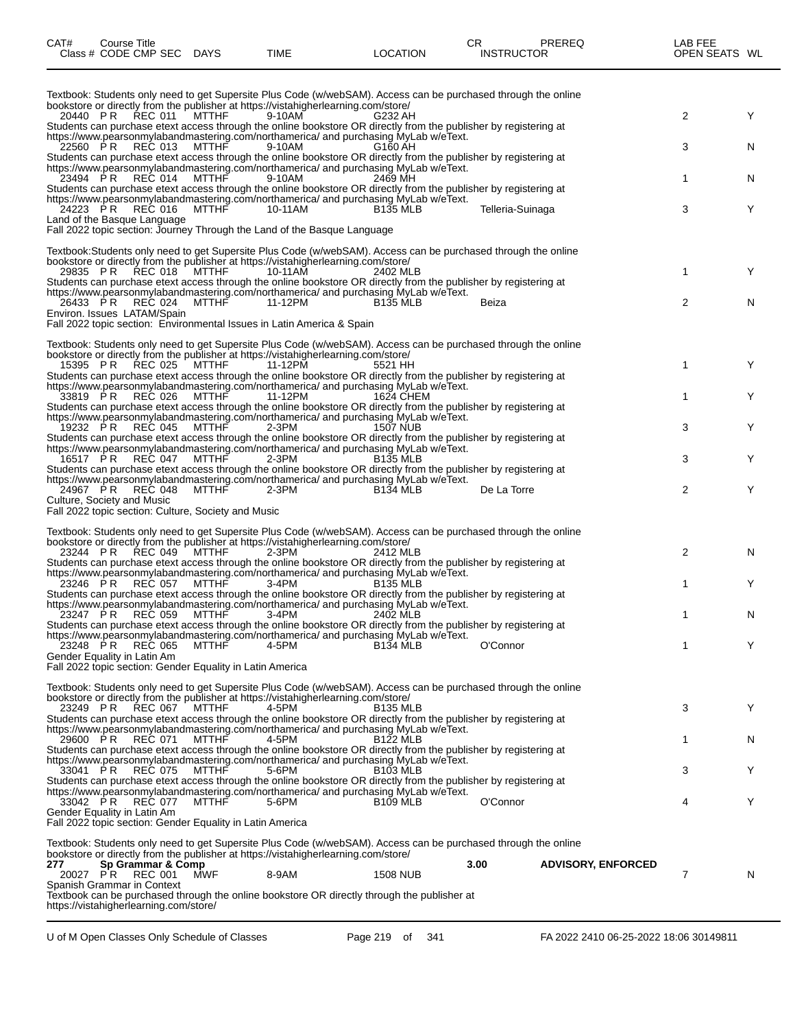| CAT# | Course Title              |      | СR       |                   | PREREQ | ∟AB FEE       |  |
|------|---------------------------|------|----------|-------------------|--------|---------------|--|
|      | Class # CODE CMP SEC DAYS | TIME | LOCATION | <b>INSTRUCTOR</b> |        | OPEN SEATS WL |  |

| Textbook: Students only need to get Supersite Plus Code (w/webSAM). Access can be purchased through the online<br>bookstore or directly from the publisher at https://vistahigherlearning.com/store/<br>20440 PR<br>REC 011<br><b>MTTHF</b><br>9-10AM<br>G232 AH<br>Students can purchase etext access through the online bookstore OR directly from the publisher by registering at | 2 | Υ |
|--------------------------------------------------------------------------------------------------------------------------------------------------------------------------------------------------------------------------------------------------------------------------------------------------------------------------------------------------------------------------------------|---|---|
| https://www.pearsonmylabandmastering.com/northamerica/ and purchasing MyLab w/eText.<br>22560 PR<br>REC 013<br>MTTHF<br>9-10AM<br>G160 AH<br>Students can purchase etext access through the online bookstore OR directly from the publisher by registering at                                                                                                                        | 3 | N |
| https://www.pearsonmylabandmastering.com/northamerica/ and purchasing MyLab w/eText.<br>23494 PR<br>REC 014<br><b>MTTHF</b><br>9-10AM<br>2469 MH<br>Students can purchase etext access through the online bookstore OR directly from the publisher by registering at                                                                                                                 | 1 | N |
| https://www.pearsonmylabandmastering.com/northamerica/ and purchasing MyLab w/eText.<br>24223 PR<br>REC 016<br><b>MTTHF</b><br>10-11AM<br><b>B135 MLB</b><br>Telleria-Suinaga<br>Land of the Basque Language<br>Fall 2022 topic section: Journey Through the Land of the Basque Language                                                                                             | 3 | Υ |
| Textbook:Students only need to get Supersite Plus Code (w/webSAM). Access can be purchased through the online                                                                                                                                                                                                                                                                        |   |   |
| bookstore or directly from the publisher at https://vistahigherlearning.com/store/<br>29835 PR<br>REC 018<br>MTTHF<br>10-11AM<br>2402 MLB<br>Students can purchase etext access through the online bookstore OR directly from the publisher by registering at                                                                                                                        | 1 | Y |
| https://www.pearsonmylabandmastering.com/northamerica/ and purchasing MyLab w/eText.<br>26433 PR<br>REC 024<br><b>MTTHF</b><br>11-12PM<br><b>B135 MLB</b><br>Beiza<br>Environ. Issues LATAM/Spain                                                                                                                                                                                    | 2 | N |
| Fall 2022 topic section: Environmental Issues in Latin America & Spain                                                                                                                                                                                                                                                                                                               |   |   |
| Textbook: Students only need to get Supersite Plus Code (w/webSAM). Access can be purchased through the online<br>bookstore or directly from the publisher at https://vistahigherlearning.com/store/<br>15395 PR<br>REC 025<br>MTTHF<br>11-12PM<br>5521 HH                                                                                                                           | 1 | Υ |
| Students can purchase etext access through the online bookstore OR directly from the publisher by registering at<br>https://www.pearsonmylabandmastering.com/northamerica/ and purchasing MyLab w/eText.<br>33819 PR<br>REC 026<br><b>MTTHF</b><br>11-12PM<br>1624 CHEM                                                                                                              | 1 | Υ |
| Students can purchase etext access through the online bookstore OR directly from the publisher by registering at<br>https://www.pearsonmylabandmastering.com/northamerica/ and purchasing MyLab w/eText.<br>19232 PR<br>REC 045<br><b>MTTHF</b><br>2-3PM<br><b>1507 NUB</b>                                                                                                          | 3 | Υ |
| Students can purchase etext access through the online bookstore OR directly from the publisher by registering at<br>https://www.pearsonmylabandmastering.com/northamerica/ and purchasing MyLab w/eText.<br>16517 PR<br>REC 047<br><b>MTTHF</b><br>2-3PM<br><b>B135 MLB</b>                                                                                                          | 3 | Υ |
| Students can purchase etext access through the online bookstore OR directly from the publisher by registering at<br>https://www.pearsonmylabandmastering.com/northamerica/ and purchasing MyLab w/eText.<br>24967 PR<br>REC 048<br><b>MTTHF</b><br>2-3PM<br>B <sub>134</sub> MLB<br>De La Torre                                                                                      | 2 | Υ |
| Culture, Society and Music<br>Fall 2022 topic section: Culture, Society and Music                                                                                                                                                                                                                                                                                                    |   |   |
| Textbook: Students only need to get Supersite Plus Code (w/webSAM). Access can be purchased through the online                                                                                                                                                                                                                                                                       |   |   |
| bookstore or directly from the publisher at https://vistahigherlearning.com/store/<br><b>REC 049</b><br>23244 PR<br>MTTHF<br>2-3PM<br>2412 MLB<br>Students can purchase etext access through the online bookstore OR directly from the publisher by registering at                                                                                                                   | 2 | N |
| https://www.pearsonmylabandmastering.com/northamerica/ and purchasing MyLab w/eText.<br>23246 PR<br>REC 057<br><b>MTTHF</b><br>3-4PM<br><b>B135 MLB</b><br>Students can purchase etext access through the online bookstore OR directly from the publisher by registering at                                                                                                          | 1 | Y |
| https://www.pearsonmylabandmastering.com/northamerica/ and purchasing MyLab w/eText.<br>23247 PR<br><b>REC 059</b><br><b>MTTHF</b><br>$3-4PM$<br>2402 MLB<br>Students can purchase etext access through the online bookstore OR directly from the publisher by registering at                                                                                                        | 1 | N |
| https://www.pearsonmylabandmastering.com/northamerica/ and purchasing MyLab w/eText.<br>23248 PR<br><b>REC 065</b><br><b>MTTHF</b><br>4-5PM<br><b>B134 MLB</b><br>O'Connor<br>Gender Equality in Latin Am                                                                                                                                                                            | 1 | Υ |
| Fall 2022 topic section: Gender Equality in Latin America                                                                                                                                                                                                                                                                                                                            |   |   |
| Textbook: Students only need to get Supersite Plus Code (w/webSAM). Access can be purchased through the online<br>bookstore or directly from the publisher at https://vistahigherlearning.com/store/                                                                                                                                                                                 |   |   |
| REC 067<br>MTTHF<br>23249 PR<br>4-5PM<br><b>B135 MLB</b><br>Students can purchase etext access through the online bookstore OR directly from the publisher by registering at<br>https://www.pearsonmylabandmastering.com/northamerica/ and purchasing MyLab w/eText.                                                                                                                 | 3 | Y |
| 29600 PR<br>REC 071<br><b>MTTHF</b><br>4-5PM<br><b>B122 MLB</b><br>Students can purchase etext access through the online bookstore OR directly from the publisher by registering at<br>https://www.pearsonmylabandmastering.com/northamerica/ and purchasing MyLab w/eText.                                                                                                          | 1 | N |
| 33041 PR<br>REC 075<br><b>MTTHF</b><br>5-6PM<br><b>B103 MLB</b><br>Students can purchase etext access through the online bookstore OR directly from the publisher by registering at<br>https://www.pearsonmylabandmastering.com/northamerica/ and purchasing MyLab w/eText.                                                                                                          | 3 | Y |
| 33042 PR<br>REC 077<br>MTTHF<br>5-6PM<br><b>B109 MLB</b><br>O'Connor<br>Gender Equality in Latin Am<br>Fall 2022 topic section: Gender Equality in Latin America                                                                                                                                                                                                                     | 4 | Y |
| Textbook: Students only need to get Supersite Plus Code (w/webSAM). Access can be purchased through the online<br>bookstore or directly from the publisher at https://vistahigherlearning.com/store/                                                                                                                                                                                 |   |   |
| 277<br>Sp Grammar & Comp<br>3.00<br><b>ADVISORY, ENFORCED</b><br>20027 PR REC 001<br><b>MWF</b><br>8-9AM<br><b>1508 NUB</b><br>Spanish Grammar in Context                                                                                                                                                                                                                            | 7 | N |
| Textbook can be purchased through the online bookstore OR directly through the publisher at<br>https://vistahigherlearning.com/store/                                                                                                                                                                                                                                                |   |   |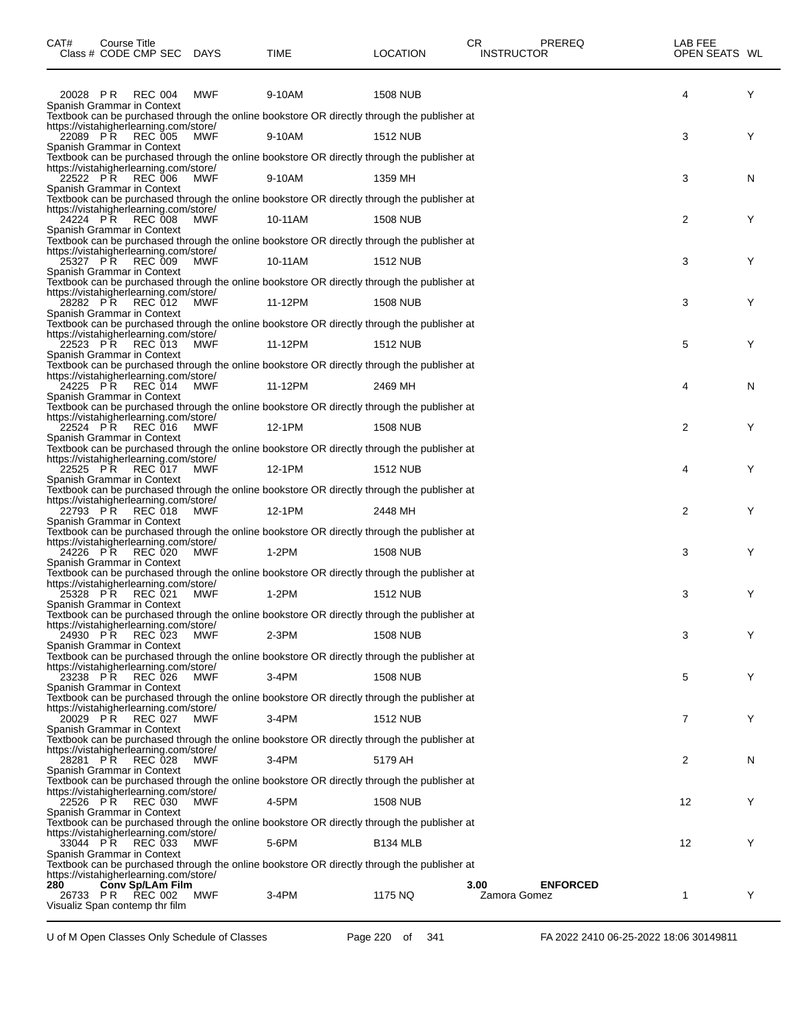| CAT#            | Course Title | Class # CODE CMP SEC DAYS                                  |            | TIME                                                                                        | <b>LOCATION</b> | CR<br>PREREQ<br><b>INSTRUCTOR</b>       | LAB FEE<br>OPEN SEATS WL |   |
|-----------------|--------------|------------------------------------------------------------|------------|---------------------------------------------------------------------------------------------|-----------------|-----------------------------------------|--------------------------|---|
|                 |              | 20028 PR REC 004                                           | MWF        | 9-10AM                                                                                      | <b>1508 NUB</b> |                                         | 4                        | Y |
|                 |              | Spanish Grammar in Context                                 |            | Textbook can be purchased through the online bookstore OR directly through the publisher at |                 |                                         |                          |   |
|                 |              | https://vistahigherlearning.com/store/                     |            |                                                                                             |                 |                                         |                          |   |
| 22089 PR        |              | <b>REC 005</b>                                             | <b>MWF</b> | 9-10AM                                                                                      | 1512 NUB        |                                         | 3                        | Y |
|                 |              | Spanish Grammar in Context                                 |            | Textbook can be purchased through the online bookstore OR directly through the publisher at |                 |                                         |                          |   |
|                 |              | https://vistahigherlearning.com/store/                     |            |                                                                                             |                 |                                         |                          |   |
|                 |              | 22522 PR REC 006                                           | MWF        | 9-10AM                                                                                      | 1359 MH         |                                         | 3                        | N |
|                 |              | Spanish Grammar in Context                                 |            | Textbook can be purchased through the online bookstore OR directly through the publisher at |                 |                                         |                          |   |
|                 |              | https://vistahigherlearning.com/store/                     |            |                                                                                             |                 |                                         |                          |   |
|                 |              | 24224 PR REC 008                                           | <b>MWF</b> | 10-11AM                                                                                     | <b>1508 NUB</b> |                                         | 2                        | Y |
|                 |              | Spanish Grammar in Context                                 |            | Textbook can be purchased through the online bookstore OR directly through the publisher at |                 |                                         |                          |   |
|                 |              | https://vistahigherlearning.com/store/                     |            |                                                                                             |                 |                                         |                          |   |
| 25327 PR        |              | REC 009                                                    | <b>MWF</b> | 10-11AM                                                                                     | <b>1512 NUB</b> |                                         | 3                        | Y |
|                 |              | Spanish Grammar in Context                                 |            | Textbook can be purchased through the online bookstore OR directly through the publisher at |                 |                                         |                          |   |
|                 |              | https://vistahigherlearning.com/store/                     |            |                                                                                             |                 |                                         |                          |   |
|                 |              | 28282 PR REC 012                                           | <b>MWF</b> | 11-12PM                                                                                     | <b>1508 NUB</b> |                                         | 3                        | Y |
|                 |              | Spanish Grammar in Context                                 |            | Textbook can be purchased through the online bookstore OR directly through the publisher at |                 |                                         |                          |   |
|                 |              | https://vistahigherlearning.com/store/                     |            |                                                                                             |                 |                                         |                          |   |
|                 |              | 22523 PR REC 013                                           | MWF        | 11-12PM                                                                                     | 1512 NUB        |                                         | 5                        | Y |
|                 |              | Spanish Grammar in Context                                 |            |                                                                                             |                 |                                         |                          |   |
|                 |              | https://vistahigherlearning.com/store/                     |            | Textbook can be purchased through the online bookstore OR directly through the publisher at |                 |                                         |                          |   |
| 24225 PR        |              | REC 014                                                    | <b>MWF</b> | 11-12PM                                                                                     | 2469 MH         |                                         | 4                        | N |
|                 |              | Spanish Grammar in Context                                 |            |                                                                                             |                 |                                         |                          |   |
|                 |              | https://vistahigherlearning.com/store/                     |            | Textbook can be purchased through the online bookstore OR directly through the publisher at |                 |                                         |                          |   |
|                 |              | 22524 PR REC 016                                           | <b>MWF</b> | 12-1PM                                                                                      | <b>1508 NUB</b> |                                         | 2                        | Y |
|                 |              | Spanish Grammar in Context                                 |            |                                                                                             |                 |                                         |                          |   |
|                 |              | https://vistahigherlearning.com/store/                     |            | Textbook can be purchased through the online bookstore OR directly through the publisher at |                 |                                         |                          |   |
|                 |              | 22525 PR REC 017                                           | MWF        | 12-1PM                                                                                      | 1512 NUB        |                                         | 4                        | Y |
|                 |              | Spanish Grammar in Context                                 |            |                                                                                             |                 |                                         |                          |   |
|                 |              |                                                            |            | Textbook can be purchased through the online bookstore OR directly through the publisher at |                 |                                         |                          |   |
| 22793 PŘ        |              | https://vistahigherlearning.com/store/<br><b>REC 018</b>   | <b>MWF</b> | 12-1PM                                                                                      | 2448 MH         |                                         | 2                        | Y |
|                 |              | Spanish Grammar in Context                                 |            |                                                                                             |                 |                                         |                          |   |
|                 |              |                                                            |            | Textbook can be purchased through the online bookstore OR directly through the publisher at |                 |                                         |                          |   |
|                 |              | https://vistahigherlearning.com/store/<br>24226 PR REC 020 | <b>MWF</b> | 1-2PM                                                                                       | <b>1508 NUB</b> |                                         | 3                        | Y |
|                 |              | Spanish Grammar in Context                                 |            |                                                                                             |                 |                                         |                          |   |
|                 |              |                                                            |            | Textbook can be purchased through the online bookstore OR directly through the publisher at |                 |                                         |                          |   |
|                 |              | https://vistahigherlearning.com/store/<br>25328 PR REC 021 | MWF        | 1-2PM                                                                                       | 1512 NUB        |                                         | 3                        | Y |
|                 |              | Spanish Grammar in Context                                 |            |                                                                                             |                 |                                         |                          |   |
|                 |              |                                                            |            | Textbook can be purchased through the online bookstore OR directly through the publisher at |                 |                                         |                          |   |
| 24930 PR        |              | https://vistahigherlearning.com/store/<br><b>REC 023</b>   | MWF        | 2-3PM                                                                                       | <b>1508 NUB</b> |                                         | 3                        | Y |
|                 |              | Spanish Grammar in Context                                 |            |                                                                                             |                 |                                         |                          |   |
|                 |              |                                                            |            | Textbook can be purchased through the online bookstore OR directly through the publisher at |                 |                                         |                          |   |
| 23238 PR        |              | https://vistahigherlearning.com/store/<br>REC 026          | MWF        | 3-4PM                                                                                       | <b>1508 NUB</b> |                                         | 5                        | Y |
|                 |              | Spanish Grammar in Context                                 |            |                                                                                             |                 |                                         |                          |   |
|                 |              |                                                            |            | Textbook can be purchased through the online bookstore OR directly through the publisher at |                 |                                         |                          |   |
|                 |              | https://vistahigherlearning.com/store/                     | MWF        | 3-4PM                                                                                       | <b>1512 NUB</b> |                                         | $\overline{7}$           | Y |
|                 |              | 20029 PR REC 027<br>Spanish Grammar in Context             |            |                                                                                             |                 |                                         |                          |   |
|                 |              |                                                            |            | Textbook can be purchased through the online bookstore OR directly through the publisher at |                 |                                         |                          |   |
|                 |              | https://vistahigherlearning.com/store/                     |            |                                                                                             |                 |                                         |                          |   |
| 28281 PR        |              | <b>REC 028</b><br>Spanish Grammar in Context               | <b>MWF</b> | 3-4PM                                                                                       | 5179 AH         |                                         | 2                        | N |
|                 |              |                                                            |            | Textbook can be purchased through the online bookstore OR directly through the publisher at |                 |                                         |                          |   |
|                 |              | https://vistahigherlearning.com/store/                     |            |                                                                                             |                 |                                         |                          |   |
| 22526 PR        |              | REC 030<br>Spanish Grammar in Context                      | MWF        | 4-5PM                                                                                       | <b>1508 NUB</b> |                                         | 12                       | Y |
|                 |              |                                                            |            | Textbook can be purchased through the online bookstore OR directly through the publisher at |                 |                                         |                          |   |
|                 |              | https://vistahigherlearning.com/store/                     |            |                                                                                             |                 |                                         |                          |   |
|                 |              | 33044 PR REC 033<br>Spanish Grammar in Context             | MWF        | 5-6PM                                                                                       | <b>B134 MLB</b> |                                         | 12                       | Y |
|                 |              |                                                            |            | Textbook can be purchased through the online bookstore OR directly through the publisher at |                 |                                         |                          |   |
|                 |              | https://vistahigherlearning.com/store/                     |            |                                                                                             |                 |                                         |                          |   |
| 280<br>26733 PR |              | Conv Sp/LAm Film<br>REC 002                                | MWF        | 3-4PM                                                                                       | 1175 NQ         | 3.00<br><b>ENFORCED</b><br>Zamora Gomez | 1                        | Y |
|                 |              | Visualiz Span contemp thr film                             |            |                                                                                             |                 |                                         |                          |   |
|                 |              |                                                            |            |                                                                                             |                 |                                         |                          |   |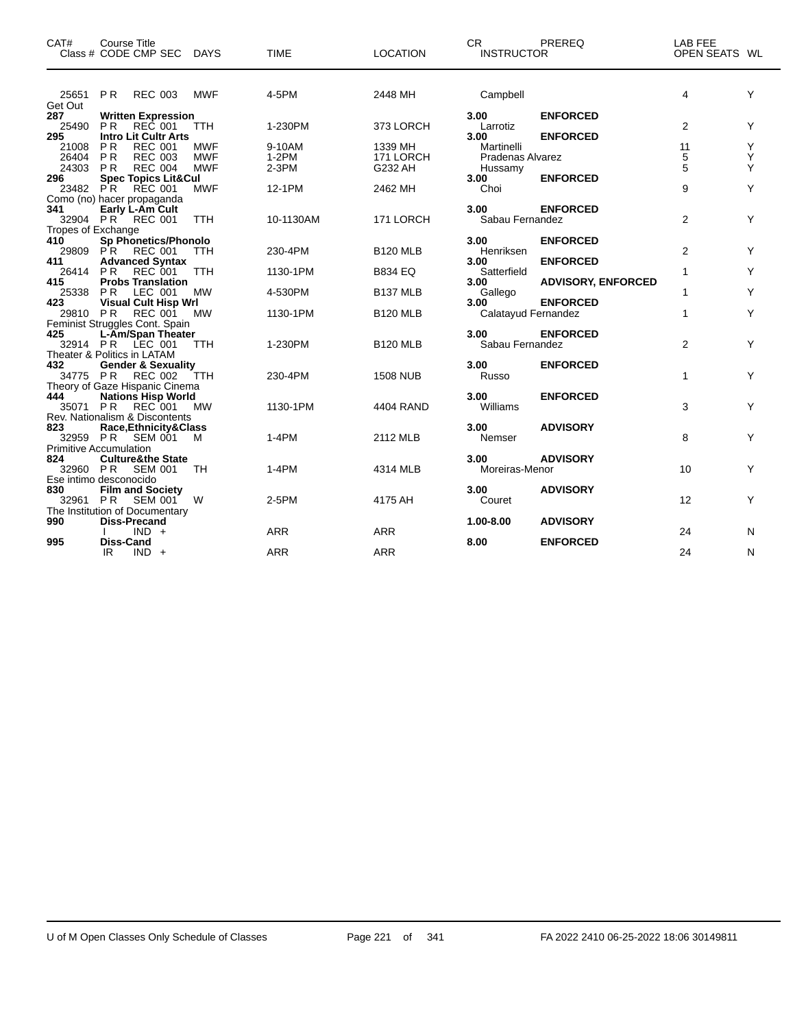| CAT#               | Course Title<br>Class # CODE CMP SEC DAYS |            | <b>TIME</b> | <b>LOCATION</b> | CR.<br><b>INSTRUCTOR</b> | PREREQ                    | LAB FEE<br>OPEN SEATS WL |   |
|--------------------|-------------------------------------------|------------|-------------|-----------------|--------------------------|---------------------------|--------------------------|---|
| 25651 PR           | REC 003                                   | MWF        | 4-5PM       | 2448 MH         | Campbell                 |                           | 4                        | Y |
| Get Out<br>287     | <b>Written Expression</b>                 |            |             |                 | 3.00                     | <b>ENFORCED</b>           |                          |   |
| 25490              | <b>PR</b><br><b>REC 001</b>               | <b>TTH</b> | 1-230PM     | 373 LORCH       | Larrotiz                 |                           | 2                        | Υ |
| 295                | <b>Intro Lit Cultr Arts</b>               |            |             |                 | 3.00                     | <b>ENFORCED</b>           |                          |   |
| 21008              | PR<br><b>REC 001</b>                      | <b>MWF</b> | 9-10AM      | 1339 MH         | Martinelli               |                           | 11                       | Y |
| 26404              | <b>PR</b><br><b>REC 003</b>               | <b>MWF</b> | $1-2PM$     | 171 LORCH       | Pradenas Alvarez         |                           | 5                        | Υ |
| 24303 PR           | <b>REC 004</b>                            | <b>MWF</b> | $2-3PM$     | G232 AH         | Hussamy                  |                           | 5                        | Υ |
| 296                | <b>Spec Topics Lit&amp;Cul</b>            |            |             |                 | 3.00                     | <b>ENFORCED</b>           |                          |   |
| 23482 PR           | <b>REC 001</b>                            | <b>MWF</b> | 12-1PM      | 2462 MH         | Choi                     |                           | 9                        | Υ |
|                    | Como (no) hacer propaganda                |            |             |                 |                          |                           |                          |   |
| 341                | Early L-Am Cult                           |            |             |                 | 3.00                     | <b>ENFORCED</b>           |                          |   |
|                    | 32904 PR REC 001                          | <b>TTH</b> | 10-1130AM   | 171 LORCH       | Sabau Fernandez          |                           | 2                        | Y |
| Tropes of Exchange |                                           |            |             |                 |                          |                           |                          |   |
| 410                | Sp Phonetics/Phonolo                      |            |             |                 | 3.00                     | <b>ENFORCED</b>           |                          |   |
| 29809 PR           | <b>REC 001</b>                            | <b>TTH</b> | 230-4PM     | <b>B120 MLB</b> | Henriksen                |                           | 2                        | Y |
| 411                | <b>Advanced Syntax</b>                    |            |             |                 | 3.00                     | <b>ENFORCED</b>           |                          |   |
| 26414              | REC 001<br>PR.                            | <b>TTH</b> | 1130-1PM    | <b>B834 EQ</b>  | Satterfield              |                           | 1                        | Y |
| 415                | <b>Probs Translation</b>                  |            |             |                 | 3.00                     | <b>ADVISORY, ENFORCED</b> |                          |   |
| 25338              | LEC 001<br>PR                             | <b>MW</b>  | 4-530PM     | <b>B137 MLB</b> | Gallego                  |                           | 1                        | Y |
| 423                | <b>Visual Cult Hisp Wrl</b>               |            |             |                 | 3.00                     | <b>ENFORCED</b>           |                          |   |
| 29810 PR           | <b>REC 001</b>                            | <b>MW</b>  | 1130-1PM    | <b>B120 MLB</b> | Calatayud Fernandez      |                           | 1                        | Y |
| 425                | Feminist Struggles Cont. Spain            |            |             |                 | 3.00                     | <b>ENFORCED</b>           |                          |   |
|                    | L-Am/Span Theater<br>32914 PR LEC 001     |            |             | <b>B120 MLB</b> | Sabau Fernandez          |                           |                          | Y |
|                    | Theater & Politics in LATAM               | <b>TTH</b> | 1-230PM     |                 |                          |                           | 2                        |   |
| 432                | <b>Gender &amp; Sexuality</b>             |            |             |                 | 3.00                     | <b>ENFORCED</b>           |                          |   |
|                    | 34775 PR REC 002                          | TTH        | 230-4PM     | <b>1508 NUB</b> | Russo                    |                           | $\mathbf{1}$             | Y |
|                    | Theory of Gaze Hispanic Cinema            |            |             |                 |                          |                           |                          |   |
| 444                | <b>Nations Hisp World</b>                 |            |             |                 | 3.00                     | <b>ENFORCED</b>           |                          |   |
| 35071 PR           | REC 001                                   | MW         | 1130-1PM    | 4404 RAND       | Williams                 |                           | 3                        | Y |
|                    | Rev. Nationalism & Discontents            |            |             |                 |                          |                           |                          |   |
| 823                | Race, Ethnicity & Class                   |            |             |                 | 3.00                     | <b>ADVISORY</b>           |                          |   |
|                    | 32959 PR SEM 001                          | м          | $1-4PM$     | 2112 MLB        | Nemser                   |                           | 8                        | Y |
|                    | <b>Primitive Accumulation</b>             |            |             |                 |                          |                           |                          |   |
| 824                | <b>Culture&amp;the State</b>              |            |             |                 | 3.00                     | <b>ADVISORY</b>           |                          |   |
|                    | 32960 PR SEM 001                          | TH         | $1-4PM$     | 4314 MLB        | Moreiras-Menor           |                           | 10                       | Y |
|                    | Ese intimo desconocido                    |            |             |                 |                          |                           |                          |   |
| 830                | <b>Film and Society</b>                   |            |             |                 | 3.00                     | <b>ADVISORY</b>           |                          |   |
| 32961 PR           | <b>SEM 001</b>                            | W          | $2-5PM$     | 4175 AH         | Couret                   |                           | 12                       | Y |
|                    | The Institution of Documentary            |            |             |                 |                          |                           |                          |   |
| 990                | <b>Diss-Precand</b>                       |            |             |                 | 1.00-8.00                | <b>ADVISORY</b>           |                          |   |
|                    | $IND +$                                   |            | <b>ARR</b>  | <b>ARR</b>      |                          |                           | 24                       | N |
| 995                | <b>Diss-Cand</b>                          |            |             |                 | 8.00                     | <b>ENFORCED</b>           |                          |   |
|                    | IR<br>$IND +$                             |            | <b>ARR</b>  | <b>ARR</b>      |                          |                           | 24                       | N |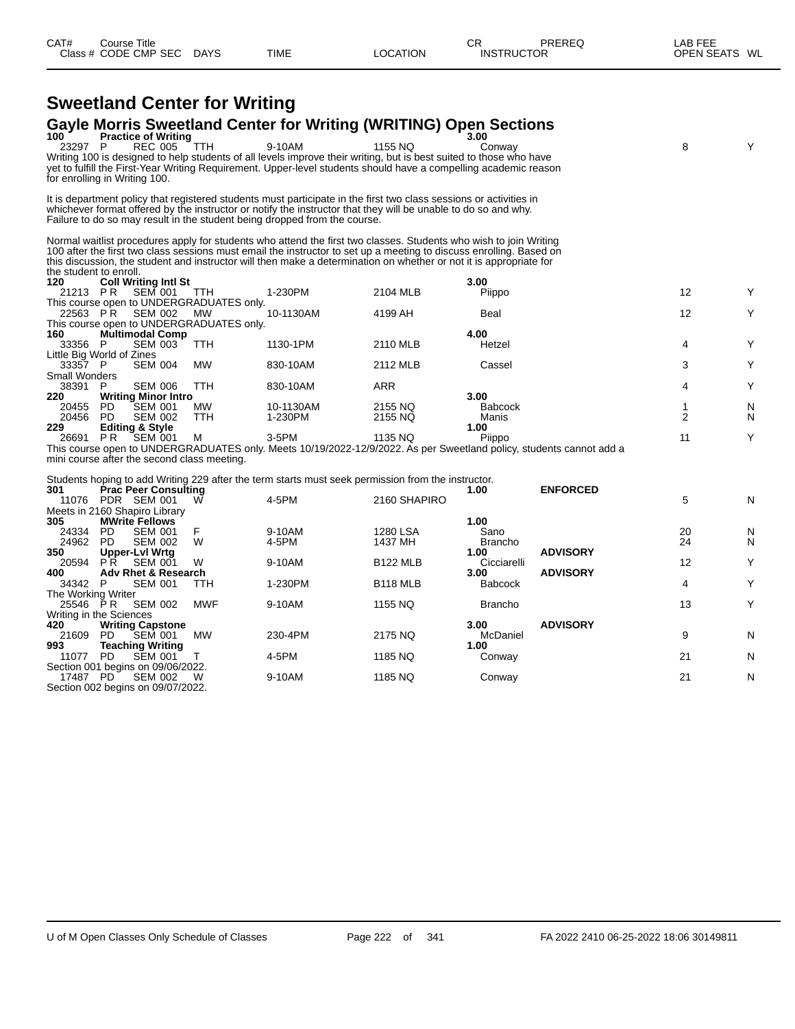# **Sweetland Center for Writing**

## **Gayle Morris Sweetland Center for Writing (WRITING) Open Sections 100 Practice of Writing 3.00**

| 100                             |     | <b>Practice of Writing</b>  |                                          |                                                                                                                     |          | 3.00                                                                                                                |                |   |
|---------------------------------|-----|-----------------------------|------------------------------------------|---------------------------------------------------------------------------------------------------------------------|----------|---------------------------------------------------------------------------------------------------------------------|----------------|---|
| 23297                           | P   | REC 005 TTH                 |                                          | 9-10AM                                                                                                              | 1155 NQ  | Conway                                                                                                              | 8              | Y |
|                                 |     |                             |                                          | Writing 100 is designed to help students of all levels improve their writing, but is best suited to those who have  |          |                                                                                                                     |                |   |
|                                 |     |                             |                                          | yet to fulfill the First-Year Writing Requirement. Upper-level students should have a compelling academic reason    |          |                                                                                                                     |                |   |
| for enrolling in Writing 100.   |     |                             |                                          |                                                                                                                     |          |                                                                                                                     |                |   |
|                                 |     |                             |                                          | It is department policy that registered students must participate in the first two class sessions or activities in  |          |                                                                                                                     |                |   |
|                                 |     |                             |                                          | whichever format offered by the instructor or notify the instructor that they will be unable to do so and why.      |          |                                                                                                                     |                |   |
|                                 |     |                             |                                          | Failure to do so may result in the student being dropped from the course.                                           |          |                                                                                                                     |                |   |
|                                 |     |                             |                                          |                                                                                                                     |          |                                                                                                                     |                |   |
|                                 |     |                             |                                          | Normal waitlist procedures apply for students who attend the first two classes. Students who wish to join Writing   |          |                                                                                                                     |                |   |
|                                 |     |                             |                                          | 100 after the first two class sessions must email the instructor to set up a meeting to discuss enrolling. Based on |          |                                                                                                                     |                |   |
|                                 |     |                             |                                          | this discussion, the student and instructor will then make a determination on whether or not it is appropriate for  |          |                                                                                                                     |                |   |
| the student to enroll.          |     |                             |                                          |                                                                                                                     |          |                                                                                                                     |                |   |
| 120                             |     | <b>Coll Writing Intl St</b> |                                          |                                                                                                                     |          | 3.00                                                                                                                |                |   |
| 21213 PR                        |     | <b>SEM 001</b>              | <b>TTH</b>                               | 1-230PM                                                                                                             | 2104 MLB | Piippo                                                                                                              | 12             | Y |
|                                 |     |                             | This course open to UNDERGRADUATES only. |                                                                                                                     |          |                                                                                                                     |                |   |
| 22563 PR                        |     | SEM 002                     | MW                                       | 10-1130AM                                                                                                           | 4199 AH  | Beal                                                                                                                | 12             | Y |
|                                 |     |                             | This course open to UNDERGRADUATES only. |                                                                                                                     |          |                                                                                                                     |                |   |
| 160                             |     | <b>Multimodal Comp</b>      |                                          |                                                                                                                     |          | 4.00                                                                                                                |                |   |
| 33356                           | P.  | <b>SEM 003</b>              | <b>TTH</b>                               | 1130-1PM                                                                                                            | 2110 MLB | Hetzel                                                                                                              | 4              | Y |
| Little Big World of Zines       |     |                             |                                          |                                                                                                                     |          |                                                                                                                     | 3              | Y |
| 33357 P<br><b>Small Wonders</b> |     | SEM 004                     | <b>MW</b>                                | 830-10AM                                                                                                            | 2112 MLB | Cassel                                                                                                              |                |   |
| 38391                           | P   | <b>SEM 006</b>              | <b>TTH</b>                               | 830-10AM                                                                                                            | ARR      |                                                                                                                     | 4              | Y |
| 220                             |     | <b>Writing Minor Intro</b>  |                                          |                                                                                                                     |          | 3.00                                                                                                                |                |   |
| 20455                           | PD. | <b>SEM 001</b>              | MW.                                      | 10-1130AM                                                                                                           | 2155 NQ  | <b>Babcock</b>                                                                                                      |                | N |
| 20456                           | PD. | <b>SEM 002</b>              | <b>TTH</b>                               | 1-230PM                                                                                                             | 2155 NQ  | Manis                                                                                                               | $\overline{2}$ | N |
| 229                             |     | <b>Editing &amp; Style</b>  |                                          |                                                                                                                     |          | 1.00                                                                                                                |                |   |
| 26691                           | PR  | <b>SEM 001</b>              | м                                        | $3-5$ PM                                                                                                            | 1135 NQ  | Piippo                                                                                                              | 11             | Y |
|                                 |     |                             |                                          |                                                                                                                     |          | This course open to UNDERGRADUATES only. Meets 10/19/2022-12/9/2022. As per Sweetland policy, students cannot add a |                |   |
|                                 |     |                             |                                          |                                                                                                                     |          |                                                                                                                     |                |   |

mini course after the second class meeting.

Students hoping to add Writing 229 after the term starts must seek permission from the instructor.

| 301                     |            | <b>Prac Peer Consulting</b>       |            |         |                 | 1.00           | <b>ENFORCED</b> |    |   |
|-------------------------|------------|-----------------------------------|------------|---------|-----------------|----------------|-----------------|----|---|
| 11076                   | <b>PDR</b> | <b>SEM 001</b>                    | W          | 4-5PM   | 2160 SHAPIRO    |                |                 | 5  | N |
|                         |            | Meets in 2160 Shapiro Library     |            |         |                 |                |                 |    |   |
| 305                     |            | <b>MWrite Fellows</b>             |            |         |                 | 1.00           |                 |    |   |
| 24334                   | PD.        | <b>SEM 001</b>                    |            | 9-10AM  | 1280 LSA        | Sano           |                 | 20 | N |
| 24962                   | PD.        | <b>SEM 002</b>                    | W          | 4-5PM   | 1437 MH         | <b>Brancho</b> |                 | 24 | N |
| 350                     |            | <b>Upper-Lvl Wrtg</b>             |            |         |                 | 1.00           | <b>ADVISORY</b> |    |   |
| 20594                   | PR.        | <b>SEM 001</b>                    | W          | 9-10AM  | <b>B122 MLB</b> | Cicciarelli    |                 | 12 | Y |
| 400                     |            | <b>Adv Rhet &amp; Research</b>    |            |         |                 | 3.00           | <b>ADVISORY</b> |    |   |
| 34342                   | P.         | <b>SEM 001</b>                    | ттн        | 1-230PM | <b>B118 MLB</b> | <b>Babcock</b> |                 | 4  | Y |
| The Working Writer      |            |                                   |            |         |                 |                |                 |    |   |
| 25546 PR                |            | <b>SEM 002</b>                    | <b>MWF</b> | 9-10AM  | 1155 NQ         | <b>Brancho</b> |                 | 13 | Y |
| Writing in the Sciences |            |                                   |            |         |                 |                |                 |    |   |
| 420                     |            | <b>Writing Capstone</b>           |            |         |                 | 3.00           | <b>ADVISORY</b> |    |   |
| 21609                   | PD.        | <b>SEM 001</b>                    | <b>MW</b>  | 230-4PM | 2175 NQ         | McDaniel       |                 | 9  | N |
| 993                     |            | <b>Teaching Writing</b>           |            |         |                 | 1.00           |                 |    |   |
| 11077                   | PD.        | <b>SEM 001</b>                    |            | 4-5PM   | 1185 NQ         | Conway         |                 | 21 | N |
|                         |            | Section 001 begins on 09/06/2022. |            |         |                 |                |                 |    |   |
| 17487                   | PD.        | <b>SEM 002</b>                    | W          | 9-10AM  | 1185 NQ         | Conway         |                 | 21 | N |
|                         |            | Section 002 begins on 09/07/2022. |            |         |                 |                |                 |    |   |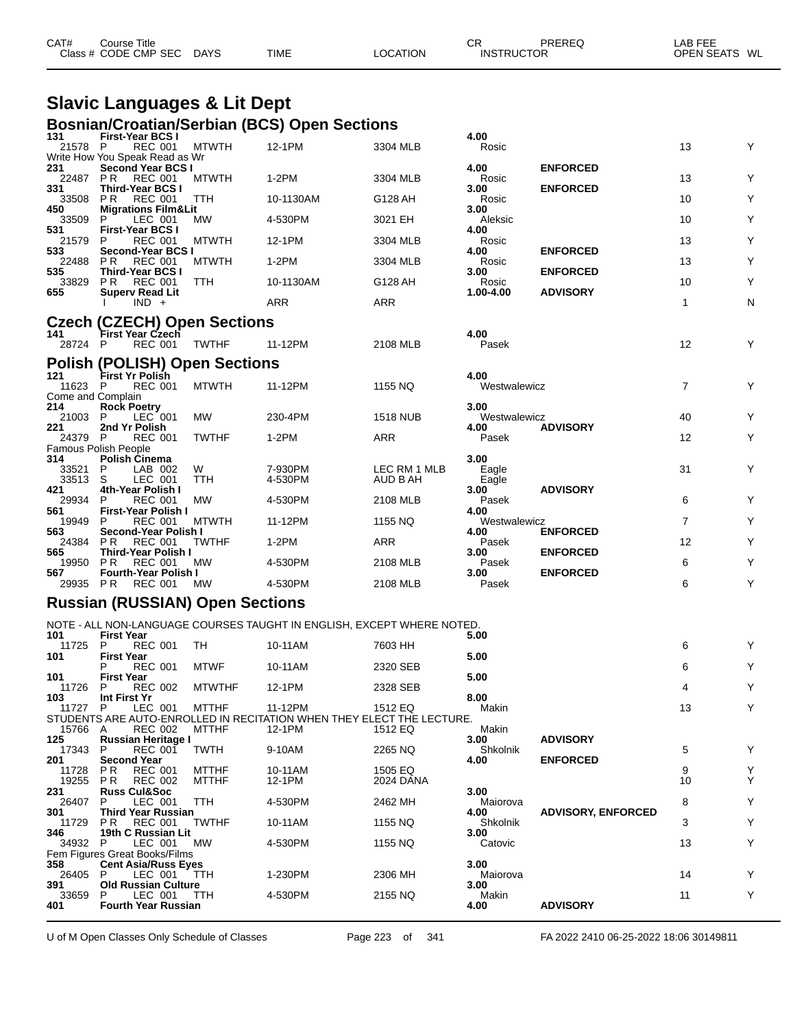| CAT# | Title<br>Course      |             |             |          | СF                | PREREC | <b>LAB FEE</b>          |
|------|----------------------|-------------|-------------|----------|-------------------|--------|-------------------------|
|      | Class # CODE CMP SEC | <b>DAYS</b> | <b>TIME</b> | LOCATION | <b>INSTRUCTOR</b> |        | <b>OPEN SEATS</b><br>WL |

#### **Slavic Languages & Lit Dept Bosnian/Croatian/Serbian (BCS) Open Sections**

| 131                          | <b>First-Year BCS I</b>                                         |               | 203111011/01 0011011/001 DIGIT (DOO) OPCH OCCHONS                               |                 | 4.00                 |                           |                |   |
|------------------------------|-----------------------------------------------------------------|---------------|---------------------------------------------------------------------------------|-----------------|----------------------|---------------------------|----------------|---|
| 21578 P                      | <b>REC 001</b>                                                  | MTWTH         | 12-1PM                                                                          | 3304 MLB        | Rosic                |                           | 13             | Y |
| 231                          | Write How You Speak Read as Wr<br>Second Year BCS I             |               |                                                                                 |                 | 4.00                 | <b>ENFORCED</b>           |                |   |
| 22487                        | PR.<br><b>REC 001</b>                                           | <b>MTWTH</b>  | $1-2PM$                                                                         | 3304 MLB        | Rosic                |                           | 13             | Υ |
| 331<br>33508                 | <b>Third-Year BCS I</b><br><b>REC 001</b><br>P R                | <b>TTH</b>    | 10-1130AM                                                                       | G128 AH         | 3.00<br>Rosic        | <b>ENFORCED</b>           | 10             | Υ |
| 450                          | <b>Migrations Film&amp;Lit</b>                                  |               |                                                                                 |                 | 3.00                 |                           |                |   |
| 33509<br>531                 | LEC 001<br>P.<br><b>First-Year BCS I</b>                        | МW            | 4-530PM                                                                         | 3021 EH         | Aleksic<br>4.00      |                           | 10             | Υ |
| 21579                        | <b>REC 001</b><br>P                                             | <b>MTWTH</b>  | 12-1PM                                                                          | 3304 MLB        | Rosic                |                           | 13             | Y |
| 533<br>22488                 | Second-Year BCS I<br>P R<br>REC 001                             | <b>MTWTH</b>  | 1-2PM                                                                           | 3304 MLB        | 4.00<br>Rosic        | <b>ENFORCED</b>           | 13             | Υ |
| 535<br>33829                 | <b>Third-Year BCS I</b><br>P <sub>R</sub><br><b>REC 001</b>     | TTH           | 10-1130AM                                                                       | G128 AH         | 3.00<br>Rosic        | <b>ENFORCED</b>           | 10             | Y |
| 655                          | <b>Superv Read Lit</b>                                          |               |                                                                                 |                 | 1.00-4.00            | <b>ADVISORY</b>           |                |   |
|                              | $IND +$                                                         |               | ARR                                                                             | ARR             |                      |                           | $\mathbf{1}$   | N |
|                              | <b>Czech (CZECH) Open Sections</b>                              |               |                                                                                 |                 |                      |                           |                |   |
| 141<br>28724 P               | <b>First Year Czech</b><br>REC 001                              | <b>TWTHF</b>  | 11-12PM                                                                         | 2108 MLB        | 4.00<br>Pasek        |                           | 12             | Y |
|                              | <b>Polish (POLISH) Open Sections</b>                            |               |                                                                                 |                 |                      |                           |                |   |
| 121                          | <b>First Yr Polish</b>                                          |               |                                                                                 |                 | 4.00                 |                           |                |   |
| 11623 P<br>Come and Complain | <b>REC 001</b>                                                  | <b>MTWTH</b>  | 11-12PM                                                                         | 1155 NQ         | Westwalewicz         |                           | 7              | Y |
| 214                          | <b>Rock Poetry</b>                                              |               |                                                                                 |                 | 3.00                 |                           |                |   |
| 21003<br>221                 | P<br>LEC 001<br>2nd Yr Polish                                   | МW            | 230-4PM                                                                         | <b>1518 NUB</b> | Westwalewicz<br>4.00 | <b>ADVISORY</b>           | 40             | Υ |
| 24379 P                      | <b>REC 001</b>                                                  | <b>TWTHF</b>  | $1-2PM$                                                                         | ARR             | Pasek                |                           | 12             | Y |
| 314                          | <b>Famous Polish People</b><br>Polish Cinema                    |               |                                                                                 |                 | 3.00                 |                           |                |   |
| 33521                        | LAB 002<br>P                                                    | W             | 7-930PM                                                                         | LEC RM 1 MLB    | Eagle                |                           | 31             | Y |
| 33513<br>421                 | S<br>LEC 001<br>4th-Year Polish I                               | TTH           | 4-530PM                                                                         | AUD B AH        | Eagle<br>3.00        | <b>ADVISORY</b>           |                |   |
| 29934<br>561                 | <b>REC 001</b><br>P                                             | MW            | 4-530PM                                                                         | 2108 MLB        | Pasek                |                           | 6              | Υ |
| 19949                        | <b>First-Year Polish I</b><br><b>REC 001</b><br>P               | <b>MTWTH</b>  | 11-12PM                                                                         | 1155 NQ         | 4.00<br>Westwalewicz |                           | $\overline{7}$ | Y |
| 563<br>24384                 | Second-Year Polish I<br>P R<br>REC 001                          | <b>TWTHF</b>  | 1-2PM                                                                           | <b>ARR</b>      | 4.00<br>Pasek        | <b>ENFORCED</b>           | 12             | Υ |
| 565                          | <b>Third-Year Polish I</b>                                      |               |                                                                                 |                 | 3.00                 | <b>ENFORCED</b>           |                |   |
| 19950<br>567                 | P <sub>R</sub><br><b>REC 001</b><br><b>Fourth-Year Polish I</b> | МW            | 4-530PM                                                                         | 2108 MLB        | Pasek<br>3.00        | <b>ENFORCED</b>           | 6              | Υ |
| 29935 PR                     | <b>REC 001</b>                                                  | МW            | 4-530PM                                                                         | 2108 MLB        | Pasek                |                           | 6              | Y |
|                              | <b>Russian (RUSSIAN) Open Sections</b>                          |               |                                                                                 |                 |                      |                           |                |   |
|                              |                                                                 |               | NOTE - ALL NON-LANGUAGE COURSES TAUGHT IN ENGLISH, EXCEPT WHERE NOTED.          |                 |                      |                           |                |   |
| 101<br>11725                 | <b>First Year</b><br>P<br><b>REC 001</b>                        | TH            | 10-11AM                                                                         | 7603 HH         | 5.00                 |                           | 6              | Y |
| 101                          | <b>First Year</b>                                               |               |                                                                                 |                 | 5.00                 |                           |                |   |
| 101                          | <b>REC 001</b><br><b>First Year</b>                             | <b>MTWF</b>   | 10-11AM                                                                         | 2320 SEB        | 5.00                 |                           | 6              | Y |
| 11726<br>103                 | <b>REC 002</b><br>P<br>Int First Yr                             | <b>MTWTHF</b> | 12-1PM                                                                          | 2328 SEB        | 8.00                 |                           | 4              | Υ |
| 11727                        | P<br>LEC 001                                                    | <b>MTTHF</b>  | 11-12PM                                                                         | 1512 EQ         | Makin                |                           | 13             | Y |
| 15766 A                      | REC 002                                                         | <b>MTTHF</b>  | STUDENTS ARE AUTO-ENROLLED IN RECITATION WHEN THEY ELECT THE LECTURE.<br>12-1PM | 1512 EQ         | Makin                |                           |                |   |
| 125                          | Russian Heritage I                                              |               |                                                                                 |                 | 3.00                 | <b>ADVISORY</b>           |                |   |
| 17343<br>201                 | <b>REC 001</b><br>P<br><b>Second Year</b>                       | <b>TWTH</b>   | 9-10AM                                                                          | 2265 NQ         | Shkolnik<br>4.00     | <b>ENFORCED</b>           | 5              | Y |
| 11728                        | P R<br><b>REC 001</b>                                           | <b>MTTHF</b>  | 10-11AM                                                                         | 1505 EQ         |                      |                           | 9              | Y |
| 19255<br>231                 | <b>REC 002</b><br>P R<br><b>Russ Cul&amp;Soc</b>                | <b>MTTHF</b>  | 12-1PM                                                                          | 2024 DANA       | 3.00                 |                           | 10             | Υ |
| 26407                        | P<br>LEC 001                                                    | TTH           | 4-530PM                                                                         | 2462 MH         | Maiorova             |                           | 8              | Y |
| 301<br>11729                 | <b>Third Year Russian</b><br>REC 001<br>PR.                     | <b>TWTHF</b>  | 10-11AM                                                                         | 1155 NQ         | 4.00<br>Shkolnik     | <b>ADVISORY, ENFORCED</b> | 3              | Υ |
| 346<br>34932 P               | 19th C Russian Lit<br>LEC 001                                   | <b>MW</b>     | 4-530PM                                                                         | 1155 NQ         | 3.00<br>Catovic      |                           | 13             | Y |
|                              | Fem Figures Great Books/Films                                   |               |                                                                                 |                 |                      |                           |                |   |
| 358<br>26405                 | <b>Cent Asia/Russ Eyes</b><br>LEC 001<br>P                      | TTH           | 1-230PM                                                                         | 2306 MH         | 3.00<br>Maiorova     |                           | 14             | Y |
| 391                          | <b>Old Russian Culture</b>                                      |               |                                                                                 |                 | 3.00                 |                           |                |   |
| 33659<br>401                 | P<br>LEC 001<br><b>Fourth Year Russian</b>                      | TTH           | 4-530PM                                                                         | 2155 NQ         | Makin<br>4.00        | <b>ADVISORY</b>           | 11             | Y |
|                              |                                                                 |               |                                                                                 |                 |                      |                           |                |   |

U of M Open Classes Only Schedule of Classes Page 223 of 341 FA 2022 2410 06-25-2022 18:06 30149811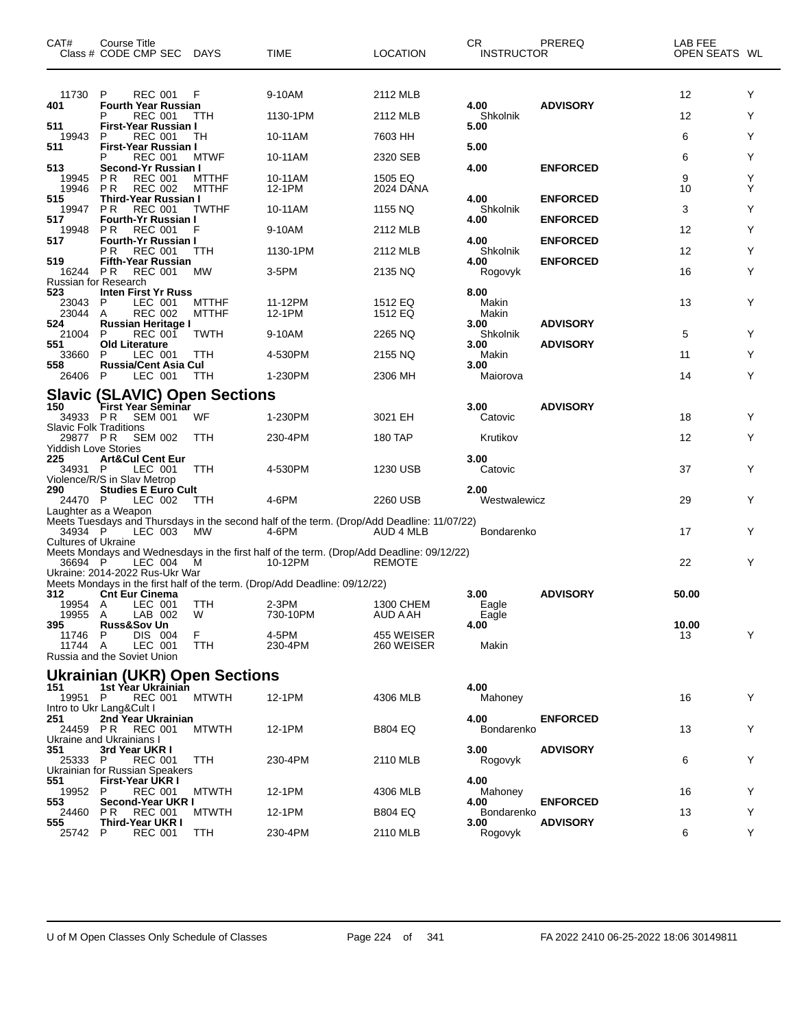| CAT#                                          | Course Title<br>Class # CODE CMP SEC DAYS                                                        |                              | TIME                                                                                                 | <b>LOCATION</b>                      | CR.<br><b>INSTRUCTOR</b>          | PREREQ                             | LAB FEE<br>OPEN SEATS WL |        |
|-----------------------------------------------|--------------------------------------------------------------------------------------------------|------------------------------|------------------------------------------------------------------------------------------------------|--------------------------------------|-----------------------------------|------------------------------------|--------------------------|--------|
| 11730<br>401                                  | <b>REC 001</b><br>P<br><b>Fourth Year Russian</b><br><b>REC 001</b><br>P                         | F<br><b>TTH</b>              | 9-10AM<br>1130-1PM                                                                                   | 2112 MLB<br>2112 MLB                 | 4.00<br>Shkolnik                  | <b>ADVISORY</b>                    | 12<br>12                 | Y<br>Y |
| 511<br>19943<br>511                           | First-Year Russian I<br>P<br><b>REC 001</b><br>First-Year Russian I                              | TН                           | 10-11AM                                                                                              | 7603 HH                              | 5.00<br>5.00                      |                                    | 6                        | Y      |
| 513<br>19945                                  | <b>REC 001</b><br>P<br>Second-Yr Russian I<br><b>REC 001</b><br>P R                              | <b>MTWF</b><br><b>MTTHF</b>  | 10-11AM<br>10-11AM                                                                                   | 2320 SEB<br>1505 EQ                  | 4.00                              | <b>ENFORCED</b>                    | 6<br>9                   | Y<br>Υ |
| 19946<br>515<br>19947                         | <b>REC 002</b><br>P R<br>Third-Year Russian I<br>P R<br><b>REC 001</b>                           | <b>MTTHF</b><br><b>TWTHF</b> | 12-1PM<br>10-11AM                                                                                    | 2024 DANA<br>1155 NQ                 | 4.00<br>Shkolnik                  | <b>ENFORCED</b>                    | 10<br>3                  | Υ<br>Y |
| 517<br>19948                                  | <b>Fourth-Yr Russian I</b><br>P R<br><b>REC 001</b>                                              | F                            | 9-10AM                                                                                               | 2112 MLB                             | 4.00                              | <b>ENFORCED</b>                    | 12                       | Υ      |
| 517<br>519                                    | <b>Fourth-Yr Russian I</b><br>REC 001<br>P R<br><b>Fifth-Year Russian</b>                        | <b>TTH</b>                   | 1130-1PM                                                                                             | 2112 MLB                             | 4.00<br>Shkolnik<br>4.00          | <b>ENFORCED</b><br><b>ENFORCED</b> | 12                       | Y      |
| 16244 PR<br>523<br>23043                      | <b>REC 001</b><br>Russian for Research<br><b>Inten First Yr Russ</b><br>LEC 001<br>P             | <b>MW</b><br><b>MTTHF</b>    | 3-5PM<br>11-12PM                                                                                     | 2135 NQ<br>1512 EQ                   | Rogovyk<br>8.00<br>Makin          |                                    | 16<br>13                 | Y<br>Y |
| 23044<br>524<br>21004<br>551                  | <b>REC 002</b><br>A<br><b>Russian Heritage I</b><br><b>REC 001</b><br>P<br><b>Old Literature</b> | <b>MTTHF</b><br><b>TWTH</b>  | 12-1PM<br>9-10AM                                                                                     | 1512 EQ<br>2265 NQ                   | Makin<br>3.00<br>Shkolnik         | <b>ADVISORY</b><br><b>ADVISORY</b> | 5                        | Y      |
| 33660<br>558<br>26406                         | P<br>LEC 001<br><b>Russia/Cent Asia Cul</b><br>LEC 001<br>P                                      | TTH<br>TTH                   | 4-530PM<br>1-230PM                                                                                   | 2155 NQ<br>2306 MH                   | 3.00<br>Makin<br>3.00<br>Maiorova |                                    | 11<br>14                 | Y<br>Υ |
| 150                                           | <b>Slavic (SLAVIC) Open Sections</b><br>First Year Seminar                                       |                              |                                                                                                      |                                      | 3.00                              | <b>ADVISORY</b>                    |                          |        |
| <b>Slavic Folk Traditions</b><br>29877 PR     | 34933 PR SEM 001<br><b>SEM 002</b>                                                               | WF<br>TTH                    | 1-230PM<br>230-4PM                                                                                   | 3021 EH<br>180 TAP                   | Catovic<br>Krutikov               |                                    | 18<br>12                 | Y<br>Y |
| <b>Yiddish Love Stories</b><br>225<br>34931 P | <b>Art&amp;Cul Cent Eur</b><br>LEC 001<br>Violence/R/S in Slav Metrop                            | TTH                          | 4-530PM                                                                                              | 1230 USB                             | 3.00<br>Catovic                   |                                    | 37                       | Y      |
| 290<br>24470 P                                | <b>Studies E Euro Cult</b><br>LEC 002<br>Laughter as a Weapon                                    | TTH                          | 4-6PM                                                                                                | 2260 USB                             | 2.00<br>Westwalewicz              |                                    | 29                       | Y      |
| 34934 P<br><b>Cultures of Ukraine</b>         | LEC 003 MW                                                                                       |                              | Meets Tuesdays and Thursdays in the second half of the term. (Drop/Add Deadline: 11/07/22)<br>4-6PM  | AUD 4 MLB                            | Bondarenko                        |                                    | 17                       | Y      |
| 36694 P                                       | LEC 004<br>Ukraine: 2014-2022 Rus-Ukr War                                                        | - M                          | Meets Mondays and Wednesdays in the first half of the term. (Drop/Add Deadline: 09/12/22)<br>10-12PM | <b>REMOTE</b>                        |                                   |                                    | 22                       | Y      |
| 312<br>19954 A                                | <b>Cnt Eur Cinema</b><br>LEC 001                                                                 | TTH                          | Meets Mondays in the first half of the term. (Drop/Add Deadline: 09/12/22)<br>$2-3PM$                | 1300 CHEM                            | 3.00<br>Eagle                     | <b>ADVISORY</b>                    | 50.00                    |        |
| 19955 A<br>395<br>11746 P<br>11744 A          | LAB 002<br>Russ&Sov Un<br>DIS 004<br>LEC 001<br>Russia and the Soviet Union                      | W<br>F.<br>TTH               | 730-10PM<br>4-5PM<br>230-4PM                                                                         | AUD A AH<br>455 WEISER<br>260 WEISER | Eagle<br>4.00<br>Makin            |                                    | 10.00<br>13              | Y      |
| 151                                           | <b>Ukrainian (UKR) Open Sections</b><br>1st Year Ukrainian                                       |                              |                                                                                                      |                                      | 4.00                              |                                    |                          |        |
| 19951 P<br>251                                | <b>REC 001</b><br>Intro to Ukr Lang&Cult I<br>2nd Year Ukrainian                                 | <b>MTWTH</b>                 | 12-1PM                                                                                               | 4306 MLB                             | Mahoney<br>4.00                   | <b>ENFORCED</b>                    | 16                       | Y      |
| 351                                           | 24459 PR REC 001<br>Ukraine and Ukrainians I<br>3rd Year UKR I                                   | <b>MTWTH</b>                 | 12-1PM                                                                                               | <b>B804 EQ</b>                       | Bondarenko<br>3.00                | <b>ADVISORY</b>                    | 13                       | Y      |
| 25333 P<br>551                                | REC 001<br>Ukrainian for Russian Speakers<br>First-Year UKR I                                    | TTH                          | 230-4PM                                                                                              | 2110 MLB                             | Rogovyk<br>4.00                   |                                    | 6                        | Y      |
| 19952<br>553                                  | P.<br>REC 001<br>Second-Year UKR I                                                               | <b>MTWTH</b>                 | 12-1PM                                                                                               | 4306 MLB                             | Mahoney<br>4.00                   | <b>ENFORCED</b>                    | 16                       | Y      |
| 24460<br>555<br>25742 P                       | <b>REC 001</b><br>P R<br>Third-Year UKR I<br><b>REC 001</b>                                      | <b>MTWTH</b><br>TTH          | 12-1PM<br>230-4PM                                                                                    | <b>B804 EQ</b><br>2110 MLB           | Bondarenko<br>3.00<br>Rogovyk     | <b>ADVISORY</b>                    | 13<br>6                  | Y<br>Y |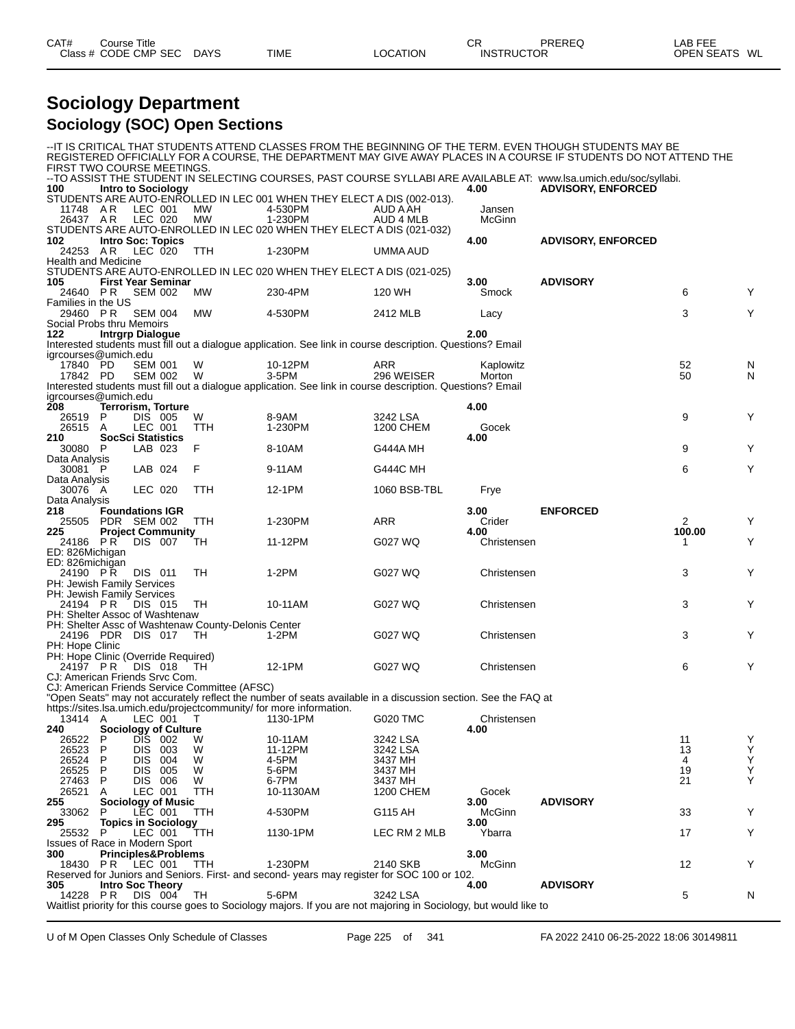| CAT#    | Title<br>Course |             |             |                 | ⌒冖<br>◡┍          | <b>PREREQ</b> | 5.0.00<br>LAB FEF |    |
|---------|-----------------|-------------|-------------|-----------------|-------------------|---------------|-------------------|----|
| Class # | CODE CMP<br>SEC | <b>DAYS</b> | <b>TIME</b> | <b>_OCATION</b> | <b>INSTRUCTOR</b> |               | <b>OPEN SEATS</b> | WL |

### **Sociology Department Sociology (SOC) Open Sections**

|                                                        |        |                                        |                                               |                                                                        |                                                                                                                                 |                | -IT IS CRITICAL THAT STUDENTS ATTEND CLASSES FROM THE BEGINNING OF THE TERM. EVEN THOUGH STUDENTS MAY BE |         |                    |
|--------------------------------------------------------|--------|----------------------------------------|-----------------------------------------------|------------------------------------------------------------------------|---------------------------------------------------------------------------------------------------------------------------------|----------------|----------------------------------------------------------------------------------------------------------|---------|--------------------|
| FIRST TWO COURSE MEETINGS.                             |        |                                        |                                               |                                                                        | REGISTERED OFFICIALLY FOR A COURSE, THE DEPARTMENT MAY GIVE AWAY PLACES IN A COURSE IF STUDENTS DO NOT ATTEND THE               |                |                                                                                                          |         |                    |
|                                                        |        |                                        |                                               |                                                                        | --TO ASSIST THE STUDENT IN SELECTING COURSES, PAST COURSE SYLLABI ARE AVAILABLE AT: www.lsa.umich.edu/soc/syllabi.              |                |                                                                                                          |         |                    |
| 100                                                    |        | <b>Intro to Sociology</b>              |                                               |                                                                        |                                                                                                                                 | 4.00           | <b>ADVISORY, ENFORCED</b>                                                                                |         |                    |
|                                                        |        |                                        |                                               | STUDENTS ARE AUTO-ENROLLED IN LEC 001 WHEN THEY ELECT A DIS (002-013). |                                                                                                                                 | Jansen         |                                                                                                          |         |                    |
| 11748 AR<br>26437 AR                                   |        | LEC 001<br>LEC 020                     | MW<br>МW                                      | 4-530PM<br>1-230PM                                                     | AUD A AH<br>AUD 4 MLB                                                                                                           | McGinn         |                                                                                                          |         |                    |
|                                                        |        |                                        |                                               | STUDENTS ARE AUTO-ENROLLED IN LEC 020 WHEN THEY ELECT A DIS (021-032)  |                                                                                                                                 |                |                                                                                                          |         |                    |
| 102                                                    |        | <b>Intro Soc: Topics</b>               |                                               |                                                                        |                                                                                                                                 | 4.00           | <b>ADVISORY, ENFORCED</b>                                                                                |         |                    |
| 24253 A.R                                              |        | LEC 020                                | TTH                                           | 1-230PM                                                                | UMMA AUD                                                                                                                        |                |                                                                                                          |         |                    |
| <b>Health and Medicine</b>                             |        |                                        |                                               |                                                                        |                                                                                                                                 |                |                                                                                                          |         |                    |
| 105                                                    |        | <b>First Year Seminar</b>              |                                               | STUDENTS ARE AUTO-ENROLLED IN LEC 020 WHEN THEY ELECT A DIS (021-025)  |                                                                                                                                 | 3.00           | <b>ADVISORY</b>                                                                                          |         |                    |
| 24640 PR                                               |        | <b>SEM 002</b>                         | МW                                            | 230-4PM                                                                | 120 WH                                                                                                                          | Smock          |                                                                                                          | 6       | Y                  |
| Families in the US                                     |        |                                        |                                               |                                                                        |                                                                                                                                 |                |                                                                                                          |         |                    |
| 29460 PR                                               |        | <b>SEM 004</b>                         | <b>MW</b>                                     | 4-530PM                                                                | 2412 MLB                                                                                                                        | Lacy           |                                                                                                          | 3       | Υ                  |
| Social Probs thru Memoirs                              |        |                                        |                                               |                                                                        |                                                                                                                                 | 2.00           |                                                                                                          |         |                    |
| 122                                                    |        | <b>Intrgrp Dialogue</b>                |                                               |                                                                        | Interested students must fill out a dialogue application. See link in course description. Questions? Email                      |                |                                                                                                          |         |                    |
| igrcourses@umich.edu                                   |        |                                        |                                               |                                                                        |                                                                                                                                 |                |                                                                                                          |         |                    |
| 17840 PD                                               |        | <b>SEM 001</b>                         | W                                             | 10-12PM                                                                | ARR                                                                                                                             | Kaplowitz      |                                                                                                          | 52      | N                  |
| 17842 PD                                               |        | <b>SEM 002</b>                         | W                                             | 3-5PM                                                                  | 296 WEISER                                                                                                                      | Morton         |                                                                                                          | 50      | N                  |
|                                                        |        |                                        |                                               |                                                                        | Interested students must fill out a dialogue application. See link in course description. Questions? Email                      |                |                                                                                                          |         |                    |
| igrcourses@umich.edu<br><b>208</b>                     |        | <b>Terrorism, Torture</b>              |                                               |                                                                        |                                                                                                                                 | 4.00           |                                                                                                          |         |                    |
| 26519                                                  | P      | DIS 005                                | W                                             | 8-9AM                                                                  | 3242 LSA                                                                                                                        |                |                                                                                                          | 9       | Y                  |
| 26515 A                                                |        | LEC 001                                | TTH                                           | 1-230PM                                                                | 1200 CHEM                                                                                                                       | Gocek          |                                                                                                          |         |                    |
| 210                                                    |        | <b>SocSci Statistics</b>               |                                               |                                                                        |                                                                                                                                 | 4.00           |                                                                                                          |         |                    |
| 30080 P                                                |        | LAB 023                                | F                                             | 8-10AM                                                                 | G444A MH                                                                                                                        |                |                                                                                                          | 9       | Y                  |
| Data Analysis<br>30081 P                               |        | LAB 024                                | F                                             | 9-11AM                                                                 | <b>G444C MH</b>                                                                                                                 |                |                                                                                                          | 6       | Υ                  |
| Data Analysis                                          |        |                                        |                                               |                                                                        |                                                                                                                                 |                |                                                                                                          |         |                    |
| 30076 A                                                |        | LEC 020                                | TTH                                           | 12-1PM                                                                 | 1060 BSB-TBL                                                                                                                    | Frye           |                                                                                                          |         |                    |
| Data Analysis                                          |        |                                        |                                               |                                                                        |                                                                                                                                 |                |                                                                                                          |         |                    |
| 218<br>25505                                           |        | <b>Foundations IGR</b><br>PDR SEM 002  | TTH                                           | 1-230PM                                                                | ARR                                                                                                                             | 3.00<br>Crider | <b>ENFORCED</b>                                                                                          | 2       | Y                  |
| 225                                                    |        | <b>Project Community</b>               |                                               |                                                                        |                                                                                                                                 | 4.00           |                                                                                                          | 100.00  |                    |
| 24186 PR                                               |        | DIS 007                                | ТH                                            | 11-12PM                                                                | G027 WQ                                                                                                                         | Christensen    |                                                                                                          |         | Y                  |
| ED: 826Michigan                                        |        |                                        |                                               |                                                                        |                                                                                                                                 |                |                                                                                                          |         |                    |
| ED: 826 michigan                                       |        |                                        |                                               |                                                                        |                                                                                                                                 |                |                                                                                                          |         | Y                  |
| 24190 PR<br>PH: Jewish Family Services                 |        | DIS 011                                | TH                                            | 1-2PM                                                                  | G027 WQ                                                                                                                         | Christensen    |                                                                                                          | 3       |                    |
| <b>PH: Jewish Family Services</b>                      |        |                                        |                                               |                                                                        |                                                                                                                                 |                |                                                                                                          |         |                    |
|                                                        |        |                                        |                                               | 10-11AM                                                                | G027 WQ                                                                                                                         | Christensen    |                                                                                                          | 3       | Y                  |
| 24194 PR                                               |        | DIS 015                                | TH                                            |                                                                        |                                                                                                                                 |                |                                                                                                          |         |                    |
| PH: Shelter Assoc of Washtenaw                         |        |                                        |                                               |                                                                        |                                                                                                                                 |                |                                                                                                          |         |                    |
|                                                        |        |                                        |                                               | PH: Shelter Assc of Washtenaw County-Delonis Center                    |                                                                                                                                 |                |                                                                                                          |         |                    |
| 24196 PDR DIS 017                                      |        |                                        | - TH                                          | 1-2PM                                                                  | G027 WQ                                                                                                                         | Christensen    |                                                                                                          | 3       | Y                  |
| PH: Hope Clinic<br>PH: Hope Clinic (Override Required) |        |                                        |                                               |                                                                        |                                                                                                                                 |                |                                                                                                          |         |                    |
| 24197 PR                                               |        | DIS 018                                | TH.                                           | 12-1PM                                                                 | G027 WQ                                                                                                                         | Christensen    |                                                                                                          | 6       | Y                  |
| CJ: American Friends Srvc Com.                         |        |                                        |                                               |                                                                        |                                                                                                                                 |                |                                                                                                          |         |                    |
|                                                        |        |                                        | CJ: American Friends Service Committee (AFSC) |                                                                        |                                                                                                                                 |                |                                                                                                          |         |                    |
|                                                        |        |                                        |                                               | https://sites.lsa.umich.edu/projectcommunity/ for more information.    | "Open Seats" may not accurately reflect the number of seats available in a discussion section. See the FAQ at                   |                |                                                                                                          |         |                    |
| 13414 A                                                |        | LEC 001                                | T                                             | 1130-1PM                                                               | G020 TMC                                                                                                                        | Christensen    |                                                                                                          |         |                    |
| 240                                                    |        | Sociology of Culture                   |                                               |                                                                        |                                                                                                                                 | 4.00           |                                                                                                          |         |                    |
| 26522                                                  | P      | DIS.<br>- 002                          | W                                             | 10-11AM                                                                | 3242 LSA                                                                                                                        |                |                                                                                                          | 11      | Y                  |
| 26523                                                  | P      | <b>DIS</b><br>003                      | W                                             | 11-12PM                                                                | 3242 LSA                                                                                                                        |                |                                                                                                          | 13      | Υ                  |
| 26524<br>26525                                         | P<br>P | <b>DIS</b><br>004<br><b>DIS</b><br>005 | W<br>W                                        | 4-5PM<br>5-6PM                                                         | 3437 MH<br>3437 MH                                                                                                              |                |                                                                                                          | 4<br>19 |                    |
| 27463                                                  | P      | DIS 006                                | W                                             | 6-7PM                                                                  | 3437 MH                                                                                                                         |                |                                                                                                          | 21      | $\frac{Y}{Y}$<br>Υ |
| 26521                                                  | A      | LEC 001                                | TTH                                           | 10-1130AM                                                              | <b>1200 CHEM</b>                                                                                                                | Gocek          |                                                                                                          |         |                    |
| 255                                                    |        | <b>Sociology of Music</b>              |                                               |                                                                        |                                                                                                                                 | 3.00           | <b>ADVISORY</b>                                                                                          |         |                    |
| 33062                                                  | P      | LEC 001                                | TTH                                           | 4-530PM                                                                | G115 AH                                                                                                                         | McGinn         |                                                                                                          | 33      | Y                  |
| 295<br>25532                                           | P      | <b>Topics in Sociology</b><br>LEC 001  | TTH                                           | 1130-1PM                                                               | LEC RM 2 MLB                                                                                                                    | 3.00<br>Ybarra |                                                                                                          | 17      | Y                  |
| <b>Issues of Race in Modern Sport</b>                  |        |                                        |                                               |                                                                        |                                                                                                                                 |                |                                                                                                          |         |                    |
| 300                                                    |        | <b>Principles&amp;Problems</b>         |                                               |                                                                        |                                                                                                                                 | 3.00           |                                                                                                          |         |                    |
| 18430                                                  | PR.    | LEC 001                                | <b>TTH</b>                                    | 1-230PM                                                                | 2140 SKB                                                                                                                        | McGinn         |                                                                                                          | 12      | Y                  |
| 305                                                    |        | <b>Intro Soc Theory</b>                |                                               |                                                                        | Reserved for Juniors and Seniors. First- and second- years may register for SOC 100 or 102.                                     | 4.00           | <b>ADVISORY</b>                                                                                          |         |                    |
| 14228 PR                                               |        | DIS 004                                | TH                                            | 5-6PM                                                                  | 3242 LSA<br>Waitlist priority for this course goes to Sociology majors. If you are not majoring in Sociology, but would like to |                |                                                                                                          | 5       | N                  |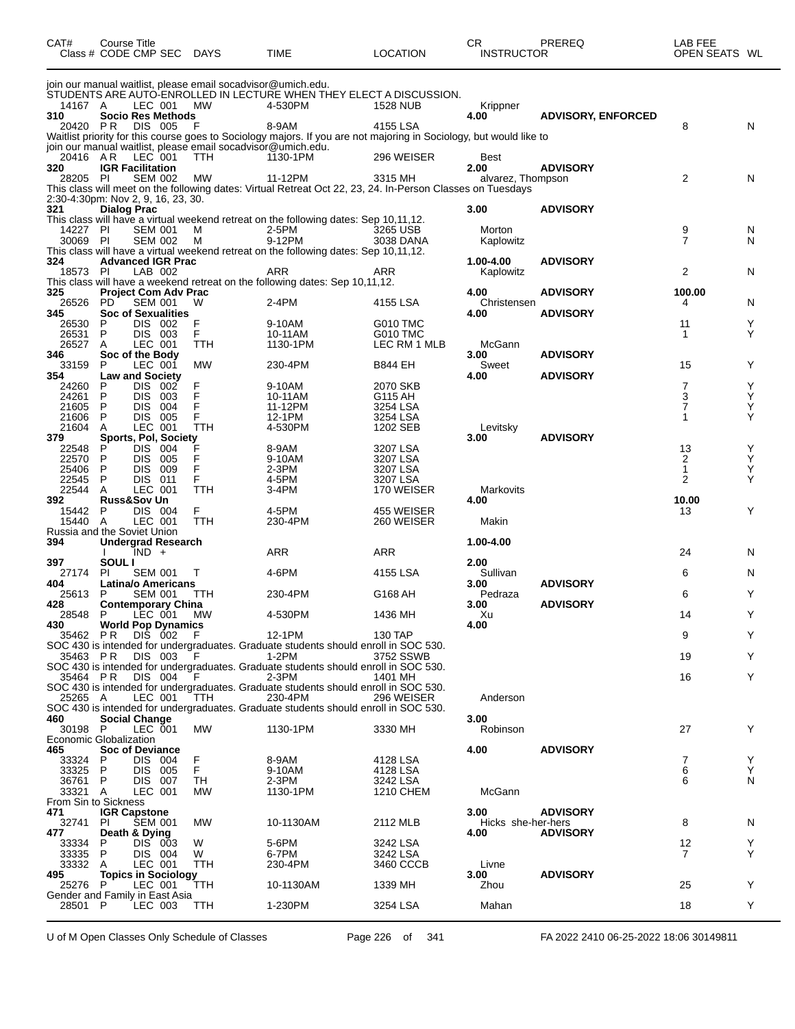| CAT#            | Course Title<br>Class # CODE CMP SEC              |                    | <b>DAYS</b>                                                                | <b>TIME</b>                                                                                                           | <b>LOCATION</b>          | СR<br><b>INSTRUCTOR</b>    | PREREQ                    | LAB FEE<br>OPEN SEATS WL |        |
|-----------------|---------------------------------------------------|--------------------|----------------------------------------------------------------------------|-----------------------------------------------------------------------------------------------------------------------|--------------------------|----------------------------|---------------------------|--------------------------|--------|
|                 |                                                   |                    | join our manual waitlist, please email socadvisor@umich.edu.               | STUDENTS ARE AUTO-ENROLLED IN LECTURE WHEN THEY ELECT A DISCUSSION.                                                   |                          |                            |                           |                          |        |
| 14167 A         | LEC 001                                           |                    | МW                                                                         | 4-530PM                                                                                                               | 1528 NUB                 | Krippner                   |                           |                          |        |
| 310<br>20420 PR | <b>Socio Res Methods</b>                          | DIS 005            | F                                                                          | 8-9AM                                                                                                                 | 4155 LSA                 | 4.00                       | <b>ADVISORY, ENFORCED</b> | 8                        | N      |
|                 |                                                   |                    |                                                                            | Waitlist priority for this course goes to Sociology majors. If you are not majoring in Sociology, but would like to   |                          |                            |                           |                          |        |
| 20416 AR        | LEC 001                                           |                    | join our manual waitlist, please email socadvisor@umich.edu.<br><b>TTH</b> | 1130-1PM                                                                                                              | 296 WEISER               | Best                       |                           |                          |        |
| 320             | <b>IGR Facilitation</b>                           |                    |                                                                            |                                                                                                                       |                          | 2.00                       | <b>ADVISORY</b>           |                          |        |
| 28205 PI        |                                                   | <b>SEM 002</b>     | MW                                                                         | 11-12PM<br>This class will meet on the following dates: Virtual Retreat Oct 22, 23, 24. In-Person Classes on Tuesdays | 3315 MH                  | alvarez, Thompson          |                           | 2                        | N      |
|                 | 2:30-4:30pm: Nov 2, 9, 16, 23, 30.                |                    |                                                                            |                                                                                                                       |                          |                            |                           |                          |        |
| 321             | <b>Dialog Prac</b>                                |                    |                                                                            | This class will have a virtual weekend retreat on the following dates: Sep 10,11,12.                                  |                          | 3.00                       | <b>ADVISORY</b>           |                          |        |
| 14227           | -PI                                               | <b>SEM 001</b>     | м                                                                          | 2-5PM                                                                                                                 | 3265 USB                 | Morton                     |                           | 9<br>$\overline{7}$      | N      |
| 30069 PI        |                                                   | SEM 002            | м                                                                          | 9-12PM<br>This class will have a virtual weekend retreat on the following dates: Sep 10,11,12.                        | 3038 DANA                | Kaplowitz                  |                           |                          | N      |
| 324             | <b>Advanced IGR Prac</b>                          |                    |                                                                            |                                                                                                                       |                          | 1.00-4.00                  | <b>ADVISORY</b>           |                          |        |
| 18573 PI        |                                                   | LAB 002            |                                                                            | ARR<br>This class will have a weekend retreat on the following dates: Sep 10,11,12.                                   | ARR                      | Kaplowitz                  |                           | $\overline{2}$           | N      |
| 325             | <b>Project Com Adv Prac</b>                       |                    |                                                                            |                                                                                                                       |                          | 4.00                       | <b>ADVISORY</b>           | 100.00                   |        |
| 26526<br>345    | PD<br><b>Soc of Sexualities</b>                   | <b>SEM 001</b>     | W                                                                          | 2-4PM                                                                                                                 | 4155 LSA                 | Christensen<br>4.00        | <b>ADVISORY</b>           | 4                        | N      |
| 26530           | P                                                 | DIS 002            | F                                                                          | 9-10AM                                                                                                                | <b>G010 TMC</b>          |                            |                           | 11                       | Y      |
| 26531<br>26527  | P<br>A<br>LEC 001                                 | DIS 003            | F<br>TTH                                                                   | 10-11AM<br>1130-1PM                                                                                                   | G010 TMC<br>LEC RM 1 MLB | McGann                     |                           | -1                       | Υ      |
| 346             | Soc of the Body                                   |                    |                                                                            |                                                                                                                       |                          | 3.00                       | <b>ADVISORY</b>           |                          |        |
| 33159<br>354    | P<br>LEC 001<br><b>Law and Society</b>            |                    | <b>MW</b>                                                                  | 230-4PM                                                                                                               | <b>B844 EH</b>           | Sweet<br>4.00              | <b>ADVISORY</b>           | 15                       | Y      |
| 24260           | <b>DIS</b><br>P                                   | 002                | F                                                                          | 9-10AM                                                                                                                | 2070 SKB                 |                            |                           | 7                        | Υ      |
| 24261<br>21605  | Ρ<br>DIS.<br>P<br>DIS                             | -003<br>004        | F<br>F                                                                     | 10-11AM<br>11-12PM                                                                                                    | G115 AH<br>3254 LSA      |                            |                           | 3<br>7                   | Y<br>Y |
| 21606           | P<br>DIS.                                         | 005                | F                                                                          | 12-1PM                                                                                                                | 3254 LSA                 |                            |                           | 1                        | Y      |
| 21604<br>379    | Α<br>LEC 001<br>Sports, Pol, Society              |                    | <b>TTH</b>                                                                 | 4-530PM                                                                                                               | 1202 SEB                 | Levitsky<br>3.00           | <b>ADVISORY</b>           |                          |        |
| 22548           | <b>DIS</b><br>P                                   | 004                | F                                                                          | 8-9AM                                                                                                                 | 3207 LSA                 |                            |                           | 13                       | Y      |
| 22570           | P<br>DIS.<br>P                                    | -005               | F<br>F                                                                     | 9-10AM                                                                                                                | 3207 LSA                 |                            |                           | 2                        | Υ      |
| 25406<br>22545  | DIS<br>P<br>DIS                                   | 009<br>011         | F                                                                          | 2-3PM<br>4-5PM                                                                                                        | 3207 LSA<br>3207 LSA     |                            |                           | 1<br>2                   | Y<br>Y |
| 22544           | Α<br>LEC 001                                      |                    | TTH                                                                        | 3-4PM                                                                                                                 | 170 WEISER               | Markovits                  |                           |                          |        |
| 392<br>15442    | <b>Russ&amp;Sov Un</b><br>P                       | DIS 004            | F                                                                          | 4-5PM                                                                                                                 | 455 WEISER               | 4.00                       |                           | 10.00<br>13              | Y      |
| 15440           | A<br>LEC 001                                      |                    | TTH                                                                        | 230-4PM                                                                                                               | 260 WEISER               | Makin                      |                           |                          |        |
| 394             | Russia and the Soviet Union<br>Undergrad Research |                    |                                                                            |                                                                                                                       |                          | 1.00-4.00                  |                           |                          |        |
|                 | IND +                                             |                    |                                                                            | ARR                                                                                                                   | <b>ARR</b>               |                            |                           | 24                       | N      |
| 397<br>27174    | SOUL I<br>ΡI                                      | <b>SEM 001</b>     | Т                                                                          | 4-6PM                                                                                                                 | 4155 LSA                 | 2.00<br>Sullivan           |                           | 6                        | N      |
| 404             | Latina/o Americans                                |                    |                                                                            |                                                                                                                       |                          | 3.00                       | <b>ADVISORY</b>           |                          |        |
| 25613<br>428    | P<br><b>Contemporary China</b>                    | <b>SEM 001</b>     | ттн                                                                        | 230-4PM                                                                                                               | G168 AH                  | Pedraza<br>3.00            | <b>ADVISORY</b>           | 6                        | Y      |
| 28548           | P<br>LEC 001                                      |                    | МW                                                                         | 4-530PM                                                                                                               | 1436 MH                  | Xu                         |                           | 14                       | Y      |
| 430<br>35462 PR | <b>World Pop Dynamics</b>                         | DIS 002            | - F                                                                        | 12-1PM                                                                                                                | 130 TAP                  | 4.00                       |                           | 9                        | Y      |
|                 |                                                   |                    |                                                                            | SOC 430 is intended for undergraduates. Graduate students should enroll in SOC 530.                                   |                          |                            |                           |                          |        |
| 35463 PR        |                                                   | DIS 003            | E                                                                          | 1-2PM<br>SOC 430 is intended for undergraduates. Graduate students should enroll in SOC 530.                          | 3752 SSWB                |                            |                           | 19                       | Y      |
| 35464 PR        |                                                   | DIS 004            | F                                                                          | 2-3PM                                                                                                                 | 1401 MH                  |                            |                           | 16                       | Y      |
|                 |                                                   |                    |                                                                            | SOC 430 is intended for undergraduates. Graduate students should enroll in SOC 530.                                   |                          |                            |                           |                          |        |
| 25265 A         |                                                   | LEC 001            | <b>TTH</b>                                                                 | 230-4PM<br>SOC 430 is intended for undergraduates. Graduate students should enroll in SOC 530.                        | 296 WEISER               | Anderson                   |                           |                          |        |
| 460             | <b>Social Change</b>                              |                    |                                                                            |                                                                                                                       |                          | 3.00                       |                           |                          |        |
| 30198 P         | LEC 001<br>Economic Globalization                 |                    | <b>MW</b>                                                                  | 1130-1PM                                                                                                              | 3330 MH                  | Robinson                   |                           | 27                       | Y      |
| 465             | <b>Soc of Deviance</b>                            |                    |                                                                            |                                                                                                                       |                          | 4.00                       | <b>ADVISORY</b>           |                          |        |
| 33324<br>33325  | P<br>P                                            | DIS 004<br>DIS 005 | F<br>F                                                                     | 8-9AM<br>9-10AM                                                                                                       | 4128 LSA<br>4128 LSA     |                            |                           | 7<br>6                   | Y<br>Y |
| 36761           | P                                                 | <b>DIS 007</b>     | TН                                                                         | 2-3PM                                                                                                                 | 3242 LSA                 |                            |                           | 6                        | N      |
| 33321 A         | LEC 001<br>From Sin to Sickness                   |                    | MW                                                                         | 1130-1PM                                                                                                              | 1210 CHEM                | McGann                     |                           |                          |        |
| 471             | <b>IGR Capstone</b>                               |                    |                                                                            |                                                                                                                       |                          | 3.00                       | <b>ADVISORY</b>           |                          |        |
| 32741<br>477    | PI                                                | <b>SEM 001</b>     | <b>MW</b>                                                                  | 10-1130AM                                                                                                             | 2112 MLB                 | Hicks she-her-hers<br>4.00 | <b>ADVISORY</b>           | 8                        | N      |
| 33334           | Death & Dying<br>P                                | DIS 003            | W                                                                          | 5-6PM                                                                                                                 | 3242 LSA                 |                            |                           | 12                       | Y      |
| 33335           | P                                                 | DIS 004            | W                                                                          | 6-7PM                                                                                                                 | 3242 LSA                 |                            |                           | 7                        | Y      |
| 33332<br>495    | A<br><b>Topics in Sociology</b>                   | LEC 001            | TTH                                                                        | 230-4PM                                                                                                               | 3460 CCCB                | Livne<br>3.00              | <b>ADVISORY</b>           |                          |        |
| 25276 P         |                                                   | LEC 001            | TТH                                                                        | 10-1130AM                                                                                                             | 1339 MH                  | Zhou                       |                           | 25                       | Y      |
| 28501 P         | Gender and Family in East Asia                    | LEC 003            | TTH                                                                        | 1-230PM                                                                                                               | 3254 LSA                 | Mahan                      |                           | 18                       | Y      |
|                 |                                                   |                    |                                                                            |                                                                                                                       |                          |                            |                           |                          |        |

U of M Open Classes Only Schedule of Classes Page 226 of 341 FA 2022 2410 06-25-2022 18:06 30149811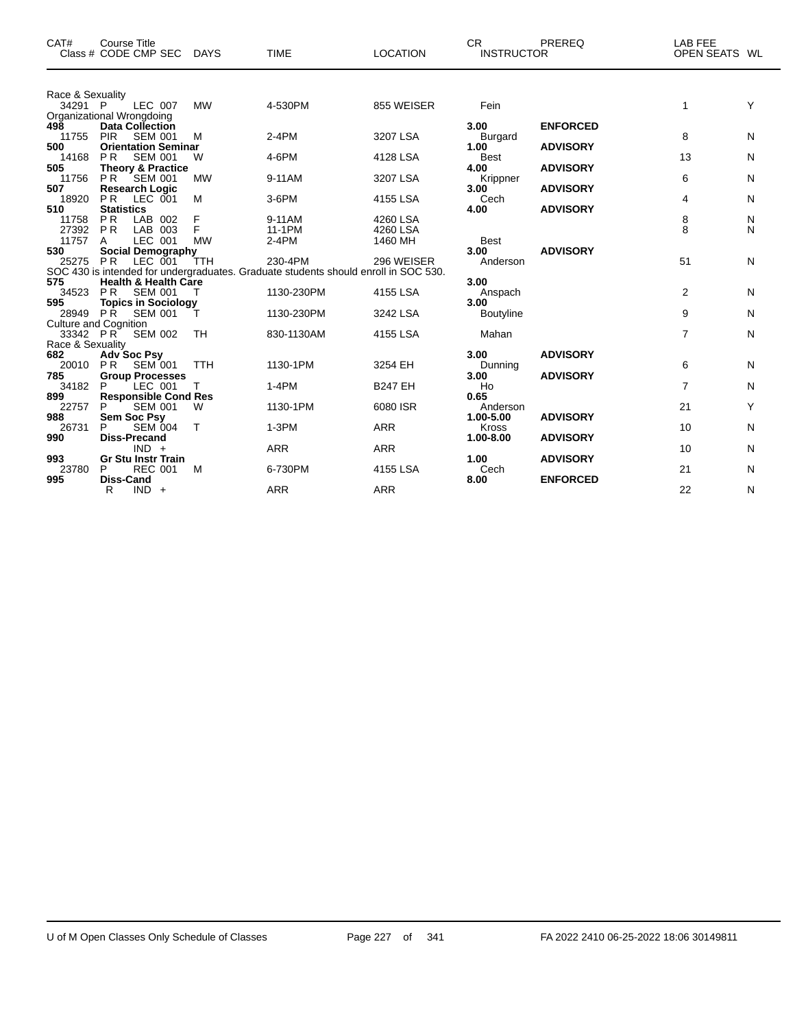| CAT#                        | <b>Course Title</b><br>Class # CODE CMP SEC      | <b>DAYS</b> | <b>TIME</b>                                                                         | <b>LOCATION</b> | CR.<br><b>INSTRUCTOR</b> | <b>PREREQ</b>   | <b>LAB FEE</b><br>OPEN SEATS WL |   |
|-----------------------------|--------------------------------------------------|-------------|-------------------------------------------------------------------------------------|-----------------|--------------------------|-----------------|---------------------------------|---|
| Race & Sexuality<br>34291 P | LEC 007                                          | <b>MW</b>   | 4-530PM                                                                             | 855 WEISER      | Fein                     |                 | 1                               | Y |
|                             | Organizational Wrongdoing                        |             |                                                                                     |                 |                          |                 |                                 |   |
| 498                         | <b>Data Collection</b>                           |             |                                                                                     |                 | 3.00                     | <b>ENFORCED</b> |                                 |   |
| 11755                       | <b>PIR</b><br><b>SEM 001</b>                     | M           | $2-4PM$                                                                             | 3207 LSA        | <b>Burgard</b>           |                 | 8                               | N |
| 500                         | <b>Orientation Seminar</b>                       |             |                                                                                     |                 | 1.00                     | <b>ADVISORY</b> |                                 |   |
| 14168                       | <b>PR</b><br><b>SEM 001</b>                      | W           | 4-6PM                                                                               | 4128 LSA        | <b>Best</b>              |                 | 13                              | N |
| 505                         | <b>Theory &amp; Practice</b>                     |             |                                                                                     |                 | 4.00                     | <b>ADVISORY</b> |                                 |   |
| 11756                       | <b>PR</b><br>SEM 001                             | <b>MW</b>   | 9-11AM                                                                              | 3207 LSA        | Krippner                 |                 | 6                               | N |
| 507                         | <b>Research Logic</b>                            |             |                                                                                     |                 | 3.00                     | <b>ADVISORY</b> |                                 |   |
| 18920<br>510                | <b>PR</b><br>LEC 001<br><b>Statistics</b>        | M           | 3-6PM                                                                               | 4155 LSA        | Cech<br>4.00             | <b>ADVISORY</b> | 4                               | N |
| 11758                       | <b>PR</b><br>LAB 002                             | F           | 9-11AM                                                                              | 4260 LSA        |                          |                 | 8                               | N |
| 27392                       | <b>PR</b><br>LAB 003                             | F           | 11-1PM                                                                              | 4260 LSA        |                          |                 | 8                               | N |
| 11757                       | LEC 001<br>A                                     | <b>MW</b>   | 2-4PM                                                                               | 1460 MH         | <b>Best</b>              |                 |                                 |   |
| 530                         | <b>Social Demography</b>                         |             |                                                                                     |                 | 3.00                     | <b>ADVISORY</b> |                                 |   |
| 25275                       | <b>PR</b><br>LEC 001                             | TTH         | 230-4PM                                                                             | 296 WEISER      | Anderson                 |                 | 51                              | N |
|                             |                                                  |             | SOC 430 is intended for undergraduates. Graduate students should enroll in SOC 530. |                 |                          |                 |                                 |   |
| 575                         | <b>Health &amp; Health Care</b>                  |             |                                                                                     |                 | 3.00                     |                 |                                 |   |
| 34523                       | <b>PR</b><br><b>SEM 001</b>                      |             | 1130-230PM                                                                          | 4155 LSA        | Anspach                  |                 | 2                               | N |
| 595                         | <b>Topics in Sociology</b>                       |             |                                                                                     |                 | 3.00                     |                 |                                 |   |
| 28949                       | <b>PR</b><br><b>SEM 001</b>                      |             | 1130-230PM                                                                          | 3242 LSA        | Boutyline                |                 | 9                               | N |
| 33342 PR                    | <b>Culture and Cognition</b><br><b>SEM 002</b>   | TH          | 830-1130AM                                                                          | 4155 LSA        | Mahan                    |                 | $\overline{7}$                  | N |
| Race & Sexuality            |                                                  |             |                                                                                     |                 |                          |                 |                                 |   |
| 682                         | <b>Adv Soc Psy</b>                               |             |                                                                                     |                 | 3.00                     | <b>ADVISORY</b> |                                 |   |
| 20010                       | <b>SEM 001</b><br><b>PR</b>                      | <b>TTH</b>  | 1130-1PM                                                                            | 3254 EH         | Dunning                  |                 | 6                               | N |
| 785                         | <b>Group Processes</b>                           |             |                                                                                     |                 | 3.00                     | <b>ADVISORY</b> |                                 |   |
| 34182                       | LEC 001<br>P                                     |             | $1-4PM$                                                                             | <b>B247 EH</b>  | Ho                       |                 | $\overline{7}$                  | N |
| 899                         | <b>Responsible Cond Res</b>                      |             |                                                                                     |                 | 0.65                     |                 |                                 |   |
| 22757                       | <b>SEM 001</b><br>P                              | W           | 1130-1PM                                                                            | 6080 ISR        | Anderson                 |                 | 21                              | Y |
| 988                         | <b>Sem Soc Psy</b>                               |             |                                                                                     |                 | 1.00-5.00                | <b>ADVISORY</b> |                                 |   |
| 26731                       | <b>SEM 004</b><br>Р                              | $\top$      | $1-3PM$                                                                             | <b>ARR</b>      | <b>Kross</b>             |                 | 10                              | N |
| 990                         | <b>Diss-Precand</b>                              |             |                                                                                     |                 | 1.00-8.00                | <b>ADVISORY</b> |                                 |   |
| 993                         | $IND +$                                          |             | <b>ARR</b>                                                                          | <b>ARR</b>      | 1.00                     | <b>ADVISORY</b> | 10                              | N |
| 23780                       | <b>Gr Stu Instr Train</b><br><b>REC 001</b><br>P | M           | 6-730PM                                                                             | 4155 LSA        | Cech                     |                 | 21                              | N |
| 995                         | <b>Diss-Cand</b>                                 |             |                                                                                     |                 | 8.00                     | <b>ENFORCED</b> |                                 |   |
|                             | R<br>$IND +$                                     |             | <b>ARR</b>                                                                          | <b>ARR</b>      |                          |                 | 22                              | N |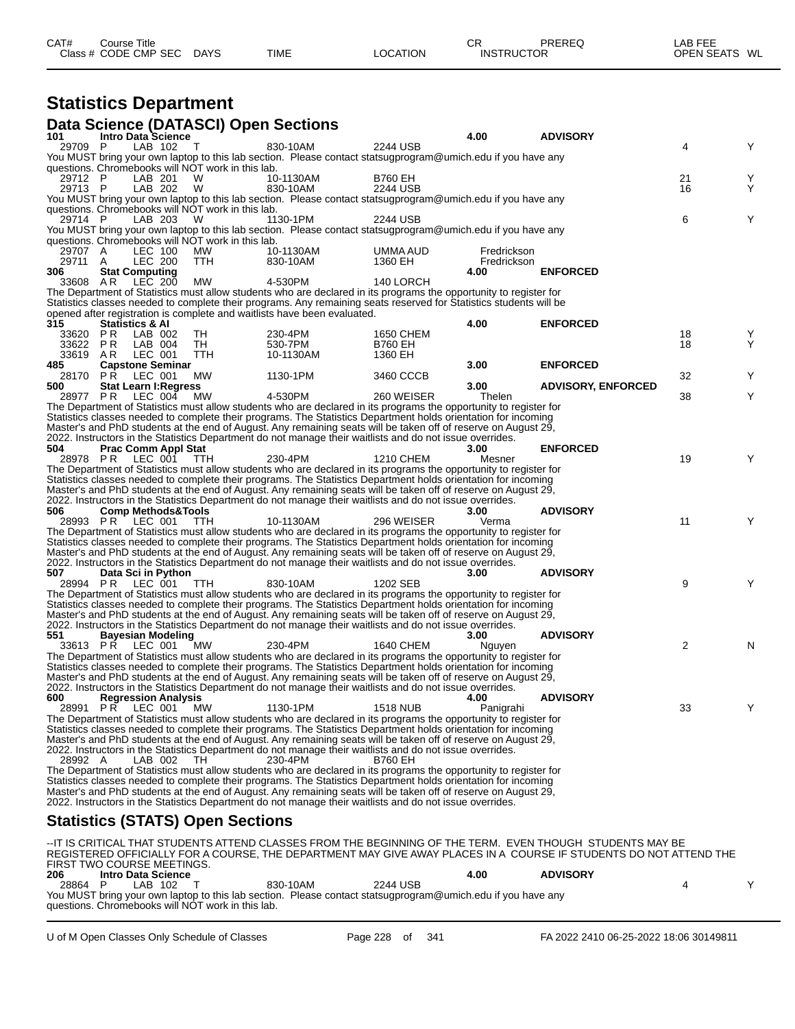| CAT# | Title<br>Course      |             |             |                 | ⌒冖<br>◡           | PREREQ | _AB FEE           |    |
|------|----------------------|-------------|-------------|-----------------|-------------------|--------|-------------------|----|
|      | Class # CODE CMP SEC | <b>DAYS</b> | <b>TIME</b> | <b>LOCATION</b> | <b>INSTRUCTOR</b> |        | <b>OPEN SEATS</b> | WL |

## **Statistics Department**

|                   |                            |                                                   | Data Science (DATASCI) Open Sections                     |         |                                                                                                          |                           |                                                                                                                                                                                                                                         |                                                                                                                   |                |        |
|-------------------|----------------------------|---------------------------------------------------|----------------------------------------------------------|---------|----------------------------------------------------------------------------------------------------------|---------------------------|-----------------------------------------------------------------------------------------------------------------------------------------------------------------------------------------------------------------------------------------|-------------------------------------------------------------------------------------------------------------------|----------------|--------|
| 101               |                            | <b>Intro Data Science</b><br>LAB 102              | $\top$                                                   |         |                                                                                                          |                           | 4.00                                                                                                                                                                                                                                    | <b>ADVISORY</b>                                                                                                   |                |        |
| 29709 P           |                            |                                                   |                                                          |         | 830-10AM                                                                                                 | 2244 USB                  | You MUST bring your own laptop to this lab section. Please contact statsugprogram@umich.edu if you have any                                                                                                                             |                                                                                                                   | 4              | Y      |
|                   |                            |                                                   | questions. Chromebooks will NOT work in this lab.        |         |                                                                                                          |                           |                                                                                                                                                                                                                                         |                                                                                                                   |                |        |
| 29712 P           |                            | LAB 201                                           | W                                                        |         | 10-1130AM                                                                                                | <b>B760 EH</b>            |                                                                                                                                                                                                                                         |                                                                                                                   | 21             | Υ      |
| 29713 P           |                            | LAB 202                                           | W                                                        |         | 830-10AM                                                                                                 | 2244 USB                  | You MUST bring your own laptop to this lab section. Please contact statsugprogram@umich.edu if you have any                                                                                                                             |                                                                                                                   | 16             | Υ      |
|                   |                            |                                                   | questions. Chromebooks will NOT work in this lab.        |         |                                                                                                          |                           |                                                                                                                                                                                                                                         |                                                                                                                   |                |        |
| 29714 P           |                            | LAB 203                                           | W                                                        |         | 1130-1PM                                                                                                 | 2244 USB                  |                                                                                                                                                                                                                                         |                                                                                                                   | 6              | Y      |
|                   |                            |                                                   |                                                          |         |                                                                                                          |                           | You MUST bring your own laptop to this lab section. Please contact statsugprogram@umich.edu if you have any                                                                                                                             |                                                                                                                   |                |        |
| 29707 A           |                            | LEC 100                                           | questions. Chromebooks will NOT work in this lab.<br>MW. |         | 10-1130AM                                                                                                | UMMA AUD                  | Fredrickson                                                                                                                                                                                                                             |                                                                                                                   |                |        |
| 29711             | A                          | <b>LEC 200</b>                                    | TTH                                                      |         | 830-10AM                                                                                                 | 1360 EH                   | Fredrickson                                                                                                                                                                                                                             |                                                                                                                   |                |        |
| 306               |                            | <b>Stat Computing</b>                             |                                                          |         |                                                                                                          |                           | 4.00                                                                                                                                                                                                                                    | <b>ENFORCED</b>                                                                                                   |                |        |
| 33608             | AR                         | LEC 200                                           | МW                                                       | 4-530PM |                                                                                                          | 140 LORCH                 |                                                                                                                                                                                                                                         |                                                                                                                   |                |        |
|                   |                            |                                                   |                                                          |         |                                                                                                          |                           | The Department of Statistics must allow students who are declared in its programs the opportunity to register for<br>Statistics classes needed to complete their programs. Any remaining seats reserved for Statistics students will be |                                                                                                                   |                |        |
|                   |                            |                                                   |                                                          |         | opened after registration is complete and waitlists have been evaluated.                                 |                           |                                                                                                                                                                                                                                         |                                                                                                                   |                |        |
| 315               | <b>Statistics &amp; Al</b> |                                                   |                                                          |         |                                                                                                          |                           | 4.00                                                                                                                                                                                                                                    | <b>ENFORCED</b>                                                                                                   |                |        |
| 33620 PR          |                            | LAB 002                                           | TH.                                                      | 230-4PM |                                                                                                          | 1650 CHEM                 |                                                                                                                                                                                                                                         |                                                                                                                   | 18             | Υ<br>Υ |
| 33622 PR<br>33619 | AR                         | LAB 004<br>LEC 001                                | TH<br>TTH                                                | 530-7PM | 10-1130AM                                                                                                | <b>B760 EH</b><br>1360 EH |                                                                                                                                                                                                                                         |                                                                                                                   | 18             |        |
| 485               |                            | <b>Capstone Seminar</b>                           |                                                          |         |                                                                                                          |                           | 3.00                                                                                                                                                                                                                                    | <b>ENFORCED</b>                                                                                                   |                |        |
| 28170 PR          |                            | LEC 001                                           | МW                                                       |         | 1130-1PM                                                                                                 | 3460 CCCB                 |                                                                                                                                                                                                                                         |                                                                                                                   | 32             | Υ      |
| 500               |                            | <b>Stat Learn I: Regress</b>                      |                                                          |         |                                                                                                          |                           | 3.00                                                                                                                                                                                                                                    | <b>ADVISORY, ENFORCED</b>                                                                                         |                |        |
|                   |                            | 28977 PR LEC 004                                  | MW                                                       | 4-530PM |                                                                                                          | 260 WEISER                | Thelen<br>The Department of Statistics must allow students who are declared in its programs the opportunity to register for                                                                                                             |                                                                                                                   | 38             | Υ      |
|                   |                            |                                                   |                                                          |         |                                                                                                          |                           | Statistics classes needed to complete their programs. The Statistics Department holds orientation for incoming                                                                                                                          |                                                                                                                   |                |        |
|                   |                            |                                                   |                                                          |         |                                                                                                          |                           | Master's and PhD students at the end of August. Any remaining seats will be taken off of reserve on August 29,                                                                                                                          |                                                                                                                   |                |        |
|                   |                            |                                                   |                                                          |         | 2022. Instructors in the Statistics Department do not manage their waitlists and do not issue overrides. |                           |                                                                                                                                                                                                                                         |                                                                                                                   |                |        |
| 504               |                            | <b>Prac Comm Appl Stat</b><br>28978 PR LEC 001    | TTH.                                                     | 230-4PM |                                                                                                          | 1210 CHEM                 | 3.00<br>Mesner                                                                                                                                                                                                                          | <b>ENFORCED</b>                                                                                                   | 19             | Y      |
|                   |                            |                                                   |                                                          |         |                                                                                                          |                           | The Department of Statistics must allow students who are declared in its programs the opportunity to register for                                                                                                                       |                                                                                                                   |                |        |
|                   |                            |                                                   |                                                          |         |                                                                                                          |                           | Statistics classes needed to complete their programs. The Statistics Department holds orientation for incoming                                                                                                                          |                                                                                                                   |                |        |
|                   |                            |                                                   |                                                          |         |                                                                                                          |                           | Master's and PhD students at the end of August. Any remaining seats will be taken off of reserve on August 29,                                                                                                                          |                                                                                                                   |                |        |
|                   |                            |                                                   |                                                          |         | 2022. Instructors in the Statistics Department do not manage their waitlists and do not issue overrides. |                           |                                                                                                                                                                                                                                         |                                                                                                                   |                |        |
| 506               |                            | <b>Comp Methods&amp;Tools</b><br>28993 PR LEC 001 | <b>TTH</b>                                               |         | 10-1130AM                                                                                                | 296 WEISER                | 3.00<br>Verma                                                                                                                                                                                                                           | <b>ADVISORY</b>                                                                                                   | 11             | Y      |
|                   |                            |                                                   |                                                          |         |                                                                                                          |                           | The Department of Statistics must allow students who are declared in its programs the opportunity to register for                                                                                                                       |                                                                                                                   |                |        |
|                   |                            |                                                   |                                                          |         |                                                                                                          |                           | Statistics classes needed to complete their programs. The Statistics Department holds orientation for incoming                                                                                                                          |                                                                                                                   |                |        |
|                   |                            |                                                   |                                                          |         |                                                                                                          |                           | Master's and PhD students at the end of August. Any remaining seats will be taken off of reserve on August 29,                                                                                                                          |                                                                                                                   |                |        |
| 507               |                            | Data Sci in Python                                |                                                          |         | 2022. Instructors in the Statistics Department do not manage their waitlists and do not issue overrides. |                           | 3.00                                                                                                                                                                                                                                    | <b>ADVISORY</b>                                                                                                   |                |        |
|                   |                            | 28994 PR LEC 001                                  | TTH.                                                     |         | 830-10AM                                                                                                 | 1202 SEB                  |                                                                                                                                                                                                                                         |                                                                                                                   | 9              | Y      |
|                   |                            |                                                   |                                                          |         |                                                                                                          |                           | The Department of Statistics must allow students who are declared in its programs the opportunity to register for                                                                                                                       |                                                                                                                   |                |        |
|                   |                            |                                                   |                                                          |         |                                                                                                          |                           | Statistics classes needed to complete their programs. The Statistics Department holds orientation for incoming                                                                                                                          |                                                                                                                   |                |        |
|                   |                            |                                                   |                                                          |         |                                                                                                          |                           | Master's and PhD students at the end of August. Any remaining seats will be taken off of reserve on August 29,                                                                                                                          |                                                                                                                   |                |        |
| 551               |                            | <b>Bayesian Modeling</b>                          |                                                          |         | 2022. Instructors in the Statistics Department do not manage their waitlists and do not issue overrides. |                           | 3.00                                                                                                                                                                                                                                    | <b>ADVISORY</b>                                                                                                   |                |        |
|                   |                            | 33613 PR LEC 001                                  | МW                                                       | 230-4PM |                                                                                                          | 1640 CHEM                 | Nguyen                                                                                                                                                                                                                                  |                                                                                                                   | $\overline{2}$ | N      |
|                   |                            |                                                   |                                                          |         |                                                                                                          |                           | The Department of Statistics must allow students who are declared in its programs the opportunity to register for                                                                                                                       |                                                                                                                   |                |        |
|                   |                            |                                                   |                                                          |         |                                                                                                          |                           | Statistics classes needed to complete their programs. The Statistics Department holds orientation for incoming                                                                                                                          |                                                                                                                   |                |        |
|                   |                            |                                                   |                                                          |         | 2022. Instructors in the Statistics Department do not manage their waitlists and do not issue overrides. |                           | Master's and PhD students at the end of August. Any remaining seats will be taken off of reserve on August 29,                                                                                                                          |                                                                                                                   |                |        |
| 600 -             |                            | <b>Regression Analysis</b>                        |                                                          |         |                                                                                                          |                           | 4.00                                                                                                                                                                                                                                    | <b>ADVISORY</b>                                                                                                   |                |        |
|                   |                            | 28991 PR LEC 001 MW                               |                                                          |         | 1130-1PM                                                                                                 | <b>1518 NUB</b>           | Panigrahi                                                                                                                                                                                                                               |                                                                                                                   | 33             | Y      |
|                   |                            |                                                   |                                                          |         |                                                                                                          |                           | The Department of Statistics must allow students who are declared in its programs the opportunity to register for                                                                                                                       |                                                                                                                   |                |        |
|                   |                            |                                                   |                                                          |         |                                                                                                          |                           | Statistics classes needed to complete their programs. The Statistics Department holds orientation for incoming<br>Master's and PhD students at the end of August. Any remaining seats will be taken off of reserve on August 29,        |                                                                                                                   |                |        |
|                   |                            |                                                   |                                                          |         | 2022. Instructors in the Statistics Department do not manage their waitlists and do not issue overrides. |                           |                                                                                                                                                                                                                                         |                                                                                                                   |                |        |
| 28992 A           |                            | LAB 002                                           | -TH.                                                     | 230-4PM |                                                                                                          | <b>B760 EH</b>            |                                                                                                                                                                                                                                         |                                                                                                                   |                |        |
|                   |                            |                                                   |                                                          |         |                                                                                                          |                           | The Department of Statistics must allow students who are declared in its programs the opportunity to register for                                                                                                                       |                                                                                                                   |                |        |
|                   |                            |                                                   |                                                          |         |                                                                                                          |                           | Statistics classes needed to complete their programs. The Statistics Department holds orientation for incoming                                                                                                                          |                                                                                                                   |                |        |
|                   |                            |                                                   |                                                          |         | 2022. Instructors in the Statistics Department do not manage their waitlists and do not issue overrides. |                           | Master's and PhD students at the end of August. Any remaining seats will be taken off of reserve on August 29,                                                                                                                          |                                                                                                                   |                |        |
|                   |                            |                                                   | <b>Statistics (STATS) Open Sections</b>                  |         |                                                                                                          |                           |                                                                                                                                                                                                                                         |                                                                                                                   |                |        |
|                   |                            |                                                   |                                                          |         |                                                                                                          |                           |                                                                                                                                                                                                                                         |                                                                                                                   |                |        |
|                   |                            |                                                   |                                                          |         |                                                                                                          |                           |                                                                                                                                                                                                                                         | -IT IS CRITICAL THAT STUDENTS ATTEND CLASSES FROM THE BEGINNING OF THE TERM.  EVEN THOUGH  STUDENTS MAY BE        |                |        |
|                   |                            | FIRST TWO COURSE MEETINGS.                        |                                                          |         |                                                                                                          |                           |                                                                                                                                                                                                                                         | REGISTERED OFFICIALLY FOR A COURSE, THE DEPARTMENT MAY GIVE AWAY PLACES IN A COURSE IF STUDENTS DO NOT ATTEND THE |                |        |
| 206               |                            | <b>Intro Data Science</b>                         |                                                          |         |                                                                                                          |                           | 4.00                                                                                                                                                                                                                                    | <b>ADVISORY</b>                                                                                                   |                |        |
| 28864 P           |                            | LAB 102                                           | $\top$                                                   |         | 830-10AM                                                                                                 | 2244 USB                  |                                                                                                                                                                                                                                         |                                                                                                                   | 4              | Y      |
|                   |                            |                                                   |                                                          |         |                                                                                                          |                           | You MUST bring your own laptop to this lab section. Please contact statsugprogram@umich.edu if you have any                                                                                                                             |                                                                                                                   |                |        |

questions. Chromebooks will NOT work in this lab.

U of M Open Classes Only Schedule of Classes Page 228 of 341 FA 2022 2410 06-25-2022 18:06 30149811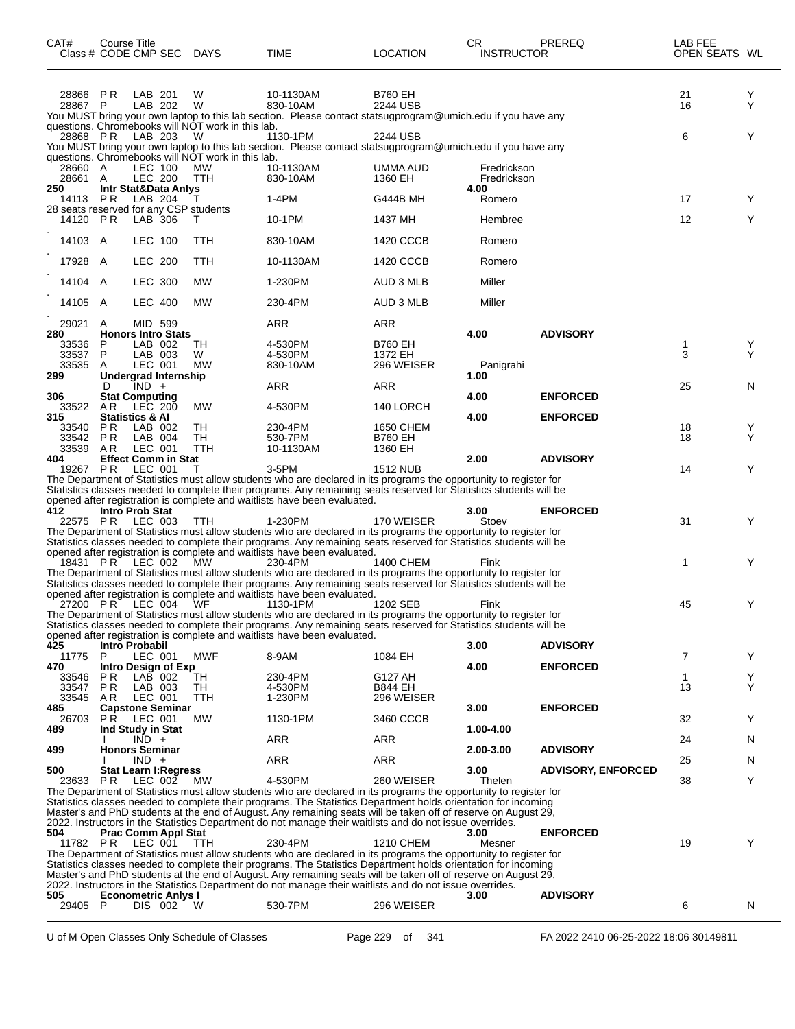| CAT#               | Course Title     | Class # CODE CMP SEC DAYS                         |                                                        | TIME                                                                                                                                                                                                                                    | <b>LOCATION</b>             | CR.<br><b>INSTRUCTOR</b>   | <b>PREREQ</b>             | LAB FEE<br>OPEN SEATS WL |        |
|--------------------|------------------|---------------------------------------------------|--------------------------------------------------------|-----------------------------------------------------------------------------------------------------------------------------------------------------------------------------------------------------------------------------------------|-----------------------------|----------------------------|---------------------------|--------------------------|--------|
| 28866<br>28867 P   | PR               | LAB 201<br>LAB 202                                | W<br>W                                                 | 10-1130AM<br>830-10AM<br>You MUST bring your own laptop to this lab section. Please contact statsugprogram@umich.edu if you have any                                                                                                    | <b>B760 EH</b><br>2244 USB  |                            |                           | 21<br>16                 | Y<br>Υ |
| 28868 PR           |                  | LAB 203                                           | questions. Chromebooks will NOT work in this lab.<br>W | 1130-1PM                                                                                                                                                                                                                                | 2244 USB                    |                            |                           | 6                        | Y      |
|                    |                  |                                                   | questions. Chromebooks will NOT work in this lab.      | You MUST bring your own laptop to this lab section. Please contact statsugprogram@umich.edu if you have any                                                                                                                             |                             |                            |                           |                          |        |
| 28660 A<br>28661 A |                  | LEC 100<br>LEC 200                                | MW<br>TTH                                              | 10-1130AM<br>830-10AM                                                                                                                                                                                                                   | UMMA AUD<br>1360 EH         | Fredrickson<br>Fredrickson |                           |                          |        |
| 250<br>14113 PR    |                  | Intr Stat&Data Anlys<br>LAB 204                   |                                                        | 1-4PM                                                                                                                                                                                                                                   | G444B MH                    | 4.00<br>Romero             |                           | 17                       | Y      |
| 14120 PR           |                  | 28 seats reserved for any CSP students<br>LAB 306 | т                                                      | 10-1PM                                                                                                                                                                                                                                  | 1437 MH                     | Hembree                    |                           | 12                       | Y      |
| 14103 A            |                  | LEC 100                                           | TTH                                                    | 830-10AM                                                                                                                                                                                                                                | 1420 CCCB                   | Romero                     |                           |                          |        |
| 17928 A            |                  | LEC 200                                           | TTH                                                    | 10-1130AM                                                                                                                                                                                                                               | 1420 CCCB                   | Romero                     |                           |                          |        |
| 14104 A            |                  | LEC 300                                           | <b>MW</b>                                              | 1-230PM                                                                                                                                                                                                                                 | AUD 3 MLB                   | Miller                     |                           |                          |        |
| 14105 A            |                  | <b>LEC 400</b>                                    | MW                                                     | 230-4PM                                                                                                                                                                                                                                 | AUD 3 MLB                   | Miller                     |                           |                          |        |
| 29021<br>280       | A                | MID 599<br><b>Honors Intro Stats</b>              |                                                        | ARR                                                                                                                                                                                                                                     | ARR                         | 4.00                       | <b>ADVISORY</b>           |                          |        |
| 33536<br>33537     | P<br>P           | LAB 002<br>LAB 003                                | TН<br>W                                                | 4-530PM<br>4-530PM                                                                                                                                                                                                                      | <b>B760 EH</b><br>1372 EH   |                            |                           | 1<br>3                   | Y<br>Υ |
| 33535<br>299       | A                | LEC 001<br><b>Undergrad Internship</b>            | <b>MW</b>                                              | 830-10AM                                                                                                                                                                                                                                | 296 WEISER                  | Panigrahi<br>1.00          |                           |                          |        |
| 306                | D                | $IND +$<br><b>Stat Computing</b>                  |                                                        | ARR                                                                                                                                                                                                                                     | <b>ARR</b>                  | 4.00                       | <b>ENFORCED</b>           | 25                       | N      |
| 33522<br>315       | A <sub>R</sub>   | LEC 200<br><b>Statistics &amp; AI</b>             | <b>MW</b>                                              | 4-530PM                                                                                                                                                                                                                                 | 140 LORCH                   | 4.00                       | <b>ENFORCED</b>           |                          |        |
| 33540<br>33542     | PR.<br><b>PR</b> | LAB 002<br>LAB 004                                | TН<br>TН                                               | 230-4PM<br>530-7PM                                                                                                                                                                                                                      | 1650 CHEM<br><b>B760 EH</b> |                            |                           | 18<br>18                 | Y<br>Y |
| 33539<br>404       | AR.              | LEC 001<br><b>Effect Comm in Stat</b>             | <b>TTH</b>                                             | 10-1130AM                                                                                                                                                                                                                               | 1360 EH                     | 2.00                       | <b>ADVISORY</b>           |                          |        |
| 19267 PR           |                  | LEC 001                                           | т                                                      | $3-5$ PM<br>The Department of Statistics must allow students who are declared in its programs the opportunity to register for                                                                                                           | <b>1512 NUB</b>             |                            |                           | 14                       | Y      |
|                    |                  |                                                   |                                                        | Statistics classes needed to complete their programs. Any remaining seats reserved for Statistics students will be<br>opened after registration is complete and waitlists have been evaluated.                                          |                             |                            |                           |                          |        |
| 412                |                  | <b>Intro Prob Stat</b><br>22575 PR LEC 003        | TTH                                                    | 1-230PM                                                                                                                                                                                                                                 | 170 WEISER                  | 3.00<br>Stoev              | <b>ENFORCED</b>           | 31                       | Y      |
|                    |                  |                                                   |                                                        | The Department of Statistics must allow students who are declared in its programs the opportunity to register for<br>Statistics classes needed to complete their programs. Any remaining seats reserved for Statistics students will be |                             |                            |                           |                          |        |
|                    |                  | 18431 PR LEC 002                                  | <b>MW</b>                                              | opened after registration is complete and waitlists have been evaluated.<br>230-4PM                                                                                                                                                     | 1400 CHEM                   | Fink                       |                           | 1                        | Y      |
|                    |                  |                                                   |                                                        | The Department of Statistics must allow students who are declared in its programs the opportunity to register for<br>Statistics classes needed to complete their programs. Any remaining seats reserved for Statistics students will be |                             |                            |                           |                          |        |
|                    |                  | 27200 PR LEC 004 WF                               |                                                        | opened after registration is complete and waitlists have been evaluated.<br>1130-1PM                                                                                                                                                    | 1202 SEB                    | Fink                       |                           | 45                       | Y      |
|                    |                  |                                                   |                                                        | The Department of Statistics must allow students who are declared in its programs the opportunity to register for<br>Statistics classes needed to complete their programs. Any remaining seats reserved for Statistics students will be |                             |                            |                           |                          |        |
| 425                |                  | Intro Probabil                                    |                                                        | opened after registration is complete and waitlists have been evaluated.                                                                                                                                                                |                             | 3.00                       | <b>ADVISORY</b>           |                          |        |
| 11775<br>470       | P.               | LEC 001<br>Intro Design of Exp                    | MWF                                                    | 8-9AM                                                                                                                                                                                                                                   | 1084 EH                     | 4.00                       | <b>ENFORCED</b>           | 7                        | Y      |
| 33546<br>33547     | P R<br><b>PR</b> | LAB 002<br>LAB 003                                | TН<br>TН                                               | 230-4PM<br>4-530PM                                                                                                                                                                                                                      | G127 AH<br><b>B844 EH</b>   |                            |                           | $\mathbf{1}$<br>13       | Y<br>Y |
| 33545<br>485       | AR.              | LEC 001<br><b>Capstone Seminar</b>                | TTH                                                    | 1-230PM                                                                                                                                                                                                                                 | 296 WEISER                  | 3.00                       | <b>ENFORCED</b>           |                          |        |
| 26703<br>489       |                  | <b>PR LEC 001</b><br>Ind Study in Stat<br>$IND +$ | МW                                                     | 1130-1PM<br>ARR                                                                                                                                                                                                                         | 3460 CCCB<br>ARR            | 1.00-4.00                  |                           | 32<br>24                 | Y<br>N |
| 499                |                  | <b>Honors Seminar</b><br>$IND +$                  |                                                        | ARR                                                                                                                                                                                                                                     | <b>ARR</b>                  | 2.00-3.00                  | <b>ADVISORY</b>           | 25                       | N.     |
| 500<br>23633       | PR.              | <b>Stat Learn I: Regress</b><br>LEC 002           | MW                                                     | 4-530PM                                                                                                                                                                                                                                 | 260 WEISER                  | 3.00<br>Thelen             | <b>ADVISORY, ENFORCED</b> | 38                       | Y      |
|                    |                  |                                                   |                                                        | The Department of Statistics must allow students who are declared in its programs the opportunity to register for<br>Statistics classes needed to complete their programs. The Statistics Department holds orientation for incoming     |                             |                            |                           |                          |        |
|                    |                  |                                                   |                                                        | Master's and PhD students at the end of August. Any remaining seats will be taken off of reserve on August 29,<br>2022. Instructors in the Statistics Department do not manage their waitlists and do not issue overrides.              |                             |                            |                           |                          |        |
| 504                |                  | <b>Prac Comm Appl Stat</b><br>11782 PR LEC 001    | TTH                                                    | 230-4PM                                                                                                                                                                                                                                 | 1210 CHEM                   | 3.00<br>Mesner             | <b>ENFORCED</b>           | 19                       | Y      |
|                    |                  |                                                   |                                                        | The Department of Statistics must allow students who are declared in its programs the opportunity to register for<br>Statistics classes needed to complete their programs. The Statistics Department holds orientation for incoming     |                             |                            |                           |                          |        |
|                    |                  |                                                   |                                                        | Master's and PhD students at the end of August. Any remaining seats will be taken off of reserve on August 29,<br>2022. Instructors in the Statistics Department do not manage their waitlists and do not issue overrides.              |                             |                            |                           |                          |        |
| 505<br>29405 P     |                  | <b>Econometric Anlys I</b><br>DIS 002 W           |                                                        | 530-7PM                                                                                                                                                                                                                                 | 296 WEISER                  | 3.00                       | <b>ADVISORY</b>           | 6                        | N      |
|                    |                  |                                                   |                                                        |                                                                                                                                                                                                                                         |                             |                            |                           |                          |        |

U of M Open Classes Only Schedule of Classes Page 229 of 341 FA 2022 2410 06-25-2022 18:06 30149811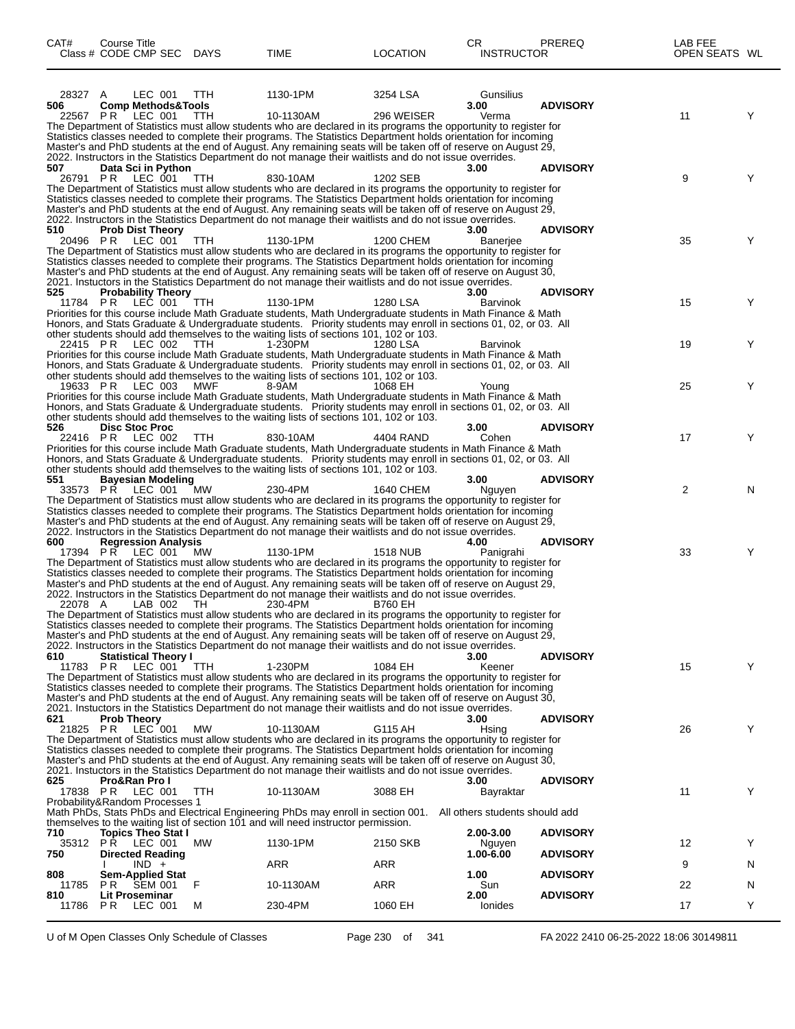| CAT#         | Course Title<br>Class # CODE CMP SEC DAYS                           |            | TIME                                                                                                                                                                                                                                                                                                                                                                                                                                                                           | <b>LOCATION</b> | CR.<br><b>INSTRUCTOR</b>                            | <b>PREREQ</b>   | LAB FEE<br>OPEN SEATS WL |   |
|--------------|---------------------------------------------------------------------|------------|--------------------------------------------------------------------------------------------------------------------------------------------------------------------------------------------------------------------------------------------------------------------------------------------------------------------------------------------------------------------------------------------------------------------------------------------------------------------------------|-----------------|-----------------------------------------------------|-----------------|--------------------------|---|
| 28327<br>506 | LEC 001<br>A<br><b>Comp Methods&amp;Tools</b>                       | TTH        | 1130-1PM                                                                                                                                                                                                                                                                                                                                                                                                                                                                       | 3254 LSA        | Gunsilius<br>3.00                                   | <b>ADVISORY</b> |                          |   |
| 22567        | LEC 001<br>PR.                                                      | TTH        | 10-1130AM<br>The Department of Statistics must allow students who are declared in its programs the opportunity to register for<br>Statistics classes needed to complete their programs. The Statistics Department holds orientation for incoming<br>Master's and PhD students at the end of August. Any remaining seats will be taken off of reserve on August 29,<br>2022. Instructors in the Statistics Department do not manage their waitlists and do not issue overrides. | 296 WEISER      | Verma                                               |                 | 11                       | Y |
| 507          | Data Sci in Python<br>26791 PR LEC 001                              | <b>TTH</b> | 830-10AM<br>The Department of Statistics must allow students who are declared in its programs the opportunity to register for                                                                                                                                                                                                                                                                                                                                                  | 1202 SEB        | 3.00                                                | <b>ADVISORY</b> | 9                        | Y |
| 510          |                                                                     |            | Statistics classes needed to complete their programs. The Statistics Department holds orientation for incoming<br>Master's and PhD students at the end of August. Any remaining seats will be taken off of reserve on August 29,<br>2022. Instructors in the Statistics Department do not manage their waitlists and do not issue overrides.                                                                                                                                   |                 | 3.00                                                | <b>ADVISORY</b> |                          |   |
|              | <b>Prob Dist Theory</b><br>20496 PR LEC 001                         | TTH        | 1130-1PM<br>The Department of Statistics must allow students who are declared in its programs the opportunity to register for<br>Statistics classes needed to complete their programs. The Statistics Department holds orientation for incoming<br>Master's and PhD students at the end of August. Any remaining seats will be taken off of reserve on August 30,<br>2021. Instuctors in the Statistics Department do not manage their waitlists and do not issue overrides.   | 1200 CHEM       | Baneriee                                            |                 | 35                       | Y |
| 525          | <b>Probability Theory</b><br>11784 PR LEC 001                       | TTH        | 1130-1PM<br>Priorities for this course include Math Graduate students, Math Undergraduate students in Math Finance & Math<br>Honors, and Stats Graduate & Undergraduate students. Priority students may enroll in sections 01, 02, or 03. All                                                                                                                                                                                                                                  | 1280 LSA        | 3.00<br><b>Barvinok</b>                             | <b>ADVISORY</b> | 15                       | Y |
|              | 22415 PR LEC 002                                                    | TTH        | other students should add themselves to the waiting lists of sections 101, 102 or 103.<br>1-230PM<br>Priorities for this course include Math Graduate students, Math Undergraduate students in Math Finance & Math<br>Honors, and Stats Graduate & Undergraduate students. Priority students may enroll in sections 01, 02, or 03. All<br>other students should add themselves to the waiting lists of sections 101, 102 or 103.                                               | 1280 LSA        | Barvinok                                            |                 | 19                       | Y |
|              | 19633 PR LEC 003                                                    | MWF        | 8-9AM<br>Priorities for this course include Math Graduate students, Math Undergraduate students in Math Finance & Math<br>Honors, and Stats Graduate & Undergraduate students. Priority students may enroll in sections 01, 02, or 03. All<br>other students should add themselves to the waiting lists of sections 101, 102 or 103.                                                                                                                                           | 1068 EH         | Young                                               |                 | 25                       | Y |
| 526          | <b>Disc Stoc Proc</b><br>22416 PR LEC 002                           | <b>TTH</b> | 830-10AM<br>Priorities for this course include Math Graduate students, Math Undergraduate students in Math Finance & Math<br>Honors, and Stats Graduate & Undergraduate students. Priority students may enroll in sections 01, 02, or 03. All<br>other students should add themselves to the waiting lists of sections 101, 102 or 103.                                                                                                                                        | 4404 RAND       | 3.00<br>Cohen                                       | <b>ADVISORY</b> | 17                       | Y |
| 551          | <b>Bayesian Modeling</b><br>33573 PR LEC 001                        | <b>MW</b>  | 230-4PM<br>The Department of Statistics must allow students who are declared in its programs the opportunity to register for<br>Statistics classes needed to complete their programs. The Statistics Department holds orientation for incoming<br>Master's and PhD students at the end of August. Any remaining seats will be taken off of reserve on August 29,                                                                                                               | 1640 CHEM       | 3.00<br>Nguyen                                      | <b>ADVISORY</b> | $\overline{2}$           | N |
| 600          | <b>Regression Analysis</b><br>17394 PR LEC 001                      | МW         | 2022. Instructors in the Statistics Department do not manage their waitlists and do not issue overrides.<br>1130-1PM<br>The Department of Statistics must allow students who are declared in its programs the opportunity to register for<br>Statistics classes needed to complete their programs. The Statistics Department holds orientation for incoming<br>Master's and PhD students at the end of August. Any remaining seats will be taken off of reserve on August 29,  | <b>1518 NUB</b> | 4.00<br>Panigrahi                                   | <b>ADVISORY</b> | 33                       | Y |
| 22078 A      | LAB 002                                                             | TH.        | 2022. Instructors in the Statistics Department do not manage their waitlists and do not issue overrides.<br>230-4PM<br>The Department of Statistics must allow students who are declared in its programs the opportunity to register for<br>Statistics classes needed to complete their programs. The Statistics Department holds orientation for incoming<br>Master's and PhD students at the end of August. Any remaining seats will be taken off of reserve on August 29,   | <b>B760 EH</b>  |                                                     |                 |                          |   |
| 610          | <b>Statistical Theory I</b><br>11783 PR LEC 001                     | <b>TTH</b> | 2022. Instructors in the Statistics Department do not manage their waitlists and do not issue overrides.<br>1-230PM<br>The Department of Statistics must allow students who are declared in its programs the opportunity to register for                                                                                                                                                                                                                                       | 1084 EH         | 3.00<br>Keener                                      | <b>ADVISORY</b> | 15                       | Y |
| 621          | <b>Prob Theory</b>                                                  |            | Statistics classes needed to complete their programs. The Statistics Department holds orientation for incoming<br>Master's and PhD students at the end of August. Any remaining seats will be taken off of reserve on August 30,<br>2021. Instuctors in the Statistics Department do not manage their waitlists and do not issue overrides.                                                                                                                                    |                 | 3.00                                                | <b>ADVISORY</b> |                          |   |
| 21825 PR     | $LEC$ 001                                                           | MW         | 10-1130AM<br>The Department of Statistics must allow students who are declared in its programs the opportunity to register for<br>Statistics classes needed to complete their programs. The Statistics Department holds orientation for incoming<br>Master's and PhD students at the end of August. Any remaining seats will be taken off of reserve on August 30,<br>2021. Instuctors in the Statistics Department do not manage their waitlists and do not issue overrides.  | G115 AH         | Hsing                                               |                 | 26                       | Y |
| 625          | Pro&Ran Pro I<br>17838 PR LEC 001<br>Probability&Random Processes 1 | TTH        | 10-1130AM<br>Math PhDs, Stats PhDs and Electrical Engineering PhDs may enroll in section 001.                                                                                                                                                                                                                                                                                                                                                                                  | 3088 EH         | 3.00<br>Bayraktar<br>All others students should add | <b>ADVISORY</b> | 11                       | Y |
| 710          | <b>Topics Theo Stat I</b>                                           |            | themselves to the waiting list of section 101 and will need instructor permission.<br>1130-1PM                                                                                                                                                                                                                                                                                                                                                                                 |                 | 2.00-3.00                                           | <b>ADVISORY</b> |                          | Y |
| 750          | 35312 PR LEC 001<br><b>Directed Reading</b><br>$IND +$              | МW         | <b>ARR</b>                                                                                                                                                                                                                                                                                                                                                                                                                                                                     | 2150 SKB<br>ARR | Nguyen<br>1.00-6.00                                 | <b>ADVISORY</b> | 12<br>9                  | N |
| 808<br>11785 | <b>Sem-Applied Stat</b><br>PR.<br>SEM 001                           | F          | 10-1130AM                                                                                                                                                                                                                                                                                                                                                                                                                                                                      | ARR             | 1.00<br>Sun                                         | <b>ADVISORY</b> | 22                       | N |
| 810<br>11786 | Lit Proseminar<br>LEC 001<br>PR.                                    | м          | 230-4PM                                                                                                                                                                                                                                                                                                                                                                                                                                                                        | 1060 EH         | 2.00<br>Ionides                                     | <b>ADVISORY</b> | 17                       | Y |

U of M Open Classes Only Schedule of Classes Page 230 of 341 FA 2022 2410 06-25-2022 18:06 30149811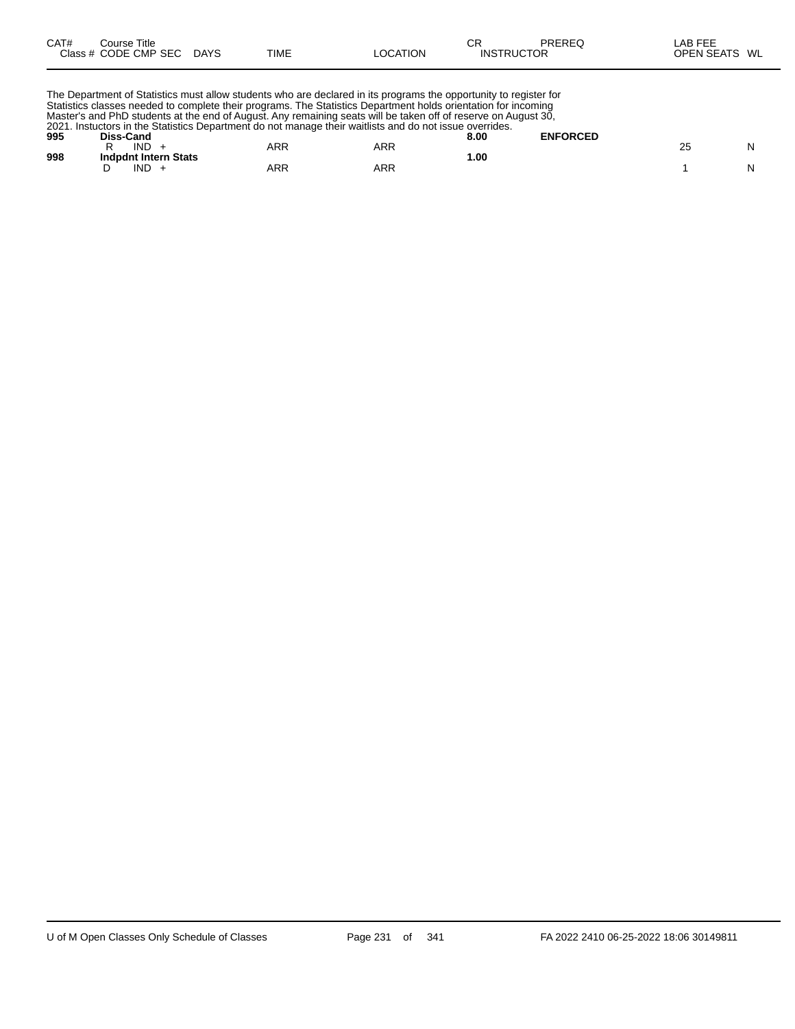| CAT# | Title<br>Course      |             |             |          | СR                | PREREQ | ∟AB FEF           |    |
|------|----------------------|-------------|-------------|----------|-------------------|--------|-------------------|----|
|      | Class # CODE CMP SEC | <b>DAYS</b> | <b>TIME</b> | LOCATION | <b>INSTRUCTOR</b> |        | <b>OPEN SEATS</b> | WL |

The Department of Statistics must allow students who are declared in its programs the opportunity to register for Statistics classes needed to complete their programs. The Statistics Department holds orientation for incoming Master's and PhD students at the end of August. Any remaining seats will be taken off of reserve on August 30, 2021. Instuctors in the Statistics Department do not manage their waitlists and do not issue overrides.

| 995 | 2021. IIISRUGUIS III LITE STATISTICS DEDATTITEITI QU HULTITANADE IITEII WARIISTS ANU QU HULTISSUE OVENIUES.<br>Diss-Cand |     |     | 8.00 | <b>ENFORCED</b> |  |
|-----|--------------------------------------------------------------------------------------------------------------------------|-----|-----|------|-----------------|--|
| 998 | <b>IND</b><br><b>Indpdnt Intern Stats</b>                                                                                | ARR | ARR | .00. |                 |  |
|     | IND                                                                                                                      | ARR | ARR |      |                 |  |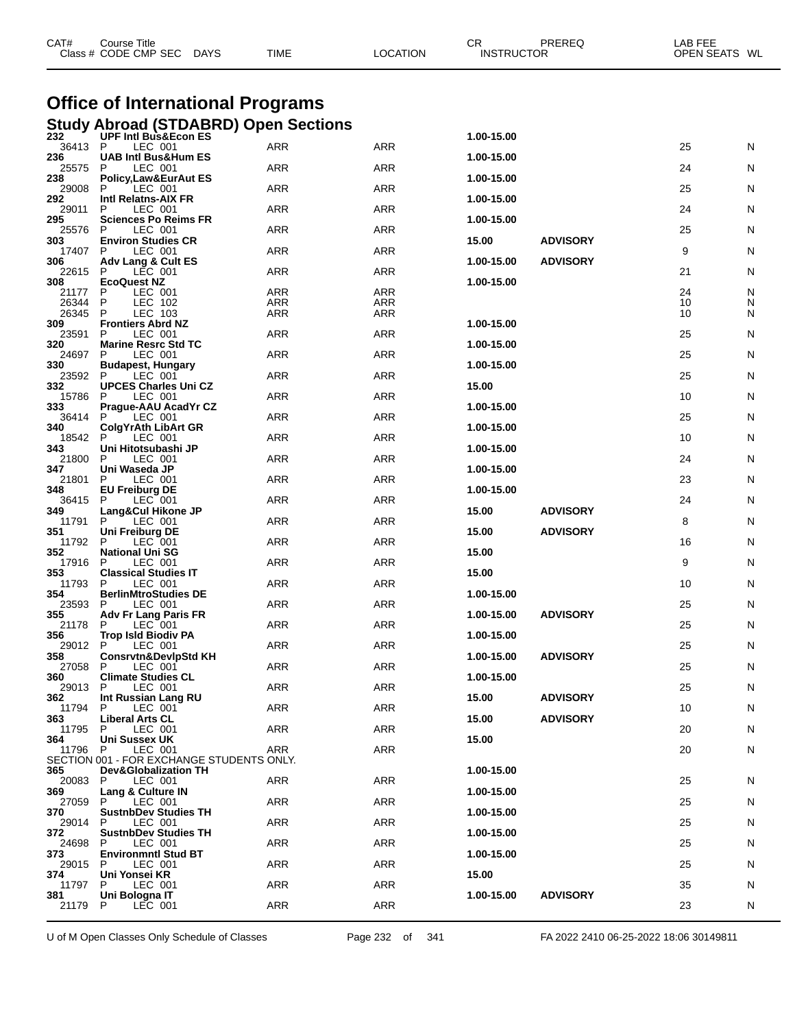| CAT#           | Course Title<br>Class # CODE CMP SEC<br>DAYS                                 | TIME              | <b>LOCATION</b> | CR<br>PREREQ<br><b>INSTRUCTOR</b> | LAB FEE | OPEN SEATS WL |  |
|----------------|------------------------------------------------------------------------------|-------------------|-----------------|-----------------------------------|---------|---------------|--|
|                | <b>Office of International Programs</b>                                      |                   |                 |                                   |         |               |  |
|                | Study Abroad (STDABRD) Open Sections<br>232 UPF Intl Bus&Econ ES             |                   |                 | 1.00-15.00                        |         |               |  |
| 36413          | P<br>LEC 001                                                                 | ARR               | ARR             |                                   | 25      | N             |  |
| 236<br>25575   | <b>UAB Intl Bus&amp;Hum ES</b><br>P<br>LEC 001                               | <b>ARR</b>        | ARR             | 1.00-15.00                        | 24      | N             |  |
| 238<br>29008   | <b>Policy, Law&amp;EurAut ES</b><br>Р<br>LEC 001                             | <b>ARR</b>        | ARR             | 1.00-15.00                        | 25      | N             |  |
| 292<br>29011   | Intl Relatns-AIX FR<br>P<br>LEC 001                                          | ARR               | <b>ARR</b>      | 1.00-15.00                        | 24      | N             |  |
| 295<br>25576   | <b>Sciences Po Reims FR</b><br>P<br>LEC 001                                  | ARR               | ARR             | 1.00-15.00                        | 25      | N             |  |
| 303<br>17407   | <b>Environ Studies CR</b><br>LEC 001<br>P                                    | <b>ARR</b>        | ARR             | 15.00<br><b>ADVISORY</b>          | 9       | N             |  |
| 306<br>22615   | Adv Lang & Cult ES<br>P<br>LEC 001                                           | ARR               | ARR             | 1.00-15.00<br><b>ADVISORY</b>     | 21      | N             |  |
| 308            | <b>EcoQuest NZ</b><br>P                                                      |                   | <b>ARR</b>      | 1.00-15.00                        | 24      |               |  |
| 21177<br>26344 | LEC 001<br>P<br>LEC 102                                                      | ARR<br><b>ARR</b> | <b>ARR</b>      |                                   | 10      | N<br>N        |  |
| 26345<br>309   | P<br>LEC 103<br><b>Frontiers Abrd NZ</b>                                     | <b>ARR</b>        | ARR             | 1.00-15.00                        | 10      | N             |  |
| 23591<br>320   | P<br>LEC 001<br><b>Marine Resrc Std TC</b>                                   | ARR               | <b>ARR</b>      | 1.00-15.00                        | 25      | N             |  |
| 24697<br>330   | P<br>LEC 001<br><b>Budapest, Hungary</b>                                     | <b>ARR</b>        | <b>ARR</b>      | 1.00-15.00                        | 25      | N             |  |
| 23592<br>332   | LEC 001<br>P<br><b>UPCES Charles Uni CZ</b>                                  | <b>ARR</b>        | ARR             | 15.00                             | 25      | N             |  |
| 15786          | P<br>LEC 001                                                                 | ARR               | <b>ARR</b>      | 1.00-15.00                        | 10      | N             |  |
| 333<br>36414   | Prague-AAU AcadYr CZ<br>P<br>LEC 001                                         | <b>ARR</b>        | <b>ARR</b>      |                                   | 25      | N             |  |
| 340<br>18542   | <b>ColgYrAth LibArt GR</b><br>P<br>LEC 001                                   | <b>ARR</b>        | ARR             | 1.00-15.00                        | 10      | N             |  |
| 343<br>21800   | Uni Hitotsubashi JP<br>P<br>LEC 001                                          | ARR               | <b>ARR</b>      | 1.00-15.00                        | 24      | N             |  |
| 347<br>21801   | Uni Waseda JP<br>P<br>LEC 001                                                | <b>ARR</b>        | <b>ARR</b>      | 1.00-15.00                        | 23      | N             |  |
| 348<br>36415   | <b>EU Freiburg DE</b><br>P<br>LEC 001                                        | <b>ARR</b>        | <b>ARR</b>      | 1.00-15.00                        | 24      | N             |  |
| 349<br>11791   | Lang&Cul Hikone JP<br>P<br>LEC 001                                           | ARR               | <b>ARR</b>      | <b>ADVISORY</b><br>15.00          | 8       | N             |  |
| 351<br>11792   | Uni Freiburg DE<br>P<br>LEC 001                                              | ARR               | <b>ARR</b>      | <b>ADVISORY</b><br>15.00          | 16      | N             |  |
| 352            | <b>National Uni SG</b>                                                       |                   |                 | 15.00                             |         |               |  |
| 17916<br>353   | P<br>LEC 001<br><b>Classical Studies IT</b>                                  | <b>ARR</b>        | <b>ARR</b>      | 15.00                             | 9       | N             |  |
| 11793<br>354   | P<br>LEC 001<br><b>BerlinMtroStudies DE</b>                                  | ARR               | <b>ARR</b>      | 1.00-15.00                        | 10      | N             |  |
| 23593<br>355   | LEC 001<br>P<br><b>Adv Fr Lang Paris FR</b>                                  | ARR               | ARR             | <b>ADVISORY</b><br>1.00-15.00     | 25      | N             |  |
| 356            | 21178 P LEC 001<br><b>Trop Isld Biodiv PA</b>                                | ARR               | ARR             | 1.00-15.00                        | 25      | N             |  |
| 29012 P<br>358 | LEC 001<br><b>Consrvtn&amp;DevIpStd KH</b>                                   | ARR               | ARR             | <b>ADVISORY</b><br>1.00-15.00     | 25      | N             |  |
| 27058<br>360   | P.<br>LEC 001<br><b>Climate Studies CL</b>                                   | <b>ARR</b>        | ARR             | 1.00-15.00                        | 25      | N             |  |
| 29013          | LEC 001<br>P                                                                 | <b>ARR</b>        | ARR             |                                   | 25      | N             |  |
| 362<br>11794   | Int Russian Lang RU<br>P<br>LEC 001                                          | ARR               | ARR             | 15.00<br><b>ADVISORY</b>          | 10      | N             |  |
| 363<br>11795   | Liberal Arts CL<br>P<br>LEC 001                                              | <b>ARR</b>        | ARR             | <b>ADVISORY</b><br>15.00          | 20      | N             |  |
| 364<br>11796   | <b>Uni Sussex UK</b><br>LEC 001<br>P                                         | ARR               | ARR             | 15.00                             | 20      | N             |  |
| 365            | SECTION 001 - FOR EXCHANGE STUDENTS ONLY.<br><b>Dev&amp;Globalization TH</b> |                   |                 | 1.00-15.00                        |         |               |  |
| 20083<br>369.  | LEC 001<br>P<br>Lang & Culture IN                                            | <b>ARR</b>        | ARR             | 1.00-15.00                        | 25      | N             |  |
| 27059          | P.<br>LEC 001                                                                | ARR               | ARR             |                                   | 25      | N             |  |
| 370<br>29014   | <b>SustnbDev Studies TH</b><br>P<br>LEC 001                                  | ARR               | ARR             | 1.00-15.00                        | 25      | N             |  |
| 372<br>24698   | <b>SustnbDev Studies TH</b><br>LEC 001<br>P                                  | <b>ARR</b>        | ARR             | 1.00-15.00                        | 25      | N             |  |
| 373<br>29015   | <b>Environmntl Stud BT</b><br>LEC 001<br>P                                   | ARR               | ARR             | 1.00-15.00                        | 25      | N             |  |
| 374<br>11797   | Uni Yonsei KR<br>P<br>LEC 001                                                | ARR               | ARR             | 15.00                             | 35      | N             |  |
| 381<br>21179   | Uni Bologna IT<br>LEC 001<br>P                                               | <b>ARR</b>        | ARR             | <b>ADVISORY</b><br>1.00-15.00     | 23      | N             |  |
|                |                                                                              |                   |                 |                                   |         |               |  |

U of M Open Classes Only Schedule of Classes Page 232 of 341 FA 2022 2410 06-25-2022 18:06 30149811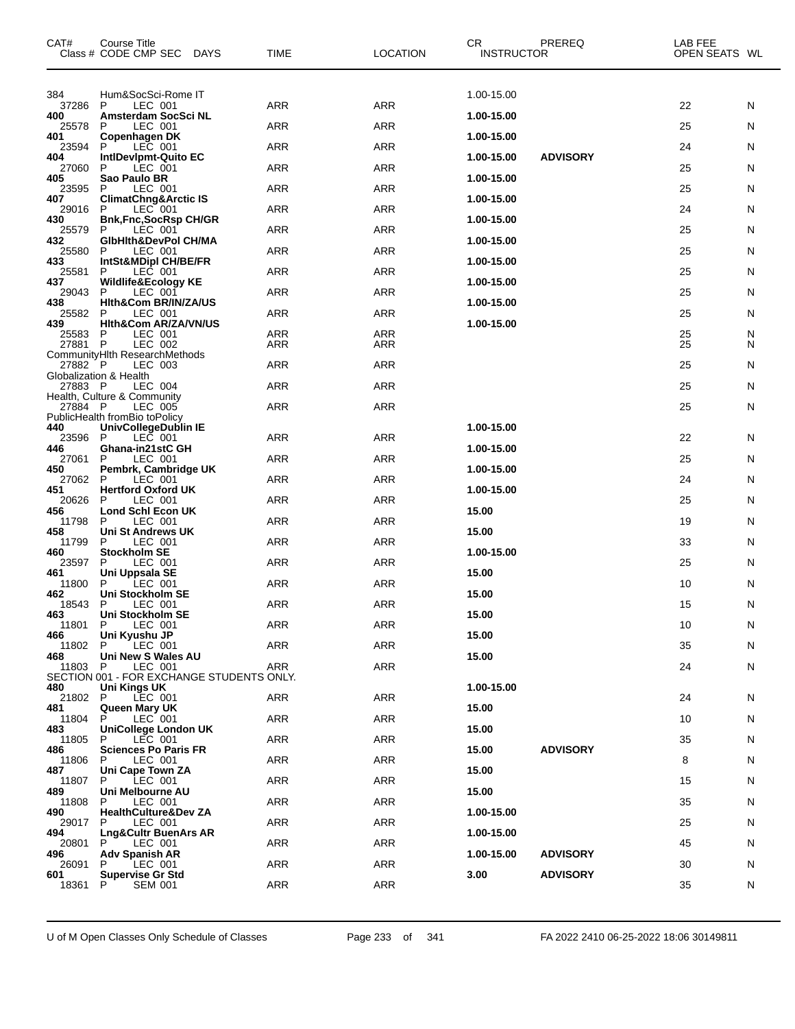| CAT#           | Course Title<br>Class # CODE CMP SEC DAYS                  | <b>TIME</b> | <b>LOCATION</b> | CR<br><b>INSTRUCTOR</b> | PREREQ          | LAB FEE<br>OPEN SEATS WL |   |
|----------------|------------------------------------------------------------|-------------|-----------------|-------------------------|-----------------|--------------------------|---|
| 384            | Hum&SocSci-Rome IT                                         |             |                 | 1.00-15.00              |                 |                          |   |
| 37286<br>400   | P<br>LEC 001<br><b>Amsterdam SocSci NL</b>                 | ARR         | <b>ARR</b>      | 1.00-15.00              |                 | 22                       | N |
| 25578          | LEC 001<br>P                                               | <b>ARR</b>  | <b>ARR</b>      |                         |                 | 25                       | N |
| 401<br>23594   | Copenhagen DK<br>LEC 001<br>P                              | ARR         | <b>ARR</b>      | 1.00-15.00              |                 | 24                       | N |
| 404<br>27060   | IntiDevipmt-Quito EC<br>P<br>LEC 001                       | ARR         | <b>ARR</b>      | 1.00-15.00              | <b>ADVISORY</b> | 25                       | N |
| 405<br>23595   | Sao Paulo BR<br>P<br>LEC 001                               | ARR         | <b>ARR</b>      | 1.00-15.00              |                 | 25                       | N |
| 407<br>29016   | <b>ClimatChng&amp;Arctic IS</b><br>LEC <sup>001</sup><br>P | ARR         | <b>ARR</b>      | 1.00-15.00              |                 | 24                       | N |
| 430            | <b>Bnk,Fnc,SocRsp CH/GR</b>                                |             |                 | 1.00-15.00              |                 |                          |   |
| 25579<br>432   | P<br>LEC 001<br>GIbHith&DevPol CH/MA                       | ARR         | <b>ARR</b>      | 1.00-15.00              |                 | 25                       | N |
| 25580<br>433   | P<br>LEC 001<br>IntSt&MDipl CH/BE/FR                       | ARR         | <b>ARR</b>      | 1.00-15.00              |                 | 25                       | N |
| 25581<br>437   | LEC 001<br>P<br>Wildlife&Ecology KE                        | ARR         | <b>ARR</b>      | 1.00-15.00              |                 | 25                       | N |
| 29043<br>438   | P<br>LEC 001<br>Hith&Com BR/IN/ZA/US                       | ARR         | <b>ARR</b>      | 1.00-15.00              |                 | 25                       | N |
| 25582          | P<br>LEC 001                                               | <b>ARR</b>  | <b>ARR</b>      |                         |                 | 25                       | N |
| 439<br>25583   | Hith&Com AR/ZA/VN/US<br>LEC 001<br>P                       | ARR         | <b>ARR</b>      | 1.00-15.00              |                 | 25                       | N |
| 27881 P        | LEC 002<br>CommunityHIth ResearchMethods                   | <b>ARR</b>  | <b>ARR</b>      |                         |                 | 25                       | N |
| 27882 P        | LEC 003<br>Globalization & Health                          | ARR         | <b>ARR</b>      |                         |                 | 25                       | N |
| 27883 P        | LEC 004<br>Health, Culture & Community                     | ARR         | <b>ARR</b>      |                         |                 | 25                       | N |
| 27884 P        | LEC 005                                                    | <b>ARR</b>  | <b>ARR</b>      |                         |                 | 25                       | N |
| 440            | PublicHealth fromBio toPolicy<br>UnivCollegeDublin IE      |             |                 | 1.00-15.00              |                 |                          |   |
| 23596 P<br>446 | LEC 001<br>Ghana-in21stC GH                                | <b>ARR</b>  | <b>ARR</b>      | 1.00-15.00              |                 | 22                       | N |
| 27061<br>450   | P<br>LEC 001<br>Pembrk, Cambridge UK                       | ARR         | <b>ARR</b>      | 1.00-15.00              |                 | 25                       | N |
| 27062<br>451   | P<br>LEC 001<br><b>Hertford Oxford UK</b>                  | ARR         | <b>ARR</b>      | 1.00-15.00              |                 | 24                       | N |
| 20626<br>456   | P<br>LEC 001<br>Lond Schl Econ UK                          | ARR         | <b>ARR</b>      | 15.00                   |                 | 25                       | N |
| 11798          | P<br>LEC 001                                               | ARR         | <b>ARR</b>      |                         |                 | 19                       | N |
| 458<br>11799   | Uni St Andrews UK<br>P<br>LEC 001                          | <b>ARR</b>  | <b>ARR</b>      | 15.00                   |                 | 33                       | N |
| 460<br>23597   | <b>Stockholm SE</b><br>LEC 001<br>P                        | <b>ARR</b>  | <b>ARR</b>      | 1.00-15.00              |                 | 25                       | N |
| 461<br>11800   | Uni Uppsala SE<br>P<br>LEC 001                             | ARR         | <b>ARR</b>      | 15.00                   |                 | 10                       | N |
| 462<br>18543   | <b>Uni Stockholm SE</b><br>P<br>LEC 001                    | <b>ARR</b>  | <b>ARR</b>      | 15.00                   |                 | 15                       | N |
| 463            | Uni Stockholm SE<br>LEC 001                                | <b>ARR</b>  | <b>ARR</b>      | 15.00                   |                 |                          |   |
| 11801 P<br>466 | Uni Kyushu JP                                              |             |                 | 15.00                   |                 | 10                       | N |
| 11802 P<br>468 | $LEC$ 001<br>Uni New S Wales AU                            | ARR         | ARR             | 15.00                   |                 | 35                       | N |
| 11803 P        | LEC 001<br>SECTION 001 - FOR EXCHANGE STUDENTS ONLY.       | ARR         | ARR             |                         |                 | 24                       | N |
| 480<br>21802 P | Uni Kings UK<br>LEC 001                                    | ARR         | ARR             | 1.00-15.00              |                 | 24                       | N |
| 481<br>11804   | Queen Mary UK<br>P.<br>LEC 001                             | ARR         | ARR             | 15.00                   |                 | 10                       | N |
| 483            | <b>UniCollege London UK</b>                                |             |                 | 15.00                   |                 |                          |   |
| 11805<br>486   | P.<br>LEC 001<br><b>Sciences Po Paris FR</b>               | ARR         | ARR             | 15.00                   | <b>ADVISORY</b> | 35                       | N |
| 11806<br>487   | LEC 001<br>P.<br>Uni Cape Town ZA                          | ARR         | ARR             | 15.00                   |                 | 8                        | N |
| 11807<br>489   | P.<br>LEC 001<br>Uni Melbourne AU                          | <b>ARR</b>  | ARR             | 15.00                   |                 | 15                       | N |
| 11808<br>490   | P.<br>LEC 001<br><b>HealthCulture&amp;Dev ZA</b>           | ARR         | ARR             | 1.00-15.00              |                 | 35                       | N |
| 29017<br>494   | P<br>LEC 001                                               | ARR         | ARR             | 1.00-15.00              |                 | 25                       | N |
| 20801          | Lng&Cultr BuenArs AR<br>P.<br>LEC 001                      | <b>ARR</b>  | ARR             |                         |                 | 45                       | N |
| 496<br>26091   | <b>Adv Spanish AR</b><br>P.<br>LEC 001                     | <b>ARR</b>  | ARR             | 1.00-15.00              | <b>ADVISORY</b> | 30                       | N |
| 601<br>18361   | Supervise Gr Std<br>P<br><b>SEM 001</b>                    | ARR         | ARR             | 3.00                    | <b>ADVISORY</b> | 35                       | N |
|                |                                                            |             |                 |                         |                 |                          |   |

U of M Open Classes Only Schedule of Classes Page 233 of 341 FA 2022 2410 06-25-2022 18:06 30149811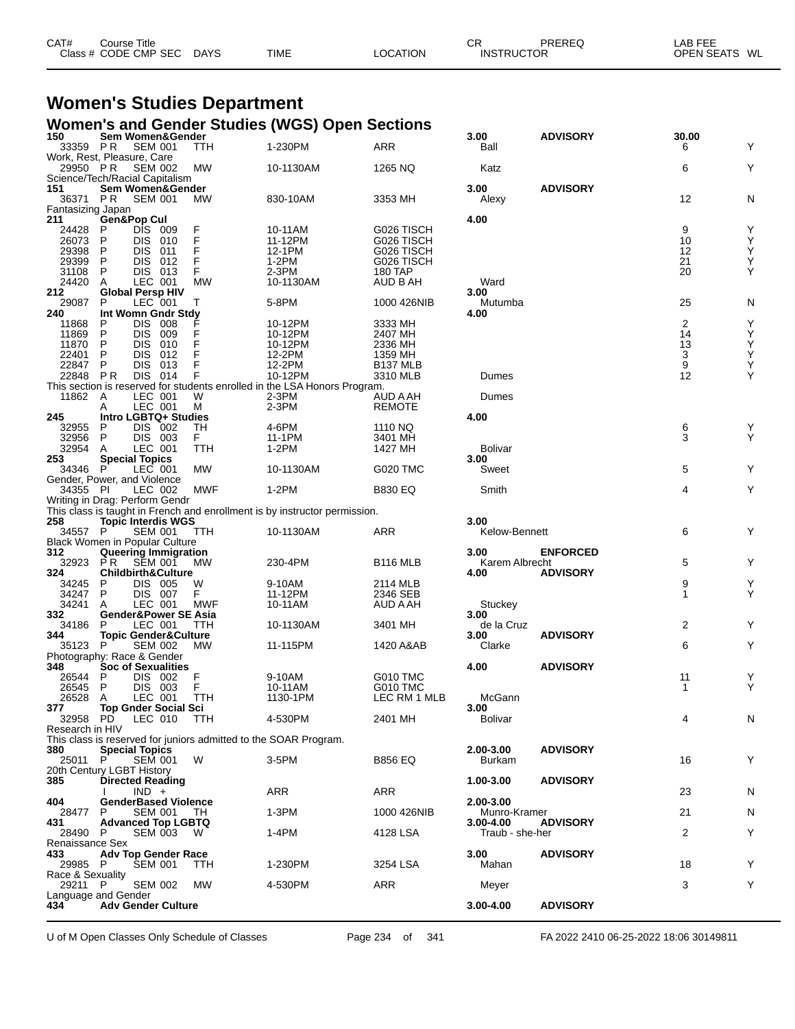| CAT# | Course Title<br>Class # CODE CMP SEC | <b>DAYS</b> | <b>TIME</b> | LOCATION | СR | PREREQ<br><b>INSTRUCTOR</b> | LAB FEE<br><b>OPEN SEATS</b><br>WL |
|------|--------------------------------------|-------------|-------------|----------|----|-----------------------------|------------------------------------|
|      |                                      |             |             |          |    |                             |                                    |

## **Women's Studies Department**

|                                           |                                                                                      |                           | <b>Women's and Gender Studies (WGS) Open Sections</b>                                |                                                                        |                            |                 |                           |                       |
|-------------------------------------------|--------------------------------------------------------------------------------------|---------------------------|--------------------------------------------------------------------------------------|------------------------------------------------------------------------|----------------------------|-----------------|---------------------------|-----------------------|
| 150<br>33359 PR                           | Sem Women&Gender<br><b>SEM 001</b>                                                   | <b>TTH</b>                | 1-230PM                                                                              | <b>ARR</b>                                                             | 3.00<br>Ball               | <b>ADVISORY</b> | 30.00<br>6                | Υ                     |
| 29950 PR                                  | Work, Rest, Pleasure, Care<br><b>SEM 002</b><br>Science/Tech/Racial Capitalism       | MW                        | 10-1130AM                                                                            | 1265 NQ                                                                | Katz                       |                 | 6                         | Υ                     |
| 151<br>36371 PR                           | Sem Women&Gender<br><b>SEM 001</b>                                                   | МW                        | 830-10AM                                                                             | 3353 MH                                                                | 3.00<br>Alexy              | <b>ADVISORY</b> | 12                        | N                     |
| Fantasizing Japan<br>211                  | Gen&Pop Cul                                                                          |                           |                                                                                      |                                                                        | 4.00                       |                 |                           |                       |
| 24428<br>26073<br>29398<br>29399<br>31108 | DIS 009<br>P<br>P<br>DIS 010<br>P<br>DIS.<br>011<br>P<br>DIS 012<br>P<br>DIS 013     | $_{F}^{F}$<br>F<br>F<br>F | 10-11AM<br>11-12PM<br>12-1PM<br>$1-2PM$<br>2-3PM                                     | G026 TISCH<br>G026 TISCH<br>G026 TISCH<br>G026 TISCH<br><b>180 TAP</b> |                            |                 | 9<br>10<br>12<br>21<br>20 | Υ<br>Υ<br>Y<br>Υ<br>Υ |
| 24420<br>212                              | LEC 001<br>A<br><b>Global Persp HIV</b>                                              | <b>MW</b>                 | 10-1130AM                                                                            | AUD B AH                                                               | Ward<br>3.00               |                 |                           |                       |
| 29087                                     | LEC 001<br>P                                                                         | т                         | 5-8PM                                                                                | 1000 426NIB                                                            | Mutumba                    |                 | 25                        | N                     |
| 240                                       | Int Womn Gndr Stdy                                                                   |                           |                                                                                      |                                                                        | 4.00                       |                 |                           |                       |
| 11868<br>11869<br>11870<br>22401<br>22847 | DIS 008<br>P<br>P<br>DIS 009<br>P<br>DIS.<br>010<br>P<br>DIS.<br>012<br>P<br>DIS 013 |                           | 10-12PM<br>10-12PM<br>10-12PM<br>12-2PM<br>12-2PM                                    | 3333 MH<br>2407 MH<br>2336 MH<br>1359 MH<br>B137 MLB                   |                            |                 | 2<br>14<br>13<br>3<br>9   | Υ<br>Υ<br>Y<br>Y<br>Y |
| 22848                                     | DIS 014<br>P R                                                                       | F                         | 10-12PM<br>This section is reserved for students enrolled in the LSA Honors Program. | 3310 MLB                                                               | Dumes                      |                 | 12                        | Y                     |
| 11862                                     | LEC 001<br>Α<br>LEC 001<br>A                                                         | W<br>м                    | $2-3PM$<br>2-3PM                                                                     | AUD A AH<br><b>REMOTE</b>                                              | Dumes                      |                 |                           |                       |
| 245                                       | Intro LGBTQ+ Studies<br>P                                                            | TН                        | 4-6PM                                                                                | 1110 NQ                                                                | 4.00                       |                 |                           |                       |
| 32955<br>32956                            | DIS 002<br>DIS 003<br>P                                                              | F.                        | 11-1PM                                                                               | 3401 MH                                                                |                            |                 | 6<br>3                    | Υ<br>Y                |
| 32954                                     | LEC 001<br>A                                                                         | TTH                       | $1-2PM$                                                                              | 1427 MH                                                                | <b>Bolivar</b>             |                 |                           |                       |
| 253<br>34346                              | <b>Special Topics</b><br>LEC 001<br>P<br>Gender, Power, and Violence                 | МW                        | 10-1130AM                                                                            | G020 TMC                                                               | 3.00<br>Sweet              |                 | 5                         | Υ                     |
| 34355 PI                                  | LEC 002                                                                              | MWF                       | $1-2PM$                                                                              | <b>B830 EQ</b>                                                         | Smith                      |                 | 4                         | Υ                     |
|                                           | Writing in Drag: Perform Gendr                                                       |                           |                                                                                      |                                                                        |                            |                 |                           |                       |
|                                           |                                                                                      |                           | This class is taught in French and enrollment is by instructor permission.           |                                                                        |                            |                 |                           |                       |
| 258<br>34557                              | <b>Topic Interdis WGS</b><br>P<br><b>SEM 001</b><br>Black Women in Popular Culture   | TTH                       | 10-1130AM                                                                            | ARR                                                                    | 3.00<br>Kelow-Bennett      |                 | 6                         | Y                     |
| 312                                       | Queering Immigration                                                                 |                           |                                                                                      |                                                                        | 3.00                       | <b>ENFORCED</b> |                           |                       |
| 32923<br>324<br>34245                     | P <sub>R</sub><br><b>SEM 001</b><br><b>Childbirth&amp;Culture</b><br>DIS 005<br>P    | МW<br>W                   | 230-4PM<br>9-10AM                                                                    | <b>B116 MLB</b><br>2114 MLB                                            | Karem Albrecht<br>4.00     | <b>ADVISORY</b> | 5<br>9                    | Υ<br>Υ                |
| 34247                                     | DIS 007<br>P                                                                         | F                         | 11-12PM                                                                              | 2346 SEB                                                               |                            |                 | 1                         | Υ                     |
| 34241                                     | LEC 001<br>A                                                                         | <b>MWF</b>                | 10-11AM                                                                              | AUD A AH                                                               | Stuckey                    |                 |                           |                       |
| 332<br>34186<br>344                       | <b>Gender&amp;Power SE Asia</b><br>LEC 001<br>P<br><b>Topic Gender&amp;Culture</b>   | TTH                       | 10-1130AM                                                                            | 3401 MH                                                                | 3.00<br>de la Cruz<br>3.00 | <b>ADVISORY</b> | 2                         | Y                     |
| 35123 P                                   | <b>SEM 002</b>                                                                       | МW                        | 11-115PM                                                                             | 1420 A&AB                                                              | Clarke                     |                 | 6                         | Υ                     |
|                                           | Photography: Race & Gender                                                           |                           |                                                                                      |                                                                        |                            |                 |                           |                       |
| 348<br>26544                              | <b>Soc of Sexualities</b><br>DIS 002<br>P                                            | F                         | 9-10AM                                                                               | <b>G010 TMC</b>                                                        | 4.00                       | <b>ADVISORY</b> | 11                        | Υ                     |
| 26545                                     | P<br>DIS 003                                                                         | F                         | 10-11AM                                                                              | <b>G010 TMC</b>                                                        |                            |                 | $\mathbf{1}$              | Y                     |
| 26528                                     | LEC 001<br>A                                                                         | <b>TTH</b>                | 1130-1PM                                                                             | LEC RM 1 MLB                                                           | McGann                     |                 |                           |                       |
| 377<br>32958 PD<br>Research in HIV        | <b>Top Gnder Social Sci</b><br>LEC 010                                               | TTH                       | 4-530PM                                                                              | 2401 MH                                                                | 3.00<br>Bolivar            |                 | 4                         | N                     |
|                                           |                                                                                      |                           | This class is reserved for juniors admitted to the SOAR Program.                     |                                                                        |                            |                 |                           |                       |
| 380<br>25011                              | <b>Special Topics</b><br><b>SEM 001</b><br>P                                         | W                         | 3-5PM                                                                                | <b>B856 EQ</b>                                                         | 2.00-3.00<br><b>Burkam</b> | <b>ADVISORY</b> | 16                        | Υ                     |
| 385                                       | 20th Century LGBT History<br><b>Directed Reading</b>                                 |                           |                                                                                      |                                                                        | 1.00-3.00                  | <b>ADVISORY</b> |                           |                       |
|                                           | $IND +$                                                                              |                           | ARR                                                                                  | <b>ARR</b>                                                             |                            |                 | 23                        | N                     |
| 404                                       | <b>GenderBased Violence</b>                                                          |                           |                                                                                      |                                                                        | 2.00-3.00                  |                 |                           |                       |
| 28477<br>431                              | <b>SEM 001</b><br>P<br><b>Advanced Top LGBTQ</b>                                     | TH.                       | 1-3PM                                                                                | 1000 426NIB                                                            | Munro-Kramer<br>3.00-4.00  | <b>ADVISORY</b> | 21                        | N                     |
| 28490 P                                   | SEM 003                                                                              | W.                        | 1-4PM                                                                                | 4128 LSA                                                               | Traub - she-her            |                 | 2                         | Υ                     |
| Renaissance Sex                           |                                                                                      |                           |                                                                                      |                                                                        |                            |                 |                           |                       |
| 433.<br>29985 P<br>Race & Sexuality       | <b>Adv Top Gender Race</b><br><b>SEM 001</b>                                         | TTH                       | 1-230PM                                                                              | 3254 LSA                                                               | 3.00<br>Mahan              | <b>ADVISORY</b> | 18                        | Υ                     |
| 29211                                     | - P<br><b>SEM 002</b><br>Language and Gender                                         | МW                        | 4-530PM                                                                              | <b>ARR</b>                                                             | Meyer                      |                 | 3                         | Υ                     |
| 434                                       | <b>Adv Gender Culture</b>                                                            |                           |                                                                                      |                                                                        | 3.00-4.00                  | <b>ADVISORY</b> |                           |                       |

U of M Open Classes Only Schedule of Classes Page 234 of 341 FA 2022 2410 06-25-2022 18:06 30149811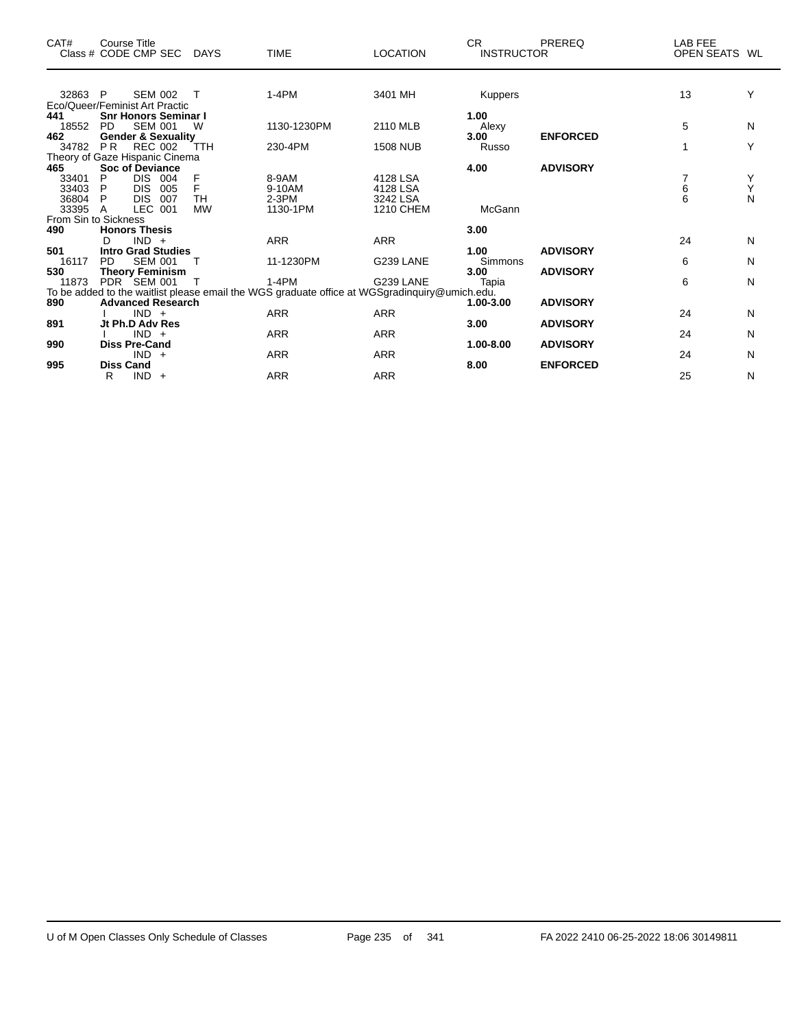| CAT#    | Course Title<br>Class # CODE CMP SEC | <b>DAYS</b> | <b>TIME</b>                                                                                   | <b>LOCATION</b> | CR.<br><b>INSTRUCTOR</b> | <b>PREREQ</b>   | LAB FEE<br>OPEN SEATS WL |   |
|---------|--------------------------------------|-------------|-----------------------------------------------------------------------------------------------|-----------------|--------------------------|-----------------|--------------------------|---|
| 32863 P | <b>SEM 002</b>                       | $\top$      | $1-4PM$                                                                                       | 3401 MH         | <b>Kuppers</b>           |                 | 13                       | Υ |
|         | Eco/Queer/Feminist Art Practic       |             |                                                                                               |                 |                          |                 |                          |   |
| 441     | <b>Snr Honors Seminar I</b>          |             |                                                                                               |                 | 1.00                     |                 |                          |   |
| 18552   | <b>SEM 001</b><br>PD.                | W           | 1130-1230PM                                                                                   | 2110 MLB        | Alexy                    |                 | 5                        | N |
| 462     | <b>Gender &amp; Sexuality</b>        |             |                                                                                               |                 | 3.00                     | <b>ENFORCED</b> |                          |   |
| 34782   | P <sub>R</sub><br>REC 002            | <b>TTH</b>  | 230-4PM                                                                                       | <b>1508 NUB</b> | Russo                    |                 | 1                        | Υ |
|         | Theory of Gaze Hispanic Cinema       |             |                                                                                               |                 |                          |                 |                          |   |
| 465     | <b>Soc of Deviance</b>               |             |                                                                                               |                 | 4.00                     | <b>ADVISORY</b> |                          |   |
| 33401   | <b>DIS</b><br>P<br>004               | F           | 8-9AM                                                                                         | 4128 LSA        |                          |                 |                          | Y |
| 33403   | <b>DIS</b><br>P<br>005               | F           | 9-10AM                                                                                        | 4128 LSA        |                          |                 | 6                        | Υ |
| 36804   | <b>DIS</b><br>007<br>P.              | TH          | $2-3PM$                                                                                       | 3242 LSA        |                          |                 | 6                        | N |
| 33395 A | LEC 001                              | <b>MW</b>   | 1130-1PM                                                                                      | 1210 CHEM       | McGann                   |                 |                          |   |
|         | From Sin to Sickness                 |             |                                                                                               |                 |                          |                 |                          |   |
| 490     | <b>Honors Thesis</b>                 |             |                                                                                               |                 | 3.00                     |                 |                          |   |
|         | $IND +$<br>D                         |             | ARR                                                                                           | ARR             |                          |                 | 24                       | N |
| 501     | <b>Intro Grad Studies</b>            |             |                                                                                               |                 | 1.00                     | <b>ADVISORY</b> |                          |   |
| 16117   | PD.<br><b>SEM 001</b>                | Т           | 11-1230PM                                                                                     | G239 LANE       | <b>Simmons</b>           |                 | 6                        | N |
| 530     | <b>Theory Feminism</b>               |             |                                                                                               |                 | 3.00                     | <b>ADVISORY</b> |                          |   |
| 11873   | PDR SEM 001                          |             | 1-4PM                                                                                         | G239 LANE       | Tapia                    |                 | 6                        | N |
|         |                                      |             | To be added to the waitlist please email the WGS graduate office at WGSgradinquiry@umich.edu. |                 |                          |                 |                          |   |
| 890     | <b>Advanced Research</b>             |             |                                                                                               |                 | 1.00-3.00                | <b>ADVISORY</b> |                          |   |
|         | $IND +$                              |             | <b>ARR</b>                                                                                    | <b>ARR</b>      |                          |                 | 24                       | N |
| 891     | Jt Ph.D Adv Res<br>$IND +$           |             | <b>ARR</b>                                                                                    | <b>ARR</b>      | 3.00                     | <b>ADVISORY</b> | 24                       | N |
|         |                                      |             |                                                                                               |                 |                          |                 |                          |   |
| 990     | <b>Diss Pre-Cand</b><br>$IND +$      |             | <b>ARR</b>                                                                                    | <b>ARR</b>      | 1.00-8.00                | <b>ADVISORY</b> | 24                       | N |
| 995     | <b>Diss Cand</b>                     |             |                                                                                               |                 | 8.00                     | <b>ENFORCED</b> |                          |   |
|         | $IND +$<br>R                         |             | <b>ARR</b>                                                                                    | <b>ARR</b>      |                          |                 | 25                       | N |
|         |                                      |             |                                                                                               |                 |                          |                 |                          |   |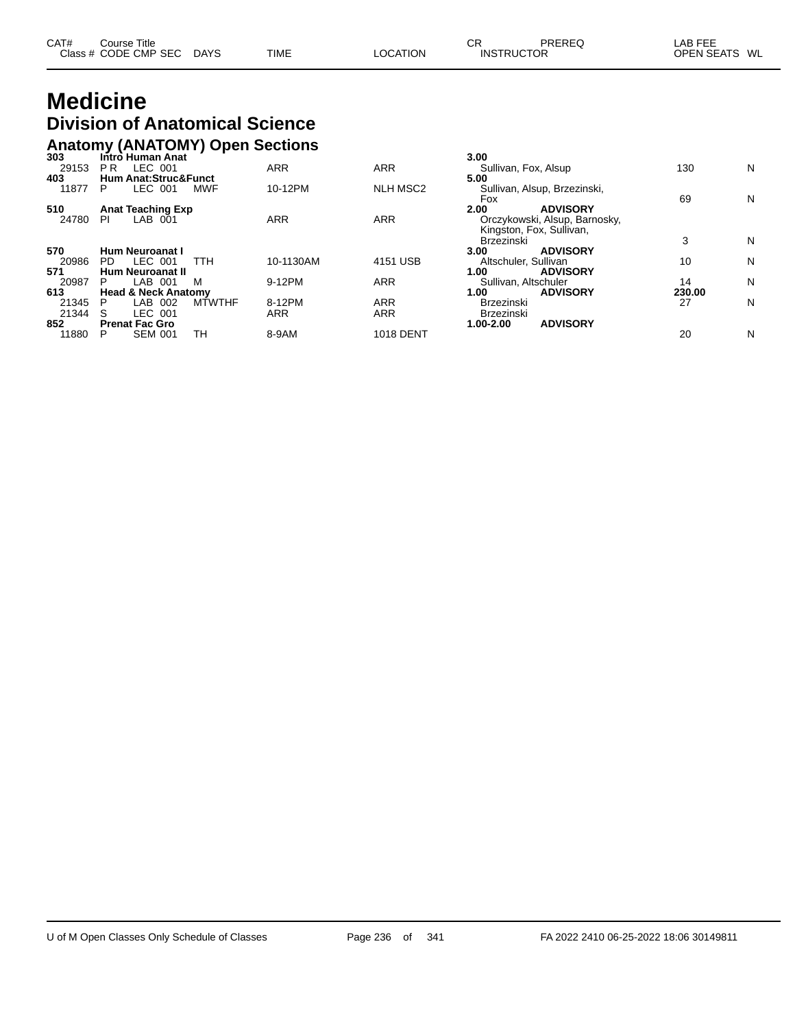| CAT# | Course Title         |             |             |                 | ◠⊓<br>◡◚          | PREREQ | LAB FEE           |    |
|------|----------------------|-------------|-------------|-----------------|-------------------|--------|-------------------|----|
|      | Class # CODE CMP SEC | <b>DAYS</b> | <b>TIME</b> | <b>LOCATION</b> | <b>INSTRUCTOR</b> |        | <b>OPEN SEATS</b> | WL |
|      |                      |             |             |                 |                   |        |                   |    |

## **Medicine Division of Anatomical Science**

## **Anatomy (ANATOMY) Open Sections 303 Intro Human Anat 3.00**

| 303   | Intro Human Anat                |                         |                  | 3.00                          |        |   |
|-------|---------------------------------|-------------------------|------------------|-------------------------------|--------|---|
| 29153 | LEC 001<br>P R                  | <b>ARR</b>              | ARR              | Sullivan, Fox, Alsup          | 130    | N |
| 403   | <b>Hum Anat:Struc&amp;Funct</b> |                         |                  | 5.00                          |        |   |
| 11877 | LEC 001<br><b>MWF</b><br>P      | 10-12PM                 | <b>NLH MSC2</b>  | Sullivan, Alsup, Brzezinski,  |        |   |
|       |                                 |                         |                  | Fox                           | 69     | N |
| 510   | <b>Anat Teaching Exp</b>        |                         |                  | 2.00<br><b>ADVISORY</b>       |        |   |
| 24780 | LAB 001<br>PI                   | <b>ARR</b>              | <b>ARR</b>       | Orczykowski, Alsup, Barnosky, |        |   |
|       |                                 |                         |                  | Kingston, Fox, Sullivan,      |        |   |
|       |                                 |                         |                  | <b>Brzezinski</b>             | 3      | N |
| 570   | Hum Neuroanat I                 |                         |                  | <b>ADVISORY</b><br>3.00       |        |   |
| 20986 | LEC 001<br>ттн<br>PD.           | 10-1130AM               | 4151 USB         | Altschuler, Sullivan          | 10     | N |
| 571   | <b>Hum Neuroanat II</b>         |                         |                  | <b>ADVISORY</b><br>1.00       |        |   |
| 20987 | LAB 001<br>м<br>P               | 9-12PM                  | ARR              | Sullivan, Altschuler          | 14     | N |
| 613   | <b>Head &amp; Neck Anatomy</b>  |                         |                  | <b>ADVISORY</b><br>1.00       | 230.00 |   |
| 21345 | LAB 002<br>P                    | <b>MTWTHF</b><br>8-12PM | ARR              | <b>Brzezinski</b>             | 27     | N |
| 21344 | LEC 001<br>S                    | <b>ARR</b>              | ARR              | <b>Brzezinski</b>             |        |   |
| 852   | <b>Prenat Fac Gro</b>           |                         |                  | <b>ADVISORY</b><br>1.00-2.00  |        |   |
| 11880 | <b>SEM 001</b><br>TН<br>P       | 8-9AM                   | <b>1018 DENT</b> |                               | 20     | N |
|       |                                 |                         |                  |                               |        |   |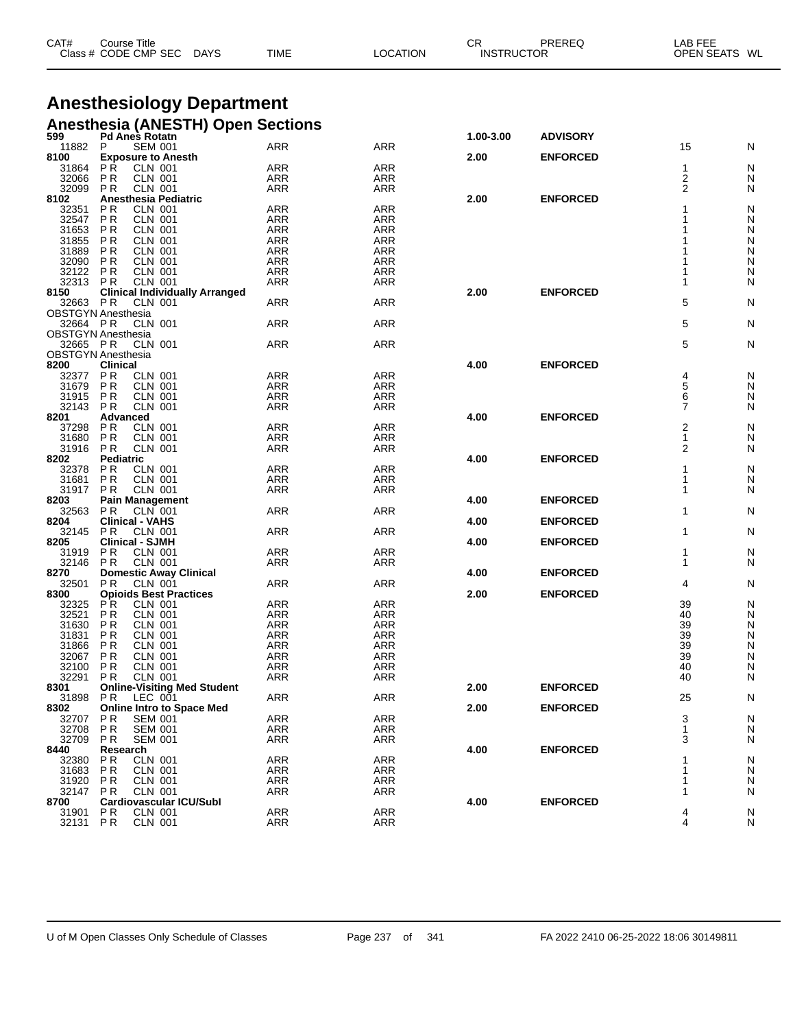| CAT#<br>$\bigcap$ acc $\bigcup$ | Title<br>Course:<br>CMP<br>CODE<br><b>SEC</b> | DAYS<br>$\sim$ | <b>TIME</b> |  | СF<br>IN! | ЮF | ---<br>LAB<br>OPF<br>WL |  |
|---------------------------------|-----------------------------------------------|----------------|-------------|--|-----------|----|-------------------------|--|
|---------------------------------|-----------------------------------------------|----------------|-------------|--|-----------|----|-------------------------|--|

#### **Anesthesiology Department Anesthesia (ANESTH) Open Sections**

| 599            | . .<br><b>Pd Anes Rotatn</b>                                    |                          |                          | 1.00-3.00 | <b>ADVISORY</b> |                 |        |
|----------------|-----------------------------------------------------------------|--------------------------|--------------------------|-----------|-----------------|-----------------|--------|
| 11882          | <b>SEM 001</b><br>P                                             | ARR                      | ARR                      |           |                 | 15              | N      |
| 8100           | <b>Exposure to Anesth</b><br><b>CLN 001</b>                     | ARR                      | <b>ARR</b>               | 2.00      | <b>ENFORCED</b> | 1               | N      |
| 31864<br>32066 | P R<br><b>PR</b><br><b>CLN 001</b>                              | <b>ARR</b>               | ARR                      |           |                 | 2               | N      |
| 32099          | <b>CLN 001</b><br>P R                                           | ARR                      | ARR                      |           |                 | 2               | N      |
| 8102           | <b>Anesthesia Pediatric</b>                                     |                          |                          | 2.00      | <b>ENFORCED</b> |                 |        |
| 32351          | <b>PR</b><br><b>CLN 001</b>                                     | <b>ARR</b>               | <b>ARR</b>               |           |                 |                 | N      |
| 32547          | P <sub>R</sub><br><b>CLN 001</b>                                | <b>ARR</b>               | <b>ARR</b>               |           |                 |                 | N      |
| 31653          | P <sub>R</sub><br><b>CLN 001</b>                                | ARR                      | <b>ARR</b>               |           |                 |                 | N      |
| 31855          | <b>PR</b><br><b>CLN 001</b>                                     | <b>ARR</b>               | <b>ARR</b>               |           |                 |                 | N      |
| 31889          | P <sub>R</sub><br><b>CLN 001</b>                                | <b>ARR</b>               | <b>ARR</b>               |           |                 |                 | N      |
| 32090<br>32122 | P <sub>R</sub><br><b>CLN 001</b><br><b>PR</b><br><b>CLN 001</b> | ARR<br><b>ARR</b>        | <b>ARR</b><br><b>ARR</b> |           |                 |                 | N<br>N |
| 32313          | <b>CLN 001</b><br>P R                                           | <b>ARR</b>               | ARR                      |           |                 |                 | N      |
| 8150           | <b>Clinical Individually Arranged</b>                           |                          |                          | 2.00      | <b>ENFORCED</b> |                 |        |
| 32663 PR       | <b>CLN 001</b>                                                  | <b>ARR</b>               | <b>ARR</b>               |           |                 | 5               | N      |
|                | <b>OBSTGYN Anesthesia</b>                                       |                          |                          |           |                 |                 |        |
| 32664 PR       | <b>CLN 001</b>                                                  | ARR                      | <b>ARR</b>               |           |                 | 5               | N      |
|                | <b>OBSTGYN Anesthesia</b>                                       |                          |                          |           |                 |                 |        |
| 32665 PR       | <b>CLN 001</b>                                                  | ARR                      | <b>ARR</b>               |           |                 | 5               | N      |
|                | <b>OBSTGYN Anesthesia</b>                                       |                          |                          |           |                 |                 |        |
| 8200           | <b>Clinical</b>                                                 |                          |                          | 4.00      | <b>ENFORCED</b> |                 |        |
| 32377<br>31679 | P <sub>R</sub><br><b>CLN 001</b><br><b>PR</b><br><b>CLN 001</b> | <b>ARR</b><br>ARR        | <b>ARR</b><br><b>ARR</b> |           |                 | 4<br>5          | N      |
| 31915          | <b>PR</b><br><b>CLN 001</b>                                     | <b>ARR</b>               | <b>ARR</b>               |           |                 | 6               | N<br>N |
| 32143          | <b>CLN 001</b><br>P R                                           | ARR                      | <b>ARR</b>               |           |                 | 7               | N      |
| 8201           | Advanced                                                        |                          |                          | 4.00      | <b>ENFORCED</b> |                 |        |
| 37298          | <b>PR</b><br><b>CLN 001</b>                                     | <b>ARR</b>               | <b>ARR</b>               |           |                 | 2               | N      |
| 31680          | <b>PR</b><br><b>CLN 001</b>                                     | <b>ARR</b>               | <b>ARR</b>               |           |                 | 1               | N      |
| 31916          | <b>PR</b><br><b>CLN 001</b>                                     | ARR                      | ARR                      |           |                 | 2               | N      |
| 8202           | <b>Pediatric</b>                                                |                          |                          | 4.00      | <b>ENFORCED</b> |                 |        |
| 32378          | <b>PR</b><br><b>CLN 001</b>                                     | <b>ARR</b>               | <b>ARR</b>               |           |                 | 1               | N      |
| 31681          | P <sub>R</sub><br><b>CLN 001</b>                                | ARR                      | <b>ARR</b>               |           |                 | 1               | N      |
| 31917 PR       | <b>CLN 001</b>                                                  | ARR                      | <b>ARR</b>               |           |                 | 1               | N      |
| 8203<br>32563  | <b>Pain Management</b><br>P R<br>CLN 001                        | ARR                      | ARR                      | 4.00      | <b>ENFORCED</b> | 1               | N      |
| 8204           | <b>Clinical - VAHS</b>                                          |                          |                          | 4.00      | <b>ENFORCED</b> |                 |        |
| 32145          | <b>CLN 001</b><br>P R                                           | <b>ARR</b>               | ARR                      |           |                 | 1               | N      |
| 8205           | <b>Clinical - SJMH</b>                                          |                          |                          | 4.00      | <b>ENFORCED</b> |                 |        |
| 31919          | P <sub>R</sub><br><b>CLN 001</b>                                | <b>ARR</b>               | <b>ARR</b>               |           |                 | 1               | N      |
| 32146          | P R<br>CLN 001                                                  | <b>ARR</b>               | ARR                      |           |                 | 1               | N      |
| 8270           | <b>Domestic Away Clinical</b>                                   |                          |                          | 4.00      | <b>ENFORCED</b> |                 |        |
| 32501          | P <sub>R</sub><br>CLN 001                                       | <b>ARR</b>               | <b>ARR</b>               |           |                 | 4               | N      |
| 8300           | <b>Opioids Best Practices</b>                                   |                          |                          | 2.00      | <b>ENFORCED</b> |                 |        |
| 32325          | <b>CLN 001</b><br>P R                                           | ARR                      | <b>ARR</b>               |           |                 | 39<br>40        | N      |
| 32521<br>31630 | <b>PR</b><br><b>CLN 001</b><br><b>CLN 001</b><br>P R            | <b>ARR</b><br><b>ARR</b> | <b>ARR</b><br><b>ARR</b> |           |                 | 39              | N<br>N |
| 31831          | <b>CLN 001</b><br>ΡR                                            | ARR                      | <b>ARR</b>               |           |                 | $\overline{39}$ | N      |
| 31866          | <b>PR</b><br><b>CLN 001</b>                                     | <b>ARR</b>               | <b>ARR</b>               |           |                 | $\overline{39}$ | N      |
| 32067          | P <sub>R</sub><br><b>CLN 001</b>                                | <b>ARR</b>               | <b>ARR</b>               |           |                 | 39              | N      |
| 32100          | P <sub>R</sub><br><b>CLN 001</b>                                | <b>ARR</b>               | <b>ARR</b>               |           |                 | 40              | N      |
| 32291          | <b>PR</b><br><b>CLN 001</b>                                     | ARR                      | <b>ARR</b>               |           |                 | 40              | N      |
| 8301           | <b>Online-Visiting Med Student</b>                              |                          |                          | 2.00      | <b>ENFORCED</b> |                 |        |
| 31898          | P R<br>LEC 001                                                  | ARR                      | ARR                      |           |                 | 25              | N      |
| 8302           | <b>Online Intro to Space Med</b>                                |                          |                          | 2.00      | <b>ENFORCED</b> |                 |        |
| 32707          | <b>SEM 001</b><br>P R                                           | <b>ARR</b>               | <b>ARR</b>               |           |                 | 3               | N      |
| 32708<br>32709 | <b>SEM 001</b><br>P R<br><b>PR</b><br><b>SEM 001</b>            | ARR<br><b>ARR</b>        | <b>ARR</b><br>ARR        |           |                 | 1<br>3          | N<br>N |
| 8440           | Research                                                        |                          |                          | 4.00      | <b>ENFORCED</b> |                 |        |
| 32380          | <b>PR</b><br><b>CLN 001</b>                                     | ARR                      | <b>ARR</b>               |           |                 |                 | Ņ      |
| 31683          | <b>PR</b><br><b>CLN 001</b>                                     | <b>ARR</b>               | ARR                      |           |                 | 1               | N      |
| 31920          | P R<br>CLN 001                                                  | <b>ARR</b>               | <b>ARR</b>               |           |                 | 1               | N      |
| 32147          | <b>CLN 001</b><br>P R                                           | ARR                      | ARR                      |           |                 | 1               | N      |
| 8700           | <b>Cardiovascular ICU/Subl</b>                                  |                          |                          | 4.00      | <b>ENFORCED</b> |                 |        |
| 31901          | <b>PR</b><br><b>CLN 001</b>                                     | <b>ARR</b>               | <b>ARR</b>               |           |                 | 4               | N      |
| 32131          | <b>CLN 001</b><br>P <sub>R</sub>                                | ARR                      | ARR                      |           |                 | 4               | N      |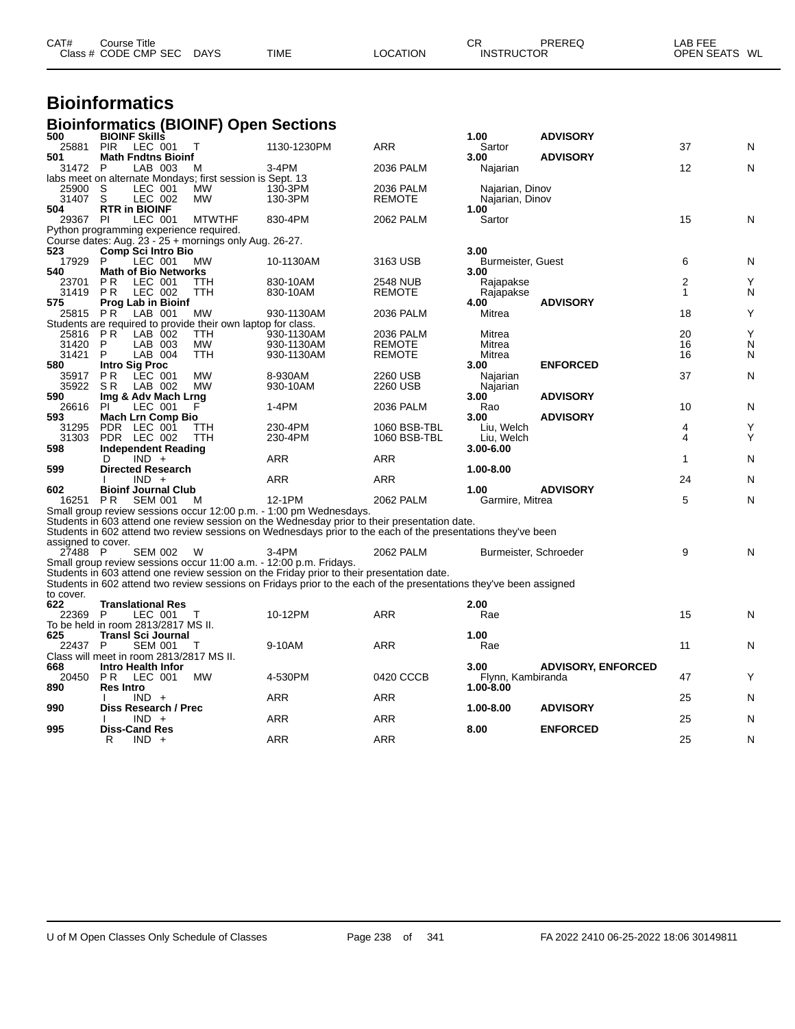| CAT# | Course Title<br>Class # CODE CMP SEC | <b>DAYS</b> | <b>TIME</b> | LOCATION | СR<br><b>INSTRUCTOR</b> | PREREQ | LAB FEE<br><b>OPEN SEATS</b><br>WL |  |
|------|--------------------------------------|-------------|-------------|----------|-------------------------|--------|------------------------------------|--|
|      |                                      |             |             |          |                         |        |                                    |  |

### **Bioinformatics**

#### **Bioinformatics (BIOINF) Open Sections**

| 500                | <b>BIOINF Skills</b>                                           |               |                                                                                                                    |                 | 1.00                      | <b>ADVISORY</b>           |                |   |
|--------------------|----------------------------------------------------------------|---------------|--------------------------------------------------------------------------------------------------------------------|-----------------|---------------------------|---------------------------|----------------|---|
| 25881              | <b>PIR</b><br>LEC 001                                          | Т             | 1130-1230PM                                                                                                        | ARR             | Sartor                    |                           | 37             | N |
| 501                | <b>Math Fndtns Bioinf</b>                                      |               |                                                                                                                    |                 | 3.00                      | <b>ADVISORY</b>           |                |   |
| 31472              | P<br>LAB 003                                                   | м             | 3-4PM                                                                                                              | 2036 PALM       | Najarian                  |                           | 12             | N |
|                    | labs meet on alternate Mondays; first session is Sept. 13      |               |                                                                                                                    |                 |                           |                           |                |   |
| 25900              | S<br>LEC 001                                                   | <b>MW</b>     | 130-3PM                                                                                                            | 2036 PALM       | Najarian, Dinov           |                           |                |   |
| 31407              | S<br>LEC 002                                                   | <b>MW</b>     | 130-3PM                                                                                                            | <b>REMOTE</b>   | Najarian, Dinov           |                           |                |   |
| 504                | <b>RTR in BIOINF</b>                                           |               |                                                                                                                    |                 | 1.00                      |                           |                |   |
| 29367              | PI<br>LEC 001                                                  | <b>MTWTHF</b> | 830-4PM                                                                                                            | 2062 PALM       | Sartor                    |                           | 15             | N |
|                    | Python programming experience required.                        |               |                                                                                                                    |                 |                           |                           |                |   |
|                    | Course dates: Aug. 23 - 25 + mornings only Aug. 26-27.         |               |                                                                                                                    |                 |                           |                           |                |   |
| 523                | <b>Comp Sci Intro Bio</b><br>LEC 001<br>P                      | <b>MW</b>     |                                                                                                                    | 3163 USB        | 3.00                      |                           | 6              |   |
| 17929<br>540       | <b>Math of Bio Networks</b>                                    |               | 10-1130AM                                                                                                          |                 | Burmeister, Guest<br>3.00 |                           |                | N |
| 23701              | LEC 001<br><b>PR</b>                                           | TTH           | 830-10AM                                                                                                           | <b>2548 NUB</b> |                           |                           | $\overline{2}$ | Y |
| 31419              | <b>PR</b><br>LEC 002                                           | TTH           | 830-10AM                                                                                                           | <b>REMOTE</b>   | Rajapakse<br>Rajapakse    |                           | $\mathbf{1}$   | N |
| 575                | <b>Prog Lab in Bioinf</b>                                      |               |                                                                                                                    |                 | 4.00                      | <b>ADVISORY</b>           |                |   |
| 25815 PR           | LAB 001                                                        | MW            | 930-1130AM                                                                                                         | 2036 PALM       | Mitrea                    |                           | 18             | Y |
|                    | Students are required to provide their own laptop for class.   |               |                                                                                                                    |                 |                           |                           |                |   |
| 25816              | P R<br>LAB 002                                                 | <b>TTH</b>    | 930-1130AM                                                                                                         | 2036 PALM       | Mitrea                    |                           | 20             | Y |
| 31420              | LAB 003<br>P                                                   | МW            | 930-1130AM                                                                                                         | <b>REMOTE</b>   | Mitrea                    |                           | 16             | N |
| 31421              | P<br>LAB 004                                                   | TTH           | 930-1130AM                                                                                                         | <b>REMOTE</b>   | Mitrea                    |                           | 16             | N |
| 580                | <b>Intro Sig Proc</b>                                          |               |                                                                                                                    |                 | 3.00                      | <b>ENFORCED</b>           |                |   |
| 35917              | <b>PR</b><br>LEC 001                                           | <b>MW</b>     | 8-930AM                                                                                                            | 2260 USB        | Najarian                  |                           | 37             | N |
| 35922              | SR.<br>LAB 002                                                 | <b>MW</b>     | 930-10AM                                                                                                           | 2260 USB        | Najarian                  |                           |                |   |
| 590                | Img & Adv Mach Lrng                                            |               |                                                                                                                    |                 | 3.00                      | <b>ADVISORY</b>           |                |   |
| 26616              | PI<br>LEC 001                                                  | F             | 1-4PM                                                                                                              | 2036 PALM       | Rao                       |                           | 10             | N |
| 593                | Mach Lrn Comp Bio                                              |               |                                                                                                                    |                 | 3.00                      | <b>ADVISORY</b>           |                |   |
| 31295              | PDR LEC 001                                                    | ттн           | 230-4PM                                                                                                            | 1060 BSB-TBL    | Liu, Welch                |                           | 4              | Y |
| 31303              | PDR LEC 002                                                    | TTH           | 230-4PM                                                                                                            | 1060 BSB-TBL    | Liu, Welch                |                           | 4              | Y |
| 598                | <b>Independent Reading</b>                                     |               |                                                                                                                    |                 | 3.00-6.00                 |                           |                |   |
|                    | $IND +$<br>D                                                   |               | <b>ARR</b>                                                                                                         | <b>ARR</b>      |                           |                           | 1              | N |
| 599                | <b>Directed Research</b>                                       |               |                                                                                                                    |                 | 1.00-8.00                 |                           |                |   |
|                    | $IND +$                                                        |               | <b>ARR</b>                                                                                                         | <b>ARR</b>      |                           |                           | 24             | N |
| 602                | <b>Bioinf Journal Club</b>                                     |               |                                                                                                                    |                 | 1.00                      | <b>ADVISORY</b>           |                |   |
| 16251              | <b>PR</b><br><b>SEM 001</b>                                    | м             | 12-1PM                                                                                                             | 2062 PALM       | Garmire, Mitrea           |                           | 5              | N |
|                    |                                                                |               | Small group review sessions occur 12:00 p.m. - 1:00 pm Wednesdays.                                                 |                 |                           |                           |                |   |
|                    |                                                                |               | Students in 603 attend one review session on the Wednesday prior to their presentation date.                       |                 |                           |                           |                |   |
|                    |                                                                |               | Students in 602 attend two review sessions on Wednesdays prior to the each of the presentations they've been       |                 |                           |                           |                |   |
| assigned to cover. |                                                                |               |                                                                                                                    |                 |                           |                           |                |   |
| 27488 P            |                                                                |               |                                                                                                                    |                 |                           |                           |                |   |
|                    | <b>SEM 002</b>                                                 | W             | 3-4PM                                                                                                              | 2062 PALM       | Burmeister, Schroeder     |                           | 9              | N |
|                    |                                                                |               | Small group review sessions occur 11:00 a.m. - 12:00 p.m. Fridays.                                                 |                 |                           |                           |                |   |
|                    |                                                                |               | Students in 603 attend one review session on the Friday prior to their presentation date.                          |                 |                           |                           |                |   |
|                    |                                                                |               | Students in 602 attend two review sessions on Fridays prior to the each of the presentations they've been assigned |                 |                           |                           |                |   |
| to cover.          |                                                                |               |                                                                                                                    |                 |                           |                           |                |   |
| 622                | <b>Translational Res</b>                                       |               |                                                                                                                    |                 | 2.00                      |                           |                |   |
| 22369              | LEC 001<br>P                                                   | т             | 10-12PM                                                                                                            | ARR             | Rae                       |                           | 15             | N |
|                    | To be held in room 2813/2817 MS II.                            |               |                                                                                                                    |                 |                           |                           |                |   |
| 625                | <b>Transl Sci Journal</b>                                      |               |                                                                                                                    |                 | 1.00                      |                           |                |   |
| 22437              | P<br><b>SEM 001</b>                                            | Τ             | 9-10AM                                                                                                             | ARR             | Rae                       |                           | 11             | N |
| 668                | Class will meet in room 2813/2817 MS II.<br>Intro Health Infor |               |                                                                                                                    |                 | 3.00                      | <b>ADVISORY, ENFORCED</b> |                |   |
| 20450              | LEC 001<br><b>PR</b>                                           | <b>MW</b>     | 4-530PM                                                                                                            | 0420 CCCB       | Flynn, Kambiranda         |                           | 47             | Y |
| 890                | <b>Res Intro</b>                                               |               |                                                                                                                    |                 | 1.00-8.00                 |                           |                |   |
|                    | $IND +$                                                        |               | <b>ARR</b>                                                                                                         | <b>ARR</b>      |                           |                           | 25             | N |
| 990                | Diss Research / Prec                                           |               |                                                                                                                    |                 | 1.00-8.00                 | <b>ADVISORY</b>           |                |   |
|                    | $IND +$                                                        |               | <b>ARR</b>                                                                                                         | <b>ARR</b>      |                           |                           | 25             | N |
| 995                | <b>Diss-Cand Res</b><br>R<br>$IND +$                           |               | <b>ARR</b>                                                                                                         | <b>ARR</b>      | 8.00                      | <b>ENFORCED</b>           | 25             | N |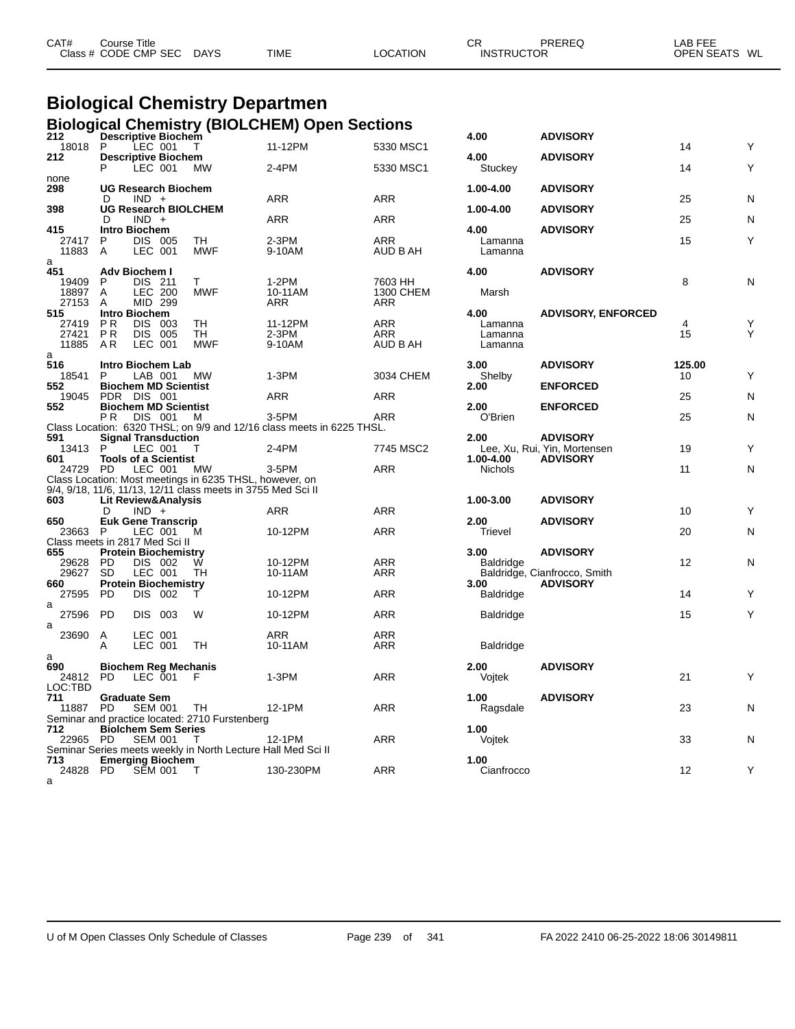| CAT# | ourse Titleٽ<br>Class # CODE CMP SEC | <b>DAYS</b> | <b>TIME</b> | <b>LOCATION</b> | СR<br><b>INSTRUCTOR</b> | PREREQ | ∟AB FEE<br><b>OPEN SEATS</b> | WL |
|------|--------------------------------------|-------------|-------------|-----------------|-------------------------|--------|------------------------------|----|
|      |                                      |             |             |                 |                         |        |                              |    |

#### **Biological Chemistry Departmen Biological Chemistry (BIOLCHEM) Open Sections**

| 212                            |                                  |                    | <br><b>Descriptive Biochem</b> |                                                                                                                         |                                                                       |                   | 4.00             | <b>ADVISORY</b>              |        |   |
|--------------------------------|----------------------------------|--------------------|--------------------------------|-------------------------------------------------------------------------------------------------------------------------|-----------------------------------------------------------------------|-------------------|------------------|------------------------------|--------|---|
| 18018 P<br>212                 |                                  | LEC 001            | <b>Descriptive Biochem</b>     | $\top$                                                                                                                  | 11-12PM                                                               | 5330 MSC1         | 4.00             | <b>ADVISORY</b>              | 14     |   |
|                                | P                                | LEC 001            |                                | МW                                                                                                                      | 2-4PM                                                                 | 5330 MSC1         | Stuckey          |                              | 14     | Y |
| none                           |                                  |                    | <b>UG Research Biochem</b>     |                                                                                                                         |                                                                       |                   |                  |                              |        |   |
| 298                            | D                                | $IND +$            |                                |                                                                                                                         | ARR                                                                   | <b>ARR</b>        | 1.00-4.00        | <b>ADVISORY</b>              | 25     | Ν |
| 398                            |                                  |                    |                                | <b>UG Research BIOLCHEM</b>                                                                                             |                                                                       |                   | 1.00-4.00        | <b>ADVISORY</b>              |        |   |
| 415                            | D<br>Intro Biochem               | $IND +$            |                                |                                                                                                                         | ARR                                                                   | <b>ARR</b>        | 4.00             | <b>ADVISORY</b>              | 25     | N |
| 27417                          | P                                | DIS 005            |                                | TH                                                                                                                      | 2-3PM                                                                 | ARR               | Lamanna          |                              | 15     | Υ |
| 11883                          | A                                | LEC 001            |                                | <b>MWF</b>                                                                                                              | 9-10AM                                                                | AUD B AH          | Lamanna          |                              |        |   |
| a<br>451                       | Adv Biochem I                    |                    |                                |                                                                                                                         |                                                                       |                   | 4.00             | <b>ADVISORY</b>              |        |   |
| 19409                          | P                                | DIS 211            |                                | T.                                                                                                                      | $1-2PM$                                                               | 7603 HH           |                  |                              | 8      | Ν |
| 18897<br>27153                 | A                                | LEC 200<br>MID 299 |                                | <b>MWF</b>                                                                                                              | 10-11AM<br>ARR                                                        | 1300 CHEM<br>ARR  | Marsh            |                              |        |   |
| 515                            | Α<br>Intro Biochem               |                    |                                |                                                                                                                         |                                                                       |                   | 4.00             | <b>ADVISORY, ENFORCED</b>    |        |   |
| 27419                          | PR                               | DIS 003            |                                | TН                                                                                                                      | 11-12PM                                                               | ARR               | Lamanna          |                              | 4      |   |
| 27421                          | <b>PR</b>                        | DIS 005            |                                | <b>TH</b>                                                                                                               | $2-3PM$                                                               | <b>ARR</b>        | Lamanna          |                              | 15     |   |
| 11885<br>a                     | AR                               | LEC 001            |                                | <b>MWF</b>                                                                                                              | 9-10AM                                                                | AUD B AH          | Lamanna          |                              |        |   |
| 516                            |                                  |                    | Intro Biochem Lab              |                                                                                                                         |                                                                       |                   | 3.00             | <b>ADVISORY</b>              | 125.00 |   |
| 18541                          | P                                | LAB 001            |                                | <b>MW</b>                                                                                                               | 1-3PM                                                                 | 3034 CHEM         | Shelby           |                              | 10     |   |
| 552<br>19045                   | PDR DIS 001                      |                    | <b>Biochem MD Scientist</b>    |                                                                                                                         | <b>ARR</b>                                                            | ARR               | 2.00             | <b>ENFORCED</b>              | 25     | N |
| 552                            |                                  |                    | <b>Biochem MD Scientist</b>    |                                                                                                                         |                                                                       |                   | 2.00             | <b>ENFORCED</b>              |        |   |
|                                | PR.                              |                    | DIS 001 M                      |                                                                                                                         | 3-5PM                                                                 | <b>ARR</b>        | O'Brien          |                              | 25     | N |
| 591                            |                                  |                    | <b>Signal Transduction</b>     |                                                                                                                         | Class Location: 6320 THSL; on 9/9 and 12/16 class meets in 6225 THSL. |                   | 2.00             | <b>ADVISORY</b>              |        |   |
| 13413 P                        |                                  | LEC 001            |                                | $\top$                                                                                                                  | $2-4PM$                                                               | 7745 MSC2         |                  | Lee, Xu, Rui, Yin, Mortensen | 19     | Y |
| 601                            |                                  |                    | <b>Tools of a Scientist</b>    |                                                                                                                         |                                                                       |                   | 1.00-4.00        | <b>ADVISORY</b>              |        |   |
| 24729 PD                       |                                  | LEC 001            |                                | MW                                                                                                                      | $3-5$ PM                                                              | <b>ARR</b>        | <b>Nichols</b>   |                              | 11     | N |
|                                |                                  |                    |                                | Class Location: Most meetings in 6235 THSL, however, on<br>9/4, 9/18, 11/6, 11/13, 12/11 class meets in 3755 Med Sci II |                                                                       |                   |                  |                              |        |   |
| 603                            |                                  |                    | <b>Lit Review&amp;Analysis</b> |                                                                                                                         |                                                                       |                   | 1.00-3.00        | <b>ADVISORY</b>              |        |   |
|                                | D                                | $IND +$            |                                |                                                                                                                         | ARR                                                                   | ARR               |                  |                              | 10     | Y |
| 650<br>23663 P                 |                                  | LEC 001            | <b>Euk Gene Transcrip</b>      | м                                                                                                                       | 10-12PM                                                               | <b>ARR</b>        | 2.00<br>Trievel  | <b>ADVISORY</b>              | 20     | N |
| Class meets in 2817 Med Sci II |                                  |                    |                                |                                                                                                                         |                                                                       |                   |                  |                              |        |   |
| 655                            |                                  |                    | <b>Protein Biochemistry</b>    |                                                                                                                         |                                                                       |                   | 3.00             | <b>ADVISORY</b>              |        |   |
| 29628<br>29627                 | <b>PD</b><br><b>SD</b>           | DIS 002<br>LEC 001 |                                | W<br>TH                                                                                                                 | 10-12PM<br>10-11AM                                                    | ARR<br><b>ARR</b> | <b>Baldridge</b> | Baldridge, Cianfrocco, Smith | 12     | Ν |
| 660                            |                                  |                    | <b>Protein Biochemistry</b>    |                                                                                                                         |                                                                       |                   | 3.00             | <b>ADVISORY</b>              |        |   |
| 27595                          | <b>PD</b>                        | DIS 002            |                                | т                                                                                                                       | 10-12PM                                                               | <b>ARR</b>        | <b>Baldridge</b> |                              | 14     | Y |
| a<br>27596                     | - PD                             | DIS 003            |                                | W                                                                                                                       | 10-12PM                                                               | <b>ARR</b>        | <b>Baldridge</b> |                              | 15     | Υ |
| а                              |                                  |                    |                                |                                                                                                                         |                                                                       |                   |                  |                              |        |   |
| 23690                          | $\mathsf{A}$                     | LEC 001            |                                |                                                                                                                         | ARR                                                                   | <b>ARR</b>        |                  |                              |        |   |
|                                | A                                | LEC 001            |                                | TH                                                                                                                      | 10-11AM                                                               | ARR               | <b>Baldridge</b> |                              |        |   |
| a<br>690                       |                                  |                    | <b>Biochem Reg Mechanis</b>    |                                                                                                                         |                                                                       |                   | 2.00             | <b>ADVISORY</b>              |        |   |
| 24812 PD                       |                                  | LEC 001            |                                | - F                                                                                                                     | 1-3PM                                                                 | <b>ARR</b>        | Vojtek           |                              | 21     | Y |
| LOC:TBD                        |                                  |                    |                                |                                                                                                                         |                                                                       |                   |                  |                              |        |   |
| 711<br>11887                   | <b>Graduate Sem</b><br><b>PD</b> | <b>SEM 001</b>     |                                | - TH                                                                                                                    | 12-1PM                                                                | <b>ARR</b>        | 1.00<br>Ragsdale | <b>ADVISORY</b>              | 23     | N |
|                                |                                  |                    |                                | Seminar and practice located: 2710 Furstenberg                                                                          |                                                                       |                   |                  |                              |        |   |
| 712                            |                                  |                    | <b>Biolchem Sem Series</b>     |                                                                                                                         |                                                                       |                   | 1.00             |                              |        |   |
| 22965 PD                       |                                  | <b>SEM 001</b>     |                                | T<br>Seminar Series meets weekly in North Lecture Hall Med Sci II                                                       | 12-1PM                                                                | <b>ARR</b>        | Vojtek           |                              | 33     | N |
| 713                            |                                  |                    | <b>Emerging Biochem</b>        |                                                                                                                         |                                                                       |                   | 1.00             |                              |        |   |
| 24828 PD                       |                                  | SEM 001            |                                | $\top$                                                                                                                  | 130-230PM                                                             | ARR               | Cianfrocco       |                              | 12     | Υ |
| a                              |                                  |                    |                                |                                                                                                                         |                                                                       |                   |                  |                              |        |   |

| 4.00                          | <b>ADVISORY</b>                                 | 14      | Y |
|-------------------------------|-------------------------------------------------|---------|---|
| 4.00<br>Stuckey               | <b>ADVISORY</b>                                 | 14      | Y |
| 1.00-4.00                     | <b>ADVISORY</b>                                 |         |   |
| 1.00-4.00                     | <b>ADVISORY</b>                                 | 25      | N |
| 4.00                          | <b>ADVISORY</b>                                 | 25      | N |
| Lamanna<br>Lamanna            |                                                 | 15      | Y |
| 4.00                          | <b>ADVISORY</b>                                 | 8       | N |
| Marsh                         |                                                 |         |   |
| 4.00                          | <b>ADVISORY, ENFORCED</b>                       |         |   |
| Lamanna<br>Lamanna<br>Lamanna |                                                 | 4<br>15 |   |
| 3.00                          | <b>ADVISORY</b>                                 | 125.00  |   |
| Shelby<br>2.00                | <b>ENFORCED</b>                                 | 10      | Y |
| 2.00                          | <b>ENFORCED</b>                                 | 25      | N |
| O'Brien                       |                                                 | 25      | Ν |
| 2.00                          | <b>ADVISORY</b><br>Lee, Xu, Rui, Yin, Mortensen | 19      | Y |
| 1.00-4.00<br>Nichols          | <b>ADVISORY</b>                                 | 11      | Ν |
|                               |                                                 |         |   |
| 1.00-3.00                     | <b>ADVISORY</b>                                 | 10      | Υ |
| 2.00                          | <b>ADVISORY</b>                                 |         |   |
| Trievel                       |                                                 | 20      | N |
| 3.00<br>Baldridge             | <b>ADVISORY</b>                                 | 12      | N |
| 3.00                          | Baldridge, Cianfrocco, Smith<br><b>ADVISORY</b> |         |   |
| Baldridge                     |                                                 | 14      | Y |
| <b>Baldridge</b>              |                                                 | 15      | Y |
| <b>Baldridge</b>              |                                                 |         |   |
| 2.00<br>Vojtek                | <b>ADVISORY</b>                                 | 21      | Y |
| 1.00<br>Ragsdale              | <b>ADVISORY</b>                                 | 23      | N |
| 1.00<br>Vojtek                |                                                 | 33      | N |
| 1.00<br>Cianfrocco            |                                                 | 12      | Υ |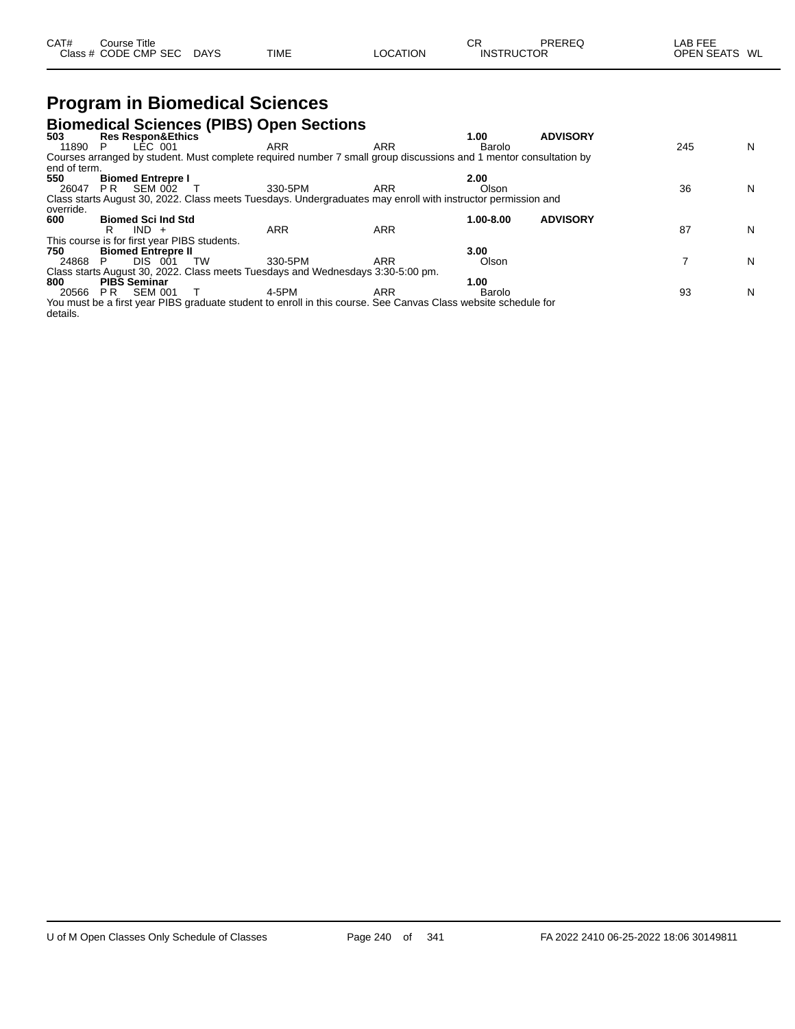| CAT#<br>Course Title |             |             |                 | ⌒冖<br>◡┍ | PREREQ            | AB FEE           |
|----------------------|-------------|-------------|-----------------|----------|-------------------|------------------|
| Class # CODE CMP SEC | <b>DAYS</b> | <b>TIME</b> | <b>LOCATION</b> |          | <b>INSTRUCTOR</b> | WL<br>OPEN SEATS |

## **Program in Biomedical Sciences**

|              |                                              | <b>Biomedical Sciences (PIBS) Open Sections</b>                                                                   |            |           |                 |     |   |
|--------------|----------------------------------------------|-------------------------------------------------------------------------------------------------------------------|------------|-----------|-----------------|-----|---|
| 503          | <b>Res Respon&amp;Ethics</b>                 |                                                                                                                   |            | 1.00      | <b>ADVISORY</b> |     |   |
| 11890        | LÉC 001<br>P.                                | <b>ARR</b>                                                                                                        | <b>ARR</b> | Barolo    |                 | 245 | N |
|              |                                              | Courses arranged by student. Must complete required number 7 small group discussions and 1 mentor consultation by |            |           |                 |     |   |
| end of term. |                                              |                                                                                                                   |            |           |                 |     |   |
| 550          | <b>Biomed Entrepre I</b>                     |                                                                                                                   |            | 2.00      |                 |     |   |
| 26047        | <b>SEM 002</b><br>PR.                        | 330-5PM                                                                                                           | ARR        | Olson     |                 | 36  | N |
|              |                                              | Class starts August 30, 2022. Class meets Tuesdays. Undergraduates may enroll with instructor permission and      |            |           |                 |     |   |
| override.    |                                              |                                                                                                                   |            |           |                 |     |   |
| 600          | <b>Biomed Sci Ind Std</b>                    |                                                                                                                   |            | 1.00-8.00 | <b>ADVISORY</b> |     |   |
|              | $IND +$                                      | <b>ARR</b>                                                                                                        | <b>ARR</b> |           |                 | 87  | N |
|              | This course is for first year PIBS students. |                                                                                                                   |            |           |                 |     |   |
| 750          | <b>Biomed Entrepre II</b>                    |                                                                                                                   |            | 3.00      |                 |     |   |
| 24868        | DIS 001                                      | 330-5PM<br><b>TW</b>                                                                                              | <b>ARR</b> | Olson     |                 |     | N |
|              |                                              | Class starts August 30, 2022. Class meets Tuesdays and Wednesdays 3:30-5:00 pm.                                   |            |           |                 |     |   |
| 800          | <b>PIBS Seminar</b>                          |                                                                                                                   |            | 1.00      |                 |     |   |
| 20566        | <b>SEM 001</b><br>PR                         | 4-5PM                                                                                                             | <b>ARR</b> | Barolo    |                 | 93  | N |
|              |                                              | You must be a first year PIBS graduate student to enroll in this course. See Canvas Class website schedule for    |            |           |                 |     |   |
| details.     |                                              |                                                                                                                   |            |           |                 |     |   |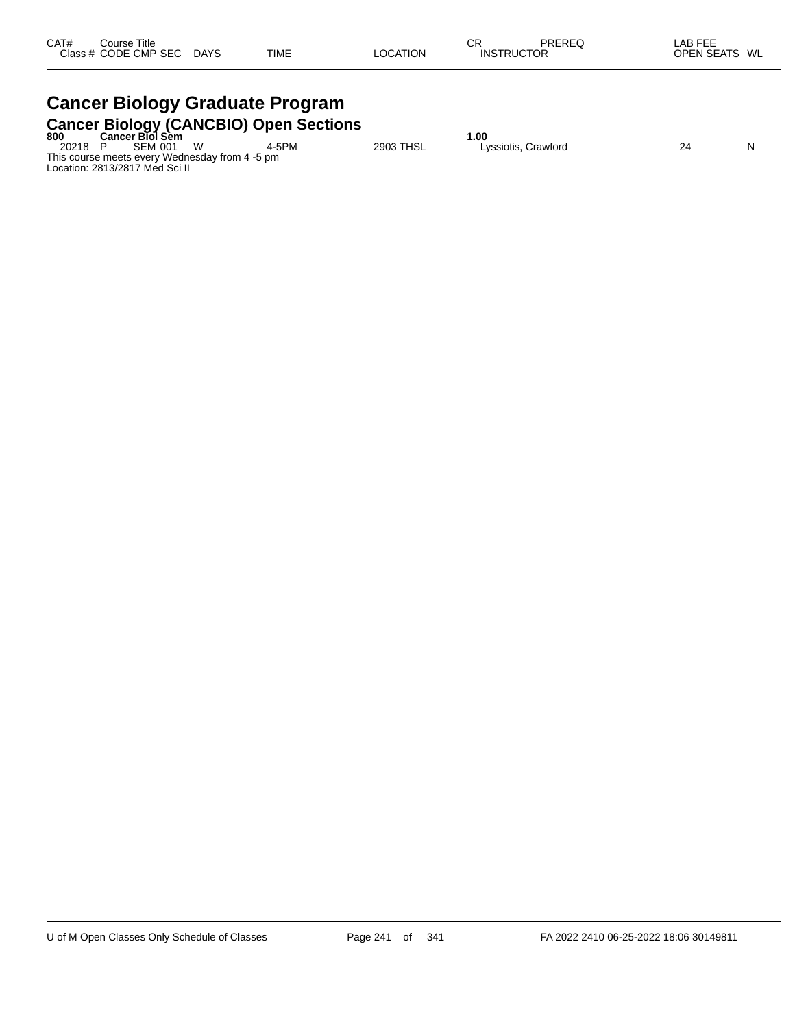# **Cancer Biology Graduate Program**

|       |                                                |    | <b>Cancer Biology (CANCBIO) Open Sections</b> |           |                     |    |   |
|-------|------------------------------------------------|----|-----------------------------------------------|-----------|---------------------|----|---|
| 800   | <b>Cancer Biol Sem</b>                         |    |                                               |           | 00.،                |    |   |
| 20218 | SEM 001                                        | \N | 4-5PM                                         | 2903 THSL | Lyssiotis, Crawford | 24 | N |
|       | This course meets every Wednesday from 4 -5 pm |    |                                               |           |                     |    |   |
|       | Location: 2813/2817 Med Sci II                 |    |                                               |           |                     |    |   |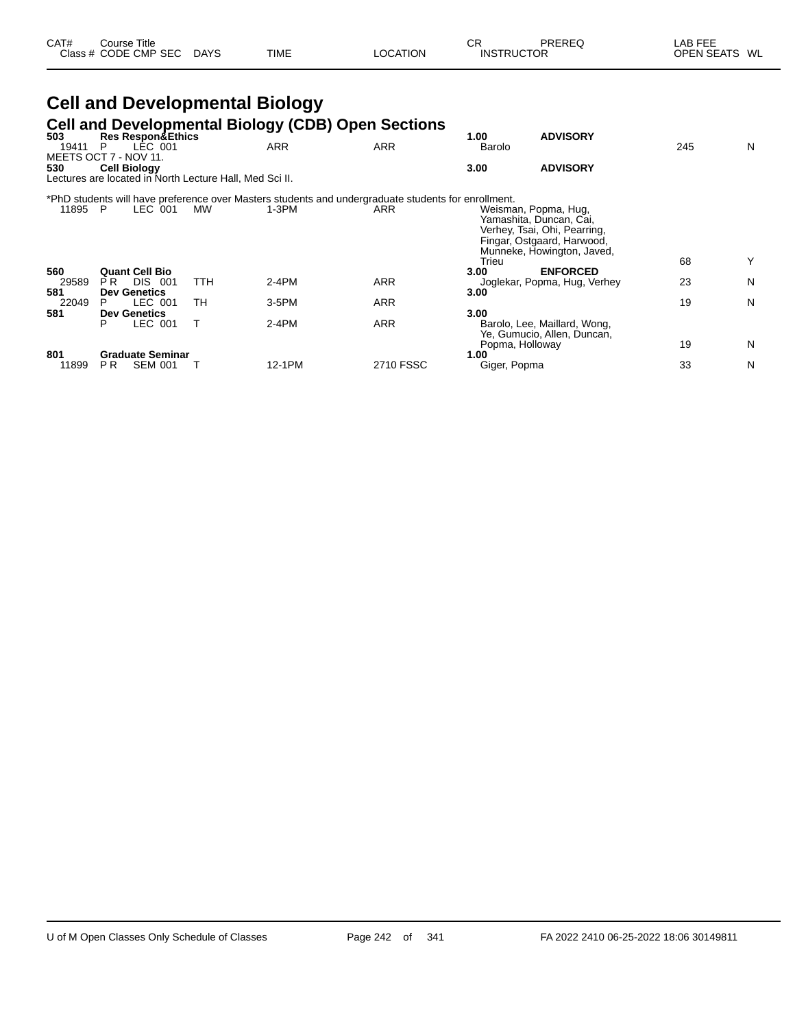| CAT# | Course Title         |             |             |                 | СR                | PREREQ | ∟AB FEE       |  |
|------|----------------------|-------------|-------------|-----------------|-------------------|--------|---------------|--|
|      | Class # CODE CMP SEC | <b>DAYS</b> | <b>TIME</b> | <b>LOCATION</b> | <b>INSTRUCTOR</b> |        | OPEN SEATS WL |  |

|              |                                                                                |     |     | <b>Cell and Developmental Biology</b> |                                                                                                     |                      |                                                                                                                                             |     |   |
|--------------|--------------------------------------------------------------------------------|-----|-----|---------------------------------------|-----------------------------------------------------------------------------------------------------|----------------------|---------------------------------------------------------------------------------------------------------------------------------------------|-----|---|
| 503          | Res Respon&Ethics                                                              |     |     |                                       | Cell and Developmental Biology (CDB) Open Sections                                                  | 1.00                 | <b>ADVISORY</b>                                                                                                                             |     |   |
| 19411        | LÉC 001<br>P<br>MEETS OCT 7 - NOV 11.                                          |     |     | <b>ARR</b>                            | <b>ARR</b>                                                                                          | Barolo               |                                                                                                                                             | 245 | N |
| 530          | <b>Cell Biology</b><br>Lectures are located in North Lecture Hall, Med Sci II. |     |     |                                       |                                                                                                     | 3.00                 | <b>ADVISORY</b>                                                                                                                             |     |   |
|              |                                                                                |     |     |                                       | *PhD students will have preference over Masters students and undergraduate students for enrollment. |                      |                                                                                                                                             |     |   |
| 11895 P      | LEC 001                                                                        |     | MW  | $1-3PM$                               | ARR                                                                                                 | Trieu                | Weisman, Popma, Hug,<br>Yamashita, Duncan, Cai,<br>Verhey, Tsai, Ohi, Pearring,<br>Fingar, Ostgaard, Harwood,<br>Munneke, Howington, Javed, | 68  | Y |
| 560          | <b>Quant Cell Bio</b>                                                          |     |     |                                       |                                                                                                     | 3.00                 | <b>ENFORCED</b>                                                                                                                             |     |   |
| 29589<br>581 | DIS.<br>PR.<br><b>Dev Genetics</b>                                             | 001 | TTH | 2-4PM                                 | <b>ARR</b>                                                                                          | 3.00                 | Joglekar, Popma, Hug, Verhey                                                                                                                | 23  | N |
| 22049        | LEC 001<br>P                                                                   |     | TН  | $3-5$ PM                              | <b>ARR</b>                                                                                          |                      |                                                                                                                                             | 19  | N |
| 581          | <b>Dev Genetics</b><br>LEC 001<br>P                                            |     |     | $2-4PM$                               | <b>ARR</b>                                                                                          | 3.00                 | Barolo, Lee, Maillard, Wong,<br>Ye, Gumucio, Allen, Duncan,                                                                                 |     |   |
|              |                                                                                |     |     |                                       |                                                                                                     |                      | Popma, Holloway                                                                                                                             | 19  | N |
| 801<br>11899 | <b>Graduate Seminar</b><br><b>SEM 001</b><br>PR.                               |     |     | 12-1PM                                | 2710 FSSC                                                                                           | 1.00<br>Giger, Popma |                                                                                                                                             | 33  | N |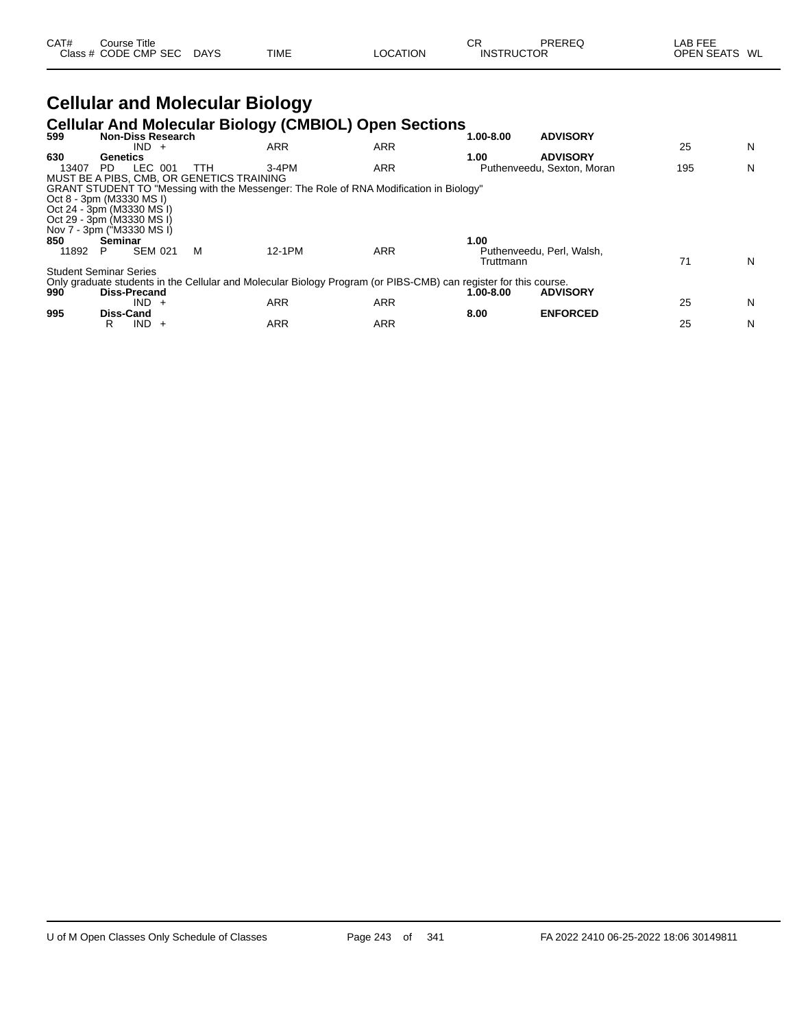| CAT# | ourse Titleٽ         |             |             |          | СR                | PREREQ | LAB FEE                 |
|------|----------------------|-------------|-------------|----------|-------------------|--------|-------------------------|
|      | Class # CODE CMP SEC | <b>DAYS</b> | <b>TIME</b> | LOCATION | <b>INSTRUCTOR</b> |        | <b>OPEN SEATS</b><br>WL |

## **Cellular and Molecular Biology**

#### **Cellular And Molecular Biology (CMBIOL) Open Sections**

| 599   | <b>Non-Diss Research</b>                                                                                         | ັ້         |            | 1.00-8.00 | <b>ADVISORY</b>            |     |   |
|-------|------------------------------------------------------------------------------------------------------------------|------------|------------|-----------|----------------------------|-----|---|
|       | $IND +$                                                                                                          | ARR        | <b>ARR</b> |           |                            | 25  | N |
| 630   | Genetics                                                                                                         |            |            | 1.00      | <b>ADVISORY</b>            |     |   |
| 13407 | LEC 001<br>PD.<br>ттн                                                                                            | $3-4PM$    | <b>ARR</b> |           | Puthenveedu, Sexton, Moran | 195 | N |
|       | MUST BE A PIBS. CMB. OR GENETICS TRAINING                                                                        |            |            |           |                            |     |   |
|       | GRANT STUDENT TO "Messing with the Messenger: The Role of RNA Modification in Biology"                           |            |            |           |                            |     |   |
|       | Oct 8 - 3pm (M3330 MS I)                                                                                         |            |            |           |                            |     |   |
|       | Oct 24 - 3pm (M3330 MS I)                                                                                        |            |            |           |                            |     |   |
|       | Oct 29 - 3pm (M3330 MS I)                                                                                        |            |            |           |                            |     |   |
|       | Nov 7 - 3pm ("M3330 MS I)                                                                                        |            |            |           |                            |     |   |
| 850   | Seminar                                                                                                          |            |            | 1.00      |                            |     |   |
| 11892 | <b>SEM 021</b><br>M<br>Р                                                                                         | 12-1PM     | <b>ARR</b> |           | Puthenveedu, Perl, Walsh,  |     |   |
|       |                                                                                                                  |            |            | Truttmann |                            | 71  | N |
|       | <b>Student Seminar Series</b>                                                                                    |            |            |           |                            |     |   |
|       | Only graduate students in the Cellular and Molecular Biology Program (or PIBS-CMB) can register for this course. |            |            |           |                            |     |   |
| 990   | <b>Diss-Precand</b>                                                                                              |            |            | 1.00-8.00 | <b>ADVISORY</b>            |     |   |
|       | $IND +$                                                                                                          | <b>ARR</b> | <b>ARR</b> |           |                            | 25  | N |
| 995   | <b>Diss-Cand</b>                                                                                                 |            |            | 8.00      | <b>ENFORCED</b>            |     |   |
|       | IND.<br>R<br>$+$                                                                                                 | ARR        | <b>ARR</b> |           |                            | 25  | N |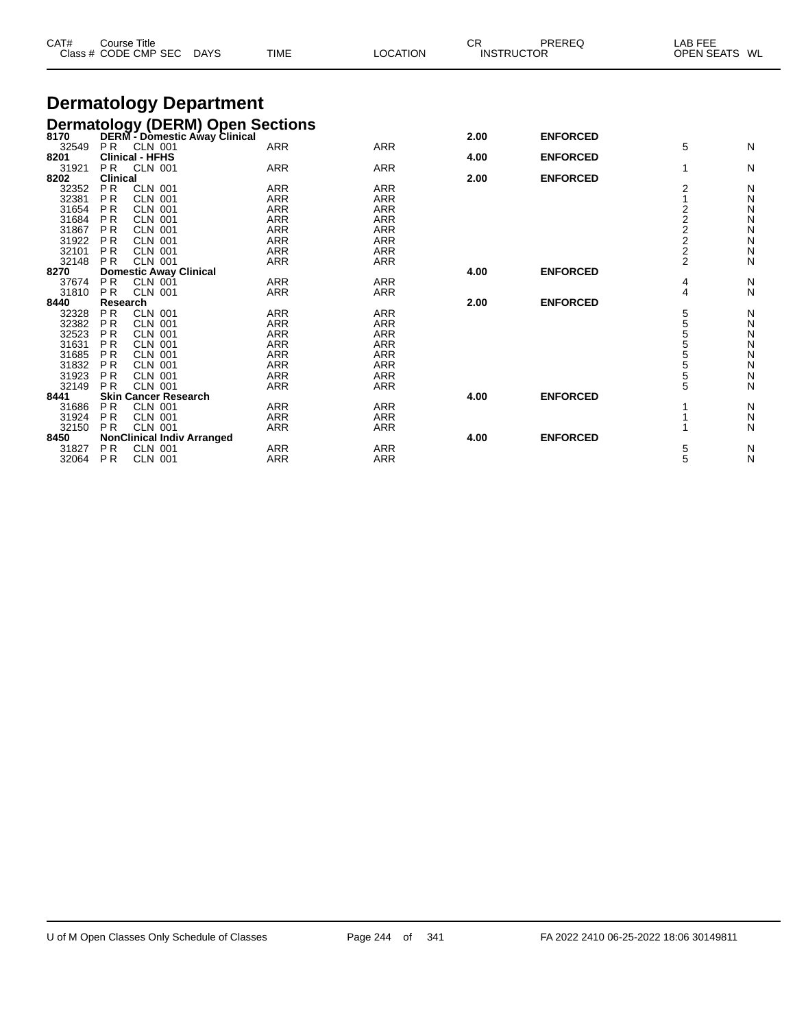| CAT#                                                                                 | <b>Course Title</b>                                                                                              | Class # CODE CMP SEC                                                                                                                                                 | <b>DAYS</b>                   | <b>TIME</b>                                                                                                  | <b>LOCATION</b>                                                                                              | <b>CR</b>    | PREREQ<br><b>INSTRUCTOR</b>        | LAB FEE<br><b>OPEN SEATS</b>                            | WL                                   |
|--------------------------------------------------------------------------------------|------------------------------------------------------------------------------------------------------------------|----------------------------------------------------------------------------------------------------------------------------------------------------------------------|-------------------------------|--------------------------------------------------------------------------------------------------------------|--------------------------------------------------------------------------------------------------------------|--------------|------------------------------------|---------------------------------------------------------|--------------------------------------|
|                                                                                      |                                                                                                                  |                                                                                                                                                                      | <b>Dermatology Department</b> |                                                                                                              |                                                                                                              |              |                                    |                                                         |                                      |
| 32549                                                                                | <b>PR</b>                                                                                                        | <b>CLN 001</b>                                                                                                                                                       |                               | Dermatology (DERM) Open Sections<br>8170 DERM - Domestic Away Clinical<br><b>ARR</b>                         | <b>ARR</b>                                                                                                   | 2.00         | <b>ENFORCED</b>                    | 5                                                       | N                                    |
| 8201<br>31921                                                                        | <b>PR</b>                                                                                                        | <b>Clinical - HFHS</b><br><b>CLN 001</b>                                                                                                                             |                               | <b>ARR</b>                                                                                                   | <b>ARR</b>                                                                                                   | 4.00         | <b>ENFORCED</b>                    | 1                                                       | N                                    |
| 8202                                                                                 | <b>Clinical</b>                                                                                                  |                                                                                                                                                                      |                               |                                                                                                              |                                                                                                              | 2.00         | <b>ENFORCED</b>                    |                                                         |                                      |
| 32352<br>32381<br>31654<br>31684<br>31867<br>31922                                   | <b>PR</b><br>P <sub>R</sub><br><b>PR</b><br><b>PR</b><br><b>PR</b><br><b>PR</b>                                  | <b>CLN 001</b><br><b>CLN 001</b><br><b>CLN 001</b><br><b>CLN 001</b><br><b>CLN 001</b><br><b>CLN 001</b>                                                             |                               | <b>ARR</b><br><b>ARR</b><br><b>ARR</b><br><b>ARR</b><br><b>ARR</b><br><b>ARR</b>                             | <b>ARR</b><br><b>ARR</b><br><b>ARR</b><br><b>ARR</b><br><b>ARR</b><br><b>ARR</b>                             |              |                                    | 2<br>1<br>2<br>$\overline{\mathbf{c}}$<br>$\frac{2}{2}$ | N<br>N<br>N<br>N<br>N<br>N           |
| 32101<br>32148                                                                       | <b>PR</b><br><b>PR</b>                                                                                           | <b>CLN 001</b><br><b>CLN 001</b>                                                                                                                                     |                               | <b>ARR</b><br><b>ARR</b>                                                                                     | <b>ARR</b><br><b>ARR</b>                                                                                     |              |                                    | $\overline{\mathbf{c}}$<br>$\overline{2}$               | N<br>N                               |
| 8270<br>37674<br>31810                                                               | <b>PR</b><br><b>PR</b>                                                                                           | <b>Domestic Away Clinical</b><br><b>CLN 001</b><br><b>CLN 001</b>                                                                                                    |                               | <b>ARR</b><br><b>ARR</b>                                                                                     | <b>ARR</b><br><b>ARR</b>                                                                                     | 4.00         | <b>ENFORCED</b>                    | 4<br>4                                                  | N<br>N                               |
| 8440<br>32328<br>32382<br>32523<br>31631<br>31685<br>31832<br>31923<br>32149<br>8441 | Research<br><b>PR</b><br><b>PR</b><br><b>PR</b><br><b>PR</b><br><b>PR</b><br><b>PR</b><br><b>PR</b><br><b>PR</b> | <b>CLN 001</b><br><b>CLN 001</b><br><b>CLN 001</b><br><b>CLN 001</b><br><b>CLN 001</b><br><b>CLN 001</b><br><b>CLN 001</b><br>CLN 001<br><b>Skin Cancer Research</b> |                               | <b>ARR</b><br><b>ARR</b><br><b>ARR</b><br><b>ARR</b><br><b>ARR</b><br><b>ARR</b><br><b>ARR</b><br><b>ARR</b> | <b>ARR</b><br><b>ARR</b><br><b>ARR</b><br><b>ARR</b><br><b>ARR</b><br><b>ARR</b><br><b>ARR</b><br><b>ARR</b> | 2.00<br>4.00 | <b>ENFORCED</b><br><b>ENFORCED</b> | 5<br>5<br>5<br>5<br>5<br>5<br>5<br>5                    | N<br>N<br>N<br>N<br>N<br>N<br>N<br>N |
| 31686<br>31924                                                                       | <b>PR</b><br><b>PR</b>                                                                                           | <b>CLN 001</b><br><b>CLN 001</b>                                                                                                                                     |                               | <b>ARR</b><br><b>ARR</b>                                                                                     | <b>ARR</b><br><b>ARR</b>                                                                                     |              |                                    |                                                         | N<br>N                               |
| 32150<br>8450<br>31827<br>32064                                                      | <b>PR</b><br>P <sub>R</sub><br>P <sub>R</sub>                                                                    | <b>CLN 001</b><br><b>NonClinical Indiv Arranged</b><br><b>CLN 001</b><br><b>CLN 001</b>                                                                              |                               | <b>ARR</b><br><b>ARR</b><br><b>ARR</b>                                                                       | <b>ARR</b><br><b>ARR</b><br><b>ARR</b>                                                                       | 4.00         | <b>ENFORCED</b>                    | 5<br>5                                                  | N<br>N<br>N                          |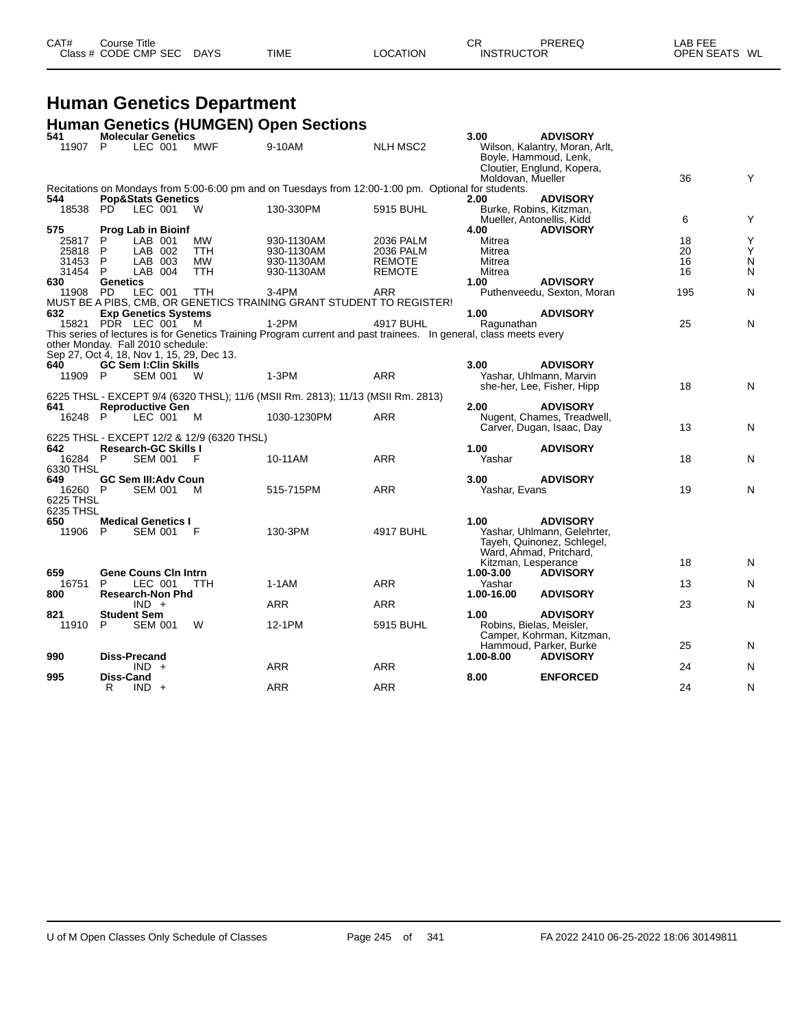| CAT# | Course Title<br>Class # CODE CMP SEC | <b>DAYS</b> | <b>TIME</b> | LOCATION | ⌒冖<br><b>INSTRUCTOR</b> | PREREQ | LAB FEE<br>OPEN SEATS WL |  |
|------|--------------------------------------|-------------|-------------|----------|-------------------------|--------|--------------------------|--|
|      |                                      |             |             |          |                         |        |                          |  |

#### **Human Genetics Department Human Genetics (HUMGEN) Open Sections**

| 541       | שט ניישטייטי ניטוויט<br><b>Molecular Genetics</b>                         |            |                                                                                                                   |                 | 3.00                | <b>ADVISORY</b>                                                                       |     |           |
|-----------|---------------------------------------------------------------------------|------------|-------------------------------------------------------------------------------------------------------------------|-----------------|---------------------|---------------------------------------------------------------------------------------|-----|-----------|
| 11907     | P<br>LEC 001                                                              | <b>MWF</b> | 9-10AM                                                                                                            | <b>NLH MSC2</b> |                     | Wilson, Kalantry, Moran, Arlt,<br>Boyle, Hammoud, Lenk,<br>Cloutier, Englund, Kopera, |     |           |
|           |                                                                           |            |                                                                                                                   |                 | Moldovan, Mueller   |                                                                                       | 36  | Y         |
| 544       | <b>Pop&amp;Stats Genetics</b>                                             |            | Recitations on Mondays from 5:00-6:00 pm and on Tuesdays from 12:00-1:00 pm. Optional for students.               |                 | 2.00                | <b>ADVISORY</b>                                                                       |     |           |
| 18538     | LEC 001<br>PD.                                                            | - W        | 130-330PM                                                                                                         | 5915 BUHL       |                     | Burke, Robins, Kitzman,                                                               |     |           |
| 575       | <b>Prog Lab in Bioinf</b>                                                 |            |                                                                                                                   |                 | 4.00                | Mueller, Antonellis, Kidd<br><b>ADVISORY</b>                                          | 6   | Υ         |
| 25817     | LAB 001<br>P.                                                             | МW         | 930-1130AM                                                                                                        | 2036 PALM       | Mitrea              |                                                                                       | 18  | Υ         |
| 25818     | LAB 002<br>P                                                              | <b>TTH</b> | 930-1130AM                                                                                                        | 2036 PALM       | Mitrea              |                                                                                       | 20  | Υ         |
| 31453     | P<br>LAB 003                                                              | MW         | 930-1130AM                                                                                                        | <b>REMOTE</b>   | Mitrea              |                                                                                       | 16  | N         |
| 31454     | P.<br>LAB 004                                                             | <b>TTH</b> | 930-1130AM                                                                                                        | <b>REMOTE</b>   | Mitrea              |                                                                                       | 16  | N         |
| 630       | <b>Genetics</b>                                                           |            |                                                                                                                   |                 | 1.00                | <b>ADVISORY</b>                                                                       |     |           |
| 11908 PD  | LEC 001                                                                   | TTH        | $3-4PM$                                                                                                           | ARR             |                     | Puthenveedu, Sexton, Moran                                                            | 195 | N         |
|           |                                                                           |            | MUST BE A PIBS, CMB, OR GENETICS TRAINING GRANT STUDENT TO REGISTER!                                              |                 |                     |                                                                                       |     |           |
| 632       | <b>Exp Genetics Systems</b>                                               |            |                                                                                                                   |                 | 1.00                | <b>ADVISORY</b>                                                                       |     |           |
|           | 15821 PDR LEC 001 M                                                       |            | $1-2PM$                                                                                                           | 4917 BUHL       | Ragunathan          |                                                                                       | 25  | ${\sf N}$ |
|           |                                                                           |            | This series of lectures is for Genetics Training Program current and past trainees. In general, class meets every |                 |                     |                                                                                       |     |           |
|           | other Monday. Fall 2010 schedule:                                         |            |                                                                                                                   |                 |                     |                                                                                       |     |           |
|           | Sep 27, Oct 4, 18, Nov 1, 15, 29, Dec 13.                                 |            |                                                                                                                   |                 |                     |                                                                                       |     |           |
| 640.      | <b>GC Sem I:Clin Skills</b>                                               |            |                                                                                                                   |                 | 3.00                | <b>ADVISORY</b>                                                                       |     |           |
| 11909 P   | SEM 001                                                                   | <b>W</b>   | 1-3PM                                                                                                             | <b>ARR</b>      |                     | Yashar, Uhlmann, Marvin                                                               |     |           |
|           |                                                                           |            |                                                                                                                   |                 |                     | she-her, Lee, Fisher, Hipp                                                            | 18  | N         |
|           |                                                                           |            | 6225 THSL - EXCEPT 9/4 (6320 THSL); 11/6 (MSII Rm. 2813); 11/13 (MSII Rm. 2813)                                   |                 |                     |                                                                                       |     |           |
| 641       | <b>Reproductive Gen</b>                                                   |            |                                                                                                                   |                 | 2.00                | <b>ADVISORY</b>                                                                       |     |           |
| 16248 P   | LEC 001                                                                   | <b>M</b>   | 1030-1230PM                                                                                                       | <b>ARR</b>      |                     | Nugent, Chames, Treadwell,                                                            |     |           |
|           |                                                                           |            |                                                                                                                   |                 |                     |                                                                                       | 13  | N         |
|           |                                                                           |            |                                                                                                                   |                 |                     | Carver, Dugan, Isaac, Day                                                             |     |           |
| 642       | 6225 THSL - EXCEPT 12/2 & 12/9 (6320 THSL)<br><b>Research-GC Skills I</b> |            |                                                                                                                   |                 | 1.00                | <b>ADVISORY</b>                                                                       |     |           |
| 16284 P   |                                                                           |            | 10-11AM                                                                                                           | <b>ARR</b>      | Yashar              |                                                                                       | 18  |           |
|           | <b>SEM 001</b>                                                            | - F        |                                                                                                                   |                 |                     |                                                                                       |     | N         |
| 6330 THSL |                                                                           |            |                                                                                                                   |                 |                     |                                                                                       |     |           |
| 649       | <b>GC Sem III: Adv Coun</b>                                               |            |                                                                                                                   |                 | 3.00                | <b>ADVISORY</b>                                                                       |     |           |
| 16260 P   | SEM 001                                                                   | M          | 515-715PM                                                                                                         | <b>ARR</b>      | Yashar, Evans       |                                                                                       | 19  | N         |
| 6225 THSL |                                                                           |            |                                                                                                                   |                 |                     |                                                                                       |     |           |
| 6235 THSL |                                                                           |            |                                                                                                                   |                 |                     |                                                                                       |     |           |
| 650       | <b>Medical Genetics I</b>                                                 |            |                                                                                                                   |                 | 1.00                | <b>ADVISORY</b>                                                                       |     |           |
| 11906 P   | SEM 001 F                                                                 |            | 130-3PM                                                                                                           | 4917 BUHL       |                     | Yashar, Uhlmann, Gelehrter,                                                           |     |           |
|           |                                                                           |            |                                                                                                                   |                 |                     | Tayeh, Quinonez, Schlegel,                                                            |     |           |
|           |                                                                           |            |                                                                                                                   |                 |                     | Ward, Ahmad, Pritchard,                                                               |     |           |
|           |                                                                           |            |                                                                                                                   |                 | Kitzman, Lesperance |                                                                                       | 18  | N         |
| 659       | <b>Gene Couns Cin Intrn</b>                                               |            |                                                                                                                   |                 | 1.00-3.00           | <b>ADVISORY</b>                                                                       |     |           |
| 16751     | LEC 001<br>P                                                              | TTH.       | $1-1AM$                                                                                                           | <b>ARR</b>      | Yashar              |                                                                                       | 13  | N         |
| 800       | <b>Research-Non Phd</b>                                                   |            |                                                                                                                   |                 | 1.00-16.00          | <b>ADVISORY</b>                                                                       |     |           |
|           | $IND +$                                                                   |            | <b>ARR</b>                                                                                                        | <b>ARR</b>      |                     |                                                                                       | 23  | N         |
| 821       | <b>Student Sem</b>                                                        |            |                                                                                                                   |                 | 1.00                | <b>ADVISORY</b>                                                                       |     |           |
| 11910     | -P<br><b>SEM 001</b>                                                      | W          | 12-1PM                                                                                                            | 5915 BUHL       |                     | Robins, Bielas, Meisler,                                                              |     |           |
|           |                                                                           |            |                                                                                                                   |                 |                     | Camper, Kohrman, Kitzman,                                                             |     |           |
|           |                                                                           |            |                                                                                                                   |                 |                     | Hammoud, Parker, Burke                                                                | 25  | N         |
| 990       | Diss-Precand                                                              |            |                                                                                                                   |                 | $1.00 - 8.00$       | <b>ADVISORY</b>                                                                       |     |           |
|           | $IND +$                                                                   |            | <b>ARR</b>                                                                                                        | <b>ARR</b>      |                     |                                                                                       | 24  | N         |
| 995       | Diss-Cand                                                                 |            |                                                                                                                   |                 | 8.00                | <b>ENFORCED</b>                                                                       |     |           |
|           | R<br>$IND +$                                                              |            | ARR                                                                                                               | <b>ARR</b>      |                     |                                                                                       | 24  | N         |
|           |                                                                           |            |                                                                                                                   |                 |                     |                                                                                       |     |           |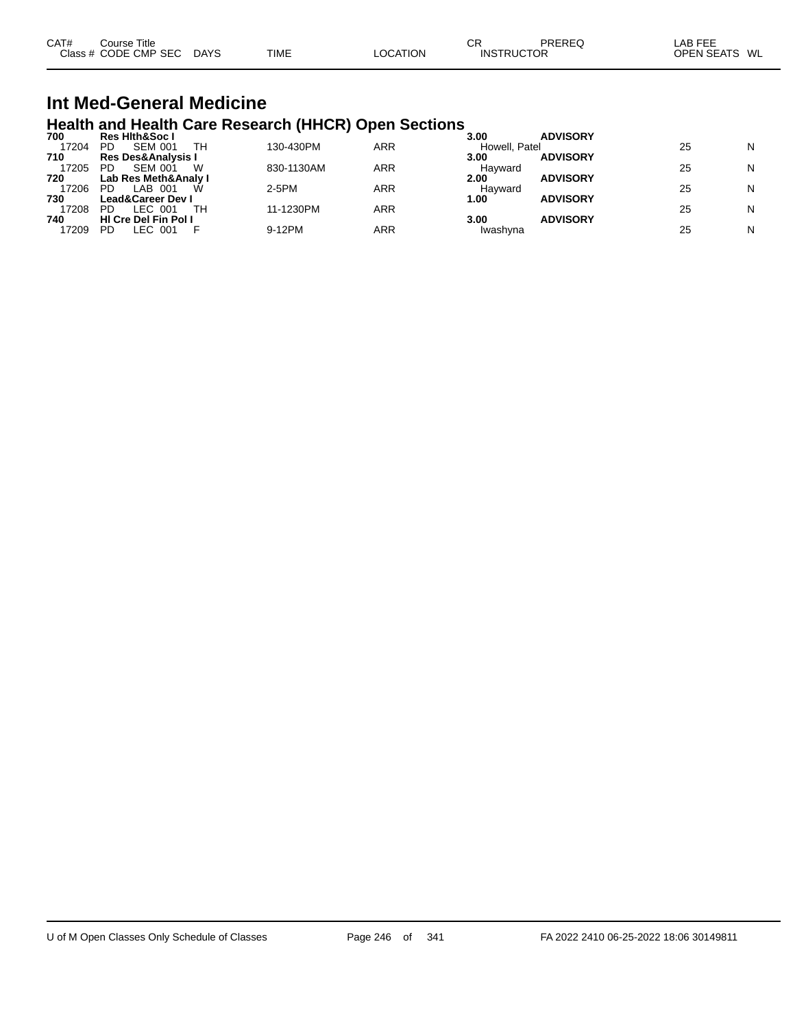| CAT# | $\mathop{\mathsf{course}}$ Title |             |             |          | СR                | PREREG | LAB FEE           |    |
|------|----------------------------------|-------------|-------------|----------|-------------------|--------|-------------------|----|
|      | Class # CODE CMP SEC             | <b>DAYS</b> | <b>TIME</b> | LOCATION | <b>INSTRUCTOR</b> |        | <b>OPEN SEATS</b> | WL |

#### **Int Med-General Medicine Health and Health Care Research (HHCR) Open Sections**

| 700   | <b>Res Hith&amp;Soc I</b>     |            |     | 3.00          | <b>ADVISORY</b> |    |   |
|-------|-------------------------------|------------|-----|---------------|-----------------|----|---|
| 17204 | <b>SEM 001</b><br>TН<br>PD    | 130-430PM  | ARR | Howell, Patel |                 | 25 | N |
| 710   | <b>Res Des&amp;Analysis I</b> |            |     | 3.00          | <b>ADVISORY</b> |    |   |
| 17205 | <b>SEM 001</b><br>PD<br>w     | 830-1130AM | ARR | Havward       |                 | 25 | N |
| 720   | Lab Res Meth&Analy I          |            |     | 2.00          | <b>ADVISORY</b> |    |   |
| 17206 | LAB 001<br>PD<br>W            | $2-5PM$    | ARR | Havward       |                 | 25 | N |
| 730   | <b>Lead&amp;Career Dev I</b>  |            |     | 1.00          | <b>ADVISORY</b> |    |   |
| 17208 | TН<br>PD<br>LEC 001           | 11-1230PM  | ARR |               |                 | 25 | N |
| 740   | <b>HI Cre Del Fin Pol I</b>   |            |     | 3.00          | <b>ADVISORY</b> |    |   |
| 17209 | LEC 001<br>PD                 | 9-12PM     | ARR | Iwashvna      |                 | 25 | N |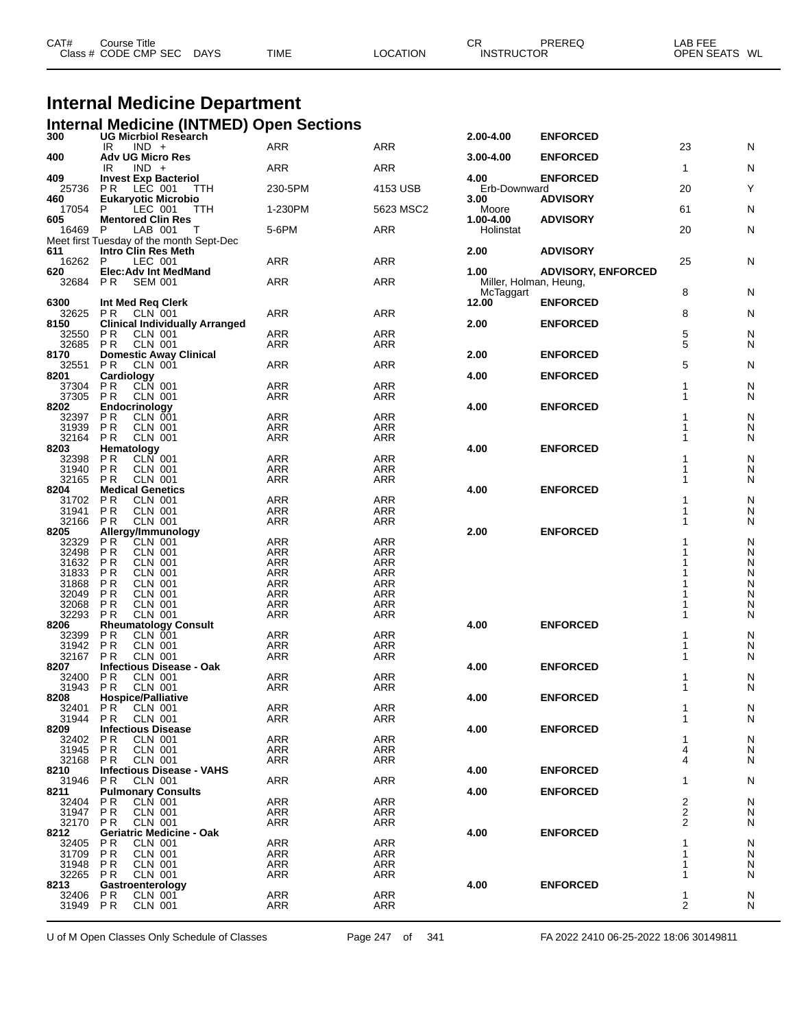| Class # CODE CMP SEC<br><b>TIME</b><br><b>DAYS</b><br>LOCATION<br><b>INSTRUCTOR</b> | CAT# | Course Title |  | СR | PREREQ | LAB FEE       |  |
|-------------------------------------------------------------------------------------|------|--------------|--|----|--------|---------------|--|
|                                                                                     |      |              |  |    |        | OPEN SEATS WL |  |

# **Internal Medicine Department**

|                | <b>Internal Medicine (INTMED) Open Sections</b>                 |                          |                          |                                |                           |                         |        |
|----------------|-----------------------------------------------------------------|--------------------------|--------------------------|--------------------------------|---------------------------|-------------------------|--------|
| 300            | <b>UG Micrbiol Research</b><br>$IND +$<br>IR                    | <b>ARR</b>               | ARR                      | 2.00-4.00                      | <b>ENFORCED</b>           | 23                      | N      |
| 400            | <b>Adv UG Micro Res</b>                                         |                          |                          | 3.00-4.00                      | <b>ENFORCED</b>           |                         |        |
| 409            | IR<br>$IND +$<br><b>Invest Exp Bacteriol</b>                    | ARR                      | ARR                      | 4.00                           | <b>ENFORCED</b>           | $\mathbf{1}$            | N      |
| 25736          | LEC 001<br>P R<br>TTH                                           | 230-5PM                  | 4153 USB                 | Erb-Downward                   |                           | 20                      | Y      |
| 460<br>17054   | <b>Eukaryotic Microbio</b><br><b>TTH</b><br>LEC 001<br>P        | 1-230PM                  | 5623 MSC2                | 3.00<br>Moore                  | <b>ADVISORY</b>           | 61                      | N      |
| 605            | <b>Mentored Clin Res</b>                                        |                          |                          | 1.00-4.00                      | <b>ADVISORY</b>           |                         |        |
| 16469          | P<br>LAB 001<br>$\top$                                          | 5-6PM                    | ARR                      | Holinstat                      |                           | 20                      | N      |
| 611            | Meet first Tuesday of the month Sept-Dec<br>Intro Clin Res Meth |                          |                          | 2.00                           | <b>ADVISORY</b>           |                         |        |
| 16262 P        | LEC 001                                                         | ARR                      | ARR                      |                                |                           | 25                      | N      |
| 620<br>32684   | <b>Elec:Adv Int MedMand</b><br>P R<br><b>SEM 001</b>            | ARR                      | ARR                      | 1.00<br>Miller, Holman, Heung, | <b>ADVISORY, ENFORCED</b> |                         |        |
|                |                                                                 |                          |                          | McTaggart                      |                           | 8                       | N      |
| 6300<br>32625  | Int Med Req Clerk<br>P R<br>CLN 001                             | ARR                      | ARR                      | 12.00                          | <b>ENFORCED</b>           | 8                       | N      |
| 8150           | <b>Clinical Individually Arranged</b>                           |                          |                          | 2.00                           | <b>ENFORCED</b>           |                         |        |
| 32550          | P R<br>CLN 001                                                  | <b>ARR</b>               | ARR                      |                                |                           | 5                       | N      |
| 32685<br>8170  | P <sub>R</sub><br>CLN 001<br><b>Domestic Away Clinical</b>      | ARR                      | ARR                      | 2.00                           | <b>ENFORCED</b>           | 5                       | N      |
| 32551          | P R<br><b>CLN 001</b>                                           | ARR                      | ARR                      |                                |                           | 5                       | N      |
| 8201<br>37304  | Cardiology<br>P <sub>R</sub><br>CLN 001                         | ARR                      | ARR                      | 4.00                           | <b>ENFORCED</b>           | 1                       | N      |
| 37305          | P R<br>CLN 001                                                  | ARR                      | ARR                      |                                |                           | 1                       | N      |
| 8202<br>32397  | Endocrinology<br>P <sub>R</sub><br><b>CLN 001</b>               | ARR                      | ARR                      | 4.00                           | <b>ENFORCED</b>           | 1                       | N      |
| 31939          | <b>PR</b><br><b>CLN 001</b>                                     | <b>ARR</b>               | ARR                      |                                |                           | 1                       | N      |
| 32164          | <b>PR</b><br><b>CLN 001</b><br>Hematology                       | ARR                      | ARR                      |                                |                           | 1                       | N      |
| 8203<br>32398  | CLN 001<br>P R                                                  | <b>ARR</b>               | <b>ARR</b>               | 4.00                           | <b>ENFORCED</b>           |                         | N      |
| 31940          | <b>PR</b><br><b>CLN 001</b>                                     | ARR                      | <b>ARR</b>               |                                |                           |                         | N      |
| 32165<br>8204  | <b>CLN 001</b><br>P R<br><b>Medical Genetics</b>                | ARR                      | ARR                      | 4.00                           | <b>ENFORCED</b>           | 1                       | N      |
| 31702          | <b>CLN 001</b><br>P R                                           | ARR                      | ARR                      |                                |                           |                         | N      |
| 31941<br>32166 | P <sub>R</sub><br><b>CLN 001</b><br><b>CLN 001</b><br>P R       | ARR<br>ARR               | ARR<br>ARR               |                                |                           | 1<br>1                  | N<br>N |
| 8205           | Allergy/Immunology                                              |                          |                          | 2.00                           | <b>ENFORCED</b>           |                         |        |
| 32329<br>32498 | P <sub>R</sub><br>CLN 001<br><b>PR</b><br><b>CLN 001</b>        | <b>ARR</b><br><b>ARR</b> | ARR<br><b>ARR</b>        |                                |                           |                         | N<br>N |
| 31632          | <b>PR</b><br><b>CLN 001</b>                                     | ARR                      | <b>ARR</b>               |                                |                           |                         | N      |
| 31833          | <b>PR</b><br><b>CLN 001</b><br><b>PR</b>                        | ARR                      | <b>ARR</b><br><b>ARR</b> |                                |                           |                         | N      |
| 31868<br>32049 | CLN 001<br>P <sub>R</sub><br><b>CLN 001</b>                     | ARR<br>ARR               | ARR                      |                                |                           |                         | N<br>N |
| 32068          | <b>PR</b><br><b>CLN 001</b>                                     | ARR                      | ARR                      |                                |                           |                         | N      |
| 32293<br>8206  | P R<br><b>CLN 001</b><br><b>Rheumatology Consult</b>            | ARR                      | <b>ARR</b>               | 4.00                           | <b>ENFORCED</b>           |                         | N      |
| 32399          | P <sub>R</sub><br>CLN 001                                       | <b>ARR</b>               | ARR                      |                                |                           |                         | N      |
| 31942<br>32167 | <b>PR</b><br><b>CLN 001</b><br><b>PR</b><br><b>CLN 001</b>      | <b>ARR</b><br>ARR        | <b>ARR</b><br>ARR        |                                |                           | 1<br>1                  | N<br>N |
| 8207           | <b>Infectious Disease - Oak</b>                                 |                          |                          | 4.00                           | <b>ENFORCED</b>           |                         |        |
| 32400          | P R<br><b>CLN 001</b><br><b>PR</b><br><b>CLN 001</b>            | <b>ARR</b>               | <b>ARR</b>               |                                |                           | 1<br>1                  | N      |
| 31943<br>8208  | <b>Hospice/Palliative</b>                                       | ARR                      | ARR                      | 4.00                           | <b>ENFORCED</b>           |                         | N      |
| 32401          | <b>PR</b><br><b>CLN 001</b>                                     | <b>ARR</b>               | <b>ARR</b>               |                                |                           | 1                       | N      |
| 31944<br>8209  | <b>CLN 001</b><br>P R<br><b>Infectious Disease</b>              | ARR                      | ARR                      | 4.00                           | <b>ENFORCED</b>           | 1                       | N      |
| 32402          | P R<br>CLN 001                                                  | <b>ARR</b>               | <b>ARR</b>               |                                |                           | 1                       | N      |
| 31945<br>32168 | <b>PR</b><br><b>CLN 001</b><br><b>CLN 001</b><br>P R            | ARR<br>ARR               | ARR<br>ARR               |                                |                           | 4<br>4                  | N<br>N |
| 8210           | <b>Infectious Disease - VAHS</b>                                |                          |                          | 4.00                           | <b>ENFORCED</b>           |                         |        |
| 31946          | <b>CLN 001</b><br>P <sub>R</sub>                                | ARR                      | ARR                      |                                |                           | 1                       | N      |
| 8211<br>32404  | <b>Pulmonary Consults</b><br>CLN 001<br>P R                     | <b>ARR</b>               | <b>ARR</b>               | 4.00                           | <b>ENFORCED</b>           | 2                       | N      |
| 31947          | <b>PR</b><br><b>CLN 001</b>                                     | ARR                      | ARR                      |                                |                           | $\overline{\mathbf{c}}$ | N      |
| 32170<br>8212  | <b>CLN 001</b><br>P R<br><b>Geriatric Medicine - Oak</b>        | ARR                      | ARR                      | 4.00                           | <b>ENFORCED</b>           | 2                       | N      |
| 32405          | P R<br>CLN 001                                                  | ARR                      | ARR                      |                                |                           | 1                       | N      |
| 31709<br>31948 | <b>CLN 001</b><br>P R<br>P R<br>CLN 001                         | ARR<br><b>ARR</b>        | ARR<br><b>ARR</b>        |                                |                           | 1<br>1                  | N<br>N |
| 32265          | <b>CLN 001</b><br>P R                                           | ARR                      | ARR                      |                                |                           | 1                       | N      |
| 8213           | Gastroenterology                                                |                          |                          | 4.00                           | <b>ENFORCED</b>           |                         |        |
| 32406<br>31949 | P R<br>CLN 001<br>P <sub>R</sub><br><b>CLN 001</b>              | <b>ARR</b><br>ARR        | <b>ARR</b><br>ARR        |                                |                           | 1<br>$\overline{2}$     | N<br>N |
|                |                                                                 |                          |                          |                                |                           |                         |        |

U of M Open Classes Only Schedule of Classes Page 247 of 341 FA 2022 2410 06-25-2022 18:06 30149811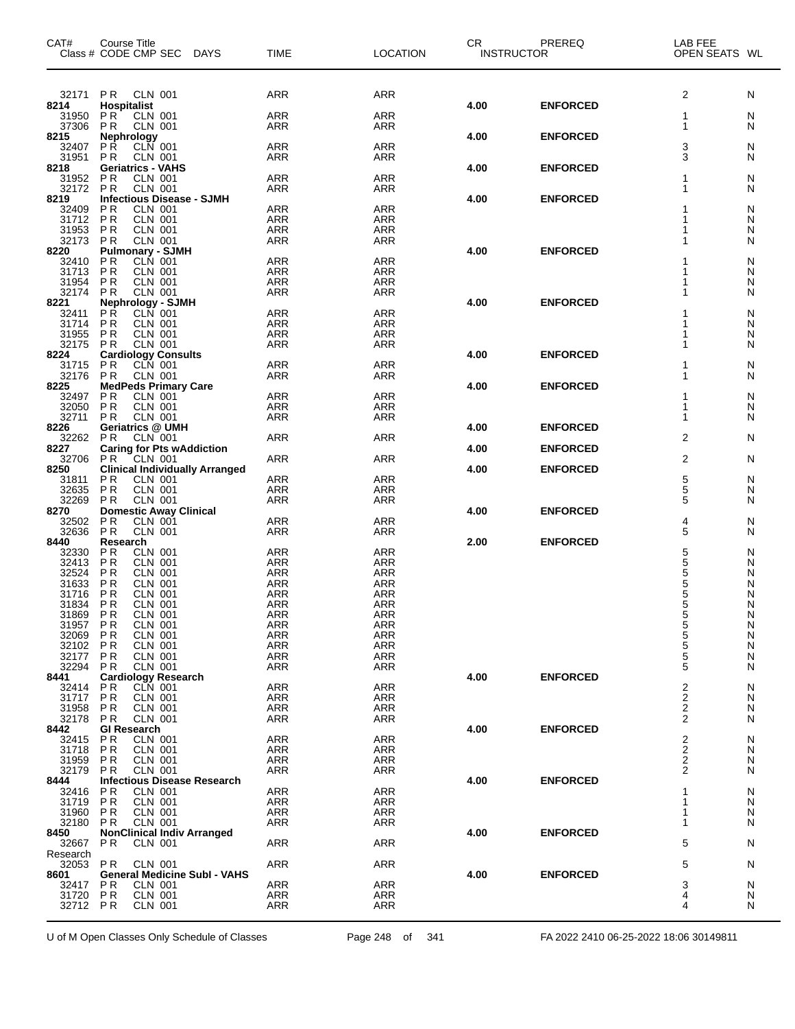| CAT#                 | Course Title<br>Class # CODE CMP SEC DAYS                                 | <b>TIME</b>              | <b>LOCATION</b>          | CR<br><b>INSTRUCTOR</b> | PREREQ          | LAB FEE<br>OPEN SEATS WL |        |
|----------------------|---------------------------------------------------------------------------|--------------------------|--------------------------|-------------------------|-----------------|--------------------------|--------|
| 32171                | <b>CLN 001</b><br>P R                                                     | ARR                      | ARR                      |                         |                 | 2                        | N      |
| 8214<br>31950        | <b>Hospitalist</b><br>PR<br><b>CLN 001</b>                                | <b>ARR</b>               | ARR                      | 4.00                    | <b>ENFORCED</b> | 1                        | N      |
| 37306                | <b>PR</b><br><b>CLN 001</b>                                               | ARR                      | ARR                      |                         |                 | $\mathbf{1}$             | N      |
| 8215<br>32407        | Nephrology<br><b>PR</b><br><b>CLN</b> 001                                 | <b>ARR</b>               | <b>ARR</b>               | 4.00                    | <b>ENFORCED</b> | 3                        | N      |
| 31951<br>8218        | <b>PR</b><br><b>CLN 001</b><br><b>Geriatrics - VAHS</b>                   | <b>ARR</b>               | ARR                      | 4.00                    | <b>ENFORCED</b> | 3                        | N      |
| 31952                | <b>CLN 001</b><br><b>PR</b>                                               | <b>ARR</b>               | ARR                      |                         |                 | 1                        | N      |
| 32172<br>8219        | <b>PR</b><br><b>CLN 001</b><br><b>Infectious Disease - SJMH</b>           | <b>ARR</b>               | ARR                      | 4.00                    | <b>ENFORCED</b> | 1                        | N      |
| 32409                | <b>CLN 001</b><br>P R                                                     | <b>ARR</b>               | <b>ARR</b>               |                         |                 |                          | N      |
| 31712<br>31953       | <b>PR</b><br><b>CLN 001</b><br><b>PR</b><br><b>CLN 001</b>                | <b>ARR</b><br><b>ARR</b> | ARR<br><b>ARR</b>        |                         |                 | 1<br>1                   | N<br>N |
| 32173                | PR<br><b>CLN 001</b>                                                      | ARR                      | ARR                      |                         |                 | 1                        | N      |
| 8220<br>32410        | <b>Pulmonary - SJMH</b><br>CLN 001<br><b>PR</b>                           | <b>ARR</b>               | <b>ARR</b>               | 4.00                    | <b>ENFORCED</b> | 1                        | N      |
| 31713                | P <sub>R</sub><br><b>CLN 001</b>                                          | <b>ARR</b>               | ARR                      |                         |                 | 1                        | N      |
| 31954<br>32174       | P <sub>R</sub><br><b>CLN 001</b><br>P <sub>R</sub><br><b>CLN 001</b>      | <b>ARR</b><br>ARR        | ARR<br><b>ARR</b>        |                         |                 | 1<br>1                   | N<br>N |
| 8221                 | <b>Nephrology - SJMH</b>                                                  |                          |                          | 4.00                    | <b>ENFORCED</b> |                          |        |
| 32411<br>31714       | P <sub>R</sub><br><b>CLN 001</b><br>P <sub>R</sub><br><b>CLN 001</b>      | ARR<br><b>ARR</b>        | ARR<br>ARR               |                         |                 | 1<br>1                   | N<br>N |
| 31955                | <b>PR</b><br><b>CLN 001</b>                                               | <b>ARR</b>               | ARR                      |                         |                 | 1                        | N      |
| 32175<br>8224        | <b>PR</b><br><b>CLN 001</b><br><b>Cardiology Consults</b>                 | <b>ARR</b>               | ARR                      | 4.00                    | <b>ENFORCED</b> | 1                        | N      |
| 31715 PR             | CLN 001                                                                   | <b>ARR</b>               | ARR                      |                         |                 | 1                        | N      |
| 32176<br>8225        | <b>PR</b><br><b>CLN 001</b><br><b>MedPeds Primary Care</b>                | <b>ARR</b>               | ARR                      | 4.00                    | <b>ENFORCED</b> | 1                        | N      |
| 32497                | P <sub>R</sub><br><b>CLN 001</b>                                          | <b>ARR</b>               | <b>ARR</b>               |                         |                 | 1                        | N      |
| 32050<br>32711       | <b>PR</b><br><b>CLN 001</b><br>P <sub>R</sub><br><b>CLN 001</b>           | <b>ARR</b><br>ARR        | ARR<br><b>ARR</b>        |                         |                 | 1<br>1                   | N<br>N |
| 8226                 | <b>Geriatrics @ UMH</b>                                                   |                          |                          | 4.00                    | <b>ENFORCED</b> |                          |        |
| 32262<br>8227        | <b>CLN 001</b><br>P <sub>R</sub><br><b>Caring for Pts wAddiction</b>      | ARR                      | ARR                      | 4.00                    | <b>ENFORCED</b> | 2                        | N      |
| 32706                | P R<br>CLN 001                                                            | <b>ARR</b>               | ARR                      |                         |                 | 2                        | N      |
| 8250<br>31811        | <b>Clinical Individually Arranged</b><br>P <sub>R</sub><br><b>CLN 001</b> | ARR                      | <b>ARR</b>               | 4.00                    | <b>ENFORCED</b> | 5                        | N      |
| 32635<br>32269       | <b>PR</b><br><b>CLN 001</b><br><b>PR</b>                                  | <b>ARR</b><br><b>ARR</b> | ARR                      |                         |                 | $\frac{5}{5}$            | N      |
| 8270                 | <b>CLN 001</b><br><b>Domestic Away Clinical</b>                           |                          | ARR                      | 4.00                    | <b>ENFORCED</b> |                          | N      |
| 32502<br>32636       | <b>CLN 001</b><br><b>PR</b><br>PR<br><b>CLN 001</b>                       | <b>ARR</b><br><b>ARR</b> | <b>ARR</b><br>ARR        |                         |                 | 4<br>5                   | N<br>N |
| 8440                 | Research                                                                  |                          |                          | 2.00                    | <b>ENFORCED</b> |                          |        |
| 32330<br>32413       | <b>PR</b><br><b>CLN 001</b><br>P <sub>R</sub><br><b>CLN 001</b>           | <b>ARR</b><br>ARR        | <b>ARR</b><br><b>ARR</b> |                         |                 | 5<br>5<br>5<br>5         | N<br>N |
| 32524                | P <sub>R</sub><br><b>CLN 001</b>                                          | <b>ARR</b>               | <b>ARR</b>               |                         |                 |                          | N      |
| 31633<br>31716       | P <sub>R</sub><br><b>CLN 001</b><br><b>PR</b><br><b>CLN 001</b>           | <b>ARR</b><br><b>ARR</b> | <b>ARR</b><br>ARR        |                         |                 | $\frac{5}{5}$            | N<br>N |
| 31834                | PR<br><b>CLN 001</b>                                                      | ARR                      | <b>ARR</b>               |                         |                 | 5                        | Ν      |
| 31869 PR<br>31957 PR | <b>CLN 001</b><br><b>CLN 001</b>                                          | ARR<br>ARR               | ARR<br>ARR               |                         |                 | 5<br>5                   | N<br>N |
| 32069                | P <sub>R</sub><br>CLN 001                                                 | <b>ARR</b>               | ARR                      |                         |                 | 5                        | N      |
| 32102<br>32177       | P R<br><b>CLN 001</b><br><b>PR</b><br><b>CLN 001</b>                      | ARR<br>ARR               | ARR<br>ARR               |                         |                 | 5<br>5                   | N<br>N |
| 32294                | P <sub>R</sub><br><b>CLN 001</b>                                          | ARR                      | ARR                      |                         |                 | 5                        | N      |
| 8441<br>32414        | <b>Cardiology Research</b><br>P <sub>R</sub><br><b>CLN 001</b>            | ARR                      | ARR                      | 4.00                    | <b>ENFORCED</b> | 2                        | N      |
| 31717                | P <sub>R</sub><br>CLN 001                                                 | ARR                      | ARR                      |                         |                 | 2                        | N      |
| 31958<br>32178       | P R<br>CLN 001<br>P R<br><b>CLN 001</b>                                   | <b>ARR</b><br>ARR        | ARR<br>ARR               |                         |                 | 2<br>2                   | N<br>N |
| 8442                 | <b>GI Research</b>                                                        |                          |                          | 4.00                    | <b>ENFORCED</b> |                          |        |
| 32415<br>31718       | <b>CLN 001</b><br>P R<br><b>PR</b><br>CLN 001                             | ARR<br>ARR               | ARR<br>ARR               |                         |                 | 2<br>2                   | N<br>N |
| 31959                | <b>PR</b><br>CLN 001                                                      | ARR                      | ARR                      |                         |                 | 2                        | N      |
| 32179<br>8444        | P R<br>CLN 001<br><b>Infectious Disease Research</b>                      | ARR                      | ARR                      | 4.00                    | <b>ENFORCED</b> | 2                        | N      |
| 32416                | P R<br>CLN 001                                                            | <b>ARR</b>               | ARR                      |                         |                 | 1                        | N      |
| 31719<br>31960       | P R<br>CLN 001<br><b>PR</b><br><b>CLN 001</b>                             | ARR<br>ARR               | ARR<br>ARR               |                         |                 | 1<br>1                   | N<br>N |
| 32180                | PR.<br><b>CLN 001</b>                                                     | ARR                      | ARR                      |                         |                 | 1                        | N      |
| 8450<br>32667        | <b>NonClinical Indiv Arranged</b><br>PR.<br><b>CLN 001</b>                | ARR                      | ARR                      | 4.00                    | <b>ENFORCED</b> | 5                        | N      |
| Research             |                                                                           |                          |                          |                         |                 |                          |        |
| 32053<br>8601        | <b>PR</b><br>CLN 001<br><b>General Medicine Subl - VAHS</b>               | ARR                      | ARR                      | 4.00                    | <b>ENFORCED</b> | 5                        | N      |
| 32417<br>31720       | P <sub>R</sub><br>CLN 001<br><b>CLN 001</b>                               | <b>ARR</b>               | ARR                      |                         |                 | 3<br>4                   | N      |
| 32712 PR             | P R<br><b>CLN 001</b>                                                     | ARR<br>ARR               | ARR<br>ARR               |                         |                 | 4                        | N<br>N |
|                      |                                                                           |                          |                          |                         |                 |                          |        |

U of M Open Classes Only Schedule of Classes Page 248 of 341 FA 2022 2410 06-25-2022 18:06 30149811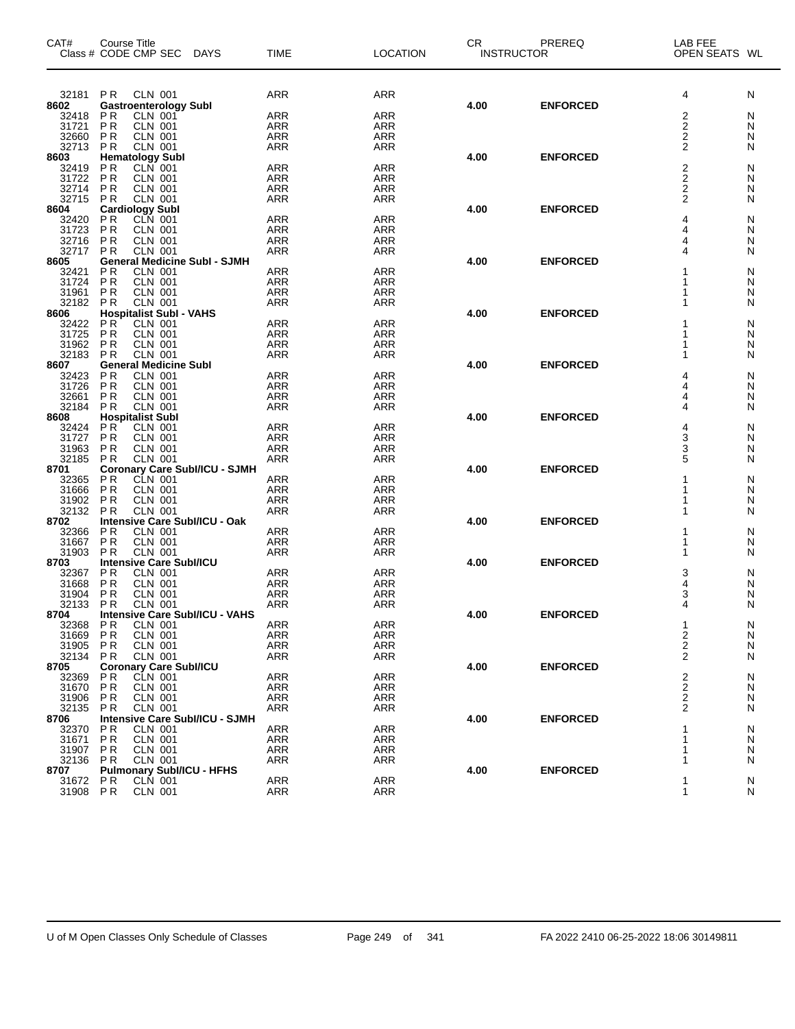| CAT#           | Course Title<br>Class # CODE CMP SEC DAYS                  |                                       | <b>TIME</b>                    | <b>LOCATION</b>          | CR<br><b>INSTRUCTOR</b> | PREREQ          | LAB FEE<br>OPEN SEATS WL |        |
|----------------|------------------------------------------------------------|---------------------------------------|--------------------------------|--------------------------|-------------------------|-----------------|--------------------------|--------|
| 32181          | <b>CLN 001</b><br>P R                                      |                                       | <b>ARR</b>                     | ARR                      |                         |                 | 4                        | N      |
| 8602           | <b>Gastroenterology Subl</b>                               |                                       |                                |                          | 4.00                    | <b>ENFORCED</b> |                          |        |
| 32418          | <b>PR</b><br>CLN 001                                       |                                       | <b>ARR</b>                     | ARR                      |                         |                 | 2                        | N      |
| 31721          | <b>PR</b><br>CLN 001                                       |                                       | ARR                            | <b>ARR</b>               |                         |                 | 2                        | N      |
| 32660<br>32713 | <b>PR</b><br><b>CLN 001</b><br><b>CLN 001</b><br><b>PR</b> |                                       | <b>ARR</b><br><b>ARR</b>       | <b>ARR</b><br>ARR        |                         |                 | 2<br>$\overline{2}$      | N<br>N |
| 8603           | <b>Hematology Subl</b>                                     |                                       |                                |                          | 4.00                    | <b>ENFORCED</b> |                          |        |
| 32419          | <b>CLN 001</b>                                             |                                       | <b>ARR</b>                     | <b>ARR</b>               |                         |                 |                          | N      |
| 31722          | $P$ R<br>$P$ R<br><b>CLN 001</b>                           |                                       | ARR <sup>1</sup>               | ARR                      |                         |                 | $\frac{2}{2}$            | N      |
| 32714          | PR<br><b>CLN 001</b>                                       |                                       | <b>ARR</b>                     | <b>ARR</b>               |                         |                 | 2                        | N      |
| 32715 PR       | <b>CLN 001</b>                                             |                                       | <b>ARR</b>                     | ARR                      |                         |                 | 2                        | N      |
| 8604           | <b>Cardiology Subl</b>                                     |                                       |                                |                          | 4.00                    | <b>ENFORCED</b> |                          |        |
| 32420          | CLN 001<br><b>PR</b>                                       |                                       | <b>ARR</b>                     | <b>ARR</b>               |                         |                 | 4                        | N      |
| 31723<br>32716 | <b>PR</b><br>CLN 001<br>PR<br><b>CLN 001</b>               |                                       | <b>ARR</b><br><b>ARR</b>       | <b>ARR</b><br><b>ARR</b> |                         |                 | 4<br>4                   | N<br>N |
| 32717          | <b>CLN 001</b><br><b>PR</b>                                |                                       | <b>ARR</b>                     | ARR                      |                         |                 | 4                        | N      |
| 8605           |                                                            | <b>General Medicine Subl - SJMH</b>   |                                |                          | 4.00                    | <b>ENFORCED</b> |                          |        |
| 32421          | P <sub>R</sub><br><b>CLN 001</b>                           |                                       | <b>ARR</b>                     | ARR                      |                         |                 |                          | N      |
| 31724          | PR<br><b>CLN 001</b>                                       |                                       | <b>ARR</b>                     | <b>ARR</b>               |                         |                 |                          | N      |
| 31961          | <b>PR</b><br><b>CLN 001</b>                                |                                       | <b>ARR</b>                     | <b>ARR</b>               |                         |                 |                          | N      |
| 32182          | <b>CLN 001</b><br><b>PR</b>                                |                                       | <b>ARR</b>                     | <b>ARR</b>               |                         |                 | 1                        | N      |
| 8606           | <b>Hospitalist Subl - VAHS</b>                             |                                       |                                |                          | 4.00                    | <b>ENFORCED</b> | 1                        |        |
| 32422<br>31725 | PR<br>PR<br><b>CLN 001</b><br><b>CLN 001</b>               |                                       | ARR<br>ARR                     | <b>ARR</b><br><b>ARR</b> |                         |                 | 1                        | N<br>N |
| 31962          | <b>CLN 001</b><br><b>PR</b>                                |                                       | <b>ARR</b>                     | ARR                      |                         |                 |                          | N      |
| 32183          | <b>CLN 001</b><br>P R                                      |                                       | <b>ARR</b>                     | ARR                      |                         |                 | 1                        | N      |
| 8607           | <b>General Medicine Subl</b>                               |                                       |                                |                          | 4.00                    | <b>ENFORCED</b> |                          |        |
| 32423          | <b>CLN 001</b><br><b>PR</b>                                |                                       | <b>ARR</b>                     | <b>ARR</b>               |                         |                 | 4                        | N      |
| 31726          | <b>CLN 001</b><br>PR                                       |                                       | <b>ARR</b>                     | <b>ARR</b>               |                         |                 | 4                        | N      |
| 32661          | <b>CLN 001</b><br><b>PR</b>                                |                                       | <b>ARR</b>                     | <b>ARR</b>               |                         |                 | 4                        | N      |
| 32184<br>8608  | <b>CLN 001</b><br><b>PR</b><br><b>Hospitalist Subl</b>     |                                       | <b>ARR</b>                     | ARR                      | 4.00                    | <b>ENFORCED</b> | 4                        | N      |
| 32424          | <b>PR</b><br><b>CLN 001</b>                                |                                       | <b>ARR</b>                     | ARR                      |                         |                 | 4                        | N      |
| 31727          | <b>PR</b><br><b>CLN 001</b>                                |                                       | <b>ARR</b>                     | <b>ARR</b>               |                         |                 | 3                        | N      |
| 31963          | <b>CLN 001</b><br>P R                                      |                                       | <b>ARR</b>                     | <b>ARR</b>               |                         |                 | 3                        | N      |
| 32185 PR       | <b>CLN 001</b>                                             |                                       | <b>ARR</b>                     | <b>ARR</b>               |                         |                 | 5                        | N      |
| 8701           |                                                            | Coronary Care Subl/ICU - SJMH         |                                |                          | 4.00                    | <b>ENFORCED</b> |                          |        |
| 32365<br>31666 | P R<br>CLN 001<br>PR<br><b>CLN 001</b>                     |                                       | <b>ARR</b><br>ARR <sup>1</sup> | <b>ARR</b><br><b>ARR</b> |                         |                 | 1<br>1                   | N<br>N |
| 31902          | <b>PR</b><br><b>CLN 001</b>                                |                                       | <b>ARR</b>                     | <b>ARR</b>               |                         |                 |                          | N      |
| 32132          | <b>CLN 001</b><br>P <sub>R</sub>                           |                                       | <b>ARR</b>                     | ARR                      |                         |                 | 1                        | N      |
| 8702           |                                                            | Intensive Care Subl/ICU - Oak         |                                |                          | 4.00                    | <b>ENFORCED</b> |                          |        |
| 32366          | CLN 001<br><b>PR</b>                                       |                                       | ARR                            | <b>ARR</b>               |                         |                 | 1                        | N      |
| 31667          | <b>CLN 001</b><br><b>PR</b>                                |                                       | <b>ARR</b>                     | <b>ARR</b>               |                         |                 | 1                        | N      |
| 31903          | <b>CLN 001</b><br><b>PR</b>                                |                                       | <b>ARR</b>                     | <b>ARR</b>               |                         |                 | 1                        | N      |
| 8703<br>32367  | <b>Intensive Care Subl/ICU</b>                             |                                       |                                | <b>ARR</b>               | 4.00                    | <b>ENFORCED</b> | 3                        | N      |
| 31668          | PR<br>PR<br>CLN 001<br><b>CLN 001</b>                      |                                       | ARR<br>ARR                     | <b>ARR</b>               |                         |                 | $\overline{4}$           | N      |
| 31904          | <b>PR</b><br><b>CLN 001</b>                                |                                       | <b>ARR</b>                     | <b>ARR</b>               |                         |                 | 3                        | N      |
| 32133          | P R<br>CLN 001                                             |                                       | <b>ARR</b>                     | <b>ARR</b>               |                         |                 | 4                        | N      |
| 8704           |                                                            | Intensive Care Subl/ICU - VAHS        |                                |                          | 4.00                    | <b>ENFORCED</b> |                          |        |
| 32368          | <b>CLN 001</b><br>P R                                      |                                       | ARR                            | <b>ARR</b>               |                         |                 | 1                        | N      |
| 31669          | P R<br>CLN 001                                             |                                       | ARR                            | ARR                      |                         |                 | $\frac{2}{2}$            | N      |
| 31905          | <b>PR</b><br><b>CLN 001</b>                                |                                       | <b>ARR</b>                     | ARR                      |                         |                 | 2                        | N      |
| 32134<br>8705  | P R<br><b>CLN 001</b><br><b>Coronary Care Subl/ICU</b>     |                                       | <b>ARR</b>                     | ARR                      | 4.00                    | <b>ENFORCED</b> |                          | N      |
| 32369          | P R<br>CLN 001                                             |                                       | <b>ARR</b>                     | ARR                      |                         |                 | 2                        | N      |
| 31670          | P R<br><b>CLN 001</b>                                      |                                       | ARR                            | ARR                      |                         |                 |                          | N      |
| 31906          | P R<br><b>CLN 001</b>                                      |                                       | <b>ARR</b>                     | ARR                      |                         |                 | $\frac{2}{2}$            | N      |
| 32135          | <b>CLN 001</b><br>P R                                      |                                       | ARR                            | ARR                      |                         |                 | $\overline{2}$           | N      |
| 8706           |                                                            | <b>Intensive Care Subl/ICU - SJMH</b> |                                |                          | 4.00                    | <b>ENFORCED</b> |                          |        |
| 32370          | P R<br>CLN 001                                             |                                       | <b>ARR</b>                     | ARR                      |                         |                 | 1                        | N      |
| 31671<br>31907 | <b>PR</b><br><b>CLN 001</b><br><b>CLN 001</b><br>P R       |                                       | <b>ARR</b><br>ARR              | ARR<br>ARR               |                         |                 | 1<br>1                   | N<br>N |
| 32136          | P R<br>CLN 001                                             |                                       | ARR                            | ARR                      |                         |                 | 1                        | N      |
| 8707           |                                                            | <b>Pulmonary SubI/ICU - HFHS</b>      |                                |                          | 4.00                    | <b>ENFORCED</b> |                          |        |
| 31672          | CLN 001<br>P R                                             |                                       | ARR                            | ARR                      |                         |                 | 1                        | N      |
| 31908 PR       | <b>CLN 001</b>                                             |                                       | ARR                            | ARR                      |                         |                 | 1                        | N      |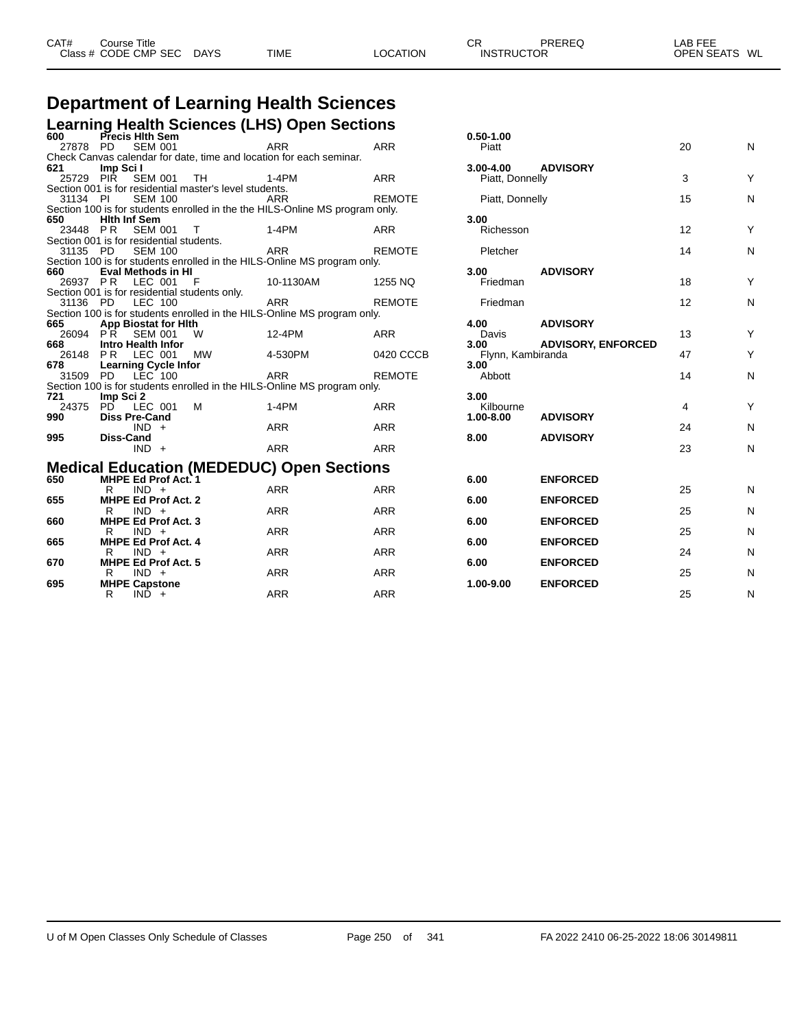#### **Department of Learning Health Sciences Learning Health Sciences (LHS) Open Sections**

| - - - - - - - - - -<br>600 | Precis Hith Sem                                         |           |                                                                              |               | $0.50 - 1.00$     |                           |                |   |
|----------------------------|---------------------------------------------------------|-----------|------------------------------------------------------------------------------|---------------|-------------------|---------------------------|----------------|---|
|                            | 27878 PD SEM 001                                        |           | <b>ARR</b>                                                                   | <b>ARR</b>    | Piatt             |                           | 20             | Ν |
|                            |                                                         |           | Check Canvas calendar for date, time and location for each seminar.          |               |                   |                           |                |   |
| 621                        | Imp Sci I                                               |           |                                                                              |               | 3.00-4.00         | <b>ADVISORY</b>           |                |   |
|                            | 25729 PIR SEM 001                                       | TH        | 1-4PM                                                                        | <b>ARR</b>    | Piatt, Donnelly   |                           | 3              | Y |
|                            | Section 001 is for residential master's level students. |           |                                                                              |               |                   |                           |                |   |
| 31134 PI                   | <b>SEM 100</b>                                          |           | ARR                                                                          | <b>REMOTE</b> | Piatt, Donnelly   |                           | 15             | Ν |
|                            |                                                         |           | Section 100 is for students enrolled in the the HILS-Online MS program only. |               |                   |                           |                |   |
| 650                        | <b>Hith Inf Sem</b>                                     |           |                                                                              |               | 3.00              |                           |                |   |
|                            | 23448 PR SEM 001                                        | $\top$    | $1-4PM$                                                                      | ARR           | Richesson         |                           | 12             | Υ |
|                            | Section 001 is for residential students.                |           |                                                                              |               |                   |                           |                |   |
| 31135 PD                   | <b>SEM 100</b>                                          |           | ARR                                                                          | <b>REMOTE</b> | Pletcher          |                           | 14             | Ν |
|                            |                                                         |           | Section 100 is for students enrolled in the HILS-Online MS program only.     |               |                   |                           |                |   |
| 660                        | Eval Methods in HI                                      |           |                                                                              |               | 3.00              | <b>ADVISORY</b>           |                |   |
|                            | 26937 PR LEC 001                                        | - F       | 10-1130AM                                                                    | 1255 NQ       | Friedman          |                           | 18             | Y |
|                            | Section 001 is for residential students only.           |           |                                                                              |               |                   |                           |                |   |
| 31136 PD                   | <b>LEC 100</b>                                          |           | ARR                                                                          | <b>REMOTE</b> | Friedman          |                           | 12             | Ν |
| 665                        |                                                         |           | Section 100 is for students enrolled in the HILS-Online MS program only.     |               | 4.00              | <b>ADVISORY</b>           |                |   |
|                            | <b>App Biostat for Hith</b><br>26094 PR SEM 001         | W         | 12-4PM                                                                       | <b>ARR</b>    | Davis             |                           | 13             | Y |
| 668                        | Intro Health Infor                                      |           |                                                                              |               | 3.00              | <b>ADVISORY, ENFORCED</b> |                |   |
|                            | 26148 PR LEC 001                                        | <b>MW</b> | 4-530PM                                                                      | 0420 CCCB     | Flynn, Kambiranda |                           | 47             | Υ |
| 678                        | <b>Learning Cycle Infor</b>                             |           |                                                                              |               | 3.00              |                           |                |   |
|                            | 31509 PD LEC 100                                        |           | ARR                                                                          | <b>REMOTE</b> | Abbott            |                           | 14             | Ν |
|                            |                                                         |           | Section 100 is for students enrolled in the HILS-Online MS program only.     |               |                   |                           |                |   |
| 721                        | Imp Sci 2                                               |           |                                                                              |               | 3.00              |                           |                |   |
|                            | 24375 PD LEC 001                                        | M         | $1-4PM$                                                                      | <b>ARR</b>    | Kilbourne         |                           | $\overline{4}$ | Υ |
| 990                        | <b>Diss Pre-Cand</b>                                    |           |                                                                              |               | $1.00 - 8.00$     | <b>ADVISORY</b>           |                |   |
|                            | $IND +$                                                 |           | <b>ARR</b>                                                                   | <b>ARR</b>    |                   |                           | 24             | Ν |
| 995                        | Diss-Cand                                               |           |                                                                              |               | 8.00              | <b>ADVISORY</b>           |                |   |
|                            | $IND +$                                                 |           | <b>ARR</b>                                                                   | <b>ARR</b>    |                   |                           | 23             | Ν |
|                            |                                                         |           |                                                                              |               |                   |                           |                |   |
|                            |                                                         |           | <b>Medical Education (MEDEDUC) Open Sections</b>                             |               |                   |                           |                |   |
| 650                        | MHPE Ed Prof Act. 1                                     |           |                                                                              |               | 6.00              | <b>ENFORCED</b>           |                |   |
|                            | $IND +$<br>R.                                           |           | <b>ARR</b>                                                                   | <b>ARR</b>    |                   |                           | 25             | Ν |
| 655                        | <b>MHPE Ed Prof Act. 2</b>                              |           |                                                                              |               | 6.00              | <b>ENFORCED</b>           |                |   |
|                            | $IND +$<br>R                                            |           | <b>ARR</b>                                                                   | <b>ARR</b>    |                   |                           | 25             | Ν |
| 660                        | <b>MHPE Ed Prof Act. 3</b>                              |           |                                                                              |               | 6.00              | <b>ENFORCED</b>           |                |   |
|                            | $IND +$<br>R                                            |           | <b>ARR</b>                                                                   | <b>ARR</b>    |                   |                           | 25             | Ν |
| 665                        | <b>MHPE Ed Prof Act. 4</b><br>$IND +$                   |           | <b>ARR</b>                                                                   | <b>ARR</b>    | 6.00              | <b>ENFORCED</b>           | 24             | Ν |
| 670                        | R.<br><b>MHPE Ed Prof Act. 5</b>                        |           |                                                                              |               | 6.00              | <b>ENFORCED</b>           |                |   |
|                            | $R$ IND $+$                                             |           | ARR                                                                          | <b>ARR</b>    |                   |                           | 25             | Ν |
| 695                        | <b>MHPE Capstone</b>                                    |           |                                                                              |               | 1.00-9.00         | <b>ENFORCED</b>           |                |   |
|                            | $IND +$<br>R                                            |           | <b>ARR</b>                                                                   | <b>ARR</b>    |                   |                           | 25             | Ν |
|                            |                                                         |           |                                                                              |               |                   |                           |                |   |

| 0.50-1.00                                          |                                              |                                     |             |
|----------------------------------------------------|----------------------------------------------|-------------------------------------|-------------|
| Piatt                                              |                                              | 20                                  | N           |
| 3.00-4.00<br>Piatt, Donnelly                       | <b>ADVISORY</b>                              | 3                                   | Υ           |
| Piatt, Donnelly                                    |                                              | 15                                  | N           |
| 3.00<br>Richesson                                  |                                              | 12                                  | Υ           |
| Pletcher                                           |                                              | 14                                  | N           |
| 3.00<br>Friedman                                   | <b>ADVISORY</b>                              | 18                                  | Υ           |
| Friedman                                           |                                              | 12                                  | N           |
| 4.00<br>Davis<br>3.00<br>Flynn, Kambiranda<br>3.00 | <b>ADVISORY</b><br><b>ADVISORY, ENFORCED</b> | 13<br>47                            | Υ<br>Υ      |
| Abbott                                             |                                              | 14                                  | N           |
| 3.00<br>Kilbourne<br>1.00-8.00<br>8.00             | <b>ADVISORY</b><br><b>ADVISORY</b>           | $\overline{\mathbf{4}}$<br>24<br>23 | Υ<br>N<br>N |
| 6.00<br>6.00                                       | <b>ENFORCED</b><br><b>ENFORCED</b>           | 25<br>25                            | N<br>N      |
| 6.00<br>6.00                                       | <b>ENFORCED</b><br><b>ENFORCED</b>           | 25<br>24                            | N<br>N      |
| 6.00<br>1.00-9.00                                  | <b>ENFORCED</b><br><b>ENFORCED</b>           | 25<br>25                            | N<br>N      |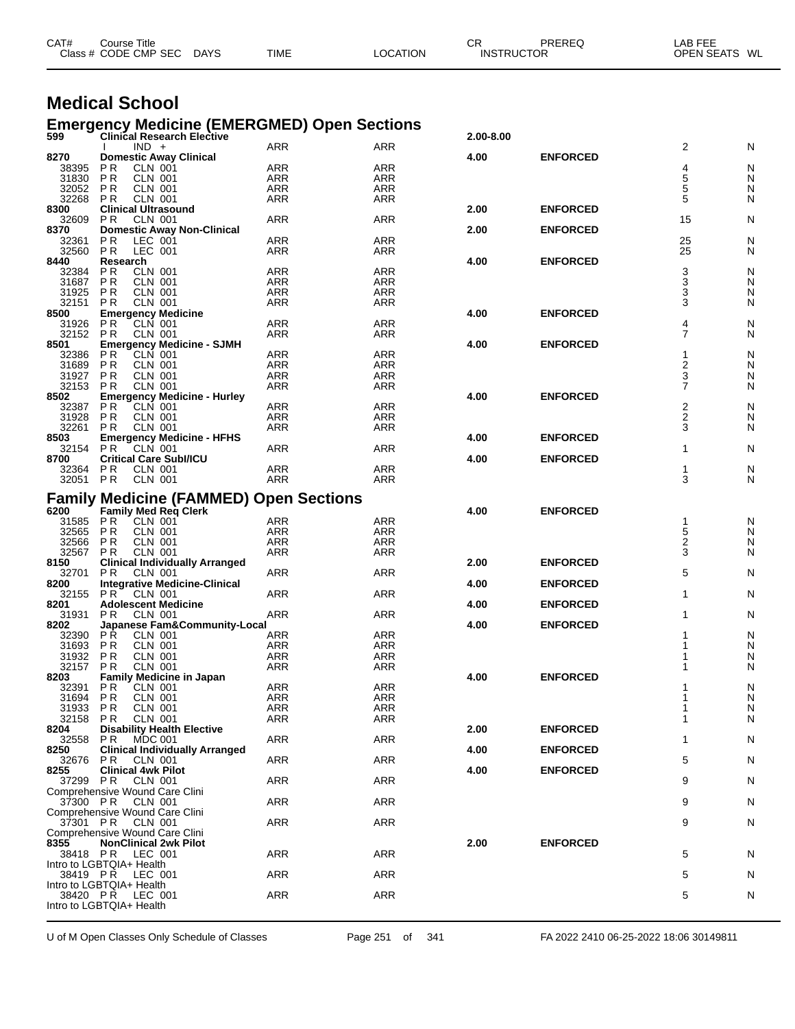|                   | Class # CODE CMP SEC<br><b>DAYS</b>                                                     | TIME              | LOCATION          | <b>INSTRUCTOR</b> |                 | OPEN SEATS WL           |        |
|-------------------|-----------------------------------------------------------------------------------------|-------------------|-------------------|-------------------|-----------------|-------------------------|--------|
|                   |                                                                                         |                   |                   |                   |                 |                         |        |
|                   | <b>Medical School</b>                                                                   |                   |                   |                   |                 |                         |        |
| 599               | <b>Emergency Medicine (EMERGMED) Open Sections</b><br><b>Clinical Research Elective</b> |                   |                   | 2.00-8.00         |                 |                         |        |
|                   | $IND +$                                                                                 | ARR               | ARR               |                   |                 | 2                       | N      |
| 8270              | <b>Domestic Away Clinical</b>                                                           |                   |                   | 4.00              | <b>ENFORCED</b> |                         |        |
| 38395<br>31830    | ΡR<br>CLN 001<br>P R<br>CLN 001                                                         | ARR<br>ARR        | ARR               |                   |                 | 4<br>5                  | N      |
| 32052             | P R<br><b>CLN 001</b>                                                                   | <b>ARR</b>        | ARR<br>ARR        |                   |                 | 5                       | N<br>N |
| 32268             | <b>PR</b><br>CLN 001                                                                    | <b>ARR</b>        | ARR               |                   |                 | 5                       | N      |
| 8300              | <b>Clinical Ultrasound</b>                                                              |                   |                   | 2.00              | <b>ENFORCED</b> |                         |        |
| 32609             | P R<br>CLN 001                                                                          | ARR               | ARR               | 2.00              | <b>ENFORCED</b> | 15                      | N      |
| 8370<br>32361     | <b>Domestic Away Non-Clinical</b><br>P <sub>R</sub><br>LEC 001                          | ARR               | ARR               |                   |                 | 25                      | N      |
| 32560             | P <sub>R</sub><br>LEC 001                                                               | ARR               | ARR               |                   |                 | 25                      | N      |
| 8440              | Research                                                                                |                   |                   | 4.00              | <b>ENFORCED</b> |                         |        |
| 32384<br>31687    | P <sub>R</sub><br>CLN 001<br>P R<br>CLN 001                                             | ARR<br><b>ARR</b> | <b>ARR</b><br>ARR |                   |                 | 3<br>3                  | N<br>N |
| 31925             | <b>PR</b><br>CLN 001                                                                    | <b>ARR</b>        | <b>ARR</b>        |                   |                 | 3                       | N      |
| 32151             | <b>CLN 001</b><br>P R                                                                   | ARR               | ARR               |                   |                 | 3                       | N      |
| 8500              | <b>Emergency Medicine</b>                                                               |                   |                   | 4.00              | <b>ENFORCED</b> |                         |        |
| 31926<br>32152    | P R<br>CLN 001<br><b>CLN 001</b><br>P R                                                 | <b>ARR</b><br>ARR | ARR<br>ARR        |                   |                 | 4<br>$\overline{7}$     | N<br>N |
| 8501              | <b>Emergency Medicine - SJMH</b>                                                        |                   |                   | 4.00              | <b>ENFORCED</b> |                         |        |
| 32386             | P R<br>CLN 001                                                                          | ARR               | <b>ARR</b>        |                   |                 | 1                       | N      |
| 31689             | P R<br>CLN 001                                                                          | ARR               | ARR               |                   |                 | $\overline{\mathbf{c}}$ | N      |
| 31927<br>32153    | P R<br>CLN 001<br><b>PR</b><br><b>CLN 001</b>                                           | <b>ARR</b><br>ARR | ARR<br><b>ARR</b> |                   |                 | 3<br>7                  | N<br>N |
| 8502              | <b>Emergency Medicine - Hurley</b>                                                      |                   |                   | 4.00              | <b>ENFORCED</b> |                         |        |
| 32387             | <b>CLN 001</b><br>P R                                                                   | ARR               | ARR               |                   |                 | 2                       | N      |
| 31928             | <b>PR</b><br>CLN 001<br><b>CLN 001</b>                                                  | <b>ARR</b>        | <b>ARR</b>        |                   |                 | 2<br>3                  | N      |
| 32261<br>8503     | P R<br><b>Emergency Medicine - HFHS</b>                                                 | <b>ARR</b>        | ARR               | 4.00              | <b>ENFORCED</b> |                         | N      |
| 32154             | P <sub>R</sub><br>CLN 001                                                               | ARR               | ARR               |                   |                 | 1                       | N      |
| 8700              | <b>Critical Care Subl/ICU</b>                                                           |                   |                   | 4.00              | <b>ENFORCED</b> |                         |        |
| 32364<br>32051 PR | P R<br>CLN 001<br><b>CLN 001</b>                                                        | ARR<br><b>ARR</b> | ARR<br>ARR        |                   |                 | 1<br>3                  | N<br>N |
|                   |                                                                                         |                   |                   |                   |                 |                         |        |
|                   | <b>Family Medicine (FAMMED) Open Sections</b>                                           |                   |                   |                   |                 |                         |        |
| 6200              | Family Med Req Clerk                                                                    |                   |                   | 4.00              | <b>ENFORCED</b> |                         |        |
| 31585<br>32565    | <b>PR</b><br>CLN 001<br>P R<br><b>CLN 001</b>                                           | ARR<br><b>ARR</b> | <b>ARR</b><br>ARR |                   |                 | 1<br>5                  | N<br>N |
| 32566             | <b>PR</b><br><b>CLN 001</b>                                                             | <b>ARR</b>        | <b>ARR</b>        |                   |                 | 2                       | N      |
| 32567             | P R<br>CLN 001                                                                          | ARR               | ARR               |                   |                 | 3                       | N      |
| 8150              | <b>Clinical Individually Arranged</b><br>P R                                            | <b>ARR</b>        | ARR               | 2.00              | <b>ENFORCED</b> | 5                       | N      |
| 32701<br>8200     | CLN 001<br><b>Integrative Medicine-Clinical</b>                                         |                   |                   | 4.00              | <b>ENFORCED</b> |                         |        |
| 32155             | PR.<br>CLN 001                                                                          | ARR               | ARR               |                   |                 | 1                       | N      |
| 8201              | <b>Adolescent Medicine</b>                                                              |                   |                   | 4.00              | <b>ENFORCED</b> |                         |        |
| 31931<br>8202     | P R<br>CLN 001<br>Japanese Fam&Community-Local                                          | ARR               | ARR               | 4.00              | <b>ENFORCED</b> | 1                       | N      |
| 32390 PR          | <b>CLN 001</b>                                                                          | ARR               | ARR               |                   |                 |                         | N      |
| 31693             | P R<br>CLN 001                                                                          | ARR               | ARR               |                   |                 |                         | N      |
| 31932             | PR<br><b>CLN 001</b>                                                                    | ARR               | <b>ARR</b>        |                   |                 |                         | N      |
| 32157<br>8203     | <b>PR</b><br><b>CLN 001</b><br><b>Family Medicine in Japan</b>                          | <b>ARR</b>        | ARR               | 4.00              | <b>ENFORCED</b> |                         | N      |
| 32391             | <b>CLN 001</b><br>P R                                                                   | <b>ARR</b>        | ARR               |                   |                 |                         | N      |
| 31694             | <b>PR</b><br><b>CLN 001</b>                                                             | <b>ARR</b>        | <b>ARR</b>        |                   |                 |                         | N      |
| 31933<br>32158    | <b>CLN 001</b><br>P R<br><b>CLN 001</b><br>PR.                                          | ARR<br>ARR        | ARR<br>ARR        |                   |                 |                         | N<br>N |
| 8204              | <b>Disability Health Elective</b>                                                       |                   |                   | 2.00              | <b>ENFORCED</b> |                         |        |
| 32558             | <b>PR</b><br><b>MDC 001</b>                                                             | <b>ARR</b>        | ARR               |                   |                 | 1                       | N      |
| 8250              | <b>Clinical Individually Arranged</b>                                                   |                   |                   | 4.00              | <b>ENFORCED</b> |                         |        |
| 32676<br>8255     | <b>PR CLN 001</b><br><b>Clinical 4wk Pilot</b>                                          | <b>ARR</b>        | ARR               | 4.00              | <b>ENFORCED</b> | 5                       | N      |
|                   | 37299 PR CLN 001                                                                        | ARR               | ARR               |                   |                 | 9                       | N      |
|                   | Comprehensive Wound Care Clini                                                          |                   |                   |                   |                 |                         |        |
| 37300 PR          | CLN 001                                                                                 | <b>ARR</b>        | ARR               |                   |                 | 9                       | N      |
|                   | Comprehensive Wound Care Clini<br>37301 PR CLN 001                                      | <b>ARR</b>        | ARR               |                   |                 | 9                       | N      |
|                   | Comprehensive Wound Care Clini                                                          |                   |                   |                   |                 |                         |        |
| 8355              | <b>NonClinical 2wk Pilot</b>                                                            |                   |                   | 2.00              | <b>ENFORCED</b> |                         |        |
|                   | 38418 PR LEC 001                                                                        | <b>ARR</b>        | ARR               |                   |                 | 5                       | N      |
|                   | Intro to LGBTQIA+ Health<br>38419 PR LEC 001                                            | ARR               | ARR               |                   |                 | 5                       | N      |
|                   | Intro to LGBTQIA+ Health                                                                |                   |                   |                   |                 |                         |        |
|                   | 38420 PR LEC 001                                                                        | <b>ARR</b>        | ARR               |                   |                 | 5                       | N      |
|                   | Intro to LGBTQIA+ Health                                                                |                   |                   |                   |                 |                         |        |

CAT# Course Title Case CR PREREQ LAB FEE

U of M Open Classes Only Schedule of Classes Page 251 of 341 FA 2022 2410 06-25-2022 18:06 30149811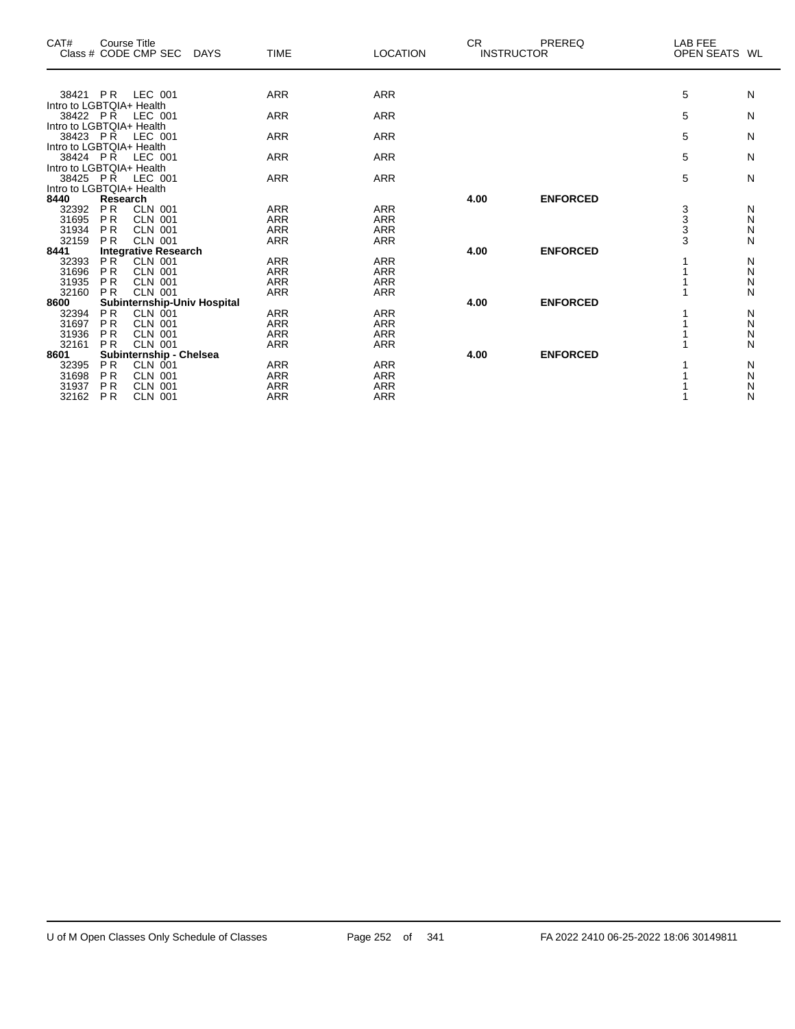| CAT#                                 | <b>Course Title</b>    | Class # CODE CMP SEC             | <b>DAYS</b> | <b>TIME</b>              | <b>LOCATION</b>          | CR.<br><b>INSTRUCTOR</b> | PREREQ          | <b>LAB FEE</b><br><b>OPEN SEATS</b> | WL     |
|--------------------------------------|------------------------|----------------------------------|-------------|--------------------------|--------------------------|--------------------------|-----------------|-------------------------------------|--------|
|                                      |                        |                                  |             |                          |                          |                          |                 |                                     |        |
| 38421 PR                             |                        | LEC 001                          |             | <b>ARR</b>               | <b>ARR</b>               |                          |                 | 5                                   | N      |
| Intro to LGBTQIA+ Health<br>38422 PR |                        | LEC 001                          |             | <b>ARR</b>               | <b>ARR</b>               |                          |                 | 5                                   | N      |
| Intro to LGBTQIA+ Health             |                        |                                  |             |                          |                          |                          |                 |                                     |        |
| 38423 PR                             |                        | LEC 001                          |             | <b>ARR</b>               | <b>ARR</b>               |                          |                 | 5                                   | N      |
| Intro to LGBTQIA+ Health             |                        |                                  |             |                          |                          |                          |                 |                                     |        |
| 38424 PR                             |                        | LEC 001                          |             | <b>ARR</b>               | <b>ARR</b>               |                          |                 | 5                                   | N      |
| Intro to LGBTQIA+ Health             |                        |                                  |             |                          |                          |                          |                 |                                     |        |
| 38425 PR<br>Intro to LGBTQIA+ Health |                        | LEC 001                          |             | <b>ARR</b>               | <b>ARR</b>               |                          |                 | 5                                   | N      |
| 8440                                 | Research               |                                  |             |                          |                          | 4.00                     | <b>ENFORCED</b> |                                     |        |
| 32392                                | <b>PR</b>              | <b>CLN 001</b>                   |             | <b>ARR</b>               | <b>ARR</b>               |                          |                 |                                     | N      |
| 31695                                | <b>PR</b>              | <b>CLN 001</b>                   |             | <b>ARR</b>               | <b>ARR</b>               |                          |                 |                                     | N      |
| 31934                                | <b>PR</b>              | <b>CLN 001</b>                   |             | <b>ARR</b>               | <b>ARR</b>               |                          |                 | 3<br>3<br>3<br>3                    | N      |
| 32159                                | <b>PR</b>              | <b>CLN 001</b>                   |             | <b>ARR</b>               | <b>ARR</b>               |                          |                 |                                     | N      |
| 8441                                 |                        | <b>Integrative Research</b>      |             |                          |                          | 4.00                     | <b>ENFORCED</b> |                                     |        |
| 32393                                | <b>PR</b>              | <b>CLN 001</b>                   |             | <b>ARR</b>               | <b>ARR</b>               |                          |                 |                                     | N      |
| 31696<br>31935                       | <b>PR</b><br><b>PR</b> | <b>CLN 001</b><br><b>CLN 001</b> |             | <b>ARR</b><br><b>ARR</b> | <b>ARR</b><br><b>ARR</b> |                          |                 |                                     | N<br>N |
| 32160                                | <b>PR</b>              | <b>CLN 001</b>                   |             | <b>ARR</b>               | <b>ARR</b>               |                          |                 |                                     | N      |
| 8600                                 |                        | Subinternship-Univ Hospital      |             |                          |                          | 4.00                     | <b>ENFORCED</b> |                                     |        |
| 32394                                | <b>PR</b>              | <b>CLN 001</b>                   |             | <b>ARR</b>               | <b>ARR</b>               |                          |                 |                                     | N      |
| 31697                                | P <sub>R</sub>         | <b>CLN 001</b>                   |             | <b>ARR</b>               | <b>ARR</b>               |                          |                 |                                     | N      |
| 31936                                | <b>PR</b>              | <b>CLN 001</b>                   |             | <b>ARR</b>               | <b>ARR</b>               |                          |                 |                                     | N      |
| 32161                                | <b>PR</b>              | <b>CLN 001</b>                   |             | <b>ARR</b>               | <b>ARR</b>               |                          |                 |                                     | N      |
| 8601                                 |                        | Subinternship - Chelsea          |             |                          |                          | 4.00                     | <b>ENFORCED</b> |                                     |        |
| 32395                                | <b>PR</b>              | CLN 001                          |             | <b>ARR</b>               | <b>ARR</b>               |                          |                 |                                     | N      |
| 31698<br>31937                       | <b>PR</b><br><b>PR</b> | <b>CLN 001</b><br><b>CLN 001</b> |             | <b>ARR</b><br><b>ARR</b> | <b>ARR</b><br><b>ARR</b> |                          |                 |                                     | N<br>N |
| 32162                                | <b>PR</b>              | <b>CLN 001</b>                   |             | <b>ARR</b>               | <b>ARR</b>               |                          |                 |                                     | N      |
|                                      |                        |                                  |             |                          |                          |                          |                 |                                     |        |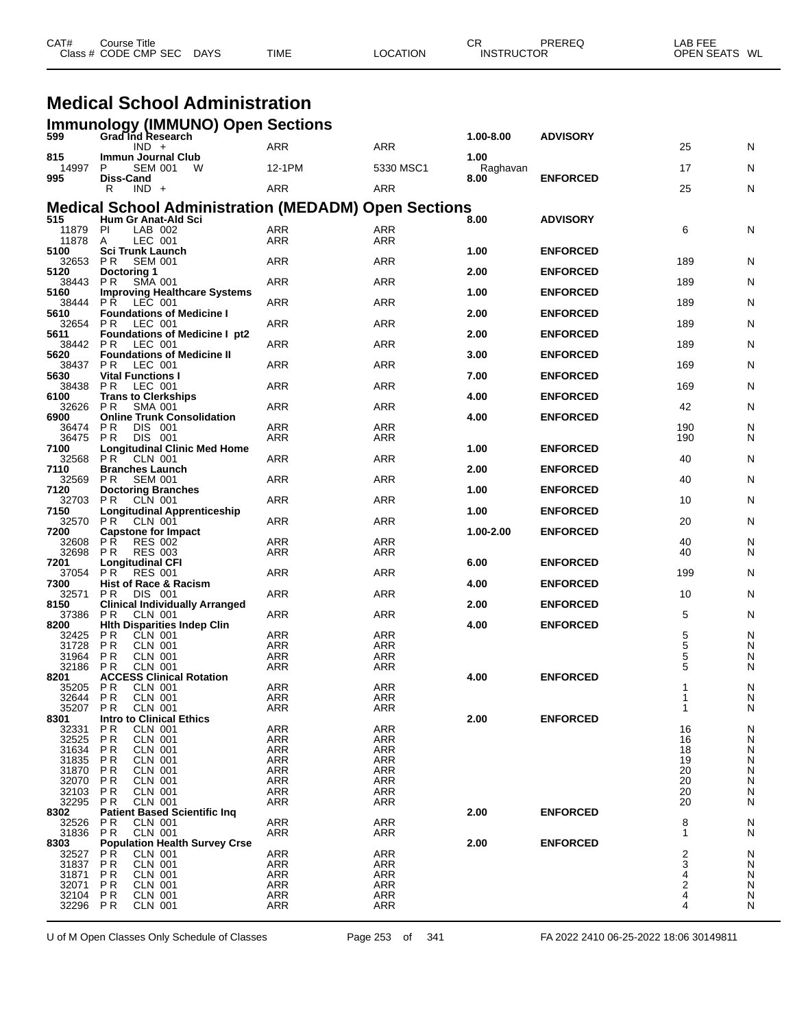| CAT#      | Title<br>Course |             |             |          | СR                | PREREC | AR FEE                  |  |
|-----------|-----------------|-------------|-------------|----------|-------------------|--------|-------------------------|--|
| Class $#$ | CODE CMP SEC    | <b>DAYS</b> | <b>TIME</b> | LOCATION | <b>INSTRUCTOR</b> |        | <b>OPEN SEATS</b><br>WL |  |

#### **Medical School Administration**

|                  | <b>Immunology (IMMUNO) Open Sections</b>                                           |                          |                          |                  |                 |                     |                |
|------------------|------------------------------------------------------------------------------------|--------------------------|--------------------------|------------------|-----------------|---------------------|----------------|
| 599              | Grad Ind Research<br>$IND +$                                                       | ARR                      | <b>ARR</b>               | 1.00-8.00        | <b>ADVISORY</b> | 25                  | N              |
| 815<br>14997     | Immun Journal Club<br>P<br><b>SEM 001</b><br>W                                     | 12-1PM                   | 5330 MSC1                | 1.00<br>Raghavan |                 | 17                  | N              |
| 995              | Diss-Cand<br>$IND +$<br>R                                                          | ARR                      | ARR                      | 8.00             | <b>ENFORCED</b> | 25                  | N              |
|                  |                                                                                    |                          |                          |                  |                 |                     |                |
| 515              | <b>Medical School Administration (MEDADM) Open Sections</b><br>Hum Gr Anat-Ald Sci |                          |                          | 8.00             | <b>ADVISORY</b> |                     |                |
| 11879<br>11878   | PI<br>LAB 002<br>LEC 001<br>A                                                      | <b>ARR</b><br><b>ARR</b> | ARR<br><b>ARR</b>        |                  |                 | 6                   | N              |
| 5100             | <b>Sci Trunk Launch</b>                                                            |                          |                          | 1.00             | <b>ENFORCED</b> |                     |                |
| 32653<br>5120    | P R<br><b>SEM 001</b><br>Doctoring 1                                               | <b>ARR</b>               | <b>ARR</b>               | 2.00             | <b>ENFORCED</b> | 189                 | N              |
| 38443            | PR.<br><b>SMA 001</b>                                                              | ARR                      | ARR                      |                  |                 | 189                 | N              |
| 5160<br>38444    | <b>Improving Healthcare Systems</b><br>LEC 001<br>PŘ.                              | <b>ARR</b>               | <b>ARR</b>               | 1.00             | <b>ENFORCED</b> | 189                 | N              |
| 5610<br>32654    | <b>Foundations of Medicine I</b><br>P R<br>LEC 001                                 | <b>ARR</b>               | <b>ARR</b>               | 2.00             | <b>ENFORCED</b> | 189                 | N              |
| 5611             | <b>Foundations of Medicine I pt2</b>                                               |                          |                          | 2.00             | <b>ENFORCED</b> |                     |                |
| 38442<br>5620    | LEC 001<br>P R<br><b>Foundations of Medicine II</b>                                | ARR                      | ARR                      | 3.00             | <b>ENFORCED</b> | 189                 | N              |
| 38437<br>5630    | LEC 001<br>P R<br><b>Vital Functions I</b>                                         | <b>ARR</b>               | <b>ARR</b>               | 7.00             | <b>ENFORCED</b> | 169                 | N              |
| 38438            | P R<br>LEC 001                                                                     | <b>ARR</b>               | <b>ARR</b>               |                  |                 | 169                 | N              |
| 6100<br>32626 PR | <b>Trans to Clerkships</b><br><b>SMA 001</b>                                       | ARR                      | ARR                      | 4.00             | <b>ENFORCED</b> | 42                  | N              |
| 6900<br>36474    | <b>Online Trunk Consolidation</b><br>DIS 001<br>P R                                | <b>ARR</b>               | ARR                      | 4.00             | <b>ENFORCED</b> | 190                 | N              |
| 36475            | <b>PR</b><br>DIS 001                                                               | ARR                      | ARR                      |                  |                 | 190                 | N              |
| 7100<br>32568    | <b>Longitudinal Clinic Med Home</b><br>PR.<br><b>CLN 001</b>                       | ARR                      | <b>ARR</b>               | 1.00             | <b>ENFORCED</b> | 40                  | N              |
| 7110<br>32569    | <b>Branches Launch</b><br><b>SEM 001</b><br>P R                                    | <b>ARR</b>               | <b>ARR</b>               | 2.00             | <b>ENFORCED</b> | 40                  | N              |
| 7120             | <b>Doctoring Branches</b>                                                          |                          |                          | 1.00             | <b>ENFORCED</b> |                     |                |
| 32703 PR<br>7150 | CLN 001<br><b>Longitudinal Apprenticeship</b>                                      | ARR                      | ARR                      | 1.00             | <b>ENFORCED</b> | 10                  | N              |
| 32570<br>7200    | <b>PR</b><br>CLN 001                                                               | <b>ARR</b>               | <b>ARR</b>               | 1.00-2.00        | <b>ENFORCED</b> | 20                  | N              |
| 32608            | <b>Capstone for Impact</b><br><b>RES 002</b><br>P R                                | <b>ARR</b>               | <b>ARR</b>               |                  |                 | 40                  | N              |
| 32698<br>7201    | <b>RES 003</b><br>P R<br><b>Longitudinal CFI</b>                                   | ARR                      | <b>ARR</b>               | 6.00             | <b>ENFORCED</b> | 40                  | N              |
| 37054<br>7300    | PR<br><b>RES 001</b><br><b>Hist of Race &amp; Racism</b>                           | <b>ARR</b>               | <b>ARR</b>               | 4.00             | <b>ENFORCED</b> | 199                 | N              |
| 32571            | DIS 001<br>PR.                                                                     | ARR                      | ARR                      |                  |                 | 10                  | N              |
| 8150<br>37386    | <b>Clinical Individually Arranged</b><br><b>CLN 001</b><br>PR                      | <b>ARR</b>               | <b>ARR</b>               | 2.00             | <b>ENFORCED</b> | 5                   | N              |
| 8200             | <b>Hith Disparities Indep Clin</b>                                                 |                          |                          | 4.00             | <b>ENFORCED</b> |                     |                |
| 32425<br>31728   | P R<br>CLN 001<br><b>PR</b><br><b>CLN 001</b>                                      | ARR<br>ARR               | <b>ARR</b><br><b>ARR</b> |                  |                 | $\frac{5}{5}$       | N<br>N         |
| 31964<br>32186   | <b>CLN 001</b><br>P R<br><b>PR</b><br><b>CLN 001</b>                               | ARR<br><b>ARR</b>        | ARR<br><b>ARR</b>        |                  |                 | $\overline{5}$<br>5 | N<br>N         |
| 8201             | <b>ACCESS Clinical Rotation</b>                                                    |                          |                          | 4.00             | <b>ENFORCED</b> |                     |                |
| 35205<br>32644   | P R<br>CLN 001<br>PR<br><b>CLN 001</b>                                             | <b>ARR</b><br>ARR        | <b>ARR</b><br>ARR        |                  |                 | 1<br>1              | N<br>N         |
| 35207<br>8301    | <b>PR</b><br><b>CLN 001</b><br><b>Intro to Clinical Ethics</b>                     | <b>ARR</b>               | ARR                      | 2.00             | <b>ENFORCED</b> | 1                   | N              |
| 32331            | ΡR<br><b>CLN 001</b>                                                               | <b>ARR</b>               | <b>ARR</b>               |                  |                 | 16                  | N              |
| 32525<br>31634   | <b>CLN 001</b><br>P R<br><b>CLN 001</b><br>P R                                     | <b>ARR</b><br>ARR        | ARR<br>ARR               |                  |                 | 16<br>18            | ${\sf N}$<br>N |
| 31835            | ΡR<br><b>CLN 001</b>                                                               | <b>ARR</b>               | <b>ARR</b>               |                  |                 | 19                  | N              |
| 31870<br>32070   | <b>CLN 001</b><br>P R<br>P <sub>R</sub><br><b>CLN 001</b>                          | <b>ARR</b><br><b>ARR</b> | <b>ARR</b><br>ARR        |                  |                 | 20<br>20            | N<br>N         |
| 32103<br>32295   | P <sub>R</sub><br><b>CLN 001</b><br><b>CLN 001</b>                                 | <b>ARR</b><br><b>ARR</b> | ARR<br><b>ARR</b>        |                  |                 | 20<br>20            | N<br>N         |
| 8302             | P R<br><b>Patient Based Scientific Ing</b>                                         |                          |                          | 2.00             | <b>ENFORCED</b> |                     |                |
| 32526<br>31836   | P <sub>R</sub><br><b>CLN 001</b><br><b>CLN 001</b><br><b>PR</b>                    | <b>ARR</b><br><b>ARR</b> | ARR<br>ARR               |                  |                 | 8<br>1              | N<br>N         |
| 8303             | <b>Population Health Survey Crse</b>                                               |                          |                          | 2.00             | <b>ENFORCED</b> |                     |                |
| 32527<br>31837   | <b>PR</b><br><b>CLN 001</b><br><b>CLN 001</b><br>P R                               | <b>ARR</b><br><b>ARR</b> | ARR<br>ARR               |                  |                 | 2<br>3              | N<br>N         |
| 31871<br>32071   | P <sub>R</sub><br><b>CLN 001</b><br>ΡR<br><b>CLN 001</b>                           | <b>ARR</b><br><b>ARR</b> | ARR<br>ARR               |                  |                 | 4                   | N<br>N         |
| 32104            | <b>CLN 001</b><br>P R                                                              | <b>ARR</b>               | <b>ARR</b>               |                  |                 | 2<br>4              | N              |
| 32296            | P <sub>R</sub><br><b>CLN 001</b>                                                   | <b>ARR</b>               | <b>ARR</b>               |                  |                 | 4                   | N              |

U of M Open Classes Only Schedule of Classes Page 253 of 341 FA 2022 2410 06-25-2022 18:06 30149811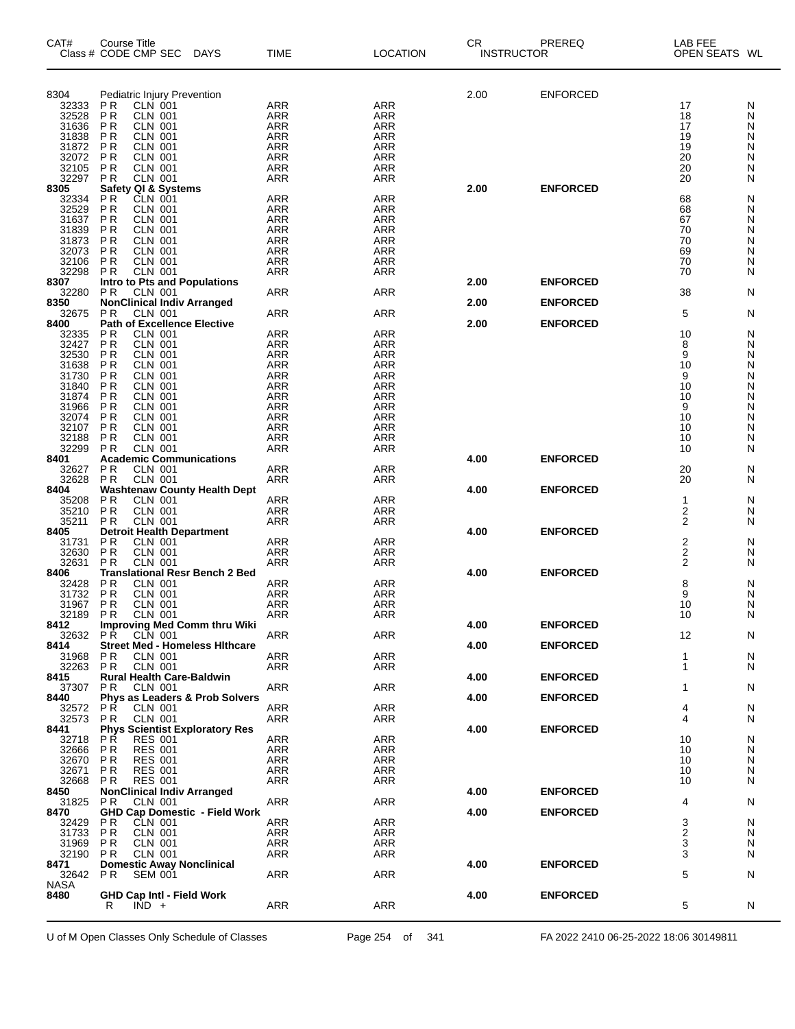| CAT#           | Course Title<br>Class # CODE CMP SEC<br>DAYS                         | <b>TIME</b>              | <b>LOCATION</b>          | CR.<br><b>INSTRUCTOR</b> | PREREQ          | LAB FEE<br>OPEN SEATS WL |        |
|----------------|----------------------------------------------------------------------|--------------------------|--------------------------|--------------------------|-----------------|--------------------------|--------|
| 8304           | Pediatric Injury Prevention                                          |                          |                          | 2.00                     | <b>ENFORCED</b> |                          |        |
| 32333          | CLN 001<br>P <sub>R</sub>                                            | <b>ARR</b>               | <b>ARR</b>               |                          |                 | 17                       | N      |
| 32528          | <b>PR</b><br><b>CLN 001</b>                                          | <b>ARR</b>               | <b>ARR</b>               |                          |                 | 18                       | N      |
| 31636          | <b>PR</b><br><b>CLN 001</b>                                          | <b>ARR</b>               | <b>ARR</b>               |                          |                 | 17                       | N      |
| 31838<br>31872 | P <sub>R</sub><br><b>CLN 001</b><br>P <sub>R</sub><br><b>CLN 001</b> | <b>ARR</b><br><b>ARR</b> | <b>ARR</b><br><b>ARR</b> |                          |                 | 19<br>19                 | N<br>N |
| 32072          | ΡR<br><b>CLN 001</b>                                                 | <b>ARR</b>               | <b>ARR</b>               |                          |                 | 20                       | Ν      |
| 32105          | ΡR<br><b>CLN 001</b>                                                 | <b>ARR</b>               | <b>ARR</b>               |                          |                 | 20                       | N      |
| 32297<br>8305  | ΡR<br><b>CLN 001</b><br>Safety QI & Systems                          | <b>ARR</b>               | ARR                      | 2.00                     | <b>ENFORCED</b> | 20                       | N      |
| 32334          | <b>CLN 001</b><br>P <sub>R</sub>                                     | <b>ARR</b>               | <b>ARR</b>               |                          |                 | 68                       | N      |
| 32529          | P <sub>R</sub><br><b>CLN 001</b>                                     | <b>ARR</b>               | <b>ARR</b>               |                          |                 | 68                       | Ν      |
| 31637<br>31839 | ΡR<br><b>CLN 001</b><br>ΡR<br><b>CLN 001</b>                         | <b>ARR</b><br><b>ARR</b> | <b>ARR</b><br><b>ARR</b> |                          |                 | 67<br>70                 | Ν<br>N |
| 31873          | P <sub>R</sub><br><b>CLN 001</b>                                     | <b>ARR</b>               | <b>ARR</b>               |                          |                 | 70                       | Ν      |
| 32073          | ΡR<br><b>CLN 001</b>                                                 | <b>ARR</b>               | <b>ARR</b>               |                          |                 | 69                       | Ν      |
| 32106<br>32298 | P <sub>R</sub><br><b>CLN 001</b><br><b>CLN 001</b><br>P <sub>R</sub> | ARR<br><b>ARR</b>        | <b>ARR</b><br><b>ARR</b> |                          |                 | 70<br>70                 | N<br>N |
| 8307           | <b>Intro to Pts and Populations</b>                                  |                          |                          | 2.00                     | <b>ENFORCED</b> |                          |        |
| 32280          | <b>PR</b><br><b>CLN 001</b>                                          | ARR                      | <b>ARR</b>               |                          |                 | 38                       | N      |
| 8350<br>32675  | <b>NonClinical Indiv Arranged</b><br>CLN 001<br>P <sub>R</sub>       | <b>ARR</b>               | ARR                      | 2.00                     | <b>ENFORCED</b> | 5                        | N      |
| 8400           | <b>Path of Excellence Elective</b>                                   |                          |                          | 2.00                     | <b>ENFORCED</b> |                          |        |
| 32335          | <b>CLN 001</b><br>ΡR                                                 | <b>ARR</b>               | <b>ARR</b>               |                          |                 | 10                       | N      |
| 32427          | P <sub>R</sub><br><b>CLN 001</b><br><b>CLN 001</b>                   | <b>ARR</b>               | ARR                      |                          |                 | 8<br>9                   | N      |
| 32530<br>31638 | ΡR<br>P <sub>R</sub><br><b>CLN 001</b>                               | <b>ARR</b><br><b>ARR</b> | <b>ARR</b><br><b>ARR</b> |                          |                 | 10                       | N<br>N |
| 31730          | P <sub>R</sub><br><b>CLN 001</b>                                     | <b>ARR</b>               | <b>ARR</b>               |                          |                 | 9                        | Ν      |
| 31840          | P <sub>R</sub><br><b>CLN 001</b>                                     | <b>ARR</b>               | <b>ARR</b>               |                          |                 | 10<br>10                 | N      |
| 31874<br>31966 | P <sub>R</sub><br><b>CLN 001</b><br>P <sub>R</sub><br><b>CLN 001</b> | <b>ARR</b><br><b>ARR</b> | <b>ARR</b><br><b>ARR</b> |                          |                 | 9                        | N<br>Ν |
| 32074          | PR<br><b>CLN 001</b>                                                 | <b>ARR</b>               | <b>ARR</b>               |                          |                 | 10                       | N      |
| 32107          | ΡR<br><b>CLN 001</b>                                                 | <b>ARR</b>               | <b>ARR</b>               |                          |                 | 10                       | Ν      |
| 32188<br>32299 | ΡR<br><b>CLN 001</b><br><b>PR</b><br><b>CLN 001</b>                  | <b>ARR</b><br><b>ARR</b> | <b>ARR</b><br><b>ARR</b> |                          |                 | 10<br>10                 | N<br>N |
| 8401           | <b>Academic Communications</b>                                       |                          |                          | 4.00                     | <b>ENFORCED</b> |                          |        |
| 32627          | <b>CLN 001</b><br>P <sub>R</sub>                                     | ARR                      | <b>ARR</b>               |                          |                 | 20                       | N      |
| 32628<br>8404  | <b>PR</b><br>CLN 001<br><b>Washtenaw County Health Dept</b>          | <b>ARR</b>               | ARR                      | 4.00                     | <b>ENFORCED</b> | 20                       | N      |
| 35208          | ΡR<br><b>CLN 001</b>                                                 | ARR                      | <b>ARR</b>               |                          |                 | $\mathbf{1}$             | N      |
| 35210          | <b>PR</b><br><b>CLN 001</b>                                          | <b>ARR</b>               | <b>ARR</b>               |                          |                 | $\overline{\mathbf{c}}$  | N      |
| 35211<br>8405  | <b>CLN 001</b><br>ΡR<br><b>Detroit Health Department</b>             | <b>ARR</b>               | <b>ARR</b>               | 4.00                     | <b>ENFORCED</b> | $\overline{2}$           | N      |
| 31731          | <b>PR</b><br><b>CLN 001</b>                                          | <b>ARR</b>               | <b>ARR</b>               |                          |                 | $\overline{\mathbf{c}}$  | N      |
| 32630          | <b>PR</b><br><b>CLN 001</b>                                          | <b>ARR</b>               | <b>ARR</b>               |                          |                 | $\boldsymbol{2}$         | N      |
| 32631<br>8406  | P R<br><b>CLN 001</b><br><b>Translational Resr Bench 2 Bed</b>       | <b>ARR</b>               | ARR                      | 4.00                     | <b>ENFORCED</b> | 2                        | N      |
| 32428          | P <sub>R</sub><br><b>CLN 001</b>                                     | <b>ARR</b>               | <b>ARR</b>               |                          |                 | 8                        | N      |
| 31732          | P <sub>R</sub><br><b>CLN 001</b>                                     | <b>ARR</b>               | <b>ARR</b>               |                          |                 | 9                        | N      |
| 31967<br>32189 | P <sub>R</sub><br><b>CLN 001</b><br>PR<br>CLN 001                    | <b>ARR</b><br><b>ARR</b> | <b>ARR</b><br><b>ARR</b> |                          |                 | 10<br>10                 | N<br>N |
| 8412           | <b>Improving Med Comm thru Wiki</b>                                  |                          |                          | 4.00                     | <b>ENFORCED</b> |                          |        |
| 32632          | CLN 001<br>PR.                                                       | ARR                      | ARR                      |                          |                 | 12                       | N      |
| 8414<br>31968  | <b>Street Med - Homeless Hithcare</b><br><b>CLN 001</b><br>P R       | <b>ARR</b>               | <b>ARR</b>               | 4.00                     | <b>ENFORCED</b> | 1                        | N      |
| 32263          | <b>PR</b><br><b>CLN 001</b>                                          | <b>ARR</b>               | ARR                      |                          |                 | $\mathbf{1}$             | N      |
| 8415           | <b>Rural Health Care-Baldwin</b>                                     |                          |                          | 4.00                     | <b>ENFORCED</b> |                          |        |
| 37307<br>8440  | <b>CLN 001</b><br>P R<br>Phys as Leaders & Prob Solvers              | ARR                      | <b>ARR</b>               | 4.00                     | <b>ENFORCED</b> | 1                        | N      |
| 32572          | РŔ<br><b>CLN 001</b>                                                 | <b>ARR</b>               | <b>ARR</b>               |                          |                 | 4                        | N      |
| 32573          | P <sub>R</sub><br><b>CLN 001</b>                                     | ARR                      | <b>ARR</b>               |                          |                 | 4                        | N      |
| 8441<br>32718  | <b>Phys Scientist Exploratory Res</b><br>P Ř<br><b>RES 001</b>       | <b>ARR</b>               | <b>ARR</b>               | 4.00                     | <b>ENFORCED</b> | 10                       | N      |
| 32666          | <b>PR</b><br><b>RES 001</b>                                          | ARR                      | <b>ARR</b>               |                          |                 | 10                       | N      |
| 32670          | <b>RES 001</b><br>P R                                                | <b>ARR</b>               | ARR                      |                          |                 | 10                       | N      |
| 32671<br>32668 | <b>RES 001</b><br>P R<br>P <sub>R</sub><br><b>RES 001</b>            | <b>ARR</b><br>ARR        | ARR<br><b>ARR</b>        |                          |                 | 10<br>10                 | N<br>N |
| 8450           | <b>NonClinical Indiv Arranged</b>                                    |                          |                          | 4.00                     | <b>ENFORCED</b> |                          |        |
| 31825          | P R<br>CLN 001                                                       | ARR                      | <b>ARR</b>               |                          |                 | 4                        | N      |
| 8470<br>32429  | <b>GHD Cap Domestic - Field Work</b><br>CLN 001<br>P R               | <b>ARR</b>               | ARR                      | 4.00                     | <b>ENFORCED</b> | 3                        | N      |
| 31733          | P R<br>CLN 001                                                       | <b>ARR</b>               | ARR                      |                          |                 | $\overline{c}$           | N      |
| 31969          | P <sub>R</sub><br><b>CLN 001</b>                                     | ARR                      | <b>ARR</b>               |                          |                 | 3                        | N      |
| 32190<br>8471  | <b>CLN 001</b><br>P R<br><b>Domestic Away Nonclinical</b>            | <b>ARR</b>               | ARR                      | 4.00                     | <b>ENFORCED</b> | 3                        | N      |
| 32642          | P R<br><b>SEM 001</b>                                                | ARR                      | ARR                      |                          |                 | 5                        | N      |
| <b>NASA</b>    |                                                                      |                          |                          |                          |                 |                          |        |
| 8480           | <b>GHD Cap Intl - Field Work</b><br>$IND +$<br>R                     | ARR                      | <b>ARR</b>               | 4.00                     | <b>ENFORCED</b> | 5                        | N      |
|                |                                                                      |                          |                          |                          |                 |                          |        |

U of M Open Classes Only Schedule of Classes Page 254 of 341 FA 2022 2410 06-25-2022 18:06 30149811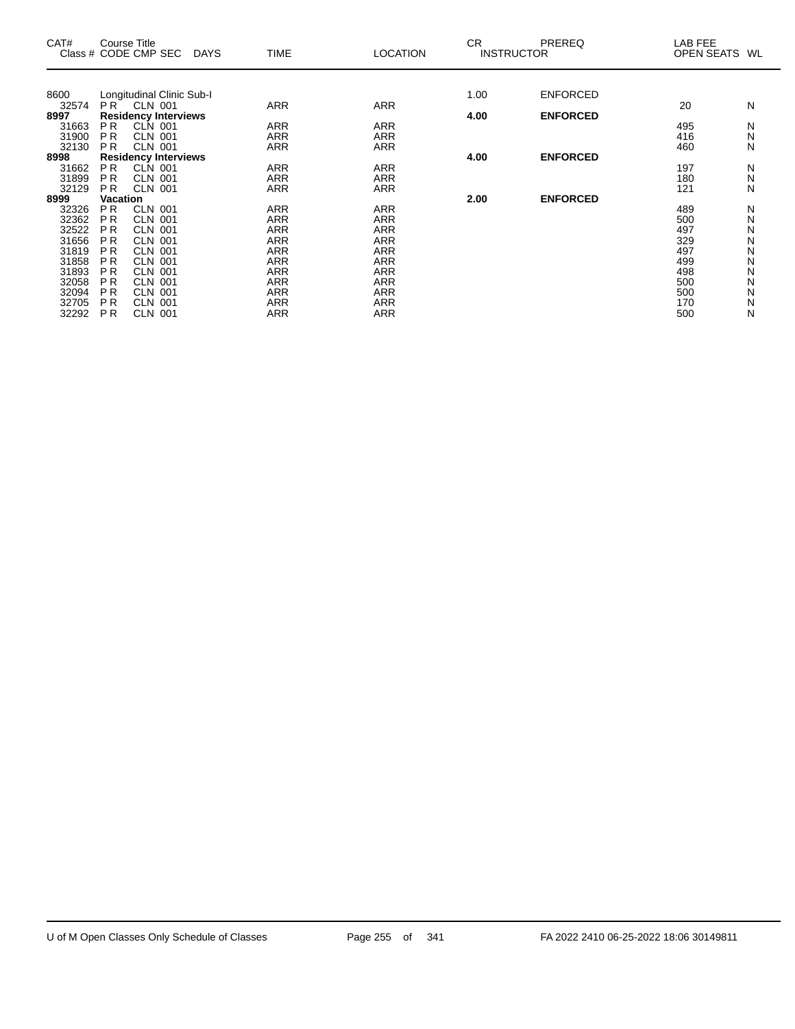| CAT#<br>Class # CODE CMP SEC | Course Title    |                                      | <b>DAYS</b> |            | <b>TIME</b> | <b>LOCATION</b> | <b>CR</b><br><b>INSTRUCTOR</b> | <b>PREREQ</b>   | LAB FEE<br>OPEN SEATS | WL |
|------------------------------|-----------------|--------------------------------------|-------------|------------|-------------|-----------------|--------------------------------|-----------------|-----------------------|----|
|                              |                 |                                      |             |            |             |                 | 1.00                           | <b>ENFORCED</b> |                       |    |
| 8600<br>32574                | $PR^{\dagger}$  | Longitudinal Clinic Sub-I<br>CLN 001 |             | <b>ARR</b> |             | <b>ARR</b>      |                                |                 | 20                    | N  |
| 8997                         |                 | <b>Residency Interviews</b>          |             |            |             |                 | 4.00                           | <b>ENFORCED</b> |                       |    |
| 31663                        | P <sub>R</sub>  | <b>CLN 001</b>                       |             | <b>ARR</b> |             | <b>ARR</b>      |                                |                 | 495                   | N  |
| 31900                        | P <sub>R</sub>  | <b>CLN 001</b>                       |             | <b>ARR</b> |             | <b>ARR</b>      |                                |                 | 416                   | N  |
| 32130                        | <b>PR</b>       | <b>CLN 001</b>                       |             | ARR        |             | ARR             |                                |                 | 460                   | N  |
| 8998                         |                 | <b>Residency Interviews</b>          |             |            |             |                 | 4.00                           | <b>ENFORCED</b> |                       |    |
| 31662                        | PR.             | CLN 001                              |             | <b>ARR</b> |             | <b>ARR</b>      |                                |                 | 197                   | N  |
| 31899                        | P <sub>R</sub>  | <b>CLN 001</b>                       |             | <b>ARR</b> |             | <b>ARR</b>      |                                |                 | 180                   | N  |
| 32129                        | P <sub>R</sub>  | <b>CLN 001</b>                       |             | <b>ARR</b> |             | ARR             |                                |                 | 121                   | N  |
| 8999                         | <b>Vacation</b> |                                      |             |            |             |                 | 2.00                           | <b>ENFORCED</b> |                       |    |
| 32326                        | P <sub>R</sub>  | <b>CLN 001</b>                       |             | <b>ARR</b> |             | ARR             |                                |                 | 489                   | N  |
| 32362                        | P <sub>R</sub>  | <b>CLN 001</b>                       |             | <b>ARR</b> |             | <b>ARR</b>      |                                |                 | 500                   | N  |
| 32522                        | <b>PR</b>       | <b>CLN 001</b>                       |             | <b>ARR</b> |             | <b>ARR</b>      |                                |                 | 497                   | N  |
| 31656                        | PR.             | <b>CLN 001</b>                       |             | ARR        |             | ARR             |                                |                 | 329                   | N  |
| 31819                        | P <sub>R</sub>  | <b>CLN 001</b>                       |             | <b>ARR</b> |             | ARR             |                                |                 | 497                   | N  |
| 31858                        | <b>PR</b>       | CLN 001                              |             | <b>ARR</b> |             | <b>ARR</b>      |                                |                 | 499                   | N  |
| 31893                        | P <sub>R</sub>  | <b>CLN 001</b>                       |             | <b>ARR</b> |             | ARR             |                                |                 | 498                   | N  |
| 32058                        | P <sub>R</sub>  | <b>CLN 001</b>                       |             | <b>ARR</b> |             | <b>ARR</b>      |                                |                 | 500                   | N  |
| 32094                        | <b>PR</b>       | <b>CLN 001</b>                       |             | <b>ARR</b> |             | <b>ARR</b>      |                                |                 | 500                   | N  |
| 32705                        | P <sub>R</sub>  | <b>CLN 001</b>                       |             | ARR        |             | <b>ARR</b>      |                                |                 | 170                   | N  |
| 32292                        | P <sub>R</sub>  | <b>CLN 001</b>                       |             | <b>ARR</b> |             | <b>ARR</b>      |                                |                 | 500                   | N  |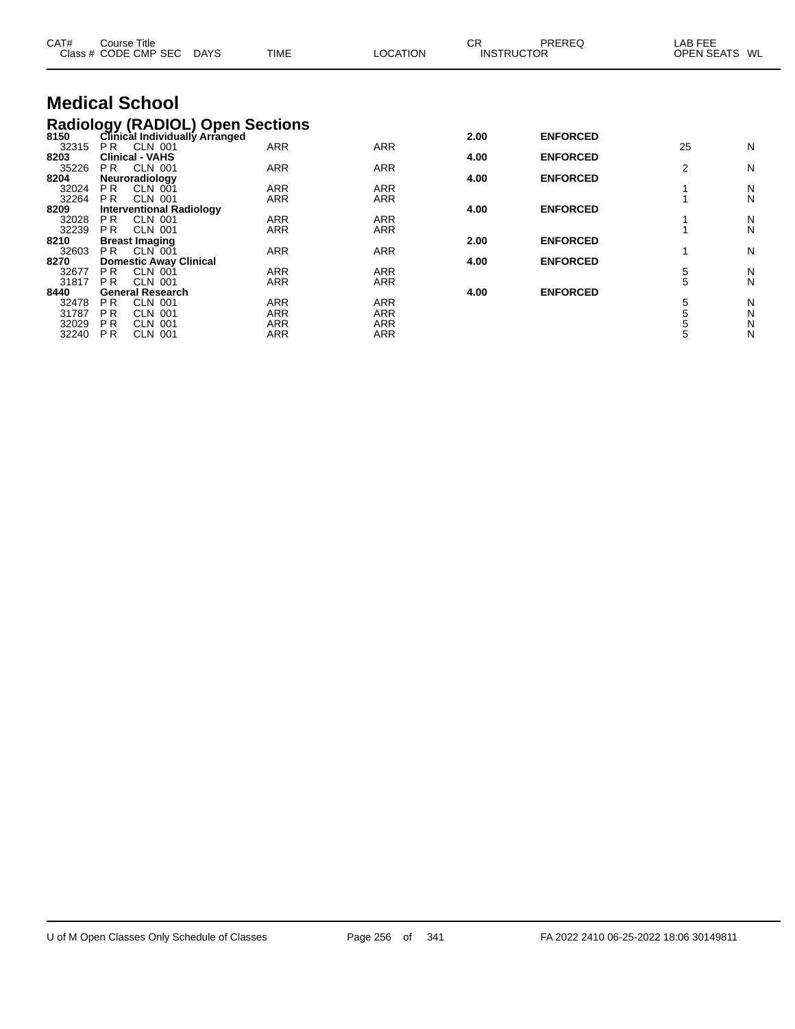| CAT#           | <b>Course Title</b><br>Class # CODE CMP SEC               | <b>DAYS</b>                     | TIME                                                                    | LOCATION                 | <b>CR</b> | PREREQ<br><b>INSTRUCTOR</b> | LAB FEE<br>OPEN SEATS WL |        |
|----------------|-----------------------------------------------------------|---------------------------------|-------------------------------------------------------------------------|--------------------------|-----------|-----------------------------|--------------------------|--------|
|                | <b>Medical School</b>                                     |                                 |                                                                         |                          |           |                             |                          |        |
|                |                                                           |                                 |                                                                         |                          |           |                             |                          |        |
|                |                                                           |                                 | Radiology (RADIOL) Open Sections<br>8150 Clinical Individually Arranged |                          | 2.00      | <b>ENFORCED</b>             |                          |        |
| 32315          | P <sub>R</sub><br><b>CLN 001</b>                          |                                 | <b>ARR</b>                                                              | <b>ARR</b>               |           |                             | 25                       | N      |
| 8203<br>35226  | <b>Clinical - VAHS</b><br>CLN 001<br>PR.                  |                                 | <b>ARR</b>                                                              | <b>ARR</b>               | 4.00      | <b>ENFORCED</b>             | 2                        | N      |
| 8204           | Neuroradiology                                            |                                 |                                                                         |                          | 4.00      | <b>ENFORCED</b>             |                          |        |
| 32024          | <b>CLN 001</b><br>PR.                                     |                                 | <b>ARR</b>                                                              | <b>ARR</b>               |           |                             |                          | N      |
| 32264<br>8209  | <b>CLN 001</b><br>P <sub>R</sub>                          |                                 | <b>ARR</b>                                                              | <b>ARR</b>               | 4.00      | <b>ENFORCED</b>             |                          | N      |
| 32028          | <b>CLN 001</b><br>P <sub>R</sub>                          | <b>Interventional Radiology</b> | <b>ARR</b>                                                              | <b>ARR</b>               |           |                             |                          | N      |
| 32239          | PR.<br>CLN 001                                            |                                 | <b>ARR</b>                                                              | <b>ARR</b>               |           |                             |                          | N      |
| 8210           | <b>Breast Imaging</b>                                     |                                 |                                                                         |                          | 2.00      | <b>ENFORCED</b>             |                          |        |
| 32603          | PR.<br>CLN 001                                            |                                 | <b>ARR</b>                                                              | <b>ARR</b>               |           |                             |                          | N      |
| 8270<br>32677  | <b>Domestic Away Clinical</b><br>PR.<br><b>CLN 001</b>    |                                 | ARR                                                                     | <b>ARR</b>               | 4.00      | <b>ENFORCED</b>             | 5                        | N      |
| 31817          | <b>CLN 001</b><br>P <sub>R</sub>                          |                                 | <b>ARR</b>                                                              | ARR                      |           |                             | 5                        | N      |
| 8440           | <b>General Research</b>                                   |                                 |                                                                         |                          | 4.00      | <b>ENFORCED</b>             |                          |        |
| 32478          | PR.<br><b>CLN 001</b>                                     |                                 | <b>ARR</b>                                                              | <b>ARR</b>               |           |                             | 5                        | N      |
| 31787          | <b>CLN 001</b><br>P <sub>R</sub>                          |                                 | <b>ARR</b>                                                              | <b>ARR</b>               |           |                             | 5                        | N      |
| 32029<br>32240 | PR.<br><b>CLN 001</b><br>P <sub>R</sub><br><b>CLN 001</b> |                                 | ARR<br><b>ARR</b>                                                       | <b>ARR</b><br><b>ARR</b> |           |                             | 5                        | N<br>N |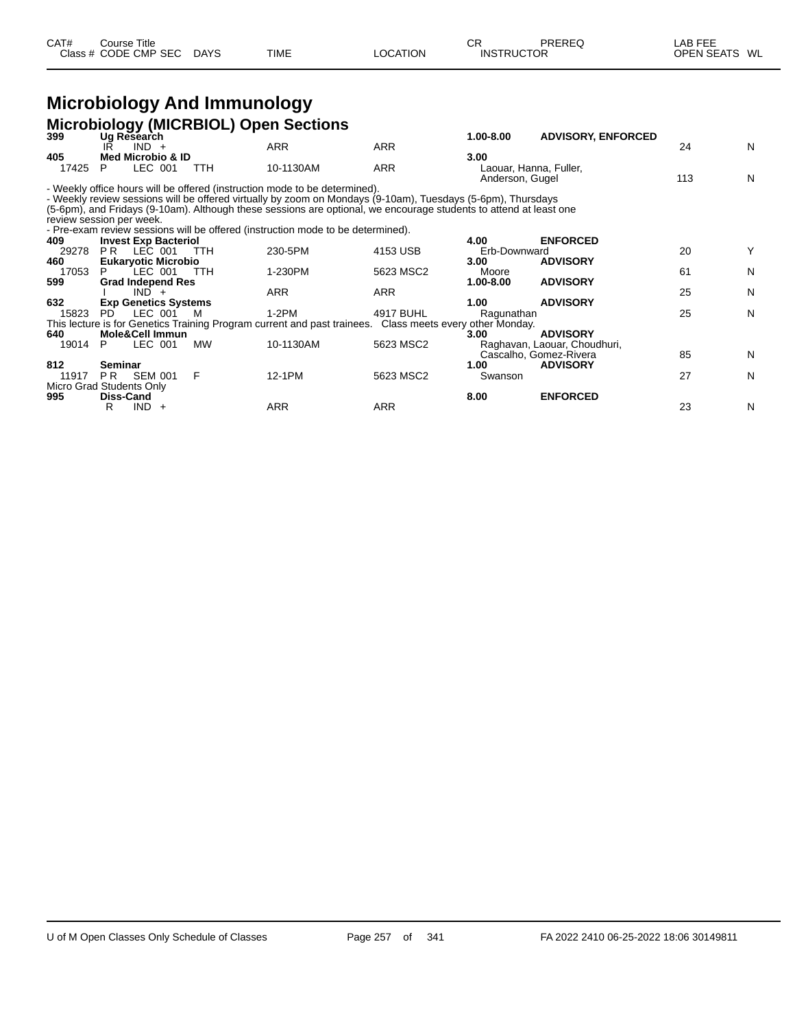#### **Microbiology And Immunology Microbiology (MICRBIOL) Open Sections**

| 399                      |           |                             |            | moroproregy (miorrore) open occupito                                                                              |            | 1.00-8.00                                 | <b>ADVISORY, ENFORCED</b>    |     |   |
|--------------------------|-----------|-----------------------------|------------|-------------------------------------------------------------------------------------------------------------------|------------|-------------------------------------------|------------------------------|-----|---|
|                          | IR        | Ug Research<br>$IND +$      |            | <b>ARR</b>                                                                                                        | <b>ARR</b> |                                           |                              | 24  | N |
| 405                      |           | Med Microbio & ID           |            |                                                                                                                   |            | 3.00                                      |                              |     |   |
| 17425                    | P         | LEC 001                     | <b>TTH</b> | 10-1130AM                                                                                                         | ARR        | Laouar, Hanna, Fuller,<br>Anderson, Gugel |                              | 113 | N |
|                          |           |                             |            | - Weekly office hours will be offered (instruction mode to be determined).                                        |            |                                           |                              |     |   |
|                          |           |                             |            | - Weekly review sessions will be offered virtually by zoom on Mondays (9-10am), Tuesdays (5-6pm), Thursdays       |            |                                           |                              |     |   |
|                          |           |                             |            | (5-6pm), and Fridays (9-10am). Although these sessions are optional, we encourage students to attend at least one |            |                                           |                              |     |   |
| review session per week. |           |                             |            |                                                                                                                   |            |                                           |                              |     |   |
|                          |           |                             |            | - Pre-exam review sessions will be offered (instruction mode to be determined).                                   |            |                                           |                              |     |   |
| 409                      |           | <b>Invest Exp Bacteriol</b> |            |                                                                                                                   |            | 4.00                                      | <b>ENFORCED</b>              |     |   |
| 29278                    | PR.       | LEC 001                     | TTH        | 230-5PM                                                                                                           | 4153 USB   | Erb-Downward                              |                              | 20  | Y |
| 460                      |           | <b>Eukaryotic Microbio</b>  |            |                                                                                                                   |            | 3.00                                      | <b>ADVISORY</b>              |     |   |
| 17053                    |           | LEC 001                     | <b>TTH</b> | 1-230PM                                                                                                           | 5623 MSC2  | Moore                                     |                              | 61  | N |
| 599                      |           | <b>Grad Independ Res</b>    |            |                                                                                                                   |            | 1.00-8.00                                 | <b>ADVISORY</b>              |     |   |
|                          |           | $IND +$                     |            | <b>ARR</b>                                                                                                        | <b>ARR</b> |                                           |                              | 25  | N |
| 632                      |           | <b>Exp Genetics Systems</b> |            |                                                                                                                   |            | 1.00                                      | <b>ADVISORY</b>              |     |   |
| 15823                    | PD.       | LEC 001                     | M          | $1-2PM$                                                                                                           | 4917 BUHL  | Ragunathan                                |                              | 25  | N |
|                          |           |                             |            | This lecture is for Genetics Training Program current and past trainees. Class meets every other Monday.          |            |                                           |                              |     |   |
| 640                      |           | Mole&Cell Immun             |            |                                                                                                                   |            | 3.00                                      | <b>ADVISORY</b>              |     |   |
| 19014                    | P.        | LEC 001                     | <b>MW</b>  | 10-1130AM                                                                                                         | 5623 MSC2  |                                           | Raghavan, Laouar, Choudhuri, |     |   |
|                          |           |                             |            |                                                                                                                   |            |                                           | Cascalho, Gomez-Rivera       | 85  | N |
| 812                      | Seminar   |                             |            |                                                                                                                   |            | 1.00                                      | <b>ADVISORY</b>              |     |   |
| 11917                    | PR.       | <b>SEM 001</b>              | F          | 12-1PM                                                                                                            | 5623 MSC2  | Swanson                                   |                              | 27  | N |
| Micro Grad Students Only |           |                             |            |                                                                                                                   |            |                                           |                              |     |   |
| 995                      | Diss-Cand |                             |            |                                                                                                                   |            | 8.00                                      | <b>ENFORCED</b>              |     |   |
|                          | R         | $IND +$                     |            | <b>ARR</b>                                                                                                        | ARR        |                                           |                              | 23  | N |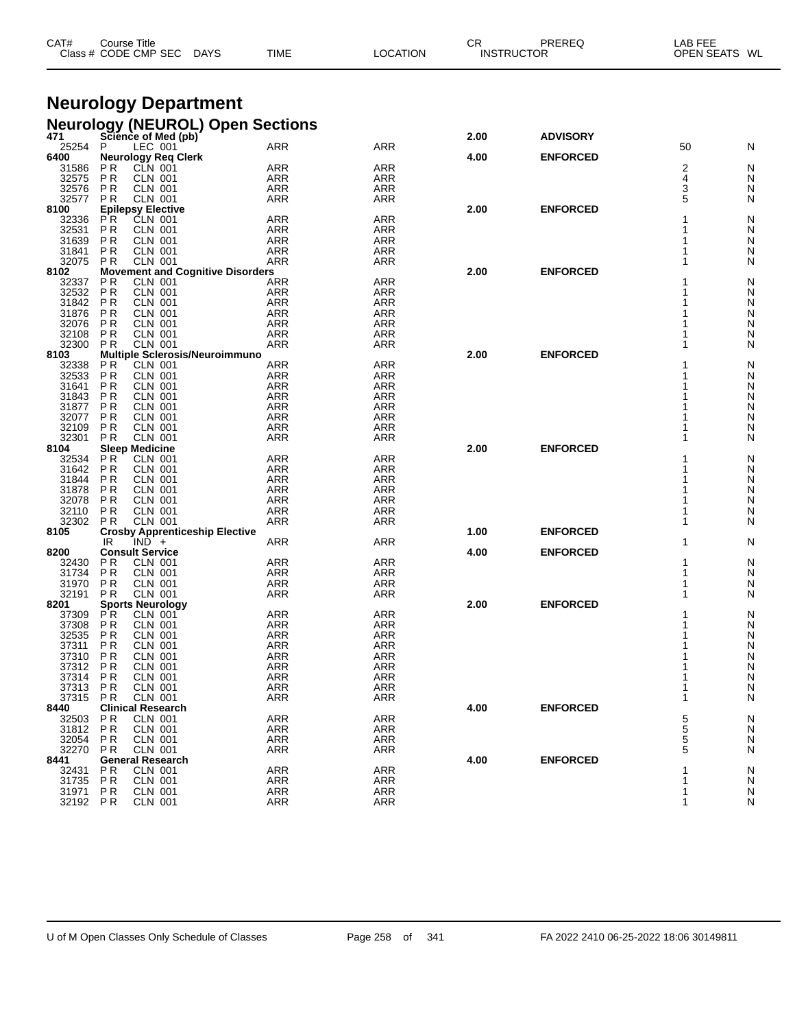| CAT#              | Course Title<br>Class # CODE CMP SEC                           | <b>DAYS</b> | TIME                     | LOCATION                 | СR   | PREREQ<br><b>INSTRUCTOR</b> | LAB FEE<br>OPEN SEATS WL |        |
|-------------------|----------------------------------------------------------------|-------------|--------------------------|--------------------------|------|-----------------------------|--------------------------|--------|
|                   |                                                                |             |                          |                          |      |                             |                          |        |
|                   | <b>Neurology Department</b>                                    |             |                          |                          |      |                             |                          |        |
|                   | <b>Neurology (NEUROL) Open Sections</b>                        |             |                          |                          |      |                             |                          |        |
| 471<br>25254      | Science of Med (pb)<br>LEC 001<br>P                            |             | <b>ARR</b>               | ARR                      | 2.00 | <b>ADVISORY</b>             | 50                       | N      |
| 6400              | <b>Neurology Reg Clerk</b>                                     |             |                          |                          | 4.00 | <b>ENFORCED</b>             |                          |        |
| 31586<br>32575    | P R<br>CLN 001<br>P R<br>CLN 001                               |             | ARR<br><b>ARR</b>        | ARR<br><b>ARR</b>        |      |                             | 2<br>4                   | N<br>N |
| 32576             | P R<br><b>CLN 001</b>                                          |             | ARR                      | ARR                      |      |                             | 3                        | N      |
| 32577<br>8100     | P R<br><b>CLN 001</b><br><b>Epilepsy Elective</b>              |             | ARR                      | ARR                      | 2.00 | <b>ENFORCED</b>             | 5                        | N      |
| 32336             | P R<br>CLN 001                                                 |             | ARR                      | <b>ARR</b>               |      |                             |                          | N      |
| 32531             | P R<br><b>CLN 001</b>                                          |             | ARR                      | ARR                      |      |                             |                          | N      |
| 31639<br>31841    | P R<br>CLN 001<br>P R<br><b>CLN 001</b>                        |             | <b>ARR</b><br>ARR        | <b>ARR</b><br>ARR        |      |                             |                          | N<br>N |
| 32075             | P <sub>R</sub><br><b>CLN 001</b>                               |             | ARR                      | ARR                      |      |                             |                          | N      |
| 8102              | <b>Movement and Cognitive Disorders</b><br>P R                 |             |                          | <b>ARR</b>               | 2.00 | <b>ENFORCED</b>             |                          |        |
| 32337<br>32532    | CLN 001<br>P <sub>R</sub><br><b>CLN 001</b>                    |             | ARR<br>ARR               | ARR                      |      |                             |                          | N<br>N |
| 31842             | P R<br><b>CLN 001</b>                                          |             | ARR                      | <b>ARR</b>               |      |                             |                          | N      |
| 31876<br>32076    | P R<br>CLN 001<br>P R<br><b>CLN 001</b>                        |             | ARR<br>ARR               | ARR<br>ARR               |      |                             |                          | N<br>N |
| 32108             | P <sub>R</sub><br><b>CLN 001</b>                               |             | <b>ARR</b>               | <b>ARR</b>               |      |                             |                          | N      |
| 32300             | P R<br><b>CLN 001</b>                                          |             | ARR                      | ARR                      |      |                             | 1                        | N      |
| 8103<br>32338     | <b>Multiple Sclerosis/Neuroimmuno</b><br>P R<br><b>CLN 001</b> |             | ARR                      | ARR                      | 2.00 | <b>ENFORCED</b>             |                          | N      |
| 32533             | P R<br><b>CLN 001</b>                                          |             | ARR                      | ARR                      |      |                             |                          | N      |
| 31641<br>31843    | P R<br><b>CLN 001</b><br>P R<br>CLN 001                        |             | ARR<br><b>ARR</b>        | ARR<br><b>ARR</b>        |      |                             |                          | N<br>N |
| 31877             | P R<br><b>CLN 001</b>                                          |             | ARR                      | ARR                      |      |                             |                          | N      |
| 32077             | P R<br><b>CLN 001</b>                                          |             | ARR                      | ARR                      |      |                             |                          | N      |
| 32109<br>32301    | P R<br><b>CLN 001</b><br>P R<br><b>CLN 001</b>                 |             | <b>ARR</b><br>ARR        | <b>ARR</b><br>ARR        |      |                             | 1                        | N<br>N |
| 8104              | <b>Sleep Medicine</b>                                          |             |                          |                          | 2.00 | <b>ENFORCED</b>             |                          |        |
| 32534<br>31642    | P R<br>CLN 001<br>P R<br>CLN 001                               |             | ARR<br>ARR               | ARR<br>ARR               |      |                             |                          | N<br>N |
| 31844             | P R<br><b>CLN 001</b>                                          |             | ARR                      | ARR                      |      |                             |                          | N      |
| 31878             | P R<br>CLN 001                                                 |             | <b>ARR</b>               | <b>ARR</b>               |      |                             |                          | N      |
| 32078<br>32110    | P R<br><b>CLN 001</b><br><b>PR</b><br><b>CLN 001</b>           |             | ARR<br>ARR               | ARR<br>ARR               |      |                             |                          | N<br>N |
| 32302             | P R<br>CLN 001                                                 |             | <b>ARR</b>               | <b>ARR</b>               |      |                             |                          | N      |
| 8105              | <b>Crosby Apprenticeship Elective</b><br>IR                    |             |                          | ARR                      | 1.00 | <b>ENFORCED</b>             | 1                        |        |
| 8200              | $IND +$<br><b>Consult Service</b>                              |             | ARR                      |                          | 4.00 | <b>ENFORCED</b>             |                          | N      |
| 32430             | P R<br>CLN 001                                                 |             | ARR                      | <b>ARR</b>               |      |                             |                          | N      |
| 31734<br>31970    | P R<br><b>CLN 001</b><br>P <sub>R</sub><br><b>CLN 001</b>      |             | ARR<br>ARR               | ARR<br><b>ARR</b>        |      |                             |                          | N<br>N |
| 32191             | P R<br><b>CLN 001</b>                                          |             | ARR                      | ARR                      |      |                             | 1                        | N      |
| 8201              | <b>Sports Neurology</b>                                        |             |                          |                          | 2.00 | <b>ENFORCED</b>             |                          |        |
| 37309 PR<br>37308 | <b>CLN 001</b><br>P R<br><b>CLN 001</b>                        |             | ARR<br>ARR               | ARR<br>ARR               |      |                             |                          | N<br>N |
| 32535             | PR<br><b>CLN 001</b>                                           |             | <b>ARR</b>               | <b>ARR</b>               |      |                             |                          | N      |
| 37311<br>37310    | <b>CLN 001</b><br>P R<br>P R<br>CLN 001                        |             | ARR<br><b>ARR</b>        | ARR<br><b>ARR</b>        |      |                             |                          | N<br>N |
| 37312             | <b>PR</b><br><b>CLN 001</b>                                    |             | <b>ARR</b>               | ARR                      |      |                             |                          | N      |
| 37314             | P R<br><b>CLN 001</b>                                          |             | ARR                      | ARR                      |      |                             |                          | N      |
| 37313<br>37315    | P R<br><b>CLN 001</b><br><b>PR</b><br><b>CLN 001</b>           |             | <b>ARR</b><br><b>ARR</b> | <b>ARR</b><br><b>ARR</b> |      |                             | 1                        | N<br>N |
| 8440              | <b>Clinical Research</b>                                       |             |                          |                          | 4.00 | <b>ENFORCED</b>             |                          |        |
| 32503<br>31812    | P R<br><b>CLN 001</b><br><b>CLN 001</b>                        |             | <b>ARR</b>               | ARR                      |      |                             | 5<br>5                   | N      |
| 32054             | P R<br>P R<br><b>CLN 001</b>                                   |             | <b>ARR</b><br><b>ARR</b> | <b>ARR</b><br>ARR        |      |                             | 5                        | N<br>N |
| 32270             | P R<br>CLN 001                                                 |             | <b>ARR</b>               | <b>ARR</b>               |      |                             | 5                        | N      |
| 8441<br>32431     | <b>General Research</b><br>P R<br><b>CLN 001</b>               |             | <b>ARR</b>               | <b>ARR</b>               | 4.00 | <b>ENFORCED</b>             |                          | N      |
| 31735             | P R<br><b>CLN 001</b>                                          |             | ARR                      | ARR                      |      |                             |                          | N      |
| 31971             | PR<br><b>CLN 001</b>                                           |             | <b>ARR</b><br>ARR        | <b>ARR</b>               |      |                             | 1                        | N      |
| 32192 PR          | CLN 001                                                        |             |                          | ARR                      |      |                             | 1                        | N      |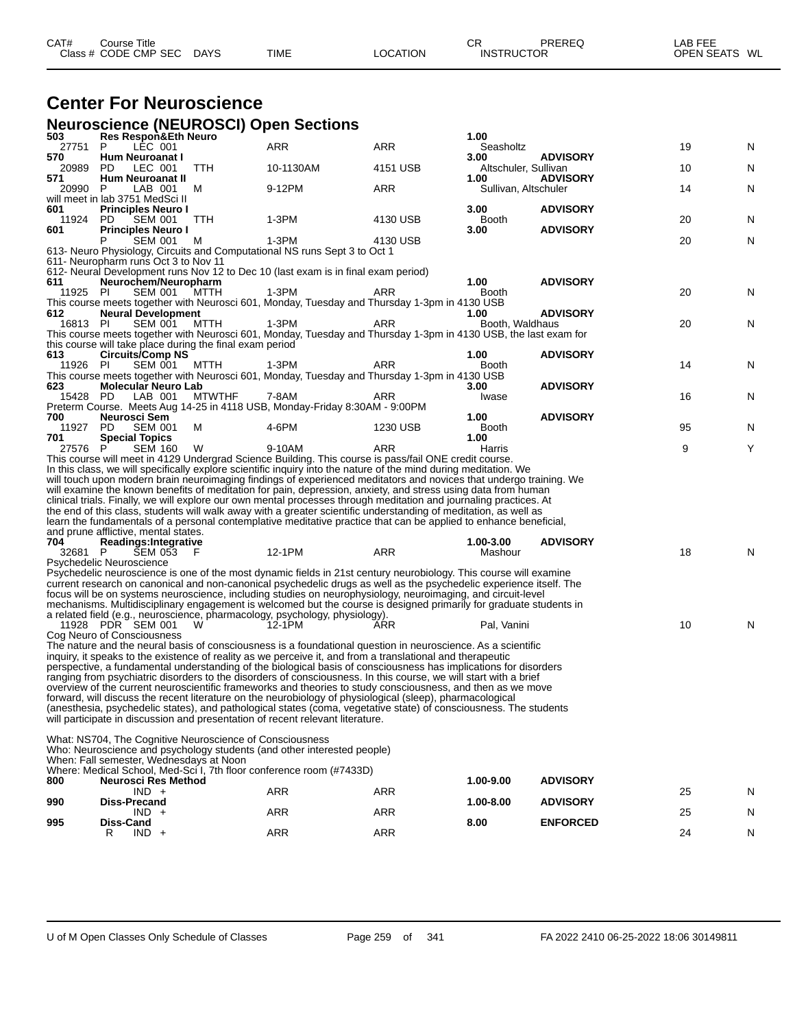| CAT# | Course Title         |             |             |          | СR                | PREREQ | ∟AB FEE       |  |
|------|----------------------|-------------|-------------|----------|-------------------|--------|---------------|--|
|      | Class # CODE CMP SEC | <b>DAYS</b> | <b>TIME</b> | LOCATION | <b>INSTRUCTOR</b> |        | OPEN SEATS WL |  |

### **Center For Neuroscience**

**Neuroscience (NEUROSCI) Open Sections**

| 503                 | ייש ביון טעווטו<br>Res Respon&Eth Neuro                                             |               |                                                                                                                                                                                                                                          |            | 1.00                         |                                    |    |   |
|---------------------|-------------------------------------------------------------------------------------|---------------|------------------------------------------------------------------------------------------------------------------------------------------------------------------------------------------------------------------------------------------|------------|------------------------------|------------------------------------|----|---|
| 27751 P             | LÉC 001                                                                             |               | ARR                                                                                                                                                                                                                                      | <b>ARR</b> | Seasholtz                    |                                    | 19 | N |
| 570<br>20989<br>571 | Hum Neuroanat I<br>PD.<br>LEC 001                                                   | TTH           | 10-1130AM                                                                                                                                                                                                                                | 4151 USB   | 3.00<br>Altschuler, Sullivan | <b>ADVISORY</b><br><b>ADVISORY</b> | 10 | N |
| 20990               | Hum Neuroanat II<br>P<br>LAB 001                                                    | M             | 9-12PM                                                                                                                                                                                                                                   | ARR        | 1.00<br>Sullivan, Altschuler |                                    | 14 | N |
|                     | will meet in lab 3751 MedSci II                                                     |               |                                                                                                                                                                                                                                          |            |                              |                                    |    |   |
| 601<br>11924        | <b>Principles Neuro I</b><br>PD.<br><b>SEM 001</b>                                  |               | $1-3PM$                                                                                                                                                                                                                                  | 4130 USB   | 3.00<br><b>Booth</b>         | <b>ADVISORY</b>                    | 20 |   |
| 601                 | <b>Principles Neuro I</b>                                                           | <b>TTH</b>    |                                                                                                                                                                                                                                          |            | 3.00                         | <b>ADVISORY</b>                    |    | N |
|                     | <b>SEM 001</b>                                                                      | M             | $1-3PM$                                                                                                                                                                                                                                  | 4130 USB   |                              |                                    | 20 | N |
|                     | 611- Neuropharm runs Oct 3 to Nov 11                                                |               | 613- Neuro Physiology, Circuits and Computational NS runs Sept 3 to Oct 1                                                                                                                                                                |            |                              |                                    |    |   |
|                     |                                                                                     |               | 612- Neural Development runs Nov 12 to Dec 10 (last exam is in final exam period)                                                                                                                                                        |            |                              |                                    |    |   |
| 611                 | Neurochem/Neuropharm                                                                |               |                                                                                                                                                                                                                                          |            | 1.00                         | <b>ADVISORY</b>                    |    |   |
| 11925               | <b>SEM 001</b><br>- PI                                                              | мттн          | $1-3PM$                                                                                                                                                                                                                                  | ARR        | Booth                        |                                    | 20 | N |
| 612                 | <b>Neural Development</b>                                                           |               | This course meets together with Neurosci 601, Monday, Tuesday and Thursday 1-3pm in 4130 USB                                                                                                                                             |            | 1.00                         | <b>ADVISORY</b>                    |    |   |
| 16813 PI            | <b>SEM 001</b>                                                                      | MTTH          | 1-3PM                                                                                                                                                                                                                                    | ARR        | Booth, Waldhaus              |                                    | 20 | N |
|                     |                                                                                     |               | This course meets together with Neurosci 601, Monday, Tuesday and Thursday 1-3pm in 4130 USB, the last exam for                                                                                                                          |            |                              |                                    |    |   |
| 613                 | this course will take place during the final exam period<br><b>Circuits/Comp NS</b> |               |                                                                                                                                                                                                                                          |            | 1.00                         | <b>ADVISORY</b>                    |    |   |
| 11926 PI            | <b>SEM 001</b>                                                                      | MTTH          | 1-3PM                                                                                                                                                                                                                                    | ARR        | <b>Booth</b>                 |                                    | 14 | N |
|                     |                                                                                     |               | This course meets together with Neurosci 601, Monday, Tuesday and Thursday 1-3pm in 4130 USB                                                                                                                                             |            |                              |                                    |    |   |
| 623<br>15428 PD     | <b>Molecular Neuro Lab</b><br>LAB 001                                               | <b>MTWTHF</b> | 7-8AM                                                                                                                                                                                                                                    | ARR        | 3.00                         | <b>ADVISORY</b>                    | 16 | N |
|                     |                                                                                     |               | Preterm Course. Meets Aug 14-25 in 4118 USB, Monday-Friday 8:30AM - 9:00PM                                                                                                                                                               |            | Iwase                        |                                    |    |   |
| 700                 | Neurosci Sem                                                                        |               |                                                                                                                                                                                                                                          |            | 1.00                         | <b>ADVISORY</b>                    |    |   |
| 11927               | <b>SEM 001</b><br>PD.                                                               | M             | 4-6PM                                                                                                                                                                                                                                    | 1230 USB   | Booth                        |                                    | 95 | N |
| 701<br>27576        | <b>Special Topics</b><br>P<br><b>SEM 160</b>                                        | W             | 9-10AM                                                                                                                                                                                                                                   | ARR        | 1.00<br>Harris               |                                    | 9  | Υ |
|                     |                                                                                     |               | This course will meet in 4129 Undergrad Science Building. This course is pass/fail ONE credit course.                                                                                                                                    |            |                              |                                    |    |   |
|                     |                                                                                     |               | In this class, we will specifically explore scientific inquiry into the nature of the mind during meditation. We                                                                                                                         |            |                              |                                    |    |   |
|                     |                                                                                     |               | will touch upon modern brain neuroimaging findings of experienced meditators and novices that undergo training. We<br>will examine the known benefits of meditation for pain, depression, anxiety, and stress using data from human      |            |                              |                                    |    |   |
|                     |                                                                                     |               | clinical trials. Finally, we will explore our own mental processes through meditation and journaling practices. At                                                                                                                       |            |                              |                                    |    |   |
|                     |                                                                                     |               | the end of this class, students will walk away with a greater scientific understanding of meditation, as well as                                                                                                                         |            |                              |                                    |    |   |
|                     |                                                                                     |               | learn the fundamentals of a personal contemplative meditative practice that can be applied to enhance beneficial,                                                                                                                        |            |                              |                                    |    |   |
| 704                 | and prune afflictive, mental states.<br><b>Readings:Integrative</b>                 |               |                                                                                                                                                                                                                                          |            | 1.00-3.00                    | <b>ADVISORY</b>                    |    |   |
| 32681 P             | SEM 053 F                                                                           |               | 12-1PM                                                                                                                                                                                                                                   | ARR        | Mashour                      |                                    | 18 | N |
|                     | Psychedelic Neuroscience                                                            |               |                                                                                                                                                                                                                                          |            |                              |                                    |    |   |
|                     |                                                                                     |               | Psychedelic neuroscience is one of the most dynamic fields in 21st century neurobiology. This course will examine<br>current research on canonical and non-canonical psychedelic drugs as well as the psychedelic experience itself. The |            |                              |                                    |    |   |
|                     |                                                                                     |               | focus will be on systems neuroscience, including studies on neurophysiology, neuroimaging, and circuit-level                                                                                                                             |            |                              |                                    |    |   |
|                     |                                                                                     |               | mechanisms. Multidisciplinary engagement is welcomed but the course is designed primarily for graduate students in                                                                                                                       |            |                              |                                    |    |   |
|                     | 11928 PDR SEM 001                                                                   | W             | a related field (e.g., neuroscience, pharmacology, psychology, physiology).<br>12-1PM                                                                                                                                                    | ARR        | Pal, Vanini                  |                                    | 10 | N |
|                     | Cog Neuro of Consciousness                                                          |               |                                                                                                                                                                                                                                          |            |                              |                                    |    |   |
|                     |                                                                                     |               | The nature and the neural basis of consciousness is a foundational question in neuroscience. As a scientific                                                                                                                             |            |                              |                                    |    |   |
|                     |                                                                                     |               | inguiry, it speaks to the existence of reality as we perceive it, and from a translational and therapeutic<br>perspective, a fundamental understanding of the biological basis of consciousness has implications for disorders           |            |                              |                                    |    |   |
|                     |                                                                                     |               | ranging from psychiatric disorders to the disorders of consciousness. In this course, we will start with a brief                                                                                                                         |            |                              |                                    |    |   |
|                     |                                                                                     |               | overview of the current neuroscientific frameworks and theories to study consciousness, and then as we move                                                                                                                              |            |                              |                                    |    |   |
|                     |                                                                                     |               | forward, will discuss the recent literature on the neurobiology of physiological (sleep), pharmacological                                                                                                                                |            |                              |                                    |    |   |
|                     |                                                                                     |               | (anesthesia, psychedelic states), and pathological states (coma, vegetative state) of consciousness. The students<br>will participate in discussion and presentation of recent relevant literature.                                      |            |                              |                                    |    |   |
|                     |                                                                                     |               |                                                                                                                                                                                                                                          |            |                              |                                    |    |   |
|                     | What: NS704, The Cognitive Neuroscience of Consciousness                            |               | Who: Neuroscience and psychology students (and other interested people)                                                                                                                                                                  |            |                              |                                    |    |   |
|                     | When: Fall semester. Wednesdays at Noon                                             |               |                                                                                                                                                                                                                                          |            |                              |                                    |    |   |
|                     |                                                                                     |               | Where: Medical School, Med-Sci I, 7th floor conference room (#7433D)                                                                                                                                                                     |            |                              |                                    |    |   |
| 800                 | <b>Neurosci Res Method</b><br>$IND +$                                               |               |                                                                                                                                                                                                                                          |            | 1.00-9.00                    | <b>ADVISORY</b>                    |    |   |
| 990                 | <b>Diss-Precand</b>                                                                 |               | ARR                                                                                                                                                                                                                                      | ARR        | 1.00-8.00                    | <b>ADVISORY</b>                    | 25 | N |
|                     | $IND +$                                                                             |               | ARR                                                                                                                                                                                                                                      | ARR        |                              |                                    | 25 | N |
| 995                 | Diss-Cand                                                                           |               |                                                                                                                                                                                                                                          |            | 8.00                         | <b>ENFORCED</b>                    |    |   |
|                     | R<br>$IND +$                                                                        |               | <b>ARR</b>                                                                                                                                                                                                                               | ARR        |                              |                                    | 24 | N |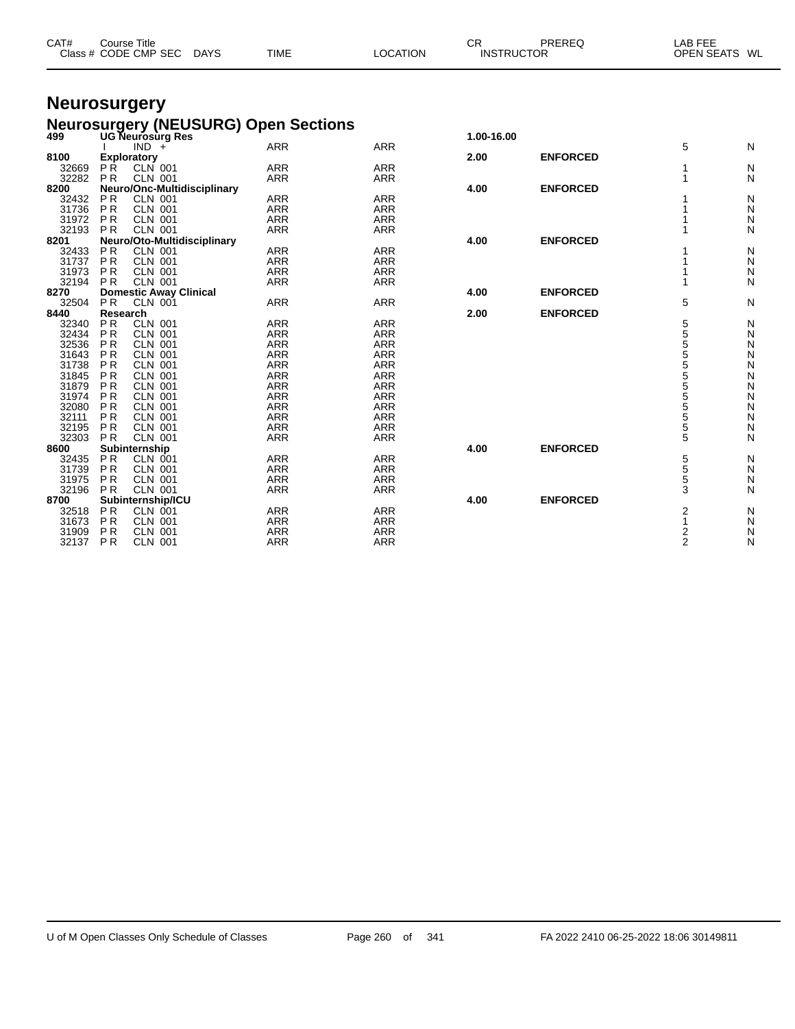| CAT#  | Course Title<br>Class # CODE CMP SEC DAYS | <b>TIME</b>                                 | LOCATION   | CR.<br><b>INSTRUCTOR</b> | PREREQ          | LAB FEE<br>OPEN SEATS WL |   |
|-------|-------------------------------------------|---------------------------------------------|------------|--------------------------|-----------------|--------------------------|---|
|       | <b>Neurosurgery</b>                       |                                             |            |                          |                 |                          |   |
| 499   | <b>UG Neurosurg Res</b>                   | <b>Neurosurgery (NEUSURG) Open Sections</b> |            | 1.00-16.00               |                 |                          |   |
| 8100  | IND<br>$\div$<br>Exploratory              | ARR                                         | <b>ARR</b> | 2.00                     | <b>ENFORCED</b> | 5                        | N |
| 32669 | PŔ.<br>CLN 001                            | <b>ARR</b>                                  | <b>ARR</b> |                          |                 |                          | N |
| 32282 | <b>CLN 001</b><br>P <sub>R</sub>          | ARR                                         | <b>ARR</b> |                          |                 |                          | N |
| 8200  | Neuro/Onc-Multidisciplinary               |                                             |            | 4.00                     | <b>ENFORCED</b> |                          |   |
| 32432 | <b>CLN 001</b><br>P R                     | ARR                                         | <b>ARR</b> |                          |                 |                          | N |
| 31736 | <b>CLN 001</b><br>P <sub>R</sub>          | <b>ARR</b>                                  | <b>ARR</b> |                          |                 |                          | N |
| 31972 | <b>PR</b><br>CLN 001                      | ARR                                         | <b>ARR</b> |                          |                 |                          | N |
| 32193 | <b>CLN 001</b><br><b>PR</b>               | ARR                                         | <b>ARR</b> |                          |                 |                          | N |
| 8201  | Neuro/Oto-Multidisciplinary               |                                             |            | 4.00                     | <b>ENFORCED</b> |                          |   |
| 32433 | <b>CLN 001</b><br>P <sub>R</sub>          | ARR                                         | <b>ARR</b> |                          |                 |                          | N |

 P R CLN 001 ARR ARR 1 N P R CLN 001 ARR ARR 1 N P R CLN 001 ARR ARR 1 N

P R CLN 001 ARR ARR 5 N

 P R CLN 001 ARR ARR 5 N P R CLN 001 ARR ARR 5 N P R CLN 001 ARR ARR 5 N P R CLN 001 ARR ARR 5 N P R CLN 001 ARR ARR 5 N P R CLN 001 ARR ARR 5 N P R CLN 001 ARR ARR 5 N P R CLN 001 ARR ARR 5 N P R CLN 001 ARR ARR 5 N P R CLN 001 ARR ARR 5 N P R CLN 001 ARR ARR 5 N P R CLN 001 ARR ARR 5 N

 P R CLN 001 ARR ARR 5 N P R CLN 001 ARR ARR 5 N P R CLN 001 ARR ARR 5 N P R CLN 001 ARR ARR 3 N

 P R CLN 001 ARR ARR 2 N P R CLN 001 ARR ARR 1 N P R CLN 001 ARR ARR 2 N P R CLN 001 ARR ARR 2 N

**Domestic Away Clinical 4.00 ENFORCED**

**Research 2.00 ENFORCED**

**8600 Bubinternship**<br> **8600 Bubinternship**<br> **8600 Subinternship**<br> **8600 Bubinternship**<br> **8600 Bubinternship**<br> **8600 Bubinternship**<br> **ARR**<br> **8600 ENFORCED**<br> **ARR**<br> **ARR**<br> **ARR**<br> **ARR**<br> **ARR**<br> **ARR**<br> **ARR**<br> **AR** 

**8700 Subinternship/ICU ARR ARR ARR 4.00 ENFORCED**<br> **8700 Subinternship/ICU ARR 4.00 ENFORCED**<br> **8700 Subinternship/ICU ARR** ARR **4.00**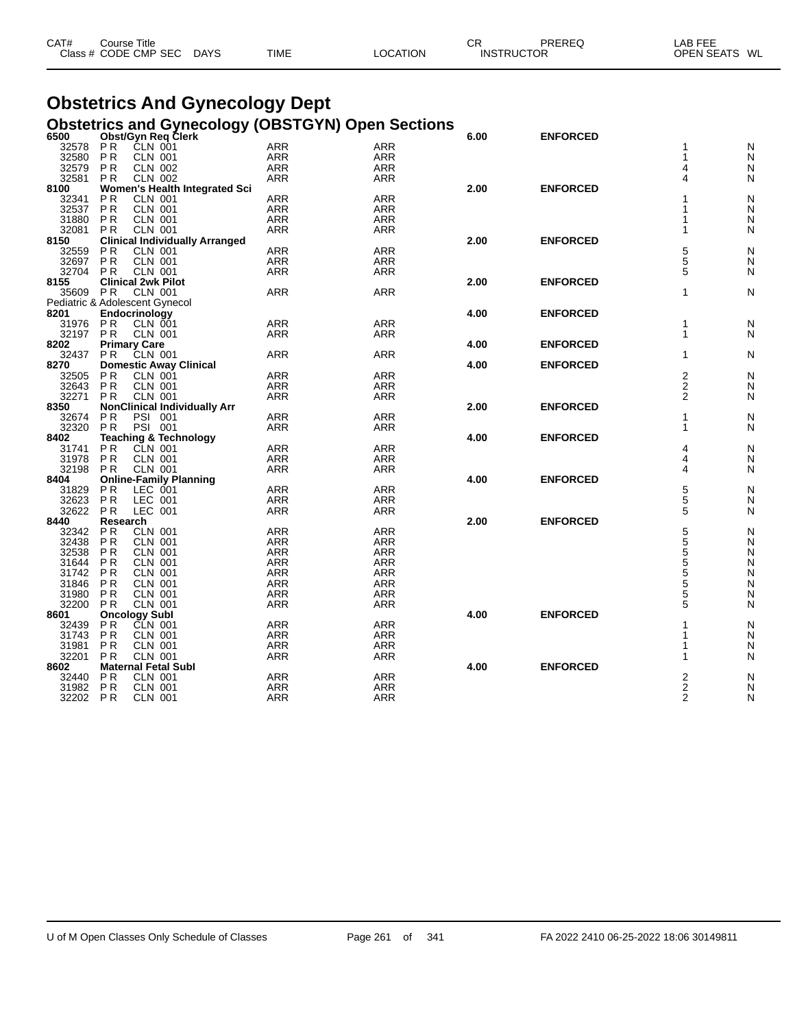| CAT#<br>Course Title |             |             |          | СR                | <b>PREREC</b> | _AB FEE                 |  |
|----------------------|-------------|-------------|----------|-------------------|---------------|-------------------------|--|
| Class # CODE CMP SEC | <b>DAYS</b> | <b>TIME</b> | ∟OCATION | <b>INSTRUCTOR</b> |               | <b>OPEN SEATS</b><br>WL |  |

# **Obstetrics And Gynecology Dept**

|       |                |                                       | <b>Obstetrics and Gynecology (OBSTGYN) Open Sections</b><br>6500____ Obst/Gyn Req Clerk |            |      |                 |                         |   |
|-------|----------------|---------------------------------------|-----------------------------------------------------------------------------------------|------------|------|-----------------|-------------------------|---|
|       |                |                                       |                                                                                         |            | 6.00 | <b>ENFORCED</b> |                         |   |
| 32578 | <b>PR</b>      | ČLN 001                               | <b>ARR</b>                                                                              | <b>ARR</b> |      |                 | 1                       | N |
| 32580 | P <sub>R</sub> | <b>CLN 001</b>                        | <b>ARR</b>                                                                              | <b>ARR</b> |      |                 | 1                       | N |
| 32579 | P R            | <b>CLN 002</b>                        | <b>ARR</b>                                                                              | <b>ARR</b> |      |                 | 4                       | N |
| 32581 | P <sub>R</sub> | CLN 002                               | <b>ARR</b>                                                                              | ARR        |      |                 | 4                       | N |
| 8100  |                | Women's Health Integrated Sci         |                                                                                         |            | 2.00 | <b>ENFORCED</b> |                         |   |
| 32341 | P R            | <b>CLN 001</b>                        | <b>ARR</b>                                                                              | ARR        |      |                 | 1                       | N |
| 32537 | P <sub>R</sub> | <b>CLN 001</b>                        | <b>ARR</b>                                                                              | <b>ARR</b> |      |                 | 1                       | N |
| 31880 | P <sub>R</sub> | <b>CLN 001</b>                        | <b>ARR</b>                                                                              | <b>ARR</b> |      |                 | 1                       | N |
| 32081 | P <sub>R</sub> | <b>CLN 001</b>                        | <b>ARR</b>                                                                              | <b>ARR</b> |      |                 | 1                       | N |
| 8150  |                | <b>Clinical Individually Arranged</b> |                                                                                         |            | 2.00 | <b>ENFORCED</b> |                         |   |
| 32559 | P <sub>R</sub> | <b>CLN 001</b>                        | <b>ARR</b>                                                                              | <b>ARR</b> |      |                 | 5<br>5<br>5             | N |
| 32697 | P <sub>R</sub> | <b>CLN 001</b>                        | ARR                                                                                     | ARR        |      |                 |                         | N |
| 32704 | <b>PR</b>      | <b>CLN 001</b>                        | ARR                                                                                     | ARR        |      |                 |                         | N |
| 8155  |                | <b>Clinical 2wk Pilot</b>             |                                                                                         |            | 2.00 | <b>ENFORCED</b> |                         |   |
| 35609 | P R            | <b>CLN 001</b>                        | <b>ARR</b>                                                                              | <b>ARR</b> |      |                 | 1                       | N |
|       |                | Pediatric & Adolescent Gynecol        |                                                                                         |            |      |                 |                         |   |
| 8201  |                | Endocrinology                         |                                                                                         |            | 4.00 | <b>ENFORCED</b> |                         |   |
| 31976 | P R            | <b>CLN 001</b>                        | <b>ARR</b>                                                                              | ARR        |      |                 | 1                       | N |
| 32197 | <b>PR</b>      | <b>CLN 001</b>                        | ARR                                                                                     | ARR        |      |                 | 1                       | N |
| 8202  |                | <b>Primary Care</b>                   |                                                                                         |            | 4.00 | <b>ENFORCED</b> |                         |   |
| 32437 | P <sub>R</sub> | CLN 001                               | <b>ARR</b>                                                                              | <b>ARR</b> |      |                 | 1                       | N |
| 8270  |                | <b>Domestic Away Clinical</b>         |                                                                                         |            | 4.00 | <b>ENFORCED</b> |                         |   |
| 32505 | P <sub>R</sub> | <b>CLN 001</b>                        | <b>ARR</b>                                                                              | <b>ARR</b> |      |                 | $\overline{\mathbf{c}}$ | N |
| 32643 | P <sub>R</sub> | <b>CLN 001</b>                        | <b>ARR</b>                                                                              | ARR        |      |                 | $\overline{2}$          | N |
| 32271 | P <sub>R</sub> | <b>CLN 001</b>                        | <b>ARR</b>                                                                              | <b>ARR</b> |      |                 | $\overline{2}$          | N |
| 8350  |                | <b>NonClinical Individually Arr</b>   |                                                                                         |            | 2.00 | <b>ENFORCED</b> |                         |   |
| 32674 | ΡR             | PSI 001                               | <b>ARR</b>                                                                              | ARR        |      |                 | 1                       | N |
| 32320 | <b>PR</b>      | PSI 001                               | ARR                                                                                     | ARR        |      |                 | 1                       | N |
| 8402  |                | <b>Teaching &amp; Technology</b>      |                                                                                         |            | 4.00 | <b>ENFORCED</b> |                         |   |
| 31741 | ΡR             | CLN 001                               | <b>ARR</b>                                                                              | <b>ARR</b> |      |                 | 4                       | N |
| 31978 | <b>PR</b>      | <b>CLN 001</b>                        | ARR                                                                                     | ARR        |      |                 | 4                       | N |
| 32198 | <b>PR</b>      | <b>CLN 001</b>                        | <b>ARR</b>                                                                              | <b>ARR</b> |      |                 | 4                       | N |
| 8404  |                | <b>Online-Family Planning</b>         |                                                                                         |            | 4.00 | <b>ENFORCED</b> |                         |   |
| 31829 | P <sub>R</sub> | LEC 001                               | <b>ARR</b>                                                                              | <b>ARR</b> |      |                 | $\frac{5}{5}$           | N |
| 32623 | <b>PR</b>      | LEC 001                               | <b>ARR</b>                                                                              | <b>ARR</b> |      |                 |                         | N |
| 32622 | <b>PR</b>      | LEC 001                               | ARR                                                                                     | <b>ARR</b> |      |                 | 5                       | N |
| 8440  | Research       |                                       |                                                                                         |            | 2.00 | <b>ENFORCED</b> |                         |   |
| 32342 | <b>PR</b>      | <b>CLN 001</b>                        | <b>ARR</b>                                                                              | <b>ARR</b> |      |                 | $\frac{5}{5}$           | N |
| 32438 | P <sub>R</sub> | <b>CLN 001</b>                        | <b>ARR</b>                                                                              | <b>ARR</b> |      |                 |                         | N |
| 32538 | P <sub>R</sub> | <b>CLN 001</b>                        | <b>ARR</b>                                                                              | <b>ARR</b> |      |                 |                         | N |
| 31644 | ΡR             | <b>CLN 001</b>                        | ARR                                                                                     | <b>ARR</b> |      |                 |                         | N |
| 31742 | ΡR             | <b>CLN 001</b>                        | <b>ARR</b>                                                                              | <b>ARR</b> |      |                 | 555555                  | N |
| 31846 | P <sub>R</sub> | <b>CLN 001</b>                        | <b>ARR</b>                                                                              | <b>ARR</b> |      |                 |                         | N |
| 31980 | ΡR             | <b>CLN 001</b>                        | <b>ARR</b>                                                                              | <b>ARR</b> |      |                 |                         | N |
| 32200 | <b>PR</b>      | <b>CLN 001</b>                        | <b>ARR</b>                                                                              | <b>ARR</b> |      |                 |                         | N |
| 8601  |                | <b>Oncology Subl</b>                  |                                                                                         |            | 4.00 | <b>ENFORCED</b> |                         |   |
| 32439 | P <sub>R</sub> | <b>CLN 001</b>                        | <b>ARR</b>                                                                              | <b>ARR</b> |      |                 | 1                       | N |
| 31743 | <b>PR</b>      | CLN 001                               | <b>ARR</b>                                                                              | <b>ARR</b> |      |                 | 1                       | N |
| 31981 | P <sub>R</sub> | <b>CLN 001</b>                        | <b>ARR</b>                                                                              | <b>ARR</b> |      |                 | 1                       | N |
| 32201 | P <sub>R</sub> | <b>CLN 001</b>                        | ARR                                                                                     | ARR        |      |                 | 1                       | N |
| 8602  |                | <b>Maternal Fetal Subl</b>            |                                                                                         |            | 4.00 | <b>ENFORCED</b> |                         |   |
| 32440 | <b>PR</b>      | <b>CLN 001</b>                        | <b>ARR</b>                                                                              | <b>ARR</b> |      |                 | 2                       | N |
| 31982 | P <sub>R</sub> | <b>CLN 001</b>                        | ARR                                                                                     | <b>ARR</b> |      |                 | $\overline{c}$          | N |
| 32202 | <b>PR</b>      | <b>CLN 001</b>                        | <b>ARR</b>                                                                              | <b>ARR</b> |      |                 | $\overline{2}$          | N |
|       |                |                                       |                                                                                         |            |      |                 |                         |   |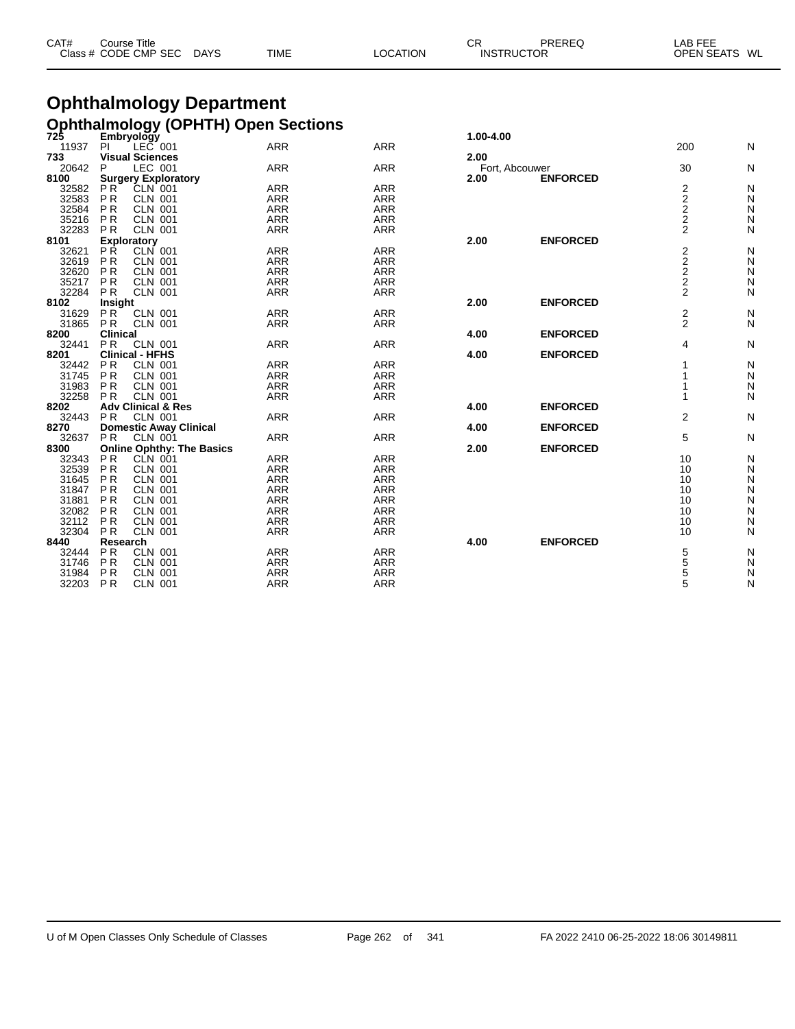| CAT# | Title<br>Course      |             |             |          | СR                | PREREQ | LAB FEE                 |
|------|----------------------|-------------|-------------|----------|-------------------|--------|-------------------------|
|      | Class # CODE CMP SEC | <b>DAYS</b> | <b>TIME</b> | LOCATION | <b>INSTRUCTOR</b> |        | <b>OPEN SEATS</b><br>WL |

### **Ophthalmology Department Ophthalmology (OPHTH) Open Sections 725 Embryology 1.00-4.00**

| 725<br>11937 | Empryology<br>$LEC$ 001<br>PI    | <b>ARR</b> | <b>ARR</b> | 1.00-4.00 |                 | 200                     | Ν |
|--------------|----------------------------------|------------|------------|-----------|-----------------|-------------------------|---|
| 733          | <b>Visual Sciences</b>           |            |            | 2.00      |                 |                         |   |
| 20642        | LEC 001<br>P                     | <b>ARR</b> | <b>ARR</b> |           | Fort, Abcouwer  | 30                      | Ν |
| 8100         | <b>Surgery Exploratory</b>       |            |            | 2.00      | <b>ENFORCED</b> |                         |   |
| 32582        | PR<br><b>CLN 001</b>             | <b>ARR</b> | <b>ARR</b> |           |                 |                         | N |
| 32583        | <b>PR</b><br><b>CLN 001</b>      | <b>ARR</b> | <b>ARR</b> |           |                 | $\frac{2}{2}$           | N |
| 32584        | <b>PR</b><br><b>CLN 001</b>      | <b>ARR</b> | <b>ARR</b> |           |                 | $\overline{2}$          | N |
| 35216        | <b>PR</b><br><b>CLN 001</b>      | <b>ARR</b> | <b>ARR</b> |           |                 | $\overline{\mathbf{c}}$ | N |
| 32283        | <b>PR</b><br><b>CLN 001</b>      | <b>ARR</b> | <b>ARR</b> |           |                 | $\overline{2}$          | N |
| 8101         | <b>Exploratory</b>               |            |            | 2.00      | <b>ENFORCED</b> |                         |   |
| 32621        | <b>PR</b><br>CLN 001             | <b>ARR</b> | <b>ARR</b> |           |                 | $\boldsymbol{2}$        | N |
| 32619        | <b>PR</b><br><b>CLN 001</b>      | <b>ARR</b> | <b>ARR</b> |           |                 |                         | N |
| 32620        | <b>PR</b><br><b>CLN 001</b>      | <b>ARR</b> | <b>ARR</b> |           |                 |                         | N |
| 35217        | <b>PR</b><br><b>CLN 001</b>      | <b>ARR</b> | <b>ARR</b> |           |                 |                         | N |
| 32284        | <b>PR</b><br><b>CLN 001</b>      | <b>ARR</b> | <b>ARR</b> |           |                 | $222$<br>$22$           | N |
| 8102         | Insight                          |            |            | 2.00      | <b>ENFORCED</b> |                         |   |
| 31629        | <b>PR</b><br><b>CLN 001</b>      | <b>ARR</b> | <b>ARR</b> |           |                 | 2                       | N |
| 31865        | <b>PR</b><br><b>CLN 001</b>      | <b>ARR</b> | <b>ARR</b> |           |                 | $\overline{2}$          | N |
| 8200         | <b>Clinical</b>                  |            |            | 4.00      | <b>ENFORCED</b> |                         |   |
| 32441        | <b>PR</b><br><b>CLN 001</b>      | <b>ARR</b> | <b>ARR</b> |           |                 | 4                       | Ν |
| 8201         | <b>Clinical - HFHS</b>           |            |            | 4.00      | <b>ENFORCED</b> |                         |   |
| 32442        | <b>PR</b><br><b>CLN 001</b>      | <b>ARR</b> | <b>ARR</b> |           |                 |                         | N |
| 31745        | <b>PR</b><br><b>CLN 001</b>      | <b>ARR</b> | <b>ARR</b> |           |                 |                         | N |
| 31983        | <b>CLN 001</b><br><b>PR</b>      | <b>ARR</b> | <b>ARR</b> |           |                 |                         | N |
| 32258        | <b>CLN 001</b><br>PR             | <b>ARR</b> | <b>ARR</b> |           |                 |                         | N |
| 8202         | <b>Adv Clinical &amp; Res</b>    |            |            | 4.00      | <b>ENFORCED</b> |                         |   |
| 32443        | P <sub>R</sub><br>CLN 001        | <b>ARR</b> | <b>ARR</b> |           |                 | $\overline{2}$          | Ν |
| 8270         | <b>Domestic Away Clinical</b>    |            |            | 4.00      | <b>ENFORCED</b> |                         |   |
| 32637        | <b>PR</b><br>CLN 001             | <b>ARR</b> | <b>ARR</b> |           |                 | 5                       | N |
| 8300         | <b>Online Ophthy: The Basics</b> |            |            | 2.00      | <b>ENFORCED</b> |                         |   |
| 32343        | <b>PR</b><br>CLN 001             | <b>ARR</b> | <b>ARR</b> |           |                 | 10                      | N |
| 32539        | <b>CLN 001</b><br><b>PR</b>      | <b>ARR</b> | <b>ARR</b> |           |                 | 10                      | N |
| 31645        | <b>PR</b><br><b>CLN 001</b>      | <b>ARR</b> | <b>ARR</b> |           |                 | 10                      | N |
| 31847        | <b>PR</b><br><b>CLN 001</b>      | <b>ARR</b> | <b>ARR</b> |           |                 | 10                      | N |
| 31881        | <b>PR</b><br><b>CLN 001</b>      | <b>ARR</b> | <b>ARR</b> |           |                 | 10                      | N |
| 32082        | <b>PR</b><br><b>CLN 001</b>      | <b>ARR</b> | <b>ARR</b> |           |                 | 10                      | N |
| 32112        | <b>PR</b><br><b>CLN 001</b>      | <b>ARR</b> | <b>ARR</b> |           |                 | 10                      | Ν |
| 32304        | <b>PR</b><br><b>CLN 001</b>      | <b>ARR</b> | <b>ARR</b> |           |                 | 10                      | Ν |
| 8440         | Research                         |            |            | 4.00      | <b>ENFORCED</b> |                         |   |
| 32444        | <b>PR</b><br><b>CLN 001</b>      | <b>ARR</b> | <b>ARR</b> |           |                 | 5                       | N |
| 31746        | <b>PR</b><br><b>CLN 001</b>      | <b>ARR</b> | <b>ARR</b> |           |                 | 5                       | N |
| 31984        | <b>PR</b><br><b>CLN 001</b>      | <b>ARR</b> | <b>ARR</b> |           |                 | 5                       | N |
| 32203        | P R<br><b>CLN 001</b>            | <b>ARR</b> | <b>ARR</b> |           |                 | 5                       | Ν |
|              |                                  |            |            |           |                 |                         |   |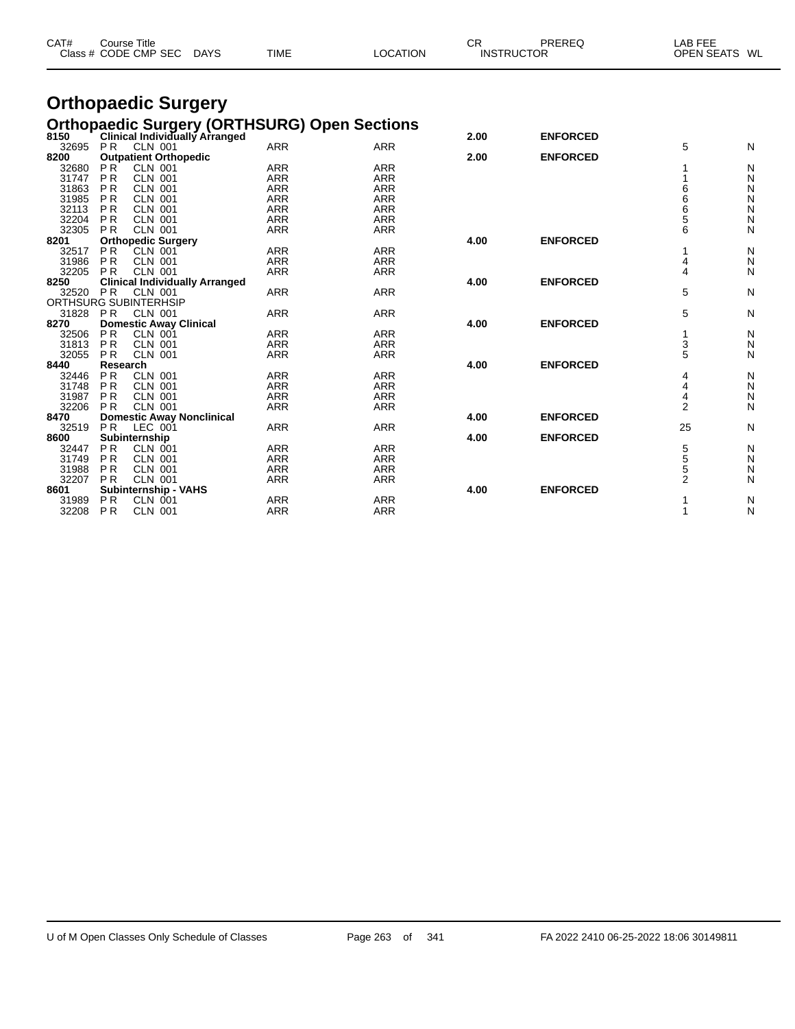| CAT#           | <b>Course Title</b><br>Class # CODE CMP SEC                          | <b>TIME</b><br><b>DAYS</b> | <b>LOCATION</b>                                     | CR.  | PREREQ<br><b>INSTRUCTOR</b> | LAB FEE<br><b>OPEN SEATS</b> | WL     |
|----------------|----------------------------------------------------------------------|----------------------------|-----------------------------------------------------|------|-----------------------------|------------------------------|--------|
|                | <b>Orthopaedic Surgery</b>                                           |                            |                                                     |      |                             |                              |        |
| 8150           | Clinical Individually Arranged                                       |                            | <b>Orthopaedic Surgery (ORTHSURG) Open Sections</b> | 2.00 | <b>ENFORCED</b>             |                              |        |
| 32695<br>8200  | PR<br>CLN 001<br><b>Outpatient Orthopedic</b>                        | <b>ARR</b>                 | <b>ARR</b>                                          | 2.00 | <b>ENFORCED</b>             | 5                            | N      |
| 32680<br>31747 | P <sub>R</sub><br>CLN 001<br><b>PR</b><br><b>CLN 001</b>             | <b>ARR</b><br><b>ARR</b>   | ARR<br><b>ARR</b>                                   |      |                             |                              | N<br>N |
| 31863<br>31985 | <b>PR</b><br><b>CLN 001</b><br>P <sub>R</sub><br><b>CLN 001</b>      | <b>ARR</b><br><b>ARR</b>   | <b>ARR</b><br><b>ARR</b>                            |      |                             | 6<br>6                       | N<br>Ν |
| 32113<br>32204 | PR<br><b>CLN 001</b><br><b>PR</b><br><b>CLN 001</b>                  | <b>ARR</b><br><b>ARR</b>   | <b>ARR</b><br><b>ARR</b>                            |      |                             | 6<br>5                       | Ν<br>N |
| 32305<br>8201  | <b>PR</b><br><b>CLN 001</b><br><b>Orthopedic Surgery</b>             | <b>ARR</b>                 | <b>ARR</b>                                          | 4.00 | <b>ENFORCED</b>             | 6                            | N      |
| 32517<br>31986 | <b>PR</b><br><b>CLN 001</b><br><b>PR</b><br><b>CLN 001</b>           | <b>ARR</b><br>ARR          | <b>ARR</b><br><b>ARR</b>                            |      |                             | 4                            | N<br>N |
| 32205          | <b>PR</b><br><b>CLN 001</b>                                          | <b>ARR</b>                 | <b>ARR</b>                                          |      |                             | 4                            | N      |
| 8250<br>32520  | <b>Clinical Individually Arranged</b><br><b>PR</b><br><b>CLN 001</b> | <b>ARR</b>                 | <b>ARR</b>                                          | 4.00 | <b>ENFORCED</b>             | 5                            | N      |
| 31828          | ORTHSURG SUBINTERHSIP<br><b>PR</b><br>CLN 001                        | <b>ARR</b>                 | <b>ARR</b>                                          |      |                             | 5                            | N      |
| 8270<br>32506  | <b>Domestic Away Clinical</b><br><b>PR</b><br>CLN 001                | <b>ARR</b>                 | <b>ARR</b>                                          | 4.00 | <b>ENFORCED</b>             | 1                            | N      |
| 31813<br>32055 | <b>PR</b><br><b>CLN 001</b><br><b>CLN 001</b><br><b>PR</b>           | <b>ARR</b><br><b>ARR</b>   | <b>ARR</b><br><b>ARR</b>                            |      |                             | 3<br>5                       | N<br>N |
| 8440<br>32446  | Research<br><b>PR</b><br><b>CLN 001</b>                              | <b>ARR</b>                 | <b>ARR</b>                                          | 4.00 | <b>ENFORCED</b>             | 4                            | N      |
| 31748<br>31987 | <b>PR</b><br><b>CLN 001</b><br><b>PR</b><br><b>CLN 001</b>           | <b>ARR</b><br><b>ARR</b>   | <b>ARR</b><br><b>ARR</b>                            |      |                             | 4<br>4                       | N<br>N |
| 32206<br>8470  | <b>PR</b><br><b>CLN 001</b>                                          | <b>ARR</b>                 | <b>ARR</b>                                          | 4.00 | <b>ENFORCED</b>             | $\overline{2}$               | N      |
| 32519          | <b>Domestic Away Nonclinical</b><br><b>PR</b><br>LEC 001             | ARR                        | <b>ARR</b>                                          |      |                             | 25                           | N      |
| 8600<br>32447  | Subinternship<br><b>PR</b><br>CLN 001                                | <b>ARR</b>                 | <b>ARR</b>                                          | 4.00 | <b>ENFORCED</b>             | 5                            | N      |
| 31749<br>31988 | <b>PR</b><br><b>CLN 001</b><br><b>PR</b><br><b>CLN 001</b>           | <b>ARR</b><br><b>ARR</b>   | <b>ARR</b><br><b>ARR</b>                            |      |                             | 5<br>5                       | N<br>N |
| 32207<br>8601  | <b>PR</b><br><b>CLN 001</b><br><b>Subinternship - VAHS</b>           | <b>ARR</b>                 | <b>ARR</b>                                          | 4.00 | <b>ENFORCED</b>             | $\overline{2}$               | N      |

 P R CLN 001 ARR ARR 1 N P R CLN 001 ARR ARR 1 N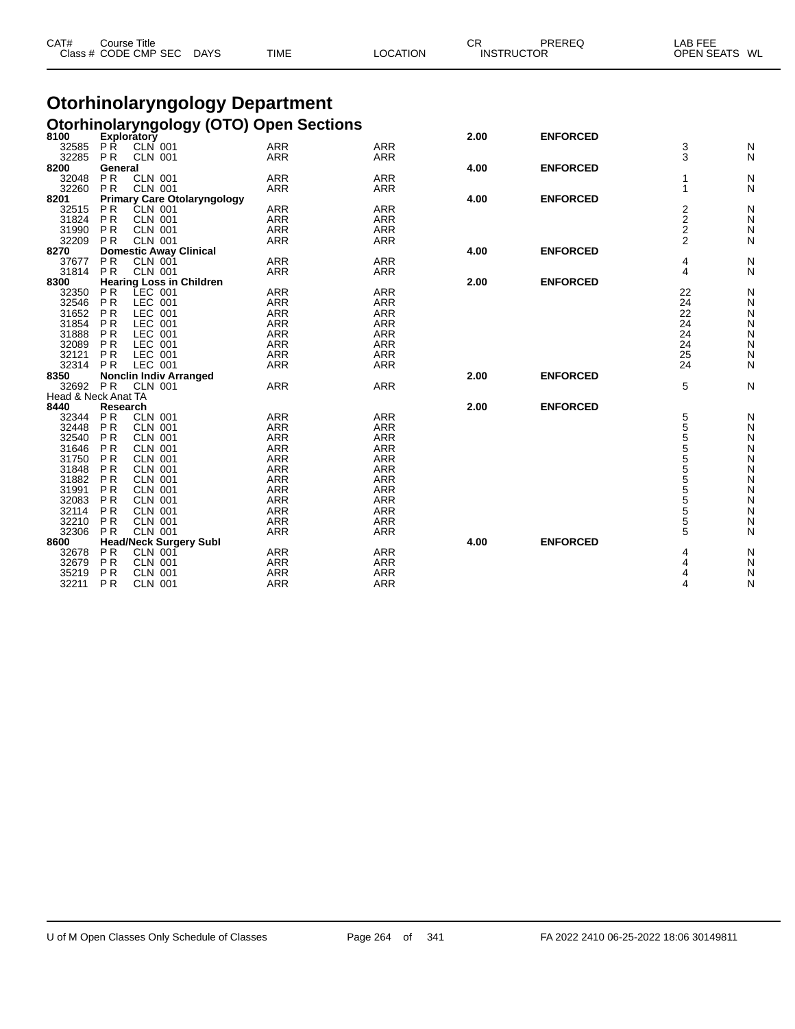| CAT#                |                             | <b>Course Title</b><br>Class # CODE CMP SEC     | <b>DAYS</b> | <b>TIME</b>                                    | <b>LOCATION</b>          | СR   | PREREQ<br><b>INSTRUCTOR</b> | LAB FEE<br>OPEN SEATS WL |        |
|---------------------|-----------------------------|-------------------------------------------------|-------------|------------------------------------------------|--------------------------|------|-----------------------------|--------------------------|--------|
|                     |                             |                                                 |             | <b>Otorhinolaryngology Department</b>          |                          |      |                             |                          |        |
|                     |                             |                                                 |             |                                                |                          |      |                             |                          |        |
| 8100                |                             | Exploratory                                     |             | <b>Otorhinolaryngology (OTO) Open Sections</b> |                          | 2.00 | <b>ENFORCED</b>             |                          |        |
| 32585               | <b>PR</b>                   | CLN 001                                         |             | ARR                                            | <b>ARR</b>               |      |                             | 3                        | N      |
| 32285               | <b>PR</b>                   | <b>CLN 001</b>                                  |             | ARR                                            | ARR                      |      |                             | 3                        | N      |
| 8200                | General                     |                                                 |             |                                                |                          | 4.00 | <b>ENFORCED</b>             |                          |        |
| 32048               | P R                         | <b>CLN 001</b>                                  |             | ARR                                            | <b>ARR</b>               |      |                             | 1                        | N      |
| 32260<br>8201       | P <sub>R</sub>              | <b>CLN 001</b>                                  |             | <b>ARR</b>                                     | <b>ARR</b>               |      |                             | 1                        | N      |
| 32515               | P <sub>R</sub>              | <b>Primary Care Otolaryngology</b><br>CLN 001   |             | <b>ARR</b>                                     | <b>ARR</b>               | 4.00 | <b>ENFORCED</b>             | 2                        | N      |
| 31824               | P <sub>R</sub>              | CLN 001                                         |             | <b>ARR</b>                                     | <b>ARR</b>               |      |                             | 2                        | N      |
| 31990               | P R                         | <b>CLN 001</b>                                  |             | <b>ARR</b>                                     | <b>ARR</b>               |      |                             | 2                        | N      |
| 32209               | P <sub>R</sub>              | <b>CLN 001</b>                                  |             | ARR                                            | <b>ARR</b>               |      |                             | $\overline{2}$           | N      |
| 8270                |                             | <b>Domestic Away Clinical</b>                   |             |                                                |                          | 4.00 | <b>ENFORCED</b>             |                          |        |
| 37677               | P <sub>R</sub>              | <b>CLN 001</b>                                  |             | <b>ARR</b>                                     | <b>ARR</b>               |      |                             | 4                        | N      |
| 31814               | P <sub>R</sub>              | <b>CLN 001</b>                                  |             | ARR                                            | <b>ARR</b>               |      |                             | 4                        | N      |
| 8300<br>32350       | P <sub>R</sub>              | <b>Hearing Loss in Children</b><br>LEC 001      |             | <b>ARR</b>                                     | <b>ARR</b>               | 2.00 | <b>ENFORCED</b>             | 22                       | N      |
| 32546               | P <sub>R</sub>              | LEC 001                                         |             | <b>ARR</b>                                     | <b>ARR</b>               |      |                             | 24                       | N      |
| 31652               | P R                         | LEC 001                                         |             | ARR                                            | <b>ARR</b>               |      |                             | 22                       | N      |
| 31854               | P R                         | LEC 001                                         |             | <b>ARR</b>                                     | <b>ARR</b>               |      |                             | 24                       | N      |
| 31888               | P R                         | LEC 001                                         |             | ARR                                            | <b>ARR</b>               |      |                             | 24                       | N      |
| 32089               | P R                         | LEC 001                                         |             | <b>ARR</b>                                     | <b>ARR</b>               |      |                             | 24                       | N      |
| 32121               | P <sub>R</sub>              | LEC 001                                         |             | ARR                                            | ARR                      |      |                             | 25                       | N      |
| 32314               | P R                         | LEC 001                                         |             | ARR                                            | <b>ARR</b>               |      | <b>ENFORCED</b>             | 24                       | N      |
| 8350<br>32692       | PR                          | <b>Nonclin Indiv Arranged</b><br><b>CLN 001</b> |             | <b>ARR</b>                                     | <b>ARR</b>               | 2.00 |                             | 5                        | N      |
| Head & Neck Anat TA |                             |                                                 |             |                                                |                          |      |                             |                          |        |
| 8440                | Research                    |                                                 |             |                                                |                          | 2.00 | <b>ENFORCED</b>             |                          |        |
| 32344               | P <sub>R</sub>              | <b>CLN 001</b>                                  |             | <b>ARR</b>                                     | <b>ARR</b>               |      |                             | 5                        | N      |
| 32448               | P R                         | <b>CLN 001</b>                                  |             | <b>ARR</b>                                     | <b>ARR</b>               |      |                             | 5                        | N      |
| 32540               | <b>PR</b>                   | <b>CLN 001</b>                                  |             | <b>ARR</b>                                     | <b>ARR</b>               |      |                             | 5                        | N      |
| 31646               | P R                         | <b>CLN 001</b>                                  |             | <b>ARR</b>                                     | <b>ARR</b>               |      |                             | 5                        | N      |
| 31750<br>31848      | P R<br>P R                  | <b>CLN 001</b><br><b>CLN 001</b>                |             | <b>ARR</b><br><b>ARR</b>                       | ARR<br><b>ARR</b>        |      |                             | 5<br>5                   | N<br>N |
| 31882               | P R                         | <b>CLN 001</b>                                  |             | <b>ARR</b>                                     | <b>ARR</b>               |      |                             | 5                        | N      |
| 31991               | P R                         | <b>CLN 001</b>                                  |             | <b>ARR</b>                                     | <b>ARR</b>               |      |                             | 5                        | N      |
| 32083               | P <sub>R</sub>              | <b>CLN 001</b>                                  |             | <b>ARR</b>                                     | <b>ARR</b>               |      |                             | $\overline{5}$           | N      |
| 32114               | <b>PR</b>                   | <b>CLN 001</b>                                  |             | <b>ARR</b>                                     | <b>ARR</b>               |      |                             | 5                        | N      |
| 32210               | P <sub>R</sub>              | <b>CLN 001</b>                                  |             | <b>ARR</b>                                     | <b>ARR</b>               |      |                             | 5                        | N      |
| 32306               | <b>PR</b>                   | <b>CLN 001</b>                                  |             | <b>ARR</b>                                     | <b>ARR</b>               |      |                             | 5                        | N      |
| 8600                |                             | <b>Head/Neck Surgery Subl</b>                   |             |                                                |                          | 4.00 | <b>ENFORCED</b>             |                          |        |
| 32678<br>32679      | <b>PR</b><br>P <sub>R</sub> | <b>CLN 001</b><br><b>CLN 001</b>                |             | ARR<br><b>ARR</b>                              | <b>ARR</b><br><b>ARR</b> |      |                             | 4                        | N<br>N |
| 35219               | P R                         | <b>CLN 001</b>                                  |             | ARR                                            | ARR                      |      |                             | 4                        | N      |
| 32211               | P R                         | <b>CLN 001</b>                                  |             | <b>ARR</b>                                     | <b>ARR</b>               |      |                             | 4                        | N      |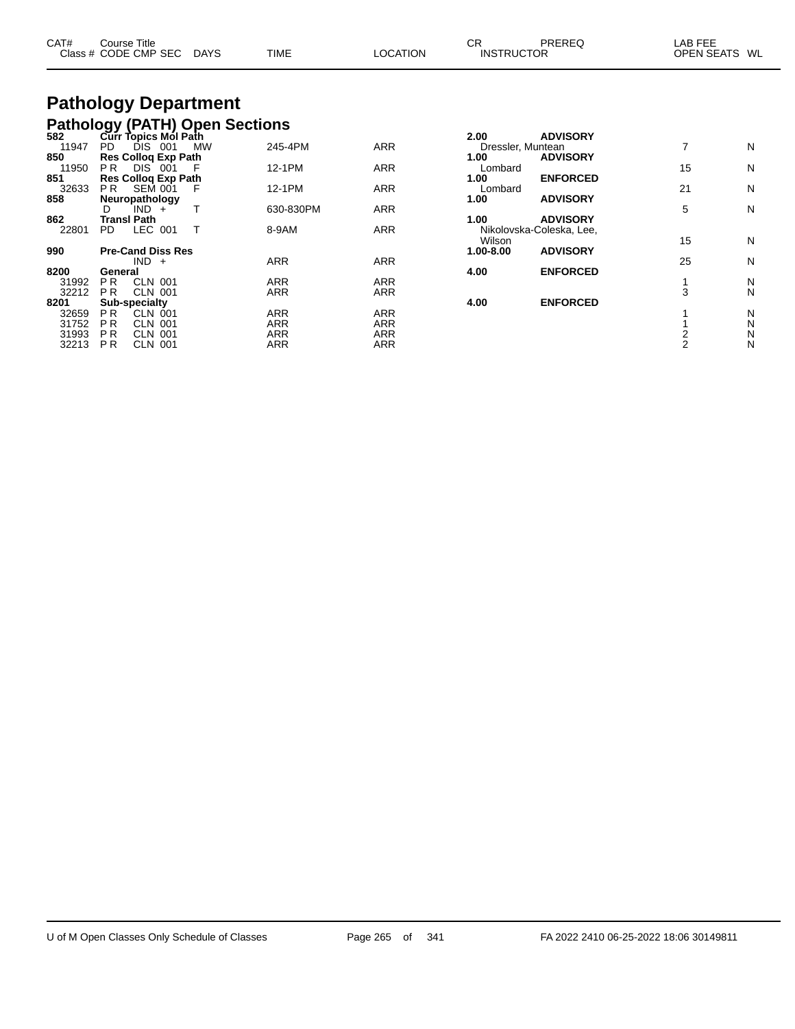|  | CAT#<br>PREREQ<br>СR<br>EEE<br>Title<br>$\mathsf{\dot{\cup}}$ ourse $\mathsf{\bar{\neg}}$<br>LAB<br>CODE CMP<br><b>TIME</b><br><b>SEC</b><br><b>OPEN SEATS</b><br>WL<br><b>LOCATION</b><br><b>DAYS</b><br><b>INSTRUCTOR</b><br>Class # |
|--|----------------------------------------------------------------------------------------------------------------------------------------------------------------------------------------------------------------------------------------|
|--|----------------------------------------------------------------------------------------------------------------------------------------------------------------------------------------------------------------------------------------|

#### **Pathology Department Pathology (PATH) Open Sections**

| DIS 001<br>PD.<br><b>MW</b>      | 245-4PM                                                                                      | <b>ARR</b>                                                                       |                                        |                 | 7                                                                                   | Ν                  |
|----------------------------------|----------------------------------------------------------------------------------------------|----------------------------------------------------------------------------------|----------------------------------------|-----------------|-------------------------------------------------------------------------------------|--------------------|
|                                  |                                                                                              |                                                                                  | 1.00                                   | <b>ADVISORY</b> |                                                                                     |                    |
| PR.<br><b>DIS 001</b>            | 12-1PM                                                                                       | <b>ARR</b>                                                                       | Lombard                                |                 | 15                                                                                  | N                  |
| <b>Res Collog Exp Path</b>       |                                                                                              |                                                                                  | 1.00                                   | <b>ENFORCED</b> |                                                                                     |                    |
| P <sub>R</sub><br><b>SEM 001</b> | 12-1PM                                                                                       | <b>ARR</b>                                                                       | Lombard                                |                 | 21                                                                                  | N                  |
| Neuropathology                   |                                                                                              |                                                                                  | 1.00                                   | <b>ADVISORY</b> |                                                                                     |                    |
| IND +<br>D                       | 630-830PM                                                                                    | <b>ARR</b>                                                                       |                                        |                 |                                                                                     | N                  |
| <b>Transl Path</b>               |                                                                                              |                                                                                  | 1.00                                   | <b>ADVISORY</b> |                                                                                     |                    |
| LEC 001<br>PD.                   | 8-9AM                                                                                        | <b>ARR</b>                                                                       |                                        |                 |                                                                                     |                    |
|                                  |                                                                                              |                                                                                  | Wilson                                 |                 |                                                                                     | N                  |
| <b>Pre-Cand Diss Res</b>         |                                                                                              |                                                                                  | 1.00-8.00                              | <b>ADVISORY</b> |                                                                                     |                    |
| $IND +$                          |                                                                                              |                                                                                  |                                        |                 |                                                                                     | Ν                  |
| General                          |                                                                                              |                                                                                  | 4.00                                   | <b>ENFORCED</b> |                                                                                     |                    |
| <b>CLN 001</b><br>P <sub>R</sub> | <b>ARR</b>                                                                                   | <b>ARR</b>                                                                       |                                        |                 |                                                                                     | N                  |
| <b>CLN 001</b><br>P <sub>R</sub> |                                                                                              | <b>ARR</b>                                                                       |                                        |                 |                                                                                     | Ν                  |
|                                  |                                                                                              |                                                                                  | 4.00                                   |                 |                                                                                     |                    |
| <b>CLN 001</b><br>P R            |                                                                                              |                                                                                  |                                        |                 |                                                                                     | N                  |
| P R                              |                                                                                              |                                                                                  |                                        |                 |                                                                                     | N                  |
| P <sub>R</sub><br><b>CLN 001</b> |                                                                                              | <b>ARR</b>                                                                       |                                        |                 |                                                                                     | N                  |
| P <sub>R</sub><br><b>CLN 001</b> |                                                                                              | <b>ARR</b>                                                                       |                                        |                 |                                                                                     | Ν                  |
|                                  | Curr Topics Mól Path<br><b>Res Collog Exp Path</b><br><b>Sub-specialty</b><br><b>CLN 001</b> | <b>ARR</b><br><b>ARR</b><br><b>ARR</b><br><b>ARR</b><br><b>ARR</b><br><b>ARR</b> | <b>ARR</b><br><b>ARR</b><br><b>ARR</b> | 2.00            | <b>ADVISORY</b><br>Dressler, Muntean<br>Nikolovska-Coleska, Lee,<br><b>ENFORCED</b> | 5<br>15<br>25<br>3 |

|         | Curr Topics Mol Path       |      |     |            |            | 2.00              | <b>ADVISORY</b>          |    |                      |
|---------|----------------------------|------|-----|------------|------------|-------------------|--------------------------|----|----------------------|
| PD      | DIS                        | 001  | MW  | 245-4PM    | <b>ARR</b> | Dressler, Muntean |                          |    | N                    |
|         | <b>Res Collog Exp Path</b> |      |     |            |            | 1.00              | <b>ADVISORY</b>          |    |                      |
| P R.    | DIS <sup>-</sup>           | -001 |     | 12-1PM     | <b>ARR</b> | Lombard           |                          | 15 | N                    |
|         | <b>Res Collog Exp Path</b> |      |     |            |            | 1.00              | <b>ENFORCED</b>          |    |                      |
| PR.     | <b>SEM 001</b>             |      | - F | 12-1PM     | <b>ARR</b> | Lombard           |                          | 21 | N                    |
|         | Neuropathology             |      |     |            |            | 1.00              | <b>ADVISORY</b>          |    |                      |
| D       | $IND +$                    |      |     | 630-830PM  | <b>ARR</b> |                   |                          | 5  | N                    |
|         | Transl Path                |      |     |            |            | 1.00              | <b>ADVISORY</b>          |    |                      |
| PD      | LEC.                       | 001  |     | 8-9AM      | <b>ARR</b> |                   | Nikolovska-Coleska, Lee, |    |                      |
|         |                            |      |     |            |            | Wilson            |                          | 15 | N                    |
|         | Pre-Cand Diss Res          |      |     |            |            | 1.00-8.00         | <b>ADVISORY</b>          |    |                      |
|         | $IND +$                    |      |     | <b>ARR</b> | <b>ARR</b> |                   |                          | 25 | N                    |
| General |                            |      |     |            |            | 4.00              | <b>ENFORCED</b>          |    |                      |
| РR      | CLN 001                    |      |     | <b>ARR</b> | <b>ARR</b> |                   |                          |    | N                    |
| P R     | <b>CLN 001</b>             |      |     | <b>ARR</b> | <b>ARR</b> |                   |                          | 3  | N                    |
|         | Sub-specialty              |      |     |            |            | 4.00              | <b>ENFORCED</b>          |    |                      |
| P R.    | <b>CLN 001</b>             |      |     | ARR        | <b>ARR</b> |                   |                          |    | N                    |
| --      | $\sim$ $\sim$ $\sim$       |      |     | $\sim$     | $\sim$     |                   |                          |    | $\ddot{\phantom{1}}$ |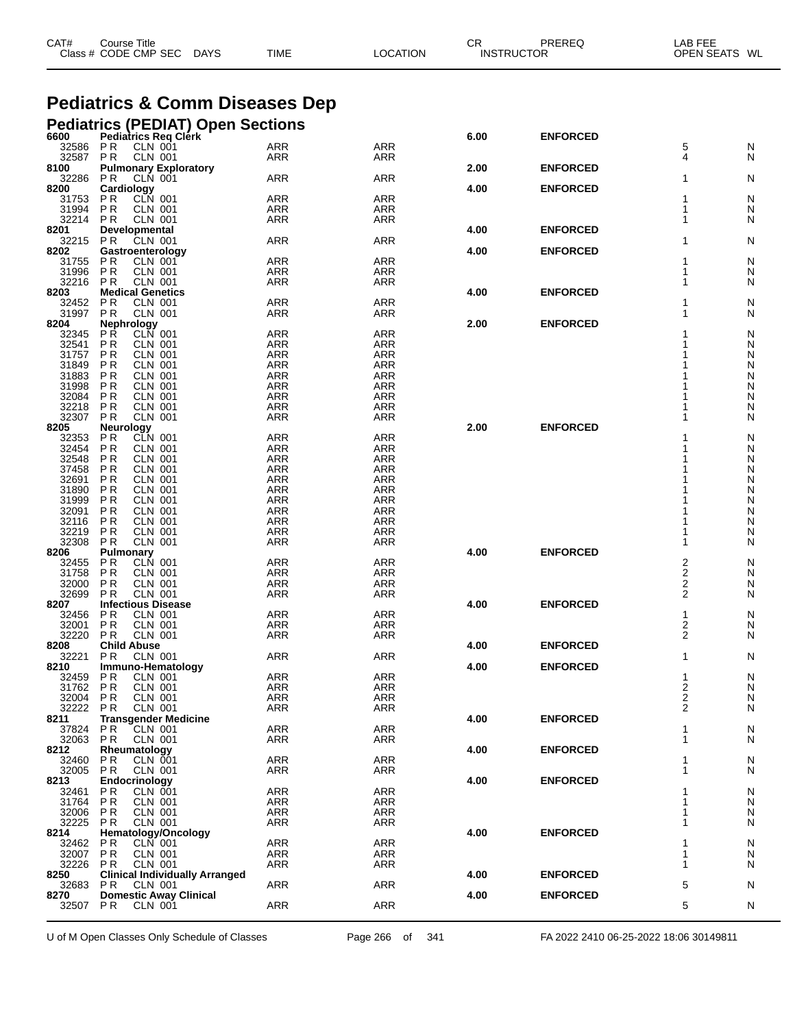| CAT#             | Course Title<br>Class # CODE CMP SEC<br>DAYS                  | <b>TIME</b>       | LOCATION          | СR   | PREREQ<br><b>INSTRUCTOR</b> | LAB FEE<br>OPEN SEATS WL |        |
|------------------|---------------------------------------------------------------|-------------------|-------------------|------|-----------------------------|--------------------------|--------|
|                  | <b>Pediatrics &amp; Comm Diseases Dep</b>                     |                   |                   |      |                             |                          |        |
|                  | <b>Pediatrics (PEDIAT) Open Sections</b>                      |                   |                   |      |                             |                          |        |
| 6600             | Pediatrics Reg Clérk                                          |                   |                   | 6.00 | <b>ENFORCED</b>             |                          |        |
| 32586            | <b>CLN 001</b><br>P R                                         | <b>ARR</b>        | ARR               |      |                             | 5                        | N      |
| 32587            | PR<br><b>CLN 001</b>                                          | ARR               | ARR               |      |                             | 4                        | N      |
| 8100<br>32286    | <b>Pulmonary Exploratory</b><br>P R<br><b>CLN 001</b>         | ARR               | ARR               | 2.00 | <b>ENFORCED</b>             | 1                        | N      |
| 8200             | Cardiology                                                    |                   |                   | 4.00 | <b>ENFORCED</b>             |                          |        |
| 31753<br>31994   | P R<br><b>CLN 001</b><br>P R<br>CLN 001                       | ARR<br>ARR        | <b>ARR</b><br>ARR |      |                             | 1                        | N<br>N |
| 32214            | <b>PR</b><br><b>CLN 001</b>                                   | ARR               | ARR               |      |                             | 1                        | N      |
| 8201             | <b>Developmental</b>                                          |                   |                   | 4.00 | <b>ENFORCED</b>             |                          |        |
| 32215<br>8202    | P R<br><b>CLN 001</b><br>Gastroenterology                     | ARR               | ARR               | 4.00 | <b>ENFORCED</b>             | 1                        | N      |
| 31755            | P R<br>CLN 001                                                | ARR               | <b>ARR</b>        |      |                             |                          | N      |
| 31996            | P R<br>CLN 001                                                | ARR               | ARR               |      |                             |                          | N      |
| 32216<br>8203    | <b>PR</b><br>CLN 001<br><b>Medical Genetics</b>               | ARR               | ARR               | 4.00 | <b>ENFORCED</b>             | 1                        | N      |
| 32452            | P <sub>R</sub><br>CLN 001                                     | ARR               | ARR               |      |                             |                          | N      |
| 31997            | P R<br><b>CLN 001</b>                                         | ARR               | ARR               |      |                             |                          | N      |
| 8204<br>32345    | <b>Nephrology</b><br>P R<br>CLN 001                           | ARR               | <b>ARR</b>        | 2.00 | <b>ENFORCED</b>             |                          | N      |
| 32541            | P <sub>R</sub><br><b>CLN 001</b>                              | ARR               | ARR               |      |                             |                          | N      |
| 31757            | P R<br><b>CLN 001</b>                                         | ARR               | ARR               |      |                             |                          | N      |
| 31849<br>31883   | P <sub>R</sub><br>CLN 001<br>P <sub>R</sub><br><b>CLN 001</b> | ARR<br>ARR        | ARR<br>ARR        |      |                             |                          | N<br>N |
| 31998            | P R<br><b>CLN 001</b>                                         | ARR               | ARR               |      |                             |                          | N      |
| 32084            | P R<br>CLN 001                                                | ARR               | ARR               |      |                             |                          | N      |
| 32218<br>32307   | P R<br><b>CLN 001</b><br>P R<br><b>CLN 001</b>                | ARR<br>ARR        | ARR<br>ARR        |      |                             |                          | N<br>N |
| 8205             | <b>Neurology</b>                                              |                   |                   | 2.00 | <b>ENFORCED</b>             |                          |        |
| 32353            | P R<br><b>CLN 001</b>                                         | ARR               | <b>ARR</b>        |      |                             |                          | N      |
| 32454<br>32548   | P R<br><b>CLN 001</b><br>P <sub>R</sub><br><b>CLN 001</b>     | ARR<br>ARR        | ARR<br>ARR        |      |                             |                          | N<br>N |
| 37458            | P <sub>R</sub><br><b>CLN 001</b>                              | ARR               | ARR               |      |                             |                          | N      |
| 32691<br>31890   | P R<br><b>CLN 001</b><br>P <sub>R</sub><br>CLN 001            | ARR<br>ARR        | ARR<br>ARR        |      |                             |                          | N<br>N |
| 31999            | P <sub>R</sub><br><b>CLN 001</b>                              | ARR               | ARR               |      |                             |                          | N      |
| 32091            | P R<br><b>CLN 001</b>                                         | ARR               | ARR               |      |                             |                          | N      |
| 32116<br>32219   | P R<br>CLN 001<br>P R<br><b>CLN 001</b>                       | ARR<br>ARR        | ARR<br>ARR        |      |                             |                          | N<br>N |
| 32308            | P R<br><b>CLN 001</b>                                         | ARR               | ARR               |      |                             |                          | N      |
| 8206             | Pulmonary                                                     |                   |                   | 4.00 | <b>ENFORCED</b>             |                          |        |
| 32455<br>31758   | P R<br><b>CLN 001</b><br>P R<br><b>CLN 001</b>                | ARR<br>ARR        | ARR<br>ARR        |      |                             | 2<br>2                   | N<br>N |
| 32000            | P R<br><b>CLN 001</b>                                         | ARR               | ARR               |      |                             | 2                        | N      |
| 32699            | P R<br><b>CLN 001</b>                                         | ARR               | ARR               |      |                             | 2                        | N      |
| 8207<br>32456    | <b>Infectious Disease</b><br>P R<br><b>CLN 001</b>            | ARR               | ARR               | 4.00 | <b>ENFORCED</b>             | 1                        | N      |
| 32001 PR         | <b>CLN 001</b>                                                | <b>ARR</b>        | ARR               |      |                             | 2                        | Ν      |
| 32220 PR<br>8208 | <b>CLN 001</b><br><b>Child Abuse</b>                          | ARR               | ARR               | 4.00 | <b>ENFORCED</b>             | 2                        | Ν      |
| 32221            | <b>CLN 001</b><br>P R                                         | <b>ARR</b>        | ARR               |      |                             | 1                        | N      |
| 8210             | Immuno-Hematology                                             |                   |                   | 4.00 | <b>ENFORCED</b>             |                          |        |
| 32459<br>31762   | P R<br><b>CLN 001</b><br><b>PR</b><br><b>CLN 001</b>          | ARR<br><b>ARR</b> | ARR<br>ARR        |      |                             | 1<br>2                   | N<br>Ν |
| 32004            | <b>CLN 001</b><br>P R                                         | ARR               | ARR               |      |                             | 2                        | N      |
| 32222            | <b>CLN 001</b><br>PR                                          | ARR               | ARR               |      |                             | 2                        | Ν      |
| 8211<br>37824    | <b>Transgender Medicine</b><br><b>CLN 001</b><br>P R          | ARR               | <b>ARR</b>        | 4.00 | <b>ENFORCED</b>             | 1                        | N      |
| 32063 PR         | <b>CLN 001</b>                                                | ARR               | ARR               |      |                             | 1                        | Ν      |
| 8212             | Rheumatology                                                  |                   |                   | 4.00 | <b>ENFORCED</b>             |                          |        |
| 32460<br>32005   | CLN 001<br>P R<br><b>PR</b><br><b>CLN 001</b>                 | ARR<br>ARR        | ARR<br>ARR        |      |                             | 1<br>1                   | Ν<br>N |
| 8213             | Endocrinology                                                 |                   |                   | 4.00 | <b>ENFORCED</b>             |                          |        |
| 32461<br>31764   | P R<br>CLN 001<br><b>PR</b><br><b>CLN 001</b>                 | <b>ARR</b><br>ARR | <b>ARR</b><br>ARR |      |                             | 1                        | Ν<br>Ν |
| 32006            | <b>PR</b><br>CLN 001                                          | <b>ARR</b>        | ARR               |      |                             | 1                        | Ν      |
| 32225            | <b>CLN 001</b><br>P R                                         | ARR               | ARR               |      |                             | 1                        | N      |
| 8214             | Hematology/Oncology<br>P <sub>R</sub>                         | <b>ARR</b>        | ARR               | 4.00 | <b>ENFORCED</b>             | 1                        |        |
| 32462<br>32007   | CLN 001<br><b>PR</b><br><b>CLN 001</b>                        | ARR               | ARR               |      |                             | 1                        | N<br>Ν |
| 32226            | <b>CLN 001</b><br>P R                                         | <b>ARR</b>        | ARR               |      |                             | 1                        | Ν      |
| 8250<br>32683    | <b>Clinical Individually Arranged</b><br>P R<br>CLN 001       | ARR               | ARR               | 4.00 | <b>ENFORCED</b>             | 5                        | Ν      |
| 8270             | <b>Domestic Away Clinical</b>                                 |                   |                   | 4.00 | <b>ENFORCED</b>             |                          |        |
| 32507 PR         | CLN 001                                                       | ARR               | ARR               |      |                             | 5                        | N      |

U of M Open Classes Only Schedule of Classes Page 266 of 341 FA 2022 2410 06-25-2022 18:06 30149811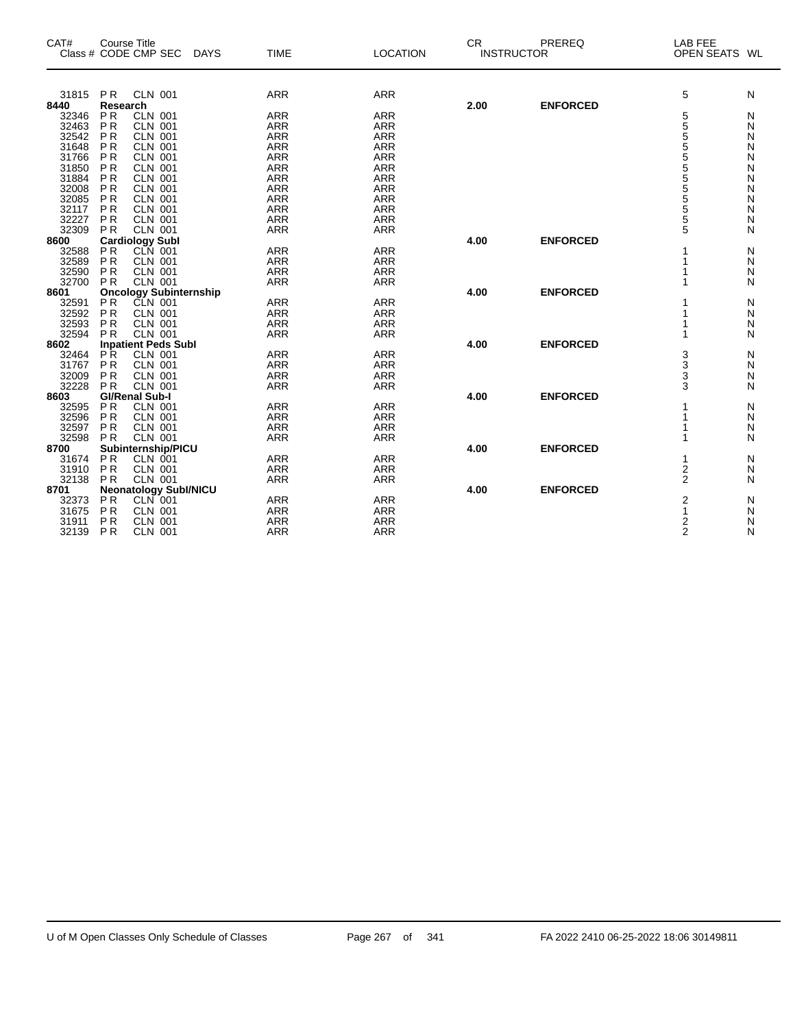| CAT#           | <b>Course Title</b><br>Class # CODE CMP SEC DAYS |                           | <b>TIME</b> | <b>LOCATION</b> | <b>CR</b> | PREREQ<br><b>INSTRUCTOR</b> | <b>LAB FEE</b><br>OPEN SEATS WL |   |
|----------------|--------------------------------------------------|---------------------------|-------------|-----------------|-----------|-----------------------------|---------------------------------|---|
|                |                                                  |                           |             |                 |           |                             |                                 |   |
| 31815 PR       |                                                  | <b>CLN 001</b>            | <b>ARR</b>  | <b>ARR</b>      |           |                             | 5                               | N |
| 8440           | Research                                         |                           |             |                 | 2.00      | <b>ENFORCED</b>             |                                 |   |
| 32346          | <b>PR</b>                                        | <b>CLN 001</b>            | <b>ARR</b>  | <b>ARR</b>      |           |                             | 5                               | N |
| 32463          | <b>PR</b>                                        | <b>CLN 001</b>            | <b>ARR</b>  | <b>ARR</b>      |           |                             | 555555555                       | Ν |
| 32542          | P <sub>R</sub>                                   | <b>CLN 001</b>            | <b>ARR</b>  | <b>ARR</b>      |           |                             |                                 | N |
| 31648          | <b>PR</b>                                        | <b>CLN 001</b>            | <b>ARR</b>  | <b>ARR</b>      |           |                             |                                 | N |
| 31766          | <b>PR</b>                                        | <b>CLN 001</b>            | <b>ARR</b>  | <b>ARR</b>      |           |                             |                                 | N |
| 31850          | <b>PR</b>                                        | <b>CLN 001</b>            | <b>ARR</b>  | <b>ARR</b>      |           |                             |                                 | N |
| 31884          | <b>PR</b>                                        | <b>CLN 001</b>            | <b>ARR</b>  | <b>ARR</b>      |           |                             |                                 | N |
| 32008<br>32085 | P <sub>R</sub>                                   | <b>CLN 001</b><br>CLN 001 | <b>ARR</b>  | <b>ARR</b>      |           |                             |                                 | N |
|                | P <sub>R</sub>                                   |                           | <b>ARR</b>  | <b>ARR</b>      |           |                             |                                 | N |
| 32117          | P <sub>R</sub>                                   | <b>CLN 001</b>            | <b>ARR</b>  | <b>ARR</b>      |           |                             |                                 | Ν |
| 32227          | PR                                               | <b>CLN 001</b>            | <b>ARR</b>  | <b>ARR</b>      |           |                             | 5                               | N |
| 32309          | <b>PR</b>                                        | <b>CLN 001</b>            | <b>ARR</b>  | <b>ARR</b>      |           |                             | 5                               | N |
| 8600           | <b>Cardiology Subl</b>                           |                           |             |                 | 4.00      | <b>ENFORCED</b>             |                                 |   |
| 32588          | <b>PR</b>                                        | CLN 001                   | <b>ARR</b>  | <b>ARR</b>      |           |                             |                                 | N |
| 32589          | PR                                               | <b>CLN 001</b>            | <b>ARR</b>  | <b>ARR</b>      |           |                             |                                 | N |
| 32590          | <b>PR</b>                                        | <b>CLN 001</b>            | <b>ARR</b>  | <b>ARR</b>      |           |                             |                                 | Ν |
| 32700          | PR                                               | <b>CLN 001</b>            | <b>ARR</b>  | <b>ARR</b>      |           |                             |                                 | N |
| 8601           | <b>Oncology Subinternship</b>                    |                           |             |                 | 4.00      | <b>ENFORCED</b>             |                                 |   |
| 32591          | P <sub>R</sub>                                   | CLN 001                   | <b>ARR</b>  | <b>ARR</b>      |           |                             |                                 | N |
| 32592          | P <sub>R</sub>                                   | <b>CLN 001</b>            | <b>ARR</b>  | <b>ARR</b>      |           |                             |                                 | N |
| 32593<br>32593 | P <sub>R</sub>                                   | CLN 001<br>CLN 001        | <b>ARR</b>  | <b>ARR</b>      |           |                             |                                 | N |
|                | <b>PR</b>                                        |                           | <b>ARR</b>  | <b>ARR</b>      |           |                             |                                 | N |
| 8602           | <b>Inpatient Peds Subl</b>                       |                           |             |                 | 4.00      | <b>ENFORCED</b>             |                                 |   |
| 32464          | <b>PR</b>                                        | <b>CLN 001</b>            | <b>ARR</b>  | <b>ARR</b>      |           |                             |                                 | Ν |
| 31767          | <b>PR</b>                                        | <b>CLN 001</b>            | <b>ARR</b>  | <b>ARR</b>      |           |                             | 3<br>3<br>3<br>3                | N |
| 32009          | <b>PR</b>                                        | <b>CLN 001</b>            | <b>ARR</b>  | <b>ARR</b>      |           |                             |                                 | Ν |
| 32228          | PR                                               | <b>CLN 001</b>            | <b>ARR</b>  | <b>ARR</b>      |           |                             |                                 | N |
| 8603           | <b>GI/Renal Sub-I</b>                            |                           |             |                 | 4.00      | <b>ENFORCED</b>             |                                 |   |
| 32595          | <b>PR</b>                                        | <b>CLN 001</b>            | <b>ARR</b>  | <b>ARR</b>      |           |                             | 1                               | N |
| 32596          | PR                                               | <b>CLN 001</b>            | <b>ARR</b>  | <b>ARR</b>      |           |                             | 1                               | N |
| 32597          | <b>PR</b>                                        | <b>CLN 001</b>            | <b>ARR</b>  | <b>ARR</b>      |           |                             | 1                               | N |
| 32598          | PR                                               | <b>CLN 001</b>            | <b>ARR</b>  | <b>ARR</b>      |           |                             | 1                               | N |
| 8700           | Subinternship/PICU                               |                           |             |                 | 4.00      | <b>ENFORCED</b>             |                                 |   |
| 31674          | PR                                               | <b>CLN 001</b>            | <b>ARR</b>  | <b>ARR</b>      |           |                             | 1                               | N |
| 31910          | PR                                               | CLN 001                   | <b>ARR</b>  | <b>ARR</b>      |           |                             | $\frac{2}{2}$                   | N |
| 32138          | PR                                               | <b>CLN 001</b>            | <b>ARR</b>  | <b>ARR</b>      |           |                             |                                 | N |
| 8701           | <b>Neonatology Subl/NICU</b>                     |                           |             |                 | 4.00      | <b>ENFORCED</b>             |                                 |   |
| 32373          | <b>PR</b>                                        | CLN 001                   | <b>ARR</b>  | <b>ARR</b>      |           |                             | $\frac{2}{1}$                   | N |
| 31675          | PR                                               | <b>CLN 001</b>            | <b>ARR</b>  | <b>ARR</b>      |           |                             |                                 | N |
| 31911          | <b>PR</b>                                        | <b>CLN 001</b>            | <b>ARR</b>  | <b>ARR</b>      |           |                             | $\overline{2}$                  | N |
| 32139          | PR                                               | <b>CLN 001</b>            | <b>ARR</b>  | <b>ARR</b>      |           |                             | $\mathfrak{p}$                  | N |

 $\overline{\phantom{0}}$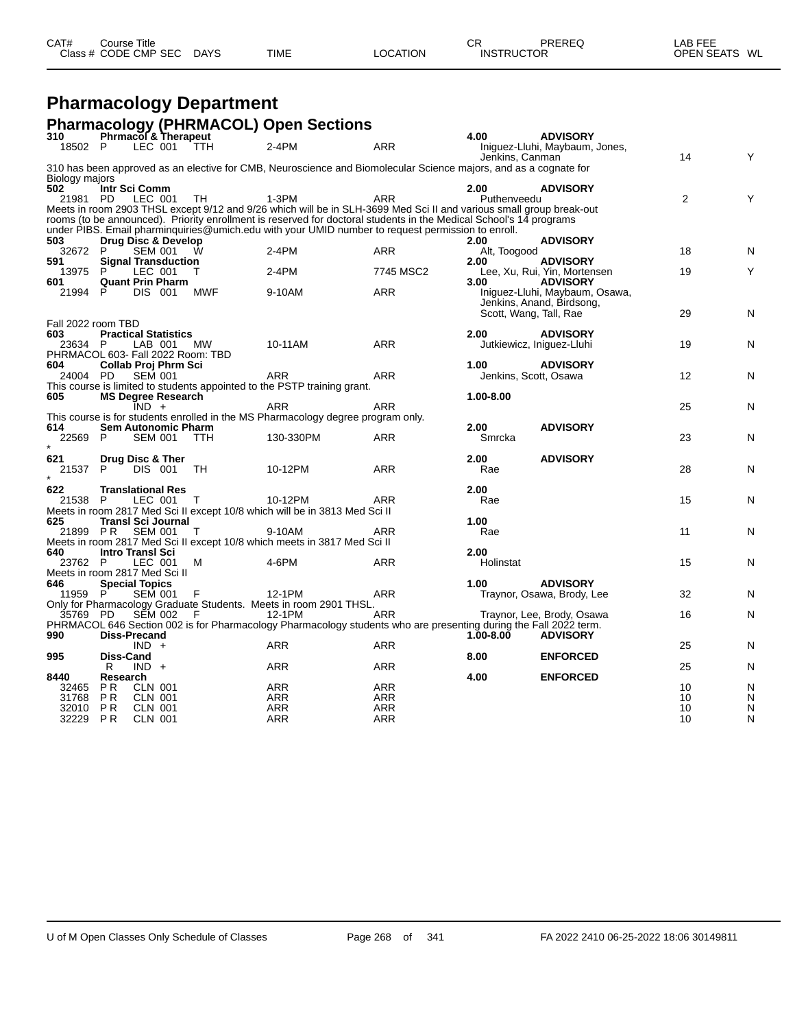| CAT# | Course Title         |             |             |                 | СR                | PREREQ | LAB FEE       |  |
|------|----------------------|-------------|-------------|-----------------|-------------------|--------|---------------|--|
|      | Class # CODE CMP SEC | <b>DAYS</b> | <b>TIME</b> | <b>LOCATION</b> | <b>INSTRUCTOR</b> |        | OPEN SEATS WL |  |

# **Pharmacology Department**

|                    |                  |                                    |        | <b>Pharmacology (PHRMACOL) Open Sections</b>                                                                               |                          |                        |                                |                |        |
|--------------------|------------------|------------------------------------|--------|----------------------------------------------------------------------------------------------------------------------------|--------------------------|------------------------|--------------------------------|----------------|--------|
| 310                |                  | <b>Phrmacol &amp; Therapeut</b>    |        |                                                                                                                            |                          | 4.00                   | <b>ADVISORY</b>                |                |        |
| 18502 P            |                  | LEC 001                            | TTH    | $2-4PM$                                                                                                                    | <b>ARR</b>               |                        | Iniguez-Lluhi, Maybaum, Jones, |                |        |
|                    |                  |                                    |        | 310 has been approved as an elective for CMB, Neuroscience and Biomolecular Science majors, and as a cognate for           |                          | Jenkins, Canman        |                                | 14             | Y      |
| Biology majors     |                  |                                    |        |                                                                                                                            |                          |                        |                                |                |        |
| 502                |                  | Intr Sci Comm                      |        |                                                                                                                            |                          | 2.00                   | <b>ADVISORY</b>                |                |        |
| 21981 PD           |                  | LEC 001                            | TH     | $1-3PM$                                                                                                                    | <b>ARR</b>               | Puthenveedu            |                                | $\overline{2}$ | Υ      |
|                    |                  |                                    |        | Meets in room 2903 THSL except 9/12 and 9/26 which will be in SLH-3699 Med Sci II and various small group break-out        |                          |                        |                                |                |        |
|                    |                  |                                    |        | rooms (to be announced). Priority enrollment is reserved for doctoral students in the Medical School's 14 programs         |                          |                        |                                |                |        |
| 503                |                  | Drug Disc & Develop                |        | under PIBS. Email pharminquiries @umich.edu with your UMID number to request permission to enroll.                         |                          | 2.00                   | <b>ADVISORY</b>                |                |        |
| 32672 P            |                  | <b>SEM 001</b>                     | W      | $2-4PM$                                                                                                                    | <b>ARR</b>               | Alt, Toogood           |                                | 18             | N      |
| 591                |                  | <b>Signal Transduction</b>         |        |                                                                                                                            |                          | 2.00                   | <b>ADVISORY</b>                |                |        |
| 13975              | P                | LEC 001                            |        | 2-4PM                                                                                                                      | 7745 MSC2                |                        | Lee, Xu, Rui, Yin, Mortensen   | 19             |        |
| 601                |                  | <b>Quant Prin Pharm</b>            |        |                                                                                                                            |                          | 3.00                   | <b>ADVISORY</b>                |                |        |
| 21994              | P                | DIS 001                            | MWF    | 9-10AM                                                                                                                     | <b>ARR</b>               |                        | Iniguez-Lluhi, Maybaum, Osawa, |                |        |
|                    |                  |                                    |        |                                                                                                                            |                          |                        | Jenkins, Anand, Birdsong,      | 29             |        |
| Fall 2022 room TBD |                  |                                    |        |                                                                                                                            |                          | Scott, Wang, Tall, Rae |                                |                | N      |
| 603                |                  | <b>Practical Statistics</b>        |        |                                                                                                                            |                          | 2.00                   | <b>ADVISORY</b>                |                |        |
| 23634 P            |                  | LAB 001                            | MW     | 10-11AM                                                                                                                    | <b>ARR</b>               |                        | Jutkiewicz, Iniquez-Lluhi      | 19             | N      |
|                    |                  | PHRMACOL 603- Fall 2022 Room: TBD  |        |                                                                                                                            |                          |                        |                                |                |        |
| 604                |                  | Collab Proj Phrm Sci               |        |                                                                                                                            |                          | 1.00                   | <b>ADVISORY</b>                |                |        |
| 24004 PD           |                  | <b>SEM 001</b>                     |        | <b>ARR</b>                                                                                                                 | <b>ARR</b>               | Jenkins, Scott, Osawa  |                                | 12             | N      |
| 605                |                  | <b>MS Degree Research</b>          |        | This course is limited to students appointed to the PSTP training grant.                                                   |                          | 1.00-8.00              |                                |                |        |
|                    |                  | $IND +$                            |        | <b>ARR</b>                                                                                                                 | <b>ARR</b>               |                        |                                | 25             | N      |
|                    |                  |                                    |        | This course is for students enrolled in the MS Pharmacology degree program only.                                           |                          |                        |                                |                |        |
| 614                |                  | <b>Sem Autonomic Pharm</b>         |        |                                                                                                                            |                          | 2.00                   | <b>ADVISORY</b>                |                |        |
| 22569              | -P               | <b>SEM 001</b>                     | TTH    | 130-330PM                                                                                                                  | <b>ARR</b>               | Smrcka                 |                                | 23             | N      |
|                    |                  |                                    |        |                                                                                                                            |                          |                        |                                |                |        |
| 621<br>21537       | P.               | Drug Disc & Ther<br><b>DIS 001</b> | TH     | 10-12PM                                                                                                                    | ARR                      | 2.00<br>Rae            | <b>ADVISORY</b>                | 28             | N      |
|                    |                  |                                    |        |                                                                                                                            |                          |                        |                                |                |        |
| 622                |                  | <b>Translational Res</b>           |        |                                                                                                                            |                          | 2.00                   |                                |                |        |
| 21538              | -P               | LEC 001                            | т      | 10-12PM                                                                                                                    | ARR                      | Rae                    |                                | 15             | N      |
|                    |                  |                                    |        | Meets in room 2817 Med Sci II except 10/8 which will be in 3813 Med Sci II                                                 |                          |                        |                                |                |        |
| 625                |                  | <b>Transl Sci Journal</b>          |        |                                                                                                                            |                          | 1.00                   |                                |                |        |
| 21899 PR           |                  | SEM 001                            | $\top$ | 9-10AM                                                                                                                     | <b>ARR</b>               | Rae                    |                                | 11             | N      |
| 640                |                  | <b>Intro Transl Sci</b>            |        | Meets in room 2817 Med Sci II except 10/8 which meets in 3817 Med Sci II                                                   |                          | 2.00                   |                                |                |        |
| 23762 P            |                  | <b>LEC 001</b>                     | м      | 4-6PM                                                                                                                      | <b>ARR</b>               | Holinstat              |                                | 15             | N      |
|                    |                  | Meets in room 2817 Med Sci II      |        |                                                                                                                            |                          |                        |                                |                |        |
| 646                |                  | <b>Special Topics</b>              |        |                                                                                                                            |                          | 1.00                   | <b>ADVISORY</b>                |                |        |
| 11959 P            |                  | <b>SEM 001</b>                     | F      | 12-1PM                                                                                                                     | ARR                      |                        | Traynor, Osawa, Brody, Lee     | 32             | N      |
|                    |                  |                                    |        | Only for Pharmacology Graduate Students. Meets in room 2901 THSL.                                                          |                          |                        |                                |                |        |
| 35769 PD           |                  | SĒM 002                            | - F    | 12-1PM<br>PHRMACOL 646 Section 002 is for Pharmacology Pharmacology students who are presenting during the Fall 2022 term. | <b>ARR</b>               |                        | Traynor, Lee, Brody, Osawa     | 16             | N      |
| 990                |                  | <b>Diss-Precand</b>                |        |                                                                                                                            |                          | 1.00-8.00              | <b>ADVISORY</b>                |                |        |
|                    |                  | $IND +$                            |        | <b>ARR</b>                                                                                                                 | <b>ARR</b>               |                        |                                | 25             | N      |
| 995                | Diss-Cand        |                                    |        |                                                                                                                            |                          | 8.00                   | <b>ENFORCED</b>                |                |        |
|                    | R                | $IND +$                            |        | <b>ARR</b>                                                                                                                 | <b>ARR</b>               |                        |                                | 25             | N      |
| 8440               | Research         |                                    |        |                                                                                                                            |                          | 4.00                   | <b>ENFORCED</b>                |                |        |
| 32465              | P <sub>R</sub>   | <b>CLN 001</b>                     |        | <b>ARR</b>                                                                                                                 | <b>ARR</b>               |                        |                                | 10             | N      |
| 31768<br>32010     | <b>PR</b><br>PR. | <b>CLN 001</b><br><b>CLN 001</b>   |        | <b>ARR</b><br>ARR                                                                                                          | <b>ARR</b><br><b>ARR</b> |                        |                                | 10<br>10       | N<br>N |
| 32229              | P R              | <b>CLN 001</b>                     |        | ARR                                                                                                                        | <b>ARR</b>               |                        |                                | 10             | N      |
|                    |                  |                                    |        |                                                                                                                            |                          |                        |                                |                |        |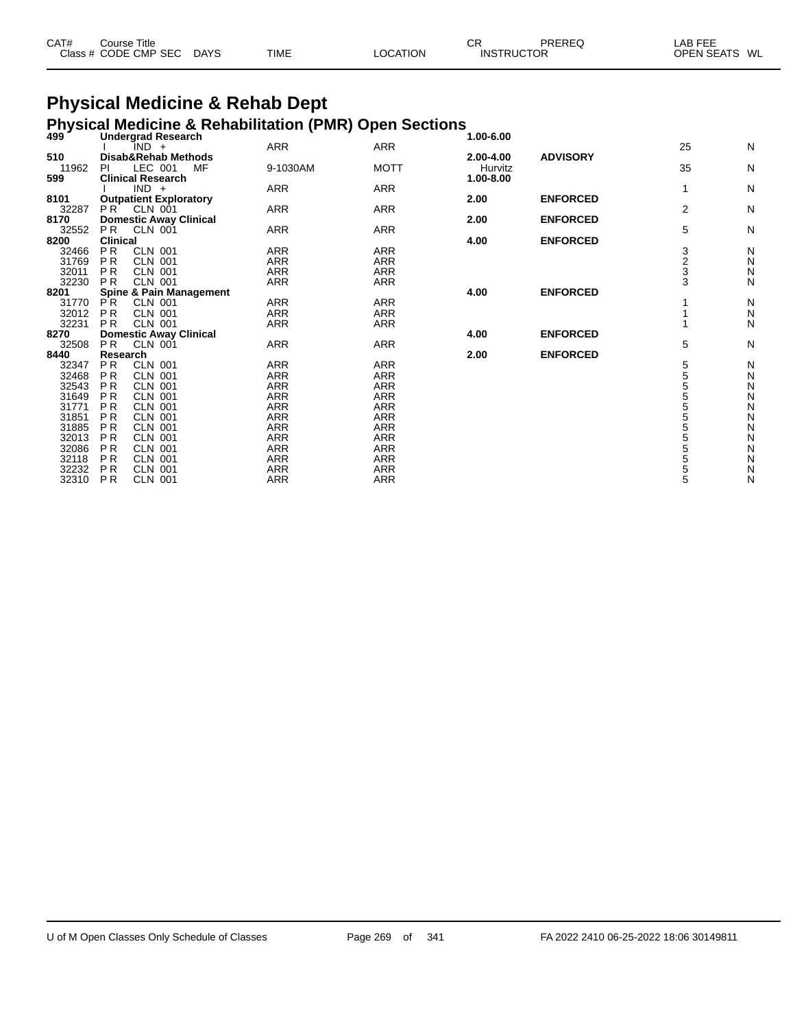| CAT# | Course Title              |      |                 | СR                | PREREQ | _AB FEE       |
|------|---------------------------|------|-----------------|-------------------|--------|---------------|
|      | Class # CODE CMP SEC DAYS | TIME | <b>LOCATION</b> | <b>INSTRUCTOR</b> |        | OPEN SEATS WL |

# **Physical Medicine & Rehab Dept**

### **Physical Medicine & Rehabilitation (PMR) Open Sections 499 Undergrad Research 1.00-6.00**

| 733   | Unuti yi au Ntotal Un<br>IND +   | <b>ARR</b> | <b>ARR</b>  | 1.00-0.00 |                 | 25          | N            |
|-------|----------------------------------|------------|-------------|-----------|-----------------|-------------|--------------|
| 510   | Disab&Rehab Methods              |            |             | 2.00-4.00 | <b>ADVISORY</b> |             |              |
| 11962 | LEC 001<br>PI<br>MF              | 9-1030AM   | <b>MOTT</b> | Hurvitz   |                 | 35          | N            |
| 599   | <b>Clinical Research</b>         |            |             | 1.00-8.00 |                 |             |              |
|       | $IND +$                          | ARR        | ARR         |           |                 |             | N            |
| 8101  | <b>Outpatient Exploratory</b>    |            |             | 2.00      | <b>ENFORCED</b> |             |              |
| 32287 | P <sub>R</sub><br>CLN 001        | <b>ARR</b> | <b>ARR</b>  |           |                 | 2           | N            |
| 8170  | <b>Domestic Away Clinical</b>    |            |             | 2.00      | <b>ENFORCED</b> |             |              |
| 32552 | <b>PR</b><br>CLN 001             | <b>ARR</b> | <b>ARR</b>  |           |                 | 5           | N            |
| 8200  | <b>Clinical</b>                  |            |             | 4.00      | <b>ENFORCED</b> |             |              |
| 32466 | P <sub>R</sub><br><b>CLN 001</b> | ARR        | <b>ARR</b>  |           |                 |             | N            |
| 31769 | PR.<br><b>CLN 001</b>            | ARR        | <b>ARR</b>  |           |                 | 3<br>2<br>3 | N            |
| 32011 | <b>PR</b><br><b>CLN 001</b>      | <b>ARR</b> | <b>ARR</b>  |           |                 |             | N            |
| 32230 | <b>CLN 001</b><br><b>PR</b>      | <b>ARR</b> | <b>ARR</b>  |           |                 | 3           | Ν            |
| 8201  | Spine & Pain Management          |            |             | 4.00      | <b>ENFORCED</b> |             |              |
| 31770 | <b>PR</b><br><b>CLN 001</b>      | <b>ARR</b> | <b>ARR</b>  |           |                 |             | N            |
| 32012 | <b>PR</b><br><b>CLN 001</b>      | <b>ARR</b> | <b>ARR</b>  |           |                 |             | N            |
| 32231 | CLN 001<br><b>PR</b>             | ARR        | <b>ARR</b>  |           |                 |             | N            |
| 8270  | <b>Domestic Away Clinical</b>    |            |             | 4.00      | <b>ENFORCED</b> |             |              |
| 32508 | PR.<br>CLN 001                   | <b>ARR</b> | <b>ARR</b>  |           |                 | 5           | N            |
| 8440  | Research                         |            |             | 2.00      | <b>ENFORCED</b> |             |              |
| 32347 | P <sub>R</sub><br><b>CLN 001</b> | <b>ARR</b> | <b>ARR</b>  |           |                 | 5           | N            |
| 32468 | PR.<br><b>CLN 001</b>            | <b>ARR</b> | <b>ARR</b>  |           |                 | 5           | N            |
| 32543 | P <sub>R</sub><br><b>CLN 001</b> | <b>ARR</b> | <b>ARR</b>  |           |                 | 5           | N            |
| 31649 | P R<br><b>CLN 001</b>            | ARR        | <b>ARR</b>  |           |                 | 5           | N            |
| 31771 | P <sub>R</sub><br><b>CLN 001</b> | <b>ARR</b> | <b>ARR</b>  |           |                 | 5           | N            |
| 31851 | P R<br><b>CLN 001</b>            | ARR        | <b>ARR</b>  |           |                 | 5           | $\mathsf{N}$ |
| 31885 | P R<br><b>CLN 001</b>            | <b>ARR</b> | <b>ARR</b>  |           |                 | 5           | $\mathsf{N}$ |
| 32013 | P <sub>R</sub><br><b>CLN 001</b> | <b>ARR</b> | <b>ARR</b>  |           |                 | 5           | $\mathsf{N}$ |
| 32086 | P <sub>R</sub><br><b>CLN 001</b> | <b>ARR</b> | <b>ARR</b>  |           |                 | 5           | N            |
| 32118 | P R<br><b>CLN 001</b>            | <b>ARR</b> | <b>ARR</b>  |           |                 | 5           | N            |
| 32232 | P <sub>R</sub><br><b>CLN 001</b> | <b>ARR</b> | <b>ARR</b>  |           |                 | 5           | N            |
| 32310 | P <sub>R</sub><br><b>CLN 001</b> | ARR        | <b>ARR</b>  |           |                 | 5           | N            |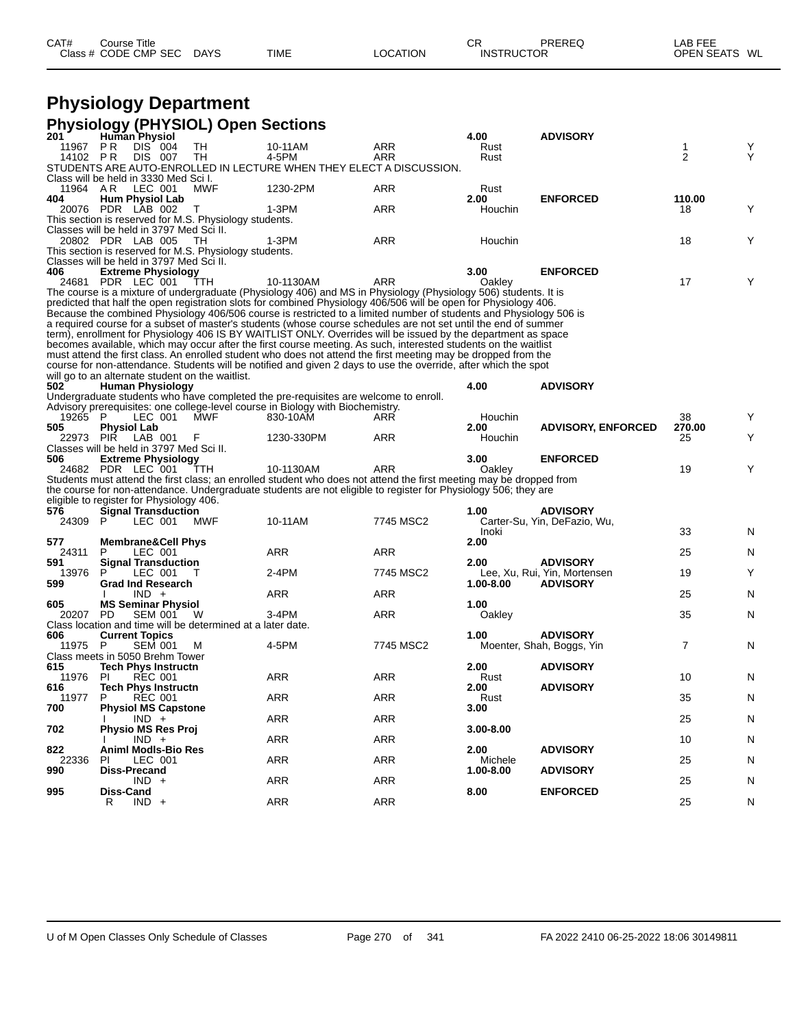| CAT# | Course Title         |             |             |          | СF                | PREREQ | LAB FEE       |
|------|----------------------|-------------|-------------|----------|-------------------|--------|---------------|
|      | Class # CODE CMP SEC | <b>DAYS</b> | <b>TIME</b> | LOCATION | <b>INSTRUCTOR</b> |        | OPEN SEATS WL |

## **Physiology Department**

|              | <b>Physiology (PHYSIOL) Open Sections</b>                                                          |     |                                                                                                                                                                                                                                        |            |              |                              |                |   |
|--------------|----------------------------------------------------------------------------------------------------|-----|----------------------------------------------------------------------------------------------------------------------------------------------------------------------------------------------------------------------------------------|------------|--------------|------------------------------|----------------|---|
| 201          | <b>Human Physiol</b>                                                                               |     |                                                                                                                                                                                                                                        |            | 4.00         | <b>ADVISORY</b>              |                |   |
| 11967 PR     | <b>DIS 004</b><br>TH                                                                               |     | 10-11AM                                                                                                                                                                                                                                | ARR        | Rust         |                              | 1              | Y |
| 14102 PR     | DIS 007<br>TH                                                                                      |     | 4-5PM<br>STUDENTS ARE AUTO-ENROLLED IN LECTURE WHEN THEY ELECT A DISCUSSION.                                                                                                                                                           | <b>ARR</b> | Rust         |                              | 2              | Y |
|              | Class will be held in 3330 Med Sci I.                                                              |     |                                                                                                                                                                                                                                        |            |              |                              |                |   |
| 11964 A R    | LEC 001                                                                                            | MWF | 1230-2PM                                                                                                                                                                                                                               | ARR        | Rust         |                              |                |   |
| 404          | <b>Hum Physiol Lab</b>                                                                             |     |                                                                                                                                                                                                                                        |            | 2.00         | <b>ENFORCED</b>              | 110.00         |   |
|              | 20076 PDR LAB 002<br>T                                                                             |     | $1-3PM$                                                                                                                                                                                                                                | <b>ARR</b> | Houchin      |                              | 18             | Υ |
|              | This section is reserved for M.S. Physiology students.                                             |     |                                                                                                                                                                                                                                        |            |              |                              |                |   |
|              | Classes will be held in 3797 Med Sci II.                                                           |     |                                                                                                                                                                                                                                        |            |              |                              |                |   |
|              | 20802 PDR LAB 005<br>- TH                                                                          |     | 1-3PM                                                                                                                                                                                                                                  | ARR        | Houchin      |                              | 18             | Υ |
|              | This section is reserved for M.S. Physiology students.<br>Classes will be held in 3797 Med Sci II. |     |                                                                                                                                                                                                                                        |            |              |                              |                |   |
| 406          | <b>Extreme Physiology</b>                                                                          |     |                                                                                                                                                                                                                                        |            | 3.00         | <b>ENFORCED</b>              |                |   |
|              | 24681 PDR LEC 001                                                                                  | TTH | 10-1130AM                                                                                                                                                                                                                              | ARR        | Oakley       |                              | 17             | Y |
|              |                                                                                                    |     | The course is a mixture of undergraduate (Physiology 406) and MS in Physiology (Physiology 506) students. It is                                                                                                                        |            |              |                              |                |   |
|              |                                                                                                    |     | predicted that half the open registration slots for combined Physiology 406/506 will be open for Physiology 406.                                                                                                                       |            |              |                              |                |   |
|              |                                                                                                    |     | Because the combined Physiology 406/506 course is restricted to a limited number of students and Physiology 506 is                                                                                                                     |            |              |                              |                |   |
|              |                                                                                                    |     | a required course for a subset of master's students (whose course schedules are not set until the end of summer<br>term), enrollment for Physiology 406 IS BY WAITLIST ONLY. Overrides will be issued by the department as space       |            |              |                              |                |   |
|              |                                                                                                    |     | becomes available, which may occur after the first course meeting. As such, interested students on the waitlist                                                                                                                        |            |              |                              |                |   |
|              |                                                                                                    |     | must attend the first class. An enrolled student who does not attend the first meeting may be dropped from the                                                                                                                         |            |              |                              |                |   |
|              |                                                                                                    |     | course for non-attendance. Students will be notified and given 2 days to use the override, after which the spot                                                                                                                        |            |              |                              |                |   |
|              | will go to an alternate student on the waitlist.                                                   |     |                                                                                                                                                                                                                                        |            |              |                              |                |   |
| 502          | <b>Human Physiology</b>                                                                            |     |                                                                                                                                                                                                                                        |            | 4.00         | <b>ADVISORY</b>              |                |   |
|              |                                                                                                    |     | Undergraduate students who have completed the pre-requisites are welcome to enroll.                                                                                                                                                    |            |              |                              |                |   |
| 19265 P      | LEC 001                                                                                            | MWF | Advisory prerequisites: one college-level course in Biology with Biochemistry.<br>830-10AM                                                                                                                                             | ARR        | Houchin      |                              | 38             | Y |
| 505          | <b>Physiol Lab</b>                                                                                 |     |                                                                                                                                                                                                                                        |            | 2.00         | <b>ADVISORY, ENFORCED</b>    | 270.00         |   |
|              | 22973 PIR LAB 001<br>F                                                                             |     | 1230-330PM                                                                                                                                                                                                                             | ARR        | Houchin      |                              | 25             | Y |
|              | Classes will be held in 3797 Med Sci II.                                                           |     |                                                                                                                                                                                                                                        |            |              |                              |                |   |
| 506          | <b>Extreme Physiology</b>                                                                          |     |                                                                                                                                                                                                                                        |            | 3.00         | <b>ENFORCED</b>              |                |   |
|              | 24682 PDR LEC 001                                                                                  | TTH | 10-1130AM                                                                                                                                                                                                                              | ARR        | Oakley       |                              | 19             | Y |
|              |                                                                                                    |     | Students must attend the first class; an enrolled student who does not attend the first meeting may be dropped from<br>the course for non-attendance. Undergraduate students are not eligible to register for Physiology 506; they are |            |              |                              |                |   |
|              | eligible to register for Physiology 406.                                                           |     |                                                                                                                                                                                                                                        |            |              |                              |                |   |
| 576          | <b>Signal Transduction</b>                                                                         |     |                                                                                                                                                                                                                                        |            | 1.00         | <b>ADVISORY</b>              |                |   |
| 24309        | - P<br>LEC 001                                                                                     | MWF | 10-11AM                                                                                                                                                                                                                                | 7745 MSC2  |              | Carter-Su, Yin, DeFazio, Wu, |                |   |
|              |                                                                                                    |     |                                                                                                                                                                                                                                        |            | Inoki        |                              | 33             | N |
| 577<br>24311 | <b>Membrane&amp;Cell Phys</b><br>LEC 001<br>P                                                      |     | ARR                                                                                                                                                                                                                                    | ARR        | 2.00         |                              | 25             | N |
| 591          | <b>Signal Transduction</b>                                                                         |     |                                                                                                                                                                                                                                        |            | 2.00         | <b>ADVISORY</b>              |                |   |
| 13976        | LEC 001<br>P<br>T                                                                                  |     | 2-4PM                                                                                                                                                                                                                                  | 7745 MSC2  |              | Lee, Xu, Rui, Yin, Mortensen | 19             | Y |
| 599          | <b>Grad Ind Research</b>                                                                           |     |                                                                                                                                                                                                                                        |            | 1.00-8.00    | <b>ADVISORY</b>              |                |   |
|              | $IND +$                                                                                            |     | <b>ARR</b>                                                                                                                                                                                                                             | ARR        |              |                              | 25             | N |
| 605          | <b>MS Seminar Physiol</b>                                                                          |     |                                                                                                                                                                                                                                        |            | 1.00         |                              |                |   |
| 20207 PD     | SEM 001<br>W                                                                                       |     | 3-4PM                                                                                                                                                                                                                                  | ARR        | Oakley       |                              | 35             | N |
| 606          | Class location and time will be determined at a later date.<br><b>Current Topics</b>               |     |                                                                                                                                                                                                                                        |            | 1.00         | <b>ADVISORY</b>              |                |   |
| 11975 P      | <b>SEM 001</b><br>м                                                                                |     | 4-5PM                                                                                                                                                                                                                                  | 7745 MSC2  |              | Moenter, Shah, Boggs, Yin    | $\overline{7}$ | N |
|              | Class meets in 5050 Brehm Tower                                                                    |     |                                                                                                                                                                                                                                        |            |              |                              |                |   |
| 615          | <b>Tech Phys Instructn</b>                                                                         |     |                                                                                                                                                                                                                                        |            | 2.00         | <b>ADVISORY</b>              |                |   |
| 11976        | <b>REC 001</b><br>PI                                                                               |     | ARR                                                                                                                                                                                                                                    | ARR        | Rust         |                              | 10             | N |
| 616          | <b>Tech Phys Instructn</b>                                                                         |     |                                                                                                                                                                                                                                        |            | 2.00         | <b>ADVISORY</b>              |                |   |
| 11977<br>700 | P<br>REC 001<br><b>Physiol MS Capstone</b>                                                         |     | ARR                                                                                                                                                                                                                                    | <b>ARR</b> | Rust<br>3.00 |                              | 35             | N |
|              | $IND +$                                                                                            |     | ARR                                                                                                                                                                                                                                    | ARR        |              |                              | 25             | N |
| 702          | Physio MS Res Proj                                                                                 |     |                                                                                                                                                                                                                                        |            | 3.00-8.00    |                              |                |   |
|              | $IND +$                                                                                            |     | ARR                                                                                                                                                                                                                                    | ARR        |              |                              | 10             | N |
| 822          | <b>Animi Modis-Bio Res</b>                                                                         |     |                                                                                                                                                                                                                                        |            | 2.00         | <b>ADVISORY</b>              |                |   |
| 22336        | LEC 001<br>PI.                                                                                     |     | ARR                                                                                                                                                                                                                                    | ARR        | Michele      |                              | 25             | N |
| 990          | Diss-Precand                                                                                       |     | ARR                                                                                                                                                                                                                                    | <b>ARR</b> | 1.00-8.00    | <b>ADVISORY</b>              |                |   |
| 995          | $IND +$<br>Diss-Cand                                                                               |     |                                                                                                                                                                                                                                        |            | 8.00         | <b>ENFORCED</b>              | 25             | N |
|              | $IND +$<br>R.                                                                                      |     | ARR                                                                                                                                                                                                                                    | ARR        |              |                              | 25             | N |
|              |                                                                                                    |     |                                                                                                                                                                                                                                        |            |              |                              |                |   |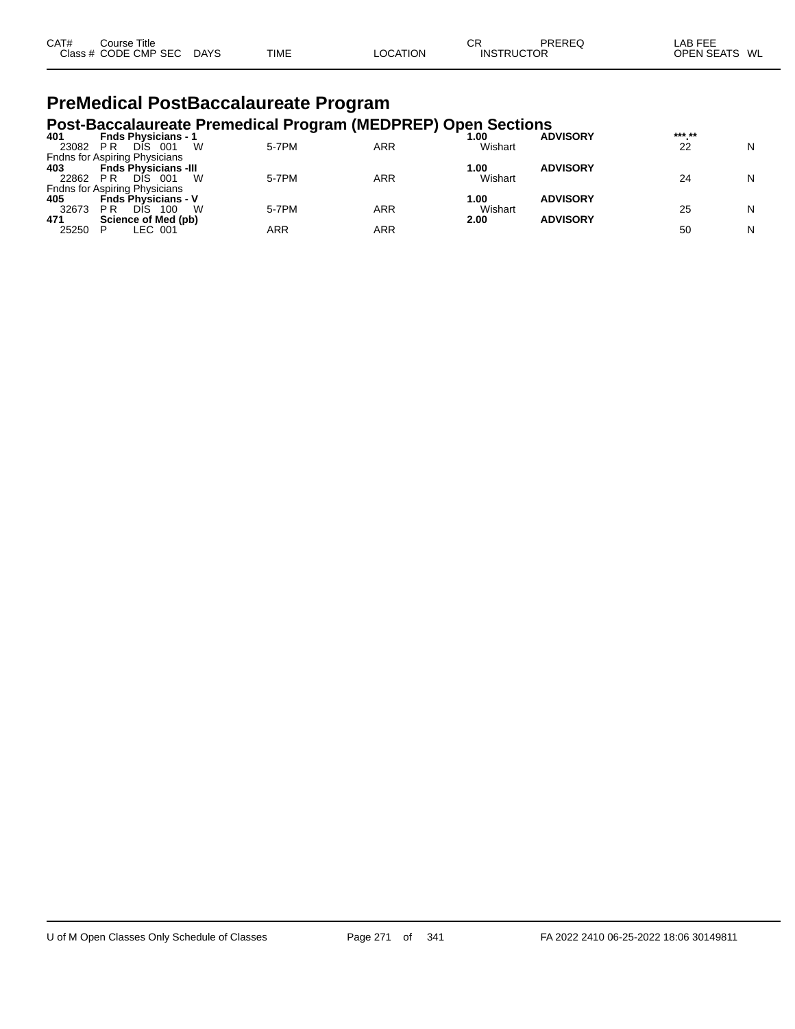| CAT# | ourse Titleٽ         |             |             |          | СR                | PREREQ | LAB FEE                 |
|------|----------------------|-------------|-------------|----------|-------------------|--------|-------------------------|
|      | Class # CODE CMP SEC | <b>DAYS</b> | <b>TIME</b> | LOCATION | <b>INSTRUCTOR</b> |        | <b>OPEN SEATS</b><br>WL |

### **PreMedical PostBaccalaureate Program**

### **Post-Baccalaureate Premedical Program (MEDPREP) Open Sections 401 Fnds Physicians - 1 1.00 ADVISORY \*\*\*.\*\***

| N |
|---|
|   |
|   |
| N |
|   |
|   |
| N |
|   |
| N |
|   |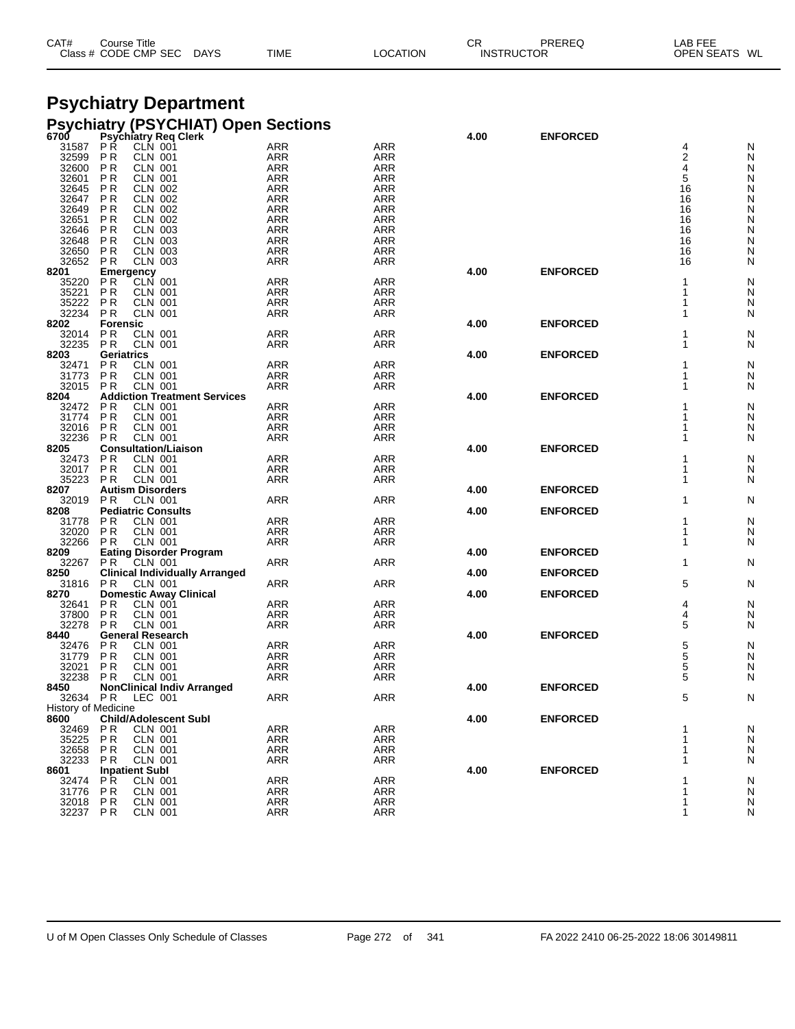| CAT# | Course Title         |             |             |          | СF                | PREREQ | LAB FEE                 |  |
|------|----------------------|-------------|-------------|----------|-------------------|--------|-------------------------|--|
|      | Class # CODE CMP SEC | <b>DAYS</b> | <b>TIME</b> | LOCATION | <b>INSTRUCTOR</b> |        | <b>OPEN SEATS</b><br>WL |  |
|      |                      |             |             |          |                   |        |                         |  |

#### **Psychiatry Department Psychiatry (PSYCHIAT) Open Sections**

| . ט<br>6700         |                             | $\frac{1}{2}$<br>opor<br><b>Psychiatry Req Clerk</b> |                          |                          | 4.00 | <b>ENFORCED</b> |             |               |
|---------------------|-----------------------------|------------------------------------------------------|--------------------------|--------------------------|------|-----------------|-------------|---------------|
| 31587               | РŔ                          | CLN 001                                              | <b>ARR</b>               | <b>ARR</b>               |      |                 | 4           | N             |
| 32599               | P <sub>R</sub>              | <b>CLN 001</b><br><b>CLN 001</b>                     | ARR                      | <b>ARR</b>               |      |                 | 2<br>4      | N             |
| 32600<br>32601      | ΡR<br>P R                   | <b>CLN 001</b>                                       | <b>ARR</b><br>ARR        | <b>ARR</b><br>ARR        |      |                 | 5           | N<br>N        |
| 32645               | ΡR                          | <b>CLN 002</b>                                       | ARR                      | <b>ARR</b>               |      |                 | 16          | N             |
| 32647               | ΡR                          | CLN 002                                              | <b>ARR</b>               | <b>ARR</b>               |      |                 | 16          | ${\sf N}$     |
| 32649               | ΡR                          | <b>CLN 002</b>                                       | ARR                      | ARR                      |      |                 | 16          | N             |
| 32651               | P R                         | <b>CLN 002</b>                                       | ARR                      | <b>ARR</b>               |      |                 | 16          | N             |
| 32646<br>32648      | ΡR<br>P <sub>R</sub>        | <b>CLN 003</b><br><b>CLN 003</b>                     | <b>ARR</b><br><b>ARR</b> | <b>ARR</b><br>ARR        |      |                 | 16<br>16    | ${\sf N}$     |
| 32650               | P <sub>R</sub>              | <b>CLN 003</b>                                       | <b>ARR</b>               | <b>ARR</b>               |      |                 | 16          | N<br>N        |
| 32652               | P <sub>R</sub>              | <b>CLN 003</b>                                       | <b>ARR</b>               | <b>ARR</b>               |      |                 | 16          | N             |
| 8201                | Emergency                   |                                                      |                          |                          | 4.00 | <b>ENFORCED</b> |             |               |
| 35220               | P <sub>R</sub>              | <b>CLN 001</b>                                       | <b>ARR</b>               | <b>ARR</b>               |      |                 |             | N             |
| 35221               | P R                         | CLN 001                                              | <b>ARR</b>               | <b>ARR</b>               |      |                 |             | N             |
| 35222<br>32234      | P <sub>R</sub><br><b>PR</b> | <b>CLN 001</b><br><b>CLN 001</b>                     | ARR<br><b>ARR</b>        | ARR<br><b>ARR</b>        |      |                 | 1           | N             |
| 8202                | <b>Forensic</b>             |                                                      |                          |                          | 4.00 | <b>ENFORCED</b> |             | N             |
| 32014               | P <sub>R</sub>              | <b>CLN 001</b>                                       | <b>ARR</b>               | <b>ARR</b>               |      |                 |             | N             |
| 32235               | <b>PR</b>                   | <b>CLN 001</b>                                       | <b>ARR</b>               | <b>ARR</b>               |      |                 |             | N             |
| 8203                | Geriatrics                  |                                                      |                          |                          | 4.00 | <b>ENFORCED</b> |             |               |
| 32471               | P <sub>R</sub>              | <b>CLN 001</b>                                       | <b>ARR</b>               | <b>ARR</b>               |      |                 |             | N             |
| 31773<br>32015      | P <sub>R</sub><br>P R       | <b>CLN 001</b><br><b>CLN 001</b>                     | <b>ARR</b><br><b>ARR</b> | <b>ARR</b><br><b>ARR</b> |      |                 |             | N<br>N        |
| 8204                |                             | <b>Addiction Treatment Services</b>                  |                          |                          | 4.00 | <b>ENFORCED</b> |             |               |
| 32472               | P <sub>R</sub>              | <b>CLN 001</b>                                       | <b>ARR</b>               | <b>ARR</b>               |      |                 |             | N             |
| 31774               | P R                         | <b>CLN 001</b>                                       | <b>ARR</b>               | <b>ARR</b>               |      |                 |             | N             |
| 32016               | P R                         | <b>CLN 001</b>                                       | <b>ARR</b>               | ARR                      |      |                 |             | N             |
| 32236               | <b>PR</b>                   | <b>CLN 001</b>                                       | <b>ARR</b>               | <b>ARR</b>               |      |                 |             | N             |
| 8205<br>32473       | P R                         | <b>Consultation/Liaison</b><br>CLN 001               | <b>ARR</b>               | <b>ARR</b>               | 4.00 | <b>ENFORCED</b> |             | N             |
| 32017               | P <sub>R</sub>              | <b>CLN 001</b>                                       | <b>ARR</b>               | <b>ARR</b>               |      |                 | 1           | N             |
| 35223               | P R                         | <b>CLN 001</b>                                       | <b>ARR</b>               | <b>ARR</b>               |      |                 | 1           | N             |
| 8207                |                             | <b>Autism Disorders</b>                              |                          |                          | 4.00 | <b>ENFORCED</b> |             |               |
| 32019               | <b>PR</b>                   | <b>CLN 001</b>                                       | <b>ARR</b>               | <b>ARR</b>               |      |                 | 1           | N             |
| 8208                |                             | <b>Pediatric Consults</b>                            |                          |                          | 4.00 | <b>ENFORCED</b> |             |               |
| 31778<br>32020      | P R<br>P <sub>R</sub>       | <b>CLN 001</b><br><b>CLN 001</b>                     | <b>ARR</b><br><b>ARR</b> | <b>ARR</b><br><b>ARR</b> |      |                 | 1<br>1      | N<br>N        |
| 32266               | P R                         | CLN 001                                              | <b>ARR</b>               | <b>ARR</b>               |      |                 | 1           | N             |
| 8209                |                             | <b>Eating Disorder Program</b>                       |                          |                          | 4.00 | <b>ENFORCED</b> |             |               |
| 32267               | PR.                         | CLN 001                                              | <b>ARR</b>               | <b>ARR</b>               |      |                 | 1           | N             |
| 8250                |                             | <b>Clinical Individually Arranged</b>                |                          |                          | 4.00 | <b>ENFORCED</b> |             |               |
| 31816               | P R                         | CLN 001                                              | <b>ARR</b>               | ARR                      | 4.00 |                 | 5           | N             |
| 8270<br>32641       | P R                         | <b>Domestic Away Clinical</b><br>CLN 001             | <b>ARR</b>               | ARR                      |      | <b>ENFORCED</b> | 4           | N             |
| 37800               | P <sub>R</sub>              | <b>CLN 001</b>                                       | ARR                      | ARR                      |      |                 | 4           | N             |
| 32278               | P <sub>R</sub>              | <b>CLN 001</b>                                       | <b>ARR</b>               | <b>ARR</b>               |      |                 | 5           | N             |
| 8440                |                             | <b>General Research</b>                              |                          |                          | 4.00 | <b>ENFORCED</b> |             |               |
| 32476               | P R                         | CLN 001                                              | ARR                      | <b>ARR</b>               |      |                 | 5<br>5<br>5 | N             |
| 31779<br>32021      | P <sub>R</sub><br>P R       | <b>CLN 001</b><br>CLN 001                            | <b>ARR</b><br><b>ARR</b> | ARR<br><b>ARR</b>        |      |                 |             | N<br>N        |
| 32238               | P R                         | <b>CLN 001</b>                                       | ARR                      | ARR                      |      |                 | 5           | N             |
| 8450                |                             | <b>NonClinical Indiv Arranged</b>                    |                          |                          | 4.00 | <b>ENFORCED</b> |             |               |
| 32634               | P R                         | LEC 001                                              | <b>ARR</b>               | <b>ARR</b>               |      |                 | 5           | N             |
| History of Medicine |                             |                                                      |                          |                          |      |                 |             |               |
| 8600                |                             | <b>Child/Adolescent Subl</b>                         |                          |                          | 4.00 | <b>ENFORCED</b> |             |               |
| 32469<br>35225      | P R<br>P R                  | CLN 001<br><b>CLN 001</b>                            | <b>ARR</b><br>ARR        | <b>ARR</b><br>ARR        |      |                 |             | $\frac{N}{N}$ |
| 32658               | P R                         | <b>CLN 001</b>                                       | <b>ARR</b>               | ARR                      |      |                 |             | N             |
| 32233               | P R                         | CLN 001                                              | ARR                      | <b>ARR</b>               |      |                 | 1           | N             |
| 8601                |                             | <b>Inpatient Subl</b>                                |                          |                          | 4.00 | <b>ENFORCED</b> |             |               |
| 32474               | <b>PR</b>                   | <b>CLN 001</b>                                       | <b>ARR</b>               | <b>ARR</b>               |      |                 |             | N             |
| 31776               | P R                         | CLN 001                                              | ARR                      | ARR                      |      |                 | 1           | N             |
| 32018               | PR                          | <b>CLN 001</b>                                       | ARR                      | ARR                      |      |                 | 1           | N             |
| 32237 PR            |                             | <b>CLN 001</b>                                       | <b>ARR</b>               | ARR                      |      |                 | 1           | N             |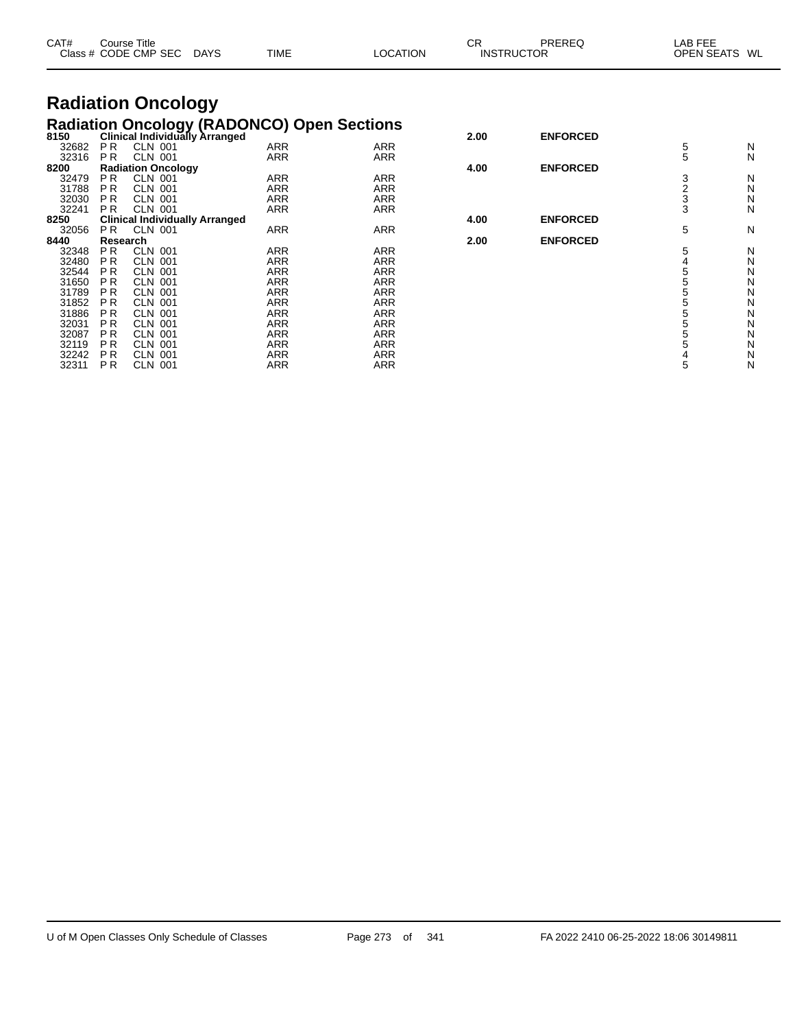| CAT#<br>Course Title<br>Class # CODE CMP SEC DAYS<br>TIME                         |         | <b>LOCATION</b> | СR         | PREREQ<br><b>INSTRUCTOR</b> | LAB FEE<br>OPEN SEATS WL                    |  |   |
|-----------------------------------------------------------------------------------|---------|-----------------|------------|-----------------------------|---------------------------------------------|--|---|
| <b>Radiation Oncology</b>                                                         |         |                 |            |                             |                                             |  |   |
|                                                                                   |         |                 |            |                             |                                             |  |   |
| Radiation Oncology (RADONCO) Open Sections<br>8150 Clinical Individually Arranged |         |                 |            | 2.00                        | <b>ENFORCED</b>                             |  |   |
| 32682<br>PR.                                                                      | CLN 001 | <b>ARR</b>      | <b>ARR</b> |                             |                                             |  | N |
| 32316 PR                                                                          | CLN 001 | ARR             | ARR        |                             |                                             |  | N |
| <br>- - - - -                                                                     |         |                 |            | $\overline{a}$              | $P$ . I $P$ $\land$ $P$ $\land$ $P$ $\land$ |  |   |

| <b>ULU 1 U</b> | $\mathbf{1}$   | ULIV UU I                             | <i>FWW</i> | <i>FWW</i> |      |                 | ັ | . . |
|----------------|----------------|---------------------------------------|------------|------------|------|-----------------|---|-----|
| 8200           |                | <b>Radiation Oncology</b>             |            |            | 4.00 | <b>ENFORCED</b> |   |     |
| 32479          | P <sub>R</sub> | <b>CLN 001</b>                        | ARR        | ARR        |      |                 |   | N   |
| 31788          | P R            | <b>CLN</b><br>-001                    | ARR        | ARR        |      |                 |   | N   |
| 32030          | P <sub>R</sub> | <b>CLN 001</b>                        | ARR        | ARR        |      |                 |   | N   |
| 32241          | P <sub>R</sub> | <b>CLN 001</b>                        | <b>ARR</b> | <b>ARR</b> |      |                 | 3 | N   |
| 8250           |                | <b>Clinical Individually Arranged</b> |            |            | 4.00 | <b>ENFORCED</b> |   |     |
| 32056          | PR.            | <b>CLN 001</b>                        | ARR        | <b>ARR</b> |      |                 | 5 | N   |
| 8440           | Research       |                                       |            |            | 2.00 | <b>ENFORCED</b> |   |     |
| 32348          | P <sub>R</sub> | <b>CLN 001</b>                        | ARR        | ARR        |      |                 |   | N   |
| 32480          | P R            | <b>CLN 001</b>                        | ARR        | ARR        |      |                 |   | Ν   |
| 32544          | <b>PR</b>      | <b>CLN 001</b>                        | ARR        | ARR        |      |                 |   | N   |
| 31650          | <b>PR</b>      | CLN 001                               | <b>ARR</b> | ARR        |      |                 |   | N   |
| 31789          | P <sub>R</sub> | <b>CLN 001</b>                        | ARR        | ARR        |      |                 |   | N   |
| 31852          | <b>PR</b>      | <b>CLN 001</b>                        | ARR        | ARR        |      |                 |   | N   |
| 31886          | <b>PR</b>      | <b>CLN 001</b>                        | ARR        | ARR        |      |                 |   | N   |
| 32031          | P R            | CLN 001                               | ARR        | ARR        |      |                 |   | N   |
| 32087          | <b>PR</b>      | <b>CLN 001</b>                        | ARR        | ARR        |      |                 |   | N   |
| 32119          | <b>PR</b>      | <b>CLN 001</b>                        | ARR        | <b>ARR</b> |      |                 |   | N   |
| 32242          | <b>PR</b>      | <b>CLN 001</b>                        | ARR        | ARR        |      |                 |   | N   |
| 32311          | <b>PR</b>      | <b>CLN 001</b>                        | ARR        | ARR        |      |                 |   | N   |
|                |                |                                       |            |            |      |                 |   |     |

| 4.00 | <b>ENFORCED</b> | 5<br>5       |
|------|-----------------|--------------|
|      |                 | 3            |
| 4.00 | <b>ENFORCED</b> | $rac{2}{3}$  |
| 2.00 | <b>ENFORCED</b> | 5            |
|      |                 | 5            |
|      |                 | 455555       |
|      |                 | $\mathbf{r}$ |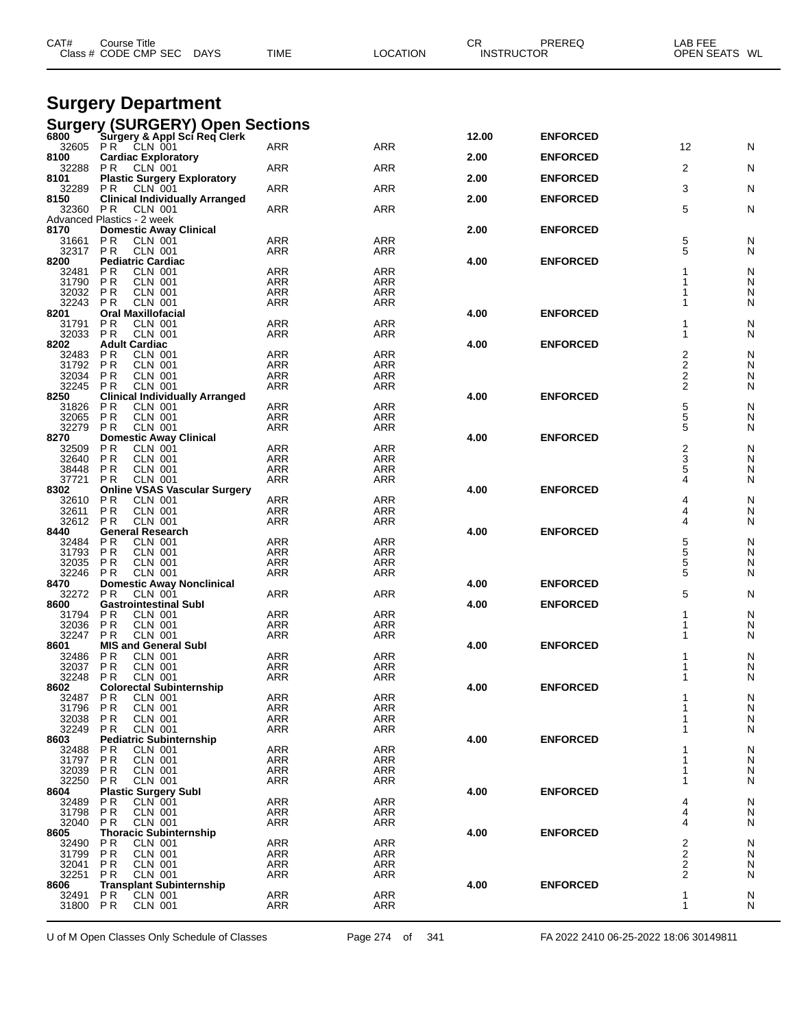| CAT#                 | Course Title<br>Class # CODE CMP SEC<br><b>DAYS</b>             | <b>TIME</b>              | <b>LOCATION</b>          | CR.<br>PREREQ<br><b>INSTRUCTOR</b> |                 | LAB FEE<br>OPEN SEATS WL |        |
|----------------------|-----------------------------------------------------------------|--------------------------|--------------------------|------------------------------------|-----------------|--------------------------|--------|
|                      | <b>Surgery Department</b>                                       |                          |                          |                                    |                 |                          |        |
|                      | <b>Surgery (SURGERY) Open Sections</b>                          |                          |                          |                                    |                 |                          |        |
| 6800                 | Surgery & Appl Sci Req Clerk<br>32605 PR CLN 001                | <b>ARR</b>               | ARR                      | 12.00                              | <b>ENFORCED</b> | 12                       | N      |
| 8100                 | <b>Cardiac Exploratory</b>                                      |                          |                          | 2.00                               | <b>ENFORCED</b> |                          |        |
| 32288<br>8101        | CLN 001<br>P R<br><b>Plastic Surgery Exploratory</b>            | ARR                      | ARR                      | 2.00                               | <b>ENFORCED</b> | 2                        | N      |
| 32289                | P R<br>CLN 001                                                  | ARR                      | ARR                      |                                    |                 | 3                        | N      |
| 8150<br>32360 PR     | <b>Clinical Individually Arranged</b><br><b>CLN 001</b>         | <b>ARR</b>               | <b>ARR</b>               | 2.00                               | <b>ENFORCED</b> | 5                        | N      |
| 8170                 | Advanced Plastics - 2 week<br><b>Domestic Away Clinical</b>     |                          |                          | 2.00                               | <b>ENFORCED</b> |                          |        |
| 31661                | P R<br><b>CLN 001</b>                                           | <b>ARR</b>               | <b>ARR</b>               |                                    |                 | 5                        | N      |
| 32317<br>8200        | P <sub>R</sub><br><b>CLN 001</b><br><b>Pediatric Cardiac</b>    | ARR                      | ARR                      | 4.00                               | <b>ENFORCED</b> | 5                        | N      |
| 32481<br>31790       | P R<br>CLN 001<br>P <sub>R</sub><br><b>CLN 001</b>              | <b>ARR</b><br><b>ARR</b> | <b>ARR</b><br>ARR        |                                    |                 |                          | N<br>N |
| 32032 PR             | CLN 001                                                         | <b>ARR</b>               | ARR                      |                                    |                 |                          | N      |
| 32243<br>8201        | <b>PR</b><br>CLN 001<br><b>Oral Maxillofacial</b>               | ARR                      | <b>ARR</b>               | 4.00                               | <b>ENFORCED</b> |                          | N      |
| 31791<br>32033       | <b>PR</b><br><b>CLN 001</b><br>P <sub>R</sub><br><b>CLN 001</b> | ARR<br>ARR               | <b>ARR</b><br><b>ARR</b> |                                    |                 | 1                        | N<br>N |
| 8202                 | <b>Adult Cardiac</b>                                            |                          |                          | 4.00                               | <b>ENFORCED</b> |                          |        |
| 32483<br>31792       | P R<br>CLN 001<br>P <sub>R</sub><br>CLN 001                     | <b>ARR</b><br><b>ARR</b> | <b>ARR</b><br><b>ARR</b> |                                    |                 | 2<br>2                   | N<br>N |
| 32034                | P <sub>R</sub><br>CLN 001                                       | <b>ARR</b>               | ARR                      |                                    |                 | 2                        | N      |
| 32245<br>8250        | P R<br><b>CLN 001</b><br><b>Clinical Individually Arranged</b>  | <b>ARR</b>               | ARR                      | 4.00                               | <b>ENFORCED</b> | 2                        | N      |
| 31826<br>32065       | P R<br>CLN 001<br><b>PR</b><br><b>CLN 001</b>                   | ARR<br><b>ARR</b>        | ARR<br>ARR               |                                    |                 | 5<br>5                   | N<br>N |
| 32279                | <b>PR</b><br><b>CLN 001</b>                                     | ARR                      | <b>ARR</b>               |                                    |                 | 5                        | N      |
| 8270<br>32509        | <b>Domestic Away Clinical</b><br>P R<br><b>CLN 001</b>          | ARR                      | <b>ARR</b>               | 4.00                               | <b>ENFORCED</b> | 2                        | N      |
| 32640<br>38448       | P <sub>R</sub><br><b>CLN 001</b><br>P <sub>R</sub><br>CLN 001   | <b>ARR</b><br><b>ARR</b> | <b>ARR</b><br>ARR        |                                    |                 | 3<br>5                   | N<br>N |
| 37721                | P R<br><b>CLN 001</b>                                           | ARR                      | ARR                      |                                    |                 | 4                        | N      |
| 8302<br>32610        | <b>Online VSAS Vascular Surgery</b><br><b>CLN 001</b><br>P R    | ARR                      | ARR                      | 4.00                               | <b>ENFORCED</b> | 4                        | N      |
| 32611<br>32612       | P <sub>R</sub><br><b>CLN 001</b><br>PR<br>CLN 001               | <b>ARR</b><br>ARR        | ARR<br><b>ARR</b>        |                                    |                 | 4<br>4                   | N<br>N |
| 8440                 | <b>General Research</b>                                         |                          |                          | 4.00                               | <b>ENFORCED</b> |                          |        |
| 32484<br>31793       | P R<br><b>CLN 001</b><br>P <sub>R</sub><br>CLN 001              | <b>ARR</b><br><b>ARR</b> | <b>ARR</b><br><b>ARR</b> |                                    |                 | 5<br>5                   | N<br>N |
| 32035                | P R<br><b>CLN 001</b>                                           | ARR                      | ARR                      |                                    |                 | 5                        | N      |
| 32246<br>8470        | P R<br>CLN 001<br><b>Domestic Away Nonclinical</b>              | ARR                      | ARR                      | 4.00                               | <b>ENFORCED</b> | 5                        | N      |
| 32272<br>8600        | P R<br>CLN 001<br><b>Gastrointestinal Subl</b>                  | ARR                      | ARR                      | 4.00                               | <b>ENFORCED</b> | 5                        | N      |
| 31794                | P R<br>CLN 001                                                  | <b>ARR</b>               | ARR                      |                                    |                 | 1                        | N      |
| 32036 PR<br>32247 PR | CLN 001<br>CLN 001                                              | ARR<br>ARR               | ARR<br>ARR               |                                    |                 | 1<br>1                   | N<br>N |
| 8601<br>32486        | <b>MIS and General Subl</b><br><b>CLN 001</b><br>P R            | ARR                      | <b>ARR</b>               | 4.00                               | <b>ENFORCED</b> |                          | N      |
| 32037 PR             | <b>CLN 001</b>                                                  | ARR                      | ARR                      |                                    |                 |                          | N      |
| 32248<br>8602        | <b>CLN 001</b><br>PR.<br><b>Colorectal Subinternship</b>        | ARR                      | ARR                      | 4.00                               | <b>ENFORCED</b> |                          | N      |
| 32487<br>31796       | P R<br><b>CLN 001</b><br><b>PR</b><br><b>CLN 001</b>            | ARR<br><b>ARR</b>        | ARR<br><b>ARR</b>        |                                    |                 |                          | N<br>N |
| 32038                | <b>CLN 001</b><br>P R                                           | ARR                      | ARR                      |                                    |                 |                          | N      |
| 32249<br>8603        | <b>CLN 001</b><br>P R<br><b>Pediatric Subinternship</b>         | ARR                      | ARR                      | 4.00                               | <b>ENFORCED</b> |                          | N      |
| 32488                | P R<br>CLN 001                                                  | ARR                      | <b>ARR</b>               |                                    |                 |                          | N      |
| 31797 PR<br>32039 PR | <b>CLN 001</b><br><b>CLN 001</b>                                | ARR<br><b>ARR</b>        | ARR<br>ARR               |                                    |                 |                          | N<br>N |
| 32250<br>8604        | P R<br>CLN 001<br><b>Plastic Surgery Subl</b>                   | ARR                      | ARR                      | 4.00                               | <b>ENFORCED</b> | 1                        | N      |
| 32489 PR             | <b>CLN 001</b>                                                  | <b>ARR</b>               | <b>ARR</b>               |                                    |                 | 4                        | N      |
| 31798<br>32040       | <b>PR</b><br>CLN 001<br>PR.<br><b>CLN 001</b>                   | ARR<br>ARR               | ARR<br>ARR               |                                    |                 | 4<br>4                   | N<br>N |
| 8605<br>32490        | <b>Thoracic Subinternship</b><br>P R<br>CLN 001                 | ARR                      | <b>ARR</b>               | 4.00                               | <b>ENFORCED</b> | 2                        | N      |
| 31799                | PR<br><b>CLN 001</b>                                            | ARR                      | ARR                      |                                    |                 | 2                        | N      |
| 32041<br>32251       | <b>PR</b><br><b>CLN 001</b><br><b>CLN 001</b><br>P R            | <b>ARR</b><br>ARR        | ARR<br>ARR               |                                    |                 | 2<br>2                   | N<br>N |
| 8606                 | <b>Transplant Subinternship</b>                                 |                          |                          | 4.00                               | <b>ENFORCED</b> |                          |        |
| 32491 PR<br>31800 PR | <b>CLN 001</b><br>CLN 001                                       | <b>ARR</b><br>ARR        | <b>ARR</b><br>ARR        |                                    |                 | 1<br>1                   | N<br>N |
|                      |                                                                 |                          |                          |                                    |                 |                          |        |

U of M Open Classes Only Schedule of Classes Page 274 of 341 FA 2022 2410 06-25-2022 18:06 30149811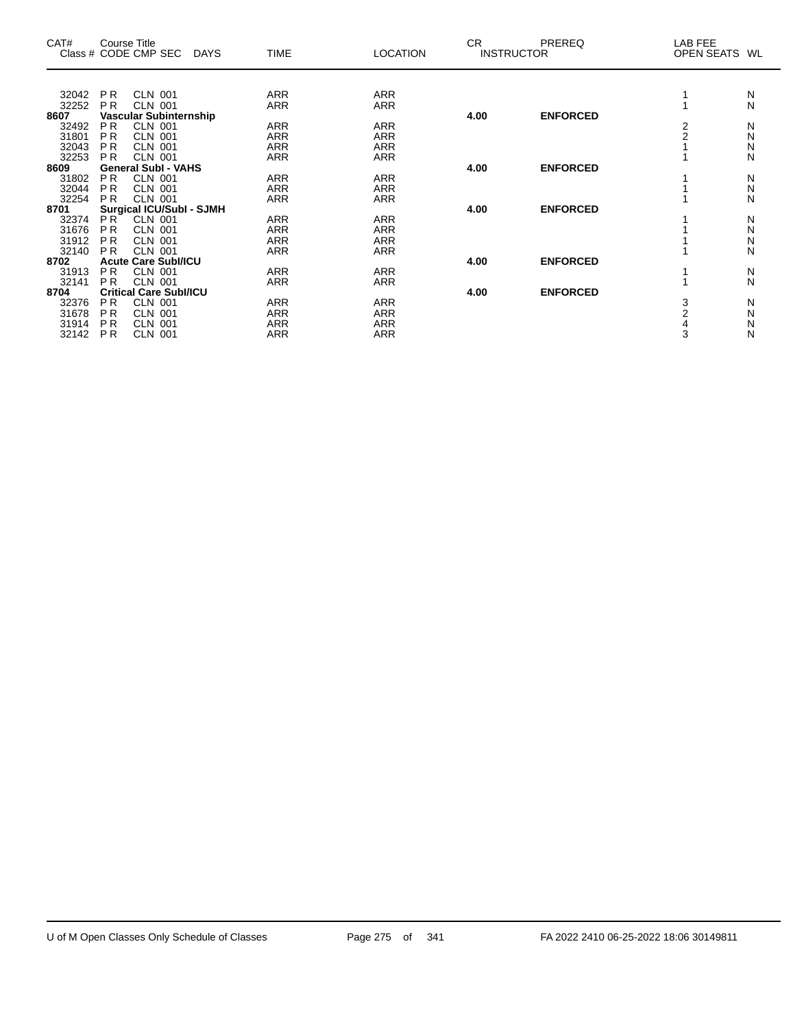| CAT#  |                | Course Title<br>Class # CODE CMP SEC | <b>DAYS</b> | <b>TIME</b> | <b>LOCATION</b> | <b>CR</b> | PREREQ<br><b>INSTRUCTOR</b> | LAB FEE<br>OPEN SEATS WL |              |
|-------|----------------|--------------------------------------|-------------|-------------|-----------------|-----------|-----------------------------|--------------------------|--------------|
|       |                |                                      |             |             |                 |           |                             |                          |              |
| 32042 | <b>PR</b>      | <b>CLN 001</b>                       |             | ARR         | <b>ARR</b>      |           |                             |                          | N            |
| 32252 | <b>PR</b>      | <b>CLN 001</b>                       |             | <b>ARR</b>  | <b>ARR</b>      |           |                             |                          | N            |
| 8607  |                | Vascular Subinternship               |             |             |                 | 4.00      | <b>ENFORCED</b>             |                          |              |
| 32492 | PR.            | <b>CLN 001</b>                       |             | ARR         | <b>ARR</b>      |           |                             |                          | N            |
| 31801 | PR.            | <b>CLN 001</b>                       |             | ARR         | ARR             |           |                             |                          | N            |
| 32043 | P <sub>R</sub> | CLN 001                              |             | ARR         | <b>ARR</b>      |           |                             |                          | N            |
| 32253 | <b>PR</b>      | <b>CLN 001</b>                       |             | <b>ARR</b>  | ARR             |           |                             |                          | $\mathsf{N}$ |
| 8609  |                | <b>General Subl - VAHS</b>           |             |             |                 | 4.00      | <b>ENFORCED</b>             |                          |              |
| 31802 | PR.            | <b>CLN 001</b>                       |             | <b>ARR</b>  | <b>ARR</b>      |           |                             |                          | N            |
| 32044 | <b>PR</b>      | <b>CLN 001</b>                       |             | <b>ARR</b>  | <b>ARR</b>      |           |                             |                          | N            |
| 32254 | <b>PR</b>      | <b>CLN 001</b>                       |             | <b>ARR</b>  | <b>ARR</b>      |           |                             |                          | $\mathsf{N}$ |
| 8701  |                | <b>Surgical ICU/SubI - SJMH</b>      |             |             |                 | 4.00      | <b>ENFORCED</b>             |                          |              |
| 32374 | PR.            | <b>CLN 001</b>                       |             | <b>ARR</b>  | <b>ARR</b>      |           |                             |                          | N            |
| 31676 | P <sub>R</sub> | <b>CLN 001</b>                       |             | <b>ARR</b>  | <b>ARR</b>      |           |                             |                          | N            |
| 31912 | PR.            | <b>CLN</b><br>001                    |             | <b>ARR</b>  | <b>ARR</b>      |           |                             |                          | N            |
| 32140 | P <sub>R</sub> | <b>CLN 001</b>                       |             | <b>ARR</b>  | ARR             |           |                             |                          | N            |
| 8702  |                | <b>Acute Care Subl/ICU</b>           |             |             |                 | 4.00      | <b>ENFORCED</b>             |                          |              |
| 31913 | PR.            | <b>CLN 001</b>                       |             | <b>ARR</b>  | <b>ARR</b>      |           |                             |                          | N            |
| 32141 | <b>PR</b>      | <b>CLN 001</b>                       |             | <b>ARR</b>  | <b>ARR</b>      |           |                             |                          | N            |
| 8704  |                | <b>Critical Care Subl/ICU</b>        |             |             |                 | 4.00      | <b>ENFORCED</b>             |                          |              |
| 32376 | <b>PR</b>      | <b>CLN 001</b>                       |             | <b>ARR</b>  | <b>ARR</b>      |           |                             | 3                        | N            |
| 31678 | PR.            | <b>CLN 001</b>                       |             | ARR         | <b>ARR</b>      |           |                             |                          | N            |
| 31914 | P <sub>R</sub> | <b>CLN 001</b>                       |             | ARR         | <b>ARR</b>      |           |                             |                          | N            |
| 32142 | P <sub>R</sub> | <b>CLN 001</b>                       |             | ARR         | ARR             |           |                             | З                        | N            |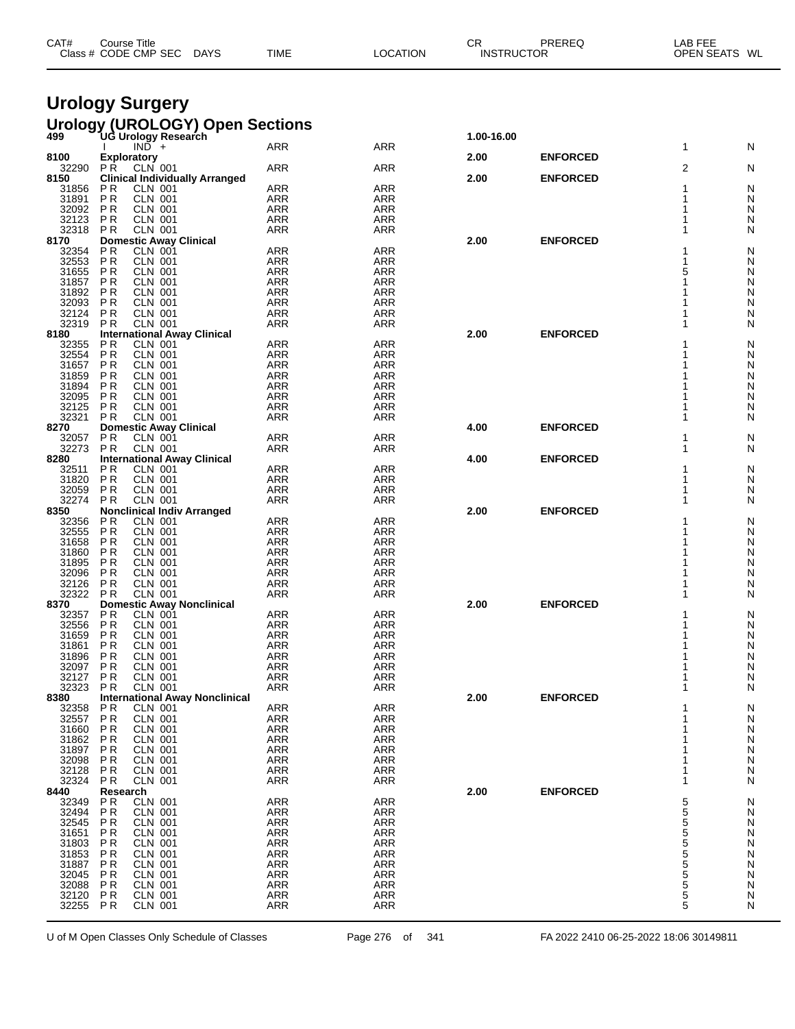| CAT# | Course Title<br>Class # CODE CMP SEC | <b>DAYS</b> | <b>TIME</b> | LOCATION | СF<br><b>INSTRUCTOR</b> | PREREQ | LAB FEE<br>OPEN SEATS WL |  |
|------|--------------------------------------|-------------|-------------|----------|-------------------------|--------|--------------------------|--|
|      |                                      |             |             |          |                         |        |                          |  |

#### **Urology Surgery**

### **Urology (UROLOGY) Open Sections 499 UG Urology Research 1.00-16.00**

| 499                     | uu urulugy Researchi                  |            |            | 1.00-10.00 |                 |   |   |
|-------------------------|---------------------------------------|------------|------------|------------|-----------------|---|---|
|                         | $IND +$                               | <b>ARR</b> | <b>ARR</b> |            |                 | 1 | N |
| 8100                    | <b>Exploratory</b>                    |            |            | 2.00       | <b>ENFORCED</b> |   |   |
| 32290                   | <b>PR</b><br><b>CLN 001</b>           | <b>ARR</b> | <b>ARR</b> |            |                 | 2 | Ν |
| 8150                    | <b>Clinical Individually Arranged</b> |            |            | 2.00       | <b>ENFORCED</b> |   |   |
| 31856                   | ΡR<br><b>CLN 001</b>                  | <b>ARR</b> | <b>ARR</b> |            |                 |   | N |
| 31891                   | P <sub>R</sub><br><b>CLN 001</b>      | <b>ARR</b> | <b>ARR</b> |            |                 |   | Ν |
| 32092                   | <b>PR</b><br>CLN 001                  | <b>ARR</b> | <b>ARR</b> |            |                 |   | N |
|                         |                                       |            |            |            |                 |   |   |
| 32123                   | ΡR<br><b>CLN 001</b>                  | <b>ARR</b> | <b>ARR</b> |            |                 |   | Ν |
| 32318                   | P <sub>R</sub><br><b>CLN 001</b>      | <b>ARR</b> | <b>ARR</b> |            |                 |   | N |
| 8170                    | <b>Domestic Away Clinical</b>         |            |            | 2.00       | <b>ENFORCED</b> |   |   |
| 32354                   | ΡR<br><b>CLN 001</b>                  | <b>ARR</b> | <b>ARR</b> |            |                 |   | N |
| 32553                   | P <sub>R</sub><br><b>CLN 001</b>      | <b>ARR</b> | <b>ARR</b> |            |                 |   | Ν |
| 31655                   | P <sub>R</sub><br><b>CLN 001</b>      | <b>ARR</b> | <b>ARR</b> |            |                 | 5 | N |
|                         |                                       |            |            |            |                 |   |   |
| 31857                   | ΡR<br><b>CLN 001</b>                  | <b>ARR</b> | <b>ARR</b> |            |                 |   | N |
| 31892                   | ΡR<br><b>CLN 001</b>                  | ARR        | <b>ARR</b> |            |                 |   | N |
| 32093                   | <b>PR</b><br>CLN 001                  | <b>ARR</b> | <b>ARR</b> |            |                 |   | N |
| 32124                   | ΡR<br><b>CLN 001</b>                  | <b>ARR</b> | <b>ARR</b> |            |                 |   | Ν |
| 32319                   | P <sub>R</sub><br><b>CLN 001</b>      | <b>ARR</b> | <b>ARR</b> |            |                 |   | N |
|                         |                                       |            |            |            |                 |   |   |
| 8180                    | <b>International Away Clinical</b>    |            |            | 2.00       | <b>ENFORCED</b> |   |   |
| 32355                   | P <sub>R</sub><br><b>CLN 001</b>      | <b>ARR</b> | <b>ARR</b> |            |                 |   | N |
| 32554                   | <b>PR</b><br><b>CLN 001</b>           | ARR        | <b>ARR</b> |            |                 |   | Ν |
| 31657                   | P R<br>CLN 001                        | <b>ARR</b> | <b>ARR</b> |            |                 |   | N |
| 31859                   | ΡR<br><b>CLN 001</b>                  | ARR        | <b>ARR</b> |            |                 |   | N |
|                         |                                       |            |            |            |                 |   |   |
| 31894                   | ΡR<br><b>CLN 001</b>                  | ARR        | ARR        |            |                 |   | N |
| 32095                   | P R<br><b>CLN 001</b>                 | <b>ARR</b> | <b>ARR</b> |            |                 |   | N |
| 32125                   | P R<br><b>CLN 001</b>                 | <b>ARR</b> | <b>ARR</b> |            |                 |   | N |
| 32321                   | <b>PR</b><br><b>CLN 001</b>           | ARR        | <b>ARR</b> |            |                 | 1 | N |
| 8270                    | <b>Domestic Away Clinical</b>         |            |            | 4.00       | <b>ENFORCED</b> |   |   |
|                         |                                       |            |            |            |                 |   |   |
| 32057                   | P <sub>R</sub><br><b>CLN 001</b>      | <b>ARR</b> | <b>ARR</b> |            |                 | 1 | N |
| 32273                   | <b>PR</b><br><b>CLN 001</b>           | ARR        | ARR        |            |                 | 1 | N |
| 8280                    | <b>International Away Clinical</b>    |            |            | 4.00       | <b>ENFORCED</b> |   |   |
| 32511                   | ΡR<br><b>CLN 001</b>                  | <b>ARR</b> | <b>ARR</b> |            |                 | 1 | N |
| 31820                   | P <sub>R</sub><br><b>CLN 001</b>      | ARR        | ARR        |            |                 | 1 | N |
| 32059                   | <b>CLN 001</b><br>P R                 | <b>ARR</b> | <b>ARR</b> |            |                 | 1 | N |
|                         |                                       |            |            |            |                 |   |   |
| 32274                   | <b>CLN 001</b><br><b>PR</b>           | <b>ARR</b> | <b>ARR</b> |            |                 |   | N |
| 8350                    | <b>Nonclinical Indiv Arranged</b>     |            |            | 2.00       | <b>ENFORCED</b> |   |   |
| 32356                   | P R<br>CLN 001                        | <b>ARR</b> | <b>ARR</b> |            |                 | 1 | N |
| 32555                   | <b>CLN 001</b><br>P R                 | ARR        | <b>ARR</b> |            |                 |   | N |
| 31658                   | ΡR<br><b>CLN 001</b>                  | ARR        | ARR        |            |                 |   | N |
| 31860                   |                                       | ARR        | <b>ARR</b> |            |                 |   | N |
|                         | P R<br>CLN 001                        |            |            |            |                 |   |   |
| 31895                   | ΡR<br><b>CLN 001</b>                  | ARR        | <b>ARR</b> |            |                 |   | N |
| 32096                   | P <sub>R</sub><br><b>CLN 001</b>      | ARR        | ARR        |            |                 |   | N |
| 32126                   | <b>PR</b><br><b>CLN 001</b>           | <b>ARR</b> | <b>ARR</b> |            |                 |   | N |
| 32322                   | <b>CLN 001</b><br><b>PR</b>           | ARR        | <b>ARR</b> |            |                 |   | N |
| 8370                    | <b>Domestic Away Nonclinical</b>      |            |            | 2.00       | <b>ENFORCED</b> |   |   |
|                         |                                       |            |            |            |                 |   |   |
| 32357                   | P R<br>CLN 001                        | <b>ARR</b> | ARR        |            |                 |   | N |
| 32556                   | <b>CLN 001</b><br>ΡR                  | ARR        | <b>ARR</b> |            |                 |   | N |
| 31659                   | ΡR<br><b>CLN 001</b>                  | <b>ARR</b> | <b>ARR</b> |            |                 |   | N |
| 31861                   | P R<br><b>CLN 001</b>                 | <b>ARR</b> | <b>ARR</b> |            |                 |   | N |
| 31896                   | P <sub>R</sub><br><b>CLN 001</b>      | <b>ARR</b> | <b>ARR</b> |            |                 |   | N |
|                         |                                       |            |            |            |                 |   |   |
| 32097                   | ΡR<br><b>CLN 001</b>                  | ARR        | ARR        |            |                 |   | N |
| 32127                   | <b>CLN 001</b><br>P R                 | <b>ARR</b> | <b>ARR</b> |            |                 |   | N |
| 32323                   | <b>CLN 001</b><br>P R                 | <b>ARR</b> | <b>ARR</b> |            |                 |   | N |
| 8380                    | <b>International Away Nonclinical</b> |            |            | 2.00       | <b>ENFORCED</b> |   |   |
| 32358                   | P R<br><b>CLN 001</b>                 | <b>ARR</b> | <b>ARR</b> |            |                 | 1 | N |
| 32557                   | PR<br><b>CLN 001</b>                  | <b>ARR</b> | <b>ARR</b> |            |                 |   | Ν |
|                         |                                       |            |            |            |                 |   |   |
|                         | PR<br>CLN 001                         | <b>ARR</b> | <b>ARR</b> |            |                 |   | N |
| 31660<br>31862<br>31897 | P R<br><b>CLN 001</b>                 | ARR        | ARR        |            |                 |   | N |
|                         | PR<br><b>CLN 001</b>                  | ARR        | <b>ARR</b> |            |                 |   | N |
| 32098                   | ΡR<br><b>CLN 001</b>                  | ARR        | ARR        |            |                 |   | N |
| 32128                   | ΡR<br><b>CLN 001</b>                  | ARR        | ARR        |            |                 |   | N |
|                         |                                       |            |            |            |                 |   |   |
| 32324                   | P <sub>R</sub><br><b>CLN 001</b>      | <b>ARR</b> | <b>ARR</b> |            |                 |   | Ν |
| 8440                    | Research                              |            |            | 2.00       | <b>ENFORCED</b> |   |   |
| 32349                   | ΡR<br><b>CLN 001</b>                  | ARR        | ARR        |            |                 | 5 | N |
| 32494                   | P <sub>R</sub><br><b>CLN 001</b>      | ARR        | <b>ARR</b> |            |                 | 5 | Ν |
|                         | ΡR<br><b>CLN 001</b>                  | ARR        | ARR        |            |                 | 5 | Ν |
| 32545                   | ΡR<br><b>CLN 001</b>                  | ARR        | <b>ARR</b> |            |                 | 5 | Ν |
|                         |                                       |            |            |            |                 |   |   |
| 31803                   | P <sub>R</sub><br><b>CLN 001</b>      | ARR        | <b>ARR</b> |            |                 |   | Ν |
| 31853                   | ΡR<br><b>CLN 001</b>                  | ARR        | ARR        |            |                 | 5 | Ν |
|                         | ΡR<br><b>CLN 001</b>                  | <b>ARR</b> | <b>ARR</b> |            |                 | 5 | Ν |
| 32045                   | P <sub>R</sub><br><b>CLN 001</b>      | ARR        | <b>ARR</b> |            |                 |   | Ν |
|                         | ΡR<br><b>CLN 001</b>                  | ARR        | ARR        |            |                 | 5 | Ν |
| 32088                   | PR<br>CLN 001                         | ARR        | <b>ARR</b> |            |                 | 5 | Ν |
|                         |                                       |            |            |            |                 |   |   |
| 32255                   | <b>PR</b><br><b>CLN 001</b>           | ARR        | ARR        |            |                 | 5 | Ν |
|                         |                                       |            |            |            |                 |   |   |

U of M Open Classes Only Schedule of Classes Page 276 of 341 FA 2022 2410 06-25-2022 18:06 30149811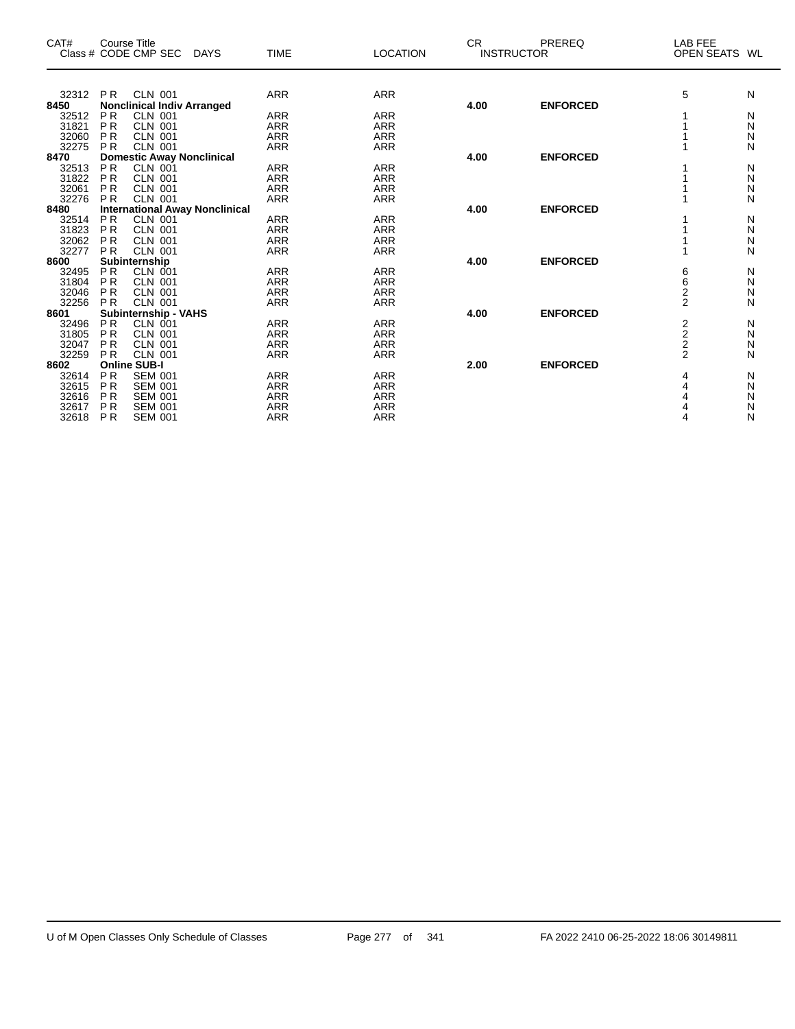| CAT#           |                        | Course Title<br>Class # CODE CMP SEC<br><b>DAYS</b> | <b>TIME</b>              | <b>LOCATION</b>          | <b>CR</b> | PREREQ<br><b>INSTRUCTOR</b> | LAB FEE<br>OPEN SEATS WL |        |
|----------------|------------------------|-----------------------------------------------------|--------------------------|--------------------------|-----------|-----------------------------|--------------------------|--------|
|                |                        |                                                     |                          |                          |           |                             |                          |        |
| 32312          | <b>PR</b>              | <b>CLN 001</b>                                      | <b>ARR</b>               | <b>ARR</b>               |           |                             | 5                        | N      |
| 8450           |                        | <b>Nonclinical Indiv Arranged</b>                   |                          |                          | 4.00      | <b>ENFORCED</b>             |                          |        |
| 32512          | <b>PR</b>              | <b>CLN 001</b>                                      | <b>ARR</b>               | <b>ARR</b>               |           |                             |                          | N      |
| 31821          | <b>PR</b>              | CLN 001                                             | <b>ARR</b>               | <b>ARR</b>               |           |                             |                          | N      |
| 32060<br>32275 | <b>PR</b><br><b>PR</b> | <b>CLN 001</b>                                      | <b>ARR</b>               | <b>ARR</b>               |           |                             |                          | N      |
| 8470           |                        | <b>CLN 001</b>                                      | <b>ARR</b>               | <b>ARR</b>               | 4.00      | <b>ENFORCED</b>             |                          | N      |
| 32513          | <b>PR</b>              | <b>Domestic Away Nonclinical</b><br><b>CLN 001</b>  | <b>ARR</b>               | <b>ARR</b>               |           |                             |                          | Ν      |
| 31822          | <b>PR</b>              | <b>CLN 001</b>                                      | <b>ARR</b>               | <b>ARR</b>               |           |                             |                          | N      |
| 32061          | <b>PR</b>              | CLN 001                                             | <b>ARR</b>               | <b>ARR</b>               |           |                             |                          | N      |
| 32276          | <b>PR</b>              | <b>CLN 001</b>                                      | <b>ARR</b>               | <b>ARR</b>               |           |                             |                          | N      |
| 8480           |                        | <b>International Away Nonclinical</b>               |                          |                          | 4.00      | <b>ENFORCED</b>             |                          |        |
| 32514          | <b>PR</b>              | <b>CLN 001</b>                                      | <b>ARR</b>               | <b>ARR</b>               |           |                             |                          | N      |
| 31823          | <b>PR</b>              | <b>CLN 001</b>                                      | <b>ARR</b>               | <b>ARR</b>               |           |                             |                          | N      |
| 32062          | <b>PR</b>              | <b>CLN 001</b>                                      | <b>ARR</b>               | <b>ARR</b>               |           |                             |                          | N      |
| 32277          | <b>PR</b>              | <b>CLN 001</b>                                      | <b>ARR</b>               | <b>ARR</b>               |           |                             |                          | N      |
| 8600           |                        | Subinternship                                       |                          |                          | 4.00      | <b>ENFORCED</b>             |                          |        |
| 32495          | <b>PR</b>              | <b>CLN 001</b>                                      | <b>ARR</b>               | <b>ARR</b>               |           |                             | 6                        | N      |
| 31804          | <b>PR</b>              | <b>CLN 001</b>                                      | <b>ARR</b>               | <b>ARR</b>               |           |                             | 6                        | N      |
| 32046          | <b>PR</b>              | <b>CLN 001</b>                                      | <b>ARR</b>               | <b>ARR</b>               |           |                             | $\overline{2}$           | N      |
| 32256          | <b>PR</b>              | <b>CLN 001</b>                                      | <b>ARR</b>               | <b>ARR</b>               |           |                             | $\overline{2}$           | N      |
| 8601           |                        | Subinternship - VAHS                                |                          |                          | 4.00      | <b>ENFORCED</b>             |                          |        |
| 32496          | <b>PR</b>              | CLN 001                                             | <b>ARR</b>               | <b>ARR</b>               |           |                             | $\frac{2}{2}$            | N      |
| 31805          | <b>PR</b>              | <b>CLN 001</b>                                      | <b>ARR</b>               | <b>ARR</b>               |           |                             |                          | N      |
| 32047          | <b>PR</b>              | <b>CLN 001</b>                                      | <b>ARR</b>               | <b>ARR</b>               |           |                             | $\frac{2}{2}$            | N      |
| 32259          | <b>PR</b>              | CLN 001                                             | <b>ARR</b>               | <b>ARR</b>               |           |                             |                          | N      |
| 8602           |                        | <b>Online SUB-I</b>                                 |                          |                          | 2.00      | <b>ENFORCED</b>             |                          |        |
| 32614<br>32615 | <b>PR</b><br><b>PR</b> | <b>SEM 001</b><br><b>SEM 001</b>                    | <b>ARR</b><br><b>ARR</b> | <b>ARR</b><br><b>ARR</b> |           |                             | 4<br>4                   | N<br>N |
| 32616          | <b>PR</b>              | <b>SEM 001</b>                                      | <b>ARR</b>               | <b>ARR</b>               |           |                             | 4                        | Ν      |
| 32617          | <b>PR</b>              | <b>SEM 001</b>                                      | <b>ARR</b>               | <b>ARR</b>               |           |                             | 4                        | N      |
| 32618          | <b>PR</b>              | <b>SEM 001</b>                                      | <b>ARR</b>               | <b>ARR</b>               |           |                             | 4                        | N      |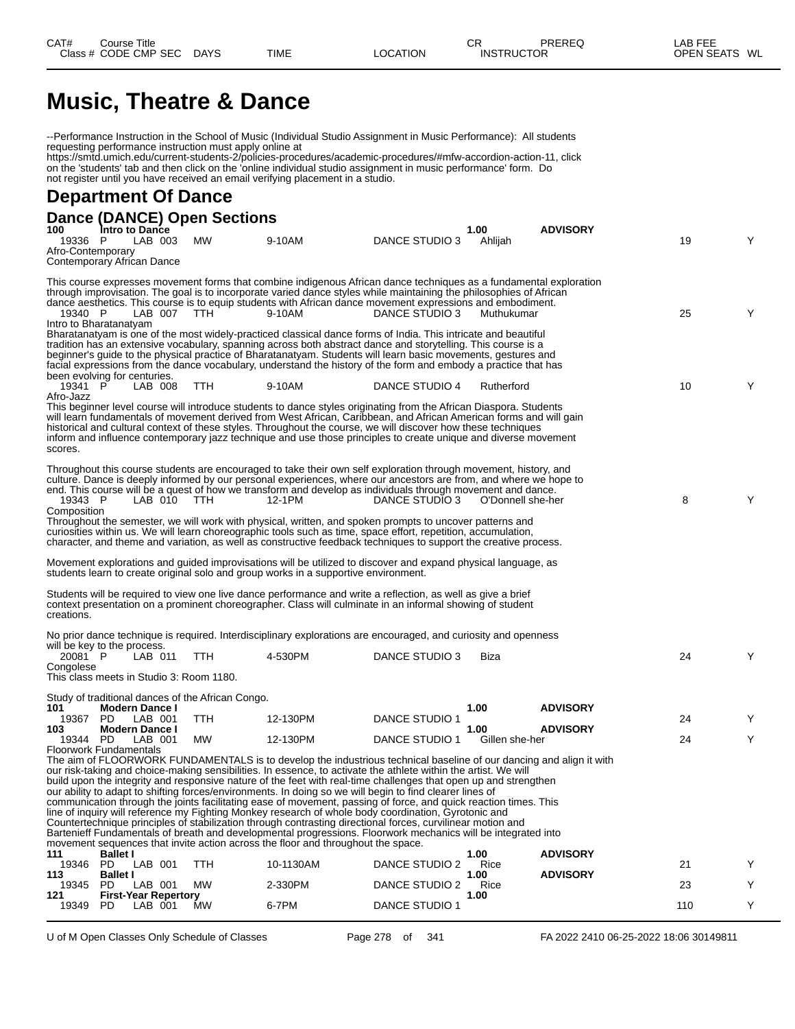# **Music, Theatre & Dance**

|                                                       |                                   |         |                                                         | --Performance Instruction in the School of Music (Individual Studio Assignment in Music Performance): All students                                                                                                                                                                                                                                                                                                                                                           |                       |                        |                 |     |   |
|-------------------------------------------------------|-----------------------------------|---------|---------------------------------------------------------|------------------------------------------------------------------------------------------------------------------------------------------------------------------------------------------------------------------------------------------------------------------------------------------------------------------------------------------------------------------------------------------------------------------------------------------------------------------------------|-----------------------|------------------------|-----------------|-----|---|
|                                                       |                                   |         | requesting performance instruction must apply online at | https://smtd.umich.edu/current-students-2/policies-procedures/academic-procedures/#mfw-accordion-action-11, click<br>on the 'students' tab and then click on the 'online individual studio assignment in music performance' form. Do<br>not register until you have received an email verifying placement in a studio.                                                                                                                                                       |                       |                        |                 |     |   |
| <b>Department Of Dance</b>                            |                                   |         |                                                         |                                                                                                                                                                                                                                                                                                                                                                                                                                                                              |                       |                        |                 |     |   |
|                                                       |                                   |         | <b>Dance (DANCE) Open Sections</b>                      |                                                                                                                                                                                                                                                                                                                                                                                                                                                                              |                       |                        |                 |     |   |
| 100<br>19336                                          | Intro to Dance<br>- P             | LAB 003 | <b>MW</b>                                               | 9-10AM                                                                                                                                                                                                                                                                                                                                                                                                                                                                       | DANCE STUDIO 3        | 1.00<br>Ahlijah        | <b>ADVISORY</b> | 19  | Y |
| Afro-Contemporary<br>Contemporary African Dance       |                                   |         |                                                         |                                                                                                                                                                                                                                                                                                                                                                                                                                                                              |                       |                        |                 |     |   |
|                                                       |                                   |         |                                                         | This course expresses movement forms that combine indigenous African dance techniques as a fundamental exploration<br>through improvisation. The goal is to incorporate varied dance styles while maintaining the philosophies of African<br>dance aesthetics. This course is to equip students with African dance movement expressions and embodiment.                                                                                                                      |                       |                        |                 |     |   |
| 19340 P<br>Intro to Bharatanatyam                     |                                   | LAB 007 | TTH.                                                    | 9-10AM                                                                                                                                                                                                                                                                                                                                                                                                                                                                       | DANCE STUDIO 3        | Muthukumar             |                 | 25  | Y |
| been evolving for centuries.                          |                                   |         |                                                         | Bharatanatyam is one of the most widely-practiced classical dance forms of India. This intricate and beautiful<br>tradition has an extensive vocabulary, spanning across both abstract dance and storytelling. This course is a<br>beginner's guide to the physical practice of Bharatanatyam. Students will learn basic movements, gestures and<br>facial expressions from the dance vocabulary, understand the history of the form and embody a practice that has          |                       |                        |                 |     |   |
| 19341 P                                               |                                   | LAB 008 | <b>TTH</b>                                              | 9-10AM                                                                                                                                                                                                                                                                                                                                                                                                                                                                       | DANCE STUDIO 4        | Rutherford             |                 | 10  | Y |
| Afro-Jazz                                             |                                   |         |                                                         | This beginner level course will introduce students to dance styles originating from the African Diaspora. Students<br>will learn fundamentals of movement derived from West African, Caribbean, and African American forms and will gain<br>historical and cultural context of these styles. Throughout the course, we will discover how these techniques<br>inform and influence contemporary jazz technique and use those principles to create unique and diverse movement |                       |                        |                 |     |   |
| scores.                                               |                                   |         |                                                         |                                                                                                                                                                                                                                                                                                                                                                                                                                                                              |                       |                        |                 |     |   |
| 19343 P                                               |                                   | LAB 010 | - TTH                                                   | Throughout this course students are encouraged to take their own self exploration through movement, history, and<br>culture. Dance is deeply informed by our personal experiences, where our ancestors are from, and where we hope to<br>end. This course will be a quest of how we transform and develop as individuals through movement and dance.<br>12-1PM                                                                                                               | DANCE STUDIO 3        | O'Donnell she-her      |                 | 8   | Y |
| Composition                                           |                                   |         |                                                         | Throughout the semester, we will work with physical, written, and spoken prompts to uncover patterns and<br>curiosities within us. We will learn choreographic tools such as time, space effort, repetition, accumulation,<br>character, and theme and variation, as well as constructive feedback techniques to support the creative process.                                                                                                                               |                       |                        |                 |     |   |
|                                                       |                                   |         |                                                         | Movement explorations and guided improvisations will be utilized to discover and expand physical language, as<br>students learn to create original solo and group works in a supportive environment.                                                                                                                                                                                                                                                                         |                       |                        |                 |     |   |
| creations.                                            |                                   |         |                                                         | Students will be required to view one live dance performance and write a reflection, as well as give a brief<br>context presentation on a prominent choreographer. Class will culminate in an informal showing of student                                                                                                                                                                                                                                                    |                       |                        |                 |     |   |
| will be key to the process.                           |                                   |         |                                                         | No prior dance technique is required. Interdisciplinary explorations are encouraged, and curiosity and openness                                                                                                                                                                                                                                                                                                                                                              |                       |                        |                 |     |   |
| 20081 P                                               |                                   | LAB 011 | TTH                                                     | 4-530PM                                                                                                                                                                                                                                                                                                                                                                                                                                                                      | DANCE STUDIO 3        | Biza                   |                 | 24  | Υ |
| Congolese<br>This class meets in Studio 3: Room 1180. |                                   |         |                                                         |                                                                                                                                                                                                                                                                                                                                                                                                                                                                              |                       |                        |                 |     |   |
|                                                       |                                   |         | Study of traditional dances of the African Congo.       |                                                                                                                                                                                                                                                                                                                                                                                                                                                                              |                       |                        |                 |     |   |
| 101<br>19367                                          | <b>Modern Dance I</b><br>PD.      | LAB 001 | TТH                                                     | 12-130PM                                                                                                                                                                                                                                                                                                                                                                                                                                                                     | DANCE STUDIO 1        | 1.00                   | <b>ADVISORY</b> | 24  |   |
| 103<br>19344 PD                                       | <b>Modern Dance I</b>             | LAB 001 | <b>MW</b>                                               | 12-130PM                                                                                                                                                                                                                                                                                                                                                                                                                                                                     | DANCE STUDIO 1        | 1.00<br>Gillen she-her | <b>ADVISORY</b> | 24  | Y |
| <b>Floorwork Fundamentals</b>                         |                                   |         |                                                         | The aim of FLOORWORK FUNDAMENTALS is to develop the industrious technical baseline of our dancing and align it with                                                                                                                                                                                                                                                                                                                                                          |                       |                        |                 |     |   |
|                                                       |                                   |         |                                                         | our risk-taking and choice-making sensibilities. In essence, to activate the athlete within the artist. We will<br>build upon the integrity and responsive nature of the feet with real-time challenges that open up and strengthen                                                                                                                                                                                                                                          |                       |                        |                 |     |   |
|                                                       |                                   |         |                                                         | our ability to adapt to shifting forces/environments. In doing so we will begin to find clearer lines of<br>communication through the joints facilitating ease of movement, passing of force, and quick reaction times. This                                                                                                                                                                                                                                                 |                       |                        |                 |     |   |
|                                                       |                                   |         |                                                         | line of inquiry will reference my Fighting Monkey research of whole body coordination, Gyrotonic and<br>Countertechnique principles of stabilization through contrasting directional forces, curvilinear motion and                                                                                                                                                                                                                                                          |                       |                        |                 |     |   |
|                                                       |                                   |         |                                                         | Bartenieff Fundamentals of breath and developmental progressions. Floorwork mechanics will be integrated into                                                                                                                                                                                                                                                                                                                                                                |                       |                        |                 |     |   |
| 111                                                   | <b>Ballet I</b>                   |         |                                                         | movement sequences that invite action across the floor and throughout the space.                                                                                                                                                                                                                                                                                                                                                                                             |                       | 1.00                   | <b>ADVISORY</b> |     |   |
| 19346<br>113                                          | PD.<br><b>Ballet I</b>            | LAB 001 | <b>TTH</b>                                              | 10-1130AM                                                                                                                                                                                                                                                                                                                                                                                                                                                                    | DANCE STUDIO 2        | Rice<br>1.00           | <b>ADVISORY</b> | 21  | Y |
| 19345<br>121                                          | PD<br><b>First-Year Repertory</b> | LAB 001 | МW                                                      | 2-330PM                                                                                                                                                                                                                                                                                                                                                                                                                                                                      | DANCE STUDIO 2        | Rice<br>1.00           |                 | 23  | Y |
| 19349                                                 | PD.                               | LAB 001 | MW                                                      | 6-7PM                                                                                                                                                                                                                                                                                                                                                                                                                                                                        | <b>DANCE STUDIO 1</b> |                        |                 | 110 | Y |

U of M Open Classes Only Schedule of Classes **Page 278** of 341 FA 2022 2410 06-25-2022 18:06 30149811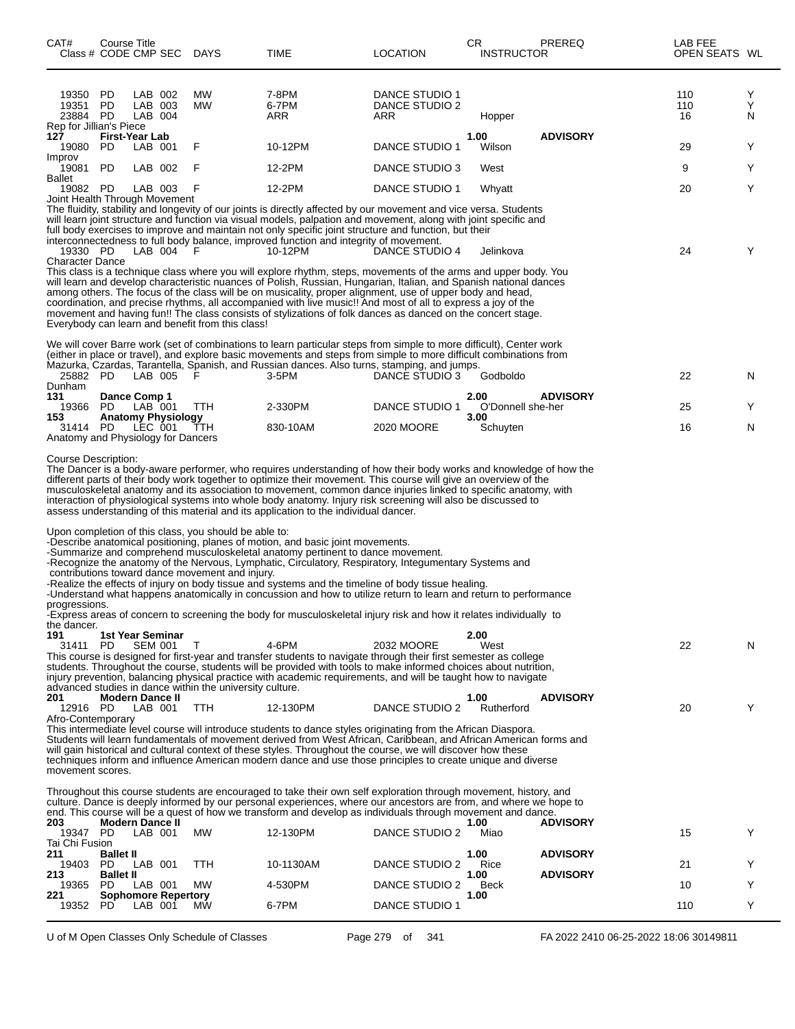| CAT#<br>Class # CODE CMP SEC DAYS                     | Course Title            |         |                            |                                                                                                          | <b>TIME</b>                                                                                                                                                                                                                                                                                                                                                                                                                                                                                                                                                                                                                                                                                                                                                                                                                                   | <b>LOCATION</b>                         | CR<br><b>INSTRUCTOR</b>   | PREREQ                                 | LAB FEE<br>OPEN SEATS WL |             |
|-------------------------------------------------------|-------------------------|---------|----------------------------|----------------------------------------------------------------------------------------------------------|-----------------------------------------------------------------------------------------------------------------------------------------------------------------------------------------------------------------------------------------------------------------------------------------------------------------------------------------------------------------------------------------------------------------------------------------------------------------------------------------------------------------------------------------------------------------------------------------------------------------------------------------------------------------------------------------------------------------------------------------------------------------------------------------------------------------------------------------------|-----------------------------------------|---------------------------|----------------------------------------|--------------------------|-------------|
| 19350<br>19351<br>23884 PD<br>Rep for Jillian's Piece | PD<br>PD                | LAB 004 | LAB 002<br>LAB 003         | МW<br>MW                                                                                                 | 7-8PM<br>6-7PM<br>ARR                                                                                                                                                                                                                                                                                                                                                                                                                                                                                                                                                                                                                                                                                                                                                                                                                         | DANCE STUDIO 1<br>DANCE STUDIO 2<br>ARR | Hopper                    |                                        | 110<br>110<br>16         | Υ<br>Υ<br>N |
| 127<br>19080 PD                                       | First-Year Lab          | LAB 001 |                            | F                                                                                                        | 10-12PM                                                                                                                                                                                                                                                                                                                                                                                                                                                                                                                                                                                                                                                                                                                                                                                                                                       | DANCE STUDIO 1                          | 1.00<br>Wilson            | <b>ADVISORY</b>                        | 29                       | Y           |
| Improv<br>19081 PD<br>Ballet                          |                         |         | LAB 002                    | F                                                                                                        | 12-2PM                                                                                                                                                                                                                                                                                                                                                                                                                                                                                                                                                                                                                                                                                                                                                                                                                                        | DANCE STUDIO 3                          | West                      |                                        | 9                        | Y           |
| 19082 PD<br>Joint Health Through Movement             |                         |         | LAB 003                    | F                                                                                                        | 12-2PM                                                                                                                                                                                                                                                                                                                                                                                                                                                                                                                                                                                                                                                                                                                                                                                                                                        | <b>DANCE STUDIO 1</b>                   | Whyatt                    |                                        | 20                       | Y           |
| 19330 PD                                              |                         |         | LAB 004 F                  |                                                                                                          | The fluidity, stability and longevity of our joints is directly affected by our movement and vice versa. Students<br>will learn joint structure and function via visual models, palpation and movement, along with joint specific and<br>full body exercises to improve and maintain not only specific joint structure and function, but their<br>interconnectedness to full body balance, improved function and integrity of movement.<br>10-12PM                                                                                                                                                                                                                                                                                                                                                                                            | DANCE STUDIO 4                          | Jelinkova                 |                                        | 24                       | Y           |
| <b>Character Dance</b>                                |                         |         |                            | Everybody can learn and benefit from this class!                                                         | This class is a technique class where you will explore rhythm, steps, movements of the arms and upper body. You<br>will learn and develop characteristic nuances of Polish, Russian, Hungarian, Italian, and Spanish national dances<br>among others. The focus of the class will be on musicality, proper alignment, use of upper body and head,<br>coordination, and precise rhythms, all accompanied with live music!! And most of all to express a joy of the<br>movement and having fun!! The class consists of stylizations of folk dances as danced on the concert stage.                                                                                                                                                                                                                                                              |                                         |                           |                                        |                          |             |
| 25882 PD                                              |                         |         | LAB 005                    | - F                                                                                                      | We will cover Barre work (set of combinations to learn particular steps from simple to more difficult), Center work<br>(either in place or travel), and explore basic movements and steps from simple to more difficult combinations from<br>Mazurka, Czardas, Tarantella, Spanish, and Russian dances. Also turns, stamping, and jumps.<br>3-5PM                                                                                                                                                                                                                                                                                                                                                                                                                                                                                             | DANCE STUDIO 3                          | Godboldo                  |                                        | 22                       | N           |
| Dunham<br>131<br>19366 PD                             | Dance Comp 1            | LAB 001 |                            | TTH                                                                                                      | 2-330PM                                                                                                                                                                                                                                                                                                                                                                                                                                                                                                                                                                                                                                                                                                                                                                                                                                       | <b>DANCE STUDIO 1</b>                   | 2.00<br>O'Donnell she-her | <b>ADVISORY</b>                        | 25                       | Υ           |
| 153<br>31414 PD<br>Anatomy and Physiology for Dancers |                         | LEC 001 | <b>Anatomy Physiology</b>  | TTH                                                                                                      | 830-10AM                                                                                                                                                                                                                                                                                                                                                                                                                                                                                                                                                                                                                                                                                                                                                                                                                                      | 2020 MOORE                              | 3.00<br>Schuyten          |                                        | 16                       | N           |
| Course Description:                                   |                         |         |                            | Upon completion of this class, you should be able to:<br>contributions toward dance movement and injury. | The Dancer is a body-aware performer, who requires understanding of how their body works and knowledge of how the<br>different parts of their body work together to optimize their movement. This course will give an overview of the<br>musculoskeletal anatomy and its association to movement, common dance injuries linked to specific anatomy, with<br>interaction of physiological systems into whole body anatomy. Injury risk screening will also be discussed to<br>assess understanding of this material and its application to the individual dancer.<br>-Describe anatomical positioning, planes of motion, and basic joint movements.<br>-Summarize and comprehend musculoskeletal anatomy pertinent to dance movement.<br>-Recognize the anatomy of the Nervous, Lymphatic, Circulatory, Respiratory, Integumentary Systems and |                                         |                           |                                        |                          |             |
| progressions.                                         |                         |         |                            |                                                                                                          | -Realize the effects of injury on body tissue and systems and the timeline of body tissue healing.<br>-Understand what happens anatomically in concussion and how to utilize return to learn and return to performance<br>Express areas of concern to screening the body for musculoskeletal injury risk and how it relates individually to                                                                                                                                                                                                                                                                                                                                                                                                                                                                                                   |                                         |                           |                                        |                          |             |
| the dancer.<br>191                                    |                         |         | 1st Year Seminar           |                                                                                                          |                                                                                                                                                                                                                                                                                                                                                                                                                                                                                                                                                                                                                                                                                                                                                                                                                                               |                                         | 2.00                      |                                        |                          |             |
| 31411 PD                                              |                         |         | <b>SEM 001</b>             | т<br>advanced studies in dance within the university culture.                                            | 4-6PM<br>This course is designed for first-year and transfer students to navigate through their first semester as college<br>students. Throughout the course, students will be provided with tools to make informed choices about nutrition,<br>injury prevention, balancing physical practice with academic requirements, and will be taught how to navigate                                                                                                                                                                                                                                                                                                                                                                                                                                                                                 | 2032 MOORE                              | West                      |                                        | 22                       | N           |
| 201<br>12916 PD<br>Afro-Contemporary                  | <b>Modern Dance II</b>  |         | LAB 001                    | <b>TTH</b>                                                                                               | 12-130PM                                                                                                                                                                                                                                                                                                                                                                                                                                                                                                                                                                                                                                                                                                                                                                                                                                      | DANCE STUDIO 2                          | 1.00<br>Rutherford        | <b>ADVISORY</b>                        | 20                       | Y           |
| movement scores.                                      |                         |         |                            |                                                                                                          | This intermediate level course will introduce students to dance styles originating from the African Diaspora.<br>Students will learn fundamentals of movement derived from West African, Caribbean, and African American forms and<br>will gain historical and cultural context of these styles. Throughout the course, we will discover how these<br>techniques inform and influence American modern dance and use those principles to create unique and diverse                                                                                                                                                                                                                                                                                                                                                                             |                                         |                           |                                        |                          |             |
| 203                                                   | <b>Modern Dance II</b>  |         |                            |                                                                                                          | Throughout this course students are encouraged to take their own self exploration through movement, history, and<br>culture. Dance is deeply informed by our personal experiences, where our ancestors are from, and where we hope to<br>end. This course will be a quest of how we transform and develop as individuals through movement and dance.                                                                                                                                                                                                                                                                                                                                                                                                                                                                                          |                                         | 1.00                      | <b>ADVISORY</b>                        |                          |             |
| 19347 PD<br>Tai Chi Fusion                            |                         | LAB 001 |                            | MW.                                                                                                      | 12-130PM                                                                                                                                                                                                                                                                                                                                                                                                                                                                                                                                                                                                                                                                                                                                                                                                                                      | DANCE STUDIO 2                          | Miao                      |                                        | 15                       | Y           |
| 211<br>19403                                          | <b>Ballet II</b><br>PD. | LAB 001 |                            | <b>TTH</b>                                                                                               | 10-1130AM                                                                                                                                                                                                                                                                                                                                                                                                                                                                                                                                                                                                                                                                                                                                                                                                                                     | DANCE STUDIO 2                          | 1.00<br>Rice              | <b>ADVISORY</b>                        | 21                       | Y           |
| 213<br>19365                                          | <b>Ballet II</b><br>PD. | LAB 001 |                            | МW                                                                                                       | 4-530PM                                                                                                                                                                                                                                                                                                                                                                                                                                                                                                                                                                                                                                                                                                                                                                                                                                       | DANCE STUDIO 2                          | 1.00<br>Beck              | <b>ADVISORY</b>                        | 10                       | Y           |
| 221<br>19352                                          | PD.                     | LAB 001 | <b>Sophomore Repertory</b> | <b>MW</b>                                                                                                | 6-7PM                                                                                                                                                                                                                                                                                                                                                                                                                                                                                                                                                                                                                                                                                                                                                                                                                                         | <b>DANCE STUDIO 1</b>                   | 1.00                      |                                        | 110                      | Y           |
|                                                       |                         |         |                            | U of M Open Classes Only Schedule of Classes                                                             |                                                                                                                                                                                                                                                                                                                                                                                                                                                                                                                                                                                                                                                                                                                                                                                                                                               | Page 279 of 341                         |                           | FA 2022 2410 06-25-2022 18:06 30149811 |                          |             |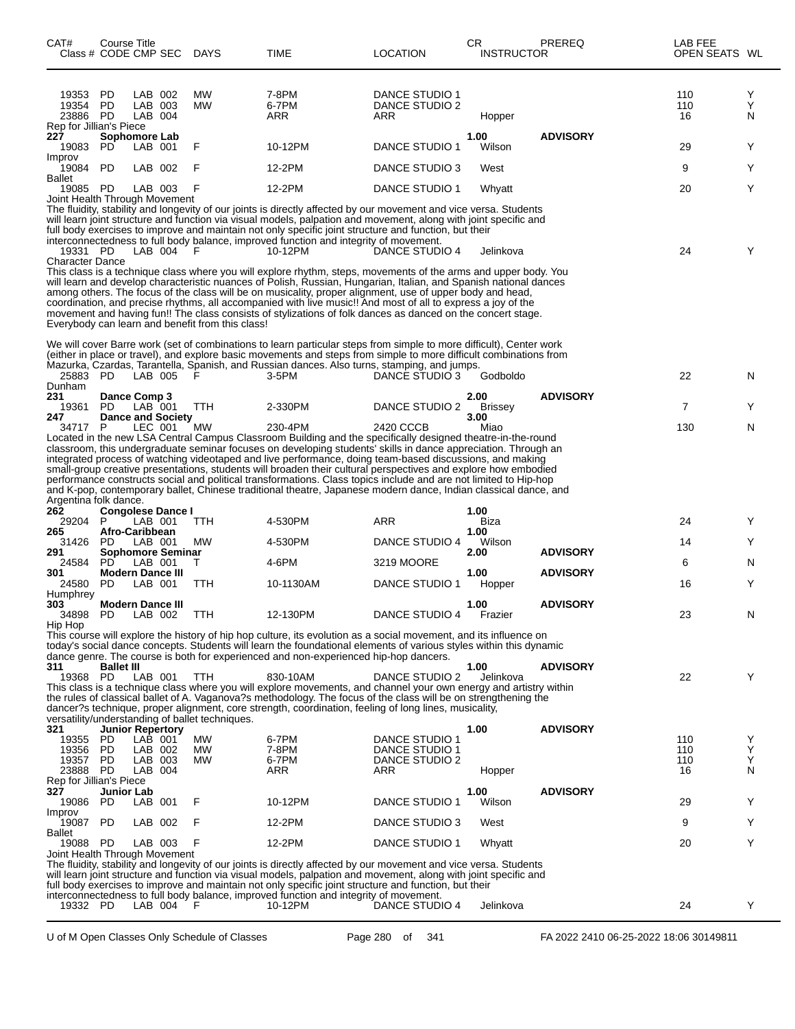| CAT#<br>Class # CODE CMP SEC                          | Course Title                   |                               |                          | DAYS                                                          | TIME                                                                                                                                                                                                                                                                                                                                                                                                                                                                                                                                                                             | <b>LOCATION</b>                                | CR.<br><b>INSTRUCTOR</b> | PREREQ          | LAB FEE<br>OPEN SEATS WL |             |
|-------------------------------------------------------|--------------------------------|-------------------------------|--------------------------|---------------------------------------------------------------|----------------------------------------------------------------------------------------------------------------------------------------------------------------------------------------------------------------------------------------------------------------------------------------------------------------------------------------------------------------------------------------------------------------------------------------------------------------------------------------------------------------------------------------------------------------------------------|------------------------------------------------|--------------------------|-----------------|--------------------------|-------------|
| 19353<br>19354<br>23886 PD<br>Rep for Jillian's Piece | PD<br>PD                       | LAB 002<br>LAB 003<br>LAB 004 |                          | МW<br><b>MW</b>                                               | 7-8PM<br>6-7PM<br>ARR                                                                                                                                                                                                                                                                                                                                                                                                                                                                                                                                                            | DANCE STUDIO 1<br>DANCE STUDIO 2<br>ARR        | Hopper                   |                 | 110<br>110<br>16         | Y<br>Y<br>N |
| 227<br>19083                                          | Sophomore Lab<br>PD.           | LAB 001                       |                          | F                                                             | 10-12PM                                                                                                                                                                                                                                                                                                                                                                                                                                                                                                                                                                          | DANCE STUDIO 1                                 | 1.00<br>Wilson           | <b>ADVISORY</b> | 29                       | Y           |
| Improv<br>19084                                       | <b>PD</b>                      | LAB 002                       |                          | F                                                             | 12-2PM                                                                                                                                                                                                                                                                                                                                                                                                                                                                                                                                                                           | DANCE STUDIO 3                                 | West                     |                 | 9                        | Y           |
| <b>Ballet</b><br>19085 PD                             |                                | LAB 003                       |                          | F                                                             | 12-2PM                                                                                                                                                                                                                                                                                                                                                                                                                                                                                                                                                                           | DANCE STUDIO 1                                 | Whyatt                   |                 | 20                       | Y           |
| Joint Health Through Movement<br>19331 PD             |                                | LAB 004                       |                          | F                                                             | The fluidity, stability and longevity of our joints is directly affected by our movement and vice versa. Students<br>will learn joint structure and function via visual models, palpation and movement, along with joint specific and<br>full body exercises to improve and maintain not only specific joint structure and function, but their<br>interconnectedness to full body balance, improved function and integrity of movement.<br>10-12PM                                                                                                                               | DANCE STUDIO 4                                 | Jelinkova                |                 | 24                       | Y           |
| <b>Character Dance</b>                                |                                |                               |                          | Everybody can learn and benefit from this class!              | This class is a technique class where you will explore rhythm, steps, movements of the arms and upper body. You<br>will learn and develop characteristic nuances of Polish, Russian, Hungarian, Italian, and Spanish national dances<br>among others. The focus of the class will be on musicality, proper alignment, use of upper body and head,<br>coordination, and precise rhythms, all accompanied with live music!! And most of all to express a joy of the<br>movement and having fun!! The class consists of stylizations of folk dances as danced on the concert stage. |                                                |                          |                 |                          |             |
|                                                       |                                |                               |                          |                                                               | We will cover Barre work (set of combinations to learn particular steps from simple to more difficult), Center work<br>(either in place or travel), and explore basic movements and steps from simple to more difficult combinations from<br>Mazurka, Czardas, Tarantella, Spanish, and Russian dances. Also turns, stamping, and jumps.                                                                                                                                                                                                                                         |                                                |                          |                 |                          |             |
| 25883 PD<br>Dunham                                    |                                | LAB 005                       |                          | F                                                             | 3-5PM                                                                                                                                                                                                                                                                                                                                                                                                                                                                                                                                                                            | DANCE STUDIO 3                                 | Godboldo                 |                 | 22                       | N           |
| 231<br>19361                                          | Dance Comp 3<br>PD.            | LAB 001                       |                          | TTH                                                           | 2-330PM                                                                                                                                                                                                                                                                                                                                                                                                                                                                                                                                                                          | DANCE STUDIO 2                                 | 2.00<br><b>Brissey</b>   | <b>ADVISORY</b> | $\overline{7}$           | Y           |
| 247<br>34717 P                                        |                                | LEC 001                       | <b>Dance and Society</b> | MW                                                            | 230-4PM<br>Located in the new LSA Central Campus Classroom Building and the specifically designed theatre-in-the-round<br>classroom, this undergraduate seminar focuses on developing students' skills in dance appreciation. Through an<br>integrated process of watching videotaped and live performance, doing team-based discussions, and making                                                                                                                                                                                                                             | 2420 CCCB                                      | 3.00<br>Miao             |                 | 130                      | N           |
| Argentina folk dance.<br>262                          |                                |                               | <b>Congolese Dance I</b> |                                                               | small-group creative presentations, students will broaden their cultural perspectives and explore how embodied<br>performance constructs social and political transformations. Class topics include and are not limited to Hip-hop<br>and K-pop, contemporary ballet, Chinese traditional theatre, Japanese modern dance, Indian classical dance, and                                                                                                                                                                                                                            |                                                | 1.00                     |                 |                          |             |
| 29204<br>265                                          | P.<br>Afro-Caribbean           | LAB 001                       |                          | TTH                                                           | 4-530PM                                                                                                                                                                                                                                                                                                                                                                                                                                                                                                                                                                          | ARR                                            | Biza<br>1.00             |                 | 24                       | Y           |
| 31426<br>291                                          | PD.                            | LAB 001                       | Sophomore Seminar        | МW                                                            | 4-530PM                                                                                                                                                                                                                                                                                                                                                                                                                                                                                                                                                                          | DANCE STUDIO 4                                 | Wilson<br>2.00           | <b>ADVISORY</b> | 14                       | Y           |
| 24584<br>301                                          | PD.<br>Modern Dance III        | LAB 001                       |                          | Τ                                                             | 4-6PM                                                                                                                                                                                                                                                                                                                                                                                                                                                                                                                                                                            | 3219 MOORE                                     | 1.00                     | <b>ADVISORY</b> | 6                        | N           |
| 24580<br>Humphrey                                     | PD.                            | LAB 001                       |                          | TTH                                                           | 10-1130AM                                                                                                                                                                                                                                                                                                                                                                                                                                                                                                                                                                        | DANCE STUDIO 1                                 | Hopper                   |                 | 16                       | Y           |
| 303<br>34898                                          | <b>Modern Dance III</b><br>PD  | LAB 002                       |                          | TTH                                                           | 12-130PM                                                                                                                                                                                                                                                                                                                                                                                                                                                                                                                                                                         | <b>DANCE STUDIO 4</b>                          | 1.00<br>Frazier          | <b>ADVISORY</b> | 23                       | N           |
| Hip Hop<br>311                                        | <b>Ballet III</b>              |                               |                          |                                                               | This course will explore the history of hip hop culture, its evolution as a social movement, and its influence on<br>today's social dance concepts. Students will learn the foundational elements of various styles within this dynamic<br>dance genre. The course is both for experienced and non-experienced hip-hop dancers.                                                                                                                                                                                                                                                  |                                                | 1.00                     | <b>ADVISORY</b> |                          |             |
| 19368 PD                                              |                                | LAB 001                       |                          | <b>TTH</b><br>versatility/understanding of ballet techniques. | 830-10AM<br>This class is a technique class where you will explore movements, and channel your own energy and artistry within<br>the rules of classical ballet of A. Vaganova?s methodology. The focus of the class will be on strengthening the<br>dancer?s technique, proper alignment, core strength, coordination, feeling of long lines, musicality,                                                                                                                                                                                                                        | DANCE STUDIO 2                                 | Jelinkova                |                 | 22                       | Y           |
| 321<br>19355                                          | <b>Junior Repertory</b><br>PD. | $LAB$ 001                     |                          | МW                                                            | 6-7PM                                                                                                                                                                                                                                                                                                                                                                                                                                                                                                                                                                            | DANCE STUDIO 1                                 | 1.00                     | <b>ADVISORY</b> | 110                      | Y           |
| 19356<br>19357                                        | <b>PD</b><br>PD                | LAB 002<br>LAB 003<br>LAB 004 |                          | <b>MW</b><br><b>MW</b>                                        | 7-8PM<br>6-7PM<br>ARR                                                                                                                                                                                                                                                                                                                                                                                                                                                                                                                                                            | <b>DANCE STUDIO 1</b><br>DANCE STUDIO 2<br>ARR |                          |                 | 110<br>110               | Y<br>Y<br>N |
| 23888 PD<br>Rep for Jillian's Piece<br>327            | Junior Lab                     |                               |                          |                                                               |                                                                                                                                                                                                                                                                                                                                                                                                                                                                                                                                                                                  |                                                | Hopper<br>1.00           | <b>ADVISORY</b> | 16                       |             |
| 19086<br>Improv                                       | PD.                            | LAB 001                       |                          | F                                                             | 10-12PM                                                                                                                                                                                                                                                                                                                                                                                                                                                                                                                                                                          | DANCE STUDIO 1                                 | Wilson                   |                 | 29                       | Y           |
| 19087 PD<br>Ballet                                    |                                | LAB 002                       |                          | F                                                             | 12-2PM                                                                                                                                                                                                                                                                                                                                                                                                                                                                                                                                                                           | DANCE STUDIO 3                                 | West                     |                 | 9                        | Y           |
| 19088 PD<br>Joint Health Through Movement             |                                | LAB 003                       |                          | F                                                             | 12-2PM                                                                                                                                                                                                                                                                                                                                                                                                                                                                                                                                                                           | DANCE STUDIO 1                                 | Whyatt                   |                 | 20                       | Y           |
|                                                       |                                |                               |                          |                                                               | The fluidity, stability and longevity of our joints is directly affected by our movement and vice versa. Students<br>will learn joint structure and function via visual models, palpation and movement, along with joint specific and<br>full body exercises to improve and maintain not only specific joint structure and function, but their                                                                                                                                                                                                                                   |                                                |                          |                 |                          |             |
| 19332 PD                                              |                                | LAB 004                       |                          | F                                                             | interconnectedness to full body balance, improved function and integrity of movement.<br>10-12PM                                                                                                                                                                                                                                                                                                                                                                                                                                                                                 | DANCE STUDIO 4                                 | Jelinkova                |                 | 24                       | Y           |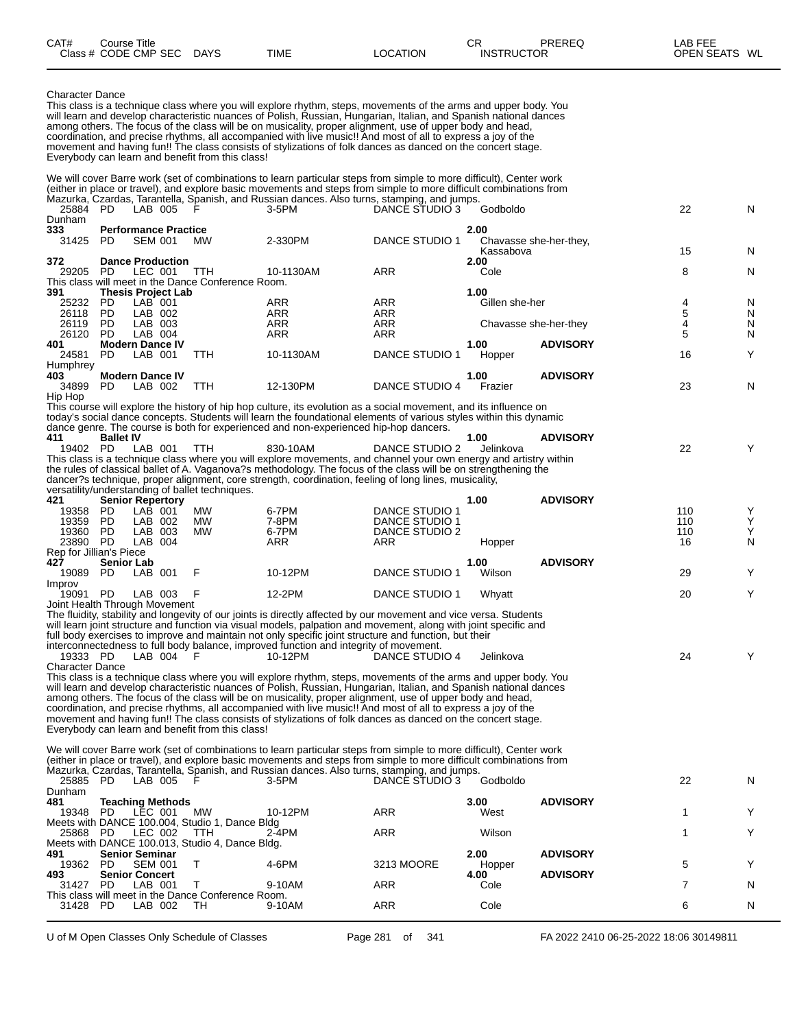| CAT#<br>Class # | Course Title<br><b>CODE CMP SEC</b> | <b>DAYS</b> | <b>TIME</b> | LOCATION | CR<br><b>INSTRUCTOR</b> | PREREQ | LAB FEE<br><b>OPEN SEATS</b><br>WL |
|-----------------|-------------------------------------|-------------|-------------|----------|-------------------------|--------|------------------------------------|
|                 |                                     |             |             |          |                         |        |                                    |

Character Dance

This class is a technique class where you will explore rhythm, steps, movements of the arms and upper body. You will learn and develop characteristic nuances of Polish, Russian, Hungarian, Italian, and Spanish national dances among others. The focus of the class will be on musicality, proper alignment, use of upper body and head, coordination, and precise rhythms, all accompanied with live music!! And most of all to express a joy of the movement and having fun!! The class consists of stylizations of folk dances as danced on the concert stage. Everybody can learn and benefit from this class! We will cover Barre work (set of combinations to learn particular steps from simple to more difficult), Center work

(either in place or travel), and explore basic movements and steps from simple to more difficult combinations from Mazurka, Czardas, Tarantella, Spanish, and Russian dances. Also turns, stamping, and jumps.  $D$ ANCE STUDIO 3 Godboldo 22 N Dunham<br>333 **333 Performance Practice 2.00** Chavasse she-her-they. Kassabova 15 N **372 Dance Production 2.00** 29205 PD LEC 001 TTH 10-1130AM ARR Cole 8 N This class will meet in the Dance Conference Room.<br>391 Thesis Project Lab **391 Thesis Project Lab 1.00** 25232 PD LAB 001 ARR ARR Gillen she-her 4 N 26118 PD LAB 002 ARR ARR 5 N 26119 PD LAB 003 ARR ARR Chavasse she-her-they 4 N 26120 PD LAB 004 ARR ARR 5 N **401 Modern Dance IV 1.00 ADVISORY** DANCE STUDIO 1 Hopper 16 16 Y Humphrey<br>403 **403 Modern Dance IV 1.00 ADVISORY** DANCE STUDIO 4 Frazier 23 N Hip Hop This course will explore the history of hip hop culture, its evolution as a social movement, and its influence on today's social dance concepts. Students will learn the foundational elements of various styles within this dynamic dance genre. The course is both for experienced and non-experienced hip-hop dancers. **411 Ballet IV 1.00 ADVISORY** 19402 PD LAB 001 TTH 830-10AM DANCE STUDIO 2 Jelinkova 22 Y This class is a technique class where you will explore movements, and channel your own energy and artistry within

the rules of classical ballet of A. Vaganova?s methodology. The focus of the class will be on strengthening the dancer?s technique, proper alignment, core strength, coordination, feeling of long lines, musicality,

versatility/understanding of ballet techniques.

|                         |                         |              | versatility/understanding or banet techniques. |         |                |        |                 |     |              |
|-------------------------|-------------------------|--------------|------------------------------------------------|---------|----------------|--------|-----------------|-----|--------------|
| 421                     | <b>Senior Repertory</b> |              |                                                |         |                | 1.00   | <b>ADVISORY</b> |     |              |
| 19358                   | PD                      | 001<br>_AB_  | <b>MW</b>                                      | 6-7PM   | DANCE STUDIO 1 |        |                 | 110 | $\checkmark$ |
| 19359                   | PD                      | LAB 002      | MW                                             | 7-8PM   | DANCE STUDIO 1 |        |                 | 110 | $\checkmark$ |
| 19360                   | PD                      | LAB 003      | <b>MW</b>                                      | 6-7PM   | DANCE STUDIO 2 |        |                 | 110 | $\checkmark$ |
| 23890                   | <b>PD</b>               | LAB 004      |                                                | ARR     | ARR            | Hopper |                 | 16  | N            |
| Rep for Jillian's Piece |                         |              |                                                |         |                |        |                 |     |              |
| 427                     | <b>Senior Lab</b>       |              |                                                |         |                | 1.00   | <b>ADVISORY</b> |     |              |
| 19089                   | PD                      | LAB 001      |                                                | 10-12PM | DANCE STUDIO 1 | Wilson |                 | 29  | $\checkmark$ |
| Improv                  |                         |              |                                                |         |                |        |                 |     |              |
| 19091                   | PD.                     | _AB.<br>-003 |                                                | 12-2PM  | DANCE STUDIO 1 | Whvatt |                 | 20  | $\checkmark$ |
|                         |                         |              |                                                |         |                |        |                 |     |              |

Joint Health Through Movement

The fluidity, stability and longevity of our joints is directly affected by our movement and vice versa. Students will learn joint structure and function via visual models, palpation and movement, along with joint specific and full body exercises to improve and maintain not only specific joint structure and function, but their interconnectedness to full body balance, improved function and integrity of movement. 19333 PD LAB 004 F 10-12PM DANCE STUDIO 4 Jelinkova 24 Y

Character Dance

This class is a technique class where you will explore rhythm, steps, movements of the arms and upper body. You will learn and develop characteristic nuances of Polish, Russian, Hungarian, Italian, and Spanish national dances among others. The focus of the class will be on musicality, proper alignment, use of upper body and head, coordination, and precise rhythms, all accompanied with live music!! And most of all to express a joy of the movement and having fun!! The class consists of stylizations of folk dances as danced on the concert stage. Everybody can learn and benefit from this class!

We will cover Barre work (set of combinations to learn particular steps from simple to more difficult), Center work (either in place or travel), and explore basic movements and steps from simple to more difficult combinations from Mazurka, Czardas, Tarantella, Spanish, and Russian dances. Also turns, stamping, and jumps. 25885 PD LAB 005 F 3-5PM DANCE STUDIO 3 Godboldo 22 N

| Dunham |                                                    |           |         |            |        |                 |   |
|--------|----------------------------------------------------|-----------|---------|------------|--------|-----------------|---|
| 481    | <b>Teaching Methods</b>                            |           |         |            | 3.00   | <b>ADVISORY</b> |   |
| 19348  | LEC 001<br><b>PD</b>                               | <b>MW</b> | 10-12PM | ARR        | West   |                 |   |
|        | Meets with DANCE 100.004, Studio 1, Dance Bldg     |           |         |            |        |                 |   |
| 25868  | LEC 002<br>PD.                                     | гтн       | $2-4PM$ | ARR        | Wilson |                 |   |
|        | Meets with DANCE 100.013, Studio 4, Dance Bldg.    |           |         |            |        |                 |   |
| 491    | <b>Senior Seminar</b>                              |           |         |            | 2.00   | <b>ADVISORY</b> |   |
| 19362  | <b>SEM 001</b><br><b>PD</b>                        |           | 4-6PM   | 3213 MOORE | Hopper |                 |   |
| 493    | <b>Senior Concert</b>                              |           |         |            | 4.00   | <b>ADVISORY</b> |   |
| 31427  | LAB<br>PD.<br>-001                                 |           | 9-10AM  | ARR        | Cole   |                 | N |
|        | This class will meet in the Dance Conference Room. |           |         |            |        |                 |   |
| 31428  | _AB<br><b>PD</b><br>002                            | TН        | 9-10AM  | ARR        | Cole   |                 |   |
|        |                                                    |           |         |            |        |                 |   |

U of M Open Classes Only Schedule of Classes **Page 281** of 341 FA 2022 2410 06-25-2022 18:06 30149811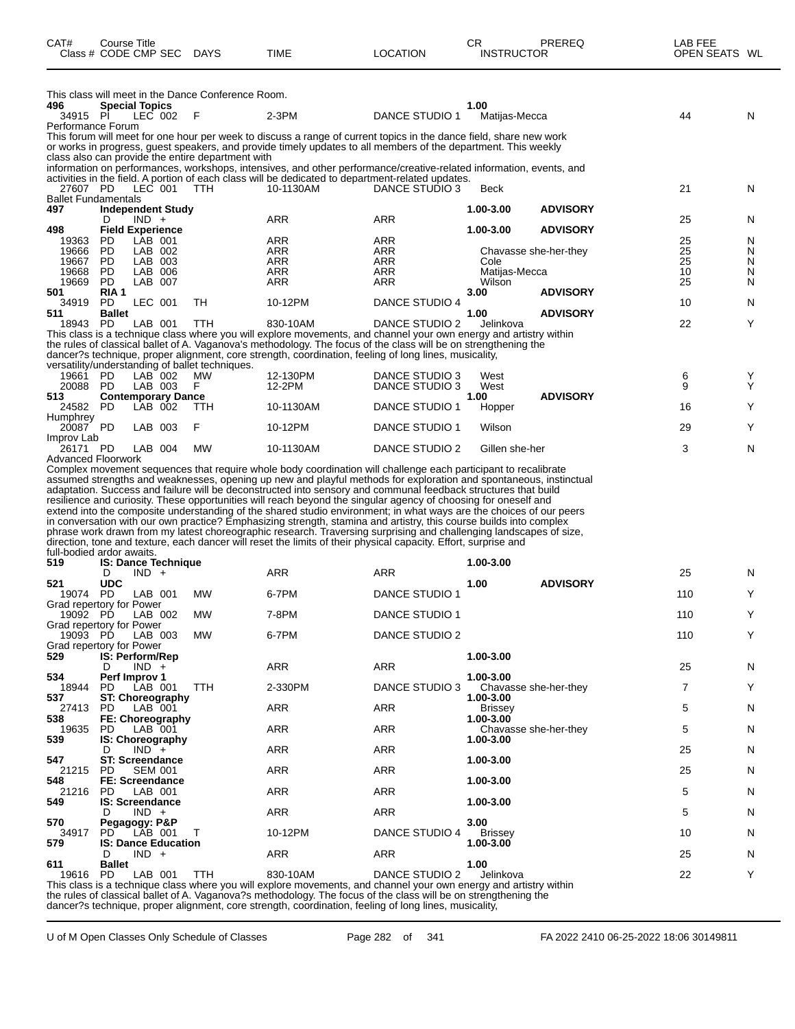| CAT#                                 | Course Title<br>Class # CODE CMP SEC |         |                    | <b>DAYS</b>                                        | TIME                                                                                                                                                                                                                                                                                                                                                                                                                                                                                                                                                                                                  | <b>LOCATION</b>   | СR<br><b>INSTRUCTOR</b> | PREREQ                | LAB FEE<br>OPEN SEATS WL |        |
|--------------------------------------|--------------------------------------|---------|--------------------|----------------------------------------------------|-------------------------------------------------------------------------------------------------------------------------------------------------------------------------------------------------------------------------------------------------------------------------------------------------------------------------------------------------------------------------------------------------------------------------------------------------------------------------------------------------------------------------------------------------------------------------------------------------------|-------------------|-------------------------|-----------------------|--------------------------|--------|
|                                      |                                      |         |                    | This class will meet in the Dance Conference Room. |                                                                                                                                                                                                                                                                                                                                                                                                                                                                                                                                                                                                       |                   |                         |                       |                          |        |
| 496<br>34915 PI                      | <b>Special Topics</b>                |         | LEC 002            | F                                                  | $2-3PM$                                                                                                                                                                                                                                                                                                                                                                                                                                                                                                                                                                                               | DANCE STUDIO 1    | 1.00<br>Matijas-Mecca   |                       | 44                       | N      |
| Performance Forum                    |                                      |         |                    |                                                    |                                                                                                                                                                                                                                                                                                                                                                                                                                                                                                                                                                                                       |                   |                         |                       |                          |        |
|                                      |                                      |         |                    |                                                    | This forum will meet for one hour per week to discuss a range of current topics in the dance field, share new work                                                                                                                                                                                                                                                                                                                                                                                                                                                                                    |                   |                         |                       |                          |        |
|                                      |                                      |         |                    |                                                    | or works in progress, guest speakers, and provide timely updates to all members of the department. This weekly                                                                                                                                                                                                                                                                                                                                                                                                                                                                                        |                   |                         |                       |                          |        |
|                                      |                                      |         |                    | class also can provide the entire department with  | information on performances, workshops, intensives, and other performance/creative-related information, events, and                                                                                                                                                                                                                                                                                                                                                                                                                                                                                   |                   |                         |                       |                          |        |
|                                      |                                      |         |                    |                                                    | activities in the field. A portion of each class will be dedicated to department-related updates.                                                                                                                                                                                                                                                                                                                                                                                                                                                                                                     |                   |                         |                       |                          |        |
| 27607 PD                             |                                      |         | LEC 001            | <b>TTH</b>                                         | 10-1130AM                                                                                                                                                                                                                                                                                                                                                                                                                                                                                                                                                                                             | DANCE STUDIO 3    | Beck                    |                       | 21                       | N      |
| <b>Ballet Fundamentals</b><br>497    | <b>Independent Study</b>             |         |                    |                                                    |                                                                                                                                                                                                                                                                                                                                                                                                                                                                                                                                                                                                       |                   | 1.00-3.00               | <b>ADVISORY</b>       |                          |        |
|                                      | D                                    | $IND +$ |                    |                                                    | ARR                                                                                                                                                                                                                                                                                                                                                                                                                                                                                                                                                                                                   | ARR               |                         |                       | 25                       | N      |
| 498                                  | <b>Field Experience</b>              |         |                    |                                                    |                                                                                                                                                                                                                                                                                                                                                                                                                                                                                                                                                                                                       |                   | 1.00-3.00               | <b>ADVISORY</b>       |                          |        |
| 19363                                | PD.                                  |         | LAB 001            |                                                    | ARR                                                                                                                                                                                                                                                                                                                                                                                                                                                                                                                                                                                                   | ARR               |                         |                       | 25                       | N      |
| 19666<br>19667                       | PD<br><b>PD</b>                      |         | LAB 002<br>LAB 003 |                                                    | ARR<br>ARR                                                                                                                                                                                                                                                                                                                                                                                                                                                                                                                                                                                            | <b>ARR</b><br>ARR | Cole                    | Chavasse she-her-they | 25<br>25                 | N<br>N |
| 19668                                | <b>PD</b>                            |         | LAB 006            |                                                    | ARR                                                                                                                                                                                                                                                                                                                                                                                                                                                                                                                                                                                                   | ARR               | Matijas-Mecca           |                       | 10                       | N      |
| 19669                                | <b>PD</b>                            |         | LAB 007            |                                                    | <b>ARR</b>                                                                                                                                                                                                                                                                                                                                                                                                                                                                                                                                                                                            | <b>ARR</b>        | Wilson                  |                       | 25                       | N      |
| 501<br>34919                         | RIA 1<br>PD.                         |         | LEC 001            | TH                                                 | 10-12PM                                                                                                                                                                                                                                                                                                                                                                                                                                                                                                                                                                                               | DANCE STUDIO 4    | 3.00                    | <b>ADVISORY</b>       | 10                       | N      |
| 511                                  | <b>Ballet</b>                        |         |                    |                                                    |                                                                                                                                                                                                                                                                                                                                                                                                                                                                                                                                                                                                       |                   | 1.00                    | <b>ADVISORY</b>       |                          |        |
| 18943 PD                             |                                      |         | LAB 001            | TTH                                                | 830-10AM                                                                                                                                                                                                                                                                                                                                                                                                                                                                                                                                                                                              | DANCE STUDIO 2    | Jelinkova               |                       | 22                       | Y      |
|                                      |                                      |         |                    |                                                    | This class is a technique class where you will explore movements, and channel your own energy and artistry within                                                                                                                                                                                                                                                                                                                                                                                                                                                                                     |                   |                         |                       |                          |        |
|                                      |                                      |         |                    |                                                    | the rules of classical ballet of A. Vaganova's methodology. The focus of the class will be on strengthening the<br>dancer?s technique, proper alignment, core strength, coordination, feeling of long lines, musicality,                                                                                                                                                                                                                                                                                                                                                                              |                   |                         |                       |                          |        |
|                                      |                                      |         |                    | versatility/understanding of ballet techniques.    |                                                                                                                                                                                                                                                                                                                                                                                                                                                                                                                                                                                                       |                   |                         |                       |                          |        |
| 19661                                | PD.                                  |         | LAB 002            | MW                                                 | 12-130PM                                                                                                                                                                                                                                                                                                                                                                                                                                                                                                                                                                                              | DANCE STUDIO 3    | West                    |                       | 6                        | Y      |
| 20088                                | PD                                   |         | LAB 003            | F                                                  | 12-2PM                                                                                                                                                                                                                                                                                                                                                                                                                                                                                                                                                                                                | DANCE STUDIO 3    | West                    |                       | 9                        | Y      |
| 513<br>24582 PD                      | <b>Contemporary Dance</b>            |         | LAB 002            | TTH                                                | 10-1130AM                                                                                                                                                                                                                                                                                                                                                                                                                                                                                                                                                                                             | DANCE STUDIO 1    | 1.00<br>Hopper          | <b>ADVISORY</b>       | 16                       | Y      |
| Humphrey<br>20087 PD                 |                                      |         | LAB 003            | F                                                  | 10-12PM                                                                                                                                                                                                                                                                                                                                                                                                                                                                                                                                                                                               | DANCE STUDIO 1    | Wilson                  |                       | 29                       | Y      |
| Improv Lab                           |                                      |         |                    |                                                    |                                                                                                                                                                                                                                                                                                                                                                                                                                                                                                                                                                                                       |                   |                         |                       |                          |        |
| 26171 PD<br>Advanced Floorwork       |                                      |         | LAB 004            | MW                                                 | 10-1130AM                                                                                                                                                                                                                                                                                                                                                                                                                                                                                                                                                                                             | DANCE STUDIO 2    | Gillen she-her          |                       | 3                        | N      |
|                                      |                                      |         |                    |                                                    | resilience and curiosity. These opportunities will reach beyond the singular agency of choosing for oneself and<br>extend into the composite understanding of the shared studio environment; in what ways are the choices of our peers<br>in conversation with our own practice? Emphasizing strength, stamina and artistry, this course builds into complex<br>phrase work drawn from my latest choreographic research. Traversing surprising and challenging landscapes of size,<br>direction, tone and texture, each dancer will reset the limits of their physical capacity. Effort, surprise and |                   |                         |                       |                          |        |
| full-bodied ardor awaits.            |                                      |         |                    |                                                    |                                                                                                                                                                                                                                                                                                                                                                                                                                                                                                                                                                                                       |                   |                         |                       |                          |        |
| 519                                  | <b>IS: Dance Technique</b><br>D      | $IND +$ |                    |                                                    | ARR                                                                                                                                                                                                                                                                                                                                                                                                                                                                                                                                                                                                   | ARR               | 1.00-3.00               |                       | 25                       | N      |
| 521                                  | <b>UDC</b>                           |         |                    |                                                    |                                                                                                                                                                                                                                                                                                                                                                                                                                                                                                                                                                                                       |                   | 1.00                    | <b>ADVISORY</b>       |                          |        |
| 19074                                | <b>PD</b>                            |         | LAB 001            | MW                                                 | 6-7PM                                                                                                                                                                                                                                                                                                                                                                                                                                                                                                                                                                                                 | DANCE STUDIO 1    |                         |                       | 110                      | Y      |
| Grad repertory for Power<br>19092 PD |                                      |         | LAB 002            | MW                                                 | 7-8PM                                                                                                                                                                                                                                                                                                                                                                                                                                                                                                                                                                                                 | DANCE STUDIO 1    |                         |                       | 110                      | Y      |
| Grad repertory for Power             |                                      |         |                    |                                                    |                                                                                                                                                                                                                                                                                                                                                                                                                                                                                                                                                                                                       |                   |                         |                       |                          |        |
| 19093 PD<br>Grad repertory for Power |                                      |         | LAB 003            | <b>MW</b>                                          | 6-7PM                                                                                                                                                                                                                                                                                                                                                                                                                                                                                                                                                                                                 | DANCE STUDIO 2    |                         |                       | 110                      | Y      |
| 529                                  | IS: Perform/Rep                      |         |                    |                                                    |                                                                                                                                                                                                                                                                                                                                                                                                                                                                                                                                                                                                       |                   | 1.00-3.00               |                       |                          |        |
|                                      | D                                    | $IND +$ |                    |                                                    | ARR                                                                                                                                                                                                                                                                                                                                                                                                                                                                                                                                                                                                   | <b>ARR</b>        |                         |                       | 25                       | N      |
| 534<br>18944                         | Perf Improv 1<br>PD                  |         | LAB 001            | TTH                                                | 2-330PM                                                                                                                                                                                                                                                                                                                                                                                                                                                                                                                                                                                               | DANCE STUDIO 3    | 1.00-3.00               |                       | 7                        | Y      |
| 537                                  | ST: Choreography                     |         |                    |                                                    |                                                                                                                                                                                                                                                                                                                                                                                                                                                                                                                                                                                                       |                   | 1.00-3.00               | Chavasse she-her-they |                          |        |
| 27413                                | <b>PD</b>                            |         | LAB 001            |                                                    | ARR                                                                                                                                                                                                                                                                                                                                                                                                                                                                                                                                                                                                   | ARR               | <b>Brissey</b>          |                       | 5                        | N      |
| 538                                  | FE: Choreography                     |         |                    |                                                    | ARR                                                                                                                                                                                                                                                                                                                                                                                                                                                                                                                                                                                                   | ARR               | 1.00-3.00               |                       |                          |        |
| 19635<br>539                         | PD<br><b>IS: Choreography</b>        |         | LAB 001            |                                                    |                                                                                                                                                                                                                                                                                                                                                                                                                                                                                                                                                                                                       |                   | 1.00-3.00               | Chavasse she-her-they | 5                        | N      |
|                                      | D                                    | $IND +$ |                    |                                                    | ARR                                                                                                                                                                                                                                                                                                                                                                                                                                                                                                                                                                                                   | ARR               |                         |                       | 25                       | N      |
| 547<br>21215                         | <b>ST: Screendance</b><br><b>PD</b>  |         | <b>SEM 001</b>     |                                                    | ARR                                                                                                                                                                                                                                                                                                                                                                                                                                                                                                                                                                                                   | ARR               | 1.00-3.00               |                       | 25                       | N      |
| 548                                  | <b>FE: Screendance</b>               |         |                    |                                                    |                                                                                                                                                                                                                                                                                                                                                                                                                                                                                                                                                                                                       |                   | 1.00-3.00               |                       |                          |        |
| 21216                                | PD                                   |         | LAB 001            |                                                    | ARR                                                                                                                                                                                                                                                                                                                                                                                                                                                                                                                                                                                                   | ARR               |                         |                       | 5                        | N      |
| 549                                  | <b>IS: Screendance</b><br>D          | $IND +$ |                    |                                                    | <b>ARR</b>                                                                                                                                                                                                                                                                                                                                                                                                                                                                                                                                                                                            | ARR               | 1.00-3.00               |                       | 5                        | N      |
| 570                                  | Pegagogy: P&P                        |         |                    |                                                    |                                                                                                                                                                                                                                                                                                                                                                                                                                                                                                                                                                                                       |                   | 3.00                    |                       |                          |        |
| 34917                                | PD.                                  |         | LAB 001            | Т                                                  | 10-12PM                                                                                                                                                                                                                                                                                                                                                                                                                                                                                                                                                                                               | DANCE STUDIO 4    | <b>Brissey</b>          |                       | 10                       | N      |
| 579                                  | <b>IS: Dance Education</b><br>D      | $IND +$ |                    |                                                    | <b>ARR</b>                                                                                                                                                                                                                                                                                                                                                                                                                                                                                                                                                                                            | ARR               | 1.00-3.00               |                       | 25                       | N      |
| 611                                  | <b>Ballet</b>                        |         |                    |                                                    |                                                                                                                                                                                                                                                                                                                                                                                                                                                                                                                                                                                                       |                   | 1.00                    |                       |                          |        |
| 19616                                | <b>PD</b>                            |         | LAB 001            | TTH                                                | 830-10AM<br>This class is a technique class where you will explore movements, and channel your own energy and artistry within                                                                                                                                                                                                                                                                                                                                                                                                                                                                         | DANCE STUDIO 2    | Jelinkova               |                       | 22                       | Y      |
|                                      |                                      |         |                    |                                                    | the rules of classical ballet of A. Vaganova?s methodology. The focus of the class will be on strengthening the                                                                                                                                                                                                                                                                                                                                                                                                                                                                                       |                   |                         |                       |                          |        |

dancer?s technique, proper alignment, core strength, coordination, feeling of long lines, musicality,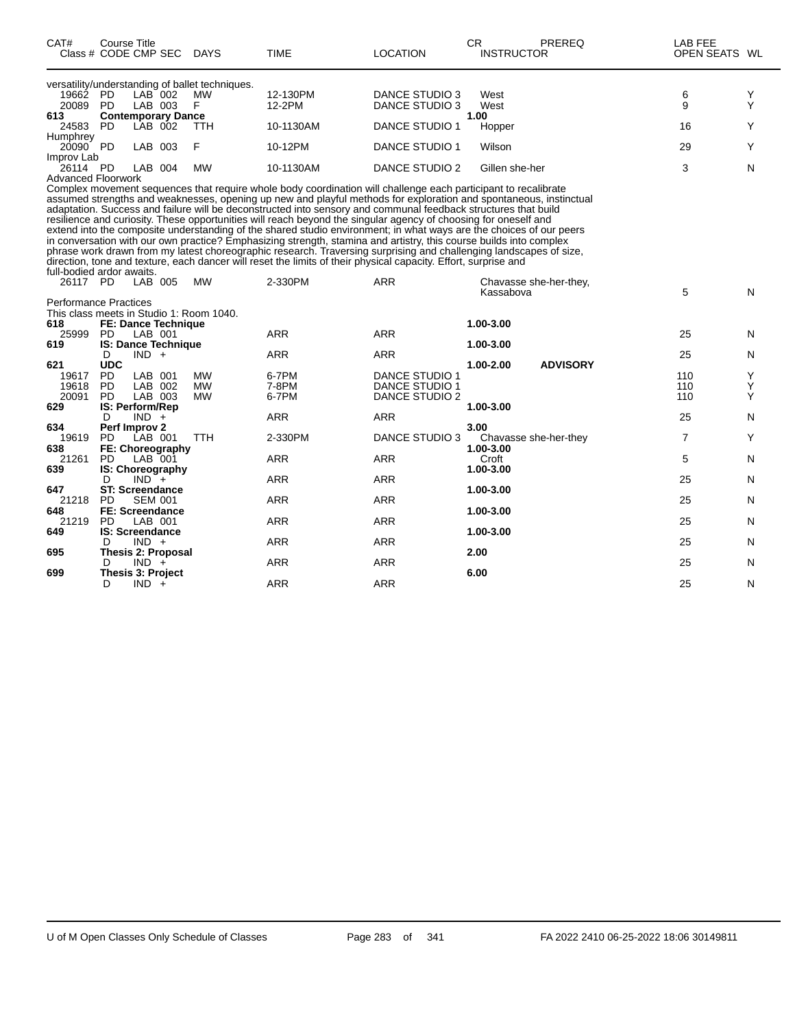| CAT#                                     | Course Title<br>Class # CODE CMP SEC DAYS |                    |                                                 | <b>TIME</b>                                                                                                                                                                                                                                                                                                                                                                                                                                                                                                                                                                                                                                                                                                                                                                                                                                                                                                                                                    | <b>LOCATION</b>                         | <b>CR</b> | <b>INSTRUCTOR</b> | PREREQ                 | LAB FEE<br>OPEN SEATS WL |        |
|------------------------------------------|-------------------------------------------|--------------------|-------------------------------------------------|----------------------------------------------------------------------------------------------------------------------------------------------------------------------------------------------------------------------------------------------------------------------------------------------------------------------------------------------------------------------------------------------------------------------------------------------------------------------------------------------------------------------------------------------------------------------------------------------------------------------------------------------------------------------------------------------------------------------------------------------------------------------------------------------------------------------------------------------------------------------------------------------------------------------------------------------------------------|-----------------------------------------|-----------|-------------------|------------------------|--------------------------|--------|
|                                          |                                           |                    | versatility/understanding of ballet techniques. |                                                                                                                                                                                                                                                                                                                                                                                                                                                                                                                                                                                                                                                                                                                                                                                                                                                                                                                                                                |                                         |           |                   |                        |                          |        |
| 19662 PD<br>20089 PD                     |                                           | LAB 002<br>LAB 003 | <b>MW</b><br>F                                  | 12-130PM<br>12-2PM                                                                                                                                                                                                                                                                                                                                                                                                                                                                                                                                                                                                                                                                                                                                                                                                                                                                                                                                             | <b>DANCE STUDIO 3</b><br>DANCE STUDIO 3 |           | West<br>West      |                        | 6<br>9                   | Y<br>Υ |
| 613                                      | <b>Contemporary Dance</b>                 |                    |                                                 |                                                                                                                                                                                                                                                                                                                                                                                                                                                                                                                                                                                                                                                                                                                                                                                                                                                                                                                                                                |                                         | 1.00      |                   |                        |                          |        |
| 24583                                    | <b>PD</b>                                 | LAB 002            | <b>TTH</b>                                      | 10-1130AM                                                                                                                                                                                                                                                                                                                                                                                                                                                                                                                                                                                                                                                                                                                                                                                                                                                                                                                                                      | <b>DANCE STUDIO 1</b>                   |           | Hopper            |                        | 16                       | Y      |
| Humphrey<br>20090 PD                     |                                           | LAB 003            | F                                               | 10-12PM                                                                                                                                                                                                                                                                                                                                                                                                                                                                                                                                                                                                                                                                                                                                                                                                                                                                                                                                                        | DANCE STUDIO 1                          |           | Wilson            |                        | 29                       | Y      |
| Improv Lab<br>26114 PD                   |                                           | LAB 004            | <b>MW</b>                                       | 10-1130AM                                                                                                                                                                                                                                                                                                                                                                                                                                                                                                                                                                                                                                                                                                                                                                                                                                                                                                                                                      | <b>DANCE STUDIO 2</b>                   |           | Gillen she-her    |                        | 3                        | N      |
| <b>Advanced Floorwork</b>                |                                           |                    |                                                 |                                                                                                                                                                                                                                                                                                                                                                                                                                                                                                                                                                                                                                                                                                                                                                                                                                                                                                                                                                |                                         |           |                   |                        |                          |        |
| full-bodied ardor awaits.                |                                           |                    |                                                 | Complex movement sequences that require whole body coordination will challenge each participant to recalibrate<br>assumed strengths and weaknesses, opening up new and playful methods for exploration and spontaneous, instinctual<br>adaptation. Success and failure will be deconstructed into sensory and communal feedback structures that build<br>resilience and curiosity. These opportunities will reach beyond the singular agency of choosing for oneself and<br>extend into the composite understanding of the shared studio environment; in what ways are the choices of our peers<br>in conversation with our own practice? Emphasizing strength, stamina and artistry, this course builds into complex<br>phrase work drawn from my latest choreographic research. Traversing surprising and challenging landscapes of size,<br>direction, tone and texture, each dancer will reset the limits of their physical capacity. Effort, surprise and |                                         |           |                   |                        |                          |        |
| 26117 PD                                 |                                           | LAB 005            | <b>MW</b>                                       | 2-330PM                                                                                                                                                                                                                                                                                                                                                                                                                                                                                                                                                                                                                                                                                                                                                                                                                                                                                                                                                        | <b>ARR</b>                              |           |                   | Chavasse she-her-they, |                          |        |
| <b>Performance Practices</b>             |                                           |                    |                                                 |                                                                                                                                                                                                                                                                                                                                                                                                                                                                                                                                                                                                                                                                                                                                                                                                                                                                                                                                                                |                                         |           | Kassabova         |                        | 5                        | N      |
| This class meets in Studio 1: Room 1040. |                                           |                    |                                                 |                                                                                                                                                                                                                                                                                                                                                                                                                                                                                                                                                                                                                                                                                                                                                                                                                                                                                                                                                                |                                         |           |                   |                        |                          |        |
| 618                                      | <b>FE: Dance Technique</b>                |                    |                                                 |                                                                                                                                                                                                                                                                                                                                                                                                                                                                                                                                                                                                                                                                                                                                                                                                                                                                                                                                                                | <b>ARR</b>                              |           | 1.00-3.00         |                        |                          |        |
| 25999<br>619                             | PD.<br><b>IS: Dance Technique</b>         | LAB 001            |                                                 | <b>ARR</b>                                                                                                                                                                                                                                                                                                                                                                                                                                                                                                                                                                                                                                                                                                                                                                                                                                                                                                                                                     |                                         |           | 1.00-3.00         |                        | 25                       | N      |
|                                          | D                                         | $IND +$            |                                                 | <b>ARR</b>                                                                                                                                                                                                                                                                                                                                                                                                                                                                                                                                                                                                                                                                                                                                                                                                                                                                                                                                                     | <b>ARR</b>                              |           |                   |                        | 25                       | N      |
| 621                                      | <b>UDC</b>                                |                    |                                                 |                                                                                                                                                                                                                                                                                                                                                                                                                                                                                                                                                                                                                                                                                                                                                                                                                                                                                                                                                                |                                         |           | 1.00-2.00         | <b>ADVISORY</b>        |                          |        |
| 19617<br>19618                           | PD<br><b>PD</b>                           | LAB 001<br>LAB 002 | <b>MW</b><br><b>MW</b>                          | 6-7PM<br>7-8PM                                                                                                                                                                                                                                                                                                                                                                                                                                                                                                                                                                                                                                                                                                                                                                                                                                                                                                                                                 | <b>DANCE STUDIO 1</b><br>DANCE STUDIO 1 |           |                   |                        | 110<br>110               | Y<br>Y |
| 20091                                    | <b>PD</b>                                 | LAB 003            | <b>MW</b>                                       | 6-7PM                                                                                                                                                                                                                                                                                                                                                                                                                                                                                                                                                                                                                                                                                                                                                                                                                                                                                                                                                          | <b>DANCE STUDIO 2</b>                   |           |                   |                        | 110                      | Y      |
| 629                                      | IS: Perform/Rep                           |                    |                                                 |                                                                                                                                                                                                                                                                                                                                                                                                                                                                                                                                                                                                                                                                                                                                                                                                                                                                                                                                                                |                                         |           | 1.00-3.00         |                        |                          |        |
|                                          | D                                         | $IND +$            |                                                 | <b>ARR</b>                                                                                                                                                                                                                                                                                                                                                                                                                                                                                                                                                                                                                                                                                                                                                                                                                                                                                                                                                     | <b>ARR</b>                              |           |                   |                        | 25                       | N      |
| 634                                      | Perf Improv 2                             |                    |                                                 |                                                                                                                                                                                                                                                                                                                                                                                                                                                                                                                                                                                                                                                                                                                                                                                                                                                                                                                                                                |                                         | 3.00      |                   |                        |                          |        |
| 19619<br>638                             | <b>PD</b><br>FE: Choreography             | LAB 001            | <b>TTH</b>                                      | 2-330PM                                                                                                                                                                                                                                                                                                                                                                                                                                                                                                                                                                                                                                                                                                                                                                                                                                                                                                                                                        | DANCE STUDIO 3                          |           | 1.00-3.00         | Chavasse she-her-they  | $\overline{7}$           | Y      |
| 21261                                    | PD.                                       | LAB 001            |                                                 | <b>ARR</b>                                                                                                                                                                                                                                                                                                                                                                                                                                                                                                                                                                                                                                                                                                                                                                                                                                                                                                                                                     | <b>ARR</b>                              |           | Croft             |                        | 5                        | N      |
| 639                                      | IS: Choreography                          |                    |                                                 |                                                                                                                                                                                                                                                                                                                                                                                                                                                                                                                                                                                                                                                                                                                                                                                                                                                                                                                                                                |                                         |           | 1.00-3.00         |                        |                          |        |
|                                          | D                                         | $IND^-$ +          |                                                 | <b>ARR</b>                                                                                                                                                                                                                                                                                                                                                                                                                                                                                                                                                                                                                                                                                                                                                                                                                                                                                                                                                     | <b>ARR</b>                              |           |                   |                        | 25                       | N      |
| 647                                      | <b>ST: Screendance</b>                    |                    |                                                 |                                                                                                                                                                                                                                                                                                                                                                                                                                                                                                                                                                                                                                                                                                                                                                                                                                                                                                                                                                |                                         |           | 1.00-3.00         |                        |                          |        |
| 21218                                    | <b>PD</b>                                 | <b>SEM 001</b>     |                                                 | <b>ARR</b>                                                                                                                                                                                                                                                                                                                                                                                                                                                                                                                                                                                                                                                                                                                                                                                                                                                                                                                                                     | <b>ARR</b>                              |           |                   |                        | 25                       | N      |
| 648<br>21219                             | <b>FE: Screendance</b><br><b>PD</b>       | LAB 001            |                                                 | <b>ARR</b>                                                                                                                                                                                                                                                                                                                                                                                                                                                                                                                                                                                                                                                                                                                                                                                                                                                                                                                                                     | <b>ARR</b>                              |           | 1.00-3.00         |                        | 25                       | N      |
| 649                                      | <b>IS: Screendance</b>                    |                    |                                                 |                                                                                                                                                                                                                                                                                                                                                                                                                                                                                                                                                                                                                                                                                                                                                                                                                                                                                                                                                                |                                         |           | 1.00-3.00         |                        |                          |        |
|                                          | D                                         | $IND +$            |                                                 | <b>ARR</b>                                                                                                                                                                                                                                                                                                                                                                                                                                                                                                                                                                                                                                                                                                                                                                                                                                                                                                                                                     | <b>ARR</b>                              |           |                   |                        | 25                       | N      |
| 695                                      | <b>Thesis 2: Proposal</b>                 |                    |                                                 |                                                                                                                                                                                                                                                                                                                                                                                                                                                                                                                                                                                                                                                                                                                                                                                                                                                                                                                                                                |                                         | 2.00      |                   |                        |                          |        |
|                                          | D                                         | $IND +$            |                                                 | <b>ARR</b>                                                                                                                                                                                                                                                                                                                                                                                                                                                                                                                                                                                                                                                                                                                                                                                                                                                                                                                                                     | <b>ARR</b>                              |           |                   |                        | 25                       | N      |
| 699                                      | Thesis 3: Project<br>D                    | $IND +$            |                                                 | <b>ARR</b>                                                                                                                                                                                                                                                                                                                                                                                                                                                                                                                                                                                                                                                                                                                                                                                                                                                                                                                                                     | <b>ARR</b>                              | 6.00      |                   |                        | 25                       | N      |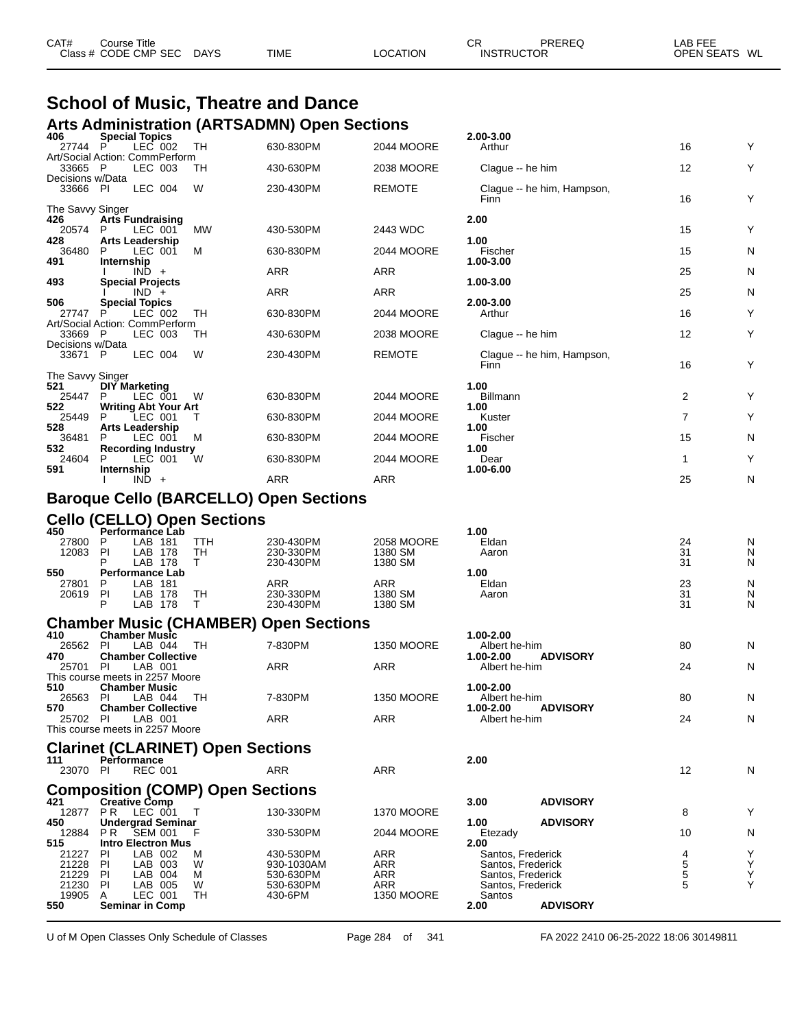| CAT# | Title<br>Course      |             |             |                 | ⌒冖<br>◡⊓          | PREREQ | _AB FEE           |    |
|------|----------------------|-------------|-------------|-----------------|-------------------|--------|-------------------|----|
|      | Class # CODE CMP SEC | <b>DAYS</b> | <b>TIME</b> | <b>LOCATION</b> | <b>INSTRUCTOR</b> |        | <b>OPEN SEATS</b> | WL |
|      |                      |             |             |                 |                   |        |                   |    |

#### **School of Music, Theatre and Dance Arts Administration (ARTSADMN) Open Sections**

| 406<br>27744                | <b>Special Topics</b><br>P<br>LEC 002             | TН         | 630-830PM                                     | 2044 MOORE         | 2.00-3.00<br>Arthur                    |                            | 16             | Y      |
|-----------------------------|---------------------------------------------------|------------|-----------------------------------------------|--------------------|----------------------------------------|----------------------------|----------------|--------|
| 33665 P                     | Art/Social Action: CommPerform<br>LEC 003         | TН         | 430-630PM                                     | 2038 MOORE         | Clague -- he him                       |                            | 12             | Y      |
| Decisions w/Data            |                                                   |            |                                               |                    |                                        |                            |                |        |
| 33666 PI                    | LEC 004                                           | W          | 230-430PM                                     | <b>REMOTE</b>      | Finn                                   | Clague -- he him, Hampson, | 16             | Y      |
| The Savvy Singer<br>426     | <b>Arts Fundraising</b>                           |            |                                               |                    | 2.00                                   |                            |                |        |
| 20574<br>428                | LEC 001<br>P<br><b>Arts Leadership</b>            | MW         | 430-530PM                                     | 2443 WDC           | 1.00                                   |                            | 15             | Y      |
| 36480<br>491                | P<br>LEC 001<br>Internship                        | М          | 630-830PM                                     | 2044 MOORE         | Fischer<br>1.00-3.00                   |                            | 15             | N      |
| 493                         | $IND +$<br><b>Special Projects</b>                |            | ARR                                           | ARR                | 1.00-3.00                              |                            | 25             | N      |
|                             | $IND +$                                           |            | ARR                                           | <b>ARR</b>         |                                        |                            | 25             | N      |
| 506<br>27747                | <b>Special Topics</b><br>LEC 002<br>P             | TH         | 630-830PM                                     | 2044 MOORE         | 2.00-3.00<br>Arthur                    |                            | 16             | Y      |
| 33669                       | Art/Social Action: CommPerform<br>- P<br>LEC 003  | TН         | 430-630PM                                     | 2038 MOORE         | Clague -- he him                       |                            | 12             | Y      |
| Decisions w/Data<br>33671 P | LEC 004                                           | W          | 230-430PM                                     | <b>REMOTE</b>      |                                        | Clague -- he him, Hampson, |                |        |
| The Savvy Singer            |                                                   |            |                                               |                    | Finn                                   |                            | 16             | Y      |
| 521<br>25447                | <b>DIY Marketing</b><br>P<br>LEC 001              | W          | 630-830PM                                     | 2044 MOORE         | 1.00<br><b>Billmann</b>                |                            | 2              | Y      |
| 522                         | <b>Writing Abt Your Art</b>                       |            |                                               |                    | 1.00                                   |                            |                |        |
| 25449<br>528                | LEC 001<br>P<br><b>Arts Leadership</b>            |            | 630-830PM                                     | 2044 MOORE         | Kuster<br>1.00                         |                            | $\overline{7}$ | Y      |
| 36481<br>532                | LEC 001<br>P<br><b>Recording Industry</b>         | M          | 630-830PM                                     | 2044 MOORE         | Fischer<br>1.00                        |                            | 15             | N      |
| 24604<br>591                | LEC 001<br>P<br>Internship                        | W          | 630-830PM                                     | 2044 MOORE         | Dear<br>1.00-6.00                      |                            | $\mathbf{1}$   | Υ      |
|                             | $IND +$                                           |            | ARR                                           | <b>ARR</b>         |                                        |                            | 25             | N      |
|                             |                                                   |            | <b>Baroque Cello (BARCELLO) Open Sections</b> |                    |                                        |                            |                |        |
|                             | <b>Cello (CELLO) Open Sections</b>                |            |                                               |                    |                                        |                            |                |        |
| 450<br>27800                | <b>Performance Lab</b><br>P<br>LAB 181            | <b>TTH</b> | 230-430PM                                     | 2058 MOORE         | 1.00<br>Eldan                          |                            | 24             | N      |
| 12083                       | PI<br>LAB 178<br>LAB 178                          | TH<br>T.   | 230-330PM<br>230-430PM                        | 1380 SM<br>1380 SM | Aaron                                  |                            | 31<br>31       | N<br>N |
| 550<br>27801                | <b>Performance Lab</b><br>LAB 181<br>P            |            | ARR                                           | ARR                | 1.00<br>Eldan                          |                            | 23             | N      |
| 20619                       | PI<br>LAB 178<br>P<br>LAB 178                     | TH<br>Т    | 230-330PM<br>230-430PM                        | 1380 SM<br>1380 SM | Aaron                                  |                            | 31<br>31       | N<br>N |
|                             |                                                   |            | <b>Chamber Music (CHAMBER) Open Sections</b>  |                    |                                        |                            |                |        |
| 410                         | <b>Chamber Music</b>                              |            |                                               |                    | 1.00-2.00                              |                            |                |        |
| 26562<br>470                | LAB 044<br>-PI<br><b>Chamber Collective</b>       | TH         | 7-830PM                                       | <b>1350 MOORE</b>  | Albert he-him<br>1.00-2.00             | <b>ADVISORY</b>            | 80             | N      |
| 25701                       | -PI<br>LAB 001<br>This course meets in 2257 Moore |            | ARR                                           | <b>ARR</b>         | Albert he-him                          |                            | 24             | N      |
| 510<br>26563                | <b>Chamber Music</b><br>PL<br>LAB 044             | TH         | 7-830PM                                       | 1350 MOORE         | 1.00-2.00<br>Albert he-him             |                            | 80             | N      |
| 570<br>25702 PI             | <b>Chamber Collective</b><br>LAB 001              |            | ARR                                           | ARR                | 1.00-2.00<br>Albert he-him             | <b>ADVISORY</b>            | 24             | N      |
|                             | This course meets in 2257 Moore                   |            |                                               |                    |                                        |                            |                |        |
|                             | <b>Clarinet (CLARINET) Open Sections</b>          |            |                                               |                    |                                        |                            |                |        |
| 111<br>23070 PI             | Performance<br><b>REC 001</b>                     |            | ARR                                           | ARR                | 2.00                                   |                            | 12             | N      |
|                             | <b>Composition (COMP) Open Sections</b>           |            |                                               |                    |                                        |                            |                |        |
| 421                         | <b>Creative Comp</b><br>12877 PR LEC 001          | $\top$     | 130-330PM                                     | <b>1370 MOORE</b>  | 3.00                                   | <b>ADVISORY</b>            | 8              | Y      |
| 450<br>12884                | <b>Undergrad Seminar</b><br><b>SEM 001</b><br>PR. |            | 330-530PM                                     | 2044 MOORE         | 1.00<br>Etezady                        | <b>ADVISORY</b>            | 10             | N      |
| 515<br>21227                | <b>Intro Electron Mus</b><br>LAB 002<br>PI.       | м          | 430-530PM                                     | ARR                | 2.00<br>Santos, Frederick              |                            | 4              | Y      |
| 21228                       | LAB 003<br><b>PI</b>                              | W          | 930-1030AM                                    | ARR                | Santos, Frederick                      |                            | 5              | Υ      |
| 21229<br>21230              | PI<br>LAB 004<br>LAB 005<br>PI.                   | м<br>W     | 530-630PM<br>530-630PM                        | ARR<br>ARR         | Santos, Frederick<br>Santos, Frederick |                            | 5<br>5         | Y<br>Y |
| 19905<br>550                | LEC 001<br>A<br><b>Seminar in Comp</b>            | TН         | 430-6PM                                       | <b>1350 MOORE</b>  | Santos<br>2.00                         | <b>ADVISORY</b>            |                |        |

U of M Open Classes Only Schedule of Classes Page 284 of 341 FA 2022 2410 06-25-2022 18:06 30149811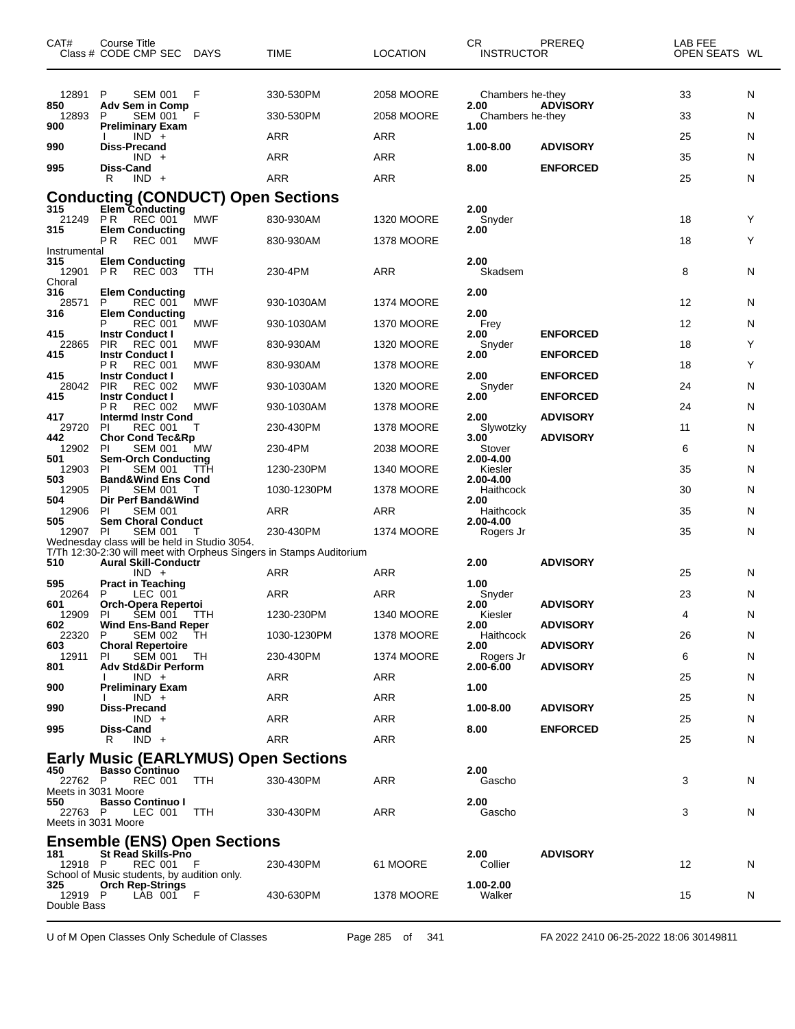| CAT#                                   | <b>Course Title</b><br>Class # CODE CMP SEC                                                                                | <b>DAYS</b> | TIME                                                                | <b>LOCATION</b>                        | CR<br><b>INSTRUCTOR</b>                                           | PREREQ                             | LAB FEE<br>OPEN SEATS WL |             |
|----------------------------------------|----------------------------------------------------------------------------------------------------------------------------|-------------|---------------------------------------------------------------------|----------------------------------------|-------------------------------------------------------------------|------------------------------------|--------------------------|-------------|
| 12891<br>850<br>12893<br>900<br>990    | P<br><b>SEM 001</b><br><b>Adv Sem in Comp</b><br>P<br><b>SEM 001</b><br><b>Preliminary Exam</b><br>$IND +$<br>Diss-Precand | F<br>F      | 330-530PM<br>330-530PM<br>ARR                                       | 2058 MOORE<br>2058 MOORE<br><b>ARR</b> | Chambers he-they<br>2.00<br>Chambers he-they<br>1.00<br>1.00-8.00 | <b>ADVISORY</b><br><b>ADVISORY</b> | 33<br>33<br>25           | N<br>N<br>N |
| 995                                    | $IND +$<br>Diss-Cand<br>R<br>$IND +$                                                                                       |             | ARR<br>ARR                                                          | <b>ARR</b><br><b>ARR</b>               | 8.00                                                              | <b>ENFORCED</b>                    | 35<br>25                 | N<br>N      |
|                                        | <b>Conducting (CONDUCT) Open Sections</b>                                                                                  |             |                                                                     |                                        |                                                                   |                                    |                          |             |
| 315<br>21249                           | <b>Elem Conducting</b><br>P R<br>REC 001                                                                                   | <b>MWF</b>  | 830-930AM                                                           | <b>1320 MOORE</b>                      | 2.00<br>Snyder                                                    |                                    | 18                       | Y           |
| 315                                    | <b>Elem Conducting</b><br>РR<br><b>REC 001</b>                                                                             | MWF         | 830-930AM                                                           | <b>1378 MOORE</b>                      | 2.00                                                              |                                    | 18                       | Y           |
| Instrumental<br>315<br>12901<br>Choral | <b>Elem Conducting</b><br>P R<br>REC 003                                                                                   | TTH         | 230-4PM                                                             | <b>ARR</b>                             | 2.00<br>Skadsem                                                   |                                    | 8                        | N           |
| 316<br>28571<br>316                    | <b>Elem Conducting</b><br>P<br><b>REC 001</b><br><b>Elem Conducting</b>                                                    | MWF         | 930-1030AM                                                          | <b>1374 MOORE</b>                      | 2.00<br>2.00                                                      |                                    | 12                       | N           |
| 415                                    | P<br><b>REC 001</b>                                                                                                        | MWF         | 930-1030AM                                                          | <b>1370 MOORE</b>                      | Frey                                                              | <b>ENFORCED</b>                    | 12                       | N           |
| 22865                                  | <b>Instr Conduct I</b><br><b>PIR</b><br><b>REC 001</b>                                                                     | <b>MWF</b>  | 830-930AM                                                           | <b>1320 MOORE</b>                      | 2.00<br>Snyder                                                    |                                    | 18                       | Y           |
| 415                                    | <b>Instr Conduct I</b><br>РR<br><b>REC 001</b>                                                                             | <b>MWF</b>  | 830-930AM                                                           | <b>1378 MOORE</b>                      | 2.00                                                              | <b>ENFORCED</b>                    | 18                       | Y           |
| 415<br>28042                           | <b>Instr Conduct I</b><br>PIR<br><b>REC 002</b>                                                                            | <b>MWF</b>  | 930-1030AM                                                          | <b>1320 MOORE</b>                      | 2.00<br>Snyder                                                    | <b>ENFORCED</b>                    | 24                       | N           |
| 415                                    | <b>Instr Conduct I</b><br>РR<br><b>REC 002</b>                                                                             | <b>MWF</b>  | 930-1030AM                                                          | <b>1378 MOORE</b>                      | 2.00                                                              | <b>ENFORCED</b>                    | 24                       | N           |
| 417<br>29720                           | <b>Intermd Instr Cond</b><br>PI.<br><b>REC 001</b>                                                                         | т           | 230-430PM                                                           | <b>1378 MOORE</b>                      | 2.00<br>Slywotzky                                                 | <b>ADVISORY</b>                    | 11                       | N           |
| 442<br>12902                           | <b>Chor Cond Tec&amp;Rp</b><br>PI<br><b>SEM 001</b>                                                                        | МW          | 230-4PM                                                             | 2038 MOORE                             | 3.00<br>Stover                                                    | <b>ADVISORY</b>                    | 6                        | N           |
| 501<br>12903                           | <b>Sem-Orch Conducting</b><br>PI<br><b>SEM 001</b>                                                                         | TTH         | 1230-230PM                                                          | <b>1340 MOORE</b>                      | 2.00-4.00<br>Kiesler                                              |                                    | 35                       | N           |
| 503<br>12905                           | <b>Band&amp;Wind Ens Cond</b><br>PI.<br><b>SEM 001</b>                                                                     |             | 1030-1230PM                                                         | <b>1378 MOORE</b>                      | 2.00-4.00<br>Haithcock                                            |                                    | 30                       | N           |
| 504<br>12906                           | Dir Perf Band&Wind<br><b>SEM 001</b><br>PI                                                                                 |             | ARR                                                                 | <b>ARR</b>                             | 2.00<br>Haithcock                                                 |                                    | 35                       | N           |
| 505<br>12907 PI                        | <b>Sem Choral Conduct</b><br><b>SEM 001</b>                                                                                |             | 230-430PM                                                           | <b>1374 MOORE</b>                      | 2.00-4.00<br>Rogers Jr                                            |                                    | 35                       | N           |
|                                        | Wednesday class will be held in Studio 3054.                                                                               |             | T/Th 12:30-2:30 will meet with Orpheus Singers in Stamps Auditorium |                                        |                                                                   |                                    |                          |             |
| 510                                    | <b>Aural Skill-Conductr</b><br>$IND +$                                                                                     |             | ARR                                                                 | ARR                                    | 2.00                                                              | <b>ADVISORY</b>                    | 25                       | N           |
| 595<br>20264                           | <b>Pract in Teaching</b><br>P<br>LEC 001                                                                                   |             | ARR                                                                 | <b>ARR</b>                             | 1.00<br>Snyder                                                    |                                    | 23                       | N           |
| 601<br>12909 PI                        | Orch-Opera Repertoi<br>Pl SEM 001 TTH                                                                                      |             | 1230-230PM                                                          | 1340 MOORE                             | 2.00<br>Kiesler                                                   | <b>ADVISORY</b>                    | 4                        | N           |
| 602<br>22320                           | <b>Wind Ens-Band Reper</b><br>P<br><b>SEM 002</b>                                                                          | TН          | 1030-1230PM                                                         | <b>1378 MOORE</b>                      | 2.00<br>Haithcock                                                 | <b>ADVISORY</b>                    | 26                       | N           |
| 603<br>12911                           | <b>Choral Repertoire</b><br><b>SEM 001</b><br>PI.                                                                          | TH          | 230-430PM                                                           | <b>1374 MOORE</b>                      | 2.00<br>Rogers Jr                                                 | <b>ADVISORY</b>                    | 6                        | N.          |
| 801                                    | <b>Adv Std&amp;Dir Perform</b><br>$IND +$                                                                                  |             | ARR                                                                 | ARR                                    | $2.00 - 6.00$                                                     | <b>ADVISORY</b>                    | 25                       | N.          |
| 900                                    | <b>Preliminary Exam</b><br>$IND +$                                                                                         |             | ARR                                                                 | ARR                                    | 1.00                                                              |                                    | 25                       | N           |
| 990                                    | <b>Diss-Precand</b><br>$IND +$                                                                                             |             |                                                                     | ARR                                    | 1.00-8.00                                                         | <b>ADVISORY</b>                    |                          |             |
| 995                                    | Diss-Cand                                                                                                                  |             | ARR<br>ARR                                                          | ARR                                    | 8.00                                                              | <b>ENFORCED</b>                    | 25<br>25                 | N           |
|                                        | $IND +$<br>R.<br><b>Early Music (EARLYMUS) Open Sections</b>                                                               |             |                                                                     |                                        |                                                                   |                                    |                          | N.          |
| 450                                    | <b>Basso Continuo</b>                                                                                                      |             |                                                                     |                                        | 2.00                                                              |                                    |                          |             |
| 22762 P<br>Meets in 3031 Moore         | <b>REC 001</b>                                                                                                             | TTH         | 330-430PM                                                           | ARR                                    | Gascho                                                            |                                    | 3                        | N           |
| 550<br>22763 P<br>Meets in 3031 Moore  | <b>Basso Continuo I</b><br>LEC 001                                                                                         | TTH         | 330-430PM                                                           | ARR                                    | 2.00<br>Gascho                                                    |                                    | 3                        | N.          |
| 181                                    | <b>Ensemble (ENS) Open Sections</b><br><b>St Read Skills-Prio</b>                                                          |             |                                                                     |                                        | 2.00                                                              | <b>ADVISORY</b>                    |                          |             |
| 12918 P                                | REC 001 F<br>School of Music students, by audition only.                                                                   |             | 230-430PM                                                           | 61 MOORE                               | Collier                                                           |                                    | 12                       | N           |
| 325<br>12919 P<br>Double Bass          | <b>Orch Rep-Strings</b><br>LAB 001 F                                                                                       |             | 430-630PM                                                           | 1378 MOORE                             | 1.00-2.00<br>Walker                                               |                                    | 15                       | N           |

U of M Open Classes Only Schedule of Classes Page 285 of 341 FA 2022 2410 06-25-2022 18:06 30149811

 $\overline{\phantom{0}}$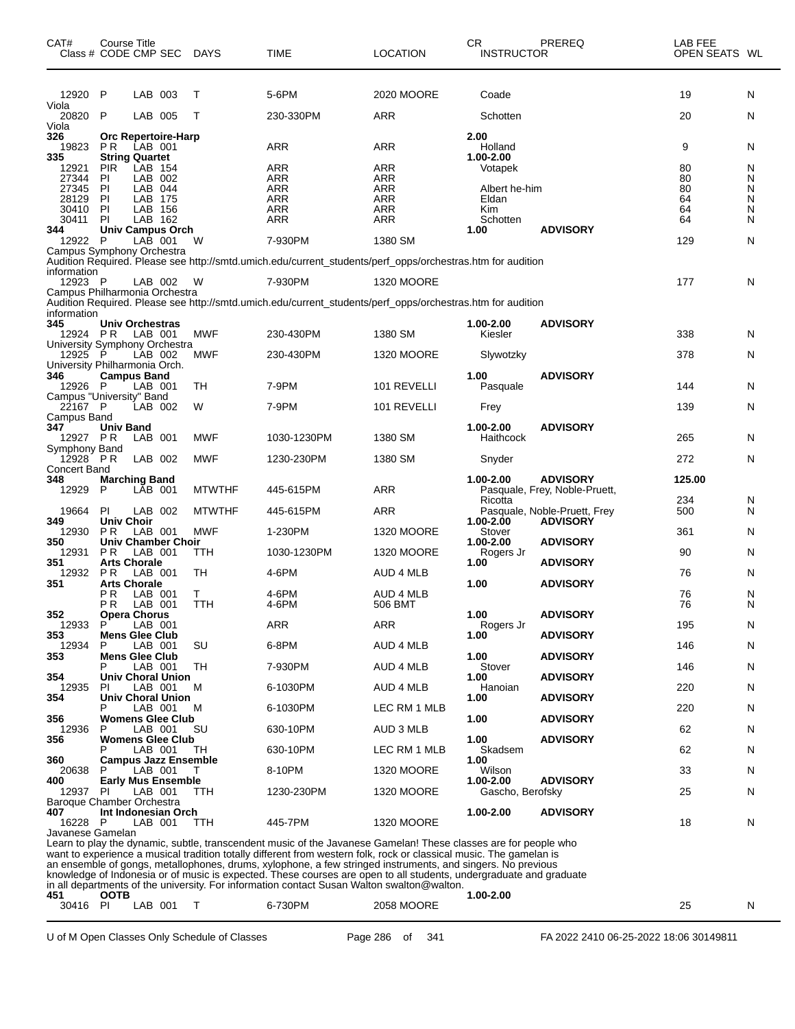| CAT#<br>Class # CODE CMP SEC             | <b>Course Title</b>                 |                    |                             | DAYS          | <b>TIME</b>              | <b>LOCATION</b>                                                                                                                                                                                                                        | CR<br><b>INSTRUCTOR</b> | <b>PREREQ</b>                                    | LAB FEE<br>OPEN SEATS WL |        |
|------------------------------------------|-------------------------------------|--------------------|-----------------------------|---------------|--------------------------|----------------------------------------------------------------------------------------------------------------------------------------------------------------------------------------------------------------------------------------|-------------------------|--------------------------------------------------|--------------------------|--------|
| 12920 P                                  |                                     | LAB 003            |                             | Т             | 5-6PM                    | 2020 MOORE                                                                                                                                                                                                                             | Coade                   |                                                  | 19                       | N      |
| Viola<br>20820                           | P                                   | LAB 005            |                             | Т             | 230-330PM                | ARR                                                                                                                                                                                                                                    | Schotten                |                                                  | 20                       | N      |
| Viola<br>326                             |                                     |                    | <b>Orc Repertoire-Harp</b>  |               |                          |                                                                                                                                                                                                                                        | 2.00                    |                                                  |                          |        |
| 19823                                    | PR.                                 | LAB 001            |                             |               | ARR                      | ARR                                                                                                                                                                                                                                    | Holland                 |                                                  | 9                        | N      |
| 335<br>12921                             | <b>String Quartet</b><br><b>PIR</b> | LAB 154            |                             |               | ARR                      | <b>ARR</b>                                                                                                                                                                                                                             | 1.00-2.00<br>Votapek    |                                                  | 80                       | N      |
| 27344                                    | ΡI                                  | LAB 002            |                             |               | ARR                      | ARR                                                                                                                                                                                                                                    |                         |                                                  | 80                       | N      |
| 27345<br>28129                           | P                                   | LAB 044            |                             |               | <b>ARR</b>               | <b>ARR</b>                                                                                                                                                                                                                             | Albert he-him           |                                                  | 80<br>64                 | Ν<br>N |
| 30410                                    | PI<br>PI                            | LAB 175<br>LAB 156 |                             |               | <b>ARR</b><br><b>ARR</b> | <b>ARR</b><br><b>ARR</b>                                                                                                                                                                                                               | Eldan<br>Kim            |                                                  | 64                       | N      |
| 30411                                    | PI                                  | LAB 162            |                             |               | <b>ARR</b>               | <b>ARR</b>                                                                                                                                                                                                                             | Schotten                |                                                  | 64                       | N      |
| 344                                      |                                     |                    | Univ Campus Orch            |               |                          |                                                                                                                                                                                                                                        | 1.00                    | <b>ADVISORY</b>                                  |                          |        |
| 12922<br>Campus Symphony Orchestra       | P                                   | LAB 001            |                             | W             | 7-930PM                  | 1380 SM                                                                                                                                                                                                                                |                         |                                                  | 129                      | N      |
| information                              |                                     |                    |                             |               |                          | Audition Required. Please see http://smtd.umich.edu/current_students/perf_opps/orchestras.htm for audition                                                                                                                             |                         |                                                  |                          |        |
| 12923 P<br>Campus Philharmonia Orchestra |                                     |                    | LAB 002                     | - W           | 7-930PM                  | 1320 MOORE                                                                                                                                                                                                                             |                         |                                                  | 177                      | N      |
|                                          |                                     |                    |                             |               |                          | Audition Required. Please see http://smtd.umich.edu/current_students/perf_opps/orchestras.htm for audition                                                                                                                             |                         |                                                  |                          |        |
| information                              |                                     |                    |                             |               |                          |                                                                                                                                                                                                                                        |                         |                                                  |                          |        |
| 345<br>12924 PR                          | <b>Univ Orchestras</b>              | LAB 001            |                             | <b>MWF</b>    | 230-430PM                | 1380 SM                                                                                                                                                                                                                                | 1.00-2.00<br>Kiesler    | <b>ADVISORY</b>                                  | 338                      | N      |
| University Symphony Orchestra            |                                     |                    |                             |               |                          |                                                                                                                                                                                                                                        |                         |                                                  |                          |        |
| 12925                                    | P                                   | LAB 002            |                             | <b>MWF</b>    | 230-430PM                | <b>1320 MOORE</b>                                                                                                                                                                                                                      | Slywotzky               |                                                  | 378                      | N      |
| University Philharmonia Orch.<br>346     | <b>Campus Band</b>                  |                    |                             |               |                          |                                                                                                                                                                                                                                        | 1.00                    | <b>ADVISORY</b>                                  |                          |        |
| 12926 P                                  |                                     | LAB 001            |                             | TH            | 7-9PM                    | 101 REVELLI                                                                                                                                                                                                                            | Pasquale                |                                                  | 144                      | N      |
| Campus "University" Band                 |                                     |                    |                             |               |                          |                                                                                                                                                                                                                                        |                         |                                                  |                          |        |
| 22167 P<br>Campus Band                   |                                     | LAB 002            |                             | W             | 7-9PM                    | 101 REVELLI                                                                                                                                                                                                                            | Frey                    |                                                  | 139                      | N      |
| 347                                      | <b>Univ Band</b>                    |                    |                             |               |                          |                                                                                                                                                                                                                                        | 1.00-2.00               | <b>ADVISORY</b>                                  |                          |        |
| 12927 PR                                 |                                     | LAB 001            |                             | MWF           | 1030-1230PM              | 1380 SM                                                                                                                                                                                                                                | Haithcock               |                                                  | 265                      | N      |
| Symphony Band<br>$12928$ PR              |                                     | LAB 002            |                             | MWF           | 1230-230PM               | 1380 SM                                                                                                                                                                                                                                | Snyder                  |                                                  | 272                      | N      |
| <b>Concert Band</b>                      |                                     |                    |                             |               |                          |                                                                                                                                                                                                                                        |                         |                                                  |                          |        |
| 348<br>12929                             | <b>Marching Band</b><br>P           | LAB 001            |                             | <b>MTWTHF</b> | 445-615PM                | ARR                                                                                                                                                                                                                                    | 1.00-2.00<br>Ricotta    | <b>ADVISORY</b><br>Pasquale, Frey, Noble-Pruett, | 125.00<br>234            | N      |
| 19664                                    | PI                                  | LAB 002            |                             | <b>MTWTHF</b> | 445-615PM                | ARR                                                                                                                                                                                                                                    |                         | Pasquale, Noble-Pruett, Frey                     | 500                      | N      |
| 349<br>12930                             | <b>Univ Choir</b><br><b>PR</b>      | LAB 001            |                             | <b>MWF</b>    | 1-230PM                  | <b>1320 MOORE</b>                                                                                                                                                                                                                      | 1.00-2.00<br>Stover     | <b>ADVISORY</b>                                  | 361                      | N      |
| 350                                      |                                     |                    | <b>Univ Chamber Choir</b>   |               |                          |                                                                                                                                                                                                                                        | 1.00-2.00               | <b>ADVISORY</b>                                  |                          |        |
| 12931                                    | P R                                 | LAB 001            |                             | TTH           | 1030-1230PM              | <b>1320 MOORE</b>                                                                                                                                                                                                                      | Rogers Jr               |                                                  | 90                       | N      |
| 351<br>12932                             | <b>Arts Chorale</b><br><b>PR</b>    | LAB 001            |                             | TН            | 4-6PM                    | <b>AUD 4 MLB</b>                                                                                                                                                                                                                       | 1.00                    | <b>ADVISORY</b>                                  | 76                       | N      |
| 351                                      | <b>Arts Chorale</b>                 |                    |                             |               |                          |                                                                                                                                                                                                                                        | 1.00                    | <b>ADVISORY</b>                                  |                          |        |
|                                          | РR<br>ΡR                            | LAB 001<br>LAB 001 |                             | T.<br>TTH     | 4-6PM<br>4-6PM           | AUD 4 MLB<br>506 BMT                                                                                                                                                                                                                   |                         |                                                  | 76<br>76                 | N<br>N |
| 352                                      | <b>Opera Chorus</b>                 |                    |                             |               |                          |                                                                                                                                                                                                                                        | 1.00                    | <b>ADVISORY</b>                                  |                          |        |
| 12933                                    | P                                   | LAB 001            |                             |               | <b>ARR</b>               | <b>ARR</b>                                                                                                                                                                                                                             | Rogers Jr               |                                                  | 195                      | N      |
| 353<br>12934                             | <b>Mens Glee Club</b><br>P          | LAB 001            |                             | SU            | 6-8PM                    | AUD 4 MLB                                                                                                                                                                                                                              | 1.00                    | <b>ADVISORY</b>                                  | 146                      | N      |
| 353                                      | <b>Mens Glee Club</b>               |                    |                             |               |                          |                                                                                                                                                                                                                                        | 1.00                    | <b>ADVISORY</b>                                  |                          |        |
|                                          |                                     | LAB 001            |                             | TН            | 7-930PM                  | AUD 4 MLB                                                                                                                                                                                                                              | Stover                  |                                                  | 146                      | N      |
| 354<br>12935                             | ΡI                                  | LAB 001            | <b>Univ Choral Union</b>    | м             | 6-1030PM                 | AUD 4 MLB                                                                                                                                                                                                                              | 1.00<br>Hanoian         | <b>ADVISORY</b>                                  | 220                      | N      |
| 354                                      |                                     |                    | <b>Univ Choral Union</b>    |               |                          |                                                                                                                                                                                                                                        | 1.00                    | <b>ADVISORY</b>                                  |                          |        |
|                                          | Р                                   | LAB 001            |                             | м             | 6-1030PM                 | LEC RM 1 MLB                                                                                                                                                                                                                           |                         |                                                  | 220                      | N      |
| 356<br>12936                             | P                                   | LAB 001            | <b>Womens Glee Club</b>     | SU            | 630-10PM                 | AUD 3 MLB                                                                                                                                                                                                                              | 1.00                    | <b>ADVISORY</b>                                  | 62                       | N      |
| 356                                      |                                     |                    | <b>Womens Glee Club</b>     |               |                          |                                                                                                                                                                                                                                        | 1.00                    | <b>ADVISORY</b>                                  |                          |        |
|                                          |                                     | LAB 001            |                             | TН            | 630-10PM                 | LEC RM 1 MLB                                                                                                                                                                                                                           | Skadsem                 |                                                  | 62                       | N      |
| 360<br>20638                             | P                                   | LAB 001            | <b>Campus Jazz Ensemble</b> | т             | 8-10PM                   | <b>1320 MOORE</b>                                                                                                                                                                                                                      | 1.00<br>Wilson          |                                                  | 33                       | N      |
| 400                                      |                                     |                    | <b>Early Mus Ensemble</b>   |               |                          |                                                                                                                                                                                                                                        | 1.00-2.00               | <b>ADVISORY</b>                                  |                          |        |
| 12937<br>Baroque Chamber Orchestra       | PI.                                 | LAB 001            |                             | ттн           | 1230-230PM               | 1320 MOORE                                                                                                                                                                                                                             | Gascho, Berofsky        |                                                  | 25                       | N      |
| 407                                      |                                     |                    | Int Indonesian Orch         |               |                          |                                                                                                                                                                                                                                        | 1.00-2.00               | <b>ADVISORY</b>                                  |                          |        |
| 16228 P                                  |                                     | LAB 001            |                             | ттн           | 445-7PM                  | 1320 MOORE                                                                                                                                                                                                                             |                         |                                                  | 18                       | N      |
| Javanese Gamelan                         |                                     |                    |                             |               |                          |                                                                                                                                                                                                                                        |                         |                                                  |                          |        |
|                                          |                                     |                    |                             |               |                          | Learn to play the dynamic, subtle, transcendent music of the Javanese Gamelan! These classes are for people who<br>want to experience a musical tradition totally different from western folk, rock or classical music. The gamelan is |                         |                                                  |                          |        |
|                                          |                                     |                    |                             |               |                          | an ensemble of gongs, metallophones, drums, xylophone, a few stringed instruments, and singers. No previous                                                                                                                            |                         |                                                  |                          |        |

knowledge of Indonesia or of music is expected. These courses are open to all students, undergraduate and graduate

in all departments of the university. For information contact Susan Walton swalton@walton.

 **OOTB 1.00-2.00** 1.00-2.00<br>
30416 PI LAB 001 T 6-730PM 2058 MOORE 1.00-2.00<br>
30416 PI LAB 001 T 6-730PM 2058 MOORE 1.00-2.00

U of M Open Classes Only Schedule of Classes Page 286 of 341 FA 2022 2410 06-25-2022 18:06 30149811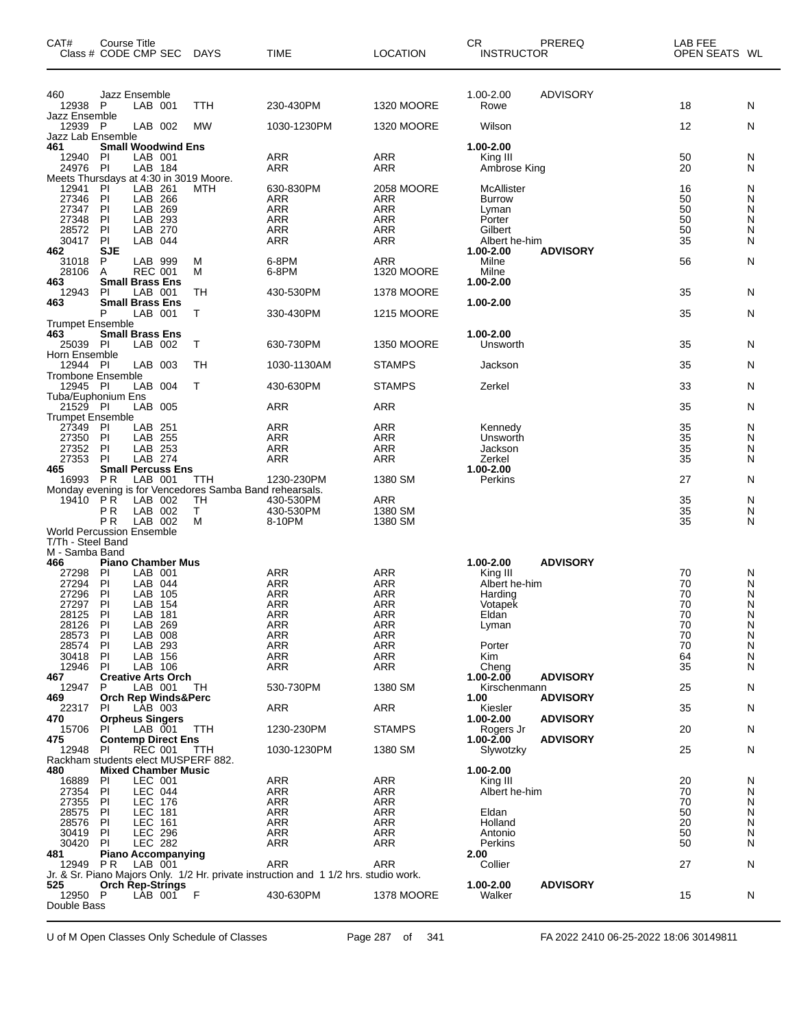| CAT#                                 | Course Title<br>Class # CODE CMP SEC                          |            | DAYS                                                           | <b>TIME</b>                                                                         | <b>LOCATION</b>                 | CR<br><b>INSTRUCTOR</b>     | PREREQ          | LAB FEE<br>OPEN SEATS WL |        |
|--------------------------------------|---------------------------------------------------------------|------------|----------------------------------------------------------------|-------------------------------------------------------------------------------------|---------------------------------|-----------------------------|-----------------|--------------------------|--------|
| 460<br>12938                         | Jazz Ensemble<br><b>P</b><br>LAB 001                          |            | TTH                                                            | 230-430PM                                                                           | <b>1320 MOORE</b>               | 1.00-2.00<br>Rowe           | <b>ADVISORY</b> | 18                       | N      |
| Jazz Ensemble<br>12939 P             | LAB 002                                                       |            | <b>MW</b>                                                      | 1030-1230PM                                                                         | <b>1320 MOORE</b>               | Wilson                      |                 | 12                       | N      |
| Jazz Lab Ensemble                    |                                                               |            |                                                                |                                                                                     |                                 |                             |                 |                          |        |
| 461<br>12940                         | <b>Small Woodwind Ens</b><br>PI<br>LAB 001                    |            |                                                                | ARR                                                                                 | <b>ARR</b>                      | 1.00-2.00<br>King III       |                 | 50                       | N      |
| 24976                                | LAB 184<br>- Pl<br>Meets Thursdays at 4:30 in 3019 Moore.     |            |                                                                | <b>ARR</b>                                                                          | ARR                             | Ambrose King                |                 | 20                       | N      |
| 12941<br>27346                       | PI<br>LAB 261<br>LAB<br>P                                     | 266        | MTH                                                            | 630-830PM<br><b>ARR</b>                                                             | 2058 MOORE<br><b>ARR</b>        | McAllister<br><b>Burrow</b> |                 | 16<br>50                 | N<br>N |
| 27347                                | PI<br>LAB                                                     | 269        |                                                                | <b>ARR</b>                                                                          | <b>ARR</b>                      | Lyman                       |                 | 50                       | N      |
| 27348<br>28572                       | PI<br>LAB<br>PI<br>LAB                                        | 293<br>270 |                                                                | ARR<br><b>ARR</b>                                                                   | <b>ARR</b><br><b>ARR</b>        | Porter<br>Gilbert           |                 | 50<br>50                 | Ν<br>N |
| 30417<br>462                         | PI<br>LAB<br><b>SJE</b>                                       | 044        |                                                                | <b>ARR</b>                                                                          | <b>ARR</b>                      | Albert he-him<br>1.00-2.00  | <b>ADVISORY</b> | 35                       | N      |
| 31018<br>28106                       | P<br>LAB 999<br><b>REC 001</b><br>A                           |            | М<br>м                                                         | 6-8PM<br>6-8PM                                                                      | <b>ARR</b><br><b>1320 MOORE</b> | Milne<br>Milne              |                 | 56                       | N      |
| 463<br>12943                         | <b>Small Brass Ens</b><br>P<br>LAB 001                        |            | TH                                                             | 430-530PM                                                                           | 1378 MOORE                      | 1.00-2.00                   |                 | 35                       | N      |
| 463<br><b>Trumpet Ensemble</b>       | <b>Small Brass Ens</b><br>P<br>LAB 001                        |            | T                                                              | 330-430PM                                                                           | <b>1215 MOORE</b>               | 1.00-2.00                   |                 | 35                       | N      |
| 463<br>25039 PI                      | <b>Small Brass Ens</b><br>LAB 002                             |            | T                                                              | 630-730PM                                                                           | <b>1350 MOORE</b>               | 1.00-2.00<br>Unsworth       |                 | 35                       | N      |
| Horn Ensemble<br>12944 PI            | LAB 003                                                       |            | TН                                                             | 1030-1130AM                                                                         | <b>STAMPS</b>                   | Jackson                     |                 | 35                       | N      |
| <b>Trombone Ensemble</b><br>12945 PI | LAB 004<br>Tuba/Euphonium Ens                                 |            | Τ                                                              | 430-630PM                                                                           | <b>STAMPS</b>                   | Zerkel                      |                 | 33                       | N      |
| 21529 PI<br><b>Trumpet Ensemble</b>  | LAB 005                                                       |            |                                                                | ARR                                                                                 | <b>ARR</b>                      |                             |                 | 35                       | N      |
| 27349<br>27350                       | LAB 251<br>PI<br>PI<br>LAB 255                                |            |                                                                | <b>ARR</b><br>ARR                                                                   | <b>ARR</b><br><b>ARR</b>        | Kennedy<br>Unsworth         |                 | 35<br>35                 | N<br>N |
| 27352<br>27353                       | <b>PI</b><br>LAB 253<br>PI<br>LAB 274                         |            |                                                                | <b>ARR</b><br>ARR                                                                   | <b>ARR</b><br><b>ARR</b>        | Jackson<br>Zerkel           |                 | 35<br>35                 | N<br>N |
| 465                                  | <b>Small Percuss Ens</b>                                      |            |                                                                |                                                                                     |                                 | 1.00-2.00                   |                 |                          |        |
| 16993                                | <b>PR</b><br>LAB 001                                          |            | TTH<br>Monday evening is for Vencedores Samba Band rehearsals. | 1230-230PM                                                                          | 1380 SM                         | Perkins                     |                 | 27                       | N      |
| 19410                                | P R<br>LAB 002<br>LAB 002<br>ΡR                               |            | TH<br>Τ                                                        | 430-530PM<br>430-530PM                                                              | <b>ARR</b><br>1380 SM           |                             |                 | 35<br>35                 | N<br>Ν |
|                                      | P <sub>R</sub><br>LAB 002<br><b>World Percussion Ensemble</b> |            | м                                                              | 8-10PM                                                                              | 1380 SM                         |                             |                 | 35                       | N      |
| T/Th - Steel Band<br>M - Samba Band  |                                                               |            |                                                                |                                                                                     |                                 |                             |                 |                          |        |
| 466                                  | <b>Piano Chamber Mus</b>                                      |            |                                                                |                                                                                     |                                 | 1.00-2.00                   | <b>ADVISORY</b> |                          |        |
| 27298<br>27294                       | PI<br>LAB 001<br>PI<br>LAB                                    | 044        |                                                                | ARR<br><b>ARR</b>                                                                   | <b>ARR</b><br><b>ARR</b>        | King III<br>Albert he-him   |                 | 70<br>70                 | N<br>N |
| 27296                                | PI<br>LAB                                                     | 105        |                                                                | ARR                                                                                 | ARR                             | Harding                     |                 | 70                       | N      |
| 27297<br>28125 PI                    | P<br>LAB<br>LAB 181                                           | 154        |                                                                | <b>ARR</b><br>ARR                                                                   | <b>ARR</b><br>ARR               | Votapek<br>Eldan            |                 | 70<br>70                 | N<br>N |
| 28126 PI                             | LAB 269                                                       |            |                                                                | ARR                                                                                 | ARR                             | Lyman                       |                 | 70                       | N      |
| 28573<br>28574 PI                    | LAB 008<br>PI<br>LAB 293                                      |            |                                                                | <b>ARR</b><br>ARR                                                                   | <b>ARR</b><br><b>ARR</b>        | Porter                      |                 | 70<br>70                 | N<br>N |
| 30418                                | PI<br>LAB 156                                                 |            |                                                                | ARR                                                                                 | <b>ARR</b>                      | Kim                         |                 | 64                       | N      |
| 12946                                | PI<br>LAB 106                                                 |            |                                                                | ARR                                                                                 | <b>ARR</b>                      | Cheng                       | <b>ADVISORY</b> | 35                       | N      |
| 467<br>12947                         | <b>Creative Arts Orch</b><br>P<br>LAB 001                     |            | TH                                                             | 530-730PM                                                                           | 1380 SM                         | 1.00-2.00<br>Kirschenmann   |                 | 25                       | N      |
| 469                                  | <b>Orch Rep Winds&amp;Perc</b>                                |            |                                                                |                                                                                     |                                 | 1.00                        | <b>ADVISORY</b> |                          |        |
| 22317<br>470                         | LAB 003<br>PI.<br><b>Orpheus Singers</b>                      |            |                                                                | ARR                                                                                 | ARR                             | Kiesler<br>1.00-2.00        | <b>ADVISORY</b> | 35                       | N      |
| 15706<br>475                         | LAB 001<br><b>PI</b><br><b>Contemp Direct Ens</b>             |            | TTH                                                            | 1230-230PM                                                                          | <b>STAMPS</b>                   | Rogers Jr<br>1.00-2.00      | <b>ADVISORY</b> | 20                       | N      |
| 12948                                | PI<br><b>REC 001</b><br>Rackham students elect MUSPERF 882.   |            | TTH                                                            | 1030-1230PM                                                                         | 1380 SM                         | Slywotzky                   |                 | 25                       | N      |
| 480<br>16889                         | <b>Mixed Chamber Music</b><br>PI<br>LEC 001                   |            |                                                                | ARR                                                                                 | <b>ARR</b>                      | 1.00-2.00<br>King III       |                 | 20                       | N      |
| 27354                                | LEC 044<br>PI                                                 |            |                                                                | <b>ARR</b>                                                                          | <b>ARR</b>                      | Albert he-him               |                 | 70                       | N      |
| 27355                                | <b>LEC 176</b><br>PI                                          |            |                                                                | <b>ARR</b><br>ARR                                                                   | <b>ARR</b>                      |                             |                 | 70<br>50                 | N      |
| 28575<br>28576                       | PI<br>LEC 181<br>LEC 161<br>PI                                |            |                                                                | <b>ARR</b>                                                                          | ARR<br><b>ARR</b>               | Eldan<br>Holland            |                 | 20                       | N<br>N |
| 30419                                | <b>LEC 296</b><br>PI                                          |            |                                                                | <b>ARR</b>                                                                          | <b>ARR</b>                      | Antonio                     |                 | 50                       | N      |
| 30420<br>481                         | PI<br>LEC 282<br><b>Piano Accompanying</b>                    |            |                                                                | ARR                                                                                 | ARR                             | Perkins<br>2.00             |                 | 50                       | N      |
| 12949 PR                             | LAB 001                                                       |            |                                                                | ARR                                                                                 | <b>ARR</b>                      | Collier                     |                 | 27                       | N      |
| 525                                  | <b>Orch Rep-Strings</b>                                       |            |                                                                | Jr. & Sr. Piano Majors Only. 1/2 Hr. private instruction and 11/2 hrs. studio work. |                                 | 1.00-2.00                   | <b>ADVISORY</b> |                          |        |
| 12950 P<br>Double Bass               | $LAB$ 001 $F$                                                 |            |                                                                | 430-630PM                                                                           | <b>1378 MOORE</b>               | Walker                      |                 | 15                       | N      |

U of M Open Classes Only Schedule of Classes Page 287 of 341 FA 2022 2410 06-25-2022 18:06 30149811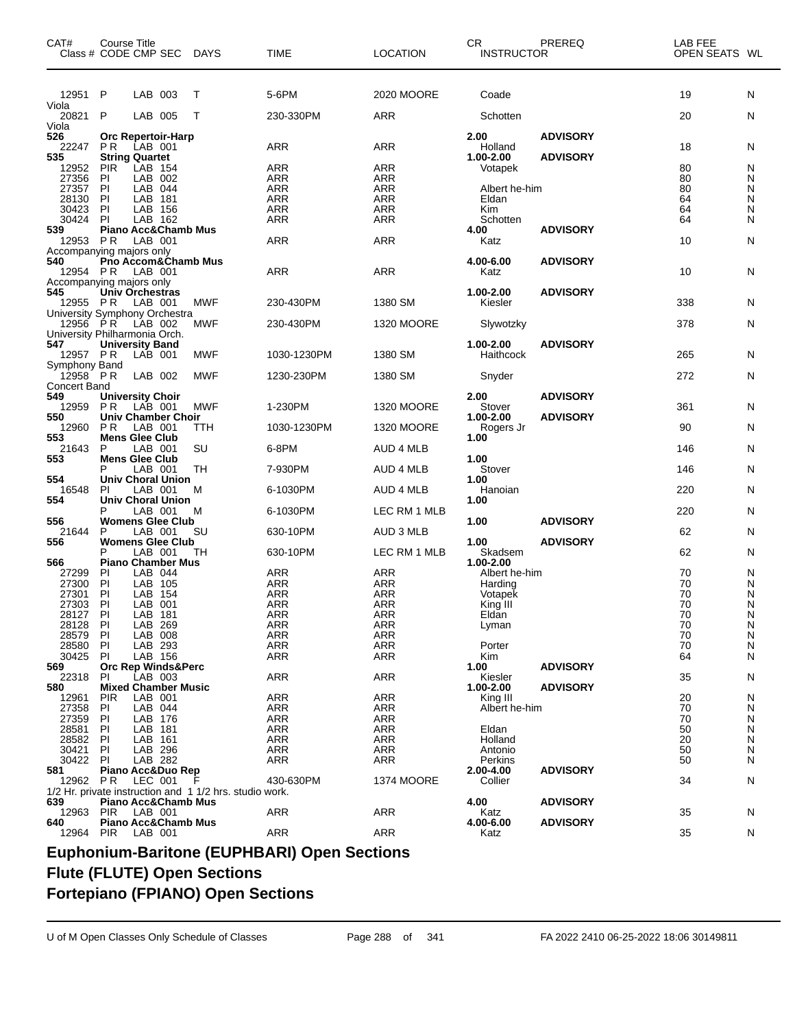| CAT#                      | Course Title<br>Class # CODE CMP SEC DAYS                  |            | TIME                                               | <b>LOCATION</b>          | CR<br><b>INSTRUCTOR</b>    | PREREQ          | <b>LAB FEE</b><br>OPEN SEATS WL |        |
|---------------------------|------------------------------------------------------------|------------|----------------------------------------------------|--------------------------|----------------------------|-----------------|---------------------------------|--------|
| 12951 P                   | LAB 003                                                    | т          | 5-6PM                                              | 2020 MOORE               | Coade                      |                 | 19                              | N      |
| Viola<br>20821            | P<br>LAB 005                                               | Т          | 230-330PM                                          | <b>ARR</b>               | Schotten                   |                 | 20                              | N      |
| Viola<br>526              | Orc Repertoir-Harp                                         |            |                                                    |                          | 2.00                       | <b>ADVISORY</b> |                                 |        |
| 22247<br>535              | P R<br>LAB 001<br><b>String Quartet</b>                    |            | ARR                                                | <b>ARR</b>               | Holland<br>1.00-2.00       | <b>ADVISORY</b> | 18                              | N      |
| 12952                     | LAB 154<br><b>PIR</b>                                      |            | <b>ARR</b>                                         | <b>ARR</b>               | Votapek                    |                 | 80<br>80                        | N      |
| 27356<br>27357            | PI<br>LAB 002<br>LAB 044<br>PI                             |            | <b>ARR</b><br><b>ARR</b>                           | <b>ARR</b><br><b>ARR</b> | Albert he-him              |                 | 80                              | N<br>N |
| 28130                     | PI<br><b>LAB</b><br>181                                    |            | <b>ARR</b>                                         | <b>ARR</b>               | Eldan                      |                 | 64                              | N      |
| 30423                     | PI<br>LAB 156                                              |            | <b>ARR</b>                                         | <b>ARR</b>               | Kim                        |                 | 64                              | N      |
| 30424                     | PI<br>LAB 162                                              |            | <b>ARR</b>                                         | <b>ARR</b>               | Schotten                   |                 | 64                              | N      |
| 539                       | <b>Piano Acc&amp;Chamb Mus</b>                             |            |                                                    |                          | 4.00                       | <b>ADVISORY</b> |                                 |        |
| 12953                     | LAB 001<br>P R                                             |            | ARR                                                | <b>ARR</b>               | Katz                       |                 | 10                              | N      |
| 540<br>12954 PR           | Accompanying majors only<br>Pno Accom&Chamb Mus<br>LAB 001 |            | ARR                                                | <b>ARR</b>               | 4.00-6.00<br>Katz          | <b>ADVISORY</b> | 10                              | N      |
|                           | Accompanying majors only                                   |            |                                                    |                          |                            |                 |                                 |        |
| 545<br>12955 PR           | <b>Univ Orchestras</b><br>LAB 001                          | MWF        | 230-430PM                                          | 1380 SM                  | 1.00-2.00<br>Kiesler       | <b>ADVISORY</b> | 338                             | N      |
| 12956 PR                  | University Symphony Orchestra<br>LAB 002                   | <b>MWF</b> | 230-430PM                                          | 1320 MOORE               | Slywotzky                  |                 | 378                             | N      |
| 547                       | University Philharmonia Orch.<br><b>University Band</b>    |            |                                                    |                          | 1.00-2.00                  | <b>ADVISORY</b> |                                 |        |
| 12957 PR<br>Symphony Band | LAB 001                                                    | <b>MWF</b> | 1030-1230PM                                        | 1380 SM                  | Haithcock                  |                 | 265                             | N      |
| 12958 PR                  | LAB 002                                                    | <b>MWF</b> | 1230-230PM                                         | 1380 SM                  | Snyder                     |                 | 272                             | N      |
| <b>Concert Band</b>       |                                                            |            |                                                    |                          |                            |                 |                                 |        |
| 549                       | <b>University Choir</b>                                    |            |                                                    |                          | 2.00                       | <b>ADVISORY</b> |                                 |        |
| 12959 PR                  | LAB 001                                                    | <b>MWF</b> | 1-230PM                                            | <b>1320 MOORE</b>        | Stover                     |                 | 361                             | N      |
| 550<br>12960              | <b>Univ Chamber Choir</b><br>LAB 001<br>P R                | TTH        | 1030-1230PM                                        | <b>1320 MOORE</b>        | 1.00-2.00<br>Rogers Jr     | <b>ADVISORY</b> | 90                              | N      |
| 553<br>21643              | <b>Mens Glee Club</b><br>P<br>LAB 001                      | SU         | 6-8PM                                              | AUD 4 MLB                | 1.00                       |                 | 146                             | N      |
| 553                       | <b>Mens Glee Club</b>                                      |            |                                                    |                          | 1.00                       |                 |                                 |        |
| 554                       | LAB 001<br><b>Univ Choral Union</b>                        | TН         | 7-930PM                                            | AUD 4 MLB                | Stover<br>1.00             |                 | 146                             | N      |
| 16548<br>554              | LAB 001<br>PI<br><b>Univ Choral Union</b>                  | M          | 6-1030PM                                           | AUD 4 MLB                | Hanoian<br>1.00            |                 | 220                             | N      |
| 556                       | LAB 001<br><b>Womens Glee Club</b>                         | M          | 6-1030PM                                           | LEC RM 1 MLB             | 1.00                       | <b>ADVISORY</b> | 220                             | N      |
| 21644                     | LAB 001<br>P                                               | SU         | 630-10PM                                           | AUD 3 MLB                |                            |                 | 62                              | N      |
| 556                       | <b>Womens Glee Club</b>                                    |            |                                                    |                          | 1.00                       | <b>ADVISORY</b> |                                 |        |
|                           | LAB 001<br>Р                                               | TН         | 630-10PM                                           | LEC RM 1 MLB             | Skadsem                    |                 | 62                              | N      |
| 566<br>27299              | <b>Piano Chamber Mus</b><br>LAB 044<br><b>PI</b>           |            | <b>ARR</b>                                         | <b>ARR</b>               | 1.00-2.00<br>Albert he-him |                 | 70                              | N      |
| 27300                     | PI<br>LAB 105                                              |            | <b>ARR</b>                                         | <b>ARR</b>               | Harding                    |                 | 70                              | N      |
| 27301                     | PI<br>LAB 154                                              |            | <b>ARR</b>                                         | <b>ARR</b>               | Votapek                    |                 | 70                              | N      |
| 27303                     | P<br>LAB 001                                               |            | <b>ARR</b>                                         | <b>ARR</b>               | King III                   |                 | 70                              | N      |
| 28127                     | P<br>LAB 181                                               |            | ARR                                                | <b>ARR</b>               | Eldan                      |                 | 70                              | N      |
| 28128                     | PI<br>LAB 269                                              |            | ARR                                                | ARR                      | Lyman                      |                 | 70                              | N      |
| 28579                     | PI<br>LAB 008                                              |            | <b>ARR</b>                                         | <b>ARR</b>               |                            |                 | 70                              | N      |
| 28580<br>30425            | LAB 293<br><b>PI</b><br>-PI<br>LAB 156                     |            | <b>ARR</b><br><b>ARR</b>                           | ARR<br>ARR               | Porter<br>Kim              |                 | 70<br>64                        | N<br>N |
| 569                       | Orc Rep Winds&Perc                                         |            |                                                    |                          | 1.00                       | <b>ADVISORY</b> |                                 |        |
| 22318                     | LAB 003<br>PI                                              |            | <b>ARR</b>                                         | ARR                      | Kiesler                    |                 | 35                              | N      |
| 580                       | <b>Mixed Chamber Music</b>                                 |            |                                                    |                          | 1.00-2.00                  | <b>ADVISORY</b> |                                 |        |
| 12961                     | <b>PIR</b><br>LAB 001                                      |            | ARR                                                | <b>ARR</b>               | King III                   |                 | 20                              | N      |
| 27358                     | PI<br>LAB 044                                              |            | ARR                                                | ARR                      | Albert he-him              |                 | 70                              | N      |
| 27359                     | PI<br>LAB 176                                              |            | <b>ARR</b>                                         | ARR                      |                            |                 | 70                              | N      |
| 28581                     | LAB<br>PI<br>-181                                          |            | <b>ARR</b>                                         | <b>ARR</b>               | Eldan                      |                 | 50                              | N      |
| 28582                     | PI<br>LAB 161                                              |            | <b>ARR</b>                                         | ARR                      | Holland                    |                 | 20                              | N      |
| 30421<br>30422            | -PI<br>LAB 296<br>PI                                       |            | <b>ARR</b><br><b>ARR</b>                           | ARR<br><b>ARR</b>        | Antonio                    |                 | 50                              | N      |
| 581                       | LAB 282<br>Piano Acc&Duo Rep                               |            |                                                    |                          | Perkins<br>2.00-4.00       | <b>ADVISORY</b> | 50                              | N      |
| 12962                     | P R<br>LEC 001                                             |            | 430-630PM                                          | <b>1374 MOORE</b>        | Collier                    |                 | 34                              | N      |
|                           | 1/2 Hr. private instruction and 11/2 hrs. studio work.     |            |                                                    |                          |                            |                 |                                 |        |
| 639                       | <b>Piano Acc&amp;Chamb Mus</b>                             |            |                                                    |                          | 4.00                       | <b>ADVISORY</b> |                                 |        |
| 12963                     | <b>PIR</b><br>LAB 001                                      |            | ARR                                                | <b>ARR</b>               | Katz                       |                 | 35                              | N      |
| 640                       | Piano Acc&Chamb Mus                                        |            |                                                    |                          | 4.00-6.00                  | <b>ADVISORY</b> |                                 |        |
| 12964 PIR                 | LAB 001                                                    |            | ARR                                                | <b>ARR</b>               | Katz                       |                 | 35                              | N      |
|                           |                                                            |            | <b>Euphonium-Baritone (EUPHBARI) Open Sections</b> |                          |                            |                 |                                 |        |

#### **Flute (FLUTE) Open Sections**

#### **Fortepiano (FPIANO) Open Sections**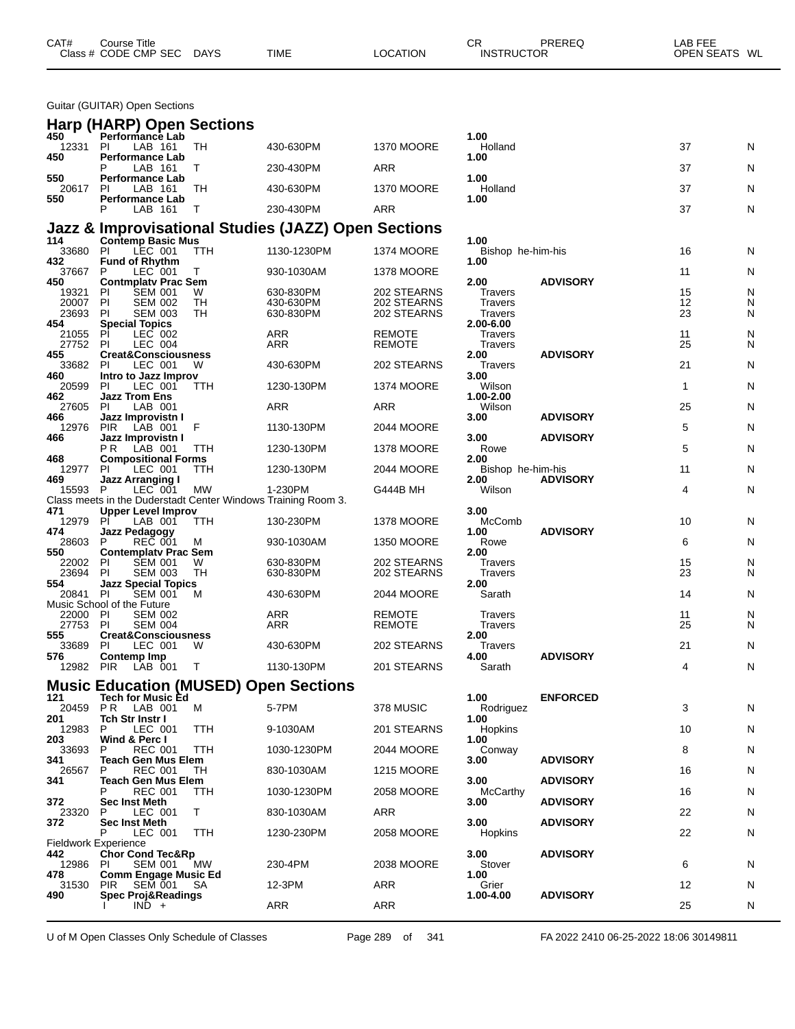| Class # CODE CMP SEC<br>OPEN SEATS WL<br><b>DAYS</b><br><b>TIME</b><br>LOCATION<br><b>INSTRUCTOR</b> | CAT# | Course Title |  | СR | PREREQ | ∟AB FEE |  |
|------------------------------------------------------------------------------------------------------|------|--------------|--|----|--------|---------|--|
|                                                                                                      |      |              |  |    |        |         |  |

Guitar (GUITAR) Open Sections

|                | Harp (HARP) Open Sections                                                |           |                                                     |                                |                           |                 |          |        |
|----------------|--------------------------------------------------------------------------|-----------|-----------------------------------------------------|--------------------------------|---------------------------|-----------------|----------|--------|
| 450<br>12331   | Performance Lab<br>-PI<br>LAB 161                                        | TH        | 430-630PM                                           | <b>1370 MOORE</b>              | 1.00<br>Holland           |                 | 37       | N      |
| 450            | <b>Performance Lab</b><br>LAB 161<br>Р                                   | т         | 230-430PM                                           | ARR                            | 1.00                      |                 | 37       | N      |
| 550<br>20617   | <b>Performance Lab</b><br>LAB 161<br>PI                                  | TН        | 430-630PM                                           | <b>1370 MOORE</b>              | 1.00<br>Holland           |                 | 37       | N      |
| 550            | <b>Performance Lab</b>                                                   |           |                                                     |                                | 1.00                      |                 |          |        |
|                | LAB 161<br>P                                                             | Т         | 230-430PM                                           | ARR                            |                           |                 | 37       | N      |
| 114            | <b>Contemp Basic Mus</b>                                                 |           | Jazz & Improvisational Studies (JAZZ) Open Sections |                                | 1.00                      |                 |          |        |
| 33680<br>432   | LEC 001<br>PI.<br><b>Fund of Rhythm</b>                                  | TTH       | 1130-1230PM                                         | <b>1374 MOORE</b>              | Bishop he-him-his<br>1.00 |                 | 16       | N      |
| 37667          | LEC 001<br>P                                                             | т         | 930-1030AM                                          | <b>1378 MOORE</b>              |                           |                 | 11       | N      |
| 450<br>19321   | <b>Contmplaty Prac Sem</b><br><b>SEM 001</b><br>PI                       | W         | 630-830PM                                           | 202 STEARNS                    | 2.00<br>Travers           | <b>ADVISORY</b> | 15       | N      |
| 20007<br>23693 | PI<br><b>SEM 002</b><br>PI<br><b>SEM 003</b>                             | TН<br>TН  | 430-630PM<br>630-830PM                              | 202 STEARNS<br>202 STEARNS     | Travers<br><b>Travers</b> |                 | 12<br>23 | N<br>N |
| 454            | <b>Special Topics</b>                                                    |           |                                                     |                                | 2.00-6.00                 |                 |          |        |
| 21055<br>27752 | PI<br>LEC 002<br>PI<br><b>LEC 004</b>                                    |           | ARR<br>ARR                                          | <b>REMOTE</b><br><b>REMOTE</b> | Travers<br><b>Travers</b> |                 | 11<br>25 | N<br>N |
| 455<br>33682   | <b>Creat&amp;Consciousness</b><br>LEC 001<br>-PI                         | W         | 430-630PM                                           | 202 STEARNS                    | 2.00<br>Travers           | <b>ADVISORY</b> | 21       | N      |
| 460            | Intro to Jazz Improv                                                     |           |                                                     |                                | 3.00                      |                 |          |        |
| 20599<br>462   | LEC 001<br><b>PI</b><br><b>Jazz Trom Ens</b>                             | TTH       | 1230-130PM                                          | <b>1374 MOORE</b>              | Wilson<br>1.00-2.00       |                 | 1        | N      |
| 27605<br>466   | PI<br>LAB 001<br>Jazz Improvistn I                                       |           | ARR                                                 | <b>ARR</b>                     | Wilson<br>3.00            | <b>ADVISORY</b> | 25       | N      |
| 12976          | PIR<br>LAB 001                                                           | F         | 1130-130PM                                          | 2044 MOORE                     |                           |                 | 5        | N      |
| 466            | Jazz Improvistn I<br>P R<br>LAB 001                                      | ттн       | 1230-130PM                                          | <b>1378 MOORE</b>              | 3.00<br>Rowe              | <b>ADVISORY</b> | 5        | N      |
| 468<br>12977   | <b>Compositional Forms</b><br>LEC 001<br>PI.                             | ттн       | 1230-130PM                                          | 2044 MOORE                     | 2.00<br>Bishop he-him-his |                 | 11       | N      |
| 469            | Jazz Arranging I                                                         |           |                                                     |                                | 2.00                      | <b>ADVISORY</b> |          |        |
| 15593 P        | LEC 001<br>Class meets in the Duderstadt Center Windows Training Room 3. | МW        | 1-230PM                                             | G444B MH                       | Wilson                    |                 | 4        | N      |
| 471<br>12979   | <b>Upper Level Improv</b><br>PI<br>LAB 001                               | ттн       | 130-230PM                                           | <b>1378 MOORE</b>              | 3.00<br>McComb            |                 | 10       | N      |
| 474<br>28603   | <b>Jazz Pedagogy</b><br><b>REC 001</b><br>P                              |           |                                                     |                                | 1.00                      | <b>ADVISORY</b> | 6        |        |
| 550            | <b>Contemplaty Prac Sem</b>                                              | M         | 930-1030AM                                          | <b>1350 MOORE</b>              | Rowe<br>2.00              |                 |          | N      |
| 22002<br>23694 | <b>SEM 001</b><br><b>PI</b><br><b>SEM 003</b><br>PI                      | W<br>TН   | 630-830PM<br>630-830PM                              | 202 STEARNS<br>202 STEARNS     | Travers<br>Travers        |                 | 15<br>23 | N<br>N |
| 554<br>20841   | <b>Jazz Special Topics</b><br>PI<br><b>SEM 001</b>                       | м         | 430-630PM                                           | 2044 MOORE                     | 2.00<br>Sarath            |                 | 14       | N      |
|                | Music School of the Future                                               |           |                                                     |                                |                           |                 |          |        |
| 22000<br>27753 | <b>SEM 002</b><br>-PI<br><b>PI</b><br><b>SEM 004</b>                     |           | ARR<br>ARR                                          | <b>REMOTE</b><br><b>REMOTE</b> | Travers<br><b>Travers</b> |                 | 11<br>25 | N<br>N |
| 555<br>33689   | <b>Creat&amp;Consciousness</b><br>LEC 001<br>-PI                         | W         | 430-630PM                                           | 202 STEARNS                    | 2.00<br><b>Travers</b>    |                 | 21       | N      |
| 576            | <b>Contemp Imp</b>                                                       |           |                                                     |                                | 4.00                      | <b>ADVISORY</b> | 4        |        |
| 12982          | PIR<br>LAB 001                                                           | т         | 1130-130PM                                          | 201 STEARNS                    | Sarath                    |                 |          | N      |
| 121            | <b>Music Education (MUSED) Open Sections</b><br><b>Tech for Music Ed</b> |           |                                                     |                                | 1.00                      | <b>ENFORCED</b> |          |        |
| 201            | 20459 PR LAB 001<br>Tch Str Instr I                                      | M         | 5-7PM                                               | 378 MUSIC                      | Rodriguez<br>1.00         |                 | 3        | N      |
| 12983          | LEC 001<br>P.                                                            | TTH       | 9-1030AM                                            | 201 STEARNS                    | Hopkins                   |                 | 10       | N      |
| 203<br>33693   | Wind & Perc I<br><b>REC 001</b><br>P                                     | TTH       | 1030-1230PM                                         | 2044 MOORE                     | 1.00<br>Conway            |                 | 8        | N      |
| 341<br>26567   | <b>Teach Gen Mus Elem</b><br><b>REC 001</b><br>P                         | TН        | 830-1030AM                                          | <b>1215 MOORE</b>              | 3.00                      | <b>ADVISORY</b> | 16       | N      |
| 341            | <b>Teach Gen Mus Elem</b><br><b>REC 001</b><br>P                         | ттн       | 1030-1230PM                                         | 2058 MOORE                     | 3.00<br>McCarthy          | <b>ADVISORY</b> | 16       | N      |
| 372            | Sec Inst Meth                                                            |           |                                                     |                                | 3.00                      | <b>ADVISORY</b> |          |        |
| 23320<br>372   | LEC 001<br>P.<br>Sec Inst Meth                                           | T.        | 830-1030AM                                          | ARR                            | 3.00                      | <b>ADVISORY</b> | 22       | N      |
|                | P<br>LEC 001<br><b>Fieldwork Experience</b>                              | TTH       | 1230-230PM                                          | 2058 MOORE                     | <b>Hopkins</b>            |                 | 22       | N      |
| 442            | <b>Chor Cond Tec&amp;Rp</b>                                              |           |                                                     |                                | 3.00                      | <b>ADVISORY</b> |          |        |
| 12986<br>478   | SEM 001<br>-PI<br><b>Comm Engage Music Ed</b>                            | <b>MW</b> | 230-4PM                                             | 2038 MOORE                     | Stover<br>1.00            |                 | 6        | N      |
| 31530<br>490   | SEM 001<br><b>PIR</b><br><b>Spec Proj&amp;Readings</b>                   | -SA       | 12-3PM                                              | ARR                            | Grier<br>1.00-4.00        | <b>ADVISORY</b> | 12       | N      |
|                | $IND +$                                                                  |           | ARR                                                 | ARR                            |                           |                 | 25       | N      |

U of M Open Classes Only Schedule of Classes Page 289 of 341 FA 2022 2410 06-25-2022 18:06 30149811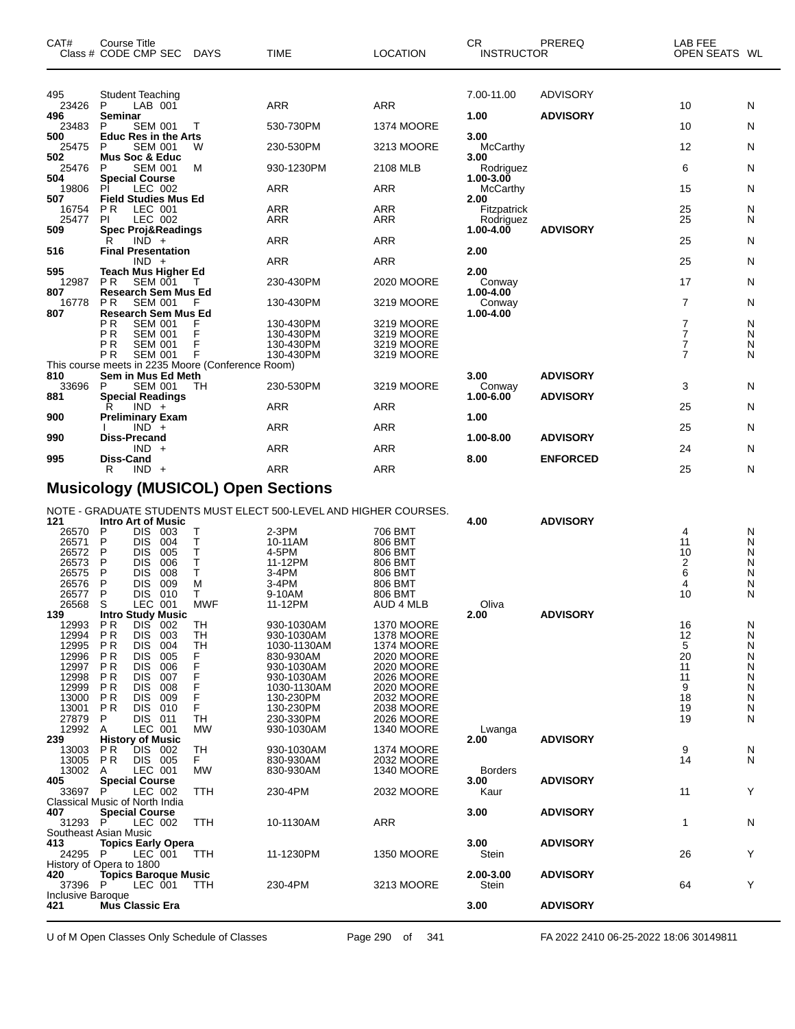| CAT#         | <b>Course Title</b><br>Class # CODE CMP SEC               | <b>DAYS</b> | <b>TIME</b> | <b>LOCATION</b>   | <b>CR</b><br><b>INSTRUCTOR</b> | PREREQ          | LAB FEE<br>OPEN SEATS WL |   |
|--------------|-----------------------------------------------------------|-------------|-------------|-------------------|--------------------------------|-----------------|--------------------------|---|
| 495          | <b>Student Teaching</b>                                   |             |             |                   | 7.00-11.00                     | <b>ADVISORY</b> |                          |   |
| 23426<br>496 | P<br>$LAB$ 001<br><b>Seminar</b>                          |             | <b>ARR</b>  | <b>ARR</b>        | 1.00                           | <b>ADVISORY</b> | 10                       | N |
| 23483        | P<br><b>SEM 001</b>                                       |             | 530-730PM   | <b>1374 MOORE</b> |                                |                 | 10                       | N |
| 500          | <b>Educ Res in the Arts</b>                               |             |             |                   | 3.00                           |                 |                          |   |
| 25475        | P<br><b>SEM 001</b>                                       | W           | 230-530PM   | 3213 MOORE        | <b>McCarthy</b>                |                 | 12                       | N |
| 502          | <b>Mus Soc &amp; Educ</b>                                 |             |             |                   | 3.00                           |                 |                          |   |
| 25476        | P<br><b>SEM 001</b>                                       | M           | 930-1230PM  | 2108 MLB          | Rodriguez                      |                 | 6                        | N |
| 504          | <b>Special Course</b>                                     |             |             |                   | $1.00 - 3.00$                  |                 |                          |   |
| 19806<br>507 | LEC 002<br>PI<br><b>Field Studies Mus Ed</b>              |             | <b>ARR</b>  | <b>ARR</b>        | McCarthy                       |                 | 15                       | N |
| 16754        | <b>PR</b><br>LEC 001                                      |             | <b>ARR</b>  | <b>ARR</b>        | 2.00<br><b>Fitzpatrick</b>     |                 | 25                       | N |
| 25477        | LEC 002<br>PI.                                            |             | <b>ARR</b>  | <b>ARR</b>        | Rodriguez                      |                 | 25                       | N |
| 509          | <b>Spec Proj&amp;Readings</b>                             |             |             |                   | $1.00 - 4.00$                  | <b>ADVISORY</b> |                          |   |
|              | $IND +$<br>R                                              |             | <b>ARR</b>  | <b>ARR</b>        |                                |                 | 25                       | N |
| 516          | <b>Final Presentation</b>                                 |             |             |                   | 2.00                           |                 |                          |   |
|              | $IND +$                                                   |             | <b>ARR</b>  | <b>ARR</b>        |                                |                 | 25                       | N |
| 595          | <b>Teach Mus Higher Ed</b>                                |             |             |                   | 2.00                           |                 |                          |   |
| 12987        | <b>PR</b><br><b>SEM 001</b>                               | т           | 230-430PM   | 2020 MOORE        | Conway                         |                 | 17                       | N |
| 807<br>16778 | <b>Research Sem Mus Ed</b><br><b>PR</b><br><b>SEM 001</b> |             | 130-430PM   | 3219 MOORE        | 1.00-4.00                      |                 | $\overline{7}$           | N |
| 807          | Research Sem Mus Ed                                       |             |             |                   | Conway<br>1.00-4.00            |                 |                          |   |
|              | P <sub>R</sub><br><b>SEM 001</b>                          | F           | 130-430PM   | 3219 MOORE        |                                |                 | $\overline{7}$           | N |
|              | <b>PR</b><br><b>SEM 001</b>                               | F           | 130-430PM   | 3219 MOORE        |                                |                 | $\overline{7}$           | N |
|              | P <sub>R</sub><br><b>SEM 001</b>                          | F           | 130-430PM   | 3219 MOORE        |                                |                 | $\overline{7}$           | N |
|              | <b>PR</b><br><b>SEM 001</b>                               | F           | 130-430PM   | 3219 MOORE        |                                |                 | $\overline{7}$           | N |
|              | This course meets in 2235 Moore (Conference Room)         |             |             |                   |                                |                 |                          |   |
| 810          | Sem in Mus Ed Meth                                        |             |             |                   | 3.00                           | <b>ADVISORY</b> |                          |   |
| 33696        | <b>SEM 001</b><br>P                                       | TH          | 230-530PM   | 3219 MOORE        | Conway                         |                 | 3                        | N |
| 881          | <b>Special Readings</b>                                   |             |             |                   | 1.00-6.00                      | <b>ADVISORY</b> |                          |   |
| 900          | $IND +$<br>R<br><b>Preliminary Exam</b>                   |             | <b>ARR</b>  | <b>ARR</b>        | 1.00                           |                 | 25                       | N |
|              | $IND +$                                                   |             | <b>ARR</b>  | <b>ARR</b>        |                                |                 | 25                       | N |
| 990          | <b>Diss-Precand</b>                                       |             |             |                   | 1.00-8.00                      | <b>ADVISORY</b> |                          |   |
|              | $IND +$                                                   |             | <b>ARR</b>  | <b>ARR</b>        |                                |                 | 24                       | N |
| 995          | <b>Diss-Cand</b>                                          |             |             |                   | 8.00                           | <b>ENFORCED</b> |                          |   |
|              | $IND +$<br>R                                              |             | <b>ARR</b>  | <b>ARR</b>        |                                |                 | 25                       | N |
|              |                                                           |             |             |                   |                                |                 |                          |   |

#### **Musicology (MUSICOL) Open Sections**

NOTE - GRADUATE STUDENTS MUST ELECT 500-LEVEL AND HIGHER COURSES.

| 121                            |                | <b>Intro Art of Music</b>   |     |            |             |                   | 4.00           | <b>ADVISORY</b> |    |              |
|--------------------------------|----------------|-----------------------------|-----|------------|-------------|-------------------|----------------|-----------------|----|--------------|
| 26570                          | P              | <b>DIS</b>                  | 003 |            | $2-3PM$     | 706 BMT           |                |                 | 4  | N            |
| 26571                          | Р              | <b>DIS</b>                  | 004 | т          | 10-11AM     | 806 BMT           |                |                 | 11 | N            |
| 26572                          | P              | <b>DIS</b>                  | 005 | т          | 4-5PM       | 806 BMT           |                |                 | 10 | N            |
| 26573                          | P              | <b>DIS</b>                  | 006 | T          | 11-12PM     | 806 BMT           |                |                 | 2  | N            |
| 26575                          | P              | <b>DIS</b>                  | 008 | Τ          | 3-4PM       | 806 BMT           |                |                 | 6  | N            |
| 26576                          | P              | <b>DIS</b>                  | 009 | M          | 3-4PM       | 806 BMT           |                |                 | 4  | N            |
| 26577                          | P              | <b>DIS</b>                  | 010 | т          | 9-10AM      | 806 BMT           |                |                 | 10 | N            |
| 26568                          | S              | LEC 001                     |     | <b>MWF</b> | 11-12PM     | AUD 4 MLB         | Oliva          |                 |    |              |
| 139                            |                | <b>Intro Study Music</b>    |     |            |             |                   | 2.00           | <b>ADVISORY</b> |    |              |
| 12993                          | P <sub>R</sub> | <b>DIS</b>                  | 002 | <b>TH</b>  | 930-1030AM  | <b>1370 MOORE</b> |                |                 | 16 | N            |
| 12994                          | <b>PR</b>      | <b>DIS</b>                  | 003 | <b>TH</b>  | 930-1030AM  | <b>1378 MOORE</b> |                |                 | 12 | N            |
| 12995                          | <b>PR</b>      | <b>DIS</b>                  | 004 | <b>TH</b>  | 1030-1130AM | <b>1374 MOORE</b> |                |                 | 5  | N            |
| 12996                          | <b>PR</b>      | <b>DIS</b>                  | 005 | F          | 830-930AM   | 2020 MOORE        |                |                 | 20 | N            |
| 12997                          | P <sub>R</sub> | <b>DIS</b>                  | 006 |            | 930-1030AM  | 2020 MOORE        |                |                 | 11 | N            |
| 12998                          | <b>PR</b>      | <b>DIS</b>                  | 007 | F          | 930-1030AM  | 2026 MOORE        |                |                 | 11 | N            |
| 12999                          | <b>PR</b>      | <b>DIS</b>                  | 008 | F          | 1030-1130AM | 2020 MOORE        |                |                 | 9  | N            |
| 13000                          | <b>PR</b>      | <b>DIS</b>                  | 009 | F          | 130-230PM   | 2032 MOORE        |                |                 | 18 | N            |
| 13001                          | <b>PR</b>      | <b>DIS</b>                  | 010 | F          | 130-230PM   | 2038 MOORE        |                |                 | 19 | N            |
| 27879                          | P              | <b>DIS</b>                  | 011 | <b>TH</b>  | 230-330PM   | <b>2026 MOORE</b> |                |                 | 19 | N            |
| 12992                          |                | LEC 001                     |     | <b>MW</b>  |             |                   |                |                 |    |              |
| 239                            | A              |                             |     |            | 930-1030AM  | <b>1340 MOORE</b> | Lwanga<br>2.00 | <b>ADVISORY</b> |    |              |
|                                |                | <b>History of Music</b>     |     |            |             |                   |                |                 |    |              |
| 13003                          | <b>PR</b>      | <b>DIS</b>                  | 002 | <b>TH</b>  | 930-1030AM  | <b>1374 MOORE</b> |                |                 | 9  | N            |
| 13005                          | <b>PR</b>      | <b>DIS</b>                  | 005 | F.         | 830-930AM   | 2032 MOORE        |                |                 | 14 | $\mathsf{N}$ |
| 13002                          | Α              | LEC 001                     |     | <b>MW</b>  | 830-930AM   | <b>1340 MOORE</b> | <b>Borders</b> |                 |    |              |
| 405                            |                | <b>Special Course</b>       |     |            |             |                   | 3.00           | <b>ADVISORY</b> |    |              |
| 33697                          | P              | LEC 002                     |     | <b>TTH</b> | 230-4PM     | 2032 MOORE        | Kaur           |                 | 11 | Υ            |
| Classical Music of North India |                |                             |     |            |             |                   |                |                 |    |              |
| 407                            |                | <b>Special Course</b>       |     |            |             |                   | 3.00           | <b>ADVISORY</b> |    |              |
| 31293 P                        |                | LEC 002                     |     | <b>TTH</b> | 10-1130AM   | <b>ARR</b>        |                |                 | 1  | N            |
| Southeast Asian Music          |                |                             |     |            |             |                   |                |                 |    |              |
| 413                            |                | <b>Topics Early Opera</b>   |     |            |             |                   | 3.00           | <b>ADVISORY</b> |    |              |
| 24295                          | P              | LEC 001                     |     | <b>TTH</b> | 11-1230PM   | <b>1350 MOORE</b> | <b>Stein</b>   |                 | 26 | Υ            |
| History of Opera to 1800       |                |                             |     |            |             |                   |                |                 |    |              |
| 420                            |                | <b>Topics Baroque Music</b> |     |            |             |                   | 2.00-3.00      | <b>ADVISORY</b> |    |              |
| 37396                          | P              | LEC 001                     |     | <b>TTH</b> | 230-4PM     | 3213 MOORE        | <b>Stein</b>   |                 | 64 | Υ            |
| <b>Inclusive Baroque</b>       |                |                             |     |            |             |                   |                |                 |    |              |
| 421                            |                | <b>Mus Classic Era</b>      |     |            |             |                   | 3.00           | <b>ADVISORY</b> |    |              |
|                                |                |                             |     |            |             |                   |                |                 |    |              |

U of M Open Classes Only Schedule of Classes Page 290 of 341 FA 2022 2410 06-25-2022 18:06 30149811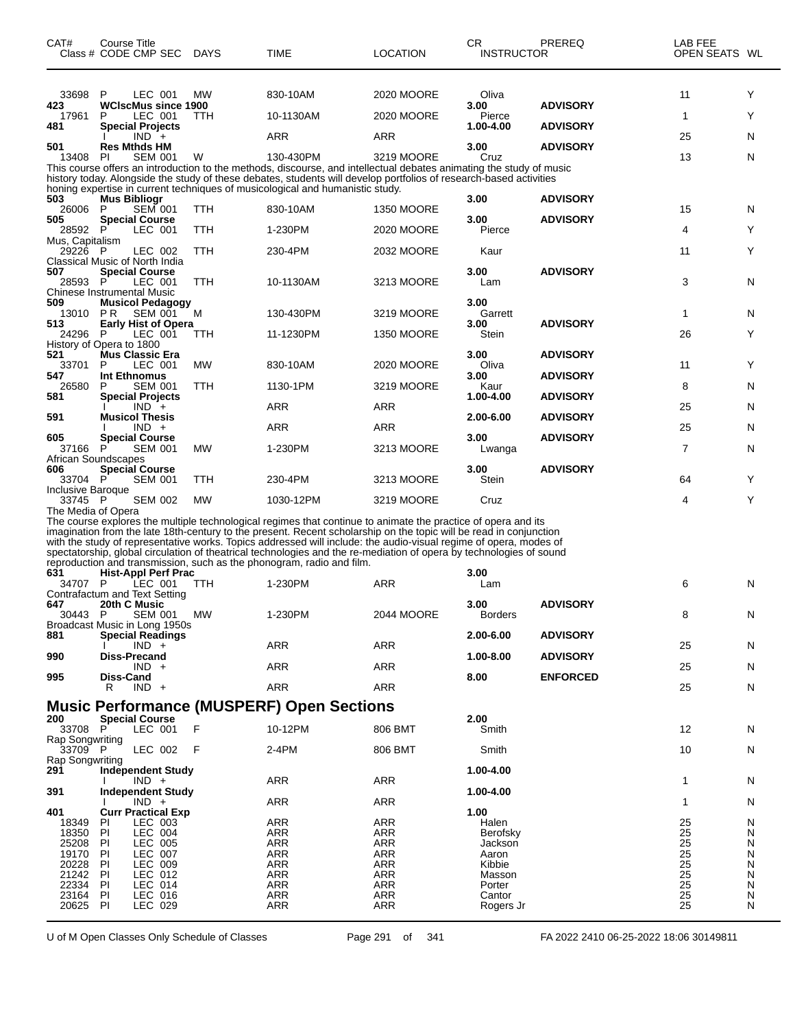| CAT#                          | Course Title<br>Class # CODE CMP SEC                                  | DAYS       | TIME                                                                                                                                                                                                                                                                                                                                                                                                                                                                                                                                                     | <b>LOCATION</b>   | CR.<br><b>INSTRUCTOR</b> | PREREQ          | LAB FEE<br>OPEN SEATS WL                |        |
|-------------------------------|-----------------------------------------------------------------------|------------|----------------------------------------------------------------------------------------------------------------------------------------------------------------------------------------------------------------------------------------------------------------------------------------------------------------------------------------------------------------------------------------------------------------------------------------------------------------------------------------------------------------------------------------------------------|-------------------|--------------------------|-----------------|-----------------------------------------|--------|
| 33698<br>423                  | P<br>LEC 001<br><b>WCIscMus since 1900</b>                            | МW         | 830-10AM                                                                                                                                                                                                                                                                                                                                                                                                                                                                                                                                                 | 2020 MOORE        | Oliva<br>3.00            | <b>ADVISORY</b> | 11                                      | Y      |
| 17961<br>481                  | LEC 001<br>P<br><b>Special Projects</b>                               | <b>TTH</b> | 10-1130AM                                                                                                                                                                                                                                                                                                                                                                                                                                                                                                                                                | 2020 MOORE        | Pierce<br>1.00-4.00      | <b>ADVISORY</b> | 1                                       | Y      |
| 501                           | $IND +$<br><b>Res Mthds HM</b>                                        |            | ARR                                                                                                                                                                                                                                                                                                                                                                                                                                                                                                                                                      | <b>ARR</b>        | 3.00                     | <b>ADVISORY</b> | 25                                      | N      |
| 13408                         | PI<br><b>SEM 001</b>                                                  | W          | 130-430PM                                                                                                                                                                                                                                                                                                                                                                                                                                                                                                                                                | 3219 MOORE        | Cruz                     |                 | 13                                      | N      |
|                               |                                                                       |            | This course offers an introduction to the methods, discourse, and intellectual debates animating the study of music<br>history today. Alongside the study of these debates, students will develop portfolios of research-based activities                                                                                                                                                                                                                                                                                                                |                   |                          |                 |                                         |        |
| 503                           | <b>Mus Bibliogr</b>                                                   |            | honing expertise in current techniques of musicological and humanistic study.                                                                                                                                                                                                                                                                                                                                                                                                                                                                            |                   | 3.00                     | <b>ADVISORY</b> |                                         |        |
| 26006<br>505                  | <b>SEM 001</b><br>P<br><b>Special Course</b>                          | <b>TTH</b> | 830-10AM                                                                                                                                                                                                                                                                                                                                                                                                                                                                                                                                                 | <b>1350 MOORE</b> | 3.00                     | <b>ADVISORY</b> | 15                                      | N      |
| 28592 P                       | LEC 001                                                               | <b>TTH</b> | 1-230PM                                                                                                                                                                                                                                                                                                                                                                                                                                                                                                                                                  | 2020 MOORE        | Pierce                   |                 | 4                                       | Y      |
| Mus, Capitalism<br>29226 P    | LEC 002<br>Classical Music of North India                             | <b>TTH</b> | 230-4PM                                                                                                                                                                                                                                                                                                                                                                                                                                                                                                                                                  | 2032 MOORE        | Kaur                     |                 | 11                                      | Y      |
| 507<br>28593 P                | <b>Special Course</b><br>LEC 001<br><b>Chinese Instrumental Music</b> | TTH        | 10-1130AM                                                                                                                                                                                                                                                                                                                                                                                                                                                                                                                                                | 3213 MOORE        | 3.00<br>Lam              | <b>ADVISORY</b> | 3                                       | N      |
| 509<br>13010 PR               | <b>Musicol Pedagogy</b><br><b>SEM 001</b>                             | м          | 130-430PM                                                                                                                                                                                                                                                                                                                                                                                                                                                                                                                                                | 3219 MOORE        | 3.00<br>Garrett          |                 | 1                                       | N      |
| 513<br>24296                  | <b>Early Hist of Opera</b><br>LEC 001<br>P                            | TTH        | 11-1230PM                                                                                                                                                                                                                                                                                                                                                                                                                                                                                                                                                | <b>1350 MOORE</b> | 3.00<br>Stein            | <b>ADVISORY</b> | 26                                      | Y      |
|                               | History of Opera to 1800                                              |            |                                                                                                                                                                                                                                                                                                                                                                                                                                                                                                                                                          |                   |                          |                 |                                         |        |
| 521<br>33701                  | <b>Mus Classic Era</b><br>LEC 001<br>P                                | <b>MW</b>  | 830-10AM                                                                                                                                                                                                                                                                                                                                                                                                                                                                                                                                                 | 2020 MOORE        | 3.00<br>Oliva            | <b>ADVISORY</b> | 11                                      | Y      |
| 547<br>26580                  | Int Ethnomus<br><b>SEM 001</b><br>P                                   | <b>TTH</b> | 1130-1PM                                                                                                                                                                                                                                                                                                                                                                                                                                                                                                                                                 | 3219 MOORE        | 3.00<br>Kaur             | <b>ADVISORY</b> | 8                                       | N      |
| 581                           | <b>Special Projects</b><br>$IND +$                                    |            | ARR                                                                                                                                                                                                                                                                                                                                                                                                                                                                                                                                                      | ARR               | 1.00-4.00                | <b>ADVISORY</b> | 25                                      | N      |
| 591                           | <b>Musicol Thesis</b>                                                 |            |                                                                                                                                                                                                                                                                                                                                                                                                                                                                                                                                                          |                   | 2.00-6.00                | <b>ADVISORY</b> |                                         |        |
| 605                           | $IND +$<br><b>Special Course</b>                                      |            | ARR                                                                                                                                                                                                                                                                                                                                                                                                                                                                                                                                                      | <b>ARR</b>        | 3.00                     | <b>ADVISORY</b> | 25                                      | N      |
| 37166<br>African Soundscapes  | P<br><b>SEM 001</b>                                                   | <b>MW</b>  | 1-230PM                                                                                                                                                                                                                                                                                                                                                                                                                                                                                                                                                  | 3213 MOORE        | Lwanga                   |                 | 7                                       | N      |
| 606                           | <b>Special Course</b>                                                 |            |                                                                                                                                                                                                                                                                                                                                                                                                                                                                                                                                                          |                   | 3.00                     | <b>ADVISORY</b> |                                         |        |
| 33704 P<br>Inclusive Baroque  | <b>SEM 001</b>                                                        | TTH        | 230-4PM                                                                                                                                                                                                                                                                                                                                                                                                                                                                                                                                                  | 3213 MOORE        | Stein                    |                 | 64                                      | Y      |
| 33745 P<br>The Media of Opera | <b>SEM 002</b>                                                        | <b>MW</b>  | 1030-12PM                                                                                                                                                                                                                                                                                                                                                                                                                                                                                                                                                | 3219 MOORE        | Cruz                     |                 | 4                                       | Y      |
|                               |                                                                       |            | The course explores the multiple technological regimes that continue to animate the practice of opera and its<br>imagination from the late 18th-century to the present. Recent scholarship on the topic will be read in conjunction<br>with the study of representative works. Topics addressed will include: the audio-visual regime of opera, modes of<br>spectatorship, global circulation of theatrical technologies and the re-mediation of opera by technologies of sound<br>reproduction and transmission, such as the phonogram, radio and film. |                   |                          |                 |                                         |        |
| 631<br>34707 P                | <b>Hist-Appl Perf Prac</b><br>LEC 001                                 | TTH        | 1-230PM                                                                                                                                                                                                                                                                                                                                                                                                                                                                                                                                                  | ARR               | 3.00<br>Lam              |                 | 6                                       | N      |
| 647                           | Contrafactum and Text Setting<br>20th C Music                         |            |                                                                                                                                                                                                                                                                                                                                                                                                                                                                                                                                                          |                   | 3.00                     | <b>ADVISORY</b> |                                         |        |
| 30443 P                       | SEM 001 MW                                                            |            | 1-230PM                                                                                                                                                                                                                                                                                                                                                                                                                                                                                                                                                  | 2044 MOORE        | <b>Borders</b>           |                 | 8                                       | N      |
| 881                           | Broadcast Music in Long 1950s<br><b>Special Readings</b>              |            |                                                                                                                                                                                                                                                                                                                                                                                                                                                                                                                                                          |                   | 2.00-6.00                | <b>ADVISORY</b> |                                         |        |
| 990                           | $IND +$<br><b>Diss-Precand</b>                                        |            | <b>ARR</b>                                                                                                                                                                                                                                                                                                                                                                                                                                                                                                                                               | ARR               | 1.00-8.00                | <b>ADVISORY</b> | 25                                      | N      |
| 995                           | $IND +$<br>Diss-Cand                                                  |            | ARR                                                                                                                                                                                                                                                                                                                                                                                                                                                                                                                                                      | ARR               | 8.00                     | <b>ENFORCED</b> | 25                                      | N      |
|                               | $IND +$<br>R                                                          |            | <b>ARR</b>                                                                                                                                                                                                                                                                                                                                                                                                                                                                                                                                               | ARR               |                          |                 | 25                                      | N      |
|                               |                                                                       |            | <b>Music Performance (MUSPERF) Open Sections</b>                                                                                                                                                                                                                                                                                                                                                                                                                                                                                                         |                   |                          |                 |                                         |        |
| 200<br>33708 P                | <b>Special Course</b><br>LEC 001                                      | F          | 10-12PM                                                                                                                                                                                                                                                                                                                                                                                                                                                                                                                                                  | 806 BMT           | 2.00<br>Smith            |                 | 12                                      | N      |
| Rap Songwriting<br>33709 P    | LEC 002                                                               | F          | 2-4PM                                                                                                                                                                                                                                                                                                                                                                                                                                                                                                                                                    | 806 BMT           | Smith                    |                 | 10                                      | N      |
| Rap Songwriting<br>291        |                                                                       |            |                                                                                                                                                                                                                                                                                                                                                                                                                                                                                                                                                          |                   | 1.00-4.00                |                 |                                         |        |
|                               | <b>Independent Study</b><br>IND +                                     |            | ARR                                                                                                                                                                                                                                                                                                                                                                                                                                                                                                                                                      | ARR               |                          |                 | 1                                       | N      |
| 391                           | <b>Independent Study</b><br>$IND +$                                   |            | <b>ARR</b>                                                                                                                                                                                                                                                                                                                                                                                                                                                                                                                                               | ARR               | 1.00-4.00                |                 | 1                                       | N      |
| 401<br>18349                  | <b>Curr Practical Exp</b><br>LEC 003<br><b>PI</b>                     |            | ARR                                                                                                                                                                                                                                                                                                                                                                                                                                                                                                                                                      | <b>ARR</b>        | 1.00<br>Halen            |                 | 25                                      | N      |
| 18350                         | ΡI<br>LEC 004                                                         |            | <b>ARR</b>                                                                                                                                                                                                                                                                                                                                                                                                                                                                                                                                               | ARR               | Berofsky                 |                 | 25                                      | N      |
| 25208<br>19170                | PI<br>LEC 005<br>LEC 007<br>PI                                        |            | ARR<br><b>ARR</b>                                                                                                                                                                                                                                                                                                                                                                                                                                                                                                                                        | ARR<br>ARR        | Jackson<br>Aaron         |                 | 25<br>25                                | N<br>N |
| 20228<br>21242                | PI<br>LEC 009                                                         |            | <b>ARR</b>                                                                                                                                                                                                                                                                                                                                                                                                                                                                                                                                               | <b>ARR</b>        | Kibbie                   |                 | 25                                      | N      |
| 22334                         | PI<br>LEC 012<br>PI<br>LEC 014                                        |            | ARR<br><b>ARR</b>                                                                                                                                                                                                                                                                                                                                                                                                                                                                                                                                        | ARR<br>ARR        | Masson<br>Porter         |                 | $\begin{array}{c} 25 \\ 25 \end{array}$ | N<br>N |
| 23164<br>20625 PI             | PI<br>LEC 016<br>LEC 029                                              |            | ARR<br><b>ARR</b>                                                                                                                                                                                                                                                                                                                                                                                                                                                                                                                                        | ARR<br>ARR        | Cantor<br>Rogers Jr      |                 | 25<br>25                                | N<br>N |
|                               |                                                                       |            |                                                                                                                                                                                                                                                                                                                                                                                                                                                                                                                                                          |                   |                          |                 |                                         |        |

U of M Open Classes Only Schedule of Classes Page 291 of 341 FA 2022 2410 06-25-2022 18:06 30149811

 $\overline{\phantom{0}}$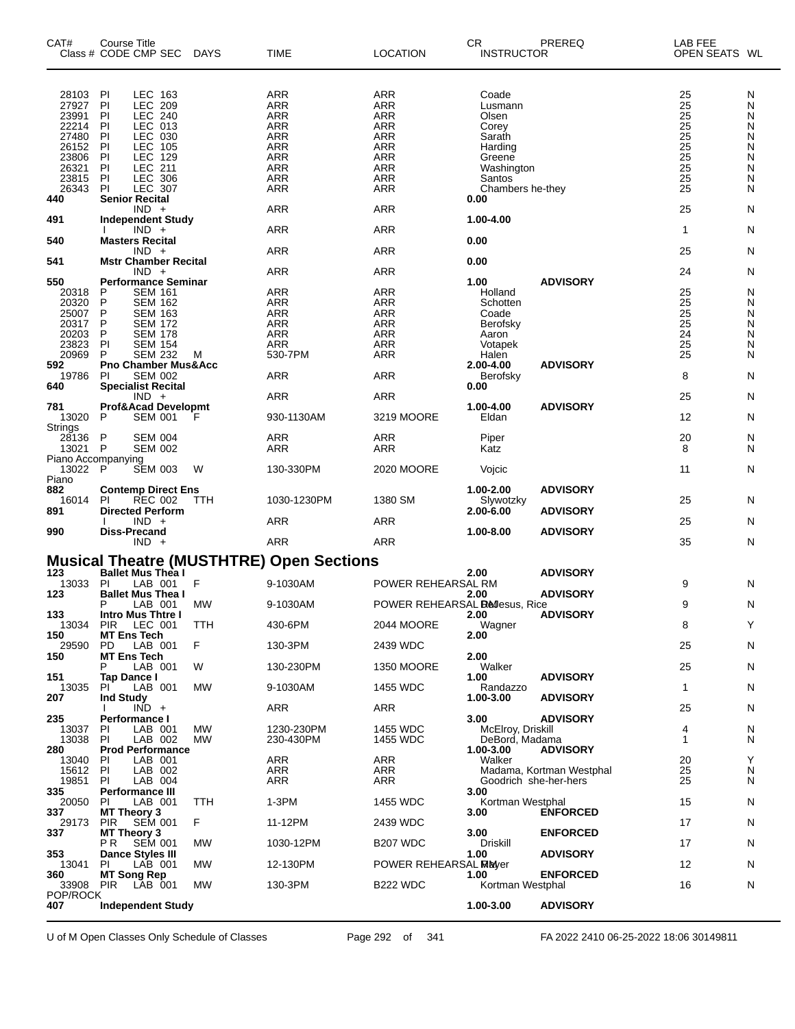| CAT#                          | <b>Course Title</b><br>Class # CODE CMP SEC                          | <b>DAYS</b> | <b>TIME</b>                                     | <b>LOCATION</b>                | <b>CR</b><br><b>INSTRUCTOR</b> | PREREQ                   | LAB FEE<br>OPEN SEATS WL |        |
|-------------------------------|----------------------------------------------------------------------|-------------|-------------------------------------------------|--------------------------------|--------------------------------|--------------------------|--------------------------|--------|
| 28103                         | LEC 163<br>PI                                                        |             | <b>ARR</b>                                      | <b>ARR</b>                     | Coade                          |                          | 25                       | N      |
| 27927                         | <b>LEC 209</b><br>P                                                  |             | <b>ARR</b>                                      | <b>ARR</b>                     | Lusmann                        |                          | 25                       | N      |
| 23991                         | LEC.<br>240<br>PI                                                    |             | <b>ARR</b>                                      | <b>ARR</b>                     | Olsen                          |                          | $\overline{25}$          | N      |
| 22214<br>27480                | LEC 013<br>PI<br>P<br>LEC 030                                        |             | ARR<br><b>ARR</b>                               | <b>ARR</b><br><b>ARR</b>       | Corey                          |                          | 25                       | N<br>N |
| 26152                         | PI<br>LEC<br>105                                                     |             | <b>ARR</b>                                      | <b>ARR</b>                     | Sarath<br>Harding              |                          | $\frac{25}{25}$          | N      |
| 23806                         | <b>LEC</b><br>P<br>129                                               |             | ARR                                             | <b>ARR</b>                     | Greene                         |                          |                          | N      |
| 26321                         | P<br>211<br>LEC.                                                     |             | <b>ARR</b>                                      | <b>ARR</b>                     | Washington                     |                          | $\frac{25}{25}$          | N      |
| 23815                         | PI<br>LEC.<br>306                                                    |             | <b>ARR</b>                                      | <b>ARR</b>                     | Santos                         |                          | $\overline{25}$          | N      |
| 26343                         | PI<br><b>LEC 307</b>                                                 |             | ARR                                             | <b>ARR</b>                     | Chambers he-they               |                          | 25                       | N      |
| 440                           | <b>Senior Recital</b><br>$IND +$                                     |             | <b>ARR</b>                                      | ARR                            | 0.00                           |                          | 25                       | N      |
| 491                           | <b>Independent Study</b><br>$IND +$                                  |             | <b>ARR</b>                                      | <b>ARR</b>                     | 1.00-4.00                      |                          | 1                        | N      |
| 540                           | <b>Masters Recital</b><br>$IND +$                                    |             | ARR                                             | <b>ARR</b>                     | 0.00                           |                          | 25                       | N      |
| 541<br>550                    | <b>Mstr Chamber Recital</b><br>$IND +$<br><b>Performance Seminar</b> |             | <b>ARR</b>                                      | <b>ARR</b>                     | 0.00<br>1.00                   | <b>ADVISORY</b>          | 24                       | N      |
| 20318                         | <b>SEM 161</b><br>P                                                  |             | <b>ARR</b>                                      | <b>ARR</b>                     | Holland                        |                          | 25                       | N      |
| 20320                         | P<br><b>SEM 162</b>                                                  |             | <b>ARR</b>                                      | <b>ARR</b>                     | Schotten                       |                          | 25                       | N      |
| 25007                         | P<br><b>SEM 163</b>                                                  |             | ARR                                             | <b>ARR</b>                     | Coade                          |                          | 25                       | N      |
| 20317                         | P<br><b>SEM 172</b>                                                  |             | <b>ARR</b>                                      | <b>ARR</b>                     | Berofsky                       |                          | 25                       | N      |
| 20203                         | P<br><b>SEM 178</b>                                                  |             | <b>ARR</b>                                      | <b>ARR</b>                     | Aaron                          |                          | 24                       | N      |
| 23823                         | PI<br><b>SEM 154</b>                                                 |             | <b>ARR</b>                                      | <b>ARR</b>                     | Votapek                        |                          | 25                       | N      |
| 20969                         | P<br><b>SEM 232</b>                                                  | м           | 530-7PM                                         | <b>ARR</b>                     | Halen                          |                          | 25                       | N      |
| 592<br>19786                  | <b>Pno Chamber Mus&amp;Acc</b><br><b>SEM 002</b><br>PI               |             | ARR                                             | <b>ARR</b>                     | 2.00-4.00<br>Berofsky          | <b>ADVISORY</b>          | 8                        | N      |
| 640                           | <b>Specialist Recital</b><br>$IND +$                                 |             | <b>ARR</b>                                      | <b>ARR</b>                     | 0.00                           |                          | 25                       | N      |
| 781<br>13020                  | Prof&Acad Developmt<br><b>SEM 001</b><br>P                           | F           | 930-1130AM                                      | 3219 MOORE                     | 1.00-4.00<br>Eldan             | <b>ADVISORY</b>          | 12                       | N      |
| Strings                       |                                                                      |             |                                                 |                                |                                |                          |                          |        |
| 28136<br>13021                | P<br><b>SEM 004</b><br>$\mathsf{P}$<br><b>SEM 002</b>                |             | <b>ARR</b><br>ARR                               | <b>ARR</b><br><b>ARR</b>       | Piper<br>Katz                  |                          | 20<br>8                  | N<br>N |
| Piano Accompanying<br>13022 P | <b>SEM 003</b>                                                       | W           | 130-330PM                                       | 2020 MOORE                     | Vojcic                         |                          | 11                       | N      |
| Piano<br>882                  | <b>Contemp Direct Ens</b>                                            |             |                                                 |                                | 1.00-2.00                      | <b>ADVISORY</b>          |                          |        |
| 16014<br>891                  | <b>REC 002</b><br>PI<br><b>Directed Perform</b>                      | TTH         | 1030-1230PM                                     | 1380 SM                        | Slywotzky<br>2.00-6.00         | <b>ADVISORY</b>          | 25                       | N      |
| 990                           | $IND +$<br>Diss-Precand                                              |             | <b>ARR</b>                                      | <b>ARR</b>                     | 1.00-8.00                      | <b>ADVISORY</b>          | 25                       | N      |
|                               | $IND +$                                                              |             | <b>ARR</b>                                      | <b>ARR</b>                     |                                |                          | 35                       | N      |
|                               |                                                                      |             | <b>Musical Theatre (MUSTHTRE) Open Sections</b> |                                |                                |                          |                          |        |
| 123                           | <b>Ballet Mus Thea I</b>                                             |             |                                                 |                                | 2.00                           | <b>ADVISORY</b>          |                          |        |
| 13033                         | PI<br>LAB 001                                                        | F           | 9-1030AM                                        | POWER REHEARSAL RM             |                                |                          | 9                        | N      |
| 123                           | <b>Ballet Mus Thea I</b><br>P<br>LAB 001                             | <b>MW</b>   | 9-1030AM                                        | POWER REHEARSAL Bellesus, Rice | 2.00                           | <b>ADVISORY</b>          | 9                        | N      |
| 133                           | <b>Intro Mus Thtre I</b>                                             |             |                                                 |                                | 2.00                           | <b>ADVISORY</b>          |                          |        |
| 150                           | 13034 PIR LEC 001<br><b>MT Ens Tech</b>                              | <b>TTH</b>  | 430-6PM                                         | 2044 MOORE                     | Wagner<br>2.00                 |                          | 8                        | Υ      |
| 29590<br>150                  | PD<br>LAB 001<br><b>MT Ens Tech</b>                                  | F           | 130-3PM                                         | 2439 WDC                       | 2.00                           |                          | 25                       | N      |
|                               | LAB 001<br>P                                                         | W           | 130-230PM                                       | <b>1350 MOORE</b>              | Walker                         |                          | 25                       | N      |
| 151<br>13035                  | Tap Dance I<br>LAB 001<br>PI.                                        | <b>MW</b>   | 9-1030AM                                        | 1455 WDC                       | 1.00<br>Randazzo               | <b>ADVISORY</b>          | 1                        | N      |
| 207                           | <b>Ind Study</b>                                                     |             |                                                 |                                | 1.00-3.00                      | <b>ADVISORY</b>          |                          |        |
| 235                           | $IND +$<br>Performance I                                             |             | ARR                                             | ARR                            | 3.00                           | <b>ADVISORY</b>          | 25                       | N      |
| 13037                         | LAB 001<br>PI.                                                       | MW          | 1230-230PM                                      | 1455 WDC                       | McElroy, Driskill              |                          | 4                        | N      |
| 13038                         | LAB 002<br>PI                                                        | МW          | 230-430PM                                       | 1455 WDC                       | DeBord, Madama                 |                          | 1                        | N      |
| 280                           | <b>Prod Performance</b>                                              |             |                                                 |                                | 1.00-3.00                      | <b>ADVISORY</b>          |                          |        |
| 13040                         | LAB 001<br><b>PI</b>                                                 |             | ARR                                             | <b>ARR</b>                     | Walker                         |                          | 20                       | Y      |
| 15612                         | LAB 002<br>PI                                                        |             | <b>ARR</b>                                      | ARR                            |                                | Madama, Kortman Westphal | 25                       | N      |
| 19851                         | LAB 004<br>PI                                                        |             | ARR                                             | ARR                            | Goodrich she-her-hers          |                          | 25                       | N      |
| 335                           | Performance III                                                      |             |                                                 |                                | 3.00                           |                          |                          |        |
| 20050                         | LAB 001<br>PI                                                        | TTH         | $1-3PM$                                         | 1455 WDC                       | Kortman Westphal               |                          | 15                       | N      |
| 337<br>29173                  | <b>MT Theory 3</b><br><b>SEM 001</b><br><b>PIR</b>                   | F           | 11-12PM                                         | 2439 WDC                       | 3.00                           | <b>ENFORCED</b>          | 17                       | N      |
| 337                           | <b>MT Theory 3</b><br>SEM 001<br>P R                                 | <b>MW</b>   | 1030-12PM                                       | <b>B207 WDC</b>                | 3.00<br>Driskill               | <b>ENFORCED</b>          | 17                       | N      |
| 353                           | <b>Dance Styles III</b>                                              |             |                                                 |                                | 1.00                           | <b>ADVISORY</b>          |                          |        |
| 13041                         | ΡI<br>LAB 001                                                        | <b>MW</b>   | 12-130PM                                        | POWER REHEARSAL MEMore         |                                |                          | 12                       | N      |
| 360                           | <b>MT Song Rep</b>                                                   |             |                                                 |                                | 1.00                           | <b>ENFORCED</b>          |                          |        |
| 33908                         | PIR LAB 001                                                          | МW          | 130-3PM                                         | <b>B222 WDC</b>                | Kortman Westphal               |                          | 16                       | N      |
| POP/ROCK<br>407               | <b>Independent Study</b>                                             |             |                                                 |                                | 1.00-3.00                      | <b>ADVISORY</b>          |                          |        |
|                               |                                                                      |             |                                                 |                                |                                |                          |                          |        |

U of M Open Classes Only Schedule of Classes Page 292 of 341 FA 2022 2410 06-25-2022 18:06 30149811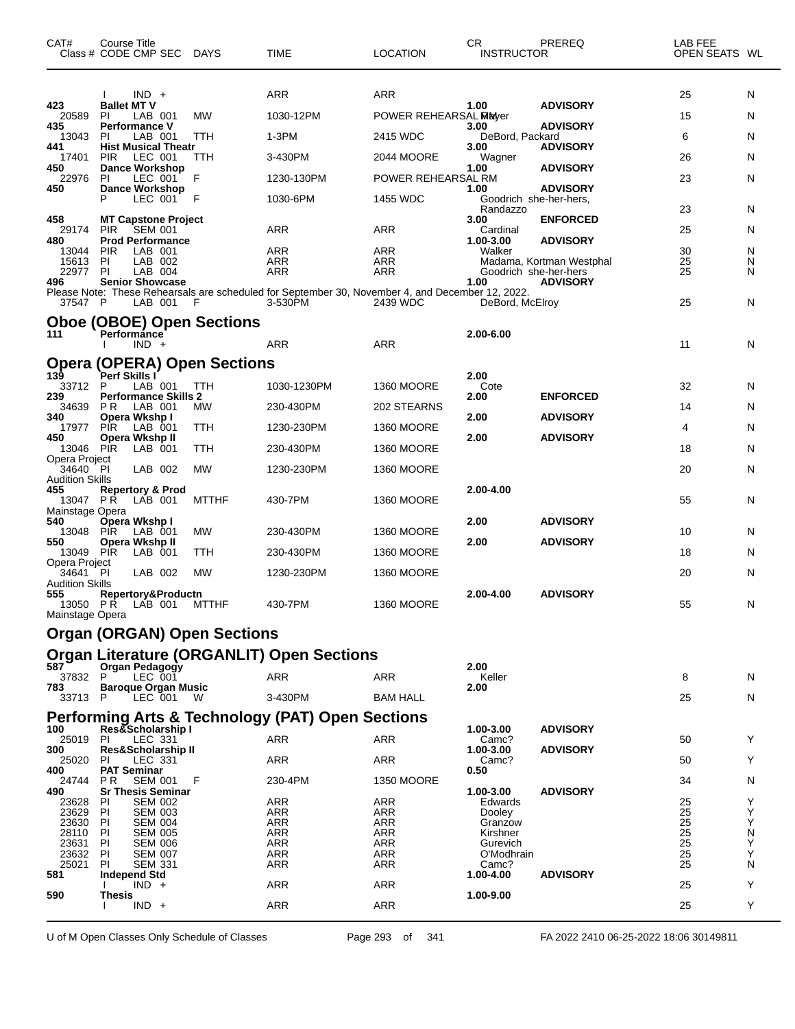| CAT#                          | Course Title<br>Class # CODE CMP SEC                       |   | <b>DAYS</b>  | <b>TIME</b>                                                                                      | <b>LOCATION</b>       | <b>CR</b><br><b>INSTRUCTOR</b> | PREREQ                   | LAB FEE<br>OPEN SEATS WL |        |
|-------------------------------|------------------------------------------------------------|---|--------------|--------------------------------------------------------------------------------------------------|-----------------------|--------------------------------|--------------------------|--------------------------|--------|
| 423                           | $IND +$<br><b>Ballet MT V</b>                              |   |              | ARR                                                                                              | <b>ARR</b>            | 1.00                           | <b>ADVISORY</b>          | 25                       | N      |
| 20589                         | ΡI<br>LAB 001                                              |   | MW           | 1030-12PM                                                                                        | POWER REHEARSAL Mayer |                                |                          | 15                       | N      |
| 435<br>13043                  | <b>Performance V</b><br>LAB 001<br>PI                      |   | TTH          | 1-3PM                                                                                            | 2415 WDC              | 3.00<br>DeBord, Packard        | <b>ADVISORY</b>          | 6                        | N      |
| 441<br>17401                  | <b>Hist Musical Theatr</b><br><b>PIR</b><br>LEC 001        |   | TTH          | 3-430PM                                                                                          | 2044 MOORE            | 3.00<br>Wagner                 | <b>ADVISORY</b>          | 26                       | N      |
| 450<br>22976                  | <b>Dance Workshop</b><br>ΡI<br>LEC 001                     | F |              | 1230-130PM                                                                                       | POWER REHEARSAL RM    | 1.00                           | <b>ADVISORY</b>          | 23                       | N      |
| 450                           | <b>Dance Workshop</b><br>P<br>LEC 001                      | F |              | 1030-6PM                                                                                         | 1455 WDC              | 1.00<br>Goodrich she-her-hers, | <b>ADVISORY</b>          |                          |        |
|                               |                                                            |   |              |                                                                                                  |                       | Randazzo                       |                          | 23                       | N      |
| 458<br>29174                  | <b>MT Capstone Project</b><br><b>SEM 001</b><br><b>PIR</b> |   |              | ARR                                                                                              | ARR                   | 3.00<br>Cardinal               | <b>ENFORCED</b>          | 25                       | N      |
| 480<br>13044                  | <b>Prod Performance</b><br><b>PIR</b><br>LAB 001           |   |              | <b>ARR</b>                                                                                       | <b>ARR</b>            | 1.00-3.00<br>Walker            | <b>ADVISORY</b>          | 30                       | N      |
| 15613<br>22977                | ΡI<br>LAB 002<br>PI<br>LAB 004                             |   |              | <b>ARR</b><br>ARR                                                                                | ARR<br>ARR            | Goodrich she-her-hers          | Madama, Kortman Westphal | 25<br>25                 | N<br>N |
| 496                           | <b>Senior Showcase</b>                                     |   |              | Please Note: These Rehearsals are scheduled for September 30, November 4, and December 12, 2022. |                       | 1.00                           | <b>ADVISORY</b>          |                          |        |
| 37547 P                       | LAB 001                                                    | F |              | 3-530PM                                                                                          | 2439 WDC              | DeBord, McElroy                |                          | 25                       | N      |
|                               | <b>Oboe (OBOE) Open Sections</b>                           |   |              |                                                                                                  |                       |                                |                          |                          |        |
| 111                           | <b>Performánce</b><br>$IND +$                              |   |              | <b>ARR</b>                                                                                       | <b>ARR</b>            | 2.00-6.00                      |                          | 11                       | N      |
| Opera                         | (OPERA) Open Sections                                      |   |              |                                                                                                  |                       |                                |                          |                          |        |
| 139<br>33712                  | Perf Skills I<br>LAB 001<br>P                              |   | TTH          | 1030-1230PM                                                                                      | <b>1360 MOORE</b>     | 2.00<br>Cote                   |                          | 32                       | N.     |
| 239<br>34639                  | <b>Performance Skills 2</b><br>P <sub>R</sub><br>LAB 001   |   | <b>MW</b>    | 230-430PM                                                                                        | 202 STEARNS           | 2.00                           | <b>ENFORCED</b>          | 14                       | N      |
| 340<br>17977                  | Opera Wkshp I<br><b>PIR</b><br>LAB 001                     |   | TTH          | 1230-230PM                                                                                       | <b>1360 MOORE</b>     | 2.00                           | <b>ADVISORY</b>          | 4                        | N      |
| 450                           | Opera Wkshp II                                             |   |              |                                                                                                  |                       | 2.00                           | <b>ADVISORY</b>          |                          |        |
| 13046 PIR<br>Opera Project    | LAB 001                                                    |   | TTH          | 230-430PM                                                                                        | <b>1360 MOORE</b>     |                                |                          | 18                       | N      |
| 34640 PI<br>Audition Skills   | LAB 002                                                    |   | <b>MW</b>    | 1230-230PM                                                                                       | <b>1360 MOORE</b>     |                                |                          | 20                       | N      |
| 455<br>13047 PR               | <b>Repertory &amp; Prod</b><br>LAB 001                     |   | <b>MTTHF</b> | 430-7PM                                                                                          | <b>1360 MOORE</b>     | 2.00-4.00                      |                          | 55                       | N      |
| Mainstage Opera<br>540        | Opera Wkshp I                                              |   |              |                                                                                                  |                       | 2.00                           | <b>ADVISORY</b>          |                          |        |
| 13048<br>550                  | <b>PIR</b><br>LAB 001<br>Opera Wkshp II                    |   | <b>MW</b>    | 230-430PM                                                                                        | 1360 MOORE            | 2.00                           | <b>ADVISORY</b>          | 10                       | N      |
| 13049 PIR                     | LAB 001                                                    |   | TTH          | 230-430PM                                                                                        | <b>1360 MOORE</b>     |                                |                          | 18                       | N      |
| Opera Project<br>34641        | PI<br>LAB 002                                              |   | MW           | 1230-230PM                                                                                       | <b>1360 MOORE</b>     |                                |                          | 20                       | N      |
| <b>Audition Skills</b><br>555 | Repertory&Productn                                         |   |              |                                                                                                  |                       | 2.00-4.00                      | <b>ADVISORY</b>          |                          |        |
| 13050 PR<br>Mainstage Opera   | LAB 001                                                    |   | <b>MTTHF</b> | 430-7PM                                                                                          | <b>1360 MOORE</b>     |                                |                          | 55                       | N      |
|                               | <b>Organ (ORGAN) Open Sections</b>                         |   |              |                                                                                                  |                       |                                |                          |                          |        |
|                               |                                                            |   |              | <b>Organ Literature (ORGANLIT) Open Sections</b>                                                 |                       |                                |                          |                          |        |
| 587<br>37832                  | Organ Pedagogy<br>P<br>LEC 001                             |   |              | ARR                                                                                              | <b>ARR</b>            | 2.00                           |                          | 8                        |        |
| 783                           | <b>Baroque Organ Music</b>                                 |   |              |                                                                                                  |                       | Keller<br>2.00                 |                          |                          | N      |
| 33713                         | LEC 001<br>P                                               |   | W            | 3-430PM                                                                                          | <b>BAM HALL</b>       |                                |                          | 25                       | N      |
| 100                           | Res&Scholarship I                                          |   |              | <b>Performing Arts &amp; Technology (PAT) Open Sections</b>                                      |                       | 1.00-3.00                      | <b>ADVISORY</b>          |                          |        |
| 25019<br>300                  | ΡI<br>LEC 331<br><b>Res&amp;Scholarship II</b>             |   |              | ARR                                                                                              | <b>ARR</b>            | Camc?<br>1.00-3.00             | <b>ADVISORY</b>          | 50                       | Y      |
| 25020<br>400                  | <b>PI</b><br>LEC 331<br><b>PAT Seminar</b>                 |   |              | ARR                                                                                              | ARR                   | Camc?<br>0.50                  |                          | 50                       | Y      |
| 24744                         | <b>SEM 001</b><br>P R                                      | F |              | 230-4PM                                                                                          | 1350 MOORE            |                                |                          | 34                       | N      |
| 490<br>23628                  | <b>Sr Thesis Seminar</b><br>ΡI<br><b>SEM 002</b>           |   |              | ARR                                                                                              | ARR                   | 1.00-3.00<br>Edwards           | <b>ADVISORY</b>          | 25                       | Y      |
| 23629<br>23630                | PI<br><b>SEM 003</b><br>PI<br><b>SEM 004</b>               |   |              | ARR<br>ARR                                                                                       | ARR<br>ARR            | Dooley<br>Granzow              |                          | 25<br>25                 | Υ<br>Y |
| 28110<br>23631                | <b>PI</b><br><b>SEM 005</b><br>PI<br><b>SEM 006</b>        |   |              | ARR<br><b>ARR</b>                                                                                | ARR<br>ARR            | Kirshner<br>Gurevich           |                          | 25<br>25                 | N<br>Υ |
| 23632                         | ΡI<br><b>SEM 007</b>                                       |   |              | ARR                                                                                              | ARR                   | O'Modhrain                     |                          | 25                       | Υ      |
| 25021<br>581                  | ΡI<br><b>SEM 331</b><br>Independ Std                       |   |              | ARR                                                                                              | ARR                   | Camc?<br>1.00-4.00             | <b>ADVISORY</b>          | 25                       | N      |
| 590                           | $IND +$<br>Thesis                                          |   |              | ARR                                                                                              | ARR                   | 1.00-9.00                      |                          | 25                       | Y      |
|                               | $IND +$                                                    |   |              | ARR                                                                                              | <b>ARR</b>            |                                |                          | 25                       | Y      |
|                               |                                                            |   |              |                                                                                                  |                       |                                |                          |                          |        |

U of M Open Classes Only Schedule of Classes Page 293 of 341 FA 2022 2410 06-25-2022 18:06 30149811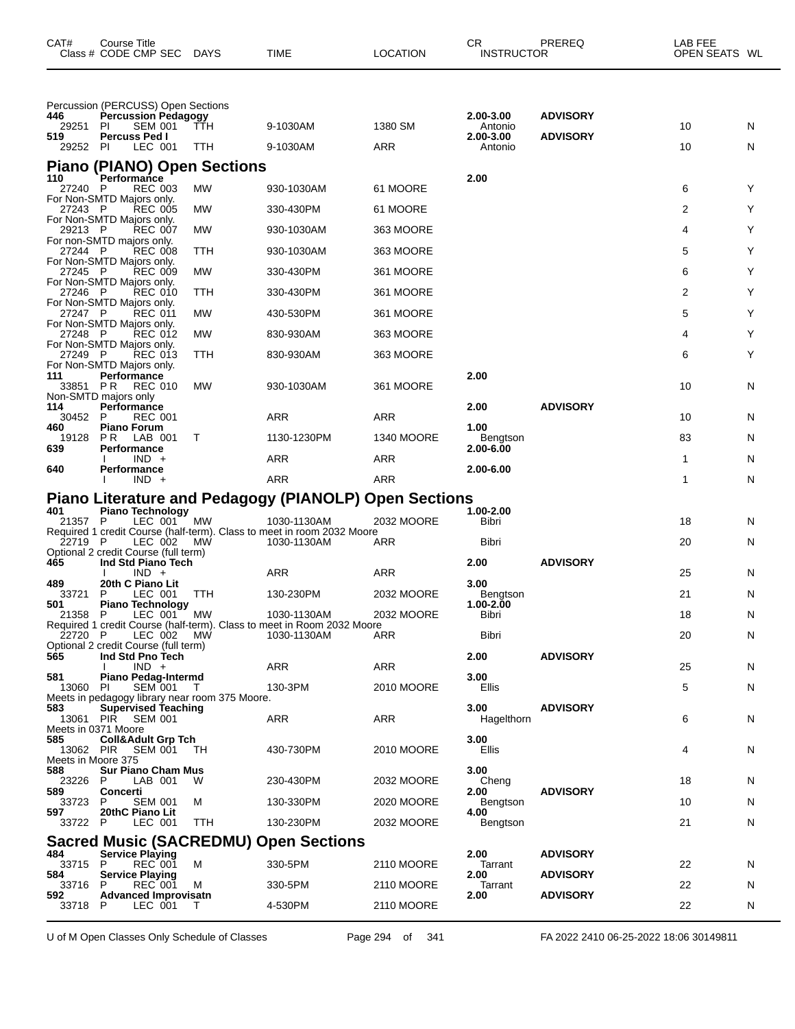| CAT#                            | Course Title<br>Class # CODE CMP SEC                                                                                     | DAYS              | TIME                                                                                  | <b>LOCATION</b>       | CR<br><b>INSTRUCTOR</b>                      | PREREQ                             | LAB FEE<br>OPEN SEATS WL |        |
|---------------------------------|--------------------------------------------------------------------------------------------------------------------------|-------------------|---------------------------------------------------------------------------------------|-----------------------|----------------------------------------------|------------------------------------|--------------------------|--------|
| 446<br>29251<br>519<br>29252 PI | Percussion (PERCUSS) Open Sections<br><b>Percussion Pedagogy</b><br><b>SEM 001</b><br>PI<br>Percuss Ped I<br>LEC 001     | <b>TTH</b><br>TTH | 9-1030AM<br>9-1030AM                                                                  | 1380 SM<br><b>ARR</b> | 2.00-3.00<br>Antonio<br>2.00-3.00<br>Antonio | <b>ADVISORY</b><br><b>ADVISORY</b> | 10<br>10                 | N<br>N |
|                                 | <b>Piano (PIANO) Open Sections</b>                                                                                       |                   |                                                                                       |                       |                                              |                                    |                          |        |
| 110<br>27240 P                  | Performance<br><b>REC 003</b>                                                                                            | МW                | 930-1030AM                                                                            | 61 MOORE              | 2.00                                         |                                    | 6                        | Y      |
| 27243 P                         | For Non-SMTD Majors only.<br><b>REC 005</b>                                                                              | МW                | 330-430PM                                                                             | 61 MOORE              |                                              |                                    | 2                        | Y      |
| 29213 P                         | For Non-SMTD Majors only.<br><b>REC 007</b>                                                                              | МW                | 930-1030AM                                                                            | 363 MOORE             |                                              |                                    | 4                        | Y      |
| 27244 P                         | For non-SMTD majors only.<br><b>REC 008</b>                                                                              | ттн               | 930-1030AM                                                                            | 363 MOORE             |                                              |                                    | 5                        | Y      |
| 27245 P                         | For Non-SMTD Majors only.<br><b>REC 009</b>                                                                              | МW                | 330-430PM                                                                             | 361 MOORE             |                                              |                                    | 6                        | Y      |
| 27246 P                         | For Non-SMTD Majors only.<br><b>REC 010</b>                                                                              | TTH               | 330-430PM                                                                             | 361 MOORE             |                                              |                                    | 2                        | Y      |
| 27247 P                         | For Non-SMTD Majors only.<br>REC 011                                                                                     | МW                | 430-530PM                                                                             | 361 MOORE             |                                              |                                    | 5                        | Y      |
| 27248 P                         | For Non-SMTD Majors only.<br><b>REC 012</b>                                                                              | МW                | 830-930AM                                                                             | 363 MOORE             |                                              |                                    | 4                        | Y      |
| 27249 P                         | For Non-SMTD Majors only.<br><b>REC 013</b>                                                                              | TTH               | 830-930AM                                                                             | 363 MOORE             |                                              |                                    | 6                        | Y      |
| 111<br>33851 PR                 | For Non-SMTD Majors only.<br>Performance<br><b>REC 010</b><br>Non-SMTD majors only                                       | MW                | 930-1030AM                                                                            | 361 MOORE             | 2.00                                         |                                    | 10                       | N      |
| 114<br>30452                    | Performance<br>P<br><b>REC 001</b>                                                                                       |                   | ARR                                                                                   | ARR                   | 2.00                                         | <b>ADVISORY</b>                    | 10                       | N      |
| 460<br>19128                    | <b>Piano Forum</b><br>P R<br>LAB 001                                                                                     | т                 | 1130-1230PM                                                                           | <b>1340 MOORE</b>     | 1.00<br>Bengtson                             |                                    | 83                       | N      |
| 639                             | Performance<br>$IND +$                                                                                                   |                   | ARR                                                                                   | ARR                   | 2.00-6.00                                    |                                    | 1                        | N      |
| 640                             | Performance<br>$IND +$                                                                                                   |                   | <b>ARR</b>                                                                            | <b>ARR</b>            | 2.00-6.00                                    |                                    | 1                        | N      |
|                                 |                                                                                                                          |                   | Piano Literature and Pedagogy (PIANOLP) Open Sections                                 |                       |                                              |                                    |                          |        |
| 401<br>21357 P                  | <b>Piano Technology</b><br>LEC 001                                                                                       | МW                | 1030-1130AM                                                                           | 2032 MOORE            | 1.00-2.00<br>Bibri                           |                                    | 18                       | N      |
| 22719 P                         | LEC 002                                                                                                                  | <b>MW</b>         | Required 1 credit Course (half-term). Class to meet in room 2032 Moore<br>1030-1130AM | ARR                   | Bibri                                        |                                    | 20                       | N      |
| 465                             | Optional 2 credit Course (full term)<br>Ind Std Piano Tech                                                               |                   |                                                                                       |                       | 2.00                                         | <b>ADVISORY</b>                    |                          |        |
| 489                             | $IND +$<br>20th C Piano Lit                                                                                              |                   | ARR                                                                                   | ARR                   | 3.00                                         |                                    | 25                       | N      |
| 33721<br>501                    | LEC 001<br>P<br><b>Piano Technology</b>                                                                                  | TTH               | 130-230PM                                                                             | 2032 MOORE            | Bengtson<br>1.00-2.00                        |                                    | 21                       | N      |
| 21358                           | P<br>LEC 001                                                                                                             | МW                | 1030-1130AM<br>Required 1 credit Course (half-term). Class to meet in Room 2032 Moore | 2032 MOORE            | Bibri                                        |                                    | 18                       | N      |
| 22720 P                         | LEC 002<br>Optional 2 credit Course (full term)                                                                          | MW                | 1030-1130AM                                                                           | ARR                   | Bibri                                        |                                    | 20                       | N      |
| 565                             | Ind Std Pno Tech<br>$IND +$                                                                                              |                   | ARR                                                                                   | ARR                   | 2.00                                         | <b>ADVISORY</b>                    | 25                       | N      |
| 581<br>13060 PI                 | <b>Piano Pedag-Intermd</b><br><b>SEM 001</b>                                                                             | T                 | 130-3PM                                                                               | 2010 MOORE            | 3.00<br>Ellis                                |                                    | 5                        | N      |
| 583                             | Meets in pedagogy library near room 375 Moore.<br><b>Supervised Teaching</b><br>13061 PIR SEM 001<br>Meets in 0371 Moore |                   | ARR                                                                                   | <b>ARR</b>            | 3.00<br>Hagelthorn                           | <b>ADVISORY</b>                    | 6                        | N      |
| 585<br>Meets in Moore 375       | <b>Coll&amp;Adult Grp Tch</b><br>13062 PIR SEM 001                                                                       | TН                | 430-730PM                                                                             | 2010 MOORE            | 3.00<br>Ellis                                |                                    | 4                        | N      |
| 588<br>23226                    | <b>Sur Piano Cham Mus</b><br>LAB 001<br>P                                                                                | W                 | 230-430PM                                                                             | 2032 MOORE            | 3.00<br>Cheng                                |                                    | 18                       | N      |
| 589<br>33723                    | Concerti<br><b>SEM 001</b><br>P                                                                                          | M                 | 130-330PM                                                                             | 2020 MOORE            | 2.00<br>Bengtson                             | <b>ADVISORY</b>                    | 10                       | N      |
| 597<br>33722 P                  | 20thC Piano Lit<br>LEC 001                                                                                               | TTH               | 130-230PM                                                                             | 2032 MOORE            | 4.00<br>Bengtson                             |                                    | 21                       | N      |
|                                 |                                                                                                                          |                   | <b>Sacred Music (SACREDMU) Open Sections</b>                                          |                       |                                              |                                    |                          |        |
| 484<br>33715 P                  | <b>Service Playing</b><br><b>REC 001</b>                                                                                 | м                 | 330-5PM                                                                               | 2110 MOORE            | 2.00<br>Tarrant                              | <b>ADVISORY</b>                    | 22                       | N      |
| 584<br>33716                    | <b>Service Playing</b><br>P<br><b>REC 001</b>                                                                            | м                 | 330-5PM                                                                               | 2110 MOORE            | 2.00<br>Tarrant                              | <b>ADVISORY</b>                    | 22                       | N      |
| 592<br>33718                    | <b>Advanced Improvisatn</b><br>LEC 001<br>P                                                                              | т                 | 4-530PM                                                                               | 2110 MOORE            | 2.00                                         | <b>ADVISORY</b>                    | 22                       | N      |

U of M Open Classes Only Schedule of Classes Page 294 of 341 FA 2022 2410 06-25-2022 18:06 30149811

 $\overline{\phantom{0}}$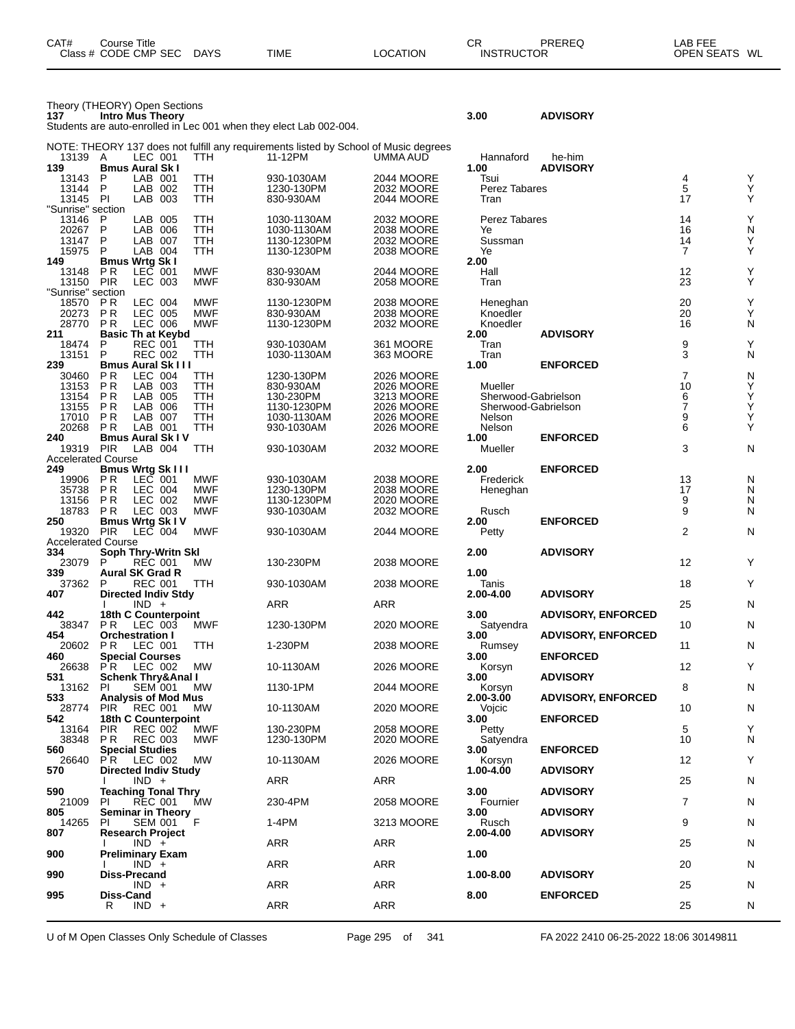| CAT#<br>Course Title<br>Class # CODE CMP SEC DAYS               | TIME | <b>LOCATION</b> | СR<br><b>INSTRUCTOR</b> | PREREQ          | LAB FEE<br>OPEN SEATS WL |
|-----------------------------------------------------------------|------|-----------------|-------------------------|-----------------|--------------------------|
|                                                                 |      |                 |                         |                 |                          |
| Theory (THEORY) Open Sections<br>137<br><b>Intro Mus Theory</b> |      |                 | 3.00                    | <b>ADVISORY</b> |                          |

Students are auto-enrolled in Lec 001 when they elect Lab 002-004.

| NOTE: THEORY 137 does not fulfill any requirements listed by School of Music degrees<br>13139<br>A<br>LEC 001<br><b>TTH</b><br>11-12PM<br>UMMA AUD<br>Hannaford<br>he-him |                  |        |
|---------------------------------------------------------------------------------------------------------------------------------------------------------------------------|------------------|--------|
| 139<br><b>Bmus Aural Sk I</b><br>1.00<br><b>ADVISORY</b>                                                                                                                  |                  |        |
| 13143<br>P<br>LAB 001<br>TTH<br>930-1030AM<br>2044 MOORE<br>Tsui                                                                                                          | 4                | Υ      |
| P<br>LAB 002<br>TTH<br>13144<br>1230-130PM<br>2032 MOORE<br>Perez Tabares<br>13145 PI<br>LAB 003<br>TTH<br>830-930AM<br>2044 MOORE<br>Tran                                | 5<br>17          | Y<br>Y |
| 'Sunrise" section                                                                                                                                                         |                  |        |
| LAB 005<br>13146<br>P<br>TTH<br>1030-1130AM<br>2032 MOORE<br>Perez Tabares                                                                                                | 14               | Y      |
| P<br>TTH<br>LAB 006<br>20267<br>1030-1130AM<br>2038 MOORE<br>Ye<br>13147<br>P<br>LAB 007<br>TTH<br>1130-1230PM<br>2032 MOORE<br>Sussman                                   | 16<br>14         | N<br>Y |
| 15975<br>P<br>LAB 004<br><b>TTH</b><br>Ye<br>1130-1230PM<br>2038 MOORE                                                                                                    | $\overline{7}$   | Υ      |
| 2.00<br>149<br><b>Bmus Wrtg Sk I</b>                                                                                                                                      |                  |        |
| $LEC$ 001<br><b>MWF</b><br>13148<br>P R<br>830-930AM<br>2044 MOORE<br>Hall                                                                                                | 12               | Υ      |
| <b>PIR</b><br>LEC 003<br><b>MWF</b><br>13150<br>830-930AM<br><b>2058 MOORE</b><br>Tran<br>'Sunrise" section                                                               | 23               | Υ      |
| LEC 004<br><b>MWF</b><br>18570<br>P R<br>1130-1230PM<br>2038 MOORE<br>Heneghan                                                                                            | 20               | Υ      |
| 20273<br><b>PR</b><br><b>LEC 005</b><br><b>MWF</b><br>830-930AM<br>2038 MOORE<br>Knoedler                                                                                 | 20               | Y      |
| <b>PR</b><br><b>MWF</b><br>28770<br>LEC 006<br>1130-1230PM<br>Knoedler<br>2032 MOORE<br><b>ADVISORY</b><br>Basic Th at Keybd<br>2.00<br>211                               | 16               | N      |
| P<br><b>REC 001</b><br>TTH<br>930-1030AM<br>361 MOORE<br>Tran<br>18474                                                                                                    | 9                | Y      |
| P<br>13151<br><b>REC 002</b><br>TTH<br>Tran<br>1030-1130AM<br>363 MOORE                                                                                                   | 3                | N      |
| <b>Bmus Aural Sk III</b><br>239<br>1.00<br><b>ENFORCED</b><br>PR<br>LEC 004                                                                                               | $\overline{7}$   |        |
| 30460<br>TTH<br>1230-130PM<br>2026 MOORE<br><b>PR</b><br>13153<br>LAB 003<br>TTH<br>830-930AM<br>Mueller<br>2026 MOORE                                                    | 10               | N<br>Y |
| 13154<br>P R<br>LAB 005<br>TTH<br>130-230PM<br>3213 MOORE<br>Sherwood-Gabrielson                                                                                          | 6                | Y      |
| 13155<br><b>PR</b><br>LAB 006<br>TTH<br>1130-1230PM<br>2026 MOORE<br>Sherwood-Gabrielson                                                                                  | $\boldsymbol{7}$ | Υ      |
| <b>PR</b><br>17010<br>LAB 007<br>TTH<br>2026 MOORE<br>Nelson<br>1030-1130AM<br>TTH<br>Nelson<br>20268<br>P R<br>LAB 001<br>930-1030AM<br>2026 MOORE                       | 9<br>6           | Y<br>Υ |
| 240<br><b>Bmus Aural Sk IV</b><br>1.00<br><b>ENFORCED</b>                                                                                                                 |                  |        |
| <b>PIR</b><br>LAB 004<br>TTH<br>930-1030AM<br>2032 MOORE<br>Mueller<br>19319                                                                                              | 3                | N      |
| Accelerated Course<br>2.00<br>249<br><b>Bmus Wrtg Sk III</b><br><b>ENFORCED</b>                                                                                           |                  |        |
| <b>MWF</b><br>2038 MOORE<br>P R<br>930-1030AM<br>Frederick<br>19906<br>LEC 001                                                                                            | 13               | N      |
| <b>MWF</b><br>35738<br>P R<br>LEC 004<br>1230-130PM<br>2038 MOORE<br>Heneghan                                                                                             | 17               | N      |
| 13156<br><b>PR</b><br>LEC 002<br><b>MWF</b><br>1130-1230PM<br>2020 MOORE<br><b>PR</b><br><b>MWF</b><br>18783<br>Rusch                                                     | 9<br>9           | N<br>N |
| LEC 003<br>930-1030AM<br>2032 MOORE<br>2.00<br><b>Bmus Wrtg Sk IV</b><br><b>ENFORCED</b><br>250                                                                           |                  |        |
| <b>PIR</b><br>LEC 004<br><b>MWF</b><br>19320<br>930-1030AM<br>2044 MOORE<br>Petty                                                                                         | $\overline{2}$   | N      |
| <b>Accelerated Course</b><br>2.00<br><b>ADVISORY</b>                                                                                                                      |                  |        |
| 334<br>Soph Thry-Writn Skl<br>23079<br>P<br><b>REC 001</b><br>MW.<br>130-230PM<br>2038 MOORE                                                                              | 12               | Υ      |
| 339<br>1.00<br><b>Aural SK Grad R</b>                                                                                                                                     |                  |        |
| 37362<br><b>REC 001</b><br>TTH<br>930-1030AM<br>2038 MOORE<br>Tanis<br>P.                                                                                                 | 18               | Υ      |
| <b>Directed Indiv Stdy</b><br>2.00-4.00<br><b>ADVISORY</b><br>407<br>ARR<br>ARR<br>$IND +$                                                                                | 25               | N      |
| 18th C Counterpoint<br>3.00<br><b>ADVISORY, ENFORCED</b><br>442                                                                                                           |                  |        |
| 38347<br>P <sub>R</sub><br>LEC 003<br>MWF<br>1230-130PM<br>2020 MOORE<br>Satyendra                                                                                        | 10               | N      |
| 454<br><b>ADVISORY, ENFORCED</b><br><b>Orchestration I</b><br>3.00<br><b>TTH</b><br>20602<br>P R<br>LEC 001<br>1-230PM<br>2038 MOORE<br>Rumsey                            | 11               | N      |
| <b>ENFORCED</b><br><b>Special Courses</b><br>3.00<br>460                                                                                                                  |                  |        |
| MW<br>26638<br>P R<br>2026 MOORE<br>LEC 002<br>10-1130AM<br>Korsyn                                                                                                        | 12               | Υ      |
| <b>ADVISORY</b><br>531<br>Schenk Thry&Anal I<br>3.00<br>13162<br>PI.<br><b>SEM 001</b><br>MW.<br>1130-1PM<br>2044 MOORE<br>Korsyn                                         | 8                | N      |
| 533<br><b>ADVISORY, ENFORCED</b><br><b>Analysis of Mod Mus</b><br>2.00-3.00                                                                                               |                  |        |
| 28774<br><b>PIR</b><br>10-1130AM<br>2020 MOORE<br>REC 001<br>МW<br>Vojcic                                                                                                 | 10               | N      |
| 542<br>18th C Counterpoint<br>3.00<br><b>ENFORCED</b><br>130-230PM<br>2058 MOORE<br>13164 PIR<br>REC 002<br>MWF<br>Petty                                                  | 5                | Υ      |
| 1230-130PM<br>38348<br>P R<br>REC 003<br>MWF<br>2020 MOORE<br>Satyendra                                                                                                   | 10               | N      |
| <b>Special Studies</b><br>560<br>3.00<br><b>ENFORCED</b>                                                                                                                  |                  |        |
| 10-1130AM<br>2026 MOORE<br>LEC 002<br>МW<br>Korsyn<br>26640<br>P R<br>570<br><b>Directed Indiv Study</b><br>1.00-4.00<br><b>ADVISORY</b>                                  | 12               | Υ      |
| $IND +$<br>ARR<br>ARR                                                                                                                                                     | 25               | N      |
| 590<br><b>Teaching Tonal Thry</b><br>3.00<br><b>ADVISORY</b>                                                                                                              |                  |        |
| PI.<br><b>REC 001</b><br>230-4PM<br>2058 MOORE<br>21009<br>МW<br>Fournier<br>805<br><b>Seminar in Theory</b><br>3.00<br><b>ADVISORY</b>                                   | 7                | N      |
| ΞF<br>14265<br>SEM 001<br>1-4PM<br>3213 MOORE<br>Rusch<br>PI                                                                                                              | 9                | N      |
| 807<br><b>Research Project</b><br>2.00-4.00<br><b>ADVISORY</b>                                                                                                            |                  |        |
|                                                                                                                                                                           |                  |        |
| ARR<br>$IND +$<br>ARR<br>900<br>1.00                                                                                                                                      | 25               | N      |
| Preliminary Exam<br><b>ARR</b><br>ARR<br>$IND +$                                                                                                                          | 20               | N      |
| 1.00-8.00<br><b>ADVISORY</b><br>990<br><b>Diss-Precand</b>                                                                                                                |                  |        |
| $IND +$<br><b>ARR</b><br>ARR<br>995<br>Diss-Cand<br>8.00<br><b>ENFORCED</b>                                                                                               | 25               | N      |
| $IND +$<br><b>ARR</b><br>ARR<br>R                                                                                                                                         | 25               | N      |

U of M Open Classes Only Schedule of Classes Page 295 of 341 FA 2022 2410 06-25-2022 18:06 30149811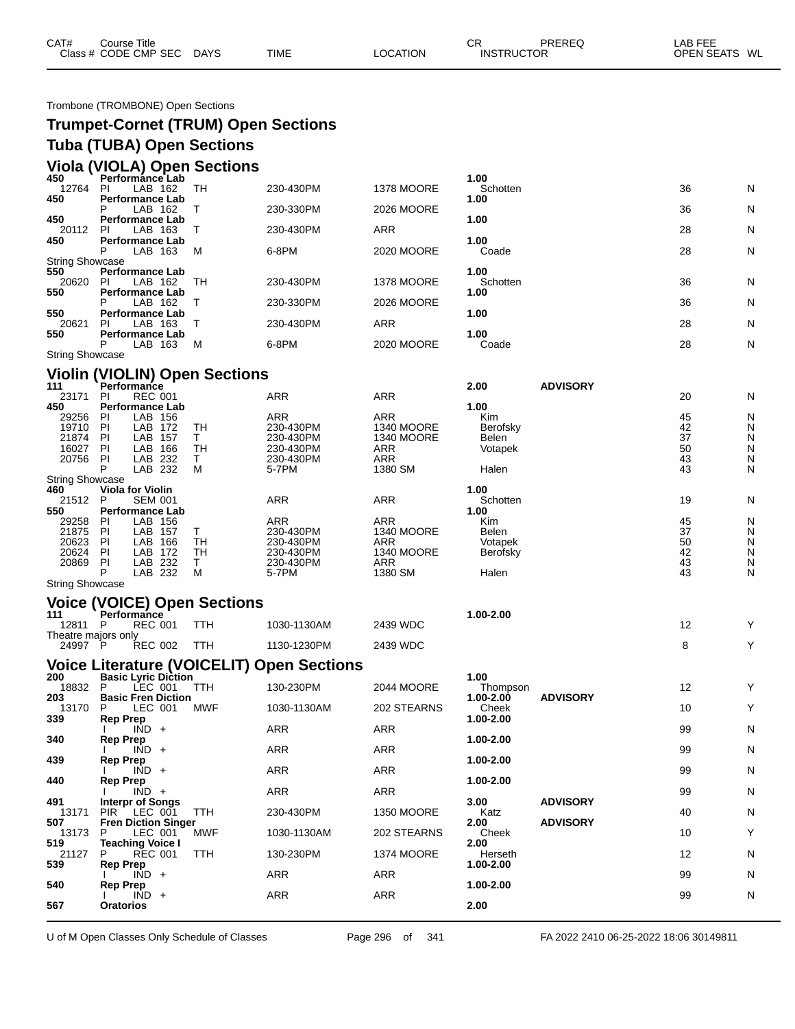| CAT# | Course Title         |             |             |                 | ⌒冖<br>◡◚          | PREREQ | _AB FEE       |  |
|------|----------------------|-------------|-------------|-----------------|-------------------|--------|---------------|--|
|      | Class # CODE CMP SEC | <b>DAYS</b> | <b>TIME</b> | <b>LOCATION</b> | <b>INSTRUCTOR</b> |        | OPEN SEATS WL |  |
|      |                      |             |             |                 |                   |        |               |  |

Trombone (TROMBONE) Open Sections

| <b>Trumpet-Cornet (TRUM) Open Sections</b> |
|--------------------------------------------|
| <b>Tuba (TUBA) Open Sections</b>           |
| Viola (VIOLA) Open Sections                |

| 450                    | Performánce Lab        |     |           |            | 1.00     |    |   |
|------------------------|------------------------|-----|-----------|------------|----------|----|---|
| 12764                  | LAB 162<br><b>PI</b>   | TН  | 230-430PM | 1378 MOORE | Schotten | 36 | N |
| 450                    | <b>Performance Lab</b> |     |           |            | 1.00     |    |   |
|                        | LAB 162                |     | 230-330PM | 2026 MOORE |          | 36 | N |
| 450                    | <b>Performance Lab</b> |     |           |            | 1.00     |    |   |
| 20112                  | LAB 163<br>PI.         |     | 230-430PM | <b>ARR</b> |          | 28 | N |
| 450                    | <b>Performance Lab</b> |     |           |            | 1.00     |    |   |
|                        | LAB 163<br>Р           | - M | 6-8PM     | 2020 MOORE | Coade    | 28 | N |
| <b>String Showcase</b> |                        |     |           |            |          |    |   |
| 550                    | <b>Performance Lab</b> |     |           |            | 1.00     |    |   |
| 20620                  | LAB 162<br>PL          | TН  | 230-430PM | 1378 MOORE | Schotten | 36 | N |
| 550                    | <b>Performance Lab</b> |     |           |            | 1.00     |    |   |
|                        | LAB 162                |     | 230-330PM | 2026 MOORE |          | 36 | N |
| 550                    | <b>Performance Lab</b> |     |           |            | 1.00     |    |   |
| 20621                  | LAB 163<br>PL          |     | 230-430PM | <b>ARR</b> |          | 28 | N |
| 550                    | <b>Performance Lab</b> |     |           |            | 1.00     |    |   |
|                        | LAB 163                | M   | 6-8PM     | 2020 MOORE | Coade    | 28 | N |
| <b>String Showcase</b> |                        |     |           |            |          |    |   |
|                        |                        |     |           |            |          |    |   |

#### **Violin (VIOLIN) Open Sections**

| 111                    |    | Performance             |    |            |                   | 2.00         | <b>ADVISORY</b> |    |   |
|------------------------|----|-------------------------|----|------------|-------------------|--------------|-----------------|----|---|
| 23171                  | ΡI | <b>REC 001</b>          |    | <b>ARR</b> | <b>ARR</b>        |              |                 | 20 | N |
| 450                    |    | <b>Performance Lab</b>  |    |            |                   | 1.00         |                 |    |   |
| 29256                  | ΡI | LAB<br>156              |    | <b>ARR</b> | <b>ARR</b>        | <b>Kim</b>   |                 | 45 | N |
| 19710                  | PI | LAB<br>172              | TН | 230-430PM  | <b>1340 MOORE</b> | Berofsky     |                 | 42 | N |
| 21874                  | ΡI | LAB<br>157              |    | 230-430PM  | <b>1340 MOORE</b> | <b>Belen</b> |                 | 37 | N |
| 16027                  | PI | LAB<br>166              | TН | 230-430PM  | <b>ARR</b>        | Votapek      |                 | 50 | N |
| 20756                  | PI | LAB<br>-232             |    | 230-430PM  | <b>ARR</b>        |              |                 | 43 | N |
|                        |    | LAB 232                 | м  | 5-7PM      | 1380 SM           | Halen        |                 | 43 | N |
| <b>String Showcase</b> |    |                         |    |            |                   |              |                 |    |   |
| 460                    |    | <b>Viola for Violin</b> |    |            |                   | 1.00         |                 |    |   |
| 21512                  | P  | <b>SEM 001</b>          |    | <b>ARR</b> | ARR               | Schotten     |                 | 19 | N |
| 550                    |    | <b>Performance Lab</b>  |    |            |                   | 1.00         |                 |    |   |
| 29258                  | ΡI | LAB<br>156              |    | <b>ARR</b> | <b>ARR</b>        | <b>Kim</b>   |                 | 45 | N |
| 21875                  | ΡI | LAB<br>157              |    | 230-430PM  | <b>1340 MOORE</b> | Belen        |                 | 37 | N |
| 20623                  | PI | LAB.<br>166             | TН | 230-430PM  | <b>ARR</b>        | Votapek      |                 | 50 | N |
| 20624                  | ΡI | LAB.<br>172             | TН | 230-430PM  | <b>1340 MOORE</b> | Berofsky     |                 | 42 | N |
| 20869                  | ΡI | LAB.<br>232             |    | 230-430PM  | ARR               |              |                 | 43 | N |
|                        | P  | LAB<br>232              | M  | 5-7PM      | 1380 SM           | Halen        |                 | 43 | N |
| <b>String Showcase</b> |    |                         |    |            |                   |              |                 |    |   |

|                     | <b>Voice (VOICE) Open Sections</b> |     |             |          |            |  |
|---------------------|------------------------------------|-----|-------------|----------|------------|--|
| 111                 | <b>Performance</b>                 |     |             |          | 00-2.00. ا |  |
| 12811               | <b>REC 001</b>                     | TTH | 1030-1130AM | 2439 WDC |            |  |
| Theatre majors only |                                    |     |             |          |            |  |
| 24997               | <b>REC 002</b>                     | TTH | 1130-1230PM | 2439 WDC |            |  |

## **Voice Literature (VOICELIT) Open Sections 200 Basic Lyric Diction 1.00**

| 200   | <b>Basic Lyric Diction</b>          |             |                   | 1.00          |                 |    |   |
|-------|-------------------------------------|-------------|-------------------|---------------|-----------------|----|---|
| 18832 | LEC 001<br>TTH                      | 130-230PM   | <b>2044 MOORE</b> | Thompson      |                 | 12 | Υ |
| 203   | <b>Basic Fren Diction</b>           |             |                   | $1.00 - 2.00$ | <b>ADVISORY</b> |    |   |
| 13170 | LEC 001<br>MWF<br>P                 | 1030-1130AM | 202 STEARNS       | Cheek         |                 | 10 | Y |
| 339   | Rep Prep                            |             |                   | 1.00-2.00     |                 |    |   |
|       | $IND +$                             | <b>ARR</b>  | <b>ARR</b>        |               |                 | 99 | N |
| 340   | <b>Rep Prep</b>                     |             |                   | 1.00-2.00     |                 |    |   |
|       | $IND +$                             | <b>ARR</b>  | <b>ARR</b>        |               |                 | 99 | N |
| 439   | <b>Rep Prep</b>                     |             |                   | 1.00-2.00     |                 |    |   |
|       | $IND +$                             | <b>ARR</b>  | <b>ARR</b>        |               |                 | 99 | N |
| 440   | <b>Rep Prep</b>                     |             |                   | 1.00-2.00     |                 |    |   |
|       | $\overline{IND}$ +                  | <b>ARR</b>  | ARR               |               |                 | 99 | N |
| 491   | <b>Interpr of Songs</b>             |             |                   | 3.00          | <b>ADVISORY</b> |    |   |
| 13171 | LEC 001<br><b>PIR</b><br><b>TTH</b> | 230-430PM   | 1350 MOORE        | Katz          |                 | 40 | N |
| 507   | <b>Fren Diction Singer</b>          |             |                   | 2.00          | <b>ADVISORY</b> |    |   |
| 13173 | LEC 001<br>P<br>MWF                 | 1030-1130AM | 202 STEARNS       | Cheek         |                 | 10 | Y |
| 519   | <b>Teaching Voice I</b>             |             |                   | 2.00          |                 |    |   |
| 21127 | <b>TTH</b><br><b>REC 001</b><br>P.  | 130-230PM   | 1374 MOORE        | Herseth       |                 | 12 | N |
| 539   | <b>Rep Prep</b>                     |             |                   | 1.00-2.00     |                 |    |   |
|       | $IND +$                             | <b>ARR</b>  | <b>ARR</b>        |               |                 | 99 | N |
| 540   | <b>Rep Prep</b>                     |             |                   | 1.00-2.00     |                 |    |   |
|       | $\overline{IND}$ +                  | <b>ARR</b>  | <b>ARR</b>        |               |                 | 99 | N |
| 567   | <b>Oratorios</b>                    |             |                   | 2.00          |                 |    |   |
|       |                                     |             |                   |               |                 |    |   |

U of M Open Classes Only Schedule of Classes Page 296 of 341 FA 2022 2410 06-25-2022 18:06 30149811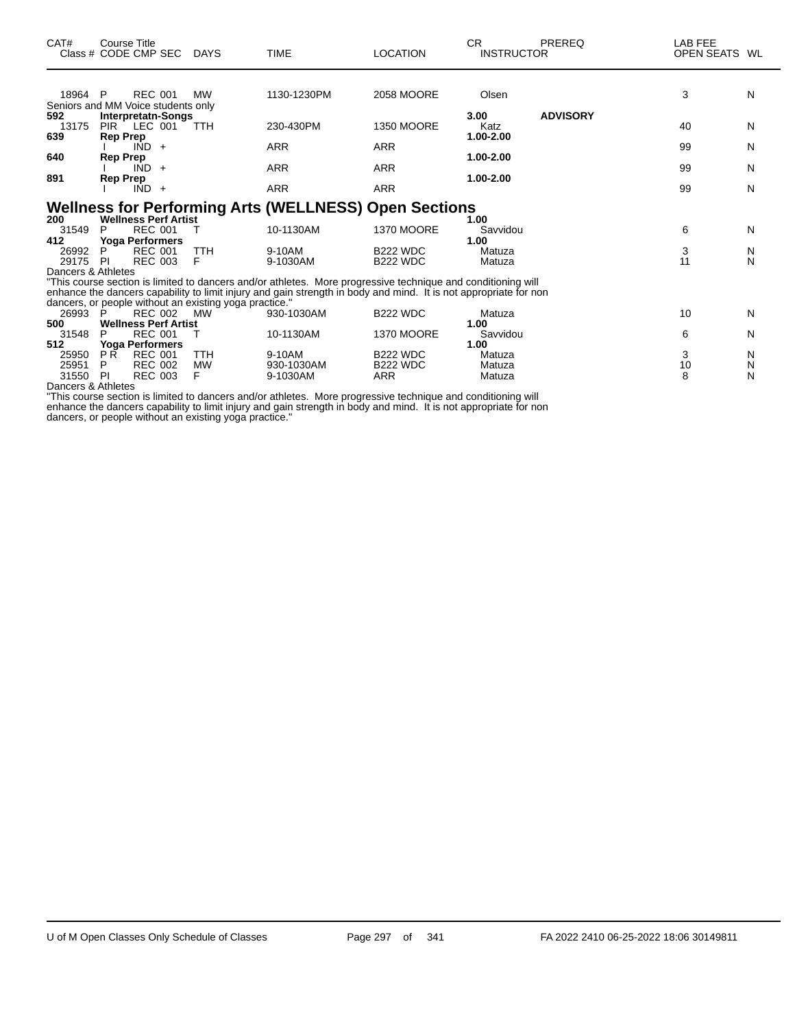| CAT#               | Course Title<br>Class # CODE CMP SEC                   | DAYS           | <b>TIME</b>                                                                                                      | <b>LOCATION</b>               | CR.<br><b>INSTRUCTOR</b> | <b>PREREQ</b>   | LAB FEE<br>OPEN SEATS WL |        |
|--------------------|--------------------------------------------------------|----------------|------------------------------------------------------------------------------------------------------------------|-------------------------------|--------------------------|-----------------|--------------------------|--------|
|                    |                                                        |                |                                                                                                                  |                               |                          |                 |                          |        |
| 18964 P            | <b>REC 001</b><br>Seniors and MM Voice students only   | <b>MW</b>      | 1130-1230PM                                                                                                      | 2058 MOORE                    | Olsen                    |                 | 3                        | N      |
| 592                | <b>Interpretatn-Songs</b>                              |                |                                                                                                                  |                               | 3.00                     | <b>ADVISORY</b> |                          |        |
| 13175              | PIR LEC 001                                            | <b>TTH</b>     | 230-430PM                                                                                                        | <b>1350 MOORE</b>             | Katz                     |                 | 40                       | N      |
| 639                | <b>Rep Prep</b>                                        |                |                                                                                                                  |                               | 1.00-2.00                |                 |                          |        |
|                    | $\overline{IND}$ +                                     |                | <b>ARR</b>                                                                                                       | <b>ARR</b>                    |                          |                 | 99                       | N      |
| 640                | Rep Prep                                               |                |                                                                                                                  |                               | 1.00-2.00                |                 |                          |        |
|                    | $IND +$                                                |                | ARR                                                                                                              | ARR                           |                          |                 | 99                       | N      |
| 891                | Rep Prep                                               |                |                                                                                                                  |                               | 1.00-2.00                |                 |                          |        |
|                    | $IND +$                                                |                | <b>ARR</b>                                                                                                       | <b>ARR</b>                    |                          |                 | 99                       | N      |
|                    |                                                        |                | <b>Wellness for Performing Arts (WELLNESS) Open Sections</b>                                                     |                               |                          |                 |                          |        |
| 200                | <b>Wellness Perf Artist</b>                            |                |                                                                                                                  |                               | 1.00                     |                 |                          |        |
| 31549              | <b>REC 001</b><br>P                                    |                | 10-1130AM                                                                                                        | <b>1370 MOORE</b>             | Savvidou                 |                 | 6                        | N      |
| 412                | <b>Yoga Performers</b>                                 |                |                                                                                                                  |                               | 1.00                     |                 |                          |        |
| 26992              | <b>REC 001</b><br>P                                    | <b>TTH</b>     | 9-10AM                                                                                                           | <b>B222 WDC</b>               | Matuza                   |                 | 3                        | N      |
| 29175              | <b>REC 003</b><br>-PI                                  | F              | 9-1030AM                                                                                                         | <b>B222 WDC</b>               | Matuza                   |                 | 11                       | N      |
| Dancers & Athletes |                                                        |                |                                                                                                                  |                               |                          |                 |                          |        |
|                    |                                                        |                | "This course section is limited to dancers and/or athletes. More progressive technique and conditioning will     |                               |                          |                 |                          |        |
|                    |                                                        |                | enhance the dancers capability to limit injury and gain strength in body and mind. It is not appropriate for non |                               |                          |                 |                          |        |
|                    | dancers, or people without an existing yoga practice." |                |                                                                                                                  |                               |                          |                 |                          |        |
| 26993              | <b>REC 002</b><br>P                                    | <b>MW</b>      | 930-1030AM                                                                                                       | <b>B222 WDC</b>               | Matuza                   |                 | 10                       | N      |
| 500                | <b>Wellness Perf Artist</b>                            |                |                                                                                                                  |                               | 1.00                     |                 |                          |        |
| 31548              | <b>REC 001</b><br>P                                    |                | 10-1130AM                                                                                                        | <b>1370 MOORE</b>             | Savvidou                 |                 | 6                        | N      |
| 512                | <b>Yoga Performers</b>                                 |                |                                                                                                                  |                               | 1.00                     |                 |                          |        |
| 25950              | <b>PR</b><br><b>REC 001</b>                            | <b>TTH</b>     | 9-10AM                                                                                                           | <b>B222 WDC</b>               | Matuza                   |                 | 3                        | N      |
| 25951              | <b>REC 002</b><br>P<br>PI                              | <b>MW</b><br>F | 930-1030AM<br>9-1030AM                                                                                           | <b>B222 WDC</b><br><b>ARR</b> | Matuza                   |                 | 10<br>8                  | N<br>N |
| 31550              | <b>REC 003</b>                                         |                |                                                                                                                  |                               | Matuza                   |                 |                          |        |

Dancers & Athletes

"This course section is limited to dancers and/or athletes. More progressive technique and conditioning will enhance the dancers capability to limit injury and gain strength in body and mind. It is not appropriate for non dancers, or people without an existing yoga practice."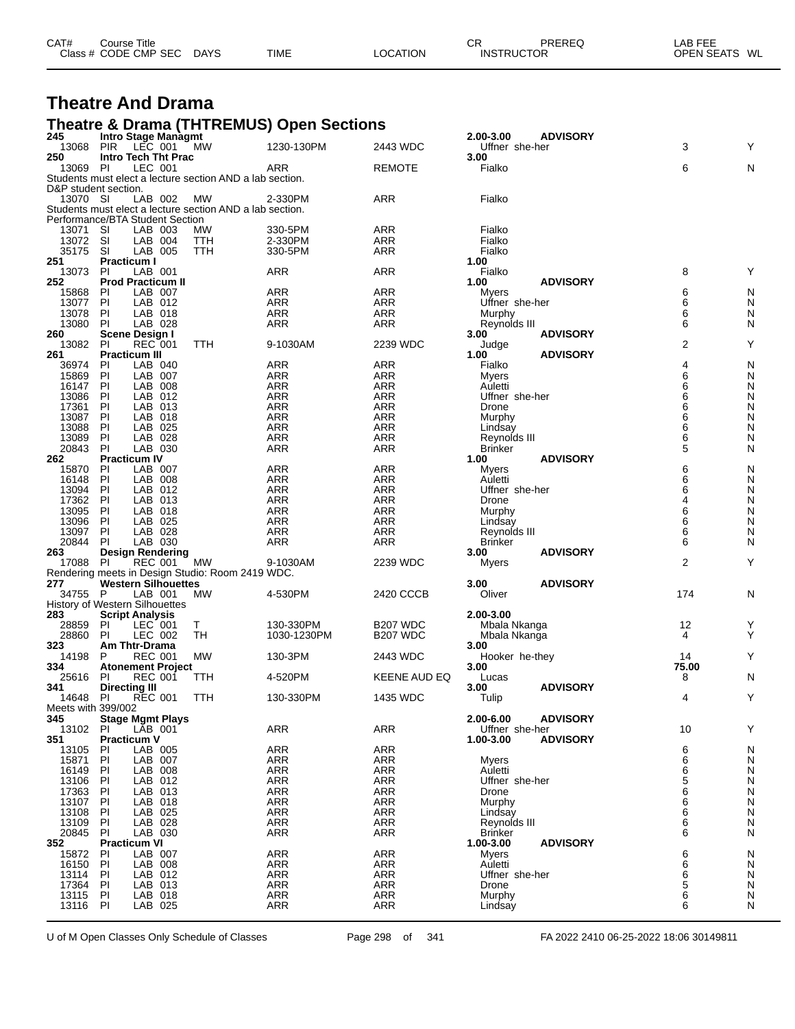| CAT# | Course Title         |             |             |          | СF                | PREREQ | LAB FEE       |
|------|----------------------|-------------|-------------|----------|-------------------|--------|---------------|
|      | Class # CODE CMP SEC | <b>DAYS</b> | <b>TIME</b> | LOCATION | <b>INSTRUCTOR</b> |        | OPEN SEATS WL |
|      |                      |             |             |          |                   |        |               |

#### **Theatre And Drama**

#### **Theatre & Drama (THTREMUS) Open Sections**

| 245                  | <b>Intro Stage Managmt</b>                   |                                                          |                   |                          | 2.00-3.00                 | <b>ADVISORY</b> |                |        |
|----------------------|----------------------------------------------|----------------------------------------------------------|-------------------|--------------------------|---------------------------|-----------------|----------------|--------|
| 13068                | <b>PIR</b><br>LEC 001                        | МW                                                       | 1230-130PM        | 2443 WDC                 | Uffner she-her            |                 | 3              | Y      |
| 250<br>13069         | Intro Tech Tht Prac<br>PI<br>LEC 001         |                                                          | ARR               | <b>REMOTE</b>            | 3.00<br>Fialko            |                 | 6              | N      |
|                      |                                              | Students must elect a lecture section AND a lab section. |                   |                          |                           |                 |                |        |
| D&P student section. |                                              |                                                          |                   |                          |                           |                 |                |        |
| 13070 SI             | LAB 002                                      | MW                                                       | 2-330PM           | ARR                      | Fialko                    |                 |                |        |
|                      |                                              | Students must elect a lecture section AND a lab section. |                   |                          |                           |                 |                |        |
|                      | Performance/BTA Student Section              |                                                          |                   |                          |                           |                 |                |        |
| 13071                | SI<br>LAB 003                                | МW                                                       | 330-5PM           | ARR                      | Fialko                    |                 |                |        |
| 13072                | SI<br>LAB 004                                | TTH                                                      | 2-330PM           | ARR                      | Fialko                    |                 |                |        |
| 35175                | SI<br>LAB 005                                | TTH                                                      | 330-5PM           | ARR                      | Fialko                    |                 |                |        |
| 251<br>13073         | <b>Practicum I</b><br>LAB 001<br>PI          |                                                          | ARR               | <b>ARR</b>               | 1.00<br>Fialko            |                 | 8              | Y      |
| 252                  | <b>Prod Practicum II</b>                     |                                                          |                   |                          | 1.00                      | <b>ADVISORY</b> |                |        |
| 15868                | LAB 007<br>PI                                |                                                          | ARR               | ARR                      | <b>Myers</b>              |                 | 6              | N      |
| 13077                | PI<br>LAB 012                                |                                                          | ARR               | ARR                      | Uffner she-her            |                 | 6              | N      |
| 13078                | PI<br>LAB 018                                |                                                          | <b>ARR</b>        | <b>ARR</b>               | Murphy                    |                 | 6              | N      |
| 13080                | PI<br>LAB 028                                |                                                          | ARR               | ARR                      | Reynolds III              |                 | 6              | N      |
| 260                  | <b>Scene Design I</b>                        |                                                          |                   |                          | 3.00                      | <b>ADVISORY</b> |                |        |
| 13082                | <b>PI</b><br><b>REC 001</b>                  | TTH                                                      | 9-1030AM          | 2239 WDC                 | Judge                     |                 | $\overline{c}$ | Υ      |
| 261                  | <b>Practicum III</b>                         |                                                          |                   |                          | 1.00                      | <b>ADVISORY</b> |                |        |
| 36974                | LAB 040<br>ΡI                                |                                                          | ARR               | ARR                      | Fialko                    |                 | 4              | N      |
| 15869                | PI<br>LAB 007                                |                                                          | <b>ARR</b>        | ARR<br>ARR               | <b>Myers</b>              |                 | 6<br>6         | N<br>N |
| 16147<br>13086       | ΡI<br>LAB 008<br>PI<br>LAB 012               |                                                          | ARR<br>ARR        | ARR                      | Auletti<br>Uffner she-her |                 | 6              | N      |
| 17361                | PI<br>LAB 013                                |                                                          | <b>ARR</b>        | ARR                      | Drone                     |                 | 6              | N      |
| 13087                | PI<br>LAB 018                                |                                                          | ARR               | <b>ARR</b>               | Murphy                    |                 | 6              | N      |
| 13088                | LAB 025<br>PI                                |                                                          | ARR               | ARR                      | Lindsay                   |                 | 6              | N      |
| 13089                | PI<br>LAB 028                                |                                                          | <b>ARR</b>        | <b>ARR</b>               | Reynolds III              |                 | 6              | N      |
| 20843                | PI<br>LAB 030                                |                                                          | ARR               | ARR                      | <b>Brinker</b>            |                 | 5              | N      |
| 262                  | <b>Practicum IV</b>                          |                                                          |                   |                          | 1.00                      | <b>ADVISORY</b> |                |        |
| 15870                | PI<br>LAB 007                                |                                                          | <b>ARR</b>        | <b>ARR</b>               | Myers                     |                 | 6              | N      |
| 16148                | PI<br>LAB 008                                |                                                          | ARR               | ARR                      | Auletti                   |                 | 6              | N      |
| 13094                | PI<br>LAB 012                                |                                                          | ARR               | ARR                      | Uffner she-her            |                 | 6              | N      |
| 17362<br>13095       | PI<br>LAB 013<br>PI<br>LAB 018               |                                                          | <b>ARR</b><br>ARR | <b>ARR</b><br><b>ARR</b> | Drone                     |                 | 4<br>6         | N<br>N |
| 13096                | LAB 025<br>PI                                |                                                          | ARR               | ARR                      | Murphy<br>Lindsay         |                 | 6              | N      |
| 13097                | PI<br>LAB 028                                |                                                          | <b>ARR</b>        | <b>ARR</b>               | Reynolds III              |                 | 6              | N      |
| 20844                | PI<br>LAB 030                                |                                                          | ARR               | ARR                      | <b>Brinker</b>            |                 | 6              | N      |
| 263                  | <b>Design Rendering</b>                      |                                                          |                   |                          | 3.00                      | <b>ADVISORY</b> |                |        |
| 17088                | PI<br><b>REC 001</b>                         | МW                                                       | 9-1030AM          | 2239 WDC                 | Myers                     |                 | $\overline{2}$ | Υ      |
|                      |                                              | Rendering meets in Design Studio: Room 2419 WDC.         |                   |                          |                           |                 |                |        |
| 277<br>34755 P       | <b>Western Silhouettes</b>                   |                                                          |                   |                          | 3.00                      | <b>ADVISORY</b> | 174            |        |
|                      | LAB 001<br>History of Western Silhouettes    | MW                                                       | 4-530PM           | 2420 CCCB                | Oliver                    |                 |                | N      |
| 283                  | <b>Script Analysis</b>                       |                                                          |                   |                          | 2.00-3.00                 |                 |                |        |
| 28859                | LEC 001<br>PI                                | Т                                                        | 130-330PM         | B <sub>207</sub> WDC     | Mbala Nkanga              |                 | 12             | Y      |
| 28860                | PI<br>LEC 002                                | TН                                                       | 1030-1230PM       | B <sub>207</sub> WDC     | Mbala Nkanga              |                 | 4              | Υ      |
| 323                  | Am Thtr-Drama                                |                                                          |                   |                          | 3.00                      |                 |                |        |
| 14198                | <b>REC 001</b><br>P                          | <b>MW</b>                                                | 130-3PM           | 2443 WDC                 | Hooker he-they            |                 | 14             | Y      |
| 334                  | <b>Atonement Project</b>                     |                                                          |                   |                          | 3.00                      |                 | 75.00          |        |
| 25616                | PI<br><b>REC 001</b>                         | ттн                                                      | 4-520PM           | <b>KEENE AUD EQ</b>      | Lucas                     |                 | 8              | N      |
| 341<br>14648         | <b>Directing III</b><br>PI<br><b>REC 001</b> | TTH                                                      | 130-330PM         | 1435 WDC                 | 3.00                      | <b>ADVISORY</b> | 4              | Υ      |
| Meets with 399/002   |                                              |                                                          |                   |                          | Tulip                     |                 |                |        |
| 345                  | <b>Stage Mgmt Plays</b>                      |                                                          |                   |                          | 2.00-6.00                 | <b>ADVISORY</b> |                |        |
| 13102                | LĀB 001<br>PL                                |                                                          | ARR               | <b>ARR</b>               | Uffner she-her            |                 | 10             | Υ      |
| 351                  | <b>Practicum V</b>                           |                                                          |                   |                          | 1.00-3.00                 | <b>ADVISORY</b> |                |        |
| 13105                | LAB 005<br>PI                                |                                                          | ARR               | <b>ARR</b>               |                           |                 | 6              | N      |
| 15871                | PI<br>LAB 007                                |                                                          | ARR               | <b>ARR</b>               | <b>Myers</b>              |                 | 6              | N      |
| 16149                | LAB 008<br>ΡI                                |                                                          | <b>ARR</b>        | <b>ARR</b>               | Auletti                   |                 | 6              | N      |
| 13106                | LAB 012<br>ΡI                                |                                                          | <b>ARR</b>        | <b>ARR</b>               | Uffner she-her            |                 | 5              | N      |
| 17363                | PI<br>LAB 013                                |                                                          | ARR               | <b>ARR</b>               | Drone                     |                 | 6              | N      |
| 13107<br>13108       | LAB 018<br>ΡI<br>PI<br>LAB 025               |                                                          | <b>ARR</b><br>ARR | <b>ARR</b><br><b>ARR</b> | Murphy<br>Lindsay         |                 | 6<br>6         | N<br>Ν |
| 13109                | PI<br>LAB 028                                |                                                          | ARR               | <b>ARR</b>               | Reynolds III              |                 | 6              | N      |
| 20845                | LAB 030<br>PI                                |                                                          | ARR               | <b>ARR</b>               | <b>Brinker</b>            |                 | 6              | N      |
| 352                  | <b>Practicum VI</b>                          |                                                          |                   |                          | 1.00-3.00                 | <b>ADVISORY</b> |                |        |
| 15872                | LAB 007<br>ΡI                                |                                                          | <b>ARR</b>        | <b>ARR</b>               | <b>Myers</b>              |                 | 6              | Ν      |
| 16150                | PI<br>LAB 008                                |                                                          | ARR               | <b>ARR</b>               | Auletti                   |                 | 6              | N      |
| 13114                | LAB 012<br>ΡI                                |                                                          | <b>ARR</b>        | <b>ARR</b>               | Uffner she-her            |                 | 6              | N      |
| 17364                | PI<br>LAB 013                                |                                                          | ARR               | <b>ARR</b>               | Drone                     |                 | 5              | N      |
| 13115                | LAB 018<br>ΡI                                |                                                          | ARR               | <b>ARR</b>               | Murphy                    |                 | 6              | N      |
| 13116                | PI<br>LAB 025                                |                                                          | ARR               | <b>ARR</b>               | Lindsay                   |                 | 6              | N      |

U of M Open Classes Only Schedule of Classes Page 298 of 341 FA 2022 2410 06-25-2022 18:06 30149811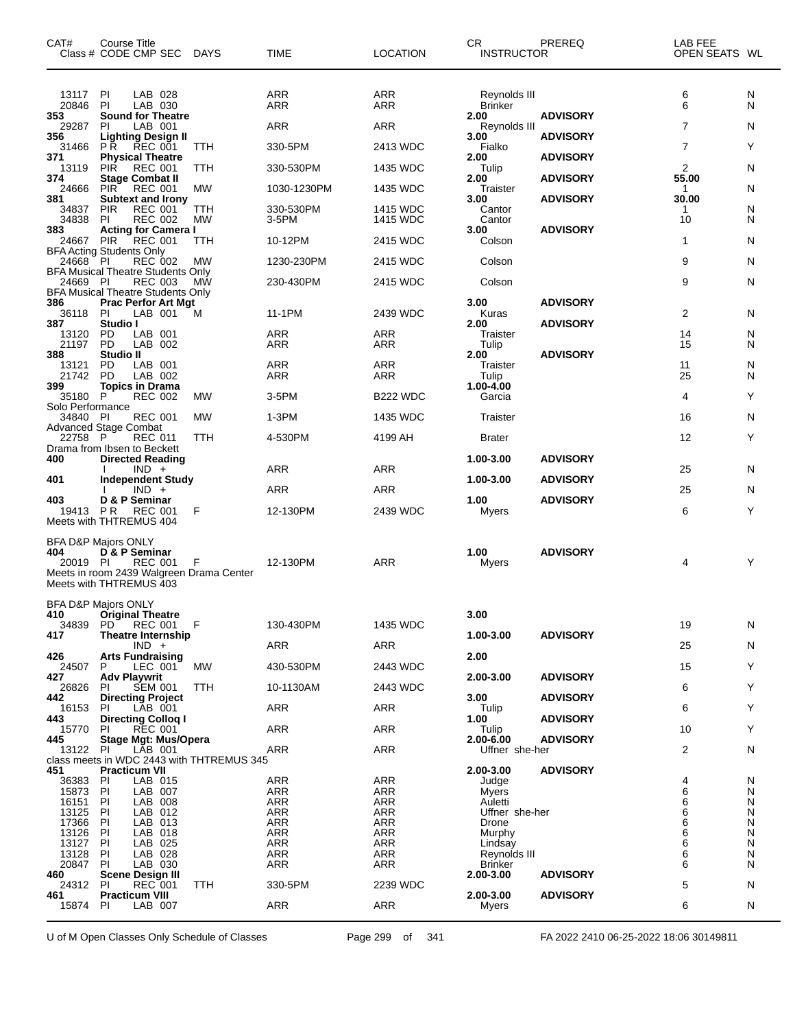| CAT#                      | Course Title<br>Class # CODE CMP SEC DAYS                                                                                                |            | <b>TIME</b>       | <b>LOCATION</b>   | CR.<br><b>INSTRUCTOR</b>        | PREREQ          | LAB FEE<br>OPEN SEATS WL |        |
|---------------------------|------------------------------------------------------------------------------------------------------------------------------------------|------------|-------------------|-------------------|---------------------------------|-----------------|--------------------------|--------|
| 13117<br>20846            | LAB 028<br>PI<br><b>PI</b><br>LAB 030                                                                                                    |            | <b>ARR</b><br>ARR | ARR<br>ARR        | Reynolds III<br>Brinker         |                 | 6<br>6                   | N<br>N |
| 353<br>29287              | <b>Sound for Theatre</b><br>PI<br>LAB 001                                                                                                |            | ARR               | ARR               | 2.00<br>Reynolds III            | <b>ADVISORY</b> | 7                        | N      |
| 356<br>31466              | <b>Lighting Design II</b><br><b>REC 001</b><br>P R                                                                                       | TTH        | 330-5PM           | 2413 WDC          | 3.00<br>Fialko                  | <b>ADVISORY</b> | $\overline{7}$           | Y      |
| 371<br>13119              | <b>Physical Theatre</b><br>PIŘ<br><b>REC 001</b>                                                                                         | TTH        | 330-530PM         | 1435 WDC          | 2.00<br>Tulip                   | <b>ADVISORY</b> | 2                        | N      |
| 374<br>24666              | <b>Stage Combat II</b><br><b>PIR</b><br><b>REC 001</b>                                                                                   | МW         | 1030-1230PM       | 1435 WDC          | 2.00<br>Traister                | <b>ADVISORY</b> | 55.00<br>$\mathbf 1$     | N      |
| 381<br>34837              | <b>Subtext and Irony</b><br><b>PIR</b><br><b>REC 001</b>                                                                                 | ттн        | 330-530PM         | 1415 WDC          | 3.00<br>Cantor                  | <b>ADVISORY</b> | 30.00<br>1               | N      |
| 34838<br>383              | <b>REC 002</b><br>PI.<br><b>Acting for Camera I</b>                                                                                      | <b>MW</b>  | 3-5PM             | 1415 WDC          | Cantor<br>3.00                  | <b>ADVISORY</b> | 10                       | N      |
| 24667                     | <b>REC 001</b><br><b>PIR</b><br><b>BFA Acting Students Only</b>                                                                          | TTH        | 10-12PM           | 2415 WDC          | Colson                          |                 | $\mathbf{1}$             | N      |
| 24668 PI                  | <b>REC 002</b>                                                                                                                           | MW         | 1230-230PM        | 2415 WDC          | Colson                          |                 | 9                        | N      |
| 24669 PI                  | <b>BFA Musical Theatre Students Only</b><br><b>REC 003</b>                                                                               | МW         | 230-430PM         | 2415 WDC          | Colson                          |                 | 9                        | N      |
| 386                       | <b>BFA Musical Theatre Students Only</b><br><b>Prac Perfor Art Mgt</b>                                                                   |            |                   |                   | 3.00                            | <b>ADVISORY</b> |                          |        |
| 36118<br>387              | LAB 001<br>PI<br>Studio I                                                                                                                | M          | 11-1PM            | 2439 WDC          | Kuras<br>2.00                   | <b>ADVISORY</b> | 2                        | N      |
| 13120<br>21197            | LAB 001<br>PD<br><b>PD</b><br>LAB 002                                                                                                    |            | ARR<br>ARR        | <b>ARR</b><br>ARR | Traister<br>Tulip               |                 | 14<br>15                 | N<br>N |
| 388<br>13121              | Studio II<br>LAB 001<br>PD                                                                                                               |            | ARR               | ARR               | 2.00<br>Traister                | <b>ADVISORY</b> | 11                       | N      |
| 21742<br>399              | <b>PD</b><br>LAB 002<br><b>Topics in Drama</b>                                                                                           |            | ARR               | ARR               | Tulip<br>$1.00 - 4.00$          |                 | 25                       | N      |
| 35180<br>Solo Performance | P<br><b>REC 002</b>                                                                                                                      | МW         | 3-5PM             | <b>B222 WDC</b>   | Garcia                          |                 | 4                        | Y      |
| 34840 PI                  | <b>REC 001</b><br><b>Advanced Stage Combat</b>                                                                                           | <b>MW</b>  | $1-3PM$           | 1435 WDC          | Traister                        |                 | 16                       | N      |
| 22758 P                   | <b>REC 011</b><br>Drama from Ibsen to Beckett                                                                                            | TTH        | 4-530PM           | 4199 AH           | <b>Brater</b>                   |                 | 12                       | Y      |
| 400                       | <b>Directed Reading</b>                                                                                                                  |            |                   |                   | 1.00-3.00                       | <b>ADVISORY</b> |                          |        |
| 401                       | $IND +$<br><b>Independent Study</b>                                                                                                      |            | ARR               | ARR               | 1.00-3.00                       | <b>ADVISORY</b> | 25                       | N      |
| 403                       | $IND +$<br>D & P Seminar                                                                                                                 |            | ARR               | <b>ARR</b>        | 1.00                            | <b>ADVISORY</b> | 25                       | N      |
| 19413                     | <b>PR</b><br><b>REC 001</b><br>Meets with THTREMUS 404                                                                                   | F          | 12-130PM          | 2439 WDC          | Myers                           |                 | 6                        | Υ      |
| 404<br>20019 PI           | <b>BFA D&amp;P Majors ONLY</b><br>D & P Seminar<br><b>REC 001</b><br>Meets in room 2439 Walgreen Drama Center<br>Meets with THTREMUS 403 | F          | 12-130PM          | <b>ARR</b>        | 1.00<br>Myers                   | <b>ADVISORY</b> | 4                        | Y      |
| 41 V                      | BFA D&P Majors ONLY<br><b>Original Theatre</b>                                                                                           |            |                   |                   | 3.00                            |                 |                          |        |
| 34839<br>417              | <b>REC 001</b><br>PD.<br><b>Theatre Internship</b>                                                                                       | F          | 130-430PM         | 1435 WDC          | 1.00-3.00                       | <b>ADVISORY</b> | 19                       | N      |
| 426                       | $IND +$<br><b>Arts Fundraising</b>                                                                                                       |            | ARR               | ARR               | 2.00                            |                 | 25                       | N      |
| 24507                     | P<br>LEC 001                                                                                                                             | МW         | 430-530PM         | 2443 WDC          |                                 |                 | 15                       | Y      |
| 427<br>26826              | <b>Adv Playwrit</b><br><b>SEM 001</b><br>PI                                                                                              | <b>TTH</b> | 10-1130AM         | 2443 WDC          | 2.00-3.00                       | <b>ADVISORY</b> | 6                        | Y      |
| 442<br>16153              | <b>Directing Project</b><br>LAB 001<br>PI                                                                                                |            | ARR               | ARR               | 3.00<br>Tulip                   | <b>ADVISORY</b> | 6                        | Y      |
| 443<br>15770              | <b>Directing Collog I</b><br><b>REC 001</b><br>PI.                                                                                       |            | <b>ARR</b>        | ARR               | 1.00<br>Tulip                   | <b>ADVISORY</b> | 10                       | Y      |
| 445<br>13122 PI           | <b>Stage Mgt: Mus/Opera</b><br>LAB 001                                                                                                   |            | ARR               | ARR               | $2.00 - 6.00$<br>Uffner she-her | <b>ADVISORY</b> | 2                        | N      |
| 451                       | class meets in WDC 2443 with THTREMUS 345<br><b>Practicum VII</b>                                                                        |            |                   |                   | 2.00-3.00                       | <b>ADVISORY</b> |                          |        |
| 36383<br>15873            | LAB 015<br>PI<br>P<br>LAB 007                                                                                                            |            | ARR<br><b>ARR</b> | ARR<br><b>ARR</b> | Judge<br>Myers                  |                 | 4<br>6                   | N<br>N |
| 16151<br>13125            | PI<br>LAB 008<br>PI<br>LAB 012                                                                                                           |            | <b>ARR</b><br>ARR | ARR<br>ARR        | Auletti<br>Uffner she-her       |                 | 6<br>6                   | N<br>N |
| 17366                     | LAB 013<br>PI                                                                                                                            |            | ARR               | ARR               | Drone                           |                 | 6                        | N      |
| 13126<br>13127            | PI<br>LAB 018<br>PI<br>LAB 025                                                                                                           |            | ARR<br>ARR        | ARR<br>ARR        | Murphy<br>Lindsay               |                 | 6<br>6                   | N<br>N |
| 13128<br>20847            | PI<br>LAB 028<br>PI<br>LAB 030                                                                                                           |            | ARR<br><b>ARR</b> | <b>ARR</b><br>ARR | Reynolds III<br>Brinker         |                 | 6<br>6                   | N<br>N |
| 460                       | <b>Scene Design III</b>                                                                                                                  |            |                   |                   | 2.00-3.00                       | <b>ADVISORY</b> |                          |        |
| 24312<br>461              | REC 001<br>PI<br><b>Practicum VIII</b>                                                                                                   | TTH        | 330-5PM           | 2239 WDC          | 2.00-3.00                       | <b>ADVISORY</b> | 5                        | N      |
| 15874 PI                  | LAB 007                                                                                                                                  |            | ARR               | ARR               | Myers                           |                 | 6                        | N      |

U of M Open Classes Only Schedule of Classes Page 299 of 341 FA 2022 2410 06-25-2022 18:06 30149811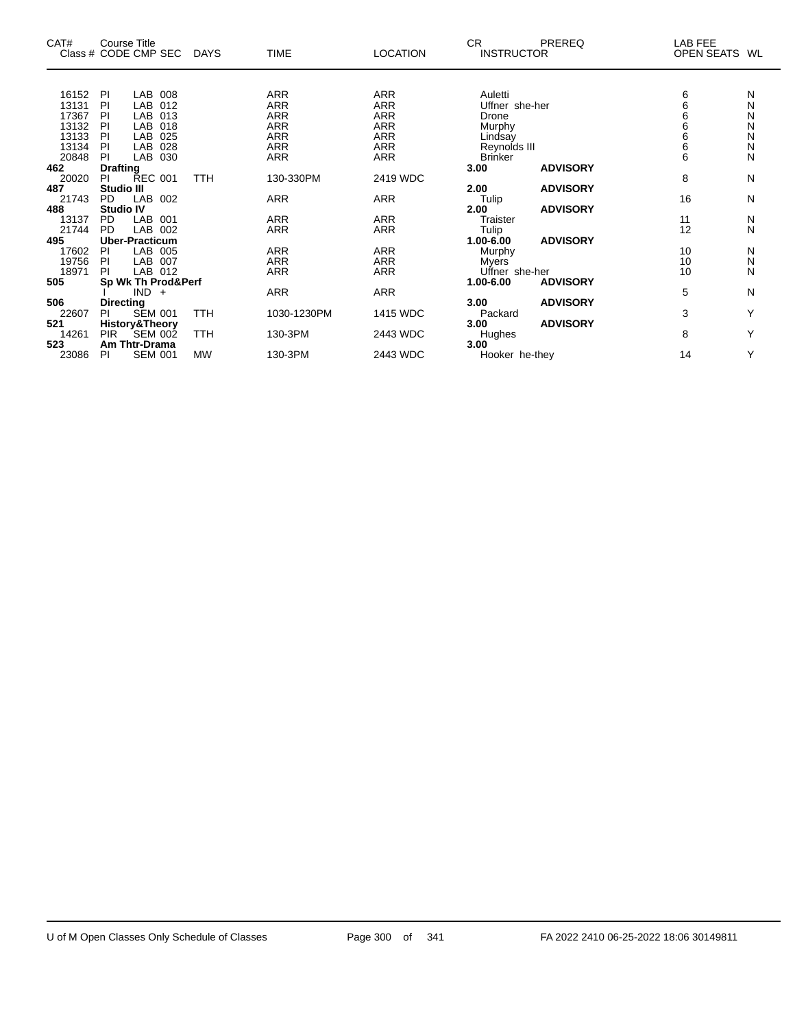| CAT#<br>Class # CODE CMP SEC |                   | <b>Course Title</b>       |     | <b>DAYS</b> | <b>TIME</b> | <b>LOCATION</b> | CR.<br><b>INSTRUCTOR</b> | PREREQ          | LAB FEE<br><b>OPEN SEATS</b> | WL |
|------------------------------|-------------------|---------------------------|-----|-------------|-------------|-----------------|--------------------------|-----------------|------------------------------|----|
|                              |                   |                           |     |             |             |                 |                          |                 |                              |    |
| 16152                        | PI                | LAB                       | 008 |             | ARR         | <b>ARR</b>      | Auletti                  |                 | 6                            | N  |
| 13131                        | PI                | LAB                       | 012 |             | <b>ARR</b>  | <b>ARR</b>      | Uffner she-her           |                 | 6                            | N  |
| 17367                        | PI                | LAB                       | 013 |             | <b>ARR</b>  | <b>ARR</b>      | Drone                    |                 | 6                            | N  |
| 13132                        | PI                | LAB                       | 018 |             | <b>ARR</b>  | <b>ARR</b>      | Murphy                   |                 | 6                            | N  |
| 13133                        | PI                | LAB                       | 025 |             | <b>ARR</b>  | <b>ARR</b>      | Lindsay                  |                 | 6                            | N  |
| 13134                        | PI                | LAB                       | 028 |             | <b>ARR</b>  | <b>ARR</b>      | Reynolds III             |                 | $\overline{6}$               | N  |
| 20848                        | PI                | LAB                       | 030 |             | <b>ARR</b>  | <b>ARR</b>      | <b>Brinker</b>           |                 | 6                            | N  |
| 462                          | <b>Drafting</b>   |                           |     |             |             |                 | 3.00                     | <b>ADVISORY</b> |                              |    |
| 20020                        | PI.               | <b>REC 001</b>            |     | TTH         | 130-330PM   | 2419 WDC        |                          |                 | 8                            | N  |
| 487                          | <b>Studio III</b> |                           |     |             |             |                 | 2.00                     | <b>ADVISORY</b> |                              |    |
| 21743                        | <b>PD</b>         | LAB 002                   |     |             | ARR         | <b>ARR</b>      | Tulip                    |                 | 16                           | N  |
| 488                          | <b>Studio IV</b>  |                           |     |             |             |                 | 2.00                     | <b>ADVISORY</b> |                              |    |
| 13137                        | <b>PD</b>         | LAB 001                   |     |             | <b>ARR</b>  | <b>ARR</b>      | <b>Traister</b>          |                 | 11                           | N  |
| 21744                        | <b>PD</b>         | LAB 002                   |     |             | <b>ARR</b>  | <b>ARR</b>      | Tulip                    |                 | 12                           | N  |
| 495                          |                   | <b>Uber-Practicum</b>     |     |             |             |                 | $1.00 - 6.00$            | <b>ADVISORY</b> |                              |    |
| 17602                        | PI.               | LAB 005                   |     |             | <b>ARR</b>  | <b>ARR</b>      | Murphy                   |                 | 10                           | N  |
| 19756                        | <b>PI</b>         | LAB                       | 007 |             | <b>ARR</b>  | <b>ARR</b>      | Myers                    |                 | 10                           | N  |
| 18971                        | <b>PI</b>         | LAB 012                   |     |             | <b>ARR</b>  | <b>ARR</b>      | Uffner she-her           |                 | 10                           | N  |
| 505                          |                   | Sp Wk Th Prod&Perf        |     |             |             |                 | 1.00-6.00                | <b>ADVISORY</b> |                              |    |
|                              |                   | $IND +$                   |     |             | <b>ARR</b>  | <b>ARR</b>      |                          |                 | 5                            | N  |
| 506                          | <b>Directing</b>  |                           |     |             |             |                 | 3.00                     | <b>ADVISORY</b> |                              |    |
| 22607                        | PI                | <b>SEM 001</b>            |     | <b>TTH</b>  | 1030-1230PM | 1415 WDC        | Packard                  |                 | 3                            | Υ  |
| 521                          |                   | <b>History&amp;Theory</b> |     |             |             |                 | 3.00                     | <b>ADVISORY</b> |                              |    |
| 14261                        | <b>PIR</b>        | <b>SEM 002</b>            |     | <b>TTH</b>  | 130-3PM     | 2443 WDC        | Hughes                   |                 | 8                            | Υ  |
| 523                          |                   | <b>Am Thtr-Drama</b>      |     |             |             |                 | 3.00                     |                 |                              |    |
| 23086                        | PI.               | <b>SEM 001</b>            |     | <b>MW</b>   | 130-3PM     | 2443 WDC        | Hooker he-they           |                 | 14                           | Y  |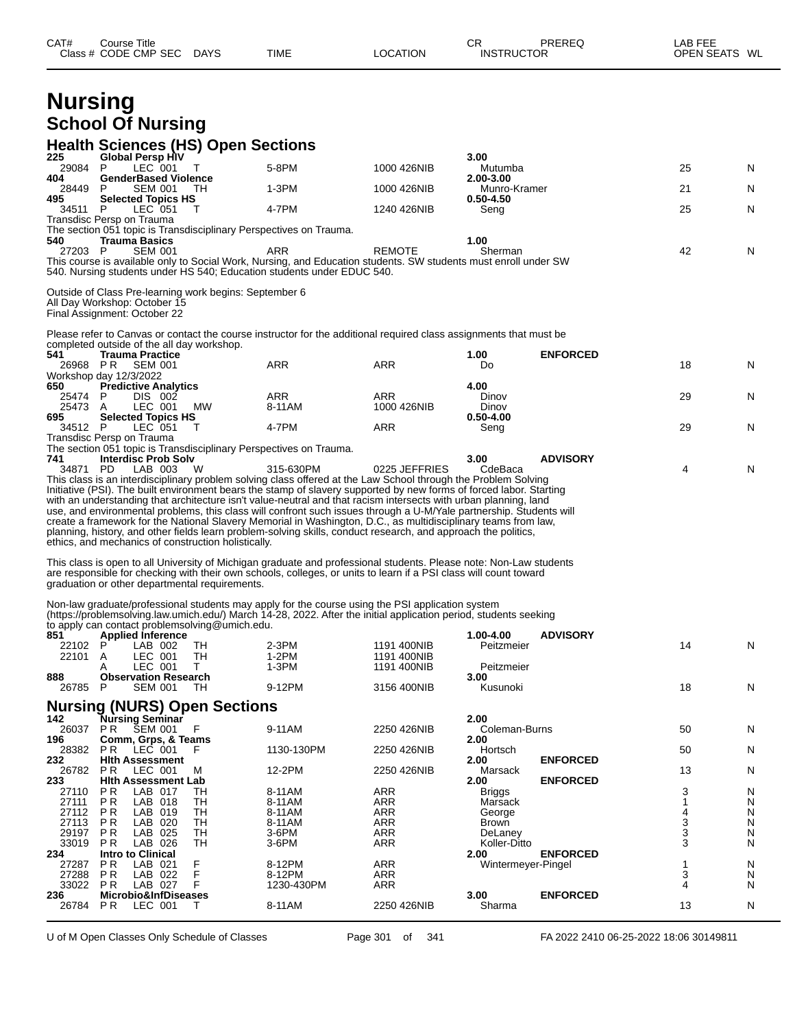| Class # CODE CMP SEC DAYS                                                                                                                                                                                                                                                                                                                                                                                                                                                                                                                                                                                                                                                                                                                                                                                                                                                                                                                                                                                                                                                                                                                                                                                                                                                                                                                                                                                           | <b>TIME</b>          | <b>LOCATION</b>            | CR<br><b>INSTRUCTOR</b>    | PREREQ          | LAB FEE<br>OPEN SEATS WL |        |
|---------------------------------------------------------------------------------------------------------------------------------------------------------------------------------------------------------------------------------------------------------------------------------------------------------------------------------------------------------------------------------------------------------------------------------------------------------------------------------------------------------------------------------------------------------------------------------------------------------------------------------------------------------------------------------------------------------------------------------------------------------------------------------------------------------------------------------------------------------------------------------------------------------------------------------------------------------------------------------------------------------------------------------------------------------------------------------------------------------------------------------------------------------------------------------------------------------------------------------------------------------------------------------------------------------------------------------------------------------------------------------------------------------------------|----------------------|----------------------------|----------------------------|-----------------|--------------------------|--------|
| <b>Nursing</b>                                                                                                                                                                                                                                                                                                                                                                                                                                                                                                                                                                                                                                                                                                                                                                                                                                                                                                                                                                                                                                                                                                                                                                                                                                                                                                                                                                                                      |                      |                            |                            |                 |                          |        |
| <b>School Of Nursing</b>                                                                                                                                                                                                                                                                                                                                                                                                                                                                                                                                                                                                                                                                                                                                                                                                                                                                                                                                                                                                                                                                                                                                                                                                                                                                                                                                                                                            |                      |                            |                            |                 |                          |        |
|                                                                                                                                                                                                                                                                                                                                                                                                                                                                                                                                                                                                                                                                                                                                                                                                                                                                                                                                                                                                                                                                                                                                                                                                                                                                                                                                                                                                                     |                      |                            |                            |                 |                          |        |
| <b>Health Sciences (HS) Open Sections</b><br><b>Global Persp HIV</b><br>225                                                                                                                                                                                                                                                                                                                                                                                                                                                                                                                                                                                                                                                                                                                                                                                                                                                                                                                                                                                                                                                                                                                                                                                                                                                                                                                                         |                      |                            | 3.00                       |                 |                          |        |
| 29084 P<br>LEC 001<br>T                                                                                                                                                                                                                                                                                                                                                                                                                                                                                                                                                                                                                                                                                                                                                                                                                                                                                                                                                                                                                                                                                                                                                                                                                                                                                                                                                                                             | 5-8PM                | 1000 426NIB                | Mutumba                    |                 | 25                       | N      |
| <b>GenderBased Violence</b><br>404<br>28449<br><b>SEM 001</b><br>P.<br>TH.                                                                                                                                                                                                                                                                                                                                                                                                                                                                                                                                                                                                                                                                                                                                                                                                                                                                                                                                                                                                                                                                                                                                                                                                                                                                                                                                          | $1-3PM$              | 1000 426NIB                | 2.00-3.00<br>Munro-Kramer  |                 | 21                       | N      |
| <b>Selected Topics HS</b><br>495                                                                                                                                                                                                                                                                                                                                                                                                                                                                                                                                                                                                                                                                                                                                                                                                                                                                                                                                                                                                                                                                                                                                                                                                                                                                                                                                                                                    |                      |                            | $0.50 - 4.50$              |                 |                          |        |
| LEC 051<br>$\top$<br>34511 P<br>Transdisc Persp on Trauma                                                                                                                                                                                                                                                                                                                                                                                                                                                                                                                                                                                                                                                                                                                                                                                                                                                                                                                                                                                                                                                                                                                                                                                                                                                                                                                                                           | 4-7PM                | 1240 426NIB                | Seng                       |                 | 25                       | N      |
| The section 051 topic is Transdisciplinary Perspectives on Trauma.                                                                                                                                                                                                                                                                                                                                                                                                                                                                                                                                                                                                                                                                                                                                                                                                                                                                                                                                                                                                                                                                                                                                                                                                                                                                                                                                                  |                      |                            |                            |                 |                          |        |
| 540<br><b>Trauma Basics</b><br>27203 P<br><b>SEM 001</b>                                                                                                                                                                                                                                                                                                                                                                                                                                                                                                                                                                                                                                                                                                                                                                                                                                                                                                                                                                                                                                                                                                                                                                                                                                                                                                                                                            | ARR                  | <b>REMOTE</b>              | 1.00<br>Sherman            |                 | 42                       | N      |
| This course is available only to Social Work, Nursing, and Education students. SW students must enroll under SW<br>540. Nursing students under HS 540; Education students under EDUC 540.                                                                                                                                                                                                                                                                                                                                                                                                                                                                                                                                                                                                                                                                                                                                                                                                                                                                                                                                                                                                                                                                                                                                                                                                                           |                      |                            |                            |                 |                          |        |
|                                                                                                                                                                                                                                                                                                                                                                                                                                                                                                                                                                                                                                                                                                                                                                                                                                                                                                                                                                                                                                                                                                                                                                                                                                                                                                                                                                                                                     |                      |                            |                            |                 |                          |        |
| Outside of Class Pre-learning work begins: September 6<br>All Day Workshop: October 15<br>Final Assignment: October 22                                                                                                                                                                                                                                                                                                                                                                                                                                                                                                                                                                                                                                                                                                                                                                                                                                                                                                                                                                                                                                                                                                                                                                                                                                                                                              |                      |                            |                            |                 |                          |        |
| Please refer to Canvas or contact the course instructor for the additional required class assignments that must be                                                                                                                                                                                                                                                                                                                                                                                                                                                                                                                                                                                                                                                                                                                                                                                                                                                                                                                                                                                                                                                                                                                                                                                                                                                                                                  |                      |                            |                            |                 |                          |        |
| completed outside of the all day workshop.                                                                                                                                                                                                                                                                                                                                                                                                                                                                                                                                                                                                                                                                                                                                                                                                                                                                                                                                                                                                                                                                                                                                                                                                                                                                                                                                                                          |                      |                            |                            |                 |                          |        |
| 541<br><b>Trauma Practice</b><br>26968 PR SEM 001                                                                                                                                                                                                                                                                                                                                                                                                                                                                                                                                                                                                                                                                                                                                                                                                                                                                                                                                                                                                                                                                                                                                                                                                                                                                                                                                                                   | <b>ARR</b>           | <b>ARR</b>                 | 1.00<br>Do                 | <b>ENFORCED</b> | 18                       | N      |
| Workshop day 12/3/2022                                                                                                                                                                                                                                                                                                                                                                                                                                                                                                                                                                                                                                                                                                                                                                                                                                                                                                                                                                                                                                                                                                                                                                                                                                                                                                                                                                                              |                      |                            |                            |                 |                          |        |
| 650<br><b>Predictive Analytics</b><br>DIS 002<br>25474 P                                                                                                                                                                                                                                                                                                                                                                                                                                                                                                                                                                                                                                                                                                                                                                                                                                                                                                                                                                                                                                                                                                                                                                                                                                                                                                                                                            | <b>ARR</b>           | ARR                        | 4.00<br>Dinov              |                 | 29                       | N      |
| MW<br>LEC 001<br>25473 A                                                                                                                                                                                                                                                                                                                                                                                                                                                                                                                                                                                                                                                                                                                                                                                                                                                                                                                                                                                                                                                                                                                                                                                                                                                                                                                                                                                            | 8-11AM               | 1000 426NIB                | Dinov                      |                 |                          |        |
| <b>Selected Topics HS</b><br>695<br>34512 P<br>LEC 051<br>$\top$                                                                                                                                                                                                                                                                                                                                                                                                                                                                                                                                                                                                                                                                                                                                                                                                                                                                                                                                                                                                                                                                                                                                                                                                                                                                                                                                                    | 4-7PM                | ARR                        | $0.50 - 4.00$<br>Seng      |                 | 29                       | N      |
| Transdisc Persp on Trauma                                                                                                                                                                                                                                                                                                                                                                                                                                                                                                                                                                                                                                                                                                                                                                                                                                                                                                                                                                                                                                                                                                                                                                                                                                                                                                                                                                                           |                      |                            |                            |                 |                          |        |
| The section 051 topic is Transdisciplinary Perspectives on Trauma.                                                                                                                                                                                                                                                                                                                                                                                                                                                                                                                                                                                                                                                                                                                                                                                                                                                                                                                                                                                                                                                                                                                                                                                                                                                                                                                                                  |                      |                            | 3.00                       | <b>ADVISORY</b> |                          |        |
|                                                                                                                                                                                                                                                                                                                                                                                                                                                                                                                                                                                                                                                                                                                                                                                                                                                                                                                                                                                                                                                                                                                                                                                                                                                                                                                                                                                                                     |                      |                            |                            |                 |                          |        |
| <b>Interdisc Prob Solv</b><br>741<br>34871 PD<br>LAB 003<br>- W<br>This class is an interdisciplinary problem solving class offered at the Law School through the Problem Solving<br>Initiative (PSI). The built environment bears the stamp of slavery supported by new forms of forced labor. Starting                                                                                                                                                                                                                                                                                                                                                                                                                                                                                                                                                                                                                                                                                                                                                                                                                                                                                                                                                                                                                                                                                                            | 315-630PM            | 0225 JEFFRIES              | CdeBaca                    |                 | 4                        | N      |
|                                                                                                                                                                                                                                                                                                                                                                                                                                                                                                                                                                                                                                                                                                                                                                                                                                                                                                                                                                                                                                                                                                                                                                                                                                                                                                                                                                                                                     |                      |                            |                            |                 |                          |        |
|                                                                                                                                                                                                                                                                                                                                                                                                                                                                                                                                                                                                                                                                                                                                                                                                                                                                                                                                                                                                                                                                                                                                                                                                                                                                                                                                                                                                                     |                      |                            |                            |                 |                          |        |
|                                                                                                                                                                                                                                                                                                                                                                                                                                                                                                                                                                                                                                                                                                                                                                                                                                                                                                                                                                                                                                                                                                                                                                                                                                                                                                                                                                                                                     |                      |                            |                            |                 |                          |        |
| <b>Applied Inference</b>                                                                                                                                                                                                                                                                                                                                                                                                                                                                                                                                                                                                                                                                                                                                                                                                                                                                                                                                                                                                                                                                                                                                                                                                                                                                                                                                                                                            |                      |                            | 1.00-4.00                  | <b>ADVISORY</b> |                          |        |
| LAB 002<br>TH                                                                                                                                                                                                                                                                                                                                                                                                                                                                                                                                                                                                                                                                                                                                                                                                                                                                                                                                                                                                                                                                                                                                                                                                                                                                                                                                                                                                       | $2-3PM$              | 1191 400NIB                | Peitzmeier                 |                 | 14                       | N      |
| TН<br>LEC 001<br>A<br>LEC 001<br>T.<br>A                                                                                                                                                                                                                                                                                                                                                                                                                                                                                                                                                                                                                                                                                                                                                                                                                                                                                                                                                                                                                                                                                                                                                                                                                                                                                                                                                                            | $1-2PM$<br>$1-3PM$   | 1191 400NIB<br>1191 400NIB | Peitzmeier                 |                 |                          |        |
| <b>Observation Research</b>                                                                                                                                                                                                                                                                                                                                                                                                                                                                                                                                                                                                                                                                                                                                                                                                                                                                                                                                                                                                                                                                                                                                                                                                                                                                                                                                                                                         |                      |                            | 3.00                       |                 |                          |        |
| P<br><b>SEM 001</b><br>TН                                                                                                                                                                                                                                                                                                                                                                                                                                                                                                                                                                                                                                                                                                                                                                                                                                                                                                                                                                                                                                                                                                                                                                                                                                                                                                                                                                                           | 9-12PM               | 3156 400NIB                | Kusunoki                   |                 | 18                       |        |
|                                                                                                                                                                                                                                                                                                                                                                                                                                                                                                                                                                                                                                                                                                                                                                                                                                                                                                                                                                                                                                                                                                                                                                                                                                                                                                                                                                                                                     |                      |                            |                            |                 |                          | N      |
| Nursing Seminar<br><b>SEM 001</b><br>F<br>P R                                                                                                                                                                                                                                                                                                                                                                                                                                                                                                                                                                                                                                                                                                                                                                                                                                                                                                                                                                                                                                                                                                                                                                                                                                                                                                                                                                       | 9-11AM               | 2250 426NIB                | 2.00<br>Coleman-Burns      |                 | 50                       | N      |
| Comm, Grps, & Teams                                                                                                                                                                                                                                                                                                                                                                                                                                                                                                                                                                                                                                                                                                                                                                                                                                                                                                                                                                                                                                                                                                                                                                                                                                                                                                                                                                                                 |                      |                            | 2.00                       |                 |                          |        |
| P R<br>LEC 001<br>F<br><b>Hith Assessment</b>                                                                                                                                                                                                                                                                                                                                                                                                                                                                                                                                                                                                                                                                                                                                                                                                                                                                                                                                                                                                                                                                                                                                                                                                                                                                                                                                                                       | 1130-130PM           | 2250 426NIB                | Hortsch<br>2.00            | <b>ENFORCED</b> | 50                       | N      |
| P <sub>R</sub><br>LEC 001<br>м                                                                                                                                                                                                                                                                                                                                                                                                                                                                                                                                                                                                                                                                                                                                                                                                                                                                                                                                                                                                                                                                                                                                                                                                                                                                                                                                                                                      | 12-2PM               | 2250 426NIB                | Marsack                    |                 | 13                       | N      |
| <b>Hith Assessment Lab</b><br>P R<br>LAB 017<br>TН                                                                                                                                                                                                                                                                                                                                                                                                                                                                                                                                                                                                                                                                                                                                                                                                                                                                                                                                                                                                                                                                                                                                                                                                                                                                                                                                                                  | 8-11AM               | ARR                        | 2.00<br><b>Briggs</b>      | <b>ENFORCED</b> | 3                        | N      |
| LAB 018<br>P R<br>TН                                                                                                                                                                                                                                                                                                                                                                                                                                                                                                                                                                                                                                                                                                                                                                                                                                                                                                                                                                                                                                                                                                                                                                                                                                                                                                                                                                                                | 8-11AM               | ARR                        | Marsack                    |                 | 1                        | N      |
| <b>TH</b><br>P R<br>LAB 019<br>LAB 020<br>P R<br>TН                                                                                                                                                                                                                                                                                                                                                                                                                                                                                                                                                                                                                                                                                                                                                                                                                                                                                                                                                                                                                                                                                                                                                                                                                                                                                                                                                                 | 8-11AM<br>8-11AM     | ARR<br>ARR                 | George<br>Brown            |                 | 4                        | N<br>N |
| TН<br>P <sub>R</sub><br>LAB 025                                                                                                                                                                                                                                                                                                                                                                                                                                                                                                                                                                                                                                                                                                                                                                                                                                                                                                                                                                                                                                                                                                                                                                                                                                                                                                                                                                                     | 3-6PM                | ARR                        | DeLaney                    |                 | 3<br>3                   | N      |
| <b>TH</b><br>P R<br>LAB 026                                                                                                                                                                                                                                                                                                                                                                                                                                                                                                                                                                                                                                                                                                                                                                                                                                                                                                                                                                                                                                                                                                                                                                                                                                                                                                                                                                                         | $3-6$ PM             | <b>ARR</b>                 | Koller-Ditto               |                 | 3                        | N      |
| <b>Intro to Clinical</b><br>F<br>P R<br>LAB 021                                                                                                                                                                                                                                                                                                                                                                                                                                                                                                                                                                                                                                                                                                                                                                                                                                                                                                                                                                                                                                                                                                                                                                                                                                                                                                                                                                     | 8-12PM               | ARR                        | 2.00<br>Wintermeyer-Pingel | <b>ENFORCED</b> | 1                        | N      |
| F<br>P R<br>LAB 022<br>27288                                                                                                                                                                                                                                                                                                                                                                                                                                                                                                                                                                                                                                                                                                                                                                                                                                                                                                                                                                                                                                                                                                                                                                                                                                                                                                                                                                                        | 8-12PM               | ARR                        |                            |                 | 3                        | N      |
| with an understanding that architecture isn't value-neutral and that racism intersects with urban planning, land<br>use, and environmental problems, this class will confront such issues through a U-M/Yale partnership. Students will<br>create a framework for the National Slavery Memorial in Washington, D.C., as multidisciplinary teams from law,<br>planning, history, and other fields learn problem-solving skills, conduct research, and approach the politics,<br>ethics, and mechanics of construction holistically.<br>This class is open to all University of Michigan graduate and professional students. Please note: Non-Law students<br>are responsible for checking with their own schools, colleges, or units to learn if a PSI class will count toward<br>graduation or other departmental requirements.<br>Non-law graduate/professional students may apply for the course using the PSI application system<br>(https://problemsolving.law.umich.edu/) March 14-28, 2022. After the initial application period, students seeking<br>to apply can contact problemsolving@umich.edu.<br>851<br>22102<br>22101<br>888<br>26785<br><b>Nursing (NURS) Open Sections</b><br>142<br>26037<br>196<br>28382<br>232<br>26782<br>233<br>27110<br>27111<br>27112<br>27113<br>29197<br>33019<br>234<br>27287<br>F<br>LAB 027<br>33022<br>P <sub>R</sub><br>236<br>Microbio&InfDiseases<br>P R<br>LEC 001 | 1230-430PM<br>8-11AM | ARR<br>2250 426NIB         | 3.00<br>Sharma             | <b>ENFORCED</b> | 4<br>13                  | N<br>N |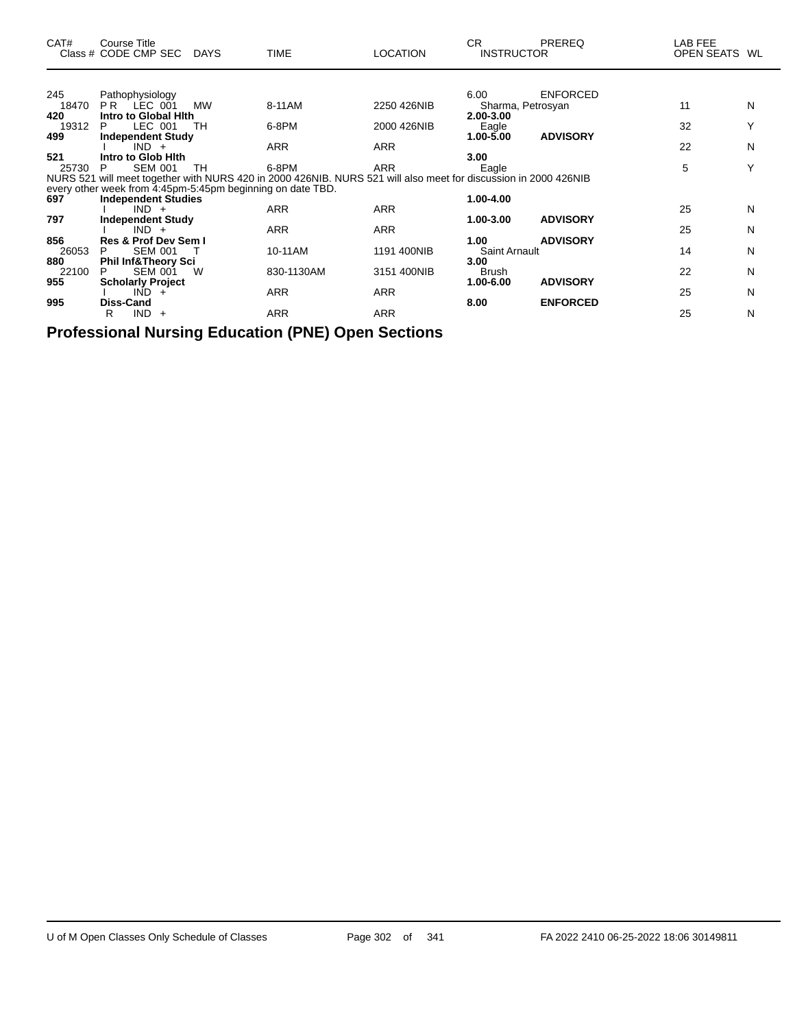| CAT#         | <b>Course Title</b><br>Class # CODE CMP SEC DAYS           |           | <b>TIME</b>                                                                                                     | <b>LOCATION</b> | CR.<br><b>INSTRUCTOR</b>     | <b>PREREQ</b>   | LAB FEE<br><b>OPEN SEATS</b> | WL |
|--------------|------------------------------------------------------------|-----------|-----------------------------------------------------------------------------------------------------------------|-----------------|------------------------------|-----------------|------------------------------|----|
|              |                                                            |           |                                                                                                                 |                 |                              |                 |                              |    |
| 245<br>18470 | Pathophysiology<br>PR LEC 001                              | <b>MW</b> | 8-11AM                                                                                                          | 2250 426NIB     | 6.00<br>Sharma, Petrosyan    | <b>ENFORCED</b> | 11                           | N  |
| 420          | Intro to Global Hith                                       |           |                                                                                                                 |                 | 2.00-3.00                    |                 |                              |    |
| 19312        | LEC 001<br>P                                               | TH        | 6-8PM                                                                                                           | 2000 426NIB     | Eagle                        |                 | 32                           |    |
| 499          | <b>Independent Study</b>                                   |           |                                                                                                                 |                 | 1.00-5.00                    | <b>ADVISORY</b> |                              |    |
|              | $IND +$                                                    |           | <b>ARR</b>                                                                                                      | <b>ARR</b>      |                              |                 | 22                           | N  |
| 521          | Intro to Glob Hith<br><b>SEM 001</b><br>P                  | TH.       | 6-8PM                                                                                                           |                 | 3.00                         |                 | 5                            | Y  |
| 25730        |                                                            |           | NURS 521 will meet together with NURS 420 in 2000 426NIB. NURS 521 will also meet for discussion in 2000 426NIB | ARR             | Eagle                        |                 |                              |    |
|              | every other week from 4:45pm-5:45pm beginning on date TBD. |           |                                                                                                                 |                 |                              |                 |                              |    |
| 697          | <b>Independent Studies</b>                                 |           |                                                                                                                 |                 | 1.00-4.00                    |                 |                              |    |
|              | $IND +$                                                    |           | <b>ARR</b>                                                                                                      | <b>ARR</b>      |                              |                 | 25                           | N  |
| 797          | <b>Independent Study</b>                                   |           |                                                                                                                 |                 | 1.00-3.00                    | <b>ADVISORY</b> |                              |    |
|              | $IND +$                                                    |           | <b>ARR</b>                                                                                                      | <b>ARR</b>      |                              |                 | 25                           | N  |
| 856<br>26053 | Res & Prof Dev Sem I<br><b>SEM 001</b><br>P                |           | 10-11AM                                                                                                         | 1191 400NIB     | 1.00<br><b>Saint Arnault</b> | <b>ADVISORY</b> | 14                           | N  |
| 880          | <b>Phil Inf&amp;Theory Sci</b>                             |           |                                                                                                                 |                 | 3.00                         |                 |                              |    |
| 22100        | P<br>SEM 001                                               | W         | 830-1130AM                                                                                                      | 3151 400NIB     | Brush                        |                 | 22                           | N  |
| 955          | <b>Scholarly Project</b>                                   |           |                                                                                                                 |                 | 1.00-6.00                    | <b>ADVISORY</b> |                              |    |
|              | $IND +$                                                    |           | <b>ARR</b>                                                                                                      | <b>ARR</b>      |                              |                 | 25                           | N  |
| 995          | <b>Diss-Cand</b>                                           |           |                                                                                                                 |                 | 8.00                         | <b>ENFORCED</b> |                              |    |
|              | R<br>$IND +$                                               |           | <b>ARR</b>                                                                                                      | <b>ARR</b>      |                              |                 | 25                           | N  |

**Professional Nursing Education (PNE) Open Sections**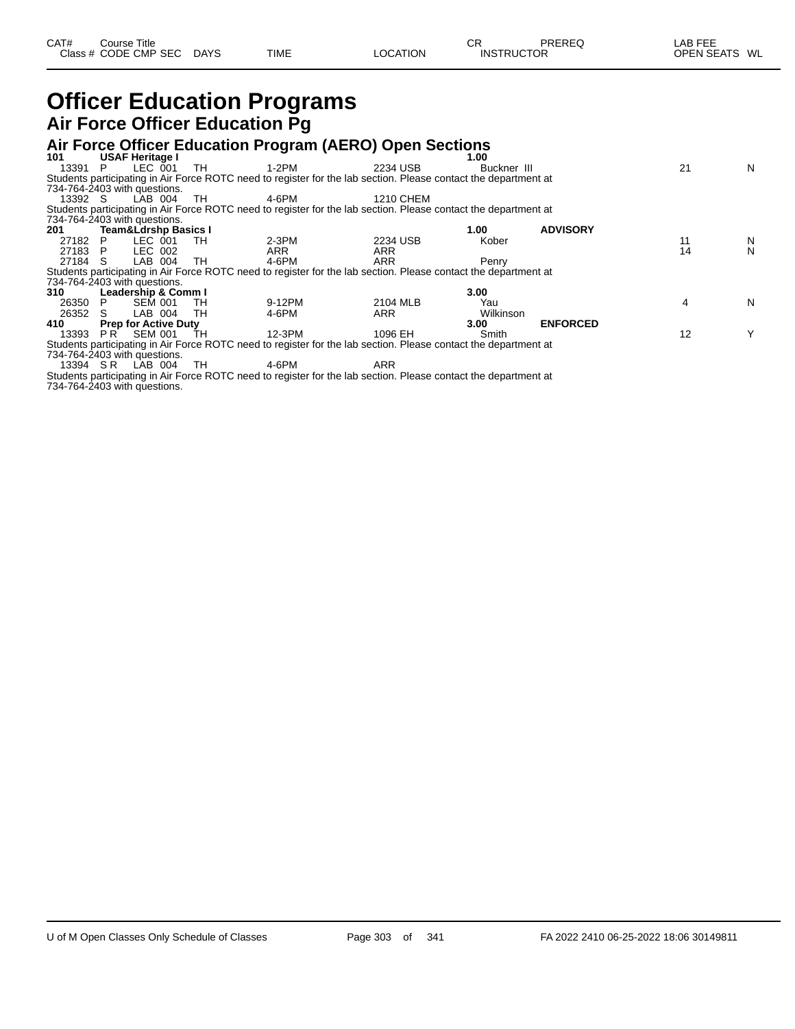#### **Officer Education Programs Air Force Officer Education Pg**

#### **Air Force Officer Education Program (AERO) Open Sections**

| 101     |     | <b>USAF Heritage I</b>          |              |                                                                                                                 |            | 1.00        |                 |    |    |
|---------|-----|---------------------------------|--------------|-----------------------------------------------------------------------------------------------------------------|------------|-------------|-----------------|----|----|
| 13391   | P.  | LEC 001                         | TH.          | 1-2PM                                                                                                           | 2234 USB   | Buckner III |                 | 21 | N  |
|         |     |                                 |              | Students participating in Air Force ROTC need to register for the lab section. Please contact the department at |            |             |                 |    |    |
|         |     | 734-764-2403 with questions.    |              |                                                                                                                 |            |             |                 |    |    |
| 13392 S |     | LAB 004                         | TH.          | 4-6PM                                                                                                           | 1210 CHEM  |             |                 |    |    |
|         |     |                                 |              | Students participating in Air Force ROTC need to register for the lab section. Please contact the department at |            |             |                 |    |    |
|         |     | 734-764-2403 with questions.    |              |                                                                                                                 |            |             |                 |    |    |
| 201     |     | <b>Team&amp;Ldrshp Basics I</b> |              |                                                                                                                 |            | 1.00        | <b>ADVISORY</b> |    |    |
| 27182   | P.  | LEC 001                         | - тн         | 2-3PM                                                                                                           | 2234 USB   | Kober       |                 |    | N. |
| 27183 P |     | LEC 002                         |              | ARR                                                                                                             | ARR        |             |                 | 14 | N  |
| 27184 S |     | LAB 004                         | TH.          | 4-6PM                                                                                                           | <b>ARR</b> | Penry       |                 |    |    |
|         |     |                                 |              | Students participating in Air Force ROTC need to register for the lab section. Please contact the department at |            |             |                 |    |    |
|         |     | 734-764-2403 with questions.    |              |                                                                                                                 |            |             |                 |    |    |
| 310     |     | Leadership & Comm I             |              |                                                                                                                 |            | 3.00        |                 |    |    |
| 26350   | P   | <b>SEM 001</b>                  | TH           | 9-12PM                                                                                                          | 2104 MLB   | Yau         |                 |    | N  |
| 26352   | S.  | LAB 004                         | TН           | 4-6PM                                                                                                           | ARR        | Wilkinson   |                 |    |    |
| 410     |     | <b>Prep for Active Duty</b>     |              |                                                                                                                 |            | 3.00        | <b>ENFORCED</b> |    |    |
| 13393   | PR. | SEM 001                         | TH           | 12-3PM                                                                                                          | 1096 EH    | Smith       |                 | 12 | Y  |
|         |     |                                 |              | Students participating in Air Force ROTC need to register for the lab section. Please contact the department at |            |             |                 |    |    |
|         |     | 734-764-2403 with questions.    |              |                                                                                                                 |            |             |                 |    |    |
|         |     | $10001$ $0.5$ $1.15$ $0.01$     | $T^{\prime}$ | $\lambda$ $\sim$ $\sim$ $\lambda$                                                                               | $\sqrt{2}$ |             |                 |    |    |

13394 S.R LAB 004 TH 4-6PM ARR Students participating in Air Force ROTC need to register for the lab section. Please contact the department at 734-764-2403 with questions.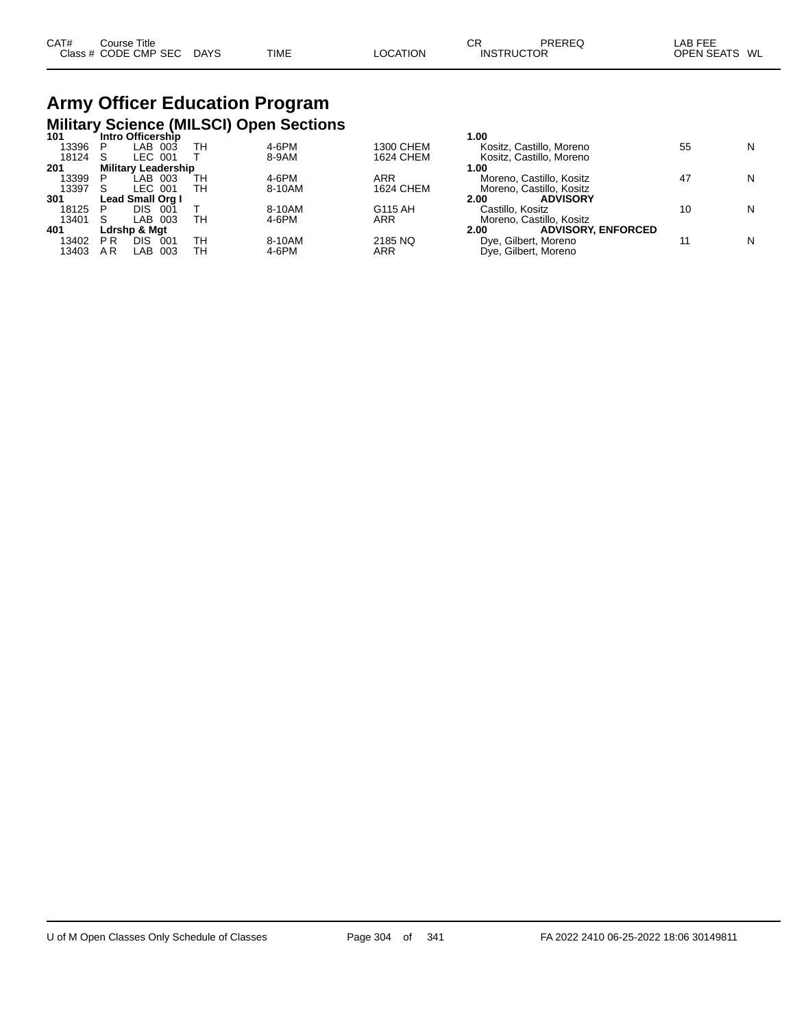| CAT# | Course Title         |             |             |                 | СR                | PREREQ | _AB FEE       |  |
|------|----------------------|-------------|-------------|-----------------|-------------------|--------|---------------|--|
|      | Class # CODE CMP SEC | <b>DAYS</b> | <b>TIME</b> | <b>LOCATION</b> | <b>INSTRUCTOR</b> |        | OPEN SEATS WL |  |

# **Army Officer Education Program Military Science (MILSCI) Open Sections 101 Intro Officership 1.00**

| 1 V I | <b>INTO OTHER SHIP</b>     |     |    |        |                  | טט. ו                             |    |   |
|-------|----------------------------|-----|----|--------|------------------|-----------------------------------|----|---|
| 13396 | LAB 003                    |     | TН | 4-6PM  | 1300 CHEM        | Kositz, Castillo, Moreno          | 55 | N |
| 18124 | LEC 001<br>S               |     |    | 8-9AM  | 1624 CHEM        | Kositz, Castillo, Moreno          |    |   |
| 201   | <b>Military Leadership</b> |     |    |        |                  | 1.00                              |    |   |
| 13399 | LAB 003                    |     | TН | 4-6PM  | ARR              | Moreno. Castillo. Kositz          | 47 | N |
| 13397 | LEC 001<br>S               |     | TН | 8-10AM | <b>1624 CHEM</b> | Moreno, Castillo, Kositz          |    |   |
| 301   | Lead Small Org I           |     |    |        |                  | <b>ADVISORY</b><br>2.00           |    |   |
| 18125 | DIS.<br>P                  | 001 |    | 8-10AM | G115 AH          | Castillo, Kositz                  |    | N |
| 13401 | LAB 003<br><sub>S</sub>    |     | TН | 4-6PM  | <b>ARR</b>       | Moreno, Castillo, Kositz          |    |   |
| 401   | Ldrshp & Mat               |     |    |        |                  | <b>ADVISORY, ENFORCED</b><br>2.00 |    |   |
| 13402 | DIS<br>P <sub>R</sub>      | 001 | TН | 8-10AM | 2185 NQ          | Dye, Gilbert, Moreno              |    | N |
| 13403 | LAB 003<br>ΑR              |     | TН | 4-6PM  | ARR              | Dye, Gilbert, Moreno              |    |   |
|       |                            |     |    |        |                  |                                   |    |   |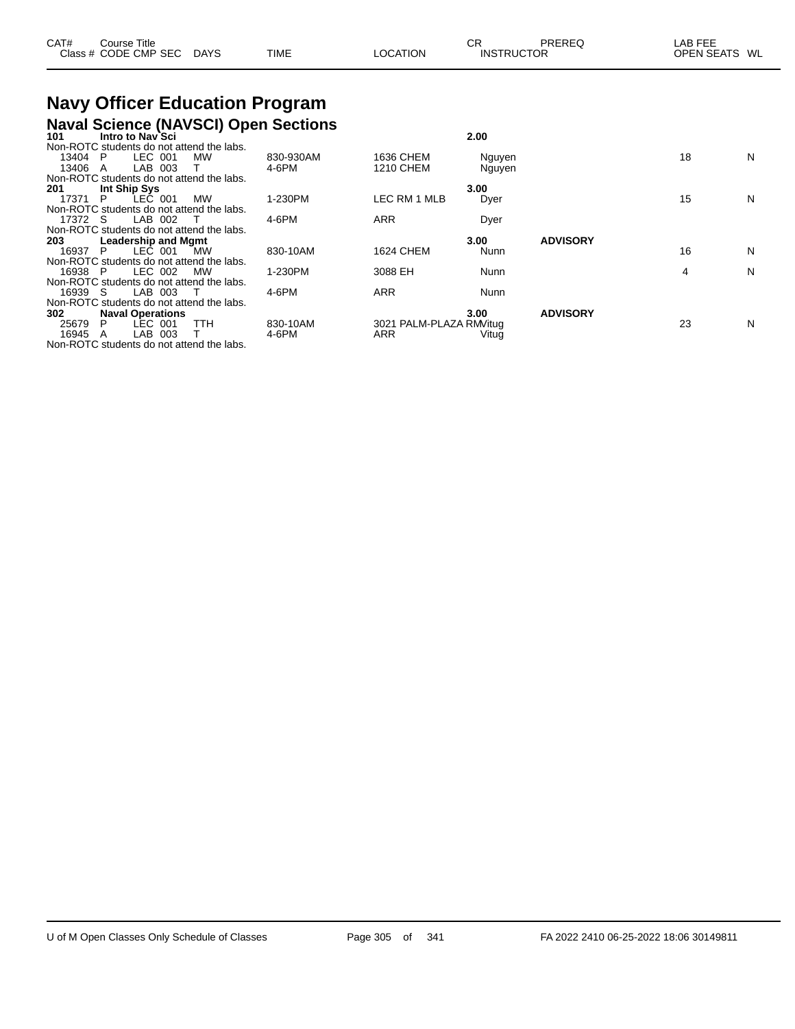| CAT# | Course Title<br>Class # CODE CMP SEC | <b>DAYS</b> | <b>TIME</b> | LOCATION | СR<br><b>INSTRUCTOR</b> | PREREQ | LAB FEE<br><b>OPEN SEATS</b><br>WL |  |
|------|--------------------------------------|-------------|-------------|----------|-------------------------|--------|------------------------------------|--|
|      |                                      |             |             |          |                         |        |                                    |  |

# **Navy Officer Education Program**

|         |              |                            |                                           | <b>Naval Science (NAVSCI) Open Sections</b> |                         |             |                 |    |   |
|---------|--------------|----------------------------|-------------------------------------------|---------------------------------------------|-------------------------|-------------|-----------------|----|---|
| 101     |              | Intro to Nav`Sci           |                                           |                                             |                         | 2.00        |                 |    |   |
|         |              |                            | Non-ROTC students do not attend the labs. |                                             |                         |             |                 |    |   |
| 13404   | P            | LEC 001                    | MW                                        | 830-930AM                                   | 1636 CHEM               | Nguyen      |                 | 18 | N |
| 13406   | A            | LAB 003                    |                                           | 4-6PM                                       | 1210 CHEM               | Nguyen      |                 |    |   |
|         |              |                            | Non-ROTC students do not attend the labs. |                                             |                         |             |                 |    |   |
| 201     | Int Ship Sys |                            |                                           |                                             |                         | 3.00        |                 |    |   |
| 17371   | P            | LEČ 001                    | MW                                        | 1-230PM                                     | LEC RM 1 MLB            | Dyer        |                 | 15 | N |
|         |              |                            | Non-ROTC students do not attend the labs. |                                             |                         |             |                 |    |   |
| 17372 S |              | LAB 002                    |                                           | 4-6PM                                       | ARR                     | Dyer        |                 |    |   |
|         |              |                            | Non-ROTC students do not attend the labs. |                                             |                         |             |                 |    |   |
| 203     |              | <b>Leadership and Mgmt</b> |                                           |                                             |                         | 3.00        | <b>ADVISORY</b> |    |   |
| 16937   | P            | LEC 001                    | <b>MW</b>                                 | 830-10AM                                    | 1624 CHEM               | Nunn        |                 | 16 | N |
|         |              |                            | Non-ROTC students do not attend the labs. |                                             |                         |             |                 |    |   |
| 16938 P |              | LEC 002                    | <b>MW</b>                                 | 1-230PM                                     | 3088 EH                 | Nunn        |                 | 4  | N |
|         |              |                            | Non-ROTC students do not attend the labs. |                                             |                         |             |                 |    |   |
| 16939 S |              | LAB 003                    |                                           | 4-6PM                                       | ARR                     | <b>Nunn</b> |                 |    |   |
|         |              |                            | Non-ROTC students do not attend the labs. |                                             |                         |             |                 |    |   |
| 302     |              | <b>Naval Operations</b>    |                                           |                                             |                         | 3.00        | <b>ADVISORY</b> |    |   |
| 25679   | P            | LEC 001                    | TTH                                       | 830-10AM                                    | 3021 PALM-PLAZA RM/itug |             |                 | 23 | N |
| 16945   | A            | LAB<br>003                 |                                           | 4-6PM                                       | ARR                     | Vitug       |                 |    |   |
|         |              |                            | Non-ROTC students do not attend the labs. |                                             |                         |             |                 |    |   |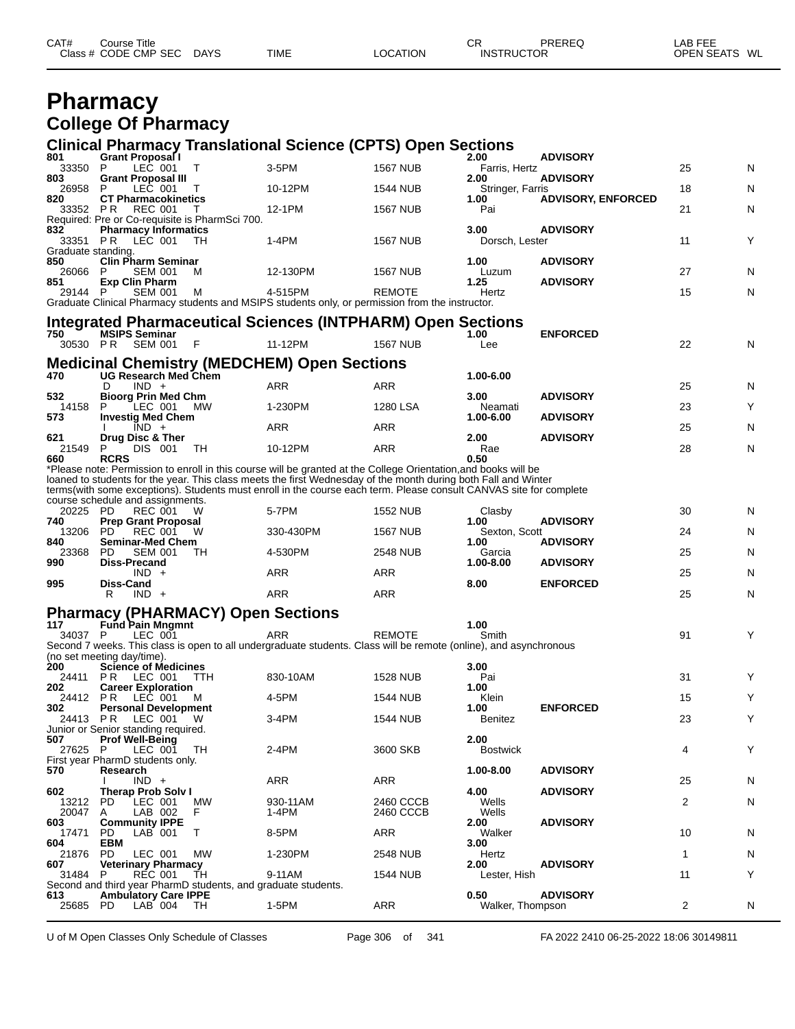| CAT# | Course Title         |             |             |                 | СR                | PREREQ | ∟AB FEE       |
|------|----------------------|-------------|-------------|-----------------|-------------------|--------|---------------|
|      | Class # CODE CMP SEC | <b>DAYS</b> | <b>TIME</b> | <b>LOCATION</b> | <b>INSTRUCTOR</b> |        | OPEN SEATS WL |
|      |                      |             |             |                 |                   |        |               |

#### **Pharmacy College Of Pharmacy**

#### **Clinical Pharmacy Translational Science (CPTS) Open Sections**

| 801                | <b>Grant Proposal I</b>                                       |                |                                                                                                                                                                                                                                  |                        | 2.00                     | <b>ADVISORY</b>           |    |   |
|--------------------|---------------------------------------------------------------|----------------|----------------------------------------------------------------------------------------------------------------------------------------------------------------------------------------------------------------------------------|------------------------|--------------------------|---------------------------|----|---|
| 33350<br>803       | LEC 001<br>P<br><b>Grant Proposal III</b>                     | Т              | 3-5PM                                                                                                                                                                                                                            | <b>1567 NUB</b>        | Farris, Hertz<br>2.00    | <b>ADVISORY</b>           | 25 | N |
| 26958              | LEC 001<br>P                                                  |                | 10-12PM                                                                                                                                                                                                                          | 1544 NUB               | Stringer, Farris         |                           | 18 | N |
| 820<br>33352 PR    | <b>CT Pharmacokinetics</b><br>REC 001                         | $\perp$        | 12-1PM                                                                                                                                                                                                                           | 1567 NUB               | 1.00<br>Pai              | <b>ADVISORY, ENFORCED</b> | 21 | N |
|                    | Required: Pre or Co-requisite is PharmSci 700.                |                |                                                                                                                                                                                                                                  |                        |                          |                           |    |   |
| 832<br>33351 PR    | <b>Pharmacy Informatics</b><br>LEC 001                        | TH             | 1-4PM                                                                                                                                                                                                                            | <b>1567 NUB</b>        | 3.00<br>Dorsch, Lester   | <b>ADVISORY</b>           | 11 | Υ |
| Graduate standing. |                                                               |                |                                                                                                                                                                                                                                  |                        |                          |                           |    |   |
| 850<br>26066       | <b>Clin Pharm Seminar</b><br>P<br><b>SEM 001</b>              | м              | 12-130PM                                                                                                                                                                                                                         | <b>1567 NUB</b>        | 1.00<br>Luzum            | <b>ADVISORY</b>           | 27 | N |
| 851<br>29144 P     | <b>Exp Clin Pharm</b>                                         |                |                                                                                                                                                                                                                                  |                        | 1.25<br>Hertz            | <b>ADVISORY</b>           | 15 | N |
|                    | <b>SEM 001</b>                                                | м              | 4-515PM<br>Graduate Clinical Pharmacy students and MSIPS students only, or permission from the instructor.                                                                                                                       | REMOTE                 |                          |                           |    |   |
|                    |                                                               |                | Integrated Pharmaceutical Sciences (INTPHARM) Open Sections                                                                                                                                                                      |                        |                          |                           |    |   |
| 750                | <b>MSIPS Seminar</b>                                          |                |                                                                                                                                                                                                                                  |                        | 1.00                     | <b>ENFORCED</b>           |    |   |
|                    | 30530 PR SEM 001                                              | F              | 11-12PM                                                                                                                                                                                                                          | <b>1567 NUB</b>        | Lee                      |                           | 22 | N |
|                    |                                                               |                | <b>Medicinal Chemistry (MEDCHEM) Open Sections</b>                                                                                                                                                                               |                        |                          |                           |    |   |
| 470                | <b>UG Research Med Chem</b><br>$IND +$<br>D                   |                | ARR                                                                                                                                                                                                                              | ARR                    | 1.00-6.00                |                           | 25 | N |
| 532                | <b>Bioorg Prin Med Chm</b>                                    |                |                                                                                                                                                                                                                                  |                        | 3.00                     | <b>ADVISORY</b>           |    |   |
| 14158<br>573       | P<br>LEC 001<br><b>Investig Med Chem</b>                      | МW             | 1-230PM                                                                                                                                                                                                                          | 1280 LSA               | Neamati<br>1.00-6.00     | <b>ADVISORY</b>           | 23 | Υ |
|                    | $IND +$                                                       |                | ARR                                                                                                                                                                                                                              | ARR                    |                          |                           | 25 | N |
| 621<br>21549       | Drug Disc & Ther<br>DIS 001<br>P                              | TH             | 10-12PM                                                                                                                                                                                                                          | ARR                    | 2.00<br>Rae              | <b>ADVISORY</b>           | 28 | N |
| 660                | <b>RCRS</b>                                                   |                |                                                                                                                                                                                                                                  |                        | 0.50                     |                           |    |   |
|                    |                                                               |                | *Please note: Permission to enroll in this course will be granted at the College Orientation,and books will be<br>loaned to students for the year. This class meets the first Wednesday of the month during both Fall and Winter |                        |                          |                           |    |   |
|                    |                                                               |                | terms (with some exceptions). Students must enroll in the course each term. Please consult CANVAS site for complete                                                                                                              |                        |                          |                           |    |   |
| 20225 PD           | course schedule and assignments.<br><b>REC 001</b>            | w              | 5-7PM                                                                                                                                                                                                                            | <b>1552 NUB</b>        | Clasby                   |                           | 30 | N |
| 740                | <b>Prep Grant Proposal</b>                                    |                |                                                                                                                                                                                                                                  |                        | 1.00                     | <b>ADVISORY</b>           |    |   |
|                    |                                                               |                |                                                                                                                                                                                                                                  |                        |                          |                           |    |   |
| 13206<br>840       | PD.<br><b>REC 001</b><br><b>Seminar-Med Chem</b>              | w              | 330-430PM                                                                                                                                                                                                                        | 1567 NUB               | Sexton, Scott<br>1.00    | <b>ADVISORY</b>           | 24 | N |
| 23368              | PD.<br><b>SEM 001</b>                                         | ТH             | 4-530PM                                                                                                                                                                                                                          | 2548 NUB               | Garcia                   |                           | 25 | N |
| 990                | Diss-Precand<br>$IND +$                                       |                | ARR                                                                                                                                                                                                                              | ARR                    | 1.00-8.00                | <b>ADVISORY</b>           | 25 | N |
| 995                | Diss-Cand                                                     |                |                                                                                                                                                                                                                                  |                        | 8.00                     | <b>ENFORCED</b>           |    |   |
|                    | $IND +$<br>R                                                  |                | ARR                                                                                                                                                                                                                              | ARR                    |                          |                           | 25 | N |
|                    | <b>Pharmacy (PHARMACY) Open Sections</b>                      |                |                                                                                                                                                                                                                                  |                        |                          |                           |    |   |
| 117<br>34037 P     | <b>Fund Pain Mngmnt</b><br>LEC 001                            |                | ARR                                                                                                                                                                                                                              | <b>REMOTE</b>          | 1.00<br>Smith            |                           | 91 | Y |
|                    |                                                               |                | Second 7 weeks. This class is open to all undergraduate students. Class will be remote (online), and asynchronous                                                                                                                |                        |                          |                           |    |   |
| 200                | (no set meeting day/time).<br><b>Science of Medicines</b>     |                |                                                                                                                                                                                                                                  |                        | 3.00                     |                           |    |   |
| 24411              | PR<br>LEC 001                                                 | TTH            | 830-10AM                                                                                                                                                                                                                         | 1528 NUB               | Pai                      |                           | 31 | Υ |
| 202<br>24412 PR    | <b>Career Exploration</b><br>LEC 001                          | м              | 4-5PM                                                                                                                                                                                                                            | 1544 NUB               | 1.00<br>Klein            |                           | 15 | Y |
| 302                | <b>Personal Development</b>                                   |                |                                                                                                                                                                                                                                  |                        | 1.00                     | <b>ENFORCED</b>           |    |   |
| 24413 PR           | LEC 001<br>Junior or Senior standing required.                | W              | 3-4PM                                                                                                                                                                                                                            | 1544 NUB               | <b>Benitez</b>           |                           | 23 | Υ |
| 507                | <b>Prof Well-Being</b>                                        |                |                                                                                                                                                                                                                                  |                        | 2.00                     |                           |    |   |
| 27625              | P<br>LEC 001<br>First year PharmD students only.              | TH             | 2-4PM                                                                                                                                                                                                                            | 3600 SKB               | <b>Bostwick</b>          |                           | 4  | Υ |
| 570                | Research                                                      |                |                                                                                                                                                                                                                                  |                        | 1.00-8.00                | <b>ADVISORY</b>           |    |   |
| 602                | $IND +$<br><b>Therap Prob Solv I</b>                          |                | ARR                                                                                                                                                                                                                              | ARR                    | 4.00                     | <b>ADVISORY</b>           | 25 | N |
| 13212<br>20047     | <b>PD</b><br>LEC 001<br>LAB 002<br>A                          | <b>MW</b><br>F | 930-11AM<br>1-4PM                                                                                                                                                                                                                | 2460 CCCB<br>2460 CCCB | Wells<br>Wells           |                           | 2  | N |
| 603                | <b>Community IPPE</b>                                         |                |                                                                                                                                                                                                                                  |                        | 2.00                     | <b>ADVISORY</b>           |    |   |
| 17471<br>604       | PD<br>LAB 001<br>EBM                                          | Т              | 8-5PM                                                                                                                                                                                                                            | ARR                    | Walker<br>3.00           |                           | 10 | N |
| 21876              | PD<br>LEC 001                                                 | MW             | 1-230PM                                                                                                                                                                                                                          | 2548 NUB               | Hertz                    |                           | 1  | N |
| 607<br>31484 P     | <b>Veterinary Pharmacy</b><br><b>REC 001</b>                  | TH             | 9-11AM                                                                                                                                                                                                                           | 1544 NUB               | 2.00<br>Lester, Hish     | <b>ADVISORY</b>           | 11 | Υ |
|                    | Second and third year PharmD students, and graduate students. |                |                                                                                                                                                                                                                                  |                        |                          |                           |    |   |
| 613<br>25685 PD    | <b>Ambulatory Care IPPE</b><br>LAB 004                        | TH             | 1-5PM                                                                                                                                                                                                                            | ARR                    | 0.50<br>Walker, Thompson | <b>ADVISORY</b>           | 2  | N |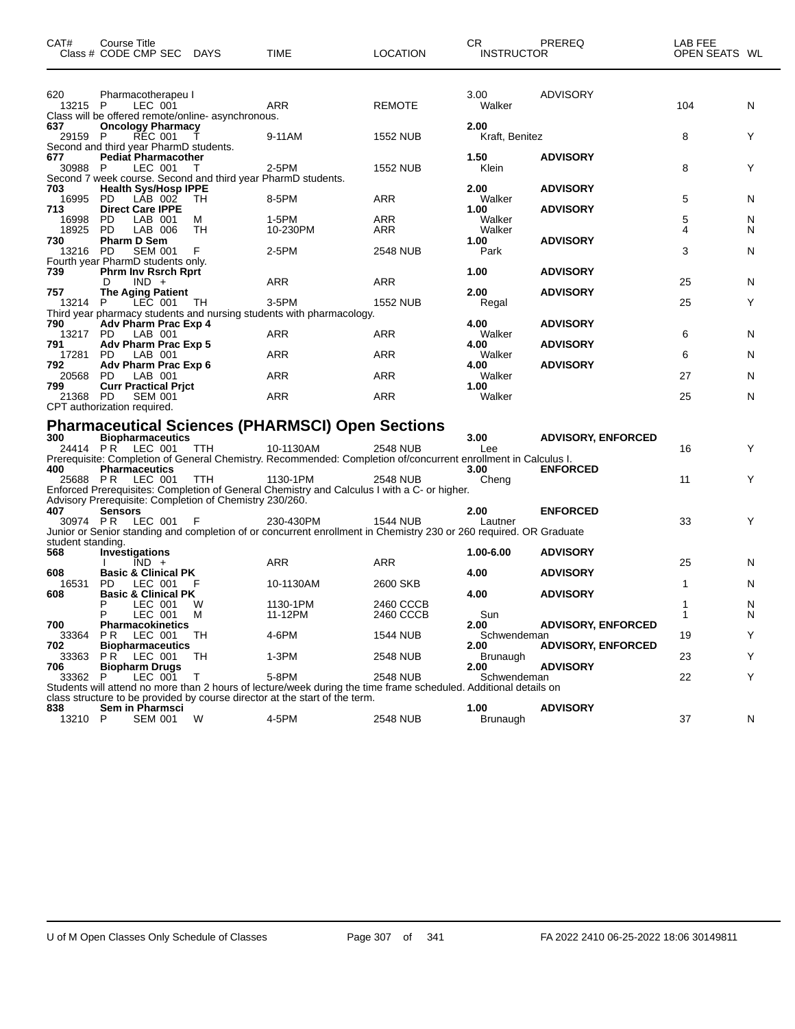| CAT#                     | <b>Course Title</b><br>Class # CODE CMP SEC DAYS                                                      |         | <b>TIME</b>                                                                                                                     | <b>LOCATION</b>        | CR.<br><b>INSTRUCTOR</b> | <b>PREREQ</b>                      | LAB FEE<br>OPEN SEATS WL |        |
|--------------------------|-------------------------------------------------------------------------------------------------------|---------|---------------------------------------------------------------------------------------------------------------------------------|------------------------|--------------------------|------------------------------------|--------------------------|--------|
| 620<br>13215 P           | Pharmacotherapeu I<br>LEC 001<br>Class will be offered remote/online- asynchronous.                   |         | <b>ARR</b>                                                                                                                      | <b>REMOTE</b>          | 3.00<br>Walker           | <b>ADVISORY</b>                    | 104                      | N      |
| 637<br>29159 P           | <b>Oncology Pharmacy</b><br><b>REC 001</b><br>Second and third year PharmD students.                  |         | 9-11AM                                                                                                                          | <b>1552 NUB</b>        | 2.00<br>Kraft, Benitez   |                                    | 8                        | Y      |
| 677<br>30988 P           | <b>Pediat Pharmacother</b><br>LEC 001<br>Second 7 week course. Second and third year PharmD students. |         | $2-5PM$                                                                                                                         | <b>1552 NUB</b>        | 1.50<br>Klein            | <b>ADVISORY</b>                    | 8                        | Y      |
| 703<br>16995<br>713      | <b>Health Sys/Hosp IPPE</b><br>LÁB 002<br><b>PD</b><br><b>Direct Care IPPE</b>                        | TН      | 8-5PM                                                                                                                           | ARR                    | 2.00<br>Walker<br>1.00   | <b>ADVISORY</b><br><b>ADVISORY</b> | 5                        | N      |
| 16998<br>18925<br>730    | PD.<br>LAB 001<br>PD.<br>LAB 006<br><b>Pharm D Sem</b>                                                | м<br>TH | 1-5PM<br>10-230PM                                                                                                               | ARR<br>ARR             | Walker<br>Walker<br>1.00 | <b>ADVISORY</b>                    | 5<br>4                   | N<br>N |
| 13216 PD                 | SEM 001<br>Fourth year PharmD students only.                                                          | -F      | 2-5PM                                                                                                                           | <b>2548 NUB</b>        | Park                     |                                    | 3                        | N      |
| 739<br>757               | <b>Phrm Inv Rsrch Rprt</b><br>$IND +$<br>D<br><b>The Aging Patient</b>                                |         | ARR                                                                                                                             | <b>ARR</b>             | 1.00<br>2.00             | <b>ADVISORY</b><br><b>ADVISORY</b> | 25                       | N      |
| 13214 P<br>790           | LEC 001<br>Adv Pharm Prac Exp 4                                                                       | TH.     | 3-5PM<br>Third year pharmacy students and nursing students with pharmacology.                                                   | <b>1552 NUB</b>        | Regal<br>4.00            | <b>ADVISORY</b>                    | 25                       | Y      |
| 13217 PD<br>791          | LAB 001<br>Adv Pharm Prac Exp 5                                                                       |         | <b>ARR</b>                                                                                                                      | <b>ARR</b>             | Walker<br>4.00           | <b>ADVISORY</b>                    | 6                        | N      |
| 17281 PD<br>792<br>20568 | LAB 001<br>Adv Pharm Prac Exp 6<br><b>PD</b><br>LAB 001                                               |         | ARR<br><b>ARR</b>                                                                                                               | ARR<br><b>ARR</b>      | Walker<br>4.00<br>Walker | <b>ADVISORY</b>                    | 6<br>27                  | N<br>N |
| 799<br>21368 PD          | <b>Curr Practical Prict</b><br><b>SEM 001</b><br>CPT authorization required.                          |         | ARR                                                                                                                             | ARR                    | 1.00<br>Walker           |                                    | 25                       | N      |
| 300                      | <b>Biopharmaceutics</b>                                                                               |         | <b>Pharmaceutical Sciences (PHARMSCI) Open Sections</b>                                                                         |                        | 3.00                     | <b>ADVISORY, ENFORCED</b>          |                          |        |
|                          | 24414 PR LEC 001                                                                                      | TTH     | 10-1130AM<br>Prerequisite: Completion of General Chemistry. Recommended: Completion of/concurrent enrollment in Calculus I.     | <b>2548 NUB</b>        | Lee                      |                                    | 16                       | Υ      |
| 400<br>25688 PR          | <b>Pharmaceutics</b><br>LEC 001                                                                       | TTH     | 1130-1PM<br>Enforced Prerequisites: Completion of General Chemistry and Calculus I with a C- or higher.                         | <b>2548 NUB</b>        | 3.00<br>Cheng            | <b>ENFORCED</b>                    | 11                       | Y      |
| 407                      | Advisory Prerequisite: Completion of Chemistry 230/260.<br><b>Sensors</b><br>30974 PR LEC 001         | - F     | 230-430PM<br>Junior or Senior standing and completion of or concurrent enrollment in Chemistry 230 or 260 required. OR Graduate | <b>1544 NUB</b>        | 2.00<br>Lautner          | <b>ENFORCED</b>                    | 33                       | Y      |
| student standing.<br>568 | Investigations<br>$\overline{IND}$ +                                                                  |         | ARR                                                                                                                             | ARR                    | 1.00-6.00                | <b>ADVISORY</b>                    | 25                       | N      |
| 608<br>16531             | <b>Basic &amp; Clinical PK</b><br>LEC 001<br>PD.                                                      | F       | 10-1130AM                                                                                                                       | 2600 SKB               | 4.00                     | <b>ADVISORY</b>                    | 1                        | N      |
| 608                      | <b>Basic &amp; Clinical PK</b><br>LEC 001<br>LEC 001                                                  | w<br>м  | 1130-1PM<br>11-12PM                                                                                                             | 2460 CCCB<br>2460 CCCB | 4.00<br>Sun              | <b>ADVISORY</b>                    | 1<br>1                   | N<br>N |
| 700<br>33364 PR          | <b>Pharmacokinetics</b><br>LEC 001                                                                    | TН      | 4-6PM                                                                                                                           | <b>1544 NUB</b>        | 2.00<br>Schwendeman      | <b>ADVISORY, ENFORCED</b>          | 19                       | Υ      |

P LEC 001 T 5-8PM 2548 NUB Schwendeman 22 Y

**Biopharm Drugs 2.00 ADVISORY**

**Biopharmaceutics 2.00 ADVISORY, ENFORCED**

|         |                                                                             |                 |    |       | Students will attend no more than 2 hours of lecture/week during the time frame scheduled. Additional details on |          |                 |  |  |    |
|---------|-----------------------------------------------------------------------------|-----------------|----|-------|------------------------------------------------------------------------------------------------------------------|----------|-----------------|--|--|----|
|         | class structure to be provided by course director at the start of the term. |                 |    |       |                                                                                                                  |          |                 |  |  |    |
| 838     |                                                                             | Sem in Pharmsci |    |       |                                                                                                                  | '.00     | <b>ADVISORY</b> |  |  |    |
| 13210 P |                                                                             | SFM 001         | W. | 4-5PM | <b>2548 NUB</b>                                                                                                  | Brunaugh |                 |  |  | N. |

33363 P R LEC 001 TH 1-3PM 2548 NUB Brunaugh 23 Y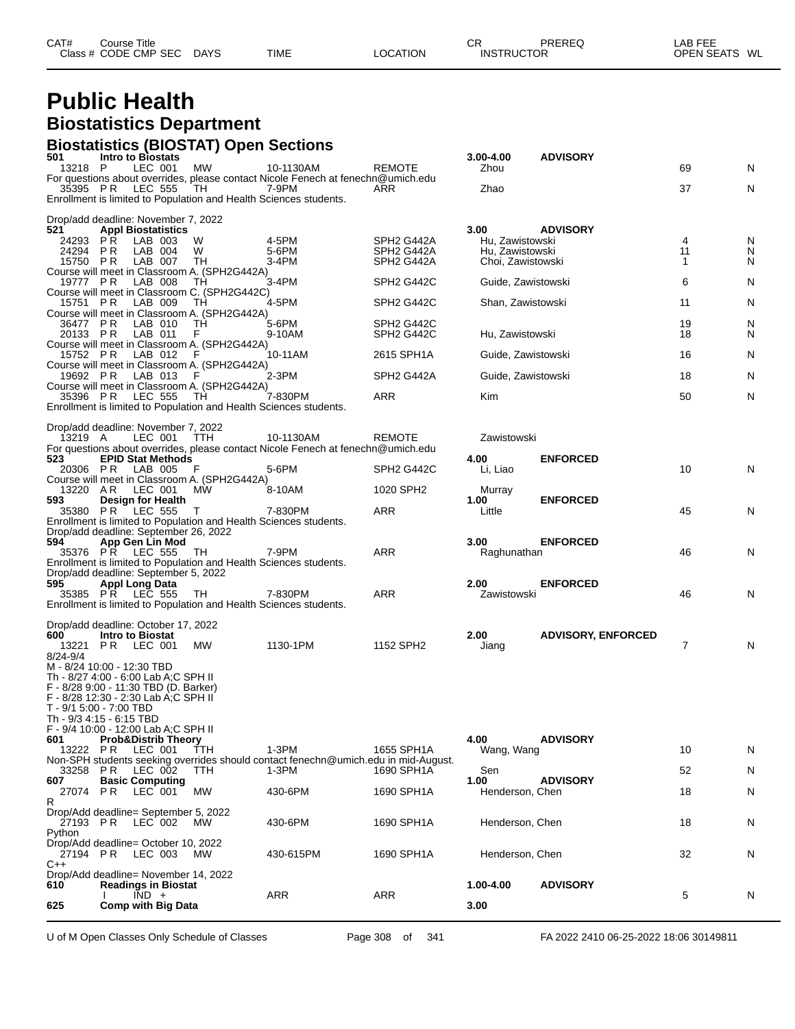#### **Public Health Biostatistics Department**

## **Biostatistics (BIOSTAT) Open Sections 501 Intro to Biostats 3.00-4.00 ADVISORY**

| 625                                                                           | <b>Comp with Big Data</b>          | $\overline{IND}$ + |                                                     | <b>ARR</b>                                                                                    | <b>ARR</b>                                       | 3.00                               |                           | 5                   | N |
|-------------------------------------------------------------------------------|------------------------------------|--------------------|-----------------------------------------------------|-----------------------------------------------------------------------------------------------|--------------------------------------------------|------------------------------------|---------------------------|---------------------|---|
| Drop/Add deadline= November 14, 2022<br>610                                   | <b>Readings in Biostat</b>         |                    |                                                     |                                                                                               |                                                  | 1.00-4.00                          | <b>ADVISORY</b>           |                     |   |
| 27194 PR<br>$C++$                                                             |                                    | LEC 003            | МW                                                  | 430-615PM                                                                                     | 1690 SPH1A                                       | Henderson, Chen                    |                           | 32                  | N |
| 27193 PR<br>Python<br>Drop/Add deadline= October 10, 2022                     |                                    | LEC 002            | <b>MW</b>                                           | 430-6PM                                                                                       | 1690 SPH1A                                       | Henderson, Chen                    |                           | 18                  | N |
| R<br>Drop/Add deadline= September 5, 2022                                     |                                    |                    |                                                     |                                                                                               |                                                  |                                    |                           |                     |   |
| 27074 PR                                                                      |                                    | LEC 001            | МW                                                  | 430-6PM                                                                                       | 1690 SPH1A                                       | Henderson, Chen                    |                           | N<br>18             |   |
| 33258 PR<br>607                                                               | <b>Basic Computing</b>             | LEC 002            | TTH                                                 | 1-3PM                                                                                         | 1690 SPH1A                                       | Sen<br>1.00                        | <b>ADVISORY</b>           | 52                  | N |
|                                                                               |                                    |                    |                                                     | Non-SPH students seeking overrides should contact fenechn@umich.edu in mid-August.            |                                                  |                                    |                           |                     |   |
| 601<br>13222 PR                                                               | <b>Prob&amp;Distrib Theory</b>     | LEC 001            | TTH                                                 | $1-3PM$                                                                                       | 1655 SPH1A                                       | 4.00<br>Wang, Wang                 | <b>ADVISORY</b>           | 10<br>N             |   |
| F - 9/4 10:00 - 12:00 Lab A;C SPH II                                          |                                    |                    |                                                     |                                                                                               |                                                  |                                    |                           |                     |   |
| T - 9/1 5:00 - 7:00 TBD<br>Th - 9/3 4:15 - 6:15 TBD                           |                                    |                    |                                                     |                                                                                               |                                                  |                                    |                           |                     |   |
| F - 8/28 12:30 - 2:30 Lab A;C SPH II                                          |                                    |                    |                                                     |                                                                                               |                                                  |                                    |                           |                     |   |
| Th - 8/27 4:00 - 6:00 Lab A:C SPH II<br>F - 8/28 9:00 - 11:30 TBD (D. Barker) |                                    |                    |                                                     |                                                                                               |                                                  |                                    |                           |                     |   |
| M - 8/24 10:00 - 12:30 TBD                                                    |                                    |                    |                                                     |                                                                                               |                                                  |                                    |                           |                     |   |
| 8/24-9/4                                                                      | 13221 PR LEC 001                   |                    | МW                                                  | 1130-1PM                                                                                      | 1152 SPH2                                        | Jiang                              |                           | $\overline{7}$<br>N |   |
| 600                                                                           | <b>Intro to Biostat</b>            |                    |                                                     |                                                                                               |                                                  | 2.00                               | <b>ADVISORY, ENFORCED</b> |                     |   |
| Drop/add deadline: October 17, 2022                                           |                                    |                    |                                                     |                                                                                               |                                                  |                                    |                           |                     |   |
|                                                                               |                                    |                    |                                                     | Enrollment is limited to Population and Health Sciences students.                             |                                                  |                                    |                           |                     |   |
| 595                                                                           | Appl Long Data<br>35385 PR LEC 555 |                    | TH.                                                 | 7-830PM                                                                                       | ARR                                              | 2.00<br>Zawistowski                | <b>ENFORCED</b>           | 46                  | N |
| Drop/add deadline: September 5, 2022                                          |                                    |                    |                                                     |                                                                                               |                                                  |                                    |                           |                     |   |
|                                                                               | 35376 PR LEC 555                   |                    | TH                                                  | 7-9PM<br>Enrollment is limited to Population and Health Sciences students.                    | <b>ARR</b>                                       | Raghunathan                        |                           | 46<br>N             |   |
| 594                                                                           | App Gen Lin Mod                    |                    |                                                     |                                                                                               |                                                  | 3.00                               | <b>ENFORCED</b>           |                     |   |
| Drop/add deadline: September 26, 2022                                         |                                    |                    |                                                     | Enrollment is limited to Population and Health Sciences students.                             |                                                  |                                    |                           |                     |   |
| 593<br>35380 PR                                                               | <b>Design for Health</b>           | LEC 555            | T                                                   | 7-830PM                                                                                       | ARR                                              | 1.00<br>Little                     | <b>ENFORCED</b>           | 45<br>N             |   |
| 13220 AR                                                                      |                                    | LEC 001            | МW                                                  | 8-10AM                                                                                        | 1020 SPH2                                        | Murray                             |                           |                     |   |
| 20306 PR                                                                      |                                    | LAB 005            | F<br>Course will meet in Classroom A. (SPH2G442A)   | 5-6PM                                                                                         | SPH <sub>2</sub> G <sub>442</sub> C              | Li, Liao                           |                           | 10                  | N |
| 523                                                                           | <b>EPID Stat Methods</b>           |                    |                                                     |                                                                                               |                                                  | 4.00                               | <b>ENFORCED</b>           |                     |   |
| 13219 A                                                                       |                                    | LEC 001            | <b>TTH</b>                                          | 10-1130AM<br>For questions about overrides, please contact Nicole Fenech at fenechn@umich.edu | <b>REMOTE</b>                                    | Zawistowski                        |                           |                     |   |
| Drop/add deadline: November 7, 2022                                           |                                    |                    |                                                     |                                                                                               |                                                  |                                    |                           |                     |   |
|                                                                               |                                    |                    |                                                     | Enrollment is limited to Population and Health Sciences students.                             |                                                  |                                    |                           |                     |   |
| 35396 PR                                                                      |                                    | LEC 555            | Course will meet in Classroom A. (SPH2G442A)<br>TH. | 7-830PM                                                                                       | ARR                                              | Kim                                |                           | N<br>50             |   |
| 19692 PR                                                                      |                                    | LAB 013            | F                                                   | 2-3PM                                                                                         | SPH <sub>2</sub> G442A                           | Guide, Zawistowski                 |                           | 18                  | N |
| 15752 PR                                                                      |                                    | LAB 012            | -F<br>Course will meet in Classroom A. (SPH2G442A)  | 10-11AM                                                                                       | 2615 SPH1A                                       | Guide, Zawistowski                 |                           | 16<br>N             |   |
|                                                                               |                                    |                    | Course will meet in Classroom A. (SPH2G442A)        |                                                                                               |                                                  |                                    |                           |                     |   |
| 36477 PR<br>20133 PR                                                          |                                    | LAB 010<br>LAB 011 | TН<br>F                                             | 5-6PM<br>9-10AM                                                                               | SPH <sub>2</sub> G442C<br>SPH <sub>2</sub> G442C | Hu, Zawistowski                    |                           | 19<br>N<br>N<br>18  |   |
| 15751 PR                                                                      |                                    | LAB 009            | ТH<br>Course will meet in Classroom A. (SPH2G442A)  | 4-5PM                                                                                         | SPH <sub>2</sub> G442C                           | Shan, Zawistowski                  |                           | 11<br>N             |   |
|                                                                               |                                    |                    | Course will meet in Classroom C. (SPH2G442C)        |                                                                                               |                                                  |                                    |                           |                     |   |
| 19777 PR                                                                      |                                    | LAB 008            | Course will meet in Classroom A. (SPH2G442A)<br>TН  | 3-4PM                                                                                         | SPH <sub>2</sub> G442C                           | Guide, Zawistowski                 |                           | 6<br>N              |   |
| 15750 PR                                                                      |                                    | LAB 007            | ТH                                                  | 3-4PM                                                                                         | SPH <sub>2</sub> G442A                           | Choi, Zawistowski                  |                           | 1<br>N              |   |
| 24293<br>24294                                                                | P R<br>P R                         | LAB 003<br>LAB 004 | W<br>W                                              | 4-5PM<br>5-6PM                                                                                | SPH <sub>2</sub> G442A<br>SPH <sub>2</sub> G442A | Hu, Zawistowski<br>Hu, Zawistowski |                           | N<br>4<br>11<br>N   |   |
| 521                                                                           | <b>Appl Biostatistics</b>          |                    |                                                     |                                                                                               |                                                  | 3.00                               | <b>ADVISORY</b>           |                     |   |
| Drop/add deadline: November 7, 2022                                           |                                    |                    |                                                     |                                                                                               |                                                  |                                    |                           |                     |   |
| 35395 PR                                                                      |                                    | <b>LEC 555</b>     | TH                                                  | 7-9PM<br>Enrollment is limited to Population and Health Sciences students.                    | ARR                                              | Zhao                               |                           | 37                  | N |
|                                                                               |                                    |                    |                                                     | For questions about overrides, please contact Nicole Fenech at fenechn@umich.edu              |                                                  |                                    |                           |                     |   |
| 13218 P                                                                       |                                    | LEC 001            | MW                                                  | 10-1130AM                                                                                     | <b>REMOTE</b>                                    | Zhou                               |                           | 69<br>N             |   |

U of M Open Classes Only Schedule of Classes **Page 308** of 341 FA 2022 2410 06-25-2022 18:06 30149811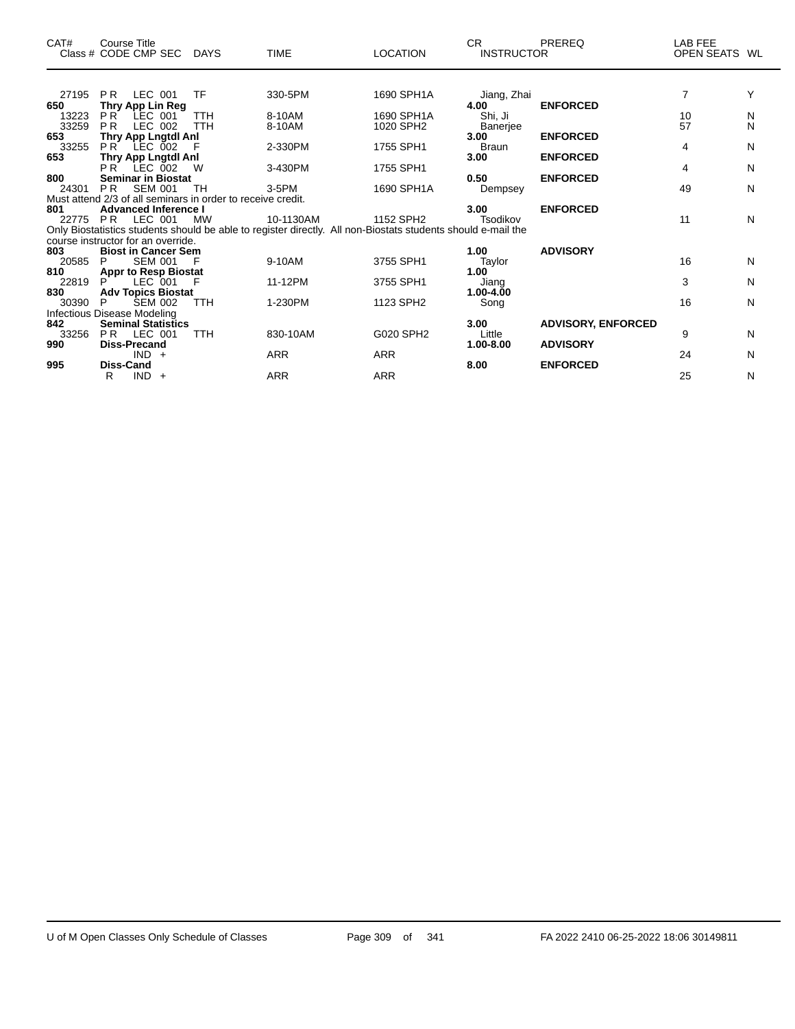| CAT#  | Course Title<br>Class # CODE CMP SEC                        | <b>DAYS</b> | <b>TIME</b>                                                                                                  | <b>LOCATION</b> | CR.<br><b>INSTRUCTOR</b> | PREREQ                    | LAB FEE<br>OPEN SEATS WL |   |
|-------|-------------------------------------------------------------|-------------|--------------------------------------------------------------------------------------------------------------|-----------------|--------------------------|---------------------------|--------------------------|---|
|       |                                                             |             |                                                                                                              |                 |                          |                           |                          |   |
| 27195 | LEC 001<br>PR                                               | TF          | 330-5PM                                                                                                      | 1690 SPH1A      | Jiang, Zhai              |                           | $\overline{7}$           | Υ |
| 650   | Thry App Lin Reg                                            |             |                                                                                                              |                 | 4.00                     | <b>ENFORCED</b>           |                          |   |
| 13223 | P <sub>R</sub><br>LEC 001                                   | <b>TTH</b>  | 8-10AM                                                                                                       | 1690 SPH1A      | Shi, Ji                  |                           | 10                       | N |
| 33259 | P <sub>R</sub><br>LEC 002                                   | <b>TTH</b>  | 8-10AM                                                                                                       | 1020 SPH2       | Banerjee                 |                           | 57                       | N |
| 653   | Thry App Lngtdl Anl                                         |             |                                                                                                              |                 | 3.00                     | <b>ENFORCED</b>           |                          |   |
| 33255 | $PR$ LEC $002$                                              | F           | 2-330PM                                                                                                      | 1755 SPH1       | <b>Braun</b>             |                           | 4                        | N |
| 653   | Thry App Lngtdl Anl<br>PR <sup>-</sup><br>LEC 002           | W           | 3-430PM                                                                                                      | 1755 SPH1       | 3.00                     | <b>ENFORCED</b>           | 4                        | N |
| 800   | <b>Seminar in Biostat</b>                                   |             |                                                                                                              |                 | 0.50                     | <b>ENFORCED</b>           |                          |   |
| 24301 | <b>SEM 001</b><br>P <sub>R</sub>                            | TH          | $3-5$ PM                                                                                                     | 1690 SPH1A      | Dempsey                  |                           | 49                       | N |
|       | Must attend 2/3 of all seminars in order to receive credit. |             |                                                                                                              |                 |                          |                           |                          |   |
| 801   | <b>Advanced Inference I</b>                                 |             |                                                                                                              |                 | 3.00                     | <b>ENFORCED</b>           |                          |   |
|       | 22775 PR LEC 001                                            | MW          | 10-1130AM                                                                                                    | 1152 SPH2       | Tsodikov                 |                           | 11                       | N |
|       |                                                             |             | Only Biostatistics students should be able to register directly. All non-Biostats students should e-mail the |                 |                          |                           |                          |   |
|       | course instructor for an override.                          |             |                                                                                                              |                 |                          |                           |                          |   |
| 803   | <b>Biost in Cancer Sem</b>                                  |             |                                                                                                              |                 | 1.00                     | <b>ADVISORY</b>           |                          |   |
| 20585 | <b>SEM 001</b><br>P                                         |             | 9-10AM                                                                                                       | 3755 SPH1       | Taylor                   |                           | 16                       | N |
| 810   | <b>Appr to Resp Biostat</b>                                 |             |                                                                                                              |                 | 1.00                     |                           |                          |   |
| 22819 | LEC 001                                                     |             | 11-12PM                                                                                                      | 3755 SPH1       | Jiang                    |                           | 3                        | N |
| 830   | <b>Adv Topics Biostat</b>                                   |             |                                                                                                              |                 | 1.00-4.00                |                           |                          |   |
| 30390 | <b>SEM 002</b><br>P                                         | <b>TTH</b>  | 1-230PM                                                                                                      | 1123 SPH2       | Song                     |                           | 16                       | N |
|       | Infectious Disease Modeling                                 |             |                                                                                                              |                 |                          |                           |                          |   |
| 842   | <b>Seminal Statistics</b>                                   |             |                                                                                                              |                 | 3.00                     | <b>ADVISORY, ENFORCED</b> |                          |   |
| 33256 | PR<br>LEC 001                                               | TTH         | 830-10AM                                                                                                     | G020 SPH2       | Little                   |                           | 9                        | N |
| 990   | <b>Diss-Precand</b>                                         |             |                                                                                                              |                 | 1.00-8.00                | <b>ADVISORY</b>           |                          |   |
| 995   | $IND +$<br><b>Diss-Cand</b>                                 |             | ARR                                                                                                          | ARR             | 8.00                     | <b>ENFORCED</b>           | 24                       | N |
|       | $IND +$<br>R.                                               |             | <b>ARR</b>                                                                                                   | <b>ARR</b>      |                          |                           | 25                       | N |
|       |                                                             |             |                                                                                                              |                 |                          |                           |                          |   |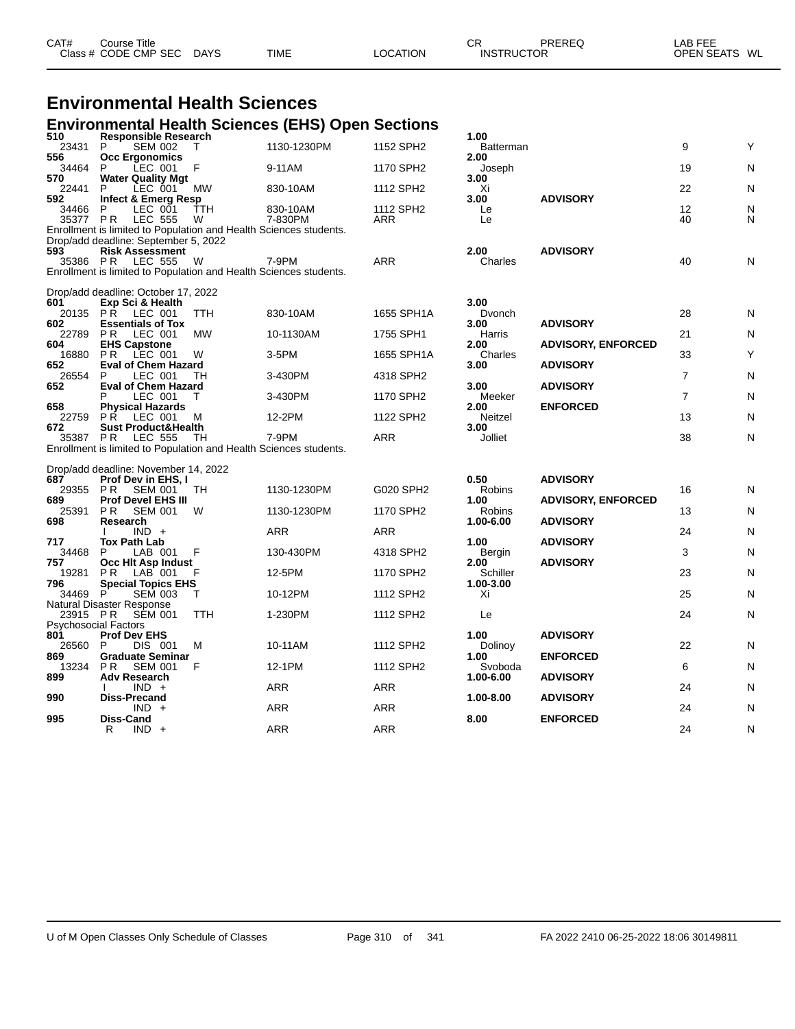| CAT# | Course Title         |      |             |                 | СF                | PREREQ | LAB FEE       |  |
|------|----------------------|------|-------------|-----------------|-------------------|--------|---------------|--|
|      | Class # CODE CMP SEC | DAYS | <b>TIME</b> | <b>LOCATION</b> | <b>INSTRUCTOR</b> |        | OPEN SEATS WL |  |
|      |                      |      |             |                 |                   |        |               |  |

#### **Environmental Health Sciences**

#### **Environmental Health Sciences (EHS) Open Sections**

| 510                                     | <b>Responsible Research</b>                                                           |            |                     |                                     | 1.00                  |                           |                |        |
|-----------------------------------------|---------------------------------------------------------------------------------------|------------|---------------------|-------------------------------------|-----------------------|---------------------------|----------------|--------|
| 23431                                   | P<br><b>SEM 002</b>                                                                   | $\top$     | 1130-1230PM         | 1152 SPH2                           | Batterman             |                           | 9              | Υ      |
| 556<br>34464                            | <b>Occ Ergonomics</b><br>LEC 001<br>P                                                 | F          | 9-11AM              | 1170 SPH2                           | 2.00<br>Joseph        |                           | 19             | N      |
| 570                                     | <b>Water Quality Mgt</b>                                                              |            |                     |                                     | 3.00                  |                           |                |        |
| 22441                                   | P<br>LEC 001                                                                          | <b>MW</b>  | 830-10AM            | 1112 SPH2                           | Xi                    |                           | 22             | N      |
| 592                                     | Infect & Emerg Resp                                                                   |            |                     |                                     | 3.00                  | <b>ADVISORY</b>           |                |        |
| 34466<br>35377 PR                       | P<br>LEC 001<br><b>LEC 555</b>                                                        | ŤTH<br>W   | 830-10AM<br>7-830PM | 1112 SPH <sub>2</sub><br><b>ARR</b> | Le<br>Le              |                           | 12<br>40       | N<br>N |
|                                         | Enrollment is limited to Population and Health Sciences students.                     |            |                     |                                     |                       |                           |                |        |
|                                         | Drop/add deadline: September 5, 2022                                                  |            |                     |                                     |                       |                           |                |        |
| 593                                     | <b>Risk Assessment</b><br>35386 PR LEC 555                                            | W          | 7-9PM               | <b>ARR</b>                          | 2.00<br>Charles       | <b>ADVISORY</b>           | 40             | N      |
|                                         | Enrollment is limited to Population and Health Sciences students.                     |            |                     |                                     |                       |                           |                |        |
|                                         |                                                                                       |            |                     |                                     |                       |                           |                |        |
|                                         | Drop/add deadline: October 17, 2022                                                   |            |                     |                                     |                       |                           |                |        |
| 601                                     | Exp Sci & Health<br>20135 PR LEC 001                                                  | <b>TTH</b> | 830-10AM            | 1655 SPH1A                          | 3.00<br>Dvonch        |                           | 28             | N      |
| 602                                     | <b>Essentials of Tox</b>                                                              |            |                     |                                     | 3.00                  | <b>ADVISORY</b>           |                |        |
| 22789                                   | P R<br>LEC 001                                                                        | <b>MW</b>  | 10-1130AM           | 1755 SPH1                           | Harris                |                           | 21             | N      |
| 604<br>16880                            | <b>EHS Capstone</b><br><b>PR LEC 001</b>                                              | W          | 3-5PM               | 1655 SPH1A                          | 2.00<br>Charles       | <b>ADVISORY, ENFORCED</b> | 33             | Υ      |
| 652                                     | <b>Eval of Chem Hazard</b>                                                            |            |                     |                                     | 3.00                  | <b>ADVISORY</b>           |                |        |
| 26554                                   | LEC 001<br>P                                                                          | TН         | 3-430PM             | 4318 SPH2                           |                       |                           | $\overline{7}$ | N      |
| 652                                     | <b>Eval of Chem Hazard</b><br>LEC 001<br>P                                            | т          | 3-430PM             | 1170 SPH2                           | 3.00<br>Meeker        | <b>ADVISORY</b>           | $\overline{7}$ | N      |
| 658                                     | <b>Physical Hazards</b>                                                               |            |                     |                                     | 2.00                  | <b>ENFORCED</b>           |                |        |
| 22759                                   | <b>PR LEC 001</b>                                                                     | M          | 12-2PM              | 1122 SPH2                           | Neitzel               |                           | 13             | N      |
| 672                                     | <b>Sust Product&amp;Health</b>                                                        |            |                     |                                     | 3.00                  |                           |                |        |
|                                         | 35387 PR LEC 555<br>Enrollment is limited to Population and Health Sciences students. | TН         | 7-9PM               | <b>ARR</b>                          | Jolliet               |                           | 38             | N      |
|                                         |                                                                                       |            |                     |                                     |                       |                           |                |        |
|                                         | Drop/add deadline: November 14, 2022                                                  |            |                     |                                     |                       |                           |                |        |
| 687<br>29355                            | Prof Dev in EHS, I<br><b>PR</b><br><b>SEM 001</b>                                     | TH.        | 1130-1230PM         | G020 SPH2                           | 0.50<br><b>Robins</b> | <b>ADVISORY</b>           | 16             | N      |
| 689                                     | <b>Prof Devel EHS III</b>                                                             |            |                     |                                     | 1.00                  | <b>ADVISORY, ENFORCED</b> |                |        |
| 25391                                   | <b>PR</b><br><b>SEM 001</b>                                                           | W          | 1130-1230PM         | 1170 SPH2                           | Robins                |                           | 13             | N      |
| 698                                     | Research<br>$IND +$                                                                   |            | <b>ARR</b>          | <b>ARR</b>                          | 1.00-6.00             | <b>ADVISORY</b>           | 24             | N      |
| 717                                     | <b>Tox Path Lab</b>                                                                   |            |                     |                                     | 1.00                  | <b>ADVISORY</b>           |                |        |
| 34468                                   | LAB 001<br>P                                                                          | F          | 130-430PM           | 4318 SPH2                           | Bergin                |                           | 3              | N      |
| 757                                     | Occ Hit Asp Indust                                                                    |            |                     |                                     | 2.00                  | <b>ADVISORY</b>           | 23             |        |
| 19281<br>796                            | LAB 001<br>P <sub>R</sub><br><b>Special Topics EHS</b>                                |            | 12-5PM              | 1170 SPH2                           | Schiller<br>1.00-3.00 |                           |                | N      |
| 34469                                   | P<br><b>SEM 003</b>                                                                   | т          | 10-12PM             | 1112 SPH2                           | Xi                    |                           | 25             | N      |
|                                         | Natural Disaster Response                                                             |            |                     |                                     |                       |                           |                |        |
| 23915 PR<br><b>Psychosocial Factors</b> | <b>SEM 001</b>                                                                        | TTH        | 1-230PM             | 1112 SPH2                           | Le                    |                           | 24             | N      |
| 801                                     | <b>Prof Dev EHS</b>                                                                   |            |                     |                                     | 1.00                  | <b>ADVISORY</b>           |                |        |
| 26560                                   | <b>DIS 001</b><br>P                                                                   | м          | 10-11AM             | 1112 SPH <sub>2</sub>               | Dolinoy               |                           | 22             | N      |
| 869<br>13234                            | <b>Graduate Seminar</b><br><b>PR</b><br><b>SEM 001</b>                                | F          | 12-1PM              | 1112 SPH2                           | 1.00<br>Svoboda       | <b>ENFORCED</b>           | 6              | N      |
| 899                                     | <b>Adv Research</b>                                                                   |            |                     |                                     | 1.00-6.00             | <b>ADVISORY</b>           |                |        |
|                                         | $IND +$                                                                               |            | <b>ARR</b>          | <b>ARR</b>                          |                       |                           | 24             | N      |
| 990                                     | <b>Diss-Precand</b><br>$IND +$                                                        |            | <b>ARR</b>          | <b>ARR</b>                          | 1.00-8.00             | <b>ADVISORY</b>           | 24             |        |
| 995                                     | Diss-Cand                                                                             |            |                     |                                     | 8.00                  | <b>ENFORCED</b>           |                | N      |
|                                         | R<br>$IND +$                                                                          |            | <b>ARR</b>          | <b>ARR</b>                          |                       |                           | 24             | N      |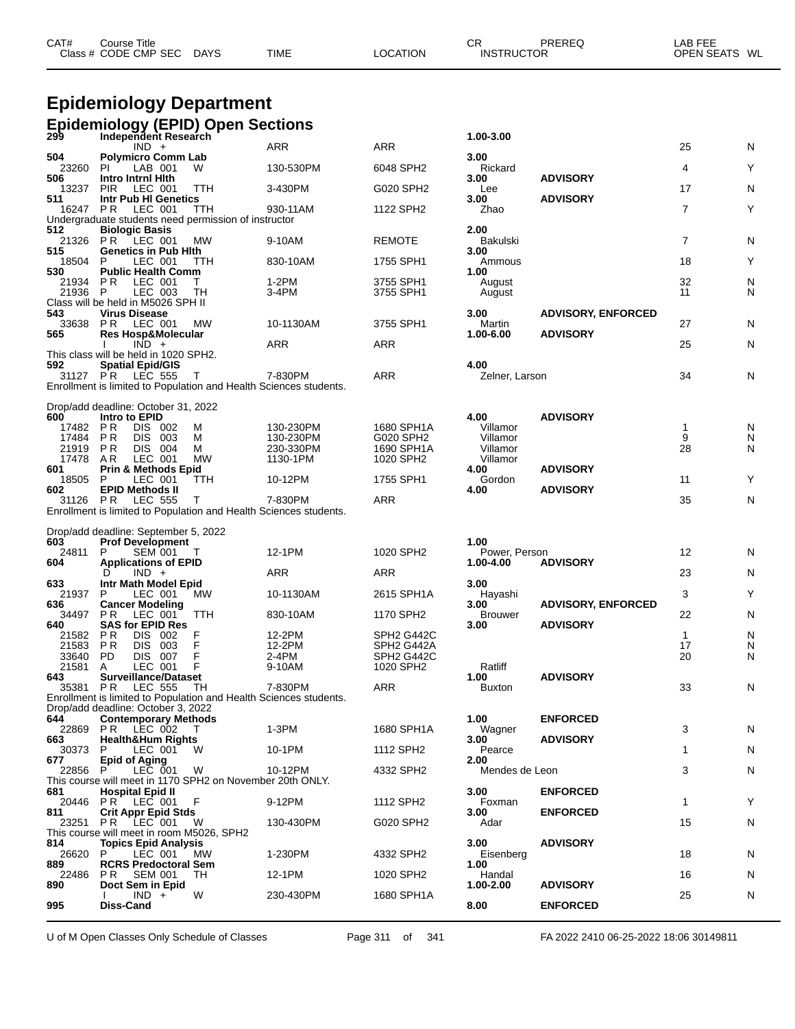| CAT#<br>Course∶      | Title       |             |                | Ωn<br>◡┍          | PREREQ | AB FEE           |
|----------------------|-------------|-------------|----------------|-------------------|--------|------------------|
| Class # CODE CMP SEC | <b>DAYS</b> | <b>TIME</b> | <b>OCATION</b> | <b>INSTRUCTOR</b> |        | WL<br>OPEN SEATS |

# **Epidemiology Department**

| <b>Epidemiology (EPID) Open Sections</b><br>299 Independent Research |  | 1.00-3.00 |
|----------------------------------------------------------------------|--|-----------|
|                                                                      |  |           |

|                     | $IND +$                                                                                                 |            | <b>ARR</b>       | <b>ARR</b>               |                   |                           | 25             | N      |
|---------------------|---------------------------------------------------------------------------------------------------------|------------|------------------|--------------------------|-------------------|---------------------------|----------------|--------|
| 504                 | <b>Polymicro Comm Lab</b>                                                                               |            |                  |                          | 3.00              |                           |                |        |
| 23260<br>506        | LAB 001<br>PI.<br>Intro Intrnl Hith                                                                     | w          | 130-530PM        | 6048 SPH2                | Rickard<br>3.00   | <b>ADVISORY</b>           | 4              | Y      |
| 13237               | <b>PIR</b><br>LEC 001                                                                                   | TTH        | 3-430PM          | G020 SPH2                | Lee               |                           | 17             | N      |
| 511                 | Intr Pub HI Genetics                                                                                    |            |                  |                          | 3.00              | <b>ADVISORY</b>           |                |        |
|                     | 16247 PR LEC 001                                                                                        | <b>TTH</b> | 930-11AM         | 1122 SPH2                | Zhao              |                           | 7              | Y      |
| 512                 | Undergraduate students need permission of instructor<br><b>Biologic Basis</b>                           |            |                  |                          | 2.00              |                           |                |        |
| 21326 PR            | LEC 001                                                                                                 | МW         | 9-10AM           | <b>REMOTE</b>            | Bakulski          |                           | $\overline{7}$ | N      |
| 515                 | <b>Genetics in Pub Hith</b>                                                                             |            |                  |                          | 3.00              |                           |                |        |
| 18504               | P<br>LEC 001                                                                                            | TTH        | 830-10AM         | 1755 SPH1                | Ammous            |                           | 18             | Y      |
| 530                 | <b>Public Health Comm</b>                                                                               |            |                  |                          | 1.00              |                           |                |        |
| 21934 PR<br>21936 P | LEC 001<br>LEC 003                                                                                      | т<br>TН    | $1-2PM$<br>3-4PM | 3755 SPH1<br>3755 SPH1   | August<br>August  |                           | 32<br>11       | N<br>N |
|                     | Class will be held in M5026 SPH II                                                                      |            |                  |                          |                   |                           |                |        |
| 543                 | <b>Virus Disease</b>                                                                                    |            |                  |                          | 3.00              | <b>ADVISORY, ENFORCED</b> |                |        |
| 33638               | <b>PR LEC 001</b>                                                                                       | МW         | 10-1130AM        | 3755 SPH1                | Martin            |                           | 27             | N      |
| 565                 | <b>Res Hosp&amp;Molecular</b><br>$IND +$                                                                |            | <b>ARR</b>       | <b>ARR</b>               | 1.00-6.00         | <b>ADVISORY</b>           | 25             | N      |
|                     | This class will be held in 1020 SPH2.                                                                   |            |                  |                          |                   |                           |                |        |
| 592                 | <b>Spatial Epid/GIS</b>                                                                                 |            |                  |                          | 4.00              |                           |                |        |
|                     | 31127 PR LEC 555                                                                                        | $\top$     | 7-830PM          | <b>ARR</b>               | Zelner, Larson    |                           | 34             | N      |
|                     | Enrollment is limited to Population and Health Sciences students.                                       |            |                  |                          |                   |                           |                |        |
|                     | Drop/add deadline: October 31, 2022                                                                     |            |                  |                          |                   |                           |                |        |
| 600                 | Intro to EPID                                                                                           |            |                  |                          | 4.00              | <b>ADVISORY</b>           |                |        |
| 17482 PR            | DIS 002                                                                                                 | м          | 130-230PM        | 1680 SPH1A               | Villamor          |                           | $\mathbf{1}$   | N      |
| 17484 PR            | DIS 003                                                                                                 | м          | 130-230PM        | G020 SPH2                | Villamor          |                           | 9              | N      |
| 21919 PR            | DIS 004                                                                                                 | м          | 230-330PM        | 1690 SPH1A<br>1020 SPH2  | Villamor          |                           | 28             | N      |
| 17478 AR<br>601     | LEC 001<br><b>Prin &amp; Methods Epid</b>                                                               | МW         | 1130-1PM         |                          | Villamor<br>4.00  | <b>ADVISORY</b>           |                |        |
| 18505               | P<br>LEC 001                                                                                            | TTH        | 10-12PM          | 1755 SPH1                | Gordon            |                           | 11             | Y      |
| 602                 | <b>EPID Methods II</b>                                                                                  |            |                  |                          | 4.00              | <b>ADVISORY</b>           |                |        |
| 31126 PR            | <b>LEC 555</b>                                                                                          | T          | 7-830PM          | <b>ARR</b>               |                   |                           | 35             | N      |
|                     | Enrollment is limited to Population and Health Sciences students.                                       |            |                  |                          |                   |                           |                |        |
|                     |                                                                                                         |            |                  |                          |                   |                           |                |        |
|                     |                                                                                                         |            |                  |                          |                   |                           |                |        |
| 603                 | Drop/add deadline: September 5, 2022<br><b>Prof Development</b>                                         |            |                  |                          | 1.00              |                           |                |        |
| 24811               | P<br>SEM 001                                                                                            | T          | 12-1PM           | 1020 SPH2                | Power, Person     |                           | 12             | N      |
| 604                 | <b>Applications of EPID</b>                                                                             |            |                  |                          | 1.00-4.00         | <b>ADVISORY</b>           |                |        |
|                     | $IND +$<br>D                                                                                            |            | <b>ARR</b>       | <b>ARR</b>               |                   |                           | 23             | N      |
| 633<br>21937        | Intr Math Model Epid<br>LEC 001<br>P.                                                                   | МW         | 10-1130AM        | 2615 SPH1A               | 3.00<br>Hayashi   |                           | 3              | Y      |
| 636                 | <b>Cancer Modeling</b>                                                                                  |            |                  |                          | 3.00              | <b>ADVISORY, ENFORCED</b> |                |        |
| 34497               | PR.<br>LEC 001                                                                                          | TTH        | 830-10AM         | 1170 SPH2                | <b>Brouwer</b>    |                           | 22             | N      |
| 640                 | <b>SAS for EPID Res</b>                                                                                 |            |                  |                          | 3.00              | <b>ADVISORY</b>           |                |        |
| 21582               | P R<br>DIS 002<br>P R                                                                                   | F<br>F     | 12-2PM           | SPH2 G442C<br>SPH2 G442A |                   |                           | 1<br>17        | N      |
| 21583<br>33640      | DIS.<br>003<br><b>PD</b><br>DIS 007                                                                     | F          | 12-2PM<br>2-4PM  | SPH2 G442C               |                   |                           | 20             | N<br>N |
| 21581               | LEC 001<br>A                                                                                            | F          | 9-10AM           | 1020 SPH2                | Ratliff           |                           |                |        |
| 643                 | <b>Surveillance/Dataset</b>                                                                             |            |                  |                          | 1.00              | <b>ADVISORY</b>           |                |        |
| 35381 PR            | <b>LEC 555</b>                                                                                          | TН         | 7-830PM          | <b>ARR</b>               | <b>Buxton</b>     |                           | 33             | N      |
|                     | Enrollment is limited to Population and Health Sciences students.<br>Drop/add deadline: October 3, 2022 |            |                  |                          |                   |                           |                |        |
| 644                 | <b>Contemporary Methods</b>                                                                             |            |                  |                          | 1.00              | <b>ENFORCED</b>           |                |        |
|                     | 22869 PR LEC 002                                                                                        | $\top$     | $1-3PM$          | 1680 SPH1A               | Wagner            |                           | 3              | N      |
| 663                 | <b>Health&amp;Hum Rights</b>                                                                            |            |                  |                          | 3.00              | <b>ADVISORY</b>           |                |        |
| 30373<br>677        | LEC 001<br>P<br><b>Epid of Aging</b>                                                                    | W          | 10-1PM           | 1112 SPH2                | Pearce<br>2.00    |                           | 1              | N      |
| 22856               | P<br>LEC 001                                                                                            | W          | 10-12PM          | 4332 SPH2                | Mendes de Leon    |                           | 3              | N      |
|                     | This course will meet in 1170 SPH2 on November 20th ONLY.                                               |            |                  |                          |                   |                           |                |        |
| 681                 | <b>Hospital Epid II</b>                                                                                 |            |                  |                          | 3.00              | <b>ENFORCED</b>           |                |        |
| 811                 | 20446 PR LEC 001<br><b>Crit Appr Epid Stds</b>                                                          | F          | 9-12PM           | 1112 SPH2                | Foxman<br>3.00    | <b>ENFORCED</b>           | $\mathbf{1}$   | Y      |
| 23251 PR            | LEC 001                                                                                                 | W          | 130-430PM        | G020 SPH2                | Adar              |                           | 15             | N      |
|                     | This course will meet in room M5026, SPH2                                                               |            |                  |                          |                   |                           |                |        |
| 814                 | <b>Topics Epid Analysis</b>                                                                             |            |                  |                          | 3.00              | <b>ADVISORY</b>           |                |        |
| 26620 P<br>889      | LEC 001<br><b>RCRS Predoctoral Sem</b>                                                                  | <b>MW</b>  | 1-230PM          | 4332 SPH2                | Eisenberg<br>1.00 |                           | 18             | N      |
| 22486               | PR.<br><b>SEM 001</b>                                                                                   | TH         | 12-1PM           | 1020 SPH2                | Handal            |                           | 16             | N      |
| 890                 | Doct Sem in Epid                                                                                        |            |                  |                          | 1.00-2.00         | <b>ADVISORY</b>           |                |        |
| 995                 | $IND +$<br>Diss-Cand                                                                                    | W          | 230-430PM        | 1680 SPH1A               | 8.00              | <b>ENFORCED</b>           | 25             | N      |

U of M Open Classes Only Schedule of Classes Page 311 of 341 FA 2022 2410 06-25-2022 18:06 30149811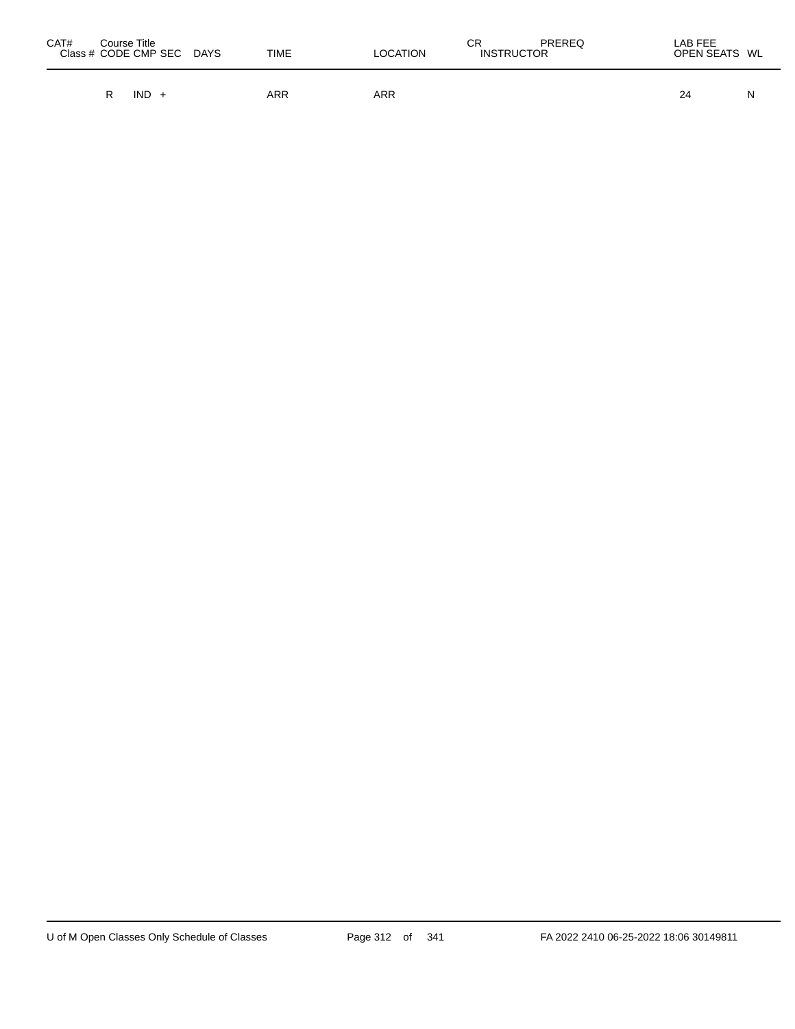| CAT#<br>Course Title<br>Class # CODE CMP SEC | TIME<br>DAYS | <b>LOCATION</b> | СR<br>PREREQ<br><b>INSTRUCTOR</b> | LAB FEE<br>OPEN SEATS WL |
|----------------------------------------------|--------------|-----------------|-----------------------------------|--------------------------|
| IND.                                         | <b>ARR</b>   | ARR             |                                   | 24<br>N                  |

 $\overline{\phantom{0}}$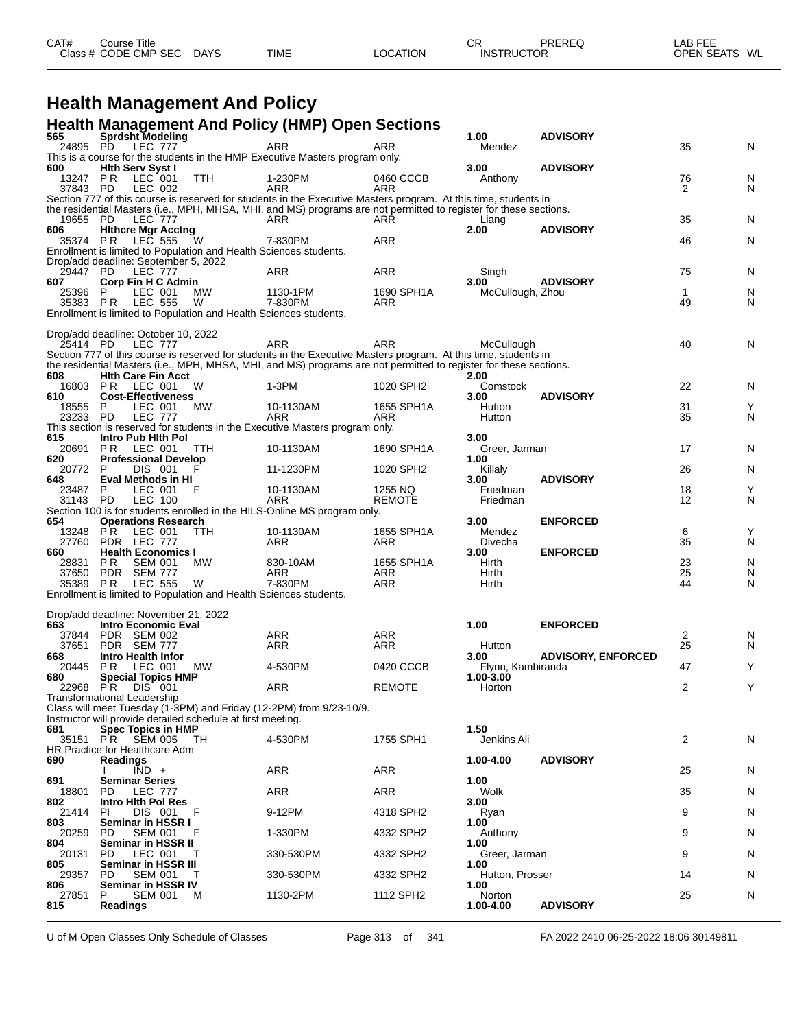| CAT# | ourse Titleٽ         |             |             |                 | СR                | PREREQ | _AB FEE       |  |
|------|----------------------|-------------|-------------|-----------------|-------------------|--------|---------------|--|
|      | Class # CODE CMP SEC | <b>DAYS</b> | <b>TIME</b> | <b>LOCATION</b> | <b>INSTRUCTOR</b> |        | OPEN SEATS WL |  |

#### **Health Management And Policy**

#### **Health Management And Policy (HMP) Open Sections**

| 565            | Sprdsht Modeling                                                   |                                                             |                                                                                                                                                                                                                                      |                   | 1.00                      | <b>ADVISORY</b>           |                |        |
|----------------|--------------------------------------------------------------------|-------------------------------------------------------------|--------------------------------------------------------------------------------------------------------------------------------------------------------------------------------------------------------------------------------------|-------------------|---------------------------|---------------------------|----------------|--------|
| 24895 PD       | <b>LEC 777</b>                                                     |                                                             | ARR                                                                                                                                                                                                                                  | ARR               | Mendez                    |                           | 35             | N      |
| 600            | <b>Hith Serv Syst I</b>                                            |                                                             | This is a course for the students in the HMP Executive Masters program only.                                                                                                                                                         |                   | 3.00                      | <b>ADVISORY</b>           |                |        |
| 13247 PR       | $LEC$ 001                                                          | TTH                                                         | 1-230PM                                                                                                                                                                                                                              | 0460 CCCB         | Anthony                   |                           | 76             | N      |
| 37843 PD       | LEC 002                                                            |                                                             | <b>ARR</b>                                                                                                                                                                                                                           | ARR               |                           |                           | 2              | N      |
|                |                                                                    |                                                             | Section 777 of this course is reserved for students in the Executive Masters program. At this time, students in<br>the residential Masters (i.e., MPH, MHSA, MHI, and MS) programs are not permitted to register for these sections. |                   |                           |                           |                |        |
| 19655          | PD<br><b>LEC 777</b>                                               |                                                             | ARR                                                                                                                                                                                                                                  | ARR               | Liang                     |                           | 35             | N      |
| 606            | <b>Hithcre Mgr Acctng</b>                                          |                                                             |                                                                                                                                                                                                                                      |                   | 2.00                      | <b>ADVISORY</b>           |                |        |
| 35374 PR       | LEC 555                                                            | W                                                           | 7-830PM                                                                                                                                                                                                                              | ARR               |                           |                           | 46             | N      |
|                | Drop/add deadline: September 5, 2022                               |                                                             | Enrollment is limited to Population and Health Sciences students.                                                                                                                                                                    |                   |                           |                           |                |        |
| 29447 PD       | <b>LEC 777</b>                                                     |                                                             | ARR                                                                                                                                                                                                                                  | ARR               | Singh                     |                           | 75             | N      |
| 607            | <b>Corp Fin H C Admin</b>                                          |                                                             |                                                                                                                                                                                                                                      |                   | 3.00                      | <b>ADVISORY</b>           |                |        |
| 25396          | LEC 001                                                            | MW                                                          | 1130-1PM                                                                                                                                                                                                                             | 1690 SPH1A        | McCullough, Zhou          |                           | $\mathbf{1}$   | N      |
| 35383 PR       | <b>LEC 555</b>                                                     | W                                                           | 7-830PM<br>Enrollment is limited to Population and Health Sciences students.                                                                                                                                                         | ARR               |                           |                           | 49             | N      |
|                |                                                                    |                                                             |                                                                                                                                                                                                                                      |                   |                           |                           |                |        |
|                | Drop/add deadline: October 10, 2022                                |                                                             |                                                                                                                                                                                                                                      |                   |                           |                           |                |        |
| 25414 PD       | LEC 777                                                            |                                                             | ARR                                                                                                                                                                                                                                  | ARR               | McCullough                |                           | 40             | N      |
|                |                                                                    |                                                             | Section 777 of this course is reserved for students in the Executive Masters program. At this time, students in                                                                                                                      |                   |                           |                           |                |        |
| 608            | <b>Hith Care Fin Acct</b>                                          |                                                             | the residential Masters (i.e., MPH, MHSA, MHI, and MS) programs are not permitted to register for these sections.                                                                                                                    |                   | 2.00                      |                           |                |        |
| 16803          | LEC 001<br>P R                                                     | W                                                           | 1-3PM                                                                                                                                                                                                                                | 1020 SPH2         | Comstock                  |                           | 22             | N      |
| 610            | <b>Cost-Effectiveness</b>                                          |                                                             |                                                                                                                                                                                                                                      |                   | 3.00                      | <b>ADVISORY</b>           |                |        |
| 18555          | P.<br>LEC 001<br><b>LEC 777</b>                                    | МW                                                          | 10-1130AM<br>ARR                                                                                                                                                                                                                     | 1655 SPH1A<br>ARR | Hutton                    |                           | 31<br>35       | Υ      |
| 23233 PD       |                                                                    |                                                             | This section is reserved for students in the Executive Masters program only.                                                                                                                                                         |                   | Hutton                    |                           |                | N      |
| 615            | Intro Pub Hith Pol                                                 |                                                             |                                                                                                                                                                                                                                      |                   | 3.00                      |                           |                |        |
| 20691          | LEC 001<br>PR.                                                     | TTH                                                         | 10-1130AM                                                                                                                                                                                                                            | 1690 SPH1A        | Greer, Jarman             |                           | 17             | N      |
| 620            | <b>Professional Develop</b>                                        |                                                             |                                                                                                                                                                                                                                      |                   | 1.00                      |                           |                |        |
| 20772<br>648   | P<br>DIS 001<br>Eval Methods in HI                                 |                                                             | 11-1230PM                                                                                                                                                                                                                            | 1020 SPH2         | Killaly<br>3.00           | <b>ADVISORY</b>           | 26             | N      |
| 23487 P        | LEC 001                                                            | F                                                           | 10-1130AM                                                                                                                                                                                                                            | 1255 NQ           | Friedman                  |                           | 18             | Y      |
| 31143 PD       | LEC 100                                                            |                                                             | ARR                                                                                                                                                                                                                                  | <b>REMOTE</b>     | Friedman                  |                           | 12             | N      |
| 654            |                                                                    |                                                             | Section 100 is for students enrolled in the HILS-Online MS program only.                                                                                                                                                             |                   | 3.00                      | <b>ENFORCED</b>           |                |        |
| 13248          | <b>Operations Research</b><br>PR.<br>LEC 001                       | <b>TTH</b>                                                  | 10-1130AM                                                                                                                                                                                                                            | 1655 SPH1A        | Mendez                    |                           | 6              | Υ      |
| 27760          | PDR LEC 777                                                        |                                                             | ARR                                                                                                                                                                                                                                  | ARR               | Divecha                   |                           | 35             | N      |
| 660            | <b>Health Economics I</b>                                          |                                                             |                                                                                                                                                                                                                                      |                   | 3.00                      | <b>ENFORCED</b>           |                |        |
| 28831<br>37650 | PR.<br><b>SEM 001</b><br>PDR SEM 777                               | МW                                                          | 830-10AM<br>ARR                                                                                                                                                                                                                      | 1655 SPH1A<br>ARR | Hirth<br>Hirth            |                           | 23<br>25       | N<br>N |
| 35389 PR       | LEC 555                                                            | W                                                           | 7-830PM                                                                                                                                                                                                                              | ARR               | Hirth                     |                           | 44             | N      |
|                |                                                                    |                                                             | Enrollment is limited to Population and Health Sciences students.                                                                                                                                                                    |                   |                           |                           |                |        |
|                |                                                                    |                                                             |                                                                                                                                                                                                                                      |                   |                           |                           |                |        |
| 663            | Drop/add deadline: November 21, 2022<br><b>Intro Economic Eval</b> |                                                             |                                                                                                                                                                                                                                      |                   | 1.00                      | <b>ENFORCED</b>           |                |        |
| 37844          | PDR SEM 002                                                        |                                                             | ARR                                                                                                                                                                                                                                  | ARR               |                           |                           | $\overline{2}$ | N      |
| 37651          | PDR SEM 777                                                        |                                                             | ARR                                                                                                                                                                                                                                  | <b>ARR</b>        | Hutton                    |                           | 25             | N      |
| 668            | Intro Health Infor<br>LEC 001                                      | MW                                                          |                                                                                                                                                                                                                                      |                   | 3.00<br>Flynn, Kambiranda | <b>ADVISORY, ENFORCED</b> | 47             | Y      |
| 20445<br>680   | P R<br><b>Special Topics HMP</b>                                   |                                                             | 4-530PM                                                                                                                                                                                                                              | 0420 CCCB         | $1.00 - 3.00$             |                           |                |        |
| 22968 PR       | DIS 001                                                            |                                                             | ARR                                                                                                                                                                                                                                  | <b>REMOTE</b>     | Horton                    |                           | 2              | Y      |
|                | Transformational Leadership                                        |                                                             |                                                                                                                                                                                                                                      |                   |                           |                           |                |        |
|                |                                                                    | Instructor will provide detailed schedule at first meeting. | Class will meet Tuesday (1-3PM) and Friday (12-2PM) from 9/23-10/9.                                                                                                                                                                  |                   |                           |                           |                |        |
| 681            | <b>Spec Topics in HMP</b>                                          |                                                             |                                                                                                                                                                                                                                      |                   | 1.50                      |                           |                |        |
| 35151 PR       | SEM 005                                                            | TH.                                                         | 4-530PM                                                                                                                                                                                                                              | 1755 SPH1         | Jenkins Ali               |                           | 2              | N      |
|                | HR Practice for Healthcare Adm                                     |                                                             |                                                                                                                                                                                                                                      |                   |                           |                           |                |        |
| 690            | <b>Readings</b><br>$\overline{IND}$ +                              |                                                             | ARR                                                                                                                                                                                                                                  | ARR               | 1.00-4.00                 | <b>ADVISORY</b>           | 25             | N      |
| 691            | <b>Seminar Series</b>                                              |                                                             |                                                                                                                                                                                                                                      |                   | 1.00                      |                           |                |        |
| 18801          | <b>LEC 777</b><br>PD                                               |                                                             | ARR                                                                                                                                                                                                                                  | ARR               | Wolk                      |                           | 35             | N      |
| 802            | <b>Intro Hith Pol Res</b>                                          |                                                             |                                                                                                                                                                                                                                      |                   | 3.00                      |                           |                |        |
| 21414<br>803   | PI.<br>DIS 001<br>Seminar in HSSR I                                | F                                                           | 9-12PM                                                                                                                                                                                                                               | 4318 SPH2         | Ryan<br>1.00              |                           | 9              | N      |
| 20259          | <b>SEM 001</b><br>PD                                               |                                                             | 1-330PM                                                                                                                                                                                                                              | 4332 SPH2         | Anthony                   |                           | 9              | N      |
| 804            | Seminar in HSSR II                                                 |                                                             |                                                                                                                                                                                                                                      |                   | 1.00                      |                           |                |        |
| 20131<br>805   | PD.<br>LEC 001<br>Seminar in HSSR III                              | т                                                           | 330-530PM                                                                                                                                                                                                                            | 4332 SPH2         | Greer, Jarman<br>1.00     |                           | 9              | N      |
| 29357          | PD<br><b>SEM 001</b>                                               | Τ                                                           | 330-530PM                                                                                                                                                                                                                            | 4332 SPH2         | Hutton, Prosser           |                           | 14             | N      |
| 806            | Seminar in HSSR IV                                                 |                                                             |                                                                                                                                                                                                                                      |                   | 1.00                      |                           |                |        |
| 27851<br>815   | <b>SEM 001</b><br>P                                                | М                                                           | 1130-2PM                                                                                                                                                                                                                             | 1112 SPH2         | Norton                    | <b>ADVISORY</b>           | 25             | N      |
|                | Readings                                                           |                                                             |                                                                                                                                                                                                                                      |                   | 1.00-4.00                 |                           |                |        |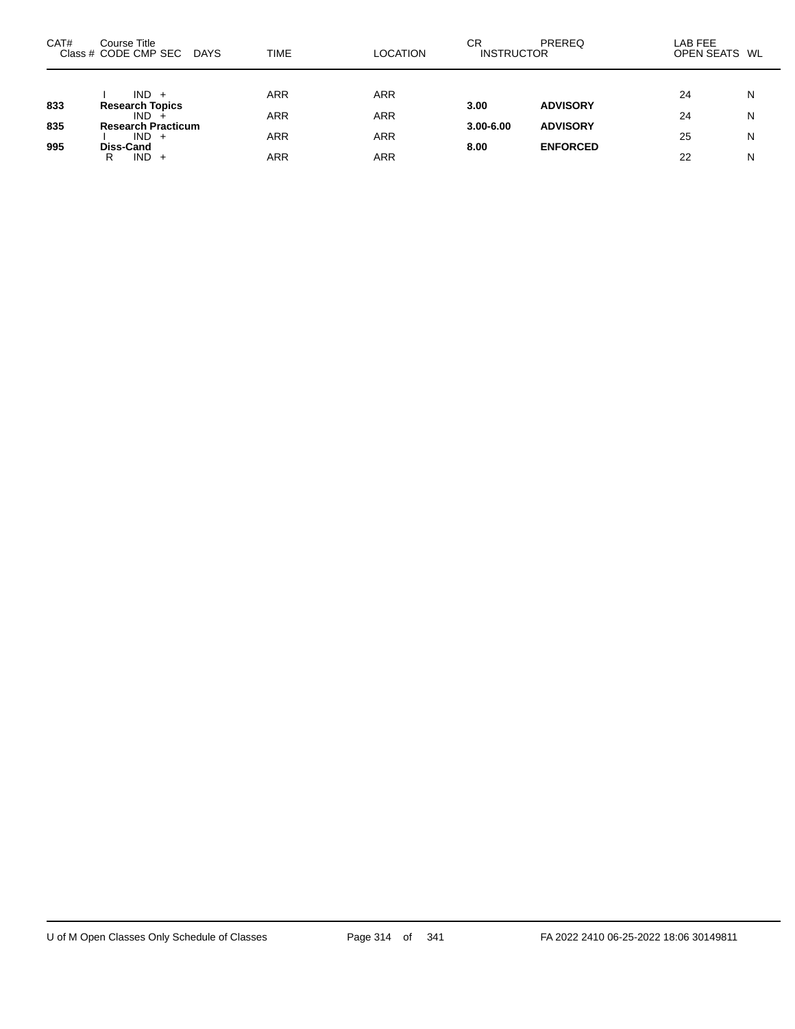| CAT# | Course Title<br>Class # CODE CMP SEC<br>DAYS | TIME       | <b>LOCATION</b>   | СR<br><b>INSTRUCTOR</b> | PREREQ          | LAB FEE<br>OPEN SEATS WL |        |
|------|----------------------------------------------|------------|-------------------|-------------------------|-----------------|--------------------------|--------|
| 833  | $IND +$<br><b>Research Topics</b>            | <b>ARR</b> | ARR               | 3.00                    | <b>ADVISORY</b> | 24                       | N      |
| 835  | $IND +$<br><b>Research Practicum</b>         | <b>ARR</b> | <b>ARR</b>        | $3.00 - 6.00$           | <b>ADVISORY</b> | 24                       | N      |
| 995  | $IND +$<br>Diss-Cand<br>$IND +$<br>R         | ARR<br>ARR | <b>ARR</b><br>ARR | 8.00                    | <b>ENFORCED</b> | 25<br>22                 | N<br>N |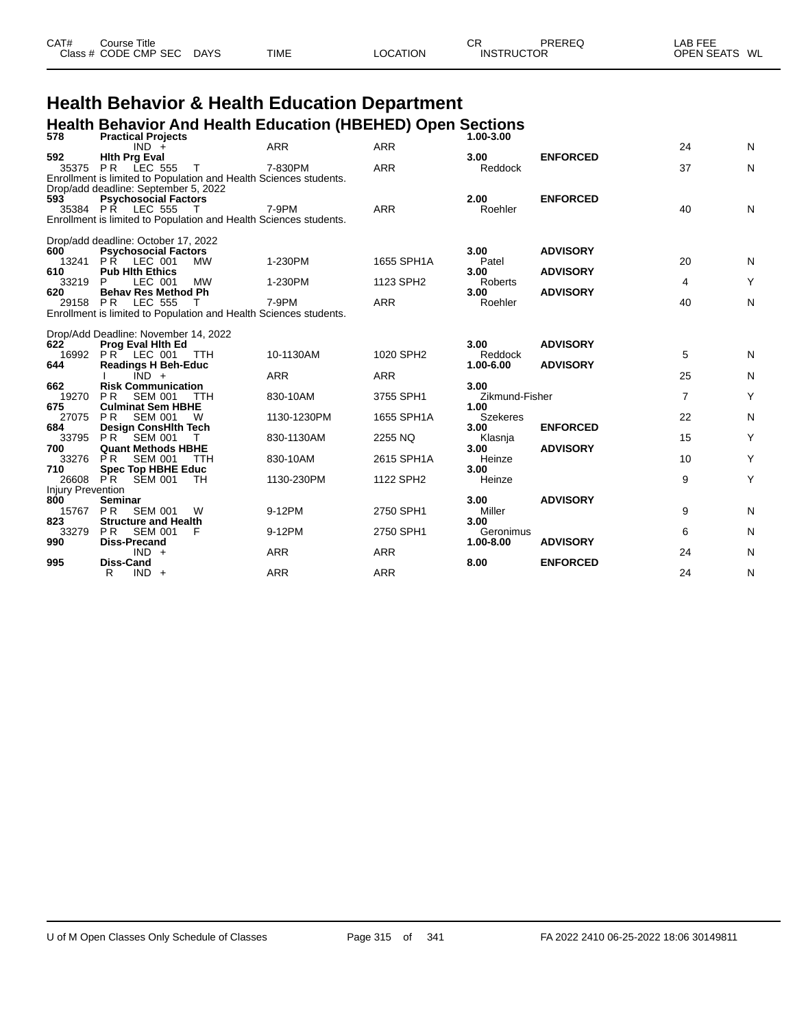| CAT# | Course Title         |      |             |          | СR                | PREREQ | LAB FEE                 |
|------|----------------------|------|-------------|----------|-------------------|--------|-------------------------|
|      | Class # CODE CMP SEC | DAYS | <b>TIME</b> | LOCATION | <b>INSTRUCTOR</b> |        | <b>OPEN SEATS</b><br>WL |
|      |                      |      |             |          |                   |        |                         |

# **Health Behavior & Health Education Department**

## **Health Behavior And Health Education (HBEHED) Open Sections 578 Practical Projects 1.00-3.00**

| JIO                      | <b>FIQUIUDI FIUJEUIS</b><br>$IND +$                                  | <b>ARR</b>  | <b>ARR</b> | 1.00-3.00              |                 | 24             | N |
|--------------------------|----------------------------------------------------------------------|-------------|------------|------------------------|-----------------|----------------|---|
| 592                      | <b>Hith Prg Eval</b>                                                 |             |            | 3.00                   | <b>ENFORCED</b> |                |   |
| 35375                    | P <sub>R</sub><br>LEC 555<br>$\top$                                  | 7-830PM     | <b>ARR</b> | Reddock                |                 | 37             | N |
|                          | Enrollment is limited to Population and Health Sciences students.    |             |            |                        |                 |                |   |
| 593                      | Drop/add deadline: September 5, 2022<br><b>Psychosocial Factors</b>  |             |            | 2.00                   | <b>ENFORCED</b> |                |   |
|                          | 35384 PR LEC 555<br>$\top$                                           | 7-9PM       | <b>ARR</b> | Roehler                |                 | 40             | N |
|                          | Enrollment is limited to Population and Health Sciences students.    |             |            |                        |                 |                |   |
|                          |                                                                      |             |            |                        |                 |                |   |
|                          | Drop/add deadline: October 17, 2022                                  |             |            |                        |                 |                |   |
| 600<br>13241             | <b>Psychosocial Factors</b><br><b>PR LEC 001</b><br>MW               | 1-230PM     | 1655 SPH1A | 3.00<br>Patel          | <b>ADVISORY</b> | 20             | N |
| 610                      | <b>Pub Hith Ethics</b>                                               |             |            | 3.00                   | <b>ADVISORY</b> |                |   |
| 33219                    | LEC 001<br>MW<br>P                                                   | 1-230PM     | 1123 SPH2  | Roberts                |                 | 4              | Υ |
| 620                      | <b>Behav Res Method Ph</b>                                           |             |            | 3.00                   | <b>ADVISORY</b> |                |   |
|                          | 29158 PR LEC 555<br>T                                                | 7-9PM       | <b>ARR</b> | Roehler                |                 | 40             | N |
|                          | Enrollment is limited to Population and Health Sciences students.    |             |            |                        |                 |                |   |
|                          | Drop/Add Deadline: November 14, 2022                                 |             |            |                        |                 |                |   |
| 622                      | <b>Prog Eval Hith Ed</b>                                             |             |            | 3.00                   | <b>ADVISORY</b> |                |   |
| 16992                    | PR LEC 001 TTH                                                       | 10-1130AM   | 1020 SPH2  | Reddock                |                 | 5              | N |
| 644                      | <b>Readings H Beh-Educ</b>                                           |             |            | 1.00-6.00              | <b>ADVISORY</b> |                |   |
|                          | $IND +$                                                              | <b>ARR</b>  | <b>ARR</b> |                        |                 | 25             | N |
| 662<br>19270             | <b>Risk Communication</b><br><b>SEM 001</b><br>P <sub>R</sub><br>TTH | 830-10AM    | 3755 SPH1  | 3.00<br>Zikmund-Fisher |                 | $\overline{7}$ | Υ |
| 675                      | <b>Culminat Sem HBHE</b>                                             |             |            | 1.00                   |                 |                |   |
| 27075                    | <b>PR</b><br><b>SEM 001</b><br>W                                     | 1130-1230PM | 1655 SPH1A | <b>Szekeres</b>        |                 | 22             | N |
| 684                      | <b>Design ConsHith Tech</b>                                          |             |            | 3.00                   | <b>ENFORCED</b> |                |   |
| 33795                    | <b>SEM 001</b><br>P <sub>R</sub><br>т                                | 830-1130AM  | 2255 NQ    | Klasnja                |                 | 15             | Υ |
| 700                      | <b>Quant Methods HBHE</b>                                            |             |            | 3.00                   | <b>ADVISORY</b> |                |   |
| 33276                    | <b>PR</b><br><b>SEM 001</b><br>TTH                                   | 830-10AM    | 2615 SPH1A | Heinze                 |                 | 10             | Υ |
| 710<br>26608             | <b>Spec Top HBHE Educ</b><br><b>SEM 001</b><br>PR.<br>TН             | 1130-230PM  | 1122 SPH2  | 3.00<br>Heinze         |                 | 9              | Υ |
| <b>Injury Prevention</b> |                                                                      |             |            |                        |                 |                |   |
| 800                      | Seminar                                                              |             |            | 3.00                   | <b>ADVISORY</b> |                |   |
| 15767                    | P <sub>R</sub><br><b>SEM 001</b><br>W                                | 9-12PM      | 2750 SPH1  | Miller                 |                 | 9              | N |
| 823                      | <b>Structure and Health</b>                                          |             |            | 3.00                   |                 |                |   |
| 33279                    | P <sub>R</sub><br><b>SEM 001</b><br>F                                | 9-12PM      | 2750 SPH1  | Geronimus              |                 | 6              | N |
| 990                      | <b>Diss-Precand</b>                                                  |             |            | 1.00-8.00              | <b>ADVISORY</b> |                |   |
| 995                      | $IND +$<br><b>Diss-Cand</b>                                          | <b>ARR</b>  | <b>ARR</b> |                        | <b>ENFORCED</b> | 24             | N |
|                          | R.<br>$IND +$                                                        | <b>ARR</b>  | <b>ARR</b> | 8.00                   |                 | 24             | N |
|                          |                                                                      |             |            |                        |                 |                |   |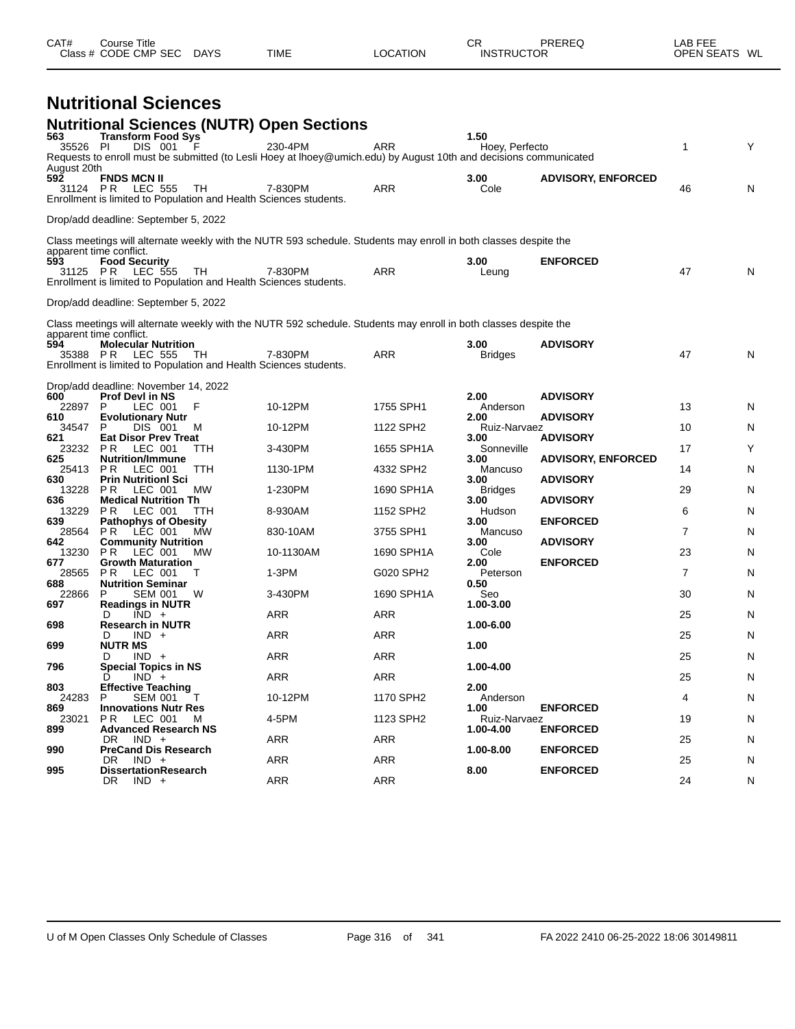| CAT# | Course Title<br>Class # CODE CMP SEC | <b>DAYS</b> | <b>TIME</b> | <b>LOCATION</b> | ⌒冖<br>◡┍<br><b>INSTRUCTOR</b> | PREREQ | LAB FEE<br>OPEN SEATS WL |  |
|------|--------------------------------------|-------------|-------------|-----------------|-------------------------------|--------|--------------------------|--|
|      |                                      |             |             |                 |                               |        |                          |  |

### **Nutritional Sciences**

| 563                | <b>Nutritional Sciences (NUTR) Open Sections</b><br><b>Transform Food Sys</b>                                                               |            |            | 1.50                   |                           |                |   |
|--------------------|---------------------------------------------------------------------------------------------------------------------------------------------|------------|------------|------------------------|---------------------------|----------------|---|
| 35526 PI           | DIS 001<br>-F<br>Requests to enroll must be submitted (to Lesli Hoey at Ihoey@umich.edu) by August 10th and decisions communicated          | 230-4PM    | <b>ARR</b> | Hoey, Perfecto         |                           | $\mathbf{1}$   | Υ |
| August 20th<br>592 | <b>FNDS MCN II</b><br>31124 PR LEC 555<br>TH<br>Enrollment is limited to Population and Health Sciences students.                           | 7-830PM    | ARR        | 3.00<br>Cole           | <b>ADVISORY, ENFORCED</b> | 46             | N |
|                    | Drop/add deadline: September 5, 2022                                                                                                        |            |            |                        |                           |                |   |
|                    | Class meetings will alternate weekly with the NUTR 593 schedule. Students may enroll in both classes despite the<br>apparent time conflict. |            |            |                        |                           |                |   |
| 593<br>31125 PR    | <b>Food Security</b><br>LEC 555<br>TH<br>Enrollment is limited to Population and Health Sciences students.                                  | 7-830PM    | <b>ARR</b> | 3.00<br>Leung          | <b>ENFORCED</b>           | 47             | N |
|                    | Drop/add deadline: September 5, 2022                                                                                                        |            |            |                        |                           |                |   |
|                    | Class meetings will alternate weekly with the NUTR 592 schedule. Students may enroll in both classes despite the                            |            |            |                        |                           |                |   |
| 594<br>35388       | apparent time conflict.<br><b>Molecular Nutrition</b><br>P <sub>R</sub><br>LEC 555<br>TH                                                    | 7-830PM    | <b>ARR</b> | 3.00<br><b>Bridges</b> | <b>ADVISORY</b>           | 47             | N |
|                    | Enrollment is limited to Population and Health Sciences students.                                                                           |            |            |                        |                           |                |   |
| 600                | Drop/add deadline: November 14, 2022<br><b>Prof Devl in NS</b>                                                                              |            |            | 2.00                   | <b>ADVISORY</b>           |                |   |
| 22897<br>610       | $\sf P$<br>LEC 001<br>F<br><b>Evolutionary Nutr</b>                                                                                         | 10-12PM    | 1755 SPH1  | Anderson<br>2.00       | <b>ADVISORY</b>           | 13             | N |
| 34547<br>621       | P<br>DIS 001<br>м<br><b>Eat Disor Prev Treat</b>                                                                                            | 10-12PM    | 1122 SPH2  | Ruiz-Narvaez<br>3.00   | <b>ADVISORY</b>           | 10             | N |
| 23232<br>625       | <b>PR</b><br>LEC 001<br>ттн<br><b>Nutrition/Immune</b>                                                                                      | 3-430PM    | 1655 SPH1A | Sonneville<br>3.00     | <b>ADVISORY, ENFORCED</b> | 17             | Υ |
| 25413              | <b>PR</b><br>LEC 001<br><b>TTH</b>                                                                                                          | 1130-1PM   | 4332 SPH2  | Mancuso                |                           | 14             | N |
| 630<br>13228       | <b>Prin Nutritionl Sci</b><br>LEC 001<br>MW<br>P R                                                                                          | 1-230PM    | 1690 SPH1A | 3.00<br><b>Bridges</b> | <b>ADVISORY</b>           | 29             | N |
| 636<br>13229       | <b>Medical Nutrition Th</b><br>P <sub>R</sub><br>LEC 001<br>TTH                                                                             | 8-930AM    | 1152 SPH2  | 3.00<br>Hudson         | <b>ADVISORY</b>           | 6              | N |
| 639<br>28564       | <b>Pathophys of Obesity</b><br>LEC 001<br><b>MW</b><br>P <sub>R</sub>                                                                       | 830-10AM   | 3755 SPH1  | 3.00<br>Mancuso        | <b>ENFORCED</b>           | $\overline{7}$ | N |
| 642<br>13230       | <b>Community Nutrition</b><br>P <sub>R</sub><br>LEC 001<br><b>MW</b>                                                                        | 10-1130AM  | 1690 SPH1A | 3.00<br>Cole           | <b>ADVISORY</b>           | 23             | Ν |
| 677<br>28565       | <b>Growth Maturation</b><br>P R<br>LEC 001<br>т                                                                                             | $1-3PM$    | G020 SPH2  | 2.00<br>Peterson       | <b>ENFORCED</b>           | $\overline{7}$ | N |
| 688<br>22866       | <b>Nutrition Seminar</b><br>P<br><b>SEM 001</b><br>W                                                                                        | 3-430PM    | 1690 SPH1A | 0.50<br>Seo            |                           | 30             | N |
| 697                | <b>Readings in NUTR</b><br>$IND +$<br>D                                                                                                     | ARR        | <b>ARR</b> | 1.00-3.00              |                           | 25             |   |
| 698                | <b>Research in NUTR</b>                                                                                                                     |            |            | 1.00-6.00              |                           |                | N |
| 699                | $IND +$<br>Ð<br><b>NUTR MS</b>                                                                                                              | ARR        | <b>ARR</b> | 1.00                   |                           | 25             | N |
| 796                | D<br>$IND +$<br><b>Special Topics in NS</b>                                                                                                 | <b>ARR</b> | <b>ARR</b> | 1.00-4.00              |                           | 25             | N |
| 803                | $IND +$<br>D<br><b>Effective Teaching</b>                                                                                                   | ARR        | <b>ARR</b> | 2.00                   |                           | 25             | N |
| 24283<br>869       | P<br><b>SEM 001</b><br><b>Innovations Nutr Res</b>                                                                                          | 10-12PM    | 1170 SPH2  | Anderson<br>1.00       | <b>ENFORCED</b>           | 4              | N |
| 23021              | <b>PR</b><br>LEC 001<br>м                                                                                                                   | 4-5PM      | 1123 SPH2  | Ruiz-Narvaez           |                           | 19             | N |
| 899                | <b>Advanced Research NS</b><br>DR.<br>$IND +$                                                                                               | ARR        | <b>ARR</b> | 1.00-4.00              | <b>ENFORCED</b>           | 25             | N |
| 990                | <b>PreCand Dis Research</b><br>$IND +$<br>DR.                                                                                               | ARR        | <b>ARR</b> | 1.00-8.00              | <b>ENFORCED</b>           | 25             | N |
| 995                | <b>DissertationResearch</b><br>DR.<br>$IND +$                                                                                               | ARR        | <b>ARR</b> | 8.00                   | <b>ENFORCED</b>           | 24             | N |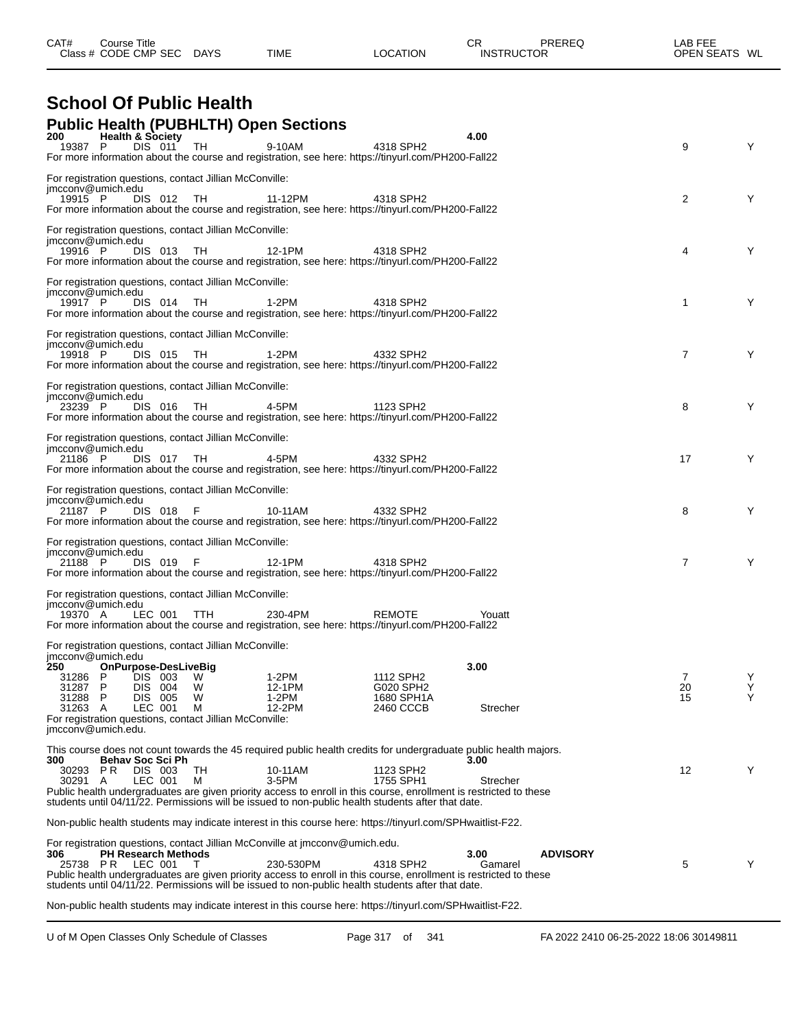| CAT# | ourse Titleٽ         |             |             |          | СR                | <b>PREREQ</b> | _AB FEE       |  |
|------|----------------------|-------------|-------------|----------|-------------------|---------------|---------------|--|
|      | Class # CODE CMP SEC | <b>DAYS</b> | <b>TIME</b> | LOCATION | <b>INSTRUCTOR</b> |               | OPEN SEATS WL |  |

#### **School Of Public Health Public Health (PUBHLTH) Open Sections**

| 200<br><b>Health &amp; Society</b><br>19387 P<br>DIS 011<br>For more information about the course and registration, see here: https://tinyurl.com/PH200-Fall22                                                                                                                                                                                                                                                              | , - г<br>TH      | 9-10AM                             | 4318 SPH2                                         | 4.00                               | 9              | Υ      |
|-----------------------------------------------------------------------------------------------------------------------------------------------------------------------------------------------------------------------------------------------------------------------------------------------------------------------------------------------------------------------------------------------------------------------------|------------------|------------------------------------|---------------------------------------------------|------------------------------------|----------------|--------|
| For registration questions, contact Jillian McConville:<br>imcconv@umich.edu<br>19915 P<br>DIS 012<br>For more information about the course and registration, see here: https://tinyurl.com/PH200-Fall22                                                                                                                                                                                                                    | TH               | 11-12PM                            | 4318 SPH2                                         |                                    | $\overline{2}$ | Y      |
| For registration questions, contact Jillian McConville:<br>jmcconv@umich.edu<br>19916 P<br>DIS 013<br>For more information about the course and registration, see here: https://tinyurl.com/PH200-Fall22                                                                                                                                                                                                                    | TH               | 12-1PM                             | 4318 SPH2                                         |                                    | 4              | Y      |
| For registration questions, contact Jillian McConville:<br>jmcconv@umich.edu<br>19917 P<br>DIS 014<br>For more information about the course and registration, see here: https://tinyurl.com/PH200-Fall22                                                                                                                                                                                                                    | TH.              | 1-2PM                              | 4318 SPH2                                         |                                    | 1              | Y      |
| For registration questions, contact Jillian McConville:<br>imcconv@umich.edu<br>19918 P<br>DIS 015<br>For more information about the course and registration, see here: https://tinyurl.com/PH200-Fall22                                                                                                                                                                                                                    | TH               | 1-2PM                              | 4332 SPH2                                         |                                    | 7              | Y      |
| For registration questions, contact Jillian McConville:<br>jmcconv@umich.edu<br>23239 P<br>DIS 016<br>For more information about the course and registration, see here: https://tinyurl.com/PH200-Fall22                                                                                                                                                                                                                    | TH               | 4-5PM                              | 1123 SPH2                                         |                                    | 8              | Y      |
| For registration questions, contact Jillian McConville:<br>jmcconv@umich.edu<br>DIS 017 TH<br>21186 P<br>For more information about the course and registration, see here: https://tinyurl.com/PH200-Fall22                                                                                                                                                                                                                 |                  | 4-5PM                              | 4332 SPH2                                         |                                    | 17             | Y      |
| For registration questions, contact Jillian McConville:<br>imcconv@umich.edu<br>21187 P<br>DIS 018<br>For more information about the course and registration, see here: https://tinyurl.com/PH200-Fall22                                                                                                                                                                                                                    | - F              | 10-11AM                            | 4332 SPH2                                         |                                    | 8              | Y      |
| For registration questions, contact Jillian McConville:<br>jmcconv@umich.edu<br>21188 P<br>DIS 019<br>For more information about the course and registration, see here: https://tinyurl.com/PH200-Fall22                                                                                                                                                                                                                    | - F              | 12-1PM                             | 4318 SPH2                                         |                                    | 7              | Y      |
| For registration questions, contact Jillian McConville:<br>jmcconv@umich.edu<br>LEC 001<br>19370 A<br>For more information about the course and registration, see here: https://tinyurl.com/PH200-Fall22                                                                                                                                                                                                                    | TTH              | 230-4PM                            | <b>REMOTE</b>                                     | Youatt                             |                |        |
| For registration questions, contact Jillian McConville:<br>imcconv@umich.edu<br>OnPurpose-DesLiveBig<br>250<br>DIS 003<br>31286 P<br>31287 P<br>DIS 004<br>31288<br>P.<br>DIS 005<br>31263 A<br>LEC 001<br>For registration questions, contact Jillian McConville:<br>imcconv@umich.edu.                                                                                                                                    | W<br>W<br>W<br>М | 1-2PM<br>12-1PM<br>1-2PM<br>12-2PM | 1112 SPH2<br>G020 SPH2<br>1680 SPH1A<br>2460 CCCB | 3.00<br>Strecher                   | 7<br>20<br>15  | Υ<br>Υ |
| This course does not count towards the 45 required public health credits for undergraduate public health majors.<br><b>Behav Soc Sci Ph</b><br>300<br>30293 PR<br>DIS 003<br>LEC 001<br>30291 A<br>Public health undergraduates are given priority access to enroll in this course, enrollment is restricted to these<br>students until 04/11/22. Permissions will be issued to non-public health students after that date. | TН<br>м          | 10-11AM<br>3-5PM                   | 1123 SPH2<br>1755 SPH1                            | 3.00<br>Strecher                   | 12             | Y      |
| Non-public health students may indicate interest in this course here: https://tinyurl.com/SPHwaitlist-F22.                                                                                                                                                                                                                                                                                                                  |                  |                                    |                                                   |                                    |                |        |
| For registration questions, contact Jillian McConville at jmcconv@umich.edu.<br><b>PH Research Methods</b><br>306<br>LEC 001<br>25738 PR<br>Public health undergraduates are given priority access to enroll in this course, enrollment is restricted to these<br>students until 04/11/22. Permissions will be issued to non-public health students after that date.                                                        |                  | 230-530PM                          | 4318 SPH2                                         | 3.00<br><b>ADVISORY</b><br>Gamarel | 5              | Y      |
| Non-public health students may indicate interest in this course here: https://tinyurl.com/SPHwaitlist-F22.                                                                                                                                                                                                                                                                                                                  |                  |                                    |                                                   |                                    |                |        |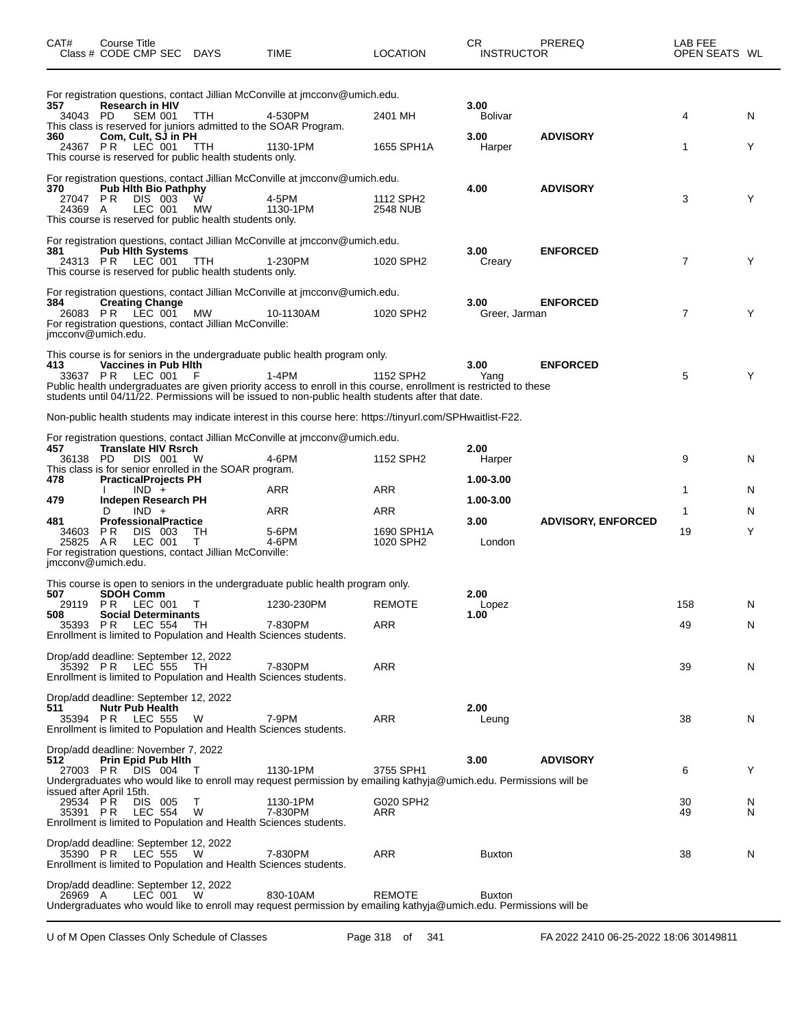| CAT#                                                   | Course Title<br>Class # CODE CMP SEC DAYS  |                                                                      |                                                                       | <b>TIME</b>                                                                                                                                                                                                                                                                                                        | LOCATION                | CR<br><b>INSTRUCTOR</b>     | PREREQ                    | LAB FEE<br>OPEN SEATS WL |        |
|--------------------------------------------------------|--------------------------------------------|----------------------------------------------------------------------|-----------------------------------------------------------------------|--------------------------------------------------------------------------------------------------------------------------------------------------------------------------------------------------------------------------------------------------------------------------------------------------------------------|-------------------------|-----------------------------|---------------------------|--------------------------|--------|
| 357<br>34043 PD                                        | <b>Research in HIV</b>                     | <b>SEM 001</b>                                                       | TTH.                                                                  | For registration questions, contact Jillian McConville at jmcconv@umich.edu.<br>4-530PM                                                                                                                                                                                                                            | 2401 MH                 | 3.00<br><b>Bolivar</b>      |                           | 4                        | N      |
| 360                                                    | 24367 PR LEC 001                           | Com, Cult, SJ in PH                                                  | TTH<br>This course is reserved for public health students only.       | This class is reserved for juniors admitted to the SOAR Program.<br>1130-1PM                                                                                                                                                                                                                                       | 1655 SPH1A              | 3.00<br>Harper              | <b>ADVISORY</b>           | 1                        | Y      |
| 370<br>27047 PR<br>24369 A                             |                                            | <b>Pub Hith Bio Pathphy</b><br>DIS 003<br>LEC 001                    | <b>MW</b><br>This course is reserved for public health students only. | For registration questions, contact Jillian McConville at jmcconv@umich.edu.<br>4-5PM<br>1130-1PM                                                                                                                                                                                                                  | 1112 SPH2<br>2548 NUB   | 4.00                        | <b>ADVISORY</b>           | 3                        | Y      |
| 381                                                    | 24313 PR LEC 001                           | <b>Pub Hith Systems</b>                                              | TTH<br>This course is reserved for public health students only.       | For registration questions, contact Jillian McConville at jmcconv@umich.edu.<br>1-230PM                                                                                                                                                                                                                            | 1020 SPH2               | 3.00<br>Creary              | <b>ENFORCED</b>           | $\overline{7}$           | Y      |
| 384<br>jmcconv@umich.edu.                              | 26083 PR LEC 001                           | <b>Creating Change</b>                                               | MW<br>For registration questions, contact Jillian McConville:         | For registration questions, contact Jillian McConville at jmcconv@umich.edu.<br>10-1130AM                                                                                                                                                                                                                          | 1020 SPH2               | 3.00<br>Greer, Jarman       | <b>ENFORCED</b>           | $\overline{7}$           | Y      |
| 413                                                    | 33637 PR LEC 001                           | <b>Vaccines in Pub Hith</b>                                          | F                                                                     | This course is for seniors in the undergraduate public health program only.<br>$1-4PM$<br>Public health undergraduates are given priority access to enroll in this course, enrollment is restricted to these<br>students until 04/11/22. Permissions will be issued to non-public health students after that date. | 1152 SPH2               | 3.00<br>Yang                | <b>ENFORCED</b>           | 5                        | Y      |
|                                                        |                                            |                                                                      |                                                                       | Non-public health students may indicate interest in this course here: https://tinyurl.com/SPHwaitlist-F22.                                                                                                                                                                                                         |                         |                             |                           |                          |        |
| 457<br>36138 PD<br>478                                 |                                            | <b>Translate HIV Rsrch</b><br>DIS 001<br><b>PracticalProjects PH</b> | - W<br>This class is for senior enrolled in the SOAR program.         | For registration questions, contact Jillian McConville at jmcconv@umich.edu.<br>4-6PM                                                                                                                                                                                                                              | 1152 SPH2               | 2.00<br>Harper<br>1.00-3.00 |                           | 9                        | N      |
| 479                                                    |                                            | $IND +$                                                              |                                                                       | ARR                                                                                                                                                                                                                                                                                                                | ARR                     | 1.00-3.00                   |                           | 1                        | N      |
|                                                        | D                                          | Indepen Research PH<br>$IND +$                                       |                                                                       | ARR                                                                                                                                                                                                                                                                                                                | ARR                     |                             |                           | 1                        | N      |
| 481<br>34603<br>25825 AR<br>imcconv@umich.edu.         | P R                                        | <b>ProfessionalPractice</b><br>DIS 003<br>LEC 001                    | TН<br>Т<br>For registration questions, contact Jillian McConville:    | 5-6PM<br>4-6PM                                                                                                                                                                                                                                                                                                     | 1690 SPH1A<br>1020 SPH2 | 3.00<br>London              | <b>ADVISORY, ENFORCED</b> | 19                       | Y      |
|                                                        |                                            |                                                                      |                                                                       | This course is open to seniors in the undergraduate public health program only.                                                                                                                                                                                                                                    |                         |                             |                           |                          |        |
| 507<br>29119<br>508                                    | <b>SDOH Comm</b><br><b>PR LEC 001</b>      | <b>Social Determinants</b>                                           | Т                                                                     | 1230-230PM                                                                                                                                                                                                                                                                                                         | <b>REMOTE</b>           | 2.00<br>Lopez<br>1.00       |                           | 158                      | N      |
| 35393 PR                                               |                                            | LEC 554                                                              | TH                                                                    | 7-830PM<br>Enrollment is limited to Population and Health Sciences students.                                                                                                                                                                                                                                       | ARR                     |                             |                           | 49                       | N      |
| Drop/add deadline: September 12, 2022                  | 35392 PR LEC 555                           |                                                                      | TH.                                                                   | 7-830PM<br>Enrollment is limited to Population and Health Sciences students.                                                                                                                                                                                                                                       | ARR                     |                             |                           | 39                       | N      |
| Drop/add deadline: September 12, 2022<br>511           | <b>Nutr Pub Health</b><br>35394 PR LEC 555 |                                                                      | W                                                                     | 7-9PM<br>Enrollment is limited to Population and Health Sciences students.                                                                                                                                                                                                                                         | ARR                     | 2.00<br>Leung               |                           | 38                       | N      |
| Drop/add deadline: November 7, 2022<br>512<br>27003 PR |                                            | Prin Epid Pub Hith<br>DIS 004                                        | $\top$                                                                | 1130-1PM<br>Undergraduates who would like to enroll may request permission by emailing kathyja@umich.edu. Permissions will be                                                                                                                                                                                      | 3755 SPH1               | 3.00                        | <b>ADVISORY</b>           | 6                        | Y      |
| issued after April 15th.<br>29534 PR<br>35391 PR       |                                            | DIS 005<br><b>LEC 554</b>                                            | т<br>W                                                                | 1130-1PM<br>7-830PM<br>Enrollment is limited to Population and Health Sciences students.                                                                                                                                                                                                                           | G020 SPH2<br>ARR        |                             |                           | 30<br>49                 | N<br>N |
| Drop/add deadline: September 12, 2022                  | 35390 PR LEC 555                           |                                                                      | W                                                                     | 7-830PM<br>Enrollment is limited to Population and Health Sciences students.                                                                                                                                                                                                                                       | ARR                     | Buxton                      |                           | 38                       | N      |
| Drop/add deadline: September 12, 2022<br>26969 A       |                                            | LEC 001                                                              | W                                                                     | 830-10AM<br>Undergraduates who would like to enroll may request permission by emailing kathyja@umich.edu. Permissions will be                                                                                                                                                                                      | <b>REMOTE</b>           | <b>Buxton</b>               |                           |                          |        |

U of M Open Classes Only Schedule of Classes Page 318 of 341 FA 2022 2410 06-25-2022 18:06 30149811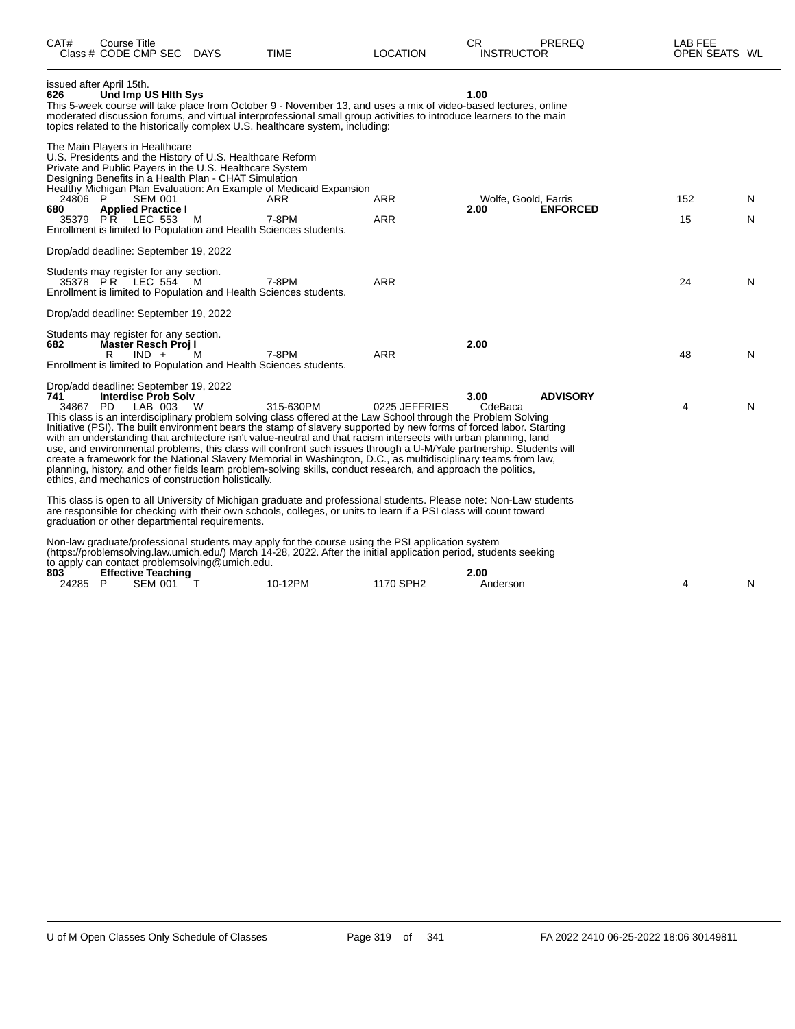| CAT#            | Course Title<br>Class # CODE CMP SEC DAYS                                                                                                                                                                                                                                                                                                               |   | <b>TIME</b>                                                                                                                                                                                                                                                                                                                                                                                                                                                                                                                                                                                                                                                                                                                       | <b>LOCATION</b>   | CR<br><b>INSTRUCTOR</b>      | PREREQ          | LAB FEE<br>OPEN SEATS WL |         |
|-----------------|---------------------------------------------------------------------------------------------------------------------------------------------------------------------------------------------------------------------------------------------------------------------------------------------------------------------------------------------------------|---|-----------------------------------------------------------------------------------------------------------------------------------------------------------------------------------------------------------------------------------------------------------------------------------------------------------------------------------------------------------------------------------------------------------------------------------------------------------------------------------------------------------------------------------------------------------------------------------------------------------------------------------------------------------------------------------------------------------------------------------|-------------------|------------------------------|-----------------|--------------------------|---------|
| 626             | issued after April 15th.<br>Und Imp US Hith Sys                                                                                                                                                                                                                                                                                                         |   | This 5-week course will take place from October 9 - November 13, and uses a mix of video-based lectures, online<br>moderated discussion forums, and virtual interprofessional small group activities to introduce learners to the main<br>topics related to the historically complex U.S. healthcare system, including:                                                                                                                                                                                                                                                                                                                                                                                                           |                   | 1.00                         |                 |                          |         |
| 24806 P<br>680  | The Main Players in Healthcare<br>U.S. Presidents and the History of U.S. Healthcare Reform<br>Private and Public Payers in the U.S. Healthcare System<br>Designing Benefits in a Health Plan - CHAT Simulation<br><b>SEM 001</b><br><b>Applied Practice I</b><br>35379 PR LEC 553<br>Enrollment is limited to Population and Health Sciences students. | M | Healthy Michigan Plan Evaluation: An Example of Medicaid Expansion<br>ARR<br>7-8PM                                                                                                                                                                                                                                                                                                                                                                                                                                                                                                                                                                                                                                                | ARR<br><b>ARR</b> | Wolfe, Goold, Farris<br>2.00 | <b>ENFORCED</b> | 152<br>15                | N.<br>N |
|                 | Drop/add deadline: September 19, 2022                                                                                                                                                                                                                                                                                                                   |   |                                                                                                                                                                                                                                                                                                                                                                                                                                                                                                                                                                                                                                                                                                                                   |                   |                              |                 |                          |         |
|                 | Students may register for any section.<br>35378 PR LEC 554<br>Enrollment is limited to Population and Health Sciences students.                                                                                                                                                                                                                         | M | 7-8PM                                                                                                                                                                                                                                                                                                                                                                                                                                                                                                                                                                                                                                                                                                                             | <b>ARR</b>        |                              |                 | 24                       | N       |
|                 | Drop/add deadline: September 19, 2022                                                                                                                                                                                                                                                                                                                   |   |                                                                                                                                                                                                                                                                                                                                                                                                                                                                                                                                                                                                                                                                                                                                   |                   |                              |                 |                          |         |
| 682             | Students may register for any section.<br><b>Master Resch Proj I</b><br>$IND +$<br>R<br>Enrollment is limited to Population and Health Sciences students.                                                                                                                                                                                               | м | 7-8PM                                                                                                                                                                                                                                                                                                                                                                                                                                                                                                                                                                                                                                                                                                                             | <b>ARR</b>        | 2.00                         |                 | 48                       | N       |
| 741<br>34867 PD | Drop/add deadline: September 19, 2022<br><b>Interdisc Prob Solv</b><br>LAB 003<br>ethics, and mechanics of construction holistically.                                                                                                                                                                                                                   | W | 315-630PM<br>This class is an interdisciplinary problem solving class offered at the Law School through the Problem Solving<br>Initiative (PSI). The built environment bears the stamp of slavery supported by new forms of forced labor. Starting<br>with an understanding that architecture isn't value-neutral and that racism intersects with urban planning, land<br>use, and environmental problems, this class will confront such issues through a U-M/Yale partnership. Students will<br>create a framework for the National Slavery Memorial in Washington, D.C., as multidisciplinary teams from law,<br>planning, history, and other fields learn problem-solving skills, conduct research, and approach the politics, | 0225 JEFFRIES     | 3.00<br>CdeBaca              | <b>ADVISORY</b> | 4                        | N       |
|                 | graduation or other departmental requirements.                                                                                                                                                                                                                                                                                                          |   | This class is open to all University of Michigan graduate and professional students. Please note: Non-Law students<br>are responsible for checking with their own schools, colleges, or units to learn if a PSI class will count toward                                                                                                                                                                                                                                                                                                                                                                                                                                                                                           |                   |                              |                 |                          |         |
| 803<br>24285 P  | to apply can contact problemsolving@umich.edu.<br><b>Effective Teaching</b><br><b>SEM 001</b>                                                                                                                                                                                                                                                           | т | Non-law graduate/professional students may apply for the course using the PSI application system<br>(https://problemsolving.law.umich.edu/) March 14-28, 2022. After the initial application period, students seeking<br>10-12PM                                                                                                                                                                                                                                                                                                                                                                                                                                                                                                  | 1170 SPH2         | 2.00<br>Anderson             |                 | 4                        | N       |
|                 |                                                                                                                                                                                                                                                                                                                                                         |   |                                                                                                                                                                                                                                                                                                                                                                                                                                                                                                                                                                                                                                                                                                                                   |                   |                              |                 |                          |         |

 $\overline{\phantom{0}}$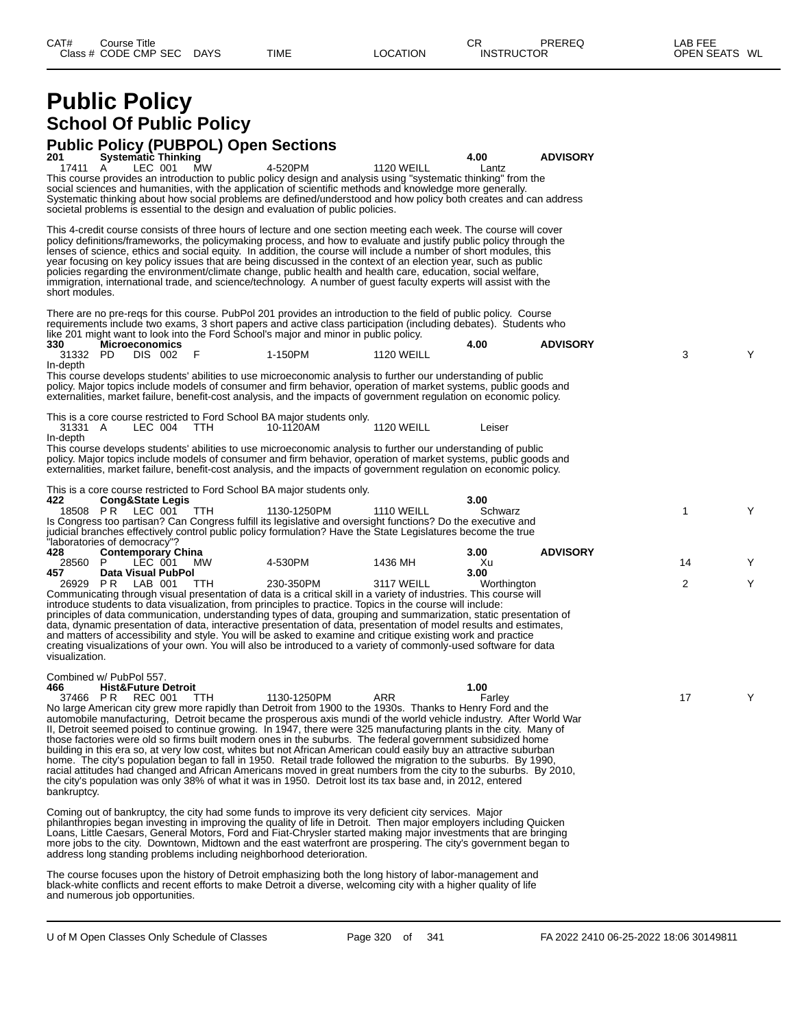# **Public Policy School Of Public Policy**

**Public Policy (PUBPOL) Open Sections 201 Systematic Thinking 4.00 ADVISORY** 17411 A LEC 001 MW 4-520PM 1120 WEILL Lantz This course provides an introduction to public policy design and analysis using "systematic thinking" from the social sciences and humanities, with the application of scientific methods and knowledge more generally. Systematic thinking about how social problems are defined/understood and how policy both creates and can address societal problems is essential to the design and evaluation of public policies. This 4-credit course consists of three hours of lecture and one section meeting each week. The course will cover policy definitions/frameworks, the policymaking process, and how to evaluate and justify public policy through the lenses of science, ethics and social equity. In addition, the course will include a number of short modules, this year focusing on key policy issues that are being discussed in the context of an election year, such as public policies regarding the environment/climate change, public health and health care, education, social welfare, immigration, international trade, and science/technology. A number of guest faculty experts will assist with the short modules. There are no pre-reqs for this course. PubPol 201 provides an introduction to the field of public policy. Course requirements include two exams, 3 short papers and active class participation (including debates). Students who like 201 might want to look into the Ford School's major and minor in public policy.<br>330 **Microeconomics 330 Microeconomics 4.00 ADVISORY** 31332 PD DIS 002 F 1-150PM 1120 WEILL 3 Y In-depth This course develops students' abilities to use microeconomic analysis to further our understanding of public policy. Major topics include models of consumer and firm behavior, operation of market systems, public goods and externalities, market failure, benefit-cost analysis, and the impacts of government regulation on economic policy. This is a core course restricted to Ford School BA major students only.<br>31331 A LEC 004 TTH 10-1120AM 10-1120AM 1120 WEILL Leiser In-depth This course develops students' abilities to use microeconomic analysis to further our understanding of public policy. Major topics include models of consumer and firm behavior, operation of market systems, public goods and externalities, market failure, benefit-cost analysis, and the impacts of government regulation on economic policy. This is a core course restricted to Ford School BA major students only.<br>422 Cong&State Legis **422 Cong&State Legis 3.00** 18508 P R LEC 001 TTH 1130-1250PM 1110 WEILL Schwarz Y Is Congress too partisan? Can Congress fulfill its legislative and oversight functions? Do the executive and judicial branches effectively control public policy formulation? Have the State Legislatures become the true "laboratories of democracy"<br>428 **Contemporary 428 Contemporary China 3.00 ADVISORY** 28560 P LEC 001 MW 4-530PM 1436 MH Xu 14 Y **457 Data Visual PubPol 3.00** 26929 P R LAB 001 TTH 230-350PM 3117 WEILL Worthington Y Communicating through visual presentation of data is a critical skill in a variety of industries. This course will introduce students to data visualization, from principles to practice. Topics in the course will include: principles of data communication, understanding types of data, grouping and summarization, static presentation of data, dynamic presentation of data, interactive presentation of data, presentation of model results and estimates, and matters of accessibility and style. You will be asked to examine and critique existing work and practice creating visualizations of your own. You will also be introduced to a variety of commonly-used software for data visualization. Combined w/ PubPol 557. **466 Hist&Future Detroit 1.00** 37466 P R REC 001 TTH 1130-1250PM ARR Farley 17 Y No large American city grew more rapidly than Detroit from 1900 to the 1930s. Thanks to Henry Ford and the automobile manufacturing, Detroit became the prosperous axis mundi of the world vehicle industry. After World War II, Detroit seemed poised to continue growing. In 1947, there were 325 manufacturing plants in the city. Many of those factories were old so firms built modern ones in the suburbs. The federal government subsidized home building in this era so, at very low cost, whites but not African American could easily buy an attractive suburban home. The city's population began to fall in 1950. Retail trade followed the migration to the suburbs. By 1990, racial attitudes had changed and African Americans moved in great numbers from the city to the suburbs. By 2010, the city's population was only 38% of what it was in 1950. Detroit lost its tax base and, in 2012, entered bankruptcy. Coming out of bankruptcy, the city had some funds to improve its very deficient city services. Major philanthropies began investing in improving the quality of life in Detroit. Then major employers including Quicken Loans, Little Caesars, General Motors, Ford and Fiat-Chrysler started making major investments that are bringing more jobs to the city. Downtown, Midtown and the east waterfront are prospering. The city's government began to address long standing problems including neighborhood deterioration.

The course focuses upon the history of Detroit emphasizing both the long history of labor-management and black-white conflicts and recent efforts to make Detroit a diverse, welcoming city with a higher quality of life and numerous job opportunities.

U of M Open Classes Only Schedule of Classes **Page 320** of 341 FA 2022 2410 06-25-2022 18:06 30149811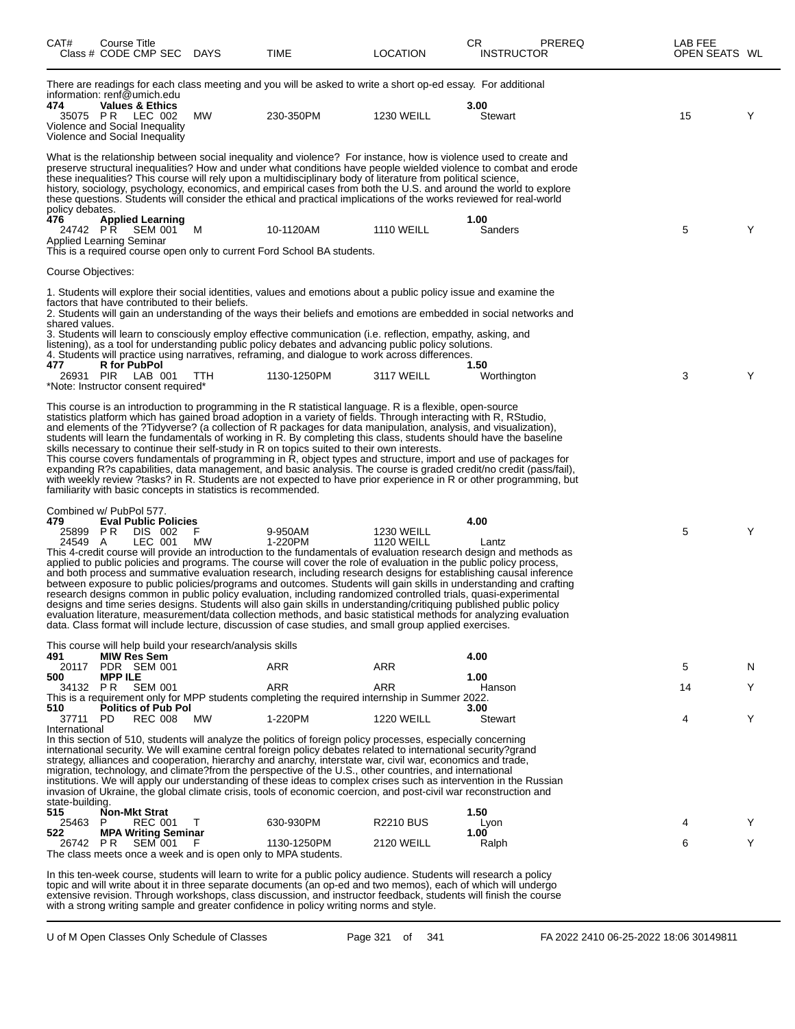| CAT#                             | Course Title<br>Class # CODE CMP SEC DAYS                                                                                                         |          | TIME                                                                                                                                                                                                                                                                                                                                                                                                                                                                                                                                                                                                                                                                                                                                                                                                                                                                                                                                                                                 | <b>LOCATION</b>                        | CR<br><b>INSTRUCTOR</b> | <b>PREREQ</b> | LAB FEE<br>OPEN SEATS WL |   |
|----------------------------------|---------------------------------------------------------------------------------------------------------------------------------------------------|----------|--------------------------------------------------------------------------------------------------------------------------------------------------------------------------------------------------------------------------------------------------------------------------------------------------------------------------------------------------------------------------------------------------------------------------------------------------------------------------------------------------------------------------------------------------------------------------------------------------------------------------------------------------------------------------------------------------------------------------------------------------------------------------------------------------------------------------------------------------------------------------------------------------------------------------------------------------------------------------------------|----------------------------------------|-------------------------|---------------|--------------------------|---|
| 474                              | information: renf@umich.edu<br><b>Values &amp; Ethics</b><br>35075 PR LEC 002<br>Violence and Social Inequality<br>Violence and Social Inequality | МW       | There are readings for each class meeting and you will be asked to write a short op-ed essay. For additional<br>230-350PM                                                                                                                                                                                                                                                                                                                                                                                                                                                                                                                                                                                                                                                                                                                                                                                                                                                            | <b>1230 WEILL</b>                      | 3.00<br>Stewart         |               | 15                       | Y |
| policy debates.<br>476           | <b>Applied Learning</b><br>24742 PR SEM 001 M<br>Applied Learning Seminar                                                                         |          | What is the relationship between social inequality and violence? For instance, how is violence used to create and<br>preserve structural inequalities? How and under what conditions have people wielded violence to combat and erode<br>these inequalities? This course will rely upon a multidisciplinary body of literature from political science,<br>history, sociology, psychology, economics, and empirical cases from both the U.S. and around the world to explore<br>these questions. Students will consider the ethical and practical implications of the works reviewed for real-world<br>10-1120AM<br>This is a required course open only to current Ford School BA students.                                                                                                                                                                                                                                                                                           | <b>1110 WEILL</b>                      | 1.00<br>Sanders         |               | 5                        | Y |
| Course Objectives:               |                                                                                                                                                   |          |                                                                                                                                                                                                                                                                                                                                                                                                                                                                                                                                                                                                                                                                                                                                                                                                                                                                                                                                                                                      |                                        |                         |               |                          |   |
| shared values.<br>477            | factors that have contributed to their beliefs.<br><b>R</b> for PubPol<br>26931 PIR LAB 001<br>*Note: Instructor consent required*                | TTH      | 1. Students will explore their social identities, values and emotions about a public policy issue and examine the<br>2. Students will gain an understanding of the ways their beliefs and emotions are embedded in social networks and<br>3. Students will learn to consciously employ effective communication (i.e. reflection, empathy, asking, and<br>listening), as a tool for understanding public policy debates and advancing public policy solutions.<br>4. Students will practice using narratives, reframing, and dialogue to work across differences.<br>1130-1250PM                                                                                                                                                                                                                                                                                                                                                                                                      | 3117 WEILL                             | 1.50<br>Worthington     |               | 3                        | Y |
|                                  | familiarity with basic concepts in statistics is recommended.                                                                                     |          | This course is an introduction to programming in the R statistical language. R is a flexible, open-source<br>statistics platform which has gained broad adoption in a variety of fields. Through interacting with R, RStudio,<br>and elements of the ?Tidyverse? (a collection of R packages for data manipulation, analysis, and visualization),<br>students will learn the fundamentals of working in R. By completing this class, students should have the baseline<br>skills necessary to continue their self-study in R on topics suited to their own interests.<br>This course covers fundamentals of programming in R, object types and structure, import and use of packages for<br>expanding R?s capabilities, data management, and basic analysis. The course is graded credit/no credit (pass/fail),<br>with weekly review ?tasks? in R. Students are not expected to have prior experience in R or other programming, but                                                |                                        |                         |               |                          |   |
| 479<br>24549 A                   | Combined w/ PubPol 577.<br><b>Eval Public Policies</b><br>25899 PR DIS 002<br>LEC 001                                                             | F.<br>МW | 9-950AM<br>1-220PM<br>This 4-credit course will provide an introduction to the fundamentals of evaluation research design and methods as<br>applied to public policies and programs. The course will cover the role of evaluation in the public policy process,<br>and both process and summative evaluation research, including research designs for establishing causal inference<br>between exposure to public policies/programs and outcomes. Students will gain skills in understanding and crafting<br>research designs common in public policy evaluation, including randomized controlled trials, quasi-experimental<br>designs and time series designs. Students will also gain skills in understanding/critiquing published public policy<br>evaluation literature, measurement/data collection methods, and basic statistical methods for analyzing evaluation<br>data. Class format will include lecture, discussion of case studies, and small group applied exercises. | <b>1230 WEILL</b><br><b>1120 WEILL</b> | 4.00<br>Lantz           |               | 5                        | Y |
|                                  | This course will help build your research/analysis skills                                                                                         |          |                                                                                                                                                                                                                                                                                                                                                                                                                                                                                                                                                                                                                                                                                                                                                                                                                                                                                                                                                                                      |                                        |                         |               |                          |   |
| 491<br>20117                     | <b>MIW Res Sem</b><br>PDR SEM 001                                                                                                                 |          | ARR                                                                                                                                                                                                                                                                                                                                                                                                                                                                                                                                                                                                                                                                                                                                                                                                                                                                                                                                                                                  | ARR                                    | 4.00                    |               | 5                        | N |
| 500<br>34132 PR                  | <b>MPP ILE</b><br><b>SEM 001</b>                                                                                                                  |          | <b>ARR</b><br>This is a requirement only for MPP students completing the required internship in Summer 2022.                                                                                                                                                                                                                                                                                                                                                                                                                                                                                                                                                                                                                                                                                                                                                                                                                                                                         | <b>ARR</b>                             | 1.00<br>Hanson          |               | 14                       | Y |
| 510<br>37711 PD                  | <b>Politics of Pub Pol</b><br><b>REC 008</b>                                                                                                      | MW       | 1-220PM                                                                                                                                                                                                                                                                                                                                                                                                                                                                                                                                                                                                                                                                                                                                                                                                                                                                                                                                                                              | <b>1220 WEILL</b>                      | 3.00<br><b>Stewart</b>  |               | 4                        | Y |
| International<br>state-building. |                                                                                                                                                   |          | In this section of 510, students will analyze the politics of foreign policy processes, especially concerning<br>international security. We will examine central foreign policy debates related to international security?grand<br>strategy, alliances and cooperation, hierarchy and anarchy, interstate war, civil war, economics and trade,<br>migration, technology, and climate?from the perspective of the U.S., other countries, and international<br>institutions. We will apply our understanding of these ideas to complex crises such as intervention in the Russian<br>invasion of Ukraine, the global climate crisis, tools of economic coercion, and post-civil war reconstruction and                                                                                                                                                                                                                                                                                 |                                        |                         |               |                          |   |
| 515                              | <b>Non-Mkt Strat</b><br>P                                                                                                                         |          |                                                                                                                                                                                                                                                                                                                                                                                                                                                                                                                                                                                                                                                                                                                                                                                                                                                                                                                                                                                      |                                        | 1.50                    |               | Δ                        |   |
| 25463<br>522                     | REC 001<br><b>MPA Writing Seminar</b>                                                                                                             | $\top$   | 630-930PM                                                                                                                                                                                                                                                                                                                                                                                                                                                                                                                                                                                                                                                                                                                                                                                                                                                                                                                                                                            | <b>R2210 BUS</b>                       | Lyon<br>1.00            |               |                          | Y |
| 26742 PR                         | <b>SEM 001</b><br>The class meets once a week and is open only to MPA students.                                                                   |          | 1130-1250PM                                                                                                                                                                                                                                                                                                                                                                                                                                                                                                                                                                                                                                                                                                                                                                                                                                                                                                                                                                          | <b>2120 WEILL</b>                      | Ralph                   |               | 6                        | Y |

In this ten-week course, students will learn to write for a public policy audience. Students will research a policy topic and will write about it in three separate documents (an op-ed and two memos), each of which will undergo extensive revision. Through workshops, class discussion, and instructor feedback, students will finish the course with a strong writing sample and greater confidence in policy writing norms and style.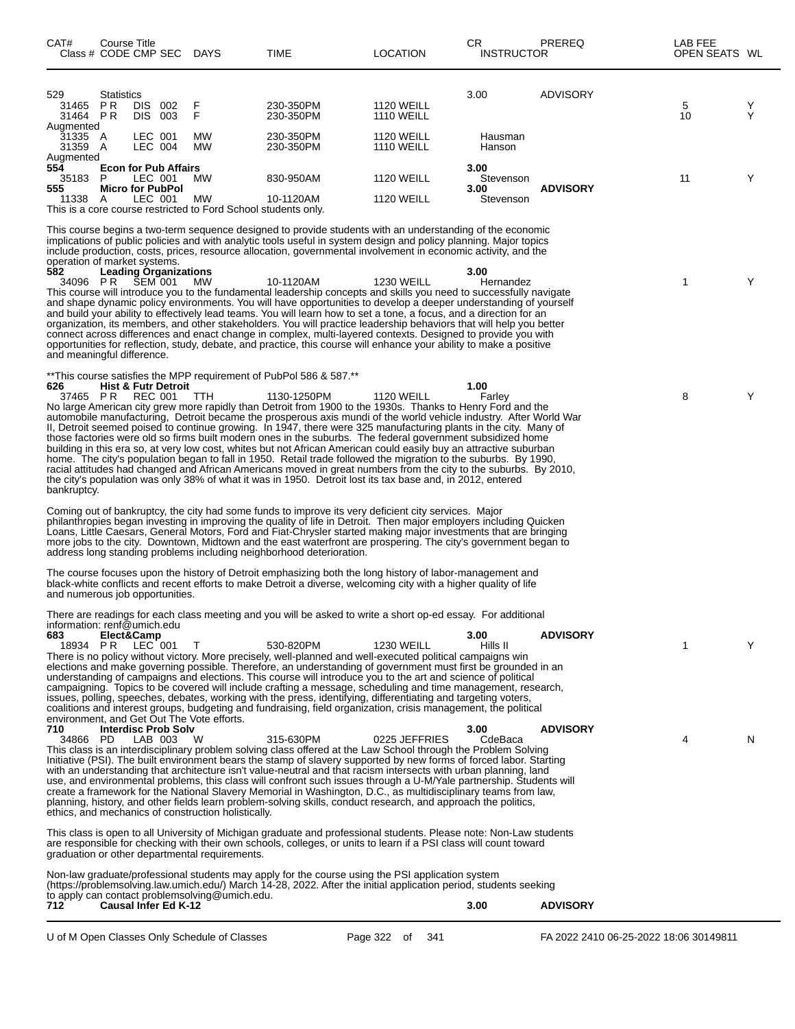| CAT#                                                                                                                                                                                                                                                                                                                                                                                                                                                                                                                                                                                                                                                                                                                                                                                                                                                                                         | Course Title<br>Class # CODE CMP SEC DAYS                                                  |                           |                                                                                   | TIME                                                                                                                                                                                                                                                                                                                                                                                                                                                                                                                                                                                                                                                                                                                                                                                                                                                                                                                                                                                                                              | <b>LOCATION</b>                        |                 | СR<br><b>INSTRUCTOR</b>                | PREREQ          | LAB FEE<br>OPEN SEATS WL               |        |
|----------------------------------------------------------------------------------------------------------------------------------------------------------------------------------------------------------------------------------------------------------------------------------------------------------------------------------------------------------------------------------------------------------------------------------------------------------------------------------------------------------------------------------------------------------------------------------------------------------------------------------------------------------------------------------------------------------------------------------------------------------------------------------------------------------------------------------------------------------------------------------------------|--------------------------------------------------------------------------------------------|---------------------------|-----------------------------------------------------------------------------------|-----------------------------------------------------------------------------------------------------------------------------------------------------------------------------------------------------------------------------------------------------------------------------------------------------------------------------------------------------------------------------------------------------------------------------------------------------------------------------------------------------------------------------------------------------------------------------------------------------------------------------------------------------------------------------------------------------------------------------------------------------------------------------------------------------------------------------------------------------------------------------------------------------------------------------------------------------------------------------------------------------------------------------------|----------------------------------------|-----------------|----------------------------------------|-----------------|----------------------------------------|--------|
| 529<br>31465<br>31464 PR                                                                                                                                                                                                                                                                                                                                                                                                                                                                                                                                                                                                                                                                                                                                                                                                                                                                     | <b>Statistics</b><br>P R                                                                   | DIS 002<br>DIS 003        | F<br>F                                                                            | 230-350PM<br>230-350PM                                                                                                                                                                                                                                                                                                                                                                                                                                                                                                                                                                                                                                                                                                                                                                                                                                                                                                                                                                                                            | <b>1120 WEILL</b><br><b>1110 WEILL</b> |                 | 3.00                                   | ADVISORY        | 5<br>10                                | Y<br>Υ |
| Augmented<br>31335 A<br>31359 A                                                                                                                                                                                                                                                                                                                                                                                                                                                                                                                                                                                                                                                                                                                                                                                                                                                              |                                                                                            | LEC 001<br><b>LEC 004</b> | MW<br>MW                                                                          | 230-350PM<br>230-350PM                                                                                                                                                                                                                                                                                                                                                                                                                                                                                                                                                                                                                                                                                                                                                                                                                                                                                                                                                                                                            | <b>1120 WEILL</b><br><b>1110 WEILL</b> |                 | Hausman<br>Hanson                      |                 |                                        |        |
| Augmented<br>554<br>35183 P<br>555<br>11338                                                                                                                                                                                                                                                                                                                                                                                                                                                                                                                                                                                                                                                                                                                                                                                                                                                  | <b>Econ for Pub Affairs</b><br><b>Micro for PubPol</b><br>- A                              | LEC 001<br>LEC 001        | <b>MW</b><br>MW<br>This is a core course restricted to Ford School students only. | 830-950AM<br>10-1120AM                                                                                                                                                                                                                                                                                                                                                                                                                                                                                                                                                                                                                                                                                                                                                                                                                                                                                                                                                                                                            | <b>1120 WEILL</b><br><b>1120 WEILL</b> |                 | 3.00<br>Stevenson<br>3.00<br>Stevenson | <b>ADVISORY</b> | 11                                     | Υ      |
|                                                                                                                                                                                                                                                                                                                                                                                                                                                                                                                                                                                                                                                                                                                                                                                                                                                                                              |                                                                                            |                           |                                                                                   | This course begins a two-term sequence designed to provide students with an understanding of the economic<br>implications of public policies and with analytic tools useful in system design and policy planning. Major topics<br>include production, costs, prices, resource allocation, governmental involvement in economic activity, and the                                                                                                                                                                                                                                                                                                                                                                                                                                                                                                                                                                                                                                                                                  |                                        |                 |                                        |                 |                                        |        |
| 582<br>34096 PR                                                                                                                                                                                                                                                                                                                                                                                                                                                                                                                                                                                                                                                                                                                                                                                                                                                                              | operation of market systems.<br><b>Leading Organizations</b><br>and meaningful difference. | SEM 001                   | <b>MW</b>                                                                         | 10-1120AM<br>This course will introduce you to the fundamental leadership concepts and skills you need to successfully navigate<br>and shape dynamic policy environments. You will have opportunities to develop a deeper understanding of yourself<br>and build your ability to effectively lead teams. You will learn how to set a tone, a focus, and a direction for an<br>organization, its members, and other stakeholders. You will practice leadership behaviors that will help you better<br>connect across differences and enact change in complex, multi-layered contexts. Designed to provide you with<br>opportunities for reflection, study, debate, and practice, this course will enhance your ability to make a positive                                                                                                                                                                                                                                                                                          | <b>1230 WEILL</b>                      |                 | 3.00<br>Hernandez                      |                 | 1                                      | Υ      |
| 626<br>bankruptcy.                                                                                                                                                                                                                                                                                                                                                                                                                                                                                                                                                                                                                                                                                                                                                                                                                                                                           | <b>Hist &amp; Futr Detroit</b><br>37465 PR REC 001                                         |                           | <b>TTH</b>                                                                        | **This course satisfies the MPP requirement of PubPol 586 & 587.**<br>1130-1250PM<br>No large American city grew more rapidly than Detroit from 1900 to the 1930s. Thanks to Henry Ford and the<br>automobile manufacturing, Detroit became the prosperous axis mundi of the world vehicle industry. After World War<br>II, Detroit seemed poised to continue growing. In 1947, there were 325 manufacturing plants in the city. Many of<br>those factories were old so firms built modern ones in the suburbs. The federal government subsidized home<br>building in this era so, at very low cost, whites but not African American could easily buy an attractive suburban<br>home. The city's population began to fall in 1950. Retail trade followed the migration to the suburbs. By 1990,<br>racial attitudes had changed and African Americans moved in great numbers from the city to the suburbs. By 2010,<br>the city's population was only 38% of what it was in 1950. Detroit lost its tax base and, in 2012, entered | <b>1120 WEILL</b>                      |                 | 1.00<br>Farley                         |                 | 8                                      | Υ      |
|                                                                                                                                                                                                                                                                                                                                                                                                                                                                                                                                                                                                                                                                                                                                                                                                                                                                                              |                                                                                            |                           |                                                                                   | Coming out of bankruptcy, the city had some funds to improve its very deficient city services. Major<br>philanthropies began investing in improving the quality of life in Detroit. Then major employers including Quicken<br>Loans, Little Caesars, General Motors, Ford and Fiat-Chrysler started making major investments that are bringing<br>more jobs to the city. Downtown, Midtown and the east waterfront are prospering. The city's government began to<br>address long standing problems including neighborhood deterioration.                                                                                                                                                                                                                                                                                                                                                                                                                                                                                         |                                        |                 |                                        |                 |                                        |        |
|                                                                                                                                                                                                                                                                                                                                                                                                                                                                                                                                                                                                                                                                                                                                                                                                                                                                                              | and numerous job opportunities.                                                            |                           |                                                                                   | The course focuses upon the history of Detroit emphasizing both the long history of labor-management and<br>black-white conflicts and recent efforts to make Detroit a diverse, welcoming city with a higher quality of life                                                                                                                                                                                                                                                                                                                                                                                                                                                                                                                                                                                                                                                                                                                                                                                                      |                                        |                 |                                        |                 |                                        |        |
| 683                                                                                                                                                                                                                                                                                                                                                                                                                                                                                                                                                                                                                                                                                                                                                                                                                                                                                          | information: renf@umich.edu<br>Elect&Camp<br>18934 PR LEC 001                              |                           | T                                                                                 | There are readings for each class meeting and you will be asked to write a short op-ed essay. For additional<br>530-820PM<br>There is no policy without victory. More precisely, well-planned and well-executed political campaigns win<br>elections and make governing possible. Therefore, an understanding of government must first be grounded in an<br>understanding of campaigns and elections. This course will introduce you to the art and science of political<br>campaigning. Topics to be covered will include crafting a message, scheduling and time management, research,<br>issues, polling, speeches, debates, working with the press, identifying, differentiating and targeting voters,<br>coalitions and interest groups, budgeting and fundraising, field organization, crisis management, the political                                                                                                                                                                                                     | <b>1230 WEILL</b>                      |                 | 3.00<br>Hills II                       | <b>ADVISORY</b> | 1                                      | Y      |
| environment, and Get Out The Vote efforts.<br>710<br><b>Interdisc Prob Solv</b><br>34866 PD<br>LAB 003<br>- W<br>This class is an interdisciplinary problem solving class offered at the Law School through the Problem Solving<br>Initiative (PSI). The built environment bears the stamp of slavery supported by new forms of forced labor. Starting<br>with an understanding that architecture isn't value-neutral and that racism intersects with urban planning, land<br>use, and environmental problems, this class will confront such issues through a U-M/Yale partnership. Students will<br>create a framework for the National Slavery Memorial in Washington, D.C., as multidisciplinary teams from law,<br>planning, history, and other fields learn problem-solving skills, conduct research, and approach the politics,<br>ethics, and mechanics of construction holistically. |                                                                                            |                           | 315-630PM                                                                         | 0225 JEFFRIES                                                                                                                                                                                                                                                                                                                                                                                                                                                                                                                                                                                                                                                                                                                                                                                                                                                                                                                                                                                                                     |                                        | 3.00<br>CdeBaca | <b>ADVISORY</b>                        | 4               | N                                      |        |
|                                                                                                                                                                                                                                                                                                                                                                                                                                                                                                                                                                                                                                                                                                                                                                                                                                                                                              |                                                                                            |                           | graduation or other departmental requirements.                                    | This class is open to all University of Michigan graduate and professional students. Please note: Non-Law students<br>are responsible for checking with their own schools, colleges, or units to learn if a PSI class will count toward                                                                                                                                                                                                                                                                                                                                                                                                                                                                                                                                                                                                                                                                                                                                                                                           |                                        |                 |                                        |                 |                                        |        |
| 712.                                                                                                                                                                                                                                                                                                                                                                                                                                                                                                                                                                                                                                                                                                                                                                                                                                                                                         | <b>Causal Infer Ed K-12</b>                                                                |                           | to apply can contact problemsolving@umich.edu.                                    | Non-law graduate/professional students may apply for the course using the PSI application system<br>(https://problemsolving.law.umich.edu/) March 14-28, 2022. After the initial application period, students seeking                                                                                                                                                                                                                                                                                                                                                                                                                                                                                                                                                                                                                                                                                                                                                                                                             |                                        |                 | 3.00                                   | <b>ADVISORY</b> |                                        |        |
|                                                                                                                                                                                                                                                                                                                                                                                                                                                                                                                                                                                                                                                                                                                                                                                                                                                                                              |                                                                                            |                           | U of M Open Classes Only Schedule of Classes                                      |                                                                                                                                                                                                                                                                                                                                                                                                                                                                                                                                                                                                                                                                                                                                                                                                                                                                                                                                                                                                                                   | Page 322 of                            | 341             |                                        |                 | FA 2022 2410 06-25-2022 18:06 30149811 |        |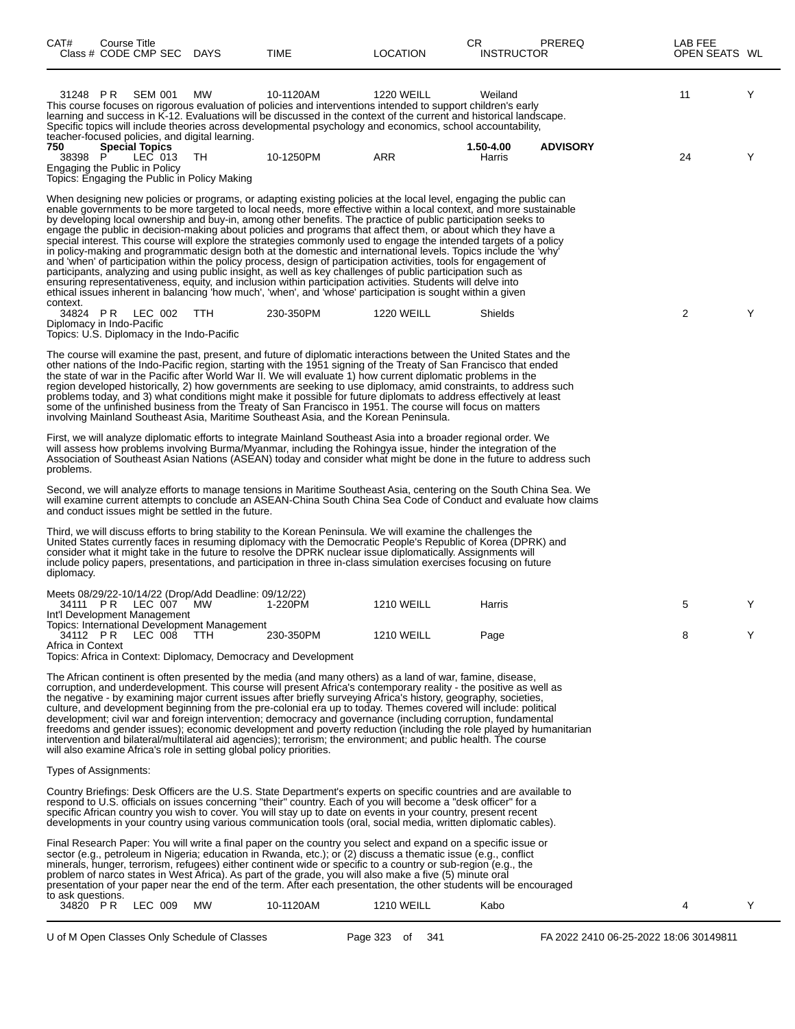| Υ<br>31248 PR SEM 001<br>MW<br>10-1120AM<br><b>1220 WEILL</b><br>11<br>Weiland<br>This course focuses on rigorous evaluation of policies and interventions intended to support children's early<br>learning and success in K-12. Evaluations will be discussed in the context of the current and historical landscape.<br>Specific topics will include theories across developmental psychology and economics, school accountability,<br>teacher-focused policies, and digital learning.<br>750<br><b>Special Topics</b><br>1.50-4.00<br><b>ADVISORY</b><br>Υ<br>LEC 013<br>ARR<br>38398 P<br>TH<br>10-1250PM<br>Harris<br>24<br>Engaging the Public in Policy<br>Topics: Engaging the Public in Policy Making<br>When designing new policies or programs, or adapting existing policies at the local level, engaging the public can<br>enable governments to be more targeted to local needs, more effective within a local context, and more sustainable<br>by developing local ownership and buy-in, among other benefits. The practice of public participation seeks to<br>engage the public in decision-making about policies and programs that affect them, or about which they have a<br>special interest. This course will explore the strategies commonly used to engage the intended targets of a policy<br>in policy-making and programmatic design both at the domestic and international levels. Topics include the 'why'<br>and 'when' of participation within the policy process, design of participation activities, tools for engagement of<br>participants, analyzing and using public insight, as well as key challenges of public participation such as<br>ensuring representativeness, equity, and inclusion within participation activities. Students will delve into<br>ethical issues inherent in balancing 'how much', 'when', and 'whose' participation is sought within a given<br>context.<br>2<br>Υ<br>34824 PR LEC 002<br>TTH<br>230-350PM<br><b>1220 WEILL</b><br><b>Shields</b><br>Diplomacy in Indo-Pacific<br>Topics: U.S. Diplomacy in the Indo-Pacific<br>The course will examine the past, present, and future of diplomatic interactions between the United States and the<br>other nations of the Indo-Pacific region, starting with the 1951 signing of the Treaty of San Francisco that ended<br>the state of war in the Pacific after World War II. We will evaluate 1) how current diplomatic problems in the<br>region developed historically, 2) how governments are seeking to use diplomacy, amid constraints, to address such<br>problems today, and 3) what conditions might make it possible for future diplomats to address effectively at least<br>some of the unfinished business from the Treaty of San Francisco in 1951. The course will focus on matters<br>involving Mainland Southeast Asia, Maritime Southeast Asia, and the Korean Peninsula.<br>First, we will analyze diplomatic efforts to integrate Mainland Southeast Asia into a broader regional order. We<br>will assess how problems involving Burma/Myanmar, including the Rohingya issue, hinder the integration of the<br>Association of Southeast Asian Nations (ASEAN) today and consider what might be done in the future to address such<br>problems.<br>Second, we will analyze efforts to manage tensions in Maritime Southeast Asia, centering on the South China Sea. We<br>will examine current attempts to conclude an ASEAN-China South China Sea Code of Conduct and evaluate how claims<br>and conduct issues might be settled in the future.<br>Third, we will discuss efforts to bring stability to the Korean Peninsula. We will examine the challenges the<br>United States currently faces in resuming diplomacy with the Democratic People's Republic of Korea (DPRK) and<br>consider what it might take in the future to resolve the DPRK nuclear issue diplomatically. Assignments will<br>include policy papers, presentations, and participation in three in-class simulation exercises focusing on future<br>diplomacy.<br>Meets 08/29/22-10/14/22 (Drop/Add Deadline: 09/12/22)<br>Y<br>34111 PR LEC 007 MW<br>1-220PM<br><b>1210 WEILL</b><br>Harris<br>5<br>Int'l Development Management<br>Topics: International Development Management<br>Υ<br>34112 PR<br>LEC 008<br>TTH<br>230-350PM<br><b>1210 WEILL</b><br>8<br>Page<br>Africa in Context<br>Topics: Africa in Context: Diplomacy, Democracy and Development<br>The African continent is often presented by the media (and many others) as a land of war, famine, disease,<br>corruption, and underdevelopment. This course will present Africa's contemporary reality - the positive as well as<br>the negative - by examining major current issues after briefly surveying Africa's history, geography, societies,<br>culture, and development beginning from the pre-colonial era up to today. Themes covered will include: political<br>development; civil war and foreign intervention; democracy and governance (including corruption, fundamental<br>freedoms and gender issues); economic development and poverty reduction (including the role played by humanitarian<br>intervention and bilateral/multilateral aid agencies); terrorism; the environment; and public health. The course<br>will also examine Africa's role in setting global policy priorities.<br>Types of Assignments:<br>Country Briefings: Desk Officers are the U.S. State Department's experts on specific countries and are available to<br>respond to U.S. officials on issues concerning "their" country. Each of you will become a "desk officer" for a<br>specific African country you wish to cover. You will stay up to date on events in your country, present recent<br>developments in your country using various communication tools (oral, social media, written diplomatic cables).<br>Final Research Paper: You will write a final paper on the country you select and expand on a specific issue or<br>sector (e.g., petroleum in Nigeria; education in Rwanda, etc.); or (2) discuss a thematic issue (e.g., conflict<br>minerals, hunger, terrorism, refugees) either continent wide or specific to a country or sub-region (e.g., the<br>problem of narco states in West Africa). As part of the grade, you will also make a five (5) minute oral<br>presentation of your paper near the end of the term. After each presentation, the other students will be encouraged<br>to ask questions.<br>Y<br>34820 PR<br>LEC 009<br><b>MW</b><br>10-1120AM<br><b>1210 WEILL</b><br>4<br>Kabo | CAT#<br>Class # CODE CMP SEC DAYS | Course Title |  | TIME | <b>LOCATION</b> | CR<br><b>INSTRUCTOR</b> | <b>PREREQ</b> | LAB FEE<br>OPEN SEATS WL |  |
|----------------------------------------------------------------------------------------------------------------------------------------------------------------------------------------------------------------------------------------------------------------------------------------------------------------------------------------------------------------------------------------------------------------------------------------------------------------------------------------------------------------------------------------------------------------------------------------------------------------------------------------------------------------------------------------------------------------------------------------------------------------------------------------------------------------------------------------------------------------------------------------------------------------------------------------------------------------------------------------------------------------------------------------------------------------------------------------------------------------------------------------------------------------------------------------------------------------------------------------------------------------------------------------------------------------------------------------------------------------------------------------------------------------------------------------------------------------------------------------------------------------------------------------------------------------------------------------------------------------------------------------------------------------------------------------------------------------------------------------------------------------------------------------------------------------------------------------------------------------------------------------------------------------------------------------------------------------------------------------------------------------------------------------------------------------------------------------------------------------------------------------------------------------------------------------------------------------------------------------------------------------------------------------------------------------------------------------------------------------------------------------------------------------------------------------------------------------------------------------------------------------------------------------------------------------------------------------------------------------------------------------------------------------------------------------------------------------------------------------------------------------------------------------------------------------------------------------------------------------------------------------------------------------------------------------------------------------------------------------------------------------------------------------------------------------------------------------------------------------------------------------------------------------------------------------------------------------------------------------------------------------------------------------------------------------------------------------------------------------------------------------------------------------------------------------------------------------------------------------------------------------------------------------------------------------------------------------------------------------------------------------------------------------------------------------------------------------------------------------------------------------------------------------------------------------------------------------------------------------------------------------------------------------------------------------------------------------------------------------------------------------------------------------------------------------------------------------------------------------------------------------------------------------------------------------------------------------------------------------------------------------------------------------------------------------------------------------------------------------------------------------------------------------------------------------------------------------------------------------------------------------------------------------------------------------------------------------------------------------------------------------------------------------------------------------------------------------------------------------------------------------------------------------------------------------------------------------------------------------------------------------------------------------------------------------------------------------------------------------------------------------------------------------------------------------------------------------------------------------------------------------------------------------------------------------------------------------------------------------------------------------------------------------------------------------------------------------------------------------------------------------------------------------------------------------------------------------------------------------------------------------------------------------------------------------------------------------------------------------------------------------------------------------------------------------------------------------------------------------------------------------------------------------------------------------------------------------------------------------------------------------------------------------------------------------------------------------------------------------------------------------------------------------------------------------------------------------------------------------------------------------------------------------------------------------------------------------------------------------------------------------------------------------------------------------------------------------------------------------------------------------------------------------------------------------------------------------------------------------------------------------------------------------------------------------------------------------------------|-----------------------------------|--------------|--|------|-----------------|-------------------------|---------------|--------------------------|--|
|                                                                                                                                                                                                                                                                                                                                                                                                                                                                                                                                                                                                                                                                                                                                                                                                                                                                                                                                                                                                                                                                                                                                                                                                                                                                                                                                                                                                                                                                                                                                                                                                                                                                                                                                                                                                                                                                                                                                                                                                                                                                                                                                                                                                                                                                                                                                                                                                                                                                                                                                                                                                                                                                                                                                                                                                                                                                                                                                                                                                                                                                                                                                                                                                                                                                                                                                                                                                                                                                                                                                                                                                                                                                                                                                                                                                                                                                                                                                                                                                                                                                                                                                                                                                                                                                                                                                                                                                                                                                                                                                                                                                                                                                                                                                                                                                                                                                                                                                                                                                                                                                                                                                                                                                                                                                                                                                                                                                                                                                                                                                                                                                                                                                                                                                                                                                                                                                                                                                                                                                                                                                                                                                                                                                                                                                                                                                                                                                                                                                                                                                                                                                    |                                   |              |  |      |                 |                         |               |                          |  |
|                                                                                                                                                                                                                                                                                                                                                                                                                                                                                                                                                                                                                                                                                                                                                                                                                                                                                                                                                                                                                                                                                                                                                                                                                                                                                                                                                                                                                                                                                                                                                                                                                                                                                                                                                                                                                                                                                                                                                                                                                                                                                                                                                                                                                                                                                                                                                                                                                                                                                                                                                                                                                                                                                                                                                                                                                                                                                                                                                                                                                                                                                                                                                                                                                                                                                                                                                                                                                                                                                                                                                                                                                                                                                                                                                                                                                                                                                                                                                                                                                                                                                                                                                                                                                                                                                                                                                                                                                                                                                                                                                                                                                                                                                                                                                                                                                                                                                                                                                                                                                                                                                                                                                                                                                                                                                                                                                                                                                                                                                                                                                                                                                                                                                                                                                                                                                                                                                                                                                                                                                                                                                                                                                                                                                                                                                                                                                                                                                                                                                                                                                                                                    |                                   |              |  |      |                 |                         |               |                          |  |
|                                                                                                                                                                                                                                                                                                                                                                                                                                                                                                                                                                                                                                                                                                                                                                                                                                                                                                                                                                                                                                                                                                                                                                                                                                                                                                                                                                                                                                                                                                                                                                                                                                                                                                                                                                                                                                                                                                                                                                                                                                                                                                                                                                                                                                                                                                                                                                                                                                                                                                                                                                                                                                                                                                                                                                                                                                                                                                                                                                                                                                                                                                                                                                                                                                                                                                                                                                                                                                                                                                                                                                                                                                                                                                                                                                                                                                                                                                                                                                                                                                                                                                                                                                                                                                                                                                                                                                                                                                                                                                                                                                                                                                                                                                                                                                                                                                                                                                                                                                                                                                                                                                                                                                                                                                                                                                                                                                                                                                                                                                                                                                                                                                                                                                                                                                                                                                                                                                                                                                                                                                                                                                                                                                                                                                                                                                                                                                                                                                                                                                                                                                                                    |                                   |              |  |      |                 |                         |               |                          |  |
|                                                                                                                                                                                                                                                                                                                                                                                                                                                                                                                                                                                                                                                                                                                                                                                                                                                                                                                                                                                                                                                                                                                                                                                                                                                                                                                                                                                                                                                                                                                                                                                                                                                                                                                                                                                                                                                                                                                                                                                                                                                                                                                                                                                                                                                                                                                                                                                                                                                                                                                                                                                                                                                                                                                                                                                                                                                                                                                                                                                                                                                                                                                                                                                                                                                                                                                                                                                                                                                                                                                                                                                                                                                                                                                                                                                                                                                                                                                                                                                                                                                                                                                                                                                                                                                                                                                                                                                                                                                                                                                                                                                                                                                                                                                                                                                                                                                                                                                                                                                                                                                                                                                                                                                                                                                                                                                                                                                                                                                                                                                                                                                                                                                                                                                                                                                                                                                                                                                                                                                                                                                                                                                                                                                                                                                                                                                                                                                                                                                                                                                                                                                                    |                                   |              |  |      |                 |                         |               |                          |  |
|                                                                                                                                                                                                                                                                                                                                                                                                                                                                                                                                                                                                                                                                                                                                                                                                                                                                                                                                                                                                                                                                                                                                                                                                                                                                                                                                                                                                                                                                                                                                                                                                                                                                                                                                                                                                                                                                                                                                                                                                                                                                                                                                                                                                                                                                                                                                                                                                                                                                                                                                                                                                                                                                                                                                                                                                                                                                                                                                                                                                                                                                                                                                                                                                                                                                                                                                                                                                                                                                                                                                                                                                                                                                                                                                                                                                                                                                                                                                                                                                                                                                                                                                                                                                                                                                                                                                                                                                                                                                                                                                                                                                                                                                                                                                                                                                                                                                                                                                                                                                                                                                                                                                                                                                                                                                                                                                                                                                                                                                                                                                                                                                                                                                                                                                                                                                                                                                                                                                                                                                                                                                                                                                                                                                                                                                                                                                                                                                                                                                                                                                                                                                    |                                   |              |  |      |                 |                         |               |                          |  |
|                                                                                                                                                                                                                                                                                                                                                                                                                                                                                                                                                                                                                                                                                                                                                                                                                                                                                                                                                                                                                                                                                                                                                                                                                                                                                                                                                                                                                                                                                                                                                                                                                                                                                                                                                                                                                                                                                                                                                                                                                                                                                                                                                                                                                                                                                                                                                                                                                                                                                                                                                                                                                                                                                                                                                                                                                                                                                                                                                                                                                                                                                                                                                                                                                                                                                                                                                                                                                                                                                                                                                                                                                                                                                                                                                                                                                                                                                                                                                                                                                                                                                                                                                                                                                                                                                                                                                                                                                                                                                                                                                                                                                                                                                                                                                                                                                                                                                                                                                                                                                                                                                                                                                                                                                                                                                                                                                                                                                                                                                                                                                                                                                                                                                                                                                                                                                                                                                                                                                                                                                                                                                                                                                                                                                                                                                                                                                                                                                                                                                                                                                                                                    |                                   |              |  |      |                 |                         |               |                          |  |
|                                                                                                                                                                                                                                                                                                                                                                                                                                                                                                                                                                                                                                                                                                                                                                                                                                                                                                                                                                                                                                                                                                                                                                                                                                                                                                                                                                                                                                                                                                                                                                                                                                                                                                                                                                                                                                                                                                                                                                                                                                                                                                                                                                                                                                                                                                                                                                                                                                                                                                                                                                                                                                                                                                                                                                                                                                                                                                                                                                                                                                                                                                                                                                                                                                                                                                                                                                                                                                                                                                                                                                                                                                                                                                                                                                                                                                                                                                                                                                                                                                                                                                                                                                                                                                                                                                                                                                                                                                                                                                                                                                                                                                                                                                                                                                                                                                                                                                                                                                                                                                                                                                                                                                                                                                                                                                                                                                                                                                                                                                                                                                                                                                                                                                                                                                                                                                                                                                                                                                                                                                                                                                                                                                                                                                                                                                                                                                                                                                                                                                                                                                                                    |                                   |              |  |      |                 |                         |               |                          |  |
|                                                                                                                                                                                                                                                                                                                                                                                                                                                                                                                                                                                                                                                                                                                                                                                                                                                                                                                                                                                                                                                                                                                                                                                                                                                                                                                                                                                                                                                                                                                                                                                                                                                                                                                                                                                                                                                                                                                                                                                                                                                                                                                                                                                                                                                                                                                                                                                                                                                                                                                                                                                                                                                                                                                                                                                                                                                                                                                                                                                                                                                                                                                                                                                                                                                                                                                                                                                                                                                                                                                                                                                                                                                                                                                                                                                                                                                                                                                                                                                                                                                                                                                                                                                                                                                                                                                                                                                                                                                                                                                                                                                                                                                                                                                                                                                                                                                                                                                                                                                                                                                                                                                                                                                                                                                                                                                                                                                                                                                                                                                                                                                                                                                                                                                                                                                                                                                                                                                                                                                                                                                                                                                                                                                                                                                                                                                                                                                                                                                                                                                                                                                                    |                                   |              |  |      |                 |                         |               |                          |  |
|                                                                                                                                                                                                                                                                                                                                                                                                                                                                                                                                                                                                                                                                                                                                                                                                                                                                                                                                                                                                                                                                                                                                                                                                                                                                                                                                                                                                                                                                                                                                                                                                                                                                                                                                                                                                                                                                                                                                                                                                                                                                                                                                                                                                                                                                                                                                                                                                                                                                                                                                                                                                                                                                                                                                                                                                                                                                                                                                                                                                                                                                                                                                                                                                                                                                                                                                                                                                                                                                                                                                                                                                                                                                                                                                                                                                                                                                                                                                                                                                                                                                                                                                                                                                                                                                                                                                                                                                                                                                                                                                                                                                                                                                                                                                                                                                                                                                                                                                                                                                                                                                                                                                                                                                                                                                                                                                                                                                                                                                                                                                                                                                                                                                                                                                                                                                                                                                                                                                                                                                                                                                                                                                                                                                                                                                                                                                                                                                                                                                                                                                                                                                    |                                   |              |  |      |                 |                         |               |                          |  |
|                                                                                                                                                                                                                                                                                                                                                                                                                                                                                                                                                                                                                                                                                                                                                                                                                                                                                                                                                                                                                                                                                                                                                                                                                                                                                                                                                                                                                                                                                                                                                                                                                                                                                                                                                                                                                                                                                                                                                                                                                                                                                                                                                                                                                                                                                                                                                                                                                                                                                                                                                                                                                                                                                                                                                                                                                                                                                                                                                                                                                                                                                                                                                                                                                                                                                                                                                                                                                                                                                                                                                                                                                                                                                                                                                                                                                                                                                                                                                                                                                                                                                                                                                                                                                                                                                                                                                                                                                                                                                                                                                                                                                                                                                                                                                                                                                                                                                                                                                                                                                                                                                                                                                                                                                                                                                                                                                                                                                                                                                                                                                                                                                                                                                                                                                                                                                                                                                                                                                                                                                                                                                                                                                                                                                                                                                                                                                                                                                                                                                                                                                                                                    |                                   |              |  |      |                 |                         |               |                          |  |
|                                                                                                                                                                                                                                                                                                                                                                                                                                                                                                                                                                                                                                                                                                                                                                                                                                                                                                                                                                                                                                                                                                                                                                                                                                                                                                                                                                                                                                                                                                                                                                                                                                                                                                                                                                                                                                                                                                                                                                                                                                                                                                                                                                                                                                                                                                                                                                                                                                                                                                                                                                                                                                                                                                                                                                                                                                                                                                                                                                                                                                                                                                                                                                                                                                                                                                                                                                                                                                                                                                                                                                                                                                                                                                                                                                                                                                                                                                                                                                                                                                                                                                                                                                                                                                                                                                                                                                                                                                                                                                                                                                                                                                                                                                                                                                                                                                                                                                                                                                                                                                                                                                                                                                                                                                                                                                                                                                                                                                                                                                                                                                                                                                                                                                                                                                                                                                                                                                                                                                                                                                                                                                                                                                                                                                                                                                                                                                                                                                                                                                                                                                                                    |                                   |              |  |      |                 |                         |               |                          |  |
|                                                                                                                                                                                                                                                                                                                                                                                                                                                                                                                                                                                                                                                                                                                                                                                                                                                                                                                                                                                                                                                                                                                                                                                                                                                                                                                                                                                                                                                                                                                                                                                                                                                                                                                                                                                                                                                                                                                                                                                                                                                                                                                                                                                                                                                                                                                                                                                                                                                                                                                                                                                                                                                                                                                                                                                                                                                                                                                                                                                                                                                                                                                                                                                                                                                                                                                                                                                                                                                                                                                                                                                                                                                                                                                                                                                                                                                                                                                                                                                                                                                                                                                                                                                                                                                                                                                                                                                                                                                                                                                                                                                                                                                                                                                                                                                                                                                                                                                                                                                                                                                                                                                                                                                                                                                                                                                                                                                                                                                                                                                                                                                                                                                                                                                                                                                                                                                                                                                                                                                                                                                                                                                                                                                                                                                                                                                                                                                                                                                                                                                                                                                                    |                                   |              |  |      |                 |                         |               |                          |  |
|                                                                                                                                                                                                                                                                                                                                                                                                                                                                                                                                                                                                                                                                                                                                                                                                                                                                                                                                                                                                                                                                                                                                                                                                                                                                                                                                                                                                                                                                                                                                                                                                                                                                                                                                                                                                                                                                                                                                                                                                                                                                                                                                                                                                                                                                                                                                                                                                                                                                                                                                                                                                                                                                                                                                                                                                                                                                                                                                                                                                                                                                                                                                                                                                                                                                                                                                                                                                                                                                                                                                                                                                                                                                                                                                                                                                                                                                                                                                                                                                                                                                                                                                                                                                                                                                                                                                                                                                                                                                                                                                                                                                                                                                                                                                                                                                                                                                                                                                                                                                                                                                                                                                                                                                                                                                                                                                                                                                                                                                                                                                                                                                                                                                                                                                                                                                                                                                                                                                                                                                                                                                                                                                                                                                                                                                                                                                                                                                                                                                                                                                                                                                    |                                   |              |  |      |                 |                         |               |                          |  |
|                                                                                                                                                                                                                                                                                                                                                                                                                                                                                                                                                                                                                                                                                                                                                                                                                                                                                                                                                                                                                                                                                                                                                                                                                                                                                                                                                                                                                                                                                                                                                                                                                                                                                                                                                                                                                                                                                                                                                                                                                                                                                                                                                                                                                                                                                                                                                                                                                                                                                                                                                                                                                                                                                                                                                                                                                                                                                                                                                                                                                                                                                                                                                                                                                                                                                                                                                                                                                                                                                                                                                                                                                                                                                                                                                                                                                                                                                                                                                                                                                                                                                                                                                                                                                                                                                                                                                                                                                                                                                                                                                                                                                                                                                                                                                                                                                                                                                                                                                                                                                                                                                                                                                                                                                                                                                                                                                                                                                                                                                                                                                                                                                                                                                                                                                                                                                                                                                                                                                                                                                                                                                                                                                                                                                                                                                                                                                                                                                                                                                                                                                                                                    |                                   |              |  |      |                 |                         |               |                          |  |
|                                                                                                                                                                                                                                                                                                                                                                                                                                                                                                                                                                                                                                                                                                                                                                                                                                                                                                                                                                                                                                                                                                                                                                                                                                                                                                                                                                                                                                                                                                                                                                                                                                                                                                                                                                                                                                                                                                                                                                                                                                                                                                                                                                                                                                                                                                                                                                                                                                                                                                                                                                                                                                                                                                                                                                                                                                                                                                                                                                                                                                                                                                                                                                                                                                                                                                                                                                                                                                                                                                                                                                                                                                                                                                                                                                                                                                                                                                                                                                                                                                                                                                                                                                                                                                                                                                                                                                                                                                                                                                                                                                                                                                                                                                                                                                                                                                                                                                                                                                                                                                                                                                                                                                                                                                                                                                                                                                                                                                                                                                                                                                                                                                                                                                                                                                                                                                                                                                                                                                                                                                                                                                                                                                                                                                                                                                                                                                                                                                                                                                                                                                                                    |                                   |              |  |      |                 |                         |               |                          |  |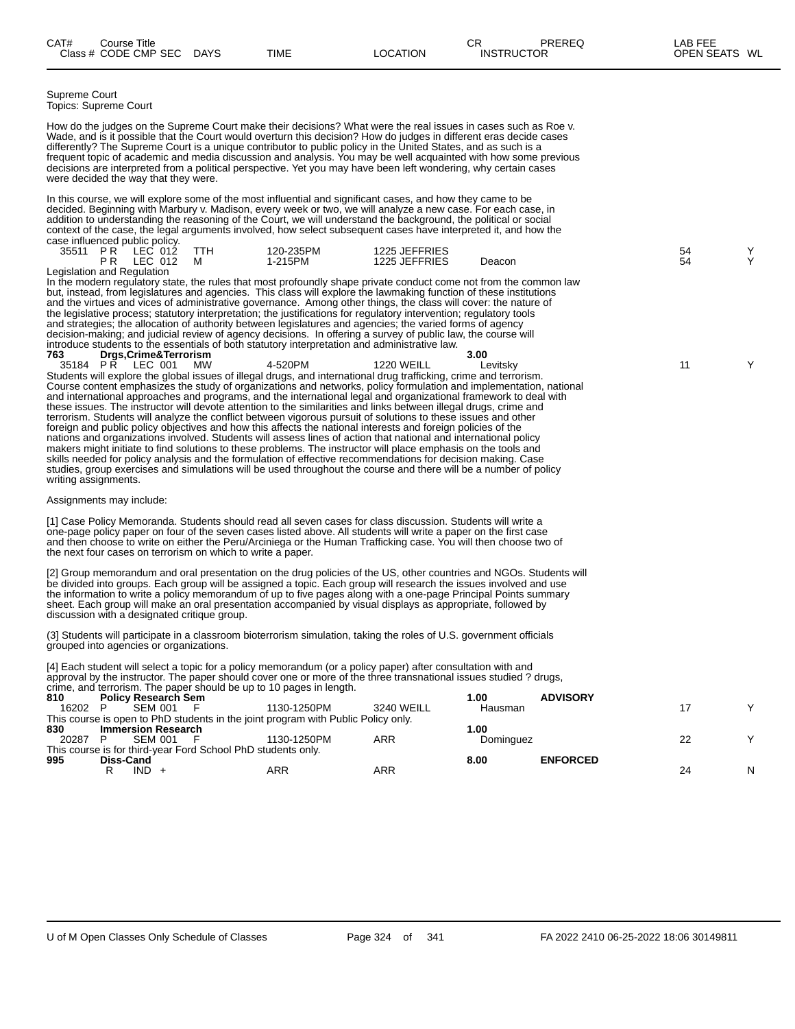Supreme Court Topics: Supreme Court

How do the judges on the Supreme Court make their decisions? What were the real issues in cases such as Roe v. Wade, and is it possible that the Court would overturn this decision? How do judges in different eras decide cases differently? The Supreme Court is a unique contributor to public policy in the United States, and as such is a frequent topic of academic and media discussion and analysis. You may be well acquainted with how some previous decisions are interpreted from a political perspective. Yet you may have been left wondering, why certain cases were decided the way that they were.

In this course, we will explore some of the most influential and significant cases, and how they came to be decided. Beginning with Marbury v. Madison, every week or two, we will analyze a new case. For each case, in addition to understanding the reasoning of the Court, we will understand the background, the political or social context of the case, the legal arguments involved, how select subsequent cases have interpreted it, and how the case influenced public policy.

| 35511                       | אי | _EC.<br>012<br>EC.<br>012 | TTH<br>м | 120-235PM<br>1-215PM | 1225 JEFFRIES<br>1225 JEFFRIES | Deacon | 54<br>54 |  |
|-----------------------------|----|---------------------------|----------|----------------------|--------------------------------|--------|----------|--|
| Legislation and Regulation. |    |                           |          |                      | ___                            | .      |          |  |

In the modern regulatory state, the rules that most profoundly shape private conduct come not from the common law but, instead, from legislatures and agencies. This class will explore the lawmaking function of these institutions and the virtues and vices of administrative governance. Among other things, the class will cover: the nature of the legislative process; statutory interpretation; the justifications for regulatory intervention; regulatory tools and strategies; the allocation of authority between legislatures and agencies; the varied forms of agency decision-making; and judicial review of agency decisions. In offering a survey of public law, the course will introduce students to the essentials of both statutory interpretation and administrative law.<br>763 **Drgs, Crime& Terrorism** 

**763 Drgs,Crime&Terrorism 3.00** 35184 P R LEC 001 MW 4-520PM 1220 WEILL Levitsky Y Students will explore the global issues of illegal drugs, and international drug trafficking, crime and terrorism. Course content emphasizes the study of organizations and networks, policy formulation and implementation, national and international approaches and programs, and the international legal and organizational framework to deal with these issues. The instructor will devote attention to the similarities and links between illegal drugs, crime and terrorism. Students will analyze the conflict between vigorous pursuit of solutions to these issues and other foreign and public policy objectives and how this affects the national interests and foreign policies of the nations and organizations involved. Students will assess lines of action that national and international policy makers might initiate to find solutions to these problems. The instructor will place emphasis on the tools and skills needed for policy analysis and the formulation of effective recommendations for decision making. Case studies, group exercises and simulations will be used throughout the course and there will be a number of policy writing assignments.

#### Assignments may include:

[1] Case Policy Memoranda. Students should read all seven cases for class discussion. Students will write a one-page policy paper on four of the seven cases listed above. All students will write a paper on the first case and then choose to write on either the Peru/Arciniega or the Human Trafficking case. You will then choose two of the next four cases on terrorism on which to write a paper.

[2] Group memorandum and oral presentation on the drug policies of the US, other countries and NGOs. Students will be divided into groups. Each group will be assigned a topic. Each group will research the issues involved and use the information to write a policy memorandum of up to five pages along with a one-page Principal Points summary sheet. Each group will make an oral presentation accompanied by visual displays as appropriate, followed by discussion with a designated critique group.

(3] Students will participate in a classroom bioterrorism simulation, taking the roles of U.S. government officials grouped into agencies or organizations.

[4] Each student will select a topic for a policy memorandum (or a policy paper) after consultation with and approval by the instructor. The paper should cover one or more of the three transnational issues studied ? drugs, crime, and terrorism. The paper should be up to 10 pages in length.

| 810   |           | <b>Policy Research Sem</b> |                                                              |                                                                                   |            | 1.00      | <b>ADVISORY</b> |    |              |
|-------|-----------|----------------------------|--------------------------------------------------------------|-----------------------------------------------------------------------------------|------------|-----------|-----------------|----|--------------|
| 16202 |           | SEM 001                    |                                                              | 1130-1250PM                                                                       | 3240 WEILL | Hausman   |                 |    | $\checkmark$ |
|       |           |                            |                                                              | This course is open to PhD students in the joint program with Public Policy only. |            |           |                 |    |              |
| 830   |           | Immersion Research         |                                                              |                                                                                   |            | 1.00      |                 |    |              |
| 20287 |           | SEM 001                    |                                                              | 1130-1250PM                                                                       | ARR        | Dominguez |                 | 22 | v            |
|       |           |                            | This course is for third-year Ford School PhD students only. |                                                                                   |            |           |                 |    |              |
| 995   | Diss-Cand |                            |                                                              |                                                                                   |            | 8.00      | <b>ENFORCED</b> |    |              |
|       |           | $IND +$                    |                                                              | ARR                                                                               | ARR        |           |                 | 24 | N            |
|       |           |                            |                                                              |                                                                                   |            |           |                 |    |              |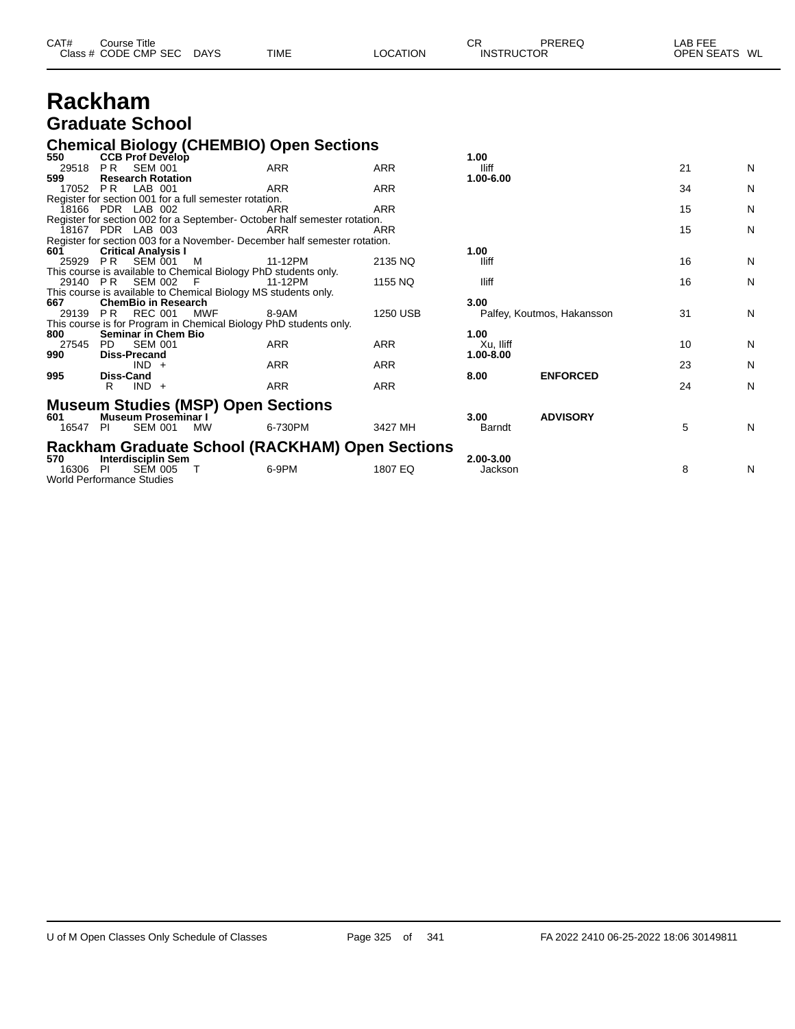| CAT# | Course Title         |             |             |          | СR                | PREREQ | _AB FEE       |  |
|------|----------------------|-------------|-------------|----------|-------------------|--------|---------------|--|
|      | Class # CODE CMP SEC | <b>DAYS</b> | <b>TIME</b> | LOCATION | <b>INSTRUCTOR</b> |        | OPEN SEATS WL |  |

### **Rackham Graduate School**

## **Chemical Biology (CHEMBIO) Open Sections 550 CCB Prof Develop 1.00**

| 550      | <b>CCB Prot Develop</b>                                           |           |                                                                           |            | 1.00          |                            |    |   |
|----------|-------------------------------------------------------------------|-----------|---------------------------------------------------------------------------|------------|---------------|----------------------------|----|---|
| 29518    | <b>SEM 001</b><br>PR.                                             |           | <b>ARR</b>                                                                | ARR        | lliff         |                            | 21 | N |
| 599      | <b>Research Rotation</b>                                          |           |                                                                           |            | 1.00-6.00     |                            |    |   |
| 17052    | LAB 001<br>PR.                                                    |           | ARR                                                                       | <b>ARR</b> |               |                            | 34 | N |
|          | Register for section 001 for a full semester rotation.            |           |                                                                           |            |               |                            |    |   |
|          | 18166 PDR LAB 002                                                 |           | ARR                                                                       | <b>ARR</b> |               |                            | 15 | N |
|          |                                                                   |           | Register for section 002 for a September- October half semester rotation. |            |               |                            |    |   |
|          | 18167 PDR LAB 003                                                 |           | ARR                                                                       | ARR        |               |                            | 15 | N |
|          |                                                                   |           | Register for section 003 for a November- December half semester rotation. |            |               |                            |    |   |
| 601      | <b>Critical Analysis I</b>                                        |           |                                                                           |            | 1.00          |                            |    |   |
| 25929 PR | SEM 001                                                           | M         | 11-12PM                                                                   | 2135 NQ    | lliff         |                            | 16 | N |
|          | This course is available to Chemical Biology PhD students only.   |           |                                                                           |            |               |                            |    |   |
|          | 29140 PR SEM 002                                                  | - F       | 11-12PM                                                                   | 1155 NQ    | lliff         |                            | 16 | N |
|          | This course is available to Chemical Biology MS students only.    |           |                                                                           |            |               |                            |    |   |
| 667      | <b>ChemBio in Research</b>                                        |           |                                                                           |            | 3.00          |                            |    |   |
|          | 29139 PR REC 001                                                  | MWF       | 8-9AM                                                                     | 1250 USB   |               | Palfey, Koutmos, Hakansson | 31 | N |
|          | This course is for Program in Chemical Biology PhD students only. |           |                                                                           |            |               |                            |    |   |
| 800      | <b>Seminar in Chem Bio</b>                                        |           |                                                                           |            | 1.00          |                            |    |   |
| 27545    | <b>SEM 001</b><br>PD.                                             |           | ARR                                                                       | ARR        | Xu, lliff     |                            | 10 | N |
| 990      | <b>Diss-Precand</b>                                               |           |                                                                           |            | 1.00-8.00     |                            |    |   |
|          | $IND +$                                                           |           | ARR                                                                       | ARR        |               |                            | 23 | N |
| 995      | Diss-Cand                                                         |           |                                                                           |            | 8.00          | <b>ENFORCED</b>            |    |   |
|          | $IND +$<br>R                                                      |           | ARR                                                                       | <b>ARR</b> |               |                            | 24 | N |
|          |                                                                   |           |                                                                           |            |               |                            |    |   |
|          | <b>Museum Studies (MSP) Open Sections</b>                         |           |                                                                           |            |               |                            |    |   |
| 601      | <b>Museum Proseminar I</b>                                        |           |                                                                           |            | 3.00          | <b>ADVISORY</b>            |    |   |
| 16547    | <b>SEM 001</b><br>-PI                                             | <b>MW</b> | 6-730PM                                                                   | 3427 MH    | <b>Barndt</b> |                            | 5  | N |
|          |                                                                   |           |                                                                           |            |               |                            |    |   |
|          |                                                                   |           | Rackham Graduate School (RACKHAM) Open Sections                           |            |               |                            |    |   |
| 570      | <b>Interdisciplin Sem</b>                                         |           |                                                                           |            | 2.00-3.00     |                            |    |   |
| 16306    | <b>SEM 005</b><br>-PI                                             |           | 6-9PM                                                                     | 1807 EQ    | Jackson       |                            | 8  | N |
|          | World Performance Studies                                         |           |                                                                           |            |               |                            |    |   |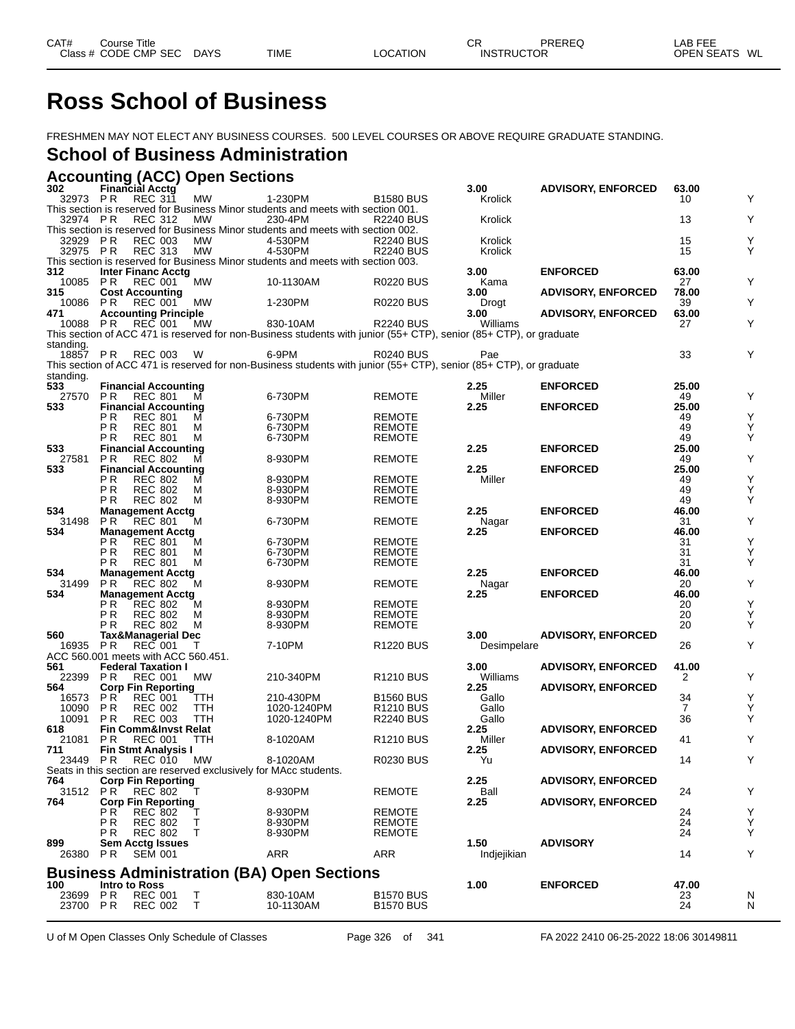# **Ross School of Business**

FRESHMEN MAY NOT ELECT ANY BUSINESS COURSES. 500 LEVEL COURSES OR ABOVE REQUIRE GRADUATE STANDING.

#### **School of Business Administration**

|  |  | <b>Accounting (ACC) Open Sections</b> |  |
|--|--|---------------------------------------|--|
|  |  |                                       |  |

| 302               |            | <b>Financial Acctg</b>                        |             |                                                                                                                    |                                      | 3.00             | <b>ADVISORY, ENFORCED</b> | 63.00          |        |
|-------------------|------------|-----------------------------------------------|-------------|--------------------------------------------------------------------------------------------------------------------|--------------------------------------|------------------|---------------------------|----------------|--------|
| 32973             | P R        | <b>REC 311</b>                                | <b>MW</b>   | 1-230PM                                                                                                            | <b>B1580 BUS</b>                     | Krolick          |                           | 10             | Y      |
|                   |            |                                               |             | This section is reserved for Business Minor students and meets with section 001.<br>230-4PM                        |                                      |                  |                           |                | Y      |
| 32974 PR          |            | <b>REC 312</b>                                | MW          | This section is reserved for Business Minor students and meets with section 002.                                   | <b>R2240 BUS</b>                     | Krolick          |                           | 13             |        |
| 32929             | P R        | <b>REC 003</b>                                | МW          | 4-530PM                                                                                                            | <b>R2240 BUS</b>                     | Krolick          |                           | 15             | Υ      |
| 32975 PR          |            | <b>REC 313</b>                                | <b>MW</b>   | 4-530PM                                                                                                            | <b>R2240 BUS</b>                     | Krolick          |                           | 15             | Y      |
|                   |            |                                               |             | This section is reserved for Business Minor students and meets with section 003.                                   |                                      |                  |                           |                |        |
| 312               |            | <b>Inter Financ Acctg</b>                     |             |                                                                                                                    |                                      | 3.00             | <b>ENFORCED</b>           | 63.00          |        |
| 10085             | P R        | <b>REC 001</b>                                | МW          | 10-1130AM                                                                                                          | <b>R0220 BUS</b>                     | Kama             |                           | 27             | Y      |
| 315<br>10086      | P R        | <b>Cost Accounting</b><br><b>REC 001</b>      | MW          | 1-230PM                                                                                                            | <b>R0220 BUS</b>                     | 3.00<br>Drogt    | <b>ADVISORY, ENFORCED</b> | 78.00<br>39    | Y      |
| 471               |            | <b>Accounting Principle</b>                   |             |                                                                                                                    |                                      | 3.00             | <b>ADVISORY, ENFORCED</b> | 63.00          |        |
| 10088             | P R        | <b>REC 001</b>                                | МW          | 830-10AM                                                                                                           | <b>R2240 BUS</b>                     | Williams         |                           | 27             | Y      |
|                   |            |                                               |             | This section of ACC 471 is reserved for non-Business students with junior (55+ CTP), senior (85+ CTP), or graduate |                                      |                  |                           |                |        |
| standing.         |            |                                               |             |                                                                                                                    |                                      |                  |                           |                |        |
| 18857             | PR         | REC 003                                       | W           | 6-9PM                                                                                                              | <b>R0240 BUS</b>                     | Pae              |                           | 33             | Y      |
|                   |            |                                               |             | This section of ACC 471 is reserved for non-Business students with junior (55+ CTP), senior (85+ CTP), or graduate |                                      |                  |                           |                |        |
| standing.<br>533  |            | <b>Financial Accounting</b>                   |             |                                                                                                                    |                                      | 2.25             | <b>ENFORCED</b>           | 25.00          |        |
| 27570             | P R        | <b>REC 801</b>                                | м           | 6-730PM                                                                                                            | <b>REMOTE</b>                        | Miller           |                           | 49             | Y      |
| 533               |            | <b>Financial Accounting</b>                   |             |                                                                                                                    |                                      | 2.25             | <b>ENFORCED</b>           | 25.00          |        |
|                   | P R        | <b>REC 801</b>                                | М           | 6-730PM                                                                                                            | <b>REMOTE</b>                        |                  |                           | 49             | Υ      |
|                   | P R        | <b>REC 801</b>                                | м           | 6-730PM                                                                                                            | <b>REMOTE</b>                        |                  |                           | 49             | Υ      |
|                   | P R        | <b>REC 801</b>                                | м           | 6-730PM                                                                                                            | <b>REMOTE</b>                        |                  |                           | 49             | Υ      |
| 533<br>27581      | P R        | <b>Financial Accounting</b><br><b>REC 802</b> | м           | 8-930PM                                                                                                            | <b>REMOTE</b>                        | 2.25             | <b>ENFORCED</b>           | 25.00<br>49    | Υ      |
| 533               |            | <b>Financial Accounting</b>                   |             |                                                                                                                    |                                      | 2.25             | <b>ENFORCED</b>           | 25.00          |        |
|                   | P R        | <b>REC 802</b>                                | М           | 8-930PM                                                                                                            | <b>REMOTE</b>                        | Miller           |                           | 49             | Υ      |
|                   | P R        | <b>REC 802</b>                                | м           | 8-930PM                                                                                                            | <b>REMOTE</b>                        |                  |                           | 49             | Υ      |
|                   | P R        | <b>REC 802</b>                                | М           | 8-930PM                                                                                                            | <b>REMOTE</b>                        |                  |                           | 49             | Υ      |
| 534               |            | <b>Management Acctg</b>                       |             |                                                                                                                    |                                      | 2.25             | <b>ENFORCED</b>           | 46.00          |        |
| 31498             | P R        | <b>REC 801</b>                                | м           | 6-730PM                                                                                                            | <b>REMOTE</b>                        | Nagar            |                           | 31             | Υ      |
| 534               | P R        | <b>Management Acctg</b><br><b>REC 801</b>     | м           | 6-730PM                                                                                                            | <b>REMOTE</b>                        | 2.25             | <b>ENFORCED</b>           | 46.00<br>31    | Υ      |
|                   | P R        | <b>REC 801</b>                                | м           | 6-730PM                                                                                                            | <b>REMOTE</b>                        |                  |                           | 31             | Υ      |
|                   | P R        | <b>REC 801</b>                                | м           | 6-730PM                                                                                                            | <b>REMOTE</b>                        |                  |                           | 31             | Y      |
| 534               |            | <b>Management Acctg</b>                       |             |                                                                                                                    |                                      | 2.25             | <b>ENFORCED</b>           | 46.00          |        |
| 31499             | P R        | <b>REC 802</b>                                | м           | 8-930PM                                                                                                            | <b>REMOTE</b>                        | Nagar            |                           | 20             | Υ      |
| 534               |            | <b>Management Acctg</b>                       |             |                                                                                                                    |                                      | 2.25             | <b>ENFORCED</b>           | 46.00          |        |
|                   | P R<br>P R | <b>REC 802</b><br><b>REC 802</b>              | м<br>м      | 8-930PM<br>8-930PM                                                                                                 | <b>REMOTE</b><br><b>REMOTE</b>       |                  |                           | 20<br>20       | Υ<br>Υ |
|                   | P R        | <b>REC 802</b>                                | М           | 8-930PM                                                                                                            | <b>REMOTE</b>                        |                  |                           | 20             | Y      |
| 560               |            | Tax&Managerial Dec                            |             |                                                                                                                    |                                      | 3.00             | <b>ADVISORY, ENFORCED</b> |                |        |
| 16935             | P R        | <b>REC 001</b>                                |             | 7-10PM                                                                                                             | R <sub>1220</sub> BUS                | Desimpelare      |                           | 26             | Y      |
|                   |            | ACC 560.001 meets with ACC 560.451.           |             |                                                                                                                    |                                      |                  |                           |                |        |
| 561               |            | <b>Federal Taxation I</b>                     |             |                                                                                                                    |                                      | 3.00             | <b>ADVISORY, ENFORCED</b> | 41.00          | Y      |
| 22399<br>564      | P R        | <b>REC 001</b><br><b>Corp Fin Reporting</b>   | МW          | 210-340PM                                                                                                          | R <sub>1210</sub> BUS                | Williams<br>2.25 | <b>ADVISORY, ENFORCED</b> | 2              |        |
| 16573             | P R        | <b>REC 001</b>                                | ттн         | 210-430PM                                                                                                          | <b>B1560 BUS</b>                     | Gallo            |                           | 34             | Υ      |
| 10090             | P R        | <b>REC 002</b>                                | TTH         | 1020-1240PM                                                                                                        | R <sub>1210</sub> BUS                | Gallo            |                           | $\overline{7}$ | Υ      |
| 10091             | PR.        | <b>REC 003</b>                                | TTH         | 1020-1240PM                                                                                                        | <b>R2240 BUS</b>                     | Gallo            |                           | 36             | Y      |
| 618               |            | <b>Fin Comm&amp;Invst Relat</b>               |             |                                                                                                                    |                                      | 2.25             | <b>ADVISORY, ENFORCED</b> |                |        |
| 21081             | P R        | <b>REC 001</b>                                | TTH         | 8-1020AM                                                                                                           | R <sub>1210</sub> BUS                | Miller           |                           | 41             | Y      |
| 711<br>23449      | P R        | <b>Fin Stmt Analysis I</b><br><b>REC 010</b>  | MW          | 8-1020AM                                                                                                           | <b>R0230 BUS</b>                     | 2.25<br>Yu       | <b>ADVISORY, ENFORCED</b> | 14             | Y      |
|                   |            |                                               |             | Seats in this section are reserved exclusively for MAcc students.                                                  |                                      |                  |                           |                |        |
| 764               |            | <b>Corp Fin Reporting</b>                     |             |                                                                                                                    |                                      | 2.25             | <b>ADVISORY, ENFORCED</b> |                |        |
| 31512 PR          |            | <b>REC 802</b>                                |             | 8-930PM                                                                                                            | <b>REMOTE</b>                        | Ball             |                           | 24             | Y      |
| 764               |            | <b>Corp Fin Reporting</b>                     |             |                                                                                                                    |                                      | 2.25             | <b>ADVISORY, ENFORCED</b> |                |        |
|                   | P R        | <b>REC 802</b>                                | Т           | 8-930PM                                                                                                            | <b>REMOTE</b>                        |                  |                           | 24             | Υ      |
|                   | P R<br>P R | <b>REC 802</b><br><b>REC 802</b>              | т<br>Τ      | 8-930PM<br>8-930PM                                                                                                 | <b>REMOTE</b><br><b>REMOTE</b>       |                  |                           | 24<br>24       | Υ<br>Υ |
| 899               |            | <b>Sem Acctg Issues</b>                       |             |                                                                                                                    |                                      | 1.50             | <b>ADVISORY</b>           |                |        |
| 26380             | PR.        | <b>SEM 001</b>                                |             | <b>ARR</b>                                                                                                         | ARR                                  | Indiejikian      |                           | 14             | Υ      |
|                   |            |                                               |             |                                                                                                                    |                                      |                  |                           |                |        |
|                   |            |                                               |             | <b>Business Administration (BA) Open Sections</b>                                                                  |                                      |                  |                           |                |        |
| 100               |            | Intro to Ross                                 |             |                                                                                                                    |                                      | 1.00             | <b>ENFORCED</b>           | 47.00          |        |
| 23699<br>23700 PR | PR         | <b>REC 001</b><br><b>REC 002</b>              | $\top$<br>T | 830-10AM<br>10-1130AM                                                                                              | <b>B1570 BUS</b><br><b>B1570 BUS</b> |                  |                           | 23<br>24       | N<br>N |
|                   |            |                                               |             |                                                                                                                    |                                      |                  |                           |                |        |

U of M Open Classes Only Schedule of Classes **Page 326** of 341 FA 2022 2410 06-25-2022 18:06 30149811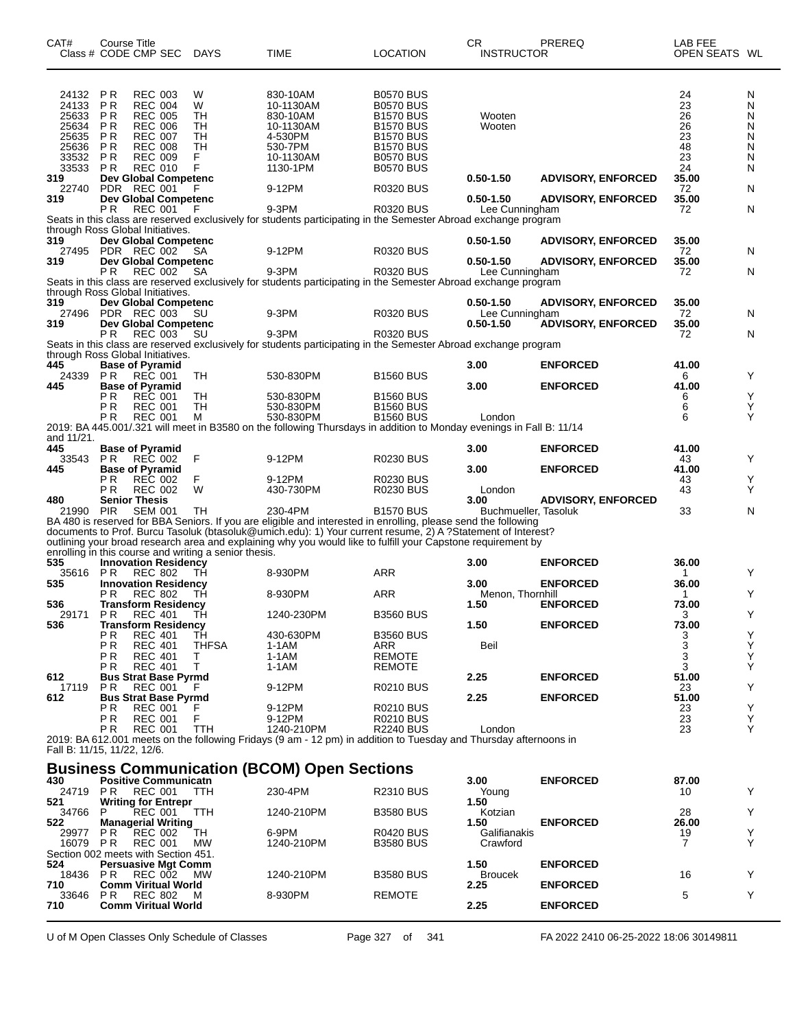| CAT#                                               | <b>Course Title</b><br>Class # CODE CMP SEC                                                                                                                                   | <b>DAYS</b>                    | <b>TIME</b>                                                                                                                                                                                                                                                                                                                                   | <b>LOCATION</b>                                                                                                      | <b>CR</b><br><b>INSTRUCTOR</b>         | PREREQ                                                 | LAB FEE<br>OPEN SEATS WL          |                            |
|----------------------------------------------------|-------------------------------------------------------------------------------------------------------------------------------------------------------------------------------|--------------------------------|-----------------------------------------------------------------------------------------------------------------------------------------------------------------------------------------------------------------------------------------------------------------------------------------------------------------------------------------------|----------------------------------------------------------------------------------------------------------------------|----------------------------------------|--------------------------------------------------------|-----------------------------------|----------------------------|
| 24132<br>24133<br>25633<br>25634<br>25635<br>25636 | P <sub>R</sub><br><b>REC 003</b><br>P R<br><b>REC 004</b><br>P <sub>R</sub><br><b>REC 005</b><br><b>PR</b><br><b>REC 006</b><br>P R<br><b>REC 007</b><br>PR<br><b>REC 008</b> | W<br>W<br>TН<br>TН<br>TН<br>TН | 830-10AM<br>10-1130AM<br>830-10AM<br>10-1130AM<br>4-530PM<br>530-7PM                                                                                                                                                                                                                                                                          | <b>B0570 BUS</b><br><b>B0570 BUS</b><br><b>B1570 BUS</b><br><b>B1570 BUS</b><br><b>B1570 BUS</b><br><b>B1570 BUS</b> | Wooten<br>Wooten                       |                                                        | 24<br>23<br>26<br>26<br>23<br>48  | N<br>N<br>N<br>N<br>Ν<br>N |
| 33532<br>33533 PR<br>319<br>22740                  | PR<br><b>REC 009</b><br><b>REC 010</b><br><b>Dev Global Competenc</b><br>PDR REC 001                                                                                          | F<br>F                         | 10-1130AM<br>1130-1PM<br>9-12PM                                                                                                                                                                                                                                                                                                               | <b>B0570 BUS</b><br><b>B0570 BUS</b><br>R0320 BUS                                                                    | $0.50 - 1.50$                          | <b>ADVISORY, ENFORCED</b>                              | 23<br>24<br>35.00<br>72           | N<br>N<br>N                |
| 319                                                | <b>Dev Global Competenc</b><br>P <sub>R</sub><br><b>REC 001</b>                                                                                                               | F                              | $9-3PM$<br>Seats in this class are reserved exclusively for students participating in the Semester Abroad exchange program                                                                                                                                                                                                                    | <b>R0320 BUS</b>                                                                                                     | $0.50 - 1.50$<br>Lee Cunningham        | <b>ADVISORY, ENFORCED</b>                              | 35.00<br>72                       | N                          |
| 319<br>27495<br>319                                | through Ross Global Initiatives.<br>Dev Global Competenc<br>PDR REC 002<br>Dev Global Competenc                                                                               | SA                             | 9-12PM                                                                                                                                                                                                                                                                                                                                        | R0320 BUS                                                                                                            | $0.50 - 1.50$<br>$0.50 - 1.50$         | <b>ADVISORY, ENFORCED</b><br><b>ADVISORY, ENFORCED</b> | 35.00<br>72<br>35.00              | N                          |
| 319                                                | P <sub>R</sub><br><b>REC 002</b><br>through Ross Global Initiatives.<br>Dev Global Competenc                                                                                  | SA                             | $9-3PM$<br>Seats in this class are reserved exclusively for students participating in the Semester Abroad exchange program                                                                                                                                                                                                                    | <b>R0320 BUS</b>                                                                                                     | Lee Cunningham<br>$0.50 - 1.50$        | <b>ADVISORY, ENFORCED</b>                              | 72<br>35.00                       | N                          |
| 27496<br>319                                       | PDR REC 003<br><b>Dev Global Competenc</b><br>P <sub>R</sub><br><b>REC 003</b>                                                                                                | SU<br>SU                       | 9-3PM<br>$9-3PM$                                                                                                                                                                                                                                                                                                                              | R0320 BUS<br><b>R0320 BUS</b>                                                                                        | Lee Cunningham<br>$0.50 - 1.50$        | <b>ADVISORY, ENFORCED</b>                              | 72<br>35.00<br>72                 | N<br>N                     |
|                                                    | through Ross Global Initiatives.                                                                                                                                              |                                | Seats in this class are reserved exclusively for students participating in the Semester Abroad exchange program                                                                                                                                                                                                                               |                                                                                                                      |                                        |                                                        |                                   |                            |
| 445<br>24339<br>445                                | <b>Base of Pyramid</b><br>PR.<br><b>REC 001</b><br><b>Base of Pyramid</b><br>P R<br><b>REC 001</b>                                                                            | TН<br>TН                       | 530-830PM<br>530-830PM                                                                                                                                                                                                                                                                                                                        | <b>B1560 BUS</b><br><b>B1560 BUS</b>                                                                                 | 3.00<br>3.00                           | <b>ENFORCED</b><br><b>ENFORCED</b>                     | 41.00<br>6<br>41.00<br>6          | Y<br>Y                     |
|                                                    | <b>REC 001</b><br>P R<br>P R<br><b>REC 001</b>                                                                                                                                | TН<br>М                        | 530-830PM<br>530-830PM<br>2019: BA 445.001/.321 will meet in B3580 on the following Thursdays in addition to Monday evenings in Fall B: 11/14                                                                                                                                                                                                 | <b>B1560 BUS</b><br><b>B1560 BUS</b>                                                                                 | London                                 |                                                        | 6<br>6                            | Υ<br>Y                     |
| and 11/21.<br>445                                  | <b>Base of Pyramid</b>                                                                                                                                                        |                                |                                                                                                                                                                                                                                                                                                                                               |                                                                                                                      | 3.00                                   | <b>ENFORCED</b>                                        | 41.00                             |                            |
| 33543<br>445                                       | <b>REC 002</b><br>P <sub>R</sub><br><b>Base of Pyramid</b><br>РR<br><b>REC 002</b>                                                                                            | F<br>F                         | 9-12PM<br>9-12PM                                                                                                                                                                                                                                                                                                                              | <b>R0230 BUS</b><br>R0230 BUS                                                                                        | 3.00                                   | <b>ENFORCED</b>                                        | 43<br>41.00<br>43                 | Y<br>Υ                     |
| 480<br>21990                                       | <b>REC 002</b><br>P R<br><b>Senior Thesis</b><br><b>PIR</b><br>SEM 001                                                                                                        | W<br>TН                        | 430-730PM<br>230-4PM                                                                                                                                                                                                                                                                                                                          | <b>R0230 BUS</b><br><b>B1570 BUS</b>                                                                                 | London<br>3.00<br>Buchmueller, Tasoluk | <b>ADVISORY, ENFORCED</b>                              | 43<br>33                          | Υ<br>N                     |
|                                                    | enrolling in this course and writing a senior thesis.                                                                                                                         |                                | BA 480 is reserved for BBA Seniors. If you are eligible and interested in enrolling, please send the following<br>documents to Prof. Burcu Tasoluk (btasoluk@umich.edu): 1) Your current resume, 2) A ?Statement of Interest?<br>outlining your broad research area and explaining why you would like to fulfill your Capstone requirement by |                                                                                                                      |                                        |                                                        |                                   |                            |
| 535<br>35616                                       | <b>Innovation Residency</b><br>P R<br><b>REC 802</b>                                                                                                                          | TH                             | 8-930PM                                                                                                                                                                                                                                                                                                                                       | ARR                                                                                                                  | 3.00                                   | <b>ENFORCED</b>                                        | 36.00<br>1                        | Y                          |
| 535                                                | <b>Innovation Residency</b><br><b>REC 802</b><br>P R                                                                                                                          | TН                             | 8-930PM                                                                                                                                                                                                                                                                                                                                       | <b>ARR</b>                                                                                                           | 3.00<br>Menon. Thornhill               | <b>ENFORCED</b>                                        | 36.00<br>1                        | Y                          |
| 536<br>29171                                       | <b>Transform Residency</b><br>P R<br><b>REC 401</b>                                                                                                                           | TН                             | 1240-230PM                                                                                                                                                                                                                                                                                                                                    | <b>B3560 BUS</b>                                                                                                     | 1.50                                   | <b>ENFORCED</b>                                        | 73.00<br>3                        | Y                          |
| 536                                                | <b>Transform Residency</b><br>P R<br><b>REC 401</b><br>PR<br><b>REC 401</b><br><b>REC 401</b><br>ΡR                                                                           | TH<br><b>THFSA</b><br>Т        | 430-630PM<br>1-1AM<br>$1-1AM$                                                                                                                                                                                                                                                                                                                 | <b>B3560 BUS</b><br>ARR<br><b>REMOTE</b>                                                                             | 1.50<br>Beil                           | <b>ENFORCED</b>                                        | 73.00<br>3<br>$\overline{3}$<br>3 | Y<br>Ý<br>Υ                |
| 612<br>17119                                       | P R<br><b>REC 401</b><br><b>Bus Strat Base Pyrmd</b><br>P <sub>R</sub><br><b>REC 001</b>                                                                                      | T<br>F                         | 1-1AM<br>9-12PM                                                                                                                                                                                                                                                                                                                               | <b>REMOTE</b><br>R0210 BUS                                                                                           | 2.25                                   | <b>ENFORCED</b>                                        | 3<br>51.00<br>23                  | Υ<br>Y                     |
| 612                                                | <b>Bus Strat Base Pyrmd</b><br>P R<br><b>REC 001</b><br>P R<br><b>REC 001</b><br>P R<br><b>REC 001</b>                                                                        | F<br>TTH                       | 9-12PM<br>9-12PM<br>1240-210PM                                                                                                                                                                                                                                                                                                                | R0210 BUS<br><b>R0210 BUS</b><br><b>R2240 BUS</b>                                                                    | 2.25<br>London                         | <b>ENFORCED</b>                                        | 51.00<br>23<br>23<br>23           | Υ<br>Υ<br>Y                |
|                                                    | Fall B: 11/15, 11/22, 12/6.                                                                                                                                                   |                                | 2019: BA 612.001 meets on the following Fridays (9 am - 12 pm) in addition to Tuesday and Thursday afternoons in                                                                                                                                                                                                                              |                                                                                                                      |                                        |                                                        |                                   |                            |
| 430                                                | <b>Positive Communicatn</b><br>24719 PR REC 001                                                                                                                               | <b>TTH</b>                     | <b>Business Communication (BCOM) Open Sections</b><br>230-4PM                                                                                                                                                                                                                                                                                 | <b>R2310 BUS</b>                                                                                                     | 3.00<br>Young                          | <b>ENFORCED</b>                                        | 87.00<br>10                       | Y                          |
| 521<br>34766<br>522                                | <b>Writing for Entrepr</b><br><b>REC 001</b><br>P<br><b>Managerial Writing</b>                                                                                                | TTH                            | 1240-210PM                                                                                                                                                                                                                                                                                                                                    | <b>B3580 BUS</b>                                                                                                     | 1.50<br>Kotzian<br>1.50                | <b>ENFORCED</b>                                        | 28<br>26.00                       | Y                          |
| 29977<br>16079 PR                                  | <b>REC 002</b><br>P R<br><b>REC 001</b><br>Section 002 meets with Section 451.                                                                                                | TН<br>MW                       | 6-9PM<br>1240-210PM                                                                                                                                                                                                                                                                                                                           | <b>R0420 BUS</b><br><b>B3580 BUS</b>                                                                                 | Galifianakis<br>Crawford               |                                                        | 19<br>$\overline{7}$              | Υ<br>Y                     |
| 524<br>18436 PR<br>710                             | <b>Persuasive Mgt Comm</b><br><b>REC 002</b><br><b>Comm Viritual World</b>                                                                                                    | <b>MW</b>                      | 1240-210PM                                                                                                                                                                                                                                                                                                                                    | <b>B3580 BUS</b>                                                                                                     | 1.50<br>Broucek<br>2.25                | <b>ENFORCED</b><br><b>ENFORCED</b>                     | 16                                | Y                          |
| 33646<br>710                                       | <b>REC 802</b><br>P R<br><b>Comm Viritual World</b>                                                                                                                           | м                              | 8-930PM                                                                                                                                                                                                                                                                                                                                       | <b>REMOTE</b>                                                                                                        | 2.25                                   | <b>ENFORCED</b>                                        | 5                                 | Y                          |

U of M Open Classes Only Schedule of Classes Page 327 of 341 FA 2022 2410 06-25-2022 18:06 30149811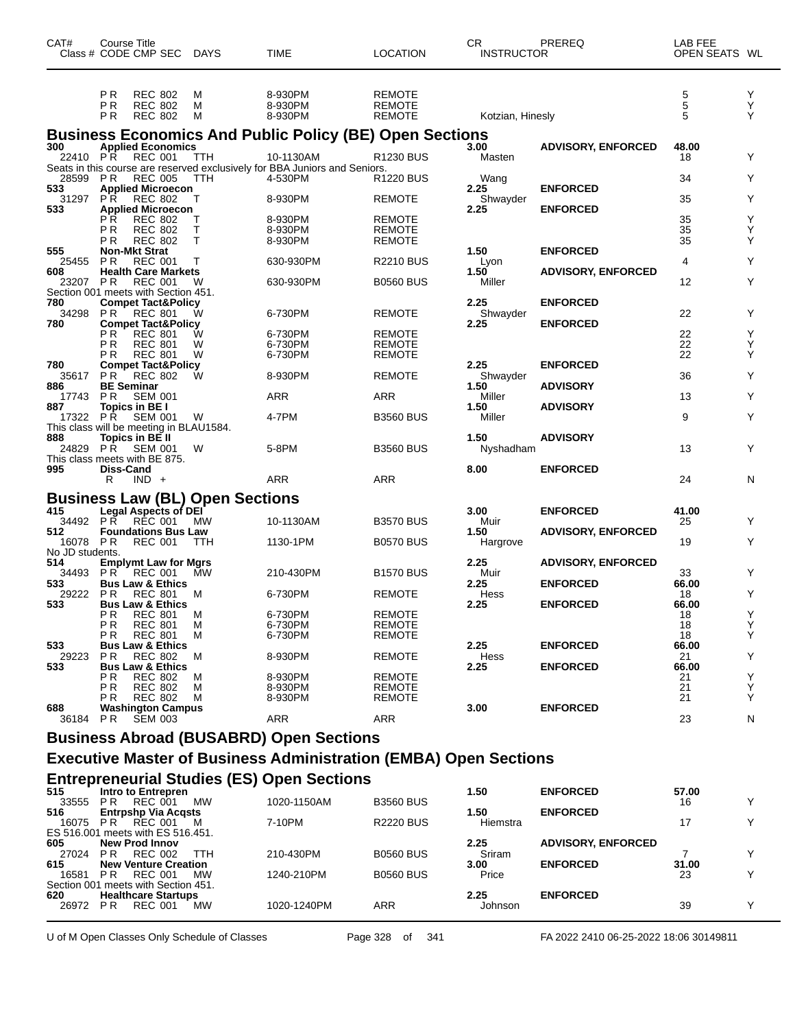| CAT#                   | Course Title               | Class # CODE CMP SEC DAYS                                                   |                                        | <b>TIME</b>                                                                             | <b>LOCATION</b>                          | CR<br><b>INSTRUCTOR</b> | PREREQ                    | LAB FEE<br>OPEN SEATS WL |             |
|------------------------|----------------------------|-----------------------------------------------------------------------------|----------------------------------------|-----------------------------------------------------------------------------------------|------------------------------------------|-------------------------|---------------------------|--------------------------|-------------|
|                        | ΡR<br>ΡR<br>P <sub>R</sub> | <b>REC 802</b><br><b>REC 802</b><br><b>REC 802</b>                          | M<br>M<br>м                            | 8-930PM<br>8-930PM<br>8-930PM                                                           | REMOTE<br><b>REMOTE</b><br><b>REMOTE</b> | Kotzian, Hinesly        |                           | $\frac{5}{5}$<br>5       | Υ<br>Υ<br>Y |
|                        |                            |                                                                             |                                        | <b>Business Economics And Public Policy (BE) Open Sections</b>                          |                                          |                         |                           |                          |             |
| 300<br>22410 PR        |                            | <b>Applied Economics</b><br>REC 001                                         | <b>TTH</b>                             | 10-1130AM<br>Seats in this course are reserved exclusively for BBA Juniors and Seniors. | R1230 BUS                                | 3.00<br>Masten          | <b>ADVISORY, ENFORCED</b> | 48.00<br>18              | Y           |
| 28599 PR               |                            | <b>REC 005</b>                                                              | <b>TTH</b>                             | 4-530PM                                                                                 | <b>R1220 BUS</b>                         | Wang                    |                           | 34                       | Y           |
| 533<br>31297           | P R                        | <b>Applied Microecon</b><br><b>REC 802</b>                                  | т                                      | 8-930PM                                                                                 | <b>REMOTE</b>                            | 2.25<br>Shwayder        | <b>ENFORCED</b>           | 35                       | Y           |
| 533                    |                            | <b>Applied Microecon</b>                                                    |                                        |                                                                                         |                                          | 2.25                    | <b>ENFORCED</b>           |                          |             |
|                        | РR<br>РR                   | <b>REC 802</b><br><b>REC 802</b>                                            | т<br>Т                                 | 8-930PM<br>8-930PM                                                                      | <b>REMOTE</b><br>REMOTE                  |                         |                           | 35<br>35                 | Υ<br>Y      |
|                        | P R                        | <b>REC 802</b>                                                              | T                                      | 8-930PM                                                                                 | <b>REMOTE</b>                            |                         |                           | 35                       | Y           |
| 555<br>25455           | P <sub>R</sub>             | <b>Non-Mkt Strat</b><br><b>REC 001</b>                                      |                                        | 630-930PM                                                                               | <b>R2210 BUS</b>                         | 1.50<br>Lyon            | <b>ENFORCED</b>           | 4                        | Y           |
| 608                    |                            | <b>Health Care Markets</b>                                                  |                                        |                                                                                         |                                          | 1.50                    | <b>ADVISORY, ENFORCED</b> |                          | Y           |
| 23207 PR               |                            | <b>REC 001</b><br>Section 001 meets with Section 451.                       | W                                      | 630-930PM                                                                               | <b>B0560 BUS</b>                         | Miller                  |                           | 12                       |             |
| 780<br>34298           | <b>PR</b>                  | <b>Compet Tact&amp;Policy</b>                                               |                                        | 6-730PM                                                                                 |                                          | 2.25                    | <b>ENFORCED</b>           | 22                       | Y           |
| 780                    |                            | REC 801<br><b>Compet Tact&amp;Policy</b>                                    | W                                      |                                                                                         | <b>REMOTE</b>                            | Shwayder<br>2.25        | <b>ENFORCED</b>           |                          |             |
|                        | P R                        | <b>REC 801</b>                                                              | W                                      | 6-730PM                                                                                 | <b>REMOTE</b>                            |                         |                           | 22                       | Y           |
|                        | РR<br>P R                  | <b>REC 801</b><br><b>REC 801</b>                                            | W<br>W                                 | 6-730PM<br>6-730PM                                                                      | REMOTE<br><b>REMOTE</b>                  |                         |                           | 22<br>22                 | Υ<br>Y      |
| 780<br>35617           | P R                        | <b>Compet Tact&amp;Policy</b>                                               | w                                      | 8-930PM                                                                                 | <b>REMOTE</b>                            | 2.25                    | <b>ENFORCED</b>           | 36                       | Y           |
| 886                    | <b>BE Seminar</b>          | REC 802                                                                     |                                        |                                                                                         |                                          | Shwayder<br>1.50        | <b>ADVISORY</b>           |                          |             |
| 17743<br>887           | P R                        | <b>SEM 001</b>                                                              |                                        | ARR                                                                                     | <b>ARR</b>                               | Miller<br>1.50          |                           | 13                       | Y           |
| 17322 PR               |                            | Topics in BE I<br><b>SEM 001</b><br>This class will be meeting in BLAU1584. | W                                      | 4-7PM                                                                                   | <b>B3560 BUS</b>                         | Miller                  | <b>ADVISORY</b>           | 9                        | Y           |
| 888<br>24829           | PŘ                         | Topics in BE II<br><b>SEM 001</b><br>This class meets with BE 875.          | W                                      | 5-8PM                                                                                   | <b>B3560 BUS</b>                         | 1.50<br>Nyshadham       | <b>ADVISORY</b>           | 13                       | Y           |
| 995                    | Diss-Cand<br>R.            | $IND +$                                                                     |                                        | ARR                                                                                     | ARR                                      | 8.00                    | <b>ENFORCED</b>           | 24                       | N           |
|                        |                            |                                                                             | <b>Business Law (BL) Open Sections</b> |                                                                                         |                                          |                         |                           |                          |             |
| 415                    |                            | <b>Legal Aspects of DEI</b>                                                 |                                        |                                                                                         |                                          | 3.00                    | <b>ENFORCED</b>           | 41.00                    |             |
| 34492 PR<br>512        |                            | RÉC 001<br><b>Foundations Bus Law</b>                                       | <b>MW</b>                              | 10-1130AM                                                                               | <b>B3570 BUS</b>                         | Muir<br>1.50            | <b>ADVISORY, ENFORCED</b> | 25                       | Y           |
| 16078 PR               |                            | <b>REC 001</b>                                                              | TTH                                    | 1130-1PM                                                                                | <b>B0570 BUS</b>                         | Hargrove                |                           | 19                       | Y           |
| No JD students.<br>514 |                            | <b>Emplymt Law for Mgrs</b>                                                 |                                        |                                                                                         |                                          | 2.25                    | <b>ADVISORY, ENFORCED</b> |                          |             |
| 34493                  | P R                        | <b>REC 001</b>                                                              | <b>MW</b>                              | 210-430PM                                                                               | <b>B1570 BUS</b>                         | Muir                    |                           | 33                       | Y           |
| 533<br>29222           | P R                        | <b>Bus Law &amp; Ethics</b><br><b>REC 801</b>                               | м                                      | 6-730PM                                                                                 | <b>REMOTE</b>                            | 2.25<br>Hess            | <b>ENFORCED</b>           | 66.00<br>18              | Υ           |
| 533                    |                            | <b>Bus Law &amp; Ethics</b>                                                 |                                        |                                                                                         |                                          | 2.25                    | <b>ENFORCED</b>           | 66.00                    |             |
|                        | PR<br>P R                  | <b>REC 801</b><br><b>REC 801</b>                                            | M<br>м                                 | 6-730PM<br>6-730PM                                                                      | <b>REMOTE</b><br>REMOTE                  |                         |                           | 18<br>18                 | Υ<br>Υ      |
|                        | РR                         | <b>REC 801</b>                                                              | м                                      | 6-730PM                                                                                 | REMOTE                                   |                         |                           | 18                       | Y           |
| 533<br>29223           | <b>PR</b>                  | <b>Bus Law &amp; Ethics</b>                                                 | м                                      |                                                                                         | <b>REMOTE</b>                            | 2.25<br>Hess            | <b>ENFORCED</b>           | 66.00                    | Y           |
| 533                    |                            | <b>REC 802</b><br><b>Bus Law &amp; Ethics</b>                               |                                        | 8-930PM                                                                                 |                                          | 2.25                    | <b>ENFORCED</b>           | 21<br>66.00              |             |
|                        | P R                        | REC 802                                                                     | M                                      | 8-930PM                                                                                 | REMOTE                                   |                         |                           | 21                       | Y           |
|                        | РR<br>РR                   | <b>REC 802</b><br><b>REC 802</b>                                            | м<br>м                                 | 8-930PM<br>8-930PM                                                                      | REMOTE<br>REMOTE                         |                         |                           | 21<br>21                 | Y<br>Y      |
| 688<br>36184 PR        |                            | <b>Washington Campus</b>                                                    |                                        | ARR                                                                                     | ARR                                      | 3.00                    | <b>ENFORCED</b>           |                          |             |
|                        |                            | <b>SEM 003</b>                                                              |                                        |                                                                                         |                                          |                         |                           | 23                       | N           |
|                        |                            |                                                                             |                                        | <b>Business Abroad (BUSABRD) Open Sections</b>                                          |                                          |                         |                           |                          |             |
|                        |                            |                                                                             |                                        | <b>Executive Master of Business Administration (EMBA) Open Sections</b>                 |                                          |                         |                           |                          |             |
| 515                    |                            | Intro to Entrepren                                                          |                                        | <b>Entrepreneurial Studies (ES) Open Sections</b>                                       |                                          | 1.50                    | <b>ENFORCED</b>           | 57.00                    |             |
|                        |                            | 33555 PR REC 001                                                            | МW                                     | 1020-1150AM                                                                             | <b>B3560 BUS</b>                         |                         |                           | 16                       | Y           |
| 516<br>16075 PR        |                            | <b>Entrpshp Via Acqsts</b><br>REC 001<br>$ECE4COM$ mooto with $ECE4C$       | M                                      | 7-10PM                                                                                  | R2220 BUS                                | 1.50<br>Hiemstra        | <b>ENFORCED</b>           | 17                       | Y           |

| $100/5$ $\mu$ K |                                     | REU UUT                     | <b>IVI</b> | 7-TUPNI     | RZZZU BUS        | <b>Hiemstra</b> |                           |       |  |
|-----------------|-------------------------------------|-----------------------------|------------|-------------|------------------|-----------------|---------------------------|-------|--|
|                 | ES 516.001 meets with ES 516.451.   |                             |            |             |                  |                 |                           |       |  |
| 605             | <b>New Prod Innov</b>               |                             |            |             |                  | 2.25            | <b>ADVISORY, ENFORCED</b> |       |  |
| 27024           | P R                                 | REC 002                     | TTH        | 210-430PM   | <b>B0560 BUS</b> | Sriram          |                           |       |  |
| 615             |                                     | <b>New Venture Creation</b> |            |             |                  | 3.00            | <b>ENFORCED</b>           | 31.00 |  |
| 16581           | P R                                 | REC 001                     | MW         | 1240-210PM  | <b>B0560 BUS</b> | Price           |                           | 23    |  |
|                 | Section 001 meets with Section 451. |                             |            |             |                  |                 |                           |       |  |
| 620             |                                     | <b>Healthcare Startups</b>  |            |             |                  | 2.25            | <b>ENFORCED</b>           |       |  |
| 26972           | P R                                 | REC 001                     | МW         | 1020-1240PM | ARR              | Johnson         |                           | 39    |  |
|                 |                                     |                             |            |             |                  |                 |                           |       |  |

U of M Open Classes Only Schedule of Classes Page 328 of 341 FA 2022 2410 06-25-2022 18:06 30149811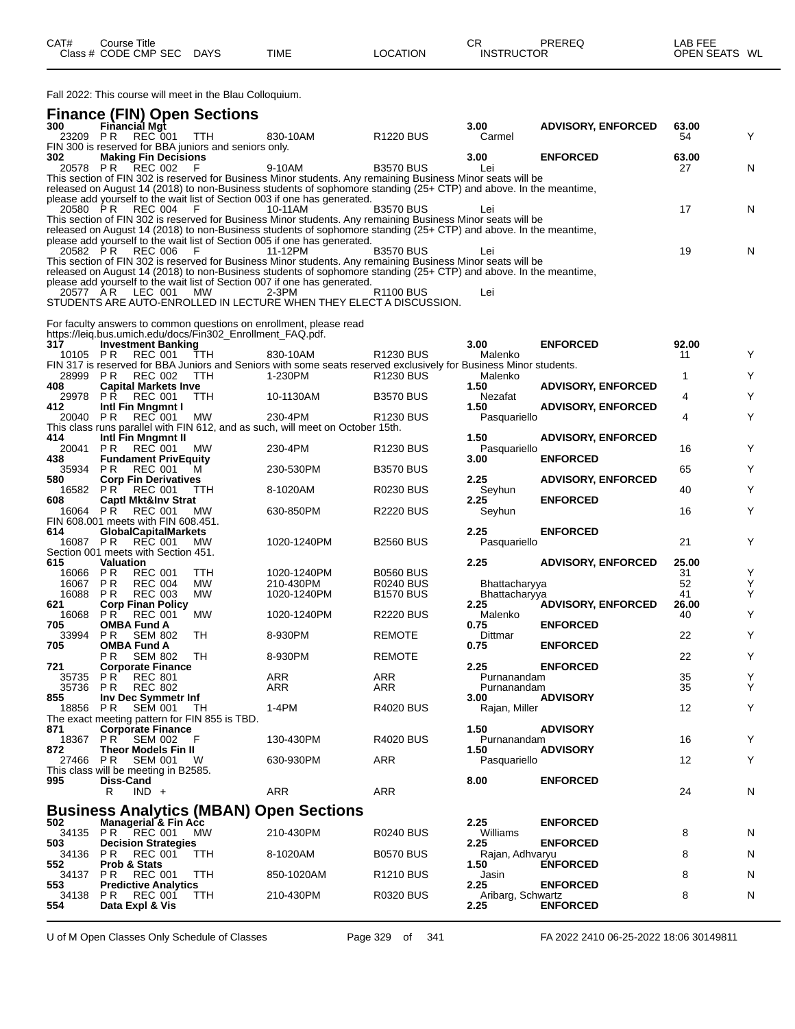| CAT# | Course Title         |             |             |          | СR                | PREREQ | _AB FEE       |
|------|----------------------|-------------|-------------|----------|-------------------|--------|---------------|
|      | Class # CODE CMP SEC | <b>DAYS</b> | <b>TIME</b> | LOCATION | <b>INSTRUCTOR</b> |        | OPEN SEATS WL |

Fall 2022: This course will meet in the Blau Colloquium.

| 300             | <b>Finance (FIN) Open Sections</b><br>Financial Mgt                       |            |                                                                                                                                                                                                                                  |                       | 3.00                 | <b>ADVISORY, ENFORCED</b> | 63.00       |   |
|-----------------|---------------------------------------------------------------------------|------------|----------------------------------------------------------------------------------------------------------------------------------------------------------------------------------------------------------------------------------|-----------------------|----------------------|---------------------------|-------------|---|
| 23209 PR        | <b>REC 001</b>                                                            | <b>TTH</b> | 830-10AM                                                                                                                                                                                                                         | R <sub>1220</sub> BUS | Carmel               |                           | 54          | Υ |
|                 | FIN 300 is reserved for BBA juniors and seniors only.                     |            |                                                                                                                                                                                                                                  |                       |                      |                           |             |   |
| 302             | <b>Making Fin Decisions</b>                                               |            |                                                                                                                                                                                                                                  |                       | 3.00                 | <b>ENFORCED</b>           | 63.00       |   |
| 20578 PR        | <b>REC 002</b>                                                            |            | 9-10AM<br>This section of FIN 302 is reserved for Business Minor students. Any remaining Business Minor seats will be                                                                                                            | <b>B3570 BUS</b>      | Lei                  |                           | 27          | N |
|                 |                                                                           |            | released on August 14 (2018) to non-Business students of sophomore standing (25+ CTP) and above. In the meantime,                                                                                                                |                       |                      |                           |             |   |
|                 |                                                                           |            | please add yourself to the wait list of Section 003 if one has generated.                                                                                                                                                        |                       |                      |                           |             |   |
| 20580 PR        | <b>REC 004</b>                                                            | -F         | 10-11AM                                                                                                                                                                                                                          | <b>B3570 BUS</b>      | Lei                  |                           | 17          | N |
|                 |                                                                           |            | This section of FIN 302 is reserved for Business Minor students. Any remaining Business Minor seats will be<br>released on August 14 (2018) to non-Business students of sophomore standing (25+ CTP) and above. In the meantime, |                       |                      |                           |             |   |
|                 |                                                                           |            | please add yourself to the wait list of Section 005 if one has generated.                                                                                                                                                        |                       |                      |                           |             |   |
| 20582 PR        | REC 006                                                                   | - F        | 11-12PM                                                                                                                                                                                                                          | <b>B3570 BUS</b>      | Lei                  |                           | 19          | N |
|                 |                                                                           |            | This section of FIN 302 is reserved for Business Minor students. Any remaining Business Minor seats will be                                                                                                                      |                       |                      |                           |             |   |
|                 |                                                                           |            | released on August 14 (2018) to non-Business students of sophomore standing (25+ CTP) and above. In the meantime,                                                                                                                |                       |                      |                           |             |   |
|                 | 20577 AR LEC 001                                                          | MW         | please add yourself to the wait list of Section 007 if one has generated.<br>2-3PM                                                                                                                                               | R <sub>1100</sub> BUS | Lei                  |                           |             |   |
|                 |                                                                           |            | STUDENTS ARE AUTO-ENROLLED IN LECTURE WHEN THEY ELECT A DISCUSSION.                                                                                                                                                              |                       |                      |                           |             |   |
|                 |                                                                           |            |                                                                                                                                                                                                                                  |                       |                      |                           |             |   |
|                 | https://leiq.bus.umich.edu/docs/Fin302_Enrollment_FAQ.pdf.                |            | For faculty answers to common questions on enrollment, please read                                                                                                                                                               |                       |                      |                           |             |   |
| 317             | <b>Investment Banking</b>                                                 |            |                                                                                                                                                                                                                                  |                       | 3.00                 | <b>ENFORCED</b>           | 92.00       |   |
| 10105 PR        | <b>REC 001</b>                                                            | TTH        | 830-10AM                                                                                                                                                                                                                         | R <sub>1230</sub> BUS | Malenko              |                           | 11          | Y |
|                 |                                                                           |            | FIN 317 is reserved for BBA Juniors and Seniors with some seats reserved exclusively for Business Minor students.                                                                                                                |                       |                      |                           |             |   |
| 28999 PR        | REC 002                                                                   | <b>TTH</b> | 1-230PM                                                                                                                                                                                                                          | R <sub>1230</sub> BUS | Malenko              |                           | 1           | Υ |
| 408<br>29978 PR | <b>Capital Markets Inve</b><br>REC 001                                    | <b>TTH</b> | 10-1130AM                                                                                                                                                                                                                        | <b>B3570 BUS</b>      | 1.50<br>Nezafat      | <b>ADVISORY, ENFORCED</b> | 4           | Υ |
| 412             | Intl Fin Mngmnt I                                                         |            |                                                                                                                                                                                                                                  |                       | 1.50                 | <b>ADVISORY, ENFORCED</b> |             |   |
| 20040           | REC 001<br>PR                                                             | МW         | 230-4PM                                                                                                                                                                                                                          | <b>R1230 BUS</b>      | Pasquariello         |                           | 4           | Y |
|                 |                                                                           |            | This class runs parallel with FIN 612, and as such, will meet on October 15th.                                                                                                                                                   |                       |                      |                           |             |   |
| 414<br>20041    | Intl Fin Mngmnt II<br><b>PR REC 001</b>                                   | МW         | 230-4PM                                                                                                                                                                                                                          | R <sub>1230</sub> BUS | 1.50<br>Pasquariello | <b>ADVISORY, ENFORCED</b> | 16          | Υ |
| 438             | <b>Fundament PrivEquity</b>                                               |            |                                                                                                                                                                                                                                  |                       | 3.00                 | <b>ENFORCED</b>           |             |   |
| 35934 PR        | <b>REC 001</b>                                                            | м          | 230-530PM                                                                                                                                                                                                                        | <b>B3570 BUS</b>      |                      |                           | 65          | Υ |
| 580             | <b>Corp Fin Derivatives</b>                                               |            |                                                                                                                                                                                                                                  |                       | 2.25                 | <b>ADVISORY, ENFORCED</b> |             |   |
| 16582 PR        | REC 001                                                                   | <b>TTH</b> | 8-1020AM                                                                                                                                                                                                                         | <b>R0230 BUS</b>      | Seyhun               |                           | 40          | Υ |
| 608<br>16064 PR | <b>Captl Mkt&amp;Inv Strat</b><br><b>REC 001</b>                          | MW         | 630-850PM                                                                                                                                                                                                                        | <b>R2220 BUS</b>      | 2.25<br>Seyhun       | <b>ENFORCED</b>           | 16          | Y |
|                 | FIN 608.001 meets with FIN 608.451.                                       |            |                                                                                                                                                                                                                                  |                       |                      |                           |             |   |
| 614             | <b>GlobalCapitalMarkets</b>                                               |            |                                                                                                                                                                                                                                  |                       | 2.25                 | <b>ENFORCED</b>           |             |   |
| 16087 PR        | REC 001                                                                   | MW         | 1020-1240PM                                                                                                                                                                                                                      | <b>B2560 BUS</b>      | Pasquariello         |                           | 21          | Υ |
| 615             | Section 001 meets with Section 451.<br><b>Valuation</b>                   |            |                                                                                                                                                                                                                                  |                       | 2.25                 | <b>ADVISORY, ENFORCED</b> | 25.00       |   |
| 16066           | PR.<br><b>REC 001</b>                                                     | ттн        | 1020-1240PM                                                                                                                                                                                                                      | <b>B0560 BUS</b>      |                      |                           | 31          | Υ |
| 16067           | PR<br><b>REC 004</b>                                                      | <b>MW</b>  | 210-430PM                                                                                                                                                                                                                        | <b>R0240 BUS</b>      | Bhattacharyya        |                           | 52          | Υ |
| 16088           | <b>REC 003</b><br>PR.                                                     | <b>MW</b>  | 1020-1240PM                                                                                                                                                                                                                      | <b>B1570 BUS</b>      | Bhattacharyya        |                           | 41          | Υ |
| 621<br>16068    | <b>Corp Finan Policy</b><br>PR<br><b>REC 001</b>                          | <b>MW</b>  | 1020-1240PM                                                                                                                                                                                                                      | <b>R2220 BUS</b>      | 2.25<br>Malenko      | <b>ADVISORY, ENFORCED</b> | 26.00<br>40 | Υ |
| 705             | <b>OMBA Fund A</b>                                                        |            |                                                                                                                                                                                                                                  |                       | 0.75                 | <b>ENFORCED</b>           |             |   |
| 33994           | <b>PR</b> SEM 802                                                         | TH         | 8-930PM                                                                                                                                                                                                                          | <b>REMOTE</b>         | Dittmar              |                           | 22          | Υ |
| 705             | <b>OMBA Fund A</b>                                                        |            |                                                                                                                                                                                                                                  |                       | 0.75                 | <b>ENFORCED</b>           |             |   |
| 721             | P R<br><b>SEM 802</b><br><b>Corporate Finance</b>                         | TH         | 8-930PM                                                                                                                                                                                                                          | <b>REMOTE</b>         | 2.25                 | <b>ENFORCED</b>           | 22          | Υ |
| 35735 PR        | <b>REC 801</b>                                                            |            | ARR                                                                                                                                                                                                                              | <b>ARR</b>            | Purnanandam          |                           | 35          | Υ |
|                 | 35736 PR REC 802                                                          |            | <b>ARR</b>                                                                                                                                                                                                                       | ARR                   | Purnanandam          |                           | 35          | Y |
| 855             | Inv Dec Symmetr Inf                                                       |            |                                                                                                                                                                                                                                  |                       | 3.00                 | <b>ADVISORY</b>           |             |   |
| 18856 PR        | <b>SEM 001</b>                                                            | TH.        | $1-4PM$                                                                                                                                                                                                                          | <b>R4020 BUS</b>      | Rajan, Miller        |                           | 12          | Y |
| 871             | The exact meeting pattern for FIN 855 is TBD.<br><b>Corporate Finance</b> |            |                                                                                                                                                                                                                                  |                       | 1.50                 | <b>ADVISORY</b>           |             |   |
|                 | 18367 PR SEM 002                                                          | - F        | 130-430PM                                                                                                                                                                                                                        | <b>R4020 BUS</b>      | Purnanandam          |                           | 16          | Y |
| 872             | <b>Theor Models Fin II</b>                                                |            |                                                                                                                                                                                                                                  |                       | 1.50                 | <b>ADVISORY</b>           |             |   |
| 27466           | PR SEM 001                                                                | - W        | 630-930PM                                                                                                                                                                                                                        | ARR                   | Pasquariello         |                           | 12          | Υ |
| 995             | This class will be meeting in B2585.<br>Diss-Cand                         |            |                                                                                                                                                                                                                                  |                       | 8.00                 | <b>ENFORCED</b>           |             |   |
|                 | $IND +$<br>R                                                              |            | <b>ARR</b>                                                                                                                                                                                                                       | ARR                   |                      |                           | 24          | N |
|                 |                                                                           |            |                                                                                                                                                                                                                                  |                       |                      |                           |             |   |
|                 |                                                                           |            | <b>Business Analytics (MBAN) Open Sections</b>                                                                                                                                                                                   |                       |                      |                           |             |   |
| 502             | Managerial & Fin Acc<br>34135 PR REC 001                                  | <b>MW</b>  | 210-430PM                                                                                                                                                                                                                        | <b>R0240 BUS</b>      | 2.25<br>Williams     | <b>ENFORCED</b>           | 8           | N |
| 503             | <b>Decision Strategies</b>                                                |            |                                                                                                                                                                                                                                  |                       | 2.25                 | <b>ENFORCED</b>           |             |   |
| 34136           | <b>PR REC 001</b>                                                         | TTH        | 8-1020AM                                                                                                                                                                                                                         | <b>B0570 BUS</b>      | Rajan, Adhvaryu      |                           | 8           | N |
| 552             | <b>Prob &amp; Stats</b>                                                   |            |                                                                                                                                                                                                                                  |                       | 1.50                 | <b>ENFORCED</b>           |             |   |
| 553.            | 34137 PR REC 001<br><b>Predictive Analytics</b>                           | TTH        | 850-1020AM                                                                                                                                                                                                                       | R <sub>1210</sub> BUS | Jasin<br>2.25        | <b>ENFORCED</b>           | 8           | N |
| 34138           | PR.<br><b>REC 001</b>                                                     | <b>TTH</b> | 210-430PM                                                                                                                                                                                                                        | <b>R0320 BUS</b>      | Aribarg, Schwartz    |                           | 8           | N |
| 554             | Data Expl & Vis                                                           |            |                                                                                                                                                                                                                                  |                       | 2.25                 | <b>ENFORCED</b>           |             |   |

U of M Open Classes Only Schedule of Classes Page 329 of 341 FA 2022 2410 06-25-2022 18:06 30149811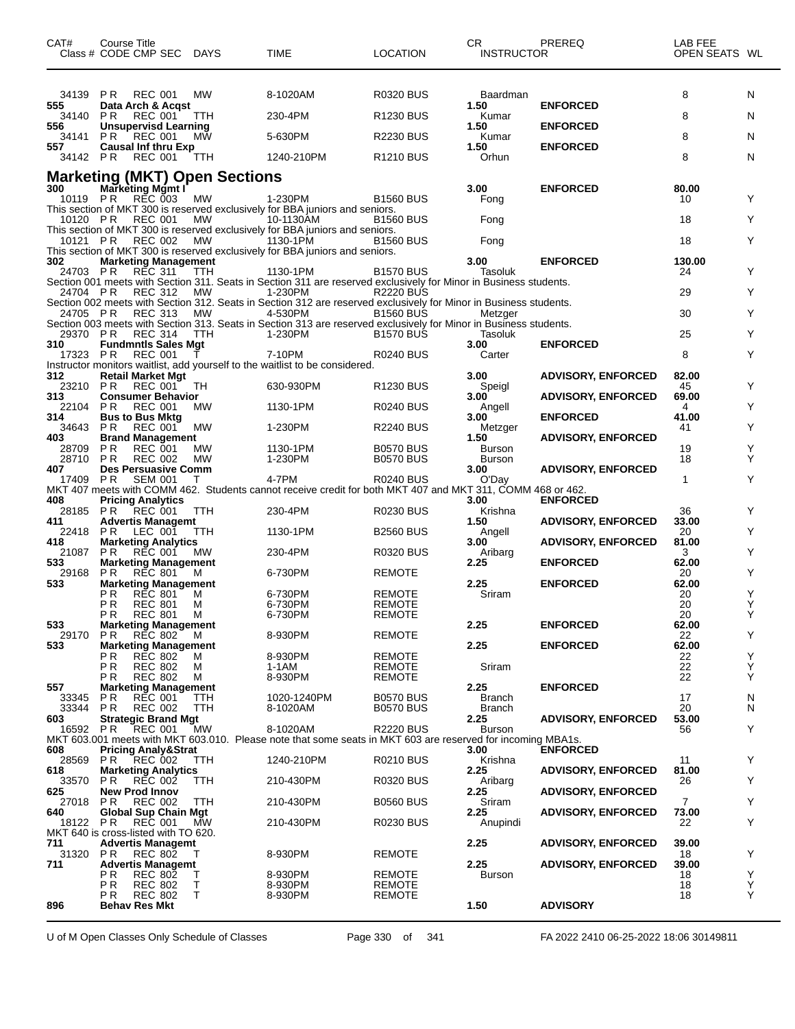| CAT#            | Course Title<br>Class # CODE CMP SEC DAYS                 |                 | TIME                                                                                                                         | <b>LOCATION</b>                      | CR<br><b>INSTRUCTOR</b>        | PREREQ                    | LAB FEE<br>OPEN SEATS WL |        |
|-----------------|-----------------------------------------------------------|-----------------|------------------------------------------------------------------------------------------------------------------------------|--------------------------------------|--------------------------------|---------------------------|--------------------------|--------|
| 34139 PR        | <b>REC 001</b>                                            | MW              | 8-1020AM                                                                                                                     | R0320 BUS                            | Baardman                       |                           | 8                        | N      |
| 555<br>34140    | Data Arch & Acqst<br><b>REC 001</b><br>PR.                | TTH             | 230-4PM                                                                                                                      | R <sub>1230</sub> BUS                | 1.50<br>Kumar                  | <b>ENFORCED</b>           | 8                        | N      |
| 556             | <b>Unsupervisd Learning</b>                               |                 |                                                                                                                              |                                      | 1.50                           | <b>ENFORCED</b>           |                          |        |
| 34141<br>557    | PR.<br><b>REC 001</b><br><b>Causal Inf thru Exp</b>       | MW              | 5-630PM                                                                                                                      | R2230 BUS                            | Kumar<br>1.50                  | <b>ENFORCED</b>           | 8                        | N      |
| 34142 PR        | <b>REC 001</b>                                            | ттн             | 1240-210PM                                                                                                                   | R <sub>1210</sub> BUS                | Orhun                          |                           | 8                        | N      |
| 300             | <b>Marketing (MKT) Open Sections</b>                      |                 |                                                                                                                              |                                      | 3.00                           | <b>ENFORCED</b>           | 80.00                    |        |
| 10119 PR        | <b>Marketing Mgmt I</b><br>REC 003                        | <b>MW</b>       | 1-230PM                                                                                                                      | B1560 BUS                            | Fong                           |                           | 10                       | Y      |
| 10120 PR        | <b>REC 001</b>                                            | <b>MW</b>       | This section of MKT 300 is reserved exclusively for BBA juniors and seniors.<br>10-1130AM                                    | B1560 BUS                            | Fong                           |                           | 18                       | Y      |
| 10121 PR        | <b>REC 002</b>                                            | <b>MW</b>       | This section of MKT 300 is reserved exclusively for BBA juniors and seniors.<br>1130-1PM                                     | <b>B1560 BUS</b>                     | Fong                           |                           | 18                       | Y      |
| 302             |                                                           |                 | This section of MKT 300 is reserved exclusively for BBA juniors and seniors.                                                 |                                      | 3.00                           | <b>ENFORCED</b>           | 130.00                   |        |
| 24703 PR        | <b>Marketing Management</b><br><b>REC 311</b>             | TTH             | 1130-1PM                                                                                                                     | <b>B1570 BUS</b>                     | Tasoluk                        |                           | 24                       | Y      |
| 24704 PR        | <b>REC 312</b>                                            | МW              | Section 001 meets with Section 311. Seats in Section 311 are reserved exclusively for Minor in Business students.<br>1-230PM | <b>R2220 BUS</b>                     |                                |                           | 29                       | Y      |
| 24705 PR        | <b>REC 313</b>                                            | MW              | Section 002 meets with Section 312. Seats in Section 312 are reserved exclusively for Minor in Business students.<br>4-530PM | <b>B1560 BUS</b>                     | Metzger                        |                           | 30                       | Y      |
|                 |                                                           |                 | Section 003 meets with Section 313. Seats in Section 313 are reserved exclusively for Minor in Business students.            |                                      |                                |                           |                          |        |
| 29370 PR<br>310 | <b>REC 314</b><br><b>Fundmntls Sales Mgt</b>              | <b>TTH</b>      | 1-230PM                                                                                                                      | <b>B1570 BUS</b>                     | Tasoluk<br>3.00                | <b>ENFORCED</b>           | 25                       | Y      |
| 17323 PR        | <b>REC 001</b>                                            |                 | 7-10PM<br>Instructor monitors waitlist, add yourself to the waitlist to be considered.                                       | R0240 BUS                            | Carter                         |                           | 8                        | Y      |
| 312<br>23210 PR | <b>Retail Market Mgt</b><br><b>REC 001</b>                | TH              | 630-930PM                                                                                                                    | <b>R1230 BUS</b>                     | 3.00<br>Speigl                 | <b>ADVISORY, ENFORCED</b> | 82.00<br>45              | Y      |
| 313             | <b>Consumer Behavior</b>                                  |                 |                                                                                                                              |                                      | 3.00                           | <b>ADVISORY, ENFORCED</b> | 69.00                    |        |
| 22104<br>314    | <b>PR</b><br><b>REC 001</b><br><b>Bus to Bus Mktg</b>     | MW              | 1130-1PM                                                                                                                     | <b>R0240 BUS</b>                     | Angell<br>3.00                 | <b>ENFORCED</b>           | 4<br>41.00               | Y      |
| 34643<br>403    | <b>REC 001</b><br>P R<br><b>Brand Management</b>          | MW              | 1-230PM                                                                                                                      | <b>R2240 BUS</b>                     | Metzger<br>1.50                | <b>ADVISORY, ENFORCED</b> | 41                       | Y      |
| 28709<br>28710  | P R<br><b>REC 001</b><br><b>REC 002</b><br>P R            | МW<br><b>MW</b> | 1130-1PM<br>1-230PM                                                                                                          | <b>B0570 BUS</b><br><b>B0570 BUS</b> | Burson<br><b>Burson</b>        |                           | 19<br>18                 | Υ<br>Y |
| 407             | <b>Des Persuasive Comm</b>                                |                 |                                                                                                                              |                                      | 3.00                           | <b>ADVISORY, ENFORCED</b> |                          |        |
| 17409           | PR<br><b>SEM 001</b>                                      | т               | 4-7PM<br>MKT 407 meets with COMM 462. Students cannot receive credit for both MKT 407 and MKT 311, COMM 468 or 462.          | R0240 BUS                            | O'Day                          |                           | 1                        | Y      |
| 408<br>28185 PR | <b>Pricing Analytics</b><br><b>REC 001</b>                | TTH             | 230-4PM                                                                                                                      | <b>R0230 BUS</b>                     | 3.00<br>Krishna                | <b>ENFORCED</b>           | 36                       | Y      |
| 411<br>22418    | <b>Advertis Managemt</b><br>P R<br>LEC 001                | TTH             | 1130-1PM                                                                                                                     | <b>B2560 BUS</b>                     | 1.50<br>Angell                 | <b>ADVISORY, ENFORCED</b> | 33.00<br>20              | Y      |
| 418<br>21087    | <b>Marketing Analytics</b>                                |                 |                                                                                                                              |                                      | 3.00                           | <b>ADVISORY, ENFORCED</b> | 81.00                    | Y      |
| 533             | P R<br><b>REC 001</b><br><b>Marketing Management</b>      | МW              | 230-4PM                                                                                                                      | <b>R0320 BUS</b>                     | Aribarg<br>2.25                | <b>ENFORCED</b>           | 3<br>62.00               |        |
| 29168<br>533    | P R<br><b>REC 801</b><br><b>Marketing Management</b>      | м               | 6-730PM                                                                                                                      | <b>REMOTE</b>                        | 2.25                           | <b>ENFORCED</b>           | 20<br>62.00              | Y      |
|                 | ΡR<br><b>REC 801</b><br>ΡR<br><b>REC 801</b>              | м<br>м          | 6-730PM<br>6-730PM                                                                                                           | REMOTE<br><b>REMOTE</b>              | Sriram                         |                           | 20<br>20                 | Y<br>Y |
|                 | PR.<br>REC 801 M                                          |                 | 6-730PM                                                                                                                      | <b>REMOTE</b>                        |                                | <b>ENFORCED</b>           | 20                       | Y      |
| 533<br>29170    | <b>Marketing Management</b><br>P R<br>REC 802             | M               | 8-930PM                                                                                                                      | REMOTE                               | 2.25                           |                           | 62.00<br>22              | Y      |
| 533             | <b>Marketing Management</b><br>P R<br>REC 802             | м               | 8-930PM                                                                                                                      | REMOTE                               | 2.25                           | <b>ENFORCED</b>           | 62.00<br>22              | Y      |
|                 | P R<br><b>REC 802</b><br>P R<br><b>REC 802</b>            | м<br>м          | 1-1AM<br>8-930PM                                                                                                             | REMOTE<br>REMOTE                     | Sriram                         |                           | 22<br>22                 | Y<br>Y |
| 557             | <b>Marketing Management</b>                               |                 |                                                                                                                              |                                      | 2.25                           | <b>ENFORCED</b>           |                          |        |
| 33345<br>33344  | P R<br><b>REC 001</b><br>P R<br><b>REC 002</b>            | ттн<br>TTH      | 1020-1240PM<br>8-1020AM                                                                                                      | B0570 BUS<br><b>B0570 BUS</b>        | <b>Branch</b><br><b>Branch</b> |                           | 17<br>20                 | N<br>N |
| 603<br>16592 PR | <b>Strategic Brand Mgt</b><br><b>REC 001</b>              | MW              | 8-1020AM                                                                                                                     | R2220 BUS                            | 2.25<br>Burson                 | <b>ADVISORY, ENFORCED</b> | 53.00<br>56              | Y      |
| 608             | <b>Pricing Analy&amp;Strat</b>                            |                 | MKT 603.001 meets with MKT 603.010. Please note that some seats in MKT 603 are reserved for incoming MBA1s.                  |                                      | 3.00                           | <b>ENFORCED</b>           |                          |        |
| 28569           | PR.<br>REC 002                                            | TTH             | 1240-210PM                                                                                                                   | <b>R0210 BUS</b>                     | Krishna                        |                           | 11                       | Y      |
| 618<br>33570    | <b>Marketing Analytics</b><br>P R<br><b>REC 002</b>       | TTH             | 210-430PM                                                                                                                    | R0320 BUS                            | 2.25<br>Aribarg                | <b>ADVISORY, ENFORCED</b> | 81.00<br>26              | Y      |
| 625<br>27018    | <b>New Prod Innov</b><br>REC 002<br>PR.                   | TTH             | 210-430PM                                                                                                                    | <b>B0560 BUS</b>                     | 2.25<br>Sriram                 | <b>ADVISORY, ENFORCED</b> | $\overline{7}$           | Y      |
| 640<br>18122 PR | Global Sup Chain Mgt<br><b>REC 001</b>                    | MW              | 210-430PM                                                                                                                    | R0230 BUS                            | 2.25<br>Anupindi               | <b>ADVISORY, ENFORCED</b> | 73.00<br>22              | Y      |
|                 | MKT 640 is cross-listed with TO 620.                      |                 |                                                                                                                              |                                      |                                |                           |                          |        |
| 711<br>31320    | <b>Advertis Managemt</b><br>P R<br><b>REC 802</b>         | Τ               | 8-930PM                                                                                                                      | REMOTE                               | 2.25                           | <b>ADVISORY, ENFORCED</b> | 39.00<br>18              | Y      |
| 711             | <b>Advertis Managemt</b><br>ΡR<br><b>REC 802</b>          | т               | 8-930PM                                                                                                                      | REMOTE                               | 2.25<br>Burson                 | <b>ADVISORY, ENFORCED</b> | 39.00<br>18              | Υ      |
|                 | P <sub>R</sub><br><b>REC 802</b><br>P R<br><b>REC 802</b> | Т<br>т          | 8-930PM<br>8-930PM                                                                                                           | REMOTE<br>REMOTE                     |                                |                           | 18<br>18                 | Y<br>Y |
| 896             | <b>Behav Res Mkt</b>                                      |                 |                                                                                                                              |                                      | 1.50                           | <b>ADVISORY</b>           |                          |        |
|                 |                                                           |                 |                                                                                                                              |                                      |                                |                           |                          |        |

U of M Open Classes Only Schedule of Classes Page 330 of 341 FA 2022 2410 06-25-2022 18:06 30149811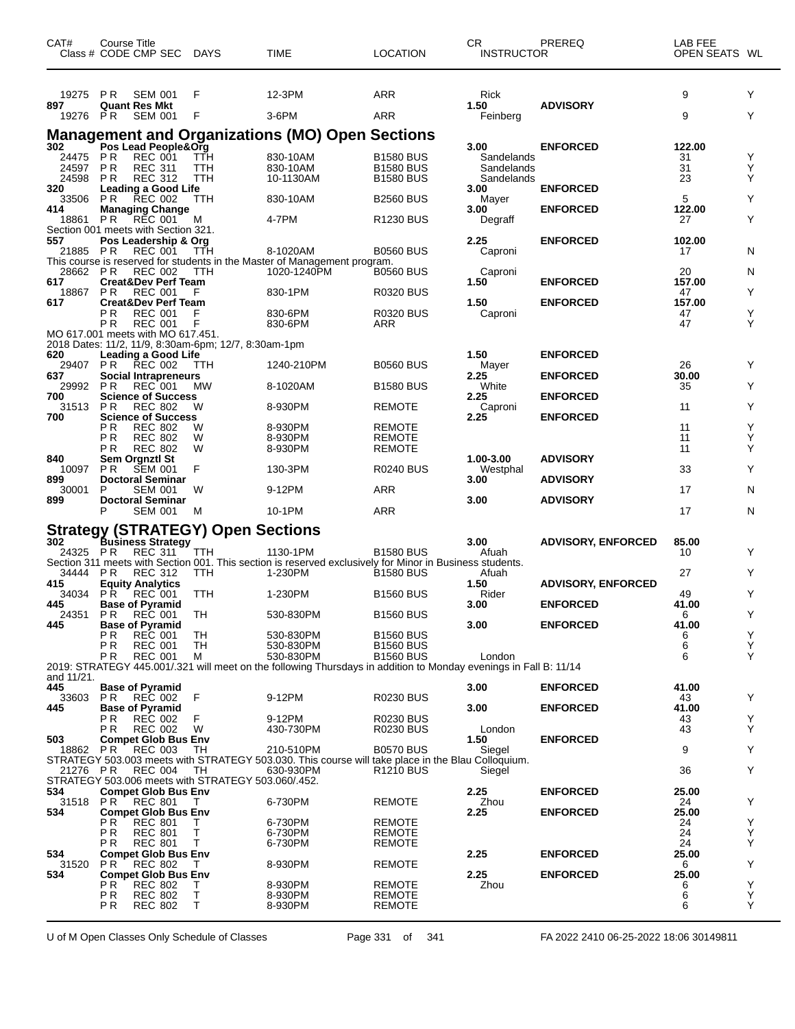| CAT#            | Course Title<br>Class # CODE CMP SEC DAYS                                        |         | <b>TIME</b>                                                                                                         | <b>LOCATION</b>                      | CR.<br><b>INSTRUCTOR</b> | PREREQ                    | LAB FEE<br>OPEN SEATS WL |        |
|-----------------|----------------------------------------------------------------------------------|---------|---------------------------------------------------------------------------------------------------------------------|--------------------------------------|--------------------------|---------------------------|--------------------------|--------|
| 19275<br>897    | P <sub>R</sub><br><b>SEM 001</b><br><b>Quant Res Mkt</b>                         | F       | 12-3PM                                                                                                              | ARR                                  | Rick<br>1.50             | <b>ADVISORY</b>           | 9                        | Y      |
| 19276 PR        | <b>SEM 001</b>                                                                   | F       | 3-6PM                                                                                                               | ARR                                  | Feinberg                 |                           | 9                        | Y      |
|                 |                                                                                  |         | <b>Management and Organizations (MO) Open Sections</b>                                                              |                                      |                          |                           |                          |        |
| 302<br>24475 PR | Pos Lead People&Org<br><b>REC 001</b>                                            | TTH     | 830-10AM                                                                                                            | <b>B1580 BUS</b>                     | 3.00<br>Sandelands       | <b>ENFORCED</b>           | 122.00<br>31             | Y      |
| 24597           | <b>PR</b><br><b>REC 311</b>                                                      | ттн     | 830-10AM                                                                                                            | <b>B1580 BUS</b>                     | Sandelands               |                           | 31                       | Υ      |
| 24598<br>320    | P R<br><b>REC 312</b><br><b>Leading a Good Life</b>                              | TTH     | 10-1130AM                                                                                                           | <b>B1580 BUS</b>                     | Sandelands<br>3.00       | <b>ENFORCED</b>           | 23                       | Υ      |
| 33506           | <b>PR</b><br><b>REC 002</b>                                                      | ттн     | 830-10AM                                                                                                            | <b>B2560 BUS</b>                     | Mayer                    |                           | 5                        | Y      |
| 414<br>18861 PR | <b>Managing Change</b><br><b>REC 001</b>                                         | M       | 4-7PM                                                                                                               | <b>R1230 BUS</b>                     | 3.00<br>Degraff          | <b>ENFORCED</b>           | 122.00<br>27             | Y      |
| 557             | Section 001 meets with Section 321.<br>Pos Leadership & Org                      |         |                                                                                                                     |                                      | 2.25                     | <b>ENFORCED</b>           | 102.00                   |        |
| 21885 PR        | <b>REC 001</b>                                                                   | TTH     | 8-1020AM                                                                                                            | <b>B0560 BUS</b>                     | Caproni                  |                           | 17                       | N      |
| 28662 PR        | REC 002                                                                          | TTH     | This course is reserved for students in the Master of Management program.<br>1020-1240PM                            | <b>B0560 BUS</b>                     | Caproni                  |                           | 20                       | N      |
| 617             | <b>Creat&amp;Dev Perf Team</b>                                                   |         |                                                                                                                     |                                      | 1.50                     | <b>ENFORCED</b>           | 157.00                   |        |
| 18867<br>617    | <b>PR</b><br><b>REC 001</b><br><b>Creat&amp;Dev Perf Team</b>                    | F       | 830-1PM                                                                                                             | R0320 BUS                            | 1.50                     | <b>ENFORCED</b>           | 47<br>157.00             | Y      |
|                 | P <sub>R</sub><br><b>REC 001</b><br>P R<br><b>REC 001</b>                        | F       | 830-6PM<br>830-6PM                                                                                                  | <b>R0320 BUS</b><br>ARR              | Caproni                  |                           | 47<br>47                 | Y<br>Υ |
|                 | MO 617.001 meets with MO 617.451.                                                |         |                                                                                                                     |                                      |                          |                           |                          |        |
| 620             | 2018 Dates: 11/2, 11/9, 8:30am-6pm; 12/7, 8:30am-1pm<br>Leading a Good Life      |         |                                                                                                                     |                                      | 1.50                     | <b>ENFORCED</b>           |                          |        |
| 29407 PR        | REC 002                                                                          | TTH     | 1240-210PM                                                                                                          | <b>B0560 BUS</b>                     | Mayer                    |                           | 26                       | Y      |
| 637<br>29992 PR | <b>Social Intrapreneurs</b><br>REC 001                                           | MW      | 8-1020AM                                                                                                            | <b>B1580 BUS</b>                     | 2.25<br>White            | <b>ENFORCED</b>           | 30.00<br>35              | Y      |
| 700<br>31513    | <b>Science of Success</b><br><b>PR</b><br><b>REC 802</b>                         | W       | 8-930PM                                                                                                             | <b>REMOTE</b>                        | 2.25<br>Caproni          | <b>ENFORCED</b>           | 11                       | Y      |
| 700             | <b>Science of Success</b>                                                        |         |                                                                                                                     |                                      | 2.25                     | <b>ENFORCED</b>           |                          |        |
|                 | P R<br><b>REC 802</b><br>ΡR<br><b>REC 802</b>                                    | W<br>W  | 8-930PM<br>8-930PM                                                                                                  | REMOTE<br><b>REMOTE</b>              |                          |                           | 11<br>11                 | Υ<br>Y |
| 840             | <b>REC 802</b><br>P R<br>Sem Orgnztl St                                          | W       | 8-930PM                                                                                                             | <b>REMOTE</b>                        | 1.00-3.00                | <b>ADVISORY</b>           | 11                       | Y      |
| 10097           | <b>SEM 001</b><br>P R                                                            | F       | 130-3PM                                                                                                             | <b>R0240 BUS</b>                     | Westphal                 |                           | 33                       | Y      |
| 899<br>30001    | <b>Doctoral Seminar</b><br>P<br><b>SEM 001</b>                                   | W       | 9-12PM                                                                                                              | ARR                                  | 3.00                     | <b>ADVISORY</b>           | 17                       | N      |
| 899             | <b>Doctoral Seminar</b><br>P                                                     |         |                                                                                                                     |                                      | 3.00                     | <b>ADVISORY</b>           |                          |        |
|                 | <b>SEM 001</b>                                                                   | M       | 10-1PM                                                                                                              | ARR                                  |                          |                           | 17                       | N      |
| 302             | <b>Strategy (STRATEGY) Open Sections</b><br><b>Business Strategy</b>             |         |                                                                                                                     |                                      | 3.00                     | <b>ADVISORY, ENFORCED</b> | 85.00                    |        |
| 24325 PR        | REC 311                                                                          | TTH     | 1130-1PM                                                                                                            | <b>B1580 BUS</b>                     | Afuah                    |                           | 10                       | Y      |
| 34444           | <b>PR</b><br><b>REC 312</b>                                                      | TTH     | Section 311 meets with Section 001. This section is reserved exclusively for Minor in Business students.<br>1-230PM | <b>B1580 BUS</b>                     | Afuah                    |                           | 27                       | Y      |
| 415<br>34034    | <b>Equity Analytics</b><br><b>REC</b> 001<br>P R                                 | TTH     | 1-230PM                                                                                                             | <b>B1560 BUS</b>                     | 1.50<br>Rider            | <b>ADVISORY, ENFORCED</b> | 49                       | Y      |
| 445             | <b>Base of Pyramid</b>                                                           |         |                                                                                                                     |                                      | 3.00                     | <b>ENFORCED</b>           | 41.00                    |        |
| 24351 PR<br>445 | REC 001<br><b>Base of Pyramid</b>                                                | TH      | 530-830PM                                                                                                           | <b>B1560 BUS</b>                     | 3.00                     | <b>ENFORCED</b>           | 6<br>41.00               | Y      |
|                 | P R<br><b>REC 001</b>                                                            | TH      | 530-830PM                                                                                                           | <b>B1560 BUS</b>                     |                          |                           | 6                        | Y      |
|                 | PR<br><b>REC 001</b><br>P R<br><b>REC 001</b>                                    | TH<br>м | 530-830PM<br>530-830PM                                                                                              | <b>B1560 BUS</b><br><b>B1560 BUS</b> | London                   |                           | 6<br>6                   | Υ<br>Y |
| and 11/21.      |                                                                                  |         | 2019: STRATEGY 445.001/.321 will meet on the following Thursdays in addition to Monday evenings in Fall B: 11/14    |                                      |                          |                           |                          |        |
| 445             | <b>Base of Pyramid</b>                                                           |         |                                                                                                                     |                                      | 3.00                     | <b>ENFORCED</b>           | 41.00                    |        |
| 33603<br>445    | PR.<br>REC 002<br><b>Base of Pyramid</b>                                         | F       | 9-12PM                                                                                                              | R0230 BUS                            | 3.00                     | <b>ENFORCED</b>           | 43<br>41.00              | Y      |
|                 | <b>REC 002</b><br>P R                                                            |         | 9-12PM                                                                                                              | <b>R0230 BUS</b>                     |                          |                           | 43                       | Y      |
| 503             | <b>REC 002</b><br>P R<br><b>Compet Glob Bus Env</b>                              | W       | 430-730PM                                                                                                           | R0230 BUS                            | London<br>1.50           | <b>ENFORCED</b>           | 43                       | Y      |
| 18862 PR        | <b>REC 003</b>                                                                   | TH      | 210-510PM<br>STRATEGY 503.003 meets with STRATEGY 503.030. This course will take place in the Blau Colloquium.      | <b>B0570 BUS</b>                     | Siegel                   |                           | 9                        | Y      |
| 21276 PR        | <b>REC 004</b>                                                                   | TH      | 630-930PM                                                                                                           | R1210 BUS                            | Siegel                   |                           | 36                       | Y      |
| 534             | STRATEGY 503.006 meets with STRATEGY 503.060/.452.<br><b>Compet Glob Bus Env</b> |         |                                                                                                                     |                                      | 2.25                     | <b>ENFORCED</b>           | 25.00                    |        |
| 31518           | PR<br>REC 801                                                                    | T.      | 6-730PM                                                                                                             | <b>REMOTE</b>                        | Zhou                     |                           | 24                       | Y      |
| 534             | <b>Compet Glob Bus Env</b><br>РR<br><b>REC 801</b>                               | Τ       | 6-730PM                                                                                                             | <b>REMOTE</b>                        | 2.25                     | <b>ENFORCED</b>           | 25.00<br>24              | Y      |
|                 | PR<br><b>REC 801</b>                                                             | т<br>T  | 6-730PM                                                                                                             | REMOTE                               |                          |                           | 24                       | Υ<br>Y |
| 534             | P R<br><b>REC 801</b><br><b>Compet Glob Bus Env</b>                              |         | 6-730PM                                                                                                             | <b>REMOTE</b>                        | 2.25                     | <b>ENFORCED</b>           | 24<br>25.00              |        |
| 31520<br>534    | <b>REC 802</b><br>PR.<br><b>Compet Glob Bus Env</b>                              | T       | 8-930PM                                                                                                             | REMOTE                               | 2.25                     | <b>ENFORCED</b>           | 6<br>25.00               | Υ      |
|                 | P R<br><b>REC 802</b>                                                            | T       | 8-930PM                                                                                                             | <b>REMOTE</b>                        | Zhou                     |                           | 6                        | Y      |
|                 | PR<br><b>REC 802</b><br>PR<br><b>REC 802</b>                                     | Т<br>T  | 8-930PM<br>8-930PM                                                                                                  | REMOTE<br><b>REMOTE</b>              |                          |                           | 6<br>6                   | Υ<br>Y |
|                 |                                                                                  |         |                                                                                                                     |                                      |                          |                           |                          |        |

U of M Open Classes Only Schedule of Classes Page 331 of 341 FA 2022 2410 06-25-2022 18:06 30149811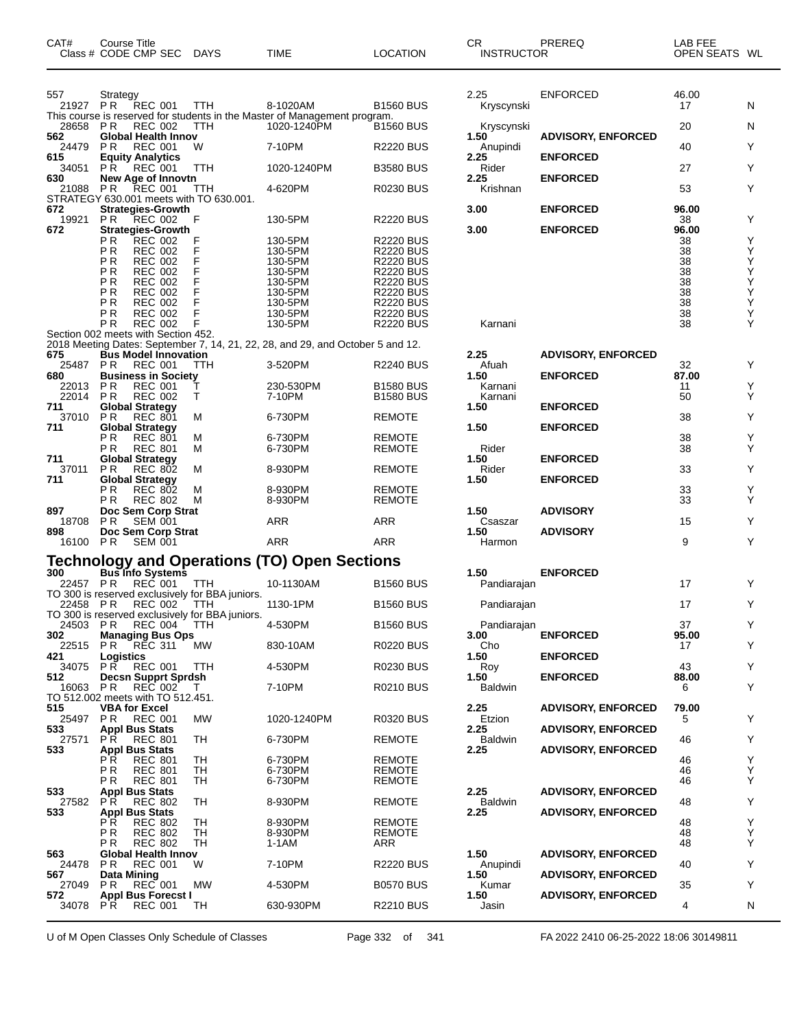| CAT#                 | Course Title<br>Class # CODE CMP SEC                              | DAYS       | <b>TIME</b>                                                                           | <b>LOCATION</b>                      | CR<br><b>INSTRUCTOR</b> | PREREQ                    | LAB FEE<br>OPEN SEATS WL |        |
|----------------------|-------------------------------------------------------------------|------------|---------------------------------------------------------------------------------------|--------------------------------------|-------------------------|---------------------------|--------------------------|--------|
| 557<br>21927 PR      | Strategy<br><b>REC 001</b>                                        | TTH        | 8-1020AM<br>This course is reserved for students in the Master of Management program. | <b>B1560 BUS</b>                     | 2.25<br>Kryscynski      | <b>ENFORCED</b>           | 46.00<br>17              | N      |
| 28658 PR             | <b>REC 002</b>                                                    | TTH        | 1020-1240PM                                                                           | <b>B1560 BUS</b>                     | Kryscynski              |                           | 20                       | N      |
| 562<br>24479         | <b>Global Health Innov</b><br>PR.<br><b>REC 001</b>               | W          | 7-10PM                                                                                | <b>R2220 BUS</b>                     | 1.50<br>Anupindi        | <b>ADVISORY, ENFORCED</b> | 40                       | Υ      |
| 615                  | <b>Equity Analytics</b>                                           |            |                                                                                       |                                      | 2.25                    | <b>ENFORCED</b>           |                          |        |
| 34051<br>630         | <b>PR</b><br>REC 001<br>New Age of Innovtn                        | <b>TTH</b> | 1020-1240PM                                                                           | <b>B3580 BUS</b>                     | Rider<br>2.25           | <b>ENFORCED</b>           | 27                       | Υ      |
| 21088 PR             | REC 001<br>STRATEGY 630.001 meets with TO 630.001.                | TTH        | 4-620PM                                                                               | <b>R0230 BUS</b>                     | Krishnan                |                           | 53                       | Y      |
| 672                  | <b>Strategies-Growth</b>                                          |            |                                                                                       |                                      | 3.00                    | <b>ENFORCED</b>           | 96.00                    |        |
| 19921<br>672         | P R<br>REC 002<br><b>Strategies-Growth</b>                        | F          | 130-5PM                                                                               | <b>R2220 BUS</b>                     | 3.00                    | <b>ENFORCED</b>           | 38<br>96.00              | Υ      |
|                      | ΡR<br><b>REC 002</b>                                              | F          | 130-5PM                                                                               | <b>R2220 BUS</b>                     |                         |                           | 38                       | Υ      |
|                      | ΡR<br><b>REC 002</b><br>P <sub>R</sub><br><b>REC 002</b>          | F<br>F     | 130-5PM<br>130-5PM                                                                    | <b>R2220 BUS</b><br><b>R2220 BUS</b> |                         |                           | 38<br>38                 | Υ      |
|                      | ΡR<br><b>REC 002</b>                                              | F          | 130-5PM                                                                               | <b>R2220 BUS</b>                     |                         |                           | 38                       |        |
|                      | РR<br><b>REC 002</b><br>P <sub>R</sub><br><b>REC 002</b>          | F<br>F     | 130-5PM<br>130-5PM                                                                    | <b>R2220 BUS</b><br><b>R2220 BUS</b> |                         |                           | 38<br>38                 | メメス人人  |
|                      | ΡR<br><b>REC 002</b>                                              | F          | 130-5PM                                                                               | <b>R2220 BUS</b>                     |                         |                           | 38                       |        |
|                      | ΡR<br><b>REC 002</b>                                              | F          | 130-5PM                                                                               | <b>R2220 BUS</b>                     |                         |                           | 38                       | Υ      |
|                      | ΡR<br><b>REC 002</b><br>Section 002 meets with Section 452.       | F          | 130-5PM                                                                               | <b>R2220 BUS</b>                     | Karnani                 |                           | 38                       | Υ      |
|                      |                                                                   |            | 2018 Meeting Dates: September 7, 14, 21, 22, 28, and 29, and October 5 and 12.        |                                      |                         |                           |                          |        |
| 675<br>25487 PR      | <b>Bus Model Innovation</b><br><b>REC 001</b>                     | TTH        | 3-520PM                                                                               | <b>R2240 BUS</b>                     | 2.25<br>Afuah           | <b>ADVISORY, ENFORCED</b> | 32                       | Y      |
| 680                  | <b>Business in Society</b>                                        |            |                                                                                       |                                      | 1.50                    | <b>ENFORCED</b>           | 87.00                    |        |
| 22013 PR<br>22014 PR | <b>REC 001</b><br><b>REC 002</b>                                  | т<br>Τ     | 230-530PM<br>7-10PM                                                                   | <b>B1580 BUS</b><br><b>B1580 BUS</b> | Karnani<br>Karnani      |                           | 11<br>50                 | Υ<br>Υ |
| 711                  | <b>Global Strategy</b>                                            |            |                                                                                       |                                      | 1.50                    | <b>ENFORCED</b>           |                          |        |
| 37010 PR<br>711      | <b>REC 801</b><br><b>Global Strategy</b>                          | М          | 6-730PM                                                                               | <b>REMOTE</b>                        | 1.50                    | <b>ENFORCED</b>           | 38                       | Υ      |
|                      | РR<br><b>REC 801</b>                                              | М          | 6-730PM                                                                               | <b>REMOTE</b>                        |                         |                           | 38                       | Υ      |
| 711                  | ΡR<br><b>REC 801</b><br><b>Global Strategy</b>                    | М          | 6-730PM                                                                               | <b>REMOTE</b>                        | Rider<br>1.50           | <b>ENFORCED</b>           | 38                       | Υ      |
| 37011                | P R<br><b>REC 802</b>                                             | М          | 8-930PM                                                                               | <b>REMOTE</b>                        | Rider                   |                           | 33                       | Υ      |
| 711                  | <b>Global Strategy</b><br>РR<br><b>REC 802</b>                    | М          | 8-930PM                                                                               | <b>REMOTE</b>                        | 1.50                    | <b>ENFORCED</b>           | 33                       | Υ      |
|                      | ΡR<br><b>REC 802</b>                                              | M          | 8-930PM                                                                               | <b>REMOTE</b>                        |                         |                           | 33                       | Y      |
| 897<br>18708         | Doc Sem Corp Strat<br>SEM 001<br>P R                              |            | ARR                                                                                   | ARR                                  | 1.50<br>Csaszar         | <b>ADVISORY</b>           | 15                       | Υ      |
| 898                  | Doc Sem Corp Strat                                                |            |                                                                                       |                                      | 1.50                    | <b>ADVISORY</b>           |                          |        |
| 16100 PR             | <b>SEM 001</b>                                                    |            | <b>ARR</b>                                                                            | ARR                                  | Harmon                  |                           | 9                        | Υ      |
|                      |                                                                   |            | Technology and Operations (TO) Open Sections<br>300 Bus Info Systems                  |                                      |                         |                           |                          |        |
|                      | 22457 PR REC 001                                                  | TTH        | 10-1130AM                                                                             | <b>B1560 BUS</b>                     | 1.50<br>Pandiarajan     | <b>ENFORCED</b>           | 17                       | Y      |
|                      | TO 300 is reserved exclusively for BBA juniors.                   |            |                                                                                       |                                      |                         |                           |                          |        |
| 22458 PR             | <b>REC 002</b><br>TO 300 is reserved exclusively for BBA juniors. | - ттн      | 1130-1PM                                                                              | <b>B1560 BUS</b>                     | Pandiarajan             |                           | 17                       | Υ      |
| 24503                | PR REC 004                                                        | TTH        | 4-530PM                                                                               | <b>B1560 BUS</b>                     | Pandiarajan             |                           | 37                       | Y      |
| 302<br>22515         | <b>Managing Bus Ops</b>                                           | MW         | 830-10AM                                                                              | <b>R0220 BUS</b>                     | 3.00<br>Cho             | <b>ENFORCED</b>           | 95.00                    | Υ      |
| 421                  | RĒC 311<br>PR.<br>Logistics                                       |            |                                                                                       |                                      | 1.50                    | <b>ENFORCED</b>           | 17                       |        |
| 34075                | <b>REC 001</b><br>P R                                             | TTH        | 4-530PM                                                                               | <b>R0230 BUS</b>                     | Roy                     |                           | 43                       | Υ      |
| 512<br>16063         | <b>Decsn Supprt Sprdsh</b><br>P R<br>REC 002                      | Τ          | 7-10PM                                                                                | R0210 BUS                            | 1.50<br><b>Baldwin</b>  | <b>ENFORCED</b>           | 88.00<br>6               | Υ      |
|                      | TO 512.002 meets with TO 512.451.                                 |            |                                                                                       |                                      |                         |                           |                          |        |
| 515<br>25497 PR      | <b>VBA for Excel</b><br><b>REC 001</b>                            | MW         | 1020-1240PM                                                                           | R0320 BUS                            | 2.25<br>Etzion          | <b>ADVISORY, ENFORCED</b> | 79.00<br>5               | Υ      |
| 533                  | <b>Appl Bus Stats</b>                                             |            |                                                                                       |                                      | 2.25                    | <b>ADVISORY, ENFORCED</b> |                          |        |
| 27571<br>533         | P R<br><b>REC 801</b><br><b>Appl Bus Stats</b>                    | TH         | 6-730PM                                                                               | <b>REMOTE</b>                        | <b>Baldwin</b><br>2.25  | <b>ADVISORY, ENFORCED</b> | 46                       | Υ      |
|                      | ΡR<br><b>REC 801</b>                                              | TH         | 6-730PM                                                                               | <b>REMOTE</b>                        |                         |                           | 46                       | Υ      |
|                      | ΡR<br><b>REC 801</b><br>РR<br><b>REC 801</b>                      | TH<br>TH   | 6-730PM<br>6-730PM                                                                    | <b>REMOTE</b><br><b>REMOTE</b>       |                         |                           | 46<br>46                 | Υ<br>Υ |
| 533                  | <b>Appl Bus Stats</b>                                             |            |                                                                                       |                                      | 2.25                    | <b>ADVISORY, ENFORCED</b> |                          |        |
| 27582<br>533         | P R<br><b>REC 802</b><br><b>Appl Bus Stats</b>                    | TH         | 8-930PM                                                                               | <b>REMOTE</b>                        | Baldwin<br>2.25         |                           | 48                       | Υ      |
|                      | ΡR<br><b>REC 802</b>                                              | TН         | 8-930PM                                                                               | <b>REMOTE</b>                        |                         | <b>ADVISORY, ENFORCED</b> | 48                       | Υ      |
|                      | РR<br><b>REC 802</b>                                              | TН         | 8-930PM                                                                               | <b>REMOTE</b>                        |                         |                           | 48                       | Υ      |
| 563                  | РR<br><b>REC 802</b><br>Global Health Innov                       | TH         | 1-1AM                                                                                 | ARR                                  | 1.50                    | <b>ADVISORY, ENFORCED</b> | 48                       | Υ      |
| 24478                | P R<br><b>REC 001</b>                                             | W          | 7-10PM                                                                                | <b>R2220 BUS</b>                     | Anupindi                |                           | 40                       | Υ      |
| 567<br>27049         | Data Mining<br><b>REC 001</b><br>P R                              | <b>MW</b>  | 4-530PM                                                                               | <b>B0570 BUS</b>                     | 1.50<br>Kumar           | <b>ADVISORY, ENFORCED</b> | 35                       | Υ      |
| 572                  | <b>Appl Bus Forecst I</b>                                         |            |                                                                                       |                                      | 1.50                    | <b>ADVISORY, ENFORCED</b> |                          |        |
| 34078                | P R<br><b>REC 001</b>                                             | TH         | 630-930PM                                                                             | <b>R2210 BUS</b>                     | Jasin                   |                           | 4                        | N      |

U of M Open Classes Only Schedule of Classes Page 332 of 341 FA 2022 2410 06-25-2022 18:06 30149811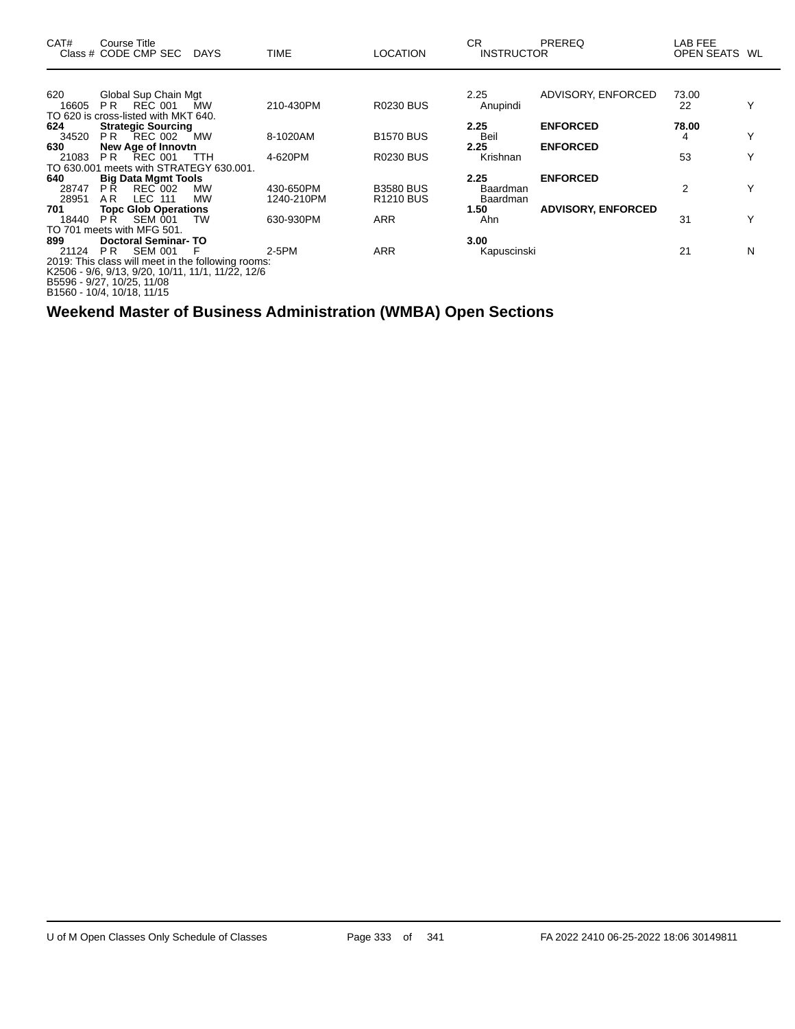| CAT#  | Course Title<br>Class # CODE CMP SEC DAYS                    |            | <b>TIME</b> | <b>LOCATION</b>       | CR<br><b>INSTRUCTOR</b> | <b>PREREQ</b>             | LAB FEE<br>OPEN SEATS WL |   |
|-------|--------------------------------------------------------------|------------|-------------|-----------------------|-------------------------|---------------------------|--------------------------|---|
| 620   | Global Sup Chain Mgt                                         |            |             |                       | 2.25                    | ADVISORY, ENFORCED        | 73.00                    |   |
| 16605 | REC 001<br>PR.                                               | <b>MW</b>  | 210-430PM   | <b>R0230 BUS</b>      | Anupindi                |                           | 22                       | Υ |
|       | TO 620 is cross-listed with MKT 640.                         |            |             |                       |                         |                           |                          |   |
| 624   | <b>Strategic Sourcing</b>                                    |            |             |                       | 2.25                    | <b>ENFORCED</b>           | 78.00                    |   |
| 34520 | <b>PR REC 002</b>                                            | МW         | 8-1020AM    | <b>B1570 BUS</b>      | Beil                    |                           | 4                        |   |
| 630   | New Age of Innovtn                                           |            |             |                       | 2.25                    | <b>ENFORCED</b>           |                          |   |
| 21083 | <b>PR REC 001</b><br>TO 630,001 meets with STRATEGY 630,001. | <b>TTH</b> | 4-620PM     | <b>R0230 BUS</b>      | Krishnan                |                           | 53                       |   |
| 640   | <b>Big Data Mgmt Tools</b>                                   |            |             |                       | 2.25                    | <b>ENFORCED</b>           |                          |   |
| 28747 | <b>REC 002</b><br>P <sub>R</sub>                             | <b>MW</b>  | 430-650PM   | <b>B3580 BUS</b>      | Baardman                |                           | 2                        | Y |
| 28951 | <b>LEC 111</b><br>A R                                        | <b>MW</b>  | 1240-210PM  | R <sub>1210</sub> BUS | Baardman                |                           |                          |   |
| 701   | <b>Topc Glob Operations</b>                                  |            |             |                       | 1.50                    | <b>ADVISORY, ENFORCED</b> |                          |   |
| 18440 | PR -<br>SEM 001                                              | TW         | 630-930PM   | <b>ARR</b>            | Ahn                     |                           | 31                       | v |
|       | TO 701 meets with MFG 501.                                   |            |             |                       |                         |                           |                          |   |
| 899   | <b>Doctoral Seminar-TO</b>                                   |            |             |                       | 3.00                    |                           |                          |   |
| 21124 | SEM 001<br>PR                                                |            | 2-5PM       | <b>ARR</b>            | Kapuscinski             |                           | 21                       | N |
|       | 2019: This class will meet in the following rooms:           |            |             |                       |                         |                           |                          |   |
|       | K2506 - 9/6, 9/13, 9/20, 10/11, 11/1, 11/22, 12/6            |            |             |                       |                         |                           |                          |   |
|       | B5596 - 9/27, 10/25, 11/08                                   |            |             |                       |                         |                           |                          |   |
|       | B1560 - 10/4, 10/18, 11/15                                   |            |             |                       |                         |                           |                          |   |

**Weekend Master of Business Administration (WMBA) Open Sections**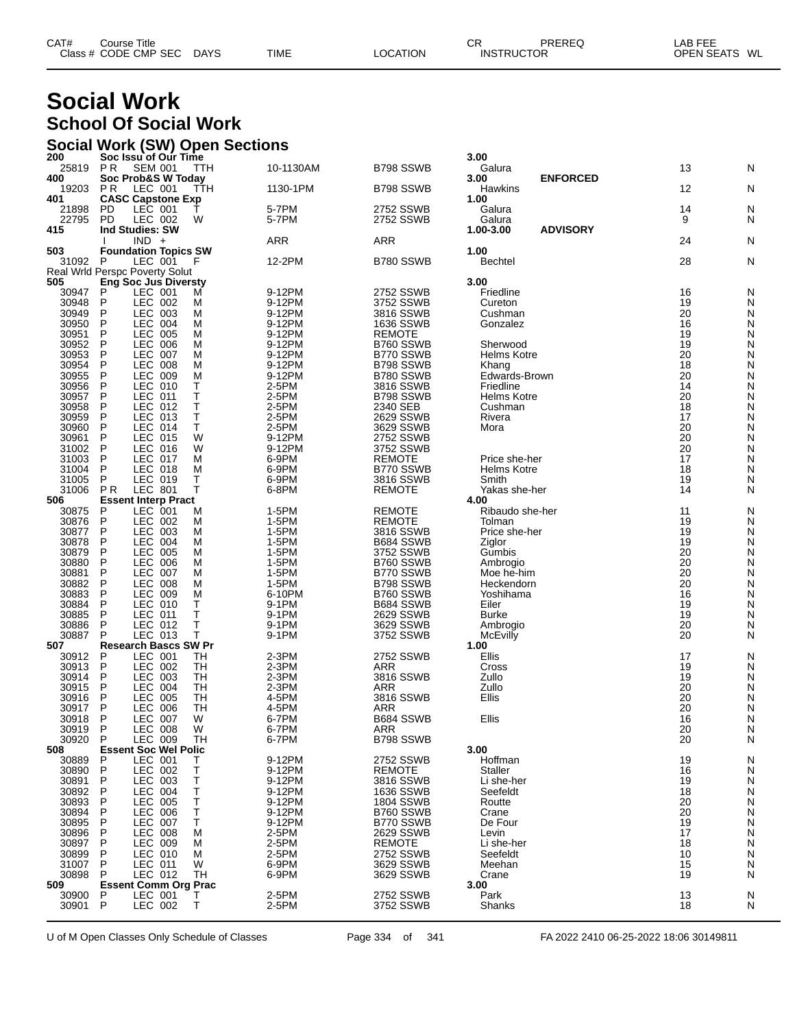| CAT#<br>ourse Titleٽ |             |             |          | СR | PREREQ            | ∟AB FEE       |  |
|----------------------|-------------|-------------|----------|----|-------------------|---------------|--|
| Class # CODE CMP SEC | <b>DAYS</b> | <b>TIME</b> | LOCATION |    | <b>INSTRUCTOR</b> | OPEN SEATS WL |  |

### **Social Work School Of Social Work**

|                |              |                                           | <b>Social Work (SW) Open Sections</b> |                    |                            |                        |                 |          |        |
|----------------|--------------|-------------------------------------------|---------------------------------------|--------------------|----------------------------|------------------------|-----------------|----------|--------|
| 200<br>25819   | <b>PR</b>    | Soc Issu of Our Time<br><b>SEM 001</b>    | TTH                                   | 10-1130AM          | B798 SSWB                  | 3.00<br>Galura         |                 | 13       | N      |
| 400            |              | Soc Prob&S W Today                        |                                       |                    |                            | 3.00                   | <b>ENFORCED</b> |          |        |
| 19203          | <b>PR</b>    | LEC 001                                   | TTH                                   | 1130-1PM           | B798 SSWB                  | Hawkins                |                 | 12       | N      |
| 401            | PD           | <b>CASC Capstone Exp</b><br>LEC 001       |                                       | 5-7PM              | 2752 SSWB                  | 1.00<br>Galura         |                 | 14       | N      |
| 21898<br>22795 | PD           | LEC 002                                   | W                                     | 5-7PM              | 2752 SSWB                  | Galura                 |                 | 9        | N      |
| 415            |              | Ind Studies: SW                           |                                       |                    |                            | 1.00-3.00              | <b>ADVISORY</b> |          |        |
|                |              | $IND +$                                   |                                       | ARR                | ARR                        |                        |                 | 24       | N      |
| 503<br>31092   | P            | <b>Foundation Topics SW</b>               |                                       |                    |                            | 1.00                   |                 |          |        |
|                |              | LEC 001<br>Real Wrld Perspc Poverty Solut | F                                     | 12-2PM             | B780 SSWB                  | <b>Bechtel</b>         |                 | 28       | N      |
| 505            |              | <b>Eng Soc Jus Diversty</b>               |                                       |                    |                            | 3.00                   |                 |          |        |
| 30947          | P            | LEC 001                                   | М                                     | 9-12PM             | 2752 SSWB                  | Friedline              |                 | 16       | N      |
| 30948          | P            | LEC 002                                   | М                                     | 9-12PM             | 3752 SSWB                  | Cureton                |                 | 19       | N      |
| 30949<br>30950 | P<br>P       | LEC 003<br>LEC 004                        | М<br>М                                | 9-12PM<br>9-12PM   | 3816 SSWB<br>1636 SSWB     | Cushman<br>Gonzalez    |                 | 20<br>16 | N<br>N |
| 30951          | P            | LEC 005                                   | M                                     | 9-12PM             | <b>REMOTE</b>              |                        |                 | 19       | N      |
| 30952          | P            | <b>LEC 006</b>                            | М                                     | 9-12PM             | B760 SSWB                  | Sherwood               |                 | 19       | N      |
| 30953          | P            | LEC 007                                   | М                                     | 9-12PM             | B770 SSWB                  | Helms Kotre            |                 | 20       | N      |
| 30954<br>30955 | P<br>P       | LEC 008<br>LEC 009                        | M<br>M                                | 9-12PM<br>9-12PM   | B798 SSWB<br>B780 SSWB     | Khang<br>Edwards-Brown |                 | 18<br>20 | N<br>N |
| 30956          | P            | LEC 010                                   | т                                     | $2-5PM$            | 3816 SSWB                  | Friedline              |                 | 14       | N      |
| 30957          | P            | LEC 011                                   | т                                     | 2-5PM              | B798 SSWB                  | <b>Helms Kotre</b>     |                 | 20       | N      |
| 30958          | P            | LEC 012                                   | Τ                                     | 2-5PM              | 2340 SEB                   | Cushman                |                 | 18       | N      |
| 30959          | P            | LEC 013                                   | Τ                                     | $2-5PM$            | 2629 SSWB                  | Rivera                 |                 | 17       | N      |
| 30960<br>30961 | P<br>P       | LEC 014<br>LEC 015                        | т<br>W                                | 2-5PM<br>9-12PM    | 3629 SSWB<br>2752 SSWB     | Mora                   |                 | 20<br>20 | N<br>N |
| 31002          | P            | LEC 016                                   | W                                     | 9-12PM             | 3752 SSWB                  |                        |                 | 20       | N      |
| 31003          | P            | LEC 017                                   | М                                     | 6-9PM              | <b>REMOTE</b>              | Price she-her          |                 | 17       | N      |
| 31004          | P            | LEC 018                                   | М                                     | 6-9PM              | B770 SSWB                  | <b>Helms Kotre</b>     |                 | 18       | N      |
| 31005          | P            | LEC 019                                   | т<br>T                                | 6-9PM              | 3816 SSWB                  | Smith                  |                 | 19       | N      |
| 31006<br>506   | <b>PR</b>    | LEC 801<br><b>Essent Interp Pract</b>     |                                       | 6-8PM              | <b>REMOTE</b>              | Yakas she-her<br>4.00  |                 | 14       | N      |
| 30875          | P            | LEC 001                                   | М                                     | 1-5PM              | <b>REMOTE</b>              | Ribaudo she-her        |                 | 11       | N      |
| 30876          | P            | LEC 002                                   | M                                     | 1-5PM              | <b>REMOTE</b>              | Tolman                 |                 | 19       | N      |
| 30877          | P            | LEC 003                                   | M                                     | 1-5PM              | 3816 SSWB                  | Price she-her          |                 | 19       | N      |
| 30878<br>30879 | P<br>P       | <b>LEC 004</b><br><b>LEC 005</b>          | M<br>M                                | 1-5PM<br>1-5PM     | B684 SSWB<br>3752 SSWB     | Ziglor<br>Gumbis       |                 | 19<br>20 | N<br>N |
| 30880          | P            | <b>LEC 006</b>                            | M                                     | 1-5PM              | B760 SSWB                  | Ambrogio               |                 | 20       | N      |
| 30881          | P            | <b>LEC 007</b>                            | М                                     | 1-5PM              | B770 SSWB                  | Moe he-him             |                 | 20       | N      |
| 30882          | P            | LEC 008                                   | M                                     | 1-5PM              | B798 SSWB                  | Heckendorn             |                 | 20       | N      |
| 30883<br>30884 | P<br>P       | LEC 009<br>LEC 010                        | M<br>т                                | 6-10PM<br>9-1PM    | B760 SSWB<br>B684 SSWB     | Yoshihama<br>Eiler     |                 | 16<br>19 | N<br>N |
| 30885          | P            | LEC 011                                   | т                                     | 9-1PM              | 2629 SSWB                  | <b>Burke</b>           |                 | 19       | N      |
| 30886          | P            | LEC 012                                   | T                                     | 9-1PM              | 3629 SSWB                  | Ambrogio               |                 | 20       | N      |
| 30887          | P            | LEC 013                                   | T                                     | 9-1PM              | 3752 SSWB                  | McEvilly               |                 | 20       | N      |
| 507            |              | <b>Research Bascs SW Pr</b>               |                                       |                    |                            | 1.00                   |                 |          |        |
| 30912<br>30913 | P<br>P       | LEC 001<br>LEC 002                        | TН<br>TН                              | $2-3PM$<br>$2-3PM$ | 2752 SSWB<br><b>ARR</b>    | Ellis<br>Cross         |                 | 17<br>19 | N<br>N |
| 30914          | P            | LEC 003                                   | TH                                    | $2-3PM$            | 3816 SSWB                  | Zullo                  |                 | 19       | N      |
| 30915          | P            | LEC 004                                   | TH                                    | $2-3PM$            | <b>ARR</b>                 | Zullo                  |                 | 20       | N      |
| 30916          | P            | LEC 005                                   | TН                                    | 4-5PM              | 3816 SSWB                  | Ellis                  |                 | 20       | N      |
| 30917<br>30918 | P<br>P       | LEC 006<br>LEC 007                        | TН<br>W                               | 4-5PM<br>6-7PM     | ARR<br>B684 SSWB           | Ellis                  |                 | 20<br>16 | N<br>N |
| 30919          | $\mathsf{P}$ | <b>LEC 008</b>                            | W                                     | 6-7PM              | ARR                        |                        |                 | 20       | N      |
| 30920          | P            | LEC 009                                   | TH                                    | 6-7PM              | B798 SSWB                  |                        |                 | 20       | N      |
| 508            |              | <b>Essent Soc Wel Polic</b>               |                                       |                    |                            | 3.00                   |                 |          |        |
| 30889<br>30890 | P<br>P       | LEC 001<br>LEC 002                        | Т<br>т                                | 9-12PM<br>9-12PM   | 2752 SSWB                  | Hoffman                |                 | 19       | N      |
| 30891          | P            | LEC 003                                   | Т                                     | 9-12PM             | <b>REMOTE</b><br>3816 SSWB | Staller<br>Li she-her  |                 | 16<br>19 | N<br>N |
| 30892          | P            | LEC 004                                   | Τ                                     | 9-12PM             | 1636 SSWB                  | Seefeldt               |                 | 18       | N      |
| 30893          | P            | <b>LEC 005</b>                            | Τ                                     | 9-12PM             | <b>1804 SSWB</b>           | Routte                 |                 | 20       | N      |
| 30894          | P            | <b>LEC 006</b>                            | Т                                     | 9-12PM             | B760 SSWB                  | Crane                  |                 | 20       | N      |
| 30895<br>30896 | P<br>P       | LEC 007<br>LEC 008                        | Τ<br>M                                | 9-12PM<br>2-5PM    | B770 SSWB<br>2629 SSWB     | De Four<br>Levin       |                 | 19<br>17 | N<br>N |
| 30897          | P            | <b>LEC 009</b>                            | М                                     | 2-5PM              | <b>REMOTE</b>              | Li she-her             |                 | 18       | N      |
| 30899          | P            | LEC 010                                   | М                                     | 2-5PM              | 2752 SSWB                  | Seefeldt               |                 | 10       | N      |
| 31007          | P            | LEC 011                                   | W                                     | 6-9PM              | 3629 SSWB                  | Meehan                 |                 | 15       | N      |
| 30898          | P            | LEC 012                                   | TН                                    | 6-9PM              | 3629 SSWB                  | Crane                  |                 | 19       | N      |
| 509<br>30900   | P            | <b>Essent Comm Org Prac</b><br>LEC 001    | Т                                     | 2-5PM              | 2752 SSWB                  | 3.00<br>Park           |                 | 13       | N      |
| 30901          | P            | LEC 002                                   | Τ                                     | 2-5PM              | 3752 SSWB                  | Shanks                 |                 | 18       | N      |
|                |              |                                           |                                       |                    |                            |                        |                 |          |        |

U of M Open Classes Only Schedule of Classes Page 334 of 341 FA 2022 2410 06-25-2022 18:06 30149811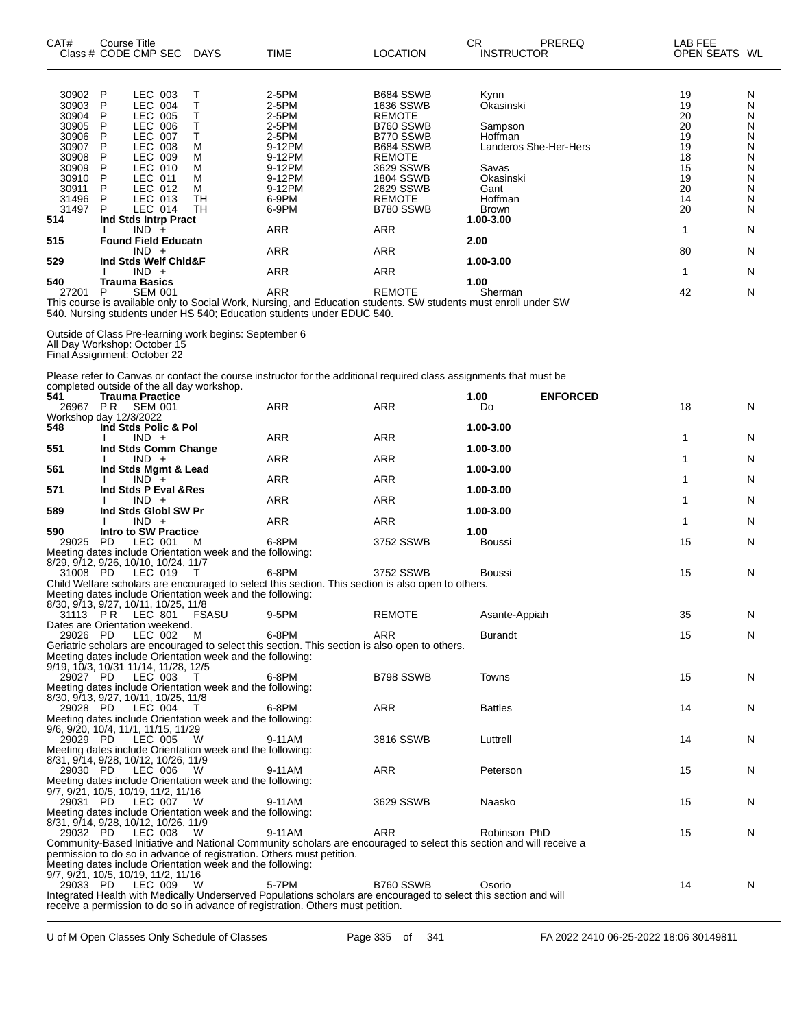| CAT#                                                                                                                                          | <b>Course Title</b><br>Class # CODE CMP SEC<br>DAYS                                                                                                                                                                                                                                                                                                                                                                                                                                                                                                                                                                                 | <b>TIME</b>                                                                                                                                                    | <b>LOCATION</b>                                                                                                                                                                                                   | PREREQ<br>СR<br><b>INSTRUCTOR</b>                                                                                                                                              | LAB FEE<br>OPEN SEATS WL                                                                                        |                                                                              |
|-----------------------------------------------------------------------------------------------------------------------------------------------|-------------------------------------------------------------------------------------------------------------------------------------------------------------------------------------------------------------------------------------------------------------------------------------------------------------------------------------------------------------------------------------------------------------------------------------------------------------------------------------------------------------------------------------------------------------------------------------------------------------------------------------|----------------------------------------------------------------------------------------------------------------------------------------------------------------|-------------------------------------------------------------------------------------------------------------------------------------------------------------------------------------------------------------------|--------------------------------------------------------------------------------------------------------------------------------------------------------------------------------|-----------------------------------------------------------------------------------------------------------------|------------------------------------------------------------------------------|
| 30902<br>30903<br>30904<br>30905<br>30906<br>30907<br>30908<br>30909<br>30910<br>30911<br>31496<br>31497<br>514<br>515<br>529<br>540<br>27201 | P<br>LEC 003<br>Т<br>т<br>P<br>LEC 004<br>Т<br>P<br>LEC 005<br>P<br>т<br>LEC 006<br>Τ<br>P<br><b>LEC 007</b><br>P<br><b>LEC 008</b><br>М<br>P<br>М<br>LEC 009<br>P<br>LEC 010<br>М<br>P<br>LEC 011<br>м<br>P<br>М<br>LEC 012<br>P<br>LEC 013<br>TН<br>P<br>LEC 014<br>TH<br>Ind Stds Intrp Pract<br>$IND +$<br><b>Found Field Educatn</b><br>$IND +$<br>Ind Stds Welf Chid&F<br>$IND +$<br><b>Trauma Basics</b><br>P<br><b>SEM 001</b><br>This course is available only to Social Work, Nursing, and Education students. SW students must enroll under SW<br>540. Nursing students under HS 540; Education students under EDUC 540. | 2-5PM<br>2-5PM<br>2-5PM<br>2-5PM<br>2-5PM<br>9-12PM<br>9-12PM<br>9-12PM<br>9-12PM<br>9-12PM<br>6-9PM<br>6-9PM<br><b>ARR</b><br><b>ARR</b><br>ARR<br><b>ARR</b> | B684 SSWB<br>1636 SSWB<br><b>REMOTE</b><br>B760 SSWB<br>B770 SSWB<br>B684 SSWB<br><b>REMOTE</b><br>3629 SSWB<br>1804 SSWB<br>2629 SSWB<br><b>REMOTE</b><br>B780 SSWB<br>ARR<br><b>ARR</b><br>ARR<br><b>REMOTE</b> | Kynn<br>Okasinski<br>Sampson<br>Hoffman<br>Landeros She-Her-Hers<br>Savas<br>Okasinski<br>Gant<br>Hoffman<br><b>Brown</b><br>1.00-3.00<br>2.00<br>1.00-3.00<br>1.00<br>Sherman | 19<br>19<br>20<br>20<br>19<br>19<br>18<br>15<br>19<br>20<br>14<br>20<br>$\mathbf{1}$<br>80<br>$\mathbf 1$<br>42 | N<br>N<br>N<br>N<br>Ν<br>N<br>N<br>N<br>N<br>N<br>N<br>N<br>N<br>N<br>N<br>N |
|                                                                                                                                               | Outside of Class Pre-learning work begins: September 6<br>All Day Workshop: October 15<br>Final Assignment: October 22                                                                                                                                                                                                                                                                                                                                                                                                                                                                                                              |                                                                                                                                                                |                                                                                                                                                                                                                   |                                                                                                                                                                                |                                                                                                                 |                                                                              |
| 541<br>26967 PR                                                                                                                               | Please refer to Canvas or contact the course instructor for the additional required class assignments that must be<br>completed outside of the all day workshop.<br><b>Trauma Practice</b><br><b>SEM 001</b><br>Workshop day 12/3/2022                                                                                                                                                                                                                                                                                                                                                                                              | ARR                                                                                                                                                            | <b>ARR</b>                                                                                                                                                                                                        | <b>ENFORCED</b><br>1.00<br>Do                                                                                                                                                  | 18                                                                                                              | N                                                                            |
| 548<br>551                                                                                                                                    | Ind Stds Polic & Pol<br>$IND +$<br>Ind Stds Comm Change<br>$IND +$                                                                                                                                                                                                                                                                                                                                                                                                                                                                                                                                                                  | <b>ARR</b><br>ARR                                                                                                                                              | <b>ARR</b><br><b>ARR</b>                                                                                                                                                                                          | 1.00-3.00<br>1.00-3.00                                                                                                                                                         | 1<br>1                                                                                                          | N<br>N                                                                       |
| 561                                                                                                                                           | Ind Stds Mgmt & Lead<br>$IND +$                                                                                                                                                                                                                                                                                                                                                                                                                                                                                                                                                                                                     | <b>ARR</b>                                                                                                                                                     | ARR                                                                                                                                                                                                               | 1.00-3.00                                                                                                                                                                      | 1                                                                                                               | N                                                                            |
| 571<br>589                                                                                                                                    | Ind Stds P Eval & Res<br>$IND +$<br>Ind Stds Globl SW Pr                                                                                                                                                                                                                                                                                                                                                                                                                                                                                                                                                                            | <b>ARR</b>                                                                                                                                                     | <b>ARR</b>                                                                                                                                                                                                        | 1.00-3.00<br>1.00-3.00                                                                                                                                                         | 1                                                                                                               | N                                                                            |
| 590<br>29025                                                                                                                                  | $IND +$<br>Intro to SW Practice<br><b>PD</b><br>LEC 001<br>м<br>Meeting dates include Orientation week and the following:                                                                                                                                                                                                                                                                                                                                                                                                                                                                                                           | ARR<br>6-8PM                                                                                                                                                   | ARR<br>3752 SSWB                                                                                                                                                                                                  | 1.00<br><b>Boussi</b>                                                                                                                                                          | 1<br>15                                                                                                         | N<br>N                                                                       |
| 31008 PD                                                                                                                                      | 8/29, 9/12, 9/26, 10/10, 10/24, 11/7<br>LEC 019<br>$\top$<br>Child Welfare scholars are encouraged to select this section. This section is also open to others.<br>Meeting dates include Orientation week and the following:                                                                                                                                                                                                                                                                                                                                                                                                        | 6-8PM                                                                                                                                                          | 3752 SSWB                                                                                                                                                                                                         | <b>Boussi</b>                                                                                                                                                                  | 15                                                                                                              | N                                                                            |
| 31113 PR                                                                                                                                      | 8/30, 9/13, 9/27, 10/11, 10/25, 11/8<br>LEC 801<br><b>FSASU</b><br>Dates are Orientation weekend.                                                                                                                                                                                                                                                                                                                                                                                                                                                                                                                                   | 9-5PM                                                                                                                                                          | <b>REMOTE</b>                                                                                                                                                                                                     | Asante-Appiah                                                                                                                                                                  | 35                                                                                                              | N                                                                            |
| 29026 PD                                                                                                                                      | LEC 002<br>- M<br>Geriatric scholars are encouraged to select this section. This section is also open to others.<br>Meeting dates include Orientation week and the following:<br>9/19, 10/3, 10/31 11/14, 11/28, 12/5                                                                                                                                                                                                                                                                                                                                                                                                               | 6-8PM                                                                                                                                                          | ARR                                                                                                                                                                                                               | <b>Burandt</b>                                                                                                                                                                 | 15                                                                                                              | N                                                                            |
| 29027 PD<br>29028 PD                                                                                                                          | LEC 003<br>T.<br>Meeting dates include Orientation week and the following:<br>8/30, 9/13, 9/27, 10/11, 10/25, 11/8<br>LEC 004<br>$\top$                                                                                                                                                                                                                                                                                                                                                                                                                                                                                             | 6-8PM<br>6-8PM                                                                                                                                                 | B798 SSWB<br>ARR                                                                                                                                                                                                  | Towns<br><b>Battles</b>                                                                                                                                                        | 15<br>14                                                                                                        | N<br>N                                                                       |
| 29029 PD                                                                                                                                      | Meeting dates include Orientation week and the following:<br>9/6, 9/20, 10/4, 11/1, 11/15, 11/29<br>LEC 005<br>- W                                                                                                                                                                                                                                                                                                                                                                                                                                                                                                                  | 9-11AM                                                                                                                                                         | 3816 SSWB                                                                                                                                                                                                         | Luttrell                                                                                                                                                                       | 14                                                                                                              | N                                                                            |
| 29030 PD                                                                                                                                      | Meeting dates include Orientation week and the following:<br>8/31, 9/14, 9/28, 10/12, 10/26, 11/9<br>LEC 006<br><b>W</b><br>Meeting dates include Orientation week and the following:                                                                                                                                                                                                                                                                                                                                                                                                                                               | 9-11AM                                                                                                                                                         | ARR                                                                                                                                                                                                               | Peterson                                                                                                                                                                       | 15                                                                                                              | N                                                                            |
| 29031 PD                                                                                                                                      | 9/7, 9/21, 10/5, 10/19, 11/2, 11/16<br>LEC 007<br>- W<br>Meeting dates include Orientation week and the following:<br>8/31, 9/14, 9/28, 10/12, 10/26, 11/9                                                                                                                                                                                                                                                                                                                                                                                                                                                                          | 9-11AM                                                                                                                                                         | 3629 SSWB                                                                                                                                                                                                         | Naasko                                                                                                                                                                         | 15                                                                                                              | N                                                                            |
| 29032 PD                                                                                                                                      | LEC 008<br>W<br>Community-Based Initiative and National Community scholars are encouraged to select this section and will receive a<br>permission to do so in advance of registration. Others must petition.<br>Meeting dates include Orientation week and the following:                                                                                                                                                                                                                                                                                                                                                           | 9-11AM                                                                                                                                                         | <b>ARR</b>                                                                                                                                                                                                        | Robinson PhD                                                                                                                                                                   | 15                                                                                                              | N                                                                            |
| 29033 PD                                                                                                                                      | 9/7, 9/21, 10/5, 10/19, 11/2, 11/16<br>LEC 009<br>- W<br>Integrated Health with Medically Underserved Populations scholars are encouraged to select this section and will<br>receive a permission to do so in advance of registration. Others must petition.                                                                                                                                                                                                                                                                                                                                                                        | 5-7PM                                                                                                                                                          | B760 SSWB                                                                                                                                                                                                         | Osorio                                                                                                                                                                         | 14                                                                                                              | N                                                                            |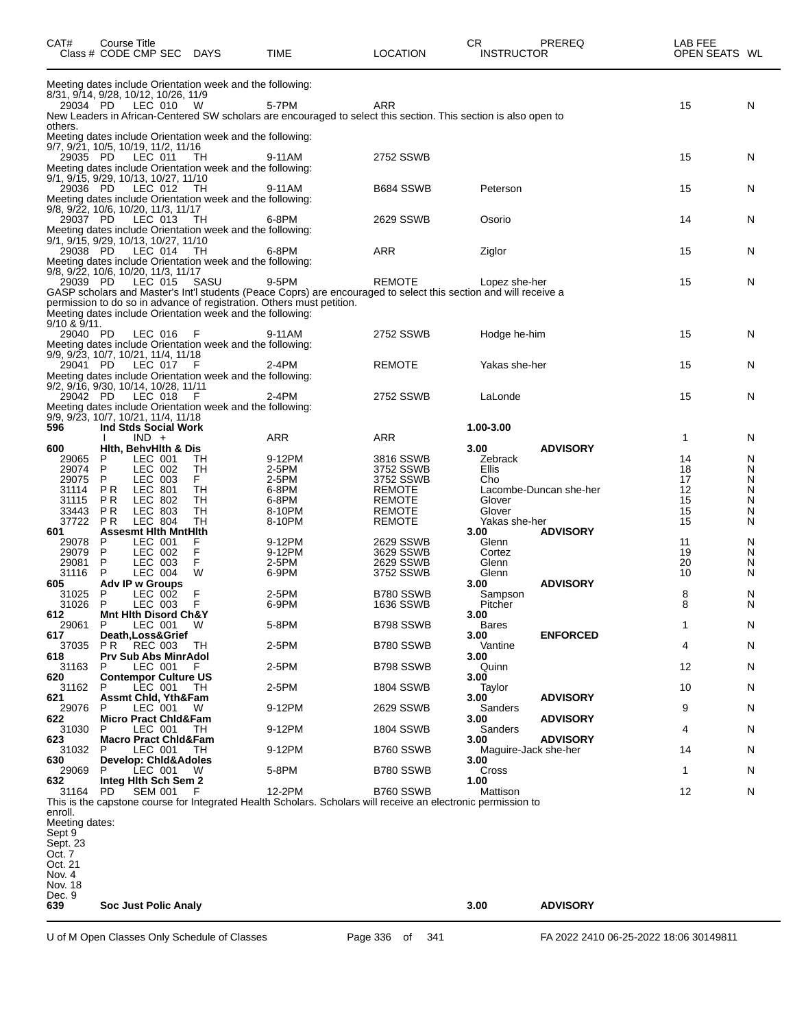| CAT#                                             | Course Title |                                            | Class # CODE CMP SEC DAYS                                         | TIME                                                                                                                                                                                      | <b>LOCATION</b>        | CR<br><b>INSTRUCTOR</b> | <b>PREREQ</b>          | LAB FEE<br>OPEN SEATS WL |        |
|--------------------------------------------------|--------------|--------------------------------------------|-------------------------------------------------------------------|-------------------------------------------------------------------------------------------------------------------------------------------------------------------------------------------|------------------------|-------------------------|------------------------|--------------------------|--------|
| 8/31, 9/14, 9/28, 10/12, 10/26, 11/9             |              |                                            | Meeting dates include Orientation week and the following:         |                                                                                                                                                                                           |                        |                         |                        |                          |        |
| 29034 PD                                         |              | LEC 010                                    | W                                                                 | 5-7PM<br>New Leaders in African-Centered SW scholars are encouraged to select this section. This section is also open to                                                                  | <b>ARR</b>             |                         |                        | 15                       | N      |
| others.<br>9/7, 9/21, 10/5, 10/19, 11/2, 11/16   |              |                                            | Meeting dates include Orientation week and the following:         |                                                                                                                                                                                           |                        |                         |                        |                          |        |
| 29035 PD<br>9/1, 9/15, 9/29, 10/13, 10/27, 11/10 |              | LEC 011                                    | - TH<br>Meeting dates include Orientation week and the following: | 9-11AM                                                                                                                                                                                    | 2752 SSWB              |                         |                        | 15                       | N      |
| 29036 PD                                         |              | LEC 012                                    | — ТН<br>Meeting dates include Orientation week and the following: | 9-11AM                                                                                                                                                                                    | B684 SSWB              | Peterson                |                        | 15                       | N      |
| 9/8, 9/22, 10/6, 10/20, 11/3, 11/17<br>29037 PD  |              | LEC 013                                    | TH<br>Meeting dates include Orientation week and the following:   | 6-8PM                                                                                                                                                                                     | 2629 SSWB              | Osorio                  |                        | 14                       | N      |
| 9/1, 9/15, 9/29, 10/13, 10/27, 11/10<br>29038 PD |              | LEC 014                                    | - тн<br>Meeting dates include Orientation week and the following: | 6-8PM                                                                                                                                                                                     | <b>ARR</b>             | Ziglor                  |                        | 15                       | N      |
| 9/8, 9/22, 10/6, 10/20, 11/3, 11/17<br>29039 PD  |              | LEC 015                                    | SASU                                                              | 9-5PM                                                                                                                                                                                     | <b>REMOTE</b>          | Lopez she-her           |                        | 15                       | N      |
|                                                  |              |                                            | Meeting dates include Orientation week and the following:         | GASP scholars and Master's Int'l students (Peace Coprs) are encouraged to select this section and will receive a<br>permission to do so in advance of registration. Others must petition. |                        |                         |                        |                          |        |
| 9/10 & 9/11.<br>29040 PD                         |              | LEC 016 F                                  |                                                                   | 9-11AM                                                                                                                                                                                    | 2752 SSWB              | Hodge he-him            |                        | 15                       | N      |
| 9/9, 9/23, 10/7, 10/21, 11/4, 11/18<br>29041 PD  |              | LEC 017                                    | Meeting dates include Orientation week and the following:<br>F    | $2-4PM$                                                                                                                                                                                   | <b>REMOTE</b>          | Yakas she-her           |                        | 15                       | N      |
| 9/2, 9/16, 9/30, 10/14, 10/28, 11/11             |              |                                            | Meeting dates include Orientation week and the following:         |                                                                                                                                                                                           |                        |                         |                        |                          |        |
| 29042 PD<br>9/9, 9/23, 10/7, 10/21, 11/4, 11/18  |              | LEC 018                                    | -F<br>Meeting dates include Orientation week and the following:   | $2-4PM$                                                                                                                                                                                   | 2752 SSWB              | LaLonde                 |                        | 15                       | N      |
| 596                                              |              | Ind Stds Social Work<br>$IND +$            |                                                                   | ARR                                                                                                                                                                                       | <b>ARR</b>             | 1.00-3.00               |                        | 1                        | N      |
| 600                                              |              | Hith, BehvHith & Dis                       |                                                                   |                                                                                                                                                                                           |                        | 3.00                    | <b>ADVISORY</b>        |                          |        |
| 29065<br>29074                                   | P<br>P       | LEC 001<br>LEC 002                         | TН<br>TН                                                          | 9-12PM<br>2-5PM                                                                                                                                                                           | 3816 SSWB              | Zebrack<br>Ellis        |                        | 14<br>18                 | N<br>N |
| 29075                                            | P            | LEC 003                                    | F.                                                                | 2-5PM                                                                                                                                                                                     | 3752 SSWB<br>3752 SSWB | Cho                     |                        | 17                       | N      |
| 31114                                            | PR           | LEC 801                                    | TН                                                                | 6-8PM                                                                                                                                                                                     | <b>REMOTE</b>          |                         | Lacombe-Duncan she-her | 12                       | N      |
| 31115                                            | P R          | LEC 802                                    | <b>TH</b>                                                         | 6-8PM                                                                                                                                                                                     | <b>REMOTE</b>          | Glover                  |                        | 15                       | Ν      |
| 33443                                            | P R          | LEC 803                                    | TН                                                                | 8-10PM                                                                                                                                                                                    | <b>REMOTE</b>          | Glover                  |                        | 15                       | N      |
| 37722                                            | P R          | <b>LEC 804</b>                             | TH                                                                | 8-10PM                                                                                                                                                                                    | <b>REMOTE</b>          | Yakas she-her           |                        | 15                       | N      |
| 601<br>29078                                     | P            | <b>Assesmt Hith MntHith</b><br>LEC 001     | F                                                                 | 9-12PM                                                                                                                                                                                    | 2629 SSWB              | 3.00<br>Glenn           | <b>ADVISORY</b>        | 11                       | N      |
| 29079                                            | P            | LEC 002                                    | F                                                                 | 9-12PM                                                                                                                                                                                    | 3629 SSWB              | Cortez                  |                        | 19                       | N      |
| 29081                                            | P            | LEC 003                                    | F                                                                 | 2-5PM                                                                                                                                                                                     | 2629 SSWB              | Glenn                   |                        | 20                       | N      |
| 31116                                            | P            | LEC 004                                    | W                                                                 | 6-9PM                                                                                                                                                                                     | 3752 SSWB              | Glenn                   |                        | 10                       | N      |
| 605                                              |              | Adv IP w Groups                            |                                                                   |                                                                                                                                                                                           |                        | 3.00                    | <b>ADVISORY</b>        |                          |        |
| 31025                                            | P            | LEC 002                                    | F                                                                 | 2-5PM                                                                                                                                                                                     | B780 SSWB              | Sampson                 |                        | 8                        | N      |
| 31026                                            | P            | LEC 003                                    | F                                                                 | 6-9PM                                                                                                                                                                                     | 1636 SSWB              | Pitcher                 |                        | 8                        | N      |
| 612                                              |              | Mnt Hith Disord Ch&Y                       |                                                                   |                                                                                                                                                                                           |                        | 3.00                    |                        |                          |        |
| 29061<br>617                                     | P.           | LEC 001 W<br>Death, Loss& Grief            |                                                                   | 5-8PM                                                                                                                                                                                     | B798 SSWB              | Bares<br>3.00           | <b>ENFORCED</b>        | 1                        | N      |
| 37035                                            |              | <b>PR REC 003</b>                          | TH                                                                | 2-5PM                                                                                                                                                                                     | B780 SSWB              | Vantine                 |                        | 4                        | N      |
| 618                                              |              | Prv Sub Abs MinrAdol                       |                                                                   |                                                                                                                                                                                           |                        | 3.00                    |                        |                          |        |
| 31163<br>620                                     | P            | LEC 001<br><b>Contempor Culture US</b>     | F.                                                                | 2-5PM                                                                                                                                                                                     | B798 SSWB              | Quinn<br>3.00           |                        | 12                       | N      |
| 31162                                            | P            | LEC 001                                    | TН                                                                | 2-5PM                                                                                                                                                                                     | 1804 SSWB              | Taylor                  |                        | 10                       | N      |
| 621                                              |              | <b>Assmt Chid, Yth&amp;Fam</b>             |                                                                   |                                                                                                                                                                                           |                        | 3.00                    | <b>ADVISORY</b>        |                          |        |
| 29076                                            | P            | LEC 001                                    | - W                                                               | 9-12PM                                                                                                                                                                                    | 2629 SSWB              | Sanders                 |                        | 9                        | N      |
| 622<br>31030                                     | P            | <b>Micro Pract Chid&amp;Fam</b><br>LEC 001 | - тн                                                              | 9-12PM                                                                                                                                                                                    | <b>1804 SSWB</b>       | 3.00<br>Sanders         | <b>ADVISORY</b>        | 4                        | N      |
| 623                                              |              | <b>Macro Pract Chid&amp;Fam</b>            |                                                                   |                                                                                                                                                                                           |                        | 3.00                    | <b>ADVISORY</b>        |                          |        |
| 31032<br>630                                     | P            | LEC 001<br><b>Develop: Chid&amp;Adoles</b> | TH                                                                | 9-12PM                                                                                                                                                                                    | B760 SSWB              | 3.00                    | Maguire-Jack she-her   | 14                       | N      |
| 29069<br>632                                     | P.           | LEC 001 W<br>Integ Hith Sch Sem 2          |                                                                   | 5-8PM                                                                                                                                                                                     | B780 SSWB              | Cross<br>1.00           |                        | 1                        | N      |
| 31164                                            | PD.          | SEM 001                                    |                                                                   | 12-2PM<br>This is the capstone course for Integrated Health Scholars. Scholars will receive an electronic permission to                                                                   | B760 SSWB              | Mattison                |                        | 12                       | N      |
| enroll.<br>Meeting dates:                        |              |                                            |                                                                   |                                                                                                                                                                                           |                        |                         |                        |                          |        |
| Sept 9                                           |              |                                            |                                                                   |                                                                                                                                                                                           |                        |                         |                        |                          |        |
| Sept. 23                                         |              |                                            |                                                                   |                                                                                                                                                                                           |                        |                         |                        |                          |        |
| Oct. 7<br>Oct. 21                                |              |                                            |                                                                   |                                                                                                                                                                                           |                        |                         |                        |                          |        |
| Nov. 4                                           |              |                                            |                                                                   |                                                                                                                                                                                           |                        |                         |                        |                          |        |
| Nov. 18                                          |              |                                            |                                                                   |                                                                                                                                                                                           |                        |                         |                        |                          |        |
| Dec. 9<br>639                                    |              | <b>Soc Just Polic Analy</b>                |                                                                   |                                                                                                                                                                                           |                        | 3.00                    | <b>ADVISORY</b>        |                          |        |
|                                                  |              |                                            |                                                                   |                                                                                                                                                                                           |                        |                         |                        |                          |        |

U of M Open Classes Only Schedule of Classes Page 336 of 341 FA 2022 2410 06-25-2022 18:06 30149811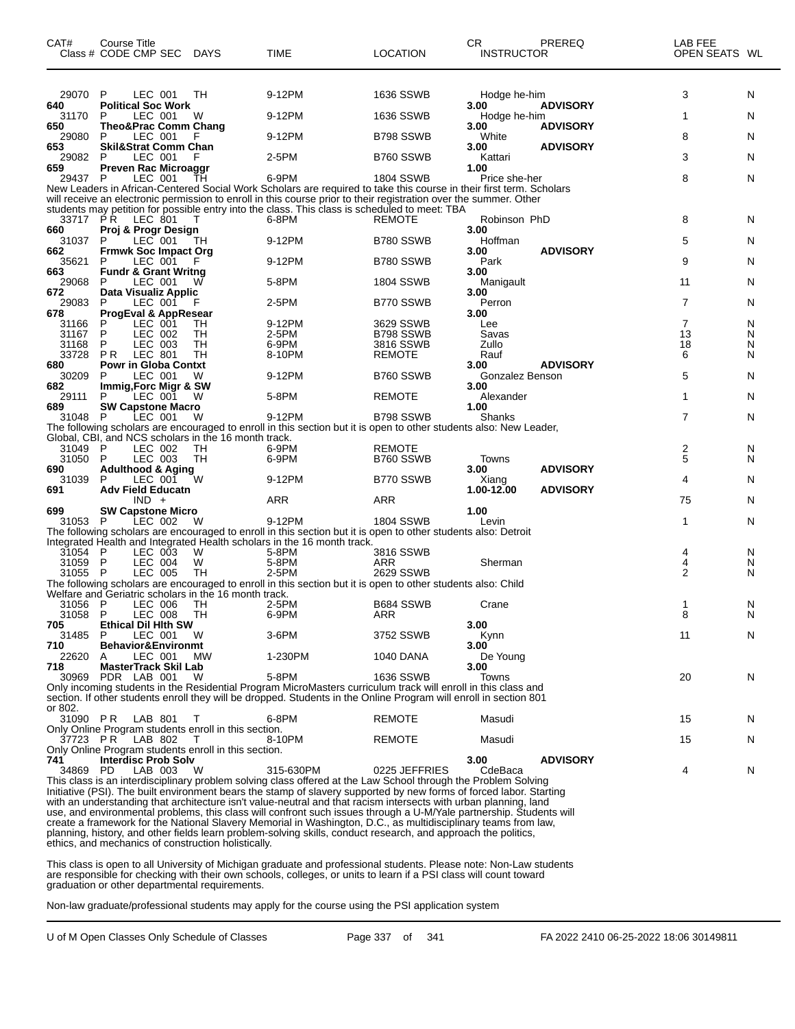| CAT#             | Course Title<br>Class # CODE CMP SEC                                             | <b>DAYS</b> | <b>TIME</b>                                                                                                                                                                                                                                                                                                                                                                                                                                                                      | <b>LOCATION</b>         | CR<br><b>INSTRUCTOR</b> | PREREQ          | LAB FEE<br>OPEN SEATS WL |        |
|------------------|----------------------------------------------------------------------------------|-------------|----------------------------------------------------------------------------------------------------------------------------------------------------------------------------------------------------------------------------------------------------------------------------------------------------------------------------------------------------------------------------------------------------------------------------------------------------------------------------------|-------------------------|-------------------------|-----------------|--------------------------|--------|
| 29070            | P<br>LEC 001                                                                     | TН          | 9-12PM                                                                                                                                                                                                                                                                                                                                                                                                                                                                           | <b>1636 SSWB</b>        | Hodge he-him            |                 | 3                        | N      |
| 640<br>31170     | <b>Political Soc Work</b><br>P<br>LEC 001                                        | W           | 9-12PM                                                                                                                                                                                                                                                                                                                                                                                                                                                                           | 1636 SSWB               | 3.00<br>Hodge he-him    | <b>ADVISORY</b> | 1                        | N      |
| 650<br>29080     | <b>Theo&amp;Prac Comm Chang</b><br>LEC 001<br>P                                  |             | 9-12PM                                                                                                                                                                                                                                                                                                                                                                                                                                                                           | B798 SSWB               | 3.00<br>White           | <b>ADVISORY</b> | 8                        | N      |
| 653              | <b>Skil&amp;Strat Comm Chan</b>                                                  |             |                                                                                                                                                                                                                                                                                                                                                                                                                                                                                  |                         | 3.00                    | <b>ADVISORY</b> |                          |        |
| 29082<br>659     | LEC 001<br>P<br><b>Preven Rac Microaggr</b>                                      | F           | 2-5PM                                                                                                                                                                                                                                                                                                                                                                                                                                                                            | B760 SSWB               | Kattari<br>1.00         |                 | 3                        | N      |
| 29437 P          | LEC 001                                                                          | TН          | 6-9PM<br>New Leaders in African-Centered Social Work Scholars are required to take this course in their first term. Scholars                                                                                                                                                                                                                                                                                                                                                     | 1804 SSWB               | Price she-her           |                 | 8                        | N      |
|                  |                                                                                  |             | will receive an electronic permission to enroll in this course prior to their registration over the summer. Other<br>students may petition for possible entry into the class. This class is scheduled to meet: TBA                                                                                                                                                                                                                                                               |                         |                         |                 |                          |        |
| 660              | 33717 PR LEC 801<br>Proj & Progr Design                                          | т           | 6-8PM                                                                                                                                                                                                                                                                                                                                                                                                                                                                            | <b>REMOTE</b>           | Robinson PhD<br>3.00    |                 | 8                        | N      |
| 31037<br>662     | $LEC$ 001<br>P<br><b>Frmwk Soc Impact Org</b>                                    | ТH          | 9-12PM                                                                                                                                                                                                                                                                                                                                                                                                                                                                           | B780 SSWB               | Hoffman<br>3.00         | <b>ADVISORY</b> | 5                        | N      |
| 35621<br>663     | LEC 001<br>P<br><b>Fundr &amp; Grant Writng</b>                                  |             | 9-12PM                                                                                                                                                                                                                                                                                                                                                                                                                                                                           | B780 SSWB               | Park<br>3.00            |                 | 9                        | N      |
| 29068            | LEC 001<br>P                                                                     | W           | 5-8PM                                                                                                                                                                                                                                                                                                                                                                                                                                                                            | 1804 SSWB               | Manigault               |                 | 11                       | N      |
| 672<br>29083     | Data Visualiz Applic<br>P<br>LEC 001                                             | F           | 2-5PM                                                                                                                                                                                                                                                                                                                                                                                                                                                                            | B770 SSWB               | 3.00<br>Perron          |                 | $\overline{7}$           | N      |
| 678              | <b>ProgEval &amp; AppResear</b>                                                  |             |                                                                                                                                                                                                                                                                                                                                                                                                                                                                                  |                         | 3.00                    |                 |                          |        |
| 31166<br>31167   | LEC 001<br>P<br>P<br>LEC 002                                                     | TН<br>TH    | 9-12PM<br>2-5PM                                                                                                                                                                                                                                                                                                                                                                                                                                                                  | 3629 SSWB<br>B798 SSWB  | Lee<br>Savas            |                 | $\overline{7}$<br>13     | N<br>N |
| 31168            | P<br>LEC 003                                                                     | TH          | 6-9PM                                                                                                                                                                                                                                                                                                                                                                                                                                                                            | 3816 SSWB               | Zullo                   |                 | 18                       | N      |
| 33728            | <b>PR</b><br>LEC 801                                                             | <b>TH</b>   | 8-10PM                                                                                                                                                                                                                                                                                                                                                                                                                                                                           | <b>REMOTE</b>           | Rauf                    |                 | 6                        | N      |
| 680<br>30209     | <b>Powr in Globa Contxt</b><br>LEC 001<br>P                                      | W           | 9-12PM                                                                                                                                                                                                                                                                                                                                                                                                                                                                           | B760 SSWB               | 3.00<br>Gonzalez Benson | <b>ADVISORY</b> | 5                        | N      |
| 682<br>29111     | Immig, Forc Migr & SW<br>LEC 001<br>P                                            | w           | 5-8PM                                                                                                                                                                                                                                                                                                                                                                                                                                                                            | <b>REMOTE</b>           | 3.00<br>Alexander       |                 | 1                        | N      |
| 689              | <b>SW Capstone Macro</b>                                                         |             |                                                                                                                                                                                                                                                                                                                                                                                                                                                                                  |                         | 1.00                    |                 |                          |        |
| 31048            | LEC 001<br>P                                                                     | W           | 9-12PM<br>The following scholars are encouraged to enroll in this section but it is open to other students also: New Leader,                                                                                                                                                                                                                                                                                                                                                     | B798 SSWB               | Shanks                  |                 | 7                        | N      |
|                  | Global, CBI, and NCS scholars in the 16 month track.                             |             |                                                                                                                                                                                                                                                                                                                                                                                                                                                                                  |                         |                         |                 |                          |        |
| 31049<br>31050   | - P<br>LEC 002<br>$\mathsf{P}$<br>LEC 003                                        | TH<br>TH    | 6-9PM<br>6-9PM                                                                                                                                                                                                                                                                                                                                                                                                                                                                   | REMOTE<br>B760 SSWB     | Towns                   |                 | 2<br>5                   | N<br>N |
| 690              | <b>Adulthood &amp; Aging</b>                                                     |             |                                                                                                                                                                                                                                                                                                                                                                                                                                                                                  |                         | 3.00                    | <b>ADVISORY</b> |                          |        |
| 31039            | LEC 001<br>P                                                                     | W           | 9-12PM                                                                                                                                                                                                                                                                                                                                                                                                                                                                           | B770 SSWB               | Xiang                   |                 | 4                        | N      |
| 691              | <b>Adv Field Educatn</b><br>$IND +$                                              |             | ARR                                                                                                                                                                                                                                                                                                                                                                                                                                                                              | ARR                     | 1.00-12.00              | <b>ADVISORY</b> | 75                       | N      |
| 699              | <b>SW Capstone Micro</b>                                                         |             |                                                                                                                                                                                                                                                                                                                                                                                                                                                                                  |                         | 1.00                    |                 |                          |        |
| 31053 P          | LEC 002                                                                          | W           | 9-12PM<br>The following scholars are encouraged to enroll in this section but it is open to other students also: Detroit                                                                                                                                                                                                                                                                                                                                                         | <b>1804 SSWB</b>        | Levin                   |                 | 1                        | N      |
|                  |                                                                                  |             | Integrated Health and Integrated Health scholars in the 16 month track.                                                                                                                                                                                                                                                                                                                                                                                                          |                         |                         |                 |                          |        |
| 31054 P<br>31059 | LEC 003<br>$\mathsf{P}$<br><b>LEC 004</b>                                        | W<br>W      | 5-8PM<br>5-8PM                                                                                                                                                                                                                                                                                                                                                                                                                                                                   | 3816 SSWB<br><b>ARR</b> | Sherman                 |                 | 4<br>4                   | N<br>N |
| 31055 P          | LEC 005                                                                          | TH          | 2-5PM                                                                                                                                                                                                                                                                                                                                                                                                                                                                            | 2629 SSWB               |                         |                 | $\overline{2}$           | N      |
|                  |                                                                                  |             | The following scholars are encouraged to enroll in this section but it is open to other students also: Child                                                                                                                                                                                                                                                                                                                                                                     |                         |                         |                 |                          |        |
| 31056            | Welfare and Geriatric scholars in the 16 month track.<br>$\mathsf{P}$<br>LEC 006 | TН          | 2-5PM                                                                                                                                                                                                                                                                                                                                                                                                                                                                            | B684 SSWB               | Crane                   |                 | 1                        | N      |
| 31058 P          | LEC 008                                                                          | TH          | 6-9PM                                                                                                                                                                                                                                                                                                                                                                                                                                                                            | ARR                     |                         |                 | 8                        | N      |
| 705<br>31485     | <b>Ethical Dil Hith SW</b><br>LEC 001<br>P.                                      | W           | 3-6PM                                                                                                                                                                                                                                                                                                                                                                                                                                                                            | 3752 SSWB               | 3.00<br>Kynn            |                 | 11                       | N      |
| 710              | Behavior&Environmt                                                               |             |                                                                                                                                                                                                                                                                                                                                                                                                                                                                                  |                         | 3.00                    |                 |                          |        |
| 22620<br>718     | LEC 001<br>A                                                                     | <b>MW</b>   | 1-230PM                                                                                                                                                                                                                                                                                                                                                                                                                                                                          | 1040 DANA               | De Young                |                 |                          |        |
| 30969            | MasterTrack Skil Lab<br>PDR LAB 001                                              | w           | 5-8PM                                                                                                                                                                                                                                                                                                                                                                                                                                                                            | 1636 SSWB               | 3.00<br>Towns           |                 | 20                       | N      |
|                  |                                                                                  |             | Only incoming students in the Residential Program MicroMasters curriculum track will enroll in this class and<br>section. If other students enroll they will be dropped. Students in the Online Program will enroll in section 801                                                                                                                                                                                                                                               |                         |                         |                 |                          |        |
| or 802.          | 31090 PR LAB 801                                                                 | Т           | 6-8PM                                                                                                                                                                                                                                                                                                                                                                                                                                                                            | <b>REMOTE</b>           | Masudi                  |                 | 15                       | N      |
|                  | Only Online Program students enroll in this section.<br>37723 PR LAB 802         | T           | 8-10PM                                                                                                                                                                                                                                                                                                                                                                                                                                                                           | <b>REMOTE</b>           | Masudi                  |                 | 15                       | N      |
|                  | Only Online Program students enroll in this section.                             |             |                                                                                                                                                                                                                                                                                                                                                                                                                                                                                  |                         |                         |                 |                          |        |
| 741<br>34869 PD  | <b>Interdisc Prob Solv</b><br>LAB 003                                            | - W         | 315-630PM                                                                                                                                                                                                                                                                                                                                                                                                                                                                        | 0225 JEFFRIES           | 3.00<br>CdeBaca         | <b>ADVISORY</b> | 4                        | N      |
|                  |                                                                                  |             | This class is an interdisciplinary problem solving class offered at the Law School through the Problem Solving<br>Initiative (PSI). The built environment bears the stamp of slavery supported by new forms of forced labor. Starting<br>with an understanding that architecture isn't value-neutral and that racism intersects with urban planning, land<br>use, and environmental problems, this class will confront such issues through a U-M/Yale partnership. Students will |                         |                         |                 |                          |        |
|                  | ethics, and mechanics of construction holistically.                              |             | create a framework for the National Slavery Memorial in Washington, D.C., as multidisciplinary teams from law,<br>planning, history, and other fields learn problem-solving skills, conduct research, and approach the politics,                                                                                                                                                                                                                                                 |                         |                         |                 |                          |        |

This class is open to all University of Michigan graduate and professional students. Please note: Non-Law students are responsible for checking with their own schools, colleges, or units to learn if a PSI class will count toward graduation or other departmental requirements.

Non-law graduate/professional students may apply for the course using the PSI application system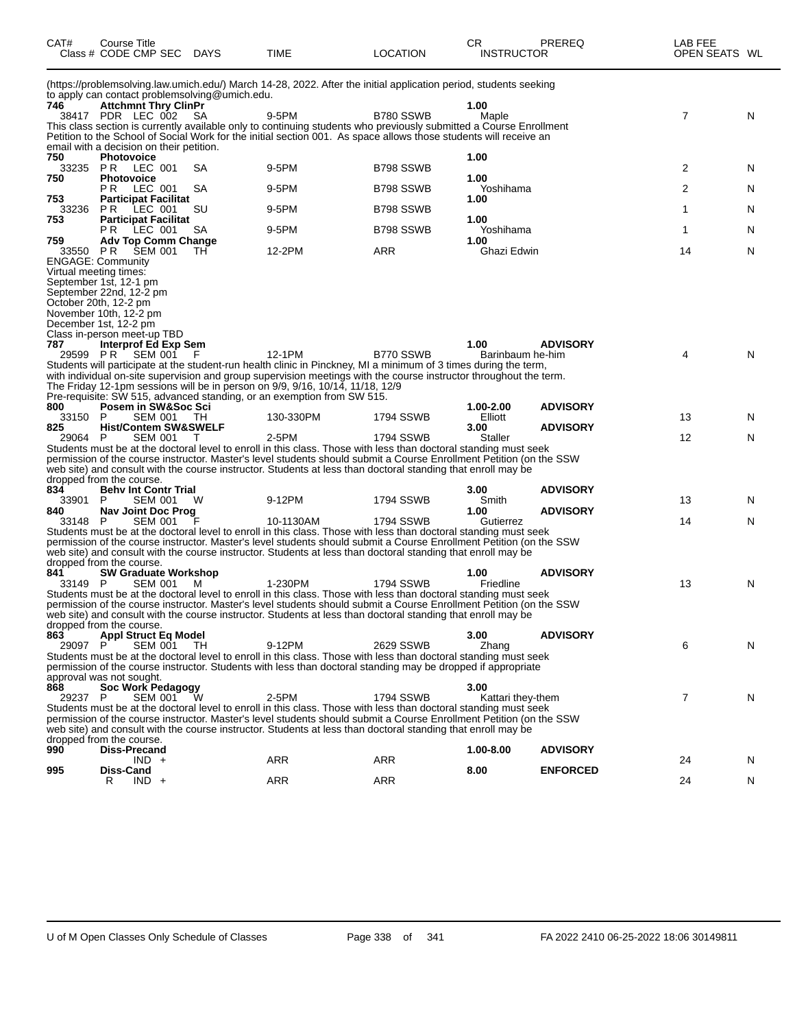| CAT#           | Course Title<br>Class # CODE CMP SEC DAYS                                     |     | <b>TIME</b>                                                                                                                                                                                                                             | <b>LOCATION</b>  | CR.<br><b>INSTRUCTOR</b> | <b>PREREQ</b>   | LAB FEE<br>OPEN SEATS WL |   |
|----------------|-------------------------------------------------------------------------------|-----|-----------------------------------------------------------------------------------------------------------------------------------------------------------------------------------------------------------------------------------------|------------------|--------------------------|-----------------|--------------------------|---|
|                |                                                                               |     | (https://problemsolving.law.umich.edu/) March 14-28, 2022. After the initial application period, students seeking                                                                                                                       |                  |                          |                 |                          |   |
| 746            | to apply can contact problemsolving@umich.edu.<br><b>Attchmnt Thry ClinPr</b> |     |                                                                                                                                                                                                                                         |                  | 1.00                     |                 |                          |   |
|                | 38417 PDR LEC 002                                                             | -SA | 9-5PM                                                                                                                                                                                                                                   | B780 SSWB        | Maple                    |                 | $\overline{7}$           | N |
|                |                                                                               |     | This class section is currently available only to continuing students who previously submitted a Course Enrollment                                                                                                                      |                  |                          |                 |                          |   |
|                | email with a decision on their petition.                                      |     | Petition to the School of Social Work for the initial section 001. As space allows those students will receive an                                                                                                                       |                  |                          |                 |                          |   |
| 750            | <b>Photovoice</b>                                                             |     |                                                                                                                                                                                                                                         |                  | 1.00                     |                 |                          |   |
| 750            | 33235 PR LEC 001<br><b>Photovoice</b>                                         | SA  | 9-5PM                                                                                                                                                                                                                                   | B798 SSWB        | 1.00                     |                 | $\overline{2}$           | N |
|                | <b>PR LEC 001</b>                                                             | SA  | 9-5PM                                                                                                                                                                                                                                   | B798 SSWB        | Yoshihama                |                 | $\overline{2}$           | N |
| 753<br>33236   | <b>Participat Facilitat</b><br>P R<br>LEC 001                                 | SU  | 9-5PM                                                                                                                                                                                                                                   | B798 SSWB        | 1.00                     |                 | 1                        | N |
| 753            | <b>Participat Facilitat</b>                                                   |     |                                                                                                                                                                                                                                         |                  | 1.00                     |                 |                          |   |
| 759            | <b>PR LEC 001</b><br><b>Adv Top Comm Change</b>                               | SA  | 9-5PM                                                                                                                                                                                                                                   | B798 SSWB        | Yoshihama<br>1.00        |                 | $\mathbf{1}$             | N |
|                | 33550 PR SEM 001                                                              | TH  | 12-2PM                                                                                                                                                                                                                                  | ARR              | Ghazi Edwin              |                 | 14                       | N |
|                | <b>ENGAGE: Community</b>                                                      |     |                                                                                                                                                                                                                                         |                  |                          |                 |                          |   |
|                | Virtual meeting times:<br>September 1st, 12-1 pm                              |     |                                                                                                                                                                                                                                         |                  |                          |                 |                          |   |
|                | September 22nd, 12-2 pm                                                       |     |                                                                                                                                                                                                                                         |                  |                          |                 |                          |   |
|                | October 20th, 12-2 pm<br>November 10th, 12-2 pm                               |     |                                                                                                                                                                                                                                         |                  |                          |                 |                          |   |
|                | December 1st, 12-2 pm                                                         |     |                                                                                                                                                                                                                                         |                  |                          |                 |                          |   |
| 787            | Class in-person meet-up TBD<br>Interprof Ed Exp Sem                           |     |                                                                                                                                                                                                                                         |                  | 1.00                     | <b>ADVISORY</b> |                          |   |
|                | 29599 PR SEM 001                                                              | - F | 12-1PM                                                                                                                                                                                                                                  | B770 SSWB        | Barinbaum he-him         |                 | 4                        | N |
|                |                                                                               |     | Students will participate at the student-run health clinic in Pinckney, MI a minimum of 3 times during the term,<br>with individual on-site supervision and group supervision meetings with the course instructor throughout the term.  |                  |                          |                 |                          |   |
|                |                                                                               |     | The Friday 12-1pm sessions will be in person on 9/9, 9/16, 10/14, 11/18, 12/9                                                                                                                                                           |                  |                          |                 |                          |   |
|                |                                                                               |     | Pre-requisite: SW 515, advanced standing, or an exemption from SW 515.                                                                                                                                                                  |                  |                          |                 |                          |   |
| 800<br>33150 P | Posem in SW&Soc Sci<br>SEM 001 TH                                             |     | 130-330PM                                                                                                                                                                                                                               | 1794 SSWB        | 1.00-2.00<br>Elliott     | <b>ADVISORY</b> | 13                       | N |
| 825            | <b>Hist/Contem SW&amp;SWELF</b>                                               |     |                                                                                                                                                                                                                                         |                  | 3.00                     | <b>ADVISORY</b> |                          |   |
| 29064 P        | SEM 001                                                                       | T   | 2-5PM<br>Students must be at the doctoral level to enroll in this class. Those with less than doctoral standing must seek                                                                                                               | 1794 SSWB        | <b>Staller</b>           |                 | 12                       | N |
|                |                                                                               |     | permission of the course instructor. Master's level students should submit a Course Enrollment Petition (on the SSW                                                                                                                     |                  |                          |                 |                          |   |
|                | dropped from the course.                                                      |     | web site) and consult with the course instructor. Students at less than doctoral standing that enroll may be                                                                                                                            |                  |                          |                 |                          |   |
| 834            | <b>Behy Int Contr Trial</b>                                                   |     |                                                                                                                                                                                                                                         |                  | 3.00                     | <b>ADVISORY</b> |                          |   |
| 33901<br>840   | P<br><b>SEM 001</b><br>Nav Joint Doc Prog                                     | W   | 9-12PM                                                                                                                                                                                                                                  | 1794 SSWB        | Smith<br>1.00            | <b>ADVISORY</b> | 13                       | N |
| 33148 P        | SEM 001                                                                       |     | 10-1130AM                                                                                                                                                                                                                               | 1794 SSWB        | Gutierrez                |                 | 14                       | N |
|                |                                                                               |     | Students must be at the doctoral level to enroll in this class. Those with less than doctoral standing must seek<br>permission of the course instructor. Master's level students should submit a Course Enrollment Petition (on the SSW |                  |                          |                 |                          |   |
|                |                                                                               |     | web site) and consult with the course instructor. Students at less than doctoral standing that enroll may be                                                                                                                            |                  |                          |                 |                          |   |
| 841            | dropped from the course.<br><b>SW Graduate Workshop</b>                       |     |                                                                                                                                                                                                                                         |                  |                          | <b>ADVISORY</b> |                          |   |
| 33149 P        | SEM 001                                                                       | M   | 1-230PM                                                                                                                                                                                                                                 | 1794 SSWB        | 1.00<br>Friedline        |                 | 13                       | N |
|                |                                                                               |     | Students must be at the doctoral level to enroll in this class. Those with less than doctoral standing must seek                                                                                                                        |                  |                          |                 |                          |   |
|                |                                                                               |     | permission of the course instructor. Master's level students should submit a Course Enrollment Petition (on the SSW<br>web site) and consult with the course instructor. Students at less than doctoral standing that enroll may be     |                  |                          |                 |                          |   |
|                | dropped from the course.                                                      |     |                                                                                                                                                                                                                                         |                  |                          |                 |                          |   |
| 863<br>29097 P | <b>Appl Struct Eq Model</b><br>SEM 001                                        | TH  | 9-12PM                                                                                                                                                                                                                                  | 2629 SSWB        | 3.00<br>Zhang            | <b>ADVISORY</b> | 6                        | N |
|                |                                                                               |     | Students must be at the doctoral level to enroll in this class. Those with less than doctoral standing must seek                                                                                                                        |                  |                          |                 |                          |   |
|                | approval was not sought.                                                      |     | permission of the course instructor. Students with less than doctoral standing may be dropped if appropriate                                                                                                                            |                  |                          |                 |                          |   |
| 868            | <b>Soc Work Pedagogy</b>                                                      |     |                                                                                                                                                                                                                                         |                  | 3.00                     |                 |                          |   |
| 29237 P        | <b>SEM 001</b>                                                                |     | 2-5PM<br>Students must be at the doctoral level to enroll in this class. Those with less than doctoral standing must seek                                                                                                               | <b>1794 SSWB</b> | Kattari they-them        |                 | $\overline{7}$           | N |
|                |                                                                               |     | permission of the course instructor. Master's level students should submit a Course Enrollment Petition (on the SSW                                                                                                                     |                  |                          |                 |                          |   |
|                |                                                                               |     | web site) and consult with the course instructor. Students at less than doctoral standing that enroll may be                                                                                                                            |                  |                          |                 |                          |   |
| 990            | dropped from the course.<br><b>Diss-Precand</b>                               |     |                                                                                                                                                                                                                                         |                  | 1.00-8.00                | <b>ADVISORY</b> |                          |   |
|                | $IND +$                                                                       |     | ARR                                                                                                                                                                                                                                     | <b>ARR</b>       |                          |                 | 24                       | N |
| 995            | Diss-Cand<br>$IND +$<br>R                                                     |     | <b>ARR</b>                                                                                                                                                                                                                              | <b>ARR</b>       | 8.00                     | <b>ENFORCED</b> | 24                       | N |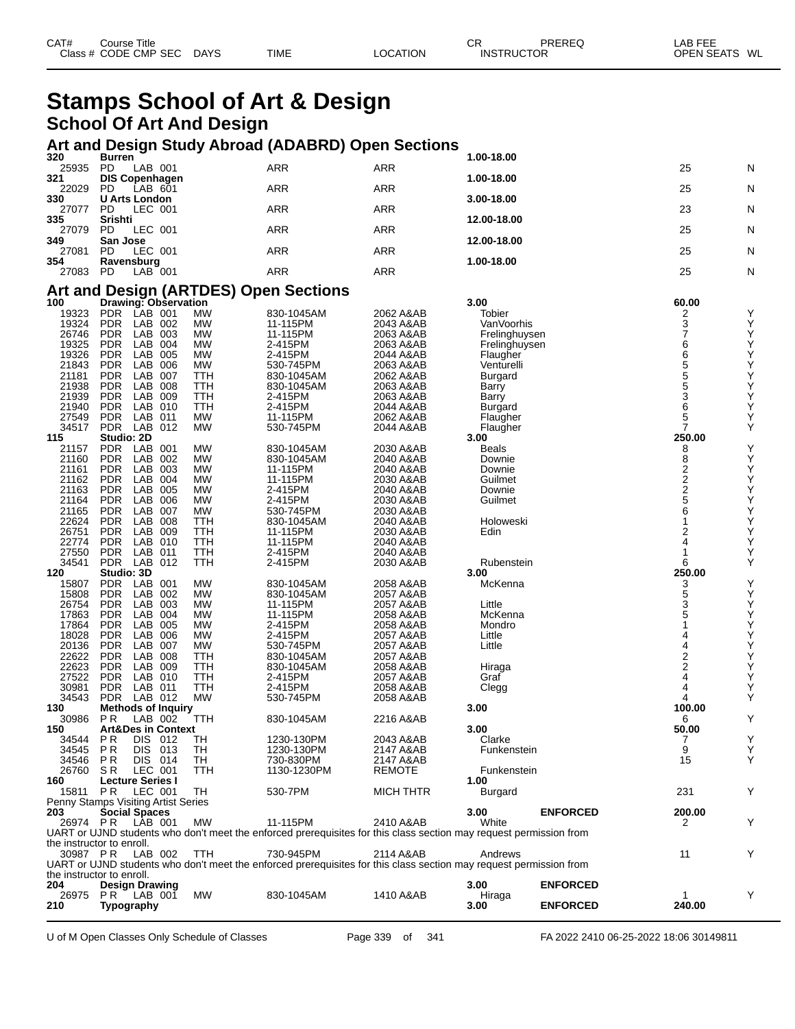| CAT#<br>Title<br>Jourse !<br><b>CMP</b><br><b>Class</b><br>CODE | <b>SEC</b><br><b>DAYS</b><br>$\sim$<br>- - | <b>TIME</b> | <b>ATION</b><br>റല | СR<br>IN.S | DDEDEC<br>TOR<br>__ | ----<br>ΔR<br>---<br>$\sim$ $ \sim$ $\sim$<br><b>DENI</b><br><b>WL</b><br>-- |
|-----------------------------------------------------------------|--------------------------------------------|-------------|--------------------|------------|---------------------|------------------------------------------------------------------------------|
|                                                                 |                                            |             |                    |            |                     |                                                                              |

## **Stamps School of Art & Design School Of Art And Design**

## **Art and Design Study Abroad (ADABRD) Open Sections 320 Burren 1.00-18.00**

| 320   | <b>Burren</b>         |     |            | 1.00-18.00  |    |   |
|-------|-----------------------|-----|------------|-------------|----|---|
| 25935 | LAB 001<br>PD         | ARR | <b>ARR</b> |             | 25 | N |
| 321   | <b>DIS Copenhagen</b> |     |            | 1.00-18.00  |    |   |
| 22029 | LAB 601<br><b>PD</b>  | ARR | <b>ARR</b> |             | 25 | N |
| 330   | U Arts London         |     |            | 3.00-18.00  |    |   |
| 27077 | LEC 001<br>PD.        | ARR | <b>ARR</b> |             | 23 | N |
| 335   | <b>Srishti</b>        |     |            | 12.00-18.00 |    |   |
| 27079 | LEC 001<br><b>PD</b>  | ARR | <b>ARR</b> |             | 25 | N |
| 349   | San Jose              |     |            | 12.00-18.00 |    |   |
| 27081 | LEC 001<br><b>PD</b>  | ARR | <b>ARR</b> |             | 25 | N |
| 354   | Ravensburg            |     |            | 1.00-18.00  |    |   |
| 27083 | PD<br>$LAB$ 001       | ARR | ARR        |             | 25 | N |

#### **Art and Design (ARTDES) Open Sections**

| 100                                 |                         |            | Drawing: Observation          |           |                                                                                                                    |                  | 3.00           |                 | 60.00                   |   |
|-------------------------------------|-------------------------|------------|-------------------------------|-----------|--------------------------------------------------------------------------------------------------------------------|------------------|----------------|-----------------|-------------------------|---|
| 19323                               | <b>PDR</b>              | LAB 001    |                               | <b>MW</b> | 830-1045AM                                                                                                         | 2062 A&AB        | Tobier         |                 | 2                       | Y |
| 19324                               | <b>PDR</b>              | LAB        | 002                           | <b>MW</b> | 11-115PM                                                                                                           | 2043 A&AB        | VanVoorhis     |                 | $\bar{3}$               | Υ |
| 26746                               | <b>PDR</b>              | LAB        | 003                           | <b>MW</b> | 11-115PM                                                                                                           | 2063 A&AB        | Frelinghuysen  |                 | 7                       | Υ |
| 19325                               | <b>PDR</b>              | LAB        | 004                           | <b>MW</b> | 2-415PM                                                                                                            | 2063 A&AB        | Frelinghuysen  |                 | 6                       | Υ |
| 19326                               | <b>PDR</b>              | LAB        | 005                           | <b>MW</b> | 2-415PM                                                                                                            | 2044 A&AB        | Flaugher       |                 | $\bar{6}$               | Υ |
| 21843                               | <b>PDR</b>              | LAB        | 006                           | <b>MW</b> | 530-745PM                                                                                                          | 2063 A&AB        | Venturelli     |                 | 5                       | Υ |
| 21181                               | <b>PDR</b>              | LAB        | 007                           | ттн       | 830-1045AM                                                                                                         | 2062 A&AB        | <b>Burgard</b> |                 | $\frac{5}{5}$           | Υ |
| 21938                               | <b>PDR</b>              | LAB        | 008                           | TTH       | 830-1045AM                                                                                                         | 2063 A&AB        | Barry          |                 |                         | Υ |
| 21939                               | <b>PDR</b>              | LAB        | 009                           | TTH       | 2-415PM                                                                                                            | 2063 A&AB        | Barry          |                 | $\overline{3}$          | Υ |
| 21940                               | <b>PDR</b>              | LAB        | 010                           | TTH       | 2-415PM                                                                                                            | 2044 A&AB        | <b>Burgard</b> |                 | 6                       | Υ |
| 27549                               | <b>PDR</b>              | LAB        | 011                           | <b>MW</b> | 11-115PM                                                                                                           | 2062 A&AB        | Flaugher       |                 | 5                       | Y |
| 34517                               | PDR.                    | LAB        | 012                           | <b>MW</b> | 530-745PM                                                                                                          | 2044 A&AB        | Flaugher       |                 | 7                       | Υ |
| 115                                 | Studio: 2D              |            |                               |           |                                                                                                                    |                  | 3.00           |                 | 250.00                  |   |
| 21157                               | <b>PDR</b>              | LAB        | 001                           | <b>MW</b> | 830-1045AM                                                                                                         | 2030 A&AB        | <b>Beals</b>   |                 | 8                       | Υ |
| 21160                               | <b>PDR</b>              | LAB        | 002                           | <b>MW</b> | 830-1045AM                                                                                                         | 2040 A&AB        | Downie         |                 | $\bar{8}$               | Υ |
| 21161                               | <b>PDR</b>              | LAB        | 003                           | <b>MW</b> | 11-115PM                                                                                                           | 2040 A&AB        | Downie         |                 | $\frac{2}{2}$           | Υ |
| 21162                               | <b>PDR</b>              | LAB        | 004                           | <b>MW</b> | 11-115PM                                                                                                           | 2030 A&AB        | Guilmet        |                 |                         | Υ |
| 21163                               | <b>PDR</b>              | LAB        | 005                           | <b>MW</b> | 2-415PM                                                                                                            | 2040 A&AB        | Downie         |                 |                         | Υ |
| 21164                               | <b>PDR</b>              | LAB        | 006                           | <b>MW</b> | 2-415PM                                                                                                            | 2030 A&AB        | Guilmet        |                 | 5                       | Υ |
| 21165                               | <b>PDR</b>              | LAB        | 007                           | <b>MW</b> | 530-745PM                                                                                                          | 2030 A&AB        |                |                 | 6                       | Υ |
| 22624                               | <b>PDR</b>              | LAB        | 008                           | TTH       | 830-1045AM                                                                                                         | 2040 A&AB        | Holoweski      |                 | 1                       | Υ |
| 26751                               | <b>PDR</b>              | <b>LAB</b> | 009                           | TTH       | 11-115PM                                                                                                           | 2030 A&AB        | Edin           |                 | 2                       | Υ |
| 22774                               | <b>PDR</b>              | LAB        | 010                           | ттн       | 11-115PM                                                                                                           | 2040 A&AB        |                |                 | 4                       | Υ |
| 27550                               | <b>PDR</b>              | LAB        | 011                           | TTH       | 2-415PM                                                                                                            | 2040 A&AB        |                |                 | 1                       | Y |
| 34541                               | <b>PDR</b>              | LAB        | 012                           | TTH       | 2-415PM                                                                                                            | 2030 A&AB        | Rubenstein     |                 | 6                       | Y |
| 120                                 | Studio: 3D              |            |                               |           |                                                                                                                    |                  | 3.00           |                 | 250.00                  |   |
| 15807                               | <b>PDR</b>              | LAB        | 001                           | <b>MW</b> | 830-1045AM                                                                                                         | 2058 A&AB        | McKenna        |                 | 3                       | Y |
| 15808                               | <b>PDR</b>              | LAB        | 002                           | <b>MW</b> | 830-1045AM                                                                                                         | 2057 A&AB        |                |                 | 5                       | Υ |
| 26754                               | <b>PDR</b>              | LAB        | 003                           | <b>MW</b> | 11-115PM                                                                                                           | 2057 A&AB        | Little         |                 | $\overline{3}$          | Υ |
| 17863                               | <b>PDR</b>              | <b>LAB</b> | 004                           | <b>MW</b> | 11-115PM                                                                                                           | 2058 A&AB        | McKenna        |                 | 5                       | Υ |
| 17864                               | <b>PDR</b>              | LAB        | 005                           | <b>MW</b> | 2-415PM                                                                                                            | 2058 A&AB        | Mondro         |                 |                         | Υ |
| 18028                               | <b>PDR</b>              | LAB        | 006                           | <b>MW</b> | 2-415PM                                                                                                            | 2057 A&AB        | Little         |                 | 4                       | Υ |
| 20136                               | <b>PDR</b>              | LAB        | 007                           | <b>MW</b> | 530-745PM                                                                                                          | 2057 A&AB        | Little         |                 | 4                       | Υ |
| 22622                               | <b>PDR</b>              | LAB        | 008                           | TTH       | 830-1045AM                                                                                                         | 2057 A&AB        |                |                 | $\overline{\mathbf{c}}$ | Υ |
| 22623                               | <b>PDR</b>              | LAB        | 009                           | ттн       | 830-1045AM                                                                                                         | 2058 A&AB        | Hiraga         |                 | $\overline{c}$          | Υ |
| 27522                               | <b>PDR</b>              | LAB        | 010                           | TTH       | 2-415PM                                                                                                            | 2057 A&AB        | Graf           |                 | 4                       | Υ |
| 30981                               | <b>PDR</b>              | LAB        | 011                           | TTH       | 2-415PM                                                                                                            | 2058 A&AB        | Clegg          |                 | 4                       | Υ |
| 34543                               | <b>PDR</b>              | LAB 012    |                               | <b>MW</b> | 530-745PM                                                                                                          | 2058 A&AB        |                |                 | 4                       | Y |
| 130                                 |                         |            | <b>Methods of Inquiry</b>     |           |                                                                                                                    |                  | 3.00           |                 | 100.00                  |   |
| 30986                               | P <sub>R</sub>          | LAB 002    |                               | TTH       | 830-1045AM                                                                                                         | 2216 A&AB        |                |                 | 6                       | Υ |
| 150                                 |                         |            | <b>Art&amp;Des in Context</b> |           |                                                                                                                    |                  | 3.00           |                 | 50.00                   |   |
| 34544                               | P <sub>R</sub>          | DIS.       | 012                           | TН        | 1230-130PM                                                                                                         | 2043 A&AB        | Clarke         |                 |                         | Υ |
| 34545                               | P <sub>R</sub>          | DIS        | 013                           | TН        | 1230-130PM                                                                                                         | 2147 A&AB        | Funkenstein    |                 | 9                       | Υ |
| 34546                               | P <sub>R</sub>          | <b>DIS</b> | 014                           | TН        | 730-830PM                                                                                                          | 2147 A&AB        |                |                 | 15                      | Y |
| 26760                               | SR                      | LEC 001    |                               | TTH       | 1130-1230PM                                                                                                        | <b>REMOTE</b>    | Funkenstein    |                 |                         |   |
| 160                                 | <b>Lecture Series I</b> |            |                               |           |                                                                                                                    |                  | 1.00           |                 |                         |   |
| 15811                               | <b>PR</b>               | LEC 001    |                               | TН        | 530-7PM                                                                                                            | <b>MICH THTR</b> | <b>Burgard</b> |                 | 231                     | Y |
| Penny Stamps Visiting Artist Series |                         |            |                               |           |                                                                                                                    |                  |                |                 |                         |   |
| 203                                 | <b>Social Spaces</b>    |            |                               |           |                                                                                                                    |                  | 3.00           | <b>ENFORCED</b> | 200.00                  |   |
| 26974 PR                            |                         | LAB 001    |                               | <b>MW</b> | 11-115PM                                                                                                           | 2410 A&AB        | White          |                 | 2                       | Y |
|                                     |                         |            |                               |           | UART or UJND students who don't meet the enforced prerequisites for this class section may request permission from |                  |                |                 |                         |   |
| the instructor to enroll.           |                         |            |                               |           |                                                                                                                    |                  |                |                 |                         |   |
| 30987 PR                            |                         | LAB 002    |                               | TTH       | 730-945PM                                                                                                          | 2114 A&AB        | Andrews        |                 | 11                      | Y |
|                                     |                         |            |                               |           | UART or UJND students who don't meet the enforced prerequisites for this class section may request permission from |                  |                |                 |                         |   |
| the instructor to enroll.           |                         |            |                               |           |                                                                                                                    |                  |                |                 |                         |   |
| 204                                 | <b>Design Drawing</b>   |            |                               |           |                                                                                                                    |                  | 3.00           | <b>ENFORCED</b> |                         |   |
| 26975                               | PR.                     | LAB 001    |                               | <b>MW</b> | 830-1045AM                                                                                                         | 1410 A&AB        | Hiraga         |                 |                         | Υ |
| 210                                 | Typography              |            |                               |           |                                                                                                                    |                  | 3.00           | <b>ENFORCED</b> | 240.00                  |   |
|                                     |                         |            |                               |           |                                                                                                                    |                  |                |                 |                         |   |

U of M Open Classes Only Schedule of Classes Page 339 of 341 FA 2022 2410 06-25-2022 18:06 30149811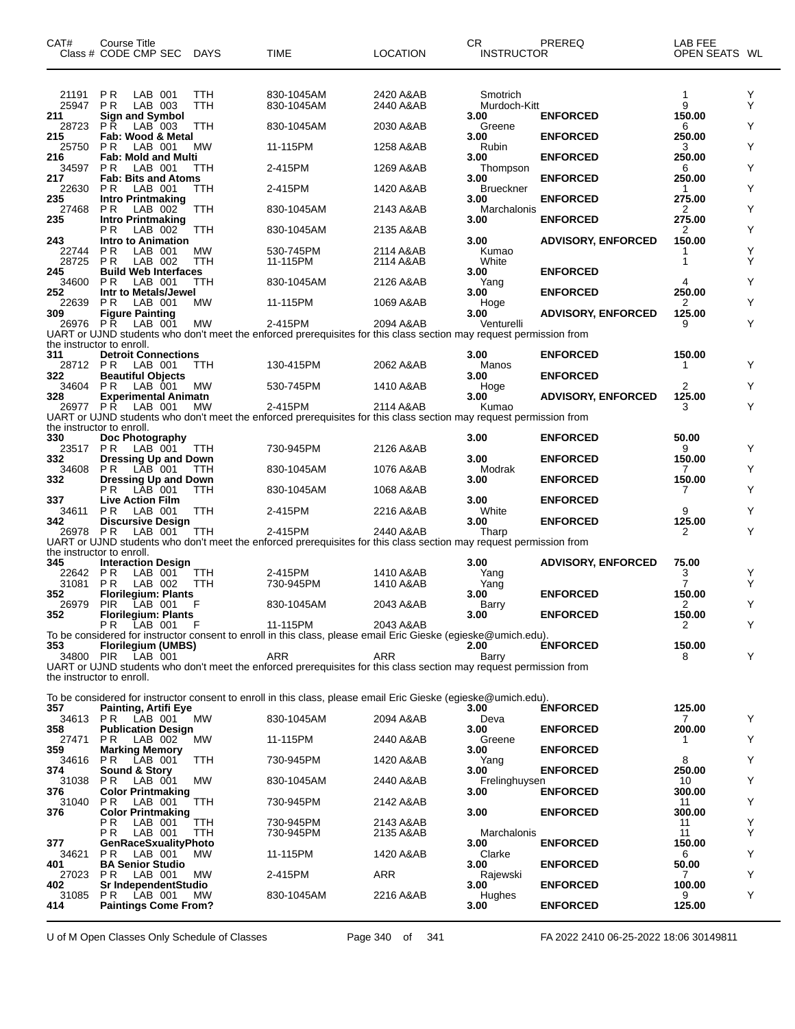| CAT#                  | Course Title<br>Class # CODE CMP SEC                                     | <b>DAYS</b> | TIME                                                                                                                          | LOCATION               | СR<br>INSTRUCTOR                 | PREREQ                    | LAB FEE<br>OPEN SEATS WL |        |
|-----------------------|--------------------------------------------------------------------------|-------------|-------------------------------------------------------------------------------------------------------------------------------|------------------------|----------------------------------|---------------------------|--------------------------|--------|
| 21191<br>25947<br>211 | P R<br>LAB 001<br>P R<br>LAB 003<br><b>Sign and Symbol</b>               | TTH<br>TTH  | 830-1045AM<br>830-1045AM                                                                                                      | 2420 A&AB<br>2440 A&AB | Smotrich<br>Murdoch-Kitt<br>3.00 | <b>ENFORCED</b>           | 1<br>9<br>150.00         | Y<br>Y |
| 28723<br>215          | LAB 003<br>P <sub>R</sub><br>Fab: Wood & Metal                           | TTH         | 830-1045AM                                                                                                                    | 2030 A&AB              | Greene<br>3.00                   | <b>ENFORCED</b>           | 6<br>250.00              | Υ      |
| 25750<br>216          | P R<br>LAB 001<br><b>Fab: Mold and Multi</b>                             | MW          | 11-115PM                                                                                                                      | 1258 A&AB              | Rubin<br>3.00                    | <b>ENFORCED</b>           | 3<br>250.00              | Υ      |
| 34597<br>217          | P <sub>R</sub><br>LAB 001<br><b>Fab: Bits and Atoms</b>                  | TTH         | 2-415PM                                                                                                                       | 1269 A&AB              | Thompson<br>3.00                 | <b>ENFORCED</b>           | 6<br>250.00              | Υ      |
| 22630                 | P <sub>R</sub><br>LAB 001                                                | ттн         | 2-415PM                                                                                                                       | 1420 A&AB              | <b>Brueckner</b>                 |                           | 1                        | Υ      |
| 235<br>27468          | <b>Intro Printmaking</b><br>P R<br>LAB 002                               | TTH         | 830-1045AM                                                                                                                    | 2143 A&AB              | 3.00<br>Marchalonis              | <b>ENFORCED</b>           | 275.00<br>2              | Υ      |
| 235                   | Intro Printmaking<br>РR<br>LAB 002                                       | <b>TTH</b>  | 830-1045AM                                                                                                                    | 2135 A&AB              | 3.00                             | <b>ENFORCED</b>           | 275.00<br>2              | Υ      |
| 243<br>22744<br>28725 | <b>Intro to Animation</b><br>P <sub>R</sub><br>LAB 001<br>P R<br>LAB 002 | MW<br>TTH   | 530-745PM<br>11-115PM                                                                                                         | 2114 A&AB<br>2114 A&AB | 3.00<br>Kumao<br>White           | <b>ADVISORY, ENFORCED</b> | 150.00<br>1<br>1         | Υ<br>Y |
| 245                   | <b>Build Web Interfaces</b>                                              |             |                                                                                                                               |                        | 3.00                             | <b>ENFORCED</b>           |                          |        |
| 34600<br>252          | P <sub>R</sub><br>LAB 001<br>Intr to Metals/Jewel                        | TTH         | 830-1045AM                                                                                                                    | 2126 A&AB              | Yang<br>3.00                     | <b>ENFORCED</b>           | 4<br>250.00              | Υ      |
| 22639<br>309          | P <sub>R</sub><br>LAB 001<br><b>Figure Painting</b>                      | MW          | 11-115PM                                                                                                                      | 1069 A&AB              | Hoge<br>3.00                     | <b>ADVISORY, ENFORCED</b> | 2<br>125.00              | Υ      |
| 26976 PR              | LAB 001<br>the instructor to enroll.                                     | MW          | 2-415PM<br>UART or UJND students who don't meet the enforced prerequisites for this class section may request permission from | 2094 A&AB              | Venturelli                       |                           | 9                        | Y      |
| 311                   | <b>Detroit Connections</b>                                               |             |                                                                                                                               |                        | 3.00                             | <b>ENFORCED</b>           | 150.00                   |        |
| 28712 PR<br>322       | LAB 001<br><b>Beautiful Objects</b>                                      | TTH         | 130-415PM                                                                                                                     | 2062 A&AB              | Manos<br>3.00                    | <b>ENFORCED</b>           | 1                        | Y      |
| 34604<br>328          | P R<br>LAB 001<br><b>Experimental Animatn</b>                            | MW          | 530-745PM                                                                                                                     | 1410 A&AB              | Hoge<br>3.00                     | <b>ADVISORY, ENFORCED</b> | 2<br>125.00              | Y      |
| 26977 PR              | LAB 001                                                                  | MW          | 2-415PM<br>UART or UJND students who don't meet the enforced prerequisites for this class section may request permission from | 2114 A&AB              | Kumao                            |                           | 3                        | Y      |
| 330                   | the instructor to enroll.<br>Doc Photography                             |             |                                                                                                                               |                        | 3.00                             | <b>ENFORCED</b>           | 50.00                    |        |
| 23517                 | P R<br>LAB 001                                                           | TTH         | 730-945PM                                                                                                                     | 2126 A&AB              |                                  |                           | 9                        | Υ      |
| 332<br>34608          | <b>Dressing Up and Down</b><br>$LAB$ 001<br>P R                          | TTH         | 830-1045AM                                                                                                                    | 1076 A&AB              | 3.00<br>Modrak                   | <b>ENFORCED</b>           | 150.00<br>7              | Υ      |
| 332                   | Dressing Up and Down<br>РR<br>LAB 001                                    | ттн         | 830-1045AM                                                                                                                    | 1068 A&AB              | 3.00                             | <b>ENFORCED</b>           | 150.00<br>7              | Y      |
| 337<br>34611          | <b>Live Action Film</b><br>P R<br>LAB 001                                | TTH         | 2-415PM                                                                                                                       | 2216 A&AB              | 3.00<br>White                    | <b>ENFORCED</b>           | 9                        | Υ      |
| 342                   | <b>Discursive Design</b>                                                 |             |                                                                                                                               |                        | 3.00                             | <b>ENFORCED</b>           | 125.00                   |        |
| 26978 PR              | LAB 001                                                                  | TTH         | 2-415PM<br>UART or UJND students who don't meet the enforced prerequisites for this class section may request permission from | 2440 A&AB              | Tharp                            |                           | 2                        | Y      |
| 345                   | the instructor to enroll.<br><b>Interaction Design</b>                   |             |                                                                                                                               |                        | 3.00                             | <b>ADVISORY, ENFORCED</b> | 75.00                    |        |
| 22642<br>31081        | P R<br>LAB 001<br>P <sub>R</sub><br>LAB 002                              | TTH<br>TTH  | 2-415PM<br>730-945PM                                                                                                          | 1410 A&AB<br>1410 A&AB | Yang<br>Yang                     |                           | 3<br>7                   | Y<br>Y |
| 352                   | <b>Florilegium: Plants</b>                                               | F           |                                                                                                                               |                        | 3.00                             | <b>ENFORCED</b>           | 150.00                   | Υ      |
| 26979<br>352          | <b>PIR</b><br>LAB 001<br><b>Florilegium: Plants</b>                      |             | 830-1045AM                                                                                                                    | 2043 A&AB              | Barry<br>3.00                    | <b>ENFORCED</b>           | 2<br>150.00              |        |
|                       | PR LAB 001 F                                                             |             | 11-115PM<br>To be considered for instructor consent to enroll in this class, please email Eric Gieske (eqieske@umich.edu).    | 2043 A&AB              |                                  |                           | 2                        | Υ      |
| 353<br>34800 PIR      | <b>Florilegium (UMBS)</b><br>LAB 001                                     |             | <b>ARR</b>                                                                                                                    | <b>ARR</b>             | 2.00<br>Barry                    | <b>ÉNFORCED</b>           | 150.00<br>8              | Υ      |
|                       | the instructor to enroll.                                                |             | UART or UJND students who don't meet the enforced prerequisites for this class section may request permission from            |                        |                                  |                           |                          |        |
|                       |                                                                          |             | To be considered for instructor consent to enroll in this class, please email Eric Gieske (eqieske@umich.edu).                |                        |                                  |                           |                          |        |
| 357<br>34613          | <b>Painting, Artifi Eye</b><br><b>PR</b> LAB 001                         | MW.         | 830-1045AM                                                                                                                    | 2094 A&AB              | 3.00<br>Deva                     | <b>ÉNFORCED</b>           | 125.00<br>7              | Y      |
| 358<br>27471          | <b>Publication Design</b><br>P R<br>LAB 002                              | MW.         | 11-115PM                                                                                                                      | 2440 A&AB              | 3.00<br>Greene                   | <b>ENFORCED</b>           | 200.00<br>1              | Υ      |
| 359                   | <b>Marking Memory</b><br>LAB 001                                         | <b>TTH</b>  | 730-945PM                                                                                                                     | 1420 A&AB              | 3.00<br>Yang                     | <b>ENFORCED</b>           | 8                        | Υ      |
| 34616<br>374          | PR.<br>Sound & Story                                                     |             |                                                                                                                               |                        | 3.00                             | <b>ENFORCED</b>           | 250.00                   |        |
| 31038<br>376          | LAB 001<br>PR.<br><b>Color Printmaking</b>                               | MW          | 830-1045AM                                                                                                                    | 2440 A&AB              | Frelinghuysen<br>3.00            | <b>ENFORCED</b>           | 10<br>300.00             | Υ      |
| 31040<br>376          | PR<br>LAB 001<br><b>Color Printmaking</b>                                | TTH         | 730-945PM                                                                                                                     | 2142 A&AB              | 3.00                             | <b>ENFORCED</b>           | 11<br>300.00             | Υ      |
|                       | P R<br>LAB 001<br>P R<br>LAB 001                                         | TTH<br>TTH  | 730-945PM<br>730-945PM                                                                                                        | 2143 A&AB<br>2135 A&AB | Marchalonis                      |                           | 11<br>11                 | Υ<br>Υ |
| 377<br>34621          | <b>GenRaceSxualityPhoto</b><br>PR.<br>LAB 001                            | MW.         | 11-115PM                                                                                                                      | 1420 A&AB              | 3.00<br>Clarke                   | <b>ENFORCED</b>           | 150.00<br>6              | Υ      |
| 401<br>27023          | <b>BA Senior Studio</b><br>LAB 001<br>PR.                                | <b>MW</b>   | 2-415PM                                                                                                                       | ARR                    | 3.00<br>Rajewski                 | <b>ENFORCED</b>           | 50.00<br>7               | Υ      |
| 402                   | Sr IndependentStudio                                                     |             |                                                                                                                               |                        | 3.00                             | <b>ENFORCED</b>           | 100.00<br>9              | Υ      |
| 31085<br>414          | P R<br>LAB 001<br><b>Paintings Come From?</b>                            | MW.         | 830-1045AM                                                                                                                    | 2216 A&AB              | Hughes<br>3.00                   | <b>ENFORCED</b>           | 125.00                   |        |

U of M Open Classes Only Schedule of Classes Page 340 of 341 FA 2022 2410 06-25-2022 18:06 30149811